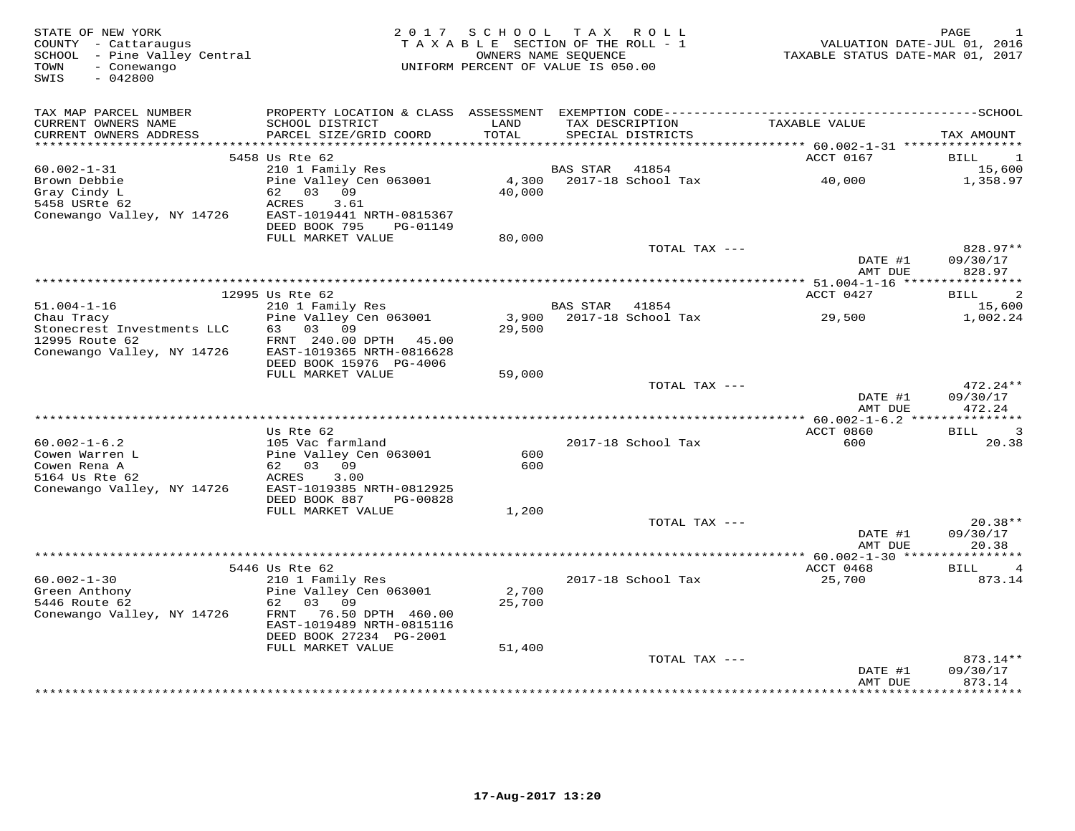| COUNTY - Cattaraugus<br>SCHOOL - Pine Valley Central<br>TOWN<br>- Conewango<br>SWIS<br>$-042800$ |                                                                                   | TAXABLE SECTION OF THE ROLL - 1<br>OWNERS NAME SEQUENCE<br>UNIFORM PERCENT OF VALUE IS 050.00 |                 |                                      | VALUATION DATE-JUL 01, 2016<br>TAXABLE STATUS DATE-MAR 01, 2017        |                                               |
|--------------------------------------------------------------------------------------------------|-----------------------------------------------------------------------------------|-----------------------------------------------------------------------------------------------|-----------------|--------------------------------------|------------------------------------------------------------------------|-----------------------------------------------|
| TAX MAP PARCEL NUMBER                                                                            |                                                                                   |                                                                                               |                 |                                      |                                                                        |                                               |
| CURRENT OWNERS NAME<br>CURRENT OWNERS ADDRESS                                                    | SCHOOL DISTRICT<br>PARCEL SIZE/GRID COORD                                         | LAND<br>TOTAL                                                                                 |                 | TAX DESCRIPTION<br>SPECIAL DISTRICTS | TAXABLE VALUE                                                          | TAX AMOUNT                                    |
| ******************                                                                               | 5458 Us Rte 62                                                                    | ********                                                                                      |                 |                                      | *************************** 60.002-1-31 ****************<br>ACCT 0167  | <b>BILL</b><br><sup>1</sup>                   |
| $60.002 - 1 - 31$                                                                                | 210 1 Family Res                                                                  |                                                                                               | <b>BAS STAR</b> | 41854                                |                                                                        | 15,600                                        |
| Brown Debbie<br>Gray Cindy L<br>5458 USRte 62                                                    | Pine Valley Cen 063001<br>62<br>0.3<br>09<br>ACRES<br>3.61                        | 4,300<br>40,000                                                                               |                 | 2017-18 School Tax                   | 40,000                                                                 | 1,358.97                                      |
| Conewango Valley, NY 14726                                                                       | EAST-1019441 NRTH-0815367<br>DEED BOOK 795<br>PG-01149<br>FULL MARKET VALUE       | 80,000                                                                                        |                 |                                      |                                                                        |                                               |
|                                                                                                  |                                                                                   |                                                                                               |                 | TOTAL TAX ---                        |                                                                        | 828.97**                                      |
|                                                                                                  |                                                                                   |                                                                                               |                 |                                      | DATE #1<br>AMT DUE<br>****************** 51.004-1-16 ***************** | 09/30/17<br>828.97                            |
|                                                                                                  | 12995 Us Rte 62                                                                   |                                                                                               |                 |                                      | ACCT 0427                                                              | 2<br>BILL                                     |
| $51.004 - 1 - 16$                                                                                | 210 1 Family Res                                                                  |                                                                                               | <b>BAS STAR</b> | 41854                                |                                                                        | 15,600                                        |
| Chau Tracy<br>Stonecrest Investments LLC<br>12995 Route 62                                       | Pine Valley Cen 063001<br>63 03 09<br>FRNT 240.00 DPTH<br>45.00                   | 3,900<br>29,500                                                                               |                 | 2017-18 School Tax                   | 29,500                                                                 | 1,002.24                                      |
| Conewango Valley, NY 14726                                                                       | EAST-1019365 NRTH-0816628<br>DEED BOOK 15976 PG-4006<br>FULL MARKET VALUE         | 59,000                                                                                        |                 |                                      |                                                                        |                                               |
|                                                                                                  |                                                                                   |                                                                                               |                 | TOTAL TAX ---                        | DATE #1<br>AMT DUE                                                     | 472.24**<br>09/30/17<br>472.24                |
|                                                                                                  |                                                                                   |                                                                                               |                 |                                      | *** 60.002-1-6.2 ****************                                      |                                               |
|                                                                                                  | Us Rte 62                                                                         |                                                                                               |                 |                                      | ACCT 0860                                                              | 3<br>BILL                                     |
| $60.002 - 1 - 6.2$                                                                               | 105 Vac farmland                                                                  |                                                                                               |                 | 2017-18 School Tax                   | 600                                                                    | 20.38                                         |
| Cowen Warren L<br>Cowen Rena A                                                                   | Pine Valley Cen 063001<br>62 03<br>09                                             | 600<br>600                                                                                    |                 |                                      |                                                                        |                                               |
| 5164 Us Rte 62<br>Conewango Valley, NY 14726                                                     | 3.00<br>ACRES<br>EAST-1019385 NRTH-0812925                                        |                                                                                               |                 |                                      |                                                                        |                                               |
|                                                                                                  | DEED BOOK 887<br>PG-00828<br>FULL MARKET VALUE                                    | 1,200                                                                                         |                 |                                      |                                                                        |                                               |
|                                                                                                  |                                                                                   |                                                                                               |                 | TOTAL TAX ---                        |                                                                        | $20.38**$                                     |
|                                                                                                  |                                                                                   |                                                                                               |                 |                                      | DATE #1<br>AMT DUE                                                     | 09/30/17<br>20.38                             |
|                                                                                                  |                                                                                   |                                                                                               |                 |                                      |                                                                        |                                               |
| $60.002 - 1 - 30$                                                                                | 5446 Us Rte 62<br>210 1 Family Res                                                |                                                                                               |                 | 2017-18 School Tax                   | ACCT 0468<br>25,700                                                    | <b>BILL</b><br>4<br>873.14                    |
| Green Anthony<br>5446 Route 62                                                                   | Pine Valley Cen 063001<br>03 09<br>62                                             | 2,700<br>25,700                                                                               |                 |                                      |                                                                        |                                               |
| Conewango Valley, NY 14726                                                                       | 76.50 DPTH 460.00<br>FRNT<br>EAST-1019489 NRTH-0815116<br>DEED BOOK 27234 PG-2001 |                                                                                               |                 |                                      |                                                                        |                                               |
|                                                                                                  | FULL MARKET VALUE                                                                 | 51,400                                                                                        |                 |                                      |                                                                        |                                               |
|                                                                                                  |                                                                                   |                                                                                               |                 | TOTAL TAX ---                        | DATE #1<br>AMT DUE<br>*************                                    | $873.14**$<br>09/30/17<br>873.14<br>********* |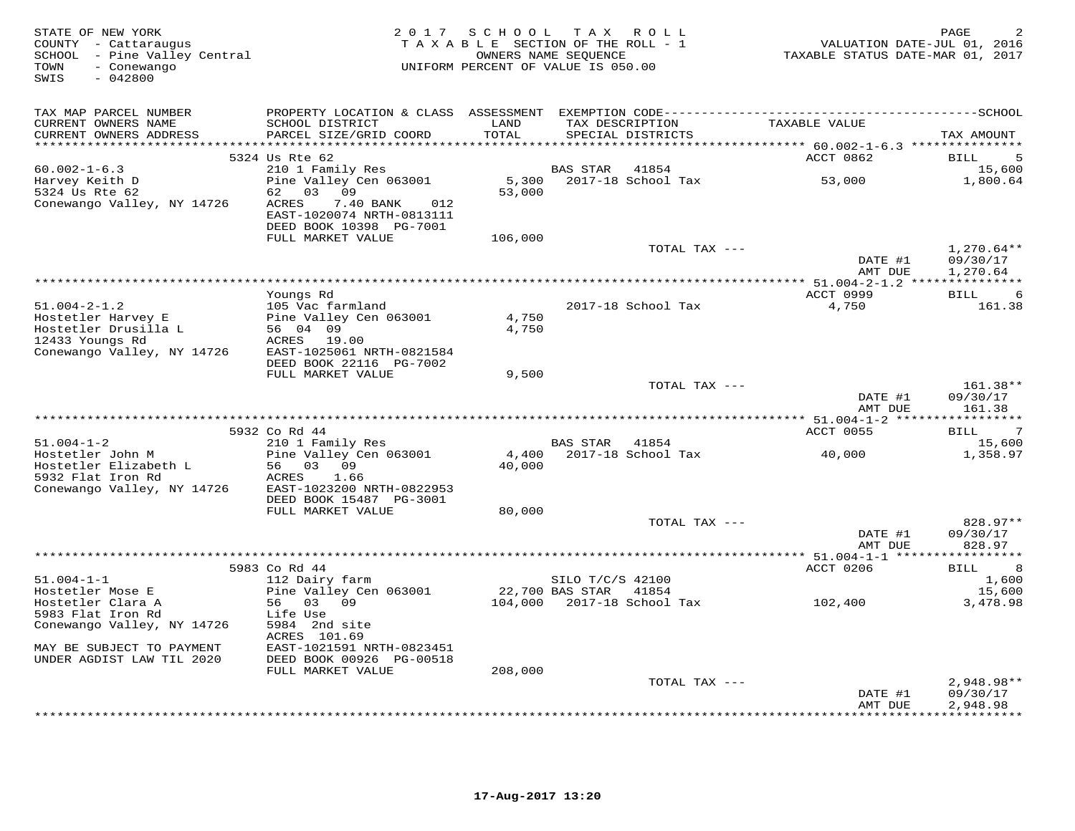| STATE OF NEW YORK<br>COUNTY - Cattaraugus<br>SCHOOL - Pine Valley Central<br>TOWN<br>- Conewango<br>SWIS<br>$-042800$                     | 2 0 1 7                                                                                                                                          |                            | SCHOOL TAX ROLL<br>TAXABLE SECTION OF THE ROLL - 1<br>OWNERS NAME SEQUENCE<br>UNIFORM PERCENT OF VALUE IS 050.00 | VALUATION DATE-JUL 01, 2016<br>TAXABLE STATUS DATE-MAR 01, 2017 | PAGE                                                          |
|-------------------------------------------------------------------------------------------------------------------------------------------|--------------------------------------------------------------------------------------------------------------------------------------------------|----------------------------|------------------------------------------------------------------------------------------------------------------|-----------------------------------------------------------------|---------------------------------------------------------------|
| TAX MAP PARCEL NUMBER<br>CURRENT OWNERS NAME<br>CURRENT OWNERS ADDRESS                                                                    | SCHOOL DISTRICT<br>PARCEL SIZE/GRID COORD                                                                                                        | LAND<br>TOTAL              | TAX DESCRIPTION<br>SPECIAL DISTRICTS                                                                             | TAXABLE VALUE                                                   | TAX AMOUNT                                                    |
|                                                                                                                                           | 5324 Us Rte 62                                                                                                                                   |                            |                                                                                                                  | ACCT 0862                                                       | 5<br>BILL                                                     |
| $60.002 - 1 - 6.3$<br>Harvey Keith D<br>5324 Us Rte 62<br>Conewango Valley, NY 14726                                                      | 210 1 Family Res<br>Pine Valley Cen 063001<br>62 03 09<br>ACRES<br>7.40 BANK<br>012<br>EAST-1020074 NRTH-0813111<br>DEED BOOK 10398 PG-7001      | 53,000                     | 41854<br><b>BAS STAR</b><br>5,300 2017-18 School Tax                                                             | 53,000                                                          | 15,600<br>1,800.64                                            |
|                                                                                                                                           | FULL MARKET VALUE                                                                                                                                | 106,000                    |                                                                                                                  |                                                                 |                                                               |
|                                                                                                                                           |                                                                                                                                                  |                            | TOTAL TAX ---                                                                                                    | DATE #1<br>AMT DUE                                              | $1,270.64**$<br>09/30/17<br>1,270.64                          |
|                                                                                                                                           |                                                                                                                                                  |                            |                                                                                                                  |                                                                 |                                                               |
| $51.004 - 2 - 1.2$<br>Hostetler Harvey E<br>Hostetler Drusilla L<br>12433 Youngs Rd<br>Conewango Valley, NY 14726                         | Youngs Rd<br>105 Vac farmland<br>Pine Valley Cen 063001<br>56 04 09<br>ACRES 19.00<br>EAST-1025061 NRTH-0821584<br>DEED BOOK 22116 PG-7002       | 4,750<br>4,750             | 2017-18 School Tax                                                                                               | ACCT 0999<br>4,750                                              | BILL<br>6<br>161.38                                           |
|                                                                                                                                           | FULL MARKET VALUE                                                                                                                                | 9,500                      | TOTAL TAX ---                                                                                                    | DATE #1<br>AMT DUE                                              | 161.38**<br>09/30/17<br>161.38                                |
|                                                                                                                                           |                                                                                                                                                  |                            |                                                                                                                  |                                                                 | * * * * * * * * * * *                                         |
| $51.004 - 1 - 2$<br>Hostetler John M<br>Hostetler Elizabeth L<br>5932 Flat Iron Rd<br>Conewango Valley, NY 14726                          | 5932 Co Rd 44<br>210 1 Family Res<br>Pine Valley Cen 063001<br>56 03 09<br>1.66<br>ACRES<br>EAST-1023200 NRTH-0822953<br>DEED BOOK 15487 PG-3001 | 4,400<br>40,000            | <b>BAS STAR</b><br>41854<br>2017-18 School Tax                                                                   | ACCT 0055<br>40,000                                             | $\overline{7}$<br>BILL<br>15,600<br>1,358.97                  |
|                                                                                                                                           | FULL MARKET VALUE                                                                                                                                | 80,000                     |                                                                                                                  |                                                                 |                                                               |
|                                                                                                                                           |                                                                                                                                                  |                            | TOTAL TAX ---                                                                                                    | DATE #1<br>AMT DUE                                              | 828.97**<br>09/30/17<br>828.97                                |
|                                                                                                                                           |                                                                                                                                                  |                            |                                                                                                                  |                                                                 |                                                               |
| $51.004 - 1 - 1$<br>Hostetler Mose E<br>Hostetler Clara A<br>5983 Flat Iron Rd<br>Conewango Valley, NY 14726<br>MAY BE SUBJECT TO PAYMENT | 5983 Co Rd 44<br>112 Dairy farm<br>Pine Valley Cen 063001<br>56 03 09<br>Life Use<br>5984 2nd site<br>ACRES 101.69<br>EAST-1021591 NRTH-0823451  | 22,700 BAS STAR<br>104,000 | SILO T/C/S 42100<br>41854<br>2017-18 School Tax                                                                  | ACCT 0206<br>102,400                                            | 8<br>BILL<br>1,600<br>15,600<br>3,478.98                      |
| UNDER AGDIST LAW TIL 2020                                                                                                                 | DEED BOOK 00926 PG-00518                                                                                                                         |                            |                                                                                                                  |                                                                 |                                                               |
|                                                                                                                                           | FULL MARKET VALUE                                                                                                                                | 208,000                    | TOTAL TAX ---                                                                                                    | DATE #1<br>AMT DUE                                              | $2,948.98**$<br>09/30/17<br>2,948.98<br>. * * * * * * * * * * |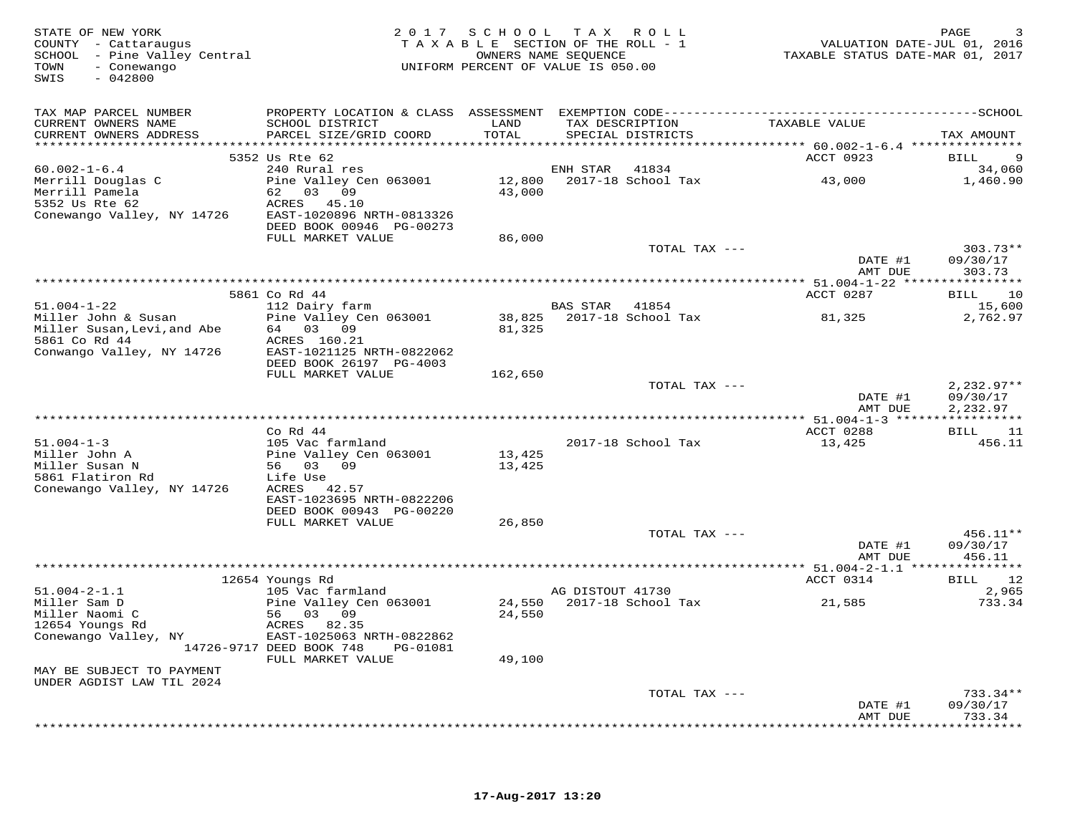| STATE OF NEW YORK<br>COUNTY - Cattaraugus<br>SCHOOL - Pine Valley Central<br>TOWN<br>- Conewango<br>SWIS<br>$-042800$ |                                                                   |               | 2017 SCHOOL TAX ROLL<br>TAXABLE SECTION OF THE ROLL - 1<br>OWNERS NAME SEQUENCE<br>UNIFORM PERCENT OF VALUE IS 050.00 |               | TAXABLE STATUS DATE-MAR 01, 2017 | PAGE<br>VALUATION DATE-JUL 01, 2016 |
|-----------------------------------------------------------------------------------------------------------------------|-------------------------------------------------------------------|---------------|-----------------------------------------------------------------------------------------------------------------------|---------------|----------------------------------|-------------------------------------|
| TAX MAP PARCEL NUMBER                                                                                                 |                                                                   |               |                                                                                                                       |               |                                  |                                     |
| CURRENT OWNERS NAME<br>CURRENT OWNERS ADDRESS                                                                         | SCHOOL DISTRICT<br>PARCEL SIZE/GRID COORD                         | LAND<br>TOTAL | TAX DESCRIPTION<br>SPECIAL DISTRICTS                                                                                  |               | TAXABLE VALUE                    | TAX AMOUNT                          |
|                                                                                                                       | 5352 Us Rte 62                                                    |               |                                                                                                                       |               | ACCT 0923                        | 9<br>BILL                           |
| $60.002 - 1 - 6.4$                                                                                                    | 240 Rural res                                                     |               | ENH STAR<br>41834                                                                                                     |               |                                  | 34,060                              |
| Merrill Douglas C<br>Merrill Pamela<br>5352 Us Rte 62                                                                 | Pine Valley Cen 063001<br>62 03 09<br>ACRES 45.10                 | 43,000        | 12,800 2017-18 School Tax                                                                                             |               | 43,000                           | 1,460.90                            |
| Conewango Valley, NY 14726                                                                                            | EAST-1020896 NRTH-0813326<br>DEED BOOK 00946 PG-00273             |               |                                                                                                                       |               |                                  |                                     |
|                                                                                                                       | FULL MARKET VALUE                                                 | 86,000        |                                                                                                                       | TOTAL TAX --- |                                  | $303.73**$                          |
|                                                                                                                       |                                                                   |               |                                                                                                                       |               | DATE #1<br>AMT DUE               | 09/30/17<br>303.73                  |
|                                                                                                                       | 5861 Co Rd 44                                                     |               |                                                                                                                       |               | ACCT 0287                        | BILL<br>10                          |
| $51.004 - 1 - 22$                                                                                                     | 112 Dairy farm                                                    |               | BAS STAR 41854                                                                                                        |               |                                  | 15,600                              |
| Miller John & Susan<br>Miller Susan, Levi, and Abe                                                                    | Pine Valley Cen 063001<br>64 03 09                                | 81,325        |                                                                                                                       |               | 81,325                           | 2,762.97                            |
| 5861 Co Rd 44                                                                                                         | ACRES 160.21                                                      |               |                                                                                                                       |               |                                  |                                     |
| Conwango Valley, NY 14726                                                                                             | EAST-1021125 NRTH-0822062<br>DEED BOOK 26197 PG-4003              |               |                                                                                                                       |               |                                  |                                     |
|                                                                                                                       | FULL MARKET VALUE                                                 | 162,650       |                                                                                                                       | TOTAL TAX --- |                                  | $2.232.97**$                        |
|                                                                                                                       |                                                                   |               |                                                                                                                       |               | DATE #1<br>AMT DUE               | 09/30/17<br>2,232.97                |
|                                                                                                                       |                                                                   |               |                                                                                                                       |               |                                  |                                     |
|                                                                                                                       | $Co$ Rd 44                                                        |               |                                                                                                                       |               | ACCT 0288                        | BILL 11                             |
| $51.004 - 1 - 3$<br>Miller John A                                                                                     | 105 Vac farmland<br>Pine Valley Cen 063001                        | 13,425        | 2017-18 School Tax                                                                                                    |               | 13,425                           | 456.11                              |
| Miller Susan N<br>5861 Flatiron Rd                                                                                    | 56 03 09<br>Life Use                                              | 13,425        |                                                                                                                       |               |                                  |                                     |
| Conewango Valley, NY 14726                                                                                            | ACRES 42.57<br>EAST-1023695 NRTH-0822206                          |               |                                                                                                                       |               |                                  |                                     |
|                                                                                                                       | DEED BOOK 00943 PG-00220<br>FULL MARKET VALUE                     | 26,850        |                                                                                                                       |               |                                  |                                     |
|                                                                                                                       |                                                                   |               |                                                                                                                       | TOTAL TAX --- |                                  | $456.11**$                          |
|                                                                                                                       |                                                                   |               |                                                                                                                       |               | DATE #1<br>AMT DUE               | 09/30/17<br>456.11                  |
|                                                                                                                       |                                                                   |               |                                                                                                                       |               |                                  |                                     |
| $51.004 - 2 - 1.1$                                                                                                    | 12654 Youngs Rd                                                   |               | AG DISTOUT 41730                                                                                                      |               | ACCT 0314                        | 12<br>BILL<br>2,965                 |
| Miller Sam D                                                                                                          | 105 Vac farmland<br>Pine Valley Cen 063001                        |               | 24,550 2017-18 School Tax                                                                                             |               | 21,585                           | 733.34                              |
| Miller Naomi C<br>12654 Youngs Rd                                                                                     | 56 03 09<br>ACRES 82.35                                           | 24,550        |                                                                                                                       |               |                                  |                                     |
| Conewango Valley, NY                                                                                                  | EAST-1025063 NRTH-0822862<br>14726-9717 DEED BOOK 748<br>PG-01081 |               |                                                                                                                       |               |                                  |                                     |
| MAY BE SUBJECT TO PAYMENT                                                                                             | FULL MARKET VALUE                                                 | 49,100        |                                                                                                                       |               |                                  |                                     |
| UNDER AGDIST LAW TIL 2024                                                                                             |                                                                   |               |                                                                                                                       |               |                                  |                                     |
|                                                                                                                       |                                                                   |               |                                                                                                                       | TOTAL TAX --- | DATE #1                          | $733.34**$<br>09/30/17              |
|                                                                                                                       |                                                                   |               |                                                                                                                       |               | AMT DUE                          | 733.34<br>*********                 |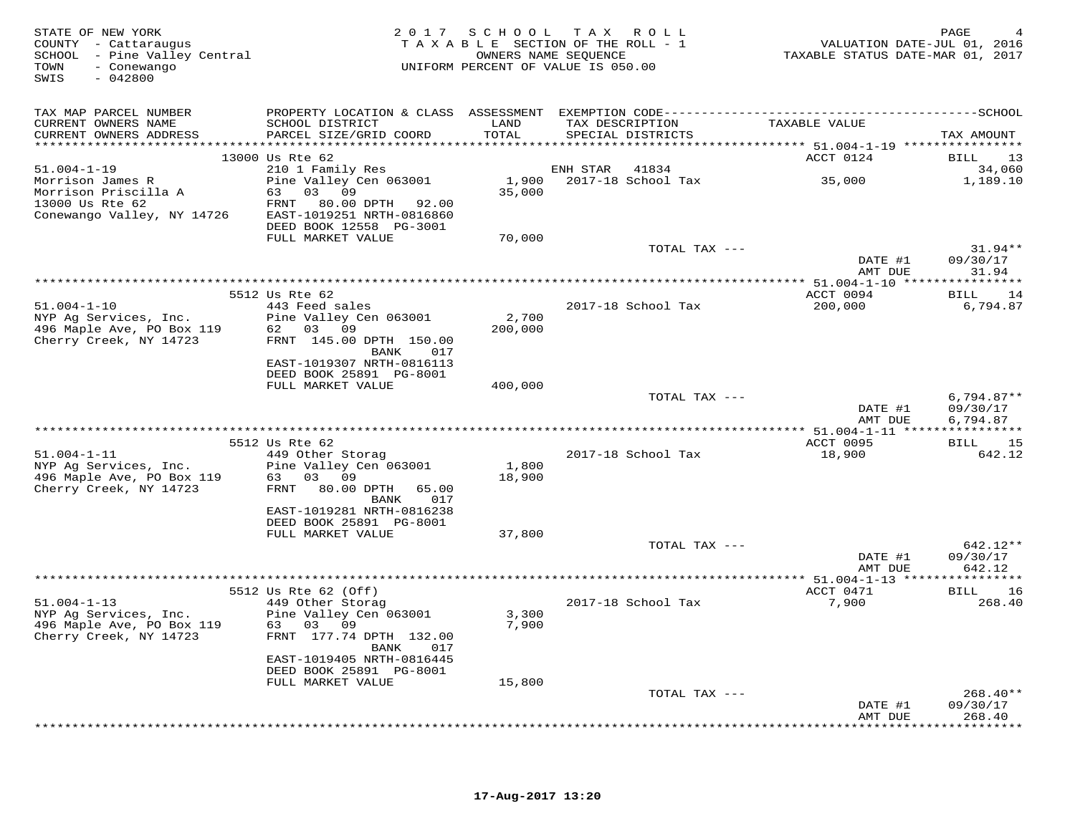| STATE OF NEW YORK<br>COUNTY - Cattaraugus<br>SCHOOL - Pine Valley Central<br>- Conewango<br>TOWN<br>$-042800$<br>SWIS             |                                                                                                                                                       |                  | 2017 SCHOOL TAX ROLL<br>TAXABLE SECTION OF THE ROLL - 1<br>OWNERS NAME SEQUENCE<br>UNIFORM PERCENT OF VALUE IS 050.00 | VALUATION DATE-JUL 01, 2016<br>TAXABLE STATUS DATE-MAR 01, 2017 | PAGE                           |
|-----------------------------------------------------------------------------------------------------------------------------------|-------------------------------------------------------------------------------------------------------------------------------------------------------|------------------|-----------------------------------------------------------------------------------------------------------------------|-----------------------------------------------------------------|--------------------------------|
| TAX MAP PARCEL NUMBER<br>CURRENT OWNERS NAME<br>CURRENT OWNERS ADDRESS                                                            | SCHOOL DISTRICT<br>PARCEL SIZE/GRID COORD                                                                                                             | LAND<br>TOTAL    | TAX DESCRIPTION<br>SPECIAL DISTRICTS                                                                                  | TAXABLE VALUE                                                   | TAX AMOUNT                     |
|                                                                                                                                   | 13000 Us Rte 62                                                                                                                                       |                  |                                                                                                                       | ACCT 0124                                                       | 13<br><b>BILL</b>              |
| $51.004 - 1 - 19$<br>Morrison James R<br>Morrison Priscilla A<br>$13000 \text{ Us } \text{Rte } 62$<br>Conewango Valley, NY 14726 | 210 1 Family Res<br>Pine Valley Cen 063001<br>63 03 09<br>FRNT 80.00 DPTH 92.00<br>EAST-1019251 NRTH-0816860                                          | 35,000           | ENH STAR<br>41834<br>1,900 2017-18 School Tax                                                                         | 35,000                                                          | 34,060<br>1,189.10             |
|                                                                                                                                   | DEED BOOK 12558 PG-3001<br>FULL MARKET VALUE                                                                                                          | 70,000           |                                                                                                                       |                                                                 |                                |
|                                                                                                                                   |                                                                                                                                                       |                  | TOTAL TAX ---                                                                                                         | DATE #1<br>AMT DUE                                              | $31.94**$<br>09/30/17<br>31.94 |
|                                                                                                                                   | 5512 Us Rte 62                                                                                                                                        |                  |                                                                                                                       | ACCT 0094                                                       | 14                             |
| $51.004 - 1 - 10$<br>NYP Ag Services, Inc.<br>496 Maple Ave, PO Box 119 62 03 09<br>Cherry Creek, NY 14723                        | 443 Feed sales<br>Pine Valley Cen 063001<br>FRNT 145.00 DPTH 150.00<br>BANK<br>017                                                                    | 2,700<br>200,000 | 2017-18 School Tax                                                                                                    | 200,000                                                         | BILL<br>6,794.87               |
|                                                                                                                                   | EAST-1019307 NRTH-0816113<br>DEED BOOK 25891 PG-8001<br>FULL MARKET VALUE                                                                             | 400,000          | TOTAL TAX ---                                                                                                         |                                                                 | $6,794.87**$                   |
|                                                                                                                                   |                                                                                                                                                       |                  |                                                                                                                       | DATE #1<br>AMT DUE                                              | 09/30/17<br>6,794.87           |
|                                                                                                                                   | 5512 Us Rte 62                                                                                                                                        |                  |                                                                                                                       | ACCT 0095                                                       | <b>BILL</b><br>15              |
| $51.004 - 1 - 11$<br><sup>11</sup> 12 12 13<br>496 Maple Ave, PO Box 119<br>29 Cherry Creek, NY 14723<br>20.00                    | 449 Other Storag<br>Pine Valley Cen 063001<br>80.00 DPTH 65.00<br>BANK<br>017<br>EAST-1019281 NRTH-0816238                                            | 1,800<br>18,900  | 2017-18 School Tax                                                                                                    | 18,900                                                          | 642.12                         |
|                                                                                                                                   | DEED BOOK 25891 PG-8001                                                                                                                               |                  |                                                                                                                       |                                                                 |                                |
|                                                                                                                                   | FULL MARKET VALUE                                                                                                                                     | 37,800           | TOTAL TAX ---                                                                                                         | DATE #1<br>AMT DUE                                              | 642.12**<br>09/30/17<br>642.12 |
|                                                                                                                                   |                                                                                                                                                       |                  |                                                                                                                       |                                                                 |                                |
| $51.004 - 1 - 13$<br>NYP Ag Services, Inc.<br>496 Maple Ave, PO Box 119<br>Cherry Creek, NY 14723                                 | 5512 Us Rte 62 (Off)<br>449 Other Storag<br>Pine Valley Cen 063001<br>63 03 09<br>FRNT 177.74 DPTH 132.00<br>BANK<br>017<br>EAST-1019405 NRTH-0816445 | 3,300<br>7,900   | 2017-18 School Tax                                                                                                    | ACCT 0471<br>7,900                                              | BILL 16<br>268.40              |
|                                                                                                                                   | DEED BOOK 25891 PG-8001                                                                                                                               |                  |                                                                                                                       |                                                                 |                                |
|                                                                                                                                   | FULL MARKET VALUE                                                                                                                                     | 15,800           | TOTAL TAX ---                                                                                                         | DATE #1                                                         | $268.40**$<br>09/30/17         |
|                                                                                                                                   |                                                                                                                                                       |                  |                                                                                                                       | AMT DUE                                                         | 268.40<br>*********            |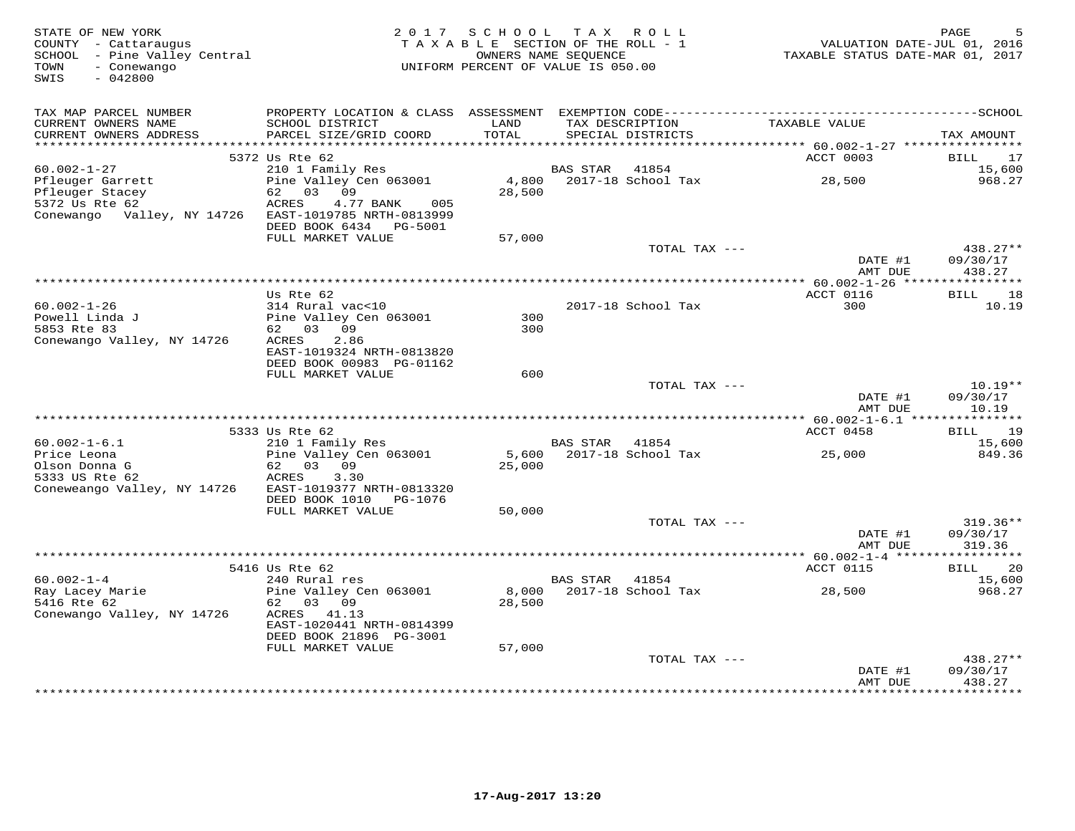| STATE OF NEW YORK<br>COUNTY - Cattaraugus<br>SCHOOL - Pine Valley Central<br>- Conewango<br>TOWN<br>SWIS<br>$-042800$ | 2 0 1 7                                                                                              | SCHOOL<br>TAXABLE SECTION OF THE ROLL - 1<br>OWNERS NAME SEQUENCE<br>UNIFORM PERCENT OF VALUE IS 050.00 |                 | TAX ROLL                             | VALUATION DATE-JUL 01, 2016<br>TAXABLE STATUS DATE-MAR 01, 2017 | PAGE                                         |
|-----------------------------------------------------------------------------------------------------------------------|------------------------------------------------------------------------------------------------------|---------------------------------------------------------------------------------------------------------|-----------------|--------------------------------------|-----------------------------------------------------------------|----------------------------------------------|
| TAX MAP PARCEL NUMBER                                                                                                 |                                                                                                      |                                                                                                         |                 |                                      |                                                                 |                                              |
| CURRENT OWNERS NAME<br>CURRENT OWNERS ADDRESS<br>***********************                                              | SCHOOL DISTRICT<br>PARCEL SIZE/GRID COORD                                                            | LAND<br>TOTAL                                                                                           |                 | TAX DESCRIPTION<br>SPECIAL DISTRICTS | TAXABLE VALUE                                                   | TAX AMOUNT                                   |
|                                                                                                                       | 5372 Us Rte 62                                                                                       |                                                                                                         |                 |                                      | ACCT 0003                                                       | BILL<br>17                                   |
| $60.002 - 1 - 27$                                                                                                     | 210 1 Family Res                                                                                     |                                                                                                         | <b>BAS STAR</b> | 41854                                |                                                                 | 15,600                                       |
| Pfleuger Garrett<br>Pfleuger Stacey<br>5372 Us Rte 62<br>Conewango Valley, NY 14726                                   | Pine Valley Cen 063001<br>62<br>03 09<br>ACRES<br>4.77 BANK<br>005<br>EAST-1019785 NRTH-0813999      | 4,800<br>28,500                                                                                         |                 | 2017-18 School Tax                   | 28,500                                                          | 968.27                                       |
|                                                                                                                       | DEED BOOK 6434 PG-5001                                                                               |                                                                                                         |                 |                                      |                                                                 |                                              |
|                                                                                                                       | FULL MARKET VALUE                                                                                    | 57,000                                                                                                  |                 | TOTAL TAX ---                        | DATE #1                                                         | 438.27**<br>09/30/17                         |
|                                                                                                                       | *************                                                                                        | ********************************                                                                        |                 |                                      | AMT DUE<br>$***$ 60.002-1-26 ***                                | 438.27<br>* * * * * * * * * *                |
|                                                                                                                       | Us Rte 62                                                                                            |                                                                                                         |                 |                                      | ACCT 0116                                                       | 18<br>BILL                                   |
| $60.002 - 1 - 26$<br>Powell Linda J<br>5853 Rte 83<br>Conewango Valley, NY 14726                                      | 314 Rural vac<10<br>Pine Valley Cen 063001<br>62 03 09<br>2.86<br>ACRES<br>EAST-1019324 NRTH-0813820 | 300<br>300                                                                                              |                 | 2017-18 School Tax                   | 300                                                             | 10.19                                        |
|                                                                                                                       | DEED BOOK 00983 PG-01162                                                                             |                                                                                                         |                 |                                      |                                                                 |                                              |
|                                                                                                                       | FULL MARKET VALUE                                                                                    | 600                                                                                                     |                 | TOTAL TAX ---                        |                                                                 | $10.19**$                                    |
|                                                                                                                       |                                                                                                      |                                                                                                         |                 |                                      | DATE #1<br>AMT DUE                                              | 09/30/17<br>10.19                            |
|                                                                                                                       | 5333 Us Rte 62                                                                                       |                                                                                                         |                 |                                      | ACCT 0458                                                       | 19<br>BILL                                   |
| $60.002 - 1 - 6.1$                                                                                                    | 210 1 Family Res                                                                                     |                                                                                                         | BAS STAR        | 41854                                |                                                                 | 15,600                                       |
| Price Leona<br>Olson Donna G<br>5333 US Rte 62                                                                        | Pine Valley Cen 063001<br>62 03<br>09<br>ACRES<br>3.30                                               | 25,000                                                                                                  |                 | 5,600 2017-18 School Tax             | 25,000                                                          | 849.36                                       |
| Coneweango Valley, NY 14726                                                                                           | EAST-1019377 NRTH-0813320<br>DEED BOOK 1010<br>PG-1076                                               |                                                                                                         |                 |                                      |                                                                 |                                              |
|                                                                                                                       | FULL MARKET VALUE                                                                                    | 50,000                                                                                                  |                 |                                      |                                                                 |                                              |
|                                                                                                                       |                                                                                                      |                                                                                                         |                 | TOTAL TAX ---                        | DATE #1<br>AMT DUE                                              | $319.36**$<br>09/30/17<br>319.36             |
|                                                                                                                       |                                                                                                      |                                                                                                         |                 |                                      |                                                                 |                                              |
|                                                                                                                       | 5416 Us Rte 62                                                                                       |                                                                                                         |                 |                                      | ACCT 0115                                                       | BILL<br>20                                   |
| $60.002 - 1 - 4$<br>Ray Lacey Marie                                                                                   | 240 Rural res<br>Pine Valley Cen 063001                                                              | 8,000                                                                                                   | <b>BAS STAR</b> | 41854<br>2017-18 School Tax          | 28,500                                                          | 15,600<br>968.27                             |
| 5416 Rte 62<br>Conewango Valley, NY 14726                                                                             | 03 09<br>62<br>ACRES<br>41.13<br>EAST-1020441 NRTH-0814399                                           | 28,500                                                                                                  |                 |                                      |                                                                 |                                              |
|                                                                                                                       | DEED BOOK 21896 PG-3001                                                                              |                                                                                                         |                 |                                      |                                                                 |                                              |
|                                                                                                                       | FULL MARKET VALUE                                                                                    | 57,000                                                                                                  |                 |                                      |                                                                 |                                              |
|                                                                                                                       |                                                                                                      |                                                                                                         |                 | TOTAL TAX ---                        | DATE #1<br>AMT DUE<br>************                              | 438.27**<br>09/30/17<br>438.27<br>********** |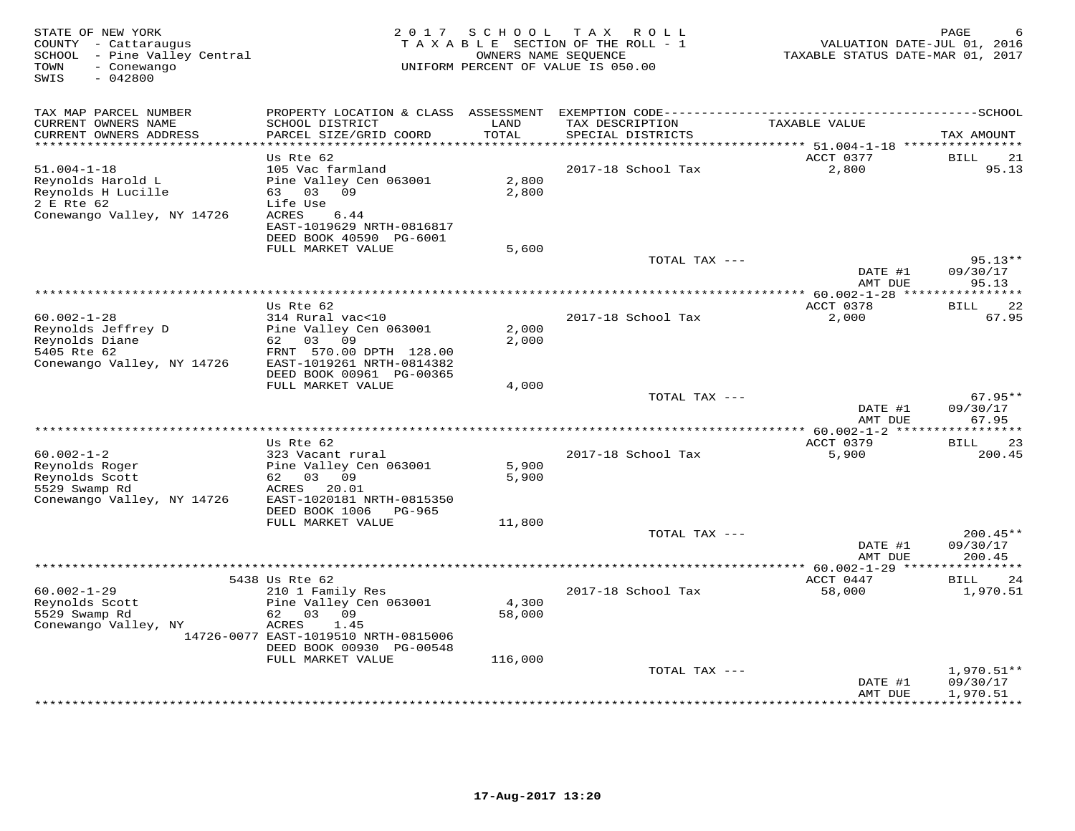| STATE OF NEW YORK<br>COUNTY - Cattaraugus<br>SCHOOL - Pine Valley Central<br>- Conewango<br>TOWN<br>SWIS<br>$-042800$ | 2 0 1 7                                                                                                                                           | SCHOOL          | TAX ROLL<br>TAXABLE SECTION OF THE ROLL - 1<br>OWNERS NAME SEQUENCE<br>UNIFORM PERCENT OF VALUE IS 050.00 | VALUATION DATE-JUL 01, 2016<br>TAXABLE STATUS DATE-MAR 01, 2017 | PAGE                             |
|-----------------------------------------------------------------------------------------------------------------------|---------------------------------------------------------------------------------------------------------------------------------------------------|-----------------|-----------------------------------------------------------------------------------------------------------|-----------------------------------------------------------------|----------------------------------|
| TAX MAP PARCEL NUMBER                                                                                                 | PROPERTY LOCATION & CLASS                                                                                                                         | ASSESSMENT      |                                                                                                           |                                                                 |                                  |
| CURRENT OWNERS NAME<br>CURRENT OWNERS ADDRESS                                                                         | SCHOOL DISTRICT<br>PARCEL SIZE/GRID COORD                                                                                                         | LAND<br>TOTAL   | TAX DESCRIPTION<br>SPECIAL DISTRICTS                                                                      | TAXABLE VALUE                                                   | TAX AMOUNT                       |
|                                                                                                                       | Us Rte 62                                                                                                                                         |                 |                                                                                                           | ********* 51.004-1-18 ***********<br>ACCT 0377                  | 21<br><b>BILL</b>                |
| $51.004 - 1 - 18$<br>Reynolds Harold L<br>Reynolds H Lucille<br>2 E Rte 62<br>Conewango Valley, NY 14726              | 105 Vac farmland<br>Pine Valley Cen 063001<br>09<br>03<br>63<br>Life Use<br>ACRES<br>6.44<br>EAST-1019629 NRTH-0816817<br>DEED BOOK 40590 PG-6001 | 2,800<br>2,800  | 2017-18 School Tax                                                                                        | 2,800                                                           | 95.13                            |
|                                                                                                                       | FULL MARKET VALUE                                                                                                                                 | 5,600           |                                                                                                           |                                                                 |                                  |
|                                                                                                                       |                                                                                                                                                   |                 | TOTAL TAX ---                                                                                             | DATE #1                                                         | $95.13**$<br>09/30/17            |
|                                                                                                                       |                                                                                                                                                   |                 |                                                                                                           | AMT DUE                                                         | 95.13                            |
|                                                                                                                       | Us Rte 62                                                                                                                                         |                 |                                                                                                           | ACCT 0378                                                       | 22<br><b>BILL</b>                |
| $60.002 - 1 - 28$<br>Reynolds Jeffrey D<br>Reynolds Diane<br>5405 Rte 62<br>Conewango Valley, NY 14726                | 314 Rural vac<10<br>Pine Valley Cen 063001<br>62<br>03<br>09<br>FRNT 570.00 DPTH 128.00<br>EAST-1019261 NRTH-0814382                              | 2,000<br>2,000  | 2017-18 School Tax                                                                                        | 2,000                                                           | 67.95                            |
|                                                                                                                       | DEED BOOK 00961 PG-00365<br>FULL MARKET VALUE                                                                                                     | 4,000           |                                                                                                           |                                                                 |                                  |
|                                                                                                                       |                                                                                                                                                   |                 | TOTAL TAX ---                                                                                             | DATE #1                                                         | $67.95**$<br>09/30/17            |
|                                                                                                                       |                                                                                                                                                   |                 |                                                                                                           | AMT DUE                                                         | 67.95                            |
|                                                                                                                       | Us Rte 62                                                                                                                                         |                 |                                                                                                           | * 60.002-1-2 *****<br>ACCT 0379                                 | * * * * * * * *<br>23<br>BILL    |
| $60.002 - 1 - 2$<br>Reynolds Roger<br>Reynolds Scott<br>5529 Swamp Rd<br>Conewango Valley, NY 14726                   | 323 Vacant rural<br>Pine Valley Cen 063001<br>03<br>09<br>62<br>20.01<br>ACRES<br>EAST-1020181 NRTH-0815350<br>DEED BOOK 1006<br>PG-965           | 5,900<br>5,900  | 2017-18 School Tax                                                                                        | 5,900                                                           | 200.45                           |
|                                                                                                                       | FULL MARKET VALUE                                                                                                                                 | 11,800          |                                                                                                           |                                                                 |                                  |
|                                                                                                                       |                                                                                                                                                   |                 | TOTAL TAX ---                                                                                             | DATE #1<br>AMT DUE                                              | $200.45**$<br>09/30/17<br>200.45 |
|                                                                                                                       |                                                                                                                                                   |                 | *********************                                                                                     | * 60.002-1-29 **                                                |                                  |
| $60.002 - 1 - 29$<br>Reynolds Scott<br>5529 Swamp Rd<br>Conewango Valley, NY                                          | 5438 Us Rte 62<br>210 1 Family Res<br>Pine Valley Cen 063001<br>62<br>03<br>09<br>ACRES<br>1.45<br>14726-0077 EAST-1019510 NRTH-0815006           | 4,300<br>58,000 | 2017-18 School Tax                                                                                        | ACCT 0447<br>58,000                                             | 24<br>BILL<br>1,970.51           |
|                                                                                                                       | DEED BOOK 00930 PG-00548<br>FULL MARKET VALUE                                                                                                     | 116,000         |                                                                                                           |                                                                 |                                  |
|                                                                                                                       |                                                                                                                                                   |                 | TOTAL TAX ---                                                                                             | DATE #1                                                         | $1,970.51**$<br>09/30/17         |
|                                                                                                                       |                                                                                                                                                   |                 |                                                                                                           | AMT DUE                                                         | 1,970.51<br>*********            |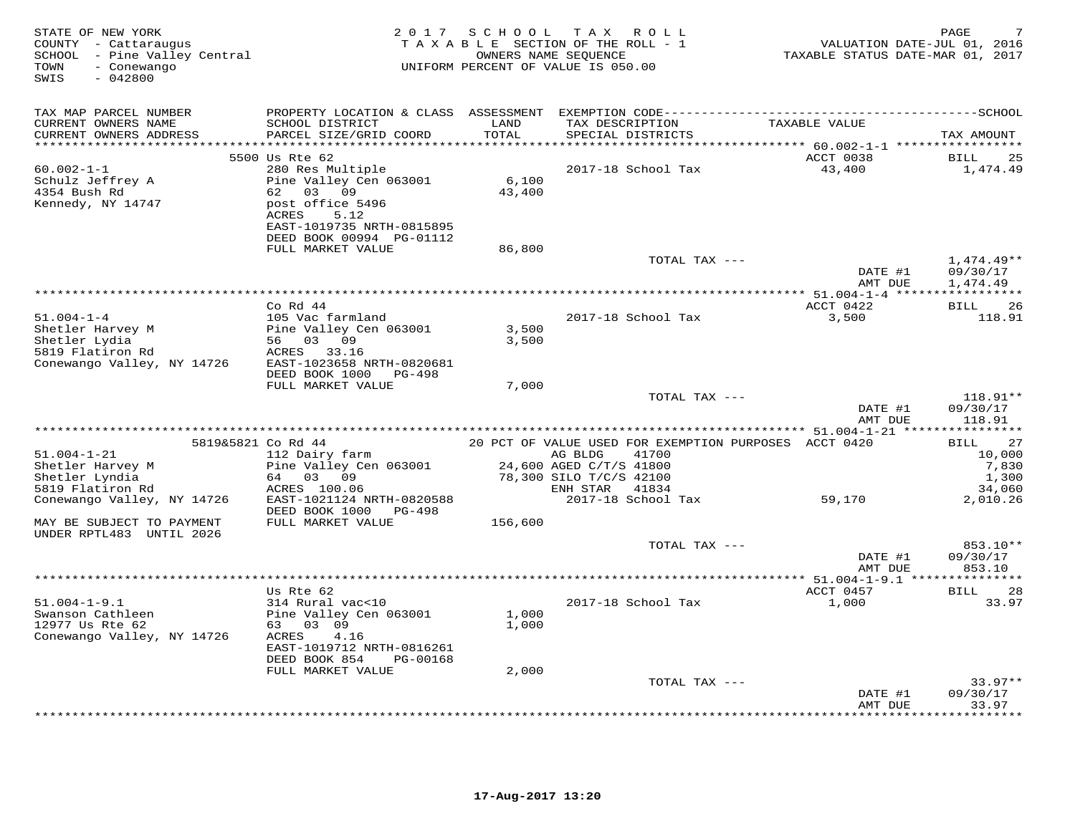| TAX MAP PARCEL NUMBER<br>CURRENT OWNERS NAME<br>SCHOOL DISTRICT<br>LAND<br>TAX DESCRIPTION<br>TAXABLE VALUE<br>TOTAL<br>CURRENT OWNERS ADDRESS<br>PARCEL SIZE/GRID COORD<br>SPECIAL DISTRICTS<br>TAX AMOUNT<br>**********************<br>*******************<br>5500 Us Rte 62<br>ACCT 0038<br>25<br>BILL<br>2017-18 School Tax<br>43,400<br>$60.002 - 1 - 1$<br>280 Res Multiple<br>1,474.49<br>Pine Valley Cen 063001<br>6,100<br>Schulz Jeffrey A<br>4354 Bush Rd<br>62 03 09<br>43,400<br>Kennedy, NY 14747<br>post office 5496<br>ACRES<br>5.12<br>EAST-1019735 NRTH-0815895<br>DEED BOOK 00994 PG-01112<br>FULL MARKET VALUE<br>86,800<br>TOTAL TAX ---<br>$1,474.49**$<br>DATE #1<br>09/30/17<br>AMT DUE<br>1,474.49<br>Co Rd 44<br>ACCT 0422<br><b>BILL</b><br>26<br>$51.004 - 1 - 4$<br>105 Vac farmland<br>2017-18 School Tax<br>3,500<br>118.91<br>Shetler Harvey M<br>Pine Valley Cen 063001<br>3,500<br>Shetler Lydia<br>56 03 09<br>3,500<br>5819 Flatiron Rd<br>ACRES<br>33.16<br>Conewango Valley, NY 14726<br>EAST-1023658 NRTH-0820681<br>DEED BOOK 1000<br>PG-498<br>FULL MARKET VALUE<br>7,000<br>TOTAL TAX ---<br>118.91**<br>DATE #1<br>09/30/17<br>AMT DUE<br>118.91<br>20 PCT OF VALUE USED FOR EXEMPTION PURPOSES ACCT 0420<br>27<br>5819&5821 Co Rd 44<br>BILL<br>$51.004 - 1 - 21$<br>112 Dairy farm<br>AG BLDG<br>41700<br>10,000<br>Shetler Harvey M<br>Pine Valley Cen 063001<br>24,600 AGED C/T/S 41800<br>7,830<br>Shetler Lyndia<br>64 03 09<br>78,300 SILO T/C/S 42100<br>1,300<br>5819 Flatiron Rd<br>34,060<br>ACRES 100.06<br>ENH STAR<br>41834<br>EAST-1021124 NRTH-0820588<br>2017-18 School Tax<br>59,170<br>Conewango Valley, NY 14726<br>2,010.26<br>DEED BOOK 1000<br>PG-498<br>FULL MARKET VALUE<br>MAY BE SUBJECT TO PAYMENT<br>156,600<br>UNDER RPTL483 UNTIL 2026<br>853.10**<br>TOTAL TAX ---<br>09/30/17<br>DATE #1<br>853.10<br>AMT DUE<br>ACCT 0457<br>28<br>Us Rte 62<br>BILL<br>$51.004 - 1 - 9.1$<br>314 Rural vac<10<br>2017-18 School Tax<br>1,000<br>33.97<br>Swanson Cathleen<br>Pine Valley Cen 063001<br>1,000<br>12977 Us Rte 62<br>63 03 09<br>1,000<br>Conewango Valley, NY 14726<br>ACRES<br>4.16<br>EAST-1019712 NRTH-0816261<br>DEED BOOK 854<br>PG-00168<br>FULL MARKET VALUE<br>2,000<br>TOTAL TAX ---<br>$33.97**$<br>DATE #1<br>09/30/17<br>AMT DUE<br>33.97 | STATE OF NEW YORK<br>COUNTY - Cattaraugus<br>SCHOOL - Pine Valley Central<br>- Conewango<br>TOWN<br>SWIS<br>$-042800$ | 2 0 1 7 | SCHOOL<br>TAXABLE SECTION OF THE ROLL - 1<br>UNIFORM PERCENT OF VALUE IS 050.00 | T A X<br>OWNERS NAME SEQUENCE | ROLL | TAXABLE STATUS DATE-MAR 01, 2017 | PAGE<br>VALUATION DATE-JUL 01, 2016 |
|------------------------------------------------------------------------------------------------------------------------------------------------------------------------------------------------------------------------------------------------------------------------------------------------------------------------------------------------------------------------------------------------------------------------------------------------------------------------------------------------------------------------------------------------------------------------------------------------------------------------------------------------------------------------------------------------------------------------------------------------------------------------------------------------------------------------------------------------------------------------------------------------------------------------------------------------------------------------------------------------------------------------------------------------------------------------------------------------------------------------------------------------------------------------------------------------------------------------------------------------------------------------------------------------------------------------------------------------------------------------------------------------------------------------------------------------------------------------------------------------------------------------------------------------------------------------------------------------------------------------------------------------------------------------------------------------------------------------------------------------------------------------------------------------------------------------------------------------------------------------------------------------------------------------------------------------------------------------------------------------------------------------------------------------------------------------------------------------------------------------------------------------------------------------------------------------------------------------------------------------------------------------------------------------------------------------------------|-----------------------------------------------------------------------------------------------------------------------|---------|---------------------------------------------------------------------------------|-------------------------------|------|----------------------------------|-------------------------------------|
|                                                                                                                                                                                                                                                                                                                                                                                                                                                                                                                                                                                                                                                                                                                                                                                                                                                                                                                                                                                                                                                                                                                                                                                                                                                                                                                                                                                                                                                                                                                                                                                                                                                                                                                                                                                                                                                                                                                                                                                                                                                                                                                                                                                                                                                                                                                                    |                                                                                                                       |         |                                                                                 |                               |      |                                  |                                     |
|                                                                                                                                                                                                                                                                                                                                                                                                                                                                                                                                                                                                                                                                                                                                                                                                                                                                                                                                                                                                                                                                                                                                                                                                                                                                                                                                                                                                                                                                                                                                                                                                                                                                                                                                                                                                                                                                                                                                                                                                                                                                                                                                                                                                                                                                                                                                    |                                                                                                                       |         |                                                                                 |                               |      |                                  |                                     |
|                                                                                                                                                                                                                                                                                                                                                                                                                                                                                                                                                                                                                                                                                                                                                                                                                                                                                                                                                                                                                                                                                                                                                                                                                                                                                                                                                                                                                                                                                                                                                                                                                                                                                                                                                                                                                                                                                                                                                                                                                                                                                                                                                                                                                                                                                                                                    |                                                                                                                       |         |                                                                                 |                               |      |                                  |                                     |
|                                                                                                                                                                                                                                                                                                                                                                                                                                                                                                                                                                                                                                                                                                                                                                                                                                                                                                                                                                                                                                                                                                                                                                                                                                                                                                                                                                                                                                                                                                                                                                                                                                                                                                                                                                                                                                                                                                                                                                                                                                                                                                                                                                                                                                                                                                                                    |                                                                                                                       |         |                                                                                 |                               |      |                                  |                                     |
|                                                                                                                                                                                                                                                                                                                                                                                                                                                                                                                                                                                                                                                                                                                                                                                                                                                                                                                                                                                                                                                                                                                                                                                                                                                                                                                                                                                                                                                                                                                                                                                                                                                                                                                                                                                                                                                                                                                                                                                                                                                                                                                                                                                                                                                                                                                                    |                                                                                                                       |         |                                                                                 |                               |      |                                  |                                     |
|                                                                                                                                                                                                                                                                                                                                                                                                                                                                                                                                                                                                                                                                                                                                                                                                                                                                                                                                                                                                                                                                                                                                                                                                                                                                                                                                                                                                                                                                                                                                                                                                                                                                                                                                                                                                                                                                                                                                                                                                                                                                                                                                                                                                                                                                                                                                    |                                                                                                                       |         |                                                                                 |                               |      |                                  |                                     |
|                                                                                                                                                                                                                                                                                                                                                                                                                                                                                                                                                                                                                                                                                                                                                                                                                                                                                                                                                                                                                                                                                                                                                                                                                                                                                                                                                                                                                                                                                                                                                                                                                                                                                                                                                                                                                                                                                                                                                                                                                                                                                                                                                                                                                                                                                                                                    |                                                                                                                       |         |                                                                                 |                               |      |                                  |                                     |
|                                                                                                                                                                                                                                                                                                                                                                                                                                                                                                                                                                                                                                                                                                                                                                                                                                                                                                                                                                                                                                                                                                                                                                                                                                                                                                                                                                                                                                                                                                                                                                                                                                                                                                                                                                                                                                                                                                                                                                                                                                                                                                                                                                                                                                                                                                                                    |                                                                                                                       |         |                                                                                 |                               |      |                                  |                                     |
|                                                                                                                                                                                                                                                                                                                                                                                                                                                                                                                                                                                                                                                                                                                                                                                                                                                                                                                                                                                                                                                                                                                                                                                                                                                                                                                                                                                                                                                                                                                                                                                                                                                                                                                                                                                                                                                                                                                                                                                                                                                                                                                                                                                                                                                                                                                                    |                                                                                                                       |         |                                                                                 |                               |      |                                  |                                     |
|                                                                                                                                                                                                                                                                                                                                                                                                                                                                                                                                                                                                                                                                                                                                                                                                                                                                                                                                                                                                                                                                                                                                                                                                                                                                                                                                                                                                                                                                                                                                                                                                                                                                                                                                                                                                                                                                                                                                                                                                                                                                                                                                                                                                                                                                                                                                    |                                                                                                                       |         |                                                                                 |                               |      |                                  |                                     |
|                                                                                                                                                                                                                                                                                                                                                                                                                                                                                                                                                                                                                                                                                                                                                                                                                                                                                                                                                                                                                                                                                                                                                                                                                                                                                                                                                                                                                                                                                                                                                                                                                                                                                                                                                                                                                                                                                                                                                                                                                                                                                                                                                                                                                                                                                                                                    |                                                                                                                       |         |                                                                                 |                               |      |                                  |                                     |
|                                                                                                                                                                                                                                                                                                                                                                                                                                                                                                                                                                                                                                                                                                                                                                                                                                                                                                                                                                                                                                                                                                                                                                                                                                                                                                                                                                                                                                                                                                                                                                                                                                                                                                                                                                                                                                                                                                                                                                                                                                                                                                                                                                                                                                                                                                                                    |                                                                                                                       |         |                                                                                 |                               |      |                                  |                                     |
|                                                                                                                                                                                                                                                                                                                                                                                                                                                                                                                                                                                                                                                                                                                                                                                                                                                                                                                                                                                                                                                                                                                                                                                                                                                                                                                                                                                                                                                                                                                                                                                                                                                                                                                                                                                                                                                                                                                                                                                                                                                                                                                                                                                                                                                                                                                                    |                                                                                                                       |         |                                                                                 |                               |      |                                  |                                     |
|                                                                                                                                                                                                                                                                                                                                                                                                                                                                                                                                                                                                                                                                                                                                                                                                                                                                                                                                                                                                                                                                                                                                                                                                                                                                                                                                                                                                                                                                                                                                                                                                                                                                                                                                                                                                                                                                                                                                                                                                                                                                                                                                                                                                                                                                                                                                    |                                                                                                                       |         |                                                                                 |                               |      |                                  |                                     |
|                                                                                                                                                                                                                                                                                                                                                                                                                                                                                                                                                                                                                                                                                                                                                                                                                                                                                                                                                                                                                                                                                                                                                                                                                                                                                                                                                                                                                                                                                                                                                                                                                                                                                                                                                                                                                                                                                                                                                                                                                                                                                                                                                                                                                                                                                                                                    |                                                                                                                       |         |                                                                                 |                               |      |                                  |                                     |
|                                                                                                                                                                                                                                                                                                                                                                                                                                                                                                                                                                                                                                                                                                                                                                                                                                                                                                                                                                                                                                                                                                                                                                                                                                                                                                                                                                                                                                                                                                                                                                                                                                                                                                                                                                                                                                                                                                                                                                                                                                                                                                                                                                                                                                                                                                                                    |                                                                                                                       |         |                                                                                 |                               |      |                                  |                                     |
|                                                                                                                                                                                                                                                                                                                                                                                                                                                                                                                                                                                                                                                                                                                                                                                                                                                                                                                                                                                                                                                                                                                                                                                                                                                                                                                                                                                                                                                                                                                                                                                                                                                                                                                                                                                                                                                                                                                                                                                                                                                                                                                                                                                                                                                                                                                                    |                                                                                                                       |         |                                                                                 |                               |      |                                  |                                     |
|                                                                                                                                                                                                                                                                                                                                                                                                                                                                                                                                                                                                                                                                                                                                                                                                                                                                                                                                                                                                                                                                                                                                                                                                                                                                                                                                                                                                                                                                                                                                                                                                                                                                                                                                                                                                                                                                                                                                                                                                                                                                                                                                                                                                                                                                                                                                    |                                                                                                                       |         |                                                                                 |                               |      |                                  |                                     |
|                                                                                                                                                                                                                                                                                                                                                                                                                                                                                                                                                                                                                                                                                                                                                                                                                                                                                                                                                                                                                                                                                                                                                                                                                                                                                                                                                                                                                                                                                                                                                                                                                                                                                                                                                                                                                                                                                                                                                                                                                                                                                                                                                                                                                                                                                                                                    |                                                                                                                       |         |                                                                                 |                               |      |                                  |                                     |
|                                                                                                                                                                                                                                                                                                                                                                                                                                                                                                                                                                                                                                                                                                                                                                                                                                                                                                                                                                                                                                                                                                                                                                                                                                                                                                                                                                                                                                                                                                                                                                                                                                                                                                                                                                                                                                                                                                                                                                                                                                                                                                                                                                                                                                                                                                                                    |                                                                                                                       |         |                                                                                 |                               |      |                                  |                                     |
|                                                                                                                                                                                                                                                                                                                                                                                                                                                                                                                                                                                                                                                                                                                                                                                                                                                                                                                                                                                                                                                                                                                                                                                                                                                                                                                                                                                                                                                                                                                                                                                                                                                                                                                                                                                                                                                                                                                                                                                                                                                                                                                                                                                                                                                                                                                                    |                                                                                                                       |         |                                                                                 |                               |      |                                  |                                     |
|                                                                                                                                                                                                                                                                                                                                                                                                                                                                                                                                                                                                                                                                                                                                                                                                                                                                                                                                                                                                                                                                                                                                                                                                                                                                                                                                                                                                                                                                                                                                                                                                                                                                                                                                                                                                                                                                                                                                                                                                                                                                                                                                                                                                                                                                                                                                    |                                                                                                                       |         |                                                                                 |                               |      |                                  |                                     |
|                                                                                                                                                                                                                                                                                                                                                                                                                                                                                                                                                                                                                                                                                                                                                                                                                                                                                                                                                                                                                                                                                                                                                                                                                                                                                                                                                                                                                                                                                                                                                                                                                                                                                                                                                                                                                                                                                                                                                                                                                                                                                                                                                                                                                                                                                                                                    |                                                                                                                       |         |                                                                                 |                               |      |                                  |                                     |
|                                                                                                                                                                                                                                                                                                                                                                                                                                                                                                                                                                                                                                                                                                                                                                                                                                                                                                                                                                                                                                                                                                                                                                                                                                                                                                                                                                                                                                                                                                                                                                                                                                                                                                                                                                                                                                                                                                                                                                                                                                                                                                                                                                                                                                                                                                                                    |                                                                                                                       |         |                                                                                 |                               |      |                                  |                                     |
|                                                                                                                                                                                                                                                                                                                                                                                                                                                                                                                                                                                                                                                                                                                                                                                                                                                                                                                                                                                                                                                                                                                                                                                                                                                                                                                                                                                                                                                                                                                                                                                                                                                                                                                                                                                                                                                                                                                                                                                                                                                                                                                                                                                                                                                                                                                                    |                                                                                                                       |         |                                                                                 |                               |      |                                  |                                     |
|                                                                                                                                                                                                                                                                                                                                                                                                                                                                                                                                                                                                                                                                                                                                                                                                                                                                                                                                                                                                                                                                                                                                                                                                                                                                                                                                                                                                                                                                                                                                                                                                                                                                                                                                                                                                                                                                                                                                                                                                                                                                                                                                                                                                                                                                                                                                    |                                                                                                                       |         |                                                                                 |                               |      |                                  |                                     |
|                                                                                                                                                                                                                                                                                                                                                                                                                                                                                                                                                                                                                                                                                                                                                                                                                                                                                                                                                                                                                                                                                                                                                                                                                                                                                                                                                                                                                                                                                                                                                                                                                                                                                                                                                                                                                                                                                                                                                                                                                                                                                                                                                                                                                                                                                                                                    |                                                                                                                       |         |                                                                                 |                               |      |                                  |                                     |
|                                                                                                                                                                                                                                                                                                                                                                                                                                                                                                                                                                                                                                                                                                                                                                                                                                                                                                                                                                                                                                                                                                                                                                                                                                                                                                                                                                                                                                                                                                                                                                                                                                                                                                                                                                                                                                                                                                                                                                                                                                                                                                                                                                                                                                                                                                                                    |                                                                                                                       |         |                                                                                 |                               |      |                                  |                                     |
|                                                                                                                                                                                                                                                                                                                                                                                                                                                                                                                                                                                                                                                                                                                                                                                                                                                                                                                                                                                                                                                                                                                                                                                                                                                                                                                                                                                                                                                                                                                                                                                                                                                                                                                                                                                                                                                                                                                                                                                                                                                                                                                                                                                                                                                                                                                                    |                                                                                                                       |         |                                                                                 |                               |      |                                  |                                     |
|                                                                                                                                                                                                                                                                                                                                                                                                                                                                                                                                                                                                                                                                                                                                                                                                                                                                                                                                                                                                                                                                                                                                                                                                                                                                                                                                                                                                                                                                                                                                                                                                                                                                                                                                                                                                                                                                                                                                                                                                                                                                                                                                                                                                                                                                                                                                    |                                                                                                                       |         |                                                                                 |                               |      |                                  |                                     |
|                                                                                                                                                                                                                                                                                                                                                                                                                                                                                                                                                                                                                                                                                                                                                                                                                                                                                                                                                                                                                                                                                                                                                                                                                                                                                                                                                                                                                                                                                                                                                                                                                                                                                                                                                                                                                                                                                                                                                                                                                                                                                                                                                                                                                                                                                                                                    |                                                                                                                       |         |                                                                                 |                               |      |                                  |                                     |
|                                                                                                                                                                                                                                                                                                                                                                                                                                                                                                                                                                                                                                                                                                                                                                                                                                                                                                                                                                                                                                                                                                                                                                                                                                                                                                                                                                                                                                                                                                                                                                                                                                                                                                                                                                                                                                                                                                                                                                                                                                                                                                                                                                                                                                                                                                                                    |                                                                                                                       |         |                                                                                 |                               |      |                                  |                                     |
|                                                                                                                                                                                                                                                                                                                                                                                                                                                                                                                                                                                                                                                                                                                                                                                                                                                                                                                                                                                                                                                                                                                                                                                                                                                                                                                                                                                                                                                                                                                                                                                                                                                                                                                                                                                                                                                                                                                                                                                                                                                                                                                                                                                                                                                                                                                                    |                                                                                                                       |         |                                                                                 |                               |      |                                  |                                     |
|                                                                                                                                                                                                                                                                                                                                                                                                                                                                                                                                                                                                                                                                                                                                                                                                                                                                                                                                                                                                                                                                                                                                                                                                                                                                                                                                                                                                                                                                                                                                                                                                                                                                                                                                                                                                                                                                                                                                                                                                                                                                                                                                                                                                                                                                                                                                    |                                                                                                                       |         |                                                                                 |                               |      |                                  |                                     |
|                                                                                                                                                                                                                                                                                                                                                                                                                                                                                                                                                                                                                                                                                                                                                                                                                                                                                                                                                                                                                                                                                                                                                                                                                                                                                                                                                                                                                                                                                                                                                                                                                                                                                                                                                                                                                                                                                                                                                                                                                                                                                                                                                                                                                                                                                                                                    |                                                                                                                       |         |                                                                                 |                               |      |                                  |                                     |
|                                                                                                                                                                                                                                                                                                                                                                                                                                                                                                                                                                                                                                                                                                                                                                                                                                                                                                                                                                                                                                                                                                                                                                                                                                                                                                                                                                                                                                                                                                                                                                                                                                                                                                                                                                                                                                                                                                                                                                                                                                                                                                                                                                                                                                                                                                                                    |                                                                                                                       |         |                                                                                 |                               |      |                                  |                                     |
|                                                                                                                                                                                                                                                                                                                                                                                                                                                                                                                                                                                                                                                                                                                                                                                                                                                                                                                                                                                                                                                                                                                                                                                                                                                                                                                                                                                                                                                                                                                                                                                                                                                                                                                                                                                                                                                                                                                                                                                                                                                                                                                                                                                                                                                                                                                                    |                                                                                                                       |         |                                                                                 |                               |      |                                  |                                     |
|                                                                                                                                                                                                                                                                                                                                                                                                                                                                                                                                                                                                                                                                                                                                                                                                                                                                                                                                                                                                                                                                                                                                                                                                                                                                                                                                                                                                                                                                                                                                                                                                                                                                                                                                                                                                                                                                                                                                                                                                                                                                                                                                                                                                                                                                                                                                    |                                                                                                                       |         |                                                                                 |                               |      |                                  |                                     |
|                                                                                                                                                                                                                                                                                                                                                                                                                                                                                                                                                                                                                                                                                                                                                                                                                                                                                                                                                                                                                                                                                                                                                                                                                                                                                                                                                                                                                                                                                                                                                                                                                                                                                                                                                                                                                                                                                                                                                                                                                                                                                                                                                                                                                                                                                                                                    |                                                                                                                       |         |                                                                                 |                               |      |                                  |                                     |
|                                                                                                                                                                                                                                                                                                                                                                                                                                                                                                                                                                                                                                                                                                                                                                                                                                                                                                                                                                                                                                                                                                                                                                                                                                                                                                                                                                                                                                                                                                                                                                                                                                                                                                                                                                                                                                                                                                                                                                                                                                                                                                                                                                                                                                                                                                                                    |                                                                                                                       |         |                                                                                 |                               |      | * * * * * * * * ·                | * * * * * * *                       |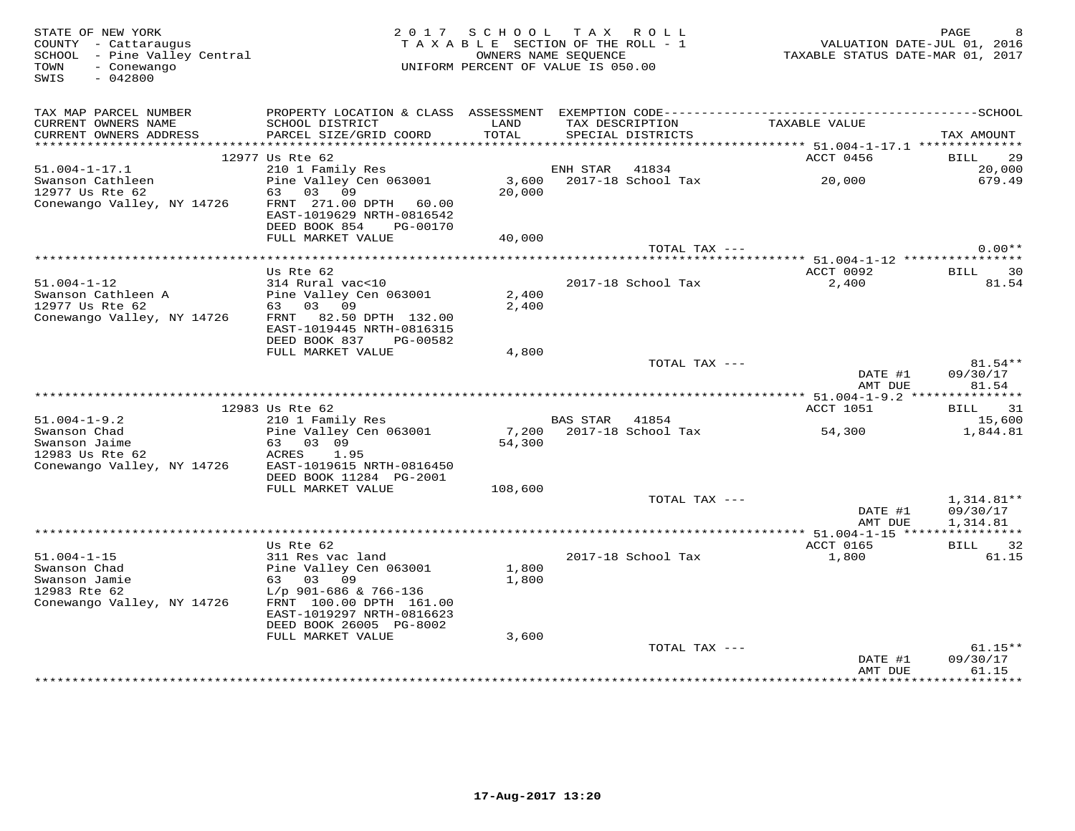| STATE OF NEW YORK<br>COUNTY - Cattaraugus<br>SCHOOL - Pine Valley Central<br>TOWN<br>- Conewango<br>$-042800$<br>SWIS |                                                                                                                            |                | 2017 SCHOOL TAX ROLL<br>TAXABLE SECTION OF THE ROLL - 1<br>OWNERS NAME SEQUENCE<br>UNIFORM PERCENT OF VALUE IS 050.00 |                                                               |                    | PAGE<br>VALUATION DATE-JUL 01, 2016<br>TAXABLE STATUS DATE-MAR 01, 2017 |
|-----------------------------------------------------------------------------------------------------------------------|----------------------------------------------------------------------------------------------------------------------------|----------------|-----------------------------------------------------------------------------------------------------------------------|---------------------------------------------------------------|--------------------|-------------------------------------------------------------------------|
| TAX MAP PARCEL NUMBER<br>CURRENT OWNERS NAME<br>CURRENT OWNERS ADDRESS                                                | SCHOOL DISTRICT<br>PARCEL SIZE/GRID COORD                                                                                  | LAND<br>TOTAL  | TAX DESCRIPTION<br>SPECIAL DISTRICTS                                                                                  |                                                               | TAXABLE VALUE      | TAX AMOUNT                                                              |
|                                                                                                                       |                                                                                                                            |                |                                                                                                                       |                                                               |                    |                                                                         |
| $51.004 - 1 - 17.1$                                                                                                   | 12977 Us Rte 62                                                                                                            |                |                                                                                                                       |                                                               | ACCT 0456          | BILL 29<br>20,000                                                       |
| Swanson Cathleen<br>12977 Us Rte 62<br>Conewango Valley, NY 14726                                                     | 05 Ate 02<br>210 1 Family Res<br>Pine Valley Cen 063001<br>63 03 09<br>FRNT 271.00 DPTH 60.00<br>EAST-1019629 NRTH-0816542 | 20,000         |                                                                                                                       | ENH STAR 41834<br>3,600 2017-18 School Tax 20,000             |                    | 679.49                                                                  |
|                                                                                                                       | DEED BOOK 854<br>PG-00170<br>FULL MARKET VALUE                                                                             | 40,000         |                                                                                                                       |                                                               |                    |                                                                         |
|                                                                                                                       |                                                                                                                            |                |                                                                                                                       | TOTAL TAX ---                                                 |                    | $0.00**$                                                                |
|                                                                                                                       |                                                                                                                            |                |                                                                                                                       | ******************************** 51.004-1-12 **************** |                    |                                                                         |
| $51.004 - 1 - 12$<br>Conewango Valley, NY 14726                                                                       | Us Rte 62<br>314 Rural vac<10<br>FRNT 82.50 DPTH 132.00                                                                    | 2,400<br>2,400 | 2017-18 School Tax                                                                                                    |                                                               | ACCT 0092<br>2,400 | BILL 30<br>81.54                                                        |
|                                                                                                                       | EAST-1019445 NRTH-0816315<br>DEED BOOK 837 PG-00582<br>FULL MARKET VALUE                                                   | 4,800          |                                                                                                                       |                                                               |                    |                                                                         |
|                                                                                                                       |                                                                                                                            |                |                                                                                                                       | TOTAL TAX ---                                                 | DATE #1<br>AMT DUE | 81.54**<br>09/30/17<br>81.54                                            |
|                                                                                                                       |                                                                                                                            |                |                                                                                                                       |                                                               |                    |                                                                         |
|                                                                                                                       | 12983 Us Rte 62                                                                                                            |                |                                                                                                                       |                                                               | ACCT 1051          | BILL 31                                                                 |
| 51.004-1-9.2<br>Swanson Chad<br>Swanson Jaime<br>The 62<br>Conewango Valley, NY 14726 EAST-1019615 NRTH-0816450       | 210 1 Family Res<br>Pine Valley Cen 063001<br>63 03 09<br>ACRES 1.95                                                       | 54,300         | <b>BAS STAR 41854</b>                                                                                                 | 7,200 2017-18 School Tax 54,300                               |                    | 15,600<br>1,844.81                                                      |
|                                                                                                                       | DEED BOOK 11284 PG-2001<br>FULL MARKET VALUE                                                                               | 108,600        |                                                                                                                       |                                                               |                    |                                                                         |
|                                                                                                                       |                                                                                                                            |                |                                                                                                                       | TOTAL TAX ---                                                 | DATE #1<br>AMT DUE | $1,314.81**$<br>09/30/17<br>1,314.81                                    |
|                                                                                                                       |                                                                                                                            |                |                                                                                                                       |                                                               |                    |                                                                         |
|                                                                                                                       | Us Rte 62<br>311 Res vac land                                                                                              |                |                                                                                                                       |                                                               | ACCT 0165          | BILL 32                                                                 |
| $51.004 - 1 - 15$<br>Swanson Chad<br>Swanson Jamie<br>12983 Rte 62<br>Conewango Valley, NY 14726                      | Pine Valley Cen 063001<br>63 03 09<br>L/p 901-686 & 766-136<br>FRNT 100.00 DPTH 161.00                                     | 1,800<br>1,800 | 2017-18 School Tax                                                                                                    |                                                               | 1,800              | 61.15                                                                   |
|                                                                                                                       | EAST-1019297 NRTH-0816623<br>DEED BOOK 26005 PG-8002                                                                       |                |                                                                                                                       |                                                               |                    |                                                                         |
|                                                                                                                       | FULL MARKET VALUE                                                                                                          | 3,600          |                                                                                                                       |                                                               |                    |                                                                         |
|                                                                                                                       |                                                                                                                            |                |                                                                                                                       | TOTAL TAX ---                                                 | DATE #1<br>AMT DUE | $61.15**$<br>09/30/17<br>61.15                                          |
|                                                                                                                       |                                                                                                                            |                |                                                                                                                       |                                                               | **************     | ********                                                                |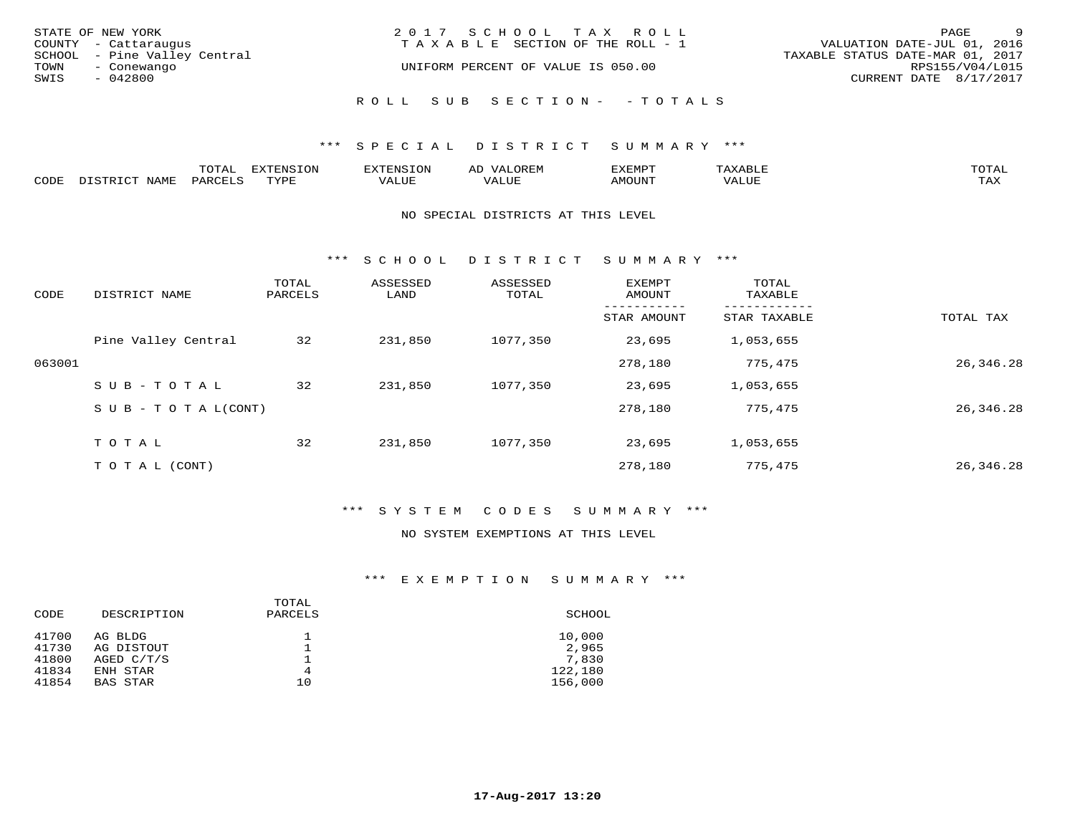|      | STATE OF NEW YORK<br>COUNTY - Cattaraugus   | 2017 SCHOOL TAX ROLL<br>T A X A B L E SECTION OF THE ROLL - 1 | PAGE<br>VALUATION DATE-JUL 01, 2016                 | - 9 |
|------|---------------------------------------------|---------------------------------------------------------------|-----------------------------------------------------|-----|
| TOWN | SCHOOL - Pine Valley Central<br>- Conewango | UNIFORM PERCENT OF VALUE IS 050.00                            | TAXABLE STATUS DATE-MAR 01, 2017<br>RPS155/V04/L015 |     |
| SWIS | - 042800                                    |                                                               | CURRENT DATE 8/17/2017                              |     |
|      |                                             | ROLL SUB SECTION- - TOTALS                                    |                                                     |     |

### \*\*\* S P E C I A L D I S T R I C T S U M M A R Y \*\*\*

|      |                     | <b>ጥ</b> ଠጥ አ<br>- U I AL' | $\pi$<br>. U L' | N.S                 | )R EI<br>ΑL        | 13251050      |                                 | <b>TOTA</b> |
|------|---------------------|----------------------------|-----------------|---------------------|--------------------|---------------|---------------------------------|-------------|
| CODE | NIAMT<br>. סידים דר | PARO                       | TVDF            | <b>TTTT</b><br>ALUR | T T T<br>الالالتدم | <b>AMOUNT</b> | $+ + + + +$<br>$\Delta$<br>ALUP | TAY<br>∸∽∸  |

### NO SPECIAL DISTRICTS AT THIS LEVEL

\*\*\* S C H O O L D I S T R I C T S U M M A R Y \*\*\*

| CODE   | DISTRICT NAME                    | TOTAL<br>PARCELS | ASSESSED<br>LAND | ASSESSED<br>TOTAL | <b>EXEMPT</b><br>AMOUNT | TOTAL<br>TAXABLE |           |
|--------|----------------------------------|------------------|------------------|-------------------|-------------------------|------------------|-----------|
|        |                                  |                  |                  |                   | STAR AMOUNT             | STAR TAXABLE     | TOTAL TAX |
|        | Pine Valley Central              | 32               | 231,850          | 1077,350          | 23,695                  | 1,053,655        |           |
| 063001 |                                  |                  |                  |                   | 278,180                 | 775,475          | 26,346.28 |
|        | SUB-TOTAL                        | 32               | 231,850          | 1077,350          | 23,695                  | 1,053,655        |           |
|        | $S \cup B - T \cup T A L (CONT)$ |                  |                  |                   | 278,180                 | 775,475          | 26,346.28 |
|        | TOTAL                            | 32               | 231,850          | 1077,350          | 23,695                  | 1,053,655        |           |
|        | T O T A L (CONT)                 |                  |                  |                   | 278,180                 | 775,475          | 26,346.28 |

### \*\*\* S Y S T E M C O D E S S U M M A R Y \*\*\*

NO SYSTEM EXEMPTIONS AT THIS LEVEL

| CODE           | DESCRIPTION           | TOTAL<br>PARCELS | SCHOOL             |
|----------------|-----------------------|------------------|--------------------|
| 41700<br>41730 | AG BLDG<br>AG DISTOUT |                  | 10,000<br>2,965    |
| 41800          | AGED $C/T/S$          |                  | 7,830              |
| 41834<br>41854 | ENH STAR<br>BAS STAR  | 4<br>10          | 122,180<br>156,000 |
|                |                       |                  |                    |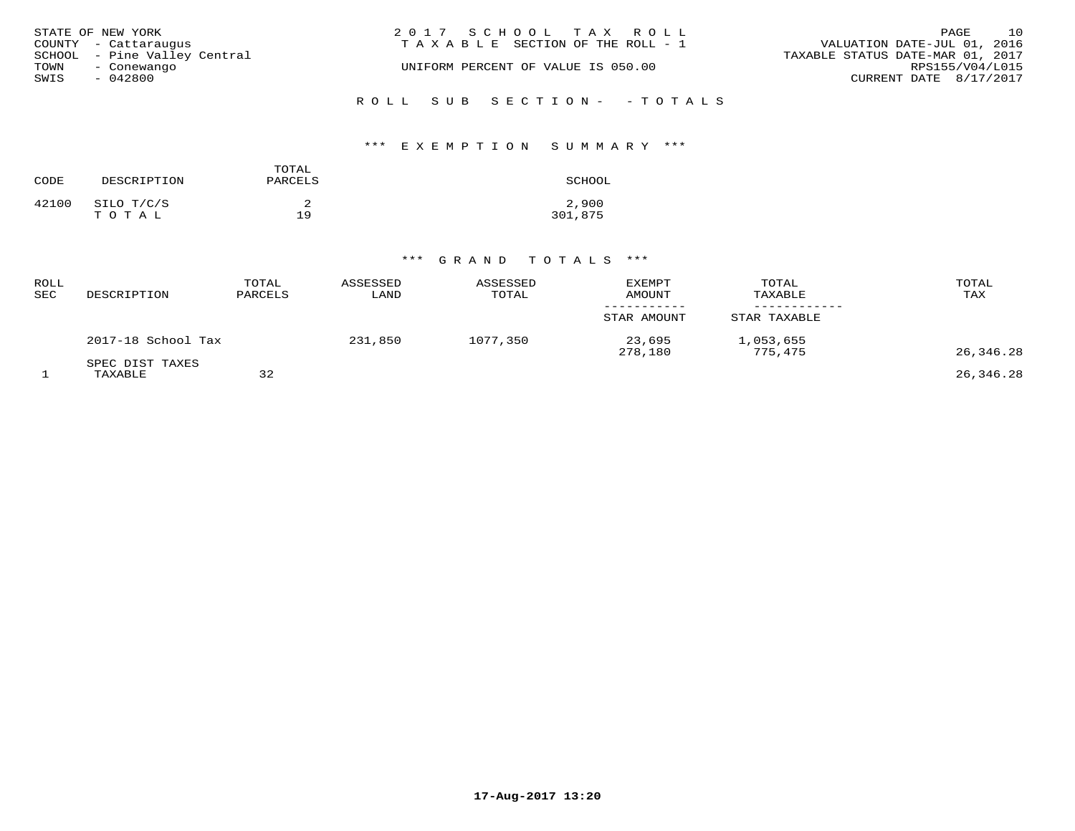| STATE OF NEW YORK            | 2017 SCHOOL TAX ROLL               | 10<br>PAGE                       |
|------------------------------|------------------------------------|----------------------------------|
| COUNTY - Cattaraugus         | TAXABLE SECTION OF THE ROLL - 1    | VALUATION DATE-JUL 01, 2016      |
| SCHOOL - Pine Valley Central |                                    | TAXABLE STATUS DATE-MAR 01, 2017 |
| TOWN<br>- Conewango          | UNIFORM PERCENT OF VALUE IS 050.00 | RPS155/V04/L015                  |
| SWIS<br>$-042800$            |                                    | CURRENT DATE 8/17/2017           |
|                              | ROLL SUB SECTION- - TOTALS         |                                  |

### \*\*\* E X E M P T I O N S U M M A R Y \*\*\*

| CODE  | DESCRIPTION         | TOTAL<br>PARCELS | SCHOOL           |
|-------|---------------------|------------------|------------------|
| 42100 | SILO T/C/S<br>TOTAL | 19               | 2,900<br>301,875 |

# \*\*\* G R A N D T O T A L S \*\*\*

| ROLL<br>SEC | DESCRIPTION                | TOTAL<br>PARCELS | ASSESSED<br>LAND | ASSESSED<br>TOTAL | <b>EXEMPT</b><br><b>AMOUNT</b> | TOTAL<br>TAXABLE     | TOTAL<br>TAX |
|-------------|----------------------------|------------------|------------------|-------------------|--------------------------------|----------------------|--------------|
|             |                            |                  |                  |                   | STAR AMOUNT                    | STAR TAXABLE         |              |
|             | 2017-18 School Tax         |                  | 231,850          | 1077,350          | 23,695<br>278,180              | 1,053,655<br>775,475 | 26,346.28    |
|             | SPEC DIST TAXES<br>TAXABLE | 32               |                  |                   |                                |                      | 26,346.28    |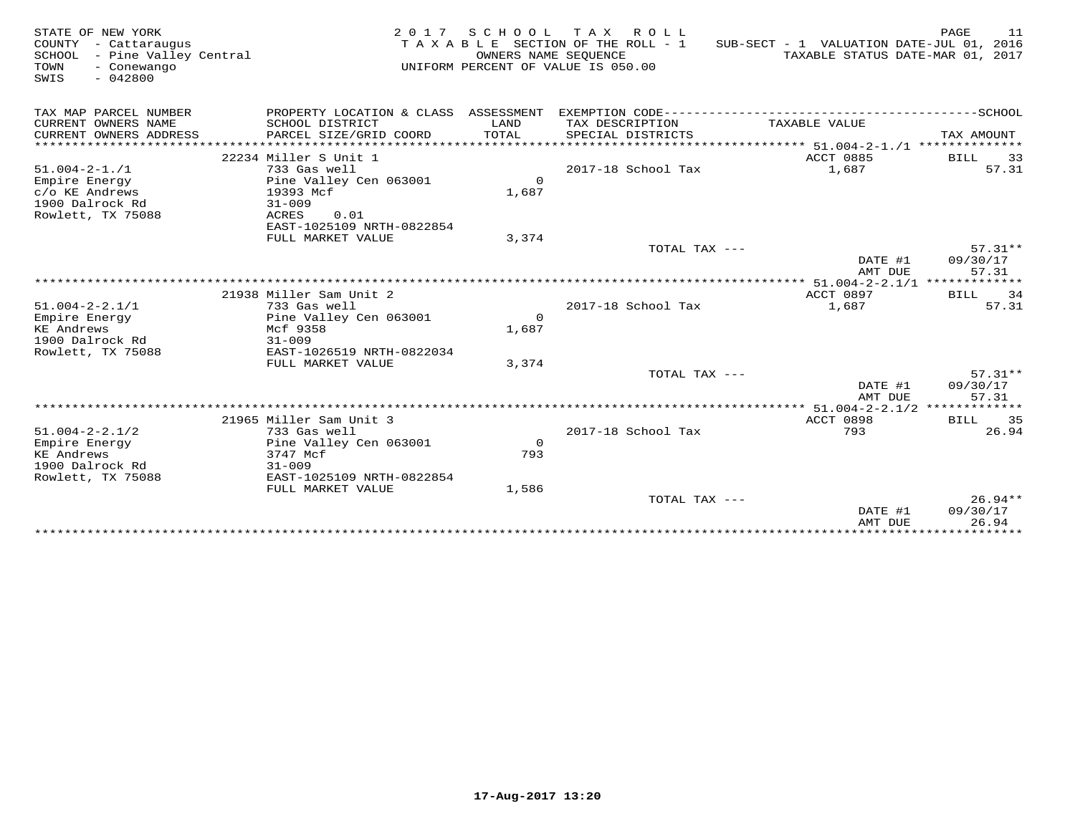| STATE OF NEW YORK<br>COUNTY - Cattaraugus<br>SCHOOL - Pine Valley Central<br>TOWN<br>- Conewango<br>SWIS<br>$-042800$ | 2017                                                                               | SCHOOL            | TAX ROLL<br>TAXABLE SECTION OF THE ROLL - 1<br>OWNERS NAME SEQUENCE<br>UNIFORM PERCENT OF VALUE IS 050.00 | SUB-SECT - 1 VALUATION DATE-JUL 01, 2016<br>TAXABLE STATUS DATE-MAR 01, 2017 | PAGE<br>11                     |
|-----------------------------------------------------------------------------------------------------------------------|------------------------------------------------------------------------------------|-------------------|-----------------------------------------------------------------------------------------------------------|------------------------------------------------------------------------------|--------------------------------|
| TAX MAP PARCEL NUMBER<br>CURRENT OWNERS NAME                                                                          | PROPERTY LOCATION & CLASS ASSESSMENT<br>SCHOOL DISTRICT                            | LAND              | TAX DESCRIPTION                                                                                           | TAXABLE VALUE                                                                |                                |
| CURRENT OWNERS ADDRESS                                                                                                | PARCEL SIZE/GRID COORD                                                             | TOTAL             | SPECIAL DISTRICTS                                                                                         | ********************************* 51.004-2-1./1 **************               | TAX AMOUNT                     |
|                                                                                                                       | 22234 Miller S Unit 1                                                              |                   |                                                                                                           | ACCT 0885                                                                    | <b>BILL</b><br>33              |
| $51.004 - 2 - 1.71$<br>Empire Energy<br>c/o KE Andrews<br>1900 Dalrock Rd<br>Rowlett, TX 75088                        | 733 Gas well<br>Pine Valley Cen 063001<br>19393 Mcf<br>$31 - 009$<br>ACRES<br>0.01 | $\Omega$<br>1,687 | 2017-18 School Tax                                                                                        | 1,687                                                                        | 57.31                          |
|                                                                                                                       | EAST-1025109 NRTH-0822854<br>FULL MARKET VALUE                                     | 3,374             |                                                                                                           |                                                                              |                                |
|                                                                                                                       |                                                                                    |                   | TOTAL TAX ---                                                                                             | DATE #1<br>AMT DUE                                                           | $57.31**$<br>09/30/17<br>57.31 |
|                                                                                                                       |                                                                                    |                   |                                                                                                           | $*****$ 51.004-2-2.1/1 **************                                        |                                |
| $51.004 - 2 - 2.1/1$                                                                                                  | 21938 Miller Sam Unit 2<br>733 Gas well                                            |                   | 2017-18 School Tax                                                                                        | <b>ACCT 0897</b><br>1,687                                                    | BILL 34<br>57.31               |
| Empire Energy                                                                                                         | Pine Valley Cen 063001                                                             | $\Omega$          |                                                                                                           |                                                                              |                                |
| <b>KE Andrews</b><br>1900 Dalrock Rd                                                                                  | Mcf 9358<br>$31 - 009$                                                             | 1,687             |                                                                                                           |                                                                              |                                |
| Rowlett, TX 75088                                                                                                     | EAST-1026519 NRTH-0822034<br>FULL MARKET VALUE                                     | 3,374             |                                                                                                           |                                                                              |                                |
|                                                                                                                       |                                                                                    |                   | TOTAL TAX ---                                                                                             | DATE #1<br>AMT DUE                                                           | $57.31**$<br>09/30/17<br>57.31 |
|                                                                                                                       | *******************************                                                    |                   | ***********************                                                                                   | ***** $51.004-2-2.1/2$ *************                                         |                                |
|                                                                                                                       | 21965 Miller Sam Unit 3                                                            |                   |                                                                                                           | ACCT 0898                                                                    | BILL 35                        |
| $51.004 - 2 - 2.1/2$                                                                                                  | 733 Gas well                                                                       |                   | 2017-18 School Tax                                                                                        | 793                                                                          | 26.94                          |
| Empire Energy                                                                                                         | Pine Valley Cen 063001                                                             | $\Omega$          |                                                                                                           |                                                                              |                                |
| <b>KE</b> Andrews                                                                                                     | 3747 Mcf<br>$31 - 009$                                                             | 793               |                                                                                                           |                                                                              |                                |
| 1900 Dalrock Rd<br>Rowlett, TX 75088                                                                                  | EAST-1025109 NRTH-0822854                                                          |                   |                                                                                                           |                                                                              |                                |
|                                                                                                                       | FULL MARKET VALUE                                                                  | 1,586             |                                                                                                           |                                                                              |                                |
|                                                                                                                       |                                                                                    |                   | TOTAL TAX ---                                                                                             | DATE #1                                                                      | $26.94**$<br>09/30/17<br>26.94 |
|                                                                                                                       |                                                                                    |                   |                                                                                                           | AMT DUE                                                                      |                                |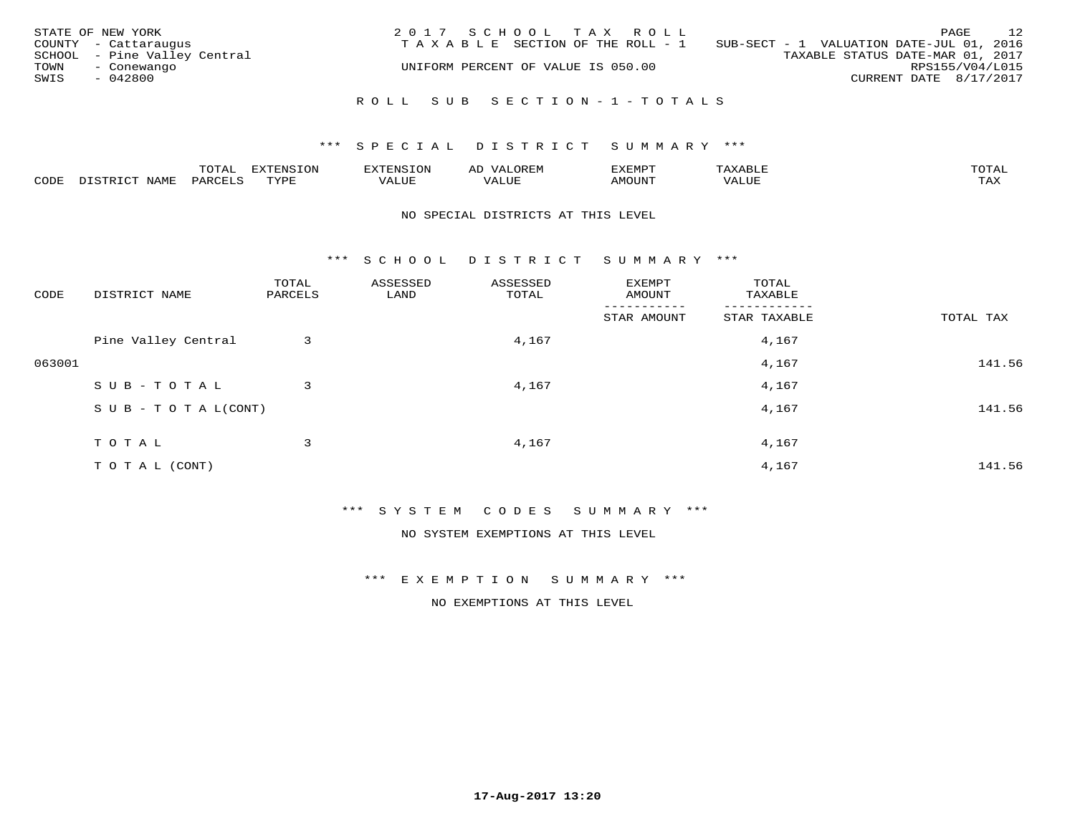|      | STATE OF NEW YORK            | 2017 SCHOOL TAX ROLL               | 12<br>PAGE                               |
|------|------------------------------|------------------------------------|------------------------------------------|
|      | COUNTY - Cattaraugus         | TAXABLE SECTION OF THE ROLL - 1    | SUB-SECT - 1 VALUATION DATE-JUL 01, 2016 |
|      | SCHOOL - Pine Valley Central |                                    | TAXABLE STATUS DATE-MAR 01, 2017         |
| TOWN | - Conewango                  | UNIFORM PERCENT OF VALUE IS 050.00 | RPS155/V04/L015                          |
| SWIS | - 042800                     |                                    | CURRENT DATE 8/17/2017                   |
|      |                              | ROLL SUB SECTION-1-TOTALS          |                                          |

### \*\*\* S P E C I A L D I S T R I C T S U M M A R Y \*\*\*

|      |      | ™∩ͲϪ<br>بمحمد ب | -OP,             | <b>FNC</b> | ΑL    | ֿישו          |       |                    |
|------|------|-----------------|------------------|------------|-------|---------------|-------|--------------------|
| CODE | NAME | PART            | mynne<br>- - - - | ALUF       | 'ALUE | <b>IMOUNT</b> | VALUE | <b>TRAV</b><br>∸∽∸ |

### NO SPECIAL DISTRICTS AT THIS LEVEL

\*\*\* S C H O O L D I S T R I C T S U M M A R Y \*\*\*

| CODE   | DISTRICT NAME                    | TOTAL<br>PARCELS | ASSESSED<br>LAND | ASSESSED<br>TOTAL | EXEMPT<br>AMOUNT | TOTAL<br>TAXABLE |           |
|--------|----------------------------------|------------------|------------------|-------------------|------------------|------------------|-----------|
|        |                                  |                  |                  |                   | STAR AMOUNT      | STAR TAXABLE     | TOTAL TAX |
|        | Pine Valley Central              | 3                |                  | 4,167             |                  | 4,167            |           |
| 063001 |                                  |                  |                  |                   |                  | 4,167            | 141.56    |
|        | SUB-TOTAL                        | 3                |                  | 4,167             |                  | 4,167            |           |
|        | $S \cup B - T \cup T A L (CONT)$ |                  |                  |                   |                  | 4,167            | 141.56    |
|        | TOTAL                            | 3                |                  | 4,167             |                  | 4,167            |           |
|        | T O T A L (CONT)                 |                  |                  |                   |                  | 4,167            | 141.56    |

\*\*\* S Y S T E M C O D E S S U M M A R Y \*\*\*

NO SYSTEM EXEMPTIONS AT THIS LEVEL

\*\*\* E X E M P T I O N S U M M A R Y \*\*\*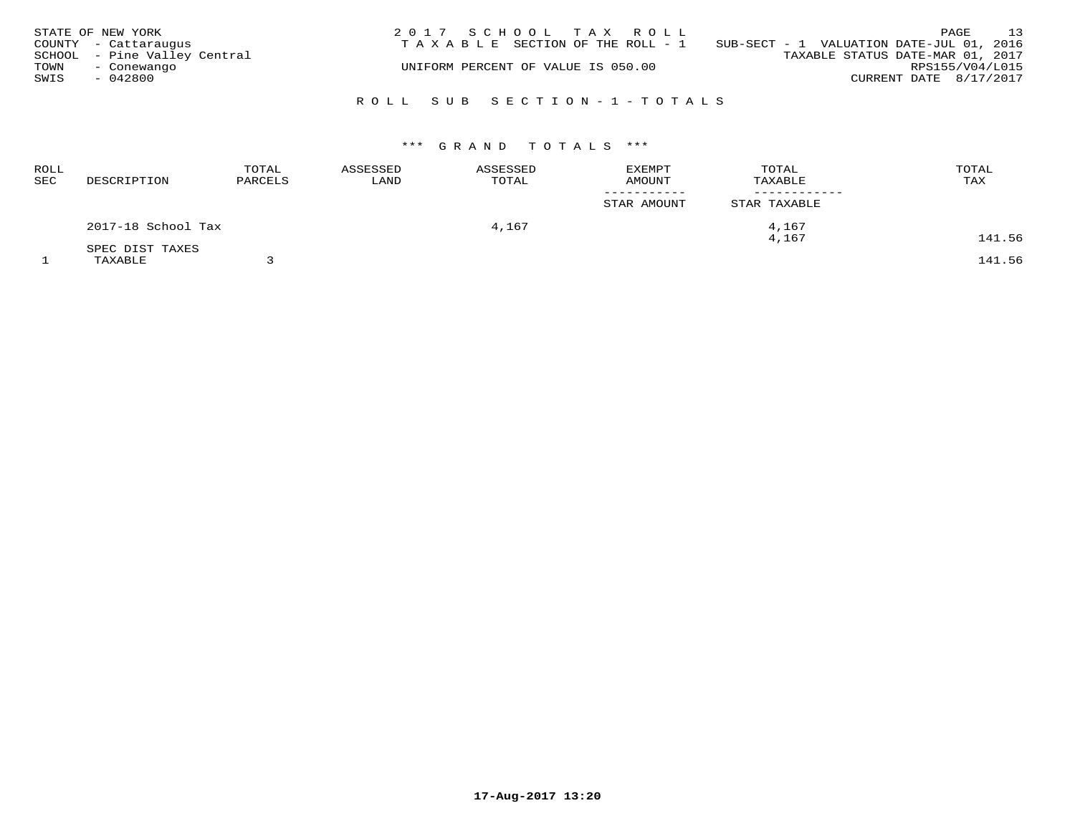|      | STATE OF NEW YORK            | 2017 SCHOOL TAX ROLL               |                                          | PAGE                   | 13 |
|------|------------------------------|------------------------------------|------------------------------------------|------------------------|----|
|      | COUNTY - Cattaraugus         | TAXABLE SECTION OF THE ROLL - 1    | SUB-SECT - 1 VALUATION DATE-JUL 01, 2016 |                        |    |
|      | SCHOOL - Pine Valley Central |                                    | TAXABLE STATUS DATE-MAR 01, 2017         |                        |    |
| TOWN | - Conewango                  | UNIFORM PERCENT OF VALUE IS 050.00 |                                          | RPS155/V04/L015        |    |
| SWIS | $-042800$                    |                                    |                                          | CURRENT DATE 8/17/2017 |    |
|      |                              |                                    |                                          |                        |    |
|      |                              | ROLL SUB SECTION-1-TOTALS          |                                          |                        |    |

# \*\*\* G R A N D T O T A L S \*\*\*

| <b>ROLL</b><br>SEC | DESCRIPTION        | TOTAL<br>PARCELS | ASSESSED<br>LAND | ASSESSED<br>TOTAL | <b>EXEMPT</b><br><b>AMOUNT</b> | TOTAL<br>TAXABLE | TOTAL<br>TAX |
|--------------------|--------------------|------------------|------------------|-------------------|--------------------------------|------------------|--------------|
|                    |                    |                  |                  |                   | STAR AMOUNT                    | STAR TAXABLE     |              |
|                    | 2017-18 School Tax |                  |                  | 4,167             |                                | 4,167            |              |
|                    | SPEC DIST TAXES    |                  |                  |                   |                                | 4,167            | 141.56       |
|                    | TAXABLE            |                  |                  |                   |                                |                  | 141.56       |

**17-Aug-2017 13:20**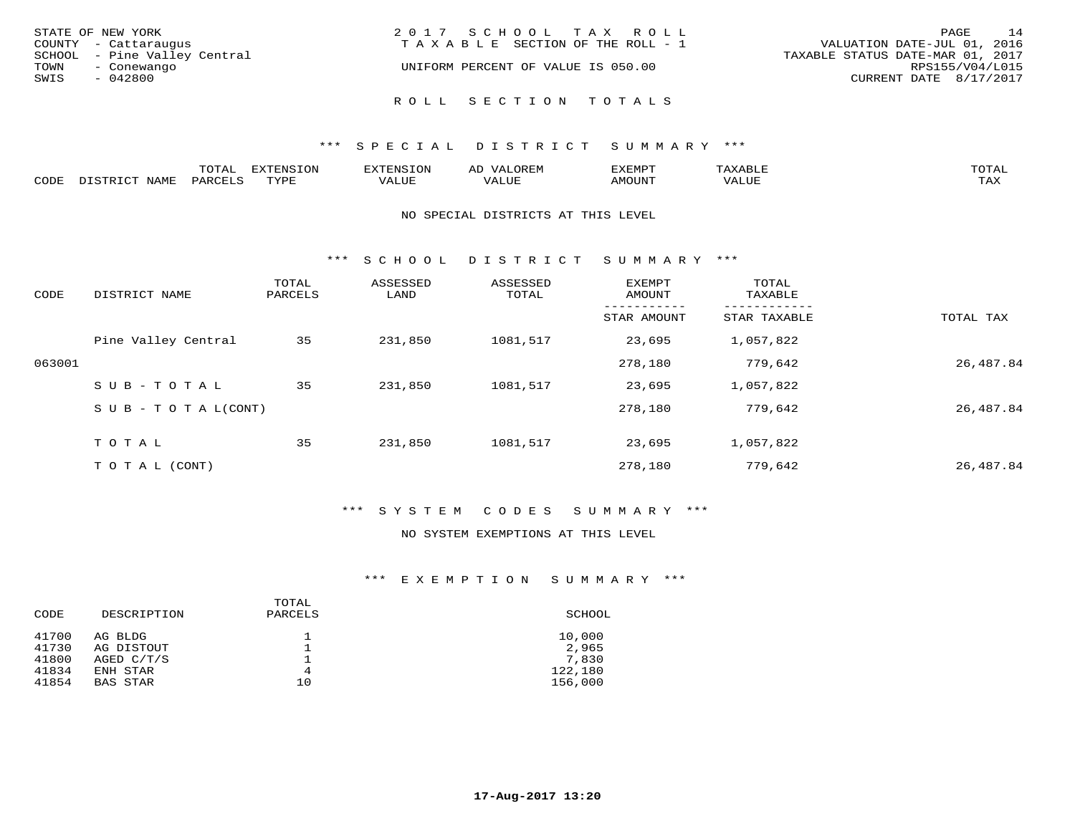| STATE OF NEW YORK<br>COUNTY - Cattaraugus<br>SCHOOL - Pine Valley Central<br>TOWN<br>- Conewango | 2017 SCHOOL TAX ROLL<br>TAXABLE SECTION OF THE ROLL - 1<br>UNIFORM PERCENT OF VALUE IS 050.00 | 14<br>PAGE<br>VALUATION DATE-JUL 01, 2016<br>TAXABLE STATUS DATE-MAR 01, 2017<br>RPS155/V04/L015 |
|--------------------------------------------------------------------------------------------------|-----------------------------------------------------------------------------------------------|--------------------------------------------------------------------------------------------------|
| SWIS<br>- 042800                                                                                 | ROLL SECTION TOTALS                                                                           | CURRENT DATE 8/17/2017                                                                           |

### \*\*\* S P E C I A L D I S T R I C T S U M M A R Y \*\*\*

|       |      | m^m*<br>∸ ∪ ⊥ <del>⊓</del> | $T \cap N$<br>--- |                 | ىت | YFMDT   |        | $m \wedge m \wedge n$ |
|-------|------|----------------------------|-------------------|-----------------|----|---------|--------|-----------------------|
| JODE: | ᇧᅀᇝᅲ |                            | $m \tau \tau n$   | $-$ - $-$ - $-$ |    | 1077777 | 1 U P. | $m \times r$<br>- ⊷∡  |

### NO SPECIAL DISTRICTS AT THIS LEVEL

\*\*\* S C H O O L D I S T R I C T S U M M A R Y \*\*\*

| CODE   | DISTRICT NAME                    | TOTAL<br>PARCELS | ASSESSED<br>LAND | ASSESSED<br>TOTAL | EXEMPT<br>AMOUNT | TOTAL<br>TAXABLE |           |
|--------|----------------------------------|------------------|------------------|-------------------|------------------|------------------|-----------|
|        |                                  |                  |                  |                   | STAR AMOUNT      | STAR TAXABLE     | TOTAL TAX |
|        | Pine Valley Central              | 35               | 231,850          | 1081,517          | 23,695           | 1,057,822        |           |
| 063001 |                                  |                  |                  |                   | 278,180          | 779,642          | 26,487.84 |
|        | SUB-TOTAL                        | 35               | 231,850          | 1081,517          | 23,695           | 1,057,822        |           |
|        | $S \cup B - T \cup T A L (CONT)$ |                  |                  |                   | 278,180          | 779,642          | 26,487.84 |
|        | TOTAL                            | 35               | 231,850          | 1081,517          | 23,695           | 1,057,822        |           |
|        | T O T A L (CONT)                 |                  |                  |                   | 278,180          | 779,642          | 26,487.84 |

### \*\*\* S Y S T E M C O D E S S U M M A R Y \*\*\*

### NO SYSTEM EXEMPTIONS AT THIS LEVEL

| CODE  | DESCRIPTION  | TOTAL<br>PARCELS | SCHOOL  |
|-------|--------------|------------------|---------|
| 41700 | AG BLDG      |                  | 10,000  |
| 41730 | AG DISTOUT   |                  | 2,965   |
| 41800 | AGED $C/T/S$ |                  | 7,830   |
| 41834 | ENH STAR     | 4                | 122,180 |
| 41854 | BAS STAR     | 10               | 156,000 |
|       |              |                  |         |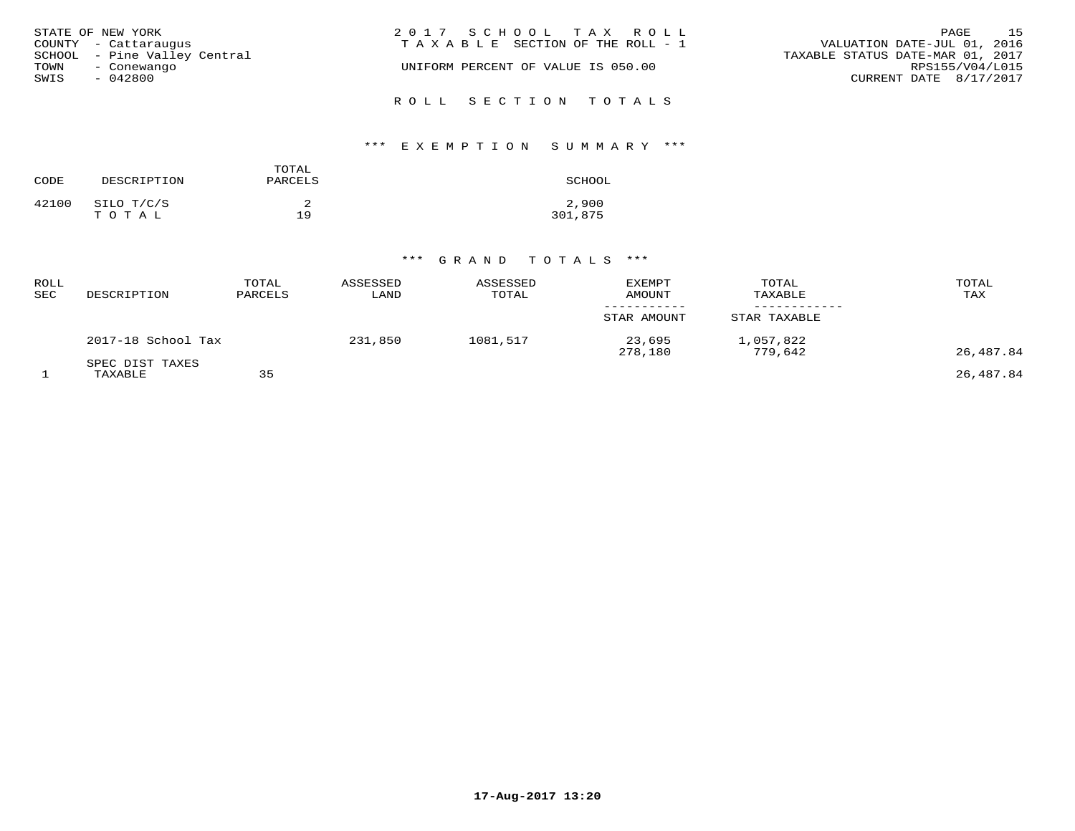| STATE OF NEW YORK            | 2017 SCHOOL TAX ROLL                  | 15<br>PAGE                       |
|------------------------------|---------------------------------------|----------------------------------|
| COUNTY - Cattaraugus         | T A X A B L E SECTION OF THE ROLL - 1 | VALUATION DATE-JUL 01, 2016      |
| SCHOOL - Pine Valley Central |                                       | TAXABLE STATUS DATE-MAR 01, 2017 |
| TOWN<br>- Conewango          | UNIFORM PERCENT OF VALUE IS 050.00    | RPS155/V04/L015                  |
| SWIS<br>- 042800             |                                       | CURRENT DATE 8/17/2017           |
|                              |                                       |                                  |
|                              | ROLL SECTION TOTALS                   |                                  |

# \*\*\* E X E M P T I O N S U M M A R Y \*\*\*

| CODE  | DESCRIPTION         | TOTAL<br>PARCELS | SCHOOL           |
|-------|---------------------|------------------|------------------|
| 42100 | SILO T/C/S<br>TOTAL | 19               | 2,900<br>301,875 |

# \*\*\* G R A N D T O T A L S \*\*\*

| ROLL<br>SEC | DESCRIPTION                | TOTAL<br>PARCELS | ASSESSED<br>LAND | ASSESSED<br>TOTAL | <b>EXEMPT</b><br>AMOUNT | TOTAL<br>TAXABLE     | TOTAL<br>TAX |
|-------------|----------------------------|------------------|------------------|-------------------|-------------------------|----------------------|--------------|
|             |                            |                  |                  |                   | STAR AMOUNT             | STAR TAXABLE         |              |
|             | 2017-18 School Tax         |                  | 231,850          | 1081,517          | 23,695<br>278,180       | 1,057,822<br>779.642 | 26,487.84    |
|             | SPEC DIST TAXES<br>TAXABLE | 35               |                  |                   |                         |                      | 26,487.84    |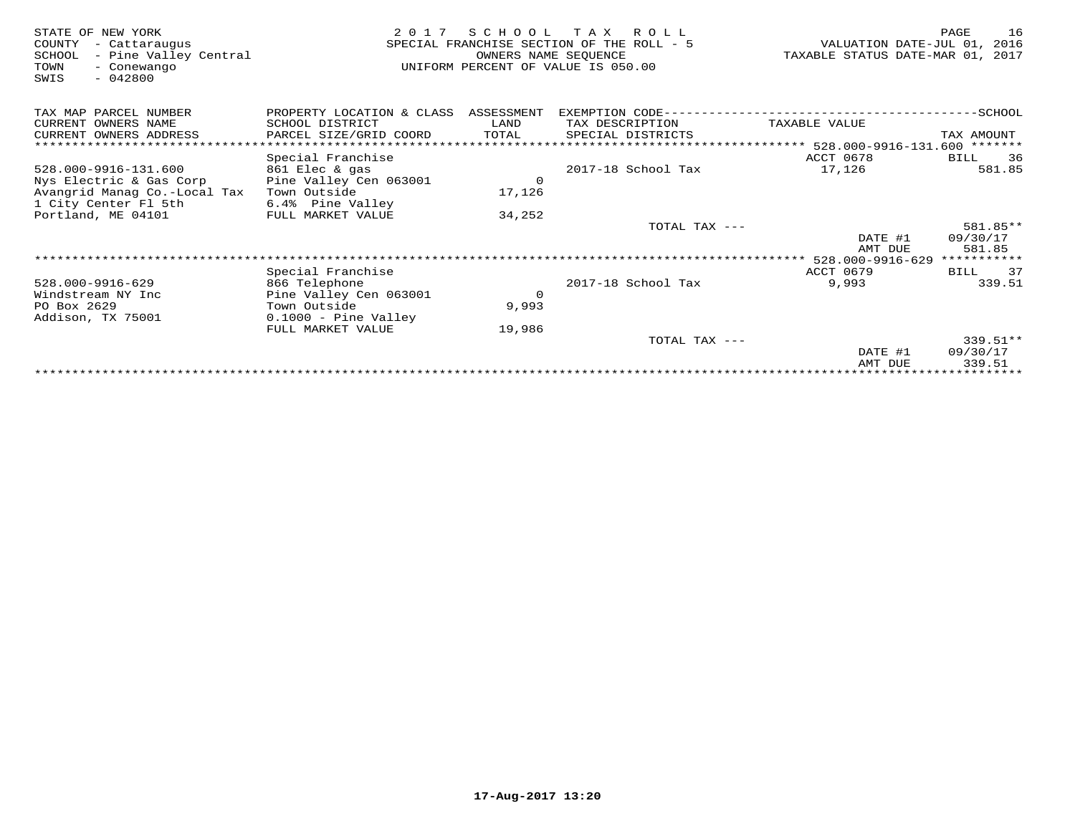| STATE OF NEW YORK<br>COUNTY<br>- Cattaraugus<br>- Pine Valley Central<br>SCHOOL<br>TOWN<br>- Conewango<br>$-042800$<br>SWIS | 2 0 1 7                   | SCHOOL<br>OWNERS NAME SEOUENCE | T A X<br>R O L L<br>SPECIAL FRANCHISE SECTION OF THE ROLL - 5<br>UNIFORM PERCENT OF VALUE IS 050.00 | VALUATION DATE-JUL 01,<br>TAXABLE STATUS DATE-MAR 01, 2017 | 16<br>PAGE<br>2016 |
|-----------------------------------------------------------------------------------------------------------------------------|---------------------------|--------------------------------|-----------------------------------------------------------------------------------------------------|------------------------------------------------------------|--------------------|
| TAX MAP PARCEL NUMBER                                                                                                       | PROPERTY LOCATION & CLASS | ASSESSMENT                     | EXEMPTION CODE---                                                                                   |                                                            | -SCHOOL            |
| CURRENT OWNERS NAME                                                                                                         | SCHOOL DISTRICT           | LAND                           | TAX DESCRIPTION                                                                                     | TAXABLE VALUE                                              |                    |
| CURRENT OWNERS ADDRESS                                                                                                      | PARCEL SIZE/GRID COORD    | TOTAL                          | SPECIAL DISTRICTS                                                                                   |                                                            | TAX AMOUNT         |
| **************************                                                                                                  |                           |                                |                                                                                                     |                                                            | *******            |
|                                                                                                                             | Special Franchise         |                                |                                                                                                     | ACCT 0678                                                  | 36<br>BILL         |
| 528.000-9916-131.600                                                                                                        | 861 Elec & gas            |                                | 2017-18 School Tax                                                                                  | 17,126                                                     | 581.85             |
| Nys Electric & Gas Corp                                                                                                     | Pine Valley Cen 063001    | $\Omega$                       |                                                                                                     |                                                            |                    |
| Avangrid Manag Co.-Local Tax                                                                                                | Town Outside              | 17,126                         |                                                                                                     |                                                            |                    |
| 1 City Center Fl 5th                                                                                                        | 6.4% Pine Valley          |                                |                                                                                                     |                                                            |                    |
| Portland, ME 04101                                                                                                          | FULL MARKET VALUE         | 34,252                         |                                                                                                     |                                                            |                    |
|                                                                                                                             |                           |                                | TOTAL TAX ---                                                                                       |                                                            | 581.85**           |
|                                                                                                                             |                           |                                |                                                                                                     | DATE #1<br>AMT DUE                                         | 09/30/17<br>581.85 |
|                                                                                                                             |                           |                                |                                                                                                     |                                                            | ***********        |
|                                                                                                                             | Special Franchise         |                                |                                                                                                     | <b>ACCT 0679</b>                                           | 37<br>BILL         |
| 528.000-9916-629                                                                                                            | 866 Telephone             |                                | 2017-18 School Tax                                                                                  | 9,993                                                      | 339.51             |
| Windstream NY Inc                                                                                                           | Pine Valley Cen 063001    | 0                              |                                                                                                     |                                                            |                    |
| PO Box 2629                                                                                                                 | Town Outside              | 9,993                          |                                                                                                     |                                                            |                    |
| Addison, TX 75001                                                                                                           | $0.1000$ - Pine Valley    |                                |                                                                                                     |                                                            |                    |
|                                                                                                                             | FULL MARKET VALUE         | 19,986                         |                                                                                                     |                                                            |                    |
|                                                                                                                             |                           |                                | TOTAL TAX ---                                                                                       |                                                            | $339.51**$         |
|                                                                                                                             |                           |                                |                                                                                                     | DATE #1                                                    | 09/30/17           |
|                                                                                                                             |                           |                                |                                                                                                     | AMT DUE                                                    | 339.51             |
|                                                                                                                             |                           |                                |                                                                                                     |                                                            |                    |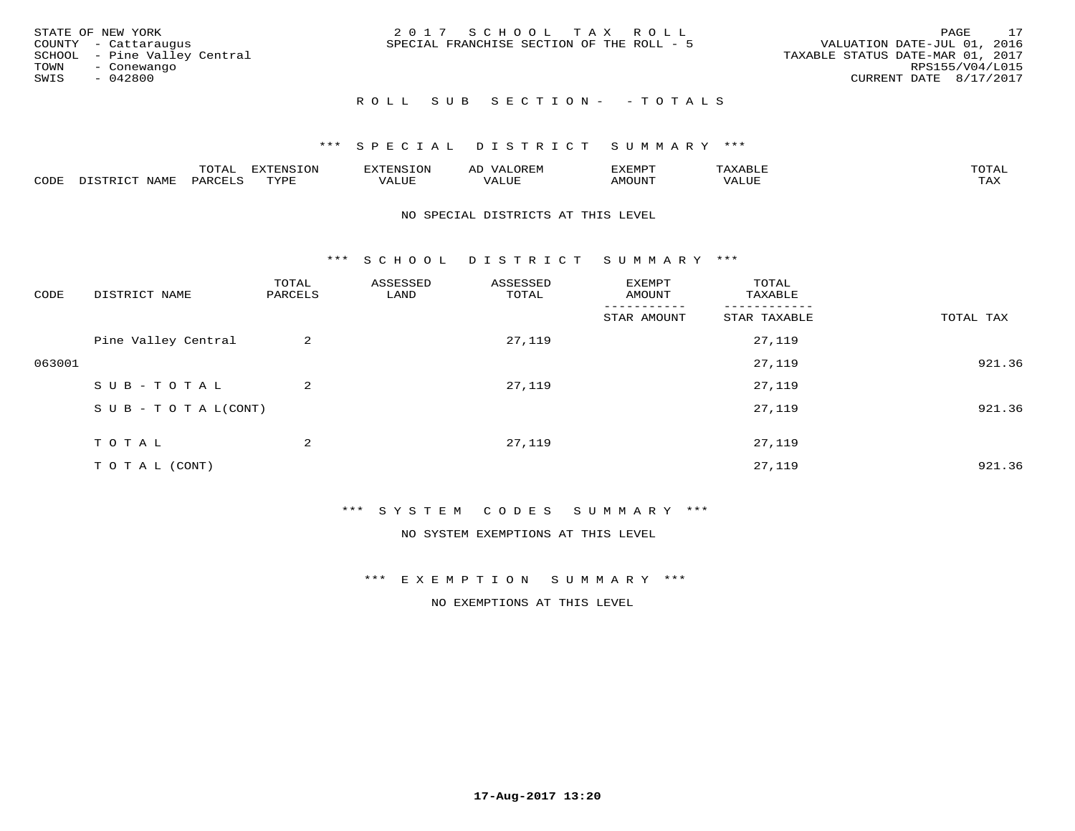|      | STATE OF NEW YORK            | 2017 SCHOOL TAX ROLL                      | PAGE                             | 17 |
|------|------------------------------|-------------------------------------------|----------------------------------|----|
|      | COUNTY - Cattaraugus         | SPECIAL FRANCHISE SECTION OF THE ROLL - 5 | VALUATION DATE-JUL 01, 2016      |    |
|      | SCHOOL - Pine Valley Central |                                           | TAXABLE STATUS DATE-MAR 01, 2017 |    |
| TOWN | - Conewango                  |                                           | RPS155/V04/L015                  |    |
| SWIS | - 042800                     |                                           | CURRENT DATE 8/17/2017           |    |
|      |                              |                                           |                                  |    |

## ROLL SUB SECTION - - TOTALS

### \*\*\* S P E C I A L D I S T R I C T S U M M A R Y \*\*\*

|      |      | <del>n</del> ∧m⊼<br>◡∸ғ | ON   | <b>GINT</b> |                   | 'XEMP' | $\cdots$ | $m \wedge m$<br>$\overline{\phantom{a}}$ |
|------|------|-------------------------|------|-------------|-------------------|--------|----------|------------------------------------------|
| CODE | NAMP | 'AR\                    | TVDF | ALUL        | $- - - -$<br>ALUP | MOUN.  | VALUE    | .<br>∸∽∸                                 |

### NO SPECIAL DISTRICTS AT THIS LEVEL

\*\*\* S C H O O L D I S T R I C T S U M M A R Y \*\*\*

| CODE   | DISTRICT NAME                    | TOTAL<br>PARCELS | ASSESSED<br>LAND | ASSESSED<br>TOTAL | EXEMPT<br>AMOUNT | TOTAL<br>TAXABLE |           |
|--------|----------------------------------|------------------|------------------|-------------------|------------------|------------------|-----------|
|        |                                  |                  |                  |                   | STAR AMOUNT      | STAR TAXABLE     | TOTAL TAX |
|        | Pine Valley Central              | 2                |                  | 27,119            |                  | 27,119           |           |
| 063001 |                                  |                  |                  |                   |                  | 27,119           | 921.36    |
|        | SUB-TOTAL                        | 2                |                  | 27,119            |                  | 27,119           |           |
|        | $S \cup B - T \cup T A L (CONT)$ |                  |                  |                   |                  | 27,119           | 921.36    |
|        | TOTAL                            | 2                |                  | 27,119            |                  | 27,119           |           |
|        |                                  |                  |                  |                   |                  |                  |           |
|        | T O T A L (CONT)                 |                  |                  |                   |                  | 27,119           | 921.36    |

### \*\*\* S Y S T E M C O D E S S U M M A R Y \*\*\*

NO SYSTEM EXEMPTIONS AT THIS LEVEL

\*\*\* E X E M P T I O N S U M M A R Y \*\*\*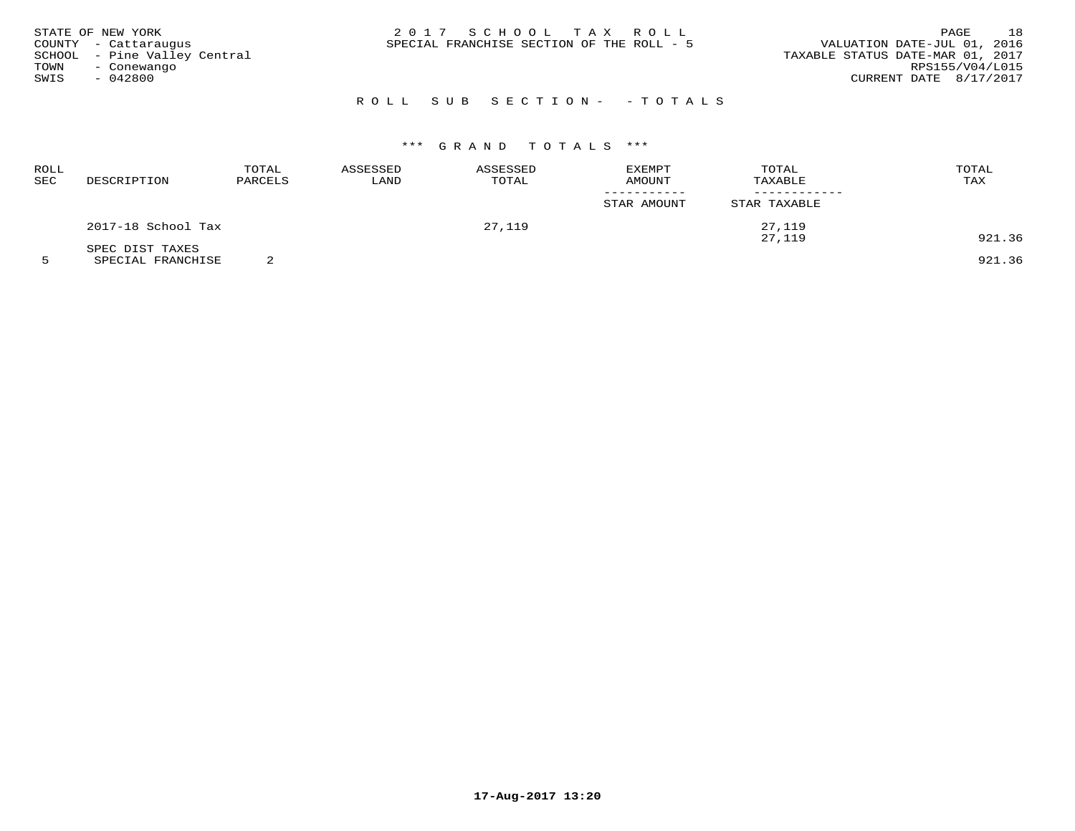|      | STATE OF NEW YORK            | 2017 SCHOOL TAX ROLL                      |  |                                  | PAGE                   | 18 |
|------|------------------------------|-------------------------------------------|--|----------------------------------|------------------------|----|
|      | COUNTY - Cattaraugus         | SPECIAL FRANCHISE SECTION OF THE ROLL - 5 |  | VALUATION DATE-JUL 01, 2016      |                        |    |
|      | SCHOOL - Pine Valley Central |                                           |  | TAXABLE STATUS DATE-MAR 01, 2017 |                        |    |
| TOWN | - Conewango                  |                                           |  |                                  | RPS155/V04/L015        |    |
| SWIS | - 042800                     |                                           |  |                                  | CURRENT DATE 8/17/2017 |    |
|      |                              |                                           |  |                                  |                        |    |

# R O L L S U B S E C T I O N - - T O T A L S

# \*\*\* G R A N D T O T A L S \*\*\*

| ROLL<br>SEC | DESCRIPTION        | TOTAL<br>PARCELS | ASSESSED<br>LAND | ASSESSED<br>TOTAL | EXEMPT<br>AMOUNT<br>STAR AMOUNT | TOTAL<br>TAXABLE<br>STAR TAXABLE | TOTAL<br>TAX |
|-------------|--------------------|------------------|------------------|-------------------|---------------------------------|----------------------------------|--------------|
|             | 2017-18 School Tax |                  |                  | 27,119            |                                 | 27,119                           |              |
|             | SPEC DIST TAXES    |                  |                  |                   |                                 | 27,119                           | 921.36       |

5 SPECIAL FRANCHISE 2 921.36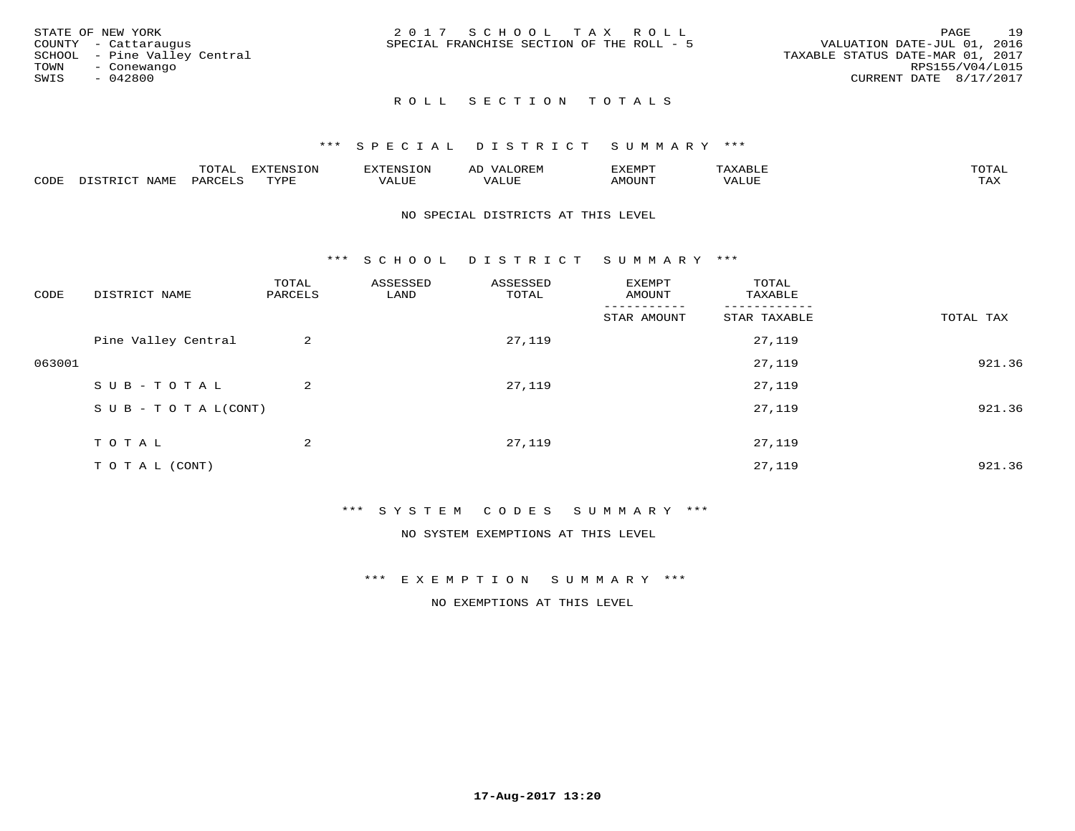| STATE OF NEW YORK            | 2017 SCHOOL TAX ROLL                      | 19<br>PAGE                       |
|------------------------------|-------------------------------------------|----------------------------------|
| COUNTY - Cattaraugus         | SPECIAL FRANCHISE SECTION OF THE ROLL - 5 | VALUATION DATE-JUL 01, 2016      |
| SCHOOL - Pine Valley Central |                                           | TAXABLE STATUS DATE-MAR 01, 2017 |
| TOWN<br>- Conewango          |                                           | RPS155/V04/L015                  |
| SWIS<br>- 042800             |                                           | CURRENT DATE 8/17/2017           |
|                              |                                           |                                  |

### \*\*\* S P E C I A L D I S T R I C T S U M M A R Y \*\*\*

|      |      | ™∩m⊼<br>◡⊥▱   |                 | או חיום י | ΑL   | ,,, <del>,</del> ,,,,,<br>″ – |       |                     |
|------|------|---------------|-----------------|-----------|------|-------------------------------|-------|---------------------|
| CODE | VAMF | $'$ AR $\chi$ | $m \tau \tau n$ | ALUF      | ALUE | MOUNT.                        | VALUE | $m \times r$<br>∸∽∽ |

### NO SPECIAL DISTRICTS AT THIS LEVEL

\*\*\* S C H O O L D I S T R I C T S U M M A R Y \*\*\*

| CODE   | DISTRICT NAME                    | TOTAL<br>PARCELS | ASSESSED<br>LAND | ASSESSED<br>TOTAL | EXEMPT<br>AMOUNT | TOTAL<br>TAXABLE |           |
|--------|----------------------------------|------------------|------------------|-------------------|------------------|------------------|-----------|
|        |                                  |                  |                  |                   | STAR AMOUNT      | STAR TAXABLE     | TOTAL TAX |
|        | Pine Valley Central              | 2                |                  | 27,119            |                  | 27,119           |           |
| 063001 |                                  |                  |                  |                   |                  | 27,119           | 921.36    |
|        | SUB-TOTAL                        | $\overline{a}$   |                  | 27,119            |                  | 27,119           |           |
|        | $S \cup B - T \cup T A L (CONT)$ |                  |                  |                   |                  | 27,119           | 921.36    |
|        | TOTAL                            | 2                |                  | 27,119            |                  | 27,119           |           |
|        |                                  |                  |                  |                   |                  |                  |           |
|        | T O T A L (CONT)                 |                  |                  |                   |                  | 27,119           | 921.36    |

### \*\*\* S Y S T E M C O D E S S U M M A R Y \*\*\*

NO SYSTEM EXEMPTIONS AT THIS LEVEL

### \*\*\* E X E M P T I O N S U M M A R Y \*\*\*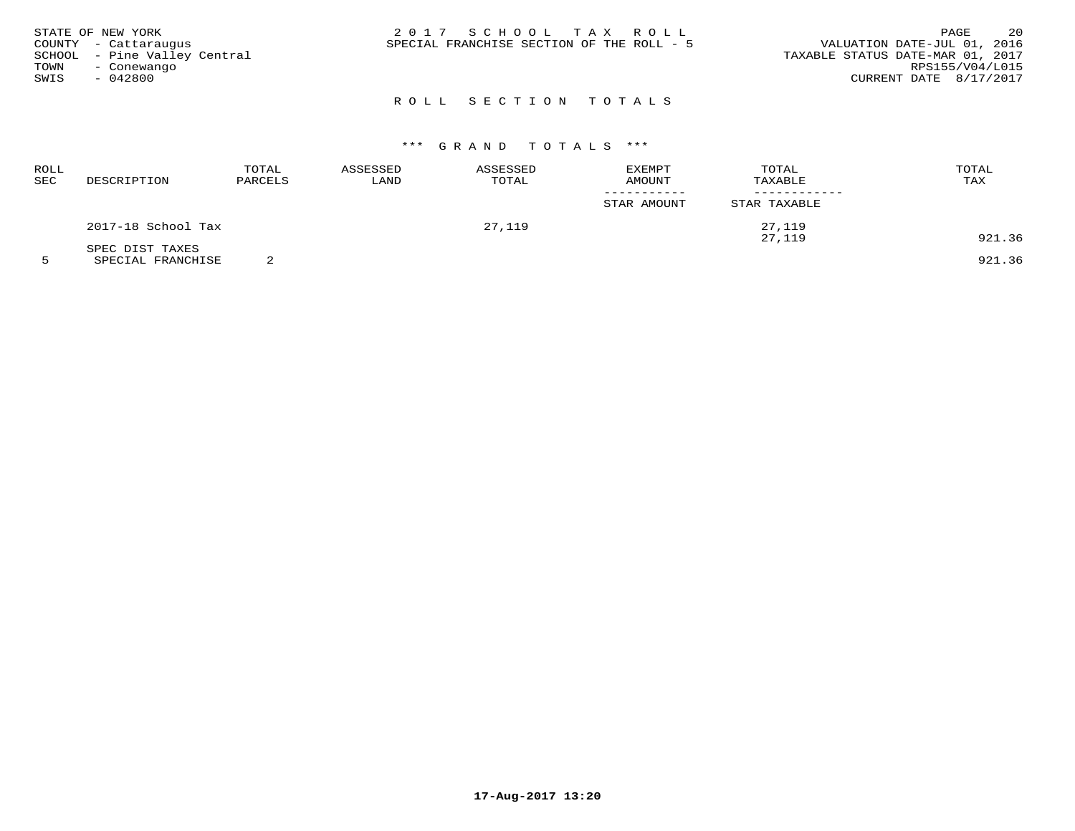| STATE OF NEW YORK |                              | 2017 SCHOOL TAX ROLL                      |  | 20<br>PAGE                       |
|-------------------|------------------------------|-------------------------------------------|--|----------------------------------|
|                   | COUNTY - Cattaraugus         | SPECIAL FRANCHISE SECTION OF THE ROLL - 5 |  | VALUATION DATE-JUL 01, 2016      |
|                   | SCHOOL - Pine Valley Central |                                           |  | TAXABLE STATUS DATE-MAR 01, 2017 |
| TOWN              | - Conewango                  |                                           |  | RPS155/V04/L015                  |
| SWIS              | $-042800$                    |                                           |  | CURRENT DATE 8/17/2017           |
|                   |                              |                                           |  |                                  |

# \*\*\* G R A N D T O T A L S \*\*\*

| ROLL<br>SEC | DESCRIPTION        | TOTAL<br>PARCELS | ASSESSED<br>LAND | ASSESSED<br>TOTAL | EXEMPT<br>AMOUNT | TOTAL<br>TAXABLE | TOTAL<br>TAX |
|-------------|--------------------|------------------|------------------|-------------------|------------------|------------------|--------------|
|             |                    |                  |                  |                   | STAR AMOUNT      | STAR TAXABLE     |              |
|             | 2017-18 School Tax |                  |                  | 27,119            |                  | 27,119<br>27,119 | 921.36       |
|             | SPEC DIST TAXES    |                  |                  |                   |                  |                  |              |

5 SPECIAL FRANCHISE 2 921.36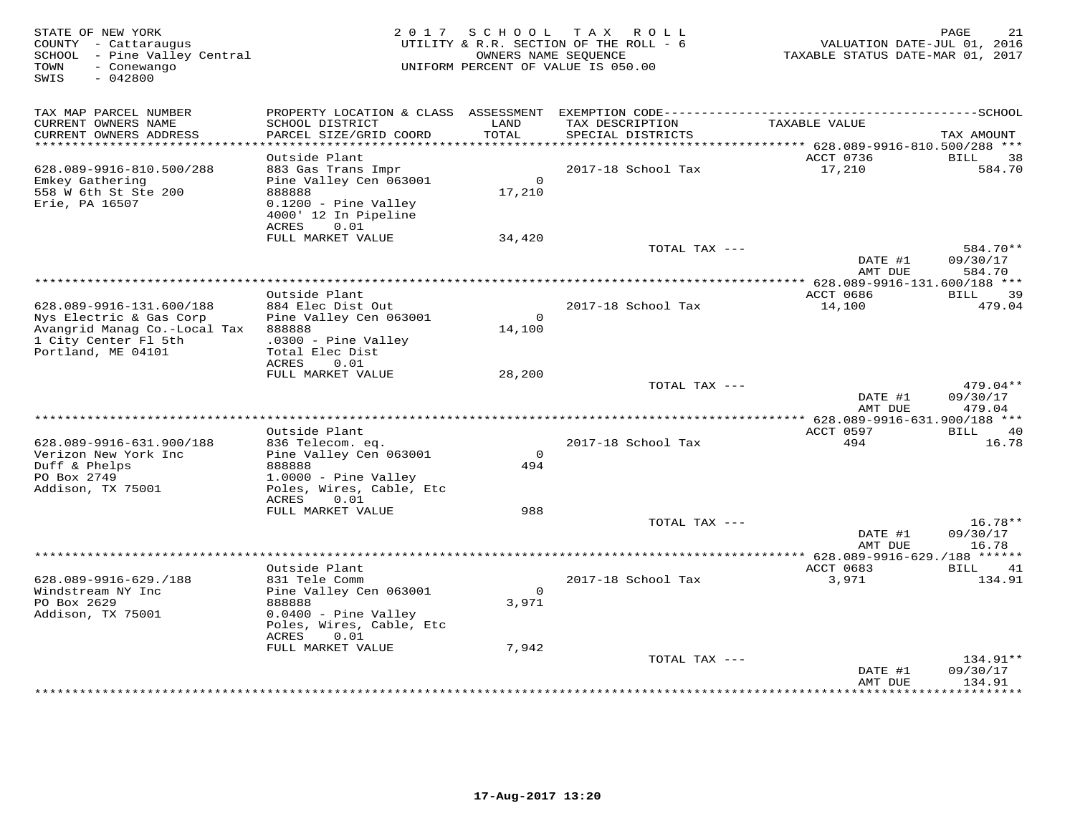| STATE OF NEW YORK<br>COUNTY - Cattaraugus<br>SCHOOL - Pine Valley Central<br>- Conewango<br>TOWN<br>SWIS<br>$-042800$ |                                                                                                                         |                    | 2017 SCHOOL TAX ROLL<br>UTILITY & R.R. SECTION OF THE ROLL - 6<br>OWNERS NAME SEQUENCE<br>UNIFORM PERCENT OF VALUE IS 050.00 | VALUATION DATE-JUL 01, 2016<br>TAXABLE STATUS DATE-MAR 01, 2017 | PAGE<br>21                     |
|-----------------------------------------------------------------------------------------------------------------------|-------------------------------------------------------------------------------------------------------------------------|--------------------|------------------------------------------------------------------------------------------------------------------------------|-----------------------------------------------------------------|--------------------------------|
| TAX MAP PARCEL NUMBER                                                                                                 |                                                                                                                         |                    |                                                                                                                              |                                                                 |                                |
| CURRENT OWNERS NAME<br>CURRENT OWNERS ADDRESS                                                                         | SCHOOL DISTRICT<br>PARCEL SIZE/GRID COORD                                                                               | LAND<br>TOTAL      | TAX DESCRIPTION<br>SPECIAL DISTRICTS                                                                                         | TAXABLE VALUE                                                   | TAX AMOUNT                     |
| ************************                                                                                              |                                                                                                                         |                    |                                                                                                                              |                                                                 |                                |
|                                                                                                                       | Outside Plant                                                                                                           |                    |                                                                                                                              | ACCT 0736                                                       | <b>BILL</b><br>38              |
| 628.089-9916-810.500/288<br>Emkey Gathering<br>558 W 6th St Ste 200<br>Erie, PA 16507                                 | 883 Gas Trans Impr<br>Pine Valley Cen 063001<br>888888<br>0.1200 - Pine Valley<br>4000' 12 In Pipeline<br>ACRES<br>0.01 | $\Omega$<br>17,210 | 2017-18 School Tax                                                                                                           | 17,210                                                          | 584.70                         |
|                                                                                                                       | FULL MARKET VALUE                                                                                                       | 34,420             |                                                                                                                              |                                                                 |                                |
|                                                                                                                       |                                                                                                                         |                    | TOTAL TAX ---                                                                                                                | DATE #1<br>AMT DUE                                              | 584.70**<br>09/30/17<br>584.70 |
|                                                                                                                       |                                                                                                                         |                    |                                                                                                                              | *************** 628.089-9916-131.600/188 ***                    |                                |
| 628.089-9916-131.600/188                                                                                              | Outside Plant<br>884 Elec Dist Out                                                                                      |                    | 2017-18 School Tax                                                                                                           | ACCT 0686<br>14,100                                             | BILL<br>39<br>479.04           |
| Nys Electric & Gas Corp<br>Avangrid Manag Co.-Local Tax<br>1 City Center Fl 5th<br>Portland, ME 04101                 | Pine Valley Cen 063001<br>888888<br>.0300 - Pine Valley<br>Total Elec Dist                                              | $\circ$<br>14,100  |                                                                                                                              |                                                                 |                                |
|                                                                                                                       | ACRES<br>0.01<br>FULL MARKET VALUE                                                                                      | 28,200             |                                                                                                                              |                                                                 |                                |
|                                                                                                                       |                                                                                                                         |                    | TOTAL TAX ---                                                                                                                | DATE #1                                                         | $479.04**$<br>09/30/17         |
|                                                                                                                       |                                                                                                                         |                    |                                                                                                                              | AMT DUE<br>$* 628.089 - 9916 - 631.900/188$ ***                 | 479.04                         |
|                                                                                                                       | Outside Plant                                                                                                           |                    |                                                                                                                              | ACCT 0597                                                       | BILL 40                        |
| 628.089-9916-631.900/188                                                                                              | 836 Telecom. eq.                                                                                                        |                    | 2017-18 School Tax                                                                                                           | 494                                                             | 16.78                          |
| Verizon New York Inc                                                                                                  | Pine Valley Cen 063001                                                                                                  | $\mathbf 0$        |                                                                                                                              |                                                                 |                                |
| Duff & Phelps<br>PO Box 2749<br>Addison, TX 75001                                                                     | 888888<br>1.0000 - Pine Valley<br>Poles, Wires, Cable, Etc<br>ACRES<br>0.01                                             | 494                |                                                                                                                              |                                                                 |                                |
|                                                                                                                       | FULL MARKET VALUE                                                                                                       | 988                |                                                                                                                              |                                                                 |                                |
|                                                                                                                       |                                                                                                                         |                    | TOTAL TAX ---                                                                                                                | DATE #1<br>AMT DUE                                              | $16.78**$<br>09/30/17<br>16.78 |
|                                                                                                                       |                                                                                                                         |                    |                                                                                                                              |                                                                 |                                |
|                                                                                                                       | Outside Plant                                                                                                           |                    |                                                                                                                              | ACCT 0683                                                       | 41<br>BILL                     |
| 628.089-9916-629./188                                                                                                 | 831 Tele Comm                                                                                                           |                    | 2017-18 School Tax                                                                                                           | 3,971                                                           | 134.91                         |
| Windstream NY Inc<br>PO Box 2629                                                                                      | Pine Valley Cen 063001<br>888888                                                                                        | $\Omega$<br>3,971  |                                                                                                                              |                                                                 |                                |
| Addison, TX 75001                                                                                                     | $0.0400 -$ Pine Valley<br>Poles, Wires, Cable, Etc                                                                      |                    |                                                                                                                              |                                                                 |                                |
|                                                                                                                       | ACRES<br>0.01                                                                                                           |                    |                                                                                                                              |                                                                 |                                |
|                                                                                                                       | FULL MARKET VALUE                                                                                                       | 7,942              |                                                                                                                              |                                                                 |                                |
|                                                                                                                       |                                                                                                                         |                    | TOTAL TAX ---                                                                                                                | DATE #1<br>AMT DUE                                              | 134.91**<br>09/30/17<br>134.91 |
|                                                                                                                       |                                                                                                                         |                    |                                                                                                                              |                                                                 | ********                       |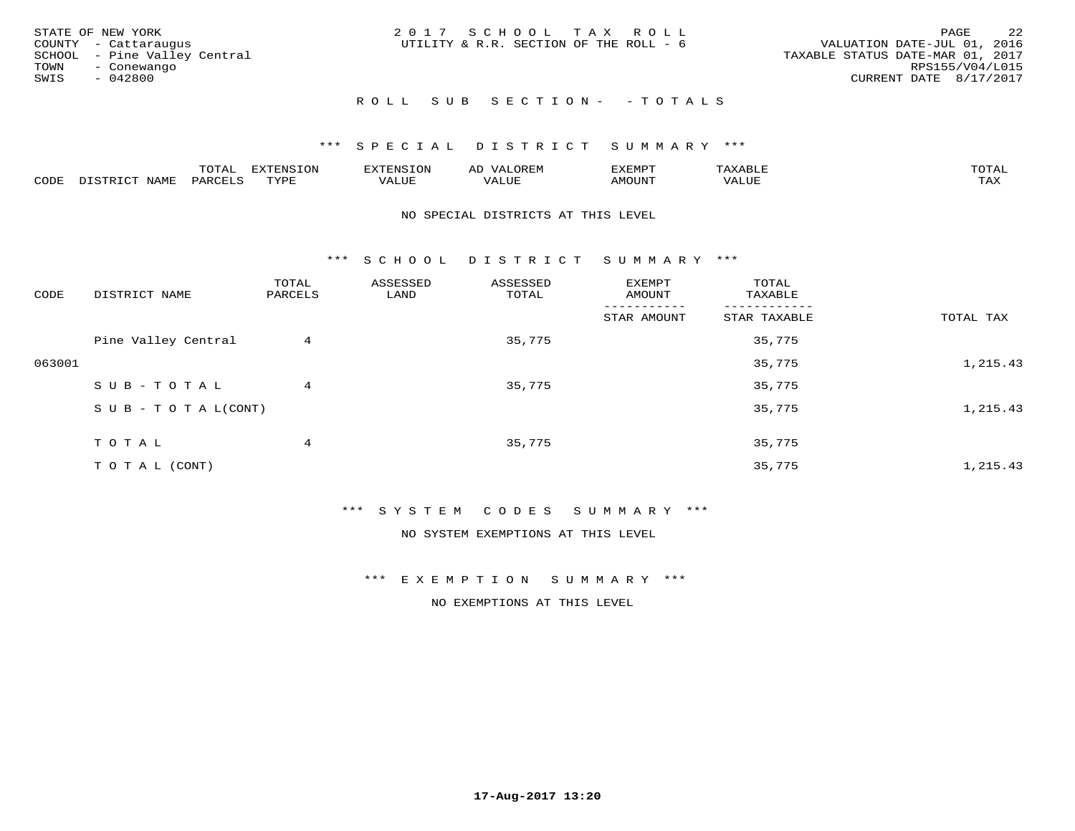|      | STATE OF NEW YORK            | 2017 SCHOOL TAX ROLL                   |  |                                  |                        | PAGE | -22 |
|------|------------------------------|----------------------------------------|--|----------------------------------|------------------------|------|-----|
|      | COUNTY - Cattaraugus         | UTILITY & R.R. SECTION OF THE ROLL - 6 |  | VALUATION DATE-JUL 01, 2016      |                        |      |     |
|      | SCHOOL - Pine Valley Central |                                        |  | TAXABLE STATUS DATE-MAR 01, 2017 |                        |      |     |
|      | TOWN - Conewango             |                                        |  |                                  | RPS155/V04/L015        |      |     |
| SWIS | - 042800                     |                                        |  |                                  | CURRENT DATE 8/17/2017 |      |     |
|      |                              |                                        |  |                                  |                        |      |     |

# R O L L S U B S E C T I O N - - T O T A L S

### \*\*\* S P E C I A L D I S T R I C T S U M M A R Y \*\*\*

|      |         | ----                | $\cdots$ | . FNS | ₩    | דסMדצי       |                   | $m \wedge m \wedge n$ |
|------|---------|---------------------|----------|-------|------|--------------|-------------------|-----------------------|
| CODE | ៶៲៳៲៴៲៷ | <b>ACTIVE</b><br>ΆR | TVDF     | ALUE  | ALUE | <b>NOUNT</b> | <b>TTT</b><br>⊐∪∟ | ГAX                   |

### NO SPECIAL DISTRICTS AT THIS LEVEL

\*\*\* S C H O O L D I S T R I C T S U M M A R Y \*\*\*

| CODE   | DISTRICT NAME                    | TOTAL<br>PARCELS | ASSESSED<br>LAND | ASSESSED<br>TOTAL | EXEMPT<br>AMOUNT | TOTAL<br>TAXABLE |           |
|--------|----------------------------------|------------------|------------------|-------------------|------------------|------------------|-----------|
|        |                                  |                  |                  |                   | STAR AMOUNT      | STAR TAXABLE     | TOTAL TAX |
|        | Pine Valley Central              | 4                |                  | 35,775            |                  | 35,775           |           |
| 063001 |                                  |                  |                  |                   |                  | 35,775           | 1,215.43  |
|        | SUB-TOTAL                        | 4                |                  | 35,775            |                  | 35,775           |           |
|        | $S \cup B - T \cup T A L (CONT)$ |                  |                  |                   |                  | 35,775           | 1,215.43  |
|        | TOTAL                            | 4                |                  | 35,775            |                  | 35,775           |           |
|        | TO TAL (CONT)                    |                  |                  |                   |                  | 35,775           | 1,215.43  |

### \*\*\* S Y S T E M C O D E S S U M M A R Y \*\*\*

NO SYSTEM EXEMPTIONS AT THIS LEVEL

### \*\*\* E X E M P T I O N S U M M A R Y \*\*\*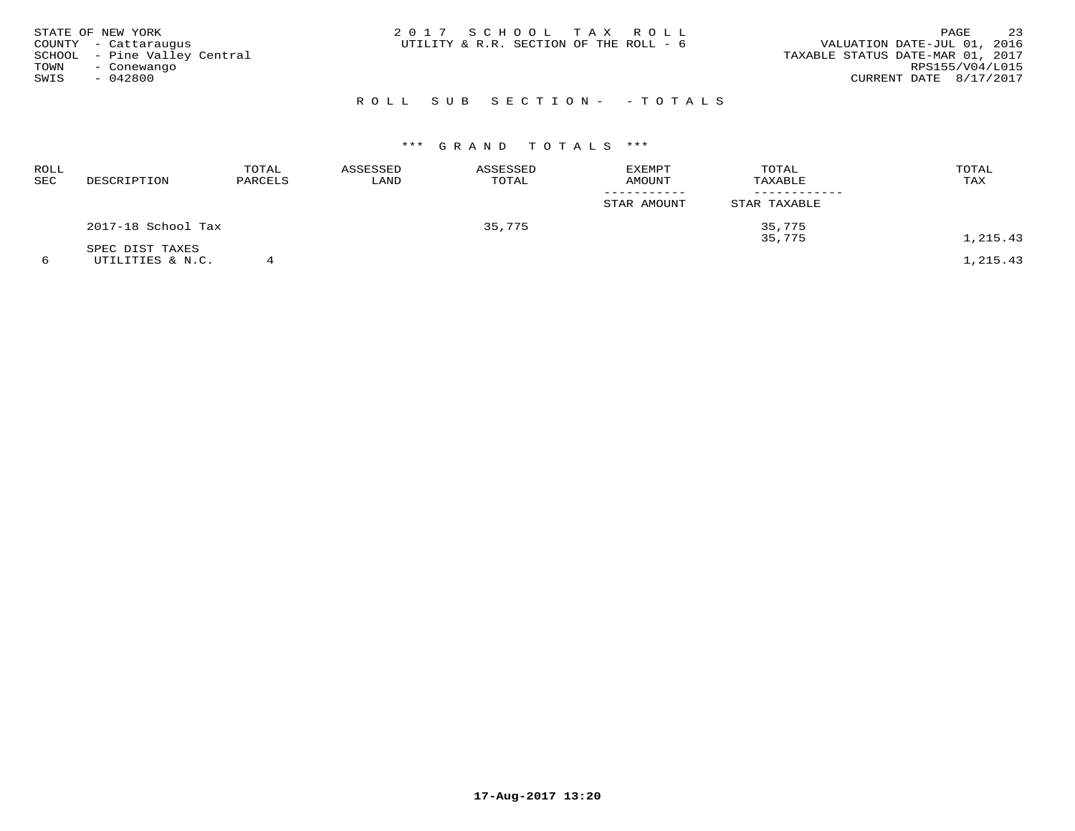|      | STATE OF NEW YORK<br>COUNTY - Cattaraugus   | 2017 SCHOOL TAX ROLL<br>UTILITY & R.R. SECTION OF THE ROLL - 6 |  |                            | VALUATION DATE-JUL 01, 2016      | PAGE            | 23 |
|------|---------------------------------------------|----------------------------------------------------------------|--|----------------------------|----------------------------------|-----------------|----|
| TOWN | SCHOOL - Pine Valley Central<br>- Conewango |                                                                |  |                            | TAXABLE STATUS DATE-MAR 01, 2017 | RPS155/V04/L015 |    |
| SWIS | $-042800$                                   |                                                                |  |                            | CURRENT DATE 8/17/2017           |                 |    |
|      |                                             |                                                                |  | ROLL SUB SECTION- - TOTALS |                                  |                 |    |

# \*\*\* G R A N D T O T A L S \*\*\*

| ROLL<br>SEC | DESCRIPTION        | TOTAL<br>PARCELS | ASSESSED<br>LAND | ASSESSED<br>TOTAL | EXEMPT<br>AMOUNT | TOTAL<br>TAXABLE | TOTAL<br>TAX |
|-------------|--------------------|------------------|------------------|-------------------|------------------|------------------|--------------|
|             |                    |                  |                  |                   | STAR AMOUNT      | STAR TAXABLE     |              |
|             | 2017-18 School Tax |                  |                  | 35,775            |                  | 35,775<br>35,775 | 1,215.43     |
|             | SPEC DIST TAXES    |                  |                  |                   |                  |                  |              |
|             | UTILITIES & N.C.   |                  |                  |                   |                  |                  | 1,215.43     |

**17-Aug-2017 13:20**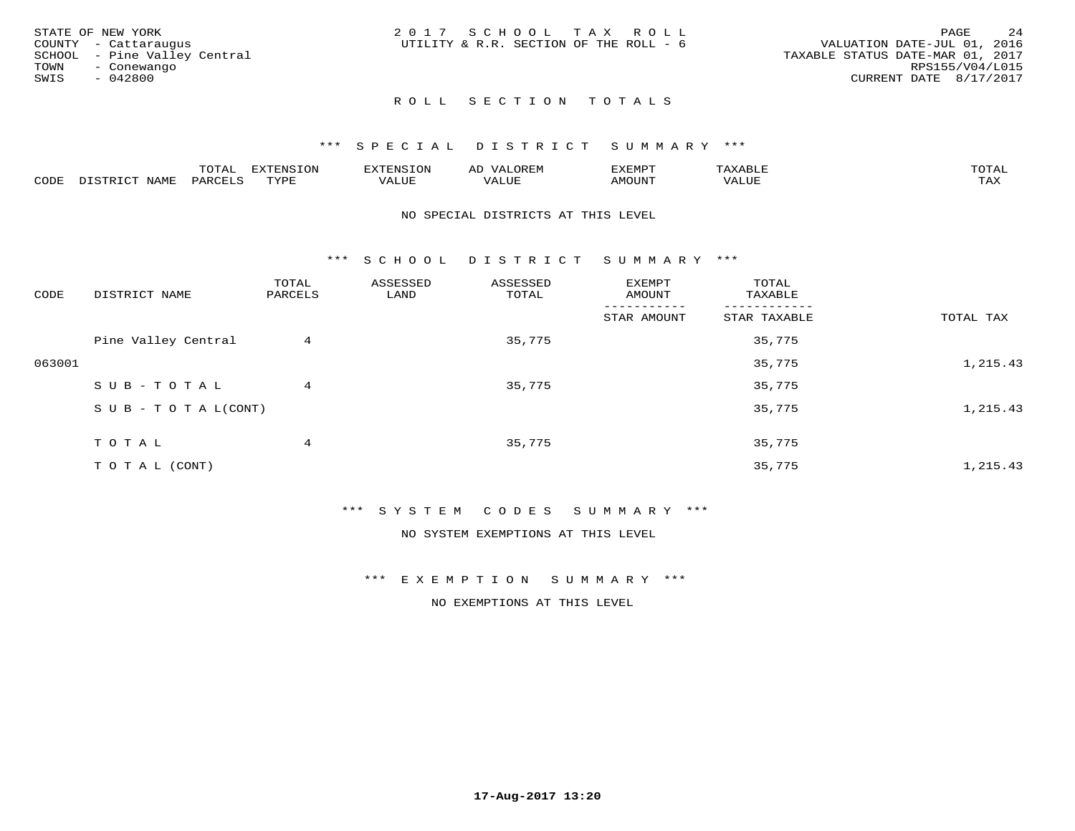|      | STATE OF NEW YORK            | 2017 SCHOOL TAX ROLL                   |  |                                  |                        | PAGE | 24 |
|------|------------------------------|----------------------------------------|--|----------------------------------|------------------------|------|----|
|      | COUNTY - Cattaraugus         | UTILITY & R.R. SECTION OF THE ROLL - 6 |  | VALUATION DATE-JUL 01, 2016      |                        |      |    |
|      | SCHOOL - Pine Valley Central |                                        |  | TAXABLE STATUS DATE-MAR 01, 2017 |                        |      |    |
| TOWN | - Conewango                  |                                        |  |                                  | RPS155/V04/L015        |      |    |
| SWIS | - 042800                     |                                        |  |                                  | CURRENT DATE 8/17/2017 |      |    |
|      |                              |                                        |  |                                  |                        |      |    |

### \*\*\* S P E C I A L D I S T R I C T S U M M A R Y \*\*\*

|      |                                              | mom n<br>L∪IAL   | <b>DIZPOIATO TOMT</b><br>LUN | -----------<br>י ו יו   | AD<br>URLIV  | $\ldots$<br>″ –<br>. ۱٬۱۳۰٬۰۰۰ | max                  | $m \wedge m \wedge n$ |
|------|----------------------------------------------|------------------|------------------------------|-------------------------|--------------|--------------------------------|----------------------|-----------------------|
| CODE | $ -$<br><b>NAM<sup>T</sup></b><br>- 12 - 14⊔ | PAR <sub>U</sub> | TVDF                         | $- - - -$<br>$A \cup P$ | ----<br>ALUF | IMOUNT                         | $   -$<br>$\sqrt{A}$ | $m \times r$<br>- −-  |

### NO SPECIAL DISTRICTS AT THIS LEVEL

\*\*\* S C H O O L D I S T R I C T S U M M A R Y \*\*\*

| CODE   | DISTRICT NAME                    | TOTAL<br>PARCELS | ASSESSED<br>LAND | ASSESSED<br>TOTAL | EXEMPT<br>AMOUNT | TOTAL<br>TAXABLE |           |
|--------|----------------------------------|------------------|------------------|-------------------|------------------|------------------|-----------|
|        |                                  |                  |                  |                   | STAR AMOUNT      | STAR TAXABLE     | TOTAL TAX |
|        | Pine Valley Central              | 4                |                  | 35,775            |                  | 35,775           |           |
| 063001 |                                  |                  |                  |                   |                  | 35,775           | 1,215.43  |
|        | SUB-TOTAL                        | 4                |                  | 35,775            |                  | 35,775           |           |
|        | $S \cup B - T \cup T A L (CONT)$ |                  |                  |                   |                  | 35,775           | 1,215.43  |
|        | TOTAL                            | 4                |                  | 35,775            |                  | 35,775           |           |
|        | T O T A L (CONT)                 |                  |                  |                   |                  | 35,775           | 1,215.43  |

### \*\*\* S Y S T E M C O D E S S U M M A R Y \*\*\*

NO SYSTEM EXEMPTIONS AT THIS LEVEL

### \*\*\* E X E M P T I O N S U M M A R Y \*\*\*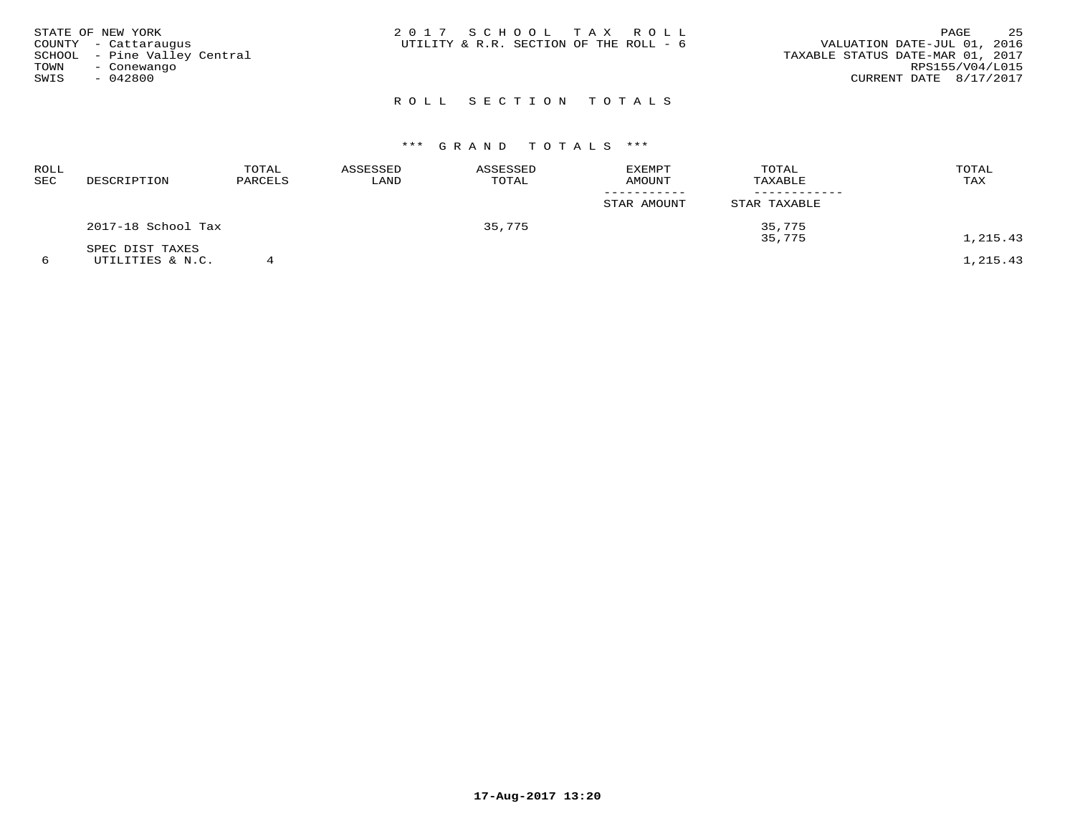|      | STATE OF NEW YORK            | 2017 SCHOOL TAX ROLL                                                  | PAGE            | 25 |
|------|------------------------------|-----------------------------------------------------------------------|-----------------|----|
|      | COUNTY - Cattaraugus         | VALUATION DATE-JUL 01, 2016<br>UTILITY & R.R. SECTION OF THE ROLL - 6 |                 |    |
|      | SCHOOL - Pine Valley Central | TAXABLE STATUS DATE-MAR 01, 2017                                      |                 |    |
| TOWN | - Conewango                  |                                                                       | RPS155/V04/L015 |    |
| SWIS | - 042800                     | CURRENT DATE 8/17/2017                                                |                 |    |
|      |                              |                                                                       |                 |    |

# R O L L S E C T I O N T O T A L S

# \*\*\* G R A N D T O T A L S \*\*\*

| ROLL<br>SEC | DESCRIPTION                         | TOTAL<br>PARCELS | ASSESSED<br>LAND | ASSESSED<br>TOTAL | EXEMPT<br><b>AMOUNT</b> | TOTAL<br>TAXABLE | TOTAL<br>TAX |
|-------------|-------------------------------------|------------------|------------------|-------------------|-------------------------|------------------|--------------|
|             |                                     |                  |                  |                   | STAR AMOUNT             | STAR TAXABLE     |              |
|             | 2017-18 School Tax                  |                  |                  | 35,775            |                         | 35,775<br>35,775 | 1,215.43     |
|             | SPEC DIST TAXES<br>UTILITIES & N.C. |                  |                  |                   |                         |                  | 1,215.43     |

**17-Aug-2017 13:20**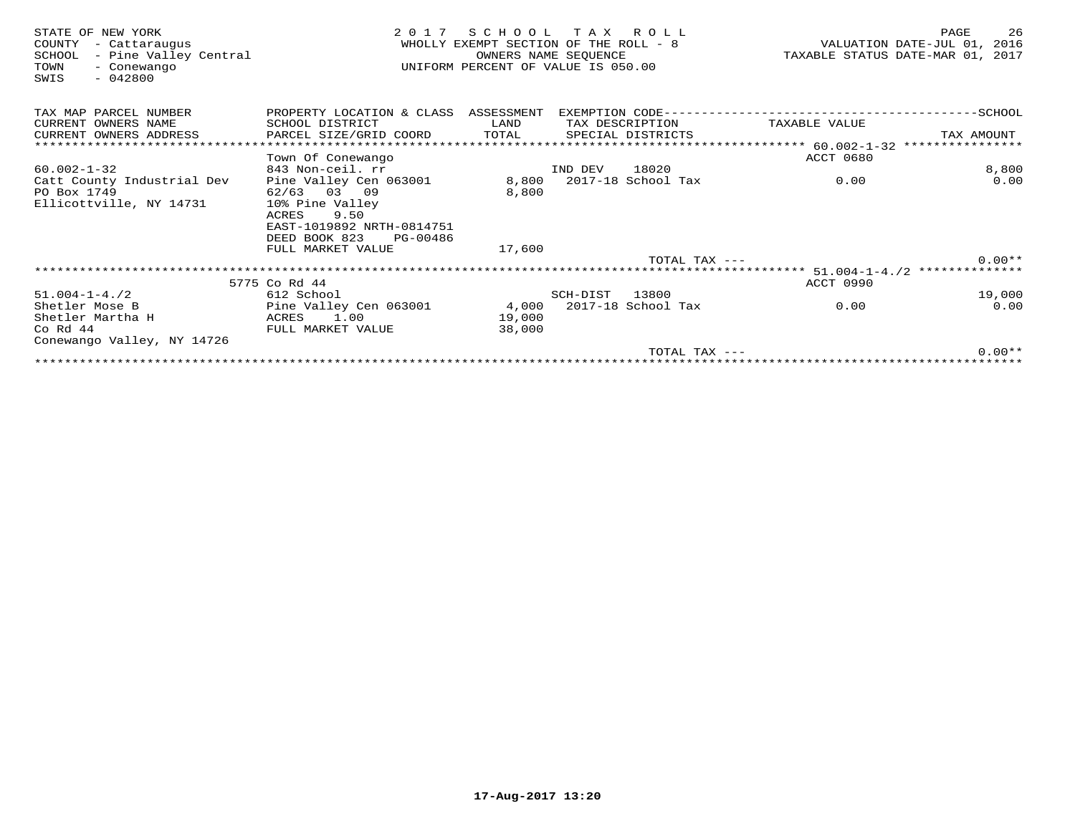| STATE OF NEW YORK<br>COUNTY<br>- Cattaraugus<br>- Pine Valley Central<br>SCHOOL<br>TOWN<br>- Conewango<br>$-042800$<br>SWIS | 2 0 1 7                                        | SCHOOL<br>WHOLLY EXEMPT SECTION OF THE ROLL - 8<br>UNIFORM PERCENT OF VALUE IS 050.00 | T A X<br>OWNERS NAME SEQUENCE | R O L L            |                                          | 26<br>PAGE<br>VALUATION DATE-JUL 01,<br>2016<br>TAXABLE STATUS DATE-MAR 01, 2017 |
|-----------------------------------------------------------------------------------------------------------------------------|------------------------------------------------|---------------------------------------------------------------------------------------|-------------------------------|--------------------|------------------------------------------|----------------------------------------------------------------------------------|
| TAX MAP PARCEL NUMBER                                                                                                       | PROPERTY LOCATION & CLASS ASSESSMENT           |                                                                                       |                               |                    | EXEMPTION CODE-------------------------- | -----------SCHOOL                                                                |
| CURRENT OWNERS NAME                                                                                                         | SCHOOL DISTRICT                                | LAND                                                                                  |                               | TAX DESCRIPTION    | TAXABLE VALUE                            |                                                                                  |
| CURRENT OWNERS ADDRESS                                                                                                      | PARCEL SIZE/GRID COORD                         | TOTAL                                                                                 |                               | SPECIAL DISTRICTS  |                                          | TAX AMOUNT                                                                       |
|                                                                                                                             |                                                |                                                                                       |                               |                    | ******* 60.002-1-32                      | * * * * * * * * * * *                                                            |
|                                                                                                                             | Town Of Conewango                              |                                                                                       |                               |                    | <b>ACCT 0680</b>                         |                                                                                  |
| $60.002 - 1 - 32$                                                                                                           | 843 Non-ceil. rr                               |                                                                                       | IND DEV                       | 18020              |                                          | 8,800                                                                            |
| Catt County Industrial Dev                                                                                                  | Pine Valley Cen 063001                         | 8,800                                                                                 |                               | 2017-18 School Tax | 0.00                                     | 0.00                                                                             |
| PO Box 1749                                                                                                                 | 62/63<br>03 09                                 | 8,800                                                                                 |                               |                    |                                          |                                                                                  |
| Ellicottville, NY 14731                                                                                                     | 10% Pine Valley                                |                                                                                       |                               |                    |                                          |                                                                                  |
|                                                                                                                             | 9.50<br>ACRES                                  |                                                                                       |                               |                    |                                          |                                                                                  |
|                                                                                                                             | EAST-1019892 NRTH-0814751                      |                                                                                       |                               |                    |                                          |                                                                                  |
|                                                                                                                             | DEED BOOK 823<br>PG-00486<br>FULL MARKET VALUE | 17,600                                                                                |                               |                    |                                          |                                                                                  |
|                                                                                                                             |                                                |                                                                                       |                               | TOTAL TAX $---$    |                                          | $0.00**$                                                                         |
|                                                                                                                             |                                                |                                                                                       |                               |                    | ************************ 51.004-1-4./2   | **************                                                                   |
|                                                                                                                             | 5775 Co Rd 44                                  |                                                                                       |                               |                    | ACCT 0990                                |                                                                                  |
| $51.004 - 1 - 4.72$                                                                                                         | 612 School                                     |                                                                                       | SCH-DIST                      | 13800              |                                          | 19,000                                                                           |
| Shetler Mose B                                                                                                              | Pine Valley Cen 063001                         | 4,000                                                                                 |                               | 2017-18 School Tax | 0.00                                     | 0.00                                                                             |
| Shetler Martha H                                                                                                            | ACRES<br>1.00                                  | 19,000                                                                                |                               |                    |                                          |                                                                                  |
| $Co$ Rd $44$                                                                                                                | FULL MARKET VALUE                              | 38,000                                                                                |                               |                    |                                          |                                                                                  |
| Conewango Valley, NY 14726                                                                                                  |                                                |                                                                                       |                               |                    |                                          |                                                                                  |
|                                                                                                                             |                                                |                                                                                       |                               | TOTAL TAX $---$    |                                          | $0.00**$                                                                         |
|                                                                                                                             |                                                |                                                                                       |                               |                    |                                          |                                                                                  |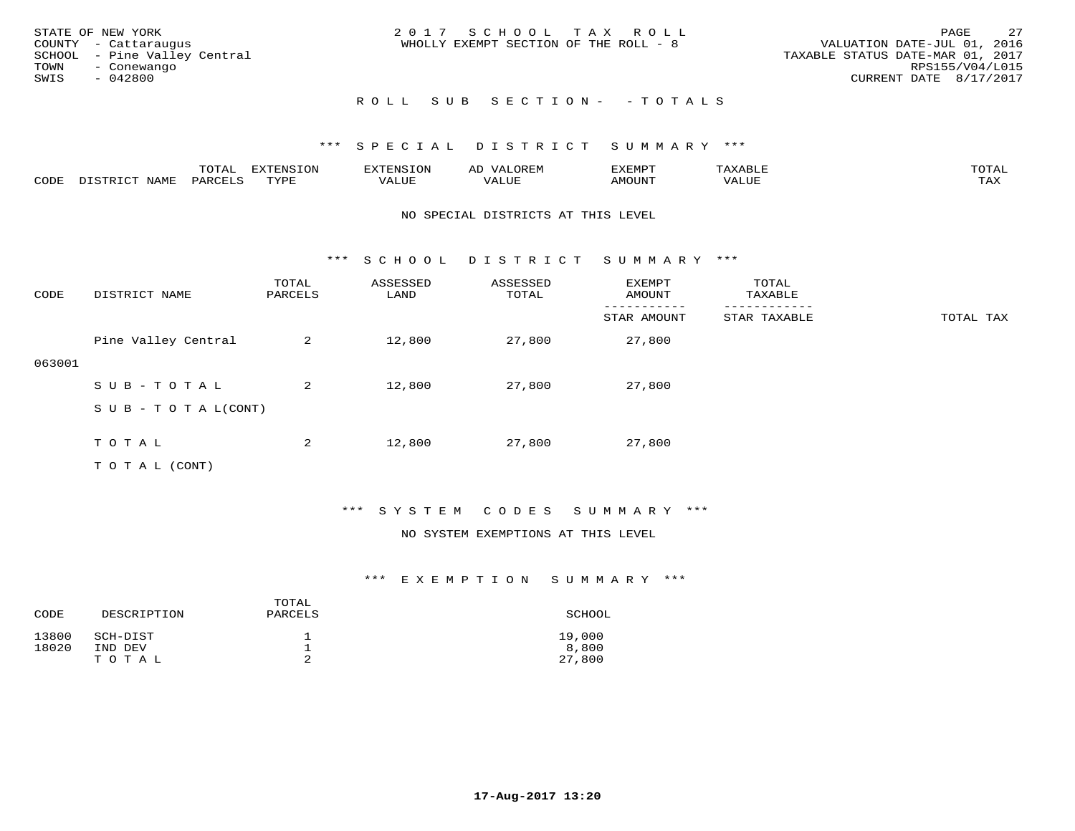|      | STATE OF NEW YORK            | 2017 SCHOOL TAX ROLL                                                 | PAGE                   | 2.7 |
|------|------------------------------|----------------------------------------------------------------------|------------------------|-----|
|      | COUNTY - Cattaraugus         | VALUATION DATE-JUL 01, 2016<br>WHOLLY EXEMPT SECTION OF THE ROLL - 8 |                        |     |
|      | SCHOOL - Pine Valley Central | TAXABLE STATUS DATE-MAR 01, 2017                                     |                        |     |
| TOWN | - Conewango                  |                                                                      | RPS155/V04/L015        |     |
| SWIS | - 042800                     |                                                                      | CURRENT DATE 8/17/2017 |     |
|      |                              |                                                                      |                        |     |

# ROLL SUB SECTION- - TOTALS

### \*\*\* S P E C I A L D I S T R I C T S U M M A R Y \*\*\*

|      |                  | $m \wedge m \wedge n$<br>LUIAL | H1<br>≀⊤∩™ | ENS           | OREM           | SXEMPT | $max$ is $max$ $n$<br>AXABLE | $m \wedge m \wedge n$ |
|------|------------------|--------------------------------|------------|---------------|----------------|--------|------------------------------|-----------------------|
| CODE | NAME<br>DISTRICT | PARCELS                        | TVDF       | <i>J</i> ALUE | 7377<br>. Aluf | AMOUNT | ''ALUL                       | TA Y<br>⊥⇔∆           |

### NO SPECIAL DISTRICTS AT THIS LEVEL

\*\*\* S C H O O L D I S T R I C T S U M M A R Y \*\*\*

| CODE   | DISTRICT NAME                    | TOTAL<br>PARCELS | ASSESSED<br>LAND | ASSESSED<br>TOTAL | EXEMPT<br>AMOUNT | TOTAL<br>TAXABLE |           |
|--------|----------------------------------|------------------|------------------|-------------------|------------------|------------------|-----------|
|        |                                  |                  |                  |                   | STAR AMOUNT      | STAR TAXABLE     | TOTAL TAX |
|        | Pine Valley Central              | 2                | 12,800           | 27,800            | 27,800           |                  |           |
| 063001 |                                  |                  |                  |                   |                  |                  |           |
|        | SUB-TOTAL                        | 2                | 12,800           | 27,800            | 27,800           |                  |           |
|        | $S \cup B - T \cup T A L (CONT)$ |                  |                  |                   |                  |                  |           |
|        |                                  |                  |                  |                   |                  |                  |           |
|        | TOTAL                            | 2                | 12,800           | 27,800            | 27,800           |                  |           |
|        | T O T A L (CONT)                 |                  |                  |                   |                  |                  |           |

## \*\*\* S Y S T E M C O D E S S U M M A R Y \*\*\*

### NO SYSTEM EXEMPTIONS AT THIS LEVEL

| CODE           | DESCRIPTION                  | TOTAL<br>PARCELS | SCHOOL                    |
|----------------|------------------------------|------------------|---------------------------|
| 13800<br>18020 | SCH-DIST<br>IND DEV<br>TOTAL | っ                | 19,000<br>8,800<br>27,800 |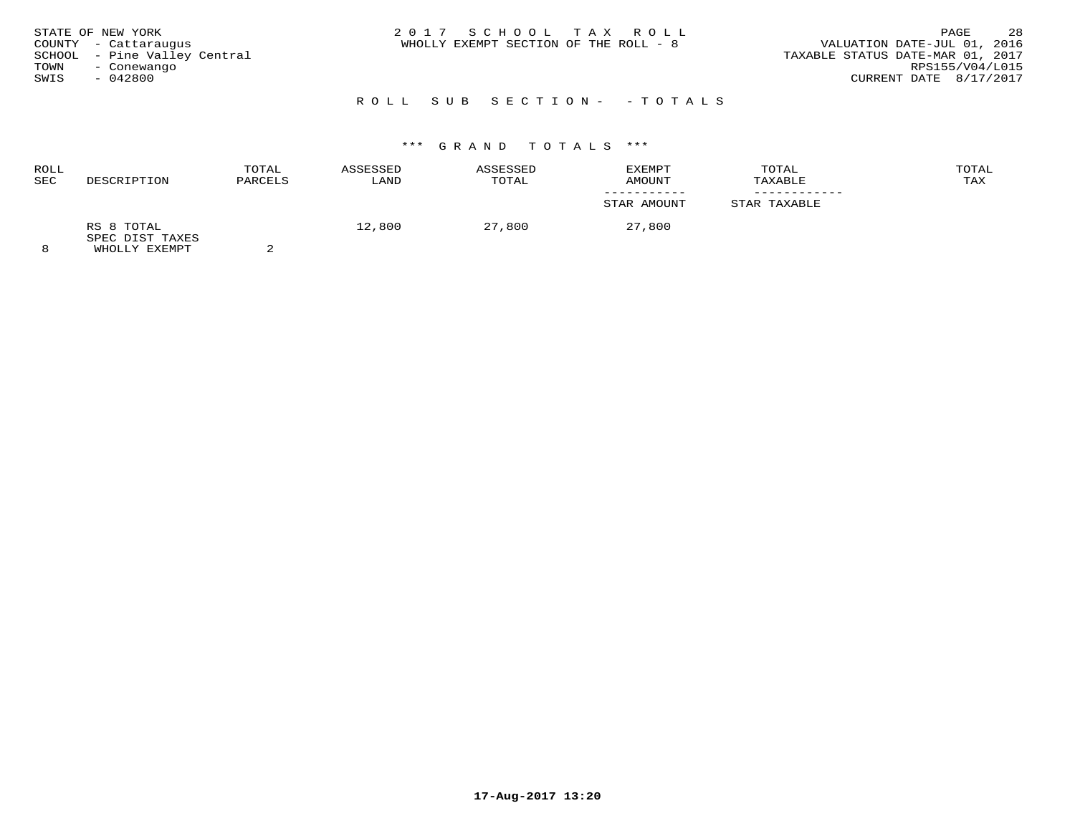| STATE OF NEW YORK<br>COUNTY - Cattaraugus<br>SCHOOL - Pine Valley Central<br>TOWN<br>- Conewango<br>$-042800$<br>SWIS | 2017 SCHOOL TAX ROLL<br>WHOLLY EXEMPT SECTION OF THE ROLL - 8 | 28<br>PAGE<br>VALUATION DATE-JUL 01, 2016<br>TAXABLE STATUS DATE-MAR 01, 2017<br>RPS155/V04/L015<br>CURRENT DATE 8/17/2017 |
|-----------------------------------------------------------------------------------------------------------------------|---------------------------------------------------------------|----------------------------------------------------------------------------------------------------------------------------|
|-----------------------------------------------------------------------------------------------------------------------|---------------------------------------------------------------|----------------------------------------------------------------------------------------------------------------------------|

# R O L L S U B S E C T I O N - - T O T A L S

# \*\*\* G R A N D T O T A L S \*\*\*

| ROLL     |                                                 | TOTAL   | ASSESSED | ASSESSED | EXEMPT      | TOTAL        | TOTAL |
|----------|-------------------------------------------------|---------|----------|----------|-------------|--------------|-------|
| SEC      | DESCRIPTION                                     | PARCELS | LAND     | TOTAL    | AMOUNT      | TAXABLE      | TAX   |
|          |                                                 |         |          |          | STAR AMOUNT | STAR TAXABLE |       |
| $\Omega$ | RS 8 TOTAL<br>SPEC DIST TAXES<br>LUICE IV DILLE |         | 12,800   | 27,800   | 27,800      |              |       |

8 WHOLLY EXEMPT 2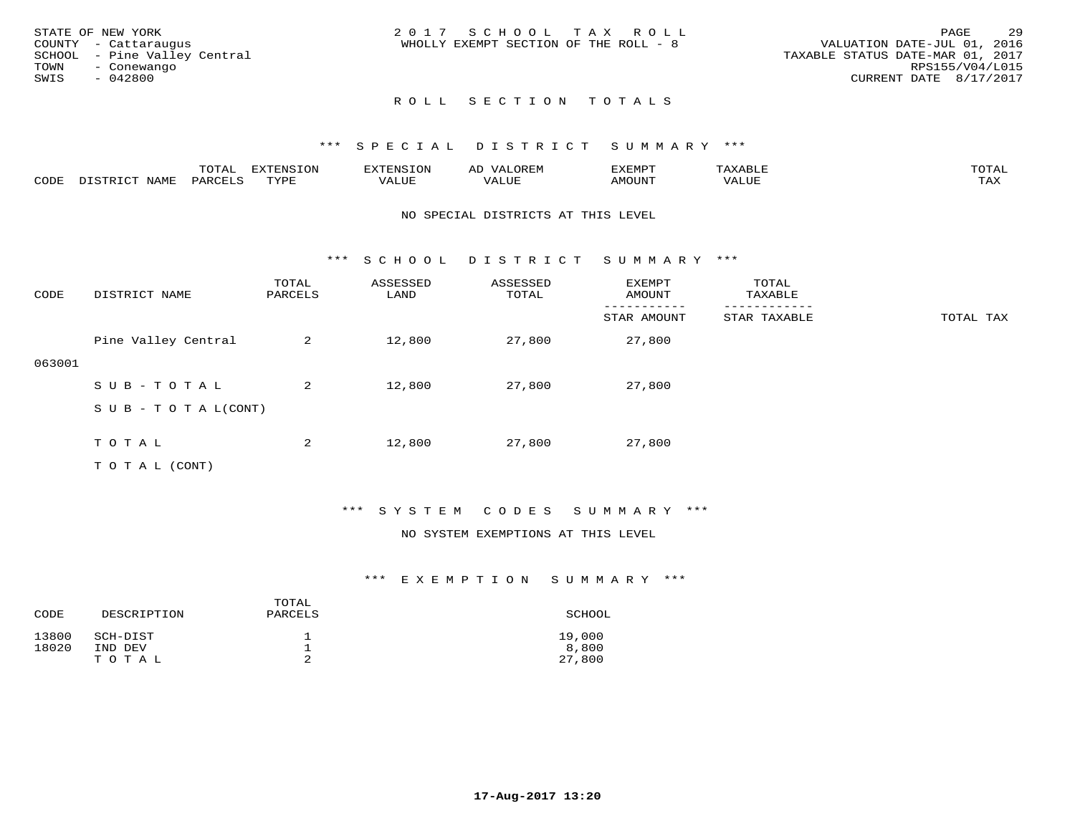|      | STATE OF NEW YORK            | 2017 SCHOOL TAX ROLL                                                 | PAGE            | -29 |
|------|------------------------------|----------------------------------------------------------------------|-----------------|-----|
|      | COUNTY - Cattaraugus         | VALUATION DATE-JUL 01, 2016<br>WHOLLY EXEMPT SECTION OF THE ROLL - 8 |                 |     |
|      | SCHOOL - Pine Valley Central | TAXABLE STATUS DATE-MAR 01, 2017                                     |                 |     |
| TOWN | - Conewango                  |                                                                      | RPS155/V04/L015 |     |
| SWIS | - 042800                     | CURRENT DATE 8/17/2017                                               |                 |     |
|      |                              |                                                                      |                 |     |

## \*\*\* S P E C I A L D I S T R I C T S U M M A R Y \*\*\*

|      |      | ----<br>10171 | $\blacksquare$<br>----- |     |                          | ם כז גבד זי<br>. U |     | $m \wedge m$        |
|------|------|---------------|-------------------------|-----|--------------------------|--------------------|-----|---------------------|
| CODE | NAME |               | TVDL                    | דדד | $- - - -$<br>اللال للديم | TUUOM              | " ב | $m \times r$<br>∸∽∸ |

### NO SPECIAL DISTRICTS AT THIS LEVEL

\*\*\* S C H O O L D I S T R I C T S U M M A R Y \*\*\*

| CODE   | DISTRICT NAME                    | TOTAL<br>PARCELS | ASSESSED<br>LAND | ASSESSED<br>TOTAL | EXEMPT<br>AMOUNT | TOTAL<br>TAXABLE |           |
|--------|----------------------------------|------------------|------------------|-------------------|------------------|------------------|-----------|
|        |                                  |                  |                  |                   | STAR AMOUNT      | STAR TAXABLE     | TOTAL TAX |
|        | Pine Valley Central              | 2                | 12,800           | 27,800            | 27,800           |                  |           |
| 063001 |                                  |                  |                  |                   |                  |                  |           |
|        | SUB-TOTAL                        | 2                | 12,800           | 27,800            | 27,800           |                  |           |
|        | $S \cup B - T \cup T A L (CONT)$ |                  |                  |                   |                  |                  |           |
|        |                                  |                  |                  |                   |                  |                  |           |
|        | TOTAL                            | 2                | 12,800           | 27,800            | 27,800           |                  |           |
|        | T O T A L (CONT)                 |                  |                  |                   |                  |                  |           |

## \*\*\* S Y S T E M C O D E S S U M M A R Y \*\*\*

#### NO SYSTEM EXEMPTIONS AT THIS LEVEL

| CODE           | DESCRIPTION                  | TOTAL<br>PARCELS | SCHOOL                    |
|----------------|------------------------------|------------------|---------------------------|
| 13800<br>18020 | SCH-DIST<br>IND DEV<br>TOTAL | ᅩ<br>ᅩ           | 19,000<br>8,800<br>27,800 |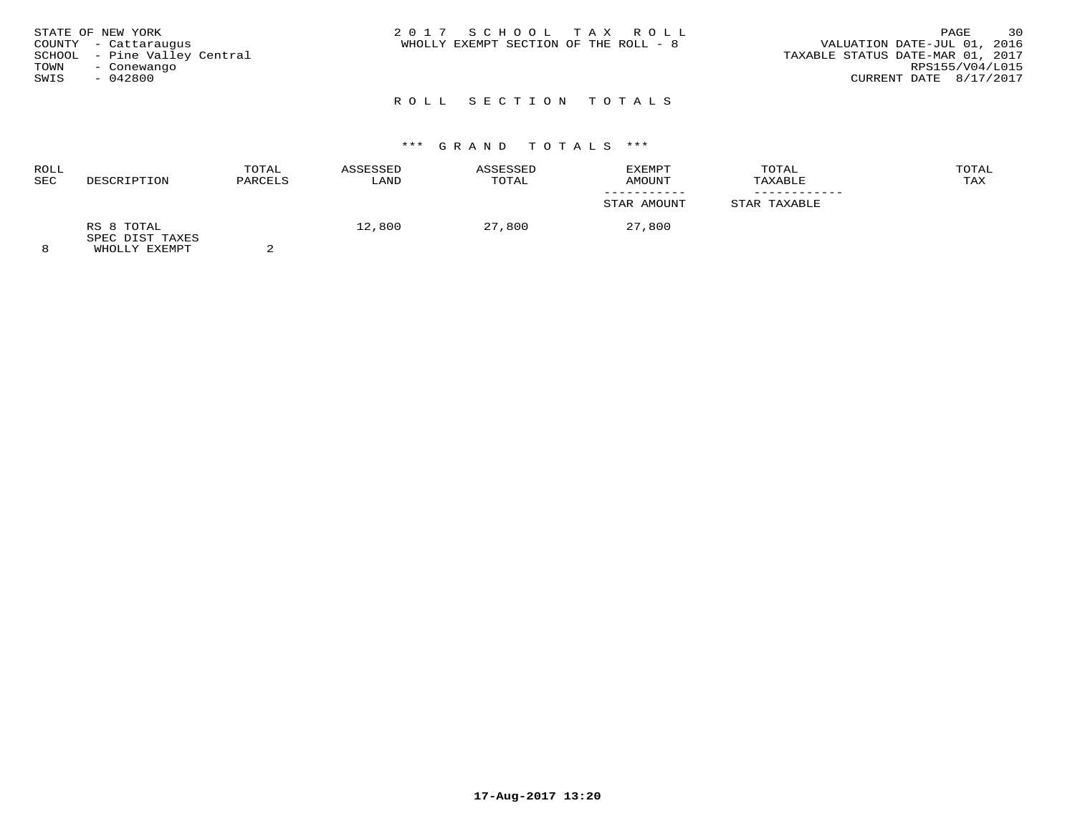| STATE OF NEW YORK            | 2017 SCHOOL TAX ROLL                  | 30<br>PAGE                       |
|------------------------------|---------------------------------------|----------------------------------|
| COUNTY - Cattaraugus         | WHOLLY EXEMPT SECTION OF THE ROLL - 8 | VALUATION DATE-JUL 01, 2016      |
| SCHOOL - Pine Valley Central |                                       | TAXABLE STATUS DATE-MAR 01, 2017 |
| TOWN<br>- Conewango          |                                       | RPS155/V04/L015                  |
| $-042800$<br>SWIS            |                                       | CURRENT DATE 8/17/2017           |
|                              |                                       |                                  |

# \*\*\* G R A N D T O T A L S \*\*\*

| ROLL<br>SEC | DESCRIPTION                                             | TOTAL<br>PARCELS | ASSESSED<br>LAND | ASSESSED<br>TOTAL | <b>EXEMPT</b><br>AMOUNT | TOTAL<br>TAXABLE | TOTAL<br>TAX |
|-------------|---------------------------------------------------------|------------------|------------------|-------------------|-------------------------|------------------|--------------|
|             |                                                         |                  |                  |                   | STAR AMOUNT             | STAR TAXABLE     |              |
| $\circ$     | RS 8 TOTAL<br>SPEC DIST TAXES<br><b>WILOT IV RYBMDT</b> |                  | 12,800           | 27,800            | 27,800                  |                  |              |

8 WHOLLY EXEMPT 2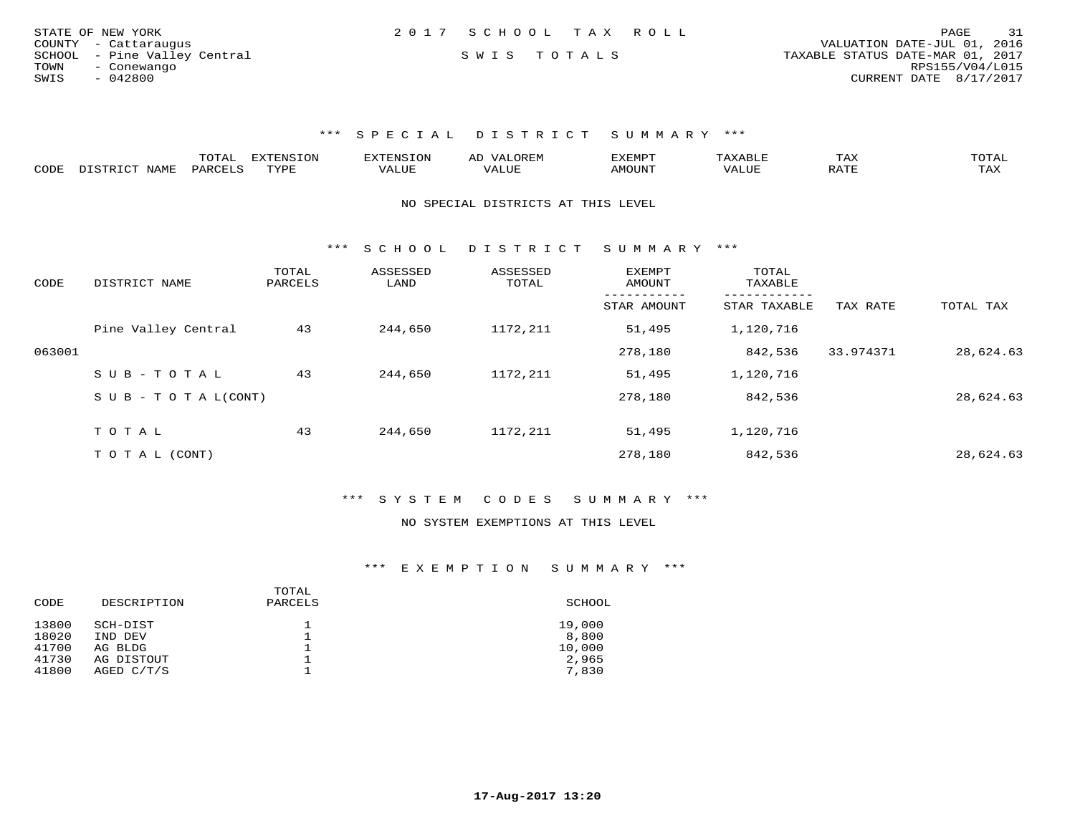| STATE OF NEW YORK |                              | 2017 SCHOOL TAX ROLL |  |                                  | PAGE                   | 31 |
|-------------------|------------------------------|----------------------|--|----------------------------------|------------------------|----|
|                   | COUNTY - Cattaraugus         |                      |  | VALUATION DATE-JUL 01, 2016      |                        |    |
|                   | SCHOOL - Pine Valley Central | SWIS TOTALS          |  | TAXABLE STATUS DATE-MAR 01, 2017 |                        |    |
| TOWN              | - Conewango                  |                      |  |                                  | RPS155/V04/L015        |    |
| SWIS              | - 042800                     |                      |  |                                  | CURRENT DATE 8/17/2017 |    |

\*\*\* S P E C I A L D I S T R I C T S U M M A R Y \*\*\*

|      |                               | ---- | <b>EXTENSION</b> |      | ▵ | 'XEMP        |       | TΗV | ™∩π∆τ              |
|------|-------------------------------|------|------------------|------|---|--------------|-------|-----|--------------------|
| CODE | 7\ 1\ /IT.<br>$W$ $A$ $W$ $F$ | ◡▵   | TVDF             | ALUE |   | <b>MOUNT</b> | ط∪∟A′ |     | <b>TAY</b><br>⊥ ⊶∧ |

NO SPECIAL DISTRICTS AT THIS LEVEL

\*\*\* S C H O O L D I S T R I C T S U M M A R Y \*\*\*

| CODE   | DISTRICT NAME              | TOTAL<br>PARCELS | ASSESSED<br>LAND | ASSESSED<br>TOTAL | <b>EXEMPT</b><br>AMOUNT | TOTAL<br>TAXABLE        |           |           |
|--------|----------------------------|------------------|------------------|-------------------|-------------------------|-------------------------|-----------|-----------|
|        |                            |                  |                  |                   | STAR AMOUNT             | -------<br>STAR TAXABLE | TAX RATE  | TOTAL TAX |
|        | Pine Valley Central        | 43               | 244,650          | 1172,211          | 51,495                  | 1,120,716               |           |           |
| 063001 |                            |                  |                  |                   | 278,180                 | 842,536                 | 33.974371 | 28,624.63 |
|        | SUB-TOTAL                  | 43               | 244,650          | 1172,211          | 51,495                  | 1,120,716               |           |           |
|        | S U B - T O T A $L$ (CONT) |                  |                  |                   | 278,180                 | 842,536                 |           | 28,624.63 |
|        | TOTAL                      | 43               | 244,650          | 1172,211          | 51,495                  | 1,120,716               |           |           |
|        | T O T A L (CONT)           |                  |                  |                   | 278,180                 | 842,536                 |           | 28,624.63 |

\*\*\* S Y S T E M C O D E S S U M M A R Y \*\*\*

#### NO SYSTEM EXEMPTIONS AT THIS LEVEL

| CODE  | DESCRIPTION | TOTAL<br>PARCELS | SCHOOL |
|-------|-------------|------------------|--------|
| 13800 | SCH-DIST    | ᅩ                | 19,000 |
| 18020 | IND DEV     | ᅩ                | 8,800  |
| 41700 | AG BLDG     | ᅩ                | 10,000 |
| 41730 | AG DISTOUT  |                  | 2,965  |
| 41800 | AGED C/T/S  |                  | 7,830  |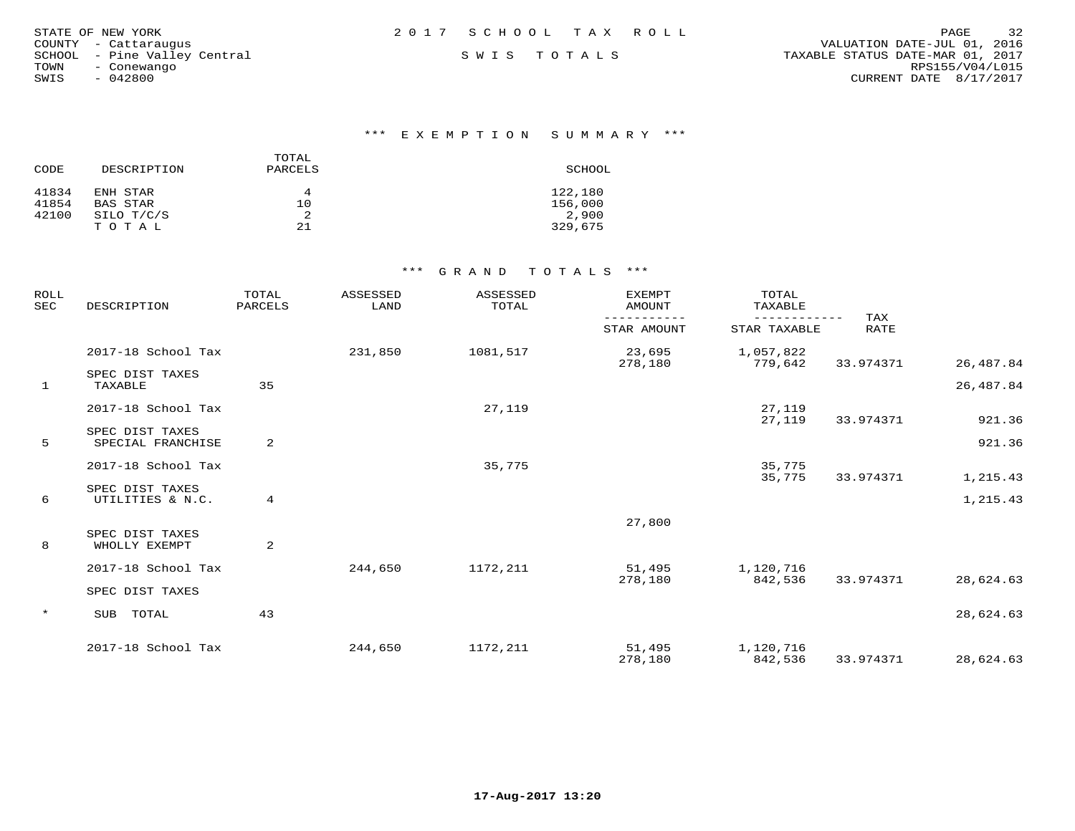| STATE OF NEW YORK            | 2017 SCHOOL TAX ROLL | -32<br>PAGE                      |
|------------------------------|----------------------|----------------------------------|
| COUNTY - Cattaraugus         |                      | VALUATION DATE-JUL 01, 2016      |
| SCHOOL - Pine Valley Central | SWIS TOTALS          | TAXABLE STATUS DATE-MAR 01, 2017 |
| TOWN<br>- Conewango          |                      | RPS155/V04/L015                  |
| $-042800$<br>SWIS            |                      | CURRENT DATE 8/17/2017           |
|                              |                      |                                  |

## \*\*\* E X E M P T I O N S U M M A R Y \*\*\*

| CODE  | DESCRIPTION | TOTAL<br>PARCELS | SCHOOL  |
|-------|-------------|------------------|---------|
| 41834 | ENH STAR    | 4                | 122,180 |
| 41854 | BAS STAR    | 10               | 156,000 |
| 42100 | SILO T/C/S  |                  | 2,900   |
|       | T O T A L   | 21               | 329,675 |

## \*\*\* G R A N D T O T A L S \*\*\*

| <b>ROLL</b><br><b>SEC</b> | DESCRIPTION                          | TOTAL<br>PARCELS | ASSESSED<br>LAND | ASSESSED<br>TOTAL | <b>EXEMPT</b><br><b>AMOUNT</b> | TOTAL<br>TAXABLE     |                    |           |
|---------------------------|--------------------------------------|------------------|------------------|-------------------|--------------------------------|----------------------|--------------------|-----------|
|                           |                                      |                  |                  |                   | STAR AMOUNT                    | STAR TAXABLE         | TAX<br><b>RATE</b> |           |
|                           | 2017-18 School Tax                   |                  | 231,850          | 1081,517          | 23,695<br>278,180              | 1,057,822<br>779,642 | 33.974371          | 26,487.84 |
| $\mathbf{1}$              | SPEC DIST TAXES<br>TAXABLE           | 35               |                  |                   |                                |                      |                    | 26,487.84 |
|                           | 2017-18 School Tax                   |                  |                  | 27,119            |                                | 27,119<br>27,119     | 33.974371          | 921.36    |
| 5                         | SPEC DIST TAXES<br>SPECIAL FRANCHISE | 2                |                  |                   |                                |                      |                    | 921.36    |
|                           | 2017-18 School Tax                   |                  |                  | 35,775            |                                | 35,775<br>35,775     | 33.974371          | 1,215.43  |
| 6                         | SPEC DIST TAXES<br>UTILITIES & N.C.  | 4                |                  |                   |                                |                      |                    | 1,215.43  |
| 8                         | SPEC DIST TAXES<br>WHOLLY EXEMPT     | $\overline{2}$   |                  |                   | 27,800                         |                      |                    |           |
|                           | 2017-18 School Tax                   |                  | 244,650          | 1172,211          | 51,495<br>278,180              | 1,120,716<br>842,536 | 33.974371          | 28,624.63 |
|                           | SPEC DIST TAXES                      |                  |                  |                   |                                |                      |                    |           |
| $\star$                   | TOTAL<br>SUB                         | 43               |                  |                   |                                |                      |                    | 28,624.63 |
|                           | 2017-18 School Tax                   |                  | 244,650          | 1172,211          | 51,495<br>278,180              | 1,120,716<br>842,536 | 33.974371          | 28,624.63 |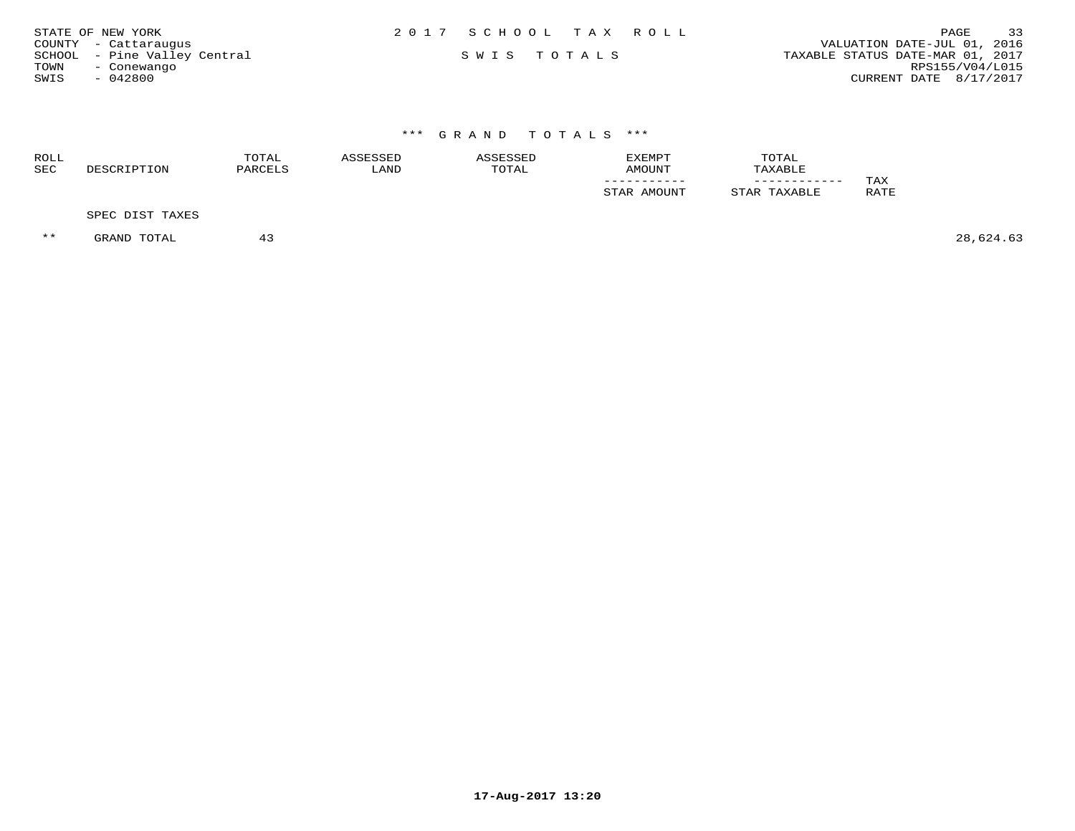| STATE OF NEW YORK            | 2017 SCHOOL TAX ROLL |  |                                  | <b>PAGE</b>     | 33 |
|------------------------------|----------------------|--|----------------------------------|-----------------|----|
| COUNTY - Cattaraugus         |                      |  | VALUATION DATE-JUL 01, 2016      |                 |    |
| SCHOOL - Pine Valley Central | SWIS TOTALS          |  | TAXABLE STATUS DATE-MAR 01, 2017 |                 |    |
| TOWN<br>- Conewango          |                      |  |                                  | RPS155/V04/L015 |    |
| $-042800$<br>SWIS            |                      |  | CURRENT DATE 8/17/2017           |                 |    |
|                              |                      |  |                                  |                 |    |
|                              |                      |  |                                  |                 |    |

# \*\*\* G R A N D T O T A L S \*\*\*

| ROLL<br>SEC | RIPTION<br>DE.S | TOTAL<br><b>DADCET</b> | LAND | TOTAL | EXEMPT<br>AMOUNT | TOTAL<br><b>NYART.F</b> |            |
|-------------|-----------------|------------------------|------|-------|------------------|-------------------------|------------|
|             |                 |                        |      |       | ___________      | ____________            | <b>TAX</b> |
|             |                 |                        |      |       | AMOUNT<br>STAR   | TTAh<br>AXABLE          | RATE       |
|             |                 |                        |      |       |                  |                         |            |

SPEC DIST TAXES

\*\* GRAND TOTAL 43 28,624.63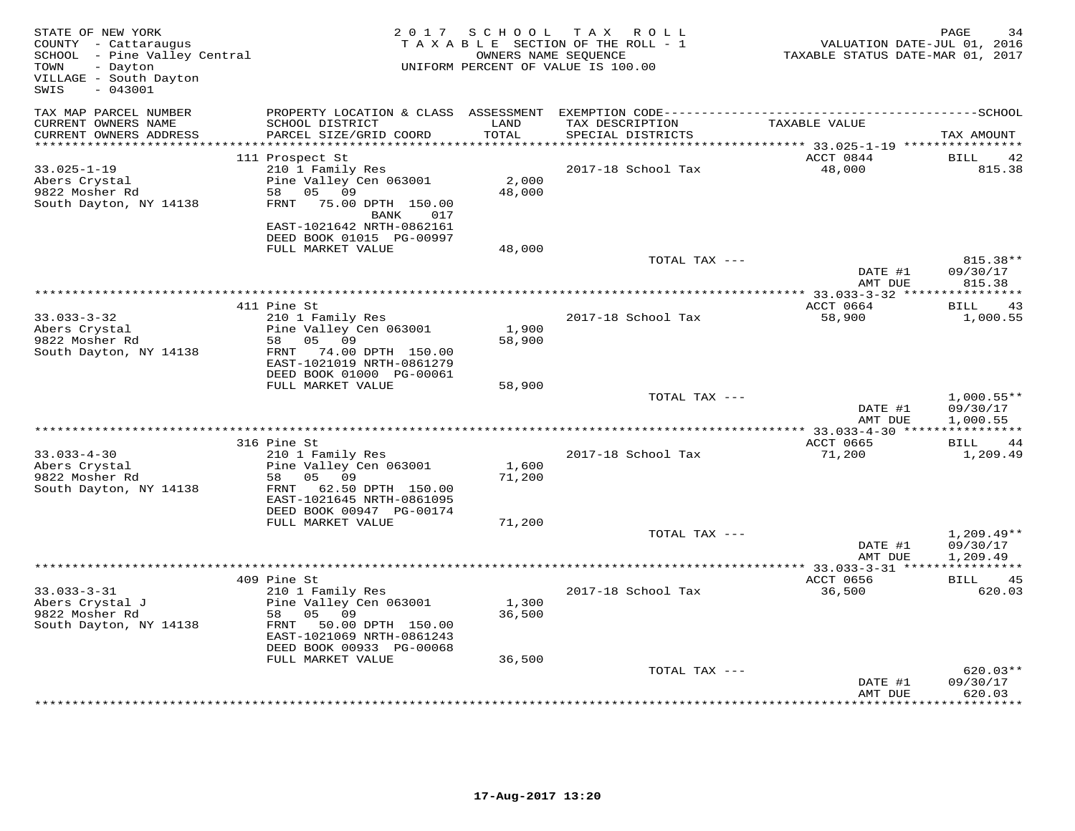| STATE OF NEW YORK<br>COUNTY - Cattaraugus<br>SCHOOL - Pine Valley Central<br>- Dayton<br>TOWN<br>VILLAGE - South Dayton<br>$-043001$<br>SWIS |                                                                                                                                                          | 2017 SCHOOL     | T A X<br>R O L L<br>TAXABLE SECTION OF THE ROLL - 1<br>OWNERS NAME SEQUENCE<br>UNIFORM PERCENT OF VALUE IS 100.00 | VALUATION DATE-JUL 01, 2016<br>TAXABLE STATUS DATE-MAR 01, 2017 | PAGE<br>34                           |
|----------------------------------------------------------------------------------------------------------------------------------------------|----------------------------------------------------------------------------------------------------------------------------------------------------------|-----------------|-------------------------------------------------------------------------------------------------------------------|-----------------------------------------------------------------|--------------------------------------|
| TAX MAP PARCEL NUMBER<br>CURRENT OWNERS NAME<br>CURRENT OWNERS ADDRESS<br>***********************                                            | PROPERTY LOCATION & CLASS ASSESSMENT<br>SCHOOL DISTRICT<br>PARCEL SIZE/GRID COORD                                                                        | LAND<br>TOTAL   | TAX DESCRIPTION<br>SPECIAL DISTRICTS                                                                              | TAXABLE VALUE                                                   | TAX AMOUNT                           |
|                                                                                                                                              | 111 Prospect St                                                                                                                                          |                 |                                                                                                                   | ACCT 0844                                                       | BILL<br>42                           |
| $33.025 - 1 - 19$<br>Abers Crystal<br>9822 Mosher Rd<br>South Dayton, NY 14138                                                               | 210 1 Family Res<br>Pine Valley Cen 063001<br>58 05 09<br>FRNT 75.00 DPTH 150.00<br>BANK<br>017<br>EAST-1021642 NRTH-0862161<br>DEED BOOK 01015 PG-00997 | 2,000<br>48,000 | 2017-18 School Tax                                                                                                | 48,000                                                          | 815.38                               |
|                                                                                                                                              | FULL MARKET VALUE                                                                                                                                        | 48,000          | TOTAL TAX ---                                                                                                     |                                                                 | 815.38**                             |
|                                                                                                                                              |                                                                                                                                                          |                 |                                                                                                                   | DATE #1<br>AMT DUE                                              | 09/30/17<br>815.38                   |
|                                                                                                                                              |                                                                                                                                                          |                 |                                                                                                                   |                                                                 | ***********                          |
| $33.033 - 3 - 32$<br>Abers Crystal                                                                                                           | 411 Pine St<br>210 1 Family Res<br>Pine Valley Cen 063001                                                                                                | 1,900           | 2017-18 School Tax                                                                                                | ACCT 0664<br>58,900                                             | 43<br>BILL<br>1,000.55               |
| 9822 Mosher Rd<br>South Dayton, NY 14138                                                                                                     | 58<br>05 09<br>FRNT 74.00 DPTH 150.00<br>EAST-1021019 NRTH-0861279<br>DEED BOOK 01000 PG-00061                                                           | 58,900          |                                                                                                                   |                                                                 |                                      |
|                                                                                                                                              | FULL MARKET VALUE                                                                                                                                        | 58,900          | TOTAL TAX ---                                                                                                     |                                                                 |                                      |
|                                                                                                                                              |                                                                                                                                                          |                 |                                                                                                                   | DATE #1<br>AMT DUE                                              | $1,000.55**$<br>09/30/17<br>1,000.55 |
|                                                                                                                                              | 316 Pine St                                                                                                                                              |                 |                                                                                                                   | ***************** 33.033-4-30 *****************<br>ACCT 0665    | BILL 44                              |
| $33.033 - 4 - 30$<br>Abers Crystal<br>9822 Mosher Rd<br>South Dayton, NY 14138                                                               | 210 1 Family Res<br>Pine Valley Cen 063001<br>05 09<br>58<br>FRNT 62.50 DPTH 150.00<br>EAST-1021645 NRTH-0861095<br>DEED BOOK 00947 PG-00174             | 1,600<br>71,200 | 2017-18 School Tax                                                                                                | 71,200                                                          | 1,209.49                             |
|                                                                                                                                              | FULL MARKET VALUE                                                                                                                                        | 71,200          |                                                                                                                   |                                                                 |                                      |
|                                                                                                                                              |                                                                                                                                                          |                 | TOTAL TAX ---                                                                                                     | DATE #1<br>AMT DUE                                              | $1,209.49**$<br>09/30/17<br>1,209.49 |
|                                                                                                                                              | 409 Pine St                                                                                                                                              |                 |                                                                                                                   | ACCT 0656                                                       | BILL 45                              |
| $33.033 - 3 - 31$<br>Abers Crystal J<br>9822 Mosher Rd<br>South Dayton, NY 14138                                                             | 210 1 Family Res<br>Pine Valley Cen 063001<br>58<br>05 09<br>FRNT 50.00 DPTH 150.00<br>EAST-1021069 NRTH-0861243<br>DEED BOOK 00933 PG-00068             | 1,300<br>36,500 | 2017-18 School Tax                                                                                                | 36,500                                                          | 620.03                               |
|                                                                                                                                              | FULL MARKET VALUE                                                                                                                                        | 36,500          | TOTAL TAX ---                                                                                                     |                                                                 | 620.03**                             |
|                                                                                                                                              |                                                                                                                                                          |                 |                                                                                                                   | DATE #1<br>AMT DUE                                              | 09/30/17<br>620.03<br>**********     |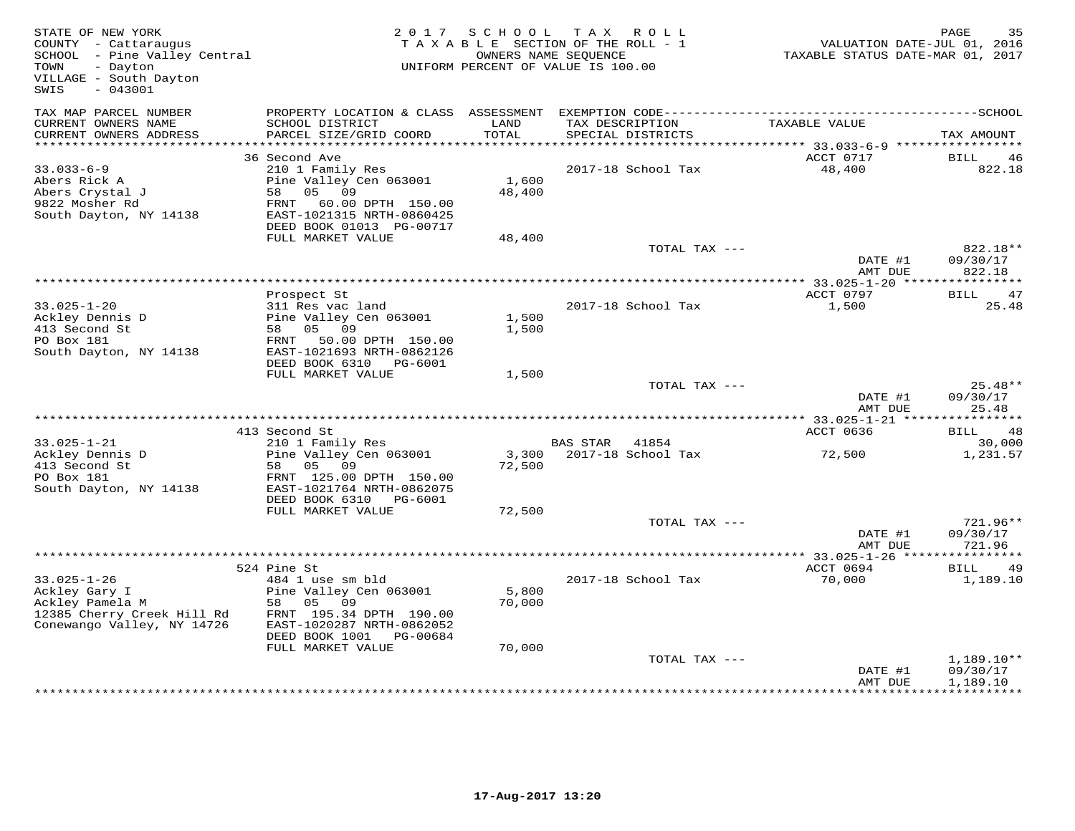| STATE OF NEW YORK<br>COUNTY - Cattaraugus<br>SCHOOL - Pine Valley Central<br>- Dayton<br>TOWN<br>VILLAGE - South Dayton<br>$-043001$<br>SWIS |                                                                                                                                                              | 2017 SCHOOL     | T A X<br>R O L L<br>TAXABLE SECTION OF THE ROLL - 1<br>OWNERS NAME SEQUENCE<br>UNIFORM PERCENT OF VALUE IS 100.00 | VALUATION DATE-JUL 01, 2016<br>TAXABLE STATUS DATE-MAR 01, 2017 | PAGE<br>35                     |
|----------------------------------------------------------------------------------------------------------------------------------------------|--------------------------------------------------------------------------------------------------------------------------------------------------------------|-----------------|-------------------------------------------------------------------------------------------------------------------|-----------------------------------------------------------------|--------------------------------|
| TAX MAP PARCEL NUMBER<br>CURRENT OWNERS NAME<br>CURRENT OWNERS ADDRESS                                                                       | PROPERTY LOCATION & CLASS ASSESSMENT<br>SCHOOL DISTRICT<br>PARCEL SIZE/GRID COORD                                                                            | LAND<br>TOTAL   | TAX DESCRIPTION<br>SPECIAL DISTRICTS                                                                              | TAXABLE VALUE                                                   | TAX AMOUNT                     |
| **************************                                                                                                                   |                                                                                                                                                              |                 |                                                                                                                   |                                                                 |                                |
|                                                                                                                                              | 36 Second Ave                                                                                                                                                |                 |                                                                                                                   | ACCT 0717                                                       | BILL<br>46                     |
| $33.033 - 6 - 9$<br>Abers Rick A<br>Abers Crystal J<br>9822 Mosher Rd<br>South Dayton, NY 14138                                              | 210 1 Family Res<br>Pine Valley Cen 063001<br>58 05 09<br>FRNT 60.00 DPTH 150.00<br>EAST-1021315 NRTH-0860425<br>DEED BOOK 01013 PG-00717                    | 1,600<br>48,400 | 2017-18 School Tax                                                                                                | 48,400                                                          | 822.18                         |
|                                                                                                                                              | FULL MARKET VALUE                                                                                                                                            | 48,400          |                                                                                                                   |                                                                 |                                |
|                                                                                                                                              |                                                                                                                                                              |                 | TOTAL TAX ---                                                                                                     | DATE #1<br>AMT DUE                                              | 822.18**<br>09/30/17<br>822.18 |
|                                                                                                                                              | * * * * * * * * * * * * *                                                                                                                                    |                 |                                                                                                                   | **************** 33.025-1-20 *****************                  |                                |
| $33.025 - 1 - 20$<br>Ackley Dennis D<br>413 Second St<br>PO Box 181<br>South Dayton, NY 14138                                                | Prospect St<br>311 Res vac land<br>Pine Valley Cen 063001<br>58 05 09<br>FRNT<br>50.00 DPTH 150.00<br>EAST-1021693 NRTH-0862126<br>DEED BOOK 6310<br>PG-6001 | 1,500<br>1,500  | 2017-18 School Tax                                                                                                | ACCT 0797<br>1,500                                              | 47<br>BILL<br>25.48            |
|                                                                                                                                              | FULL MARKET VALUE                                                                                                                                            | 1,500           |                                                                                                                   |                                                                 |                                |
|                                                                                                                                              |                                                                                                                                                              |                 | TOTAL TAX ---                                                                                                     | DATE #1<br>AMT DUE                                              | $25.48**$<br>09/30/17<br>25.48 |
|                                                                                                                                              |                                                                                                                                                              |                 |                                                                                                                   |                                                                 |                                |
|                                                                                                                                              | 413 Second St                                                                                                                                                |                 |                                                                                                                   | ACCT 0636                                                       | BILL<br>48                     |
| $33.025 - 1 - 21$<br>Ackley Dennis D<br>413 Second St<br>PO Box 181<br>South Dayton, NY 14138                                                | 210 1 Family Res<br>Pine Valley Cen 063001<br>05<br>09<br>58<br>FRNT 125.00 DPTH 150.00<br>EAST-1021764 NRTH-0862075                                         | 3,300<br>72,500 | BAS STAR<br>41854<br>2017-18 School Tax                                                                           | 72,500                                                          | 30,000<br>1,231.57             |
|                                                                                                                                              | DEED BOOK 6310<br>PG-6001                                                                                                                                    |                 |                                                                                                                   |                                                                 |                                |
|                                                                                                                                              | FULL MARKET VALUE                                                                                                                                            | 72,500          |                                                                                                                   |                                                                 |                                |
|                                                                                                                                              |                                                                                                                                                              |                 | TOTAL TAX ---                                                                                                     | DATE #1<br>AMT DUE                                              | 721.96**<br>09/30/17<br>721.96 |
|                                                                                                                                              |                                                                                                                                                              |                 |                                                                                                                   |                                                                 |                                |
|                                                                                                                                              | 524 Pine St                                                                                                                                                  |                 |                                                                                                                   | ACCT 0694                                                       | BILL<br>49                     |
| $33.025 - 1 - 26$<br>Ackley Gary I<br>Ackley Pamela M<br>12385 Cherry Creek Hill Rd<br>Conewango Valley, NY 14726                            | 484 1 use sm bld<br>Pine Valley Cen 063001<br>58 05<br>09<br>FRNT 195.34 DPTH 190.00<br>EAST-1020287 NRTH-0862052<br>DEED BOOK 1001<br>PG-00684              | 5,800<br>70,000 | 2017-18 School Tax                                                                                                | 70,000                                                          | 1,189.10                       |
|                                                                                                                                              | FULL MARKET VALUE                                                                                                                                            | 70,000          | TOTAL TAX ---                                                                                                     |                                                                 | 1,189.10**                     |
|                                                                                                                                              |                                                                                                                                                              |                 |                                                                                                                   | DATE #1<br>AMT DUE                                              | 09/30/17<br>1,189.10           |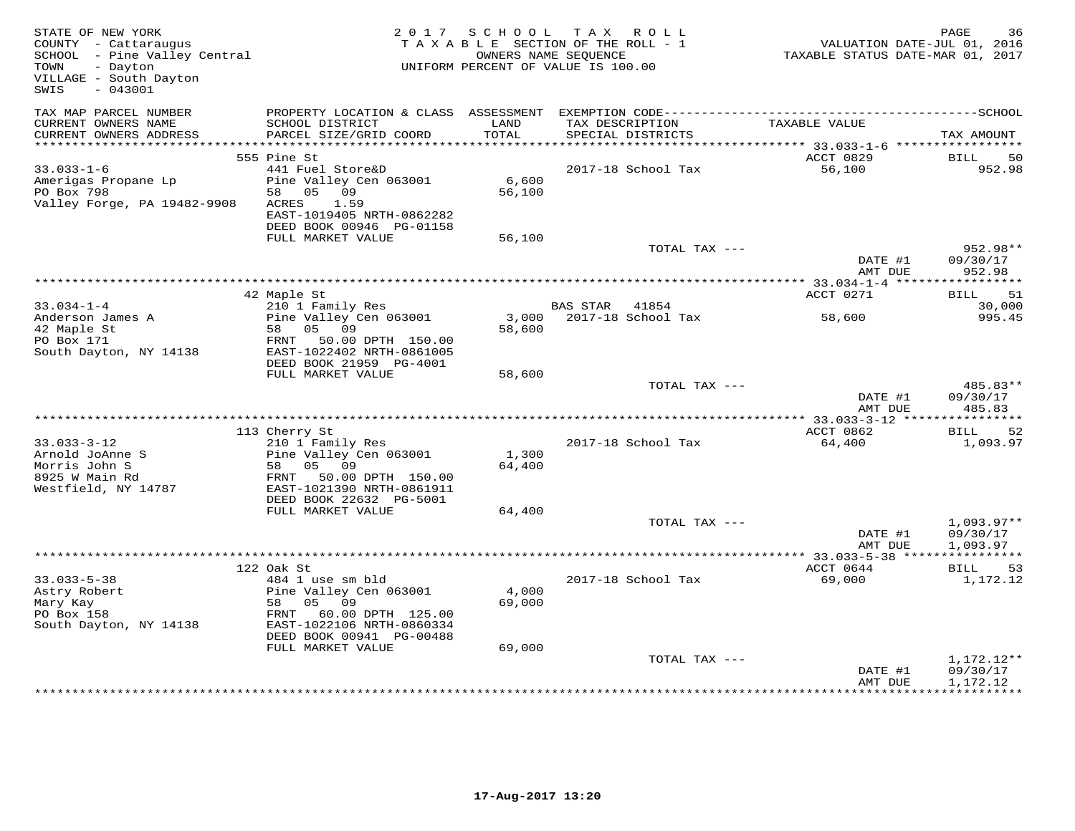| STATE OF NEW YORK<br>COUNTY - Cattaraugus<br>SCHOOL - Pine Valley Central<br>- Dayton<br>TOWN<br>VILLAGE - South Dayton<br>$-043001$<br>SWIS | 2 0 1 7                                                                                                                                      | S C H O O L     | T A X<br>R O L L<br>TAXABLE SECTION OF THE ROLL - 1<br>OWNERS NAME SEQUENCE<br>UNIFORM PERCENT OF VALUE IS 100.00 | VALUATION DATE-JUL 01, 2016<br>VALUATION DATE-JUL 01, 2016<br>TAXABLE STATUS DATE-MAR 01, 2017 | PAGE<br>36                           |
|----------------------------------------------------------------------------------------------------------------------------------------------|----------------------------------------------------------------------------------------------------------------------------------------------|-----------------|-------------------------------------------------------------------------------------------------------------------|------------------------------------------------------------------------------------------------|--------------------------------------|
| TAX MAP PARCEL NUMBER<br>CURRENT OWNERS NAME                                                                                                 | SCHOOL DISTRICT                                                                                                                              | LAND            | TAX DESCRIPTION                                                                                                   | TAXABLE VALUE                                                                                  |                                      |
| CURRENT OWNERS ADDRESS                                                                                                                       | PARCEL SIZE/GRID COORD                                                                                                                       | TOTAL           | SPECIAL DISTRICTS                                                                                                 |                                                                                                | TAX AMOUNT                           |
|                                                                                                                                              | 555 Pine St                                                                                                                                  |                 |                                                                                                                   | ACCT 0829                                                                                      | BILL<br>50                           |
| $33.033 - 1 - 6$<br>Amerigas Propane Lp<br>PO Box 798<br>Valley Forge, PA 19482-9908                                                         | 441 Fuel Store&D<br>Pine Valley Cen 063001<br>05 09<br>58<br>1.59<br>ACRES<br>EAST-1019405 NRTH-0862282<br>DEED BOOK 00946 PG-01158          | 6,600<br>56,100 | 2017-18 School Tax                                                                                                | 56,100                                                                                         | 952.98                               |
|                                                                                                                                              | FULL MARKET VALUE                                                                                                                            | 56,100          |                                                                                                                   |                                                                                                |                                      |
|                                                                                                                                              |                                                                                                                                              |                 | TOTAL TAX ---                                                                                                     | DATE #1<br>AMT DUE                                                                             | 952.98**<br>09/30/17<br>952.98       |
|                                                                                                                                              |                                                                                                                                              |                 |                                                                                                                   |                                                                                                |                                      |
| $33.034 - 1 - 4$                                                                                                                             | 42 Maple St<br>210 1 Family Res                                                                                                              |                 | BAS STAR 41854                                                                                                    | ACCT 0271                                                                                      | 51<br>BILL<br>30,000                 |
| Anderson James A<br>42 Maple St<br>PO Box 171<br>South Dayton, NY 14138                                                                      | Pine Valley Cen 063001<br>05 09<br>58<br>FRNT<br>50.00 DPTH 150.00<br>EAST-1022402 NRTH-0861005                                              | 58,600          | 3,000 2017-18 School Tax                                                                                          | 58,600                                                                                         | 995.45                               |
|                                                                                                                                              | DEED BOOK 21959 PG-4001                                                                                                                      |                 |                                                                                                                   |                                                                                                |                                      |
|                                                                                                                                              | FULL MARKET VALUE                                                                                                                            | 58,600          | TOTAL TAX ---                                                                                                     | DATE #1                                                                                        | 485.83**<br>09/30/17                 |
|                                                                                                                                              |                                                                                                                                              |                 |                                                                                                                   | AMT DUE                                                                                        | 485.83                               |
|                                                                                                                                              | 113 Cherry St                                                                                                                                |                 |                                                                                                                   | ACCT 0862                                                                                      | 52<br>BILL                           |
| $33.033 - 3 - 12$<br>Arnold JoAnne S<br>Morris John S<br>8925 W Main Rd<br>Westfield, NY 14787                                               | 210 1 Family Res<br>Pine Valley Cen 063001<br>05 09<br>58<br>50.00 DPTH 150.00<br>FRNT<br>EAST-1021390 NRTH-0861911                          | 1,300<br>64,400 | 2017-18 School Tax                                                                                                | 64,400                                                                                         | 1,093.97                             |
|                                                                                                                                              | DEED BOOK 22632 PG-5001                                                                                                                      |                 |                                                                                                                   |                                                                                                |                                      |
|                                                                                                                                              | FULL MARKET VALUE                                                                                                                            | 64,400          | TOTAL TAX ---                                                                                                     | DATE #1<br>AMT DUE                                                                             | $1,093.97**$<br>09/30/17<br>1,093.97 |
|                                                                                                                                              |                                                                                                                                              |                 | ***********************************                                                                               | ************ 33.033-5-38 *****************                                                     |                                      |
|                                                                                                                                              | 122 Oak St                                                                                                                                   |                 |                                                                                                                   | ACCT 0644                                                                                      | BILL<br>53                           |
| $33.033 - 5 - 38$<br>Astry Robert<br>Mary Kay<br>PO Box 158<br>South Dayton, NY 14138                                                        | 484 1 use sm bld<br>Pine Valley Cen 063001<br>58<br>05 09<br>FRNT 60.00 DPTH 125.00<br>EAST-1022106 NRTH-0860334<br>DEED BOOK 00941 PG-00488 | 4,000<br>69,000 | 2017-18 School Tax                                                                                                | 69,000                                                                                         | 1,172.12                             |
|                                                                                                                                              | FULL MARKET VALUE                                                                                                                            | 69,000          | TOTAL TAX ---                                                                                                     | DATE #1                                                                                        | 1,172.12**<br>09/30/17               |
|                                                                                                                                              |                                                                                                                                              |                 |                                                                                                                   | AMT DUE                                                                                        | 1,172.12<br>**********               |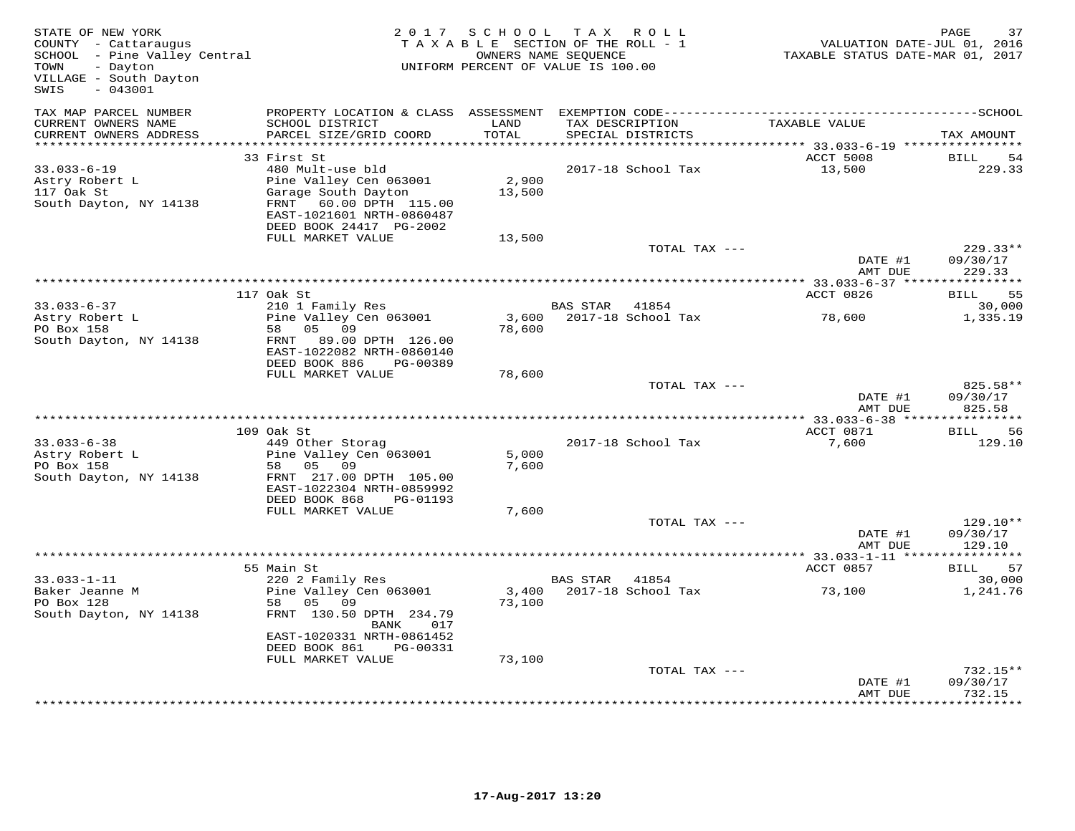| STATE OF NEW YORK<br>COUNTY - Cattaraugus<br>SCHOOL - Pine Valley Central<br>TOWN<br>- Dayton<br>VILLAGE - South Dayton<br>SWIS<br>$-043001$ |                                                                                                                                                                                         | 2017 SCHOOL               | TAX ROLL<br>TAXABLE SECTION OF THE ROLL - 1<br>OWNERS NAME SEQUENCE<br>UNIFORM PERCENT OF VALUE IS 100.00 | VALUATION DATE-JUL 01, 2016<br>TAXABLE STATUS DATE-MAR 01, 2017 | PAGE<br>37                                |
|----------------------------------------------------------------------------------------------------------------------------------------------|-----------------------------------------------------------------------------------------------------------------------------------------------------------------------------------------|---------------------------|-----------------------------------------------------------------------------------------------------------|-----------------------------------------------------------------|-------------------------------------------|
| TAX MAP PARCEL NUMBER<br>CURRENT OWNERS NAME<br>CURRENT OWNERS ADDRESS                                                                       | PROPERTY LOCATION & CLASS ASSESSMENT<br>SCHOOL DISTRICT<br>PARCEL SIZE/GRID COORD                                                                                                       | LAND<br>TOTAL             | TAX DESCRIPTION<br>SPECIAL DISTRICTS                                                                      | TAXABLE VALUE                                                   | TAX AMOUNT                                |
| ***********************                                                                                                                      | ********************************                                                                                                                                                        | **********                |                                                                                                           |                                                                 |                                           |
| $33.033 - 6 - 19$<br>Astry Robert L<br>117 Oak St<br>South Dayton, NY 14138                                                                  | 33 First St<br>480 Mult-use bld<br>Pine Valley Cen 063001<br>Garage South Dayton<br>FRNT 60.00 DPTH 115.00<br>EAST-1021601 NRTH-0860487<br>DEED BOOK 24417 PG-2002<br>FULL MARKET VALUE | 2,900<br>13,500<br>13,500 | 2017-18 School Tax                                                                                        | ACCT 5008<br>13,500                                             | BILL<br>-54<br>229.33                     |
|                                                                                                                                              |                                                                                                                                                                                         |                           | TOTAL TAX ---                                                                                             |                                                                 | $229.33**$                                |
|                                                                                                                                              |                                                                                                                                                                                         |                           |                                                                                                           | DATE #1<br>AMT DUE                                              | 09/30/17<br>229.33                        |
|                                                                                                                                              |                                                                                                                                                                                         |                           |                                                                                                           | ************ 33.033-6-37 *****************                      |                                           |
| $33.033 - 6 - 37$                                                                                                                            | 117 Oak St<br>210 1 Family Res                                                                                                                                                          |                           | BAS STAR 41854                                                                                            | ACCT 0826                                                       | 55<br>BILL<br>30,000                      |
| Astry Robert L<br>PO Box 158                                                                                                                 | Pine Valley Cen 063001<br>05<br>09<br>58                                                                                                                                                | 3,600<br>78,600           | 2017-18 School Tax                                                                                        | 78,600                                                          | 1,335.19                                  |
| South Dayton, NY 14138                                                                                                                       | FRNT<br>89.00 DPTH 126.00<br>EAST-1022082 NRTH-0860140<br>DEED BOOK 886<br>PG-00389                                                                                                     |                           |                                                                                                           |                                                                 |                                           |
|                                                                                                                                              | FULL MARKET VALUE                                                                                                                                                                       | 78,600                    |                                                                                                           |                                                                 |                                           |
|                                                                                                                                              |                                                                                                                                                                                         |                           | TOTAL TAX ---                                                                                             | DATE #1<br>AMT DUE                                              | 825.58**<br>09/30/17<br>825.58            |
|                                                                                                                                              |                                                                                                                                                                                         |                           |                                                                                                           | ************ 33.033-6-38 *****                                  | * * * * * * * * * * *                     |
|                                                                                                                                              | 109 Oak St                                                                                                                                                                              |                           |                                                                                                           | ACCT 0871                                                       | BILL<br>56                                |
| $33.033 - 6 - 38$<br>Astry Robert L<br>PO Box 158<br>South Dayton, NY 14138                                                                  | 449 Other Storag<br>Pine Valley Cen 063001<br>05<br>09<br>58<br>FRNT 217.00 DPTH 105.00<br>EAST-1022304 NRTH-0859992                                                                    | 5,000<br>7,600            | 2017-18 School Tax                                                                                        | 7,600                                                           | 129.10                                    |
|                                                                                                                                              | DEED BOOK 868<br>PG-01193<br>FULL MARKET VALUE                                                                                                                                          | 7,600                     |                                                                                                           |                                                                 |                                           |
|                                                                                                                                              |                                                                                                                                                                                         |                           | TOTAL TAX ---                                                                                             | DATE #1<br>AMT DUE                                              | 129.10**<br>09/30/17<br>129.10            |
|                                                                                                                                              |                                                                                                                                                                                         |                           |                                                                                                           | ******** 33.033-1-11 ****************                           |                                           |
| $33.033 - 1 - 11$                                                                                                                            | 55 Main St                                                                                                                                                                              |                           |                                                                                                           | ACCT 0857                                                       | <b>BILL</b><br>57<br>30,000               |
| Baker Jeanne M<br>PO Box 128<br>South Dayton, NY 14138                                                                                       | 220 2 Family Res<br>Pine Valley Cen 063001<br>58 05<br>09<br>FRNT 130.50 DPTH 234.79<br>BANK<br>017                                                                                     | 3,400<br>73,100           | BAS STAR 41854<br>2017-18 School Tax                                                                      | 73,100                                                          | 1,241.76                                  |
|                                                                                                                                              | EAST-1020331 NRTH-0861452<br>DEED BOOK 861<br>PG-00331<br>FULL MARKET VALUE                                                                                                             | 73,100                    |                                                                                                           |                                                                 |                                           |
|                                                                                                                                              |                                                                                                                                                                                         |                           | TOTAL TAX ---                                                                                             |                                                                 | $732.15**$                                |
|                                                                                                                                              |                                                                                                                                                                                         |                           |                                                                                                           | DATE #1<br>AMT DUE                                              | 09/30/17<br>732.15<br>* * * * * * * * * * |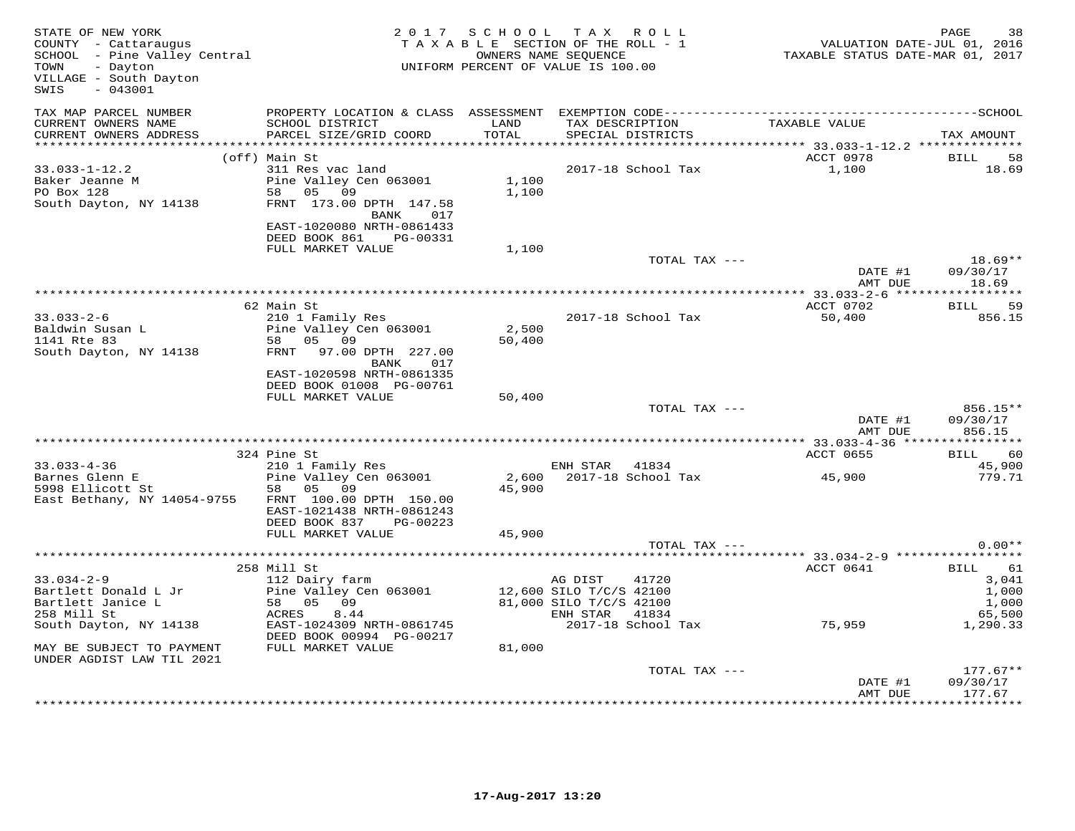| STATE OF NEW YORK<br>COUNTY - Cattaraugus<br>SCHOOL - Pine Valley Central<br>- Dayton<br>TOWN<br>VILLAGE - South Dayton<br>$-043001$<br>SWIS |                                                                                                                                                               | 2017 SCHOOL     | TAX ROLL<br>TAXABLE SECTION OF THE ROLL - 1<br>OWNERS NAME SEOUENCE<br>UNIFORM PERCENT OF VALUE IS 100.00         | VALUATION DATE-JUL 01, 2016<br>TAXABLE STATUS DATE-MAR 01, 2017 | 38<br>PAGE                                                  |
|----------------------------------------------------------------------------------------------------------------------------------------------|---------------------------------------------------------------------------------------------------------------------------------------------------------------|-----------------|-------------------------------------------------------------------------------------------------------------------|-----------------------------------------------------------------|-------------------------------------------------------------|
| TAX MAP PARCEL NUMBER<br>CURRENT OWNERS NAME<br>CURRENT OWNERS ADDRESS                                                                       | SCHOOL DISTRICT<br>PARCEL SIZE/GRID COORD                                                                                                                     | LAND<br>TOTAL   | TAX DESCRIPTION<br>SPECIAL DISTRICTS                                                                              | TAXABLE VALUE                                                   | TAX AMOUNT                                                  |
| *************************                                                                                                                    | (off) Main St                                                                                                                                                 |                 |                                                                                                                   | ACCT 0978                                                       | <b>BILL</b><br>58                                           |
| $33.033 - 1 - 12.2$<br>Baker Jeanne M<br>PO Box 128<br>South Dayton, NY 14138                                                                | 311 Res vac land<br>Pine Valley Cen 063001<br>58 05<br>09<br>FRNT 173.00 DPTH 147.58<br>BANK<br>017<br>EAST-1020080 NRTH-0861433<br>DEED BOOK 861<br>PG-00331 | 1,100<br>1,100  | 2017-18 School Tax                                                                                                | 1,100                                                           | 18.69                                                       |
|                                                                                                                                              | FULL MARKET VALUE                                                                                                                                             | 1,100           |                                                                                                                   |                                                                 |                                                             |
|                                                                                                                                              |                                                                                                                                                               |                 | TOTAL TAX ---                                                                                                     | DATE #1<br>AMT DUE                                              | $18.69**$<br>09/30/17<br>18.69                              |
|                                                                                                                                              |                                                                                                                                                               |                 |                                                                                                                   |                                                                 |                                                             |
|                                                                                                                                              | 62 Main St                                                                                                                                                    |                 |                                                                                                                   | ACCT 0702                                                       | <b>BILL</b><br>59                                           |
| $33.033 - 2 - 6$<br>Baldwin Susan L<br>1141 Rte 83<br>South Dayton, NY 14138                                                                 | 210 1 Family Res<br>Pine Valley Cen 063001<br>58 05 09<br>FRNT<br>97.00 DPTH 227.00<br>BANK<br>017                                                            | 2,500<br>50,400 | 2017-18 School Tax                                                                                                | 50,400                                                          | 856.15                                                      |
|                                                                                                                                              | EAST-1020598 NRTH-0861335<br>DEED BOOK 01008 PG-00761<br>FULL MARKET VALUE                                                                                    | 50,400          | TOTAL TAX ---                                                                                                     |                                                                 | 856.15**                                                    |
|                                                                                                                                              |                                                                                                                                                               |                 |                                                                                                                   | DATE #1<br>AMT DUE                                              | 09/30/17<br>856.15                                          |
|                                                                                                                                              | 324 Pine St                                                                                                                                                   |                 |                                                                                                                   | ACCT 0655                                                       | 60<br>BILL                                                  |
| $33.033 - 4 - 36$<br>Barnes Glenn E<br>5998 Ellicott St<br>East Bethany, NY 14054-9755                                                       | 210 1 Family Res<br>Pine Valley Cen 063001<br>05<br>09<br>58<br>FRNT 100.00 DPTH 150.00<br>EAST-1021438 NRTH-0861243                                          | 2,600<br>45,900 | ENH STAR<br>41834<br>2017-18 School Tax                                                                           | 45,900                                                          | 45,900<br>779.71                                            |
|                                                                                                                                              | DEED BOOK 837<br>PG-00223<br>FULL MARKET VALUE                                                                                                                | 45,900          |                                                                                                                   |                                                                 |                                                             |
|                                                                                                                                              |                                                                                                                                                               |                 | TOTAL TAX ---                                                                                                     |                                                                 | $0.00**$                                                    |
|                                                                                                                                              |                                                                                                                                                               |                 |                                                                                                                   |                                                                 |                                                             |
| $33.034 - 2 - 9$<br>Bartlett Donald L Jr<br>Bartlett Janice L<br>258 Mill St<br>South Dayton, NY 14138                                       | 258 Mill St<br>112 Dairy farm<br>Pine Valley Cen 063001<br>58 05<br>09<br>ACRES<br>8.44<br>EAST-1024309 NRTH-0861745                                          |                 | 41720<br>AG DIST<br>12,600 SILO T/C/S 42100<br>81,000 SILO T/C/S 42100<br>ENH STAR<br>41834<br>2017-18 School Tax | ACCT 0641<br>75,959                                             | 61<br>BILL<br>3,041<br>1,000<br>1,000<br>65,500<br>1,290.33 |
| MAY BE SUBJECT TO PAYMENT                                                                                                                    | DEED BOOK 00994 PG-00217<br>FULL MARKET VALUE                                                                                                                 | 81,000          |                                                                                                                   |                                                                 |                                                             |
| UNDER AGDIST LAW TIL 2021                                                                                                                    |                                                                                                                                                               |                 |                                                                                                                   |                                                                 |                                                             |
|                                                                                                                                              |                                                                                                                                                               |                 | TOTAL TAX ---                                                                                                     | DATE #1<br>AMT DUE                                              | $177.67**$<br>09/30/17<br>177.67                            |
|                                                                                                                                              |                                                                                                                                                               |                 |                                                                                                                   |                                                                 | * * * * * * * *                                             |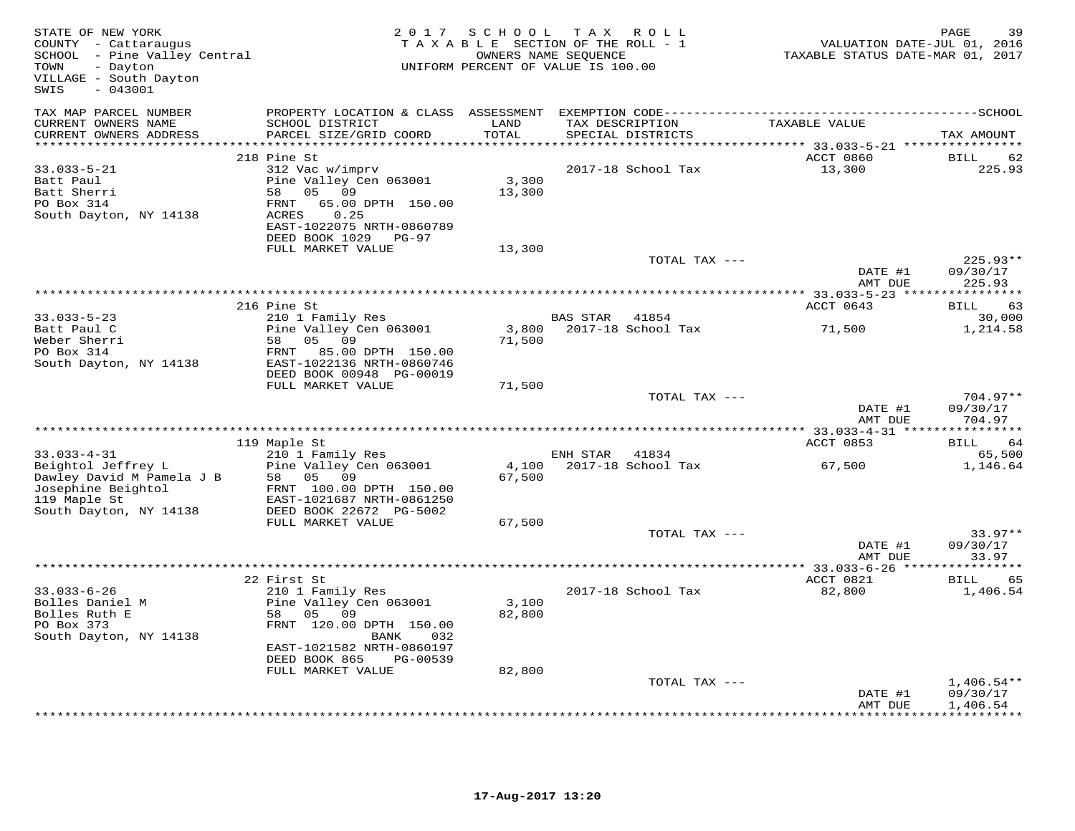| STATE OF NEW YORK<br>COUNTY - Cattaraugus<br>SCHOOL - Pine Valley Central<br>- Dayton<br>TOWN<br>VILLAGE - South Dayton<br>$-043001$<br>SWIS |                                                                                                                                                             | T A X<br>2017 SCHOOL<br>R O L L<br>TAXABLE SECTION OF THE ROLL - 1<br>TAXABLE STATUS DATE-MAR 01, 2017<br>OWNERS NAME SEQUENCE<br>UNIFORM PERCENT OF VALUE IS 100.00 |                                               |                                                  |                                      |  |
|----------------------------------------------------------------------------------------------------------------------------------------------|-------------------------------------------------------------------------------------------------------------------------------------------------------------|----------------------------------------------------------------------------------------------------------------------------------------------------------------------|-----------------------------------------------|--------------------------------------------------|--------------------------------------|--|
| TAX MAP PARCEL NUMBER                                                                                                                        | PROPERTY LOCATION & CLASS ASSESSMENT                                                                                                                        |                                                                                                                                                                      |                                               |                                                  |                                      |  |
| CURRENT OWNERS NAME<br>CURRENT OWNERS ADDRESS                                                                                                | SCHOOL DISTRICT<br>PARCEL SIZE/GRID COORD                                                                                                                   | LAND<br>TOTAL                                                                                                                                                        | TAX DESCRIPTION<br>SPECIAL DISTRICTS          | TAXABLE VALUE                                    | TAX AMOUNT                           |  |
|                                                                                                                                              | 218 Pine St                                                                                                                                                 | *********                                                                                                                                                            |                                               | ********** 33.033-5-21 ************<br>ACCT 0860 | BILL<br>62                           |  |
| $33.033 - 5 - 21$<br>Batt Paul<br>Batt Sherri<br>PO Box 314<br>South Dayton, NY 14138                                                        | 312 Vac w/imprv<br>Pine Valley Cen 063001<br>05 09<br>58<br>65.00 DPTH 150.00<br>FRNT<br>ACRES<br>0.25<br>EAST-1022075 NRTH-0860789<br>DEED BOOK 1029 PG-97 | 3,300<br>13,300                                                                                                                                                      | 2017-18 School Tax                            | 13,300                                           | 225.93                               |  |
|                                                                                                                                              | FULL MARKET VALUE                                                                                                                                           | 13,300                                                                                                                                                               |                                               |                                                  |                                      |  |
|                                                                                                                                              |                                                                                                                                                             |                                                                                                                                                                      | TOTAL TAX ---                                 | DATE #1                                          | 225.93**<br>09/30/17                 |  |
|                                                                                                                                              |                                                                                                                                                             |                                                                                                                                                                      |                                               | AMT DUE                                          | 225.93                               |  |
|                                                                                                                                              | 216 Pine St                                                                                                                                                 |                                                                                                                                                                      |                                               | ACCT 0643                                        | <b>BILL</b><br>63                    |  |
| $33.033 - 5 - 23$<br>Batt Paul C                                                                                                             | 210 1 Family Res<br>Pine Valley Cen 063001                                                                                                                  |                                                                                                                                                                      | BAS STAR<br>41854<br>3,800 2017-18 School Tax | 71,500                                           | 30,000<br>1,214.58                   |  |
| Weber Sherri<br>PO Box 314<br>South Dayton, NY 14138                                                                                         | 05 09<br>58<br>FRNT<br>85.00 DPTH 150.00<br>EAST-1022136 NRTH-0860746<br>DEED BOOK 00948 PG-00019                                                           | 71,500                                                                                                                                                               |                                               |                                                  |                                      |  |
|                                                                                                                                              | FULL MARKET VALUE                                                                                                                                           | 71,500                                                                                                                                                               |                                               |                                                  |                                      |  |
|                                                                                                                                              |                                                                                                                                                             |                                                                                                                                                                      | TOTAL TAX ---                                 | DATE #1<br>AMT DUE                               | $704.97**$<br>09/30/17<br>704.97     |  |
|                                                                                                                                              |                                                                                                                                                             |                                                                                                                                                                      |                                               | ACCT 0853                                        |                                      |  |
| $33.033 - 4 - 31$                                                                                                                            | 119 Maple St<br>210 1 Family Res                                                                                                                            |                                                                                                                                                                      | ENH STAR<br>41834                             |                                                  | 64<br>BILL<br>65,500                 |  |
| Beightol Jeffrey L<br>Dawley David M Pamela J B<br>Josephine Beightol<br>119 Maple St                                                        | Pine Valley Cen 063001<br>58 05 09<br>FRNT 100.00 DPTH 150.00<br>EAST-1021687 NRTH-0861250                                                                  | 4,100<br>67,500                                                                                                                                                      | 2017-18 School Tax                            | 67,500                                           | 1,146.64                             |  |
| South Dayton, NY 14138                                                                                                                       | DEED BOOK 22672 PG-5002                                                                                                                                     |                                                                                                                                                                      |                                               |                                                  |                                      |  |
|                                                                                                                                              | FULL MARKET VALUE                                                                                                                                           | 67,500                                                                                                                                                               | TOTAL TAX ---                                 |                                                  | $33.97**$                            |  |
|                                                                                                                                              |                                                                                                                                                             |                                                                                                                                                                      |                                               | DATE #1<br>AMT DUE                               | 09/30/17<br>33.97                    |  |
|                                                                                                                                              |                                                                                                                                                             |                                                                                                                                                                      |                                               |                                                  |                                      |  |
| $33.033 - 6 - 26$<br>Bolles Daniel M<br>Bolles Ruth E<br>PO Box 373                                                                          | 22 First St<br>210 1 Family Res<br>Pine Valley Cen 063001<br>58<br>05 09<br>FRNT 120.00 DPTH 150.00<br>032<br>BANK                                          | 3,100<br>82,800                                                                                                                                                      | 2017-18 School Tax                            | ACCT 0821<br>82,800                              | 65<br><b>BILL</b><br>1,406.54        |  |
|                                                                                                                                              | EAST-1021582 NRTH-0860197<br>DEED BOOK 865<br>PG-00539                                                                                                      |                                                                                                                                                                      |                                               |                                                  |                                      |  |
|                                                                                                                                              | FULL MARKET VALUE                                                                                                                                           | 82,800                                                                                                                                                               |                                               |                                                  |                                      |  |
|                                                                                                                                              |                                                                                                                                                             |                                                                                                                                                                      |                                               | DATE #1<br>AMT DUE                               | $1,406.54**$<br>09/30/17<br>1,406.54 |  |
| South Dayton, NY 14138                                                                                                                       |                                                                                                                                                             |                                                                                                                                                                      | TOTAL TAX ---                                 |                                                  | ***********                          |  |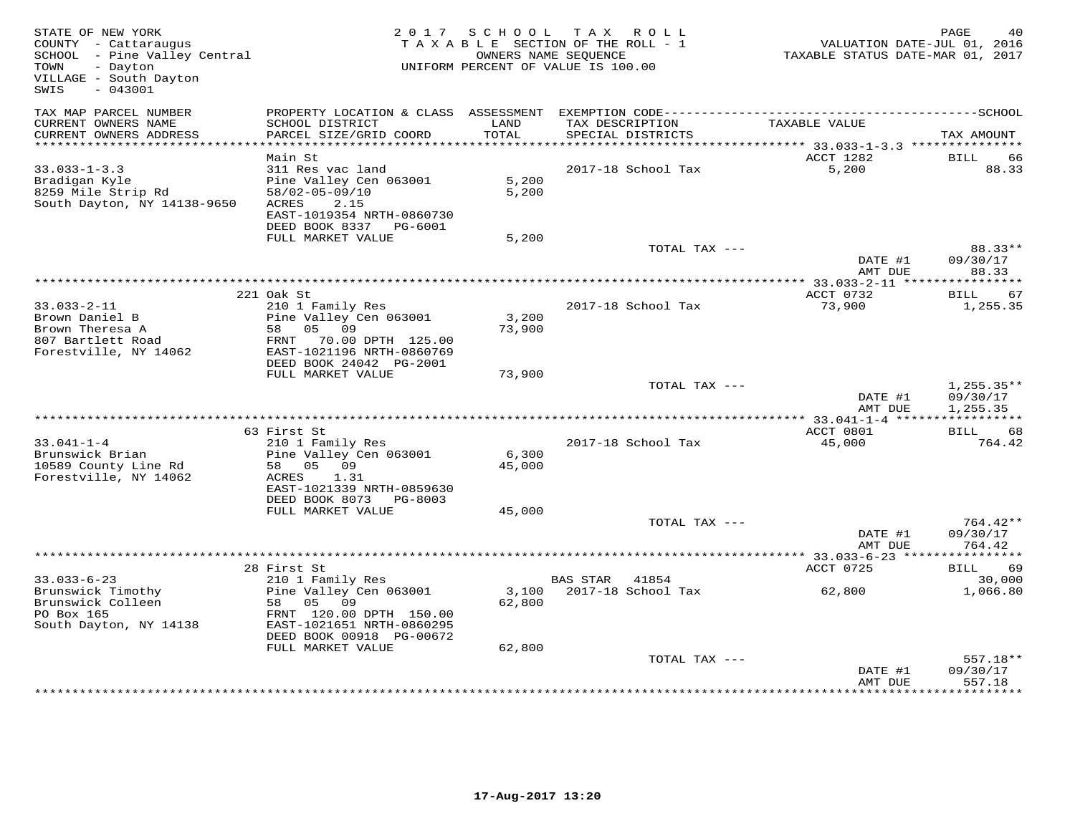| STATE OF NEW YORK<br>COUNTY - Cattaraugus<br>SCHOOL - Pine Valley Central<br>- Dayton<br>TOWN<br>VILLAGE - South Dayton<br>SWIS<br>$-043001$ |                                                                                                                                            | 2017 SCHOOL     | TAX ROLL<br>TAXABLE SECTION OF THE ROLL - 1<br>OWNERS NAME SEQUENCE<br>UNIFORM PERCENT OF VALUE IS 100.00 | VALUATION DATE-JUL 01, 2016<br>TAXABLE STATUS DATE-MAR 01, 2017 | PAGE<br>40                           |
|----------------------------------------------------------------------------------------------------------------------------------------------|--------------------------------------------------------------------------------------------------------------------------------------------|-----------------|-----------------------------------------------------------------------------------------------------------|-----------------------------------------------------------------|--------------------------------------|
| TAX MAP PARCEL NUMBER<br>CURRENT OWNERS NAME<br>CURRENT OWNERS ADDRESS                                                                       | SCHOOL DISTRICT<br>PARCEL SIZE/GRID COORD                                                                                                  | LAND<br>TOTAL   | TAX DESCRIPTION<br>SPECIAL DISTRICTS                                                                      | TAXABLE VALUE                                                   | TAX AMOUNT                           |
| **********************                                                                                                                       |                                                                                                                                            |                 |                                                                                                           |                                                                 |                                      |
| $33.033 - 1 - 3.3$<br>Bradigan Kyle<br>8259 Mile Strip Rd<br>South Dayton, NY 14138-9650                                                     | Main St<br>311 Res vac land<br>Pine Valley Cen 063001<br>58/02-05-09/10<br>2.15<br>ACRES<br>EAST-1019354 NRTH-0860730                      | 5,200<br>5,200  | 2017-18 School Tax                                                                                        | ACCT 1282<br>5,200                                              | BILL<br>66<br>88.33                  |
|                                                                                                                                              | DEED BOOK 8337 PG-6001<br>FULL MARKET VALUE                                                                                                | 5,200           |                                                                                                           |                                                                 |                                      |
|                                                                                                                                              |                                                                                                                                            |                 | TOTAL TAX ---                                                                                             | DATE #1<br>AMT DUE                                              | 88.33**<br>09/30/17<br>88.33         |
|                                                                                                                                              |                                                                                                                                            |                 |                                                                                                           |                                                                 |                                      |
| $33.033 - 2 - 11$<br>Brown Daniel B<br>Brown Theresa A<br>807 Bartlett Road<br>Forestville, NY 14062                                         | 221 Oak St<br>210 1 Family Res<br>Pine Valley Cen 063001<br>05<br>09<br>58<br>FRNT 70.00 DPTH 125.00<br>EAST-1021196 NRTH-0860769          | 3,200<br>73,900 | 2017-18 School Tax                                                                                        | ACCT 0732<br>73,900                                             | 67<br>BILL<br>1,255.35               |
|                                                                                                                                              | DEED BOOK 24042 PG-2001                                                                                                                    |                 |                                                                                                           |                                                                 |                                      |
|                                                                                                                                              | FULL MARKET VALUE                                                                                                                          | 73,900          | TOTAL TAX ---                                                                                             | DATE #1<br>AMT DUE                                              | $1,255.35**$<br>09/30/17<br>1,255.35 |
|                                                                                                                                              | 63 First St                                                                                                                                |                 |                                                                                                           | ACCT 0801                                                       | ***********<br><b>BILL</b><br>68     |
| $33.041 - 1 - 4$<br>Brunswick Brian<br>10589 County Line Rd<br>Forestville, NY 14062                                                         | 210 1 Family Res<br>Pine Valley Cen 063001<br>58 05 09<br>1.31<br>ACRES<br>EAST-1021339 NRTH-0859630<br>DEED BOOK 8073 PG-8003             | 6,300<br>45,000 | 2017-18 School Tax                                                                                        | 45,000                                                          | 764.42                               |
|                                                                                                                                              | FULL MARKET VALUE                                                                                                                          | 45,000          |                                                                                                           |                                                                 |                                      |
|                                                                                                                                              |                                                                                                                                            |                 | TOTAL TAX ---                                                                                             | DATE #1<br>AMT DUE                                              | 764.42**<br>09/30/17<br>764.42       |
|                                                                                                                                              |                                                                                                                                            |                 |                                                                                                           | **** 33.033-6-23 ***                                            | *********                            |
| $33.033 - 6 - 23$                                                                                                                            | 28 First St                                                                                                                                |                 | <b>BAS STAR</b><br>41854                                                                                  | ACCT 0725                                                       | BILL<br>69<br>30,000                 |
| Brunswick Timothy<br>Brunswick Colleen<br>PO Box 165<br>South Dayton, NY 14138                                                               | 210 1 Family Res<br>Pine Valley Cen 063001<br>58 05 09<br>FRNT 120.00 DPTH 150.00<br>EAST-1021651 NRTH-0860295<br>DEED BOOK 00918 PG-00672 | 3,100<br>62,800 | 2017-18 School Tax                                                                                        | 62,800                                                          | 1,066.80                             |
|                                                                                                                                              | FULL MARKET VALUE                                                                                                                          | 62,800          | TOTAL TAX ---                                                                                             | DATE #1                                                         | 557.18**<br>09/30/17                 |
|                                                                                                                                              |                                                                                                                                            |                 |                                                                                                           | AMT DUE                                                         | 557.18                               |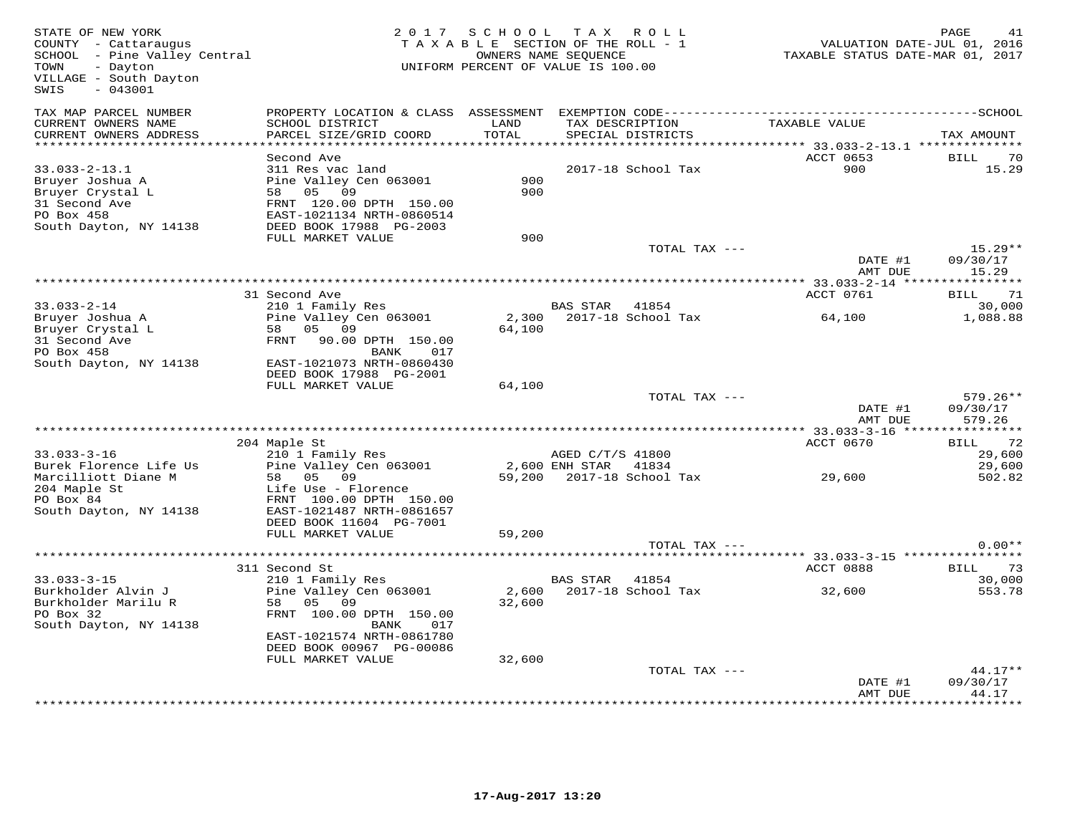| STATE OF NEW YORK<br>COUNTY - Cattaraugus<br>SCHOOL - Pine Valley Central<br>TOWN<br>- Dayton<br>VILLAGE - South Dayton<br>$-043001$<br>SWIS |                                                                                                                                                                                  | 2017 SCHOOL       | TAX ROLL<br>TAXABLE SECTION OF THE ROLL - 1<br>OWNERS NAME SEQUENCE<br>UNIFORM PERCENT OF VALUE IS 100.00 | VALUATION DATE-JUL 01, 2016<br>TAXABLE STATUS DATE-MAR 01, 2017 | PAGE<br>41                               |
|----------------------------------------------------------------------------------------------------------------------------------------------|----------------------------------------------------------------------------------------------------------------------------------------------------------------------------------|-------------------|-----------------------------------------------------------------------------------------------------------|-----------------------------------------------------------------|------------------------------------------|
| TAX MAP PARCEL NUMBER<br>CURRENT OWNERS NAME<br>CURRENT OWNERS ADDRESS                                                                       | SCHOOL DISTRICT<br>PARCEL SIZE/GRID COORD                                                                                                                                        | LAND<br>TOTAL     | TAX DESCRIPTION<br>SPECIAL DISTRICTS                                                                      | TAXABLE VALUE                                                   | TAX AMOUNT                               |
| ************************                                                                                                                     |                                                                                                                                                                                  |                   |                                                                                                           |                                                                 |                                          |
| $33.033 - 2 - 13.1$<br>Bruyer Joshua A<br>Bruyer Crystal L<br>31 Second Ave<br>PO Box 458<br>South Dayton, NY 14138                          | Second Ave<br>311 Res vac land<br>Pine Valley Cen 063001<br>58 05 09<br>FRNT 120.00 DPTH 150.00<br>EAST-1021134 NRTH-0860514<br>DEED BOOK 17988 PG-2003                          | 900<br>900<br>900 | 2017-18 School Tax                                                                                        | ACCT 0653<br>900                                                | BILL<br>-70<br>15.29                     |
|                                                                                                                                              | FULL MARKET VALUE                                                                                                                                                                |                   | TOTAL TAX ---                                                                                             |                                                                 | $15.29**$                                |
|                                                                                                                                              |                                                                                                                                                                                  |                   |                                                                                                           | DATE #1<br>AMT DUE                                              | 09/30/17<br>15.29                        |
|                                                                                                                                              | 31 Second Ave                                                                                                                                                                    |                   |                                                                                                           | ACCT 0761                                                       | 71<br>BILL                               |
| $33.033 - 2 - 14$                                                                                                                            | 210 1 Family Res                                                                                                                                                                 |                   | <b>BAS STAR</b><br>41854                                                                                  |                                                                 | 30,000                                   |
| Bruyer Joshua A<br>Bruyer Crystal L<br>31 Second Ave<br>PO Box 458<br>South Dayton, NY 14138                                                 | Pine Valley Cen 063001<br>58<br>05<br>09<br>FRNT<br>90.00 DPTH 150.00<br>BANK<br>017<br>EAST-1021073 NRTH-0860430<br>DEED BOOK 17988 PG-2001                                     | 2,300<br>64,100   | 2017-18 School Tax                                                                                        | 64,100                                                          | 1,088.88                                 |
|                                                                                                                                              | FULL MARKET VALUE                                                                                                                                                                | 64,100            |                                                                                                           |                                                                 |                                          |
|                                                                                                                                              |                                                                                                                                                                                  |                   | TOTAL TAX ---                                                                                             | DATE #1<br>AMT DUE                                              | $579.26**$<br>09/30/17<br>579.26         |
|                                                                                                                                              |                                                                                                                                                                                  |                   |                                                                                                           |                                                                 |                                          |
| $33.033 - 3 - 16$<br>Burek Florence Life Us<br>Marcilliott Diane M<br>204 Maple St<br>PO Box 84                                              | 204 Maple St<br>210 1 Family Res<br>Pine Valley Cen 063001<br>58 05 09<br>Life Use - Florence                                                                                    |                   | AGED C/T/S 41800<br>2,600 ENH STAR 41834<br>59,200 2017-18 School Tax                                     | ACCT 0670<br>29,600                                             | 72<br>BILL<br>29,600<br>29,600<br>502.82 |
| South Dayton, NY 14138                                                                                                                       | FRNT 100.00 DPTH 150.00<br>EAST-1021487 NRTH-0861657<br>DEED BOOK 11604 PG-7001<br>FULL MARKET VALUE                                                                             | 59,200            | TOTAL TAX ---                                                                                             |                                                                 | $0.00**$                                 |
|                                                                                                                                              |                                                                                                                                                                                  |                   |                                                                                                           |                                                                 |                                          |
| $33.033 - 3 - 15$<br>Burkholder Alvin J<br>Burkholder Marilu R<br>PO Box 32<br>South Dayton, NY 14138                                        | 311 Second St<br>210 1 Family Res<br>Pine Valley Cen 063001<br>05<br>09<br>58<br>FRNT 100.00 DPTH 150.00<br>017<br>BANK<br>EAST-1021574 NRTH-0861780<br>DEED BOOK 00967 PG-00086 | 2,600<br>32,600   | 41854<br>BAS STAR<br>2017-18 School Tax                                                                   | ACCT 0888<br>32,600                                             | 73<br>BILL<br>30,000<br>553.78           |
|                                                                                                                                              | FULL MARKET VALUE                                                                                                                                                                | 32,600            |                                                                                                           |                                                                 | $44.17**$                                |
|                                                                                                                                              |                                                                                                                                                                                  |                   | TOTAL TAX ---<br>**************************                                                               | DATE #1<br>AMT DUE                                              | 09/30/17<br>44.17<br>******              |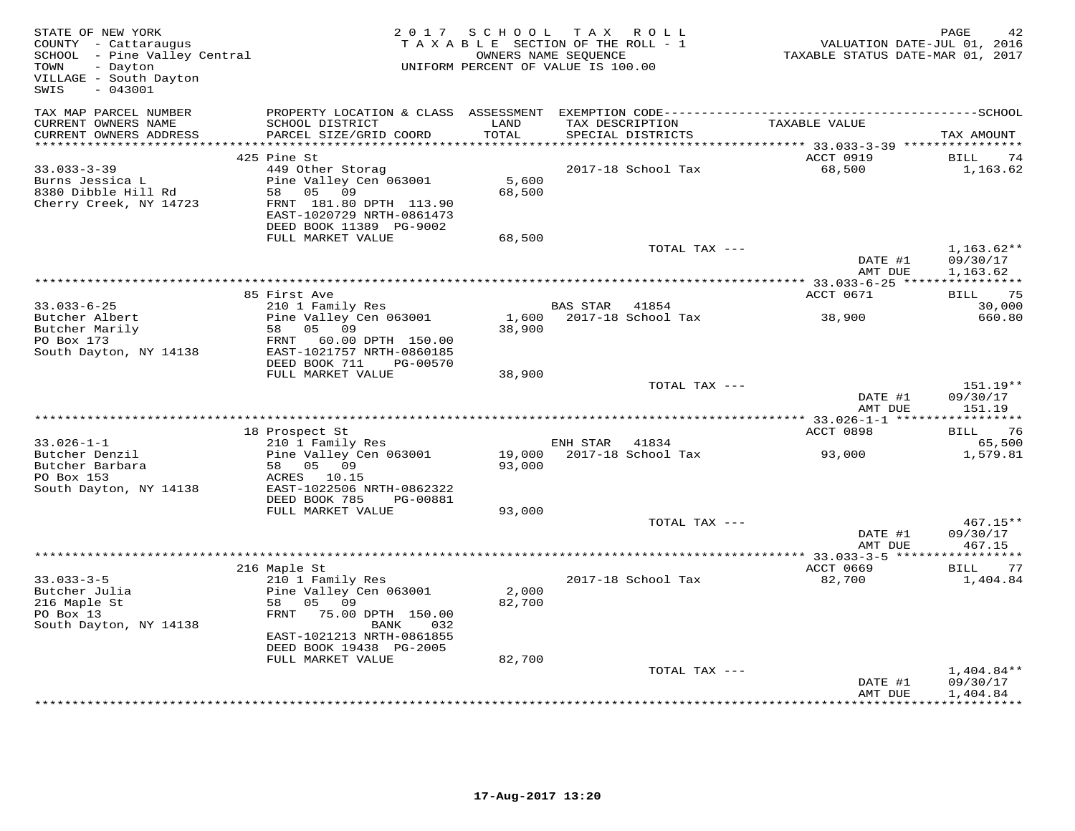| STATE OF NEW YORK<br>COUNTY - Cattaraugus<br>SCHOOL - Pine Valley Central<br>TOWN<br>- Dayton<br>VILLAGE - South Dayton<br>$-043001$<br>SWIS |                                                                                                                                                                                  | 2017 SCHOOL               | TAX ROLL<br>TAXABLE SECTION OF THE ROLL - 1<br>OWNERS NAME SEQUENCE<br>UNIFORM PERCENT OF VALUE IS 100.00 | VALUATION DATE-JUL 01, 2016<br>TAXABLE STATUS DATE-MAR 01, 2017 | PAGE<br>42                           |
|----------------------------------------------------------------------------------------------------------------------------------------------|----------------------------------------------------------------------------------------------------------------------------------------------------------------------------------|---------------------------|-----------------------------------------------------------------------------------------------------------|-----------------------------------------------------------------|--------------------------------------|
| TAX MAP PARCEL NUMBER<br>CURRENT OWNERS NAME<br>CURRENT OWNERS ADDRESS                                                                       | PROPERTY LOCATION & CLASS ASSESSMENT<br>SCHOOL DISTRICT<br>PARCEL SIZE/GRID COORD                                                                                                | LAND<br>TOTAL             | TAX DESCRIPTION<br>SPECIAL DISTRICTS                                                                      | TAXABLE VALUE                                                   | TAX AMOUNT                           |
| *************************                                                                                                                    |                                                                                                                                                                                  |                           |                                                                                                           | ACCT 0919                                                       |                                      |
| $33.033 - 3 - 39$<br>Burns Jessica L<br>8380 Dibble Hill Rd<br>Cherry Creek, NY 14723                                                        | 425 Pine St<br>449 Other Storag<br>Pine Valley Cen 063001<br>05 09<br>58<br>FRNT 181.80 DPTH 113.90<br>EAST-1020729 NRTH-0861473<br>DEED BOOK 11389 PG-9002<br>FULL MARKET VALUE | 5,600<br>68,500<br>68,500 | 2017-18 School Tax                                                                                        | 68,500                                                          | BILL<br>74<br>1,163.62               |
|                                                                                                                                              |                                                                                                                                                                                  |                           | TOTAL TAX ---                                                                                             |                                                                 | $1,163.62**$                         |
|                                                                                                                                              |                                                                                                                                                                                  |                           |                                                                                                           | DATE #1<br>AMT DUE                                              | 09/30/17<br>1,163.62<br>***********  |
|                                                                                                                                              | 85 First Ave                                                                                                                                                                     |                           |                                                                                                           | ACCT 0671                                                       | 75<br>BILL                           |
| $33.033 - 6 - 25$<br>Butcher Albert                                                                                                          | 210 1 Family Res<br>Pine Valley Cen 063001                                                                                                                                       | 1,600                     | BAS STAR 41854<br>2017-18 School Tax                                                                      | 38,900                                                          | 30,000<br>660.80                     |
| Butcher Marily<br>PO Box 173<br>South Dayton, NY 14138                                                                                       | 05<br>09<br>58<br>FRNT<br>60.00 DPTH 150.00<br>EAST-1021757 NRTH-0860185<br>DEED BOOK 711<br>PG-00570                                                                            | 38,900                    |                                                                                                           |                                                                 |                                      |
|                                                                                                                                              | FULL MARKET VALUE                                                                                                                                                                | 38,900                    | TOTAL TAX ---                                                                                             |                                                                 | 151.19**                             |
|                                                                                                                                              |                                                                                                                                                                                  |                           |                                                                                                           | DATE #1<br>AMT DUE                                              | 09/30/17<br>151.19                   |
|                                                                                                                                              |                                                                                                                                                                                  |                           |                                                                                                           | ************ 33.026-1-1 *****                                   | * * * * * * * * * * *                |
| $33.026 - 1 - 1$                                                                                                                             | 18 Prospect St<br>210 1 Family Res                                                                                                                                               |                           | ENH STAR<br>41834                                                                                         | ACCT 0898                                                       | <b>BILL</b><br>76<br>65,500          |
| Butcher Denzil<br>Butcher Barbara<br>PO Box 153<br>South Dayton, NY 14138                                                                    | Pine Valley Cen 063001<br>58 05 09<br>ACRES 10.15<br>EAST-1022506 NRTH-0862322                                                                                                   | 19,000<br>93,000          | 2017-18 School Tax                                                                                        | 93,000                                                          | 1,579.81                             |
|                                                                                                                                              | DEED BOOK 785<br>PG-00881                                                                                                                                                        |                           |                                                                                                           |                                                                 |                                      |
|                                                                                                                                              | FULL MARKET VALUE                                                                                                                                                                | 93,000                    | TOTAL TAX ---                                                                                             | DATE #1                                                         | 467.15**<br>09/30/17                 |
|                                                                                                                                              |                                                                                                                                                                                  |                           |                                                                                                           | AMT DUE<br>** 33.033-3-5 ******************                     | 467.15                               |
|                                                                                                                                              | 216 Maple St                                                                                                                                                                     |                           |                                                                                                           | ACCT 0669                                                       | BILL 77                              |
| $33.033 - 3 - 5$<br>Butcher Julia<br>216 Maple St<br>PO Box 13<br>South Dayton, NY 14138                                                     | 210 1 Family Res<br>Pine Valley Cen 063001<br>05 09<br>58<br>75.00 DPTH 150.00<br>FRNT<br>BANK<br>032<br>EAST-1021213 NRTH-0861855                                               | 2,000<br>82,700           | 2017-18 School Tax                                                                                        | 82,700                                                          | 1,404.84                             |
|                                                                                                                                              | DEED BOOK 19438 PG-2005                                                                                                                                                          |                           |                                                                                                           |                                                                 |                                      |
|                                                                                                                                              | FULL MARKET VALUE                                                                                                                                                                | 82,700                    |                                                                                                           |                                                                 |                                      |
|                                                                                                                                              |                                                                                                                                                                                  |                           | TOTAL TAX ---                                                                                             | DATE #1<br>AMT DUE                                              | $1,404.84**$<br>09/30/17<br>1,404.84 |
|                                                                                                                                              |                                                                                                                                                                                  |                           |                                                                                                           |                                                                 |                                      |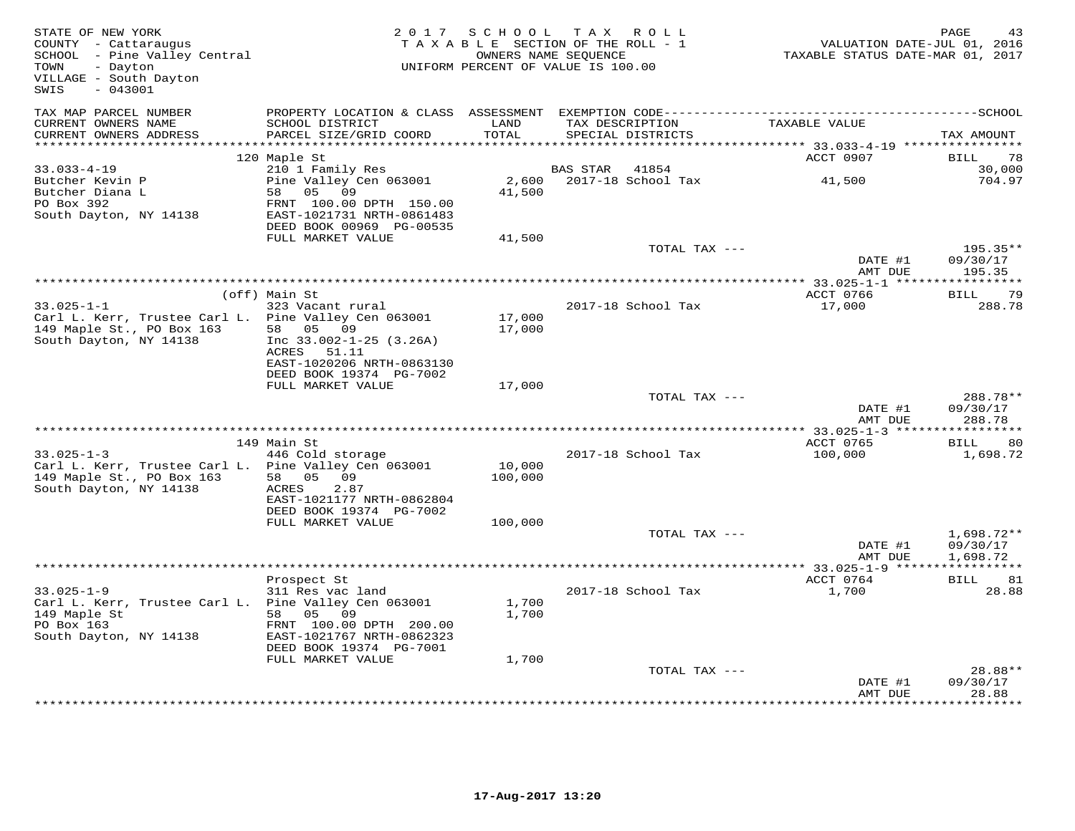| STATE OF NEW YORK<br>COUNTY - Cattaraugus<br>SCHOOL - Pine Valley Central<br>- Dayton<br>TOWN<br>VILLAGE - South Dayton<br>$-043001$<br>SWIS |                                                                                                                     | 2017 SCHOOL       | TAX ROLL<br>TAXABLE SECTION OF THE ROLL - 1<br>OWNERS NAME SEQUENCE<br>UNIFORM PERCENT OF VALUE IS 100.00 | TAXABLE STATUS DATE-MAR 01, 2017              | PAGE<br>43<br>VALUATION DATE-JUL 01, 2016 |
|----------------------------------------------------------------------------------------------------------------------------------------------|---------------------------------------------------------------------------------------------------------------------|-------------------|-----------------------------------------------------------------------------------------------------------|-----------------------------------------------|-------------------------------------------|
| TAX MAP PARCEL NUMBER<br>CURRENT OWNERS NAME<br>CURRENT OWNERS ADDRESS                                                                       | SCHOOL DISTRICT<br>PARCEL SIZE/GRID COORD                                                                           | LAND<br>TOTAL     | TAX DESCRIPTION<br>SPECIAL DISTRICTS                                                                      | TAXABLE VALUE                                 | TAX AMOUNT                                |
| **********************                                                                                                                       | **********************                                                                                              |                   |                                                                                                           |                                               |                                           |
| $33.033 - 4 - 19$<br>Butcher Kevin P                                                                                                         | 120 Maple St<br>210 1 Family Res<br>Pine Valley Cen 063001                                                          | 2,600             | 41854<br><b>BAS STAR</b><br>2017-18 School Tax                                                            | ACCT 0907<br>41,500                           | BILL<br>78<br>30,000<br>704.97            |
| Butcher Diana L<br>PO Box 392<br>South Dayton, NY 14138                                                                                      | 58 05 09<br>FRNT 100.00 DPTH 150.00<br>EAST-1021731 NRTH-0861483<br>DEED BOOK 00969 PG-00535                        | 41,500            |                                                                                                           |                                               |                                           |
|                                                                                                                                              | FULL MARKET VALUE                                                                                                   | 41,500            | TOTAL TAX ---                                                                                             |                                               | 195.35**                                  |
|                                                                                                                                              |                                                                                                                     |                   |                                                                                                           | DATE #1<br>AMT DUE                            | 09/30/17<br>195.35                        |
|                                                                                                                                              | (off) Main St                                                                                                       |                   |                                                                                                           | ** 33.025-1-1 ******************<br>ACCT 0766 | 79<br>BILL                                |
| $33.025 - 1 - 1$<br>Carl L. Kerr, Trustee Carl L. Pine Valley Cen 063001                                                                     | 323 Vacant rural                                                                                                    | 17,000            | 2017-18 School Tax                                                                                        | 17,000                                        | 288.78                                    |
| 149 Maple St., PO Box 163<br>South Dayton, NY 14138                                                                                          | 58 05<br>09<br>Inc $33.002 - 1 - 25$ (3.26A)<br>ACRES 51.11<br>EAST-1020206 NRTH-0863130<br>DEED BOOK 19374 PG-7002 | 17,000            |                                                                                                           |                                               |                                           |
|                                                                                                                                              | FULL MARKET VALUE                                                                                                   | 17,000            |                                                                                                           |                                               |                                           |
|                                                                                                                                              |                                                                                                                     |                   | TOTAL TAX ---                                                                                             | DATE #1<br>AMT DUE                            | 288.78**<br>09/30/17<br>288.78            |
|                                                                                                                                              |                                                                                                                     |                   |                                                                                                           |                                               | ***********                               |
|                                                                                                                                              | 149 Main St                                                                                                         |                   |                                                                                                           | ACCT 0765                                     | 80<br>BILL                                |
| $33.025 - 1 - 3$<br>Carl L. Kerr, Trustee Carl L. Pine Valley Cen 063001<br>149 Maple St., PO Box 163<br>South Dayton, NY 14138              | 446 Cold storage<br>58 05<br>09<br>ACRES<br>2.87<br>EAST-1021177 NRTH-0862804<br>DEED BOOK 19374 PG-7002            | 10,000<br>100,000 | 2017-18 School Tax                                                                                        | 100,000                                       | 1,698.72                                  |
|                                                                                                                                              | FULL MARKET VALUE                                                                                                   | 100,000           |                                                                                                           |                                               |                                           |
|                                                                                                                                              |                                                                                                                     |                   | TOTAL TAX ---                                                                                             | DATE #1<br>AMT DUE                            | $1,698.72**$<br>09/30/17<br>1,698.72      |
|                                                                                                                                              |                                                                                                                     |                   |                                                                                                           |                                               | ***********                               |
| $33.025 - 1 - 9$<br>Carl L. Kerr, Trustee Carl L. Pine Valley Cen 063001                                                                     | Prospect St<br>311 Res vac land                                                                                     | 1,700             | 2017-18 School Tax                                                                                        | ACCT 0764<br>1,700                            | BILL<br>81<br>28.88                       |
| 149 Maple St<br>PO Box 163<br>South Dayton, NY 14138                                                                                         | 58 05 09<br>FRNT 100.00 DPTH 200.00<br>EAST-1021767 NRTH-0862323                                                    | 1,700             |                                                                                                           |                                               |                                           |
|                                                                                                                                              | DEED BOOK 19374 PG-7001<br>FULL MARKET VALUE                                                                        | 1,700             |                                                                                                           |                                               |                                           |
|                                                                                                                                              |                                                                                                                     |                   | TOTAL TAX ---                                                                                             | DATE #1<br>AMT DUE                            | 28.88**<br>09/30/17<br>28.88              |
|                                                                                                                                              |                                                                                                                     |                   |                                                                                                           |                                               |                                           |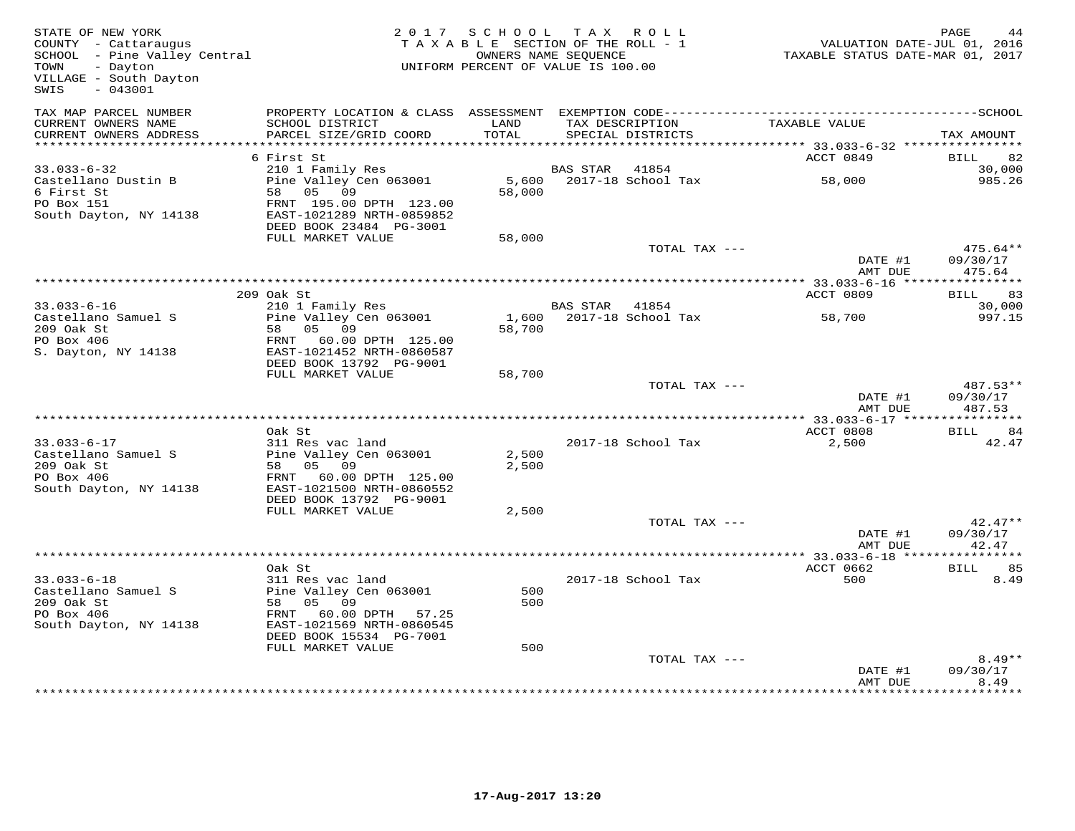| STATE OF NEW YORK<br>STATE OF NEW IONA<br>COUNTY - Cattaraugus<br>SCHOOL - Pine Valley Central<br>- Alley Central<br>- Dayton<br>TOWN<br>VILLAGE - South Dayton<br>$-043001$<br>SWIS |                                                                | 2017 SCHOOL TAX ROLL<br>TAXABLE SECTION OF THE ROLL - 1<br>UNIFORM PERCENT OF VALUE IS 100.00 | OWNERS NAME SEQUENCE |                                      | 41 - ראשים<br>2016 , VALUATION DATE-JUL<br>2017 , TAXABLE STATUS DATE-MAR | PAGE               |
|--------------------------------------------------------------------------------------------------------------------------------------------------------------------------------------|----------------------------------------------------------------|-----------------------------------------------------------------------------------------------|----------------------|--------------------------------------|---------------------------------------------------------------------------|--------------------|
| TAX MAP PARCEL NUMBER<br>CURRENT OWNERS NAME<br>CURRENT OWNERS ADDRESS                                                                                                               | SCHOOL DISTRICT<br>PARCEL SIZE/GRID COORD                      | LAND<br>TOTAL                                                                                 |                      | TAX DESCRIPTION<br>SPECIAL DISTRICTS | TAXABLE VALUE                                                             | TAX AMOUNT         |
|                                                                                                                                                                                      |                                                                |                                                                                               |                      |                                      |                                                                           |                    |
|                                                                                                                                                                                      | 6 First St                                                     |                                                                                               |                      |                                      | ACCT 0849                                                                 | BILL 82            |
| $33.033 - 6 - 32$<br>Castellano Dustin B                                                                                                                                             | 210 1 Family Res<br>Zio I Family Res<br>Pine Valley Cen 063001 |                                                                                               | BAS STAR 41854       | 5,600 2017-18 School Tax             | 58,000                                                                    | 30,000<br>985.26   |
| 6 First St                                                                                                                                                                           | 58 05 09                                                       | 58,000                                                                                        |                      |                                      |                                                                           |                    |
| PO Box 151                                                                                                                                                                           | FRNT 195.00 DPTH 123.00                                        |                                                                                               |                      |                                      |                                                                           |                    |
| South Dayton, NY 14138                                                                                                                                                               | EAST-1021289 NRTH-0859852<br>DEED BOOK 23484 PG-3001           |                                                                                               |                      |                                      |                                                                           |                    |
|                                                                                                                                                                                      | FULL MARKET VALUE                                              | 58,000                                                                                        |                      |                                      |                                                                           |                    |
|                                                                                                                                                                                      |                                                                |                                                                                               |                      | TOTAL TAX ---                        |                                                                           | $475.64**$         |
|                                                                                                                                                                                      |                                                                |                                                                                               |                      |                                      | DATE #1<br>AMT DUE                                                        | 09/30/17<br>475.64 |
|                                                                                                                                                                                      |                                                                |                                                                                               |                      |                                      |                                                                           |                    |
|                                                                                                                                                                                      | 209 Oak St                                                     |                                                                                               |                      |                                      | ACCT 0809                                                                 | BILL 83            |
| $33.033 - 6 - 16$<br>Castellano Samuel S                                                                                                                                             | 210 1 Family Res<br>Pine Valley Cen 063001                     |                                                                                               | BAS STAR 41854       | 1,600 2017-18 School Tax             | 58,700                                                                    | 30,000<br>997.15   |
| 209 Oak St                                                                                                                                                                           | 58 05 09                                                       | 58,700                                                                                        |                      |                                      |                                                                           |                    |
| PO Box 406                                                                                                                                                                           | FRNT 60.00 DPTH 125.00                                         |                                                                                               |                      |                                      |                                                                           |                    |
| S. Dayton, NY 14138                                                                                                                                                                  | EAST-1021452 NRTH-0860587<br>DEED BOOK 13792 PG-9001           |                                                                                               |                      |                                      |                                                                           |                    |
|                                                                                                                                                                                      | FULL MARKET VALUE                                              | 58,700                                                                                        |                      |                                      |                                                                           |                    |
|                                                                                                                                                                                      |                                                                |                                                                                               |                      | TOTAL TAX ---                        |                                                                           | 487.53**           |
|                                                                                                                                                                                      |                                                                |                                                                                               |                      |                                      | DATE #1<br>AMT DUE                                                        | 09/30/17<br>487.53 |
|                                                                                                                                                                                      |                                                                |                                                                                               |                      |                                      |                                                                           |                    |
|                                                                                                                                                                                      | Oak St                                                         |                                                                                               |                      |                                      | ACCT 0808                                                                 | BILL 84            |
| $33.033 - 6 - 17$<br>Castellano Samuel S                                                                                                                                             | 311 Res vac land<br>Pine Valley Cen 063001                     | 2,500                                                                                         |                      | 2017-18 School Tax                   | 2,500                                                                     | 42.47              |
| 209 Oak St                                                                                                                                                                           | 58 05 09                                                       | 2,500                                                                                         |                      |                                      |                                                                           |                    |
| PO Box 406                                                                                                                                                                           | FRNT 60.00 DPTH 125.00                                         |                                                                                               |                      |                                      |                                                                           |                    |
| South Dayton, NY 14138                                                                                                                                                               | EAST-1021500 NRTH-0860552<br>DEED BOOK 13792 PG-9001           |                                                                                               |                      |                                      |                                                                           |                    |
|                                                                                                                                                                                      | FULL MARKET VALUE                                              | 2,500                                                                                         |                      |                                      |                                                                           |                    |
|                                                                                                                                                                                      |                                                                |                                                                                               |                      | TOTAL TAX ---                        |                                                                           | $42.47**$          |
|                                                                                                                                                                                      |                                                                |                                                                                               |                      |                                      | DATE #1<br>AMT DUE                                                        | 09/30/17<br>42.47  |
|                                                                                                                                                                                      |                                                                |                                                                                               |                      |                                      |                                                                           |                    |
|                                                                                                                                                                                      | Oak St                                                         |                                                                                               |                      |                                      | ACCT 0662                                                                 | BILL 85            |
| $33.033 - 6 - 18$<br>Castellano Samuel S                                                                                                                                             | 311 Res vac land<br>Pine Valley Cen 063001                     | 500                                                                                           |                      | 2017-18 School Tax                   | 500                                                                       | 8.49               |
| 209 Oak St                                                                                                                                                                           | 58 05 09                                                       | 500                                                                                           |                      |                                      |                                                                           |                    |
| PO Box 406                                                                                                                                                                           | FRNT 60.00 DPTH 57.25                                          |                                                                                               |                      |                                      |                                                                           |                    |
| South Dayton, NY 14138                                                                                                                                                               | EAST-1021569 NRTH-0860545<br>DEED BOOK 15534 PG-7001           |                                                                                               |                      |                                      |                                                                           |                    |
|                                                                                                                                                                                      | FULL MARKET VALUE                                              | 500                                                                                           |                      |                                      |                                                                           |                    |
|                                                                                                                                                                                      |                                                                |                                                                                               |                      | TOTAL TAX ---                        |                                                                           | $8.49**$           |
|                                                                                                                                                                                      |                                                                |                                                                                               |                      |                                      | DATE #1<br>AMT DUE                                                        | 09/30/17<br>8.49   |
|                                                                                                                                                                                      |                                                                |                                                                                               |                      |                                      |                                                                           |                    |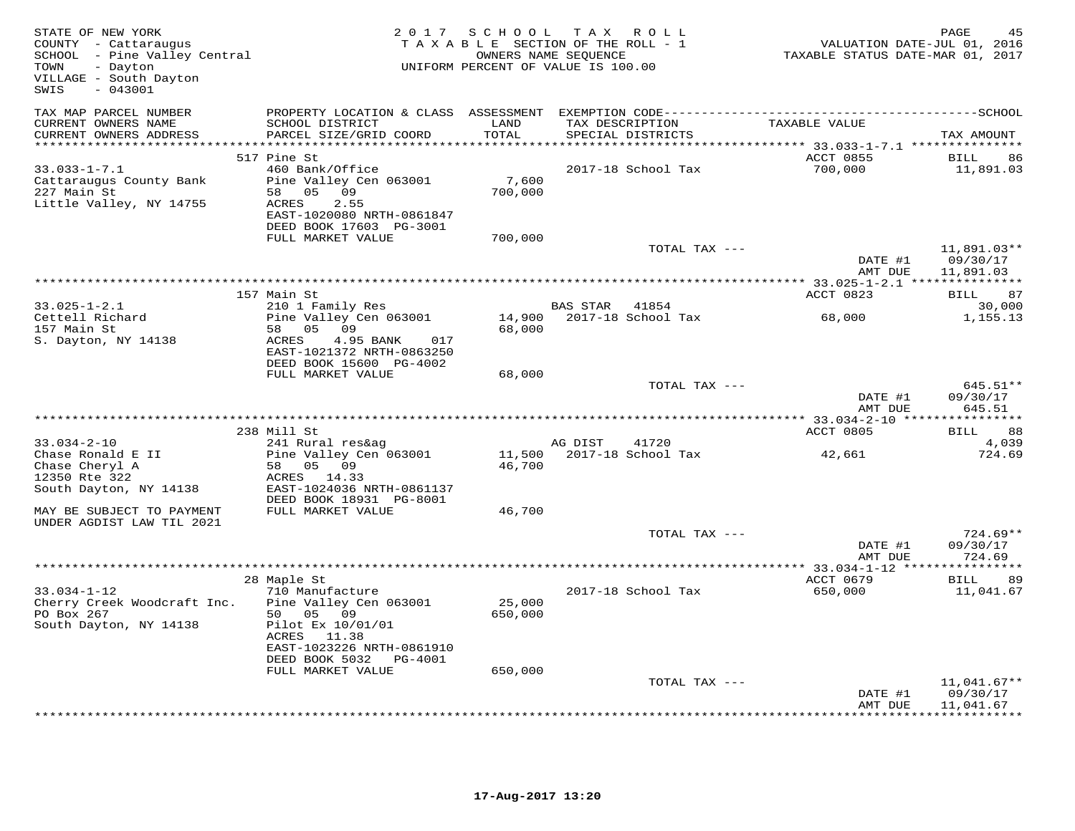| STATE OF NEW YORK<br>COUNTY - Cattaraugus<br>SCHOOL - Pine Valley Central<br>TOWN<br>- Dayton<br>VILLAGE - South Dayton<br>$-043001$<br>SWIS |                                                                                                                                                                                      |                              | 2017 SCHOOL TAX ROLL<br>TAXABLE SECTION OF THE ROLL - 1<br>OWNERS NAME SEQUENCE<br>UNIFORM PERCENT OF VALUE IS 100.00 | VALUATION DATE-JUL 01, 2016<br>TAXABLE STATUS DATE-MAR 01, 2017 | PAGE                                 |
|----------------------------------------------------------------------------------------------------------------------------------------------|--------------------------------------------------------------------------------------------------------------------------------------------------------------------------------------|------------------------------|-----------------------------------------------------------------------------------------------------------------------|-----------------------------------------------------------------|--------------------------------------|
| TAX MAP PARCEL NUMBER<br>CURRENT OWNERS NAME<br>CURRENT OWNERS ADDRESS                                                                       | SCHOOL DISTRICT<br>PARCEL SIZE/GRID COORD                                                                                                                                            | LAND<br>TOTAL<br>*********** | TAX DESCRIPTION<br>SPECIAL DISTRICTS                                                                                  | TAXABLE VALUE<br>*********** 33.033-1-7.1 ***************       | TAX AMOUNT                           |
| $33.033 - 1 - 7.1$<br>Cattaraugus County Bank<br>227 Main St<br>Little Valley, NY 14755                                                      | 517 Pine St<br>460 Bank/Office<br>Pine Valley Cen 063001<br>58 05 09<br>ACRES<br>2.55<br>EAST-1020080 NRTH-0861847<br>DEED BOOK 17603 PG-3001<br>FULL MARKET VALUE                   | 7,600<br>700,000<br>700,000  | 2017-18 School Tax                                                                                                    | ACCT 0855<br>700,000                                            | BILL<br>86<br>11,891.03              |
|                                                                                                                                              |                                                                                                                                                                                      |                              | TOTAL TAX ---                                                                                                         | DATE #1<br>AMT DUE                                              | 11,891.03**<br>09/30/17<br>11,891.03 |
|                                                                                                                                              |                                                                                                                                                                                      |                              |                                                                                                                       |                                                                 |                                      |
|                                                                                                                                              | 157 Main St                                                                                                                                                                          |                              |                                                                                                                       | ACCT 0823                                                       | BILL 87                              |
| $33.025 - 1 - 2.1$<br>Cettell Richard<br>157 Main St<br>S. Dayton, NY 14138                                                                  | 210 1 Family Res<br>Pine Valley Cen 063001<br>58 05 09<br>ACRES<br>4.95 BANK<br>017<br>EAST-1021372 NRTH-0863250                                                                     | 68,000                       | BAS STAR 41854<br>14,900    2017-18    School Tax                                                                     | 68,000                                                          | 30,000<br>1,155.13                   |
|                                                                                                                                              | DEED BOOK 15600 PG-4002                                                                                                                                                              |                              |                                                                                                                       |                                                                 |                                      |
|                                                                                                                                              | FULL MARKET VALUE                                                                                                                                                                    | 68,000                       | TOTAL TAX ---                                                                                                         | DATE #1<br>AMT DUE                                              | $645.51**$<br>09/30/17<br>645.51     |
|                                                                                                                                              | 238 Mill St                                                                                                                                                                          |                              |                                                                                                                       | ACCT 0805                                                       | BILL 88                              |
| $33.034 - 2 - 10$<br>Chase Ronald E II<br>Chase Cheryl A<br>12350 Rte 322<br>South Dayton, NY 14138                                          | 241 Rural res&ag<br>Pine Valley Cen 063001<br>58 05 09<br>ACRES 14.33<br>EAST-1024036 NRTH-0861137<br>DEED BOOK 18931 PG-8001                                                        | 46,700                       | AG DIST<br>41720<br>11,500 2017-18 School Tax                                                                         | 42,661                                                          | 4,039<br>724.69                      |
| MAY BE SUBJECT TO PAYMENT<br>UNDER AGDIST LAW TIL 2021                                                                                       | FULL MARKET VALUE                                                                                                                                                                    | 46,700                       |                                                                                                                       |                                                                 |                                      |
|                                                                                                                                              |                                                                                                                                                                                      |                              | TOTAL TAX ---                                                                                                         | DATE #1<br>AMT DUE                                              | $724.69**$<br>09/30/17<br>724.69     |
|                                                                                                                                              |                                                                                                                                                                                      |                              |                                                                                                                       |                                                                 |                                      |
| $33.034 - 1 - 12$<br>Cherry Creek Woodcraft Inc.<br>PO Box 267<br>South Dayton, NY 14138                                                     | 28 Maple St<br>710 Manufacture<br>Pine Valley Cen 063001<br>50 05 09<br>Pilot Ex 10/01/01<br>ACRES 11.38<br>EAST-1023226 NRTH-0861910<br>DEED BOOK 5032 PG-4001<br>FULL MARKET VALUE | 25,000<br>650,000<br>650,000 | 2017-18 School Tax                                                                                                    | ACCT 0679<br>650,000                                            | BILL 89<br>11,041.67                 |
|                                                                                                                                              |                                                                                                                                                                                      |                              | TOTAL TAX ---                                                                                                         |                                                                 | $11,041.67**$                        |
|                                                                                                                                              |                                                                                                                                                                                      |                              |                                                                                                                       | DATE #1<br>AMT DUE                                              | 09/30/17<br>11,041.67                |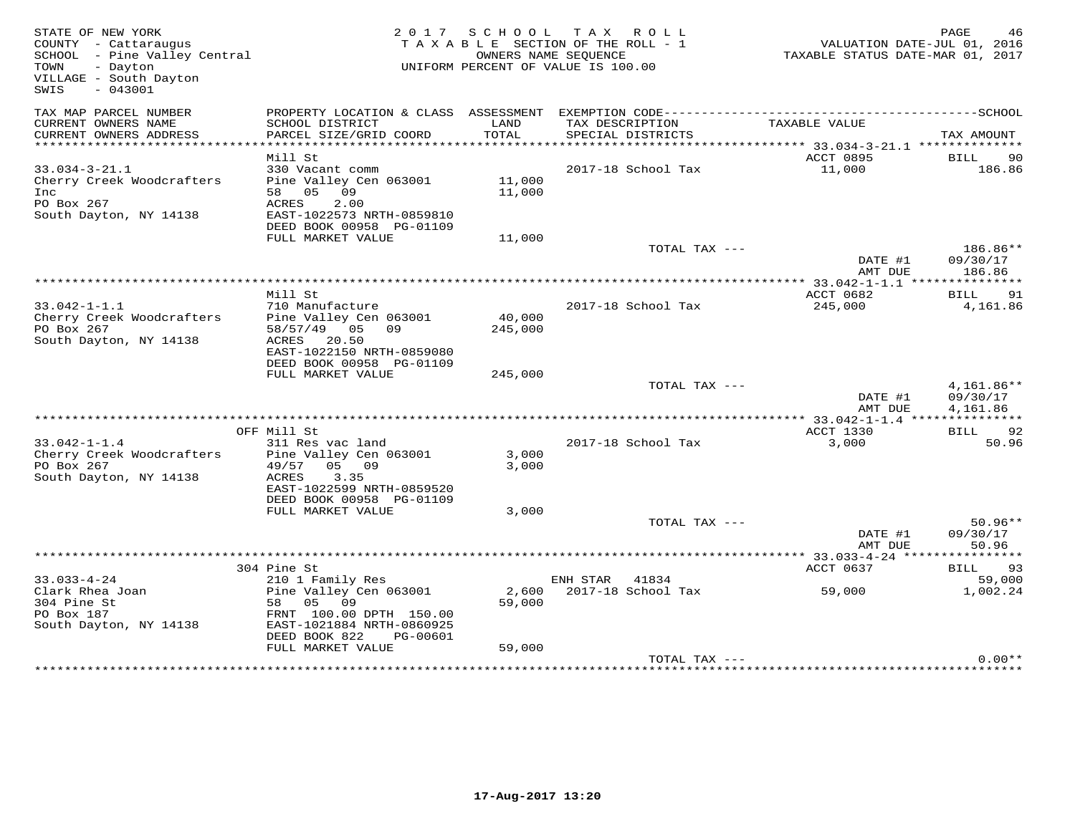| STATE OF NEW YORK<br>COUNTY - Cattaraugus<br>SCHOOL - Pine Valley Central<br>TOWN<br>- Dayton<br>VILLAGE - South Dayton<br>$-043001$<br>SWIS |                                                                                   |                  | 2017 SCHOOL TAX ROLL<br>TAXABLE SECTION OF THE ROLL - 1<br>OWNERS NAME SEQUENCE<br>UNIFORM PERCENT OF VALUE IS 100.00 | TAXABLE STATUS DATE-MAR 01, 2017                | PAGE<br>46<br>VALUATION DATE-JUL 01, 2016 |
|----------------------------------------------------------------------------------------------------------------------------------------------|-----------------------------------------------------------------------------------|------------------|-----------------------------------------------------------------------------------------------------------------------|-------------------------------------------------|-------------------------------------------|
| TAX MAP PARCEL NUMBER<br>CURRENT OWNERS NAME                                                                                                 | PROPERTY LOCATION & CLASS ASSESSMENT<br>SCHOOL DISTRICT                           | LAND             | EXEMPTION CODE-----------------------<br>TAX DESCRIPTION                                                              | TAXABLE VALUE                                   | -----------------SCHOOL                   |
| CURRENT OWNERS ADDRESS<br>**********************                                                                                             | PARCEL SIZE/GRID COORD                                                            | TOTAL            | SPECIAL DISTRICTS<br>******************************                                                                   | ****************** 33.034-3-21.1 ************** | TAX AMOUNT                                |
|                                                                                                                                              | Mill St                                                                           |                  |                                                                                                                       | ACCT 0895                                       | <b>BILL</b><br>90                         |
| $33.034 - 3 - 21.1$<br>Cherry Creek Woodcrafters<br>Inc                                                                                      | 330 Vacant comm<br>Pine Valley Cen 063001<br>58 05<br>09                          | 11,000<br>11,000 | 2017-18 School Tax                                                                                                    | 11,000                                          | 186.86                                    |
| PO Box 267<br>South Dayton, NY 14138                                                                                                         | ACRES<br>2.00<br>EAST-1022573 NRTH-0859810<br>DEED BOOK 00958 PG-01109            |                  |                                                                                                                       |                                                 |                                           |
|                                                                                                                                              | FULL MARKET VALUE                                                                 | 11,000           |                                                                                                                       |                                                 |                                           |
|                                                                                                                                              |                                                                                   |                  | TOTAL TAX ---                                                                                                         | DATE #1<br>AMT DUE                              | 186.86**<br>09/30/17<br>186.86            |
|                                                                                                                                              |                                                                                   |                  |                                                                                                                       |                                                 |                                           |
|                                                                                                                                              | Mill St                                                                           |                  |                                                                                                                       | ACCT 0682                                       | BILL<br>91                                |
| $33.042 - 1 - 1.1$<br>Cherry Creek Woodcrafters                                                                                              | 710 Manufacture<br>Pine Valley Cen 063001                                         | 40,000           | 2017-18 School Tax                                                                                                    | 245,000                                         | 4,161.86                                  |
| PO Box 267                                                                                                                                   | 58/57/49 05<br>09                                                                 | 245,000          |                                                                                                                       |                                                 |                                           |
| South Dayton, NY 14138                                                                                                                       | ACRES 20.50<br>EAST-1022150 NRTH-0859080<br>DEED BOOK 00958 PG-01109              |                  |                                                                                                                       |                                                 |                                           |
|                                                                                                                                              | FULL MARKET VALUE                                                                 | 245,000          |                                                                                                                       |                                                 |                                           |
|                                                                                                                                              |                                                                                   |                  | TOTAL TAX ---                                                                                                         | DATE #1                                         | $4,161.86**$<br>09/30/17                  |
|                                                                                                                                              |                                                                                   |                  |                                                                                                                       | AMT DUE                                         | 4,161.86                                  |
|                                                                                                                                              | OFF Mill St                                                                       |                  |                                                                                                                       | ACCT 1330                                       | BILL 92                                   |
| $33.042 - 1 - 1.4$                                                                                                                           | 311 Res vac land                                                                  |                  | 2017-18 School Tax                                                                                                    | 3,000                                           | 50.96                                     |
| Cherry Creek Woodcrafters<br>PO Box 267                                                                                                      | Pine Valley Cen 063001<br>05 09<br>49/57<br>ACRES<br>3.35                         | 3,000<br>3,000   |                                                                                                                       |                                                 |                                           |
| South Dayton, NY 14138                                                                                                                       | EAST-1022599 NRTH-0859520<br>DEED BOOK 00958 PG-01109                             |                  |                                                                                                                       |                                                 |                                           |
|                                                                                                                                              | FULL MARKET VALUE                                                                 | 3,000            |                                                                                                                       |                                                 |                                           |
|                                                                                                                                              |                                                                                   |                  | TOTAL TAX ---                                                                                                         | DATE #1<br>AMT DUE                              | $50.96**$<br>09/30/17<br>50.96            |
|                                                                                                                                              |                                                                                   |                  |                                                                                                                       |                                                 |                                           |
|                                                                                                                                              | 304 Pine St                                                                       |                  |                                                                                                                       | ACCT 0637                                       | 93<br>BILL                                |
| $33.033 - 4 - 24$<br>Clark Rhea Joan<br>304 Pine St                                                                                          | 210 1 Family Res<br>Pine Valley Cen 063001<br>58 05 09                            | 2,600<br>59,000  | 41834<br>ENH STAR<br>2017-18 School Tax                                                                               | 59,000                                          | 59,000<br>1,002.24                        |
| PO Box 187<br>South Dayton, NY 14138                                                                                                         | FRNT 100.00 DPTH 150.00<br>EAST-1021884 NRTH-0860925<br>DEED BOOK 822<br>PG-00601 |                  |                                                                                                                       |                                                 |                                           |
|                                                                                                                                              | FULL MARKET VALUE                                                                 | 59,000           |                                                                                                                       |                                                 |                                           |
|                                                                                                                                              |                                                                                   |                  | TOTAL TAX ---                                                                                                         | ***************************                     | $0.00**$                                  |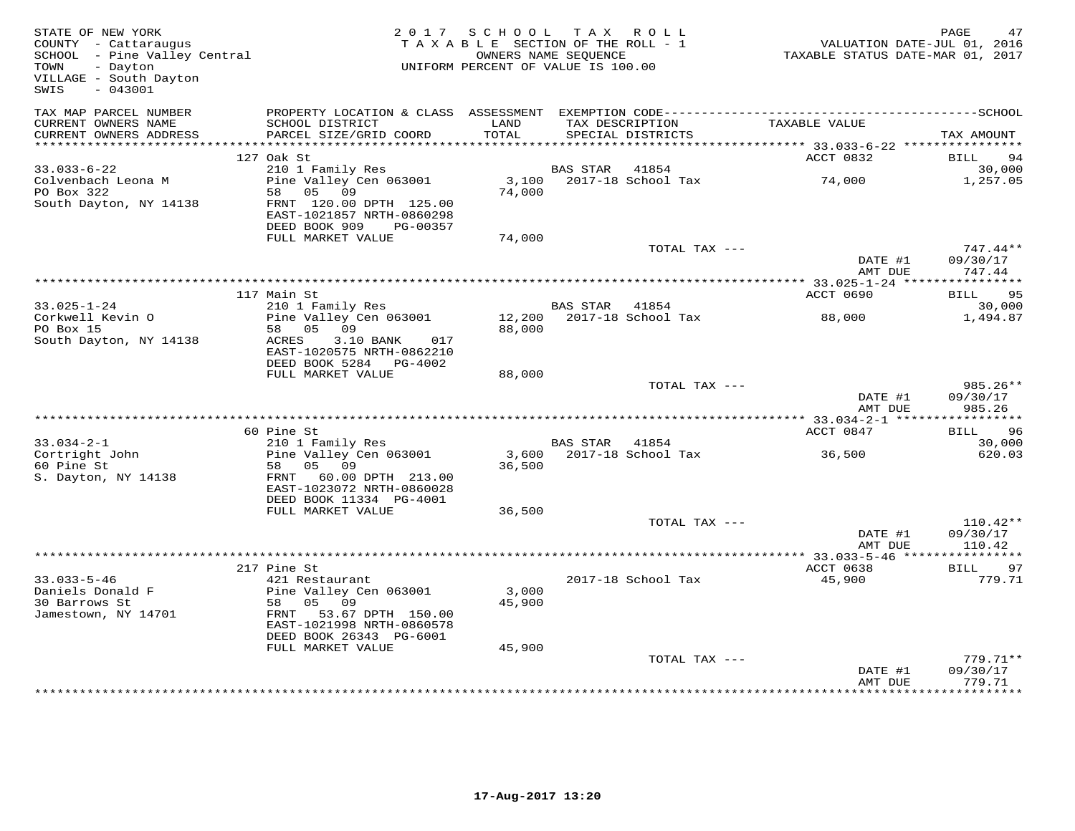| STATE OF NEW YORK<br>STATE or new tons<br>COUNTY - Cattaraugus<br>SCHOOL - Pine Valley Central<br>mount - Davton<br>- Dayton<br>VILLAGE - South Dayton<br>$-043001$<br>SWIS |                                                                                                                                          | 2017 SCHOOL TAX ROLL<br>TAXABLE SECTION OF THE ROLL - 1<br>UNIFORM PERCENT OF VALUE IS 100.00 | OWNERS NAME SEQUENCE |                                      | VALUATION DATE-JUL 01, 2016<br>TAXABLE STATUS DATE-MAR 01, 2017 | PAGE<br>47                     |
|-----------------------------------------------------------------------------------------------------------------------------------------------------------------------------|------------------------------------------------------------------------------------------------------------------------------------------|-----------------------------------------------------------------------------------------------|----------------------|--------------------------------------|-----------------------------------------------------------------|--------------------------------|
| TAX MAP PARCEL NUMBER                                                                                                                                                       | PROPERTY LOCATION & CLASS ASSESSMENT EXEMPTION CODE-----------------------------------SCHOOL                                             |                                                                                               |                      |                                      |                                                                 |                                |
| CURRENT OWNERS NAME<br>CURRENT OWNERS ADDRESS                                                                                                                               | SCHOOL DISTRICT<br>PARCEL SIZE/GRID COORD                                                                                                | LAND<br>TOTAL                                                                                 |                      | TAX DESCRIPTION<br>SPECIAL DISTRICTS | TAXABLE VALUE                                                   | TAX AMOUNT                     |
|                                                                                                                                                                             |                                                                                                                                          |                                                                                               |                      |                                      | *********** 33.033-6-22 *****************                       |                                |
|                                                                                                                                                                             | 127 Oak St                                                                                                                               |                                                                                               |                      |                                      | ACCT 0832                                                       | BILL<br>94                     |
| $33.033 - 6 - 22$                                                                                                                                                           | 210 1 Family Res                                                                                                                         |                                                                                               | BAS STAR 41854       |                                      |                                                                 | 30,000                         |
| Colvenbach Leona M<br>PO Box 322<br>South Dayton, NY 14138                                                                                                                  | zio i family kes<br>Pine Valley Cen 063001<br>58 05 09<br>FRNT 120.00 DPTH 125.00<br>EAST-1021857 NRTH-0860298<br>DEED BOOK 909 PG-00357 | 74,000                                                                                        |                      | 3,100 2017-18 School Tax             | 74,000                                                          | 1,257.05                       |
|                                                                                                                                                                             | FULL MARKET VALUE                                                                                                                        | 74,000                                                                                        |                      |                                      |                                                                 |                                |
|                                                                                                                                                                             |                                                                                                                                          |                                                                                               |                      | TOTAL TAX ---                        |                                                                 | $747.44**$                     |
|                                                                                                                                                                             |                                                                                                                                          |                                                                                               |                      |                                      | DATE #1                                                         | 09/30/17                       |
|                                                                                                                                                                             |                                                                                                                                          |                                                                                               |                      |                                      | AMT DUE                                                         | 747.44                         |
|                                                                                                                                                                             | 117 Main St                                                                                                                              |                                                                                               |                      |                                      | ACCT 0690                                                       | BILL 95                        |
| $33.025 - 1 - 24$                                                                                                                                                           | 210 1 Family Res                                                                                                                         |                                                                                               | BAS STAR 41854       |                                      |                                                                 | 30,000                         |
| Corkwell Kevin O                                                                                                                                                            | Pine Valley Cen 063001                                                                                                                   |                                                                                               |                      |                                      | 88,000                                                          | 1,494.87                       |
| PO Box 15                                                                                                                                                                   | 58 05 09                                                                                                                                 | 88,000                                                                                        |                      |                                      |                                                                 |                                |
| South Dayton, NY 14138                                                                                                                                                      | ACRES<br>3.10 BANK<br>017<br>EAST-1020575 NRTH-0862210<br>DEED BOOK 5284 PG-4002                                                         |                                                                                               |                      |                                      |                                                                 |                                |
|                                                                                                                                                                             | FULL MARKET VALUE                                                                                                                        | 88,000                                                                                        |                      |                                      |                                                                 |                                |
|                                                                                                                                                                             |                                                                                                                                          |                                                                                               |                      | TOTAL TAX ---                        | DATE #1<br>AMT DUE                                              | 985.26**<br>09/30/17<br>985.26 |
|                                                                                                                                                                             |                                                                                                                                          |                                                                                               |                      |                                      |                                                                 |                                |
|                                                                                                                                                                             | 60 Pine St                                                                                                                               |                                                                                               |                      |                                      | ACCT 0847                                                       | 96<br>BILL                     |
| $33.034 - 2 - 1$                                                                                                                                                            | 210 1 Family Res                                                                                                                         |                                                                                               | BAS STAR 41854       |                                      |                                                                 | 30,000                         |
| Cortright John                                                                                                                                                              | Pine Valley Cen 063001                                                                                                                   |                                                                                               |                      | 3,600 2017-18 School Tax             | 36,500                                                          | 620.03                         |
| 60 Pine St<br>S. Dayton, NY 14138                                                                                                                                           | 58 05 09<br>FRNT 60.00 DPTH 213.00<br>EAST-1023072 NRTH-0860028<br>DEED BOOK 11334 PG-4001                                               | 36,500                                                                                        |                      |                                      |                                                                 |                                |
|                                                                                                                                                                             | FULL MARKET VALUE                                                                                                                        | 36,500                                                                                        |                      |                                      |                                                                 |                                |
|                                                                                                                                                                             |                                                                                                                                          |                                                                                               |                      | TOTAL TAX ---                        |                                                                 | $110.42**$                     |
|                                                                                                                                                                             |                                                                                                                                          |                                                                                               |                      |                                      | DATE #1                                                         | 09/30/17                       |
|                                                                                                                                                                             |                                                                                                                                          |                                                                                               |                      |                                      | AMT DUE<br>************ 33.033-5-46 *****************           | 110.42                         |
|                                                                                                                                                                             | 217 Pine St                                                                                                                              |                                                                                               |                      |                                      | ACCT 0638                                                       | <b>BILL</b><br>97              |
| $33.033 - 5 - 46$                                                                                                                                                           | 421 Restaurant                                                                                                                           |                                                                                               |                      | 2017-18 School Tax                   | 45,900                                                          | 779.71                         |
| Daniels Donald F                                                                                                                                                            | Pine Valley Cen 063001                                                                                                                   | 3,000                                                                                         |                      |                                      |                                                                 |                                |
| 30 Barrows St                                                                                                                                                               | 58 05 09                                                                                                                                 | 45,900                                                                                        |                      |                                      |                                                                 |                                |
| Jamestown, NY 14701                                                                                                                                                         | FRNT 53.67 DPTH 150.00<br>EAST-1021998 NRTH-0860578<br>DEED BOOK 26343 PG-6001                                                           |                                                                                               |                      |                                      |                                                                 |                                |
|                                                                                                                                                                             | FULL MARKET VALUE                                                                                                                        | 45,900                                                                                        |                      |                                      |                                                                 |                                |
|                                                                                                                                                                             |                                                                                                                                          |                                                                                               |                      | TOTAL TAX ---                        |                                                                 | $779.71**$                     |
|                                                                                                                                                                             |                                                                                                                                          |                                                                                               |                      |                                      | DATE #1<br>AMT DUE                                              | 09/30/17<br>779.71             |
|                                                                                                                                                                             |                                                                                                                                          |                                                                                               |                      |                                      |                                                                 |                                |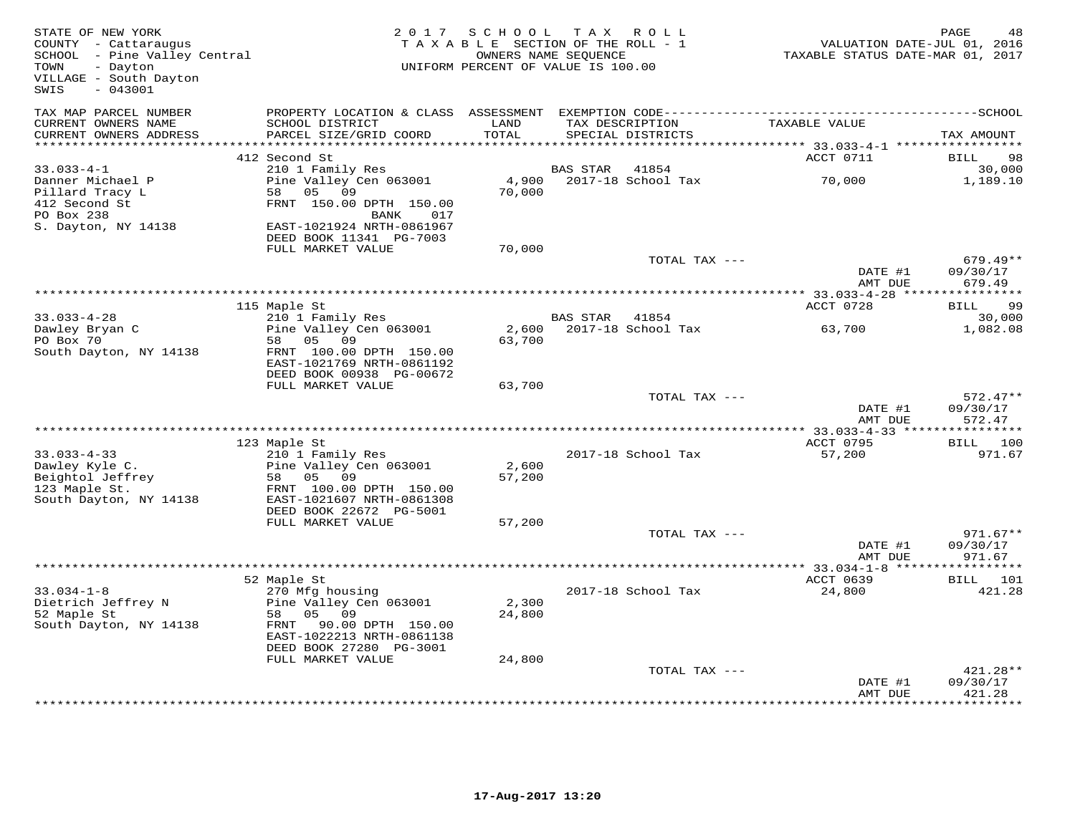| STATE OF NEW YORK<br>COUNTY - Cattaraugus<br>SCHOOL - Pine Valley Central<br>TOWN<br>- Dayton<br>VILLAGE - South Dayton<br>$-043001$<br>SWIS | 2 0 1 7                                                                          | SCHOOL<br>TAXABLE SECTION OF THE ROLL - 1<br>UNIFORM PERCENT OF VALUE IS 100.00 | T A X<br>OWNERS NAME SEQUENCE | ROLL                        | TAXABLE STATUS DATE-MAR 01, 2017  | PAGE<br>48<br>VALUATION DATE-JUL 01, 2016 |
|----------------------------------------------------------------------------------------------------------------------------------------------|----------------------------------------------------------------------------------|---------------------------------------------------------------------------------|-------------------------------|-----------------------------|-----------------------------------|-------------------------------------------|
| TAX MAP PARCEL NUMBER<br>CURRENT OWNERS NAME                                                                                                 | PROPERTY LOCATION & CLASS ASSESSMENT<br>SCHOOL DISTRICT                          | LAND                                                                            | TAX DESCRIPTION               |                             | TAXABLE VALUE                     |                                           |
| CURRENT OWNERS ADDRESS                                                                                                                       | PARCEL SIZE/GRID COORD                                                           | TOTAL                                                                           |                               | SPECIAL DISTRICTS           |                                   | TAX AMOUNT                                |
| ***********************                                                                                                                      |                                                                                  |                                                                                 |                               |                             |                                   |                                           |
|                                                                                                                                              | 412 Second St                                                                    |                                                                                 |                               |                             | ACCT 0711                         | BILL<br>98                                |
| $33.033 - 4 - 1$<br>Danner Michael P                                                                                                         | 210 1 Family Res<br>Pine Valley Cen 063001                                       | 4,900                                                                           | <b>BAS STAR</b>               | 41854<br>2017-18 School Tax | 70,000                            | 30,000<br>1,189.10                        |
| Pillard Tracy L                                                                                                                              | 58<br>05<br>09                                                                   | 70,000                                                                          |                               |                             |                                   |                                           |
| 412 Second St                                                                                                                                | FRNT 150.00 DPTH 150.00                                                          |                                                                                 |                               |                             |                                   |                                           |
| PO Box 238                                                                                                                                   | 017<br>BANK                                                                      |                                                                                 |                               |                             |                                   |                                           |
| S. Dayton, NY 14138                                                                                                                          | EAST-1021924 NRTH-0861967                                                        |                                                                                 |                               |                             |                                   |                                           |
|                                                                                                                                              | DEED BOOK 11341 PG-7003                                                          |                                                                                 |                               |                             |                                   |                                           |
|                                                                                                                                              | FULL MARKET VALUE                                                                | 70,000                                                                          |                               |                             |                                   |                                           |
|                                                                                                                                              |                                                                                  |                                                                                 |                               | TOTAL TAX ---               | DATE #1<br>AMT DUE                | $679.49**$<br>09/30/17<br>679.49          |
|                                                                                                                                              |                                                                                  |                                                                                 |                               |                             |                                   | ***********                               |
|                                                                                                                                              | 115 Maple St                                                                     |                                                                                 |                               |                             | ACCT 0728                         | BILL<br>99                                |
| $33.033 - 4 - 28$                                                                                                                            | 210 1 Family Res                                                                 |                                                                                 | BAS STAR                      | 41854                       |                                   | 30,000                                    |
| Dawley Bryan C                                                                                                                               | Pine Valley Cen 063001                                                           | 2,600                                                                           |                               | 2017-18 School Tax          | 63,700                            | 1,082.08                                  |
| PO Box 70                                                                                                                                    | 05 09<br>58                                                                      | 63,700                                                                          |                               |                             |                                   |                                           |
| South Dayton, NY 14138                                                                                                                       | FRNT 100.00 DPTH 150.00<br>EAST-1021769 NRTH-0861192<br>DEED BOOK 00938 PG-00672 |                                                                                 |                               |                             |                                   |                                           |
|                                                                                                                                              | FULL MARKET VALUE                                                                | 63,700                                                                          |                               |                             |                                   |                                           |
|                                                                                                                                              |                                                                                  |                                                                                 |                               | TOTAL TAX ---               |                                   | $572.47**$                                |
|                                                                                                                                              |                                                                                  |                                                                                 |                               |                             | DATE #1<br>AMT DUE                | 09/30/17<br>572.47                        |
|                                                                                                                                              |                                                                                  |                                                                                 | ********************          |                             | $* 33.033 - 4 - 33$ ****          |                                           |
| $33.033 - 4 - 33$                                                                                                                            | 123 Maple St<br>210 1 Family Res                                                 |                                                                                 |                               | 2017-18 School Tax          | ACCT 0795<br>57,200               | BILL 100<br>971.67                        |
| Dawley Kyle C.                                                                                                                               | Pine Valley Cen 063001                                                           | 2,600                                                                           |                               |                             |                                   |                                           |
| Beightol Jeffrey                                                                                                                             | 05 09<br>58                                                                      | 57,200                                                                          |                               |                             |                                   |                                           |
| 123 Maple St.                                                                                                                                | FRNT 100.00 DPTH 150.00                                                          |                                                                                 |                               |                             |                                   |                                           |
| South Dayton, NY 14138                                                                                                                       | EAST-1021607 NRTH-0861308                                                        |                                                                                 |                               |                             |                                   |                                           |
|                                                                                                                                              | DEED BOOK 22672 PG-5001                                                          |                                                                                 |                               |                             |                                   |                                           |
|                                                                                                                                              | FULL MARKET VALUE                                                                | 57,200                                                                          |                               |                             |                                   |                                           |
|                                                                                                                                              |                                                                                  |                                                                                 |                               | TOTAL TAX ---               |                                   | $971.67**$                                |
|                                                                                                                                              |                                                                                  |                                                                                 |                               |                             | DATE #1                           | 09/30/17<br>971.67                        |
|                                                                                                                                              |                                                                                  | *************************                                                       |                               |                             | AMT DUE<br>$* 33.034 - 1 - 8$ *** |                                           |
|                                                                                                                                              | 52 Maple St                                                                      |                                                                                 |                               |                             | ACCT 0639                         | <b>BILL</b><br>101                        |
| $33.034 - 1 - 8$                                                                                                                             | 270 Mfg housing                                                                  |                                                                                 |                               | 2017-18 School Tax          | 24,800                            | 421.28                                    |
| Dietrich Jeffrey N                                                                                                                           | Pine Valley Cen 063001                                                           | 2,300                                                                           |                               |                             |                                   |                                           |
| 52 Maple St                                                                                                                                  | 05 09<br>58                                                                      | 24,800                                                                          |                               |                             |                                   |                                           |
| South Dayton, NY 14138                                                                                                                       | 90.00 DPTH 150.00<br>FRNT                                                        |                                                                                 |                               |                             |                                   |                                           |
|                                                                                                                                              | EAST-1022213 NRTH-0861138                                                        |                                                                                 |                               |                             |                                   |                                           |
|                                                                                                                                              | DEED BOOK 27280 PG-3001<br>FULL MARKET VALUE                                     | 24,800                                                                          |                               |                             |                                   |                                           |
|                                                                                                                                              |                                                                                  |                                                                                 |                               | TOTAL TAX ---               |                                   | 421.28**                                  |
|                                                                                                                                              |                                                                                  |                                                                                 |                               |                             | DATE #1                           | 09/30/17                                  |
|                                                                                                                                              |                                                                                  |                                                                                 |                               |                             | AMT DUE                           | 421.28                                    |
|                                                                                                                                              |                                                                                  |                                                                                 |                               |                             |                                   | *********                                 |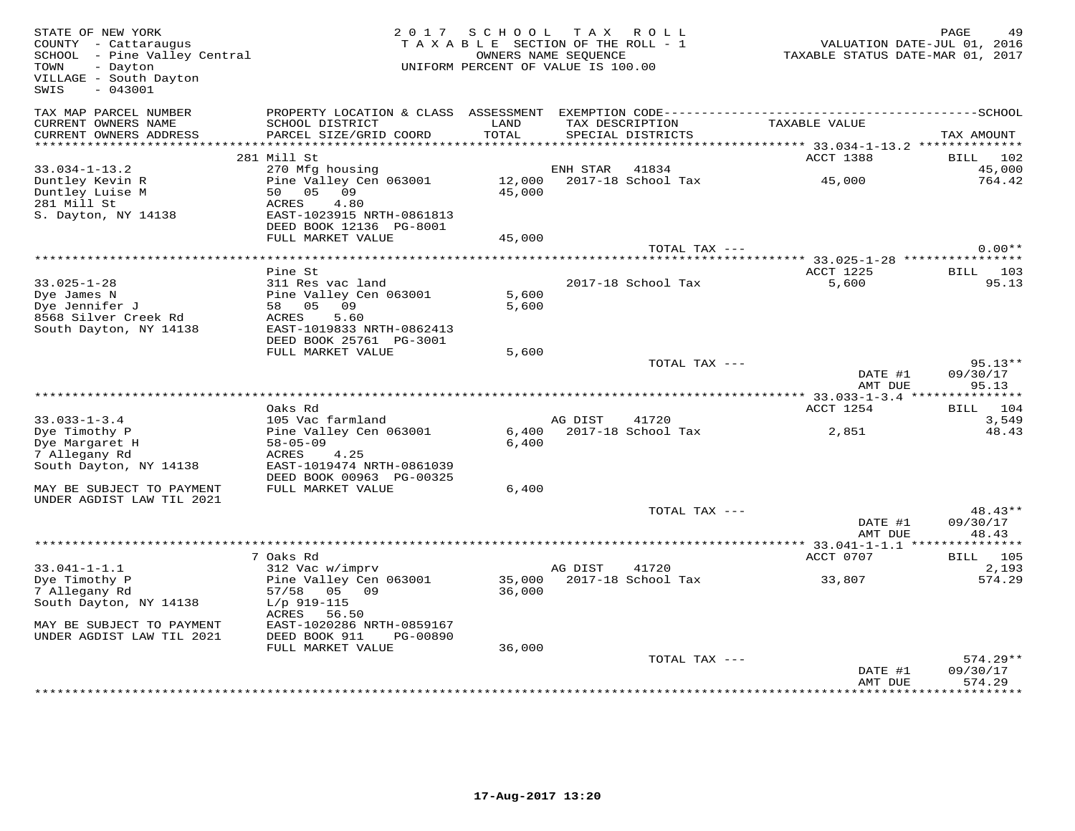| STATE OF NEW YORK<br>COUNTY - Cattaraugus<br>SCHOOL - Pine Valley Central<br>- Dayton<br>TOWN<br>VILLAGE - South Dayton<br>$-043001$<br>SWIS |                                                                                                            | 2017 SCHOOL      | TAX ROLL<br>TAXABLE SECTION OF THE ROLL - 1<br>OWNERS NAME SEQUENCE<br>UNIFORM PERCENT OF VALUE IS 100.00 | TAXABLE STATUS DATE-MAR 01, 2017                                | PAGE<br>49<br>VALUATION DATE-JUL 01, 2016 |
|----------------------------------------------------------------------------------------------------------------------------------------------|------------------------------------------------------------------------------------------------------------|------------------|-----------------------------------------------------------------------------------------------------------|-----------------------------------------------------------------|-------------------------------------------|
| TAX MAP PARCEL NUMBER<br>CURRENT OWNERS NAME<br>CURRENT OWNERS ADDRESS                                                                       | PROPERTY LOCATION & CLASS ASSESSMENT<br>SCHOOL DISTRICT<br>PARCEL SIZE/GRID COORD                          | LAND<br>TOTAL    | TAX DESCRIPTION<br>SPECIAL DISTRICTS                                                                      | TAXABLE VALUE                                                   | TAX AMOUNT                                |
|                                                                                                                                              |                                                                                                            |                  |                                                                                                           | *********** 33.034-1-13.2 **************                        |                                           |
| $33.034 - 1 - 13.2$                                                                                                                          | 281 Mill St<br>270 Mfg housing                                                                             |                  | ENH STAR<br>41834                                                                                         | ACCT 1388                                                       | 102<br>BILL<br>45,000                     |
| Duntley Kevin R<br>Duntley Luise M<br>281 Mill St                                                                                            | Pine Valley Cen 063001<br>05 09<br>50<br>4.80<br>ACRES                                                     | 12,000<br>45,000 | 2017-18 School Tax                                                                                        | 45,000                                                          | 764.42                                    |
| S. Dayton, NY 14138                                                                                                                          | EAST-1023915 NRTH-0861813<br>DEED BOOK 12136 PG-8001<br>FULL MARKET VALUE                                  | 45,000           |                                                                                                           |                                                                 |                                           |
|                                                                                                                                              |                                                                                                            |                  | TOTAL TAX ---                                                                                             |                                                                 | $0.00**$                                  |
|                                                                                                                                              | Pine St                                                                                                    |                  |                                                                                                           | ********************* 33.025-1-28 ****************<br>ACCT 1225 | BILL<br>103                               |
| $33.025 - 1 - 28$<br>Dye James N<br>Dye Jennifer J<br>8568 Silver Creek Rd<br>South Dayton, NY 14138                                         | 311 Res vac land<br>Pine Valley Cen 063001<br>09<br>58 05<br>ACRES<br>5.60<br>EAST-1019833 NRTH-0862413    | 5,600<br>5,600   | 2017-18 School Tax                                                                                        | 5,600                                                           | 95.13                                     |
|                                                                                                                                              | DEED BOOK 25761 PG-3001<br>FULL MARKET VALUE                                                               | 5,600            |                                                                                                           |                                                                 |                                           |
|                                                                                                                                              |                                                                                                            |                  | TOTAL TAX ---                                                                                             | DATE #1                                                         | $95.13**$<br>09/30/17                     |
|                                                                                                                                              |                                                                                                            |                  |                                                                                                           | AMT DUE                                                         | 95.13                                     |
|                                                                                                                                              | Oaks Rd                                                                                                    |                  |                                                                                                           | ACCT 1254                                                       | 104<br>BILL                               |
| $33.033 - 1 - 3.4$<br>Dye Timothy P<br>Dye Margaret H<br>7 Allegany Rd<br>South Dayton, NY 14138                                             | 105 Vac farmland<br>Pine Valley Cen 063001<br>$58 - 05 - 09$<br>4.25<br>ACRES<br>EAST-1019474 NRTH-0861039 | 6,400<br>6,400   | AG DIST<br>41720<br>2017-18 School Tax                                                                    | 2,851                                                           | 3,549<br>48.43                            |
| MAY BE SUBJECT TO PAYMENT<br>UNDER AGDIST LAW TIL 2021                                                                                       | DEED BOOK 00963 PG-00325<br>FULL MARKET VALUE                                                              | 6,400            |                                                                                                           |                                                                 |                                           |
|                                                                                                                                              |                                                                                                            |                  | TOTAL TAX ---                                                                                             | DATE #1<br>AMT DUE                                              | 48.43**<br>09/30/17<br>48.43              |
| ********************                                                                                                                         |                                                                                                            |                  |                                                                                                           | *** 33.041-1-1.1 ****************                               |                                           |
| $33.041 - 1 - 1.1$                                                                                                                           | 7 Oaks Rd                                                                                                  |                  |                                                                                                           | ACCT 0707                                                       | BILL 105<br>2,193                         |
| Dye Timothy P<br>7 Allegany Rd<br>South Dayton, NY 14138                                                                                     | 312 Vac w/imprv<br>Pine Valley Cen 063001<br>57/58 05 09<br>$L/p$ 919-115                                  | 35,000<br>36,000 | AG DIST<br>41720<br>2017-18 School Tax                                                                    | 33,807                                                          | 574.29                                    |
| MAY BE SUBJECT TO PAYMENT<br>UNDER AGDIST LAW TIL 2021                                                                                       | ACRES<br>56.50<br>EAST-1020286 NRTH-0859167<br>DEED BOOK 911<br>PG-00890<br>FULL MARKET VALUE              | 36,000           |                                                                                                           |                                                                 |                                           |
|                                                                                                                                              |                                                                                                            |                  | TOTAL TAX ---                                                                                             | DATE #1<br>AMT DUE                                              | $574.29**$<br>09/30/17<br>574.29          |
|                                                                                                                                              |                                                                                                            |                  |                                                                                                           |                                                                 |                                           |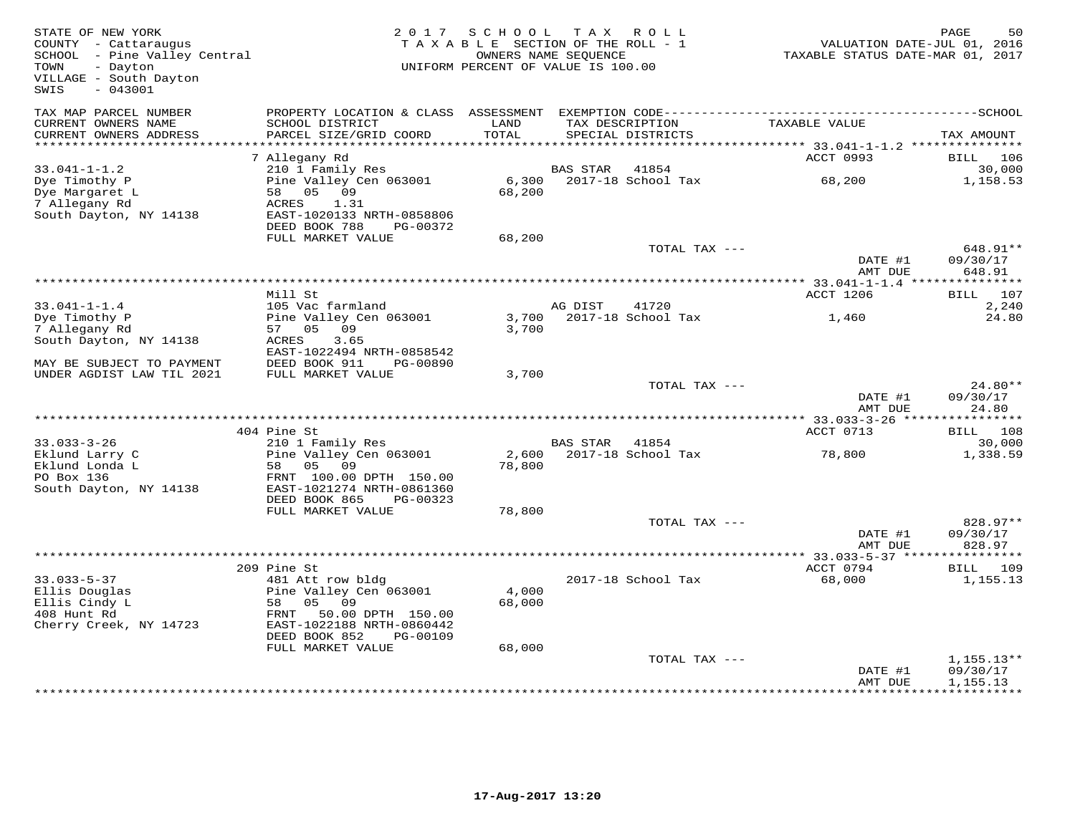| STATE OF NEW YORK<br>COUNTY - Cattaraugus<br>SCHOOL - Pine Valley Central<br>TOWN<br>- Dayton<br>VILLAGE - South Dayton<br>$-043001$<br>SWIS |                                                        | 2017 SCHOOL<br>TAXABLE SECTION OF THE ROLL - 1<br>UNIFORM PERCENT OF VALUE IS 100.00 | OWNERS NAME SEQUENCE | TAX ROLL                 | VALUATION DATE-JUL 01, 2016<br>TAXABLE STATUS DATE-MAR 01, 2017 | PAGE<br>50                     |
|----------------------------------------------------------------------------------------------------------------------------------------------|--------------------------------------------------------|--------------------------------------------------------------------------------------|----------------------|--------------------------|-----------------------------------------------------------------|--------------------------------|
| TAX MAP PARCEL NUMBER<br>CURRENT OWNERS NAME<br>CURRENT OWNERS ADDRESS                                                                       | SCHOOL DISTRICT<br>PARCEL SIZE/GRID COORD              | LAND<br>TOTAL                                                                        | TAX DESCRIPTION      | SPECIAL DISTRICTS        | TAXABLE VALUE                                                   | TAX AMOUNT                     |
| ***********************                                                                                                                      |                                                        |                                                                                      |                      |                          |                                                                 |                                |
|                                                                                                                                              | 7 Allegany Rd<br>210 1 Family Res                      |                                                                                      |                      | 41854                    | ACCT 0993                                                       | BILL<br>106                    |
| $33.041 - 1 - 1.2$<br>Dye Timothy P                                                                                                          | Pine Valley Cen 063001                                 | 6,300                                                                                | BAS STAR             | 2017-18 School Tax       | 68,200                                                          | 30,000<br>1,158.53             |
| Dye Margaret L                                                                                                                               | 58 05 09                                               | 68,200                                                                               |                      |                          |                                                                 |                                |
| 7 Allegany Rd                                                                                                                                | ACRES<br>1.31                                          |                                                                                      |                      |                          |                                                                 |                                |
| South Dayton, NY 14138                                                                                                                       | EAST-1020133 NRTH-0858806<br>DEED BOOK 788<br>PG-00372 |                                                                                      |                      |                          |                                                                 |                                |
|                                                                                                                                              | FULL MARKET VALUE                                      | 68,200                                                                               |                      |                          |                                                                 |                                |
|                                                                                                                                              |                                                        |                                                                                      |                      | TOTAL TAX ---            | DATE #1<br>AMT DUE                                              | 648.91**<br>09/30/17<br>648.91 |
|                                                                                                                                              |                                                        |                                                                                      |                      |                          |                                                                 |                                |
|                                                                                                                                              | Mill St                                                |                                                                                      |                      |                          | ACCT 1206                                                       | BILL 107                       |
| $33.041 - 1 - 1.4$                                                                                                                           | 105 Vac farmland                                       |                                                                                      | AG DIST              | 41720                    |                                                                 | 2,240                          |
| Dye Timothy P                                                                                                                                | Pine Valley Cen 063001                                 |                                                                                      |                      | 3,700 2017-18 School Tax | 1,460                                                           | 24.80                          |
| 7 Allegany Rd<br>South Dayton, NY 14138                                                                                                      | 57 05 09<br>ACRES<br>3.65                              | 3,700                                                                                |                      |                          |                                                                 |                                |
|                                                                                                                                              | EAST-1022494 NRTH-0858542                              |                                                                                      |                      |                          |                                                                 |                                |
| MAY BE SUBJECT TO PAYMENT                                                                                                                    | DEED BOOK 911<br>PG-00890                              |                                                                                      |                      |                          |                                                                 |                                |
| UNDER AGDIST LAW TIL 2021                                                                                                                    | FULL MARKET VALUE                                      | 3,700                                                                                |                      |                          |                                                                 |                                |
|                                                                                                                                              |                                                        |                                                                                      |                      | TOTAL TAX ---            | DATE #1<br>AMT DUE                                              | $24.80**$<br>09/30/17<br>24.80 |
|                                                                                                                                              |                                                        |                                                                                      |                      |                          |                                                                 |                                |
|                                                                                                                                              | 404 Pine St                                            |                                                                                      |                      |                          | ACCT 0713                                                       | BILL 108                       |
| $33.033 - 3 - 26$                                                                                                                            | 210 1 Family Res                                       |                                                                                      | BAS STAR 41854       |                          |                                                                 | 30,000                         |
| Eklund Larry C                                                                                                                               | Pine Valley Cen 063001                                 |                                                                                      |                      | 2,600 2017-18 School Tax | 78,800                                                          | 1,338.59                       |
| Eklund Londa L<br>PO Box 136                                                                                                                 | 58 05<br>09<br>FRNT 100.00 DPTH 150.00                 | 78,800                                                                               |                      |                          |                                                                 |                                |
| South Dayton, NY 14138                                                                                                                       | EAST-1021274 NRTH-0861360                              |                                                                                      |                      |                          |                                                                 |                                |
|                                                                                                                                              | DEED BOOK 865<br>PG-00323                              |                                                                                      |                      |                          |                                                                 |                                |
|                                                                                                                                              | FULL MARKET VALUE                                      | 78,800                                                                               |                      |                          |                                                                 |                                |
|                                                                                                                                              |                                                        |                                                                                      |                      | TOTAL TAX ---            | DATE #1                                                         | 828.97**<br>09/30/17           |
|                                                                                                                                              |                                                        |                                                                                      |                      |                          | AMT DUE                                                         | 828.97                         |
|                                                                                                                                              |                                                        |                                                                                      |                      |                          |                                                                 | ***********                    |
|                                                                                                                                              | 209 Pine St                                            |                                                                                      |                      |                          | ACCT 0794                                                       | BILL<br>109                    |
| $33.033 - 5 - 37$                                                                                                                            | 481 Att row bldg                                       |                                                                                      |                      | 2017-18 School Tax       | 68,000                                                          | 1,155.13                       |
| Ellis Douglas<br>Ellis Cindy L                                                                                                               | Pine Valley Cen 063001<br>09<br>58 05                  | 4,000<br>68,000                                                                      |                      |                          |                                                                 |                                |
| 408 Hunt Rd                                                                                                                                  | 50.00 DPTH 150.00<br>FRNT                              |                                                                                      |                      |                          |                                                                 |                                |
| Cherry Creek, NY 14723                                                                                                                       | EAST-1022188 NRTH-0860442                              |                                                                                      |                      |                          |                                                                 |                                |
|                                                                                                                                              | DEED BOOK 852<br>PG-00109                              |                                                                                      |                      |                          |                                                                 |                                |
|                                                                                                                                              | FULL MARKET VALUE                                      | 68,000                                                                               |                      | TOTAL TAX ---            |                                                                 | $1,155.13**$                   |
|                                                                                                                                              |                                                        |                                                                                      |                      |                          | DATE #1                                                         | 09/30/17                       |
|                                                                                                                                              |                                                        |                                                                                      |                      |                          | AMT DUE                                                         | 1,155.13                       |
|                                                                                                                                              |                                                        |                                                                                      |                      |                          |                                                                 |                                |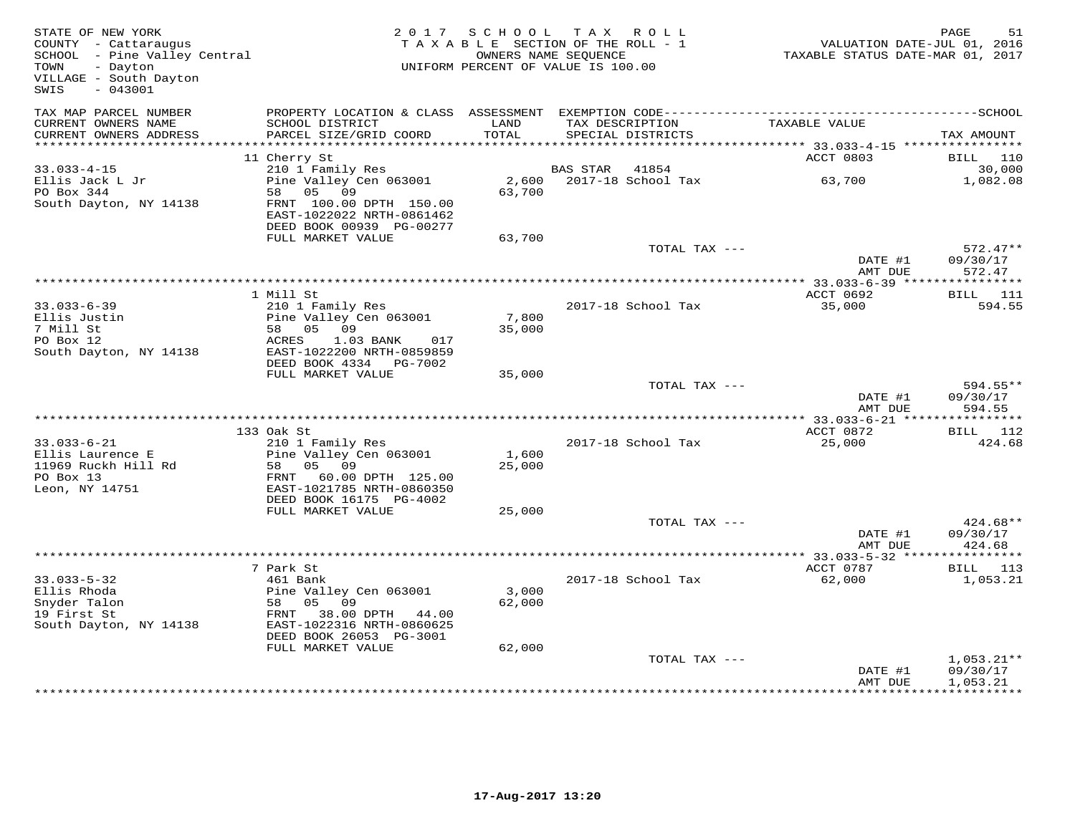| STATE OF NEW YORK<br>COUNTY - Cattaraugus<br>COUNIY - Cattaraugus<br>SCHOOL - Pine Valley Central<br>TOWN<br>- Dayton<br>VILLAGE - South Dayton<br>$-043001$<br>SWIS |                                                                                              | 2017 SCHOOL TAX ROLL<br>TAXABLE SECTION OF THE ROLL - 1<br>UNIFORM PERCENT OF VALUE IS 100.00 | OWNERS NAME SEQUENCE |                                      | VALUATION DATE-JUL 01, 2016<br>TAXABLE STATUS DATE-MAR 01, 2017 | PAGE                     | 51                 |
|----------------------------------------------------------------------------------------------------------------------------------------------------------------------|----------------------------------------------------------------------------------------------|-----------------------------------------------------------------------------------------------|----------------------|--------------------------------------|-----------------------------------------------------------------|--------------------------|--------------------|
| TAX MAP PARCEL NUMBER                                                                                                                                                | PROPERTY LOCATION & CLASS ASSESSMENT EXEMPTION CODE-----------------------------------SCHOOL |                                                                                               |                      |                                      |                                                                 |                          |                    |
| CURRENT OWNERS NAME<br>CURRENT OWNERS ADDRESS                                                                                                                        | SCHOOL DISTRICT<br>PARCEL SIZE/GRID COORD                                                    | LAND<br>TOTAL                                                                                 |                      | TAX DESCRIPTION<br>SPECIAL DISTRICTS | TAXABLE VALUE                                                   | TAX AMOUNT               |                    |
|                                                                                                                                                                      |                                                                                              |                                                                                               |                      |                                      | *********** 33.033-4-15 *****************                       |                          |                    |
|                                                                                                                                                                      | 11 Cherry St                                                                                 |                                                                                               |                      |                                      | ACCT 0803                                                       |                          | BILL 110           |
| $33.033 - 4 - 15$                                                                                                                                                    | 210 1 Family Res<br>Pine Valley Cen 063001                                                   |                                                                                               | BAS STAR             | 41854                                |                                                                 |                          | 30,000             |
| Ellis Jack L Jr<br>PO Box 344<br>South Dayton, NY 14138                                                                                                              | 58 05 09<br>FRNT 100.00 DPTH 150.00<br>EAST-1022022 NRTH-0861462<br>DEED BOOK 00939 PG-00277 | 2,600<br>63,700                                                                               |                      | 2017-18 School Tax                   | 63,700                                                          |                          | 1,082.08           |
|                                                                                                                                                                      | FULL MARKET VALUE                                                                            | 63,700                                                                                        |                      |                                      |                                                                 |                          |                    |
|                                                                                                                                                                      |                                                                                              |                                                                                               |                      | TOTAL TAX ---                        | DATE #1                                                         | 09/30/17                 | $572.47**$         |
|                                                                                                                                                                      |                                                                                              |                                                                                               |                      |                                      | AMT DUE                                                         |                          | 572.47             |
|                                                                                                                                                                      | 1 Mill St                                                                                    |                                                                                               |                      |                                      | ACCT 0692                                                       |                          | <b>BILL</b> 111    |
| $33.033 - 6 - 39$                                                                                                                                                    | 210 1 Family Res                                                                             |                                                                                               |                      | 2017-18 School Tax                   | 35,000                                                          |                          | 594.55             |
| Ellis Justin                                                                                                                                                         | Pine Valley Cen 063001                                                                       | 7,800                                                                                         |                      |                                      |                                                                 |                          |                    |
| 7 Mill St                                                                                                                                                            | 58 05 09                                                                                     | 35,000                                                                                        |                      |                                      |                                                                 |                          |                    |
| PO Box 12                                                                                                                                                            | ACRES<br>1.03 BANK<br>017<br>EAST-1022200 NRTH-0859859                                       |                                                                                               |                      |                                      |                                                                 |                          |                    |
| South Dayton, NY 14138                                                                                                                                               | DEED BOOK 4334 PG-7002                                                                       |                                                                                               |                      |                                      |                                                                 |                          |                    |
|                                                                                                                                                                      | FULL MARKET VALUE                                                                            | 35,000                                                                                        |                      |                                      |                                                                 |                          |                    |
|                                                                                                                                                                      |                                                                                              |                                                                                               |                      | TOTAL TAX ---                        | DATE #1<br>AMT DUE                                              | 09/30/17                 | 594.55**<br>594.55 |
|                                                                                                                                                                      |                                                                                              |                                                                                               |                      |                                      |                                                                 |                          |                    |
|                                                                                                                                                                      | 133 Oak St                                                                                   |                                                                                               |                      |                                      | ACCT 0872                                                       |                          | BILL 112           |
| $33.033 - 6 - 21$<br>Ellis Laurence E                                                                                                                                | 210 1 Family Res<br>Pine Valley Cen 063001                                                   | 1,600                                                                                         |                      | 2017-18 School Tax                   | 25,000                                                          |                          | 424.68             |
| 11969 Ruckh Hill Rd                                                                                                                                                  | 58 05 09                                                                                     | 25,000                                                                                        |                      |                                      |                                                                 |                          |                    |
| PO Box 13<br>Leon, NY 14751                                                                                                                                          | FRNT 60.00 DPTH 125.00<br>EAST-1021785 NRTH-0860350                                          |                                                                                               |                      |                                      |                                                                 |                          |                    |
|                                                                                                                                                                      | DEED BOOK 16175 PG-4002                                                                      |                                                                                               |                      |                                      |                                                                 |                          |                    |
|                                                                                                                                                                      | FULL MARKET VALUE                                                                            | 25,000                                                                                        |                      |                                      |                                                                 |                          |                    |
|                                                                                                                                                                      |                                                                                              |                                                                                               |                      | TOTAL TAX ---                        |                                                                 | 09/30/17                 | $424.68**$         |
|                                                                                                                                                                      |                                                                                              |                                                                                               |                      |                                      | DATE #1<br>AMT DUE                                              |                          | 424.68             |
|                                                                                                                                                                      |                                                                                              |                                                                                               |                      |                                      | *********** 33.033-5-32 ****                                    | * * * * * * * * * * *    |                    |
|                                                                                                                                                                      | 7 Park St                                                                                    |                                                                                               |                      |                                      | ACCT 0787                                                       |                          | <b>BILL</b> 113    |
| $33.033 - 5 - 32$                                                                                                                                                    | 461 Bank                                                                                     | 3,000                                                                                         |                      | 2017-18 School Tax                   | 62,000                                                          |                          | 1,053.21           |
| Ellis Rhoda<br>Snyder Talon                                                                                                                                          | Pine Valley Cen 063001<br>58 05 09                                                           | 62,000                                                                                        |                      |                                      |                                                                 |                          |                    |
| 19 First St                                                                                                                                                          | FRNT 38.00 DPTH 44.00                                                                        |                                                                                               |                      |                                      |                                                                 |                          |                    |
| South Dayton, NY 14138                                                                                                                                               | EAST-1022316 NRTH-0860625<br>DEED BOOK 26053 PG-3001                                         |                                                                                               |                      |                                      |                                                                 |                          |                    |
|                                                                                                                                                                      | FULL MARKET VALUE                                                                            | 62,000                                                                                        |                      |                                      |                                                                 |                          |                    |
|                                                                                                                                                                      |                                                                                              |                                                                                               |                      | TOTAL TAX ---                        | DATE #1                                                         | 09/30/17                 | $1,053.21**$       |
|                                                                                                                                                                      |                                                                                              |                                                                                               |                      |                                      | AMT DUE                                                         | 1,053.21<br>************ |                    |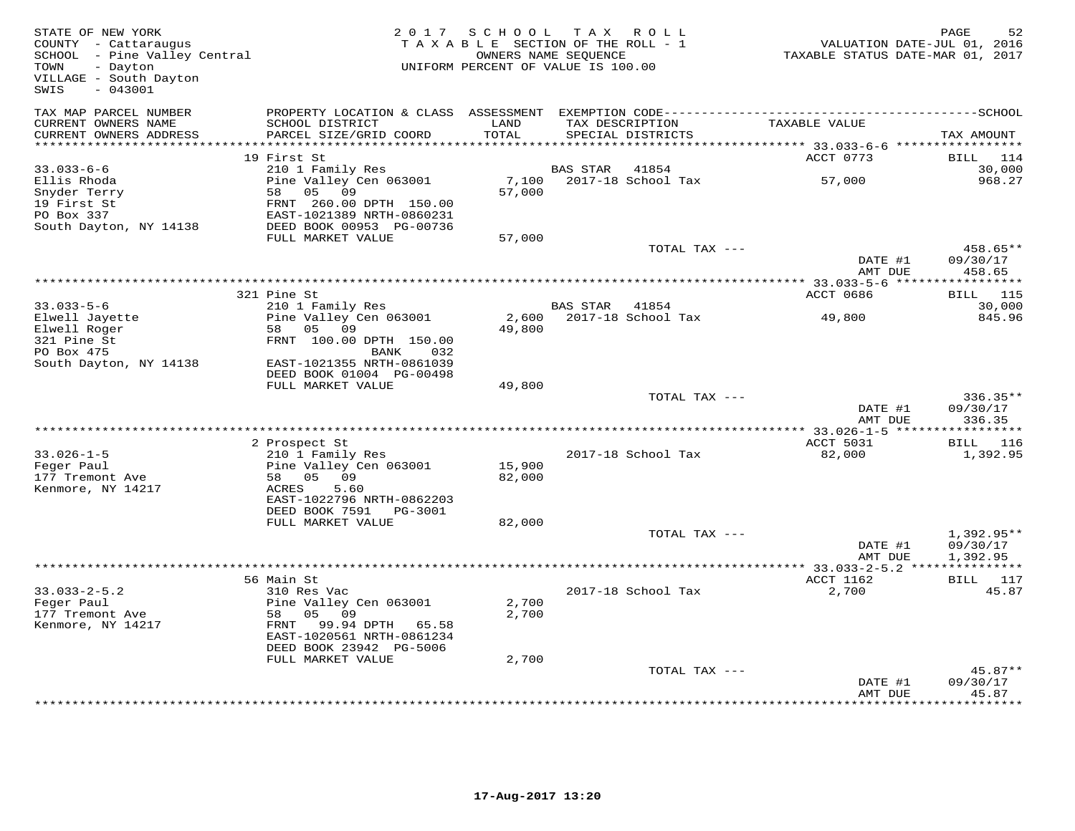| STATE OF NEW YORK<br>COUNTY - Cattaraugus<br>SCHOOL - Pine Valley Central<br>- Dayton<br>TOWN<br>VILLAGE - South Dayton<br>SWIS<br>$-043001$ |                                                                                                                           | 2017 SCHOOL<br>TAXABLE SECTION OF THE ROLL - 1<br>UNIFORM PERCENT OF VALUE IS 100.00 | OWNERS NAME SEQUENCE | TAX ROLL                    |                                     | PAGE<br>52<br>VALUATION DATE-JUL 01, 2016<br>TAXABLE STATUS DATE-MAR 01, 2017 |
|----------------------------------------------------------------------------------------------------------------------------------------------|---------------------------------------------------------------------------------------------------------------------------|--------------------------------------------------------------------------------------|----------------------|-----------------------------|-------------------------------------|-------------------------------------------------------------------------------|
| TAX MAP PARCEL NUMBER<br>CURRENT OWNERS NAME<br>CURRENT OWNERS ADDRESS                                                                       | SCHOOL DISTRICT<br>PARCEL SIZE/GRID COORD                                                                                 | LAND<br><b>TOTAL</b>                                                                 | TAX DESCRIPTION      | SPECIAL DISTRICTS           | TAXABLE VALUE                       | TAX AMOUNT                                                                    |
|                                                                                                                                              |                                                                                                                           |                                                                                      |                      |                             |                                     |                                                                               |
|                                                                                                                                              | 19 First St                                                                                                               |                                                                                      |                      |                             | ACCT 0773                           | BILL<br>114                                                                   |
| $33.033 - 6 - 6$                                                                                                                             | 210 1 Family Res                                                                                                          |                                                                                      | BAS STAR             | 41854                       |                                     | 30,000                                                                        |
| Ellis Rhoda<br>Snyder Terry<br>19 First St<br>PO Box 337<br>South Dayton, NY 14138                                                           | Pine Valley Cen 063001<br>58<br>05 09<br>FRNT 260.00 DPTH 150.00<br>EAST-1021389 NRTH-0860231<br>DEED BOOK 00953 PG-00736 | 7,100<br>57,000                                                                      |                      | 2017-18 School Tax          | 57,000                              | 968.27                                                                        |
|                                                                                                                                              | FULL MARKET VALUE                                                                                                         | 57,000                                                                               |                      |                             |                                     |                                                                               |
|                                                                                                                                              |                                                                                                                           |                                                                                      |                      | TOTAL TAX ---               | DATE #1<br>AMT DUE                  | 458.65**<br>09/30/17<br>458.65                                                |
|                                                                                                                                              |                                                                                                                           |                                                                                      |                      |                             |                                     |                                                                               |
| $33.033 - 5 - 6$                                                                                                                             | 321 Pine St                                                                                                               |                                                                                      |                      |                             | ACCT 0686                           | <b>BILL</b> 115                                                               |
| Elwell Jayette                                                                                                                               | 210 1 Family Res<br>Pine Valley Cen 063001                                                                                | 2,600                                                                                | BAS STAR             | 41854<br>2017-18 School Tax | 49,800                              | 30,000<br>845.96                                                              |
| Elwell Roger                                                                                                                                 | 05 09<br>58                                                                                                               | 49,800                                                                               |                      |                             |                                     |                                                                               |
| 321 Pine St                                                                                                                                  | FRNT 100.00 DPTH 150.00                                                                                                   |                                                                                      |                      |                             |                                     |                                                                               |
| PO Box 475                                                                                                                                   | 032<br>BANK                                                                                                               |                                                                                      |                      |                             |                                     |                                                                               |
| South Dayton, NY 14138                                                                                                                       | EAST-1021355 NRTH-0861039                                                                                                 |                                                                                      |                      |                             |                                     |                                                                               |
|                                                                                                                                              | DEED BOOK 01004 PG-00498                                                                                                  |                                                                                      |                      |                             |                                     |                                                                               |
|                                                                                                                                              | FULL MARKET VALUE                                                                                                         | 49,800                                                                               |                      |                             |                                     |                                                                               |
|                                                                                                                                              |                                                                                                                           |                                                                                      |                      | TOTAL TAX ---               | DATE #1<br>AMT DUE                  | $336.35**$<br>09/30/17<br>336.35                                              |
|                                                                                                                                              | **************                                                                                                            |                                                                                      |                      |                             | ***** 33.026-1-5 ***                | **********                                                                    |
|                                                                                                                                              | 2 Prospect St                                                                                                             |                                                                                      |                      |                             | ACCT 5031                           | BILL 116                                                                      |
| $33.026 - 1 - 5$                                                                                                                             | 210 1 Family Res                                                                                                          |                                                                                      |                      | 2017-18 School Tax          | 82,000                              | 1,392.95                                                                      |
| Feger Paul<br>177 Tremont Ave                                                                                                                | Pine Valley Cen 063001<br>58 05 09                                                                                        | 15,900<br>82,000                                                                     |                      |                             |                                     |                                                                               |
| Kenmore, NY 14217                                                                                                                            | ACRES<br>5.60                                                                                                             |                                                                                      |                      |                             |                                     |                                                                               |
|                                                                                                                                              | EAST-1022796 NRTH-0862203                                                                                                 |                                                                                      |                      |                             |                                     |                                                                               |
|                                                                                                                                              | DEED BOOK 7591<br>PG-3001                                                                                                 |                                                                                      |                      |                             |                                     |                                                                               |
|                                                                                                                                              | FULL MARKET VALUE                                                                                                         | 82,000                                                                               |                      |                             |                                     |                                                                               |
|                                                                                                                                              |                                                                                                                           |                                                                                      |                      | TOTAL TAX ---               | DATE #1                             | 1,392.95**<br>09/30/17                                                        |
|                                                                                                                                              |                                                                                                                           |                                                                                      |                      |                             | AMT DUE                             | 1,392.95<br>* * * * * * * * * *                                               |
|                                                                                                                                              | 56 Main St                                                                                                                |                                                                                      |                      |                             | $*33.033 - 2 - 5.2$ **<br>ACCT 1162 | BILL 117                                                                      |
| $33.033 - 2 - 5.2$                                                                                                                           | 310 Res Vac                                                                                                               |                                                                                      |                      | 2017-18 School Tax          | 2,700                               | 45.87                                                                         |
| Feger Paul                                                                                                                                   | Pine Valley Cen 063001                                                                                                    | 2,700                                                                                |                      |                             |                                     |                                                                               |
| 177 Tremont Ave                                                                                                                              | 58<br>05 09                                                                                                               | 2,700                                                                                |                      |                             |                                     |                                                                               |
| Kenmore, NY 14217                                                                                                                            | FRNT 99.94 DPTH 65.58<br>EAST-1020561 NRTH-0861234                                                                        |                                                                                      |                      |                             |                                     |                                                                               |
|                                                                                                                                              | DEED BOOK 23942 PG-5006                                                                                                   |                                                                                      |                      |                             |                                     |                                                                               |
|                                                                                                                                              | FULL MARKET VALUE                                                                                                         | 2,700                                                                                |                      |                             |                                     |                                                                               |
|                                                                                                                                              |                                                                                                                           |                                                                                      |                      | TOTAL TAX ---               |                                     | 45.87**                                                                       |
|                                                                                                                                              |                                                                                                                           |                                                                                      |                      |                             | DATE #1                             | 09/30/17                                                                      |
|                                                                                                                                              |                                                                                                                           |                                                                                      |                      |                             | AMT DUE                             | 45.87<br>* * * * * * * * *                                                    |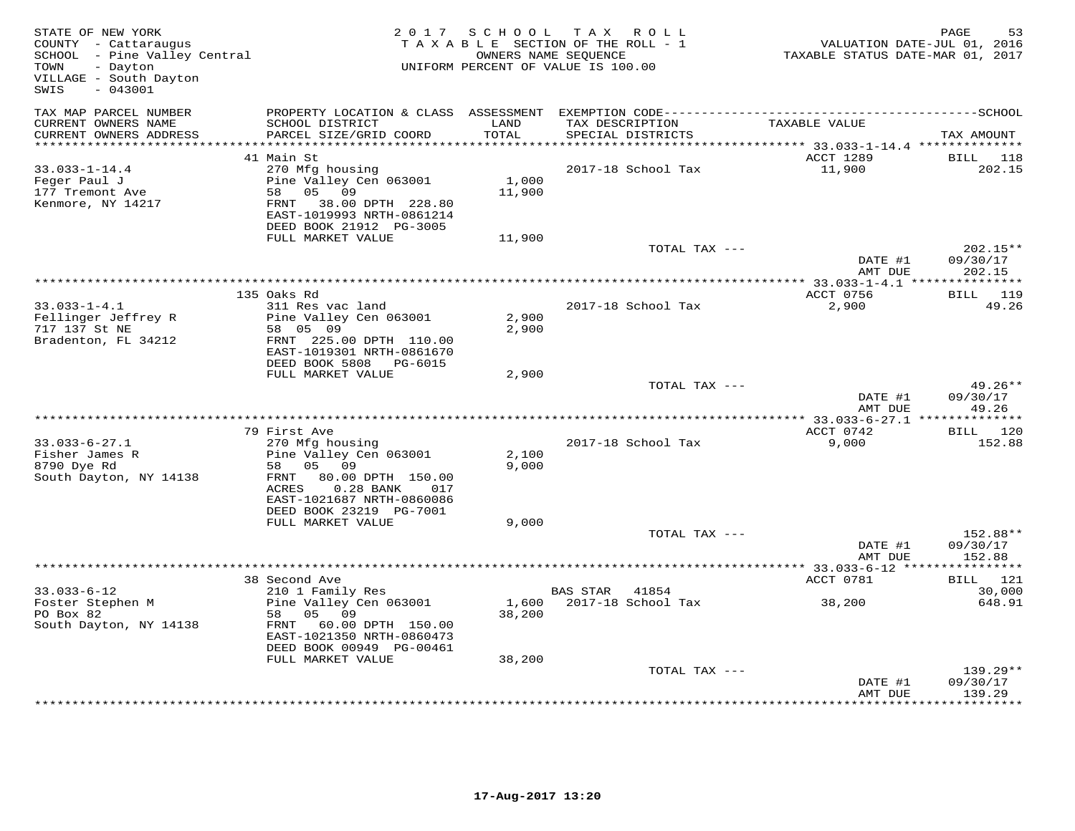| STATE OF NEW YORK<br>COUNTY - Cattaraugus<br>SCHOOL - Pine Valley Central<br>- Dayton<br>TOWN<br>VILLAGE - South Dayton<br>$-043001$<br>SWIS |                                                                                                                                                                              | 2017 SCHOOL                 | T A X<br>R O L L<br>TAXABLE SECTION OF THE ROLL - 1<br>OWNERS NAME SEQUENCE<br>UNIFORM PERCENT OF VALUE IS 100.00 | VALUATION DATE-JUL 01, 2016<br>TAXABLE STATUS DATE-MAR 01, 2017                   | PAGE<br>53                        |
|----------------------------------------------------------------------------------------------------------------------------------------------|------------------------------------------------------------------------------------------------------------------------------------------------------------------------------|-----------------------------|-------------------------------------------------------------------------------------------------------------------|-----------------------------------------------------------------------------------|-----------------------------------|
| TAX MAP PARCEL NUMBER<br>CURRENT OWNERS NAME<br>CURRENT OWNERS ADDRESS<br>***********************                                            | PROPERTY LOCATION & CLASS ASSESSMENT<br>SCHOOL DISTRICT<br>PARCEL SIZE/GRID COORD<br>***************************                                                             | LAND<br>TOTAL<br>********** | TAX DESCRIPTION<br>SPECIAL DISTRICTS                                                                              | TAXABLE VALUE                                                                     | TAX AMOUNT                        |
|                                                                                                                                              | 41 Main St                                                                                                                                                                   |                             |                                                                                                                   | ************************************** 33.033-1-14.4 ***************<br>ACCT 1289 | BILL<br>118                       |
| $33.033 - 1 - 14.4$<br>Feger Paul J<br>177 Tremont Ave<br>Kenmore, NY 14217                                                                  | 270 Mfg housing<br>Pine Valley Cen 063001<br>05<br>09<br>58<br>FRNT<br>38.00 DPTH 228.80<br>EAST-1019993 NRTH-0861214<br>DEED BOOK 21912 PG-3005<br>FULL MARKET VALUE        | 1,000<br>11,900<br>11,900   | 2017-18 School Tax                                                                                                | 11,900                                                                            | 202.15                            |
|                                                                                                                                              |                                                                                                                                                                              |                             | TOTAL TAX ---                                                                                                     |                                                                                   | $202.15**$                        |
|                                                                                                                                              |                                                                                                                                                                              |                             | ************************                                                                                          | DATE #1<br>AMT DUE                                                                | 09/30/17<br>202.15                |
|                                                                                                                                              | 135 Oaks Rd                                                                                                                                                                  |                             |                                                                                                                   | ** 33.033-1-4.1 ****************<br>ACCT 0756                                     | BILL 119                          |
| $33.033 - 1 - 4.1$<br>Fellinger Jeffrey R<br>717 137 St NE<br>Bradenton, FL 34212                                                            | 311 Res vac land<br>Pine Valley Cen 063001<br>58 05 09<br>FRNT 225.00 DPTH 110.00<br>EAST-1019301 NRTH-0861670<br>DEED BOOK 5808 PG-6015                                     | 2,900<br>2,900              | 2017-18 School Tax                                                                                                | 2,900                                                                             | 49.26                             |
|                                                                                                                                              | FULL MARKET VALUE                                                                                                                                                            | 2,900                       |                                                                                                                   |                                                                                   | 49.26**                           |
|                                                                                                                                              |                                                                                                                                                                              |                             | TOTAL TAX ---                                                                                                     | DATE #1<br>AMT DUE                                                                | 09/30/17<br>49.26                 |
|                                                                                                                                              | 79 First Ave                                                                                                                                                                 |                             |                                                                                                                   | **************** 33.033-6-27.1 **************<br>ACCT 0742                        | 120<br>BILL                       |
| $33.033 - 6 - 27.1$<br>Fisher James R<br>8790 Dye Rd<br>South Dayton, NY 14138                                                               | 270 Mfg housing<br>Pine Valley Cen 063001<br>58 05<br>09<br>FRNT<br>80.00 DPTH 150.00<br>ACRES<br>$0.28$ BANK<br>017<br>EAST-1021687 NRTH-0860086<br>DEED BOOK 23219 PG-7001 | 2,100<br>9,000              | 2017-18 School Tax                                                                                                | 9,000                                                                             | 152.88                            |
|                                                                                                                                              | FULL MARKET VALUE                                                                                                                                                            | 9,000                       | TOTAL TAX ---                                                                                                     |                                                                                   | 152.88**                          |
|                                                                                                                                              |                                                                                                                                                                              |                             |                                                                                                                   | DATE #1<br>AMT DUE                                                                | 09/30/17<br>152.88                |
|                                                                                                                                              | 38 Second Ave                                                                                                                                                                |                             |                                                                                                                   | ***** 33.033-6-12 ***<br>ACCT 0781                                                | * * * * * * * * * * *<br>BILL 121 |
| $33.033 - 6 - 12$                                                                                                                            | 210 1 Family Res                                                                                                                                                             |                             | <b>BAS STAR</b><br>41854                                                                                          |                                                                                   | 30,000                            |
| Foster Stephen M<br>PO Box 82<br>South Dayton, NY 14138                                                                                      | Pine Valley Cen 063001<br>58<br>05 09<br>FRNT 60.00 DPTH 150.00<br>EAST-1021350 NRTH-0860473<br>DEED BOOK 00949 PG-00461<br>FULL MARKET VALUE                                | 1,600<br>38,200<br>38,200   | 2017-18 School Tax                                                                                                | 38,200                                                                            | 648.91                            |
|                                                                                                                                              |                                                                                                                                                                              |                             | TOTAL TAX ---                                                                                                     |                                                                                   | 139.29**                          |
|                                                                                                                                              |                                                                                                                                                                              |                             |                                                                                                                   | DATE #1<br>AMT DUE                                                                | 09/30/17<br>139.29                |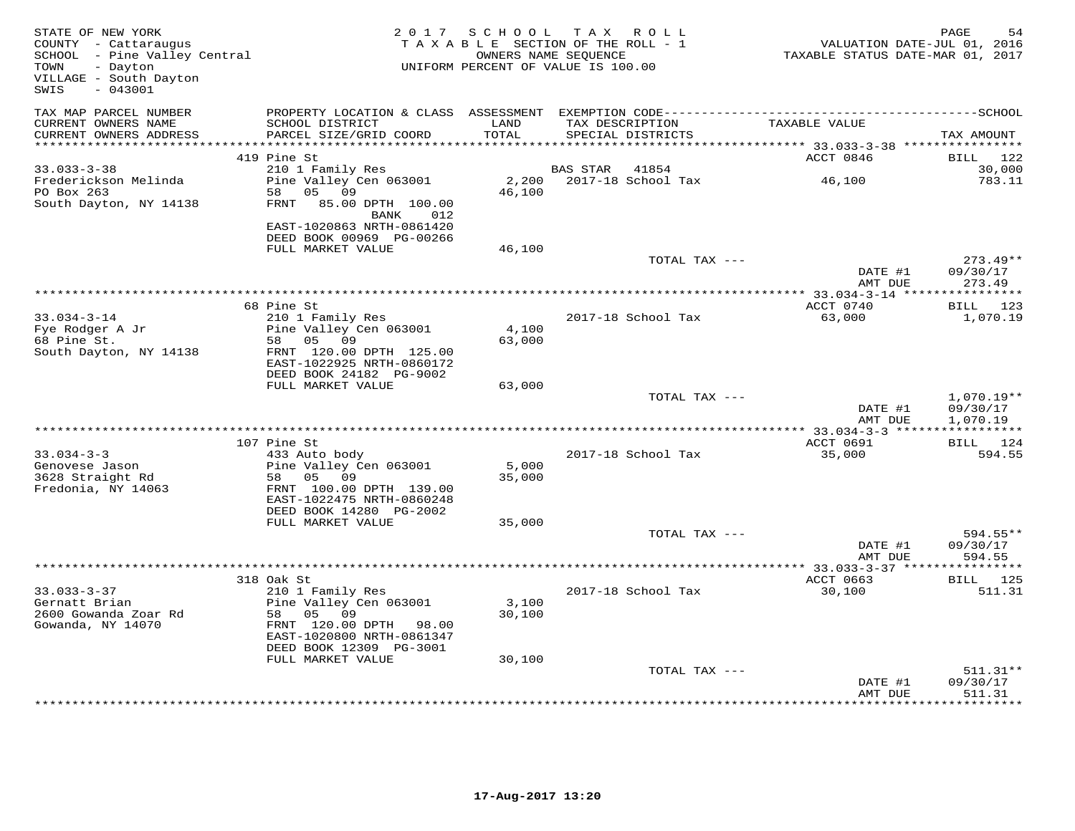| STATE OF NEW YORK<br>COUNTY - Cattaraugus<br>SCHOOL - Pine Valley Central<br>TOWN<br>- Dayton<br>VILLAGE - South Dayton<br>SWIS<br>$-043001$ |                                                                                                          | 2017 SCHOOL<br>TAXABLE SECTION OF THE ROLL - 1<br>UNIFORM PERCENT OF VALUE IS 100.00 | TAX ROLL<br>OWNERS NAME SEQUENCE     |               |                                          | PAGE<br>54<br>VALUATION DATE-JUL 01, 2016<br>TAXABLE STATUS DATE-MAR 01, 2017 |
|----------------------------------------------------------------------------------------------------------------------------------------------|----------------------------------------------------------------------------------------------------------|--------------------------------------------------------------------------------------|--------------------------------------|---------------|------------------------------------------|-------------------------------------------------------------------------------|
| TAX MAP PARCEL NUMBER<br>CURRENT OWNERS NAME<br>CURRENT OWNERS ADDRESS                                                                       | SCHOOL DISTRICT<br>PARCEL SIZE/GRID COORD                                                                | LAND<br>TOTAL                                                                        | TAX DESCRIPTION<br>SPECIAL DISTRICTS |               | TAXABLE VALUE                            | TAX AMOUNT                                                                    |
| ***********************                                                                                                                      |                                                                                                          | ****************                                                                     |                                      |               | *********** 33.033-3-38 **************** |                                                                               |
|                                                                                                                                              | 419 Pine St                                                                                              |                                                                                      |                                      |               | ACCT 0846                                | 122<br>BILL                                                                   |
| $33.033 - 3 - 38$<br>Frederickson Melinda<br>PO Box 263<br>South Dayton, NY 14138                                                            | 210 1 Family Res<br>Pine Valley Cen 063001<br>05<br>09<br>58<br>FRNT<br>85.00 DPTH 100.00<br>012<br>BANK | 2,200<br>46,100                                                                      | BAS STAR<br>2017-18 School Tax       | 41854         | 46,100                                   | 30,000<br>783.11                                                              |
|                                                                                                                                              | EAST-1020863 NRTH-0861420<br>DEED BOOK 00969 PG-00266<br>FULL MARKET VALUE                               | 46,100                                                                               |                                      |               |                                          |                                                                               |
|                                                                                                                                              |                                                                                                          |                                                                                      |                                      | TOTAL TAX --- | DATE #1                                  | $273.49**$<br>09/30/17                                                        |
|                                                                                                                                              |                                                                                                          |                                                                                      |                                      |               | AMT DUE<br>** $33.034 - 3 - 14$ ****     | 273.49<br>* * * * * * * * * * *                                               |
|                                                                                                                                              | 68 Pine St                                                                                               |                                                                                      |                                      |               | ACCT 0740                                | BILL 123                                                                      |
| $33.034 - 3 - 14$                                                                                                                            | 210 1 Family Res                                                                                         |                                                                                      | 2017-18 School Tax                   |               | 63,000                                   | 1,070.19                                                                      |
| Fye Rodger A Jr                                                                                                                              | Pine Valley Cen 063001                                                                                   | 4,100                                                                                |                                      |               |                                          |                                                                               |
| 68 Pine St.                                                                                                                                  | 58 05 09                                                                                                 | 63,000                                                                               |                                      |               |                                          |                                                                               |
| South Dayton, NY 14138                                                                                                                       | FRNT 120.00 DPTH 125.00<br>EAST-1022925 NRTH-0860172<br>DEED BOOK 24182 PG-9002                          |                                                                                      |                                      |               |                                          |                                                                               |
|                                                                                                                                              | FULL MARKET VALUE                                                                                        | 63,000                                                                               |                                      |               |                                          |                                                                               |
|                                                                                                                                              |                                                                                                          |                                                                                      |                                      | TOTAL TAX --- | DATE #1<br>AMT DUE                       | $1,070.19**$<br>09/30/17<br>1,070.19                                          |
|                                                                                                                                              |                                                                                                          |                                                                                      | ***********************              |               | $* 33.034 - 3 - 3 * * * * * *$           | ***********                                                                   |
|                                                                                                                                              | 107 Pine St                                                                                              |                                                                                      |                                      |               | ACCT 0691                                | BILL 124                                                                      |
| $33.034 - 3 - 3$<br>Genovese Jason<br>3628 Straight Rd                                                                                       | 433 Auto body<br>Pine Valley Cen 063001<br>58<br>05 09                                                   | 5,000<br>35,000                                                                      | 2017-18 School Tax                   |               | 35,000                                   | 594.55                                                                        |
| Fredonia, NY 14063                                                                                                                           | FRNT 100.00 DPTH 139.00<br>EAST-1022475 NRTH-0860248                                                     |                                                                                      |                                      |               |                                          |                                                                               |
|                                                                                                                                              | DEED BOOK 14280 PG-2002<br>FULL MARKET VALUE                                                             | 35,000                                                                               |                                      |               |                                          |                                                                               |
|                                                                                                                                              |                                                                                                          |                                                                                      |                                      | TOTAL TAX --- | DATE #1<br>AMT DUE                       | $594.55**$<br>09/30/17<br>594.55                                              |
|                                                                                                                                              |                                                                                                          |                                                                                      | ***************************          |               | $* 33.033 - 3 - 37$ ***                  |                                                                               |
|                                                                                                                                              | 318 Oak St                                                                                               |                                                                                      |                                      |               | ACCT 0663                                | <b>BILL</b> 125                                                               |
| $33.033 - 3 - 37$<br>Gernatt Brian<br>2600 Gowanda Zoar Rd                                                                                   | 210 1 Family Res<br>Pine Valley Cen 063001<br>58<br>05 09                                                | 3,100<br>30,100                                                                      | 2017-18 School Tax                   |               | 30,100                                   | 511.31                                                                        |
| Gowanda, NY 14070                                                                                                                            | FRNT 120.00 DPTH 98.00<br>EAST-1020800 NRTH-0861347<br>DEED BOOK 12309 PG-3001                           |                                                                                      |                                      |               |                                          |                                                                               |
|                                                                                                                                              | FULL MARKET VALUE                                                                                        | 30,100                                                                               |                                      |               |                                          |                                                                               |
|                                                                                                                                              |                                                                                                          |                                                                                      |                                      | TOTAL TAX --- | DATE #1                                  | $511.31**$<br>09/30/17                                                        |
|                                                                                                                                              |                                                                                                          |                                                                                      |                                      |               | AMT DUE                                  | 511.31<br>*********                                                           |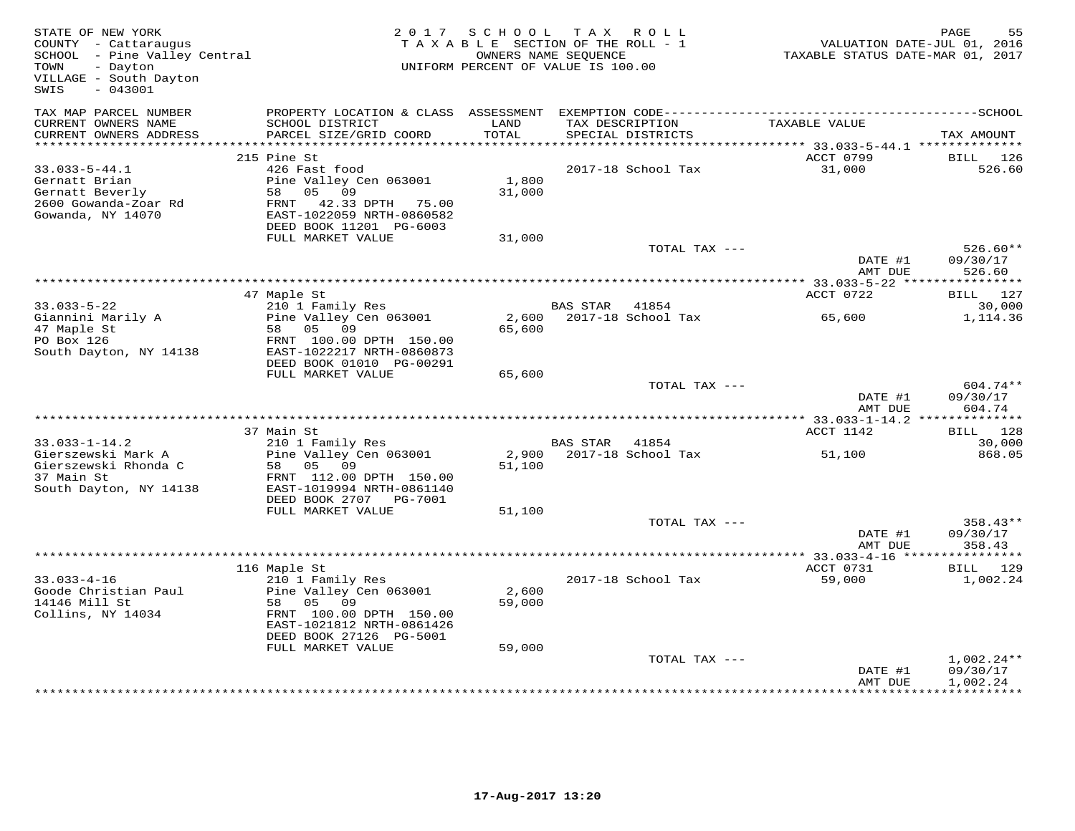| STATE OF NEW YORK<br>COUNTY - Cattaraugus<br>SCHOOL - Pine Valley Central<br>- Dayton<br>TOWN<br>VILLAGE - South Dayton<br>$-043001$<br>SWIS | 2 0 1 7                                                                                                                | S C H O O L     | T A X<br>R O L L<br>TAXABLE SECTION OF THE ROLL - 1<br>OWNERS NAME SEQUENCE<br>UNIFORM PERCENT OF VALUE IS 100.00 | VALUATION DATE-JUL 01, 2016<br>TAXABLE STATUS DATE-MAR 01, 2017 | PAGE<br>55                           |
|----------------------------------------------------------------------------------------------------------------------------------------------|------------------------------------------------------------------------------------------------------------------------|-----------------|-------------------------------------------------------------------------------------------------------------------|-----------------------------------------------------------------|--------------------------------------|
| TAX MAP PARCEL NUMBER                                                                                                                        |                                                                                                                        |                 |                                                                                                                   |                                                                 |                                      |
| CURRENT OWNERS NAME<br>CURRENT OWNERS ADDRESS                                                                                                | SCHOOL DISTRICT<br>PARCEL SIZE/GRID COORD                                                                              | LAND<br>TOTAL   | TAX DESCRIPTION<br>SPECIAL DISTRICTS                                                                              | TAXABLE VALUE                                                   | TAX AMOUNT                           |
|                                                                                                                                              |                                                                                                                        |                 |                                                                                                                   |                                                                 |                                      |
| $33.033 - 5 - 44.1$                                                                                                                          | 215 Pine St<br>426 Fast food                                                                                           |                 | 2017-18 School Tax                                                                                                | ACCT 0799<br>31,000                                             | <b>BILL</b><br>126<br>526.60         |
| Gernatt Brian<br>Gernatt Beverly<br>2600 Gowanda-Zoar Rd<br>Gowanda, NY 14070                                                                | Pine Valley Cen 063001<br>58<br>05 09<br>FRNT 42.33 DPTH 75.00<br>EAST-1022059 NRTH-0860582<br>DEED BOOK 11201 PG-6003 | 1,800<br>31,000 |                                                                                                                   |                                                                 |                                      |
|                                                                                                                                              | FULL MARKET VALUE                                                                                                      | 31,000          |                                                                                                                   |                                                                 |                                      |
|                                                                                                                                              |                                                                                                                        |                 | TOTAL TAX ---                                                                                                     |                                                                 | $526.60**$                           |
|                                                                                                                                              |                                                                                                                        |                 |                                                                                                                   | DATE #1<br>AMT DUE                                              | 09/30/17<br>526.60                   |
|                                                                                                                                              |                                                                                                                        |                 |                                                                                                                   | ***************** 33.033-5-22 *****                             | * * * * * * * * * * *                |
|                                                                                                                                              | 47 Maple St                                                                                                            |                 |                                                                                                                   | ACCT 0722                                                       | BILL 127                             |
| $33.033 - 5 - 22$<br>Giannini Marily A<br>47 Maple St                                                                                        | 210 1 Family Res<br>Pine Valley Cen 063001<br>58 05 09                                                                 | 2,600<br>65,600 | <b>BAS STAR</b><br>41854<br>2017-18 School Tax                                                                    | 65,600                                                          | 30,000<br>1,114.36                   |
| PO Box 126<br>South Dayton, NY 14138                                                                                                         | FRNT 100.00 DPTH 150.00<br>EAST-1022217 NRTH-0860873<br>DEED BOOK 01010 PG-00291                                       |                 |                                                                                                                   |                                                                 |                                      |
|                                                                                                                                              | FULL MARKET VALUE                                                                                                      | 65,600          |                                                                                                                   |                                                                 |                                      |
|                                                                                                                                              |                                                                                                                        |                 | TOTAL TAX ---                                                                                                     | DATE #1<br>AMT DUE                                              | 604.74**<br>09/30/17<br>604.74       |
|                                                                                                                                              |                                                                                                                        |                 |                                                                                                                   |                                                                 |                                      |
|                                                                                                                                              | 37 Main St                                                                                                             |                 |                                                                                                                   | ACCT 1142                                                       | BILL 128                             |
| $33.033 - 1 - 14.2$                                                                                                                          | 210 1 Family Res                                                                                                       |                 | BAS STAR 41854                                                                                                    |                                                                 | 30,000                               |
| Gierszewski Mark A<br>Gierszewski Rhonda C<br>37 Main St                                                                                     | Pine Valley Cen 063001<br>58<br>05<br>09<br>FRNT 112.00 DPTH 150.00                                                    | 2,900<br>51,100 | 2017-18 School Tax                                                                                                | 51,100                                                          | 868.05                               |
| South Dayton, NY 14138                                                                                                                       | EAST-1019994 NRTH-0861140<br>DEED BOOK 2707 PG-7001                                                                    |                 |                                                                                                                   |                                                                 |                                      |
|                                                                                                                                              | FULL MARKET VALUE                                                                                                      | 51,100          |                                                                                                                   |                                                                 |                                      |
|                                                                                                                                              |                                                                                                                        |                 | TOTAL TAX ---                                                                                                     | DATE #1<br>AMT DUE                                              | $358.43**$<br>09/30/17<br>358.43     |
|                                                                                                                                              |                                                                                                                        |                 |                                                                                                                   |                                                                 |                                      |
|                                                                                                                                              | 116 Maple St                                                                                                           |                 |                                                                                                                   | ACCT 0731                                                       | BILL 129                             |
| $33.033 - 4 - 16$<br>Goode Christian Paul<br>14146 Mill St<br>Collins, NY 14034                                                              | 210 1 Family Res<br>Pine Valley Cen 063001<br>58<br>05<br>09<br>FRNT 100.00 DPTH 150.00<br>EAST-1021812 NRTH-0861426   | 2,600<br>59,000 | 2017-18 School Tax                                                                                                | 59,000                                                          | 1,002.24                             |
|                                                                                                                                              | DEED BOOK 27126 PG-5001                                                                                                |                 |                                                                                                                   |                                                                 |                                      |
|                                                                                                                                              | FULL MARKET VALUE                                                                                                      | 59,000          | TOTAL TAX ---                                                                                                     | DATE #1<br>AMT DUE                                              | $1,002.24**$<br>09/30/17<br>1,002.24 |
|                                                                                                                                              |                                                                                                                        |                 |                                                                                                                   |                                                                 |                                      |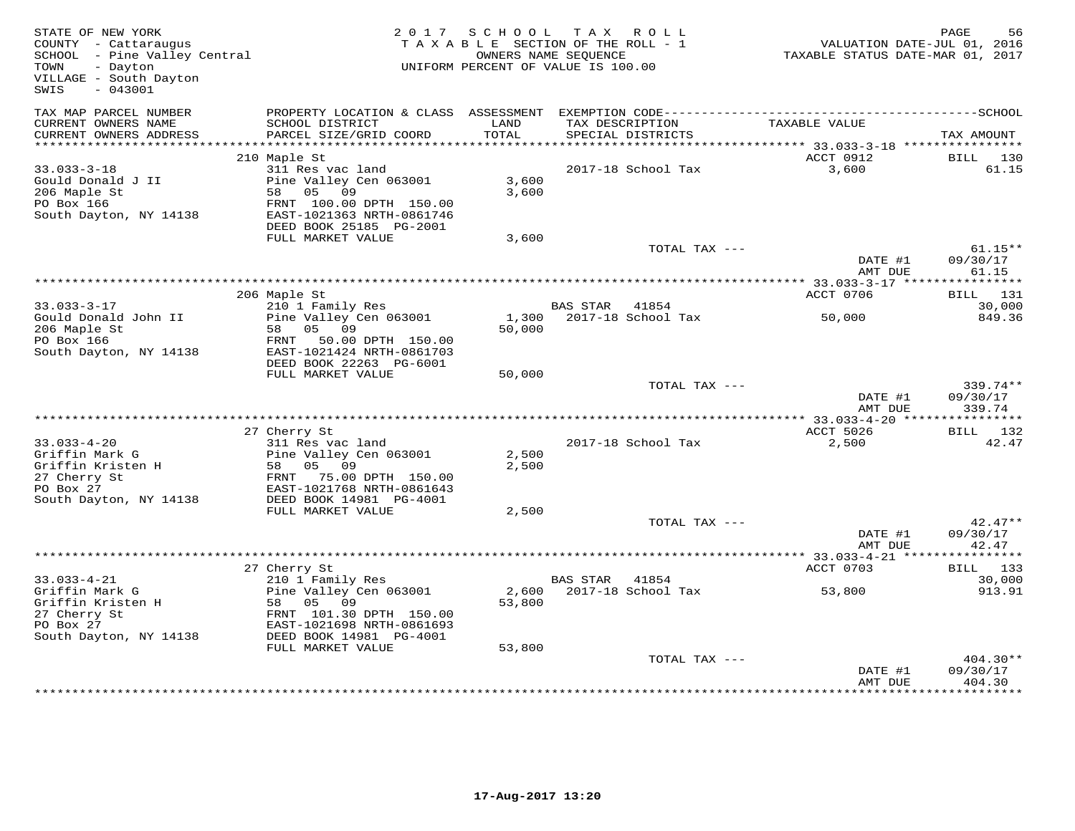| STATE OF NEW YORK<br>COUNTY - Cattaraugus<br>SCHOOL - Pine Valley Central<br>TOWN<br>- Dayton<br>VILLAGE - South Dayton<br>$-043001$<br>SWIS |                                                                                   |                | 2017 SCHOOL TAX ROLL<br>TAXABLE SECTION OF THE ROLL - 1<br>OWNERS NAME SEQUENCE<br>UNIFORM PERCENT OF VALUE IS 100.00 | VALUATION DATE-JUL 01, 2016<br>TAXABLE STATUS DATE-MAR 01, 2017 | PAGE<br>56                       |
|----------------------------------------------------------------------------------------------------------------------------------------------|-----------------------------------------------------------------------------------|----------------|-----------------------------------------------------------------------------------------------------------------------|-----------------------------------------------------------------|----------------------------------|
| TAX MAP PARCEL NUMBER                                                                                                                        |                                                                                   |                |                                                                                                                       |                                                                 |                                  |
| CURRENT OWNERS NAME<br>CURRENT OWNERS ADDRESS                                                                                                | SCHOOL DISTRICT<br>PARCEL SIZE/GRID COORD                                         | LAND<br>TOTAL  | TAX DESCRIPTION<br>SPECIAL DISTRICTS                                                                                  | TAXABLE VALUE                                                   | TAX AMOUNT                       |
|                                                                                                                                              |                                                                                   |                |                                                                                                                       |                                                                 |                                  |
|                                                                                                                                              | 210 Maple St                                                                      |                |                                                                                                                       | ACCT 0912                                                       | BILL 130                         |
| $33.033 - 3 - 18$<br>Gould Donald J II<br>206 Maple St<br>PO Box 166                                                                         | 311 Res vac land<br>Pine Valley Cen 063001<br>58 05 09<br>FRNT 100.00 DPTH 150.00 | 3,600<br>3,600 | 2017-18 School Tax                                                                                                    | 3,600                                                           | 61.15                            |
| South Dayton, NY 14138                                                                                                                       | EAST-1021363 NRTH-0861746<br>DEED BOOK 25185 PG-2001                              |                |                                                                                                                       |                                                                 |                                  |
|                                                                                                                                              | FULL MARKET VALUE                                                                 | 3,600          |                                                                                                                       |                                                                 |                                  |
|                                                                                                                                              |                                                                                   |                | TOTAL TAX ---                                                                                                         |                                                                 | $61.15**$                        |
|                                                                                                                                              |                                                                                   |                |                                                                                                                       | DATE #1<br>AMT DUE                                              | 09/30/17<br>61.15                |
|                                                                                                                                              | 206 Maple St                                                                      |                |                                                                                                                       | ACCT 0706                                                       | BILL 131                         |
| $33.033 - 3 - 17$                                                                                                                            | 210 1 Family Res                                                                  |                | BAS STAR 41854                                                                                                        |                                                                 | 30,000                           |
| Gould Donald John II<br>206 Maple St<br>PO Box 166                                                                                           | Pine Valley Cen 063001<br>58 05 09<br>FRNT<br>50.00 DPTH 150.00                   | 50,000         | 1,300 2017-18 School Tax                                                                                              | 50,000                                                          | 849.36                           |
| South Dayton, NY 14138                                                                                                                       | EAST-1021424 NRTH-0861703<br>DEED BOOK 22263 PG-6001                              |                |                                                                                                                       |                                                                 |                                  |
|                                                                                                                                              | FULL MARKET VALUE                                                                 | 50,000         |                                                                                                                       |                                                                 |                                  |
|                                                                                                                                              |                                                                                   |                | TOTAL TAX ---                                                                                                         | DATE #1<br>AMT DUE                                              | $339.74**$<br>09/30/17<br>339.74 |
|                                                                                                                                              |                                                                                   |                |                                                                                                                       |                                                                 |                                  |
|                                                                                                                                              | 27 Cherry St<br>311 Res vac land                                                  |                |                                                                                                                       | ACCT 5026                                                       | BILL 132<br>42.47                |
| $33.033 - 4 - 20$<br>Griffin Mark G<br>Griffin Kristen H                                                                                     | Pine Valley Cen 063001<br>58 05 09                                                | 2,500<br>2,500 | 2017-18 School Tax                                                                                                    | 2,500                                                           |                                  |
| 27 Cherry St<br>PO Box 27                                                                                                                    | FRNT 75.00 DPTH 150.00<br>EAST-1021768 NRTH-0861643<br>DEED BOOK 14981 PG-4001    |                |                                                                                                                       |                                                                 |                                  |
| South Dayton, NY 14138                                                                                                                       | FULL MARKET VALUE                                                                 | 2,500          |                                                                                                                       |                                                                 |                                  |
|                                                                                                                                              |                                                                                   |                | TOTAL TAX ---                                                                                                         |                                                                 | $42.47**$                        |
|                                                                                                                                              |                                                                                   |                |                                                                                                                       | DATE #1<br>AMT DUE                                              | 09/30/17<br>42.47                |
|                                                                                                                                              |                                                                                   |                |                                                                                                                       |                                                                 |                                  |
| $33.033 - 4 - 21$                                                                                                                            | 27 Cherry St<br>210 1 Family Res                                                  |                | BAS STAR 41854                                                                                                        | ACCT 0703                                                       | BILL<br>133<br>30,000            |
| Griffin Mark G<br>Griffin Kristen H<br>27 Cherry St                                                                                          | Pine Valley Cen 063001<br>58 05 09<br>FRNT 101.30 DPTH 150.00                     | 53,800         | 2,600 2017-18 School Tax                                                                                              | 53,800                                                          | 913.91                           |
| PO Box 27<br>South Dayton, NY 14138                                                                                                          | EAST-1021698 NRTH-0861693<br>DEED BOOK 14981 PG-4001<br>FULL MARKET VALUE         | 53,800         |                                                                                                                       |                                                                 |                                  |
|                                                                                                                                              |                                                                                   |                | TOTAL TAX ---                                                                                                         |                                                                 | 404.30**                         |
|                                                                                                                                              |                                                                                   |                |                                                                                                                       | DATE #1<br>AMT DUE                                              | 09/30/17<br>404.30               |
|                                                                                                                                              |                                                                                   |                |                                                                                                                       |                                                                 |                                  |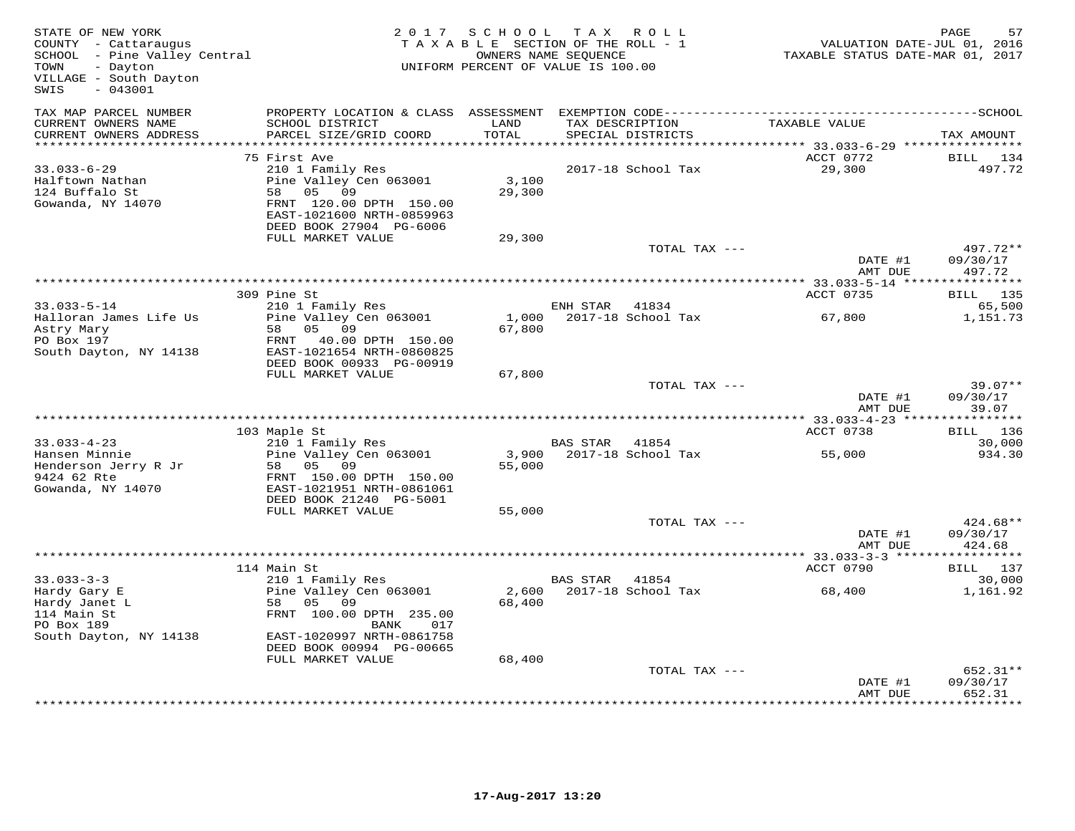| STATE OF NEW YORK<br>COUNTY - Cattaraugus<br>SCHOOL - Pine Valley Central<br>- Dayton<br>TOWN<br>VILLAGE - South Dayton<br>$-043001$<br>SWIS | 2 0 1 7                                                                                                                                                         | S C H O O L<br>T A X A B L E SECTION OF THE ROLL - 1<br>UNIFORM PERCENT OF VALUE IS 100.00 | T A X<br>OWNERS NAME SEOUENCE | R O L L                              | TAXABLE STATUS DATE-MAR 01, 2017                               | PAGE<br>VALUATION DATE-JUL 01, 2016 | 57                 |
|----------------------------------------------------------------------------------------------------------------------------------------------|-----------------------------------------------------------------------------------------------------------------------------------------------------------------|--------------------------------------------------------------------------------------------|-------------------------------|--------------------------------------|----------------------------------------------------------------|-------------------------------------|--------------------|
| TAX MAP PARCEL NUMBER<br>CURRENT OWNERS NAME<br>CURRENT OWNERS ADDRESS                                                                       | PROPERTY LOCATION & CLASS ASSESSMENT<br>SCHOOL DISTRICT<br>PARCEL SIZE/GRID COORD                                                                               | LAND<br>TOTAL                                                                              |                               | TAX DESCRIPTION<br>SPECIAL DISTRICTS | TAXABLE VALUE                                                  | TAX AMOUNT                          |                    |
| **********************                                                                                                                       |                                                                                                                                                                 | *********                                                                                  |                               |                                      | ********************************* 33.033-6-29 **************** |                                     |                    |
| $33.033 - 6 - 29$<br>Halftown Nathan<br>124 Buffalo St<br>Gowanda, NY 14070                                                                  | 75 First Ave<br>210 1 Family Res<br>Pine Valley Cen 063001<br>58<br>05<br>09<br>FRNT 120.00 DPTH 150.00<br>EAST-1021600 NRTH-0859963<br>DEED BOOK 27904 PG-6006 | 3,100<br>29,300                                                                            |                               | 2017-18 School Tax                   | ACCT 0772<br>29,300                                            | <b>BILL</b>                         | 134<br>497.72      |
|                                                                                                                                              | FULL MARKET VALUE                                                                                                                                               | 29,300                                                                                     |                               | TOTAL TAX ---                        |                                                                |                                     | 497.72**           |
|                                                                                                                                              |                                                                                                                                                                 |                                                                                            |                               |                                      | DATE #1<br>AMT DUE                                             | 09/30/17                            | 497.72             |
|                                                                                                                                              | 309 Pine St                                                                                                                                                     |                                                                                            |                               |                                      | ACCT 0735                                                      | <b>BILL</b> 135                     |                    |
| $33.033 - 5 - 14$                                                                                                                            | 210 1 Family Res                                                                                                                                                |                                                                                            | ENH STAR                      | 41834                                |                                                                |                                     | 65,500             |
| Halloran James Life Us<br>Astry Mary<br>PO Box 197                                                                                           | Pine Valley Cen 063001<br>05<br>58<br>09<br>FRNT<br>40.00 DPTH 150.00                                                                                           | 1,000<br>67,800                                                                            |                               | 2017-18 School Tax                   | 67,800                                                         |                                     | 1,151.73           |
| South Dayton, NY 14138                                                                                                                       | EAST-1021654 NRTH-0860825<br>DEED BOOK 00933 PG-00919                                                                                                           |                                                                                            |                               |                                      |                                                                |                                     |                    |
|                                                                                                                                              | FULL MARKET VALUE                                                                                                                                               | 67,800                                                                                     |                               | TOTAL TAX ---                        |                                                                |                                     | $39.07**$          |
|                                                                                                                                              |                                                                                                                                                                 |                                                                                            |                               |                                      | DATE #1<br>AMT DUE                                             | 09/30/17                            | 39.07              |
|                                                                                                                                              |                                                                                                                                                                 |                                                                                            |                               |                                      |                                                                |                                     | * * * * * * * *    |
| $33.033 - 4 - 23$                                                                                                                            | 103 Maple St                                                                                                                                                    |                                                                                            |                               |                                      | ACCT 0738                                                      | BILL                                | 136<br>30,000      |
| Hansen Minnie<br>Henderson Jerry R Jr<br>9424 62 Rte<br>Gowanda, NY 14070                                                                    | 210 1 Family Res<br>Pine Valley Cen 063001<br>58<br>05<br>09<br>FRNT 150.00 DPTH 150.00<br>EAST-1021951 NRTH-0861061                                            | 3,900<br>55,000                                                                            | <b>BAS STAR</b>               | 41854<br>2017-18 School Tax          | 55,000                                                         |                                     | 934.30             |
|                                                                                                                                              | DEED BOOK 21240 PG-5001<br>FULL MARKET VALUE                                                                                                                    |                                                                                            |                               |                                      |                                                                |                                     |                    |
|                                                                                                                                              |                                                                                                                                                                 | 55,000                                                                                     |                               | TOTAL TAX ---                        | DATE #1                                                        | 09/30/17                            | 424.68**           |
|                                                                                                                                              |                                                                                                                                                                 |                                                                                            |                               |                                      | AMT DUE                                                        | 424.68<br>* * * * * * * * * * *     |                    |
|                                                                                                                                              | 114 Main St                                                                                                                                                     |                                                                                            |                               |                                      | ACCT 0790                                                      | BILL 137                            |                    |
| $33.033 - 3 - 3$<br>Hardy Gary E<br>Hardy Janet L<br>114 Main St<br>PO Box 189                                                               | 210 1 Family Res<br>Pine Valley Cen 063001<br>05<br>58<br>09<br>FRNT 100.00 DPTH 235.00<br>017<br>BANK                                                          | 2,600<br>68,400                                                                            | BAS STAR                      | 41854<br>2017-18 School Tax          | 68,400                                                         |                                     | 30,000<br>1,161.92 |
| South Dayton, NY 14138                                                                                                                       | EAST-1020997 NRTH-0861758<br>DEED BOOK 00994 PG-00665                                                                                                           |                                                                                            |                               |                                      |                                                                |                                     |                    |
|                                                                                                                                              | FULL MARKET VALUE                                                                                                                                               | 68,400                                                                                     |                               |                                      |                                                                |                                     |                    |
|                                                                                                                                              |                                                                                                                                                                 |                                                                                            |                               | TOTAL TAX ---                        | DATE #1                                                        | 09/30/17                            | 652.31**           |
|                                                                                                                                              |                                                                                                                                                                 |                                                                                            |                               |                                      | AMT DUE                                                        | 652.31                              | * * * * * * * * ·  |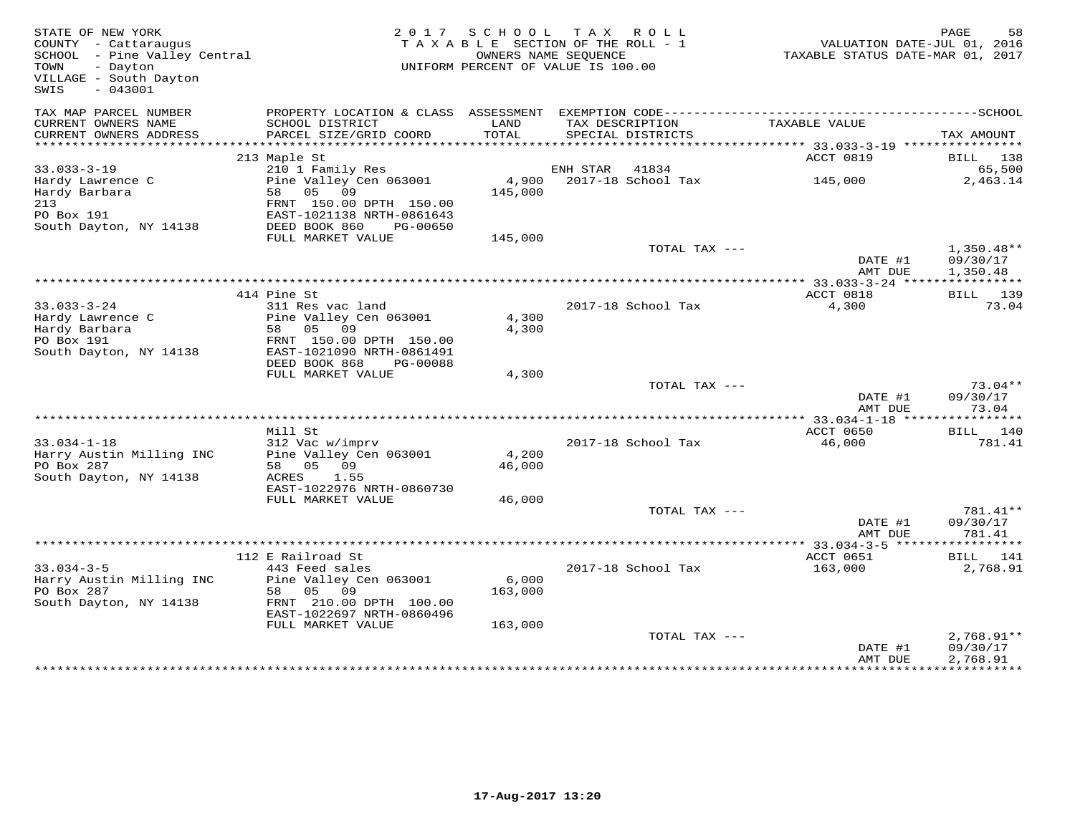| STATE OF NEW YORK<br>COUNTY - Cattaraugus<br>SCHOOL - Pine Valley Central<br>TOWN<br>- Dayton<br>VILLAGE - South Dayton<br>$-043001$<br>SWIS |                                                                                                                         |                  | 2017 SCHOOL TAX ROLL<br>TAXABLE SECTION OF THE ROLL - 1<br>OWNERS NAME SEQUENCE<br>UNIFORM PERCENT OF VALUE IS 100.00 | TAXABLE STATUS DATE-MAR 01, 2017                | PAGE<br>58<br>VALUATION DATE-JUL 01, 2016 |
|----------------------------------------------------------------------------------------------------------------------------------------------|-------------------------------------------------------------------------------------------------------------------------|------------------|-----------------------------------------------------------------------------------------------------------------------|-------------------------------------------------|-------------------------------------------|
| TAX MAP PARCEL NUMBER<br>CURRENT OWNERS NAME<br>CURRENT OWNERS ADDRESS                                                                       | PROPERTY LOCATION & CLASS ASSESSMENT EXEMPTION CODE-----------------------<br>SCHOOL DISTRICT<br>PARCEL SIZE/GRID COORD | LAND<br>TOTAL    | TAX DESCRIPTION<br>SPECIAL DISTRICTS                                                                                  | TAXABLE VALUE                                   | -----------------SCHOOL<br>TAX AMOUNT     |
|                                                                                                                                              |                                                                                                                         | **********       |                                                                                                                       | ***************** 33.033-3-19 ***************** |                                           |
| $33.033 - 3 - 19$<br>Hardy Lawrence C<br>Hardy Barbara                                                                                       | 213 Maple St<br>210 1 Family Res<br>Pine Valley Cen 063001<br>58 05<br>09                                               | 4,900<br>145,000 | ENH STAR<br>41834<br>2017-18 School Tax                                                                               | ACCT 0819<br>145,000                            | BILL 138<br>65,500<br>2,463.14            |
| 213<br>PO Box 191<br>South Dayton, NY 14138                                                                                                  | FRNT 150.00 DPTH 150.00<br>EAST-1021138 NRTH-0861643<br>DEED BOOK 860<br>PG-00650                                       |                  |                                                                                                                       |                                                 |                                           |
|                                                                                                                                              | FULL MARKET VALUE                                                                                                       | 145,000          |                                                                                                                       |                                                 |                                           |
|                                                                                                                                              |                                                                                                                         |                  | TOTAL TAX ---                                                                                                         | DATE #1<br>AMT DUE                              | $1,350.48**$<br>09/30/17<br>1,350.48      |
| **************************                                                                                                                   |                                                                                                                         |                  |                                                                                                                       |                                                 | ***********                               |
| $33.033 - 3 - 24$<br>Hardy Lawrence C                                                                                                        | 414 Pine St<br>311 Res vac land<br>Pine Valley Cen 063001                                                               | 4,300            | 2017-18 School Tax                                                                                                    | ACCT 0818<br>4,300                              | BILL 139<br>73.04                         |
| Hardy Barbara<br>PO Box 191                                                                                                                  | 09<br>58 05<br>FRNT 150.00 DPTH 150.00                                                                                  | 4,300            |                                                                                                                       |                                                 |                                           |
| South Dayton, NY 14138                                                                                                                       | EAST-1021090 NRTH-0861491<br>DEED BOOK 868<br>PG-00088<br>FULL MARKET VALUE                                             | 4,300            |                                                                                                                       |                                                 |                                           |
|                                                                                                                                              |                                                                                                                         |                  | TOTAL TAX ---                                                                                                         | DATE #1<br>AMT DUE                              | $73.04**$<br>09/30/17<br>73.04            |
|                                                                                                                                              |                                                                                                                         |                  |                                                                                                                       |                                                 |                                           |
| $33.034 - 1 - 18$                                                                                                                            | Mill St<br>312 Vac w/imprv                                                                                              |                  | 2017-18 School Tax                                                                                                    | ACCT 0650<br>46,000                             | BILL<br>140<br>781.41                     |
| Harry Austin Milling INC<br>PO Box 287<br>South Dayton, NY 14138                                                                             | Pine Valley Cen 063001<br>05 09<br>58<br>ACRES<br>1.55                                                                  | 4,200<br>46,000  |                                                                                                                       |                                                 |                                           |
|                                                                                                                                              | EAST-1022976 NRTH-0860730<br>FULL MARKET VALUE                                                                          |                  |                                                                                                                       |                                                 |                                           |
|                                                                                                                                              |                                                                                                                         | 46,000           | TOTAL TAX ---                                                                                                         | DATE #1<br>AMT DUE                              | 781.41**<br>09/30/17<br>781.41            |
|                                                                                                                                              |                                                                                                                         |                  |                                                                                                                       | *** 33.034-3-5 ******                           | ***********                               |
| $33.034 - 3 - 5$<br>Harry Austin Milling INC                                                                                                 | 112 E Railroad St<br>443 Feed sales<br>Pine Valley Cen 063001                                                           | 6,000            | 2017-18 School Tax                                                                                                    | ACCT 0651<br>163,000                            | BILL 141<br>2,768.91                      |
| PO Box 287<br>South Dayton, NY 14138                                                                                                         | 05 09<br>58<br>FRNT 210.00 DPTH 100.00<br>EAST-1022697 NRTH-0860496                                                     | 163,000          |                                                                                                                       |                                                 |                                           |
|                                                                                                                                              | FULL MARKET VALUE                                                                                                       | 163,000          |                                                                                                                       |                                                 |                                           |
|                                                                                                                                              |                                                                                                                         |                  | TOTAL TAX ---                                                                                                         | DATE #1<br>AMT DUE                              | $2,768.91**$<br>09/30/17<br>2,768.91      |
|                                                                                                                                              |                                                                                                                         |                  |                                                                                                                       |                                                 |                                           |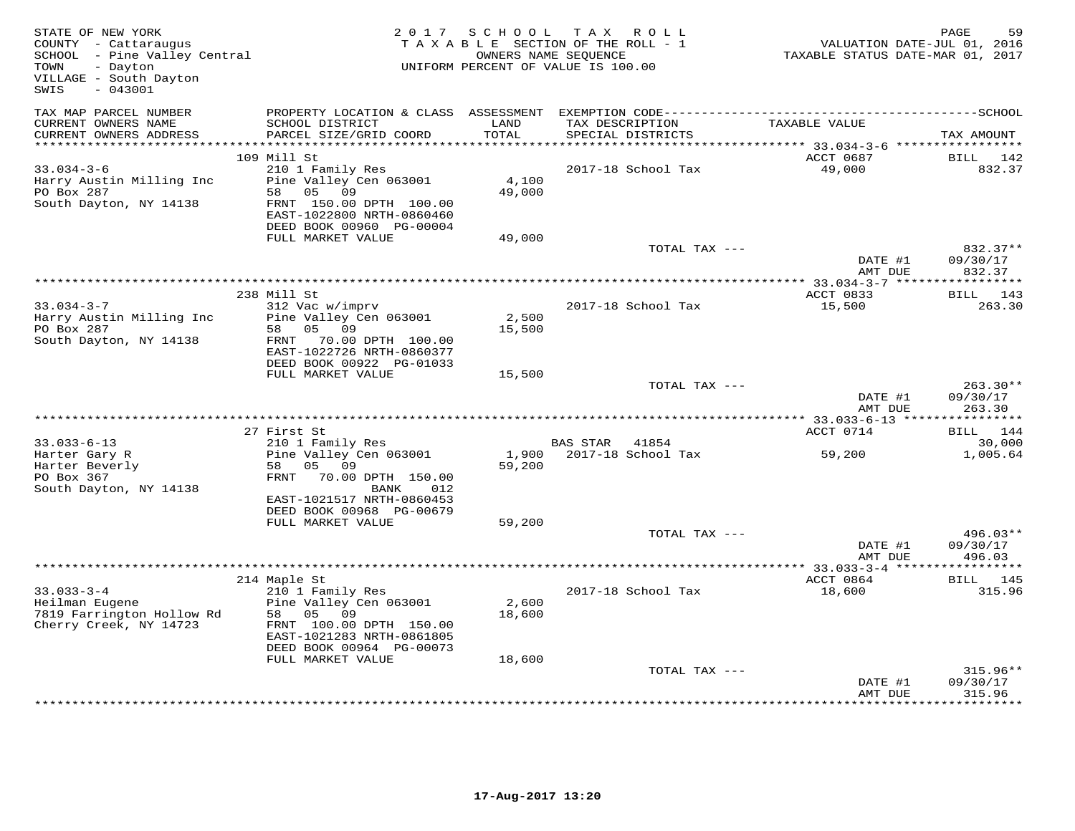| STATE OF NEW YORK<br>COUNTY - Cattaraugus<br>SCHOOL - Pine Valley Central<br>- Dayton<br>TOWN<br>VILLAGE - South Dayton<br>$-043001$<br>SWIS |                                                                                                                                                                                 | 2017 SCHOOL               | TAX ROLL<br>TAXABLE SECTION OF THE ROLL - 1<br>OWNERS NAME SEQUENCE<br>UNIFORM PERCENT OF VALUE IS 100.00 |               | TAXABLE STATUS DATE-MAR 01, 2017 | PAGE<br>VALUATION DATE-JUL 01, 2016 | 59                 |
|----------------------------------------------------------------------------------------------------------------------------------------------|---------------------------------------------------------------------------------------------------------------------------------------------------------------------------------|---------------------------|-----------------------------------------------------------------------------------------------------------|---------------|----------------------------------|-------------------------------------|--------------------|
| TAX MAP PARCEL NUMBER<br>CURRENT OWNERS NAME<br>CURRENT OWNERS ADDRESS<br>***********************                                            | SCHOOL DISTRICT<br>PARCEL SIZE/GRID COORD                                                                                                                                       | LAND<br>TOTAL             | TAX DESCRIPTION<br>SPECIAL DISTRICTS                                                                      |               | TAXABLE VALUE                    | TAX AMOUNT                          |                    |
|                                                                                                                                              | 109 Mill St                                                                                                                                                                     |                           |                                                                                                           |               | ACCT 0687                        | BILL 142                            |                    |
| $33.034 - 3 - 6$<br>Harry Austin Milling Inc<br>PO Box 287<br>South Dayton, NY 14138                                                         | 210 1 Family Res<br>Pine Valley Cen 063001<br>58 05 09<br>FRNT 150.00 DPTH 100.00<br>EAST-1022800 NRTH-0860460<br>DEED BOOK 00960 PG-00004<br>FULL MARKET VALUE                 | 4,100<br>49,000<br>49,000 | 2017-18 School Tax                                                                                        |               | 49,000                           |                                     | 832.37             |
|                                                                                                                                              |                                                                                                                                                                                 |                           |                                                                                                           | TOTAL TAX --- |                                  |                                     | 832.37**           |
|                                                                                                                                              |                                                                                                                                                                                 |                           |                                                                                                           |               | DATE #1<br>AMT DUE               | 09/30/17<br>832.37                  |                    |
|                                                                                                                                              | 238 Mill St                                                                                                                                                                     |                           |                                                                                                           |               | ACCT 0833                        | BILL 143                            |                    |
| $33.034 - 3 - 7$<br>Harry Austin Milling Inc<br>PO Box 287<br>South Dayton, NY 14138                                                         | 312 Vac w/imprv<br>Pine Valley Cen 063001<br>05<br>09<br>58<br>FRNT 70.00 DPTH 100.00<br>EAST-1022726 NRTH-0860377<br>DEED BOOK 00922 PG-01033                                  | 2,500<br>15,500           | 2017-18 School Tax                                                                                        |               | 15,500                           |                                     | 263.30             |
|                                                                                                                                              | FULL MARKET VALUE                                                                                                                                                               | 15,500                    |                                                                                                           | TOTAL TAX --- | DATE #1                          | 09/30/17                            | 263.30**           |
|                                                                                                                                              |                                                                                                                                                                                 |                           |                                                                                                           |               | AMT DUE                          | 263.30                              |                    |
|                                                                                                                                              | 27 First St                                                                                                                                                                     |                           |                                                                                                           |               | ACCT 0714                        | BILL 144                            |                    |
| $33.033 - 6 - 13$<br>Harter Gary R<br>Harter Beverly<br>PO Box 367<br>South Dayton, NY 14138                                                 | 210 1 Family Res<br>Pine Valley Cen 063001<br>58 05 09<br>FRNT<br>70.00 DPTH 150.00<br>BANK<br>012<br>EAST-1021517 NRTH-0860453<br>DEED BOOK 00968 PG-00679                     | 1,900<br>59,200           | BAS STAR<br>41854<br>2017-18 School Tax                                                                   |               | 59,200                           |                                     | 30,000<br>1,005.64 |
|                                                                                                                                              | FULL MARKET VALUE                                                                                                                                                               | 59,200                    |                                                                                                           |               |                                  |                                     |                    |
|                                                                                                                                              |                                                                                                                                                                                 |                           |                                                                                                           | TOTAL TAX --- | DATE #1<br>AMT DUE               | 09/30/17<br>496.03                  | $496.03**$         |
|                                                                                                                                              |                                                                                                                                                                                 |                           |                                                                                                           |               |                                  |                                     |                    |
| $33.033 - 3 - 4$<br>Heilman Eugene<br>7819 Farrington Hollow Rd<br>Cherry Creek, NY 14723                                                    | 214 Maple St<br>210 1 Family Res<br>Pine Valley Cen 063001<br>58 05 09<br>FRNT 100.00 DPTH 150.00<br>EAST-1021283 NRTH-0861805<br>DEED BOOK 00964 PG-00073<br>FULL MARKET VALUE | 2,600<br>18,600<br>18,600 | 2017-18 School Tax                                                                                        |               | ACCT 0864<br>18,600              | <b>BILL</b> 145                     | 315.96             |
|                                                                                                                                              |                                                                                                                                                                                 |                           |                                                                                                           | TOTAL TAX --- | DATE #1<br>AMT DUE               | 09/30/17<br>315.96                  | $315.96**$         |
|                                                                                                                                              |                                                                                                                                                                                 |                           |                                                                                                           |               |                                  |                                     |                    |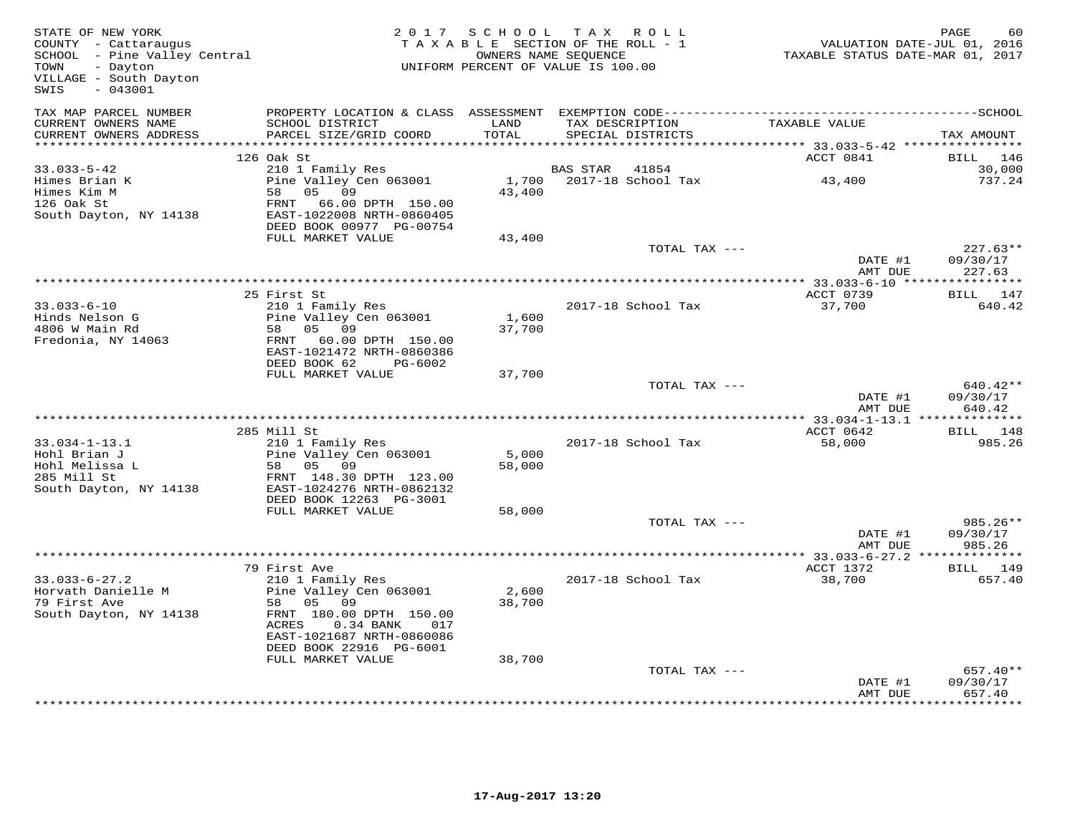| TAXABLE SECTION OF THE ROLL - 1<br>COUNTY - Cattaraugus<br>SCHOOL - Pine Valley Central<br>OWNERS NAME SEQUENCE<br>UNIFORM PERCENT OF VALUE IS 100.00<br>TOWN<br>- Dayton<br>VILLAGE - South Dayton<br>$-043001$<br>SWIS                                                                                                                   | VALUATION DATE-JUL 01, 2016<br>TAXABLE STATUS DATE-MAR 01, 2017 | PAGE<br>60                        |
|--------------------------------------------------------------------------------------------------------------------------------------------------------------------------------------------------------------------------------------------------------------------------------------------------------------------------------------------|-----------------------------------------------------------------|-----------------------------------|
| TAX MAP PARCEL NUMBER<br>PROPERTY LOCATION & CLASS ASSESSMENT<br>CURRENT OWNERS NAME<br>SCHOOL DISTRICT<br>LAND<br>TAX DESCRIPTION<br>TOTAL<br>CURRENT OWNERS ADDRESS<br>PARCEL SIZE/GRID COORD<br>SPECIAL DISTRICTS                                                                                                                       | TAXABLE VALUE                                                   | TAX AMOUNT                        |
| ***********************                                                                                                                                                                                                                                                                                                                    |                                                                 |                                   |
| 126 Oak St                                                                                                                                                                                                                                                                                                                                 | ACCT 0841                                                       | BILL<br>146                       |
| $33.033 - 5 - 42$<br>210 1 Family Res<br>BAS STAR<br>41854                                                                                                                                                                                                                                                                                 |                                                                 | 30,000                            |
| Pine Valley Cen 063001<br>2017-18 School Tax<br>Himes Brian K<br>1,700<br>Himes Kim M<br>05 09<br>43,400<br>58<br>126 Oak St<br>FRNT 66.00 DPTH 150.00<br>South Dayton, NY 14138<br>EAST-1022008 NRTH-0860405<br>DEED BOOK 00977 PG-00754                                                                                                  | 43,400                                                          | 737.24                            |
| FULL MARKET VALUE<br>43,400                                                                                                                                                                                                                                                                                                                |                                                                 |                                   |
| TOTAL TAX ---                                                                                                                                                                                                                                                                                                                              | DATE #1<br>AMT DUE                                              | $227.63**$<br>09/30/17<br>227.63  |
|                                                                                                                                                                                                                                                                                                                                            | ** 33.033-6-10 *****************                                |                                   |
| 25 First St                                                                                                                                                                                                                                                                                                                                | ACCT 0739                                                       | BILL 147                          |
| $33.033 - 6 - 10$<br>210 1 Family Res<br>2017-18 School Tax<br>Hinds Nelson G<br>Pine Valley Cen 063001<br>1,600<br>4806 W Main Rd<br>05<br>09<br>37,700<br>58<br>Fredonia, NY 14063<br>FRNT 60.00 DPTH 150.00<br>EAST-1021472 NRTH-0860386<br>DEED BOOK 62<br>PG-6002                                                                     | 37,700                                                          | 640.42                            |
| FULL MARKET VALUE<br>37,700                                                                                                                                                                                                                                                                                                                |                                                                 |                                   |
| TOTAL TAX ---                                                                                                                                                                                                                                                                                                                              | DATE #1<br>AMT DUE                                              | 640.42**<br>09/30/17<br>640.42    |
|                                                                                                                                                                                                                                                                                                                                            |                                                                 |                                   |
| 285 Mill St                                                                                                                                                                                                                                                                                                                                | ACCT 0642                                                       | BILL<br>148                       |
| $33.034 - 1 - 13.1$<br>210 1 Family Res<br>2017-18 School Tax<br>Hohl Brian J<br>Pine Valley Cen 063001<br>5,000<br>Hohl Melissa L<br>58 05 09<br>58,000<br>285 Mill St<br>FRNT 148.30 DPTH 123.00<br>South Dayton, NY 14138<br>EAST-1024276 NRTH-0862132<br>DEED BOOK 12263 PG-3001                                                       | 58,000                                                          | 985.26                            |
| FULL MARKET VALUE<br>58,000<br>TOTAL TAX ---                                                                                                                                                                                                                                                                                               |                                                                 | 985.26**                          |
|                                                                                                                                                                                                                                                                                                                                            | DATE #1<br>AMT DUE                                              | 09/30/17<br>985.26                |
|                                                                                                                                                                                                                                                                                                                                            | ** 33.033-6-27.2 ***************                                |                                   |
| 79 First Ave                                                                                                                                                                                                                                                                                                                               | ACCT 1372                                                       | BILL 149                          |
| $33.033 - 6 - 27.2$<br>210 1 Family Res<br>2017-18 School Tax<br>Horvath Danielle M<br>Pine Valley Cen 063001<br>2,600<br>09<br>79 First Ave<br>58 05<br>38,700<br>South Dayton, NY 14138<br>FRNT 180.00 DPTH 150.00<br>ACRES<br>$0.34$ BANK<br>017<br>EAST-1021687 NRTH-0860086<br>DEED BOOK 22916 PG-6001<br>FULL MARKET VALUE<br>38,700 | 38,700                                                          | 657.40                            |
| TOTAL TAX ---                                                                                                                                                                                                                                                                                                                              |                                                                 | $657.40**$                        |
|                                                                                                                                                                                                                                                                                                                                            | DATE #1<br>AMT DUE<br>* * * * * * * * * * * * * * * * * *       | 09/30/17<br>657.40<br>*********** |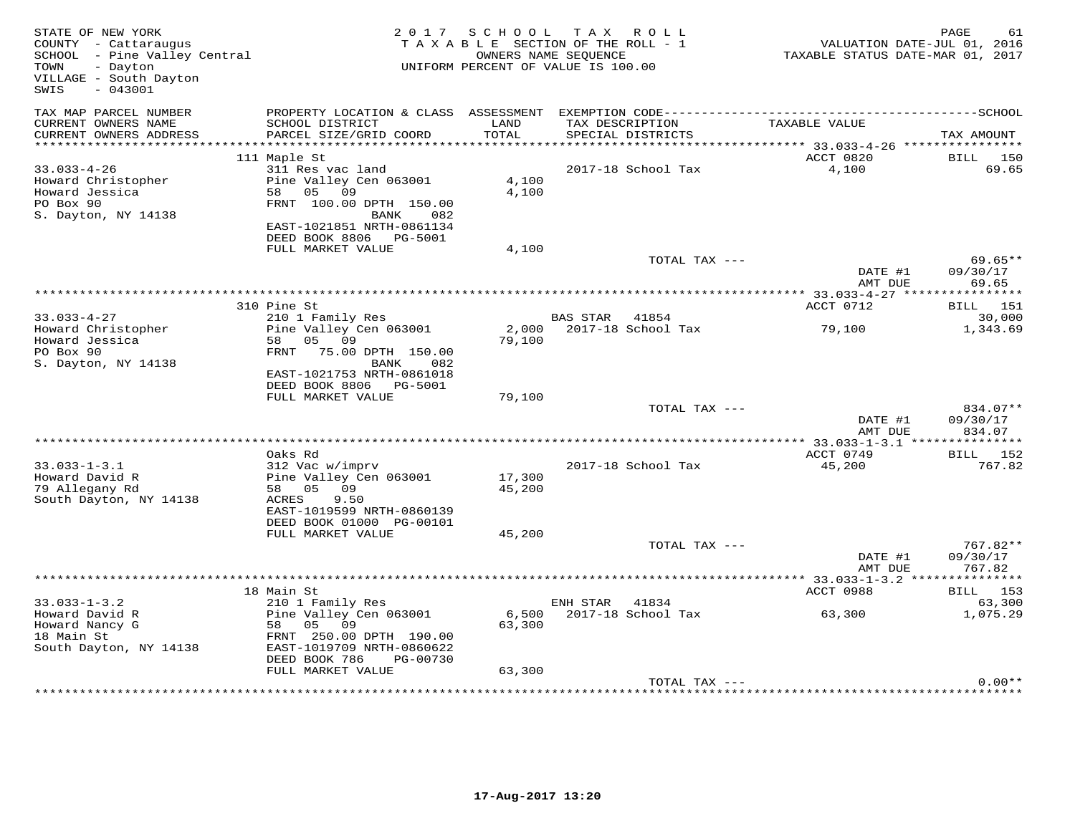| STATE OF NEW YORK<br>COUNTY - Cattaraugus<br>SCHOOL - Pine Valley Central<br>- Dayton<br>TOWN<br>VILLAGE - South Dayton<br>$-043001$<br>SWIS |                                                                                                                               |                  | 2017 SCHOOL TAX ROLL<br>TAXABLE SECTION OF THE ROLL - 1<br>OWNERS NAME SEQUENCE<br>UNIFORM PERCENT OF VALUE IS 100.00 | TAXABLE STATUS DATE-MAR 01, 2017 | PAGE<br>61<br>VALUATION DATE-JUL 01, 2016 |
|----------------------------------------------------------------------------------------------------------------------------------------------|-------------------------------------------------------------------------------------------------------------------------------|------------------|-----------------------------------------------------------------------------------------------------------------------|----------------------------------|-------------------------------------------|
| TAX MAP PARCEL NUMBER<br>CURRENT OWNERS NAME<br>CURRENT OWNERS ADDRESS                                                                       | SCHOOL DISTRICT<br>PARCEL SIZE/GRID COORD                                                                                     | LAND<br>TOTAL    | TAX DESCRIPTION<br>SPECIAL DISTRICTS                                                                                  | TAXABLE VALUE                    | TAX AMOUNT                                |
|                                                                                                                                              | 111 Maple St                                                                                                                  |                  |                                                                                                                       | ACCT 0820                        | BILL 150                                  |
| $33.033 - 4 - 26$<br>Howard Christopher<br>Howard Jessica<br>PO Box 90<br>S. Dayton, NY 14138                                                | 311 Res vac land<br>Pine Valley Cen 063001<br>58 05 09<br>FRNT 100.00 DPTH 150.00<br>BANK<br>082<br>EAST-1021851 NRTH-0861134 | 4,100<br>4,100   | 2017-18 School Tax                                                                                                    | 4,100                            | 69.65                                     |
|                                                                                                                                              | DEED BOOK 8806    PG-5001<br>FULL MARKET VALUE                                                                                | 4,100            |                                                                                                                       |                                  |                                           |
|                                                                                                                                              |                                                                                                                               |                  | TOTAL TAX ---                                                                                                         | DATE #1<br>AMT DUE               | 69.65**<br>09/30/17<br>69.65              |
|                                                                                                                                              |                                                                                                                               |                  |                                                                                                                       |                                  |                                           |
| $33.033 - 4 - 27$                                                                                                                            | 310 Pine St<br>210 1 Family Res                                                                                               |                  | BAS STAR 41854                                                                                                        | ACCT 0712                        | <b>BILL</b> 151<br>30,000                 |
| Howard Christopher<br>Howard Jessica<br>PO Box 90<br>S. Dayton, NY 14138                                                                     | Pine Valley Cen 063001<br>58 05 09<br>FRNT 75.00 DPTH 150.00<br>BANK<br>082                                                   | 79,100           | 2,000 2017-18 School Tax                                                                                              | 79,100                           | 1,343.69                                  |
|                                                                                                                                              | EAST-1021753 NRTH-0861018<br>DEED BOOK 8806 PG-5001                                                                           |                  |                                                                                                                       |                                  |                                           |
|                                                                                                                                              | FULL MARKET VALUE                                                                                                             | 79,100           |                                                                                                                       |                                  |                                           |
|                                                                                                                                              |                                                                                                                               |                  | TOTAL TAX ---                                                                                                         | DATE #1<br>AMT DUE               | 834.07**<br>09/30/17<br>834.07            |
|                                                                                                                                              |                                                                                                                               |                  |                                                                                                                       |                                  |                                           |
|                                                                                                                                              | Oaks Rd                                                                                                                       |                  |                                                                                                                       | ACCT 0749                        | <b>BILL</b> 152                           |
| $33.033 - 1 - 3.1$<br>Howard David R<br>79 Allegany Rd<br>South Dayton, NY 14138                                                             | 312 Vac w/imprv<br>Pine Valley Cen 063001<br>58 05 09<br>9.50<br>ACRES<br>EAST-1019599 NRTH-0860139                           | 17,300<br>45,200 | 2017-18 School Tax                                                                                                    | 45,200                           | 767.82                                    |
|                                                                                                                                              | DEED BOOK 01000 PG-00101                                                                                                      |                  |                                                                                                                       |                                  |                                           |
|                                                                                                                                              | FULL MARKET VALUE                                                                                                             | 45,200           |                                                                                                                       |                                  |                                           |
|                                                                                                                                              |                                                                                                                               |                  | TOTAL TAX ---                                                                                                         | DATE #1<br>AMT DUE               | 767.82**<br>09/30/17<br>767.82            |
|                                                                                                                                              |                                                                                                                               |                  |                                                                                                                       |                                  |                                           |
|                                                                                                                                              | 18 Main St                                                                                                                    |                  |                                                                                                                       | ACCT 0988                        | <b>BILL</b> 153                           |
| $33.033 - 1 - 3.2$                                                                                                                           | 210 1 Family Res                                                                                                              |                  | ENH STAR 41834                                                                                                        |                                  | 63,300                                    |
| Howard David R<br>Howard Nancy G<br>18 Main St<br>South Dayton, NY 14138                                                                     | Pine Valley Cen 063001<br>58 05<br>09<br>FRNT 250.00 DPTH 190.00<br>EAST-1019709 NRTH-0860622<br>DEED BOOK 786<br>PG-00730    | 63,300           | 6,500 2017-18 School Tax                                                                                              | 63,300                           | 1,075.29                                  |
|                                                                                                                                              | FULL MARKET VALUE                                                                                                             | 63,300           |                                                                                                                       |                                  |                                           |
|                                                                                                                                              |                                                                                                                               |                  | TOTAL TAX ---                                                                                                         |                                  | $0.00**$                                  |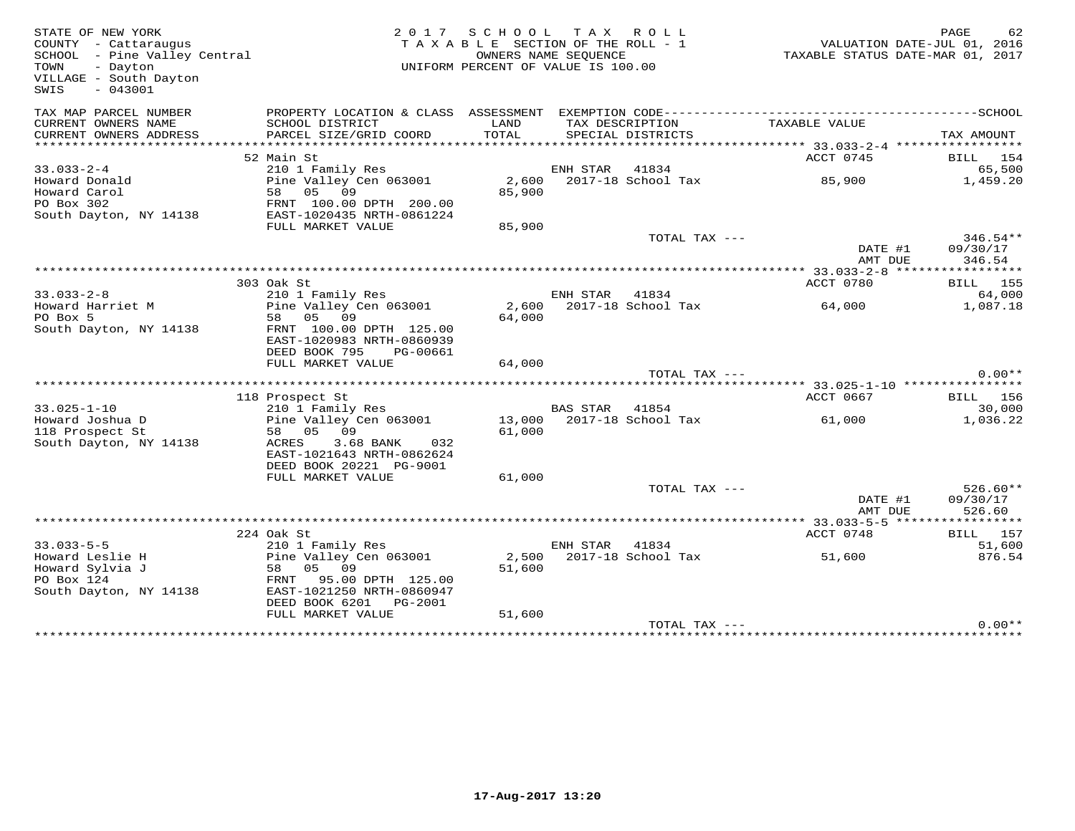| STATE OF NEW YORK<br>COUNTY - Cattaraugus<br>SCHOOL - Pine Valley Central<br>- Dayton<br>TOWN<br>VILLAGE - South Dayton<br>SWIS<br>$-043001$ |                                                                                                        | 2017 SCHOOL TAX ROLL<br>TAXABLE SECTION OF THE ROLL - 1<br>UNIFORM PERCENT OF VALUE IS 100.00 | OWNERS NAME SEQUENCE |                             | TAXABLE STATUS DATE-MAR 01, 2017 | PAGE<br>VALUATION DATE-JUL 01, 2016 | 62                               |
|----------------------------------------------------------------------------------------------------------------------------------------------|--------------------------------------------------------------------------------------------------------|-----------------------------------------------------------------------------------------------|----------------------|-----------------------------|----------------------------------|-------------------------------------|----------------------------------|
| TAX MAP PARCEL NUMBER<br>CURRENT OWNERS NAME                                                                                                 | SCHOOL DISTRICT                                                                                        | LAND                                                                                          | TAX DESCRIPTION      |                             | TAXABLE VALUE                    |                                     |                                  |
| CURRENT OWNERS ADDRESS<br>***********************                                                                                            | PARCEL SIZE/GRID COORD<br>*****************************                                                | TOTAL                                                                                         |                      | SPECIAL DISTRICTS           |                                  | TAX AMOUNT                          |                                  |
|                                                                                                                                              | 52 Main St                                                                                             |                                                                                               |                      |                             | ACCT 0745                        |                                     | BILL 154                         |
| $33.033 - 2 - 4$                                                                                                                             | 210 1 Family Res                                                                                       |                                                                                               | ENH STAR             | 41834                       |                                  |                                     | 65,500                           |
| Howard Donald<br>Howard Carol<br>PO Box 302<br>South Dayton, NY 14138                                                                        | Pine Valley Cen 063001<br>58 05 09<br>FRNT 100.00 DPTH 200.00<br>EAST-1020435 NRTH-0861224             | 2,600<br>85,900                                                                               |                      | 2017-18 School Tax          | 85,900                           |                                     | 1,459.20                         |
|                                                                                                                                              | FULL MARKET VALUE                                                                                      | 85,900                                                                                        |                      |                             |                                  |                                     |                                  |
|                                                                                                                                              |                                                                                                        |                                                                                               |                      | TOTAL TAX ---               | DATE #1<br>AMT DUE               |                                     | $346.54**$<br>09/30/17<br>346.54 |
|                                                                                                                                              |                                                                                                        |                                                                                               |                      |                             | ** 33.033-2-8 *****              |                                     | * * * * * * * * * * *            |
|                                                                                                                                              | 303 Oak St                                                                                             |                                                                                               |                      |                             | ACCT 0780                        |                                     | <b>BILL</b> 155                  |
| $33.033 - 2 - 8$<br>Howard Harriet M                                                                                                         | 210 1 Family Res<br>Pine Valley Cen 063001                                                             | 2,600                                                                                         | ENH STAR             | 41834<br>2017-18 School Tax | 64,000                           |                                     | 64,000<br>1,087.18               |
| PO Box 5                                                                                                                                     | 58 05 09                                                                                               | 64,000                                                                                        |                      |                             |                                  |                                     |                                  |
| South Dayton, NY 14138                                                                                                                       | FRNT 100.00 DPTH 125.00<br>EAST-1020983 NRTH-0860939<br>DEED BOOK 795<br>PG-00661<br>FULL MARKET VALUE | 64,000                                                                                        |                      |                             |                                  |                                     |                                  |
|                                                                                                                                              |                                                                                                        |                                                                                               |                      | TOTAL TAX ---               |                                  |                                     | $0.00**$                         |
|                                                                                                                                              |                                                                                                        |                                                                                               |                      |                             |                                  |                                     |                                  |
|                                                                                                                                              | 118 Prospect St                                                                                        |                                                                                               |                      |                             | ACCT 0667                        |                                     | BILL 156                         |
| $33.025 - 1 - 10$                                                                                                                            | 210 1 Family Res                                                                                       |                                                                                               | BAS STAR 41854       |                             |                                  |                                     | 30,000                           |
| Howard Joshua D<br>118 Prospect St                                                                                                           | Pine Valley Cen 063001<br>58 05 09                                                                     | 13,000<br>61,000                                                                              |                      | 2017-18 School Tax          | 61,000                           |                                     | 1,036.22                         |
| South Dayton, NY 14138                                                                                                                       | ACRES<br>3.68 BANK<br>032<br>EAST-1021643 NRTH-0862624<br>DEED BOOK 20221 PG-9001                      |                                                                                               |                      |                             |                                  |                                     |                                  |
|                                                                                                                                              | FULL MARKET VALUE                                                                                      | 61,000                                                                                        |                      |                             |                                  |                                     |                                  |
|                                                                                                                                              |                                                                                                        |                                                                                               |                      | TOTAL TAX ---               |                                  |                                     | $526.60**$                       |
|                                                                                                                                              |                                                                                                        |                                                                                               |                      |                             | DATE #1<br>AMT DUE               |                                     | 09/30/17<br>526.60               |
|                                                                                                                                              | 224 Oak St                                                                                             |                                                                                               |                      |                             | ACCT 0748                        |                                     | BILL 157                         |
| $33.033 - 5 - 5$                                                                                                                             | 210 1 Family Res                                                                                       |                                                                                               | ENH STAR             | 41834                       |                                  |                                     | 51,600                           |
| Howard Leslie H                                                                                                                              | Pine Valley Cen 063001                                                                                 | 2,500                                                                                         |                      | 2017-18 School Tax          | 51,600                           |                                     | 876.54                           |
| Howard Sylvia J                                                                                                                              | 05 09<br>58                                                                                            | 51,600                                                                                        |                      |                             |                                  |                                     |                                  |
| PO Box 124<br>South Dayton, NY 14138                                                                                                         | FRNT<br>95.00 DPTH 125.00<br>EAST-1021250 NRTH-0860947<br>DEED BOOK 6201<br>PG-2001                    |                                                                                               |                      |                             |                                  |                                     |                                  |
|                                                                                                                                              | FULL MARKET VALUE                                                                                      | 51,600                                                                                        |                      |                             |                                  |                                     |                                  |
|                                                                                                                                              |                                                                                                        |                                                                                               |                      | TOTAL TAX ---               |                                  |                                     | $0.00**$                         |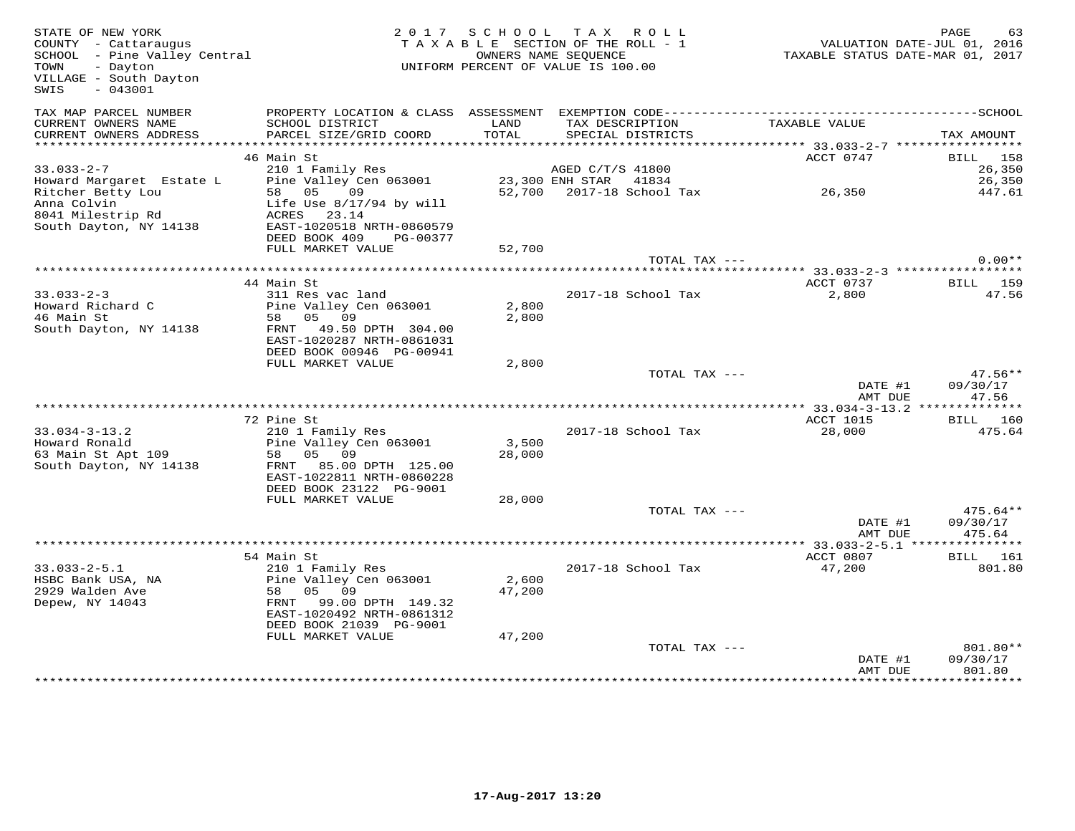| STATE OF NEW YORK<br>COUNTY - Cattaraugus<br>SCHOOL - Pine Valley Central<br>- Dayton<br>TOWN<br>VILLAGE - South Dayton<br>$-043001$<br>SWIS |                                                             |                 | 2017 SCHOOL TAX ROLL<br>TAXABLE SECTION OF THE ROLL - 1<br>OWNERS NAME SEQUENCE<br>UNIFORM PERCENT OF VALUE IS 100.00 | VALUATION DATE-JUL 01, 2016<br>TAXABLE STATUS DATE-MAR 01, 2017 | PAGE<br>63           |
|----------------------------------------------------------------------------------------------------------------------------------------------|-------------------------------------------------------------|-----------------|-----------------------------------------------------------------------------------------------------------------------|-----------------------------------------------------------------|----------------------|
| TAX MAP PARCEL NUMBER<br>CURRENT OWNERS NAME<br>CURRENT OWNERS ADDRESS                                                                       | SCHOOL DISTRICT<br>PARCEL SIZE/GRID COORD                   | LAND<br>TOTAL   | TAX DESCRIPTION<br>SPECIAL DISTRICTS                                                                                  | TAXABLE VALUE                                                   | TAX AMOUNT           |
|                                                                                                                                              |                                                             |                 |                                                                                                                       |                                                                 |                      |
|                                                                                                                                              | 46 Main St                                                  |                 |                                                                                                                       | ACCT 0747                                                       | BILL 158             |
| $33.033 - 2 - 7$                                                                                                                             | 210 1 Family Res                                            |                 | AGED C/T/S 41800                                                                                                      |                                                                 | 26,350               |
| Howard Margaret Estate L                                                                                                                     | Pine Valley Cen 063001                                      |                 | 23,300 ENH STAR 41834<br>52,700 2017-18 School Tax 26,350                                                             |                                                                 | 26,350               |
| Ritcher Betty Lou<br>Anna Colvin                                                                                                             | 58 05<br>$09$ and $09$ and $09$<br>Life Use 8/17/94 by will |                 |                                                                                                                       |                                                                 | 447.61               |
| 8041 Milestrip Rd                                                                                                                            | ACRES 23.14                                                 |                 |                                                                                                                       |                                                                 |                      |
| South Dayton, NY 14138                                                                                                                       | EAST-1020518 NRTH-0860579                                   |                 |                                                                                                                       |                                                                 |                      |
|                                                                                                                                              | DEED BOOK 409<br>PG-00377                                   |                 |                                                                                                                       |                                                                 |                      |
|                                                                                                                                              | FULL MARKET VALUE                                           | 52,700          |                                                                                                                       |                                                                 |                      |
|                                                                                                                                              |                                                             |                 | TOTAL TAX ---                                                                                                         |                                                                 | $0.00**$             |
|                                                                                                                                              | 44 Main St                                                  |                 |                                                                                                                       | ACCT 0737                                                       | BILL 159             |
| $33.033 - 2 - 3$                                                                                                                             | 311 Res vac land                                            |                 | 2017-18 School Tax                                                                                                    | 2,800                                                           | 47.56                |
| Howard Richard C                                                                                                                             | Pine Valley Cen 063001                                      | 2,800           |                                                                                                                       |                                                                 |                      |
| 46 Main St                                                                                                                                   | 58 05 09                                                    | 2,800           |                                                                                                                       |                                                                 |                      |
| South Dayton, NY 14138                                                                                                                       | FRNT 49.50 DPTH 304.00                                      |                 |                                                                                                                       |                                                                 |                      |
|                                                                                                                                              | EAST-1020287 NRTH-0861031<br>DEED BOOK 00946 PG-00941       |                 |                                                                                                                       |                                                                 |                      |
|                                                                                                                                              | FULL MARKET VALUE                                           | 2,800           |                                                                                                                       |                                                                 |                      |
|                                                                                                                                              |                                                             |                 | TOTAL TAX ---                                                                                                         |                                                                 | $47.56**$            |
|                                                                                                                                              |                                                             |                 |                                                                                                                       | DATE #1                                                         | 09/30/17             |
|                                                                                                                                              |                                                             |                 |                                                                                                                       | AMT DUE                                                         | 47.56                |
|                                                                                                                                              |                                                             |                 |                                                                                                                       |                                                                 |                      |
| $33.034 - 3 - 13.2$                                                                                                                          | 72 Pine St<br>210 1 Family Res                              |                 | 2017-18 School Tax                                                                                                    | ACCT 1015<br>28,000                                             | BILL 160<br>475.64   |
| Howard Ronald                                                                                                                                | Pine Valley Cen 063001                                      | 3,500           |                                                                                                                       |                                                                 |                      |
| 63 Main St Apt 109                                                                                                                           | 58 05 09                                                    | 28,000          |                                                                                                                       |                                                                 |                      |
| South Dayton, NY 14138                                                                                                                       | FRNT 85.00 DPTH 125.00                                      |                 |                                                                                                                       |                                                                 |                      |
|                                                                                                                                              | EAST-1022811 NRTH-0860228                                   |                 |                                                                                                                       |                                                                 |                      |
|                                                                                                                                              | DEED BOOK 23122 PG-9001                                     |                 |                                                                                                                       |                                                                 |                      |
|                                                                                                                                              | FULL MARKET VALUE                                           | 28,000          | TOTAL TAX ---                                                                                                         |                                                                 | $475.64**$           |
|                                                                                                                                              |                                                             |                 |                                                                                                                       | DATE #1                                                         | 09/30/17             |
|                                                                                                                                              |                                                             |                 |                                                                                                                       | AMT DUE                                                         | 475.64               |
|                                                                                                                                              |                                                             |                 |                                                                                                                       |                                                                 |                      |
|                                                                                                                                              | 54 Main St                                                  |                 |                                                                                                                       | ACCT 0807                                                       | BILL 161             |
| $33.033 - 2 - 5.1$                                                                                                                           | 210 1 Family Res                                            |                 | 2017-18 School Tax                                                                                                    | 47,200                                                          | 801.80               |
| HSBC Bank USA, NA<br>2929 Walden Ave                                                                                                         | Pine Valley Cen 063001<br>58 05 09                          | 2,600<br>47,200 |                                                                                                                       |                                                                 |                      |
| Depew, NY 14043                                                                                                                              | FRNT 99.00 DPTH 149.32                                      |                 |                                                                                                                       |                                                                 |                      |
|                                                                                                                                              | EAST-1020492 NRTH-0861312                                   |                 |                                                                                                                       |                                                                 |                      |
|                                                                                                                                              | DEED BOOK 21039 PG-9001                                     |                 |                                                                                                                       |                                                                 |                      |
|                                                                                                                                              | FULL MARKET VALUE                                           | 47,200          |                                                                                                                       |                                                                 |                      |
|                                                                                                                                              |                                                             |                 | TOTAL TAX ---                                                                                                         | DATE #1                                                         | 801.80**<br>09/30/17 |
|                                                                                                                                              |                                                             |                 |                                                                                                                       | AMT DUE                                                         | 801.80               |
|                                                                                                                                              |                                                             |                 |                                                                                                                       |                                                                 | *********            |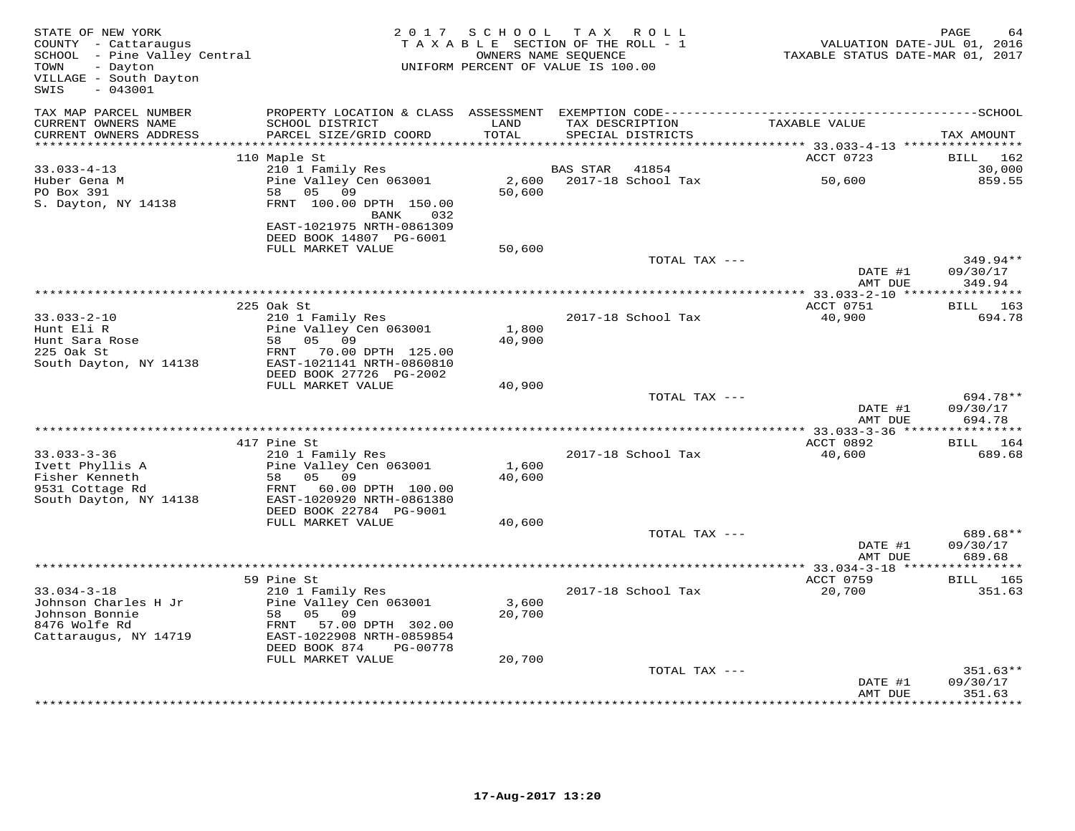| STATE OF NEW YORK<br>COUNTY - Cattaraugus<br>SCHOOL - Pine Valley Central<br>- Dayton<br>TOWN<br>VILLAGE - South Dayton<br>$-043001$<br>SWIS |                                                                     | 2017 SCHOOL<br>TAXABLE SECTION OF THE ROLL - 1<br>UNIFORM PERCENT OF VALUE IS 100.00 | TAX ROLL<br>OWNERS NAME SEQUENCE |                    | TAXABLE STATUS DATE-MAR 01, 2017              | PAGE<br>64<br>VALUATION DATE-JUL 01, 2016 |
|----------------------------------------------------------------------------------------------------------------------------------------------|---------------------------------------------------------------------|--------------------------------------------------------------------------------------|----------------------------------|--------------------|-----------------------------------------------|-------------------------------------------|
| TAX MAP PARCEL NUMBER<br>CURRENT OWNERS NAME                                                                                                 | SCHOOL DISTRICT                                                     | LAND                                                                                 | TAX DESCRIPTION                  |                    | TAXABLE VALUE                                 |                                           |
| CURRENT OWNERS ADDRESS                                                                                                                       | PARCEL SIZE/GRID COORD                                              | TOTAL                                                                                |                                  | SPECIAL DISTRICTS  |                                               | TAX AMOUNT                                |
|                                                                                                                                              | 110 Maple St                                                        |                                                                                      |                                  |                    | ACCT 0723                                     | BILL<br>162                               |
| $33.033 - 4 - 13$                                                                                                                            | 210 1 Family Res                                                    |                                                                                      | BAS STAR                         | 41854              |                                               | 30,000                                    |
| Huber Gena M<br>PO Box 391<br>S. Dayton, NY 14138                                                                                            | Pine Valley Cen 063001<br>58<br>05<br>09<br>FRNT 100.00 DPTH 150.00 | 2,600<br>50,600                                                                      |                                  | 2017-18 School Tax | 50,600                                        | 859.55                                    |
|                                                                                                                                              | BANK<br>032<br>EAST-1021975 NRTH-0861309<br>DEED BOOK 14807 PG-6001 |                                                                                      |                                  |                    |                                               |                                           |
|                                                                                                                                              | FULL MARKET VALUE                                                   | 50,600                                                                               |                                  |                    |                                               |                                           |
|                                                                                                                                              |                                                                     |                                                                                      |                                  | TOTAL TAX ---      | DATE #1<br>AMT DUE                            | 349.94**<br>09/30/17<br>349.94            |
|                                                                                                                                              |                                                                     |                                                                                      |                                  |                    |                                               |                                           |
|                                                                                                                                              | 225 Oak St                                                          |                                                                                      |                                  |                    | ACCT 0751                                     | 163<br>BILL                               |
| $33.033 - 2 - 10$                                                                                                                            | 210 1 Family Res                                                    |                                                                                      |                                  | 2017-18 School Tax | 40,900                                        | 694.78                                    |
| Hunt Eli R<br>Hunt Sara Rose                                                                                                                 | Pine Valley Cen 063001<br>05 09<br>58                               | 1,800<br>40,900                                                                      |                                  |                    |                                               |                                           |
| 225 Oak St                                                                                                                                   | FRNT 70.00 DPTH 125.00                                              |                                                                                      |                                  |                    |                                               |                                           |
| South Dayton, NY 14138                                                                                                                       | EAST-1021141 NRTH-0860810                                           |                                                                                      |                                  |                    |                                               |                                           |
|                                                                                                                                              | DEED BOOK 27726 PG-2002                                             |                                                                                      |                                  |                    |                                               |                                           |
|                                                                                                                                              | FULL MARKET VALUE                                                   | 40,900                                                                               |                                  |                    |                                               |                                           |
|                                                                                                                                              |                                                                     |                                                                                      |                                  | TOTAL TAX ---      | DATE #1                                       | 694.78**<br>09/30/17                      |
|                                                                                                                                              |                                                                     |                                                                                      |                                  |                    | AMT DUE                                       | 694.78                                    |
|                                                                                                                                              | **************                                                      |                                                                                      |                                  |                    | *************** 33.033-3-36 ***************** |                                           |
|                                                                                                                                              | 417 Pine St                                                         |                                                                                      |                                  |                    | ACCT 0892                                     | <b>BILL</b> 164                           |
| $33.033 - 3 - 36$                                                                                                                            | 210 1 Family Res                                                    |                                                                                      |                                  | 2017-18 School Tax | 40,600                                        | 689.68                                    |
| Ivett Phyllis A<br>Fisher Kenneth                                                                                                            | Pine Valley Cen 063001<br>05 09<br>58                               | 1,600<br>40,600                                                                      |                                  |                    |                                               |                                           |
| 9531 Cottage Rd                                                                                                                              | FRNT 60.00 DPTH 100.00                                              |                                                                                      |                                  |                    |                                               |                                           |
| South Dayton, NY 14138                                                                                                                       | EAST-1020920 NRTH-0861380                                           |                                                                                      |                                  |                    |                                               |                                           |
|                                                                                                                                              | DEED BOOK 22784 PG-9001                                             |                                                                                      |                                  |                    |                                               |                                           |
|                                                                                                                                              | FULL MARKET VALUE                                                   | 40,600                                                                               |                                  |                    |                                               |                                           |
|                                                                                                                                              |                                                                     |                                                                                      |                                  | TOTAL TAX ---      | DATE #1<br>AMT DUE                            | 689.68**<br>09/30/17<br>689.68            |
|                                                                                                                                              |                                                                     |                                                                                      |                                  |                    | *** 33.034-3-18 *****                         | ***********                               |
|                                                                                                                                              | 59 Pine St                                                          |                                                                                      |                                  |                    | ACCT 0759                                     | <b>BILL</b> 165                           |
| $33.034 - 3 - 18$                                                                                                                            | 210 1 Family Res                                                    |                                                                                      |                                  | 2017-18 School Tax | 20,700                                        | 351.63                                    |
| Johnson Charles H Jr                                                                                                                         | Pine Valley Cen 063001                                              | 3,600                                                                                |                                  |                    |                                               |                                           |
| Johnson Bonnie<br>8476 Wolfe Rd                                                                                                              | 05 09<br>58<br>FRNT 57.00 DPTH 302.00                               | 20,700                                                                               |                                  |                    |                                               |                                           |
| Cattaraugus, NY 14719                                                                                                                        | EAST-1022908 NRTH-0859854                                           |                                                                                      |                                  |                    |                                               |                                           |
|                                                                                                                                              | DEED BOOK 874<br>PG-00778                                           |                                                                                      |                                  |                    |                                               |                                           |
|                                                                                                                                              | FULL MARKET VALUE                                                   | 20,700                                                                               |                                  |                    |                                               |                                           |
|                                                                                                                                              |                                                                     |                                                                                      |                                  | TOTAL TAX ---      |                                               | 351.63**                                  |
|                                                                                                                                              |                                                                     |                                                                                      |                                  |                    | DATE #1<br>AMT DUE                            | 09/30/17<br>351.63                        |
|                                                                                                                                              |                                                                     |                                                                                      |                                  |                    |                                               | * * * * * * *                             |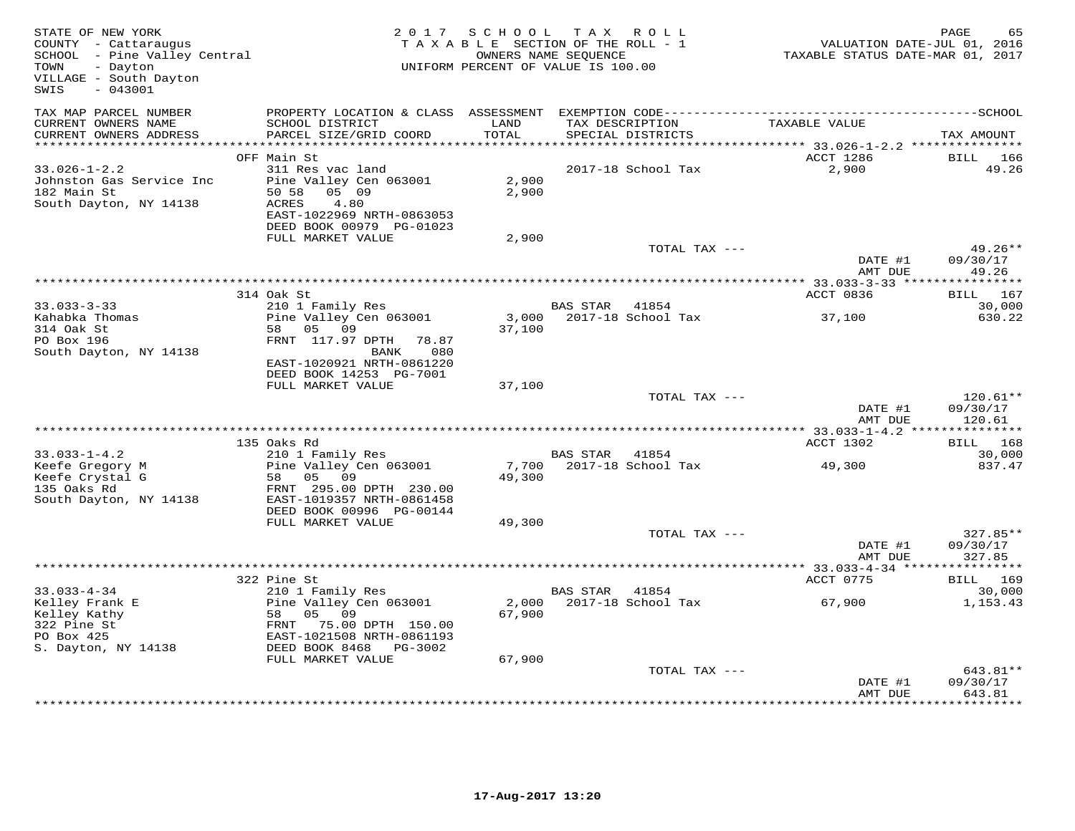| STATE OF NEW YORK<br>COUNTY - Cattaraugus<br>SCHOOL - Pine Valley Central<br>TOWN<br>- Dayton<br>VILLAGE - South Dayton<br>$-043001$<br>SWIS |                                                                                                                                                       | 2017 SCHOOL     | TAX ROLL<br>TAXABLE SECTION OF THE ROLL - 1<br>OWNERS NAME SEQUENCE<br>UNIFORM PERCENT OF VALUE IS 100.00 |               | VALUATION DATE-JUL 01, 2016<br>TAXABLE STATUS DATE-MAR 01, 2017 | PAGE<br>65                                  |
|----------------------------------------------------------------------------------------------------------------------------------------------|-------------------------------------------------------------------------------------------------------------------------------------------------------|-----------------|-----------------------------------------------------------------------------------------------------------|---------------|-----------------------------------------------------------------|---------------------------------------------|
| TAX MAP PARCEL NUMBER<br>CURRENT OWNERS NAME<br>CURRENT OWNERS ADDRESS                                                                       | PROPERTY LOCATION & CLASS ASSESSMENT<br>SCHOOL DISTRICT<br>PARCEL SIZE/GRID COORD                                                                     | LAND<br>TOTAL   | TAX DESCRIPTION<br>SPECIAL DISTRICTS                                                                      |               | TAXABLE VALUE                                                   | TAX AMOUNT                                  |
| *************************                                                                                                                    |                                                                                                                                                       |                 |                                                                                                           |               |                                                                 |                                             |
| $33.026 - 1 - 2.2$<br>Johnston Gas Service Inc<br>182 Main St<br>South Dayton, NY 14138                                                      | OFF Main St<br>311 Res vac land<br>Pine Valley Cen 063001<br>05 09<br>50 58<br>4.80<br>ACRES<br>EAST-1022969 NRTH-0863053<br>DEED BOOK 00979 PG-01023 | 2,900<br>2,900  | 2017-18 School Tax                                                                                        |               | ACCT 1286<br>2,900                                              | BILL<br>166<br>49.26                        |
|                                                                                                                                              | FULL MARKET VALUE                                                                                                                                     | 2,900           |                                                                                                           | TOTAL TAX --- |                                                                 | $49.26**$                                   |
|                                                                                                                                              |                                                                                                                                                       |                 |                                                                                                           |               | DATE #1<br>AMT DUE                                              | 09/30/17<br>49.26                           |
|                                                                                                                                              | 314 Oak St                                                                                                                                            |                 |                                                                                                           |               | ACCT 0836                                                       | <b>BILL</b> 167                             |
| $33.033 - 3 - 33$<br>Kahabka Thomas                                                                                                          | 210 1 Family Res<br>Pine Valley Cen 063001                                                                                                            | 3,000           | BAS STAR 41854<br>2017-18 School Tax                                                                      |               | 37,100                                                          | 30,000<br>630.22                            |
| 314 Oak St<br>PO Box 196<br>South Dayton, NY 14138                                                                                           | 05 09<br>58<br>FRNT 117.97 DPTH<br>78.87<br>080<br>BANK<br>EAST-1020921 NRTH-0861220<br>DEED BOOK 14253 PG-7001                                       | 37,100          |                                                                                                           |               |                                                                 |                                             |
|                                                                                                                                              | FULL MARKET VALUE                                                                                                                                     | 37,100          |                                                                                                           |               |                                                                 |                                             |
|                                                                                                                                              |                                                                                                                                                       |                 |                                                                                                           | TOTAL TAX --- | DATE #1<br>AMT DUE                                              | $120.61**$<br>09/30/17<br>120.61            |
|                                                                                                                                              |                                                                                                                                                       |                 |                                                                                                           |               | ******** 33.033-1-4.2 ***                                       | ***********                                 |
|                                                                                                                                              | 135 Oaks Rd                                                                                                                                           |                 |                                                                                                           |               | ACCT 1302                                                       | BILL 168                                    |
| $33.033 - 1 - 4.2$<br>Keefe Gregory M<br>Keefe Crystal G                                                                                     | 210 1 Family Res<br>Pine Valley Cen 063001<br>58 05 09                                                                                                | 7,700<br>49,300 | BAS STAR 41854<br>2017-18 School Tax                                                                      |               | 49,300                                                          | 30,000<br>837.47                            |
| 135 Oaks Rd<br>South Dayton, NY 14138                                                                                                        | FRNT 295.00 DPTH 230.00<br>EAST-1019357 NRTH-0861458<br>DEED BOOK 00996 PG-00144<br>FULL MARKET VALUE                                                 | 49,300          |                                                                                                           |               |                                                                 |                                             |
|                                                                                                                                              |                                                                                                                                                       |                 |                                                                                                           | TOTAL TAX --- |                                                                 | $327.85**$                                  |
|                                                                                                                                              |                                                                                                                                                       |                 |                                                                                                           |               | DATE #1<br>AMT DUE                                              | 09/30/17<br>327.85<br>* * * * * * * * * * * |
|                                                                                                                                              | 322 Pine St                                                                                                                                           |                 |                                                                                                           |               | ** 33.033-4-34 ****<br>ACCT 0775                                | BILL 169                                    |
| $33.033 - 4 - 34$                                                                                                                            | 210 1 Family Res                                                                                                                                      |                 | BAS STAR<br>41854                                                                                         |               |                                                                 | 30,000                                      |
| Kelley Frank E<br>Kelley Kathy<br>322 Pine St<br>PO Box 425<br>S. Dayton, NY 14138                                                           | Pine Valley Cen 063001<br>58<br>05 09<br>FRNT 75.00 DPTH 150.00<br>EAST-1021508 NRTH-0861193<br>DEED BOOK 8468 PG-3002                                | 2,000<br>67,900 | 2017-18 School Tax                                                                                        |               | 67,900                                                          | 1,153.43                                    |
|                                                                                                                                              | FULL MARKET VALUE                                                                                                                                     | 67,900          |                                                                                                           |               |                                                                 |                                             |
|                                                                                                                                              |                                                                                                                                                       |                 |                                                                                                           | TOTAL TAX --- | DATE #1<br>AMT DUE                                              | 643.81**<br>09/30/17<br>643.81              |
|                                                                                                                                              |                                                                                                                                                       |                 |                                                                                                           |               |                                                                 | **********                                  |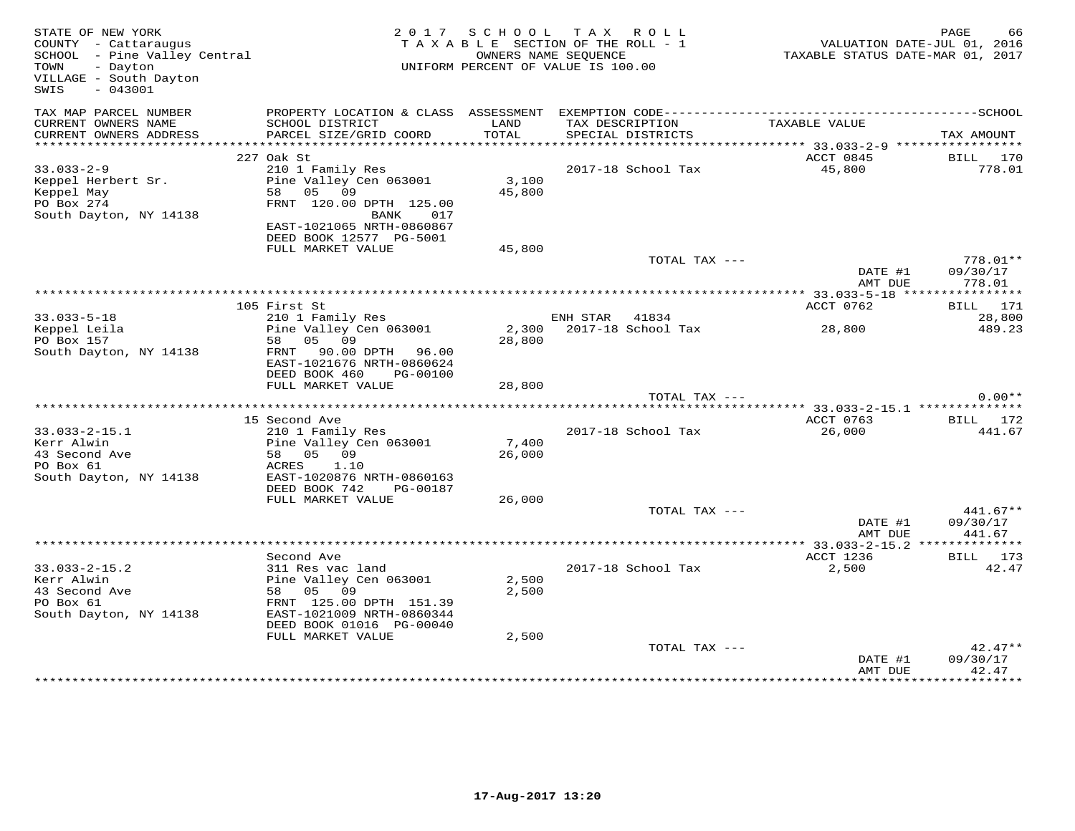| STATE OF NEW YORK<br>COUNTY - Cattaraugus<br>SCHOOL - Pine Valley Central<br>TOWN - Dayton<br>VILLAGE - South Dayton<br>$-043001$<br>SWIS |                                                                                                                                                          |                 | 2017 SCHOOL TAX ROLL<br>TAXABLE SECTION OF THE ROLL - 1<br>OWNERS NAME SEOUENCE<br>UNIFORM PERCENT OF VALUE IS 100.00 | VALUATION DATE-JUL 01, 2016<br>TAXABLE STATUS DATE-MAR 01, 2017 | PAGE<br>66            |
|-------------------------------------------------------------------------------------------------------------------------------------------|----------------------------------------------------------------------------------------------------------------------------------------------------------|-----------------|-----------------------------------------------------------------------------------------------------------------------|-----------------------------------------------------------------|-----------------------|
| TAX MAP PARCEL NUMBER<br>CURRENT OWNERS NAME<br>CURRENT OWNERS ADDRESS                                                                    | SCHOOL DISTRICT<br>PARCEL SIZE/GRID COORD                                                                                                                | LAND<br>TOTAL   | TAX DESCRIPTION<br>SPECIAL DISTRICTS                                                                                  | TAXABLE VALUE                                                   | TAX AMOUNT            |
|                                                                                                                                           |                                                                                                                                                          |                 |                                                                                                                       |                                                                 |                       |
| $33.033 - 2 - 9$<br>Keppel Herbert Sr.<br>Keppel May<br>PO Box 274<br>South Dayton, NY 14138                                              | 227 Oak St<br>210 1 Family Res<br>Pine Valley Cen 063001<br>58 05 09<br>FRNT 120.00 DPTH 125.00<br>BANK<br>017<br>EAST-1021065 NRTH-0860867              | 3,100<br>45,800 | 2017-18 School Tax                                                                                                    | ACCT 0845<br>45,800                                             | BILL 170<br>778.01    |
|                                                                                                                                           | DEED BOOK 12577 PG-5001<br>FULL MARKET VALUE                                                                                                             | 45,800          | TOTAL TAX ---                                                                                                         |                                                                 | $778.01**$            |
|                                                                                                                                           |                                                                                                                                                          |                 |                                                                                                                       | DATE #1<br>AMT DUE                                              | 09/30/17<br>778.01    |
|                                                                                                                                           |                                                                                                                                                          |                 |                                                                                                                       |                                                                 |                       |
|                                                                                                                                           | 105 First St                                                                                                                                             |                 |                                                                                                                       | ACCT 0762                                                       | BILL 171              |
| $33.033 - 5 - 18$                                                                                                                         | 210 1 Family Res<br>Pine Valley Cen 063001                                                                                                               |                 | ENH STAR 41834<br>2,300 2017-18 School Tax                                                                            | 28,800                                                          | 28,800<br>489.23      |
| Keppel Leila<br>DO Box 157<br>PO Box 157                                                                                                  | 58 05 09                                                                                                                                                 | 28,800          |                                                                                                                       |                                                                 |                       |
| South Dayton, NY 14138                                                                                                                    | FRNT 90.00 DPTH 96.00<br>EAST-1021676 NRTH-0860624<br>DEED BOOK 460<br>PG-00100<br>FULL MARKET VALUE                                                     | 28,800          |                                                                                                                       |                                                                 |                       |
|                                                                                                                                           |                                                                                                                                                          |                 | TOTAL TAX ---                                                                                                         |                                                                 | $0.00**$              |
|                                                                                                                                           |                                                                                                                                                          |                 |                                                                                                                       |                                                                 |                       |
| $33.033 - 2 - 15.1$                                                                                                                       | 15 Second Ave<br>210 1 Family Res                                                                                                                        |                 | 2017-18 School Tax                                                                                                    | ACCT 0763<br>26,000                                             | BILL 172<br>441.67    |
| Kerr Alwin<br>43 Second Ave<br>PO Box 61                                                                                                  | Pine Valley Cen 063001<br>58 05 09<br>1.10<br>ACRES                                                                                                      | 7,400<br>26,000 |                                                                                                                       |                                                                 |                       |
| South Dayton, NY 14138                                                                                                                    | EAST-1020876 NRTH-0860163<br>DEED BOOK 742 PG-00187                                                                                                      |                 |                                                                                                                       |                                                                 |                       |
|                                                                                                                                           | FULL MARKET VALUE                                                                                                                                        | 26,000          | TOTAL TAX ---                                                                                                         |                                                                 | $441.67**$            |
|                                                                                                                                           |                                                                                                                                                          |                 |                                                                                                                       | DATE #1<br>AMT DUE                                              | 09/30/17<br>441.67    |
|                                                                                                                                           |                                                                                                                                                          |                 |                                                                                                                       |                                                                 |                       |
| $33.033 - 2 - 15.2$<br>Kerr Alwin<br>43 Second Ave<br>PO Box 61<br>South Dayton, NY 14138                                                 | Second Ave<br>311 Res vac land<br>Pine Valley Cen 063001<br>58 05 09<br>FRNT 125.00 DPTH 151.39<br>EAST-1021009 NRTH-0860344<br>DEED BOOK 01016 PG-00040 | 2,500<br>2,500  | 2017-18 School Tax                                                                                                    | ACCT 1236<br>2,500                                              | BILL 173<br>42.47     |
|                                                                                                                                           | FULL MARKET VALUE                                                                                                                                        | 2,500           | TOTAL TAX ---                                                                                                         | DATE #1                                                         | $42.47**$<br>09/30/17 |
|                                                                                                                                           |                                                                                                                                                          |                 |                                                                                                                       | AMT DUE                                                         | 42.47                 |
|                                                                                                                                           |                                                                                                                                                          |                 |                                                                                                                       |                                                                 |                       |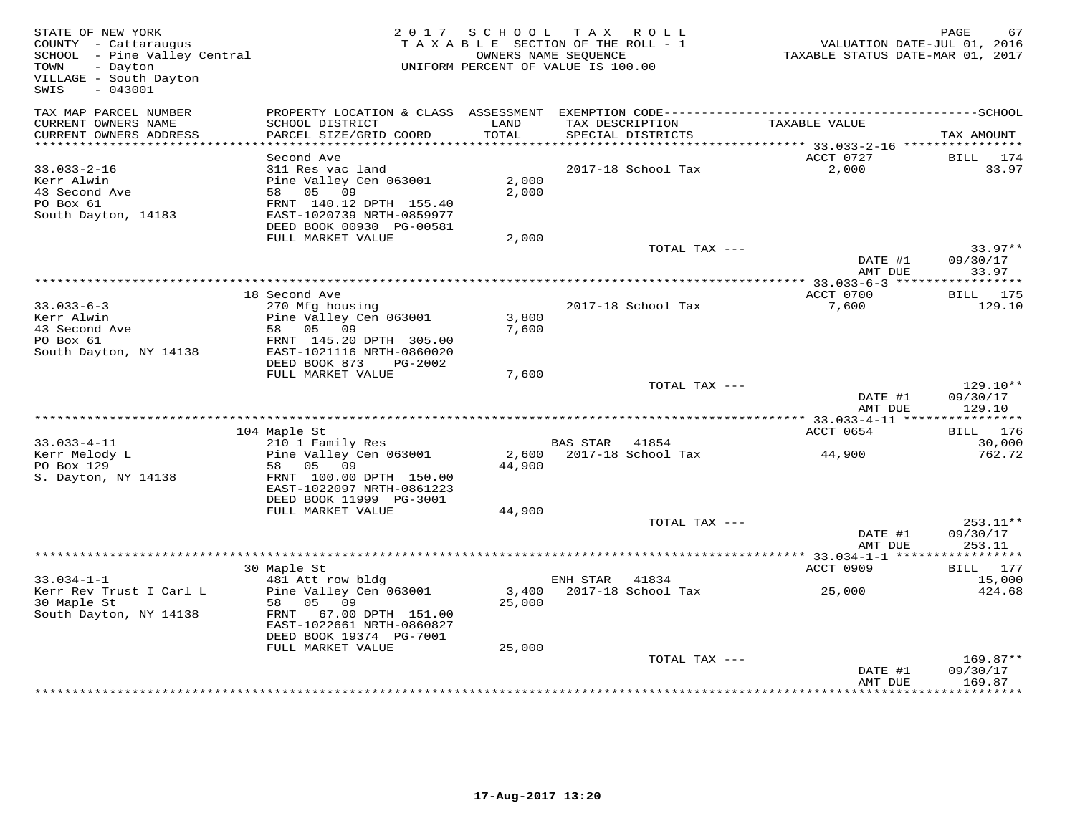| STATE OF NEW YORK<br>COUNTY - Cattaraugus<br>SCHOOL - Pine Valley Central<br>TOWN<br>- Dayton<br>VILLAGE - South Dayton<br>$-043001$<br>SWIS |                                                                                                                        |                | 2017 SCHOOL TAX ROLL<br>TAXABLE SECTION OF THE ROLL - 1<br>OWNERS NAME SEQUENCE<br>UNIFORM PERCENT OF VALUE IS 100.00 |                 | VALUATION DATE-JUL 01, 2016<br>TAXABLE STATUS DATE-MAR 01, 2017 | PAGE       | 67                   |
|----------------------------------------------------------------------------------------------------------------------------------------------|------------------------------------------------------------------------------------------------------------------------|----------------|-----------------------------------------------------------------------------------------------------------------------|-----------------|-----------------------------------------------------------------|------------|----------------------|
| TAX MAP PARCEL NUMBER                                                                                                                        |                                                                                                                        |                |                                                                                                                       |                 |                                                                 |            |                      |
| CURRENT OWNERS NAME<br>CURRENT OWNERS ADDRESS                                                                                                | SCHOOL DISTRICT<br>PARCEL SIZE/GRID COORD                                                                              | LAND<br>TOTAL  | SPECIAL DISTRICTS                                                                                                     | TAX DESCRIPTION | TAXABLE VALUE                                                   | TAX AMOUNT |                      |
|                                                                                                                                              |                                                                                                                        |                |                                                                                                                       |                 |                                                                 |            |                      |
| $33.033 - 2 - 16$                                                                                                                            | Second Ave<br>311 Res vac land                                                                                         |                | 2017-18 School Tax                                                                                                    |                 | ACCT 0727<br>2,000                                              |            | BILL 174<br>33.97    |
| Kerr Alwin<br>43 Second Ave<br>PO Box 61<br>South Dayton, 14183                                                                              | Pine Valley Cen 063001<br>58 05 09<br>FRNT 140.12 DPTH 155.40<br>EAST-1020739 NRTH-0859977<br>DEED BOOK 00930 PG-00581 | 2,000<br>2,000 |                                                                                                                       |                 |                                                                 |            |                      |
|                                                                                                                                              | FULL MARKET VALUE                                                                                                      | 2,000          |                                                                                                                       |                 |                                                                 |            |                      |
|                                                                                                                                              |                                                                                                                        |                |                                                                                                                       | TOTAL TAX ---   |                                                                 |            | $33.97**$            |
|                                                                                                                                              |                                                                                                                        |                |                                                                                                                       |                 | DATE #1<br>AMT DUE                                              | 09/30/17   | 33.97                |
|                                                                                                                                              |                                                                                                                        |                |                                                                                                                       |                 |                                                                 |            |                      |
| $33.033 - 6 - 3$                                                                                                                             | 18 Second Ave<br>270 Mfg housing                                                                                       |                | 2017-18 School Tax                                                                                                    |                 | ACCT 0700<br>7,600                                              |            | BILL 175<br>129.10   |
| Kerr Alwin<br>43 Second Ave<br>PO Box 61<br>South Dayton, NY 14138                                                                           | Pine Valley Cen 063001<br>58 05 09<br>FRNT 145.20 DPTH 305.00<br>EAST-1021116 NRTH-0860020                             | 3,800<br>7,600 |                                                                                                                       |                 |                                                                 |            |                      |
|                                                                                                                                              | DEED BOOK 873<br>PG-2002<br>FULL MARKET VALUE                                                                          | 7,600          |                                                                                                                       |                 |                                                                 |            |                      |
|                                                                                                                                              |                                                                                                                        |                |                                                                                                                       | TOTAL TAX ---   | DATE #1<br>AMT DUE                                              | 09/30/17   | $129.10**$<br>129.10 |
|                                                                                                                                              |                                                                                                                        |                |                                                                                                                       |                 |                                                                 |            |                      |
| $33.033 - 4 - 11$                                                                                                                            | 104 Maple St<br>210 1 Family Res                                                                                       |                | BAS STAR 41854                                                                                                        |                 | ACCT 0654                                                       |            | BILL 176<br>30,000   |
| Kerr Melody L<br>PO Box 129                                                                                                                  | Pine Valley Cen 063001<br>58 05 09                                                                                     | 44,900         | 2,600 2017-18 School Tax                                                                                              |                 | 44,900                                                          |            | 762.72               |
| S. Dayton, NY 14138                                                                                                                          | FRNT 100.00 DPTH 150.00<br>EAST-1022097 NRTH-0861223<br>DEED BOOK 11999 PG-3001                                        |                |                                                                                                                       |                 |                                                                 |            |                      |
|                                                                                                                                              | FULL MARKET VALUE                                                                                                      | 44,900         |                                                                                                                       |                 |                                                                 |            |                      |
|                                                                                                                                              |                                                                                                                        |                |                                                                                                                       | TOTAL TAX ---   | DATE #1<br>AMT DUE                                              | 09/30/17   | $253.11**$<br>253.11 |
|                                                                                                                                              |                                                                                                                        |                |                                                                                                                       |                 |                                                                 |            |                      |
| $33.034 - 1 - 1$                                                                                                                             | 30 Maple St                                                                                                            |                |                                                                                                                       |                 | ACCT 0909                                                       |            | BILL 177<br>15,000   |
| Kerr Rev Trust I Carl L<br>30 Maple St<br>South Dayton, NY 14138                                                                             | 481 Att row bldg<br>Pine Valley Cen 063001<br>58 05 09<br>FRNT 67.00 DPTH 151.00<br>EAST-1022661 NRTH-0860827          | 25,000         | ENH STAR 41834<br>3,400 2017-18 School Tax                                                                            |                 | 25,000                                                          |            | 424.68               |
|                                                                                                                                              | DEED BOOK 19374 PG-7001                                                                                                |                |                                                                                                                       |                 |                                                                 |            |                      |
|                                                                                                                                              | FULL MARKET VALUE                                                                                                      | 25,000         |                                                                                                                       | TOTAL TAX ---   |                                                                 |            | 169.87**             |
|                                                                                                                                              |                                                                                                                        |                |                                                                                                                       |                 | DATE #1<br>AMT DUE                                              | 09/30/17   | 169.87               |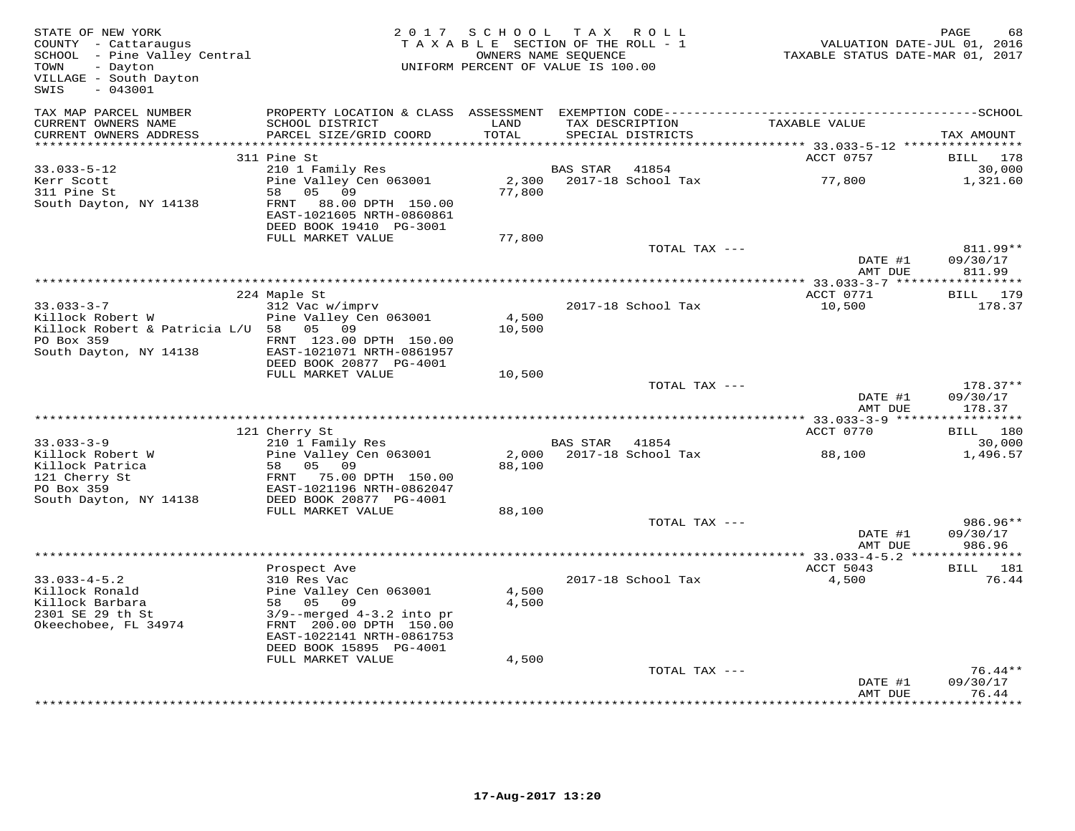| STATE OF NEW YORK<br>COUNTY - Cattaraugus<br>SCHOOL - Pine Valley Central<br>TOWN<br>- Dayton<br>VILLAGE - South Dayton<br>SWIS<br>$-043001$ |                                                                                                                         | 2017 SCHOOL TAX ROLL<br>TAXABLE SECTION OF THE ROLL - 1<br>UNIFORM PERCENT OF VALUE IS 100.00 | OWNERS NAME SEQUENCE |                    |                    | PAGE<br>68<br>VALUATION DATE-JUL 01, 2016<br>TAXABLE STATUS DATE-MAR 01, 2017 |
|----------------------------------------------------------------------------------------------------------------------------------------------|-------------------------------------------------------------------------------------------------------------------------|-----------------------------------------------------------------------------------------------|----------------------|--------------------|--------------------|-------------------------------------------------------------------------------|
| TAX MAP PARCEL NUMBER<br>CURRENT OWNERS NAME<br>CURRENT OWNERS ADDRESS                                                                       | SCHOOL DISTRICT<br>PARCEL SIZE/GRID COORD                                                                               | LAND<br>TOTAL                                                                                 | TAX DESCRIPTION      | SPECIAL DISTRICTS  | TAXABLE VALUE      | TAX AMOUNT                                                                    |
|                                                                                                                                              |                                                                                                                         |                                                                                               |                      |                    |                    |                                                                               |
|                                                                                                                                              | 311 Pine St                                                                                                             |                                                                                               |                      |                    | ACCT 0757          | 178<br>BILL                                                                   |
| $33.033 - 5 - 12$                                                                                                                            | 210 1 Family Res                                                                                                        |                                                                                               | <b>BAS STAR</b>      | 41854              |                    | 30,000                                                                        |
| Kerr Scott<br>311 Pine St<br>South Dayton, NY 14138                                                                                          | Pine Valley Cen 063001<br>05 09<br>58<br>FRNT 88.00 DPTH 150.00<br>EAST-1021605 NRTH-0860861<br>DEED BOOK 19410 PG-3001 | 2,300<br>77,800                                                                               |                      | 2017-18 School Tax | 77,800             | 1,321.60                                                                      |
|                                                                                                                                              | FULL MARKET VALUE                                                                                                       | 77,800                                                                                        |                      |                    |                    |                                                                               |
|                                                                                                                                              |                                                                                                                         |                                                                                               |                      | TOTAL TAX ---      |                    | 811.99**                                                                      |
|                                                                                                                                              |                                                                                                                         |                                                                                               |                      |                    | DATE #1            | 09/30/17                                                                      |
|                                                                                                                                              |                                                                                                                         |                                                                                               |                      |                    | AMT DUE            | 811.99                                                                        |
|                                                                                                                                              | 224 Maple St                                                                                                            |                                                                                               |                      |                    | ACCT 0771          | BILL 179                                                                      |
| $33.033 - 3 - 7$                                                                                                                             | 312 Vac w/imprv                                                                                                         |                                                                                               |                      | 2017-18 School Tax | 10,500             | 178.37                                                                        |
| Killock Robert W                                                                                                                             | Pine Valley Cen 063001                                                                                                  | 4,500                                                                                         |                      |                    |                    |                                                                               |
| Killock Robert & Patricia L/U 58 05 09                                                                                                       |                                                                                                                         | 10,500                                                                                        |                      |                    |                    |                                                                               |
| PO Box 359                                                                                                                                   | FRNT 123.00 DPTH 150.00                                                                                                 |                                                                                               |                      |                    |                    |                                                                               |
| South Dayton, NY 14138                                                                                                                       | EAST-1021071 NRTH-0861957<br>DEED BOOK 20877 PG-4001                                                                    |                                                                                               |                      |                    |                    |                                                                               |
|                                                                                                                                              | FULL MARKET VALUE                                                                                                       | 10,500                                                                                        |                      |                    |                    |                                                                               |
|                                                                                                                                              |                                                                                                                         |                                                                                               |                      | TOTAL TAX ---      |                    | $178.37**$                                                                    |
|                                                                                                                                              |                                                                                                                         |                                                                                               |                      |                    | DATE #1            | 09/30/17                                                                      |
|                                                                                                                                              |                                                                                                                         |                                                                                               |                      |                    | AMT DUE            | 178.37<br>***********                                                         |
|                                                                                                                                              | 121 Cherry St                                                                                                           |                                                                                               |                      |                    | ACCT 0770          | 180<br>BILL                                                                   |
| $33.033 - 3 - 9$                                                                                                                             | 210 1 Family Res                                                                                                        |                                                                                               | <b>BAS STAR</b>      | 41854              |                    | 30,000                                                                        |
| Killock Robert W                                                                                                                             | Pine Valley Cen 063001                                                                                                  | 2,000                                                                                         |                      | 2017-18 School Tax | 88,100             | 1,496.57                                                                      |
| Killock Patrica                                                                                                                              | 05 09<br>58                                                                                                             | 88,100                                                                                        |                      |                    |                    |                                                                               |
| 121 Cherry St                                                                                                                                | FRNT 75.00 DPTH 150.00                                                                                                  |                                                                                               |                      |                    |                    |                                                                               |
| PO Box 359<br>South Dayton, NY 14138                                                                                                         | EAST-1021196 NRTH-0862047<br>DEED BOOK 20877 PG-4001                                                                    |                                                                                               |                      |                    |                    |                                                                               |
|                                                                                                                                              | FULL MARKET VALUE                                                                                                       | 88,100                                                                                        |                      |                    |                    |                                                                               |
|                                                                                                                                              |                                                                                                                         |                                                                                               |                      | TOTAL TAX ---      |                    | 986.96**                                                                      |
|                                                                                                                                              |                                                                                                                         |                                                                                               |                      |                    | DATE #1<br>AMT DUE | 09/30/17<br>986.96                                                            |
|                                                                                                                                              |                                                                                                                         |                                                                                               |                      |                    |                    |                                                                               |
|                                                                                                                                              | Prospect Ave                                                                                                            |                                                                                               |                      |                    | ACCT 5043          | BILL 181                                                                      |
| $33.033 - 4 - 5.2$                                                                                                                           | 310 Res Vac                                                                                                             |                                                                                               |                      | 2017-18 School Tax | 4,500              | 76.44                                                                         |
| Killock Ronald<br>Killock Barbara                                                                                                            | Pine Valley Cen 063001<br>58 05 09                                                                                      | 4,500<br>4,500                                                                                |                      |                    |                    |                                                                               |
| 2301 SE 29 th St                                                                                                                             | $3/9$ --merged $4-3.2$ into pr                                                                                          |                                                                                               |                      |                    |                    |                                                                               |
| Okeechobee, FL 34974                                                                                                                         | FRNT 200.00 DPTH 150.00                                                                                                 |                                                                                               |                      |                    |                    |                                                                               |
|                                                                                                                                              | EAST-1022141 NRTH-0861753                                                                                               |                                                                                               |                      |                    |                    |                                                                               |
|                                                                                                                                              | DEED BOOK 15895 PG-4001                                                                                                 |                                                                                               |                      |                    |                    |                                                                               |
|                                                                                                                                              | FULL MARKET VALUE                                                                                                       | 4,500                                                                                         |                      |                    |                    |                                                                               |
|                                                                                                                                              |                                                                                                                         |                                                                                               |                      | TOTAL TAX ---      | DATE #1            | $76.44**$<br>09/30/17                                                         |
|                                                                                                                                              |                                                                                                                         |                                                                                               |                      |                    | AMT DUE            | 76.44                                                                         |
|                                                                                                                                              |                                                                                                                         |                                                                                               |                      |                    |                    | * * * * * * * * *                                                             |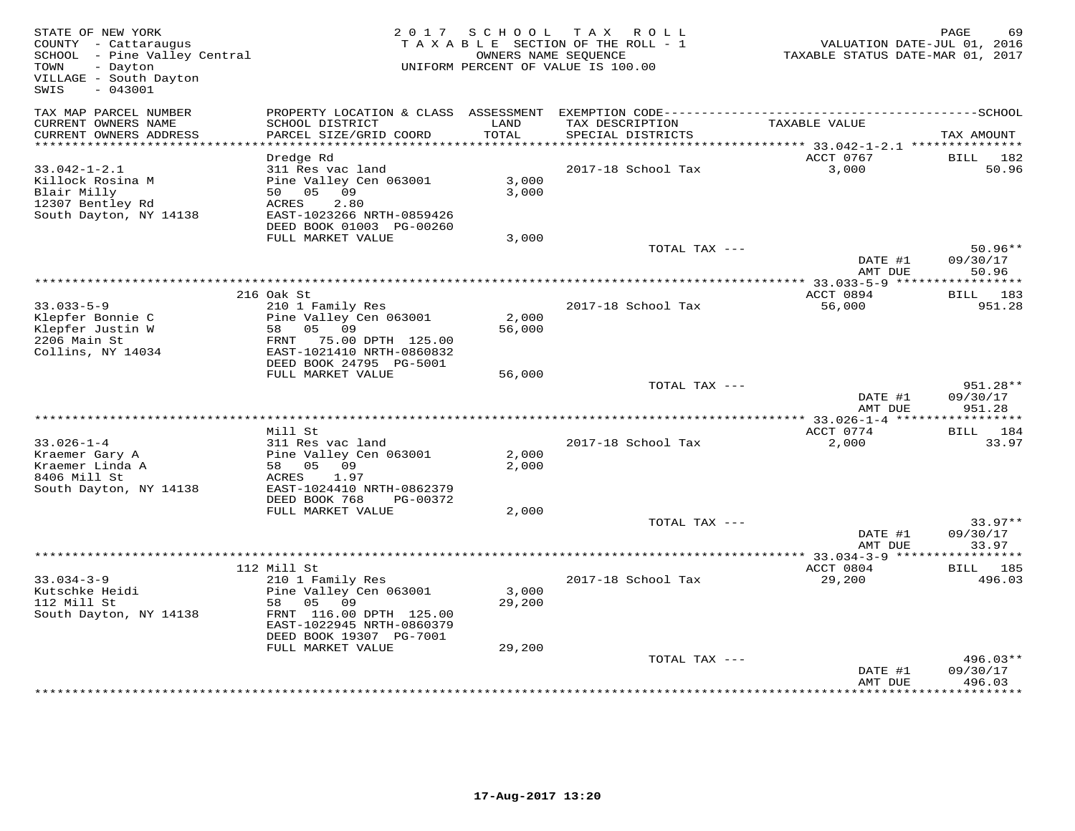| STATE OF NEW YORK<br>COUNTY - Cattaraugus<br>SCHOOL - Pine Valley Central<br>TOWN<br>- Dayton<br>VILLAGE - South Dayton<br>$-043001$<br>SWIS |                                                                                                                                                           | 2017 SCHOOL     | TAX ROLL<br>TAXABLE SECTION OF THE ROLL - 1<br>OWNERS NAME SEQUENCE<br>UNIFORM PERCENT OF VALUE IS 100.00 | VALUATION DATE-JUL 01, 2016<br>TAXABLE STATUS DATE-MAR 01, 2017 | PAGE<br>69                     |
|----------------------------------------------------------------------------------------------------------------------------------------------|-----------------------------------------------------------------------------------------------------------------------------------------------------------|-----------------|-----------------------------------------------------------------------------------------------------------|-----------------------------------------------------------------|--------------------------------|
| TAX MAP PARCEL NUMBER<br>CURRENT OWNERS NAME<br>CURRENT OWNERS ADDRESS                                                                       | SCHOOL DISTRICT<br>PARCEL SIZE/GRID COORD                                                                                                                 | LAND<br>TOTAL   | TAX DESCRIPTION<br>SPECIAL DISTRICTS                                                                      | TAXABLE VALUE                                                   | TAX AMOUNT                     |
| **********************                                                                                                                       |                                                                                                                                                           |                 |                                                                                                           |                                                                 |                                |
| $33.042 - 1 - 2.1$<br>Killock Rosina M<br>Blair Milly<br>12307 Bentley Rd<br>South Dayton, NY 14138                                          | Dredge Rd<br>311 Res vac land<br>Pine Valley Cen 063001<br>50 05 09<br>2.80<br>ACRES<br>EAST-1023266 NRTH-0859426<br>DEED BOOK 01003 PG-00260             | 3,000<br>3,000  | 2017-18 School Tax                                                                                        | ACCT 0767<br>3,000                                              | 182<br>BILL<br>50.96           |
|                                                                                                                                              | FULL MARKET VALUE                                                                                                                                         | 3,000           |                                                                                                           |                                                                 |                                |
|                                                                                                                                              |                                                                                                                                                           |                 | TOTAL TAX ---                                                                                             | DATE #1<br>AMT DUE                                              | $50.96**$<br>09/30/17<br>50.96 |
|                                                                                                                                              |                                                                                                                                                           |                 |                                                                                                           |                                                                 |                                |
| $33.033 - 5 - 9$<br>Klepfer Bonnie C<br>Klepfer Justin W<br>2206 Main St<br>Collins, NY 14034                                                | 216 Oak St<br>210 1 Family Res<br>Pine Valley Cen 063001<br>05 09<br>58<br>FRNT 75.00 DPTH 125.00<br>EAST-1021410 NRTH-0860832<br>DEED BOOK 24795 PG-5001 | 2,000<br>56,000 | 2017-18 School Tax                                                                                        | ACCT 0894<br>56,000                                             | BILL 183<br>951.28             |
|                                                                                                                                              | FULL MARKET VALUE                                                                                                                                         | 56,000          |                                                                                                           |                                                                 |                                |
|                                                                                                                                              |                                                                                                                                                           |                 | TOTAL TAX ---                                                                                             | DATE #1<br>AMT DUE                                              | 951.28**<br>09/30/17<br>951.28 |
|                                                                                                                                              | Mill St                                                                                                                                                   |                 |                                                                                                           | ** 33.026-1-4 ******                                            | ***********<br>BILL 184        |
| $33.026 - 1 - 4$<br>Kraemer Gary A<br>Kraemer Linda A<br>8406 Mill St<br>South Dayton, NY 14138                                              | 311 Res vac land<br>Pine Valley Cen 063001<br>58 05 09<br>1.97<br><b>ACRES</b><br>EAST-1024410 NRTH-0862379                                               | 2,000<br>2,000  | 2017-18 School Tax                                                                                        | ACCT 0774<br>2,000                                              | 33.97                          |
|                                                                                                                                              | DEED BOOK 768<br>PG-00372<br>FULL MARKET VALUE                                                                                                            | 2,000           |                                                                                                           |                                                                 |                                |
|                                                                                                                                              |                                                                                                                                                           |                 | TOTAL TAX ---                                                                                             | DATE #1<br>AMT DUE                                              | $33.97**$<br>09/30/17<br>33.97 |
|                                                                                                                                              |                                                                                                                                                           |                 |                                                                                                           |                                                                 | ***********                    |
|                                                                                                                                              | 112 Mill St                                                                                                                                               |                 |                                                                                                           | ACCT 0804                                                       | BILL 185                       |
| $33.034 - 3 - 9$<br>Kutschke Heidi<br>112 Mill St<br>South Dayton, NY 14138                                                                  | 210 1 Family Res<br>Pine Valley Cen 063001<br>05<br>58<br>09<br>FRNT 116.00 DPTH 125.00<br>EAST-1022945 NRTH-0860379<br>DEED BOOK 19307 PG-7001           | 3,000<br>29,200 | 2017-18 School Tax                                                                                        | 29,200                                                          | 496.03                         |
|                                                                                                                                              | FULL MARKET VALUE                                                                                                                                         | 29,200          | TOTAL TAX ---                                                                                             |                                                                 | 496.03**                       |
|                                                                                                                                              |                                                                                                                                                           |                 |                                                                                                           | DATE #1<br>AMT DUE                                              | 09/30/17<br>496.03             |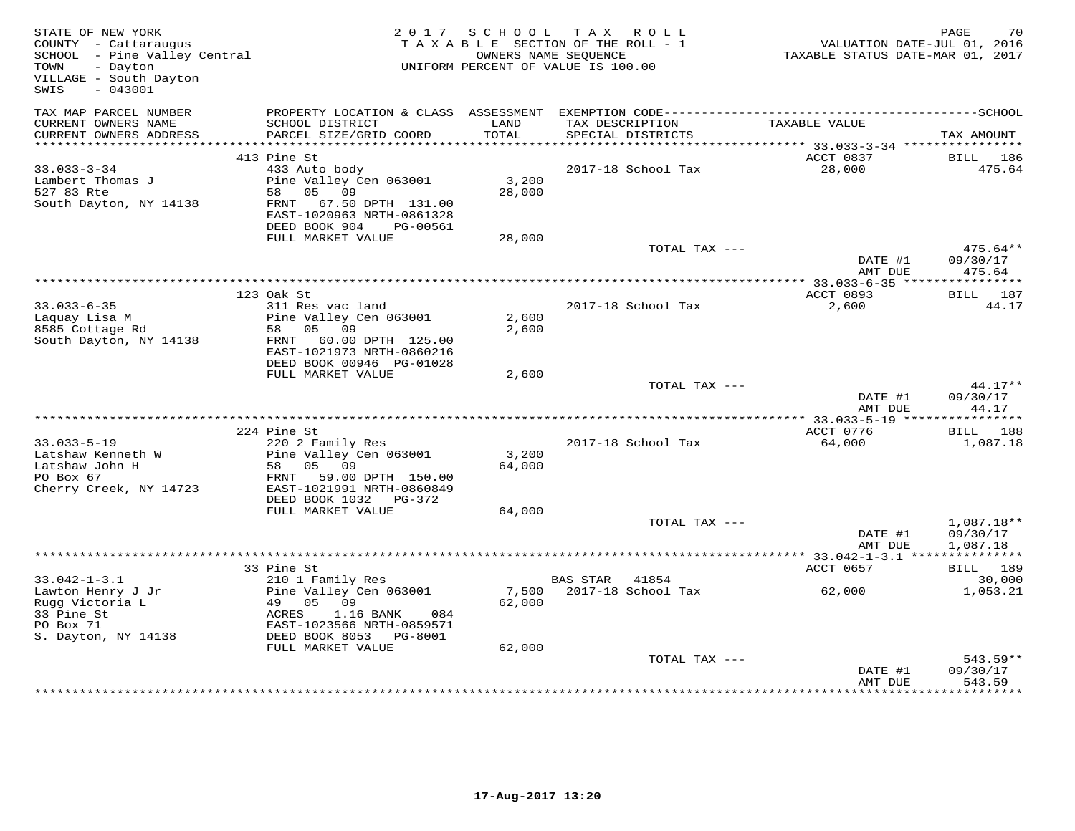| STATE OF NEW YORK<br>COUNTY - Cattaraugus<br>SCHOOL - Pine Valley Central<br>- Dayton<br>TOWN<br>VILLAGE - South Dayton<br>$-043001$<br>SWIS |                                                                                                                     | 2017 SCHOOL          | T A X<br>R O L L<br>TAXABLE SECTION OF THE ROLL - 1<br>OWNERS NAME SEQUENCE<br>UNIFORM PERCENT OF VALUE IS 100.00 | VALUATION DATE-JUL 01, 2016<br>TAXABLE STATUS DATE-MAR 01, 2017 | PAGE<br>70                           |
|----------------------------------------------------------------------------------------------------------------------------------------------|---------------------------------------------------------------------------------------------------------------------|----------------------|-------------------------------------------------------------------------------------------------------------------|-----------------------------------------------------------------|--------------------------------------|
| TAX MAP PARCEL NUMBER<br>CURRENT OWNERS NAME                                                                                                 | SCHOOL DISTRICT                                                                                                     | LAND<br><b>TOTAL</b> | TAX DESCRIPTION                                                                                                   | TAXABLE VALUE                                                   |                                      |
| CURRENT OWNERS ADDRESS                                                                                                                       | PARCEL SIZE/GRID COORD                                                                                              |                      | SPECIAL DISTRICTS                                                                                                 |                                                                 | TAX AMOUNT                           |
|                                                                                                                                              | 413 Pine St                                                                                                         |                      |                                                                                                                   | ACCT 0837                                                       | BILL<br>186                          |
| $33.033 - 3 - 34$<br>Lambert Thomas J<br>527 83 Rte<br>South Dayton, NY 14138                                                                | 433 Auto body<br>Pine Valley Cen 063001<br>58 05 09<br>FRNT 67.50 DPTH 131.00<br>EAST-1020963 NRTH-0861328          | 3,200<br>28,000      | 2017-18 School Tax                                                                                                | 28,000                                                          | 475.64                               |
|                                                                                                                                              | DEED BOOK 904<br>PG-00561                                                                                           |                      |                                                                                                                   |                                                                 |                                      |
|                                                                                                                                              | FULL MARKET VALUE                                                                                                   | 28,000               |                                                                                                                   |                                                                 |                                      |
|                                                                                                                                              |                                                                                                                     |                      | TOTAL TAX ---                                                                                                     | DATE #1<br>AMT DUE                                              | $475.64**$<br>09/30/17<br>475.64     |
|                                                                                                                                              |                                                                                                                     |                      |                                                                                                                   |                                                                 |                                      |
| $33.033 - 6 - 35$<br>Laquay Lisa M                                                                                                           | 123 Oak St<br>311 Res vac land<br>Pine Valley Cen 063001                                                            | 2,600                | 2017-18 School Tax                                                                                                | ACCT 0893<br>2,600                                              | BILL 187<br>44.17                    |
| 8585 Cottage Rd<br>South Dayton, NY 14138                                                                                                    | 58 05 09<br>FRNT 60.00 DPTH 125.00<br>EAST-1021973 NRTH-0860216<br>DEED BOOK 00946 PG-01028                         | 2,600                |                                                                                                                   |                                                                 |                                      |
|                                                                                                                                              | FULL MARKET VALUE                                                                                                   | 2,600                |                                                                                                                   |                                                                 |                                      |
|                                                                                                                                              |                                                                                                                     |                      | TOTAL TAX ---                                                                                                     | DATE #1<br>AMT DUE                                              | $44.17**$<br>09/30/17<br>44.17       |
|                                                                                                                                              |                                                                                                                     |                      |                                                                                                                   |                                                                 |                                      |
|                                                                                                                                              | 224 Pine St                                                                                                         |                      |                                                                                                                   | ACCT 0776                                                       | BILL 188                             |
| $33.033 - 5 - 19$<br>Latshaw Kenneth W<br>Latshaw John H<br>PO Box 67<br>Cherry Creek, NY 14723                                              | 220 2 Family Res<br>Pine Valley Cen 063001<br>05 09<br>58<br>FRNT<br>59.00 DPTH 150.00<br>EAST-1021991 NRTH-0860849 | 3,200<br>64,000      | 2017-18 School Tax                                                                                                | 64,000                                                          | 1,087.18                             |
|                                                                                                                                              | DEED BOOK 1032    PG-372                                                                                            |                      |                                                                                                                   |                                                                 |                                      |
|                                                                                                                                              | FULL MARKET VALUE                                                                                                   | 64,000               |                                                                                                                   |                                                                 |                                      |
|                                                                                                                                              |                                                                                                                     |                      | TOTAL TAX ---                                                                                                     | DATE #1<br>AMT DUE                                              | $1,087.18**$<br>09/30/17<br>1,087.18 |
|                                                                                                                                              |                                                                                                                     |                      |                                                                                                                   | ***** 33.042-1-3.1 ***************                              |                                      |
|                                                                                                                                              | 33 Pine St                                                                                                          |                      |                                                                                                                   | ACCT 0657                                                       | BILL 189                             |
| $33.042 - 1 - 3.1$<br>Lawton Henry J Jr<br>Rugg Victoria L<br>33 Pine St<br>PO Box 71                                                        | 210 1 Family Res<br>Pine Valley Cen 063001<br>49 05<br>09<br>1.16 BANK<br>ACRES<br>084<br>EAST-1023566 NRTH-0859571 | 62,000               | BAS STAR<br>41854<br>7,500 2017-18 School Tax                                                                     | 62,000                                                          | 30,000<br>1,053.21                   |
| S. Dayton, NY 14138                                                                                                                          | DEED BOOK 8053 PG-8001                                                                                              |                      |                                                                                                                   |                                                                 |                                      |
|                                                                                                                                              | FULL MARKET VALUE                                                                                                   | 62,000               | TOTAL TAX ---                                                                                                     | DATE #1                                                         | 543.59**<br>09/30/17                 |
|                                                                                                                                              |                                                                                                                     |                      |                                                                                                                   | AMT DUE                                                         | 543.59                               |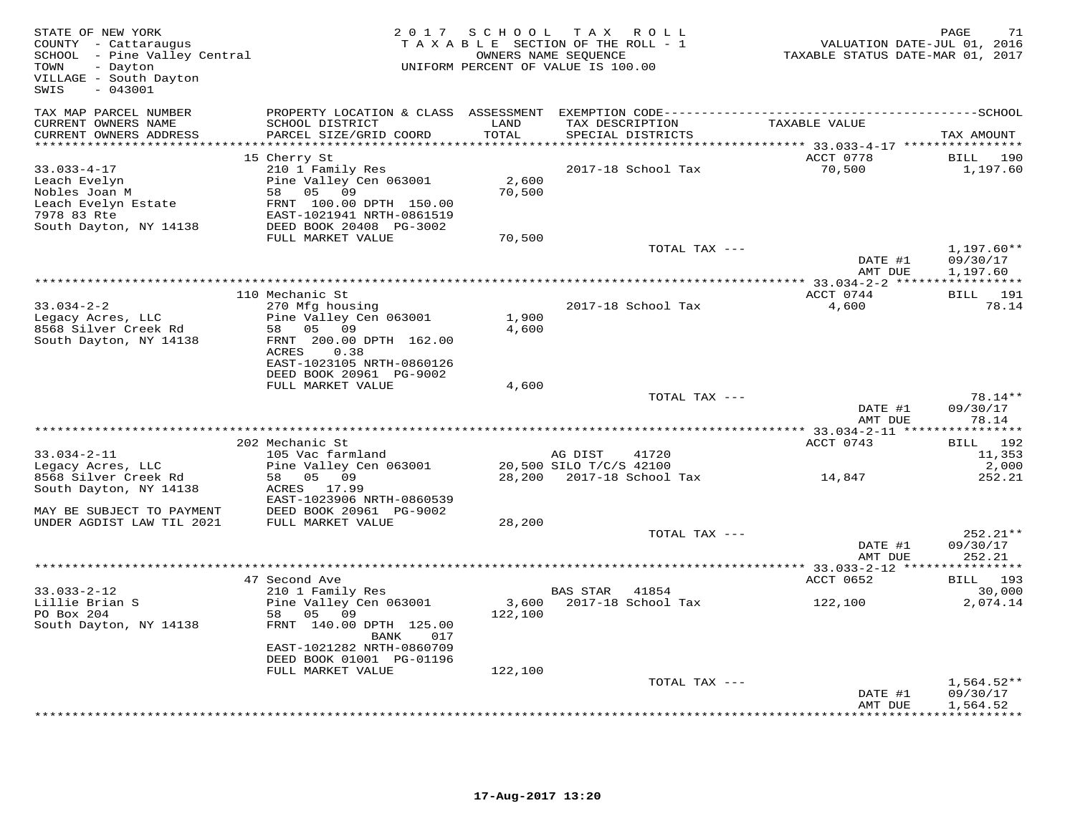| STATE OF NEW YORK<br>COUNTY - Cattaraugus<br>SCHOOL - Pine Valley Central<br>TOWN<br>- Dayton<br>VILLAGE - South Dayton<br>$-043001$<br>SWIS | 2 0 1 7                                   | S C H O O L    | TAX ROLL<br>TAXABLE SECTION OF THE ROLL - 1<br>OWNERS NAME SEQUENCE<br>UNIFORM PERCENT OF VALUE IS 100.00 | VALUATION DATE-JUL 01, 2016<br>TAXABLE STATUS DATE-MAR 01, 2017 | PAGE<br>71               |
|----------------------------------------------------------------------------------------------------------------------------------------------|-------------------------------------------|----------------|-----------------------------------------------------------------------------------------------------------|-----------------------------------------------------------------|--------------------------|
| TAX MAP PARCEL NUMBER                                                                                                                        | PROPERTY LOCATION & CLASS ASSESSMENT      |                |                                                                                                           |                                                                 |                          |
| CURRENT OWNERS NAME<br>CURRENT OWNERS ADDRESS                                                                                                | SCHOOL DISTRICT<br>PARCEL SIZE/GRID COORD | LAND<br>TOTAL  | TAX DESCRIPTION<br>SPECIAL DISTRICTS                                                                      | TAXABLE VALUE                                                   | TAX AMOUNT               |
| ***********************                                                                                                                      |                                           |                |                                                                                                           |                                                                 |                          |
| $33.033 - 4 - 17$                                                                                                                            | 15 Cherry St<br>210 1 Family Res          |                | 2017-18 School Tax                                                                                        | ACCT 0778<br>70,500                                             | BILL<br>190<br>1,197.60  |
| Leach Evelyn                                                                                                                                 | Pine Valley Cen 063001                    | 2,600          |                                                                                                           |                                                                 |                          |
| Nobles Joan M                                                                                                                                | 58 05 09                                  | 70,500         |                                                                                                           |                                                                 |                          |
| Leach Evelyn Estate                                                                                                                          | FRNT 100.00 DPTH 150.00                   |                |                                                                                                           |                                                                 |                          |
| 7978 83 Rte                                                                                                                                  | EAST-1021941 NRTH-0861519                 |                |                                                                                                           |                                                                 |                          |
| South Dayton, NY 14138                                                                                                                       | DEED BOOK 20408 PG-3002                   |                |                                                                                                           |                                                                 |                          |
|                                                                                                                                              | FULL MARKET VALUE                         | 70,500         |                                                                                                           |                                                                 |                          |
|                                                                                                                                              |                                           |                | TOTAL TAX ---                                                                                             | DATE #1                                                         | $1,197.60**$<br>09/30/17 |
|                                                                                                                                              |                                           |                |                                                                                                           | AMT DUE                                                         | 1,197.60                 |
|                                                                                                                                              |                                           |                |                                                                                                           |                                                                 |                          |
|                                                                                                                                              | 110 Mechanic St                           |                |                                                                                                           | ACCT 0744                                                       | BILL 191                 |
| $33.034 - 2 - 2$                                                                                                                             | 270 Mfg housing                           |                | 2017-18 School Tax                                                                                        | 4,600                                                           | 78.14                    |
| Legacy Acres, LLC<br>8568 Silver Creek Rd                                                                                                    | Pine Valley Cen 063001<br>58 05 09        | 1,900<br>4,600 |                                                                                                           |                                                                 |                          |
| South Dayton, NY 14138                                                                                                                       | FRNT 200.00 DPTH 162.00                   |                |                                                                                                           |                                                                 |                          |
|                                                                                                                                              | ACRES<br>0.38                             |                |                                                                                                           |                                                                 |                          |
|                                                                                                                                              | EAST-1023105 NRTH-0860126                 |                |                                                                                                           |                                                                 |                          |
|                                                                                                                                              | DEED BOOK 20961 PG-9002                   |                |                                                                                                           |                                                                 |                          |
|                                                                                                                                              | FULL MARKET VALUE                         | 4,600          |                                                                                                           |                                                                 |                          |
|                                                                                                                                              |                                           |                | TOTAL TAX ---                                                                                             | DATE #1                                                         | 78.14**<br>09/30/17      |
|                                                                                                                                              |                                           |                |                                                                                                           | AMT DUE                                                         | 78.14                    |
|                                                                                                                                              |                                           |                |                                                                                                           |                                                                 |                          |
|                                                                                                                                              | 202 Mechanic St                           |                |                                                                                                           | ACCT 0743                                                       | BILL 192                 |
| $33.034 - 2 - 11$                                                                                                                            | 105 Vac farmland                          |                | 41720<br>AG DIST                                                                                          |                                                                 | 11,353                   |
| Legacy Acres, LLC<br>8568 Silver Creek Rd                                                                                                    | Pine Valley Cen 063001<br>58 05 09        |                | 20,500 SILO T/C/S 42100<br>28,200 2017-18 School Tax                                                      | 14,847                                                          | 2,000<br>252.21          |
| South Dayton, NY 14138                                                                                                                       | ACRES 17.99                               |                |                                                                                                           |                                                                 |                          |
|                                                                                                                                              | EAST-1023906 NRTH-0860539                 |                |                                                                                                           |                                                                 |                          |
| MAY BE SUBJECT TO PAYMENT                                                                                                                    | DEED BOOK 20961 PG-9002                   |                |                                                                                                           |                                                                 |                          |
| UNDER AGDIST LAW TIL 2021                                                                                                                    | FULL MARKET VALUE                         | 28,200         |                                                                                                           |                                                                 |                          |
|                                                                                                                                              |                                           |                | TOTAL TAX ---                                                                                             |                                                                 | $252.21**$               |
|                                                                                                                                              |                                           |                |                                                                                                           | DATE #1<br>AMT DUE                                              | 09/30/17<br>252.21       |
|                                                                                                                                              |                                           |                |                                                                                                           |                                                                 |                          |
|                                                                                                                                              | 47 Second Ave                             |                |                                                                                                           | ACCT 0652                                                       | BILL 193                 |
| $33.033 - 2 - 12$                                                                                                                            | 210 1 Family Res                          |                | 41854<br>BAS STAR                                                                                         |                                                                 | 30,000                   |
| Lillie Brian S                                                                                                                               | Pine Valley Cen 063001                    | 3,600          | 2017-18 School Tax                                                                                        | 122,100                                                         | 2,074.14                 |
| PO Box 204                                                                                                                                   | 58 05 09                                  | 122,100        |                                                                                                           |                                                                 |                          |
| South Dayton, NY 14138                                                                                                                       | FRNT 140.00 DPTH 125.00<br>BANK<br>017    |                |                                                                                                           |                                                                 |                          |
|                                                                                                                                              | EAST-1021282 NRTH-0860709                 |                |                                                                                                           |                                                                 |                          |
|                                                                                                                                              | DEED BOOK 01001 PG-01196                  |                |                                                                                                           |                                                                 |                          |
|                                                                                                                                              | FULL MARKET VALUE                         | 122,100        |                                                                                                           |                                                                 |                          |
|                                                                                                                                              |                                           |                | TOTAL TAX ---                                                                                             |                                                                 | $1,564.52**$             |
|                                                                                                                                              |                                           |                |                                                                                                           | DATE #1<br>AMT DUE                                              | 09/30/17<br>1,564.52     |
|                                                                                                                                              |                                           |                |                                                                                                           |                                                                 | **********               |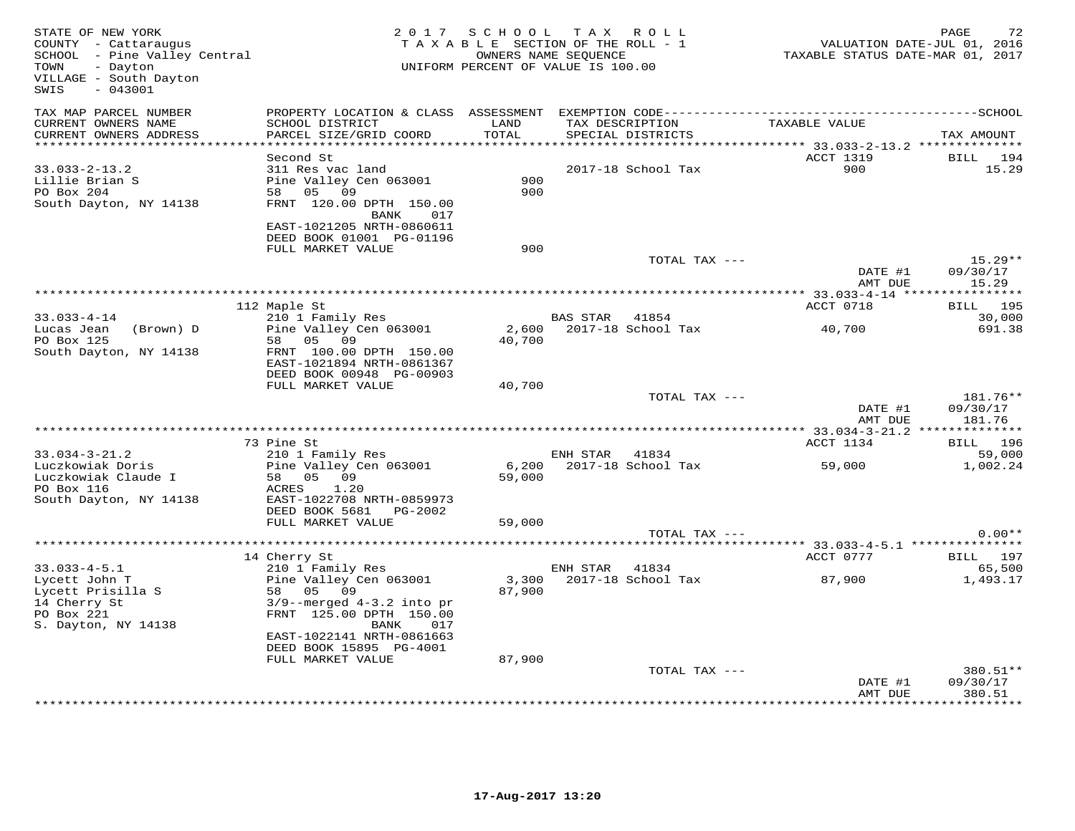| STATE OF NEW YORK<br>COUNTY - Cattaraugus<br>SCHOOL - Pine Valley Central<br>TOWN<br>- Dayton<br>VILLAGE - South Dayton<br>SWIS<br>$-043001$ |                                                                                                                                                                           | 2017 SCHOOL<br>TAXABLE SECTION OF THE ROLL - 1<br>UNIFORM PERCENT OF VALUE IS 100.00 | TAX ROLL<br>OWNERS NAME SEQUENCE |                             | TAXABLE STATUS DATE-MAR 01, 2017 | PAGE<br>72<br>VALUATION DATE-JUL 01, 2016 |
|----------------------------------------------------------------------------------------------------------------------------------------------|---------------------------------------------------------------------------------------------------------------------------------------------------------------------------|--------------------------------------------------------------------------------------|----------------------------------|-----------------------------|----------------------------------|-------------------------------------------|
| TAX MAP PARCEL NUMBER<br>CURRENT OWNERS NAME<br>CURRENT OWNERS ADDRESS                                                                       | SCHOOL DISTRICT<br>PARCEL SIZE/GRID COORD                                                                                                                                 | LAND<br>TOTAL                                                                        | TAX DESCRIPTION                  | SPECIAL DISTRICTS           | TAXABLE VALUE                    | TAX AMOUNT                                |
| $33.033 - 2 - 13.2$<br>Lillie Brian S<br>PO Box 204<br>South Dayton, NY 14138                                                                | Second St<br>311 Res vac land<br>Pine Valley Cen 063001<br>09<br>58 05<br>FRNT 120.00 DPTH 150.00<br>BANK<br>017<br>EAST-1021205 NRTH-0860611<br>DEED BOOK 01001 PG-01196 | 900<br>900                                                                           |                                  | 2017-18 School Tax          | ACCT 1319<br>900                 | BILL<br>194<br>15.29                      |
|                                                                                                                                              | FULL MARKET VALUE                                                                                                                                                         | 900                                                                                  |                                  | TOTAL TAX ---               | DATE #1                          | $15.29**$<br>09/30/17                     |
|                                                                                                                                              |                                                                                                                                                                           |                                                                                      |                                  |                             | AMT DUE                          | 15.29                                     |
| $33.033 - 4 - 14$                                                                                                                            | 112 Maple St<br>210 1 Family Res                                                                                                                                          |                                                                                      | BAS STAR                         | 41854                       | ACCT 0718                        | BILL 195<br>30,000                        |
| Lucas Jean<br>(Brown) D<br>PO Box 125                                                                                                        | Pine Valley Cen 063001<br>05 09<br>58                                                                                                                                     | 2,600<br>40,700                                                                      |                                  | 2017-18 School Tax          | 40,700                           | 691.38                                    |
| South Dayton, NY 14138                                                                                                                       | FRNT 100.00 DPTH 150.00<br>EAST-1021894 NRTH-0861367<br>DEED BOOK 00948 PG-00903<br>FULL MARKET VALUE                                                                     | 40,700                                                                               |                                  |                             |                                  |                                           |
|                                                                                                                                              |                                                                                                                                                                           |                                                                                      |                                  | TOTAL TAX ---               | DATE #1                          | 181.76**<br>09/30/17                      |
|                                                                                                                                              |                                                                                                                                                                           |                                                                                      |                                  |                             | AMT DUE                          | 181.76                                    |
|                                                                                                                                              |                                                                                                                                                                           |                                                                                      |                                  |                             |                                  |                                           |
|                                                                                                                                              | 73 Pine St                                                                                                                                                                |                                                                                      |                                  |                             | ACCT 1134                        | <b>BILL</b> 196                           |
| $33.034 - 3 - 21.2$<br>Luczkowiak Doris<br>Luczkowiak Claude I<br>PO Box 116                                                                 | 210 1 Family Res<br>Pine Valley Cen 063001<br>58 05 09<br>ACRES<br>1.20                                                                                                   | 6,200<br>59,000                                                                      | ENH STAR                         | 41834<br>2017-18 School Tax | 59,000                           | 59,000<br>1,002.24                        |
| South Dayton, NY 14138                                                                                                                       | EAST-1022708 NRTH-0859973<br>DEED BOOK 5681 PG-2002<br>FULL MARKET VALUE                                                                                                  | 59,000                                                                               |                                  |                             |                                  |                                           |
|                                                                                                                                              |                                                                                                                                                                           |                                                                                      |                                  | TOTAL TAX ---               |                                  | $0.00**$                                  |
|                                                                                                                                              |                                                                                                                                                                           |                                                                                      |                                  |                             | *** 33.033-4-5.1 **************  |                                           |
|                                                                                                                                              | 14 Cherry St                                                                                                                                                              |                                                                                      |                                  |                             | ACCT 0777                        | BILL 197                                  |
| $33.033 - 4 - 5.1$                                                                                                                           | 210 1 Family Res                                                                                                                                                          |                                                                                      | ENH STAR                         | 41834                       |                                  | 65,500                                    |
| Lycett John T<br>Lycett Prisilla S<br>14 Cherry St<br>PO Box 221<br>S. Dayton, NY 14138                                                      | Pine Valley Cen 063001<br>58 05 09<br>$3/9$ --merged $4-3.2$ into pr<br>FRNT 125.00 DPTH 150.00<br>BANK<br>017                                                            | 3,300<br>87,900                                                                      |                                  | 2017-18 School Tax          | 87,900                           | 1,493.17                                  |
|                                                                                                                                              | EAST-1022141 NRTH-0861663                                                                                                                                                 |                                                                                      |                                  |                             |                                  |                                           |
|                                                                                                                                              | DEED BOOK 15895 PG-4001<br>FULL MARKET VALUE                                                                                                                              | 87,900                                                                               |                                  |                             |                                  |                                           |
|                                                                                                                                              |                                                                                                                                                                           |                                                                                      |                                  | TOTAL TAX ---               |                                  | 380.51**                                  |
|                                                                                                                                              |                                                                                                                                                                           |                                                                                      |                                  |                             | DATE #1<br>AMT DUE               | 09/30/17<br>380.51                        |
|                                                                                                                                              |                                                                                                                                                                           |                                                                                      |                                  |                             |                                  | ********                                  |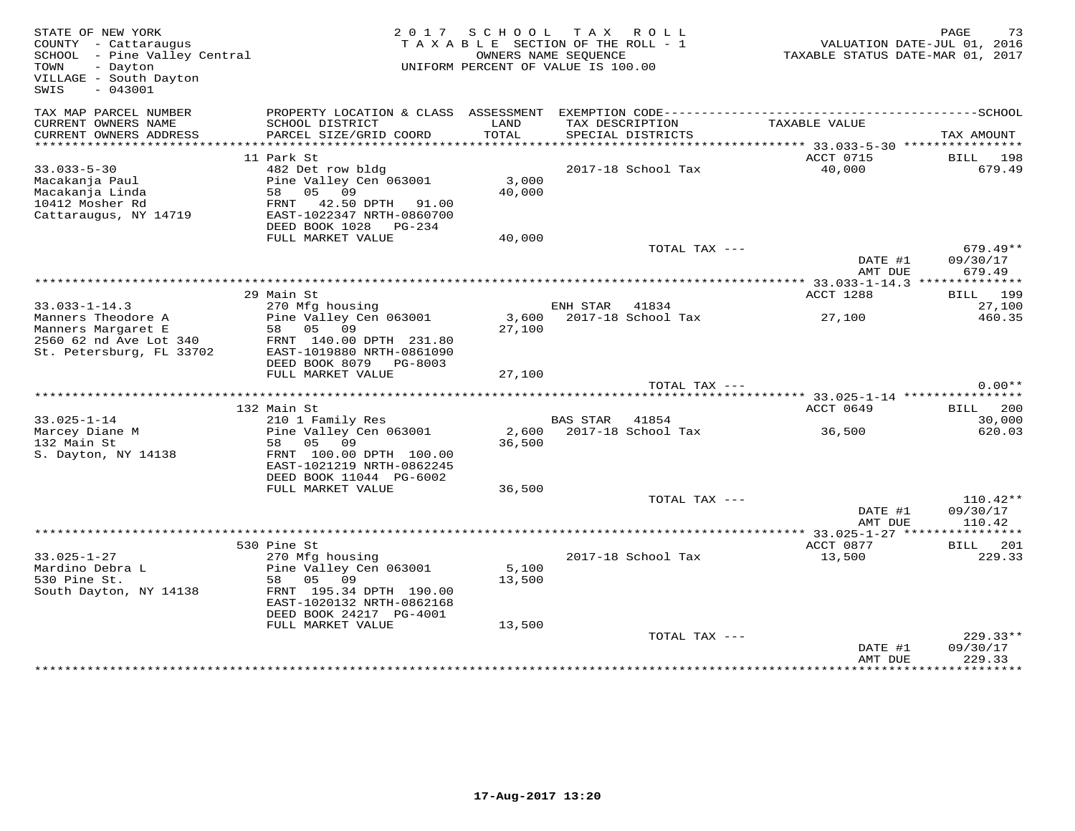| STATE OF NEW YORK<br>COUNTY - Cattaraugus<br>SCHOOL - Pine Valley Central<br>TOWN<br>- Dayton<br>VILLAGE - South Dayton<br>$-043001$<br>SWIS |                                                                                                                                                                              |                             | 2017 SCHOOL TAX ROLL<br>TAXABLE SECTION OF THE ROLL - 1<br>OWNERS NAME SEOUENCE<br>UNIFORM PERCENT OF VALUE IS 100.00 | TAXABLE STATUS DATE-MAR 01, 2017                      | PAGE<br>73<br>VALUATION DATE-JUL 01, 2016 |
|----------------------------------------------------------------------------------------------------------------------------------------------|------------------------------------------------------------------------------------------------------------------------------------------------------------------------------|-----------------------------|-----------------------------------------------------------------------------------------------------------------------|-------------------------------------------------------|-------------------------------------------|
| TAX MAP PARCEL NUMBER<br>CURRENT OWNERS NAME<br>CURRENT OWNERS ADDRESS<br>*****************                                                  | PROPERTY LOCATION & CLASS ASSESSMENT<br>SCHOOL DISTRICT<br>PARCEL SIZE/GRID COORD                                                                                            | LAND<br>TOTAL<br>********** | EXEMPTION CODE-----------------------<br>TAX DESCRIPTION<br>SPECIAL DISTRICTS                                         | TAXABLE VALUE<br>************ 33.033-5-30 *********** | ------------------SCHOOL<br>TAX AMOUNT    |
| $33.033 - 5 - 30$<br>Macakanja Paul<br>Macakanja Linda<br>10412 Mosher Rd<br>Cattaraugus, NY 14719                                           | 11 Park St<br>482 Det row bldg<br>Pine Valley Cen 063001<br>05 09<br>58<br>FRNT 42.50 DPTH 91.00<br>EAST-1022347 NRTH-0860700<br>DEED BOOK 1028 PG-234                       | 3,000<br>40,000             | 2017-18 School Tax                                                                                                    | ACCT 0715<br>40,000                                   | BILL 198<br>679.49                        |
|                                                                                                                                              | FULL MARKET VALUE                                                                                                                                                            | 40,000                      | TOTAL TAX ---                                                                                                         | DATE #1<br>AMT DUE                                    | $679.49**$<br>09/30/17<br>679.49          |
| **************************                                                                                                                   | 29 Main St                                                                                                                                                                   |                             |                                                                                                                       | ACCT 1288                                             | <b>BILL</b> 199                           |
| $33.033 - 1 - 14.3$<br>Manners Theodore A<br>Manners Margaret E<br>2560 62 nd Ave Lot 340<br>St. Petersburg, FL 33702                        | 270 Mfg housing<br>Pine Valley Cen 063001<br>58 05 09<br>FRNT 140.00 DPTH 231.80<br>EAST-1019880 NRTH-0861090<br>DEED BOOK 8079 PG-8003                                      | 27,100                      | ENH STAR 41834<br>3,600 2017-18 School Tax                                                                            | 27,100                                                | 27,100<br>460.35                          |
|                                                                                                                                              | FULL MARKET VALUE                                                                                                                                                            | 27,100                      | TOTAL TAX ---                                                                                                         |                                                       | $0.00**$                                  |
|                                                                                                                                              |                                                                                                                                                                              |                             |                                                                                                                       |                                                       |                                           |
| $33.025 - 1 - 14$<br>Marcey Diane M<br>132 Main St<br>S. Dayton, NY 14138                                                                    | 132 Main St<br>210 1 Family Res<br>Pine Valley Cen 063001<br>09<br>58 05<br>FRNT 100.00 DPTH 100.00<br>EAST-1021219 NRTH-0862245                                             | 2,600<br>36,500             | BAS STAR 41854<br>2017-18 School Tax                                                                                  | ACCT 0649<br>36,500                                   | 200<br>BILL<br>30,000<br>620.03           |
|                                                                                                                                              | DEED BOOK 11044 PG-6002<br>FULL MARKET VALUE                                                                                                                                 | 36,500                      | TOTAL TAX ---                                                                                                         |                                                       | $110.42**$                                |
|                                                                                                                                              |                                                                                                                                                                              |                             |                                                                                                                       | DATE #1<br>AMT DUE                                    | 09/30/17<br>110.42                        |
|                                                                                                                                              |                                                                                                                                                                              |                             |                                                                                                                       |                                                       |                                           |
| $33.025 - 1 - 27$<br>Mardino Debra L<br>530 Pine St.<br>South Dayton, NY 14138                                                               | 530 Pine St<br>270 Mfg housing<br>Pine Valley Cen 063001<br>58 05 09<br>FRNT 195.34 DPTH 190.00<br>EAST-1020132 NRTH-0862168<br>DEED BOOK 24217 PG-4001<br>FULL MARKET VALUE | 5,100<br>13,500<br>13,500   | 2017-18 School Tax                                                                                                    | ACCT 0877<br>13,500                                   | BILL 201<br>229.33                        |
|                                                                                                                                              |                                                                                                                                                                              |                             | TOTAL TAX ---                                                                                                         | DATE #1<br>AMT DUE                                    | $229.33**$<br>09/30/17<br>229.33          |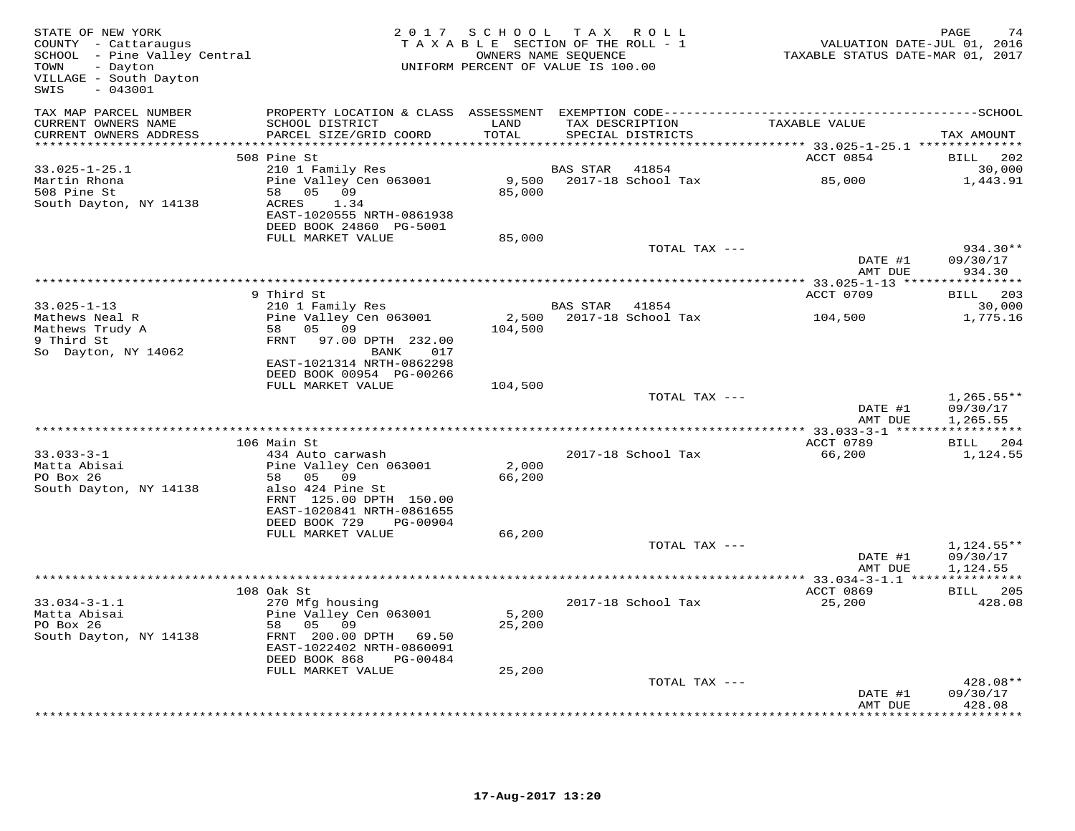| STATE OF NEW YORK<br>COUNTY - Cattaraugus<br>SCHOOL - Pine Valley Central<br>TOWN<br>- Dayton<br>VILLAGE - South Dayton<br>$-043001$<br>SWIS | 2 0 1 7                                             | S C H O O L<br>TAXABLE SECTION OF THE ROLL - 1<br>OWNERS NAME SEQUENCE<br>UNIFORM PERCENT OF VALUE IS 100.00 | TAX ROLL       |                          | VALUATION DATE-JUL 01, 2016<br>TAXABLE STATUS DATE-MAR 01, 2017 | PAGE<br>74              |
|----------------------------------------------------------------------------------------------------------------------------------------------|-----------------------------------------------------|--------------------------------------------------------------------------------------------------------------|----------------|--------------------------|-----------------------------------------------------------------|-------------------------|
| TAX MAP PARCEL NUMBER<br>CURRENT OWNERS NAME                                                                                                 | SCHOOL DISTRICT                                     | LAND                                                                                                         |                | TAX DESCRIPTION          | TAXABLE VALUE                                                   |                         |
| CURRENT OWNERS ADDRESS<br>***********************                                                                                            | PARCEL SIZE/GRID COORD                              | TOTAL                                                                                                        |                | SPECIAL DISTRICTS        |                                                                 | TAX AMOUNT              |
|                                                                                                                                              | 508 Pine St                                         |                                                                                                              |                |                          | ACCT 0854                                                       | <b>BILL</b><br>-202     |
| $33.025 - 1 - 25.1$                                                                                                                          | 210 1 Family Res                                    |                                                                                                              | BAS STAR       | 41854                    |                                                                 | 30,000                  |
| Martin Rhona                                                                                                                                 | Pine Valley Cen 063001                              |                                                                                                              |                | 9,500 2017-18 School Tax | 85,000                                                          | 1,443.91                |
| 508 Pine St                                                                                                                                  | 58 05 09                                            | 85,000                                                                                                       |                |                          |                                                                 |                         |
| South Dayton, NY 14138                                                                                                                       | ACRES<br>1.34<br>EAST-1020555 NRTH-0861938          |                                                                                                              |                |                          |                                                                 |                         |
|                                                                                                                                              | DEED BOOK 24860 PG-5001                             |                                                                                                              |                |                          |                                                                 |                         |
|                                                                                                                                              | FULL MARKET VALUE                                   | 85,000                                                                                                       |                |                          |                                                                 |                         |
|                                                                                                                                              |                                                     |                                                                                                              |                | TOTAL TAX ---            |                                                                 | $934.30**$              |
|                                                                                                                                              |                                                     |                                                                                                              |                |                          | DATE #1                                                         | 09/30/17                |
|                                                                                                                                              |                                                     |                                                                                                              |                |                          | AMT DUE                                                         | 934.30                  |
|                                                                                                                                              | 9 Third St                                          |                                                                                                              |                |                          | ACCT 0709                                                       | BILL 203                |
| $33.025 - 1 - 13$                                                                                                                            | 210 1 Family Res                                    |                                                                                                              | BAS STAR 41854 |                          |                                                                 | 30,000                  |
| Mathews Neal R                                                                                                                               | Pine Valley Cen 063001                              | 2,500                                                                                                        |                | 2017-18 School Tax       | 104,500                                                         | 1,775.16                |
| Mathews Trudy A                                                                                                                              | 05 09<br>58                                         | 104,500                                                                                                      |                |                          |                                                                 |                         |
| 9 Third St                                                                                                                                   | 97.00 DPTH 232.00<br>FRNT                           |                                                                                                              |                |                          |                                                                 |                         |
| So Dayton, NY 14062                                                                                                                          | 017<br>BANK<br>EAST-1021314 NRTH-0862298            |                                                                                                              |                |                          |                                                                 |                         |
|                                                                                                                                              | DEED BOOK 00954 PG-00266                            |                                                                                                              |                |                          |                                                                 |                         |
|                                                                                                                                              | FULL MARKET VALUE                                   | 104,500                                                                                                      |                |                          |                                                                 |                         |
|                                                                                                                                              |                                                     |                                                                                                              |                | TOTAL TAX ---            |                                                                 | $1,265.55**$            |
|                                                                                                                                              |                                                     |                                                                                                              |                |                          | DATE #1                                                         | 09/30/17                |
|                                                                                                                                              |                                                     |                                                                                                              |                |                          | AMT DUE                                                         | 1,265.55<br>*********** |
|                                                                                                                                              | 106 Main St                                         |                                                                                                              |                |                          | ACCT 0789                                                       | <b>BILL</b> 204         |
| $33.033 - 3 - 1$                                                                                                                             | 434 Auto carwash                                    |                                                                                                              |                | 2017-18 School Tax       | 66,200                                                          | 1,124.55                |
| Matta Abisai                                                                                                                                 | Pine Valley Cen 063001                              | 2,000                                                                                                        |                |                          |                                                                 |                         |
| PO Box 26                                                                                                                                    | 58 05<br>09                                         | 66,200                                                                                                       |                |                          |                                                                 |                         |
| South Dayton, NY 14138                                                                                                                       | also 424 Pine St<br>FRNT 125.00 DPTH 150.00         |                                                                                                              |                |                          |                                                                 |                         |
|                                                                                                                                              | EAST-1020841 NRTH-0861655                           |                                                                                                              |                |                          |                                                                 |                         |
|                                                                                                                                              | DEED BOOK 729<br>PG-00904                           |                                                                                                              |                |                          |                                                                 |                         |
|                                                                                                                                              | FULL MARKET VALUE                                   | 66,200                                                                                                       |                |                          |                                                                 |                         |
|                                                                                                                                              |                                                     |                                                                                                              |                | TOTAL TAX ---            |                                                                 | $1,124.55**$            |
|                                                                                                                                              |                                                     |                                                                                                              |                |                          | DATE #1                                                         | 09/30/17                |
|                                                                                                                                              |                                                     |                                                                                                              |                |                          | AMT DUE                                                         | 1,124.55                |
|                                                                                                                                              | 108 Oak St                                          |                                                                                                              |                |                          | ACCT 0869                                                       | BILL 205                |
| $33.034 - 3 - 1.1$                                                                                                                           | 270 Mfg housing                                     |                                                                                                              |                | 2017-18 School Tax       | 25,200                                                          | 428.08                  |
| Matta Abisai                                                                                                                                 | Pine Valley Cen 063001                              | 5,200                                                                                                        |                |                          |                                                                 |                         |
| PO Box 26                                                                                                                                    | 05<br>58<br>09                                      | 25,200                                                                                                       |                |                          |                                                                 |                         |
| South Dayton, NY 14138                                                                                                                       | FRNT 200.00 DPTH 69.50<br>EAST-1022402 NRTH-0860091 |                                                                                                              |                |                          |                                                                 |                         |
|                                                                                                                                              | DEED BOOK 868<br>PG-00484                           |                                                                                                              |                |                          |                                                                 |                         |
|                                                                                                                                              | FULL MARKET VALUE                                   | 25,200                                                                                                       |                |                          |                                                                 |                         |
|                                                                                                                                              |                                                     |                                                                                                              |                | TOTAL TAX ---            |                                                                 | 428.08**                |
|                                                                                                                                              |                                                     |                                                                                                              |                |                          | DATE #1                                                         | 09/30/17                |
|                                                                                                                                              |                                                     |                                                                                                              |                |                          | AMT DUE                                                         | 428.08<br>*********     |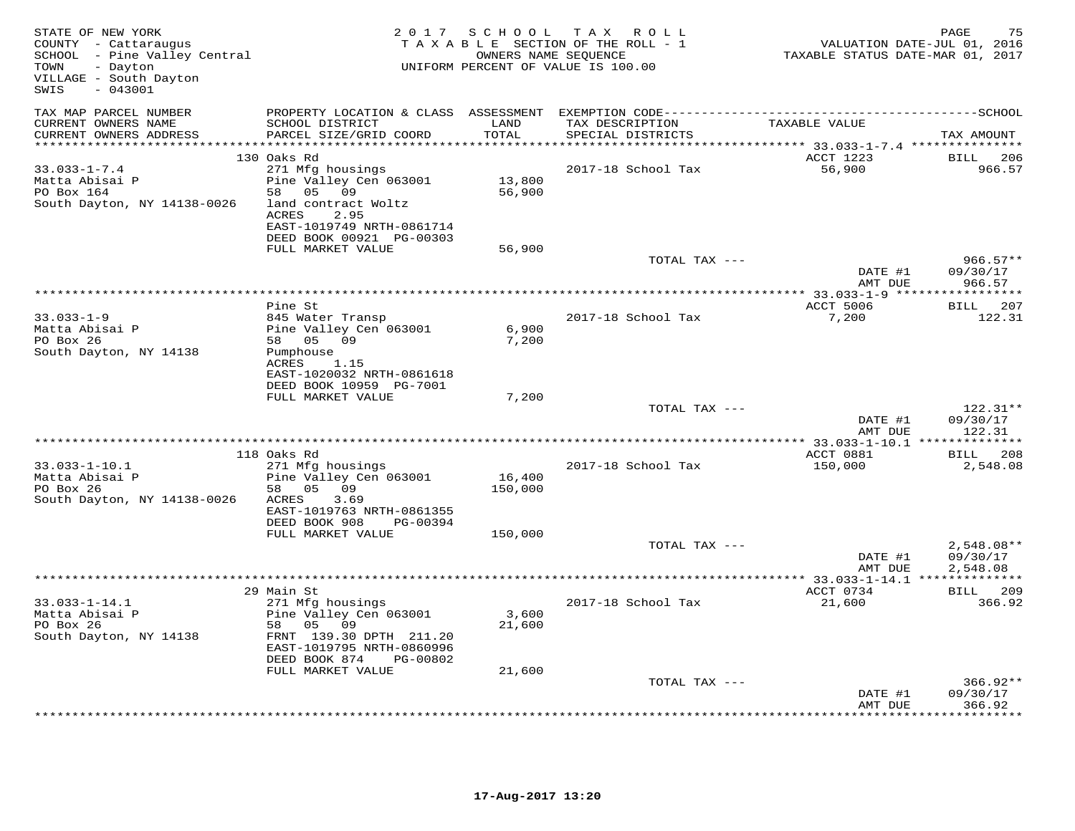| SCHOOL - Pine Valley Central<br>OWNERS NAME SEQUENCE<br>UNIFORM PERCENT OF VALUE IS 100.00<br>TOWN<br>- Dayton<br>VILLAGE - South Dayton<br>$-043001$<br>SWIS                                                                                                                          |                                                 | VALUATION DATE-JUL 01, 2016<br>TAXABLE STATUS DATE-MAR 01, 2017 |
|----------------------------------------------------------------------------------------------------------------------------------------------------------------------------------------------------------------------------------------------------------------------------------------|-------------------------------------------------|-----------------------------------------------------------------|
| TAX MAP PARCEL NUMBER<br>PROPERTY LOCATION & CLASS ASSESSMENT<br>CURRENT OWNERS NAME<br>SCHOOL DISTRICT<br>LAND<br>TAX DESCRIPTION                                                                                                                                                     | TAXABLE VALUE                                   |                                                                 |
| CURRENT OWNERS ADDRESS<br>PARCEL SIZE/GRID COORD<br>TOTAL<br>SPECIAL DISTRICTS<br>*********                                                                                                                                                                                            | ************ 33.033-1-7.4 ****************      | TAX AMOUNT                                                      |
| 130 Oaks Rd                                                                                                                                                                                                                                                                            | ACCT 1223                                       | <b>BILL</b><br>206                                              |
| $33.033 - 1 - 7.4$<br>271 Mfg housings<br>2017-18 School Tax<br>Pine Valley Cen 063001<br>Matta Abisai P<br>13,800<br>58 05 09<br>PO Box 164<br>56,900<br>South Dayton, NY 14138-0026<br>land contract Woltz<br>2.95<br>ACRES<br>EAST-1019749 NRTH-0861714<br>DEED BOOK 00921 PG-00303 | 56,900                                          | 966.57                                                          |
| FULL MARKET VALUE<br>56,900                                                                                                                                                                                                                                                            |                                                 |                                                                 |
| TOTAL TAX ---                                                                                                                                                                                                                                                                          | DATE #1<br>AMT DUE                              | $966.57**$<br>09/30/17<br>966.57                                |
|                                                                                                                                                                                                                                                                                        | ********** 33.033-1-9 ***                       |                                                                 |
| Pine St                                                                                                                                                                                                                                                                                | ACCT 5006                                       | <b>BILL</b><br>207                                              |
| $33.033 - 1 - 9$<br>845 Water Transp<br>2017-18 School Tax<br>Matta Abisai P<br>Pine Valley Cen 063001<br>6,900<br>PO Box 26<br>58 05 09<br>7,200<br>South Dayton, NY 14138<br>Pumphouse                                                                                               | 7,200                                           | 122.31                                                          |
| ACRES<br>1.15<br>EAST-1020032 NRTH-0861618<br>DEED BOOK 10959 PG-7001                                                                                                                                                                                                                  |                                                 |                                                                 |
| FULL MARKET VALUE<br>7,200<br>TOTAL TAX ---                                                                                                                                                                                                                                            |                                                 | 122.31**                                                        |
|                                                                                                                                                                                                                                                                                        | DATE #1<br>AMT DUE                              | 09/30/17<br>122.31                                              |
| ******************                                                                                                                                                                                                                                                                     | ***************** 33.033-1-10.1 *************** |                                                                 |
| 118 Oaks Rd<br>$33.033 - 1 - 10.1$<br>271 Mfg housings<br>2017-18 School Tax                                                                                                                                                                                                           | ACCT 0881<br>150,000                            | BILL<br>208<br>2,548.08                                         |
| 16,400<br>Matta Abisai P<br>Pine Valley Cen 063001<br>PO Box 26<br>58 05 09<br>150,000<br>3.69<br>South Dayton, NY 14138-0026<br>ACRES<br>EAST-1019763 NRTH-0861355<br>DEED BOOK 908<br>PG-00394                                                                                       |                                                 |                                                                 |
| FULL MARKET VALUE<br>150,000                                                                                                                                                                                                                                                           |                                                 |                                                                 |
| TOTAL TAX ---                                                                                                                                                                                                                                                                          | DATE #1<br>AMT DUE                              | 2,548.08**<br>09/30/17<br>2,548.08                              |
|                                                                                                                                                                                                                                                                                        |                                                 |                                                                 |
| 29 Main St<br>$33.033 - 1 - 14.1$<br>271 Mfg housings<br>2017-18 School Tax<br>Matta Abisai P<br>Pine Valley Cen 063001<br>3,600<br>PO Box 26<br>58 05<br>09<br>21,600<br>FRNT 139.30 DPTH 211.20<br>South Dayton, NY 14138<br>EAST-1019795 NRTH-0860996                               | ACCT 0734<br>21,600                             | <b>BILL</b> 209<br>366.92                                       |
| DEED BOOK 874<br>PG-00802                                                                                                                                                                                                                                                              |                                                 |                                                                 |
| FULL MARKET VALUE<br>21,600                                                                                                                                                                                                                                                            |                                                 |                                                                 |
| TOTAL TAX ---                                                                                                                                                                                                                                                                          | DATE #1<br>AMT DUE                              | $366.92**$<br>09/30/17<br>366.92                                |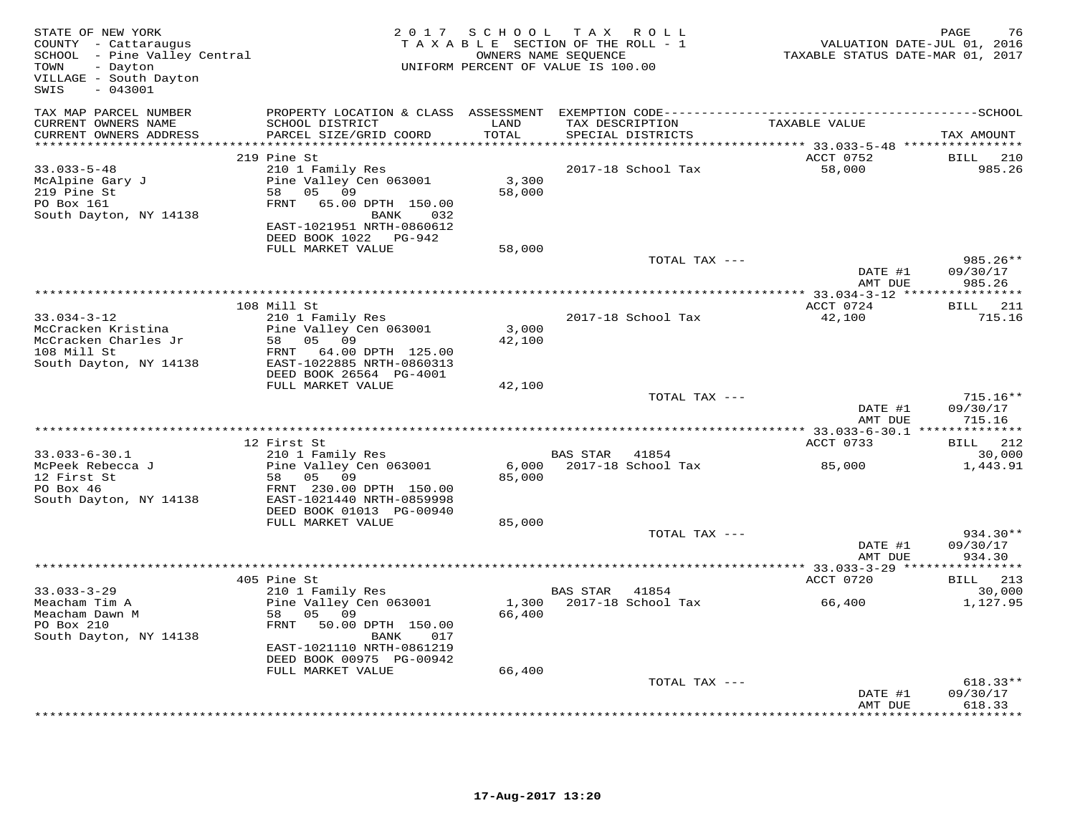| STATE OF NEW YORK<br>COUNTY - Cattaraugus<br>SCHOOL - Pine Valley Central<br>TOWN<br>- Dayton<br>VILLAGE - South Dayton<br>SWIS<br>$-043001$ |                                                                                                                                                                                                 | 2017 SCHOOL                          | TAX ROLL<br>TAXABLE SECTION OF THE ROLL - 1<br>OWNERS NAME SEQUENCE<br>UNIFORM PERCENT OF VALUE IS 100.00 | VALUATION DATE-JUL 01, 2016<br>TAXABLE STATUS DATE-MAR 01, 2017 | 76<br>PAGE                                        |
|----------------------------------------------------------------------------------------------------------------------------------------------|-------------------------------------------------------------------------------------------------------------------------------------------------------------------------------------------------|--------------------------------------|-----------------------------------------------------------------------------------------------------------|-----------------------------------------------------------------|---------------------------------------------------|
| TAX MAP PARCEL NUMBER<br>CURRENT OWNERS NAME<br>CURRENT OWNERS ADDRESS                                                                       | SCHOOL DISTRICT<br>PARCEL SIZE/GRID COORD                                                                                                                                                       | LAND<br>TOTAL<br>* * * * * * * * * * | TAX DESCRIPTION<br>SPECIAL DISTRICTS                                                                      | TAXABLE VALUE                                                   | TAX AMOUNT                                        |
| $33.033 - 5 - 48$<br>McAlpine Gary J<br>219 Pine St<br>PO Box 161<br>South Dayton, NY 14138                                                  | 219 Pine St<br>210 1 Family Res<br>Pine Valley Cen 063001<br>58 05 09<br>FRNT 65.00 DPTH 150.00<br>BANK<br>032<br>EAST-1021951 NRTH-0860612<br>DEED BOOK 1022 PG-942                            | 3,300<br>58,000                      | 2017-18 School Tax                                                                                        | ACCT 0752<br>58,000                                             | <b>BILL</b> 210<br>985.26                         |
|                                                                                                                                              | FULL MARKET VALUE                                                                                                                                                                               | 58,000                               | TOTAL TAX ---                                                                                             | DATE #1<br>AMT DUE                                              | 985.26**<br>09/30/17<br>985.26                    |
| $33.034 - 3 - 12$<br>McCracken Kristina<br>McCracken Charles Jr<br>108 Mill St<br>South Dayton, NY 14138                                     | 108 Mill St<br>210 1 Family Res<br>Pine Valley Cen 063001<br>58<br>05 09<br>FRNT<br>64.00 DPTH 125.00<br>EAST-1022885 NRTH-0860313<br>DEED BOOK 26564 PG-4001                                   | 3,000<br>42,100                      | 2017-18 School Tax                                                                                        | ACCT 0724<br>42,100                                             | BILL 211<br>715.16                                |
|                                                                                                                                              | FULL MARKET VALUE                                                                                                                                                                               | 42,100                               | TOTAL TAX ---                                                                                             | DATE #1<br>AMT DUE                                              | $715.16**$<br>09/30/17<br>715.16                  |
| $33.033 - 6 - 30.1$                                                                                                                          | 12 First St<br>210 1 Family Res                                                                                                                                                                 |                                      | BAS STAR 41854                                                                                            | ACCT 0733                                                       | BILL 212<br>30,000                                |
| McPeek Rebecca J<br>12 First St<br>PO Box 46<br>South Dayton, NY 14138                                                                       | Pine Valley Cen 063001<br>58 05 09<br>FRNT 230.00 DPTH 150.00<br>EAST-1021440 NRTH-0859998<br>DEED BOOK 01013 PG-00940<br>FULL MARKET VALUE                                                     | 85,000<br>85,000                     | 6,000 2017-18 School Tax                                                                                  | 85,000                                                          | 1,443.91                                          |
|                                                                                                                                              |                                                                                                                                                                                                 |                                      | TOTAL TAX ---                                                                                             | DATE #1<br>AMT DUE                                              | 934.30**<br>09/30/17<br>934.30                    |
|                                                                                                                                              |                                                                                                                                                                                                 |                                      |                                                                                                           |                                                                 |                                                   |
| $33.033 - 3 - 29$<br>Meacham Tim A<br>Meacham Dawn M<br>PO Box 210<br>South Dayton, NY 14138                                                 | 405 Pine St<br>210 1 Family Res<br>Pine Valley Cen 063001<br>58<br>05 09<br>FRNT 50.00 DPTH 150.00<br>BANK<br>017<br>EAST-1021110 NRTH-0861219<br>DEED BOOK 00975 PG-00942<br>FULL MARKET VALUE | 66,400<br>66,400                     | BAS STAR<br>41854<br>1,300 2017-18 School Tax                                                             | ACCT 0720<br>66,400                                             | BILL 213<br>30,000<br>1,127.95                    |
|                                                                                                                                              |                                                                                                                                                                                                 |                                      | TOTAL TAX ---                                                                                             | DATE #1<br>AMT DUE                                              | 618.33**<br>09/30/17<br>618.33<br>* * * * * * * * |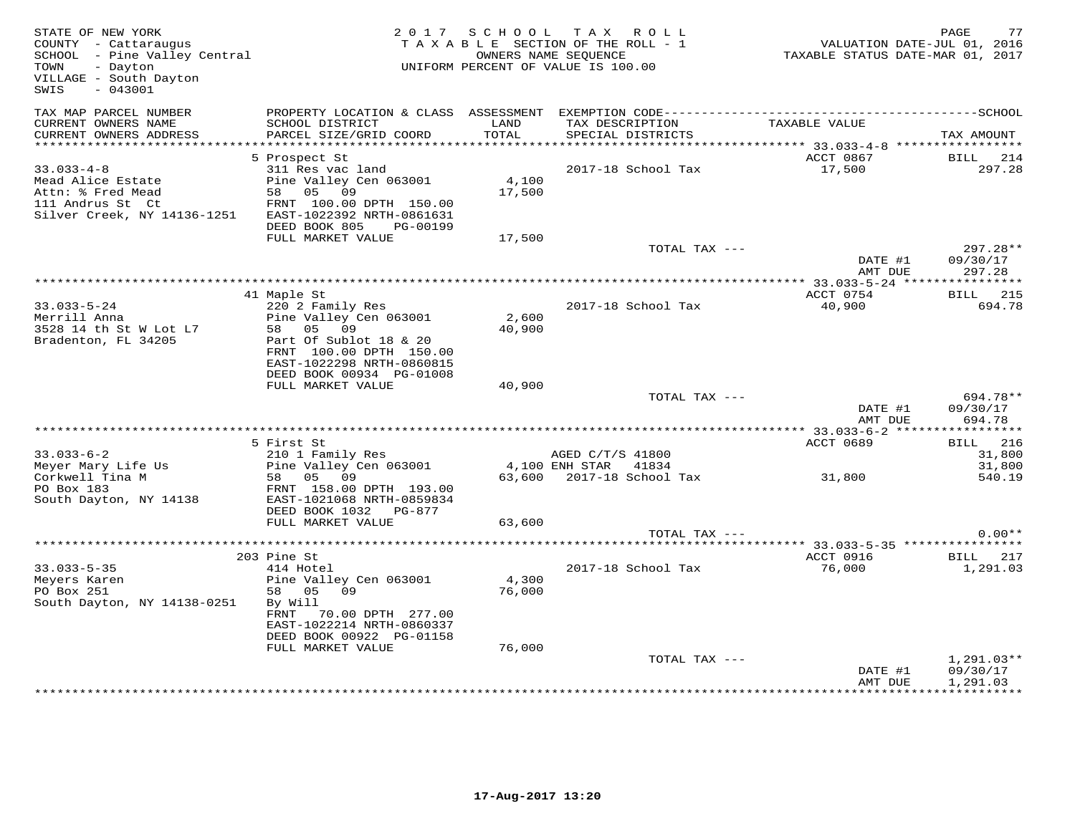| STATE OF NEW YORK<br>COUNTY - Cattaraugus<br>SCHOOL - Pine Valley Central<br>- Dayton<br>TOWN<br>VILLAGE - South Dayton<br>$-043001$<br>SWIS |                                                                                                                                                                                     | 2017 SCHOOL          | T A X<br>ROLL<br>TAXABLE SECTION OF THE ROLL - 1<br>OWNERS NAME SEOUENCE<br>UNIFORM PERCENT OF VALUE IS 100.00 | VALUATION DATE-JUL 01, 2016<br>TAXABLE STATUS DATE-MAR 01, 2017 | PAGE<br>77                                                  |
|----------------------------------------------------------------------------------------------------------------------------------------------|-------------------------------------------------------------------------------------------------------------------------------------------------------------------------------------|----------------------|----------------------------------------------------------------------------------------------------------------|-----------------------------------------------------------------|-------------------------------------------------------------|
| TAX MAP PARCEL NUMBER<br>CURRENT OWNERS NAME<br>CURRENT OWNERS ADDRESS                                                                       | SCHOOL DISTRICT<br>PARCEL SIZE/GRID COORD                                                                                                                                           | LAND<br><b>TOTAL</b> | TAX DESCRIPTION<br>SPECIAL DISTRICTS                                                                           | TAXABLE VALUE                                                   | TAX AMOUNT                                                  |
| *************************                                                                                                                    |                                                                                                                                                                                     |                      |                                                                                                                |                                                                 |                                                             |
|                                                                                                                                              | 5 Prospect St                                                                                                                                                                       |                      |                                                                                                                | ACCT 0867                                                       | BILL<br>214                                                 |
| $33.033 - 4 - 8$<br>Mead Alice Estate<br>Attn: % Fred Mead<br>111 Andrus St Ct<br>Silver Creek, NY 14136-1251                                | 311 Res vac land<br>Pine Valley Cen 063001<br>58 05 09<br>FRNT 100.00 DPTH 150.00<br>EAST-1022392 NRTH-0861631                                                                      | 4,100<br>17,500      | 2017-18 School Tax                                                                                             | 17,500                                                          | 297.28                                                      |
|                                                                                                                                              | DEED BOOK 805<br>PG-00199<br>FULL MARKET VALUE                                                                                                                                      | 17,500               |                                                                                                                |                                                                 |                                                             |
|                                                                                                                                              |                                                                                                                                                                                     |                      | TOTAL TAX ---                                                                                                  | DATE #1<br>AMT DUE                                              | 297.28**<br>09/30/17<br>297.28                              |
|                                                                                                                                              |                                                                                                                                                                                     |                      |                                                                                                                |                                                                 |                                                             |
| $33.033 - 5 - 24$<br>Merrill Anna<br>3528 14 th St W Lot L7<br>Bradenton, FL 34205                                                           | 41 Maple St<br>220 2 Family Res<br>Pine Valley Cen 063001<br>58 05 09<br>Part Of Sublot 18 & 20<br>FRNT 100.00 DPTH 150.00<br>EAST-1022298 NRTH-0860815<br>DEED BOOK 00934 PG-01008 | 2,600<br>40,900      | 2017-18 School Tax                                                                                             | ACCT 0754<br>40,900                                             | <b>BILL</b> 215<br>694.78                                   |
|                                                                                                                                              | FULL MARKET VALUE                                                                                                                                                                   | 40,900               |                                                                                                                |                                                                 |                                                             |
|                                                                                                                                              |                                                                                                                                                                                     |                      | TOTAL TAX ---                                                                                                  | DATE #1<br>AMT DUE                                              | 694.78**<br>09/30/17<br>694.78                              |
|                                                                                                                                              |                                                                                                                                                                                     |                      |                                                                                                                |                                                                 | * * * * * * * * * * *                                       |
| $33.033 - 6 - 2$                                                                                                                             | 5 First St                                                                                                                                                                          |                      |                                                                                                                | ACCT 0689                                                       | BILL 216                                                    |
| Meyer Mary Life Us                                                                                                                           | 210 1 Family Res<br>Pine Valley Cen 063001                                                                                                                                          |                      | AGED C/T/S 41800<br>4,100 ENH STAR 41834                                                                       |                                                                 | 31,800<br>31,800                                            |
| Corkwell Tina M                                                                                                                              | 58 05 09                                                                                                                                                                            | 63,600               | 2017-18 School Tax                                                                                             | 31,800                                                          | 540.19                                                      |
| PO Box 183<br>South Dayton, NY 14138                                                                                                         | FRNT 158.00 DPTH 193.00<br>EAST-1021068 NRTH-0859834<br>DEED BOOK 1032 PG-877                                                                                                       |                      |                                                                                                                |                                                                 |                                                             |
|                                                                                                                                              | FULL MARKET VALUE                                                                                                                                                                   | 63,600               | TOTAL TAX ---                                                                                                  |                                                                 | $0.00**$                                                    |
|                                                                                                                                              |                                                                                                                                                                                     |                      |                                                                                                                |                                                                 |                                                             |
|                                                                                                                                              | 203 Pine St                                                                                                                                                                         |                      |                                                                                                                | ACCT 0916                                                       | BILL 217                                                    |
| $33.033 - 5 - 35$<br>Meyers Karen<br>PO Box 251<br>South Dayton, NY 14138-0251                                                               | 414 Hotel<br>Pine Valley Cen 063001<br>58 05 09<br>By Will<br>FRNT<br>70.00 DPTH 277.00                                                                                             | 4,300<br>76,000      | 2017-18 School Tax                                                                                             | 76,000                                                          | 1,291.03                                                    |
|                                                                                                                                              | EAST-1022214 NRTH-0860337<br>DEED BOOK 00922 PG-01158                                                                                                                               |                      |                                                                                                                |                                                                 |                                                             |
|                                                                                                                                              | FULL MARKET VALUE                                                                                                                                                                   | 76,000               |                                                                                                                |                                                                 |                                                             |
|                                                                                                                                              |                                                                                                                                                                                     |                      | TOTAL TAX ---                                                                                                  | DATE #1<br>AMT DUE                                              | $1,291.03**$<br>09/30/17<br>1,291.03<br>* * * * * * * * * * |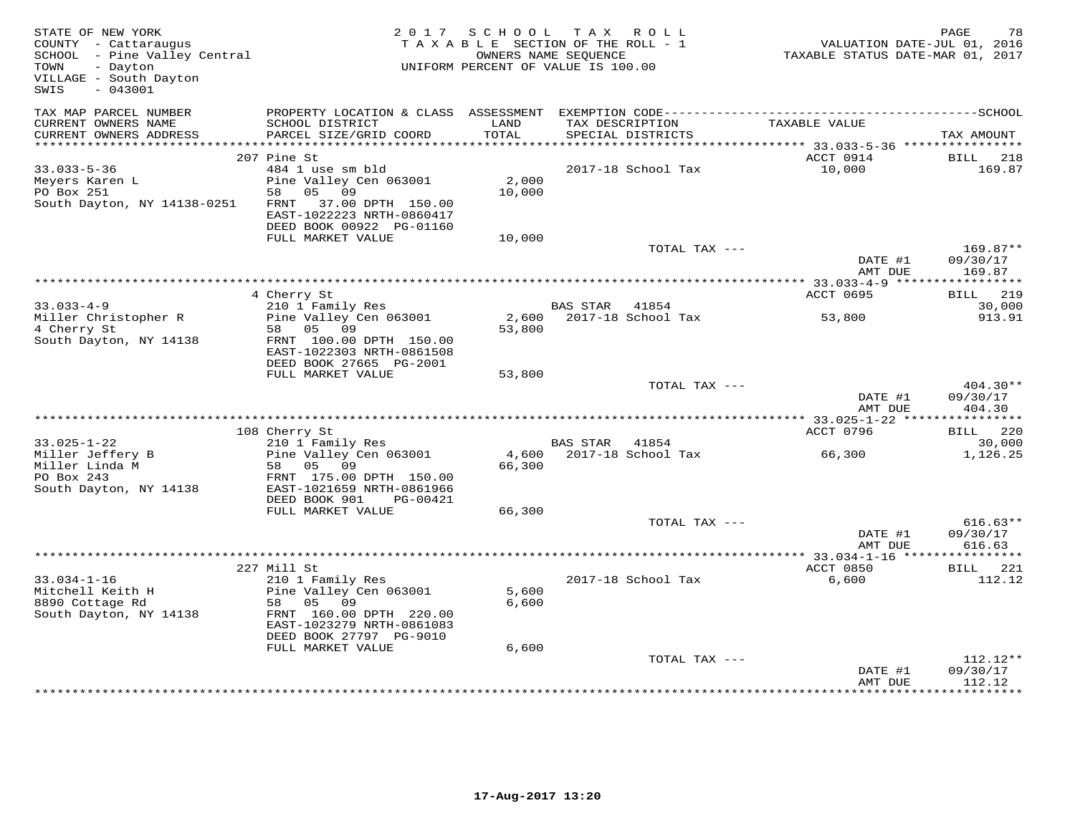| STATE OF NEW YORK<br>COUNTY - Cattaraugus<br>SCHOOL - Pine Valley Central<br>- Dayton<br>TOWN<br>VILLAGE - South Dayton<br>$-043001$<br>SWIS |                                                                                                                                           | 2017 SCHOOL     | T A X<br>R O L L<br>TAXABLE SECTION OF THE ROLL - 1<br>OWNERS NAME SEQUENCE<br>UNIFORM PERCENT OF VALUE IS 100.00 | VALUATION DATE-JUL 01, 2016<br>TAXABLE STATUS DATE-MAR 01, 2017 | PAGE<br>78                       |
|----------------------------------------------------------------------------------------------------------------------------------------------|-------------------------------------------------------------------------------------------------------------------------------------------|-----------------|-------------------------------------------------------------------------------------------------------------------|-----------------------------------------------------------------|----------------------------------|
| TAX MAP PARCEL NUMBER<br>CURRENT OWNERS NAME                                                                                                 | SCHOOL DISTRICT                                                                                                                           | LAND            | PROPERTY LOCATION & CLASS ASSESSMENT EXEMPTION CODE-----------------------------------SCHOOL<br>TAX DESCRIPTION   | TAXABLE VALUE                                                   |                                  |
| CURRENT OWNERS ADDRESS                                                                                                                       | PARCEL SIZE/GRID COORD                                                                                                                    | <b>TOTAL</b>    | SPECIAL DISTRICTS                                                                                                 |                                                                 | TAX AMOUNT                       |
|                                                                                                                                              | 207 Pine St                                                                                                                               |                 |                                                                                                                   | ACCT 0914                                                       | BILL<br>218                      |
| $33.033 - 5 - 36$<br>Meyers Karen L<br>PO Box 251<br>South Dayton, NY 14138-0251                                                             | 484 1 use sm bld<br>Pine Valley Cen 063001<br>58 05 09<br>FRNT 37.00 DPTH 150.00<br>EAST-1022223 NRTH-0860417                             | 2,000<br>10,000 | 2017-18 School Tax                                                                                                | 10,000                                                          | 169.87                           |
|                                                                                                                                              | DEED BOOK 00922 PG-01160                                                                                                                  |                 |                                                                                                                   |                                                                 |                                  |
|                                                                                                                                              | FULL MARKET VALUE                                                                                                                         | 10,000          | TOTAL TAX ---                                                                                                     | DATE #1                                                         | $169.87**$<br>09/30/17           |
|                                                                                                                                              |                                                                                                                                           |                 |                                                                                                                   | AMT DUE                                                         | 169.87                           |
|                                                                                                                                              |                                                                                                                                           |                 |                                                                                                                   |                                                                 |                                  |
|                                                                                                                                              | 4 Cherry St                                                                                                                               |                 |                                                                                                                   | ACCT 0695                                                       | BILL 219                         |
| $33.033 - 4 - 9$<br>Miller Christopher R<br>4 Cherry St                                                                                      | 210 1 Family Res<br>Pine Valley Cen 063001<br>58 05 09                                                                                    | 53,800          | BAS STAR 41854<br>2,600 2017-18 School Tax                                                                        | 53,800                                                          | 30,000<br>913.91                 |
| South Dayton, NY 14138                                                                                                                       | FRNT 100.00 DPTH 150.00<br>EAST-1022303 NRTH-0861508<br>DEED BOOK 27665 PG-2001                                                           |                 |                                                                                                                   |                                                                 |                                  |
|                                                                                                                                              | FULL MARKET VALUE                                                                                                                         | 53,800          |                                                                                                                   |                                                                 |                                  |
|                                                                                                                                              |                                                                                                                                           |                 | TOTAL TAX ---                                                                                                     | DATE #1<br>AMT DUE                                              | $404.30**$<br>09/30/17<br>404.30 |
|                                                                                                                                              |                                                                                                                                           |                 |                                                                                                                   |                                                                 |                                  |
|                                                                                                                                              | 108 Cherry St                                                                                                                             |                 |                                                                                                                   | ACCT 0796                                                       | <b>BILL</b> 220                  |
| $33.025 - 1 - 22$<br>Miller Jeffery B<br>Miller Linda M                                                                                      | 210 1 Family Res<br>Pine Valley Cen 063001<br>58 05 09                                                                                    | 66,300          | BAS STAR 41854<br>4,600 2017-18 School Tax                                                                        | 66,300                                                          | 30,000<br>1,126.25               |
| PO Box 243<br>South Dayton, NY 14138                                                                                                         | FRNT 175.00 DPTH 150.00<br>EAST-1021659 NRTH-0861966<br>DEED BOOK 901<br>PG-00421                                                         |                 |                                                                                                                   |                                                                 |                                  |
|                                                                                                                                              | FULL MARKET VALUE                                                                                                                         | 66,300          |                                                                                                                   |                                                                 |                                  |
|                                                                                                                                              |                                                                                                                                           |                 | TOTAL TAX ---                                                                                                     | DATE #1<br>AMT DUE                                              | $616.63**$<br>09/30/17<br>616.63 |
|                                                                                                                                              |                                                                                                                                           |                 |                                                                                                                   | **************** 33.034-1-16 *****************                  |                                  |
|                                                                                                                                              | 227 Mill St                                                                                                                               |                 |                                                                                                                   | ACCT 0850                                                       | BILL<br>221                      |
| $33.034 - 1 - 16$<br>Mitchell Keith H<br>8890 Cottage Rd<br>South Dayton, NY 14138                                                           | 210 1 Family Res<br>Pine Valley Cen 063001<br>58 05 09<br>FRNT 160.00 DPTH 220.00<br>EAST-1023279 NRTH-0861083<br>DEED BOOK 27797 PG-9010 | 5,600<br>6,600  | 2017-18 School Tax                                                                                                | 6,600                                                           | 112.12                           |
|                                                                                                                                              | FULL MARKET VALUE                                                                                                                         | 6,600           |                                                                                                                   |                                                                 |                                  |
|                                                                                                                                              |                                                                                                                                           |                 | TOTAL TAX ---                                                                                                     | DATE #1<br>AMT DUE                                              | $112.12**$<br>09/30/17<br>112.12 |
|                                                                                                                                              |                                                                                                                                           |                 |                                                                                                                   |                                                                 |                                  |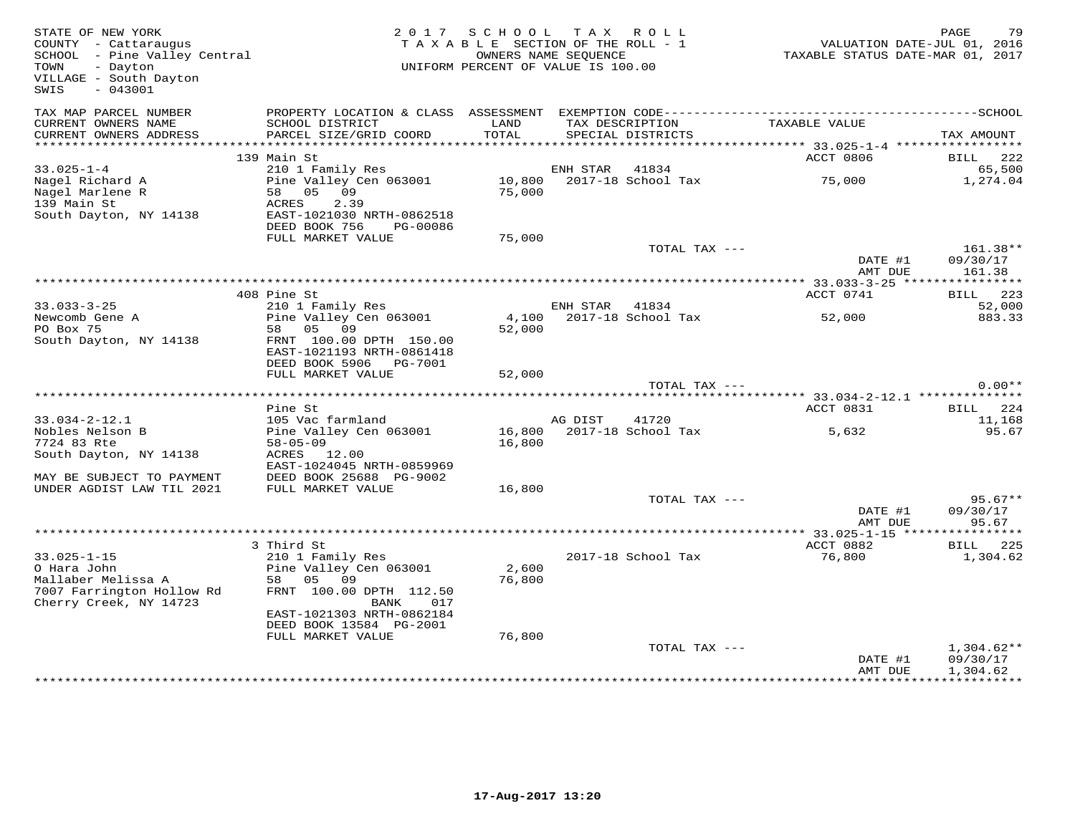| STATE OF NEW YORK<br>COUNTY - Cattaraugus<br>SCHOOL - Pine Valley Central<br>- Dayton<br>TOWN<br>VILLAGE - South Dayton<br>$-043001$<br>SWIS |                                                                                                                         | 2017 SCHOOL<br>TAXABLE SECTION OF THE ROLL - 1<br>UNIFORM PERCENT OF VALUE IS 100.00 | TAX ROLL<br>OWNERS NAME SEQUENCE |                                      | VALUATION DATE-JUL 01, 2016<br>TAXABLE STATUS DATE-MAR 01, 2017 | PAGE<br>79                           |
|----------------------------------------------------------------------------------------------------------------------------------------------|-------------------------------------------------------------------------------------------------------------------------|--------------------------------------------------------------------------------------|----------------------------------|--------------------------------------|-----------------------------------------------------------------|--------------------------------------|
| TAX MAP PARCEL NUMBER<br>CURRENT OWNERS NAME<br>CURRENT OWNERS ADDRESS                                                                       | PROPERTY LOCATION & CLASS ASSESSMENT EXEMPTION CODE-----------------------<br>SCHOOL DISTRICT<br>PARCEL SIZE/GRID COORD | LAND<br>TOTAL                                                                        |                                  | TAX DESCRIPTION<br>SPECIAL DISTRICTS | TAXABLE VALUE                                                   | ----------------SCHOOL<br>TAX AMOUNT |
| ***********************                                                                                                                      |                                                                                                                         |                                                                                      |                                  |                                      |                                                                 |                                      |
|                                                                                                                                              | 139 Main St                                                                                                             |                                                                                      |                                  |                                      | ACCT 0806                                                       | BILL 222                             |
| $33.025 - 1 - 4$                                                                                                                             | 210 1 Family Res                                                                                                        |                                                                                      | ENH STAR                         | 41834                                |                                                                 | 65,500                               |
| Nagel Richard A<br>Nagel Marlene R<br>139 Main St<br>South Dayton, NY 14138                                                                  | Pine Valley Cen 063001<br>58 05 09<br>2.39<br>ACRES<br>EAST-1021030 NRTH-0862518<br>DEED BOOK 756<br>PG-00086           | 75,000                                                                               |                                  | 10,800 2017-18 School Tax            | 75,000                                                          | 1,274.04                             |
|                                                                                                                                              | FULL MARKET VALUE                                                                                                       | 75,000                                                                               |                                  |                                      |                                                                 |                                      |
|                                                                                                                                              |                                                                                                                         |                                                                                      |                                  | TOTAL TAX ---                        | DATE #1<br>AMT DUE                                              | 161.38**<br>09/30/17<br>161.38       |
|                                                                                                                                              |                                                                                                                         |                                                                                      |                                  |                                      |                                                                 |                                      |
|                                                                                                                                              | 408 Pine St                                                                                                             |                                                                                      |                                  |                                      | ACCT 0741                                                       | 223<br>BILL                          |
| $33.033 - 3 - 25$                                                                                                                            | 210 1 Family Res                                                                                                        |                                                                                      | ENH STAR                         | 41834                                |                                                                 | 52,000                               |
| Newcomb Gene A<br>PO Box 75                                                                                                                  | Pine Valley Cen 063001                                                                                                  | 4,100                                                                                |                                  | 2017-18 School Tax                   | 52,000                                                          | 883.33                               |
| South Dayton, NY 14138                                                                                                                       | 58 05 09<br>FRNT 100.00 DPTH 150.00<br>EAST-1021193 NRTH-0861418<br>DEED BOOK 5906    PG-7001                           | 52,000                                                                               |                                  |                                      |                                                                 |                                      |
|                                                                                                                                              | FULL MARKET VALUE                                                                                                       | 52,000                                                                               |                                  |                                      |                                                                 |                                      |
|                                                                                                                                              |                                                                                                                         |                                                                                      |                                  | TOTAL TAX ---                        |                                                                 | $0.00**$                             |
|                                                                                                                                              |                                                                                                                         |                                                                                      |                                  |                                      | ***** 33.034-2-12.1 **************                              |                                      |
| $33.034 - 2 - 12.1$                                                                                                                          | Pine St<br>105 Vac farmland                                                                                             |                                                                                      | AG DIST                          | 41720                                | ACCT 0831                                                       | BILL 224<br>11,168                   |
| Nobles Nelson B                                                                                                                              | Pine Valley Cen 063001                                                                                                  | 16,800                                                                               |                                  | 2017-18 School Tax                   | 5,632                                                           | 95.67                                |
| 7724 83 Rte<br>South Dayton, NY 14138                                                                                                        | $58 - 05 - 09$<br>ACRES 12.00                                                                                           | 16,800                                                                               |                                  |                                      |                                                                 |                                      |
| MAY BE SUBJECT TO PAYMENT<br>UNDER AGDIST LAW TIL 2021                                                                                       | EAST-1024045 NRTH-0859969<br>DEED BOOK 25688 PG-9002<br>FULL MARKET VALUE                                               | 16,800                                                                               |                                  |                                      |                                                                 |                                      |
|                                                                                                                                              |                                                                                                                         |                                                                                      |                                  | TOTAL TAX ---                        |                                                                 | $95.67**$                            |
|                                                                                                                                              |                                                                                                                         |                                                                                      |                                  |                                      | DATE #1<br>AMT DUE                                              | 09/30/17<br>95.67                    |
|                                                                                                                                              |                                                                                                                         |                                                                                      |                                  |                                      |                                                                 | ***********                          |
|                                                                                                                                              | 3 Third St                                                                                                              |                                                                                      |                                  |                                      | ACCT 0882                                                       | BILL 225                             |
| $33.025 - 1 - 15$<br>O Hara John<br>Mallaber Melissa A<br>7007 Farrington Hollow Rd<br>Cherry Creek, NY 14723                                | 210 1 Family Res<br>Pine Valley Cen 063001<br>58 05 09<br>FRNT 100.00 DPTH 112.50<br>BANK                               | 2,600<br>76,800                                                                      |                                  | 2017-18 School Tax                   | 76,800                                                          | 1,304.62                             |
|                                                                                                                                              | 017<br>EAST-1021303 NRTH-0862184<br>DEED BOOK 13584 PG-2001<br>FULL MARKET VALUE                                        | 76,800                                                                               |                                  |                                      |                                                                 |                                      |
|                                                                                                                                              |                                                                                                                         |                                                                                      |                                  | TOTAL TAX ---                        | DATE #1<br>AMT DUE                                              | $1,304.62**$<br>09/30/17<br>1,304.62 |
|                                                                                                                                              |                                                                                                                         |                                                                                      |                                  |                                      |                                                                 |                                      |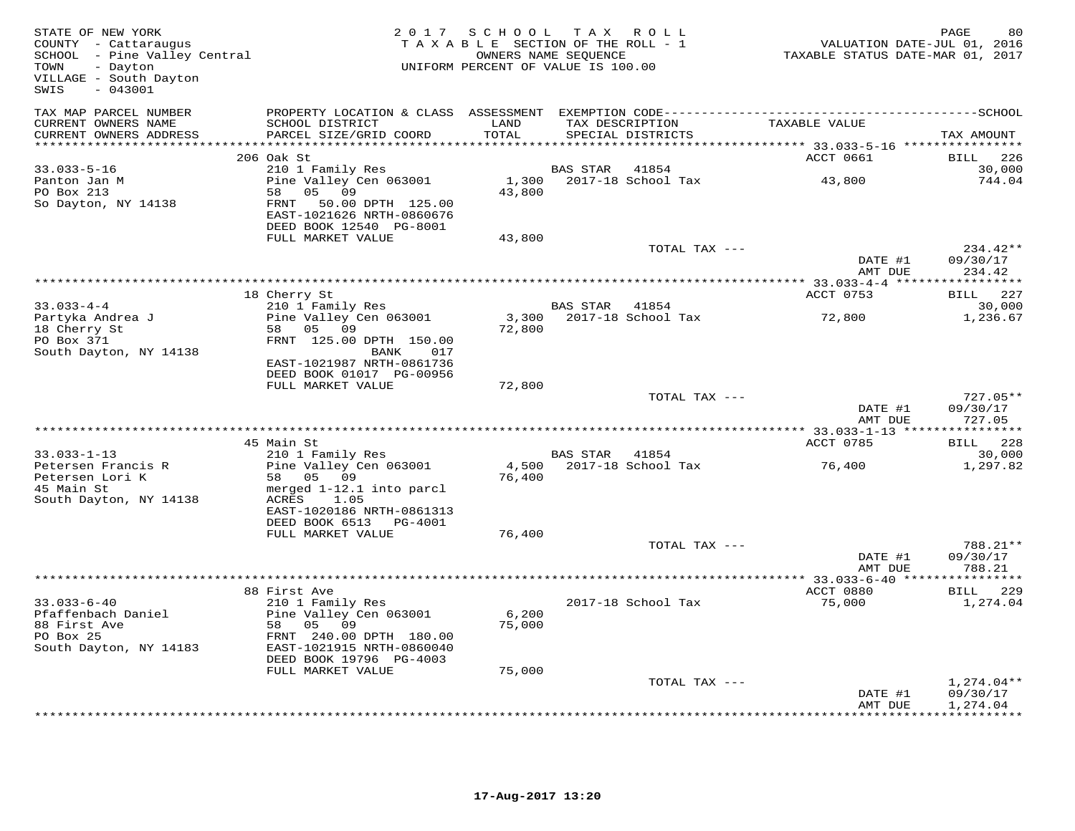| STATE OF NEW YORK<br>COUNTY - Cattaraugus<br>SCHOOL - Pine Valley Central<br>TOWN<br>- Dayton<br>VILLAGE - South Dayton<br>$-043001$<br>SWIS |                                                                                                                                                | 2017 SCHOOL<br>TAXABLE SECTION OF THE ROLL - 1<br>UNIFORM PERCENT OF VALUE IS 100.00 | T A X<br>OWNERS NAME SEQUENCE | ROLL ROLL                            | VALUATION DATE-JUL 01, 2016<br>TAXABLE STATUS DATE-MAR 01, 2017 | PAGE<br>80                       |
|----------------------------------------------------------------------------------------------------------------------------------------------|------------------------------------------------------------------------------------------------------------------------------------------------|--------------------------------------------------------------------------------------|-------------------------------|--------------------------------------|-----------------------------------------------------------------|----------------------------------|
| TAX MAP PARCEL NUMBER<br>CURRENT OWNERS NAME<br>CURRENT OWNERS ADDRESS<br>***********************                                            | SCHOOL DISTRICT<br>PARCEL SIZE/GRID COORD                                                                                                      | LAND<br>TOTAL                                                                        |                               | TAX DESCRIPTION<br>SPECIAL DISTRICTS | TAXABLE VALUE                                                   | TAX AMOUNT                       |
|                                                                                                                                              | 206 Oak St                                                                                                                                     |                                                                                      |                               |                                      | ACCT 0661                                                       | BILL<br>226                      |
| $33.033 - 5 - 16$<br>Panton Jan M<br>PO Box 213<br>So Dayton, NY 14138                                                                       | 210 1 Family Res<br>Pine Valley Cen 063001<br>05 09<br>58<br>FRNT<br>50.00 DPTH 125.00<br>EAST-1021626 NRTH-0860676<br>DEED BOOK 12540 PG-8001 | 1,300<br>43,800                                                                      | BAS STAR                      | 41854<br>2017-18 School Tax          | 43,800                                                          | 30,000<br>744.04                 |
|                                                                                                                                              | FULL MARKET VALUE                                                                                                                              | 43,800                                                                               |                               |                                      |                                                                 |                                  |
|                                                                                                                                              |                                                                                                                                                |                                                                                      |                               | TOTAL TAX ---                        | DATE #1<br>AMT DUE                                              | 234.42**<br>09/30/17<br>234.42   |
|                                                                                                                                              |                                                                                                                                                |                                                                                      |                               |                                      |                                                                 |                                  |
|                                                                                                                                              | 18 Cherry St                                                                                                                                   |                                                                                      |                               |                                      | ACCT 0753                                                       | <b>BILL</b> 227                  |
| $33.033 - 4 - 4$<br>Partyka Andrea J                                                                                                         | 210 1 Family Res<br>Pine Valley Cen 063001                                                                                                     |                                                                                      | BAS STAR 41854                | 3,300 2017-18 School Tax             | 72,800                                                          | 30,000<br>1,236.67               |
| 18 Cherry St<br>PO Box 371<br>South Dayton, NY 14138                                                                                         | 58 05 09<br>FRNT 125.00 DPTH 150.00<br>BANK<br>017<br>EAST-1021987 NRTH-0861736                                                                | 72,800                                                                               |                               |                                      |                                                                 |                                  |
|                                                                                                                                              | DEED BOOK 01017 PG-00956<br>FULL MARKET VALUE                                                                                                  | 72,800                                                                               |                               |                                      |                                                                 |                                  |
|                                                                                                                                              |                                                                                                                                                |                                                                                      |                               | TOTAL TAX ---                        | DATE #1<br>AMT DUE                                              | $727.05**$<br>09/30/17<br>727.05 |
|                                                                                                                                              | 45 Main St                                                                                                                                     |                                                                                      |                               |                                      | ACCT 0785                                                       | BILL 228                         |
| $33.033 - 1 - 13$<br>Petersen Francis R                                                                                                      | 210 1 Family Res<br>Pine Valley Cen 063001                                                                                                     | 4,500                                                                                | BAS STAR                      | 41854<br>2017-18 School Tax          | 76,400                                                          | 30,000<br>1,297.82               |
| Petersen Lori K<br>45 Main St<br>South Dayton, NY 14138                                                                                      | 58 05 09<br>merged 1-12.1 into parcl<br>ACRES<br>1.05<br>EAST-1020186 NRTH-0861313<br>DEED BOOK 6513 PG-4001                                   | 76,400                                                                               |                               |                                      |                                                                 |                                  |
|                                                                                                                                              | FULL MARKET VALUE                                                                                                                              | 76,400                                                                               |                               |                                      |                                                                 |                                  |
|                                                                                                                                              |                                                                                                                                                |                                                                                      |                               | TOTAL TAX ---                        | DATE #1<br>AMT DUE                                              | 788.21**<br>09/30/17<br>788.21   |
|                                                                                                                                              |                                                                                                                                                |                                                                                      |                               |                                      |                                                                 |                                  |
| $33.033 - 6 - 40$                                                                                                                            | 88 First Ave<br>210 1 Family Res                                                                                                               |                                                                                      |                               | 2017-18 School Tax                   | ACCT 0880<br>75,000                                             | BILL 229<br>1,274.04             |
| Pfaffenbach Daniel<br>88 First Ave<br>PO Box 25<br>South Dayton, NY 14183                                                                    | Pine Valley Cen 063001<br>05<br>58<br>09<br>FRNT 240.00 DPTH 180.00<br>EAST-1021915 NRTH-0860040<br>DEED BOOK 19796 PG-4003                    | 6,200<br>75,000                                                                      |                               |                                      |                                                                 |                                  |
|                                                                                                                                              | FULL MARKET VALUE                                                                                                                              | 75,000                                                                               |                               |                                      |                                                                 |                                  |
|                                                                                                                                              |                                                                                                                                                |                                                                                      |                               | TOTAL TAX ---                        | DATE #1                                                         | $1,274.04**$<br>09/30/17         |
|                                                                                                                                              |                                                                                                                                                |                                                                                      |                               |                                      | AMT DUE                                                         | 1,274.04<br>* * * * * * * * * *  |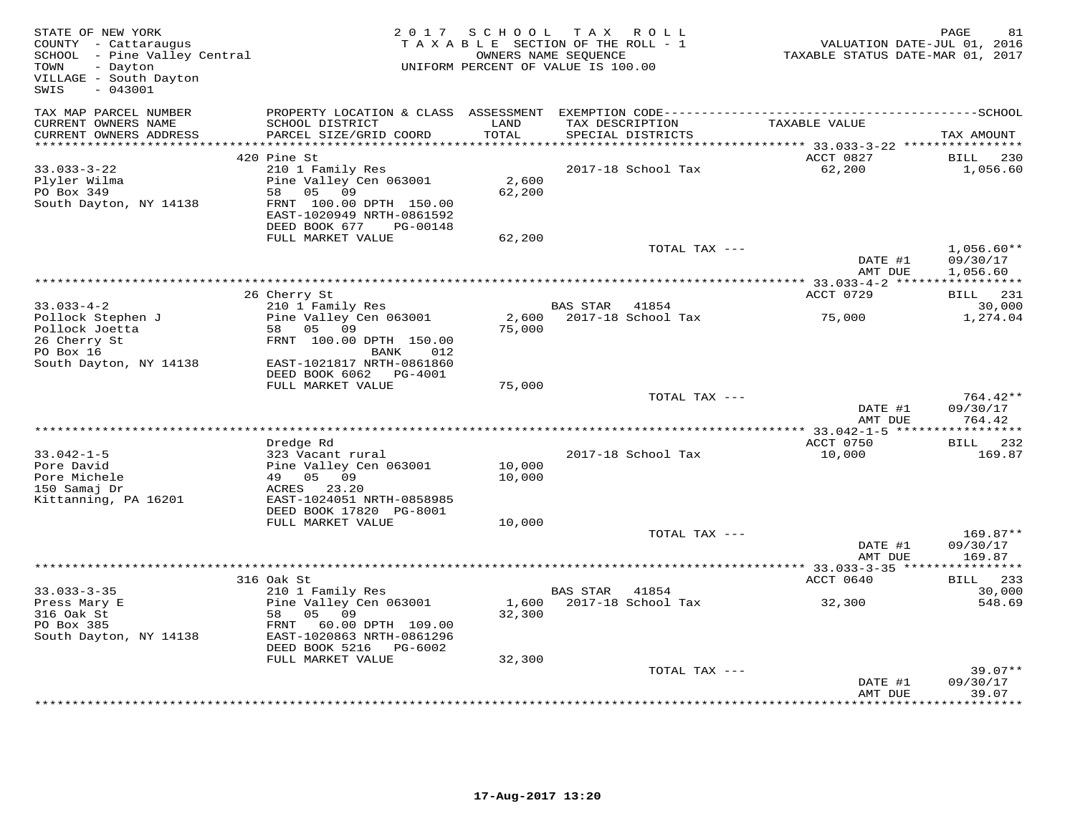| STATE OF NEW YORK<br>COUNTY - Cattaraugus<br>SCHOOL - Pine Valley Central<br>TOWN<br>- Dayton<br>VILLAGE - South Dayton<br>$-043001$<br>SWIS | 2 0 1 7                                                                                                                                                                            | S C H O O L      | TAX ROLL<br>TAXABLE SECTION OF THE ROLL - 1<br>OWNERS NAME SEOUENCE<br>UNIFORM PERCENT OF VALUE IS 100.00 | VALUATION DATE-JUL 01, 2016<br>TAXABLE STATUS DATE-MAR 01, 2017 | $\mathop{\mathtt{PAGE}}$<br>81   |
|----------------------------------------------------------------------------------------------------------------------------------------------|------------------------------------------------------------------------------------------------------------------------------------------------------------------------------------|------------------|-----------------------------------------------------------------------------------------------------------|-----------------------------------------------------------------|----------------------------------|
| TAX MAP PARCEL NUMBER<br>CURRENT OWNERS NAME<br>CURRENT OWNERS ADDRESS                                                                       | PROPERTY LOCATION & CLASS ASSESSMENT<br>SCHOOL DISTRICT<br>PARCEL SIZE/GRID COORD                                                                                                  | LAND<br>TOTAL    | TAX DESCRIPTION<br>SPECIAL DISTRICTS                                                                      | TAXABLE VALUE                                                   | TAX AMOUNT                       |
| ***********************                                                                                                                      | ***************************                                                                                                                                                        | **********       |                                                                                                           |                                                                 |                                  |
| $33.033 - 3 - 22$<br>Plyler Wilma<br>PO Box 349<br>South Dayton, NY 14138                                                                    | 420 Pine St<br>210 1 Family Res<br>Pine Valley Cen 063001<br>05 09<br>58<br>FRNT 100.00 DPTH 150.00<br>EAST-1020949 NRTH-0861592<br>DEED BOOK 677<br>PG-00148<br>FULL MARKET VALUE | 2,600<br>62,200  | 2017-18 School Tax                                                                                        | ACCT 0827<br>62,200                                             | BILL<br>230<br>1,056.60          |
|                                                                                                                                              |                                                                                                                                                                                    | 62,200           | TOTAL TAX ---                                                                                             |                                                                 | $1,056.60**$                     |
|                                                                                                                                              |                                                                                                                                                                                    |                  |                                                                                                           | DATE #1<br>AMT DUE                                              | 09/30/17<br>1,056.60             |
|                                                                                                                                              | 26 Cherry St                                                                                                                                                                       |                  |                                                                                                           | ACCT 0729                                                       | <b>BILL</b> 231                  |
| $33.033 - 4 - 2$<br>Pollock Stephen J                                                                                                        | 210 1 Family Res<br>Pine Valley Cen 063001                                                                                                                                         | 2,600            | BAS STAR<br>41854<br>2017-18 School Tax                                                                   | 75,000                                                          | 30,000<br>1,274.04               |
| Pollock Joetta<br>26 Cherry St<br>PO Box 16<br>South Dayton, NY 14138                                                                        | 58 05 09<br>FRNT 100.00 DPTH 150.00<br>BANK<br>012<br>EAST-1021817 NRTH-0861860<br>DEED BOOK 6062 PG-4001                                                                          | 75,000           |                                                                                                           |                                                                 |                                  |
|                                                                                                                                              | FULL MARKET VALUE                                                                                                                                                                  | 75,000           |                                                                                                           |                                                                 |                                  |
|                                                                                                                                              |                                                                                                                                                                                    |                  | TOTAL TAX ---                                                                                             | DATE #1<br>AMT DUE                                              | 764.42**<br>09/30/17<br>764.42   |
|                                                                                                                                              | *****************                                                                                                                                                                  |                  | **********************************                                                                        | $** 33.042 - 1 - 5 **$                                          | **********                       |
| $33.042 - 1 - 5$<br>Pore David<br>Pore Michele<br>150 Samaj Dr<br>Kittanning, PA 16201                                                       | Dredge Rd<br>323 Vacant rural<br>Pine Valley Cen 063001<br>49 05 09<br>ACRES 23.20<br>EAST-1024051 NRTH-0858985<br>DEED BOOK 17820 PG-8001                                         | 10,000<br>10,000 | 2017-18 School Tax                                                                                        | ACCT 0750<br>10,000                                             | BILL 232<br>169.87               |
|                                                                                                                                              | FULL MARKET VALUE                                                                                                                                                                  | 10,000           |                                                                                                           |                                                                 |                                  |
|                                                                                                                                              |                                                                                                                                                                                    |                  | TOTAL TAX ---                                                                                             | DATE #1<br>AMT DUE                                              | $169.87**$<br>09/30/17<br>169.87 |
|                                                                                                                                              |                                                                                                                                                                                    |                  | *****************                                                                                         | ** 33.033-3-35 ***                                              |                                  |
| $33.033 - 3 - 35$                                                                                                                            | 316 Oak St<br>210 1 Family Res                                                                                                                                                     |                  | <b>BAS STAR</b><br>41854                                                                                  | ACCT 0640                                                       | 233<br>BILL<br>30,000            |
| Press Mary E<br>316 Oak St<br>PO Box 385<br>South Dayton, NY 14138                                                                           | Pine Valley Cen 063001<br>58<br>05 09<br>FRNT 60.00 DPTH 109.00<br>EAST-1020863 NRTH-0861296<br>DEED BOOK 5216<br>PG-6002                                                          | 1,600<br>32,300  | 2017-18 School Tax                                                                                        | 32,300                                                          | 548.69                           |
|                                                                                                                                              | FULL MARKET VALUE                                                                                                                                                                  | 32,300           |                                                                                                           |                                                                 |                                  |
|                                                                                                                                              |                                                                                                                                                                                    |                  | TOTAL TAX ---                                                                                             | DATE #1<br>AMT DUE                                              | $39.07**$<br>09/30/17<br>39.07   |
|                                                                                                                                              |                                                                                                                                                                                    |                  |                                                                                                           |                                                                 | *********                        |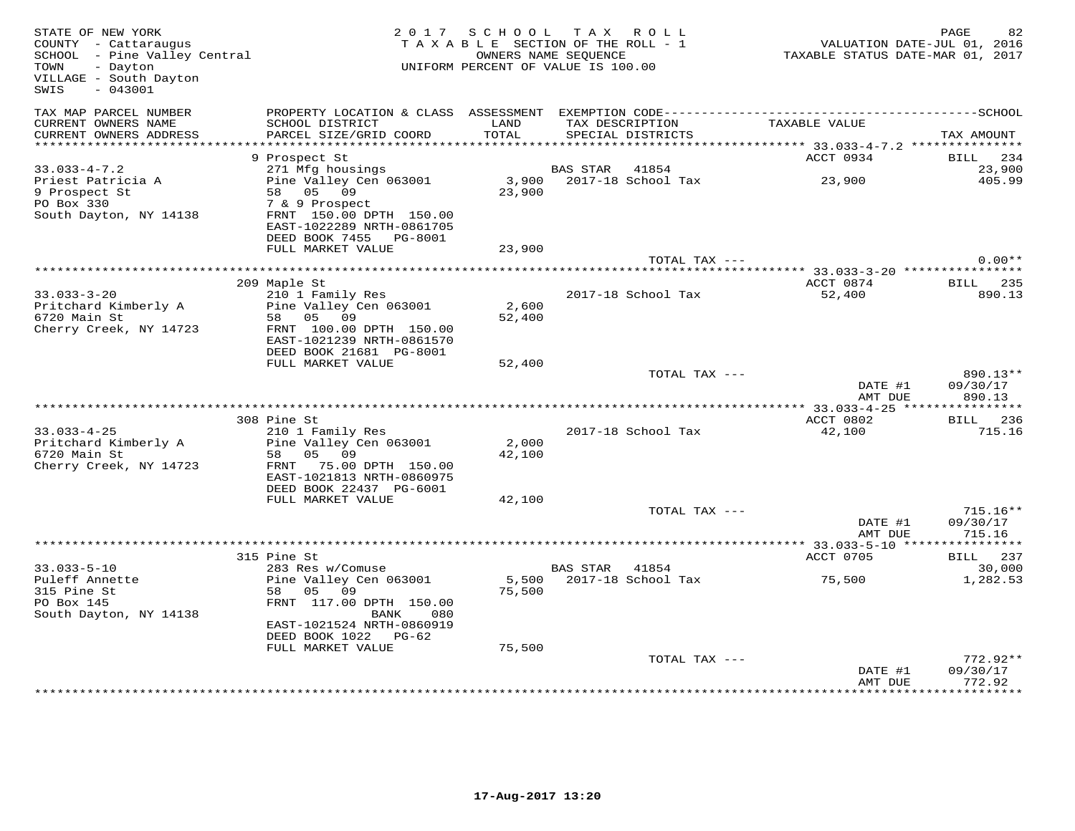| STATE OF NEW YORK<br>COUNTY - Cattaraugus<br>COONII - Caccaraugus<br>SCHOOL - Pine Valley Central<br>- Dayton<br>TOWN<br>VILLAGE - South Dayton<br>$-043001$<br>SWIS |                                                                                 |                 | 2017 SCHOOL TAX ROLL<br>TAXABLE SECTION OF THE ROLL - 1<br>OWNERS NAME SEQUENCE<br>UNIFORM PERCENT OF VALUE IS 100.00 | VALUATION DATE-JUL 01, 2016<br>TAXABLE STATUS DATE-MAR 01, 2017 | PAGE<br>82                       |
|----------------------------------------------------------------------------------------------------------------------------------------------------------------------|---------------------------------------------------------------------------------|-----------------|-----------------------------------------------------------------------------------------------------------------------|-----------------------------------------------------------------|----------------------------------|
| TAX MAP PARCEL NUMBER<br>CURRENT OWNERS NAME                                                                                                                         | SCHOOL DISTRICT                                                                 | LAND            | TAX DESCRIPTION                                                                                                       | TAXABLE VALUE                                                   |                                  |
| CURRENT OWNERS ADDRESS                                                                                                                                               | PARCEL SIZE/GRID COORD                                                          | TOTAL           | SPECIAL DISTRICTS                                                                                                     | ************ 33.033-4-7.2 ****************                      | TAX AMOUNT                       |
|                                                                                                                                                                      | 9 Prospect St                                                                   |                 |                                                                                                                       | ACCT 0934                                                       | BILL 234                         |
| $33.033 - 4 - 7.2$                                                                                                                                                   | 271 Mfg housings                                                                |                 | BAS STAR<br>41854                                                                                                     |                                                                 | 23,900                           |
| Priest Patricia A<br>9 Prospect St<br>PO Box 330                                                                                                                     | Pine Valley Cen 063001<br>58 05 09<br>7 & 9 Prospect                            | 23,900          | 3,900 2017-18 School Tax                                                                                              | 23,900                                                          | 405.99                           |
| South Dayton, NY 14138                                                                                                                                               | FRNT 150.00 DPTH 150.00<br>EAST-1022289 NRTH-0861705<br>DEED BOOK 7455 PG-8001  |                 |                                                                                                                       |                                                                 |                                  |
|                                                                                                                                                                      | FULL MARKET VALUE                                                               | 23,900          |                                                                                                                       |                                                                 |                                  |
|                                                                                                                                                                      |                                                                                 |                 | TOTAL TAX ---                                                                                                         |                                                                 | $0.00**$                         |
|                                                                                                                                                                      | 209 Maple St                                                                    |                 |                                                                                                                       | ACCT 0874                                                       | BILL 235                         |
| $33.033 - 3 - 20$<br>Pritchard Kimberly A<br>6720 Main St                                                                                                            | 210 1 Family Res<br>Pine Valley Cen 063001<br>58 05 09                          | 2,600<br>52,400 | 2017-18 School Tax                                                                                                    | 52,400                                                          | 890.13                           |
| Cherry Creek, NY 14723                                                                                                                                               | FRNT 100.00 DPTH 150.00<br>EAST-1021239 NRTH-0861570<br>DEED BOOK 21681 PG-8001 |                 |                                                                                                                       |                                                                 |                                  |
|                                                                                                                                                                      | FULL MARKET VALUE                                                               | 52,400          |                                                                                                                       |                                                                 |                                  |
|                                                                                                                                                                      |                                                                                 |                 | TOTAL TAX ---                                                                                                         | DATE #1<br>AMT DUE                                              | $890.13**$<br>09/30/17<br>890.13 |
|                                                                                                                                                                      |                                                                                 |                 |                                                                                                                       |                                                                 |                                  |
| $33.033 - 4 - 25$<br>Pritchard Kimberly A                                                                                                                            | 308 Pine St<br>210 1 Family Res<br>Pine Valley Cen 063001                       | 2,000           | 2017-18 School Tax                                                                                                    | ACCT 0802<br>42,100                                             | <b>BILL</b> 236<br>715.16        |
| 6720 Main St<br>Cherry Creek, NY 14723                                                                                                                               | 58 05 09<br>FRNT 75.00 DPTH 150.00<br>EAST-1021813 NRTH-0860975                 | 42,100          |                                                                                                                       |                                                                 |                                  |
|                                                                                                                                                                      | DEED BOOK 22437 PG-6001<br>FULL MARKET VALUE                                    |                 |                                                                                                                       |                                                                 |                                  |
|                                                                                                                                                                      |                                                                                 | 42,100          | TOTAL TAX ---                                                                                                         |                                                                 | $715.16**$                       |
|                                                                                                                                                                      |                                                                                 |                 |                                                                                                                       | DATE #1<br>AMT DUE                                              | 09/30/17<br>715.16               |
|                                                                                                                                                                      |                                                                                 |                 |                                                                                                                       |                                                                 |                                  |
|                                                                                                                                                                      | 315 Pine St<br>283 Res w/Comuse                                                 |                 | BAS STAR 41854                                                                                                        | ACCT 0705                                                       | BILL 237                         |
| $33.033 - 5 - 10$<br>Puleff Annette                                                                                                                                  | Pine Valley Cen 063001                                                          | 5,500           | 2017-18 School Tax                                                                                                    | 75,500                                                          | 30,000<br>1,282.53               |
| 315 Pine St<br>PO Box 145<br>South Dayton, NY 14138                                                                                                                  | 58 05 09<br>FRNT 117.00 DPTH 150.00<br>BANK<br>080                              | 75,500          |                                                                                                                       |                                                                 |                                  |
|                                                                                                                                                                      | EAST-1021524 NRTH-0860919<br>DEED BOOK 1022 PG-62<br>FULL MARKET VALUE          | 75,500          |                                                                                                                       |                                                                 |                                  |
|                                                                                                                                                                      |                                                                                 |                 | TOTAL TAX ---                                                                                                         |                                                                 | $772.92**$                       |
|                                                                                                                                                                      |                                                                                 |                 |                                                                                                                       | DATE #1<br>AMT DUE                                              | 09/30/17<br>772.92               |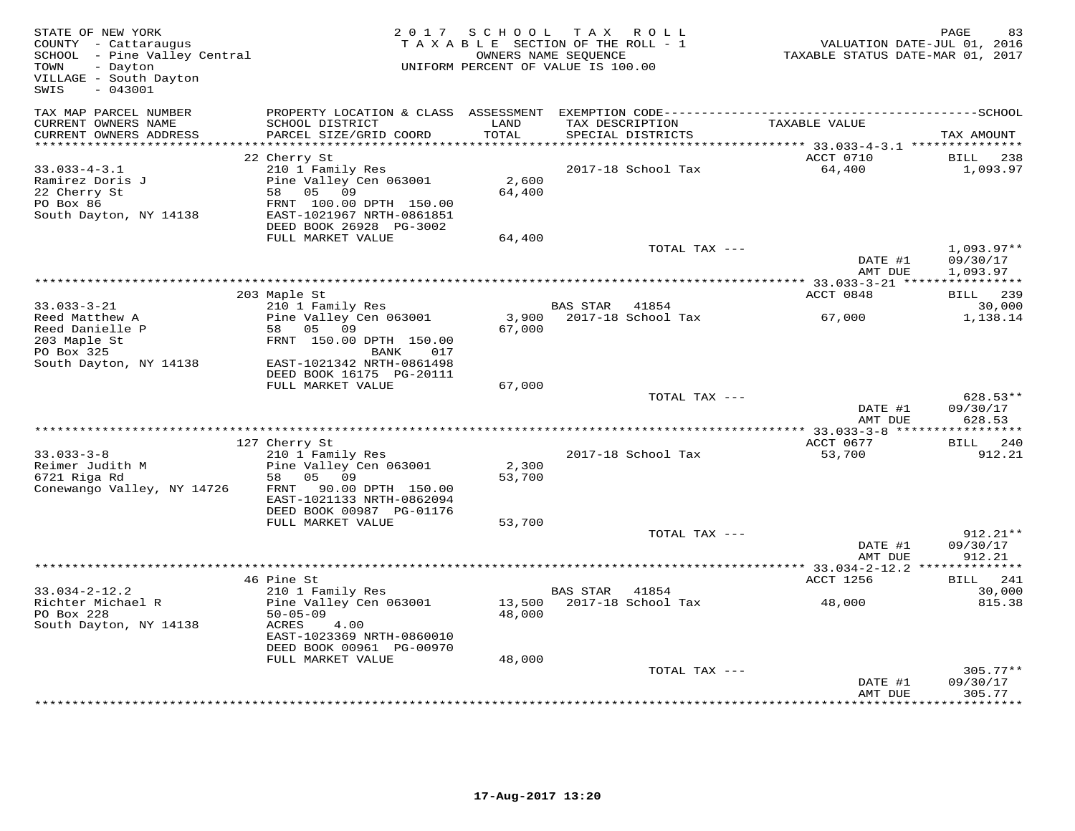| STATE OF NEW YORK<br>COUNTY - Cattaraugus<br>SCHOOL - Pine Valley Central<br>TOWN<br>- Dayton<br>VILLAGE - South Dayton<br>$-043001$<br>SWIS | 2 0 1 7                                                                                                                                                       | S C H O O L      | TAX ROLL<br>TAXABLE SECTION OF THE ROLL - 1<br>OWNERS NAME SEOUENCE<br>UNIFORM PERCENT OF VALUE IS 100.00 | VALUATION DATE-JUL 01, 2016<br>TAXABLE STATUS DATE-MAR 01, 2017 | $\mathop{\mathtt{PAGE}}$<br>83               |
|----------------------------------------------------------------------------------------------------------------------------------------------|---------------------------------------------------------------------------------------------------------------------------------------------------------------|------------------|-----------------------------------------------------------------------------------------------------------|-----------------------------------------------------------------|----------------------------------------------|
| TAX MAP PARCEL NUMBER<br>CURRENT OWNERS NAME<br>CURRENT OWNERS ADDRESS                                                                       | PROPERTY LOCATION & CLASS ASSESSMENT<br>SCHOOL DISTRICT<br>PARCEL SIZE/GRID COORD                                                                             | LAND<br>TOTAL    | TAX DESCRIPTION<br>SPECIAL DISTRICTS                                                                      | TAXABLE VALUE                                                   | TAX AMOUNT                                   |
| ***********************                                                                                                                      |                                                                                                                                                               | **********       |                                                                                                           |                                                                 |                                              |
| $33.033 - 4 - 3.1$<br>Ramirez Doris J<br>22 Cherry St<br>PO Box 86<br>South Dayton, NY 14138                                                 | 22 Cherry St<br>210 1 Family Res<br>Pine Valley Cen 063001<br>05 09<br>58<br>FRNT 100.00 DPTH 150.00<br>EAST-1021967 NRTH-0861851<br>DEED BOOK 26928 PG-3002  | 2,600<br>64,400  | 2017-18 School Tax                                                                                        | ACCT 0710<br>64,400                                             | BILL<br>238<br>1,093.97                      |
|                                                                                                                                              | FULL MARKET VALUE                                                                                                                                             | 64,400           |                                                                                                           |                                                                 |                                              |
|                                                                                                                                              |                                                                                                                                                               |                  | TOTAL TAX ---                                                                                             | DATE #1<br>AMT DUE                                              | $1,093.97**$<br>09/30/17<br>1,093.97         |
|                                                                                                                                              | 203 Maple St                                                                                                                                                  |                  |                                                                                                           | ACCT 0848                                                       | BILL 239                                     |
| $33.033 - 3 - 21$<br>Reed Matthew A                                                                                                          | 210 1 Family Res<br>Pine Valley Cen 063001                                                                                                                    | 3,900            | <b>BAS STAR</b><br>41854<br>2017-18 School Tax                                                            | 67,000                                                          | 30,000<br>1,138.14                           |
| Reed Danielle P<br>203 Maple St<br>PO Box 325<br>South Dayton, NY 14138                                                                      | 05<br>09<br>58<br>FRNT 150.00 DPTH 150.00<br>BANK<br>017<br>EAST-1021342 NRTH-0861498<br>DEED BOOK 16175 PG-20111                                             | 67,000           |                                                                                                           |                                                                 |                                              |
|                                                                                                                                              | FULL MARKET VALUE                                                                                                                                             | 67,000           |                                                                                                           |                                                                 |                                              |
|                                                                                                                                              |                                                                                                                                                               |                  | TOTAL TAX ---                                                                                             | DATE #1<br>AMT DUE                                              | $628.53**$<br>09/30/17<br>628.53             |
|                                                                                                                                              |                                                                                                                                                               |                  |                                                                                                           | ** 33.033-3-8 ***                                               | **********                                   |
| $33.033 - 3 - 8$<br>Reimer Judith M<br>6721 Riga Rd<br>Conewango Valley, NY 14726                                                            | 127 Cherry St<br>210 1 Family Res<br>Pine Valley Cen 063001<br>05 09<br>58<br>FRNT 90.00 DPTH 150.00<br>EAST-1021133 NRTH-0862094<br>DEED BOOK 00987 PG-01176 | 2,300<br>53,700  | 2017-18 School Tax                                                                                        | ACCT 0677<br>53,700                                             | BILL 240<br>912.21                           |
|                                                                                                                                              | FULL MARKET VALUE                                                                                                                                             | 53,700           |                                                                                                           |                                                                 |                                              |
|                                                                                                                                              |                                                                                                                                                               |                  | TOTAL TAX ---                                                                                             | DATE #1<br>AMT DUE                                              | $912.21**$<br>09/30/17<br>912.21             |
|                                                                                                                                              |                                                                                                                                                               |                  |                                                                                                           | ** 33.034-2-12.2 *                                              |                                              |
|                                                                                                                                              | 46 Pine St                                                                                                                                                    |                  |                                                                                                           | ACCT 1256                                                       | 241<br>BILL                                  |
| $33.034 - 2 - 12.2$<br>Richter Michael R<br>PO Box 228<br>South Dayton, NY 14138                                                             | 210 1 Family Res<br>Pine Valley Cen 063001<br>$50 - 05 - 09$<br>ACRES<br>4.00<br>EAST-1023369 NRTH-0860010                                                    | 13,500<br>48,000 | <b>BAS STAR</b><br>41854<br>2017-18 School Tax                                                            | 48,000                                                          | 30,000<br>815.38                             |
|                                                                                                                                              | DEED BOOK 00961 PG-00970<br>FULL MARKET VALUE                                                                                                                 | 48,000           |                                                                                                           |                                                                 |                                              |
|                                                                                                                                              |                                                                                                                                                               |                  | TOTAL TAX ---                                                                                             | DATE #1<br>AMT DUE                                              | $305.77**$<br>09/30/17<br>305.77<br>******** |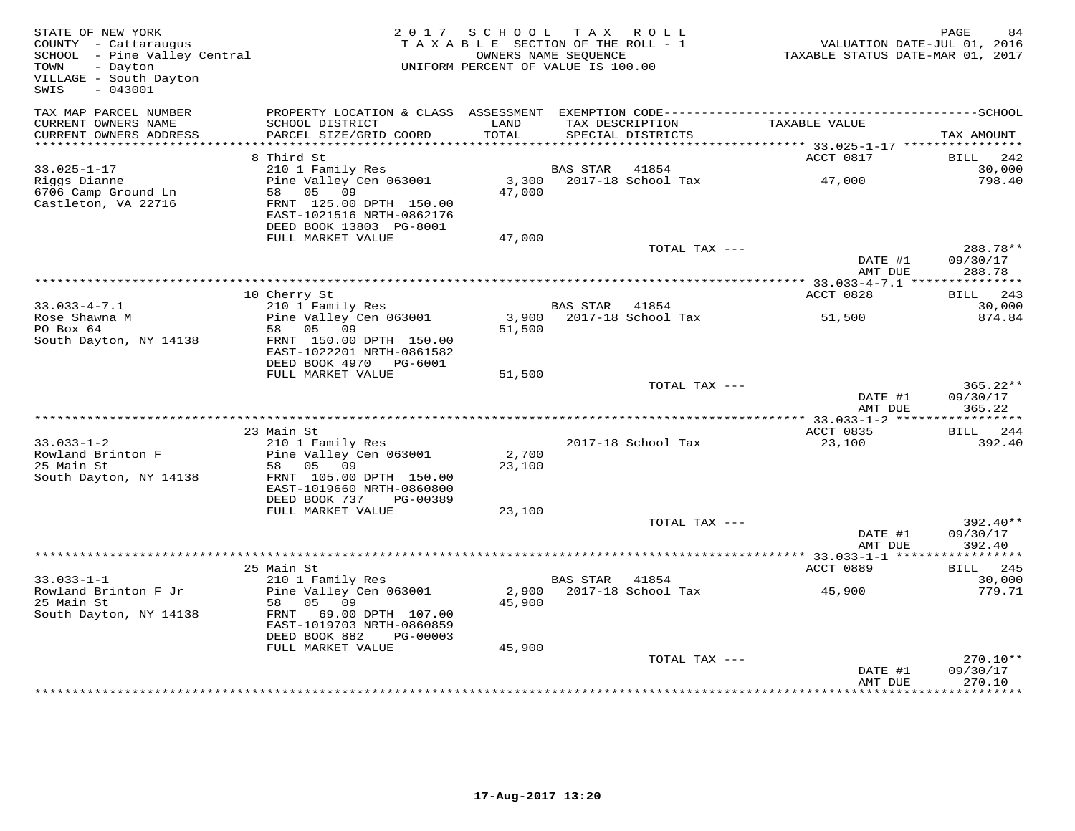| STATE OF NEW YORK<br>COUNTY - Cattaraugus<br>SCHOOL - Pine Valley Central<br>TOWN<br>- Dayton<br>VILLAGE - South Dayton<br>$-043001$<br>SWIS |                                                                                                                       | 2017 SCHOOL<br>TAXABLE SECTION OF THE ROLL - 1<br>UNIFORM PERCENT OF VALUE IS 100.00 | OWNERS NAME SEQUENCE | TAX ROLL                             | VALUATION DATE-JUL 01, 2016<br>TAXABLE STATUS DATE-MAR 01, 2017 | PAGE        | 84                   |
|----------------------------------------------------------------------------------------------------------------------------------------------|-----------------------------------------------------------------------------------------------------------------------|--------------------------------------------------------------------------------------|----------------------|--------------------------------------|-----------------------------------------------------------------|-------------|----------------------|
| TAX MAP PARCEL NUMBER<br>CURRENT OWNERS NAME<br>CURRENT OWNERS ADDRESS                                                                       | SCHOOL DISTRICT<br>PARCEL SIZE/GRID COORD                                                                             | LAND<br>TOTAL                                                                        |                      | TAX DESCRIPTION<br>SPECIAL DISTRICTS | TAXABLE VALUE                                                   | TAX AMOUNT  |                      |
|                                                                                                                                              |                                                                                                                       |                                                                                      |                      |                                      |                                                                 |             |                      |
| $33.025 - 1 - 17$                                                                                                                            | 8 Third St<br>210 1 Family Res                                                                                        |                                                                                      | BAS STAR             | 41854                                | ACCT 0817                                                       | <b>BILL</b> | 242<br>30,000        |
| Riggs Dianne<br>6706 Camp Ground Ln<br>Castleton, VA 22716                                                                                   | Pine Valley Cen 063001<br>58 05 09<br>FRNT 125.00 DPTH 150.00<br>EAST-1021516 NRTH-0862176<br>DEED BOOK 13803 PG-8001 | 3,300<br>47,000                                                                      |                      | 2017-18 School Tax                   | 47,000                                                          |             | 798.40               |
|                                                                                                                                              | FULL MARKET VALUE                                                                                                     | 47,000                                                                               |                      |                                      |                                                                 |             |                      |
|                                                                                                                                              |                                                                                                                       |                                                                                      |                      | TOTAL TAX ---                        | DATE #1                                                         | 09/30/17    | 288.78**             |
|                                                                                                                                              |                                                                                                                       |                                                                                      |                      |                                      | AMT DUE                                                         |             | 288.78               |
|                                                                                                                                              | 10 Cherry St                                                                                                          |                                                                                      |                      |                                      | ACCT 0828                                                       | BILL        | 243                  |
| $33.033 - 4 - 7.1$                                                                                                                           | 210 1 Family Res                                                                                                      |                                                                                      | BAS STAR             | 41854                                |                                                                 |             | 30,000               |
| Rose Shawna M<br>PO Box 64                                                                                                                   | Pine Valley Cen 063001<br>58 05 09                                                                                    | 51,500                                                                               |                      | 3,900 2017-18 School Tax             | 51,500                                                          |             | 874.84               |
| South Dayton, NY 14138                                                                                                                       | FRNT 150.00 DPTH 150.00<br>EAST-1022201 NRTH-0861582<br>DEED BOOK 4970 PG-6001                                        |                                                                                      |                      |                                      |                                                                 |             |                      |
|                                                                                                                                              | FULL MARKET VALUE                                                                                                     | 51,500                                                                               |                      |                                      |                                                                 |             |                      |
|                                                                                                                                              |                                                                                                                       |                                                                                      |                      | TOTAL TAX ---                        | DATE #1<br>AMT DUE                                              | 09/30/17    | $365.22**$<br>365.22 |
|                                                                                                                                              |                                                                                                                       |                                                                                      |                      |                                      |                                                                 |             |                      |
|                                                                                                                                              | 23 Main St                                                                                                            |                                                                                      |                      |                                      | ACCT 0835                                                       | BILL        | 244                  |
| $33.033 - 1 - 2$<br>Rowland Brinton F                                                                                                        | 210 1 Family Res<br>Pine Valley Cen 063001                                                                            | 2,700                                                                                |                      | 2017-18 School Tax                   | 23,100                                                          |             | 392.40               |
| 25 Main St<br>South Dayton, NY 14138                                                                                                         | 05<br>09<br>58<br>FRNT 105.00 DPTH 150.00<br>EAST-1019660 NRTH-0860800                                                | 23,100                                                                               |                      |                                      |                                                                 |             |                      |
|                                                                                                                                              | DEED BOOK 737<br>PG-00389                                                                                             |                                                                                      |                      |                                      |                                                                 |             |                      |
|                                                                                                                                              | FULL MARKET VALUE                                                                                                     | 23,100                                                                               |                      | TOTAL TAX ---                        |                                                                 |             | $392.40**$           |
|                                                                                                                                              |                                                                                                                       |                                                                                      |                      |                                      | DATE #1<br>AMT DUE                                              | 09/30/17    | 392.40               |
|                                                                                                                                              |                                                                                                                       |                                                                                      |                      |                                      |                                                                 |             |                      |
| $33.033 - 1 - 1$                                                                                                                             | 25 Main St<br>210 1 Family Res                                                                                        |                                                                                      | BAS STAR             | 41854                                | ACCT 0889                                                       | BILL        | 245<br>30,000        |
| Rowland Brinton F Jr<br>25 Main St<br>South Dayton, NY 14138                                                                                 | Pine Valley Cen 063001<br>58<br>05<br>09<br>69.00 DPTH 107.00<br>FRNT<br>EAST-1019703 NRTH-0860859                    | 2,900<br>45,900                                                                      |                      | 2017-18 School Tax                   | 45,900                                                          |             | 779.71               |
|                                                                                                                                              | DEED BOOK 882<br>PG-00003<br>FULL MARKET VALUE                                                                        | 45,900                                                                               |                      |                                      |                                                                 |             |                      |
|                                                                                                                                              |                                                                                                                       |                                                                                      |                      | TOTAL TAX ---                        | DATE #1<br>AMT DUE                                              | 09/30/17    | $270.10**$<br>270.10 |
|                                                                                                                                              |                                                                                                                       |                                                                                      |                      |                                      |                                                                 |             |                      |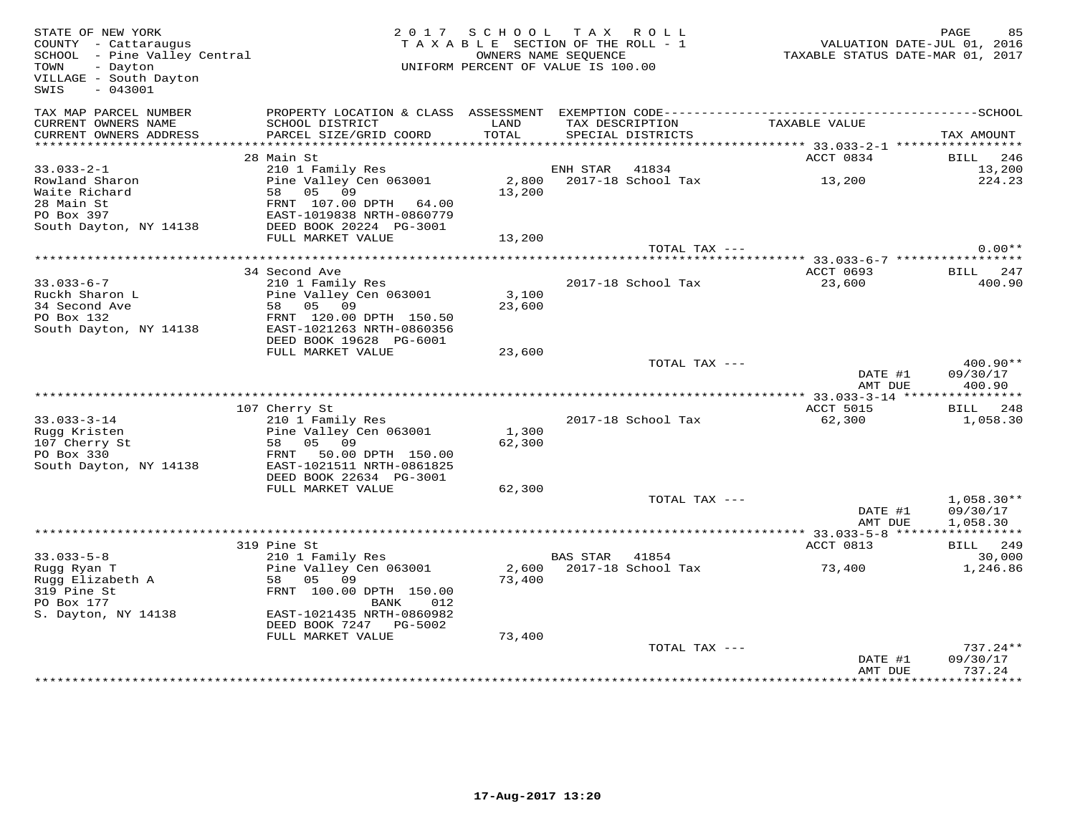| STATE OF NEW YORK<br>COUNTY - Cattaraugus<br>SCHOOL - Pine Valley Central<br>- Dayton<br>TOWN<br>VILLAGE - South Dayton<br>$-043001$<br>SWIS |                                             | 2017 SCHOOL TAX ROLL<br>TAXABLE SECTION OF THE ROLL - 1<br>OWNERS NAME SEOUENCE<br>UNIFORM PERCENT OF VALUE IS 100.00 |                |                                      | VALUATION DATE-JUL 01, 2016<br>TAXABLE STATUS DATE-MAR 01, 2017 | PAGE<br>85         |
|----------------------------------------------------------------------------------------------------------------------------------------------|---------------------------------------------|-----------------------------------------------------------------------------------------------------------------------|----------------|--------------------------------------|-----------------------------------------------------------------|--------------------|
| TAX MAP PARCEL NUMBER                                                                                                                        |                                             |                                                                                                                       |                |                                      |                                                                 |                    |
| CURRENT OWNERS NAME<br>CURRENT OWNERS ADDRESS                                                                                                | SCHOOL DISTRICT<br>PARCEL SIZE/GRID COORD   | LAND<br>TOTAL                                                                                                         |                | TAX DESCRIPTION<br>SPECIAL DISTRICTS | TAXABLE VALUE                                                   | TAX AMOUNT         |
|                                                                                                                                              |                                             |                                                                                                                       |                |                                      |                                                                 |                    |
| $33.033 - 2 - 1$                                                                                                                             | 28 Main St<br>210 1 Family Res              |                                                                                                                       | ENH STAR 41834 |                                      | ACCT 0834                                                       | BILL 246<br>13,200 |
| Rowland Sharon                                                                                                                               | Pine Valley Cen 063001                      |                                                                                                                       |                | 2,800 2017-18 School Tax             | 13,200                                                          | 224.23             |
| Waite Richard                                                                                                                                | 58 05 09                                    | 13,200                                                                                                                |                |                                      |                                                                 |                    |
| 28 Main St                                                                                                                                   | FRNT 107.00 DPTH 64.00                      |                                                                                                                       |                |                                      |                                                                 |                    |
| PO Box 397                                                                                                                                   | EAST-1019838 NRTH-0860779                   |                                                                                                                       |                |                                      |                                                                 |                    |
| South Dayton, NY 14138                                                                                                                       | DEED BOOK 20224 PG-3001                     |                                                                                                                       |                |                                      |                                                                 |                    |
|                                                                                                                                              | FULL MARKET VALUE                           | 13,200                                                                                                                |                |                                      |                                                                 |                    |
|                                                                                                                                              |                                             |                                                                                                                       |                | TOTAL TAX ---                        |                                                                 | $0.00**$           |
|                                                                                                                                              | 34 Second Ave                               |                                                                                                                       |                |                                      | ACCT 0693                                                       | BILL 247           |
| $33.033 - 6 - 7$                                                                                                                             | 210 1 Family Res                            |                                                                                                                       |                | 2017-18 School Tax                   | 23,600                                                          | 400.90             |
| Ruckh Sharon L                                                                                                                               | Pine Valley Cen 063001                      | 3,100                                                                                                                 |                |                                      |                                                                 |                    |
| 34 Second Ave                                                                                                                                | 58 05 09                                    | 23,600                                                                                                                |                |                                      |                                                                 |                    |
| PO Box 132                                                                                                                                   | FRNT 120.00 DPTH 150.50                     |                                                                                                                       |                |                                      |                                                                 |                    |
| South Dayton, NY 14138                                                                                                                       | EAST-1021263 NRTH-0860356                   |                                                                                                                       |                |                                      |                                                                 |                    |
|                                                                                                                                              | DEED BOOK 19628 PG-6001                     |                                                                                                                       |                |                                      |                                                                 |                    |
|                                                                                                                                              | FULL MARKET VALUE                           | 23,600                                                                                                                |                | TOTAL TAX ---                        |                                                                 | $400.90**$         |
|                                                                                                                                              |                                             |                                                                                                                       |                |                                      | DATE #1<br>AMT DUE                                              | 09/30/17<br>400.90 |
|                                                                                                                                              |                                             |                                                                                                                       |                |                                      |                                                                 |                    |
|                                                                                                                                              | 107 Cherry St                               |                                                                                                                       |                |                                      | ACCT 5015                                                       | BILL 248           |
| $33.033 - 3 - 14$                                                                                                                            | 210 1 Family Res                            |                                                                                                                       |                | 2017-18 School Tax                   | 62,300                                                          | 1,058.30           |
| Rugg Kristen<br>107 Cherry St                                                                                                                | Pine Valley Cen 063001<br>58 05 09          | 1,300<br>62,300                                                                                                       |                |                                      |                                                                 |                    |
| PO Box 330                                                                                                                                   | FRNT 50.00 DPTH 150.00                      |                                                                                                                       |                |                                      |                                                                 |                    |
| South Dayton, NY 14138                                                                                                                       | EAST-1021511 NRTH-0861825                   |                                                                                                                       |                |                                      |                                                                 |                    |
|                                                                                                                                              | DEED BOOK 22634 PG-3001                     |                                                                                                                       |                |                                      |                                                                 |                    |
|                                                                                                                                              | FULL MARKET VALUE                           | 62,300                                                                                                                |                |                                      |                                                                 |                    |
|                                                                                                                                              |                                             |                                                                                                                       |                | TOTAL TAX ---                        |                                                                 | $1,058.30**$       |
|                                                                                                                                              |                                             |                                                                                                                       |                |                                      | DATE #1                                                         | 09/30/17           |
|                                                                                                                                              |                                             |                                                                                                                       |                |                                      | AMT DUE                                                         | 1,058.30           |
|                                                                                                                                              | 319 Pine St                                 |                                                                                                                       |                |                                      | ACCT 0813                                                       | BILL 249           |
| $33.033 - 5 - 8$                                                                                                                             | 210 1 Family Res                            |                                                                                                                       | BAS STAR 41854 |                                      |                                                                 | 30,000             |
| Rugg Ryan T                                                                                                                                  | Pine Valley Cen 063001                      |                                                                                                                       |                | 2,600 2017-18 School Tax             | 73,400                                                          | 1,246.86           |
| Rugg Elizabeth A                                                                                                                             | 58 05 09                                    | 73,400                                                                                                                |                |                                      |                                                                 |                    |
| 319 Pine St                                                                                                                                  | FRNT 100.00 DPTH 150.00                     |                                                                                                                       |                |                                      |                                                                 |                    |
| PO Box 177                                                                                                                                   | BANK<br>012                                 |                                                                                                                       |                |                                      |                                                                 |                    |
| S. Dayton, NY 14138                                                                                                                          | EAST-1021435 NRTH-0860982                   |                                                                                                                       |                |                                      |                                                                 |                    |
|                                                                                                                                              | DEED BOOK 7247 PG-5002<br>FULL MARKET VALUE | 73,400                                                                                                                |                |                                      |                                                                 |                    |
|                                                                                                                                              |                                             |                                                                                                                       |                | TOTAL TAX ---                        |                                                                 | $737.24**$         |
|                                                                                                                                              |                                             |                                                                                                                       |                |                                      | DATE #1                                                         | 09/30/17           |
|                                                                                                                                              |                                             |                                                                                                                       |                |                                      | AMT DUE                                                         | 737.24             |
|                                                                                                                                              |                                             |                                                                                                                       |                |                                      |                                                                 |                    |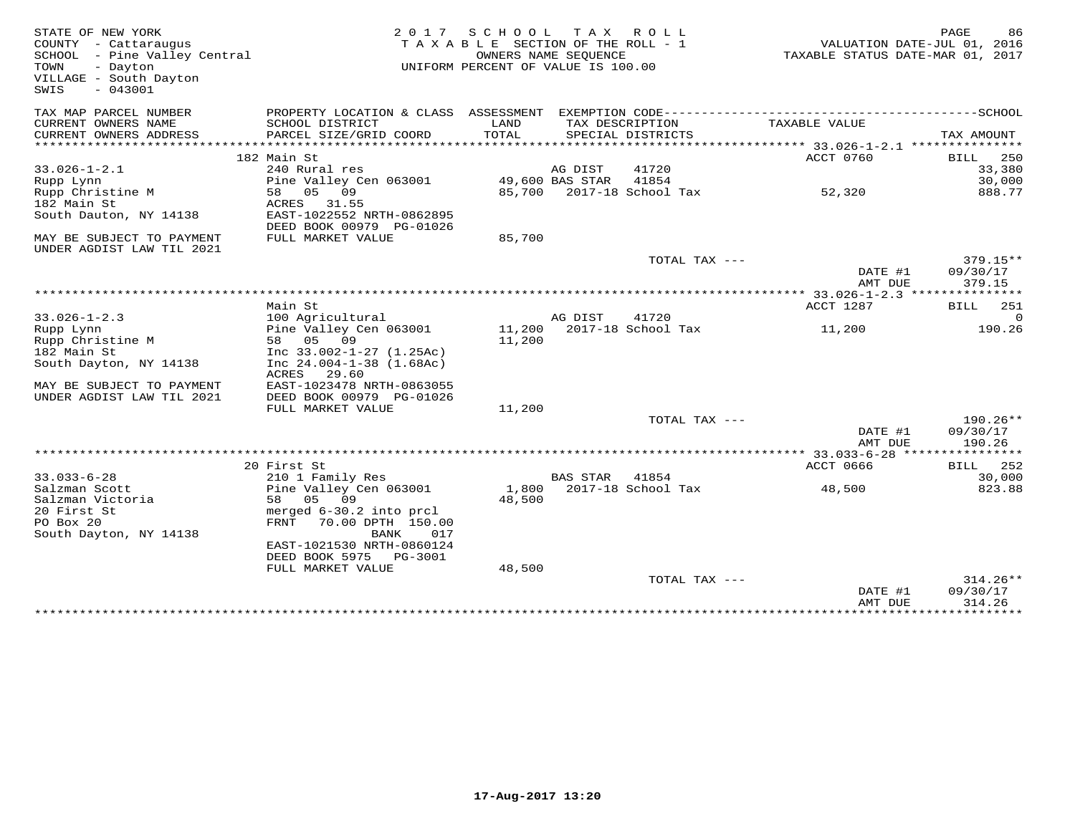| STATE OF NEW YORK<br>COUNTY - Cattaraugus<br>SCHOOL - Pine Valley Central<br>TOWN<br>- Dayton<br>VILLAGE - South Dayton<br>$-043001$<br>SWIS | 2 0 1 7                                                            | S C H O O L<br>TAXABLE SECTION OF THE ROLL - 1<br>UNIFORM PERCENT OF VALUE IS 100.00 | T A X<br>OWNERS NAME SEOUENCE | R O L L                   | TAXABLE STATUS DATE-MAR 01, 2017       | PAGE<br>86<br>VALUATION DATE-JUL 01, 2016 |
|----------------------------------------------------------------------------------------------------------------------------------------------|--------------------------------------------------------------------|--------------------------------------------------------------------------------------|-------------------------------|---------------------------|----------------------------------------|-------------------------------------------|
| TAX MAP PARCEL NUMBER                                                                                                                        | PROPERTY LOCATION & CLASS ASSESSMENT                               |                                                                                      |                               |                           |                                        |                                           |
| CURRENT OWNERS NAME                                                                                                                          | SCHOOL DISTRICT                                                    | LAND<br>TOTAL                                                                        | TAX DESCRIPTION               |                           | TAXABLE VALUE                          |                                           |
| CURRENT OWNERS ADDRESS                                                                                                                       | PARCEL SIZE/GRID COORD                                             |                                                                                      |                               | SPECIAL DISTRICTS         |                                        | TAX AMOUNT                                |
|                                                                                                                                              | 182 Main St                                                        |                                                                                      |                               |                           | ACCT 0760                              | 250<br>BILL                               |
| $33.026 - 1 - 2.1$                                                                                                                           | 240 Rural res                                                      |                                                                                      | AG DIST                       | 41720                     |                                        | 33,380                                    |
| Rupp Lynn                                                                                                                                    | Pine Valley Cen 063001                                             |                                                                                      | 49,600 BAS STAR               | 41854                     |                                        | 30,000                                    |
| Rupp Christine M                                                                                                                             | 09<br>05<br>58                                                     |                                                                                      |                               | 85,700 2017-18 School Tax | 52,320                                 | 888.77                                    |
| 182 Main St                                                                                                                                  | 31.55<br>ACRES                                                     |                                                                                      |                               |                           |                                        |                                           |
| South Dauton, NY 14138                                                                                                                       | EAST-1022552 NRTH-0862895                                          |                                                                                      |                               |                           |                                        |                                           |
| MAY BE SUBJECT TO PAYMENT                                                                                                                    | DEED BOOK 00979 PG-01026<br>FULL MARKET VALUE                      | 85,700                                                                               |                               |                           |                                        |                                           |
| UNDER AGDIST LAW TIL 2021                                                                                                                    |                                                                    |                                                                                      |                               | TOTAL TAX ---             |                                        | $379.15**$                                |
|                                                                                                                                              |                                                                    |                                                                                      |                               |                           | DATE #1                                | 09/30/17                                  |
|                                                                                                                                              |                                                                    |                                                                                      |                               |                           | AMT DUE                                | 379.15                                    |
|                                                                                                                                              |                                                                    |                                                                                      |                               |                           | ********* 33.026-1-2.3 *************** |                                           |
|                                                                                                                                              | Main St                                                            |                                                                                      |                               |                           | ACCT 1287                              | BILL<br>251                               |
| $33.026 - 1 - 2.3$                                                                                                                           | 100 Agricultural                                                   |                                                                                      | AG DIST                       | 41720                     |                                        | $\Omega$                                  |
| Rupp Lynn                                                                                                                                    | Pine Valley Cen 063001                                             | 11,200                                                                               |                               | 2017-18 School Tax        | 11,200                                 | 190.26                                    |
| Rupp Christine M                                                                                                                             | 58 05 09                                                           | 11,200                                                                               |                               |                           |                                        |                                           |
| 182 Main St<br>South Dayton, NY 14138                                                                                                        | Inc $33.002 - 1 - 27$ $(1.25Ac)$<br>Inc $24.004 - 1 - 38$ (1.68Ac) |                                                                                      |                               |                           |                                        |                                           |
|                                                                                                                                              | ACRES<br>29.60                                                     |                                                                                      |                               |                           |                                        |                                           |
| MAY BE SUBJECT TO PAYMENT                                                                                                                    | EAST-1023478 NRTH-0863055                                          |                                                                                      |                               |                           |                                        |                                           |
| UNDER AGDIST LAW TIL 2021                                                                                                                    | DEED BOOK 00979 PG-01026                                           |                                                                                      |                               |                           |                                        |                                           |
|                                                                                                                                              | FULL MARKET VALUE                                                  | 11,200                                                                               |                               |                           |                                        |                                           |
|                                                                                                                                              |                                                                    |                                                                                      |                               | TOTAL TAX ---             |                                        | $190.26**$                                |
|                                                                                                                                              |                                                                    |                                                                                      |                               |                           | DATE #1                                | 09/30/17                                  |
|                                                                                                                                              |                                                                    |                                                                                      |                               |                           | AMT DUE<br>********* 33.033-6-28 ***** | 190.26<br>***********                     |
|                                                                                                                                              | 20 First St                                                        |                                                                                      |                               |                           | <b>ACCT 0666</b>                       | 252<br>BILL                               |
| $33.033 - 6 - 28$                                                                                                                            | 210 1 Family Res                                                   |                                                                                      | <b>BAS STAR</b>               | 41854                     |                                        | 30,000                                    |
| Salzman Scott                                                                                                                                | Pine Valley Cen 063001                                             | 1,800                                                                                |                               | 2017-18 School Tax        | 48,500                                 | 823.88                                    |
| Salzman Victoria                                                                                                                             | 05 09<br>58                                                        | 48,500                                                                               |                               |                           |                                        |                                           |
| 20 First St                                                                                                                                  | merged 6-30.2 into prcl                                            |                                                                                      |                               |                           |                                        |                                           |
| PO Box 20<br>South Dayton, NY 14138                                                                                                          | FRNT<br>70.00 DPTH 150.00<br>BANK<br>017                           |                                                                                      |                               |                           |                                        |                                           |
|                                                                                                                                              | EAST-1021530 NRTH-0860124                                          |                                                                                      |                               |                           |                                        |                                           |
|                                                                                                                                              | DEED BOOK 5975<br>PG-3001                                          |                                                                                      |                               |                           |                                        |                                           |
|                                                                                                                                              | FULL MARKET VALUE                                                  | 48,500                                                                               |                               | TOTAL TAX ---             |                                        | $314.26**$                                |
|                                                                                                                                              |                                                                    |                                                                                      |                               |                           | DATE #1<br>AMT DUE                     | 09/30/17<br>314.26                        |
|                                                                                                                                              |                                                                    |                                                                                      |                               |                           |                                        |                                           |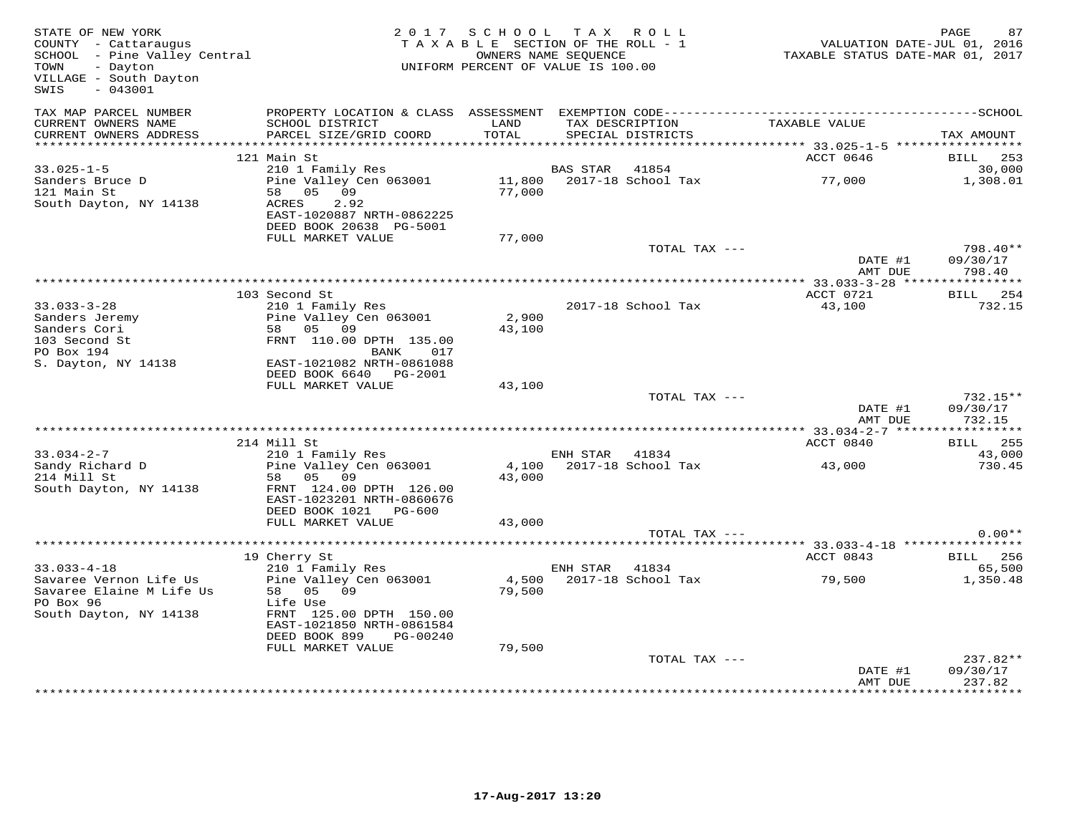| STATE OF NEW YORK<br>COUNTY - Cattaraugus<br>SCHOOL - Pine Valley Central<br>TOWN<br>- Dayton<br>VILLAGE - South Dayton<br>$-043001$<br>SWIS |                                                                                                                                     | 2017 SCHOOL<br>TAXABLE SECTION OF THE ROLL - 1<br>UNIFORM PERCENT OF VALUE IS 100.00 | OWNERS NAME SEQUENCE | TAX ROLL                             | VALUATION DATE-JUL 01, 2016<br>TAXABLE STATUS DATE-MAR 01, 2017 | PAGE<br>87             |
|----------------------------------------------------------------------------------------------------------------------------------------------|-------------------------------------------------------------------------------------------------------------------------------------|--------------------------------------------------------------------------------------|----------------------|--------------------------------------|-----------------------------------------------------------------|------------------------|
| TAX MAP PARCEL NUMBER<br>CURRENT OWNERS NAME<br>CURRENT OWNERS ADDRESS                                                                       | SCHOOL DISTRICT<br>PARCEL SIZE/GRID COORD                                                                                           | LAND<br>TOTAL                                                                        |                      | TAX DESCRIPTION<br>SPECIAL DISTRICTS | TAXABLE VALUE                                                   | TAX AMOUNT             |
|                                                                                                                                              |                                                                                                                                     |                                                                                      |                      |                                      |                                                                 |                        |
| $33.025 - 1 - 5$                                                                                                                             | 121 Main St<br>210 1 Family Res                                                                                                     |                                                                                      | BAS STAR             | 41854                                | ACCT 0646                                                       | BILL<br>253<br>30,000  |
| Sanders Bruce D                                                                                                                              | Pine Valley Cen 063001                                                                                                              | 11,800                                                                               |                      | 2017-18 School Tax                   | 77,000                                                          | 1,308.01               |
| 121 Main St<br>South Dayton, NY 14138                                                                                                        | 58 05 09<br>2.92<br>ACRES<br>EAST-1020887 NRTH-0862225<br>DEED BOOK 20638 PG-5001                                                   | 77,000                                                                               |                      |                                      |                                                                 |                        |
|                                                                                                                                              | FULL MARKET VALUE                                                                                                                   | 77,000                                                                               |                      |                                      |                                                                 |                        |
|                                                                                                                                              |                                                                                                                                     |                                                                                      |                      | TOTAL TAX ---                        | DATE #1                                                         | $798.40**$<br>09/30/17 |
|                                                                                                                                              |                                                                                                                                     |                                                                                      |                      |                                      | AMT DUE                                                         | 798.40                 |
|                                                                                                                                              | *****************                                                                                                                   |                                                                                      |                      |                                      |                                                                 |                        |
|                                                                                                                                              | 103 Second St                                                                                                                       |                                                                                      |                      |                                      | ACCT 0721                                                       | BILL 254               |
| $33.033 - 3 - 28$                                                                                                                            | 210 1 Family Res                                                                                                                    |                                                                                      |                      | 2017-18 School Tax                   | 43,100                                                          | 732.15                 |
| Sanders Jeremy                                                                                                                               | Pine Valley Cen 063001                                                                                                              | 2,900                                                                                |                      |                                      |                                                                 |                        |
| Sanders Cori                                                                                                                                 | 58 05 09                                                                                                                            | 43,100                                                                               |                      |                                      |                                                                 |                        |
| 103 Second St<br>PO Box 194                                                                                                                  | FRNT 110.00 DPTH 135.00<br>BANK<br>017                                                                                              |                                                                                      |                      |                                      |                                                                 |                        |
| S. Dayton, NY 14138                                                                                                                          | EAST-1021082 NRTH-0861088                                                                                                           |                                                                                      |                      |                                      |                                                                 |                        |
|                                                                                                                                              | DEED BOOK 6640 PG-2001                                                                                                              |                                                                                      |                      |                                      |                                                                 |                        |
|                                                                                                                                              | FULL MARKET VALUE                                                                                                                   | 43,100                                                                               |                      |                                      |                                                                 |                        |
|                                                                                                                                              |                                                                                                                                     |                                                                                      |                      | TOTAL TAX ---                        |                                                                 | $732.15**$             |
|                                                                                                                                              |                                                                                                                                     |                                                                                      |                      |                                      | DATE #1<br>AMT DUE                                              | 09/30/17<br>732.15     |
|                                                                                                                                              | ***********************************<br>* * * * * * * * *                                                                            |                                                                                      |                      |                                      | ******* 33.034-2-7 ***                                          | * * * * * * * * * * *  |
|                                                                                                                                              | 214 Mill St                                                                                                                         |                                                                                      |                      |                                      | ACCT 0840                                                       | BILL<br>255            |
| $33.034 - 2 - 7$                                                                                                                             | 210 1 Family Res                                                                                                                    |                                                                                      | ENH STAR             | 41834                                |                                                                 | 43,000                 |
| Sandy Richard D<br>214 Mill St                                                                                                               | Pine Valley Cen 063001<br>58 05 09                                                                                                  | 4,100<br>43,000                                                                      |                      | 2017-18 School Tax                   | 43,000                                                          | 730.45                 |
| South Dayton, NY 14138                                                                                                                       | FRNT 124.00 DPTH 126.00<br>EAST-1023201 NRTH-0860676<br>DEED BOOK 1021<br>PG-600                                                    |                                                                                      |                      |                                      |                                                                 |                        |
|                                                                                                                                              | FULL MARKET VALUE                                                                                                                   | 43,000                                                                               |                      |                                      |                                                                 |                        |
|                                                                                                                                              |                                                                                                                                     |                                                                                      |                      | TOTAL TAX ---                        |                                                                 | $0.00**$               |
|                                                                                                                                              |                                                                                                                                     |                                                                                      |                      |                                      |                                                                 |                        |
|                                                                                                                                              | 19 Cherry St                                                                                                                        |                                                                                      |                      |                                      | ACCT 0843                                                       | <b>BILL</b> 256        |
| $33.033 - 4 - 18$                                                                                                                            | 210 1 Family Res                                                                                                                    |                                                                                      | ENH STAR 41834       |                                      |                                                                 | 65,500                 |
| Savaree Vernon Life Us<br>Savaree Elaine M Life Us<br>PO Box 96<br>South Dayton, NY 14138                                                    | Pine Valley Cen 063001<br>58 05 09<br>Life Use<br>FRNT 125.00 DPTH 150.00<br>EAST-1021850 NRTH-0861584<br>DEED BOOK 899<br>PG-00240 | 4,500<br>79,500                                                                      |                      | 2017-18 School Tax                   | 79,500                                                          | 1,350.48               |
|                                                                                                                                              | FULL MARKET VALUE                                                                                                                   | 79,500                                                                               |                      |                                      |                                                                 |                        |
|                                                                                                                                              |                                                                                                                                     |                                                                                      |                      | TOTAL TAX ---                        |                                                                 | 237.82**               |
|                                                                                                                                              |                                                                                                                                     |                                                                                      |                      |                                      | DATE #1                                                         | 09/30/17               |
|                                                                                                                                              |                                                                                                                                     |                                                                                      |                      |                                      | AMT DUE                                                         | 237.82                 |
|                                                                                                                                              |                                                                                                                                     |                                                                                      |                      |                                      |                                                                 |                        |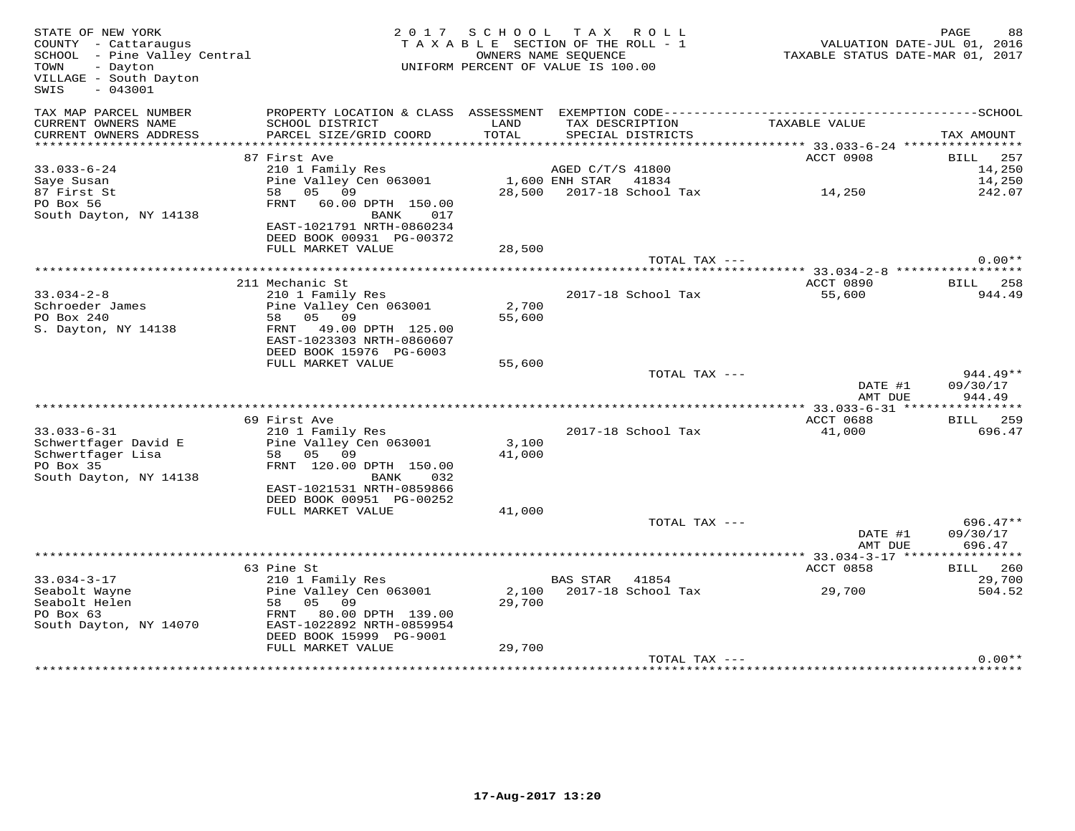| STATE OF NEW YORK<br>COUNTY - Cattaraugus<br>SCHOOL - Pine Valley Central<br>- Dayton<br>TOWN<br>VILLAGE - South Dayton<br>$-043001$<br>SWIS |                                                                                                                                             |                 | 2017 SCHOOL TAX ROLL<br>TAXABLE SECTION OF THE ROLL - 1<br>OWNERS NAME SEQUENCE<br>UNIFORM PERCENT OF VALUE IS 100.00 | TAXABLE STATUS DATE-MAR 01, 2017       | PAGE<br>88<br>VALUATION DATE-JUL 01, 2016 |
|----------------------------------------------------------------------------------------------------------------------------------------------|---------------------------------------------------------------------------------------------------------------------------------------------|-----------------|-----------------------------------------------------------------------------------------------------------------------|----------------------------------------|-------------------------------------------|
| TAX MAP PARCEL NUMBER<br>CURRENT OWNERS NAME<br>CURRENT OWNERS ADDRESS                                                                       | SCHOOL DISTRICT<br>PARCEL SIZE/GRID COORD                                                                                                   | LAND<br>TOTAL   | TAX DESCRIPTION<br>SPECIAL DISTRICTS                                                                                  | TAXABLE VALUE                          | TAX AMOUNT                                |
|                                                                                                                                              |                                                                                                                                             |                 |                                                                                                                       |                                        |                                           |
| $33.033 - 6 - 24$<br>Saye Susan<br>87 First St<br>PO Box 56<br>South Dayton, NY 14138                                                        | 87 First Ave<br>210 1 Family Res<br>Pine Valley Cen 063001<br>05 09<br>58<br>FRNT 60.00 DPTH 150.00<br>BANK<br>017                          |                 | AGED C/T/S 41800<br>1,600 ENH STAR 41834<br>28,500 2017-18 School Tax                                                 | ACCT 0908<br>14,250                    | BILL<br>257<br>14,250<br>14,250<br>242.07 |
|                                                                                                                                              | EAST-1021791 NRTH-0860234<br>DEED BOOK 00931 PG-00372<br>FULL MARKET VALUE                                                                  | 28,500          |                                                                                                                       |                                        |                                           |
|                                                                                                                                              |                                                                                                                                             |                 | TOTAL TAX ---                                                                                                         | ********** 33.034-2-8 **************** | $0.00**$                                  |
|                                                                                                                                              | 211 Mechanic St                                                                                                                             |                 |                                                                                                                       | ACCT 0890                              | BILL 258                                  |
| $33.034 - 2 - 8$<br>Schroeder James<br>PO Box 240<br>S. Dayton, NY 14138                                                                     | 210 1 Family Res<br>Pine Valley Cen 063001<br>58 05 09<br>FRNT<br>49.00 DPTH 125.00<br>EAST-1023303 NRTH-0860607<br>DEED BOOK 15976 PG-6003 | 2,700<br>55,600 | 2017-18 School Tax                                                                                                    | 55,600                                 | 944.49                                    |
|                                                                                                                                              | FULL MARKET VALUE                                                                                                                           | 55,600          |                                                                                                                       |                                        |                                           |
|                                                                                                                                              |                                                                                                                                             |                 | TOTAL TAX ---                                                                                                         | DATE #1<br>AMT DUE                     | 944.49**<br>09/30/17<br>944.49            |
|                                                                                                                                              |                                                                                                                                             |                 |                                                                                                                       |                                        |                                           |
| $33.033 - 6 - 31$<br>Schwertfager David E<br>Schwertfager Lisa<br>PO Box 35<br>South Dayton, NY 14138                                        | 69 First Ave<br>210 1 Family Res<br>Pine Valley Cen 063001<br>58 05 09<br>FRNT 120.00 DPTH 150.00<br>032<br>BANK                            | 3,100<br>41,000 | 2017-18 School Tax                                                                                                    | ACCT 0688<br>41,000                    | <b>BILL</b> 259<br>696.47                 |
|                                                                                                                                              | EAST-1021531 NRTH-0859866<br>DEED BOOK 00951 PG-00252<br>FULL MARKET VALUE                                                                  | 41,000          |                                                                                                                       |                                        |                                           |
|                                                                                                                                              |                                                                                                                                             |                 | TOTAL TAX ---                                                                                                         | DATE #1<br>AMT DUE                     | $696.47**$<br>09/30/17<br>696.47          |
|                                                                                                                                              |                                                                                                                                             |                 |                                                                                                                       |                                        |                                           |
|                                                                                                                                              | 63 Pine St                                                                                                                                  |                 |                                                                                                                       | ACCT 0858                              | BILL 260                                  |
| $33.034 - 3 - 17$<br>Seabolt Wayne<br>Seabolt Helen<br>PO Box 63<br>South Dayton, NY 14070                                                   | 210 1 Family Res<br>Pine Valley Cen 063001<br>58 05 09<br>FRNT 80.00 DPTH 139.00<br>EAST-1022892 NRTH-0859954<br>DEED BOOK 15999 PG-9001    | 2,100<br>29,700 | BAS STAR<br>41854<br>2017-18 School Tax                                                                               | 29,700                                 | 29,700<br>504.52                          |
|                                                                                                                                              | FULL MARKET VALUE                                                                                                                           | 29,700          |                                                                                                                       |                                        |                                           |
|                                                                                                                                              |                                                                                                                                             |                 | TOTAL TAX ---                                                                                                         |                                        | $0.00**$                                  |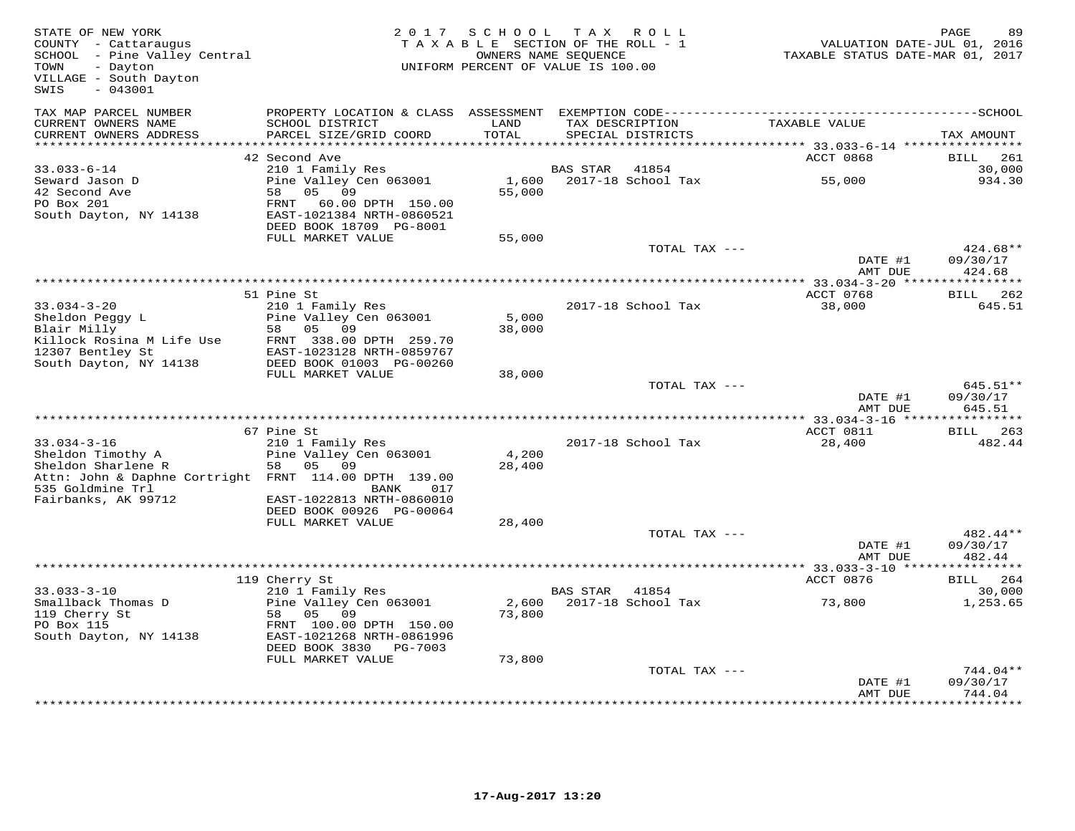| STATE OF NEW YORK<br>COUNTY - Cattaraugus<br>SCHOOL - Pine Valley Central<br>TOWN<br>- Dayton<br>VILLAGE - South Dayton<br>$-043001$<br>SWIS | 2 0 1 7                                               | SCHOOL<br>TAXABLE SECTION OF THE ROLL - 1<br>UNIFORM PERCENT OF VALUE IS 100.00 | TAX ROLL<br>OWNERS NAME SEQUENCE |                             | VALUATION DATE-JUL 01, 2016<br>TAXABLE STATUS DATE-MAR 01, 2017 | PAGE<br>89                  |
|----------------------------------------------------------------------------------------------------------------------------------------------|-------------------------------------------------------|---------------------------------------------------------------------------------|----------------------------------|-----------------------------|-----------------------------------------------------------------|-----------------------------|
| TAX MAP PARCEL NUMBER                                                                                                                        | PROPERTY LOCATION & CLASS ASSESSMENT                  |                                                                                 |                                  |                             |                                                                 |                             |
| CURRENT OWNERS NAME<br>CURRENT OWNERS ADDRESS<br>***********************                                                                     | SCHOOL DISTRICT<br>PARCEL SIZE/GRID COORD             | LAND<br>TOTAL                                                                   | TAX DESCRIPTION                  | SPECIAL DISTRICTS           | TAXABLE VALUE                                                   | TAX AMOUNT                  |
|                                                                                                                                              |                                                       |                                                                                 |                                  |                             |                                                                 |                             |
| $33.033 - 6 - 14$                                                                                                                            | 42 Second Ave<br>210 1 Family Res                     |                                                                                 | <b>BAS STAR</b>                  | 41854                       | ACCT 0868                                                       | BILL<br>261<br>30,000       |
| Seward Jason D                                                                                                                               | Pine Valley Cen 063001                                | 1,600                                                                           |                                  | 2017-18 School Tax          | 55,000                                                          | 934.30                      |
| 42 Second Ave                                                                                                                                | 58<br>05 09                                           | 55,000                                                                          |                                  |                             |                                                                 |                             |
| PO Box 201                                                                                                                                   | FRNT 60.00 DPTH 150.00                                |                                                                                 |                                  |                             |                                                                 |                             |
| South Dayton, NY 14138                                                                                                                       | EAST-1021384 NRTH-0860521                             |                                                                                 |                                  |                             |                                                                 |                             |
|                                                                                                                                              | DEED BOOK 18709 PG-8001                               |                                                                                 |                                  |                             |                                                                 |                             |
|                                                                                                                                              | FULL MARKET VALUE                                     | 55,000                                                                          |                                  |                             |                                                                 |                             |
|                                                                                                                                              |                                                       |                                                                                 |                                  | TOTAL TAX ---               | DATE #1                                                         | 424.68**<br>09/30/17        |
|                                                                                                                                              |                                                       |                                                                                 |                                  |                             | AMT DUE                                                         | 424.68                      |
|                                                                                                                                              |                                                       |                                                                                 |                                  |                             |                                                                 |                             |
|                                                                                                                                              | 51 Pine St                                            |                                                                                 |                                  |                             | ACCT 0768                                                       | <b>BILL</b> 262             |
| $33.034 - 3 - 20$                                                                                                                            | 210 1 Family Res                                      |                                                                                 |                                  | 2017-18 School Tax          | 38,000                                                          | 645.51                      |
| Sheldon Peggy L                                                                                                                              | Pine Valley Cen 063001                                | 5,000                                                                           |                                  |                             |                                                                 |                             |
| Blair Milly                                                                                                                                  | 05<br>09<br>58                                        | 38,000                                                                          |                                  |                             |                                                                 |                             |
| Killock Rosina M Life Use                                                                                                                    | FRNT 338.00 DPTH 259.70                               |                                                                                 |                                  |                             |                                                                 |                             |
| 12307 Bentley St<br>South Dayton, NY 14138                                                                                                   | EAST-1023128 NRTH-0859767<br>DEED BOOK 01003 PG-00260 |                                                                                 |                                  |                             |                                                                 |                             |
|                                                                                                                                              | FULL MARKET VALUE                                     | 38,000                                                                          |                                  |                             |                                                                 |                             |
|                                                                                                                                              |                                                       |                                                                                 |                                  | TOTAL TAX ---               |                                                                 | 645.51**                    |
|                                                                                                                                              |                                                       |                                                                                 |                                  |                             | DATE #1                                                         | 09/30/17                    |
|                                                                                                                                              |                                                       |                                                                                 |                                  |                             | AMT DUE                                                         | 645.51<br>***********       |
|                                                                                                                                              | 67 Pine St                                            |                                                                                 |                                  |                             | ACCT 0811                                                       | 263<br>BILL                 |
| $33.034 - 3 - 16$                                                                                                                            | 210 1 Family Res                                      |                                                                                 |                                  | 2017-18 School Tax          | 28,400                                                          | 482.44                      |
| Sheldon Timothy A                                                                                                                            | Pine Valley Cen 063001                                | 4,200                                                                           |                                  |                             |                                                                 |                             |
| Sheldon Sharlene R                                                                                                                           | 58<br>05<br>09                                        | 28,400                                                                          |                                  |                             |                                                                 |                             |
| Attn: John & Daphne Cortright FRNT 114.00 DPTH 139.00                                                                                        |                                                       |                                                                                 |                                  |                             |                                                                 |                             |
| 535 Goldmine Trl                                                                                                                             | BANK<br>017                                           |                                                                                 |                                  |                             |                                                                 |                             |
| Fairbanks, AK 99712                                                                                                                          | EAST-1022813 NRTH-0860010<br>DEED BOOK 00926 PG-00064 |                                                                                 |                                  |                             |                                                                 |                             |
|                                                                                                                                              | FULL MARKET VALUE                                     | 28,400                                                                          |                                  |                             |                                                                 |                             |
|                                                                                                                                              |                                                       |                                                                                 |                                  | TOTAL TAX ---               |                                                                 | 482.44**                    |
|                                                                                                                                              |                                                       |                                                                                 |                                  |                             | DATE #1                                                         | 09/30/17                    |
|                                                                                                                                              |                                                       |                                                                                 |                                  |                             | AMT DUE                                                         | 482.44                      |
|                                                                                                                                              |                                                       |                                                                                 |                                  |                             | ** 33.033-3-10 ****                                             | **********                  |
|                                                                                                                                              | 119 Cherry St                                         |                                                                                 |                                  |                             | ACCT 0876                                                       | <b>BILL</b><br>264          |
| $33.033 - 3 - 10$<br>Smallback Thomas D                                                                                                      | 210 1 Family Res<br>Pine Valley Cen 063001            | 2,600                                                                           | BAS STAR                         | 41854<br>2017-18 School Tax | 73,800                                                          | 30,000<br>1,253.65          |
| 119 Cherry St                                                                                                                                | 58<br>05 09                                           | 73,800                                                                          |                                  |                             |                                                                 |                             |
| PO Box 115                                                                                                                                   | FRNT 100.00 DPTH 150.00                               |                                                                                 |                                  |                             |                                                                 |                             |
| South Dayton, NY 14138                                                                                                                       | EAST-1021268 NRTH-0861996                             |                                                                                 |                                  |                             |                                                                 |                             |
|                                                                                                                                              | DEED BOOK 3830 PG-7003                                |                                                                                 |                                  |                             |                                                                 |                             |
|                                                                                                                                              | FULL MARKET VALUE                                     | 73,800                                                                          |                                  |                             |                                                                 |                             |
|                                                                                                                                              |                                                       |                                                                                 |                                  | TOTAL TAX ---               |                                                                 | 744.04**                    |
|                                                                                                                                              |                                                       |                                                                                 |                                  |                             | DATE #1                                                         | 09/30/17                    |
|                                                                                                                                              |                                                       |                                                                                 |                                  |                             | AMT DUE                                                         | 744.04<br>* * * * * * * * * |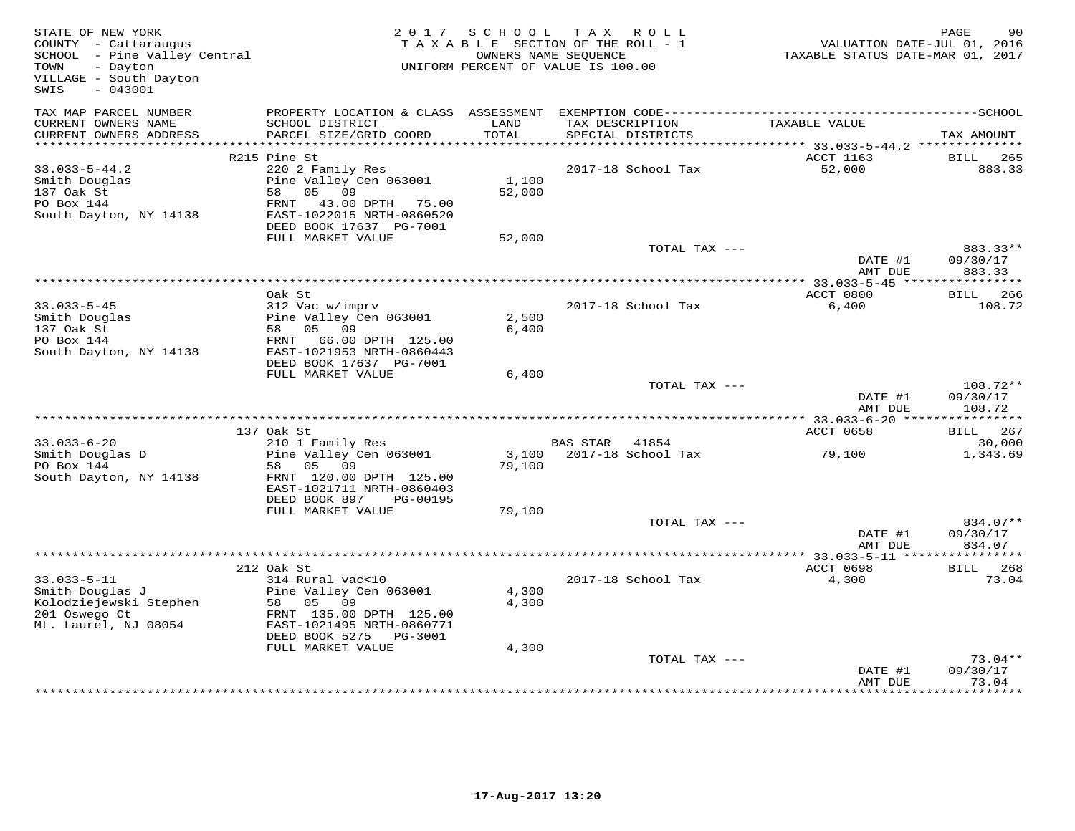| STATE OF NEW YORK<br>COUNTY - Cattaraugus<br>SCHOOL - Pine Valley Central<br>- Dayton<br>TOWN<br>VILLAGE - South Dayton<br>$-043001$<br>SWIS | 2 0 1 7                                                                                                                                                             | S C H O O L             | T A X<br>R O L L<br>T A X A B L E SECTION OF THE ROLL - 1<br>OWNERS NAME SEQUENCE<br>UNIFORM PERCENT OF VALUE IS 100.00 | VALUATION DATE-JUL 01, 2016<br>TAXABLE STATUS DATE-MAR 01, 2017 | PAGE<br>90                     |
|----------------------------------------------------------------------------------------------------------------------------------------------|---------------------------------------------------------------------------------------------------------------------------------------------------------------------|-------------------------|-------------------------------------------------------------------------------------------------------------------------|-----------------------------------------------------------------|--------------------------------|
| TAX MAP PARCEL NUMBER<br>CURRENT OWNERS NAME                                                                                                 | SCHOOL DISTRICT                                                                                                                                                     | LAND                    | TAX DESCRIPTION                                                                                                         | TAXABLE VALUE                                                   |                                |
| CURRENT OWNERS ADDRESS<br>*************************                                                                                          | PARCEL SIZE/GRID COORD                                                                                                                                              | TOTAL                   | SPECIAL DISTRICTS                                                                                                       |                                                                 | TAX AMOUNT                     |
|                                                                                                                                              | R215 Pine St                                                                                                                                                        |                         |                                                                                                                         | ACCT 1163                                                       | BILL<br>265                    |
| $33.033 - 5 - 44.2$<br>Smith Douglas<br>137 Oak St<br>PO Box 144<br>South Dayton, NY 14138                                                   | 220 2 Family Res<br>Pine Valley Cen 063001<br>58<br>05 09<br>FRNT 43.00 DPTH 75.00<br>EAST-1022015 NRTH-0860520<br>DEED BOOK 17637 PG-7001                          | 1,100<br>52,000         | 2017-18 School Tax                                                                                                      | 52,000                                                          | 883.33                         |
|                                                                                                                                              | FULL MARKET VALUE                                                                                                                                                   | 52,000                  |                                                                                                                         |                                                                 |                                |
|                                                                                                                                              |                                                                                                                                                                     |                         | TOTAL TAX ---                                                                                                           | DATE #1<br>AMT DUE                                              | 883.33**<br>09/30/17<br>883.33 |
|                                                                                                                                              |                                                                                                                                                                     |                         | **********************************                                                                                      | ************* 33.033-5-45 *****                                 | ***********                    |
| $33.033 - 5 - 45$<br>Smith Douglas<br>137 Oak St<br>PO Box 144<br>South Dayton, NY 14138                                                     | Oak St<br>312 Vac w/imprv<br>Pine Valley Cen 063001<br>58 05 09<br>FRNT<br>66.00 DPTH 125.00<br>EAST-1021953 NRTH-0860443                                           | 2,500<br>6,400          | 2017-18 School Tax                                                                                                      | ACCT 0800<br>6,400                                              | BILL 266<br>108.72             |
|                                                                                                                                              | DEED BOOK 17637 PG-7001                                                                                                                                             |                         |                                                                                                                         |                                                                 |                                |
|                                                                                                                                              | FULL MARKET VALUE                                                                                                                                                   | 6,400                   | TOTAL TAX ---                                                                                                           | DATE #1<br>AMT DUE                                              | 108.72**<br>09/30/17<br>108.72 |
|                                                                                                                                              |                                                                                                                                                                     |                         |                                                                                                                         | ************ 33.033-6-20 *****************                      |                                |
|                                                                                                                                              | 137 Oak St                                                                                                                                                          |                         |                                                                                                                         | ACCT 0658                                                       | <b>BILL</b> 267                |
| $33.033 - 6 - 20$<br>Smith Douglas D<br>PO Box 144<br>South Dayton, NY 14138                                                                 | 210 1 Family Res<br>Pine Valley Cen 063001<br>05<br>09<br>58<br>FRNT 120.00 DPTH 125.00<br>EAST-1021711 NRTH-0860403<br>DEED BOOK 897<br>PG-00195                   | 3,100<br>79,100         | BAS STAR 41854<br>2017-18 School Tax                                                                                    | 79,100                                                          | 30,000<br>1,343.69             |
|                                                                                                                                              | FULL MARKET VALUE                                                                                                                                                   | 79,100                  |                                                                                                                         |                                                                 |                                |
|                                                                                                                                              |                                                                                                                                                                     |                         | TOTAL TAX ---                                                                                                           | DATE #1<br>AMT DUE                                              | 834.07**<br>09/30/17<br>834.07 |
|                                                                                                                                              |                                                                                                                                                                     |                         |                                                                                                                         |                                                                 |                                |
|                                                                                                                                              | 212 Oak St                                                                                                                                                          |                         |                                                                                                                         | <b>ACCT 0698</b>                                                | <b>BILL</b> 268                |
| $33.033 - 5 - 11$<br>Smith Douglas J<br>Kolodziejewski Stephen<br>201 Oswego Ct<br>Mt. Laurel, NJ 08054                                      | 314 Rural vac<10<br>Pine Valley Cen 063001<br>09<br>58 05<br>FRNT 135.00 DPTH 125.00<br>EAST-1021495 NRTH-0860771<br>DEED BOOK 5275<br>PG-3001<br>FULL MARKET VALUE | 4,300<br>4,300<br>4,300 | 2017-18 School Tax                                                                                                      | 4,300                                                           | 73.04                          |
|                                                                                                                                              |                                                                                                                                                                     |                         | TOTAL TAX ---                                                                                                           |                                                                 | $73.04**$                      |
|                                                                                                                                              |                                                                                                                                                                     |                         |                                                                                                                         | DATE #1<br>AMT DUE                                              | 09/30/17<br>73.04              |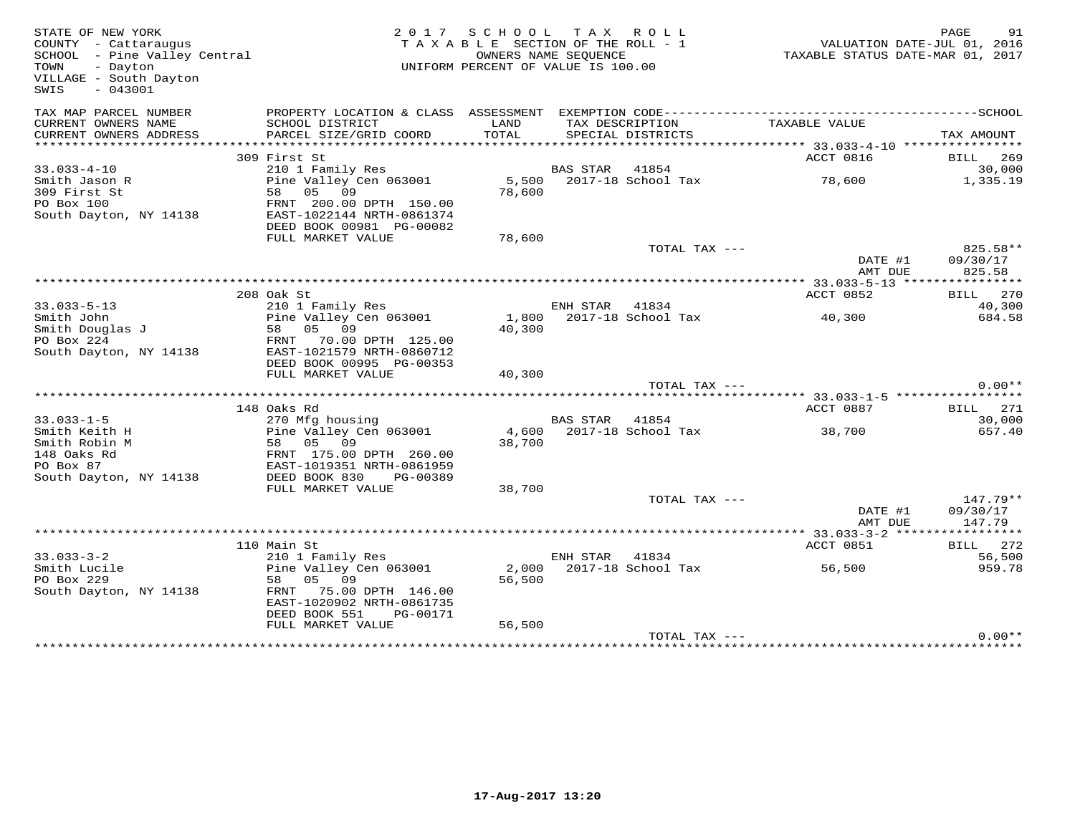| STATE OF NEW YORK<br>COUNTY - Cattaraugus<br>SCHOOL - Pine Valley Central<br>- Dayton<br>TOWN<br>VILLAGE - South Dayton<br>$-043001$<br>SWIS |                                                | 2017 SCHOOL TAX ROLL<br>TAXABLE SECTION OF THE ROLL - 1<br>UNIFORM PERCENT OF VALUE IS 100.00 | OWNERS NAME SEQUENCE |                             | VALUATION DATE-JUL 01, 2016 | PAGE<br>91<br>TAXABLE STATUS DATE-MAR 01, 2017 |
|----------------------------------------------------------------------------------------------------------------------------------------------|------------------------------------------------|-----------------------------------------------------------------------------------------------|----------------------|-----------------------------|-----------------------------|------------------------------------------------|
| TAX MAP PARCEL NUMBER                                                                                                                        |                                                |                                                                                               |                      |                             |                             |                                                |
| CURRENT OWNERS NAME                                                                                                                          | SCHOOL DISTRICT                                | LAND                                                                                          | TAX DESCRIPTION      |                             | TAXABLE VALUE               |                                                |
| CURRENT OWNERS ADDRESS                                                                                                                       | PARCEL SIZE/GRID COORD                         | TOTAL                                                                                         |                      | SPECIAL DISTRICTS           |                             | TAX AMOUNT                                     |
|                                                                                                                                              | 309 First St                                   |                                                                                               |                      |                             | ACCT 0816                   | BILL 269                                       |
| $33.033 - 4 - 10$                                                                                                                            | 210 1 Family Res                               |                                                                                               | <b>BAS STAR</b>      | 41854                       |                             | 30,000                                         |
| Smith Jason R                                                                                                                                | Pine Valley Cen 063001                         |                                                                                               |                      | 5,500 2017-18 School Tax    | 78,600                      | 1,335.19                                       |
| 309 First St                                                                                                                                 | 58 05 09                                       | 78,600                                                                                        |                      |                             |                             |                                                |
| PO Box 100                                                                                                                                   | FRNT 200.00 DPTH 150.00                        |                                                                                               |                      |                             |                             |                                                |
| South Dayton, NY 14138                                                                                                                       | EAST-1022144 NRTH-0861374                      |                                                                                               |                      |                             |                             |                                                |
|                                                                                                                                              | DEED BOOK 00981 PG-00082<br>FULL MARKET VALUE  | 78,600                                                                                        |                      |                             |                             |                                                |
|                                                                                                                                              |                                                |                                                                                               |                      | TOTAL TAX ---               |                             | 825.58**                                       |
|                                                                                                                                              |                                                |                                                                                               |                      |                             | DATE #1                     | 09/30/17                                       |
|                                                                                                                                              |                                                |                                                                                               |                      |                             | AMT DUE                     | 825.58                                         |
|                                                                                                                                              |                                                |                                                                                               |                      |                             |                             |                                                |
|                                                                                                                                              | 208 Oak St                                     |                                                                                               |                      |                             | ACCT 0852                   | 270<br>BILL                                    |
| $33.033 - 5 - 13$<br>Smith John                                                                                                              | 210 1 Family Res<br>Pine Valley Cen 063001     | 1,800                                                                                         | ENH STAR             | 41834<br>2017-18 School Tax | 40,300                      | 40,300<br>684.58                               |
| Smith Douglas J                                                                                                                              | 58 05 09                                       | 40,300                                                                                        |                      |                             |                             |                                                |
| PO Box 224                                                                                                                                   | FRNT 70.00 DPTH 125.00                         |                                                                                               |                      |                             |                             |                                                |
| South Dayton, NY 14138                                                                                                                       | EAST-1021579 NRTH-0860712                      |                                                                                               |                      |                             |                             |                                                |
|                                                                                                                                              | DEED BOOK 00995 PG-00353                       |                                                                                               |                      |                             |                             |                                                |
|                                                                                                                                              | FULL MARKET VALUE                              | 40,300                                                                                        |                      |                             |                             |                                                |
|                                                                                                                                              |                                                |                                                                                               |                      | TOTAL TAX ---               |                             | $0.00**$                                       |
|                                                                                                                                              | 148 Oaks Rd                                    |                                                                                               |                      |                             | ACCT 0887                   | BILL 271                                       |
| $33.033 - 1 - 5$                                                                                                                             | 270 Mfg housing                                |                                                                                               | BAS STAR 41854       |                             |                             | 30,000                                         |
| Smith Keith H                                                                                                                                | Pine Valley Cen 063001                         |                                                                                               |                      | 4,600 2017-18 School Tax    | 38,700                      | 657.40                                         |
| Smith Robin M                                                                                                                                | 58 05<br>09                                    | 38,700                                                                                        |                      |                             |                             |                                                |
| 148 Oaks Rd                                                                                                                                  | FRNT 175.00 DPTH 260.00                        |                                                                                               |                      |                             |                             |                                                |
| PO Box 87                                                                                                                                    | EAST-1019351 NRTH-0861959                      |                                                                                               |                      |                             |                             |                                                |
| South Dayton, NY 14138                                                                                                                       | DEED BOOK 830<br>PG-00389<br>FULL MARKET VALUE | 38,700                                                                                        |                      |                             |                             |                                                |
|                                                                                                                                              |                                                |                                                                                               |                      | TOTAL TAX ---               |                             | 147.79**                                       |
|                                                                                                                                              |                                                |                                                                                               |                      |                             | DATE #1                     | 09/30/17                                       |
|                                                                                                                                              |                                                |                                                                                               |                      |                             | AMT DUE                     | 147.79                                         |
|                                                                                                                                              |                                                |                                                                                               |                      |                             |                             |                                                |
|                                                                                                                                              | 110 Main St                                    |                                                                                               |                      |                             | ACCT 0851                   | BILL 272                                       |
| $33.033 - 3 - 2$<br>Smith Lucile                                                                                                             | 210 1 Family Res<br>Pine Valley Cen 063001     | 2,000                                                                                         | ENH STAR             | 41834<br>2017-18 School Tax | 56,500                      | 56,500<br>959.78                               |
| PO Box 229                                                                                                                                   | 58 05 09                                       | 56,500                                                                                        |                      |                             |                             |                                                |
| South Dayton, NY 14138                                                                                                                       | FRNT 75.00 DPTH 146.00                         |                                                                                               |                      |                             |                             |                                                |
|                                                                                                                                              | EAST-1020902 NRTH-0861735                      |                                                                                               |                      |                             |                             |                                                |
|                                                                                                                                              | DEED BOOK 551<br>PG-00171                      |                                                                                               |                      |                             |                             |                                                |
|                                                                                                                                              | FULL MARKET VALUE                              | 56,500                                                                                        |                      |                             |                             |                                                |
|                                                                                                                                              |                                                |                                                                                               |                      | TOTAL TAX ---               |                             | $0.00**$                                       |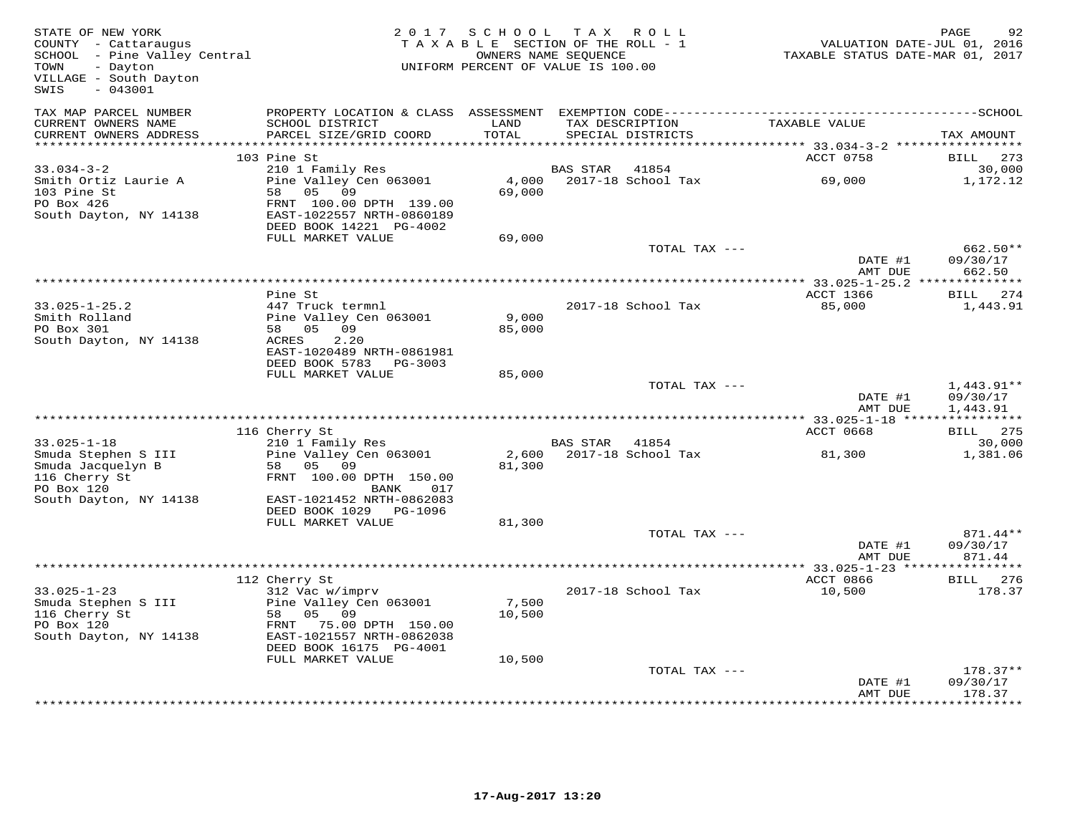| STATE OF NEW YORK<br>COUNTY - Cattaraugus<br>SCHOOL - Pine Valley Central<br>TOWN<br>- Dayton<br>VILLAGE - South Dayton<br>$-043001$<br>SWIS | 2 0 1 7                                                                         | S C H O O L<br>TAXABLE SECTION OF THE ROLL - 1<br>UNIFORM PERCENT OF VALUE IS 100.00 | OWNERS NAME SEQUENCE | TAX ROLL           |               |                                     | PAGE<br>92<br>VALUATION DATE-JUL 01, 2016<br>TAXABLE STATUS DATE-MAR 01, 2017 |
|----------------------------------------------------------------------------------------------------------------------------------------------|---------------------------------------------------------------------------------|--------------------------------------------------------------------------------------|----------------------|--------------------|---------------|-------------------------------------|-------------------------------------------------------------------------------|
| TAX MAP PARCEL NUMBER<br>CURRENT OWNERS NAME<br>CURRENT OWNERS ADDRESS                                                                       | SCHOOL DISTRICT<br>PARCEL SIZE/GRID COORD                                       | LAND<br>TOTAL                                                                        | TAX DESCRIPTION      | SPECIAL DISTRICTS  | TAXABLE VALUE |                                     | TAX AMOUNT                                                                    |
| ************************                                                                                                                     |                                                                                 |                                                                                      |                      |                    |               |                                     |                                                                               |
|                                                                                                                                              | 103 Pine St                                                                     |                                                                                      |                      |                    |               | ACCT 0758                           | BILL<br>273                                                                   |
| $33.034 - 3 - 2$                                                                                                                             | 210 1 Family Res                                                                |                                                                                      | BAS STAR             | 41854              |               |                                     | 30,000                                                                        |
| Smith Ortiz Laurie A<br>103 Pine St<br>PO Box 426                                                                                            | Pine Valley Cen 063001<br>58<br>05 09                                           | 4,000<br>69,000                                                                      |                      | 2017-18 School Tax |               | 69,000                              | 1,172.12                                                                      |
| South Dayton, NY 14138                                                                                                                       | FRNT 100.00 DPTH 139.00<br>EAST-1022557 NRTH-0860189<br>DEED BOOK 14221 PG-4002 |                                                                                      |                      |                    |               |                                     |                                                                               |
|                                                                                                                                              | FULL MARKET VALUE                                                               | 69,000                                                                               |                      |                    |               |                                     |                                                                               |
|                                                                                                                                              |                                                                                 |                                                                                      |                      | TOTAL TAX ---      |               |                                     | 662.50**                                                                      |
|                                                                                                                                              |                                                                                 |                                                                                      |                      |                    |               | DATE #1                             | 09/30/17                                                                      |
|                                                                                                                                              |                                                                                 |                                                                                      |                      |                    |               | AMT DUE                             | 662.50                                                                        |
|                                                                                                                                              | Pine St                                                                         |                                                                                      |                      |                    |               | ACCT 1366                           | BILL 274                                                                      |
| $33.025 - 1 - 25.2$                                                                                                                          | 447 Truck termnl                                                                |                                                                                      |                      | 2017-18 School Tax |               | 85,000                              | 1,443.91                                                                      |
| Smith Rolland                                                                                                                                | Pine Valley Cen 063001                                                          | 9,000                                                                                |                      |                    |               |                                     |                                                                               |
| PO Box 301                                                                                                                                   | 05<br>09<br>58<br>ACRES<br>2.20                                                 | 85,000                                                                               |                      |                    |               |                                     |                                                                               |
| South Dayton, NY 14138                                                                                                                       | EAST-1020489 NRTH-0861981                                                       |                                                                                      |                      |                    |               |                                     |                                                                               |
|                                                                                                                                              | DEED BOOK 5783 PG-3003                                                          |                                                                                      |                      |                    |               |                                     |                                                                               |
|                                                                                                                                              | FULL MARKET VALUE                                                               | 85,000                                                                               |                      |                    |               |                                     |                                                                               |
|                                                                                                                                              |                                                                                 |                                                                                      |                      | TOTAL TAX ---      |               | DATE #1<br>AMT DUE                  | $1,443.91**$<br>09/30/17<br>1,443.91                                          |
|                                                                                                                                              |                                                                                 |                                                                                      |                      |                    |               |                                     | * * * * * * * * * * *                                                         |
|                                                                                                                                              | 116 Cherry St                                                                   |                                                                                      |                      |                    |               | ACCT 0668                           | 275<br>BILL                                                                   |
| $33.025 - 1 - 18$                                                                                                                            | 210 1 Family Res                                                                |                                                                                      | BAS STAR             | 41854              |               |                                     | 30,000                                                                        |
| Smuda Stephen S III                                                                                                                          | Pine Valley Cen 063001                                                          | 2,600                                                                                |                      | 2017-18 School Tax |               | 81,300                              | 1,381.06                                                                      |
| Smuda Jacquelyn B<br>116 Cherry St                                                                                                           | 58<br>05<br>09<br>FRNT 100.00 DPTH 150.00                                       | 81,300                                                                               |                      |                    |               |                                     |                                                                               |
| PO Box 120                                                                                                                                   | 017<br>BANK                                                                     |                                                                                      |                      |                    |               |                                     |                                                                               |
| South Dayton, NY 14138                                                                                                                       | EAST-1021452 NRTH-0862083                                                       |                                                                                      |                      |                    |               |                                     |                                                                               |
|                                                                                                                                              | DEED BOOK 1029 PG-1096<br>FULL MARKET VALUE                                     | 81,300                                                                               |                      |                    |               |                                     |                                                                               |
|                                                                                                                                              |                                                                                 |                                                                                      |                      | TOTAL TAX ---      |               |                                     | 871.44**                                                                      |
|                                                                                                                                              |                                                                                 |                                                                                      |                      |                    |               | DATE #1                             | 09/30/17                                                                      |
|                                                                                                                                              |                                                                                 |                                                                                      |                      |                    |               | AMT DUE                             | 871.44                                                                        |
|                                                                                                                                              | 112 Cherry St                                                                   |                                                                                      |                      |                    |               | * $33.025 - 1 - 23$ **<br>ACCT 0866 | 276                                                                           |
| $33.025 - 1 - 23$                                                                                                                            | 312 Vac w/imprv                                                                 |                                                                                      |                      | 2017-18 School Tax |               | 10,500                              | BILL<br>178.37                                                                |
| Smuda Stephen S III                                                                                                                          | Pine Valley Cen 063001                                                          | 7,500                                                                                |                      |                    |               |                                     |                                                                               |
| 116 Cherry St                                                                                                                                | 58<br>05 09                                                                     | 10,500                                                                               |                      |                    |               |                                     |                                                                               |
| PO Box 120                                                                                                                                   | 75.00 DPTH 150.00<br>FRNT<br>EAST-1021557 NRTH-0862038                          |                                                                                      |                      |                    |               |                                     |                                                                               |
| South Dayton, NY 14138                                                                                                                       | DEED BOOK 16175 PG-4001                                                         |                                                                                      |                      |                    |               |                                     |                                                                               |
|                                                                                                                                              | FULL MARKET VALUE                                                               | 10,500                                                                               |                      |                    |               |                                     |                                                                               |
|                                                                                                                                              |                                                                                 |                                                                                      |                      | TOTAL TAX ---      |               |                                     | $178.37**$                                                                    |
|                                                                                                                                              |                                                                                 |                                                                                      |                      |                    |               | DATE #1                             | 09/30/17                                                                      |
|                                                                                                                                              |                                                                                 |                                                                                      |                      |                    |               | AMT DUE                             | 178.37<br>*********                                                           |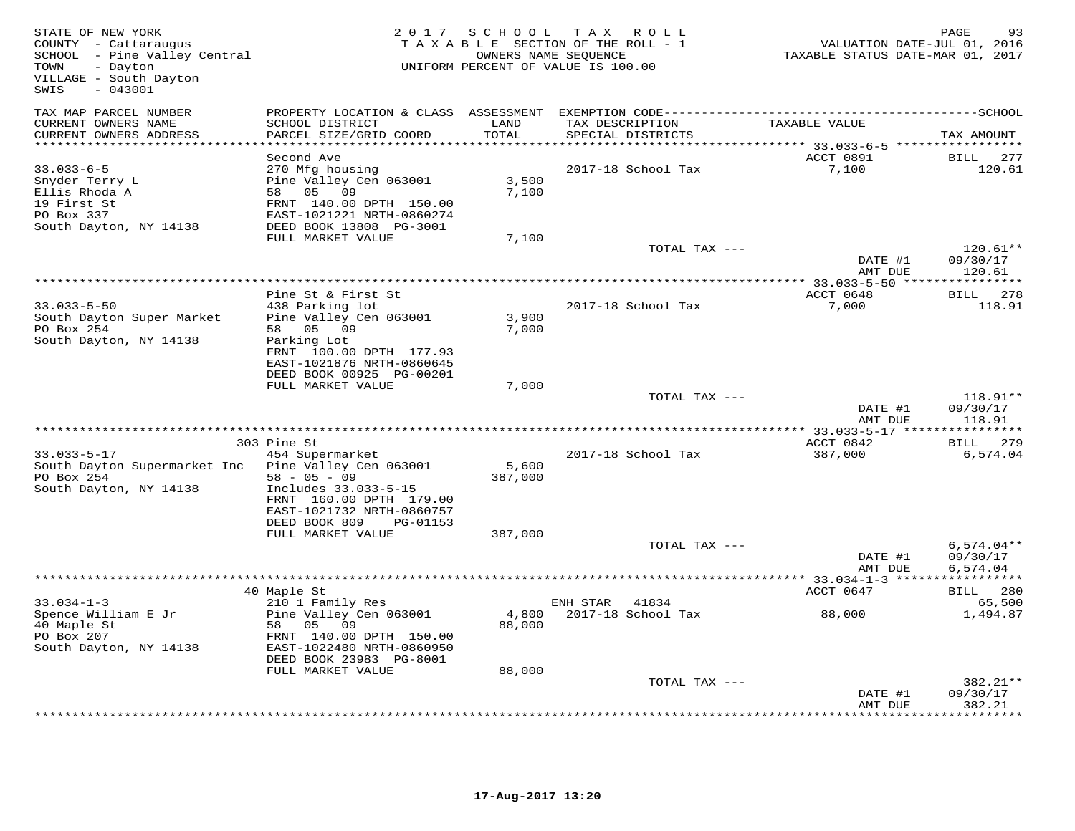| STATE OF NEW YORK<br>COUNTY - Cattaraugus<br>SCHOOL - Pine Valley Central<br>TOWN<br>- Dayton<br>VILLAGE - South Dayton<br>$-043001$<br>SWIS |                                                                                                                                                        | 2 0 1 7<br>SCHOOL<br>T A X<br>ROLL<br>TAXABLE SECTION OF THE ROLL - 1<br>OWNERS NAME SEQUENCE<br>UNIFORM PERCENT OF VALUE IS 100.00 |                                                                 |                                         | PAGE<br>93<br>VALUATION DATE-JUL 01, 2016<br>TAXABLE STATUS DATE-MAR 01, 2017 |  |  |
|----------------------------------------------------------------------------------------------------------------------------------------------|--------------------------------------------------------------------------------------------------------------------------------------------------------|-------------------------------------------------------------------------------------------------------------------------------------|-----------------------------------------------------------------|-----------------------------------------|-------------------------------------------------------------------------------|--|--|
| TAX MAP PARCEL NUMBER                                                                                                                        |                                                                                                                                                        |                                                                                                                                     |                                                                 |                                         |                                                                               |  |  |
| CURRENT OWNERS NAME<br>CURRENT OWNERS ADDRESS                                                                                                | SCHOOL DISTRICT<br>PARCEL SIZE/GRID COORD                                                                                                              | LAND<br>TOTAL                                                                                                                       | TAX DESCRIPTION<br>SPECIAL DISTRICTS                            | TAXABLE VALUE                           | TAX AMOUNT                                                                    |  |  |
| **********************                                                                                                                       |                                                                                                                                                        | * * * * * * * * * * *                                                                                                               | ********************************** 33.033-6-5 ***************** |                                         |                                                                               |  |  |
| $33.033 - 6 - 5$<br>Snyder Terry L<br>Ellis Rhoda A<br>19 First St<br>PO Box 337<br>South Dayton, NY 14138                                   | Second Ave<br>270 Mfg housing<br>Pine Valley Cen 063001<br>58 05 09<br>FRNT 140.00 DPTH 150.00<br>EAST-1021221 NRTH-0860274<br>DEED BOOK 13808 PG-3001 | 3,500<br>7,100                                                                                                                      | 2017-18 School Tax                                              | ACCT 0891<br>7,100                      | 277<br>BILL<br>120.61                                                         |  |  |
|                                                                                                                                              | FULL MARKET VALUE                                                                                                                                      | 7,100                                                                                                                               |                                                                 |                                         | $120.61**$                                                                    |  |  |
|                                                                                                                                              |                                                                                                                                                        |                                                                                                                                     | TOTAL TAX ---                                                   | DATE #1<br>AMT DUE                      | 09/30/17<br>120.61                                                            |  |  |
|                                                                                                                                              |                                                                                                                                                        |                                                                                                                                     |                                                                 |                                         |                                                                               |  |  |
|                                                                                                                                              | Pine St & First St                                                                                                                                     |                                                                                                                                     |                                                                 | ACCT 0648                               | BILL 278                                                                      |  |  |
| $33.033 - 5 - 50$<br>South Dayton Super Market<br>PO Box 254                                                                                 | 438 Parking lot<br>Pine Valley Cen 063001<br>05 09<br>58                                                                                               | 3,900<br>7,000                                                                                                                      | 2017-18 School Tax                                              | 7,000                                   | 118.91                                                                        |  |  |
| South Dayton, NY 14138                                                                                                                       | Parking Lot<br>FRNT 100.00 DPTH 177.93<br>EAST-1021876 NRTH-0860645<br>DEED BOOK 00925 PG-00201                                                        |                                                                                                                                     |                                                                 |                                         |                                                                               |  |  |
|                                                                                                                                              | FULL MARKET VALUE                                                                                                                                      | 7,000                                                                                                                               | TOTAL TAX ---                                                   |                                         | $118.91**$                                                                    |  |  |
|                                                                                                                                              |                                                                                                                                                        |                                                                                                                                     |                                                                 | DATE #1<br>AMT DUE                      | 09/30/17<br>118.91                                                            |  |  |
|                                                                                                                                              |                                                                                                                                                        |                                                                                                                                     |                                                                 | **** 33.033-5-17 ****************       |                                                                               |  |  |
| $33.033 - 5 - 17$<br>South Dayton Supermarket Inc                                                                                            | 303 Pine St<br>454 Supermarket<br>Pine Valley Cen 063001                                                                                               | 5,600                                                                                                                               | 2017-18 School Tax                                              | ACCT 0842<br>387,000                    | BILL 279<br>6,574.04                                                          |  |  |
| PO Box 254<br>South Dayton, NY 14138                                                                                                         | $58 - 05 - 09$<br>Includes 33.033-5-15<br>FRNT 160.00 DPTH 179.00<br>EAST-1021732 NRTH-0860757<br>DEED BOOK 809<br>PG-01153                            | 387,000                                                                                                                             |                                                                 |                                         |                                                                               |  |  |
|                                                                                                                                              | FULL MARKET VALUE                                                                                                                                      | 387,000                                                                                                                             |                                                                 |                                         |                                                                               |  |  |
|                                                                                                                                              |                                                                                                                                                        |                                                                                                                                     | TOTAL TAX ---                                                   | DATE #1<br>AMT DUE                      | $6,574.04**$<br>09/30/17<br>6,574.04                                          |  |  |
|                                                                                                                                              |                                                                                                                                                        |                                                                                                                                     |                                                                 | ********** 33.034-1-3 ***************** |                                                                               |  |  |
| $33.034 - 1 - 3$                                                                                                                             | 40 Maple St<br>210 1 Family Res                                                                                                                        |                                                                                                                                     | ENH STAR<br>41834                                               | ACCT 0647                               | BILL 280<br>65,500                                                            |  |  |
| Spence William E Jr<br>40 Maple St<br>PO Box 207<br>South Dayton, NY 14138                                                                   | Pine Valley Cen 063001<br>05<br>58<br>09<br>FRNT 140.00 DPTH 150.00<br>EAST-1022480 NRTH-0860950<br>DEED BOOK 23983 PG-8001                            | 4,800<br>88,000                                                                                                                     | 2017-18 School Tax                                              | 88,000                                  | 1,494.87                                                                      |  |  |
|                                                                                                                                              | FULL MARKET VALUE                                                                                                                                      | 88,000                                                                                                                              |                                                                 |                                         |                                                                               |  |  |
|                                                                                                                                              |                                                                                                                                                        |                                                                                                                                     | TOTAL TAX ---                                                   |                                         | 382.21**                                                                      |  |  |
|                                                                                                                                              |                                                                                                                                                        |                                                                                                                                     |                                                                 | DATE #1<br>AMT DUE                      | 09/30/17<br>382.21<br>* * * * * * * * *                                       |  |  |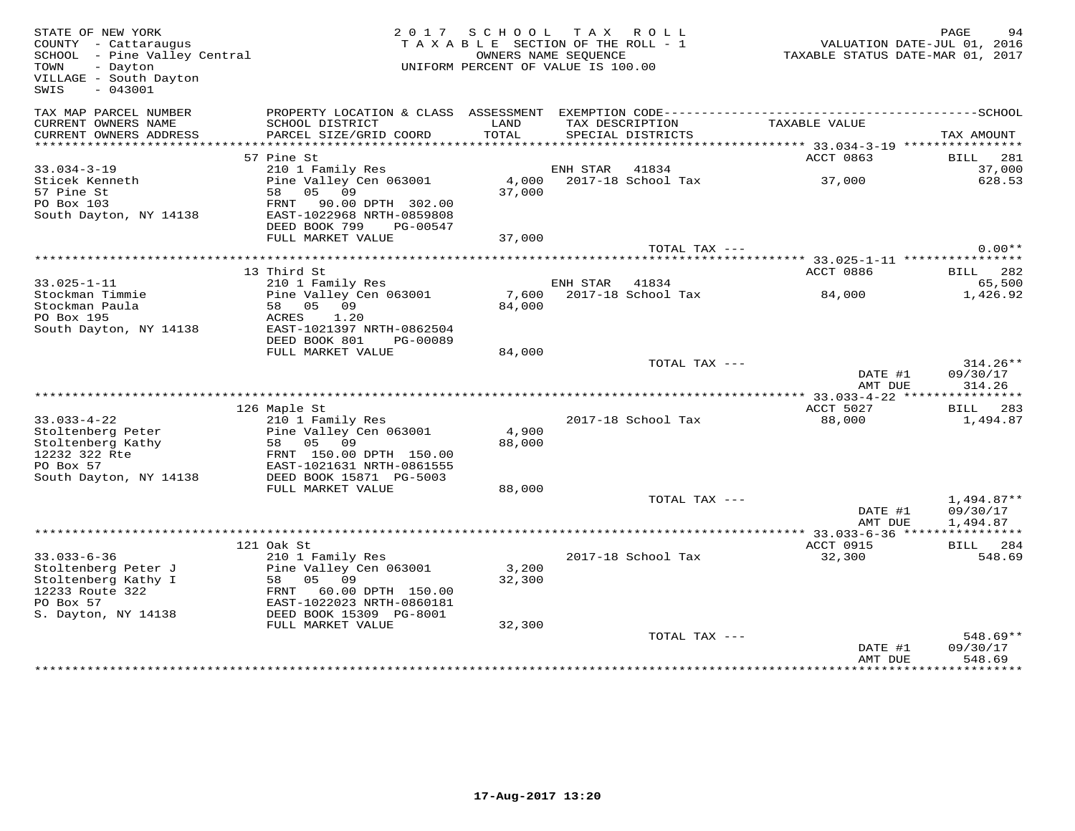| STATE OF NEW YORK<br>COUNTY - Cattaraugus<br>SCHOOL - Pine Valley Central<br>TOWN<br>- Dayton<br>VILLAGE - South Dayton<br>$-043001$<br>SWIS |                                            | 2017 SCHOOL TAX ROLL<br>TAXABLE SECTION OF THE ROLL - 1<br>UNIFORM PERCENT OF VALUE IS 100.00 | OWNERS NAME SEQUENCE |                                      | TAXABLE STATUS DATE-MAR 01, 2017                       | PAGE<br>VALUATION DATE-JUL 01, 2016 | 94               |
|----------------------------------------------------------------------------------------------------------------------------------------------|--------------------------------------------|-----------------------------------------------------------------------------------------------|----------------------|--------------------------------------|--------------------------------------------------------|-------------------------------------|------------------|
| TAX MAP PARCEL NUMBER                                                                                                                        | PROPERTY LOCATION & CLASS ASSESSMENT       |                                                                                               |                      |                                      |                                                        |                                     |                  |
| CURRENT OWNERS NAME<br>CURRENT OWNERS ADDRESS                                                                                                | SCHOOL DISTRICT<br>PARCEL SIZE/GRID COORD  | LAND<br>TOTAL                                                                                 |                      | TAX DESCRIPTION<br>SPECIAL DISTRICTS | TAXABLE VALUE                                          | TAX AMOUNT                          |                  |
|                                                                                                                                              |                                            | ***************                                                                               |                      |                                      | ******************* 33.034-3-19 ****************       |                                     |                  |
|                                                                                                                                              | 57 Pine St                                 |                                                                                               |                      |                                      | ACCT 0863                                              | BILL 281                            |                  |
| $33.034 - 3 - 19$<br>Sticek Kenneth                                                                                                          | 210 1 Family Res<br>Pine Valley Cen 063001 |                                                                                               | ENH STAR 41834       | 4,000 2017-18 School Tax             | 37,000                                                 |                                     | 37,000<br>628.53 |
| 57 Pine St                                                                                                                                   | 58 05 09                                   | 37,000                                                                                        |                      |                                      |                                                        |                                     |                  |
| PO Box 103                                                                                                                                   | FRNT 90.00 DPTH 302.00                     |                                                                                               |                      |                                      |                                                        |                                     |                  |
| South Dayton, NY 14138                                                                                                                       | EAST-1022968 NRTH-0859808                  |                                                                                               |                      |                                      |                                                        |                                     |                  |
|                                                                                                                                              | DEED BOOK 799<br>PG-00547                  |                                                                                               |                      |                                      |                                                        |                                     |                  |
|                                                                                                                                              | FULL MARKET VALUE                          | 37,000                                                                                        |                      |                                      |                                                        |                                     |                  |
|                                                                                                                                              |                                            |                                                                                               |                      | TOTAL TAX ---                        |                                                        |                                     | $0.00**$         |
|                                                                                                                                              |                                            |                                                                                               |                      |                                      |                                                        |                                     |                  |
|                                                                                                                                              | 13 Third St                                |                                                                                               |                      |                                      | ACCT 0886                                              | BILL 282                            |                  |
| $33.025 - 1 - 11$<br>Stockman Timmie                                                                                                         | 210 1 Family Res                           |                                                                                               | ENH STAR             | 41834<br>2017-18 School Tax          |                                                        |                                     | 65,500           |
| Stockman Paula                                                                                                                               | Pine Valley Cen 063001<br>58 05 09         | 7,600<br>84,000                                                                               |                      |                                      | 84,000                                                 |                                     | 1,426.92         |
| PO Box 195                                                                                                                                   | 1.20<br>ACRES                              |                                                                                               |                      |                                      |                                                        |                                     |                  |
| South Dayton, NY 14138                                                                                                                       | EAST-1021397 NRTH-0862504                  |                                                                                               |                      |                                      |                                                        |                                     |                  |
|                                                                                                                                              | DEED BOOK 801<br>PG-00089                  |                                                                                               |                      |                                      |                                                        |                                     |                  |
|                                                                                                                                              | FULL MARKET VALUE                          | 84,000                                                                                        |                      |                                      |                                                        |                                     |                  |
|                                                                                                                                              |                                            |                                                                                               |                      | TOTAL TAX ---                        |                                                        |                                     | $314.26**$       |
|                                                                                                                                              |                                            |                                                                                               |                      |                                      | DATE #1                                                | 09/30/17                            |                  |
|                                                                                                                                              |                                            |                                                                                               |                      |                                      | AMT DUE                                                | 314.26<br>***********               |                  |
|                                                                                                                                              | 126 Maple St                               |                                                                                               |                      |                                      | **************** 33.033-4-22 *****<br><b>ACCT 5027</b> | BILL 283                            |                  |
| $33.033 - 4 - 22$                                                                                                                            | 210 1 Family Res                           |                                                                                               |                      | 2017-18 School Tax                   | 88,000                                                 |                                     | 1,494.87         |
| Stoltenberg Peter                                                                                                                            | Pine Valley Cen 063001                     | 4,900                                                                                         |                      |                                      |                                                        |                                     |                  |
| Stoltenberg Kathy                                                                                                                            | 58 05 09                                   | 88,000                                                                                        |                      |                                      |                                                        |                                     |                  |
| 12232 322 Rte                                                                                                                                | FRNT 150.00 DPTH 150.00                    |                                                                                               |                      |                                      |                                                        |                                     |                  |
| PO Box 57                                                                                                                                    | EAST-1021631 NRTH-0861555                  |                                                                                               |                      |                                      |                                                        |                                     |                  |
| South Dayton, NY 14138                                                                                                                       | DEED BOOK 15871 PG-5003                    |                                                                                               |                      |                                      |                                                        |                                     |                  |
|                                                                                                                                              | FULL MARKET VALUE                          | 88,000                                                                                        |                      |                                      |                                                        |                                     |                  |
|                                                                                                                                              |                                            |                                                                                               |                      | TOTAL TAX ---                        |                                                        | $1,494.87**$                        |                  |
|                                                                                                                                              |                                            |                                                                                               |                      |                                      | DATE #1                                                | 09/30/17                            |                  |
|                                                                                                                                              |                                            |                                                                                               |                      |                                      | AMT DUE                                                | 1,494.87                            |                  |
|                                                                                                                                              | 121 Oak St                                 |                                                                                               |                      |                                      | ACCT 0915                                              | BILL 284                            |                  |
| $33.033 - 6 - 36$                                                                                                                            | 210 1 Family Res                           |                                                                                               |                      | 2017-18 School Tax                   | 32,300                                                 |                                     | 548.69           |
| Stoltenberg Peter J                                                                                                                          | Pine Valley Cen 063001                     | 3,200                                                                                         |                      |                                      |                                                        |                                     |                  |
| Stoltenberg Kathy I                                                                                                                          | 05 09<br>58                                | 32,300                                                                                        |                      |                                      |                                                        |                                     |                  |
| 12233 Route 322                                                                                                                              | 60.00 DPTH 150.00<br>FRNT                  |                                                                                               |                      |                                      |                                                        |                                     |                  |
| PO Box 57                                                                                                                                    | EAST-1022023 NRTH-0860181                  |                                                                                               |                      |                                      |                                                        |                                     |                  |
| S. Dayton, NY 14138                                                                                                                          | DEED BOOK 15309 PG-8001                    |                                                                                               |                      |                                      |                                                        |                                     |                  |
|                                                                                                                                              | FULL MARKET VALUE                          | 32,300                                                                                        |                      |                                      |                                                        |                                     |                  |
|                                                                                                                                              |                                            |                                                                                               |                      | TOTAL TAX ---                        |                                                        |                                     | $548.69**$       |
|                                                                                                                                              |                                            |                                                                                               |                      |                                      | DATE #1                                                | 09/30/17                            |                  |
|                                                                                                                                              |                                            |                                                                                               |                      |                                      | AMT DUE<br><b>+++++++++++++</b>                        | 548.69<br><b>.</b>                  |                  |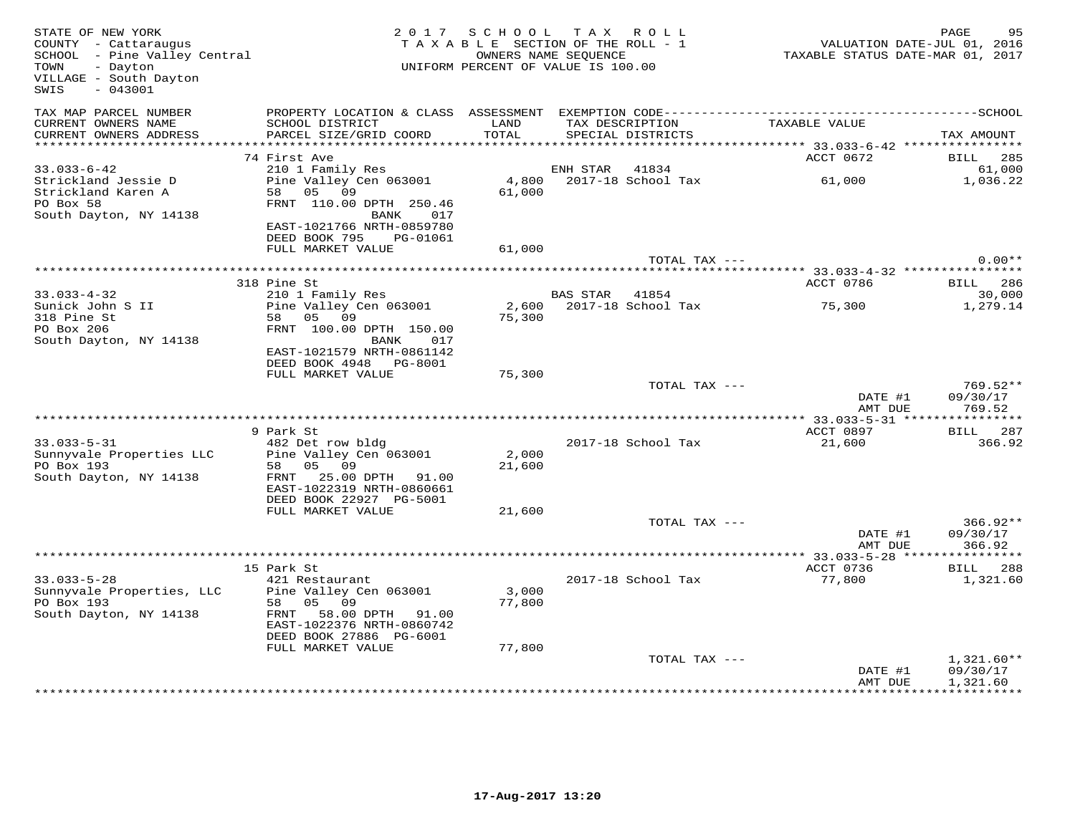| STATE OF NEW YORK<br>COUNTY - Cattaraugus<br>SCHOOL - Pine Valley Central<br>- Dayton<br>TOWN<br>VILLAGE - South Dayton<br>SWIS<br>$-043001$ |                                                                                  | 2017 SCHOOL TAX ROLL<br>TAXABLE SECTION OF THE ROLL - 1<br>UNIFORM PERCENT OF VALUE IS 100.00 | OWNERS NAME SEQUENCE |                                      | VALUATION DATE-JUL 01, 2016<br>TAXABLE STATUS DATE-MAR 01, 2017 | 95<br>PAGE               |
|----------------------------------------------------------------------------------------------------------------------------------------------|----------------------------------------------------------------------------------|-----------------------------------------------------------------------------------------------|----------------------|--------------------------------------|-----------------------------------------------------------------|--------------------------|
| TAX MAP PARCEL NUMBER<br>CURRENT OWNERS NAME<br>CURRENT OWNERS ADDRESS                                                                       | SCHOOL DISTRICT<br>PARCEL SIZE/GRID COORD                                        | LAND<br>TOTAL                                                                                 |                      | TAX DESCRIPTION<br>SPECIAL DISTRICTS | TAXABLE VALUE                                                   | TAX AMOUNT               |
|                                                                                                                                              |                                                                                  |                                                                                               |                      |                                      |                                                                 |                          |
|                                                                                                                                              | 74 First Ave                                                                     |                                                                                               |                      |                                      | ACCT 0672                                                       | 285<br>BILL              |
| $33.033 - 6 - 42$<br>Strickland Jessie D<br>Strickland Karen A                                                                               | 210 1 Family Res<br>Pine Valley Cen 063001<br>58 05 09                           | 4,800<br>61,000                                                                               | ENH STAR             | 41834<br>2017-18 School Tax          | 61,000                                                          | 61,000<br>1,036.22       |
| PO Box 58                                                                                                                                    | FRNT 110.00 DPTH 250.46                                                          |                                                                                               |                      |                                      |                                                                 |                          |
| South Dayton, NY 14138                                                                                                                       | BANK<br>017<br>EAST-1021766 NRTH-0859780<br>DEED BOOK 795<br>PG-01061            |                                                                                               |                      |                                      |                                                                 |                          |
|                                                                                                                                              | FULL MARKET VALUE                                                                | 61,000                                                                                        |                      |                                      |                                                                 |                          |
|                                                                                                                                              |                                                                                  |                                                                                               |                      | TOTAL TAX ---                        |                                                                 | $0.00**$                 |
|                                                                                                                                              | 318 Pine St                                                                      |                                                                                               |                      |                                      | ACCT 0786                                                       | 286<br>BILL              |
| $33.033 - 4 - 32$                                                                                                                            | 210 1 Family Res                                                                 |                                                                                               | <b>BAS STAR</b>      | 41854                                |                                                                 | 30,000                   |
| Sunick John S II                                                                                                                             | Pine Valley Cen 063001                                                           | 2,600                                                                                         |                      | 2017-18 School Tax                   | 75,300                                                          | 1,279.14                 |
| 318 Pine St                                                                                                                                  | 58 05 09                                                                         | 75,300                                                                                        |                      |                                      |                                                                 |                          |
| PO Box 206<br>South Dayton, NY 14138                                                                                                         | FRNT 100.00 DPTH 150.00<br>BANK<br>017                                           |                                                                                               |                      |                                      |                                                                 |                          |
|                                                                                                                                              | EAST-1021579 NRTH-0861142                                                        |                                                                                               |                      |                                      |                                                                 |                          |
|                                                                                                                                              | DEED BOOK 4948 PG-8001                                                           |                                                                                               |                      |                                      |                                                                 |                          |
|                                                                                                                                              | FULL MARKET VALUE                                                                | 75,300                                                                                        |                      | TOTAL TAX ---                        |                                                                 | 769.52**                 |
|                                                                                                                                              |                                                                                  |                                                                                               |                      |                                      | DATE #1<br>AMT DUE                                              | 09/30/17<br>769.52       |
|                                                                                                                                              |                                                                                  |                                                                                               |                      |                                      |                                                                 |                          |
|                                                                                                                                              | 9 Park St                                                                        |                                                                                               |                      |                                      | ACCT 0897                                                       | BILL 287                 |
| $33.033 - 5 - 31$<br>Sunnyvale Properties LLC                                                                                                | 482 Det row bldg<br>Pine Valley Cen 063001                                       | 2,000                                                                                         |                      | 2017-18 School Tax                   | 21,600                                                          | 366.92                   |
| PO Box 193                                                                                                                                   | 05 09<br>58                                                                      | 21,600                                                                                        |                      |                                      |                                                                 |                          |
| South Dayton, NY 14138                                                                                                                       | 25.00 DPTH 91.00<br>FRNT<br>EAST-1022319 NRTH-0860661                            |                                                                                               |                      |                                      |                                                                 |                          |
|                                                                                                                                              | DEED BOOK 22927 PG-5001<br>FULL MARKET VALUE                                     | 21,600                                                                                        |                      |                                      |                                                                 |                          |
|                                                                                                                                              |                                                                                  |                                                                                               |                      | TOTAL TAX ---                        |                                                                 | $366.92**$               |
|                                                                                                                                              |                                                                                  |                                                                                               |                      |                                      | DATE #1<br>AMT DUE                                              | 09/30/17<br>366.92       |
|                                                                                                                                              |                                                                                  |                                                                                               |                      |                                      |                                                                 | **********               |
| $33.033 - 5 - 28$                                                                                                                            | 15 Park St<br>421 Restaurant                                                     |                                                                                               |                      | 2017-18 School Tax                   | ACCT 0736<br>77,800                                             | 288<br>BILL<br>1,321.60  |
| Sunnyvale Properties, LLC<br>PO Box 193                                                                                                      | Pine Valley Cen 063001<br>58 05<br>09                                            | 3,000<br>77,800                                                                               |                      |                                      |                                                                 |                          |
| South Dayton, NY 14138                                                                                                                       | FRNT<br>58.00 DPTH 91.00<br>EAST-1022376 NRTH-0860742<br>DEED BOOK 27886 PG-6001 |                                                                                               |                      |                                      |                                                                 |                          |
|                                                                                                                                              | FULL MARKET VALUE                                                                | 77,800                                                                                        |                      |                                      |                                                                 |                          |
|                                                                                                                                              |                                                                                  |                                                                                               |                      | TOTAL TAX ---                        | DATE #1                                                         | $1,321.60**$<br>09/30/17 |
|                                                                                                                                              |                                                                                  |                                                                                               |                      |                                      | AMT DUE                                                         | 1,321.60<br>**********   |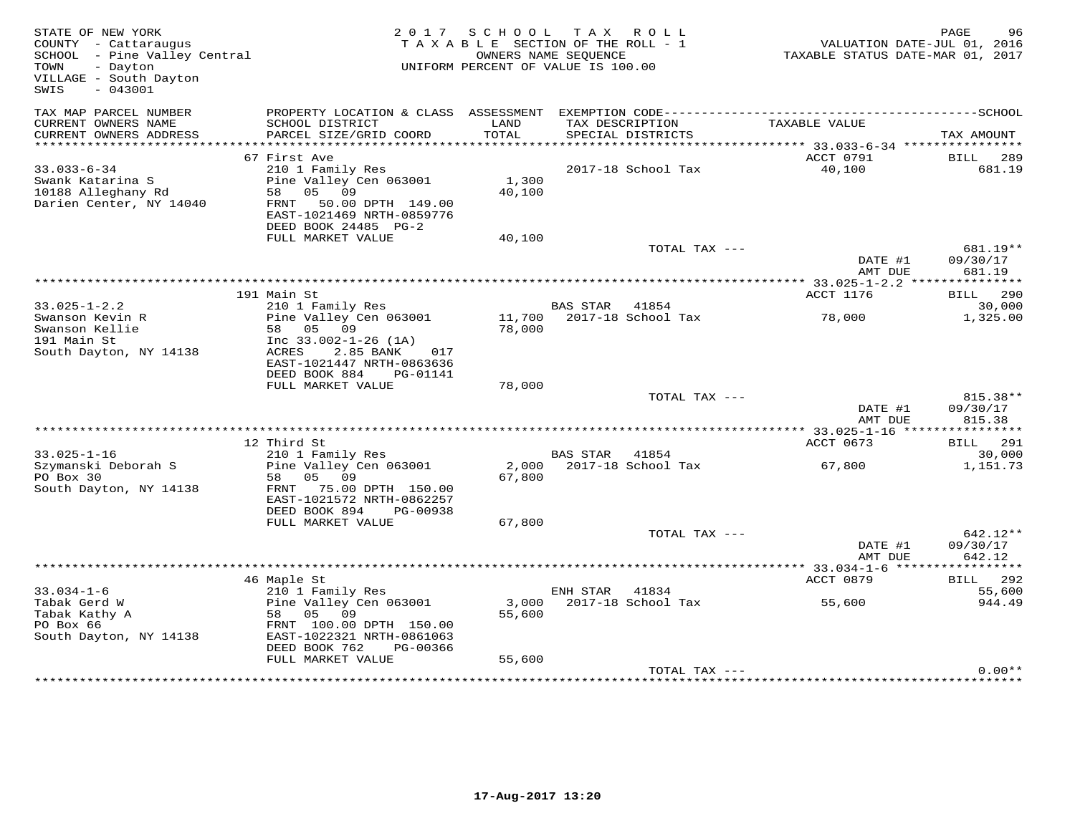| STATE OF NEW YORK<br>COUNTY - Cattaraugus<br>SCHOOL - Pine Valley Central<br>TOWN<br>- Dayton<br>VILLAGE - South Dayton<br>$-043001$<br>SWIS |                                                                                                                                                               | 2017 SCHOOL<br>TAXABLE SECTION OF THE ROLL - 1<br>UNIFORM PERCENT OF VALUE IS 100.00 | OWNERS NAME SEQUENCE | TAX ROLL                             | VALUATION DATE-JUL 01, 2016<br>TAXABLE STATUS DATE-MAR 01, 2017 | PAGE<br>96                          |
|----------------------------------------------------------------------------------------------------------------------------------------------|---------------------------------------------------------------------------------------------------------------------------------------------------------------|--------------------------------------------------------------------------------------|----------------------|--------------------------------------|-----------------------------------------------------------------|-------------------------------------|
| TAX MAP PARCEL NUMBER<br>CURRENT OWNERS NAME<br>CURRENT OWNERS ADDRESS                                                                       | PROPERTY LOCATION & CLASS ASSESSMENT EXEMPTION CODE-----------------------------------SCHOOL<br>SCHOOL DISTRICT<br>PARCEL SIZE/GRID COORD                     | LAND<br>TOTAL                                                                        |                      | TAX DESCRIPTION<br>SPECIAL DISTRICTS | TAXABLE VALUE                                                   | TAX AMOUNT                          |
|                                                                                                                                              |                                                                                                                                                               |                                                                                      |                      |                                      |                                                                 |                                     |
| $33.033 - 6 - 34$<br>Swank Katarina S<br>10188 Alleghany Rd<br>Darien Center, NY 14040                                                       | 67 First Ave<br>210 1 Family Res<br>Pine Valley Cen 063001<br>05 09<br>58<br>FRNT<br>50.00 DPTH 149.00<br>EAST-1021469 NRTH-0859776<br>DEED BOOK 24485 PG-2   | 1,300<br>40,100                                                                      |                      | 2017-18 School Tax                   | ACCT 0791<br>40,100                                             | <b>BILL</b> 289<br>681.19           |
|                                                                                                                                              | FULL MARKET VALUE                                                                                                                                             | 40,100                                                                               |                      |                                      |                                                                 |                                     |
|                                                                                                                                              |                                                                                                                                                               |                                                                                      |                      | TOTAL TAX ---                        | DATE #1<br>AMT DUE                                              | 681.19**<br>09/30/17<br>681.19      |
|                                                                                                                                              |                                                                                                                                                               |                                                                                      |                      |                                      |                                                                 |                                     |
| $33.025 - 1 - 2.2$                                                                                                                           | 191 Main St<br>210 1 Family Res                                                                                                                               |                                                                                      | <b>BAS STAR</b>      | 41854                                | ACCT 1176                                                       | <b>BILL</b> 290<br>30,000           |
| Swanson Kevin R<br>Swanson Kellie<br>191 Main St<br>South Dayton, NY 14138                                                                   | Pine Valley Cen 063001<br>58 05 09<br>Inc $33.002 - 1 - 26$ (1A)<br>ACRES<br>2.85 BANK<br>017<br>EAST-1021447 NRTH-0863636                                    | 11,700<br>78,000                                                                     |                      | 2017-18 School Tax                   | 78,000                                                          | 1,325.00                            |
|                                                                                                                                              | DEED BOOK 884<br>PG-01141                                                                                                                                     |                                                                                      |                      |                                      |                                                                 |                                     |
|                                                                                                                                              | FULL MARKET VALUE                                                                                                                                             | 78,000                                                                               |                      | TOTAL TAX ---                        | DATE #1<br>AMT DUE                                              | 815.38**<br>09/30/17<br>815.38      |
|                                                                                                                                              |                                                                                                                                                               |                                                                                      |                      |                                      |                                                                 |                                     |
| $33.025 - 1 - 16$<br>Szymanski Deborah S<br>PO Box 30<br>South Dayton, NY 14138                                                              | 12 Third St<br>210 1 Family Res<br>Pine Valley Cen 063001<br>05 09<br>58<br>FRNT 75.00 DPTH 150.00<br>EAST-1021572 NRTH-0862257                               | 67,800                                                                               | BAS STAR 41854       | 2,000 2017-18 School Tax             | ACCT 0673<br>67,800                                             | BILL 291<br>30,000<br>1,151.73      |
|                                                                                                                                              | DEED BOOK 894<br>PG-00938<br>FULL MARKET VALUE                                                                                                                | 67,800                                                                               |                      |                                      |                                                                 |                                     |
|                                                                                                                                              |                                                                                                                                                               |                                                                                      |                      | TOTAL TAX ---                        | DATE #1<br>AMT DUE                                              | 642.12**<br>09/30/17<br>642.12      |
|                                                                                                                                              |                                                                                                                                                               |                                                                                      |                      |                                      |                                                                 |                                     |
| $33.034 - 1 - 6$<br>Tabak Gerd W<br>Tabak Kathy A<br>PO Box 66<br>South Dayton, NY 14138                                                     | 46 Maple St<br>210 1 Family Res<br>Pine Valley Cen 063001<br>58 05<br>09<br>FRNT 100.00 DPTH 150.00<br>EAST-1022321 NRTH-0861063<br>DEED BOOK 762<br>PG-00366 | 55,600                                                                               | ENH STAR 41834       | 3,000 2017-18 School Tax             | ACCT 0879<br>55,600                                             | <b>BILL</b> 292<br>55,600<br>944.49 |
|                                                                                                                                              | FULL MARKET VALUE                                                                                                                                             | 55,600                                                                               |                      | TOTAL TAX ---                        |                                                                 | $0.00**$                            |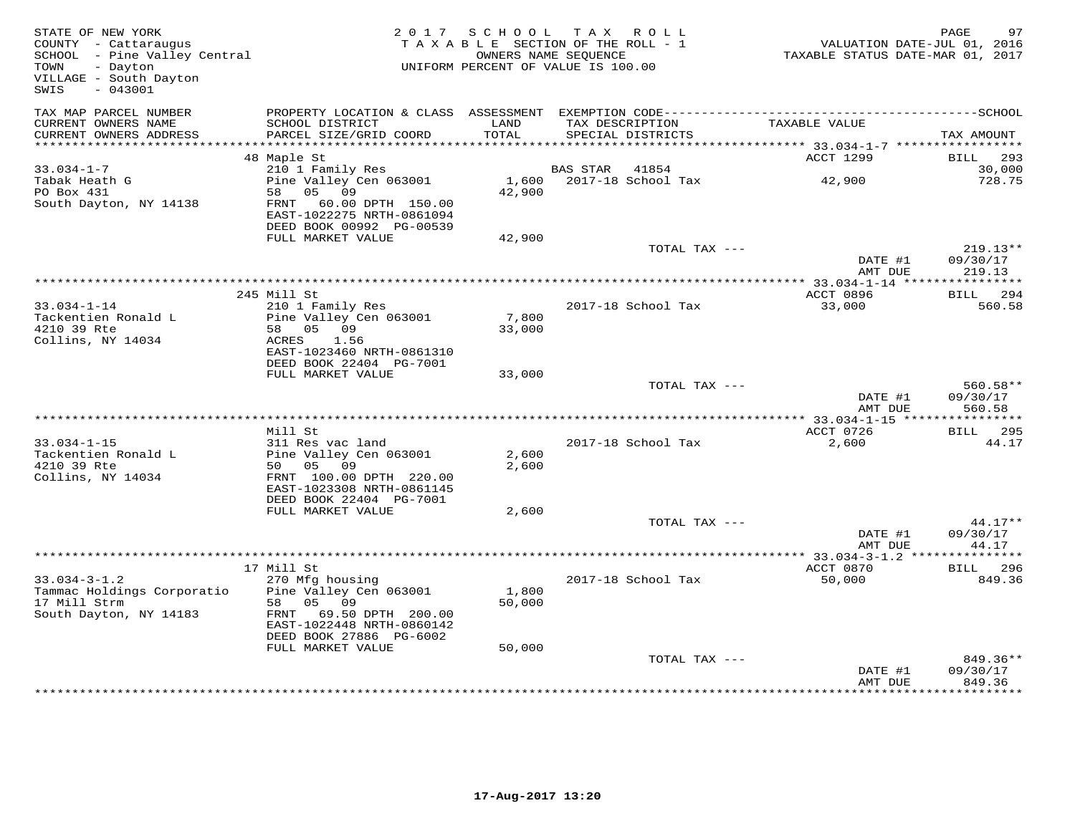| STATE OF NEW YORK<br>COUNTY - Cattaraugus<br>COONII - Caccaraugus<br>SCHOOL - Pine Valley Central<br>- Dayton<br>TOWN<br>VILLAGE - South Dayton<br>$-043001$<br>SWIS |                                                                                                                                         | 2017 SCHOOL TAX ROLL<br>TAXABLE SECTION OF THE ROLL - 1<br>OWNERS NAME SEQUENCE<br>UNIFORM PERCENT OF VALUE IS 100.00 |          |                                      | VALUATION DATE-JUL 01, 2016<br>TAXABLE STATUS DATE-MAR 01, 2017 | PAGE<br>97                       |
|----------------------------------------------------------------------------------------------------------------------------------------------------------------------|-----------------------------------------------------------------------------------------------------------------------------------------|-----------------------------------------------------------------------------------------------------------------------|----------|--------------------------------------|-----------------------------------------------------------------|----------------------------------|
| TAX MAP PARCEL NUMBER                                                                                                                                                |                                                                                                                                         |                                                                                                                       |          |                                      |                                                                 |                                  |
| CURRENT OWNERS NAME<br>CURRENT OWNERS ADDRESS                                                                                                                        | SCHOOL DISTRICT<br>PARCEL SIZE/GRID COORD                                                                                               | LAND<br>TOTAL                                                                                                         |          | TAX DESCRIPTION<br>SPECIAL DISTRICTS | TAXABLE VALUE                                                   | TAX AMOUNT                       |
|                                                                                                                                                                      |                                                                                                                                         |                                                                                                                       |          |                                      | *********** 33.034-1-7 ******************                       |                                  |
|                                                                                                                                                                      | 48 Maple St                                                                                                                             |                                                                                                                       |          |                                      | ACCT 1299                                                       | <b>BILL</b> 293                  |
| $33.034 - 1 - 7$<br>Tabak Heath G                                                                                                                                    | 210 1 Family Res<br>Pine Valley Cen 063001                                                                                              | 1,600                                                                                                                 | BAS STAR | 41854<br>2017-18 School Tax          | 42,900                                                          | 30,000<br>728.75                 |
| PO Box 431<br>South Dayton, NY 14138                                                                                                                                 | 58 05 09<br>FRNT 60.00 DPTH 150.00<br>EAST-1022275 NRTH-0861094<br>DEED BOOK 00992 PG-00539                                             | 42,900                                                                                                                |          |                                      |                                                                 |                                  |
|                                                                                                                                                                      | FULL MARKET VALUE                                                                                                                       | 42,900                                                                                                                |          |                                      |                                                                 |                                  |
|                                                                                                                                                                      |                                                                                                                                         |                                                                                                                       |          | TOTAL TAX ---                        | DATE #1                                                         | $219.13**$<br>09/30/17           |
|                                                                                                                                                                      |                                                                                                                                         |                                                                                                                       |          |                                      | AMT DUE                                                         | 219.13                           |
|                                                                                                                                                                      | 245 Mill St                                                                                                                             |                                                                                                                       |          |                                      | ACCT 0896                                                       | BILL 294                         |
| $33.034 - 1 - 14$                                                                                                                                                    | 210 1 Family Res                                                                                                                        |                                                                                                                       |          | 2017-18 School Tax                   | 33,000                                                          | 560.58                           |
| Tackentien Ronald L<br>4210 39 Rte<br>Collins, NY 14034                                                                                                              | Pine Valley Cen 063001<br>58 05 09<br>ACRES<br>1.56<br>EAST-1023460 NRTH-0861310                                                        | 7,800<br>33,000                                                                                                       |          |                                      |                                                                 |                                  |
|                                                                                                                                                                      | DEED BOOK 22404 PG-7001<br>FULL MARKET VALUE                                                                                            | 33,000                                                                                                                |          |                                      |                                                                 |                                  |
|                                                                                                                                                                      |                                                                                                                                         |                                                                                                                       |          | TOTAL TAX ---                        | DATE #1<br>AMT DUE                                              | $560.58**$<br>09/30/17<br>560.58 |
|                                                                                                                                                                      |                                                                                                                                         |                                                                                                                       |          |                                      |                                                                 |                                  |
| $33.034 - 1 - 15$                                                                                                                                                    | Mill St<br>311 Res vac land                                                                                                             |                                                                                                                       |          | 2017-18 School Tax                   | ACCT 0726<br>2,600                                              | <b>BILL</b> 295<br>44.17         |
| Tackentien Ronald L                                                                                                                                                  | Pine Valley Cen 063001                                                                                                                  | 2,600                                                                                                                 |          |                                      |                                                                 |                                  |
| 4210 39 Rte<br>Collins, NY 14034                                                                                                                                     | 50 05 09<br>FRNT 100.00 DPTH 220.00<br>EAST-1023308 NRTH-0861145<br>DEED BOOK 22404 PG-7001                                             | 2,600                                                                                                                 |          |                                      |                                                                 |                                  |
|                                                                                                                                                                      | FULL MARKET VALUE                                                                                                                       | 2,600                                                                                                                 |          |                                      |                                                                 |                                  |
|                                                                                                                                                                      |                                                                                                                                         |                                                                                                                       |          | TOTAL TAX ---                        |                                                                 | $44.17**$                        |
|                                                                                                                                                                      |                                                                                                                                         |                                                                                                                       |          |                                      | DATE #1<br>AMT DUE                                              | 09/30/17<br>44.17                |
|                                                                                                                                                                      |                                                                                                                                         |                                                                                                                       |          |                                      | *************** 33.034-3-1.2 ***                                | * * * * * * * * * * *            |
|                                                                                                                                                                      | 17 Mill St                                                                                                                              |                                                                                                                       |          |                                      | ACCT 0870                                                       | <b>BILL</b><br>296               |
| $33.034 - 3 - 1.2$<br>Tammac Holdings Corporatio<br>17 Mill Strm<br>South Dayton, NY 14183                                                                           | 270 Mfg housing<br>Pine Valley Cen 063001<br>58 05 09<br>FRNT 69.50 DPTH 200.00<br>EAST-1022448 NRTH-0860142<br>DEED BOOK 27886 PG-6002 | 1,800<br>50,000                                                                                                       |          | 2017-18 School Tax                   | 50,000                                                          | 849.36                           |
|                                                                                                                                                                      | FULL MARKET VALUE                                                                                                                       | 50,000                                                                                                                |          |                                      |                                                                 |                                  |
|                                                                                                                                                                      |                                                                                                                                         |                                                                                                                       |          | TOTAL TAX ---                        | DATE #1<br>AMT DUE                                              | 849.36**<br>09/30/17<br>849.36   |
|                                                                                                                                                                      |                                                                                                                                         |                                                                                                                       |          |                                      |                                                                 |                                  |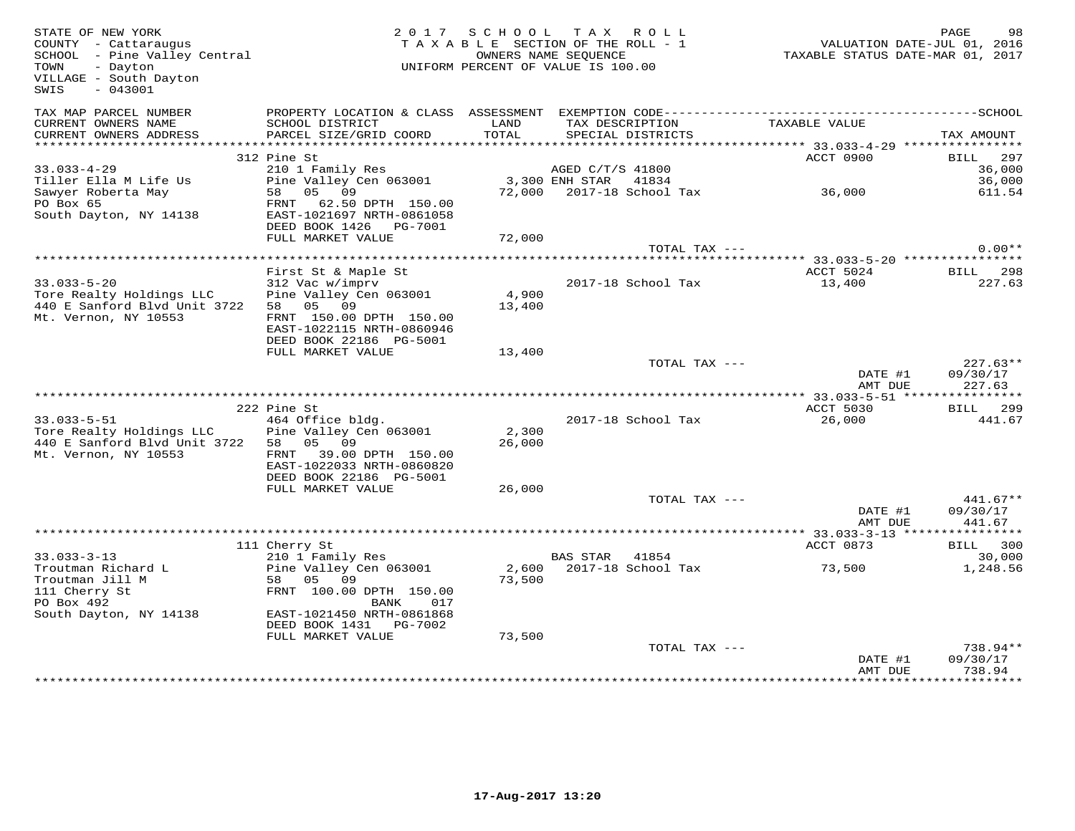| STATE OF NEW YORK<br>COUNTY - Cattaraugus<br>SCHOOL - Pine Valley Central<br>- Dayton<br>TOWN<br>VILLAGE - South Dayton<br>SWIS<br>- 043001 |                                                                                   | 2017 SCHOOL     | TAX ROLL<br>TAXABLE SECTION OF THE ROLL - 1<br>OWNERS NAME SEQUENCE<br>UNIFORM PERCENT OF VALUE IS 100.00 |               |                                                               | PAGE<br>98<br>VALUATION DATE-JUL 01, 2016<br>TAXABLE STATUS DATE-MAR 01, 2017 |
|---------------------------------------------------------------------------------------------------------------------------------------------|-----------------------------------------------------------------------------------|-----------------|-----------------------------------------------------------------------------------------------------------|---------------|---------------------------------------------------------------|-------------------------------------------------------------------------------|
| TAX MAP PARCEL NUMBER<br>CURRENT OWNERS NAME<br>CURRENT OWNERS ADDRESS                                                                      | PROPERTY LOCATION & CLASS ASSESSMENT<br>SCHOOL DISTRICT<br>PARCEL SIZE/GRID COORD | LAND<br>TOTAL   | TAX DESCRIPTION<br>SPECIAL DISTRICTS                                                                      |               | EXEMPTION CODE------------------------<br>TAXABLE VALUE       | ----------------SCHOOL<br>TAX AMOUNT                                          |
|                                                                                                                                             |                                                                                   |                 |                                                                                                           |               |                                                               |                                                                               |
|                                                                                                                                             | 312 Pine St                                                                       |                 |                                                                                                           |               | ACCT 0900                                                     | BILL 297                                                                      |
| $33.033 - 4 - 29$                                                                                                                           | 210 1 Family Res                                                                  |                 | AGED C/T/S 41800                                                                                          |               |                                                               | 36,000                                                                        |
| Tiller Ella M Life Us                                                                                                                       | Pine Valley Cen 063001                                                            |                 | 3,300 ENH STAR 41834                                                                                      |               |                                                               | 36,000                                                                        |
| Sawyer Roberta May<br>PO Box 65                                                                                                             | 58 05 09<br>FRNT 62.50 DPTH 150.00                                                |                 | 72,000 2017-18 School Tax                                                                                 |               | 36,000                                                        | 611.54                                                                        |
| South Dayton, NY 14138                                                                                                                      | EAST-1021697 NRTH-0861058<br>DEED BOOK 1426    PG-7001                            |                 |                                                                                                           |               |                                                               |                                                                               |
|                                                                                                                                             | FULL MARKET VALUE                                                                 | 72,000          |                                                                                                           |               |                                                               |                                                                               |
|                                                                                                                                             |                                                                                   |                 |                                                                                                           | TOTAL TAX --- |                                                               | $0.00**$                                                                      |
|                                                                                                                                             |                                                                                   |                 |                                                                                                           |               | ******************************** 33.033-5-20 **************** |                                                                               |
| $33.033 - 5 - 20$                                                                                                                           | First St & Maple St                                                               |                 |                                                                                                           |               | ACCT 5024                                                     | <b>BILL</b> 298                                                               |
| Tore Realty Holdings LLC                                                                                                                    | 312 Vac w/imprv<br>Pine Valley Cen 063001                                         | 4,900           | 2017-18 School Tax                                                                                        |               | 13,400                                                        | 227.63                                                                        |
| 440 E Sanford Blvd Unit 3722                                                                                                                | 58 05 09                                                                          | 13,400          |                                                                                                           |               |                                                               |                                                                               |
| Mt. Vernon, NY 10553                                                                                                                        | FRNT 150.00 DPTH 150.00                                                           |                 |                                                                                                           |               |                                                               |                                                                               |
|                                                                                                                                             | EAST-1022115 NRTH-0860946                                                         |                 |                                                                                                           |               |                                                               |                                                                               |
|                                                                                                                                             | DEED BOOK 22186 PG-5001                                                           |                 |                                                                                                           |               |                                                               |                                                                               |
|                                                                                                                                             | FULL MARKET VALUE                                                                 | 13,400          |                                                                                                           |               |                                                               |                                                                               |
|                                                                                                                                             |                                                                                   |                 |                                                                                                           | TOTAL TAX --- | DATE #1<br>AMT DUE                                            | $227.63**$<br>09/30/17<br>227.63                                              |
|                                                                                                                                             |                                                                                   |                 |                                                                                                           |               |                                                               |                                                                               |
|                                                                                                                                             | 222 Pine St                                                                       |                 |                                                                                                           |               | ACCT 5030                                                     | BILL 299                                                                      |
| $33.033 - 5 - 51$                                                                                                                           | 464 Office bldg.                                                                  |                 | 2017-18 School Tax                                                                                        |               | 26,000                                                        | 441.67                                                                        |
| Tore Realty Holdings LLC<br>440 E Sanford Blvd Unit 3722                                                                                    | Pine Valley Cen 063001<br>58 05 09                                                | 2,300<br>26,000 |                                                                                                           |               |                                                               |                                                                               |
| Mt. Vernon, NY 10553                                                                                                                        | FRNT 39.00 DPTH 150.00                                                            |                 |                                                                                                           |               |                                                               |                                                                               |
|                                                                                                                                             | EAST-1022033 NRTH-0860820                                                         |                 |                                                                                                           |               |                                                               |                                                                               |
|                                                                                                                                             | DEED BOOK 22186 PG-5001                                                           |                 |                                                                                                           |               |                                                               |                                                                               |
|                                                                                                                                             | FULL MARKET VALUE                                                                 | 26,000          |                                                                                                           |               |                                                               |                                                                               |
|                                                                                                                                             |                                                                                   |                 |                                                                                                           | TOTAL TAX --- |                                                               | $441.67**$                                                                    |
|                                                                                                                                             |                                                                                   |                 |                                                                                                           |               | DATE #1<br>AMT DUE                                            | 09/30/17<br>441.67                                                            |
|                                                                                                                                             |                                                                                   |                 |                                                                                                           |               |                                                               |                                                                               |
|                                                                                                                                             | 111 Cherry St                                                                     |                 |                                                                                                           |               | ACCT 0873                                                     | 300<br>BILL                                                                   |
| $33.033 - 3 - 13$                                                                                                                           | 210 1 Family Res                                                                  |                 | BAS STAR 41854                                                                                            |               |                                                               | 30,000                                                                        |
| Troutman Richard L                                                                                                                          | Pine Valley Cen 063001                                                            |                 | 2,600 2017-18 School Tax                                                                                  |               | 73,500                                                        | 1,248.56                                                                      |
| Troutman Jill M                                                                                                                             | 58 05 09                                                                          | 73,500          |                                                                                                           |               |                                                               |                                                                               |
| 111 Cherry St<br>PO Box 492                                                                                                                 | FRNT 100.00 DPTH 150.00<br>BANK<br>017                                            |                 |                                                                                                           |               |                                                               |                                                                               |
| South Dayton, NY 14138                                                                                                                      | EAST-1021450 NRTH-0861868<br>DEED BOOK 1431 PG-7002                               |                 |                                                                                                           |               |                                                               |                                                                               |
|                                                                                                                                             | FULL MARKET VALUE                                                                 | 73,500          |                                                                                                           |               |                                                               |                                                                               |
|                                                                                                                                             |                                                                                   |                 |                                                                                                           | TOTAL TAX --- |                                                               | 738.94**                                                                      |
|                                                                                                                                             |                                                                                   |                 |                                                                                                           |               | DATE #1                                                       | 09/30/17                                                                      |
|                                                                                                                                             |                                                                                   |                 |                                                                                                           |               | AMT DUE                                                       | 738.94                                                                        |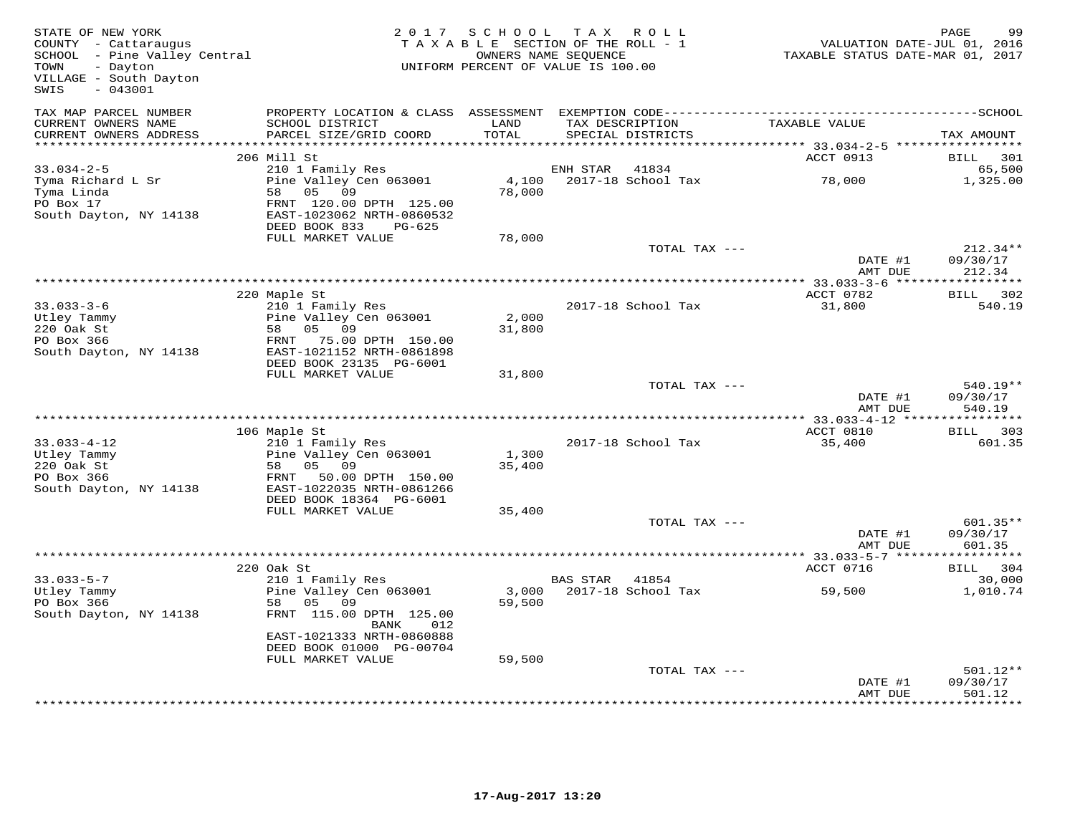| STATE OF NEW YORK<br>COUNTY - Cattaraugus<br>SCHOOL - Pine Valley Central<br>TOWN<br>- Dayton<br>VILLAGE - South Dayton<br>$-043001$<br>SWIS | 2 0 1 7                                                                           | S C H O O L<br>TAXABLE SECTION OF THE ROLL - 1<br>UNIFORM PERCENT OF VALUE IS 100.00 | OWNERS NAME SEQUENCE      | TAX ROLL           | TAXABLE STATUS DATE-MAR 01, 2017 | PAGE<br>99<br>VALUATION DATE-JUL 01, 2016 |
|----------------------------------------------------------------------------------------------------------------------------------------------|-----------------------------------------------------------------------------------|--------------------------------------------------------------------------------------|---------------------------|--------------------|----------------------------------|-------------------------------------------|
| TAX MAP PARCEL NUMBER<br>CURRENT OWNERS NAME<br>CURRENT OWNERS ADDRESS                                                                       | SCHOOL DISTRICT<br>PARCEL SIZE/GRID COORD                                         | LAND<br>TOTAL                                                                        | TAX DESCRIPTION           | SPECIAL DISTRICTS  | TAXABLE VALUE                    | TAX AMOUNT                                |
| **************************                                                                                                                   |                                                                                   |                                                                                      |                           |                    |                                  |                                           |
|                                                                                                                                              | 206 Mill St                                                                       |                                                                                      |                           |                    | ACCT 0913                        | BILL<br>301                               |
| $33.034 - 2 - 5$                                                                                                                             | 210 1 Family Res                                                                  |                                                                                      | ENH STAR                  | 41834              |                                  | 65,500                                    |
| Tyma Richard L Sr<br>Tyma Linda<br>PO Box 17                                                                                                 | Pine Valley Cen 063001<br>58<br>05 09<br>FRNT 120.00 DPTH 125.00                  | 4,100<br>78,000                                                                      |                           | 2017-18 School Tax | 78,000                           | 1,325.00                                  |
| South Dayton, NY 14138                                                                                                                       | EAST-1023062 NRTH-0860532<br>DEED BOOK 833<br>PG-625                              |                                                                                      |                           |                    |                                  |                                           |
|                                                                                                                                              | FULL MARKET VALUE                                                                 | 78,000                                                                               |                           | TOTAL TAX ---      |                                  | $212.34**$                                |
|                                                                                                                                              |                                                                                   |                                                                                      |                           |                    | DATE #1<br>AMT DUE               | 09/30/17<br>212.34                        |
|                                                                                                                                              |                                                                                   |                                                                                      |                           |                    |                                  |                                           |
|                                                                                                                                              | 220 Maple St                                                                      |                                                                                      |                           |                    | ACCT 0782                        | BILL 302                                  |
| $33.033 - 3 - 6$<br>Utley Tammy                                                                                                              | 210 1 Family Res<br>Pine Valley Cen 063001                                        | 2,000                                                                                |                           | 2017-18 School Tax | 31,800                           | 540.19                                    |
| 220 Oak St                                                                                                                                   | 05 09<br>58                                                                       | 31,800                                                                               |                           |                    |                                  |                                           |
| PO Box 366                                                                                                                                   | FRNT<br>75.00 DPTH 150.00                                                         |                                                                                      |                           |                    |                                  |                                           |
| South Dayton, NY 14138                                                                                                                       | EAST-1021152 NRTH-0861898<br>DEED BOOK 23135 PG-6001                              |                                                                                      |                           |                    |                                  |                                           |
|                                                                                                                                              | FULL MARKET VALUE                                                                 | 31,800                                                                               |                           |                    |                                  |                                           |
|                                                                                                                                              |                                                                                   |                                                                                      |                           | TOTAL TAX ---      | DATE #1<br>AMT DUE               | 540.19**<br>09/30/17<br>540.19            |
|                                                                                                                                              |                                                                                   |                                                                                      |                           |                    |                                  | * * * * * * * * * * *                     |
|                                                                                                                                              | 106 Maple St                                                                      |                                                                                      |                           |                    | ACCT 0810                        | 303<br>BILL                               |
| $33.033 - 4 - 12$<br>Utley Tammy<br>220 Oak St                                                                                               | 210 1 Family Res<br>Pine Valley Cen 063001<br>58<br>05 09                         | 1,300<br>35,400                                                                      |                           | 2017-18 School Tax | 35,400                           | 601.35                                    |
| PO Box 366<br>South Dayton, NY 14138                                                                                                         | FRNT<br>50.00 DPTH 150.00<br>EAST-1022035 NRTH-0861266<br>DEED BOOK 18364 PG-6001 |                                                                                      |                           |                    |                                  |                                           |
|                                                                                                                                              | FULL MARKET VALUE                                                                 | 35,400                                                                               |                           |                    |                                  |                                           |
|                                                                                                                                              |                                                                                   |                                                                                      |                           | TOTAL TAX ---      | DATE #1<br>AMT DUE               | $601.35**$<br>09/30/17<br>601.35          |
|                                                                                                                                              |                                                                                   |                                                                                      | ************************* |                    | $***$ 33.033-5-7 ******          | * * * * * * * * * * *                     |
|                                                                                                                                              | 220 Oak St                                                                        |                                                                                      |                           |                    | ACCT 0716                        | BILL 304                                  |
| $33.033 - 5 - 7$<br>Utley Tammy                                                                                                              | 210 1 Family Res<br>Pine Valley Cen 063001                                        | 3,000                                                                                | BAS STAR 41854            | 2017-18 School Tax | 59,500                           | 30,000<br>1,010.74                        |
| PO Box 366                                                                                                                                   | 05<br>09<br>58                                                                    | 59,500                                                                               |                           |                    |                                  |                                           |
| South Dayton, NY 14138                                                                                                                       | FRNT 115.00 DPTH 125.00<br>BANK<br>012                                            |                                                                                      |                           |                    |                                  |                                           |
|                                                                                                                                              | EAST-1021333 NRTH-0860888<br>DEED BOOK 01000 PG-00704                             |                                                                                      |                           |                    |                                  |                                           |
|                                                                                                                                              | FULL MARKET VALUE                                                                 | 59,500                                                                               |                           |                    |                                  |                                           |
|                                                                                                                                              |                                                                                   |                                                                                      |                           | TOTAL TAX ---      |                                  | 501.12**                                  |
|                                                                                                                                              |                                                                                   |                                                                                      |                           |                    | DATE #1<br>AMT DUE               | 09/30/17<br>501.12<br>**********          |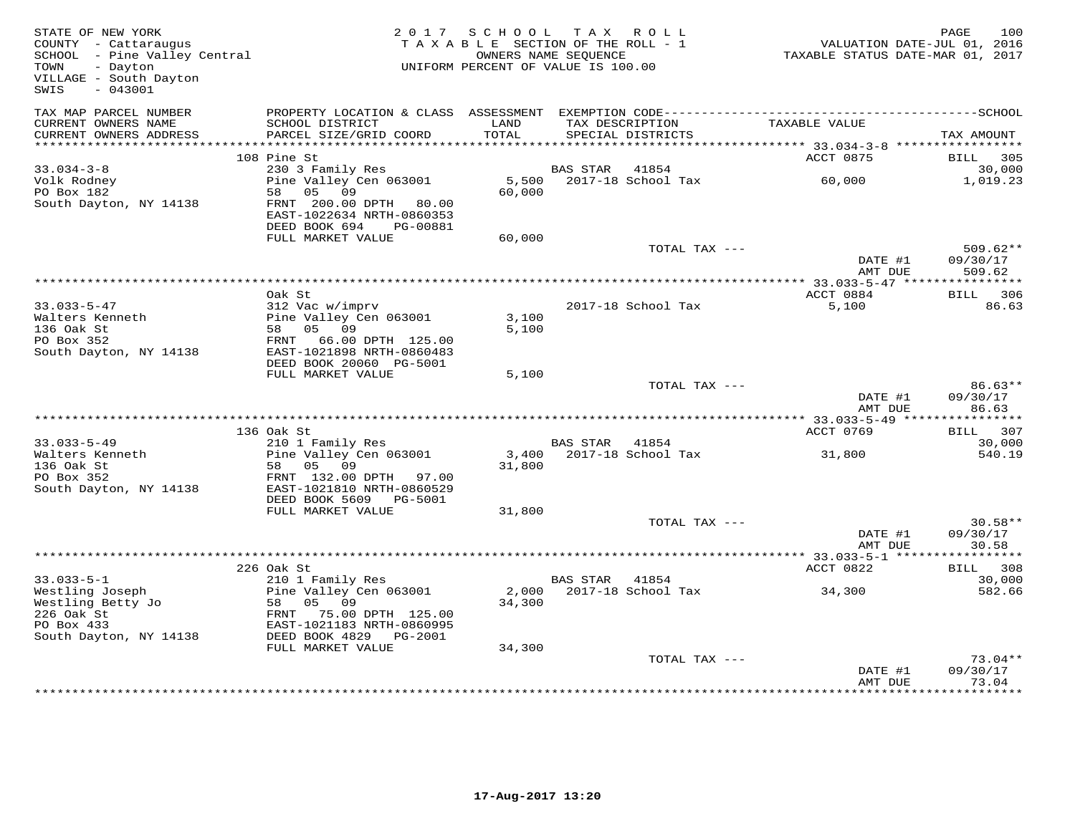| STATE OF NEW YORK<br>COUNTY - Cattaraugus<br>SCHOOL - Pine Valley Central<br>Texts Restau<br>TOWN<br>- Dayton<br>VILLAGE - South Dayton<br>$-043001$<br>SWIS                                             |                                                                                           | 2017 SCHOOL TAX ROLL<br>TAXABLE SECTION OF THE ROLL - 1<br>OWNERS NAME SEQUENCE<br>UNIFORM PERCENT OF VALUE IS 100.00 |                |                                      | VALUATION DATE-JUL 01, 2016<br>TAXABLE STATUS DATE-MAR 01, 2017 | PAGE              | 100        |
|----------------------------------------------------------------------------------------------------------------------------------------------------------------------------------------------------------|-------------------------------------------------------------------------------------------|-----------------------------------------------------------------------------------------------------------------------|----------------|--------------------------------------|-----------------------------------------------------------------|-------------------|------------|
| TAX MAP PARCEL NUMBER                                                                                                                                                                                    |                                                                                           |                                                                                                                       |                |                                      |                                                                 |                   |            |
| CURRENT OWNERS NAME<br>CURRENT OWNERS ADDRESS                                                                                                                                                            | SCHOOL DISTRICT<br>PARCEL SIZE/GRID COORD                                                 | LAND<br>TOTAL                                                                                                         |                | TAX DESCRIPTION<br>SPECIAL DISTRICTS | TAXABLE VALUE                                                   | TAX AMOUNT        |            |
|                                                                                                                                                                                                          |                                                                                           |                                                                                                                       |                |                                      |                                                                 |                   |            |
|                                                                                                                                                                                                          | 108 Pine St                                                                               |                                                                                                                       |                |                                      | ACCT 0875                                                       | BILL 305          |            |
| $33.034 - 3 - 8$                                                                                                                                                                                         | 230 3 Family Res<br>230 3 Family Res<br>Pine Valley Cen 063001                            |                                                                                                                       | BAS STAR       | 41854                                |                                                                 |                   | 30,000     |
| Volk Rodney<br>PO Box 182<br>South Dayton, NY 14138                                                                                                                                                      | 58 05 09<br>FRNT 200.00 DPTH 80.00<br>EAST-1022634 NRTH-0860353<br>DEED BOOK 694 PG-00881 | 5,500<br>60,000                                                                                                       |                | 2017-18 School Tax                   | 60,000                                                          | 1,019.23          |            |
|                                                                                                                                                                                                          | FULL MARKET VALUE                                                                         | 60,000                                                                                                                |                |                                      |                                                                 |                   |            |
|                                                                                                                                                                                                          |                                                                                           |                                                                                                                       |                | TOTAL TAX ---                        | DATE #1                                                         | 09/30/17          | $509.62**$ |
|                                                                                                                                                                                                          |                                                                                           |                                                                                                                       |                |                                      | AMT DUE                                                         | 509.62            |            |
|                                                                                                                                                                                                          |                                                                                           |                                                                                                                       |                |                                      |                                                                 |                   |            |
| $33.033 - 5 - 47$                                                                                                                                                                                        | Oak St<br>312 Vac w/imprv                                                                 |                                                                                                                       |                | 2017-18 School Tax                   | ACCT 0884<br>5,100                                              | BILL 306          | 86.63      |
| Walters Kenneth                                                                                                                                                                                          | Pine Valley Cen 063001                                                                    | 3,100                                                                                                                 |                |                                      |                                                                 |                   |            |
| 136 Oak St                                                                                                                                                                                               | 58 05 09                                                                                  | 5,100                                                                                                                 |                |                                      |                                                                 |                   |            |
| PO Box 352                                                                                                                                                                                               | FRNT 66.00 DPTH 125.00                                                                    |                                                                                                                       |                |                                      |                                                                 |                   |            |
| South Dayton, NY 14138                                                                                                                                                                                   | EAST-1021898 NRTH-0860483<br>DEED BOOK 20060 PG-5001                                      |                                                                                                                       |                |                                      |                                                                 |                   |            |
|                                                                                                                                                                                                          | FULL MARKET VALUE                                                                         | 5,100                                                                                                                 |                |                                      |                                                                 |                   |            |
|                                                                                                                                                                                                          |                                                                                           |                                                                                                                       |                | TOTAL TAX ---                        |                                                                 |                   | $86.63**$  |
|                                                                                                                                                                                                          |                                                                                           |                                                                                                                       |                |                                      | DATE #1<br>AMT DUE                                              | 09/30/17<br>86.63 |            |
|                                                                                                                                                                                                          |                                                                                           |                                                                                                                       |                |                                      |                                                                 |                   |            |
| $33.033 - 5 - 49$                                                                                                                                                                                        | 136 Oak St<br>210 1 Family Res                                                            |                                                                                                                       | BAS STAR 41854 |                                      | ACCT 0769                                                       | BILL 307          | 30,000     |
| Walters Kenneth                                                                                                                                                                                          | Pine Valley Cen 063001                                                                    |                                                                                                                       |                | 3,400 2017-18 School Tax             | 31,800                                                          |                   | 540.19     |
| 136 Oak St                                                                                                                                                                                               | 58 05 09                                                                                  | 31,800                                                                                                                |                |                                      |                                                                 |                   |            |
| PO Box 352                                                                                                                                                                                               | FRNT 132.00 DPTH 97.00                                                                    |                                                                                                                       |                |                                      |                                                                 |                   |            |
| South Dayton, NY 14138                                                                                                                                                                                   | EAST-1021810 NRTH-0860529                                                                 |                                                                                                                       |                |                                      |                                                                 |                   |            |
|                                                                                                                                                                                                          | DEED BOOK 5609 PG-5001<br>FULL MARKET VALUE                                               | 31,800                                                                                                                |                |                                      |                                                                 |                   |            |
|                                                                                                                                                                                                          |                                                                                           |                                                                                                                       |                | TOTAL TAX ---                        |                                                                 |                   | $30.58**$  |
|                                                                                                                                                                                                          |                                                                                           |                                                                                                                       |                |                                      | DATE #1                                                         | 09/30/17          |            |
|                                                                                                                                                                                                          |                                                                                           |                                                                                                                       |                |                                      | AMT DUE                                                         | 30.58             |            |
|                                                                                                                                                                                                          | 226 Oak St                                                                                |                                                                                                                       |                |                                      |                                                                 | BILL 308          |            |
|                                                                                                                                                                                                          |                                                                                           |                                                                                                                       | BAS STAR 41854 |                                      | ACCT 0822                                                       |                   | 30,000     |
|                                                                                                                                                                                                          |                                                                                           |                                                                                                                       |                | 2,000 2017-18 School Tax             | 34,300                                                          |                   | 582.66     |
|                                                                                                                                                                                                          |                                                                                           | 34,300                                                                                                                |                |                                      |                                                                 |                   |            |
|                                                                                                                                                                                                          |                                                                                           |                                                                                                                       |                |                                      |                                                                 |                   |            |
| 33.033-5-1<br>Westling Joseph<br>Westling Betty Jo 58 05 09<br>206 Oak St FRNT 75.00 DPTH 125.00<br>206 Oak St EAST-1021183 NRTH-0860995<br>206 OAK St EAST-1021183 NRTH-0860995<br>207 OAK ST POOK 4829 |                                                                                           |                                                                                                                       |                |                                      |                                                                 |                   |            |
|                                                                                                                                                                                                          | FULL MARKET VALUE                                                                         | 34,300                                                                                                                |                |                                      |                                                                 |                   |            |
|                                                                                                                                                                                                          |                                                                                           |                                                                                                                       |                | TOTAL TAX ---                        |                                                                 |                   | $73.04**$  |
|                                                                                                                                                                                                          |                                                                                           |                                                                                                                       |                |                                      | DATE #1                                                         | 09/30/17          |            |
|                                                                                                                                                                                                          |                                                                                           |                                                                                                                       |                |                                      | AMT DUE                                                         | 73.04<br>*******  |            |
|                                                                                                                                                                                                          |                                                                                           |                                                                                                                       |                |                                      |                                                                 |                   |            |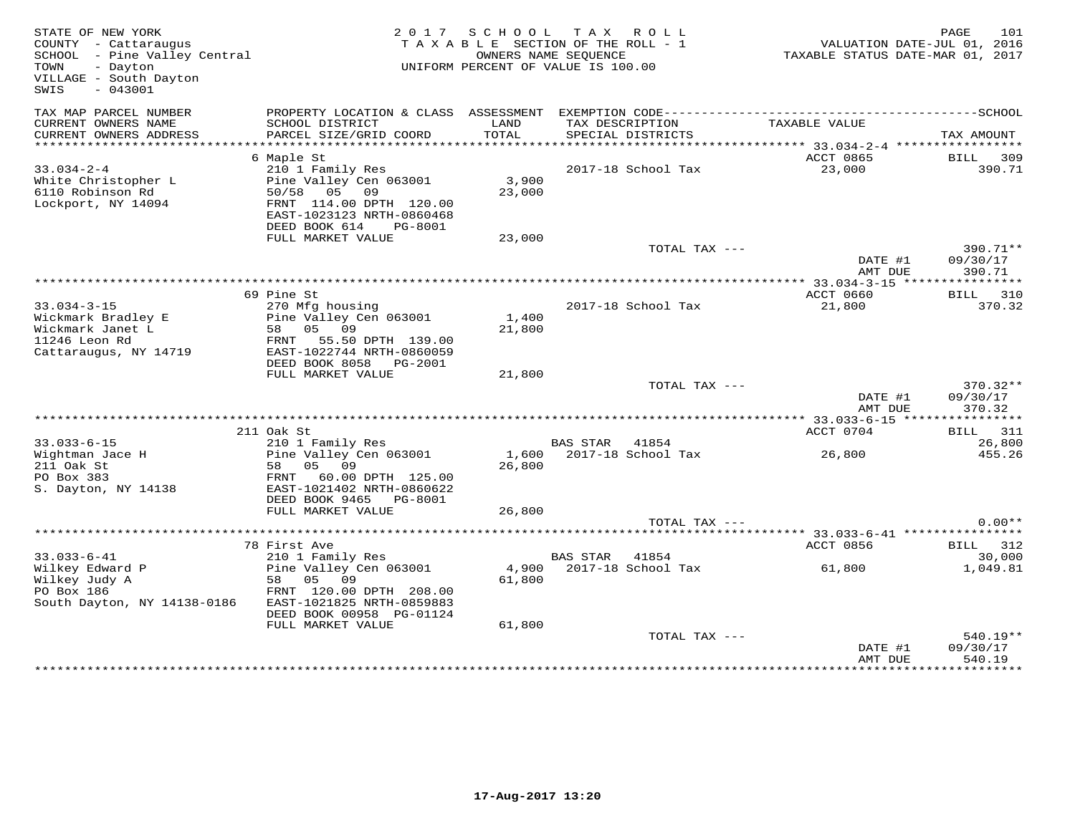| STATE OF NEW YORK<br>COUNTY - Cattaraugus<br>SCHOOL - Pine Valley Central<br>- Dayton<br>TOWN<br>VILLAGE - South Dayton<br>$-043001$<br>SWIS |                                                                                                    | 2017 SCHOOL     | TAX ROLL<br>TAXABLE SECTION OF THE ROLL - 1<br>OWNERS NAME SEQUENCE<br>UNIFORM PERCENT OF VALUE IS 100.00 | TAXABLE STATUS DATE-MAR 01, 2017       | 101<br>PAGE<br>VALUATION DATE-JUL 01, 2016 |
|----------------------------------------------------------------------------------------------------------------------------------------------|----------------------------------------------------------------------------------------------------|-----------------|-----------------------------------------------------------------------------------------------------------|----------------------------------------|--------------------------------------------|
| TAX MAP PARCEL NUMBER<br>CURRENT OWNERS NAME<br>CURRENT OWNERS ADDRESS                                                                       | PROPERTY LOCATION & CLASS ASSESSMENT<br>SCHOOL DISTRICT<br>PARCEL SIZE/GRID COORD                  | LAND<br>TOTAL   | EXEMPTION CODE------------------------<br>TAX DESCRIPTION<br>SPECIAL DISTRICTS                            | TAXABLE VALUE                          | ----------------SCHOOL<br>TAX AMOUNT       |
| ***********************                                                                                                                      |                                                                                                    |                 |                                                                                                           |                                        |                                            |
| $33.034 - 2 - 4$<br>White Christopher L<br>6110 Robinson Rd<br>Lockport, NY 14094                                                            | 6 Maple St<br>210 1 Family Res<br>Pine Valley Cen 063001<br>50/58 05 09<br>FRNT 114.00 DPTH 120.00 | 3,900<br>23,000 | 2017-18 School Tax                                                                                        | ACCT 0865<br>23,000                    | BILL 309<br>390.71                         |
|                                                                                                                                              | EAST-1023123 NRTH-0860468<br>DEED BOOK 614<br>PG-8001<br>FULL MARKET VALUE                         | 23,000          |                                                                                                           |                                        |                                            |
|                                                                                                                                              |                                                                                                    |                 | TOTAL TAX ---                                                                                             | DATE #1                                | $390.71**$<br>09/30/17                     |
|                                                                                                                                              |                                                                                                    |                 |                                                                                                           | AMT DUE                                | 390.71                                     |
|                                                                                                                                              | 69 Pine St                                                                                         |                 |                                                                                                           | ACCT 0660                              | <b>BILL</b> 310                            |
| $33.034 - 3 - 15$<br>Wickmark Bradley E                                                                                                      | 270 Mfg housing<br>Pine Valley Cen 063001                                                          | 1,400           | 2017-18 School Tax                                                                                        | 21,800                                 | 370.32                                     |
| Wickmark Janet L<br>11246 Leon Rd<br>Cattaraugus, NY 14719                                                                                   | 58 05 09<br>55.50 DPTH 139.00<br>FRNT<br>EAST-1022744 NRTH-0860059                                 | 21,800          |                                                                                                           |                                        |                                            |
|                                                                                                                                              | DEED BOOK 8058 PG-2001<br>FULL MARKET VALUE                                                        | 21,800          |                                                                                                           |                                        |                                            |
|                                                                                                                                              |                                                                                                    |                 | TOTAL TAX ---                                                                                             | DATE #1                                | $370.32**$<br>09/30/17<br>370.32           |
|                                                                                                                                              |                                                                                                    |                 |                                                                                                           | AMT DUE<br>********* 33.033-6-15 ***** | ***********                                |
|                                                                                                                                              | 211 Oak St                                                                                         |                 |                                                                                                           | ACCT 0704                              | 311<br>BILL                                |
| $33.033 - 6 - 15$<br>Wightman Jace H<br>211 Oak St<br>PO Box 383                                                                             | 210 1 Family Res<br>Pine Valley Cen 063001<br>05 09<br>58<br>FRNT<br>60.00 DPTH 125.00             | 1,600<br>26,800 | <b>BAS STAR</b><br>41854<br>2017-18 School Tax                                                            | 26,800                                 | 26,800<br>455.26                           |
| S. Dayton, NY 14138                                                                                                                          | EAST-1021402 NRTH-0860622<br>DEED BOOK 9465<br>PG-8001<br>FULL MARKET VALUE                        | 26,800          |                                                                                                           |                                        |                                            |
|                                                                                                                                              |                                                                                                    |                 | TOTAL TAX ---                                                                                             |                                        | $0.00**$                                   |
|                                                                                                                                              | 78 First Ave                                                                                       |                 |                                                                                                           | ACCT 0856                              | BILL 312                                   |
| $33.033 - 6 - 41$                                                                                                                            | 210 1 Family Res                                                                                   |                 | <b>BAS STAR</b><br>41854                                                                                  |                                        | 30,000                                     |
| Wilkey Edward P<br>Wilkey Judy A<br>PO Box 186<br>South Dayton, NY 14138-0186                                                                | Pine Valley Cen 063001<br>58 05 09<br>FRNT 120.00 DPTH 208.00<br>EAST-1021825 NRTH-0859883         | 4,900<br>61,800 | 2017-18 School Tax                                                                                        | 61,800                                 | 1,049.81                                   |
|                                                                                                                                              | DEED BOOK 00958 PG-01124<br>FULL MARKET VALUE                                                      | 61,800          |                                                                                                           |                                        |                                            |
|                                                                                                                                              |                                                                                                    |                 | TOTAL TAX ---                                                                                             | DATE #1<br>AMT DUE                     | 540.19**<br>09/30/17<br>540.19             |
|                                                                                                                                              |                                                                                                    |                 |                                                                                                           |                                        |                                            |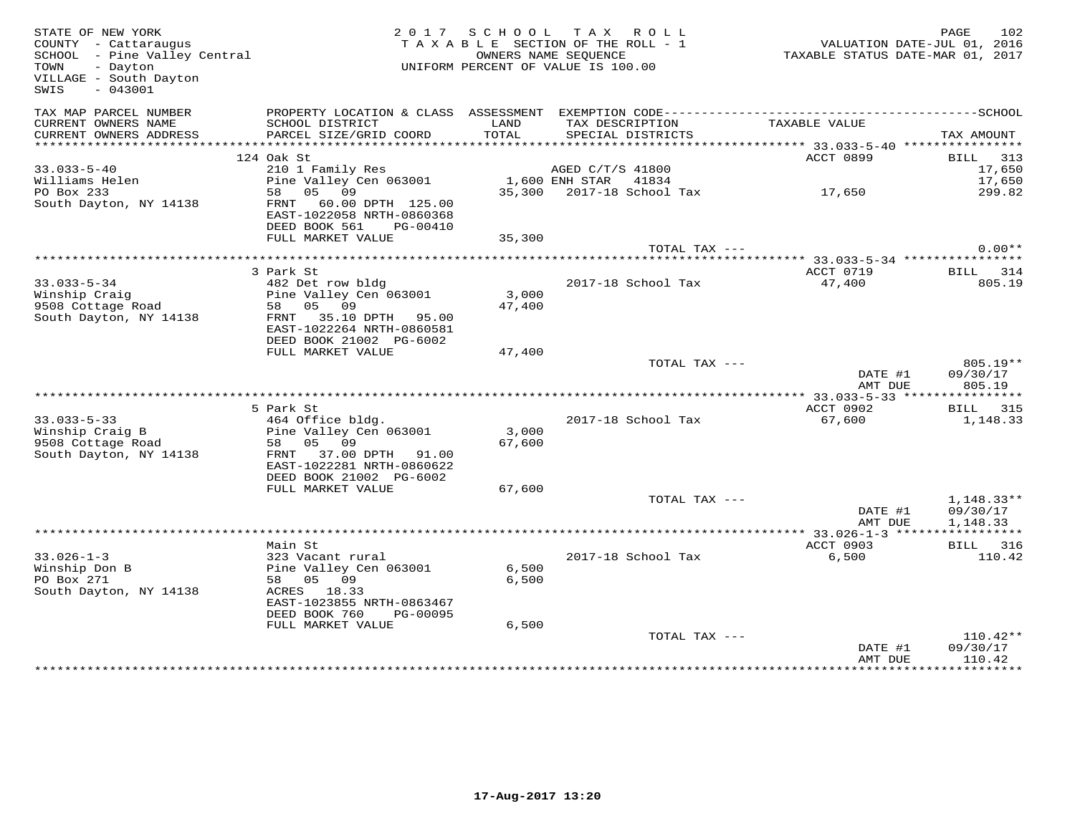| STATE OF NEW YORK<br>COUNTY - Cattaraugus<br>SCHOOL - Pine Valley Central<br>TOWN<br>- Dayton<br>VILLAGE - South Dayton<br>$-043001$<br>SWIS |                                                                                                                                 |                 | 2017 SCHOOL TAX ROLL<br>TAXABLE SECTION OF THE ROLL - 1<br>OWNERS NAME SEOUENCE<br>UNIFORM PERCENT OF VALUE IS 100.00 | VALUATION DATE-JUL 01, 2016<br>TAXABLE STATUS DATE-MAR 01, 2017 | 102<br>PAGE                          |
|----------------------------------------------------------------------------------------------------------------------------------------------|---------------------------------------------------------------------------------------------------------------------------------|-----------------|-----------------------------------------------------------------------------------------------------------------------|-----------------------------------------------------------------|--------------------------------------|
| TAX MAP PARCEL NUMBER<br>CURRENT OWNERS NAME<br>CURRENT OWNERS ADDRESS                                                                       | SCHOOL DISTRICT<br>PARCEL SIZE/GRID COORD                                                                                       | LAND<br>TOTAL   | TAX DESCRIPTION                                                                                                       | TAXABLE VALUE                                                   | TAX AMOUNT                           |
|                                                                                                                                              |                                                                                                                                 |                 | SPECIAL DISTRICTS                                                                                                     | ******************** 33.033-5-40 *****************              |                                      |
|                                                                                                                                              | 124 Oak St                                                                                                                      |                 |                                                                                                                       | ACCT 0899                                                       | BILL 313                             |
| $33.033 - 5 - 40$                                                                                                                            | 210 1 Family Res                                                                                                                |                 | AGED C/T/S 41800                                                                                                      |                                                                 | 17,650                               |
| Williams Helen                                                                                                                               | Pine Valley Cen 063001                                                                                                          |                 | 1,600 ENH STAR 41834                                                                                                  | 17,650                                                          | 17,650                               |
| PO Box 233<br>South Dayton, NY 14138                                                                                                         | 58 05 09<br>FRNT 60.00 DPTH 125.00<br>EAST-1022058 NRTH-0860368<br>DEED BOOK 561<br>PG-00410                                    |                 | 35,300 2017-18 School Tax                                                                                             |                                                                 | 299.82                               |
|                                                                                                                                              | FULL MARKET VALUE                                                                                                               | 35,300          |                                                                                                                       |                                                                 |                                      |
|                                                                                                                                              |                                                                                                                                 |                 | TOTAL TAX ---                                                                                                         |                                                                 | $0.00**$                             |
|                                                                                                                                              | 3 Park St                                                                                                                       |                 |                                                                                                                       | ACCT 0719                                                       | BILL 314                             |
| $33.033 - 5 - 34$                                                                                                                            | 482 Det row bldg                                                                                                                |                 | 2017-18 School Tax                                                                                                    | 47,400                                                          | 805.19                               |
| Winship Craig                                                                                                                                | Pine Valley Cen 063001                                                                                                          | 3,000           |                                                                                                                       |                                                                 |                                      |
| 9508 Cottage Road<br>South Dayton, NY 14138                                                                                                  | 58 05 09<br>FRNT 35.10 DPTH 95.00<br>EAST-1022264 NRTH-0860581                                                                  | 47,400          |                                                                                                                       |                                                                 |                                      |
|                                                                                                                                              | DEED BOOK 21002 PG-6002                                                                                                         |                 |                                                                                                                       |                                                                 |                                      |
|                                                                                                                                              | FULL MARKET VALUE                                                                                                               | 47,400          | TOTAL TAX ---                                                                                                         |                                                                 | $805.19**$                           |
|                                                                                                                                              |                                                                                                                                 |                 |                                                                                                                       | DATE #1<br>AMT DUE                                              | 09/30/17<br>805.19                   |
|                                                                                                                                              |                                                                                                                                 |                 |                                                                                                                       |                                                                 |                                      |
| $33.033 - 5 - 33$                                                                                                                            | 5 Park St<br>464 Office bldg.                                                                                                   |                 | 2017-18 School Tax                                                                                                    | ACCT 0902<br>67,600                                             | BILL 315<br>1,148.33                 |
| Winship Craig B<br>9508 Cottage Road<br>South Dayton, NY 14138                                                                               | Pine Valley Cen 063001<br>58 05 09<br>FRNT 37.00 DPTH 91.00                                                                     | 3,000<br>67,600 |                                                                                                                       |                                                                 |                                      |
|                                                                                                                                              | EAST-1022281 NRTH-0860622<br>DEED BOOK 21002 PG-6002                                                                            |                 |                                                                                                                       |                                                                 |                                      |
|                                                                                                                                              | FULL MARKET VALUE                                                                                                               | 67,600          | TOTAL TAX ---                                                                                                         |                                                                 |                                      |
|                                                                                                                                              |                                                                                                                                 |                 |                                                                                                                       | DATE #1<br>AMT DUE                                              | $1,148.33**$<br>09/30/17<br>1,148.33 |
|                                                                                                                                              |                                                                                                                                 |                 |                                                                                                                       |                                                                 |                                      |
|                                                                                                                                              | Main St                                                                                                                         |                 |                                                                                                                       | ACCT 0903                                                       | BILL 316                             |
| $33.026 - 1 - 3$<br>Winship Don B<br>PO Box 271<br>South Dayton, NY 14138                                                                    | 323 Vacant rural<br>Pine Valley Cen 063001<br>58 05 09<br>ACRES 18.33<br>EAST-1023855 NRTH-0863467<br>DEED BOOK 760<br>PG-00095 | 6,500<br>6,500  | 2017-18 School Tax                                                                                                    | 6,500                                                           | 110.42                               |
|                                                                                                                                              | FULL MARKET VALUE                                                                                                               | 6,500           |                                                                                                                       |                                                                 |                                      |
|                                                                                                                                              |                                                                                                                                 |                 | TOTAL TAX ---                                                                                                         | DATE #1                                                         | 110.42**<br>09/30/17                 |
|                                                                                                                                              |                                                                                                                                 |                 |                                                                                                                       | AMT DUE                                                         | 110.42                               |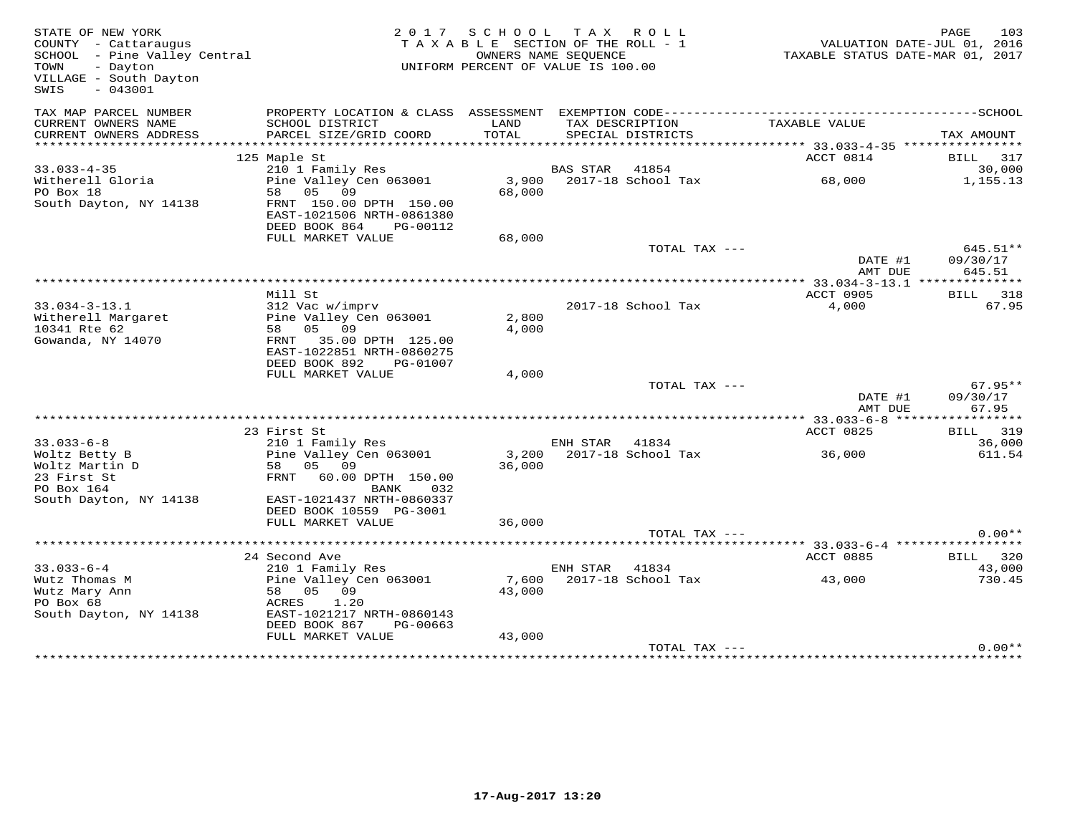| STATE OF NEW YORK<br>COUNTY - Cattaraugus<br>SCHOOL - Pine Valley Central<br>TOWN<br>- Dayton<br>VILLAGE - South Dayton<br>$-043001$<br>SWIS |                                                                                                                                                         | 2017 SCHOOL TAX ROLL<br>TAXABLE SECTION OF THE ROLL - 1<br>UNIFORM PERCENT OF VALUE IS 100.00 | OWNERS NAME SEQUENCE |                                      | VALUATION DATE-JUL 01, 2016<br>TAXABLE STATUS DATE-MAR 01, 2017 | PAGE       | 103                            |
|----------------------------------------------------------------------------------------------------------------------------------------------|---------------------------------------------------------------------------------------------------------------------------------------------------------|-----------------------------------------------------------------------------------------------|----------------------|--------------------------------------|-----------------------------------------------------------------|------------|--------------------------------|
| TAX MAP PARCEL NUMBER<br>CURRENT OWNERS NAME<br>CURRENT OWNERS ADDRESS                                                                       | SCHOOL DISTRICT<br>PARCEL SIZE/GRID COORD                                                                                                               | LAND<br>TOTAL                                                                                 |                      | TAX DESCRIPTION<br>SPECIAL DISTRICTS | TAXABLE VALUE                                                   | TAX AMOUNT |                                |
| **********************                                                                                                                       |                                                                                                                                                         |                                                                                               |                      |                                      |                                                                 |            |                                |
| $33.033 - 4 - 35$<br>Witherell Gloria<br>PO Box 18<br>South Dayton, NY 14138                                                                 | 125 Maple St<br>210 1 Family Res<br>Pine Valley Cen 063001<br>58 05 09<br>FRNT 150.00 DPTH 150.00<br>EAST-1021506 NRTH-0861380                          | 68,000                                                                                        | BAS STAR 41854       | 3,900 2017-18 School Tax             | ACCT 0814<br>68,000                                             |            | BILL 317<br>30,000<br>1,155.13 |
|                                                                                                                                              | DEED BOOK 864 PG-00112                                                                                                                                  |                                                                                               |                      |                                      |                                                                 |            |                                |
|                                                                                                                                              | FULL MARKET VALUE                                                                                                                                       | 68,000                                                                                        |                      | TOTAL TAX ---                        | DATE #1                                                         | 09/30/17   | 645.51**                       |
|                                                                                                                                              |                                                                                                                                                         |                                                                                               |                      |                                      | AMT DUE                                                         |            | 645.51                         |
|                                                                                                                                              | Mill St                                                                                                                                                 |                                                                                               |                      |                                      | ACCT 0905                                                       |            | BILL 318                       |
| $33.034 - 3 - 13.1$<br>Witherell Margaret<br>10341 Rte 62<br>Gowanda, NY 14070                                                               | 312 Vac w/imprv<br>Pine Valley Cen 063001<br>58 05 09<br>FRNT 35.00 DPTH 125.00<br>EAST-1022851 NRTH-0860275<br>DEED BOOK 892<br>PG-01007               | 2,800<br>4,000                                                                                |                      | 2017-18 School Tax                   | 4,000                                                           |            | 67.95                          |
|                                                                                                                                              | FULL MARKET VALUE                                                                                                                                       | 4,000                                                                                         |                      |                                      |                                                                 |            |                                |
|                                                                                                                                              |                                                                                                                                                         |                                                                                               |                      | TOTAL TAX ---                        | DATE #1<br>AMT DUE                                              | 09/30/17   | $67.95**$<br>67.95             |
|                                                                                                                                              |                                                                                                                                                         |                                                                                               |                      |                                      |                                                                 |            |                                |
|                                                                                                                                              | 23 First St                                                                                                                                             |                                                                                               |                      |                                      | ACCT 0825                                                       |            | BILL 319                       |
| $33.033 - 6 - 8$<br>Woltz Betty B<br>Woltz Martin D<br>23 First St<br>PO Box 164<br>South Dayton, NY 14138                                   | 210 1 Family Res<br>Pine Valley Cen 063001<br>58 05 09<br>FRNT 60.00 DPTH 150.00<br>BANK<br>032<br>EAST-1021437 NRTH-0860337<br>DEED BOOK 10559 PG-3001 | 3,200<br>36,000                                                                               | ENH STAR 41834       | 2017-18 School Tax                   | 36,000                                                          |            | 36,000<br>611.54               |
|                                                                                                                                              | FULL MARKET VALUE                                                                                                                                       | 36,000                                                                                        |                      |                                      |                                                                 |            |                                |
|                                                                                                                                              |                                                                                                                                                         |                                                                                               |                      | TOTAL TAX ---                        |                                                                 |            | $0.00**$                       |
|                                                                                                                                              |                                                                                                                                                         |                                                                                               |                      |                                      |                                                                 |            |                                |
| $33.033 - 6 - 4$                                                                                                                             | 24 Second Ave                                                                                                                                           |                                                                                               | ENH STAR 41834       |                                      | ACCT 0885                                                       |            | BILL 320<br>43,000             |
| Wutz Thomas M<br>Wutz Mary Ann<br>PO Box 68<br>South Dayton, NY 14138                                                                        | 210 1 Family Res<br>Pine Valley Cen 063001<br>58 05 09<br>ACRES<br>1.20<br>EAST-1021217 NRTH-0860143<br>DEED BOOK 867<br>PG-00663                       | 7,600<br>43,000                                                                               |                      | 2017-18 School Tax                   | 43,000                                                          |            | 730.45                         |
|                                                                                                                                              | FULL MARKET VALUE                                                                                                                                       | 43,000                                                                                        |                      |                                      |                                                                 |            |                                |
|                                                                                                                                              |                                                                                                                                                         |                                                                                               |                      | TOTAL TAX ---                        | **********************************                              |            | $0.00**$                       |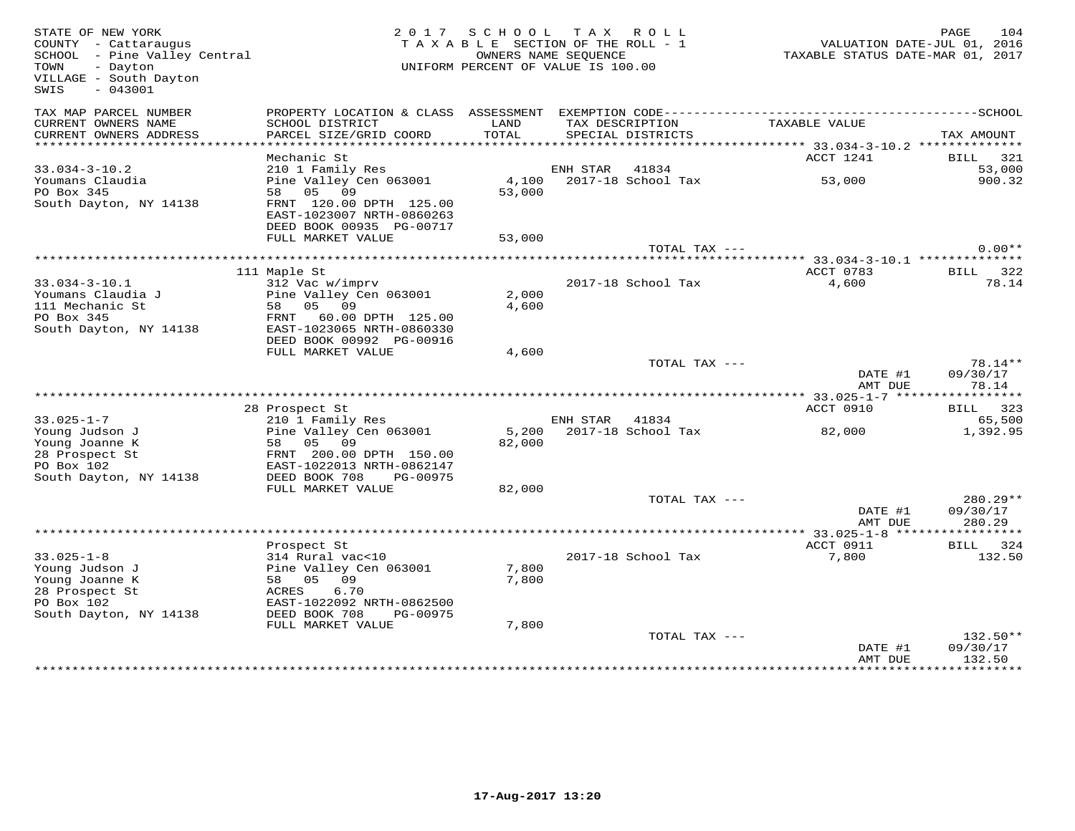| STATE OF NEW YORK<br>COUNTY - Cattaraugus<br>SCHOOL - Pine Valley Central<br>TOWN<br>- Dayton<br>VILLAGE - South Dayton<br>$-043001$<br>SWIS |                                            |               | 2017 SCHOOL TAX ROLL<br>TAXABLE SECTION OF THE ROLL - 1<br>OWNERS NAME SEQUENCE<br>UNIFORM PERCENT OF VALUE IS 100.00 | TAXABLE STATUS DATE-MAR 01, 2017                                   | 104<br>PAGE<br>VALUATION DATE-JUL 01, 2016 |
|----------------------------------------------------------------------------------------------------------------------------------------------|--------------------------------------------|---------------|-----------------------------------------------------------------------------------------------------------------------|--------------------------------------------------------------------|--------------------------------------------|
| TAX MAP PARCEL NUMBER                                                                                                                        |                                            |               |                                                                                                                       |                                                                    |                                            |
| CURRENT OWNERS NAME<br>CURRENT OWNERS ADDRESS                                                                                                | SCHOOL DISTRICT<br>PARCEL SIZE/GRID COORD  | LAND<br>TOTAL | TAX DESCRIPTION<br>SPECIAL DISTRICTS                                                                                  | TAXABLE VALUE                                                      | TAX AMOUNT                                 |
|                                                                                                                                              |                                            |               |                                                                                                                       | ******************** 33.034-3-10.2 **************                  |                                            |
|                                                                                                                                              | Mechanic St                                |               |                                                                                                                       | ACCT 1241                                                          | BILL 321                                   |
| $33.034 - 3 - 10.2$<br>Youmans Claudia                                                                                                       | 210 1 Family Res<br>Pine Valley Cen 063001 | 4,100         | ENH STAR<br>41834<br>2017-18 School Tax                                                                               | 53,000                                                             | 53,000<br>900.32                           |
| PO Box 345                                                                                                                                   | 58 05 09                                   | 53,000        |                                                                                                                       |                                                                    |                                            |
| South Dayton, NY 14138                                                                                                                       | FRNT 120.00 DPTH 125.00                    |               |                                                                                                                       |                                                                    |                                            |
|                                                                                                                                              | EAST-1023007 NRTH-0860263                  |               |                                                                                                                       |                                                                    |                                            |
|                                                                                                                                              | DEED BOOK 00935 PG-00717                   |               |                                                                                                                       |                                                                    |                                            |
|                                                                                                                                              | FULL MARKET VALUE                          | 53,000        |                                                                                                                       |                                                                    |                                            |
|                                                                                                                                              |                                            |               | TOTAL TAX ---                                                                                                         |                                                                    | $0.00**$                                   |
|                                                                                                                                              |                                            |               |                                                                                                                       | **************************************33.034-3-10.1 ************** |                                            |
|                                                                                                                                              | 111 Maple St                               |               | 2017-18 School Tax                                                                                                    | ACCT 0783<br>4,600                                                 | 322<br>BILL<br>78.14                       |
| $33.034 - 3 - 10.1$<br>Youmans Claudia J                                                                                                     | 312 Vac w/imprv<br>Pine Valley Cen 063001  | 2,000         |                                                                                                                       |                                                                    |                                            |
| 111 Mechanic St                                                                                                                              | 58 05 09                                   | 4,600         |                                                                                                                       |                                                                    |                                            |
| PO Box 345                                                                                                                                   | FRNT 60.00 DPTH 125.00                     |               |                                                                                                                       |                                                                    |                                            |
| South Dayton, NY 14138                                                                                                                       | EAST-1023065 NRTH-0860330                  |               |                                                                                                                       |                                                                    |                                            |
|                                                                                                                                              | DEED BOOK 00992 PG-00916                   |               |                                                                                                                       |                                                                    |                                            |
|                                                                                                                                              | FULL MARKET VALUE                          | 4,600         |                                                                                                                       |                                                                    |                                            |
|                                                                                                                                              |                                            |               | TOTAL TAX ---                                                                                                         |                                                                    | $78.14**$                                  |
|                                                                                                                                              |                                            |               |                                                                                                                       | DATE #1<br>AMT DUE                                                 | 09/30/17<br>78.14                          |
|                                                                                                                                              |                                            |               |                                                                                                                       | **** 33.025-1-7 ****                                               | * * * * * * * * * *                        |
|                                                                                                                                              | 28 Prospect St                             |               |                                                                                                                       | ACCT 0910                                                          | BILL 323                                   |
| $33.025 - 1 - 7$                                                                                                                             | 210 1 Family Res                           |               | ENH STAR<br>41834                                                                                                     |                                                                    | 65,500                                     |
| Young Judson J                                                                                                                               | Pine Valley Cen 063001<br>58 05 09         | 5,200         | 2017-18 School Tax                                                                                                    | 82,000                                                             | 1,392.95                                   |
| Young Joanne K<br>28 Prospect St                                                                                                             | FRNT 200.00 DPTH 150.00                    | 82,000        |                                                                                                                       |                                                                    |                                            |
| PO Box 102                                                                                                                                   | EAST-1022013 NRTH-0862147                  |               |                                                                                                                       |                                                                    |                                            |
| South Dayton, NY 14138                                                                                                                       | DEED BOOK 708<br>PG-00975                  |               |                                                                                                                       |                                                                    |                                            |
|                                                                                                                                              | FULL MARKET VALUE                          | 82,000        |                                                                                                                       |                                                                    |                                            |
|                                                                                                                                              |                                            |               | TOTAL TAX ---                                                                                                         |                                                                    | $280.29**$                                 |
|                                                                                                                                              |                                            |               |                                                                                                                       | DATE #1                                                            | 09/30/17                                   |
|                                                                                                                                              |                                            |               |                                                                                                                       | AMT DUE                                                            | 280.29                                     |
|                                                                                                                                              |                                            |               |                                                                                                                       |                                                                    | ***********                                |
| $33.025 - 1 - 8$                                                                                                                             | Prospect St                                |               |                                                                                                                       | ACCT 0911                                                          | BILL 324                                   |
| Young Judson J                                                                                                                               | 314 Rural vac<10<br>Pine Valley Cen 063001 | 7,800         | 2017-18 School Tax                                                                                                    | 7,800                                                              | 132.50                                     |
| Young Joanne K                                                                                                                               | 58 05 09                                   | 7,800         |                                                                                                                       |                                                                    |                                            |
| 28 Prospect St                                                                                                                               | 6.70<br>ACRES                              |               |                                                                                                                       |                                                                    |                                            |
| PO Box 102                                                                                                                                   | EAST-1022092 NRTH-0862500                  |               |                                                                                                                       |                                                                    |                                            |
| South Dayton, NY 14138                                                                                                                       | DEED BOOK 708<br>PG-00975                  |               |                                                                                                                       |                                                                    |                                            |
|                                                                                                                                              | FULL MARKET VALUE                          | 7,800         |                                                                                                                       |                                                                    |                                            |
|                                                                                                                                              |                                            |               | TOTAL TAX ---                                                                                                         |                                                                    | 132.50**                                   |
|                                                                                                                                              |                                            |               |                                                                                                                       | DATE #1                                                            | 09/30/17                                   |
|                                                                                                                                              |                                            |               |                                                                                                                       | AMT DUE                                                            | 132.50<br>* * * * * * * * *                |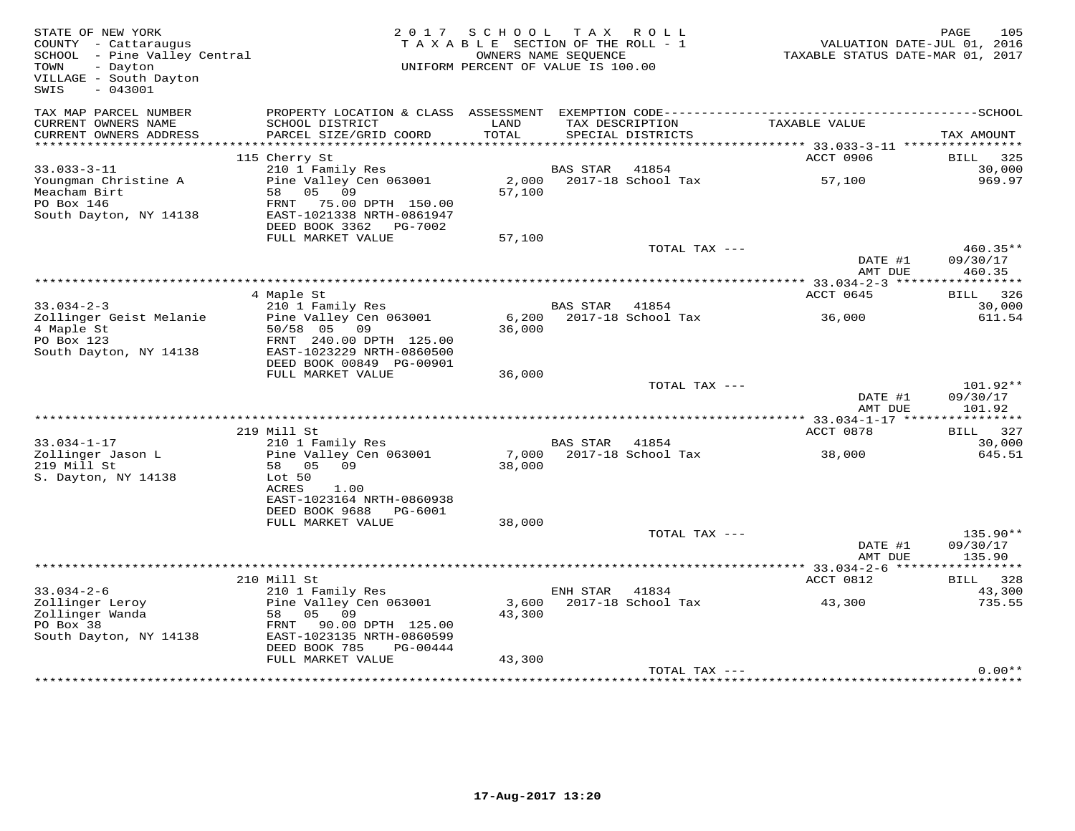| STATE OF NEW YORK<br>COUNTY - Cattaraugus<br>SCHOOL - Pine Valley Central<br>- Dayton<br>TOWN<br>VILLAGE - South Dayton<br>$-043001$<br>SWIS |                                                                                                                           | 2017 SCHOOL<br>TAXABLE SECTION OF THE ROLL - 1<br>UNIFORM PERCENT OF VALUE IS 100.00 | TAX ROLL<br>OWNERS NAME SEQUENCE |                                      |                                           | 105<br>PAGE<br>VALUATION DATE-JUL 01, 2016<br>TAXABLE STATUS DATE-MAR 01, 2017 |
|----------------------------------------------------------------------------------------------------------------------------------------------|---------------------------------------------------------------------------------------------------------------------------|--------------------------------------------------------------------------------------|----------------------------------|--------------------------------------|-------------------------------------------|--------------------------------------------------------------------------------|
| TAX MAP PARCEL NUMBER<br>CURRENT OWNERS NAME<br>CURRENT OWNERS ADDRESS                                                                       | SCHOOL DISTRICT<br>PARCEL SIZE/GRID COORD                                                                                 | LAND<br>TOTAL                                                                        |                                  | TAX DESCRIPTION<br>SPECIAL DISTRICTS | TAXABLE VALUE                             | TAX AMOUNT                                                                     |
|                                                                                                                                              |                                                                                                                           |                                                                                      |                                  |                                      |                                           |                                                                                |
|                                                                                                                                              | 115 Cherry St                                                                                                             |                                                                                      |                                  |                                      | ACCT 0906                                 | BILL 325                                                                       |
| $33.033 - 3 - 11$                                                                                                                            | 210 1 Family Res                                                                                                          |                                                                                      | BAS STAR                         | 41854                                |                                           | 30,000                                                                         |
| Youngman Christine A<br>Meacham Birt<br>PO Box 146<br>South Dayton, NY 14138                                                                 | Pine Valley Cen 063001<br>58 05 09<br>FRNT 75.00 DPTH 150.00<br>EAST-1021338 NRTH-0861947<br>DEED BOOK 3362 PG-7002       | 57,100                                                                               |                                  | 2,000 2017-18 School Tax             | 57,100                                    | 969.97                                                                         |
|                                                                                                                                              | FULL MARKET VALUE                                                                                                         | 57,100                                                                               |                                  |                                      |                                           |                                                                                |
|                                                                                                                                              |                                                                                                                           |                                                                                      |                                  | TOTAL TAX ---                        | DATE #1                                   | 460.35**<br>09/30/17                                                           |
|                                                                                                                                              |                                                                                                                           |                                                                                      |                                  |                                      | AMT DUE                                   | 460.35                                                                         |
|                                                                                                                                              | 4 Maple St                                                                                                                |                                                                                      |                                  |                                      | ACCT 0645                                 | 326<br>BILL                                                                    |
| $33.034 - 2 - 3$                                                                                                                             | 210 1 Family Res                                                                                                          |                                                                                      | <b>BAS STAR</b>                  | 41854                                |                                           | 30,000                                                                         |
| Zollinger Geist Melanie<br>4 Maple St<br>PO Box 123<br>South Dayton, NY 14138                                                                | Pine Valley Cen 063001<br>50/58 05 09<br>FRNT 240.00 DPTH 125.00<br>EAST-1023229 NRTH-0860500<br>DEED BOOK 00849 PG-00901 | 6,200<br>36,000                                                                      |                                  | 2017-18 School Tax                   | 36,000                                    | 611.54                                                                         |
|                                                                                                                                              | FULL MARKET VALUE                                                                                                         | 36,000                                                                               |                                  |                                      |                                           |                                                                                |
|                                                                                                                                              |                                                                                                                           |                                                                                      |                                  | TOTAL TAX ---                        | DATE #1                                   | 101.92**<br>09/30/17                                                           |
|                                                                                                                                              |                                                                                                                           |                                                                                      |                                  |                                      | AMT DUE                                   | 101.92                                                                         |
|                                                                                                                                              | 219 Mill St                                                                                                               |                                                                                      |                                  |                                      | ACCT 0878                                 | BILL 327                                                                       |
| $33.034 - 1 - 17$                                                                                                                            | 210 1 Family Res                                                                                                          |                                                                                      | BAS STAR 41854                   |                                      |                                           | 30,000                                                                         |
| Zollinger Jason L<br>219 Mill St<br>S. Dayton, NY 14138                                                                                      | Pine Valley Cen 063001<br>58 05<br>09<br>Lot 50<br>ACRES<br>1.00<br>EAST-1023164 NRTH-0860938                             | 38,000                                                                               |                                  | 7,000 2017-18 School Tax             | 38,000                                    | 645.51                                                                         |
|                                                                                                                                              | DEED BOOK 9688<br>PG-6001                                                                                                 |                                                                                      |                                  |                                      |                                           |                                                                                |
|                                                                                                                                              | FULL MARKET VALUE                                                                                                         | 38,000                                                                               |                                  |                                      |                                           |                                                                                |
|                                                                                                                                              |                                                                                                                           |                                                                                      |                                  | TOTAL TAX ---                        | DATE #1<br>AMT DUE                        | 135.90**<br>09/30/17<br>135.90                                                 |
|                                                                                                                                              |                                                                                                                           |                                                                                      |                                  |                                      | *********** 33.034-2-6 ****************** |                                                                                |
|                                                                                                                                              | 210 Mill St                                                                                                               |                                                                                      |                                  |                                      | ACCT 0812                                 | BILL 328                                                                       |
| $33.034 - 2 - 6$                                                                                                                             | 210 1 Family Res                                                                                                          |                                                                                      | ENH STAR 41834                   |                                      |                                           | 43,300                                                                         |
| Zollinger Leroy<br>Zollinger Wanda<br>PO Box 38<br>South Dayton, NY 14138                                                                    | Pine Valley Cen 063001<br>05 09<br>58<br>FRNT<br>90.00 DPTH 125.00<br>EAST-1023135 NRTH-0860599                           | 3,600<br>43,300                                                                      |                                  | 2017-18 School Tax                   | 43,300                                    | 735.55                                                                         |
|                                                                                                                                              | DEED BOOK 785<br>PG-00444                                                                                                 |                                                                                      |                                  |                                      |                                           |                                                                                |
|                                                                                                                                              | FULL MARKET VALUE                                                                                                         | 43,300                                                                               |                                  |                                      |                                           | $0.00**$                                                                       |
|                                                                                                                                              |                                                                                                                           |                                                                                      |                                  | TOTAL TAX ---                        |                                           |                                                                                |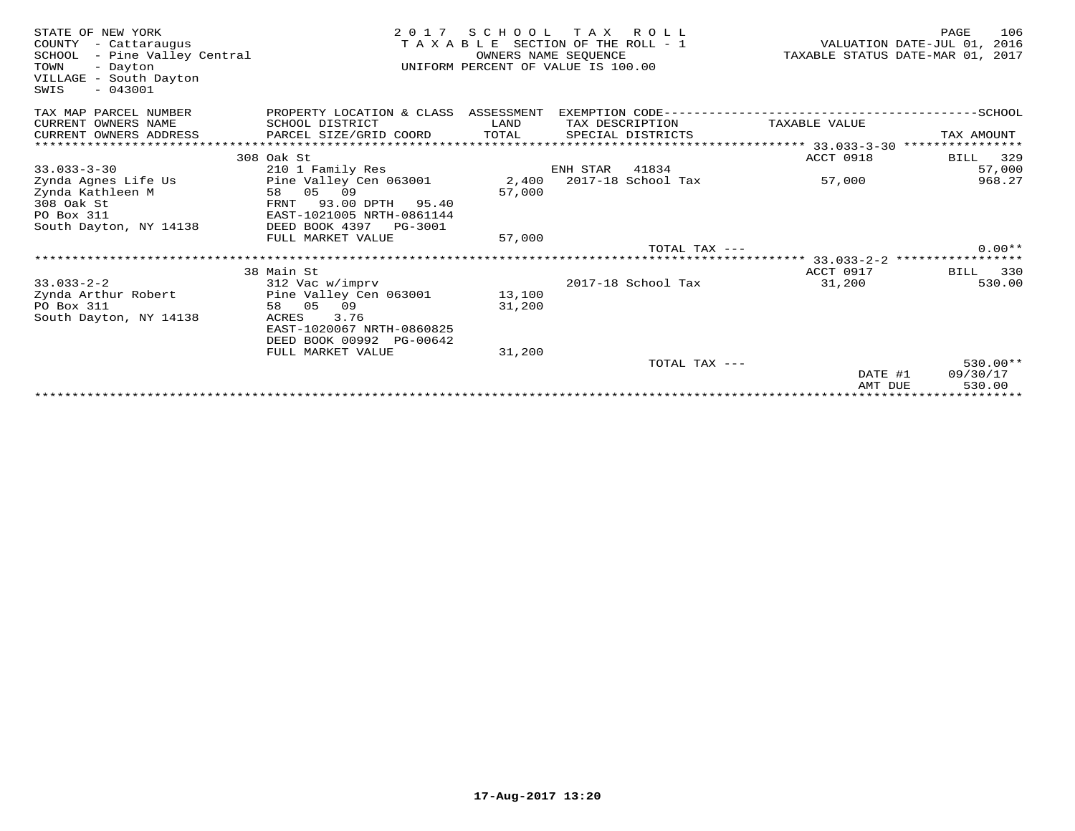| STATE OF NEW YORK<br>COUNTY<br>- Cattaraugus<br>- Pine Valley Central<br>SCHOOL<br>TOWN<br>- Dayton<br>VILLAGE - South Dayton<br>$-043001$<br>SWIS | 2 0 1 7                                    | SCHOOL TAX<br>OWNERS NAME SEOUENCE | ROLL<br>TAXABLE SECTION OF THE ROLL - 1<br>UNIFORM PERCENT OF VALUE IS 100.00 |                                       | TAXABLE STATUS DATE-MAR 01, 2017 | PAGE<br>VALUATION DATE-JUL 01, | 106<br>2016   |
|----------------------------------------------------------------------------------------------------------------------------------------------------|--------------------------------------------|------------------------------------|-------------------------------------------------------------------------------|---------------------------------------|----------------------------------|--------------------------------|---------------|
| TAX MAP PARCEL NUMBER                                                                                                                              | PROPERTY LOCATION & CLASS ASSESSMENT       |                                    |                                                                               | EXEMPTION CODE----------------------- |                                  | ---------SCHOOL                |               |
| CURRENT OWNERS NAME                                                                                                                                | SCHOOL DISTRICT                            | LAND                               | TAX DESCRIPTION                                                               |                                       | TAXABLE VALUE                    |                                |               |
| CURRENT OWNERS ADDRESS<br>**************************                                                                                               | PARCEL SIZE/GRID COORD                     | TOTAL                              | SPECIAL DISTRICTS                                                             |                                       |                                  | TAX AMOUNT                     |               |
|                                                                                                                                                    |                                            |                                    |                                                                               |                                       |                                  | ****************               |               |
| $33.033 - 3 - 30$                                                                                                                                  | 308 Oak St                                 |                                    | ENH STAR<br>41834                                                             |                                       | ACCT 0918                        | BILL                           | 329<br>57,000 |
| Zynda Agnes Life Us                                                                                                                                | 210 1 Family Res<br>Pine Valley Cen 063001 | 2,400                              | 2017-18 School Tax                                                            |                                       | 57,000                           |                                | 968.27        |
| Zynda Kathleen M                                                                                                                                   | 0.5<br>09<br>58                            | 57,000                             |                                                                               |                                       |                                  |                                |               |
| 308 Oak St                                                                                                                                         | 93.00 DPTH 95.40<br>FRNT                   |                                    |                                                                               |                                       |                                  |                                |               |
| PO Box 311                                                                                                                                         | EAST-1021005 NRTH-0861144                  |                                    |                                                                               |                                       |                                  |                                |               |
| South Dayton, NY 14138                                                                                                                             | DEED BOOK 4397<br>PG-3001                  |                                    |                                                                               |                                       |                                  |                                |               |
|                                                                                                                                                    | FULL MARKET VALUE                          | 57,000                             |                                                                               |                                       |                                  |                                |               |
|                                                                                                                                                    |                                            |                                    |                                                                               | $TOTAI$ , $TAX$ ---                   |                                  |                                | $0.00**$      |
|                                                                                                                                                    |                                            |                                    |                                                                               |                                       |                                  |                                |               |
|                                                                                                                                                    | 38 Main St                                 |                                    |                                                                               |                                       | ACCT 0917                        | BILL                           | 330           |
| $33.033 - 2 - 2$                                                                                                                                   | 312 Vac w/imprv                            |                                    | 2017-18 School Tax                                                            |                                       | 31,200                           |                                | 530.00        |
| Zynda Arthur Robert                                                                                                                                | Pine Valley Cen 063001                     | 13,100                             |                                                                               |                                       |                                  |                                |               |
| PO Box 311<br>South Dayton, NY 14138                                                                                                               | 58 05<br>09<br>3.76<br>ACRES               | 31,200                             |                                                                               |                                       |                                  |                                |               |
|                                                                                                                                                    | EAST-1020067 NRTH-0860825                  |                                    |                                                                               |                                       |                                  |                                |               |
|                                                                                                                                                    | DEED BOOK 00992 PG-00642                   |                                    |                                                                               |                                       |                                  |                                |               |
|                                                                                                                                                    | FULL MARKET VALUE                          | 31,200                             |                                                                               |                                       |                                  |                                |               |
|                                                                                                                                                    |                                            |                                    |                                                                               | TOTAL TAX ---                         |                                  |                                | $530.00**$    |
|                                                                                                                                                    |                                            |                                    |                                                                               |                                       | DATE #1                          | 09/30/17                       |               |
|                                                                                                                                                    |                                            |                                    |                                                                               |                                       | AMT DUE                          |                                | 530.00        |
|                                                                                                                                                    |                                            |                                    |                                                                               |                                       |                                  |                                |               |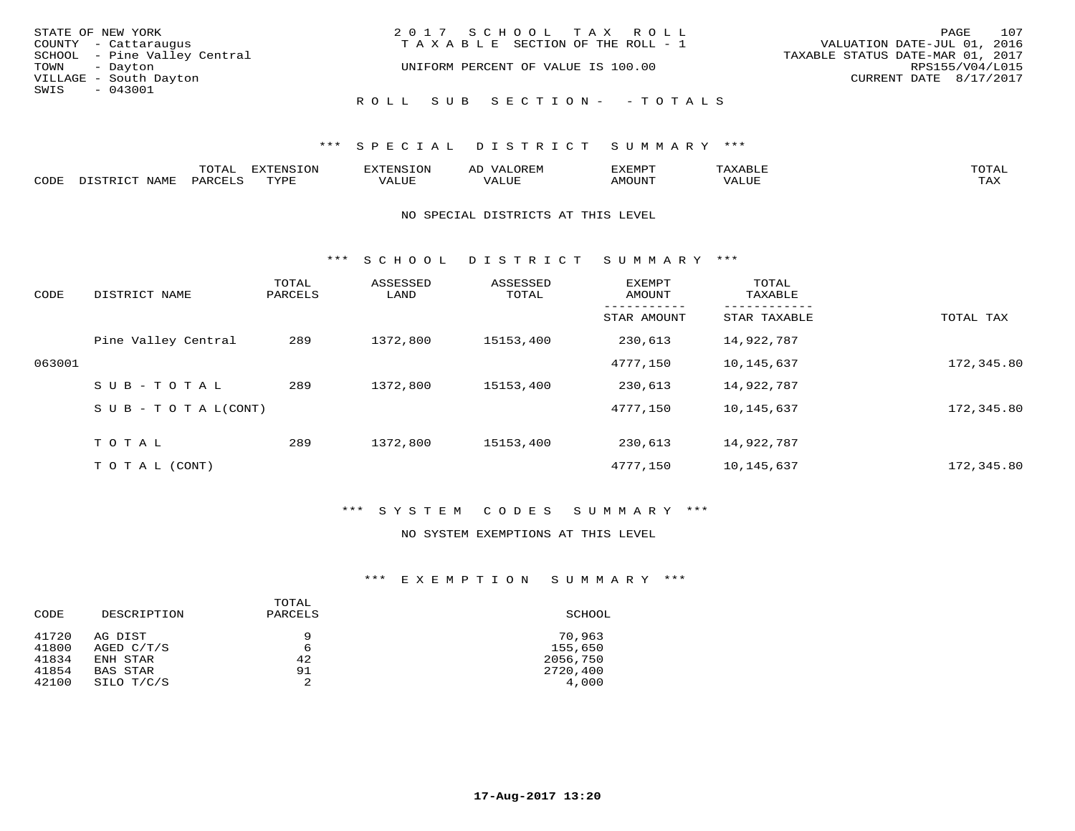|      | STATE OF NEW YORK            | 2017 SCHOOL TAX ROLL                  |                                  | PAGE | 107 |
|------|------------------------------|---------------------------------------|----------------------------------|------|-----|
|      | COUNTY - Cattaraugus         | T A X A B L E SECTION OF THE ROLL - 1 | VALUATION DATE-JUL 01, 2016      |      |     |
|      | SCHOOL - Pine Valley Central |                                       | TAXABLE STATUS DATE-MAR 01, 2017 |      |     |
|      | TOWN - Dayton                | UNIFORM PERCENT OF VALUE IS 100.00    | RPS155/V04/L015                  |      |     |
|      | VILLAGE - South Dayton       |                                       | CURRENT DATE 8/17/2017           |      |     |
| SWIS | $-043001$                    |                                       |                                  |      |     |
|      |                              | ROLL SUB SECTION- - TOTALS            |                                  |      |     |

## \*\*\* S P E C I A L D I S T R I C T S U M M A R Y \*\*\*

|      |      | m^m*<br>⊥∪⊥ ∟ | $T \cap N$<br>$-1$ |           | AL.<br>21 V. PH |                            |           | <b>TOTA</b><br>$\cup$ $\pm$ $\pm$ $\pm$ |
|------|------|---------------|--------------------|-----------|-----------------|----------------------------|-----------|-----------------------------------------|
| CODE | NAME |               | mvnt               | סדד דרכז: |                 | $\triangle M\bigcirc$ tin' | $- - - -$ | $- - - -$<br>1.732                      |

### NO SPECIAL DISTRICTS AT THIS LEVEL

\*\*\* S C H O O L D I S T R I C T S U M M A R Y \*\*\*

| CODE   | DISTRICT NAME                    | TOTAL<br>PARCELS | ASSESSED<br>LAND | ASSESSED<br>TOTAL | <b>EXEMPT</b><br>AMOUNT | TOTAL<br>TAXABLE |            |
|--------|----------------------------------|------------------|------------------|-------------------|-------------------------|------------------|------------|
|        |                                  |                  |                  |                   | STAR AMOUNT             | STAR TAXABLE     | TOTAL TAX  |
|        | Pine Valley Central              | 289              | 1372,800         | 15153,400         | 230,613                 | 14,922,787       |            |
| 063001 |                                  |                  |                  |                   | 4777,150                | 10,145,637       | 172,345.80 |
|        | SUB-TOTAL                        | 289              | 1372,800         | 15153,400         | 230,613                 | 14,922,787       |            |
|        | $S \cup B - T \cup T A L (CONT)$ |                  |                  |                   | 4777,150                | 10,145,637       | 172,345.80 |
|        | TOTAL                            | 289              | 1372,800         | 15153,400         | 230,613                 | 14,922,787       |            |
|        | T O T A L (CONT)                 |                  |                  |                   | 4777,150                | 10,145,637       | 172,345.80 |

### \*\*\* S Y S T E M C O D E S S U M M A R Y \*\*\*

#### NO SYSTEM EXEMPTIONS AT THIS LEVEL

## \*\*\* E X E M P T I O N S U M M A R Y \*\*\*

| DESCRIPTION<br>CODE              |                                                      | TOTAL<br>PARCELS   | SCHOOL                                    |  |  |
|----------------------------------|------------------------------------------------------|--------------------|-------------------------------------------|--|--|
| 41720<br>41800<br>41834<br>41854 | AG DIST<br>AGED C/T/S<br>ENH STAR<br><b>BAS STAR</b> | 9<br>6<br>42<br>91 | 70,963<br>155,650<br>2056,750<br>2720,400 |  |  |
| 42100                            | SILO T/C/S                                           | 2                  | 4,000                                     |  |  |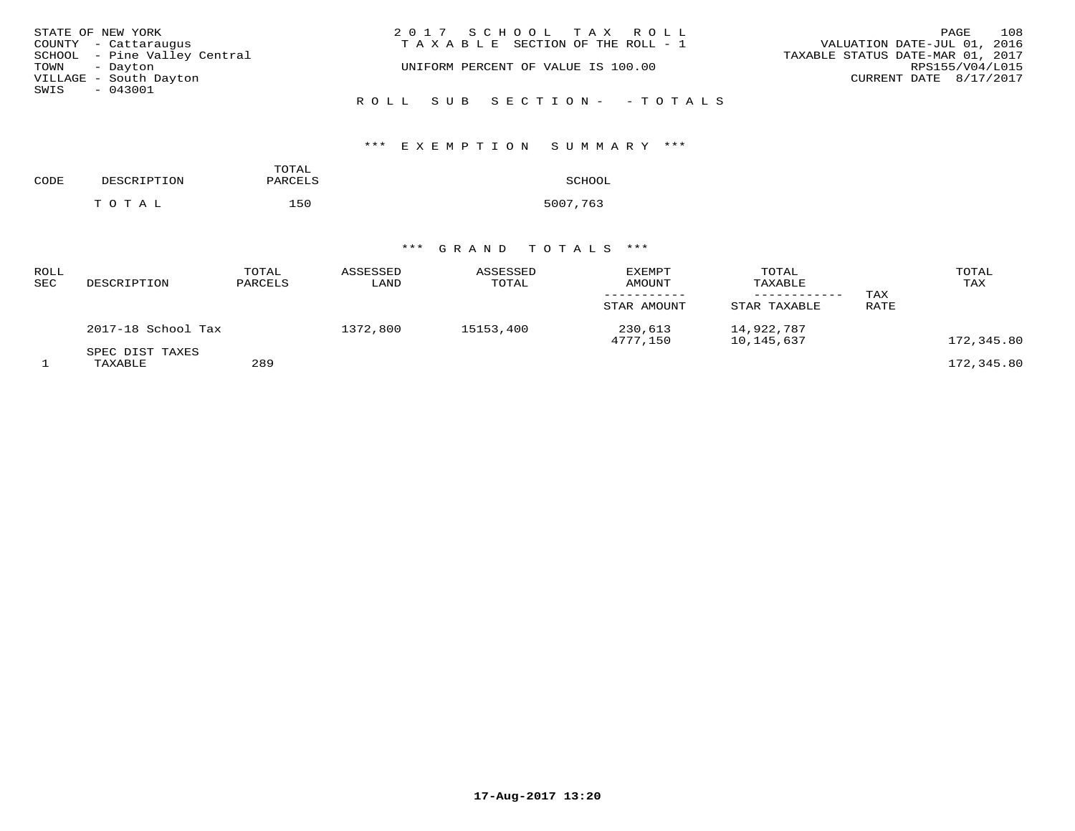| STATE OF NEW YORK |                              | 2017 SCHOOL TAX ROLL                  | PAGE                             | 108 |
|-------------------|------------------------------|---------------------------------------|----------------------------------|-----|
|                   | COUNTY - Cattaraugus         | T A X A B L E SECTION OF THE ROLL - 1 | VALUATION DATE-JUL 01, 2016      |     |
|                   | SCHOOL - Pine Valley Central |                                       | TAXABLE STATUS DATE-MAR 01, 2017 |     |
| TOWN - Dayton     |                              | UNIFORM PERCENT OF VALUE IS 100.00    | RPS155/V04/L015                  |     |
|                   | VILLAGE - South Dayton       |                                       | CURRENT DATE 8/17/2017           |     |
| SWIS              | $-043001$                    |                                       |                                  |     |
|                   |                              | ROLL SUB SECTION- - TOTALS            |                                  |     |

# \*\*\* E X E M P T I O N S U M M A R Y \*\*\*

| CODE | DESCRIPTION | TOTAL<br>PARCELS | SCHOOL   |
|------|-------------|------------------|----------|
|      | тотаь       | 150              | 5007,763 |

# \*\*\* G R A N D T O T A L S \*\*\*

| ROLL<br>SEC | DESCRIPTION                | TOTAL<br>PARCELS | ASSESSED<br>LAND | ASSESSED<br>TOTAL | <b>EXEMPT</b><br>AMOUNT<br>STAR AMOUNT | TOTAL<br>TAXABLE<br>---------<br>STAR TAXABLE | TAX<br>RATE | TOTAL<br>TAX |
|-------------|----------------------------|------------------|------------------|-------------------|----------------------------------------|-----------------------------------------------|-------------|--------------|
|             | 2017-18 School Tax         |                  | 1372,800         | 15153,400         | 230,613<br>4777.150                    | 14,922,787<br>10,145,637                      |             | 172,345.80   |
|             | SPEC DIST TAXES<br>TAXABLE | 289              |                  |                   |                                        |                                               |             | 172,345.80   |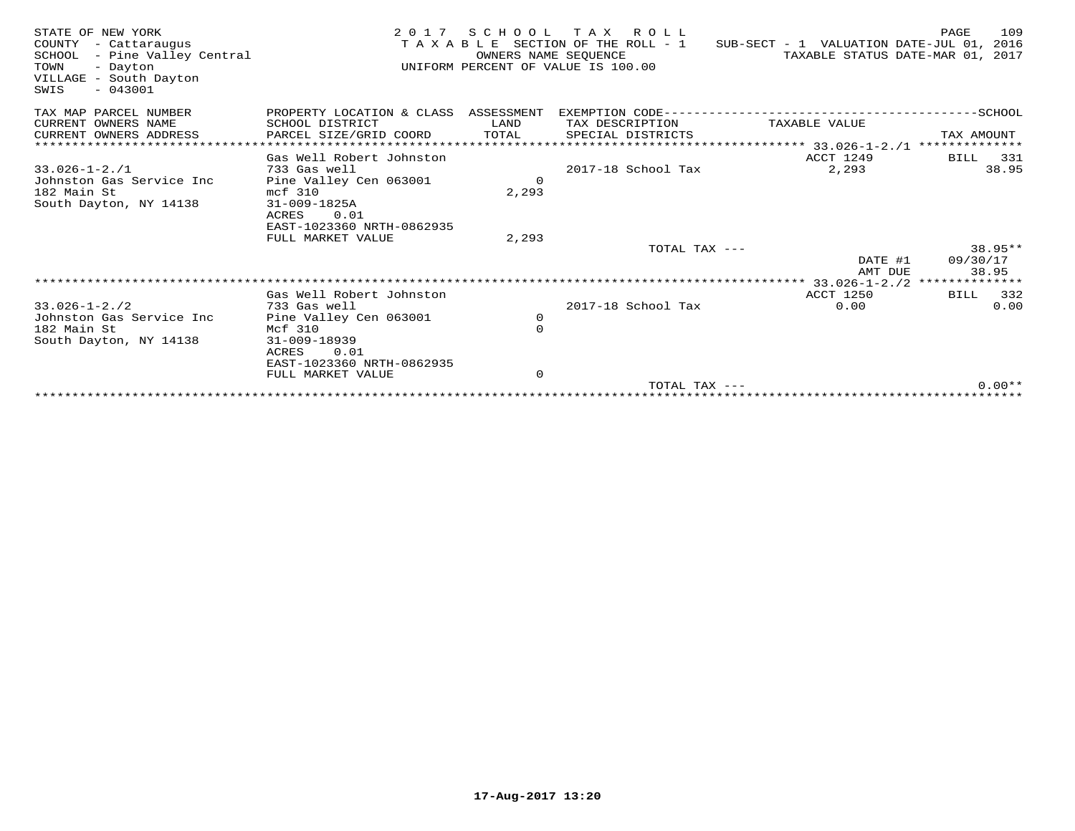| STATE OF NEW YORK<br>COUNTY - Cattaraugus<br>SCHOOL - Pine Valley Central<br>TOWN<br>- Dayton<br>VILLAGE - South Dayton<br>$-043001$<br>SWIS | 2 0 1 7                                        | OWNERS NAME SEOUENCE | SCHOOL TAX ROLL<br>T A X A B L E SECTION OF THE ROLL - 1<br>UNIFORM PERCENT OF VALUE IS 100.00 | SUB-SECT - 1 VALUATION DATE-JUL 01, 2016<br>TAXABLE STATUS DATE-MAR 01, 2017 | 109<br>PAGE          |
|----------------------------------------------------------------------------------------------------------------------------------------------|------------------------------------------------|----------------------|------------------------------------------------------------------------------------------------|------------------------------------------------------------------------------|----------------------|
| TAX MAP PARCEL NUMBER                                                                                                                        | PROPERTY LOCATION & CLASS ASSESSMENT           |                      | EXEMPTION CODE------------                                                                     |                                                                              | -----------SCHOOL    |
| CURRENT OWNERS NAME                                                                                                                          | SCHOOL DISTRICT                                | LAND                 | TAX DESCRIPTION                                                                                | TAXABLE VALUE                                                                |                      |
| CURRENT OWNERS ADDRESS                                                                                                                       | PARCEL SIZE/GRID COORD                         | TOTAL                | SPECIAL DISTRICTS                                                                              |                                                                              | TAX AMOUNT           |
| *************************                                                                                                                    |                                                |                      |                                                                                                |                                                                              | **************       |
| $33.026 - 1 - 2.71$                                                                                                                          | Gas Well Robert Johnston<br>733 Gas well       |                      | 2017-18 School Tax                                                                             | ACCT 1249<br>2,293                                                           | 331<br>BILL<br>38.95 |
| Johnston Gas Service Inc                                                                                                                     | Pine Valley Cen 063001                         | $\Omega$             |                                                                                                |                                                                              |                      |
| 182 Main St                                                                                                                                  | mcf 310                                        | 2,293                |                                                                                                |                                                                              |                      |
| South Dayton, NY 14138                                                                                                                       | 31-009-1825A                                   |                      |                                                                                                |                                                                              |                      |
|                                                                                                                                              | 0.01<br>ACRES                                  |                      |                                                                                                |                                                                              |                      |
|                                                                                                                                              | EAST-1023360 NRTH-0862935<br>FULL MARKET VALUE | 2,293                |                                                                                                |                                                                              |                      |
|                                                                                                                                              |                                                |                      | TOTAL TAX ---                                                                                  |                                                                              | $38.95**$            |
|                                                                                                                                              |                                                |                      |                                                                                                | DATE #1                                                                      | 09/30/17             |
|                                                                                                                                              |                                                |                      |                                                                                                | AMT DUE                                                                      | 38.95                |
|                                                                                                                                              |                                                |                      |                                                                                                |                                                                              |                      |
|                                                                                                                                              | Gas Well Robert Johnston                       |                      |                                                                                                | <b>ACCT 1250</b>                                                             | 332<br>BILL          |
| $33.026 - 1 - 2.72$<br>Johnston Gas Service Inc                                                                                              | 733 Gas well<br>Pine Valley Cen 063001         | 0                    | 2017-18 School Tax                                                                             | 0.00                                                                         | 0.00                 |
| 182 Main St                                                                                                                                  | Mcf 310                                        | $\mathbf 0$          |                                                                                                |                                                                              |                      |
| South Dayton, NY 14138                                                                                                                       | 31-009-18939                                   |                      |                                                                                                |                                                                              |                      |
|                                                                                                                                              | 0.01<br>ACRES                                  |                      |                                                                                                |                                                                              |                      |
|                                                                                                                                              | EAST-1023360 NRTH-0862935                      |                      |                                                                                                |                                                                              |                      |
|                                                                                                                                              | FULL MARKET VALUE                              | $\mathbf 0$          | TOTAL TAX $---$                                                                                |                                                                              | $0.00**$             |
|                                                                                                                                              | **********************************             |                      |                                                                                                |                                                                              |                      |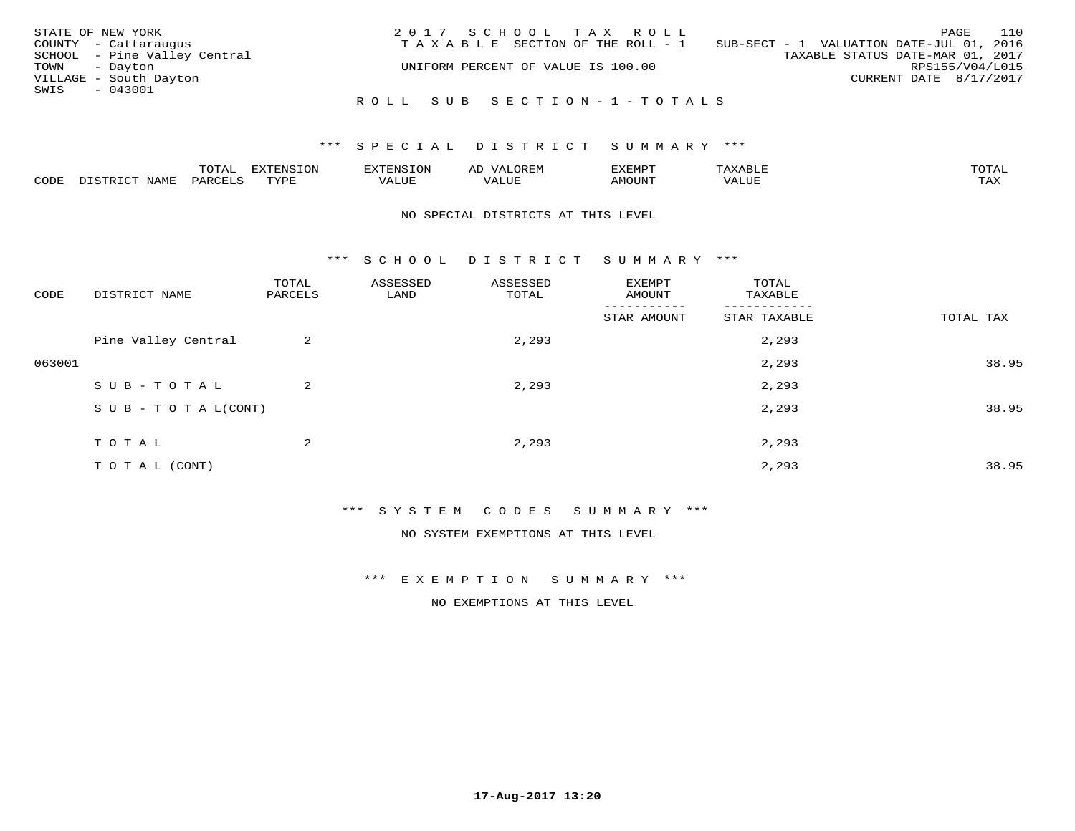| STATE OF NEW YORK            | 2017 SCHOOL TAX ROLL                  | 110<br>PAGE                              |
|------------------------------|---------------------------------------|------------------------------------------|
| COUNTY - Cattaraugus         | T A X A B L E SECTION OF THE ROLL - 1 | SUB-SECT - 1 VALUATION DATE-JUL 01, 2016 |
| SCHOOL - Pine Valley Central |                                       | TAXABLE STATUS DATE-MAR 01, 2017         |
| TOWN - Dayton                | UNIFORM PERCENT OF VALUE IS 100.00    | RPS155/V04/L015                          |
| VILLAGE - South Dayton       |                                       | CURRENT DATE 8/17/2017                   |
| SWIS<br>$-043001$            |                                       |                                          |
|                              | ROLL SUB SECTION-1-TOTALS             |                                          |

|      | $n \wedge m \wedge n$ |                 | <b>MARINE</b>  | ΑL                   |                          |                    |                           |
|------|-----------------------|-----------------|----------------|----------------------|--------------------------|--------------------|---------------------------|
| CODE | ΆR                    | $m \tau \tau n$ | اللالما للديات | $\cdots$<br>التلافين | <b>MOTTNTO</b><br>'UUN'. | <b>- ---</b><br>∕∆ | $m \times r$<br>- - - - - |

#### NO SPECIAL DISTRICTS AT THIS LEVEL

\*\*\* S C H O O L D I S T R I C T S U M M A R Y \*\*\*

| CODE   | DISTRICT NAME                    | TOTAL<br>PARCELS | ASSESSED<br>LAND | ASSESSED<br>TOTAL | EXEMPT<br>AMOUNT | TOTAL<br>TAXABLE |           |
|--------|----------------------------------|------------------|------------------|-------------------|------------------|------------------|-----------|
|        |                                  |                  |                  |                   | STAR AMOUNT      | STAR TAXABLE     | TOTAL TAX |
|        | Pine Valley Central              | 2                |                  | 2,293             |                  | 2,293            |           |
| 063001 |                                  |                  |                  |                   |                  | 2,293            | 38.95     |
|        | SUB-TOTAL                        | 2                |                  | 2,293             |                  | 2,293            |           |
|        | $S \cup B - T \cup T A L (CONT)$ |                  |                  |                   |                  | 2,293            | 38.95     |
|        | TOTAL                            | $\overline{2}$   |                  | 2,293             |                  | 2,293            |           |
|        | TO TAL (CONT)                    |                  |                  |                   |                  | 2,293            | 38.95     |

\*\*\* S Y S T E M C O D E S S U M M A R Y \*\*\*

NO SYSTEM EXEMPTIONS AT THIS LEVEL

\*\*\* E X E M P T I O N S U M M A R Y \*\*\*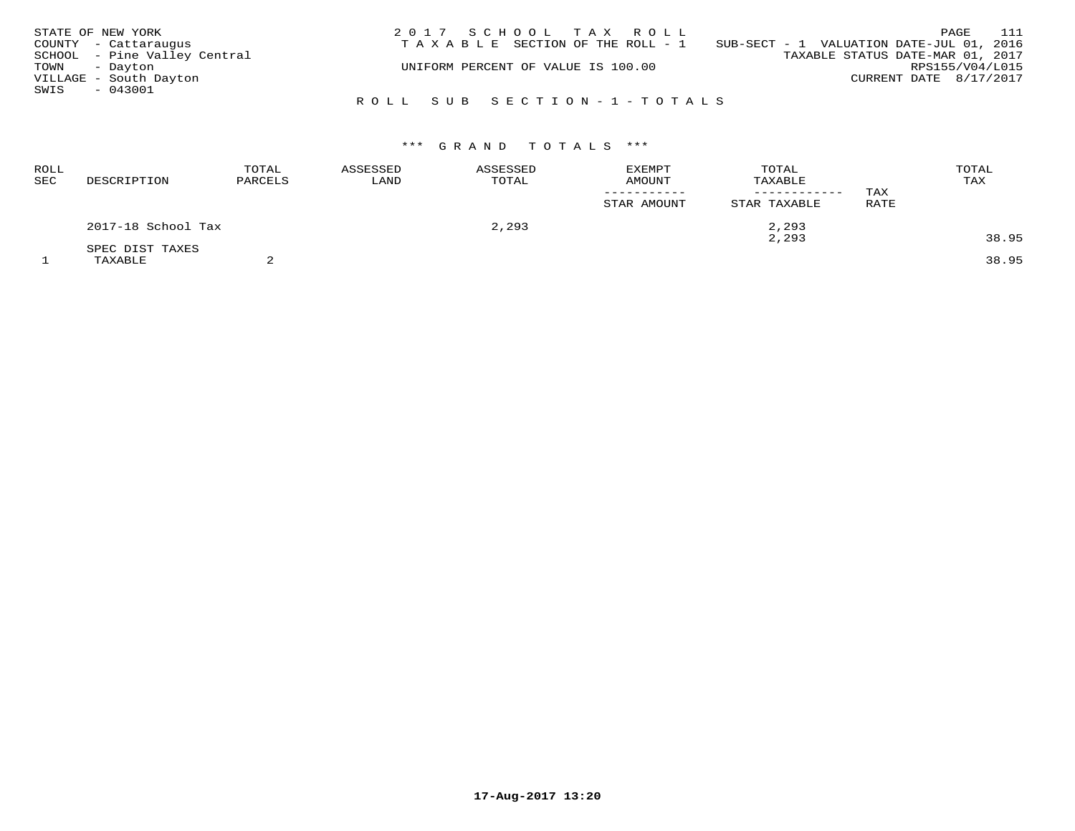| STATE OF NEW YORK |                              | 2017 SCHOOL TAX ROLL                                                           | 111<br>PAGE                      |
|-------------------|------------------------------|--------------------------------------------------------------------------------|----------------------------------|
|                   | COUNTY - Cattaraugus         | T A X A B L E SECTION OF THE ROLL - 1 SUB-SECT - 1 VALUATION DATE-JUL 01, 2016 |                                  |
|                   | SCHOOL - Pine Valley Central |                                                                                | TAXABLE STATUS DATE-MAR 01, 2017 |
| TOWN - Dayton     |                              | UNIFORM PERCENT OF VALUE IS 100.00                                             | RPS155/V04/L015                  |
|                   | VILLAGE - South Dayton       |                                                                                | CURRENT DATE 8/17/2017           |
| SWIS              | - 043001                     |                                                                                |                                  |
|                   |                              | ROLL SUB SECTION-1-TOTALS                                                      |                                  |

| ROLL<br><b>SEC</b> | DESCRIPTION        | TOTAL<br>PARCELS | ASSESSED<br>LAND | ASSESSED<br>TOTAL | <b>EXEMPT</b><br>AMOUNT | TOTAL<br>TAXABLE<br>------------ | TAX  | TOTAL<br>TAX |
|--------------------|--------------------|------------------|------------------|-------------------|-------------------------|----------------------------------|------|--------------|
|                    |                    |                  |                  |                   | STAR AMOUNT             | STAR TAXABLE                     | RATE |              |
|                    | 2017-18 School Tax |                  |                  | 2,293             |                         | 2,293                            |      |              |
|                    | SPEC DIST TAXES    |                  |                  |                   |                         | 2,293                            |      | 38.95        |
|                    | TAXABLE            |                  |                  |                   |                         |                                  |      | 38.95        |

**17-Aug-2017 13:20**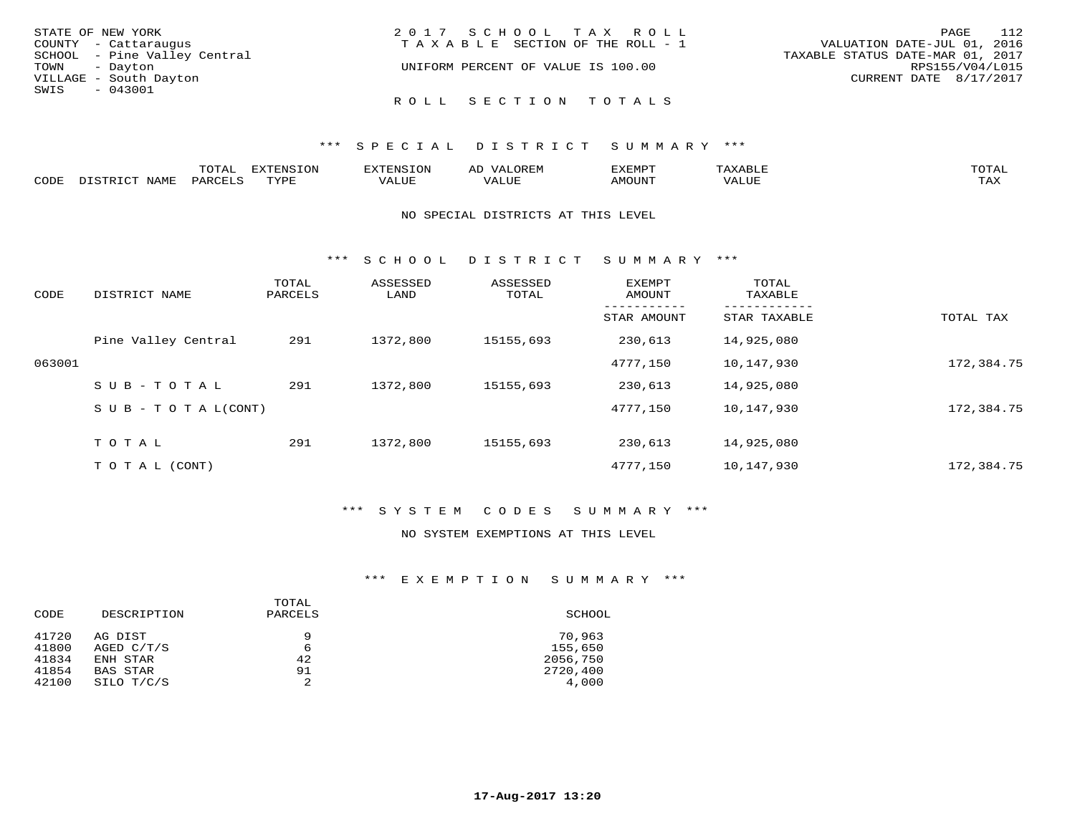| STATE OF NEW YORK            | 2017 SCHOOL TAX ROLL                  | PAGE 112                         |
|------------------------------|---------------------------------------|----------------------------------|
| COUNTY - Cattaraugus         | T A X A B L E SECTION OF THE ROLL - 1 | VALUATION DATE-JUL 01, 2016      |
| SCHOOL - Pine Valley Central |                                       | TAXABLE STATUS DATE-MAR 01, 2017 |
| TOWN - Dayton                | UNIFORM PERCENT OF VALUE IS 100.00    | RPS155/V04/L015                  |
| VILLAGE - South Dayton       |                                       | CURRENT DATE 8/17/2017           |
| SWIS<br>- 043001             |                                       |                                  |
|                              | ROLL SECTION TOTALS                   |                                  |

|      |                    | ----<br>◡∸∸ | EXTENSION |                              | ىد.        | יים אים יי    | <b>TOTA1</b><br>. U 1 1 1 1 |
|------|--------------------|-------------|-----------|------------------------------|------------|---------------|-----------------------------|
| CODE | <b>BAT</b><br>---- | ם דהדר תר   | mvnt      | . <del>.</del><br>$\sqrt{ }$ | <b>TTT</b> | <b>MOTINT</b> | $m \times r$<br>1.732       |

#### NO SPECIAL DISTRICTS AT THIS LEVEL

\*\*\* S C H O O L D I S T R I C T S U M M A R Y \*\*\*

| CODE   | DISTRICT NAME                    | TOTAL<br>PARCELS | ASSESSED<br>LAND | ASSESSED<br>TOTAL | EXEMPT<br>AMOUNT | TOTAL<br>TAXABLE |            |
|--------|----------------------------------|------------------|------------------|-------------------|------------------|------------------|------------|
|        |                                  |                  |                  |                   | STAR AMOUNT      | STAR TAXABLE     | TOTAL TAX  |
|        | Pine Valley Central              | 291              | 1372,800         | 15155,693         | 230,613          | 14,925,080       |            |
| 063001 |                                  |                  |                  |                   | 4777,150         | 10,147,930       | 172,384.75 |
|        | SUB-TOTAL                        | 291              | 1372,800         | 15155,693         | 230,613          | 14,925,080       |            |
|        | $S \cup B - T \cup T A L (CONT)$ |                  |                  |                   | 4777,150         | 10,147,930       | 172,384.75 |
|        | TOTAL                            | 291              | 1372,800         | 15155,693         | 230,613          | 14,925,080       |            |
|        | T O T A L (CONT)                 |                  |                  |                   | 4777.150         | 10,147,930       | 172,384.75 |

#### \*\*\* S Y S T E M C O D E S S U M M A R Y \*\*\*

#### NO SYSTEM EXEMPTIONS AT THIS LEVEL

#### \*\*\* E X E M P T I O N S U M M A R Y \*\*\*

| CODE                             | DESCRIPTION                                          | TOTAL<br>PARCELS   | SCHOOL                                    |
|----------------------------------|------------------------------------------------------|--------------------|-------------------------------------------|
| 41720<br>41800<br>41834<br>41854 | AG DIST<br>AGED C/T/S<br>ENH STAR<br><b>BAS STAR</b> | 9<br>6<br>42<br>91 | 70,963<br>155,650<br>2056,750<br>2720,400 |
| 42100                            | SILO T/C/S                                           | 2                  | 4,000                                     |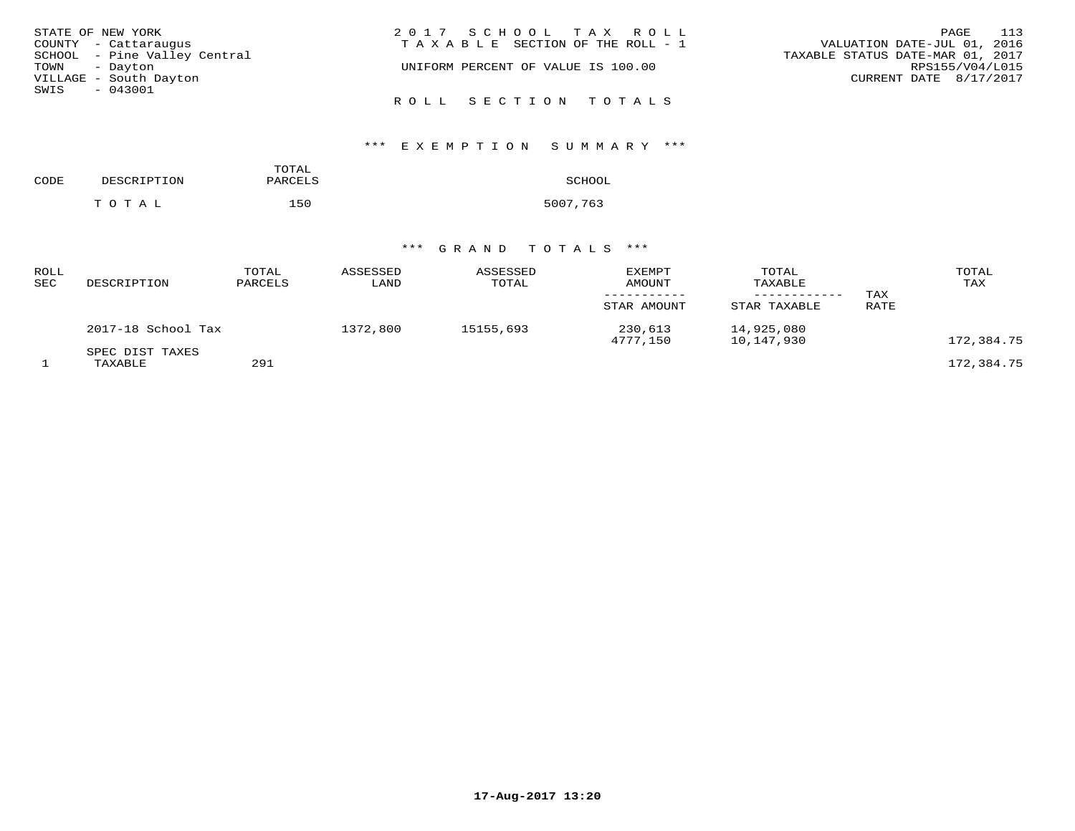| STATE OF NEW YORK            | 2017 SCHOOL TAX ROLL                  | PAGE 113                         |
|------------------------------|---------------------------------------|----------------------------------|
| COUNTY - Cattaraugus         | T A X A B L E SECTION OF THE ROLL - 1 | VALUATION DATE-JUL 01, 2016      |
| SCHOOL - Pine Valley Central |                                       | TAXABLE STATUS DATE-MAR 01, 2017 |
| TOWN - Dayton                | UNIFORM PERCENT OF VALUE IS 100.00    | RPS155/V04/L015                  |
| VILLAGE - South Dayton       |                                       | CURRENT DATE 8/17/2017           |
| SWIS - 043001                |                                       |                                  |
|                              | ROLL SECTION TOTALS                   |                                  |

# \*\*\* E X E M P T I O N S U M M A R Y \*\*\*

| CODE | DESCRIPTION | TOTAL<br>PARCELS | SCHOOL   |
|------|-------------|------------------|----------|
|      | TOTAL       | 150              | 5007,763 |

| ROLL<br>SEC | DESCRIPTION                | TOTAL<br>PARCELS | ASSESSED<br>LAND | ASSESSED<br>TOTAL | <b>EXEMPT</b><br>AMOUNT<br>STAR AMOUNT | TOTAL<br>TAXABLE<br>STAR TAXABLE | TAX<br>RATE | TOTAL<br>TAX |
|-------------|----------------------------|------------------|------------------|-------------------|----------------------------------------|----------------------------------|-------------|--------------|
|             | 2017-18 School Tax         |                  | 1372,800         | 15155,693         | 230,613<br>4777,150                    | 14,925,080<br>10,147,930         |             | 172,384.75   |
|             | SPEC DIST TAXES<br>TAXABLE | 291              |                  |                   |                                        |                                  |             | 172,384.75   |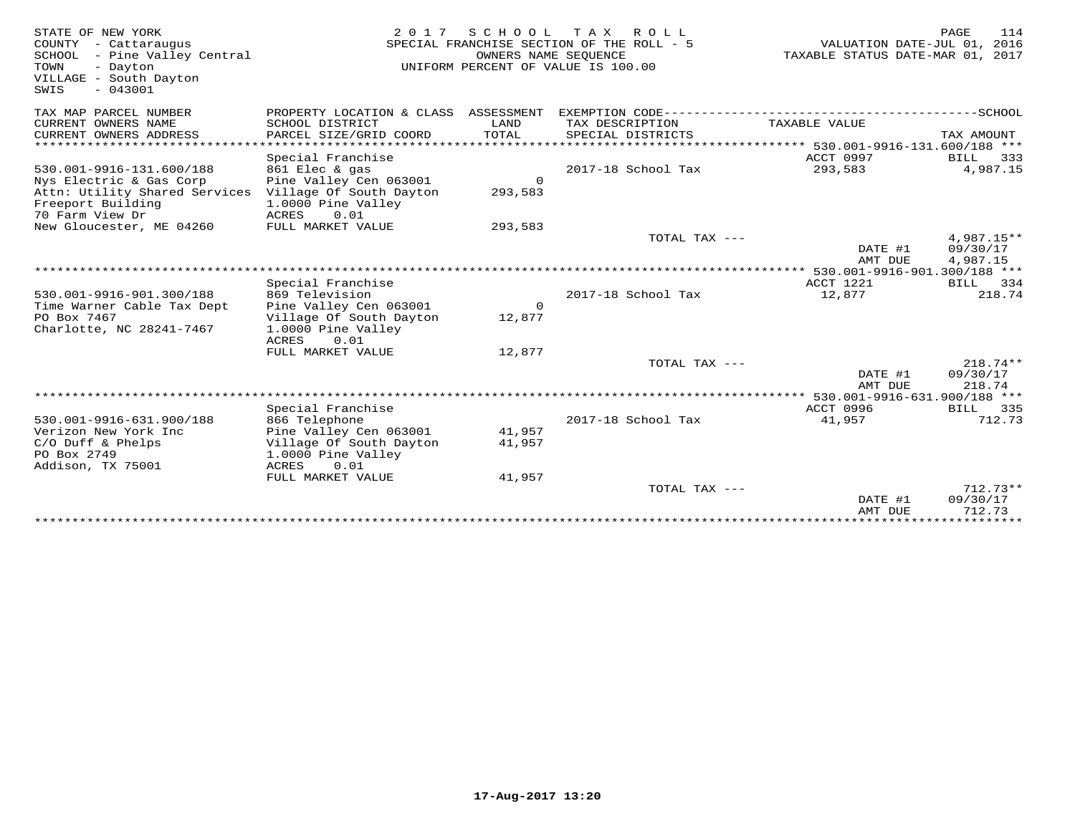| STATE OF NEW YORK<br>COUNTY - Cattaraugus<br>SCHOOL - Pine Valley Central<br>TOWN<br>- Dayton<br>VILLAGE - South Dayton<br>$-043001$<br>SWIS | 2 0 1 7                                       | OWNERS NAME SEOUENCE | SCHOOL TAX ROLL<br>SPECIAL FRANCHISE SECTION OF THE ROLL - 5<br>UNIFORM PERCENT OF VALUE IS 100.00 | VALUATION DATE-JUL 01, 2016<br>TAXABLE STATUS DATE-MAR 01, 2017 | <b>PAGE</b><br>114 |
|----------------------------------------------------------------------------------------------------------------------------------------------|-----------------------------------------------|----------------------|----------------------------------------------------------------------------------------------------|-----------------------------------------------------------------|--------------------|
| TAX MAP PARCEL NUMBER                                                                                                                        | PROPERTY LOCATION & CLASS ASSESSMENT          |                      |                                                                                                    |                                                                 |                    |
| CURRENT OWNERS NAME<br>CURRENT OWNERS ADDRESS                                                                                                | SCHOOL DISTRICT<br>PARCEL SIZE/GRID COORD     | LAND<br>TOTAL        | TAX DESCRIPTION<br>SPECIAL DISTRICTS                                                               | TAXABLE VALUE                                                   | TAX AMOUNT         |
| ******************                                                                                                                           |                                               |                      |                                                                                                    |                                                                 |                    |
|                                                                                                                                              | Special Franchise                             |                      |                                                                                                    | ACCT 0997                                                       | BILL<br>333        |
| 530.001-9916-131.600/188                                                                                                                     | 861 Elec & gas                                |                      | 2017-18 School Tax                                                                                 | 293,583                                                         | 4,987.15           |
| Nys Electric & Gas Corp                                                                                                                      | Pine Valley Cen 063001                        | $\circ$              |                                                                                                    |                                                                 |                    |
| Attn: Utility Shared Services<br>Freeport Building                                                                                           | Village Of South Dayton<br>1.0000 Pine Valley | 293,583              |                                                                                                    |                                                                 |                    |
| 70 Farm View Dr                                                                                                                              | ACRES<br>0.01                                 |                      |                                                                                                    |                                                                 |                    |
| New Gloucester, ME 04260                                                                                                                     | FULL MARKET VALUE                             | 293,583              |                                                                                                    |                                                                 |                    |
|                                                                                                                                              |                                               |                      | TOTAL TAX ---                                                                                      |                                                                 | 4,987.15**         |
|                                                                                                                                              |                                               |                      |                                                                                                    | DATE #1                                                         | 09/30/17           |
| ******************************                                                                                                               |                                               |                      |                                                                                                    | AMT DUE                                                         | 4,987.15           |
|                                                                                                                                              | Special Franchise                             |                      |                                                                                                    | ACCT 1221                                                       | <b>BILL</b><br>334 |
| 530.001-9916-901.300/188                                                                                                                     | 869 Television                                |                      | 2017-18 School Tax                                                                                 | 12,877                                                          | 218.74             |
| Time Warner Cable Tax Dept                                                                                                                   | Pine Valley Cen 063001                        | $\mathbf 0$          |                                                                                                    |                                                                 |                    |
| PO Box 7467                                                                                                                                  | Village Of South Dayton                       | 12,877               |                                                                                                    |                                                                 |                    |
| Charlotte, NC 28241-7467                                                                                                                     | 1.0000 Pine Valley<br>0.01<br>ACRES           |                      |                                                                                                    |                                                                 |                    |
|                                                                                                                                              | FULL MARKET VALUE                             | 12,877               |                                                                                                    |                                                                 |                    |
|                                                                                                                                              |                                               |                      | TOTAL TAX ---                                                                                      |                                                                 | $218.74**$         |
|                                                                                                                                              |                                               |                      |                                                                                                    | DATE #1                                                         | 09/30/17           |
|                                                                                                                                              |                                               |                      |                                                                                                    | AMT DUE                                                         | 218.74             |
|                                                                                                                                              | Special Franchise                             |                      |                                                                                                    | **** 530.001-9916-631.900/188 ***<br>ACCT 0996                  | BILL 335           |
| 530.001-9916-631.900/188                                                                                                                     | 866 Telephone                                 |                      | 2017-18 School Tax                                                                                 | 41,957                                                          | 712.73             |
| Verizon New York Inc                                                                                                                         | Pine Valley Cen 063001                        | 41,957               |                                                                                                    |                                                                 |                    |
| $C/O$ Duff & Phelps                                                                                                                          | Village Of South Dayton                       | 41,957               |                                                                                                    |                                                                 |                    |
| PO Box 2749                                                                                                                                  | 1.0000 Pine Valley                            |                      |                                                                                                    |                                                                 |                    |
| Addison, TX 75001                                                                                                                            | ACRES<br>0.01<br>FULL MARKET VALUE            | 41,957               |                                                                                                    |                                                                 |                    |
|                                                                                                                                              |                                               |                      | TOTAL TAX ---                                                                                      |                                                                 | $712.73**$         |
|                                                                                                                                              |                                               |                      |                                                                                                    | DATE #1                                                         | 09/30/17           |
|                                                                                                                                              |                                               |                      |                                                                                                    | AMT DUE                                                         | 712.73             |
|                                                                                                                                              |                                               |                      |                                                                                                    |                                                                 |                    |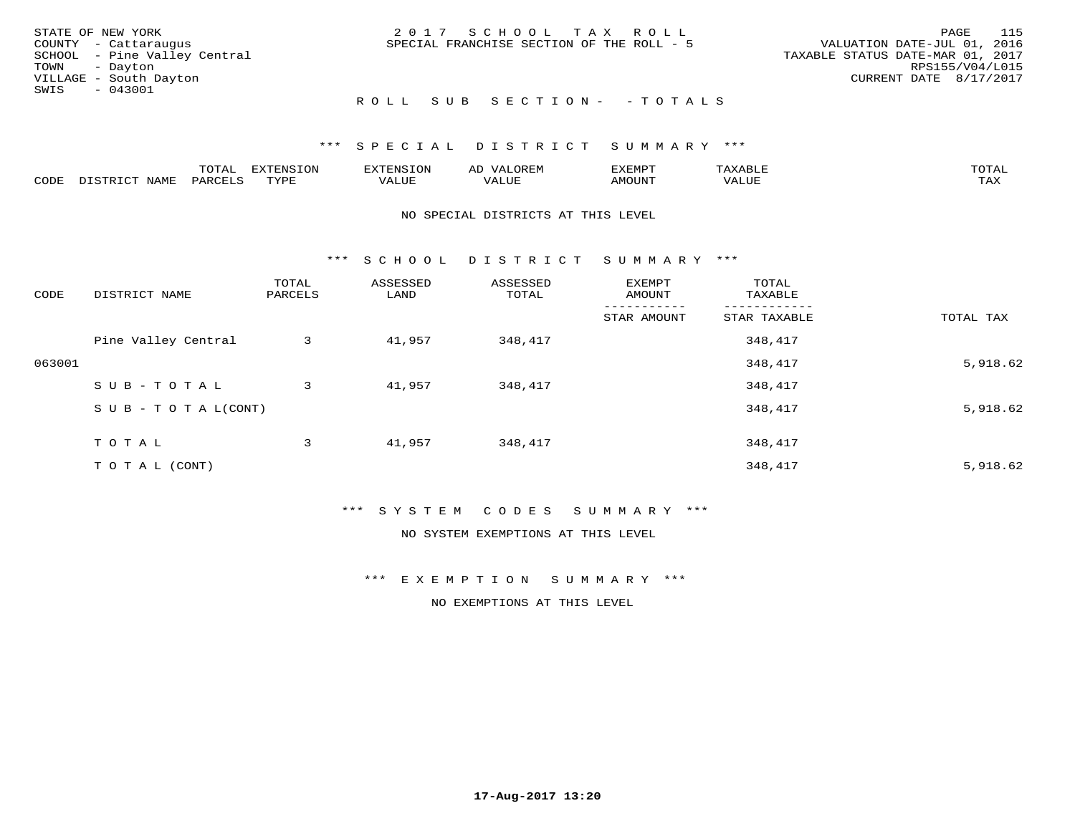| STATE OF NEW YORK            | 2017 SCHOOL TAX ROLL                      |                                  | PAGE | 115 |
|------------------------------|-------------------------------------------|----------------------------------|------|-----|
| COUNTY - Cattaraugus         | SPECIAL FRANCHISE SECTION OF THE ROLL - 5 | VALUATION DATE-JUL 01, 2016      |      |     |
| SCHOOL - Pine Valley Central |                                           | TAXABLE STATUS DATE-MAR 01, 2017 |      |     |
| TOWN - Dayton                |                                           | RPS155/V04/L015                  |      |     |
| VILLAGE - South Dayton       |                                           | CURRENT DATE 8/17/2017           |      |     |
| SWIS<br>$-043001$            |                                           |                                  |      |     |
|                              | ROLL SUB SECTION- - TOTALS                |                                  |      |     |

|      |      | $n \wedge m \wedge n$<br>$\cdots$ | <b>FYTFNSION</b><br>$\sim$ | --------<br>$\mathbf{v}$ | $\leftrightarrow$ | ,,, <del>,</del> ,,, <del>,</del><br>ֿישו<br>$\sim$ $\sim$ $\sim$ $\sim$ $\sim$ |       | <b>TOTA</b>       |
|------|------|-----------------------------------|----------------------------|--------------------------|-------------------|---------------------------------------------------------------------------------|-------|-------------------|
| CODE | NAMI | PAR <sub>1</sub>                  | <b>TIVAT</b>               | $- - - -$<br>ᅩᆚᄓᄓ        | ALUL              | TUUOM4                                                                          | 'ALUL | $- - - -$<br>ᄕᅎᅐᅎ |

#### NO SPECIAL DISTRICTS AT THIS LEVEL

\*\*\* S C H O O L D I S T R I C T S U M M A R Y \*\*\*

| CODE   | DISTRICT NAME                    | TOTAL<br>PARCELS | ASSESSED<br>LAND | ASSESSED<br>TOTAL | EXEMPT<br>AMOUNT | TOTAL<br>TAXABLE |           |
|--------|----------------------------------|------------------|------------------|-------------------|------------------|------------------|-----------|
|        |                                  |                  |                  |                   | STAR AMOUNT      | STAR TAXABLE     | TOTAL TAX |
|        | Pine Valley Central              | 3                | 41,957           | 348,417           |                  | 348,417          |           |
| 063001 |                                  |                  |                  |                   |                  | 348,417          | 5,918.62  |
|        | SUB-TOTAL                        | 3                | 41,957           | 348,417           |                  | 348,417          |           |
|        | $S \cup B - T \cup T A L (CONT)$ |                  |                  |                   |                  | 348,417          | 5,918.62  |
|        | T O T A L                        | 3                | 41,957           | 348,417           |                  | 348,417          |           |
|        | TO TAL (CONT)                    |                  |                  |                   |                  | 348,417          | 5,918.62  |

#### \*\*\* S Y S T E M C O D E S S U M M A R Y \*\*\*

NO SYSTEM EXEMPTIONS AT THIS LEVEL

\*\*\* E X E M P T I O N S U M M A R Y \*\*\*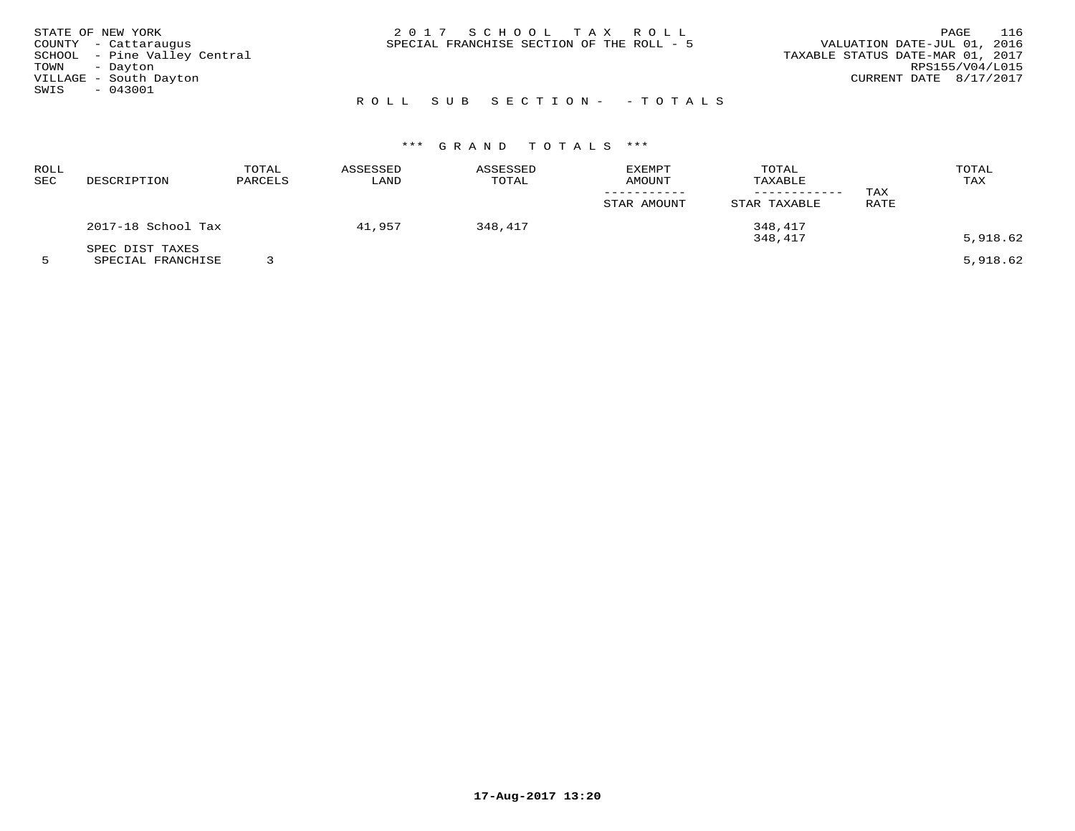| STATE OF NEW YORK |                              | 2017 SCHOOL TAX ROLL                      | 116<br>PAGE                      |
|-------------------|------------------------------|-------------------------------------------|----------------------------------|
|                   | COUNTY - Cattaraugus         | SPECIAL FRANCHISE SECTION OF THE ROLL - 5 | VALUATION DATE-JUL 01, 2016      |
|                   | SCHOOL - Pine Valley Central |                                           | TAXABLE STATUS DATE-MAR 01, 2017 |
| TOWN - Dayton     |                              |                                           | RPS155/V04/L015                  |
|                   | VILLAGE - South Dayton       |                                           | CURRENT DATE 8/17/2017           |
| SWIS              | $-043001$                    |                                           |                                  |
|                   |                              | ROLL SUB SECTION- - TOTALS                |                                  |

| <b>ROLL</b><br>SEC | DESCRIPTION                          | TOTAL<br>PARCELS | ASSESSED<br>LAND | ASSESSED<br>TOTAL | <b>EXEMPT</b><br>AMOUNT | TOTAL<br>TAXABLE                   | TAX  | TOTAL<br>TAX |
|--------------------|--------------------------------------|------------------|------------------|-------------------|-------------------------|------------------------------------|------|--------------|
|                    | 2017-18 School Tax                   |                  | 41,957           | 348,417           | STAR AMOUNT             | STAR TAXABLE<br>348,417<br>348,417 | RATE | 5,918.62     |
|                    | SPEC DIST TAXES<br>SPECIAL FRANCHISE |                  |                  |                   |                         |                                    |      | 5,918.62     |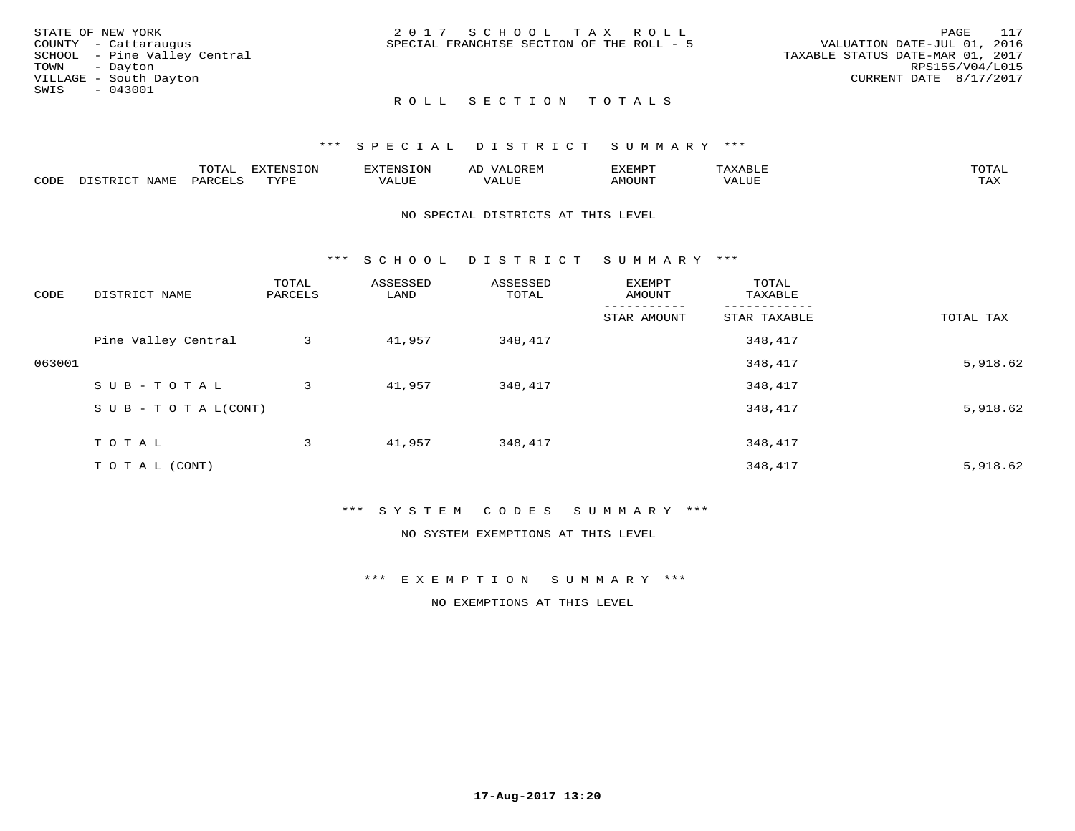| STATE OF NEW YORK<br>COUNTY - Cattaraugus<br>SCHOOL - Pine Valley Central<br>TOWN - Dayton<br>VILLAGE - South Dayton | 2017 SCHOOL TAX ROLL<br>SPECIAL FRANCHISE SECTION OF THE ROLL - 5 | 117<br>PAGE<br>VALUATION DATE-JUL 01, 2016<br>TAXABLE STATUS DATE-MAR 01, 2017<br>RPS155/V04/L015<br>CURRENT DATE 8/17/2017 |
|----------------------------------------------------------------------------------------------------------------------|-------------------------------------------------------------------|-----------------------------------------------------------------------------------------------------------------------------|
| $-043001$<br>SWIS                                                                                                    | ROLL SECTION TOTALS                                               |                                                                                                                             |

|      |      | $m \wedge m \wedge n$<br>.uial | T1<br>L V J L'    |       | <b>11</b>         | 557738700 |       | $m \wedge m \wedge n$<br>$\sim$ |
|------|------|--------------------------------|-------------------|-------|-------------------|-----------|-------|---------------------------------|
| CODE | NAME | PARO                           | TVDL<br>شها به به | 'ALUE | $- - - -$<br>ALUF | AMOUNT    | 'ALUL | max x<br>∸∽∽                    |

#### NO SPECIAL DISTRICTS AT THIS LEVEL

\*\*\* S C H O O L D I S T R I C T S U M M A R Y \*\*\*

| CODE   | DISTRICT NAME                    | TOTAL<br>PARCELS | ASSESSED<br>LAND | ASSESSED<br>TOTAL | EXEMPT<br>AMOUNT | TOTAL<br>TAXABLE |           |
|--------|----------------------------------|------------------|------------------|-------------------|------------------|------------------|-----------|
|        |                                  |                  |                  |                   | STAR AMOUNT      | STAR TAXABLE     | TOTAL TAX |
|        | Pine Valley Central              | 3                | 41,957           | 348,417           |                  | 348,417          |           |
| 063001 |                                  |                  |                  |                   |                  | 348,417          | 5,918.62  |
|        | SUB-TOTAL                        | 3                | 41,957           | 348,417           |                  | 348,417          |           |
|        | $S \cup B - T \cup T A L (CONT)$ |                  |                  |                   |                  | 348,417          | 5,918.62  |
|        | T O T A L                        | 3                | 41,957           | 348,417           |                  | 348,417          |           |
|        | T O T A L (CONT)                 |                  |                  |                   |                  | 348,417          | 5,918.62  |

#### \*\*\* S Y S T E M C O D E S S U M M A R Y \*\*\*

NO SYSTEM EXEMPTIONS AT THIS LEVEL

\*\*\* E X E M P T I O N S U M M A R Y \*\*\*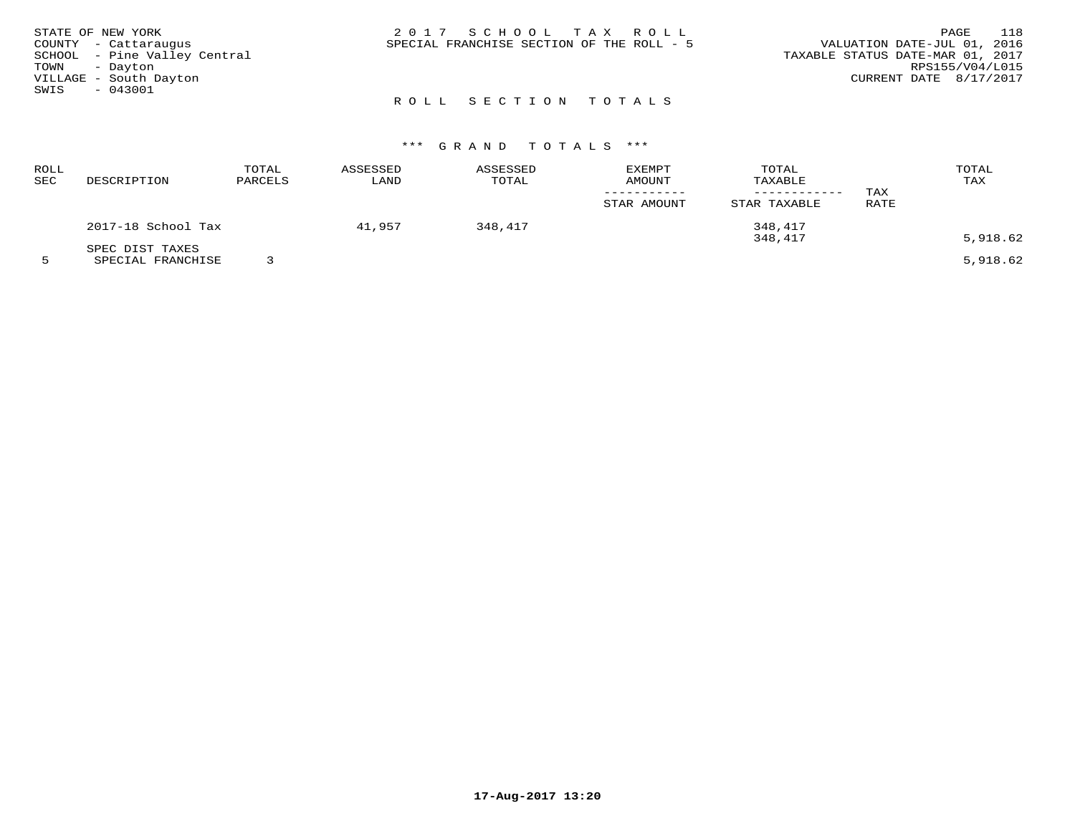|      | STATE OF NEW YORK            | 2017 SCHOOL TAX ROLL                                                     | PAGE                   | 118 |
|------|------------------------------|--------------------------------------------------------------------------|------------------------|-----|
|      | COUNTY - Cattaraugus         | VALUATION DATE-JUL 01, 2016<br>SPECIAL FRANCHISE SECTION OF THE ROLL - 5 |                        |     |
|      | SCHOOL - Pine Valley Central | TAXABLE STATUS DATE-MAR 01, 2017                                         |                        |     |
| TOWN | - Davton                     |                                                                          | RPS155/V04/L015        |     |
|      | VILLAGE - South Dayton       |                                                                          | CURRENT DATE 8/17/2017 |     |
| SWIS | $-043001$                    |                                                                          |                        |     |
|      |                              | ROLL SECTION TOTALS                                                      |                        |     |

| ROLL<br>SEC | DESCRIPTION        | TOTAL<br>PARCELS | ASSESSED<br>LAND | ASSESSED<br>TOTAL | <b>EXEMPT</b><br><b>AMOUNT</b> | TOTAL<br>TAXABLE<br>--------- | TAX  | TOTAL<br>TAX |
|-------------|--------------------|------------------|------------------|-------------------|--------------------------------|-------------------------------|------|--------------|
|             |                    |                  |                  |                   | STAR AMOUNT                    | STAR TAXABLE                  | RATE |              |
|             | 2017-18 School Tax |                  | 41,957           | 348,417           |                                | 348,417                       |      |              |
|             | SPEC DIST TAXES    |                  |                  |                   |                                | 348,417                       |      | 5,918.62     |
|             | SPECIAL FRANCHISE  |                  |                  |                   |                                |                               |      | 5,918.62     |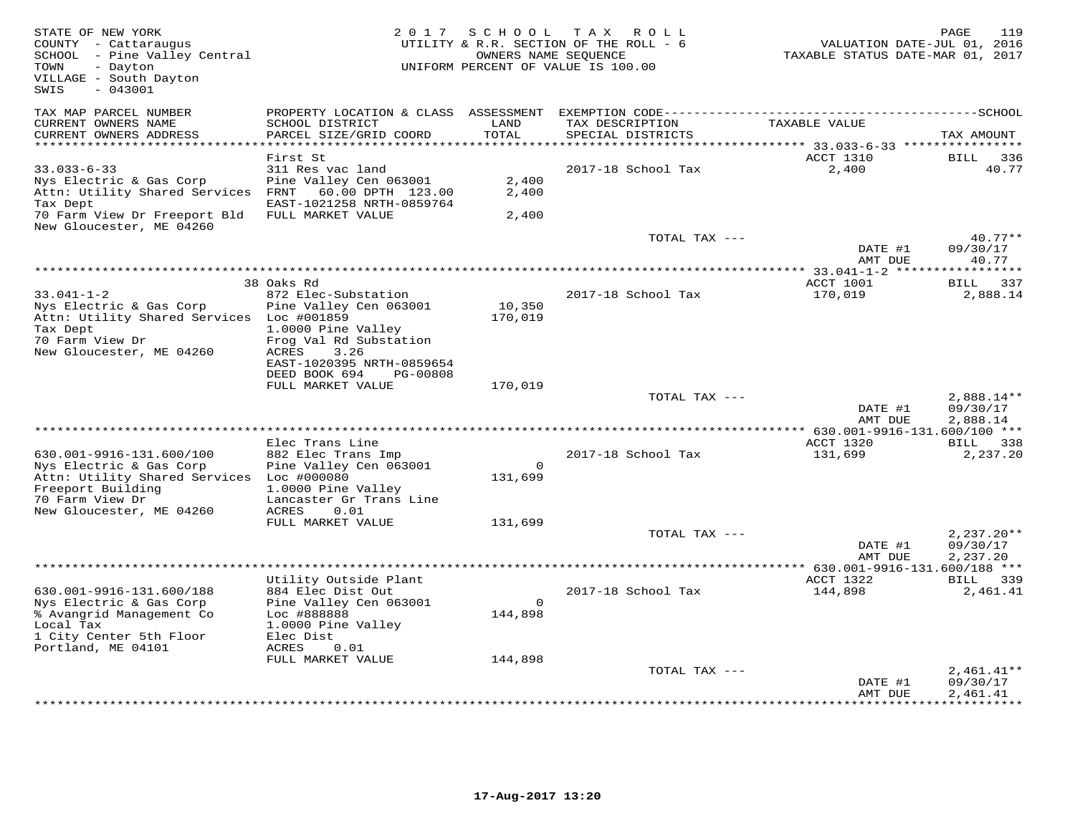| TAX MAP PARCEL NUMBER<br>PROPERTY LOCATION & CLASS ASSESSMENT<br>TAXABLE VALUE<br>CURRENT OWNERS NAME<br>SCHOOL DISTRICT<br>LAND<br>TAX DESCRIPTION<br>CURRENT OWNERS ADDRESS<br>PARCEL SIZE/GRID COORD<br>TOTAL<br>SPECIAL DISTRICTS<br>**********************<br>************************************* 33.033-6-33 ****************<br>First St<br>ACCT 1310<br>BILL<br>$33.033 - 6 - 33$<br>311 Res vac land<br>2017-18 School Tax<br>2,400<br>Pine Valley Cen 063001<br>2,400<br>Nys Electric & Gas Corp<br>Attn: Utility Shared Services<br>60.00 DPTH 123.00<br>2,400<br>FRNT<br>Tax Dept<br>EAST-1021258 NRTH-0859764<br>70 Farm View Dr Freeport Bld<br>FULL MARKET VALUE<br>2,400<br>New Gloucester, ME 04260<br>TOTAL TAX ---<br>DATE #1<br>AMT DUE<br>*** 33.041-1-2 ****<br>38 Oaks Rd<br>ACCT 1001<br>BILL<br>$33.041 - 1 - 2$<br>2017-18 School Tax<br>872 Elec-Substation<br>170,019<br>Nys Electric & Gas Corp<br>Pine Valley Cen 063001<br>10,350 | 119<br>VALUATION DATE-JUL 01, 2016<br>TAXABLE STATUS DATE-MAR 01, 2017 |
|--------------------------------------------------------------------------------------------------------------------------------------------------------------------------------------------------------------------------------------------------------------------------------------------------------------------------------------------------------------------------------------------------------------------------------------------------------------------------------------------------------------------------------------------------------------------------------------------------------------------------------------------------------------------------------------------------------------------------------------------------------------------------------------------------------------------------------------------------------------------------------------------------------------------------------------------------------------------|------------------------------------------------------------------------|
|                                                                                                                                                                                                                                                                                                                                                                                                                                                                                                                                                                                                                                                                                                                                                                                                                                                                                                                                                                    | TAX AMOUNT                                                             |
|                                                                                                                                                                                                                                                                                                                                                                                                                                                                                                                                                                                                                                                                                                                                                                                                                                                                                                                                                                    | 336                                                                    |
|                                                                                                                                                                                                                                                                                                                                                                                                                                                                                                                                                                                                                                                                                                                                                                                                                                                                                                                                                                    | 40.77                                                                  |
|                                                                                                                                                                                                                                                                                                                                                                                                                                                                                                                                                                                                                                                                                                                                                                                                                                                                                                                                                                    |                                                                        |
|                                                                                                                                                                                                                                                                                                                                                                                                                                                                                                                                                                                                                                                                                                                                                                                                                                                                                                                                                                    | $40.77**$<br>09/30/17<br>40.77                                         |
|                                                                                                                                                                                                                                                                                                                                                                                                                                                                                                                                                                                                                                                                                                                                                                                                                                                                                                                                                                    |                                                                        |
| Attn: Utility Shared Services Loc #001859<br>170,019<br>Tax Dept<br>1.0000 Pine Valley<br>70 Farm View Dr<br>Frog Val Rd Substation<br>New Gloucester, ME 04260<br>ACRES<br>3.26                                                                                                                                                                                                                                                                                                                                                                                                                                                                                                                                                                                                                                                                                                                                                                                   | 337<br>2,888.14                                                        |
| EAST-1020395 NRTH-0859654<br>DEED BOOK 694<br>PG-00808<br>FULL MARKET VALUE<br>170,019                                                                                                                                                                                                                                                                                                                                                                                                                                                                                                                                                                                                                                                                                                                                                                                                                                                                             |                                                                        |
| TOTAL TAX ---                                                                                                                                                                                                                                                                                                                                                                                                                                                                                                                                                                                                                                                                                                                                                                                                                                                                                                                                                      | $2,888.14**$                                                           |
| DATE #1<br>AMT DUE                                                                                                                                                                                                                                                                                                                                                                                                                                                                                                                                                                                                                                                                                                                                                                                                                                                                                                                                                 | 09/30/17<br>2,888.14                                                   |
| *************<br>** $630.001 - 9916 - 131.600/100$ ***                                                                                                                                                                                                                                                                                                                                                                                                                                                                                                                                                                                                                                                                                                                                                                                                                                                                                                             |                                                                        |
| Elec Trans Line<br>ACCT 1320<br>630.001-9916-131.600/100<br>882 Elec Trans Imp<br>2017-18 School Tax<br>131,699<br>Pine Valley Cen 063001<br>Nys Electric & Gas Corp<br>$\mathsf{O}$<br>Attn: Utility Shared Services<br>Loc #000080<br>131,699<br>Freeport Building<br>1.0000 Pine Valley<br>70 Farm View Dr<br>Lancaster Gr Trans Line<br>New Gloucester, ME 04260<br>0.01<br>ACRES                                                                                                                                                                                                                                                                                                                                                                                                                                                                                                                                                                              | BILL 338<br>2,237.20                                                   |
| FULL MARKET VALUE<br>131,699                                                                                                                                                                                                                                                                                                                                                                                                                                                                                                                                                                                                                                                                                                                                                                                                                                                                                                                                       |                                                                        |
| TOTAL TAX ---<br>DATE #1<br>AMT DUE                                                                                                                                                                                                                                                                                                                                                                                                                                                                                                                                                                                                                                                                                                                                                                                                                                                                                                                                | $2,237.20**$<br>09/30/17<br>2,237.20                                   |
| ***********************************<br>** 630.001-9916-131.600/188 ***                                                                                                                                                                                                                                                                                                                                                                                                                                                                                                                                                                                                                                                                                                                                                                                                                                                                                             |                                                                        |
| Utility Outside Plant<br>ACCT 1322<br>630.001-9916-131.600/188<br>884 Elec Dist Out<br>2017-18 School Tax<br>144,898<br>Pine Valley Cen 063001<br>Nys Electric & Gas Corp<br>$\circ$<br>144,898<br>% Avangrid Management Co<br>Loc #888888                                                                                                                                                                                                                                                                                                                                                                                                                                                                                                                                                                                                                                                                                                                         | BILL 339<br>2,461.41                                                   |
| Local Tax<br>1.0000 Pine Valley<br>1 City Center 5th Floor<br>Elec Dist<br>Portland, ME 04101<br>ACRES<br>0.01                                                                                                                                                                                                                                                                                                                                                                                                                                                                                                                                                                                                                                                                                                                                                                                                                                                     |                                                                        |
| FULL MARKET VALUE<br>144,898                                                                                                                                                                                                                                                                                                                                                                                                                                                                                                                                                                                                                                                                                                                                                                                                                                                                                                                                       |                                                                        |
| TOTAL TAX ---<br>DATE #1<br>AMT DUE                                                                                                                                                                                                                                                                                                                                                                                                                                                                                                                                                                                                                                                                                                                                                                                                                                                                                                                                | $2,461.41**$<br>09/30/17<br>2,461.41                                   |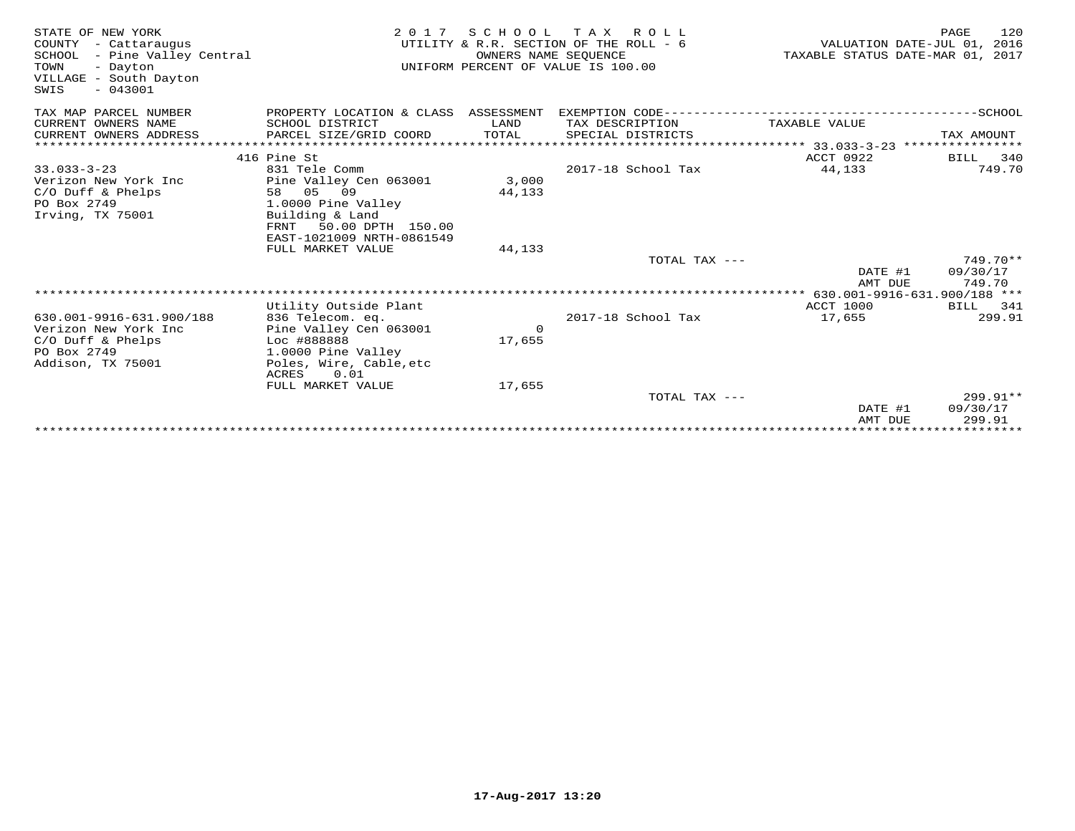| STATE OF NEW YORK<br>COUNTY - Cattaraugus<br>SCHOOL - Pine Valley Central<br>TOWN<br>- Dayton<br>VILLAGE - South Dayton<br>$-043001$<br>SWIS | 2 0 1 7                                       | OWNERS NAME SEQUENCE | SCHOOL TAX ROLL<br>UTILITY & R.R. SECTION OF THE ROLL - 6<br>UNIFORM PERCENT OF VALUE IS 100.00 |                    | 120<br>PAGE<br>VALUATION DATE-JUL 01, 2016<br>TAXABLE STATUS DATE-MAR 01, 2017 |
|----------------------------------------------------------------------------------------------------------------------------------------------|-----------------------------------------------|----------------------|-------------------------------------------------------------------------------------------------|--------------------|--------------------------------------------------------------------------------|
| TAX MAP PARCEL NUMBER                                                                                                                        | PROPERTY LOCATION & CLASS ASSESSMENT          |                      |                                                                                                 |                    |                                                                                |
| CURRENT OWNERS NAME                                                                                                                          | SCHOOL DISTRICT                               | LAND                 | TAX DESCRIPTION                                                                                 | TAXABLE VALUE      |                                                                                |
| CURRENT OWNERS ADDRESS                                                                                                                       | PARCEL SIZE/GRID COORD                        | TOTAL                | SPECIAL DISTRICTS                                                                               |                    | TAX AMOUNT                                                                     |
|                                                                                                                                              |                                               |                      |                                                                                                 |                    |                                                                                |
|                                                                                                                                              | 416 Pine St                                   |                      |                                                                                                 | ACCT 0922          | BILL 340                                                                       |
| $33.033 - 3 - 23$                                                                                                                            | 831 Tele Comm                                 |                      | 2017-18 School Tax                                                                              | 44,133             | 749.70                                                                         |
| Verizon New York Inc<br>$C/O$ Duff & Phelps                                                                                                  | Pine Valley Cen 063001<br>58 05 09            | 3,000<br>44,133      |                                                                                                 |                    |                                                                                |
| PO Box 2749                                                                                                                                  | 1.0000 Pine Valley                            |                      |                                                                                                 |                    |                                                                                |
| Irving, TX 75001                                                                                                                             | Building & Land                               |                      |                                                                                                 |                    |                                                                                |
|                                                                                                                                              | FRNT<br>50.00 DPTH 150.00                     |                      |                                                                                                 |                    |                                                                                |
|                                                                                                                                              | EAST-1021009 NRTH-0861549                     |                      |                                                                                                 |                    |                                                                                |
|                                                                                                                                              | FULL MARKET VALUE                             | 44,133               |                                                                                                 |                    |                                                                                |
|                                                                                                                                              |                                               |                      | TOTAL TAX ---                                                                                   |                    | 749.70**                                                                       |
|                                                                                                                                              |                                               |                      |                                                                                                 | DATE #1<br>AMT DUE | 09/30/17<br>749.70                                                             |
|                                                                                                                                              |                                               |                      |                                                                                                 |                    |                                                                                |
|                                                                                                                                              | Utility Outside Plant                         |                      |                                                                                                 | ACCT 1000          | BILL 341                                                                       |
| 630.001-9916-631.900/188                                                                                                                     | 836 Telecom. eq.                              |                      | 2017-18 School Tax                                                                              | 17,655             | 299.91                                                                         |
| Verizon New York Inc                                                                                                                         | Pine Valley Cen 063001                        | $\mathbf 0$          |                                                                                                 |                    |                                                                                |
| $C/O$ Duff & Phelps                                                                                                                          | Loc #888888                                   | 17,655               |                                                                                                 |                    |                                                                                |
| PO Box 2749<br>Addison, TX 75001                                                                                                             | 1.0000 Pine Valley<br>Poles, Wire, Cable, etc |                      |                                                                                                 |                    |                                                                                |
|                                                                                                                                              | 0.01<br>ACRES                                 |                      |                                                                                                 |                    |                                                                                |
|                                                                                                                                              | FULL MARKET VALUE                             | 17,655               |                                                                                                 |                    |                                                                                |
|                                                                                                                                              |                                               |                      | TOTAL TAX ---                                                                                   |                    | $299.91**$                                                                     |
|                                                                                                                                              |                                               |                      |                                                                                                 | DATE #1            | 09/30/17                                                                       |
|                                                                                                                                              |                                               |                      |                                                                                                 | AMT DUE            | 299.91                                                                         |
|                                                                                                                                              |                                               |                      |                                                                                                 |                    | *****************************                                                  |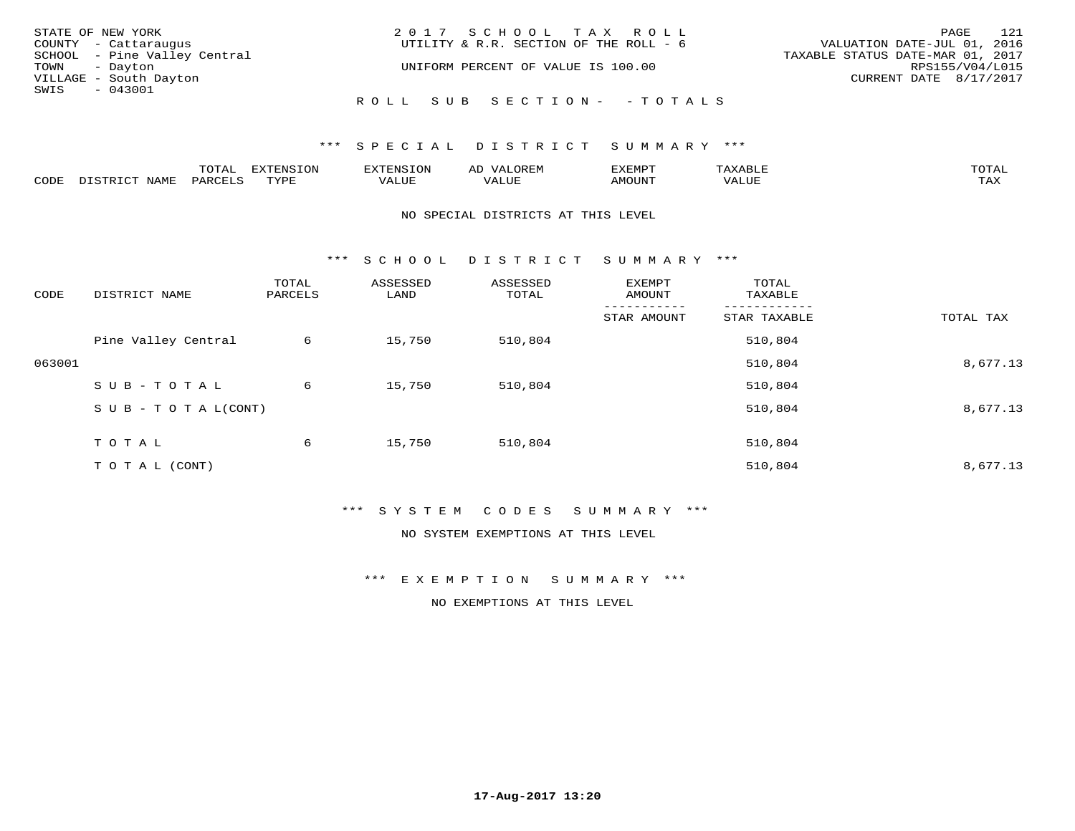| STATE OF NEW YORK            | 2017 SCHOOL TAX ROLL                   | 121<br>PAGE                      |
|------------------------------|----------------------------------------|----------------------------------|
| COUNTY - Cattaraugus         | UTILITY & R.R. SECTION OF THE ROLL - 6 | VALUATION DATE-JUL 01, 2016      |
| SCHOOL - Pine Valley Central |                                        | TAXABLE STATUS DATE-MAR 01, 2017 |
| TOWN - Dayton                | UNIFORM PERCENT OF VALUE IS 100.00     | RPS155/V04/L015                  |
| VILLAGE - South Dayton       |                                        | CURRENT DATE 8/17/2017           |
| SWIS<br>$-043001$            |                                        |                                  |
|                              | ROLL SUB SECTION- - TOTALS             |                                  |

|      | $n \wedge m \wedge n$ |                 | <b>MARINE</b>  | ΑL                   |                          |                    |                           |
|------|-----------------------|-----------------|----------------|----------------------|--------------------------|--------------------|---------------------------|
| CODE | ΆR                    | $m \tau \tau n$ | اللالما للديات | $\cdots$<br>التلافين | <b>MOTTNTO</b><br>'UUN'. | <b>- ---</b><br>∕∆ | $m \times r$<br>- - - - - |

#### NO SPECIAL DISTRICTS AT THIS LEVEL

\*\*\* S C H O O L D I S T R I C T S U M M A R Y \*\*\*

| CODE   | DISTRICT NAME                    | TOTAL<br>PARCELS | ASSESSED<br>LAND | ASSESSED<br>TOTAL | EXEMPT<br>AMOUNT | TOTAL<br>TAXABLE |           |
|--------|----------------------------------|------------------|------------------|-------------------|------------------|------------------|-----------|
|        |                                  |                  |                  |                   | STAR AMOUNT      | STAR TAXABLE     | TOTAL TAX |
|        | Pine Valley Central              | 6                | 15,750           | 510,804           |                  | 510,804          |           |
| 063001 |                                  |                  |                  |                   |                  | 510,804          | 8,677.13  |
|        | SUB-TOTAL                        | 6                | 15,750           | 510,804           |                  | 510,804          |           |
|        | $S \cup B - T \cup T A L (CONT)$ |                  |                  |                   |                  | 510,804          | 8,677.13  |
|        | TOTAL                            | 6                | 15,750           | 510,804           |                  | 510,804          |           |
|        | T O T A L (CONT)                 |                  |                  |                   |                  | 510,804          | 8,677.13  |

#### \*\*\* S Y S T E M C O D E S S U M M A R Y \*\*\*

NO SYSTEM EXEMPTIONS AT THIS LEVEL

\*\*\* E X E M P T I O N S U M M A R Y \*\*\*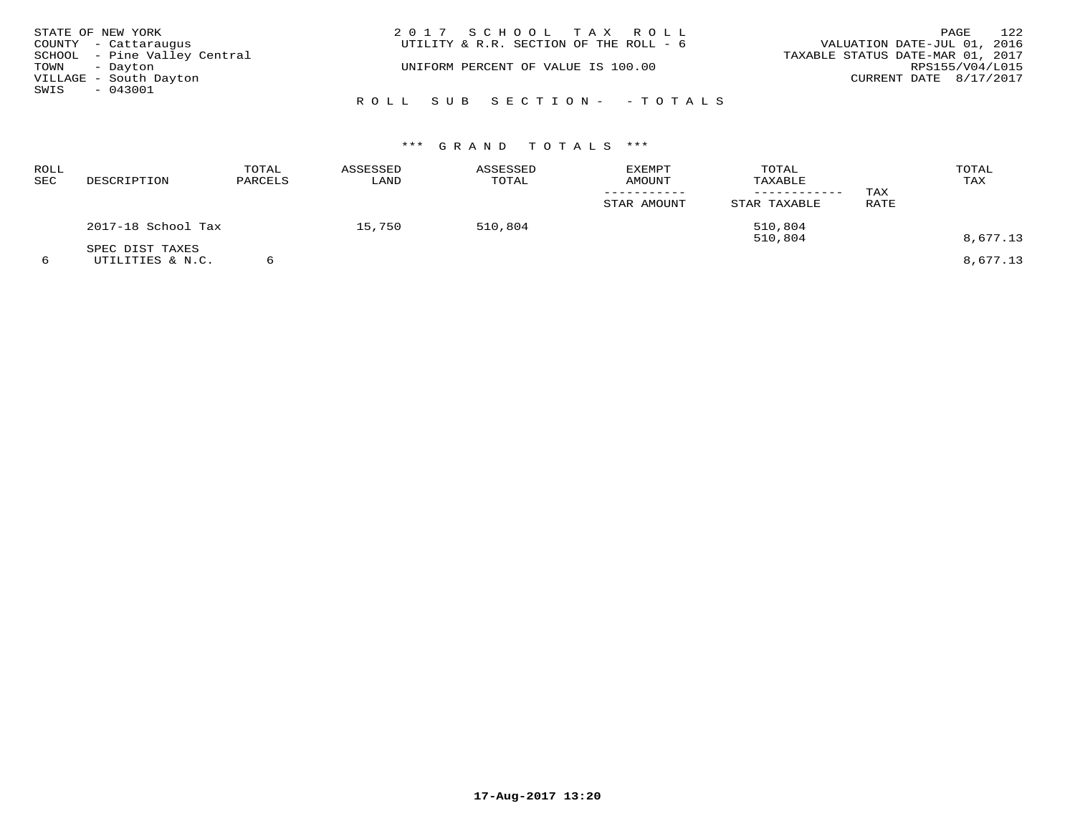|               | STATE OF NEW YORK            | 2017 SCHOOL TAX ROLL                   | 122<br>PAGE                      |
|---------------|------------------------------|----------------------------------------|----------------------------------|
|               | COUNTY - Cattaraugus         | UTILITY & R.R. SECTION OF THE ROLL - 6 | VALUATION DATE-JUL 01, 2016      |
|               | SCHOOL - Pine Valley Central |                                        | TAXABLE STATUS DATE-MAR 01, 2017 |
| TOWN - Dayton |                              | UNIFORM PERCENT OF VALUE IS 100.00     | RPS155/V04/L015                  |
|               | VILLAGE - South Dayton       |                                        | CURRENT DATE 8/17/2017           |
| SWIS          | $-043001$                    |                                        |                                  |
|               |                              | ROLL SUB SECTION- - TOTALS             |                                  |

| ROLL<br>SEC | DESCRIPTION                         | TOTAL<br>PARCELS | ASSESSED<br>LAND | ASSESSED<br>TOTAL | EXEMPT<br><b>AMOUNT</b> | TOTAL<br>TAXABLE<br>--------- | TAX  | TOTAL<br>TAX |
|-------------|-------------------------------------|------------------|------------------|-------------------|-------------------------|-------------------------------|------|--------------|
|             |                                     |                  |                  |                   | STAR AMOUNT             | STAR TAXABLE                  | RATE |              |
|             | 2017-18 School Tax                  |                  | 15,750           | 510,804           |                         | 510,804<br>510,804            |      | 8,677.13     |
| 6           | SPEC DIST TAXES<br>UTILITIES & N.C. |                  |                  |                   |                         |                               |      | 8,677.13     |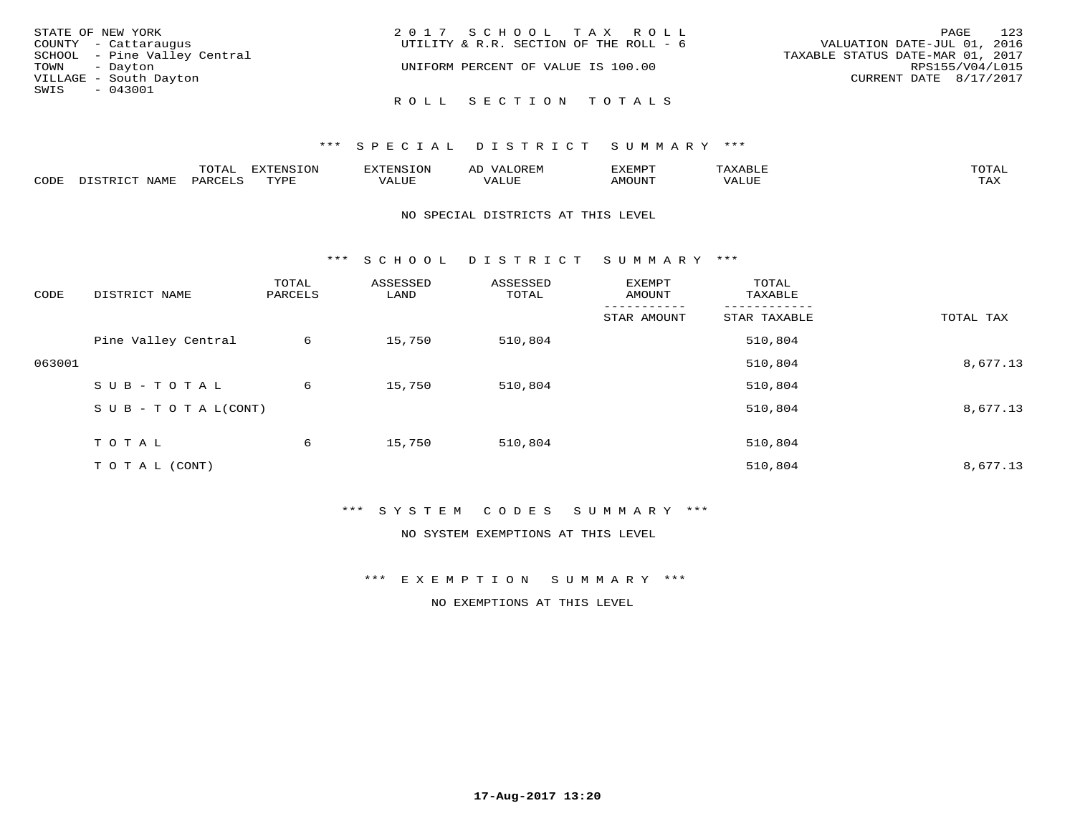| STATE OF NEW YORK            | 2017 SCHOOL TAX ROLL                   | PAGE 123                         |
|------------------------------|----------------------------------------|----------------------------------|
| COUNTY - Cattaraugus         | UTILITY & R.R. SECTION OF THE ROLL - 6 | VALUATION DATE-JUL 01, 2016      |
| SCHOOL - Pine Valley Central |                                        | TAXABLE STATUS DATE-MAR 01, 2017 |
| TOWN - Dayton                | UNIFORM PERCENT OF VALUE IS 100.00     | RPS155/V04/L015                  |
| VILLAGE - South Dayton       |                                        | CURRENT DATE 8/17/2017           |
| SWIS<br>$-043001$            |                                        |                                  |
|                              | ROLL SECTION TOTALS                    |                                  |

|      |                  | momz<br><u>UIAI</u> | <b>DIZPOILIC TOM</b><br>LUP | --------          | $\sim$ | ,,, <del>,</del> ,,,,,<br>. ب<br>7 A PILLE | max                | $m \wedge m \wedge n$ |
|------|------------------|---------------------|-----------------------------|-------------------|--------|--------------------------------------------|--------------------|-----------------------|
| CODE | NAM <sup>7</sup> | PARO                | TVDF                        | $- - - -$<br>ALUF | ALUL   | TUUOM4                                     | --- - ---<br>'ALUL | max 1<br>∸∽∽          |

#### NO SPECIAL DISTRICTS AT THIS LEVEL

\*\*\* S C H O O L D I S T R I C T S U M M A R Y \*\*\*

| CODE   | DISTRICT NAME                    | TOTAL<br>PARCELS | ASSESSED<br>LAND | ASSESSED<br>TOTAL | EXEMPT<br>AMOUNT | TOTAL<br>TAXABLE |           |
|--------|----------------------------------|------------------|------------------|-------------------|------------------|------------------|-----------|
|        |                                  |                  |                  |                   | STAR AMOUNT      | STAR TAXABLE     | TOTAL TAX |
|        | Pine Valley Central              | 6                | 15,750           | 510,804           |                  | 510,804          |           |
| 063001 |                                  |                  |                  |                   |                  | 510,804          | 8,677.13  |
|        | SUB-TOTAL                        | 6                | 15,750           | 510,804           |                  | 510,804          |           |
|        | $S \cup B - T \cup T A L (CONT)$ |                  |                  |                   |                  | 510,804          | 8,677.13  |
|        | TOTAL                            | 6                | 15,750           | 510,804           |                  | 510,804          |           |
|        |                                  |                  |                  |                   |                  |                  |           |
|        | T O T A L (CONT)                 |                  |                  |                   |                  | 510,804          | 8,677.13  |

#### \*\*\* S Y S T E M C O D E S S U M M A R Y \*\*\*

NO SYSTEM EXEMPTIONS AT THIS LEVEL

\*\*\* E X E M P T I O N S U M M A R Y \*\*\*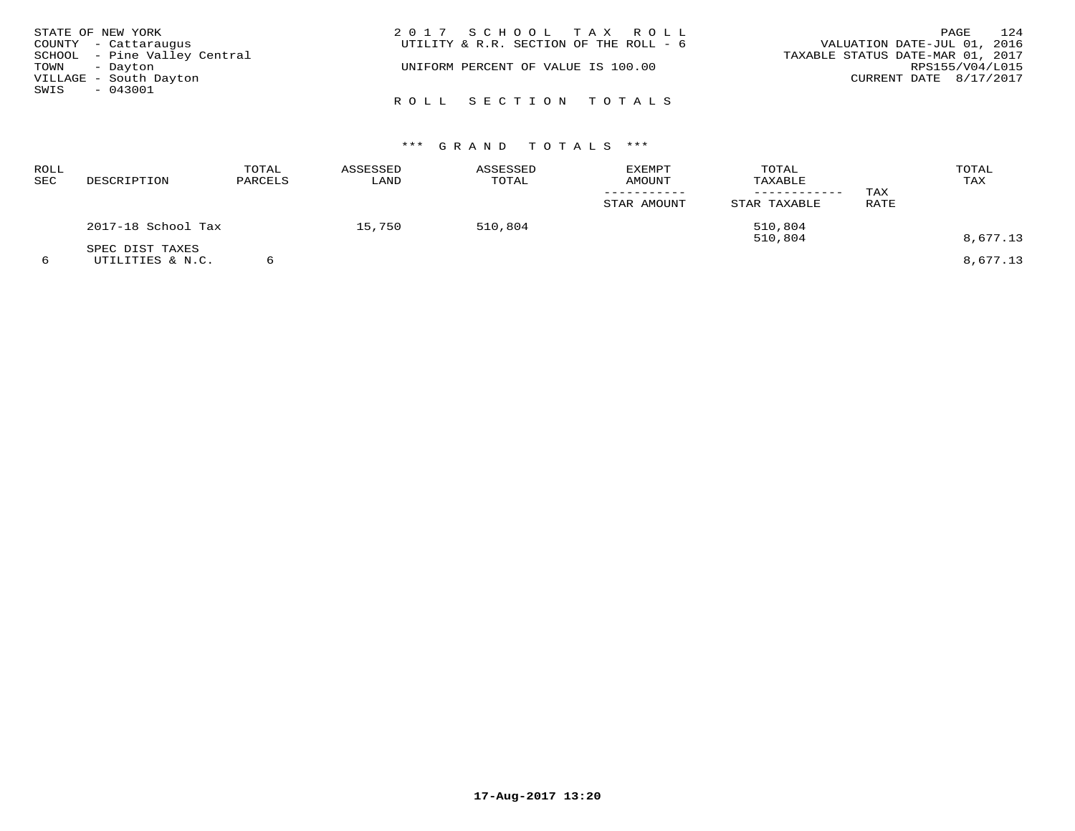| STATE OF NEW YORK            | 2017 SCHOOL TAX ROLL                   | 124<br>PAGE                      |
|------------------------------|----------------------------------------|----------------------------------|
| COUNTY - Cattaraugus         | UTILITY & R.R. SECTION OF THE ROLL - 6 | VALUATION DATE-JUL 01, 2016      |
| SCHOOL - Pine Valley Central |                                        | TAXABLE STATUS DATE-MAR 01, 2017 |
| TOWN - Dayton                | UNIFORM PERCENT OF VALUE IS 100.00     | RPS155/V04/L015                  |
| VILLAGE - South Dayton       |                                        | CURRENT DATE 8/17/2017           |
| SWIS<br>- 043001             |                                        |                                  |
|                              | ROLL SECTION TOTALS                    |                                  |

| ROLL<br>SEC | DESCRIPTION                         | TOTAL<br>PARCELS | ASSESSED<br>LAND | ASSESSED<br>TOTAL | <b>EXEMPT</b><br>AMOUNT<br>STAR AMOUNT | TOTAL<br>TAXABLE<br>STAR TAXABLE | TAX<br>RATE | TOTAL<br>TAX         |
|-------------|-------------------------------------|------------------|------------------|-------------------|----------------------------------------|----------------------------------|-------------|----------------------|
|             | 2017-18 School Tax                  |                  | 15,750           | 510,804           |                                        | 510,804                          |             |                      |
|             | SPEC DIST TAXES<br>UTILITIES & N.C. |                  |                  |                   |                                        | 510,804                          |             | 8,677.13<br>8,677.13 |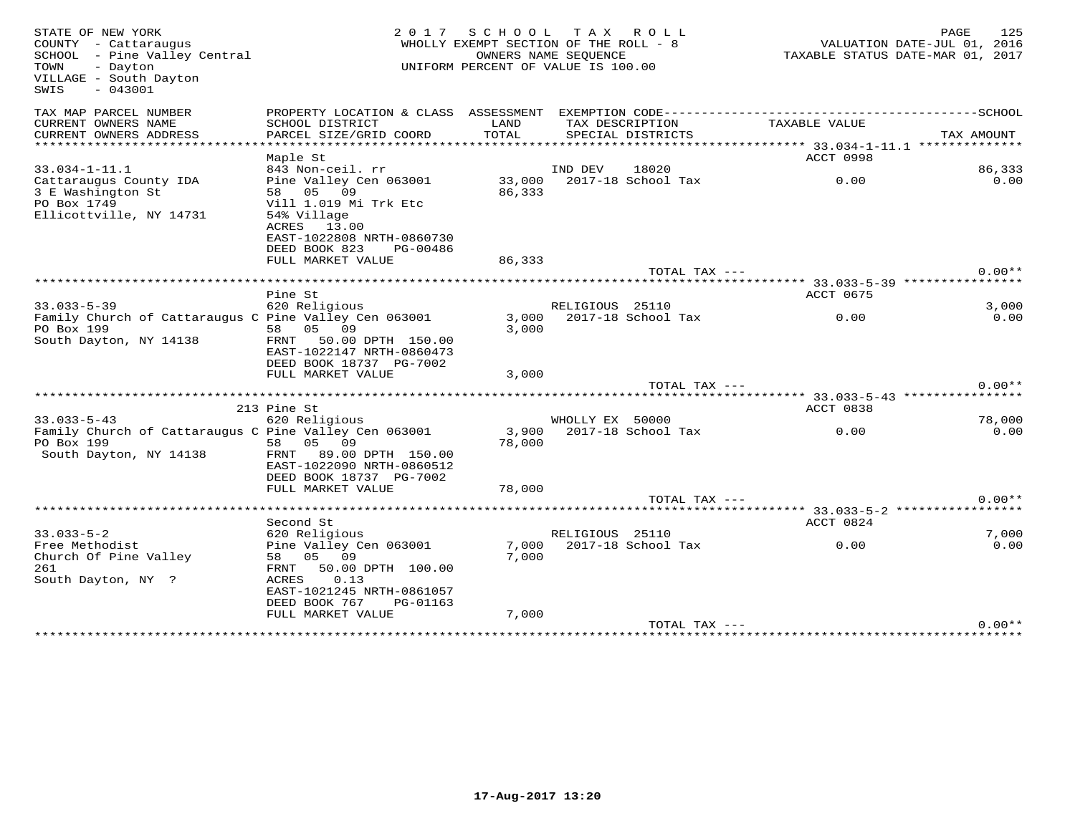| STATE OF NEW YORK<br>COUNTY - Cattaraugus<br>SCHOOL - Pine Valley Central<br>TOWN<br>- Dayton<br>VILLAGE - South Dayton<br>$-043001$<br>SWIS | 2 0 1 7                                      | SCHOOL         | TAX ROLL<br>WHOLLY EXEMPT SECTION OF THE ROLL - 8<br>OWNERS NAME SEQUENCE<br>UNIFORM PERCENT OF VALUE IS 100.00 |               | TAXABLE STATUS DATE-MAR 01, 2017 | PAGE<br>VALUATION DATE-JUL 01, 2016 | 125      |
|----------------------------------------------------------------------------------------------------------------------------------------------|----------------------------------------------|----------------|-----------------------------------------------------------------------------------------------------------------|---------------|----------------------------------|-------------------------------------|----------|
| TAX MAP PARCEL NUMBER                                                                                                                        | PROPERTY LOCATION & CLASS ASSESSMENT         |                | EXEMPTION CODE-------------                                                                                     |               |                                  | ------SCHOOL                        |          |
| CURRENT OWNERS NAME<br>CURRENT OWNERS ADDRESS                                                                                                | SCHOOL DISTRICT<br>PARCEL SIZE/GRID COORD    | LAND<br>TOTAL  | TAX DESCRIPTION<br>SPECIAL DISTRICTS                                                                            |               | TAXABLE VALUE                    | TAX AMOUNT                          |          |
| **********************                                                                                                                       | ***********************                      | ************** |                                                                                                                 |               |                                  |                                     |          |
|                                                                                                                                              | Maple St                                     |                |                                                                                                                 |               | ACCT 0998                        |                                     |          |
| $33.034 - 1 - 11.1$                                                                                                                          | 843 Non-ceil. rr                             |                | IND DEV<br>18020                                                                                                |               |                                  |                                     | 86,333   |
| Cattaraugus County IDA                                                                                                                       | Pine Valley Cen 063001                       | 33,000         | 2017-18 School Tax                                                                                              |               | 0.00                             |                                     | 0.00     |
| 3 E Washington St<br>PO Box 1749                                                                                                             | 58 05<br>09<br>Vill 1.019 Mi Trk Etc         | 86,333         |                                                                                                                 |               |                                  |                                     |          |
| Ellicottville, NY 14731                                                                                                                      | 54% Village                                  |                |                                                                                                                 |               |                                  |                                     |          |
|                                                                                                                                              | ACRES 13.00                                  |                |                                                                                                                 |               |                                  |                                     |          |
|                                                                                                                                              | EAST-1022808 NRTH-0860730                    |                |                                                                                                                 |               |                                  |                                     |          |
|                                                                                                                                              | DEED BOOK 823<br>PG-00486                    |                |                                                                                                                 |               |                                  |                                     |          |
|                                                                                                                                              | FULL MARKET VALUE                            | 86,333         |                                                                                                                 |               |                                  |                                     |          |
|                                                                                                                                              |                                              |                |                                                                                                                 | TOTAL TAX --- |                                  |                                     | $0.00**$ |
|                                                                                                                                              | ********************                         |                |                                                                                                                 |               | **** 33.033-5-39 **********      |                                     |          |
|                                                                                                                                              | Pine St                                      |                |                                                                                                                 |               | ACCT 0675                        |                                     |          |
| $33.033 - 5 - 39$                                                                                                                            | 620 Religious                                |                | RELIGIOUS 25110                                                                                                 |               |                                  |                                     | 3,000    |
| Family Church of Cattaraugus C Pine Valley Cen 063001                                                                                        |                                              | 3,000          | 2017-18 School Tax                                                                                              |               | 0.00                             |                                     | 0.00     |
| PO Box 199                                                                                                                                   | 05<br>09<br>58                               | 3,000          |                                                                                                                 |               |                                  |                                     |          |
| South Dayton, NY 14138                                                                                                                       | 50.00 DPTH 150.00<br>FRNT                    |                |                                                                                                                 |               |                                  |                                     |          |
|                                                                                                                                              | EAST-1022147 NRTH-0860473                    |                |                                                                                                                 |               |                                  |                                     |          |
|                                                                                                                                              | DEED BOOK 18737 PG-7002<br>FULL MARKET VALUE | 3,000          |                                                                                                                 |               |                                  |                                     |          |
|                                                                                                                                              |                                              |                |                                                                                                                 | TOTAL TAX --- |                                  |                                     | $0.00**$ |
|                                                                                                                                              |                                              |                |                                                                                                                 |               |                                  |                                     |          |
|                                                                                                                                              | 213 Pine St                                  |                |                                                                                                                 |               | ACCT 0838                        |                                     |          |
| $33.033 - 5 - 43$                                                                                                                            | 620 Religious                                |                | WHOLLY EX 50000                                                                                                 |               |                                  |                                     | 78,000   |
| Family Church of Cattaraugus C Pine Valley Cen 063001                                                                                        |                                              | 3,900          | 2017-18 School Tax                                                                                              |               | 0.00                             |                                     | 0.00     |
| PO Box 199                                                                                                                                   | 05<br>58<br>09                               | 78,000         |                                                                                                                 |               |                                  |                                     |          |
| South Dayton, NY 14138                                                                                                                       | FRNT<br>89.00 DPTH 150.00                    |                |                                                                                                                 |               |                                  |                                     |          |
|                                                                                                                                              | EAST-1022090 NRTH-0860512                    |                |                                                                                                                 |               |                                  |                                     |          |
|                                                                                                                                              | DEED BOOK 18737 PG-7002                      |                |                                                                                                                 |               |                                  |                                     |          |
|                                                                                                                                              | FULL MARKET VALUE                            | 78,000         |                                                                                                                 |               |                                  |                                     |          |
|                                                                                                                                              | ****************                             |                |                                                                                                                 | TOTAL TAX --- |                                  |                                     | $0.00**$ |
|                                                                                                                                              |                                              |                |                                                                                                                 |               | **** 33.033-5-2 ******           |                                     |          |
| $33.033 - 5 - 2$                                                                                                                             | Second St<br>620 Religious                   |                | RELIGIOUS 25110                                                                                                 |               | ACCT 0824                        |                                     | 7,000    |
| Free Methodist                                                                                                                               | Pine Valley Cen 063001                       | 7,000          | 2017-18 School Tax                                                                                              |               | 0.00                             |                                     | 0.00     |
| Church Of Pine Valley                                                                                                                        | 05<br>09<br>58                               | 7,000          |                                                                                                                 |               |                                  |                                     |          |
| 261                                                                                                                                          | 50.00 DPTH 100.00<br>FRNT                    |                |                                                                                                                 |               |                                  |                                     |          |
| South Dayton, NY ?                                                                                                                           | 0.13<br>ACRES                                |                |                                                                                                                 |               |                                  |                                     |          |
|                                                                                                                                              | EAST-1021245 NRTH-0861057                    |                |                                                                                                                 |               |                                  |                                     |          |
|                                                                                                                                              | DEED BOOK 767<br>PG-01163                    |                |                                                                                                                 |               |                                  |                                     |          |
|                                                                                                                                              | FULL MARKET VALUE                            | 7,000          |                                                                                                                 |               |                                  |                                     |          |
|                                                                                                                                              |                                              |                |                                                                                                                 | TOTAL TAX --- |                                  |                                     | $0.00**$ |
|                                                                                                                                              |                                              |                |                                                                                                                 |               |                                  |                                     |          |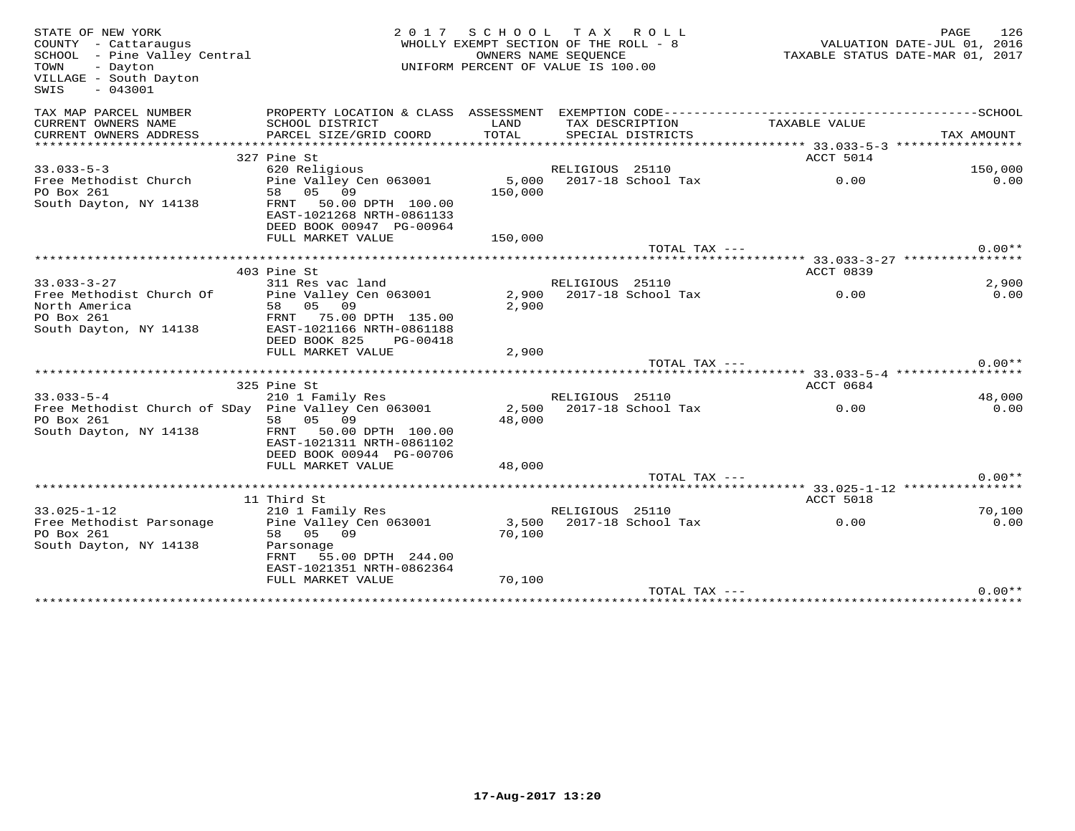| STATE OF NEW YORK<br>COUNTY - Cattaraugus<br>SCHOOL - Pine Valley Central<br>- Dayton<br>TOWN<br>VILLAGE - South Dayton<br>$-043001$<br>SWIS | 2017                                                   | SCHOOL TAX ROLL<br>WHOLLY EXEMPT SECTION OF THE ROLL - 8<br>OWNERS NAME SEQUENCE<br>UNIFORM PERCENT OF VALUE IS 100.00 |                 |                          | VALUATION DATE-JUL 01, 2016<br>TAXABLE STATUS DATE-MAR 01, 2017 | PAGE       | 126      |
|----------------------------------------------------------------------------------------------------------------------------------------------|--------------------------------------------------------|------------------------------------------------------------------------------------------------------------------------|-----------------|--------------------------|-----------------------------------------------------------------|------------|----------|
| TAX MAP PARCEL NUMBER                                                                                                                        |                                                        |                                                                                                                        |                 |                          |                                                                 |            |          |
| CURRENT OWNERS NAME                                                                                                                          | SCHOOL DISTRICT                                        | LAND                                                                                                                   |                 | TAX DESCRIPTION          | TAXABLE VALUE                                                   |            |          |
| CURRENT OWNERS ADDRESS                                                                                                                       | PARCEL SIZE/GRID COORD                                 | TOTAL                                                                                                                  |                 | SPECIAL DISTRICTS        |                                                                 | TAX AMOUNT |          |
|                                                                                                                                              |                                                        |                                                                                                                        |                 |                          |                                                                 |            |          |
| $33.033 - 5 - 3$                                                                                                                             | 327 Pine St<br>620 Religious                           |                                                                                                                        | RELIGIOUS 25110 |                          | <b>ACCT 5014</b>                                                |            | 150,000  |
| Free Methodist Church                                                                                                                        | Pine Valley Cen 063001                                 | 5,000                                                                                                                  |                 | 2017-18 School Tax       | 0.00                                                            |            | 0.00     |
| PO Box 261                                                                                                                                   | 58 05 09                                               | 150,000                                                                                                                |                 |                          |                                                                 |            |          |
| South Dayton, NY 14138                                                                                                                       | 50.00 DPTH 100.00<br>FRNT                              |                                                                                                                        |                 |                          |                                                                 |            |          |
|                                                                                                                                              | EAST-1021268 NRTH-0861133                              |                                                                                                                        |                 |                          |                                                                 |            |          |
|                                                                                                                                              | DEED BOOK 00947 PG-00964                               |                                                                                                                        |                 |                          |                                                                 |            |          |
|                                                                                                                                              | FULL MARKET VALUE                                      | 150,000                                                                                                                |                 |                          |                                                                 |            |          |
| *****************                                                                                                                            |                                                        |                                                                                                                        |                 | TOTAL TAX ---            |                                                                 |            | $0.00**$ |
|                                                                                                                                              | 403 Pine St                                            |                                                                                                                        |                 |                          | ******* 33.033-3-27 ****************<br>ACCT 0839               |            |          |
| $33.033 - 3 - 27$                                                                                                                            | 311 Res vac land                                       |                                                                                                                        | RELIGIOUS 25110 |                          |                                                                 |            | 2,900    |
| Free Methodist Church Of                                                                                                                     | Pine Valley Cen 063001                                 | 2,900                                                                                                                  |                 | 2017-18 School Tax       | 0.00                                                            |            | 0.00     |
| North America                                                                                                                                | 58 05 09                                               | 2,900                                                                                                                  |                 |                          |                                                                 |            |          |
| PO Box 261                                                                                                                                   | FRNT 75.00 DPTH 135.00                                 |                                                                                                                        |                 |                          |                                                                 |            |          |
| South Dayton, NY 14138                                                                                                                       | EAST-1021166 NRTH-0861188                              |                                                                                                                        |                 |                          |                                                                 |            |          |
|                                                                                                                                              | DEED BOOK 825<br>PG-00418                              |                                                                                                                        |                 |                          |                                                                 |            |          |
|                                                                                                                                              | FULL MARKET VALUE                                      | 2,900                                                                                                                  |                 | TOTAL TAX ---            |                                                                 |            | $0.00**$ |
|                                                                                                                                              |                                                        |                                                                                                                        |                 |                          |                                                                 |            |          |
|                                                                                                                                              | 325 Pine St                                            |                                                                                                                        |                 |                          | ACCT 0684                                                       |            |          |
| $33.033 - 5 - 4$                                                                                                                             | 210 1 Family Res                                       |                                                                                                                        | RELIGIOUS 25110 |                          |                                                                 |            | 48,000   |
| Free Methodist Church of SDay Pine Valley Cen 063001                                                                                         |                                                        |                                                                                                                        |                 | 2,500 2017-18 School Tax | 0.00                                                            |            | 0.00     |
| PO Box 261                                                                                                                                   | 58<br>05 09                                            | 48,000                                                                                                                 |                 |                          |                                                                 |            |          |
| South Dayton, NY 14138                                                                                                                       | FRNT<br>50.00 DPTH 100.00                              |                                                                                                                        |                 |                          |                                                                 |            |          |
|                                                                                                                                              | EAST-1021311 NRTH-0861102                              |                                                                                                                        |                 |                          |                                                                 |            |          |
|                                                                                                                                              | DEED BOOK 00944 PG-00706                               |                                                                                                                        |                 |                          |                                                                 |            |          |
|                                                                                                                                              | FULL MARKET VALUE                                      | 48,000                                                                                                                 |                 | TOTAL TAX ---            |                                                                 |            | $0.00**$ |
|                                                                                                                                              |                                                        |                                                                                                                        |                 |                          |                                                                 |            |          |
|                                                                                                                                              | 11 Third St                                            |                                                                                                                        |                 |                          | ACCT 5018                                                       |            |          |
| $33.025 - 1 - 12$                                                                                                                            | 210 1 Family Res                                       |                                                                                                                        | RELIGIOUS 25110 |                          |                                                                 |            | 70,100   |
| Free Methodist Parsonage                                                                                                                     | Pine Valley Cen 063001                                 | 3,500                                                                                                                  |                 | 2017-18 School Tax       | 0.00                                                            |            | 0.00     |
| PO Box 261                                                                                                                                   | 58 05 09                                               | 70,100                                                                                                                 |                 |                          |                                                                 |            |          |
| South Dayton, NY 14138                                                                                                                       | Parsonage                                              |                                                                                                                        |                 |                          |                                                                 |            |          |
|                                                                                                                                              | FRNT<br>55.00 DPTH 244.00<br>EAST-1021351 NRTH-0862364 |                                                                                                                        |                 |                          |                                                                 |            |          |
|                                                                                                                                              | FULL MARKET VALUE                                      | 70,100                                                                                                                 |                 |                          |                                                                 |            |          |
|                                                                                                                                              |                                                        |                                                                                                                        |                 | TOTAL TAX ---            |                                                                 |            | $0.00**$ |
|                                                                                                                                              |                                                        |                                                                                                                        |                 |                          |                                                                 |            |          |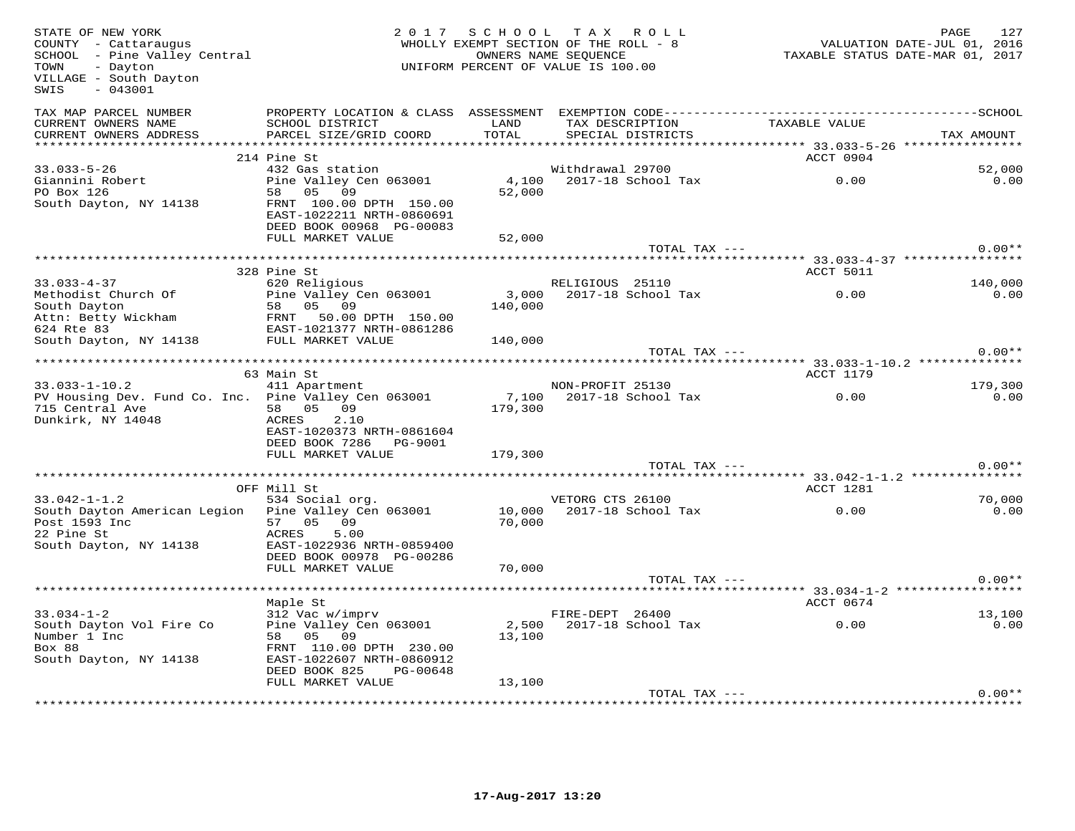| STATE OF NEW YORK<br>COUNTY - Cattaraugus<br>SCHOOL - Pine Valley Central<br>- Dayton<br>TOWN<br>VILLAGE - South Dayton<br>$-043001$<br>SWIS                                                                                                                                                                                 |                                                                                                                                            | 2017 SCHOOL      | TAX ROLL<br>WHOLLY EXEMPT SECTION OF THE ROLL - 8<br>OWNERS NAME SEQUENCE<br>UNIFORM PERCENT OF VALUE IS 100.00 | VALUATION DATE-JUL 01, 2016<br>TAXABLE STATUS DATE-MAR 01, 2017  | PAGE<br>127    |
|------------------------------------------------------------------------------------------------------------------------------------------------------------------------------------------------------------------------------------------------------------------------------------------------------------------------------|--------------------------------------------------------------------------------------------------------------------------------------------|------------------|-----------------------------------------------------------------------------------------------------------------|------------------------------------------------------------------|----------------|
| TAX MAP PARCEL NUMBER<br>CURRENT OWNERS NAME<br>CURRENT OWNERS ADDRESS                                                                                                                                                                                                                                                       | SCHOOL DISTRICT<br>PARCEL SIZE/GRID COORD                                                                                                  | LAND<br>TOTAL    | TAX DESCRIPTION<br>SPECIAL DISTRICTS                                                                            | TAXABLE VALUE                                                    | TAX AMOUNT     |
|                                                                                                                                                                                                                                                                                                                              | 214 Pine St                                                                                                                                |                  |                                                                                                                 | ACCT 0904                                                        |                |
| $33.033 - 5 - 26$<br>Giannini Robert<br>PO Box 126<br>South Dayton, NY 14138                                                                                                                                                                                                                                                 | 432 Gas station<br>Pine Valley Cen 063001<br>58 05 09<br>FRNT 100.00 DPTH 150.00                                                           | 4,100<br>52,000  | Withdrawal 29700<br>2017-18 School Tax                                                                          | 0.00                                                             | 52,000<br>0.00 |
|                                                                                                                                                                                                                                                                                                                              | EAST-1022211 NRTH-0860691<br>DEED BOOK 00968 PG-00083<br>FULL MARKET VALUE                                                                 | 52,000           |                                                                                                                 |                                                                  |                |
|                                                                                                                                                                                                                                                                                                                              |                                                                                                                                            |                  | TOTAL TAX ---                                                                                                   |                                                                  | $0.00**$       |
|                                                                                                                                                                                                                                                                                                                              |                                                                                                                                            |                  |                                                                                                                 |                                                                  |                |
| $33.033 - 4 - 37$                                                                                                                                                                                                                                                                                                            | 328 Pine St<br>620 Religious                                                                                                               |                  | RELIGIOUS 25110                                                                                                 | ACCT 5011                                                        | 140,000        |
| Methodist Church Of<br>South Dayton<br>Attn: Betty Wickham $\frac{50}{20}$ and $\frac{1}{20}$ and $\frac{1}{20}$ and $\frac{1}{20}$ and $\frac{1}{20}$ and $\frac{1}{20}$ and $\frac{1}{20}$ and $\frac{1}{20}$ and $\frac{1}{20}$ and $\frac{1}{20}$ and $\frac{1}{20}$ and $\frac{1}{20}$ and $\frac{1}{20}$ and $\frac{1$ | Pine Valley Cen 063001<br>58 05 09                                                                                                         | 140,000          | 3,000 2017-18 School Tax                                                                                        | 0.00                                                             | 0.00           |
| 624 Rte 83<br>South Dayton, NY 14138                                                                                                                                                                                                                                                                                         | EAST-1021377 NRTH-0861286<br>FULL MARKET VALUE                                                                                             | 140,000          |                                                                                                                 |                                                                  |                |
|                                                                                                                                                                                                                                                                                                                              |                                                                                                                                            |                  | TOTAL TAX ---                                                                                                   |                                                                  | $0.00**$       |
|                                                                                                                                                                                                                                                                                                                              | 63 Main St                                                                                                                                 |                  |                                                                                                                 | ************************ 33.033-1-10.2 ************<br>ACCT 1179 |                |
| $33.033 - 1 - 10.2$                                                                                                                                                                                                                                                                                                          | 411 Apartment                                                                                                                              |                  | NON-PROFIT 25130                                                                                                |                                                                  | 179,300        |
| PV Housing Dev. Fund Co. Inc. Pine Valley Cen 063001<br>715 Central Ave<br>Dunkirk, NY 14048                                                                                                                                                                                                                                 | 58 05 09<br>ACRES<br>2.10<br>EAST-1020373 NRTH-0861604<br>DEED BOOK 7286    PG-9001                                                        | 179,300          | 7,100 2017-18 School Tax                                                                                        | 0.00                                                             | 0.00           |
|                                                                                                                                                                                                                                                                                                                              | FULL MARKET VALUE                                                                                                                          | 179,300          |                                                                                                                 |                                                                  |                |
|                                                                                                                                                                                                                                                                                                                              |                                                                                                                                            |                  | TOTAL TAX ---                                                                                                   |                                                                  | $0.00**$       |
|                                                                                                                                                                                                                                                                                                                              |                                                                                                                                            |                  |                                                                                                                 |                                                                  |                |
| $33.042 - 1 - 1.2$                                                                                                                                                                                                                                                                                                           | OFF Mill St<br>534 Social org.                                                                                                             |                  | VETORG CTS 26100                                                                                                | ACCT 1281                                                        | 70,000         |
| South Dayton American Legion<br>Post 1593 Inc<br>22 Pine St<br>South Dayton, NY 14138                                                                                                                                                                                                                                        | Pine Valley Cen 063001<br>57 05 09<br>5.00<br>ACRES<br>EAST-1022936 NRTH-0859400                                                           | 10,000<br>70,000 | 2017-18 School Tax                                                                                              | 0.00                                                             | 0.00           |
|                                                                                                                                                                                                                                                                                                                              | DEED BOOK 00978 PG-00286                                                                                                                   |                  |                                                                                                                 |                                                                  |                |
|                                                                                                                                                                                                                                                                                                                              | FULL MARKET VALUE                                                                                                                          | 70,000           | TOTAL TAX ---                                                                                                   |                                                                  | $0.00**$       |
|                                                                                                                                                                                                                                                                                                                              |                                                                                                                                            |                  |                                                                                                                 | ********* 33.034-1-2 ***************                             |                |
|                                                                                                                                                                                                                                                                                                                              | Maple St                                                                                                                                   |                  |                                                                                                                 | ACCT 0674                                                        |                |
| $33.034 - 1 - 2$<br>South Dayton Vol Fire Co<br>Number 1 Inc<br>Box 88<br>South Dayton, NY 14138                                                                                                                                                                                                                             | 312 Vac w/imprv<br>Pine Valley Cen 063001<br>58 05 09<br>FRNT 110.00 DPTH 230.00<br>EAST-1022607 NRTH-0860912<br>DEED BOOK 825<br>PG-00648 | 13,100           | FIRE-DEPT 26400<br>2,500 2017-18 School Tax                                                                     | 0.00                                                             | 13,100<br>0.00 |
|                                                                                                                                                                                                                                                                                                                              | FULL MARKET VALUE                                                                                                                          | 13,100           |                                                                                                                 |                                                                  |                |
|                                                                                                                                                                                                                                                                                                                              |                                                                                                                                            |                  | TOTAL TAX ---                                                                                                   |                                                                  | $0.00**$       |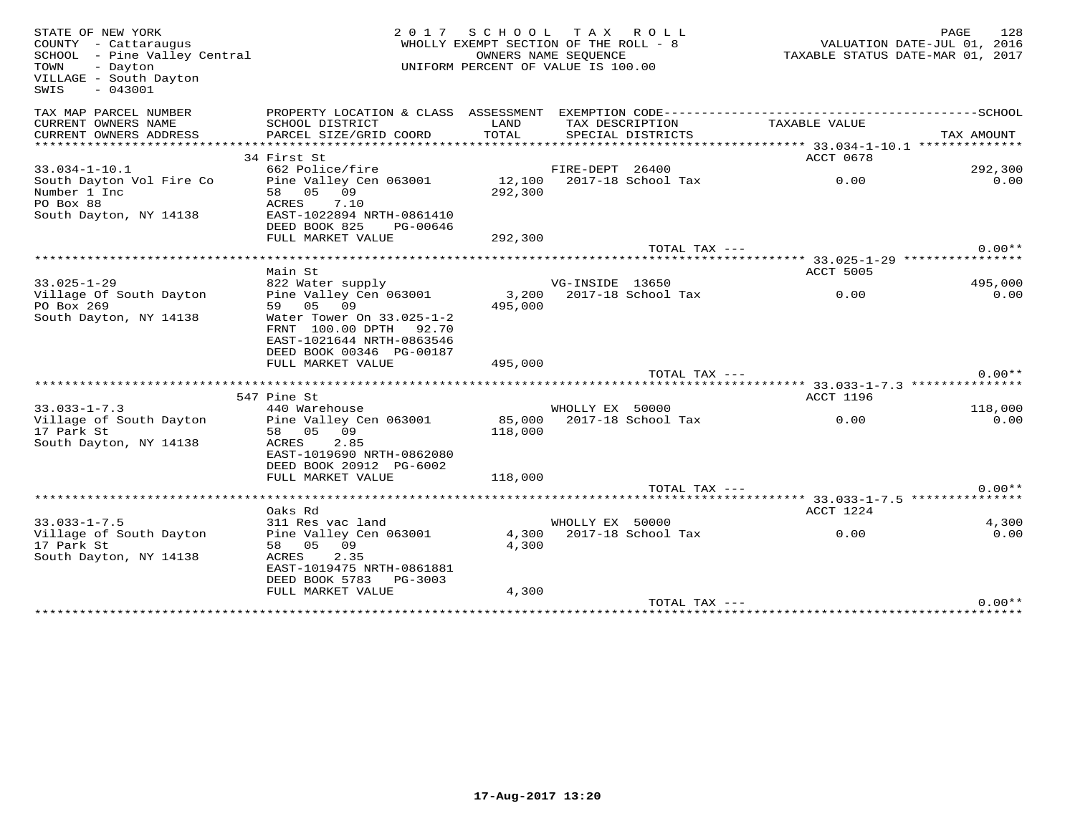| STATE OF NEW YORK<br>COUNTY - Cattaraugus<br>SCHOOL - Pine Valley Central<br>TOWN<br>- Dayton<br>VILLAGE - South Dayton<br>$-043001$<br>SWIS | 2 0 1 7                                                                                                      | SCHOOL TAX ROLL<br>WHOLLY EXEMPT SECTION OF THE ROLL - 8<br>UNIFORM PERCENT OF VALUE IS 100.00 | OWNERS NAME SEQUENCE |                           | PAGE 128<br>VALUATION DATE-JUL 01, 2016<br>TAXABLE STATUS DATE 11 | TAXABLE STATUS DATE-MAR 01, 2017 |
|----------------------------------------------------------------------------------------------------------------------------------------------|--------------------------------------------------------------------------------------------------------------|------------------------------------------------------------------------------------------------|----------------------|---------------------------|-------------------------------------------------------------------|----------------------------------|
| TAX MAP PARCEL NUMBER                                                                                                                        |                                                                                                              |                                                                                                |                      |                           |                                                                   |                                  |
| CURRENT OWNERS NAME                                                                                                                          | SCHOOL DISTRICT                                                                                              | LAND                                                                                           |                      | TAX DESCRIPTION           | TAXABLE VALUE                                                     |                                  |
| CURRENT OWNERS ADDRESS                                                                                                                       | PARCEL SIZE/GRID COORD                                                                                       | TOTAL                                                                                          |                      | SPECIAL DISTRICTS         |                                                                   | TAX AMOUNT                       |
|                                                                                                                                              | 34 First St                                                                                                  |                                                                                                |                      |                           | ACCT 0678                                                         |                                  |
| $33.034 - 1 - 10.1$                                                                                                                          | 662 Police/fire                                                                                              |                                                                                                | FIRE-DEPT 26400      |                           |                                                                   | 292,300                          |
| South Dayton Vol Fire Co                                                                                                                     | Pine Valley Cen 063001                                                                                       |                                                                                                |                      | 12,100 2017-18 School Tax | 0.00                                                              | 0.00                             |
| Number 1 Inc                                                                                                                                 | 58 05 09                                                                                                     | 292,300                                                                                        |                      |                           |                                                                   |                                  |
| PO Box 88                                                                                                                                    | 7.10<br>ACRES                                                                                                |                                                                                                |                      |                           |                                                                   |                                  |
| South Dayton, NY 14138                                                                                                                       | EAST-1022894 NRTH-0861410                                                                                    |                                                                                                |                      |                           |                                                                   |                                  |
|                                                                                                                                              | DEED BOOK 825<br>PG-00646<br>FULL MARKET VALUE                                                               |                                                                                                |                      |                           |                                                                   |                                  |
|                                                                                                                                              |                                                                                                              | 292,300                                                                                        |                      | TOTAL TAX ---             |                                                                   | $0.00**$                         |
|                                                                                                                                              |                                                                                                              |                                                                                                |                      |                           |                                                                   |                                  |
|                                                                                                                                              | Main St                                                                                                      |                                                                                                |                      |                           | ACCT 5005                                                         |                                  |
| $33.025 - 1 - 29$                                                                                                                            | 822 Water supply                                                                                             |                                                                                                | VG-INSIDE 13650      |                           |                                                                   | 495,000                          |
| Village Of South Dayton                                                                                                                      | Pine Valley Cen 063001                                                                                       | 3,200                                                                                          |                      | 2017-18 School Tax        | 0.00                                                              | 0.00                             |
| PO Box 269                                                                                                                                   | 59 05 09                                                                                                     | 495,000                                                                                        |                      |                           |                                                                   |                                  |
| South Dayton, NY 14138                                                                                                                       | Water Tower On 33.025-1-2<br>FRNT 100.00 DPTH 92.70<br>EAST-1021644 NRTH-0863546<br>DEED BOOK 00346 PG-00187 |                                                                                                |                      |                           |                                                                   |                                  |
|                                                                                                                                              | FULL MARKET VALUE                                                                                            | 495,000                                                                                        |                      |                           |                                                                   |                                  |
|                                                                                                                                              |                                                                                                              |                                                                                                |                      | TOTAL TAX ---             |                                                                   | $0.00**$                         |
|                                                                                                                                              |                                                                                                              |                                                                                                |                      |                           |                                                                   |                                  |
|                                                                                                                                              | 547 Pine St                                                                                                  |                                                                                                |                      |                           | ACCT 1196                                                         |                                  |
| $33.033 - 1 - 7.3$                                                                                                                           | 440 Warehouse                                                                                                |                                                                                                | WHOLLY EX 50000      |                           |                                                                   | 118,000                          |
| Village of South Dayton<br>17 Park St                                                                                                        | Pine Valley Cen 063001<br>58 05 09                                                                           | 85,000<br>118,000                                                                              |                      | 2017-18 School Tax        | 0.00                                                              | 0.00                             |
| South Dayton, NY 14138                                                                                                                       | ACRES<br>2.85<br>EAST-1019690 NRTH-0862080                                                                   |                                                                                                |                      |                           |                                                                   |                                  |
|                                                                                                                                              | DEED BOOK 20912 PG-6002                                                                                      |                                                                                                |                      |                           |                                                                   |                                  |
|                                                                                                                                              | FULL MARKET VALUE                                                                                            | 118,000                                                                                        |                      |                           |                                                                   |                                  |
|                                                                                                                                              |                                                                                                              |                                                                                                |                      | TOTAL TAX ---             |                                                                   | $0.00**$                         |
|                                                                                                                                              | Oaks Rd                                                                                                      |                                                                                                |                      |                           | ACCT 1224                                                         |                                  |
| $33.033 - 1 - 7.5$                                                                                                                           | 311 Res vac land                                                                                             |                                                                                                | WHOLLY EX 50000      |                           |                                                                   | 4,300                            |
| Village of South Dayton                                                                                                                      | Pine Valley Cen 063001                                                                                       |                                                                                                |                      | 4,300 2017-18 School Tax  | 0.00                                                              | 0.00                             |
| 17 Park St                                                                                                                                   | 58 05 09                                                                                                     | 4,300                                                                                          |                      |                           |                                                                   |                                  |
| South Dayton, NY 14138                                                                                                                       | 2.35<br>ACRES<br>EAST-1019475 NRTH-0861881<br>DEED BOOK 5783 PG-3003                                         |                                                                                                |                      |                           |                                                                   |                                  |
|                                                                                                                                              | FULL MARKET VALUE                                                                                            | 4,300                                                                                          |                      |                           |                                                                   |                                  |
|                                                                                                                                              |                                                                                                              |                                                                                                |                      | TOTAL TAX ---             |                                                                   | $0.00**$                         |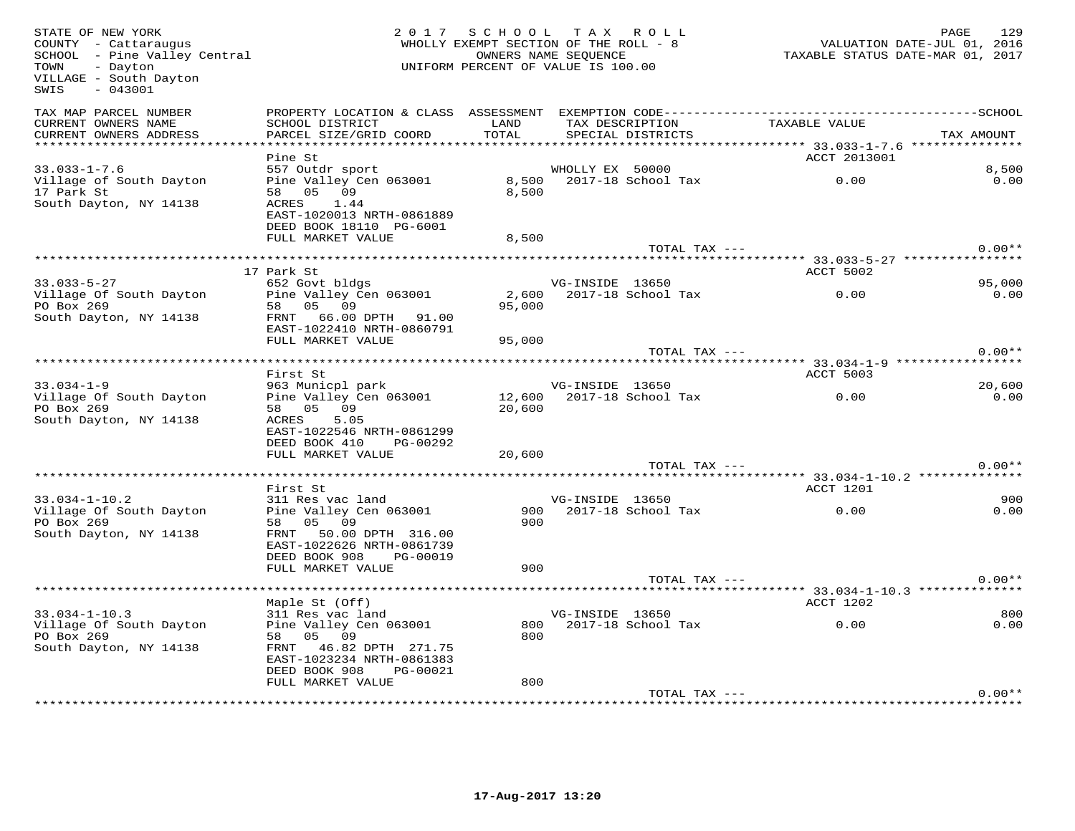| STATE OF NEW YORK<br>COUNTY - Cattaraugus<br>SCHOOL - Pine Valley Central<br>TOWN<br>- Dayton<br>VILLAGE - South Dayton<br>SWIS<br>$-043001$ |                                                                                                                                            | 2017 SCHOOL TAX ROLL<br>WHOLLY EXEMPT SECTION OF THE ROLL - 8<br>OWNERS NAME SEQUENCE<br>UNIFORM PERCENT OF VALUE IS 100.00 |                 |                                      | VALUATION DATE-JUL 01, 2016<br>TAXABLE STATUS DATE-MAR 01, 2017 | PAGE       | 129            |
|----------------------------------------------------------------------------------------------------------------------------------------------|--------------------------------------------------------------------------------------------------------------------------------------------|-----------------------------------------------------------------------------------------------------------------------------|-----------------|--------------------------------------|-----------------------------------------------------------------|------------|----------------|
| TAX MAP PARCEL NUMBER<br>CURRENT OWNERS NAME<br>CURRENT OWNERS ADDRESS<br>***********************                                            | SCHOOL DISTRICT<br>PARCEL SIZE/GRID COORD                                                                                                  | LAND<br>TOTAL                                                                                                               |                 | TAX DESCRIPTION<br>SPECIAL DISTRICTS | TAXABLE VALUE                                                   | TAX AMOUNT |                |
|                                                                                                                                              | Pine St                                                                                                                                    |                                                                                                                             |                 |                                      | ACCT 2013001                                                    |            |                |
| $33.033 - 1 - 7.6$                                                                                                                           | 557 Outdr sport                                                                                                                            |                                                                                                                             | WHOLLY EX 50000 |                                      |                                                                 |            | 8,500          |
| Village of South Dayton<br>17 Park St<br>South Dayton, NY 14138                                                                              | Pine Valley Cen 063001<br>58 05 09<br>ACRES<br>1.44<br>EAST-1020013 NRTH-0861889<br>DEED BOOK 18110 PG-6001<br>FULL MARKET VALUE           | 8,500<br>8,500<br>8,500                                                                                                     |                 | 2017-18 School Tax                   | 0.00                                                            |            | 0.00           |
|                                                                                                                                              |                                                                                                                                            |                                                                                                                             |                 | TOTAL TAX ---                        |                                                                 |            | $0.00**$       |
|                                                                                                                                              |                                                                                                                                            |                                                                                                                             |                 |                                      |                                                                 |            |                |
|                                                                                                                                              | 17 Park St                                                                                                                                 |                                                                                                                             |                 |                                      | ACCT 5002                                                       |            |                |
| $33.033 - 5 - 27$<br>Village Of South Dayton<br>PO Box 269                                                                                   | 652 Govt bldgs<br>Pine Valley Cen 063001<br>58 05 09                                                                                       | 2,600<br>95,000                                                                                                             | VG-INSIDE 13650 | 2017-18 School Tax                   | 0.00                                                            |            | 95,000<br>0.00 |
| South Dayton, NY 14138                                                                                                                       | FRNT 66.00 DPTH 91.00<br>EAST-1022410 NRTH-0860791<br>FULL MARKET VALUE                                                                    | 95,000                                                                                                                      |                 |                                      |                                                                 |            |                |
|                                                                                                                                              | *****************************                                                                                                              |                                                                                                                             |                 | TOTAL TAX ---                        | ****** 33.034-1-9 ****************                              |            | $0.00**$       |
|                                                                                                                                              | First St                                                                                                                                   |                                                                                                                             |                 |                                      | ACCT 5003                                                       |            |                |
| $33.034 - 1 - 9$                                                                                                                             | 963 Municpl park                                                                                                                           |                                                                                                                             | VG-INSIDE 13650 |                                      |                                                                 |            | 20,600         |
| Village Of South Dayton<br>PO Box 269<br>South Dayton, NY 14138                                                                              | Pine Valley Cen 063001<br>58 05 09<br>ACRES<br>5.05<br>EAST-1022546 NRTH-0861299<br>DEED BOOK 410<br>PG-00292                              | 20,600                                                                                                                      |                 | 12,600 2017-18 School Tax            | 0.00                                                            |            | 0.00           |
|                                                                                                                                              | FULL MARKET VALUE                                                                                                                          | 20,600                                                                                                                      |                 | TOTAL TAX ---                        |                                                                 |            | $0.00**$       |
|                                                                                                                                              |                                                                                                                                            |                                                                                                                             |                 |                                      |                                                                 |            |                |
|                                                                                                                                              | First St                                                                                                                                   |                                                                                                                             |                 |                                      | ACCT 1201                                                       |            |                |
| $33.034 - 1 - 10.2$                                                                                                                          | 311 Res vac land                                                                                                                           |                                                                                                                             | VG-INSIDE 13650 |                                      |                                                                 |            | 900            |
| Village Of South Dayton<br>PO Box 269<br>South Dayton, NY 14138                                                                              | Pine Valley Cen 063001<br>58 05 09<br>FRNT 50.00 DPTH 316.00<br>EAST-1022626 NRTH-0861739<br>DEED BOOK 908<br>PG-00019                     | 900<br>900                                                                                                                  |                 | 2017-18 School Tax                   | 0.00                                                            |            | 0.00           |
|                                                                                                                                              | FULL MARKET VALUE                                                                                                                          | 900                                                                                                                         |                 |                                      |                                                                 |            |                |
|                                                                                                                                              |                                                                                                                                            |                                                                                                                             |                 | TOTAL TAX ---                        |                                                                 |            | $0.00**$       |
|                                                                                                                                              |                                                                                                                                            |                                                                                                                             |                 |                                      | ********* 33.034-1-10.3 ************                            |            |                |
|                                                                                                                                              | Maple St (Off)                                                                                                                             |                                                                                                                             |                 |                                      | ACCT 1202                                                       |            |                |
| $33.034 - 1 - 10.3$<br>Village Of South Dayton<br>PO Box 269<br>South Dayton, NY 14138                                                       | 311 Res vac land<br>Pine Valley Cen 063001<br>58 05 09<br>FRNT 46.82 DPTH 271.75<br>EAST-1023234 NRTH-0861383<br>DEED BOOK 908<br>PG-00021 | 800                                                                                                                         | VG-INSIDE 13650 | 800 2017-18 School Tax               | 0.00                                                            |            | 800<br>0.00    |
|                                                                                                                                              | FULL MARKET VALUE                                                                                                                          | 800                                                                                                                         |                 |                                      |                                                                 |            |                |
|                                                                                                                                              |                                                                                                                                            |                                                                                                                             |                 | TOTAL TAX ---                        |                                                                 |            | $0.00**$       |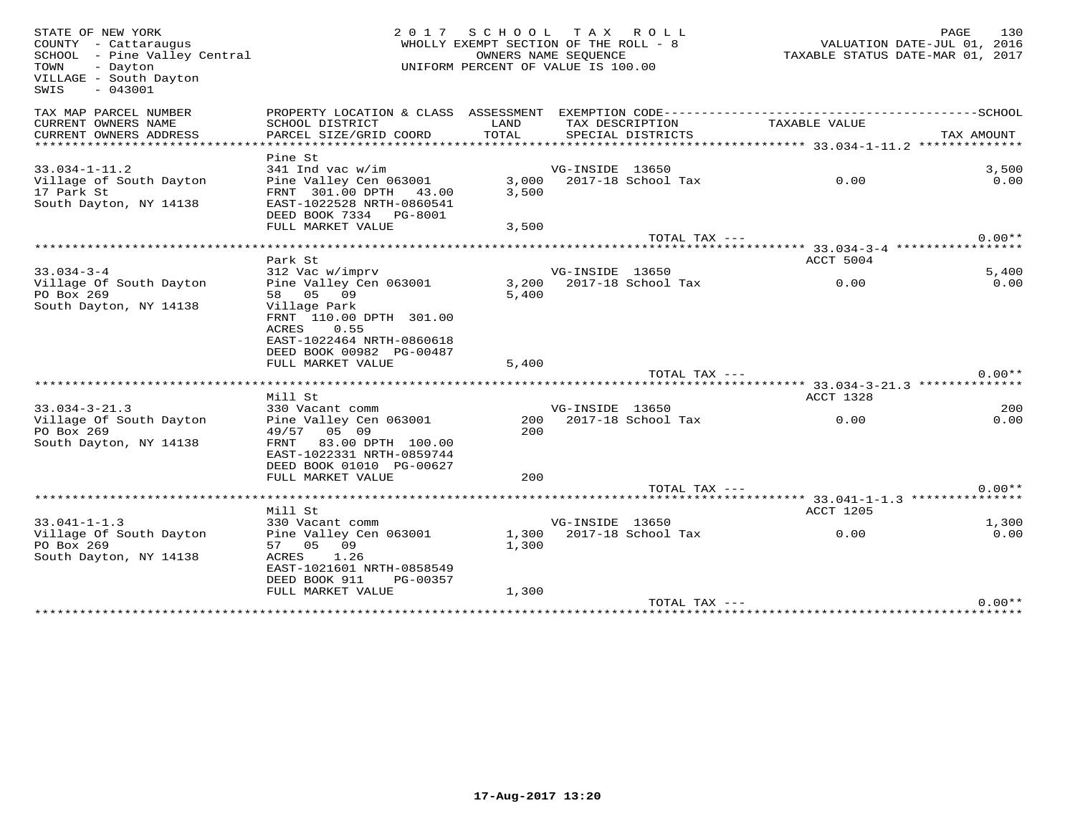| STATE OF NEW YORK<br>COUNTY - Cattaraugus<br>SCHOOL - Pine Valley Central<br>TOWN<br>- Dayton<br>VILLAGE - South Dayton<br>$-043001$<br>SWIS |                                                                                                                                                         | 2017 SCHOOL TAX ROLL<br>WHOLLY EXEMPT SECTION OF THE ROLL - 8<br>OWNERS NAME SEQUENCE<br>UNIFORM PERCENT OF VALUE IS 100.00 |                 |                          | TAXABLE STATUS DATE-MAR 01, 2017 | PAGE<br>VALUATION DATE-JUL 01, 2016 | 130         |
|----------------------------------------------------------------------------------------------------------------------------------------------|---------------------------------------------------------------------------------------------------------------------------------------------------------|-----------------------------------------------------------------------------------------------------------------------------|-----------------|--------------------------|----------------------------------|-------------------------------------|-------------|
| TAX MAP PARCEL NUMBER<br>CURRENT OWNERS NAME                                                                                                 | SCHOOL DISTRICT                                                                                                                                         | LAND                                                                                                                        |                 | TAX DESCRIPTION          | TAXABLE VALUE                    |                                     |             |
| CURRENT OWNERS ADDRESS<br>*************************                                                                                          | PARCEL SIZE/GRID COORD                                                                                                                                  | TOTAL                                                                                                                       |                 | SPECIAL DISTRICTS        |                                  | TAX AMOUNT                          |             |
| $33.034 - 1 - 11.2$                                                                                                                          | Pine St<br>341 Ind vac w/im                                                                                                                             |                                                                                                                             | VG-INSIDE 13650 |                          |                                  |                                     | 3,500       |
| Village of South Dayton<br>17 Park St<br>South Dayton, NY 14138                                                                              | Pine Valley Cen 063001<br>FRNT 301.00 DPTH 43.00<br>EAST-1022528 NRTH-0860541<br>DEED BOOK 7334 PG-8001                                                 | 3,500                                                                                                                       |                 | 3,000 2017-18 School Tax | 0.00                             |                                     | 0.00        |
|                                                                                                                                              | FULL MARKET VALUE                                                                                                                                       | 3,500                                                                                                                       |                 |                          |                                  |                                     |             |
|                                                                                                                                              |                                                                                                                                                         |                                                                                                                             |                 | TOTAL TAX ---            |                                  |                                     | $0.00**$    |
|                                                                                                                                              | Park St                                                                                                                                                 |                                                                                                                             |                 |                          | ACCT 5004                        |                                     |             |
| $33.034 - 3 - 4$                                                                                                                             | 312 Vac w/imprv                                                                                                                                         |                                                                                                                             | VG-INSIDE 13650 |                          |                                  |                                     | 5,400       |
| Village Of South Dayton<br>PO Box 269<br>South Dayton, NY 14138                                                                              | Pine Valley Cen 063001<br>58 05 09<br>Village Park<br>FRNT 110.00 DPTH 301.00<br>ACRES<br>0.55<br>EAST-1022464 NRTH-0860618<br>DEED BOOK 00982 PG-00487 | 5.400                                                                                                                       |                 | 3,200 2017-18 School Tax | 0.00                             |                                     | 0.00        |
|                                                                                                                                              | FULL MARKET VALUE                                                                                                                                       | 5,400                                                                                                                       |                 |                          |                                  |                                     |             |
|                                                                                                                                              |                                                                                                                                                         |                                                                                                                             |                 | TOTAL TAX ---            |                                  |                                     | $0.00**$    |
|                                                                                                                                              | Mill St                                                                                                                                                 |                                                                                                                             |                 |                          | ACCT 1328                        |                                     |             |
| $33.034 - 3 - 21.3$<br>Village Of South Dayton<br>PO Box 269<br>South Dayton, NY 14138                                                       | 330 Vacant comm<br>Pine Valley Cen 063001<br>49/57 05 09<br>83.00 DPTH 100.00<br>FRNT<br>EAST-1022331 NRTH-0859744<br>DEED BOOK 01010 PG-00627          | 200<br>200                                                                                                                  | VG-INSIDE 13650 | 2017-18 School Tax       | 0.00                             |                                     | 200<br>0.00 |
|                                                                                                                                              | FULL MARKET VALUE                                                                                                                                       | 200                                                                                                                         |                 |                          |                                  |                                     |             |
|                                                                                                                                              |                                                                                                                                                         |                                                                                                                             |                 | TOTAL TAX ---            |                                  |                                     | $0.00**$    |
|                                                                                                                                              | Mill St                                                                                                                                                 |                                                                                                                             |                 |                          | ACCT 1205                        |                                     |             |
| $33.041 - 1 - 1.3$                                                                                                                           | 330 Vacant comm                                                                                                                                         |                                                                                                                             | VG-INSIDE 13650 |                          |                                  |                                     | 1,300       |
| Village Of South Dayton<br>PO Box 269<br>South Dayton, NY 14138                                                                              | Pine Valley Cen 063001<br>57 05 09<br>ACRES<br>1.26<br>EAST-1021601 NRTH-0858549<br>DEED BOOK 911<br>PG-00357                                           | 1,300                                                                                                                       |                 | 1,300 2017-18 School Tax | 0.00                             |                                     | 0.00        |
|                                                                                                                                              | FULL MARKET VALUE                                                                                                                                       | 1,300                                                                                                                       |                 | TOTAL TAX ---            |                                  |                                     | $0.00**$    |
|                                                                                                                                              |                                                                                                                                                         |                                                                                                                             |                 |                          |                                  |                                     |             |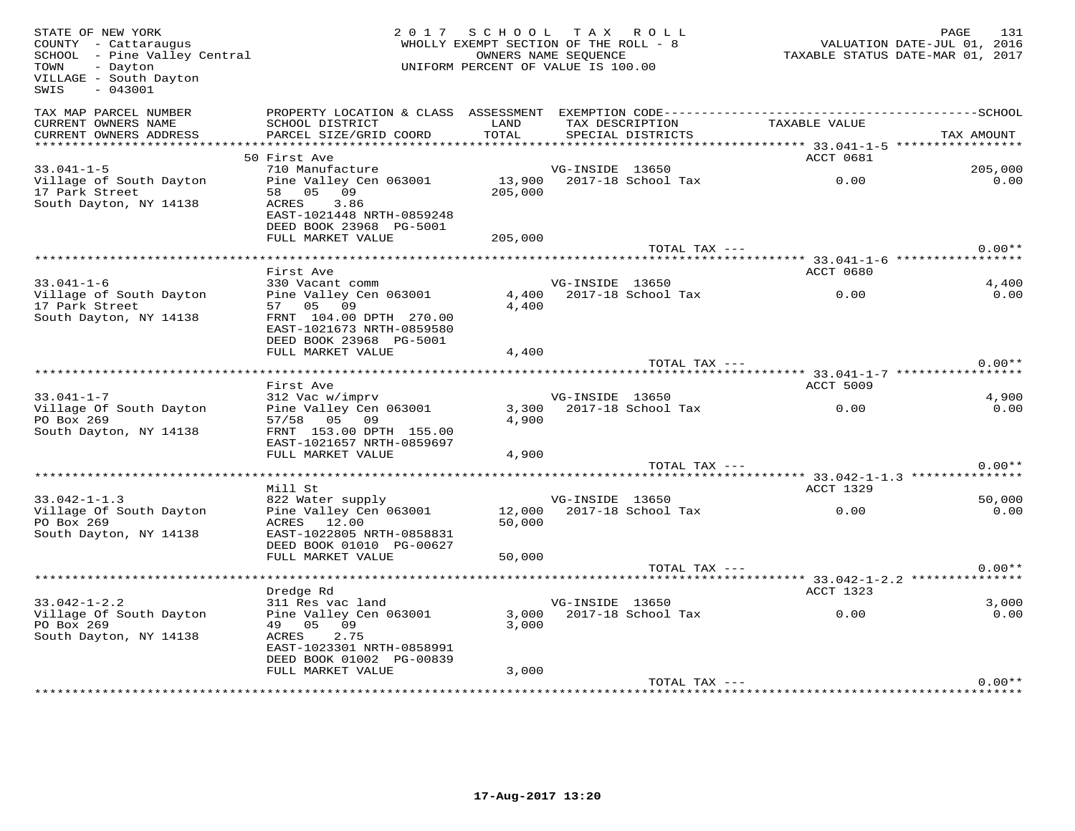| STATE OF NEW YORK<br>COUNTY - Cattaraugus<br>SCHOOL - Pine Valley Central<br>- Dayton<br>TOWN<br>VILLAGE - South Dayton<br>SWIS<br>$-043001$ |                                                                                                                                       | 2017 SCHOOL TAX ROLL<br>WHOLLY EXEMPT SECTION OF THE ROLL - 8<br>OWNERS NAME SEOUENCE<br>UNIFORM PERCENT OF VALUE IS 100.00 |                 |                                      | VALUATION DATE-JUL 01, 2016<br>TAXABLE STATUS DATE-MAR 01, 2017 | PAGE<br>131    |
|----------------------------------------------------------------------------------------------------------------------------------------------|---------------------------------------------------------------------------------------------------------------------------------------|-----------------------------------------------------------------------------------------------------------------------------|-----------------|--------------------------------------|-----------------------------------------------------------------|----------------|
| TAX MAP PARCEL NUMBER<br>CURRENT OWNERS NAME<br>CURRENT OWNERS ADDRESS                                                                       | SCHOOL DISTRICT<br>PARCEL SIZE/GRID COORD                                                                                             | LAND<br>TOTAL                                                                                                               |                 | TAX DESCRIPTION<br>SPECIAL DISTRICTS | TAXABLE VALUE                                                   | TAX AMOUNT     |
|                                                                                                                                              |                                                                                                                                       |                                                                                                                             |                 |                                      |                                                                 |                |
| $33.041 - 1 - 5$                                                                                                                             | 50 First Ave<br>710 Manufacture                                                                                                       |                                                                                                                             | VG-INSIDE 13650 |                                      | ACCT 0681                                                       | 205,000        |
| Village of South Dayton<br>17 Park Street<br>South Dayton, NY 14138                                                                          | Pine Valley Cen 063001<br>58 05 09<br>ACRES<br>3.86<br>EAST-1021448 NRTH-0859248<br>DEED BOOK 23968 PG-5001                           | 205,000                                                                                                                     |                 | 13,900 2017-18 School Tax            | 0.00                                                            | 0.00           |
|                                                                                                                                              | FULL MARKET VALUE                                                                                                                     | 205,000                                                                                                                     |                 |                                      |                                                                 |                |
|                                                                                                                                              |                                                                                                                                       |                                                                                                                             |                 | TOTAL TAX ---                        |                                                                 | $0.00**$       |
|                                                                                                                                              | First Ave                                                                                                                             |                                                                                                                             |                 |                                      | ACCT 0680                                                       |                |
| $33.041 - 1 - 6$                                                                                                                             | 330 Vacant comm                                                                                                                       |                                                                                                                             | VG-INSIDE 13650 |                                      |                                                                 | 4,400          |
| Village of South Dayton<br>17 Park Street<br>South Dayton, NY 14138                                                                          | Pine Valley Cen 063001<br>57 05 09<br>FRNT 104.00 DPTH 270.00<br>EAST-1021673 NRTH-0859580<br>DEED BOOK 23968 PG-5001                 | 4,400<br>4,400                                                                                                              |                 | 2017-18 School Tax                   | 0.00                                                            | 0.00           |
|                                                                                                                                              | FULL MARKET VALUE                                                                                                                     | 4,400                                                                                                                       |                 |                                      |                                                                 |                |
|                                                                                                                                              |                                                                                                                                       |                                                                                                                             |                 | TOTAL TAX ---                        |                                                                 | $0.00**$       |
|                                                                                                                                              |                                                                                                                                       |                                                                                                                             |                 |                                      |                                                                 |                |
|                                                                                                                                              | First Ave                                                                                                                             |                                                                                                                             |                 |                                      | ACCT 5009                                                       |                |
| $33.041 - 1 - 7$<br>Village Of South Dayton<br>PO Box 269<br>South Dayton, NY 14138                                                          | 312 Vac w/imprv<br>Pine Valley Cen 063001<br>57/58 05 09<br>FRNT 153.00 DPTH 155.00<br>EAST-1021657 NRTH-0859697<br>FULL MARKET VALUE | 4,900<br>4,900                                                                                                              | VG-INSIDE 13650 | 3,300 2017-18 School Tax             | 0.00                                                            | 4,900<br>0.00  |
|                                                                                                                                              |                                                                                                                                       |                                                                                                                             |                 | TOTAL TAX ---                        |                                                                 | $0.00**$       |
|                                                                                                                                              |                                                                                                                                       |                                                                                                                             |                 |                                      |                                                                 |                |
|                                                                                                                                              | Mill St                                                                                                                               |                                                                                                                             |                 |                                      | ACCT 1329                                                       |                |
| $33.042 - 1 - 1.3$<br>Village Of South Dayton<br>PO Box 269<br>South Dayton, NY 14138                                                        | 822 Water supply<br>Pine Valley Cen 063001<br>ACRES 12.00<br>EAST-1022805 NRTH-0858831<br>DEED BOOK 01010 PG-00627                    | 12,000<br>50,000                                                                                                            | VG-INSIDE 13650 | 2017-18 School Tax                   | 0.00                                                            | 50,000<br>0.00 |
|                                                                                                                                              | FULL MARKET VALUE                                                                                                                     | 50,000                                                                                                                      |                 | TOTAL TAX ---                        |                                                                 | $0.00**$       |
|                                                                                                                                              |                                                                                                                                       |                                                                                                                             |                 |                                      |                                                                 |                |
|                                                                                                                                              | Dredge Rd                                                                                                                             |                                                                                                                             |                 |                                      | ACCT 1323                                                       |                |
| $33.042 - 1 - 2.2$                                                                                                                           | 311 Res vac land                                                                                                                      |                                                                                                                             | VG-INSIDE 13650 |                                      |                                                                 | 3.000          |
| Village Of South Dayton<br>PO Box 269<br>South Dayton, NY 14138                                                                              | Pine Valley Cen 063001<br>49 05 09<br>2.75<br>ACRES<br>EAST-1023301 NRTH-0858991<br>DEED BOOK 01002 PG-00839                          | 3,000                                                                                                                       |                 | 3,000 2017-18 School Tax             | 0.00                                                            | 0.00           |
|                                                                                                                                              | FULL MARKET VALUE                                                                                                                     | 3,000                                                                                                                       |                 |                                      |                                                                 |                |
|                                                                                                                                              |                                                                                                                                       |                                                                                                                             |                 | TOTAL TAX ---                        |                                                                 | $0.00**$       |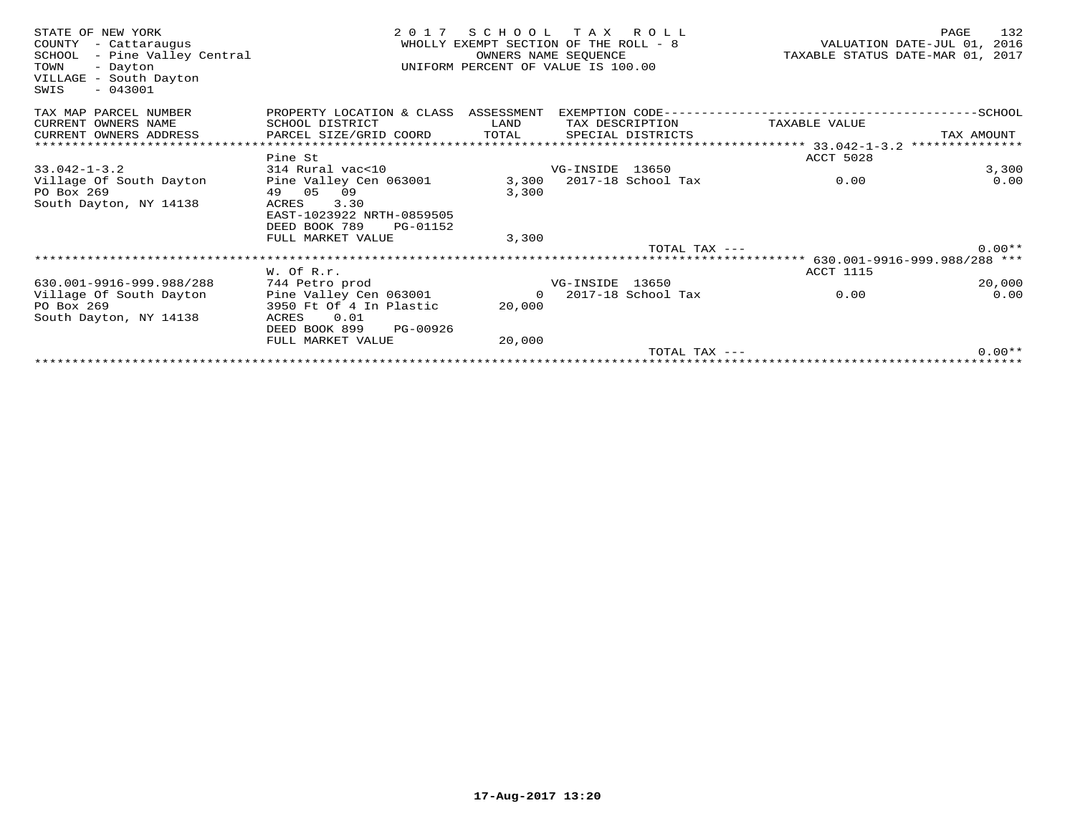| STATE OF NEW YORK<br>COUNTY<br>- Cattaraugus<br>- Pine Valley Central<br>SCHOOL<br>TOWN<br>- Dayton<br>VILLAGE - South Dayton<br>SWIS<br>$-043001$ | 2 0 1 7                              | SCHOOL<br>WHOLLY EXEMPT SECTION OF THE ROLL - 8<br>OWNERS NAME SEOUENCE<br>UNIFORM PERCENT OF VALUE IS 100.00 | T A X           | R O L L            | TAXABLE STATUS DATE-MAR 01, 2017           | PAGE<br>VALUATION DATE-JUL 01, 2016 | 132      |
|----------------------------------------------------------------------------------------------------------------------------------------------------|--------------------------------------|---------------------------------------------------------------------------------------------------------------|-----------------|--------------------|--------------------------------------------|-------------------------------------|----------|
| TAX MAP PARCEL NUMBER                                                                                                                              | PROPERTY LOCATION & CLASS ASSESSMENT |                                                                                                               |                 |                    | EXEMPTION CODE---------------------------- | --------------SCHOOL                |          |
| CURRENT OWNERS NAME                                                                                                                                | SCHOOL DISTRICT                      | LAND                                                                                                          |                 | TAX DESCRIPTION    | TAXABLE VALUE                              |                                     |          |
| CURRENT OWNERS ADDRESS                                                                                                                             | PARCEL SIZE/GRID COORD               | TOTAL                                                                                                         |                 | SPECIAL DISTRICTS  |                                            | TAX AMOUNT                          |          |
|                                                                                                                                                    |                                      |                                                                                                               |                 |                    |                                            | ***************                     |          |
|                                                                                                                                                    | Pine St                              |                                                                                                               |                 |                    | ACCT 5028                                  |                                     |          |
| $33.042 - 1 - 3.2$                                                                                                                                 | 314 Rural vac<10                     |                                                                                                               | VG-INSIDE 13650 |                    |                                            |                                     | 3,300    |
| Village Of South Dayton                                                                                                                            | Pine Valley Cen 063001               | 3,300                                                                                                         |                 | 2017-18 School Tax | 0.00                                       |                                     | 0.00     |
| PO Box 269                                                                                                                                         | 49 05<br>09                          | 3,300                                                                                                         |                 |                    |                                            |                                     |          |
| South Dayton, NY 14138                                                                                                                             | 3.30<br>ACRES                        |                                                                                                               |                 |                    |                                            |                                     |          |
|                                                                                                                                                    | EAST-1023922 NRTH-0859505            |                                                                                                               |                 |                    |                                            |                                     |          |
|                                                                                                                                                    | DEED BOOK 789<br>PG-01152            |                                                                                                               |                 |                    |                                            |                                     |          |
|                                                                                                                                                    | FULL MARKET VALUE                    | 3,300                                                                                                         |                 | TOTAL TAX $---$    |                                            |                                     | $0.00**$ |
|                                                                                                                                                    |                                      |                                                                                                               |                 |                    |                                            |                                     |          |
|                                                                                                                                                    | W. Of R.r.                           |                                                                                                               |                 |                    | <b>ACCT 1115</b>                           |                                     |          |
| 630.001-9916-999.988/288                                                                                                                           | 744 Petro prod                       |                                                                                                               | VG-INSIDE 13650 |                    |                                            |                                     | 20,000   |
| Village Of South Dayton                                                                                                                            | Pine Valley Cen 063001               | $\Omega$                                                                                                      |                 | 2017-18 School Tax | 0.00                                       |                                     | 0.00     |
| PO Box 269                                                                                                                                         | 3950 Ft Of 4 In Plastic              | 20,000                                                                                                        |                 |                    |                                            |                                     |          |
| South Dayton, NY 14138                                                                                                                             | ACRES<br>0.01                        |                                                                                                               |                 |                    |                                            |                                     |          |
|                                                                                                                                                    | DEED BOOK 899<br>PG-00926            |                                                                                                               |                 |                    |                                            |                                     |          |
|                                                                                                                                                    | FULL MARKET VALUE                    | 20,000                                                                                                        |                 |                    |                                            |                                     |          |
|                                                                                                                                                    |                                      |                                                                                                               |                 | TOTAL TAX ---      |                                            |                                     | $0.00**$ |
|                                                                                                                                                    |                                      |                                                                                                               |                 |                    |                                            |                                     |          |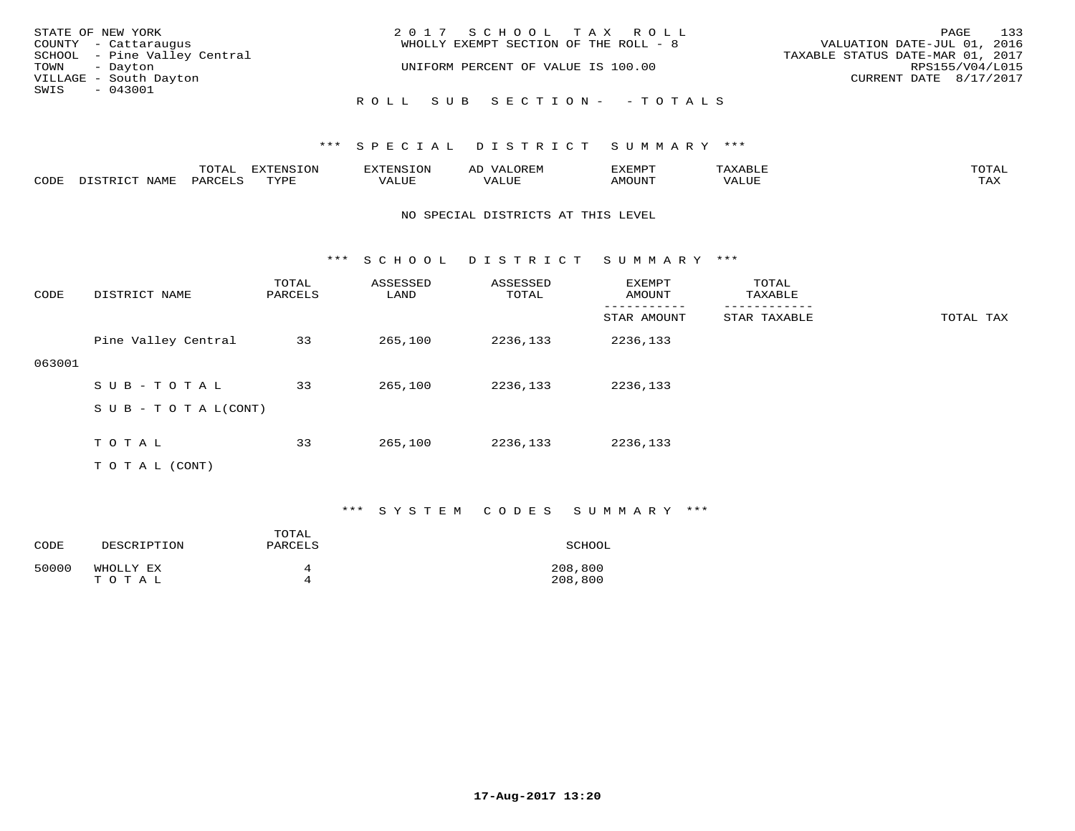| STATE OF NEW YORK            | 2017 SCHOOL TAX ROLL                  | 133<br>PAGE                      |
|------------------------------|---------------------------------------|----------------------------------|
| COUNTY - Cattaraugus         | WHOLLY EXEMPT SECTION OF THE ROLL - 8 | VALUATION DATE-JUL 01, 2016      |
| SCHOOL - Pine Valley Central |                                       | TAXABLE STATUS DATE-MAR 01, 2017 |
| TOWN - Dayton                | UNIFORM PERCENT OF VALUE IS 100.00    | RPS155/V04/L015                  |
| VILLAGE - South Dayton       |                                       | CURRENT DATE 8/17/2017           |
| SWIS<br>$-043001$            |                                       |                                  |
|                              | ROLL SUB SECTION- - TOTALS            |                                  |

|      |                  | <b>TOTAL</b> | <b>EXTENSION</b> | <b>XTENSION</b> | <b>OREM</b><br>ΑD | EXEMPT | "AXABL) | TOTAI        |
|------|------------------|--------------|------------------|-----------------|-------------------|--------|---------|--------------|
| CODE | NAME<br>DISTRICT | PARCELS      | TVDF             | VALUE           | VALUE             | AMOUNT | VALUE   | max x<br>IAA |

#### NO SPECIAL DISTRICTS AT THIS LEVEL

\*\*\* S C H O O L D I S T R I C T S U M M A R Y \*\*\*

| CODE   | DISTRICT NAME                    | TOTAL<br>PARCELS | ASSESSED<br>LAND | ASSESSED<br>TOTAL | <b>EXEMPT</b><br>AMOUNT | TOTAL<br>TAXABLE |           |
|--------|----------------------------------|------------------|------------------|-------------------|-------------------------|------------------|-----------|
|        |                                  |                  |                  |                   | STAR AMOUNT             | STAR TAXABLE     | TOTAL TAX |
|        | Pine Valley Central              | 33               | 265,100          | 2236,133          | 2236,133                |                  |           |
| 063001 |                                  |                  |                  |                   |                         |                  |           |
|        | SUB-TOTAL                        | 33               | 265,100          | 2236,133          | 2236,133                |                  |           |
|        | $S \cup B - T \cup T A L (CONT)$ |                  |                  |                   |                         |                  |           |
|        | TOTAL                            | 33               | 265,100          | 2236,133          | 2236,133                |                  |           |
|        | T O T A L (CONT)                 |                  |                  |                   |                         |                  |           |

#### \*\*\* S Y S T E M C O D E S S U M M A R Y \*\*\*

| CODE  | DESCRIPTION | TOTAL<br>PARCELS | SCHOOL  |
|-------|-------------|------------------|---------|
| 50000 | WHOLLY EX   | Δ                | 208,800 |
|       | TOTAL       | Δ                | 208,800 |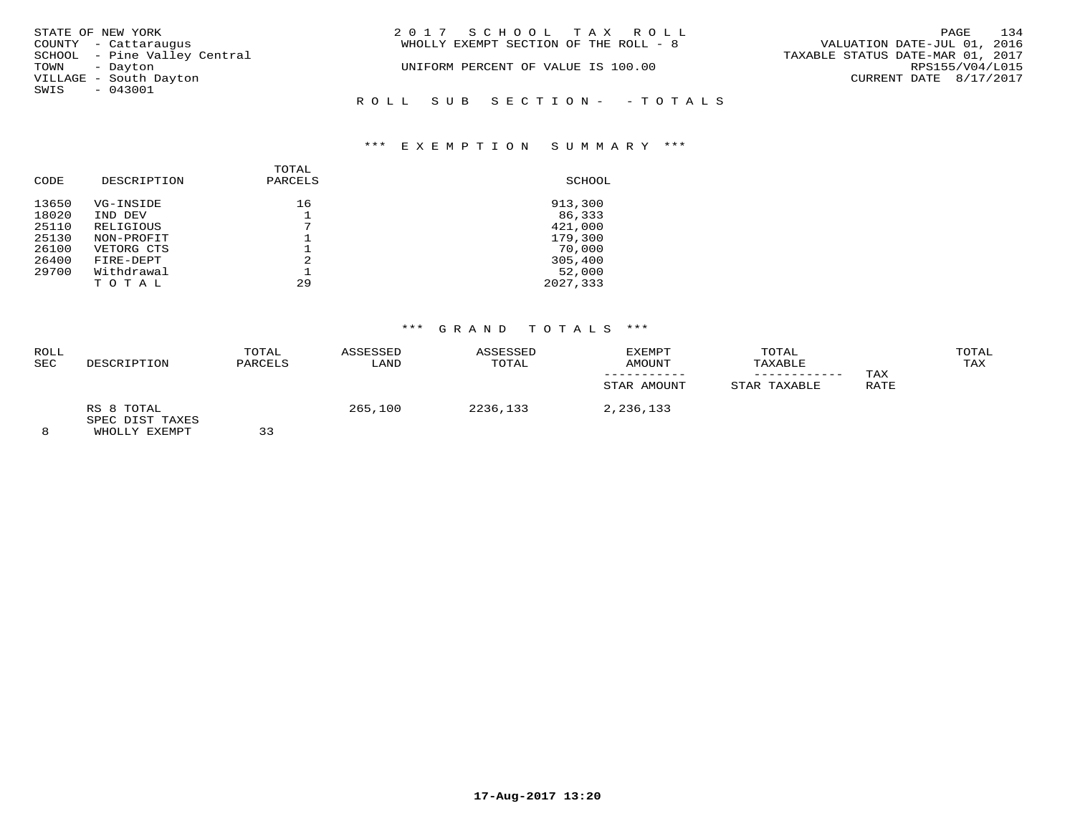| STATE OF NEW YORK            | 2017 SCHOOL TAX ROLL                  | 134<br>PAGE                      |
|------------------------------|---------------------------------------|----------------------------------|
| COUNTY - Cattaraugus         | WHOLLY EXEMPT SECTION OF THE ROLL - 8 | VALUATION DATE-JUL 01, 2016      |
| SCHOOL - Pine Valley Central |                                       | TAXABLE STATUS DATE-MAR 01, 2017 |
| TOWN - Dayton                | UNIFORM PERCENT OF VALUE IS 100.00    | RPS155/V04/L015                  |
| VILLAGE - South Dayton       |                                       | CURRENT DATE 8/17/2017           |
| SWIS - 043001                |                                       |                                  |
|                              | ROLL SUB SECTION- - TOTALS            |                                  |
|                              |                                       |                                  |

#### \*\*\* E X E M P T I O N S U M M A R Y \*\*\*

| CODE  | DESCRIPTION | TOTAL<br>PARCELS | SCHOOL   |
|-------|-------------|------------------|----------|
| 13650 | VG-INSIDE   | 16               | 913,300  |
| 18020 | IND DEV     |                  | 86,333   |
| 25110 | RELIGIOUS   | 7                | 421,000  |
| 25130 | NON-PROFIT  |                  | 179,300  |
| 26100 | VETORG CTS  |                  | 70,000   |
| 26400 | FIRE-DEPT   | $\mathfrak{D}$   | 305,400  |
| 29700 | Withdrawal  |                  | 52,000   |
|       | TOTAL       | 29               | 2027,333 |

### \*\*\* G R A N D T O T A L S \*\*\*

| ROLL<br><b>SEC</b> | DESCRIPTION                                     | TOTAL<br>PARCELS | ASSESSED<br>LAND | ASSESSED<br>TOTAL | EXEMPT<br>AMOUNT<br>STAR AMOUNT | TOTAL<br>TAXABLE<br>STAR TAXABLE | TAX<br>RATE | TOTAL<br>TAX |
|--------------------|-------------------------------------------------|------------------|------------------|-------------------|---------------------------------|----------------------------------|-------------|--------------|
| $\Omega$           | RS 8 TOTAL<br>SPEC DIST TAXES<br>LUICE IV DILLE | $\cap$           | 265,100          | 2236,133          | 2,236,133                       |                                  |             |              |

8 WHOLLY EXEMPT 33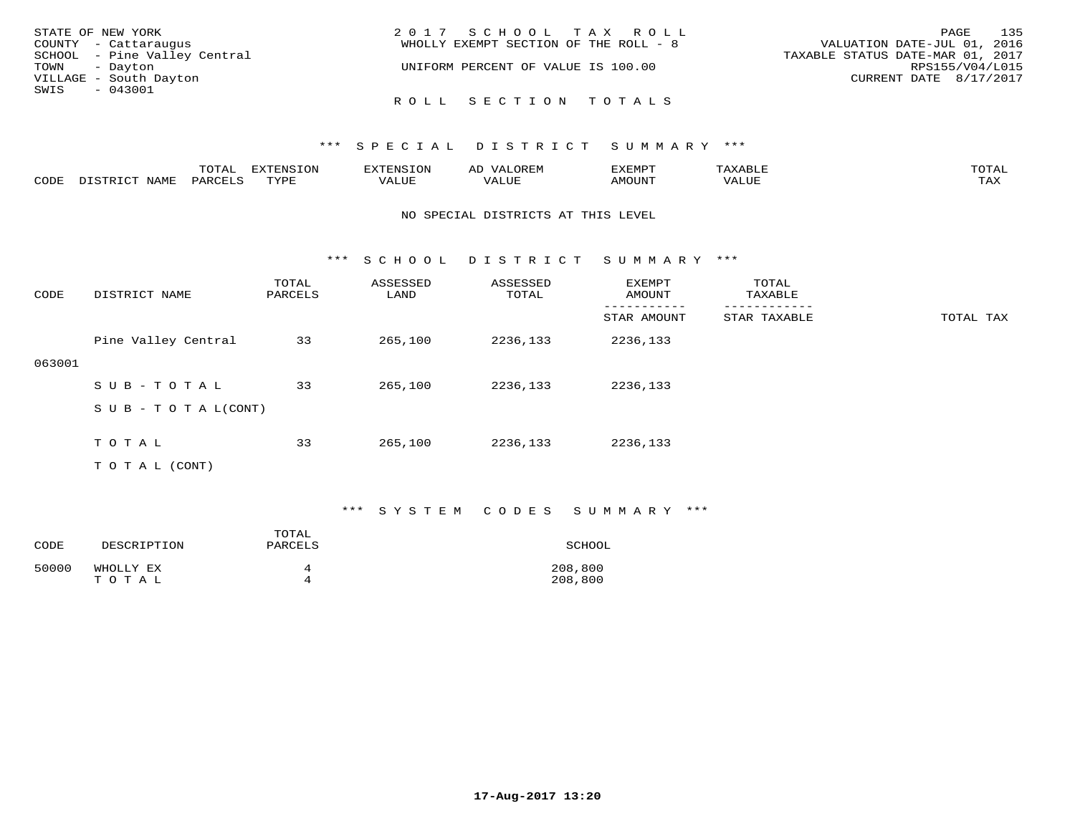| STATE OF NEW YORK            | 2017 SCHOOL TAX ROLL                  | 135<br>PAGE                      |
|------------------------------|---------------------------------------|----------------------------------|
| COUNTY - Cattaraugus         | WHOLLY EXEMPT SECTION OF THE ROLL - 8 | VALUATION DATE-JUL 01, 2016      |
| SCHOOL - Pine Valley Central |                                       | TAXABLE STATUS DATE-MAR 01, 2017 |
| TOWN - Dayton                | UNIFORM PERCENT OF VALUE IS 100.00    | RPS155/V04/L015                  |
| VILLAGE - South Dayton       |                                       | CURRENT DATE 8/17/2017           |
| SWIS<br>- 043001             |                                       |                                  |
|                              | ROLL SECTION TOTALS                   |                                  |

|      |                            | ◡∸ғ              | <b>EXTENSION</b> |      | ∼       | 3XEMP1           |       | $n \wedge m \wedge n$ |
|------|----------------------------|------------------|------------------|------|---------|------------------|-------|-----------------------|
| CODE | $\sqrt{\Delta}$ M $\Gamma$ | ז החים מ<br>,,,, | <b>TIZE</b>      | ALUE | 77 T.TT | $M$ $\cap$ TTATH | VALUE | $m \times r$<br>∸∽∽   |

#### NO SPECIAL DISTRICTS AT THIS LEVEL

\*\*\* S C H O O L D I S T R I C T S U M M A R Y \*\*\*

| CODE   | DISTRICT NAME                    | TOTAL<br>PARCELS | ASSESSED<br>LAND | ASSESSED<br>TOTAL | EXEMPT<br>AMOUNT | TOTAL<br>TAXABLE |           |
|--------|----------------------------------|------------------|------------------|-------------------|------------------|------------------|-----------|
|        |                                  |                  |                  |                   | STAR AMOUNT      | STAR TAXABLE     | TOTAL TAX |
|        | Pine Valley Central              | 33               | 265,100          | 2236,133          | 2236,133         |                  |           |
| 063001 |                                  |                  |                  |                   |                  |                  |           |
|        | SUB-TOTAL                        | 33               | 265,100          | 2236,133          | 2236,133         |                  |           |
|        | $S \cup B - T \cup T A L (CONT)$ |                  |                  |                   |                  |                  |           |
|        |                                  |                  |                  |                   |                  |                  |           |
|        | TOTAL                            | 33               | 265,100          | 2236,133          | 2236,133         |                  |           |
|        | T O T A L (CONT)                 |                  |                  |                   |                  |                  |           |

#### \*\*\* S Y S T E M C O D E S S U M M A R Y \*\*\*

| CODE  | DESCRIPTION | TOTAL<br>PARCELS | SCHOOL  |
|-------|-------------|------------------|---------|
| 50000 | WHOLLY EX   | 4                | 208,800 |
|       | TOTAL       | Δ                | 208,800 |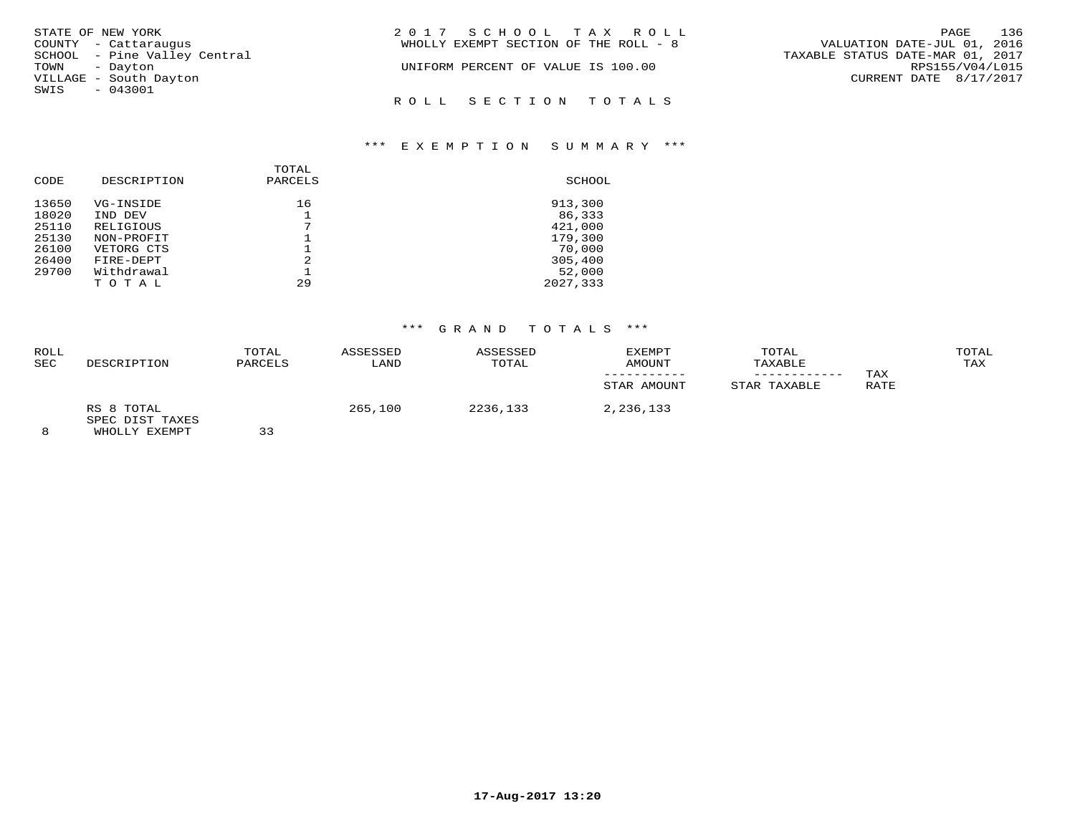| STATE OF NEW YORK            |  | 2017 SCHOOL TAX ROLL                  |  |                                  | PAGE            | 136 |
|------------------------------|--|---------------------------------------|--|----------------------------------|-----------------|-----|
| COUNTY - Cattaraugus         |  | WHOLLY EXEMPT SECTION OF THE ROLL - 8 |  | VALUATION DATE-JUL 01, 2016      |                 |     |
| SCHOOL - Pine Valley Central |  |                                       |  | TAXABLE STATUS DATE-MAR 01, 2017 |                 |     |
| TOWN - Dayton                |  | UNIFORM PERCENT OF VALUE IS 100.00    |  |                                  | RPS155/V04/L015 |     |
| VILLAGE - South Dayton       |  |                                       |  | CURRENT DATE 8/17/2017           |                 |     |
| SWIS<br>$-043001$            |  |                                       |  |                                  |                 |     |
|                              |  | ROLL SECTION TOTALS                   |  |                                  |                 |     |

#### \*\*\* E X E M P T I O N S U M M A R Y \*\*\*

| CODE  | DESCRIPTION | TOTAL<br>PARCELS | SCHOOL   |
|-------|-------------|------------------|----------|
| 13650 | VG-INSIDE   | 16               | 913,300  |
| 18020 | IND DEV     |                  | 86,333   |
| 25110 | RELIGIOUS   | 7                | 421,000  |
| 25130 | NON-PROFIT  |                  | 179,300  |
| 26100 | VETORG CTS  |                  | 70,000   |
| 26400 | FIRE-DEPT   | $\mathfrak{D}$   | 305,400  |
| 29700 | Withdrawal  |                  | 52,000   |
|       | TOTAL       | 29               | 2027,333 |

# \*\*\* G R A N D T O T A L S \*\*\*

| <b>ROLL</b><br><b>SEC</b> | DESCRIPTION                                        | TOTAL<br>PARCELS | ASSESSED<br>LAND | ASSESSED<br>TOTAL | <b>EXEMPT</b><br><b>AMOUNT</b><br>STAR AMOUNT | TOTAL<br>TAXABLE<br>STAR TAXABLE | TAX<br>RATE | TOTAL<br>TAX |
|---------------------------|----------------------------------------------------|------------------|------------------|-------------------|-----------------------------------------------|----------------------------------|-------------|--------------|
|                           | RS 8 TOTAL<br>SPEC DIST TAXES<br>LUICE I VI DILLER | $\cap$           | 265,100          | 2236,133          | 2,236,133                                     |                                  |             |              |

8 WHOLLY EXEMPT 33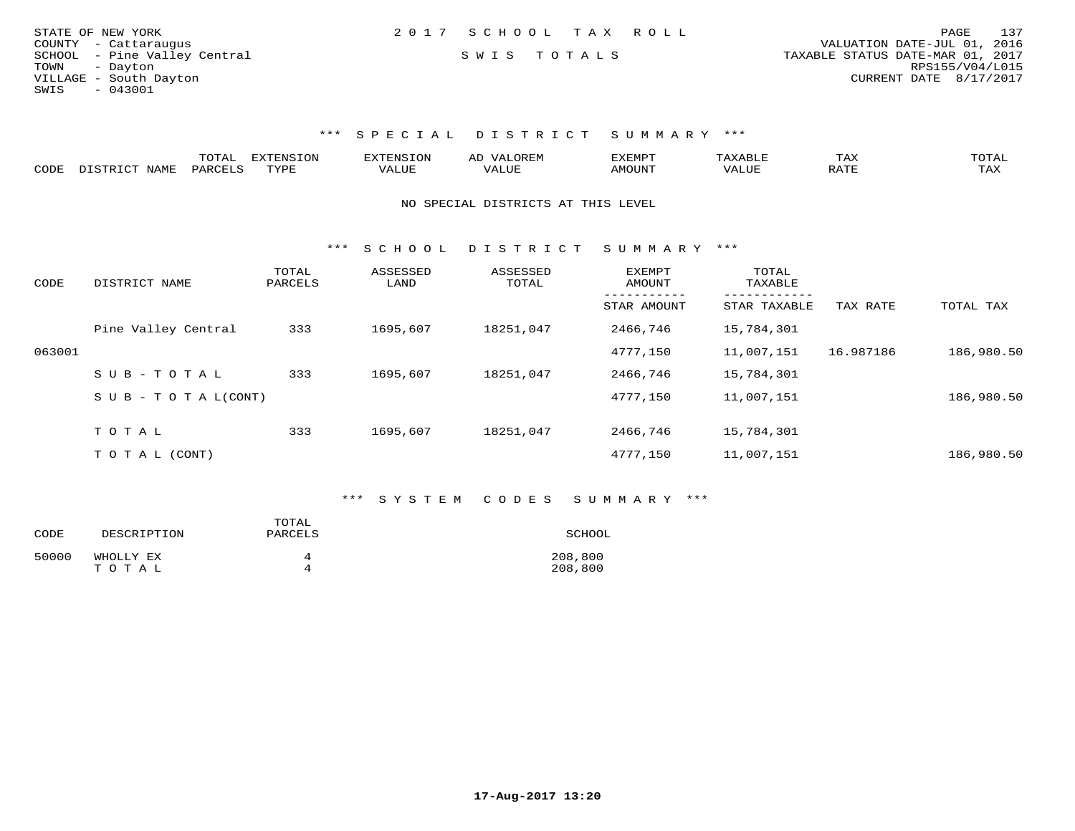| STATE OF NEW YORK |                              | 2017 SCHOOL TAX ROLL |  |                                  |                        | PAGE | 137 |
|-------------------|------------------------------|----------------------|--|----------------------------------|------------------------|------|-----|
|                   | COUNTY - Cattaraugus         |                      |  | VALUATION DATE-JUL 01, 2016      |                        |      |     |
|                   | SCHOOL - Pine Valley Central | SWIS TOTALS          |  | TAXABLE STATUS DATE-MAR 01, 2017 |                        |      |     |
| TOWN - Dayton     |                              |                      |  |                                  | RPS155/V04/L015        |      |     |
|                   | VILLAGE - South Dayton       |                      |  |                                  | CURRENT DATE 8/17/2017 |      |     |
| SWIS              | $-043001$                    |                      |  |                                  |                        |      |     |

|      | m^m*` | <b>TYTEMC</b><br>"ON | Aı | 'YEMP'I |   | IAA                   |                          |
|------|-------|----------------------|----|---------|---|-----------------------|--------------------------|
| CODE | υΔΡ   | <b>TUVP</b>          | .  | ועונ    | ⊷ | $\pi$ m $\tau$<br>. . | $m \times r$<br><u>.</u> |

#### NO SPECIAL DISTRICTS AT THIS LEVEL

\*\*\* S C H O O L D I S T R I C T S U M M A R Y \*\*\*

| CODE   | DISTRICT NAME              | TOTAL<br>PARCELS | ASSESSED<br>LAND | ASSESSED<br>TOTAL | <b>EXEMPT</b><br>AMOUNT | TOTAL<br>TAXABLE |           |            |
|--------|----------------------------|------------------|------------------|-------------------|-------------------------|------------------|-----------|------------|
|        |                            |                  |                  |                   | STAR AMOUNT             | STAR TAXABLE     | TAX RATE  | TOTAL TAX  |
|        | Pine Valley Central        | 333              | 1695,607         | 18251,047         | 2466,746                | 15,784,301       |           |            |
| 063001 |                            |                  |                  |                   | 4777.150                | 11,007,151       | 16.987186 | 186,980.50 |
|        | SUB-TOTAL                  | 333              | 1695,607         | 18251,047         | 2466,746                | 15,784,301       |           |            |
|        | S U B - T O T A $L$ (CONT) |                  |                  |                   | 4777,150                | 11,007,151       |           | 186,980.50 |
|        | TOTAL                      | 333              | 1695,607         | 18251,047         | 2466,746                | 15,784,301       |           |            |
|        | TO TAL (CONT)              |                  |                  |                   | 4777.150                | 11,007,151       |           | 186,980.50 |

#### \*\*\* S Y S T E M C O D E S S U M M A R Y \*\*\*

| CODE  | DESCRIPTION | TOTAL<br>PARCELS | SCHOOL  |
|-------|-------------|------------------|---------|
| 50000 | WHOLLY EX   | 4                | 208,800 |
|       | TOTAL       | 4                | 208,800 |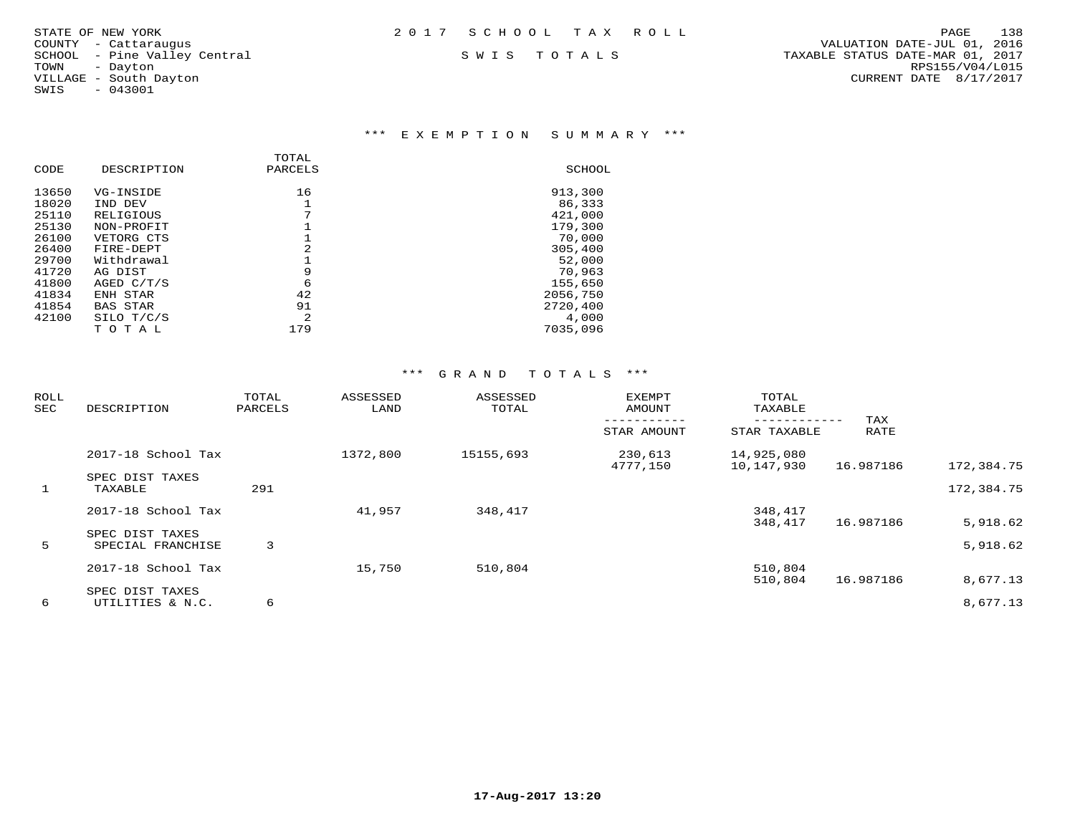| STATE OF NEW YORK | 2017 SCHOOL TAX ROLL |  | PAGE | 138 |
|-------------------|----------------------|--|------|-----|
|                   |                      |  |      |     |

# SWIS - 043001

#### \*\*\* E X E M P T I O N S U M M A R Y \*\*\*

| DESCRIPTION     | PARCELS        | SCHOOL   |
|-----------------|----------------|----------|
| VG-INSIDE       | 16             | 913,300  |
| IND DEV         |                | 86,333   |
| RELIGIOUS       | 7              | 421,000  |
| NON-PROFIT      |                | 179,300  |
| VETORG CTS      |                | 70,000   |
| FIRE-DEPT       | 2              | 305,400  |
| Withdrawal      |                | 52,000   |
| AG DIST         | 9              | 70,963   |
| AGED C/T/S      | 6              | 155,650  |
| ENH STAR        | 42             | 2056,750 |
| <b>BAS STAR</b> | 91             | 2720,400 |
| SILO T/C/S      | $\mathfrak{D}$ | 4,000    |
| тотаь           | 179            | 7035,096 |
|                 |                | TOTAL    |

| <b>ROLL</b><br>SEC | DESCRIPTION                          | TOTAL<br>PARCELS | ASSESSED<br>LAND | ASSESSED<br>TOTAL | <b>EXEMPT</b><br>AMOUNT | TOTAL<br>TAXABLE         | TAX       |                      |
|--------------------|--------------------------------------|------------------|------------------|-------------------|-------------------------|--------------------------|-----------|----------------------|
|                    |                                      |                  |                  |                   | STAR AMOUNT             | STAR TAXABLE             | RATE      |                      |
|                    | 2017-18 School Tax                   |                  | 1372,800         | 15155,693         | 230,613<br>4777,150     | 14,925,080<br>10,147,930 | 16.987186 | 172,384.75           |
| $\mathbf{1}$       | SPEC DIST TAXES<br>TAXABLE           | 291              |                  |                   |                         |                          |           | 172,384.75           |
|                    | 2017-18 School Tax                   |                  | 41,957           | 348,417           |                         | 348,417                  |           |                      |
| 5                  | SPEC DIST TAXES<br>SPECIAL FRANCHISE | 3                |                  |                   |                         | 348,417                  | 16.987186 | 5,918.62<br>5,918.62 |
|                    | 2017-18 School Tax                   |                  | 15,750           | 510,804           |                         | 510,804<br>510,804       | 16.987186 | 8,677.13             |
| 6                  | SPEC DIST TAXES<br>UTILITIES & N.C.  | 6                |                  |                   |                         |                          |           | 8,677.13             |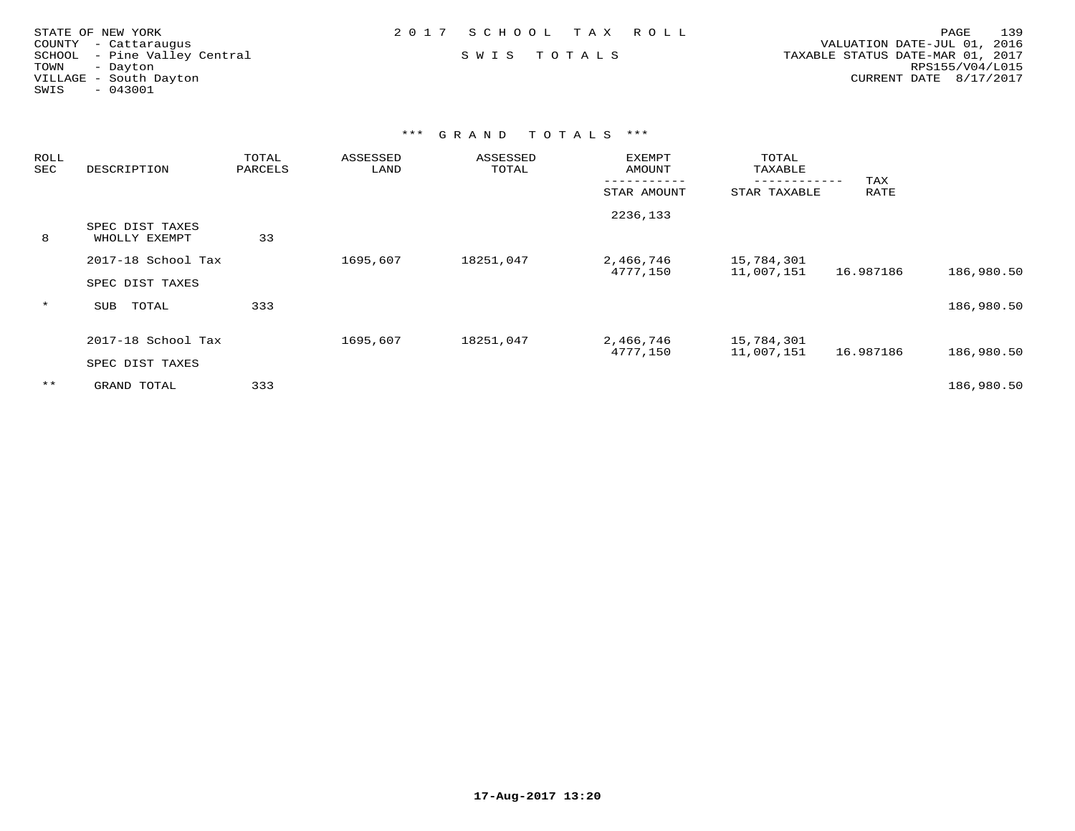| STATE OF NEW YORK            | 2017 SCHOOL TAX ROLL | 139<br>PAGE                      |
|------------------------------|----------------------|----------------------------------|
| COUNTY - Cattaraugus         |                      | VALUATION DATE-JUL 01, 2016      |
| SCHOOL - Pine Valley Central | SWIS TOTALS          | TAXABLE STATUS DATE-MAR 01, 2017 |
| TOWN<br>- Davton             |                      | RPS155/V04/L015                  |
| VILLAGE - South Dayton       |                      | CURRENT DATE 8/17/2017           |
| - 043001<br>SWIS             |                      |                                  |
|                              |                      |                                  |

| <b>ROLL</b><br>SEC | DESCRIPTION                           | TOTAL<br>PARCELS | ASSESSED<br>LAND | ASSESSED<br>TOTAL | <b>EXEMPT</b><br>AMOUNT | TOTAL<br>TAXABLE         |             |            |
|--------------------|---------------------------------------|------------------|------------------|-------------------|-------------------------|--------------------------|-------------|------------|
|                    |                                       |                  |                  |                   | STAR AMOUNT             | STAR TAXABLE             | TAX<br>RATE |            |
| 8                  | SPEC DIST TAXES<br>WHOLLY EXEMPT      | 33               |                  |                   | 2236,133                |                          |             |            |
|                    | 2017-18 School Tax<br>SPEC DIST TAXES |                  | 1695,607         | 18251,047         | 2,466,746<br>4777,150   | 15,784,301<br>11,007,151 | 16.987186   | 186,980.50 |
| $\star$            | SUB<br>TOTAL                          | 333              |                  |                   |                         |                          |             | 186,980.50 |
|                    | 2017-18 School Tax<br>SPEC DIST TAXES |                  | 1695,607         | 18251,047         | 2,466,746<br>4777,150   | 15,784,301<br>11,007,151 | 16.987186   | 186,980.50 |
| $***$              | GRAND TOTAL                           | 333              |                  |                   |                         |                          |             | 186,980.50 |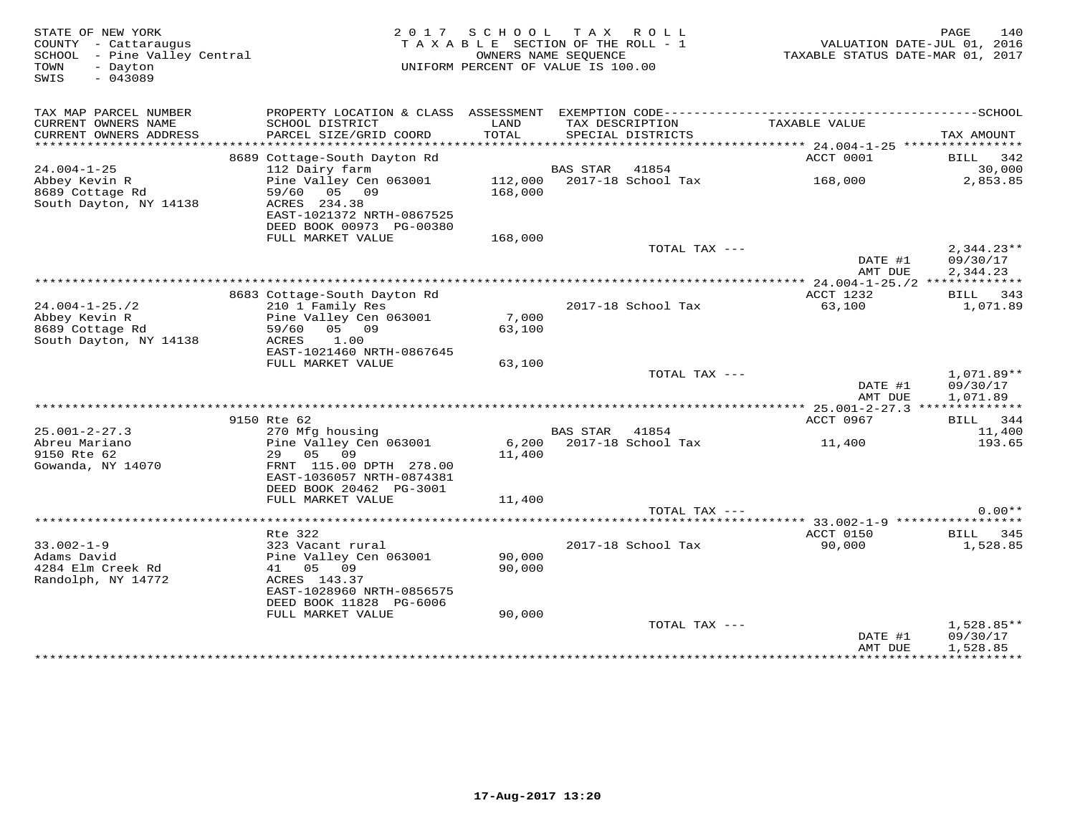| STATE OF NEW YORK<br>COUNTY - Cattaraugus<br>SCHOOL - Pine Valley Central<br>- Dayton<br>TOWN<br>$-043089$<br>SWIS |                                                             |               | 2017 SCHOOL TAX ROLL<br>TAXABLE SECTION OF THE ROLL - 1<br>OWNERS NAME SEQUENCE<br>UNIFORM PERCENT OF VALUE IS 100.00 | VALUATION DATE-JUL 01, 2016<br>TAXABLE STATUS DATE-MAR 01, 2017                              | 140<br>PAGE          |
|--------------------------------------------------------------------------------------------------------------------|-------------------------------------------------------------|---------------|-----------------------------------------------------------------------------------------------------------------------|----------------------------------------------------------------------------------------------|----------------------|
| TAX MAP PARCEL NUMBER                                                                                              |                                                             |               |                                                                                                                       | PROPERTY LOCATION & CLASS ASSESSMENT EXEMPTION CODE-----------------------------------SCHOOL |                      |
| CURRENT OWNERS NAME<br>CURRENT OWNERS ADDRESS                                                                      | SCHOOL DISTRICT<br>PARCEL SIZE/GRID COORD                   | LAND<br>TOTAL | TAX DESCRIPTION<br>SPECIAL DISTRICTS                                                                                  | TAXABLE VALUE                                                                                | TAX AMOUNT           |
|                                                                                                                    |                                                             |               |                                                                                                                       |                                                                                              |                      |
| $24.004 - 1 - 25$                                                                                                  | 8689 Cottage-South Dayton Rd<br>112 Dairy farm              |               | <b>BAS STAR</b> 41854                                                                                                 | ACCT 0001                                                                                    | BILL 342<br>30,000   |
| Abbey Kevin R                                                                                                      | Pine Valley Cen 063001                                      |               | 112,000 2017-18 School Tax                                                                                            | 168,000                                                                                      | 2,853.85             |
| 8689 Cottage Rd<br>South Dayton, NY 14138                                                                          | 59/60<br>05 09<br>ACRES 234.38<br>EAST-1021372 NRTH-0867525 | 168,000       |                                                                                                                       |                                                                                              |                      |
|                                                                                                                    | DEED BOOK 00973 PG-00380                                    |               |                                                                                                                       |                                                                                              |                      |
|                                                                                                                    | FULL MARKET VALUE                                           | 168,000       | TOTAL TAX ---                                                                                                         |                                                                                              | $2,344.23**$         |
|                                                                                                                    |                                                             |               |                                                                                                                       | DATE #1<br>AMT DUE                                                                           | 09/30/17<br>2,344.23 |
|                                                                                                                    |                                                             |               |                                                                                                                       |                                                                                              |                      |
|                                                                                                                    | 8683 Cottage-South Dayton Rd                                |               |                                                                                                                       | ACCT 1232                                                                                    | BILL 343             |
| $24.004 - 1 - 25.72$<br>Abbey Kevin R                                                                              | 210 1 Family Res<br>Pine Valley Cen 063001                  | 7,000         | 2017-18 School Tax                                                                                                    | 63,100                                                                                       | 1,071.89             |
| 8689 Cottage Rd                                                                                                    | 59/60 05 09                                                 | 63,100        |                                                                                                                       |                                                                                              |                      |
| South Dayton, NY 14138                                                                                             | ACRES<br>1.00                                               |               |                                                                                                                       |                                                                                              |                      |
|                                                                                                                    | EAST-1021460 NRTH-0867645                                   |               |                                                                                                                       |                                                                                              |                      |
|                                                                                                                    | FULL MARKET VALUE                                           | 63,100        |                                                                                                                       |                                                                                              |                      |
|                                                                                                                    |                                                             |               | TOTAL TAX ---                                                                                                         |                                                                                              | 1,071.89**           |
|                                                                                                                    |                                                             |               |                                                                                                                       | DATE #1<br>AMT DUE                                                                           | 09/30/17<br>1,071.89 |
|                                                                                                                    |                                                             |               |                                                                                                                       |                                                                                              |                      |
|                                                                                                                    | 9150 Rte 62                                                 |               |                                                                                                                       | ACCT 0967                                                                                    | BILL 344             |
| $25.001 - 2 - 27.3$                                                                                                | 270 Mfg housing                                             |               | BAS STAR<br>41854                                                                                                     |                                                                                              | 11,400               |
| Abreu Mariano                                                                                                      | Pine Valley Cen 063001                                      | 6,200         | 2017-18 School Tax                                                                                                    | 11,400                                                                                       | 193.65               |
| 9150 Rte 62                                                                                                        | 29 05 09                                                    | 11,400        |                                                                                                                       |                                                                                              |                      |
| Gowanda, NY 14070                                                                                                  | FRNT 115.00 DPTH 278.00<br>EAST-1036057 NRTH-0874381        |               |                                                                                                                       |                                                                                              |                      |
|                                                                                                                    | DEED BOOK 20462 PG-3001                                     |               |                                                                                                                       |                                                                                              |                      |
|                                                                                                                    | FULL MARKET VALUE                                           | 11,400        |                                                                                                                       |                                                                                              |                      |
|                                                                                                                    |                                                             |               | TOTAL TAX ---                                                                                                         |                                                                                              | $0.00**$             |
|                                                                                                                    |                                                             |               |                                                                                                                       |                                                                                              |                      |
|                                                                                                                    | Rte 322                                                     |               |                                                                                                                       | ACCT 0150                                                                                    | BILL 345             |
| $33.002 - 1 - 9$<br>Adams David                                                                                    | 323 Vacant rural<br>Pine Valley Cen 063001                  | 90,000        | 2017-18 School Tax                                                                                                    | 90,000                                                                                       | 1,528.85             |
| 4284 Elm Creek Rd                                                                                                  | 41 05 09                                                    | 90,000        |                                                                                                                       |                                                                                              |                      |
| Randolph, NY 14772                                                                                                 | ACRES 143.37                                                |               |                                                                                                                       |                                                                                              |                      |
|                                                                                                                    | EAST-1028960 NRTH-0856575                                   |               |                                                                                                                       |                                                                                              |                      |
|                                                                                                                    | DEED BOOK 11828 PG-6006                                     |               |                                                                                                                       |                                                                                              |                      |
|                                                                                                                    | FULL MARKET VALUE                                           | 90,000        |                                                                                                                       |                                                                                              |                      |
|                                                                                                                    |                                                             |               | TOTAL TAX ---                                                                                                         |                                                                                              | $1,528.85**$         |
|                                                                                                                    |                                                             |               |                                                                                                                       | DATE #1<br>AMT DUE                                                                           | 09/30/17<br>1,528.85 |
|                                                                                                                    |                                                             |               |                                                                                                                       |                                                                                              |                      |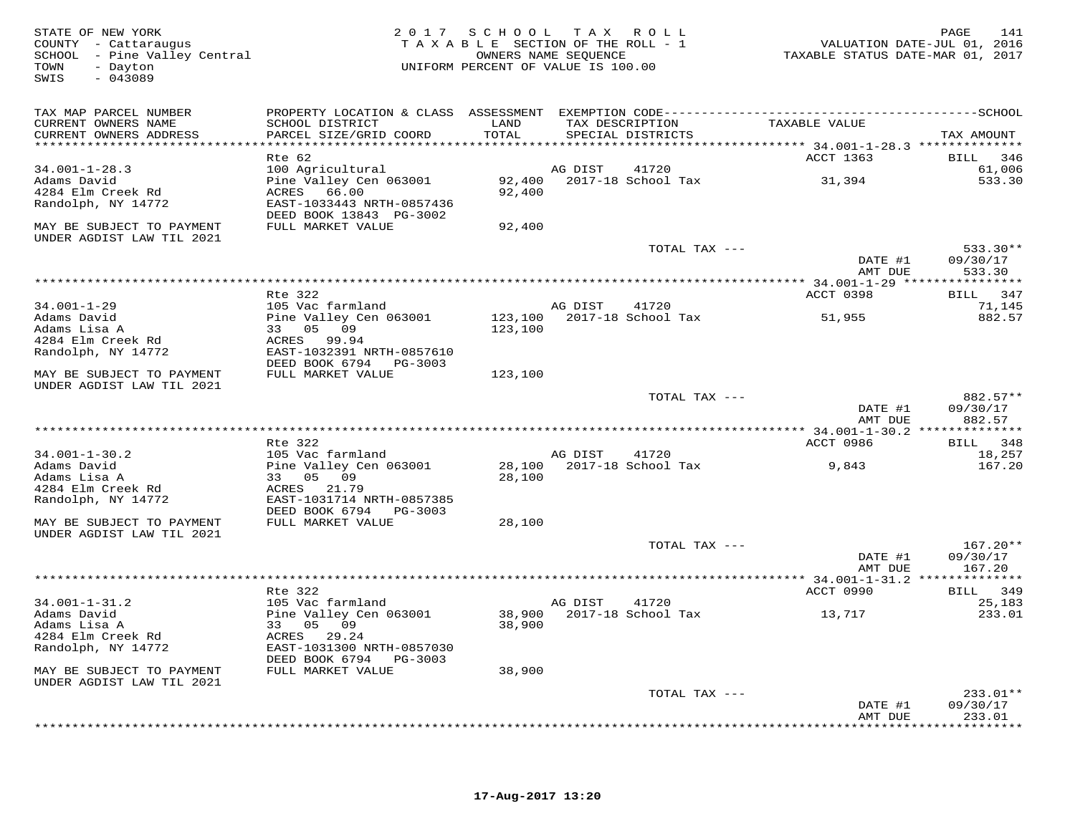STATE OF NEW YORK 2 0 1 7 S C H O O L T A X R O L L PAGE 141 COUNTY - Cattaraugus T A X A B L E SECTION OF THE ROLL - 1 VALUATION DATE-JUL 01, 2016 SCHOOL - Pine Valley Central OWNERS NAME SEQUENCE TAXABLE STATUS DATE-MAR 01, 2017 TOWN - Dayton UNIFORM PERCENT OF VALUE IS 100.00 SWIS - 043089TAX MAP PARCEL NUMBER PROPERTY LOCATION & CLASS ASSESSMENT EXEMPTION CODE------------------------------------------SCHOOL CURRENT OWNERS NAME SCHOOL DISTRICT LAND TAX DESCRIPTION TAXABLE VALUE CURRENT OWNERS ADDRESS PARCEL SIZE/GRID COORD TOTAL SPECIAL DISTRICTS TAX AMOUNT \*\*\*\*\*\*\*\*\*\*\*\*\*\*\*\*\*\*\*\*\*\*\*\*\*\*\*\*\*\*\*\*\*\*\*\*\*\*\*\*\*\*\*\*\*\*\*\*\*\*\*\*\*\*\*\*\*\*\*\*\*\*\*\*\*\*\*\*\*\*\*\*\*\*\*\*\*\*\*\*\*\*\*\*\*\*\*\*\*\*\*\*\*\*\*\*\*\*\*\*\*\*\* 34.001-1-28.3 \*\*\*\*\*\*\*\*\*\*\*\*\*\*ACCT 1363 BILL 346 Rte 62 ACCT 1363 BILL 34661,006 34.001-1-28.3 100 Agricultural AG DIST 41720 61,006  $533.30$ Adams David Pine Valley Cen 063001 92,400 2017-18 School Tax 31,394 533.304284 Elm Creek Rd ACRES 66.00 92,400 Randolph, NY 14772 EAST-1033443 NRTH-0857436 DEED BOOK 13843 PG-3002 MAY BE SUBJECT TO PAYMENT FULL MARKET VALUE 92,400UNDER AGDIST LAW TIL 2021 TOTAL TAX --- 533.30\*\* DATE #1 09/30/17 AMT DUE 533.30 \*\*\*\*\*\*\*\*\*\*\*\*\*\*\*\*\*\*\*\*\*\*\*\*\*\*\*\*\*\*\*\*\*\*\*\*\*\*\*\*\*\*\*\*\*\*\*\*\*\*\*\*\*\*\*\*\*\*\*\*\*\*\*\*\*\*\*\*\*\*\*\*\*\*\*\*\*\*\*\*\*\*\*\*\*\*\*\*\*\*\*\*\*\*\*\*\*\*\*\*\*\*\* 34.001-1-29 \*\*\*\*\*\*\*\*\*\*\*\*\*\*\*\*ACCT 0398 BILL 347 Rte 322 ACCT 0398 BILL 34771,145 34.001-1-29 105 Vac farmland AG DIST 41720 71,145882.57 Adams David Pine Valley Cen 063001 123,100 2017-18 School Tax 51,955 882.57Adams Lisa A 33 05 09 123,100 4284 Elm Creek Rd ACRES 99.94 Randolph, NY 14772 EAST-1032391 NRTH-0857610 DEED BOOK 6794 PG-3003 MAY BE SUBJECT TO PAYMENT FULL MARKET VALUE 123,100 UNDER AGDIST LAW TIL 2021 TOTAL TAX --- 882.57\*\* DATE #1 09/30/17 $\frac{1}{2}$   $\frac{1}{2}$   $\frac{1}{2}$   $\frac{1}{2}$   $\frac{1}{2}$   $\frac{1}{2}$   $\frac{1}{2}$   $\frac{1}{2}$   $\frac{1}{2}$   $\frac{1}{2}$   $\frac{1}{2}$   $\frac{1}{2}$   $\frac{1}{2}$   $\frac{1}{2}$   $\frac{1}{2}$   $\frac{1}{2}$   $\frac{1}{2}$   $\frac{1}{2}$   $\frac{1}{2}$   $\frac{1}{2}$   $\frac{1}{2}$   $\frac{1}{2}$  AMT DUE 882.57 \*\*\*\*\*\*\*\*\*\*\*\*\*\*\*\*\*\*\*\*\*\*\*\*\*\*\*\*\*\*\*\*\*\*\*\*\*\*\*\*\*\*\*\*\*\*\*\*\*\*\*\*\*\*\*\*\*\*\*\*\*\*\*\*\*\*\*\*\*\*\*\*\*\*\*\*\*\*\*\*\*\*\*\*\*\*\*\*\*\*\*\*\*\*\*\*\*\*\*\*\*\*\* 34.001-1-30.2 \*\*\*\*\*\*\*\*\*\*\*\*\*\*ACCT 0986 BILL 348 Rte 322 ACCT 0986 BILL 34818,257 34.001-1-30.2 105 Vac farmland AG DIST 41720 18,257 167.20 Adams David Pine Valley Cen 063001 28,100 2017-18 School Tax 9,843 167.20Adams Lisa A 33 05 09 28,100 4284 Elm Creek Rd ACRES 21.79 Randolph, NY 14772 EAST-1031714 NRTH-0857385 DEED BOOK 6794 PG-3003 MAY BE SUBJECT TO PAYMENT FULL MARKET VALUE 28,100 UNDER AGDIST LAW TIL 2021 TOTAL TAX --- 167.20\*\* DATE #1 09/30/17AMT DUE 167.20 AMT DUE 167.20 \*\*\*\*\*\*\*\*\*\*\*\*\*\*\*\*\*\*\*\*\*\*\*\*\*\*\*\*\*\*\*\*\*\*\*\*\*\*\*\*\*\*\*\*\*\*\*\*\*\*\*\*\*\*\*\*\*\*\*\*\*\*\*\*\*\*\*\*\*\*\*\*\*\*\*\*\*\*\*\*\*\*\*\*\*\*\*\*\*\*\*\*\*\*\*\*\*\*\*\*\*\*\* 34.001-1-31.2 \*\*\*\*\*\*\*\*\*\*\*\*\*\*ACCT 0990 BILL 349 Rte 322 ACCT 0990 BILL 34925,183 34.001-1-31.2 105 Vac farmland AG DIST 41720 25,183 233.01 Adams David Pine Valley Cen 063001 38,900 2017-18 School Tax 13,717 233.01Adams Lisa A 33 05 09 38,900 4284 Elm Creek Rd ACRES 29.24 Randolph, NY 14772 EAST-1031300 NRTH-0857030 DEED BOOK 6794 PG-3003 MAY BE SUBJECT TO PAYMENT FULL MARKET VALUE 38,900UNDER AGDIST LAW TIL 2021 TOTAL TAX --- 233.01\*\* DATE #1 09/30/17 AMT DUE 233.01\*\*\*\*\*\*\*\*\*\*\*\*\*\*\*\*\*\*\*\*\*\*\*\*\*\*\*\*\*\*\*\*\*\*\*\*\*\*\*\*\*\*\*\*\*\*\*\*\*\*\*\*\*\*\*\*\*\*\*\*\*\*\*\*\*\*\*\*\*\*\*\*\*\*\*\*\*\*\*\*\*\*\*\*\*\*\*\*\*\*\*\*\*\*\*\*\*\*\*\*\*\*\*\*\*\*\*\*\*\*\*\*\*\*\*\*\*\*\*\*\*\*\*\*\*\*\*\*\*\*\*\*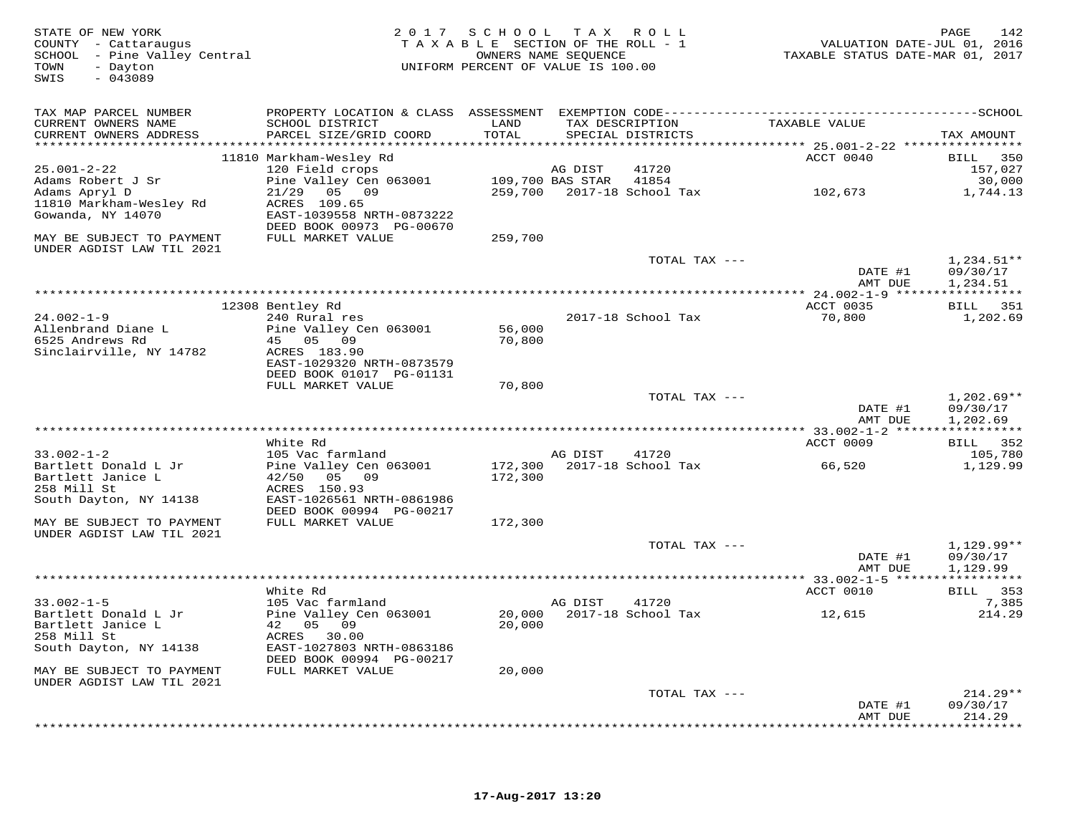| STATE OF NEW YORK<br>COUNTY - Cattaraugus<br>SCHOOL - Pine Valley Central<br>- Dayton<br>TOWN<br>$-043089$<br>SWIS |                                                       | 2017 SCHOOL TAX ROLL<br>TAXABLE SECTION OF THE ROLL - 1<br>UNIFORM PERCENT OF VALUE IS 100.00 | OWNERS NAME SEQUENCE |                                      | TAXABLE STATUS DATE-MAR 01, 2017 | PAGE<br>VALUATION DATE-JUL 01, 2016 | 142                      |
|--------------------------------------------------------------------------------------------------------------------|-------------------------------------------------------|-----------------------------------------------------------------------------------------------|----------------------|--------------------------------------|----------------------------------|-------------------------------------|--------------------------|
| TAX MAP PARCEL NUMBER                                                                                              |                                                       |                                                                                               |                      |                                      |                                  |                                     |                          |
| CURRENT OWNERS NAME<br>CURRENT OWNERS ADDRESS                                                                      | SCHOOL DISTRICT<br>PARCEL SIZE/GRID COORD             | LAND<br>TOTAL                                                                                 |                      | TAX DESCRIPTION<br>SPECIAL DISTRICTS | TAXABLE VALUE                    |                                     | TAX AMOUNT               |
|                                                                                                                    |                                                       |                                                                                               |                      |                                      |                                  |                                     |                          |
|                                                                                                                    | 11810 Markham-Wesley Rd                               |                                                                                               |                      |                                      | ACCT 0040                        | BILL                                | 350                      |
| $25.001 - 2 - 22$                                                                                                  | 120 Field crops                                       |                                                                                               | AG DIST              | 41720                                |                                  |                                     | 157,027                  |
| Adams Robert J Sr                                                                                                  | Pine Valley Cen 063001                                | 109,700 BAS STAR                                                                              |                      | 41854                                |                                  |                                     | 30,000                   |
| Adams Apryl D                                                                                                      | 05 09<br>21/29                                        |                                                                                               |                      | 259,700 2017-18 School Tax           | 102,673                          |                                     | 1,744.13                 |
| 11810 Markham-Wesley Rd<br>Gowanda, NY 14070                                                                       | ACRES 109.65<br>EAST-1039558 NRTH-0873222             |                                                                                               |                      |                                      |                                  |                                     |                          |
|                                                                                                                    | DEED BOOK 00973 PG-00670                              |                                                                                               |                      |                                      |                                  |                                     |                          |
| MAY BE SUBJECT TO PAYMENT                                                                                          | FULL MARKET VALUE                                     | 259,700                                                                                       |                      |                                      |                                  |                                     |                          |
| UNDER AGDIST LAW TIL 2021                                                                                          |                                                       |                                                                                               |                      |                                      |                                  |                                     |                          |
|                                                                                                                    |                                                       |                                                                                               |                      | TOTAL TAX ---                        |                                  |                                     | $1,234.51**$             |
|                                                                                                                    |                                                       |                                                                                               |                      |                                      | DATE #1                          |                                     | 09/30/17                 |
|                                                                                                                    |                                                       |                                                                                               |                      |                                      | AMT DUE                          |                                     | 1,234.51                 |
|                                                                                                                    |                                                       |                                                                                               |                      |                                      |                                  |                                     |                          |
| $24.002 - 1 - 9$                                                                                                   | 12308 Bentley Rd<br>240 Rural res                     |                                                                                               |                      | 2017-18 School Tax                   | ACCT 0035<br>70,800              |                                     | BILL 351<br>1,202.69     |
| Allenbrand Diane L                                                                                                 | Pine Valley Cen 063001                                | 56,000                                                                                        |                      |                                      |                                  |                                     |                          |
| 6525 Andrews Rd                                                                                                    | 45 05 09                                              | 70,800                                                                                        |                      |                                      |                                  |                                     |                          |
| Sinclairville, NY 14782                                                                                            | ACRES 183.90                                          |                                                                                               |                      |                                      |                                  |                                     |                          |
|                                                                                                                    | EAST-1029320 NRTH-0873579                             |                                                                                               |                      |                                      |                                  |                                     |                          |
|                                                                                                                    | DEED BOOK 01017 PG-01131                              |                                                                                               |                      |                                      |                                  |                                     |                          |
|                                                                                                                    | FULL MARKET VALUE                                     | 70,800                                                                                        |                      |                                      |                                  |                                     |                          |
|                                                                                                                    |                                                       |                                                                                               |                      | TOTAL TAX ---                        | DATE #1                          |                                     | $1,202.69**$<br>09/30/17 |
|                                                                                                                    |                                                       |                                                                                               |                      |                                      | AMT DUE                          |                                     | 1,202.69                 |
|                                                                                                                    |                                                       |                                                                                               |                      |                                      |                                  |                                     |                          |
|                                                                                                                    | White Rd                                              |                                                                                               |                      |                                      | ACCT 0009                        | <b>BILL</b>                         | 352                      |
| $33.002 - 1 - 2$                                                                                                   | 105 Vac farmland                                      |                                                                                               | AG DIST              | 41720                                |                                  |                                     | 105,780                  |
| Bartlett Donald L Jr                                                                                               | Pine Valley Cen 063001                                | 172,300                                                                                       |                      | 2017-18 School Tax                   | 66,520                           |                                     | 1,129.99                 |
| Bartlett Janice L                                                                                                  | 42/50 05 09                                           | 172,300                                                                                       |                      |                                      |                                  |                                     |                          |
| 258 Mill St                                                                                                        | ACRES 150.93                                          |                                                                                               |                      |                                      |                                  |                                     |                          |
| South Dayton, NY 14138                                                                                             | EAST-1026561 NRTH-0861986<br>DEED BOOK 00994 PG-00217 |                                                                                               |                      |                                      |                                  |                                     |                          |
| MAY BE SUBJECT TO PAYMENT                                                                                          | FULL MARKET VALUE                                     | 172,300                                                                                       |                      |                                      |                                  |                                     |                          |
| UNDER AGDIST LAW TIL 2021                                                                                          |                                                       |                                                                                               |                      |                                      |                                  |                                     |                          |
|                                                                                                                    |                                                       |                                                                                               |                      | TOTAL TAX ---                        |                                  |                                     | $1,129.99**$             |
|                                                                                                                    |                                                       |                                                                                               |                      |                                      | DATE #1                          |                                     | 09/30/17                 |
|                                                                                                                    |                                                       |                                                                                               |                      |                                      | AMT DUE                          |                                     | 1,129.99                 |
|                                                                                                                    |                                                       |                                                                                               |                      |                                      |                                  |                                     |                          |
| $33.002 - 1 - 5$                                                                                                   | White Rd<br>105 Vac farmland                          |                                                                                               | AG DIST              | 41720                                | ACCT 0010                        |                                     | BILL 353<br>7,385        |
| Bartlett Donald L Jr                                                                                               | Pine Valley Cen 063001                                | 20,000                                                                                        |                      | 2017-18 School Tax                   | 12,615                           |                                     | 214.29                   |
| Bartlett Janice L                                                                                                  | 42 05 09                                              | 20,000                                                                                        |                      |                                      |                                  |                                     |                          |
| 258 Mill St                                                                                                        | ACRES<br>30.00                                        |                                                                                               |                      |                                      |                                  |                                     |                          |
| South Dayton, NY 14138                                                                                             | EAST-1027803 NRTH-0863186                             |                                                                                               |                      |                                      |                                  |                                     |                          |
|                                                                                                                    | DEED BOOK 00994 PG-00217                              |                                                                                               |                      |                                      |                                  |                                     |                          |
| MAY BE SUBJECT TO PAYMENT                                                                                          | FULL MARKET VALUE                                     | 20,000                                                                                        |                      |                                      |                                  |                                     |                          |
| UNDER AGDIST LAW TIL 2021                                                                                          |                                                       |                                                                                               |                      |                                      |                                  |                                     |                          |
|                                                                                                                    |                                                       |                                                                                               |                      | TOTAL TAX ---                        | DATE #1                          |                                     | $214.29**$<br>09/30/17   |
|                                                                                                                    |                                                       |                                                                                               |                      |                                      | AMT DUE                          |                                     | 214.29                   |
|                                                                                                                    |                                                       |                                                                                               |                      |                                      |                                  |                                     |                          |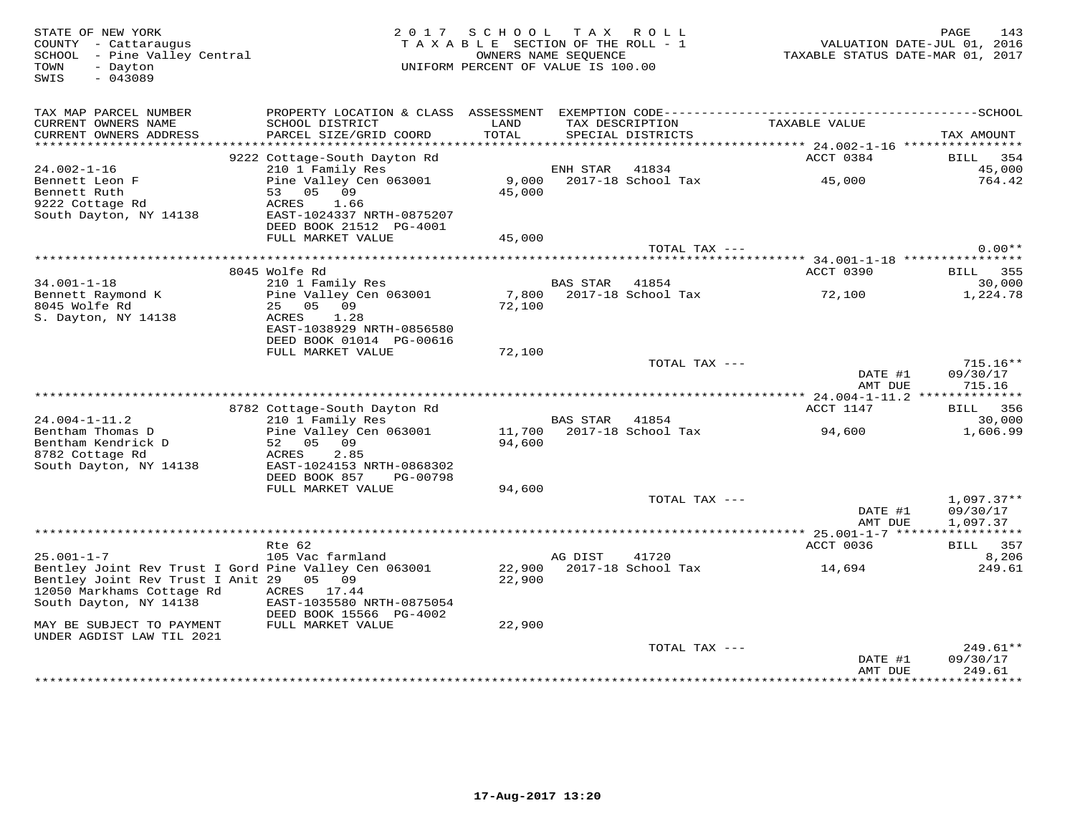TOWN - Dayton<br>SWIS - 043089

# STATE OF NEW YORK 2 0 1 7 S C H O O L T A X R O L L PAGE 143 COUNTY - Cattaraugus T A X A B L E SECTION OF THE ROLL - 1 VALUATION DATE-JUL 01, 2016 SCHOOL - Pine Valley Central OWNERS NAME SEQUENCE TAXABLE STATUS DATE-MAR 01, 2017 TOWN - Dayton UNIFORM PERCENT OF VALUE IS 100.00

| TAX MAP PARCEL NUMBER<br>CURRENT OWNERS NAME<br>CURRENT OWNERS ADDRESS                     | PROPERTY LOCATION & CLASS<br>SCHOOL DISTRICT<br>PARCEL SIZE/GRID COORD | ASSESSMENT<br>LAND<br>TOTAL | TAX DESCRIPTION          | EXEMPTION CODE------<br>SPECIAL DISTRICTS | TAXABLE VALUE                     | ----SCHOOL<br>TAX AMOUNT |
|--------------------------------------------------------------------------------------------|------------------------------------------------------------------------|-----------------------------|--------------------------|-------------------------------------------|-----------------------------------|--------------------------|
|                                                                                            | 9222 Cottage-South Dayton Rd                                           |                             |                          |                                           | ACCT 0384                         | 354<br>BILL              |
| $24.002 - 1 - 16$                                                                          | 210 1 Family Res                                                       |                             | ENH STAR                 | 41834                                     |                                   | 45,000                   |
| Bennett Leon F                                                                             | Pine Valley Cen 063001                                                 | 9,000                       |                          | 2017-18 School Tax                        | 45,000                            | 764.42                   |
| Bennett Ruth                                                                               | 05<br>09<br>53                                                         | 45,000                      |                          |                                           |                                   |                          |
| 9222 Cottage Rd                                                                            | ACRES<br>1.66                                                          |                             |                          |                                           |                                   |                          |
| South Dayton, NY 14138                                                                     | EAST-1024337 NRTH-0875207                                              |                             |                          |                                           |                                   |                          |
|                                                                                            | DEED BOOK 21512 PG-4001                                                |                             |                          |                                           |                                   |                          |
|                                                                                            | FULL MARKET VALUE                                                      | 45,000                      |                          | TOTAL TAX ---                             |                                   | $0.00**$                 |
|                                                                                            | **************************                                             |                             |                          |                                           | ********* 34.001-1-18 *********** |                          |
|                                                                                            | 8045 Wolfe Rd                                                          |                             |                          |                                           | ACCT 0390                         | 355<br>BILL              |
| $34.001 - 1 - 18$                                                                          | 210 1 Family Res                                                       |                             | <b>BAS STAR</b>          | 41854                                     |                                   | 30,000                   |
| Bennett Raymond K                                                                          | Pine Valley Cen 063001                                                 | 7,800                       |                          | 2017-18 School Tax                        | 72,100                            | 1,224.78                 |
| 8045 Wolfe Rd                                                                              | 05<br>09<br>25                                                         | 72,100                      |                          |                                           |                                   |                          |
| S. Dayton, NY 14138                                                                        | 1.28<br>ACRES                                                          |                             |                          |                                           |                                   |                          |
|                                                                                            | EAST-1038929 NRTH-0856580                                              |                             |                          |                                           |                                   |                          |
|                                                                                            | DEED BOOK 01014 PG-00616                                               |                             |                          |                                           |                                   |                          |
|                                                                                            | FULL MARKET VALUE                                                      | 72,100                      |                          | TOTAL TAX ---                             |                                   | $715.16**$               |
|                                                                                            |                                                                        |                             |                          |                                           | DATE #1                           | 09/30/17                 |
|                                                                                            |                                                                        |                             |                          |                                           | AMT DUE                           | 715.16                   |
|                                                                                            |                                                                        |                             | ************************ |                                           | $24.004 - 1 - 11.2$               | * * * * * * * * *        |
|                                                                                            | 8782 Cottage-South Dayton Rd                                           |                             |                          |                                           | ACCT 1147                         | BILL<br>356              |
| $24.004 - 1 - 11.2$                                                                        | 210 1 Family Res                                                       |                             | <b>BAS STAR</b>          | 41854                                     |                                   | 30,000                   |
| Bentham Thomas D                                                                           | Pine Valley Cen 063001                                                 | 11,700                      |                          | 2017-18 School Tax                        | 94,600                            | 1,606.99                 |
| Bentham Kendrick D                                                                         | 05<br>09<br>52                                                         | 94,600                      |                          |                                           |                                   |                          |
| 8782 Cottage Rd                                                                            | ACRES<br>2.85<br>EAST-1024153 NRTH-0868302                             |                             |                          |                                           |                                   |                          |
| South Dayton, NY 14138                                                                     | DEED BOOK 857<br>PG-00798                                              |                             |                          |                                           |                                   |                          |
|                                                                                            | FULL MARKET VALUE                                                      | 94,600                      |                          |                                           |                                   |                          |
|                                                                                            |                                                                        |                             |                          | TOTAL TAX ---                             |                                   | $1,097.37**$             |
|                                                                                            |                                                                        |                             |                          |                                           | DATE #1                           | 09/30/17                 |
|                                                                                            |                                                                        |                             |                          |                                           | AMT DUE                           | 1,097.37                 |
|                                                                                            |                                                                        |                             |                          |                                           |                                   |                          |
|                                                                                            | Rte 62                                                                 |                             |                          |                                           | ACCT 0036                         | 357<br>BILL              |
| $25.001 - 1 - 7$                                                                           | 105 Vac farmland                                                       | 22,900                      | AG DIST                  | 41720<br>2017-18 School Tax               |                                   | 8,206<br>249.61          |
| Bentley Joint Rev Trust I Gord Pine Valley Cen 063001<br>Bentley Joint Rev Trust I Anit 29 | 0.5<br>09                                                              | 22,900                      |                          |                                           | 14,694                            |                          |
| 12050 Markhams Cottage Rd                                                                  | ACRES<br>17.44                                                         |                             |                          |                                           |                                   |                          |
| South Dayton, NY 14138                                                                     | EAST-1035580 NRTH-0875054                                              |                             |                          |                                           |                                   |                          |
|                                                                                            | DEED BOOK 15566 PG-4002                                                |                             |                          |                                           |                                   |                          |
| MAY BE SUBJECT TO PAYMENT                                                                  | FULL MARKET VALUE                                                      | 22,900                      |                          |                                           |                                   |                          |
| UNDER AGDIST LAW TIL 2021                                                                  |                                                                        |                             |                          |                                           |                                   |                          |
|                                                                                            |                                                                        |                             |                          | TOTAL TAX ---                             |                                   | 249.61**                 |
|                                                                                            |                                                                        |                             |                          |                                           | DATE #1<br>AMT DUE                | 09/30/17<br>249.61       |
|                                                                                            |                                                                        |                             |                          |                                           | *******************************   |                          |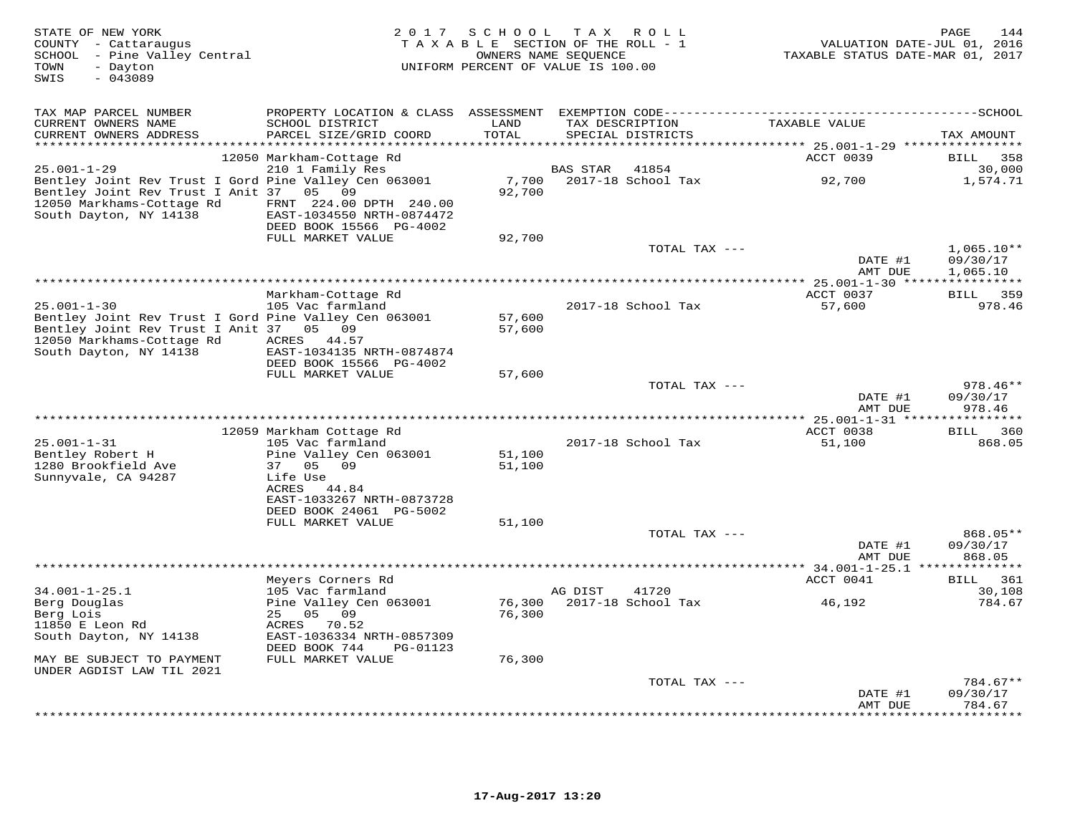| STATE OF NEW YORK<br>COUNTY - Cattaraugus<br>SCHOOL - Pine Valley Central<br>- Dayton<br>TOWN<br>$-043089$<br>SWIS                                                           | 2 0 1 7                                                                                                                                                                         | S C H O O L                | T A X<br>TAXABLE SECTION OF THE ROLL - 1<br>OWNERS NAME SEQUENCE<br>UNIFORM PERCENT OF VALUE IS 100.00 | R O L L       | VALUATION DATE-JUL 01, 2016<br>TAXABLE STATUS DATE-MAR 01, 2017            | PAGE<br>144                      |
|------------------------------------------------------------------------------------------------------------------------------------------------------------------------------|---------------------------------------------------------------------------------------------------------------------------------------------------------------------------------|----------------------------|--------------------------------------------------------------------------------------------------------|---------------|----------------------------------------------------------------------------|----------------------------------|
| TAX MAP PARCEL NUMBER<br>CURRENT OWNERS NAME<br>CURRENT OWNERS ADDRESS<br>**********************                                                                             | PROPERTY LOCATION & CLASS ASSESSMENT EXEMPTION CODE-----------------------------------SCHOOL<br>SCHOOL DISTRICT<br>PARCEL SIZE/GRID COORD                                       | LAND<br>TOTAL              | TAX DESCRIPTION<br>SPECIAL DISTRICTS                                                                   |               | TAXABLE VALUE<br>**************************** 25.001-1-29 **************** | TAX AMOUNT                       |
|                                                                                                                                                                              | 12050 Markham-Cottage Rd                                                                                                                                                        |                            |                                                                                                        |               | ACCT 0039                                                                  | BILL<br>358                      |
| $25.001 - 1 - 29$<br>Bentley Joint Rev Trust I Gord Pine Valley Cen 063001<br>Bentley Joint Rev Trust I Anit 37<br>12050 Markhams-Cottage Rd<br>South Dayton, NY 14138       | 210 1 Family Res<br>05 09<br>FRNT 224.00 DPTH 240.00<br>EAST-1034550 NRTH-0874472<br>DEED BOOK 15566 PG-4002                                                                    | 7,700<br>92,700            | BAS STAR<br>2017-18 School Tax                                                                         | 41854         | 92,700                                                                     | 30,000<br>1,574.71               |
|                                                                                                                                                                              | FULL MARKET VALUE                                                                                                                                                               | 92,700                     |                                                                                                        |               |                                                                            |                                  |
|                                                                                                                                                                              |                                                                                                                                                                                 |                            |                                                                                                        | TOTAL TAX --- | DATE #1                                                                    | $1,065.10**$<br>09/30/17         |
|                                                                                                                                                                              |                                                                                                                                                                                 |                            |                                                                                                        |               | AMT DUE                                                                    | 1,065.10                         |
| $25.001 - 1 - 30$<br>Bentley Joint Rev Trust I Gord Pine Valley Cen 063001<br>Bentley Joint Rev Trust I Anit 37 05 09<br>12050 Markhams-Cottage Rd<br>South Dayton, NY 14138 | Markham-Cottage Rd<br>105 Vac farmland<br>ACRES 44.57<br>EAST-1034135 NRTH-0874874                                                                                              | 57,600<br>57,600           | 2017-18 School Tax                                                                                     |               | ACCT 0037<br>57,600                                                        | 359<br>BILL<br>978.46            |
|                                                                                                                                                                              | DEED BOOK 15566 PG-4002                                                                                                                                                         |                            |                                                                                                        |               |                                                                            |                                  |
|                                                                                                                                                                              | FULL MARKET VALUE                                                                                                                                                               | 57,600                     |                                                                                                        | TOTAL TAX --- | DATE #1<br>AMT DUE                                                         | $978.46**$<br>09/30/17<br>978.46 |
|                                                                                                                                                                              |                                                                                                                                                                                 |                            | ********************                                                                                   |               | * $25.001 - 1 - 31$ ***                                                    | ********                         |
| $25.001 - 1 - 31$<br>Bentley Robert H<br>1280 Brookfield Ave<br>Sunnyvale, CA 94287                                                                                          | 12059 Markham Cottage Rd<br>105 Vac farmland<br>Pine Valley Cen 063001<br>37 05<br>09<br>Life Use<br>ACRES<br>44.84<br>EAST-1033267 NRTH-0873728                                | 51,100<br>51,100           | 2017-18 School Tax                                                                                     |               | ACCT 0038<br>51,100                                                        | 360<br>BILL<br>868.05            |
|                                                                                                                                                                              | DEED BOOK 24061 PG-5002<br>FULL MARKET VALUE                                                                                                                                    | 51,100                     |                                                                                                        |               |                                                                            |                                  |
|                                                                                                                                                                              |                                                                                                                                                                                 |                            |                                                                                                        | TOTAL TAX --- | DATE #1<br>AMT DUE                                                         | 868.05**<br>09/30/17<br>868.05   |
|                                                                                                                                                                              |                                                                                                                                                                                 |                            |                                                                                                        |               | ** $34.001 - 1 - 25.1$ ***                                                 | ***********                      |
| $34.001 - 1 - 25.1$<br>Berg Douglas<br>Berg Lois<br>11850 E Leon Rd<br>South Dayton, NY 14138<br>MAY BE SUBJECT TO PAYMENT<br>UNDER AGDIST LAW TIL 2021                      | Meyers Corners Rd<br>105 Vac farmland<br>Pine Valley Cen 063001<br>25 05<br>09<br>70.52<br>ACRES<br>EAST-1036334 NRTH-0857309<br>DEED BOOK 744<br>PG-01123<br>FULL MARKET VALUE | 76,300<br>76,300<br>76,300 | AG DIST<br>2017-18 School Tax                                                                          | 41720         | ACCT 0041<br>46,192                                                        | 361<br>BILL<br>30,108<br>784.67  |
|                                                                                                                                                                              |                                                                                                                                                                                 |                            |                                                                                                        | TOTAL TAX --- |                                                                            | $784.67**$                       |
|                                                                                                                                                                              |                                                                                                                                                                                 |                            |                                                                                                        |               | DATE #1<br>AMT DUE                                                         | 09/30/17<br>784.67<br>*******    |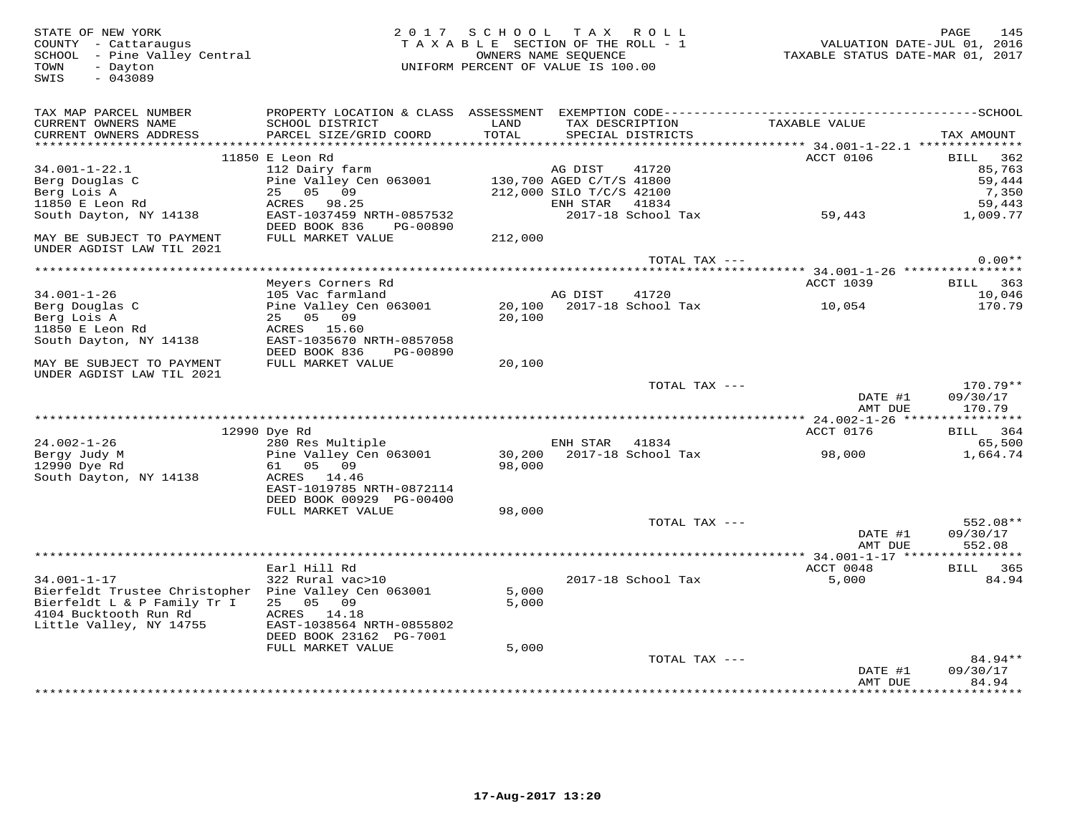TOWN - Dayton<br>SWIS - 043089

## STATE OF NEW YORK 2 0 1 7 S C H O O L T A X R O L L PAGE 145 COUNTY - Cattaraugus T A X A B L E SECTION OF THE ROLL - 1 VALUATION DATE-JUL 01, 2016 SCHOOL - Pine Valley Central OWNERS NAME SEQUENCE TAXABLE STATUS DATE-MAR 01, 2017 TOWN - Dayton UNIFORM PERCENT OF VALUE IS 100.00

| TAX MAP PARCEL NUMBER<br>CURRENT OWNERS NAME<br>CURRENT OWNERS ADDRESS                                                                                       | PROPERTY LOCATION & CLASS ASSESSMENT<br>SCHOOL DISTRICT<br>PARCEL SIZE/GRID COORD                                                        | LAND<br>TOTAL           | TAX DESCRIPTION<br>SPECIAL DISTRICTS                                                              |                | TAXABLE VALUE              | TAX AMOUNT                                                     |
|--------------------------------------------------------------------------------------------------------------------------------------------------------------|------------------------------------------------------------------------------------------------------------------------------------------|-------------------------|---------------------------------------------------------------------------------------------------|----------------|----------------------------|----------------------------------------------------------------|
| ********************                                                                                                                                         |                                                                                                                                          |                         |                                                                                                   |                |                            |                                                                |
| 34.001-1-22.1<br>Berg Douglas C<br>Berg Lois A<br>11850 E Leon Rd<br>South Dayton, NY 14138                                                                  | 11850 E Leon Rd<br>112 Dairy farm<br>Pine Valley Cen 063001<br>25 05 09<br>ACRES 98.25<br>EAST-1037459 NRTH-0857532                      |                         | AG DIST<br>130,700 AGED C/T/S 41800<br>212,000 SILO T/C/S 42100<br>ENH STAR<br>2017-18 School Tax | 41720<br>41834 | <b>ACCT 0106</b><br>59,443 | BILL<br>362<br>85,763<br>59,444<br>7,350<br>59,443<br>1,009.77 |
| MAY BE SUBJECT TO PAYMENT<br>UNDER AGDIST LAW TIL 2021                                                                                                       | DEED BOOK 836<br>PG-00890<br>FULL MARKET VALUE                                                                                           | 212,000                 |                                                                                                   |                |                            |                                                                |
|                                                                                                                                                              |                                                                                                                                          |                         |                                                                                                   | TOTAL TAX ---  |                            | $0.00**$                                                       |
| $34.001 - 1 - 26$<br>Berg Douglas C<br>Berg Lois A<br>11850 E Leon Rd                                                                                        | Meyers Corners Rd<br>105 Vac farmland<br>Pine Valley Cen 063001<br>25 05 09<br>ACRES 15.60                                               | 20,100<br>20,100        | AG DIST<br>2017-18 School Tax                                                                     | 41720          | <b>ACCT 1039</b><br>10,054 | BILL 363<br>10,046<br>170.79                                   |
| South Dayton, NY 14138<br>MAY BE SUBJECT TO PAYMENT<br>UNDER AGDIST LAW TIL 2021                                                                             | EAST-1035670 NRTH-0857058<br>DEED BOOK 836<br>PG-00890<br>FULL MARKET VALUE                                                              | 20,100                  |                                                                                                   |                |                            |                                                                |
|                                                                                                                                                              |                                                                                                                                          |                         |                                                                                                   | TOTAL TAX ---  | DATE #1<br>AMT DUE         | 170.79**<br>09/30/17<br>170.79                                 |
|                                                                                                                                                              |                                                                                                                                          |                         |                                                                                                   |                |                            |                                                                |
|                                                                                                                                                              | 12990 Dye Rd                                                                                                                             |                         |                                                                                                   |                | ACCT 0176                  | BILL 364                                                       |
| $24.002 - 1 - 26$<br>Bergy Judy M<br>12990 Dye Rd<br>South Dayton, NY 14138                                                                                  | 280 Res Multiple<br>Pine Valley Cen 063001<br>61 05 09<br>ACRES 14.46<br>EAST-1019785 NRTH-0872114<br>DEED BOOK 00929 PG-00400           | 30,200<br>98,000        | ENH STAR 41834<br>2017-18 School Tax                                                              |                | 98,000                     | 65,500<br>1,664.74                                             |
|                                                                                                                                                              | FULL MARKET VALUE                                                                                                                        | 98,000                  |                                                                                                   | TOTAL TAX ---  | DATE #1<br>AMT DUE         | 552.08**<br>09/30/17<br>552.08                                 |
|                                                                                                                                                              |                                                                                                                                          |                         |                                                                                                   |                |                            |                                                                |
| $34.001 - 1 - 17$<br>Bierfeldt Trustee Christopher Pine Valley Cen 063001<br>Bierfeldt L & P Family Tr I<br>4104 Bucktooth Run Rd<br>Little Valley, NY 14755 | Earl Hill Rd<br>322 Rural vac>10<br>25 05 09<br>ACRES 14.18<br>EAST-1038564 NRTH-0855802<br>DEED BOOK 23162 PG-7001<br>FULL MARKET VALUE | 5,000<br>5,000<br>5,000 | 2017-18 School Tax                                                                                |                | ACCT 0048<br>5,000         | BILL<br>365<br>84.94                                           |
|                                                                                                                                                              |                                                                                                                                          |                         |                                                                                                   | TOTAL TAX ---  | DATE #1<br>AMT DUE         | $84.94**$<br>09/30/17<br>84.94                                 |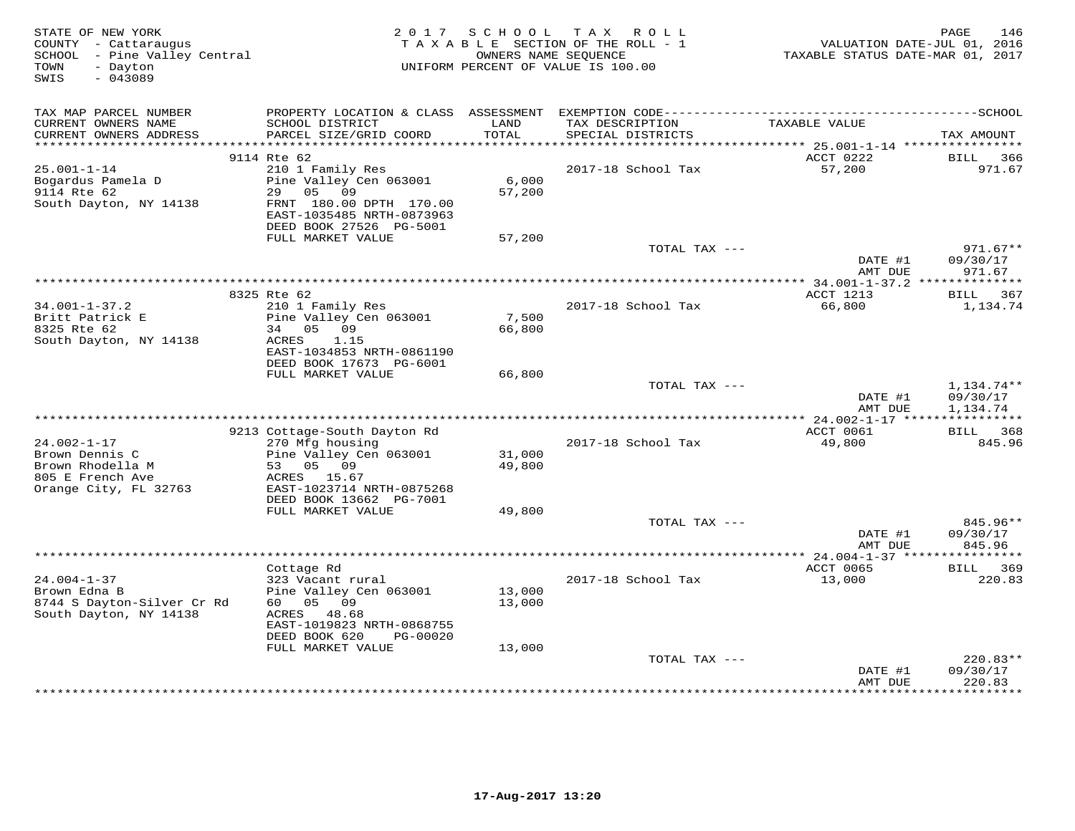| STATE OF NEW YORK<br>COUNTY - Cattaraugus<br>SCHOOL - Pine Valley Central<br>- Dayton<br>TOWN<br>SWIS<br>$-043089$ |                                                                                                                                                 | 2017 SCHOOL      | TAX ROLL<br>TAXABLE SECTION OF THE ROLL - 1<br>OWNERS NAME SEQUENCE<br>UNIFORM PERCENT OF VALUE IS 100.00 | VALUATION DATE-JUL 01, 2016<br>TAXABLE STATUS DATE-MAR 01, 2017 | 146<br>PAGE                               |
|--------------------------------------------------------------------------------------------------------------------|-------------------------------------------------------------------------------------------------------------------------------------------------|------------------|-----------------------------------------------------------------------------------------------------------|-----------------------------------------------------------------|-------------------------------------------|
| TAX MAP PARCEL NUMBER<br>CURRENT OWNERS NAME                                                                       | SCHOOL DISTRICT                                                                                                                                 | LAND             | TAX DESCRIPTION                                                                                           | TAXABLE VALUE                                                   |                                           |
| CURRENT OWNERS ADDRESS<br>***********************                                                                  | PARCEL SIZE/GRID COORD<br>*************************                                                                                             | TOTAL            | SPECIAL DISTRICTS                                                                                         |                                                                 | TAX AMOUNT                                |
|                                                                                                                    | 9114 Rte 62                                                                                                                                     |                  |                                                                                                           | ACCT 0222                                                       | BILL<br>366                               |
| $25.001 - 1 - 14$<br>Bogardus Pamela D<br>9114 Rte 62<br>South Dayton, NY 14138                                    | 210 1 Family Res<br>Pine Valley Cen 063001<br>29<br>05<br>09<br>FRNT 180.00 DPTH 170.00<br>EAST-1035485 NRTH-0873963<br>DEED BOOK 27526 PG-5001 | 6,000<br>57,200  | 2017-18 School Tax                                                                                        | 57,200                                                          | 971.67                                    |
|                                                                                                                    | FULL MARKET VALUE                                                                                                                               | 57,200           |                                                                                                           |                                                                 |                                           |
|                                                                                                                    |                                                                                                                                                 |                  | TOTAL TAX ---                                                                                             | DATE #1<br>AMT DUE                                              | $971.67**$<br>09/30/17<br>971.67          |
|                                                                                                                    | * * * * * * * * * * * * * *                                                                                                                     |                  | ************************************                                                                      | ************ 34.001-1-37.2 **************                       |                                           |
| $34.001 - 1 - 37.2$<br>Britt Patrick E                                                                             | 8325 Rte 62<br>210 1 Family Res<br>Pine Valley Cen 063001                                                                                       | 7,500            | 2017-18 School Tax                                                                                        | ACCT 1213<br>66,800                                             | BILL 367<br>1,134.74                      |
| 8325 Rte 62<br>South Dayton, NY 14138                                                                              | 34 05<br>09<br>ACRES<br>1.15<br>EAST-1034853 NRTH-0861190<br>DEED BOOK 17673 PG-6001                                                            | 66,800           |                                                                                                           |                                                                 |                                           |
|                                                                                                                    | FULL MARKET VALUE                                                                                                                               | 66,800           |                                                                                                           |                                                                 |                                           |
|                                                                                                                    |                                                                                                                                                 |                  | TOTAL TAX ---                                                                                             | DATE #1<br>AMT DUE                                              | $1,134.74**$<br>09/30/17<br>1,134.74      |
|                                                                                                                    | 9213 Cottage-South Dayton Rd                                                                                                                    |                  |                                                                                                           | ACCT 0061                                                       | BILL 368                                  |
| $24.002 - 1 - 17$                                                                                                  | 270 Mfg housing                                                                                                                                 |                  | 2017-18 School Tax                                                                                        | 49,800                                                          | 845.96                                    |
| Brown Dennis C                                                                                                     | Pine Valley Cen 063001                                                                                                                          | 31,000           |                                                                                                           |                                                                 |                                           |
| Brown Rhodella M<br>805 E French Ave<br>Orange City, FL 32763                                                      | 53 05<br>09<br>ACRES 15.67<br>EAST-1023714 NRTH-0875268<br>DEED BOOK 13662 PG-7001                                                              | 49,800           |                                                                                                           |                                                                 |                                           |
|                                                                                                                    | FULL MARKET VALUE                                                                                                                               | 49,800           |                                                                                                           |                                                                 |                                           |
|                                                                                                                    |                                                                                                                                                 |                  | TOTAL TAX ---                                                                                             | DATE #1<br>AMT DUE                                              | 845.96**<br>09/30/17<br>845.96            |
|                                                                                                                    |                                                                                                                                                 |                  |                                                                                                           |                                                                 |                                           |
|                                                                                                                    | Cottage Rd                                                                                                                                      |                  |                                                                                                           | ACCT 0065                                                       | <b>BILL</b><br>369                        |
| $24.004 - 1 - 37$<br>Brown Edna B<br>8744 S Dayton-Silver Cr Rd<br>South Dayton, NY 14138                          | 323 Vacant rural<br>Pine Valley Cen 063001<br>60  05  09<br>ACRES<br>48.68                                                                      | 13,000<br>13,000 | 2017-18 School Tax                                                                                        | 13,000                                                          | 220.83                                    |
|                                                                                                                    | EAST-1019823 NRTH-0868755<br>DEED BOOK 620<br>PG-00020                                                                                          |                  |                                                                                                           |                                                                 |                                           |
|                                                                                                                    | FULL MARKET VALUE                                                                                                                               | 13,000           | TOTAL TAX ---                                                                                             |                                                                 | 220.83**                                  |
|                                                                                                                    |                                                                                                                                                 |                  |                                                                                                           | DATE #1<br>AMT DUE<br>* * * * * * * * * * * * * *               | 09/30/17<br>220.83<br>* * * * * * * * * * |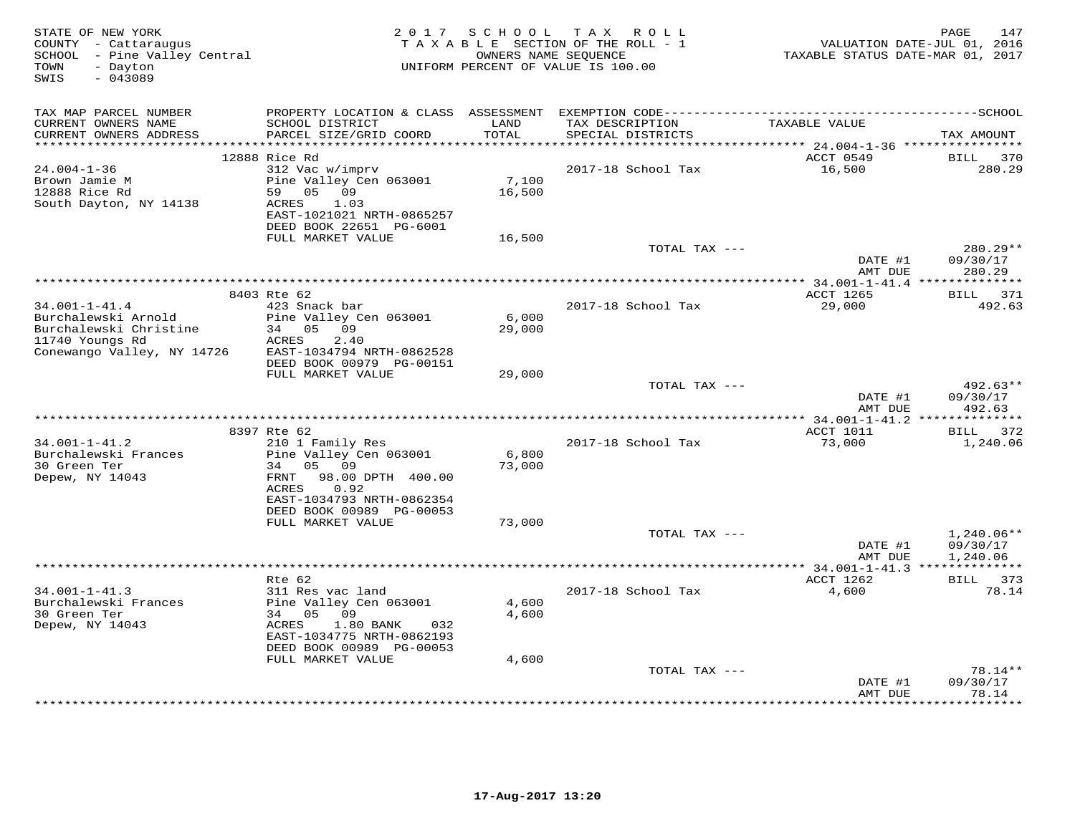| STATE OF NEW YORK<br>COUNTY - Cattaraugus<br>SCHOOL - Pine Valley Central<br>- Dayton<br>TOWN<br>SWIS<br>$-043089$ | 2 0 1 7                                              |                   | SCHOOL TAX ROLL<br>TAXABLE SECTION OF THE ROLL - 1<br>OWNERS NAME SEQUENCE<br>UNIFORM PERCENT OF VALUE IS 100.00 | VALUATION DATE-JUL 01, 2016<br>TAXABLE STATUS DATE-MAR 01, 2017 | 147<br>PAGE           |
|--------------------------------------------------------------------------------------------------------------------|------------------------------------------------------|-------------------|------------------------------------------------------------------------------------------------------------------|-----------------------------------------------------------------|-----------------------|
| TAX MAP PARCEL NUMBER                                                                                              |                                                      |                   |                                                                                                                  |                                                                 |                       |
| CURRENT OWNERS NAME                                                                                                | SCHOOL DISTRICT                                      | LAND              | TAX DESCRIPTION                                                                                                  | TAXABLE VALUE                                                   |                       |
| CURRENT OWNERS ADDRESS<br>********************                                                                     | PARCEL SIZE/GRID COORD                               | TOTAL<br>******** | SPECIAL DISTRICTS                                                                                                |                                                                 | TAX AMOUNT            |
|                                                                                                                    | 12888 Rice Rd                                        |                   |                                                                                                                  | ************ 24.004-1-36 *****************<br>ACCT 0549         | <b>BILL</b><br>370    |
| $24.004 - 1 - 36$                                                                                                  | 312 Vac w/imprv                                      |                   | 2017-18 School Tax                                                                                               | 16,500                                                          | 280.29                |
| Brown Jamie M                                                                                                      | Pine Valley Cen 063001                               | 7,100             |                                                                                                                  |                                                                 |                       |
| 12888 Rice Rd                                                                                                      | 59<br>05 09                                          | 16,500            |                                                                                                                  |                                                                 |                       |
| South Dayton, NY 14138                                                                                             | 1.03<br>ACRES                                        |                   |                                                                                                                  |                                                                 |                       |
|                                                                                                                    | EAST-1021021 NRTH-0865257<br>DEED BOOK 22651 PG-6001 |                   |                                                                                                                  |                                                                 |                       |
|                                                                                                                    | FULL MARKET VALUE                                    | 16,500            |                                                                                                                  |                                                                 |                       |
|                                                                                                                    |                                                      |                   | TOTAL TAX ---                                                                                                    |                                                                 | 280.29**              |
|                                                                                                                    |                                                      |                   |                                                                                                                  | DATE #1                                                         | 09/30/17              |
|                                                                                                                    |                                                      |                   | **************************************                                                                           | AMT DUE                                                         | 280.29                |
|                                                                                                                    | 8403 Rte 62                                          |                   |                                                                                                                  | ** $34.001 - 1 - 41.4$ **************<br><b>ACCT 1265</b>       | BILL 371              |
| $34.001 - 1 - 41.4$                                                                                                | 423 Snack bar                                        |                   | 2017-18 School Tax                                                                                               | 29,000                                                          | 492.63                |
| Burchalewski Arnold                                                                                                | Pine Valley Cen 063001                               | 6,000             |                                                                                                                  |                                                                 |                       |
| Burchalewski Christine                                                                                             | 34 05 09                                             | 29,000            |                                                                                                                  |                                                                 |                       |
| 11740 Youngs Rd                                                                                                    | ACRES<br>2.40<br>EAST-1034794 NRTH-0862528           |                   |                                                                                                                  |                                                                 |                       |
| Conewango Valley, NY 14726                                                                                         | DEED BOOK 00979 PG-00151                             |                   |                                                                                                                  |                                                                 |                       |
|                                                                                                                    | FULL MARKET VALUE                                    | 29,000            |                                                                                                                  |                                                                 |                       |
|                                                                                                                    |                                                      |                   | TOTAL TAX ---                                                                                                    |                                                                 | 492.63**              |
|                                                                                                                    |                                                      |                   |                                                                                                                  | DATE #1                                                         | 09/30/17              |
|                                                                                                                    |                                                      |                   |                                                                                                                  | AMT DUE                                                         | 492.63                |
|                                                                                                                    | 8397 Rte 62                                          |                   |                                                                                                                  | ACCT 1011                                                       | BILL 372              |
| $34.001 - 1 - 41.2$                                                                                                | 210 1 Family Res                                     |                   | 2017-18 School Tax                                                                                               | 73,000                                                          | 1,240.06              |
| Burchalewski Frances                                                                                               | Pine Valley Cen 063001                               | 6,800             |                                                                                                                  |                                                                 |                       |
| 30 Green Ter                                                                                                       | 05 09<br>34                                          | 73,000            |                                                                                                                  |                                                                 |                       |
| Depew, NY 14043                                                                                                    | FRNT<br>98.00 DPTH 400.00<br>ACRES<br>0.92           |                   |                                                                                                                  |                                                                 |                       |
|                                                                                                                    | EAST-1034793 NRTH-0862354                            |                   |                                                                                                                  |                                                                 |                       |
|                                                                                                                    | DEED BOOK 00989 PG-00053                             |                   |                                                                                                                  |                                                                 |                       |
|                                                                                                                    | FULL MARKET VALUE                                    | 73,000            |                                                                                                                  |                                                                 |                       |
|                                                                                                                    |                                                      |                   | TOTAL TAX ---                                                                                                    | DATE #1                                                         | $1,240.06**$          |
|                                                                                                                    |                                                      |                   |                                                                                                                  | AMT DUE                                                         | 09/30/17<br>1,240.06  |
|                                                                                                                    |                                                      |                   |                                                                                                                  |                                                                 |                       |
|                                                                                                                    | Rte 62                                               |                   |                                                                                                                  | ACCT 1262                                                       | BILL 373              |
| $34.001 - 1 - 41.3$                                                                                                | 311 Res vac land                                     |                   | 2017-18 School Tax                                                                                               | 4,600                                                           | 78.14                 |
| Burchalewski Frances<br>30 Green Ter                                                                               | Pine Valley Cen 063001<br>34 05<br>09                | 4,600             |                                                                                                                  |                                                                 |                       |
| Depew, NY 14043                                                                                                    | ACRES<br>1.80 BANK<br>032                            | 4,600             |                                                                                                                  |                                                                 |                       |
|                                                                                                                    | EAST-1034775 NRTH-0862193                            |                   |                                                                                                                  |                                                                 |                       |
|                                                                                                                    | DEED BOOK 00989 PG-00053                             |                   |                                                                                                                  |                                                                 |                       |
|                                                                                                                    | FULL MARKET VALUE                                    | 4,600             |                                                                                                                  |                                                                 |                       |
|                                                                                                                    |                                                      |                   | TOTAL TAX ---                                                                                                    |                                                                 | $78.14**$<br>09/30/17 |
|                                                                                                                    |                                                      |                   |                                                                                                                  | DATE #1<br>AMT DUE                                              | 78.14                 |
|                                                                                                                    |                                                      |                   |                                                                                                                  | * * * * * * * * * * *                                           | * * * * * * * *       |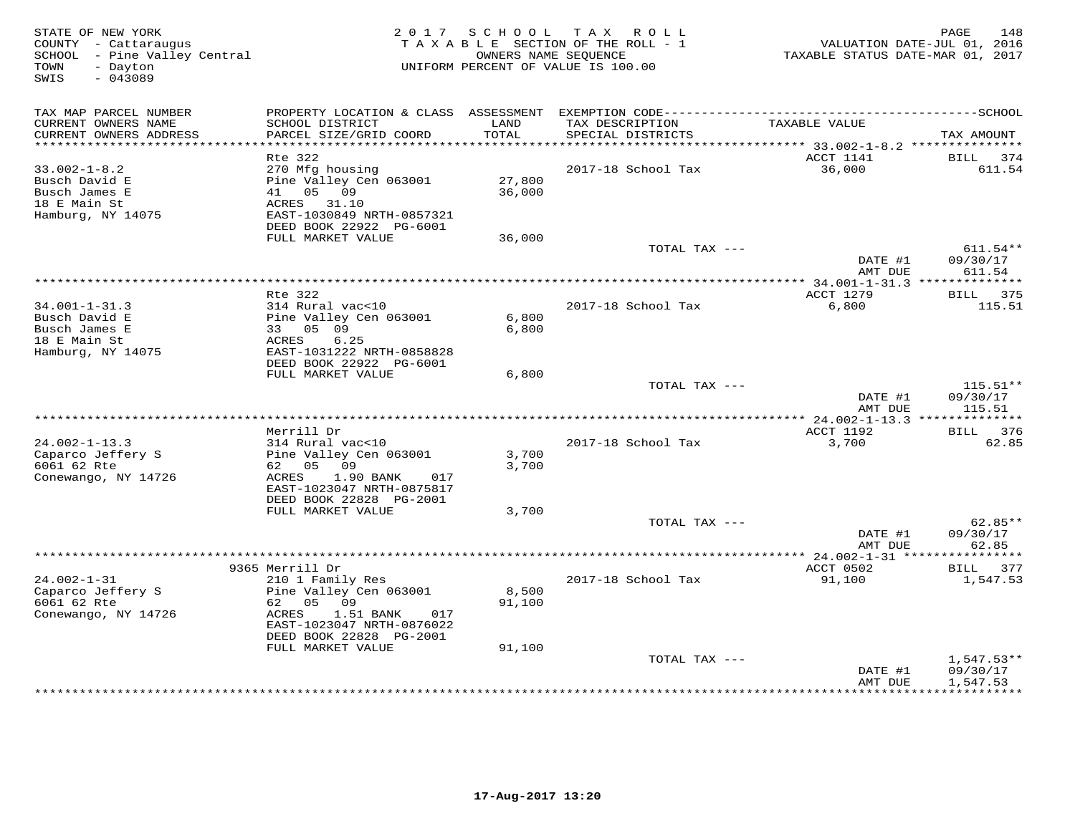| STATE OF NEW YORK<br>COUNTY - Cattaraugus<br>SCHOOL - Pine Valley Central<br>- Dayton<br>TOWN<br>$-043089$<br>SWIS | 2 0 1 7                                                                                                                            | SCHOOL           | T A X<br>R O L L<br>TAXABLE SECTION OF THE ROLL - 1<br>OWNERS NAME SEQUENCE<br>UNIFORM PERCENT OF VALUE IS 100.00 | TAXABLE STATUS DATE-MAR 01, 2017       | PAGE<br>148<br>VALUATION DATE-JUL 01, 2016 |
|--------------------------------------------------------------------------------------------------------------------|------------------------------------------------------------------------------------------------------------------------------------|------------------|-------------------------------------------------------------------------------------------------------------------|----------------------------------------|--------------------------------------------|
| TAX MAP PARCEL NUMBER                                                                                              |                                                                                                                                    |                  |                                                                                                                   |                                        |                                            |
| CURRENT OWNERS NAME<br>CURRENT OWNERS ADDRESS<br>***********************                                           | SCHOOL DISTRICT<br>PARCEL SIZE/GRID COORD<br>*************************                                                             | LAND<br>TOTAL    | TAX DESCRIPTION<br>SPECIAL DISTRICTS                                                                              | TAXABLE VALUE                          | TAX AMOUNT                                 |
|                                                                                                                    | Rte 322                                                                                                                            |                  |                                                                                                                   | ACCT 1141                              | BILL<br>374                                |
| $33.002 - 1 - 8.2$<br>Busch David E<br>Busch James E<br>18 E Main St<br>Hamburg, NY 14075                          | 270 Mfg housing<br>Pine Valley Cen 063001<br>41<br>05 09<br>ACRES<br>31.10<br>EAST-1030849 NRTH-0857321<br>DEED BOOK 22922 PG-6001 | 27,800<br>36,000 | 2017-18 School Tax                                                                                                | 36,000                                 | 611.54                                     |
|                                                                                                                    | FULL MARKET VALUE                                                                                                                  | 36,000           |                                                                                                                   |                                        |                                            |
|                                                                                                                    |                                                                                                                                    |                  | TOTAL TAX ---                                                                                                     | DATE #1<br>AMT DUE                     | $611.54**$<br>09/30/17<br>611.54           |
|                                                                                                                    |                                                                                                                                    |                  | ********************                                                                                              | *** $34.001 - 1 - 31.3$ ************** |                                            |
| $34.001 - 1 - 31.3$<br>Busch David E                                                                               | Rte 322<br>314 Rural vac<10<br>Pine Valley Cen 063001                                                                              | 6,800            | 2017-18 School Tax                                                                                                | ACCT 1279<br>6,800                     | BILL 375<br>115.51                         |
| Busch James E<br>18 E Main St<br>Hamburg, NY 14075                                                                 | 33 05 09<br>ACRES<br>6.25<br>EAST-1031222 NRTH-0858828<br>DEED BOOK 22922 PG-6001                                                  | 6,800            |                                                                                                                   |                                        |                                            |
|                                                                                                                    | FULL MARKET VALUE                                                                                                                  | 6,800            |                                                                                                                   |                                        |                                            |
|                                                                                                                    |                                                                                                                                    |                  | TOTAL TAX ---                                                                                                     | DATE #1<br>AMT DUE                     | $115.51**$<br>09/30/17<br>115.51           |
|                                                                                                                    |                                                                                                                                    |                  |                                                                                                                   |                                        |                                            |
| $24.002 - 1 - 13.3$<br>Caparco Jeffery S                                                                           | Merrill Dr<br>314 Rural vac<10<br>Pine Valley Cen 063001                                                                           | 3,700            | 2017-18 School Tax                                                                                                | ACCT 1192<br>3,700                     | BILL 376<br>62.85                          |
| 6061 62 Rte<br>Conewango, NY 14726                                                                                 | 62 05<br>09<br>1.90 BANK<br>ACRES<br>017<br>EAST-1023047 NRTH-0875817<br>DEED BOOK 22828 PG-2001                                   | 3,700            |                                                                                                                   |                                        |                                            |
|                                                                                                                    | FULL MARKET VALUE                                                                                                                  | 3,700            |                                                                                                                   |                                        |                                            |
|                                                                                                                    |                                                                                                                                    |                  | TOTAL TAX ---                                                                                                     | DATE #1<br>AMT DUE                     | $62.85**$<br>09/30/17<br>62.85             |
|                                                                                                                    | 9365 Merrill Dr                                                                                                                    |                  |                                                                                                                   | ACCT 0502                              | * * * * * * * *<br>377<br>BILL             |
| $24.002 - 1 - 31$                                                                                                  | 210 1 Family Res                                                                                                                   |                  | 2017-18 School Tax                                                                                                | 91,100                                 | 1,547.53                                   |
| Caparco Jeffery S<br>6061 62 Rte<br>Conewango, NY 14726                                                            | Pine Valley Cen 063001<br>62 05<br>09<br>ACRES<br>1.51 BANK<br>017<br>EAST-1023047 NRTH-0876022                                    | 8,500<br>91,100  |                                                                                                                   |                                        |                                            |
|                                                                                                                    | DEED BOOK 22828 PG-2001                                                                                                            |                  |                                                                                                                   |                                        |                                            |
|                                                                                                                    | FULL MARKET VALUE                                                                                                                  | 91,100           |                                                                                                                   |                                        |                                            |
|                                                                                                                    |                                                                                                                                    |                  | TOTAL TAX ---                                                                                                     | DATE #1<br>AMT DUE                     | $1,547.53**$<br>09/30/17<br>1,547.53       |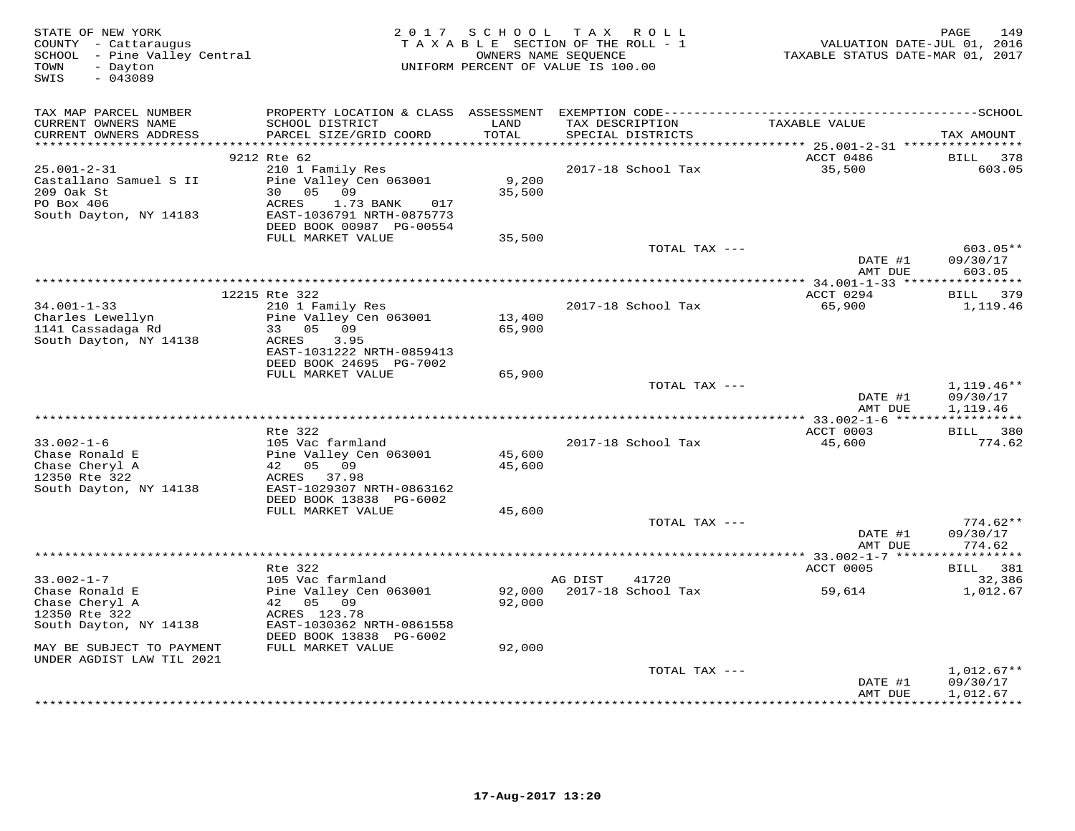| STATE OF NEW YORK<br>COUNTY - Cattaraugus<br>SCHOOL - Pine Valley Central<br>TOWN<br>- Dayton<br>$-043089$<br>SWIS |                                                                                                                     |                            | 2017 SCHOOL TAX ROLL<br>TAXABLE SECTION OF THE ROLL - 1<br>OWNERS NAME SEQUENCE<br>UNIFORM PERCENT OF VALUE IS 100.00 | VALUATION DATE-JUL 01, 2016<br>TAXABLE STATUS DATE-MAR 01, 2017 | 149<br>PAGE                         |
|--------------------------------------------------------------------------------------------------------------------|---------------------------------------------------------------------------------------------------------------------|----------------------------|-----------------------------------------------------------------------------------------------------------------------|-----------------------------------------------------------------|-------------------------------------|
| TAX MAP PARCEL NUMBER                                                                                              |                                                                                                                     |                            |                                                                                                                       |                                                                 |                                     |
| CURRENT OWNERS NAME<br>CURRENT OWNERS ADDRESS                                                                      | SCHOOL DISTRICT<br>PARCEL SIZE/GRID COORD                                                                           | LAND<br>TOTAL<br>********* | TAX DESCRIPTION<br>SPECIAL DISTRICTS<br>********************************* 25.001-2-31 ****************                | TAXABLE VALUE                                                   | TAX AMOUNT                          |
|                                                                                                                    | 9212 Rte 62                                                                                                         |                            |                                                                                                                       | ACCT 0486                                                       | 378<br>BILL                         |
| $25.001 - 2 - 31$<br>Castallano Samuel S II<br>209 Oak St<br>PO Box 406<br>South Dayton, NY 14183                  | 210 1 Family Res<br>Pine Valley Cen 063001<br>30<br>05 09<br>ACRES<br>1.73 BANK<br>017<br>EAST-1036791 NRTH-0875773 | 9,200<br>35,500            | 2017-18 School Tax                                                                                                    | 35,500                                                          | 603.05                              |
|                                                                                                                    | DEED BOOK 00987 PG-00554<br>FULL MARKET VALUE                                                                       | 35,500                     |                                                                                                                       |                                                                 |                                     |
|                                                                                                                    |                                                                                                                     |                            | TOTAL TAX ---                                                                                                         |                                                                 | $603.05**$                          |
|                                                                                                                    |                                                                                                                     |                            |                                                                                                                       | DATE #1<br>AMT DUE                                              | 09/30/17<br>603.05                  |
|                                                                                                                    |                                                                                                                     |                            |                                                                                                                       |                                                                 |                                     |
|                                                                                                                    | 12215 Rte 322                                                                                                       |                            |                                                                                                                       | ACCT 0294                                                       | BILL 379                            |
| $34.001 - 1 - 33$<br>Charles Lewellyn                                                                              | 210 1 Family Res<br>Pine Valley Cen 063001                                                                          | 13,400                     | 2017-18 School Tax                                                                                                    | 65,900                                                          | 1,119.46                            |
| 1141 Cassadaga Rd                                                                                                  | 33 05 09                                                                                                            | 65,900                     |                                                                                                                       |                                                                 |                                     |
| South Dayton, NY 14138                                                                                             | 3.95<br>ACRES                                                                                                       |                            |                                                                                                                       |                                                                 |                                     |
|                                                                                                                    | EAST-1031222 NRTH-0859413                                                                                           |                            |                                                                                                                       |                                                                 |                                     |
|                                                                                                                    | DEED BOOK 24695 PG-7002                                                                                             |                            |                                                                                                                       |                                                                 |                                     |
|                                                                                                                    | FULL MARKET VALUE                                                                                                   | 65,900                     | TOTAL TAX ---                                                                                                         |                                                                 | $1,119.46**$                        |
|                                                                                                                    |                                                                                                                     |                            |                                                                                                                       | DATE #1                                                         | 09/30/17                            |
|                                                                                                                    |                                                                                                                     |                            |                                                                                                                       | AMT DUE                                                         | 1,119.46                            |
|                                                                                                                    |                                                                                                                     |                            |                                                                                                                       |                                                                 |                                     |
|                                                                                                                    | Rte 322                                                                                                             |                            |                                                                                                                       | ACCT 0003                                                       | BILL 380                            |
| $33.002 - 1 - 6$<br>Chase Ronald E                                                                                 | 105 Vac farmland<br>Pine Valley Cen 063001                                                                          | 45,600                     | 2017-18 School Tax                                                                                                    | 45,600                                                          | 774.62                              |
| Chase Cheryl A                                                                                                     | 42<br>0.5<br>09                                                                                                     | 45,600                     |                                                                                                                       |                                                                 |                                     |
| 12350 Rte 322                                                                                                      | ACRES<br>37.98                                                                                                      |                            |                                                                                                                       |                                                                 |                                     |
| South Dayton, NY 14138                                                                                             | EAST-1029307 NRTH-0863162                                                                                           |                            |                                                                                                                       |                                                                 |                                     |
|                                                                                                                    | DEED BOOK 13838 PG-6002<br>FULL MARKET VALUE                                                                        | 45,600                     |                                                                                                                       |                                                                 |                                     |
|                                                                                                                    |                                                                                                                     |                            | TOTAL TAX ---                                                                                                         |                                                                 | $774.62**$                          |
|                                                                                                                    |                                                                                                                     |                            |                                                                                                                       | DATE #1                                                         | 09/30/17                            |
|                                                                                                                    |                                                                                                                     |                            |                                                                                                                       | AMT DUE                                                         | 774.62                              |
|                                                                                                                    |                                                                                                                     |                            |                                                                                                                       |                                                                 |                                     |
| $33.002 - 1 - 7$                                                                                                   | Rte 322<br>105 Vac farmland                                                                                         |                            | AG DIST<br>41720                                                                                                      | ACCT 0005                                                       | BILL 381<br>32,386                  |
| Chase Ronald E                                                                                                     | Pine Valley Cen 063001                                                                                              | 92,000                     | 2017-18 School Tax                                                                                                    | 59,614                                                          | 1,012.67                            |
| Chase Cheryl A                                                                                                     | 42 05 09                                                                                                            | 92,000                     |                                                                                                                       |                                                                 |                                     |
| 12350 Rte 322                                                                                                      | ACRES 123.78                                                                                                        |                            |                                                                                                                       |                                                                 |                                     |
| South Dayton, NY 14138                                                                                             | EAST-1030362 NRTH-0861558                                                                                           |                            |                                                                                                                       |                                                                 |                                     |
| MAY BE SUBJECT TO PAYMENT                                                                                          | DEED BOOK 13838 PG-6002<br>FULL MARKET VALUE                                                                        | 92,000                     |                                                                                                                       |                                                                 |                                     |
| UNDER AGDIST LAW TIL 2021                                                                                          |                                                                                                                     |                            |                                                                                                                       |                                                                 |                                     |
|                                                                                                                    |                                                                                                                     |                            | TOTAL TAX ---                                                                                                         |                                                                 | $1,012.67**$                        |
|                                                                                                                    |                                                                                                                     |                            |                                                                                                                       | DATE #1                                                         | 09/30/17                            |
|                                                                                                                    |                                                                                                                     |                            |                                                                                                                       | AMT DUE                                                         | 1,012.67<br>* * * * * * * * * * * * |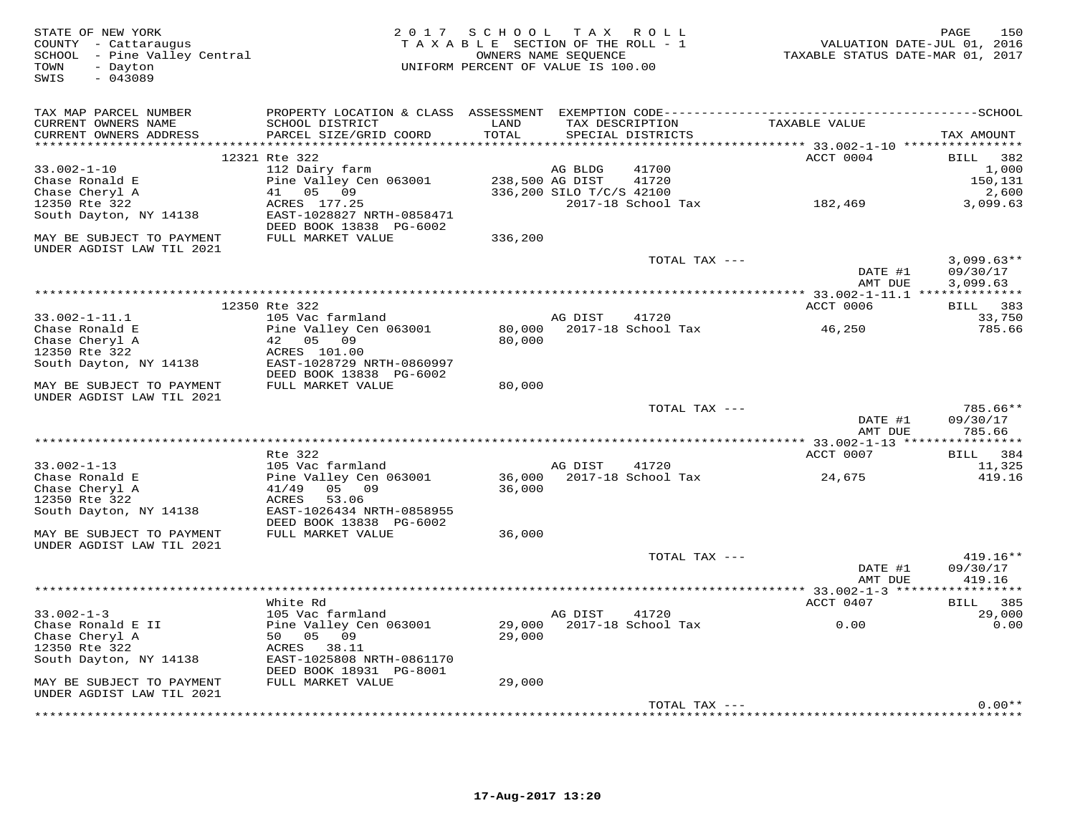| STATE OF NEW YORK<br>COUNTY - Cattaraugus<br>SCHOOL - Pine Valley Central<br>TOWN<br>- Dayton<br>SWIS<br>$-043089$ |                                                      | 2017 SCHOOL TAX ROLL<br>TAXABLE SECTION OF THE ROLL - 1<br>OWNERS NAME SEQUENCE<br>UNIFORM PERCENT OF VALUE IS 100.00 |                          |                                      | TAXABLE STATUS DATE-MAR 01, 2017                   | 150<br>PAGE<br>VALUATION DATE-JUL 01, 2016 |
|--------------------------------------------------------------------------------------------------------------------|------------------------------------------------------|-----------------------------------------------------------------------------------------------------------------------|--------------------------|--------------------------------------|----------------------------------------------------|--------------------------------------------|
| TAX MAP PARCEL NUMBER                                                                                              |                                                      |                                                                                                                       |                          |                                      | TAXABLE VALUE                                      |                                            |
| CURRENT OWNERS NAME<br>CURRENT OWNERS ADDRESS                                                                      | SCHOOL DISTRICT<br>PARCEL SIZE/GRID COORD            | LAND<br>TOTAL                                                                                                         |                          | TAX DESCRIPTION<br>SPECIAL DISTRICTS |                                                    | TAX AMOUNT                                 |
|                                                                                                                    | 12321 Rte 322                                        |                                                                                                                       |                          |                                      | ACCT 0004                                          | BILL 382                                   |
| $33.002 - 1 - 10$                                                                                                  | 112 Dairy farm                                       |                                                                                                                       | AG BLDG                  | 41700                                |                                                    | 1,000                                      |
| Chase Ronald E                                                                                                     | Pine Valley Cen 063001                               | 238,500 AG DIST                                                                                                       |                          | 41720                                |                                                    | 150,131                                    |
| Chase Cheryl A                                                                                                     | 41 05 09                                             |                                                                                                                       | 336,200 SILO T/C/S 42100 |                                      |                                                    | 2,600                                      |
| 12350 Rte 322                                                                                                      | ACRES 177.25                                         |                                                                                                                       |                          | 2017-18 School Tax                   | 182,469                                            | 3,099.63                                   |
| South Dayton, NY 14138                                                                                             | EAST-1028827 NRTH-0858471<br>DEED BOOK 13838 PG-6002 |                                                                                                                       |                          |                                      |                                                    |                                            |
| MAY BE SUBJECT TO PAYMENT<br>UNDER AGDIST LAW TIL 2021                                                             | FULL MARKET VALUE                                    | 336,200                                                                                                               |                          |                                      |                                                    |                                            |
|                                                                                                                    |                                                      |                                                                                                                       |                          | TOTAL TAX ---                        |                                                    | $3,099.63**$                               |
|                                                                                                                    |                                                      |                                                                                                                       |                          |                                      | DATE #1<br>AMT DUE                                 | 09/30/17<br>3,099.63                       |
|                                                                                                                    |                                                      |                                                                                                                       |                          |                                      |                                                    |                                            |
|                                                                                                                    | 12350 Rte 322                                        |                                                                                                                       |                          |                                      | ACCT 0006                                          | BILL 383                                   |
| $33.002 - 1 - 11.1$                                                                                                | 105 Vac farmland                                     |                                                                                                                       | AG DIST                  | 41720                                |                                                    | 33,750                                     |
| Chase Ronald E                                                                                                     | Pine Valley Cen 063001                               |                                                                                                                       |                          | 80,000 2017-18 School Tax            | 46,250                                             | 785.66                                     |
| Chase Cheryl A                                                                                                     | 42 05 09<br>ACRES 101.00                             | 80,000                                                                                                                |                          |                                      |                                                    |                                            |
| 12350 Rte 322<br>South Dayton, NY 14138                                                                            | EAST-1028729 NRTH-0860997                            |                                                                                                                       |                          |                                      |                                                    |                                            |
|                                                                                                                    | DEED BOOK 13838 PG-6002                              |                                                                                                                       |                          |                                      |                                                    |                                            |
| MAY BE SUBJECT TO PAYMENT<br>UNDER AGDIST LAW TIL 2021                                                             | FULL MARKET VALUE                                    | 80,000                                                                                                                |                          |                                      |                                                    |                                            |
|                                                                                                                    |                                                      |                                                                                                                       |                          | TOTAL TAX ---                        |                                                    | 785.66**                                   |
|                                                                                                                    |                                                      |                                                                                                                       |                          |                                      | DATE #1<br>AMT DUE                                 | 09/30/17<br>785.66                         |
|                                                                                                                    | ****************                                     |                                                                                                                       |                          |                                      | ********************* 33.002-1-13 **************** |                                            |
|                                                                                                                    | Rte 322                                              |                                                                                                                       |                          |                                      | ACCT 0007                                          | BILL 384                                   |
| $33.002 - 1 - 13$                                                                                                  | 105 Vac farmland                                     |                                                                                                                       | AG DIST                  | 41720                                |                                                    | 11,325                                     |
| Chase Ronald E                                                                                                     | Pine Valley Cen 063001                               |                                                                                                                       |                          | 36,000 2017-18 School Tax            | 24,675                                             | 419.16                                     |
| Chase Cheryl A                                                                                                     | 41/49 05 09                                          | 36,000                                                                                                                |                          |                                      |                                                    |                                            |
| 12350 Rte 322                                                                                                      | 53.06<br>ACRES                                       |                                                                                                                       |                          |                                      |                                                    |                                            |
| South Dayton, NY 14138                                                                                             | EAST-1026434 NRTH-0858955                            |                                                                                                                       |                          |                                      |                                                    |                                            |
|                                                                                                                    | DEED BOOK 13838 PG-6002                              |                                                                                                                       |                          |                                      |                                                    |                                            |
| MAY BE SUBJECT TO PAYMENT<br>UNDER AGDIST LAW TIL 2021                                                             | FULL MARKET VALUE                                    | 36,000                                                                                                                |                          |                                      |                                                    |                                            |
|                                                                                                                    |                                                      |                                                                                                                       |                          | TOTAL TAX ---                        |                                                    | $419.16**$                                 |
|                                                                                                                    |                                                      |                                                                                                                       |                          |                                      | DATE #1                                            | 09/30/17                                   |
|                                                                                                                    |                                                      |                                                                                                                       |                          |                                      | AMT DUE                                            | 419.16                                     |
|                                                                                                                    |                                                      | *******************************                                                                                       |                          |                                      | *********** 33.002-1-3 ******                      | ***********                                |
|                                                                                                                    | White Rd                                             |                                                                                                                       |                          |                                      | ACCT 0407                                          | 385<br><b>BILL</b>                         |
| $33.002 - 1 - 3$                                                                                                   | 105 Vac farmland                                     |                                                                                                                       | AG DIST                  | 41720                                |                                                    | 29,000                                     |
| Chase Ronald E II                                                                                                  | Pine Valley Cen 063001                               |                                                                                                                       |                          | 29,000 2017-18 School Tax            | 0.00                                               | 0.00                                       |
| Chase Cheryl A                                                                                                     | 50 05 09                                             | 29,000                                                                                                                |                          |                                      |                                                    |                                            |
| 12350 Rte 322                                                                                                      | ACRES 38.11                                          |                                                                                                                       |                          |                                      |                                                    |                                            |
| South Dayton, NY 14138                                                                                             | EAST-1025808 NRTH-0861170                            |                                                                                                                       |                          |                                      |                                                    |                                            |
|                                                                                                                    | DEED BOOK 18931 PG-8001                              |                                                                                                                       |                          |                                      |                                                    |                                            |
| MAY BE SUBJECT TO PAYMENT<br>UNDER AGDIST LAW TIL 2021                                                             | FULL MARKET VALUE                                    | 29,000                                                                                                                |                          |                                      |                                                    |                                            |
|                                                                                                                    |                                                      |                                                                                                                       |                          | TOTAL TAX ---                        |                                                    | $0.00**$                                   |
|                                                                                                                    |                                                      |                                                                                                                       |                          |                                      |                                                    |                                            |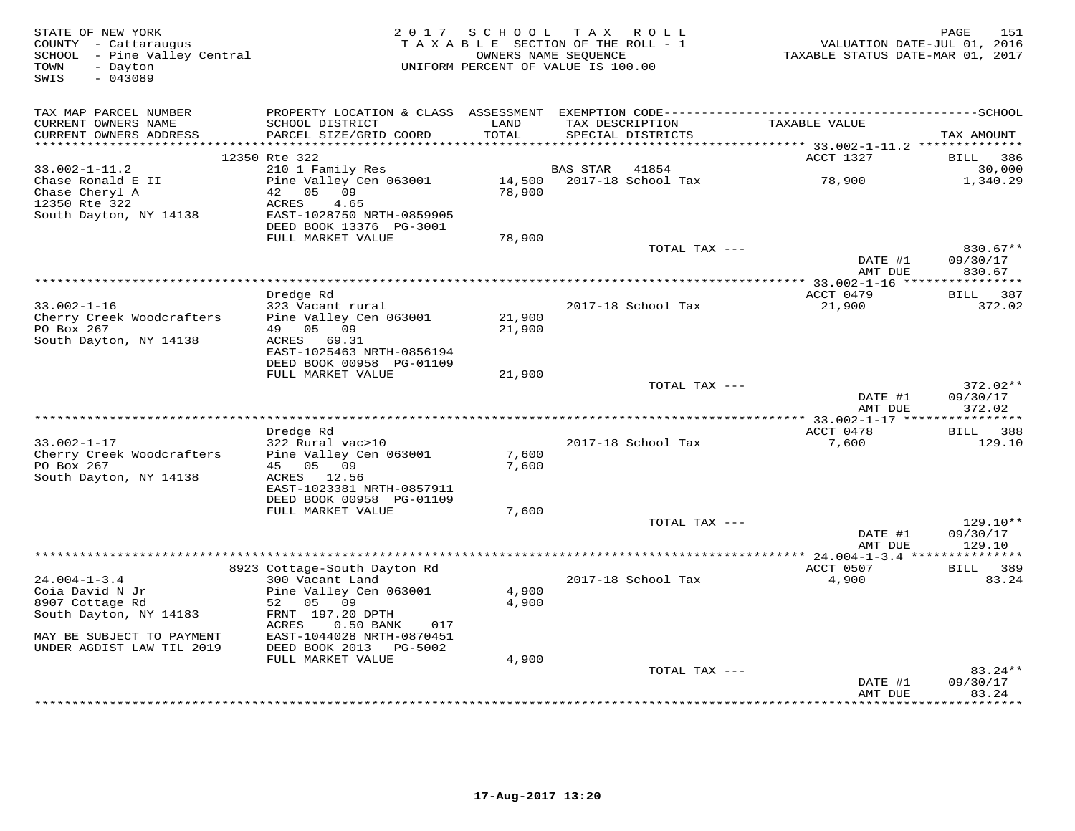| STATE OF NEW YORK<br>COUNTY - Cattaraugus<br>SCHOOL - Pine Valley Central<br>- Dayton<br>TOWN<br>$-043089$<br>SWIS | 2 0 1 7                                                                                                         | SCHOOL TAX ROLL<br>TAXABLE SECTION OF THE ROLL - 1<br>UNIFORM PERCENT OF VALUE IS 100.00 | OWNERS NAME SEQUENCE |                           | VALUATION DATE-JUL 01, 2016<br>TAXABLE STATUS DATE-MAR 01, 2017 | 151<br>PAGE                  |
|--------------------------------------------------------------------------------------------------------------------|-----------------------------------------------------------------------------------------------------------------|------------------------------------------------------------------------------------------|----------------------|---------------------------|-----------------------------------------------------------------|------------------------------|
| TAX MAP PARCEL NUMBER<br>CURRENT OWNERS NAME                                                                       | PROPERTY LOCATION & CLASS ASSESSMENT EXEMPTION CODE-----------------------------------SCHOOL<br>SCHOOL DISTRICT | LAND                                                                                     | TAX DESCRIPTION      |                           | TAXABLE VALUE                                                   |                              |
| CURRENT OWNERS ADDRESS                                                                                             | PARCEL SIZE/GRID COORD                                                                                          | TOTAL                                                                                    |                      | SPECIAL DISTRICTS         |                                                                 | TAX AMOUNT                   |
|                                                                                                                    | 12350 Rte 322                                                                                                   |                                                                                          |                      |                           | ACCT 1327                                                       | 386                          |
| $33.002 - 1 - 11.2$                                                                                                | 210 1 Family Res                                                                                                |                                                                                          | <b>BAS STAR</b>      | 41854                     |                                                                 | <b>BILL</b><br>30,000        |
| Chase Ronald E II<br>Chase Cheryl A<br>12350 Rte 322                                                               | Pine Valley Cen 063001<br>42<br>05<br>09<br>ACRES<br>4.65                                                       | 78,900                                                                                   |                      | 14,500 2017-18 School Tax | 78,900                                                          | 1,340.29                     |
| South Dayton, NY 14138                                                                                             | EAST-1028750 NRTH-0859905<br>DEED BOOK 13376 PG-3001                                                            |                                                                                          |                      |                           |                                                                 |                              |
|                                                                                                                    | FULL MARKET VALUE                                                                                               | 78,900                                                                                   |                      |                           |                                                                 |                              |
|                                                                                                                    |                                                                                                                 |                                                                                          |                      | TOTAL TAX ---             | DATE #1                                                         | 830.67**<br>09/30/17         |
|                                                                                                                    |                                                                                                                 | **************************************                                                   |                      |                           | AMT DUE                                                         | 830.67                       |
|                                                                                                                    | Dredge Rd                                                                                                       |                                                                                          |                      |                           | ** 33.002-1-16 ****************<br>ACCT 0479                    | BILL 387                     |
| $33.002 - 1 - 16$                                                                                                  | 323 Vacant rural                                                                                                |                                                                                          |                      | 2017-18 School Tax        | 21,900                                                          | 372.02                       |
| Cherry Creek Woodcrafters                                                                                          | Pine Valley Cen 063001                                                                                          | 21,900                                                                                   |                      |                           |                                                                 |                              |
| PO Box 267<br>South Dayton, NY 14138                                                                               | 05 09<br>49<br>ACRES 69.31                                                                                      | 21,900                                                                                   |                      |                           |                                                                 |                              |
|                                                                                                                    | EAST-1025463 NRTH-0856194                                                                                       |                                                                                          |                      |                           |                                                                 |                              |
|                                                                                                                    | DEED BOOK 00958 PG-01109                                                                                        |                                                                                          |                      |                           |                                                                 |                              |
|                                                                                                                    | FULL MARKET VALUE                                                                                               | 21,900                                                                                   |                      | TOTAL TAX ---             |                                                                 | $372.02**$                   |
|                                                                                                                    |                                                                                                                 |                                                                                          |                      |                           | DATE #1                                                         | 09/30/17                     |
|                                                                                                                    |                                                                                                                 |                                                                                          |                      |                           | AMT DUE                                                         | 372.02                       |
|                                                                                                                    |                                                                                                                 |                                                                                          |                      |                           | ACCT 0478                                                       |                              |
| $33.002 - 1 - 17$                                                                                                  | Dredge Rd<br>322 Rural vac>10                                                                                   |                                                                                          |                      | 2017-18 School Tax        | 7,600                                                           | <b>BILL</b><br>388<br>129.10 |
| Cherry Creek Woodcrafters                                                                                          | Pine Valley Cen 063001                                                                                          | 7,600                                                                                    |                      |                           |                                                                 |                              |
| PO Box 267                                                                                                         | 45 05 09                                                                                                        | 7,600                                                                                    |                      |                           |                                                                 |                              |
| South Dayton, NY 14138                                                                                             | ACRES<br>12.56<br>EAST-1023381 NRTH-0857911                                                                     |                                                                                          |                      |                           |                                                                 |                              |
|                                                                                                                    | DEED BOOK 00958 PG-01109<br>FULL MARKET VALUE                                                                   | 7,600                                                                                    |                      |                           |                                                                 |                              |
|                                                                                                                    |                                                                                                                 |                                                                                          |                      | TOTAL TAX ---             |                                                                 | $129.10**$                   |
|                                                                                                                    |                                                                                                                 |                                                                                          |                      |                           | DATE #1<br>AMT DUE                                              | 09/30/17<br>129.10           |
|                                                                                                                    |                                                                                                                 |                                                                                          |                      |                           | *** 24.004-1-3.4 ***************                                |                              |
| $24.004 - 1 - 3.4$                                                                                                 | 8923 Cottage-South Dayton Rd<br>300 Vacant Land                                                                 |                                                                                          |                      | 2017-18 School Tax        | ACCT 0507<br>4,900                                              | BILL 389<br>83.24            |
| Coia David N Jr                                                                                                    | Pine Valley Cen 063001                                                                                          | 4,900                                                                                    |                      |                           |                                                                 |                              |
| 8907 Cottage Rd                                                                                                    | 52 05 09                                                                                                        | 4,900                                                                                    |                      |                           |                                                                 |                              |
| South Dayton, NY 14183                                                                                             | FRNT 197.20 DPTH<br>ACRES<br>$0.50$ BANK<br>017                                                                 |                                                                                          |                      |                           |                                                                 |                              |
| MAY BE SUBJECT TO PAYMENT                                                                                          | EAST-1044028 NRTH-0870451                                                                                       |                                                                                          |                      |                           |                                                                 |                              |
| UNDER AGDIST LAW TIL 2019                                                                                          | DEED BOOK 2013 PG-5002                                                                                          |                                                                                          |                      |                           |                                                                 |                              |
|                                                                                                                    | FULL MARKET VALUE                                                                                               | 4,900                                                                                    |                      | TOTAL TAX ---             |                                                                 | $83.24**$                    |
|                                                                                                                    |                                                                                                                 |                                                                                          |                      |                           | DATE #1                                                         | 09/30/17                     |
|                                                                                                                    |                                                                                                                 |                                                                                          |                      |                           | AMT DUE                                                         | 83.24<br>* * * * * * * *     |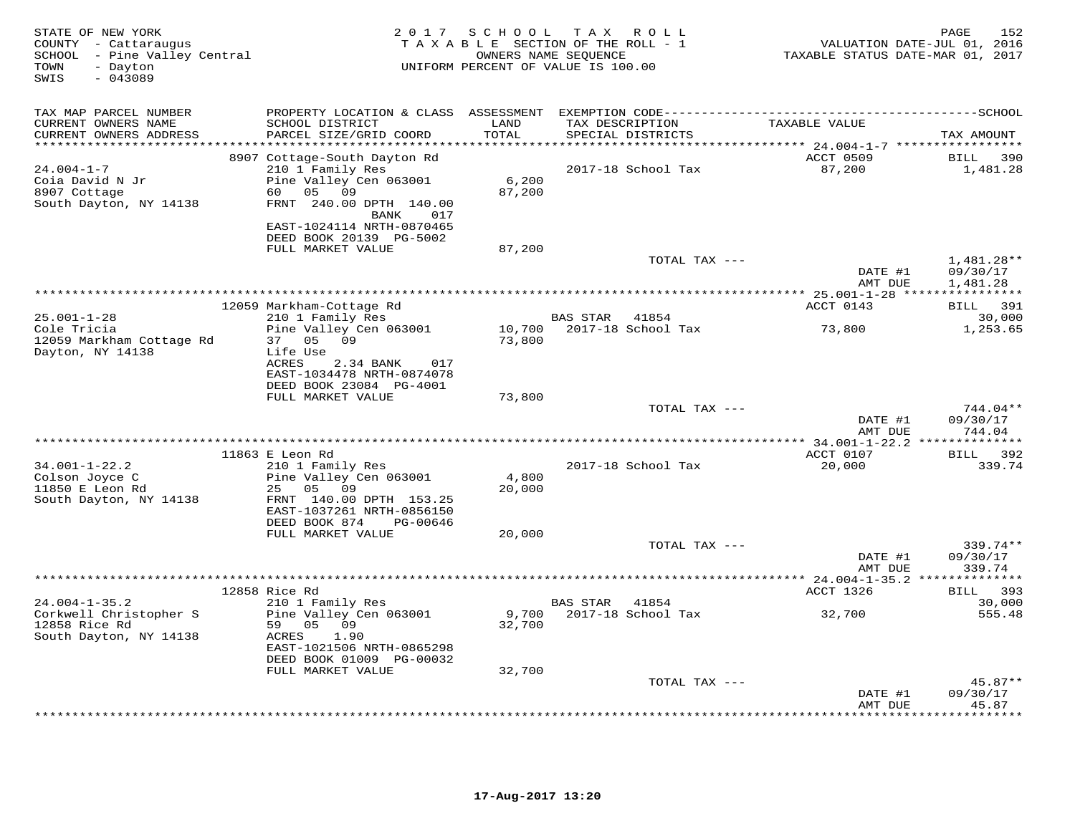| STATE OF NEW YORK<br>COUNTY - Cattaraugus<br>SCHOOL - Pine Valley Central<br>- Dayton<br>TOWN<br>SWIS<br>$-043089$ | 2 0 1 7                                                                                                                          | SCHOOL                      | T A X<br>R O L L<br>TAXABLE SECTION OF THE ROLL - 1<br>OWNERS NAME SEQUENCE<br>UNIFORM PERCENT OF VALUE IS 100.00 | VALUATION DATE-JUL 01, 2016<br>TAXABLE STATUS DATE-MAR 01, 2017 | PAGE<br>152                          |
|--------------------------------------------------------------------------------------------------------------------|----------------------------------------------------------------------------------------------------------------------------------|-----------------------------|-------------------------------------------------------------------------------------------------------------------|-----------------------------------------------------------------|--------------------------------------|
| TAX MAP PARCEL NUMBER                                                                                              |                                                                                                                                  |                             |                                                                                                                   |                                                                 |                                      |
| CURRENT OWNERS NAME<br>CURRENT OWNERS ADDRESS                                                                      | SCHOOL DISTRICT<br>PARCEL SIZE/GRID COORD                                                                                        | LAND<br>TOTAL<br>********** | TAX DESCRIPTION<br>SPECIAL DISTRICTS                                                                              | TAXABLE VALUE                                                   | TAX AMOUNT                           |
|                                                                                                                    | 8907 Cottage-South Dayton Rd                                                                                                     |                             |                                                                                                                   | ********* 24.004-1-7 ******************<br>ACCT 0509            | <b>BILL</b><br>390                   |
| $24.004 - 1 - 7$<br>Coia David N Jr<br>8907 Cottage<br>South Dayton, NY 14138                                      | 210 1 Family Res<br>Pine Valley Cen 063001<br>60  05  09<br>FRNT 240.00 DPTH 140.00<br>017<br>BANK                               | 6,200<br>87,200             | 2017-18 School Tax                                                                                                | 87,200                                                          | 1,481.28                             |
|                                                                                                                    | EAST-1024114 NRTH-0870465<br>DEED BOOK 20139 PG-5002                                                                             |                             |                                                                                                                   |                                                                 |                                      |
|                                                                                                                    | FULL MARKET VALUE                                                                                                                | 87,200                      | TOTAL TAX ---                                                                                                     |                                                                 | $1,481.28**$                         |
|                                                                                                                    |                                                                                                                                  |                             |                                                                                                                   | DATE #1<br>AMT DUE                                              | 09/30/17<br>1,481.28                 |
|                                                                                                                    |                                                                                                                                  |                             |                                                                                                                   | ****************** 25.001-1-28 *****************                |                                      |
| $25.001 - 1 - 28$                                                                                                  | 12059 Markham-Cottage Rd<br>210 1 Family Res                                                                                     |                             | BAS STAR<br>41854                                                                                                 | ACCT 0143                                                       | BILL 391<br>30,000                   |
| Cole Tricia<br>12059 Markham Cottage Rd                                                                            | Pine Valley Cen 063001<br>37 05 09                                                                                               | 73,800                      | 10,700 2017-18 School Tax                                                                                         | 73,800                                                          | 1,253.65                             |
| Dayton, NY 14138                                                                                                   | Life Use<br>ACRES<br>2.34 BANK<br>017<br>EAST-1034478 NRTH-0874078<br>DEED BOOK 23084 PG-4001                                    |                             |                                                                                                                   |                                                                 |                                      |
|                                                                                                                    | FULL MARKET VALUE                                                                                                                | 73,800                      | TOTAL TAX ---                                                                                                     |                                                                 | $744.04**$                           |
|                                                                                                                    |                                                                                                                                  |                             |                                                                                                                   | DATE #1<br>AMT DUE                                              | 09/30/17<br>744.04                   |
|                                                                                                                    |                                                                                                                                  |                             |                                                                                                                   | **************** 34.001-1-22.2 ***                              | ***********                          |
| $34.001 - 1 - 22.2$                                                                                                | 11863 E Leon Rd<br>210 1 Family Res                                                                                              |                             | 2017-18 School Tax                                                                                                | ACCT 0107<br>20,000                                             | BILL<br>392<br>339.74                |
| Colson Joyce C<br>11850 E Leon Rd<br>South Dayton, NY 14138                                                        | Pine Valley Cen 063001<br>25<br>05 09<br>FRNT 140.00 DPTH 153.25<br>EAST-1037261 NRTH-0856150                                    | 4,800<br>20,000             |                                                                                                                   |                                                                 |                                      |
|                                                                                                                    | DEED BOOK 874<br>PG-00646                                                                                                        |                             |                                                                                                                   |                                                                 |                                      |
|                                                                                                                    | FULL MARKET VALUE                                                                                                                | 20,000                      | TOTAL TAX ---                                                                                                     | DATE #1<br>AMT DUE                                              | 339.74**<br>09/30/17<br>339.74       |
|                                                                                                                    |                                                                                                                                  |                             |                                                                                                                   |                                                                 |                                      |
|                                                                                                                    | 12858 Rice Rd                                                                                                                    |                             |                                                                                                                   | ACCT 1326                                                       | BILL 393                             |
| $24.004 - 1 - 35.2$<br>Corkwell Christopher S<br>12858 Rice Rd<br>South Dayton, NY 14138                           | 210 1 Family Res<br>Pine Valley Cen 063001<br>59 05 09<br>ACRES<br>1.90<br>EAST-1021506 NRTH-0865298<br>DEED BOOK 01009 PG-00032 | 9,700<br>32,700             | BAS STAR<br>41854<br>2017-18 School Tax                                                                           | 32,700                                                          | 30,000<br>555.48                     |
|                                                                                                                    | FULL MARKET VALUE                                                                                                                | 32,700                      |                                                                                                                   |                                                                 |                                      |
|                                                                                                                    |                                                                                                                                  |                             | TOTAL TAX ---                                                                                                     |                                                                 | $45.87**$                            |
|                                                                                                                    |                                                                                                                                  |                             |                                                                                                                   | DATE #1<br>AMT DUE                                              | 09/30/17<br>45.87<br>* * * * * * * * |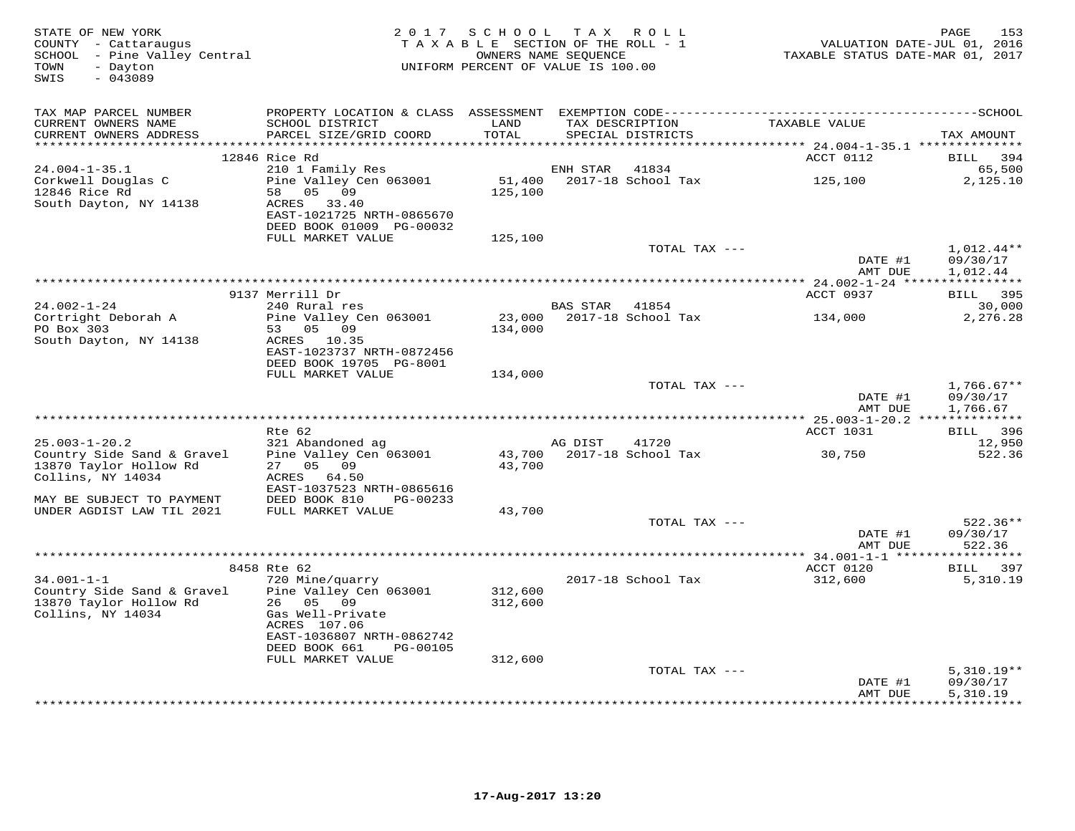| STATE OF NEW YORK<br>COUNTY - Cattaraugus<br>SCHOOL - Pine Valley Central<br>TOWN<br>- Dayton<br>$-043089$<br>SWIS | 2 0 1 7                                   | SCHOOL TAX ROLL<br>TAXABLE SECTION OF THE ROLL - 1<br>OWNERS NAME SEQUENCE<br>UNIFORM PERCENT OF VALUE IS 100.00 |                |                                      | VALUATION DATE-JUL 01, 2016<br>TAXABLE STATUS DATE-MAR 01, 2017 | 153<br>PAGE          |
|--------------------------------------------------------------------------------------------------------------------|-------------------------------------------|------------------------------------------------------------------------------------------------------------------|----------------|--------------------------------------|-----------------------------------------------------------------|----------------------|
| TAX MAP PARCEL NUMBER                                                                                              |                                           |                                                                                                                  |                |                                      |                                                                 |                      |
| CURRENT OWNERS NAME<br>CURRENT OWNERS ADDRESS                                                                      | SCHOOL DISTRICT<br>PARCEL SIZE/GRID COORD | LAND<br>TOTAL                                                                                                    |                | TAX DESCRIPTION<br>SPECIAL DISTRICTS | TAXABLE VALUE                                                   | TAX AMOUNT           |
| *******************                                                                                                |                                           | ****************                                                                                                 |                |                                      | *********** 24.004-1-35.1 ***************                       |                      |
|                                                                                                                    | 12846 Rice Rd                             |                                                                                                                  |                |                                      | ACCT 0112                                                       | BILL<br>394          |
| $24.004 - 1 - 35.1$                                                                                                | 210 1 Family Res                          |                                                                                                                  | ENH STAR       | 41834                                |                                                                 | 65,500               |
| Corkwell Douglas C<br>12846 Rice Rd                                                                                | Pine Valley Cen 063001<br>58 05 09        |                                                                                                                  |                | 51,400 2017-18 School Tax            | 125,100                                                         | 2,125.10             |
| South Dayton, NY 14138                                                                                             | 33.40<br>ACRES                            | 125,100                                                                                                          |                |                                      |                                                                 |                      |
|                                                                                                                    | EAST-1021725 NRTH-0865670                 |                                                                                                                  |                |                                      |                                                                 |                      |
|                                                                                                                    | DEED BOOK 01009 PG-00032                  |                                                                                                                  |                |                                      |                                                                 |                      |
|                                                                                                                    | FULL MARKET VALUE                         | 125,100                                                                                                          |                |                                      |                                                                 |                      |
|                                                                                                                    |                                           |                                                                                                                  |                | TOTAL TAX ---                        |                                                                 | $1,012.44**$         |
|                                                                                                                    |                                           |                                                                                                                  |                |                                      | DATE #1                                                         | 09/30/17             |
|                                                                                                                    |                                           |                                                                                                                  |                |                                      | AMT DUE                                                         | 1,012.44             |
|                                                                                                                    |                                           |                                                                                                                  |                |                                      | *********** 24.002-1-24 *****************                       |                      |
| $24.002 - 1 - 24$                                                                                                  | 9137 Merrill Dr<br>240 Rural res          |                                                                                                                  | BAS STAR 41854 |                                      | ACCT 0937                                                       | BILL 395<br>30,000   |
| Cortright Deborah A                                                                                                | Pine Valley Cen 063001                    |                                                                                                                  |                | 23,000 2017-18 School Tax            | 134,000                                                         | 2,276.28             |
| PO Box 303                                                                                                         | 53 05 09                                  | 134,000                                                                                                          |                |                                      |                                                                 |                      |
| South Dayton, NY 14138                                                                                             | ACRES 10.35                               |                                                                                                                  |                |                                      |                                                                 |                      |
|                                                                                                                    | EAST-1023737 NRTH-0872456                 |                                                                                                                  |                |                                      |                                                                 |                      |
|                                                                                                                    | DEED BOOK 19705 PG-8001                   |                                                                                                                  |                |                                      |                                                                 |                      |
|                                                                                                                    | FULL MARKET VALUE                         | 134,000                                                                                                          |                |                                      |                                                                 |                      |
|                                                                                                                    |                                           |                                                                                                                  |                | TOTAL TAX ---                        |                                                                 | $1,766.67**$         |
|                                                                                                                    |                                           |                                                                                                                  |                |                                      | DATE #1<br>AMT DUE                                              | 09/30/17<br>1,766.67 |
|                                                                                                                    |                                           |                                                                                                                  |                |                                      |                                                                 |                      |
|                                                                                                                    | Rte 62                                    |                                                                                                                  |                |                                      | ACCT 1031                                                       | BILL 396             |
| $25.003 - 1 - 20.2$                                                                                                | 321 Abandoned ag                          |                                                                                                                  | AG DIST        | 41720                                |                                                                 | 12,950               |
| Country Side Sand & Gravel                                                                                         | Pine Valley Cen 063001                    |                                                                                                                  |                | 43,700 2017-18 School Tax            | 30,750                                                          | 522.36               |
| 13870 Taylor Hollow Rd                                                                                             | 05 09<br>27                               | 43,700                                                                                                           |                |                                      |                                                                 |                      |
| Collins, NY 14034                                                                                                  | ACRES<br>64.50                            |                                                                                                                  |                |                                      |                                                                 |                      |
|                                                                                                                    | EAST-1037523 NRTH-0865616                 |                                                                                                                  |                |                                      |                                                                 |                      |
| MAY BE SUBJECT TO PAYMENT                                                                                          | DEED BOOK 810<br>PG-00233                 |                                                                                                                  |                |                                      |                                                                 |                      |
| UNDER AGDIST LAW TIL 2021                                                                                          | FULL MARKET VALUE                         | 43,700                                                                                                           |                | TOTAL TAX ---                        |                                                                 | $522.36**$           |
|                                                                                                                    |                                           |                                                                                                                  |                |                                      | DATE #1                                                         | 09/30/17             |
|                                                                                                                    |                                           |                                                                                                                  |                |                                      | AMT DUE                                                         | 522.36               |
|                                                                                                                    |                                           |                                                                                                                  |                |                                      |                                                                 |                      |
|                                                                                                                    | 8458 Rte 62                               |                                                                                                                  |                |                                      | ACCT 0120                                                       | BILL 397             |
| $34.001 - 1 - 1$                                                                                                   | 720 Mine/quarry                           |                                                                                                                  |                | 2017-18 School Tax                   | 312,600                                                         | 5,310.19             |
| Country Side Sand & Gravel                                                                                         | Pine Valley Cen 063001                    | 312,600                                                                                                          |                |                                      |                                                                 |                      |
| 13870 Taylor Hollow Rd                                                                                             | 26 05 09                                  | 312,600                                                                                                          |                |                                      |                                                                 |                      |
| Collins, NY 14034                                                                                                  | Gas Well-Private<br>ACRES 107.06          |                                                                                                                  |                |                                      |                                                                 |                      |
|                                                                                                                    | EAST-1036807 NRTH-0862742                 |                                                                                                                  |                |                                      |                                                                 |                      |
|                                                                                                                    | DEED BOOK 661<br>PG-00105                 |                                                                                                                  |                |                                      |                                                                 |                      |
|                                                                                                                    | FULL MARKET VALUE                         | 312,600                                                                                                          |                |                                      |                                                                 |                      |
|                                                                                                                    |                                           |                                                                                                                  |                | TOTAL TAX ---                        |                                                                 | $5,310.19**$         |
|                                                                                                                    |                                           |                                                                                                                  |                |                                      | DATE #1                                                         | 09/30/17             |
|                                                                                                                    |                                           |                                                                                                                  |                |                                      | AMT DUE                                                         | 5,310.19             |
|                                                                                                                    |                                           |                                                                                                                  |                |                                      |                                                                 | **********           |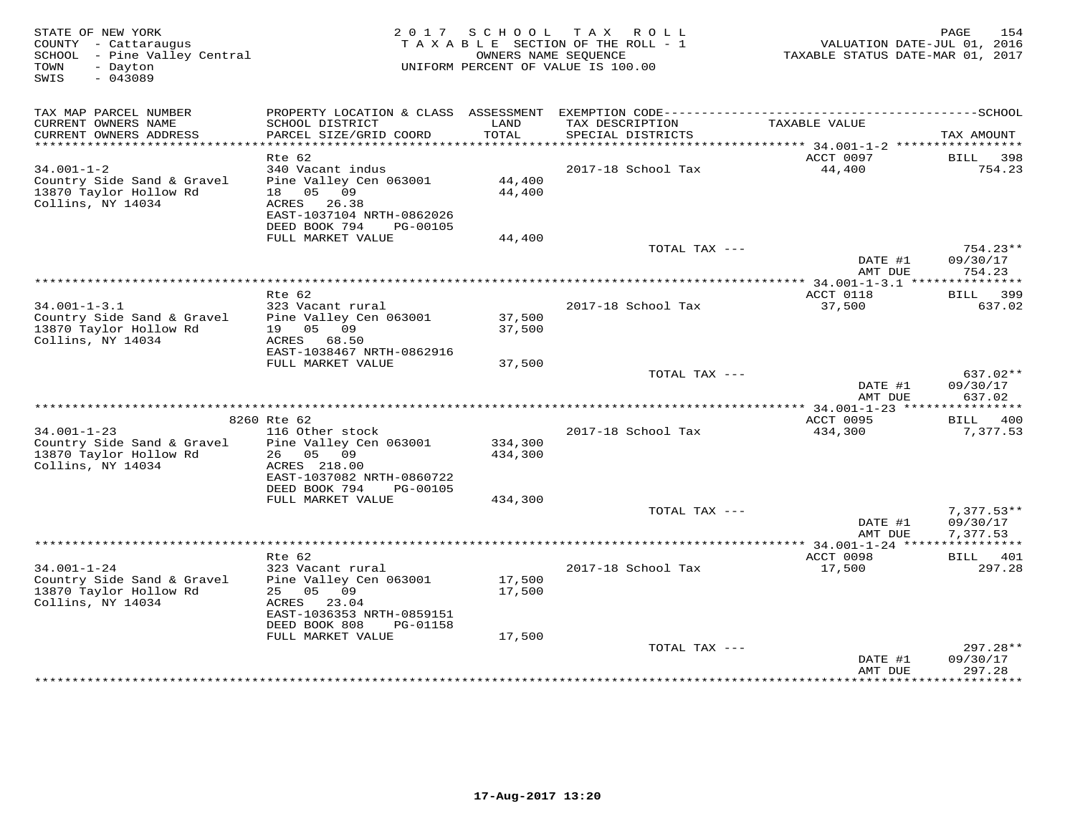| STATE OF NEW YORK<br>COUNTY - Cattaraugus<br>SCHOOL - Pine Valley Central<br>TOWN<br>- Dayton<br>$-043089$<br>SWIS |                                                                                                                                   |                    | 2017 SCHOOL TAX ROLL<br>TAXABLE SECTION OF THE ROLL - 1<br>OWNERS NAME SEOUENCE<br>UNIFORM PERCENT OF VALUE IS 100.00 | VALUATION DATE-JUL 01, 2016<br>TAXABLE STATUS DATE-MAR 01, 2017 | 154<br>PAGE                          |
|--------------------------------------------------------------------------------------------------------------------|-----------------------------------------------------------------------------------------------------------------------------------|--------------------|-----------------------------------------------------------------------------------------------------------------------|-----------------------------------------------------------------|--------------------------------------|
| TAX MAP PARCEL NUMBER                                                                                              |                                                                                                                                   |                    |                                                                                                                       |                                                                 |                                      |
| CURRENT OWNERS NAME<br>CURRENT OWNERS ADDRESS<br>*************************                                         | SCHOOL DISTRICT<br>PARCEL SIZE/GRID COORD                                                                                         | LAND<br>TOTAL      | TAX DESCRIPTION<br>SPECIAL DISTRICTS                                                                                  | TAXABLE VALUE                                                   | TAX AMOUNT                           |
|                                                                                                                    | $Rte$ 62                                                                                                                          |                    |                                                                                                                       | ACCT 0097                                                       | 398<br>BILL                          |
| $34.001 - 1 - 2$<br>Country Side Sand & Gravel<br>13870 Taylor Hollow Rd<br>Collins, NY 14034                      | 340 Vacant indus<br>Pine Valley Cen 063001<br>18  05  09<br>ACRES 26.38<br>EAST-1037104 NRTH-0862026<br>DEED BOOK 794<br>PG-00105 | 44,400<br>44,400   | 2017-18 School Tax                                                                                                    | 44,400                                                          | 754.23                               |
|                                                                                                                    | FULL MARKET VALUE                                                                                                                 | 44,400             |                                                                                                                       |                                                                 |                                      |
|                                                                                                                    |                                                                                                                                   |                    | TOTAL TAX ---                                                                                                         | DATE #1                                                         | 754.23**<br>09/30/17                 |
|                                                                                                                    |                                                                                                                                   |                    |                                                                                                                       | AMT DUE                                                         | 754.23                               |
|                                                                                                                    |                                                                                                                                   |                    |                                                                                                                       |                                                                 |                                      |
| $34.001 - 1 - 3.1$<br>Country Side Sand & Gravel<br>13870 Taylor Hollow Rd                                         | Rte 62<br>323 Vacant rural<br>Pine Valley Cen 063001<br>19<br>05 09                                                               | 37,500<br>37,500   | 2017-18 School Tax                                                                                                    | ACCT 0118<br>37,500                                             | 399<br><b>BILL</b><br>637.02         |
| Collins, NY 14034                                                                                                  | ACRES<br>68.50<br>EAST-1038467 NRTH-0862916<br>FULL MARKET VALUE                                                                  | 37,500             |                                                                                                                       |                                                                 |                                      |
|                                                                                                                    |                                                                                                                                   |                    | TOTAL TAX ---                                                                                                         | DATE #1                                                         | 637.02**<br>09/30/17                 |
|                                                                                                                    |                                                                                                                                   |                    |                                                                                                                       | AMT DUE                                                         | 637.02                               |
|                                                                                                                    | 8260 Rte 62                                                                                                                       |                    |                                                                                                                       | <b>ACCT 0095</b>                                                | 400<br><b>BILL</b>                   |
| $34.001 - 1 - 23$                                                                                                  | 116 Other stock                                                                                                                   |                    | 2017-18 School Tax                                                                                                    | 434,300                                                         | 7,377.53                             |
| Country Side Sand & Gravel<br>13870 Taylor Hollow Rd<br>Collins, NY 14034                                          | Pine Valley Cen 063001<br>26 05 09<br>ACRES 218.00<br>EAST-1037082 NRTH-0860722<br>DEED BOOK 794<br>PG-00105                      | 334,300<br>434,300 |                                                                                                                       |                                                                 |                                      |
|                                                                                                                    | FULL MARKET VALUE                                                                                                                 | 434,300            |                                                                                                                       |                                                                 |                                      |
|                                                                                                                    |                                                                                                                                   |                    | TOTAL TAX ---                                                                                                         | DATE #1<br>AMT DUE                                              | $7,377.53**$<br>09/30/17<br>7,377.53 |
|                                                                                                                    |                                                                                                                                   |                    |                                                                                                                       |                                                                 |                                      |
| $34.001 - 1 - 24$                                                                                                  | Rte 62<br>323 Vacant rural                                                                                                        |                    | 2017-18 School Tax                                                                                                    | ACCT 0098<br>17,500                                             | BILL 401<br>297.28                   |
| Country Side Sand & Gravel<br>13870 Taylor Hollow Rd<br>Collins, NY 14034                                          | Pine Valley Cen 063001<br>25 05 09<br>ACRES 23.04<br>EAST-1036353 NRTH-0859151<br>DEED BOOK 808<br>PG-01158                       | 17,500<br>17,500   |                                                                                                                       |                                                                 |                                      |
|                                                                                                                    | FULL MARKET VALUE                                                                                                                 | 17,500             |                                                                                                                       |                                                                 |                                      |
|                                                                                                                    |                                                                                                                                   |                    | TOTAL TAX ---                                                                                                         | DATE #1<br>AMT DUE                                              | 297.28**<br>09/30/17<br>297.28       |
|                                                                                                                    |                                                                                                                                   |                    |                                                                                                                       |                                                                 |                                      |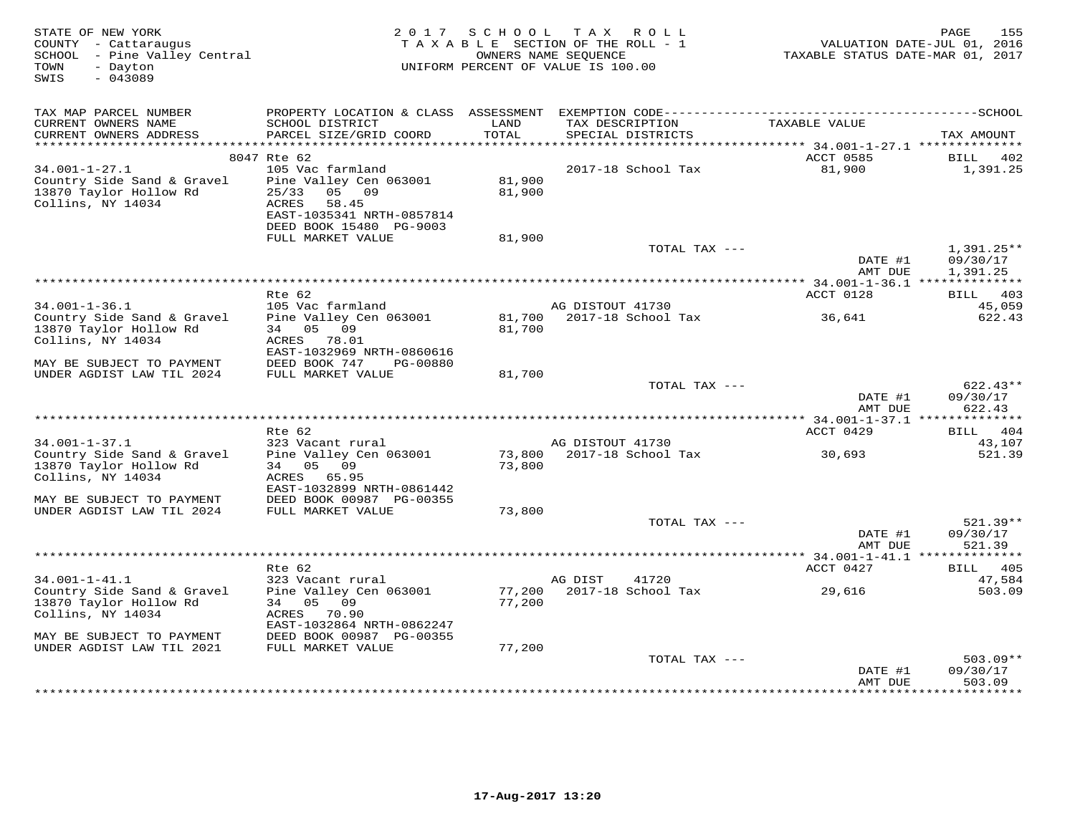| STATE OF NEW YORK<br>COUNTY - Cattaraugus<br>SCHOOL - Pine Valley Central<br>TOWN<br>- Dayton<br>$-043089$<br>SWIS | 2017                                       | SCHOOL           | T A X<br>R O L L<br>TAXABLE SECTION OF THE ROLL - 1<br>OWNERS NAME SEQUENCE<br>UNIFORM PERCENT OF VALUE IS 100.00 | TAXABLE STATUS DATE-MAR 01, 2017                           | PAGE<br>155<br>VALUATION DATE-JUL 01, 2016 |
|--------------------------------------------------------------------------------------------------------------------|--------------------------------------------|------------------|-------------------------------------------------------------------------------------------------------------------|------------------------------------------------------------|--------------------------------------------|
| TAX MAP PARCEL NUMBER                                                                                              |                                            |                  |                                                                                                                   |                                                            |                                            |
| CURRENT OWNERS NAME                                                                                                | SCHOOL DISTRICT                            | LAND             | TAX DESCRIPTION                                                                                                   | TAXABLE VALUE                                              |                                            |
| CURRENT OWNERS ADDRESS                                                                                             | PARCEL SIZE/GRID COORD                     | TOTAL            | SPECIAL DISTRICTS                                                                                                 |                                                            | TAX AMOUNT                                 |
| *****************                                                                                                  |                                            | *********        |                                                                                                                   | $************************************34.001-1-27.1$ ****** |                                            |
|                                                                                                                    | 8047 Rte 62                                |                  |                                                                                                                   | ACCT 0585                                                  | 402<br>BILL                                |
| $34.001 - 1 - 27.1$<br>Country Side Sand & Gravel                                                                  | 105 Vac farmland<br>Pine Valley Cen 063001 | 81,900           | 2017-18 School Tax                                                                                                | 81,900                                                     | 1,391.25                                   |
| 13870 Taylor Hollow Rd                                                                                             | 25/33<br>05 09                             | 81,900           |                                                                                                                   |                                                            |                                            |
| Collins, NY 14034                                                                                                  | ACRES<br>58.45                             |                  |                                                                                                                   |                                                            |                                            |
|                                                                                                                    | EAST-1035341 NRTH-0857814                  |                  |                                                                                                                   |                                                            |                                            |
|                                                                                                                    | DEED BOOK 15480 PG-9003                    |                  |                                                                                                                   |                                                            |                                            |
|                                                                                                                    | FULL MARKET VALUE                          | 81,900           |                                                                                                                   |                                                            |                                            |
|                                                                                                                    |                                            |                  | TOTAL TAX ---                                                                                                     | DATE #1                                                    | $1,391.25**$<br>09/30/17                   |
|                                                                                                                    |                                            |                  |                                                                                                                   | AMT DUE                                                    | 1,391.25                                   |
|                                                                                                                    |                                            |                  | ********************                                                                                              | ** 34.001-1-36.1 **************                            |                                            |
|                                                                                                                    | Rte 62                                     |                  |                                                                                                                   | ACCT 0128                                                  | 403<br><b>BILL</b>                         |
| $34.001 - 1 - 36.1$                                                                                                | 105 Vac farmland                           |                  | AG DISTOUT 41730                                                                                                  |                                                            | 45,059                                     |
| Country Side Sand & Gravel<br>13870 Taylor Hollow Rd                                                               | Pine Valley Cen 063001<br>34 05 09         | 81,700<br>81,700 | 2017-18 School Tax                                                                                                | 36,641                                                     | 622.43                                     |
| Collins, NY 14034                                                                                                  | ACRES<br>78.01                             |                  |                                                                                                                   |                                                            |                                            |
|                                                                                                                    | EAST-1032969 NRTH-0860616                  |                  |                                                                                                                   |                                                            |                                            |
| MAY BE SUBJECT TO PAYMENT                                                                                          | DEED BOOK 747<br>PG-00880                  |                  |                                                                                                                   |                                                            |                                            |
| UNDER AGDIST LAW TIL 2024                                                                                          | FULL MARKET VALUE                          | 81,700           |                                                                                                                   |                                                            |                                            |
|                                                                                                                    |                                            |                  | TOTAL TAX ---                                                                                                     | DATE #1                                                    | $622.43**$<br>09/30/17                     |
|                                                                                                                    |                                            |                  |                                                                                                                   | AMT DUE                                                    | 622.43                                     |
|                                                                                                                    |                                            |                  |                                                                                                                   |                                                            |                                            |
|                                                                                                                    | Rte 62                                     |                  |                                                                                                                   | ACCT 0429                                                  | BILL 404                                   |
| $34.001 - 1 - 37.1$                                                                                                | 323 Vacant rural                           |                  | AG DISTOUT 41730                                                                                                  |                                                            | 43,107                                     |
| Country Side Sand & Gravel<br>13870 Taylor Hollow Rd                                                               | Pine Valley Cen 063001<br>05<br>34<br>09   | 73,800<br>73,800 | 2017-18 School Tax                                                                                                | 30,693                                                     | 521.39                                     |
| Collins, NY 14034                                                                                                  | ACRES<br>65.95                             |                  |                                                                                                                   |                                                            |                                            |
|                                                                                                                    | EAST-1032899 NRTH-0861442                  |                  |                                                                                                                   |                                                            |                                            |
| MAY BE SUBJECT TO PAYMENT                                                                                          | DEED BOOK 00987 PG-00355                   |                  |                                                                                                                   |                                                            |                                            |
| UNDER AGDIST LAW TIL 2024                                                                                          | FULL MARKET VALUE                          | 73,800           |                                                                                                                   |                                                            |                                            |
|                                                                                                                    |                                            |                  | TOTAL TAX ---                                                                                                     | DATE #1                                                    | $521.39**$<br>09/30/17                     |
|                                                                                                                    |                                            |                  |                                                                                                                   | AMT DUE                                                    | 521.39                                     |
| *************************                                                                                          |                                            |                  |                                                                                                                   |                                                            |                                            |
|                                                                                                                    | Rte 62                                     |                  |                                                                                                                   | ACCT 0427                                                  | 405<br>BILL                                |
| $34.001 - 1 - 41.1$                                                                                                | 323 Vacant rural                           |                  | AG DIST<br>41720                                                                                                  |                                                            | 47,584                                     |
| Country Side Sand & Gravel<br>13870 Taylor Hollow Rd                                                               | Pine Valley Cen 063001<br>34<br>05 09      | 77,200<br>77,200 | 2017-18 School Tax                                                                                                | 29,616                                                     | 503.09                                     |
| Collins, NY 14034                                                                                                  | ACRES<br>70.90                             |                  |                                                                                                                   |                                                            |                                            |
|                                                                                                                    | EAST-1032864 NRTH-0862247                  |                  |                                                                                                                   |                                                            |                                            |
| MAY BE SUBJECT TO PAYMENT                                                                                          | DEED BOOK 00987 PG-00355                   |                  |                                                                                                                   |                                                            |                                            |
| UNDER AGDIST LAW TIL 2021                                                                                          | FULL MARKET VALUE                          | 77,200           |                                                                                                                   |                                                            |                                            |
|                                                                                                                    |                                            |                  | TOTAL TAX ---                                                                                                     |                                                            | $503.09**$<br>09/30/17                     |
|                                                                                                                    |                                            |                  |                                                                                                                   | DATE #1<br>AMT DUE                                         | 503.09                                     |
|                                                                                                                    |                                            |                  |                                                                                                                   |                                                            | .                                          |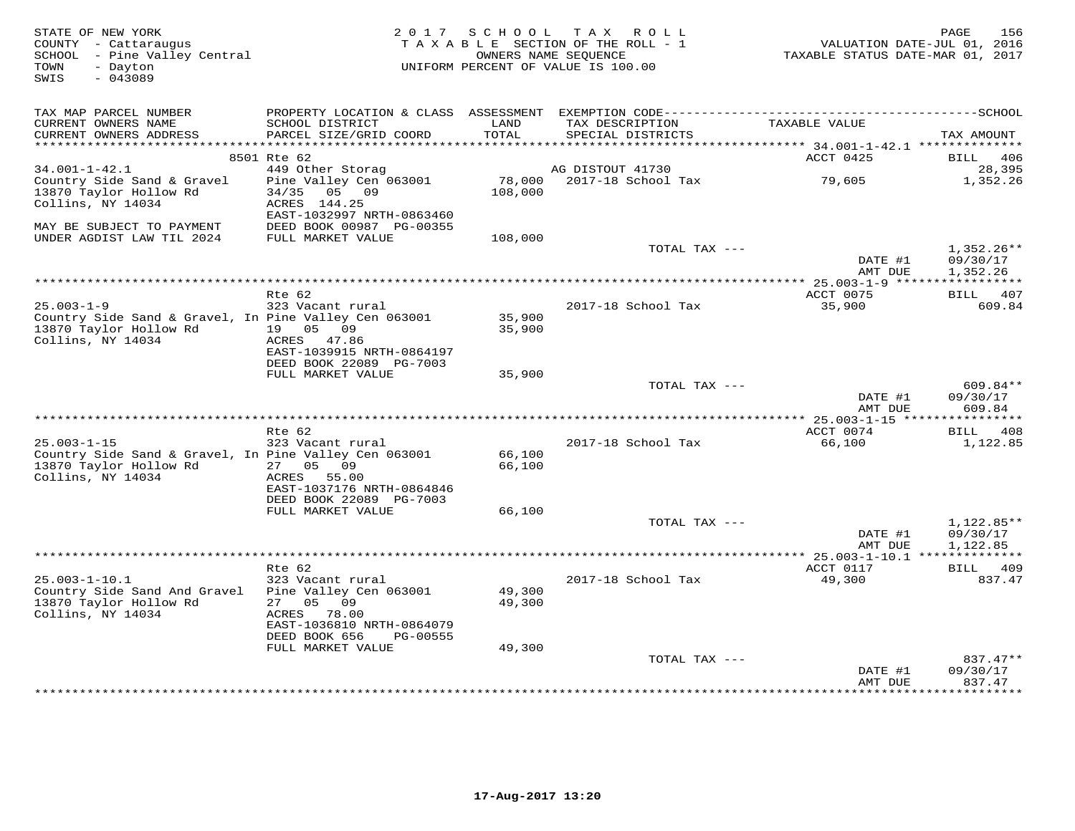| STATE OF NEW YORK<br>COUNTY - Cattaraugus<br>SCHOOL - Pine Valley Central<br>- Dayton<br>TOWN<br>$-043089$<br>SWIS       | 2 0 1 7                                                                                                                                  |                        | SCHOOL TAX ROLL<br>TAXABLE SECTION OF THE ROLL - 1<br>OWNERS NAME SEQUENCE<br>UNIFORM PERCENT OF VALUE IS 100.00 | VALUATION DATE-JUL 01, 2016<br>TAXABLE STATUS DATE-MAR 01, 2017 | 156<br>PAGE                          |
|--------------------------------------------------------------------------------------------------------------------------|------------------------------------------------------------------------------------------------------------------------------------------|------------------------|------------------------------------------------------------------------------------------------------------------|-----------------------------------------------------------------|--------------------------------------|
| TAX MAP PARCEL NUMBER                                                                                                    |                                                                                                                                          |                        |                                                                                                                  |                                                                 |                                      |
| CURRENT OWNERS NAME                                                                                                      | SCHOOL DISTRICT                                                                                                                          | LAND                   | TAX DESCRIPTION                                                                                                  | TAXABLE VALUE                                                   |                                      |
| CURRENT OWNERS ADDRESS                                                                                                   | PARCEL SIZE/GRID COORD                                                                                                                   | TOTAL<br>* * * * * * * | SPECIAL DISTRICTS                                                                                                | ******** 34.001-1-42.1 **************                           | TAX AMOUNT                           |
|                                                                                                                          | 8501 Rte 62                                                                                                                              |                        |                                                                                                                  | ACCT 0425                                                       | BILL<br>406                          |
| $34.001 - 1 - 42.1$                                                                                                      | 449 Other Storag                                                                                                                         |                        | AG DISTOUT 41730                                                                                                 |                                                                 | 28,395                               |
| Country Side Sand & Gravel<br>13870 Taylor Hollow Rd<br>Collins, NY 14034<br>MAY BE SUBJECT TO PAYMENT                   | Pine Valley Cen 063001<br>34/35<br>05 09<br>ACRES 144.25<br>EAST-1032997 NRTH-0863460<br>DEED BOOK 00987 PG-00355                        | 78,000<br>108,000      | 2017-18 School Tax                                                                                               | 79,605                                                          | 1,352.26                             |
| UNDER AGDIST LAW TIL 2024                                                                                                | FULL MARKET VALUE                                                                                                                        | 108,000                |                                                                                                                  |                                                                 |                                      |
|                                                                                                                          |                                                                                                                                          |                        | TOTAL TAX ---                                                                                                    | DATE #1                                                         | $1,352.26**$<br>09/30/17             |
|                                                                                                                          |                                                                                                                                          |                        |                                                                                                                  | AMT DUE                                                         | 1,352.26                             |
|                                                                                                                          | Rte 62                                                                                                                                   |                        |                                                                                                                  | ACCT 0075                                                       | BILL 407                             |
| $25.003 - 1 - 9$<br>Country Side Sand & Gravel, In Pine Valley Cen 063001<br>13870 Taylor Hollow Rd<br>Collins, NY 14034 | 323 Vacant rural<br>19 05 09<br>ACRES 47.86<br>EAST-1039915 NRTH-0864197                                                                 | 35,900<br>35,900       | 2017-18 School Tax                                                                                               | 35,900                                                          | 609.84                               |
|                                                                                                                          | DEED BOOK 22089 PG-7003                                                                                                                  |                        |                                                                                                                  |                                                                 |                                      |
|                                                                                                                          | FULL MARKET VALUE                                                                                                                        | 35,900                 |                                                                                                                  |                                                                 |                                      |
|                                                                                                                          |                                                                                                                                          |                        | TOTAL TAX ---                                                                                                    | DATE #1<br>AMT DUE                                              | 609.84**<br>09/30/17<br>609.84       |
| *****************************                                                                                            |                                                                                                                                          |                        |                                                                                                                  | **** 25.003-1-15 *****************                              |                                      |
| $25.003 - 1 - 15$                                                                                                        | Rte 62<br>323 Vacant rural                                                                                                               |                        | 2017-18 School Tax                                                                                               | ACCT 0074<br>66,100                                             | 408<br>BILL<br>1,122.85              |
| Country Side Sand & Gravel, In Pine Valley Cen 063001                                                                    |                                                                                                                                          | 66,100                 |                                                                                                                  |                                                                 |                                      |
| 13870 Taylor Hollow Rd<br>Collins, NY 14034                                                                              | 27 05 09<br>ACRES 55.00<br>EAST-1037176 NRTH-0864846<br>DEED BOOK 22089 PG-7003                                                          | 66,100                 |                                                                                                                  |                                                                 |                                      |
|                                                                                                                          | FULL MARKET VALUE                                                                                                                        | 66,100                 |                                                                                                                  |                                                                 |                                      |
|                                                                                                                          |                                                                                                                                          |                        | TOTAL TAX ---                                                                                                    | DATE #1<br>AMT DUE                                              | $1,122.85**$<br>09/30/17<br>1,122.85 |
|                                                                                                                          |                                                                                                                                          |                        |                                                                                                                  |                                                                 |                                      |
|                                                                                                                          | Rte 62                                                                                                                                   |                        |                                                                                                                  | ACCT 0117                                                       | 409<br>BILL                          |
| $25.003 - 1 - 10.1$<br>Country Side Sand And Gravel<br>13870 Taylor Hollow Rd<br>Collins, NY 14034                       | 323 Vacant rural<br>Pine Valley Cen 063001<br>05<br>09<br>27<br>ACRES<br>78.00<br>EAST-1036810 NRTH-0864079<br>DEED BOOK 656<br>PG-00555 | 49,300<br>49,300       | 2017-18 School Tax                                                                                               | 49,300                                                          | 837.47                               |
|                                                                                                                          | FULL MARKET VALUE                                                                                                                        | 49,300                 |                                                                                                                  |                                                                 |                                      |
|                                                                                                                          |                                                                                                                                          |                        | TOTAL TAX ---                                                                                                    | DATE #1<br>AMT DUE                                              | $837.47**$<br>09/30/17<br>837.47     |
|                                                                                                                          |                                                                                                                                          |                        |                                                                                                                  | ***************                                                 | **********                           |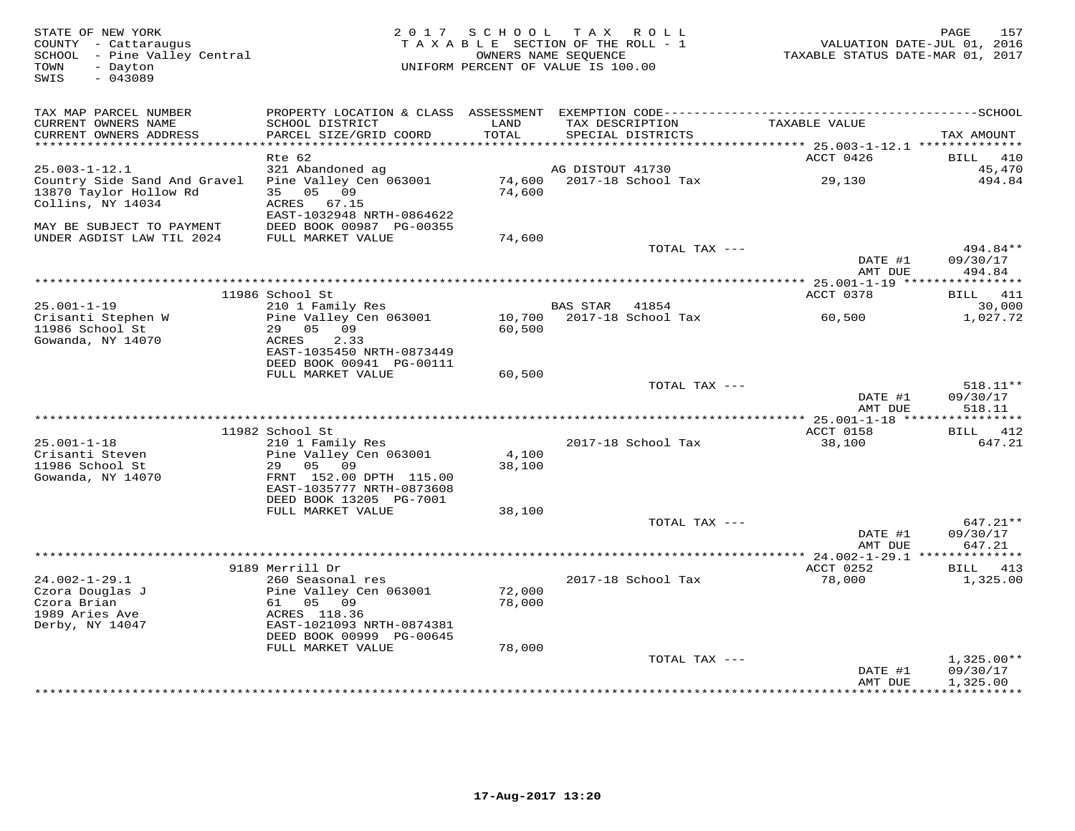| STATE OF NEW YORK<br>COUNTY - Cattaraugus<br>SCHOOL - Pine Valley Central<br>TOWN<br>- Dayton<br>$-043089$<br>SWIS | 2017                                                       |        | SCHOOL TAX ROLL<br>TAXABLE SECTION OF THE ROLL - 1<br>OWNERS NAME SEQUENCE<br>UNIFORM PERCENT OF VALUE IS 100.00 | VALUATION DATE-JUL 01, 2016<br>TAXABLE STATUS DATE-MAR 01, 2017 | PAGE<br>157                  |
|--------------------------------------------------------------------------------------------------------------------|------------------------------------------------------------|--------|------------------------------------------------------------------------------------------------------------------|-----------------------------------------------------------------|------------------------------|
| TAX MAP PARCEL NUMBER                                                                                              |                                                            |        |                                                                                                                  |                                                                 |                              |
| CURRENT OWNERS NAME                                                                                                | SCHOOL DISTRICT                                            | LAND   | TAX DESCRIPTION                                                                                                  | TAXABLE VALUE                                                   |                              |
| CURRENT OWNERS ADDRESS                                                                                             | PARCEL SIZE/GRID COORD                                     | TOTAL  | SPECIAL DISTRICTS                                                                                                |                                                                 | TAX AMOUNT                   |
|                                                                                                                    |                                                            | ****** |                                                                                                                  | $*******25.003-1-12.1****************$                          |                              |
| $25.003 - 1 - 12.1$                                                                                                | Rte 62                                                     |        | AG DISTOUT 41730                                                                                                 | ACCT 0426                                                       | <b>BILL</b><br>410<br>45,470 |
| Country Side Sand And Gravel                                                                                       | 321 Abandoned ag<br>Pine Valley Cen 063001                 | 74,600 | 2017-18 School Tax                                                                                               | 29,130                                                          | 494.84                       |
| 13870 Taylor Hollow Rd<br>Collins, NY 14034                                                                        | 0.509<br>35<br>ACRES<br>67.15<br>EAST-1032948 NRTH-0864622 | 74,600 |                                                                                                                  |                                                                 |                              |
| MAY BE SUBJECT TO PAYMENT                                                                                          | DEED BOOK 00987 PG-00355                                   |        |                                                                                                                  |                                                                 |                              |
| UNDER AGDIST LAW TIL 2024                                                                                          | FULL MARKET VALUE                                          | 74,600 |                                                                                                                  |                                                                 |                              |
|                                                                                                                    |                                                            |        | TOTAL TAX ---                                                                                                    |                                                                 | 494.84**                     |
|                                                                                                                    |                                                            |        |                                                                                                                  | DATE #1<br>AMT DUE                                              | 09/30/17<br>494.84           |
|                                                                                                                    |                                                            |        |                                                                                                                  |                                                                 |                              |
|                                                                                                                    | 11986 School St                                            |        |                                                                                                                  | ACCT 0378                                                       | 411<br>BILL                  |
| $25.001 - 1 - 19$                                                                                                  | 210 1 Family Res                                           |        | <b>BAS STAR</b><br>41854                                                                                         |                                                                 | 30,000                       |
| Crisanti Stephen W                                                                                                 | Pine Valley Cen 063001                                     | 10,700 | 2017-18 School Tax                                                                                               | 60,500                                                          | 1,027.72                     |
| 11986 School St                                                                                                    | 29 05 09                                                   | 60,500 |                                                                                                                  |                                                                 |                              |
| Gowanda, NY 14070                                                                                                  | ACRES<br>2.33                                              |        |                                                                                                                  |                                                                 |                              |
|                                                                                                                    | EAST-1035450 NRTH-0873449<br>DEED BOOK 00941 PG-00111      |        |                                                                                                                  |                                                                 |                              |
|                                                                                                                    | FULL MARKET VALUE                                          | 60,500 |                                                                                                                  |                                                                 |                              |
|                                                                                                                    |                                                            |        | TOTAL TAX ---                                                                                                    |                                                                 | 518.11**                     |
|                                                                                                                    |                                                            |        |                                                                                                                  | DATE #1                                                         | 09/30/17                     |
|                                                                                                                    |                                                            |        |                                                                                                                  | AMT DUE                                                         | 518.11                       |
|                                                                                                                    |                                                            |        |                                                                                                                  |                                                                 |                              |
|                                                                                                                    | 11982 School St                                            |        |                                                                                                                  | ACCT 0158                                                       | 412<br><b>BILL</b>           |
| $25.001 - 1 - 18$<br>Crisanti Steven                                                                               | 210 1 Family Res<br>Pine Valley Cen 063001                 | 4,100  | 2017-18 School Tax                                                                                               | 38,100                                                          | 647.21                       |
| 11986 School St                                                                                                    | 29<br>0.5<br>09                                            | 38,100 |                                                                                                                  |                                                                 |                              |
| Gowanda, NY 14070                                                                                                  | FRNT 152.00 DPTH 115.00                                    |        |                                                                                                                  |                                                                 |                              |
|                                                                                                                    | EAST-1035777 NRTH-0873608                                  |        |                                                                                                                  |                                                                 |                              |
|                                                                                                                    | DEED BOOK 13205 PG-7001                                    |        |                                                                                                                  |                                                                 |                              |
|                                                                                                                    | FULL MARKET VALUE                                          | 38,100 |                                                                                                                  |                                                                 |                              |
|                                                                                                                    |                                                            |        | TOTAL TAX ---                                                                                                    |                                                                 | 647.21**                     |
|                                                                                                                    |                                                            |        |                                                                                                                  | DATE #1<br>AMT DUE                                              | 09/30/17<br>647.21           |
|                                                                                                                    |                                                            |        |                                                                                                                  |                                                                 | ********                     |
|                                                                                                                    | 9189 Merrill Dr                                            |        |                                                                                                                  | ACCT 0252                                                       | BILL<br>413                  |
| $24.002 - 1 - 29.1$                                                                                                | 260 Seasonal res                                           |        | 2017-18 School Tax                                                                                               | 78,000                                                          | 1,325.00                     |
| Czora Douglas J                                                                                                    | Pine Valley Cen 063001                                     | 72,000 |                                                                                                                  |                                                                 |                              |
| Czora Brian                                                                                                        | 61<br>05 09                                                | 78,000 |                                                                                                                  |                                                                 |                              |
| 1989 Aries Ave                                                                                                     | ACRES 118.36                                               |        |                                                                                                                  |                                                                 |                              |
| Derby, NY 14047                                                                                                    | EAST-1021093 NRTH-0874381<br>DEED BOOK 00999 PG-00645      |        |                                                                                                                  |                                                                 |                              |
|                                                                                                                    | FULL MARKET VALUE                                          | 78,000 |                                                                                                                  |                                                                 |                              |
|                                                                                                                    |                                                            |        | TOTAL TAX ---                                                                                                    |                                                                 | $1,325.00**$                 |
|                                                                                                                    |                                                            |        |                                                                                                                  | DATE #1                                                         | 09/30/17                     |
|                                                                                                                    |                                                            |        |                                                                                                                  | AMT DUE                                                         | 1,325.00                     |
|                                                                                                                    |                                                            |        |                                                                                                                  |                                                                 | <b>++++++++++</b>            |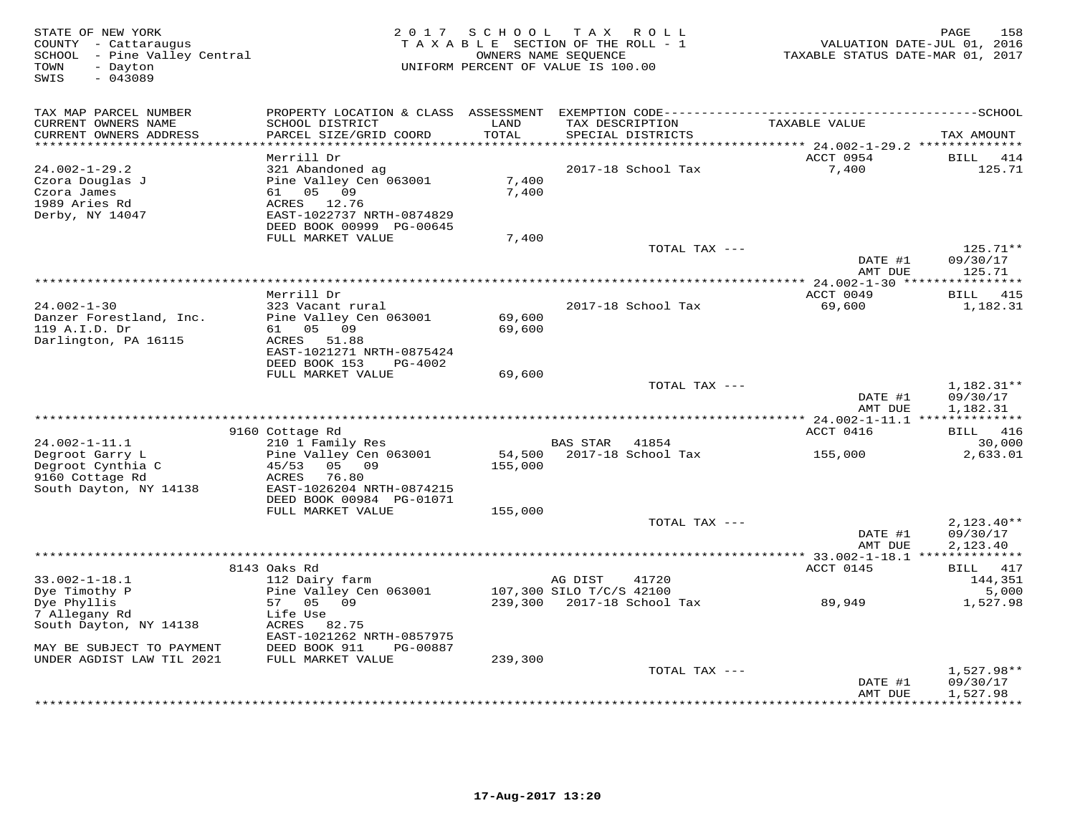| STATE OF NEW YORK<br>COUNTY - Cattaraugus<br>SCHOOL - Pine Valley Central<br>- Dayton<br>TOWN<br>SWIS<br>$-043089$ |                                                                                                                                   | 2017 SCHOOL TAX ROLL<br>TAXABLE SECTION OF THE ROLL - 1<br>UNIFORM PERCENT OF VALUE IS 100.00 | OWNERS NAME SEQUENCE     |                            | 158<br>PAGE<br>VALUATION DATE-JUL 01, 2016<br>TAXABLE STATUS DATE-MAR 01, 2017 |                             |  |
|--------------------------------------------------------------------------------------------------------------------|-----------------------------------------------------------------------------------------------------------------------------------|-----------------------------------------------------------------------------------------------|--------------------------|----------------------------|--------------------------------------------------------------------------------|-----------------------------|--|
| TAX MAP PARCEL NUMBER                                                                                              | PROPERTY LOCATION & CLASS ASSESSMENT                                                                                              |                                                                                               |                          |                            |                                                                                |                             |  |
| CURRENT OWNERS NAME<br>CURRENT OWNERS ADDRESS                                                                      | SCHOOL DISTRICT<br>PARCEL SIZE/GRID COORD                                                                                         | LAND<br>TOTAL<br>******                                                                       | TAX DESCRIPTION          | SPECIAL DISTRICTS          | TAXABLE VALUE                                                                  | TAX AMOUNT                  |  |
|                                                                                                                    | Merrill Dr                                                                                                                        |                                                                                               |                          |                            | ********* 24.002-1-29.2 **************<br>ACCT 0954                            | BILL<br>414                 |  |
| $24.002 - 1 - 29.2$<br>Czora Douglas J<br>Czora James<br>1989 Aries Rd<br>Derby, NY 14047                          | 321 Abandoned ag<br>Pine Valley Cen 063001<br>61 05 09<br>ACRES<br>12.76<br>EAST-1022737 NRTH-0874829<br>DEED BOOK 00999 PG-00645 | 7,400<br>7,400                                                                                |                          | 2017-18 School Tax         | 7,400                                                                          | 125.71                      |  |
|                                                                                                                    | FULL MARKET VALUE                                                                                                                 | 7,400                                                                                         |                          |                            |                                                                                |                             |  |
|                                                                                                                    |                                                                                                                                   |                                                                                               |                          | TOTAL TAX ---              | DATE #1                                                                        | 125.71**<br>09/30/17        |  |
|                                                                                                                    |                                                                                                                                   |                                                                                               |                          |                            | AMT DUE                                                                        | 125.71                      |  |
|                                                                                                                    |                                                                                                                                   |                                                                                               |                          |                            |                                                                                |                             |  |
| $24.002 - 1 - 30$                                                                                                  | Merrill Dr<br>323 Vacant rural                                                                                                    |                                                                                               |                          | 2017-18 School Tax         | ACCT 0049<br>69,600                                                            | <b>BILL</b> 415<br>1,182.31 |  |
| Danzer Forestland, Inc.                                                                                            | Pine Valley Cen 063001                                                                                                            | 69,600                                                                                        |                          |                            |                                                                                |                             |  |
| 119 A.I.D. Dr                                                                                                      | 61 05 09                                                                                                                          | 69,600                                                                                        |                          |                            |                                                                                |                             |  |
| Darlington, PA 16115                                                                                               | ACRES<br>51.88                                                                                                                    |                                                                                               |                          |                            |                                                                                |                             |  |
|                                                                                                                    | EAST-1021271 NRTH-0875424                                                                                                         |                                                                                               |                          |                            |                                                                                |                             |  |
|                                                                                                                    | DEED BOOK 153<br>PG-4002<br>FULL MARKET VALUE                                                                                     | 69,600                                                                                        |                          |                            |                                                                                |                             |  |
|                                                                                                                    |                                                                                                                                   |                                                                                               |                          | TOTAL TAX ---              |                                                                                | $1,182.31**$                |  |
|                                                                                                                    |                                                                                                                                   |                                                                                               |                          |                            | DATE #1                                                                        | 09/30/17                    |  |
|                                                                                                                    |                                                                                                                                   |                                                                                               |                          |                            | AMT DUE                                                                        | 1,182.31                    |  |
|                                                                                                                    |                                                                                                                                   |                                                                                               |                          |                            | *********** 24.002-1-11.1 ***************                                      |                             |  |
|                                                                                                                    | 9160 Cottage Rd                                                                                                                   |                                                                                               | <b>BAS STAR</b>          | 41854                      | ACCT 0416                                                                      | BILL 416<br>30,000          |  |
| $24.002 - 1 - 11.1$<br>Degroot Garry L                                                                             | 210 1 Family Res<br>Pine Valley Cen 063001                                                                                        | 54,500                                                                                        |                          | 2017-18 School Tax         | 155,000                                                                        | 2,633.01                    |  |
| Degroot Cynthia C<br>9160 Cottage Rd                                                                               | 45/53<br>05 09<br>ACRES<br>76.80                                                                                                  | 155,000                                                                                       |                          |                            |                                                                                |                             |  |
| South Dayton, NY 14138                                                                                             | EAST-1026204 NRTH-0874215<br>DEED BOOK 00984 PG-01071                                                                             |                                                                                               |                          |                            |                                                                                |                             |  |
|                                                                                                                    | FULL MARKET VALUE                                                                                                                 | 155,000                                                                                       |                          |                            |                                                                                |                             |  |
|                                                                                                                    |                                                                                                                                   |                                                                                               |                          | TOTAL TAX ---              |                                                                                | $2,123.40**$                |  |
|                                                                                                                    |                                                                                                                                   |                                                                                               |                          |                            | DATE #1<br>AMT DUE                                                             | 09/30/17<br>2,123.40        |  |
|                                                                                                                    |                                                                                                                                   |                                                                                               |                          |                            | ******** 33.002-1-18.1 **************                                          |                             |  |
| $33.002 - 1 - 18.1$                                                                                                | 8143 Oaks Rd<br>112 Dairy farm                                                                                                    |                                                                                               | AG DIST                  | 41720                      | ACCT 0145                                                                      | BILL 417<br>144,351         |  |
| Dye Timothy P                                                                                                      | Pine Valley Cen 063001                                                                                                            |                                                                                               | 107,300 SILO T/C/S 42100 |                            |                                                                                | 5,000                       |  |
| Dye Phyllis                                                                                                        | 57 05 09                                                                                                                          |                                                                                               |                          | 239,300 2017-18 School Tax | 89,949                                                                         | 1,527.98                    |  |
| 7 Allegany Rd                                                                                                      | Life Use                                                                                                                          |                                                                                               |                          |                            |                                                                                |                             |  |
| South Dayton, NY 14138                                                                                             | ACRES<br>82.75                                                                                                                    |                                                                                               |                          |                            |                                                                                |                             |  |
| MAY BE SUBJECT TO PAYMENT                                                                                          | EAST-1021262 NRTH-0857975<br>DEED BOOK 911<br>PG-00887                                                                            |                                                                                               |                          |                            |                                                                                |                             |  |
| UNDER AGDIST LAW TIL 2021                                                                                          | FULL MARKET VALUE                                                                                                                 | 239,300                                                                                       |                          |                            |                                                                                |                             |  |
|                                                                                                                    |                                                                                                                                   |                                                                                               |                          | TOTAL TAX ---              |                                                                                | 1,527.98**                  |  |
|                                                                                                                    |                                                                                                                                   |                                                                                               |                          |                            | DATE #1                                                                        | 09/30/17                    |  |
|                                                                                                                    |                                                                                                                                   |                                                                                               |                          |                            | AMT DUE                                                                        | 1,527.98<br>**********      |  |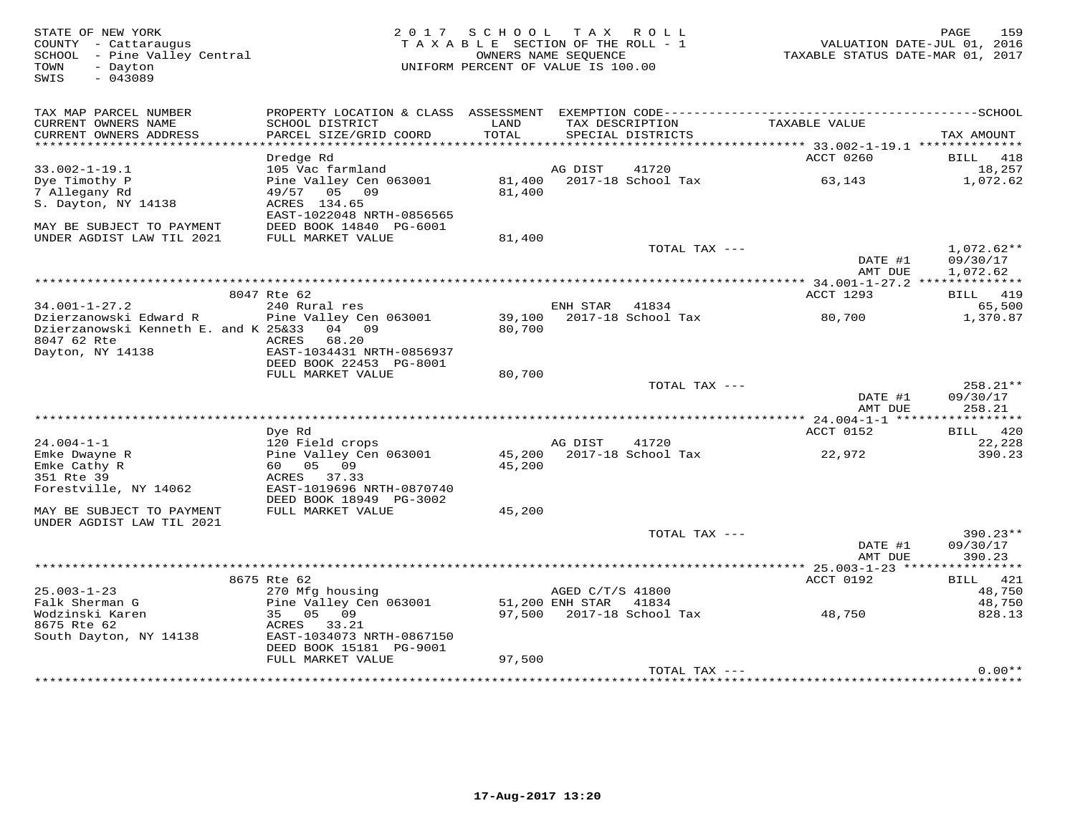STATE OF NEW YORK 2 0 1 7 S C H O O L T A X R O L L PAGE 159 COUNTY - Cattaraugus T A X A B L E SECTION OF THE ROLL - 1 VALUATION DATE-JUL 01, 2016 SCHOOL - Pine Valley Central OWNERS NAME SEQUENCE TAXABLE STATUS DATE-MAR 01, 2017 TOWN - Dayton UNIFORM PERCENT OF VALUE IS 100.00 SWIS - 043089TAX MAP PARCEL NUMBER PROPERTY LOCATION & CLASS ASSESSMENT EXEMPTION CODE------------------------------------------SCHOOL CURRENT OWNERS NAME SCHOOL DISTRICT LAND TAX DESCRIPTION TAXABLE VALUE CURRENT OWNERS ADDRESS PARCEL SIZE/GRID COORD TOTAL SPECIAL DISTRICTS TAX AMOUNT \*\*\*\*\*\*\*\*\*\*\*\*\*\*\*\*\*\*\*\*\*\*\*\*\*\*\*\*\*\*\*\*\*\*\*\*\*\*\*\*\*\*\*\*\*\*\*\*\*\*\*\*\*\*\*\*\*\*\*\*\*\*\*\*\*\*\*\*\*\*\*\*\*\*\*\*\*\*\*\*\*\*\*\*\*\*\*\*\*\*\*\*\*\*\*\*\*\*\*\*\*\*\* 33.002-1-19.1 \*\*\*\*\*\*\*\*\*\*\*\*\*\* Dredge Rd ACCT 0260 BILL 418 33.002-1-19.1 105 Vac farmland AG DIST 41720 18,257 Dye Timothy P Pine Valley Cen 063001 81,400 2017-18 School Tax 63,143 1,072.62 7 Allegany Rd 49/57 05 09 81,400 S. Dayton, NY 14138 ACRES 134.65 EAST-1022048 NRTH-0856565 MAY BE SUBJECT TO PAYMENT DEED BOOK 14840 PG-6001 UNDER AGDIST LAW TIL 2021 FULL MARKET VALUE 81,400 TOTAL TAX --- 1,072.62\*\* $\frac{109}{20/17}$   $\frac{109}{20/17}$  AMT DUE 1,072.62 \*\*\*\*\*\*\*\*\*\*\*\*\*\*\*\*\*\*\*\*\*\*\*\*\*\*\*\*\*\*\*\*\*\*\*\*\*\*\*\*\*\*\*\*\*\*\*\*\*\*\*\*\*\*\*\*\*\*\*\*\*\*\*\*\*\*\*\*\*\*\*\*\*\*\*\*\*\*\*\*\*\*\*\*\*\*\*\*\*\*\*\*\*\*\*\*\*\*\*\*\*\*\* 34.001-1-27.2 \*\*\*\*\*\*\*\*\*\*\*\*\*\*ACCT 1293 BILL 419 8047 Rte 62 ACCT 1293 BILL 419 $65.500$ 34.001-1-27.2 240 Rural res ENH STAR 41834 65,500 1,370.87 Dzierzanowski Edward R Pine Valley Cen 063001 39,100 2017-18 School Tax 80,700 1,370.87Dzierzanowski Kenneth E. and K 25&33 04 09 80,700 8047 62 Rte ACRES 68.20 Dayton, NY 14138 EAST-1034431 NRTH-0856937 DEED BOOK 22453 PG-8001 FULL MARKET VALUE 80,700 TOTAL TAX --- 258.21\*\*DATE #1 09/30/17<br>2009 - 2009 1009 AMT DUE 258.21 \*\*\*\*\*\*\*\*\*\*\*\*\*\*\*\*\*\*\*\*\*\*\*\*\*\*\*\*\*\*\*\*\*\*\*\*\*\*\*\*\*\*\*\*\*\*\*\*\*\*\*\*\*\*\*\*\*\*\*\*\*\*\*\*\*\*\*\*\*\*\*\*\*\*\*\*\*\*\*\*\*\*\*\*\*\*\*\*\*\*\*\*\*\*\*\*\*\*\*\*\*\*\* 24.004-1-1 \*\*\*\*\*\*\*\*\*\*\*\*\*\*\*\*\*ACCT 0152 BILL 420 Dye Rd ACCT 0152 BILL 42022,228 24.004-1-1 120 Field crops AG DIST 41720 22,228390.23 Emke Dwayne R Pine Valley Cen 063001 45,200 2017-18 School Tax 22,972 390.23Emke Cathy R 60 05 09 45,200 351 Rte 39 ACRES 37.33 Forestville, NY 14062 EAST-1019696 NRTH-0870740 DEED BOOK 18949 PG-3002 MAY BE SUBJECT TO PAYMENT FULL MARKET VALUE 45,200 UNDER AGDIST LAW TIL 2021 TOTAL TAX --- 390.23\*\* DATE #1 09/30/17 AMT DUE 390.23 \*\*\*\*\*\*\*\*\*\*\*\*\*\*\*\*\*\*\*\*\*\*\*\*\*\*\*\*\*\*\*\*\*\*\*\*\*\*\*\*\*\*\*\*\*\*\*\*\*\*\*\*\*\*\*\*\*\*\*\*\*\*\*\*\*\*\*\*\*\*\*\*\*\*\*\*\*\*\*\*\*\*\*\*\*\*\*\*\*\*\*\*\*\*\*\*\*\*\*\*\*\*\* 25.003-1-23 \*\*\*\*\*\*\*\*\*\*\*\*\*\*\*\*ACCT 0192 BILL 421 8675 Rte 62 ACCT 0192 BILL 42148.750 25.003-1-23 270 Mfg housing AGED C/T/S 41800 48,750 48,750 Falk Sherman G Pine Valley Cen 063001 51,200 ENH STAR 41834 48,750828.13 Wodzinski Karen 35 05 09 97,500 2017-18 School Tax 48,750 828.138675 Rte 62 ACRES 33.21 South Dayton, NY 14138 EAST-1034073 NRTH-0867150 DEED BOOK 15181 PG-9001FULL MARKET VALUE 97,500 TOTAL TAX --- 0.00\*\*

\*\*\*\*\*\*\*\*\*\*\*\*\*\*\*\*\*\*\*\*\*\*\*\*\*\*\*\*\*\*\*\*\*\*\*\*\*\*\*\*\*\*\*\*\*\*\*\*\*\*\*\*\*\*\*\*\*\*\*\*\*\*\*\*\*\*\*\*\*\*\*\*\*\*\*\*\*\*\*\*\*\*\*\*\*\*\*\*\*\*\*\*\*\*\*\*\*\*\*\*\*\*\*\*\*\*\*\*\*\*\*\*\*\*\*\*\*\*\*\*\*\*\*\*\*\*\*\*\*\*\*\*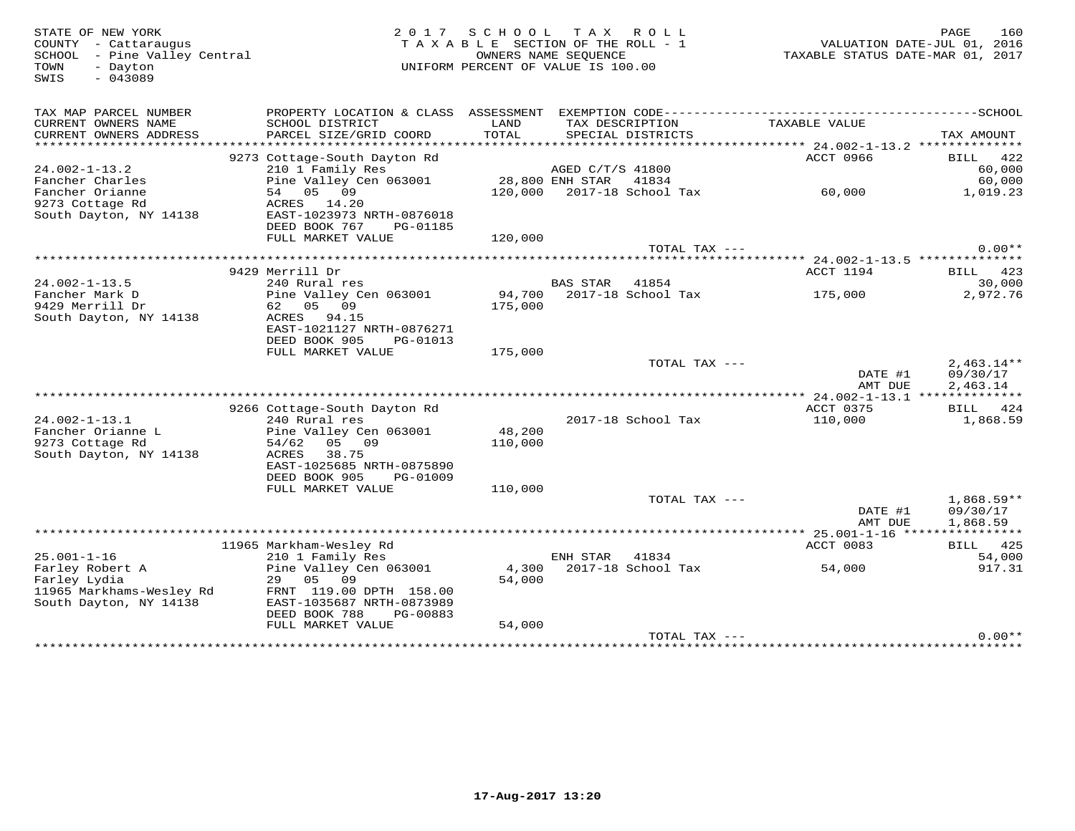TOWN - Dayton<br>SWIS - 043089

## COUNTY - Cattaraugus<br>
SCHOOL - Pine Valley Central<br>
OWNERS NAME SEQUENCE SCHOOL – Pine Valley Central OWNERS NAME SEQUENCE TAXABLE STATUS DATE-MAR 01, 2017 UNIFORM PERCENT OF VALUE IS 100.00

| TAX MAP PARCEL NUMBER<br>CURRENT OWNERS NAME<br>CURRENT OWNERS ADDRESS                | PROPERTY LOCATION & CLASS ASSESSMENT<br>SCHOOL DISTRICT<br>PARCEL SIZE/GRID COORD                                                                  | LAND<br>TOTAL                 | TAX DESCRIPTION                     | EXEMPTION CODE-----------<br>SPECIAL DISTRICTS | TAXABLE VALUE                                    | ----------SCHOOL<br>TAX AMOUNT       |
|---------------------------------------------------------------------------------------|----------------------------------------------------------------------------------------------------------------------------------------------------|-------------------------------|-------------------------------------|------------------------------------------------|--------------------------------------------------|--------------------------------------|
|                                                                                       |                                                                                                                                                    | ***************************** |                                     |                                                | ****************** 24.002-1-13.2 *************** |                                      |
| $24.002 - 1 - 13.2$<br>Fancher Charles                                                | 9273 Cottage-South Dayton Rd<br>210 1 Family Res<br>Pine Valley Cen 063001                                                                         |                               | AGED C/T/S 41800<br>28,800 ENH STAR | 41834                                          | ACCT 0966                                        | 422<br>BILL<br>60,000<br>60,000      |
| Fancher Orianne<br>9273 Cottage Rd<br>South Dayton, NY 14138                          | 54 05 09<br>ACRES 14.20<br>EAST-1023973 NRTH-0876018                                                                                               | 120,000                       |                                     | 2017-18 School Tax                             | 60,000                                           | 1,019.23                             |
|                                                                                       | DEED BOOK 767<br>PG-01185<br>FULL MARKET VALUE                                                                                                     | 120,000                       |                                     |                                                |                                                  |                                      |
|                                                                                       |                                                                                                                                                    |                               |                                     | TOTAL TAX ---                                  |                                                  | $0.00**$                             |
|                                                                                       |                                                                                                                                                    |                               |                                     |                                                |                                                  |                                      |
| $24.002 - 1 - 13.5$                                                                   | 9429 Merrill Dr<br>240 Rural res                                                                                                                   |                               | <b>BAS STAR</b>                     | 41854                                          | ACCT 1194                                        | BILL 423<br>30,000                   |
| Fancher Mark D<br>9429 Merrill Dr<br>South Dayton, NY 14138                           | Pine Valley Cen 063001<br>62 05<br>09<br>ACRES<br>94.15<br>EAST-1021127 NRTH-0876271                                                               | 94,700<br>175,000             |                                     | 2017-18 School Tax                             | 175,000                                          | 2,972.76                             |
|                                                                                       | DEED BOOK 905<br>PG-01013<br>FULL MARKET VALUE                                                                                                     | 175,000                       |                                     |                                                |                                                  |                                      |
|                                                                                       |                                                                                                                                                    |                               |                                     | TOTAL TAX ---                                  | DATE #1<br>AMT DUE                               | $2,463.14**$<br>09/30/17<br>2,463.14 |
|                                                                                       |                                                                                                                                                    |                               |                                     |                                                | $24.002 - 1 - 13.1$                              | **************                       |
| $24.002 - 1 - 13.1$                                                                   | 9266 Cottage-South Dayton Rd<br>240 Rural res                                                                                                      |                               |                                     | 2017-18 School Tax                             | ACCT 0375<br>110,000                             | 424<br>BILL<br>1,868.59              |
| Fancher Orianne L<br>9273 Cottage Rd<br>South Dayton, NY 14138                        | Pine Valley Cen 063001<br>05 09<br>54/62<br>ACRES<br>38.75<br>EAST-1025685 NRTH-0875890<br>DEED BOOK 905<br>PG-01009                               | 48,200<br>110,000             |                                     |                                                |                                                  |                                      |
|                                                                                       | FULL MARKET VALUE                                                                                                                                  | 110,000                       |                                     |                                                |                                                  |                                      |
|                                                                                       |                                                                                                                                                    |                               |                                     | TOTAL TAX ---                                  | DATE #1<br>AMT DUE                               | $1,868.59**$<br>09/30/17<br>1,868.59 |
|                                                                                       |                                                                                                                                                    |                               |                                     |                                                |                                                  |                                      |
| $25.001 - 1 - 16$                                                                     | 11965 Markham-Wesley Rd<br>210 1 Family Res                                                                                                        |                               | ENH STAR                            | 41834                                          | ACCT 0083                                        | <b>BILL</b> 425<br>54,000            |
| Farley Robert A<br>Farley Lydia<br>11965 Markhams-Wesley Rd<br>South Dayton, NY 14138 | Pine Valley Cen 063001<br>05<br>09<br>29<br>FRNT 119.00 DPTH 158.00<br>EAST-1035687 NRTH-0873989<br>DEED BOOK 788<br>PG-00883<br>FULL MARKET VALUE | 4,300<br>54,000<br>54,000     |                                     | 2017-18 School Tax                             | 54,000                                           | 917.31                               |
|                                                                                       |                                                                                                                                                    |                               |                                     | TOTAL TAX ---                                  |                                                  | $0.00**$                             |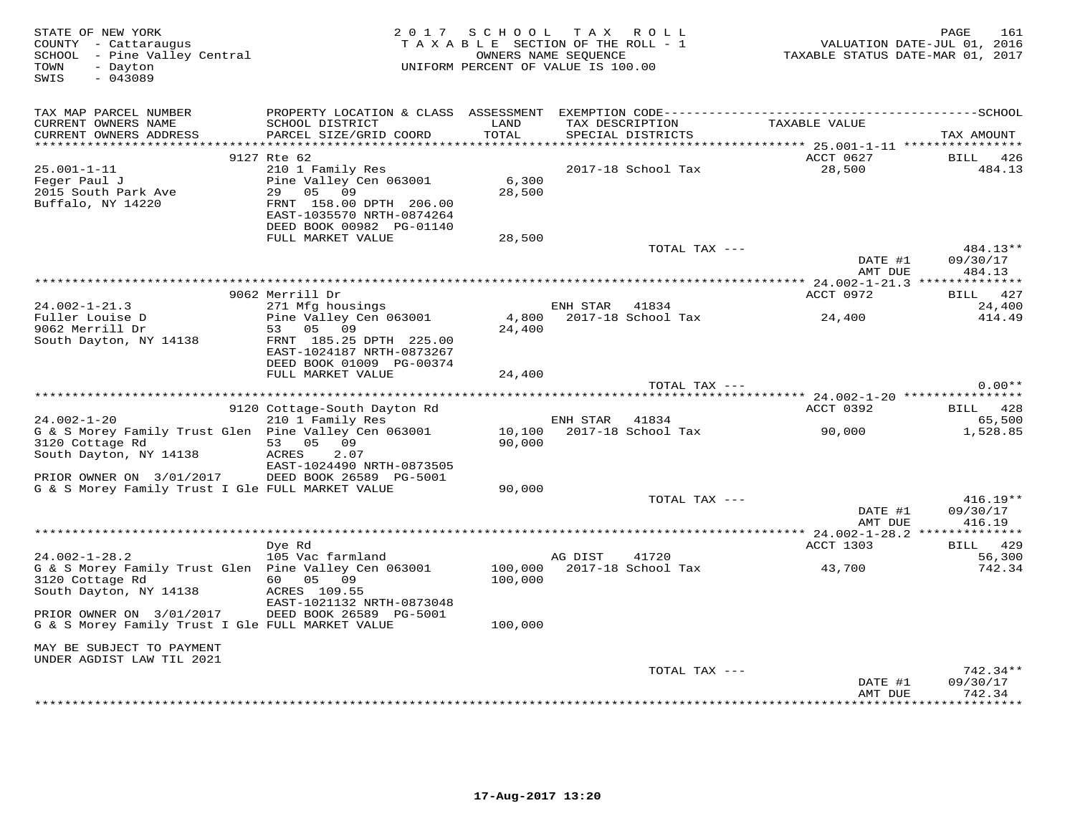| STATE OF NEW YORK<br>COUNTY - Cattaraugus<br>SCHOOL - Pine Valley Central<br>- Dayton<br>TOWN<br>$-043089$<br>SWIS     |                                                                                                                                  | 2017 SCHOOL TAX ROLL<br>TAXABLE SECTION OF THE ROLL - 1<br>UNIFORM PERCENT OF VALUE IS 100.00 | OWNERS NAME SEQUENCE |                             | TAXABLE STATUS DATE-MAR 01, 2017 | PAGE<br>161<br>VALUATION DATE-JUL 01, 2016 |
|------------------------------------------------------------------------------------------------------------------------|----------------------------------------------------------------------------------------------------------------------------------|-----------------------------------------------------------------------------------------------|----------------------|-----------------------------|----------------------------------|--------------------------------------------|
| TAX MAP PARCEL NUMBER<br>CURRENT OWNERS NAME<br>CURRENT OWNERS ADDRESS                                                 | SCHOOL DISTRICT<br>PARCEL SIZE/GRID COORD                                                                                        | LAND<br>TOTAL                                                                                 | TAX DESCRIPTION      | SPECIAL DISTRICTS           | TAXABLE VALUE                    | TAX AMOUNT                                 |
| $25.001 - 1 - 11$<br>Feger Paul J<br>2015 South Park Ave<br>Buffalo, NY 14220                                          | 9127 Rte 62<br>210 1 Family Res<br>Pine Valley Cen 063001<br>05 09<br>29<br>FRNT 158.00 DPTH 206.00<br>EAST-1035570 NRTH-0874264 | 6,300<br>28,500                                                                               |                      | 2017-18 School Tax          | ACCT 0627<br>28,500              | 426<br>BILL<br>484.13                      |
|                                                                                                                        | DEED BOOK 00982 PG-01140<br>FULL MARKET VALUE                                                                                    | 28,500                                                                                        |                      | TOTAL TAX ---               |                                  | 484.13**                                   |
|                                                                                                                        |                                                                                                                                  |                                                                                               |                      |                             | DATE #1<br>AMT DUE               | 09/30/17<br>484.13                         |
|                                                                                                                        | 9062 Merrill Dr                                                                                                                  |                                                                                               |                      |                             | ACCT 0972                        | BILL 427                                   |
| $24.002 - 1 - 21.3$<br>Fuller Louise D                                                                                 | 271 Mfg housings<br>Pine Valley Cen 063001                                                                                       | 4,800                                                                                         | ENH STAR 41834       | 2017-18 School Tax          | 24,400                           | 24,400<br>414.49                           |
| 9062 Merrill Dr<br>South Dayton, NY 14138                                                                              | 05<br>09<br>53<br>FRNT 185.25 DPTH 225.00<br>EAST-1024187 NRTH-0873267<br>DEED BOOK 01009 PG-00374<br>FULL MARKET VALUE          | 24,400<br>24,400                                                                              |                      |                             |                                  |                                            |
|                                                                                                                        |                                                                                                                                  |                                                                                               |                      | TOTAL TAX ---               |                                  | $0.00**$                                   |
|                                                                                                                        |                                                                                                                                  |                                                                                               |                      |                             |                                  |                                            |
|                                                                                                                        | 9120 Cottage-South Dayton Rd                                                                                                     |                                                                                               |                      |                             | ACCT 0392                        | BILL 428                                   |
| $24.002 - 1 - 20$<br>G & S Morey Family Trust Glen Pine Valley Cen 063001<br>3120 Cottage Rd<br>South Dayton, NY 14138 | 210 1 Family Res<br>53 05 09<br>2.07<br>ACRES                                                                                    | 10,100<br>90,000                                                                              | ENH STAR             | 41834<br>2017-18 School Tax | 90,000                           | 65,500<br>1,528.85                         |
| PRIOR OWNER ON 3/01/2017<br>G & S Morey Family Trust I Gle FULL MARKET VALUE                                           | EAST-1024490 NRTH-0873505<br>DEED BOOK 26589 PG-5001                                                                             | 90,000                                                                                        |                      |                             |                                  |                                            |
|                                                                                                                        |                                                                                                                                  |                                                                                               |                      | TOTAL TAX ---               | DATE #1<br>AMT DUE               | $416.19**$<br>09/30/17<br>416.19           |
|                                                                                                                        | Dye Rd                                                                                                                           |                                                                                               |                      |                             | ACCT 1303                        | BILL 429                                   |
| $24.002 - 1 - 28.2$                                                                                                    | 105 Vac farmland                                                                                                                 |                                                                                               | AG DIST              | 41720                       |                                  | 56,300                                     |
| G & S Morey Family Trust Glen  Pine Valley Cen 063001<br>3120 Cottage Rd<br>South Dayton, NY 14138                     | 60 05<br>09<br>ACRES 109.55<br>EAST-1021132 NRTH-0873048                                                                         | 100,000<br>100,000                                                                            |                      | 2017-18 School Tax          | 43,700                           | 742.34                                     |
| PRIOR OWNER ON 3/01/2017<br>G & S Morey Family Trust I Gle FULL MARKET VALUE                                           | DEED BOOK 26589 PG-5001                                                                                                          | 100,000                                                                                       |                      |                             |                                  |                                            |
| MAY BE SUBJECT TO PAYMENT<br>UNDER AGDIST LAW TIL 2021                                                                 |                                                                                                                                  |                                                                                               |                      |                             |                                  |                                            |
|                                                                                                                        |                                                                                                                                  |                                                                                               |                      | TOTAL TAX ---               | DATE #1                          | $742.34**$<br>09/30/17                     |
|                                                                                                                        |                                                                                                                                  |                                                                                               |                      |                             | AMT DUE<br>************          | 742.34<br>*********                        |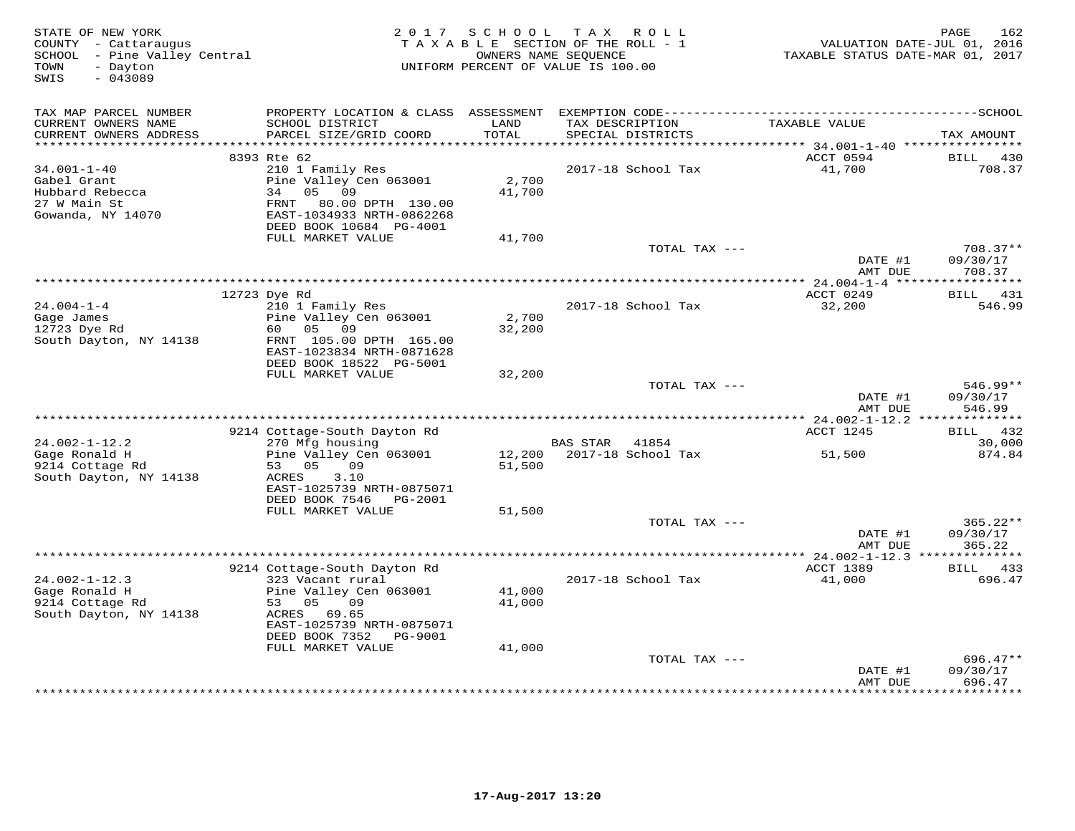| STATE OF NEW YORK<br>COUNTY - Cattaraugus<br>SCHOOL - Pine Valley Central<br>- Dayton<br>TOWN<br>$-043089$<br>SWIS | 2017 SCHOOL<br>TAXABLE SECTION OF THE ROLL - 1<br>UNIFORM PERCENT OF VALUE IS 100.00                                          | 162<br>PAGE<br>VALUATION DATE-JUL 01, 2016<br>TAXABLE STATUS DATE-MAR 01, 2017 |                                         |                                 |                                  |
|--------------------------------------------------------------------------------------------------------------------|-------------------------------------------------------------------------------------------------------------------------------|--------------------------------------------------------------------------------|-----------------------------------------|---------------------------------|----------------------------------|
| TAX MAP PARCEL NUMBER<br>CURRENT OWNERS NAME                                                                       | SCHOOL DISTRICT                                                                                                               | LAND                                                                           | TAX DESCRIPTION                         | TAXABLE VALUE                   |                                  |
| CURRENT OWNERS ADDRESS<br>***********************                                                                  | PARCEL SIZE/GRID COORD<br>**********                                                                                          | TOTAL                                                                          | SPECIAL DISTRICTS                       |                                 | TAX AMOUNT                       |
|                                                                                                                    | 8393 Rte 62                                                                                                                   |                                                                                |                                         | ACCT 0594                       | BILL<br>430                      |
| $34.001 - 1 - 40$                                                                                                  | 210 1 Family Res                                                                                                              |                                                                                | 2017-18 School Tax                      | 41,700                          | 708.37                           |
| Gabel Grant<br>Hubbard Rebecca<br>27 W Main St<br>Gowanda, NY 14070                                                | Pine Valley Cen 063001<br>34<br>05<br>09<br>80.00 DPTH 130.00<br>FRNT<br>EAST-1034933 NRTH-0862268<br>DEED BOOK 10684 PG-4001 | 2,700<br>41,700                                                                |                                         |                                 |                                  |
|                                                                                                                    | FULL MARKET VALUE                                                                                                             | 41,700                                                                         |                                         |                                 |                                  |
|                                                                                                                    |                                                                                                                               |                                                                                | TOTAL TAX ---                           | DATE #1<br>AMT DUE              | $708.37**$<br>09/30/17<br>708.37 |
|                                                                                                                    |                                                                                                                               |                                                                                |                                         |                                 |                                  |
|                                                                                                                    | 12723 Dye Rd                                                                                                                  |                                                                                |                                         | ACCT 0249                       | BILL<br>431                      |
| $24.004 - 1 - 4$<br>Gage James<br>12723 Dye Rd<br>South Dayton, NY 14138                                           | 210 1 Family Res<br>Pine Valley Cen 063001<br>60<br>05<br>09<br>FRNT 105.00 DPTH 165.00<br>EAST-1023834 NRTH-0871628          | 2,700<br>32,200                                                                | 2017-18 School Tax                      | 32,200                          | 546.99                           |
|                                                                                                                    | DEED BOOK 18522 PG-5001<br>FULL MARKET VALUE                                                                                  | 32,200                                                                         |                                         |                                 |                                  |
|                                                                                                                    |                                                                                                                               |                                                                                | TOTAL TAX ---                           | DATE #1<br>AMT DUE              | $546.99**$<br>09/30/17<br>546.99 |
|                                                                                                                    |                                                                                                                               |                                                                                | ***************************             | ** 24.002-1-12.2 ************** |                                  |
|                                                                                                                    | 9214 Cottage-South Dayton Rd                                                                                                  |                                                                                |                                         | ACCT 1245                       | BILL<br>432                      |
| $24.002 - 1 - 12.2$<br>Gage Ronald H<br>9214 Cottage Rd                                                            | 270 Mfg housing<br>Pine Valley Cen 063001<br>53 05<br>09                                                                      | 12,200<br>51,500                                                               | BAS STAR<br>41854<br>2017-18 School Tax | 51,500                          | 30,000<br>874.84                 |
| South Dayton, NY 14138                                                                                             | 3.10<br>ACRES<br>EAST-1025739 NRTH-0875071<br>DEED BOOK 7546<br>PG-2001                                                       |                                                                                |                                         |                                 |                                  |
|                                                                                                                    | FULL MARKET VALUE                                                                                                             | 51,500                                                                         |                                         |                                 |                                  |
|                                                                                                                    |                                                                                                                               |                                                                                | TOTAL TAX ---                           | DATE #1<br>AMT DUE              | $365.22**$<br>09/30/17<br>365.22 |
|                                                                                                                    |                                                                                                                               |                                                                                |                                         |                                 |                                  |
|                                                                                                                    | 9214 Cottage-South Dayton Rd                                                                                                  |                                                                                |                                         | <b>ACCT 1389</b>                | 433<br>BILL                      |
| $24.002 - 1 - 12.3$                                                                                                | 323 Vacant rural                                                                                                              |                                                                                | 2017-18 School Tax                      | 41,000                          | 696.47                           |
| Gage Ronald H<br>9214 Cottage Rd<br>South Dayton, NY 14138                                                         | Pine Valley Cen 063001<br>53 05<br>09<br>ACRES<br>69.65<br>EAST-1025739 NRTH-0875071                                          | 41,000<br>41,000                                                               |                                         |                                 |                                  |
|                                                                                                                    | DEED BOOK 7352<br>PG-9001                                                                                                     |                                                                                |                                         |                                 |                                  |
|                                                                                                                    | FULL MARKET VALUE                                                                                                             | 41,000                                                                         |                                         |                                 |                                  |
|                                                                                                                    |                                                                                                                               |                                                                                | TOTAL TAX ---                           | DATE #1<br>AMT DUE              | 696.47**<br>09/30/17<br>696.47   |
|                                                                                                                    |                                                                                                                               |                                                                                |                                         |                                 | *********                        |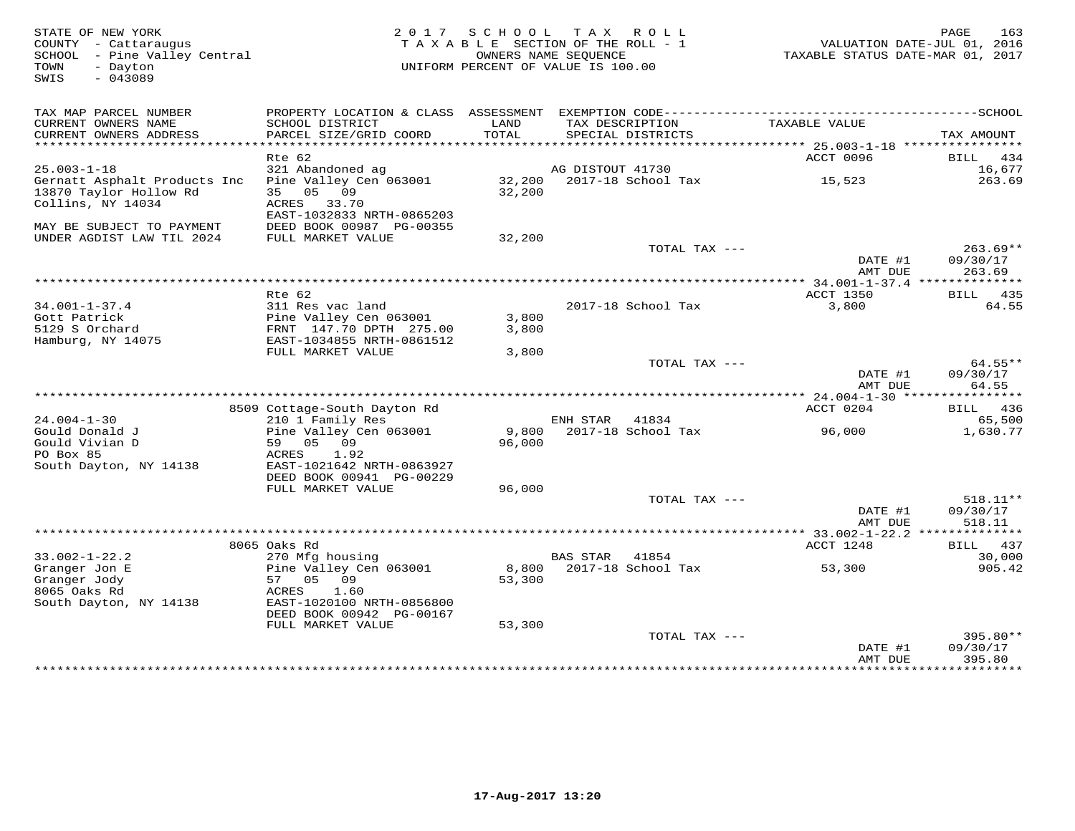| STATE OF NEW YORK<br>COUNTY - Cattaraugus<br>SCHOOL - Pine Valley Central<br>- Dayton<br>TOWN<br>$-043089$<br>SWIS | SCHOOL TAX ROLL<br>TAXABLE SECTION OF THE ROLL - 1<br>OWNERS NAME SEQUENCE<br>UNIFORM PERCENT OF VALUE IS 100.00                  | TAXABLE STATUS DATE-MAR 01, 2017 | 163<br>PAGE<br>VALUATION DATE-JUL 01, 2016 |                    |                                |
|--------------------------------------------------------------------------------------------------------------------|-----------------------------------------------------------------------------------------------------------------------------------|----------------------------------|--------------------------------------------|--------------------|--------------------------------|
| TAX MAP PARCEL NUMBER<br>CURRENT OWNERS NAME<br>CURRENT OWNERS ADDRESS                                             | SCHOOL DISTRICT<br>PARCEL SIZE/GRID COORD                                                                                         | LAND<br>TOTAL                    | TAX DESCRIPTION<br>SPECIAL DISTRICTS       | TAXABLE VALUE      | TAX AMOUNT                     |
| **************************                                                                                         | Rte 62                                                                                                                            |                                  |                                            | ACCT 0096          | BILL 434                       |
| $25.003 - 1 - 18$                                                                                                  | 321 Abandoned ag                                                                                                                  |                                  | AG DISTOUT 41730                           |                    | 16,677                         |
| Gernatt Asphalt Products Inc<br>13870 Taylor Hollow Rd<br>Collins, NY 14034                                        | Pine Valley Cen 063001<br>35 05 09<br>ACRES 33.70<br>EAST-1032833 NRTH-0865203                                                    | 32,200                           | 32,200 2017-18 School Tax                  | 15,523             | 263.69                         |
| MAY BE SUBJECT TO PAYMENT                                                                                          | DEED BOOK 00987 PG-00355                                                                                                          |                                  |                                            |                    |                                |
| UNDER AGDIST LAW TIL 2024                                                                                          | FULL MARKET VALUE                                                                                                                 | 32,200                           | TOTAL TAX ---                              |                    | $263.69**$                     |
|                                                                                                                    |                                                                                                                                   |                                  |                                            | DATE #1<br>AMT DUE | 09/30/17<br>263.69             |
|                                                                                                                    | Rte 62                                                                                                                            |                                  |                                            | ACCT 1350          | BILL 435                       |
| $34.001 - 1 - 37.4$<br>Gott Patrick<br>5129 S Orchard                                                              | 311 Res vac land<br>Pine Valley Cen 063001<br>FRNT 147.70 DPTH 275.00                                                             | 3,800<br>3,800                   | 2017-18 School Tax                         | 3,800              | 64.55                          |
| Hamburg, NY 14075                                                                                                  | EAST-1034855 NRTH-0861512<br>FULL MARKET VALUE                                                                                    | 3,800                            |                                            |                    |                                |
|                                                                                                                    |                                                                                                                                   |                                  | TOTAL TAX ---                              | DATE #1<br>AMT DUE | 64.55**<br>09/30/17<br>64.55   |
|                                                                                                                    |                                                                                                                                   |                                  |                                            |                    |                                |
|                                                                                                                    | 8509 Cottage-South Dayton Rd                                                                                                      |                                  |                                            | ACCT 0204          | BILL 436                       |
| $24.004 - 1 - 30$<br>Gould Donald J<br>Gould Vivian D<br>PO Box 85<br>South Dayton, NY 14138                       | 210 1 Family Res<br>Pine Valley Cen 063001<br>59 05 09<br>ACRES<br>1.92<br>EAST-1021642 NRTH-0863927<br>DEED BOOK 00941 PG-00229  | 9,800<br>96,000                  | ENH STAR<br>41834<br>2017-18 School Tax    | 96,000             | 65,500<br>1,630.77             |
|                                                                                                                    | FULL MARKET VALUE                                                                                                                 | 96,000                           |                                            |                    |                                |
|                                                                                                                    |                                                                                                                                   |                                  | TOTAL TAX ---                              | DATE #1<br>AMT DUE | 518.11**<br>09/30/17<br>518.11 |
|                                                                                                                    |                                                                                                                                   |                                  |                                            |                    |                                |
| $33.002 - 1 - 22.2$                                                                                                | 8065 Oaks Rd<br>270 Mfg housing                                                                                                   |                                  | <b>BAS STAR</b><br>41854                   | ACCT 1248          | BILL 437<br>30,000             |
| Granger Jon E<br>Granger Jody<br>8065 Oaks Rd<br>South Dayton, NY 14138                                            | Pine Valley Cen 063001<br>57 05 09<br>1.60<br>ACRES<br>EAST-1020100 NRTH-0856800<br>DEED BOOK 00942 PG-00167<br>FULL MARKET VALUE | 53,300<br>53,300                 | 8,800 2017-18 School Tax                   | 53,300             | 905.42                         |
|                                                                                                                    |                                                                                                                                   |                                  | TOTAL TAX ---                              |                    | 395.80**                       |
|                                                                                                                    |                                                                                                                                   |                                  |                                            | DATE #1<br>AMT DUE | 09/30/17<br>395.80             |
|                                                                                                                    |                                                                                                                                   |                                  |                                            |                    | <b>++++++++++++</b>            |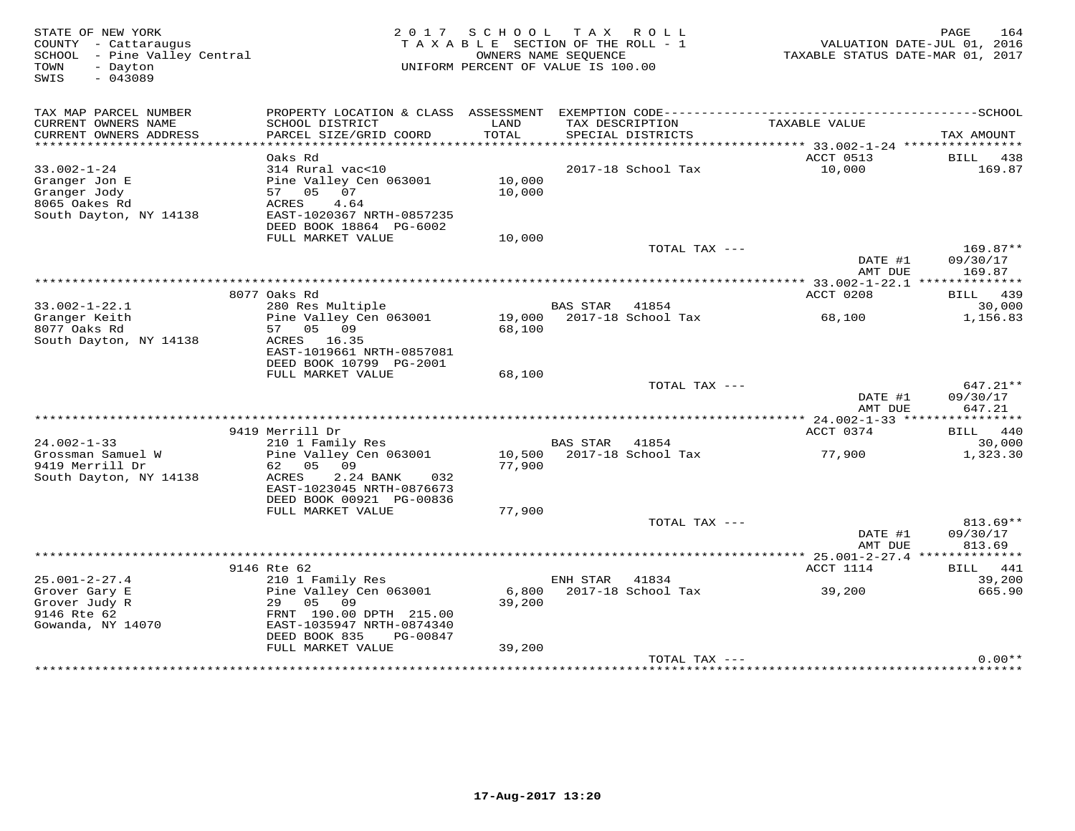| PROPERTY LOCATION & CLASS ASSESSMENT<br>TAX MAP PARCEL NUMBER<br>CURRENT OWNERS NAME<br>SCHOOL DISTRICT<br>LAND<br>TAX DESCRIPTION<br>TAXABLE VALUE<br>TOTAL<br>CURRENT OWNERS ADDRESS<br>PARCEL SIZE/GRID COORD<br>SPECIAL DISTRICTS<br>TAX AMOUNT<br>***********************<br>************************<br>ACCT 0513<br>Oaks Rd<br>$33.002 - 1 - 24$<br>2017-18 School Tax<br>10,000<br>314 Rural vac<10<br>10,000<br>Granger Jon E<br>Pine Valley Cen 063001<br>Granger Jody<br>07<br>57<br>05<br>10,000<br>8065 Oakes Rd<br>4.64<br>ACRES<br>South Dayton, NY 14138<br>EAST-1020367 NRTH-0857235<br>DEED BOOK 18864 PG-6002<br>FULL MARKET VALUE<br>10,000<br>TOTAL TAX ---<br>DATE #1<br>09/30/17<br>AMT DUE<br>169.87<br>8077 Oaks Rd<br>ACCT 0208<br>439<br>BILL | STATE OF NEW YORK<br>COUNTY - Cattaraugus<br>- Pine Valley Central<br>SCHOOL<br>TOWN<br>- Dayton<br>$-043089$<br>SWIS | 2 0 1 7 | S C H O O L | T A X<br>R O L L<br>TAXABLE SECTION OF THE ROLL - 1<br>OWNERS NAME SEOUENCE<br>UNIFORM PERCENT OF VALUE IS 100.00 | TAXABLE STATUS DATE-MAR 01, 2017 | PAGE<br>164<br>VALUATION DATE-JUL 01, 2016 |
|--------------------------------------------------------------------------------------------------------------------------------------------------------------------------------------------------------------------------------------------------------------------------------------------------------------------------------------------------------------------------------------------------------------------------------------------------------------------------------------------------------------------------------------------------------------------------------------------------------------------------------------------------------------------------------------------------------------------------------------------------------------------------|-----------------------------------------------------------------------------------------------------------------------|---------|-------------|-------------------------------------------------------------------------------------------------------------------|----------------------------------|--------------------------------------------|
|                                                                                                                                                                                                                                                                                                                                                                                                                                                                                                                                                                                                                                                                                                                                                                          |                                                                                                                       |         |             |                                                                                                                   |                                  |                                            |
|                                                                                                                                                                                                                                                                                                                                                                                                                                                                                                                                                                                                                                                                                                                                                                          |                                                                                                                       |         |             |                                                                                                                   |                                  |                                            |
|                                                                                                                                                                                                                                                                                                                                                                                                                                                                                                                                                                                                                                                                                                                                                                          |                                                                                                                       |         |             |                                                                                                                   |                                  |                                            |
|                                                                                                                                                                                                                                                                                                                                                                                                                                                                                                                                                                                                                                                                                                                                                                          |                                                                                                                       |         |             |                                                                                                                   |                                  | BILL 438                                   |
|                                                                                                                                                                                                                                                                                                                                                                                                                                                                                                                                                                                                                                                                                                                                                                          |                                                                                                                       |         |             |                                                                                                                   |                                  | 169.87                                     |
|                                                                                                                                                                                                                                                                                                                                                                                                                                                                                                                                                                                                                                                                                                                                                                          |                                                                                                                       |         |             |                                                                                                                   |                                  |                                            |
|                                                                                                                                                                                                                                                                                                                                                                                                                                                                                                                                                                                                                                                                                                                                                                          |                                                                                                                       |         |             |                                                                                                                   |                                  |                                            |
|                                                                                                                                                                                                                                                                                                                                                                                                                                                                                                                                                                                                                                                                                                                                                                          |                                                                                                                       |         |             |                                                                                                                   |                                  |                                            |
|                                                                                                                                                                                                                                                                                                                                                                                                                                                                                                                                                                                                                                                                                                                                                                          |                                                                                                                       |         |             |                                                                                                                   |                                  |                                            |
|                                                                                                                                                                                                                                                                                                                                                                                                                                                                                                                                                                                                                                                                                                                                                                          |                                                                                                                       |         |             |                                                                                                                   |                                  |                                            |
|                                                                                                                                                                                                                                                                                                                                                                                                                                                                                                                                                                                                                                                                                                                                                                          |                                                                                                                       |         |             |                                                                                                                   |                                  | $169.87**$                                 |
|                                                                                                                                                                                                                                                                                                                                                                                                                                                                                                                                                                                                                                                                                                                                                                          |                                                                                                                       |         |             |                                                                                                                   |                                  |                                            |
|                                                                                                                                                                                                                                                                                                                                                                                                                                                                                                                                                                                                                                                                                                                                                                          |                                                                                                                       |         |             |                                                                                                                   |                                  |                                            |
|                                                                                                                                                                                                                                                                                                                                                                                                                                                                                                                                                                                                                                                                                                                                                                          |                                                                                                                       |         |             |                                                                                                                   |                                  |                                            |
| $33.002 - 1 - 22.1$<br>280 Res Multiple<br><b>BAS STAR</b><br>41854                                                                                                                                                                                                                                                                                                                                                                                                                                                                                                                                                                                                                                                                                                      |                                                                                                                       |         |             |                                                                                                                   |                                  | 30,000                                     |
| 19,000<br>2017-18 School Tax<br>Granger Keith<br>Pine Valley Cen 063001<br>68,100                                                                                                                                                                                                                                                                                                                                                                                                                                                                                                                                                                                                                                                                                        |                                                                                                                       |         |             |                                                                                                                   |                                  | 1,156.83                                   |
| 8077 Oaks Rd<br>57<br>05<br>09<br>68,100                                                                                                                                                                                                                                                                                                                                                                                                                                                                                                                                                                                                                                                                                                                                 |                                                                                                                       |         |             |                                                                                                                   |                                  |                                            |
| South Dayton, NY 14138<br>16.35<br>ACRES                                                                                                                                                                                                                                                                                                                                                                                                                                                                                                                                                                                                                                                                                                                                 |                                                                                                                       |         |             |                                                                                                                   |                                  |                                            |
| EAST-1019661 NRTH-0857081<br>DEED BOOK 10799 PG-2001                                                                                                                                                                                                                                                                                                                                                                                                                                                                                                                                                                                                                                                                                                                     |                                                                                                                       |         |             |                                                                                                                   |                                  |                                            |
| FULL MARKET VALUE<br>68,100                                                                                                                                                                                                                                                                                                                                                                                                                                                                                                                                                                                                                                                                                                                                              |                                                                                                                       |         |             |                                                                                                                   |                                  |                                            |
| TOTAL TAX ---                                                                                                                                                                                                                                                                                                                                                                                                                                                                                                                                                                                                                                                                                                                                                            |                                                                                                                       |         |             |                                                                                                                   |                                  | 647.21**                                   |
| DATE #1<br>09/30/17                                                                                                                                                                                                                                                                                                                                                                                                                                                                                                                                                                                                                                                                                                                                                      |                                                                                                                       |         |             |                                                                                                                   |                                  |                                            |
| 647.21<br>AMT DUE                                                                                                                                                                                                                                                                                                                                                                                                                                                                                                                                                                                                                                                                                                                                                        |                                                                                                                       |         |             |                                                                                                                   |                                  |                                            |
| * * * * * * * * * * * *<br>** 24.002-1-33 ****                                                                                                                                                                                                                                                                                                                                                                                                                                                                                                                                                                                                                                                                                                                           |                                                                                                                       |         |             |                                                                                                                   |                                  |                                            |
| 9419 Merrill Dr<br>ACCT 0374<br>BILL<br>$24.002 - 1 - 33$<br><b>BAS STAR</b><br>41854<br>210 1 Family Res                                                                                                                                                                                                                                                                                                                                                                                                                                                                                                                                                                                                                                                                |                                                                                                                       |         |             |                                                                                                                   |                                  | 440<br>30,000                              |
| Grossman Samuel W<br>Pine Valley Cen 063001<br>10,500<br>2017-18 School Tax<br>77,900                                                                                                                                                                                                                                                                                                                                                                                                                                                                                                                                                                                                                                                                                    |                                                                                                                       |         |             |                                                                                                                   |                                  | 1,323.30                                   |
| 9419 Merrill Dr<br>05<br>09<br>77,900<br>62                                                                                                                                                                                                                                                                                                                                                                                                                                                                                                                                                                                                                                                                                                                              |                                                                                                                       |         |             |                                                                                                                   |                                  |                                            |
| South Dayton, NY 14138<br>2.24 BANK<br>ACRES<br>032                                                                                                                                                                                                                                                                                                                                                                                                                                                                                                                                                                                                                                                                                                                      |                                                                                                                       |         |             |                                                                                                                   |                                  |                                            |
| EAST-1023045 NRTH-0876673                                                                                                                                                                                                                                                                                                                                                                                                                                                                                                                                                                                                                                                                                                                                                |                                                                                                                       |         |             |                                                                                                                   |                                  |                                            |
| DEED BOOK 00921 PG-00836                                                                                                                                                                                                                                                                                                                                                                                                                                                                                                                                                                                                                                                                                                                                                 |                                                                                                                       |         |             |                                                                                                                   |                                  |                                            |
| 77,900<br>FULL MARKET VALUE                                                                                                                                                                                                                                                                                                                                                                                                                                                                                                                                                                                                                                                                                                                                              |                                                                                                                       |         |             |                                                                                                                   |                                  |                                            |
| TOTAL TAX ---<br>DATE #1<br>09/30/17                                                                                                                                                                                                                                                                                                                                                                                                                                                                                                                                                                                                                                                                                                                                     |                                                                                                                       |         |             |                                                                                                                   |                                  | $813.69**$                                 |
| 813.69<br>AMT DUE                                                                                                                                                                                                                                                                                                                                                                                                                                                                                                                                                                                                                                                                                                                                                        |                                                                                                                       |         |             |                                                                                                                   |                                  |                                            |
|                                                                                                                                                                                                                                                                                                                                                                                                                                                                                                                                                                                                                                                                                                                                                                          |                                                                                                                       |         |             |                                                                                                                   |                                  |                                            |
| 9146 Rte 62<br>ACCT 1114<br>BILL                                                                                                                                                                                                                                                                                                                                                                                                                                                                                                                                                                                                                                                                                                                                         |                                                                                                                       |         |             |                                                                                                                   |                                  | 441                                        |
| $25.001 - 2 - 27.4$<br>210 1 Family Res<br>ENH STAR<br>41834                                                                                                                                                                                                                                                                                                                                                                                                                                                                                                                                                                                                                                                                                                             |                                                                                                                       |         |             |                                                                                                                   |                                  | 39,200                                     |
| 6,800<br>2017-18 School Tax<br>39,200<br>Grover Gary E<br>Pine Valley Cen 063001<br>05<br>09<br>29                                                                                                                                                                                                                                                                                                                                                                                                                                                                                                                                                                                                                                                                       |                                                                                                                       |         |             |                                                                                                                   |                                  | 665.90                                     |
| Grover Judy R<br>39,200<br>9146 Rte 62<br>FRNT 190.00 DPTH 215.00                                                                                                                                                                                                                                                                                                                                                                                                                                                                                                                                                                                                                                                                                                        |                                                                                                                       |         |             |                                                                                                                   |                                  |                                            |
| EAST-1035947 NRTH-0874340<br>Gowanda, NY 14070                                                                                                                                                                                                                                                                                                                                                                                                                                                                                                                                                                                                                                                                                                                           |                                                                                                                       |         |             |                                                                                                                   |                                  |                                            |
| DEED BOOK 835<br>PG-00847                                                                                                                                                                                                                                                                                                                                                                                                                                                                                                                                                                                                                                                                                                                                                |                                                                                                                       |         |             |                                                                                                                   |                                  |                                            |
| FULL MARKET VALUE<br>39,200                                                                                                                                                                                                                                                                                                                                                                                                                                                                                                                                                                                                                                                                                                                                              |                                                                                                                       |         |             |                                                                                                                   |                                  |                                            |
| TOTAL TAX ---                                                                                                                                                                                                                                                                                                                                                                                                                                                                                                                                                                                                                                                                                                                                                            |                                                                                                                       |         |             |                                                                                                                   |                                  | $0.00**$                                   |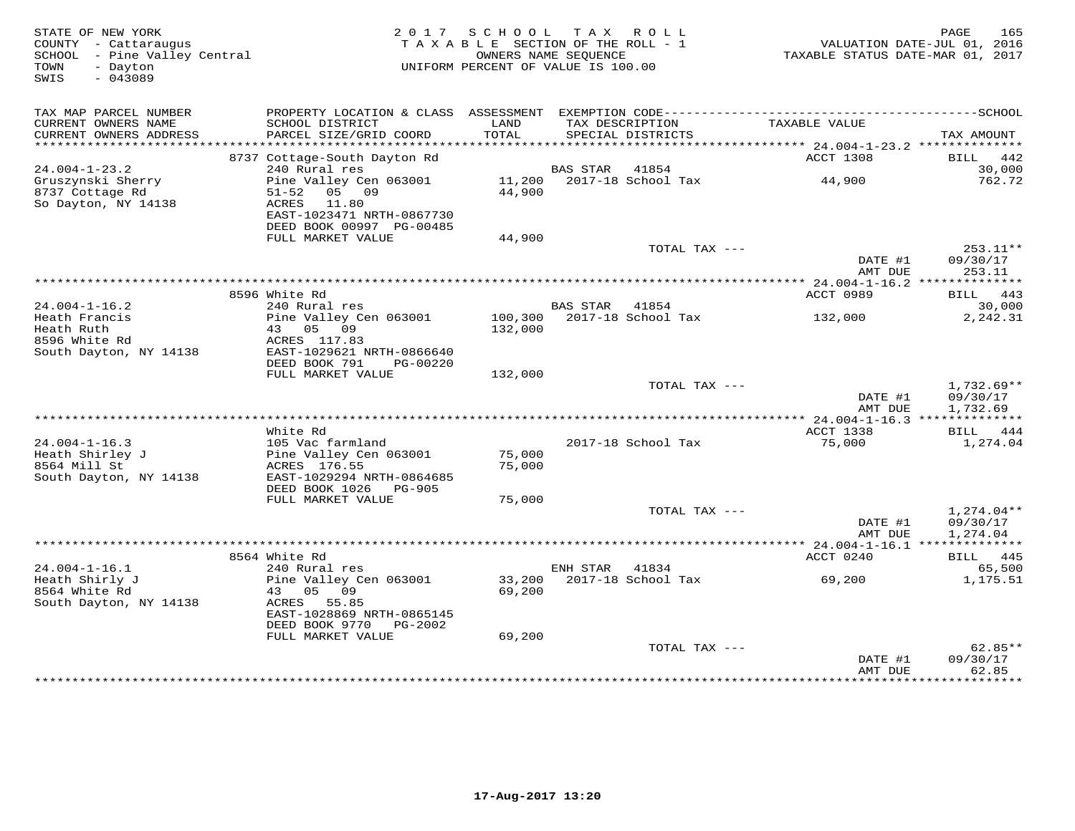| STATE OF NEW YORK<br>COUNTY - Cattaraugus<br>SCHOOL - Pine Valley Central<br>TOWN<br>- Dayton<br>SWIS<br>$-043089$ | 2017 SCHOOL TAX ROLL<br>TAXABLE SECTION OF THE ROLL - 1<br>OWNERS NAME SEQUENCE<br>UNIFORM PERCENT OF VALUE IS 100.00   |                    |                 |                                      | 165<br>PAGE<br>VALUATION DATE-JUL 01, 2016<br>TAXABLE STATUS DATE-MAR 01, 2017 |                                      |  |
|--------------------------------------------------------------------------------------------------------------------|-------------------------------------------------------------------------------------------------------------------------|--------------------|-----------------|--------------------------------------|--------------------------------------------------------------------------------|--------------------------------------|--|
| TAX MAP PARCEL NUMBER<br>CURRENT OWNERS NAME<br>CURRENT OWNERS ADDRESS<br>************************                 | SCHOOL DISTRICT<br>PARCEL SIZE/GRID COORD                                                                               | LAND<br>TOTAL      |                 | TAX DESCRIPTION<br>SPECIAL DISTRICTS | TAXABLE VALUE                                                                  | TAX AMOUNT                           |  |
|                                                                                                                    | 8737 Cottage-South Dayton Rd                                                                                            |                    |                 |                                      | ACCT 1308                                                                      | 442<br>BILL                          |  |
| $24.004 - 1 - 23.2$                                                                                                | 240 Rural res                                                                                                           |                    | <b>BAS STAR</b> | 41854                                |                                                                                | 30,000                               |  |
| Gruszynski Sherry<br>8737 Cottage Rd<br>So Dayton, NY 14138                                                        | Pine Valley Cen 063001<br>05 09<br>$51 - 52$<br>ACRES<br>11.80<br>EAST-1023471 NRTH-0867730<br>DEED BOOK 00997 PG-00485 | 44,900             |                 | 11,200 2017-18 School Tax            | 44,900                                                                         | 762.72                               |  |
|                                                                                                                    | FULL MARKET VALUE                                                                                                       | 44,900             |                 |                                      |                                                                                |                                      |  |
|                                                                                                                    |                                                                                                                         |                    |                 | TOTAL TAX ---                        | DATE #1<br>AMT DUE                                                             | 253.11**<br>09/30/17<br>253.11       |  |
|                                                                                                                    |                                                                                                                         |                    |                 |                                      | *********** 24.004-1-16.2 ***************                                      |                                      |  |
| $24.004 - 1 - 16.2$                                                                                                | 8596 White Rd<br>240 Rural res                                                                                          |                    | BAS STAR        | 41854                                | ACCT 0989                                                                      | BILL 443<br>30,000                   |  |
| Heath Francis<br>Heath Ruth<br>8596 White Rd<br>South Dayton, NY 14138                                             | Pine Valley Cen 063001<br>05 09<br>43<br>ACRES 117.83<br>EAST-1029621 NRTH-0866640                                      | 100,300<br>132,000 |                 | 2017-18 School Tax                   | 132,000                                                                        | 2,242.31                             |  |
|                                                                                                                    | DEED BOOK 791<br>PG-00220<br>FULL MARKET VALUE                                                                          | 132,000            |                 |                                      |                                                                                |                                      |  |
|                                                                                                                    |                                                                                                                         |                    |                 | TOTAL TAX ---                        | DATE #1<br>AMT DUE                                                             | $1,732.69**$<br>09/30/17<br>1,732.69 |  |
|                                                                                                                    |                                                                                                                         |                    |                 |                                      |                                                                                |                                      |  |
| $24.004 - 1 - 16.3$                                                                                                | White Rd<br>105 Vac farmland                                                                                            |                    |                 | 2017-18 School Tax                   | ACCT 1338<br>75,000                                                            | BILL 444<br>1,274.04                 |  |
| Heath Shirley J<br>8564 Mill St<br>South Dayton, NY 14138                                                          | Pine Valley Cen 063001<br>ACRES 176.55<br>EAST-1029294 NRTH-0864685<br>DEED BOOK 1026<br>PG-905                         | 75,000<br>75,000   |                 |                                      |                                                                                |                                      |  |
|                                                                                                                    | FULL MARKET VALUE                                                                                                       | 75,000             |                 |                                      |                                                                                |                                      |  |
|                                                                                                                    |                                                                                                                         |                    |                 | TOTAL TAX ---                        | DATE #1<br>AMT DUE                                                             | $1,274.04**$<br>09/30/17<br>1,274.04 |  |
|                                                                                                                    |                                                                                                                         |                    |                 |                                      |                                                                                |                                      |  |
| $24.004 - 1 - 16.1$                                                                                                | 8564 White Rd<br>240 Rural res                                                                                          |                    | ENH STAR        | 41834                                | ACCT 0240                                                                      | BILL 445<br>65,500                   |  |
| Heath Shirly J<br>8564 White Rd<br>South Dayton, NY 14138                                                          | Pine Valley Cen 063001<br>05<br>09<br>43<br>55.85<br>ACRES<br>EAST-1028869 NRTH-0865145<br>DEED BOOK 9770<br>PG-2002    | 33,200<br>69,200   |                 | 2017-18 School Tax                   | 69,200                                                                         | 1,175.51                             |  |
|                                                                                                                    | FULL MARKET VALUE                                                                                                       | 69,200             |                 | TOTAL TAX ---                        | DATE #1                                                                        | $62.85**$<br>09/30/17                |  |
|                                                                                                                    |                                                                                                                         |                    |                 |                                      | AMT DUE                                                                        | 62.85<br>*********                   |  |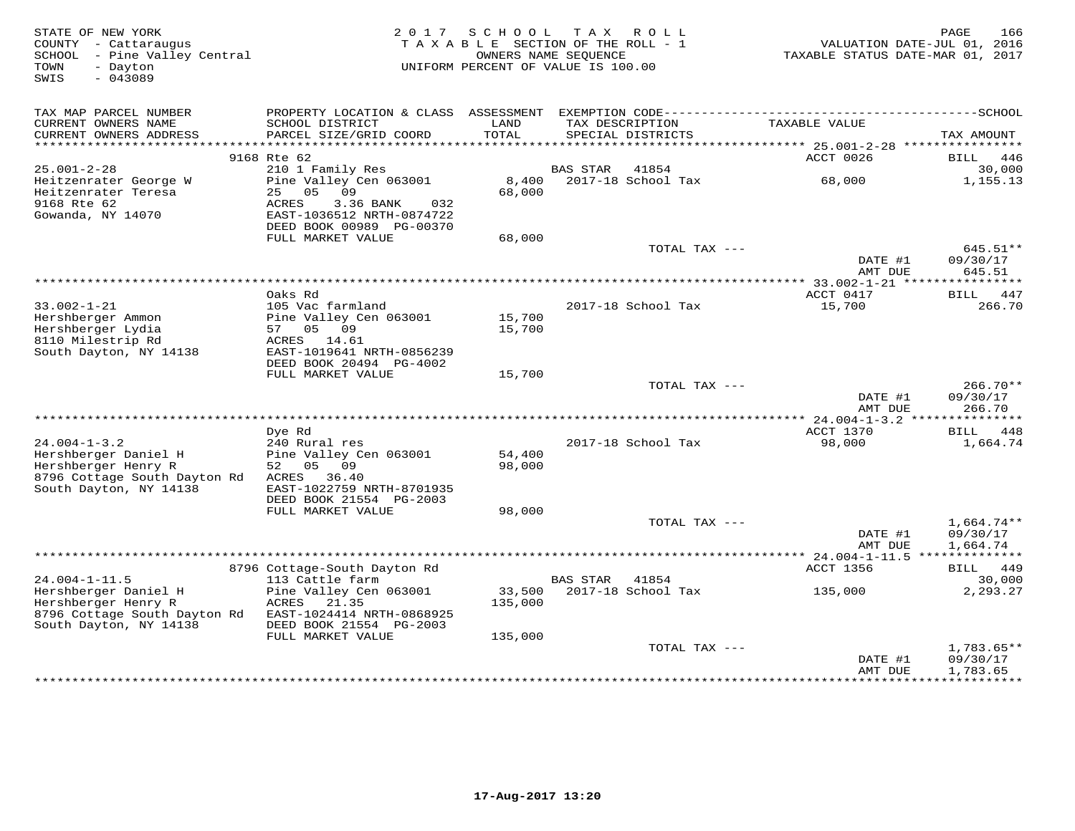| STATE OF NEW YORK<br>COUNTY - Cattaraugus<br>SCHOOL - Pine Valley Central<br>TOWN<br>- Dayton<br>SWIS<br>$-043089$          | 2 0 1 7<br>TAXABLE SECTION OF THE ROLL - 1<br>UNIFORM PERCENT OF VALUE IS 100.00                                                                  | PAGE<br>166<br>VALUATION DATE-JUL 01, 2016<br>TAXABLE STATUS DATE-MAR 01, 2017 |                 |                                      |                                                         |                                      |
|-----------------------------------------------------------------------------------------------------------------------------|---------------------------------------------------------------------------------------------------------------------------------------------------|--------------------------------------------------------------------------------|-----------------|--------------------------------------|---------------------------------------------------------|--------------------------------------|
| TAX MAP PARCEL NUMBER<br>CURRENT OWNERS NAME<br>CURRENT OWNERS ADDRESS                                                      | SCHOOL DISTRICT<br>PARCEL SIZE/GRID COORD                                                                                                         | LAND<br>TOTAL                                                                  |                 | TAX DESCRIPTION<br>SPECIAL DISTRICTS | TAXABLE VALUE                                           | TAX AMOUNT                           |
| ************************                                                                                                    |                                                                                                                                                   |                                                                                |                 |                                      |                                                         |                                      |
| $25.001 - 2 - 28$                                                                                                           | 9168 Rte 62<br>210 1 Family Res                                                                                                                   |                                                                                | <b>BAS STAR</b> | 41854                                | ACCT 0026                                               | 446<br>BILL<br>30,000                |
| Heitzenrater George W<br>Heitzenrater Teresa<br>9168 Rte 62<br>Gowanda, NY 14070                                            | Pine Valley Cen 063001<br>05<br>25<br>09<br>ACRES<br>3.36 BANK<br>032<br>EAST-1036512 NRTH-0874722<br>DEED BOOK 00989 PG-00370                    | 8,400<br>68,000                                                                |                 | 2017-18 School Tax                   | 68,000                                                  | 1,155.13                             |
|                                                                                                                             | FULL MARKET VALUE                                                                                                                                 | 68,000                                                                         |                 |                                      |                                                         |                                      |
|                                                                                                                             |                                                                                                                                                   |                                                                                |                 | TOTAL TAX ---                        | DATE #1<br>AMT DUE                                      | 645.51**<br>09/30/17<br>645.51       |
|                                                                                                                             |                                                                                                                                                   |                                                                                |                 |                                      | ********** 33.002-1-21 *****                            | ********                             |
| $33.002 - 1 - 21$<br>Hershberger Ammon<br>Hershberger Lydia<br>8110 Milestrip Rd<br>South Dayton, NY 14138                  | Oaks Rd<br>105 Vac farmland<br>Pine Valley Cen 063001<br>09<br>05<br>57<br>ACRES<br>14.61<br>EAST-1019641 NRTH-0856239<br>DEED BOOK 20494 PG-4002 | 15,700<br>15,700                                                               |                 | 2017-18 School Tax                   | ACCT 0417<br>15,700                                     | <b>BILL</b><br>447<br>266.70         |
|                                                                                                                             | FULL MARKET VALUE                                                                                                                                 | 15,700                                                                         |                 |                                      |                                                         |                                      |
|                                                                                                                             |                                                                                                                                                   |                                                                                |                 | TOTAL TAX ---                        | DATE #1<br>AMT DUE                                      | $266.70**$<br>09/30/17<br>266.70     |
|                                                                                                                             |                                                                                                                                                   |                                                                                |                 |                                      |                                                         |                                      |
| $24.004 - 1 - 3.2$<br>Hershberger Daniel H<br>Hershberger Henry R<br>8796 Cottage South Dayton Rd<br>South Dayton, NY 14138 | Dye Rd<br>240 Rural res<br>Pine Valley Cen 063001<br>52<br>05 09<br>ACRES 36.40<br>EAST-1022759 NRTH-8701935<br>DEED BOOK 21554 PG-2003           | 54,400<br>98,000                                                               |                 | 2017-18 School Tax                   | ACCT 1370<br>98,000                                     | 448<br>BILL<br>1,664.74              |
|                                                                                                                             | FULL MARKET VALUE                                                                                                                                 | 98,000                                                                         |                 |                                      |                                                         |                                      |
|                                                                                                                             |                                                                                                                                                   |                                                                                |                 | TOTAL TAX ---                        | DATE #1<br>AMT DUE                                      | $1,664.74**$<br>09/30/17<br>1,664.74 |
|                                                                                                                             | 8796 Cottage-South Dayton Rd                                                                                                                      |                                                                                |                 |                                      | ************ 24.004-1-11.5 ***************<br>ACCT 1356 | BILL 449                             |
| $24.004 - 1 - 11.5$                                                                                                         | 113 Cattle farm                                                                                                                                   |                                                                                | <b>BAS STAR</b> | 41854                                |                                                         | 30,000                               |
| Hershberger Daniel H<br>Hershberger Henry R<br>8796 Cottage South Dayton Rd<br>South Dayton, NY 14138                       | Pine Valley Cen 063001<br>ACRES<br>21.35<br>EAST-1024414 NRTH-0868925<br>DEED BOOK 21554 PG-2003                                                  | 33,500<br>135,000                                                              |                 | 2017-18 School Tax                   | 135,000                                                 | 2,293.27                             |
|                                                                                                                             | FULL MARKET VALUE                                                                                                                                 | 135,000                                                                        |                 |                                      |                                                         |                                      |
|                                                                                                                             |                                                                                                                                                   |                                                                                |                 | TOTAL TAX ---                        | DATE #1<br>AMT DUE                                      | $1,783.65**$<br>09/30/17<br>1,783.65 |
|                                                                                                                             |                                                                                                                                                   |                                                                                |                 |                                      | ****************                                        | ***********                          |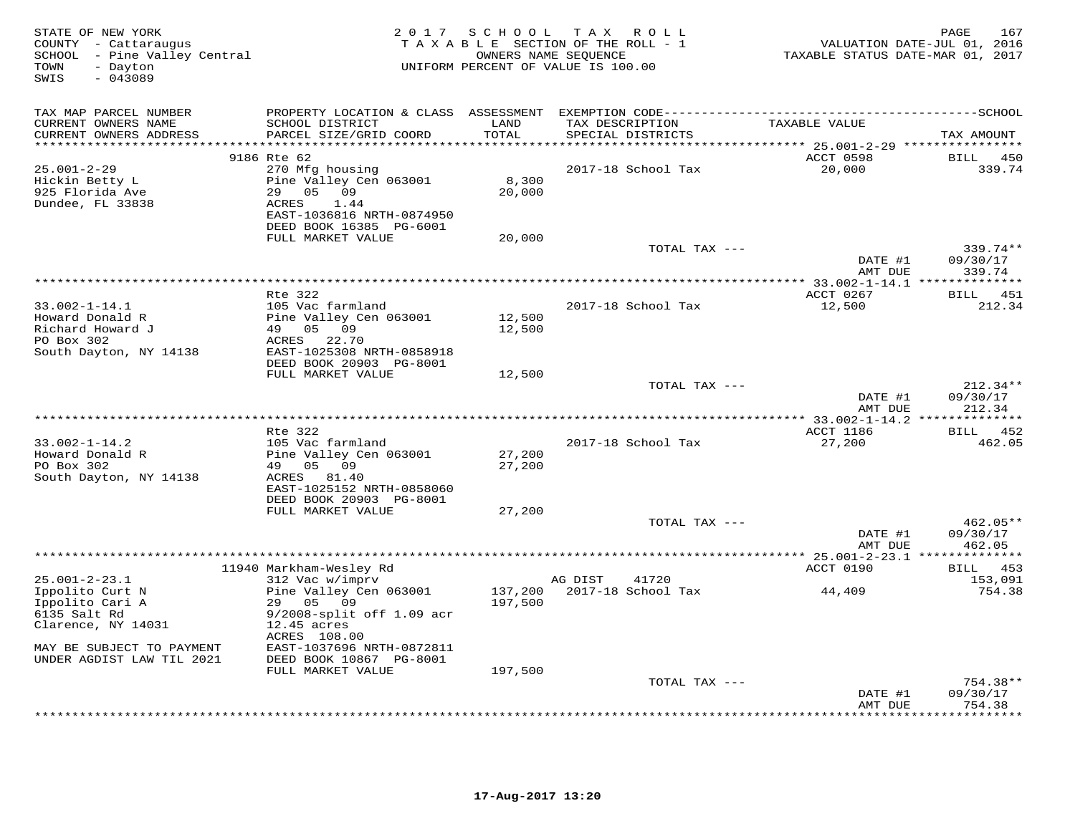| STATE OF NEW YORK<br>COUNTY - Cattaraugus<br>SCHOOL - Pine Valley Central<br>- Dayton<br>TOWN<br>$-043089$<br>SWIS | 2 0 1 7                                                                                                                           | SCHOOL TAX ROLL<br>TAXABLE SECTION OF THE ROLL - 1<br>OWNERS NAME SEQUENCE<br>UNIFORM PERCENT OF VALUE IS 100.00 |                      | TAXABLE STATUS DATE-MAR 01, 2017 | PAGE<br>167<br>VALUATION DATE-JUL 01, 2016 |                                  |
|--------------------------------------------------------------------------------------------------------------------|-----------------------------------------------------------------------------------------------------------------------------------|------------------------------------------------------------------------------------------------------------------|----------------------|----------------------------------|--------------------------------------------|----------------------------------|
| TAX MAP PARCEL NUMBER<br>CURRENT OWNERS NAME                                                                       | PROPERTY LOCATION & CLASS ASSESSMENT EXEMPTION CODE-----------------------------------SCHOOL<br>SCHOOL DISTRICT                   | LAND                                                                                                             |                      | TAX DESCRIPTION                  | TAXABLE VALUE                              |                                  |
| CURRENT OWNERS ADDRESS<br>**********************                                                                   | PARCEL SIZE/GRID COORD<br>****************************                                                                            | TOTAL<br>**********                                                                                              |                      | SPECIAL DISTRICTS                |                                            | TAX AMOUNT                       |
|                                                                                                                    | 9186 Rte 62                                                                                                                       |                                                                                                                  |                      |                                  | ACCT 0598                                  | BILL<br>450                      |
| $25.001 - 2 - 29$<br>Hickin Betty L<br>925 Florida Ave<br>Dundee, FL 33838                                         | 270 Mfg housing<br>Pine Valley Cen 063001<br>29<br>05 09<br>ACRES<br>1.44<br>EAST-1036816 NRTH-0874950<br>DEED BOOK 16385 PG-6001 | 8,300<br>20,000                                                                                                  |                      | 2017-18 School Tax               | 20,000                                     | 339.74                           |
|                                                                                                                    | FULL MARKET VALUE                                                                                                                 | 20,000                                                                                                           |                      |                                  |                                            |                                  |
|                                                                                                                    |                                                                                                                                   |                                                                                                                  |                      | TOTAL TAX ---                    |                                            | 339.74**                         |
|                                                                                                                    |                                                                                                                                   |                                                                                                                  |                      |                                  | DATE #1<br>AMT DUE                         | 09/30/17<br>339.74               |
|                                                                                                                    |                                                                                                                                   |                                                                                                                  |                      |                                  |                                            | *********                        |
|                                                                                                                    | Rte 322                                                                                                                           |                                                                                                                  |                      |                                  | ACCT 0267                                  | 451<br>BILL                      |
| $33.002 - 1 - 14.1$<br>Howard Donald R<br>Richard Howard J<br>PO Box 302                                           | 105 Vac farmland<br>Pine Valley Cen 063001<br>49 05 09<br>22.70<br>ACRES                                                          | 12,500<br>12,500                                                                                                 |                      | 2017-18 School Tax               | 12,500                                     | 212.34                           |
| South Dayton, NY 14138                                                                                             | EAST-1025308 NRTH-0858918<br>DEED BOOK 20903 PG-8001<br>FULL MARKET VALUE                                                         | 12,500                                                                                                           |                      |                                  |                                            |                                  |
|                                                                                                                    |                                                                                                                                   |                                                                                                                  |                      | TOTAL TAX ---                    | DATE #1<br>AMT DUE                         | $212.34**$<br>09/30/17<br>212.34 |
|                                                                                                                    |                                                                                                                                   |                                                                                                                  | ******************** |                                  | $*$ 33.002-1-14.2 **                       | * * * * * * * *                  |
|                                                                                                                    | Rte 322                                                                                                                           |                                                                                                                  |                      |                                  | ACCT 1186                                  | 452<br>BILL                      |
| $33.002 - 1 - 14.2$<br>Howard Donald R<br>PO Box 302                                                               | 105 Vac farmland<br>Pine Valley Cen 063001<br>05<br>09<br>49                                                                      | 27,200<br>27,200                                                                                                 |                      | 2017-18 School Tax               | 27,200                                     | 462.05                           |
| South Dayton, NY 14138                                                                                             | ACRES 81.40<br>EAST-1025152 NRTH-0858060<br>DEED BOOK 20903 PG-8001                                                               |                                                                                                                  |                      |                                  |                                            |                                  |
|                                                                                                                    | FULL MARKET VALUE                                                                                                                 | 27,200                                                                                                           |                      |                                  |                                            |                                  |
|                                                                                                                    |                                                                                                                                   |                                                                                                                  |                      | TOTAL TAX ---                    | DATE #1<br>AMT DUE                         | 462.05**<br>09/30/17<br>462.05   |
|                                                                                                                    |                                                                                                                                   |                                                                                                                  |                      |                                  |                                            | *********                        |
|                                                                                                                    | 11940 Markham-Wesley Rd                                                                                                           |                                                                                                                  |                      |                                  | ACCT 0190                                  | 453<br>BILL                      |
| $25.001 - 2 - 23.1$<br>Ippolito Curt N                                                                             | 312 Vac w/imprv<br>Pine Valley Cen 063001                                                                                         | 137,200                                                                                                          | AG DIST              | 41720<br>2017-18 School Tax      | 44,409                                     | 153,091<br>754.38                |
| Ippolito Cari A<br>6135 Salt Rd<br>Clarence, NY 14031                                                              | 29 05<br>09<br>9/2008-split off 1.09 acr<br>$12.45$ acres<br>ACRES 108.00                                                         | 197,500                                                                                                          |                      |                                  |                                            |                                  |
| MAY BE SUBJECT TO PAYMENT<br>UNDER AGDIST LAW TIL 2021                                                             | EAST-1037696 NRTH-0872811<br>DEED BOOK 10867 PG-8001                                                                              |                                                                                                                  |                      |                                  |                                            |                                  |
|                                                                                                                    | FULL MARKET VALUE                                                                                                                 | 197,500                                                                                                          |                      | TOTAL TAX ---                    |                                            | $754.38**$                       |
|                                                                                                                    |                                                                                                                                   |                                                                                                                  |                      |                                  | DATE #1<br>AMT DUE                         | 09/30/17<br>754.38               |
|                                                                                                                    |                                                                                                                                   |                                                                                                                  |                      |                                  |                                            | .                                |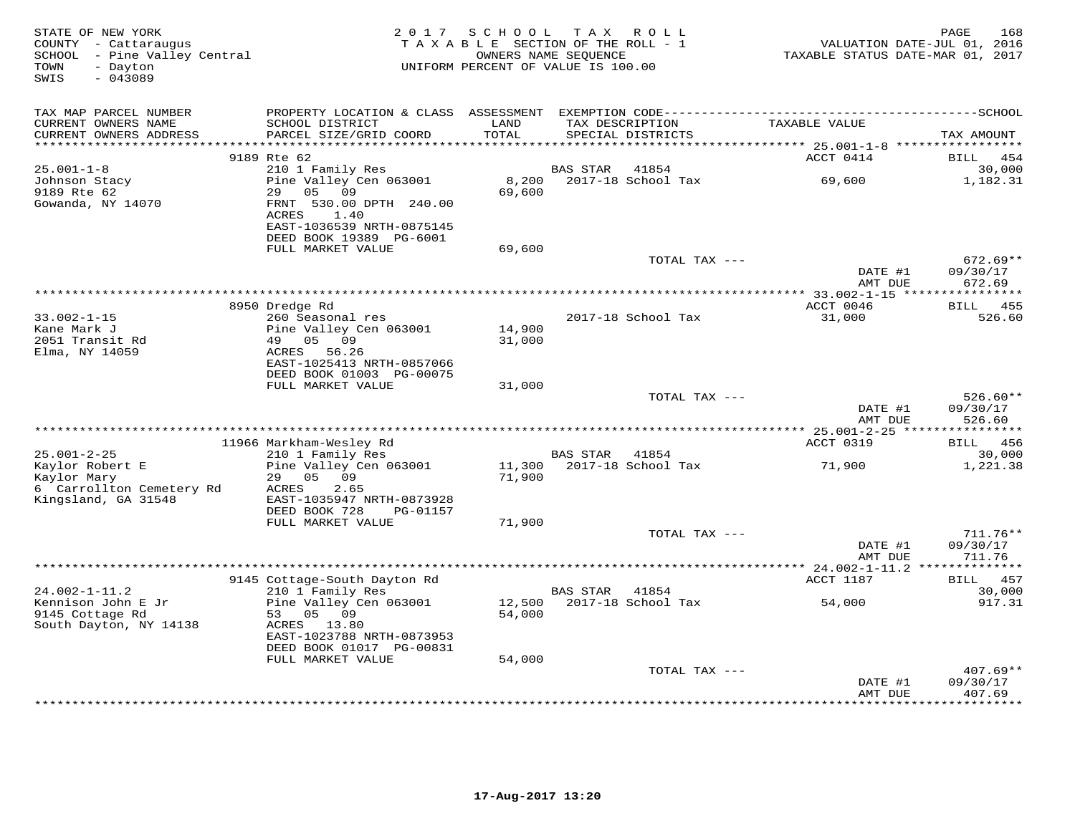| STATE OF NEW YORK<br>COUNTY - Cattaraugus<br>SCHOOL - Pine Valley Central<br>- Dayton<br>TOWN<br>SWIS<br>$-043089$ | 2017                                                  | SCHOOL<br>TAXABLE SECTION OF THE ROLL - 1<br>UNIFORM PERCENT OF VALUE IS 100.00 | OWNERS NAME SEQUENCE | TAX ROLL                             | VALUATION DATE-JUL 01, 2016<br>TAXABLE STATUS DATE-MAR 01, 2017 | PAGE<br>168                  |
|--------------------------------------------------------------------------------------------------------------------|-------------------------------------------------------|---------------------------------------------------------------------------------|----------------------|--------------------------------------|-----------------------------------------------------------------|------------------------------|
| TAX MAP PARCEL NUMBER                                                                                              | PROPERTY LOCATION & CLASS ASSESSMENT                  |                                                                                 |                      |                                      |                                                                 |                              |
| CURRENT OWNERS NAME<br>CURRENT OWNERS ADDRESS                                                                      | SCHOOL DISTRICT<br>PARCEL SIZE/GRID COORD             | LAND<br>TOTAL                                                                   |                      | TAX DESCRIPTION<br>SPECIAL DISTRICTS | TAXABLE VALUE                                                   | TAX AMOUNT                   |
| ******************                                                                                                 | 9189 Rte 62                                           | ******                                                                          |                      |                                      | ******** 25.001-1-8 *****************<br>ACCT 0414              | <b>BILL</b><br>454           |
| $25.001 - 1 - 8$                                                                                                   | 210 1 Family Res                                      |                                                                                 | <b>BAS STAR</b>      | 41854                                |                                                                 | 30,000                       |
| Johnson Stacy                                                                                                      | Pine Valley Cen 063001                                | 8,200                                                                           |                      | 2017-18 School Tax                   | 69,600                                                          | 1,182.31                     |
| 9189 Rte 62                                                                                                        | 29<br>05<br>09                                        | 69,600                                                                          |                      |                                      |                                                                 |                              |
| Gowanda, NY 14070                                                                                                  | FRNT 530.00 DPTH 240.00                               |                                                                                 |                      |                                      |                                                                 |                              |
|                                                                                                                    | ACRES<br>1.40                                         |                                                                                 |                      |                                      |                                                                 |                              |
|                                                                                                                    | EAST-1036539 NRTH-0875145<br>DEED BOOK 19389 PG-6001  |                                                                                 |                      |                                      |                                                                 |                              |
|                                                                                                                    | FULL MARKET VALUE                                     | 69,600                                                                          |                      |                                      |                                                                 |                              |
|                                                                                                                    |                                                       |                                                                                 |                      | TOTAL TAX ---                        |                                                                 | $672.69**$                   |
|                                                                                                                    |                                                       |                                                                                 |                      |                                      | DATE #1                                                         | 09/30/17                     |
|                                                                                                                    |                                                       |                                                                                 |                      |                                      | AMT DUE                                                         | 672.69                       |
|                                                                                                                    | 8950 Dredge Rd                                        |                                                                                 |                      |                                      | ACCT 0046                                                       | 455<br>BILL                  |
| $33.002 - 1 - 15$                                                                                                  | 260 Seasonal res                                      |                                                                                 |                      | 2017-18 School Tax                   | 31,000                                                          | 526.60                       |
| Kane Mark J                                                                                                        | Pine Valley Cen 063001                                | 14,900                                                                          |                      |                                      |                                                                 |                              |
| 2051 Transit Rd                                                                                                    | 49<br>05 09                                           | 31,000                                                                          |                      |                                      |                                                                 |                              |
| Elma, NY 14059                                                                                                     | ACRES<br>56.26                                        |                                                                                 |                      |                                      |                                                                 |                              |
|                                                                                                                    | EAST-1025413 NRTH-0857066<br>DEED BOOK 01003 PG-00075 |                                                                                 |                      |                                      |                                                                 |                              |
|                                                                                                                    | FULL MARKET VALUE                                     | 31,000                                                                          |                      |                                      |                                                                 |                              |
|                                                                                                                    |                                                       |                                                                                 |                      | TOTAL TAX ---                        |                                                                 | $526.60**$                   |
|                                                                                                                    |                                                       |                                                                                 |                      |                                      | DATE #1                                                         | 09/30/17                     |
|                                                                                                                    |                                                       |                                                                                 |                      |                                      | AMT DUE                                                         | 526.60                       |
|                                                                                                                    |                                                       |                                                                                 |                      |                                      |                                                                 |                              |
| $25.001 - 2 - 25$                                                                                                  | 11966 Markham-Wesley Rd<br>210 1 Family Res           |                                                                                 | BAS STAR             | 41854                                | ACCT 0319                                                       | 456<br><b>BILL</b><br>30,000 |
| Kaylor Robert E                                                                                                    | Pine Valley Cen 063001                                | 11,300                                                                          |                      | 2017-18 School Tax                   | 71,900                                                          | 1,221.38                     |
| Kaylor Mary                                                                                                        | 29<br>05<br>09                                        | 71,900                                                                          |                      |                                      |                                                                 |                              |
| 6 Carrollton Cemetery Rd                                                                                           | 2.65<br>ACRES                                         |                                                                                 |                      |                                      |                                                                 |                              |
| Kingsland, GA 31548                                                                                                | EAST-1035947 NRTH-0873928                             |                                                                                 |                      |                                      |                                                                 |                              |
|                                                                                                                    | DEED BOOK 728<br>PG-01157<br>FULL MARKET VALUE        | 71,900                                                                          |                      |                                      |                                                                 |                              |
|                                                                                                                    |                                                       |                                                                                 |                      | TOTAL TAX ---                        |                                                                 | 711.76**                     |
|                                                                                                                    |                                                       |                                                                                 |                      |                                      | DATE #1                                                         | 09/30/17                     |
|                                                                                                                    |                                                       |                                                                                 |                      |                                      | AMT DUE                                                         | 711.76                       |
|                                                                                                                    |                                                       |                                                                                 |                      |                                      | ************ 24.002-1-11.2 **                                   |                              |
| $24.002 - 1 - 11.2$                                                                                                | 9145 Cottage-South Dayton Rd                          |                                                                                 |                      |                                      | ACCT 1187                                                       | 457<br>BILL<br>30,000        |
| Kennison John E Jr                                                                                                 | 210 1 Family Res<br>Pine Valley Cen 063001            | 12,500                                                                          | <b>BAS STAR</b>      | 41854<br>2017-18 School Tax          | 54,000                                                          | 917.31                       |
| 9145 Cottage Rd                                                                                                    | 53<br>05 09                                           | 54,000                                                                          |                      |                                      |                                                                 |                              |
| South Dayton, NY 14138                                                                                             | ACRES 13.80                                           |                                                                                 |                      |                                      |                                                                 |                              |
|                                                                                                                    | EAST-1023788 NRTH-0873953                             |                                                                                 |                      |                                      |                                                                 |                              |
|                                                                                                                    | DEED BOOK 01017 PG-00831                              |                                                                                 |                      |                                      |                                                                 |                              |
|                                                                                                                    | FULL MARKET VALUE                                     | 54,000                                                                          |                      | TOTAL TAX ---                        |                                                                 | $407.69**$                   |
|                                                                                                                    |                                                       |                                                                                 |                      |                                      | DATE #1                                                         | 09/30/17                     |
|                                                                                                                    |                                                       |                                                                                 |                      |                                      | AMT DUE                                                         | 407.69                       |
|                                                                                                                    |                                                       |                                                                                 |                      | ************************             | ************                                                    | * * * * * * * *              |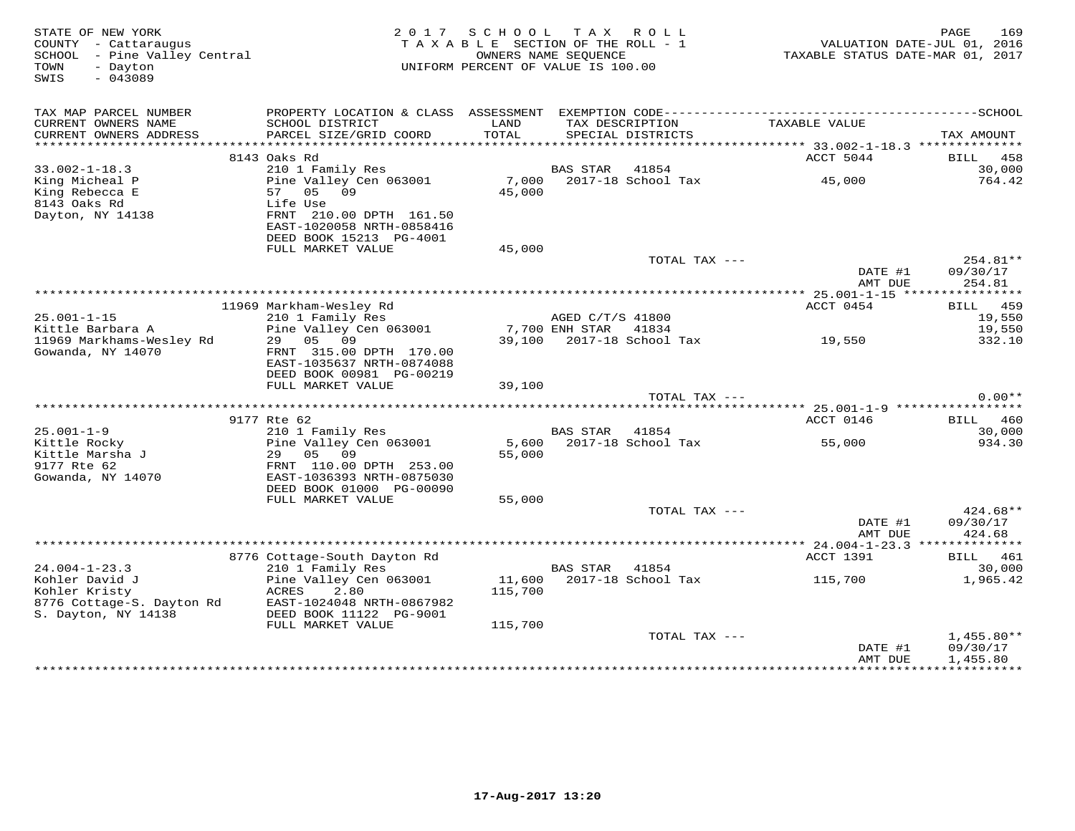| STATE OF NEW YORK<br>COUNTY - Cattaraugus<br>SCHOOL - Pine Valley Central<br>- Dayton<br>TOWN<br>$-043089$<br>SWIS | 2017 SCHOOL TAX ROLL<br>TAXABLE SECTION OF THE ROLL - 1<br>UNIFORM PERCENT OF VALUE IS 100.00   | 169<br>PAGE<br>VALUATION DATE-JUL 01, 2016<br>TAXABLE STATUS DATE-MAR 01, 2017 |                                    |                                      |                           |                                |
|--------------------------------------------------------------------------------------------------------------------|-------------------------------------------------------------------------------------------------|--------------------------------------------------------------------------------|------------------------------------|--------------------------------------|---------------------------|--------------------------------|
| TAX MAP PARCEL NUMBER<br>CURRENT OWNERS NAME<br>CURRENT OWNERS ADDRESS                                             | SCHOOL DISTRICT<br>PARCEL SIZE/GRID COORD                                                       | LAND<br>TOTAL                                                                  |                                    | TAX DESCRIPTION<br>SPECIAL DISTRICTS | TAXABLE VALUE             | TAX AMOUNT                     |
|                                                                                                                    |                                                                                                 |                                                                                |                                    |                                      |                           |                                |
| $33.002 - 1 - 18.3$                                                                                                | 8143 Oaks Rd<br>210 1 Family Res                                                                |                                                                                | BAS STAR                           | 41854                                | ACCT 5044                 | BILL 458<br>30,000             |
| King Micheal P<br>King Rebecca E                                                                                   | Pine Valley Cen 063001<br>57 05 09                                                              | 45,000                                                                         |                                    | 7,000 2017-18 School Tax             | 45,000                    | 764.42                         |
| 8143 Oaks Rd<br>Dayton, NY 14138                                                                                   | Life Use<br>FRNT 210.00 DPTH 161.50<br>EAST-1020058 NRTH-0858416<br>DEED BOOK 15213 PG-4001     |                                                                                |                                    |                                      |                           |                                |
|                                                                                                                    | FULL MARKET VALUE                                                                               | 45,000                                                                         |                                    |                                      |                           |                                |
|                                                                                                                    |                                                                                                 |                                                                                |                                    | TOTAL TAX ---                        | DATE #1<br>AMT DUE        | 254.81**<br>09/30/17<br>254.81 |
|                                                                                                                    |                                                                                                 |                                                                                |                                    |                                      |                           |                                |
|                                                                                                                    | 11969 Markham-Wesley Rd                                                                         |                                                                                |                                    |                                      | ACCT 0454                 | BILL 459                       |
| $25.001 - 1 - 15$<br>Kittle Barbara A                                                                              | 210 1 Family Res                                                                                |                                                                                | AGED C/T/S 41800<br>7,700 ENH STAR |                                      |                           | 19,550                         |
| 11969 Markhams-Wesley Rd                                                                                           | Pine Valley Cen 063001<br>05 09<br>29                                                           | 39,100                                                                         |                                    | 41834                                | 2017-18 School Tax 19,550 | 19,550<br>332.10               |
| Gowanda, NY 14070                                                                                                  | FRNT 315.00 DPTH 170.00<br>EAST-1035637 NRTH-0874088<br>DEED BOOK 00981 PG-00219                |                                                                                |                                    |                                      |                           |                                |
|                                                                                                                    | FULL MARKET VALUE                                                                               | 39,100                                                                         |                                    |                                      |                           |                                |
|                                                                                                                    |                                                                                                 |                                                                                |                                    | TOTAL TAX ---                        |                           | $0.00**$                       |
|                                                                                                                    | 9177 Rte 62                                                                                     |                                                                                |                                    |                                      | ACCT 0146                 | BILL 460                       |
| $25.001 - 1 - 9$                                                                                                   | 210 1 Family Res                                                                                |                                                                                | BAS STAR 41854                     |                                      |                           | 30,000                         |
| Kittle Rocky<br>Kittle Marsha J                                                                                    | Pine Valley Cen 063001<br>29 05<br>09                                                           | 5,600<br>55,000                                                                |                                    | 2017-18 School Tax                   | 55,000                    | 934.30                         |
| 9177 Rte 62<br>Gowanda, NY 14070                                                                                   | FRNT 110.00 DPTH 253.00<br>EAST-1036393 NRTH-0875030<br>DEED BOOK 01000 PG-00090                |                                                                                |                                    |                                      |                           |                                |
|                                                                                                                    | FULL MARKET VALUE                                                                               | 55,000                                                                         |                                    |                                      |                           |                                |
|                                                                                                                    |                                                                                                 |                                                                                |                                    | TOTAL TAX ---                        | DATE #1<br>AMT DUE        | 424.68**<br>09/30/17<br>424.68 |
|                                                                                                                    |                                                                                                 |                                                                                |                                    |                                      |                           |                                |
|                                                                                                                    | 8776 Cottage-South Dayton Rd                                                                    |                                                                                |                                    |                                      | ACCT 1391                 | BILL 461                       |
| $24.004 - 1 - 23.3$                                                                                                | 210 1 Family Res                                                                                |                                                                                | BAS STAR                           | 41854                                |                           | 30,000                         |
| Kohler David J<br>Kohler Kristy<br>8776 Cottage-S. Dayton Rd<br>S. Dayton, NY 14138                                | Pine Valley Cen 063001<br>2.80<br>ACRES<br>EAST-1024048 NRTH-0867982<br>DEED BOOK 11122 PG-9001 | 115,700                                                                        |                                    |                                      |                           | 1,965.42                       |
|                                                                                                                    | FULL MARKET VALUE                                                                               | 115,700                                                                        |                                    |                                      |                           |                                |
|                                                                                                                    |                                                                                                 |                                                                                |                                    | TOTAL TAX ---                        |                           | $1,455.80**$                   |
|                                                                                                                    |                                                                                                 |                                                                                |                                    |                                      | DATE #1<br>AMT DUE        | 09/30/17<br>1,455.80           |
|                                                                                                                    |                                                                                                 |                                                                                |                                    |                                      |                           |                                |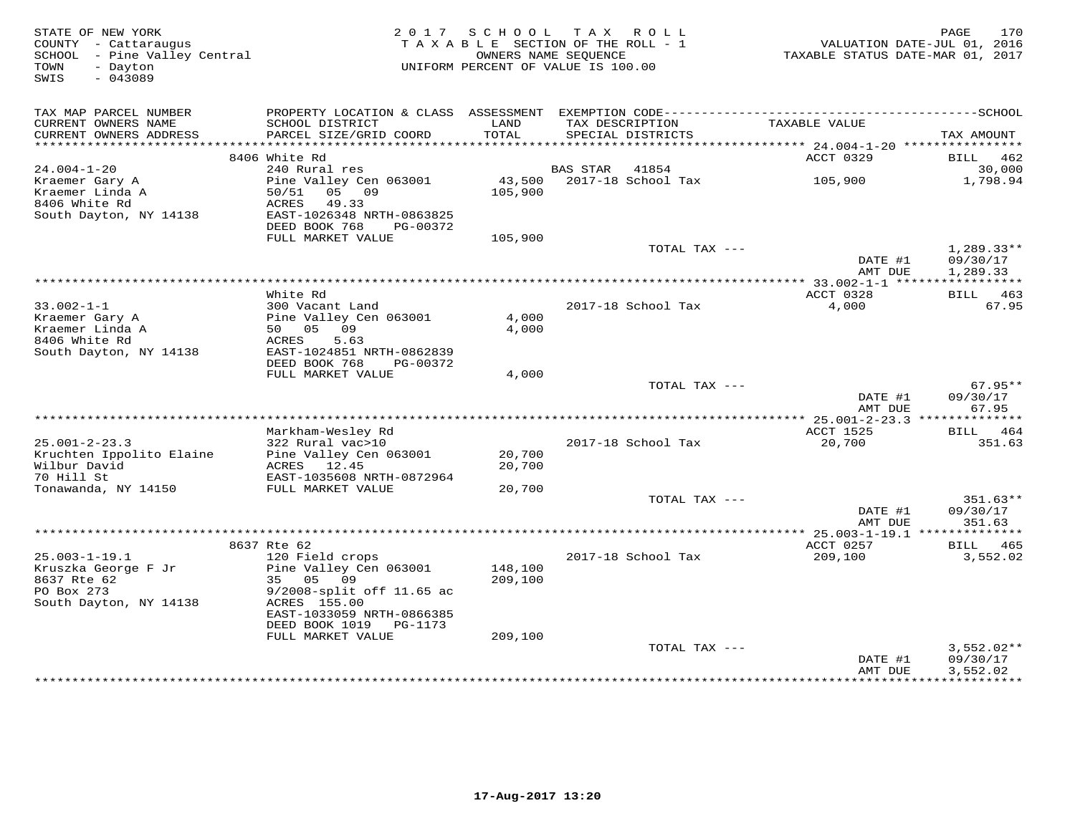| STATE OF NEW YORK<br>COUNTY - Cattaraugus<br>SCHOOL - Pine Valley Central<br>- Dayton<br>TOWN<br>$-043089$<br>SWIS | 2017<br>TAXABLE SECTION OF THE ROLL - 1<br>UNIFORM PERCENT OF VALUE IS 100.00                                                                                     | PAGE<br>VALUATION DATE-JUL 01, 2016<br>TAXABLE STATUS DATE-MAR 01, 2017 |                 |                                      |                                        |                                      |
|--------------------------------------------------------------------------------------------------------------------|-------------------------------------------------------------------------------------------------------------------------------------------------------------------|-------------------------------------------------------------------------|-----------------|--------------------------------------|----------------------------------------|--------------------------------------|
| TAX MAP PARCEL NUMBER<br>CURRENT OWNERS NAME<br>CURRENT OWNERS ADDRESS<br>***********************                  | SCHOOL DISTRICT<br>PARCEL SIZE/GRID COORD<br>*************************                                                                                            | LAND<br>TOTAL                                                           |                 | TAX DESCRIPTION<br>SPECIAL DISTRICTS | TAXABLE VALUE                          | TAX AMOUNT                           |
|                                                                                                                    | 8406 White Rd                                                                                                                                                     |                                                                         |                 |                                      | ACCT 0329                              | BILL<br>462                          |
| $24.004 - 1 - 20$                                                                                                  | 240 Rural res                                                                                                                                                     |                                                                         | <b>BAS STAR</b> | 41854                                |                                        | 30,000                               |
| Kraemer Gary A<br>Kraemer Linda A<br>8406 White Rd<br>South Dayton, NY 14138                                       | Pine Valley Cen 063001<br>50/51<br>05 09<br>ACRES<br>49.33<br>EAST-1026348 NRTH-0863825<br>DEED BOOK 768<br>PG-00372                                              | 43,500<br>105,900                                                       |                 | 2017-18 School Tax                   | 105,900                                | 1,798.94                             |
|                                                                                                                    | FULL MARKET VALUE                                                                                                                                                 | 105,900                                                                 |                 |                                      |                                        |                                      |
|                                                                                                                    |                                                                                                                                                                   |                                                                         |                 | TOTAL TAX ---                        | DATE #1<br>AMT DUE                     | $1,289.33**$<br>09/30/17<br>1,289.33 |
|                                                                                                                    |                                                                                                                                                                   |                                                                         |                 |                                      |                                        |                                      |
| $33.002 - 1 - 1$<br>Kraemer Gary A<br>Kraemer Linda A<br>8406 White Rd<br>South Dayton, NY 14138                   | White Rd<br>300 Vacant Land<br>Pine Valley Cen 063001<br>50 05<br>09<br>ACRES<br>5.63<br>EAST-1024851 NRTH-0862839                                                | 4,000<br>4,000                                                          |                 | 2017-18 School Tax                   | ACCT 0328<br>4,000                     | BILL 463<br>67.95                    |
|                                                                                                                    | DEED BOOK 768<br>PG-00372                                                                                                                                         |                                                                         |                 |                                      |                                        |                                      |
|                                                                                                                    | FULL MARKET VALUE                                                                                                                                                 | 4,000                                                                   |                 | TOTAL TAX ---                        | DATE #1<br>AMT DUE                     | $67.95**$<br>09/30/17<br>67.95       |
|                                                                                                                    |                                                                                                                                                                   |                                                                         |                 |                                      | ********* 25.001-2-23.3 ************** |                                      |
| $25.001 - 2 - 23.3$<br>Kruchten Ippolito Elaine<br>Wilbur David<br>70 Hill St                                      | Markham-Wesley Rd<br>322 Rural vac>10<br>Pine Valley Cen 063001<br>ACRES 12.45<br>EAST-1035608 NRTH-0872964                                                       | 20,700<br>20,700                                                        |                 | 2017-18 School Tax                   | ACCT 1525<br>20,700                    | BILL 464<br>351.63                   |
| Tonawanda, NY 14150                                                                                                | FULL MARKET VALUE                                                                                                                                                 | 20,700                                                                  |                 |                                      |                                        |                                      |
|                                                                                                                    |                                                                                                                                                                   |                                                                         |                 | TOTAL TAX ---                        | DATE #1<br>AMT DUE                     | $351.63**$<br>09/30/17<br>351.63     |
|                                                                                                                    |                                                                                                                                                                   |                                                                         |                 |                                      |                                        |                                      |
| $25.003 - 1 - 19.1$                                                                                                | 8637 Rte 62<br>120 Field crops                                                                                                                                    |                                                                         |                 | 2017-18 School Tax                   | ACCT 0257<br>209,100                   | BILL 465<br>3,552.02                 |
| Kruszka George F Jr<br>8637 Rte 62<br>PO Box 273<br>South Dayton, NY 14138                                         | Pine Valley Cen 063001<br>35<br>05<br>09<br>9/2008-split off 11.65 ac<br>ACRES 155.00<br>EAST-1033059 NRTH-0866385<br>DEED BOOK 1019 PG-1173<br>FULL MARKET VALUE | 148,100<br>209,100<br>209,100                                           |                 |                                      |                                        |                                      |
|                                                                                                                    |                                                                                                                                                                   |                                                                         |                 | TOTAL TAX ---                        |                                        | $3,552.02**$                         |
|                                                                                                                    |                                                                                                                                                                   |                                                                         |                 |                                      | DATE #1<br>AMT DUE                     | 09/30/17<br>3,552.02<br>************ |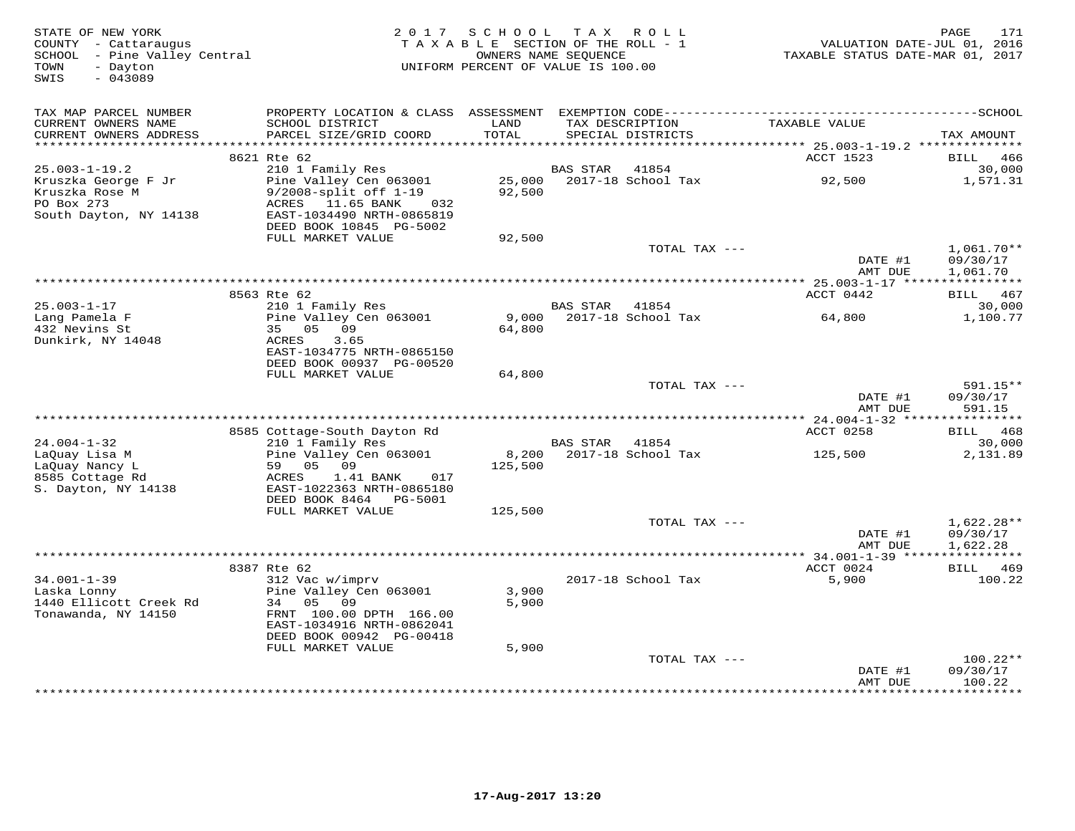| STATE OF NEW YORK<br>COUNTY - Cattaraugus<br>SCHOOL - Pine Valley Central<br>- Dayton<br>TOWN<br>$-043089$<br>SWIS | 2 0 1 7                                                                                                         | SCHOOL TAX ROLL<br>TAXABLE SECTION OF THE ROLL - 1<br>OWNERS NAME SEQUENCE<br>UNIFORM PERCENT OF VALUE IS 100.00 |                 |                                      | VALUATION DATE-JUL 01, 2016<br>TAXABLE STATUS DATE-MAR 01, 2017 | PAGE<br>171                        |
|--------------------------------------------------------------------------------------------------------------------|-----------------------------------------------------------------------------------------------------------------|------------------------------------------------------------------------------------------------------------------|-----------------|--------------------------------------|-----------------------------------------------------------------|------------------------------------|
| TAX MAP PARCEL NUMBER                                                                                              |                                                                                                                 |                                                                                                                  |                 |                                      |                                                                 |                                    |
| CURRENT OWNERS NAME<br>CURRENT OWNERS ADDRESS<br>***********************                                           | SCHOOL DISTRICT<br>PARCEL SIZE/GRID COORD                                                                       | LAND<br>TOTAL                                                                                                    |                 | TAX DESCRIPTION<br>SPECIAL DISTRICTS | TAXABLE VALUE                                                   | TAX AMOUNT                         |
|                                                                                                                    | 8621 Rte 62                                                                                                     |                                                                                                                  |                 |                                      | ACCT 1523                                                       | BILL<br>466                        |
| $25.003 - 1 - 19.2$                                                                                                | 210 1 Family Res                                                                                                |                                                                                                                  | <b>BAS STAR</b> | 41854                                |                                                                 | 30,000                             |
| Kruszka George F Jr<br>Kruszka Rose M<br>PO Box 273<br>South Dayton, NY 14138                                      | Pine Valley Cen 063001<br>9/2008-split off 1-19<br>ACRES 11.65 BANK<br>032<br>EAST-1034490 NRTH-0865819         | 25,000<br>92,500                                                                                                 |                 | 2017-18 School Tax                   | 92,500                                                          | 1,571.31                           |
|                                                                                                                    | DEED BOOK 10845 PG-5002                                                                                         |                                                                                                                  |                 |                                      |                                                                 |                                    |
|                                                                                                                    | FULL MARKET VALUE                                                                                               | 92,500                                                                                                           |                 | TOTAL TAX ---                        | DATE #1                                                         | $1,061.70**$<br>09/30/17           |
|                                                                                                                    |                                                                                                                 | ***********************************                                                                              |                 |                                      | AMT DUE                                                         | 1,061.70                           |
|                                                                                                                    | 8563 Rte 62                                                                                                     |                                                                                                                  |                 |                                      | ******** 25.003-1-17 ****************<br>ACCT 0442              | BILL 467                           |
| $25.003 - 1 - 17$                                                                                                  | 210 1 Family Res                                                                                                |                                                                                                                  | <b>BAS STAR</b> | 41854                                |                                                                 | 30,000                             |
| Lang Pamela F<br>432 Nevins St<br>Dunkirk, NY 14048                                                                | Pine Valley Cen 063001<br>35 05<br>09<br>3.65<br>ACRES<br>EAST-1034775 NRTH-0865150<br>DEED BOOK 00937 PG-00520 | 9,000<br>64,800                                                                                                  |                 | 2017-18 School Tax                   | 64,800                                                          | 1,100.77                           |
|                                                                                                                    | FULL MARKET VALUE                                                                                               | 64,800                                                                                                           |                 |                                      |                                                                 |                                    |
|                                                                                                                    |                                                                                                                 |                                                                                                                  |                 | TOTAL TAX ---                        | DATE #1<br>AMT DUE                                              | 591.15**<br>09/30/17<br>591.15     |
|                                                                                                                    |                                                                                                                 |                                                                                                                  |                 |                                      |                                                                 |                                    |
|                                                                                                                    | 8585 Cottage-South Dayton Rd                                                                                    |                                                                                                                  |                 |                                      | ACCT 0258                                                       | BILL 468                           |
| $24.004 - 1 - 32$<br>LaQuay Lisa M<br>LaOuay Nancy L                                                               | 210 1 Family Res<br>Pine Valley Cen 063001<br>59 05 09                                                          | 8,200<br>125,500                                                                                                 | BAS STAR        | 41854<br>2017-18 School Tax          | 125,500                                                         | 30,000<br>2,131.89                 |
| 8585 Cottage Rd<br>S. Dayton, NY 14138                                                                             | ACRES<br>1.41 BANK<br>017<br>EAST-1022363 NRTH-0865180<br>DEED BOOK 8464<br>PG-5001                             |                                                                                                                  |                 |                                      |                                                                 |                                    |
|                                                                                                                    | FULL MARKET VALUE                                                                                               | 125,500                                                                                                          |                 |                                      |                                                                 |                                    |
|                                                                                                                    |                                                                                                                 |                                                                                                                  |                 | TOTAL TAX ---                        | DATE #1<br>AMT DUE                                              | 1,622.28**<br>09/30/17<br>1,622.28 |
|                                                                                                                    |                                                                                                                 |                                                                                                                  |                 |                                      | ****************** 34.001-1-39 *****                            |                                    |
|                                                                                                                    | 8387 Rte 62                                                                                                     |                                                                                                                  |                 |                                      | ACCT 0024                                                       | 469<br>BILL                        |
| $34.001 - 1 - 39$<br>Laska Lonny<br>1440 Ellicott Creek Rd                                                         | 312 Vac w/imprv<br>Pine Valley Cen 063001<br>34<br>05<br>09                                                     | 3,900<br>5,900                                                                                                   |                 | 2017-18 School Tax                   | 5,900                                                           | 100.22                             |
| Tonawanda, NY 14150                                                                                                | FRNT 100.00 DPTH 166.00<br>EAST-1034916 NRTH-0862041<br>DEED BOOK 00942 PG-00418                                |                                                                                                                  |                 |                                      |                                                                 |                                    |
|                                                                                                                    | FULL MARKET VALUE                                                                                               | 5,900                                                                                                            |                 |                                      |                                                                 |                                    |
|                                                                                                                    |                                                                                                                 |                                                                                                                  |                 | TOTAL TAX ---                        | DATE #1<br>AMT DUE                                              | $100.22**$<br>09/30/17<br>100.22   |
|                                                                                                                    |                                                                                                                 |                                                                                                                  |                 |                                      |                                                                 | <b>++++++++</b>                    |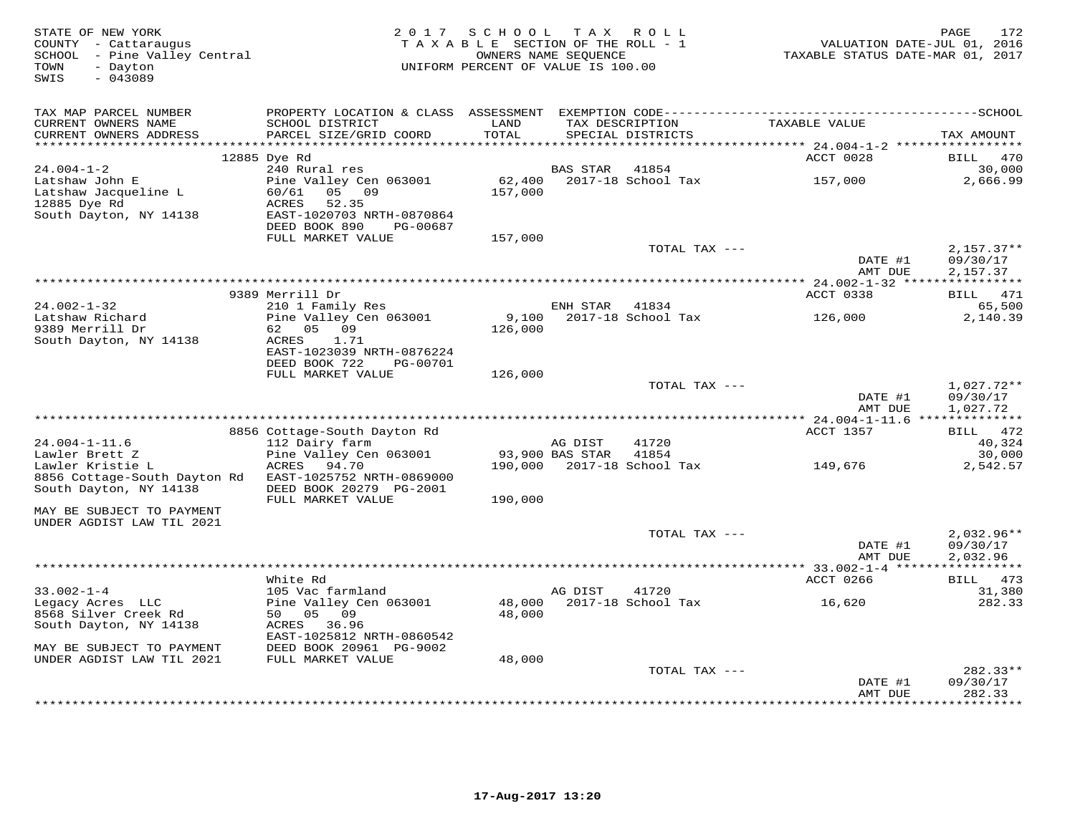| STATE OF NEW YORK<br>COUNTY - Cattaraugus<br>SCHOOL - Pine Valley Central<br>- Dayton<br>TOWN<br>SWIS<br>$-043089$ |                                                            | 2017 SCHOOL TAX ROLL<br>TAXABLE SECTION OF THE ROLL - 1<br>UNIFORM PERCENT OF VALUE IS 100.00 | OWNERS NAME SEQUENCE |                                      | VALUATION DATE-JUL 01, 2016<br>TAXABLE STATUS DATE-MAR 01, 2017 | 172<br>PAGE                          |
|--------------------------------------------------------------------------------------------------------------------|------------------------------------------------------------|-----------------------------------------------------------------------------------------------|----------------------|--------------------------------------|-----------------------------------------------------------------|--------------------------------------|
| TAX MAP PARCEL NUMBER                                                                                              | PROPERTY LOCATION & CLASS ASSESSMENT                       |                                                                                               |                      |                                      |                                                                 |                                      |
| CURRENT OWNERS NAME<br>CURRENT OWNERS ADDRESS                                                                      | SCHOOL DISTRICT<br>PARCEL SIZE/GRID COORD                  | LAND<br>TOTAL<br>* * * * * * * * * *                                                          |                      | TAX DESCRIPTION<br>SPECIAL DISTRICTS | TAXABLE VALUE                                                   | TAX AMOUNT                           |
|                                                                                                                    | 12885 Dye Rd                                               |                                                                                               |                      |                                      | ACCT 0028                                                       | 470<br>BILL                          |
| $24.004 - 1 - 2$                                                                                                   | 240 Rural res                                              |                                                                                               | BAS STAR             | 41854                                |                                                                 | 30,000                               |
| Latshaw John E<br>Latshaw Jacqueline L<br>12885 Dye Rd                                                             | Pine Valley Cen 063001<br>05 09<br>60/61<br>ACRES<br>52.35 | 62,400<br>157,000                                                                             |                      | 2017-18 School Tax                   | 157,000                                                         | 2,666.99                             |
| South Dayton, NY 14138                                                                                             | EAST-1020703 NRTH-0870864<br>DEED BOOK 890<br>PG-00687     |                                                                                               |                      |                                      |                                                                 |                                      |
|                                                                                                                    | FULL MARKET VALUE                                          | 157,000                                                                                       |                      |                                      |                                                                 |                                      |
|                                                                                                                    |                                                            |                                                                                               |                      | TOTAL TAX ---                        | DATE #1<br>AMT DUE                                              | $2,157.37**$<br>09/30/17<br>2,157.37 |
|                                                                                                                    |                                                            |                                                                                               |                      |                                      |                                                                 |                                      |
|                                                                                                                    | 9389 Merrill Dr                                            |                                                                                               |                      |                                      | ACCT 0338                                                       | BILL 471                             |
| $24.002 - 1 - 32$                                                                                                  | 210 1 Family Res                                           |                                                                                               | ENH STAR 41834       |                                      |                                                                 | 65,500                               |
| Latshaw Richard                                                                                                    | Pine Valley Cen 063001                                     | 9,100                                                                                         |                      | 2017-18 School Tax                   | 126,000                                                         | 2,140.39                             |
| 9389 Merrill Dr                                                                                                    | 62 05 09                                                   | 126,000                                                                                       |                      |                                      |                                                                 |                                      |
| South Dayton, NY 14138                                                                                             | 1.71<br>ACRES<br>EAST-1023039 NRTH-0876224                 |                                                                                               |                      |                                      |                                                                 |                                      |
|                                                                                                                    | DEED BOOK 722<br>PG-00701                                  |                                                                                               |                      |                                      |                                                                 |                                      |
|                                                                                                                    | FULL MARKET VALUE                                          | 126,000                                                                                       |                      |                                      |                                                                 |                                      |
|                                                                                                                    |                                                            |                                                                                               |                      | TOTAL TAX ---                        |                                                                 | $1,027.72**$                         |
|                                                                                                                    |                                                            |                                                                                               |                      |                                      | DATE #1                                                         | 09/30/17                             |
|                                                                                                                    |                                                            |                                                                                               |                      |                                      | AMT DUE                                                         | 1,027.72                             |
|                                                                                                                    | 8856 Cottage-South Dayton Rd                               |                                                                                               |                      |                                      | ACCT 1357                                                       | BILL 472                             |
| $24.004 - 1 - 11.6$                                                                                                | 112 Dairy farm                                             |                                                                                               | AG DIST              | 41720                                |                                                                 | 40,324                               |
| Lawler Brett Z                                                                                                     | Pine Valley Cen 063001                                     |                                                                                               | 93,900 BAS STAR      | 41854                                |                                                                 | 30,000                               |
| Lawler Kristie L                                                                                                   | ACRES<br>94.70                                             | 190,000                                                                                       |                      | 2017-18 School Tax                   | 149,676                                                         | 2,542.57                             |
| 8856 Cottage-South Dayton Rd<br>South Dayton, NY 14138                                                             | EAST-1025752 NRTH-0869000<br>DEED BOOK 20279 PG-2001       |                                                                                               |                      |                                      |                                                                 |                                      |
| MAY BE SUBJECT TO PAYMENT                                                                                          | FULL MARKET VALUE                                          | 190,000                                                                                       |                      |                                      |                                                                 |                                      |
| UNDER AGDIST LAW TIL 2021                                                                                          |                                                            |                                                                                               |                      |                                      |                                                                 |                                      |
|                                                                                                                    |                                                            |                                                                                               |                      | TOTAL TAX ---                        |                                                                 | $2,032.96**$                         |
|                                                                                                                    |                                                            |                                                                                               |                      |                                      | DATE #1                                                         | 09/30/17                             |
|                                                                                                                    |                                                            |                                                                                               |                      |                                      | AMT DUE                                                         | 2,032.96                             |
|                                                                                                                    |                                                            |                                                                                               |                      |                                      | *********** 33.002-1-4 *****                                    |                                      |
|                                                                                                                    | White Rd                                                   |                                                                                               |                      |                                      | ACCT 0266                                                       | BILL 473                             |
| $33.002 - 1 - 4$<br>Legacy Acres LLC                                                                               | 105 Vac farmland<br>Pine Valley Cen 063001                 | 48,000                                                                                        | AG DIST              | 41720<br>2017-18 School Tax          | 16,620                                                          | 31,380<br>282.33                     |
| 8568 Silver Creek Rd                                                                                               | 50 05 09                                                   | 48,000                                                                                        |                      |                                      |                                                                 |                                      |
| South Dayton, NY 14138                                                                                             | ACRES 36.96                                                |                                                                                               |                      |                                      |                                                                 |                                      |
|                                                                                                                    | EAST-1025812 NRTH-0860542                                  |                                                                                               |                      |                                      |                                                                 |                                      |
| MAY BE SUBJECT TO PAYMENT                                                                                          | DEED BOOK 20961 PG-9002                                    |                                                                                               |                      |                                      |                                                                 |                                      |
| UNDER AGDIST LAW TIL 2021                                                                                          | FULL MARKET VALUE                                          | 48,000                                                                                        |                      |                                      |                                                                 |                                      |
|                                                                                                                    |                                                            |                                                                                               |                      | TOTAL TAX ---                        |                                                                 | 282.33**                             |
|                                                                                                                    |                                                            |                                                                                               |                      |                                      | DATE #1<br>AMT DUE                                              | 09/30/17<br>282.33                   |
|                                                                                                                    |                                                            |                                                                                               |                      |                                      |                                                                 | * * * * * * * * *                    |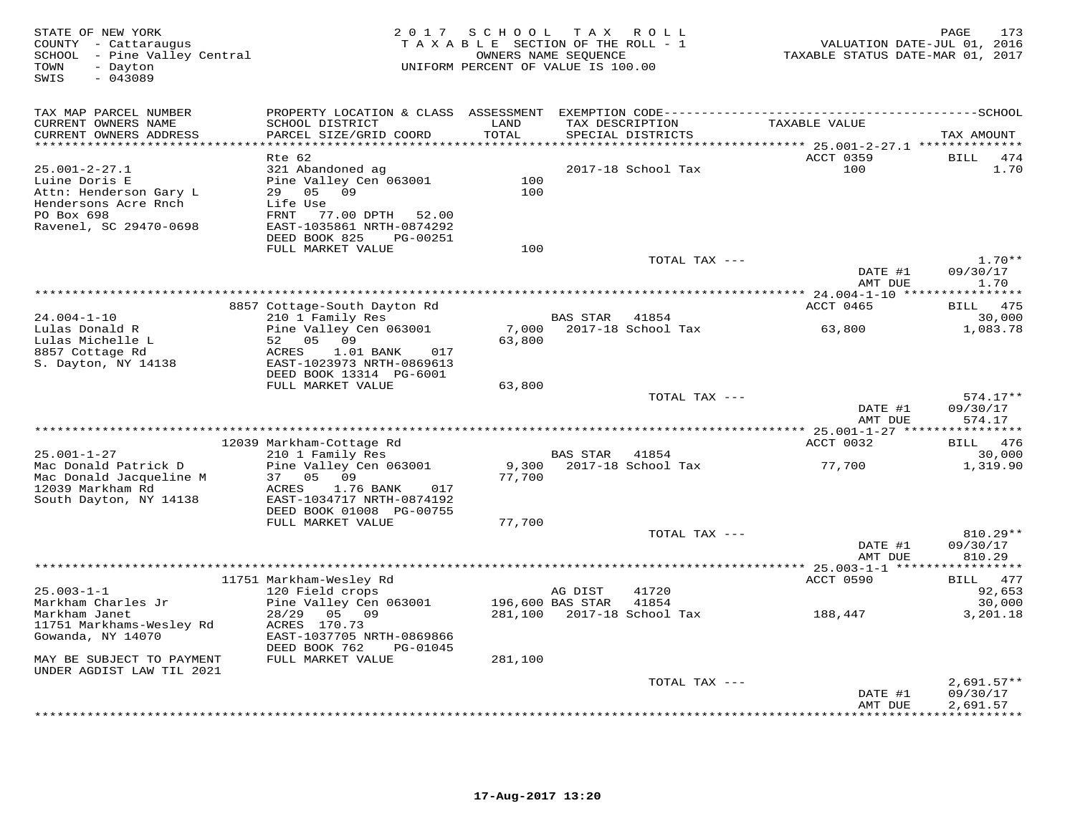| STATE OF NEW YORK<br>COUNTY - Cattaraugus<br>SCHOOL - Pine Valley Central<br>- Dayton<br>TOWN                                  | 2 0 1 7                                                                                                                                                           | SCHOOL          | T A X<br>TAXABLE SECTION OF THE ROLL - 1<br>OWNERS NAME SEQUENCE<br>UNIFORM PERCENT OF VALUE IS 100.00 | R O L L        | VALUATION DATE-JUL 01, 2016<br>TAXABLE STATUS DATE-MAR 01, 2017 | PAGE<br>173                               |
|--------------------------------------------------------------------------------------------------------------------------------|-------------------------------------------------------------------------------------------------------------------------------------------------------------------|-----------------|--------------------------------------------------------------------------------------------------------|----------------|-----------------------------------------------------------------|-------------------------------------------|
| $-043089$<br>SWIS                                                                                                              |                                                                                                                                                                   |                 |                                                                                                        |                |                                                                 |                                           |
| TAX MAP PARCEL NUMBER                                                                                                          |                                                                                                                                                                   |                 |                                                                                                        |                |                                                                 |                                           |
| CURRENT OWNERS NAME<br>CURRENT OWNERS ADDRESS                                                                                  | SCHOOL DISTRICT<br>PARCEL SIZE/GRID COORD                                                                                                                         | LAND<br>TOTAL   | TAX DESCRIPTION<br>SPECIAL DISTRICTS                                                                   |                | TAXABLE VALUE                                                   | TAX AMOUNT                                |
|                                                                                                                                | Rte 62                                                                                                                                                            | *********       |                                                                                                        |                | ******** 25.001-2-27.1 **************<br>ACCT 0359              | <b>BILL</b><br>474                        |
| $25.001 - 2 - 27.1$<br>Luine Doris E<br>Attn: Henderson Gary L<br>Hendersons Acre Rnch<br>PO Box 698<br>Ravenel, SC 29470-0698 | 321 Abandoned ag<br>Pine Valley Cen 063001<br>29<br>05<br>09<br>Life Use<br>FRNT<br>77.00 DPTH<br>52.00<br>EAST-1035861 NRTH-0874292<br>DEED BOOK 825<br>PG-00251 | 100<br>100      | 2017-18 School Tax                                                                                     |                | 100                                                             | 1.70                                      |
|                                                                                                                                | FULL MARKET VALUE                                                                                                                                                 | 100             |                                                                                                        |                |                                                                 |                                           |
|                                                                                                                                |                                                                                                                                                                   |                 |                                                                                                        | TOTAL TAX ---  | DATE #1                                                         | $1.70**$<br>09/30/17                      |
| ***************************                                                                                                    |                                                                                                                                                                   |                 |                                                                                                        |                | AMT DUE                                                         | 1.70<br>* * * * * * * * *                 |
|                                                                                                                                | 8857 Cottage-South Dayton Rd                                                                                                                                      |                 |                                                                                                        |                | ACCT 0465                                                       | 475<br>BILL                               |
| $24.004 - 1 - 10$<br>Lulas Donald R                                                                                            | 210 1 Family Res<br>Pine Valley Cen 063001                                                                                                                        | 7,000           | BAS STAR<br>2017-18 School Tax                                                                         | 41854          | 63,800                                                          | 30,000<br>1,083.78                        |
| Lulas Michelle L<br>8857 Cottage Rd<br>S. Dayton, NY 14138                                                                     | 52<br>05<br>09<br>ACRES<br>1.01 BANK<br>017<br>EAST-1023973 NRTH-0869613<br>DEED BOOK 13314 PG-6001                                                               | 63,800          |                                                                                                        |                |                                                                 |                                           |
|                                                                                                                                | FULL MARKET VALUE                                                                                                                                                 | 63,800          |                                                                                                        | TOTAL TAX ---  |                                                                 | $574.17**$                                |
|                                                                                                                                |                                                                                                                                                                   |                 |                                                                                                        |                | DATE #1<br>AMT DUE                                              | 09/30/17<br>574.17                        |
|                                                                                                                                |                                                                                                                                                                   |                 |                                                                                                        |                | ACCT 0032                                                       |                                           |
| $25.001 - 1 - 27$                                                                                                              | 12039 Markham-Cottage Rd<br>210 1 Family Res                                                                                                                      |                 | <b>BAS STAR</b>                                                                                        | 41854          |                                                                 | BILL 476<br>30,000                        |
| Mac Donald Patrick D<br>Mac Donald Jacqueline M                                                                                | Pine Valley Cen 063001<br>05<br>09<br>37                                                                                                                          | 9,300<br>77,700 | 2017-18 School Tax                                                                                     |                | 77,700                                                          | 1,319.90                                  |
| 12039 Markham Rd<br>South Dayton, NY 14138                                                                                     | 1.76 BANK<br>ACRES<br>017<br>EAST-1034717 NRTH-0874192                                                                                                            |                 |                                                                                                        |                |                                                                 |                                           |
|                                                                                                                                | DEED BOOK 01008 PG-00755<br>FULL MARKET VALUE                                                                                                                     | 77,700          |                                                                                                        |                |                                                                 |                                           |
|                                                                                                                                |                                                                                                                                                                   |                 |                                                                                                        | TOTAL TAX ---  | DATE #1                                                         | 810.29**<br>09/30/17                      |
|                                                                                                                                |                                                                                                                                                                   |                 |                                                                                                        |                | AMT DUE                                                         | 810.29                                    |
|                                                                                                                                | 11751 Markham-Wesley Rd                                                                                                                                           |                 |                                                                                                        |                | ACCT 0590                                                       | 477<br><b>BILL</b>                        |
| $25.003 - 1 - 1$<br>Markham Charles Jr                                                                                         | 120 Field crops<br>Pine Valley Cen 063001                                                                                                                         |                 | AG DIST<br>196,600 BAS STAR                                                                            | 41720<br>41854 |                                                                 | 92,653<br>30,000                          |
| Markham Janet<br>11751 Markhams-Wesley Rd                                                                                      | 28/29<br>05<br>09<br>ACRES 170.73                                                                                                                                 | 281,100         | 2017-18 School Tax                                                                                     |                | 188,447                                                         | 3,201.18                                  |
| Gowanda, NY 14070                                                                                                              | EAST-1037705 NRTH-0869866<br>DEED BOOK 762<br>PG-01045                                                                                                            |                 |                                                                                                        |                |                                                                 |                                           |
| MAY BE SUBJECT TO PAYMENT<br>UNDER AGDIST LAW TIL 2021                                                                         | FULL MARKET VALUE                                                                                                                                                 | 281,100         |                                                                                                        |                |                                                                 |                                           |
|                                                                                                                                |                                                                                                                                                                   |                 |                                                                                                        | TOTAL TAX ---  |                                                                 | $2,691.57**$                              |
|                                                                                                                                |                                                                                                                                                                   |                 |                                                                                                        |                | DATE #1<br>AMT DUE                                              | 09/30/17<br>2,691.57<br>* * * * * * * * * |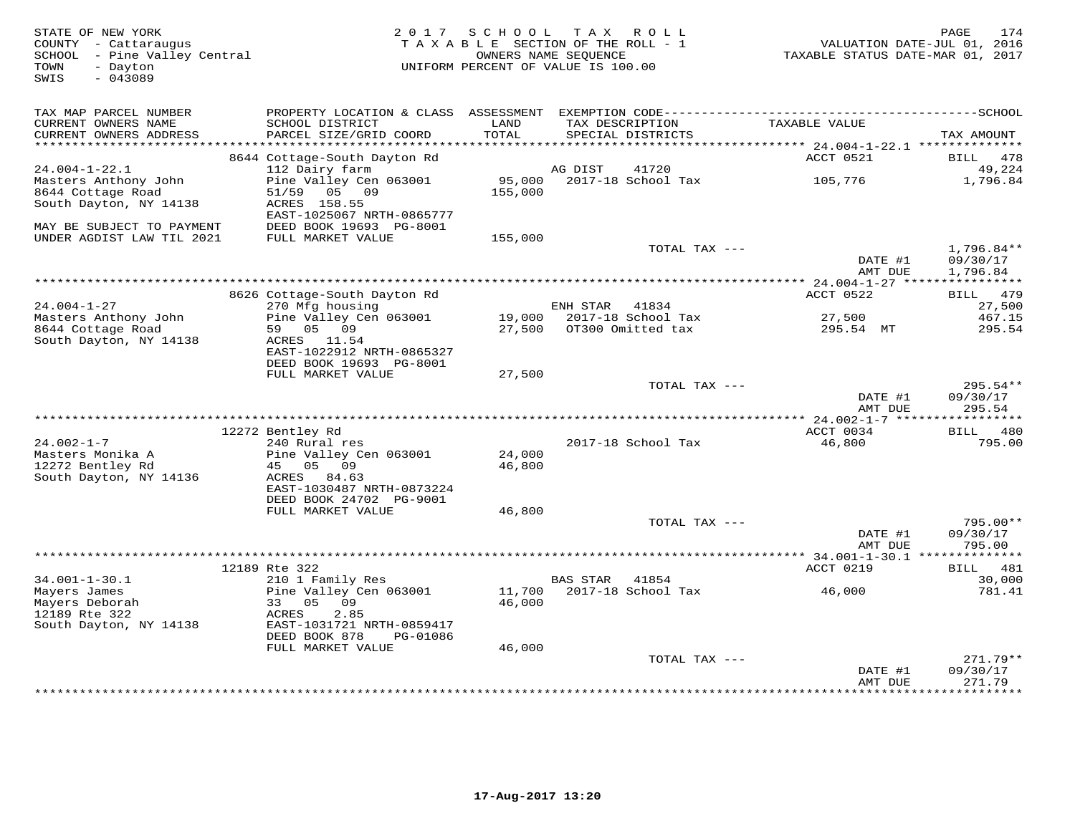| STATE OF NEW YORK<br>COUNTY - Cattaraugus<br>SCHOOL - Pine Valley Central<br>- Dayton<br>TOWN<br>SWIS<br>$-043089$ |                                                                                       | 2017 SCHOOL       | TAX ROLL<br>TAXABLE SECTION OF THE ROLL - 1<br>OWNERS NAME SEQUENCE<br>UNIFORM PERCENT OF VALUE IS 100.00 | VALUATION DATE-JUL 01, 2016<br>TAXABLE STATUS DATE-MAR 01, 2017 | 174<br>PAGE                           |
|--------------------------------------------------------------------------------------------------------------------|---------------------------------------------------------------------------------------|-------------------|-----------------------------------------------------------------------------------------------------------|-----------------------------------------------------------------|---------------------------------------|
| TAX MAP PARCEL NUMBER                                                                                              |                                                                                       |                   |                                                                                                           |                                                                 |                                       |
| CURRENT OWNERS NAME<br>CURRENT OWNERS ADDRESS<br>************************                                          | SCHOOL DISTRICT<br>PARCEL SIZE/GRID COORD                                             | LAND<br>TOTAL     | TAX DESCRIPTION<br>SPECIAL DISTRICTS                                                                      | TAXABLE VALUE                                                   | TAX AMOUNT                            |
|                                                                                                                    | 8644 Cottage-South Dayton Rd                                                          |                   |                                                                                                           | ACCT 0521                                                       | 478<br><b>BILL</b>                    |
| $24.004 - 1 - 22.1$                                                                                                | 112 Dairy farm                                                                        |                   | 41720<br>AG DIST                                                                                          |                                                                 | 49,224                                |
| Masters Anthony John<br>8644 Cottage Road<br>South Dayton, NY 14138                                                | Pine Valley Cen 063001<br>05 09<br>51/59<br>ACRES 158.55<br>EAST-1025067 NRTH-0865777 | 95,000<br>155,000 | 2017-18 School Tax                                                                                        | 105,776                                                         | 1,796.84                              |
| MAY BE SUBJECT TO PAYMENT                                                                                          | DEED BOOK 19693 PG-8001                                                               |                   |                                                                                                           |                                                                 |                                       |
| UNDER AGDIST LAW TIL 2021                                                                                          | FULL MARKET VALUE                                                                     | 155,000           |                                                                                                           |                                                                 |                                       |
|                                                                                                                    |                                                                                       |                   | TOTAL TAX ---                                                                                             | DATE #1<br>AMT DUE                                              | $1,796.84**$<br>09/30/17<br>1,796.84  |
|                                                                                                                    |                                                                                       |                   |                                                                                                           |                                                                 |                                       |
|                                                                                                                    | 8626 Cottage-South Dayton Rd                                                          |                   |                                                                                                           | ACCT 0522                                                       | BILL 479                              |
| $24.004 - 1 - 27$                                                                                                  | 270 Mfg housing                                                                       |                   | ENH STAR<br>41834                                                                                         |                                                                 | 27,500                                |
| Masters Anthony John<br>8644 Cottage Road<br>South Dayton, NY 14138                                                | Pine Valley Cen 063001<br>59 05 09<br>ACRES 11.54<br>EAST-1022912 NRTH-0865327        | 19,000<br>27,500  | 2017-18 School Tax<br>OT300 Omitted tax                                                                   | 27,500<br>295.54 MT                                             | 467.15<br>295.54                      |
|                                                                                                                    | DEED BOOK 19693 PG-8001                                                               |                   |                                                                                                           |                                                                 |                                       |
|                                                                                                                    | FULL MARKET VALUE                                                                     | 27,500            | TOTAL TAX ---                                                                                             |                                                                 | $295.54**$                            |
|                                                                                                                    |                                                                                       |                   |                                                                                                           | DATE #1<br>AMT DUE                                              | 09/30/17<br>295.54                    |
|                                                                                                                    |                                                                                       |                   |                                                                                                           |                                                                 |                                       |
|                                                                                                                    | 12272 Bentley Rd                                                                      |                   |                                                                                                           | ACCT 0034                                                       | BILL 480                              |
| $24.002 - 1 - 7$<br>Masters Monika A                                                                               | 240 Rural res<br>Pine Valley Cen 063001                                               | 24,000            | 2017-18 School Tax                                                                                        | 46,800                                                          | 795.00                                |
| 12272 Bentley Rd<br>South Dayton, NY 14136                                                                         | 45<br>05 09<br>ACRES<br>84.63                                                         | 46,800            |                                                                                                           |                                                                 |                                       |
|                                                                                                                    | EAST-1030487 NRTH-0873224<br>DEED BOOK 24702 PG-9001                                  |                   |                                                                                                           |                                                                 |                                       |
|                                                                                                                    | FULL MARKET VALUE                                                                     | 46,800            |                                                                                                           |                                                                 |                                       |
|                                                                                                                    |                                                                                       |                   | TOTAL TAX ---                                                                                             |                                                                 | 795.00**                              |
|                                                                                                                    |                                                                                       |                   |                                                                                                           | DATE #1<br>AMT DUE                                              | 09/30/17<br>795.00                    |
|                                                                                                                    | 12189 Rte 322                                                                         |                   |                                                                                                           | ACCT 0219                                                       | 481                                   |
| $34.001 - 1 - 30.1$                                                                                                | 210 1 Family Res                                                                      |                   | <b>BAS STAR</b><br>41854                                                                                  |                                                                 | BILL<br>30,000                        |
| Mayers James<br>Mayers Deborah                                                                                     | Pine Valley Cen 063001<br>33<br>05<br>09                                              | 11,700<br>46,000  | 2017-18 School Tax                                                                                        | 46,000                                                          | 781.41                                |
| 12189 Rte 322<br>South Dayton, NY 14138                                                                            | 2.85<br>ACRES<br>EAST-1031721 NRTH-0859417<br>DEED BOOK 878<br>PG-01086               |                   |                                                                                                           |                                                                 |                                       |
|                                                                                                                    | FULL MARKET VALUE                                                                     | 46,000            |                                                                                                           |                                                                 |                                       |
|                                                                                                                    |                                                                                       |                   | TOTAL TAX ---                                                                                             |                                                                 | 271.79**                              |
|                                                                                                                    |                                                                                       |                   | ************************                                                                                  | DATE #1<br>AMT DUE                                              | 09/30/17<br>271.79<br>* * * * * * * * |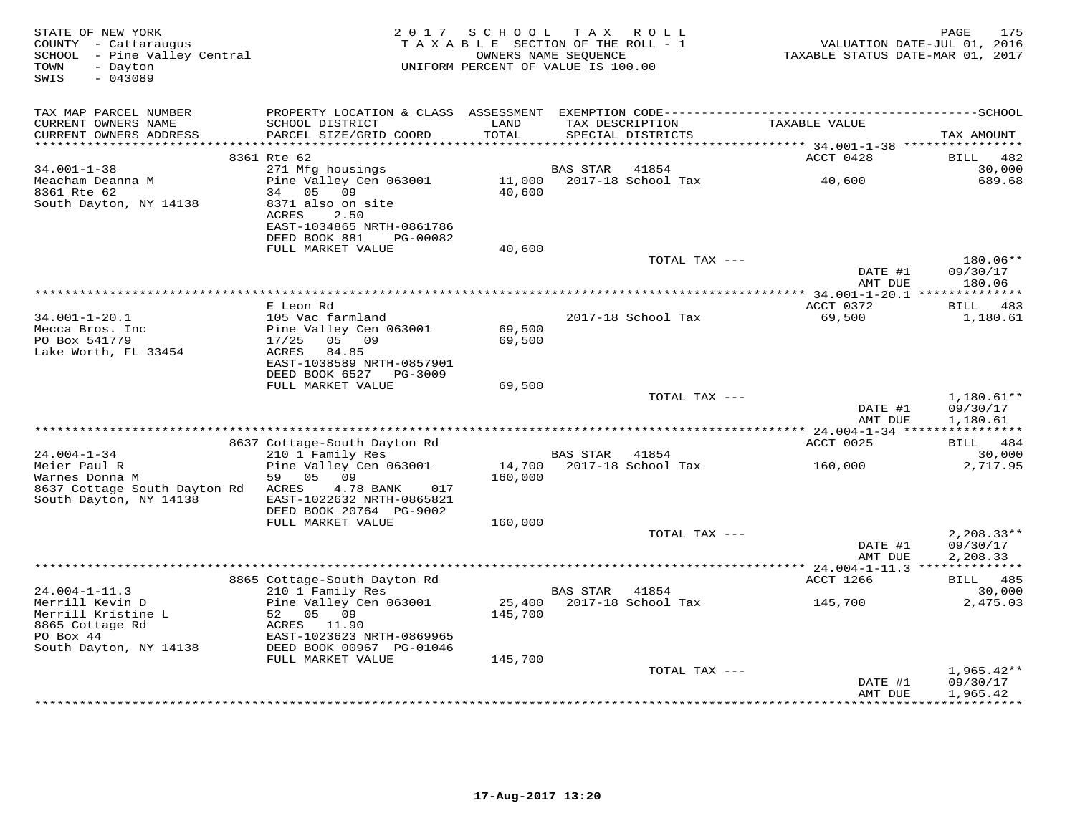| STATE OF NEW YORK<br>COUNTY - Cattaraugus<br>SCHOOL - Pine Valley Central<br>- Dayton<br>TOWN<br>$-043089$<br>SWIS | 2 0 1 7                                                         | SCHOOL<br>TAXABLE SECTION OF THE ROLL - 1<br>UNIFORM PERCENT OF VALUE IS 100.00 | OWNERS NAME SEQUENCE | TAX ROLL                             | VALUATION DATE-JUL 01, 2016<br>TAXABLE STATUS DATE-MAR 01, 2017 | 175<br>PAGE                     |
|--------------------------------------------------------------------------------------------------------------------|-----------------------------------------------------------------|---------------------------------------------------------------------------------|----------------------|--------------------------------------|-----------------------------------------------------------------|---------------------------------|
| TAX MAP PARCEL NUMBER                                                                                              |                                                                 |                                                                                 |                      |                                      |                                                                 |                                 |
| CURRENT OWNERS NAME<br>CURRENT OWNERS ADDRESS                                                                      | SCHOOL DISTRICT<br>PARCEL SIZE/GRID COORD                       | LAND<br>TOTAL                                                                   |                      | TAX DESCRIPTION<br>SPECIAL DISTRICTS | TAXABLE VALUE                                                   | TAX AMOUNT                      |
| ******************                                                                                                 | 8361 Rte 62                                                     | ******                                                                          |                      |                                      | ******* 34.001-1-38 ****************<br>ACCT 0428               | <b>BILL</b><br>482              |
| $34.001 - 1 - 38$                                                                                                  | 271 Mfg housings                                                |                                                                                 | <b>BAS STAR</b>      | 41854                                |                                                                 | 30,000                          |
| Meacham Deanna M<br>8361 Rte 62                                                                                    | Pine Valley Cen 063001<br>34 05 09                              | 11,000<br>40,600                                                                |                      | 2017-18 School Tax                   | 40,600                                                          | 689.68                          |
| South Dayton, NY 14138                                                                                             | 8371 also on site<br>ACRES<br>2.50<br>EAST-1034865 NRTH-0861786 |                                                                                 |                      |                                      |                                                                 |                                 |
|                                                                                                                    | DEED BOOK 881<br>PG-00082<br>FULL MARKET VALUE                  | 40,600                                                                          |                      |                                      |                                                                 |                                 |
|                                                                                                                    |                                                                 |                                                                                 |                      | TOTAL TAX ---                        |                                                                 | 180.06**                        |
|                                                                                                                    |                                                                 |                                                                                 |                      |                                      | DATE #1<br>AMT DUE                                              | 09/30/17<br>180.06              |
|                                                                                                                    | E Leon Rd                                                       |                                                                                 |                      |                                      | ACCT 0372                                                       | BILL 483                        |
| $34.001 - 1 - 20.1$                                                                                                | 105 Vac farmland                                                |                                                                                 |                      | 2017-18 School Tax                   | 69,500                                                          | 1,180.61                        |
| Mecca Bros. Inc<br>PO Box 541779                                                                                   | Pine Valley Cen 063001<br>05 09<br>17/25                        | 69,500<br>69,500                                                                |                      |                                      |                                                                 |                                 |
| Lake Worth, FL 33454                                                                                               | <b>ACRES</b><br>84.85<br>EAST-1038589 NRTH-0857901              |                                                                                 |                      |                                      |                                                                 |                                 |
|                                                                                                                    | DEED BOOK 6527<br>PG-3009<br>FULL MARKET VALUE                  | 69,500                                                                          |                      |                                      |                                                                 |                                 |
|                                                                                                                    |                                                                 |                                                                                 |                      | TOTAL TAX ---                        |                                                                 | $1,180.61**$                    |
|                                                                                                                    |                                                                 |                                                                                 |                      |                                      | DATE #1<br>AMT DUE                                              | 09/30/17<br>1,180.61            |
|                                                                                                                    |                                                                 |                                                                                 |                      |                                      |                                                                 |                                 |
| $24.004 - 1 - 34$                                                                                                  | 8637 Cottage-South Dayton Rd<br>210 1 Family Res                |                                                                                 | BAS STAR             | 41854                                | ACCT 0025                                                       | BILL 484<br>30,000              |
| Meier Paul R<br>Warnes Donna M                                                                                     | Pine Valley Cen 063001<br>59<br>05<br>09                        | 14,700<br>160,000                                                               |                      | 2017-18 School Tax                   | 160,000                                                         | 2,717.95                        |
| 8637 Cottage South Dayton Rd<br>South Dayton, NY 14138                                                             | ACRES<br>4.78 BANK<br>017<br>EAST-1022632 NRTH-0865821          |                                                                                 |                      |                                      |                                                                 |                                 |
|                                                                                                                    | DEED BOOK 20764 PG-9002                                         |                                                                                 |                      |                                      |                                                                 |                                 |
|                                                                                                                    | FULL MARKET VALUE                                               | 160,000                                                                         |                      | TOTAL TAX ---                        |                                                                 | $2,208.33**$                    |
|                                                                                                                    |                                                                 |                                                                                 |                      |                                      | DATE #1<br>AMT DUE                                              | 09/30/17<br>2,208.33            |
|                                                                                                                    |                                                                 |                                                                                 |                      |                                      | *********** 24.004-1-11.3 **************                        |                                 |
|                                                                                                                    | 8865 Cottage-South Dayton Rd                                    |                                                                                 |                      |                                      | <b>ACCT 1266</b>                                                | BILL 485                        |
| $24.004 - 1 - 11.3$<br>Merrill Kevin D                                                                             | 210 1 Family Res<br>Pine Valley Cen 063001                      | 25,400                                                                          | <b>BAS STAR</b>      | 41854<br>2017-18 School Tax          | 145,700                                                         | 30,000<br>2,475.03              |
| Merrill Kristine L<br>8865 Cottage Rd                                                                              | 52 05 09<br>ACRES 11.90                                         | 145,700                                                                         |                      |                                      |                                                                 |                                 |
| PO Box 44<br>South Dayton, NY 14138                                                                                | EAST-1023623 NRTH-0869965<br>DEED BOOK 00967 PG-01046           |                                                                                 |                      |                                      |                                                                 |                                 |
|                                                                                                                    | FULL MARKET VALUE                                               | 145,700                                                                         |                      |                                      |                                                                 |                                 |
|                                                                                                                    |                                                                 |                                                                                 |                      | TOTAL TAX ---                        | DATE #1                                                         | $1,965.42**$<br>09/30/17        |
|                                                                                                                    |                                                                 |                                                                                 |                      | *************************            | AMT DUE                                                         | 1,965.42<br>* * * * * * * * * * |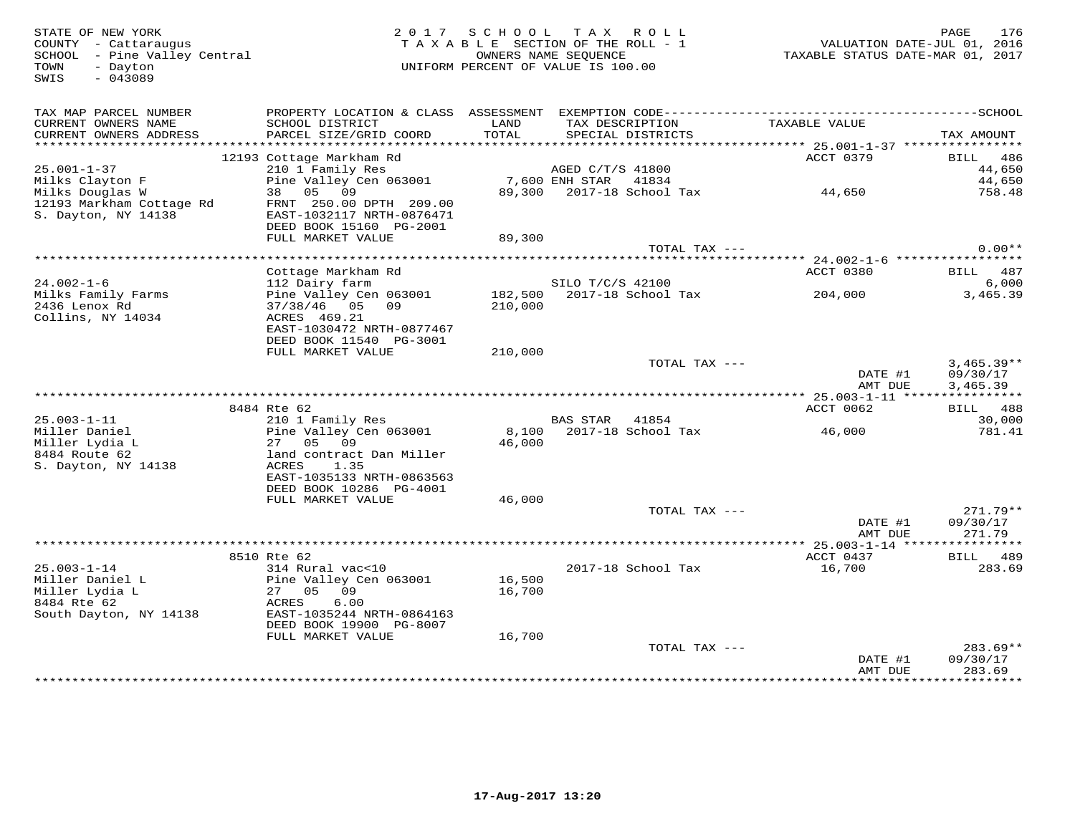TOWN - Dayton<br>SWIS - 043089

## STATE OF NEW YORK 2 0 1 7 S C H O O L T A X R O L L PAGE 176 COUNTY - Cattaraugus T A X A B L E SECTION OF THE ROLL - 1 VALUATION DATE-JUL 01, 2016 SCHOOL - Pine Valley Central OWNERS NAME SEQUENCE TAXABLE STATUS DATE-MAR 01, 2017 TOWN - Dayton UNIFORM PERCENT OF VALUE IS 100.00

| TAX MAP PARCEL NUMBER<br>CURRENT OWNERS NAME<br>CURRENT OWNERS ADDRESS     | PROPERTY LOCATION & CLASS ASSESSMENT<br>SCHOOL DISTRICT<br>PARCEL SIZE/GRID COORD                                      | LAND<br>TOTAL      | EXEMPTION CODE-------<br>TAX DESCRIPTION<br>SPECIAL DISTRICTS | TAXABLE VALUE                             | ---SCHOOL<br>TAX AMOUNT         |
|----------------------------------------------------------------------------|------------------------------------------------------------------------------------------------------------------------|--------------------|---------------------------------------------------------------|-------------------------------------------|---------------------------------|
| **********************                                                     |                                                                                                                        |                    |                                                               |                                           |                                 |
| $25.001 - 1 - 37$<br>Milks Clayton F                                       | 12193 Cottage Markham Rd<br>210 1 Family Res<br>Pine Valley Cen 063001                                                 |                    | AGED C/T/S 41800<br>7,600 ENH STAR<br>41834                   | ACCT 0379                                 | 486<br>BILL<br>44,650<br>44,650 |
| Milks Douglas W<br>12193 Markham Cottage Rd<br>S. Dayton, NY 14138         | 09<br>05<br>38<br>FRNT 250.00 DPTH 209.00<br>EAST-1032117 NRTH-0876471<br>DEED BOOK 15160 PG-2001<br>FULL MARKET VALUE | 89,300<br>89,300   | 2017-18 School Tax                                            | 44,650                                    | 758.48                          |
|                                                                            |                                                                                                                        |                    | TOTAL TAX ---                                                 |                                           | $0.00**$                        |
|                                                                            | ****************                                                                                                       |                    |                                                               | *********** 24.002-1-6 ****************** |                                 |
| $24.002 - 1 - 6$                                                           | Cottage Markham Rd<br>112 Dairy farm                                                                                   |                    | SILO T/C/S 42100                                              | ACCT 0380                                 | 487<br>BILL<br>6,000            |
| Milks Family Farms<br>2436 Lenox Rd<br>Collins, NY 14034                   | Pine Valley Cen 063001<br>37/38/46<br>05<br>09<br>ACRES 469.21                                                         | 182,500<br>210,000 | 2017-18 School Tax                                            | 204,000                                   | 3,465.39                        |
|                                                                            | EAST-1030472 NRTH-0877467<br>DEED BOOK 11540 PG-3001<br>FULL MARKET VALUE                                              | 210,000            |                                                               |                                           |                                 |
|                                                                            |                                                                                                                        |                    | TOTAL TAX ---                                                 |                                           | $3,465.39**$                    |
|                                                                            |                                                                                                                        |                    |                                                               | DATE #1                                   | 09/30/17                        |
|                                                                            |                                                                                                                        |                    |                                                               | AMT DUE<br>$25.003 - 1 - 11$ *****        | 3,465.39                        |
|                                                                            | 8484 Rte 62                                                                                                            |                    |                                                               | ACCT 0062                                 | 488<br>BILL                     |
| $25.003 - 1 - 11$                                                          | 210 1 Family Res                                                                                                       |                    | <b>BAS STAR</b><br>41854                                      |                                           | 30,000                          |
| Miller Daniel                                                              | Pine Valley Cen 063001                                                                                                 | 8,100              | 2017-18 School Tax                                            | 46,000                                    | 781.41                          |
| Miller Lydia L                                                             | 27<br>05<br>09                                                                                                         | 46,000             |                                                               |                                           |                                 |
| 8484 Route 62                                                              | land contract Dan Miller                                                                                               |                    |                                                               |                                           |                                 |
| S. Dayton, NY 14138                                                        | <b>ACRES</b><br>1.35<br>EAST-1035133 NRTH-0863563<br>DEED BOOK 10286 PG-4001                                           |                    |                                                               |                                           |                                 |
|                                                                            | FULL MARKET VALUE                                                                                                      | 46,000             |                                                               |                                           |                                 |
|                                                                            |                                                                                                                        |                    | TOTAL TAX ---                                                 | DATE #1                                   | $271.79**$<br>09/30/17          |
|                                                                            |                                                                                                                        |                    |                                                               | AMT DUE                                   | 271.79                          |
|                                                                            |                                                                                                                        |                    |                                                               | *********** 25.003-1-14 ***************** |                                 |
|                                                                            | 8510 Rte 62                                                                                                            |                    |                                                               | ACCT 0437                                 | 489<br>BILL                     |
| $25.003 - 1 - 14$                                                          | 314 Rural vac<10                                                                                                       |                    | 2017-18 School Tax                                            | 16,700                                    | 283.69                          |
| Miller Daniel L<br>Miller Lydia L<br>8484 Rte 62<br>South Dayton, NY 14138 | Pine Valley Cen 063001<br>27<br>05<br>09<br>ACRES<br>6.00<br>EAST-1035244 NRTH-0864163                                 | 16,500<br>16,700   |                                                               |                                           |                                 |
|                                                                            | DEED BOOK 19900 PG-8007<br>FULL MARKET VALUE                                                                           | 16,700             |                                                               |                                           |                                 |
|                                                                            |                                                                                                                        |                    | TOTAL TAX ---                                                 |                                           | $283.69**$                      |
|                                                                            |                                                                                                                        |                    |                                                               | DATE #1<br>AMT DUE                        | 09/30/17<br>283.69              |
|                                                                            |                                                                                                                        |                    |                                                               |                                           |                                 |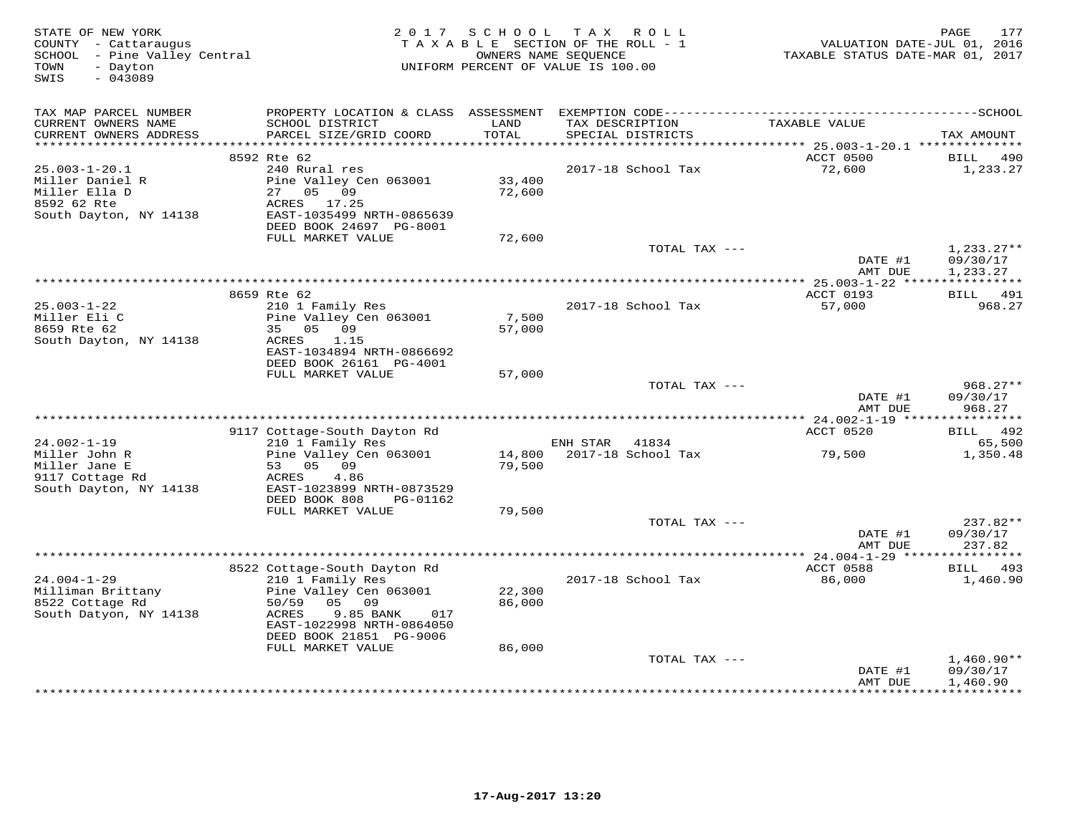| STATE OF NEW YORK<br>COUNTY - Cattaraugus<br>SCHOOL - Pine Valley Central<br>- Dayton<br>TOWN<br>$-043089$<br>SWIS |                                                                                | 2017 SCHOOL      | TAX ROLL<br>TAXABLE SECTION OF THE ROLL - 1<br>OWNERS NAME SEQUENCE<br>UNIFORM PERCENT OF VALUE IS 100.00 | VALUATION DATE-JUL 01, 2016<br>TAXABLE STATUS DATE-MAR 01, 2017 | 177<br>PAGE                                        |
|--------------------------------------------------------------------------------------------------------------------|--------------------------------------------------------------------------------|------------------|-----------------------------------------------------------------------------------------------------------|-----------------------------------------------------------------|----------------------------------------------------|
| TAX MAP PARCEL NUMBER<br>CURRENT OWNERS NAME                                                                       | PROPERTY LOCATION & CLASS ASSESSMENT<br>SCHOOL DISTRICT                        | LAND             | TAX DESCRIPTION                                                                                           | TAXABLE VALUE                                                   |                                                    |
| CURRENT OWNERS ADDRESS                                                                                             | PARCEL SIZE/GRID COORD                                                         | TOTAL            | SPECIAL DISTRICTS                                                                                         |                                                                 | TAX AMOUNT                                         |
|                                                                                                                    | 8592 Rte 62                                                                    |                  |                                                                                                           | ACCT 0500                                                       | BILL<br>490                                        |
| $25.003 - 1 - 20.1$                                                                                                | 240 Rural res                                                                  |                  | 2017-18 School Tax                                                                                        | 72,600                                                          | 1,233.27                                           |
| Miller Daniel R<br>Miller Ella D<br>8592 62 Rte<br>South Dayton, NY 14138                                          | Pine Valley Cen 063001<br>27 05 09<br>ACRES 17.25<br>EAST-1035499 NRTH-0865639 | 33,400<br>72,600 |                                                                                                           |                                                                 |                                                    |
|                                                                                                                    | DEED BOOK 24697 PG-8001                                                        |                  |                                                                                                           |                                                                 |                                                    |
|                                                                                                                    | FULL MARKET VALUE                                                              | 72,600           | TOTAL TAX ---                                                                                             |                                                                 | $1,233.27**$                                       |
|                                                                                                                    |                                                                                |                  |                                                                                                           | DATE #1<br>AMT DUE                                              | 09/30/17<br>1,233.27                               |
|                                                                                                                    |                                                                                |                  |                                                                                                           |                                                                 |                                                    |
|                                                                                                                    | 8659 Rte 62                                                                    |                  |                                                                                                           | ACCT 0193                                                       | 491<br>BILL                                        |
| $25.003 - 1 - 22$<br>Miller Eli C<br>8659 Rte 62                                                                   | 210 1 Family Res<br>Pine Valley Cen 063001<br>05 09<br>35                      | 7,500<br>57,000  | 2017-18 School Tax                                                                                        | 57,000                                                          | 968.27                                             |
| South Dayton, NY 14138                                                                                             | ACRES<br>1.15<br>EAST-1034894 NRTH-0866692<br>DEED BOOK 26161 PG-4001          |                  |                                                                                                           |                                                                 |                                                    |
|                                                                                                                    | FULL MARKET VALUE                                                              | 57,000           |                                                                                                           |                                                                 |                                                    |
|                                                                                                                    |                                                                                |                  | TOTAL TAX ---                                                                                             | DATE #1<br>AMT DUE                                              | $968.27**$<br>09/30/17<br>968.27                   |
|                                                                                                                    |                                                                                |                  |                                                                                                           | *********** 24.002-1-19 *****************                       |                                                    |
| $24.002 - 1 - 19$                                                                                                  | 9117 Cottage-South Dayton Rd<br>210 1 Family Res                               |                  | ENH STAR 41834                                                                                            | ACCT 0520                                                       | BILL<br>492<br>65,500                              |
| Miller John R<br>Miller Jane E                                                                                     | Pine Valley Cen 063001<br>53 05 09                                             | 14,800<br>79,500 | 2017-18 School Tax                                                                                        | 79,500                                                          | 1,350.48                                           |
| 9117 Cottage Rd<br>South Dayton, NY 14138                                                                          | 4.86<br>ACRES<br>EAST-1023899 NRTH-0873529<br>DEED BOOK 808<br>PG-01162        |                  |                                                                                                           |                                                                 |                                                    |
|                                                                                                                    | FULL MARKET VALUE                                                              | 79,500           |                                                                                                           |                                                                 |                                                    |
|                                                                                                                    |                                                                                |                  | TOTAL TAX ---                                                                                             | DATE #1<br>AMT DUE                                              | 237.82**<br>09/30/17<br>237.82                     |
|                                                                                                                    |                                                                                |                  |                                                                                                           |                                                                 | ********                                           |
|                                                                                                                    | 8522 Cottage-South Dayton Rd                                                   |                  |                                                                                                           | ACCT 0588                                                       | 493<br>BILL                                        |
| $24.004 - 1 - 29$<br>Milliman Brittany                                                                             | 210 1 Family Res<br>Pine Valley Cen 063001                                     | 22,300           | 2017-18 School Tax                                                                                        | 86,000                                                          | 1,460.90                                           |
| 8522 Cottage Rd<br>South Datyon, NY 14138                                                                          | 50/59<br>05 09<br>9.85 BANK<br>ACRES<br>017<br>EAST-1022998 NRTH-0864050       | 86,000           |                                                                                                           |                                                                 |                                                    |
|                                                                                                                    | DEED BOOK 21851 PG-9006                                                        |                  |                                                                                                           |                                                                 |                                                    |
|                                                                                                                    | FULL MARKET VALUE                                                              | 86,000           |                                                                                                           |                                                                 |                                                    |
|                                                                                                                    |                                                                                |                  | TOTAL TAX ---                                                                                             | DATE #1<br>AMT DUE<br>************                              | $1,460.90**$<br>09/30/17<br>1,460.90<br>********** |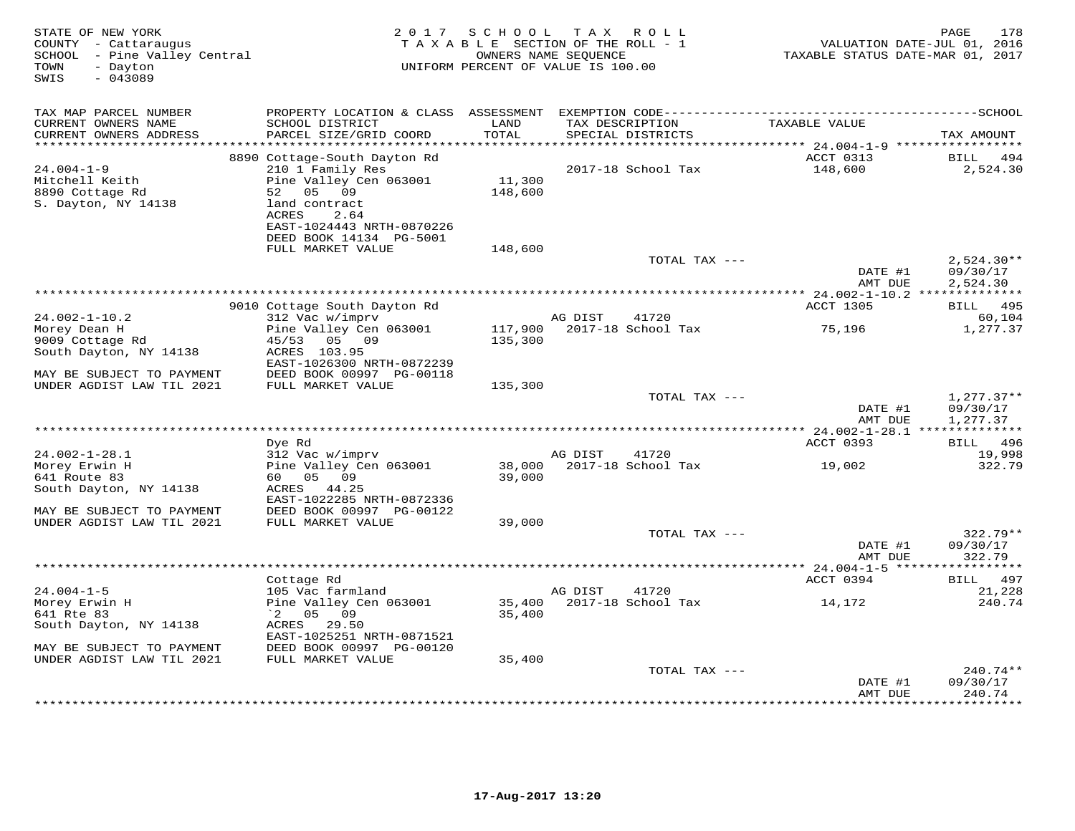| STATE OF NEW YORK<br>COUNTY - Cattaraugus<br>SCHOOL - Pine Valley Central<br>TOWN<br>- Dayton<br>SWIS<br>$-043089$ | 2 0 1 7                                                                                              | SCHOOL<br>TAXABLE SECTION OF THE ROLL - 1<br>UNIFORM PERCENT OF VALUE IS 100.00 | T A X<br>OWNERS NAME SEQUENCE | ROLL ROLL                            | VALUATION DATE-JUL 01, 2016<br>TAXABLE STATUS DATE-MAR 01, 2017 | 178<br>PAGE              |
|--------------------------------------------------------------------------------------------------------------------|------------------------------------------------------------------------------------------------------|---------------------------------------------------------------------------------|-------------------------------|--------------------------------------|-----------------------------------------------------------------|--------------------------|
| TAX MAP PARCEL NUMBER                                                                                              | PROPERTY LOCATION & CLASS ASSESSMENT EXEMPTION CODE-----------------------------------SCHOOL         |                                                                                 |                               |                                      |                                                                 |                          |
| CURRENT OWNERS NAME<br>CURRENT OWNERS ADDRESS<br>**********************                                            | SCHOOL DISTRICT<br>PARCEL SIZE/GRID COORD                                                            | LAND<br>TOTAL                                                                   |                               | TAX DESCRIPTION<br>SPECIAL DISTRICTS | TAXABLE VALUE                                                   | TAX AMOUNT               |
|                                                                                                                    | 8890 Cottage-South Dayton Rd                                                                         |                                                                                 |                               |                                      | ACCT 0313                                                       | 494<br>BILL              |
| $24.004 - 1 - 9$                                                                                                   | 210 1 Family Res                                                                                     |                                                                                 |                               | 2017-18 School Tax                   | 148,600                                                         | 2,524.30                 |
| Mitchell Keith<br>8890 Cottage Rd<br>S. Dayton, NY 14138                                                           | Pine Valley Cen 063001<br>05 09<br>52<br>land contract<br>ACRES<br>2.64<br>EAST-1024443 NRTH-0870226 | 11,300<br>148,600                                                               |                               |                                      |                                                                 |                          |
|                                                                                                                    | DEED BOOK 14134 PG-5001<br>FULL MARKET VALUE                                                         | 148,600                                                                         |                               |                                      |                                                                 |                          |
|                                                                                                                    |                                                                                                      |                                                                                 |                               | TOTAL TAX ---                        |                                                                 | $2,524.30**$             |
|                                                                                                                    |                                                                                                      |                                                                                 |                               |                                      | DATE #1<br>AMT DUE                                              | 09/30/17<br>2,524.30     |
|                                                                                                                    |                                                                                                      |                                                                                 |                               |                                      |                                                                 |                          |
|                                                                                                                    | 9010 Cottage South Dayton Rd                                                                         |                                                                                 |                               |                                      | ACCT 1305                                                       | BILL 495                 |
| $24.002 - 1 - 10.2$<br>Morey Dean H                                                                                | 312 Vac w/imprv<br>Pine Valley Cen 063001                                                            | 117,900                                                                         | AG DIST                       | 41720<br>2017-18 School Tax          |                                                                 | 60,104<br>1,277.37       |
| 9009 Cottage Rd                                                                                                    | 45/53<br>05 09                                                                                       | 135,300                                                                         |                               |                                      | 75,196                                                          |                          |
| South Dayton, NY 14138                                                                                             | ACRES 103.95<br>EAST-1026300 NRTH-0872239                                                            |                                                                                 |                               |                                      |                                                                 |                          |
| MAY BE SUBJECT TO PAYMENT                                                                                          | DEED BOOK 00997 PG-00118                                                                             |                                                                                 |                               |                                      |                                                                 |                          |
| UNDER AGDIST LAW TIL 2021                                                                                          | FULL MARKET VALUE                                                                                    | 135,300                                                                         |                               |                                      |                                                                 |                          |
|                                                                                                                    |                                                                                                      |                                                                                 |                               | TOTAL TAX ---                        | DATE #1                                                         | $1,277.37**$<br>09/30/17 |
|                                                                                                                    |                                                                                                      |                                                                                 |                               |                                      | AMT DUE                                                         | 1,277.37                 |
|                                                                                                                    |                                                                                                      |                                                                                 |                               |                                      | ************ 24.002-1-28.1 ***************                      |                          |
| $24.002 - 1 - 28.1$                                                                                                | Dye Rd<br>312 Vac w/imprv                                                                            |                                                                                 | AG DIST                       | 41720                                | ACCT 0393                                                       | BILL 496<br>19,998       |
| Morey Erwin H                                                                                                      | Pine Valley Cen 063001                                                                               | 38,000                                                                          |                               | 2017-18 School Tax                   | 19,002                                                          | 322.79                   |
| 641 Route 83                                                                                                       | 60  05  09                                                                                           | 39,000                                                                          |                               |                                      |                                                                 |                          |
| South Dayton, NY 14138                                                                                             | ACRES 44.25                                                                                          |                                                                                 |                               |                                      |                                                                 |                          |
| MAY BE SUBJECT TO PAYMENT                                                                                          | EAST-1022285 NRTH-0872336<br>DEED BOOK 00997 PG-00122                                                |                                                                                 |                               |                                      |                                                                 |                          |
| UNDER AGDIST LAW TIL 2021                                                                                          | FULL MARKET VALUE                                                                                    | 39,000                                                                          |                               |                                      |                                                                 |                          |
|                                                                                                                    |                                                                                                      |                                                                                 |                               | TOTAL TAX ---                        | DATE #1                                                         | $322.79**$<br>09/30/17   |
|                                                                                                                    |                                                                                                      |                                                                                 |                               |                                      | AMT DUE                                                         | 322.79                   |
|                                                                                                                    | Cottage Rd                                                                                           |                                                                                 |                               |                                      | ** 24.004-1-5 ****<br>ACCT 0394                                 | 497<br><b>BILL</b>       |
| $24.004 - 1 - 5$                                                                                                   | 105 Vac farmland                                                                                     |                                                                                 | AG DIST                       | 41720                                |                                                                 | 21,228                   |
| Morey Erwin H                                                                                                      | Pine Valley Cen 063001                                                                               | 35,400                                                                          |                               | 2017-18 School Tax                   | 14,172                                                          | 240.74                   |
| 641 Rte 83                                                                                                         | $^{\circ}2$ 05 09                                                                                    | 35,400                                                                          |                               |                                      |                                                                 |                          |
| South Dayton, NY 14138                                                                                             | ACRES 29.50                                                                                          |                                                                                 |                               |                                      |                                                                 |                          |
|                                                                                                                    | EAST-1025251 NRTH-0871521                                                                            |                                                                                 |                               |                                      |                                                                 |                          |
| MAY BE SUBJECT TO PAYMENT<br>UNDER AGDIST LAW TIL 2021                                                             | DEED BOOK 00997 PG-00120<br>FULL MARKET VALUE                                                        | 35,400                                                                          |                               |                                      |                                                                 |                          |
|                                                                                                                    |                                                                                                      |                                                                                 |                               | TOTAL TAX ---                        |                                                                 | $240.74**$               |
|                                                                                                                    |                                                                                                      |                                                                                 |                               |                                      | DATE #1                                                         | 09/30/17                 |
|                                                                                                                    |                                                                                                      |                                                                                 |                               |                                      | AMT DUE                                                         | 240.74                   |
|                                                                                                                    |                                                                                                      |                                                                                 |                               |                                      |                                                                 | * * * * * * * * *        |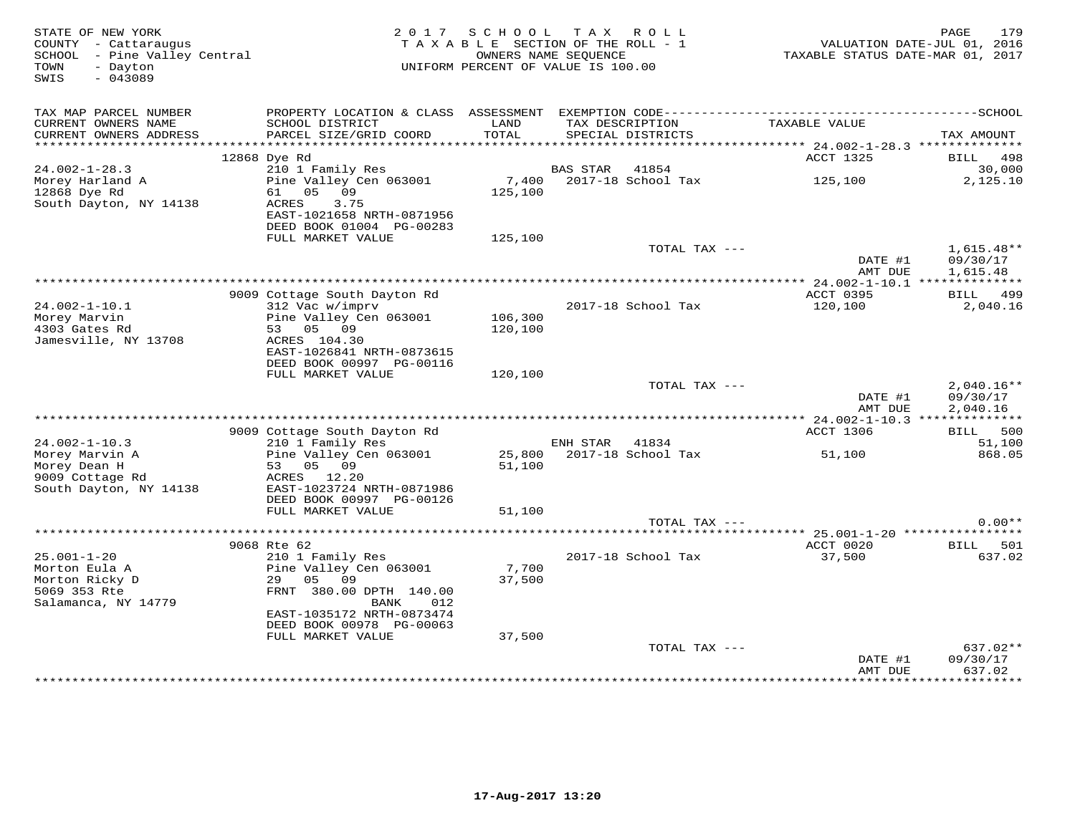| STATE OF NEW YORK<br>COUNTY - Cattaraugus<br>SCHOOL - Pine Valley Central<br>- Dayton<br>TOWN<br>$-043089$<br>SWIS |                                            | 2017 SCHOOL<br>T A X<br>R O L L<br>TAXABLE SECTION OF THE ROLL - 1<br>OWNERS NAME SEOUENCE<br>UNIFORM PERCENT OF VALUE IS 100.00 |                 |                             | 179<br>PAGE<br>VALUATION DATE-JUL 01, 2016<br>TAXABLE STATUS DATE-MAR 01, 2017 |                        |  |
|--------------------------------------------------------------------------------------------------------------------|--------------------------------------------|----------------------------------------------------------------------------------------------------------------------------------|-----------------|-----------------------------|--------------------------------------------------------------------------------|------------------------|--|
| TAX MAP PARCEL NUMBER<br>CURRENT OWNERS NAME                                                                       | SCHOOL DISTRICT                            | LAND                                                                                                                             |                 | TAX DESCRIPTION             | TAXABLE VALUE                                                                  |                        |  |
| CURRENT OWNERS ADDRESS                                                                                             | PARCEL SIZE/GRID COORD                     | TOTAL                                                                                                                            |                 | SPECIAL DISTRICTS           |                                                                                | TAX AMOUNT             |  |
|                                                                                                                    |                                            |                                                                                                                                  |                 |                             |                                                                                |                        |  |
|                                                                                                                    | 12868 Dye Rd                               |                                                                                                                                  |                 |                             | ACCT 1325                                                                      | 498<br>BILL            |  |
| $24.002 - 1 - 28.3$<br>Morey Harland A                                                                             | 210 1 Family Res<br>Pine Valley Cen 063001 | 7,400                                                                                                                            | <b>BAS STAR</b> | 41854<br>2017-18 School Tax | 125,100                                                                        | 30,000<br>2,125.10     |  |
| 12868 Dye Rd                                                                                                       | 61 05<br>09                                | 125,100                                                                                                                          |                 |                             |                                                                                |                        |  |
| South Dayton, NY 14138                                                                                             | ACRES<br>3.75                              |                                                                                                                                  |                 |                             |                                                                                |                        |  |
|                                                                                                                    | EAST-1021658 NRTH-0871956                  |                                                                                                                                  |                 |                             |                                                                                |                        |  |
|                                                                                                                    | DEED BOOK 01004 PG-00283                   |                                                                                                                                  |                 |                             |                                                                                |                        |  |
|                                                                                                                    | FULL MARKET VALUE                          | 125,100                                                                                                                          |                 |                             |                                                                                |                        |  |
|                                                                                                                    |                                            |                                                                                                                                  |                 | TOTAL TAX ---               | DATE #1                                                                        | 1,615.48**<br>09/30/17 |  |
|                                                                                                                    |                                            |                                                                                                                                  |                 |                             | AMT DUE                                                                        | 1,615.48               |  |
|                                                                                                                    |                                            |                                                                                                                                  |                 |                             | **************** 24.002-1-10.1 **************                                  |                        |  |
|                                                                                                                    | 9009 Cottage South Dayton Rd               |                                                                                                                                  |                 |                             | ACCT 0395                                                                      | <b>BILL</b> 499        |  |
| $24.002 - 1 - 10.1$                                                                                                | 312 Vac w/imprv                            |                                                                                                                                  |                 | 2017-18 School Tax          | 120,100                                                                        | 2,040.16               |  |
| Morey Marvin                                                                                                       | Pine Valley Cen 063001                     | 106,300                                                                                                                          |                 |                             |                                                                                |                        |  |
| 4303 Gates Rd<br>Jamesville, NY 13708                                                                              | 53 05 09<br>ACRES 104.30                   | 120,100                                                                                                                          |                 |                             |                                                                                |                        |  |
|                                                                                                                    | EAST-1026841 NRTH-0873615                  |                                                                                                                                  |                 |                             |                                                                                |                        |  |
|                                                                                                                    | DEED BOOK 00997 PG-00116                   |                                                                                                                                  |                 |                             |                                                                                |                        |  |
|                                                                                                                    | FULL MARKET VALUE                          | 120,100                                                                                                                          |                 |                             |                                                                                |                        |  |
|                                                                                                                    |                                            |                                                                                                                                  |                 | TOTAL TAX ---               |                                                                                | $2,040.16**$           |  |
|                                                                                                                    |                                            |                                                                                                                                  |                 |                             | DATE #1                                                                        | 09/30/17               |  |
|                                                                                                                    |                                            |                                                                                                                                  |                 |                             | AMT DUE                                                                        | 2,040.16               |  |
|                                                                                                                    | 9009 Cottage South Dayton Rd               |                                                                                                                                  |                 |                             | ACCT 1306                                                                      | BILL 500               |  |
| $24.002 - 1 - 10.3$                                                                                                | 210 1 Family Res                           |                                                                                                                                  | ENH STAR        | 41834                       |                                                                                | 51,100                 |  |
| Morey Marvin A                                                                                                     | Pine Valley Cen 063001                     |                                                                                                                                  |                 | 25,800 2017-18 School Tax   | 51,100                                                                         | 868.05                 |  |
| Morey Dean H                                                                                                       | 53 05 09                                   | 51,100                                                                                                                           |                 |                             |                                                                                |                        |  |
| 9009 Cottage Rd                                                                                                    | ACRES 12.20<br>EAST-1023724 NRTH-0871986   |                                                                                                                                  |                 |                             |                                                                                |                        |  |
| South Dayton, NY 14138                                                                                             | DEED BOOK 00997 PG-00126                   |                                                                                                                                  |                 |                             |                                                                                |                        |  |
|                                                                                                                    | FULL MARKET VALUE                          | 51,100                                                                                                                           |                 |                             |                                                                                |                        |  |
|                                                                                                                    |                                            |                                                                                                                                  |                 | TOTAL TAX ---               |                                                                                | $0.00**$               |  |
|                                                                                                                    |                                            |                                                                                                                                  |                 |                             |                                                                                |                        |  |
|                                                                                                                    | 9068 Rte 62                                |                                                                                                                                  |                 |                             | ACCT 0020                                                                      | BILL 501               |  |
| $25.001 - 1 - 20$<br>Morton Eula A                                                                                 | 210 1 Family Res                           | 7,700                                                                                                                            |                 | 2017-18 School Tax          | 37,500                                                                         | 637.02                 |  |
| Morton Ricky D                                                                                                     | Pine Valley Cen 063001<br>29<br>05<br>09   | 37,500                                                                                                                           |                 |                             |                                                                                |                        |  |
| 5069 353 Rte                                                                                                       | FRNT 380.00 DPTH 140.00                    |                                                                                                                                  |                 |                             |                                                                                |                        |  |
| Salamanca, NY 14779                                                                                                | BANK<br>012                                |                                                                                                                                  |                 |                             |                                                                                |                        |  |
|                                                                                                                    | EAST-1035172 NRTH-0873474                  |                                                                                                                                  |                 |                             |                                                                                |                        |  |
|                                                                                                                    | DEED BOOK 00978 PG-00063                   |                                                                                                                                  |                 |                             |                                                                                |                        |  |
|                                                                                                                    | FULL MARKET VALUE                          | 37,500                                                                                                                           |                 | TOTAL TAX ---               |                                                                                | 637.02**               |  |
|                                                                                                                    |                                            |                                                                                                                                  |                 |                             | DATE #1                                                                        | 09/30/17               |  |
|                                                                                                                    |                                            |                                                                                                                                  |                 |                             | AMT DUE                                                                        | 637.02                 |  |
|                                                                                                                    |                                            |                                                                                                                                  |                 |                             |                                                                                | * * * * * * * * * *    |  |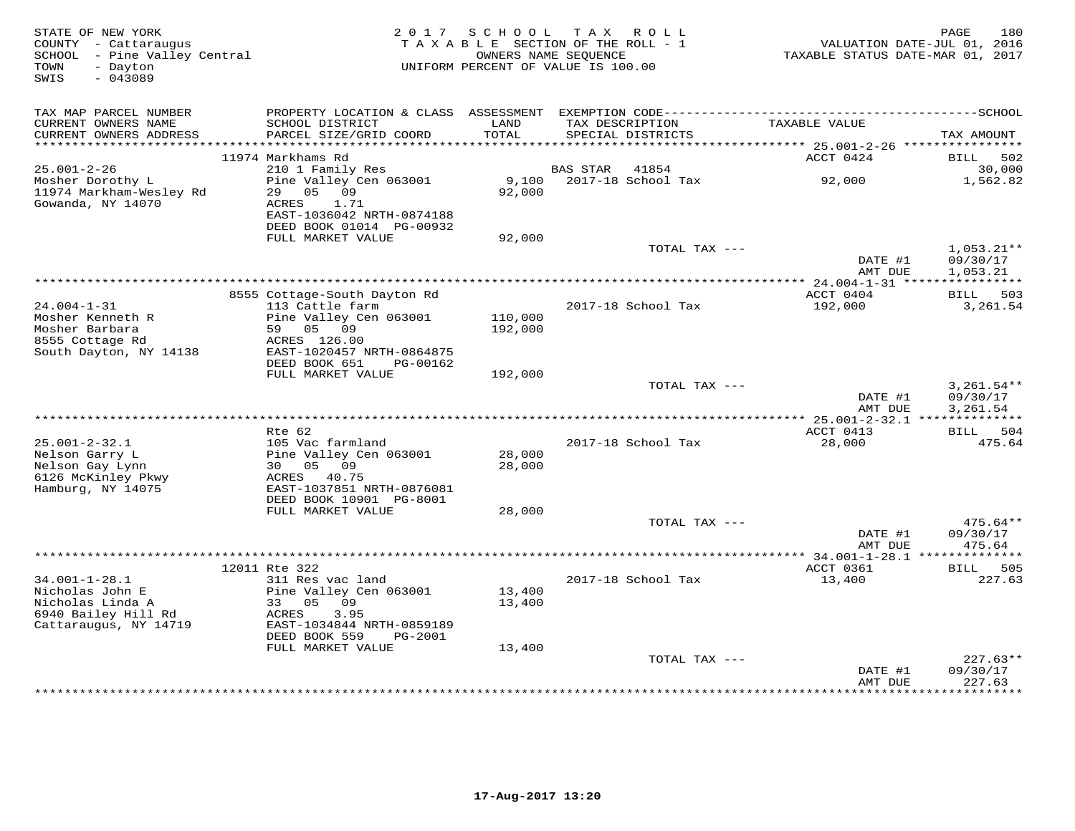| STATE OF NEW YORK<br>COUNTY - Cattaraugus<br>SCHOOL - Pine Valley Central<br>- Dayton<br>TOWN<br>$-043089$<br>SWIS | 2017                                            | SCHOOL<br>TAXABLE SECTION OF THE ROLL - 1<br>OWNERS NAME SEQUENCE<br>UNIFORM PERCENT OF VALUE IS 100.00 | T A X    | R O L L            | TAXABLE STATUS DATE-MAR 01, 2017            | 180<br>PAGE<br>VALUATION DATE-JUL 01, 2016 |
|--------------------------------------------------------------------------------------------------------------------|-------------------------------------------------|---------------------------------------------------------------------------------------------------------|----------|--------------------|---------------------------------------------|--------------------------------------------|
| TAX MAP PARCEL NUMBER                                                                                              |                                                 |                                                                                                         |          |                    |                                             |                                            |
| CURRENT OWNERS NAME                                                                                                | SCHOOL DISTRICT                                 | LAND                                                                                                    |          | TAX DESCRIPTION    | TAXABLE VALUE                               |                                            |
| CURRENT OWNERS ADDRESS<br>**************                                                                           | PARCEL SIZE/GRID COORD                          | TOTAL<br>*******                                                                                        |          | SPECIAL DISTRICTS  |                                             | TAX AMOUNT                                 |
|                                                                                                                    | 11974 Markhams Rd                               |                                                                                                         |          |                    | ****** 25.001-2-26 ***********<br>ACCT 0424 | BILL<br>502                                |
| $25.001 - 2 - 26$                                                                                                  | 210 1 Family Res                                |                                                                                                         | BAS STAR | 41854              |                                             | 30,000                                     |
| Mosher Dorothy L                                                                                                   | Pine Valley Cen 063001                          | 9,100                                                                                                   |          | 2017-18 School Tax | 92,000                                      | 1,562.82                                   |
| 11974 Markham-Wesley Rd                                                                                            | 0.5<br>09<br>29                                 | 92,000                                                                                                  |          |                    |                                             |                                            |
| Gowanda, NY 14070                                                                                                  | ACRES<br>1.71                                   |                                                                                                         |          |                    |                                             |                                            |
|                                                                                                                    | EAST-1036042 NRTH-0874188                       |                                                                                                         |          |                    |                                             |                                            |
|                                                                                                                    | DEED BOOK 01014 PG-00932<br>FULL MARKET VALUE   | 92,000                                                                                                  |          |                    |                                             |                                            |
|                                                                                                                    |                                                 |                                                                                                         |          | TOTAL TAX ---      |                                             | $1,053.21**$                               |
|                                                                                                                    |                                                 |                                                                                                         |          |                    | DATE #1                                     | 09/30/17                                   |
|                                                                                                                    |                                                 |                                                                                                         |          |                    | AMT DUE                                     | 1,053.21                                   |
|                                                                                                                    |                                                 |                                                                                                         |          |                    |                                             |                                            |
| $24.004 - 1 - 31$                                                                                                  | 8555 Cottage-South Dayton Rd<br>113 Cattle farm |                                                                                                         |          | 2017-18 School Tax | ACCT 0404<br>192,000                        | BILL 503<br>3,261.54                       |
| Mosher Kenneth R                                                                                                   | Pine Valley Cen 063001                          | 110,000                                                                                                 |          |                    |                                             |                                            |
| Mosher Barbara                                                                                                     | 05 09<br>59                                     | 192,000                                                                                                 |          |                    |                                             |                                            |
| 8555 Cottage Rd                                                                                                    | ACRES 126.00                                    |                                                                                                         |          |                    |                                             |                                            |
| South Dayton, NY 14138                                                                                             | EAST-1020457 NRTH-0864875                       |                                                                                                         |          |                    |                                             |                                            |
|                                                                                                                    | DEED BOOK 651<br>PG-00162<br>FULL MARKET VALUE  | 192,000                                                                                                 |          |                    |                                             |                                            |
|                                                                                                                    |                                                 |                                                                                                         |          | TOTAL TAX ---      |                                             | $3,261.54**$                               |
|                                                                                                                    |                                                 |                                                                                                         |          |                    | DATE #1                                     | 09/30/17                                   |
|                                                                                                                    |                                                 |                                                                                                         |          |                    | AMT DUE                                     | 3,261.54                                   |
|                                                                                                                    |                                                 |                                                                                                         |          |                    | ** 25.001-2-32.1 **************             |                                            |
| $25.001 - 2 - 32.1$                                                                                                | Rte 62<br>105 Vac farmland                      |                                                                                                         |          | 2017-18 School Tax | ACCT 0413<br>28,000                         | <b>BILL</b><br>504<br>475.64               |
| Nelson Garry L                                                                                                     | Pine Valley Cen 063001                          | 28,000                                                                                                  |          |                    |                                             |                                            |
| Nelson Gay Lynn                                                                                                    | 30 05<br>09                                     | 28,000                                                                                                  |          |                    |                                             |                                            |
| 6126 McKinley Pkwy                                                                                                 | ACRES<br>40.75                                  |                                                                                                         |          |                    |                                             |                                            |
| Hamburg, NY 14075                                                                                                  | EAST-1037851 NRTH-0876081                       |                                                                                                         |          |                    |                                             |                                            |
|                                                                                                                    | DEED BOOK 10901 PG-8001<br>FULL MARKET VALUE    | 28,000                                                                                                  |          |                    |                                             |                                            |
|                                                                                                                    |                                                 |                                                                                                         |          | TOTAL TAX ---      |                                             | 475.64**                                   |
|                                                                                                                    |                                                 |                                                                                                         |          |                    | DATE #1                                     | 09/30/17                                   |
|                                                                                                                    |                                                 |                                                                                                         |          |                    | AMT DUE                                     | 475.64                                     |
|                                                                                                                    |                                                 |                                                                                                         |          |                    |                                             | ********                                   |
| $34.001 - 1 - 28.1$                                                                                                | 12011 Rte 322<br>311 Res vac land               |                                                                                                         |          | 2017-18 School Tax | ACCT 0361<br>13,400                         | BILL<br>505<br>227.63                      |
| Nicholas John E                                                                                                    | Pine Valley Cen 063001                          | 13,400                                                                                                  |          |                    |                                             |                                            |
| Nicholas Linda A                                                                                                   | 33<br>05<br>09                                  | 13,400                                                                                                  |          |                    |                                             |                                            |
| 6940 Bailey Hill Rd                                                                                                | ACRES<br>3.95                                   |                                                                                                         |          |                    |                                             |                                            |
| Cattaraugus, NY 14719                                                                                              | EAST-1034844 NRTH-0859189                       |                                                                                                         |          |                    |                                             |                                            |
|                                                                                                                    | DEED BOOK 559<br>PG-2001<br>FULL MARKET VALUE   | 13,400                                                                                                  |          |                    |                                             |                                            |
|                                                                                                                    |                                                 |                                                                                                         |          | TOTAL TAX ---      |                                             | $227.63**$                                 |
|                                                                                                                    |                                                 |                                                                                                         |          |                    | DATE #1                                     | 09/30/17                                   |
|                                                                                                                    |                                                 |                                                                                                         |          |                    | AMT DUE                                     | 227.63<br>* * * * * * * * *                |
|                                                                                                                    |                                                 |                                                                                                         |          |                    | **********                                  |                                            |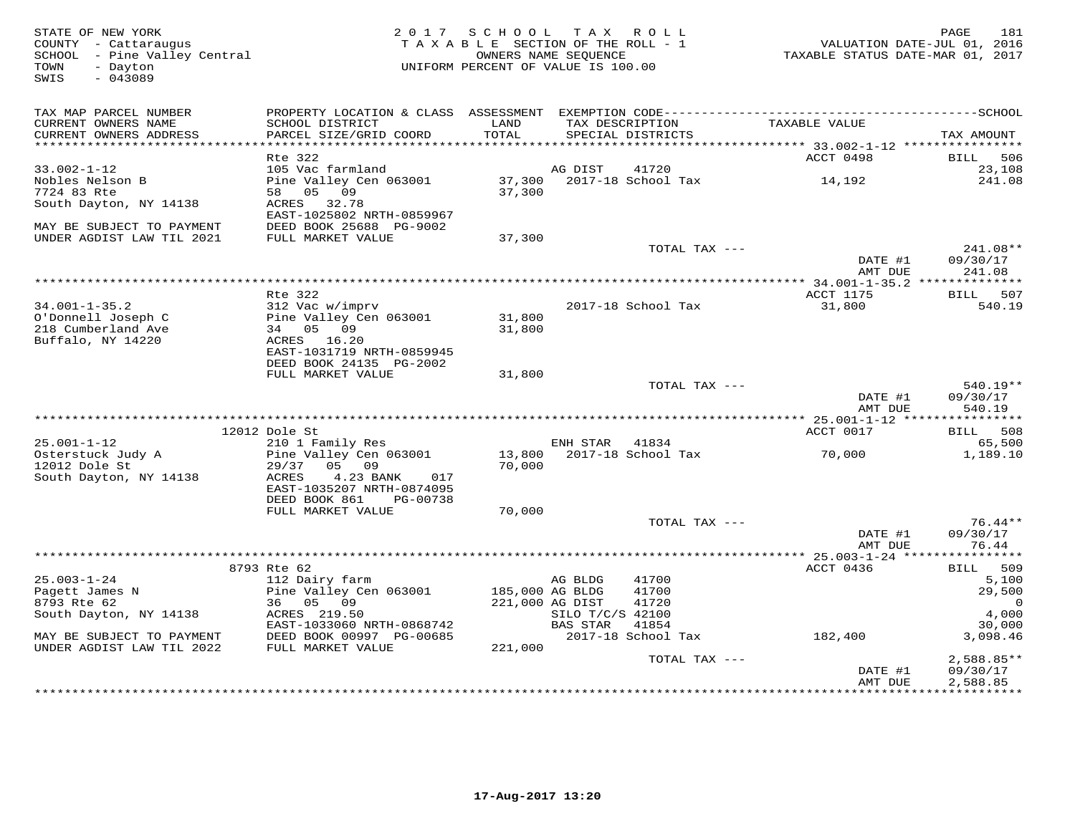| STATE OF NEW YORK<br>COUNTY - Cattaraugus<br>SCHOOL - Pine Valley Central<br>- Dayton<br>TOWN<br>SWIS<br>$-043089$ | 2 0 1 7                                                | SCHOOL TAX ROLL<br>TAXABLE SECTION OF THE ROLL - 1<br>OWNERS NAME SEQUENCE<br>UNIFORM PERCENT OF VALUE IS 100.00 |                              |                    | VALUATION DATE-JUL 01, 2016<br>TAXABLE STATUS DATE-MAR 01, 2017 | 181<br>PAGE             |
|--------------------------------------------------------------------------------------------------------------------|--------------------------------------------------------|------------------------------------------------------------------------------------------------------------------|------------------------------|--------------------|-----------------------------------------------------------------|-------------------------|
| TAX MAP PARCEL NUMBER<br>CURRENT OWNERS NAME                                                                       | SCHOOL DISTRICT                                        | LAND                                                                                                             |                              | TAX DESCRIPTION    | TAXABLE VALUE                                                   |                         |
| CURRENT OWNERS ADDRESS<br>***********************                                                                  | PARCEL SIZE/GRID COORD                                 | TOTAL                                                                                                            |                              | SPECIAL DISTRICTS  |                                                                 | TAX AMOUNT              |
|                                                                                                                    | Rte 322                                                |                                                                                                                  |                              |                    | ACCT 0498                                                       | 506<br>BILL             |
| $33.002 - 1 - 12$                                                                                                  | 105 Vac farmland                                       |                                                                                                                  | AG DIST                      | 41720              |                                                                 | 23,108                  |
| Nobles Nelson B                                                                                                    | Pine Valley Cen 063001                                 | 37,300                                                                                                           |                              | 2017-18 School Tax | 14,192                                                          | 241.08                  |
| 7724 83 Rte                                                                                                        | 05<br>09<br>58                                         | 37,300                                                                                                           |                              |                    |                                                                 |                         |
| South Dayton, NY 14138                                                                                             | ACRES<br>32.78                                         |                                                                                                                  |                              |                    |                                                                 |                         |
|                                                                                                                    | EAST-1025802 NRTH-0859967                              |                                                                                                                  |                              |                    |                                                                 |                         |
| MAY BE SUBJECT TO PAYMENT                                                                                          | DEED BOOK 25688 PG-9002                                |                                                                                                                  |                              |                    |                                                                 |                         |
| UNDER AGDIST LAW TIL 2021                                                                                          | FULL MARKET VALUE                                      | 37,300                                                                                                           |                              |                    |                                                                 |                         |
|                                                                                                                    |                                                        |                                                                                                                  |                              | TOTAL TAX ---      | DATE #1                                                         | 241.08**<br>09/30/17    |
|                                                                                                                    |                                                        |                                                                                                                  |                              |                    | AMT DUE                                                         | 241.08                  |
|                                                                                                                    |                                                        | *********************************                                                                                |                              |                    | **** 34.001-1-35.2 ***************                              |                         |
|                                                                                                                    | Rte 322                                                |                                                                                                                  |                              |                    | ACCT 1175                                                       | 507<br><b>BILL</b>      |
| $34.001 - 1 - 35.2$                                                                                                | 312 Vac w/imprv                                        |                                                                                                                  |                              | 2017-18 School Tax | 31,800                                                          | 540.19                  |
| O'Donnell Joseph C                                                                                                 | Pine Valley Cen 063001                                 | 31,800                                                                                                           |                              |                    |                                                                 |                         |
| 218 Cumberland Ave                                                                                                 | 34 05 09                                               | 31,800                                                                                                           |                              |                    |                                                                 |                         |
| Buffalo, NY 14220                                                                                                  | ACRES 16.20                                            |                                                                                                                  |                              |                    |                                                                 |                         |
|                                                                                                                    | EAST-1031719 NRTH-0859945                              |                                                                                                                  |                              |                    |                                                                 |                         |
|                                                                                                                    | DEED BOOK 24135 PG-2002                                |                                                                                                                  |                              |                    |                                                                 |                         |
|                                                                                                                    | FULL MARKET VALUE                                      | 31,800                                                                                                           |                              | TOTAL TAX ---      |                                                                 | 540.19**                |
|                                                                                                                    |                                                        |                                                                                                                  |                              |                    | DATE #1                                                         | 09/30/17                |
|                                                                                                                    |                                                        |                                                                                                                  |                              |                    | AMT DUE                                                         | 540.19                  |
|                                                                                                                    |                                                        |                                                                                                                  |                              |                    |                                                                 |                         |
|                                                                                                                    | 12012 Dole St                                          |                                                                                                                  |                              |                    | ACCT 0017                                                       | BILL<br>508             |
| $25.001 - 1 - 12$                                                                                                  | 210 1 Family Res                                       |                                                                                                                  | ENH STAR 41834               |                    |                                                                 | 65,500                  |
| Osterstuck Judy A                                                                                                  | Pine Valley Cen 063001                                 | 13,800                                                                                                           |                              | 2017-18 School Tax | 70,000                                                          | 1,189.10                |
| 12012 Dole St                                                                                                      | 05 09<br>29/37                                         | 70,000                                                                                                           |                              |                    |                                                                 |                         |
| South Dayton, NY 14138                                                                                             | 4.23 BANK<br><b>ACRES</b><br>017                       |                                                                                                                  |                              |                    |                                                                 |                         |
|                                                                                                                    | EAST-1035207 NRTH-0874095<br>DEED BOOK 861<br>PG-00738 |                                                                                                                  |                              |                    |                                                                 |                         |
|                                                                                                                    | FULL MARKET VALUE                                      | 70,000                                                                                                           |                              |                    |                                                                 |                         |
|                                                                                                                    |                                                        |                                                                                                                  |                              | TOTAL TAX ---      |                                                                 | $76.44**$               |
|                                                                                                                    |                                                        |                                                                                                                  |                              |                    | DATE #1                                                         | 09/30/17                |
|                                                                                                                    |                                                        |                                                                                                                  |                              |                    | AMT DUE                                                         | 76.44                   |
|                                                                                                                    |                                                        |                                                                                                                  |                              |                    |                                                                 | ********                |
|                                                                                                                    | 8793 Rte 62                                            |                                                                                                                  |                              |                    | ACCT 0436                                                       | 509<br>BILL             |
| $25.003 - 1 - 24$                                                                                                  | 112 Dairy farm                                         |                                                                                                                  | AG BLDG                      | 41700              |                                                                 | 5,100                   |
| Pagett James N                                                                                                     | Pine Valley Cen 063001                                 | 185,000 AG BLDG                                                                                                  |                              | 41700              |                                                                 | 29,500                  |
| 8793 Rte 62                                                                                                        | 05 09<br>36                                            | 221,000 AG DIST                                                                                                  |                              | 41720              |                                                                 | 0                       |
| South Dayton, NY 14138                                                                                             | ACRES 219.50<br>EAST-1033060 NRTH-0868742              |                                                                                                                  | SILO T/C/S 42100<br>BAS STAR | 41854              |                                                                 | 4,000<br>30,000         |
| MAY BE SUBJECT TO PAYMENT                                                                                          | DEED BOOK 00997 PG-00685                               |                                                                                                                  |                              | 2017-18 School Tax | 182,400                                                         | 3,098.46                |
| UNDER AGDIST LAW TIL 2022                                                                                          | FULL MARKET VALUE                                      | 221,000                                                                                                          |                              |                    |                                                                 |                         |
|                                                                                                                    |                                                        |                                                                                                                  |                              | TOTAL TAX ---      |                                                                 | $2,588.85**$            |
|                                                                                                                    |                                                        |                                                                                                                  |                              |                    | DATE #1                                                         | 09/30/17                |
|                                                                                                                    |                                                        |                                                                                                                  |                              |                    | AMT DUE                                                         | 2,588.85                |
|                                                                                                                    |                                                        |                                                                                                                  |                              |                    | ************                                                    | * * * * * * * * * * * * |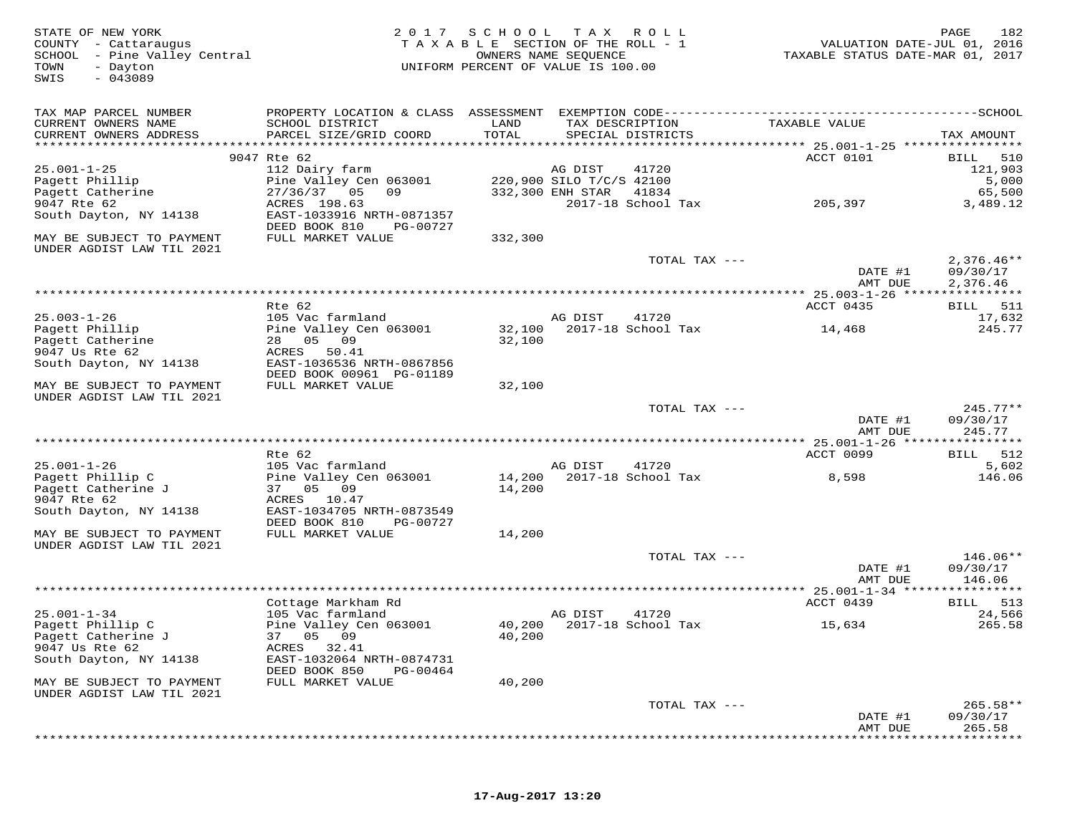| STATE OF NEW YORK<br>COUNTY - Cattaraugus<br>SCHOOL - Pine Valley Central<br>TOWN<br>- Dayton<br>$-043089$<br>SWIS | 2 0 1 7                                                | SCHOOL<br>T A X A B L E SECTION OF THE ROLL - 1<br>UNIFORM PERCENT OF VALUE IS 100.00 | T A X<br>OWNERS NAME SEQUENCE       | R O L L                   | VALUATION DATE-JUL 01, 2016<br>TAXABLE STATUS DATE-MAR 01, 2017                              | PAGE<br>182              |
|--------------------------------------------------------------------------------------------------------------------|--------------------------------------------------------|---------------------------------------------------------------------------------------|-------------------------------------|---------------------------|----------------------------------------------------------------------------------------------|--------------------------|
| TAX MAP PARCEL NUMBER                                                                                              |                                                        |                                                                                       |                                     |                           | PROPERTY LOCATION & CLASS ASSESSMENT EXEMPTION CODE-----------------------------------SCHOOL |                          |
| CURRENT OWNERS NAME<br>CURRENT OWNERS ADDRESS                                                                      | SCHOOL DISTRICT<br>PARCEL SIZE/GRID COORD              | LAND<br>TOTAL                                                                         | TAX DESCRIPTION                     | SPECIAL DISTRICTS         | TAXABLE VALUE                                                                                | TAX AMOUNT               |
|                                                                                                                    |                                                        |                                                                                       |                                     |                           |                                                                                              |                          |
|                                                                                                                    | 9047 Rte 62                                            |                                                                                       |                                     |                           | ACCT 0101                                                                                    | 510<br>BILL              |
| $25.001 - 1 - 25$<br>Pagett Phillip                                                                                | 112 Dairy farm<br>Pine Valley Cen 063001               |                                                                                       | AG DIST<br>220,900 SILO T/C/S 42100 | 41720                     |                                                                                              | 121,903<br>5,000         |
| Pagett Catherine                                                                                                   | 27/36/37<br>05<br>09                                   |                                                                                       | 332,300 ENH STAR                    | 41834                     |                                                                                              | 65,500                   |
| 9047 Rte 62                                                                                                        | ACRES 198.63                                           |                                                                                       |                                     | 2017-18 School Tax        | 205,397                                                                                      | 3,489.12                 |
| South Dayton, NY 14138                                                                                             | EAST-1033916 NRTH-0871357<br>DEED BOOK 810<br>PG-00727 |                                                                                       |                                     |                           |                                                                                              |                          |
| MAY BE SUBJECT TO PAYMENT<br>UNDER AGDIST LAW TIL 2021                                                             | FULL MARKET VALUE                                      | 332,300                                                                               |                                     |                           |                                                                                              |                          |
|                                                                                                                    |                                                        |                                                                                       |                                     | TOTAL TAX ---             | DATE #1                                                                                      | $2,376.46**$<br>09/30/17 |
|                                                                                                                    |                                                        |                                                                                       |                                     |                           | AMT DUE                                                                                      | 2,376.46                 |
|                                                                                                                    |                                                        |                                                                                       |                                     |                           |                                                                                              |                          |
| $25.003 - 1 - 26$                                                                                                  | Rte 62<br>105 Vac farmland                             |                                                                                       | AG DIST                             | 41720                     | ACCT 0435                                                                                    | 511<br>BILL<br>17,632    |
| Pagett Phillip                                                                                                     | Pine Valley Cen 063001                                 | 32,100                                                                                |                                     | 2017-18 School Tax        | 14,468                                                                                       | 245.77                   |
| Pagett Catherine                                                                                                   | 28 05 09                                               | 32,100                                                                                |                                     |                           |                                                                                              |                          |
| 9047 Us Rte 62                                                                                                     | ACRES<br>50.41                                         |                                                                                       |                                     |                           |                                                                                              |                          |
| South Dayton, NY 14138                                                                                             | EAST-1036536 NRTH-0867856<br>DEED BOOK 00961 PG-01189  |                                                                                       |                                     |                           |                                                                                              |                          |
| MAY BE SUBJECT TO PAYMENT                                                                                          | FULL MARKET VALUE                                      | 32,100                                                                                |                                     |                           |                                                                                              |                          |
| UNDER AGDIST LAW TIL 2021                                                                                          |                                                        |                                                                                       |                                     |                           |                                                                                              |                          |
|                                                                                                                    |                                                        |                                                                                       |                                     | TOTAL TAX ---             | DATE #1                                                                                      | $245.77**$<br>09/30/17   |
|                                                                                                                    |                                                        |                                                                                       |                                     |                           | AMT DUE                                                                                      | 245.77                   |
|                                                                                                                    | Rte 62                                                 |                                                                                       |                                     |                           | ACCT 0099                                                                                    | 512<br>BILL              |
| $25.001 - 1 - 26$                                                                                                  | 105 Vac farmland                                       |                                                                                       | AG DIST                             | 41720                     |                                                                                              | 5,602                    |
| Pagett Phillip C                                                                                                   | Pine Valley Cen 063001                                 | 14,200                                                                                |                                     | 2017-18 School Tax        | 8,598                                                                                        | 146.06                   |
| Pagett Catherine J                                                                                                 | 09<br>37 05                                            | 14,200                                                                                |                                     |                           |                                                                                              |                          |
| 9047 Rte 62                                                                                                        | ACRES<br>10.47                                         |                                                                                       |                                     |                           |                                                                                              |                          |
| South Dayton, NY 14138                                                                                             | EAST-1034705 NRTH-0873549<br>DEED BOOK 810<br>PG-00727 |                                                                                       |                                     |                           |                                                                                              |                          |
| MAY BE SUBJECT TO PAYMENT                                                                                          | FULL MARKET VALUE                                      | 14,200                                                                                |                                     |                           |                                                                                              |                          |
| UNDER AGDIST LAW TIL 2021                                                                                          |                                                        |                                                                                       |                                     |                           |                                                                                              |                          |
|                                                                                                                    |                                                        |                                                                                       |                                     | TOTAL TAX ---             |                                                                                              | 146.06**                 |
|                                                                                                                    |                                                        |                                                                                       |                                     |                           | DATE #1<br>AMT DUE                                                                           | 09/30/17<br>146.06       |
|                                                                                                                    |                                                        |                                                                                       |                                     |                           |                                                                                              | * * * * * * * * *        |
|                                                                                                                    | Cottage Markham Rd                                     |                                                                                       |                                     |                           | ACCT 0439                                                                                    | BILL<br>513              |
| $25.001 - 1 - 34$                                                                                                  | 105 Vac farmland                                       |                                                                                       | AG DIST                             | 41720                     |                                                                                              | 24,566                   |
| Pagett Phillip C                                                                                                   | Pine Valley Cen 063001                                 |                                                                                       |                                     | 40,200 2017-18 School Tax | 15,634                                                                                       | 265.58                   |
| Pagett Catherine J                                                                                                 | 37 05<br>09                                            | 40,200                                                                                |                                     |                           |                                                                                              |                          |
| 9047 Us Rte 62                                                                                                     | ACRES<br>32.41                                         |                                                                                       |                                     |                           |                                                                                              |                          |
| South Dayton, NY 14138                                                                                             | EAST-1032064 NRTH-0874731<br>DEED BOOK 850<br>PG-00464 |                                                                                       |                                     |                           |                                                                                              |                          |
| MAY BE SUBJECT TO PAYMENT                                                                                          | FULL MARKET VALUE                                      | 40,200                                                                                |                                     |                           |                                                                                              |                          |
| UNDER AGDIST LAW TIL 2021                                                                                          |                                                        |                                                                                       |                                     | TOTAL TAX ---             |                                                                                              | $265.58**$               |
|                                                                                                                    |                                                        |                                                                                       |                                     |                           | DATE #1                                                                                      | 09/30/17                 |
|                                                                                                                    |                                                        |                                                                                       |                                     |                           | AMT DUE                                                                                      | 265.58                   |
|                                                                                                                    |                                                        |                                                                                       |                                     |                           |                                                                                              |                          |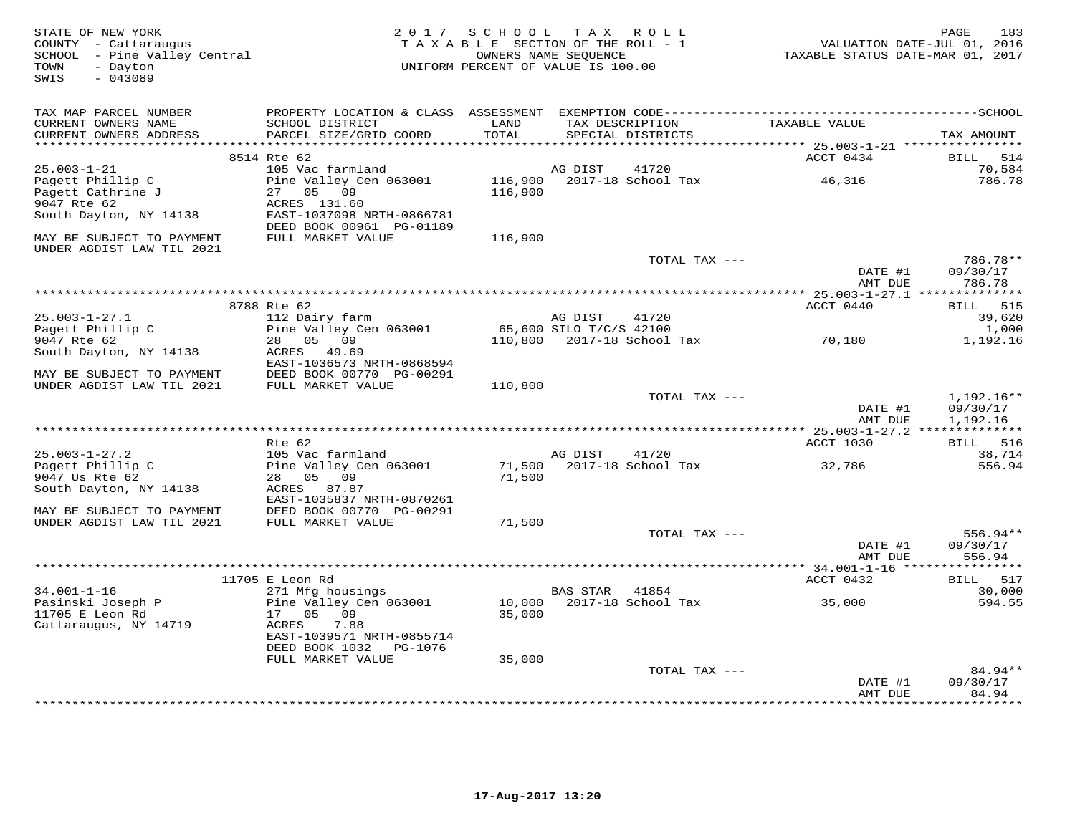| STATE OF NEW YORK<br>COUNTY - Cattaraugus<br>SCHOOL - Pine Valley Central<br>- Dayton<br>TOWN<br>$-043089$<br>SWIS | 2 0 1 7                                                                               | SCHOOL TAX ROLL<br>TAXABLE SECTION OF THE ROLL - 1<br>UNIFORM PERCENT OF VALUE IS 100.00 | OWNERS NAME SEQUENCE    |                    | VALUATION DATE-JUL 01, 2016<br>TAXABLE STATUS DATE-MAR 01, 2017 | 183<br>PAGE                    |
|--------------------------------------------------------------------------------------------------------------------|---------------------------------------------------------------------------------------|------------------------------------------------------------------------------------------|-------------------------|--------------------|-----------------------------------------------------------------|--------------------------------|
| TAX MAP PARCEL NUMBER<br>CURRENT OWNERS NAME                                                                       | SCHOOL DISTRICT                                                                       | LAND                                                                                     |                         | TAX DESCRIPTION    | TAXABLE VALUE                                                   |                                |
| CURRENT OWNERS ADDRESS                                                                                             | PARCEL SIZE/GRID COORD                                                                | TOTAL<br>* * * * * *                                                                     |                         | SPECIAL DISTRICTS  | ****** 25.003-1-21 ***                                          | TAX AMOUNT                     |
|                                                                                                                    | 8514 Rte 62                                                                           |                                                                                          |                         |                    | ACCT 0434                                                       | 514<br>BILL                    |
| $25.003 - 1 - 21$                                                                                                  | 105 Vac farmland                                                                      |                                                                                          | AG DIST                 | 41720              |                                                                 | 70,584                         |
| Pagett Phillip C<br>Pagett Cathrine J<br>9047 Rte 62<br>South Dayton, NY 14138                                     | Pine Valley Cen 063001<br>27<br>05<br>09<br>ACRES 131.60<br>EAST-1037098 NRTH-0866781 | 116,900<br>116,900                                                                       |                         | 2017-18 School Tax | 46,316                                                          | 786.78                         |
| MAY BE SUBJECT TO PAYMENT                                                                                          | DEED BOOK 00961 PG-01189<br>FULL MARKET VALUE                                         | 116,900                                                                                  |                         |                    |                                                                 |                                |
| UNDER AGDIST LAW TIL 2021                                                                                          |                                                                                       |                                                                                          |                         |                    |                                                                 |                                |
|                                                                                                                    |                                                                                       |                                                                                          |                         | TOTAL TAX ---      | DATE #1<br>AMT DUE                                              | 786.78**<br>09/30/17<br>786.78 |
|                                                                                                                    |                                                                                       |                                                                                          |                         |                    |                                                                 |                                |
|                                                                                                                    | 8788 Rte 62                                                                           |                                                                                          |                         |                    | ACCT 0440                                                       | 515<br>BILL                    |
| $25.003 - 1 - 27.1$                                                                                                | 112 Dairy farm                                                                        |                                                                                          | AG DIST                 | 41720              |                                                                 | 39,620                         |
| Pagett Phillip C                                                                                                   | Pine Valley Cen 063001                                                                |                                                                                          | 65,600 SILO T/C/S 42100 |                    |                                                                 | 1,000                          |
| 9047 Rte 62                                                                                                        | 05 09<br>28                                                                           | 110,800                                                                                  |                         | 2017-18 School Tax | 70,180                                                          | 1,192.16                       |
| South Dayton, NY 14138                                                                                             | 49.69<br>ACRES<br>EAST-1036573 NRTH-0868594                                           |                                                                                          |                         |                    |                                                                 |                                |
| MAY BE SUBJECT TO PAYMENT<br>UNDER AGDIST LAW TIL 2021                                                             | DEED BOOK 00770 PG-00291<br>FULL MARKET VALUE                                         | 110,800                                                                                  |                         |                    |                                                                 |                                |
|                                                                                                                    |                                                                                       |                                                                                          |                         | TOTAL TAX ---      |                                                                 | $1,192.16**$                   |
|                                                                                                                    |                                                                                       |                                                                                          |                         |                    | DATE #1<br>AMT DUE                                              | 09/30/17<br>1,192.16           |
|                                                                                                                    |                                                                                       |                                                                                          |                         |                    |                                                                 |                                |
|                                                                                                                    | Rte 62                                                                                |                                                                                          |                         |                    | ACCT 1030                                                       | 516<br><b>BILL</b>             |
| $25.003 - 1 - 27.2$                                                                                                | 105 Vac farmland                                                                      |                                                                                          | AG DIST                 | 41720              |                                                                 | 38,714                         |
| Pagett Phillip C<br>9047 Us Rte 62<br>South Dayton, NY 14138                                                       | Pine Valley Cen 063001<br>05<br>09<br>28<br>ACRES 87.87                               | 71,500<br>71,500                                                                         |                         | 2017-18 School Tax | 32,786                                                          | 556.94                         |
| MAY BE SUBJECT TO PAYMENT                                                                                          | EAST-1035837 NRTH-0870261<br>DEED BOOK 00770 PG-00291                                 |                                                                                          |                         |                    |                                                                 |                                |
| UNDER AGDIST LAW TIL 2021                                                                                          | FULL MARKET VALUE                                                                     | 71,500                                                                                   |                         |                    |                                                                 |                                |
|                                                                                                                    |                                                                                       |                                                                                          |                         | TOTAL TAX ---      | DATE #1                                                         | $556.94**$<br>09/30/17         |
|                                                                                                                    |                                                                                       |                                                                                          |                         |                    | AMT DUE                                                         | 556.94                         |
|                                                                                                                    | 11705 E Leon Rd                                                                       |                                                                                          |                         |                    | ** 34.001-1-16 ***:<br>ACCT 0432                                | 517<br>BILL                    |
| $34.001 - 1 - 16$                                                                                                  | 271 Mfg housings                                                                      |                                                                                          | <b>BAS STAR</b>         | 41854              |                                                                 | 30,000                         |
| Pasinski Joseph P                                                                                                  | Pine Valley Cen 063001                                                                | 10,000                                                                                   |                         | 2017-18 School Tax | 35,000                                                          | 594.55                         |
| 11705 E Leon Rd                                                                                                    | 17 05<br>09                                                                           | 35,000                                                                                   |                         |                    |                                                                 |                                |
| Cattaraugus, NY 14719                                                                                              | ACRES<br>7.88<br>EAST-1039571 NRTH-0855714                                            |                                                                                          |                         |                    |                                                                 |                                |
|                                                                                                                    | DEED BOOK 1032<br>PG-1076                                                             |                                                                                          |                         |                    |                                                                 |                                |
|                                                                                                                    | FULL MARKET VALUE                                                                     | 35,000                                                                                   |                         |                    |                                                                 |                                |
|                                                                                                                    |                                                                                       |                                                                                          |                         | TOTAL TAX ---      |                                                                 | $84.94**$                      |
|                                                                                                                    |                                                                                       |                                                                                          |                         |                    | DATE #1<br>AMT DUE                                              | 09/30/17<br>84.94              |
|                                                                                                                    |                                                                                       |                                                                                          |                         |                    |                                                                 | * * * * * * * *                |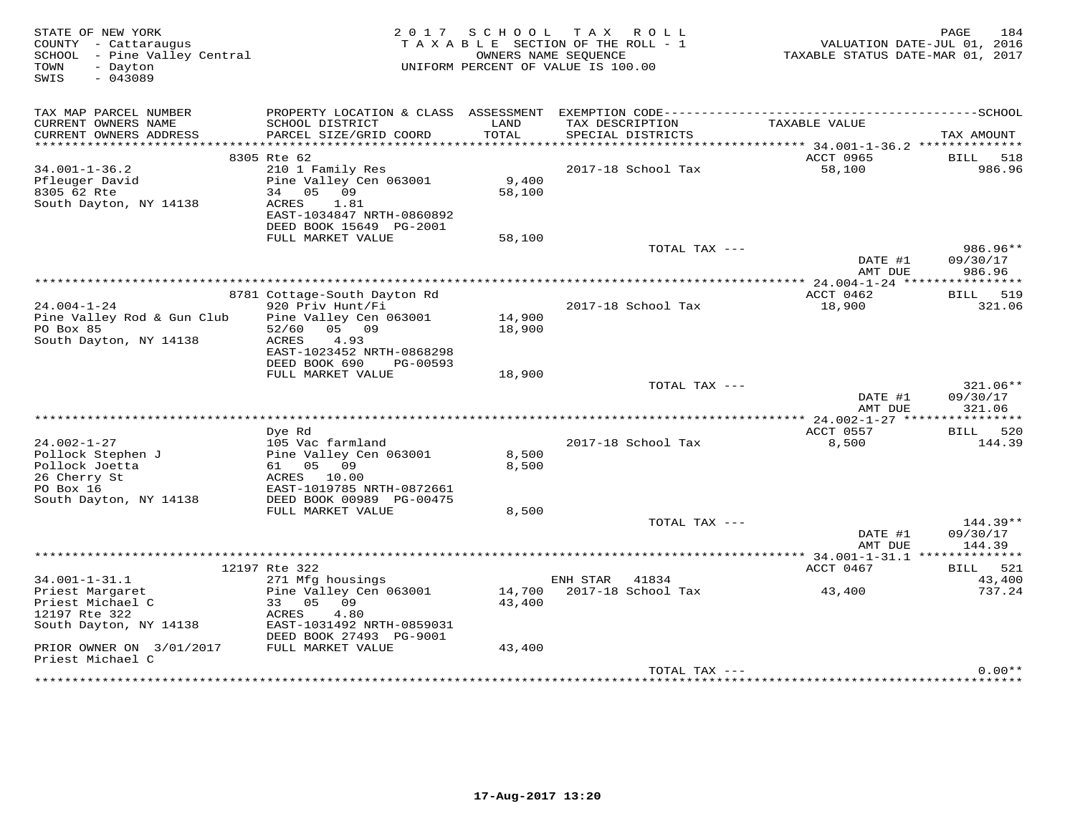| STATE OF NEW YORK<br>COUNTY - Cattaraugus<br>SCHOOL - Pine Valley Central<br>TOWN<br>- Dayton<br>$-043089$<br>SWIS |                                                                                                                                         | 2017 SCHOOL      | TAX ROLL<br>TAXABLE SECTION OF THE ROLL - 1<br>OWNERS NAME SEQUENCE<br>UNIFORM PERCENT OF VALUE IS 100.00 | TAXABLE STATUS DATE-MAR 01, 2017 | 184<br>PAGE<br>VALUATION DATE-JUL 01, 2016 |
|--------------------------------------------------------------------------------------------------------------------|-----------------------------------------------------------------------------------------------------------------------------------------|------------------|-----------------------------------------------------------------------------------------------------------|----------------------------------|--------------------------------------------|
| TAX MAP PARCEL NUMBER<br>CURRENT OWNERS NAME<br>CURRENT OWNERS ADDRESS                                             | SCHOOL DISTRICT<br>PARCEL SIZE/GRID COORD                                                                                               | LAND<br>TOTAL    | TAX DESCRIPTION<br>SPECIAL DISTRICTS                                                                      | TAXABLE VALUE                    | TAX AMOUNT                                 |
|                                                                                                                    |                                                                                                                                         |                  |                                                                                                           |                                  |                                            |
| $34.001 - 1 - 36.2$<br>Pfleuger David<br>8305 62 Rte<br>South Dayton, NY 14138                                     | 8305 Rte 62<br>210 1 Family Res<br>Pine Valley Cen 063001<br>34 05 09<br>ACRES<br>1.81<br>EAST-1034847 NRTH-0860892                     | 9,400<br>58,100  | 2017-18 School Tax                                                                                        | ACCT 0965<br>58,100              | BILL 518<br>986.96                         |
|                                                                                                                    | DEED BOOK 15649 PG-2001<br>FULL MARKET VALUE                                                                                            | 58,100           |                                                                                                           |                                  |                                            |
|                                                                                                                    |                                                                                                                                         |                  | TOTAL TAX ---                                                                                             | DATE #1<br>AMT DUE               | 986.96**<br>09/30/17<br>986.96             |
|                                                                                                                    |                                                                                                                                         |                  |                                                                                                           |                                  |                                            |
|                                                                                                                    | 8781 Cottage-South Dayton Rd                                                                                                            |                  |                                                                                                           | ACCT 0462                        | BILL 519                                   |
| $24.004 - 1 - 24$<br>Pine Valley Rod & Gun Club<br>PO Box 85<br>South Dayton, NY 14138                             | 920 Priv Hunt/Fi<br>Pine Valley Cen 063001<br>05 09<br>52/60<br>4.93<br>ACRES<br>EAST-1023452 NRTH-0868298<br>DEED BOOK 690<br>PG-00593 | 14,900<br>18,900 | 2017-18 School Tax                                                                                        | 18,900                           | 321.06                                     |
|                                                                                                                    | FULL MARKET VALUE                                                                                                                       | 18,900           |                                                                                                           |                                  |                                            |
|                                                                                                                    |                                                                                                                                         |                  | TOTAL TAX ---                                                                                             | DATE #1<br>AMT DUE               | 321.06**<br>09/30/17<br>321.06             |
|                                                                                                                    |                                                                                                                                         |                  |                                                                                                           |                                  |                                            |
|                                                                                                                    | Dye Rd                                                                                                                                  |                  |                                                                                                           | ACCT 0557                        | BILL 520                                   |
| $24.002 - 1 - 27$<br>Pollock Stephen J<br>Pollock Joetta<br>26 Cherry St<br>PO Box 16<br>South Dayton, NY 14138    | 105 Vac farmland<br>Pine Valley Cen 063001<br>61 05 09<br>ACRES 10.00<br>EAST-1019785 NRTH-0872661<br>DEED BOOK 00989 PG-00475          | 8,500<br>8,500   | 2017-18 School Tax                                                                                        | 8,500                            | 144.39                                     |
|                                                                                                                    | FULL MARKET VALUE                                                                                                                       | 8,500            |                                                                                                           |                                  |                                            |
|                                                                                                                    |                                                                                                                                         |                  | TOTAL TAX ---                                                                                             | DATE #1<br>AMT DUE               | $144.39**$<br>09/30/17<br>144.39           |
|                                                                                                                    |                                                                                                                                         |                  |                                                                                                           |                                  |                                            |
|                                                                                                                    | 12197 Rte 322                                                                                                                           |                  |                                                                                                           | ACCT 0467                        | BILL 521                                   |
| $34.001 - 1 - 31.1$<br>Priest Margaret<br>Priest Michael C<br>12197 Rte 322<br>South Dayton, NY 14138              | 271 Mfg housings<br>Pine Valley Cen 063001<br>33 05 09<br>4.80<br>ACRES<br>EAST-1031492 NRTH-0859031<br>DEED BOOK 27493 PG-9001         | 14,700<br>43,400 | ENH STAR<br>41834<br>2017-18 School Tax                                                                   | 43,400                           | 43,400<br>737.24                           |
| PRIOR OWNER ON 3/01/2017<br>Priest Michael C                                                                       | FULL MARKET VALUE                                                                                                                       | 43,400           |                                                                                                           |                                  |                                            |
|                                                                                                                    |                                                                                                                                         |                  | TOTAL TAX ---                                                                                             |                                  | $0.00**$                                   |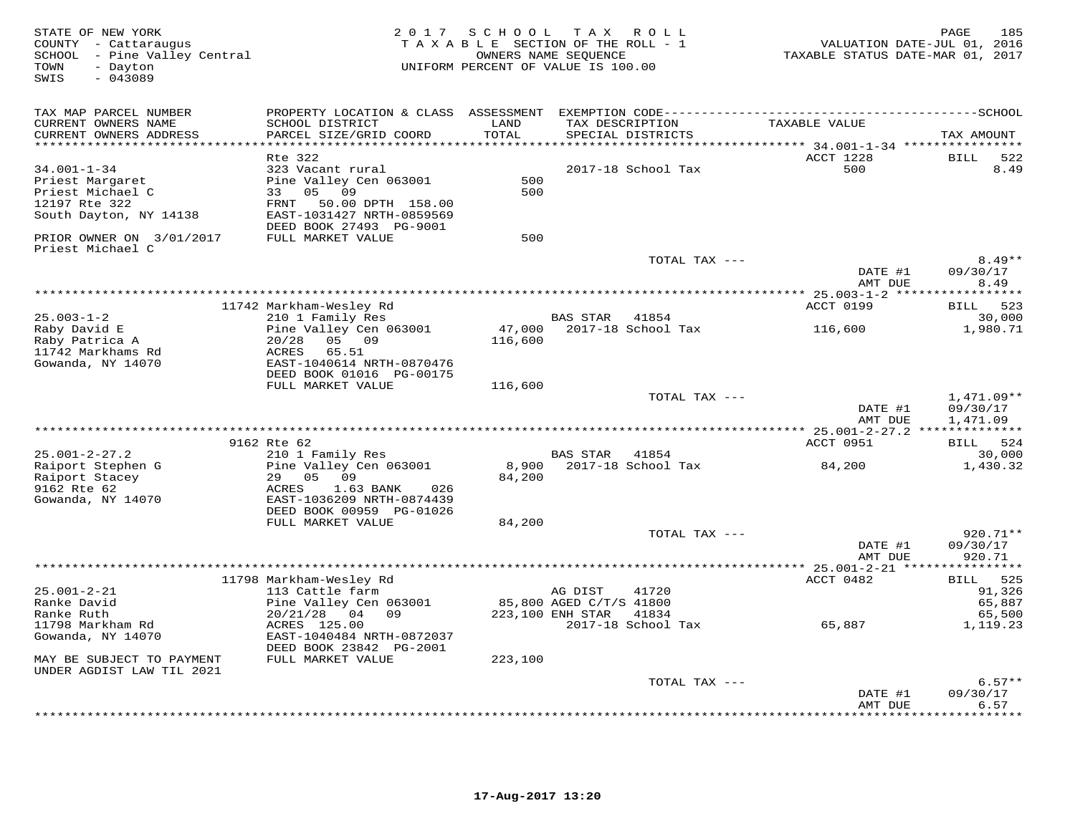| STATE OF NEW YORK<br>COUNTY - Cattaraugus<br>SCHOOL - Pine Valley Central<br>TOWN<br>- Dayton<br>$-043089$<br>SWIS |                                                                                                                                                           | 2017 SCHOOL TAX<br>TAXABLE SECTION OF THE ROLL - 1<br>UNIFORM PERCENT OF VALUE IS 100.00 | OWNERS NAME SEQUENCE                                   | R O L L                     | VALUATION DATE-JUL 01, 2016<br>TAXABLE STATUS DATE-MAR 01, 2017                 | 185<br>PAGE                               |
|--------------------------------------------------------------------------------------------------------------------|-----------------------------------------------------------------------------------------------------------------------------------------------------------|------------------------------------------------------------------------------------------|--------------------------------------------------------|-----------------------------|---------------------------------------------------------------------------------|-------------------------------------------|
| TAX MAP PARCEL NUMBER<br>CURRENT OWNERS NAME<br>CURRENT OWNERS ADDRESS<br>**********************                   | PROPERTY LOCATION & CLASS ASSESSMENT EXEMPTION CODE-----------------------------------SCHOOL<br>SCHOOL DISTRICT<br>PARCEL SIZE/GRID COORD                 | LAND<br>TOTAL<br>* * * * * * * * * *                                                     | TAX DESCRIPTION                                        | SPECIAL DISTRICTS           | TAXABLE VALUE<br>********************************* 34.001-1-34 **************** | TAX AMOUNT                                |
| $34.001 - 1 - 34$<br>Priest Margaret<br>Priest Michael C<br>12197 Rte 322<br>South Dayton, NY 14138                | Rte 322<br>323 Vacant rural<br>Pine Valley Cen 063001<br>33<br>05 09<br>50.00 DPTH 158.00<br>FRNT<br>EAST-1031427 NRTH-0859569<br>DEED BOOK 27493 PG-9001 | 500<br>500                                                                               |                                                        | 2017-18 School Tax          | ACCT 1228<br>500                                                                | <b>BILL</b><br>522<br>8.49                |
| PRIOR OWNER ON 3/01/2017<br>Priest Michael C                                                                       | FULL MARKET VALUE                                                                                                                                         | 500                                                                                      |                                                        | TOTAL TAX ---               |                                                                                 | $8.49**$                                  |
|                                                                                                                    |                                                                                                                                                           |                                                                                          |                                                        |                             | DATE #1<br>AMT DUE                                                              | 09/30/17<br>8.49                          |
|                                                                                                                    | 11742 Markham-Wesley Rd                                                                                                                                   |                                                                                          |                                                        |                             | ACCT 0199                                                                       | 523<br>BILL                               |
| $25.003 - 1 - 2$<br>Raby David E<br>Raby Patrica A<br>11742 Markhams Rd<br>Gowanda, NY 14070                       | 210 1 Family Res<br>Pine Valley Cen 063001<br>20/28<br>05 09<br>ACRES<br>65.51<br>EAST-1040614 NRTH-0870476<br>DEED BOOK 01016 PG-00175                   | 47,000<br>116,600                                                                        | BAS STAR                                               | 41854<br>2017-18 School Tax | 116,600                                                                         | 30,000<br>1,980.71                        |
|                                                                                                                    | FULL MARKET VALUE                                                                                                                                         | 116,600                                                                                  |                                                        | TOTAL TAX ---               | DATE #1<br>AMT DUE                                                              | $1,471.09**$<br>09/30/17<br>1,471.09      |
|                                                                                                                    | 9162 Rte 62                                                                                                                                               |                                                                                          |                                                        |                             | ACCT 0951                                                                       | BILL 524                                  |
| $25.001 - 2 - 27.2$                                                                                                | 210 1 Family Res                                                                                                                                          |                                                                                          | BAS STAR                                               | 41854                       |                                                                                 | 30,000                                    |
| Raiport Stephen G<br>Raiport Stacey<br>9162 Rte 62<br>Gowanda, NY 14070                                            | Pine Valley Cen 063001<br>29 05<br>09<br>ACRES<br>1.63 BANK<br>026<br>EAST-1036209 NRTH-0874439<br>DEED BOOK 00959 PG-01026                               | 8,900<br>84,200                                                                          |                                                        | 2017-18 School Tax          | 84,200                                                                          | 1,430.32                                  |
|                                                                                                                    | FULL MARKET VALUE                                                                                                                                         | 84,200                                                                                   |                                                        | TOTAL TAX ---               |                                                                                 | 920.71**                                  |
|                                                                                                                    |                                                                                                                                                           |                                                                                          |                                                        |                             | DATE #1<br>AMT DUE                                                              | 09/30/17<br>920.71                        |
|                                                                                                                    |                                                                                                                                                           |                                                                                          |                                                        |                             |                                                                                 |                                           |
| $25.001 - 2 - 21$<br>Ranke David<br>Ranke Ruth                                                                     | 11798 Markham-Wesley Rd<br>113 Cattle farm<br>Pine Valley Cen 063001<br>20/21/28 04 09                                                                    |                                                                                          | AG DIST<br>85,800 AGED C/T/S 41800<br>223,100 ENH STAR | 41720<br>41834              | ACCT 0482                                                                       | 525<br>BILL<br>91,326<br>65,887<br>65,500 |
| 11798 Markham Rd<br>Gowanda, NY 14070<br>MAY BE SUBJECT TO PAYMENT<br>UNDER AGDIST LAW TIL 2021                    | ACRES 125.00<br>EAST-1040484 NRTH-0872037<br>DEED BOOK 23842 PG-2001<br>FULL MARKET VALUE                                                                 | 223,100                                                                                  |                                                        | 2017-18 School Tax          | 65,887                                                                          | 1,119.23                                  |
|                                                                                                                    |                                                                                                                                                           |                                                                                          |                                                        | TOTAL TAX ---               |                                                                                 | $6.57**$                                  |
|                                                                                                                    |                                                                                                                                                           |                                                                                          |                                                        |                             | DATE #1<br>AMT DUE                                                              | 09/30/17<br>6.57<br>* * * * * * *         |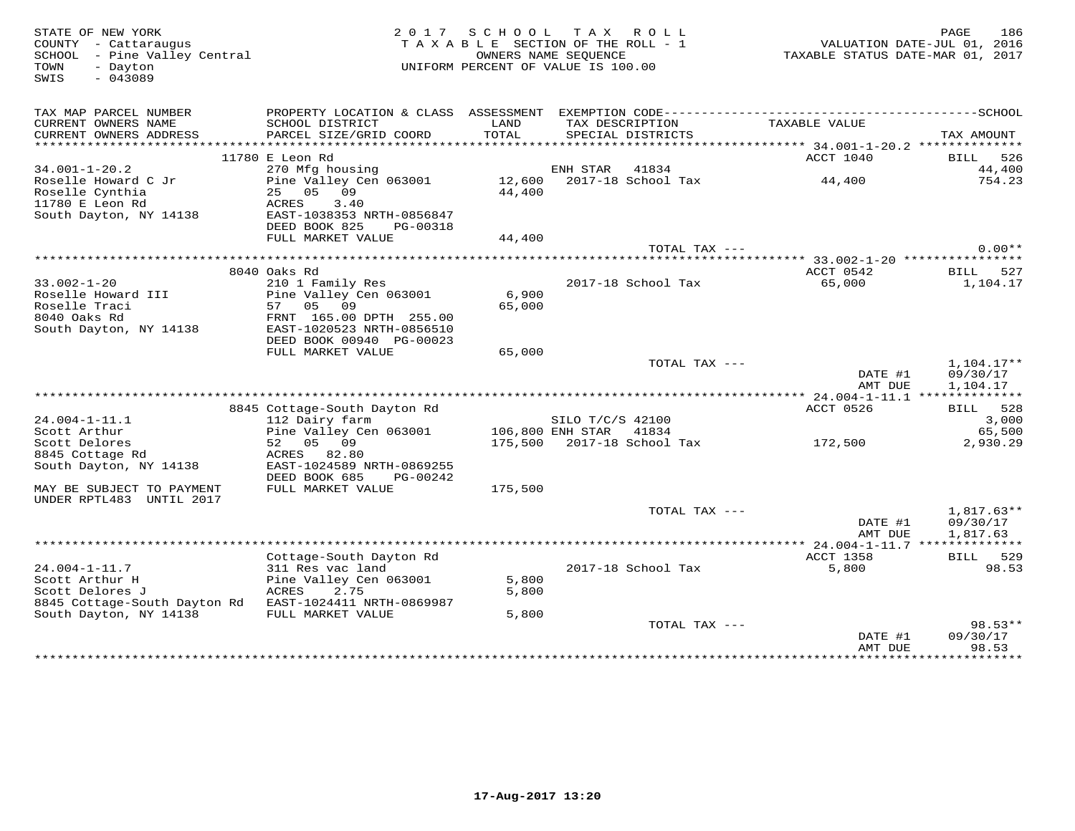| STATE OF NEW YORK<br>COUNTY - Cattaraugus<br>SCHOOL - Pine Valley Central<br>TOWN<br>- Dayton<br>$-043089$<br>SWIS |                                           | 2017 SCHOOL   | TAX ROLL<br>TAXABLE SECTION OF THE ROLL - 1<br>OWNERS NAME SEOUENCE<br>UNIFORM PERCENT OF VALUE IS 100.00 | TAXABLE STATUS DATE-MAR 01, 2017                 | PAGE<br>186<br>VALUATION DATE-JUL 01, 2016 |
|--------------------------------------------------------------------------------------------------------------------|-------------------------------------------|---------------|-----------------------------------------------------------------------------------------------------------|--------------------------------------------------|--------------------------------------------|
| TAX MAP PARCEL NUMBER                                                                                              | PROPERTY LOCATION & CLASS ASSESSMENT      |               |                                                                                                           |                                                  |                                            |
| CURRENT OWNERS NAME<br>CURRENT OWNERS ADDRESS                                                                      | SCHOOL DISTRICT<br>PARCEL SIZE/GRID COORD | LAND<br>TOTAL | TAX DESCRIPTION<br>SPECIAL DISTRICTS                                                                      | TAXABLE VALUE                                    | TAX AMOUNT                                 |
|                                                                                                                    |                                           |               |                                                                                                           | ****************** 34.001-1-20.2 *************** |                                            |
|                                                                                                                    | 11780 E Leon Rd                           |               |                                                                                                           | ACCT 1040                                        | BILL 526                                   |
| $34.001 - 1 - 20.2$                                                                                                | 270 Mfg housing                           |               | ENH STAR<br>41834                                                                                         |                                                  | 44,400                                     |
| Roselle Howard C Jr                                                                                                | Pine Valley Cen 063001                    |               | 12,600 2017-18 School Tax                                                                                 | 44,400                                           | 754.23                                     |
| Roselle Cynthia                                                                                                    | 25 05 09                                  | 44,400        |                                                                                                           |                                                  |                                            |
| 11780 E Leon Rd                                                                                                    | ACRES<br>3.40                             |               |                                                                                                           |                                                  |                                            |
| South Dayton, NY 14138                                                                                             | EAST-1038353 NRTH-0856847                 |               |                                                                                                           |                                                  |                                            |
|                                                                                                                    | DEED BOOK 825<br>PG-00318                 |               |                                                                                                           |                                                  |                                            |
|                                                                                                                    | FULL MARKET VALUE                         | 44,400        | TOTAL TAX ---                                                                                             |                                                  | $0.00**$                                   |
|                                                                                                                    |                                           |               |                                                                                                           | ****** 33.002-1-20 ****************              |                                            |
|                                                                                                                    | 8040 Oaks Rd                              |               |                                                                                                           | ACCT 0542                                        | BILL 527                                   |
| $33.002 - 1 - 20$                                                                                                  | 210 1 Family Res                          |               | 2017-18 School Tax                                                                                        | 65,000                                           | 1,104.17                                   |
| Roselle Howard III                                                                                                 | Pine Valley Cen 063001                    | 6,900         |                                                                                                           |                                                  |                                            |
| Roselle Traci                                                                                                      | 57 05<br>09                               | 65,000        |                                                                                                           |                                                  |                                            |
| 8040 Oaks Rd                                                                                                       | FRNT 165.00 DPTH 255.00                   |               |                                                                                                           |                                                  |                                            |
| South Dayton, NY 14138                                                                                             | EAST-1020523 NRTH-0856510                 |               |                                                                                                           |                                                  |                                            |
|                                                                                                                    | DEED BOOK 00940 PG-00023                  |               |                                                                                                           |                                                  |                                            |
|                                                                                                                    | FULL MARKET VALUE                         | 65,000        |                                                                                                           |                                                  |                                            |
|                                                                                                                    |                                           |               | TOTAL TAX ---                                                                                             |                                                  | $1,104.17**$                               |
|                                                                                                                    |                                           |               |                                                                                                           | DATE #1                                          | 09/30/17                                   |
|                                                                                                                    |                                           |               |                                                                                                           | AMT DUE                                          | 1,104.17                                   |
|                                                                                                                    |                                           |               |                                                                                                           |                                                  |                                            |
|                                                                                                                    | 8845 Cottage-South Dayton Rd              |               |                                                                                                           | ACCT 0526                                        | BILL 528                                   |
| $24.004 - 1 - 11.1$                                                                                                | 112 Dairy farm                            |               | SILO T/C/S 42100                                                                                          |                                                  | 3,000                                      |
| Scott Arthur                                                                                                       | Pine Valley Cen 063001                    |               | 106,800 ENH STAR 41834                                                                                    |                                                  | 65,500                                     |
| Scott Delores                                                                                                      | 52 05 09                                  |               | 175,500 2017-18 School Tax                                                                                | 172,500                                          | 2,930.29                                   |
| 8845 Cottage Rd                                                                                                    | ACRES<br>82.80                            |               |                                                                                                           |                                                  |                                            |
| South Dayton, NY 14138                                                                                             | EAST-1024589 NRTH-0869255                 |               |                                                                                                           |                                                  |                                            |
|                                                                                                                    | DEED BOOK 685<br>PG-00242                 |               |                                                                                                           |                                                  |                                            |
| MAY BE SUBJECT TO PAYMENT                                                                                          | FULL MARKET VALUE                         | 175,500       |                                                                                                           |                                                  |                                            |
| UNDER RPTL483 UNTIL 2017                                                                                           |                                           |               |                                                                                                           |                                                  |                                            |
|                                                                                                                    |                                           |               | TOTAL TAX ---                                                                                             |                                                  | $1,817.63**$                               |
|                                                                                                                    |                                           |               |                                                                                                           | DATE #1                                          | 09/30/17                                   |
|                                                                                                                    |                                           |               |                                                                                                           | AMT DUE                                          | 1,817.63                                   |
|                                                                                                                    |                                           |               |                                                                                                           |                                                  |                                            |
|                                                                                                                    | Cottage-South Dayton Rd                   |               |                                                                                                           | ACCT 1358                                        | BILL 529                                   |
| $24.004 - 1 - 11.7$                                                                                                | 311 Res vac land                          |               | 2017-18 School Tax                                                                                        | 5,800                                            | 98.53                                      |
| Scott Arthur H                                                                                                     | Pine Valley Cen 063001                    | 5,800         |                                                                                                           |                                                  |                                            |
| Scott Delores J                                                                                                    | ACRES<br>2.75                             | 5,800         |                                                                                                           |                                                  |                                            |
| 8845 Cottage-South Dayton Rd EAST-1024411 NRTH-0869987                                                             |                                           |               |                                                                                                           |                                                  |                                            |
| South Dayton, NY 14138                                                                                             | FULL MARKET VALUE                         | 5,800         |                                                                                                           |                                                  |                                            |
|                                                                                                                    |                                           |               | TOTAL TAX ---                                                                                             |                                                  | $98.53**$                                  |
|                                                                                                                    |                                           |               |                                                                                                           | DATE #1                                          | 09/30/17                                   |
|                                                                                                                    |                                           |               |                                                                                                           | AMT DUE<br>*************                         | 98.53<br>*********                         |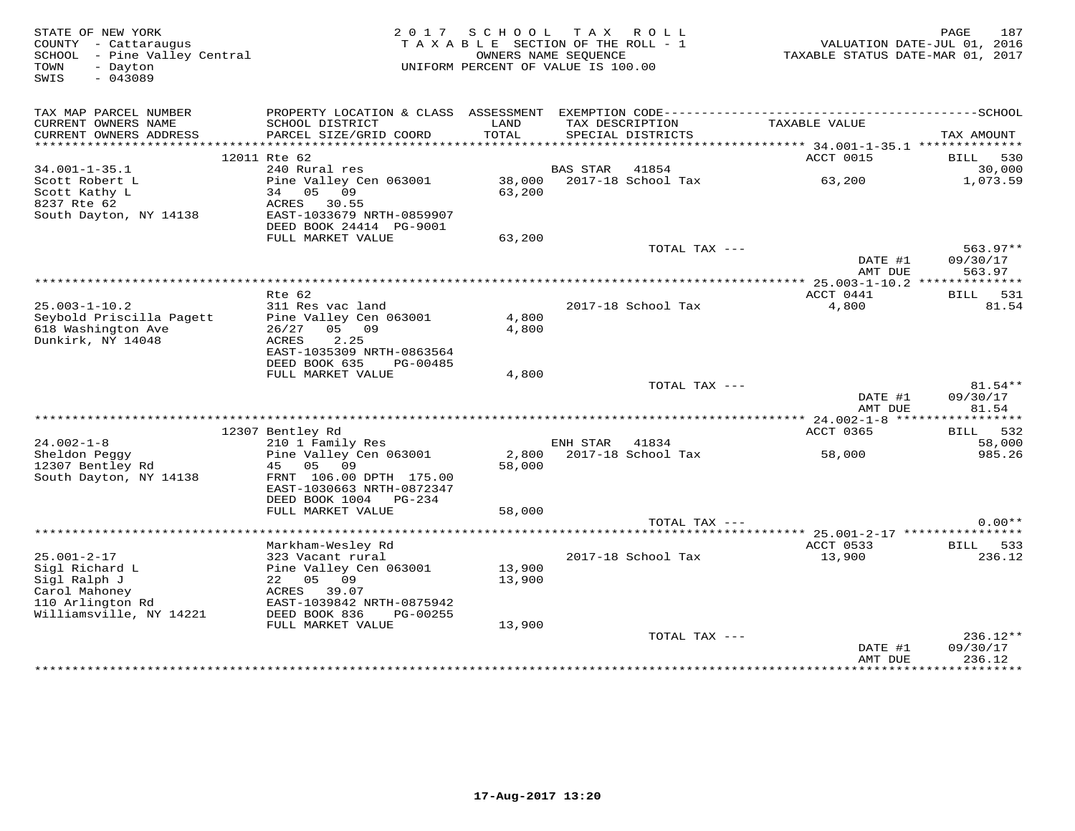| STATE OF NEW YORK<br>COUNTY - Cattaraugus<br>SCHOOL - Pine Valley Central<br>- Dayton<br>TOWN<br>$-043089$<br>SWIS  | 2017                                                                                                                                                 | S C H O O L                | T A X<br>TAXABLE SECTION OF THE ROLL - 1<br>OWNERS NAME SEQUENCE<br>UNIFORM PERCENT OF VALUE IS 100.00 | R O L L         | VALUATION DATE-JUL 01, 2016<br>TAXABLE STATUS DATE-MAR 01, 2017 | 187<br>PAGE                    |
|---------------------------------------------------------------------------------------------------------------------|------------------------------------------------------------------------------------------------------------------------------------------------------|----------------------------|--------------------------------------------------------------------------------------------------------|-----------------|-----------------------------------------------------------------|--------------------------------|
| TAX MAP PARCEL NUMBER<br>CURRENT OWNERS NAME<br>CURRENT OWNERS ADDRESS                                              | SCHOOL DISTRICT<br>PARCEL SIZE/GRID COORD                                                                                                            | LAND<br>TOTAL              | TAX DESCRIPTION<br>SPECIAL DISTRICTS                                                                   |                 | TAXABLE VALUE                                                   | TAX AMOUNT                     |
|                                                                                                                     |                                                                                                                                                      |                            |                                                                                                        |                 |                                                                 |                                |
| $34.001 - 1 - 35.1$                                                                                                 | 12011 Rte 62<br>240 Rural res                                                                                                                        |                            | <b>BAS STAR</b>                                                                                        | 41854           | ACCT 0015                                                       | 530<br>BILL<br>30,000          |
| Scott Robert L<br>Scott Kathy L<br>8237 Rte 62<br>South Dayton, NY 14138                                            | Pine Valley Cen 063001<br>09<br>34<br>05<br>ACRES 30.55<br>EAST-1033679 NRTH-0859907                                                                 | 38,000<br>63,200           | 2017-18 School Tax                                                                                     |                 | 63,200                                                          | 1,073.59                       |
|                                                                                                                     | DEED BOOK 24414 PG-9001                                                                                                                              |                            |                                                                                                        |                 |                                                                 |                                |
|                                                                                                                     | FULL MARKET VALUE                                                                                                                                    | 63,200                     |                                                                                                        | TOTAL TAX ---   | DATE #1                                                         | $563.97**$<br>09/30/17         |
|                                                                                                                     |                                                                                                                                                      |                            |                                                                                                        |                 | AMT DUE                                                         | 563.97                         |
|                                                                                                                     |                                                                                                                                                      |                            |                                                                                                        |                 |                                                                 |                                |
| $25.003 - 1 - 10.2$                                                                                                 | $Rte$ 62<br>311 Res vac land                                                                                                                         |                            | 2017-18 School Tax                                                                                     |                 | ACCT 0441<br>4,800                                              | 531<br><b>BILL</b><br>81.54    |
| Seybold Priscilla Pagett<br>618 Washington Ave<br>Dunkirk, NY 14048                                                 | Pine Valley Cen 063001<br>09<br>26/27<br>05<br>ACRES<br>2.25<br>EAST-1035309 NRTH-0863564<br>DEED BOOK 635<br>PG-00485                               | 4,800<br>4,800             |                                                                                                        |                 |                                                                 |                                |
|                                                                                                                     | FULL MARKET VALUE                                                                                                                                    | 4,800                      |                                                                                                        |                 |                                                                 |                                |
|                                                                                                                     |                                                                                                                                                      |                            |                                                                                                        | TOTAL TAX $---$ | DATE #1<br>AMT DUE                                              | $81.54**$<br>09/30/17<br>81.54 |
|                                                                                                                     |                                                                                                                                                      |                            |                                                                                                        |                 |                                                                 |                                |
| $24.002 - 1 - 8$                                                                                                    | 12307 Bentley Rd<br>210 1 Family Res                                                                                                                 |                            | ENH STAR                                                                                               | 41834           | ACCT 0365                                                       | 532<br><b>BILL</b><br>58,000   |
| Sheldon Peggy<br>12307 Bentley Rd<br>South Dayton, NY 14138                                                         | Pine Valley Cen 063001<br>45<br>0.5<br>09<br>FRNT 106.00 DPTH 175.00<br>EAST-1030663 NRTH-0872347                                                    | 2,800<br>58,000            | 2017-18 School Tax                                                                                     |                 | 58,000                                                          | 985.26                         |
|                                                                                                                     | DEED BOOK 1004 PG-234                                                                                                                                |                            |                                                                                                        |                 |                                                                 |                                |
|                                                                                                                     | FULL MARKET VALUE                                                                                                                                    | 58,000                     |                                                                                                        |                 |                                                                 |                                |
|                                                                                                                     |                                                                                                                                                      |                            |                                                                                                        | TOTAL TAX ---   |                                                                 | $0.00**$                       |
|                                                                                                                     | Markham-Wesley Rd                                                                                                                                    |                            |                                                                                                        |                 | ACCT 0533                                                       | BILL 533                       |
| $25.001 - 2 - 17$<br>Sigl Richard L<br>Sigl Ralph J<br>Carol Mahoney<br>110 Arlington Rd<br>Williamsville, NY 14221 | 323 Vacant rural<br>Pine Valley Cen 063001<br>22 05 09<br>ACRES 39.07<br>EAST-1039842 NRTH-0875942<br>DEED BOOK 836<br>PG-00255<br>FULL MARKET VALUE | 13,900<br>13,900<br>13,900 | 2017-18 School Tax                                                                                     |                 | 13,900                                                          | 236.12                         |
|                                                                                                                     |                                                                                                                                                      |                            |                                                                                                        | TOTAL TAX ---   |                                                                 | $236.12**$                     |
|                                                                                                                     |                                                                                                                                                      |                            |                                                                                                        |                 | DATE #1<br>AMT DUE                                              | 09/30/17<br>236.12             |
|                                                                                                                     |                                                                                                                                                      |                            |                                                                                                        |                 | . + + + + + + + + + + + + + + +                                 | . <b>.</b> .                   |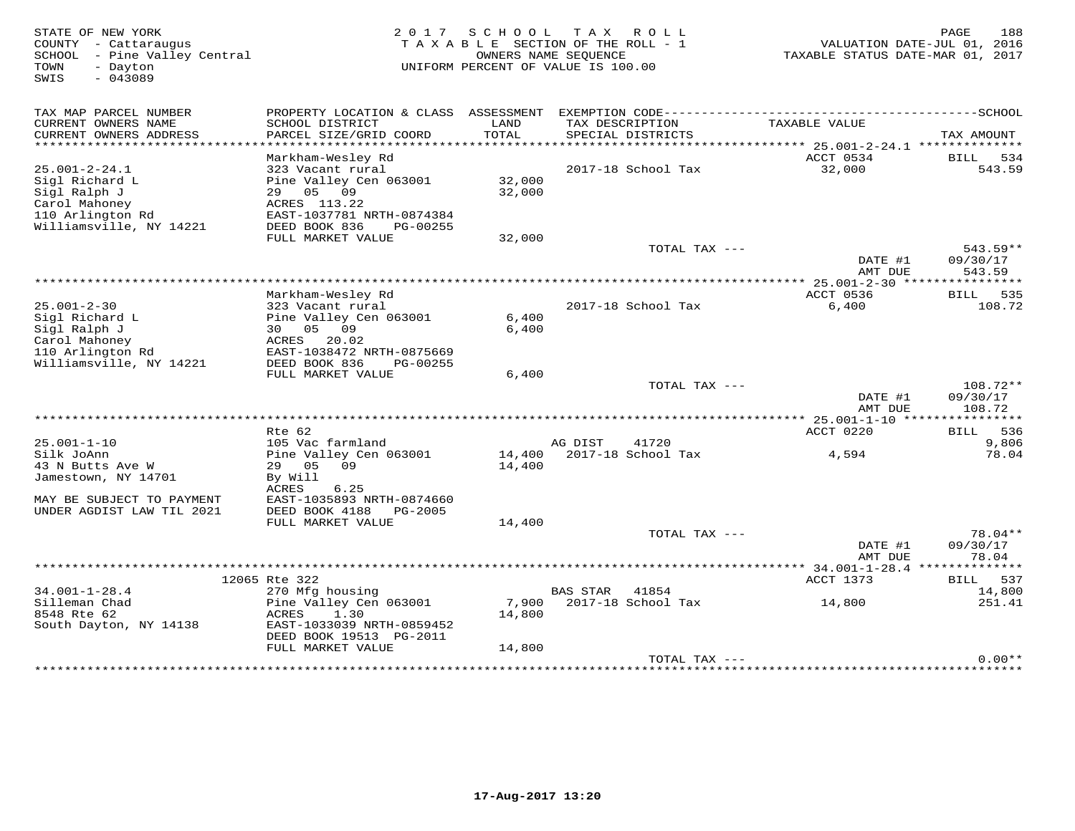| STATE OF NEW YORK<br>COUNTY - Cattaraugus<br>- Pine Valley Central<br>SCHOOL<br>TOWN<br>- Dayton<br>$-043089$<br>SWIS | 2 0 1 7                                                                                                                                                  |                           | SCHOOL TAX ROLL<br>TAXABLE SECTION OF THE ROLL - 1<br>OWNERS NAME SEOUENCE<br>UNIFORM PERCENT OF VALUE IS 100.00 | TAXABLE STATUS DATE-MAR 01, 2017 | 188<br>PAGE<br>VALUATION DATE-JUL 01, 2016 |
|-----------------------------------------------------------------------------------------------------------------------|----------------------------------------------------------------------------------------------------------------------------------------------------------|---------------------------|------------------------------------------------------------------------------------------------------------------|----------------------------------|--------------------------------------------|
| TAX MAP PARCEL NUMBER<br>CURRENT OWNERS NAME<br>CURRENT OWNERS ADDRESS                                                | PROPERTY LOCATION & CLASS ASSESSMENT<br>SCHOOL DISTRICT<br>PARCEL SIZE/GRID COORD                                                                        | LAND<br>TOTAL             | TAX DESCRIPTION<br>SPECIAL DISTRICTS                                                                             | TAXABLE VALUE                    | TAX AMOUNT                                 |
| ******************************                                                                                        |                                                                                                                                                          |                           |                                                                                                                  |                                  |                                            |
| $25.001 - 2 - 24.1$<br>Sigl Richard L<br>Sigl Ralph J<br>Carol Mahoney<br>110 Arlington Rd<br>Williamsville, NY 14221 | Markham-Wesley Rd<br>323 Vacant rural<br>Pine Valley Cen 063001<br>29 05<br>09<br>ACRES 113.22<br>EAST-1037781 NRTH-0874384<br>DEED BOOK 836<br>PG-00255 | 32,000<br>32,000          | 2017-18 School Tax                                                                                               | ACCT 0534<br>32,000              | BILL 534<br>543.59                         |
|                                                                                                                       | FULL MARKET VALUE                                                                                                                                        | 32,000                    |                                                                                                                  |                                  |                                            |
|                                                                                                                       |                                                                                                                                                          |                           | TOTAL TAX $---$                                                                                                  | DATE #1<br>AMT DUE               | 543.59**<br>09/30/17<br>543.59             |
|                                                                                                                       |                                                                                                                                                          |                           |                                                                                                                  |                                  |                                            |
| $25.001 - 2 - 30$<br>Sigl Richard L<br>Sigl Ralph J<br>Carol Mahoney<br>110 Arlington Rd                              | Markham-Wesley Rd<br>323 Vacant rural<br>Pine Valley Cen 063001<br>30 05 09<br>20.02<br>ACRES<br>EAST-1038472 NRTH-0875669                               | 6,400<br>6,400            | 2017-18 School Tax                                                                                               | ACCT 0536<br>6,400               | 535<br>BILL<br>108.72                      |
| Williamsville, NY 14221                                                                                               | DEED BOOK 836<br>PG-00255<br>FULL MARKET VALUE                                                                                                           | 6,400                     |                                                                                                                  |                                  |                                            |
|                                                                                                                       |                                                                                                                                                          |                           | TOTAL TAX $---$                                                                                                  | DATE #1<br>AMT DUE               | 108.72**<br>09/30/17<br>108.72             |
|                                                                                                                       | Rte 62                                                                                                                                                   |                           |                                                                                                                  | ACCT 0220                        | 536<br>BILL                                |
| $25.001 - 1 - 10$<br>Silk JoAnn<br>43 N Butts Ave W<br>Jamestown, NY 14701<br>MAY BE SUBJECT TO PAYMENT               | 105 Vac farmland<br>Pine Valley Cen 063001<br>29 05<br>09<br>By Will<br>6.25<br>ACRES<br>EAST-1035893 NRTH-0874660                                       | 14,400<br>14,400          | AG DIST<br>41720<br>2017-18 School Tax                                                                           | 4,594                            | 9,806<br>78.04                             |
| UNDER AGDIST LAW TIL 2021                                                                                             | DEED BOOK 4188<br>PG-2005                                                                                                                                |                           |                                                                                                                  |                                  |                                            |
|                                                                                                                       | FULL MARKET VALUE                                                                                                                                        | 14,400                    | TOTAL TAX ---                                                                                                    | DATE #1                          | $78.04**$<br>09/30/17                      |
|                                                                                                                       |                                                                                                                                                          |                           |                                                                                                                  | AMT DUE                          | 78.04                                      |
|                                                                                                                       | 12065 Rte 322                                                                                                                                            |                           |                                                                                                                  | ACCT 1373                        | 537<br>BILL                                |
| $34.001 - 1 - 28.4$<br>Silleman Chad<br>8548 Rte 62<br>South Dayton, NY 14138                                         | 270 Mfg housing<br>Pine Valley Cen 063001<br>ACRES<br>1.30<br>EAST-1033039 NRTH-0859452<br>DEED BOOK 19513 PG-2011<br>FULL MARKET VALUE                  | 7,900<br>14,800<br>14,800 | <b>BAS STAR</b><br>41854<br>2017-18 School Tax                                                                   | 14,800                           | 14,800<br>251.41                           |
|                                                                                                                       |                                                                                                                                                          |                           | TOTAL TAX ---                                                                                                    |                                  | $0.00**$                                   |
|                                                                                                                       |                                                                                                                                                          |                           |                                                                                                                  |                                  |                                            |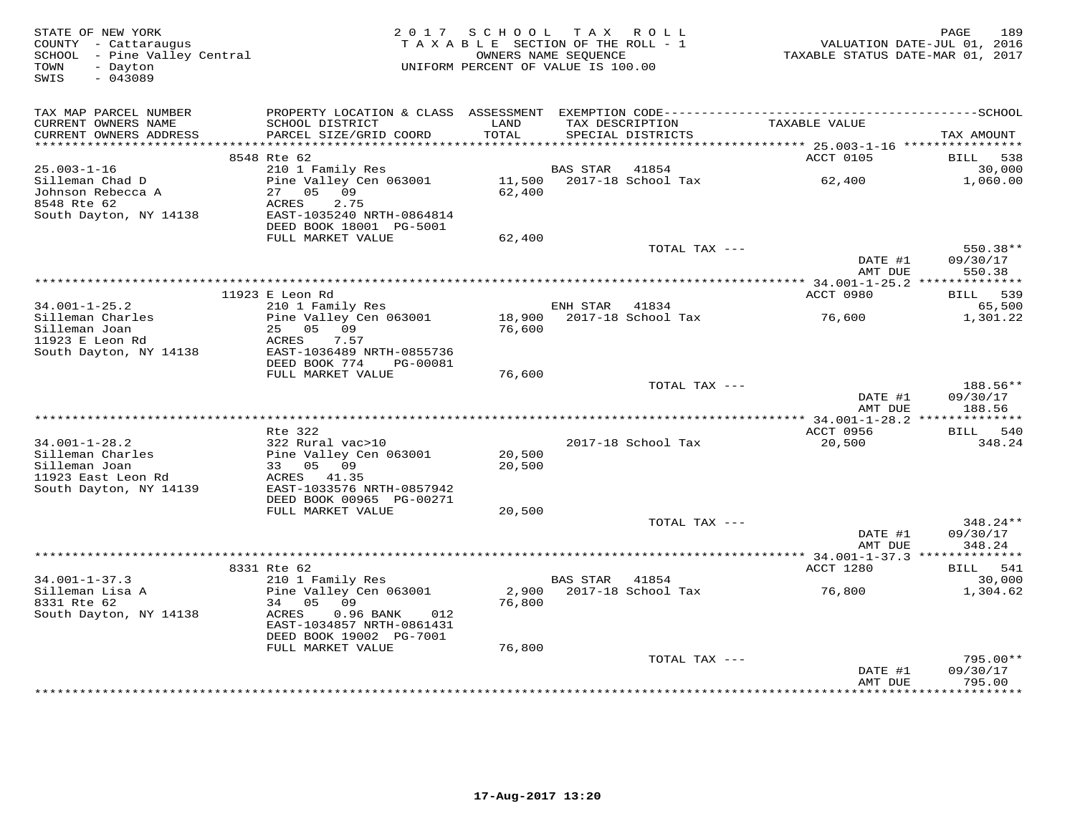| STATE OF NEW YORK<br>COUNTY - Cattaraugus<br>SCHOOL - Pine Valley Central<br>- Dayton<br>TOWN<br>$-043089$<br>SWIS | 2 0 1 7                                                                 |                  | SCHOOL TAX ROLL<br>TAXABLE SECTION OF THE ROLL - 1<br>OWNERS NAME SEQUENCE<br>UNIFORM PERCENT OF VALUE IS 100.00 | TAXABLE STATUS DATE-MAR 01, 2017                  | 189<br>PAGE<br>VALUATION DATE-JUL 01, 2016 |
|--------------------------------------------------------------------------------------------------------------------|-------------------------------------------------------------------------|------------------|------------------------------------------------------------------------------------------------------------------|---------------------------------------------------|--------------------------------------------|
| TAX MAP PARCEL NUMBER                                                                                              |                                                                         |                  |                                                                                                                  |                                                   |                                            |
| CURRENT OWNERS NAME<br>CURRENT OWNERS ADDRESS                                                                      | SCHOOL DISTRICT<br>PARCEL SIZE/GRID COORD                               | LAND<br>TOTAL    | TAX DESCRIPTION<br>SPECIAL DISTRICTS                                                                             | TAXABLE VALUE                                     | TAX AMOUNT                                 |
|                                                                                                                    | 8548 Rte 62                                                             | *********        |                                                                                                                  | ********* 25.003-1-16 ****************            |                                            |
| $25.003 - 1 - 16$                                                                                                  | 210 1 Family Res                                                        |                  | 41854<br>BAS STAR                                                                                                | ACCT 0105                                         | BILL<br>538<br>30,000                      |
| Silleman Chad D<br>Johnson Rebecca A                                                                               | Pine Valley Cen 063001<br>05 09<br>27                                   | 11,500<br>62,400 | 2017-18 School Tax                                                                                               | 62,400                                            | 1,060.00                                   |
| 8548 Rte 62<br>South Dayton, NY 14138                                                                              | ACRES<br>2.75<br>EAST-1035240 NRTH-0864814<br>DEED BOOK 18001 PG-5001   |                  |                                                                                                                  |                                                   |                                            |
|                                                                                                                    | FULL MARKET VALUE                                                       | 62,400           |                                                                                                                  |                                                   |                                            |
|                                                                                                                    |                                                                         |                  | TOTAL TAX ---                                                                                                    | DATE #1                                           | $550.38**$<br>09/30/17                     |
|                                                                                                                    |                                                                         |                  |                                                                                                                  | AMT DUE                                           | 550.38                                     |
|                                                                                                                    | 11923 E Leon Rd                                                         |                  |                                                                                                                  | ACCT 0980                                         | 539<br>BILL                                |
| $34.001 - 1 - 25.2$                                                                                                | 210 1 Family Res                                                        |                  | ENH STAR<br>41834                                                                                                |                                                   | 65,500                                     |
| Silleman Charles<br>Silleman Joan                                                                                  | Pine Valley Cen 063001<br>25 05 09                                      | 18,900<br>76,600 | 2017-18 School Tax                                                                                               | 76,600                                            | 1,301.22                                   |
| 11923 E Leon Rd<br>South Dayton, NY 14138                                                                          | 7.57<br>ACRES<br>EAST-1036489 NRTH-0855736<br>DEED BOOK 774<br>PG-00081 |                  |                                                                                                                  |                                                   |                                            |
|                                                                                                                    | FULL MARKET VALUE                                                       | 76,600           |                                                                                                                  |                                                   |                                            |
|                                                                                                                    |                                                                         |                  | TOTAL TAX ---                                                                                                    |                                                   | 188.56**                                   |
|                                                                                                                    |                                                                         |                  |                                                                                                                  | DATE #1<br>AMT DUE                                | 09/30/17<br>188.56                         |
|                                                                                                                    | Rte 322                                                                 |                  |                                                                                                                  |                                                   |                                            |
| $34.001 - 1 - 28.2$                                                                                                | 322 Rural vac>10                                                        |                  | 2017-18 School Tax                                                                                               | ACCT 0956<br>20,500                               | BILL<br>540<br>348.24                      |
| Silleman Charles                                                                                                   | Pine Valley Cen 063001                                                  | 20,500           |                                                                                                                  |                                                   |                                            |
| Silleman Joan                                                                                                      | 33 05 09                                                                | 20,500           |                                                                                                                  |                                                   |                                            |
| 11923 East Leon Rd<br>South Dayton, NY 14139                                                                       | ACRES 41.35<br>EAST-1033576 NRTH-0857942                                |                  |                                                                                                                  |                                                   |                                            |
|                                                                                                                    | DEED BOOK 00965 PG-00271                                                |                  |                                                                                                                  |                                                   |                                            |
|                                                                                                                    | FULL MARKET VALUE                                                       | 20,500           | TOTAL TAX ---                                                                                                    |                                                   | $348.24**$                                 |
|                                                                                                                    |                                                                         |                  |                                                                                                                  | DATE #1<br>AMT DUE                                | 09/30/17<br>348.24                         |
|                                                                                                                    |                                                                         |                  |                                                                                                                  |                                                   | ********                                   |
|                                                                                                                    | 8331 Rte 62                                                             |                  |                                                                                                                  | ACCT 1280                                         | 541<br>BILL                                |
| $34.001 - 1 - 37.3$<br>Silleman Lisa A                                                                             | 210 1 Family Res<br>Pine Valley Cen 063001                              | 2,900            | BAS STAR<br>41854<br>2017-18 School Tax                                                                          | 76,800                                            | 30,000<br>1,304.62                         |
| 8331 Rte 62<br>South Dayton, NY 14138                                                                              | 34 05 09<br>ACRES<br>$0.96$ BANK<br>012                                 | 76,800           |                                                                                                                  |                                                   |                                            |
|                                                                                                                    | EAST-1034857 NRTH-0861431<br>DEED BOOK 19002 PG-7001                    |                  |                                                                                                                  |                                                   |                                            |
|                                                                                                                    | FULL MARKET VALUE                                                       | 76,800           |                                                                                                                  |                                                   |                                            |
|                                                                                                                    |                                                                         |                  | TOTAL TAX ---                                                                                                    |                                                   | $795.00**$                                 |
|                                                                                                                    |                                                                         |                  | ****************************                                                                                     | DATE #1<br>AMT DUE<br>* * * * * * * * * * * * * * | 09/30/17<br>795.00<br>* * * * * * * * * *  |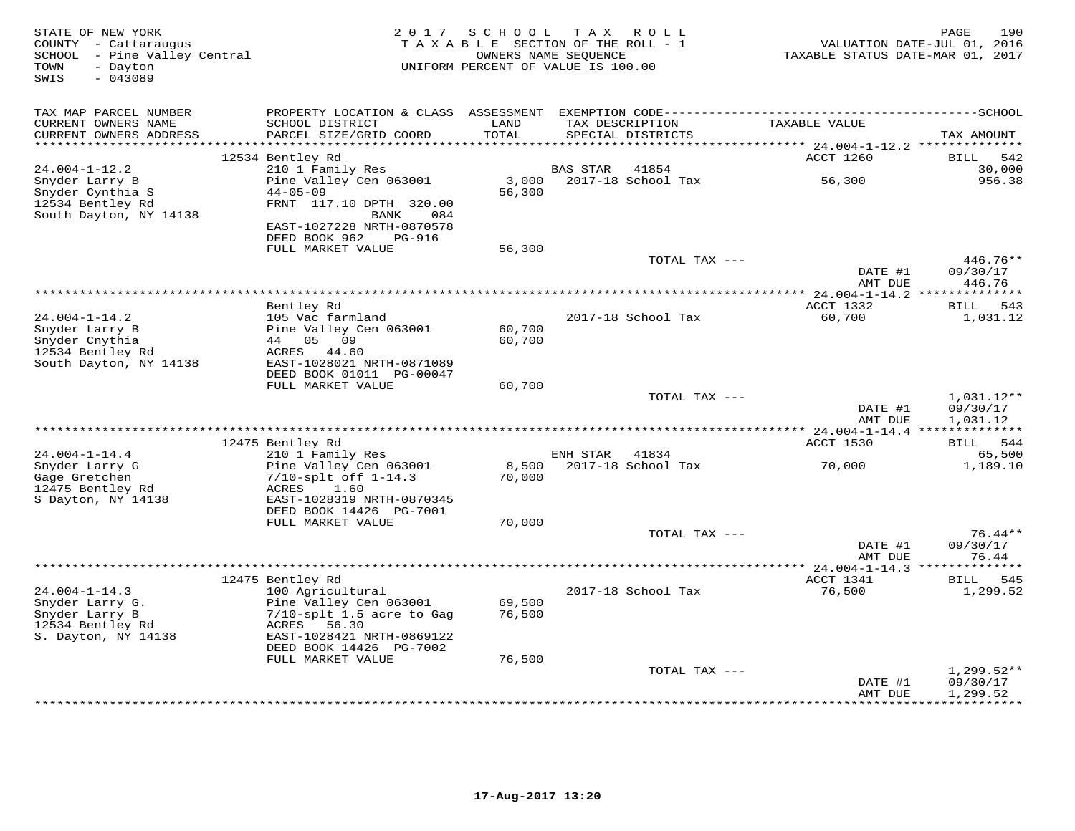| STATE OF NEW YORK<br>COUNTY - Cattaraugus<br>SCHOOL - Pine Valley Central<br>- Dayton<br>TOWN<br>SWIS<br>$-043089$ | 2 0 1 7                                                                    | SCHOOL<br>TAXABLE SECTION OF THE ROLL - 1<br>UNIFORM PERCENT OF VALUE IS 100.00 | OWNERS NAME SEQUENCE | TAX ROLL                             | TAXABLE STATUS DATE-MAR 01, 2017     | 190<br>PAGE<br>VALUATION DATE-JUL 01, 2016 |
|--------------------------------------------------------------------------------------------------------------------|----------------------------------------------------------------------------|---------------------------------------------------------------------------------|----------------------|--------------------------------------|--------------------------------------|--------------------------------------------|
| TAX MAP PARCEL NUMBER                                                                                              | PROPERTY LOCATION & CLASS ASSESSMENT                                       |                                                                                 |                      |                                      |                                      |                                            |
| CURRENT OWNERS NAME<br>CURRENT OWNERS ADDRESS                                                                      | SCHOOL DISTRICT<br>PARCEL SIZE/GRID COORD                                  | LAND<br>TOTAL                                                                   |                      | TAX DESCRIPTION<br>SPECIAL DISTRICTS | TAXABLE VALUE                        | TAX AMOUNT                                 |
| *******************                                                                                                |                                                                            | ******                                                                          |                      |                                      | ******* 24.004-1-12.2 ************** |                                            |
| $24.004 - 1 - 12.2$                                                                                                | 12534 Bentley Rd<br>210 1 Family Res                                       |                                                                                 | <b>BAS STAR</b>      | 41854                                | ACCT 1260                            | <b>BILL</b><br>542<br>30,000               |
| Snyder Larry B<br>Snyder Cynthia S<br>12534 Bentley Rd                                                             | Pine Valley Cen 063001<br>$44 - 05 - 09$<br>FRNT 117.10 DPTH 320.00        | 3,000<br>56,300                                                                 |                      | 2017-18 School Tax                   | 56,300                               | 956.38                                     |
| South Dayton, NY 14138                                                                                             | <b>BANK</b><br>084<br>EAST-1027228 NRTH-0870578<br>DEED BOOK 962<br>PG-916 |                                                                                 |                      |                                      |                                      |                                            |
|                                                                                                                    | FULL MARKET VALUE                                                          | 56,300                                                                          |                      |                                      |                                      |                                            |
|                                                                                                                    |                                                                            |                                                                                 |                      | TOTAL TAX ---                        |                                      | 446.76**                                   |
|                                                                                                                    |                                                                            |                                                                                 |                      |                                      | DATE #1<br>AMT DUE                   | 09/30/17<br>446.76                         |
|                                                                                                                    |                                                                            |                                                                                 |                      |                                      |                                      | * * * * * * * *                            |
| $24.004 - 1 - 14.2$                                                                                                | Bentley Rd<br>105 Vac farmland                                             |                                                                                 |                      | 2017-18 School Tax                   | ACCT 1332<br>60,700                  | 543<br>BILL<br>1,031.12                    |
| Snyder Larry B                                                                                                     | Pine Valley Cen 063001                                                     | 60,700                                                                          |                      |                                      |                                      |                                            |
| Snyder Cnythia                                                                                                     | 44<br>05<br>09                                                             | 60,700                                                                          |                      |                                      |                                      |                                            |
| 12534 Bentley Rd                                                                                                   | ACRES<br>44.60                                                             |                                                                                 |                      |                                      |                                      |                                            |
| South Dayton, NY 14138                                                                                             | EAST-1028021 NRTH-0871089                                                  |                                                                                 |                      |                                      |                                      |                                            |
|                                                                                                                    | DEED BOOK 01011 PG-00047<br>FULL MARKET VALUE                              | 60,700                                                                          |                      |                                      |                                      |                                            |
|                                                                                                                    |                                                                            |                                                                                 |                      | TOTAL TAX ---                        |                                      | $1,031.12**$                               |
|                                                                                                                    |                                                                            |                                                                                 |                      |                                      | DATE #1<br>AMT DUE                   | 09/30/17<br>1,031.12                       |
|                                                                                                                    |                                                                            |                                                                                 |                      |                                      |                                      |                                            |
|                                                                                                                    | 12475 Bentley Rd                                                           |                                                                                 |                      |                                      | ACCT 1530                            | <b>BILL</b><br>544                         |
| $24.004 - 1 - 14.4$                                                                                                | 210 1 Family Res                                                           |                                                                                 | ENH STAR             | 41834                                |                                      | 65,500                                     |
| Snyder Larry G<br>Gage Gretchen                                                                                    | Pine Valley Cen 063001<br>$7/10$ -splt off $1-14.3$                        | 8,500<br>70,000                                                                 |                      | 2017-18 School Tax                   | 70,000                               | 1,189.10                                   |
| 12475 Bentley Rd<br>S Dayton, NY 14138                                                                             | 1.60<br>ACRES<br>EAST-1028319 NRTH-0870345                                 |                                                                                 |                      |                                      |                                      |                                            |
|                                                                                                                    | DEED BOOK 14426 PG-7001                                                    |                                                                                 |                      |                                      |                                      |                                            |
|                                                                                                                    | FULL MARKET VALUE                                                          | 70,000                                                                          |                      | TOTAL TAX ---                        |                                      | $76.44**$                                  |
|                                                                                                                    |                                                                            |                                                                                 |                      |                                      | DATE #1                              | 09/30/17                                   |
|                                                                                                                    |                                                                            |                                                                                 |                      |                                      | AMT DUE<br>**** 24.004-1-14.3        | 76.44                                      |
|                                                                                                                    | 12475 Bentley Rd                                                           |                                                                                 |                      |                                      | ACCT 1341                            | 545<br>BILL                                |
| $24.004 - 1 - 14.3$                                                                                                | 100 Agricultural                                                           |                                                                                 |                      | 2017-18 School Tax                   | 76,500                               | 1,299.52                                   |
| Snyder Larry G.                                                                                                    | Pine Valley Cen 063001                                                     | 69,500                                                                          |                      |                                      |                                      |                                            |
| Snyder Larry B                                                                                                     | $7/10$ -splt 1.5 acre to Gag                                               | 76,500                                                                          |                      |                                      |                                      |                                            |
| 12534 Bentley Rd<br>S. Dayton, NY 14138                                                                            | ACRES<br>56.30<br>EAST-1028421 NRTH-0869122                                |                                                                                 |                      |                                      |                                      |                                            |
|                                                                                                                    | DEED BOOK 14426 PG-7002                                                    |                                                                                 |                      |                                      |                                      |                                            |
|                                                                                                                    | FULL MARKET VALUE                                                          | 76,500                                                                          |                      |                                      |                                      |                                            |
|                                                                                                                    |                                                                            |                                                                                 |                      | TOTAL TAX ---                        |                                      | $1,299.52**$                               |
|                                                                                                                    |                                                                            |                                                                                 |                      |                                      | DATE #1                              | 09/30/17                                   |
|                                                                                                                    |                                                                            |                                                                                 |                      |                                      | AMT DUE                              | 1,299.52<br>.                              |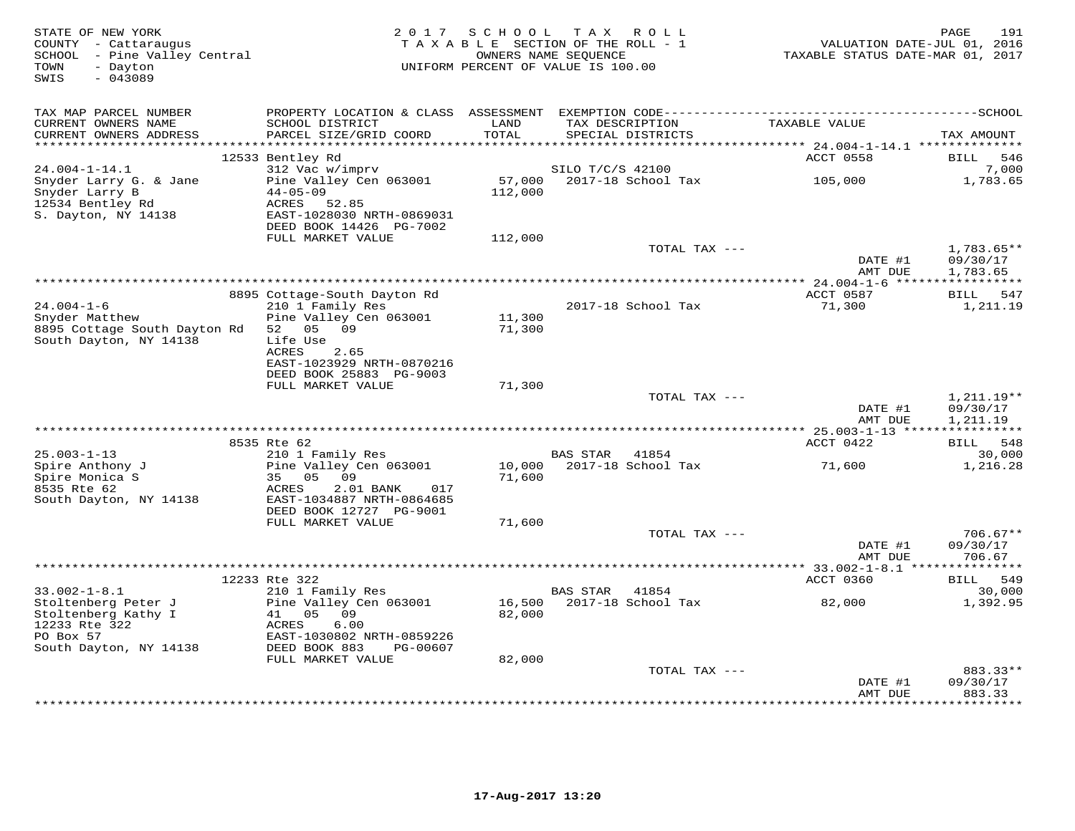| STATE OF NEW YORK<br>COUNTY - Cattaraugus<br>SCHOOL - Pine Valley Central<br>TOWN<br>- Dayton<br>SWIS<br>$-043089$ | 2017                                                                                                                | S C H O O L       | TAX ROLL<br>TAXABLE SECTION OF THE ROLL - 1<br>OWNERS NAME SEQUENCE<br>UNIFORM PERCENT OF VALUE IS 100.00 | VALUATION DATE-JUL 01, 2016<br>TAXABLE STATUS DATE-MAR 01, 2017 | 191<br>PAGE                       |
|--------------------------------------------------------------------------------------------------------------------|---------------------------------------------------------------------------------------------------------------------|-------------------|-----------------------------------------------------------------------------------------------------------|-----------------------------------------------------------------|-----------------------------------|
| TAX MAP PARCEL NUMBER<br>CURRENT OWNERS NAME                                                                       | SCHOOL DISTRICT                                                                                                     | LAND              | TAX DESCRIPTION                                                                                           | TAXABLE VALUE                                                   |                                   |
| CURRENT OWNERS ADDRESS<br>***********************                                                                  | PARCEL SIZE/GRID COORD                                                                                              | TOTAL             | SPECIAL DISTRICTS                                                                                         |                                                                 | TAX AMOUNT                        |
|                                                                                                                    | 12533 Bentley Rd                                                                                                    |                   |                                                                                                           | ACCT 0558                                                       | BILL<br>546                       |
| $24.004 - 1 - 14.1$                                                                                                | 312 Vac w/imprv                                                                                                     |                   | SILO T/C/S 42100                                                                                          |                                                                 | 7,000                             |
| Snyder Larry G. & Jane<br>Snyder Larry B<br>12534 Bentley Rd<br>S. Dayton, NY 14138                                | Pine Valley Cen 063001<br>$44 - 05 - 09$<br>ACRES<br>52.85<br>EAST-1028030 NRTH-0869031<br>DEED BOOK 14426 PG-7002  | 57,000<br>112,000 | 2017-18 School Tax                                                                                        | 105,000                                                         | 1,783.65                          |
|                                                                                                                    | FULL MARKET VALUE                                                                                                   | 112,000           |                                                                                                           |                                                                 |                                   |
|                                                                                                                    |                                                                                                                     |                   | TOTAL TAX ---                                                                                             | DATE #1                                                         | 1,783.65**<br>09/30/17            |
|                                                                                                                    |                                                                                                                     |                   |                                                                                                           | AMT DUE<br>** 24.004-1-6 ******************                     | 1,783.65                          |
|                                                                                                                    | 8895 Cottage-South Dayton Rd                                                                                        |                   |                                                                                                           | ACCT 0587                                                       | BILL 547                          |
| $24.004 - 1 - 6$<br>Snyder Matthew                                                                                 | 210 1 Family Res<br>Pine Valley Cen 063001                                                                          | 11,300            | 2017-18 School Tax                                                                                        | 71,300                                                          | 1,211.19                          |
| 8895 Cottage South Dayton Rd<br>South Dayton, NY 14138                                                             | 52 05<br>09<br>Life Use<br>ACRES<br>2.65                                                                            | 71,300            |                                                                                                           |                                                                 |                                   |
|                                                                                                                    | EAST-1023929 NRTH-0870216<br>DEED BOOK 25883 PG-9003                                                                |                   |                                                                                                           |                                                                 |                                   |
|                                                                                                                    | FULL MARKET VALUE                                                                                                   | 71,300            | TOTAL TAX ---                                                                                             |                                                                 | $1,211.19**$                      |
|                                                                                                                    |                                                                                                                     |                   |                                                                                                           | DATE #1<br>AMT DUE                                              | 09/30/17<br>1,211.19              |
|                                                                                                                    | 8535 Rte 62                                                                                                         |                   | *************************************                                                                     | ** 25.003-1-13 ****<br>ACCT 0422                                | ***********<br><b>BILL</b><br>548 |
| $25.003 - 1 - 13$                                                                                                  | 210 1 Family Res                                                                                                    |                   | <b>BAS STAR</b><br>41854                                                                                  |                                                                 | 30,000                            |
| Spire Anthony J<br>Spire Monica S<br>8535 Rte 62<br>South Dayton, NY 14138                                         | Pine Valley Cen 063001<br>35 05<br>09<br>ACRES<br>2.01 BANK<br>017<br>EAST-1034887 NRTH-0864685                     | 10,000<br>71,600  | 2017-18 School Tax                                                                                        | 71,600                                                          | 1,216.28                          |
|                                                                                                                    | DEED BOOK 12727 PG-9001<br>FULL MARKET VALUE                                                                        | 71,600            |                                                                                                           |                                                                 |                                   |
|                                                                                                                    |                                                                                                                     |                   | TOTAL TAX ---                                                                                             | DATE #1<br>AMT DUE                                              | $706.67**$<br>09/30/17<br>706.67  |
|                                                                                                                    | **********************************                                                                                  |                   | **************************                                                                                | ** 33.002-1-8.1 ***                                             |                                   |
| $33.002 - 1 - 8.1$                                                                                                 | 12233 Rte 322<br>210 1 Family Res                                                                                   |                   | <b>BAS STAR</b><br>41854                                                                                  | ACCT 0360                                                       | 549<br>BILL<br>30,000             |
| Stoltenberg Peter J<br>Stoltenberg Kathy I<br>12233 Rte 322<br>PO Box 57<br>South Dayton, NY 14138                 | Pine Valley Cen 063001<br>05<br>09<br>41<br>6.00<br>ACRES<br>EAST-1030802 NRTH-0859226<br>DEED BOOK 883<br>PG-00607 | 16,500<br>82,000  | 2017-18 School Tax                                                                                        | 82,000                                                          | 1,392.95                          |
|                                                                                                                    | FULL MARKET VALUE                                                                                                   | 82,000            |                                                                                                           |                                                                 |                                   |
|                                                                                                                    |                                                                                                                     |                   | TOTAL TAX ---                                                                                             | DATE #1<br>AMT DUE                                              | 883.33**<br>09/30/17<br>883.33    |
|                                                                                                                    |                                                                                                                     |                   |                                                                                                           |                                                                 | * * * * * * * *                   |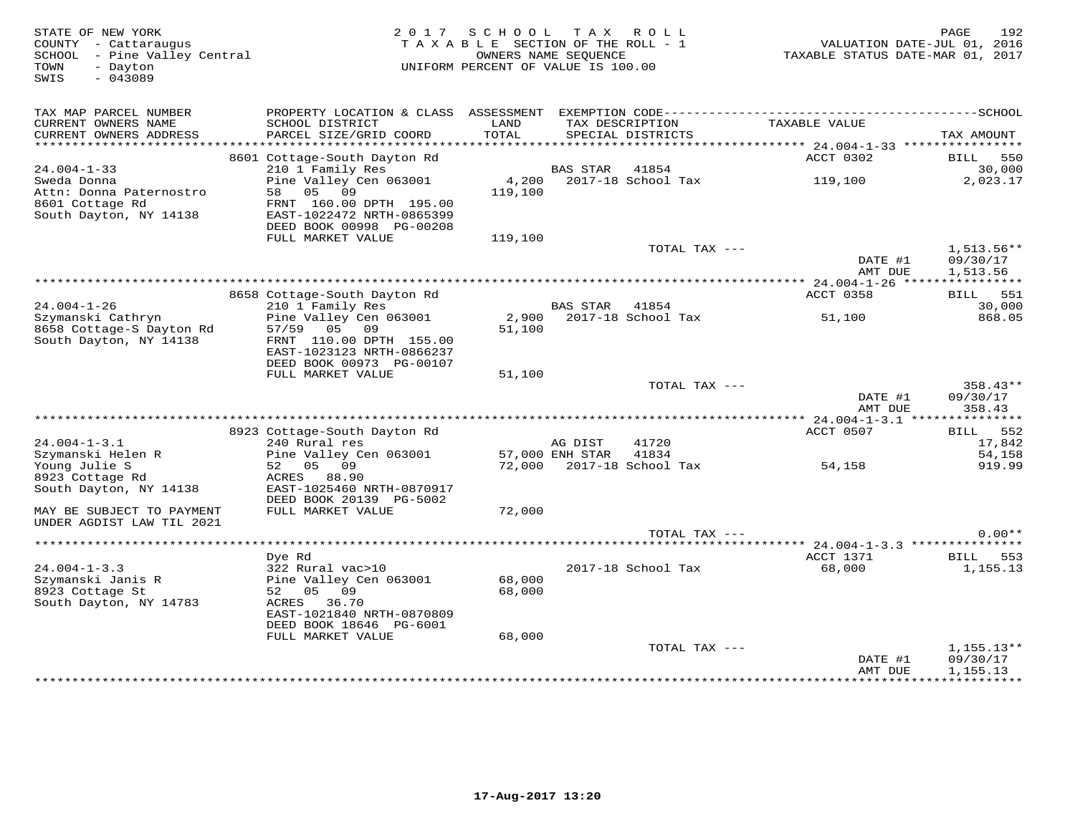STATE OF NEW YORK 2 0 1 7 S C H O O L T A X R O L L PAGE 192 COUNTY - Cattaraugus T A X A B L E SECTION OF THE ROLL - 1 VALUATION DATE-JUL 01, 2016 SCHOOL - Pine Valley Central OWNERS NAME SEQUENCE TAXABLE STATUS DATE-MAR 01, 2017 TOWN - Dayton UNIFORM PERCENT OF VALUE IS 100.00 SWIS - 043089TAX MAP PARCEL NUMBER PROPERTY LOCATION & CLASS ASSESSMENT EXEMPTION CODE------------------------------------------SCHOOL CURRENT OWNERS NAME SCHOOL DISTRICT LAND TAX DESCRIPTION TAXABLE VALUE CURRENT OWNERS ADDRESS PARCEL SIZE/GRID COORD TOTAL SPECIAL DISTRICTS TAX AMOUNT \*\*\*\*\*\*\*\*\*\*\*\*\*\*\*\*\*\*\*\*\*\*\*\*\*\*\*\*\*\*\*\*\*\*\*\*\*\*\*\*\*\*\*\*\*\*\*\*\*\*\*\*\*\*\*\*\*\*\*\*\*\*\*\*\*\*\*\*\*\*\*\*\*\*\*\*\*\*\*\*\*\*\*\*\*\*\*\*\*\*\*\*\*\*\*\*\*\*\*\*\*\*\* 24.004-1-33 \*\*\*\*\*\*\*\*\*\*\*\*\*\*\*\*34.004-1-33 8601 Cottage-South Dayton Rd<br>
Sweda Donna 210 1 Family Res Pine Valley Cen 063001 4,200 2017-18 School Tax 30,000<br>
Attn: Donna Paternostro 58 05 09 119,100 1998 PENT 160.00 DPTH 195.00<br>
South Dayton, NY 14138 E ERDI 1022172 MAIN 00000000<br>DEED BOOK 00998 PG-00208<br>FULL MARKET VALUE 119,100 TOTAL TAX --- 1,513.56\*\*  $\frac{1}{2}$  09/30/17  $\frac{1}{2}$  11 09/30/17 AMT DUE 1,513.56 \*\*\*\*\*\*\*\*\*\*\*\*\*\*\*\*\*\*\*\*\*\*\*\*\*\*\*\*\*\*\*\*\*\*\*\*\*\*\*\*\*\*\*\*\*\*\*\*\*\*\*\*\*\*\*\*\*\*\*\*\*\*\*\*\*\*\*\*\*\*\*\*\*\*\*\*\*\*\*\*\*\*\*\*\*\*\*\*\*\*\*\*\*\*\*\*\*\*\*\*\*\*\* 24.004-1-26 \*\*\*\*\*\*\*\*\*\*\*\*\*\*\*\*ACCT 0358 BILL 551 8658 Cottage-South Dayton Rd ACCT 0358 BILL 55130,000 24.004-1-26 210 1 Family Res BAS STAR 41854 30,000 868.05 Szymanski Cathryn Pine Valley Cen 063001 2,900 2017-18 School Tax 51,100 868.058658 Cottage-S Dayton Rd 57/59 05 09 51,100 South Dayton, NY 14138 FRNT 110.00 DPTH 155.00 EAST-1023123 NRTH-0866237 DEED BOOK 00973 PG-00107 FULL MARKET VALUE 51,100 TOTAL TAX --- 358.43\*\*DATE #1 09/30/17<br>2009/30/17 AMT DUE 358.43 \*\*\*\*\*\*\*\*\*\*\*\*\*\*\*\*\*\*\*\*\*\*\*\*\*\*\*\*\*\*\*\*\*\*\*\*\*\*\*\*\*\*\*\*\*\*\*\*\*\*\*\*\*\*\*\*\*\*\*\*\*\*\*\*\*\*\*\*\*\*\*\*\*\*\*\*\*\*\*\*\*\*\*\*\*\*\*\*\*\*\*\*\*\*\*\*\*\*\*\*\*\*\* 24.004-1-3.1 \*\*\*\*\*\*\*\*\*\*\*\*\*\*\* 8923 Cottage-South Dayton Rd ACCT 0507 BILL 552 24.004-1-3.1 240 Rural res AG DIST 41720 17,842 Szymanski Helen R Pine Valley Cen 063001 57,000 ENH STAR 41834 54,158 Young Julie S 52 05 09 72,000 2017-18 School Tax 54,158 919.99 8923 Cottage Rd ACRES 88.90 South Dayton, NY 14138 EAST-1025460 NRTH-0870917 DEED BOOK 20139 PG-5002 MAY BE SUBJECT TO PAYMENT FULL MARKET VALUE 72,000 UNDER AGDIST LAW TIL 2021 TOTAL TAX --- 0.00\*\* \*\*\*\*\*\*\*\*\*\*\*\*\*\*\*\*\*\*\*\*\*\*\*\*\*\*\*\*\*\*\*\*\*\*\*\*\*\*\*\*\*\*\*\*\*\*\*\*\*\*\*\*\*\*\*\*\*\*\*\*\*\*\*\*\*\*\*\*\*\*\*\*\*\*\*\*\*\*\*\*\*\*\*\*\*\*\*\*\*\*\*\*\*\*\*\*\*\*\*\*\*\*\* 24.004-1-3.3 \*\*\*\*\*\*\*\*\*\*\*\*\*\*\* Dye Rd ACCT 1371 BILL 553 24.004-1-3.3 322 Rural vac>10 2017-18 School Tax 68,000 1,155.13Szymanski Janis R Pine Valley Cen 063001 68,000 8923 Cottage St 52 05 09 68,000 South Dayton, NY 14783 ACRES 36.70 EAST-1021840 NRTH-0870809 DEED BOOK 18646 PG-6001 FULL MARKET VALUE 68,000TOTAL TAX  $-- 1,155.13**$  DATE #1 09/30/17 AMT DUE 1,155.13\*\*\*\*\*\*\*\*\*\*\*\*\*\*\*\*\*\*\*\*\*\*\*\*\*\*\*\*\*\*\*\*\*\*\*\*\*\*\*\*\*\*\*\*\*\*\*\*\*\*\*\*\*\*\*\*\*\*\*\*\*\*\*\*\*\*\*\*\*\*\*\*\*\*\*\*\*\*\*\*\*\*\*\*\*\*\*\*\*\*\*\*\*\*\*\*\*\*\*\*\*\*\*\*\*\*\*\*\*\*\*\*\*\*\*\*\*\*\*\*\*\*\*\*\*\*\*\*\*\*\*\*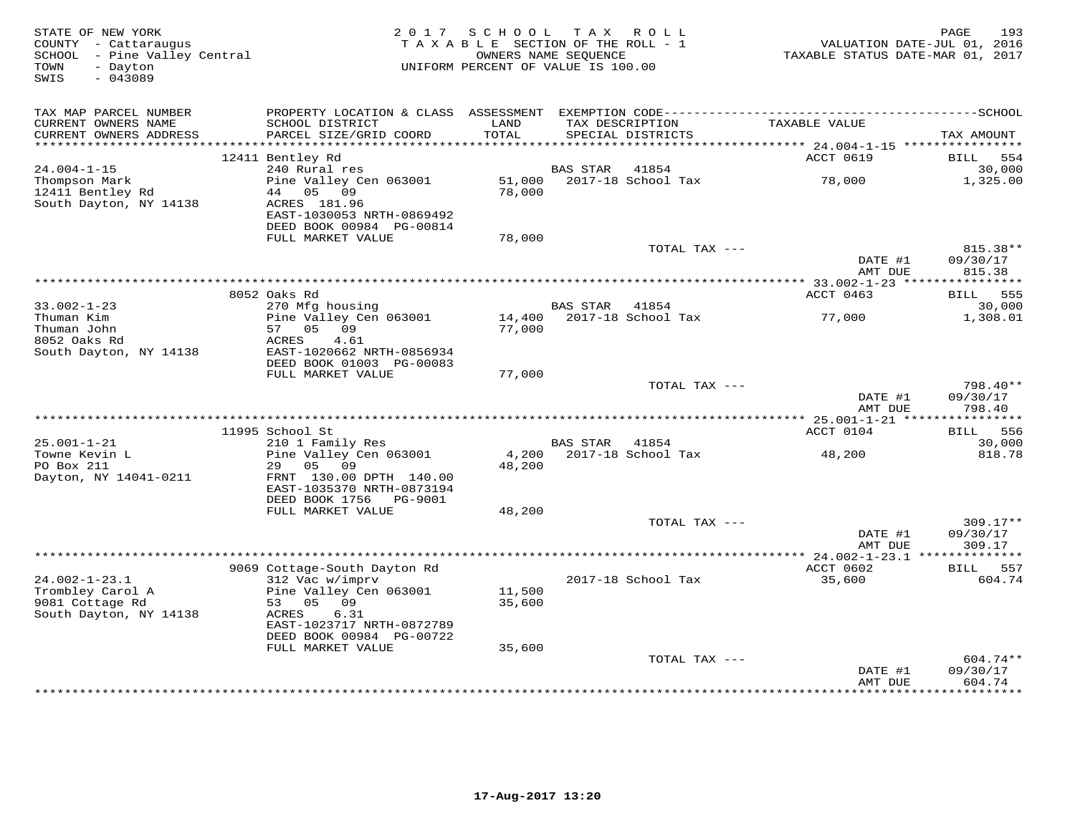| STATE OF NEW YORK<br>COUNTY - Cattaraugus<br>SCHOOL - Pine Valley Central<br>- Dayton<br>TOWN<br>$-043089$<br>SWIS | 2017                                                  | S C H O O L<br>TAXABLE SECTION OF THE ROLL - 1<br>OWNERS NAME SEQUENCE<br>UNIFORM PERCENT OF VALUE IS 100.00 |                 | TAX ROLL                          | VALUATION DATE-JUL 01, 2016<br>TAXABLE STATUS DATE-MAR 01, 2017 | 193<br>PAGE                      |
|--------------------------------------------------------------------------------------------------------------------|-------------------------------------------------------|--------------------------------------------------------------------------------------------------------------|-----------------|-----------------------------------|-----------------------------------------------------------------|----------------------------------|
| TAX MAP PARCEL NUMBER                                                                                              |                                                       |                                                                                                              |                 |                                   |                                                                 |                                  |
| CURRENT OWNERS NAME                                                                                                | SCHOOL DISTRICT                                       | LAND                                                                                                         |                 | TAX DESCRIPTION                   | TAXABLE VALUE                                                   |                                  |
| CURRENT OWNERS ADDRESS                                                                                             | PARCEL SIZE/GRID COORD                                | TOTAL                                                                                                        |                 | SPECIAL DISTRICTS                 |                                                                 | TAX AMOUNT                       |
|                                                                                                                    |                                                       | *******                                                                                                      |                 |                                   | ******* 24.004-1-15 ***********                                 |                                  |
| $24.004 - 1 - 15$                                                                                                  | 12411 Bentley Rd<br>240 Rural res                     |                                                                                                              | <b>BAS STAR</b> | 41854                             | ACCT 0619                                                       | <b>BILL</b><br>554<br>30,000     |
| Thompson Mark                                                                                                      | Pine Valley Cen 063001                                | 51,000                                                                                                       |                 | 2017-18 School Tax                | 78,000                                                          | 1,325.00                         |
| 12411 Bentley Rd<br>South Dayton, NY 14138                                                                         | 05<br>09<br>44<br>ACRES 181.96                        | 78,000                                                                                                       |                 |                                   |                                                                 |                                  |
|                                                                                                                    | EAST-1030053 NRTH-0869492<br>DEED BOOK 00984 PG-00814 |                                                                                                              |                 |                                   |                                                                 |                                  |
|                                                                                                                    | FULL MARKET VALUE                                     | 78,000                                                                                                       |                 | TOTAL TAX ---                     |                                                                 | 815.38**                         |
|                                                                                                                    |                                                       |                                                                                                              |                 |                                   | DATE #1<br>AMT DUE                                              | 09/30/17<br>815.38               |
|                                                                                                                    |                                                       |                                                                                                              |                 |                                   |                                                                 |                                  |
|                                                                                                                    | 8052 Oaks Rd                                          |                                                                                                              |                 |                                   | ACCT 0463                                                       | 555<br>BILL                      |
| $33.002 - 1 - 23$<br>Thuman Kim                                                                                    | 270 Mfg housing                                       |                                                                                                              | <b>BAS STAR</b> | 41854<br>2017-18 School Tax       |                                                                 | 30,000                           |
| Thuman John                                                                                                        | Pine Valley Cen 063001<br>05 09<br>57                 | 14,400<br>77,000                                                                                             |                 |                                   | 77,000                                                          | 1,308.01                         |
| 8052 Oaks Rd                                                                                                       | 4.61<br>ACRES                                         |                                                                                                              |                 |                                   |                                                                 |                                  |
| South Dayton, NY 14138                                                                                             | EAST-1020662 NRTH-0856934                             |                                                                                                              |                 |                                   |                                                                 |                                  |
|                                                                                                                    | DEED BOOK 01003 PG-00083                              |                                                                                                              |                 |                                   |                                                                 |                                  |
|                                                                                                                    | FULL MARKET VALUE                                     | 77,000                                                                                                       |                 |                                   |                                                                 |                                  |
|                                                                                                                    |                                                       |                                                                                                              |                 | TOTAL TAX ---                     | DATE #1<br>AMT DUE                                              | 798.40**<br>09/30/17<br>798.40   |
|                                                                                                                    |                                                       |                                                                                                              |                 |                                   |                                                                 |                                  |
|                                                                                                                    | 11995 School St                                       |                                                                                                              |                 |                                   | ACCT 0104                                                       | BILL 556                         |
| $25.001 - 1 - 21$<br>Towne Kevin L                                                                                 | 210 1 Family Res<br>Pine Valley Cen 063001            |                                                                                                              | BAS STAR        | 41854<br>4,200 2017-18 School Tax | 48,200                                                          | 30,000<br>818.78                 |
| PO Box 211                                                                                                         | 29<br>0.5<br>09                                       | 48,200                                                                                                       |                 |                                   |                                                                 |                                  |
| Dayton, NY 14041-0211                                                                                              | FRNT 130.00 DPTH 140.00<br>EAST-1035370 NRTH-0873194  |                                                                                                              |                 |                                   |                                                                 |                                  |
|                                                                                                                    | DEED BOOK 1756<br>PG-9001                             |                                                                                                              |                 |                                   |                                                                 |                                  |
|                                                                                                                    | FULL MARKET VALUE                                     | 48,200                                                                                                       |                 |                                   |                                                                 |                                  |
|                                                                                                                    |                                                       |                                                                                                              |                 | TOTAL TAX ---                     | DATE #1<br>AMT DUE                                              | $309.17**$<br>09/30/17<br>309.17 |
|                                                                                                                    |                                                       |                                                                                                              |                 |                                   |                                                                 |                                  |
|                                                                                                                    | 9069 Cottage-South Dayton Rd                          |                                                                                                              |                 |                                   | ACCT 0602                                                       | 557<br><b>BILL</b>               |
| $24.002 - 1 - 23.1$                                                                                                | 312 Vac w/imprv                                       |                                                                                                              |                 | 2017-18 School Tax                | 35,600                                                          | 604.74                           |
| Trombley Carol A<br>9081 Cottage Rd                                                                                | Pine Valley Cen 063001<br>53 05<br>09                 | 11,500<br>35,600                                                                                             |                 |                                   |                                                                 |                                  |
| South Dayton, NY 14138                                                                                             | 6.31<br>ACRES                                         |                                                                                                              |                 |                                   |                                                                 |                                  |
|                                                                                                                    | EAST-1023717 NRTH-0872789<br>DEED BOOK 00984 PG-00722 |                                                                                                              |                 |                                   |                                                                 |                                  |
|                                                                                                                    | FULL MARKET VALUE                                     | 35,600                                                                                                       |                 |                                   |                                                                 |                                  |
|                                                                                                                    |                                                       |                                                                                                              |                 | TOTAL TAX ---                     |                                                                 | 604.74**                         |
|                                                                                                                    |                                                       |                                                                                                              |                 |                                   | DATE #1<br>AMT DUE                                              | 09/30/17<br>604.74               |
|                                                                                                                    |                                                       |                                                                                                              |                 |                                   |                                                                 | ********                         |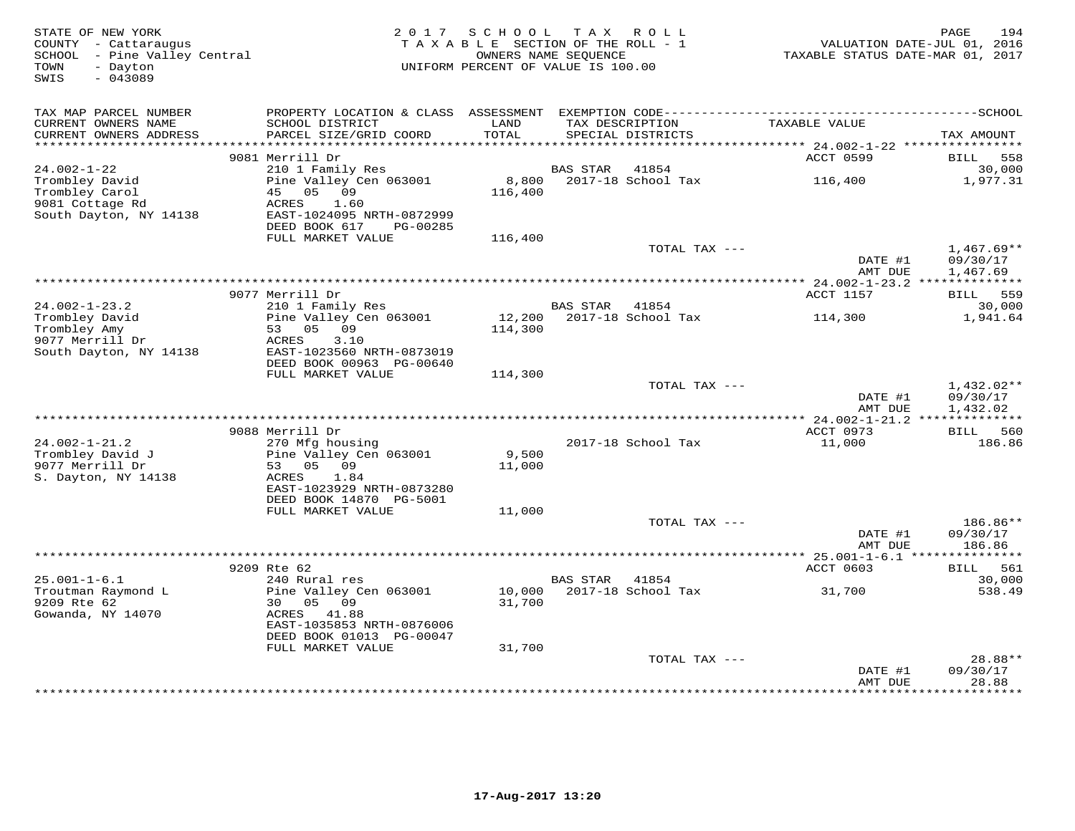| STATE OF NEW YORK<br>COUNTY - Cattaraugus<br>SCHOOL - Pine Valley Central<br>TOWN<br>- Dayton<br>$-043089$<br>SWIS | 2017                                                                                   | SCHOOL TAX ROLL<br>TAXABLE SECTION OF THE ROLL - 1<br>OWNERS NAME SEQUENCE<br>UNIFORM PERCENT OF VALUE IS 100.00 |                 |                                      | TAXABLE STATUS DATE-MAR 01, 2017  | 194<br>PAGE<br>VALUATION DATE-JUL 01, 2016 |
|--------------------------------------------------------------------------------------------------------------------|----------------------------------------------------------------------------------------|------------------------------------------------------------------------------------------------------------------|-----------------|--------------------------------------|-----------------------------------|--------------------------------------------|
| TAX MAP PARCEL NUMBER                                                                                              |                                                                                        |                                                                                                                  |                 |                                      |                                   |                                            |
| CURRENT OWNERS NAME<br>CURRENT OWNERS ADDRESS<br>*******************                                               | SCHOOL DISTRICT<br>PARCEL SIZE/GRID COORD                                              | LAND<br>TOTAL<br>************                                                                                    |                 | TAX DESCRIPTION<br>SPECIAL DISTRICTS | TAXABLE VALUE                     | TAX AMOUNT                                 |
|                                                                                                                    | 9081 Merrill Dr                                                                        |                                                                                                                  |                 |                                      | ACCT 0599                         | BILL<br>558                                |
| $24.002 - 1 - 22$                                                                                                  | 210 1 Family Res                                                                       |                                                                                                                  | BAS STAR        | 41854                                |                                   | 30,000                                     |
| Trombley David<br>Trombley Carol<br>9081 Cottage Rd<br>South Dayton, NY 14138                                      | Pine Valley Cen 063001<br>45<br>05<br>09<br>ACRES<br>1.60<br>EAST-1024095 NRTH-0872999 | 8,800<br>116,400                                                                                                 |                 | 2017-18 School Tax                   | 116,400                           | 1,977.31                                   |
|                                                                                                                    | DEED BOOK 617<br>PG-00285                                                              |                                                                                                                  |                 |                                      |                                   |                                            |
|                                                                                                                    | FULL MARKET VALUE                                                                      | 116,400                                                                                                          |                 | TOTAL TAX ---                        |                                   | $1,467.69**$                               |
|                                                                                                                    |                                                                                        |                                                                                                                  |                 |                                      | DATE #1<br>AMT DUE                | 09/30/17<br>1,467.69                       |
|                                                                                                                    |                                                                                        | **************************************                                                                           |                 |                                      | *** 24.002-1-23.2 *************** |                                            |
| $24.002 - 1 - 23.2$                                                                                                | 9077 Merrill Dr<br>210 1 Family Res                                                    |                                                                                                                  | <b>BAS STAR</b> | 41854                                | ACCT 1157                         | BILL 559<br>30,000                         |
| Trombley David<br>Trombley Amy<br>9077 Merrill Dr                                                                  | Pine Valley Cen 063001<br>53 05 09<br>ACRES<br>3.10                                    | 12,200<br>114,300                                                                                                |                 | 2017-18 School Tax                   | 114,300                           | 1,941.64                                   |
| South Dayton, NY 14138                                                                                             | EAST-1023560 NRTH-0873019<br>DEED BOOK 00963 PG-00640                                  |                                                                                                                  |                 |                                      |                                   |                                            |
|                                                                                                                    | FULL MARKET VALUE                                                                      | 114,300                                                                                                          |                 |                                      |                                   |                                            |
|                                                                                                                    |                                                                                        |                                                                                                                  |                 | TOTAL TAX ---                        | DATE #1                           | $1,432.02**$<br>09/30/17                   |
|                                                                                                                    |                                                                                        |                                                                                                                  |                 |                                      | AMT DUE                           | 1,432.02                                   |
|                                                                                                                    | 9088 Merrill Dr                                                                        |                                                                                                                  |                 |                                      | ACCT 0973                         | BILL 560                                   |
| $24.002 - 1 - 21.2$                                                                                                | 270 Mfg housing                                                                        |                                                                                                                  |                 | 2017-18 School Tax                   | 11,000                            | 186.86                                     |
| Trombley David J                                                                                                   | Pine Valley Cen 063001                                                                 | 9,500                                                                                                            |                 |                                      |                                   |                                            |
| 9077 Merrill Dr<br>S. Dayton, NY 14138                                                                             | 53 05<br>09<br>ACRES<br>1.84                                                           | 11,000                                                                                                           |                 |                                      |                                   |                                            |
|                                                                                                                    | EAST-1023929 NRTH-0873280<br>DEED BOOK 14870 PG-5001                                   |                                                                                                                  |                 |                                      |                                   |                                            |
|                                                                                                                    | FULL MARKET VALUE                                                                      | 11,000                                                                                                           |                 |                                      |                                   |                                            |
|                                                                                                                    |                                                                                        |                                                                                                                  |                 | TOTAL TAX ---                        |                                   | 186.86**                                   |
|                                                                                                                    |                                                                                        |                                                                                                                  |                 |                                      | DATE #1<br>AMT DUE                | 09/30/17<br>186.86                         |
|                                                                                                                    |                                                                                        |                                                                                                                  |                 |                                      |                                   | * * * * * * * *                            |
| $25.001 - 1 - 6.1$                                                                                                 | 9209 Rte 62<br>240 Rural res                                                           |                                                                                                                  | <b>BAS STAR</b> | 41854                                | ACCT 0603                         | 561<br>BILL<br>30,000                      |
| Troutman Raymond L                                                                                                 | Pine Valley Cen 063001                                                                 | 10,000                                                                                                           |                 | 2017-18 School Tax                   | 31,700                            | 538.49                                     |
| 9209 Rte 62<br>Gowanda, NY 14070                                                                                   | 30<br>05<br>09<br>ACRES<br>41.88<br>EAST-1035853 NRTH-0876006                          | 31,700                                                                                                           |                 |                                      |                                   |                                            |
|                                                                                                                    | DEED BOOK 01013 PG-00047                                                               |                                                                                                                  |                 |                                      |                                   |                                            |
|                                                                                                                    | FULL MARKET VALUE                                                                      | 31,700                                                                                                           |                 |                                      |                                   |                                            |
|                                                                                                                    |                                                                                        |                                                                                                                  |                 | TOTAL TAX ---                        | DATE #1                           | 28.88**<br>09/30/17                        |
|                                                                                                                    |                                                                                        |                                                                                                                  |                 |                                      | AMT DUE                           | 28.88<br>.                                 |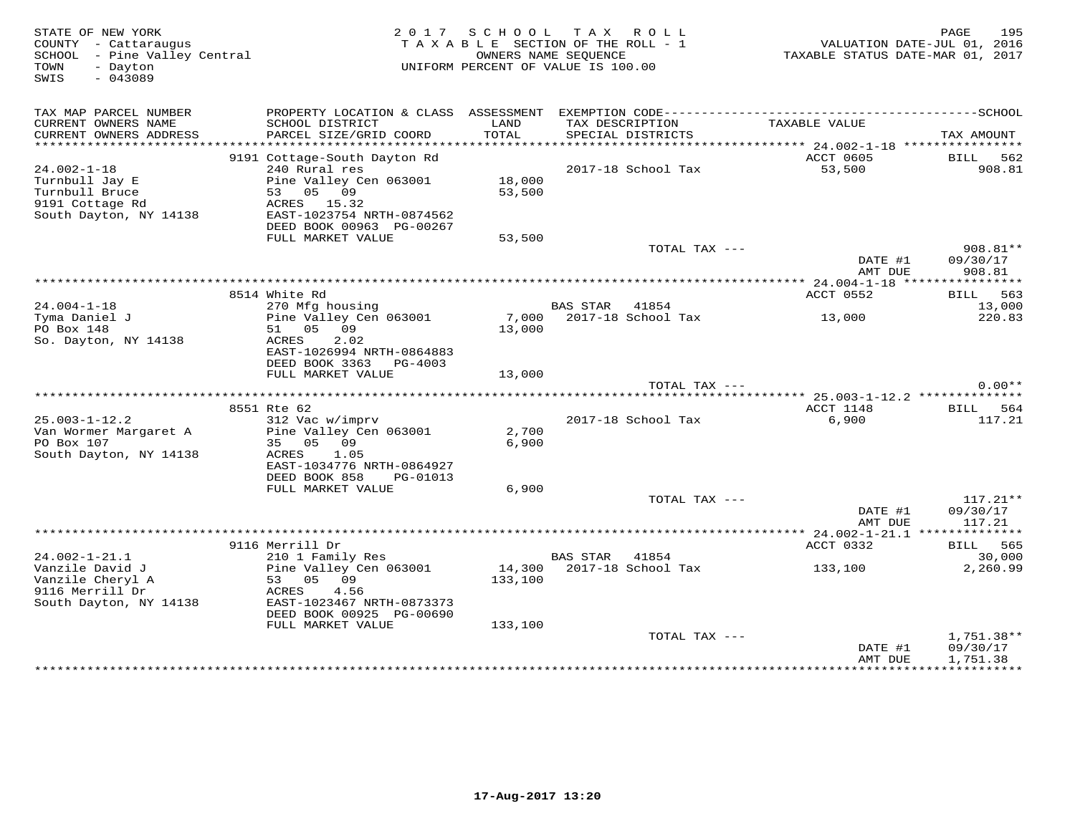| STATE OF NEW YORK<br>COUNTY - Cattaraugus<br>SCHOOL - Pine Valley Central<br>- Dayton<br>TOWN<br>$-043089$<br>SWIS |                                                                                                              | 2017 SCHOOL      | TAX ROLL<br>TAXABLE SECTION OF THE ROLL - 1<br>OWNERS NAME SEQUENCE<br>UNIFORM PERCENT OF VALUE IS 100.00 | VALUATION DATE-JUL 01, 2016<br>TAXABLE STATUS DATE-MAR 01, 2017 | 195<br>PAGE                      |
|--------------------------------------------------------------------------------------------------------------------|--------------------------------------------------------------------------------------------------------------|------------------|-----------------------------------------------------------------------------------------------------------|-----------------------------------------------------------------|----------------------------------|
| TAX MAP PARCEL NUMBER<br>CURRENT OWNERS NAME<br>CURRENT OWNERS ADDRESS                                             | PROPERTY LOCATION & CLASS ASSESSMENT<br>SCHOOL DISTRICT<br>PARCEL SIZE/GRID COORD                            | LAND<br>TOTAL    | TAX DESCRIPTION<br>SPECIAL DISTRICTS                                                                      | TAXABLE VALUE                                                   | TAX AMOUNT                       |
| ***********************                                                                                            |                                                                                                              |                  |                                                                                                           |                                                                 |                                  |
| $24.002 - 1 - 18$<br>Turnbull Jay E<br>Turnbull Bruce                                                              | 9191 Cottage-South Dayton Rd<br>240 Rural res<br>Pine Valley Cen 063001<br>53 05 09                          | 18,000<br>53,500 | 2017-18 School Tax                                                                                        | ACCT 0605<br>53,500                                             | BILL 562<br>908.81               |
| 9191 Cottage Rd<br>South Dayton, NY 14138                                                                          | ACRES 15.32<br>EAST-1023754 NRTH-0874562<br>DEED BOOK 00963 PG-00267<br>FULL MARKET VALUE                    | 53,500           |                                                                                                           |                                                                 |                                  |
|                                                                                                                    |                                                                                                              |                  | TOTAL TAX ---                                                                                             | DATE #1<br>AMT DUE                                              | $908.81**$<br>09/30/17<br>908.81 |
|                                                                                                                    |                                                                                                              |                  |                                                                                                           |                                                                 |                                  |
| $24.004 - 1 - 18$                                                                                                  | 8514 White Rd<br>270 Mfg housing                                                                             |                  | BAS STAR<br>41854                                                                                         | ACCT 0552                                                       | BILL 563<br>13,000               |
| Tyma Daniel J<br>PO Box 148<br>So. Dayton, NY 14138                                                                | Pine Valley Cen 063001<br>51 05 09<br>ACRES<br>2.02<br>EAST-1026994 NRTH-0864883                             | 13,000           | 7,000 2017-18 School Tax                                                                                  | 13,000                                                          | 220.83                           |
|                                                                                                                    | DEED BOOK 3363 PG-4003                                                                                       |                  |                                                                                                           |                                                                 |                                  |
|                                                                                                                    | FULL MARKET VALUE                                                                                            | 13,000           |                                                                                                           |                                                                 |                                  |
|                                                                                                                    |                                                                                                              |                  | TOTAL TAX ---                                                                                             |                                                                 | $0.00**$                         |
|                                                                                                                    | 8551 Rte 62                                                                                                  |                  |                                                                                                           | ACCT 1148                                                       | BILL 564                         |
| $25.003 - 1 - 12.2$<br>Van Wormer Margaret A<br>PO Box 107<br>South Dayton, NY 14138                               | 312 Vac w/imprv<br>Pine Valley Cen 063001<br>35 05 09<br>ACRES<br>1.05<br>EAST-1034776 NRTH-0864927          | 2,700<br>6,900   | 2017-18 School Tax                                                                                        | 6,900                                                           | 117.21                           |
|                                                                                                                    | DEED BOOK 858<br>PG-01013                                                                                    |                  |                                                                                                           |                                                                 |                                  |
|                                                                                                                    | FULL MARKET VALUE                                                                                            | 6,900            | TOTAL TAX ---                                                                                             |                                                                 | $117.21**$                       |
|                                                                                                                    |                                                                                                              |                  |                                                                                                           | DATE #1<br>AMT DUE                                              | 09/30/17<br>117.21               |
|                                                                                                                    |                                                                                                              |                  |                                                                                                           |                                                                 |                                  |
| $24.002 - 1 - 21.1$                                                                                                | 9116 Merrill Dr<br>210 1 Family Res                                                                          |                  | 41854<br><b>BAS STAR</b>                                                                                  | ACCT 0332                                                       | BILL 565<br>30,000               |
| Vanzile David J<br>Vanzile Cheryl A<br>9116 Merrill Dr<br>South Dayton, NY 14138                                   | Pine Valley Cen 063001<br>53 05 09<br>ACRES<br>4.56<br>EAST-1023467 NRTH-0873373<br>DEED BOOK 00925 PG-00690 | 133,100          | 14,300 2017-18 School Tax                                                                                 | 133,100                                                         | 2,260.99                         |
|                                                                                                                    | FULL MARKET VALUE                                                                                            | 133,100          | TOTAL TAX ---                                                                                             |                                                                 | 1,751.38**                       |
|                                                                                                                    |                                                                                                              |                  |                                                                                                           | DATE #1<br>AMT DUE                                              | 09/30/17<br>1,751.38             |
|                                                                                                                    |                                                                                                              |                  |                                                                                                           |                                                                 |                                  |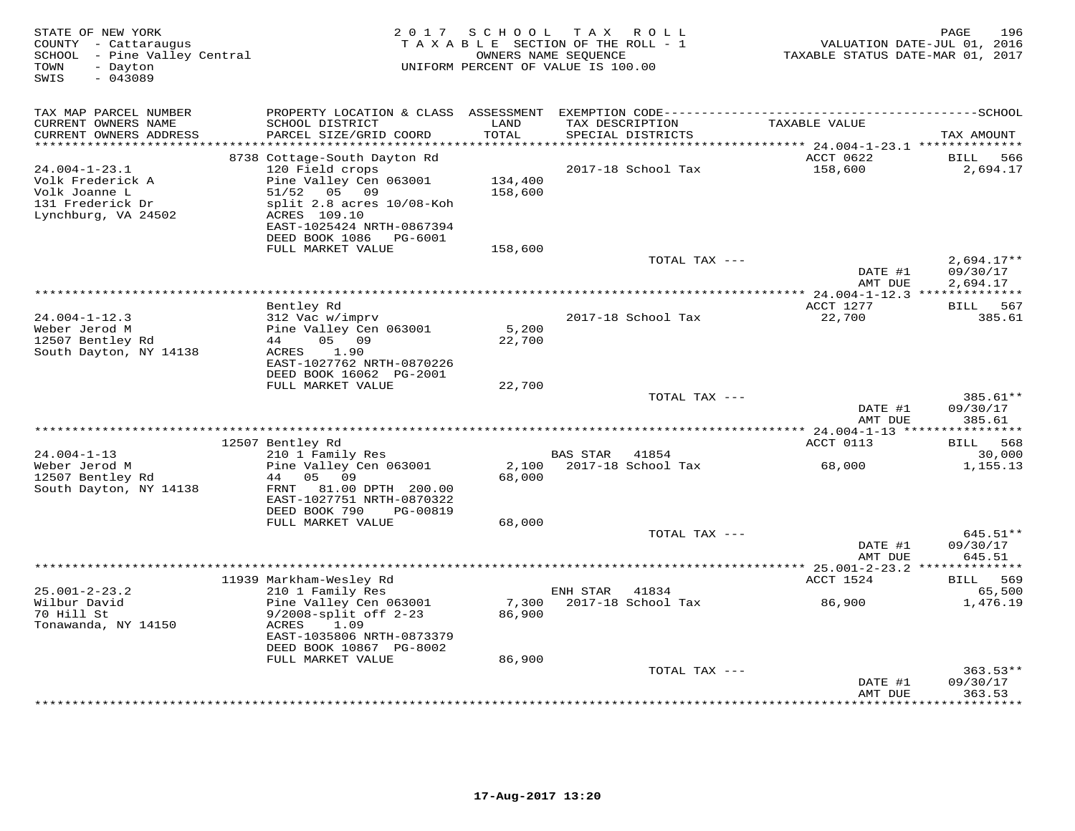| STATE OF NEW YORK<br>COUNTY - Cattaraugus<br>SCHOOL - Pine Valley Central<br>TOWN<br>- Dayton<br>$-043089$<br>SWIS | 2 0 1 7                                                                                                                       | SCHOOL                       | T A X<br>ROLL<br>TAXABLE SECTION OF THE ROLL - 1<br>OWNERS NAME SEQUENCE<br>UNIFORM PERCENT OF VALUE IS 100.00 | TAXABLE STATUS DATE-MAR 01, 2017                        | PAGE<br>196<br>VALUATION DATE-JUL 01, 2016 |
|--------------------------------------------------------------------------------------------------------------------|-------------------------------------------------------------------------------------------------------------------------------|------------------------------|----------------------------------------------------------------------------------------------------------------|---------------------------------------------------------|--------------------------------------------|
| TAX MAP PARCEL NUMBER<br>CURRENT OWNERS NAME<br>CURRENT OWNERS ADDRESS                                             | SCHOOL DISTRICT<br>PARCEL SIZE/GRID COORD                                                                                     | LAND<br>TOTAL<br>*********** | TAX DESCRIPTION<br>SPECIAL DISTRICTS<br>*********************                                                  | TAXABLE VALUE<br>********* 24.004-1-23.1 ************** | TAX AMOUNT                                 |
| $24.004 - 1 - 23.1$                                                                                                | 8738 Cottage-South Dayton Rd<br>120 Field crops                                                                               |                              | 2017-18 School Tax                                                                                             | ACCT 0622<br>158,600                                    | 566<br>BILL<br>2,694.17                    |
| Volk Frederick A<br>Volk Joanne L<br>131 Frederick Dr<br>Lynchburg, VA 24502                                       | Pine Valley Cen 063001<br>51/52<br>05 09<br>split 2.8 acres 10/08-Koh<br>ACRES 109.10<br>EAST-1025424 NRTH-0867394            | 134,400<br>158,600           |                                                                                                                |                                                         |                                            |
|                                                                                                                    | DEED BOOK 1086<br>PG-6001<br>FULL MARKET VALUE                                                                                | 158,600                      |                                                                                                                |                                                         |                                            |
|                                                                                                                    |                                                                                                                               |                              | TOTAL TAX ---                                                                                                  | DATE #1<br>AMT DUE                                      | $2,694.17**$<br>09/30/17                   |
|                                                                                                                    |                                                                                                                               |                              |                                                                                                                |                                                         | 2,694.17                                   |
| $24.004 - 1 - 12.3$                                                                                                | Bentley Rd<br>312 Vac w/imprv                                                                                                 |                              | 2017-18 School Tax                                                                                             | ACCT 1277<br>22,700                                     | BILL<br>567<br>385.61                      |
| Weber Jerod M<br>12507 Bentley Rd<br>South Dayton, NY 14138                                                        | Pine Valley Cen 063001<br>05 09<br>44<br>1.90<br>ACRES<br>EAST-1027762 NRTH-0870226                                           | 5,200<br>22,700              |                                                                                                                |                                                         |                                            |
|                                                                                                                    | DEED BOOK 16062 PG-2001<br>FULL MARKET VALUE                                                                                  | 22,700                       |                                                                                                                |                                                         |                                            |
|                                                                                                                    |                                                                                                                               |                              | TOTAL TAX ---                                                                                                  | DATE #1                                                 | 385.61**<br>09/30/17                       |
|                                                                                                                    |                                                                                                                               |                              |                                                                                                                | AMT DUE<br>*** 24.004-1-13 ****                         | 385.61<br>* * * * * * * *                  |
|                                                                                                                    | 12507 Bentley Rd                                                                                                              |                              |                                                                                                                | ACCT 0113                                               | 568<br><b>BILL</b>                         |
| $24.004 - 1 - 13$                                                                                                  | 210 1 Family Res                                                                                                              |                              | BAS STAR<br>41854                                                                                              |                                                         | 30,000                                     |
| Weber Jerod M<br>12507 Bentley Rd<br>South Dayton, NY 14138                                                        | Pine Valley Cen 063001<br>44  05  09<br>81.00 DPTH 200.00<br>FRNT<br>EAST-1027751 NRTH-0870322<br>DEED BOOK 790<br>PG-00819   | 2,100<br>68,000              | 2017-18 School Tax                                                                                             | 68,000                                                  | 1,155.13                                   |
|                                                                                                                    | FULL MARKET VALUE                                                                                                             | 68,000                       | TOTAL TAX ---                                                                                                  |                                                         | 645.51**                                   |
|                                                                                                                    |                                                                                                                               |                              |                                                                                                                | DATE #1<br>AMT DUE                                      | 09/30/17<br>645.51                         |
|                                                                                                                    |                                                                                                                               |                              | ***********************                                                                                        | ** $25.001 - 2 - 23.2$ **                               |                                            |
| $25.001 - 2 - 23.2$                                                                                                | 11939 Markham-Wesley Rd<br>210 1 Family Res                                                                                   |                              | ENH STAR<br>41834                                                                                              | ACCT 1524                                               | 569<br>BILL<br>65,500                      |
| Wilbur David<br>70 Hill St<br>Tonawanda, NY 14150                                                                  | Pine Valley Cen 063001<br>$9/2008$ -split off $2-23$<br>1.09<br>ACRES<br>EAST-1035806 NRTH-0873379<br>DEED BOOK 10867 PG-8002 | 7,300<br>86,900              | 2017-18 School Tax                                                                                             | 86,900                                                  | 1,476.19                                   |
|                                                                                                                    | FULL MARKET VALUE                                                                                                             | 86,900                       |                                                                                                                |                                                         |                                            |
|                                                                                                                    |                                                                                                                               |                              | TOTAL TAX ---                                                                                                  | DATE #1                                                 | $363.53**$<br>09/30/17<br>363.53           |
|                                                                                                                    |                                                                                                                               |                              |                                                                                                                | AMT DUE<br>* * * * * * * *                              | .                                          |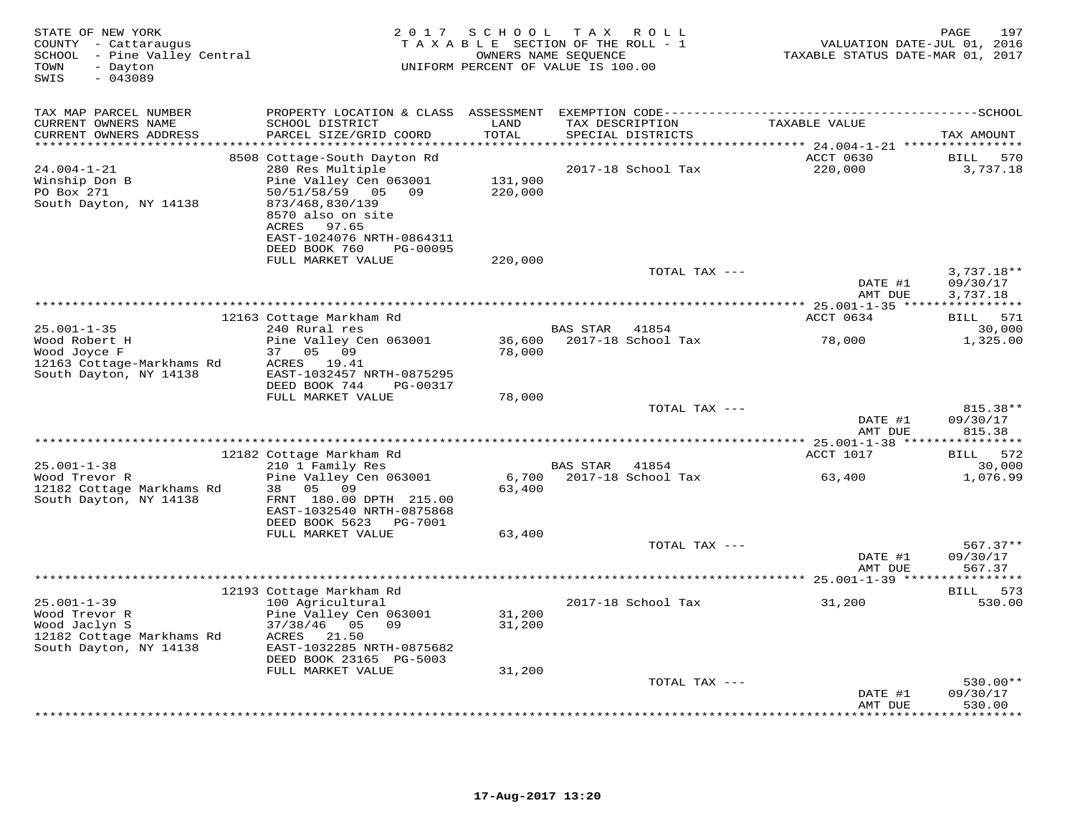| STATE OF NEW YORK<br>COUNTY - Cattaraugus<br>SCHOOL - Pine Valley Central<br>- Dayton<br>TOWN<br>$-043089$<br>SWIS | 2 0 1 7                                                                                                                                                                                                             | S C H O O L                    | T A X<br>R O L L<br>TAXABLE SECTION OF THE ROLL - 1<br>OWNERS NAME SEQUENCE<br>UNIFORM PERCENT OF VALUE IS 100.00 | VALUATION DATE-JUL 01, 2016<br>TAXABLE STATUS DATE-MAR 01, 2017 | 197<br>PAGE                           |
|--------------------------------------------------------------------------------------------------------------------|---------------------------------------------------------------------------------------------------------------------------------------------------------------------------------------------------------------------|--------------------------------|-------------------------------------------------------------------------------------------------------------------|-----------------------------------------------------------------|---------------------------------------|
| TAX MAP PARCEL NUMBER<br>CURRENT OWNERS NAME<br>CURRENT OWNERS ADDRESS<br>***********************                  | PROPERTY LOCATION & CLASS ASSESSMENT<br>SCHOOL DISTRICT<br>PARCEL SIZE/GRID COORD                                                                                                                                   | LAND<br>TOTAL<br>***********   | TAX DESCRIPTION<br>SPECIAL DISTRICTS                                                                              | TAXABLE VALUE                                                   | TAX AMOUNT                            |
| $24.004 - 1 - 21$<br>Winship Don B<br>PO Box 271<br>South Dayton, NY 14138                                         | 8508 Cottage-South Dayton Rd<br>280 Res Multiple<br>Pine Valley Cen 063001<br>50/51/58/59 05 09<br>873/468,830/139<br>8570 also on site<br>97.65<br>ACRES<br>EAST-1024076 NRTH-0864311<br>DEED BOOK 760<br>PG-00095 | 131,900<br>220,000             | 2017-18 School Tax                                                                                                | ACCT 0630<br>220,000                                            | <b>BILL</b><br>570<br>3,737.18        |
|                                                                                                                    | FULL MARKET VALUE                                                                                                                                                                                                   | 220,000                        | TOTAL TAX ---                                                                                                     | DATE #1<br>AMT DUE                                              | $3,737.18**$<br>09/30/17<br>3,737.18  |
|                                                                                                                    |                                                                                                                                                                                                                     |                                | *************************                                                                                         | $* 25.001 - 1 - 35$ *****                                       | ***********                           |
| $25.001 - 1 - 35$                                                                                                  | 12163 Cottage Markham Rd<br>240 Rural res                                                                                                                                                                           |                                | <b>BAS STAR</b><br>41854                                                                                          | ACCT 0634                                                       | BILL 571<br>30,000                    |
| Wood Robert H<br>Wood Joyce F<br>12163 Cottage-Markhams Rd<br>South Dayton, NY 14138                               | Pine Valley Cen 063001<br>05 09<br>37<br>ACRES 19.41<br>EAST-1032457 NRTH-0875295<br>DEED BOOK 744<br>PG-00317                                                                                                      | 36,600<br>78,000               | 2017-18 School Tax                                                                                                | 78,000                                                          | 1,325.00                              |
|                                                                                                                    | FULL MARKET VALUE                                                                                                                                                                                                   | 78,000                         | TOTAL TAX ---                                                                                                     |                                                                 | 815.38**                              |
|                                                                                                                    |                                                                                                                                                                                                                     |                                |                                                                                                                   | DATE #1<br>AMT DUE                                              | 09/30/17<br>815.38                    |
|                                                                                                                    |                                                                                                                                                                                                                     | ****************************** |                                                                                                                   | *********** 25.001-1-38 *****                                   | ***********                           |
|                                                                                                                    | 12182 Cottage Markham Rd                                                                                                                                                                                            |                                |                                                                                                                   | ACCT 1017                                                       | 572<br>BILL                           |
| $25.001 - 1 - 38$<br>Wood Trevor R<br>12182 Cottage Markhams Rd<br>South Dayton, NY 14138                          | 210 1 Family Res<br>Pine Valley Cen 063001<br>05 09<br>38<br>FRNT 180.00 DPTH 215.00<br>EAST-1032540 NRTH-0875868<br>DEED BOOK 5623<br>PG-7001                                                                      | 6,700<br>63,400                | BAS STAR<br>41854<br>2017-18 School Tax                                                                           | 63,400                                                          | 30,000<br>1,076.99                    |
|                                                                                                                    | FULL MARKET VALUE                                                                                                                                                                                                   | 63,400                         | TOTAL TAX ---                                                                                                     | DATE #1<br>AMT DUE                                              | $567.37**$<br>09/30/17<br>567.37      |
|                                                                                                                    | ***************                                                                                                                                                                                                     |                                |                                                                                                                   |                                                                 | * * * * * * * * * *                   |
| $25.001 - 1 - 39$<br>Wood Trevor R<br>Wood Jaclyn S                                                                | 12193 Cottage Markham Rd<br>100 Agricultural<br>Pine Valley Cen 063001<br>$37/38/46$ 05 09                                                                                                                          | 31,200<br>31,200               | 2017-18 School Tax                                                                                                | 31,200                                                          | BILL 573<br>530.00                    |
| 12182 Cottage Markhams Rd<br>South Dayton, NY 14138                                                                | ACRES<br>21.50<br>EAST-1032285 NRTH-0875682<br>DEED BOOK 23165 PG-5003                                                                                                                                              |                                |                                                                                                                   |                                                                 |                                       |
|                                                                                                                    | FULL MARKET VALUE                                                                                                                                                                                                   | 31,200                         | TOTAL TAX ---                                                                                                     |                                                                 | 530.00**                              |
|                                                                                                                    |                                                                                                                                                                                                                     |                                |                                                                                                                   | DATE #1<br>AMT DUE                                              | 09/30/17<br>530.00<br>* * * * * * * * |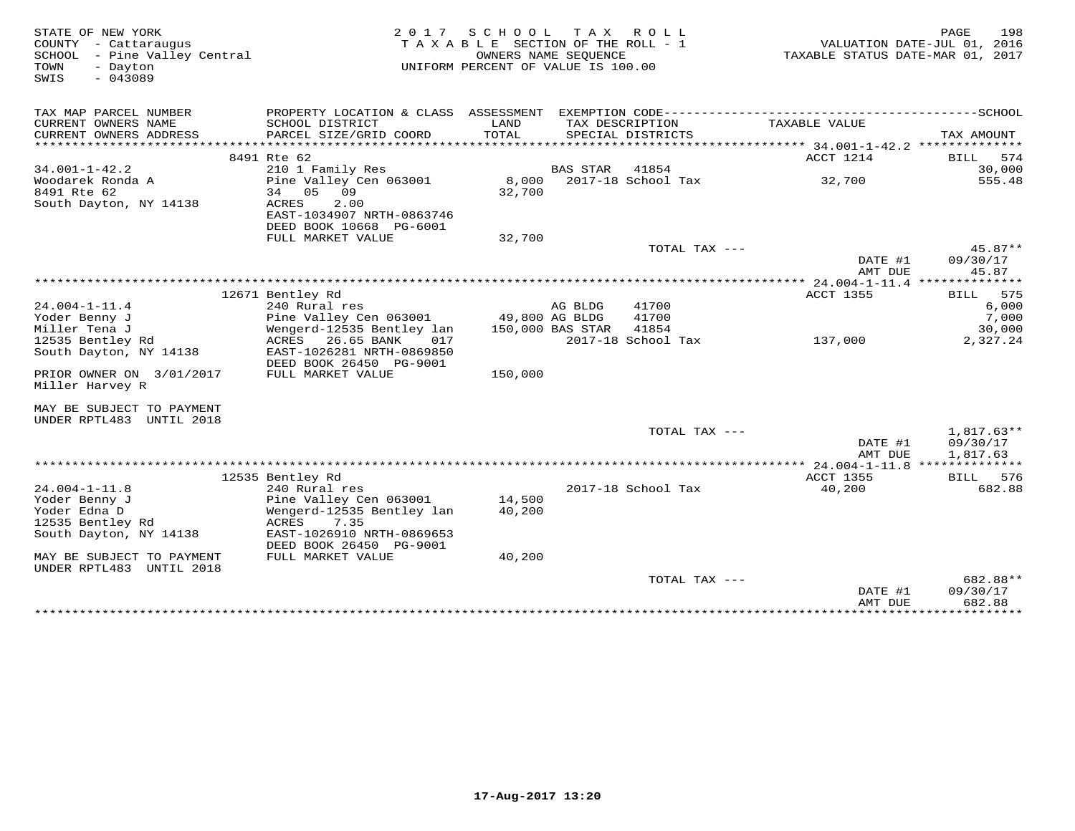| STATE OF NEW YORK<br>COUNTY - Cattaraugus<br>- Pine Valley Central<br>SCHOOL<br>TOWN<br>- Dayton<br>$-043089$<br>SWIS | 2 0 1 7                                                                                                           | SCHOOL<br>TAXABLE SECTION OF THE ROLL - 1<br>UNIFORM PERCENT OF VALUE IS 100.00 | T A X<br>OWNERS NAME SEQUENCE | R O L L                                    | TAXABLE STATUS DATE-MAR 01, 2017 | 198<br>PAGE<br>VALUATION DATE-JUL 01, 2016 |
|-----------------------------------------------------------------------------------------------------------------------|-------------------------------------------------------------------------------------------------------------------|---------------------------------------------------------------------------------|-------------------------------|--------------------------------------------|----------------------------------|--------------------------------------------|
| TAX MAP PARCEL NUMBER                                                                                                 | PROPERTY LOCATION & CLASS ASSESSMENT                                                                              |                                                                                 |                               | EXEMPTION CODE---------------------------- |                                  | $------SCH OOL$                            |
| CURRENT OWNERS NAME<br>CURRENT OWNERS ADDRESS<br>*********************                                                | SCHOOL DISTRICT<br>PARCEL SIZE/GRID COORD<br>***********************                                              | LAND<br>TOTAL                                                                   |                               | TAX DESCRIPTION<br>SPECIAL DISTRICTS       | TAXABLE VALUE                    | TAX AMOUNT                                 |
|                                                                                                                       | 8491 Rte 62                                                                                                       |                                                                                 |                               |                                            | ACCT 1214                        | <b>BILL</b><br>574                         |
| $34.001 - 1 - 42.2$                                                                                                   | 210 1 Family Res                                                                                                  |                                                                                 | <b>BAS STAR</b>               | 41854                                      |                                  | 30,000                                     |
| Woodarek Ronda A<br>8491 Rte 62<br>South Dayton, NY 14138                                                             | Pine Valley Cen 063001<br>05<br>09<br>34<br>2.00<br>ACRES<br>EAST-1034907 NRTH-0863746<br>DEED BOOK 10668 PG-6001 | 8,000<br>32,700                                                                 |                               | 2017-18 School Tax                         | 32,700                           | 555.48                                     |
|                                                                                                                       | FULL MARKET VALUE                                                                                                 | 32,700                                                                          |                               |                                            |                                  |                                            |
|                                                                                                                       |                                                                                                                   |                                                                                 |                               | TOTAL TAX ---                              | DATE #1<br>AMT DUE               | $45.87**$<br>09/30/17<br>45.87             |
|                                                                                                                       |                                                                                                                   |                                                                                 |                               |                                            |                                  |                                            |
|                                                                                                                       | 12671 Bentley Rd                                                                                                  |                                                                                 |                               |                                            | <b>ACCT 1355</b>                 | 575<br>BILL                                |
| $24.004 - 1 - 11.4$                                                                                                   | 240 Rural res                                                                                                     |                                                                                 | AG BLDG                       | 41700                                      |                                  | 6,000                                      |
| Yoder Benny J                                                                                                         | Pine Valley Cen 063001                                                                                            |                                                                                 | 49,800 AG BLDG                | 41700                                      |                                  | 7,000                                      |
| Miller Tena J                                                                                                         | Wengerd-12535 Bentley lan                                                                                         |                                                                                 | 150,000 BAS STAR              | 41854                                      |                                  | 30,000                                     |
| 12535 Bentley Rd<br>South Dayton, NY 14138                                                                            | ACRES<br>26.65 BANK<br>017<br>EAST-1026281 NRTH-0869850<br>DEED BOOK 26450 PG-9001                                |                                                                                 |                               | 2017-18 School Tax                         | 137,000                          | 2,327.24                                   |
| PRIOR OWNER ON 3/01/2017<br>Miller Harvey R                                                                           | FULL MARKET VALUE                                                                                                 | 150,000                                                                         |                               |                                            |                                  |                                            |
| MAY BE SUBJECT TO PAYMENT<br>UNDER RPTL483 UNTIL 2018                                                                 |                                                                                                                   |                                                                                 |                               |                                            |                                  |                                            |
|                                                                                                                       |                                                                                                                   |                                                                                 |                               | TOTAL TAX ---                              | DATE #1<br>AMT DUE               | $1,817.63**$<br>09/30/17<br>1,817.63       |
|                                                                                                                       |                                                                                                                   |                                                                                 |                               |                                            | *** 24.004-1-11.8                |                                            |
|                                                                                                                       | 12535 Bentley Rd                                                                                                  |                                                                                 |                               |                                            | <b>ACCT 1355</b>                 | BILL 576                                   |
| $24.004 - 1 - 11.8$                                                                                                   | 240 Rural res                                                                                                     |                                                                                 |                               | 2017-18 School Tax                         | 40,200                           | 682.88                                     |
| Yoder Benny J<br>Yoder Edna D                                                                                         | Pine Valley Cen 063001<br>Wengerd-12535 Bentley lan                                                               | 14,500<br>40,200                                                                |                               |                                            |                                  |                                            |
| 12535 Bentley Rd                                                                                                      | ACRES<br>7.35                                                                                                     |                                                                                 |                               |                                            |                                  |                                            |
| South Dayton, NY 14138                                                                                                | EAST-1026910 NRTH-0869653<br>DEED BOOK 26450 PG-9001                                                              |                                                                                 |                               |                                            |                                  |                                            |
| MAY BE SUBJECT TO PAYMENT<br>UNDER RPTL483 UNTIL 2018                                                                 | FULL MARKET VALUE                                                                                                 | 40,200                                                                          |                               |                                            |                                  |                                            |
|                                                                                                                       |                                                                                                                   |                                                                                 |                               | TOTAL TAX ---                              | DATE #1<br>AMT DUE               | 682.88**<br>09/30/17<br>682.88             |
|                                                                                                                       |                                                                                                                   |                                                                                 |                               |                                            |                                  |                                            |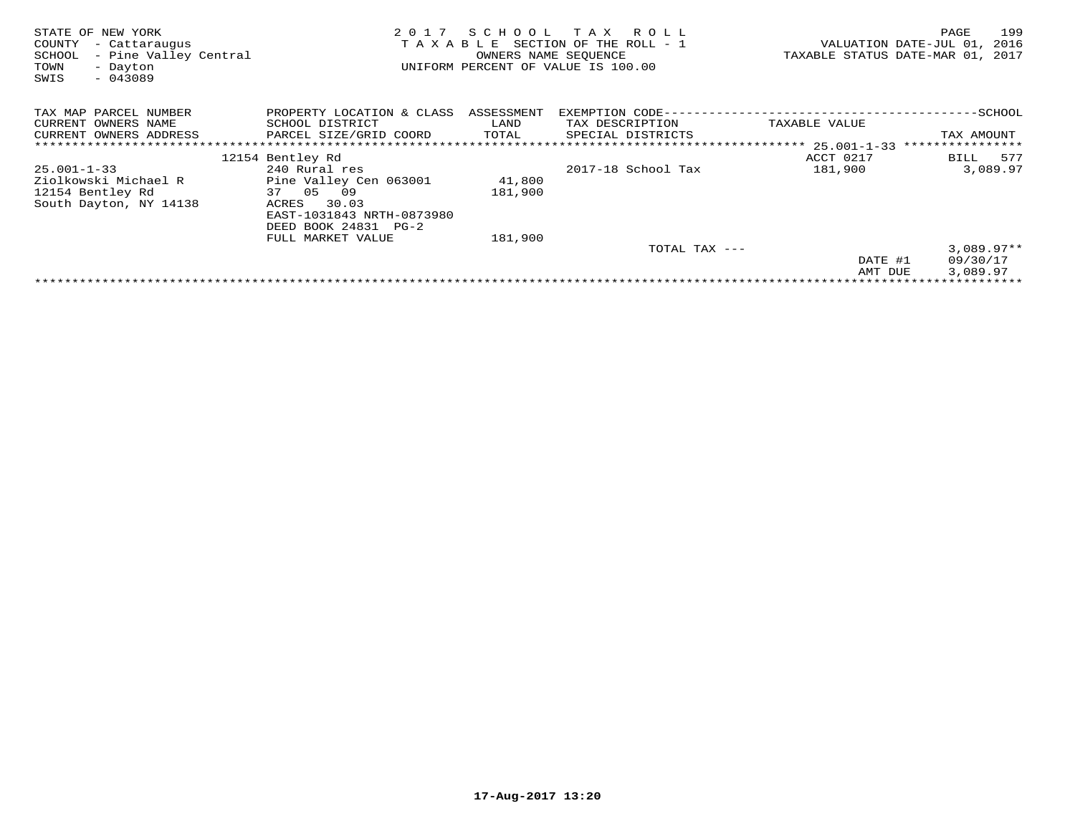| STATE OF NEW YORK<br>- Cattaraugus<br>COUNTY<br>- Pine Valley Central<br>SCHOOL<br>TOWN<br>- Dayton<br>$-043089$<br>SWIS | 2017<br>TAXABLE                      | SCHOOL<br>OWNERS NAME SEQUENCE | T A X<br>R O L L<br>SECTION OF THE ROLL - 1<br>UNIFORM PERCENT OF VALUE IS 100.00 |                           | 199<br>PAGE<br>VALUATION DATE-JUL 01,<br>2016<br>TAXABLE STATUS DATE-MAR 01, 2017 |
|--------------------------------------------------------------------------------------------------------------------------|--------------------------------------|--------------------------------|-----------------------------------------------------------------------------------|---------------------------|-----------------------------------------------------------------------------------|
| TAX MAP PARCEL NUMBER                                                                                                    | PROPERTY LOCATION & CLASS ASSESSMENT |                                | EXEMPTION CODE---                                                                 | ---------------------     | --SCHOOL                                                                          |
| CURRENT OWNERS NAME                                                                                                      | SCHOOL DISTRICT                      | LAND                           | TAX DESCRIPTION                                                                   | TAXABLE VALUE             |                                                                                   |
| CURRENT OWNERS ADDRESS                                                                                                   | PARCEL SIZE/GRID COORD               | TOTAL                          | SPECIAL DISTRICTS                                                                 |                           | TAX AMOUNT                                                                        |
|                                                                                                                          |                                      |                                |                                                                                   | ************* 25.001-1-33 | ****************                                                                  |
|                                                                                                                          | 12154 Bentley Rd                     |                                |                                                                                   | ACCT 0217                 | 577<br>BILL                                                                       |
| $25.001 - 1 - 33$                                                                                                        | 240 Rural res                        |                                | 2017-18 School Tax                                                                | 181,900                   | 3,089.97                                                                          |
| Ziolkowski Michael R                                                                                                     | Pine Valley Cen 063001               | 41,800                         |                                                                                   |                           |                                                                                   |
| 12154 Bentley Rd                                                                                                         | 37 05<br>09                          | 181,900                        |                                                                                   |                           |                                                                                   |
| South Dayton, NY 14138                                                                                                   | 30.03<br>ACRES                       |                                |                                                                                   |                           |                                                                                   |
|                                                                                                                          | EAST-1031843 NRTH-0873980            |                                |                                                                                   |                           |                                                                                   |
|                                                                                                                          | DEED BOOK 24831 PG-2                 |                                |                                                                                   |                           |                                                                                   |
|                                                                                                                          | FULL MARKET VALUE                    | 181,900                        |                                                                                   |                           |                                                                                   |
|                                                                                                                          |                                      |                                | TOTAL TAX ---                                                                     |                           | $3,089.97**$                                                                      |
|                                                                                                                          |                                      |                                |                                                                                   | DATE #1                   | 09/30/17                                                                          |
|                                                                                                                          |                                      |                                |                                                                                   | AMT DUE                   | 3,089.97                                                                          |
|                                                                                                                          |                                      |                                |                                                                                   |                           |                                                                                   |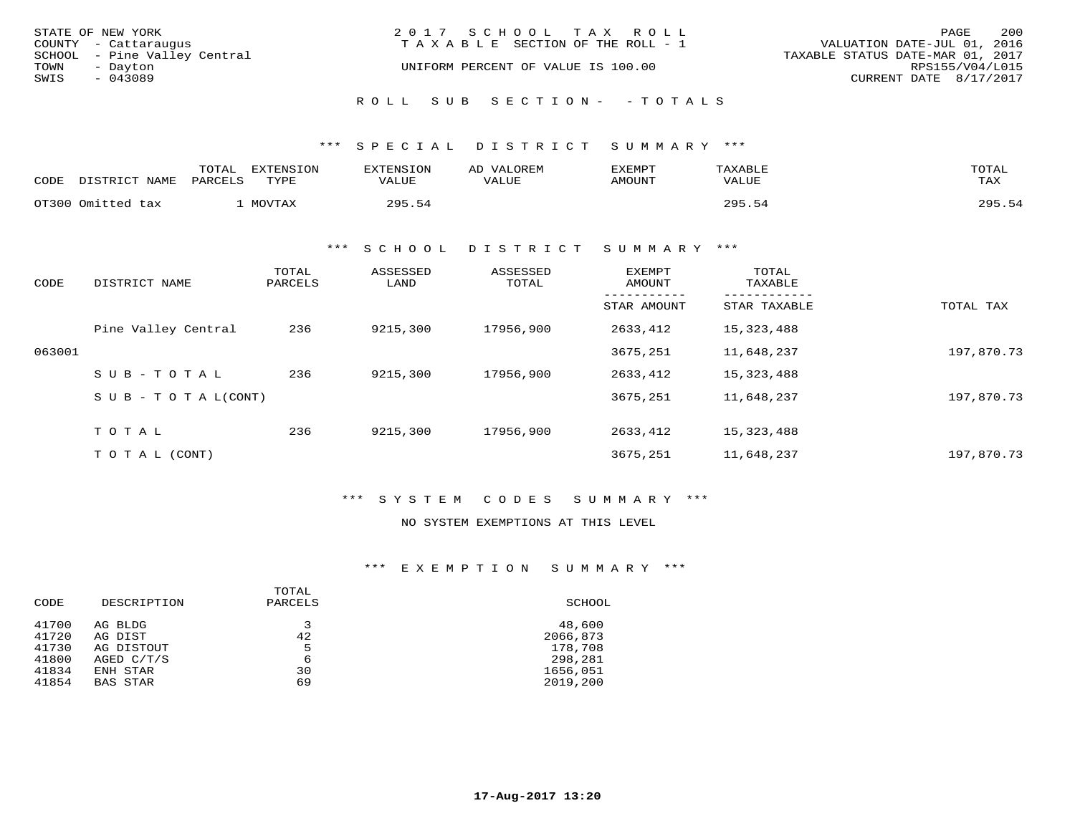| STATE OF NEW YORK            | 2017 SCHOOL TAX ROLL                  | 200<br>PAGE                      |
|------------------------------|---------------------------------------|----------------------------------|
| COUNTY - Cattaraugus         | T A X A B L E SECTION OF THE ROLL - 1 | VALUATION DATE-JUL 01, 2016      |
| SCHOOL - Pine Valley Central |                                       | TAXABLE STATUS DATE-MAR 01, 2017 |
| TOWN<br>- Dayton             | UNIFORM PERCENT OF VALUE IS 100.00    | RPS155/V04/L015                  |
| SWIS<br>$-043089$            |                                       | CURRENT DATE 8/17/2017           |
|                              |                                       |                                  |
|                              | ROLL SUB SECTION- - TOTALS            |                                  |

\*\*\* S P E C I A L D I S T R I C T S U M M A R Y \*\*\*

| CODE | DISTRICT NAME     | TOTAL<br>PARCELS | EXTENSION<br>TYPE | EXTENSION<br><b>VALUE</b> | VALOREM<br>AD<br>VALUE | EXEMPT<br>AMOUNT | TAXABLE<br>VALUE | TOTAL<br>TAX |
|------|-------------------|------------------|-------------------|---------------------------|------------------------|------------------|------------------|--------------|
|      | OT300 Omitted tax |                  | MOVTAX            | 295.54                    |                        |                  | つQ5              | 295.54       |

\*\*\* S C H O O L D I S T R I C T S U M M A R Y \*\*\*

| CODE   | DISTRICT NAME                    | TOTAL<br>PARCELS | ASSESSED<br>LAND | ASSESSED<br>TOTAL | EXEMPT<br>AMOUNT | TOTAL<br>TAXABLE |            |
|--------|----------------------------------|------------------|------------------|-------------------|------------------|------------------|------------|
|        |                                  |                  |                  |                   | STAR AMOUNT      | STAR TAXABLE     | TOTAL TAX  |
|        | Pine Valley Central              | 236              | 9215,300         | 17956,900         | 2633,412         | 15,323,488       |            |
| 063001 |                                  |                  |                  |                   | 3675,251         | 11,648,237       | 197,870.73 |
|        | SUB-TOTAL                        | 236              | 9215,300         | 17956,900         | 2633,412         | 15,323,488       |            |
|        | $S \cup B - T \cup T A L (CONT)$ |                  |                  |                   | 3675,251         | 11,648,237       | 197,870.73 |
|        | TOTAL                            | 236              | 9215,300         | 17956,900         | 2633,412         | 15,323,488       |            |
|        | (CONT)<br>ТОТАЬ                  |                  |                  |                   | 3675,251         | 11,648,237       | 197,870.73 |

\*\*\* S Y S T E M C O D E S S U M M A R Y \*\*\*

### NO SYSTEM EXEMPTIONS AT THIS LEVEL

\*\*\* E X E M P T I O N S U M M A R Y \*\*\*

| CODE  | DESCRIPTION | TOTAL<br>PARCELS | SCHOOL   |
|-------|-------------|------------------|----------|
| 41700 | AG BLDG     | 3                | 48,600   |
| 41720 | AG DIST     | 42               | 2066,873 |
| 41730 | AG DISTOUT  | 5                | 178,708  |
| 41800 | AGED C/T/S  | 6                | 298,281  |
| 41834 | ENH STAR    | 30               | 1656,051 |
| 41854 | BAS STAR    | 69               | 2019,200 |
|       |             |                  |          |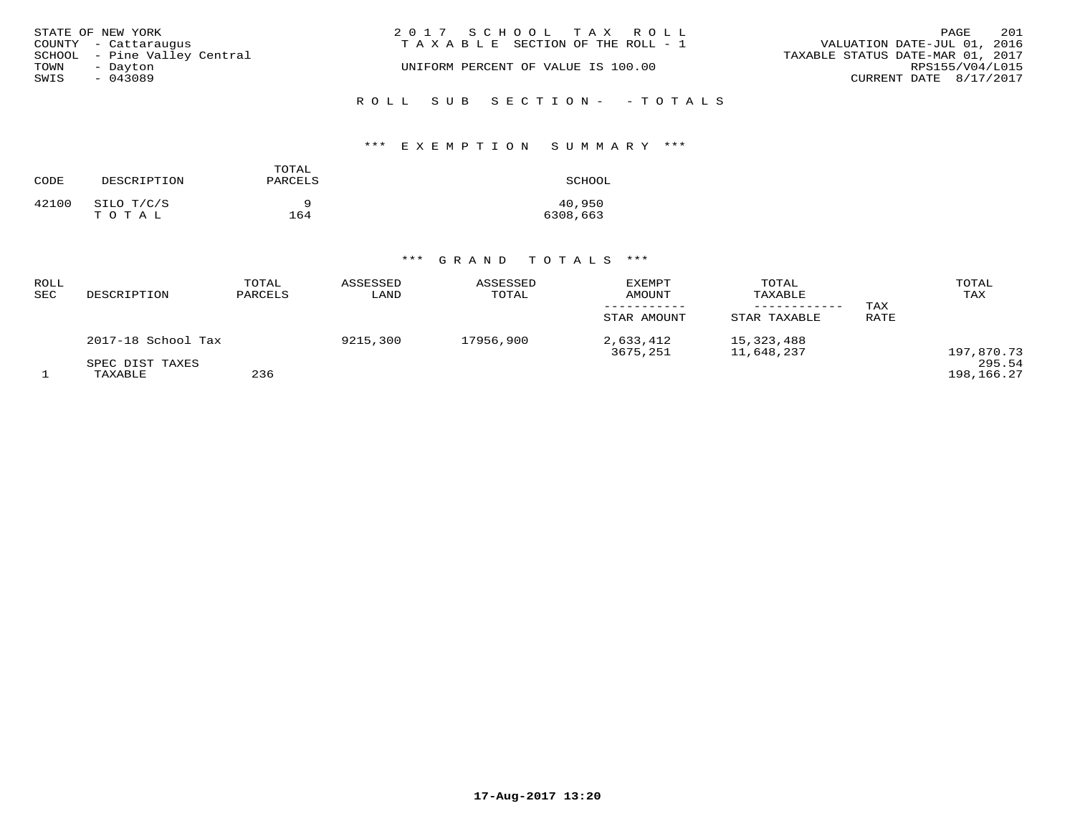| STATE OF NEW YORK<br>COUNTY - Cattaraugus        | 2017 SCHOOL TAX ROLL<br>TAXABLE SECTION OF THE ROLL - 1 | PAGE<br>VALUATION DATE-JUL 01, 2016                 | 201 |
|--------------------------------------------------|---------------------------------------------------------|-----------------------------------------------------|-----|
| SCHOOL - Pine Valley Central<br>TOWN<br>- Dayton | UNIFORM PERCENT OF VALUE IS 100.00                      | TAXABLE STATUS DATE-MAR 01, 2017<br>RPS155/V04/L015 |     |
| SWIS<br>$-043089$                                |                                                         | CURRENT DATE 8/17/2017                              |     |
|                                                  | ROLL SUB SECTION- - TOTALS                              |                                                     |     |

### \*\*\* E X E M P T I O N S U M M A R Y \*\*\*

| CODE  | DESCRIPTION | TOTAL<br>PARCELS | SCHOOL   |
|-------|-------------|------------------|----------|
| 42100 | SILO T/C/S  | a                | 40,950   |
|       | TOTAL       | 164              | 6308,663 |

| ROLL<br>SEC | DESCRIPTION                | TOTAL<br>PARCELS | ASSESSED<br>LAND | ASSESSED<br>TOTAL | <b>EXEMPT</b><br>AMOUNT | TOTAL<br>TAXABLE         | TAX  | TOTAL<br>TAX         |
|-------------|----------------------------|------------------|------------------|-------------------|-------------------------|--------------------------|------|----------------------|
|             |                            |                  |                  |                   | STAR AMOUNT             | STAR TAXABLE             | RATE |                      |
|             | 2017-18 School Tax         |                  | 9215,300         | 17956,900         | 2,633,412<br>3675,251   | 15,323,488<br>11,648,237 |      | 197,870.73           |
|             | SPEC DIST TAXES<br>TAXABLE | 236              |                  |                   |                         |                          |      | 295.54<br>198,166.27 |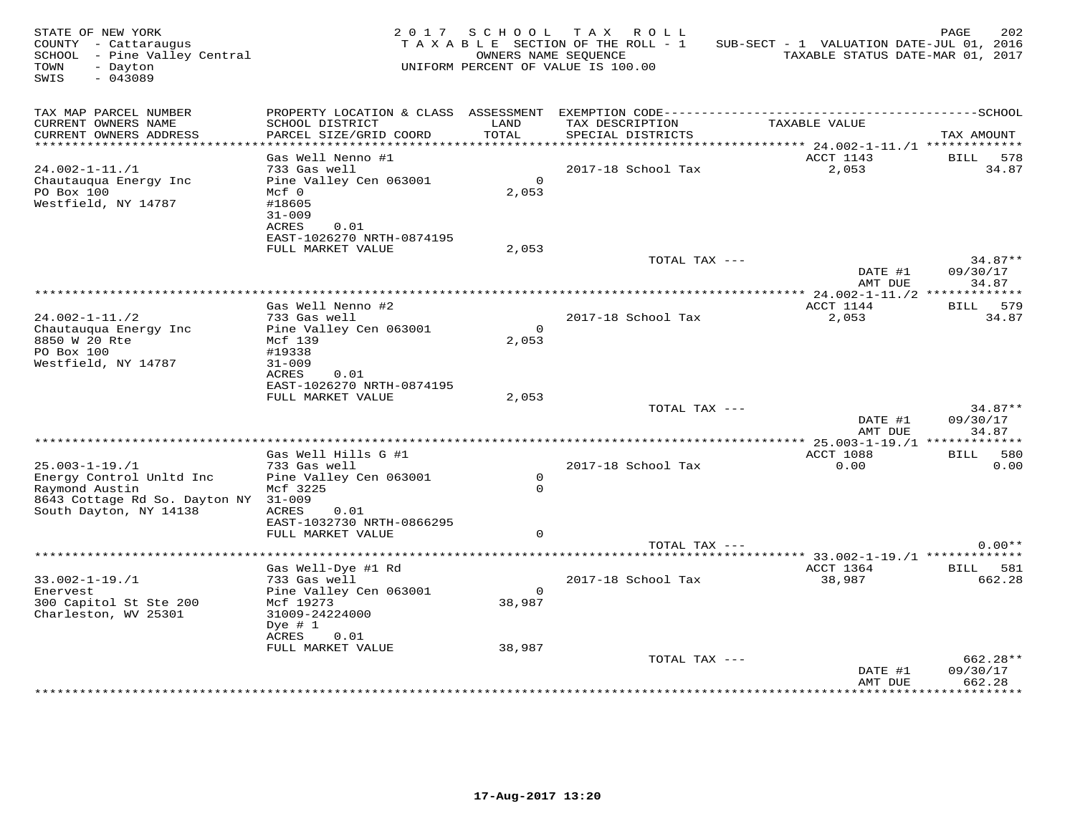| COUNTY - Cattaraugus<br>SCHOOL - Pine Valley Central<br>TOWN<br>- Dayton<br>$-043089$<br>SWIS                                       |                                                                                                                 |                         | 2017 SCHOOL TAX ROLL<br>TAXABLE SECTION OF THE ROLL - 1<br>OWNERS NAME SEQUENCE<br>UNIFORM PERCENT OF VALUE IS 100.00 | SUB-SECT - 1 VALUATION DATE-JUL 01, 2016<br>TAXABLE STATUS DATE-MAR 01, 2017 | PAGE<br>202                             |
|-------------------------------------------------------------------------------------------------------------------------------------|-----------------------------------------------------------------------------------------------------------------|-------------------------|-----------------------------------------------------------------------------------------------------------------------|------------------------------------------------------------------------------|-----------------------------------------|
| TAX MAP PARCEL NUMBER<br>CURRENT OWNERS NAME<br>CURRENT OWNERS ADDRESS                                                              | SCHOOL DISTRICT<br>PARCEL SIZE/GRID COORD                                                                       | LAND<br>TOTAL           | TAX DESCRIPTION<br>SPECIAL DISTRICTS                                                                                  | TAXABLE VALUE                                                                | TAX AMOUNT                              |
| $24.002 - 1 - 11.71$<br>Chautauqua Energy Inc<br>PO Box 100<br>Westfield, NY 14787                                                  | Gas Well Nenno #1<br>733 Gas well<br>Pine Valley Cen 063001<br>$Mcf$ 0<br>#18605<br>$31 - 009$<br>ACRES<br>0.01 | $\overline{0}$<br>2,053 | 2017-18 School Tax                                                                                                    | ACCT 1143<br>2,053                                                           | BILL 578<br>34.87                       |
|                                                                                                                                     | EAST-1026270 NRTH-0874195<br>FULL MARKET VALUE                                                                  | 2,053                   | TOTAL TAX ---                                                                                                         | DATE #1<br>AMT DUE                                                           | $34.87**$<br>09/30/17<br>34.87          |
|                                                                                                                                     | Gas Well Nenno #2                                                                                               |                         |                                                                                                                       | ACCT 1144                                                                    | BILL 579                                |
| $24.002 - 1 - 11./2$<br>Chautauqua Energy Inc<br>8850 W 20 Rte<br>PO Box 100<br>Westfield, NY 14787                                 | 733 Gas well<br>Pine Valley Cen 063001<br>Mcf 139<br>#19338<br>$31 - 009$<br>ACRES<br>0.01                      | $\circ$<br>2,053        | 2017-18 School Tax                                                                                                    | 2,053                                                                        | 34.87                                   |
|                                                                                                                                     | EAST-1026270 NRTH-0874195<br>FULL MARKET VALUE                                                                  | 2,053                   | TOTAL TAX ---                                                                                                         |                                                                              | $34.87**$                               |
|                                                                                                                                     |                                                                                                                 |                         |                                                                                                                       | DATE #1<br>AMT DUE                                                           | 09/30/17<br>34.87                       |
|                                                                                                                                     | Gas Well Hills G #1                                                                                             |                         |                                                                                                                       | ACCT 1088                                                                    | BILL 580                                |
| $25.003 - 1 - 19.1$<br>Energy Control Unltd Inc<br>Raymond Austin<br>8643 Cottage Rd So. Dayton NY 31-009<br>South Dayton, NY 14138 | 733 Gas well<br>Pine Valley Cen 063001<br>Mcf 3225<br>ACRES<br>0.01                                             | $\circ$<br>$\Omega$     | 2017-18 School Tax                                                                                                    | 0.00                                                                         | 0.00                                    |
|                                                                                                                                     | EAST-1032730 NRTH-0866295<br>FULL MARKET VALUE                                                                  | $\Omega$                |                                                                                                                       |                                                                              |                                         |
|                                                                                                                                     |                                                                                                                 |                         | TOTAL TAX ---                                                                                                         |                                                                              | $0.00**$                                |
|                                                                                                                                     | Gas Well-Dye #1 Rd                                                                                              |                         |                                                                                                                       | ACCT 1364                                                                    | BILL 581                                |
| $33.002 - 1 - 19.1$<br>Enervest<br>300 Capitol St Ste 200<br>Charleston, WV 25301                                                   | 733 Gas well<br>Pine Valley Cen 063001<br>Mcf 19273<br>31009-24224000<br>Dye $# 1$                              | $\circ$<br>38,987       | 2017-18 School Tax                                                                                                    | 38,987                                                                       | 662.28                                  |
|                                                                                                                                     | ACRES<br>0.01<br>FULL MARKET VALUE                                                                              | 38,987                  | TOTAL TAX ---                                                                                                         |                                                                              | 662.28**                                |
|                                                                                                                                     |                                                                                                                 |                         |                                                                                                                       | DATE #1<br>AMT DUE<br>*************                                          | 09/30/17<br>662.28<br>* * * * * * * * * |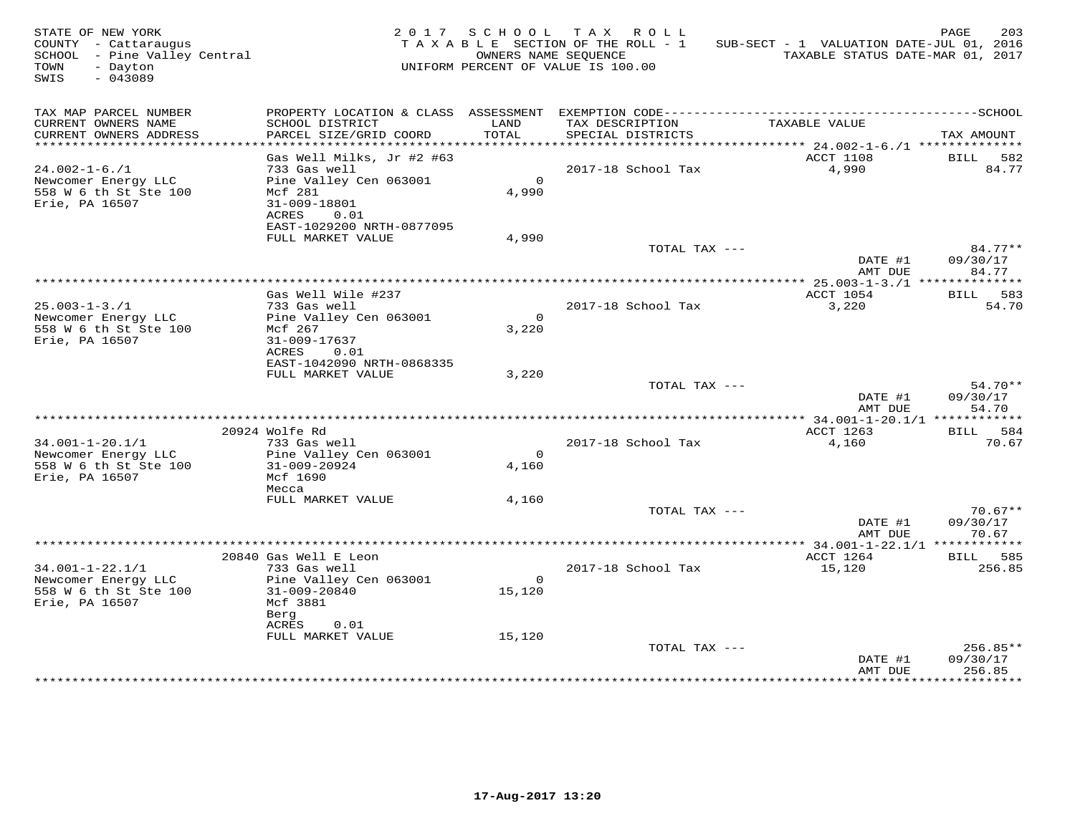| STATE OF NEW YORK<br>COUNTY - Cattaraugus<br>SCHOOL - Pine Valley Central<br>TOWN<br>- Dayton<br>$-043089$<br>SWIS |                                                                                                |                         | 2017 SCHOOL TAX ROLL<br>TAXABLE SECTION OF THE ROLL - 1<br>OWNERS NAME SEQUENCE<br>UNIFORM PERCENT OF VALUE IS 100.00 | SUB-SECT - 1 VALUATION DATE-JUL 01, 2016<br>TAXABLE STATUS DATE-MAR 01, 2017 | 203<br>PAGE                    |
|--------------------------------------------------------------------------------------------------------------------|------------------------------------------------------------------------------------------------|-------------------------|-----------------------------------------------------------------------------------------------------------------------|------------------------------------------------------------------------------|--------------------------------|
| TAX MAP PARCEL NUMBER<br>CURRENT OWNERS NAME<br>CURRENT OWNERS ADDRESS                                             | SCHOOL DISTRICT<br>PARCEL SIZE/GRID COORD                                                      | LAND<br>TOTAL           | TAX DESCRIPTION<br>SPECIAL DISTRICTS                                                                                  | TAXABLE VALUE                                                                | TAX AMOUNT                     |
|                                                                                                                    |                                                                                                |                         |                                                                                                                       |                                                                              |                                |
| $24.002 - 1 - 6.71$<br>Newcomer Energy LLC<br>558 W 6 th St Ste 100<br>Erie, PA 16507                              | Gas Well Milks, Jr #2 #63<br>733 Gas well<br>Pine Valley Cen 063001<br>Mcf 281<br>31-009-18801 | $\overline{0}$<br>4,990 | 2017-18 School Tax                                                                                                    | ACCT 1108<br>4,990                                                           | BILL 582<br>84.77              |
|                                                                                                                    | ACRES<br>0.01<br>EAST-1029200 NRTH-0877095<br>FULL MARKET VALUE                                | 4,990                   |                                                                                                                       |                                                                              |                                |
|                                                                                                                    |                                                                                                |                         | TOTAL TAX ---                                                                                                         | DATE #1                                                                      | $84.77**$<br>09/30/17          |
|                                                                                                                    |                                                                                                |                         |                                                                                                                       | AMT DUE                                                                      | 84.77                          |
|                                                                                                                    | Gas Well Wile #237                                                                             |                         |                                                                                                                       | ACCT 1054                                                                    | BILL 583                       |
| $25.003 - 1 - 3.71$<br>Newcomer Energy LLC<br>558 W 6 th St Ste 100<br>Erie, PA 16507                              | 733 Gas well<br>Pine Valley Cen 063001<br>Mcf 267<br>31-009-17637<br>ACRES<br>0.01             | $\circ$<br>3,220        | 2017-18 School Tax                                                                                                    | 3,220                                                                        | 54.70                          |
|                                                                                                                    | EAST-1042090 NRTH-0868335<br>FULL MARKET VALUE                                                 | 3,220                   |                                                                                                                       |                                                                              |                                |
|                                                                                                                    |                                                                                                |                         | TOTAL TAX ---                                                                                                         | DATE #1                                                                      | $54.70**$<br>09/30/17          |
|                                                                                                                    |                                                                                                |                         |                                                                                                                       | AMT DUE                                                                      | 54.70                          |
| $34.001 - 1 - 20.1/1$<br>Newcomer Energy LLC                                                                       | 20924 Wolfe Rd<br>733 Gas well<br>Pine Valley Cen 063001                                       | $\Omega$                | 2017-18 School Tax                                                                                                    | ACCT 1263<br>4,160                                                           | BILL 584<br>70.67              |
| 558 W 6 th St Ste 100<br>Erie, PA 16507                                                                            | 31-009-20924<br>Mcf 1690<br>Mecca                                                              | 4,160                   |                                                                                                                       |                                                                              |                                |
|                                                                                                                    | FULL MARKET VALUE                                                                              | 4,160                   |                                                                                                                       |                                                                              |                                |
|                                                                                                                    |                                                                                                |                         | TOTAL TAX ---                                                                                                         | DATE #1<br>AMT DUE                                                           | $70.67**$<br>09/30/17<br>70.67 |
|                                                                                                                    |                                                                                                |                         |                                                                                                                       |                                                                              |                                |
| $34.001 - 1 - 22.1/1$                                                                                              | 20840 Gas Well E Leon<br>733 Gas well                                                          |                         | 2017-18 School Tax                                                                                                    | ACCT 1264<br>15,120                                                          | BILL 585<br>256.85             |
| Newcomer Energy LLC<br>558 W 6 th St Ste 100<br>Erie, PA 16507                                                     | Pine Valley Cen 063001<br>$31 - 009 - 20840$<br>Mcf 3881<br>Berg                               | $\Omega$<br>15,120      |                                                                                                                       |                                                                              |                                |
|                                                                                                                    | ACRES<br>0.01<br>FULL MARKET VALUE                                                             | 15,120                  |                                                                                                                       |                                                                              |                                |
|                                                                                                                    |                                                                                                |                         | TOTAL TAX ---                                                                                                         | DATE #1                                                                      | $256.85**$<br>09/30/17         |
|                                                                                                                    |                                                                                                |                         |                                                                                                                       | AMT DUE                                                                      | 256.85<br>* * * * * * * * * *  |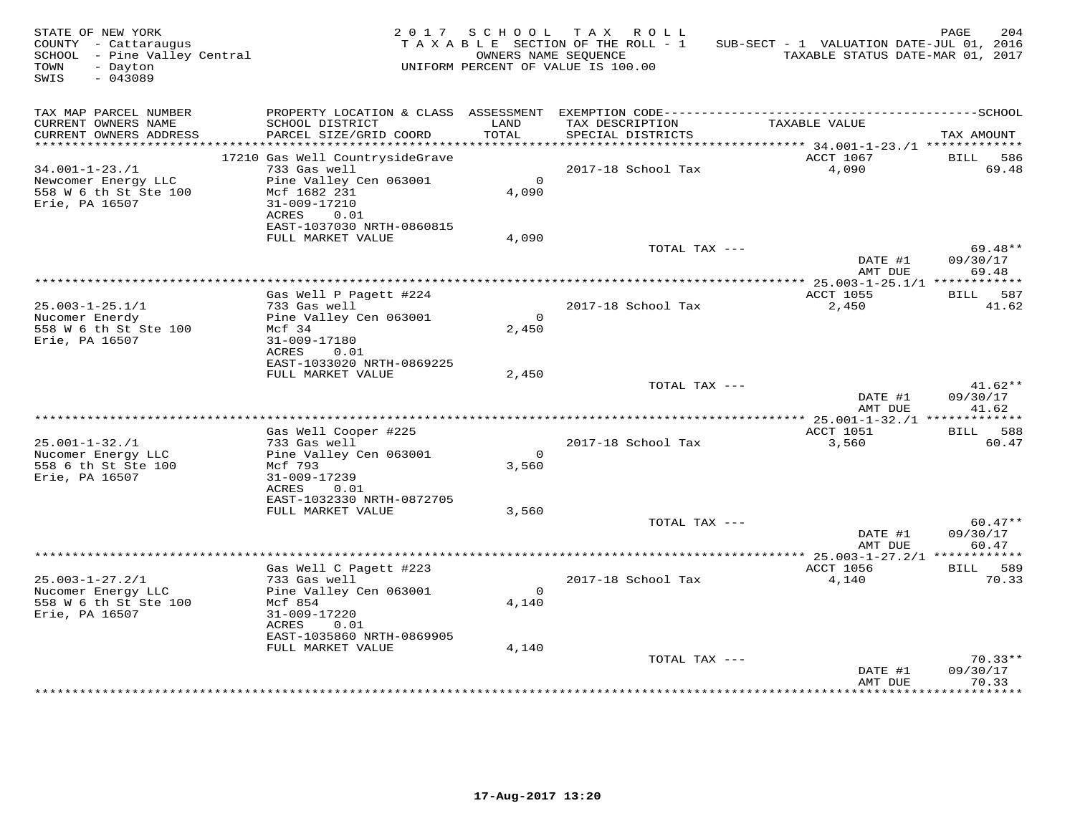| STATE OF NEW YORK<br>COUNTY - Cattaraugus<br>SCHOOL - Pine Valley Central<br>TOWN<br>- Dayton<br>$-043089$<br>SWIS |                                                                                 |                         | 2017 SCHOOL TAX ROLL<br>TAXABLE SECTION OF THE ROLL - 1<br>OWNERS NAME SEQUENCE<br>UNIFORM PERCENT OF VALUE IS 100.00 | SUB-SECT - 1 VALUATION DATE-JUL 01, 2016<br>TAXABLE STATUS DATE-MAR 01, 2017 | PAGE<br>204                    |
|--------------------------------------------------------------------------------------------------------------------|---------------------------------------------------------------------------------|-------------------------|-----------------------------------------------------------------------------------------------------------------------|------------------------------------------------------------------------------|--------------------------------|
| TAX MAP PARCEL NUMBER<br>CURRENT OWNERS NAME<br>CURRENT OWNERS ADDRESS                                             | SCHOOL DISTRICT<br>PARCEL SIZE/GRID COORD                                       | LAND<br>TOTAL           | TAX DESCRIPTION<br>SPECIAL DISTRICTS                                                                                  | TAXABLE VALUE                                                                | TAX AMOUNT                     |
|                                                                                                                    | 17210 Gas Well CountrysideGrave                                                 |                         |                                                                                                                       | ACCT 1067                                                                    | BILL 586                       |
| $34.001 - 1 - 23.71$<br>Newcomer Energy LLC<br>558 W 6 th St Ste 100                                               | 733 Gas well<br>Pine Valley Cen 063001<br>Mcf 1682 231                          | $\overline{0}$<br>4,090 | 2017-18 School Tax                                                                                                    | 4,090                                                                        | 69.48                          |
| Erie, PA 16507                                                                                                     | 31-009-17210<br>ACRES<br>0.01<br>EAST-1037030 NRTH-0860815<br>FULL MARKET VALUE | 4,090                   |                                                                                                                       |                                                                              |                                |
|                                                                                                                    |                                                                                 |                         | TOTAL TAX ---                                                                                                         | DATE #1                                                                      | 69.48**<br>09/30/17            |
|                                                                                                                    |                                                                                 |                         |                                                                                                                       | AMT DUE                                                                      | 69.48                          |
|                                                                                                                    | Gas Well P Pagett #224                                                          |                         |                                                                                                                       | ACCT 1055                                                                    | BILL 587                       |
| $25.003 - 1 - 25.1/1$<br>Nucomer Enerdy<br>558 W 6 th St Ste 100                                                   | 733 Gas well<br>Pine Valley Cen 063001<br>Mcf 34                                | $\overline{0}$<br>2,450 | 2017-18 School Tax                                                                                                    | 2,450                                                                        | 41.62                          |
| Erie, PA 16507                                                                                                     | 31-009-17180<br>ACRES<br>0.01<br>EAST-1033020 NRTH-0869225                      |                         |                                                                                                                       |                                                                              |                                |
|                                                                                                                    | FULL MARKET VALUE                                                               | 2,450                   |                                                                                                                       |                                                                              |                                |
|                                                                                                                    |                                                                                 |                         | TOTAL TAX ---                                                                                                         | DATE #1<br>AMT DUE                                                           | $41.62**$<br>09/30/17<br>41.62 |
|                                                                                                                    |                                                                                 |                         |                                                                                                                       |                                                                              |                                |
| $25.001 - 1 - 32./1$<br>Nucomer Energy LLC                                                                         | Gas Well Cooper #225<br>733 Gas well<br>Pine Valley Cen 063001                  | $\overline{0}$          | 2017-18 School Tax                                                                                                    | ACCT 1051<br>3,560                                                           | BILL 588<br>60.47              |
| 558 6 th St Ste 100<br>Erie, PA 16507                                                                              | Mcf 793<br>31-009-17239<br>ACRES 0.01                                           | 3,560                   |                                                                                                                       |                                                                              |                                |
|                                                                                                                    | EAST-1032330 NRTH-0872705<br>FULL MARKET VALUE                                  |                         |                                                                                                                       |                                                                              |                                |
|                                                                                                                    |                                                                                 | 3,560                   | TOTAL TAX ---                                                                                                         |                                                                              | $60.47**$                      |
|                                                                                                                    |                                                                                 |                         |                                                                                                                       | DATE #1<br>AMT DUE                                                           | 09/30/17<br>60.47              |
|                                                                                                                    | Gas Well C Pagett #223                                                          |                         |                                                                                                                       | ACCT 1056                                                                    | BILL 589                       |
| $25.003 - 1 - 27.2/1$                                                                                              | 733 Gas well                                                                    |                         | 2017-18 School Tax                                                                                                    | 4,140                                                                        | 70.33                          |
| Nucomer Energy LLC<br>558 W 6 th St Ste 100<br>Erie, PA 16507                                                      | Pine Valley Cen 063001<br>Mcf 854<br>31-009-17220                               | $\bigcap$<br>4,140      |                                                                                                                       |                                                                              |                                |
|                                                                                                                    | ACRES<br>0.01<br>EAST-1035860 NRTH-0869905                                      |                         |                                                                                                                       |                                                                              |                                |
|                                                                                                                    | FULL MARKET VALUE                                                               | 4,140                   |                                                                                                                       |                                                                              | $70.33**$                      |
|                                                                                                                    |                                                                                 |                         | TOTAL TAX ---                                                                                                         | DATE #1<br>AMT DUE                                                           | 09/30/17<br>70.33              |
|                                                                                                                    |                                                                                 |                         |                                                                                                                       |                                                                              |                                |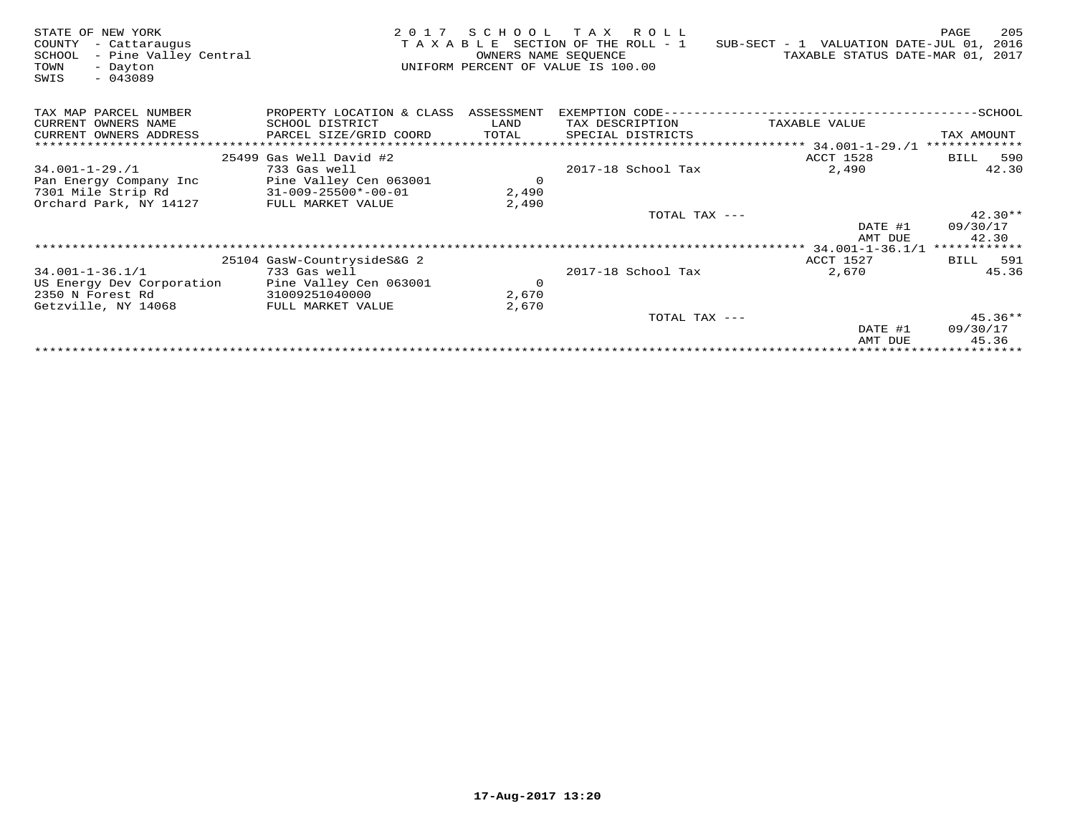| STATE OF NEW YORK<br>COUNTY<br>- Cattaraugus<br>- Pine Valley Central<br>SCHOOL<br>TOWN<br>- Dayton<br>$-043089$<br>SWIS | 2 0 1 7                        | SCHOOL TAX<br>OWNERS NAME SEQUENCE | R O L L<br>T A X A B L E SECTION OF THE ROLL - 1<br>UNIFORM PERCENT OF VALUE IS 100.00 | SUB-SECT - 1 VALUATION DATE-JUL 01,<br>TAXABLE STATUS DATE-MAR 01, 2017 | 205<br>PAGE<br>2016 |
|--------------------------------------------------------------------------------------------------------------------------|--------------------------------|------------------------------------|----------------------------------------------------------------------------------------|-------------------------------------------------------------------------|---------------------|
| TAX MAP PARCEL NUMBER                                                                                                    | PROPERTY LOCATION & CLASS      | ASSESSMENT                         | EXEMPTION CODE--                                                                       |                                                                         | ------SCHOOL        |
| CURRENT OWNERS NAME                                                                                                      | SCHOOL DISTRICT                | LAND                               | TAX DESCRIPTION                                                                        | TAXABLE VALUE                                                           |                     |
| CURRENT OWNERS ADDRESS                                                                                                   | PARCEL SIZE/GRID COORD         | TOTAL                              | SPECIAL DISTRICTS                                                                      |                                                                         | TAX AMOUNT          |
| ***********************                                                                                                  |                                |                                    |                                                                                        |                                                                         | *************       |
|                                                                                                                          | 25499 Gas Well David #2        |                                    |                                                                                        | <b>ACCT 1528</b>                                                        | 590<br>BILL         |
| $34.001 - 1 - 29.71$                                                                                                     | 733 Gas well                   |                                    | 2017-18 School Tax                                                                     | 2,490                                                                   | 42.30               |
| Pan Energy Company Inc                                                                                                   | Pine Valley Cen 063001         | $\circ$                            |                                                                                        |                                                                         |                     |
| 7301 Mile Strip Rd                                                                                                       | $31 - 009 - 25500 * - 00 - 01$ | 2,490                              |                                                                                        |                                                                         |                     |
| Orchard Park, NY 14127                                                                                                   | FULL MARKET VALUE              | 2,490                              |                                                                                        |                                                                         |                     |
|                                                                                                                          |                                |                                    | TOTAL TAX ---                                                                          |                                                                         | $42.30**$           |
|                                                                                                                          |                                |                                    |                                                                                        | DATE #1                                                                 | 09/30/17            |
|                                                                                                                          |                                |                                    |                                                                                        | AMT DUE                                                                 | 42.30               |
|                                                                                                                          |                                |                                    |                                                                                        | 34.001-1-36.1/1                                                         | ************        |
|                                                                                                                          | 25104 GasW-CountrysideS&G 2    |                                    |                                                                                        | ACCT 1527                                                               | 591<br>BILL         |
| $34.001 - 1 - 36.1/1$                                                                                                    | 733 Gas well                   |                                    | 2017-18 School Tax                                                                     | 2,670                                                                   | 45.36               |
| US Energy Dev Corporation                                                                                                | Pine Valley Cen 063001         | $\circ$                            |                                                                                        |                                                                         |                     |
| 2350 N Forest Rd                                                                                                         | 31009251040000                 | 2,670                              |                                                                                        |                                                                         |                     |
| Getzville, NY 14068                                                                                                      | FULL MARKET VALUE              | 2,670                              |                                                                                        |                                                                         |                     |
|                                                                                                                          |                                |                                    | TOTAL TAX ---                                                                          |                                                                         | $45.36**$           |
|                                                                                                                          |                                |                                    |                                                                                        | DATE #1                                                                 | 09/30/17            |
|                                                                                                                          |                                |                                    |                                                                                        | AMT DUE                                                                 | 45.36               |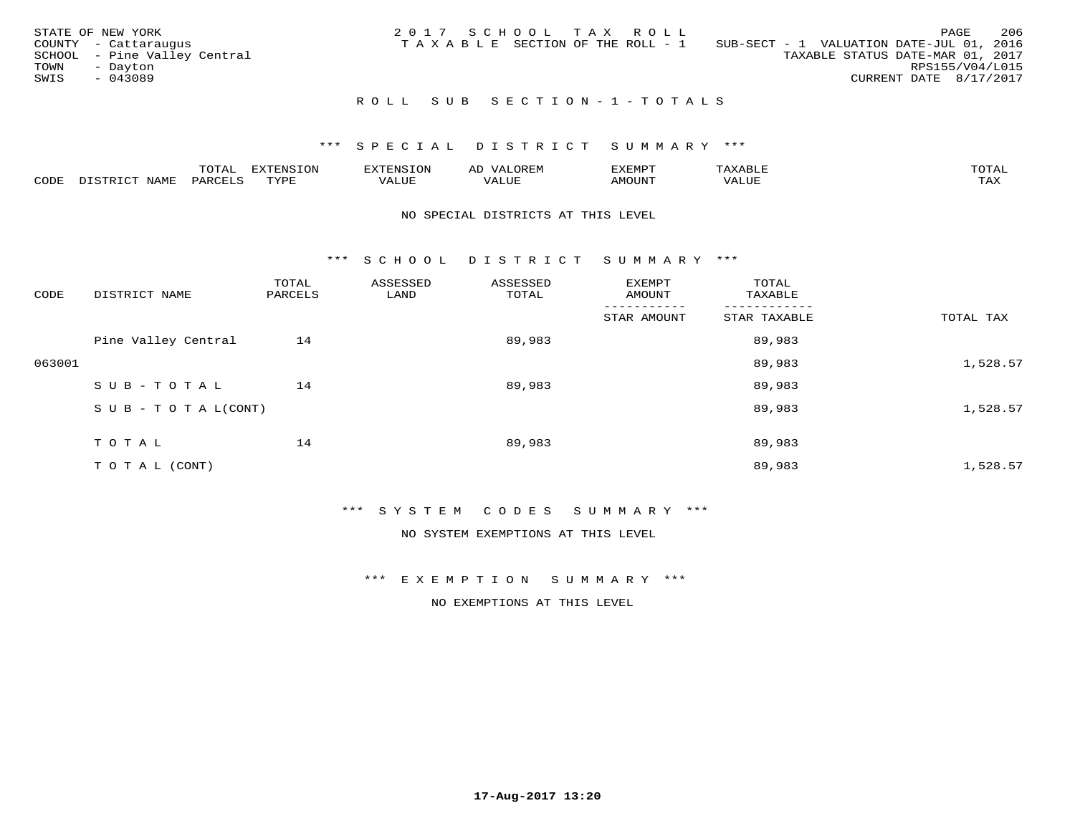|      | STATE OF NEW YORK            | 2017 SCHOOL TAX ROLL |  |                                       |                                          |                                  |                        | PAGE | 206 |
|------|------------------------------|----------------------|--|---------------------------------------|------------------------------------------|----------------------------------|------------------------|------|-----|
|      | COUNTY - Cattaraugus         |                      |  | T A X A B L E SECTION OF THE ROLL - 1 | SUB-SECT - 1 VALUATION DATE-JUL 01, 2016 |                                  |                        |      |     |
|      | SCHOOL - Pine Valley Central |                      |  |                                       |                                          | TAXABLE STATUS DATE-MAR 01, 2017 |                        |      |     |
| TOWN | - Dayton                     |                      |  |                                       |                                          |                                  | RPS155/V04/L015        |      |     |
| SWIS | $-043089$                    |                      |  |                                       |                                          |                                  | CURRENT DATE 8/17/2017 |      |     |
|      |                              |                      |  |                                       |                                          |                                  |                        |      |     |

### ROLL SUB SECTION-1-TOTALS

## \*\*\* S P E C I A L D I S T R I C T S U M M A R Y \*\*\*

|      |                  | $m \wedge m \wedge n$ |             |           |           |              |      | $m \wedge n$        |
|------|------------------|-----------------------|-------------|-----------|-----------|--------------|------|---------------------|
| CODE | $H = 4M_{\odot}$ | ΆR                    | <b>TVDF</b> | ۰۰ تا سند | $- - - -$ | <b>MOUN'</b> | ALUE | $- - - -$<br>- − 14 |

### NO SPECIAL DISTRICTS AT THIS LEVEL

\*\*\* S C H O O L D I S T R I C T S U M M A R Y \*\*\*

| CODE   | DISTRICT NAME                    | TOTAL<br>PARCELS | ASSESSED<br>LAND | ASSESSED<br>TOTAL | EXEMPT<br>AMOUNT | TOTAL<br>TAXABLE |           |
|--------|----------------------------------|------------------|------------------|-------------------|------------------|------------------|-----------|
|        |                                  |                  |                  |                   | STAR AMOUNT      | STAR TAXABLE     | TOTAL TAX |
|        | Pine Valley Central              | 14               |                  | 89,983            |                  | 89,983           |           |
| 063001 |                                  |                  |                  |                   |                  | 89,983           | 1,528.57  |
|        | SUB-TOTAL                        | 14               |                  | 89,983            |                  | 89,983           |           |
|        | $S \cup B - T \cup T A L (CONT)$ |                  |                  |                   |                  | 89,983           | 1,528.57  |
|        | TOTAL                            | 14               |                  | 89,983            |                  | 89,983           |           |
|        | T O T A L (CONT)                 |                  |                  |                   |                  | 89,983           | 1,528.57  |

\*\*\* S Y S T E M C O D E S S U M M A R Y \*\*\*

NO SYSTEM EXEMPTIONS AT THIS LEVEL

\*\*\* E X E M P T I O N S U M M A R Y \*\*\*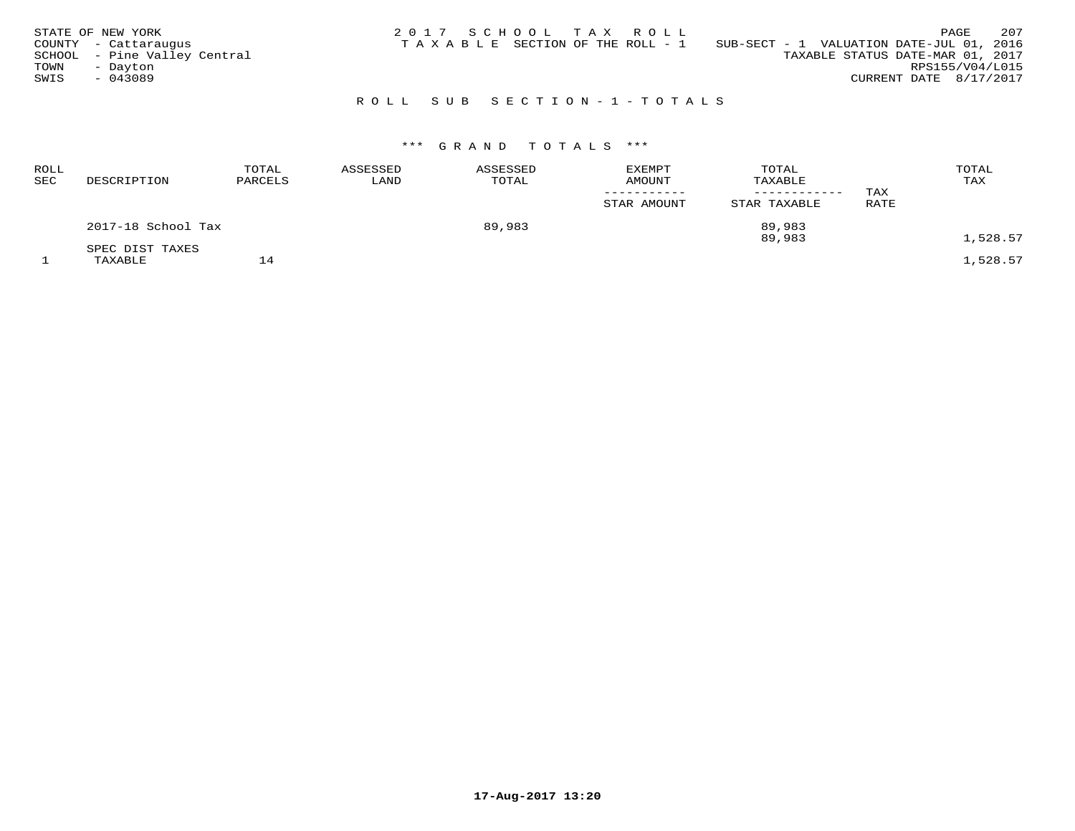|      | STATE OF NEW YORK            |  |  | 2017 SCHOOL TAX ROLL            |                                          |                                  |                        | PAGE | 207 |
|------|------------------------------|--|--|---------------------------------|------------------------------------------|----------------------------------|------------------------|------|-----|
|      | COUNTY - Cattaraugus         |  |  | TAXABLE SECTION OF THE ROLL - 1 | SUB-SECT - 1 VALUATION DATE-JUL 01, 2016 |                                  |                        |      |     |
|      | SCHOOL - Pine Valley Central |  |  |                                 |                                          | TAXABLE STATUS DATE-MAR 01, 2017 |                        |      |     |
| TOWN | - Dayton                     |  |  |                                 |                                          |                                  | RPS155/V04/L015        |      |     |
| SWIS | $-043089$                    |  |  |                                 |                                          |                                  | CURRENT DATE 8/17/2017 |      |     |
|      |                              |  |  |                                 |                                          |                                  |                        |      |     |

## R O L L S U B S E C T I O N - 1 - T O T A L S

# \*\*\* G R A N D T O T A L S \*\*\*

| ROLL<br>SEC | DESCRIPTION        | TOTAL<br>PARCELS | ASSESSED<br>LAND | ASSESSED<br>TOTAL | EXEMPT<br>AMOUNT | TOTAL<br>TAXABLE<br>------------ | TAX  | TOTAL<br>TAX |
|-------------|--------------------|------------------|------------------|-------------------|------------------|----------------------------------|------|--------------|
|             |                    |                  |                  |                   | STAR AMOUNT      | STAR TAXABLE                     | RATE |              |
|             | 2017-18 School Tax |                  |                  | 89,983            |                  | 89,983<br>89,983                 |      | 1,528.57     |
|             | SPEC DIST TAXES    |                  |                  |                   |                  |                                  |      |              |
|             | TAXABLE            | 14               |                  |                   |                  |                                  |      | 1,528.57     |

**17-Aug-2017 13:20**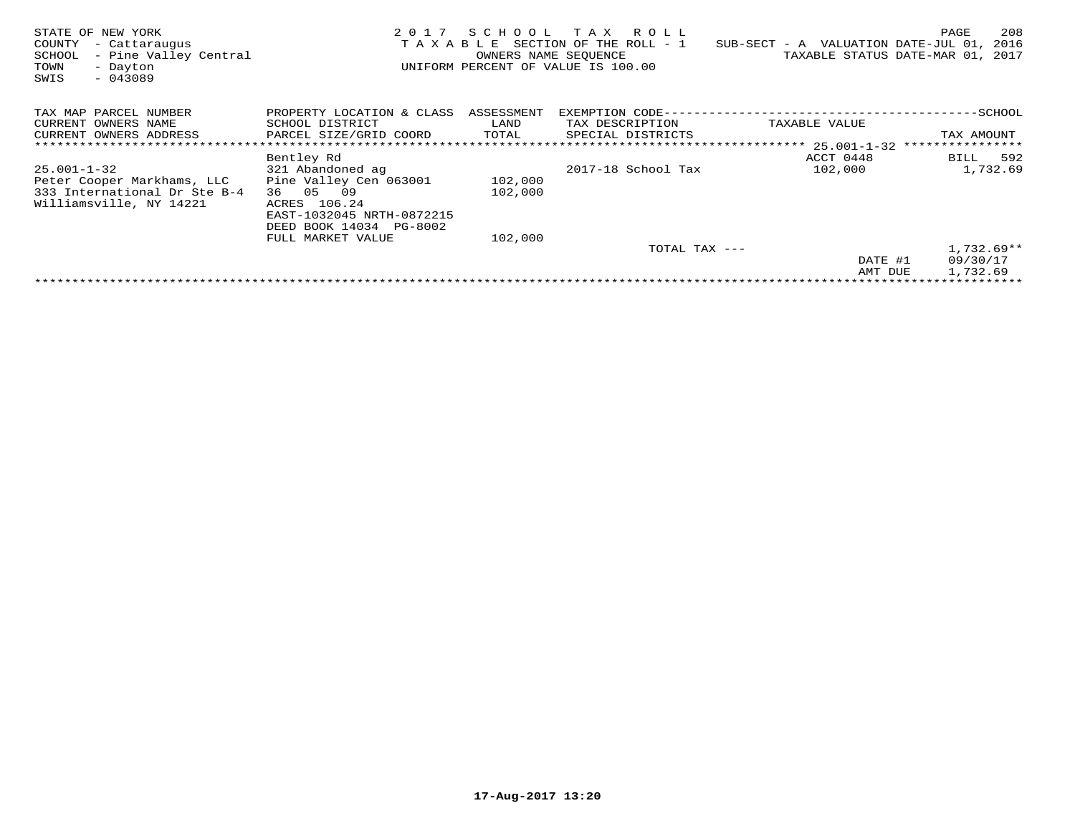| STATE OF NEW YORK<br>COUNTY<br>- Cattaraugus<br>- Pine Valley Central<br>SCHOOL<br>TOWN<br>- Dayton<br>SWIS<br>$-043089$ | 2017<br>TAXABLE                                                                                                                                 | SCHOOL<br>OWNERS NAME SEQUENCE | TAX ROLL<br>SECTION OF THE ROLL - 1<br>UNIFORM PERCENT OF VALUE IS 100.00 | SUB-SECT - A VALUATION DATE-JUL 01, | 208<br>PAGE<br>2016<br>TAXABLE STATUS DATE-MAR 01, 2017 |
|--------------------------------------------------------------------------------------------------------------------------|-------------------------------------------------------------------------------------------------------------------------------------------------|--------------------------------|---------------------------------------------------------------------------|-------------------------------------|---------------------------------------------------------|
| TAX MAP PARCEL NUMBER<br>CURRENT OWNERS NAME<br>CURRENT OWNERS ADDRESS                                                   | PROPERTY LOCATION & CLASS<br>SCHOOL DISTRICT<br>PARCEL SIZE/GRID COORD                                                                          | ASSESSMENT<br>LAND<br>TOTAL    | EXEMPTION CODE--<br>TAX DESCRIPTION<br>SPECIAL DISTRICTS                  | TAXABLE VALUE                       | ---------SCHOOL<br>TAX AMOUNT                           |
|                                                                                                                          |                                                                                                                                                 |                                |                                                                           | *************** 25.001-1-32         | ****************                                        |
| $25.001 - 1 - 32$<br>Peter Cooper Markhams, LLC<br>333 International Dr Ste B-4<br>Williamsville, NY 14221               | Bentley Rd<br>321 Abandoned ag<br>Pine Valley Cen 063001<br>36 05<br>09<br>ACRES 106.24<br>EAST-1032045 NRTH-0872215<br>DEED BOOK 14034 PG-8002 | 102,000<br>102,000             | 2017-18 School Tax                                                        | ACCT 0448<br>102,000                | BILL 592<br>1,732.69                                    |
|                                                                                                                          | FULL MARKET VALUE                                                                                                                               | 102,000                        |                                                                           |                                     |                                                         |
|                                                                                                                          |                                                                                                                                                 |                                | TOTAL TAX ---                                                             | DATE #1                             | $1,732.69**$<br>09/30/17                                |
|                                                                                                                          |                                                                                                                                                 |                                |                                                                           | AMT DUE                             | 1,732.69                                                |
|                                                                                                                          |                                                                                                                                                 |                                |                                                                           |                                     |                                                         |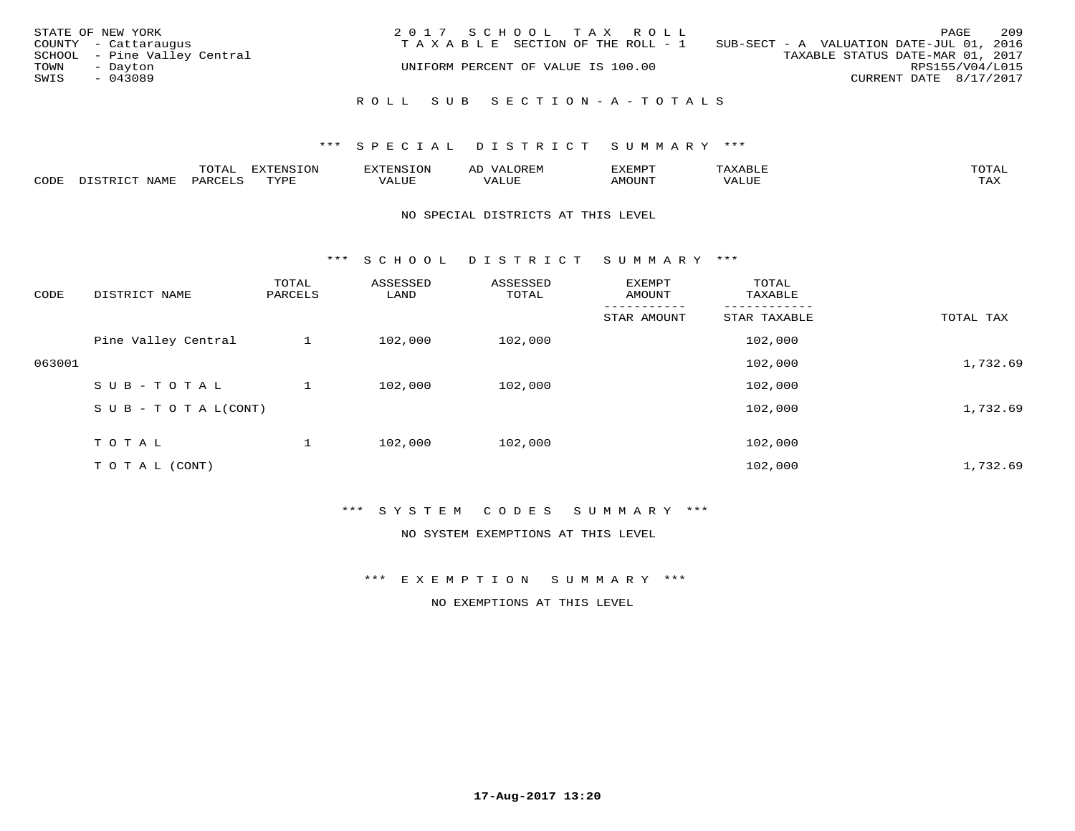| STATE OF NEW YORK<br>COUNTY - Cattaraugus | 2017 SCHOOL TAX ROLL<br>TAXABLE SECTION OF THE ROLL - 1 | PAGE<br>SUB-SECT - A VALUATION DATE-JUL 01, 2016 | 209 |
|-------------------------------------------|---------------------------------------------------------|--------------------------------------------------|-----|
| SCHOOL - Pine Valley Central              |                                                         | TAXABLE STATUS DATE-MAR 01, 2017                 |     |
| TOWN<br>- Dayton<br>SWIS<br>$-043089$     | UNIFORM PERCENT OF VALUE IS 100.00                      | RPS155/V04/L015<br>CURRENT DATE 8/17/2017        |     |
|                                           | ROLL SUB SECTION-A-TOTALS                               |                                                  |     |

### \*\*\* S P E C I A L D I S T R I C T S U M M A R Y \*\*\*

|      | $n \wedge m \wedge n$<br>◡▴▱▴ |              | . ⊌'Nist | ΑL            | ″∽     |       |                        |
|------|-------------------------------|--------------|----------|---------------|--------|-------|------------------------|
| CODE | ΆR                            | <b>TIVAT</b> | - 777.   | $\rightarrow$ | MOUNT. | VALUE | $m \times r$<br>- ⊥777 |

#### NO SPECIAL DISTRICTS AT THIS LEVEL

\*\*\* S C H O O L D I S T R I C T S U M M A R Y \*\*\*

| CODE   | DISTRICT NAME                    | TOTAL<br>PARCELS | ASSESSED<br>LAND | ASSESSED<br>TOTAL | <b>EXEMPT</b><br>AMOUNT | TOTAL<br>TAXABLE |           |
|--------|----------------------------------|------------------|------------------|-------------------|-------------------------|------------------|-----------|
|        |                                  |                  |                  |                   | STAR AMOUNT             | STAR TAXABLE     | TOTAL TAX |
|        | Pine Valley Central              |                  | 102,000          | 102,000           |                         | 102,000          |           |
| 063001 |                                  |                  |                  |                   |                         | 102,000          | 1,732.69  |
|        | SUB-TOTAL                        |                  | 102,000          | 102,000           |                         | 102,000          |           |
|        | $S \cup B - T \cup T A L (CONT)$ |                  |                  |                   |                         | 102,000          | 1,732.69  |
|        | TOTAL                            |                  | 102,000          | 102,000           |                         | 102,000          |           |
|        | T O T A L (CONT)                 |                  |                  |                   |                         | 102,000          | 1,732.69  |

### \*\*\* S Y S T E M C O D E S S U M M A R Y \*\*\*

NO SYSTEM EXEMPTIONS AT THIS LEVEL

\*\*\* E X E M P T I O N S U M M A R Y \*\*\*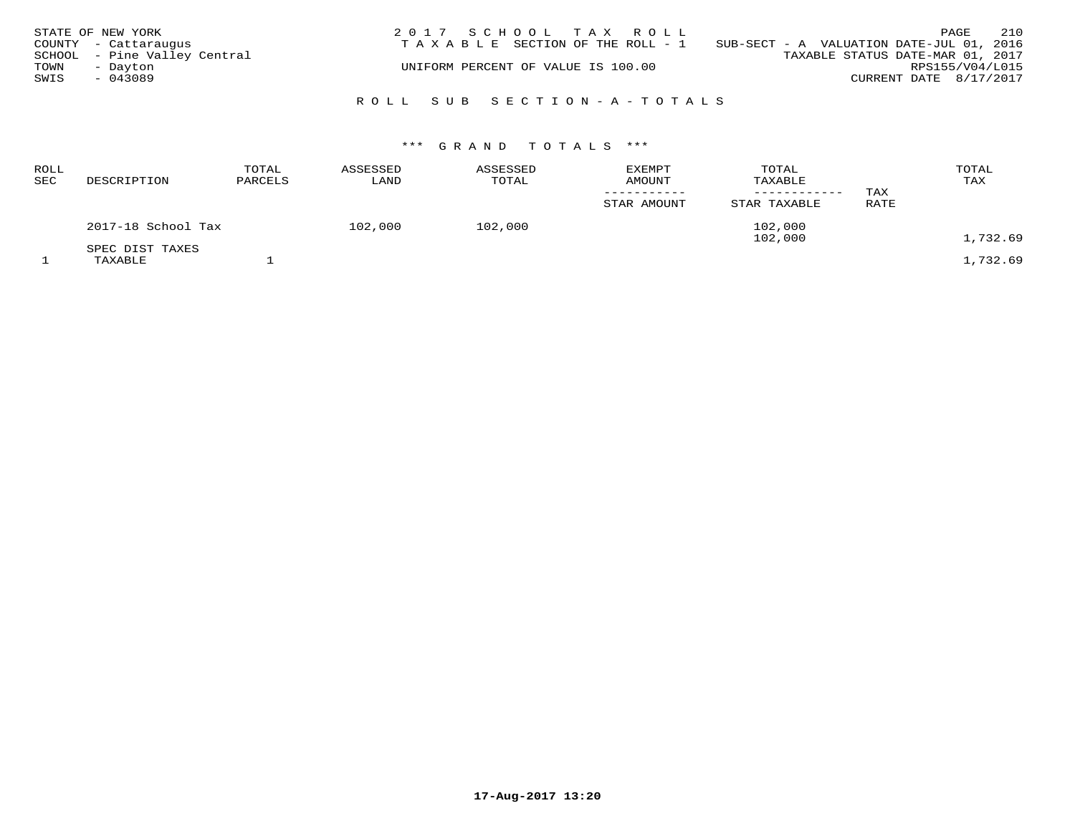|      | STATE OF NEW YORK            | 2017 SCHOOL TAX ROLL                                                              | 210<br>PAGE            |
|------|------------------------------|-----------------------------------------------------------------------------------|------------------------|
|      | COUNTY - Cattaraugus         | SUB-SECT - A VALUATION DATE-JUL 01, 2016<br>T A X A B L E SECTION OF THE ROLL - 1 |                        |
|      | SCHOOL - Pine Valley Central | TAXABLE STATUS DATE-MAR 01, 2017                                                  |                        |
| TOWN | - Dayton                     | UNIFORM PERCENT OF VALUE IS 100.00                                                | RPS155/V04/L015        |
| SWIS | $-043089$                    |                                                                                   | CURRENT DATE 8/17/2017 |
|      |                              |                                                                                   |                        |
|      |                              | ROLL SUB SECTION-A-TOTALS                                                         |                        |

| <b>ROLL</b><br><b>SEC</b> | DESCRIPTION                | TOTAL<br>PARCELS | ASSESSED<br>LAND | ASSESSED<br>TOTAL | <b>EXEMPT</b><br>AMOUNT<br>STAR AMOUNT | TOTAL<br>TAXABLE<br>STAR TAXABLE | TAX<br>RATE | TOTAL<br>TAX |
|---------------------------|----------------------------|------------------|------------------|-------------------|----------------------------------------|----------------------------------|-------------|--------------|
|                           | 2017-18 School Tax         |                  | 102,000          | 102,000           |                                        | 102,000<br>102,000               |             | 1,732.69     |
|                           | SPEC DIST TAXES<br>TAXABLE |                  |                  |                   |                                        |                                  |             | 1,732.69     |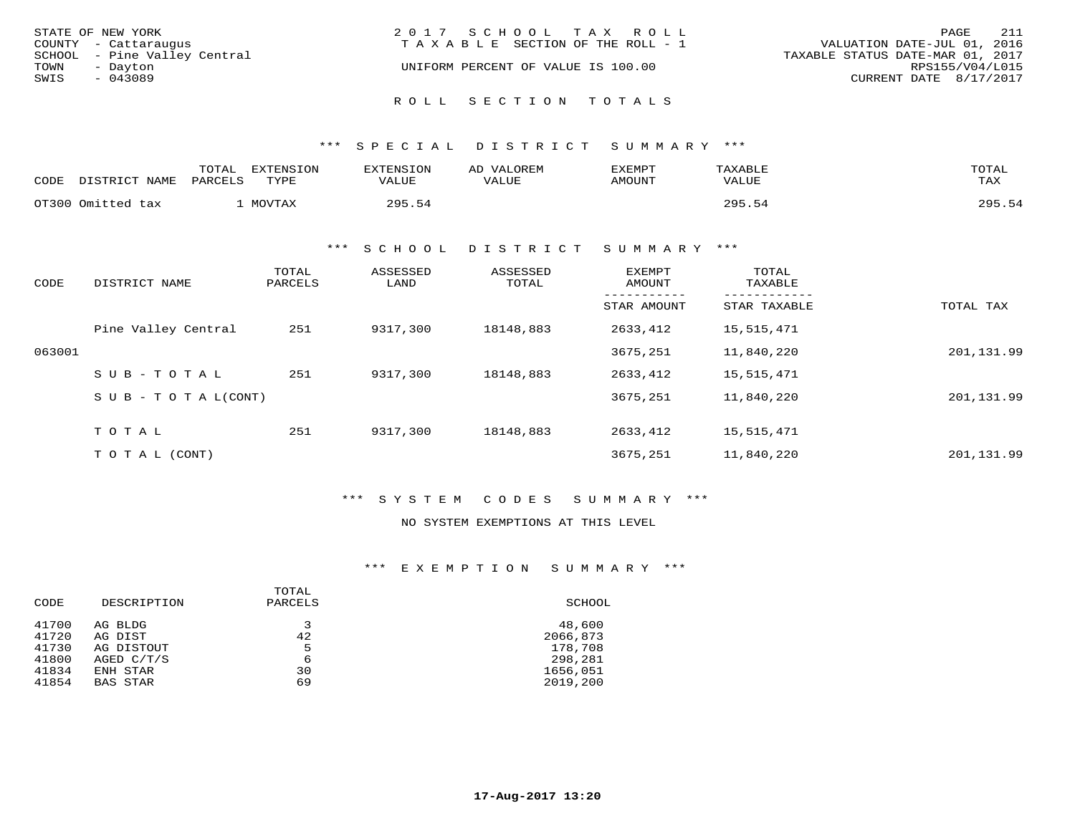| STATE OF NEW YORK            | 2017 SCHOOL TAX ROLL                  | 211<br>PAGE                      |
|------------------------------|---------------------------------------|----------------------------------|
| COUNTY - Cattaraugus         | T A X A B L E SECTION OF THE ROLL - 1 | VALUATION DATE-JUL 01, 2016      |
| SCHOOL - Pine Valley Central |                                       | TAXABLE STATUS DATE-MAR 01, 2017 |
| TOWN<br>- Dayton             | UNIFORM PERCENT OF VALUE IS 100.00    | RPS155/V04/L015                  |
| SWIS<br>$-043089$            |                                       | CURRENT DATE 8/17/2017           |
|                              | ROLL SECTION TOTALS                   |                                  |

\*\*\* S P E C I A L D I S T R I C T S U M M A R Y \*\*\*

| CODE | DISTRICT NAME     | TOTAL<br>PARCELS | EXTENSION<br>TYPE | EXTENSION<br>VALUE | AD VALOREM<br>VALUE | EXEMPT<br>AMOUNT | TAXABLE<br>VALUE | TOTAL<br>TAX |
|------|-------------------|------------------|-------------------|--------------------|---------------------|------------------|------------------|--------------|
|      | OT300 Omitted tax |                  | MOVTAX            | 295.54             |                     |                  | 295.54           | 295.54       |

\*\*\* S C H O O L D I S T R I C T S U M M A R Y \*\*\*

| CODE   | DISTRICT NAME              | TOTAL<br>PARCELS | ASSESSED<br>LAND | ASSESSED<br>TOTAL | <b>EXEMPT</b><br>AMOUNT | TOTAL<br>TAXABLE |            |
|--------|----------------------------|------------------|------------------|-------------------|-------------------------|------------------|------------|
|        |                            |                  |                  |                   | STAR AMOUNT             | STAR TAXABLE     | TOTAL TAX  |
|        | Pine Valley Central        | 251              | 9317,300         | 18148,883         | 2633,412                | 15,515,471       |            |
| 063001 |                            |                  |                  |                   | 3675,251                | 11,840,220       | 201,131.99 |
|        | $SUB - TO TAL$             | 251              | 9317,300         | 18148,883         | 2633,412                | 15,515,471       |            |
|        | S U B - T O T A $L$ (CONT) |                  |                  |                   | 3675,251                | 11,840,220       | 201,131.99 |
|        | TOTAL                      | 251              | 9317,300         | 18148,883         | 2633,412                | 15,515,471       |            |
|        | T O T A L (CONT)           |                  |                  |                   | 3675,251                | 11,840,220       | 201,131.99 |

\*\*\* S Y S T E M C O D E S S U M M A R Y \*\*\*

### NO SYSTEM EXEMPTIONS AT THIS LEVEL

\*\*\* E X E M P T I O N S U M M A R Y \*\*\*

| CODE  | DESCRIPTION | TOTAL<br>PARCELS | SCHOOL   |
|-------|-------------|------------------|----------|
| 41700 | AG BLDG     | 3                | 48,600   |
| 41720 | AG DIST     | 42               | 2066,873 |
| 41730 | AG DISTOUT  | 5                | 178,708  |
| 41800 | AGED C/T/S  | 6                | 298,281  |
| 41834 | ENH STAR    | 30               | 1656,051 |
| 41854 | BAS STAR    | 69               | 2019,200 |
|       |             |                  |          |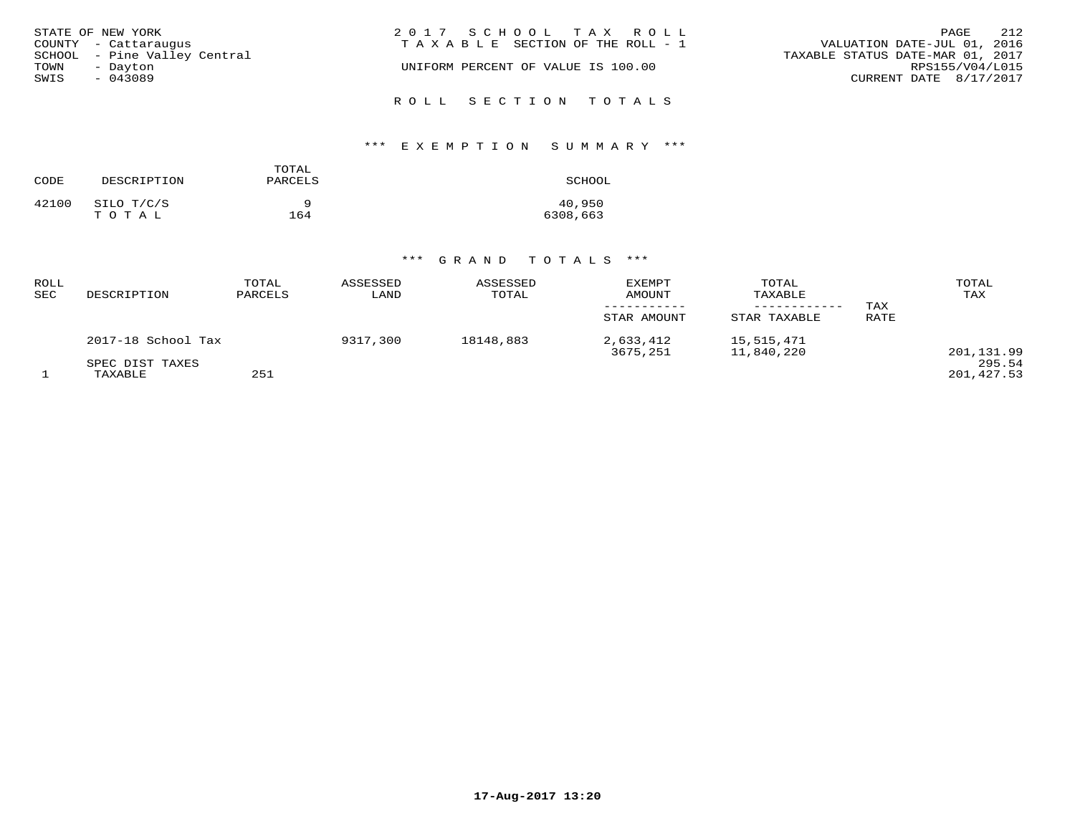| STATE OF NEW YORK            | 2017 SCHOOL TAX ROLL               | 212<br>PAGE                      |
|------------------------------|------------------------------------|----------------------------------|
| COUNTY - Cattaraugus         | TAXABLE SECTION OF THE ROLL - 1    | VALUATION DATE-JUL 01, 2016      |
| SCHOOL - Pine Valley Central |                                    | TAXABLE STATUS DATE-MAR 01, 2017 |
| TOWN<br>- Dayton             | UNIFORM PERCENT OF VALUE IS 100.00 | RPS155/V04/L015                  |
| SWIS<br>$-043089$            |                                    | CURRENT DATE 8/17/2017           |
|                              | ROLL SECTION TOTALS                |                                  |

# \*\*\* E X E M P T I O N S U M M A R Y \*\*\*

| CODE  | DESCRIPTION | TOTAL<br>PARCELS | SCHOOL   |
|-------|-------------|------------------|----------|
| 42100 | SILO T/C/S  | a                | 40,950   |
|       | TOTAL       | 164              | 6308,663 |

| ROLL<br>SEC | DESCRIPTION                | TOTAL<br>PARCELS | ASSESSED<br>LAND | ASSESSED<br>TOTAL | <b>EXEMPT</b><br>AMOUNT<br>STAR AMOUNT | TOTAL<br>TAXABLE<br>STAR TAXABLE | TAX<br>RATE | TOTAL<br>TAX         |
|-------------|----------------------------|------------------|------------------|-------------------|----------------------------------------|----------------------------------|-------------|----------------------|
|             | 2017-18 School Tax         |                  | 9317,300         | 18148,883         | 2,633,412<br>3675,251                  | 15,515,471<br>11,840,220         |             | 201,131.99           |
|             | SPEC DIST TAXES<br>TAXABLE | 251              |                  |                   |                                        |                                  |             | 295.54<br>201,427.53 |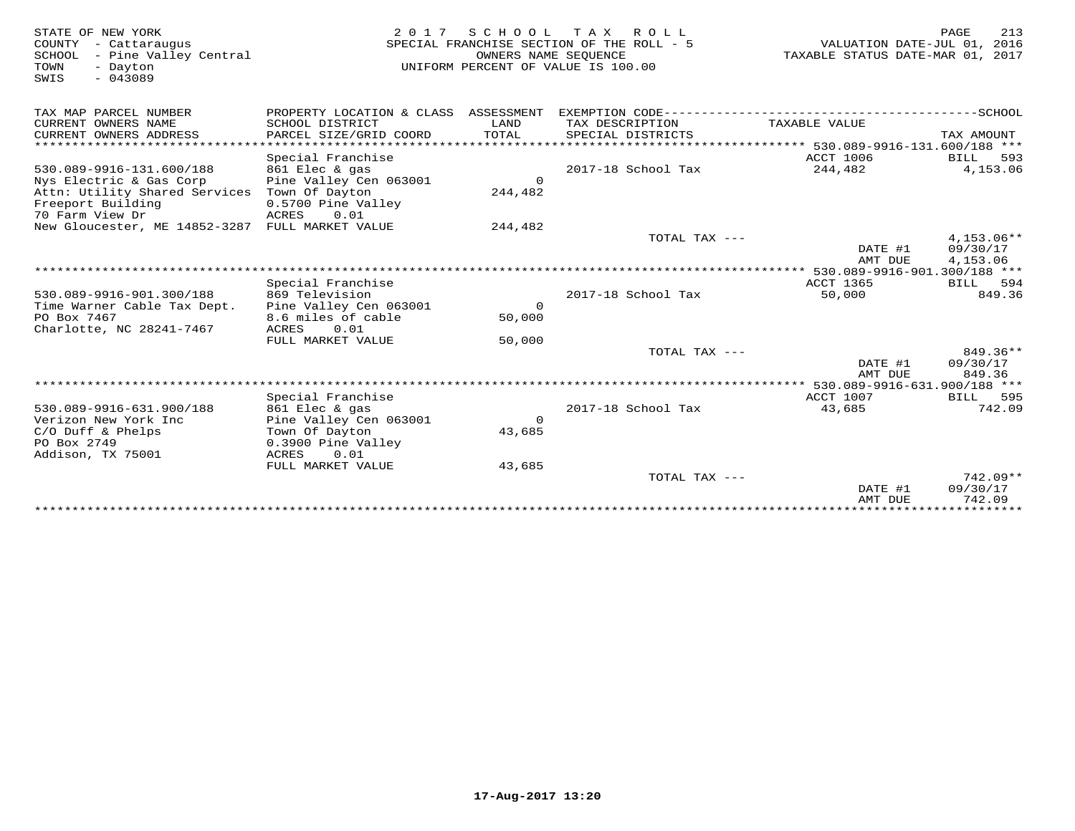| STATE OF NEW YORK<br>COUNTY<br>- Cattaraugus<br>SCHOOL<br>- Pine Valley Central<br>TOWN<br>- Dayton<br>$-043089$<br>SWIS | 2 0 1 7                                                                                      | SCHOOL<br>OWNERS NAME SEOUENCE | T A X<br>R O L L<br>SPECIAL FRANCHISE SECTION OF THE ROLL - 5<br>UNIFORM PERCENT OF VALUE IS 100.00 | VALUATION DATE-JUL 01, 2016<br>TAXABLE STATUS DATE-MAR 01, 2017 | 213<br>PAGE                    |
|--------------------------------------------------------------------------------------------------------------------------|----------------------------------------------------------------------------------------------|--------------------------------|-----------------------------------------------------------------------------------------------------|-----------------------------------------------------------------|--------------------------------|
| TAX MAP PARCEL NUMBER                                                                                                    | PROPERTY LOCATION & CLASS ASSESSMENT EXEMPTION CODE-----------------------------------SCHOOL |                                |                                                                                                     |                                                                 |                                |
| CURRENT OWNERS NAME<br>CURRENT OWNERS ADDRESS<br>* * * * * * * * * * * * *                                               | SCHOOL DISTRICT<br>PARCEL SIZE/GRID COORD                                                    | LAND<br>TOTAL                  | TAX DESCRIPTION<br>SPECIAL DISTRICTS                                                                | TAXABLE VALUE                                                   | TAX AMOUNT                     |
|                                                                                                                          |                                                                                              |                                |                                                                                                     | ****************** 530.089-9916-131.600/188 ***                 |                                |
| 530.089-9916-131.600/188                                                                                                 | Special Franchise<br>861 Elec & gas                                                          |                                | 2017-18 School Tax                                                                                  | ACCT 1006<br>244,482                                            | 593<br><b>BILL</b><br>4,153.06 |
| Nys Electric & Gas Corp                                                                                                  | Pine Valley Cen 063001                                                                       | $\Omega$                       |                                                                                                     |                                                                 |                                |
| Attn: Utility Shared Services                                                                                            | Town Of Dayton                                                                               | 244,482                        |                                                                                                     |                                                                 |                                |
| Freeport Building<br>70 Farm View Dr                                                                                     | 0.5700 Pine Valley<br>ACRES<br>0.01                                                          |                                |                                                                                                     |                                                                 |                                |
| New Gloucester, ME 14852-3287                                                                                            | FULL MARKET VALUE                                                                            | 244,482                        |                                                                                                     |                                                                 |                                |
|                                                                                                                          |                                                                                              |                                | TOTAL TAX ---                                                                                       |                                                                 | $4.153.06**$                   |
|                                                                                                                          |                                                                                              |                                |                                                                                                     | DATE #1                                                         | 09/30/17                       |
|                                                                                                                          |                                                                                              |                                |                                                                                                     | AMT DUE                                                         | 4,153.06                       |
|                                                                                                                          |                                                                                              |                                |                                                                                                     |                                                                 |                                |
|                                                                                                                          | Special Franchise                                                                            |                                |                                                                                                     | ACCT 1365                                                       | <b>BILL</b><br>594             |
| 530.089-9916-901.300/188                                                                                                 | 869 Television                                                                               |                                | 2017-18 School Tax                                                                                  | 50,000                                                          | 849.36                         |
| Time Warner Cable Tax Dept.                                                                                              | Pine Valley Cen 063001                                                                       | $\mathsf{O}$                   |                                                                                                     |                                                                 |                                |
| PO Box 7467                                                                                                              | 8.6 miles of cable                                                                           | 50,000                         |                                                                                                     |                                                                 |                                |
| Charlotte, NC 28241-7467                                                                                                 | ACRES<br>0.01                                                                                |                                |                                                                                                     |                                                                 |                                |
|                                                                                                                          | FULL MARKET VALUE                                                                            | 50,000                         |                                                                                                     |                                                                 |                                |
|                                                                                                                          |                                                                                              |                                | TOTAL TAX ---                                                                                       |                                                                 | 849.36**                       |
|                                                                                                                          |                                                                                              |                                |                                                                                                     | DATE #1                                                         | 09/30/17                       |
|                                                                                                                          |                                                                                              |                                |                                                                                                     | AMT DUE                                                         | 849.36                         |
|                                                                                                                          |                                                                                              |                                |                                                                                                     | $***$ 530.089-9916-631.900/188 ***                              |                                |
|                                                                                                                          | Special Franchise                                                                            |                                |                                                                                                     | ACCT 1007                                                       | 595<br>BILL                    |
| 530.089-9916-631.900/188                                                                                                 | 861 Elec & gas                                                                               |                                | 2017-18 School Tax                                                                                  | 43,685                                                          | 742.09                         |
| Verizon New York Inc                                                                                                     | Pine Valley Cen 063001                                                                       | $\Omega$                       |                                                                                                     |                                                                 |                                |
| $C/O$ Duff & Phelps                                                                                                      | Town Of Dayton                                                                               | 43,685                         |                                                                                                     |                                                                 |                                |
| PO Box 2749                                                                                                              | 0.3900 Pine Valley                                                                           |                                |                                                                                                     |                                                                 |                                |
| Addison, TX 75001                                                                                                        | ACRES<br>0.01                                                                                |                                |                                                                                                     |                                                                 |                                |
|                                                                                                                          | FULL MARKET VALUE                                                                            | 43,685                         |                                                                                                     |                                                                 |                                |
|                                                                                                                          |                                                                                              |                                | TOTAL TAX $---$                                                                                     |                                                                 | $742.09**$                     |
|                                                                                                                          |                                                                                              |                                |                                                                                                     | DATE #1                                                         | 09/30/17<br>742.09             |
|                                                                                                                          |                                                                                              |                                |                                                                                                     | AMT DUE<br>****************************                         |                                |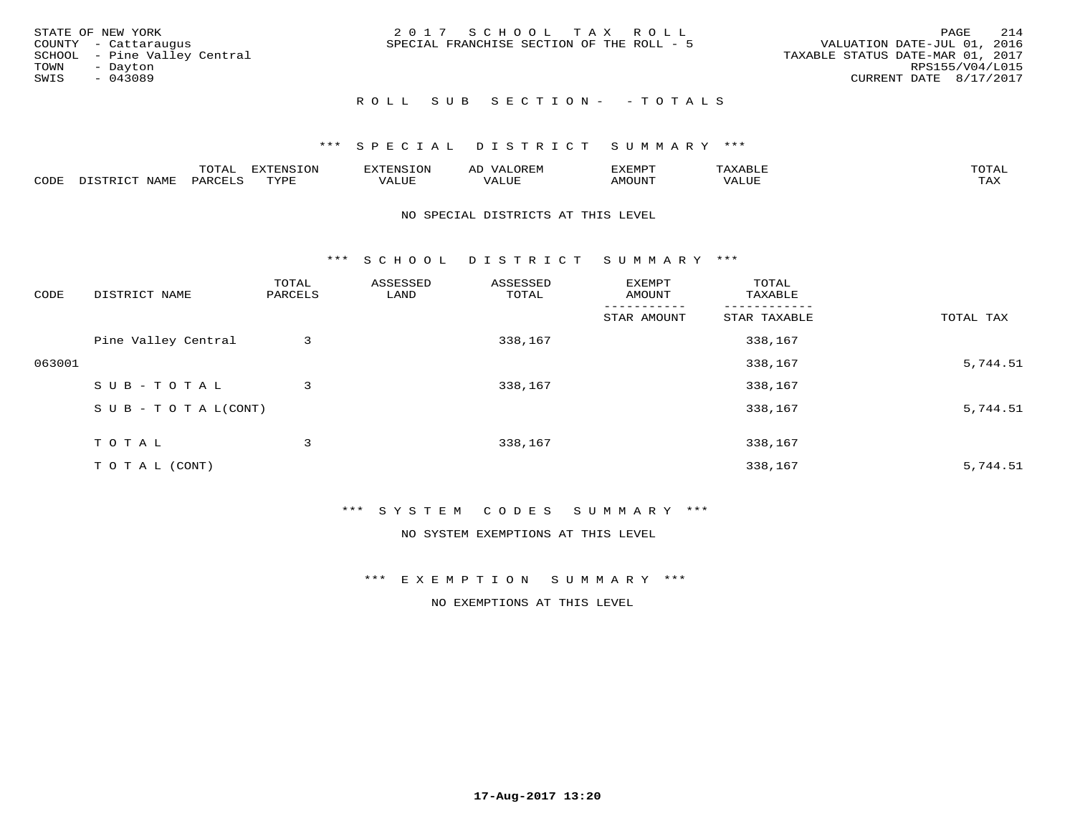|      | STATE OF NEW YORK            | 2017 SCHOOL TAX ROLL                      | PAGE                             | 214 |
|------|------------------------------|-------------------------------------------|----------------------------------|-----|
|      | COUNTY - Cattaraugus         | SPECIAL FRANCHISE SECTION OF THE ROLL - 5 | VALUATION DATE-JUL 01, 2016      |     |
|      | SCHOOL - Pine Valley Central |                                           | TAXABLE STATUS DATE-MAR 01, 2017 |     |
| TOWN | - Dayton                     |                                           | RPS155/V04/L015                  |     |
| SWIS | $-043089$                    |                                           | CURRENT DATE 8/17/2017           |     |
|      |                              |                                           |                                  |     |

## ROLL SUB SECTION - - TOTALS

### \*\*\* S P E C I A L D I S T R I C T S U M M A R Y \*\*\*

|      |             | $m \wedge m \wedge n$<br>$\cdots$<br>$\cdots$ | EXTENSION | FNC  |                                  | "XEMP" | $\cdots$<br>AAABII | $m \wedge m \wedge n$<br>$\sim$ |
|------|-------------|-----------------------------------------------|-----------|------|----------------------------------|--------|--------------------|---------------------------------|
| CODE | <b>JAME</b> | PARCF <sup>T</sup>                            | TVDF      | ALUL | , <del>,</del> , , , , ,<br>ALUP | AMOUNT | VALUE              | .<br>∸∽∽                        |

#### NO SPECIAL DISTRICTS AT THIS LEVEL

\*\*\* S C H O O L D I S T R I C T S U M M A R Y \*\*\*

| CODE   | DISTRICT NAME                    | TOTAL<br>PARCELS | ASSESSED<br>LAND | ASSESSED<br>TOTAL | EXEMPT<br>AMOUNT | TOTAL<br>TAXABLE |           |
|--------|----------------------------------|------------------|------------------|-------------------|------------------|------------------|-----------|
|        |                                  |                  |                  |                   | STAR AMOUNT      | STAR TAXABLE     | TOTAL TAX |
|        | Pine Valley Central              | 3                |                  | 338,167           |                  | 338,167          |           |
| 063001 |                                  |                  |                  |                   |                  | 338,167          | 5,744.51  |
|        | SUB-TOTAL                        | 3                |                  | 338,167           |                  | 338,167          |           |
|        | $S \cup B - T \cup T A L (CONT)$ |                  |                  |                   |                  | 338,167          | 5,744.51  |
|        | T O T A L                        | 3                |                  | 338,167           |                  | 338,167          |           |
|        | T O T A L (CONT)                 |                  |                  |                   |                  | 338,167          | 5,744.51  |

### \*\*\* S Y S T E M C O D E S S U M M A R Y \*\*\*

NO SYSTEM EXEMPTIONS AT THIS LEVEL

\*\*\* E X E M P T I O N S U M M A R Y \*\*\*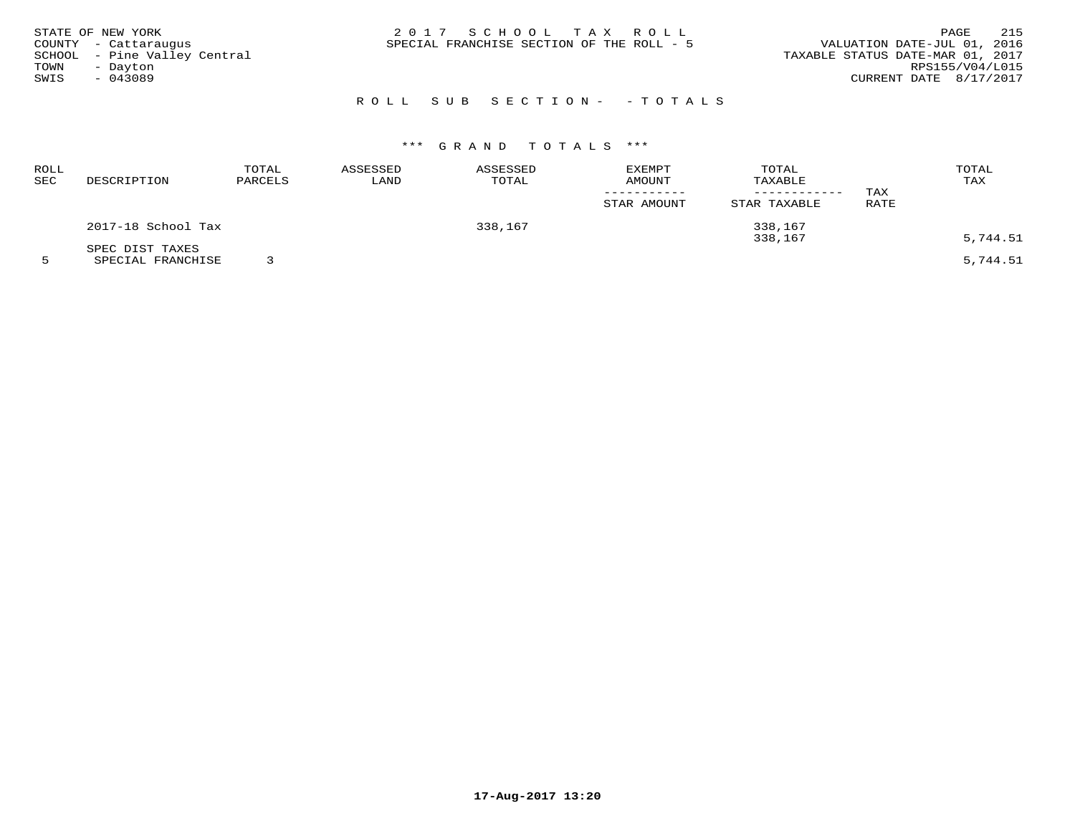|      | STATE OF NEW YORK            | 2017 SCHOOL TAX ROLL                      |  | PAGE                             | 215 |
|------|------------------------------|-------------------------------------------|--|----------------------------------|-----|
|      | COUNTY - Cattaraugus         | SPECIAL FRANCHISE SECTION OF THE ROLL - 5 |  | VALUATION DATE-JUL 01, 2016      |     |
|      | SCHOOL - Pine Valley Central |                                           |  | TAXABLE STATUS DATE-MAR 01, 2017 |     |
| TOWN | - Dayton                     |                                           |  | RPS155/V04/L015                  |     |
| SWIS | - 043089                     |                                           |  | CURRENT DATE 8/17/2017           |     |
|      |                              |                                           |  |                                  |     |

# R O L L S U B S E C T I O N - - T O T A L S

| ROLL<br>SEC | DESCRIPTION                          | TOTAL<br>PARCELS | ASSESSED<br>LAND | ASSESSED<br>TOTAL | EXEMPT<br><b>AMOUNT</b><br>STAR AMOUNT | TOTAL<br>TAXABLE<br>---------<br>STAR TAXABLE | TAX<br>RATE | TOTAL<br>TAX |
|-------------|--------------------------------------|------------------|------------------|-------------------|----------------------------------------|-----------------------------------------------|-------------|--------------|
|             | 2017-18 School Tax                   |                  |                  | 338,167           |                                        | 338,167<br>338,167                            |             | 5,744.51     |
|             | SPEC DIST TAXES<br>SPECIAL FRANCHISE |                  |                  |                   |                                        |                                               |             | 5,744.51     |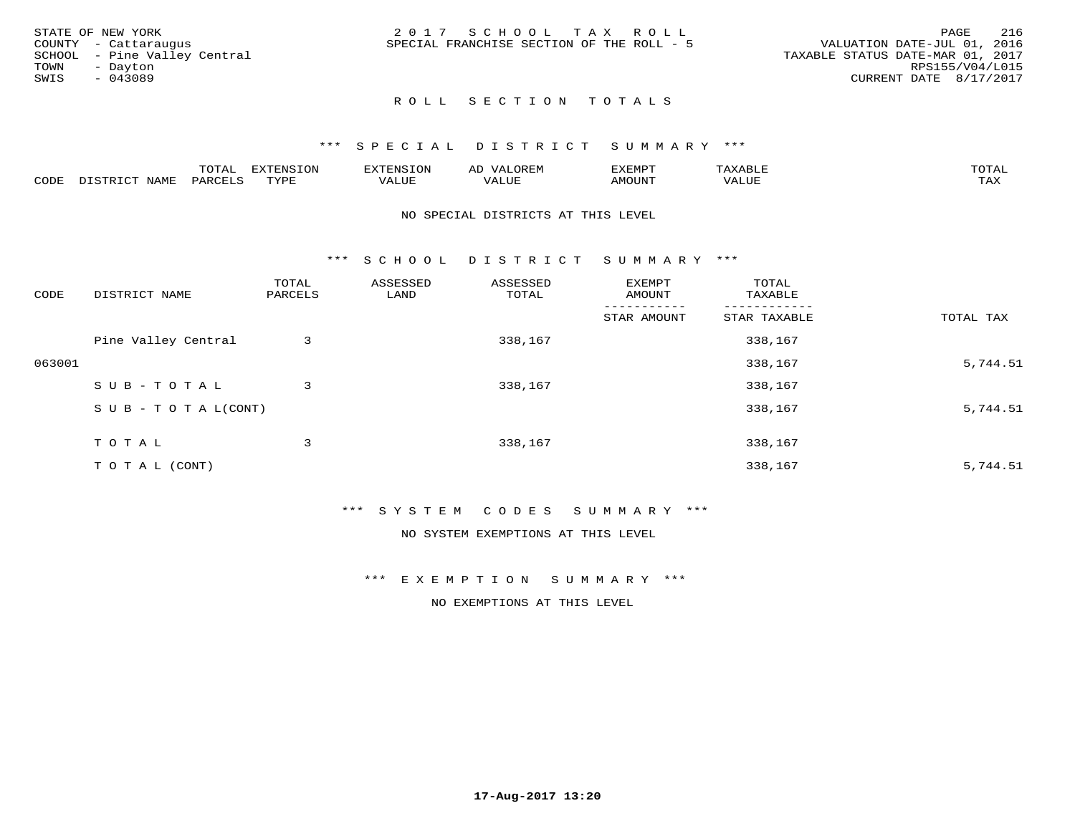|      | STATE OF NEW YORK            | 2017 SCHOOL TAX ROLL                      |  |                                  | <b>PAGE</b>     | 216 |
|------|------------------------------|-------------------------------------------|--|----------------------------------|-----------------|-----|
|      | COUNTY - Cattaraugus         | SPECIAL FRANCHISE SECTION OF THE ROLL - 5 |  | VALUATION DATE-JUL 01, 2016      |                 |     |
|      | SCHOOL - Pine Valley Central |                                           |  | TAXABLE STATUS DATE-MAR 01, 2017 |                 |     |
| TOWN | - Dayton                     |                                           |  |                                  | RPS155/V04/L015 |     |
| SWIS | - 043089                     |                                           |  | CURRENT DATE 8/17/2017           |                 |     |
|      |                              |                                           |  |                                  |                 |     |

## ROLL SECTION TOTALS

### \*\*\* S P E C I A L D I S T R I C T S U M M A R Y \*\*\*

|      |                      | mom n | <b>ELIMENTO TONT</b><br>LUP | ALS.               | ΑL            | ,,, <del>,</del> ,,, <del>,</del><br>، ب<br>- ۱٬۱۳۰ نالاند |                         |                    |
|------|----------------------|-------|-----------------------------|--------------------|---------------|------------------------------------------------------------|-------------------------|--------------------|
| CODE | <b>NAMT</b><br>11.17 | PARC  | TVDF                        | <b>TTT</b><br>ALUR | T T T<br>ALUE | TUUOMA                                                     | . <del>.</del><br>'ALUL | $m \times r$<br>∸⊷ |

#### NO SPECIAL DISTRICTS AT THIS LEVEL

\*\*\* S C H O O L D I S T R I C T S U M M A R Y \*\*\*

| CODE   | DISTRICT NAME                    | TOTAL<br>PARCELS | ASSESSED<br>LAND | ASSESSED<br>TOTAL | EXEMPT<br>AMOUNT | TOTAL<br>TAXABLE |           |
|--------|----------------------------------|------------------|------------------|-------------------|------------------|------------------|-----------|
|        |                                  |                  |                  |                   | STAR AMOUNT      | STAR TAXABLE     | TOTAL TAX |
|        | Pine Valley Central              | 3                |                  | 338,167           |                  | 338,167          |           |
| 063001 |                                  |                  |                  |                   |                  | 338,167          | 5,744.51  |
|        | SUB-TOTAL                        | 3                |                  | 338,167           |                  | 338,167          |           |
|        | $S \cup B - T \cup T A L (CONT)$ |                  |                  |                   |                  | 338,167          | 5,744.51  |
|        | TOTAL                            | 3                |                  | 338,167           |                  | 338,167          |           |
|        | T O T A L (CONT)                 |                  |                  |                   |                  | 338,167          | 5,744.51  |

### \*\*\* S Y S T E M C O D E S S U M M A R Y \*\*\*

NO SYSTEM EXEMPTIONS AT THIS LEVEL

#### \*\*\* E X E M P T I O N S U M M A R Y \*\*\*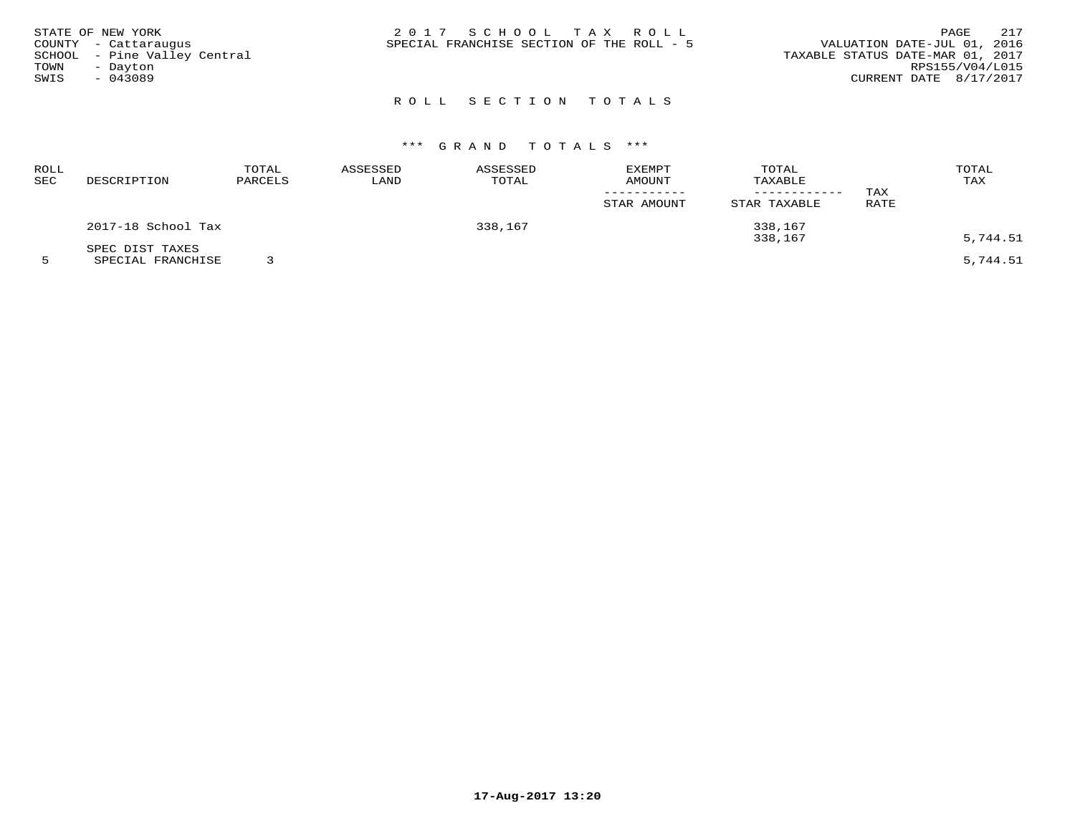| STATE OF NEW YORK |                              | 2017 SCHOOL TAX ROLL                      |  | 217<br>PAGE                      |
|-------------------|------------------------------|-------------------------------------------|--|----------------------------------|
|                   | COUNTY - Cattaraugus         | SPECIAL FRANCHISE SECTION OF THE ROLL - 5 |  | VALUATION DATE-JUL 01, 2016      |
|                   | SCHOOL - Pine Valley Central |                                           |  | TAXABLE STATUS DATE-MAR 01, 2017 |
| TOWN              | - Dayton                     |                                           |  | RPS155/V04/L015                  |
| SWIS              | $-043089$                    |                                           |  | CURRENT DATE 8/17/2017           |
|                   |                              |                                           |  |                                  |

### ROLL SECTION TOTALS

## \*\*\* G R A N D T O T A L S \*\*\*

| ROLL<br>SEC | DESCRIPTION        | TOTAL<br>PARCELS | ASSESSED<br>LAND | ASSESSED<br>TOTAL | <b>EXEMPT</b><br>AMOUNT | TOTAL<br>TAXABLE<br>------------ | TAX         | TOTAL<br>TAX |
|-------------|--------------------|------------------|------------------|-------------------|-------------------------|----------------------------------|-------------|--------------|
|             |                    |                  |                  |                   | STAR AMOUNT             | STAR TAXABLE                     | <b>RATE</b> |              |
|             | 2017-18 School Tax |                  |                  | 338,167           |                         | 338,167                          |             |              |
|             | SPEC DIST TAXES    |                  |                  |                   |                         | 338,167                          |             | 5,744.51     |
|             | SPECIAL FRANCHISE  |                  |                  |                   |                         |                                  |             | 5,744.51     |

**17-Aug-2017 13:20**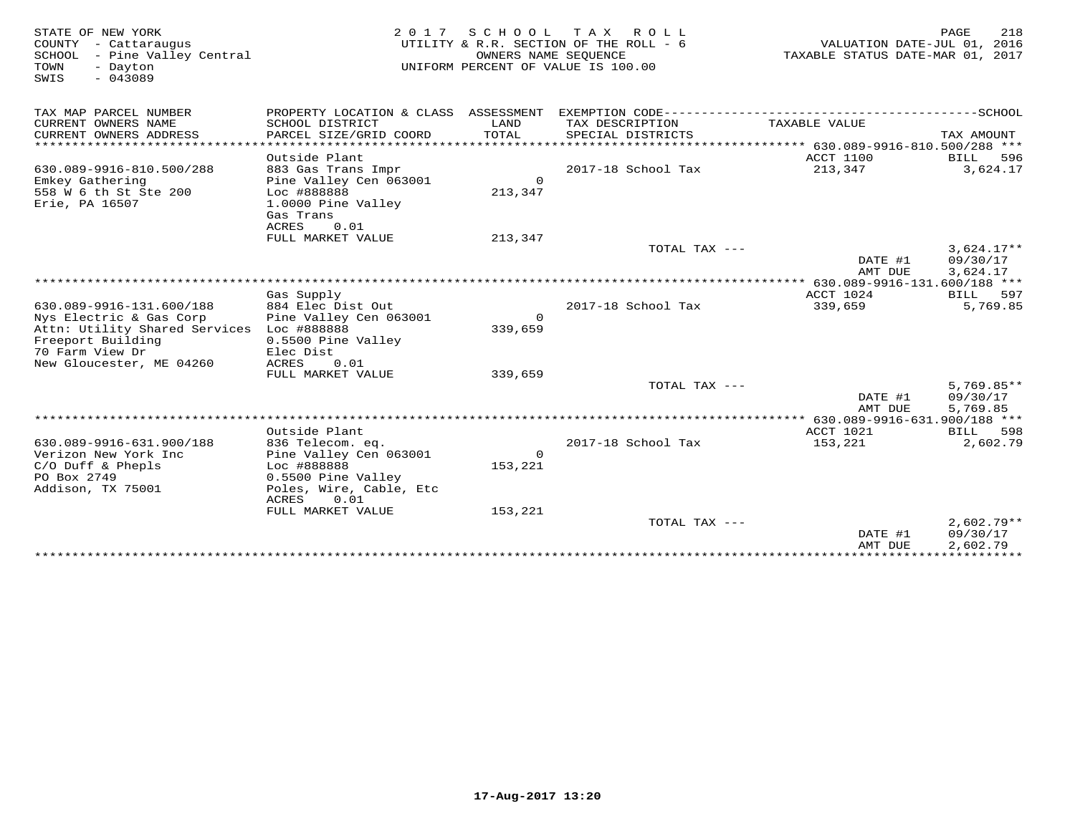|                                                                                                                                                                                                     |                                                                                 | 2017 SCHOOL TAX ROLL                                       | VALUATION DATE-JUL 01, 2016<br>TAXABLE STATUS DATE-MAR 01, 2017                                      | PAGE<br>218                                                                                                                 |
|-----------------------------------------------------------------------------------------------------------------------------------------------------------------------------------------------------|---------------------------------------------------------------------------------|------------------------------------------------------------|------------------------------------------------------------------------------------------------------|-----------------------------------------------------------------------------------------------------------------------------|
| SCHOOL DISTRICT<br>PARCEL SIZE/GRID COORD<br>* * * * * * * * * * * * * * * * * *<br>Outside Plant<br>883 Gas Trans Impr<br>Pine Valley Cen 063001<br>Loc #888888<br>1.0000 Pine Valley<br>Gas Trans | LAND<br>TOTAL<br>$\Omega$<br>213,347                                            | TAX DESCRIPTION<br>SPECIAL DISTRICTS<br>2017-18 School Tax | TAXABLE VALUE<br>ACCT 1100<br>213,347                                                                | -----------------SCHOOL<br>TAX AMOUNT<br>BILL<br>596<br>3,624.17                                                            |
| <b>ACRES</b><br>0.01<br>FULL MARKET VALUE                                                                                                                                                           | 213,347                                                                         |                                                            | DATE #1                                                                                              | $3,624.17**$<br>09/30/17                                                                                                    |
|                                                                                                                                                                                                     |                                                                                 |                                                            |                                                                                                      | 3,624.17                                                                                                                    |
| Gas Supply                                                                                                                                                                                          |                                                                                 |                                                            | ACCT 1024                                                                                            | 597<br>BILL                                                                                                                 |
| 884 Elec Dist Out<br>Pine Valley Cen 063001<br>0.5500 Pine Valley<br>Elec Dist                                                                                                                      | $\Omega$<br>339,659                                                             | 2017-18 School Tax                                         | 339,659                                                                                              | 5,769.85                                                                                                                    |
| FULL MARKET VALUE                                                                                                                                                                                   |                                                                                 |                                                            |                                                                                                      |                                                                                                                             |
|                                                                                                                                                                                                     |                                                                                 |                                                            | DATE #1                                                                                              | $5,769.85**$<br>09/30/17<br>5,769.85                                                                                        |
|                                                                                                                                                                                                     |                                                                                 |                                                            | *** $630.089 - 9916 - 631.900/188$ ***                                                               |                                                                                                                             |
| Outside Plant                                                                                                                                                                                       |                                                                                 |                                                            | ACCT 1021                                                                                            | 598<br>BILL                                                                                                                 |
| 836 Telecom. eq.<br>Pine Valley Cen 063001<br>Loc #888888<br>0.5500 Pine Valley<br>Poles, Wire, Cable, Etc<br>ACRES<br>0.01                                                                         | $\Omega$<br>153,221                                                             | 2017-18 School Tax                                         | 153,221                                                                                              | 2,602.79                                                                                                                    |
|                                                                                                                                                                                                     |                                                                                 |                                                            | DATE #1                                                                                              | $2.602.79**$<br>09/30/17<br>2,602.79                                                                                        |
|                                                                                                                                                                                                     | Attn: Utility Shared Services Loc #888888<br>0.01<br>ACRES<br>FULL MARKET VALUE | PROPERTY LOCATION & CLASS ASSESSMENT<br>339,659<br>153,221 | UTILITY & R.R. SECTION OF THE ROLL - 6<br>OWNERS NAME SEOUENCE<br>UNIFORM PERCENT OF VALUE IS 100.00 | EXEMPTION CODE-----------------------<br>TOTAL TAX ---<br>AMT DUE<br>TOTAL TAX ---<br>AMT DUE<br>TOTAL TAX $---$<br>AMT DUE |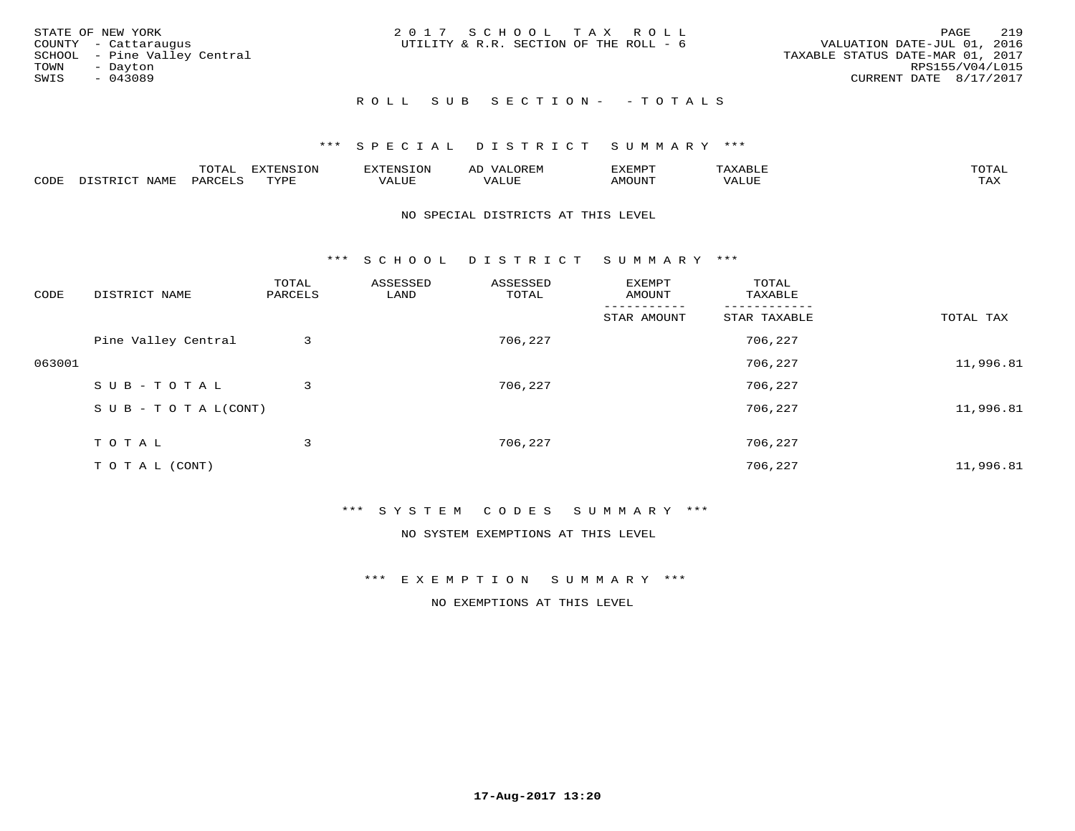|      | STATE OF NEW YORK            | 2017 SCHOOL TAX ROLL                   |  |                                  |                        | PAGE | 219 |
|------|------------------------------|----------------------------------------|--|----------------------------------|------------------------|------|-----|
|      | COUNTY - Cattaraugus         | UTILITY & R.R. SECTION OF THE ROLL - 6 |  | VALUATION DATE-JUL 01, 2016      |                        |      |     |
|      | SCHOOL - Pine Valley Central |                                        |  | TAXABLE STATUS DATE-MAR 01, 2017 |                        |      |     |
| TOWN | - Dayton                     |                                        |  |                                  | RPS155/V04/L015        |      |     |
| SWIS | - 043089                     |                                        |  |                                  | CURRENT DATE 8/17/2017 |      |     |
|      |                              |                                        |  |                                  |                        |      |     |

### R O L L S U B S E C T I O N - - T O T A L S

#### \*\*\* S P E C I A L D I S T R I C T S U M M A R Y \*\*\*

|      |         | m^m*<br><u>UIAI</u> | . v  | <b>HUNE</b> |                   | :XEMPT | ∸<br>. | mom <sub>n</sub> |
|------|---------|---------------------|------|-------------|-------------------|--------|--------|------------------|
| CODE | NT A MT | PARL                | mynn | 'ALUE       | $- - - -$<br>ALUP | MOUN.  | 'ALUE  | ГAХ              |

#### NO SPECIAL DISTRICTS AT THIS LEVEL

\*\*\* S C H O O L D I S T R I C T S U M M A R Y \*\*\*

| CODE   | DISTRICT NAME                    | TOTAL<br>PARCELS | ASSESSED<br>LAND | ASSESSED<br>TOTAL | EXEMPT<br>AMOUNT | TOTAL<br>TAXABLE |           |
|--------|----------------------------------|------------------|------------------|-------------------|------------------|------------------|-----------|
|        |                                  |                  |                  |                   | STAR AMOUNT      | STAR TAXABLE     | TOTAL TAX |
|        | Pine Valley Central              | 3                |                  | 706,227           |                  | 706,227          |           |
| 063001 |                                  |                  |                  |                   |                  | 706,227          | 11,996.81 |
|        | SUB-TOTAL                        | 3                |                  | 706,227           |                  | 706,227          |           |
|        | $S \cup B - T \cup T A L (CONT)$ |                  |                  |                   |                  | 706,227          | 11,996.81 |
|        | TOTAL                            | 3                |                  | 706,227           |                  | 706,227          |           |
|        |                                  |                  |                  |                   |                  |                  |           |
|        | T O T A L (CONT)                 |                  |                  |                   |                  | 706,227          | 11,996.81 |

#### \*\*\* S Y S T E M C O D E S S U M M A R Y \*\*\*

NO SYSTEM EXEMPTIONS AT THIS LEVEL

\*\*\* E X E M P T I O N S U M M A R Y \*\*\*

NO EXEMPTIONS AT THIS LEVEL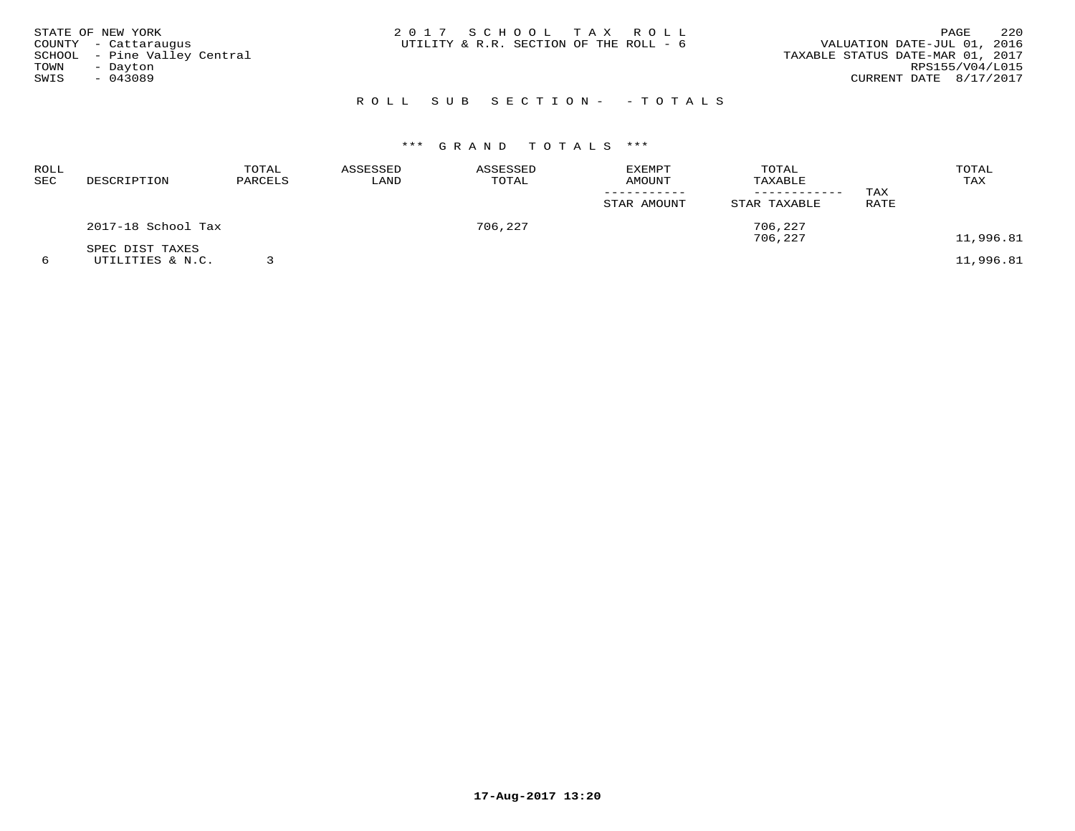|      | STATE OF NEW YORK            | 2017 SCHOOL TAX ROLL                   |  |  |                                  |                        | PAGE | 220 |
|------|------------------------------|----------------------------------------|--|--|----------------------------------|------------------------|------|-----|
|      | COUNTY - Cattaraugus         | UTILITY & R.R. SECTION OF THE ROLL - 6 |  |  | VALUATION DATE-JUL 01, 2016      |                        |      |     |
|      | SCHOOL - Pine Valley Central |                                        |  |  | TAXABLE STATUS DATE-MAR 01, 2017 |                        |      |     |
| TOWN | - Dayton                     |                                        |  |  |                                  | RPS155/V04/L015        |      |     |
| SWIS | - 043089                     |                                        |  |  |                                  | CURRENT DATE 8/17/2017 |      |     |
|      |                              |                                        |  |  |                                  |                        |      |     |

### R O L L S U B S E C T I O N - - T O T A L S

## \*\*\* G R A N D T O T A L S \*\*\*

| ROLL<br>SEC | DESCRIPTION                         | TOTAL<br>PARCELS | ASSESSED<br>LAND | ASSESSED<br>TOTAL | EXEMPT<br><b>AMOUNT</b><br>STAR AMOUNT | TOTAL<br>TAXABLE<br>---------<br>STAR TAXABLE | TAX<br>RATE | TOTAL<br>TAX |
|-------------|-------------------------------------|------------------|------------------|-------------------|----------------------------------------|-----------------------------------------------|-------------|--------------|
|             | 2017-18 School Tax                  |                  |                  | 706,227           |                                        | 706,227<br>706,227                            |             | 11,996.81    |
|             | SPEC DIST TAXES<br>UTILITIES & N.C. |                  |                  |                   |                                        |                                               |             | 11,996.81    |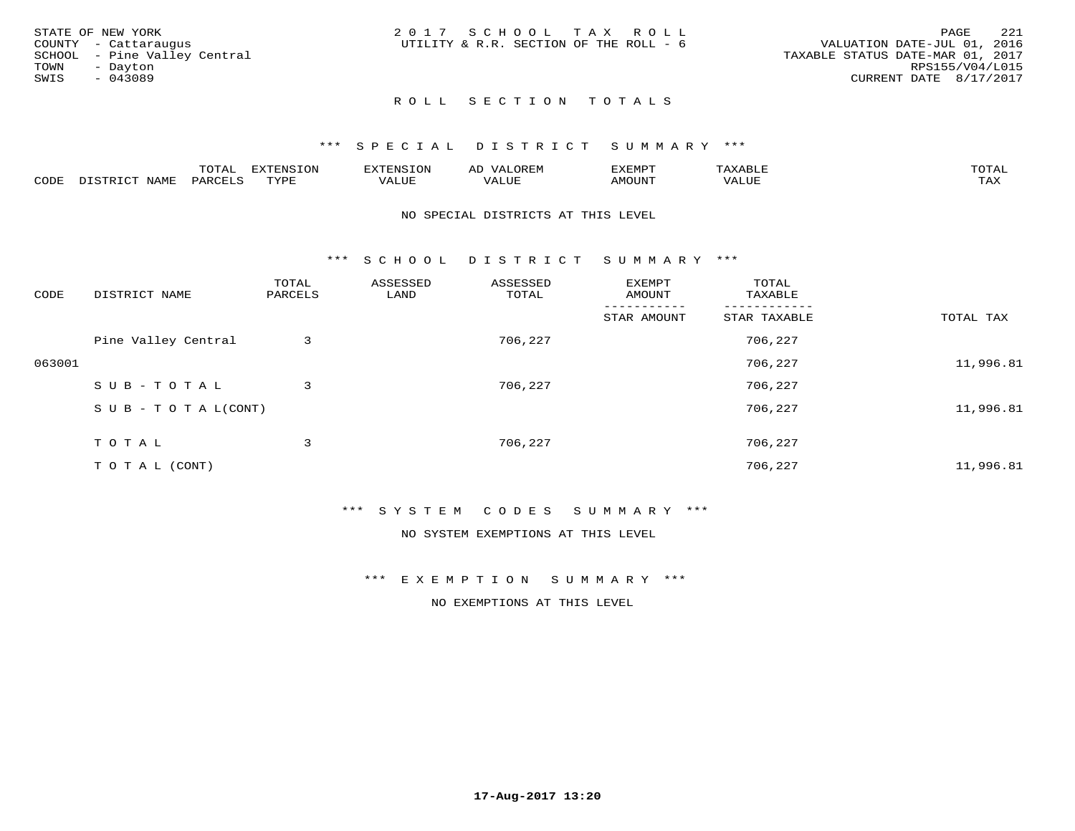|      | STATE OF NEW YORK            | 2017 SCHOOL TAX ROLL                   |  |                                  |                        | PAGE | 221 |
|------|------------------------------|----------------------------------------|--|----------------------------------|------------------------|------|-----|
|      | COUNTY - Cattaraugus         | UTILITY & R.R. SECTION OF THE ROLL - 6 |  | VALUATION DATE-JUL 01, 2016      |                        |      |     |
|      | SCHOOL - Pine Valley Central |                                        |  | TAXABLE STATUS DATE-MAR 01, 2017 |                        |      |     |
| TOWN | - Davton                     |                                        |  |                                  | RPS155/V04/L015        |      |     |
| SWIS | - 043089                     |                                        |  |                                  | CURRENT DATE 8/17/2017 |      |     |
|      |                              |                                        |  |                                  |                        |      |     |

### ROLL SECTION TOTALS

#### \*\*\* S P E C I A L D I S T R I C T S U M M A R Y \*\*\*

|      |                      | mom n | <b>ELIMENTO TONT</b><br>LUP | ALS.               | ΑL            | ,,, <del>,</del> ,,, <del>,</del><br>، ب<br>- ۱٬۱۳۰ نالاند |                         |                    |
|------|----------------------|-------|-----------------------------|--------------------|---------------|------------------------------------------------------------|-------------------------|--------------------|
| CODE | <b>NAMT</b><br>11.17 | PARC  | TVDF                        | <b>TTT</b><br>ALUR | T T T<br>ALUE | TUUOMA                                                     | . <del>.</del><br>'ALUL | $m \times r$<br>∸⊷ |

#### NO SPECIAL DISTRICTS AT THIS LEVEL

\*\*\* S C H O O L D I S T R I C T S U M M A R Y \*\*\*

| CODE   | DISTRICT NAME                    | TOTAL<br>PARCELS | ASSESSED<br>LAND | ASSESSED<br>TOTAL | EXEMPT<br>AMOUNT | TOTAL<br>TAXABLE |           |
|--------|----------------------------------|------------------|------------------|-------------------|------------------|------------------|-----------|
|        |                                  |                  |                  |                   | STAR AMOUNT      | STAR TAXABLE     | TOTAL TAX |
|        | Pine Valley Central              | 3                |                  | 706,227           |                  | 706,227          |           |
| 063001 |                                  |                  |                  |                   |                  | 706,227          | 11,996.81 |
|        | SUB-TOTAL                        | 3                |                  | 706,227           |                  | 706,227          |           |
|        | $S \cup B - T \cup T A L (CONT)$ |                  |                  |                   |                  | 706,227          | 11,996.81 |
|        | TOTAL                            | 3                |                  | 706,227           |                  | 706,227          |           |
|        | T O T A L (CONT)                 |                  |                  |                   |                  | 706,227          | 11,996.81 |

#### \*\*\* S Y S T E M C O D E S S U M M A R Y \*\*\*

NO SYSTEM EXEMPTIONS AT THIS LEVEL

#### \*\*\* E X E M P T I O N S U M M A R Y \*\*\*

NO EXEMPTIONS AT THIS LEVEL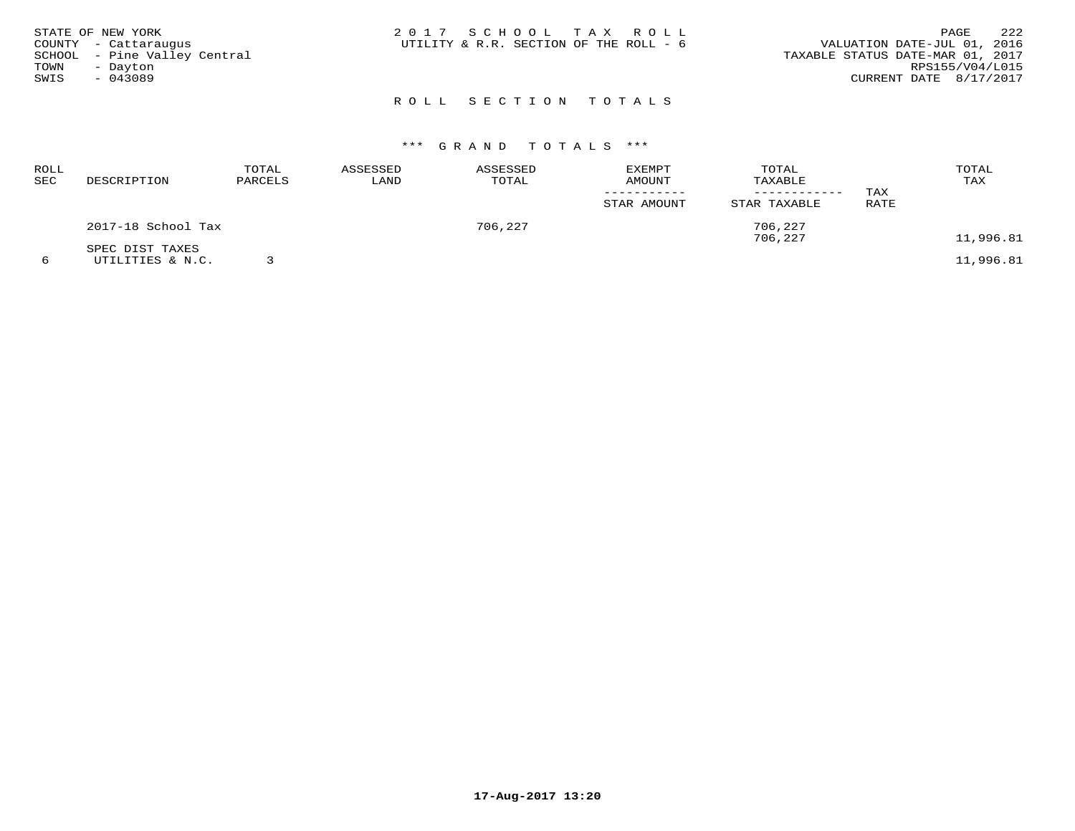| TOWN<br>SWIS | STATE OF NEW YORK<br>COUNTY - Cattaraugus<br>SCHOOL - Pine Valley Central<br>- Dayton<br>$-043089$ | 2017 SCHOOL TAX ROLL<br>UTILITY & R.R. SECTION OF THE ROLL - 6 |  | 222<br>PAGE<br>VALUATION DATE-JUL 01, 2016<br>TAXABLE STATUS DATE-MAR 01, 2017<br>RPS155/V04/L015<br>CURRENT DATE 8/17/2017 |
|--------------|----------------------------------------------------------------------------------------------------|----------------------------------------------------------------|--|-----------------------------------------------------------------------------------------------------------------------------|
|              |                                                                                                    | ROLL SECTION TOTALS                                            |  |                                                                                                                             |

# \*\*\* G R A N D T O T A L S \*\*\*

| ROLL<br><b>SEC</b> | DESCRIPTION                         | TOTAL<br>PARCELS | ASSESSED<br>LAND | ASSESSED<br>TOTAL | EXEMPT<br>AMOUNT<br>STAR AMOUNT | TOTAL<br>TAXABLE<br>------------<br>STAR TAXABLE | TAX<br>RATE | TOTAL<br>TAX |
|--------------------|-------------------------------------|------------------|------------------|-------------------|---------------------------------|--------------------------------------------------|-------------|--------------|
|                    | 2017-18 School Tax                  |                  |                  | 706,227           |                                 | 706,227<br>706,227                               |             | 11,996.81    |
| 6                  | SPEC DIST TAXES<br>UTILITIES & N.C. |                  |                  |                   |                                 |                                                  |             | 11,996.81    |

**17-Aug-2017 13:20**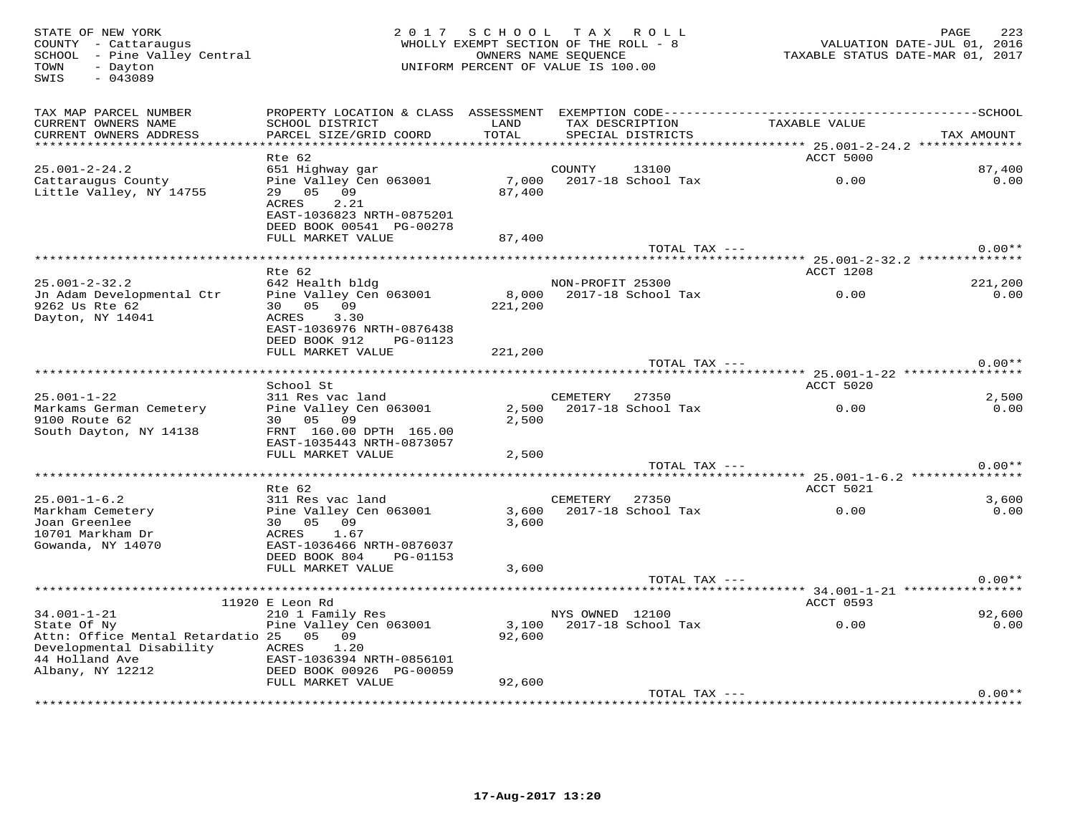$\begin{array}{rcl}\n\text{TOWN} & - & \text{Dayton} \\
\text{SWIS} & - & 043089\n\end{array}$ 

#### STATE OF NEW YORK CONTROLLED AS A LOCAL CONTRACT A VIOLATION OF NEW YORK CONTROLLED AND PAGE 223 COUNTY - Cattaraugus WHOLLY EXEMPT SECTION OF THE ROLL - 8 VALUATION DATE-JUL 01, 2016SCHOOL – Pine Valley Central OWNERS NAME SEQUENCE TAXABLE STATUS DATE-MAR 01, 2017 UNIFORM PERCENT OF VALUE IS 100.00

| TAX MAP PARCEL NUMBER<br>CURRENT OWNERS NAME<br>CURRENT OWNERS ADDRESS                               | PROPERTY LOCATION & CLASS ASSESSMENT<br>SCHOOL DISTRICT<br>PARCEL SIZE/GRID COORD  | LAND<br>TOTAL                   | EXEMPTION CODE----------<br>TAX DESCRIPTION<br>SPECIAL DISTRICTS | TAXABLE VALUE                                             | -----SCHOOL<br>TAX AMOUNT |
|------------------------------------------------------------------------------------------------------|------------------------------------------------------------------------------------|---------------------------------|------------------------------------------------------------------|-----------------------------------------------------------|---------------------------|
| ********************                                                                                 |                                                                                    | * * * * * * * * * * * * * * * * |                                                                  | **************************** 25.001-2-24.2 ************** |                           |
|                                                                                                      | Rte 62                                                                             |                                 |                                                                  | ACCT 5000                                                 |                           |
| $25.001 - 2 - 24.2$<br>Cattaraugus County<br>Little Valley, NY 14755                                 | 651 Highway gar<br>Pine Valley Cen 063001<br>05 09<br>29<br>2.21<br>ACRES          | 7,000<br>87,400                 | COUNTY<br>13100<br>2017-18 School Tax                            | 0.00                                                      | 87,400<br>0.00            |
|                                                                                                      | EAST-1036823 NRTH-0875201<br>DEED BOOK 00541 PG-00278<br>FULL MARKET VALUE         | 87,400                          |                                                                  |                                                           |                           |
|                                                                                                      |                                                                                    |                                 | TOTAL TAX ---                                                    |                                                           | $0.00**$                  |
|                                                                                                      |                                                                                    |                                 |                                                                  |                                                           |                           |
|                                                                                                      | $Rte$ 62                                                                           |                                 |                                                                  | ACCT 1208                                                 |                           |
| $25.001 - 2 - 32.2$                                                                                  | 642 Health bldg                                                                    |                                 | NON-PROFIT 25300                                                 |                                                           | 221,200                   |
| Jn Adam Developmental Ctr<br>9262 Us Rte 62<br>Dayton, NY 14041                                      | Pine Valley Cen 063001<br>30 05 09<br>3.30<br>ACRES<br>EAST-1036976 NRTH-0876438   | 8,000<br>221,200                | 2017-18 School Tax                                               | 0.00                                                      | 0.00                      |
|                                                                                                      | DEED BOOK 912<br>PG-01123<br>FULL MARKET VALUE                                     | 221,200                         |                                                                  |                                                           |                           |
|                                                                                                      |                                                                                    |                                 | TOTAL TAX ---                                                    |                                                           | $0.00**$                  |
|                                                                                                      |                                                                                    |                                 |                                                                  | *** 25.001-1-22 ***                                       |                           |
|                                                                                                      | School St                                                                          |                                 |                                                                  | ACCT 5020                                                 |                           |
| $25.001 - 1 - 22$                                                                                    | 311 Res vac land                                                                   |                                 | 27350<br>CEMETERY                                                |                                                           | 2,500                     |
| Markams German Cemetery<br>9100 Route 62                                                             | Pine Valley Cen 063001<br>09<br>30 05                                              | 2,500<br>2,500                  | 2017-18 School Tax                                               | 0.00                                                      | 0.00                      |
| South Dayton, NY 14138                                                                               | FRNT 160.00 DPTH 165.00<br>EAST-1035443 NRTH-0873057                               |                                 |                                                                  |                                                           |                           |
|                                                                                                      | FULL MARKET VALUE                                                                  | 2,500                           |                                                                  |                                                           |                           |
|                                                                                                      |                                                                                    |                                 | TOTAL TAX ---                                                    |                                                           | $0.00**$                  |
|                                                                                                      | Rte 62                                                                             |                                 |                                                                  | **** 25.001-1-6.2 **********<br>ACCT 5021                 |                           |
| $25.001 - 1 - 6.2$                                                                                   | 311 Res vac land                                                                   |                                 | CEMETERY<br>27350                                                |                                                           | 3,600                     |
| Markham Cemetery<br>Joan Greenlee<br>10701 Markham Dr<br>Gowanda, NY 14070                           | Pine Valley Cen 063001<br>30  05  09<br>1.67<br>ACRES<br>EAST-1036466 NRTH-0876037 | 3,600<br>3,600                  | 2017-18 School Tax                                               | 0.00                                                      | 0.00                      |
|                                                                                                      | DEED BOOK 804<br>PG-01153                                                          |                                 |                                                                  |                                                           |                           |
|                                                                                                      | FULL MARKET VALUE                                                                  | 3,600                           |                                                                  |                                                           |                           |
|                                                                                                      |                                                                                    |                                 | TOTAL TAX ---                                                    | ******* 34.001-1-21 ****************                      | $0.00**$                  |
|                                                                                                      | 11920 E Leon Rd                                                                    |                                 |                                                                  | <b>ACCT 0593</b>                                          |                           |
| $34.001 - 1 - 21$                                                                                    | 210 1 Family Res                                                                   |                                 | NYS OWNED 12100                                                  |                                                           | 92,600                    |
| State Of Ny<br>Attn: Office Mental Retardatio 25 05 09<br>Developmental Disability<br>44 Holland Ave | Pine Valley Cen 063001<br>ACRES<br>1.20<br>EAST-1036394 NRTH-0856101               | 3,100<br>92,600                 | 2017-18 School Tax                                               | 0.00                                                      | 0.00                      |
| Albany, NY 12212                                                                                     | DEED BOOK 00926 PG-00059<br>FULL MARKET VALUE                                      | 92,600                          |                                                                  |                                                           |                           |
|                                                                                                      |                                                                                    |                                 | TOTAL TAX ---<br>***********************************             | *************************************                     | $0.00**$                  |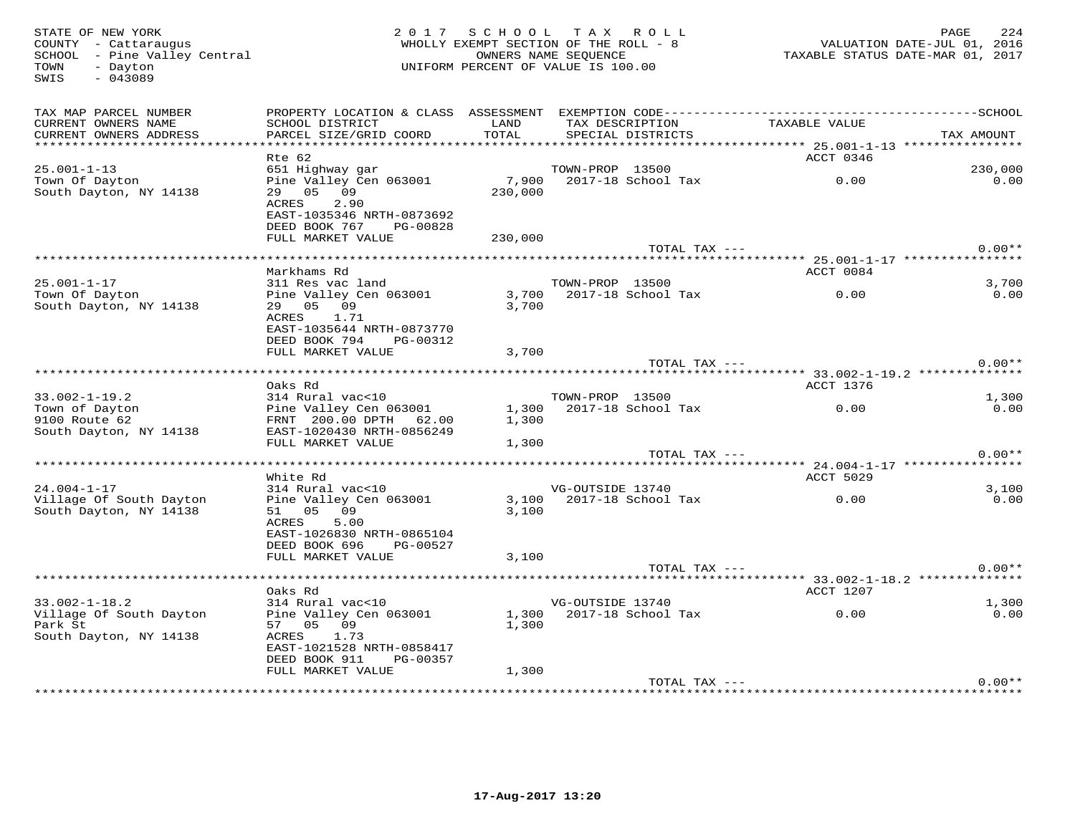TOWN - Dayton<br>SWIS - 043089

#### STATE OF NEW YORK CONTROLLED AS A LOCAL CONTRACT OF SCHOOL TAX ROLL CONTROLLED AND PAGE 224 COUNTY - Cattaraugus WHOLLY EXEMPT SECTION OF THE ROLL - 8 VALUATION DATE-JUL 01, 2016SCHOOL – Pine Valley Central OWNERS NAME SEQUENCE TAXABLE STATUS DATE-MAR 01, 2017 UNIFORM PERCENT OF VALUE IS 100.00

| TAX MAP PARCEL NUMBER<br>CURRENT OWNERS NAME<br>CURRENT OWNERS ADDRESS<br>************************* | PROPERTY LOCATION & CLASS ASSESSMENT<br>SCHOOL DISTRICT<br>PARCEL SIZE/GRID COORD                             | LAND<br>TOTAL        | TAX DESCRIPTION<br>SPECIAL DISTRICTS | EXEMPTION CODE------------ | TAXABLE VALUE                          | ----------SCHOOL<br>TAX AMOUNT |
|-----------------------------------------------------------------------------------------------------|---------------------------------------------------------------------------------------------------------------|----------------------|--------------------------------------|----------------------------|----------------------------------------|--------------------------------|
|                                                                                                     | Rte 62                                                                                                        |                      |                                      |                            | ACCT 0346                              |                                |
| $25.001 - 1 - 13$                                                                                   | 651 Highway gar                                                                                               |                      | TOWN-PROP 13500                      |                            |                                        | 230,000                        |
| Town Of Dayton<br>South Dayton, NY 14138                                                            | Pine Valley Cen 063001<br>29 05 09<br>2.90<br>ACRES<br>EAST-1035346 NRTH-0873692                              | 7,900<br>230,000     | 2017-18 School Tax                   |                            | 0.00                                   | 0.00                           |
|                                                                                                     | DEED BOOK 767<br>PG-00828                                                                                     |                      |                                      |                            |                                        |                                |
|                                                                                                     | FULL MARKET VALUE                                                                                             | 230,000              |                                      |                            |                                        | $0.00**$                       |
|                                                                                                     | ********************                                                                                          | ******************** |                                      | TOTAL TAX ---              |                                        |                                |
|                                                                                                     | Markhams Rd                                                                                                   |                      |                                      |                            | ACCT 0084                              |                                |
| $25.001 - 1 - 17$                                                                                   | 311 Res vac land                                                                                              |                      | TOWN-PROP 13500                      |                            |                                        | 3,700                          |
| Town Of Dayton<br>South Dayton, NY 14138                                                            | Pine Valley Cen 063001<br>29 05 09<br>ACRES<br>1.71<br>EAST-1035644 NRTH-0873770<br>DEED BOOK 794<br>PG-00312 | 3,700<br>3,700       | 2017-18 School Tax                   |                            | 0.00                                   | 0.00                           |
|                                                                                                     | FULL MARKET VALUE                                                                                             | 3,700                |                                      |                            |                                        |                                |
|                                                                                                     |                                                                                                               |                      |                                      | TOTAL TAX ---              |                                        | $0.00**$                       |
|                                                                                                     |                                                                                                               |                      |                                      |                            | ********** 33.002-1-19.2 ************* |                                |
|                                                                                                     | Oaks Rd                                                                                                       |                      |                                      |                            | ACCT 1376                              |                                |
| $33.002 - 1 - 19.2$                                                                                 | 314 Rural vac<10                                                                                              |                      | TOWN-PROP 13500                      |                            |                                        | 1,300                          |
| Town of Dayton<br>9100 Route 62                                                                     | Pine Valley Cen 063001<br>FRNT 200.00 DPTH 62.00                                                              | 1,300<br>1,300       | 2017-18 School Tax                   |                            | 0.00                                   | 0.00                           |
| South Dayton, NY 14138                                                                              | EAST-1020430 NRTH-0856249<br>FULL MARKET VALUE                                                                | 1,300                |                                      |                            |                                        |                                |
|                                                                                                     |                                                                                                               |                      |                                      | TOTAL TAX $---$            |                                        | $0.00**$                       |
|                                                                                                     | *******************                                                                                           |                      |                                      |                            |                                        |                                |
|                                                                                                     | White Rd                                                                                                      |                      |                                      |                            | ACCT 5029                              |                                |
| $24.004 - 1 - 17$                                                                                   | 314 Rural vac<10                                                                                              |                      | VG-OUTSIDE 13740                     |                            |                                        | 3,100                          |
| Village Of South Dayton<br>South Dayton, NY 14138                                                   | Pine Valley Cen 063001<br>51 05 09<br>ACRES<br>5.00<br>EAST-1026830 NRTH-0865104                              | 3,100<br>3,100       | 2017-18 School Tax                   |                            | 0.00                                   | 0.00                           |
|                                                                                                     | DEED BOOK 696<br>PG-00527                                                                                     |                      |                                      |                            |                                        |                                |
|                                                                                                     | FULL MARKET VALUE                                                                                             | 3,100                |                                      | TOTAL TAX ---              |                                        | $0.00**$                       |
|                                                                                                     |                                                                                                               |                      |                                      |                            |                                        |                                |
|                                                                                                     | Oaks Rd                                                                                                       |                      |                                      |                            | ACCT 1207                              |                                |
| $33.002 - 1 - 18.2$                                                                                 | 314 Rural vac<10                                                                                              |                      | VG-OUTSIDE 13740                     |                            |                                        | 1,300                          |
| Village Of South Dayton<br>Park St<br>South Dayton, NY 14138                                        | Pine Valley Cen 063001<br>57 05 09<br>1.73<br>ACRES<br>EAST-1021528 NRTH-0858417<br>DEED BOOK 911<br>PG-00357 | 1,300<br>1,300       | 2017-18 School Tax                   |                            | 0.00                                   | 0.00                           |
|                                                                                                     | FULL MARKET VALUE                                                                                             | 1,300                |                                      |                            |                                        |                                |
|                                                                                                     |                                                                                                               |                      | ************************************ | TOTAL TAX ---              | *************************************  | $0.00**$                       |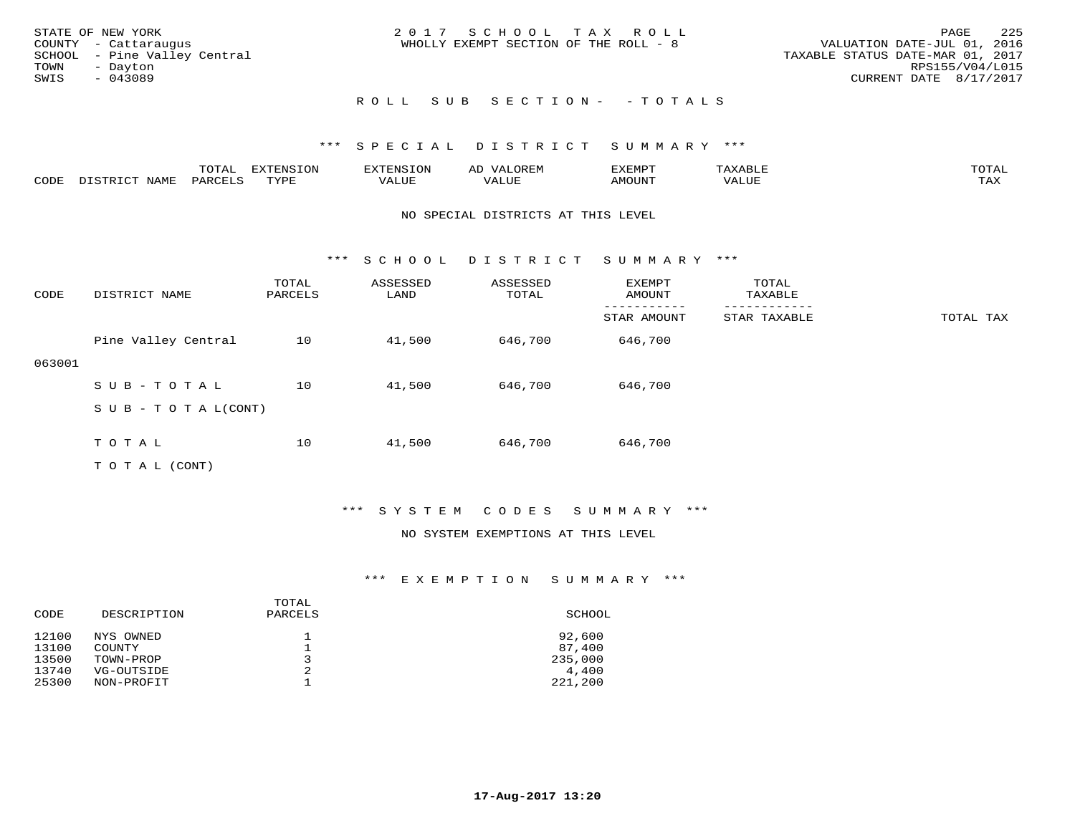| STATE OF NEW YORK            | 2017 SCHOOL TAX ROLL                  | -225<br>PAGE                     |
|------------------------------|---------------------------------------|----------------------------------|
| COUNTY - Cattaraugus         | WHOLLY EXEMPT SECTION OF THE ROLL - 8 | VALUATION DATE-JUL 01, 2016      |
| SCHOOL - Pine Valley Central |                                       | TAXABLE STATUS DATE-MAR 01, 2017 |
| TOWN<br>- Dayton             |                                       | RPS155/V04/L015                  |
| SWIS<br>$-043089$            |                                       | CURRENT DATE 8/17/2017           |
|                              |                                       |                                  |
|                              | ROLL SUB SECTION- - TOTALS            |                                  |

#### \*\*\* S P E C I A L D I S T R I C T S U M M A R Y \*\*\*

|      |                  | $m \wedge m \wedge n$<br>LUIAL | H1<br>≀⊤∩™ | ENS           | OREM           | SXEMPT | $max$ is $max$ $n$<br>AXABLE | $m \wedge m \wedge n$ |
|------|------------------|--------------------------------|------------|---------------|----------------|--------|------------------------------|-----------------------|
| CODE | NAME<br>DISTRICT | PARCELS                        | TVDF       | <i>J</i> ALUE | 7377<br>. Aluf | AMOUNT | ''ALUL                       | TA Y<br>⊥⇔∆           |

#### NO SPECIAL DISTRICTS AT THIS LEVEL

\*\*\* S C H O O L D I S T R I C T S U M M A R Y \*\*\*

| CODE   | DISTRICT NAME              | TOTAL<br>PARCELS | ASSESSED<br>LAND | ASSESSED<br>TOTAL | <b>EXEMPT</b><br>AMOUNT | TOTAL<br>TAXABLE |           |
|--------|----------------------------|------------------|------------------|-------------------|-------------------------|------------------|-----------|
|        |                            |                  |                  |                   | STAR AMOUNT             | STAR TAXABLE     | TOTAL TAX |
|        | Pine Valley Central        | 10               | 41,500           | 646,700           | 646,700                 |                  |           |
| 063001 |                            |                  |                  |                   |                         |                  |           |
|        | SUB-TOTAL                  | 10               | 41,500           | 646,700           | 646,700                 |                  |           |
|        | S U B - T O T A $L$ (CONT) |                  |                  |                   |                         |                  |           |
|        | TOTAL                      | 10               | 41,500           | 646,700           | 646,700                 |                  |           |

T O T A L (CONT)

#### \*\*\* S Y S T E M C O D E S S U M M A R Y \*\*\*

#### NO SYSTEM EXEMPTIONS AT THIS LEVEL

#### \*\*\* E X E M P T I O N S U M M A R Y \*\*\*

| DESCRIPTION | TOTAL<br>PARCELS | SCHOOL  |
|-------------|------------------|---------|
| NYS OWNED   |                  | 92,600  |
| COUNTY      |                  | 87,400  |
| TOWN-PROP   | ิว               | 235,000 |
| VG-OUTSIDE  | 2                | 4,400   |
| NON-PROFIT  |                  | 221,200 |
|             |                  |         |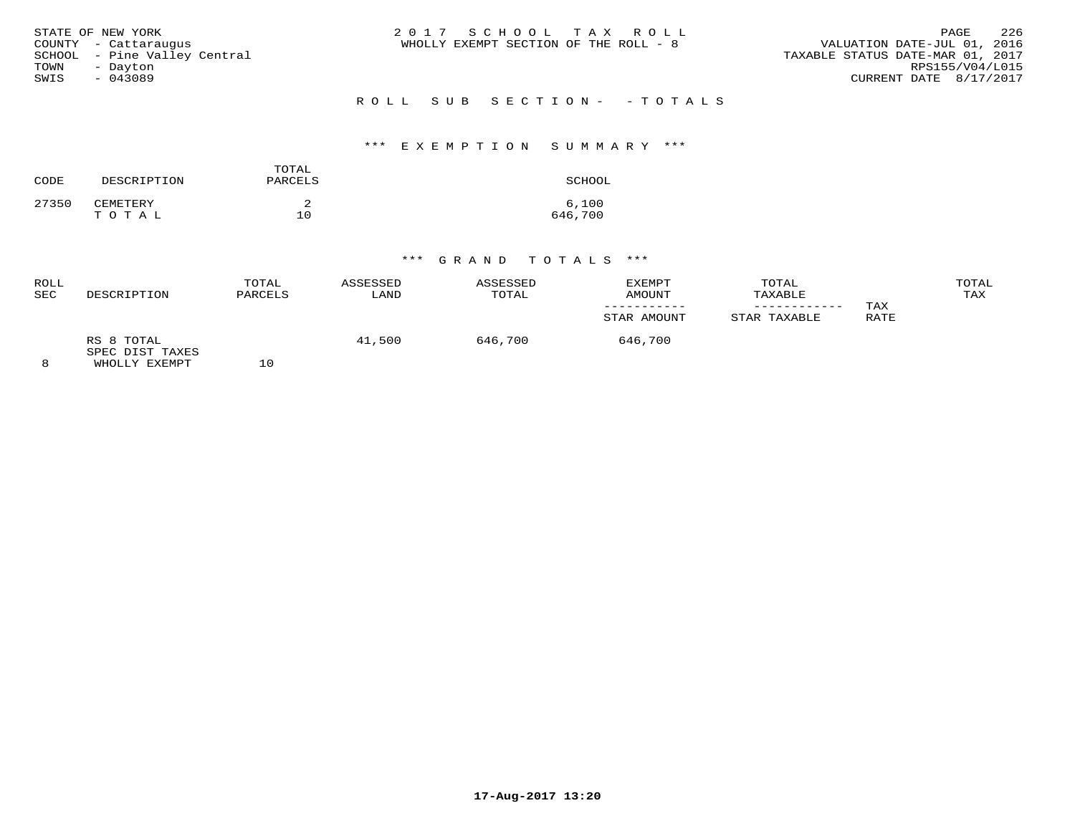|      | STATE OF NEW YORK            | 2017 SCHOOL TAX ROLL                  | PAGE                             | - 2.2.6 |
|------|------------------------------|---------------------------------------|----------------------------------|---------|
|      | COUNTY - Cattaraugus         | WHOLLY EXEMPT SECTION OF THE ROLL - 8 | VALUATION DATE-JUL 01, 2016      |         |
|      | SCHOOL - Pine Valley Central |                                       | TAXABLE STATUS DATE-MAR 01, 2017 |         |
| TOWN | - Davton                     |                                       | RPS155/V04/L015                  |         |
| SWIS | $-043089$                    |                                       | CURRENT DATE 8/17/2017           |         |
|      |                              |                                       |                                  |         |

R O L L S U B S E C T I O N - - T O T A L S

### \*\*\* E X E M P T I O N S U M M A R Y \*\*\*

| CODE  | DESCRIPTION | TOTAL<br>PARCELS | SCHOOL  |
|-------|-------------|------------------|---------|
| 27350 | CEMETERY    |                  | 6,100   |
|       | TOTAL       | 10               | 646,700 |

### \*\*\* G R A N D T O T A L S \*\*\*

| ROLL<br>SEC | DESCRIPTION                                    | TOTAL<br>PARCELS | ASSESSED<br>LAND | ASSESSED<br>TOTAL | EXEMPT<br>AMOUNT | TOTAL<br>TAXABLE |             | TOTAL<br>TAX |
|-------------|------------------------------------------------|------------------|------------------|-------------------|------------------|------------------|-------------|--------------|
|             |                                                |                  |                  |                   | STAR AMOUNT      | STAR TAXABLE     | TAX<br>RATE |              |
|             | RS 8 TOTAL<br>SPEC DIST TAXES<br>WHOLLY EXEMPT | 10               | 41,500           | 646,700           | 646,700          |                  |             |              |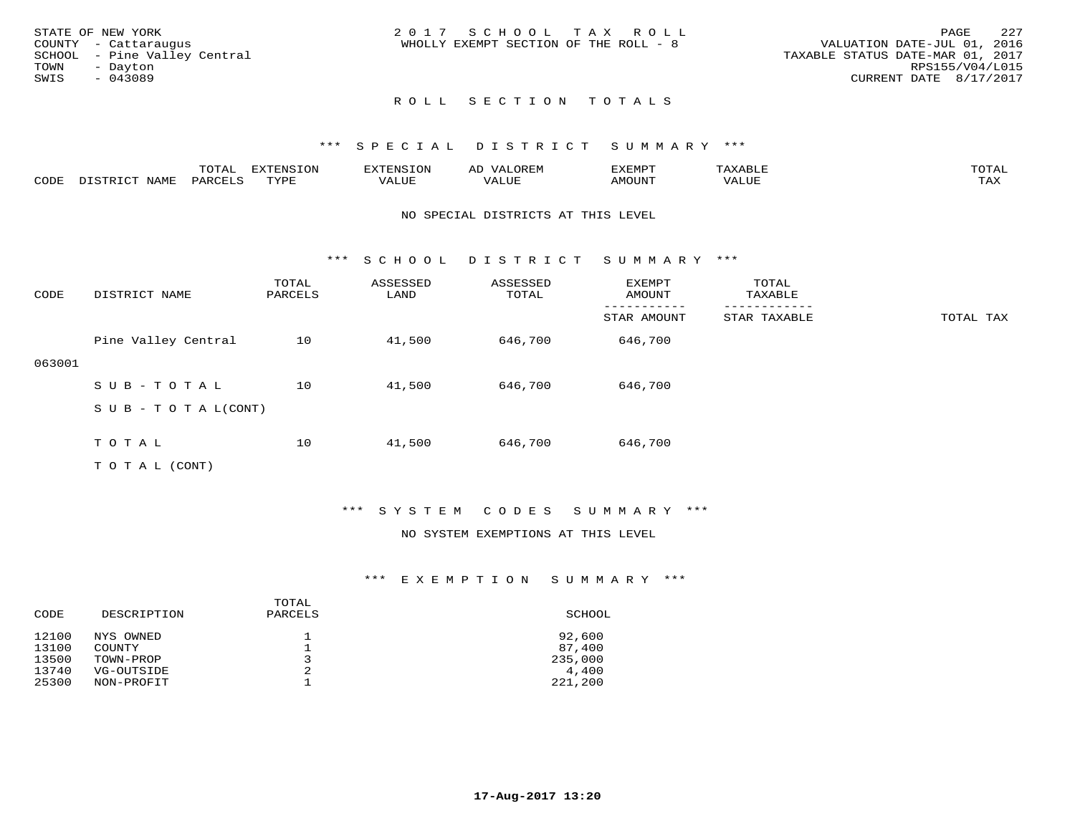|      | STATE OF NEW YORK            | 2017 SCHOOL TAX ROLL                  | - 227<br>PAGE                    |
|------|------------------------------|---------------------------------------|----------------------------------|
|      | COUNTY - Cattaraugus         | WHOLLY EXEMPT SECTION OF THE ROLL - 8 | VALUATION DATE-JUL 01, 2016      |
|      | SCHOOL - Pine Valley Central |                                       | TAXABLE STATUS DATE-MAR 01, 2017 |
| TOWN | - Davton                     |                                       | RPS155/V04/L015                  |
| SWIS | - 043089                     |                                       | CURRENT DATE 8/17/2017           |
|      |                              |                                       |                                  |

### ROLL SECTION TOTALS

#### \*\*\* S P E C I A L D I S T R I C T S U M M A R Y \*\*\*

|      |                     | $m \wedge m \wedge n$<br>TOTAL | <b>EXTENSION</b> | $\sim$ $\sim$ $\sim$ $\sim$ $\sim$ | OREM<br>ΑU | EXEMPT | <b>AABLE</b> | TOTAI              |
|------|---------------------|--------------------------------|------------------|------------------------------------|------------|--------|--------------|--------------------|
| CODE | NAME<br>, TSTRICT ה | PARCELS                        | TVDL             | VALUE                              | VALUE      | AMOUNT | VALUE        | <b>TAY</b><br>⊥டு∡ |

#### NO SPECIAL DISTRICTS AT THIS LEVEL

\*\*\* S C H O O L D I S T R I C T S U M M A R Y \*\*\*

| CODE   | DISTRICT NAME             | TOTAL<br>PARCELS | ASSESSED<br>LAND | ASSESSED<br>TOTAL | EXEMPT<br>AMOUNT | TOTAL<br>TAXABLE |           |
|--------|---------------------------|------------------|------------------|-------------------|------------------|------------------|-----------|
|        |                           |                  |                  |                   | STAR AMOUNT      | STAR TAXABLE     | TOTAL TAX |
|        | Pine Valley Central       | 10               | 41,500           | 646,700           | 646,700          |                  |           |
| 063001 |                           |                  |                  |                   |                  |                  |           |
|        | SUB-TOTAL                 | 10               | 41,500           | 646,700           | 646,700          |                  |           |
|        | S U B - T O T A $L(CONT)$ |                  |                  |                   |                  |                  |           |
|        |                           |                  |                  |                   |                  |                  |           |
|        | T O T A L                 | 10               | 41,500           | 646,700           | 646,700          |                  |           |

T O T A L (CONT)

#### \*\*\* S Y S T E M C O D E S S U M M A R Y \*\*\*

#### NO SYSTEM EXEMPTIONS AT THIS LEVEL

#### \*\*\* E X E M P T I O N S U M M A R Y \*\*\*

| DESCRIPTION | PARCELS | SCHOOL  |
|-------------|---------|---------|
| NYS OWNED   |         | 92,600  |
| COUNTY      |         | 87,400  |
| TOWN-PROP   | ิว      | 235,000 |
| VG-OUTSIDE  |         | 4,400   |
| NON-PROFIT  |         | 221,200 |
|             |         | TOTAL   |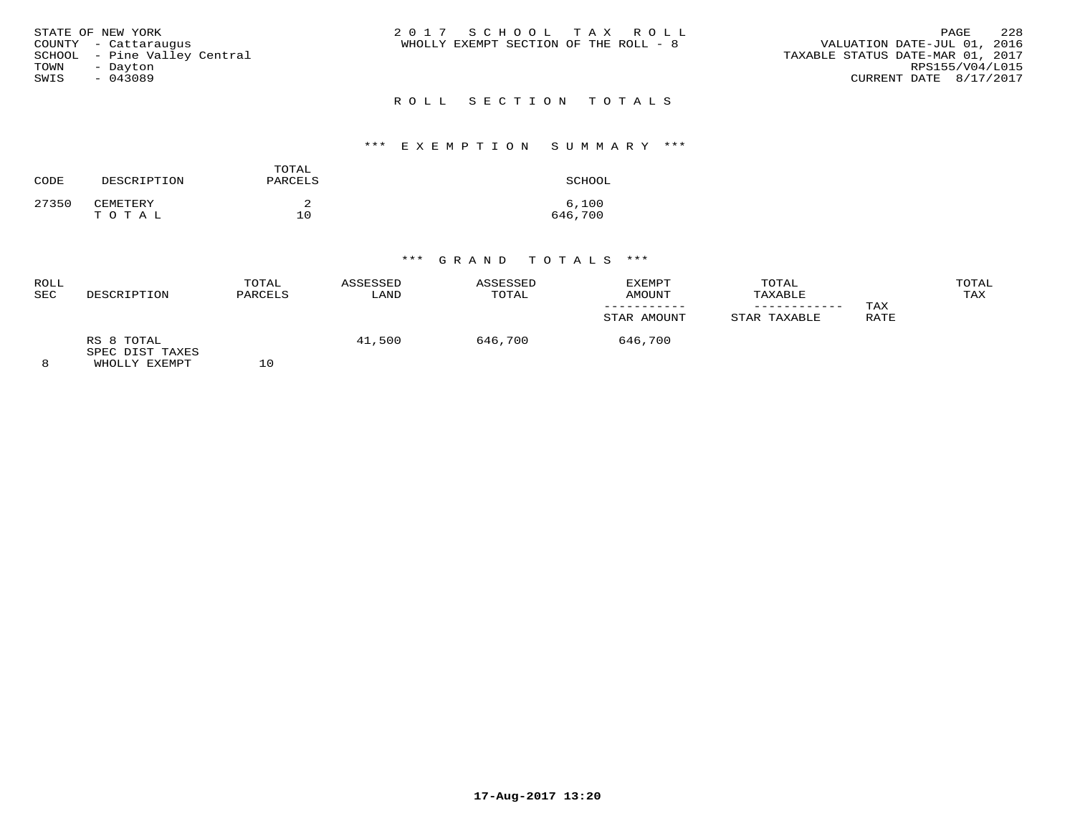|      | STATE OF NEW YORK            | 2017 SCHOOL TAX ROLL                  | PAGE                             | 2.2.8           |
|------|------------------------------|---------------------------------------|----------------------------------|-----------------|
|      | COUNTY - Cattaraugus         | WHOLLY EXEMPT SECTION OF THE ROLL - 8 | VALUATION DATE-JUL 01, 2016      |                 |
|      | SCHOOL - Pine Valley Central |                                       | TAXABLE STATUS DATE-MAR 01, 2017 |                 |
| TOWN | - Dayton                     |                                       |                                  | RPS155/V04/L015 |
| SWIS | $-043089$                    |                                       | CURRENT DATE 8/17/2017           |                 |
|      |                              |                                       |                                  |                 |

### R O L L S E C T I O N T O T A L S

#### \*\*\* E X E M P T I O N S U M M A R Y \*\*\*

| CODE  | DESCRIPTION | TOTAL<br>PARCELS | SCHOOL           |
|-------|-------------|------------------|------------------|
| 27350 | CEMETERY    |                  | 6,100<br>646,700 |
|       | TOTAL       | 10               |                  |

### \*\*\* G R A N D T O T A L S \*\*\*

| ROLL<br>SEC | DESCRIPTION                                    | TOTAL<br>PARCELS | ASSESSED<br>LAND | ASSESSED<br>TOTAL | EXEMPT<br>AMOUNT | TOTAL<br>TAXABLE |             | TOTAL<br>TAX |
|-------------|------------------------------------------------|------------------|------------------|-------------------|------------------|------------------|-------------|--------------|
|             |                                                |                  |                  |                   | STAR AMOUNT      | STAR TAXABLE     | TAX<br>RATE |              |
|             | RS 8 TOTAL<br>SPEC DIST TAXES<br>WHOLLY EXEMPT | 10               | 41,500           | 646,700           | 646,700          |                  |             |              |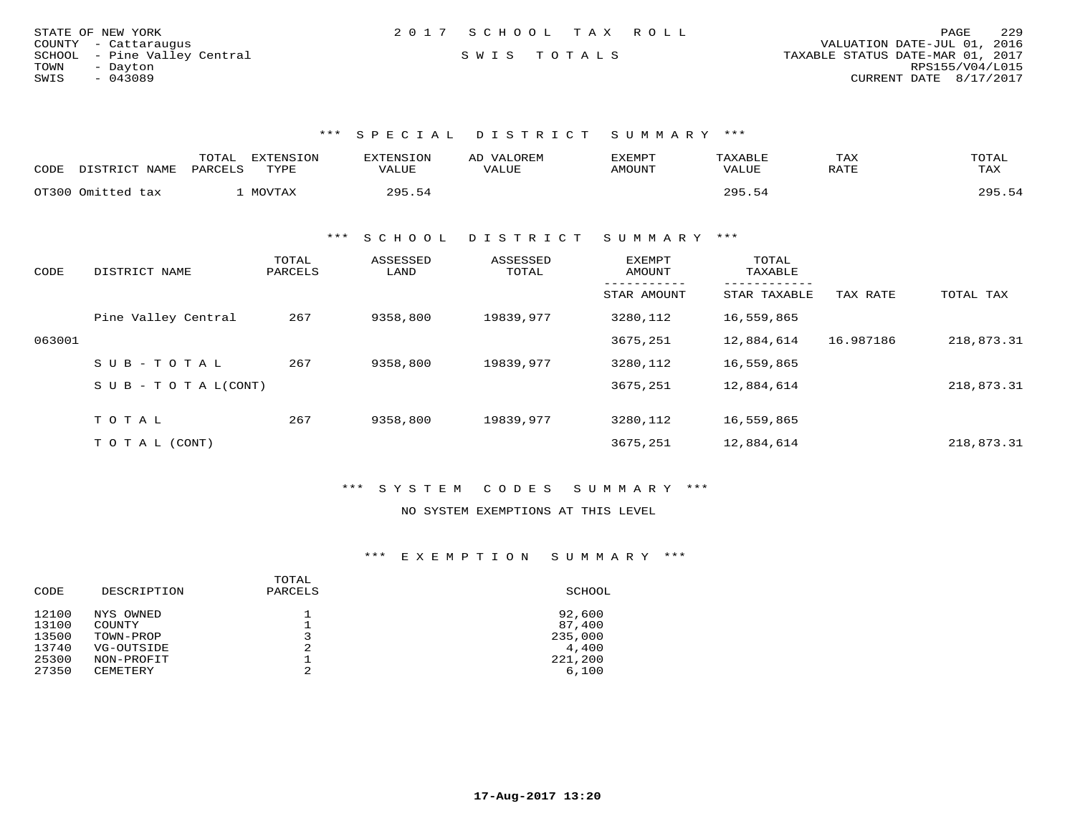| STATE OF NEW YORK            | 2017 SCHOOL TAX ROLL | - 2.2.9<br>PAGE                  |
|------------------------------|----------------------|----------------------------------|
| COUNTY - Cattaraugus         |                      | VALUATION DATE-JUL 01, 2016      |
| SCHOOL - Pine Valley Central | SWIS TOTALS          | TAXABLE STATUS DATE-MAR 01, 2017 |
| TOWN<br>- Dayton             |                      | RPS155/V04/L015                  |
| SWIS<br>- 043089             |                      | CURRENT DATE 8/17/2017           |

\*\*\* S P E C I A L D I S T R I C T S U M M A R Y \*\*\*

| CODE | DISTRICT NAME     | <b>TOTA</b><br><b>EXTENSION</b><br>PARCELS<br>TYPE | <b>EXTENSION</b><br>VALUE | VALOREM<br>AD.<br>VALUE | EXEMPT<br><b>AMOUNT</b> | TAXABLE<br>VALUE | TAX<br>RATE | TOTAL<br>TAX |
|------|-------------------|----------------------------------------------------|---------------------------|-------------------------|-------------------------|------------------|-------------|--------------|
|      | OT300 Omitted tax | MOVTAX                                             | 295 54                    |                         |                         | 295.54           |             | 295.54       |

\*\*\* S C H O O L D I S T R I C T S U M M A R Y \*\*\*

| CODE   | DISTRICT NAME                    | TOTAL<br>PARCELS | ASSESSED<br>LAND | ASSESSED<br>TOTAL | EXEMPT<br>AMOUNT | TOTAL<br>TAXABLE |           |            |
|--------|----------------------------------|------------------|------------------|-------------------|------------------|------------------|-----------|------------|
|        |                                  |                  |                  |                   | STAR AMOUNT      | STAR TAXABLE     | TAX RATE  | TOTAL TAX  |
|        | Pine Valley Central              | 267              | 9358,800         | 19839,977         | 3280,112         | 16,559,865       |           |            |
| 063001 |                                  |                  |                  |                   | 3675,251         | 12,884,614       | 16.987186 | 218,873.31 |
|        | SUB-TOTAL                        | 267              | 9358,800         | 19839,977         | 3280,112         | 16,559,865       |           |            |
|        | $S \cup B - T \cup T A L (CONT)$ |                  |                  |                   | 3675,251         | 12,884,614       |           | 218,873.31 |
|        |                                  |                  |                  |                   |                  |                  |           |            |
|        | TOTAL                            | 267              | 9358,800         | 19839,977         | 3280,112         | 16,559,865       |           |            |
|        | T O T A L (CONT)                 |                  |                  |                   | 3675,251         | 12,884,614       |           | 218,873.31 |

\*\*\* S Y S T E M C O D E S S U M M A R Y \*\*\*

NO SYSTEM EXEMPTIONS AT THIS LEVEL

### \*\*\* E X E M P T I O N S U M M A R Y \*\*\*

|       |             | TOTAL          |         |
|-------|-------------|----------------|---------|
| CODE  | DESCRIPTION | PARCELS        | SCHOOL  |
| 12100 | NYS OWNED   |                | 92,600  |
| 13100 | COUNTY      |                | 87,400  |
| 13500 | TOWN-PROP   |                | 235,000 |
| 13740 | VG-OUTSIDE  | $\mathfrak{D}$ | 4,400   |
| 25300 | NON-PROFIT  |                | 221,200 |
| 27350 | CEMETERY    |                | 6,100   |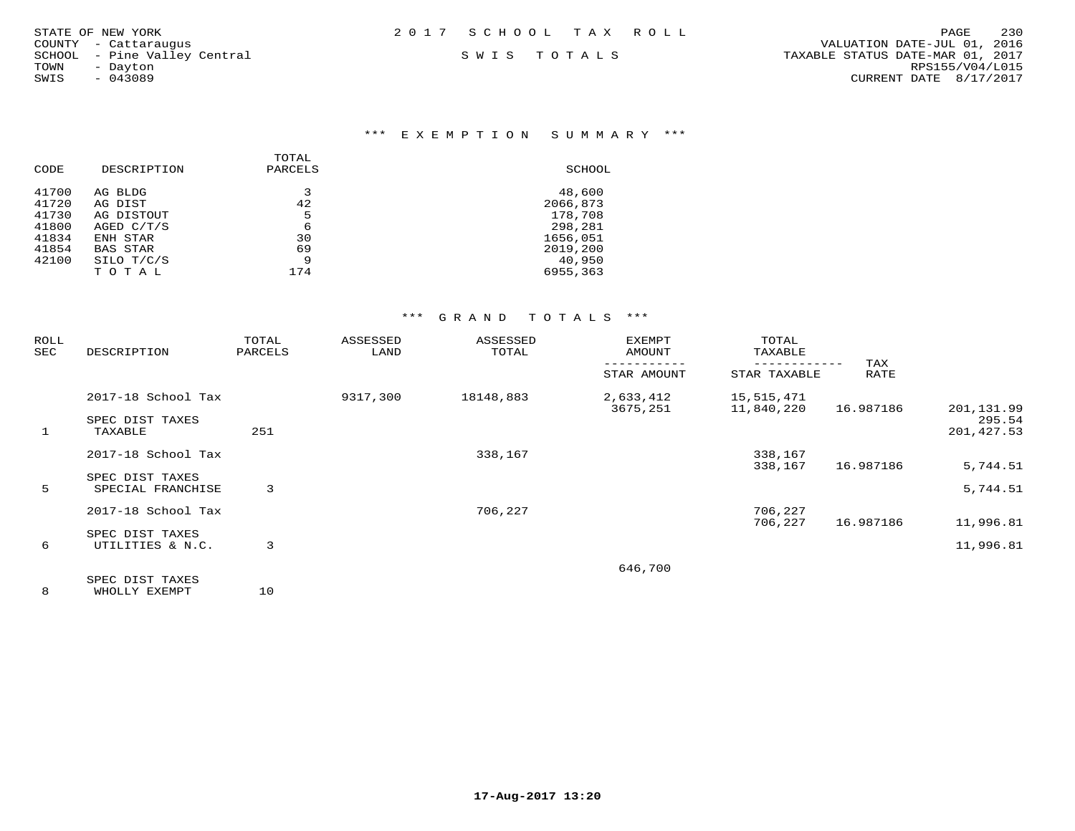$TOWN - Dayton$ <br>SWIS - 043089

\*\*\* E X E M P T I O N S U M M A R Y \*\*\*

| CODE  | DESCRIPTION     | TOTAL<br>PARCELS | SCHOOL   |
|-------|-----------------|------------------|----------|
| 41700 | AG BLDG         | 3                | 48,600   |
| 41720 | AG DIST         | 42               | 2066,873 |
| 41730 | AG DISTOUT      | 5                | 178,708  |
| 41800 | AGED $C/T/S$    | 6                | 298,281  |
| 41834 | ENH STAR        | 30               | 1656,051 |
| 41854 | <b>BAS STAR</b> | 69               | 2019,200 |
| 42100 | SILO T/C/S      | 9                | 40,950   |
|       | TOTAL           | 174              | 6955,363 |
|       |                 |                  |          |

#### \*\*\* G R A N D T O T A L S \*\*\*

| ROLL<br>SEC  | DESCRIPTION                                | TOTAL<br>PARCELS | ASSESSED<br>LAND | ASSESSED<br>TOTAL | <b>EXEMPT</b><br>AMOUNT | TOTAL<br>TAXABLE         |             |                       |
|--------------|--------------------------------------------|------------------|------------------|-------------------|-------------------------|--------------------------|-------------|-----------------------|
|              |                                            |                  |                  |                   | STAR AMOUNT             | STAR TAXABLE             | TAX<br>RATE |                       |
|              | 2017-18 School Tax                         |                  | 9317,300         | 18148,883         | 2,633,412<br>3675,251   | 15,515,471<br>11,840,220 | 16.987186   | 201,131.99            |
| $\mathbf{1}$ | SPEC DIST TAXES<br>TAXABLE                 | 251              |                  |                   |                         |                          |             | 295.54<br>201, 427.53 |
|              | 2017-18 School Tax                         |                  |                  | 338,167           |                         | 338,167                  |             |                       |
|              | SPEC DIST TAXES                            |                  |                  |                   |                         | 338,167                  | 16.987186   | 5,744.51              |
| 5            | SPECIAL FRANCHISE                          | 3                |                  |                   |                         |                          |             | 5,744.51              |
|              | 2017-18 School Tax                         |                  |                  | 706,227           |                         | 706,227                  |             |                       |
|              |                                            |                  |                  |                   |                         | 706,227                  | 16.987186   | 11,996.81             |
| 6            | SPEC DIST TAXES<br>UTILITIES & N.C.        | 3                |                  |                   |                         |                          |             | 11,996.81             |
|              |                                            |                  |                  |                   | 646,700                 |                          |             |                       |
|              | SPEC DIST TAXES<br>_______________________ | $\sim$           |                  |                   |                         |                          |             |                       |

8 WHOLLY EXEMPT 10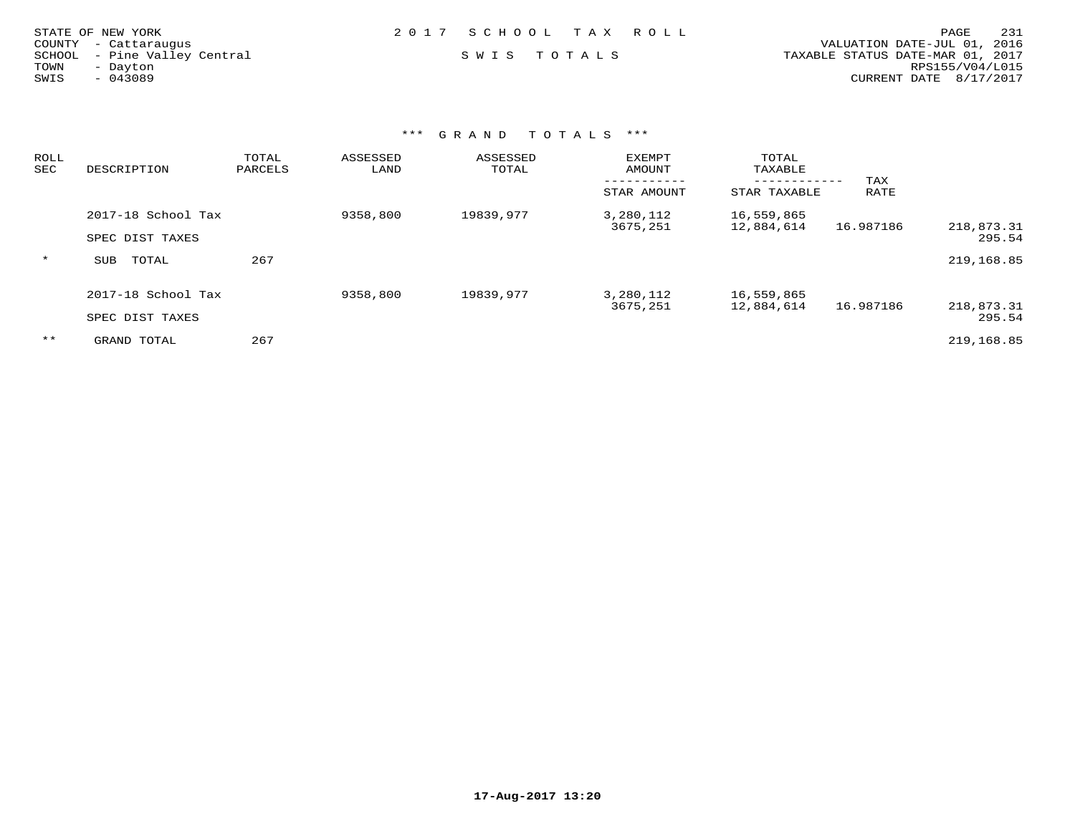| STATE OF NEW YORK<br>COUNTY - Cattaraugus<br>SCHOOL - Pine Valley Central<br>TOWN<br>- Dayton<br>SWIS<br>$-043089$ | 2017 SCHOOL TAX ROLL<br>SWIS TOTALS |  | 231<br>PAGE<br>VALUATION DATE-JUL 01, 2016<br>TAXABLE STATUS DATE-MAR 01, 2017<br>RPS155/V04/L015<br>CURRENT DATE 8/17/2017 |
|--------------------------------------------------------------------------------------------------------------------|-------------------------------------|--|-----------------------------------------------------------------------------------------------------------------------------|
|                                                                                                                    |                                     |  |                                                                                                                             |

### \*\*\* G R A N D T O T A L S \*\*\*

| ROLL<br>SEC | DESCRIPTION        | TOTAL<br>PARCELS | ASSESSED<br>LAND | ASSESSED<br>TOTAL | EXEMPT<br>AMOUNT      | TOTAL<br>TAXABLE           |             |                      |
|-------------|--------------------|------------------|------------------|-------------------|-----------------------|----------------------------|-------------|----------------------|
|             |                    |                  |                  |                   | STAR AMOUNT           | ----------<br>STAR TAXABLE | TAX<br>RATE |                      |
|             | 2017-18 School Tax |                  | 9358,800         | 19839,977         | 3,280,112<br>3675,251 | 16,559,865<br>12,884,614   | 16.987186   | 218,873.31           |
|             | SPEC DIST TAXES    |                  |                  |                   |                       |                            |             | 295.54               |
| $\star$     | SUB<br>TOTAL       | 267              |                  |                   |                       |                            |             | 219,168.85           |
|             | 2017-18 School Tax |                  | 9358,800         | 19839,977         | 3,280,112             | 16,559,865                 |             |                      |
|             | SPEC DIST TAXES    |                  |                  |                   | 3675,251              | 12,884,614                 | 16.987186   | 218,873.31<br>295.54 |
| $***$       | GRAND TOTAL        | 267              |                  |                   |                       |                            |             | 219,168.85           |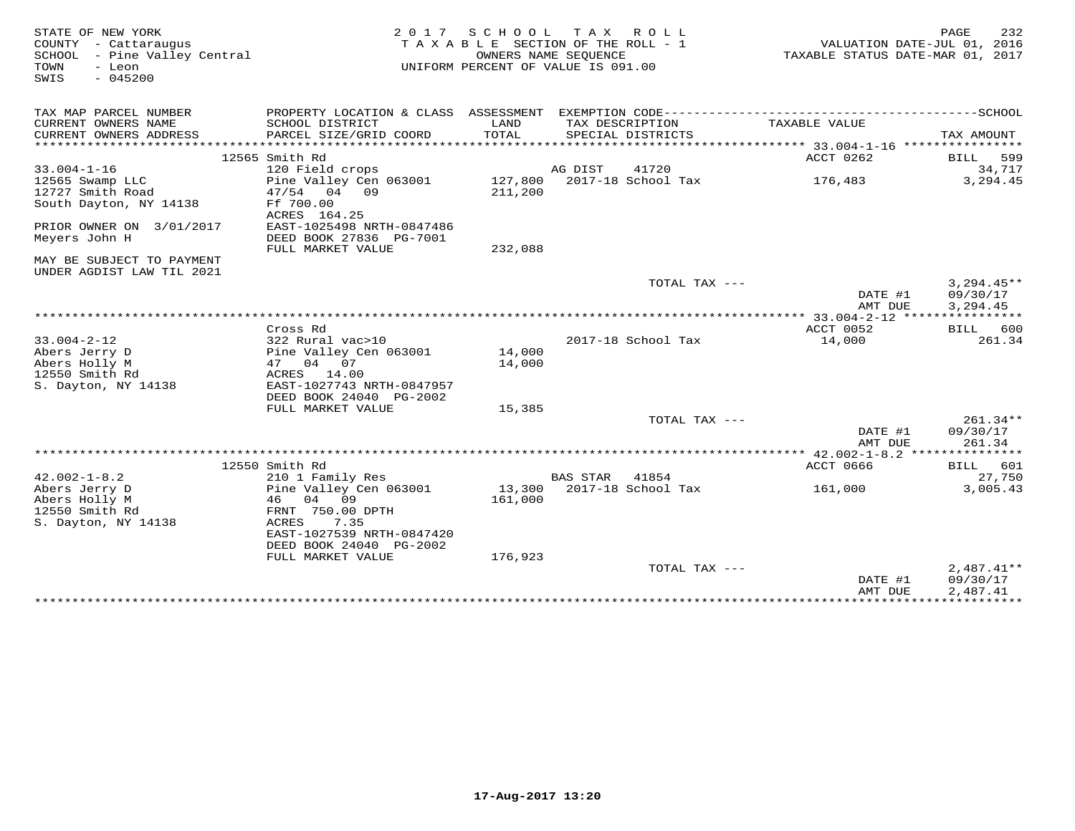| STATE OF NEW YORK<br>COUNTY - Cattaraugus<br>SCHOOL - Pine Valley Central<br>- Leon<br>TOWN<br>$-045200$<br>SWIS |                                           | 2017 SCHOOL TAX ROLL<br>TAXABLE SECTION OF THE ROLL - 1<br>OWNERS NAME SEQUENCE<br>UNIFORM PERCENT OF VALUE IS 091.00 |          |                                      | VALUATION DATE-JUL 01, 2016<br>TAXABLE STATUS DATE-MAR 01, 2017 | 232<br>PAGE  |
|------------------------------------------------------------------------------------------------------------------|-------------------------------------------|-----------------------------------------------------------------------------------------------------------------------|----------|--------------------------------------|-----------------------------------------------------------------|--------------|
| TAX MAP PARCEL NUMBER                                                                                            |                                           |                                                                                                                       |          |                                      |                                                                 |              |
| CURRENT OWNERS NAME<br>CURRENT OWNERS ADDRESS<br>************************                                        | SCHOOL DISTRICT<br>PARCEL SIZE/GRID COORD | LAND<br>TOTAL                                                                                                         |          | TAX DESCRIPTION<br>SPECIAL DISTRICTS | TAXABLE VALUE                                                   | TAX AMOUNT   |
|                                                                                                                  | 12565 Smith Rd                            |                                                                                                                       |          |                                      | ACCT 0262                                                       | 599<br>BILL  |
| $33.004 - 1 - 16$                                                                                                | 120 Field crops                           |                                                                                                                       | AG DIST  | 41720                                |                                                                 | 34,717       |
| 12565 Swamp LLC                                                                                                  | Pine Valley Cen 063001                    |                                                                                                                       |          | 127,800 2017-18 School Tax           | 176,483                                                         | 3,294.45     |
| 12727 Smith Road                                                                                                 | 47/54 04 09                               | 211,200                                                                                                               |          |                                      |                                                                 |              |
| South Dayton, NY 14138                                                                                           | Ff 700.00<br>ACRES 164.25                 |                                                                                                                       |          |                                      |                                                                 |              |
| PRIOR OWNER ON 3/01/2017                                                                                         | EAST-1025498 NRTH-0847486                 |                                                                                                                       |          |                                      |                                                                 |              |
| Meyers John H                                                                                                    | DEED BOOK 27836 PG-7001                   |                                                                                                                       |          |                                      |                                                                 |              |
|                                                                                                                  | FULL MARKET VALUE                         | 232,088                                                                                                               |          |                                      |                                                                 |              |
| MAY BE SUBJECT TO PAYMENT<br>UNDER AGDIST LAW TIL 2021                                                           |                                           |                                                                                                                       |          |                                      |                                                                 |              |
|                                                                                                                  |                                           |                                                                                                                       |          | TOTAL TAX ---                        |                                                                 | $3,294.45**$ |
|                                                                                                                  |                                           |                                                                                                                       |          |                                      | DATE #1                                                         | 09/30/17     |
|                                                                                                                  |                                           |                                                                                                                       |          |                                      | AMT DUE                                                         | 3,294.45     |
|                                                                                                                  |                                           |                                                                                                                       |          |                                      | **** 33.004-2-12 ****************                               |              |
|                                                                                                                  | Cross Rd                                  |                                                                                                                       |          |                                      | ACCT 0052                                                       | 600<br>BILL  |
| $33.004 - 2 - 12$                                                                                                | 322 Rural vac>10                          |                                                                                                                       |          | 2017-18 School Tax                   | 14,000                                                          | 261.34       |
| Abers Jerry D                                                                                                    | Pine Valley Cen 063001                    | 14,000                                                                                                                |          |                                      |                                                                 |              |
| Abers Holly M                                                                                                    | 47 04 07                                  | 14,000                                                                                                                |          |                                      |                                                                 |              |
| 12550 Smith Rd                                                                                                   | ACRES 14.00                               |                                                                                                                       |          |                                      |                                                                 |              |
| S. Dayton, NY 14138                                                                                              | EAST-1027743 NRTH-0847957                 |                                                                                                                       |          |                                      |                                                                 |              |
|                                                                                                                  | DEED BOOK 24040 PG-2002                   |                                                                                                                       |          |                                      |                                                                 |              |
|                                                                                                                  | FULL MARKET VALUE                         | 15,385                                                                                                                |          | TOTAL TAX ---                        |                                                                 | $261.34**$   |
|                                                                                                                  |                                           |                                                                                                                       |          |                                      | DATE #1                                                         | 09/30/17     |
|                                                                                                                  |                                           |                                                                                                                       |          |                                      | AMT DUE                                                         | 261.34       |
|                                                                                                                  |                                           |                                                                                                                       |          |                                      |                                                                 | ********     |
|                                                                                                                  | 12550 Smith Rd                            |                                                                                                                       |          |                                      | <b>ACCT 0666</b>                                                | BILL 601     |
| $42.002 - 1 - 8.2$                                                                                               | 210 1 Family Res                          |                                                                                                                       | BAS STAR | 41854                                |                                                                 | 27,750       |
| Abers Jerry D                                                                                                    | Pine Valley Cen 063001                    |                                                                                                                       |          | 13,300 2017-18 School Tax            | 161,000                                                         | 3,005.43     |
| Abers Holly M                                                                                                    | 04 09<br>46                               | 161,000                                                                                                               |          |                                      |                                                                 |              |
| 12550 Smith Rd                                                                                                   | FRNT 750.00 DPTH                          |                                                                                                                       |          |                                      |                                                                 |              |
| S. Dayton, NY 14138                                                                                              | 7.35<br>ACRES                             |                                                                                                                       |          |                                      |                                                                 |              |
|                                                                                                                  | EAST-1027539 NRTH-0847420                 |                                                                                                                       |          |                                      |                                                                 |              |
|                                                                                                                  | DEED BOOK 24040 PG-2002                   |                                                                                                                       |          |                                      |                                                                 |              |
|                                                                                                                  | FULL MARKET VALUE                         | 176,923                                                                                                               |          |                                      |                                                                 |              |
|                                                                                                                  |                                           |                                                                                                                       |          | TOTAL TAX $---$                      |                                                                 | $2,487.41**$ |
|                                                                                                                  |                                           |                                                                                                                       |          |                                      | DATE #1                                                         | 09/30/17     |
|                                                                                                                  |                                           |                                                                                                                       |          |                                      | AMT DUE                                                         | 2,487.41     |
|                                                                                                                  |                                           |                                                                                                                       |          |                                      |                                                                 |              |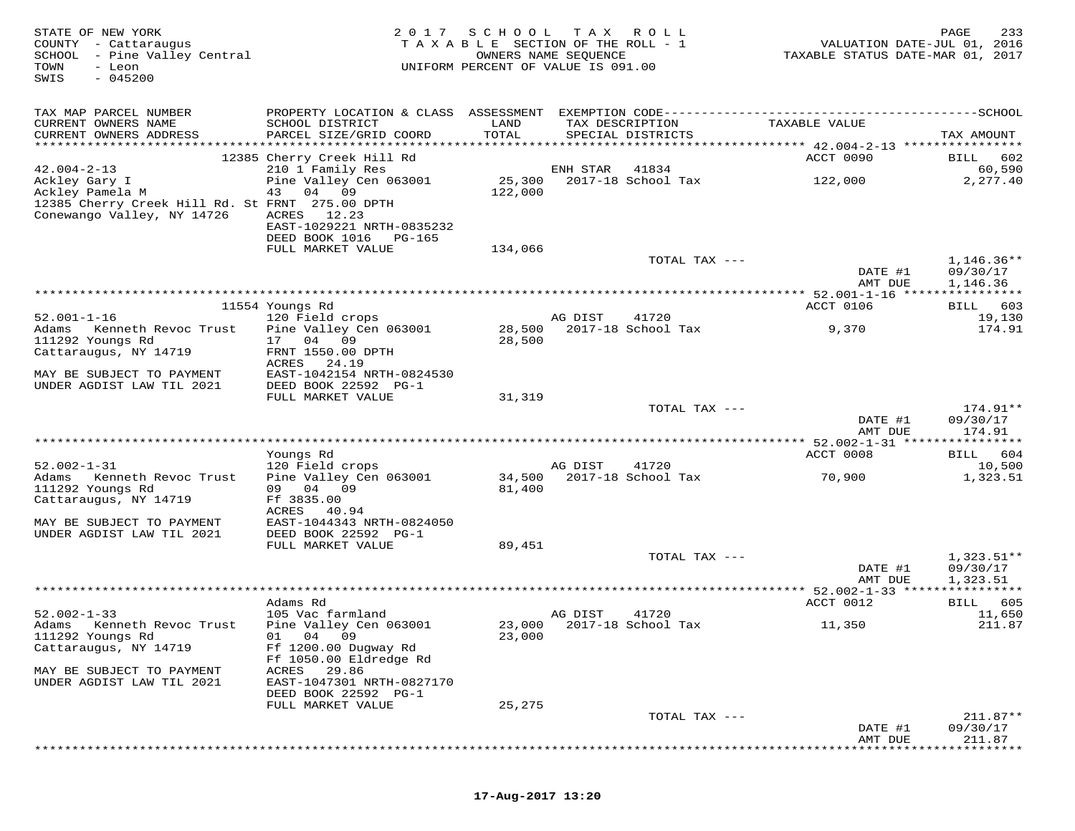| STATE OF NEW YORK<br>COUNTY - Cattaraugus<br>SCHOOL - Pine Valley Central<br>TOWN<br>- Leon<br>$-045200$<br>SWIS                       | 2 0 1 7                                                                                                                                   | S C H O O L<br>TAXABLE SECTION OF THE ROLL - 1<br>UNIFORM PERCENT OF VALUE IS 091.00 | T A X<br>OWNERS NAME SEQUENCE | ROLL ROLL                            | VALUATION DATE-JUL 01, 2016<br>TAXABLE STATUS DATE-MAR 01, 2017 | 233<br>PAGE                          |
|----------------------------------------------------------------------------------------------------------------------------------------|-------------------------------------------------------------------------------------------------------------------------------------------|--------------------------------------------------------------------------------------|-------------------------------|--------------------------------------|-----------------------------------------------------------------|--------------------------------------|
| TAX MAP PARCEL NUMBER<br>CURRENT OWNERS NAME<br>CURRENT OWNERS ADDRESS                                                                 | PROPERTY LOCATION & CLASS ASSESSMENT EXEMPTION CODE-----------------------------------SCHOOL<br>SCHOOL DISTRICT<br>PARCEL SIZE/GRID COORD | LAND<br>TOTAL                                                                        |                               | TAX DESCRIPTION<br>SPECIAL DISTRICTS | TAXABLE VALUE                                                   | TAX AMOUNT                           |
|                                                                                                                                        | 12385 Cherry Creek Hill Rd                                                                                                                |                                                                                      |                               |                                      | ACCT 0090                                                       | 602<br>BILL                          |
| $42.004 - 2 - 13$<br>Ackley Gary I<br>Ackley Pamela M<br>12385 Cherry Creek Hill Rd. St FRNT 275.00 DPTH<br>Conewango Valley, NY 14726 | 210 1 Family Res<br>Pine Valley Cen 063001<br>43 04 09<br>ACRES 12.23<br>EAST-1029221 NRTH-0835232<br>DEED BOOK 1016<br>PG-165            | 25,300<br>122,000                                                                    | ENH STAR                      | 41834<br>2017-18 School Tax          | 122,000                                                         | 60,590<br>2,277.40                   |
|                                                                                                                                        | FULL MARKET VALUE                                                                                                                         | 134,066                                                                              |                               |                                      |                                                                 |                                      |
|                                                                                                                                        |                                                                                                                                           |                                                                                      |                               | TOTAL TAX ---                        | DATE #1<br>AMT DUE                                              | $1,146.36**$<br>09/30/17<br>1,146.36 |
|                                                                                                                                        |                                                                                                                                           |                                                                                      |                               |                                      |                                                                 |                                      |
|                                                                                                                                        | 11554 Youngs Rd                                                                                                                           |                                                                                      |                               |                                      | ACCT 0106                                                       | BILL 603                             |
| $52.001 - 1 - 16$<br>Adams<br>Kenneth Revoc Trust<br>111292 Youngs Rd                                                                  | 120 Field crops<br>Pine Valley Cen 063001<br>17 04 09                                                                                     | 28,500<br>28,500                                                                     | AG DIST                       | 41720<br>2017-18 School Tax          | 9,370                                                           | 19,130<br>174.91                     |
| Cattaraugus, NY 14719                                                                                                                  | FRNT 1550.00 DPTH<br>ACRES<br>24.19                                                                                                       |                                                                                      |                               |                                      |                                                                 |                                      |
| MAY BE SUBJECT TO PAYMENT<br>UNDER AGDIST LAW TIL 2021                                                                                 | EAST-1042154 NRTH-0824530<br>DEED BOOK 22592 PG-1                                                                                         |                                                                                      |                               |                                      |                                                                 |                                      |
|                                                                                                                                        | FULL MARKET VALUE                                                                                                                         | 31,319                                                                               |                               |                                      |                                                                 |                                      |
|                                                                                                                                        |                                                                                                                                           |                                                                                      |                               | TOTAL TAX ---                        | DATE #1<br>AMT DUE                                              | 174.91**<br>09/30/17<br>174.91       |
|                                                                                                                                        |                                                                                                                                           |                                                                                      |                               |                                      | *********** 52.002-1-31 *****                                   | **********                           |
|                                                                                                                                        | Youngs Rd                                                                                                                                 |                                                                                      |                               |                                      | ACCT 0008                                                       | 604<br>BILL                          |
| $52.002 - 1 - 31$<br>Adams<br>Kenneth Revoc Trust<br>111292 Youngs Rd                                                                  | 120 Field crops<br>Pine Valley Cen 063001<br>09 04 09                                                                                     | 34,500<br>81,400                                                                     | AG DIST                       | 41720<br>2017-18 School Tax          | 70,900                                                          | 10,500<br>1,323.51                   |
| Cattaraugus, NY 14719                                                                                                                  | Ff 3835.00<br>ACRES<br>40.94                                                                                                              |                                                                                      |                               |                                      |                                                                 |                                      |
| MAY BE SUBJECT TO PAYMENT<br>UNDER AGDIST LAW TIL 2021                                                                                 | EAST-1044343 NRTH-0824050<br>DEED BOOK 22592 PG-1<br>FULL MARKET VALUE                                                                    | 89,451                                                                               |                               |                                      |                                                                 |                                      |
|                                                                                                                                        |                                                                                                                                           |                                                                                      |                               | TOTAL TAX ---                        |                                                                 | $1,323.51**$                         |
|                                                                                                                                        |                                                                                                                                           |                                                                                      |                               |                                      | DATE #1<br>AMT DUE                                              | 09/30/17<br>1,323.51                 |
|                                                                                                                                        | Adams Rd                                                                                                                                  |                                                                                      |                               |                                      | *********** 52.002-1-33 *****************<br>ACCT 0012          | 605<br>BILL                          |
| $52.002 - 1 - 33$                                                                                                                      | 105 Vac farmland                                                                                                                          |                                                                                      | AG DIST                       | 41720                                |                                                                 | 11,650                               |
| Adams Kenneth Revoc Trust<br>111292 Youngs Rd<br>Cattaraugus, NY 14719                                                                 | Pine Valley Cen 063001<br>01 04 09<br>Ff 1200.00 Dugway Rd<br>Ff 1050.00 Eldredge Rd                                                      | 23,000                                                                               |                               | 23,000 2017-18 School Tax            | 11,350                                                          | 211.87                               |
| MAY BE SUBJECT TO PAYMENT<br>UNDER AGDIST LAW TIL 2021                                                                                 | ACRES<br>29.86<br>EAST-1047301 NRTH-0827170<br>DEED BOOK 22592 PG-1                                                                       |                                                                                      |                               |                                      |                                                                 |                                      |
|                                                                                                                                        | FULL MARKET VALUE                                                                                                                         | 25,275                                                                               |                               |                                      |                                                                 |                                      |
|                                                                                                                                        |                                                                                                                                           |                                                                                      |                               | TOTAL TAX ---                        | DATE #1<br>AMT DUE                                              | $211.87**$<br>09/30/17<br>211.87     |

\*\*\*\*\*\*\*\*\*\*\*\*\*\*\*\*\*\*\*\*\*\*\*\*\*\*\*\*\*\*\*\*\*\*\*\*\*\*\*\*\*\*\*\*\*\*\*\*\*\*\*\*\*\*\*\*\*\*\*\*\*\*\*\*\*\*\*\*\*\*\*\*\*\*\*\*\*\*\*\*\*\*\*\*\*\*\*\*\*\*\*\*\*\*\*\*\*\*\*\*\*\*\*\*\*\*\*\*\*\*\*\*\*\*\*\*\*\*\*\*\*\*\*\*\*\*\*\*\*\*\*\*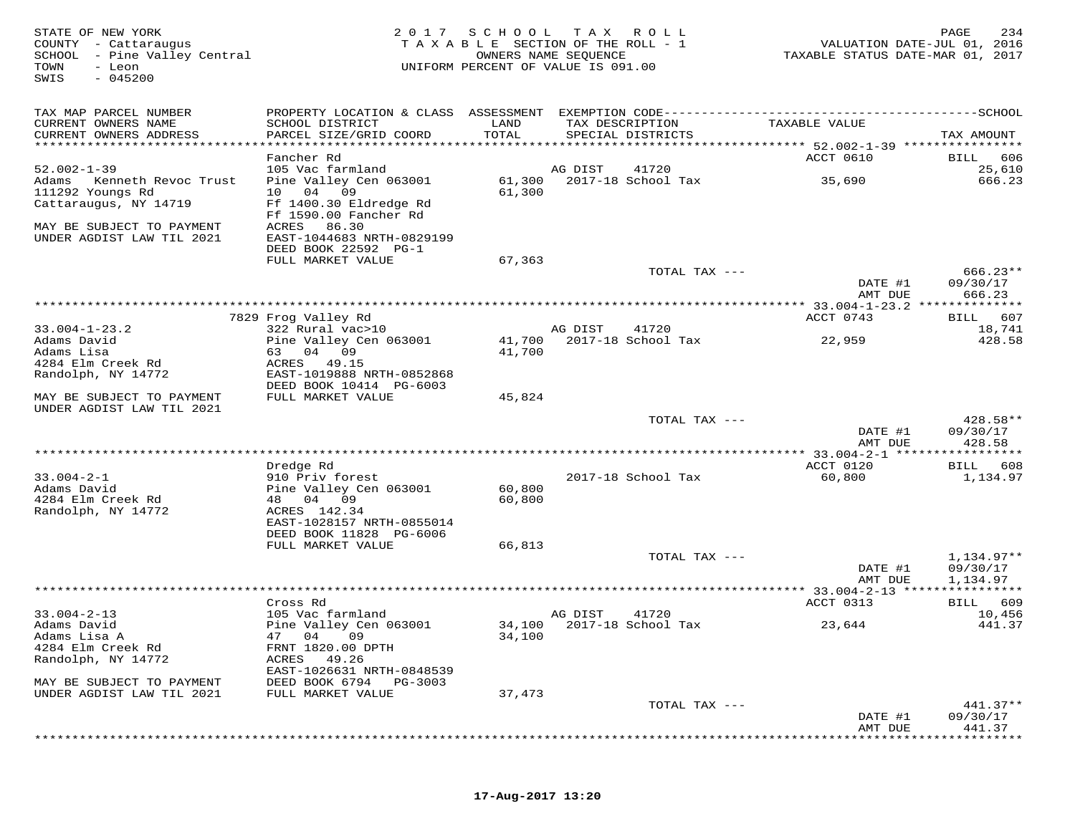$\begin{array}{ccc}\n\text{TOWN} & - & -\text{NLO} \\
\text{SWIS} & - & 045200\n\end{array}$ 

### COUNTY - Cattaraugus T A X A B L E SECTION OF THE ROLL - 1<br>SCHOOL - Pine Valley Central COUNTERS NAME SEQUENCE SCHOOL – Pine Valley Central OWNERS NAME SEQUENCE TAXABLE STATUS DATE-MAR 01, 2017 UNIFORM PERCENT OF VALUE IS 091.00

| TAX MAP PARCEL NUMBER<br>CURRENT OWNERS NAME<br>CURRENT OWNERS ADDRESS    | PROPERTY LOCATION & CLASS ASSESSMENT<br>SCHOOL DISTRICT<br>PARCEL SIZE/GRID COORD           | LAND<br>TOTAL    | EXEMPTION CODE-----------<br>TAX DESCRIPTION<br>SPECIAL DISTRICTS | TAXABLE VALUE               | ------SCHOOL<br>TAX AMOUNT     |
|---------------------------------------------------------------------------|---------------------------------------------------------------------------------------------|------------------|-------------------------------------------------------------------|-----------------------------|--------------------------------|
|                                                                           |                                                                                             | * * * * * *      |                                                                   | ******* 52.002-1-39 ****    |                                |
| $52.002 - 1 - 39$                                                         | Fancher Rd<br>105 Vac farmland                                                              |                  | AG DIST<br>41720                                                  | ACCT 0610                   | <b>BILL</b><br>606<br>25,610   |
| Adams<br>Kenneth Revoc Trust<br>111292 Youngs Rd<br>Cattaraugus, NY 14719 | Pine Valley Cen 063001<br>10<br>04<br>09<br>Ff 1400.30 Eldredge Rd<br>Ff 1590.00 Fancher Rd | 61,300<br>61,300 | 2017-18 School Tax                                                | 35,690                      | 666.23                         |
| MAY BE SUBJECT TO PAYMENT<br>UNDER AGDIST LAW TIL 2021                    | 86.30<br>ACRES<br>EAST-1044683 NRTH-0829199<br>DEED BOOK 22592 PG-1                         |                  |                                                                   |                             |                                |
|                                                                           | FULL MARKET VALUE                                                                           | 67,363           |                                                                   |                             | $666.23**$                     |
|                                                                           |                                                                                             |                  | TOTAL TAX ---                                                     | DATE #1<br>AMT DUE          | 09/30/17<br>666.23             |
|                                                                           |                                                                                             |                  |                                                                   |                             |                                |
|                                                                           | 7829 Frog Valley Rd                                                                         |                  |                                                                   | ACCT 0743                   | 607<br>BILL                    |
| $33.004 - 1 - 23.2$                                                       | 322 Rural vac>10                                                                            |                  | AG DIST<br>41720                                                  |                             | 18,741                         |
| Adams David                                                               | Pine Valley Cen 063001                                                                      | 41,700           | 2017-18 School Tax                                                | 22,959                      | 428.58                         |
| Adams Lisa                                                                | 04 09<br>63                                                                                 | 41,700           |                                                                   |                             |                                |
| 4284 Elm Creek Rd                                                         | ACRES 49.15                                                                                 |                  |                                                                   |                             |                                |
| Randolph, NY 14772                                                        | EAST-1019888 NRTH-0852868                                                                   |                  |                                                                   |                             |                                |
|                                                                           | DEED BOOK 10414 PG-6003                                                                     |                  |                                                                   |                             |                                |
| MAY BE SUBJECT TO PAYMENT<br>UNDER AGDIST LAW TIL 2021                    | FULL MARKET VALUE                                                                           | 45,824           |                                                                   |                             |                                |
|                                                                           |                                                                                             |                  | TOTAL TAX ---                                                     | DATE #1<br>AMT DUE          | 428.58**<br>09/30/17<br>428.58 |
|                                                                           |                                                                                             |                  |                                                                   |                             | ***********                    |
|                                                                           | Dredge Rd                                                                                   |                  |                                                                   | ACCT 0120                   | 608<br>BILL                    |
| $33.004 - 2 - 1$                                                          | 910 Priv forest                                                                             |                  | 2017-18 School Tax                                                | 60,800                      | 1,134.97                       |
| Adams David                                                               | Pine Valley Cen 063001                                                                      | 60,800           |                                                                   |                             |                                |
| 4284 Elm Creek Rd<br>Randolph, NY 14772                                   | 04 09<br>48<br>ACRES 142.34                                                                 | 60,800           |                                                                   |                             |                                |
|                                                                           | EAST-1028157 NRTH-0855014                                                                   |                  |                                                                   |                             |                                |
|                                                                           | DEED BOOK 11828 PG-6006<br>FULL MARKET VALUE                                                | 66,813           |                                                                   |                             |                                |
|                                                                           |                                                                                             |                  | TOTAL TAX ---                                                     |                             | $1,134.97**$                   |
|                                                                           |                                                                                             |                  |                                                                   | DATE #1                     | 09/30/17                       |
|                                                                           |                                                                                             |                  |                                                                   | AMT DUE                     | 1,134.97                       |
|                                                                           |                                                                                             |                  |                                                                   | ********* 33.004-2-13 ***** | * * * * * * * * * * *          |
|                                                                           | Cross Rd                                                                                    |                  |                                                                   | ACCT 0313                   | BILL<br>609                    |
| $33.004 - 2 - 13$                                                         | 105 Vac farmland                                                                            |                  | AG DIST<br>41720                                                  |                             | 10,456                         |
| Adams David                                                               | Pine Valley Cen 063001                                                                      | 34,100           | 2017-18 School Tax                                                | 23,644                      | 441.37                         |
| Adams Lisa A                                                              | 04<br>47<br>09                                                                              | 34,100           |                                                                   |                             |                                |
| 4284 Elm Creek Rd                                                         | FRNT 1820.00 DPTH                                                                           |                  |                                                                   |                             |                                |
| Randolph, NY 14772                                                        | ACRES 49.26                                                                                 |                  |                                                                   |                             |                                |
| MAY BE SUBJECT TO PAYMENT                                                 | EAST-1026631 NRTH-0848539<br>DEED BOOK 6794<br>PG-3003                                      |                  |                                                                   |                             |                                |
| UNDER AGDIST LAW TIL 2021                                                 | FULL MARKET VALUE                                                                           | 37,473           |                                                                   |                             |                                |
|                                                                           |                                                                                             |                  | TOTAL TAX ---                                                     |                             | $441.37**$                     |
|                                                                           |                                                                                             |                  |                                                                   | DATE #1<br>AMT DUE          | 09/30/17<br>441.37             |
|                                                                           |                                                                                             |                  |                                                                   |                             |                                |

\*\*\*\*\*\*\*\*\*\*\*\*\*\*\*\*\*\*\*\*\*\*\*\*\*\*\*\*\*\*\*\*\*\*\*\*\*\*\*\*\*\*\*\*\*\*\*\*\*\*\*\*\*\*\*\*\*\*\*\*\*\*\*\*\*\*\*\*\*\*\*\*\*\*\*\*\*\*\*\*\*\*\*\*\*\*\*\*\*\*\*\*\*\*\*\*\*\*\*\*\*\*\*\*\*\*\*\*\*\*\*\*\*\*\*\*\*\*\*\*\*\*\*\*\*\*\*\*\*\*\*\*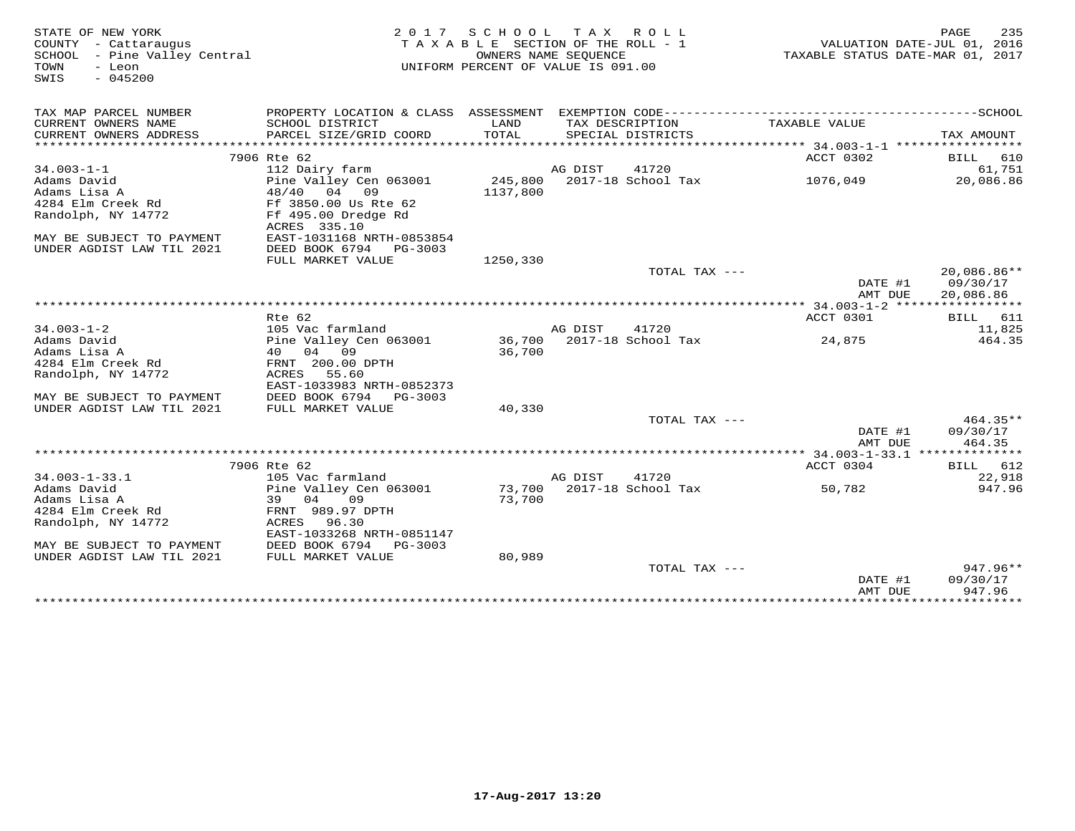STATE OF NEW YORK MESS PAGE 235<br>COUNTY - Cattaraugus (COUNTY - Cattaraugus ) TAXABLE SECTION OF THE ROLL - 1 (MALUATION DATE-JUL 01, 2016<br>SCHOOL - Pine Valley Central (Mattal ) (MARE SEQUENCE STATE ROLL - 1 (MALUATION DATE SWIS - 045200TAX MAP PARCEL NUMBER PROPERTY LOCATION & CLASS ASSESSMENT EXEMPTION CODE------------------------------------------SCHOOL CURRENT OWNERS NAME SCHOOL DISTRICT LAND TAX DESCRIPTION TAXABLE VALUE CURRENT OWNERS ADDRESS PARCEL SIZE/GRID COORD TOTAL SPECIAL DISTRICTS TAX AMOUNT \*\*\*\*\*\*\*\*\*\*\*\*\*\*\*\*\*\*\*\*\*\*\*\*\*\*\*\*\*\*\*\*\*\*\*\*\*\*\*\*\*\*\*\*\*\*\*\*\*\*\*\*\*\*\*\*\*\*\*\*\*\*\*\*\*\*\*\*\*\*\*\*\*\*\*\*\*\*\*\*\*\*\*\*\*\*\*\*\*\*\*\*\*\*\*\*\*\*\*\*\*\*\* 34.003-1-1 \*\*\*\*\*\*\*\*\*\*\*\*\*\*\*\*\*ACCT 0302 BILL 610 34.003-1-1 7906 Rte 62 and the film of the community of the community of the community of the community of the community of the community of the community of the community of the community of the community of the community FULL MARKET VALUE 1250,330 TOTAL TAX --- 20,086.86\*\*DATE #1 09/30/17<br>NMT PIIP 20.006.06 AMT DUE 20,086.86 \*\*\*\*\*\*\*\*\*\*\*\*\*\*\*\*\*\*\*\*\*\*\*\*\*\*\*\*\*\*\*\*\*\*\*\*\*\*\*\*\*\*\*\*\*\*\*\*\*\*\*\*\*\*\*\*\*\*\*\*\*\*\*\*\*\*\*\*\*\*\*\*\*\*\*\*\*\*\*\*\*\*\*\*\*\*\*\*\*\*\*\*\*\*\*\*\*\*\*\*\*\*\* 34.003-1-2 \*\*\*\*\*\*\*\*\*\*\*\*\*\*\*\*\*ACCT 0301 BILL 611 Rte 62 ACCT 0301 BILL 61111,825 34.003-1-2 105 Vac farmland AG DIST 41720 11,825464.35 Adams David Pine Valley Cen 063001 36,700 2017-18 School Tax 24,875 464.35Adams Lisa A 40 04 09 36,700 4284 Elm Creek Rd FRNT 200.00 DPTH Randolph, NY 14772 ACRES 55.60 EAST-1033983 NRTH-0852373 MAY BE SUBJECT TO PAYMENT DEED BOOK 6794 PG-3003 UNDER AGDIST LAW TIL 2021 FULL MARKET VALUE 40,330 TOTAL TAX --- 464.35\*\* DATE #1 09/30/17464.35 AMT DUE 464.35 \*\*\*\*\*\*\*\*\*\*\*\*\*\*\*\*\*\*\*\*\*\*\*\*\*\*\*\*\*\*\*\*\*\*\*\*\*\*\*\*\*\*\*\*\*\*\*\*\*\*\*\*\*\*\*\*\*\*\*\*\*\*\*\*\*\*\*\*\*\*\*\*\*\*\*\*\*\*\*\*\*\*\*\*\*\*\*\*\*\*\*\*\*\*\*\*\*\*\*\*\*\*\* 34.003-1-33.1 \*\*\*\*\*\*\*\*\*\*\*\*\*\*ACCT 0304 BILL 612 7906 Rte 62 ACCT 0304 BILL 61222,918 34.003-1-33.1 105 Vac farmland AG DIST 41720 22,918947.96 Adams David Pine Valley Cen 063001 73,700 2017-18 School Tax 50,782 947.96Adams Lisa A 39 04 09 73,7004284 Elm Creek Rd FRNT 989.97 DPTH Randolph, NY 14772 ACRES 96.30 EAST-1033268 NRTH-0851147 MAY BE SUBJECT TO PAYMENT DEED BOOK 6794 PG-3003 UNDER AGDIST LAW TIL 2021 FULL MARKET VALUE 80,989 $\text{TOTAL TAX}$   $---$  947.96\*\* DATE #1 09/30/17 AMT DUE 947.96\*\*\*\*\*\*\*\*\*\*\*\*\*\*\*\*\*\*\*\*\*\*\*\*\*\*\*\*\*\*\*\*\*\*\*\*\*\*\*\*\*\*\*\*\*\*\*\*\*\*\*\*\*\*\*\*\*\*\*\*\*\*\*\*\*\*\*\*\*\*\*\*\*\*\*\*\*\*\*\*\*\*\*\*\*\*\*\*\*\*\*\*\*\*\*\*\*\*\*\*\*\*\*\*\*\*\*\*\*\*\*\*\*\*\*\*\*\*\*\*\*\*\*\*\*\*\*\*\*\*\*\*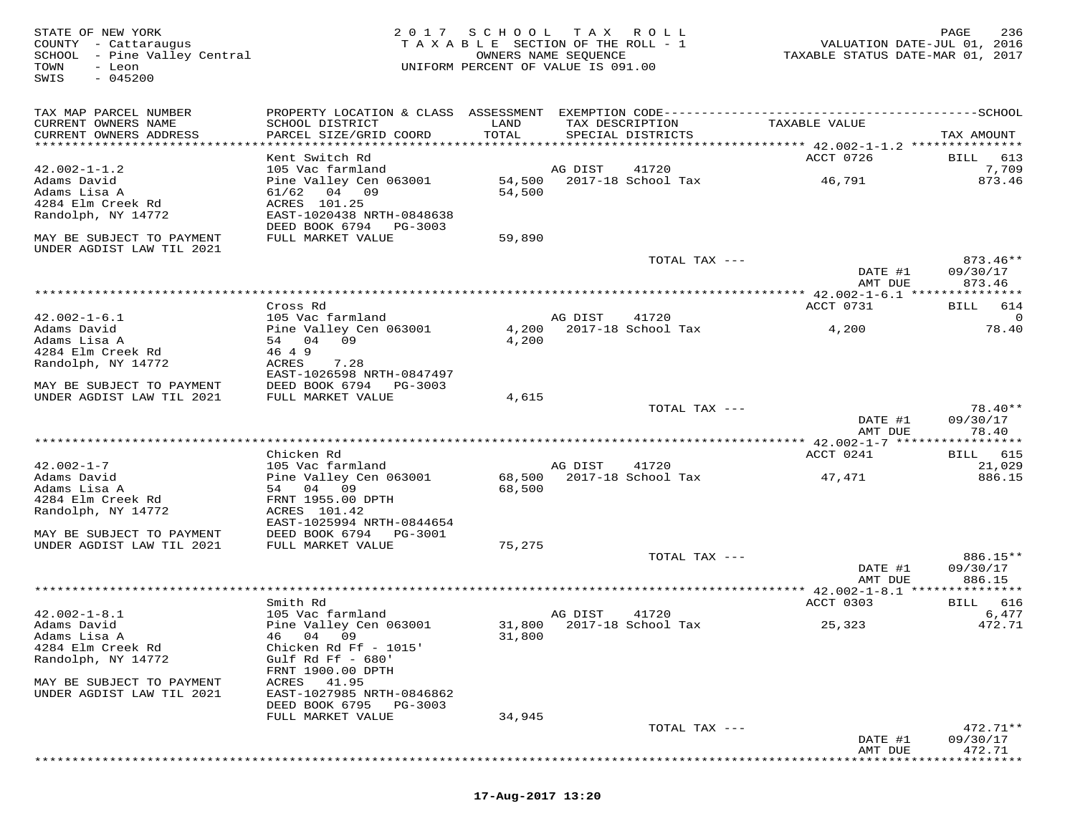STATE OF NEW YORK 2 0 1 7 S C H O O L T A X R O L L PAGE 236 COUNTY - Cattaraugus T A X A B L E SECTION OF THE ROLL - 1 VALUATION DATE-JUL 01, 2016 SCHOOL - Pine Valley Central OWNERS NAME SEQUENCE TAXABLE STATUS DATE-MAR 01, 2017 TOWN - Leon UNIFORM PERCENT OF VALUE IS 091.00SWIS - 045200TAX MAP PARCEL NUMBER PROPERTY LOCATION & CLASS ASSESSMENT EXEMPTION CODE------------------------------------------SCHOOL CURRENT OWNERS NAME SCHOOL DISTRICT LAND TAX DESCRIPTION TAXABLE VALUE CURRENT OWNERS ADDRESS PARCEL SIZE/GRID COORD TOTAL SPECIAL DISTRICTS TAX AMOUNT \*\*\*\*\*\*\*\*\*\*\*\*\*\*\*\*\*\*\*\*\*\*\*\*\*\*\*\*\*\*\*\*\*\*\*\*\*\*\*\*\*\*\*\*\*\*\*\*\*\*\*\*\*\*\*\*\*\*\*\*\*\*\*\*\*\*\*\*\*\*\*\*\*\*\*\*\*\*\*\*\*\*\*\*\*\*\*\*\*\*\*\*\*\*\*\*\*\*\*\*\*\*\* 42.002-1-1.2 \*\*\*\*\*\*\*\*\*\*\*\*\*\*\* Kent Switch Rd ACCT 0726 BILL 613 42.002-1-1.2 105 Vac farmland AG DIST 41720 7,709 Adams David Pine Valley Cen 063001 54,500 2017-18 School Tax 46,791 873.46 Adams Lisa A 61/62 04 09 54,500 4284 Elm Creek Rd ACRES 101.25 Randolph, NY 14772 EAST-1020438 NRTH-0848638 DEED BOOK 6794 PG-3003 MAY BE SUBJECT TO PAYMENT FULL MARKET VALUE 59,890 UNDER AGDIST LAW TIL 2021 TOTAL TAX --- 873.46\*\* DATE #1 09/30/17 AMT DUE 873.46 \*\*\*\*\*\*\*\*\*\*\*\*\*\*\*\*\*\*\*\*\*\*\*\*\*\*\*\*\*\*\*\*\*\*\*\*\*\*\*\*\*\*\*\*\*\*\*\*\*\*\*\*\*\*\*\*\*\*\*\*\*\*\*\*\*\*\*\*\*\*\*\*\*\*\*\*\*\*\*\*\*\*\*\*\*\*\*\*\*\*\*\*\*\*\*\*\*\*\*\*\*\*\* 42.002-1-6.1 \*\*\*\*\*\*\*\*\*\*\*\*\*\*\*ACCT 0731 BILL 614 Cross Rd ACCT 0731 BILL 61442.002-1-6.1 105 Vac farmland AG DIST 41720 0 Adams David Pine Valley Cen 063001 4,200 2017-18 School Tax 4,200 78.40Adams Lisa A 54 04 09 4,200 4284 Elm Creek Rd 46 4 9 Randolph, NY 14772 ACRES 7.28 EAST-1026598 NRTH-0847497 MAY BE SUBJECT TO PAYMENT DEED BOOK 6794 PG-3003 UNDER AGDIST LAW TIL 2021 FULL MARKET VALUE 4,615 TOTAL TAX --- 78.40\*\* DATE #1 09/30/17AMT DUE 78.40 AMT DUE 78.40 \*\*\*\*\*\*\*\*\*\*\*\*\*\*\*\*\*\*\*\*\*\*\*\*\*\*\*\*\*\*\*\*\*\*\*\*\*\*\*\*\*\*\*\*\*\*\*\*\*\*\*\*\*\*\*\*\*\*\*\*\*\*\*\*\*\*\*\*\*\*\*\*\*\*\*\*\*\*\*\*\*\*\*\*\*\*\*\*\*\*\*\*\*\*\*\*\*\*\*\*\*\*\* 42.002-1-7 \*\*\*\*\*\*\*\*\*\*\*\*\*\*\*\*\*ACCT 0241 BILL 615 Chicken Rd ACCT 0241 BILL 61521.029 42.002-1-7 105 Vac farmland AG DIST 41720 21,029886 15 Adams David Pine Valley Cen 063001 68,500 2017-18 School Tax 47,471 886.15Adams Lisa A 54 04 09 68,500 4284 Elm Creek Rd FRNT 1955.00 DPTH Randolph, NY 14772 ACRES 101.42 EAST-1025994 NRTH-0844654 MAY BE SUBJECT TO PAYMENT DEED BOOK 6794 PG-3001 UNDER AGDIST LAW TIL 2021 FULL MARKET VALUE 75,275 TOTAL TAX --- 886.15\*\* DATE #1 09/30/17 AMT DUE 886.15 \*\*\*\*\*\*\*\*\*\*\*\*\*\*\*\*\*\*\*\*\*\*\*\*\*\*\*\*\*\*\*\*\*\*\*\*\*\*\*\*\*\*\*\*\*\*\*\*\*\*\*\*\*\*\*\*\*\*\*\*\*\*\*\*\*\*\*\*\*\*\*\*\*\*\*\*\*\*\*\*\*\*\*\*\*\*\*\*\*\*\*\*\*\*\*\*\*\*\*\*\*\*\* 42.002-1-8.1 \*\*\*\*\*\*\*\*\*\*\*\*\*\*\*ACCT 0303 BILL 616 Smith Rd ACCT 0303 BILL 616 $6.477$ 42.002-1-8.1 105 Vac farmland AG DIST 41720 6,477472.71 Adams David Pine Valley Cen 063001 31,800 2017-18 School Tax 25,323 472.71Adams Lisa A 46 04 09 31,800 4284 Elm Creek Rd Chicken Rd Ff - 1015' Randolph, NY 14772 Gulf Rd Ff - 680' FRNT 1900.00 DPTH MAY BE SUBJECT TO PAYMENT ACRES 41.95 UNDER AGDIST LAW TIL 2021 EAST-1027985 NRTH-0846862 DEED BOOK 6795 PG-3003 FULL MARKET VALUE 34,945 TOTAL TAX --- 472.71\*\* DATE #1 09/30/17AMT DUE 472.71 AMT DUE 472.71 \*\*\*\*\*\*\*\*\*\*\*\*\*\*\*\*\*\*\*\*\*\*\*\*\*\*\*\*\*\*\*\*\*\*\*\*\*\*\*\*\*\*\*\*\*\*\*\*\*\*\*\*\*\*\*\*\*\*\*\*\*\*\*\*\*\*\*\*\*\*\*\*\*\*\*\*\*\*\*\*\*\*\*\*\*\*\*\*\*\*\*\*\*\*\*\*\*\*\*\*\*\*\*\*\*\*\*\*\*\*\*\*\*\*\*\*\*\*\*\*\*\*\*\*\*\*\*\*\*\*\*\*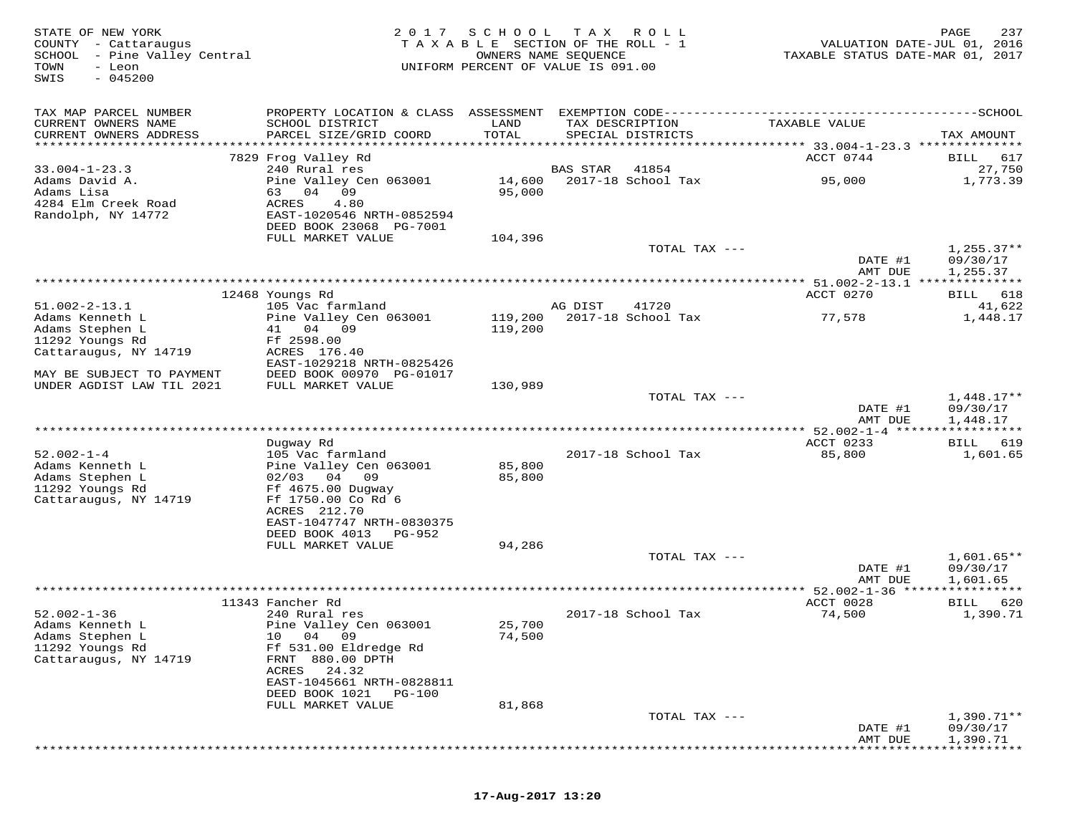| STATE OF NEW YORK<br>COUNTY - Cattaraugus<br>SCHOOL - Pine Valley Central<br>- Leon<br>TOWN<br>$-045200$<br>SWIS |                                             | 2017 SCHOOL<br>T A X A B L E SECTION OF THE ROLL - 1<br>OWNERS NAME SEQUENCE<br>UNIFORM PERCENT OF VALUE IS 091.00 | T A X    | R O L L                              | VALUATION DATE-JUL 01, 2016<br>TAXABLE STATUS DATE-MAR 01, 2017 | 237<br>PAGE              |
|------------------------------------------------------------------------------------------------------------------|---------------------------------------------|--------------------------------------------------------------------------------------------------------------------|----------|--------------------------------------|-----------------------------------------------------------------|--------------------------|
| TAX MAP PARCEL NUMBER                                                                                            |                                             |                                                                                                                    |          |                                      |                                                                 |                          |
| CURRENT OWNERS NAME<br>CURRENT OWNERS ADDRESS                                                                    | SCHOOL DISTRICT<br>PARCEL SIZE/GRID COORD   | LAND<br>TOTAL                                                                                                      |          | TAX DESCRIPTION<br>SPECIAL DISTRICTS | TAXABLE VALUE                                                   | TAX AMOUNT               |
| **********************                                                                                           |                                             |                                                                                                                    |          |                                      |                                                                 |                          |
|                                                                                                                  | 7829 Frog Valley Rd                         |                                                                                                                    |          |                                      | ACCT 0744                                                       | BILL<br>617              |
| $33.004 - 1 - 23.3$<br>Adams David A.                                                                            | 240 Rural res<br>Pine Valley Cen 063001     | 14,600                                                                                                             | BAS STAR | 41854<br>2017-18 School Tax          | 95,000                                                          | 27,750<br>1,773.39       |
| Adams Lisa                                                                                                       | 04<br>09<br>63                              | 95,000                                                                                                             |          |                                      |                                                                 |                          |
| 4284 Elm Creek Road                                                                                              | ACRES<br>4.80                               |                                                                                                                    |          |                                      |                                                                 |                          |
| Randolph, NY 14772                                                                                               | EAST-1020546 NRTH-0852594                   |                                                                                                                    |          |                                      |                                                                 |                          |
|                                                                                                                  | DEED BOOK 23068 PG-7001                     |                                                                                                                    |          |                                      |                                                                 |                          |
|                                                                                                                  | FULL MARKET VALUE                           | 104,396                                                                                                            |          |                                      |                                                                 |                          |
|                                                                                                                  |                                             |                                                                                                                    |          | TOTAL TAX ---                        | DATE #1                                                         | $1,255.37**$<br>09/30/17 |
|                                                                                                                  |                                             |                                                                                                                    |          |                                      | AMT DUE                                                         | 1,255.37                 |
|                                                                                                                  |                                             |                                                                                                                    |          |                                      |                                                                 |                          |
|                                                                                                                  | 12468 Youngs Rd                             |                                                                                                                    |          |                                      | ACCT 0270                                                       | 618<br>BILL              |
| $51.002 - 2 - 13.1$                                                                                              | 105 Vac farmland                            |                                                                                                                    | AG DIST  | 41720                                |                                                                 | 41,622                   |
| Adams Kenneth L                                                                                                  | Pine Valley Cen 063001                      | 119,200                                                                                                            |          | 2017-18 School Tax                   | 77,578                                                          | 1,448.17                 |
| Adams Stephen L                                                                                                  | 41 04 09                                    | 119,200                                                                                                            |          |                                      |                                                                 |                          |
| 11292 Youngs Rd<br>Cattaraugus, NY 14719                                                                         | Ff 2598.00<br>ACRES 176.40                  |                                                                                                                    |          |                                      |                                                                 |                          |
|                                                                                                                  | EAST-1029218 NRTH-0825426                   |                                                                                                                    |          |                                      |                                                                 |                          |
| MAY BE SUBJECT TO PAYMENT                                                                                        | DEED BOOK 00970 PG-01017                    |                                                                                                                    |          |                                      |                                                                 |                          |
| UNDER AGDIST LAW TIL 2021                                                                                        | FULL MARKET VALUE                           | 130,989                                                                                                            |          |                                      |                                                                 |                          |
|                                                                                                                  |                                             |                                                                                                                    |          | TOTAL TAX ---                        |                                                                 | $1,448.17**$             |
|                                                                                                                  |                                             |                                                                                                                    |          |                                      | DATE #1                                                         | 09/30/17                 |
|                                                                                                                  |                                             |                                                                                                                    |          |                                      | AMT DUE                                                         | 1,448.17                 |
|                                                                                                                  | Dugway Rd                                   |                                                                                                                    |          |                                      | ACCT 0233                                                       | BILL<br>619              |
| $52.002 - 1 - 4$                                                                                                 | 105 Vac farmland                            |                                                                                                                    |          | 2017-18 School Tax                   | 85,800                                                          | 1,601.65                 |
| Adams Kenneth L                                                                                                  | Pine Valley Cen 063001                      | 85,800                                                                                                             |          |                                      |                                                                 |                          |
| Adams Stephen L                                                                                                  | $02/03$ 04 09                               | 85,800                                                                                                             |          |                                      |                                                                 |                          |
| 11292 Youngs Rd                                                                                                  | Ff 4675.00 Dugway                           |                                                                                                                    |          |                                      |                                                                 |                          |
| Cattaraugus, NY 14719                                                                                            | Ff 1750.00 Co Rd 6                          |                                                                                                                    |          |                                      |                                                                 |                          |
|                                                                                                                  | ACRES 212.70<br>EAST-1047747 NRTH-0830375   |                                                                                                                    |          |                                      |                                                                 |                          |
|                                                                                                                  | DEED BOOK 4013<br>PG-952                    |                                                                                                                    |          |                                      |                                                                 |                          |
|                                                                                                                  | FULL MARKET VALUE                           | 94,286                                                                                                             |          |                                      |                                                                 |                          |
|                                                                                                                  |                                             |                                                                                                                    |          | TOTAL TAX ---                        |                                                                 | $1,601.65**$             |
|                                                                                                                  |                                             |                                                                                                                    |          |                                      | DATE #1                                                         | 09/30/17                 |
|                                                                                                                  | *************                               |                                                                                                                    |          |                                      | AMT DUE                                                         | 1,601.65                 |
|                                                                                                                  | 11343 Fancher Rd                            |                                                                                                                    |          |                                      | ** 52.002-1-36 ****                                             |                          |
| $52.002 - 1 - 36$                                                                                                | 240 Rural res                               |                                                                                                                    |          | 2017-18 School Tax                   | ACCT 0028<br>74,500                                             | 620<br>BILL<br>1,390.71  |
| Adams Kenneth L                                                                                                  | Pine Valley Cen 063001                      | 25,700                                                                                                             |          |                                      |                                                                 |                          |
| Adams Stephen L                                                                                                  | 10 04 09                                    | 74,500                                                                                                             |          |                                      |                                                                 |                          |
| 11292 Youngs Rd                                                                                                  | Ff 531.00 Eldredge Rd                       |                                                                                                                    |          |                                      |                                                                 |                          |
| Cattaraugus, NY 14719                                                                                            | FRNT 880.00 DPTH                            |                                                                                                                    |          |                                      |                                                                 |                          |
|                                                                                                                  | ACRES 24.32                                 |                                                                                                                    |          |                                      |                                                                 |                          |
|                                                                                                                  | EAST-1045661 NRTH-0828811<br>DEED BOOK 1021 |                                                                                                                    |          |                                      |                                                                 |                          |
|                                                                                                                  | PG-100<br>FULL MARKET VALUE                 | 81,868                                                                                                             |          |                                      |                                                                 |                          |
|                                                                                                                  |                                             |                                                                                                                    |          | TOTAL TAX ---                        |                                                                 | 1,390.71**               |
|                                                                                                                  |                                             |                                                                                                                    |          |                                      | DATE #1                                                         | 09/30/17                 |
|                                                                                                                  |                                             |                                                                                                                    |          |                                      | AMT DUE                                                         | 1,390.71                 |

\*\*\*\*\*\*\*\*\*\*\*\*\*\*\*\*\*\*\*\*\*\*\*\*\*\*\*\*\*\*\*\*\*\*\*\*\*\*\*\*\*\*\*\*\*\*\*\*\*\*\*\*\*\*\*\*\*\*\*\*\*\*\*\*\*\*\*\*\*\*\*\*\*\*\*\*\*\*\*\*\*\*\*\*\*\*\*\*\*\*\*\*\*\*\*\*\*\*\*\*\*\*\*\*\*\*\*\*\*\*\*\*\*\*\*\*\*\*\*\*\*\*\*\*\*\*\*\*\*\*\*\*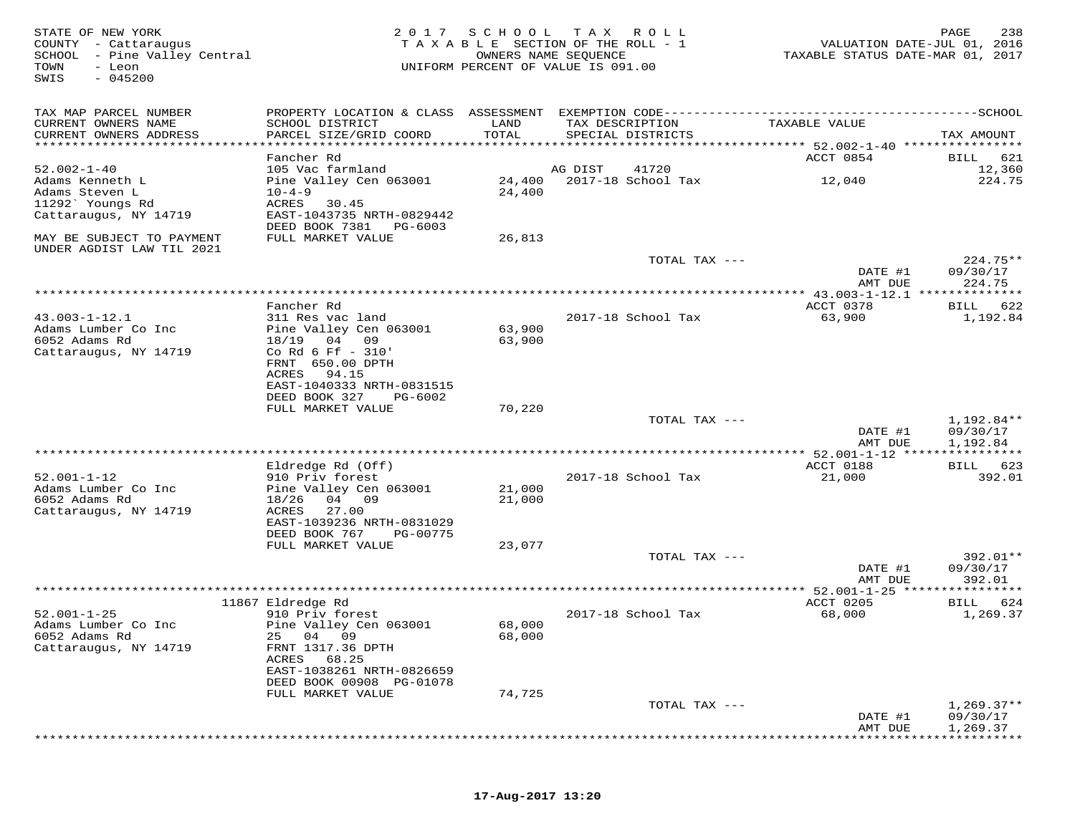| STATE OF NEW YORK<br>COUNTY - Cattaraugus<br>SCHOOL - Pine Valley Central<br>TOWN<br>- Leon<br>$-045200$<br>SWIS | 2017                                                   | S C H O O L   | T A X<br>R O L L<br>TAXABLE SECTION OF THE ROLL - 1<br>OWNERS NAME SEQUENCE<br>UNIFORM PERCENT OF VALUE IS 091.00 | VALUATION DATE-JUL 01, 2016<br>TAXABLE STATUS DATE-MAR 01, 2017 | PAGE<br>238             |
|------------------------------------------------------------------------------------------------------------------|--------------------------------------------------------|---------------|-------------------------------------------------------------------------------------------------------------------|-----------------------------------------------------------------|-------------------------|
| TAX MAP PARCEL NUMBER                                                                                            |                                                        |               |                                                                                                                   |                                                                 |                         |
| CURRENT OWNERS NAME<br>CURRENT OWNERS ADDRESS                                                                    | SCHOOL DISTRICT<br>PARCEL SIZE/GRID COORD              | LAND<br>TOTAL | TAX DESCRIPTION<br>SPECIAL DISTRICTS                                                                              | TAXABLE VALUE                                                   | TAX AMOUNT              |
|                                                                                                                  |                                                        |               |                                                                                                                   | ********** 52.002-1-40 *****************                        |                         |
| $52.002 - 1 - 40$                                                                                                | Fancher Rd<br>105 Vac farmland                         |               | 41720<br>AG DIST                                                                                                  | ACCT 0854                                                       | 621<br>BILL<br>12,360   |
| Adams Kenneth L                                                                                                  | Pine Valley Cen 063001                                 | 24,400        | 2017-18 School Tax                                                                                                | 12,040                                                          | 224.75                  |
| Adams Steven L                                                                                                   | $10 - 4 - 9$                                           | 24,400        |                                                                                                                   |                                                                 |                         |
| 11292` Youngs Rd                                                                                                 | ACRES<br>30.45                                         |               |                                                                                                                   |                                                                 |                         |
| Cattaraugus, NY 14719                                                                                            | EAST-1043735 NRTH-0829442<br>DEED BOOK 7381<br>PG-6003 |               |                                                                                                                   |                                                                 |                         |
| MAY BE SUBJECT TO PAYMENT<br>UNDER AGDIST LAW TIL 2021                                                           | FULL MARKET VALUE                                      | 26,813        |                                                                                                                   |                                                                 |                         |
|                                                                                                                  |                                                        |               | TOTAL TAX ---                                                                                                     |                                                                 | $224.75**$              |
|                                                                                                                  |                                                        |               |                                                                                                                   | DATE #1                                                         | 09/30/17                |
|                                                                                                                  |                                                        |               |                                                                                                                   | AMT DUE<br>**************** 43.003-1-12.1 **************        | 224.75                  |
|                                                                                                                  | Fancher Rd                                             |               |                                                                                                                   | ACCT 0378                                                       | 622<br>BILL             |
| $43.003 - 1 - 12.1$                                                                                              | 311 Res vac land                                       |               | 2017-18 School Tax                                                                                                | 63,900                                                          | 1,192.84                |
| Adams Lumber Co Inc                                                                                              | Pine Valley Cen 063001                                 | 63,900        |                                                                                                                   |                                                                 |                         |
| 6052 Adams Rd                                                                                                    | 18/19<br>04<br>09<br>Co Rd 6 Ff - 310'                 | 63,900        |                                                                                                                   |                                                                 |                         |
| Cattaraugus, NY 14719                                                                                            | FRNT 650.00 DPTH                                       |               |                                                                                                                   |                                                                 |                         |
|                                                                                                                  | ACRES<br>94.15                                         |               |                                                                                                                   |                                                                 |                         |
|                                                                                                                  | EAST-1040333 NRTH-0831515                              |               |                                                                                                                   |                                                                 |                         |
|                                                                                                                  | DEED BOOK 327<br>PG-6002                               |               |                                                                                                                   |                                                                 |                         |
|                                                                                                                  | FULL MARKET VALUE                                      | 70,220        | TOTAL TAX ---                                                                                                     |                                                                 | 1,192.84**              |
|                                                                                                                  |                                                        |               |                                                                                                                   | DATE #1                                                         | 09/30/17                |
|                                                                                                                  |                                                        |               |                                                                                                                   | AMT DUE                                                         | 1,192.84                |
|                                                                                                                  |                                                        |               |                                                                                                                   | ***************** 52.001-1-12 *****************                 |                         |
| $52.001 - 1 - 12$                                                                                                | Eldredge Rd (Off)                                      |               |                                                                                                                   | ACCT 0188                                                       | BILL 623                |
| Adams Lumber Co Inc                                                                                              | 910 Priv forest<br>Pine Valley Cen 063001              | 21,000        | 2017-18 School Tax                                                                                                | 21,000                                                          | 392.01                  |
| 6052 Adams Rd                                                                                                    | 18/26<br>04 09                                         | 21,000        |                                                                                                                   |                                                                 |                         |
| Cattaraugus, NY 14719                                                                                            | ACRES<br>27.00                                         |               |                                                                                                                   |                                                                 |                         |
|                                                                                                                  | EAST-1039236 NRTH-0831029                              |               |                                                                                                                   |                                                                 |                         |
|                                                                                                                  | DEED BOOK 767<br>PG-00775<br>FULL MARKET VALUE         | 23,077        |                                                                                                                   |                                                                 |                         |
|                                                                                                                  |                                                        |               | TOTAL TAX ---                                                                                                     |                                                                 | 392.01**                |
|                                                                                                                  |                                                        |               |                                                                                                                   | DATE #1                                                         | 09/30/17                |
|                                                                                                                  |                                                        |               |                                                                                                                   | AMT DUE                                                         | 392.01                  |
|                                                                                                                  |                                                        |               |                                                                                                                   | ACCT 0205                                                       | ********                |
| $52.001 - 1 - 25$                                                                                                | 11867 Eldredge Rd<br>910 Priv forest                   |               | 2017-18 School Tax                                                                                                | 68,000                                                          | 624<br>BILL<br>1,269.37 |
| Adams Lumber Co Inc                                                                                              | Pine Valley Cen 063001                                 | 68,000        |                                                                                                                   |                                                                 |                         |
| 6052 Adams Rd                                                                                                    | 25 04 09                                               | 68,000        |                                                                                                                   |                                                                 |                         |
| Cattaraugus, NY 14719                                                                                            | FRNT 1317.36 DPTH                                      |               |                                                                                                                   |                                                                 |                         |
|                                                                                                                  | ACRES<br>68.25<br>EAST-1038261 NRTH-0826659            |               |                                                                                                                   |                                                                 |                         |
|                                                                                                                  | DEED BOOK 00908 PG-01078                               |               |                                                                                                                   |                                                                 |                         |
|                                                                                                                  | FULL MARKET VALUE                                      | 74,725        |                                                                                                                   |                                                                 |                         |
|                                                                                                                  |                                                        |               | TOTAL TAX ---                                                                                                     |                                                                 | $1,269.37**$            |
|                                                                                                                  |                                                        |               |                                                                                                                   | DATE #1                                                         | 09/30/17                |
|                                                                                                                  |                                                        |               |                                                                                                                   | AMT DUE                                                         | 1,269.37                |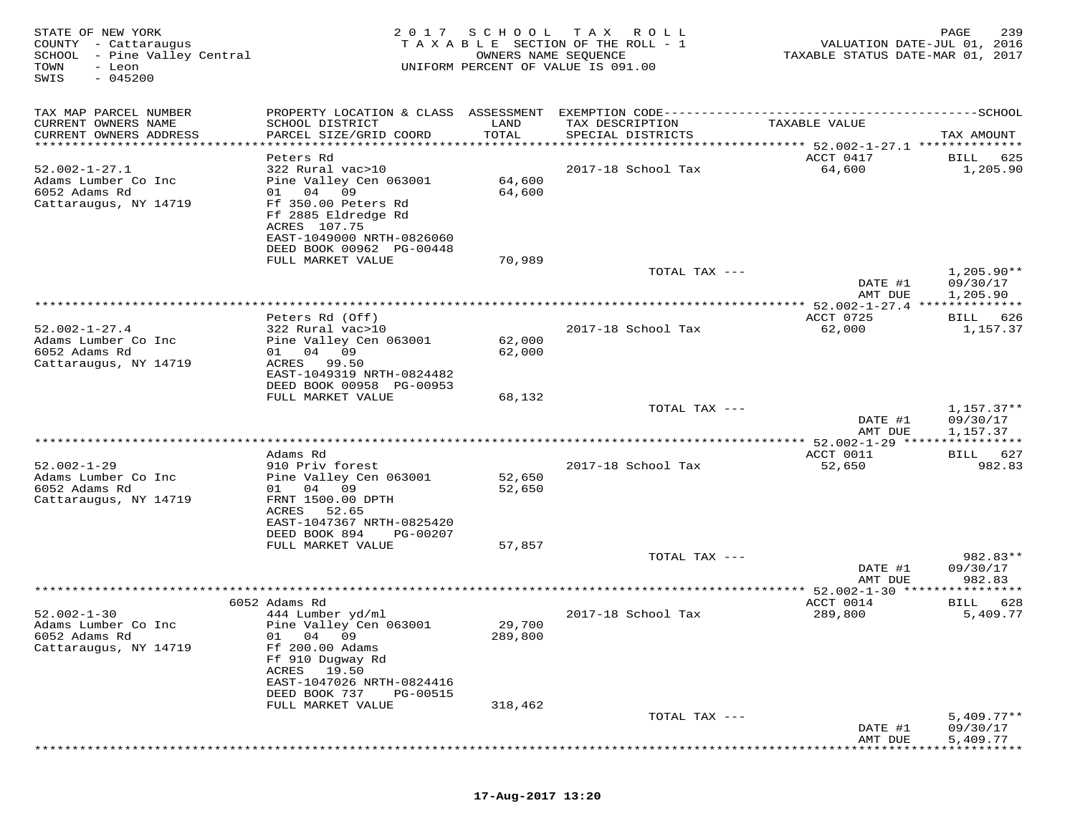| STATE OF NEW YORK<br>COUNTY - Cattaraugus<br>SCHOOL - Pine Valley Central<br>TOWN<br>- Leon<br>$-045200$<br>SWIS | 2017                                                                                                                                                                                | SCHOOL<br>OWNERS NAME SEQUENCE | T A X<br>R O L L<br>TAXABLE SECTION OF THE ROLL - 1<br>UNIFORM PERCENT OF VALUE IS 091.00 | VALUATION DATE-JUL 01, 2016<br>TAXABLE STATUS DATE-MAR 01, 2017 | 239<br>PAGE                          |
|------------------------------------------------------------------------------------------------------------------|-------------------------------------------------------------------------------------------------------------------------------------------------------------------------------------|--------------------------------|-------------------------------------------------------------------------------------------|-----------------------------------------------------------------|--------------------------------------|
| TAX MAP PARCEL NUMBER<br>CURRENT OWNERS NAME<br>CURRENT OWNERS ADDRESS                                           | SCHOOL DISTRICT<br>PARCEL SIZE/GRID COORD                                                                                                                                           | LAND<br>TOTAL                  | TAX DESCRIPTION<br>SPECIAL DISTRICTS                                                      | TAXABLE VALUE<br>*********** 52.002-1-27.1 ***************      | TAX AMOUNT                           |
|                                                                                                                  | Peters Rd                                                                                                                                                                           |                                |                                                                                           | ACCT 0417                                                       | BILL<br>625                          |
| $52.002 - 1 - 27.1$<br>Adams Lumber Co Inc<br>6052 Adams Rd<br>Cattaraugus, NY 14719                             | 322 Rural vac>10<br>Pine Valley Cen 063001<br>04<br>09<br>01<br>Ff 350.00 Peters Rd<br>Ff 2885 Eldredge Rd<br>ACRES 107.75<br>EAST-1049000 NRTH-0826060<br>DEED BOOK 00962 PG-00448 | 64,600<br>64,600               | 2017-18 School Tax                                                                        | 64,600                                                          | 1,205.90                             |
|                                                                                                                  | FULL MARKET VALUE                                                                                                                                                                   | 70,989                         |                                                                                           |                                                                 |                                      |
|                                                                                                                  |                                                                                                                                                                                     |                                | TOTAL TAX ---                                                                             | DATE #1<br>AMT DUE                                              | $1,205.90**$<br>09/30/17<br>1,205.90 |
|                                                                                                                  |                                                                                                                                                                                     |                                |                                                                                           | $* 52.002 - 1 - 27.4$                                           | * * * * * * * * * * *                |
| $52.002 - 1 - 27.4$<br>Adams Lumber Co Inc<br>6052 Adams Rd<br>Cattaraugus, NY 14719                             | Peters Rd (Off)<br>322 Rural vac>10<br>Pine Valley Cen 063001<br>04 09<br>01 —<br>ACRES<br>99.50<br>EAST-1049319 NRTH-0824482<br>DEED BOOK 00958 PG-00953                           | 62,000<br>62,000               | 2017-18 School Tax                                                                        | ACCT 0725<br>62,000                                             | 626<br>BILL<br>1,157.37              |
|                                                                                                                  | FULL MARKET VALUE                                                                                                                                                                   | 68,132                         |                                                                                           |                                                                 |                                      |
|                                                                                                                  |                                                                                                                                                                                     |                                | TOTAL TAX ---                                                                             | DATE #1<br>AMT DUE                                              | $1,157.37**$<br>09/30/17<br>1,157.37 |
|                                                                                                                  |                                                                                                                                                                                     |                                |                                                                                           | $52.002 - 1 - 29$ ****                                          |                                      |
| $52.002 - 1 - 29$<br>Adams Lumber Co Inc<br>6052 Adams Rd<br>Cattaraugus, NY 14719                               | Adams Rd<br>910 Priv forest<br>Pine Valley Cen 063001<br>04<br>01<br>- 09<br>FRNT 1500.00 DPTH<br>52.65<br>ACRES                                                                    | 52,650<br>52,650               | 2017-18 School Tax                                                                        | ACCT 0011<br>52,650                                             | 627<br>BILL<br>982.83                |
|                                                                                                                  | EAST-1047367 NRTH-0825420<br>DEED BOOK 894<br>PG-00207                                                                                                                              |                                |                                                                                           |                                                                 |                                      |
|                                                                                                                  | FULL MARKET VALUE                                                                                                                                                                   | 57,857                         |                                                                                           |                                                                 |                                      |
|                                                                                                                  |                                                                                                                                                                                     |                                | TOTAL TAX ---                                                                             | DATE #1<br>AMT DUE                                              | 982.83**<br>09/30/17<br>982.83       |
|                                                                                                                  | ****************************                                                                                                                                                        |                                |                                                                                           | ** 52.002-1-30 ****                                             |                                      |
| $52.002 - 1 - 30$                                                                                                | 6052 Adams Rd<br>444 Lumber yd/ml                                                                                                                                                   |                                | 2017-18 School Tax                                                                        | ACCT 0014<br>289,800                                            | 628<br>BILL<br>5,409.77              |
| Adams Lumber Co Inc<br>6052 Adams Rd<br>Cattaraugus, NY 14719                                                    | Pine Valley Cen 063001<br>01 04 09<br>Ff 200.00 Adams<br>Ff 910 Dugway Rd<br>ACRES<br>19.50<br>EAST-1047026 NRTH-0824416                                                            | 29,700<br>289,800              |                                                                                           |                                                                 |                                      |
|                                                                                                                  | DEED BOOK 737<br>PG-00515<br>FULL MARKET VALUE                                                                                                                                      | 318,462                        |                                                                                           |                                                                 |                                      |
|                                                                                                                  |                                                                                                                                                                                     |                                | TOTAL TAX ---                                                                             | DATE #1<br>AMT DUE                                              | $5,409.77**$<br>09/30/17<br>5,409.77 |

\*\*\*\*\*\*\*\*\*\*\*\*\*\*\*\*\*\*\*\*\*\*\*\*\*\*\*\*\*\*\*\*\*\*\*\*\*\*\*\*\*\*\*\*\*\*\*\*\*\*\*\*\*\*\*\*\*\*\*\*\*\*\*\*\*\*\*\*\*\*\*\*\*\*\*\*\*\*\*\*\*\*\*\*\*\*\*\*\*\*\*\*\*\*\*\*\*\*\*\*\*\*\*\*\*\*\*\*\*\*\*\*\*\*\*\*\*\*\*\*\*\*\*\*\*\*\*\*\*\*\*\*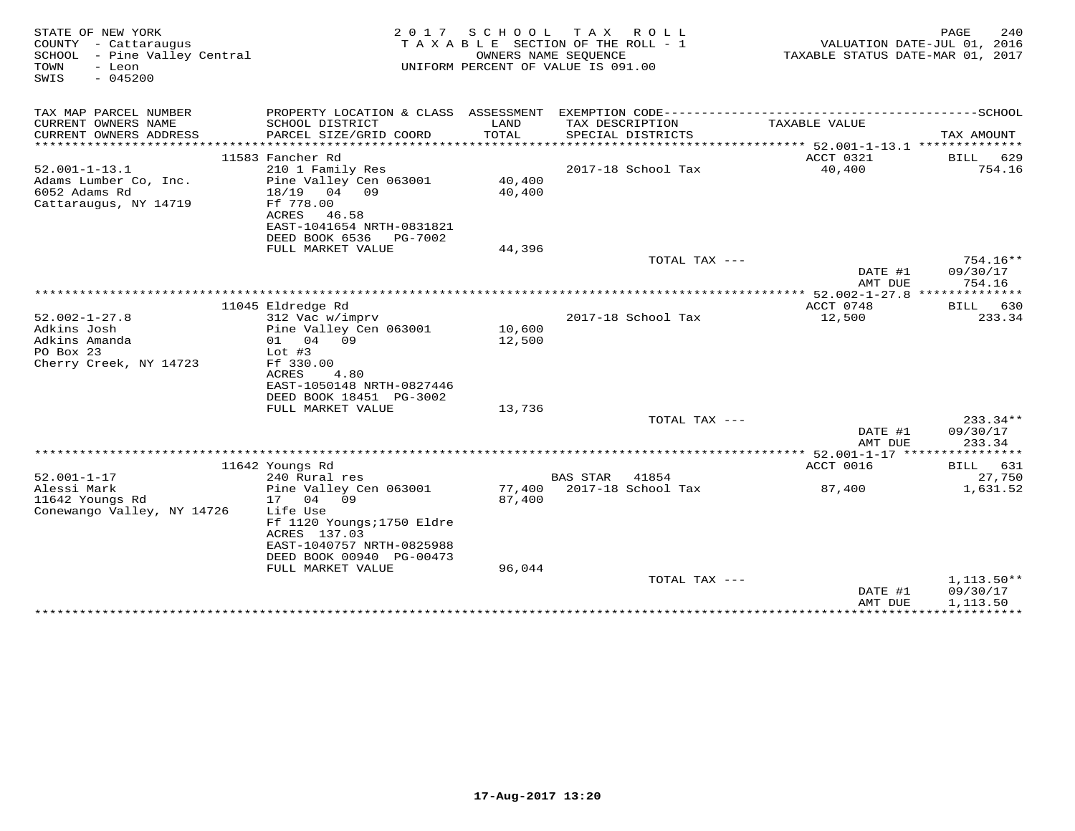| STATE OF NEW YORK<br>COUNTY - Cattaraugus<br>SCHOOL - Pine Valley Central<br>- Leon<br>TOWN<br>$-045200$<br>SWIS | 2 0 1 7                                    | SCHOOL | T A X<br>ROLL<br>T A X A B L E SECTION OF THE ROLL - 1<br>OWNERS NAME SEOUENCE<br>UNIFORM PERCENT OF VALUE IS 091.00 | TAXABLE STATUS DATE-MAR 01, 2017     | 240<br>PAGE<br>VALUATION DATE-JUL 01, 2016 |
|------------------------------------------------------------------------------------------------------------------|--------------------------------------------|--------|----------------------------------------------------------------------------------------------------------------------|--------------------------------------|--------------------------------------------|
| TAX MAP PARCEL NUMBER                                                                                            | PROPERTY LOCATION & CLASS ASSESSMENT       |        | EXEMPTION CODE------------                                                                                           |                                      | -----------SCHOOL                          |
| CURRENT OWNERS NAME                                                                                              | SCHOOL DISTRICT                            | LAND   | TAX DESCRIPTION                                                                                                      | TAXABLE VALUE                        |                                            |
| CURRENT OWNERS ADDRESS                                                                                           | PARCEL SIZE/GRID COORD                     | TOTAL  | SPECIAL DISTRICTS                                                                                                    |                                      | TAX AMOUNT                                 |
| ***********************                                                                                          | ***************************                |        |                                                                                                                      |                                      |                                            |
| $52.001 - 1 - 13.1$                                                                                              | 11583 Fancher Rd<br>210 1 Family Res       |        | 2017-18 School Tax                                                                                                   | ACCT 0321<br>40,400                  | 629<br>BILL<br>754.16                      |
| Adams Lumber Co, Inc.                                                                                            | Pine Valley Cen 063001                     | 40,400 |                                                                                                                      |                                      |                                            |
| 6052 Adams Rd                                                                                                    | 18/19<br>04 09                             | 40,400 |                                                                                                                      |                                      |                                            |
| Cattaraugus, NY 14719                                                                                            | Ff 778.00                                  |        |                                                                                                                      |                                      |                                            |
|                                                                                                                  | ACRES<br>46.58                             |        |                                                                                                                      |                                      |                                            |
|                                                                                                                  | EAST-1041654 NRTH-0831821                  |        |                                                                                                                      |                                      |                                            |
|                                                                                                                  | DEED BOOK 6536<br>PG-7002                  |        |                                                                                                                      |                                      |                                            |
|                                                                                                                  | FULL MARKET VALUE                          | 44,396 | TOTAL TAX $---$                                                                                                      |                                      | 754.16**                                   |
|                                                                                                                  |                                            |        |                                                                                                                      | DATE #1                              | 09/30/17                                   |
|                                                                                                                  |                                            |        |                                                                                                                      | AMT DUE                              | 754.16                                     |
|                                                                                                                  |                                            |        | *************************                                                                                            | ******* 52.002-1-27.8 ************** |                                            |
|                                                                                                                  | 11045 Eldredge Rd                          |        |                                                                                                                      | ACCT 0748                            | 630<br>BILL                                |
| $52.002 - 1 - 27.8$                                                                                              | 312 Vac w/imprv                            |        | 2017-18 School Tax                                                                                                   | 12,500                               | 233.34                                     |
| Adkins Josh                                                                                                      | Pine Valley Cen 063001                     | 10,600 |                                                                                                                      |                                      |                                            |
| Adkins Amanda<br>PO Box 23                                                                                       | 04 09<br>01<br>Lot $#3$                    | 12,500 |                                                                                                                      |                                      |                                            |
| Cherry Creek, NY 14723                                                                                           | Ff 330.00                                  |        |                                                                                                                      |                                      |                                            |
|                                                                                                                  | ACRES<br>4.80                              |        |                                                                                                                      |                                      |                                            |
|                                                                                                                  | EAST-1050148 NRTH-0827446                  |        |                                                                                                                      |                                      |                                            |
|                                                                                                                  | DEED BOOK 18451 PG-3002                    |        |                                                                                                                      |                                      |                                            |
|                                                                                                                  | FULL MARKET VALUE                          | 13,736 |                                                                                                                      |                                      |                                            |
|                                                                                                                  |                                            |        | TOTAL TAX ---                                                                                                        |                                      | 233.34**                                   |
|                                                                                                                  |                                            |        |                                                                                                                      | DATE #1<br>AMT DUE                   | 09/30/17<br>233.34                         |
|                                                                                                                  |                                            |        |                                                                                                                      |                                      |                                            |
|                                                                                                                  | 11642 Youngs Rd                            |        |                                                                                                                      | ACCT 0016                            | 631<br>BILL                                |
| $52.001 - 1 - 17$                                                                                                | 240 Rural res                              |        | <b>BAS STAR</b><br>41854                                                                                             |                                      | 27,750                                     |
| Alessi Mark                                                                                                      | Pine Valley Cen 063001                     | 77,400 | 2017-18 School Tax                                                                                                   | 87,400                               | 1,631.52                                   |
| 11642 Youngs Rd                                                                                                  | 04<br>09<br>17                             | 87,400 |                                                                                                                      |                                      |                                            |
| Conewango Valley, NY 14726                                                                                       | Life Use                                   |        |                                                                                                                      |                                      |                                            |
|                                                                                                                  | Ff 1120 Youngs; 1750 Eldre<br>ACRES 137.03 |        |                                                                                                                      |                                      |                                            |
|                                                                                                                  | EAST-1040757 NRTH-0825988                  |        |                                                                                                                      |                                      |                                            |
|                                                                                                                  | DEED BOOK 00940 PG-00473                   |        |                                                                                                                      |                                      |                                            |
|                                                                                                                  | FULL MARKET VALUE                          | 96,044 |                                                                                                                      |                                      |                                            |
|                                                                                                                  |                                            |        | TOTAL TAX $---$                                                                                                      |                                      | $1,113.50**$                               |
|                                                                                                                  |                                            |        |                                                                                                                      | DATE #1                              | 09/30/17                                   |
|                                                                                                                  |                                            |        |                                                                                                                      | AMT DUE                              | 1,113.50<br>**************************     |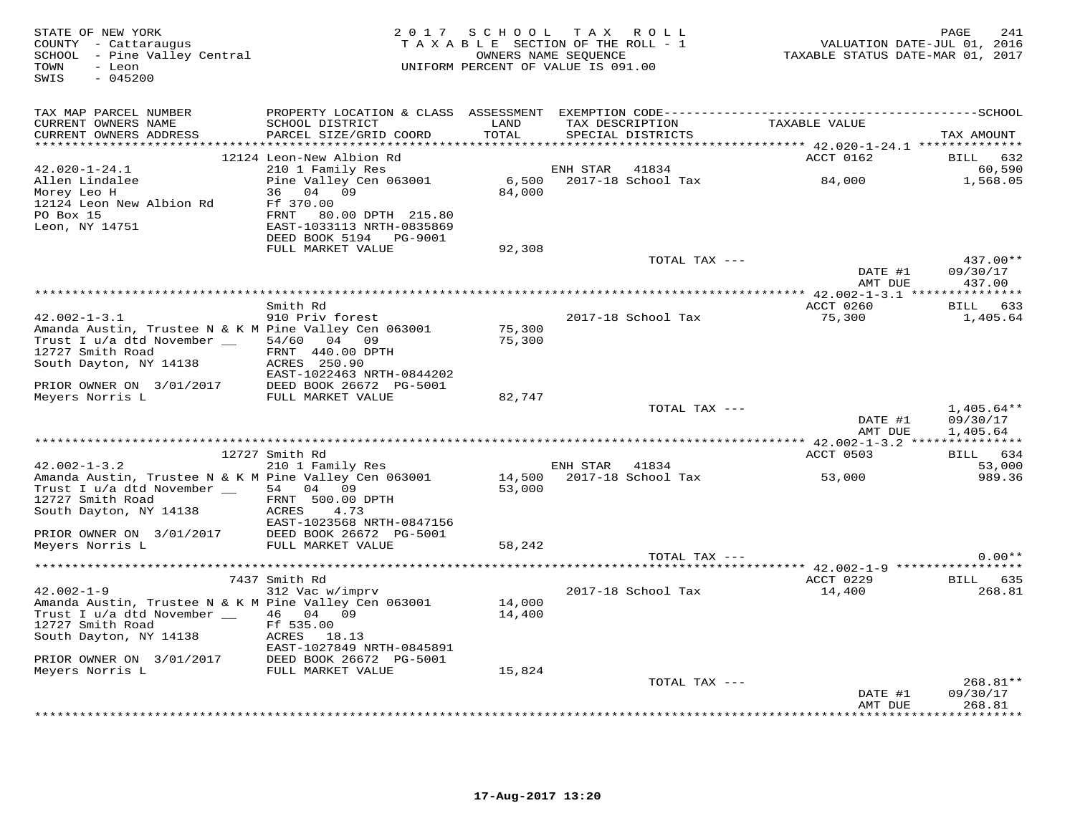| STATE OF NEW YORK<br>COUNTY - Cattaraugus<br>SCHOOL - Pine Valley Central<br>- Leon<br>TOWN<br>SWIS<br>$-045200$  |                                                                                                                     | 2017 SCHOOL TAX ROLL<br>TAXABLE SECTION OF THE ROLL - 1<br>UNIFORM PERCENT OF VALUE IS 091.00 | OWNERS NAME SEQUENCE |                               | rage<br>116 / VALUATION DATE-JUL 01<br>2017 , TAXABLE STATUS DATE-MAR 01 | 241<br>PAGE                   |
|-------------------------------------------------------------------------------------------------------------------|---------------------------------------------------------------------------------------------------------------------|-----------------------------------------------------------------------------------------------|----------------------|-------------------------------|--------------------------------------------------------------------------|-------------------------------|
| TAX MAP PARCEL NUMBER                                                                                             |                                                                                                                     |                                                                                               |                      |                               |                                                                          |                               |
| CURRENT OWNERS NAME<br>CURRENT OWNERS ADDRESS                                                                     | SCHOOL DISTRICT LAND<br>PARCEL SIZE/GRID COORD                                                                      | TOTAL                                                                                         | SPECIAL DISTRICTS    | TAX DESCRIPTION TAXABLE VALUE |                                                                          | TAX AMOUNT                    |
|                                                                                                                   |                                                                                                                     |                                                                                               |                      |                               |                                                                          |                               |
|                                                                                                                   | 12124 Leon-New Albion Rd                                                                                            |                                                                                               |                      |                               | ACCT 0162                                                                | BILL 632                      |
| $42.020 - 1 - 24.1$                                                                                               | 210 1 Family Res                                                                                                    |                                                                                               | ENH STAR 41834       |                               |                                                                          | 60,590<br>1,568.05            |
| Allen Lindalee<br>Morev Leo H                                                                                     | 210 1 Family Res ENH STAR 41834<br>Pine Valley Cen 063001 6,500 2017-18 School Tax 84,000<br>36 04 09 84,000 84,000 |                                                                                               |                      |                               |                                                                          |                               |
| 12124 Leon New Albion Rd Ff 370.00                                                                                |                                                                                                                     |                                                                                               |                      |                               |                                                                          |                               |
| PO Box 15<br>Leon, NY 14751                                                                                       | FRNT 80.00 DPTH 215.80                                                                                              |                                                                                               |                      |                               |                                                                          |                               |
|                                                                                                                   | EAST-1033113 NRTH-0835869                                                                                           |                                                                                               |                      |                               |                                                                          |                               |
|                                                                                                                   | DEED BOOK 5194 PG-9001<br>FULL MARKET VALUE                                                                         | 92,308                                                                                        |                      |                               |                                                                          |                               |
|                                                                                                                   |                                                                                                                     |                                                                                               |                      | TOTAL TAX ---                 |                                                                          | $437.00**$                    |
|                                                                                                                   |                                                                                                                     |                                                                                               |                      |                               | DATE #1                                                                  | 09/30/17                      |
|                                                                                                                   |                                                                                                                     |                                                                                               |                      |                               | AMT DUE                                                                  | 437.00                        |
|                                                                                                                   | Smith Rd                                                                                                            |                                                                                               |                      |                               | ACCT 0260                                                                | BILL 633                      |
| $42.002 - 1 - 3.1$                                                                                                | 910 Priv forest                                                                                                     |                                                                                               |                      | 2017-18 School Tax            | 75,300                                                                   | 1,405.64                      |
| Amanda Austin, Trustee N & K M Pine Valley Cen 063001                                                             |                                                                                                                     | 75,300                                                                                        |                      |                               |                                                                          |                               |
| Trust I u/a dtd November _ 54/60 04 09                                                                            |                                                                                                                     | 75,300                                                                                        |                      |                               |                                                                          |                               |
| 12727 Smith Road FRNT 440.00 I<br>South Dayton, NY 14138 ACRES 250.90                                             | FRNT 440.00 DPTH                                                                                                    |                                                                                               |                      |                               |                                                                          |                               |
|                                                                                                                   | EAST-1022463 NRTH-0844202                                                                                           |                                                                                               |                      |                               |                                                                          |                               |
| PRIOR OWNER ON 3/01/2017 DEED BOOK 26672 PG-5001<br>Meyers Norris L FULL MARKET VALUE                             |                                                                                                                     |                                                                                               |                      |                               |                                                                          |                               |
|                                                                                                                   |                                                                                                                     | 82,747                                                                                        |                      |                               |                                                                          |                               |
|                                                                                                                   |                                                                                                                     |                                                                                               |                      | TOTAL TAX ---                 |                                                                          | $1,405.64**$                  |
|                                                                                                                   |                                                                                                                     |                                                                                               |                      |                               | DATE #1<br>AMT DUE                                                       | 09/30/17<br>1,405.64          |
|                                                                                                                   |                                                                                                                     |                                                                                               |                      |                               |                                                                          |                               |
|                                                                                                                   | 12727 Smith Rd                                                                                                      |                                                                                               |                      |                               | ACCT 0503                                                                | BILL 634                      |
| $42.002 - 1 - 3.2$                                                                                                | 210 1 Family Res                                                                                                    |                                                                                               | ENH STAR 41834       | 14,500 2017-18 School Tax     |                                                                          | 53,000                        |
| Amanda Austin, Trustee N & K M Pine Valley Cen 063001<br>Trust I u/a dtd November __ 54 04 09                     |                                                                                                                     | 53,000                                                                                        |                      |                               | 53,000                                                                   | 989.36                        |
|                                                                                                                   | FRNT 500.00 DPTH                                                                                                    |                                                                                               |                      |                               |                                                                          |                               |
| Trust $\perp$ $u/\alpha$ and $\qquad$ FRNT $\frac{12727}{\pi}$ Smith Road<br>12727 Smith Road<br>14138 ACRES 4.73 |                                                                                                                     |                                                                                               |                      |                               |                                                                          |                               |
|                                                                                                                   | EAST-1023568 NRTH-0847156                                                                                           |                                                                                               |                      |                               |                                                                          |                               |
| PRIOR OWNER ON 3/01/2017 DEED BOOK 26672 PG-5001<br>Meyers Norris L FULL MARKET VALUE                             |                                                                                                                     | 58,242                                                                                        |                      |                               |                                                                          |                               |
|                                                                                                                   |                                                                                                                     |                                                                                               |                      | TOTAL TAX ---                 |                                                                          | $0.00**$                      |
|                                                                                                                   |                                                                                                                     |                                                                                               |                      |                               |                                                                          |                               |
|                                                                                                                   | 7437 Smith Rd                                                                                                       |                                                                                               |                      |                               | ACCT 0229                                                                | BILL 635                      |
| $42.002 - 1 - 9$<br>Amanda Austin, Trustee N & K M Pine Valley Cen 063001                                         | 312 Vac w/imprv                                                                                                     | 14,000                                                                                        | 2017-18 School Tax   |                               | 14,400                                                                   | 268.81                        |
| Trust I u/a dtd November _ 46 04 09                                                                               |                                                                                                                     | 14,400                                                                                        |                      |                               |                                                                          |                               |
| 12727 Smith Road                                                                                                  | Ff 535.00                                                                                                           |                                                                                               |                      |                               |                                                                          |                               |
|                                                                                                                   |                                                                                                                     |                                                                                               |                      |                               |                                                                          |                               |
|                                                                                                                   | EAST-1027849 NRTH-0845891                                                                                           |                                                                                               |                      |                               |                                                                          |                               |
| PRIOR OWNER ON 3/01/2017 DEED BOOK 26672 PG-5001<br>Meyers Norris L FULL MARKET VALUE                             |                                                                                                                     | 15,824                                                                                        |                      |                               |                                                                          |                               |
|                                                                                                                   |                                                                                                                     |                                                                                               |                      | TOTAL TAX ---                 |                                                                          | $268.81**$                    |
|                                                                                                                   |                                                                                                                     |                                                                                               |                      |                               | DATE #1                                                                  | 09/30/17                      |
|                                                                                                                   |                                                                                                                     |                                                                                               |                      |                               | AMT DUE                                                                  | 268.81<br>* * * * * * * * * * |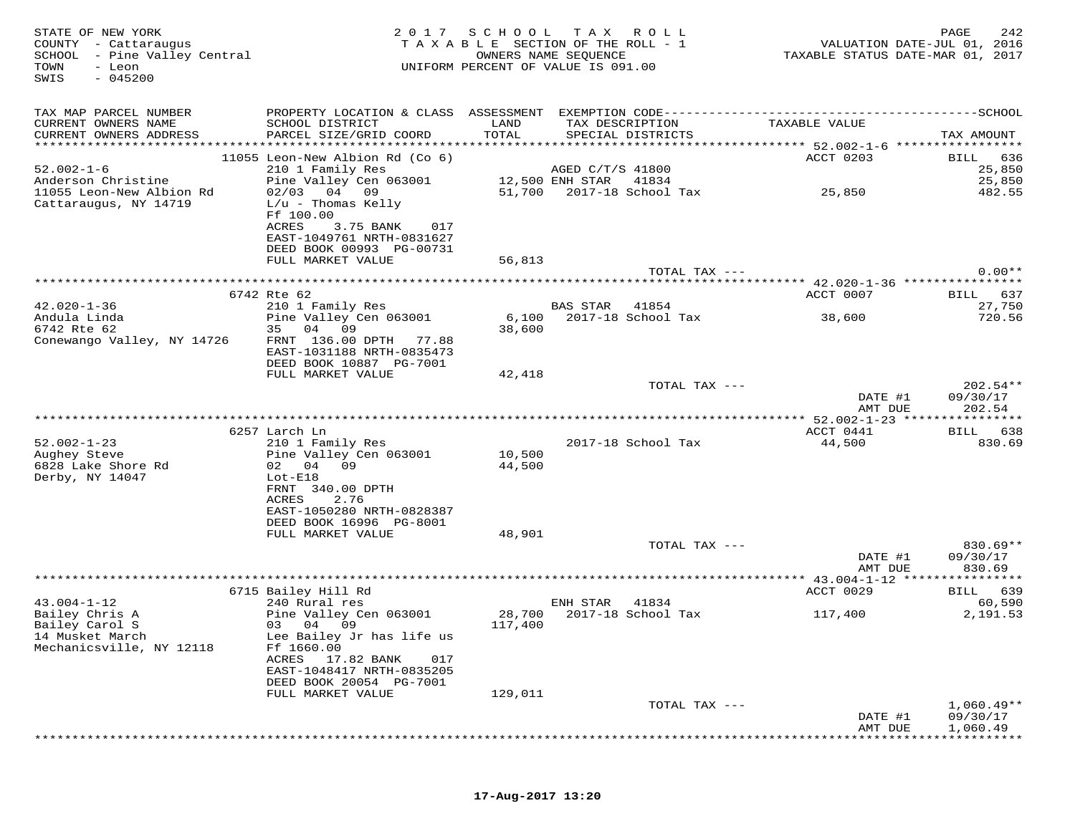TOWN - Leon<br>SWIS - 045200

# STATE OF NEW YORK 2 0 1 7 S C H O O L T A X R O L L PAGE 242 COUNTY - Cattaraugus T A X A B L E SECTION OF THE ROLL - 1 VALUATION DATE-JUL 01, 2016 SCHOOL - Pine Valley Central OWNERS NAME SEQUENCE TAXABLE STATUS DATE-MAR 01, 2017UNIFORM PERCENT OF VALUE IS 091.00

| TAX MAP PARCEL NUMBER<br>CURRENT OWNERS NAME      | PROPERTY LOCATION & CLASS ASSESSMENT<br>SCHOOL DISTRICT                                                                                  | LAND    | TAX DESCRIPTION                     | EXEMPTION CODE------------ | TAXABLE VALUE                                   | -----------SCHOOL               |
|---------------------------------------------------|------------------------------------------------------------------------------------------------------------------------------------------|---------|-------------------------------------|----------------------------|-------------------------------------------------|---------------------------------|
| CURRENT OWNERS ADDRESS<br>*********************   | PARCEL SIZE/GRID COORD                                                                                                                   | TOTAL   | SPECIAL DISTRICTS                   |                            |                                                 | TAX AMOUNT                      |
| $52.002 - 1 - 6$<br>Anderson Christine            | 11055 Leon-New Albion Rd (Co 6)<br>210 1 Family Res<br>Pine Valley Cen 063001                                                            |         | AGED C/T/S 41800<br>12,500 ENH STAR | 41834                      | ACCT 0203                                       | BILL<br>636<br>25,850<br>25,850 |
| 11055 Leon-New Albion Rd<br>Cattaraugus, NY 14719 | $02/03$ 04 09<br>$L/u$ - Thomas Kelly<br>Ff 100.00<br>ACRES<br>3.75 BANK<br>017<br>EAST-1049761 NRTH-0831627<br>DEED BOOK 00993 PG-00731 | 51,700  |                                     | 2017-18 School Tax         | 25,850                                          | 482.55                          |
|                                                   | FULL MARKET VALUE                                                                                                                        | 56,813  |                                     |                            |                                                 |                                 |
|                                                   |                                                                                                                                          |         |                                     | TOTAL TAX ---              | ******************** 42.020-1-36 ***********    | $0.00**$                        |
|                                                   | 6742 Rte 62                                                                                                                              |         |                                     |                            | ACCT 0007                                       | 637<br>BILL                     |
| $42.020 - 1 - 36$                                 | 210 1 Family Res                                                                                                                         |         | <b>BAS STAR</b>                     | 41854                      |                                                 | 27,750                          |
| Andula Linda                                      | Pine Valley Cen 063001                                                                                                                   | 6,100   |                                     | 2017-18 School Tax         | 38,600                                          | 720.56                          |
| 6742 Rte 62                                       | 35<br>04 09                                                                                                                              | 38,600  |                                     |                            |                                                 |                                 |
| Conewango Valley, NY 14726                        | FRNT 136.00 DPTH 77.88<br>EAST-1031188 NRTH-0835473<br>DEED BOOK 10887 PG-7001                                                           |         |                                     |                            |                                                 |                                 |
|                                                   | FULL MARKET VALUE                                                                                                                        | 42,418  |                                     |                            |                                                 |                                 |
|                                                   |                                                                                                                                          |         |                                     | TOTAL TAX ---              |                                                 | $202.54**$                      |
|                                                   |                                                                                                                                          |         |                                     |                            | DATE #1                                         | 09/30/17                        |
|                                                   |                                                                                                                                          |         |                                     |                            | AMT DUE                                         | 202.54<br>***********           |
|                                                   | 6257 Larch Ln                                                                                                                            |         |                                     |                            | **************** 52.002-1-23 *****<br>ACCT 0441 | 638<br>BILL                     |
| $52.002 - 1 - 23$                                 | 210 1 Family Res                                                                                                                         |         |                                     | 2017-18 School Tax         | 44,500                                          | 830.69                          |
| Aughey Steve                                      | Pine Valley Cen 063001                                                                                                                   | 10,500  |                                     |                            |                                                 |                                 |
| 6828 Lake Shore Rd                                | 02<br>04 09                                                                                                                              | 44,500  |                                     |                            |                                                 |                                 |
| Derby, NY 14047                                   | $Lot-E18$                                                                                                                                |         |                                     |                            |                                                 |                                 |
|                                                   | FRNT 340.00 DPTH                                                                                                                         |         |                                     |                            |                                                 |                                 |
|                                                   | <b>ACRES</b><br>2.76                                                                                                                     |         |                                     |                            |                                                 |                                 |
|                                                   | EAST-1050280 NRTH-0828387                                                                                                                |         |                                     |                            |                                                 |                                 |
|                                                   | DEED BOOK 16996 PG-8001                                                                                                                  |         |                                     |                            |                                                 |                                 |
|                                                   | FULL MARKET VALUE                                                                                                                        | 48,901  |                                     | TOTAL TAX ---              |                                                 | $830.69**$                      |
|                                                   |                                                                                                                                          |         |                                     |                            | DATE #1                                         | 09/30/17                        |
|                                                   |                                                                                                                                          |         |                                     |                            | AMT DUE                                         | 830.69                          |
|                                                   |                                                                                                                                          |         |                                     |                            |                                                 |                                 |
|                                                   | 6715 Bailey Hill Rd                                                                                                                      |         |                                     |                            | ACCT 0029                                       | <b>BILL</b><br>639              |
| $43.004 - 1 - 12$                                 | 240 Rural res                                                                                                                            |         | ENH STAR                            | 41834                      |                                                 | 60,590                          |
| Bailey Chris A                                    | Pine Valley Cen 063001                                                                                                                   | 28,700  |                                     | 2017-18 School Tax         | 117,400                                         | 2,191.53                        |
| Bailey Carol S                                    | 04<br>09<br>03                                                                                                                           | 117,400 |                                     |                            |                                                 |                                 |
| 14 Musket March<br>Mechanicsville, NY 12118       | Lee Bailey Jr has life us<br>Ff 1660.00                                                                                                  |         |                                     |                            |                                                 |                                 |
|                                                   | 17.82 BANK<br>ACRES<br>017                                                                                                               |         |                                     |                            |                                                 |                                 |
|                                                   | EAST-1048417 NRTH-0835205                                                                                                                |         |                                     |                            |                                                 |                                 |
|                                                   | DEED BOOK 20054 PG-7001                                                                                                                  |         |                                     |                            |                                                 |                                 |
|                                                   | FULL MARKET VALUE                                                                                                                        | 129,011 |                                     |                            |                                                 |                                 |
|                                                   |                                                                                                                                          |         |                                     | TOTAL TAX ---              |                                                 | $1,060.49**$                    |
|                                                   |                                                                                                                                          |         |                                     |                            | DATE #1                                         | 09/30/17                        |
|                                                   |                                                                                                                                          |         |                                     |                            | AMT DUE                                         | 1,060.49<br>* * * * * * * * * * |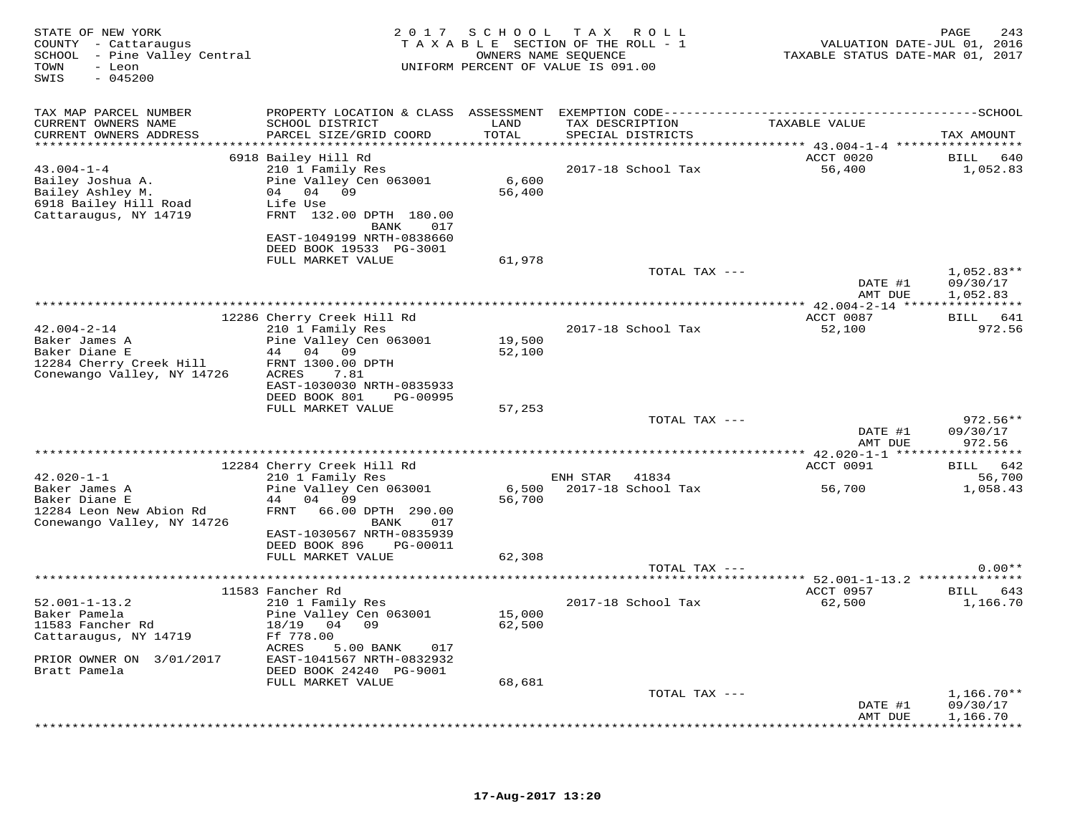| STATE OF NEW YORK<br>COUNTY - Cattaraugus<br>SCHOOL - Pine Valley Central<br>- Leon<br>TOWN<br>SWIS<br>$-045200$ | 2 0 1 7                                              | SCHOOL          | T A X<br>ROLL ROLL<br>TAXABLE SECTION OF THE ROLL - 1<br>OWNERS NAME SEOUENCE<br>UNIFORM PERCENT OF VALUE IS 091.00 | VALUATION DATE-JUL 01, 2016<br>TAXABLE STATUS DATE-MAR 01, 2017 | PAGE<br>243                               |
|------------------------------------------------------------------------------------------------------------------|------------------------------------------------------|-----------------|---------------------------------------------------------------------------------------------------------------------|-----------------------------------------------------------------|-------------------------------------------|
| TAX MAP PARCEL NUMBER                                                                                            |                                                      |                 |                                                                                                                     |                                                                 |                                           |
| CURRENT OWNERS NAME<br>CURRENT OWNERS ADDRESS                                                                    | SCHOOL DISTRICT<br>PARCEL SIZE/GRID COORD            | LAND<br>TOTAL   | TAX DESCRIPTION<br>SPECIAL DISTRICTS                                                                                | TAXABLE VALUE                                                   | TAX AMOUNT                                |
|                                                                                                                  | 6918 Bailey Hill Rd                                  |                 |                                                                                                                     | ACCT 0020                                                       | BILL 640                                  |
| $43.004 - 1 - 4$                                                                                                 | 210 1 Family Res                                     |                 | 2017-18 School Tax                                                                                                  | 56,400                                                          | 1,052.83                                  |
| Bailey Joshua A.<br>Bailey Ashley M.                                                                             | Pine Valley Cen 063001<br>04 04 09                   | 6,600<br>56,400 |                                                                                                                     |                                                                 |                                           |
| 6918 Bailey Hill Road                                                                                            | Life Use                                             |                 |                                                                                                                     |                                                                 |                                           |
| Cattaraugus, NY 14719                                                                                            | FRNT 132.00 DPTH 180.00                              |                 |                                                                                                                     |                                                                 |                                           |
|                                                                                                                  | BANK<br>017                                          |                 |                                                                                                                     |                                                                 |                                           |
|                                                                                                                  | EAST-1049199 NRTH-0838660<br>DEED BOOK 19533 PG-3001 |                 |                                                                                                                     |                                                                 |                                           |
|                                                                                                                  | FULL MARKET VALUE                                    | 61,978          |                                                                                                                     |                                                                 |                                           |
|                                                                                                                  |                                                      |                 | TOTAL TAX ---                                                                                                       |                                                                 | $1,052.83**$                              |
|                                                                                                                  |                                                      |                 |                                                                                                                     | DATE #1                                                         | 09/30/17                                  |
|                                                                                                                  |                                                      |                 |                                                                                                                     | AMT DUE                                                         | 1,052.83                                  |
|                                                                                                                  | 12286 Cherry Creek Hill Rd                           |                 |                                                                                                                     | ACCT 0087                                                       | BILL 641                                  |
| $42.004 - 2 - 14$                                                                                                | 210 1 Family Res                                     |                 | 2017-18 School Tax                                                                                                  | 52,100                                                          | 972.56                                    |
| Baker James A<br>Baker Diane E                                                                                   | Pine Valley Cen 063001<br>44 04 09                   | 19,500          |                                                                                                                     |                                                                 |                                           |
| 12284 Cherry Creek Hill                                                                                          | FRNT 1300.00 DPTH                                    | 52,100          |                                                                                                                     |                                                                 |                                           |
| Conewango Valley, NY 14726                                                                                       | ACRES<br>7.81                                        |                 |                                                                                                                     |                                                                 |                                           |
|                                                                                                                  | EAST-1030030 NRTH-0835933                            |                 |                                                                                                                     |                                                                 |                                           |
|                                                                                                                  | DEED BOOK 801<br>PG-00995                            |                 |                                                                                                                     |                                                                 |                                           |
|                                                                                                                  | FULL MARKET VALUE                                    | 57,253          | TOTAL TAX ---                                                                                                       |                                                                 | $972.56**$                                |
|                                                                                                                  |                                                      |                 |                                                                                                                     | DATE #1                                                         | 09/30/17                                  |
|                                                                                                                  |                                                      |                 |                                                                                                                     | AMT DUE                                                         | 972.56                                    |
|                                                                                                                  |                                                      |                 |                                                                                                                     | ************ 42.020-1-1 *****<br>ACCT 0091                      | * * * * * * * * * *<br>642<br><b>BILL</b> |
| $42.020 - 1 - 1$                                                                                                 | 12284 Cherry Creek Hill Rd<br>210 1 Family Res       |                 | ENH STAR<br>41834                                                                                                   |                                                                 | 56,700                                    |
| Baker James A                                                                                                    | Pine Valley Cen 063001                               | 6,500           | 2017-18 School Tax                                                                                                  | 56,700                                                          | 1,058.43                                  |
| Baker Diane E                                                                                                    | 44 04 09                                             | 56,700          |                                                                                                                     |                                                                 |                                           |
| 12284 Leon New Abion Rd                                                                                          | FRNT 66.00 DPTH 290.00<br>017                        |                 |                                                                                                                     |                                                                 |                                           |
| Conewango Valley, NY 14726                                                                                       | BANK<br>EAST-1030567 NRTH-0835939                    |                 |                                                                                                                     |                                                                 |                                           |
|                                                                                                                  | DEED BOOK 896<br>PG-00011                            |                 |                                                                                                                     |                                                                 |                                           |
|                                                                                                                  | FULL MARKET VALUE                                    | 62,308          |                                                                                                                     |                                                                 |                                           |
|                                                                                                                  |                                                      |                 | TOTAL TAX ---                                                                                                       |                                                                 | $0.00**$                                  |
|                                                                                                                  | 11583 Fancher Rd                                     |                 |                                                                                                                     | ACCT 0957                                                       | BILL 643                                  |
| $52.001 - 1 - 13.2$                                                                                              | 210 1 Family Res                                     |                 | 2017-18 School Tax                                                                                                  | 62,500                                                          | 1,166.70                                  |
| Baker Pamela                                                                                                     | Pine Valley Cen 063001                               | 15,000          |                                                                                                                     |                                                                 |                                           |
| 11583 Fancher Rd                                                                                                 | 18/19 04 09<br>Ff 778.00                             | 62,500          |                                                                                                                     |                                                                 |                                           |
| Cattaraugus, NY 14719                                                                                            | ACRES<br>5.00 BANK<br>017                            |                 |                                                                                                                     |                                                                 |                                           |
| PRIOR OWNER ON 3/01/2017                                                                                         | EAST-1041567 NRTH-0832932                            |                 |                                                                                                                     |                                                                 |                                           |
| Bratt Pamela                                                                                                     | DEED BOOK 24240 PG-9001                              |                 |                                                                                                                     |                                                                 |                                           |
|                                                                                                                  | FULL MARKET VALUE                                    | 68,681          | TOTAL TAX ---                                                                                                       |                                                                 | $1,166.70**$                              |
|                                                                                                                  |                                                      |                 |                                                                                                                     | DATE #1                                                         | 09/30/17                                  |
|                                                                                                                  |                                                      |                 |                                                                                                                     | AMT DUE                                                         | 1,166.70                                  |
|                                                                                                                  |                                                      |                 |                                                                                                                     |                                                                 | <b>+++++++++</b>                          |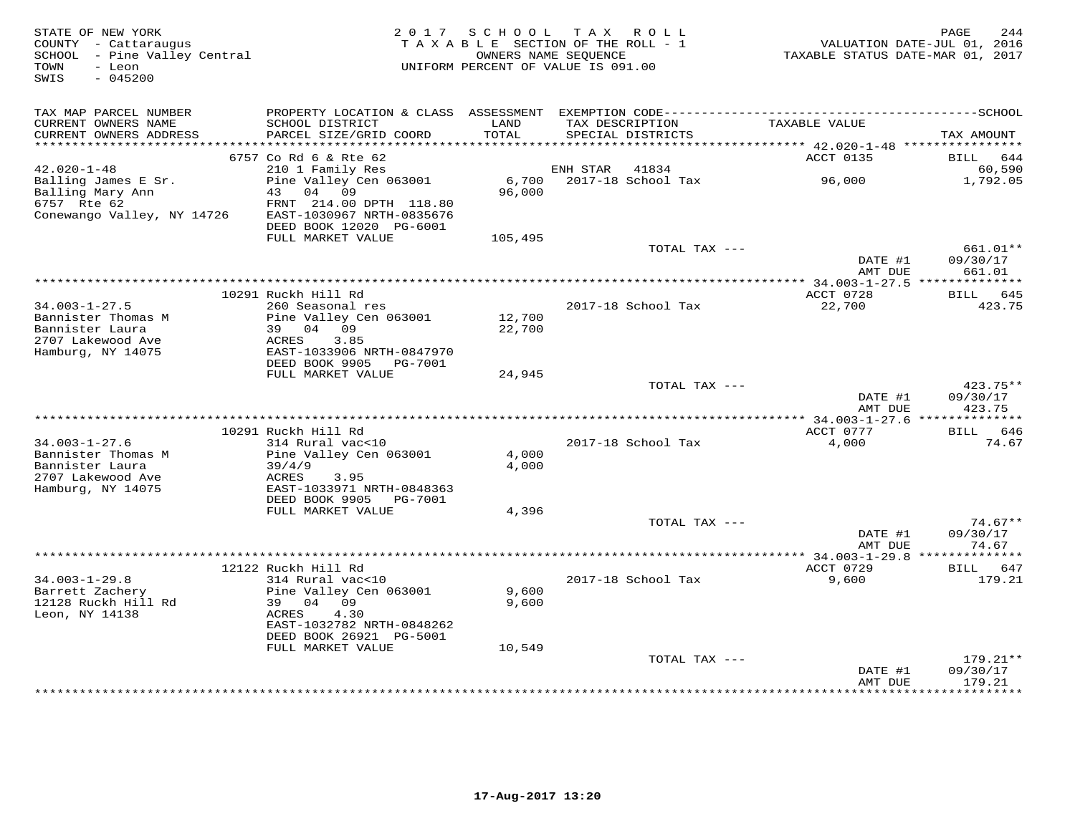| STATE OF NEW YORK<br>COUNTY - Cattaraugus<br>SCHOOL - Pine Valley Central<br>- Leon<br>TOWN<br>SWIS<br>$-045200$ |                                                               | 2017 SCHOOL TAX ROLL<br>TAXABLE SECTION OF THE ROLL - 1<br>UNIFORM PERCENT OF VALUE IS 091.00 | OWNERS NAME SEQUENCE |                                      | TAXABLE STATUS DATE-MAR 01, 2017 | 244<br>PAGE<br>VALUATION DATE-JUL 01, 2016 |
|------------------------------------------------------------------------------------------------------------------|---------------------------------------------------------------|-----------------------------------------------------------------------------------------------|----------------------|--------------------------------------|----------------------------------|--------------------------------------------|
| TAX MAP PARCEL NUMBER                                                                                            |                                                               |                                                                                               |                      |                                      |                                  |                                            |
| CURRENT OWNERS NAME<br>CURRENT OWNERS ADDRESS<br>***********************                                         | SCHOOL DISTRICT<br>PARCEL SIZE/GRID COORD                     | LAND<br>TOTAL                                                                                 |                      | TAX DESCRIPTION<br>SPECIAL DISTRICTS | TAXABLE VALUE                    | TAX AMOUNT                                 |
|                                                                                                                  | 6757 Co Rd 6 & Rte 62                                         |                                                                                               |                      |                                      | ACCT 0135                        | <b>BILL</b><br>644                         |
| $42.020 - 1 - 48$                                                                                                | 210 1 Family Res                                              |                                                                                               | ENH STAR             | 41834                                |                                  | 60,590                                     |
| Balling James E Sr.<br>Balling Mary Ann<br>6757 Rte 62                                                           | Pine Valley Cen 063001<br>43 04 09<br>FRNT 214.00 DPTH 118.80 | 6,700<br>96,000                                                                               |                      | 2017-18 School Tax                   | 96,000                           | 1,792.05                                   |
| Conewango Valley, NY 14726                                                                                       | EAST-1030967 NRTH-0835676<br>DEED BOOK 12020 PG-6001          |                                                                                               |                      |                                      |                                  |                                            |
|                                                                                                                  | FULL MARKET VALUE                                             | 105,495                                                                                       |                      |                                      |                                  |                                            |
|                                                                                                                  |                                                               |                                                                                               |                      | TOTAL TAX ---                        | DATE #1<br>AMT DUE               | 661.01**<br>09/30/17<br>661.01             |
|                                                                                                                  |                                                               |                                                                                               |                      |                                      |                                  |                                            |
|                                                                                                                  | 10291 Ruckh Hill Rd                                           |                                                                                               |                      |                                      | ACCT 0728                        | BILL 645                                   |
| $34.003 - 1 - 27.5$                                                                                              | 260 Seasonal res                                              |                                                                                               |                      | 2017-18 School Tax                   | 22,700                           | 423.75                                     |
| Bannister Thomas M<br>Bannister Laura                                                                            | Pine Valley Cen 063001<br>39<br>04 09                         | 12,700<br>22,700                                                                              |                      |                                      |                                  |                                            |
| 2707 Lakewood Ave                                                                                                | ACRES<br>3.85                                                 |                                                                                               |                      |                                      |                                  |                                            |
| Hamburg, NY 14075                                                                                                | EAST-1033906 NRTH-0847970                                     |                                                                                               |                      |                                      |                                  |                                            |
|                                                                                                                  | DEED BOOK 9905<br>PG-7001                                     |                                                                                               |                      |                                      |                                  |                                            |
|                                                                                                                  | FULL MARKET VALUE                                             | 24,945                                                                                        |                      |                                      |                                  |                                            |
|                                                                                                                  |                                                               |                                                                                               |                      | TOTAL TAX ---                        | DATE #1                          | $423.75**$<br>09/30/17                     |
|                                                                                                                  |                                                               |                                                                                               |                      |                                      | AMT DUE                          | 423.75                                     |
|                                                                                                                  |                                                               |                                                                                               |                      |                                      |                                  |                                            |
|                                                                                                                  | 10291 Ruckh Hill Rd                                           |                                                                                               |                      |                                      | ACCT 0777                        | BILL 646                                   |
| $34.003 - 1 - 27.6$                                                                                              | 314 Rural vac<10                                              |                                                                                               |                      | 2017-18 School Tax                   | 4,000                            | 74.67                                      |
| Bannister Thomas M<br>Bannister Laura                                                                            | Pine Valley Cen 063001<br>39/4/9                              | 4,000<br>4,000                                                                                |                      |                                      |                                  |                                            |
| 2707 Lakewood Ave                                                                                                | ACRES<br>3.95                                                 |                                                                                               |                      |                                      |                                  |                                            |
| Hamburg, NY 14075                                                                                                | EAST-1033971 NRTH-0848363                                     |                                                                                               |                      |                                      |                                  |                                            |
|                                                                                                                  | DEED BOOK 9905<br>PG-7001                                     |                                                                                               |                      |                                      |                                  |                                            |
|                                                                                                                  | FULL MARKET VALUE                                             | 4,396                                                                                         |                      | TOTAL TAX ---                        |                                  |                                            |
|                                                                                                                  |                                                               |                                                                                               |                      |                                      | DATE #1                          | $74.67**$<br>09/30/17                      |
|                                                                                                                  |                                                               |                                                                                               |                      |                                      | AMT DUE                          | 74.67                                      |
|                                                                                                                  |                                                               |                                                                                               |                      |                                      |                                  |                                            |
|                                                                                                                  | 12122 Ruckh Hill Rd                                           |                                                                                               |                      |                                      | ACCT 0729                        | 647<br>BILL                                |
| $34.003 - 1 - 29.8$<br>Barrett Zacherv                                                                           | 314 Rural vac<10<br>Pine Valley Cen 063001                    | 9,600                                                                                         |                      | 2017-18 School Tax                   | 9,600                            | 179.21                                     |
| 12128 Ruckh Hill Rd                                                                                              | 39 04 09                                                      | 9,600                                                                                         |                      |                                      |                                  |                                            |
| Leon, NY 14138                                                                                                   | 4.30<br>ACRES                                                 |                                                                                               |                      |                                      |                                  |                                            |
|                                                                                                                  | EAST-1032782 NRTH-0848262                                     |                                                                                               |                      |                                      |                                  |                                            |
|                                                                                                                  | DEED BOOK 26921 PG-5001                                       |                                                                                               |                      |                                      |                                  |                                            |
|                                                                                                                  | FULL MARKET VALUE                                             | 10,549                                                                                        |                      | TOTAL TAX ---                        |                                  | 179.21**                                   |
|                                                                                                                  |                                                               |                                                                                               |                      |                                      | DATE #1                          | 09/30/17                                   |
|                                                                                                                  |                                                               |                                                                                               |                      |                                      | AMT DUE                          | 179.21                                     |
|                                                                                                                  |                                                               |                                                                                               |                      |                                      |                                  | * * * * * * * *                            |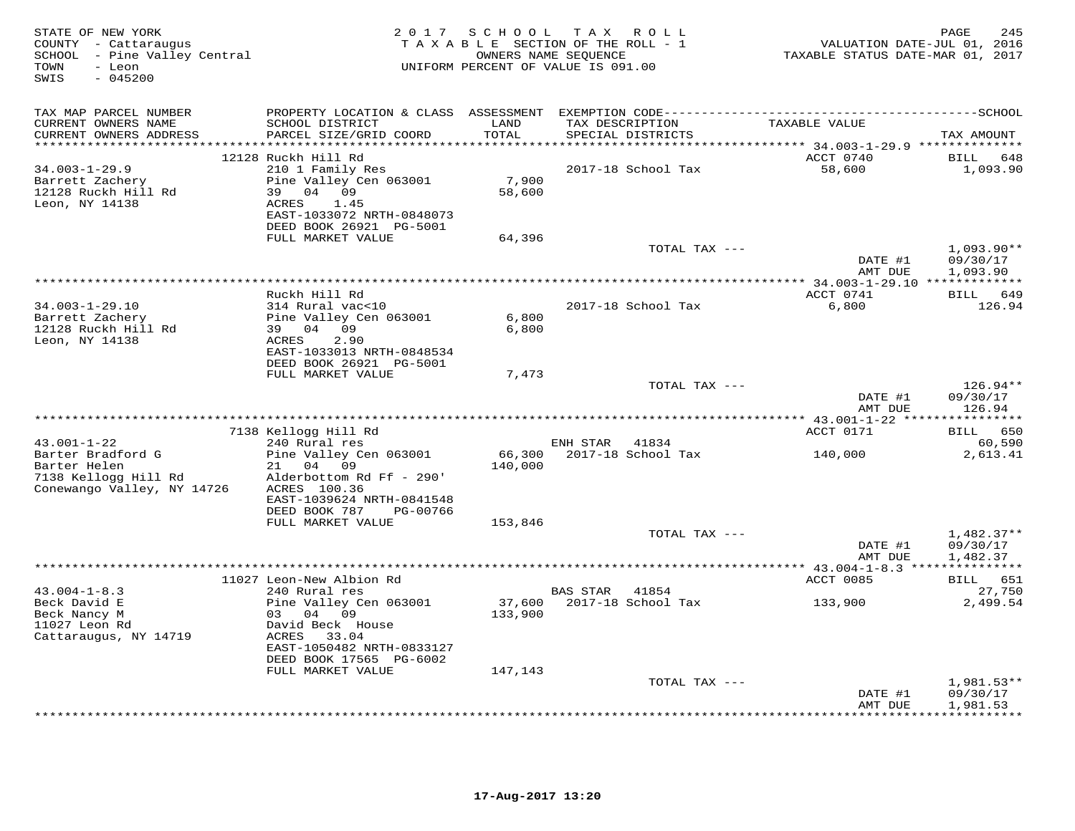| STATE OF NEW YORK<br>COUNTY - Cattaraugus<br>SCHOOL - Pine Valley Central<br>- Leon<br>TOWN<br>$-045200$<br>SWIS |                                                                                                                             |                                       | 2017 SCHOOL TAX ROLL<br>TAXABLE SECTION OF THE ROLL - 1<br>OWNERS NAME SEQUENCE<br>UNIFORM PERCENT OF VALUE IS 091.00 | VALUATION DATE-JUL 01, 2016<br>TAXABLE STATUS DATE-MAR 01, 2017                  | 245<br>PAGE                           |
|------------------------------------------------------------------------------------------------------------------|-----------------------------------------------------------------------------------------------------------------------------|---------------------------------------|-----------------------------------------------------------------------------------------------------------------------|----------------------------------------------------------------------------------|---------------------------------------|
| TAX MAP PARCEL NUMBER                                                                                            |                                                                                                                             |                                       |                                                                                                                       |                                                                                  |                                       |
| CURRENT OWNERS NAME<br>CURRENT OWNERS ADDRESS                                                                    | SCHOOL DISTRICT<br>PARCEL SIZE/GRID COORD                                                                                   | LAND<br>TOTAL<br>******************** | TAX DESCRIPTION<br>SPECIAL DISTRICTS                                                                                  | TAXABLE VALUE                                                                    | TAX AMOUNT                            |
| $34.003 - 1 - 29.9$<br>Barrett Zachery<br>12128 Ruckh Hill Rd<br>Leon, NY 14138                                  | 12128 Ruckh Hill Rd<br>210 1 Family Res<br>Pine Valley Cen 063001<br>39 04 09<br>ACRES<br>1.45                              | 7,900<br>58,600                       | 2017-18 School Tax                                                                                                    | **************************** 34.003-1-29.9 **************<br>ACCT 0740<br>58,600 | BILL 648<br>1,093.90                  |
|                                                                                                                  | EAST-1033072 NRTH-0848073<br>DEED BOOK 26921 PG-5001<br>FULL MARKET VALUE                                                   | 64,396                                |                                                                                                                       |                                                                                  |                                       |
|                                                                                                                  |                                                                                                                             |                                       | TOTAL TAX ---                                                                                                         | DATE #1<br>AMT DUE                                                               | $1,093.90**$<br>09/30/17<br>1,093.90  |
|                                                                                                                  |                                                                                                                             |                                       |                                                                                                                       |                                                                                  |                                       |
| 34.003-1-29.10<br>Barrett Zachery<br>12128 Ruckh Hill Rd<br>Leon, NY 14138                                       | Ruckh Hill Rd<br>314 Rural vac<10<br>Pine Valley Cen 063001<br>39 04 09<br>2.90<br>ACRES<br>EAST-1033013 NRTH-0848534       | 6,800<br>6,800                        | 2017-18 School Tax                                                                                                    | ACCT 0741<br>6,800                                                               | BILL 649<br>126.94                    |
|                                                                                                                  | DEED BOOK 26921 PG-5001<br>FULL MARKET VALUE                                                                                | 7,473                                 |                                                                                                                       |                                                                                  |                                       |
|                                                                                                                  |                                                                                                                             |                                       | TOTAL TAX ---                                                                                                         | DATE #1<br>AMT DUE                                                               | $126.94**$<br>09/30/17<br>126.94      |
|                                                                                                                  |                                                                                                                             |                                       |                                                                                                                       |                                                                                  |                                       |
|                                                                                                                  | 7138 Kellogg Hill Rd<br>240 Rural res                                                                                       |                                       |                                                                                                                       | ACCT 0171                                                                        | BILL 650                              |
| $43.001 - 1 - 22$<br>Barter Bradford G<br>Barter Helen<br>7138 Kellogg Hill Rd<br>Conewango Valley, NY 14726     | Pine Valley Cen 063001<br>21 04 09<br>Alderbottom Rd Ff - 290'<br>ACRES 100.36<br>EAST-1039624 NRTH-0841548                 | 140,000                               | ENH STAR 41834<br>66,300 2017-18 School Tax 140,000                                                                   |                                                                                  | 60,590<br>2,613.41                    |
|                                                                                                                  | DEED BOOK 787<br>PG-00766<br>FULL MARKET VALUE                                                                              | 153,846                               |                                                                                                                       |                                                                                  |                                       |
|                                                                                                                  |                                                                                                                             |                                       | TOTAL TAX ---                                                                                                         | DATE #1<br>AMT DUE                                                               | $1,482.37**$<br>09/30/17<br>1,482.37  |
|                                                                                                                  |                                                                                                                             |                                       |                                                                                                                       |                                                                                  |                                       |
| $43.004 - 1 - 8.3$<br>Beck David E                                                                               | 11027 Leon-New Albion Rd<br>240 Rural res<br>Pine Valley Cen 063001                                                         |                                       | BAS STAR 41854                                                                                                        | ACCT 0085                                                                        | BILL 651<br>27,750<br>2,499.54        |
| Beck Nancy M<br>11027 Leon Rd<br>Cattaraugus, NY 14719                                                           | 03 04 09<br>David Beck House<br>33.04<br>ACRES<br>EAST-1050482 NRTH-0833127<br>DEED BOOK 17565 PG-6002<br>FULL MARKET VALUE | 133,900<br>147,143                    |                                                                                                                       |                                                                                  |                                       |
|                                                                                                                  |                                                                                                                             |                                       | TOTAL TAX ---                                                                                                         |                                                                                  | 1,981.53**                            |
|                                                                                                                  |                                                                                                                             |                                       |                                                                                                                       | DATE #1<br>AMT DUE                                                               | 09/30/17<br>1,981.53<br>************* |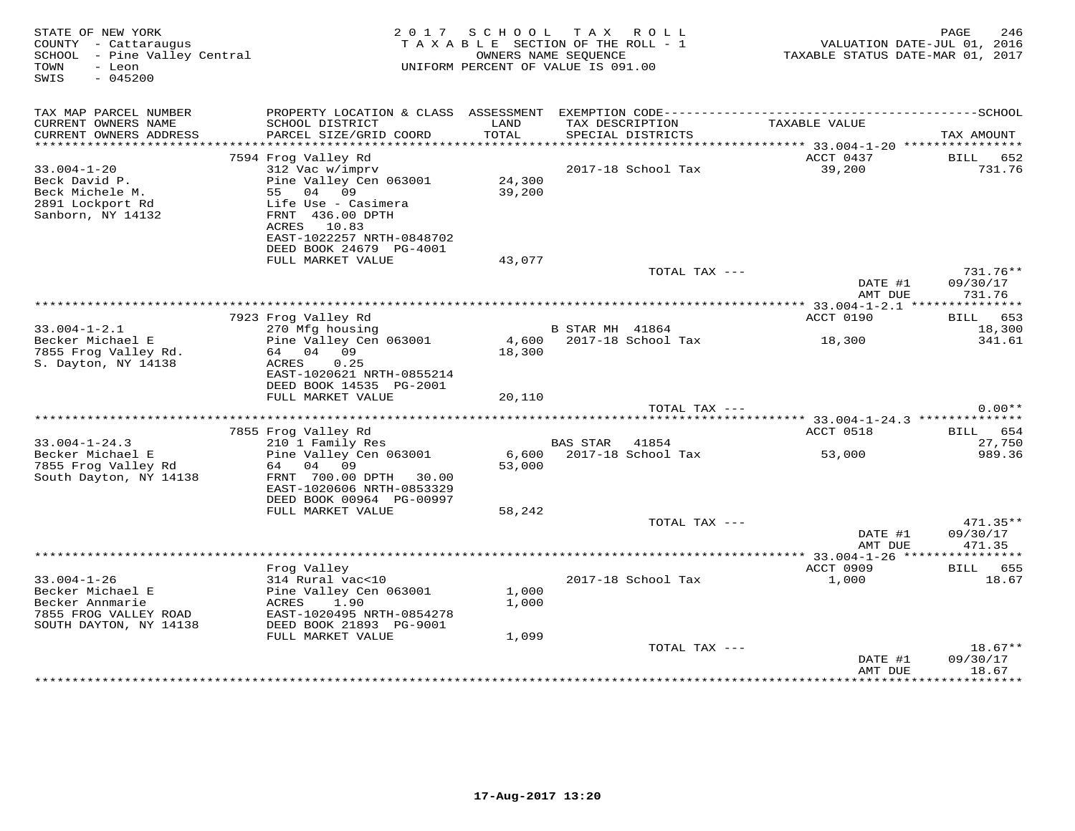| STATE OF NEW YORK<br>COUNTY - Cattaraugus<br>SCHOOL - Pine Valley Central<br>TOWN<br>- Leon<br>SWIS<br>$-045200$ |                                                                                                                                                                     | 2 0 1 7<br>SCHOOL TAX ROLL<br>TAXABLE SECTION OF THE ROLL - 1<br>OWNERS NAME SEQUENCE<br>UNIFORM PERCENT OF VALUE IS 091.00 |                 |                                      |                     | PAGE<br>246<br>VALUATION DATE-JUL 01, 2016<br>TAXABLE STATUS DATE-MAR 01, 2017 |  |  |
|------------------------------------------------------------------------------------------------------------------|---------------------------------------------------------------------------------------------------------------------------------------------------------------------|-----------------------------------------------------------------------------------------------------------------------------|-----------------|--------------------------------------|---------------------|--------------------------------------------------------------------------------|--|--|
| TAX MAP PARCEL NUMBER<br>CURRENT OWNERS NAME<br>CURRENT OWNERS ADDRESS                                           | SCHOOL DISTRICT<br>PARCEL SIZE/GRID COORD                                                                                                                           | LAND<br>TOTAL                                                                                                               |                 | TAX DESCRIPTION<br>SPECIAL DISTRICTS | TAXABLE VALUE       | TAX AMOUNT                                                                     |  |  |
|                                                                                                                  |                                                                                                                                                                     |                                                                                                                             |                 |                                      |                     |                                                                                |  |  |
| $33.004 - 1 - 20$<br>Beck David P.<br>Beck Michele M.<br>2891 Lockport Rd<br>Sanborn, NY 14132                   | 7594 Frog Valley Rd<br>312 Vac w/imprv<br>Pine Valley Cen 063001<br>55 04 09<br>Life Use - Casimera<br>FRNT 436.00 DPTH<br>ACRES 10.83<br>EAST-1022257 NRTH-0848702 | 24,300<br>39,200                                                                                                            |                 | 2017-18 School Tax                   | ACCT 0437<br>39,200 | BILL 652<br>731.76                                                             |  |  |
|                                                                                                                  | DEED BOOK 24679 PG-4001                                                                                                                                             |                                                                                                                             |                 |                                      |                     |                                                                                |  |  |
|                                                                                                                  | FULL MARKET VALUE                                                                                                                                                   | 43,077                                                                                                                      |                 | TOTAL TAX ---                        | DATE #1<br>AMT DUE  | 731.76**<br>09/30/17<br>731.76                                                 |  |  |
|                                                                                                                  |                                                                                                                                                                     |                                                                                                                             |                 |                                      |                     |                                                                                |  |  |
|                                                                                                                  | 7923 Frog Valley Rd                                                                                                                                                 |                                                                                                                             |                 |                                      | ACCT 0190           | BILL 653                                                                       |  |  |
| $33.004 - 1 - 2.1$<br>Becker Michael E<br>7855 Frog Valley Rd.<br>S. Dayton, NY 14138                            | 270 Mfg housing<br>Pine Valley Cen 063001<br>64 04 09<br>ACRES<br>0.25<br>EAST-1020621 NRTH-0855214                                                                 | 18,300                                                                                                                      | B STAR MH 41864 | 4,600 2017-18 School Tax             | 18,300              | 18,300<br>341.61                                                               |  |  |
|                                                                                                                  | DEED BOOK 14535 PG-2001<br>FULL MARKET VALUE                                                                                                                        | 20,110                                                                                                                      |                 |                                      |                     |                                                                                |  |  |
|                                                                                                                  |                                                                                                                                                                     |                                                                                                                             |                 | TOTAL TAX ---                        |                     | $0.00**$                                                                       |  |  |
|                                                                                                                  | 7855 Frog Valley Rd                                                                                                                                                 |                                                                                                                             |                 |                                      | ACCT 0518           | BILL 654                                                                       |  |  |
| $33.004 - 1 - 24.3$                                                                                              | 210 1 Family Res                                                                                                                                                    |                                                                                                                             | BAS STAR 41854  |                                      |                     | 27,750                                                                         |  |  |
| Becker Michael E<br>7855 Frog Valley Rd<br>South Dayton, NY 14138                                                | Pine Valley Cen 063001<br>64<br>04 09<br>FRNT 700.00 DPTH 30.00<br>EAST-1020606 NRTH-0853329<br>DEED BOOK 00964 PG-00997                                            | 53,000                                                                                                                      |                 | 6,600 2017-18 School Tax             | 53,000              | 989.36                                                                         |  |  |
|                                                                                                                  | FULL MARKET VALUE                                                                                                                                                   | 58,242                                                                                                                      |                 |                                      |                     |                                                                                |  |  |
|                                                                                                                  |                                                                                                                                                                     |                                                                                                                             |                 | TOTAL TAX ---                        | DATE #1<br>AMT DUE  | $471.35**$<br>09/30/17<br>471.35                                               |  |  |
|                                                                                                                  |                                                                                                                                                                     |                                                                                                                             |                 |                                      |                     |                                                                                |  |  |
| $33.004 - 1 - 26$<br>Becker Michael E<br>Becker Annmarie<br>7855 FROG VALLEY ROAD<br>SOUTH DAYTON, NY 14138      | Frog Valley<br>314 Rural vac<10<br>Pine Valley Cen 063001<br>ACRES<br>1.90<br>EAST-1020495 NRTH-0854278<br>DEED BOOK 21893 PG-9001<br>FULL MARKET VALUE             | 1,000<br>1,000<br>1,099                                                                                                     |                 | 2017-18 School Tax                   | ACCT 0909<br>1,000  | BILL 655<br>18.67                                                              |  |  |
|                                                                                                                  |                                                                                                                                                                     |                                                                                                                             |                 | TOTAL TAX ---                        |                     | $18.67**$                                                                      |  |  |
|                                                                                                                  |                                                                                                                                                                     |                                                                                                                             |                 |                                      | DATE #1<br>AMT DUE  | 09/30/17<br>18.67                                                              |  |  |
|                                                                                                                  |                                                                                                                                                                     |                                                                                                                             |                 |                                      |                     | * * * * * * * * * *                                                            |  |  |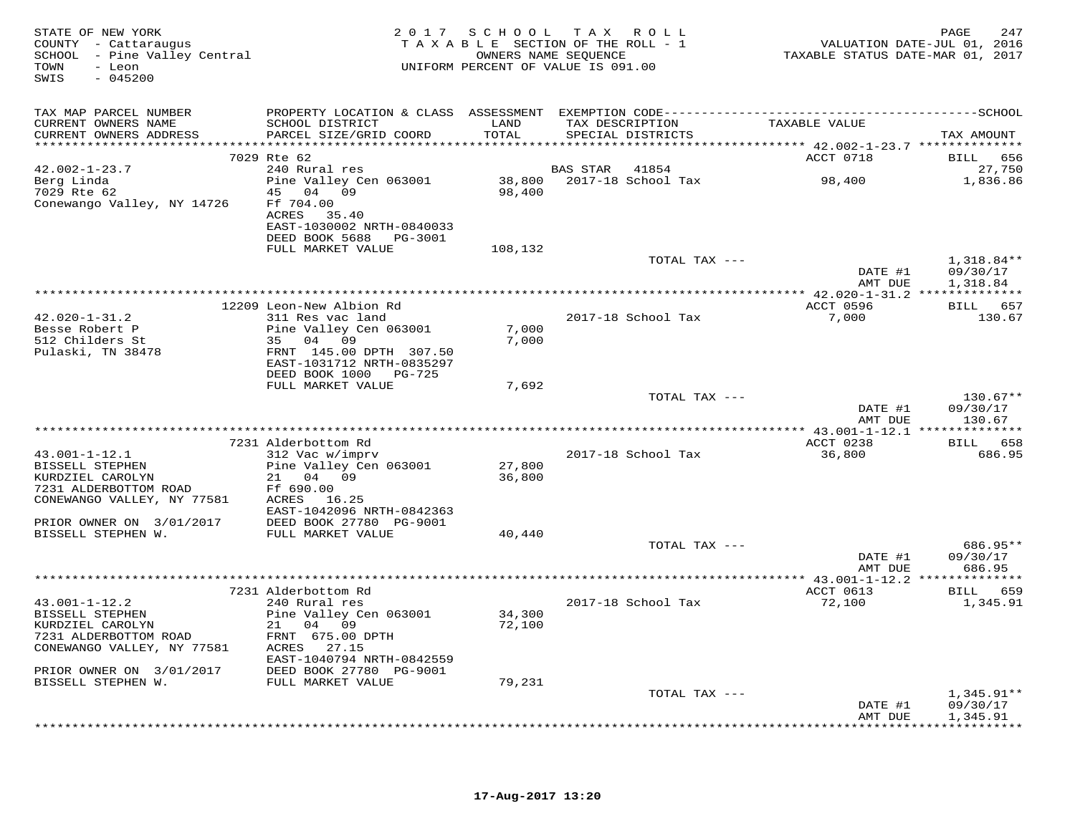| STATE OF NEW YORK<br>COUNTY - Cattaraugus<br>SCHOOL - Pine Valley Central<br>- Leon<br>TOWN<br>$-045200$<br>SWIS |                                                                                             |                  | 2017 SCHOOL TAX ROLL<br>TAXABLE SECTION OF THE ROLL - 1<br>OWNERS NAME SEQUENCE<br>UNIFORM PERCENT OF VALUE IS 091.00 | VALUATION DATE-JUL 01, 2016<br>TAXABLE STATUS DATE-MAR 01, 2017 | 247<br>PAGE                          |
|------------------------------------------------------------------------------------------------------------------|---------------------------------------------------------------------------------------------|------------------|-----------------------------------------------------------------------------------------------------------------------|-----------------------------------------------------------------|--------------------------------------|
| TAX MAP PARCEL NUMBER                                                                                            |                                                                                             |                  |                                                                                                                       |                                                                 |                                      |
| CURRENT OWNERS NAME<br>CURRENT OWNERS ADDRESS                                                                    | SCHOOL DISTRICT<br>PARCEL SIZE/GRID COORD                                                   | LAND<br>TOTAL    | TAX DESCRIPTION<br>SPECIAL DISTRICTS                                                                                  | TAXABLE VALUE                                                   | TAX AMOUNT                           |
|                                                                                                                  |                                                                                             |                  |                                                                                                                       |                                                                 |                                      |
|                                                                                                                  | 7029 Rte 62                                                                                 |                  |                                                                                                                       | ACCT 0718                                                       | BILL 656                             |
| $42.002 - 1 - 23.7$                                                                                              | 240 Rural res<br>Pine Valley Cen 063001 38,800 2017-18 School Tax                           |                  | <b>BAS STAR 41854</b>                                                                                                 |                                                                 | 27,750                               |
| Berg Linda<br>7029 Rte 62<br>Conewango Valley, NY 14726                                                          | 45 04 09<br>Ff 704.00<br>ACRES 35.40<br>EAST-1030002 NRTH-0840033<br>DEED BOOK 5688 PG-3001 | 98,400           |                                                                                                                       | 98,400                                                          | 1,836.86                             |
|                                                                                                                  | FULL MARKET VALUE                                                                           | 108,132          |                                                                                                                       |                                                                 |                                      |
|                                                                                                                  |                                                                                             |                  | TOTAL TAX ---                                                                                                         | DATE #1<br>AMT DUE                                              | $1,318.84**$<br>09/30/17<br>1,318.84 |
|                                                                                                                  |                                                                                             |                  |                                                                                                                       |                                                                 |                                      |
|                                                                                                                  | 12209 Leon-New Albion Rd                                                                    |                  |                                                                                                                       | ACCT 0596                                                       | BILL 657                             |
| $42.020 - 1 - 31.2$                                                                                              | 311 Res vac land                                                                            |                  | 2017-18 School Tax                                                                                                    | 7,000                                                           | 130.67                               |
| Besse Robert P<br>512 Childers St                                                                                | Pine Valley Cen 063001<br>35 04 09                                                          | 7,000<br>7,000   |                                                                                                                       |                                                                 |                                      |
| Pulaski, TN 38478                                                                                                | FRNT 145.00 DPTH 307.50<br>EAST-1031712 NRTH-0835297<br>DEED BOOK 1000 PG-725               |                  |                                                                                                                       |                                                                 |                                      |
|                                                                                                                  | FULL MARKET VALUE                                                                           | 7,692            |                                                                                                                       |                                                                 |                                      |
|                                                                                                                  |                                                                                             |                  | TOTAL TAX ---                                                                                                         | DATE #1<br>AMT DUE                                              | $130.67**$<br>09/30/17<br>130.67     |
|                                                                                                                  |                                                                                             |                  |                                                                                                                       |                                                                 |                                      |
|                                                                                                                  | 7231 Alderbottom Rd                                                                         |                  |                                                                                                                       | ACCT 0238                                                       | BILL 658                             |
| $43.001 - 1 - 12.1$                                                                                              | 312 Vac w/imprv                                                                             |                  | 2017-18 School Tax                                                                                                    | 36,800                                                          | 686.95                               |
| BISSELL STEPHEN<br>KURDZIEL CAROLYN<br>7231 ALDERBOTTOM ROAD<br>CONEWANGO VALLEY, NY 77581 ACRES 16.25           | Pine Valley Cen 063001<br>21 04 09<br>Ff 690.00<br>EAST-1042096 NRTH-0842363                | 27,800<br>36,800 |                                                                                                                       |                                                                 |                                      |
| PRIOR OWNER ON 3/01/2017                                                                                         | DEED BOOK 27780 PG-9001                                                                     |                  |                                                                                                                       |                                                                 |                                      |
| BISSELL STEPHEN W.                                                                                               | FULL MARKET VALUE                                                                           | 40,440           |                                                                                                                       |                                                                 |                                      |
|                                                                                                                  |                                                                                             |                  | TOTAL TAX ---                                                                                                         |                                                                 | 686.95**                             |
|                                                                                                                  |                                                                                             |                  |                                                                                                                       | DATE #1<br>AMT DUE                                              | 09/30/17<br>686.95                   |
|                                                                                                                  |                                                                                             |                  |                                                                                                                       |                                                                 |                                      |
|                                                                                                                  | 7231 Alderbottom Rd                                                                         |                  |                                                                                                                       | ACCT 0613                                                       | BILL 659                             |
| $43.001 - 1 - 12.2$<br>BISSELL STEPHEN                                                                           | 240 Rural res<br>Pine Valley Cen 063001                                                     | 34,300           | 2017-18 School Tax                                                                                                    | 72,100                                                          | 1,345.91                             |
| KURDZIEL CAROLYN                                                                                                 | 21 04 09                                                                                    | 72,100           |                                                                                                                       |                                                                 |                                      |
| 7231 ALDERBOTTOM ROAD                                                                                            | FRNT 675.00 DPTH                                                                            |                  |                                                                                                                       |                                                                 |                                      |
| CONEWANGO VALLEY, NY 77581                                                                                       | ACRES 27.15                                                                                 |                  |                                                                                                                       |                                                                 |                                      |
| PRIOR OWNER ON 3/01/2017                                                                                         | EAST-1040794 NRTH-0842559<br>DEED BOOK 27780 PG-9001                                        |                  |                                                                                                                       |                                                                 |                                      |
| BISSELL STEPHEN W.                                                                                               | FULL MARKET VALUE                                                                           | 79,231           |                                                                                                                       |                                                                 |                                      |
|                                                                                                                  |                                                                                             |                  | TOTAL TAX ---                                                                                                         |                                                                 | $1,345.91**$                         |
|                                                                                                                  |                                                                                             |                  |                                                                                                                       | DATE #1                                                         | 09/30/17                             |
|                                                                                                                  |                                                                                             |                  |                                                                                                                       | AMT DUE                                                         | 1,345.91<br>************             |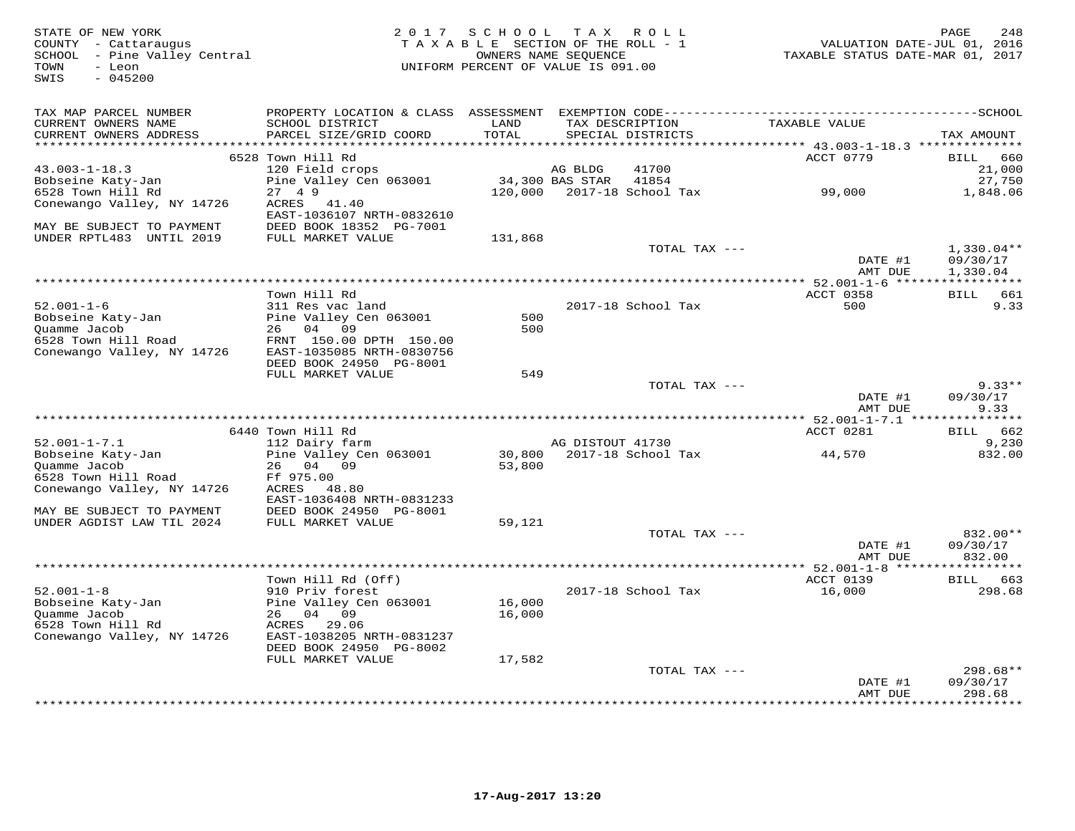| STATE OF NEW YORK<br>COUNTY - Cattaraugus<br>SCHOOL - Pine Valley Central<br>TOWN<br>- Leon<br>$-045200$<br>SWIS |                                                      | 2017 SCHOOL TAX ROLL<br>TAXABLE SECTION OF THE ROLL - 1<br>OWNERS NAME SEQUENCE<br>UNIFORM PERCENT OF VALUE IS 091.00 |                  |                                      | TAXABLE STATUS DATE-MAR 01, 2017                        | PAGE<br>248<br>VALUATION DATE-JUL 01, 2016 |
|------------------------------------------------------------------------------------------------------------------|------------------------------------------------------|-----------------------------------------------------------------------------------------------------------------------|------------------|--------------------------------------|---------------------------------------------------------|--------------------------------------------|
| TAX MAP PARCEL NUMBER                                                                                            |                                                      |                                                                                                                       |                  |                                      |                                                         |                                            |
| CURRENT OWNERS NAME<br>CURRENT OWNERS ADDRESS                                                                    | SCHOOL DISTRICT<br>PARCEL SIZE/GRID COORD            | LAND<br>TOTAL<br>*******                                                                                              |                  | TAX DESCRIPTION<br>SPECIAL DISTRICTS | TAXABLE VALUE<br>********* 43.003-1-18.3 ************** | TAX AMOUNT                                 |
|                                                                                                                  | 6528 Town Hill Rd                                    |                                                                                                                       |                  |                                      | ACCT 0779                                               | <b>BILL</b><br>660                         |
| $43.003 - 1 - 18.3$                                                                                              | 120 Field crops                                      |                                                                                                                       | AG BLDG          | 41700                                |                                                         | 21,000                                     |
| Bobseine Katy-Jan                                                                                                | Pine Valley Cen 063001                               |                                                                                                                       | 34,300 BAS STAR  | 41854                                |                                                         | 27,750                                     |
| 6528 Town Hill Rd                                                                                                | 27 4 9                                               | 120,000                                                                                                               |                  | 2017-18 School Tax                   | 99,000                                                  | 1,848.06                                   |
| Conewango Valley, NY 14726                                                                                       | ACRES<br>41.40                                       |                                                                                                                       |                  |                                      |                                                         |                                            |
|                                                                                                                  | EAST-1036107 NRTH-0832610                            |                                                                                                                       |                  |                                      |                                                         |                                            |
| MAY BE SUBJECT TO PAYMENT<br>UNDER RPTL483 UNTIL 2019                                                            | DEED BOOK 18352 PG-7001<br>FULL MARKET VALUE         |                                                                                                                       |                  |                                      |                                                         |                                            |
|                                                                                                                  |                                                      | 131,868                                                                                                               |                  | TOTAL TAX ---                        |                                                         | $1,330.04**$                               |
|                                                                                                                  |                                                      |                                                                                                                       |                  |                                      | DATE #1                                                 | 09/30/17                                   |
|                                                                                                                  |                                                      |                                                                                                                       |                  |                                      | AMT DUE                                                 | 1,330.04                                   |
|                                                                                                                  |                                                      |                                                                                                                       |                  |                                      |                                                         |                                            |
|                                                                                                                  | Town Hill Rd                                         |                                                                                                                       |                  |                                      | ACCT 0358                                               | BILL 661                                   |
| $52.001 - 1 - 6$                                                                                                 | 311 Res vac land                                     |                                                                                                                       |                  | 2017-18 School Tax                   | 500                                                     | 9.33                                       |
| Bobseine Katy-Jan                                                                                                | Pine Valley Cen 063001                               | 500                                                                                                                   |                  |                                      |                                                         |                                            |
| Quamme Jacob                                                                                                     | 26 04 09                                             | 500                                                                                                                   |                  |                                      |                                                         |                                            |
| 6528 Town Hill Road<br>Conewango Valley, NY 14726                                                                | FRNT 150.00 DPTH 150.00<br>EAST-1035085 NRTH-0830756 |                                                                                                                       |                  |                                      |                                                         |                                            |
|                                                                                                                  | DEED BOOK 24950 PG-8001                              |                                                                                                                       |                  |                                      |                                                         |                                            |
|                                                                                                                  | FULL MARKET VALUE                                    | 549                                                                                                                   |                  |                                      |                                                         |                                            |
|                                                                                                                  |                                                      |                                                                                                                       |                  | TOTAL TAX ---                        |                                                         | $9.33**$                                   |
|                                                                                                                  |                                                      |                                                                                                                       |                  |                                      | DATE #1                                                 | 09/30/17                                   |
|                                                                                                                  |                                                      |                                                                                                                       |                  |                                      | AMT DUE                                                 | 9.33                                       |
|                                                                                                                  |                                                      |                                                                                                                       |                  |                                      |                                                         |                                            |
|                                                                                                                  | 6440 Town Hill Rd                                    |                                                                                                                       |                  |                                      | ACCT 0281                                               | <b>BILL</b><br>662                         |
| $52.001 - 1 - 7.1$<br>Bobseine Katy-Jan                                                                          | 112 Dairy farm<br>Pine Valley Cen 063001             | 30,800                                                                                                                | AG DISTOUT 41730 | 2017-18 School Tax                   | 44,570                                                  | 9,230<br>832.00                            |
| Ouamme Jacob                                                                                                     | 26<br>04 09                                          | 53,800                                                                                                                |                  |                                      |                                                         |                                            |
| 6528 Town Hill Road                                                                                              | Ff 975.00                                            |                                                                                                                       |                  |                                      |                                                         |                                            |
| Conewango Valley, NY 14726                                                                                       | ACRES 48.80                                          |                                                                                                                       |                  |                                      |                                                         |                                            |
|                                                                                                                  | EAST-1036408 NRTH-0831233                            |                                                                                                                       |                  |                                      |                                                         |                                            |
| MAY BE SUBJECT TO PAYMENT                                                                                        | DEED BOOK 24950 PG-8001                              |                                                                                                                       |                  |                                      |                                                         |                                            |
| UNDER AGDIST LAW TIL 2024                                                                                        | FULL MARKET VALUE                                    | 59,121                                                                                                                |                  |                                      |                                                         |                                            |
|                                                                                                                  |                                                      |                                                                                                                       |                  | TOTAL TAX ---                        |                                                         | 832.00**                                   |
|                                                                                                                  |                                                      |                                                                                                                       |                  |                                      | DATE #1                                                 | 09/30/17<br>832.00                         |
|                                                                                                                  |                                                      |                                                                                                                       |                  |                                      | AMT DUE                                                 | * * * * * * * * * * *                      |
|                                                                                                                  | Town Hill Rd (Off)                                   |                                                                                                                       |                  |                                      | ACCT 0139                                               | BILL 663                                   |
| $52.001 - 1 - 8$                                                                                                 | 910 Priv forest                                      |                                                                                                                       |                  | 2017-18 School Tax                   | 16,000                                                  | 298.68                                     |
| Bobseine Katy-Jan                                                                                                | Pine Valley Cen 063001                               | 16,000                                                                                                                |                  |                                      |                                                         |                                            |
| Quamme Jacob                                                                                                     | 26 04 09                                             | 16,000                                                                                                                |                  |                                      |                                                         |                                            |
| 6528 Town Hill Rd                                                                                                | ACRES 29.06                                          |                                                                                                                       |                  |                                      |                                                         |                                            |
| Conewango Valley, NY 14726                                                                                       | EAST-1038205 NRTH-0831237                            |                                                                                                                       |                  |                                      |                                                         |                                            |
|                                                                                                                  | DEED BOOK 24950 PG-8002                              |                                                                                                                       |                  |                                      |                                                         |                                            |
|                                                                                                                  | FULL MARKET VALUE                                    | 17,582                                                                                                                |                  |                                      |                                                         | $298.68**$                                 |
|                                                                                                                  |                                                      |                                                                                                                       |                  | TOTAL TAX ---                        | DATE #1                                                 | 09/30/17                                   |
|                                                                                                                  |                                                      |                                                                                                                       |                  |                                      | AMT DUE                                                 | 298.68                                     |
|                                                                                                                  |                                                      |                                                                                                                       |                  |                                      | . * * * * * * * * * * * * *                             | *********                                  |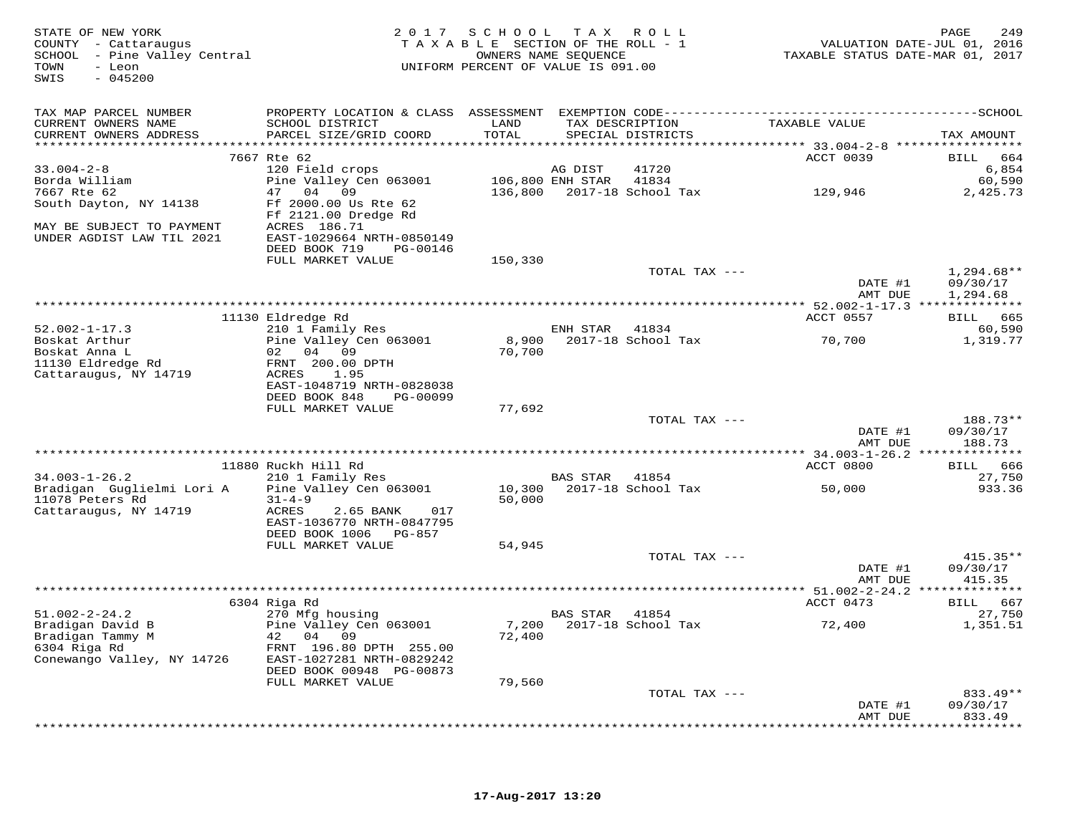| STATE OF NEW YORK<br>COUNTY - Cattaraugus<br>SCHOOL - Pine Valley Central<br>- Leon<br>TOWN<br>SWIS<br>$-045200$ | 2 0 1 7                                                | SCHOOL  | T A X<br>TAXABLE SECTION OF THE ROLL - 1<br>OWNERS NAME SEOUENCE<br>UNIFORM PERCENT OF VALUE IS 091.00 | R O L L       | VALUATION DATE-JUL 01, 2016<br>TAXABLE STATUS DATE-MAR 01, 2017 | PAGE<br>249        |
|------------------------------------------------------------------------------------------------------------------|--------------------------------------------------------|---------|--------------------------------------------------------------------------------------------------------|---------------|-----------------------------------------------------------------|--------------------|
| TAX MAP PARCEL NUMBER<br>CURRENT OWNERS NAME                                                                     | SCHOOL DISTRICT                                        | LAND    | TAX DESCRIPTION                                                                                        |               | TAXABLE VALUE                                                   |                    |
| CURRENT OWNERS ADDRESS                                                                                           | PARCEL SIZE/GRID COORD                                 | TOTAL   | SPECIAL DISTRICTS                                                                                      |               |                                                                 | TAX AMOUNT         |
|                                                                                                                  | 7667 Rte 62                                            |         |                                                                                                        |               | ACCT 0039                                                       | <b>BILL</b><br>664 |
| $33.004 - 2 - 8$                                                                                                 | 120 Field crops                                        |         | AG DIST                                                                                                | 41720         |                                                                 | 6,854              |
| Borda William                                                                                                    | Pine Valley Cen 063001                                 |         | 106,800 ENH STAR                                                                                       | 41834         |                                                                 | 60,590             |
| 7667 Rte 62<br>South Dayton, NY 14138                                                                            | 47 04<br>09<br>Ff 2000.00 Us Rte 62                    | 136,800 | 2017-18 School Tax                                                                                     |               | 129,946                                                         | 2,425.73           |
|                                                                                                                  | Ff 2121.00 Dredge Rd                                   |         |                                                                                                        |               |                                                                 |                    |
| MAY BE SUBJECT TO PAYMENT                                                                                        | ACRES 186.71                                           |         |                                                                                                        |               |                                                                 |                    |
| UNDER AGDIST LAW TIL 2021                                                                                        | EAST-1029664 NRTH-0850149                              |         |                                                                                                        |               |                                                                 |                    |
|                                                                                                                  | DEED BOOK 719<br>PG-00146                              |         |                                                                                                        |               |                                                                 |                    |
|                                                                                                                  | FULL MARKET VALUE                                      | 150,330 |                                                                                                        | TOTAL TAX --- |                                                                 | $1,294.68**$       |
|                                                                                                                  |                                                        |         |                                                                                                        |               | DATE #1                                                         | 09/30/17           |
|                                                                                                                  |                                                        |         |                                                                                                        |               | AMT DUE                                                         | 1,294.68           |
|                                                                                                                  |                                                        |         |                                                                                                        |               |                                                                 |                    |
|                                                                                                                  | 11130 Eldredge Rd                                      |         |                                                                                                        |               | ACCT 0557                                                       | BILL 665           |
| $52.002 - 1 - 17.3$<br>Boskat Arthur                                                                             | 210 1 Family Res<br>Pine Valley Cen 063001             | 8,900   | ENH STAR<br>2017-18 School Tax                                                                         | 41834         | 70,700                                                          | 60,590<br>1,319.77 |
| Boskat Anna L                                                                                                    | 02 04 09                                               | 70,700  |                                                                                                        |               |                                                                 |                    |
| 11130 Eldredge Rd                                                                                                | FRNT 200.00 DPTH                                       |         |                                                                                                        |               |                                                                 |                    |
| Cattaraugus, NY 14719                                                                                            | ACRES<br>1.95                                          |         |                                                                                                        |               |                                                                 |                    |
|                                                                                                                  | EAST-1048719 NRTH-0828038<br>DEED BOOK 848<br>PG-00099 |         |                                                                                                        |               |                                                                 |                    |
|                                                                                                                  | FULL MARKET VALUE                                      | 77,692  |                                                                                                        |               |                                                                 |                    |
|                                                                                                                  |                                                        |         |                                                                                                        | TOTAL TAX --- |                                                                 | 188.73**           |
|                                                                                                                  |                                                        |         |                                                                                                        |               | DATE #1                                                         | 09/30/17           |
|                                                                                                                  |                                                        |         |                                                                                                        |               | AMT DUE                                                         | 188.73             |
|                                                                                                                  | 11880 Ruckh Hill Rd                                    |         |                                                                                                        |               | ************ 34.003-1-26.2 **************<br>ACCT 0800          | 666<br>BILL        |
| $34.003 - 1 - 26.2$                                                                                              | 210 1 Family Res                                       |         | BAS STAR                                                                                               | 41854         |                                                                 | 27,750             |
| Bradigan Guglielmi Lori A                                                                                        | Pine Valley Cen 063001                                 | 10,300  | 2017-18 School Tax                                                                                     |               | 50,000                                                          | 933.36             |
| 11078 Peters Rd                                                                                                  | $31 - 4 - 9$                                           | 50,000  |                                                                                                        |               |                                                                 |                    |
| Cattaraugus, NY 14719                                                                                            | ACRES<br>2.65 BANK<br>017                              |         |                                                                                                        |               |                                                                 |                    |
|                                                                                                                  | EAST-1036770 NRTH-0847795<br>DEED BOOK 1006 PG-857     |         |                                                                                                        |               |                                                                 |                    |
|                                                                                                                  | FULL MARKET VALUE                                      | 54,945  |                                                                                                        |               |                                                                 |                    |
|                                                                                                                  |                                                        |         |                                                                                                        | TOTAL TAX --- |                                                                 | $415.35**$         |
|                                                                                                                  |                                                        |         |                                                                                                        |               | DATE #1                                                         | 09/30/17           |
|                                                                                                                  |                                                        |         |                                                                                                        |               | AMT DUE                                                         | 415.35             |
|                                                                                                                  | 6304 Riga Rd                                           |         |                                                                                                        |               | ACCT 0473                                                       | BILL 667           |
| $51.002 - 2 - 24.2$                                                                                              | 270 Mfg housing                                        |         | BAS STAR                                                                                               | 41854         |                                                                 | 27,750             |
| Bradigan David B                                                                                                 | Pine Valley Cen 063001                                 | 7,200   | 2017-18 School Tax                                                                                     |               | 72,400                                                          | 1,351.51           |
| Bradigan Tammy M                                                                                                 | 42<br>04 09                                            | 72,400  |                                                                                                        |               |                                                                 |                    |
| 6304 Riga Rd<br>Conewango Valley, NY 14726                                                                       | FRNT 196.80 DPTH 255.00<br>EAST-1027281 NRTH-0829242   |         |                                                                                                        |               |                                                                 |                    |
|                                                                                                                  | DEED BOOK 00948 PG-00873                               |         |                                                                                                        |               |                                                                 |                    |
|                                                                                                                  | FULL MARKET VALUE                                      | 79,560  |                                                                                                        |               |                                                                 |                    |
|                                                                                                                  |                                                        |         |                                                                                                        | TOTAL TAX --- |                                                                 | 833.49**           |
|                                                                                                                  |                                                        |         |                                                                                                        |               | DATE #1                                                         | 09/30/17           |
|                                                                                                                  |                                                        |         |                                                                                                        |               | AMT DUE                                                         | 833.49             |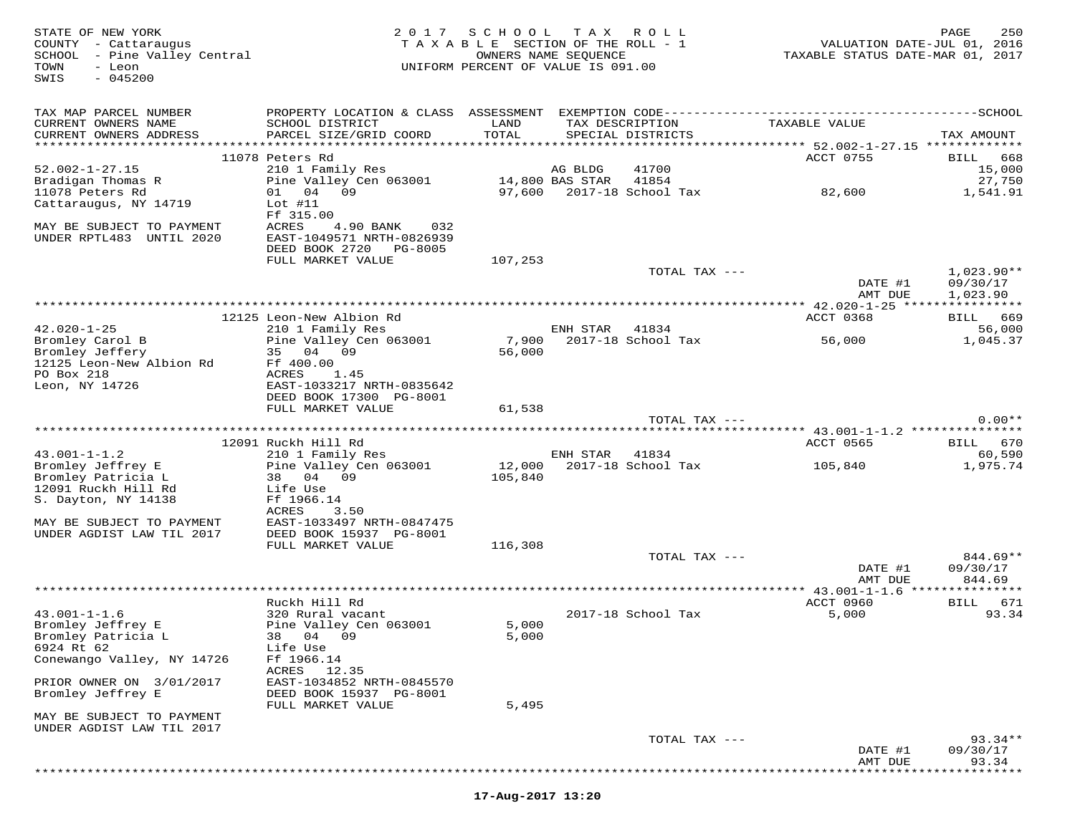| STATE OF NEW YORK<br>COUNTY - Cattaraugus<br>- Pine Valley Central<br>SCHOOL<br>TOWN<br>- Leon<br>$-045200$<br>SWIS |                                            | 2017 SCHOOL TAX<br>TAXABLE SECTION OF THE ROLL - 1<br>UNIFORM PERCENT OF VALUE IS 091.00 | OWNERS NAME SEQUENCE | R O L L                              | TAXABLE STATUS DATE-MAR 01, 2017               | 250<br>PAGE<br>VALUATION DATE-JUL 01, 2016 |
|---------------------------------------------------------------------------------------------------------------------|--------------------------------------------|------------------------------------------------------------------------------------------|----------------------|--------------------------------------|------------------------------------------------|--------------------------------------------|
| TAX MAP PARCEL NUMBER                                                                                               | PROPERTY LOCATION & CLASS ASSESSMENT       |                                                                                          |                      |                                      |                                                |                                            |
| CURRENT OWNERS NAME<br>CURRENT OWNERS ADDRESS                                                                       | SCHOOL DISTRICT<br>PARCEL SIZE/GRID COORD  | LAND<br>TOTAL                                                                            |                      | TAX DESCRIPTION<br>SPECIAL DISTRICTS | TAXABLE VALUE                                  | TAX AMOUNT                                 |
|                                                                                                                     |                                            |                                                                                          |                      |                                      | ************ 52.002-1-27.15 **************     |                                            |
|                                                                                                                     | 11078 Peters Rd                            |                                                                                          |                      |                                      | ACCT 0755                                      | BILL<br>668                                |
| $52.002 - 1 - 27.15$                                                                                                | 210 1 Family Res                           |                                                                                          | AG BLDG              | 41700                                |                                                | 15,000                                     |
| Bradigan Thomas R                                                                                                   | Pine Valley Cen 063001                     |                                                                                          | 14,800 BAS STAR      | 41854                                |                                                | 27,750                                     |
| 11078 Peters Rd                                                                                                     | 01 04 09                                   | 97,600                                                                                   |                      | 2017-18 School Tax                   | 82,600                                         | 1,541.91                                   |
| Cattaraugus, NY 14719                                                                                               | Lot $#11$                                  |                                                                                          |                      |                                      |                                                |                                            |
| MAY BE SUBJECT TO PAYMENT                                                                                           | Ff 315.00<br>ACRES<br>4.90 BANK<br>032     |                                                                                          |                      |                                      |                                                |                                            |
| UNDER RPTL483 UNTIL 2020                                                                                            | EAST-1049571 NRTH-0826939                  |                                                                                          |                      |                                      |                                                |                                            |
|                                                                                                                     | DEED BOOK 2720 PG-8005                     |                                                                                          |                      |                                      |                                                |                                            |
|                                                                                                                     | FULL MARKET VALUE                          | 107,253                                                                                  |                      |                                      |                                                |                                            |
|                                                                                                                     |                                            |                                                                                          |                      | TOTAL TAX ---                        |                                                | $1,023.90**$                               |
|                                                                                                                     |                                            |                                                                                          |                      |                                      | DATE #1                                        | 09/30/17                                   |
|                                                                                                                     |                                            |                                                                                          |                      |                                      | AMT DUE                                        | 1,023.90                                   |
|                                                                                                                     |                                            |                                                                                          |                      |                                      |                                                |                                            |
|                                                                                                                     | 12125 Leon-New Albion Rd                   |                                                                                          |                      |                                      | ACCT 0368                                      | BILL<br>669                                |
| $42.020 - 1 - 25$                                                                                                   | 210 1 Family Res                           |                                                                                          | ENH STAR             | 41834                                |                                                | 56,000                                     |
| Bromley Carol B                                                                                                     | Pine Valley Cen 063001                     | 7,900                                                                                    |                      | 2017-18 School Tax                   | 56,000                                         | 1,045.37                                   |
| Bromley Jeffery                                                                                                     | 35 04 09                                   | 56,000                                                                                   |                      |                                      |                                                |                                            |
| 12125 Leon-New Albion Rd<br>PO Box 218                                                                              | Ff 400.00                                  |                                                                                          |                      |                                      |                                                |                                            |
| Leon, NY 14726                                                                                                      | ACRES<br>1.45<br>EAST-1033217 NRTH-0835642 |                                                                                          |                      |                                      |                                                |                                            |
|                                                                                                                     | DEED BOOK 17300 PG-8001                    |                                                                                          |                      |                                      |                                                |                                            |
|                                                                                                                     | FULL MARKET VALUE                          | 61,538                                                                                   |                      |                                      |                                                |                                            |
|                                                                                                                     |                                            |                                                                                          |                      | TOTAL TAX ---                        |                                                | $0.00**$                                   |
|                                                                                                                     |                                            |                                                                                          |                      |                                      |                                                |                                            |
|                                                                                                                     | 12091 Ruckh Hill Rd                        |                                                                                          |                      |                                      | ACCT 0565                                      | BILL 670                                   |
| $43.001 - 1 - 1.2$                                                                                                  | 210 1 Family Res                           |                                                                                          | ENH STAR             | 41834                                |                                                | 60,590                                     |
| Bromley Jeffrey E                                                                                                   | Pine Valley Cen 063001                     | 12,000                                                                                   |                      | 2017-18 School Tax                   | 105,840                                        | 1,975.74                                   |
| Bromley Patricia L                                                                                                  | 38 04 09                                   | 105,840                                                                                  |                      |                                      |                                                |                                            |
| 12091 Ruckh Hill Rd                                                                                                 | Life Use                                   |                                                                                          |                      |                                      |                                                |                                            |
| S. Dayton, NY 14138                                                                                                 | Ff 1966.14<br>ACRES<br>3.50                |                                                                                          |                      |                                      |                                                |                                            |
| MAY BE SUBJECT TO PAYMENT                                                                                           | EAST-1033497 NRTH-0847475                  |                                                                                          |                      |                                      |                                                |                                            |
| UNDER AGDIST LAW TIL 2017                                                                                           | DEED BOOK 15937 PG-8001                    |                                                                                          |                      |                                      |                                                |                                            |
|                                                                                                                     | FULL MARKET VALUE                          | 116,308                                                                                  |                      |                                      |                                                |                                            |
|                                                                                                                     |                                            |                                                                                          |                      | TOTAL TAX ---                        |                                                | $844.69**$                                 |
|                                                                                                                     |                                            |                                                                                          |                      |                                      | DATE #1                                        | 09/30/17                                   |
|                                                                                                                     |                                            |                                                                                          |                      |                                      | AMT DUE                                        | 844.69                                     |
|                                                                                                                     |                                            |                                                                                          |                      |                                      | **************** 43.001-1-1.6 **************** |                                            |
|                                                                                                                     | Ruckh Hill Rd                              |                                                                                          |                      |                                      | ACCT 0960                                      | 671<br>BILL                                |
| $43.001 - 1 - 1.6$                                                                                                  | 320 Rural vacant                           |                                                                                          |                      | 2017-18 School Tax                   | 5,000                                          | 93.34                                      |
| Bromley Jeffrey E                                                                                                   | Pine Valley Cen 063001                     | 5,000                                                                                    |                      |                                      |                                                |                                            |
| Bromley Patricia L<br>6924 Rt 62                                                                                    | 38 04 09<br>Life Use                       | 5,000                                                                                    |                      |                                      |                                                |                                            |
| Conewango Valley, NY 14726                                                                                          | Ff 1966.14                                 |                                                                                          |                      |                                      |                                                |                                            |
|                                                                                                                     | ACRES 12.35                                |                                                                                          |                      |                                      |                                                |                                            |
| PRIOR OWNER ON 3/01/2017                                                                                            | EAST-1034852 NRTH-0845570                  |                                                                                          |                      |                                      |                                                |                                            |
| Bromley Jeffrey E                                                                                                   | DEED BOOK 15937 PG-8001                    |                                                                                          |                      |                                      |                                                |                                            |
|                                                                                                                     | FULL MARKET VALUE                          | 5,495                                                                                    |                      |                                      |                                                |                                            |
| MAY BE SUBJECT TO PAYMENT                                                                                           |                                            |                                                                                          |                      |                                      |                                                |                                            |
| UNDER AGDIST LAW TIL 2017                                                                                           |                                            |                                                                                          |                      |                                      |                                                |                                            |
|                                                                                                                     |                                            |                                                                                          |                      | TOTAL TAX ---                        |                                                | 93.34**                                    |
|                                                                                                                     |                                            |                                                                                          |                      |                                      | DATE #1                                        | 09/30/17                                   |
|                                                                                                                     |                                            |                                                                                          |                      |                                      | AMT DUE                                        | 93.34                                      |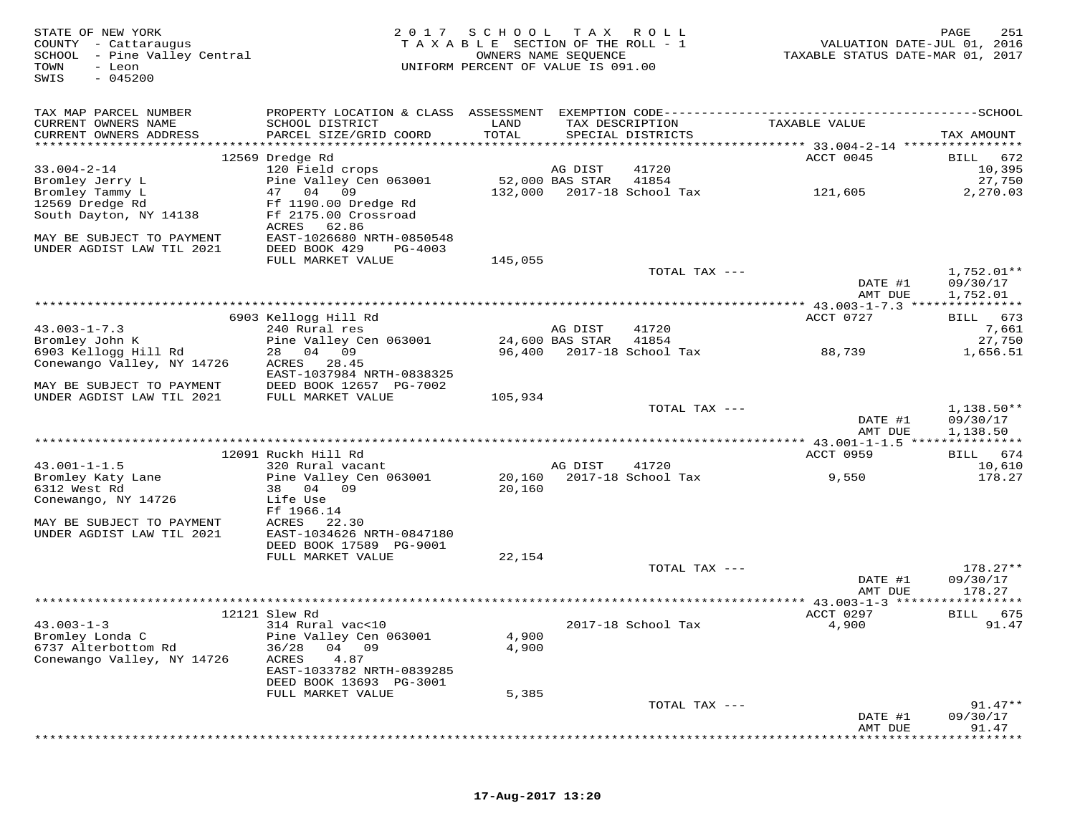| STATE OF NEW YORK<br>COUNTY - Cattaraugus<br>SCHOOL - Pine Valley Central<br>- Leon<br>TOWN<br>$-045200$<br>SWIS | 2017                                                  | SCHOOL<br>TAXABLE SECTION OF THE ROLL - 1<br>UNIFORM PERCENT OF VALUE IS 091.00 | T A X<br>OWNERS NAME SEQUENCE | R O L L                              | VALUATION DATE-JUL 01, 2016<br>TAXABLE STATUS DATE-MAR 01, 2017 | PAGE<br>251                          |
|------------------------------------------------------------------------------------------------------------------|-------------------------------------------------------|---------------------------------------------------------------------------------|-------------------------------|--------------------------------------|-----------------------------------------------------------------|--------------------------------------|
| TAX MAP PARCEL NUMBER                                                                                            |                                                       |                                                                                 |                               |                                      |                                                                 |                                      |
| CURRENT OWNERS NAME<br>CURRENT OWNERS ADDRESS<br>***********************                                         | SCHOOL DISTRICT<br>PARCEL SIZE/GRID COORD             | LAND<br>TOTAL                                                                   |                               | TAX DESCRIPTION<br>SPECIAL DISTRICTS | TAXABLE VALUE                                                   | TAX AMOUNT                           |
|                                                                                                                  | 12569 Dredge Rd                                       |                                                                                 |                               |                                      | ACCT 0045                                                       | 672<br>BILL                          |
| $33.004 - 2 - 14$                                                                                                | 120 Field crops                                       |                                                                                 | AG DIST                       | 41720                                |                                                                 | 10,395                               |
| Bromley Jerry L                                                                                                  | Pine Valley Cen 063001                                |                                                                                 | 52,000 BAS STAR               | 41854                                |                                                                 | 27,750                               |
| Bromley Tammy L                                                                                                  | 47<br>04<br>09                                        | 132,000                                                                         |                               | 2017-18 School Tax                   | 121,605                                                         | 2,270.03                             |
| 12569 Dredge Rd                                                                                                  | Ff 1190.00 Dredge Rd                                  |                                                                                 |                               |                                      |                                                                 |                                      |
| South Dayton, NY 14138                                                                                           | Ff 2175.00 Crossroad<br>ACRES<br>62.86                |                                                                                 |                               |                                      |                                                                 |                                      |
| MAY BE SUBJECT TO PAYMENT<br>UNDER AGDIST LAW TIL 2021                                                           | EAST-1026680 NRTH-0850548<br>DEED BOOK 429<br>PG-4003 |                                                                                 |                               |                                      |                                                                 |                                      |
|                                                                                                                  | FULL MARKET VALUE                                     | 145,055                                                                         |                               |                                      |                                                                 |                                      |
|                                                                                                                  |                                                       |                                                                                 |                               | TOTAL TAX ---                        | DATE #1<br>AMT DUE                                              | $1,752.01**$<br>09/30/17<br>1,752.01 |
|                                                                                                                  |                                                       |                                                                                 |                               |                                      |                                                                 |                                      |
|                                                                                                                  | 6903 Kellogg Hill Rd                                  |                                                                                 |                               |                                      | ACCT 0727                                                       | 673<br>BILL                          |
| $43.003 - 1 - 7.3$                                                                                               | 240 Rural res                                         |                                                                                 | AG DIST                       | 41720                                |                                                                 | 7,661                                |
| Bromley John K                                                                                                   | Pine Valley Cen 063001                                |                                                                                 | 24,600 BAS STAR               | 41854                                |                                                                 | 27,750                               |
| 6903 Kellogg Hill Rd<br>Conewango Valley, NY 14726                                                               | 28<br>04 09<br>28.45<br>ACRES                         | 96,400                                                                          |                               | 2017-18 School Tax                   | 88,739                                                          | 1,656.51                             |
|                                                                                                                  | EAST-1037984 NRTH-0838325                             |                                                                                 |                               |                                      |                                                                 |                                      |
| MAY BE SUBJECT TO PAYMENT                                                                                        | DEED BOOK 12657 PG-7002                               |                                                                                 |                               |                                      |                                                                 |                                      |
| UNDER AGDIST LAW TIL 2021                                                                                        | FULL MARKET VALUE                                     | 105,934                                                                         |                               | TOTAL TAX ---                        |                                                                 | 1,138.50**                           |
|                                                                                                                  |                                                       |                                                                                 |                               |                                      | DATE #1<br>AMT DUE                                              | 09/30/17<br>1,138.50                 |
|                                                                                                                  |                                                       |                                                                                 |                               |                                      |                                                                 | * * * * * * * * *                    |
|                                                                                                                  | 12091 Ruckh Hill Rd                                   |                                                                                 |                               |                                      | ACCT 0959                                                       | 674<br>BILL                          |
| $43.001 - 1 - 1.5$                                                                                               | 320 Rural vacant                                      |                                                                                 | AG DIST                       | 41720                                |                                                                 | 10,610                               |
| Bromley Katy Lane                                                                                                | Pine Valley Cen 063001                                | 20,160                                                                          |                               | 2017-18 School Tax                   | 9,550                                                           | 178.27                               |
| 6312 West Rd                                                                                                     | 04 09<br>38                                           | 20,160                                                                          |                               |                                      |                                                                 |                                      |
| Conewango, NY 14726                                                                                              | Life Use                                              |                                                                                 |                               |                                      |                                                                 |                                      |
| MAY BE SUBJECT TO PAYMENT                                                                                        | Ff 1966.14<br>ACRES<br>22.30                          |                                                                                 |                               |                                      |                                                                 |                                      |
| UNDER AGDIST LAW TIL 2021                                                                                        | EAST-1034626 NRTH-0847180                             |                                                                                 |                               |                                      |                                                                 |                                      |
|                                                                                                                  | DEED BOOK 17589 PG-9001                               |                                                                                 |                               |                                      |                                                                 |                                      |
|                                                                                                                  | FULL MARKET VALUE                                     | 22,154                                                                          |                               |                                      |                                                                 |                                      |
|                                                                                                                  |                                                       |                                                                                 |                               | TOTAL TAX ---                        |                                                                 | $178.27**$                           |
|                                                                                                                  |                                                       |                                                                                 |                               |                                      | DATE #1<br>AMT DUE                                              | 09/30/17<br>178.27                   |
|                                                                                                                  |                                                       |                                                                                 |                               |                                      | **************** 43.003-1-3 *******                             | * * * * * * * * *                    |
| $43.003 - 1 - 3$                                                                                                 | 12121 Slew Rd<br>314 Rural vac<10                     |                                                                                 |                               | 2017-18 School Tax                   | ACCT 0297<br>4,900                                              | BILL<br>675<br>91.47                 |
| Bromley Londa C                                                                                                  | Pine Valley Cen 063001                                | 4,900                                                                           |                               |                                      |                                                                 |                                      |
| 6737 Alterbottom Rd                                                                                              | 36/28<br>04 09                                        | 4,900                                                                           |                               |                                      |                                                                 |                                      |
| Conewango Valley, NY 14726                                                                                       | 4.87<br>ACRES                                         |                                                                                 |                               |                                      |                                                                 |                                      |
|                                                                                                                  | EAST-1033782 NRTH-0839285                             |                                                                                 |                               |                                      |                                                                 |                                      |
|                                                                                                                  | DEED BOOK 13693 PG-3001                               |                                                                                 |                               |                                      |                                                                 |                                      |
|                                                                                                                  | FULL MARKET VALUE                                     | 5,385                                                                           |                               |                                      |                                                                 |                                      |
|                                                                                                                  |                                                       |                                                                                 |                               | TOTAL TAX ---                        |                                                                 | $91.47**$                            |
|                                                                                                                  |                                                       |                                                                                 |                               |                                      | DATE #1<br>AMT DUE                                              | 09/30/17<br>91.47                    |
|                                                                                                                  |                                                       |                                                                                 |                               |                                      |                                                                 |                                      |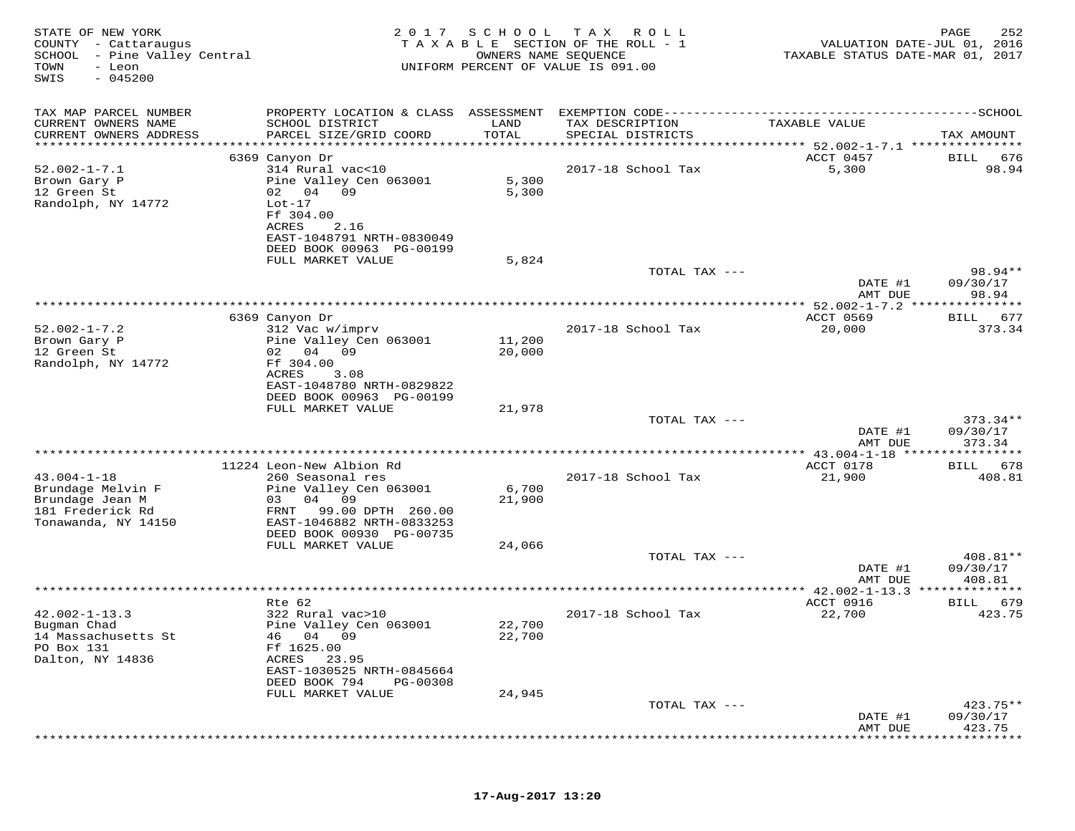| STATE OF NEW YORK<br>COUNTY<br>- Cattaraugus<br>SCHOOL - Pine Valley Central<br>TOWN<br>- Leon<br>$-045200$<br>SWIS | 2 0 1 7<br>TAXABLE                                                                                   | SCHOOL           | T A X<br>R O L L<br>SECTION OF THE ROLL - 1<br>OWNERS NAME SEQUENCE<br>UNIFORM PERCENT OF VALUE IS 091.00 | VALUATION DATE-JUL 01, 2016<br>TAXABLE STATUS DATE-MAR 01, 2017 | PAGE<br>252             |
|---------------------------------------------------------------------------------------------------------------------|------------------------------------------------------------------------------------------------------|------------------|-----------------------------------------------------------------------------------------------------------|-----------------------------------------------------------------|-------------------------|
| TAX MAP PARCEL NUMBER                                                                                               | PROPERTY LOCATION & CLASS ASSESSMENT                                                                 |                  | EXEMPTION CODE-------------------------                                                                   |                                                                 | -----------------SCHOOL |
| CURRENT OWNERS NAME<br>CURRENT OWNERS ADDRESS                                                                       | SCHOOL DISTRICT<br>PARCEL SIZE/GRID COORD                                                            | LAND<br>TOTAL    | TAX DESCRIPTION<br>SPECIAL DISTRICTS                                                                      | TAXABLE VALUE                                                   | TAX AMOUNT              |
| **********************                                                                                              | **********************                                                                               | ***********      |                                                                                                           | ************* 52.002-1-7.1 ****************                     |                         |
| $52.002 - 1 - 7.1$<br>Brown Gary P<br>12 Green St<br>Randolph, NY 14772                                             | 6369 Canyon Dr<br>314 Rural vac<10<br>Pine Valley Cen 063001<br>02 04<br>09<br>$Lot-17$<br>Ff 304.00 | 5,300<br>5,300   | 2017-18 School Tax                                                                                        | ACCT 0457<br>5,300                                              | 676<br>BILL<br>98.94    |
|                                                                                                                     | ACRES<br>2.16<br>EAST-1048791 NRTH-0830049<br>DEED BOOK 00963 PG-00199<br>FULL MARKET VALUE          | 5,824            |                                                                                                           |                                                                 |                         |
|                                                                                                                     |                                                                                                      |                  | TOTAL TAX ---                                                                                             | DATE #1                                                         | 98.94**<br>09/30/17     |
|                                                                                                                     |                                                                                                      |                  |                                                                                                           | AMT DUE                                                         | 98.94                   |
|                                                                                                                     |                                                                                                      |                  | ***********                                                                                               | ** $52.002 - 1 - 7.2$<br>***                                    | ******                  |
| $52.002 - 1 - 7.2$                                                                                                  | 6369 Canyon Dr<br>312 Vac w/imprv                                                                    |                  | 2017-18 School Tax                                                                                        | ACCT 0569<br>20,000                                             | 677<br>BILL<br>373.34   |
| Brown Gary P<br>12 Green St<br>Randolph, NY 14772                                                                   | Pine Valley Cen 063001<br>04<br>02<br>09<br>Ff 304.00                                                | 11,200<br>20,000 |                                                                                                           |                                                                 |                         |
|                                                                                                                     | ACRES<br>3.08<br>EAST-1048780 NRTH-0829822<br>DEED BOOK 00963 PG-00199                               |                  |                                                                                                           |                                                                 |                         |
|                                                                                                                     | FULL MARKET VALUE                                                                                    | 21,978           | TOTAL TAX ---                                                                                             |                                                                 | $373.34**$              |
|                                                                                                                     |                                                                                                      |                  |                                                                                                           | DATE #1<br>AMT DUE                                              | 09/30/17<br>373.34      |
|                                                                                                                     |                                                                                                      |                  |                                                                                                           | ** 43.004-1-18                                                  |                         |
|                                                                                                                     | 11224 Leon-New Albion Rd                                                                             |                  |                                                                                                           | ACCT 0178                                                       | 678<br>BILL             |
| $43.004 - 1 - 18$<br>Brundage Melvin F<br>Brundage Jean M                                                           | 260 Seasonal res<br>Pine Valley Cen 063001<br>04<br>09<br>03                                         | 6,700<br>21,900  | 2017-18 School Tax                                                                                        | 21,900                                                          | 408.81                  |
| 181 Frederick Rd<br>Tonawanda, NY 14150                                                                             | 99.00 DPTH 260.00<br>FRNT<br>EAST-1046882 NRTH-0833253                                               |                  |                                                                                                           |                                                                 |                         |
|                                                                                                                     | DEED BOOK 00930 PG-00735<br>FULL MARKET VALUE                                                        | 24,066           |                                                                                                           |                                                                 |                         |
|                                                                                                                     |                                                                                                      |                  | TOTAL TAX ---                                                                                             |                                                                 | 408.81**                |
|                                                                                                                     |                                                                                                      |                  |                                                                                                           | DATE #1<br>AMT DUE                                              | 09/30/17<br>408.81      |
|                                                                                                                     |                                                                                                      |                  |                                                                                                           | ** $42.002 - 1 - 13.3$                                          |                         |
|                                                                                                                     | Rte 62                                                                                               |                  |                                                                                                           | ACCT 0916                                                       | 679<br>BILL             |
| $42.002 - 1 - 13.3$<br>Bugman Chad<br>14 Massachusetts St<br>PO Box 131<br>Dalton, NY 14836                         | 322 Rural vac>10<br>Pine Valley Cen 063001<br>46 04 09<br>Ff 1625.00<br>ACRES<br>23.95               | 22,700<br>22,700 | 2017-18 School Tax                                                                                        | 22,700                                                          | 423.75                  |
|                                                                                                                     | EAST-1030525 NRTH-0845664<br>DEED BOOK 794<br>PG-00308                                               |                  |                                                                                                           |                                                                 |                         |
|                                                                                                                     | FULL MARKET VALUE                                                                                    | 24,945           |                                                                                                           |                                                                 |                         |
|                                                                                                                     |                                                                                                      |                  | TOTAL TAX ---                                                                                             | DATE #1                                                         | $423.75**$<br>09/30/17  |
|                                                                                                                     |                                                                                                      |                  |                                                                                                           | AMT DUE                                                         | 423.75                  |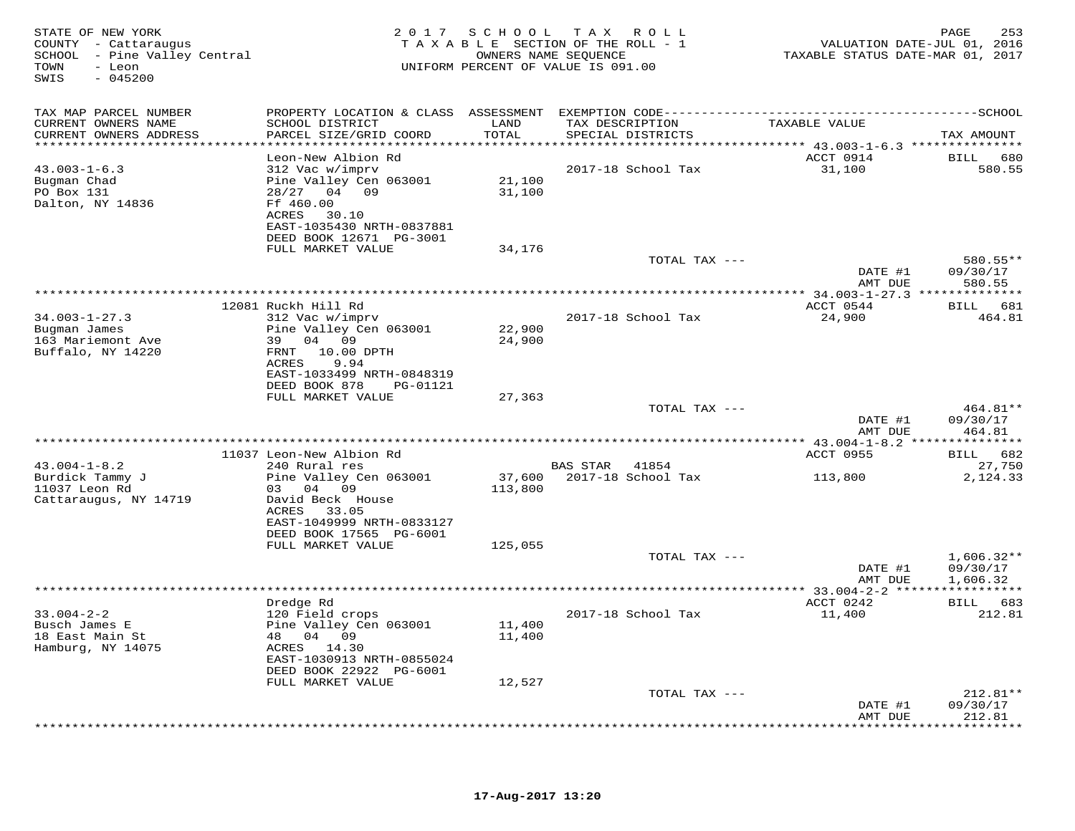| STATE OF NEW YORK<br>COUNTY - Cattaraugus<br>SCHOOL - Pine Valley Central<br>TOWN<br>- Leon<br>$-045200$<br>SWIS |                                                                                                   | 2017 SCHOOL       | TAX ROLL<br>TAXABLE SECTION OF THE ROLL - 1<br>OWNERS NAME SEQUENCE<br>UNIFORM PERCENT OF VALUE IS 091.00 | VALUATION DATE-JUL 01, 2016<br>TAXABLE STATUS DATE-MAR 01, 2017 | 253<br>PAGE                      |
|------------------------------------------------------------------------------------------------------------------|---------------------------------------------------------------------------------------------------|-------------------|-----------------------------------------------------------------------------------------------------------|-----------------------------------------------------------------|----------------------------------|
| TAX MAP PARCEL NUMBER                                                                                            |                                                                                                   |                   |                                                                                                           |                                                                 |                                  |
| CURRENT OWNERS NAME<br>CURRENT OWNERS ADDRESS                                                                    | SCHOOL DISTRICT<br>PARCEL SIZE/GRID COORD                                                         | LAND<br>TOTAL     | TAX DESCRIPTION<br>SPECIAL DISTRICTS                                                                      | TAXABLE VALUE                                                   | TAX AMOUNT                       |
|                                                                                                                  |                                                                                                   | ******            |                                                                                                           | ******* 43.003-1-6.3 ***************                            |                                  |
|                                                                                                                  | Leon-New Albion Rd                                                                                |                   |                                                                                                           | ACCT 0914                                                       | <b>BILL</b><br>680               |
| $43.003 - 1 - 6.3$<br>Bugman Chad<br>PO Box 131<br>Dalton, NY 14836                                              | 312 Vac w/imprv<br>Pine Valley Cen 063001<br>28/27 04 09<br>Ff 460.00<br>30.10<br>ACRES           | 21,100<br>31,100  | 2017-18 School Tax                                                                                        | 31,100                                                          | 580.55                           |
|                                                                                                                  | EAST-1035430 NRTH-0837881                                                                         |                   |                                                                                                           |                                                                 |                                  |
|                                                                                                                  | DEED BOOK 12671 PG-3001<br>FULL MARKET VALUE                                                      | 34,176            |                                                                                                           |                                                                 |                                  |
|                                                                                                                  |                                                                                                   |                   | TOTAL TAX ---                                                                                             |                                                                 | 580.55**                         |
|                                                                                                                  |                                                                                                   |                   |                                                                                                           | DATE #1<br>AMT DUE                                              | 09/30/17<br>580.55               |
|                                                                                                                  |                                                                                                   |                   |                                                                                                           |                                                                 |                                  |
| $34.003 - 1 - 27.3$                                                                                              | 12081 Ruckh Hill Rd<br>312 Vac w/imprv                                                            |                   | 2017-18 School Tax                                                                                        | ACCT 0544<br>24,900                                             | BILL 681<br>464.81               |
| Bugman James<br>163 Mariemont Ave<br>Buffalo, NY 14220                                                           | Pine Valley Cen 063001<br>39 04 09<br>FRNT 10.00 DPTH<br>9.94<br>ACRES                            | 22,900<br>24,900  |                                                                                                           |                                                                 |                                  |
|                                                                                                                  | EAST-1033499 NRTH-0848319<br>DEED BOOK 878<br>PG-01121                                            |                   |                                                                                                           |                                                                 |                                  |
|                                                                                                                  | FULL MARKET VALUE                                                                                 | 27,363            |                                                                                                           |                                                                 |                                  |
|                                                                                                                  |                                                                                                   |                   | TOTAL TAX ---                                                                                             | DATE #1<br>AMT DUE                                              | $464.81**$<br>09/30/17<br>464.81 |
|                                                                                                                  |                                                                                                   |                   |                                                                                                           |                                                                 |                                  |
|                                                                                                                  | 11037 Leon-New Albion Rd                                                                          |                   |                                                                                                           | ACCT 0955                                                       | BILL 682                         |
| $43.004 - 1 - 8.2$<br>Burdick Tammy J<br>11037 Leon Rd                                                           | 240 Rural res<br>Pine Valley Cen 063001<br>03 04 09                                               | 37,600<br>113,800 | BAS STAR<br>41854<br>2017-18 School Tax                                                                   | 113,800                                                         | 27,750<br>2,124.33               |
| Cattaraugus, NY 14719                                                                                            | David Beck House<br>ACRES 33.05<br>EAST-1049999 NRTH-0833127                                      |                   |                                                                                                           |                                                                 |                                  |
|                                                                                                                  | DEED BOOK 17565 PG-6001<br>FULL MARKET VALUE                                                      | 125,055           |                                                                                                           |                                                                 |                                  |
|                                                                                                                  |                                                                                                   |                   | TOTAL TAX ---                                                                                             | DATE #1                                                         | $1,606.32**$<br>09/30/17         |
|                                                                                                                  |                                                                                                   |                   | ************************                                                                                  | AMT DUE                                                         | 1,606.32                         |
|                                                                                                                  | Dredge Rd                                                                                         |                   |                                                                                                           | ** 33.004-2-2 ******************<br>ACCT 0242                   | BILL 683                         |
| $33.004 - 2 - 2$<br>Busch James E<br>18 East Main St<br>Hamburg, NY 14075                                        | 120 Field crops<br>Pine Valley Cen 063001<br>48 04 09<br>ACRES 14.30<br>EAST-1030913 NRTH-0855024 | 11,400<br>11,400  | 2017-18 School Tax                                                                                        | 11,400                                                          | 212.81                           |
|                                                                                                                  | DEED BOOK 22922 PG-6001                                                                           |                   |                                                                                                           |                                                                 |                                  |
|                                                                                                                  | FULL MARKET VALUE                                                                                 | 12,527            |                                                                                                           |                                                                 |                                  |
|                                                                                                                  |                                                                                                   |                   | TOTAL TAX ---                                                                                             | DATE #1<br>AMT DUE                                              | $212.81**$<br>09/30/17<br>212.81 |
|                                                                                                                  |                                                                                                   |                   | *********************************                                                                         |                                                                 | *********                        |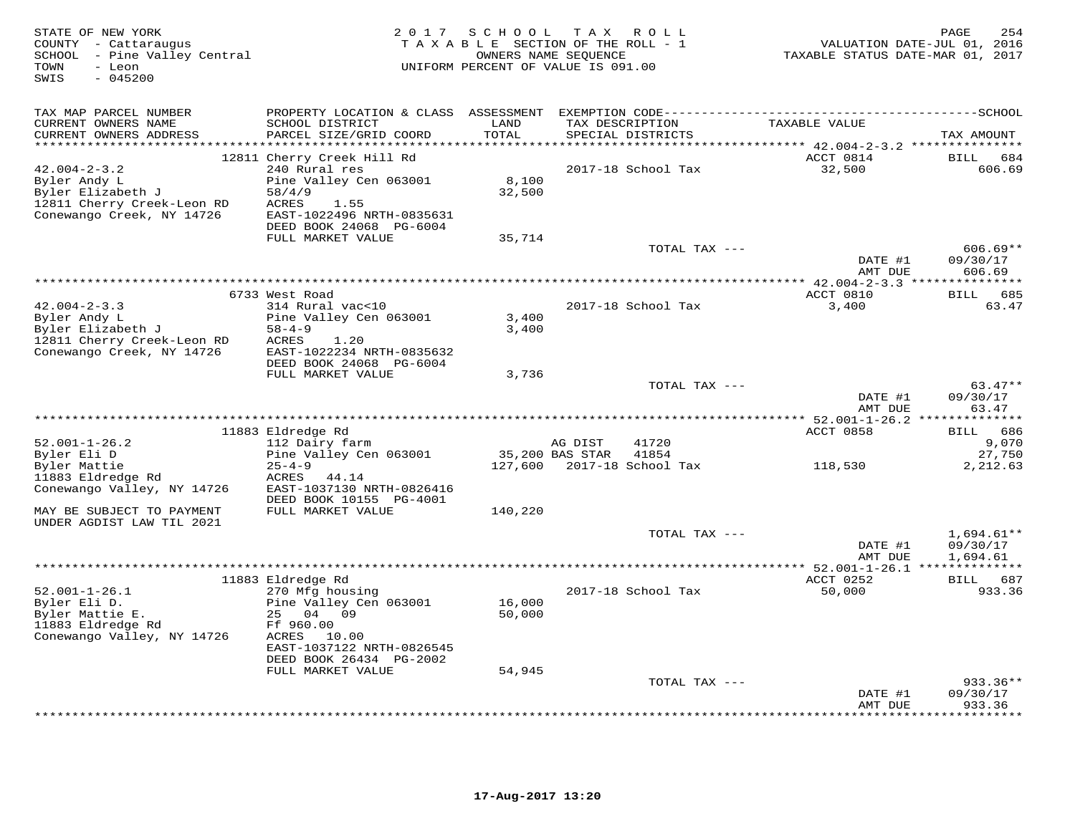| TAX MAP PARCEL NUMBER<br>TAXABLE VALUE<br>CURRENT OWNERS NAME<br>SCHOOL DISTRICT<br>LAND<br>TAX DESCRIPTION<br>CURRENT OWNERS ADDRESS<br>PARCEL SIZE/GRID COORD<br>TOTAL<br>SPECIAL DISTRICTS<br>TAX AMOUNT<br>ACCT 0814<br>12811 Cherry Creek Hill Rd<br>BILL 684<br>$42.004 - 2 - 3.2$<br>240 Rural res<br>2017-18 School Tax<br>32,500<br>606.69<br>8,100<br>Byler Andy L<br>Pine Valley Cen 063001<br>Byler Elizabeth J<br>32,500<br>58/4/9<br>12811 Cherry Creek-Leon RD<br>ACRES<br>1.55<br>Conewango Creek, NY 14726<br>EAST-1022496 NRTH-0835631<br>DEED BOOK 24068 PG-6004<br>FULL MARKET VALUE<br>35,714<br>TOTAL TAX ---<br>$606.69**$<br>DATE #1<br>09/30/17<br>AMT DUE<br>606.69<br>6733 West Road<br>ACCT 0810<br>685<br>BILL<br>$42.004 - 2 - 3.3$<br>2017-18 School Tax<br>314 Rural vac<10<br>3,400<br>63.47<br>Byler Andy L<br>Pine Valley Cen 063001<br>3,400<br>Byler Elizabeth J<br>$58 - 4 - 9$<br>3,400<br>12811 Cherry Creek-Leon RD<br>ACRES<br>1.20<br>Conewango Creek, NY 14726<br>EAST-1022234 NRTH-0835632<br>DEED BOOK 24068 PG-6004<br>FULL MARKET VALUE<br>3,736<br>$63.47**$<br>TOTAL TAX ---<br>DATE #1<br>09/30/17<br>63.47<br>AMT DUE<br>********** 52.001-1-26.2 ***<br>*********<br>11883 Eldredge Rd<br>ACCT 0858<br>686<br><b>BILL</b><br>9,070<br>$52.001 - 1 - 26.2$<br>112 Dairy farm<br>AG DIST<br>41720<br>Byler Eli D<br>Pine Valley Cen 063001<br>35,200 BAS STAR<br>41854<br>27,750<br>Byler Mattie<br>$25 - 4 - 9$<br>127,600 2017-18 School Tax<br>2,212.63<br>118,530<br>11883 Eldredge Rd<br>ACRES<br>44.14<br>Conewango Valley, NY 14726<br>EAST-1037130 NRTH-0826416<br>DEED BOOK 10155 PG-4001<br>MAY BE SUBJECT TO PAYMENT<br>FULL MARKET VALUE<br>140,220<br>UNDER AGDIST LAW TIL 2021<br>TOTAL TAX ---<br>$1,694.61**$<br>DATE #1<br>09/30/17<br>AMT DUE<br>1,694.61<br>ACCT 0252<br>11883 Eldredge Rd<br>BILL 687<br>$52.001 - 1 - 26.1$<br>270 Mfg housing<br>2017-18 School Tax<br>50,000<br>933.36<br>Byler Eli D.<br>Pine Valley Cen 063001<br>16,000<br>Byler Mattie E.<br>25<br>04 09<br>50,000<br>11883 Eldredge Rd<br>Ff 960.00<br>Conewango Valley, NY 14726<br>ACRES 10.00<br>EAST-1037122 NRTH-0826545<br>DEED BOOK 26434 PG-2002<br>FULL MARKET VALUE<br>54,945<br>TOTAL TAX ---<br>$933.36**$<br>09/30/17<br>DATE #1<br>933.36<br>AMT DUE | STATE OF NEW YORK<br>COUNTY - Cattaraugus<br>SCHOOL - Pine Valley Central<br>- Leon<br>TOWN<br>SWIS<br>$-045200$ | 2017 SCHOOL TAX ROLL<br>TAXABLE SECTION OF THE ROLL - 1<br>UNIFORM PERCENT OF VALUE IS 091.00 | OWNERS NAME SEQUENCE | VALUATION DATE-JUL 01, 2016<br>TAXABLE STATUS DATE-MAR 01, 2017 | 254<br>PAGE     |
|-------------------------------------------------------------------------------------------------------------------------------------------------------------------------------------------------------------------------------------------------------------------------------------------------------------------------------------------------------------------------------------------------------------------------------------------------------------------------------------------------------------------------------------------------------------------------------------------------------------------------------------------------------------------------------------------------------------------------------------------------------------------------------------------------------------------------------------------------------------------------------------------------------------------------------------------------------------------------------------------------------------------------------------------------------------------------------------------------------------------------------------------------------------------------------------------------------------------------------------------------------------------------------------------------------------------------------------------------------------------------------------------------------------------------------------------------------------------------------------------------------------------------------------------------------------------------------------------------------------------------------------------------------------------------------------------------------------------------------------------------------------------------------------------------------------------------------------------------------------------------------------------------------------------------------------------------------------------------------------------------------------------------------------------------------------------------------------------------------------------------------------------------------------------------------------------------------------------------------------------------------------------------------------------------------------------|------------------------------------------------------------------------------------------------------------------|-----------------------------------------------------------------------------------------------|----------------------|-----------------------------------------------------------------|-----------------|
|                                                                                                                                                                                                                                                                                                                                                                                                                                                                                                                                                                                                                                                                                                                                                                                                                                                                                                                                                                                                                                                                                                                                                                                                                                                                                                                                                                                                                                                                                                                                                                                                                                                                                                                                                                                                                                                                                                                                                                                                                                                                                                                                                                                                                                                                                                                   |                                                                                                                  |                                                                                               |                      |                                                                 |                 |
|                                                                                                                                                                                                                                                                                                                                                                                                                                                                                                                                                                                                                                                                                                                                                                                                                                                                                                                                                                                                                                                                                                                                                                                                                                                                                                                                                                                                                                                                                                                                                                                                                                                                                                                                                                                                                                                                                                                                                                                                                                                                                                                                                                                                                                                                                                                   |                                                                                                                  |                                                                                               |                      |                                                                 |                 |
|                                                                                                                                                                                                                                                                                                                                                                                                                                                                                                                                                                                                                                                                                                                                                                                                                                                                                                                                                                                                                                                                                                                                                                                                                                                                                                                                                                                                                                                                                                                                                                                                                                                                                                                                                                                                                                                                                                                                                                                                                                                                                                                                                                                                                                                                                                                   |                                                                                                                  |                                                                                               |                      |                                                                 |                 |
|                                                                                                                                                                                                                                                                                                                                                                                                                                                                                                                                                                                                                                                                                                                                                                                                                                                                                                                                                                                                                                                                                                                                                                                                                                                                                                                                                                                                                                                                                                                                                                                                                                                                                                                                                                                                                                                                                                                                                                                                                                                                                                                                                                                                                                                                                                                   |                                                                                                                  |                                                                                               |                      |                                                                 |                 |
|                                                                                                                                                                                                                                                                                                                                                                                                                                                                                                                                                                                                                                                                                                                                                                                                                                                                                                                                                                                                                                                                                                                                                                                                                                                                                                                                                                                                                                                                                                                                                                                                                                                                                                                                                                                                                                                                                                                                                                                                                                                                                                                                                                                                                                                                                                                   |                                                                                                                  |                                                                                               |                      |                                                                 |                 |
|                                                                                                                                                                                                                                                                                                                                                                                                                                                                                                                                                                                                                                                                                                                                                                                                                                                                                                                                                                                                                                                                                                                                                                                                                                                                                                                                                                                                                                                                                                                                                                                                                                                                                                                                                                                                                                                                                                                                                                                                                                                                                                                                                                                                                                                                                                                   |                                                                                                                  |                                                                                               |                      |                                                                 |                 |
|                                                                                                                                                                                                                                                                                                                                                                                                                                                                                                                                                                                                                                                                                                                                                                                                                                                                                                                                                                                                                                                                                                                                                                                                                                                                                                                                                                                                                                                                                                                                                                                                                                                                                                                                                                                                                                                                                                                                                                                                                                                                                                                                                                                                                                                                                                                   |                                                                                                                  |                                                                                               |                      |                                                                 |                 |
|                                                                                                                                                                                                                                                                                                                                                                                                                                                                                                                                                                                                                                                                                                                                                                                                                                                                                                                                                                                                                                                                                                                                                                                                                                                                                                                                                                                                                                                                                                                                                                                                                                                                                                                                                                                                                                                                                                                                                                                                                                                                                                                                                                                                                                                                                                                   |                                                                                                                  |                                                                                               |                      |                                                                 |                 |
|                                                                                                                                                                                                                                                                                                                                                                                                                                                                                                                                                                                                                                                                                                                                                                                                                                                                                                                                                                                                                                                                                                                                                                                                                                                                                                                                                                                                                                                                                                                                                                                                                                                                                                                                                                                                                                                                                                                                                                                                                                                                                                                                                                                                                                                                                                                   |                                                                                                                  |                                                                                               |                      |                                                                 |                 |
|                                                                                                                                                                                                                                                                                                                                                                                                                                                                                                                                                                                                                                                                                                                                                                                                                                                                                                                                                                                                                                                                                                                                                                                                                                                                                                                                                                                                                                                                                                                                                                                                                                                                                                                                                                                                                                                                                                                                                                                                                                                                                                                                                                                                                                                                                                                   |                                                                                                                  |                                                                                               |                      |                                                                 |                 |
|                                                                                                                                                                                                                                                                                                                                                                                                                                                                                                                                                                                                                                                                                                                                                                                                                                                                                                                                                                                                                                                                                                                                                                                                                                                                                                                                                                                                                                                                                                                                                                                                                                                                                                                                                                                                                                                                                                                                                                                                                                                                                                                                                                                                                                                                                                                   |                                                                                                                  |                                                                                               |                      |                                                                 |                 |
|                                                                                                                                                                                                                                                                                                                                                                                                                                                                                                                                                                                                                                                                                                                                                                                                                                                                                                                                                                                                                                                                                                                                                                                                                                                                                                                                                                                                                                                                                                                                                                                                                                                                                                                                                                                                                                                                                                                                                                                                                                                                                                                                                                                                                                                                                                                   |                                                                                                                  |                                                                                               |                      |                                                                 |                 |
|                                                                                                                                                                                                                                                                                                                                                                                                                                                                                                                                                                                                                                                                                                                                                                                                                                                                                                                                                                                                                                                                                                                                                                                                                                                                                                                                                                                                                                                                                                                                                                                                                                                                                                                                                                                                                                                                                                                                                                                                                                                                                                                                                                                                                                                                                                                   |                                                                                                                  |                                                                                               |                      |                                                                 |                 |
|                                                                                                                                                                                                                                                                                                                                                                                                                                                                                                                                                                                                                                                                                                                                                                                                                                                                                                                                                                                                                                                                                                                                                                                                                                                                                                                                                                                                                                                                                                                                                                                                                                                                                                                                                                                                                                                                                                                                                                                                                                                                                                                                                                                                                                                                                                                   |                                                                                                                  |                                                                                               |                      |                                                                 |                 |
|                                                                                                                                                                                                                                                                                                                                                                                                                                                                                                                                                                                                                                                                                                                                                                                                                                                                                                                                                                                                                                                                                                                                                                                                                                                                                                                                                                                                                                                                                                                                                                                                                                                                                                                                                                                                                                                                                                                                                                                                                                                                                                                                                                                                                                                                                                                   |                                                                                                                  |                                                                                               |                      |                                                                 |                 |
|                                                                                                                                                                                                                                                                                                                                                                                                                                                                                                                                                                                                                                                                                                                                                                                                                                                                                                                                                                                                                                                                                                                                                                                                                                                                                                                                                                                                                                                                                                                                                                                                                                                                                                                                                                                                                                                                                                                                                                                                                                                                                                                                                                                                                                                                                                                   |                                                                                                                  |                                                                                               |                      |                                                                 |                 |
| * * * * * * * * *                                                                                                                                                                                                                                                                                                                                                                                                                                                                                                                                                                                                                                                                                                                                                                                                                                                                                                                                                                                                                                                                                                                                                                                                                                                                                                                                                                                                                                                                                                                                                                                                                                                                                                                                                                                                                                                                                                                                                                                                                                                                                                                                                                                                                                                                                                 |                                                                                                                  |                                                                                               |                      |                                                                 | * * * * * * * * |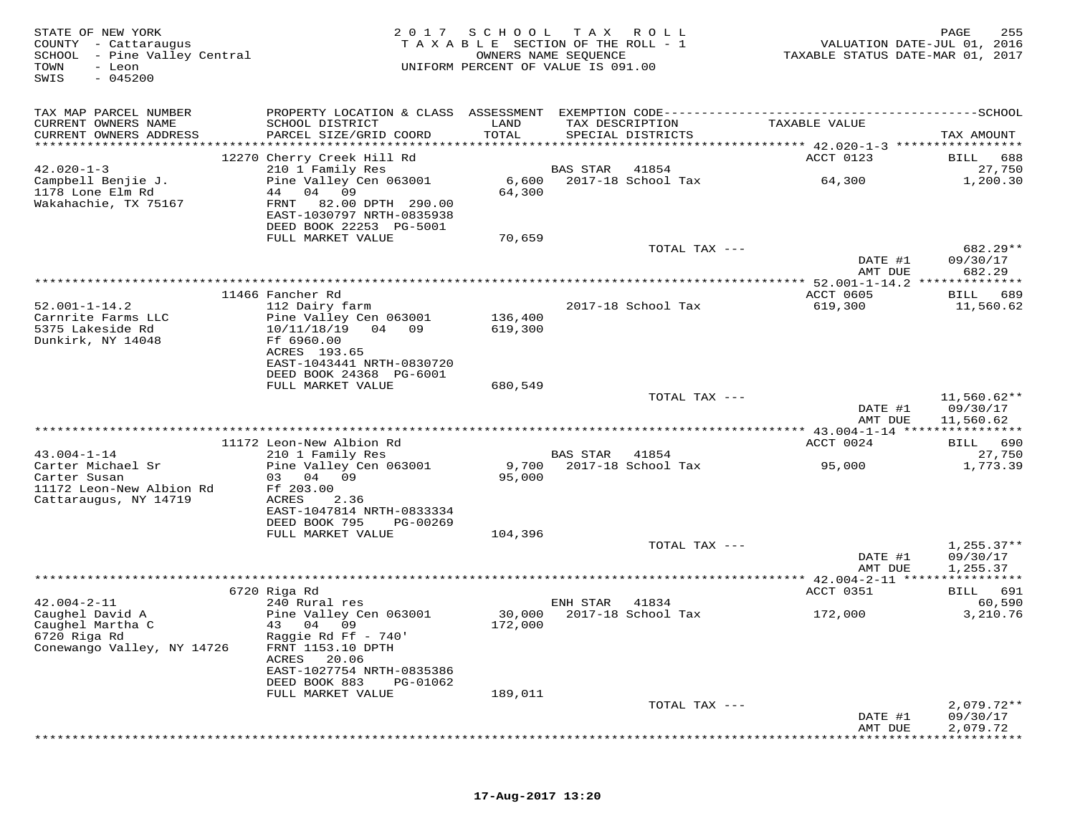| STATE OF NEW YORK<br>COUNTY - Cattaraugus<br>SCHOOL - Pine Valley Central<br>TOWN<br>- Leon<br>$-045200$<br>SWIS | 2017                                                                                         | SCHOOL          | T A X<br>R O L L<br>TAXABLE SECTION OF THE ROLL - 1<br>OWNERS NAME SEQUENCE<br>UNIFORM PERCENT OF VALUE IS 091.00 | VALUATION DATE-JUL 01, 2016<br>TAXABLE STATUS DATE-MAR 01, 2017 | 255<br>PAGE              |
|------------------------------------------------------------------------------------------------------------------|----------------------------------------------------------------------------------------------|-----------------|-------------------------------------------------------------------------------------------------------------------|-----------------------------------------------------------------|--------------------------|
| TAX MAP PARCEL NUMBER                                                                                            | PROPERTY LOCATION & CLASS ASSESSMENT EXEMPTION CODE------------------------                  |                 |                                                                                                                   |                                                                 | $---SCHOOL$              |
| CURRENT OWNERS NAME<br>CURRENT OWNERS ADDRESS<br>**********************                                          | SCHOOL DISTRICT<br>PARCEL SIZE/GRID COORD                                                    | LAND<br>TOTAL   | TAX DESCRIPTION<br>SPECIAL DISTRICTS                                                                              | TAXABLE VALUE                                                   | TAX AMOUNT               |
|                                                                                                                  | 12270 Cherry Creek Hill Rd                                                                   |                 |                                                                                                                   | ACCT 0123                                                       | BILL<br>688              |
| $42.020 - 1 - 3$                                                                                                 | 210 1 Family Res                                                                             |                 | BAS STAR<br>41854                                                                                                 |                                                                 | 27,750                   |
| Campbell Benjie J.<br>1178 Lone Elm Rd<br>Wakahachie, TX 75167                                                   | Pine Valley Cen 063001<br>44 04 09<br>82.00 DPTH 290.00<br>FRNT<br>EAST-1030797 NRTH-0835938 | 6,600<br>64,300 | 2017-18 School Tax                                                                                                | 64,300                                                          | 1,200.30                 |
|                                                                                                                  | DEED BOOK 22253 PG-5001                                                                      |                 |                                                                                                                   |                                                                 |                          |
|                                                                                                                  | FULL MARKET VALUE                                                                            | 70,659          | TOTAL TAX ---                                                                                                     | DATE #1                                                         | 682.29**<br>09/30/17     |
|                                                                                                                  |                                                                                              |                 |                                                                                                                   | AMT DUE                                                         | 682.29                   |
|                                                                                                                  |                                                                                              |                 |                                                                                                                   |                                                                 | * * * * * * * * *        |
|                                                                                                                  | 11466 Fancher Rd                                                                             |                 |                                                                                                                   | ACCT 0605                                                       | BILL<br>689              |
| $52.001 - 1 - 14.2$<br>Carnrite Farms LLC                                                                        | 112 Dairy farm<br>Pine Valley Cen 063001                                                     | 136,400         | 2017-18 School Tax                                                                                                | 619,300                                                         | 11,560.62                |
| 5375 Lakeside Rd                                                                                                 | 10/11/18/19<br>04 09                                                                         | 619,300         |                                                                                                                   |                                                                 |                          |
| Dunkirk, NY 14048                                                                                                | Ff 6960.00                                                                                   |                 |                                                                                                                   |                                                                 |                          |
|                                                                                                                  | ACRES 193.65                                                                                 |                 |                                                                                                                   |                                                                 |                          |
|                                                                                                                  | EAST-1043441 NRTH-0830720                                                                    |                 |                                                                                                                   |                                                                 |                          |
|                                                                                                                  | DEED BOOK 24368 PG-6001<br>FULL MARKET VALUE                                                 | 680,549         |                                                                                                                   |                                                                 |                          |
|                                                                                                                  |                                                                                              |                 | TOTAL TAX ---                                                                                                     |                                                                 | $11,560.62**$            |
|                                                                                                                  |                                                                                              |                 |                                                                                                                   | DATE #1                                                         | 09/30/17                 |
|                                                                                                                  |                                                                                              |                 |                                                                                                                   | AMT DUE                                                         | 11,560.62                |
|                                                                                                                  | 11172 Leon-New Albion Rd                                                                     |                 |                                                                                                                   | ACCT 0024                                                       | BILL 690                 |
| $43.004 - 1 - 14$                                                                                                | 210 1 Family Res                                                                             |                 | BAS STAR<br>41854                                                                                                 |                                                                 | 27,750                   |
| Carter Michael Sr                                                                                                | Pine Valley Cen 063001                                                                       | 9,700           | 2017-18 School Tax                                                                                                | 95,000                                                          | 1,773.39                 |
| Carter Susan<br>11172 Leon-New Albion Rd                                                                         | 03 04<br>09                                                                                  | 95,000          |                                                                                                                   |                                                                 |                          |
| Cattaraugus, NY 14719                                                                                            | Ff 203.00<br>ACRES<br>2.36                                                                   |                 |                                                                                                                   |                                                                 |                          |
|                                                                                                                  | EAST-1047814 NRTH-0833334                                                                    |                 |                                                                                                                   |                                                                 |                          |
|                                                                                                                  | DEED BOOK 795<br>PG-00269                                                                    |                 |                                                                                                                   |                                                                 |                          |
|                                                                                                                  | FULL MARKET VALUE                                                                            | 104,396         | TOTAL TAX ---                                                                                                     |                                                                 | $1,255.37**$             |
|                                                                                                                  |                                                                                              |                 |                                                                                                                   | DATE #1                                                         | 09/30/17                 |
|                                                                                                                  |                                                                                              |                 |                                                                                                                   | AMT DUE                                                         | 1,255.37                 |
|                                                                                                                  | *******************                                                                          |                 | ************************************                                                                              | ********* 42.004-2-11 *****************                         |                          |
| $42.004 - 2 - 11$                                                                                                | 6720 Riga Rd<br>240 Rural res                                                                |                 | ENH STAR<br>41834                                                                                                 | ACCT 0351                                                       | 691<br>BILL<br>60,590    |
| Caughel David A                                                                                                  | Pine Valley Cen 063001                                                                       | 30,000          | 2017-18 School Tax                                                                                                | 172,000                                                         | 3,210.76                 |
| Caughel Martha C                                                                                                 | 43 04<br>09                                                                                  | 172,000         |                                                                                                                   |                                                                 |                          |
| 6720 Riga Rd                                                                                                     | Raggie Rd Ff - 740'                                                                          |                 |                                                                                                                   |                                                                 |                          |
| Conewango Valley, NY 14726                                                                                       | FRNT 1153.10 DPTH<br>ACRES<br>20.06                                                          |                 |                                                                                                                   |                                                                 |                          |
|                                                                                                                  | EAST-1027754 NRTH-0835386                                                                    |                 |                                                                                                                   |                                                                 |                          |
|                                                                                                                  | DEED BOOK 883<br>PG-01062                                                                    |                 |                                                                                                                   |                                                                 |                          |
|                                                                                                                  | FULL MARKET VALUE                                                                            | 189,011         |                                                                                                                   |                                                                 |                          |
|                                                                                                                  |                                                                                              |                 | TOTAL TAX ---                                                                                                     | DATE #1                                                         | $2,079.72**$<br>09/30/17 |
|                                                                                                                  |                                                                                              |                 |                                                                                                                   | AMT DUE                                                         | 2,079.72                 |
|                                                                                                                  |                                                                                              |                 |                                                                                                                   |                                                                 |                          |

## **17-Aug-2017 13:20**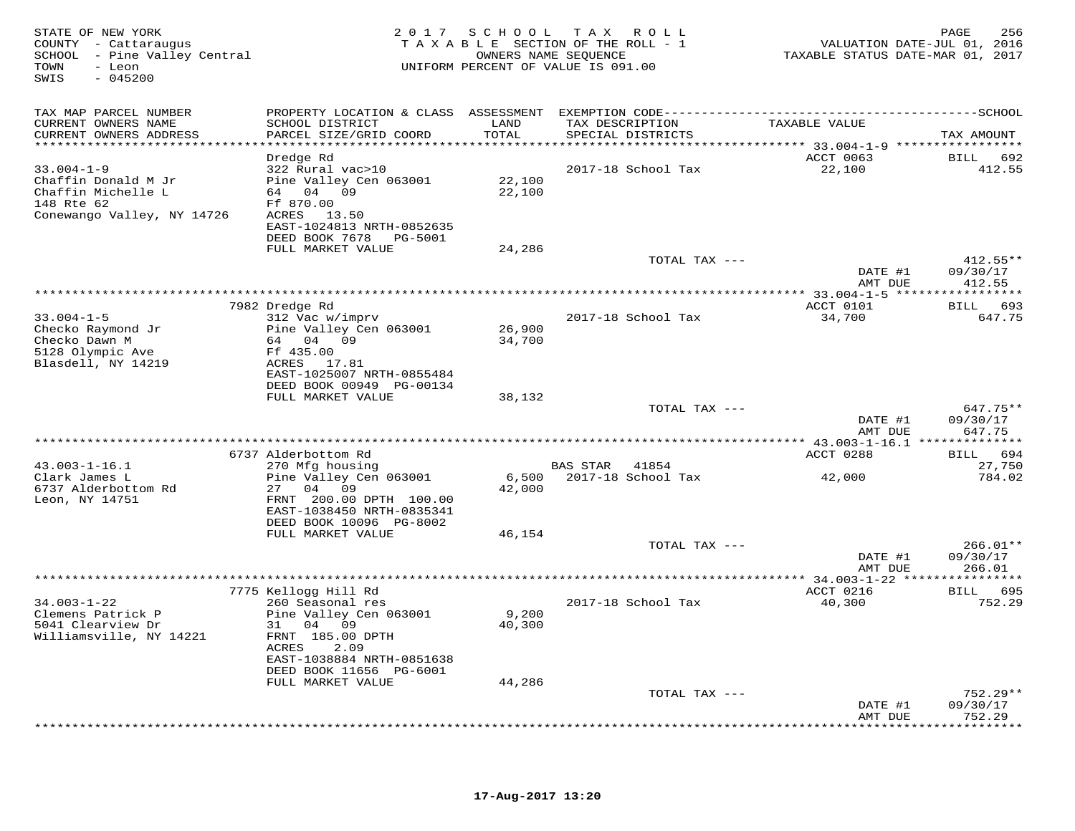| STATE OF NEW YORK<br>COUNTY - Cattaraugus<br>SCHOOL - Pine Valley Central<br>TOWN<br>- Leon<br>$-045200$<br>SWIS |                                                       |                  | 2017 SCHOOL TAX ROLL<br>TAXABLE SECTION OF THE ROLL - 1<br>OWNERS NAME SEQUENCE<br>UNIFORM PERCENT OF VALUE IS 091.00 | VALUATION DATE-JUL 01, 2016<br>TAXABLE STATUS DATE-MAR 01, 2017 | PAGE<br>256                   |
|------------------------------------------------------------------------------------------------------------------|-------------------------------------------------------|------------------|-----------------------------------------------------------------------------------------------------------------------|-----------------------------------------------------------------|-------------------------------|
| TAX MAP PARCEL NUMBER<br>CURRENT OWNERS NAME                                                                     | SCHOOL DISTRICT                                       | LAND             | TAX DESCRIPTION                                                                                                       | TAXABLE VALUE                                                   |                               |
| CURRENT OWNERS ADDRESS                                                                                           | PARCEL SIZE/GRID COORD                                | TOTAL            | SPECIAL DISTRICTS                                                                                                     |                                                                 | TAX AMOUNT                    |
|                                                                                                                  | Dredge Rd                                             |                  |                                                                                                                       | ACCT 0063                                                       | BILL 692                      |
| $33.004 - 1 - 9$                                                                                                 | 322 Rural vac>10                                      |                  | 2017-18 School Tax                                                                                                    | 22,100                                                          | 412.55                        |
| Chaffin Donald M Jr<br>Chaffin Michelle L                                                                        | Pine Valley Cen 063001<br>64 04 09                    | 22,100<br>22,100 |                                                                                                                       |                                                                 |                               |
| 148 Rte 62                                                                                                       | Ff 870.00                                             |                  |                                                                                                                       |                                                                 |                               |
| Conewango Valley, NY 14726                                                                                       | ACRES 13.50                                           |                  |                                                                                                                       |                                                                 |                               |
|                                                                                                                  | EAST-1024813 NRTH-0852635<br>DEED BOOK 7678 PG-5001   |                  |                                                                                                                       |                                                                 |                               |
|                                                                                                                  | FULL MARKET VALUE                                     | 24,286           |                                                                                                                       |                                                                 |                               |
|                                                                                                                  |                                                       |                  | TOTAL TAX ---                                                                                                         | DATE #1                                                         | $412.55**$<br>09/30/17        |
|                                                                                                                  |                                                       |                  |                                                                                                                       | AMT DUE                                                         | 412.55                        |
|                                                                                                                  |                                                       |                  |                                                                                                                       |                                                                 |                               |
| $33.004 - 1 - 5$                                                                                                 | 7982 Dredge Rd<br>312 Vac w/imprv                     |                  | 2017-18 School Tax                                                                                                    | ACCT 0101<br>34,700                                             | BILL 693<br>647.75            |
| Checko Raymond Jr                                                                                                | Pine Valley Cen 063001                                | 26,900           |                                                                                                                       |                                                                 |                               |
| Checko Dawn M<br>5128 Olympic Ave                                                                                | 64 04 09<br>Ff 435.00                                 | 34,700           |                                                                                                                       |                                                                 |                               |
| Blasdell, NY 14219                                                                                               | ACRES 17.81                                           |                  |                                                                                                                       |                                                                 |                               |
|                                                                                                                  | EAST-1025007 NRTH-0855484<br>DEED BOOK 00949 PG-00134 |                  |                                                                                                                       |                                                                 |                               |
|                                                                                                                  | FULL MARKET VALUE                                     | 38,132           |                                                                                                                       |                                                                 |                               |
|                                                                                                                  |                                                       |                  | TOTAL TAX ---                                                                                                         | DATE #1                                                         | $647.75**$<br>09/30/17        |
|                                                                                                                  |                                                       |                  |                                                                                                                       | AMT DUE                                                         | 647.75                        |
|                                                                                                                  |                                                       |                  |                                                                                                                       |                                                                 |                               |
| $43.003 - 1 - 16.1$                                                                                              | 6737 Alderbottom Rd<br>270 Mfg housing                |                  | BAS STAR 41854                                                                                                        | ACCT 0288                                                       | BILL 694<br>27,750            |
| Clark James L                                                                                                    | Pine Valley Cen 063001                                | 6,500            | 2017-18 School Tax                                                                                                    | 42,000                                                          | 784.02                        |
| 6737 Alderbottom Rd<br>Leon, NY 14751                                                                            | 27 04 09<br>FRNT 200.00 DPTH 100.00                   | 42,000           |                                                                                                                       |                                                                 |                               |
|                                                                                                                  | EAST-1038450 NRTH-0835341                             |                  |                                                                                                                       |                                                                 |                               |
|                                                                                                                  | DEED BOOK 10096 PG-8002<br>FULL MARKET VALUE          | 46,154           |                                                                                                                       |                                                                 |                               |
|                                                                                                                  |                                                       |                  | TOTAL TAX ---                                                                                                         |                                                                 | $266.01**$                    |
|                                                                                                                  |                                                       |                  |                                                                                                                       | DATE #1                                                         | 09/30/17                      |
|                                                                                                                  |                                                       |                  |                                                                                                                       | AMT DUE                                                         | 266.01                        |
|                                                                                                                  | 7775 Kellogg Hill Rd                                  |                  |                                                                                                                       | ACCT 0216                                                       | BILL 695                      |
| $34.003 - 1 - 22$<br>Clemens Patrick P                                                                           | 260 Seasonal res<br>Pine Valley Cen 063001            | 9,200            | 2017-18 School Tax                                                                                                    | 40,300                                                          | 752.29                        |
| 5041 Clearview Dr                                                                                                | 31 04 09                                              | 40,300           |                                                                                                                       |                                                                 |                               |
| Williamsville, NY 14221                                                                                          | FRNT 185.00 DPTH<br>ACRES<br>2.09                     |                  |                                                                                                                       |                                                                 |                               |
|                                                                                                                  | EAST-1038884 NRTH-0851638                             |                  |                                                                                                                       |                                                                 |                               |
|                                                                                                                  | DEED BOOK 11656 PG-6001                               |                  |                                                                                                                       |                                                                 |                               |
|                                                                                                                  | FULL MARKET VALUE                                     | 44,286           | TOTAL TAX ---                                                                                                         |                                                                 | $752.29**$                    |
|                                                                                                                  |                                                       |                  |                                                                                                                       | DATE #1                                                         | 09/30/17                      |
|                                                                                                                  |                                                       |                  |                                                                                                                       | AMT DUE                                                         | 752.29<br>* * * * * * * * * * |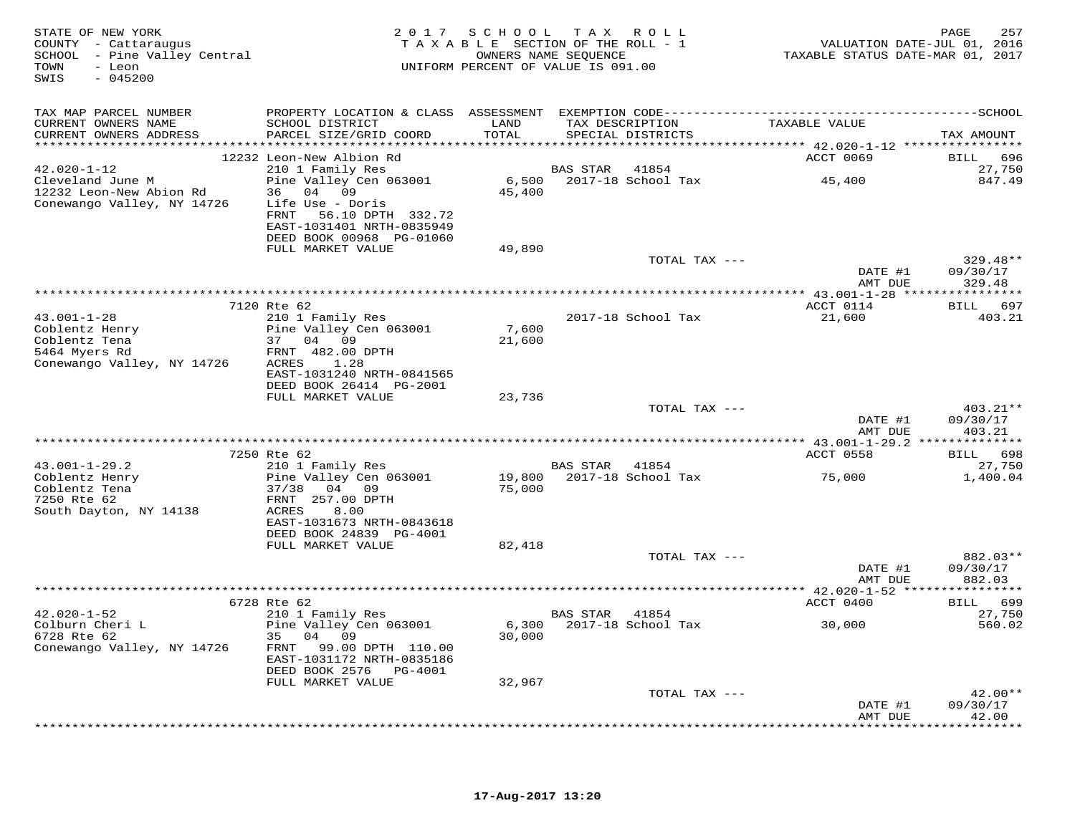| STATE OF NEW YORK<br>COUNTY - Cattaraugus<br>SCHOOL - Pine Valley Central<br>TOWN<br>- Leon<br>$-045200$<br>SWIS | 2 0 1 7                                                                                                                                   |                  | SCHOOL TAX ROLL<br>TAXABLE SECTION OF THE ROLL - 1<br>OWNERS NAME SEOUENCE<br>UNIFORM PERCENT OF VALUE IS 091.00 |                                                                 | 257<br>PAGE<br>VALUATION DATE-JUL 01, 2016<br>TAXABLE STATUS DATE-MAR 01, 2017 |
|------------------------------------------------------------------------------------------------------------------|-------------------------------------------------------------------------------------------------------------------------------------------|------------------|------------------------------------------------------------------------------------------------------------------|-----------------------------------------------------------------|--------------------------------------------------------------------------------|
| TAX MAP PARCEL NUMBER                                                                                            | PROPERTY LOCATION & CLASS ASSESSMENT EXEMPTION CODE-----------------------------------SCHOOL                                              |                  |                                                                                                                  |                                                                 |                                                                                |
| CURRENT OWNERS NAME<br>CURRENT OWNERS ADDRESS                                                                    | SCHOOL DISTRICT<br>PARCEL SIZE/GRID COORD                                                                                                 | LAND<br>TOTAL    | TAX DESCRIPTION<br>SPECIAL DISTRICTS                                                                             | TAXABLE VALUE                                                   | TAX AMOUNT                                                                     |
|                                                                                                                  | 12232 Leon-New Albion Rd                                                                                                                  |                  |                                                                                                                  | ******************** 42.020-1-12 *****************<br>ACCT 0069 | 696<br>BILL                                                                    |
| $42.020 - 1 - 12$                                                                                                | 210 1 Family Res                                                                                                                          |                  | BAS STAR<br>41854                                                                                                |                                                                 | 27,750                                                                         |
| Cleveland June M<br>12232 Leon-New Abion Rd<br>Conewango Valley, NY 14726                                        | Pine Valley Cen 063001<br>36 04 09<br>Life Use - Doris<br>FRNT 56.10 DPTH 332.72<br>EAST-1031401 NRTH-0835949<br>DEED BOOK 00968 PG-01060 | 6,500<br>45,400  | 2017-18 School Tax                                                                                               | 45,400                                                          | 847.49                                                                         |
|                                                                                                                  | FULL MARKET VALUE                                                                                                                         | 49,890           |                                                                                                                  |                                                                 |                                                                                |
|                                                                                                                  |                                                                                                                                           |                  |                                                                                                                  | TOTAL TAX ---                                                   | $329.48**$<br>DATE #1<br>09/30/17                                              |
|                                                                                                                  |                                                                                                                                           |                  |                                                                                                                  |                                                                 | AMT DUE<br>329.48                                                              |
|                                                                                                                  | 7120 Rte 62                                                                                                                               |                  |                                                                                                                  | ACCT 0114                                                       | BILL 697                                                                       |
| $43.001 - 1 - 28$                                                                                                | 210 1 Family Res                                                                                                                          |                  | 2017-18 School Tax                                                                                               | 21,600                                                          | 403.21                                                                         |
| Coblentz Henry                                                                                                   | Pine Valley Cen 063001                                                                                                                    | 7,600            |                                                                                                                  |                                                                 |                                                                                |
| Coblentz Tena                                                                                                    | 37 04 09                                                                                                                                  | 21,600           |                                                                                                                  |                                                                 |                                                                                |
| 5464 Myers Rd<br>Conewango Valley, NY 14726                                                                      | FRNT 482.00 DPTH<br>ACRES<br>1.28                                                                                                         |                  |                                                                                                                  |                                                                 |                                                                                |
|                                                                                                                  | EAST-1031240 NRTH-0841565                                                                                                                 |                  |                                                                                                                  |                                                                 |                                                                                |
|                                                                                                                  | DEED BOOK 26414 PG-2001                                                                                                                   |                  |                                                                                                                  |                                                                 |                                                                                |
|                                                                                                                  | FULL MARKET VALUE                                                                                                                         | 23,736           |                                                                                                                  | TOTAL TAX ---                                                   | 403.21**                                                                       |
|                                                                                                                  |                                                                                                                                           |                  |                                                                                                                  |                                                                 | DATE #1<br>09/30/17                                                            |
|                                                                                                                  |                                                                                                                                           |                  |                                                                                                                  |                                                                 | AMT DUE<br>403.21                                                              |
|                                                                                                                  | 7250 Rte 62                                                                                                                               |                  |                                                                                                                  | ACCT 0558                                                       | BILL 698                                                                       |
| $43.001 - 1 - 29.2$                                                                                              | 210 1 Family Res                                                                                                                          |                  | BAS STAR 41854                                                                                                   |                                                                 | 27,750                                                                         |
| Coblentz Henry<br>Coblentz Tena<br>7250 Rte 62                                                                   | Pine Valley Cen 063001<br>37/38 04 09<br>FRNT 257.00 DPTH                                                                                 | 19,800<br>75,000 | 2017-18 School Tax                                                                                               | 75,000                                                          | 1,400.04                                                                       |
| South Dayton, NY 14138                                                                                           | ACRES<br>8.00<br>EAST-1031673 NRTH-0843618                                                                                                |                  |                                                                                                                  |                                                                 |                                                                                |
|                                                                                                                  | DEED BOOK 24839 PG-4001<br>FULL MARKET VALUE                                                                                              | 82,418           |                                                                                                                  |                                                                 |                                                                                |
|                                                                                                                  |                                                                                                                                           |                  |                                                                                                                  | TOTAL TAX ---                                                   | 882.03**                                                                       |
|                                                                                                                  |                                                                                                                                           |                  |                                                                                                                  |                                                                 | DATE #1<br>09/30/17                                                            |
|                                                                                                                  |                                                                                                                                           |                  |                                                                                                                  |                                                                 | AMT DUE<br>882.03                                                              |
|                                                                                                                  | 6728 Rte 62                                                                                                                               |                  |                                                                                                                  | ACCT 0400                                                       | 699<br><b>BILL</b>                                                             |
| $42.020 - 1 - 52$                                                                                                | 210 1 Family Res                                                                                                                          |                  | BAS STAR 41854                                                                                                   |                                                                 | 27,750                                                                         |
| Colburn Cheri L                                                                                                  | Pine Valley Cen 063001                                                                                                                    | 6,300            | 2017-18 School Tax                                                                                               | 30,000                                                          | 560.02                                                                         |
| 6728 Rte 62                                                                                                      | 35 04<br>09                                                                                                                               | 30,000           |                                                                                                                  |                                                                 |                                                                                |
| Conewango Valley, NY 14726                                                                                       | FRNT 99.00 DPTH 110.00<br>EAST-1031172 NRTH-0835186                                                                                       |                  |                                                                                                                  |                                                                 |                                                                                |
|                                                                                                                  | DEED BOOK 2576 PG-4001<br>FULL MARKET VALUE                                                                                               | 32,967           |                                                                                                                  |                                                                 |                                                                                |
|                                                                                                                  |                                                                                                                                           |                  |                                                                                                                  | TOTAL TAX ---                                                   | $42.00**$                                                                      |
|                                                                                                                  |                                                                                                                                           |                  |                                                                                                                  |                                                                 | DATE #1<br>09/30/17                                                            |
|                                                                                                                  |                                                                                                                                           |                  |                                                                                                                  |                                                                 | 42.00<br>AMT DUE<br>*********                                                  |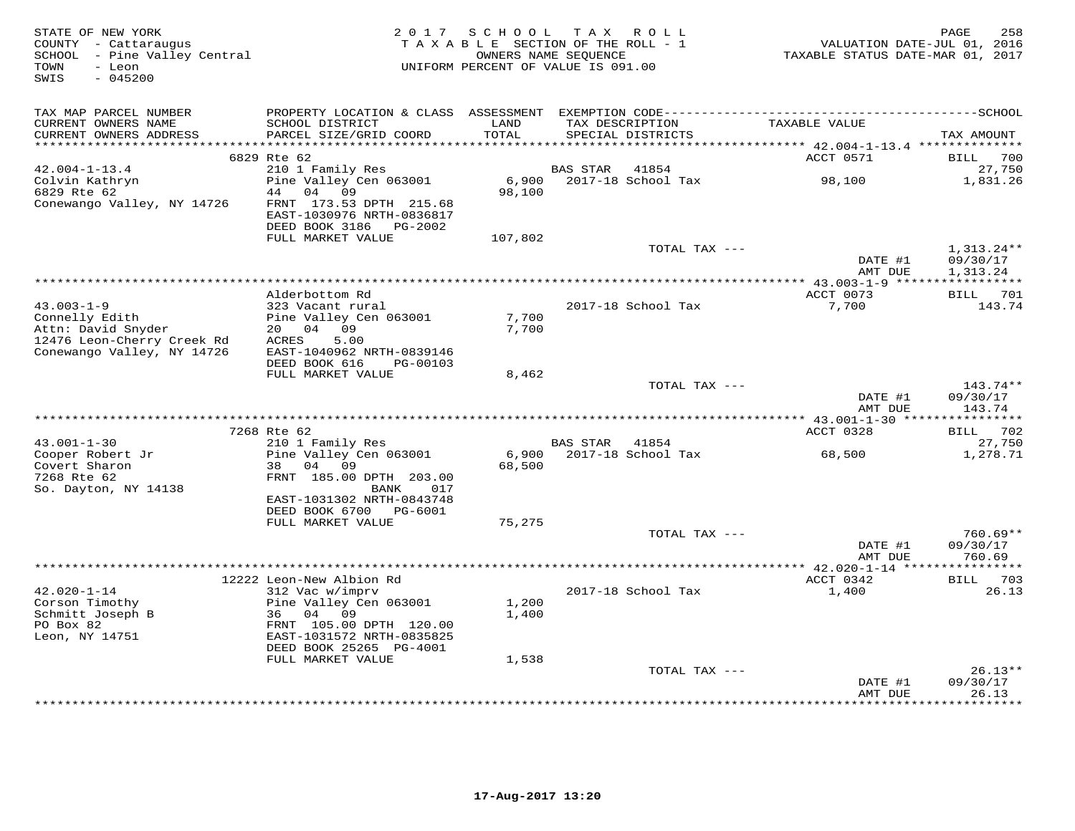| STATE OF NEW YORK<br>COUNTY - Cattaraugus<br>SCHOOL - Pine Valley Central<br>TOWN<br>- Leon<br>$-045200$<br>SWIS | 2017                                                                              | SCHOOL<br>TAXABLE SECTION OF THE ROLL - 1<br>OWNERS NAME SEOUENCE<br>UNIFORM PERCENT OF VALUE IS 091.00 |                 | TAX ROLL                             | VALUATION DATE-JUL 01, 2016<br>TAXABLE STATUS DATE-MAR 01, 2017 | 258<br>PAGE              |
|------------------------------------------------------------------------------------------------------------------|-----------------------------------------------------------------------------------|---------------------------------------------------------------------------------------------------------|-----------------|--------------------------------------|-----------------------------------------------------------------|--------------------------|
| TAX MAP PARCEL NUMBER<br>CURRENT OWNERS NAME<br>CURRENT OWNERS ADDRESS                                           | SCHOOL DISTRICT<br>PARCEL SIZE/GRID COORD                                         | LAND<br>TOTAL                                                                                           |                 | TAX DESCRIPTION<br>SPECIAL DISTRICTS | TAXABLE VALUE                                                   | TAX AMOUNT               |
| **********************                                                                                           |                                                                                   | ***********                                                                                             |                 |                                      | ********************************* 42.004-1-13.4 **************  |                          |
|                                                                                                                  | 6829 Rte 62                                                                       |                                                                                                         |                 |                                      | ACCT 0571                                                       | 700<br>BILL              |
| $42.004 - 1 - 13.4$<br>Colvin Kathryn<br>6829 Rte 62                                                             | 210 1 Family Res<br>Pine Valley Cen 063001<br>44 04 09                            | 6,900<br>98,100                                                                                         | <b>BAS STAR</b> | 41854<br>2017-18 School Tax          | 98,100                                                          | 27,750<br>1,831.26       |
| Conewango Valley, NY 14726                                                                                       | FRNT 173.53 DPTH 215.68<br>EAST-1030976 NRTH-0836817<br>DEED BOOK 3186<br>PG-2002 |                                                                                                         |                 |                                      |                                                                 |                          |
|                                                                                                                  | FULL MARKET VALUE                                                                 | 107,802                                                                                                 |                 |                                      |                                                                 |                          |
|                                                                                                                  |                                                                                   |                                                                                                         |                 | TOTAL TAX ---                        | DATE #1                                                         | $1,313.24**$<br>09/30/17 |
|                                                                                                                  |                                                                                   |                                                                                                         |                 |                                      | AMT DUE<br>$* 43.003 - 1 - 9$ *****                             | 1,313.24<br>***********  |
|                                                                                                                  | Alderbottom Rd                                                                    |                                                                                                         |                 |                                      | ACCT 0073                                                       | BILL 701                 |
| $43.003 - 1 - 9$                                                                                                 | 323 Vacant rural                                                                  |                                                                                                         |                 | 2017-18 School Tax                   | 7,700                                                           | 143.74                   |
| Connelly Edith                                                                                                   | Pine Valley Cen 063001                                                            | 7,700                                                                                                   |                 |                                      |                                                                 |                          |
| Attn: David Snyder                                                                                               | 20  04  09                                                                        | 7,700                                                                                                   |                 |                                      |                                                                 |                          |
| 12476 Leon-Cherry Creek Rd<br>Conewango Valley, NY 14726                                                         | 5.00<br>ACRES<br>EAST-1040962 NRTH-0839146                                        |                                                                                                         |                 |                                      |                                                                 |                          |
|                                                                                                                  | DEED BOOK 616<br>PG-00103                                                         |                                                                                                         |                 |                                      |                                                                 |                          |
|                                                                                                                  | FULL MARKET VALUE                                                                 | 8,462                                                                                                   |                 |                                      |                                                                 |                          |
|                                                                                                                  |                                                                                   |                                                                                                         |                 | TOTAL TAX ---                        |                                                                 | $143.74**$               |
|                                                                                                                  |                                                                                   |                                                                                                         |                 |                                      | DATE #1<br>AMT DUE                                              | 09/30/17<br>143.74       |
|                                                                                                                  |                                                                                   |                                                                                                         |                 |                                      |                                                                 |                          |
|                                                                                                                  | 7268 Rte 62                                                                       |                                                                                                         |                 |                                      | ACCT 0328                                                       | 702<br>BILL              |
| $43.001 - 1 - 30$                                                                                                | 210 1 Family Res                                                                  |                                                                                                         | BAS STAR        | 41854                                |                                                                 | 27,750                   |
| Cooper Robert Jr                                                                                                 | Pine Valley Cen 063001<br>09                                                      | 6,900                                                                                                   |                 | 2017-18 School Tax                   | 68,500                                                          | 1,278.71                 |
| Covert Sharon<br>7268 Rte 62                                                                                     | 38 04<br>FRNT 185.00 DPTH 203.00                                                  | 68,500                                                                                                  |                 |                                      |                                                                 |                          |
| So. Dayton, NY 14138                                                                                             | BANK<br>017                                                                       |                                                                                                         |                 |                                      |                                                                 |                          |
|                                                                                                                  | EAST-1031302 NRTH-0843748                                                         |                                                                                                         |                 |                                      |                                                                 |                          |
|                                                                                                                  | DEED BOOK 6700 PG-6001                                                            |                                                                                                         |                 |                                      |                                                                 |                          |
|                                                                                                                  | FULL MARKET VALUE                                                                 | 75,275                                                                                                  |                 |                                      |                                                                 |                          |
|                                                                                                                  |                                                                                   |                                                                                                         |                 | TOTAL TAX ---                        | DATE #1                                                         | $760.69**$<br>09/30/17   |
|                                                                                                                  |                                                                                   |                                                                                                         |                 |                                      | AMT DUE                                                         | 760.69                   |
|                                                                                                                  |                                                                                   |                                                                                                         |                 |                                      |                                                                 |                          |
|                                                                                                                  | 12222 Leon-New Albion Rd                                                          |                                                                                                         |                 |                                      | ACCT 0342                                                       | 703<br>BILL              |
| $42.020 - 1 - 14$                                                                                                | 312 Vac w/imprv                                                                   |                                                                                                         |                 | 2017-18 School Tax                   | 1,400                                                           | 26.13                    |
| Corson Timothy<br>Schmitt Joseph B                                                                               | Pine Valley Cen 063001<br>36 04 09                                                | 1,200<br>1,400                                                                                          |                 |                                      |                                                                 |                          |
| PO Box 82                                                                                                        | FRNT 105.00 DPTH 120.00                                                           |                                                                                                         |                 |                                      |                                                                 |                          |
| Leon, NY 14751                                                                                                   | EAST-1031572 NRTH-0835825                                                         |                                                                                                         |                 |                                      |                                                                 |                          |
|                                                                                                                  | DEED BOOK 25265 PG-4001                                                           |                                                                                                         |                 |                                      |                                                                 |                          |
|                                                                                                                  | FULL MARKET VALUE                                                                 | 1,538                                                                                                   |                 |                                      |                                                                 |                          |
|                                                                                                                  |                                                                                   |                                                                                                         |                 | TOTAL TAX ---                        |                                                                 | $26.13**$                |
|                                                                                                                  |                                                                                   |                                                                                                         |                 |                                      | DATE #1<br>AMT DUE                                              | 09/30/17<br>26.13        |
|                                                                                                                  |                                                                                   |                                                                                                         |                 |                                      | ***********                                                     | * * * * * * * *          |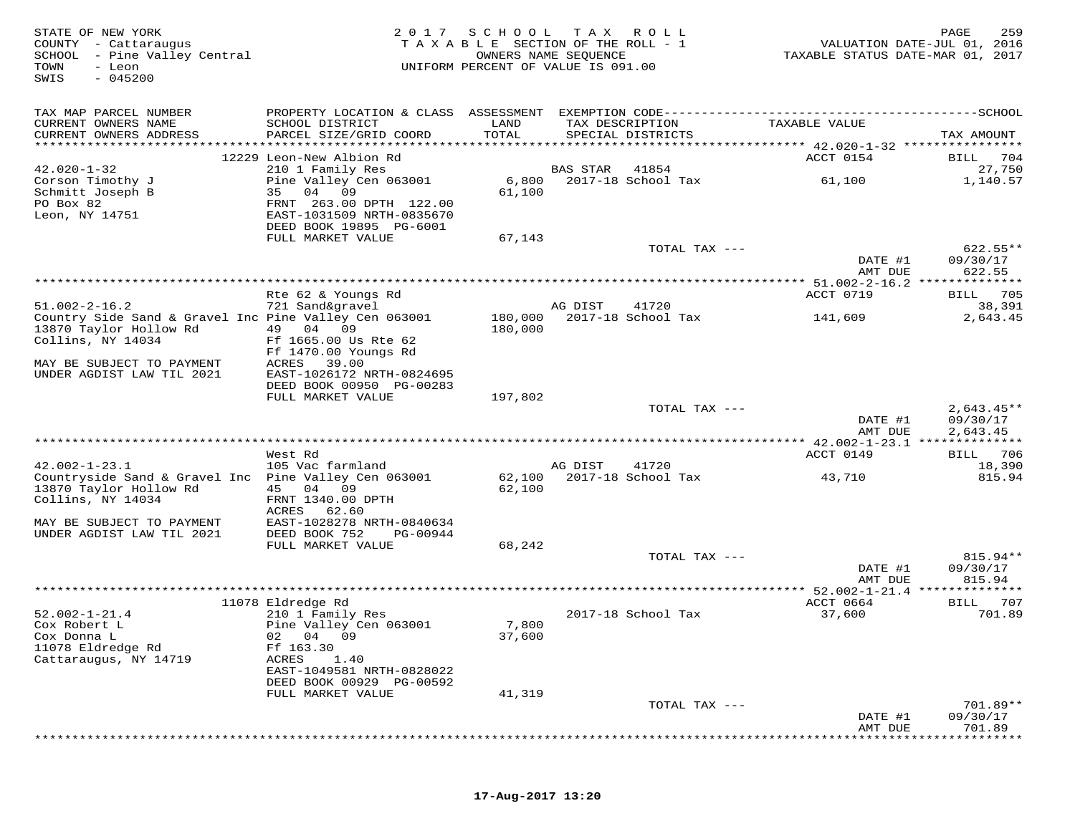| STATE OF NEW YORK<br>COUNTY - Cattaraugus<br>SCHOOL - Pine Valley Central<br>- Leon<br>TOWN<br>$-045200$<br>SWIS | 2 0 1 7                                                                                           | S C H O O L        | T A X<br>TAXABLE SECTION OF THE ROLL - 1<br>OWNERS NAME SEQUENCE<br>UNIFORM PERCENT OF VALUE IS 091.00 | R O L L       | VALUATION DATE-JUL 01, 2016<br>TAXABLE STATUS DATE-MAR 01, 2017 | 259<br>PAGE                      |
|------------------------------------------------------------------------------------------------------------------|---------------------------------------------------------------------------------------------------|--------------------|--------------------------------------------------------------------------------------------------------|---------------|-----------------------------------------------------------------|----------------------------------|
| TAX MAP PARCEL NUMBER                                                                                            | PROPERTY LOCATION & CLASS ASSESSMENT                                                              |                    |                                                                                                        |               | EXEMPTION CODE-----------------------------                     | ------------SCHOOL               |
| CURRENT OWNERS NAME<br>CURRENT OWNERS ADDRESS                                                                    | SCHOOL DISTRICT<br>PARCEL SIZE/GRID COORD                                                         | LAND<br>TOTAL      | TAX DESCRIPTION<br>SPECIAL DISTRICTS                                                                   |               | TAXABLE VALUE                                                   | TAX AMOUNT                       |
| *****************                                                                                                | 12229 Leon-New Albion Rd                                                                          | *******            |                                                                                                        |               | ******** 42.020-1-32 ****************<br>ACCT 0154              | BILL<br>704                      |
| $42.020 - 1 - 32$                                                                                                | 210 1 Family Res                                                                                  |                    | <b>BAS STAR</b>                                                                                        | 41854         |                                                                 | 27,750                           |
| Corson Timothy J                                                                                                 | Pine Valley Cen 063001                                                                            | 6,800              | 2017-18 School Tax                                                                                     |               | 61,100                                                          | 1,140.57                         |
| Schmitt Joseph B<br>PO Box 82<br>Leon, NY 14751                                                                  | 04<br>09<br>35<br>FRNT 263.00 DPTH 122.00<br>EAST-1031509 NRTH-0835670<br>DEED BOOK 19895 PG-6001 | 61,100             |                                                                                                        |               |                                                                 |                                  |
|                                                                                                                  | FULL MARKET VALUE                                                                                 | 67,143             |                                                                                                        |               |                                                                 |                                  |
|                                                                                                                  |                                                                                                   |                    |                                                                                                        | TOTAL TAX --- | DATE #1<br>AMT DUE                                              | $622.55**$<br>09/30/17<br>622.55 |
|                                                                                                                  |                                                                                                   |                    |                                                                                                        |               | **** 51.002-2-16.2 **************                               |                                  |
|                                                                                                                  | Rte 62 & Youngs Rd                                                                                |                    |                                                                                                        |               | ACCT 0719                                                       | 705<br>BILL                      |
| $51.002 - 2 - 16.2$                                                                                              | 721 Sand&gravel                                                                                   |                    | AG DIST                                                                                                | 41720         |                                                                 | 38,391                           |
| Country Side Sand & Gravel Inc Pine Valley Cen 063001<br>13870 Taylor Hollow Rd                                  | 04<br>49<br>09                                                                                    | 180,000<br>180,000 | 2017-18 School Tax                                                                                     |               | 141,609                                                         | 2,643.45                         |
| Collins, NY 14034                                                                                                | Ff 1665.00 Us Rte 62<br>Ff 1470.00 Youngs Rd                                                      |                    |                                                                                                        |               |                                                                 |                                  |
| MAY BE SUBJECT TO PAYMENT                                                                                        | ACRES<br>39.00                                                                                    |                    |                                                                                                        |               |                                                                 |                                  |
| UNDER AGDIST LAW TIL 2021                                                                                        | EAST-1026172 NRTH-0824695<br>DEED BOOK 00950 PG-00283                                             |                    |                                                                                                        |               |                                                                 |                                  |
|                                                                                                                  | FULL MARKET VALUE                                                                                 | 197,802            |                                                                                                        |               |                                                                 |                                  |
|                                                                                                                  |                                                                                                   |                    |                                                                                                        | TOTAL TAX --- |                                                                 | $2,643.45**$                     |
|                                                                                                                  |                                                                                                   |                    |                                                                                                        |               | DATE #1<br>AMT DUE                                              | 09/30/17<br>2,643.45             |
|                                                                                                                  | West Rd                                                                                           |                    |                                                                                                        |               | *********** 42.002-1-23.1 **************<br>ACCT 0149           | 706<br>BILL                      |
| $42.002 - 1 - 23.1$                                                                                              | 105 Vac farmland                                                                                  |                    | AG DIST                                                                                                | 41720         |                                                                 | 18,390                           |
| Countryside Sand & Gravel Inc Pine Valley Cen 063001                                                             |                                                                                                   | 62,100             | 2017-18 School Tax                                                                                     |               | 43,710                                                          | 815.94                           |
| 13870 Taylor Hollow Rd<br>Collins, NY 14034                                                                      | 45<br>04<br>09<br>FRNT 1340.00 DPTH                                                               | 62,100             |                                                                                                        |               |                                                                 |                                  |
|                                                                                                                  | 62.60<br>ACRES                                                                                    |                    |                                                                                                        |               |                                                                 |                                  |
| MAY BE SUBJECT TO PAYMENT                                                                                        | EAST-1028278 NRTH-0840634                                                                         |                    |                                                                                                        |               |                                                                 |                                  |
| UNDER AGDIST LAW TIL 2021                                                                                        | DEED BOOK 752<br>PG-00944                                                                         |                    |                                                                                                        |               |                                                                 |                                  |
|                                                                                                                  | FULL MARKET VALUE                                                                                 | 68,242             |                                                                                                        |               |                                                                 |                                  |
|                                                                                                                  |                                                                                                   |                    |                                                                                                        | TOTAL TAX --- | DATE #1                                                         | $815.94**$<br>09/30/17           |
|                                                                                                                  |                                                                                                   |                    |                                                                                                        |               | AMT DUE                                                         | 815.94                           |
|                                                                                                                  |                                                                                                   |                    |                                                                                                        |               | **** 52.002-1-21.4 ***************                              |                                  |
|                                                                                                                  | 11078 Eldredge Rd                                                                                 |                    |                                                                                                        |               | ACCT 0664                                                       | 707<br>BILL                      |
| $52.002 - 1 - 21.4$<br>Cox Robert L                                                                              | 210 1 Family Res<br>Pine Valley Cen 063001                                                        | 7,800              | 2017-18 School Tax                                                                                     |               | 37,600                                                          | 701.89                           |
| Cox Donna L                                                                                                      | 04<br>09<br>02                                                                                    | 37,600             |                                                                                                        |               |                                                                 |                                  |
| 11078 Eldredge Rd                                                                                                | Ff 163.30                                                                                         |                    |                                                                                                        |               |                                                                 |                                  |
| Cattaraugus, NY 14719                                                                                            | ACRES<br>1.40                                                                                     |                    |                                                                                                        |               |                                                                 |                                  |
|                                                                                                                  | EAST-1049581 NRTH-0828022<br>DEED BOOK 00929 PG-00592                                             |                    |                                                                                                        |               |                                                                 |                                  |
|                                                                                                                  | FULL MARKET VALUE                                                                                 | 41,319             |                                                                                                        |               |                                                                 |                                  |
|                                                                                                                  |                                                                                                   |                    |                                                                                                        | TOTAL TAX --- |                                                                 | 701.89**                         |
|                                                                                                                  |                                                                                                   |                    |                                                                                                        |               | DATE #1                                                         | 09/30/17                         |
|                                                                                                                  |                                                                                                   |                    |                                                                                                        |               | AMT DUE                                                         | 701.89                           |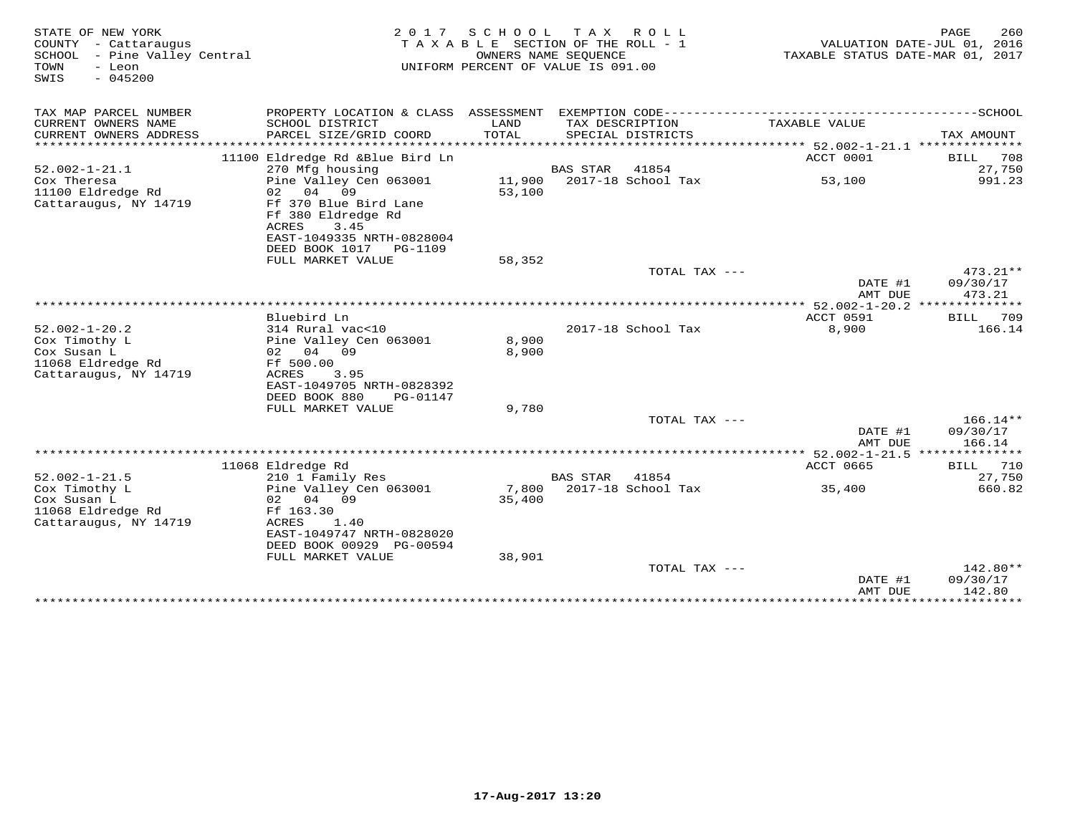| STATE OF NEW YORK<br>COUNTY - Cattaraugus                                                         | 2 0 1 7<br>TAXABLE                                                                                                                                   | SCHOOL           | T A X<br>ROLL<br>SECTION OF THE ROLL - 1                   |                                       | PAGE<br>260<br>VALUATION DATE-JUL 01, 2016 |
|---------------------------------------------------------------------------------------------------|------------------------------------------------------------------------------------------------------------------------------------------------------|------------------|------------------------------------------------------------|---------------------------------------|--------------------------------------------|
| - Pine Valley Central<br>SCHOOL<br>TOWN<br>- Leon<br>$-045200$<br>SWIS                            |                                                                                                                                                      |                  | OWNERS NAME SEQUENCE<br>UNIFORM PERCENT OF VALUE IS 091.00 | TAXABLE STATUS DATE-MAR 01, 2017      |                                            |
| TAX MAP PARCEL NUMBER                                                                             | PROPERTY LOCATION & CLASS ASSESSMENT EXEMPTION CODE---------------------------                                                                       |                  |                                                            |                                       | -------------SCHOOL                        |
| CURRENT OWNERS NAME<br>CURRENT OWNERS ADDRESS<br>********************                             | SCHOOL DISTRICT<br>PARCEL SIZE/GRID COORD                                                                                                            | LAND<br>TOTAL    | TAX DESCRIPTION<br>SPECIAL DISTRICTS                       | TAXABLE VALUE                         | TAX AMOUNT                                 |
| $52.002 - 1 - 21.1$                                                                               | 11100 Eldredge Rd & Blue Bird Ln<br>270 Mfg housing                                                                                                  |                  | 41854<br><b>BAS STAR</b>                                   | ACCT 0001                             | 708<br>BILL<br>27,750                      |
| Cox Theresa<br>11100 Eldredge Rd<br>Cattaraugus, NY 14719                                         | Pine Valley Cen 063001<br>02<br>04<br>09<br>Ff 370 Blue Bird Lane<br>Ff 380 Eldredge Rd<br>ACRES<br>3.45<br>EAST-1049335 NRTH-0828004                | 11,900<br>53,100 | 2017-18 School Tax                                         | 53,100                                | 991.23                                     |
|                                                                                                   | DEED BOOK 1017<br>PG-1109<br>FULL MARKET VALUE                                                                                                       | 58,352           |                                                            |                                       |                                            |
|                                                                                                   |                                                                                                                                                      |                  | TOTAL TAX ---                                              | DATE #1<br>AMT DUE                    | 473.21**<br>09/30/17<br>473.21             |
|                                                                                                   | Bluebird Ln                                                                                                                                          |                  |                                                            | ACCT 0591                             | BILL<br>709                                |
| $52.002 - 1 - 20.2$<br>Cox Timothy L<br>Cox Susan L<br>11068 Eldredge Rd<br>Cattaraugus, NY 14719 | 314 Rural vac<10<br>Pine Valley Cen 063001<br>04<br>02<br>09<br>Ff 500.00<br>ACRES<br>3.95<br>EAST-1049705 NRTH-0828392<br>DEED BOOK 880<br>PG-01147 | 8,900<br>8,900   | 2017-18 School Tax                                         | 8,900                                 | 166.14                                     |
|                                                                                                   | FULL MARKET VALUE                                                                                                                                    | 9,780            |                                                            |                                       |                                            |
|                                                                                                   |                                                                                                                                                      |                  | TOTAL TAX ---                                              | DATE #1<br>AMT DUE                    | $166.14**$<br>09/30/17<br>166.14           |
|                                                                                                   |                                                                                                                                                      |                  |                                                            | *************** 52.002-1-21.5 *****   | *******                                    |
| $52.002 - 1 - 21.5$                                                                               | 11068 Eldredge Rd<br>210 1 Family Res                                                                                                                |                  | 41854<br><b>BAS STAR</b>                                   | <b>ACCT 0665</b>                      | 710<br>BILL<br>27,750                      |
| Cox Timothy L<br>Cox Susan L<br>11068 Eldredge Rd<br>Cattaraugus, NY 14719                        | Pine Valley Cen 063001<br>04<br>09<br>02<br>Ff 163.30<br>ACRES<br>1.40<br>EAST-1049747 NRTH-0828020<br>DEED BOOK 00929 PG-00594                      | 7,800<br>35,400  | 2017-18 School Tax                                         | 35,400                                | 660.82                                     |
|                                                                                                   | FULL MARKET VALUE                                                                                                                                    | 38,901           | TOTAL TAX ---                                              |                                       | 142.80**                                   |
|                                                                                                   |                                                                                                                                                      |                  |                                                            | DATE #1<br>AMT DUE<br>*************** | 09/30/17<br>142.80<br>***********          |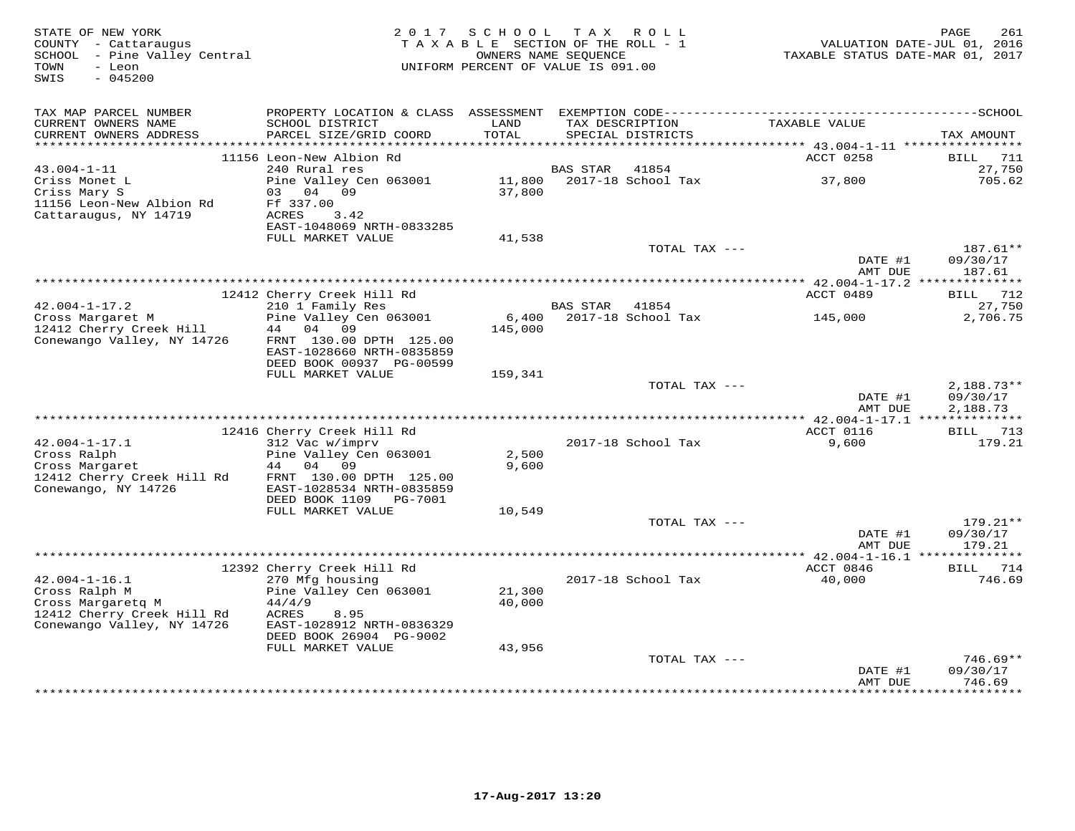| PROPERTY LOCATION & CLASS ASSESSMENT EXEMPTION CODE-----------------------------------SCHOOL<br>TAX MAP PARCEL NUMBER<br>CURRENT OWNERS NAME<br>SCHOOL DISTRICT<br>LAND<br>TAX DESCRIPTION<br>TAXABLE VALUE<br>CURRENT OWNERS ADDRESS<br>PARCEL SIZE/GRID COORD<br>TOTAL<br>SPECIAL DISTRICTS<br>TAX AMOUNT<br>******* 43.004-1-11 ***********<br>********<br>11156 Leon-New Albion Rd<br>ACCT 0258<br><b>BILL</b><br>711<br>240 Rural res<br>27,750<br>$43.004 - 1 - 11$<br>41854<br><b>BAS STAR</b><br>Pine Valley Cen 063001<br>Criss Monet L<br>11,800<br>2017-18 School Tax<br>37,800<br>705.62<br>Criss Mary S<br>04 09<br>37,800<br>03<br>11156 Leon-New Albion Rd<br>Ff 337.00<br>Cattaraugus, NY 14719<br>ACRES<br>3.42<br>EAST-1048069 NRTH-0833285<br>FULL MARKET VALUE<br>41,538<br>187.61**<br>TOTAL TAX ---<br>DATE #1<br>09/30/17<br>187.61<br>AMT DUE<br>12412 Cherry Creek Hill Rd<br>ACCT 0489<br>$42.004 - 1 - 17.2$<br>210 1 Family Res<br>27,750<br><b>BAS STAR</b><br>41854<br>Pine Valley Cen 063001<br>2017-18 School Tax<br>2,706.75<br>Cross Margaret M<br>6,400<br>145,000<br>12412 Cherry Creek Hill<br>04 09<br>145,000<br>44<br>Conewango Valley, NY 14726<br>FRNT 130.00 DPTH 125.00<br>EAST-1028660 NRTH-0835859<br>DEED BOOK 00937 PG-00599<br>FULL MARKET VALUE<br>159,341<br>$2,188.73**$<br>TOTAL TAX ---<br>DATE #1<br>09/30/17<br>2,188.73<br>AMT DUE<br>12416 Cherry Creek Hill Rd<br>ACCT 0116<br>$42.004 - 1 - 17.1$<br>312 Vac w/imprv<br>2017-18 School Tax<br>9,600<br>Cross Ralph<br>Pine Valley Cen 063001<br>2,500<br>Cross Margaret<br>44<br>04<br>09<br>9,600<br>12412 Cherry Creek Hill Rd<br>FRNT 130.00 DPTH 125.00<br>Conewango, NY 14726<br>EAST-1028534 NRTH-0835859<br>DEED BOOK 1109<br>PG-7001<br>FULL MARKET VALUE<br>10,549<br>TOTAL TAX ---<br>DATE #1<br>09/30/17<br>AMT DUE<br>179.21<br>12392 Cherry Creek Hill Rd<br>ACCT 0846<br>714<br>BILL<br>$42.004 - 1 - 16.1$<br>270 Mfg housing<br>2017-18 School Tax<br>40,000<br>Cross Ralph M<br>Pine Valley Cen 063001<br>21,300<br>Cross Margaretg M<br>44/4/9<br>40,000<br>12412 Cherry Creek Hill Rd<br>ACRES<br>8.95<br>Conewango Valley, NY 14726<br>EAST-1028912 NRTH-0836329<br>DEED BOOK 26904 PG-9002<br>FULL MARKET VALUE<br>43,956<br>TOTAL TAX ---<br>09/30/17<br>DATE #1<br>746.69<br>AMT DUE<br><br>******** | STATE OF NEW YORK<br>COUNTY - Cattaraugus<br>SCHOOL - Pine Valley Central<br>- Leon<br>TOWN<br>SWIS<br>$-045200$ | 2 0 1 7 | S C H O O L | TAX ROLL<br>TAXABLE SECTION OF THE ROLL - 1<br>OWNERS NAME SEQUENCE<br>UNIFORM PERCENT OF VALUE IS 091.00 | TAXABLE STATUS DATE-MAR 01, 2017 | 261<br>PAGE<br>VALUATION DATE-JUL 01, 2016 |
|-----------------------------------------------------------------------------------------------------------------------------------------------------------------------------------------------------------------------------------------------------------------------------------------------------------------------------------------------------------------------------------------------------------------------------------------------------------------------------------------------------------------------------------------------------------------------------------------------------------------------------------------------------------------------------------------------------------------------------------------------------------------------------------------------------------------------------------------------------------------------------------------------------------------------------------------------------------------------------------------------------------------------------------------------------------------------------------------------------------------------------------------------------------------------------------------------------------------------------------------------------------------------------------------------------------------------------------------------------------------------------------------------------------------------------------------------------------------------------------------------------------------------------------------------------------------------------------------------------------------------------------------------------------------------------------------------------------------------------------------------------------------------------------------------------------------------------------------------------------------------------------------------------------------------------------------------------------------------------------------------------------------------------------------------------------------------------------------------------------------------------------------------------------------------------------------------------------------------------------------------------------------------------------------------------------------------------------------|------------------------------------------------------------------------------------------------------------------|---------|-------------|-----------------------------------------------------------------------------------------------------------|----------------------------------|--------------------------------------------|
|                                                                                                                                                                                                                                                                                                                                                                                                                                                                                                                                                                                                                                                                                                                                                                                                                                                                                                                                                                                                                                                                                                                                                                                                                                                                                                                                                                                                                                                                                                                                                                                                                                                                                                                                                                                                                                                                                                                                                                                                                                                                                                                                                                                                                                                                                                                                         |                                                                                                                  |         |             |                                                                                                           |                                  |                                            |
|                                                                                                                                                                                                                                                                                                                                                                                                                                                                                                                                                                                                                                                                                                                                                                                                                                                                                                                                                                                                                                                                                                                                                                                                                                                                                                                                                                                                                                                                                                                                                                                                                                                                                                                                                                                                                                                                                                                                                                                                                                                                                                                                                                                                                                                                                                                                         |                                                                                                                  |         |             |                                                                                                           |                                  |                                            |
|                                                                                                                                                                                                                                                                                                                                                                                                                                                                                                                                                                                                                                                                                                                                                                                                                                                                                                                                                                                                                                                                                                                                                                                                                                                                                                                                                                                                                                                                                                                                                                                                                                                                                                                                                                                                                                                                                                                                                                                                                                                                                                                                                                                                                                                                                                                                         |                                                                                                                  |         |             |                                                                                                           |                                  |                                            |
|                                                                                                                                                                                                                                                                                                                                                                                                                                                                                                                                                                                                                                                                                                                                                                                                                                                                                                                                                                                                                                                                                                                                                                                                                                                                                                                                                                                                                                                                                                                                                                                                                                                                                                                                                                                                                                                                                                                                                                                                                                                                                                                                                                                                                                                                                                                                         |                                                                                                                  |         |             |                                                                                                           |                                  |                                            |
|                                                                                                                                                                                                                                                                                                                                                                                                                                                                                                                                                                                                                                                                                                                                                                                                                                                                                                                                                                                                                                                                                                                                                                                                                                                                                                                                                                                                                                                                                                                                                                                                                                                                                                                                                                                                                                                                                                                                                                                                                                                                                                                                                                                                                                                                                                                                         |                                                                                                                  |         |             |                                                                                                           |                                  |                                            |
|                                                                                                                                                                                                                                                                                                                                                                                                                                                                                                                                                                                                                                                                                                                                                                                                                                                                                                                                                                                                                                                                                                                                                                                                                                                                                                                                                                                                                                                                                                                                                                                                                                                                                                                                                                                                                                                                                                                                                                                                                                                                                                                                                                                                                                                                                                                                         |                                                                                                                  |         |             |                                                                                                           |                                  |                                            |
|                                                                                                                                                                                                                                                                                                                                                                                                                                                                                                                                                                                                                                                                                                                                                                                                                                                                                                                                                                                                                                                                                                                                                                                                                                                                                                                                                                                                                                                                                                                                                                                                                                                                                                                                                                                                                                                                                                                                                                                                                                                                                                                                                                                                                                                                                                                                         |                                                                                                                  |         |             |                                                                                                           |                                  |                                            |
|                                                                                                                                                                                                                                                                                                                                                                                                                                                                                                                                                                                                                                                                                                                                                                                                                                                                                                                                                                                                                                                                                                                                                                                                                                                                                                                                                                                                                                                                                                                                                                                                                                                                                                                                                                                                                                                                                                                                                                                                                                                                                                                                                                                                                                                                                                                                         |                                                                                                                  |         |             |                                                                                                           |                                  |                                            |
|                                                                                                                                                                                                                                                                                                                                                                                                                                                                                                                                                                                                                                                                                                                                                                                                                                                                                                                                                                                                                                                                                                                                                                                                                                                                                                                                                                                                                                                                                                                                                                                                                                                                                                                                                                                                                                                                                                                                                                                                                                                                                                                                                                                                                                                                                                                                         |                                                                                                                  |         |             |                                                                                                           |                                  |                                            |
|                                                                                                                                                                                                                                                                                                                                                                                                                                                                                                                                                                                                                                                                                                                                                                                                                                                                                                                                                                                                                                                                                                                                                                                                                                                                                                                                                                                                                                                                                                                                                                                                                                                                                                                                                                                                                                                                                                                                                                                                                                                                                                                                                                                                                                                                                                                                         |                                                                                                                  |         |             |                                                                                                           |                                  |                                            |
|                                                                                                                                                                                                                                                                                                                                                                                                                                                                                                                                                                                                                                                                                                                                                                                                                                                                                                                                                                                                                                                                                                                                                                                                                                                                                                                                                                                                                                                                                                                                                                                                                                                                                                                                                                                                                                                                                                                                                                                                                                                                                                                                                                                                                                                                                                                                         |                                                                                                                  |         |             |                                                                                                           |                                  |                                            |
|                                                                                                                                                                                                                                                                                                                                                                                                                                                                                                                                                                                                                                                                                                                                                                                                                                                                                                                                                                                                                                                                                                                                                                                                                                                                                                                                                                                                                                                                                                                                                                                                                                                                                                                                                                                                                                                                                                                                                                                                                                                                                                                                                                                                                                                                                                                                         |                                                                                                                  |         |             |                                                                                                           |                                  |                                            |
|                                                                                                                                                                                                                                                                                                                                                                                                                                                                                                                                                                                                                                                                                                                                                                                                                                                                                                                                                                                                                                                                                                                                                                                                                                                                                                                                                                                                                                                                                                                                                                                                                                                                                                                                                                                                                                                                                                                                                                                                                                                                                                                                                                                                                                                                                                                                         |                                                                                                                  |         |             |                                                                                                           |                                  |                                            |
|                                                                                                                                                                                                                                                                                                                                                                                                                                                                                                                                                                                                                                                                                                                                                                                                                                                                                                                                                                                                                                                                                                                                                                                                                                                                                                                                                                                                                                                                                                                                                                                                                                                                                                                                                                                                                                                                                                                                                                                                                                                                                                                                                                                                                                                                                                                                         |                                                                                                                  |         |             |                                                                                                           |                                  |                                            |
|                                                                                                                                                                                                                                                                                                                                                                                                                                                                                                                                                                                                                                                                                                                                                                                                                                                                                                                                                                                                                                                                                                                                                                                                                                                                                                                                                                                                                                                                                                                                                                                                                                                                                                                                                                                                                                                                                                                                                                                                                                                                                                                                                                                                                                                                                                                                         |                                                                                                                  |         |             |                                                                                                           |                                  | <b>BILL</b> 712                            |
|                                                                                                                                                                                                                                                                                                                                                                                                                                                                                                                                                                                                                                                                                                                                                                                                                                                                                                                                                                                                                                                                                                                                                                                                                                                                                                                                                                                                                                                                                                                                                                                                                                                                                                                                                                                                                                                                                                                                                                                                                                                                                                                                                                                                                                                                                                                                         |                                                                                                                  |         |             |                                                                                                           |                                  |                                            |
|                                                                                                                                                                                                                                                                                                                                                                                                                                                                                                                                                                                                                                                                                                                                                                                                                                                                                                                                                                                                                                                                                                                                                                                                                                                                                                                                                                                                                                                                                                                                                                                                                                                                                                                                                                                                                                                                                                                                                                                                                                                                                                                                                                                                                                                                                                                                         |                                                                                                                  |         |             |                                                                                                           |                                  |                                            |
|                                                                                                                                                                                                                                                                                                                                                                                                                                                                                                                                                                                                                                                                                                                                                                                                                                                                                                                                                                                                                                                                                                                                                                                                                                                                                                                                                                                                                                                                                                                                                                                                                                                                                                                                                                                                                                                                                                                                                                                                                                                                                                                                                                                                                                                                                                                                         |                                                                                                                  |         |             |                                                                                                           |                                  |                                            |
|                                                                                                                                                                                                                                                                                                                                                                                                                                                                                                                                                                                                                                                                                                                                                                                                                                                                                                                                                                                                                                                                                                                                                                                                                                                                                                                                                                                                                                                                                                                                                                                                                                                                                                                                                                                                                                                                                                                                                                                                                                                                                                                                                                                                                                                                                                                                         |                                                                                                                  |         |             |                                                                                                           |                                  |                                            |
|                                                                                                                                                                                                                                                                                                                                                                                                                                                                                                                                                                                                                                                                                                                                                                                                                                                                                                                                                                                                                                                                                                                                                                                                                                                                                                                                                                                                                                                                                                                                                                                                                                                                                                                                                                                                                                                                                                                                                                                                                                                                                                                                                                                                                                                                                                                                         |                                                                                                                  |         |             |                                                                                                           |                                  |                                            |
|                                                                                                                                                                                                                                                                                                                                                                                                                                                                                                                                                                                                                                                                                                                                                                                                                                                                                                                                                                                                                                                                                                                                                                                                                                                                                                                                                                                                                                                                                                                                                                                                                                                                                                                                                                                                                                                                                                                                                                                                                                                                                                                                                                                                                                                                                                                                         |                                                                                                                  |         |             |                                                                                                           |                                  |                                            |
|                                                                                                                                                                                                                                                                                                                                                                                                                                                                                                                                                                                                                                                                                                                                                                                                                                                                                                                                                                                                                                                                                                                                                                                                                                                                                                                                                                                                                                                                                                                                                                                                                                                                                                                                                                                                                                                                                                                                                                                                                                                                                                                                                                                                                                                                                                                                         |                                                                                                                  |         |             |                                                                                                           |                                  |                                            |
|                                                                                                                                                                                                                                                                                                                                                                                                                                                                                                                                                                                                                                                                                                                                                                                                                                                                                                                                                                                                                                                                                                                                                                                                                                                                                                                                                                                                                                                                                                                                                                                                                                                                                                                                                                                                                                                                                                                                                                                                                                                                                                                                                                                                                                                                                                                                         |                                                                                                                  |         |             |                                                                                                           |                                  |                                            |
|                                                                                                                                                                                                                                                                                                                                                                                                                                                                                                                                                                                                                                                                                                                                                                                                                                                                                                                                                                                                                                                                                                                                                                                                                                                                                                                                                                                                                                                                                                                                                                                                                                                                                                                                                                                                                                                                                                                                                                                                                                                                                                                                                                                                                                                                                                                                         |                                                                                                                  |         |             |                                                                                                           |                                  |                                            |
|                                                                                                                                                                                                                                                                                                                                                                                                                                                                                                                                                                                                                                                                                                                                                                                                                                                                                                                                                                                                                                                                                                                                                                                                                                                                                                                                                                                                                                                                                                                                                                                                                                                                                                                                                                                                                                                                                                                                                                                                                                                                                                                                                                                                                                                                                                                                         |                                                                                                                  |         |             |                                                                                                           |                                  | BILL 713                                   |
|                                                                                                                                                                                                                                                                                                                                                                                                                                                                                                                                                                                                                                                                                                                                                                                                                                                                                                                                                                                                                                                                                                                                                                                                                                                                                                                                                                                                                                                                                                                                                                                                                                                                                                                                                                                                                                                                                                                                                                                                                                                                                                                                                                                                                                                                                                                                         |                                                                                                                  |         |             |                                                                                                           |                                  | 179.21                                     |
|                                                                                                                                                                                                                                                                                                                                                                                                                                                                                                                                                                                                                                                                                                                                                                                                                                                                                                                                                                                                                                                                                                                                                                                                                                                                                                                                                                                                                                                                                                                                                                                                                                                                                                                                                                                                                                                                                                                                                                                                                                                                                                                                                                                                                                                                                                                                         |                                                                                                                  |         |             |                                                                                                           |                                  |                                            |
|                                                                                                                                                                                                                                                                                                                                                                                                                                                                                                                                                                                                                                                                                                                                                                                                                                                                                                                                                                                                                                                                                                                                                                                                                                                                                                                                                                                                                                                                                                                                                                                                                                                                                                                                                                                                                                                                                                                                                                                                                                                                                                                                                                                                                                                                                                                                         |                                                                                                                  |         |             |                                                                                                           |                                  |                                            |
|                                                                                                                                                                                                                                                                                                                                                                                                                                                                                                                                                                                                                                                                                                                                                                                                                                                                                                                                                                                                                                                                                                                                                                                                                                                                                                                                                                                                                                                                                                                                                                                                                                                                                                                                                                                                                                                                                                                                                                                                                                                                                                                                                                                                                                                                                                                                         |                                                                                                                  |         |             |                                                                                                           |                                  |                                            |
|                                                                                                                                                                                                                                                                                                                                                                                                                                                                                                                                                                                                                                                                                                                                                                                                                                                                                                                                                                                                                                                                                                                                                                                                                                                                                                                                                                                                                                                                                                                                                                                                                                                                                                                                                                                                                                                                                                                                                                                                                                                                                                                                                                                                                                                                                                                                         |                                                                                                                  |         |             |                                                                                                           |                                  |                                            |
|                                                                                                                                                                                                                                                                                                                                                                                                                                                                                                                                                                                                                                                                                                                                                                                                                                                                                                                                                                                                                                                                                                                                                                                                                                                                                                                                                                                                                                                                                                                                                                                                                                                                                                                                                                                                                                                                                                                                                                                                                                                                                                                                                                                                                                                                                                                                         |                                                                                                                  |         |             |                                                                                                           |                                  |                                            |
|                                                                                                                                                                                                                                                                                                                                                                                                                                                                                                                                                                                                                                                                                                                                                                                                                                                                                                                                                                                                                                                                                                                                                                                                                                                                                                                                                                                                                                                                                                                                                                                                                                                                                                                                                                                                                                                                                                                                                                                                                                                                                                                                                                                                                                                                                                                                         |                                                                                                                  |         |             |                                                                                                           |                                  | 179.21**                                   |
|                                                                                                                                                                                                                                                                                                                                                                                                                                                                                                                                                                                                                                                                                                                                                                                                                                                                                                                                                                                                                                                                                                                                                                                                                                                                                                                                                                                                                                                                                                                                                                                                                                                                                                                                                                                                                                                                                                                                                                                                                                                                                                                                                                                                                                                                                                                                         |                                                                                                                  |         |             |                                                                                                           |                                  |                                            |
|                                                                                                                                                                                                                                                                                                                                                                                                                                                                                                                                                                                                                                                                                                                                                                                                                                                                                                                                                                                                                                                                                                                                                                                                                                                                                                                                                                                                                                                                                                                                                                                                                                                                                                                                                                                                                                                                                                                                                                                                                                                                                                                                                                                                                                                                                                                                         |                                                                                                                  |         |             |                                                                                                           |                                  |                                            |
|                                                                                                                                                                                                                                                                                                                                                                                                                                                                                                                                                                                                                                                                                                                                                                                                                                                                                                                                                                                                                                                                                                                                                                                                                                                                                                                                                                                                                                                                                                                                                                                                                                                                                                                                                                                                                                                                                                                                                                                                                                                                                                                                                                                                                                                                                                                                         |                                                                                                                  |         |             |                                                                                                           |                                  |                                            |
|                                                                                                                                                                                                                                                                                                                                                                                                                                                                                                                                                                                                                                                                                                                                                                                                                                                                                                                                                                                                                                                                                                                                                                                                                                                                                                                                                                                                                                                                                                                                                                                                                                                                                                                                                                                                                                                                                                                                                                                                                                                                                                                                                                                                                                                                                                                                         |                                                                                                                  |         |             |                                                                                                           |                                  | 746.69                                     |
|                                                                                                                                                                                                                                                                                                                                                                                                                                                                                                                                                                                                                                                                                                                                                                                                                                                                                                                                                                                                                                                                                                                                                                                                                                                                                                                                                                                                                                                                                                                                                                                                                                                                                                                                                                                                                                                                                                                                                                                                                                                                                                                                                                                                                                                                                                                                         |                                                                                                                  |         |             |                                                                                                           |                                  |                                            |
|                                                                                                                                                                                                                                                                                                                                                                                                                                                                                                                                                                                                                                                                                                                                                                                                                                                                                                                                                                                                                                                                                                                                                                                                                                                                                                                                                                                                                                                                                                                                                                                                                                                                                                                                                                                                                                                                                                                                                                                                                                                                                                                                                                                                                                                                                                                                         |                                                                                                                  |         |             |                                                                                                           |                                  |                                            |
|                                                                                                                                                                                                                                                                                                                                                                                                                                                                                                                                                                                                                                                                                                                                                                                                                                                                                                                                                                                                                                                                                                                                                                                                                                                                                                                                                                                                                                                                                                                                                                                                                                                                                                                                                                                                                                                                                                                                                                                                                                                                                                                                                                                                                                                                                                                                         |                                                                                                                  |         |             |                                                                                                           |                                  |                                            |
|                                                                                                                                                                                                                                                                                                                                                                                                                                                                                                                                                                                                                                                                                                                                                                                                                                                                                                                                                                                                                                                                                                                                                                                                                                                                                                                                                                                                                                                                                                                                                                                                                                                                                                                                                                                                                                                                                                                                                                                                                                                                                                                                                                                                                                                                                                                                         |                                                                                                                  |         |             |                                                                                                           |                                  |                                            |
|                                                                                                                                                                                                                                                                                                                                                                                                                                                                                                                                                                                                                                                                                                                                                                                                                                                                                                                                                                                                                                                                                                                                                                                                                                                                                                                                                                                                                                                                                                                                                                                                                                                                                                                                                                                                                                                                                                                                                                                                                                                                                                                                                                                                                                                                                                                                         |                                                                                                                  |         |             |                                                                                                           |                                  |                                            |
|                                                                                                                                                                                                                                                                                                                                                                                                                                                                                                                                                                                                                                                                                                                                                                                                                                                                                                                                                                                                                                                                                                                                                                                                                                                                                                                                                                                                                                                                                                                                                                                                                                                                                                                                                                                                                                                                                                                                                                                                                                                                                                                                                                                                                                                                                                                                         |                                                                                                                  |         |             |                                                                                                           |                                  | $746.69**$                                 |
|                                                                                                                                                                                                                                                                                                                                                                                                                                                                                                                                                                                                                                                                                                                                                                                                                                                                                                                                                                                                                                                                                                                                                                                                                                                                                                                                                                                                                                                                                                                                                                                                                                                                                                                                                                                                                                                                                                                                                                                                                                                                                                                                                                                                                                                                                                                                         |                                                                                                                  |         |             |                                                                                                           |                                  |                                            |
|                                                                                                                                                                                                                                                                                                                                                                                                                                                                                                                                                                                                                                                                                                                                                                                                                                                                                                                                                                                                                                                                                                                                                                                                                                                                                                                                                                                                                                                                                                                                                                                                                                                                                                                                                                                                                                                                                                                                                                                                                                                                                                                                                                                                                                                                                                                                         |                                                                                                                  |         |             |                                                                                                           |                                  |                                            |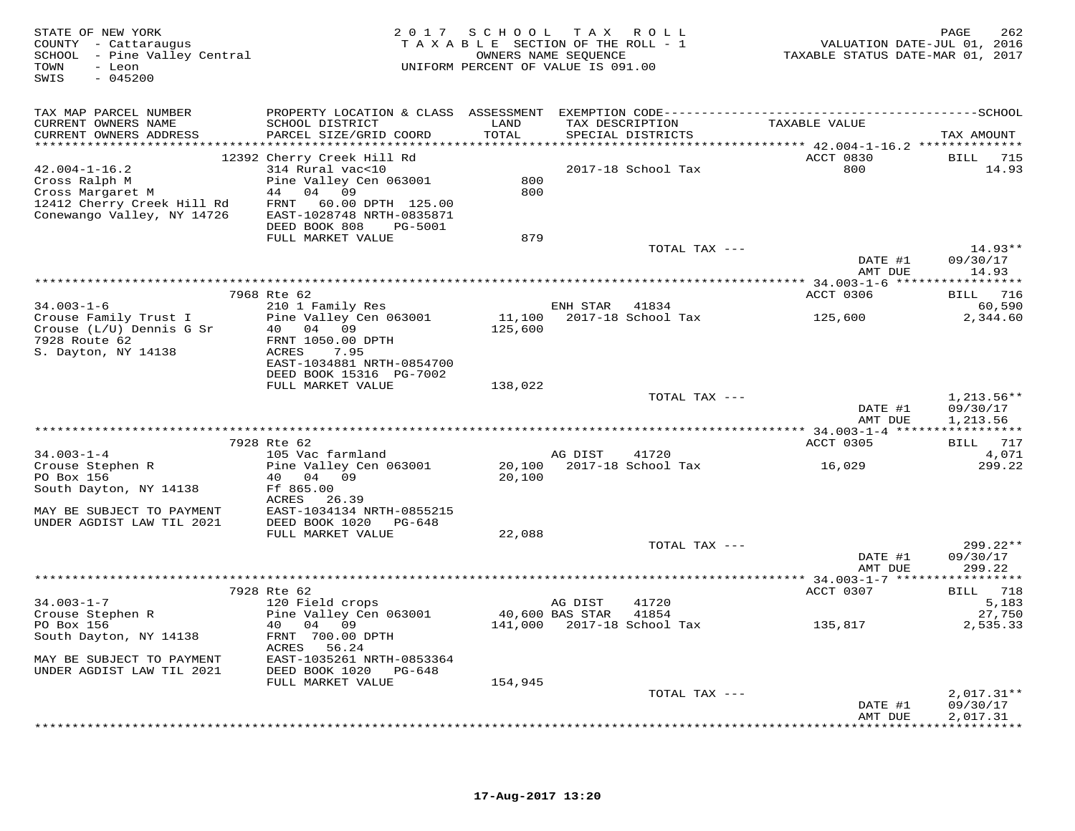| STATE OF NEW YORK<br>COUNTY - Cattaraugus<br>SCHOOL - Pine Valley Central<br>- Leon<br>TOWN<br>SWIS<br>$-045200$ |                                                | 2017 SCHOOL TAX ROLL<br>TAXABLE SECTION OF THE ROLL - 1<br>UNIFORM PERCENT OF VALUE IS 091.00 | OWNERS NAME SEQUENCE |                            | VALUATION DATE-JUL 01, 2016<br>TAXABLE STATUS DATE-MAR 01, 2017 | 262<br>PAGE          |
|------------------------------------------------------------------------------------------------------------------|------------------------------------------------|-----------------------------------------------------------------------------------------------|----------------------|----------------------------|-----------------------------------------------------------------|----------------------|
| TAX MAP PARCEL NUMBER                                                                                            |                                                |                                                                                               |                      |                            |                                                                 |                      |
| CURRENT OWNERS NAME<br>CURRENT OWNERS ADDRESS                                                                    | SCHOOL DISTRICT<br>PARCEL SIZE/GRID COORD      | LAND<br>TOTAL                                                                                 | TAX DESCRIPTION      | SPECIAL DISTRICTS          | TAXABLE VALUE                                                   | TAX AMOUNT           |
|                                                                                                                  |                                                |                                                                                               |                      |                            | ACCT 0830                                                       |                      |
| $42.004 - 1 - 16.2$                                                                                              | 12392 Cherry Creek Hill Rd<br>314 Rural vac<10 |                                                                                               |                      | 2017-18 School Tax         | 800                                                             | BILL 715<br>14.93    |
| Cross Ralph M                                                                                                    | Pine Valley Cen 063001                         | 800                                                                                           |                      |                            |                                                                 |                      |
| Cross Margaret M                                                                                                 | 44 04 09                                       | 800                                                                                           |                      |                            |                                                                 |                      |
| 12412 Cherry Creek Hill Rd                                                                                       | FRNT 60.00 DPTH 125.00                         |                                                                                               |                      |                            |                                                                 |                      |
| Conewango Valley, NY 14726                                                                                       | EAST-1028748 NRTH-0835871                      |                                                                                               |                      |                            |                                                                 |                      |
|                                                                                                                  | DEED BOOK 808<br>PG-5001                       |                                                                                               |                      |                            |                                                                 |                      |
|                                                                                                                  | FULL MARKET VALUE                              | 879                                                                                           |                      | TOTAL TAX ---              |                                                                 | $14.93**$            |
|                                                                                                                  |                                                |                                                                                               |                      |                            | DATE #1                                                         | 09/30/17             |
|                                                                                                                  |                                                |                                                                                               |                      |                            | AMT DUE                                                         | 14.93                |
|                                                                                                                  |                                                |                                                                                               |                      |                            |                                                                 |                      |
|                                                                                                                  | 7968 Rte 62                                    |                                                                                               |                      |                            | ACCT 0306                                                       | BILL 716             |
| $34.003 - 1 - 6$                                                                                                 | 210 1 Family Res                               |                                                                                               | ENH STAR 41834       |                            |                                                                 | 60,590               |
| Crouse Family Trust I                                                                                            | Pine Valley Cen 063001                         | 11,100                                                                                        |                      | 2017-18 School Tax         | 125,600                                                         | 2,344.60             |
| Crouse (L/U) Dennis G Sr<br>7928 Route 62                                                                        | 40<br>04 09<br>FRNT 1050.00 DPTH               | 125,600                                                                                       |                      |                            |                                                                 |                      |
| S. Dayton, NY 14138                                                                                              | ACRES<br>7.95                                  |                                                                                               |                      |                            |                                                                 |                      |
|                                                                                                                  | EAST-1034881 NRTH-0854700                      |                                                                                               |                      |                            |                                                                 |                      |
|                                                                                                                  | DEED BOOK 15316 PG-7002                        |                                                                                               |                      |                            |                                                                 |                      |
|                                                                                                                  | FULL MARKET VALUE                              | 138,022                                                                                       |                      |                            |                                                                 |                      |
|                                                                                                                  |                                                |                                                                                               |                      | TOTAL TAX ---              |                                                                 | $1,213.56**$         |
|                                                                                                                  |                                                |                                                                                               |                      |                            | DATE #1<br>AMT DUE                                              | 09/30/17<br>1,213.56 |
|                                                                                                                  |                                                |                                                                                               |                      |                            |                                                                 |                      |
|                                                                                                                  | 7928 Rte 62                                    |                                                                                               |                      |                            | ACCT 0305                                                       | BILL 717             |
| $34.003 - 1 - 4$                                                                                                 | 105 Vac farmland                               |                                                                                               | AG DIST              | 41720                      |                                                                 | 4,071                |
| Crouse Stephen R<br>PO Box 156                                                                                   | Pine Valley Cen 063001<br>40 04 09             | 20,100                                                                                        |                      | 20,100 2017-18 School Tax  | 16,029                                                          | 299.22               |
| South Dayton, NY 14138                                                                                           | Ff 865.00                                      |                                                                                               |                      |                            |                                                                 |                      |
|                                                                                                                  | ACRES 26.39                                    |                                                                                               |                      |                            |                                                                 |                      |
| MAY BE SUBJECT TO PAYMENT                                                                                        | EAST-1034134 NRTH-0855215                      |                                                                                               |                      |                            |                                                                 |                      |
| UNDER AGDIST LAW TIL 2021                                                                                        | DEED BOOK 1020 PG-648                          |                                                                                               |                      |                            |                                                                 |                      |
|                                                                                                                  | FULL MARKET VALUE                              | 22,088                                                                                        |                      |                            |                                                                 |                      |
|                                                                                                                  |                                                |                                                                                               |                      | TOTAL TAX ---              |                                                                 | 299.22**             |
|                                                                                                                  |                                                |                                                                                               |                      |                            | DATE #1<br>AMT DUE                                              | 09/30/17<br>299.22   |
|                                                                                                                  |                                                |                                                                                               |                      |                            |                                                                 |                      |
|                                                                                                                  | 7928 Rte 62                                    |                                                                                               |                      |                            | ACCT 0307                                                       | BILL 718             |
| $34.003 - 1 - 7$                                                                                                 | 120 Field crops                                |                                                                                               | AG DIST              | 41720                      |                                                                 | 5,183                |
| Crouse Stephen R                                                                                                 | Pine Valley Cen 063001                         |                                                                                               | 40,600 BAS STAR      | 41854                      |                                                                 | 27,750               |
| PO Box 156                                                                                                       | 40 04 09                                       |                                                                                               |                      | 141,000 2017-18 School Tax | 135,817                                                         | 2,535.33             |
| South Dayton, NY 14138                                                                                           | FRNT 700.00 DPTH<br>ACRES 56.24                |                                                                                               |                      |                            |                                                                 |                      |
| MAY BE SUBJECT TO PAYMENT                                                                                        | EAST-1035261 NRTH-0853364                      |                                                                                               |                      |                            |                                                                 |                      |
| UNDER AGDIST LAW TIL 2021                                                                                        | DEED BOOK 1020 PG-648                          |                                                                                               |                      |                            |                                                                 |                      |
|                                                                                                                  | FULL MARKET VALUE                              | 154,945                                                                                       |                      |                            |                                                                 |                      |
|                                                                                                                  |                                                |                                                                                               |                      | TOTAL TAX ---              |                                                                 | $2,017.31**$         |
|                                                                                                                  |                                                |                                                                                               |                      |                            | DATE #1                                                         | 09/30/17             |
|                                                                                                                  |                                                |                                                                                               |                      |                            | AMT DUE                                                         | 2,017.31<br>.        |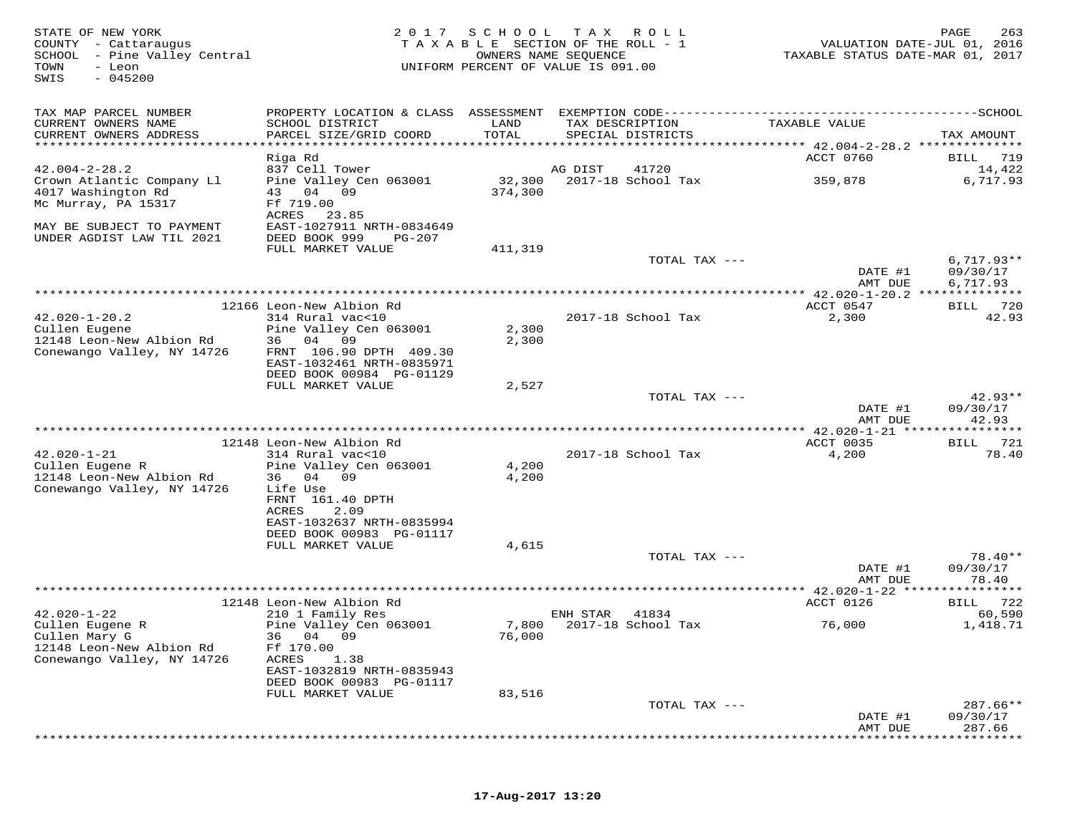| STATE OF NEW YORK<br>COUNTY - Cattaraugus<br>SCHOOL - Pine Valley Central<br>TOWN<br>- Leon<br>$-045200$<br>SWIS |                                                                                  | 2017 SCHOOL TAX ROLL<br>TAXABLE SECTION OF THE ROLL - 1<br>OWNERS NAME SEQUENCE<br>UNIFORM PERCENT OF VALUE IS 091.00 |                 |                          | VALUATION DATE-JUL 01, 2016<br>TAXABLE STATUS DATE-MAR 01, 2017 | PAGE<br>263                    |
|------------------------------------------------------------------------------------------------------------------|----------------------------------------------------------------------------------|-----------------------------------------------------------------------------------------------------------------------|-----------------|--------------------------|-----------------------------------------------------------------|--------------------------------|
| TAX MAP PARCEL NUMBER                                                                                            |                                                                                  |                                                                                                                       |                 |                          |                                                                 |                                |
| CURRENT OWNERS NAME<br>CURRENT OWNERS ADDRESS                                                                    | SCHOOL DISTRICT<br>PARCEL SIZE/GRID COORD                                        | LAND<br>TOTAL<br>***************************                                                                          | TAX DESCRIPTION | SPECIAL DISTRICTS        | TAXABLE VALUE<br>************* 42.004-2-28.2 ***************    | TAX AMOUNT                     |
|                                                                                                                  | Riga Rd                                                                          |                                                                                                                       |                 |                          | ACCT 0760                                                       | BILL<br>719                    |
| $42.004 - 2 - 28.2$                                                                                              | 837 Cell Tower                                                                   |                                                                                                                       | AG DIST         | 41720                    |                                                                 | 14,422                         |
| Crown Atlantic Company Ll<br>4017 Washington Rd<br>Mc Murray, PA 15317                                           | Pine Valley Cen 063001<br>43 04 09<br>Ff 719.00<br>ACRES<br>23.85                | 32,300<br>374,300                                                                                                     |                 | 2017-18 School Tax       | 359,878                                                         | 6,717.93                       |
| MAY BE SUBJECT TO PAYMENT<br>UNDER AGDIST LAW TIL 2021                                                           | EAST-1027911 NRTH-0834649<br>DEED BOOK 999<br>PG-207                             |                                                                                                                       |                 |                          |                                                                 |                                |
|                                                                                                                  | FULL MARKET VALUE                                                                | 411,319                                                                                                               |                 |                          |                                                                 |                                |
|                                                                                                                  |                                                                                  |                                                                                                                       |                 | TOTAL TAX ---            | DATE #1                                                         | $6,717.93**$<br>09/30/17       |
|                                                                                                                  |                                                                                  |                                                                                                                       |                 |                          | AMT DUE                                                         | 6,717.93                       |
|                                                                                                                  |                                                                                  |                                                                                                                       |                 |                          |                                                                 |                                |
| $42.020 - 1 - 20.2$                                                                                              | 12166 Leon-New Albion Rd<br>314 Rural vac<10                                     |                                                                                                                       |                 | 2017-18 School Tax       | ACCT 0547<br>2,300                                              | 720<br>BILL<br>42.93           |
| Cullen Eugene                                                                                                    | Pine Valley Cen 063001                                                           | 2,300                                                                                                                 |                 |                          |                                                                 |                                |
| 12148 Leon-New Albion Rd                                                                                         | 04 09<br>36 —                                                                    | 2,300                                                                                                                 |                 |                          |                                                                 |                                |
| Conewango Valley, NY 14726                                                                                       | FRNT 106.90 DPTH 409.30<br>EAST-1032461 NRTH-0835971<br>DEED BOOK 00984 PG-01129 |                                                                                                                       |                 |                          |                                                                 |                                |
|                                                                                                                  | FULL MARKET VALUE                                                                | 2,527                                                                                                                 |                 |                          |                                                                 |                                |
|                                                                                                                  |                                                                                  |                                                                                                                       |                 | TOTAL TAX ---            | DATE #1<br>AMT DUE                                              | $42.93**$<br>09/30/17<br>42.93 |
|                                                                                                                  |                                                                                  |                                                                                                                       |                 |                          | ********** 42.020-1-21 *****                                    |                                |
|                                                                                                                  | 12148 Leon-New Albion Rd                                                         |                                                                                                                       |                 |                          | ACCT 0035                                                       | 721<br>BILL                    |
| $42.020 - 1 - 21$<br>Cullen Eugene R                                                                             | 314 Rural vac<10<br>Pine Valley Cen 063001                                       | 4,200                                                                                                                 |                 | 2017-18 School Tax       | 4,200                                                           | 78.40                          |
| 12148 Leon-New Albion Rd                                                                                         | 36 04 09                                                                         | 4,200                                                                                                                 |                 |                          |                                                                 |                                |
| Conewango Valley, NY 14726                                                                                       | Life Use                                                                         |                                                                                                                       |                 |                          |                                                                 |                                |
|                                                                                                                  | FRNT 161.40 DPTH<br>ACRES<br>2.09                                                |                                                                                                                       |                 |                          |                                                                 |                                |
|                                                                                                                  | EAST-1032637 NRTH-0835994                                                        |                                                                                                                       |                 |                          |                                                                 |                                |
|                                                                                                                  | DEED BOOK 00983 PG-01117                                                         |                                                                                                                       |                 |                          |                                                                 |                                |
|                                                                                                                  | FULL MARKET VALUE                                                                | 4,615                                                                                                                 |                 | TOTAL TAX ---            |                                                                 | $78.40**$                      |
|                                                                                                                  |                                                                                  |                                                                                                                       |                 |                          | DATE #1<br>AMT DUE                                              | 09/30/17<br>78.40              |
|                                                                                                                  |                                                                                  |                                                                                                                       |                 |                          | ************** 42.020-1-22 *****                                | * * * * * * * *                |
| $42.020 - 1 - 22$                                                                                                | 12148 Leon-New Albion Rd<br>210 1 Family Res                                     |                                                                                                                       | ENH STAR        | 41834                    | ACCT 0126                                                       | 722<br>BILL<br>60,590          |
| Cullen Eugene R<br>Cullen Mary G<br>12148 Leon-New Albion Rd                                                     | Pine Valley Cen 063001<br>36 04 09<br>Ff 170.00                                  | 76,000                                                                                                                |                 | 7,800 2017-18 School Tax | 76,000                                                          | 1,418.71                       |
| Conewango Valley, NY 14726                                                                                       | ACRES<br>1.38<br>EAST-1032819 NRTH-0835943<br>DEED BOOK 00983 PG-01117           |                                                                                                                       |                 |                          |                                                                 |                                |
|                                                                                                                  | FULL MARKET VALUE                                                                | 83,516                                                                                                                |                 |                          |                                                                 |                                |
|                                                                                                                  |                                                                                  |                                                                                                                       |                 | TOTAL TAX ---            | DATE #1                                                         | $287.66**$<br>09/30/17         |
|                                                                                                                  |                                                                                  |                                                                                                                       |                 |                          | AMT DUE                                                         | 287.66                         |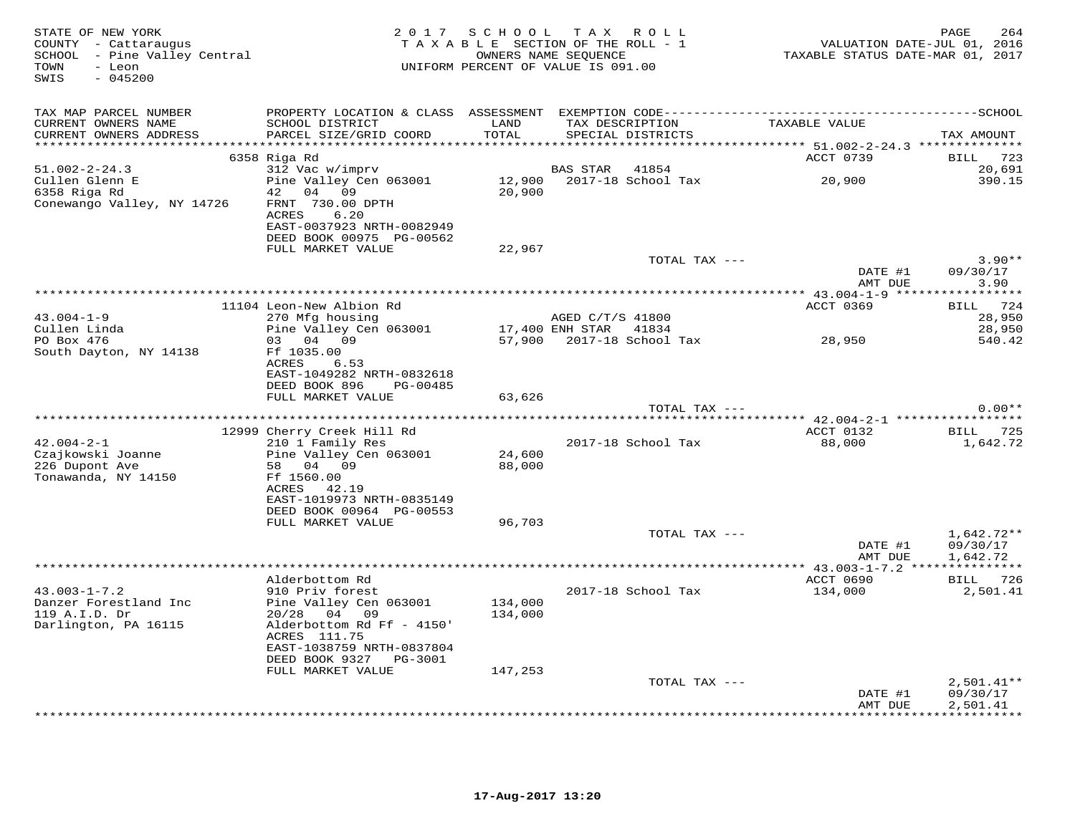| STATE OF NEW YORK<br>COUNTY - Cattaraugus<br>SCHOOL - Pine Valley Central<br>TOWN<br>- Leon<br>SWIS<br>$-045200$ |                                                                        |               | 2017 SCHOOL TAX ROLL<br>TAXABLE SECTION OF THE ROLL - 1<br>OWNERS NAME SEQUENCE<br>UNIFORM PERCENT OF VALUE IS 091.00 | TAXABLE STATUS DATE-MAR 01, 2017 | PAGE<br>264<br>VALUATION DATE-JUL 01, 2016 |
|------------------------------------------------------------------------------------------------------------------|------------------------------------------------------------------------|---------------|-----------------------------------------------------------------------------------------------------------------------|----------------------------------|--------------------------------------------|
| TAX MAP PARCEL NUMBER                                                                                            |                                                                        |               |                                                                                                                       |                                  |                                            |
| CURRENT OWNERS NAME<br>CURRENT OWNERS ADDRESS                                                                    | SCHOOL DISTRICT<br>PARCEL SIZE/GRID COORD                              | LAND<br>TOTAL | TAX DESCRIPTION<br>SPECIAL DISTRICTS                                                                                  | TAXABLE VALUE                    | TAX AMOUNT                                 |
|                                                                                                                  | 6358 Riga Rd                                                           |               |                                                                                                                       | ACCT 0739                        | BILL 723                                   |
| $51.002 - 2 - 24.3$                                                                                              | 312 Vac w/imprv                                                        |               | 41854<br>BAS STAR                                                                                                     |                                  | 20,691                                     |
| Cullen Glenn E<br>6358 Riga Rd<br>Conewango Valley, NY 14726                                                     | Pine Valley Cen 063001<br>42  04  09<br>FRNT 730.00 DPTH               | 20,900        | 12,900 2017-18 School Tax                                                                                             | 20,900                           | 390.15                                     |
|                                                                                                                  | ACRES<br>6.20<br>EAST-0037923 NRTH-0082949<br>DEED BOOK 00975 PG-00562 |               |                                                                                                                       |                                  |                                            |
|                                                                                                                  | FULL MARKET VALUE                                                      | 22,967        | TOTAL TAX ---                                                                                                         |                                  | $3.90**$                                   |
|                                                                                                                  |                                                                        |               |                                                                                                                       | DATE #1<br>AMT DUE               | 09/30/17<br>3.90                           |
|                                                                                                                  |                                                                        |               |                                                                                                                       |                                  |                                            |
|                                                                                                                  | 11104 Leon-New Albion Rd                                               |               |                                                                                                                       | ACCT 0369                        | BILL 724                                   |
| $43.004 - 1 - 9$                                                                                                 | 270 Mfg housing                                                        |               | AGED C/T/S 41800                                                                                                      |                                  | 28,950                                     |
| Cullen Linda<br>PO Box 476                                                                                       | Pine Valley Cen 063001<br>03 04 09                                     |               | 17,400 ENH STAR 41834                                                                                                 |                                  | 28,950<br>540.42                           |
| South Dayton, NY 14138                                                                                           | Ff 1035.00<br>ACRES<br>6.53                                            |               | 57,900 2017-18 School Tax                                                                                             | 28,950                           |                                            |
|                                                                                                                  | EAST-1049282 NRTH-0832618<br>DEED BOOK 896<br>PG-00485                 |               |                                                                                                                       |                                  |                                            |
|                                                                                                                  | FULL MARKET VALUE                                                      | 63,626        | TOTAL TAX ---                                                                                                         |                                  | $0.00**$                                   |
|                                                                                                                  |                                                                        |               |                                                                                                                       |                                  |                                            |
|                                                                                                                  | 12999 Cherry Creek Hill Rd                                             |               |                                                                                                                       | ACCT 0132                        | BILL 725                                   |
| $42.004 - 2 - 1$                                                                                                 | 210 1 Family Res                                                       |               | 2017-18 School Tax                                                                                                    | 88,000                           | 1,642.72                                   |
| Czajkowski Joanne                                                                                                | Pine Valley Cen 063001                                                 | 24,600        |                                                                                                                       |                                  |                                            |
| 226 Dupont Ave<br>Tonawanda, NY 14150                                                                            | 58 04 09<br>Ff 1560.00<br>ACRES 42.19                                  | 88,000        |                                                                                                                       |                                  |                                            |
|                                                                                                                  | EAST-1019973 NRTH-0835149<br>DEED BOOK 00964 PG-00553                  |               |                                                                                                                       |                                  |                                            |
|                                                                                                                  | FULL MARKET VALUE                                                      | 96,703        |                                                                                                                       |                                  |                                            |
|                                                                                                                  |                                                                        |               | TOTAL TAX ---                                                                                                         |                                  | $1,642.72**$                               |
|                                                                                                                  |                                                                        |               |                                                                                                                       | DATE #1<br>AMT DUE               | 09/30/17<br>1,642.72                       |
|                                                                                                                  |                                                                        |               |                                                                                                                       |                                  | BILL 726                                   |
| $43.003 - 1 - 7.2$                                                                                               | Alderbottom Rd<br>910 Priv forest                                      |               | 2017-18 School Tax                                                                                                    | ACCT 0690<br>134,000             | 2,501.41                                   |
| Danzer Forestland Inc                                                                                            | Pine Valley Cen 063001                                                 | 134,000       |                                                                                                                       |                                  |                                            |
| 119 A.I.D. Dr                                                                                                    | 20/28 04 09                                                            | 134,000       |                                                                                                                       |                                  |                                            |
| Darlington, PA 16115                                                                                             | Alderbottom Rd Ff - 4150'<br>ACRES 111.75                              |               |                                                                                                                       |                                  |                                            |
|                                                                                                                  | EAST-1038759 NRTH-0837804<br>DEED BOOK 9327 PG-3001                    |               |                                                                                                                       |                                  |                                            |
|                                                                                                                  | FULL MARKET VALUE                                                      | 147,253       | TOTAL TAX ---                                                                                                         |                                  | $2,501.41**$                               |
|                                                                                                                  |                                                                        |               |                                                                                                                       | DATE #1<br>AMT DUE               | 09/30/17<br>2,501.41                       |
|                                                                                                                  |                                                                        |               |                                                                                                                       |                                  | **********                                 |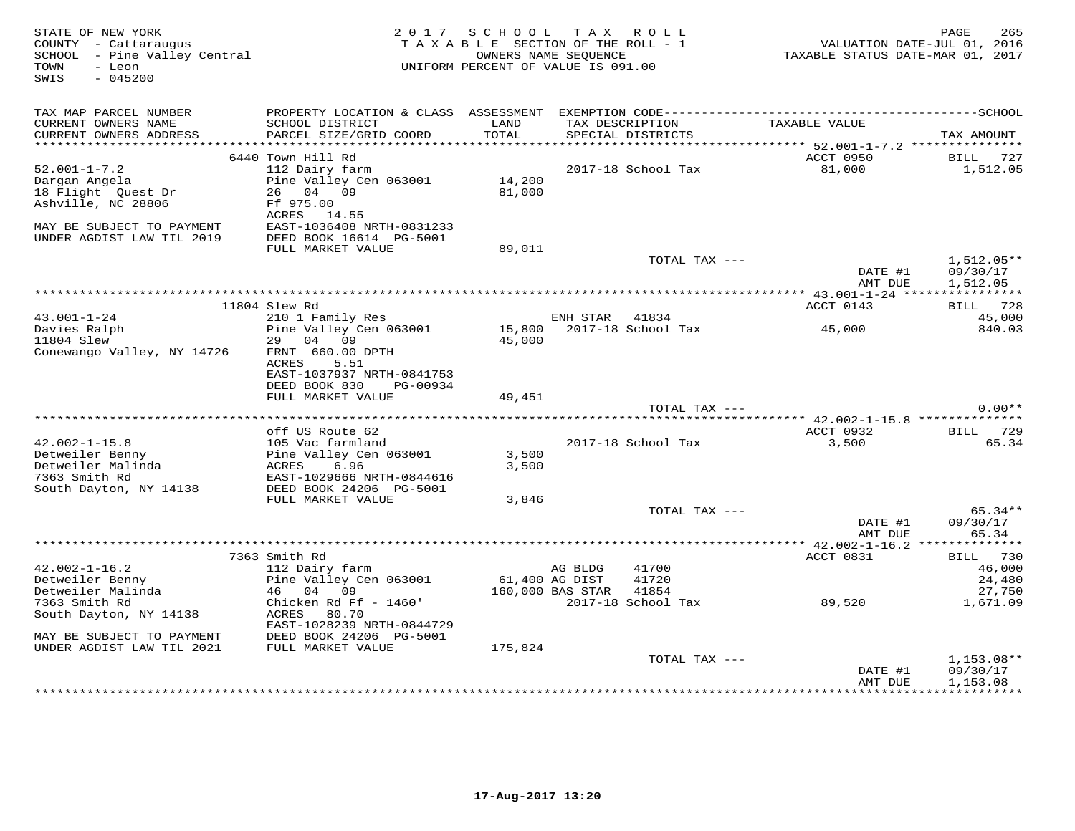| STATE OF NEW YORK<br>COUNTY - Cattaraugus<br>SCHOOL - Pine Valley Central<br>TOWN<br>- Leon<br>SWIS<br>$-045200$ | 2 0 1 7                                                                                     | SCHOOL<br>TAXABLE SECTION OF THE ROLL - 1<br>OWNERS NAME SEQUENCE<br>UNIFORM PERCENT OF VALUE IS 091.00 |                  | TAX ROLL                             | VALUATION DATE-JUL 01, 2016<br>TAXABLE STATUS DATE-MAR 01, 2017 | 265<br>PAGE                  |
|------------------------------------------------------------------------------------------------------------------|---------------------------------------------------------------------------------------------|---------------------------------------------------------------------------------------------------------|------------------|--------------------------------------|-----------------------------------------------------------------|------------------------------|
| TAX MAP PARCEL NUMBER<br>CURRENT OWNERS NAME<br>CURRENT OWNERS ADDRESS<br>***********************                | SCHOOL DISTRICT<br>PARCEL SIZE/GRID COORD                                                   | LAND<br>TOTAL                                                                                           |                  | TAX DESCRIPTION<br>SPECIAL DISTRICTS | TAXABLE VALUE                                                   | TAX AMOUNT                   |
|                                                                                                                  | 6440 Town Hill Rd                                                                           |                                                                                                         |                  |                                      | ACCT 0950                                                       | BILL<br>727                  |
| $52.001 - 1 - 7.2$                                                                                               | 112 Dairy farm                                                                              |                                                                                                         |                  | 2017-18 School Tax                   | 81,000                                                          | 1,512.05                     |
| Dargan Angela<br>18 Flight Quest Dr<br>Ashville, NC 28806<br>MAY BE SUBJECT TO PAYMENT                           | Pine Valley Cen 063001<br>26 04 09<br>Ff 975.00<br>ACRES 14.55<br>EAST-1036408 NRTH-0831233 | 14,200<br>81,000                                                                                        |                  |                                      |                                                                 |                              |
| UNDER AGDIST LAW TIL 2019                                                                                        | DEED BOOK 16614 PG-5001<br>FULL MARKET VALUE                                                | 89,011                                                                                                  |                  |                                      |                                                                 |                              |
|                                                                                                                  |                                                                                             |                                                                                                         |                  | TOTAL TAX ---                        | DATE #1                                                         | $1,512.05**$<br>09/30/17     |
|                                                                                                                  |                                                                                             |                                                                                                         |                  |                                      | AMT DUE                                                         | 1,512.05                     |
|                                                                                                                  | 11804 Slew Rd                                                                               |                                                                                                         |                  |                                      | ACCT 0143                                                       | BILL 728                     |
| $43.001 - 1 - 24$                                                                                                | 210 1 Family Res                                                                            |                                                                                                         | ENH STAR         | 41834                                |                                                                 | 45,000                       |
| Davies Ralph                                                                                                     | Pine Valley Cen 063001                                                                      | 15,800                                                                                                  |                  | 2017-18 School Tax                   | 45,000                                                          | 840.03                       |
| 11804 Slew                                                                                                       | 29<br>04<br>09                                                                              | 45,000                                                                                                  |                  |                                      |                                                                 |                              |
| Conewango Valley, NY 14726                                                                                       | FRNT 660.00 DPTH<br>ACRES<br>5.51<br>EAST-1037937 NRTH-0841753<br>DEED BOOK 830<br>PG-00934 |                                                                                                         |                  |                                      |                                                                 |                              |
|                                                                                                                  | FULL MARKET VALUE                                                                           | 49,451                                                                                                  |                  |                                      |                                                                 |                              |
|                                                                                                                  |                                                                                             |                                                                                                         |                  | TOTAL TAX ---                        |                                                                 | $0.00**$                     |
|                                                                                                                  | off US Route 62                                                                             |                                                                                                         |                  |                                      | ACCT 0932                                                       | BILL 729                     |
| $42.002 - 1 - 15.8$                                                                                              | 105 Vac farmland                                                                            |                                                                                                         |                  | 2017-18 School Tax                   | 3,500                                                           | 65.34                        |
| Detweiler Benny                                                                                                  | Pine Valley Cen 063001                                                                      | 3,500                                                                                                   |                  |                                      |                                                                 |                              |
| Detweiler Malinda<br>7363 Smith Rd<br>South Dayton, NY 14138                                                     | 6.96<br>ACRES<br>EAST-1029666 NRTH-0844616<br>DEED BOOK 24206 PG-5001                       | 3,500                                                                                                   |                  |                                      |                                                                 |                              |
|                                                                                                                  | FULL MARKET VALUE                                                                           | 3,846                                                                                                   |                  |                                      |                                                                 |                              |
|                                                                                                                  |                                                                                             |                                                                                                         |                  | TOTAL TAX ---                        | DATE #1<br>AMT DUE                                              | 65.34**<br>09/30/17<br>65.34 |
|                                                                                                                  |                                                                                             |                                                                                                         |                  |                                      |                                                                 |                              |
| $42.002 - 1 - 16.2$                                                                                              | 7363 Smith Rd<br>112 Dairy farm                                                             |                                                                                                         | AG BLDG          | 41700                                | ACCT 0831                                                       | BILL 730<br>46,000           |
| Detweiler Benny                                                                                                  | Pine Valley Cen 063001                                                                      |                                                                                                         | 61,400 AG DIST   | 41720                                |                                                                 | 24,480                       |
| Detweiler Malinda                                                                                                | 46 04<br>09                                                                                 |                                                                                                         | 160,000 BAS STAR | 41854                                |                                                                 | 27,750                       |
| 7363 Smith Rd                                                                                                    | Chicken Rd Ff - 1460'                                                                       |                                                                                                         |                  | 2017-18 School Tax                   | 89,520                                                          | 1,671.09                     |
| South Dayton, NY 14138                                                                                           | ACRES<br>80.70<br>EAST-1028239 NRTH-0844729                                                 |                                                                                                         |                  |                                      |                                                                 |                              |
| MAY BE SUBJECT TO PAYMENT                                                                                        | DEED BOOK 24206 PG-5001                                                                     |                                                                                                         |                  |                                      |                                                                 |                              |
| UNDER AGDIST LAW TIL 2021                                                                                        | FULL MARKET VALUE                                                                           | 175,824                                                                                                 |                  |                                      |                                                                 |                              |
|                                                                                                                  |                                                                                             |                                                                                                         |                  | TOTAL TAX ---                        | DATE #1                                                         | $1,153.08**$<br>09/30/17     |
|                                                                                                                  |                                                                                             |                                                                                                         |                  |                                      | AMT DUE                                                         | 1,153.08<br>************     |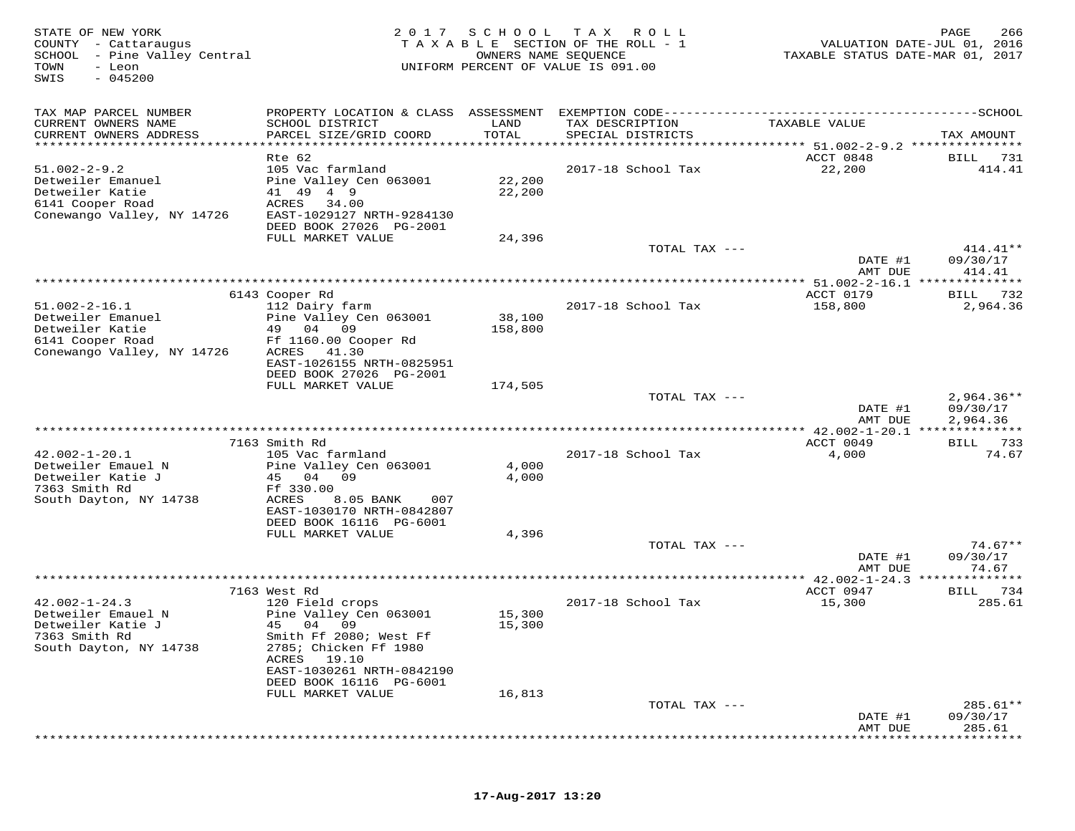| STATE OF NEW YORK<br>COUNTY - Cattaraugus<br>SCHOOL - Pine Valley Central<br>TOWN<br>- Leon<br>$-045200$<br>SWIS | 2 0 1 7<br>TAXABLE                                                                                       | SCHOOL<br>OWNERS NAME SEQUENCE | T A X<br>R O L L<br>SECTION OF THE ROLL - 1<br>UNIFORM PERCENT OF VALUE IS 091.00 | TAXABLE STATUS DATE-MAR 01, 2017                        | PAGE<br>266<br>VALUATION DATE-JUL 01, 2016 |
|------------------------------------------------------------------------------------------------------------------|----------------------------------------------------------------------------------------------------------|--------------------------------|-----------------------------------------------------------------------------------|---------------------------------------------------------|--------------------------------------------|
| TAX MAP PARCEL NUMBER<br>CURRENT OWNERS NAME<br>CURRENT OWNERS ADDRESS                                           | PROPERTY LOCATION & CLASS ASSESSMENT<br>SCHOOL DISTRICT<br>PARCEL SIZE/GRID COORD                        | LAND<br>TOTAL                  | EXEMPTION CODE-----------<br>TAX DESCRIPTION<br>SPECIAL DISTRICTS                 | --------------------------------SCHOOL<br>TAXABLE VALUE | TAX AMOUNT                                 |
| **********************                                                                                           | **********************                                                                                   | ***********                    |                                                                                   | ************* 51.002-2-9.2 ****************             |                                            |
|                                                                                                                  | Rte 62                                                                                                   |                                |                                                                                   | ACCT 0848                                               | BILL<br>731                                |
| $51.002 - 2 - 9.2$<br>Detweiler Emanuel<br>Detweiler Katie<br>6141 Cooper Road<br>Conewango Valley, NY 14726     | 105 Vac farmland<br>Pine Valley Cen 063001<br>49<br>41 49<br>ACRES<br>34.00<br>EAST-1029127 NRTH-9284130 | 22,200<br>22,200               | 2017-18 School Tax                                                                | 22,200                                                  | 414.41                                     |
|                                                                                                                  | DEED BOOK 27026 PG-2001                                                                                  |                                |                                                                                   |                                                         |                                            |
|                                                                                                                  | FULL MARKET VALUE                                                                                        | 24,396                         | TOTAL TAX ---                                                                     |                                                         | $414.41**$                                 |
|                                                                                                                  |                                                                                                          |                                |                                                                                   | DATE #1                                                 | 09/30/17                                   |
|                                                                                                                  |                                                                                                          |                                |                                                                                   | AMT DUE                                                 | 414.41                                     |
|                                                                                                                  | 6143 Cooper Rd                                                                                           |                                |                                                                                   | * 51.002-2-16.1<br>ACCT 0179                            | 732<br>BILL                                |
| $51.002 - 2 - 16.1$                                                                                              | 112 Dairy farm                                                                                           |                                | 2017-18 School Tax                                                                | 158,800                                                 | 2,964.36                                   |
| Detweiler Emanuel                                                                                                | Pine Valley Cen 063001                                                                                   | 38,100                         |                                                                                   |                                                         |                                            |
| Detweiler Katie                                                                                                  | 04<br>09<br>49                                                                                           | 158,800                        |                                                                                   |                                                         |                                            |
| 6141 Cooper Road                                                                                                 | Ff 1160.00 Cooper Rd                                                                                     |                                |                                                                                   |                                                         |                                            |
| Conewango Valley, NY 14726                                                                                       | ACRES<br>41.30                                                                                           |                                |                                                                                   |                                                         |                                            |
|                                                                                                                  | EAST-1026155 NRTH-0825951                                                                                |                                |                                                                                   |                                                         |                                            |
|                                                                                                                  | DEED BOOK 27026 PG-2001<br>FULL MARKET VALUE                                                             |                                |                                                                                   |                                                         |                                            |
|                                                                                                                  |                                                                                                          | 174,505                        | TOTAL TAX ---                                                                     |                                                         | $2,964.36**$                               |
|                                                                                                                  |                                                                                                          |                                |                                                                                   | DATE #1                                                 | 09/30/17                                   |
|                                                                                                                  |                                                                                                          |                                |                                                                                   | AMT DUE                                                 | 2,964.36                                   |
|                                                                                                                  |                                                                                                          |                                | *********************************                                                 | $*$ 42.002-1-20.1 ***                                   |                                            |
|                                                                                                                  | 7163 Smith Rd                                                                                            |                                |                                                                                   | ACCT 0049                                               | BILL<br>733                                |
| $42.002 - 1 - 20.1$<br>Detweiler Emauel N                                                                        | 105 Vac farmland                                                                                         |                                | 2017-18 School Tax                                                                | 4,000                                                   | 74.67                                      |
| Detweiler Katie J                                                                                                | Pine Valley Cen 063001<br>04<br>09<br>45                                                                 | 4,000<br>4,000                 |                                                                                   |                                                         |                                            |
| 7363 Smith Rd                                                                                                    | Ff 330.00                                                                                                |                                |                                                                                   |                                                         |                                            |
| South Dayton, NY 14738                                                                                           | ACRES<br>8.05 BANK<br>007                                                                                |                                |                                                                                   |                                                         |                                            |
|                                                                                                                  | EAST-1030170 NRTH-0842807                                                                                |                                |                                                                                   |                                                         |                                            |
|                                                                                                                  | DEED BOOK 16116 PG-6001                                                                                  |                                |                                                                                   |                                                         |                                            |
|                                                                                                                  | FULL MARKET VALUE                                                                                        | 4,396                          |                                                                                   |                                                         | $74.67**$                                  |
|                                                                                                                  |                                                                                                          |                                | TOTAL TAX ---                                                                     | DATE #1                                                 | 09/30/17                                   |
|                                                                                                                  |                                                                                                          |                                |                                                                                   | AMT DUE                                                 | 74.67                                      |
|                                                                                                                  |                                                                                                          |                                |                                                                                   | * 42.002-1-24.3                                         | *******                                    |
|                                                                                                                  | 7163 West Rd                                                                                             |                                |                                                                                   | ACCT 0947                                               | 734<br>BILL                                |
| $42.002 - 1 - 24.3$                                                                                              | 120 Field crops                                                                                          |                                | 2017-18 School Tax                                                                | 15,300                                                  | 285.61                                     |
| Detweiler Emauel N                                                                                               | Pine Valley Cen 063001                                                                                   | 15,300                         |                                                                                   |                                                         |                                            |
| Detweiler Katie J<br>7363 Smith Rd                                                                               | 45<br>04 09<br>Smith Ff 2080; West Ff                                                                    | 15,300                         |                                                                                   |                                                         |                                            |
| South Dayton, NY 14738                                                                                           | 2785; Chicken Ff 1980                                                                                    |                                |                                                                                   |                                                         |                                            |
|                                                                                                                  | 19.10<br>ACRES                                                                                           |                                |                                                                                   |                                                         |                                            |
|                                                                                                                  | EAST-1030261 NRTH-0842190                                                                                |                                |                                                                                   |                                                         |                                            |
|                                                                                                                  | DEED BOOK 16116 PG-6001                                                                                  |                                |                                                                                   |                                                         |                                            |
|                                                                                                                  | FULL MARKET VALUE                                                                                        | 16,813                         |                                                                                   |                                                         |                                            |
|                                                                                                                  |                                                                                                          |                                | TOTAL TAX ---                                                                     |                                                         | 285.61**                                   |
|                                                                                                                  |                                                                                                          |                                |                                                                                   | DATE #1<br>AMT DUE                                      | 09/30/17<br>285.61                         |
|                                                                                                                  |                                                                                                          |                                |                                                                                   |                                                         |                                            |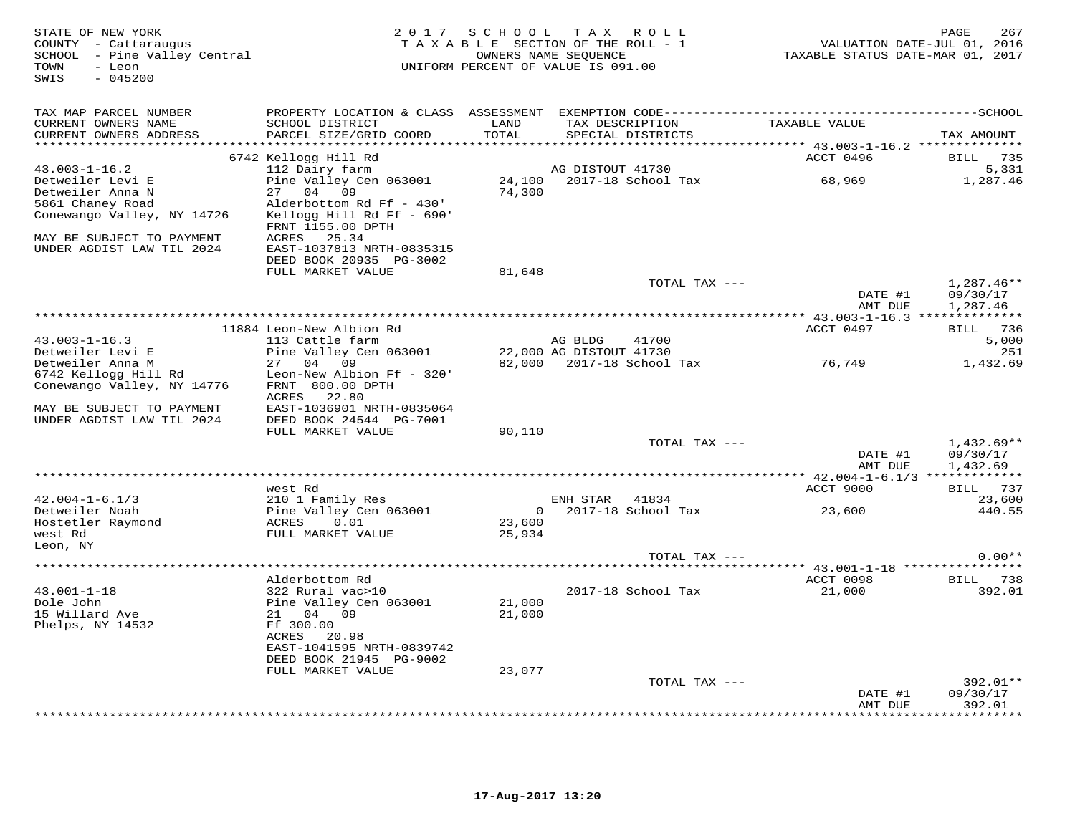STATE OF NEW YORK MESS PAGE 267<br>COUNTY - Cattaraugus had the section of the Roll - 1 when the NALUATION DATE-JUL 01, 2016<br>SCHOOL - Pine Valley Central Market (1991) TAXABLE STATE ROLL - 1 (1992) TAXABLE STATUS DATE-MAR 01, SWIS - 045200TAX MAP PARCEL NUMBER PROPERTY LOCATION & CLASS ASSESSMENT EXEMPTION CODE------------------------------------------SCHOOL CURRENT OWNERS NAME SCHOOL DISTRICT LAND TAX DESCRIPTION TAXABLE VALUE CURRENT OWNERS ADDRESS PARCEL SIZE/GRID COORD TOTAL SPECIAL DISTRICTS TAX AMOUNT \*\*\*\*\*\*\*\*\*\*\*\*\*\*\*\*\*\*\*\*\*\*\*\*\*\*\*\*\*\*\*\*\*\*\*\*\*\*\*\*\*\*\*\*\*\*\*\*\*\*\*\*\*\*\*\*\*\*\*\*\*\*\*\*\*\*\*\*\*\*\*\*\*\*\*\*\*\*\*\*\*\*\*\*\*\*\*\*\*\*\*\*\*\*\*\*\*\*\*\*\*\*\* 43.003-1-16.2 \*\*\*\*\*\*\*\*\*\*\*\*\*\*43.003-1-16.2 6742 Kellogg Hill Rd<br>
Detweiler Levi E 112 Dairy farm and DISTOUT 41730<br>
Detweiler Anna N 27 04 09 74,300 5861 Chaney Road Alderbottom Rd Ff - 430'<br>
Save Subsetter Anna N 27 04 09 74,300<br>
Save Subsetter Anna FULL MARKET VALUE 81,648TOTAL TAX  $-- 1,287.46**$  DATE #1 09/30/17AMT DUE 1,287.46  $\texttt{AMT}$  DUE  $1$  ,  $287.46$  \*\*\*\*\*\*\*\*\*\*\*\*\*\*\*\*\*\*\*\*\*\*\*\*\*\*\*\*\*\*\*\*\*\*\*\*\*\*\*\*\*\*\*\*\*\*\*\*\*\*\*\*\*\*\*\*\*\*\*\*\*\*\*\*\*\*\*\*\*\*\*\*\*\*\*\*\*\*\*\*\*\*\*\*\*\*\*\*\*\*\*\*\*\*\*\*\*\*\*\*\*\*\* 43.003-1-16.3 \*\*\*\*\*\*\*\*\*\*\*\*\*\*ACCT 0497 BILL 736 11884 Leon-New Albion Rd ACCT 0497 BILL 73643.003-1-16.3 113 Cattle farm AG BLDG 41700 5,000Detweiler Levi E Pine Valley Cen 063001 22,000 AG DISTOUT 41730 2511,432.69 Detweiler Anna M 27 04 09 82,000 2017-18 School Tax 76,749 1,432.696742 Kellogg Hill Rd Leon-New Albion Ff - 320' Conewango Valley, NY 14776 FRNT 800.00 DPTH ACRES 22.80 MAY BE SUBJECT TO PAYMENT EAST-1036901 NRTH-0835064 UNDER AGDIST LAW TIL 2024 DEED BOOK 24544 PG-7001 FULL MARKET VALUE 90,110 TOTAL TAX --- 1,432.69\*\*DATE #1 09/30/17<br>National parts of the state of the state of the state of the state of the state of the state of the state of t AMT DUE 1,432.69 \*\*\*\*\*\*\*\*\*\*\*\*\*\*\*\*\*\*\*\*\*\*\*\*\*\*\*\*\*\*\*\*\*\*\*\*\*\*\*\*\*\*\*\*\*\*\*\*\*\*\*\*\*\*\*\*\*\*\*\*\*\*\*\*\*\*\*\*\*\*\*\*\*\*\*\*\*\*\*\*\*\*\*\*\*\*\*\*\*\*\*\*\*\*\*\*\*\*\*\*\*\*\* 42.004-1-6.1/3 \*\*\*\*\*\*\*\*\*\*\*\*\*ACCT 9000 BILL 737 west Rd ACCT 9000 BILL 73723,600 42.004-1-6.1/3 210 1 Family Res ENH STAR 41834 23,600440.55 Detweiler Noah Pine Valley Cen 063001 0 2017-18 School Tax 23,600 440.55Hostetler Raymond ACRES 0.01 23,600 west Rd FULL MARKET VALUE 25,934 Leon, NY TOTAL TAX --- 0.00\*\* \*\*\*\*\*\*\*\*\*\*\*\*\*\*\*\*\*\*\*\*\*\*\*\*\*\*\*\*\*\*\*\*\*\*\*\*\*\*\*\*\*\*\*\*\*\*\*\*\*\*\*\*\*\*\*\*\*\*\*\*\*\*\*\*\*\*\*\*\*\*\*\*\*\*\*\*\*\*\*\*\*\*\*\*\*\*\*\*\*\*\*\*\*\*\*\*\*\*\*\*\*\*\* 43.001-1-18 \*\*\*\*\*\*\*\*\*\*\*\*\*\*\*\* Alderbottom Rd ACCT 0098 BILL 738 43.001-1-18 322 Rural vac>10 2017-18 School Tax 21,000 392.01Dole John Pine Valley Cen 063001 21,000 15 Willard Ave 21 04 09 21,000 43.001-1-18<br>Dole John<br>15 Willard Ave<br>Phelps, NY 14532 ACRES 20.98 EAST-1041595 NRTH-0839742 DEED BOOK 21945 PG-9002 FULL MARKET VALUE 23,077 TOTAL TAX --- 392.01\*\* DATE #1 09/30/17AMT DUE 392.01

\*\*\*\*\*\*\*\*\*\*\*\*\*\*\*\*\*\*\*\*\*\*\*\*\*\*\*\*\*\*\*\*\*\*\*\*\*\*\*\*\*\*\*\*\*\*\*\*\*\*\*\*\*\*\*\*\*\*\*\*\*\*\*\*\*\*\*\*\*\*\*\*\*\*\*\*\*\*\*\*\*\*\*\*\*\*\*\*\*\*\*\*\*\*\*\*\*\*\*\*\*\*\*\*\*\*\*\*\*\*\*\*\*\*\*\*\*\*\*\*\*\*\*\*\*\*\*\*\*\*\*\*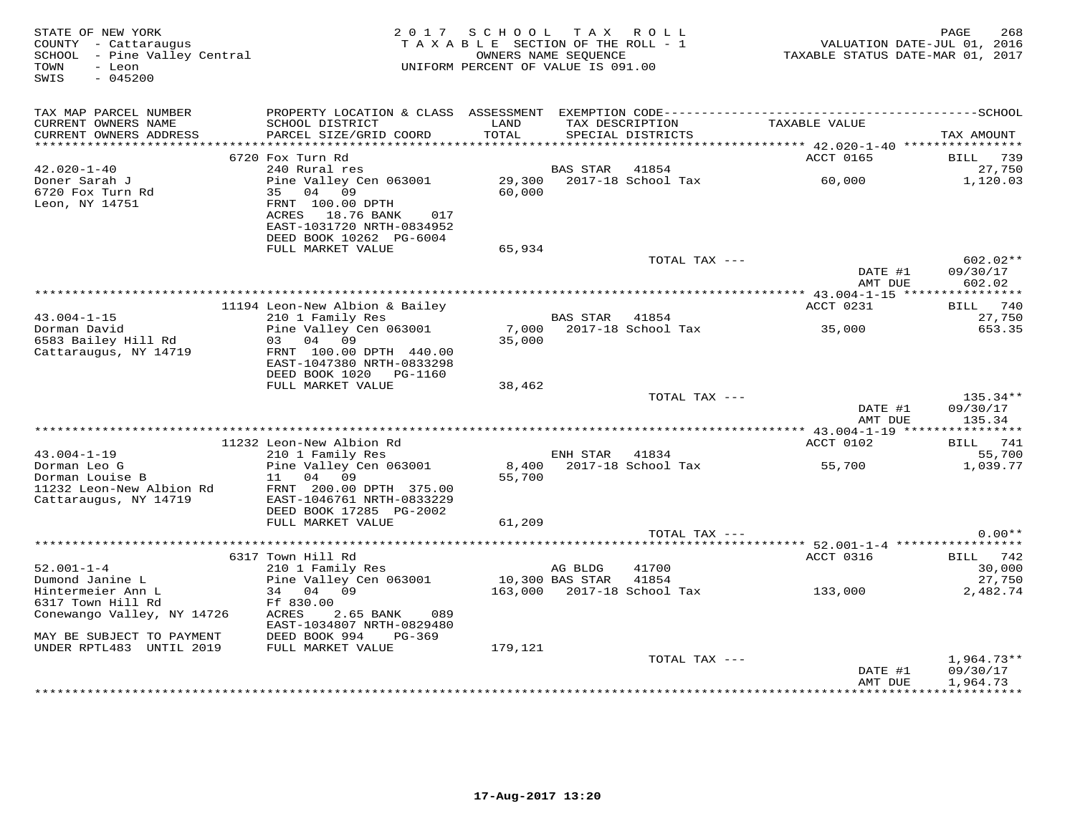| STATE OF NEW YORK<br>COUNTY - Cattaraugus<br>SCHOOL - Pine Valley Central<br>TOWN<br>- Leon<br>SWIS<br>$-045200$ |                                                                                                     | 2017 SCHOOL<br>TAXABLE SECTION OF THE ROLL - 1<br>UNIFORM PERCENT OF VALUE IS 091.00 | OWNERS NAME SEQUENCE | TAX ROLL                             | VALUATION DATE-JUL 01, 2016<br>TAXABLE STATUS DATE-MAR 01, 2017 | PAGE<br>268           |
|------------------------------------------------------------------------------------------------------------------|-----------------------------------------------------------------------------------------------------|--------------------------------------------------------------------------------------|----------------------|--------------------------------------|-----------------------------------------------------------------|-----------------------|
| TAX MAP PARCEL NUMBER<br>CURRENT OWNERS NAME<br>CURRENT OWNERS ADDRESS                                           | SCHOOL DISTRICT<br>PARCEL SIZE/GRID COORD                                                           | LAND<br>TOTAL                                                                        |                      | TAX DESCRIPTION<br>SPECIAL DISTRICTS | TAXABLE VALUE                                                   | TAX AMOUNT            |
|                                                                                                                  | 6720 Fox Turn Rd                                                                                    |                                                                                      |                      |                                      | ACCT 0165                                                       | 739<br>BILL           |
| $42.020 - 1 - 40$<br>Doner Sarah J<br>6720 Fox Turn Rd                                                           | 240 Rural res<br>Pine Valley Cen 063001<br>35 04 09                                                 | 29,300<br>60,000                                                                     | <b>BAS STAR</b>      | 41854<br>2017-18 School Tax          | 60,000                                                          | 27,750<br>1,120.03    |
| Leon, NY 14751                                                                                                   | FRNT 100.00 DPTH<br>ACRES 18.76 BANK<br>017<br>EAST-1031720 NRTH-0834952<br>DEED BOOK 10262 PG-6004 |                                                                                      |                      |                                      |                                                                 |                       |
|                                                                                                                  | FULL MARKET VALUE                                                                                   | 65,934                                                                               |                      | TOTAL TAX ---                        |                                                                 | $602.02**$            |
|                                                                                                                  |                                                                                                     |                                                                                      |                      |                                      | DATE #1<br>AMT DUE                                              | 09/30/17<br>602.02    |
|                                                                                                                  |                                                                                                     |                                                                                      |                      |                                      |                                                                 |                       |
| $43.004 - 1 - 15$                                                                                                | 11194 Leon-New Albion & Bailey<br>210 1 Family Res                                                  |                                                                                      | BAS STAR 41854       |                                      | ACCT 0231                                                       | BILL 740<br>27,750    |
| Dorman David                                                                                                     | Pine Valley Cen 063001                                                                              |                                                                                      |                      | 7,000 2017-18 School Tax             | 35,000                                                          | 653.35                |
| 6583 Bailey Hill Rd                                                                                              | 03<br>04<br>09                                                                                      | 35,000                                                                               |                      |                                      |                                                                 |                       |
| Cattaraugus, NY 14719                                                                                            | FRNT 100.00 DPTH 440.00<br>EAST-1047380 NRTH-0833298<br>DEED BOOK 1020 PG-1160                      |                                                                                      |                      |                                      |                                                                 |                       |
|                                                                                                                  | FULL MARKET VALUE                                                                                   | 38,462                                                                               |                      |                                      |                                                                 |                       |
|                                                                                                                  |                                                                                                     |                                                                                      |                      | TOTAL TAX ---                        | DATE #1                                                         | 135.34**<br>09/30/17  |
|                                                                                                                  |                                                                                                     |                                                                                      |                      |                                      | AMT DUE                                                         | 135.34                |
|                                                                                                                  |                                                                                                     |                                                                                      |                      |                                      |                                                                 |                       |
| $43.004 - 1 - 19$                                                                                                | 11232 Leon-New Albion Rd<br>210 1 Family Res                                                        |                                                                                      | ENH STAR             | 41834                                | ACCT 0102                                                       | BILL<br>741<br>55,700 |
| Dorman Leo G                                                                                                     | Pine Valley Cen 063001                                                                              |                                                                                      |                      | 8,400 2017-18 School Tax             | 55,700                                                          | 1,039.77              |
| Dorman Louise B<br>11232 Leon-New Albion Rd                                                                      | 04 09<br>11<br>FRNT 200.00 DPTH 375.00                                                              | 55,700                                                                               |                      |                                      |                                                                 |                       |
| Cattaraugus, NY 14719                                                                                            | EAST-1046761 NRTH-0833229<br>DEED BOOK 17285 PG-2002                                                |                                                                                      |                      |                                      |                                                                 |                       |
|                                                                                                                  | FULL MARKET VALUE                                                                                   | 61,209                                                                               |                      |                                      |                                                                 |                       |
|                                                                                                                  |                                                                                                     |                                                                                      |                      | TOTAL TAX ---                        |                                                                 | $0.00**$              |
|                                                                                                                  | 6317 Town Hill Rd                                                                                   |                                                                                      |                      |                                      | ACCT 0316                                                       | BILL 742              |
| $52.001 - 1 - 4$                                                                                                 | 210 1 Family Res                                                                                    |                                                                                      | AG BLDG              | 41700                                |                                                                 | 30,000                |
| Dumond Janine L                                                                                                  | Pine Valley Cen 063001                                                                              |                                                                                      | 10,300 BAS STAR      | 41854                                |                                                                 | 27,750                |
| Hintermeier Ann L<br>6317 Town Hill Rd                                                                           | 34 04 09<br>Ff 830.00                                                                               |                                                                                      |                      |                                      | 163,000 2017-18 School Tax 133,000                              | 2,482.74              |
| Conewango Valley, NY 14726                                                                                       | ACRES<br>2.65 BANK<br>089<br>EAST-1034807 NRTH-0829480                                              |                                                                                      |                      |                                      |                                                                 |                       |
| MAY BE SUBJECT TO PAYMENT                                                                                        | DEED BOOK 994<br>PG-369                                                                             |                                                                                      |                      |                                      |                                                                 |                       |
| UNDER RPTL483 UNTIL 2019                                                                                         | FULL MARKET VALUE                                                                                   | 179,121                                                                              |                      | TOTAL TAX ---                        |                                                                 | $1,964.73**$          |
|                                                                                                                  |                                                                                                     |                                                                                      |                      |                                      | DATE #1<br>AMT DUE                                              | 09/30/17<br>1,964.73  |
|                                                                                                                  |                                                                                                     |                                                                                      |                      |                                      |                                                                 |                       |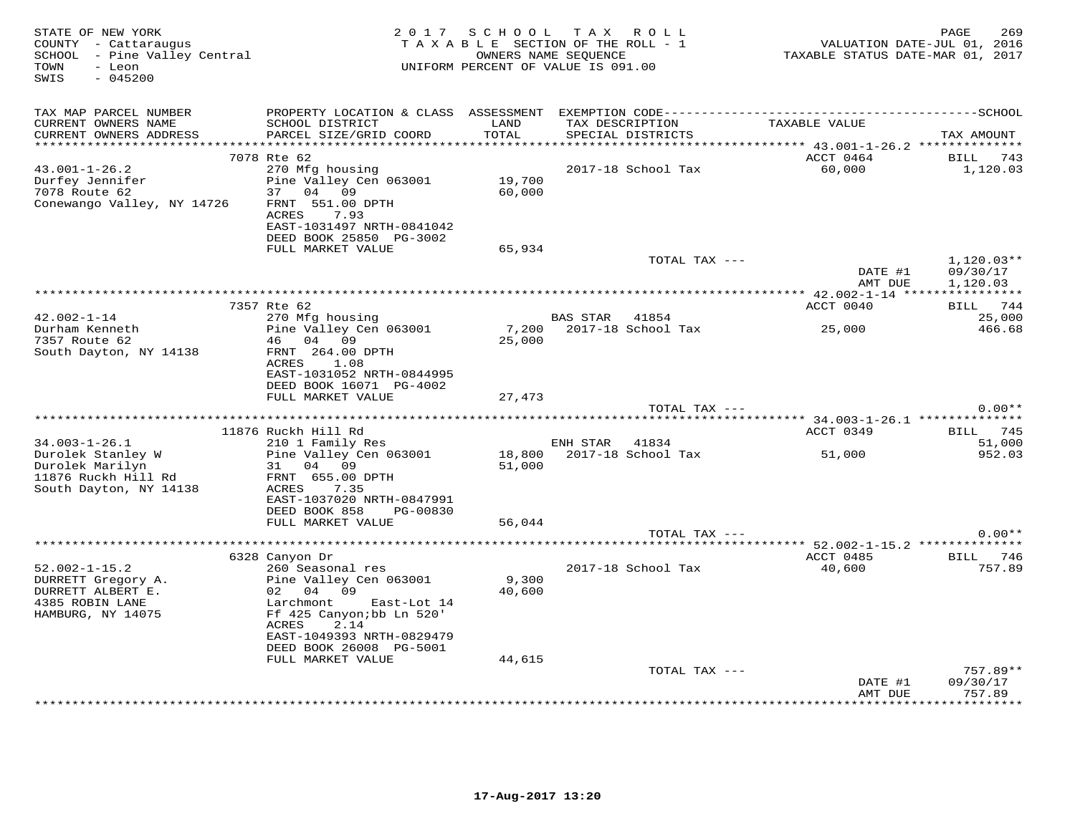| STATE OF NEW YORK<br>COUNTY - Cattaraugus<br>SCHOOL - Pine Valley Central<br>- Leon<br>TOWN<br>$-045200$<br>SWIS |                                                                                                                                                                                                               | 2017 SCHOOL TAX ROLL<br>TAXABLE SECTION OF THE ROLL - 1<br>UNIFORM PERCENT OF VALUE IS 091.00 | OWNERS NAME SEQUENCE                 |               | TAXABLE STATUS DATE-MAR 01, 2017      | 269<br>PAGE<br>VALUATION DATE-JUL 01, 2016 |
|------------------------------------------------------------------------------------------------------------------|---------------------------------------------------------------------------------------------------------------------------------------------------------------------------------------------------------------|-----------------------------------------------------------------------------------------------|--------------------------------------|---------------|---------------------------------------|--------------------------------------------|
| TAX MAP PARCEL NUMBER<br>CURRENT OWNERS NAME<br>CURRENT OWNERS ADDRESS                                           | SCHOOL DISTRICT<br>PARCEL SIZE/GRID COORD                                                                                                                                                                     | LAND<br>TOTAL                                                                                 | TAX DESCRIPTION<br>SPECIAL DISTRICTS |               | TAXABLE VALUE                         | TAX AMOUNT                                 |
|                                                                                                                  |                                                                                                                                                                                                               | ********                                                                                      |                                      |               | ******* 43.001-1-26.2 *************** |                                            |
| $43.001 - 1 - 26.2$<br>Durfey Jennifer<br>7078 Route 62<br>Conewango Valley, NY 14726                            | 7078 Rte 62<br>270 Mfg housing<br>Pine Valley Cen 063001<br>37 04 09<br>FRNT 551.00 DPTH<br>7.93<br>ACRES<br>EAST-1031497 NRTH-0841042<br>DEED BOOK 25850 PG-3002                                             | 19,700<br>60,000                                                                              | 2017-18 School Tax                   |               | ACCT 0464<br>60,000                   | BILL<br>743<br>1,120.03                    |
|                                                                                                                  | FULL MARKET VALUE                                                                                                                                                                                             | 65,934                                                                                        |                                      |               |                                       |                                            |
|                                                                                                                  |                                                                                                                                                                                                               |                                                                                               |                                      | TOTAL TAX --- | DATE #1<br>AMT DUE                    | $1,120.03**$<br>09/30/17<br>1,120.03       |
|                                                                                                                  |                                                                                                                                                                                                               |                                                                                               |                                      |               |                                       |                                            |
| $42.002 - 1 - 14$                                                                                                | 7357 Rte 62<br>270 Mfg housing                                                                                                                                                                                |                                                                                               | BAS STAR 41854                       |               | ACCT 0040                             | BILL 744<br>25,000                         |
| Durham Kenneth                                                                                                   | Pine Valley Cen 063001                                                                                                                                                                                        | 7,200                                                                                         | 2017-18 School Tax                   |               | 25,000                                | 466.68                                     |
| 7357 Route 62                                                                                                    | 46 04 09                                                                                                                                                                                                      | 25,000                                                                                        |                                      |               |                                       |                                            |
| South Dayton, NY 14138                                                                                           | FRNT 264.00 DPTH<br>ACRES<br>1.08<br>EAST-1031052 NRTH-0844995<br>DEED BOOK 16071 PG-4002<br>FULL MARKET VALUE                                                                                                | 27,473                                                                                        |                                      |               |                                       |                                            |
|                                                                                                                  |                                                                                                                                                                                                               |                                                                                               |                                      | TOTAL TAX --- |                                       | $0.00**$                                   |
|                                                                                                                  | 11876 Ruckh Hill Rd                                                                                                                                                                                           |                                                                                               |                                      |               | ACCT 0349                             | BILL 745                                   |
| $34.003 - 1 - 26.1$                                                                                              | 210 1 Family Res                                                                                                                                                                                              |                                                                                               | ENH STAR                             | 41834         |                                       | 51,000                                     |
| Durolek Stanley W<br>Durolek Marilyn<br>11876 Ruckh Hill Rd<br>South Dayton, NY 14138                            | Pine Valley Cen 063001<br>31 04 09<br>FRNT 655.00 DPTH<br>ACRES<br>7.35<br>EAST-1037020 NRTH-0847991<br>DEED BOOK 858<br>PG-00830                                                                             | 18,800<br>51,000                                                                              | 2017-18 School Tax                   |               | 51,000                                | 952.03                                     |
|                                                                                                                  | FULL MARKET VALUE                                                                                                                                                                                             | 56,044                                                                                        |                                      |               |                                       |                                            |
|                                                                                                                  |                                                                                                                                                                                                               |                                                                                               |                                      | TOTAL TAX --- | ******* 52.002-1-15.2 **************  | $0.00**$                                   |
|                                                                                                                  | 6328 Canyon Dr                                                                                                                                                                                                |                                                                                               |                                      |               | ACCT 0485                             | BILL 746                                   |
| $52.002 - 1 - 15.2$<br>DURRETT Gregory A.<br>DURRETT ALBERT E.<br>4385 ROBIN LANE<br>HAMBURG, NY 14075           | 260 Seasonal res<br>Pine Valley Cen 063001<br>02 04 09<br>Larchmont<br>East-Lot 14<br>Ff 425 Canyon; bb Ln 520'<br>ACRES<br>2.14<br>EAST-1049393 NRTH-0829479<br>DEED BOOK 26008 PG-5001<br>FULL MARKET VALUE | 9,300<br>40,600<br>44,615                                                                     | 2017-18 School Tax                   |               | 40,600                                | 757.89                                     |
|                                                                                                                  |                                                                                                                                                                                                               |                                                                                               |                                      | TOTAL TAX --- |                                       | 757.89**                                   |
|                                                                                                                  |                                                                                                                                                                                                               |                                                                                               |                                      |               | DATE #1<br>AMT DUE                    | 09/30/17<br>757.89                         |
|                                                                                                                  |                                                                                                                                                                                                               |                                                                                               |                                      |               | * * * * * * * * * * * *               | * * * * * * * *                            |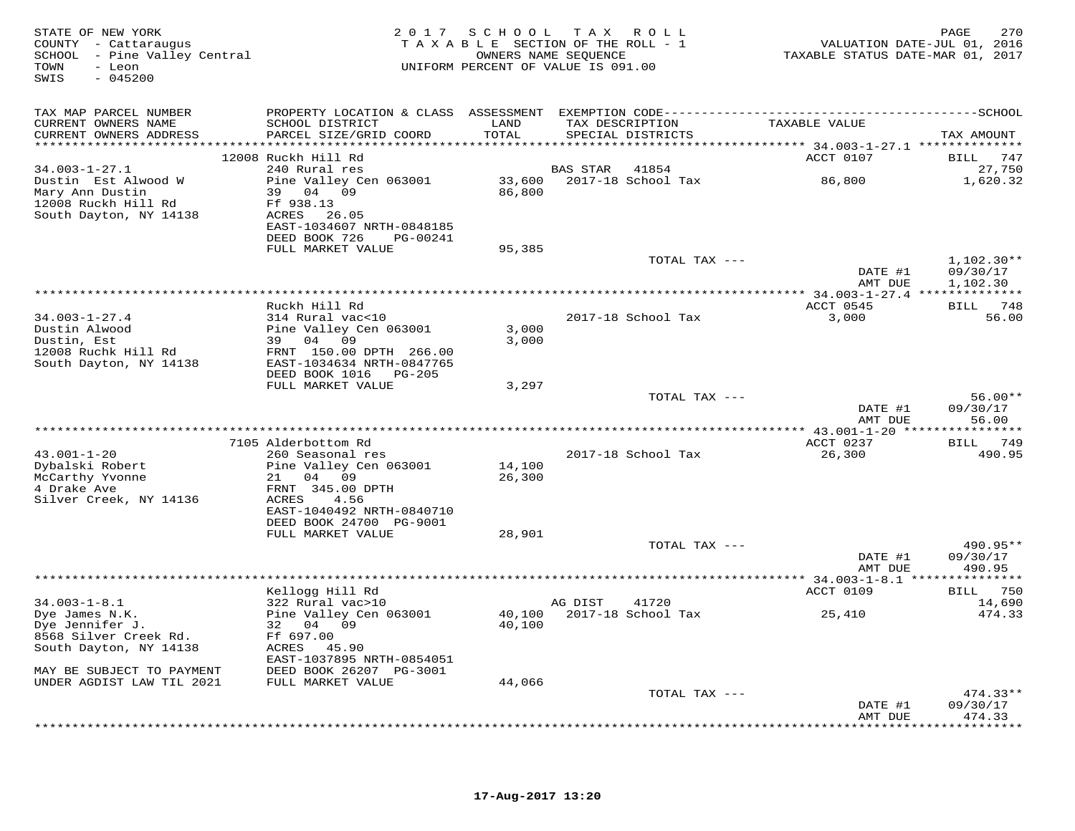| STATE OF NEW YORK<br>COUNTY - Cattaraugus<br>SCHOOL - Pine Valley Central<br>- Leon<br>TOWN<br>$-045200$<br>SWIS | 2 0 1 7                                                                                                                                                        | SCHOOL                     | TAX ROLL<br>TAXABLE SECTION OF THE ROLL - 1<br>OWNERS NAME SEOUENCE<br>UNIFORM PERCENT OF VALUE IS 091.00                | VALUATION DATE-JUL 01, 2016<br>TAXABLE STATUS DATE-MAR 01, 2017 | 270<br>PAGE                          |
|------------------------------------------------------------------------------------------------------------------|----------------------------------------------------------------------------------------------------------------------------------------------------------------|----------------------------|--------------------------------------------------------------------------------------------------------------------------|-----------------------------------------------------------------|--------------------------------------|
| TAX MAP PARCEL NUMBER<br>CURRENT OWNERS NAME<br>CURRENT OWNERS ADDRESS                                           | SCHOOL DISTRICT<br>PARCEL SIZE/GRID COORD                                                                                                                      | LAND<br>TOTAL              | PROPERTY LOCATION & CLASS ASSESSMENT EXEMPTION CODE-----------------------------<br>TAX DESCRIPTION<br>SPECIAL DISTRICTS | TAXABLE VALUE                                                   | ---------SCHOOL<br>TAX AMOUNT        |
|                                                                                                                  | 12008 Ruckh Hill Rd                                                                                                                                            |                            |                                                                                                                          | ********** 34.003-1-27.1 **************<br>ACCT 0107            | 747<br>BILL                          |
| $34.003 - 1 - 27.1$                                                                                              | 240 Rural res                                                                                                                                                  |                            | BAS STAR<br>41854                                                                                                        |                                                                 | 27,750                               |
| Dustin Est Alwood W<br>Mary Ann Dustin<br>12008 Ruckh Hill Rd<br>South Dayton, NY 14138                          | Pine Valley Cen 063001<br>39 04 09<br>Ff 938.13<br>ACRES<br>26.05<br>EAST-1034607 NRTH-0848185<br>DEED BOOK 726<br>PG-00241                                    | 33,600<br>86,800           | 2017-18 School Tax                                                                                                       | 86,800                                                          | 1,620.32                             |
|                                                                                                                  | FULL MARKET VALUE                                                                                                                                              | 95,385                     |                                                                                                                          |                                                                 |                                      |
|                                                                                                                  |                                                                                                                                                                |                            | TOTAL TAX ---                                                                                                            | DATE #1<br>AMT DUE                                              | $1,102.30**$<br>09/30/17<br>1,102.30 |
|                                                                                                                  |                                                                                                                                                                |                            |                                                                                                                          |                                                                 |                                      |
| $34.003 - 1 - 27.4$<br>Dustin Alwood<br>Dustin, Est<br>12008 Ruchk Hill Rd<br>South Dayton, NY 14138             | Ruckh Hill Rd<br>314 Rural vac<10<br>Pine Valley Cen 063001<br>39 04<br>09<br>FRNT 150.00 DPTH 266.00<br>EAST-1034634 NRTH-0847765<br>DEED BOOK 1016<br>PG-205 | 3,000<br>3,000             | 2017-18 School Tax                                                                                                       | ACCT 0545<br>3,000                                              | BILL 748<br>56.00                    |
|                                                                                                                  | FULL MARKET VALUE                                                                                                                                              | 3,297                      |                                                                                                                          |                                                                 |                                      |
|                                                                                                                  |                                                                                                                                                                |                            | TOTAL TAX ---                                                                                                            | DATE #1<br>AMT DUE                                              | $56.00**$<br>09/30/17<br>56.00       |
|                                                                                                                  |                                                                                                                                                                |                            |                                                                                                                          |                                                                 | * * * * * * * * *                    |
| $43.001 - 1 - 20$                                                                                                | 7105 Alderbottom Rd<br>260 Seasonal res                                                                                                                        |                            | 2017-18 School Tax                                                                                                       | ACCT 0237<br>26,300                                             | <b>BILL</b><br>749<br>490.95         |
| Dybalski Robert<br>McCarthy Yvonne<br>4 Drake Ave<br>Silver Creek, NY 14136                                      | Pine Valley Cen 063001<br>21<br>04 09<br>FRNT 345.00 DPTH<br><b>ACRES</b><br>4.56<br>EAST-1040492 NRTH-0840710<br>DEED BOOK 24700 PG-9001<br>FULL MARKET VALUE | 14,100<br>26,300<br>28,901 |                                                                                                                          |                                                                 |                                      |
|                                                                                                                  |                                                                                                                                                                |                            | TOTAL TAX ---                                                                                                            |                                                                 | 490.95**                             |
|                                                                                                                  |                                                                                                                                                                |                            |                                                                                                                          | DATE #1<br>AMT DUE                                              | 09/30/17<br>490.95                   |
|                                                                                                                  | Kellogg Hill Rd                                                                                                                                                |                            |                                                                                                                          | *********** 34.003-1-8.1 ****************<br>ACCT 0109          | 750<br>BILL                          |
| $34.003 - 1 - 8.1$<br>Dye James N.K.<br>Dye Jennifer J.<br>8568 Silver Creek Rd.<br>South Dayton, NY 14138       | 322 Rural vac>10<br>Pine Valley Cen 063001<br>32 04<br>09<br>Ff 697.00<br>ACRES 45.90<br>EAST-1037895 NRTH-0854051                                             | 40,100<br>40,100           | AG DIST<br>41720<br>2017-18 School Tax                                                                                   | 25,410                                                          | 14,690<br>474.33                     |
| MAY BE SUBJECT TO PAYMENT<br>UNDER AGDIST LAW TIL 2021                                                           | DEED BOOK 26207 PG-3001<br>FULL MARKET VALUE                                                                                                                   | 44,066                     |                                                                                                                          |                                                                 |                                      |
|                                                                                                                  |                                                                                                                                                                |                            | TOTAL TAX ---                                                                                                            | DATE #1<br>AMT DUE                                              | $474.33**$<br>09/30/17<br>474.33     |
|                                                                                                                  |                                                                                                                                                                |                            |                                                                                                                          |                                                                 | * * * * * * * *                      |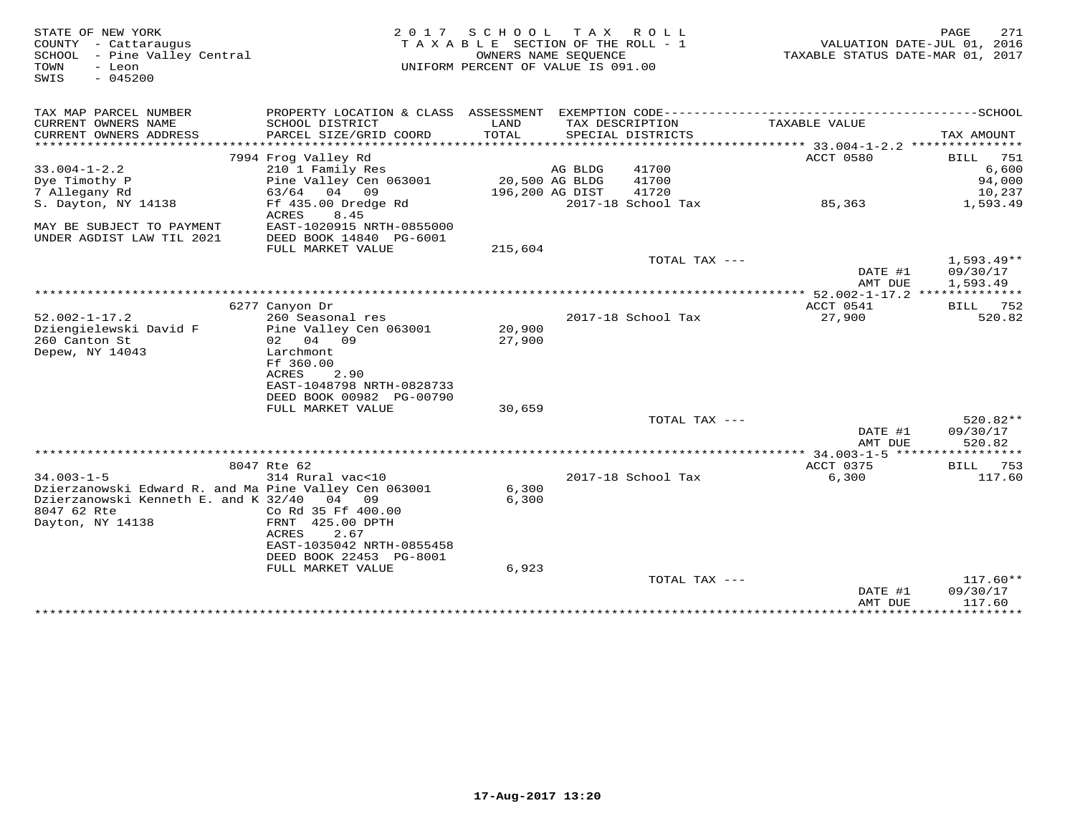| STATE OF NEW YORK<br>COUNTY - Cattaraugus<br>SCHOOL<br>- Pine Valley Central<br>TOWN<br>- Leon<br>$-045200$<br>SWIS | 2 0 1 7                                                         | SCHOOL<br>T A X A B L E SECTION OF THE ROLL - 1<br>OWNERS NAME SEQUENCE<br>UNIFORM PERCENT OF VALUE IS 091.00 | T A X                   | R O L L                              | TAXABLE STATUS DATE-MAR 01, 2017          | 271<br>PAGE<br>VALUATION DATE-JUL 01, 2016 |
|---------------------------------------------------------------------------------------------------------------------|-----------------------------------------------------------------|---------------------------------------------------------------------------------------------------------------|-------------------------|--------------------------------------|-------------------------------------------|--------------------------------------------|
| TAX MAP PARCEL NUMBER                                                                                               | PROPERTY LOCATION & CLASS ASSESSMENT EXEMPTION CODE------------ |                                                                                                               |                         |                                      |                                           | $------SCH00L$                             |
| CURRENT OWNERS NAME<br>CURRENT OWNERS ADDRESS<br>*******************                                                | SCHOOL DISTRICT<br>PARCEL SIZE/GRID COORD                       | LAND<br>TOTAL                                                                                                 |                         | TAX DESCRIPTION<br>SPECIAL DISTRICTS | TAXABLE VALUE                             | TAX AMOUNT                                 |
|                                                                                                                     | 7994 Frog Valley Rd                                             |                                                                                                               |                         |                                      | ACCT 0580                                 | 751<br>BILL                                |
| $33.004 - 1 - 2.2$                                                                                                  | 210 1 Family Res                                                |                                                                                                               | AG BLDG                 | 41700                                |                                           | 6,600                                      |
| Dye Timothy P                                                                                                       | Pine Valley Cen 063001                                          |                                                                                                               | 20,500 AG BLDG          | 41700                                |                                           | 94,000                                     |
| 7 Allegany Rd                                                                                                       | 63/64<br>04<br>09                                               | 196,200 AG DIST                                                                                               |                         | 41720                                |                                           | 10,237                                     |
| S. Dayton, NY 14138                                                                                                 | Ff 435.00 Dredge Rd<br>ACRES<br>8.45                            |                                                                                                               |                         | 2017-18 School Tax                   | 85,363                                    | 1,593.49                                   |
| MAY BE SUBJECT TO PAYMENT                                                                                           | EAST-1020915 NRTH-0855000                                       |                                                                                                               |                         |                                      |                                           |                                            |
| UNDER AGDIST LAW TIL 2021                                                                                           | DEED BOOK 14840 PG-6001                                         |                                                                                                               |                         |                                      |                                           |                                            |
|                                                                                                                     | FULL MARKET VALUE                                               | 215,604                                                                                                       |                         |                                      |                                           |                                            |
|                                                                                                                     |                                                                 |                                                                                                               |                         | TOTAL TAX ---                        |                                           | $1,593.49**$                               |
|                                                                                                                     |                                                                 |                                                                                                               |                         |                                      | DATE #1                                   | 09/30/17                                   |
|                                                                                                                     |                                                                 |                                                                                                               | *********************** |                                      | AMT DUE<br>** 52.002-1-17.2 ***           | 1,593.49                                   |
|                                                                                                                     | 6277 Canyon Dr                                                  |                                                                                                               |                         |                                      | ACCT 0541                                 | BILL 752                                   |
| $52.002 - 1 - 17.2$                                                                                                 | 260 Seasonal res                                                |                                                                                                               |                         | 2017-18 School Tax                   | 27,900                                    | 520.82                                     |
| Dziengielewski David F                                                                                              | Pine Valley Cen 063001                                          | 20,900                                                                                                        |                         |                                      |                                           |                                            |
| 260 Canton St                                                                                                       | 02 04 09                                                        | 27,900                                                                                                        |                         |                                      |                                           |                                            |
| Depew, NY 14043                                                                                                     | Larchmont                                                       |                                                                                                               |                         |                                      |                                           |                                            |
|                                                                                                                     | Ff 360.00                                                       |                                                                                                               |                         |                                      |                                           |                                            |
|                                                                                                                     | 2.90<br>ACRES                                                   |                                                                                                               |                         |                                      |                                           |                                            |
|                                                                                                                     | EAST-1048798 NRTH-0828733                                       |                                                                                                               |                         |                                      |                                           |                                            |
|                                                                                                                     | DEED BOOK 00982 PG-00790<br>FULL MARKET VALUE                   | 30,659                                                                                                        |                         |                                      |                                           |                                            |
|                                                                                                                     |                                                                 |                                                                                                               |                         | TOTAL TAX ---                        |                                           | 520.82**                                   |
|                                                                                                                     |                                                                 |                                                                                                               |                         |                                      | DATE #1                                   | 09/30/17                                   |
|                                                                                                                     |                                                                 |                                                                                                               |                         |                                      | AMT DUE                                   | 520.82                                     |
|                                                                                                                     |                                                                 |                                                                                                               |                         |                                      | *********** 34.003-1-5 ****************** |                                            |
|                                                                                                                     | 8047 Rte 62                                                     |                                                                                                               |                         |                                      | ACCT 0375                                 | BILL<br>753                                |
| $34.003 - 1 - 5$                                                                                                    | 314 Rural vac<10                                                |                                                                                                               |                         | 2017-18 School Tax                   | 6,300                                     | 117.60                                     |
| Dzierzanowski Edward R. and Ma Pine Valley Cen 063001                                                               |                                                                 | 6,300                                                                                                         |                         |                                      |                                           |                                            |
| Dzierzanowski Kenneth E. and K 32/40                                                                                | 04<br>09                                                        | 6,300                                                                                                         |                         |                                      |                                           |                                            |
| 8047 62 Rte                                                                                                         | Co Rd 35 Ff 400.00<br>FRNT 425.00 DPTH                          |                                                                                                               |                         |                                      |                                           |                                            |
| Dayton, NY 14138                                                                                                    | 2.67<br>ACRES                                                   |                                                                                                               |                         |                                      |                                           |                                            |
|                                                                                                                     | EAST-1035042 NRTH-0855458                                       |                                                                                                               |                         |                                      |                                           |                                            |
|                                                                                                                     | DEED BOOK 22453 PG-8001                                         |                                                                                                               |                         |                                      |                                           |                                            |
|                                                                                                                     | FULL MARKET VALUE                                               | 6,923                                                                                                         |                         |                                      |                                           |                                            |
|                                                                                                                     |                                                                 |                                                                                                               |                         | TOTAL TAX ---                        |                                           | $117.60**$                                 |
|                                                                                                                     |                                                                 |                                                                                                               |                         |                                      | DATE #1                                   | 09/30/17                                   |
|                                                                                                                     |                                                                 |                                                                                                               |                         |                                      | AMT DUE                                   | 117.60                                     |
|                                                                                                                     |                                                                 |                                                                                                               |                         |                                      | * * * * * * * * * * * *                   | * * * * * * * * * * *                      |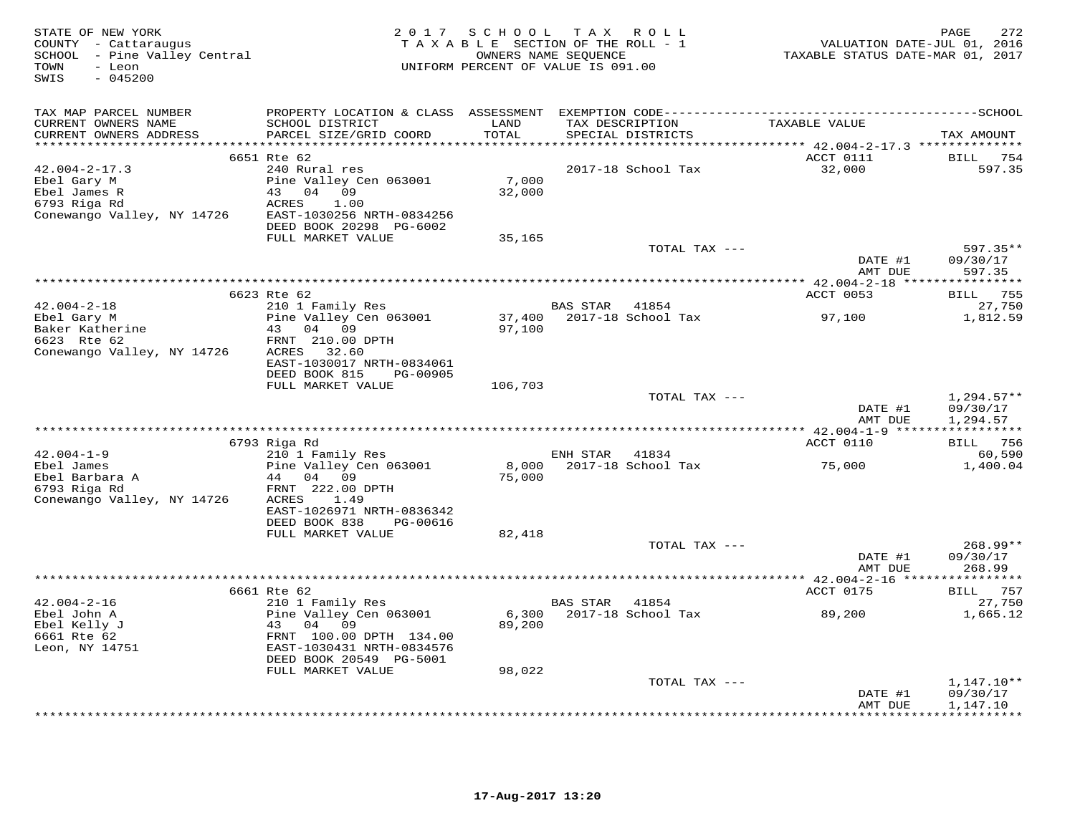| STATE OF NEW YORK<br>COUNTY - Cattaraugus<br>SCHOOL - Pine Valley Central<br>TOWN<br>- Leon<br>SWIS<br>$-045200$ |                                                                                                                                                        | 2017 SCHOOL TAX ROLL<br>TAXABLE SECTION OF THE ROLL - 1<br>UNIFORM PERCENT OF VALUE IS 091.00 | OWNERS NAME SEQUENCE                 |                             | VALUATION DATE-JUL 01, 2016<br>TAXABLE STATUS DATE-MAR 01, 2017 | 272<br>PAGE                                 |
|------------------------------------------------------------------------------------------------------------------|--------------------------------------------------------------------------------------------------------------------------------------------------------|-----------------------------------------------------------------------------------------------|--------------------------------------|-----------------------------|-----------------------------------------------------------------|---------------------------------------------|
| TAX MAP PARCEL NUMBER<br>CURRENT OWNERS NAME<br>CURRENT OWNERS ADDRESS                                           | SCHOOL DISTRICT<br>PARCEL SIZE/GRID COORD                                                                                                              | LAND<br>TOTAL                                                                                 | TAX DESCRIPTION<br>SPECIAL DISTRICTS |                             | TAXABLE VALUE                                                   | TAX AMOUNT                                  |
| $42.004 - 2 - 17.3$<br>Ebel Gary M<br>Ebel James R<br>6793 Riga Rd<br>Conewango Valley, NY 14726                 | 6651 Rte 62<br>240 Rural res<br>Pine Valley Cen 063001<br>43<br>04 09<br><b>ACRES</b><br>1.00<br>EAST-1030256 NRTH-0834256<br>DEED BOOK 20298 PG-6002  | 7,000<br>32,000                                                                               |                                      | 2017-18 School Tax          | ACCT 0111<br>32,000                                             | BILL 754<br>597.35                          |
|                                                                                                                  | FULL MARKET VALUE                                                                                                                                      | 35,165                                                                                        |                                      | TOTAL TAX ---               | DATE #1<br>AMT DUE                                              | 597.35**<br>09/30/17<br>597.35              |
|                                                                                                                  |                                                                                                                                                        |                                                                                               |                                      |                             |                                                                 |                                             |
|                                                                                                                  | 6623 Rte 62                                                                                                                                            |                                                                                               |                                      |                             | ACCT 0053                                                       | BILL 755                                    |
| $42.004 - 2 - 18$<br>Ebel Gary M<br>Baker Katherine<br>6623 Rte 62<br>Conewango Valley, NY 14726                 | 210 1 Family Res<br>Pine Valley Cen 063001<br>43 04 09<br>FRNT 210.00 DPTH<br>ACRES<br>32.60<br>EAST-1030017 NRTH-0834061<br>DEED BOOK 815<br>PG-00905 | 37,400<br>97,100                                                                              | BAS STAR                             | 41854<br>2017-18 School Tax | 97,100                                                          | 27,750<br>1,812.59                          |
|                                                                                                                  | FULL MARKET VALUE                                                                                                                                      | 106,703                                                                                       |                                      |                             |                                                                 |                                             |
|                                                                                                                  |                                                                                                                                                        |                                                                                               |                                      | TOTAL TAX ---               | DATE #1<br>AMT DUE                                              | $1,294.57**$<br>09/30/17<br>1,294.57        |
|                                                                                                                  | 6793 Riga Rd                                                                                                                                           |                                                                                               |                                      |                             | ACCT 0110                                                       | BILL 756                                    |
| $42.004 - 1 - 9$                                                                                                 | 210 1 Family Res                                                                                                                                       |                                                                                               | ENH STAR                             | 41834                       |                                                                 | 60,590                                      |
| Ebel James<br>Ebel Barbara A<br>6793 Riga Rd<br>Conewango Valley, NY 14726                                       | Pine Valley Cen 063001<br>44 04 09<br>FRNT 222.00 DPTH<br>ACRES<br>1.49<br>EAST-1026971 NRTH-0836342<br>DEED BOOK 838<br>PG-00616                      | 8,000<br>75,000                                                                               |                                      | 2017-18 School Tax          | 75,000                                                          | 1,400.04                                    |
|                                                                                                                  | FULL MARKET VALUE                                                                                                                                      | 82,418                                                                                        |                                      |                             |                                                                 |                                             |
|                                                                                                                  |                                                                                                                                                        |                                                                                               |                                      | TOTAL TAX ---               | DATE #1<br>AMT DUE                                              | 268.99**<br>09/30/17<br>268.99              |
|                                                                                                                  |                                                                                                                                                        |                                                                                               |                                      |                             |                                                                 |                                             |
| $42.004 - 2 - 16$                                                                                                | 6661 Rte 62<br>210 1 Family Res                                                                                                                        |                                                                                               | BAS STAR                             | 41854                       | ACCT 0175                                                       | BILL 757<br>27,750                          |
| Ebel John A<br>Ebel Kelly J<br>6661 Rte 62<br>Leon, NY 14751                                                     | Pine Valley Cen 063001<br>43<br>04<br>09<br>FRNT 100.00 DPTH 134.00<br>EAST-1030431 NRTH-0834576<br>DEED BOOK 20549 PG-5001<br>FULL MARKET VALUE       | 6,300<br>89,200<br>98,022                                                                     |                                      | 2017-18 School Tax          | 89,200                                                          | 1,665.12                                    |
|                                                                                                                  |                                                                                                                                                        |                                                                                               |                                      | TOTAL TAX ---               |                                                                 | $1,147.10**$                                |
|                                                                                                                  |                                                                                                                                                        |                                                                                               |                                      |                             | DATE #1<br>AMT DUE                                              | 09/30/17<br>1,147.10<br>* * * * * * * * * * |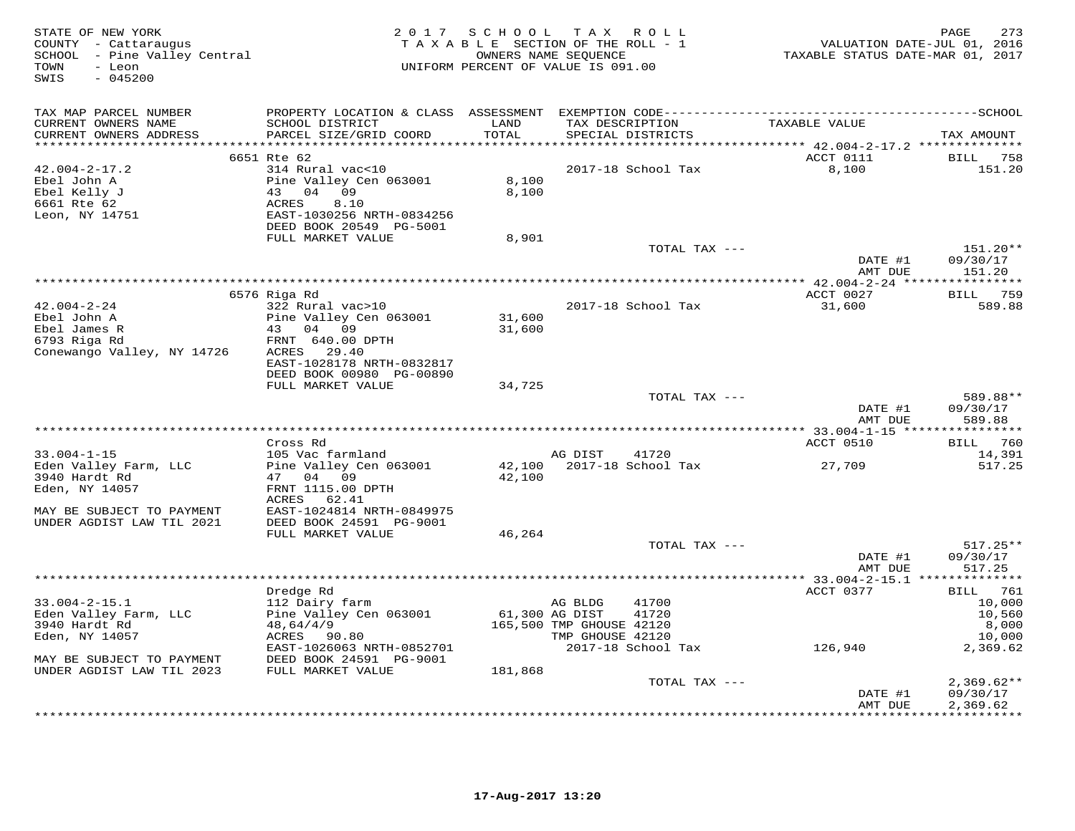| STATE OF NEW YORK<br>COUNTY - Cattaraugus<br>SCHOOL - Pine Valley Central<br>TOWN<br>- Leon<br>SWIS<br>$-045200$   | 2 0 1 7                                                                                                                                                     | SCHOOL                         | TAX ROLL<br>TAXABLE SECTION OF THE ROLL - 1<br>OWNERS NAME SEQUENCE<br>UNIFORM PERCENT OF VALUE IS 091.00         | VALUATION DATE-JUL 01, 2016<br>TAXABLE STATUS DATE-MAR 01, 2017 | 273<br>PAGE                                                        |
|--------------------------------------------------------------------------------------------------------------------|-------------------------------------------------------------------------------------------------------------------------------------------------------------|--------------------------------|-------------------------------------------------------------------------------------------------------------------|-----------------------------------------------------------------|--------------------------------------------------------------------|
| TAX MAP PARCEL NUMBER                                                                                              |                                                                                                                                                             |                                |                                                                                                                   |                                                                 |                                                                    |
| CURRENT OWNERS NAME<br>CURRENT OWNERS ADDRESS<br>**********************                                            | SCHOOL DISTRICT<br>PARCEL SIZE/GRID COORD                                                                                                                   | LAND<br>TOTAL<br>************* | TAX DESCRIPTION<br>SPECIAL DISTRICTS                                                                              | TAXABLE VALUE                                                   | TAX AMOUNT                                                         |
|                                                                                                                    | 6651 Rte 62                                                                                                                                                 |                                |                                                                                                                   | ACCT 0111                                                       | BILL 758                                                           |
| $42.004 - 2 - 17.2$<br>Ebel John A<br>Ebel Kelly J<br>6661 Rte 62<br>Leon, NY 14751                                | 314 Rural vac<10<br>Pine Valley Cen 063001<br>43<br>04<br>09<br>ACRES<br>8.10<br>EAST-1030256 NRTH-0834256<br>DEED BOOK 20549 PG-5001                       | 8,100<br>8,100                 | 2017-18 School Tax                                                                                                | 8,100                                                           | 151.20                                                             |
|                                                                                                                    | FULL MARKET VALUE                                                                                                                                           | 8,901                          |                                                                                                                   |                                                                 |                                                                    |
|                                                                                                                    |                                                                                                                                                             |                                | TOTAL TAX ---                                                                                                     | DATE #1<br>AMT DUE                                              | 151.20**<br>09/30/17<br>151.20                                     |
|                                                                                                                    |                                                                                                                                                             |                                |                                                                                                                   | *** 42.004-2-24 *****************                               |                                                                    |
|                                                                                                                    | 6576 Riga Rd                                                                                                                                                |                                |                                                                                                                   | ACCT 0027                                                       | 759<br>BILL                                                        |
| $42.004 - 2 - 24$<br>Ebel John A<br>Ebel James R<br>6793 Riga Rd<br>Conewango Valley, NY 14726                     | 322 Rural vac>10<br>Pine Valley Cen 063001<br>43<br>04<br>09<br>FRNT 640.00 DPTH<br>ACRES<br>29.40<br>EAST-1028178 NRTH-0832817<br>DEED BOOK 00980 PG-00890 | 31,600<br>31,600               | 2017-18 School Tax                                                                                                | 31,600                                                          | 589.88                                                             |
|                                                                                                                    | FULL MARKET VALUE                                                                                                                                           | 34,725                         |                                                                                                                   |                                                                 |                                                                    |
|                                                                                                                    |                                                                                                                                                             |                                | TOTAL TAX ---                                                                                                     | DATE #1<br>AMT DUE                                              | 589.88**<br>09/30/17<br>589.88                                     |
|                                                                                                                    | Cross Rd                                                                                                                                                    |                                |                                                                                                                   | *********** 33.004-1-15 *****************<br>ACCT 0510          | 760<br><b>BILL</b>                                                 |
| $33.004 - 1 - 15$                                                                                                  | 105 Vac farmland                                                                                                                                            |                                | AG DIST<br>41720                                                                                                  |                                                                 | 14,391                                                             |
| Eden Valley Farm, LLC<br>3940 Hardt Rd<br>Eden, NY 14057<br>MAY BE SUBJECT TO PAYMENT<br>UNDER AGDIST LAW TIL 2021 | Pine Valley Cen 063001<br>47 04 09<br>FRNT 1115.00 DPTH<br>ACRES<br>62.41<br>EAST-1024814 NRTH-0849975<br>DEED BOOK 24591 PG-9001                           | 42,100<br>42,100               | 2017-18 School Tax                                                                                                | 27,709                                                          | 517.25                                                             |
|                                                                                                                    | FULL MARKET VALUE                                                                                                                                           | 46,264                         |                                                                                                                   |                                                                 |                                                                    |
|                                                                                                                    |                                                                                                                                                             |                                | TOTAL TAX ---                                                                                                     | DATE #1<br>AMT DUE                                              | $517.25**$<br>09/30/17<br>517.25                                   |
|                                                                                                                    |                                                                                                                                                             |                                |                                                                                                                   |                                                                 |                                                                    |
| $33.004 - 2 - 15.1$<br>Eden Valley Farm, LLC<br>3940 Hardt Rd<br>Eden, NY 14057                                    | Dredge Rd<br>112 Dairy farm<br>Pine Valley Cen 063001<br>48,64/4/9<br>ACRES<br>90.80<br>EAST-1026063 NRTH-0852701                                           |                                | AG BLDG<br>41700<br>61,300 AG DIST<br>41720<br>165,500 TMP GHOUSE 42120<br>TMP GHOUSE 42120<br>2017-18 School Tax | ACCT 0377<br>126,940                                            | <b>BILL</b> 761<br>10,000<br>10,560<br>8,000<br>10,000<br>2,369.62 |
| MAY BE SUBJECT TO PAYMENT                                                                                          | DEED BOOK 24591 PG-9001                                                                                                                                     |                                |                                                                                                                   |                                                                 |                                                                    |
| UNDER AGDIST LAW TIL 2023                                                                                          | FULL MARKET VALUE                                                                                                                                           | 181,868                        |                                                                                                                   |                                                                 |                                                                    |
|                                                                                                                    |                                                                                                                                                             |                                | TOTAL TAX ---                                                                                                     | DATE #1<br>AMT DUE                                              | $2,369.62**$<br>09/30/17<br>2,369.62<br>* * * * * * * * * * *      |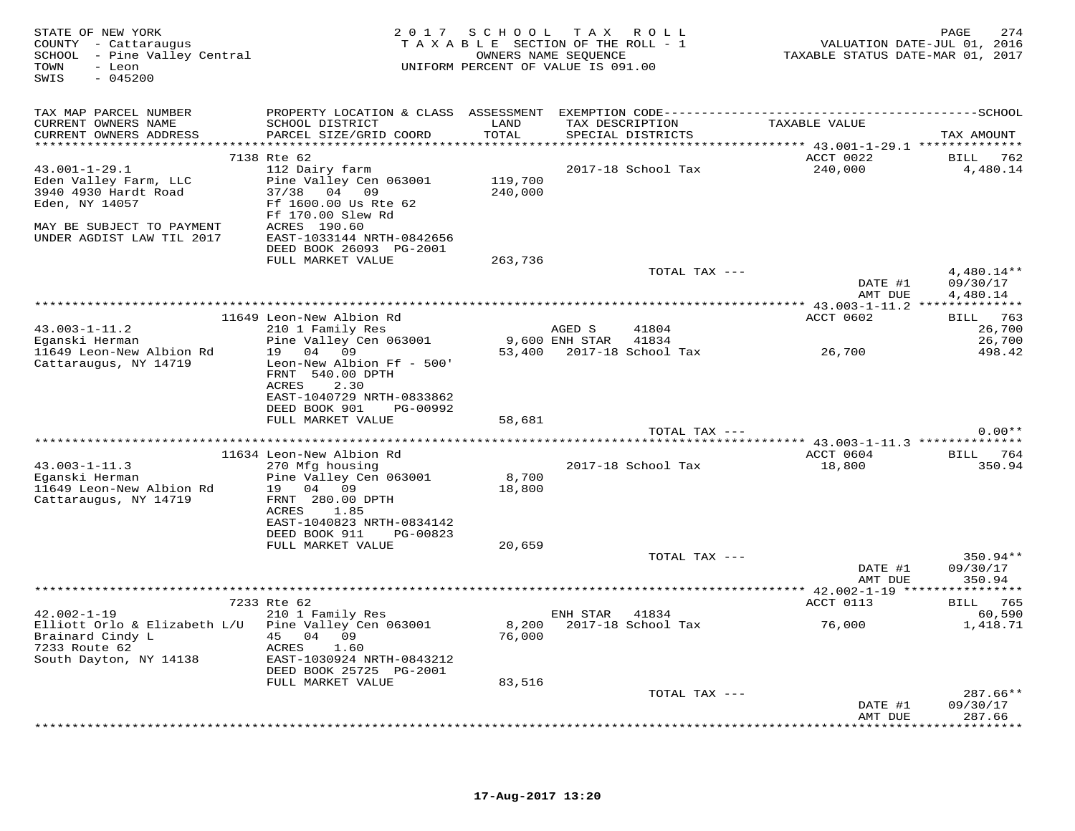| STATE OF NEW YORK<br>COUNTY - Cattaraugus<br>SCHOOL - Pine Valley Central<br>TOWN<br>- Leon<br>SWIS<br>$-045200$                        |                                                                                                                         | 2017 SCHOOL TAX ROLL<br>TAXABLE SECTION OF THE ROLL - 1<br>UNIFORM PERCENT OF VALUE IS 091.00 | OWNERS NAME SEQUENCE     |                                      | TAXABLE STATUS DATE-MAR 01, 2017                                             | PAGE<br>274<br>VALUATION DATE-JUL 01, 2016 |
|-----------------------------------------------------------------------------------------------------------------------------------------|-------------------------------------------------------------------------------------------------------------------------|-----------------------------------------------------------------------------------------------|--------------------------|--------------------------------------|------------------------------------------------------------------------------|--------------------------------------------|
| TAX MAP PARCEL NUMBER                                                                                                                   |                                                                                                                         |                                                                                               |                          |                                      |                                                                              |                                            |
| CURRENT OWNERS NAME<br>CURRENT OWNERS ADDRESS                                                                                           | SCHOOL DISTRICT<br>PARCEL SIZE/GRID COORD                                                                               | LAND<br>TOTAL                                                                                 |                          | TAX DESCRIPTION<br>SPECIAL DISTRICTS | TAXABLE VALUE                                                                | TAX AMOUNT                                 |
|                                                                                                                                         | 7138 Rte 62                                                                                                             | * * * * * * * * * * * *                                                                       |                          |                                      | ********************************* 43.001-1-29.1 ***************<br>ACCT 0022 | 762                                        |
| $43.001 - 1 - 29.1$<br>Eden Valley Farm, LLC<br>3940 4930 Hardt Road<br>Eden, NY 14057                                                  | 112 Dairy farm<br>Pine Valley Cen 063001<br>37/38 04 09<br>Ff 1600.00 Us Rte 62                                         | 119,700<br>240,000                                                                            |                          | 2017-18 School Tax                   | 240,000                                                                      | BILL<br>4,480.14                           |
| MAY BE SUBJECT TO PAYMENT<br>UNDER AGDIST LAW TIL 2017                                                                                  | Ff 170.00 Slew Rd<br>ACRES 190.60<br>EAST-1033144 NRTH-0842656                                                          |                                                                                               |                          |                                      |                                                                              |                                            |
|                                                                                                                                         | DEED BOOK 26093 PG-2001                                                                                                 |                                                                                               |                          |                                      |                                                                              |                                            |
|                                                                                                                                         | FULL MARKET VALUE                                                                                                       | 263,736                                                                                       |                          | TOTAL TAX ---                        | DATE #1                                                                      | 4,480.14**<br>09/30/17                     |
|                                                                                                                                         |                                                                                                                         |                                                                                               |                          |                                      | AMT DUE                                                                      | 4,480.14                                   |
|                                                                                                                                         |                                                                                                                         |                                                                                               |                          |                                      |                                                                              |                                            |
|                                                                                                                                         | 11649 Leon-New Albion Rd                                                                                                |                                                                                               |                          | 41804                                | ACCT 0602                                                                    | BILL 763                                   |
| $43.003 - 1 - 11.2$<br>Eganski Herman                                                                                                   | 210 1 Family Res<br>Pine Valley Cen 063001                                                                              |                                                                                               | AGED S<br>9,600 ENH STAR | 41834                                |                                                                              | 26,700<br>26,700                           |
| 11649 Leon-New Albion Rd<br>Cattaraugus, NY 14719                                                                                       | 19 04 09<br>Leon-New Albion Ff - 500'<br>FRNT 540.00 DPTH<br>ACRES<br>2.30<br>EAST-1040729 NRTH-0833862                 | 53,400                                                                                        |                          | 2017-18 School Tax                   | 26,700                                                                       | 498.42                                     |
|                                                                                                                                         | DEED BOOK 901<br>PG-00992                                                                                               |                                                                                               |                          |                                      |                                                                              |                                            |
|                                                                                                                                         | FULL MARKET VALUE                                                                                                       | 58,681                                                                                        |                          |                                      |                                                                              |                                            |
|                                                                                                                                         |                                                                                                                         |                                                                                               |                          | TOTAL TAX ---                        |                                                                              | $0.00**$                                   |
|                                                                                                                                         | 11634 Leon-New Albion Rd                                                                                                |                                                                                               |                          |                                      | ACCT 0604                                                                    | BILL 764                                   |
| $43.003 - 1 - 11.3$<br>Eganski Herman<br>11649 Leon-New Albion Rd<br>Cattaraugus, NY 14719                                              | 270 Mfg housing<br>Pine Valley Cen 063001<br>19 04 09<br>FRNT 280.00 DPTH<br>ACRES<br>1.85<br>EAST-1040823 NRTH-0834142 | 8,700<br>18,800                                                                               |                          | 2017-18 School Tax                   | 18,800                                                                       | 350.94                                     |
|                                                                                                                                         | DEED BOOK 911<br>PG-00823                                                                                               |                                                                                               |                          |                                      |                                                                              |                                            |
|                                                                                                                                         | FULL MARKET VALUE                                                                                                       | 20,659                                                                                        |                          | TOTAL TAX ---                        | DATE #1<br>AMT DUE                                                           | 350.94**<br>09/30/17<br>350.94             |
|                                                                                                                                         |                                                                                                                         |                                                                                               | **********************   |                                      | ** 42.002-1-19 *****                                                         | * * * * * * * * * *                        |
|                                                                                                                                         | 7233 Rte 62                                                                                                             |                                                                                               |                          |                                      | ACCT 0113                                                                    | BILL 765                                   |
| $42.002 - 1 - 19$<br>Elliott Orlo & Elizabeth L/U Pine Valley Cen 063001<br>Brainard Cindy L<br>7233 Route 62<br>South Dayton, NY 14138 | 210 1 Family Res<br>04 09<br>45<br>ACRES<br>1.60<br>EAST-1030924 NRTH-0843212<br>DEED BOOK 25725 PG-2001                | 8,200<br>76,000                                                                               | ENH STAR                 | 41834<br>2017-18 School Tax          | 76,000                                                                       | 60,590<br>1,418.71                         |
|                                                                                                                                         | FULL MARKET VALUE                                                                                                       | 83,516                                                                                        |                          |                                      |                                                                              |                                            |
|                                                                                                                                         |                                                                                                                         |                                                                                               |                          | TOTAL TAX ---                        |                                                                              | $287.66**$                                 |
|                                                                                                                                         |                                                                                                                         |                                                                                               |                          |                                      | DATE #1<br>AMT DUE                                                           | 09/30/17<br>287.66<br>********             |
|                                                                                                                                         |                                                                                                                         |                                                                                               |                          |                                      |                                                                              |                                            |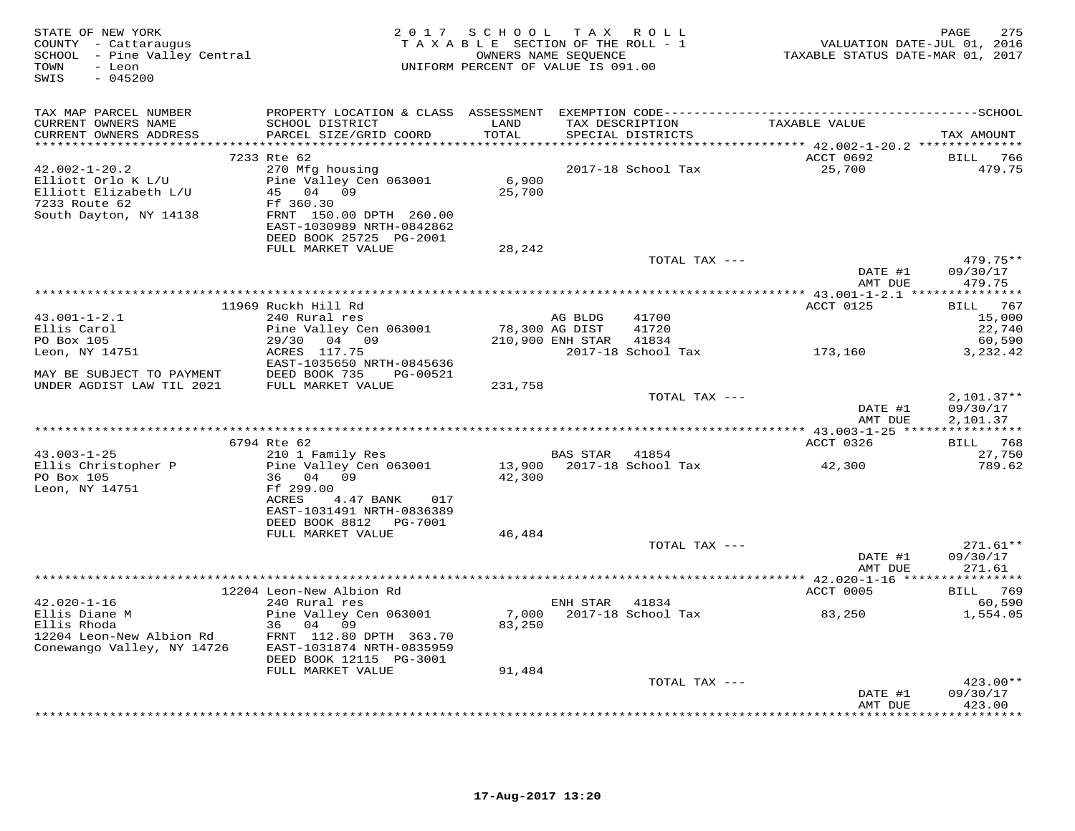| STATE OF NEW YORK<br>COUNTY - Cattaraugus<br>COONII - Cactaraugus<br>SCHOOL - Pine Valley Central<br>TOWN<br>- Leon<br>SWIS<br>$-045200$ |                                                                                                                                           | 2017 SCHOOL<br>UNIFORM PERCENT OF VALUE IS 091.00 | OWNERS NAME SEQUENCE | TAX ROLL<br>TAXABLE SECTION OF THE ROLL - 1 | 1, 1, 1, 1, 1, 1, 2016<br>TAXABLE STATUS DATE-JUL 01, 2016 | PAGE<br>275                          |
|------------------------------------------------------------------------------------------------------------------------------------------|-------------------------------------------------------------------------------------------------------------------------------------------|---------------------------------------------------|----------------------|---------------------------------------------|------------------------------------------------------------|--------------------------------------|
| TAX MAP PARCEL NUMBER                                                                                                                    |                                                                                                                                           |                                                   |                      |                                             |                                                            |                                      |
| CURRENT OWNERS NAME<br>CURRENT OWNERS ADDRESS                                                                                            | SCHOOL DISTRICT<br>PARCEL SIZE/GRID COORD                                                                                                 | LAND<br>TOTAL                                     |                      | TAX DESCRIPTION<br>SPECIAL DISTRICTS        | TAXABLE VALUE                                              | TAX AMOUNT                           |
|                                                                                                                                          |                                                                                                                                           | *****************                                 |                      |                                             | ********** 42.002-1-20.2 **************<br>ACCT 0692       |                                      |
| $42.002 - 1 - 20.2$<br>Elliott Orlo K L/U<br>Elliott Elizabeth L/U<br>7233 Route 62<br>South Dayton, NY 14138                            | 7233 Rte 62<br>270 Mfg housing<br>Pine Valley Cen 063001<br>45 04 09<br>Ff 360.30<br>FRNT 150.00 DPTH 260.00<br>EAST-1030989 NRTH-0842862 | 6,900<br>25,700                                   |                      | 2017-18 School Tax                          | 25,700                                                     | BILL 766<br>479.75                   |
|                                                                                                                                          | DEED BOOK 25725 PG-2001<br>FULL MARKET VALUE                                                                                              | 28,242                                            |                      |                                             |                                                            |                                      |
|                                                                                                                                          |                                                                                                                                           |                                                   |                      | TOTAL TAX ---                               | DATE #1                                                    | 479.75**<br>09/30/17                 |
|                                                                                                                                          |                                                                                                                                           |                                                   |                      |                                             | AMT DUE                                                    | 479.75                               |
|                                                                                                                                          |                                                                                                                                           |                                                   |                      |                                             |                                                            |                                      |
| $43.001 - 1 - 2.1$                                                                                                                       | 11969 Ruckh Hill Rd<br>240 Rural res                                                                                                      |                                                   | AG BLDG              | 41700                                       | ACCT 0125                                                  | BILL 767<br>15,000                   |
| Ellis Carol                                                                                                                              | Pine Valley Cen 063001                                                                                                                    | 78,300 AG DIST                                    |                      | 41720                                       |                                                            | 22,740                               |
| PO Box 105                                                                                                                               | 29/30 04 09 210,900 ENH STAR                                                                                                              |                                                   |                      | 41834                                       |                                                            | 60,590                               |
| Leon, NY 14751                                                                                                                           | ACRES 117.75<br>EAST-1035650 NRTH-0845636                                                                                                 |                                                   |                      | 2017-18 School Tax 173,160                  |                                                            | 3,232.42                             |
| MAY BE SUBJECT TO PAYMENT DEED BOOK 735 F<br>UNDER AGDIST LAW TIL 2021 FULL MARKET VALUE                                                 | PG-00521                                                                                                                                  |                                                   |                      |                                             |                                                            |                                      |
|                                                                                                                                          |                                                                                                                                           | 231,758                                           |                      | TOTAL TAX ---                               | DATE #1<br>AMT DUE                                         | $2,101.37**$<br>09/30/17<br>2,101.37 |
|                                                                                                                                          | 6794 Rte 62                                                                                                                               |                                                   |                      |                                             | ACCT 0326                                                  | BILL 768                             |
| $43.003 - 1 - 25$                                                                                                                        | 210 1 Family Res                                                                                                                          |                                                   | BAS STAR 41854       |                                             |                                                            | 27,750                               |
| Ellis Christopher P<br>PO Box 105<br>Leon, NY 14751                                                                                      | Pine Valley Cen 063001<br>36 04 09<br>Ff 299.00<br>ACRES<br>4.47 BANK<br>017<br>EAST-1031491 NRTH-0836389<br>DEED BOOK 8812    PG-7001    | 42,300                                            |                      | 13,900 2017-18 School Tax                   | 42,300                                                     | 789.62                               |
|                                                                                                                                          | FULL MARKET VALUE                                                                                                                         | 46,484                                            |                      |                                             |                                                            |                                      |
|                                                                                                                                          |                                                                                                                                           |                                                   |                      | TOTAL TAX ---                               | DATE #1<br>AMT DUE                                         | $271.61**$<br>09/30/17<br>271.61     |
|                                                                                                                                          |                                                                                                                                           |                                                   |                      |                                             |                                                            |                                      |
|                                                                                                                                          | 12204 Leon-New Albion Rd                                                                                                                  |                                                   |                      |                                             | ACCT 0005                                                  | BILL 769                             |
| $42.020 - 1 - 16$<br>Ellis Diane M<br>Ellis Rhoda<br>12204 Leon-New Albion Rd<br>Conewango Valley, NY 14726                              | 240 Rural res<br>Pine Valley Cen 063001<br>36 04 09<br>FRNT 112.80 DPTH 363.70<br>EAST-1031874 NRTH-0835959<br>DEED BOOK 12115 PG-3001    | 83,250                                            | ENH STAR 41834       |                                             |                                                            | 60,590<br>1,554.05                   |
|                                                                                                                                          | FULL MARKET VALUE                                                                                                                         | 91,484                                            |                      | TOTAL TAX ---                               |                                                            | $423.00**$                           |
|                                                                                                                                          |                                                                                                                                           |                                                   |                      |                                             | DATE #1                                                    | 09/30/17                             |
|                                                                                                                                          |                                                                                                                                           |                                                   |                      |                                             | AMT DUE                                                    | 423.00<br>* * * * * * * * * *        |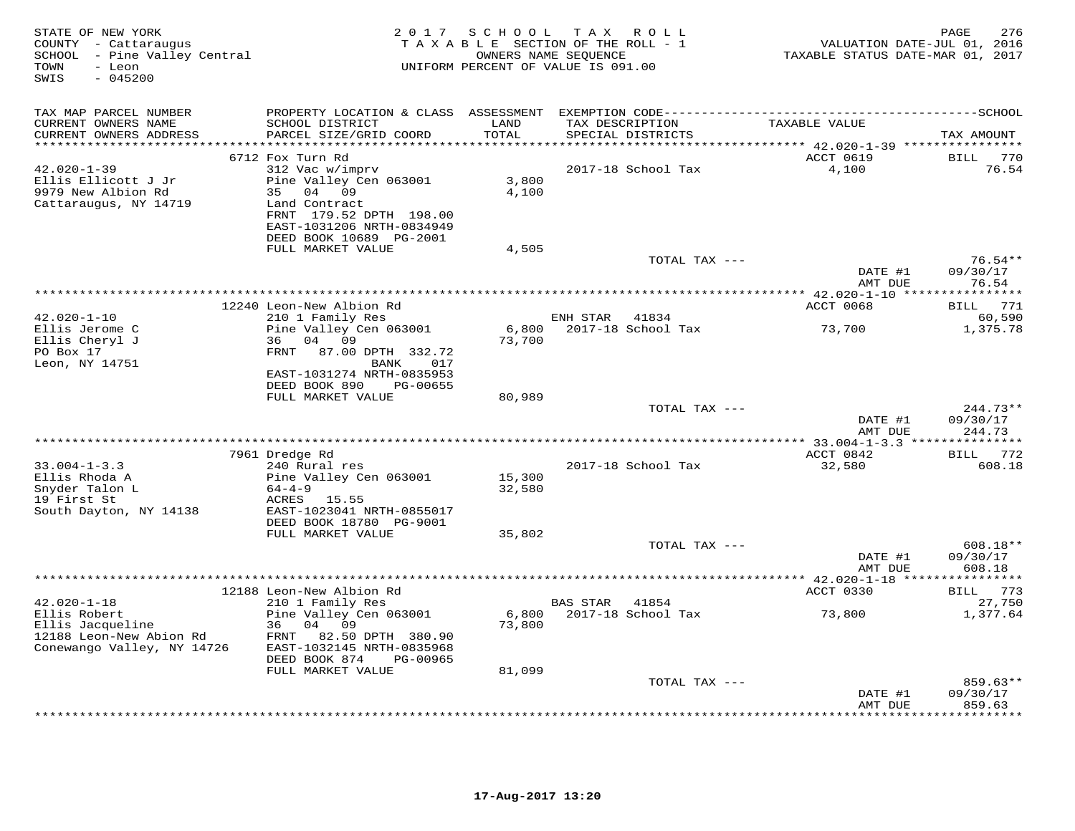| STATE OF NEW YORK<br>COUNTY - Cattaraugus<br>SCHOOL - Pine Valley Central<br>TOWN<br>- Leon<br>$-045200$<br>SWIS | 2017                                                                                                                                                                                     | SCHOOL TAX ROLL<br>TAXABLE SECTION OF THE ROLL - 1<br>OWNERS NAME SEQUENCE<br>UNIFORM PERCENT OF VALUE IS 091.00 |                 |                                      | VALUATION DATE-JUL 01, 2016<br>TAXABLE STATUS DATE-MAR 01, 2017 | 276<br>PAGE                                         |
|------------------------------------------------------------------------------------------------------------------|------------------------------------------------------------------------------------------------------------------------------------------------------------------------------------------|------------------------------------------------------------------------------------------------------------------|-----------------|--------------------------------------|-----------------------------------------------------------------|-----------------------------------------------------|
| TAX MAP PARCEL NUMBER<br>CURRENT OWNERS NAME<br>CURRENT OWNERS ADDRESS<br>***********************                | PROPERTY LOCATION & CLASS ASSESSMENT<br>SCHOOL DISTRICT<br>PARCEL SIZE/GRID COORD                                                                                                        | LAND<br>TOTAL                                                                                                    |                 | TAX DESCRIPTION<br>SPECIAL DISTRICTS | TAXABLE VALUE                                                   | TAX AMOUNT                                          |
| $42.020 - 1 - 39$<br>Ellis Ellicott J Jr<br>9979 New Albion Rd<br>Cattaraugus, NY 14719                          | 6712 Fox Turn Rd<br>312 Vac w/imprv<br>Pine Valley Cen 063001<br>04 09<br>35<br>Land Contract<br>FRNT 179.52 DPTH 198.00<br>EAST-1031206 NRTH-0834949<br>DEED BOOK 10689 PG-2001         | 3,800<br>4,100                                                                                                   |                 | 2017-18 School Tax                   | ACCT 0619<br>4,100                                              | <b>BILL</b><br>770<br>76.54                         |
|                                                                                                                  | FULL MARKET VALUE                                                                                                                                                                        | 4,505                                                                                                            |                 | TOTAL TAX ---                        | DATE #1<br>AMT DUE                                              | $76.54**$<br>09/30/17<br>76.54                      |
| $42.020 - 1 - 10$<br>Ellis Jerome C<br>Ellis Cheryl J<br>PO Box 17<br>Leon, NY 14751                             | 12240 Leon-New Albion Rd<br>210 1 Family Res<br>Pine Valley Cen 063001<br>36 04 09<br>FRNT<br>87.00 DPTH 332.72<br>BANK<br>017<br>EAST-1031274 NRTH-0835953<br>DEED BOOK 890<br>PG-00655 | **************************************<br>6,800<br>73,700                                                        | ENH STAR        | 41834<br>2017-18 School Tax          | ***************** 42.020-1-10 *******<br>ACCT 0068<br>73,700    | *********<br>771<br>BILL<br>60,590<br>1,375.78      |
|                                                                                                                  | FULL MARKET VALUE                                                                                                                                                                        | 80,989                                                                                                           |                 | TOTAL TAX ---                        | DATE #1<br>AMT DUE                                              | $244.73**$<br>09/30/17<br>244.73                    |
| $33.004 - 1 - 3.3$<br>Ellis Rhoda A<br>Snyder Talon L<br>19 First St<br>South Dayton, NY 14138                   | 7961 Dredge Rd<br>240 Rural res<br>Pine Valley Cen 063001<br>$64 - 4 - 9$<br>ACRES 15.55<br>EAST-1023041 NRTH-0855017<br>DEED BOOK 18780 PG-9001                                         | 15,300<br>32,580                                                                                                 |                 | 2017-18 School Tax                   | ACCT 0842<br>32,580                                             | 772<br>BILL<br>608.18                               |
|                                                                                                                  | FULL MARKET VALUE                                                                                                                                                                        | 35,802                                                                                                           |                 | TOTAL TAX $---$                      | DATE #1                                                         | 608.18**<br>09/30/17<br>608.18                      |
|                                                                                                                  | 12188 Leon-New Albion Rd                                                                                                                                                                 |                                                                                                                  |                 |                                      | AMT DUE<br>ACCT 0330                                            | BILL 773                                            |
| $42.020 - 1 - 18$<br>Ellis Robert<br>Ellis Jacqueline<br>12188 Leon-New Abion Rd<br>Conewango Valley, NY 14726   | 210 1 Family Res<br>Pine Valley Cen 063001<br>36 04 09<br>82.50 DPTH 380.90<br>FRNT<br>EAST-1032145 NRTH-0835968<br>DEED BOOK 874<br>PG-00965                                            | 6,800<br>73,800                                                                                                  | <b>BAS STAR</b> | 41854<br>2017-18 School Tax          | 73,800                                                          | 27,750<br>1,377.64                                  |
|                                                                                                                  | FULL MARKET VALUE                                                                                                                                                                        | 81,099                                                                                                           |                 | TOTAL TAX ---                        | DATE #1<br>AMT DUE                                              | 859.63**<br>09/30/17<br>859.63<br>* * * * * * * * * |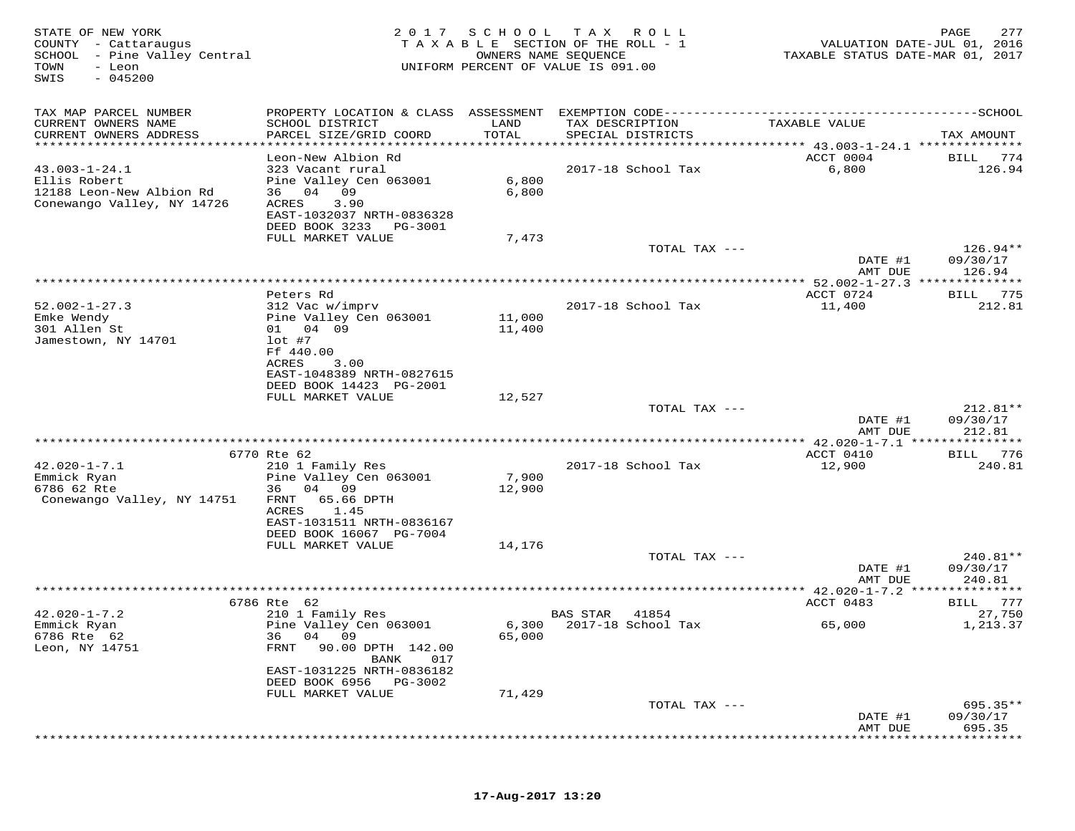| STATE OF NEW YORK<br>COUNTY - Cattaraugus<br>SCHOOL - Pine Valley Central<br>TOWN<br>- Leon<br>$-045200$<br>SWIS | 2017                                                                                                       | SCHOOL           | T A X<br>ROLL<br>TAXABLE SECTION OF THE ROLL - 1<br>OWNERS NAME SEQUENCE<br>UNIFORM PERCENT OF VALUE IS 091.00 | VALUATION DATE-JUL 01, 2016<br>TAXABLE STATUS DATE-MAR 01, 2017                        | 277<br>PAGE                      |
|------------------------------------------------------------------------------------------------------------------|------------------------------------------------------------------------------------------------------------|------------------|----------------------------------------------------------------------------------------------------------------|----------------------------------------------------------------------------------------|----------------------------------|
| TAX MAP PARCEL NUMBER                                                                                            | PROPERTY LOCATION & CLASS ASSESSMENT EXEMPTION CODE----------------------------                            |                  |                                                                                                                |                                                                                        | -------------SCHOOL              |
| CURRENT OWNERS NAME<br>CURRENT OWNERS ADDRESS<br>***********************                                         | SCHOOL DISTRICT<br>PARCEL SIZE/GRID COORD                                                                  | LAND<br>TOTAL    | TAX DESCRIPTION<br>SPECIAL DISTRICTS                                                                           | TAXABLE VALUE                                                                          | TAX AMOUNT                       |
| $43.003 - 1 - 24.1$<br>Ellis Robert<br>12188 Leon-New Albion Rd<br>Conewango Valley, NY 14726                    | Leon-New Albion Rd<br>323 Vacant rural<br>Pine Valley Cen 063001<br>04<br>09<br>36<br>3.90<br>ACRES        | 6,800<br>6,800   | 2017-18 School Tax                                                                                             | ********************************** 43.003-1-24.1 ***************<br>ACCT 0004<br>6,800 | BILL<br>774<br>126.94            |
|                                                                                                                  | EAST-1032037 NRTH-0836328<br>DEED BOOK 3233<br>PG-3001<br>FULL MARKET VALUE                                | 7,473            |                                                                                                                |                                                                                        |                                  |
|                                                                                                                  |                                                                                                            |                  | TOTAL TAX ---                                                                                                  | DATE #1<br>AMT DUE                                                                     | $126.94**$<br>09/30/17<br>126.94 |
|                                                                                                                  |                                                                                                            |                  |                                                                                                                |                                                                                        |                                  |
| $52.002 - 1 - 27.3$<br>Emke Wendy<br>301 Allen St                                                                | Peters Rd<br>312 Vac w/imprv<br>Pine Valley Cen 063001<br>01 04 09                                         | 11,000<br>11,400 | 2017-18 School Tax                                                                                             | ACCT 0724<br>11,400                                                                    | 775<br>BILL<br>212.81            |
| Jamestown, NY 14701                                                                                              | $1$ ot #7<br>Ff 440.00<br>ACRES<br>3.00<br>EAST-1048389 NRTH-0827615<br>DEED BOOK 14423 PG-2001            |                  |                                                                                                                |                                                                                        |                                  |
|                                                                                                                  | FULL MARKET VALUE                                                                                          | 12,527           |                                                                                                                |                                                                                        |                                  |
|                                                                                                                  |                                                                                                            |                  | TOTAL TAX ---                                                                                                  | DATE #1<br>AMT DUE                                                                     | $212.81**$<br>09/30/17<br>212.81 |
|                                                                                                                  |                                                                                                            |                  |                                                                                                                | ************* 42.020-1-7.1 ***                                                         | *******                          |
| $42.020 - 1 - 7.1$<br>Emmick Ryan                                                                                | 6770 Rte 62<br>210 1 Family Res<br>Pine Valley Cen 063001                                                  | 7,900            | 2017-18 School Tax                                                                                             | ACCT 0410<br>12,900                                                                    | BILL<br>776<br>240.81            |
| 6786 62 Rte<br>Conewango Valley, NY 14751                                                                        | 36<br>04 09<br>FRNT<br>65.66 DPTH<br>ACRES<br>1.45<br>EAST-1031511 NRTH-0836167<br>DEED BOOK 16067 PG-7004 | 12,900           |                                                                                                                |                                                                                        |                                  |
|                                                                                                                  | FULL MARKET VALUE                                                                                          | 14,176           |                                                                                                                |                                                                                        |                                  |
|                                                                                                                  |                                                                                                            |                  | TOTAL TAX ---                                                                                                  | DATE #1<br>AMT DUE                                                                     | $240.81**$<br>09/30/17<br>240.81 |
|                                                                                                                  |                                                                                                            |                  |                                                                                                                | ** $42.020 - 1 - 7.2$                                                                  |                                  |
|                                                                                                                  | 6786 Rte 62                                                                                                |                  |                                                                                                                | ACCT 0483                                                                              | 777<br>BILL                      |
| $42.020 - 1 - 7.2$<br>Emmick Ryan<br>6786 Rte 62<br>Leon, NY 14751                                               | 210 1 Family Res<br>Pine Valley Cen 063001<br>04 09<br>36<br>FRNT<br>90.00 DPTH 142.00<br>017<br>BANK      | 6,300<br>65,000  | 41854<br>BAS STAR<br>2017-18 School Tax                                                                        | 65,000                                                                                 | 27,750<br>1,213.37               |
|                                                                                                                  | EAST-1031225 NRTH-0836182<br>DEED BOOK 6956<br>PG-3002                                                     |                  |                                                                                                                |                                                                                        |                                  |
|                                                                                                                  | FULL MARKET VALUE                                                                                          | 71,429           |                                                                                                                |                                                                                        |                                  |
|                                                                                                                  |                                                                                                            |                  | TOTAL TAX ---                                                                                                  | DATE #1<br>AMT DUE                                                                     | 695.35**<br>09/30/17<br>695.35   |
|                                                                                                                  |                                                                                                            |                  |                                                                                                                |                                                                                        |                                  |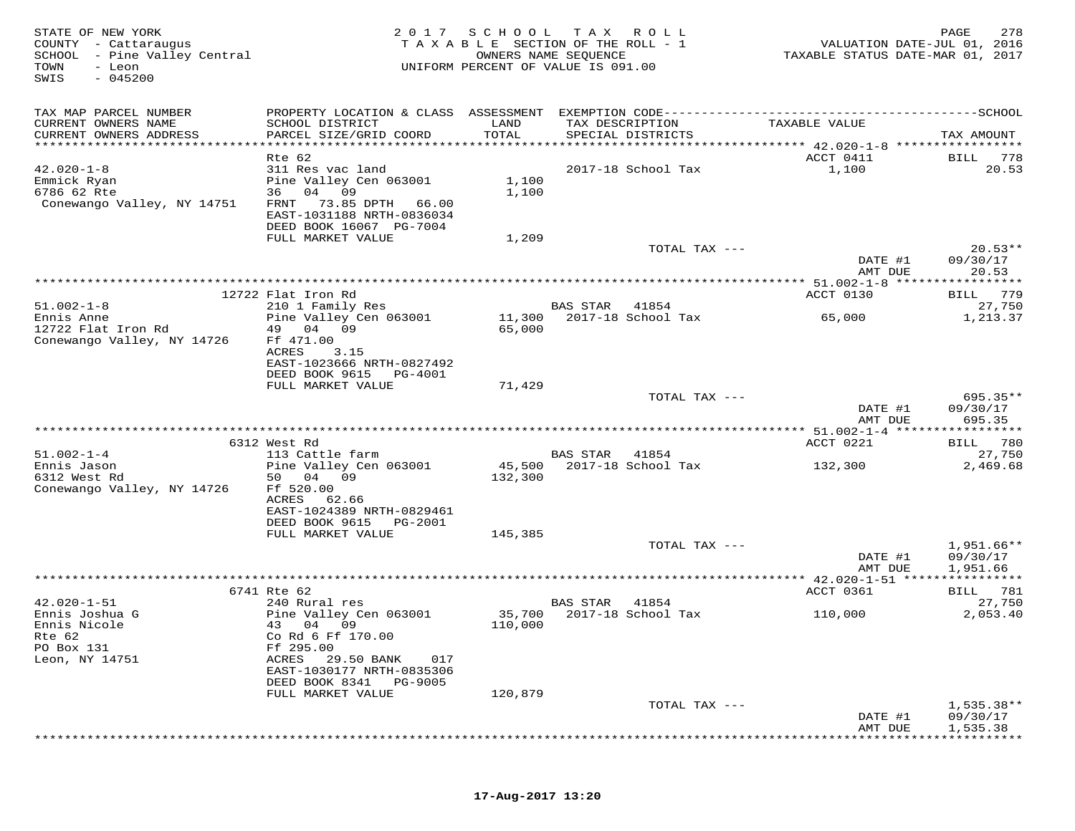| STATE OF NEW YORK<br>COUNTY - Cattaraugus<br>SCHOOL - Pine Valley Central<br>TOWN<br>- Leon<br>$-045200$<br>SWIS | 2017                                                                                                            | SCHOOL            | T A X<br>R O L L<br>TAXABLE SECTION OF THE ROLL - 1<br>OWNERS NAME SEQUENCE<br>UNIFORM PERCENT OF VALUE IS 091.00 | VALUATION DATE-JUL 01, 2016<br>TAXABLE STATUS DATE-MAR 01, 2017 | 278<br>PAGE                          |
|------------------------------------------------------------------------------------------------------------------|-----------------------------------------------------------------------------------------------------------------|-------------------|-------------------------------------------------------------------------------------------------------------------|-----------------------------------------------------------------|--------------------------------------|
| TAX MAP PARCEL NUMBER                                                                                            |                                                                                                                 |                   |                                                                                                                   |                                                                 |                                      |
| CURRENT OWNERS NAME<br>CURRENT OWNERS ADDRESS<br>*****************************                                   | SCHOOL DISTRICT<br>PARCEL SIZE/GRID COORD                                                                       | LAND<br>TOTAL     | TAX DESCRIPTION<br>SPECIAL DISTRICTS                                                                              | TAXABLE VALUE                                                   | TAX AMOUNT                           |
|                                                                                                                  | Rte 62                                                                                                          |                   |                                                                                                                   | ACCT 0411                                                       | BILL<br>778                          |
| $42.020 - 1 - 8$<br>Emmick Ryan<br>6786 62 Rte<br>Conewango Valley, NY 14751                                     | 311 Res vac land<br>Pine Valley Cen 063001<br>36 04 09<br>73.85 DPTH 66.00<br>FRNT<br>EAST-1031188 NRTH-0836034 | 1,100<br>1,100    | 2017-18 School Tax                                                                                                | 1,100                                                           | 20.53                                |
|                                                                                                                  | DEED BOOK 16067 PG-7004<br>FULL MARKET VALUE                                                                    | 1,209             |                                                                                                                   |                                                                 |                                      |
|                                                                                                                  |                                                                                                                 |                   | TOTAL TAX ---                                                                                                     | DATE #1                                                         | $20.53**$<br>09/30/17                |
|                                                                                                                  |                                                                                                                 |                   |                                                                                                                   | AMT DUE                                                         | 20.53                                |
|                                                                                                                  | 12722 Flat Iron Rd                                                                                              |                   |                                                                                                                   | ACCT 0130                                                       | 779<br>BILL                          |
| $51.002 - 1 - 8$                                                                                                 | 210 1 Family Res                                                                                                |                   | BAS STAR<br>41854                                                                                                 |                                                                 | 27,750                               |
| Ennis Anne                                                                                                       | Pine Valley Cen 063001                                                                                          | 11,300            | 2017-18 School Tax                                                                                                | 65,000                                                          | 1,213.37                             |
| 12722 Flat Iron Rd<br>Conewango Valley, NY 14726                                                                 | 49 04<br>09<br>Ff 471.00<br>ACRES<br>3.15<br>EAST-1023666 NRTH-0827492                                          | 65,000            |                                                                                                                   |                                                                 |                                      |
|                                                                                                                  | DEED BOOK 9615<br>PG-4001<br>FULL MARKET VALUE                                                                  |                   |                                                                                                                   |                                                                 |                                      |
|                                                                                                                  |                                                                                                                 | 71,429            | TOTAL TAX ---                                                                                                     | DATE #1<br>AMT DUE                                              | $695.35**$<br>09/30/17<br>695.35     |
|                                                                                                                  |                                                                                                                 |                   |                                                                                                                   |                                                                 |                                      |
|                                                                                                                  | 6312 West Rd                                                                                                    |                   |                                                                                                                   | ACCT 0221                                                       | 780<br>BILL                          |
| $51.002 - 1 - 4$                                                                                                 | 113 Cattle farm                                                                                                 |                   | BAS STAR<br>41854                                                                                                 |                                                                 | 27,750                               |
| Ennis Jason<br>6312 West Rd<br>Conewango Valley, NY 14726                                                        | Pine Valley Cen 063001<br>50 04<br>09<br>Ff 520.00<br>ACRES<br>62.66<br>EAST-1024389 NRTH-0829461               | 45,500<br>132,300 | 2017-18 School Tax                                                                                                | 132,300                                                         | 2,469.68                             |
|                                                                                                                  | DEED BOOK 9615<br>PG-2001<br>FULL MARKET VALUE                                                                  | 145,385           |                                                                                                                   |                                                                 |                                      |
|                                                                                                                  |                                                                                                                 |                   | TOTAL TAX ---                                                                                                     | DATE #1                                                         | $1,951.66**$<br>09/30/17             |
|                                                                                                                  |                                                                                                                 |                   |                                                                                                                   | AMT DUE                                                         | 1,951.66                             |
|                                                                                                                  |                                                                                                                 |                   |                                                                                                                   | *********** 42.020-1-51 *****************                       |                                      |
| $42.020 - 1 - 51$                                                                                                | 6741 Rte 62<br>240 Rural res                                                                                    |                   | BAS STAR<br>41854                                                                                                 | ACCT 0361                                                       | BILL 781<br>27,750                   |
| Ennis Joshua G                                                                                                   | Pine Valley Cen 063001                                                                                          | 35,700            | 2017-18 School Tax                                                                                                | 110,000                                                         | 2,053.40                             |
| Ennis Nicole<br>Rte 62<br>PO Box 131<br>Leon, NY 14751                                                           | 43 04 09<br>Co Rd 6 Ff 170.00<br>Ff 295.00<br>ACRES<br>29.50 BANK<br>017                                        | 110,000           |                                                                                                                   |                                                                 |                                      |
|                                                                                                                  | EAST-1030177 NRTH-0835306                                                                                       |                   |                                                                                                                   |                                                                 |                                      |
|                                                                                                                  | DEED BOOK 8341<br>PG-9005<br>FULL MARKET VALUE                                                                  | 120,879           |                                                                                                                   |                                                                 |                                      |
|                                                                                                                  |                                                                                                                 |                   | TOTAL TAX ---                                                                                                     | DATE #1<br>AMT DUE                                              | $1,535.38**$<br>09/30/17<br>1,535.38 |
|                                                                                                                  |                                                                                                                 |                   |                                                                                                                   |                                                                 |                                      |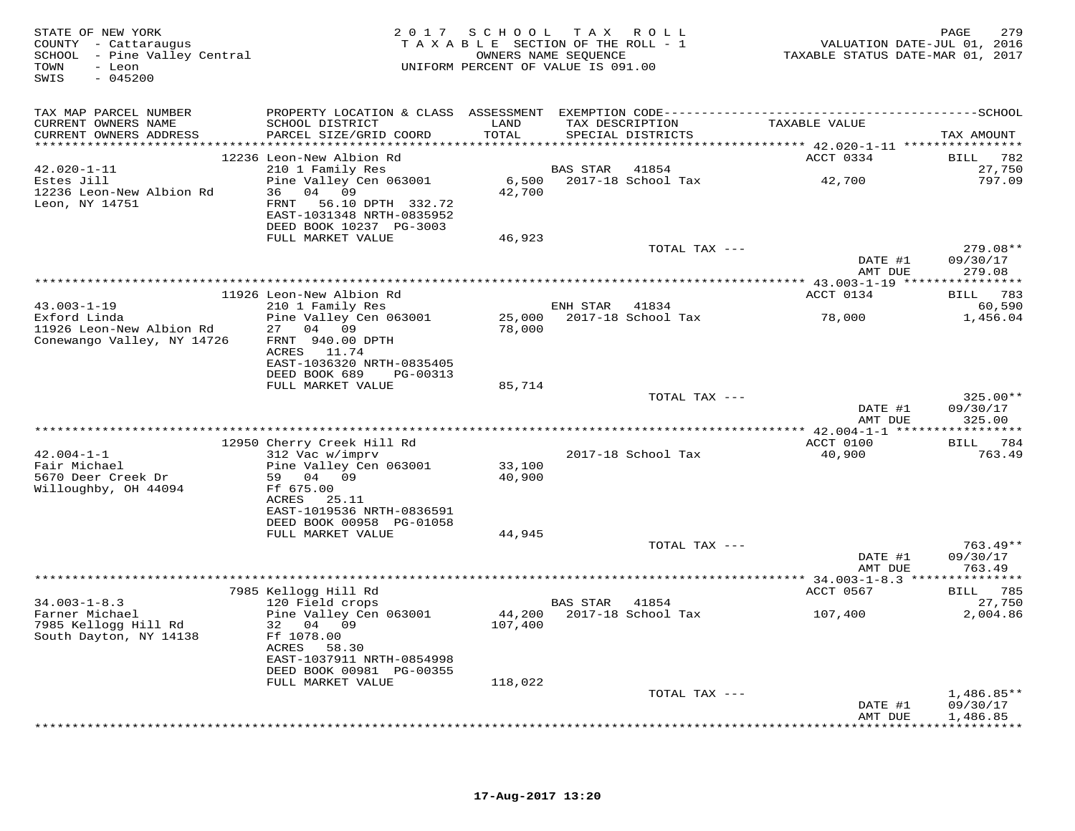| STATE OF NEW YORK<br>COUNTY - Cattaraugus<br>SCHOOL - Pine Valley Central<br>TOWN<br>- Leon<br>$-045200$<br>SWIS | 2 0 1 7                                                                                                                 | S C H O O L<br>TAXABLE SECTION OF THE ROLL - 1<br>UNIFORM PERCENT OF VALUE IS 091.00 | OWNERS NAME SEOUENCE | TAX ROLL                  | VALUATION DATE-JUL 01, 2016<br>TAXABLE STATUS DATE-MAR 01, 2017 | PAGE<br>279                      |
|------------------------------------------------------------------------------------------------------------------|-------------------------------------------------------------------------------------------------------------------------|--------------------------------------------------------------------------------------|----------------------|---------------------------|-----------------------------------------------------------------|----------------------------------|
| TAX MAP PARCEL NUMBER                                                                                            |                                                                                                                         |                                                                                      |                      |                           |                                                                 |                                  |
| CURRENT OWNERS NAME<br>CURRENT OWNERS ADDRESS                                                                    | SCHOOL DISTRICT<br>PARCEL SIZE/GRID COORD                                                                               | LAND<br>TOTAL                                                                        | TAX DESCRIPTION      | SPECIAL DISTRICTS         | TAXABLE VALUE                                                   | TAX AMOUNT                       |
|                                                                                                                  | 12236 Leon-New Albion Rd                                                                                                |                                                                                      |                      |                           | ACCT 0334                                                       | 782<br>BILL                      |
| $42.020 - 1 - 11$                                                                                                | 210 1 Family Res                                                                                                        |                                                                                      | BAS STAR             | 41854                     |                                                                 | 27,750                           |
| Estes Jill<br>12236 Leon-New Albion Rd<br>Leon, NY 14751                                                         | Pine Valley Cen 063001<br>36 04 09<br>FRNT<br>56.10 DPTH 332.72<br>EAST-1031348 NRTH-0835952<br>DEED BOOK 10237 PG-3003 | 42,700                                                                               |                      | 6,500 2017-18 School Tax  | 42,700                                                          | 797.09                           |
|                                                                                                                  | FULL MARKET VALUE                                                                                                       | 46,923                                                                               |                      | TOTAL TAX ---             |                                                                 | 279.08**                         |
|                                                                                                                  |                                                                                                                         |                                                                                      |                      |                           | DATE #1<br>AMT DUE                                              | 09/30/17<br>279.08               |
|                                                                                                                  |                                                                                                                         |                                                                                      |                      |                           |                                                                 |                                  |
| $43.003 - 1 - 19$                                                                                                | 11926 Leon-New Albion Rd<br>210 1 Family Res                                                                            |                                                                                      | ENH STAR 41834       |                           | ACCT 0134                                                       | BILL 783<br>60,590               |
| Exford Linda<br>11926 Leon-New Albion Rd<br>Conewango Valley, NY 14726                                           | Pine Valley Cen 063001<br>27<br>04 09<br>FRNT 940.00 DPTH<br>ACRES 11.74                                                | 78,000                                                                               |                      | 25,000 2017-18 School Tax | 78,000                                                          | 1,456.04                         |
|                                                                                                                  | EAST-1036320 NRTH-0835405<br>DEED BOOK 689<br>PG-00313                                                                  |                                                                                      |                      |                           |                                                                 |                                  |
|                                                                                                                  | FULL MARKET VALUE                                                                                                       | 85,714                                                                               |                      |                           |                                                                 |                                  |
|                                                                                                                  |                                                                                                                         |                                                                                      |                      | TOTAL TAX ---             | DATE #1<br>AMT DUE                                              | $325.00**$<br>09/30/17<br>325.00 |
|                                                                                                                  |                                                                                                                         | *************************************                                                |                      |                           | ************ 42.004-1-1 ******************                      |                                  |
|                                                                                                                  | 12950 Cherry Creek Hill Rd                                                                                              |                                                                                      |                      |                           | ACCT 0100                                                       | BILL 784                         |
| $42.004 - 1 - 1$<br>Fair Michael<br>5670 Deer Creek Dr<br>Willoughby, OH 44094                                   | 312 Vac w/imprv<br>Pine Valley Cen 063001<br>59 04 09<br>Ff 675.00<br>ACRES 25.11                                       | 33,100<br>40,900                                                                     |                      | 2017-18 School Tax        | 40,900                                                          | 763.49                           |
|                                                                                                                  | EAST-1019536 NRTH-0836591<br>DEED BOOK 00958 PG-01058                                                                   |                                                                                      |                      |                           |                                                                 |                                  |
|                                                                                                                  | FULL MARKET VALUE                                                                                                       | 44,945                                                                               |                      |                           |                                                                 |                                  |
|                                                                                                                  |                                                                                                                         |                                                                                      |                      | TOTAL TAX ---             |                                                                 | $763.49**$                       |
|                                                                                                                  |                                                                                                                         |                                                                                      |                      |                           | DATE #1<br>AMT DUE                                              | 09/30/17<br>763.49               |
|                                                                                                                  | 7985 Kellogg Hill Rd                                                                                                    |                                                                                      |                      |                           | ACCT 0567                                                       | BILL 785                         |
| $34.003 - 1 - 8.3$                                                                                               | 120 Field crops                                                                                                         |                                                                                      | BAS STAR             | 41854                     |                                                                 | 27,750                           |
| Farner Michael<br>7985 Kellogg Hill Rd<br>South Dayton, NY 14138                                                 | Pine Valley Cen 063001<br>32 04 09<br>Ff 1078.00<br>ACRES<br>58.30<br>EAST-1037911 NRTH-0854998                         | 107,400                                                                              |                      | 44,200 2017-18 School Tax | 107,400                                                         | 2,004.86                         |
|                                                                                                                  | DEED BOOK 00981 PG-00355<br>FULL MARKET VALUE                                                                           |                                                                                      |                      |                           |                                                                 |                                  |
|                                                                                                                  |                                                                                                                         | 118,022                                                                              |                      | TOTAL TAX ---             | DATE #1                                                         | $1,486.85**$<br>09/30/17         |
|                                                                                                                  |                                                                                                                         |                                                                                      |                      |                           | AMT DUE                                                         | 1,486.85                         |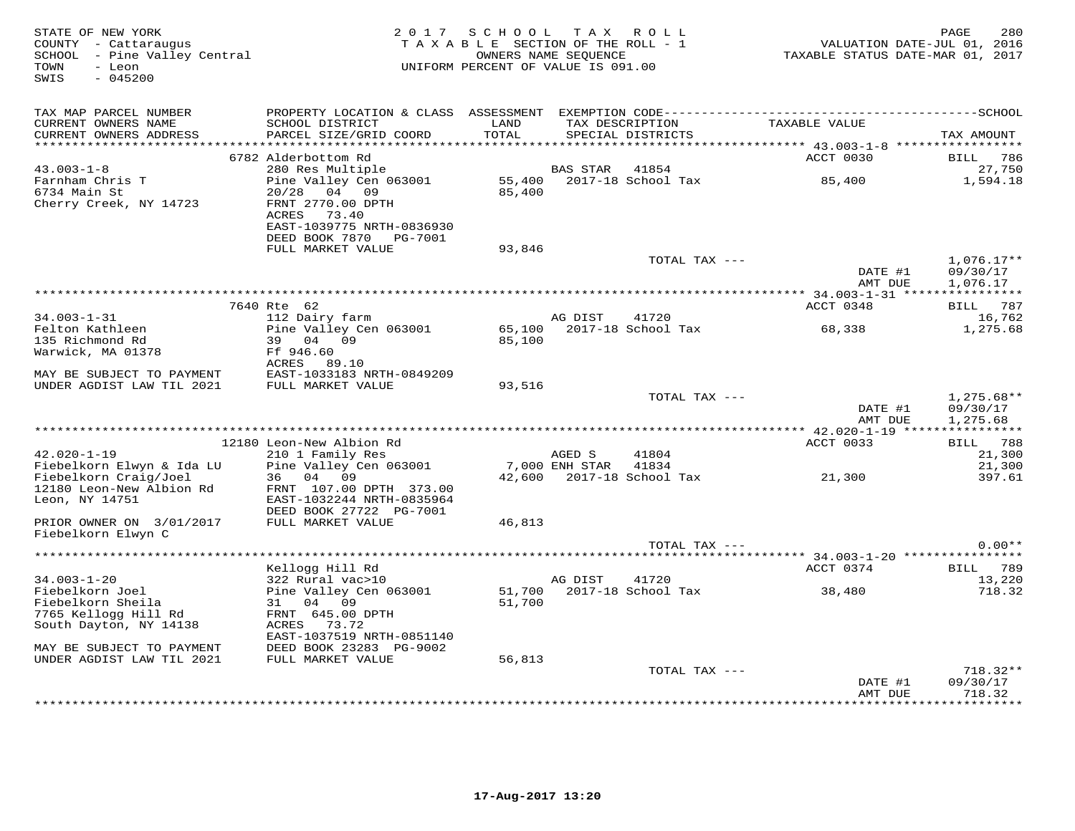| STATE OF NEW YORK<br>COUNTY - Cattaraugus<br>SCHOOL - Pine Valley Central<br>- Leon<br>TOWN<br>$-045200$<br>SWIS      | 2 0 1 7                                                                                                                                      | SCHOOL TAX<br>TAXABLE SECTION OF THE ROLL - 1<br>UNIFORM PERCENT OF VALUE IS 091.00 | OWNERS NAME SEQUENCE     | R O L L                              | VALUATION DATE-JUL 01, 2016<br>TAXABLE STATUS DATE-MAR 01, 2017             | PAGE<br>280                            |
|-----------------------------------------------------------------------------------------------------------------------|----------------------------------------------------------------------------------------------------------------------------------------------|-------------------------------------------------------------------------------------|--------------------------|--------------------------------------|-----------------------------------------------------------------------------|----------------------------------------|
| TAX MAP PARCEL NUMBER<br>CURRENT OWNERS NAME<br>CURRENT OWNERS ADDRESS<br>**********************                      | PROPERTY LOCATION & CLASS ASSESSMENT EXEMPTION CODE-----------------------------------SCHOOL<br>SCHOOL DISTRICT<br>PARCEL SIZE/GRID COORD    | LAND<br>TOTAL<br>************                                                       |                          | TAX DESCRIPTION<br>SPECIAL DISTRICTS | TAXABLE VALUE<br>********************************* 43.003-1-8 ************* | TAX AMOUNT                             |
|                                                                                                                       | 6782 Alderbottom Rd                                                                                                                          |                                                                                     |                          |                                      | ACCT 0030                                                                   | <b>BILL</b><br>786                     |
| $43.003 - 1 - 8$<br>Farnham Chris T<br>6734 Main St<br>Cherry Creek, NY 14723                                         | 280 Res Multiple<br>Pine Valley Cen 063001<br>20/28<br>04 09<br>FRNT 2770.00 DPTH<br>73.40<br>ACRES<br>EAST-1039775 NRTH-0836930             | 55,400<br>85,400                                                                    | BAS STAR                 | 41854<br>2017-18 School Tax          | 85,400                                                                      | 27,750<br>1,594.18                     |
|                                                                                                                       | DEED BOOK 7870<br>PG-7001<br>FULL MARKET VALUE                                                                                               | 93,846                                                                              |                          |                                      |                                                                             |                                        |
|                                                                                                                       |                                                                                                                                              |                                                                                     |                          | TOTAL TAX ---                        | DATE #1<br>AMT DUE                                                          | $1,076.17**$<br>09/30/17<br>1,076.17   |
|                                                                                                                       |                                                                                                                                              |                                                                                     |                          |                                      | *********** 34.003-1-31 ****                                                |                                        |
|                                                                                                                       | 7640 Rte 62                                                                                                                                  |                                                                                     |                          |                                      | ACCT 0348                                                                   | 787<br>BILL                            |
| $34.003 - 1 - 31$<br>Felton Kathleen                                                                                  | 112 Dairy farm<br>Pine Valley Cen 063001                                                                                                     | 65,100                                                                              | AG DIST                  | 41720<br>2017-18 School Tax          | 68,338                                                                      | 16,762<br>1,275.68                     |
| 135 Richmond Rd<br>Warwick, MA 01378                                                                                  | 39<br>04<br>09<br>Ff 946.60<br>ACRES<br>89.10                                                                                                | 85,100                                                                              |                          |                                      |                                                                             |                                        |
| MAY BE SUBJECT TO PAYMENT<br>UNDER AGDIST LAW TIL 2021                                                                | EAST-1033183 NRTH-0849209<br>FULL MARKET VALUE                                                                                               | 93,516                                                                              |                          |                                      |                                                                             |                                        |
|                                                                                                                       |                                                                                                                                              |                                                                                     |                          | TOTAL TAX ---                        | DATE #1<br>AMT DUE                                                          | $1,275.68**$<br>09/30/17<br>1,275.68   |
|                                                                                                                       |                                                                                                                                              |                                                                                     |                          |                                      | ******** 42.020-1-19 ****                                                   | ***********                            |
| $42.020 - 1 - 19$<br>Fiebelkorn Elwyn & Ida LU<br>Fiebelkorn Craig/Joel<br>12180 Leon-New Albion Rd<br>Leon, NY 14751 | 12180 Leon-New Albion Rd<br>210 1 Family Res<br>Pine Valley Cen 063001<br>36 04 09<br>FRNT 107.00 DPTH 373.00<br>EAST-1032244 NRTH-0835964   | 42,600                                                                              | AGED S<br>7,000 ENH STAR | 41804<br>41834<br>2017-18 School Tax | ACCT 0033<br>21,300                                                         | BILL 788<br>21,300<br>21,300<br>397.61 |
| PRIOR OWNER ON 3/01/2017<br>Fiebelkorn Elwyn C                                                                        | DEED BOOK 27722 PG-7001<br>FULL MARKET VALUE                                                                                                 | 46,813                                                                              |                          |                                      |                                                                             |                                        |
|                                                                                                                       |                                                                                                                                              |                                                                                     |                          | TOTAL TAX ---                        |                                                                             | $0.00**$                               |
|                                                                                                                       |                                                                                                                                              |                                                                                     |                          |                                      | ***** 34.003-1-20 **********                                                |                                        |
| $34.003 - 1 - 20$<br>Fiebelkorn Joel<br>Fiebelkorn Sheila<br>7765 Kellogg Hill Rd<br>South Dayton, NY 14138           | Kellogg Hill Rd<br>322 Rural vac>10<br>Pine Valley Cen 063001<br>31<br>04 09<br>FRNT 645.00 DPTH<br>ACRES 73.72<br>EAST-1037519 NRTH-0851140 | 51,700<br>51,700                                                                    | AG DIST                  | 41720<br>2017-18 School Tax          | ACCT 0374<br>38,480                                                         | 789<br>BILL<br>13,220<br>718.32        |
| MAY BE SUBJECT TO PAYMENT                                                                                             | DEED BOOK 23283 PG-9002                                                                                                                      |                                                                                     |                          |                                      |                                                                             |                                        |
| UNDER AGDIST LAW TIL 2021                                                                                             | FULL MARKET VALUE                                                                                                                            | 56,813                                                                              |                          | TOTAL TAX ---                        |                                                                             | 718.32**                               |
|                                                                                                                       |                                                                                                                                              |                                                                                     |                          |                                      | DATE #1<br>AMT DUE                                                          | 09/30/17<br>718.32                     |
|                                                                                                                       |                                                                                                                                              |                                                                                     |                          |                                      |                                                                             | .                                      |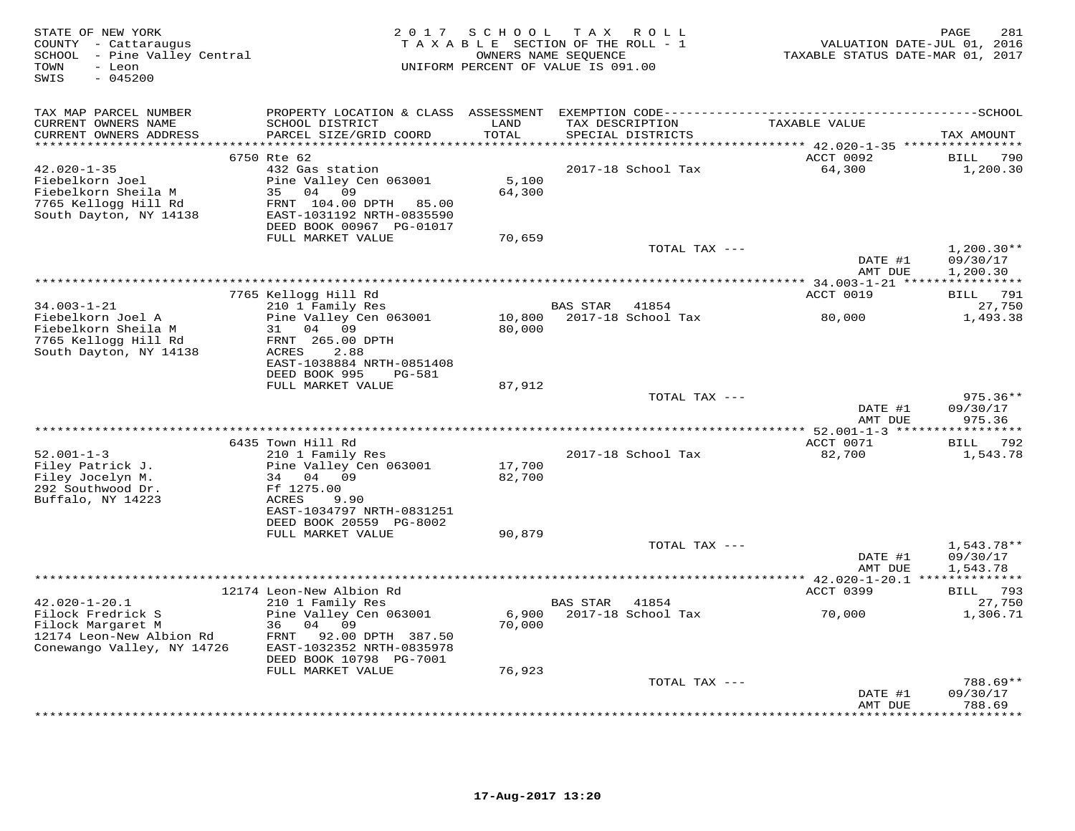| STATE OF NEW YORK<br>COUNTY - Cattaraugus<br>SCHOOL - Pine Valley Central<br>- Leon<br>TOWN<br>SWIS<br>$-045200$ | 2 0 1 7                                                                                                                                           | SCHOOL           | T A X<br>ROLL<br>TAXABLE SECTION OF THE ROLL - 1<br>OWNERS NAME SEQUENCE<br>UNIFORM PERCENT OF VALUE IS 091.00 | PAGE<br>281<br>VALUATION DATE-JUL 01, 2016<br>TAXABLE STATUS DATE-MAR 01, 2017 |                                      |
|------------------------------------------------------------------------------------------------------------------|---------------------------------------------------------------------------------------------------------------------------------------------------|------------------|----------------------------------------------------------------------------------------------------------------|--------------------------------------------------------------------------------|--------------------------------------|
| TAX MAP PARCEL NUMBER                                                                                            | PROPERTY LOCATION & CLASS                                                                                                                         | ASSESSMENT       |                                                                                                                |                                                                                |                                      |
| CURRENT OWNERS NAME<br>CURRENT OWNERS ADDRESS                                                                    | SCHOOL DISTRICT<br>PARCEL SIZE/GRID COORD                                                                                                         | LAND<br>TOTAL    | TAX DESCRIPTION<br>SPECIAL DISTRICTS                                                                           | TAXABLE VALUE                                                                  | TAX AMOUNT                           |
|                                                                                                                  | 6750 Rte 62                                                                                                                                       |                  |                                                                                                                | **** 42.020-1-35 ***<br>ACCT 0092                                              | 790<br><b>BILL</b>                   |
| $42.020 - 1 - 35$<br>Fiebelkorn Joel<br>Fiebelkorn Sheila M<br>7765 Kellogg Hill Rd<br>South Dayton, NY 14138    | 432 Gas station<br>Pine Valley Cen 063001<br>04<br>35<br>09<br>FRNT 104.00 DPTH<br>85.00<br>EAST-1031192 NRTH-0835590<br>DEED BOOK 00967 PG-01017 | 5,100<br>64,300  | 2017-18 School Tax                                                                                             | 64,300                                                                         | 1,200.30                             |
|                                                                                                                  | FULL MARKET VALUE                                                                                                                                 | 70,659           |                                                                                                                |                                                                                |                                      |
|                                                                                                                  |                                                                                                                                                   |                  | TOTAL TAX ---                                                                                                  | DATE #1<br>AMT DUE                                                             | $1,200.30**$<br>09/30/17<br>1,200.30 |
|                                                                                                                  |                                                                                                                                                   |                  |                                                                                                                |                                                                                |                                      |
|                                                                                                                  | 7765 Kellogg Hill Rd                                                                                                                              |                  |                                                                                                                | ACCT 0019                                                                      | 791<br>BILL                          |
| $34.003 - 1 - 21$                                                                                                | 210 1 Family Res                                                                                                                                  |                  | BAS STAR<br>41854                                                                                              |                                                                                | 27,750                               |
| Fiebelkorn Joel A<br>Fiebelkorn Sheila M<br>7765 Kellogg Hill Rd<br>South Dayton, NY 14138                       | Pine Valley Cen 063001<br>04<br>09<br>31<br>FRNT 265.00 DPTH<br>2.88<br>ACRES<br>EAST-1038884 NRTH-0851408<br>DEED BOOK 995<br><b>PG-581</b>      | 10,800<br>80,000 | 2017-18 School Tax                                                                                             | 80,000                                                                         | 1,493.38                             |
|                                                                                                                  | FULL MARKET VALUE                                                                                                                                 | 87,912           |                                                                                                                |                                                                                |                                      |
|                                                                                                                  |                                                                                                                                                   |                  | TOTAL TAX ---                                                                                                  | DATE #1<br>AMT DUE                                                             | $975.36**$<br>09/30/17<br>975.36     |
|                                                                                                                  |                                                                                                                                                   |                  |                                                                                                                | ** 52.001-1-3 ******                                                           | *********                            |
| $52.001 - 1 - 3$                                                                                                 | 6435 Town Hill Rd                                                                                                                                 |                  | 2017-18 School Tax                                                                                             | ACCT 0071                                                                      | 792<br>BILL                          |
| Filey Patrick J.<br>Filey Jocelyn M.<br>292 Southwood Dr.<br>Buffalo, NY 14223                                   | 210 1 Family Res<br>Pine Valley Cen 063001<br>04<br>09<br>34<br>Ff 1275.00<br><b>ACRES</b><br>9.90<br>EAST-1034797 NRTH-0831251                   | 17,700<br>82,700 |                                                                                                                | 82,700                                                                         | 1,543.78                             |
|                                                                                                                  | DEED BOOK 20559 PG-8002                                                                                                                           |                  |                                                                                                                |                                                                                |                                      |
|                                                                                                                  | FULL MARKET VALUE                                                                                                                                 | 90,879           | TOTAL TAX ---                                                                                                  | DATE #1<br>AMT DUE                                                             | $1,543.78**$<br>09/30/17<br>1,543.78 |
|                                                                                                                  |                                                                                                                                                   |                  |                                                                                                                | *********** 42.020-1-20.1 **************                                       |                                      |
| $42.020 - 1 - 20.1$                                                                                              | 12174 Leon-New Albion Rd<br>210 1 Family Res                                                                                                      |                  | <b>BAS STAR</b><br>41854                                                                                       | ACCT 0399                                                                      | 793<br>BILL<br>27,750                |
| Filock Fredrick S<br>Filock Margaret M<br>12174 Leon-New Albion Rd<br>Conewango Valley, NY 14726                 | Pine Valley Cen 063001<br>36<br>04<br>09<br>FRNT<br>92.00 DPTH 387.50<br>EAST-1032352 NRTH-0835978<br>DEED BOOK 10798 PG-7001                     | 6,900<br>70,000  | 2017-18 School Tax                                                                                             | 70,000                                                                         | 1,306.71                             |
|                                                                                                                  | FULL MARKET VALUE                                                                                                                                 | 76,923           | TOTAL TAX ---                                                                                                  |                                                                                | 788.69**                             |
|                                                                                                                  |                                                                                                                                                   |                  |                                                                                                                | DATE #1                                                                        | 09/30/17                             |
|                                                                                                                  |                                                                                                                                                   |                  |                                                                                                                | AMT DUE                                                                        | 788.69<br><b>. * * * * * * *</b> *   |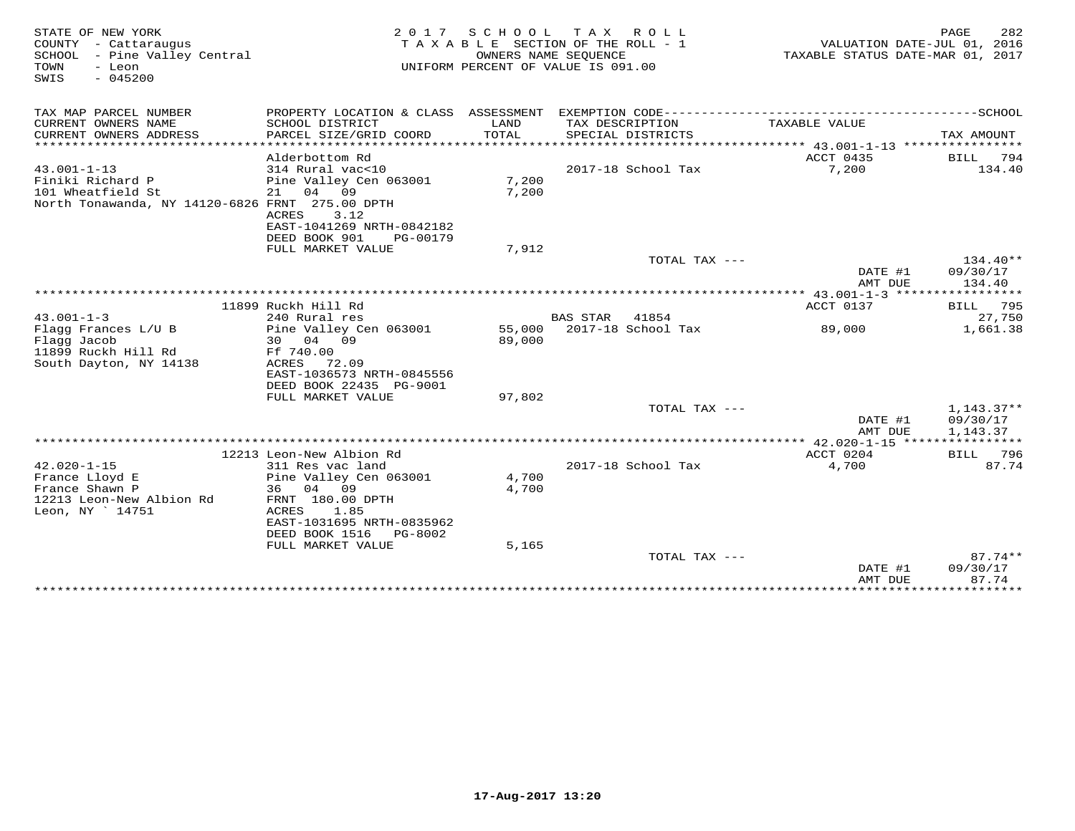| STATE OF NEW YORK<br>COUNTY - Cattaraugus<br>- Pine Valley Central<br>SCHOOL<br>TOWN<br>- Leon<br>$-045200$<br>SWIS |                                                                                                      |                  | 2017 SCHOOL TAX ROLL<br>TAXABLE SECTION OF THE ROLL - 1<br>OWNERS NAME SEOUENCE<br>UNIFORM PERCENT OF VALUE IS 091.00 | TAXABLE STATUS DATE-MAR 01, 2017 | PAGE<br>282<br>VALUATION DATE-JUL 01, 2016 |
|---------------------------------------------------------------------------------------------------------------------|------------------------------------------------------------------------------------------------------|------------------|-----------------------------------------------------------------------------------------------------------------------|----------------------------------|--------------------------------------------|
| TAX MAP PARCEL NUMBER                                                                                               |                                                                                                      |                  |                                                                                                                       |                                  |                                            |
| CURRENT OWNERS NAME<br>CURRENT OWNERS ADDRESS<br>************************                                           | SCHOOL DISTRICT<br>PARCEL SIZE/GRID COORD<br>************************                                | LAND<br>TOTAL    | TAX DESCRIPTION<br>SPECIAL DISTRICTS                                                                                  | TAXABLE VALUE                    | TAX AMOUNT                                 |
|                                                                                                                     | Alderbottom Rd                                                                                       |                  |                                                                                                                       | ACCT 0435                        | <b>BILL</b><br>794                         |
| $43.001 - 1 - 13$<br>Finiki Richard P<br>101 Wheatfield St<br>North Tonawanda, NY 14120-6826 FRNT 275.00 DPTH       | 314 Rural vac<10<br>Pine Valley Cen 063001<br>21 04 09<br>3.12<br>ACRES<br>EAST-1041269 NRTH-0842182 | 7,200<br>7,200   | 2017-18 School Tax                                                                                                    | 7,200                            | 134.40                                     |
|                                                                                                                     | DEED BOOK 901<br>PG-00179                                                                            |                  |                                                                                                                       |                                  |                                            |
|                                                                                                                     | FULL MARKET VALUE                                                                                    | 7,912            | TOTAL TAX ---                                                                                                         |                                  | $134.40**$                                 |
|                                                                                                                     |                                                                                                      |                  |                                                                                                                       | DATE #1<br>AMT DUE               | 09/30/17<br>134.40                         |
|                                                                                                                     |                                                                                                      |                  |                                                                                                                       |                                  |                                            |
| $43.001 - 1 - 3$                                                                                                    | 11899 Ruckh Hill Rd                                                                                  |                  | 41854<br>BAS STAR                                                                                                     | ACCT 0137                        | 795<br>BILL<br>27,750                      |
| Flagg Frances L/U B<br>Flagg Jacob<br>11899 Ruckh Hill Rd                                                           | 240 Rural res<br>Pine Valley Cen 063001<br>30 04 09<br>Ff 740.00                                     | 55,000<br>89,000 | 2017-18 School Tax                                                                                                    | 89,000                           | 1,661.38                                   |
| South Dayton, NY 14138                                                                                              | ACRES<br>72.09<br>EAST-1036573 NRTH-0845556<br>DEED BOOK 22435 PG-9001                               |                  |                                                                                                                       |                                  |                                            |
|                                                                                                                     | FULL MARKET VALUE                                                                                    | 97,802           |                                                                                                                       |                                  |                                            |
|                                                                                                                     |                                                                                                      |                  | TOTAL TAX ---                                                                                                         | DATE #1<br>AMT DUE               | $1,143.37**$<br>09/30/17<br>1,143.37       |
|                                                                                                                     |                                                                                                      |                  |                                                                                                                       |                                  |                                            |
|                                                                                                                     | 12213 Leon-New Albion Rd                                                                             |                  |                                                                                                                       | ACCT 0204                        | 796<br>BILL.                               |
| $42.020 - 1 - 15$<br>France Lloyd E<br>France Shawn P<br>12213 Leon-New Albion Rd<br>Leon, NY 14751                 | 311 Res vac land<br>Pine Valley Cen 063001<br>36<br>04 09<br>FRNT 180.00 DPTH<br>ACRES<br>1.85       | 4,700<br>4,700   | 2017-18 School Tax                                                                                                    | 4,700                            | 87.74                                      |
|                                                                                                                     | EAST-1031695 NRTH-0835962<br>DEED BOOK 1516<br>PG-8002<br>FULL MARKET VALUE                          | 5,165            |                                                                                                                       |                                  |                                            |
|                                                                                                                     |                                                                                                      |                  | TOTAL TAX ---                                                                                                         | DATE #1<br>AMT DUE               | $87.74**$<br>09/30/17<br>87.74             |
|                                                                                                                     |                                                                                                      |                  |                                                                                                                       |                                  |                                            |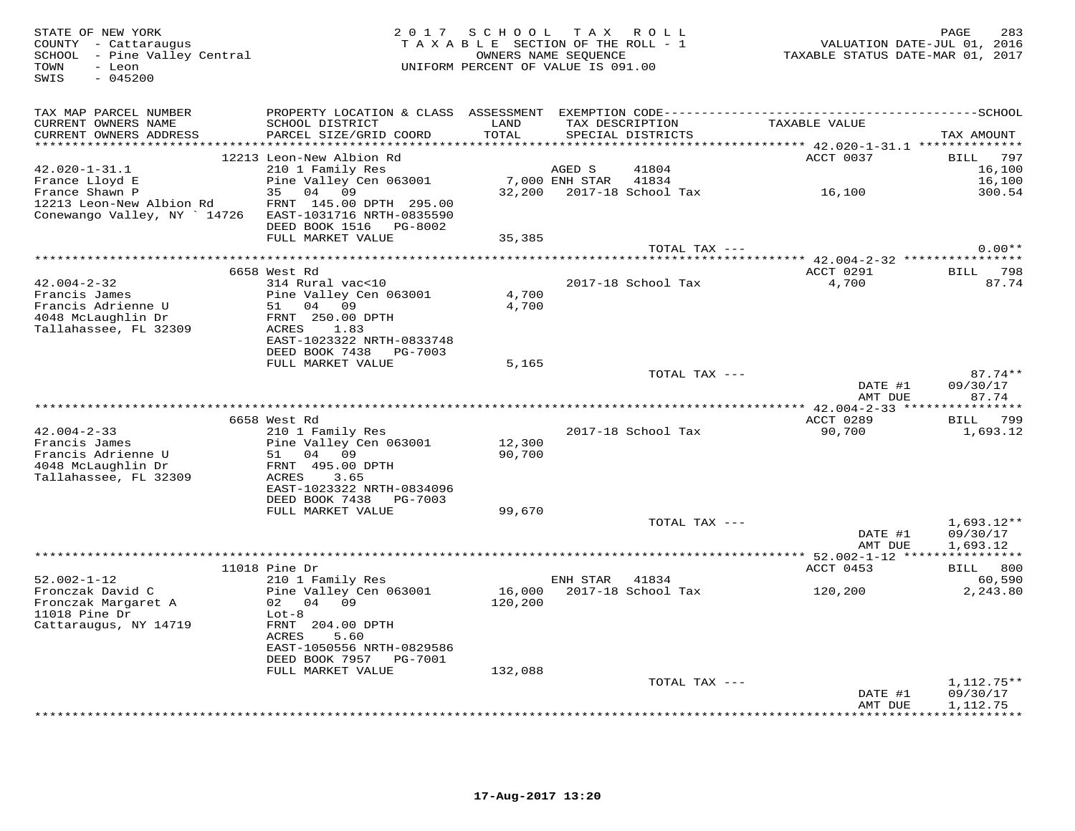STATE OF NEW YORK 2 0 1 7 S C H O O L T A X R O L L PAGE 283 COUNTY - Cattaraugus T A X A B L E SECTION OF THE ROLL - 1 VALUATION DATE-JUL 01, 2016 SCHOOL - Pine Valley Central OWNERS NAME SEQUENCE TAXABLE STATUS DATE-MAR 01, 2017 TOWN - Leon UNIFORM PERCENT OF VALUE IS 091.00 SWIS - 045200TAX MAP PARCEL NUMBER PROPERTY LOCATION & CLASS ASSESSMENT EXEMPTION CODE------------------------------------------SCHOOL CURRENT OWNERS NAME SCHOOL DISTRICT LAND TAX DESCRIPTION TAXABLE VALUE CURRENT OWNERS ADDRESS PARCEL SIZE/GRID COORD TOTAL SPECIAL DISTRICTS TAX AMOUNT \*\*\*\*\*\*\*\*\*\*\*\*\*\*\*\*\*\*\*\*\*\*\*\*\*\*\*\*\*\*\*\*\*\*\*\*\*\*\*\*\*\*\*\*\*\*\*\*\*\*\*\*\*\*\*\*\*\*\*\*\*\*\*\*\*\*\*\*\*\*\*\*\*\*\*\*\*\*\*\*\*\*\*\*\*\*\*\*\*\*\*\*\*\*\*\*\*\*\*\*\*\*\* 42.020-1-31.1 \*\*\*\*\*\*\*\*\*\*\*\*\*\* 12213 Leon-New Albion Rd ACCT 0037 BILL 79742.020-1-31.1 210 1 Family Res AGED S 41804 16,100 16.100 France Lloyd E Pine Valley Cen 063001 7,000 ENH STAR 41834 16,100300.54 France Shawn P 35 04 09 32,200 2017-18 School Tax 16,100 300.5412213 Leon-New Albion Rd FRNT 145.00 DPTH 295.00 Conewango Valley, NY ` 14726 EAST-1031716 NRTH-0835590 DEED BOOK 1516 PG-8002 FULL MARKET VALUE 35,385 TOTAL TAX --- 0.00\*\* \*\*\*\*\*\*\*\*\*\*\*\*\*\*\*\*\*\*\*\*\*\*\*\*\*\*\*\*\*\*\*\*\*\*\*\*\*\*\*\*\*\*\*\*\*\*\*\*\*\*\*\*\*\*\*\*\*\*\*\*\*\*\*\*\*\*\*\*\*\*\*\*\*\*\*\*\*\*\*\*\*\*\*\*\*\*\*\*\*\*\*\*\*\*\*\*\*\*\*\*\*\*\* 42.004-2-32 \*\*\*\*\*\*\*\*\*\*\*\*\*\*\*\* 6658 West Rd ACCT 0291 BILL 79842.004-2-32 314 Rural vac<10 2017-18 School Tax 4,700 87.74Francis James Pine Valley Cen 063001 4,700 Francis Adrienne U 51 04 09 4,700 4048 McLaughlin Dr FRNT 250.00 DPTH Tallahassee, FL 32309 ACRES 1.83 EAST-1023322 NRTH-0833748 DEED BOOK 7438 PG-7003FULL MARKET VALUE 5,165 TOTAL TAX --- 87.74\*\* DATE #1 09/30/17 AMT DUE 87.74 \*\*\*\*\*\*\*\*\*\*\*\*\*\*\*\*\*\*\*\*\*\*\*\*\*\*\*\*\*\*\*\*\*\*\*\*\*\*\*\*\*\*\*\*\*\*\*\*\*\*\*\*\*\*\*\*\*\*\*\*\*\*\*\*\*\*\*\*\*\*\*\*\*\*\*\*\*\*\*\*\*\*\*\*\*\*\*\*\*\*\*\*\*\*\*\*\*\*\*\*\*\*\* 42.004-2-33 \*\*\*\*\*\*\*\*\*\*\*\*\*\*\*\*ACCT 0289 BILL 799 6658 West Rd ACCT 0289 BILL 79990,700 1,693.12 42.004-2-33 210 1 Family Res 2017-18 School Tax 90,700 1,693.12Francis James Pine Valley Cen 063001 12,300 Francis Adrienne U 51 04 09 90,700 4048 McLaughlin Dr FRNT 495.00 DPTH Tallahassee, FL 32309 ACRES 3.65 EAST-1023322 NRTH-0834096 DEED BOOK 7438 PG-7003 FULL MARKET VALUE 99,670TOTAL TAX  $---$  1,693.12\*\* DATE #1 09/30/17AMT DUE 1,693.12 AMT DUE 1,693.12 \*\*\*\*\*\*\*\*\*\*\*\*\*\*\*\*\*\*\*\*\*\*\*\*\*\*\*\*\*\*\*\*\*\*\*\*\*\*\*\*\*\*\*\*\*\*\*\*\*\*\*\*\*\*\*\*\*\*\*\*\*\*\*\*\*\*\*\*\*\*\*\*\*\*\*\*\*\*\*\*\*\*\*\*\*\*\*\*\*\*\*\*\*\*\*\*\*\*\*\*\*\*\* 52.002-1-12 \*\*\*\*\*\*\*\*\*\*\*\*\*\*\*\*11018 Pine Dr<br>
210 1 Family Res<br>
Fronczak David C Pine Valley Cen 063001 16,000 2017-18 School Tax 120,200 2,243.80<br>
Fronczak Margaret A 02 04 09 120,200<br>
2,243.80<br>
Cattaraugus, NY 14719 FRNT 204.00 DPTH<br>
Cattaraugus, NY 1 EAST-1050556 NRTH-0829586 DEED BOOK 7957 PG-7001 FULL MARKET VALUE 132,088TOTAL TAX  $---$  1,112.75\*\* DATE #1 09/30/17AMT DUE 1,112.75 AMT DUE 1,112.75 \*\*\*\*\*\*\*\*\*\*\*\*\*\*\*\*\*\*\*\*\*\*\*\*\*\*\*\*\*\*\*\*\*\*\*\*\*\*\*\*\*\*\*\*\*\*\*\*\*\*\*\*\*\*\*\*\*\*\*\*\*\*\*\*\*\*\*\*\*\*\*\*\*\*\*\*\*\*\*\*\*\*\*\*\*\*\*\*\*\*\*\*\*\*\*\*\*\*\*\*\*\*\*\*\*\*\*\*\*\*\*\*\*\*\*\*\*\*\*\*\*\*\*\*\*\*\*\*\*\*\*\*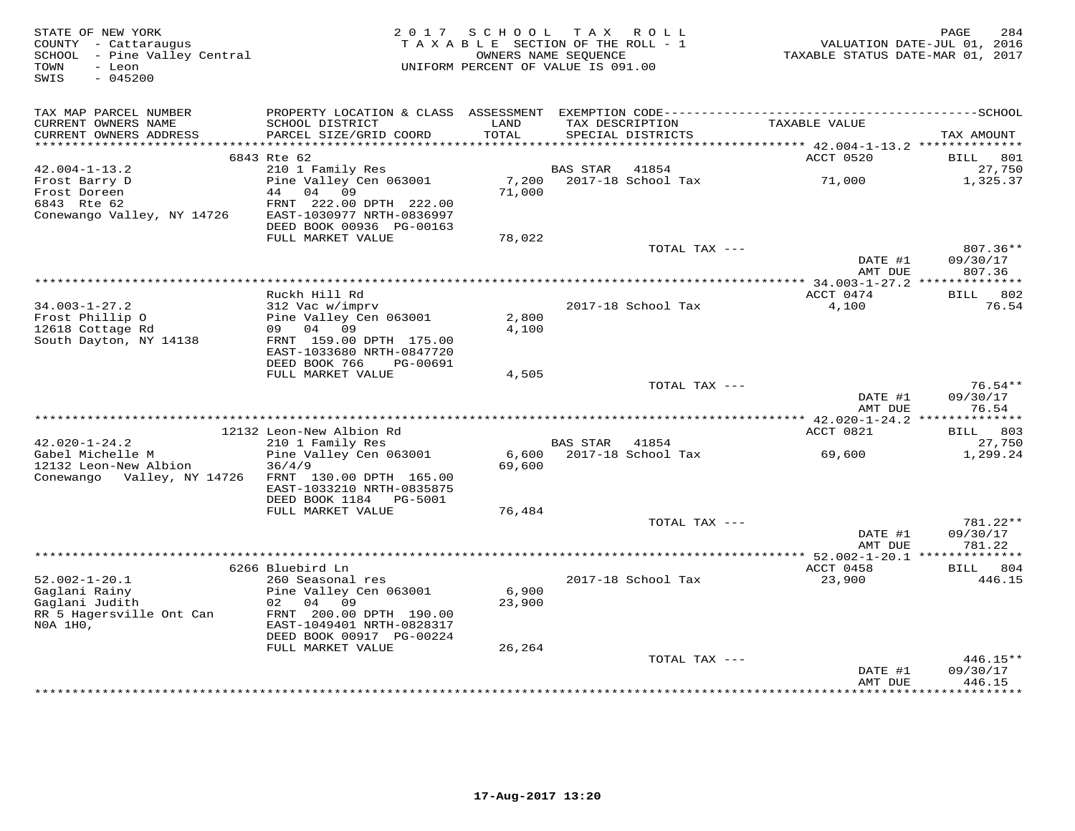| STATE OF NEW YORK<br>COUNTY - Cattaraugus<br>SCHOOL - Pine Valley Central<br>- Leon<br>TOWN<br>$-045200$<br>SWIS | 2 0 1 7                                                                                                                   | SCHOOL TAX ROLL<br>TAXABLE SECTION OF THE ROLL - 1<br>UNIFORM PERCENT OF VALUE IS 091.00 | OWNERS NAME SEQUENCE  |                    | TAXABLE STATUS DATE-MAR 01, 2017 | 284<br>PAGE<br>VALUATION DATE-JUL 01, 2016 |
|------------------------------------------------------------------------------------------------------------------|---------------------------------------------------------------------------------------------------------------------------|------------------------------------------------------------------------------------------|-----------------------|--------------------|----------------------------------|--------------------------------------------|
| TAX MAP PARCEL NUMBER                                                                                            | PROPERTY LOCATION & CLASS ASSESSMENT                                                                                      |                                                                                          |                       |                    |                                  |                                            |
| CURRENT OWNERS NAME<br>CURRENT OWNERS ADDRESS                                                                    | SCHOOL DISTRICT<br>PARCEL SIZE/GRID COORD                                                                                 | LAND<br>TOTAL                                                                            | TAX DESCRIPTION       | SPECIAL DISTRICTS  | TAXABLE VALUE                    | TAX AMOUNT                                 |
|                                                                                                                  | 6843 Rte 62                                                                                                               |                                                                                          |                       |                    | ACCT 0520                        | BILL<br>801                                |
| $42.004 - 1 - 13.2$                                                                                              | 210 1 Family Res                                                                                                          |                                                                                          | <b>BAS STAR</b>       | 41854              |                                  | 27,750                                     |
| Frost Barry D<br>Frost Doreen<br>6843 Rte 62<br>Conewango Valley, NY 14726                                       | Pine Valley Cen 063001<br>44<br>04 09<br>FRNT 222.00 DPTH 222.00<br>EAST-1030977 NRTH-0836997<br>DEED BOOK 00936 PG-00163 | 7,200<br>71,000                                                                          |                       | 2017-18 School Tax | 71,000                           | 1,325.37                                   |
|                                                                                                                  | FULL MARKET VALUE                                                                                                         | 78,022                                                                                   |                       |                    |                                  |                                            |
|                                                                                                                  |                                                                                                                           |                                                                                          |                       | TOTAL TAX ---      | DATE #1<br>AMT DUE               | $807.36**$<br>09/30/17<br>807.36           |
|                                                                                                                  |                                                                                                                           |                                                                                          | ********************* |                    | *** 34.003-1-27.2 ************** |                                            |
|                                                                                                                  | Ruckh Hill Rd                                                                                                             |                                                                                          |                       |                    | ACCT 0474                        | <b>BILL</b> 802                            |
| $34.003 - 1 - 27.2$<br>Frost Phillip O<br>12618 Cottage Rd                                                       | 312 Vac w/imprv<br>Pine Valley Cen 063001<br>09 04 09                                                                     | 2,800                                                                                    |                       | 2017-18 School Tax | 4,100                            | 76.54                                      |
| South Dayton, NY 14138                                                                                           | FRNT 159.00 DPTH 175.00<br>EAST-1033680 NRTH-0847720                                                                      | 4,100                                                                                    |                       |                    |                                  |                                            |
|                                                                                                                  | DEED BOOK 766<br>PG-00691<br>FULL MARKET VALUE                                                                            | 4,505                                                                                    |                       |                    |                                  |                                            |
|                                                                                                                  |                                                                                                                           |                                                                                          |                       | TOTAL TAX ---      |                                  | $76.54**$                                  |
|                                                                                                                  |                                                                                                                           |                                                                                          |                       |                    | DATE #1<br>AMT DUE               | 09/30/17<br>76.54                          |
|                                                                                                                  | 12132 Leon-New Albion Rd                                                                                                  |                                                                                          |                       |                    | ACCT 0821                        | BILL 803                                   |
| $42.020 - 1 - 24.2$                                                                                              | 210 1 Family Res                                                                                                          |                                                                                          | BAS STAR 41854        |                    |                                  | 27,750                                     |
| Gabel Michelle M                                                                                                 | Pine Valley Cen 063001                                                                                                    | 6,600                                                                                    |                       | 2017-18 School Tax | 69,600                           | 1,299.24                                   |
| 12132 Leon-New Albion<br>Conewango Valley, NY 14726                                                              | 36/4/9<br>FRNT 130.00 DPTH 165.00<br>EAST-1033210 NRTH-0835875<br>DEED BOOK 1184<br>PG-5001                               | 69,600                                                                                   |                       |                    |                                  |                                            |
|                                                                                                                  | FULL MARKET VALUE                                                                                                         | 76,484                                                                                   |                       |                    |                                  |                                            |
|                                                                                                                  |                                                                                                                           |                                                                                          |                       | TOTAL TAX ---      | DATE #1<br>AMT DUE               | 781.22**<br>09/30/17<br>781.22             |
|                                                                                                                  |                                                                                                                           |                                                                                          |                       |                    |                                  |                                            |
|                                                                                                                  | 6266 Bluebird Ln                                                                                                          |                                                                                          |                       |                    | ACCT 0458                        | 804<br>BILL                                |
| $52.002 - 1 - 20.1$<br>Gaglani Rainy                                                                             | 260 Seasonal res<br>Pine Valley Cen 063001<br>02<br>04 09                                                                 | 6,900                                                                                    |                       | 2017-18 School Tax | 23,900                           | 446.15                                     |
| Gaglani Judith<br>RR 5 Hagersville Ont Can<br>NOA 1H0,                                                           | FRNT 200.00 DPTH 190.00<br>EAST-1049401 NRTH-0828317<br>DEED BOOK 00917 PG-00224                                          | 23,900                                                                                   |                       |                    |                                  |                                            |
|                                                                                                                  | FULL MARKET VALUE                                                                                                         | 26,264                                                                                   |                       |                    |                                  |                                            |
|                                                                                                                  |                                                                                                                           |                                                                                          |                       | TOTAL TAX ---      |                                  | $446.15**$                                 |
|                                                                                                                  |                                                                                                                           |                                                                                          |                       |                    | DATE #1<br>AMT DUE<br>********** | 09/30/17<br>446.15<br>********             |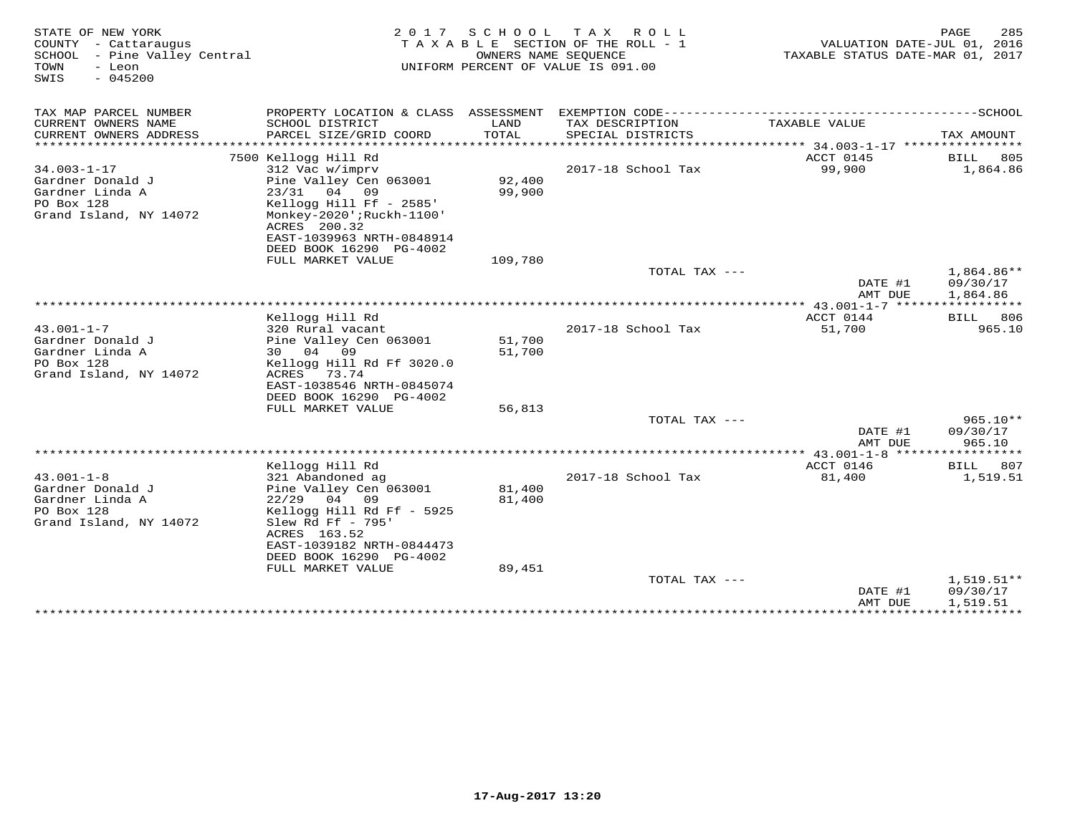| STATE OF NEW YORK<br>COUNTY - Cattaraugus<br>SCHOOL - Pine Valley Central<br>TOWN<br>- Leon<br>$-045200$<br>SWIS | 2 0 1 7<br>T A X A B L E SECTION OF THE ROLL - 1<br>UNIFORM PERCENT OF VALUE IS 091.00 | VALUATION DATE-JUL 01, 2016<br>TAXABLE STATUS DATE-MAR 01, 2017 | 285<br>PAGE                         |                        |                           |
|------------------------------------------------------------------------------------------------------------------|----------------------------------------------------------------------------------------|-----------------------------------------------------------------|-------------------------------------|------------------------|---------------------------|
| TAX MAP PARCEL NUMBER                                                                                            | PROPERTY LOCATION & CLASS ASSESSMENT                                                   |                                                                 | EXEMPTION CODE---------             |                        | ---------SCHOOL           |
| CURRENT OWNERS NAME                                                                                              | SCHOOL DISTRICT                                                                        | LAND                                                            | TAX DESCRIPTION                     | TAXABLE VALUE          |                           |
| CURRENT OWNERS ADDRESS<br>******************                                                                     | PARCEL SIZE/GRID COORD<br>*************************                                    | TOTAL                                                           | SPECIAL DISTRICTS                   |                        | TAX AMOUNT                |
|                                                                                                                  | 7500 Kellogg Hill Rd                                                                   |                                                                 |                                     | ACCT 0145              | 805<br>BILL               |
| $34.003 - 1 - 17$                                                                                                | 312 Vac w/imprv                                                                        |                                                                 | 2017-18 School Tax                  | 99,900                 | 1,864.86                  |
| Gardner Donald J                                                                                                 | Pine Valley Cen 063001                                                                 | 92,400                                                          |                                     |                        |                           |
| Gardner Linda A                                                                                                  | $23/31$ 04<br>09                                                                       | 99,900                                                          |                                     |                        |                           |
| PO Box 128                                                                                                       | Kellogg Hill Ff - 2585'                                                                |                                                                 |                                     |                        |                           |
| Grand Island, NY 14072                                                                                           | Monkey-2020';Ruckh-1100'                                                               |                                                                 |                                     |                        |                           |
|                                                                                                                  | ACRES 200.32                                                                           |                                                                 |                                     |                        |                           |
|                                                                                                                  | EAST-1039963 NRTH-0848914<br>DEED BOOK 16290 PG-4002                                   |                                                                 |                                     |                        |                           |
|                                                                                                                  | FULL MARKET VALUE                                                                      | 109,780                                                         |                                     |                        |                           |
|                                                                                                                  |                                                                                        |                                                                 | TOTAL TAX ---                       |                        | $1,864.86**$              |
|                                                                                                                  |                                                                                        |                                                                 |                                     | DATE #1                | 09/30/17                  |
|                                                                                                                  |                                                                                        |                                                                 |                                     | AMT DUE                | 1,864.86                  |
|                                                                                                                  |                                                                                        |                                                                 | *********************************** | ** 43.001-1-7 *****    |                           |
|                                                                                                                  | Kellogg Hill Rd                                                                        |                                                                 |                                     | ACCT 0144              | BILL<br>806               |
| $43.001 - 1 - 7$<br>Gardner Donald J                                                                             | 320 Rural vacant<br>Pine Valley Cen 063001                                             | 51,700                                                          | 2017-18 School Tax                  | 51,700                 | 965.10                    |
| Gardner Linda A                                                                                                  | 09<br>04<br>30                                                                         | 51,700                                                          |                                     |                        |                           |
| PO Box 128                                                                                                       | Kellogg Hill Rd Ff 3020.0                                                              |                                                                 |                                     |                        |                           |
| Grand Island, NY 14072                                                                                           | ACRES<br>73.74                                                                         |                                                                 |                                     |                        |                           |
|                                                                                                                  | EAST-1038546 NRTH-0845074                                                              |                                                                 |                                     |                        |                           |
|                                                                                                                  | DEED BOOK 16290 PG-4002                                                                |                                                                 |                                     |                        |                           |
|                                                                                                                  | FULL MARKET VALUE                                                                      | 56,813                                                          |                                     |                        |                           |
|                                                                                                                  |                                                                                        |                                                                 | TOTAL TAX ---                       |                        | 965.10**<br>09/30/17      |
|                                                                                                                  |                                                                                        |                                                                 |                                     | DATE #1<br>AMT DUE     | 965.10                    |
|                                                                                                                  |                                                                                        |                                                                 |                                     |                        |                           |
|                                                                                                                  | Kellogg Hill Rd                                                                        |                                                                 |                                     | ACCT 0146              | 807<br>BILL               |
| $43.001 - 1 - 8$                                                                                                 | 321 Abandoned ag                                                                       |                                                                 | 2017-18 School Tax                  | 81,400                 | 1,519.51                  |
| Gardner Donald J                                                                                                 | Pine Valley Cen 063001                                                                 | 81,400                                                          |                                     |                        |                           |
| Gardner Linda A                                                                                                  | 04<br>09<br>22/29                                                                      | 81,400                                                          |                                     |                        |                           |
| PO Box 128                                                                                                       | Kellogg Hill Rd Ff - 5925                                                              |                                                                 |                                     |                        |                           |
| Grand Island, NY 14072                                                                                           | Slew Rd Ff - 795'<br>ACRES 163.52                                                      |                                                                 |                                     |                        |                           |
|                                                                                                                  | EAST-1039182 NRTH-0844473                                                              |                                                                 |                                     |                        |                           |
|                                                                                                                  | DEED BOOK 16290 PG-4002                                                                |                                                                 |                                     |                        |                           |
|                                                                                                                  | FULL MARKET VALUE                                                                      | 89,451                                                          |                                     |                        |                           |
|                                                                                                                  |                                                                                        |                                                                 | TOTAL TAX ---                       |                        | $1,519.51**$              |
|                                                                                                                  |                                                                                        |                                                                 |                                     | DATE #1                | 09/30/17                  |
|                                                                                                                  |                                                                                        |                                                                 |                                     | AMT DUE<br>*********** | 1,519.51<br>************* |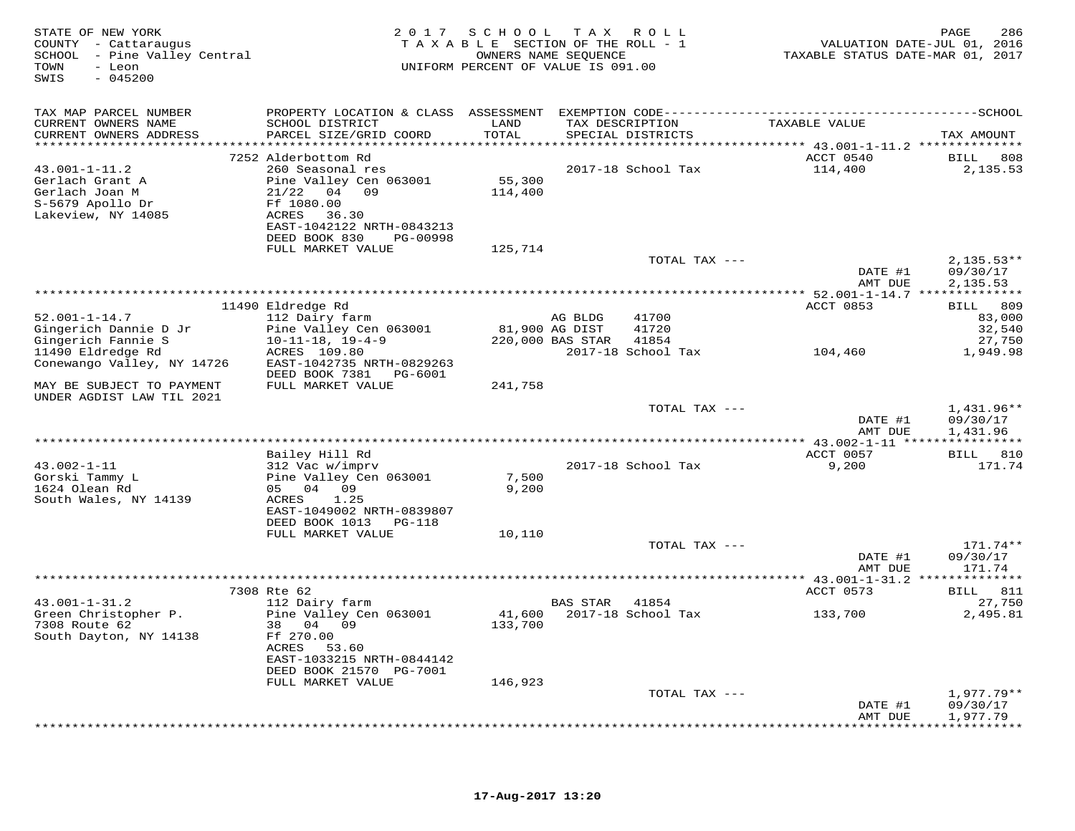| TAX MAP PARCEL NUMBER<br>TAXABLE VALUE<br>CURRENT OWNERS NAME<br>SCHOOL DISTRICT<br>LAND<br>TAX DESCRIPTION<br>PARCEL SIZE/GRID COORD<br>TOTAL<br>CURRENT OWNERS ADDRESS<br>SPECIAL DISTRICTS<br>TAX AMOUNT<br>ACCT 0540<br>7252 Alderbottom Rd<br>BILL 808<br>$43.001 - 1 - 11.2$<br>260 Seasonal res<br>2017-18 School Tax<br>114,400<br>2,135.53<br>Pine Valley Cen 063001<br>55,300<br>Gerlach Grant A<br>Gerlach Joan M<br>$21/22$ 04 09<br>114,400<br>S-5679 Apollo Dr<br>Ff 1080.00<br>Lakeview, NY 14085<br>36.30<br>ACRES<br>EAST-1042122 NRTH-0843213<br>DEED BOOK 830<br>PG-00998<br>FULL MARKET VALUE<br>125,714<br>TOTAL TAX ---<br>$2,135.53**$<br>DATE #1<br>09/30/17<br>AMT DUE<br>2,135.53<br>************************************<br>*************** 52.001-1-14.7 ***************<br>11490 Eldredge Rd<br>ACCT 0853<br><b>BILL</b><br>809<br>$52.001 - 1 - 14.7$<br>112 Dairy farm<br>41700<br>83,000<br>AG BLDG<br>Gingerich Dannie D Jr<br>Pine Valley Cen 063001<br>81,900 AG DIST<br>41720<br>32,540<br>Gingerich Fannie S<br>$10 - 11 - 18$ , $19 - 4 - 9$<br>220,000 BAS STAR<br>41854<br>27,750<br>11490 Eldredge Rd<br>ACRES 109.80<br>2017-18 School Tax<br>1,949.98<br>104,460<br>Conewango Valley, NY 14726<br>EAST-1042735 NRTH-0829263<br>DEED BOOK 7381<br>PG-6001<br>FULL MARKET VALUE<br>MAY BE SUBJECT TO PAYMENT<br>241,758<br>UNDER AGDIST LAW TIL 2021<br>1,431.96**<br>TOTAL TAX ---<br>DATE #1<br>09/30/17<br>AMT DUE<br>1,431.96<br>ACCT 0057<br>Bailey Hill Rd<br>BILL 810<br>$43.002 - 1 - 11$<br>9,200<br>312 Vac w/imprv<br>2017-18 School Tax<br>171.74<br>Gorski Tammy L<br>Pine Valley Cen 063001<br>7,500<br>1624 Olean Rd<br>05 04 09<br>9,200<br>South Wales, NY 14139<br>ACRES<br>1.25<br>EAST-1049002 NRTH-0839807<br>DEED BOOK 1013 PG-118<br>FULL MARKET VALUE<br>10,110<br>TOTAL TAX ---<br>171.74**<br>DATE #1<br>09/30/17<br>AMT DUE<br>171.74<br>7308 Rte 62<br>ACCT 0573<br>BILL 811<br>$43.001 - 1 - 31.2$<br>112 Dairy farm<br><b>BAS STAR</b><br>41854<br>27,750<br>Green Christopher P.<br>Pine Valley Cen 063001<br>2017-18 School Tax<br>41,600<br>2,495.81<br>133,700<br>7308 Route 62<br>38 04 09<br>133,700<br>South Dayton, NY 14138<br>Ff 270.00<br>ACRES<br>53.60<br>EAST-1033215 NRTH-0844142<br>DEED BOOK 21570 PG-7001<br>FULL MARKET VALUE<br>146,923<br>TOTAL TAX ---<br>1,977.79**<br>DATE #1<br>09/30/17<br>1,977.79<br>AMT DUE | STATE OF NEW YORK<br>COUNTY - Cattaraugus<br>SCHOOL - Pine Valley Central<br>- Leon<br>TOWN<br>SWIS<br>$-045200$ | 2 0 1 7 | SCHOOL | T A X<br>R O L L<br>TAXABLE SECTION OF THE ROLL - 1<br>OWNERS NAME SEQUENCE<br>UNIFORM PERCENT OF VALUE IS 091.00 | VALUATION DATE-JUL 01, 2016<br>TAXABLE STATUS DATE-MAR 01, 2017 | 286<br>PAGE |
|-----------------------------------------------------------------------------------------------------------------------------------------------------------------------------------------------------------------------------------------------------------------------------------------------------------------------------------------------------------------------------------------------------------------------------------------------------------------------------------------------------------------------------------------------------------------------------------------------------------------------------------------------------------------------------------------------------------------------------------------------------------------------------------------------------------------------------------------------------------------------------------------------------------------------------------------------------------------------------------------------------------------------------------------------------------------------------------------------------------------------------------------------------------------------------------------------------------------------------------------------------------------------------------------------------------------------------------------------------------------------------------------------------------------------------------------------------------------------------------------------------------------------------------------------------------------------------------------------------------------------------------------------------------------------------------------------------------------------------------------------------------------------------------------------------------------------------------------------------------------------------------------------------------------------------------------------------------------------------------------------------------------------------------------------------------------------------------------------------------------------------------------------------------------------------------------------------------------------------------------------------------------------------------------------------------------------------------------------------------------------------------------------------------------|------------------------------------------------------------------------------------------------------------------|---------|--------|-------------------------------------------------------------------------------------------------------------------|-----------------------------------------------------------------|-------------|
|                                                                                                                                                                                                                                                                                                                                                                                                                                                                                                                                                                                                                                                                                                                                                                                                                                                                                                                                                                                                                                                                                                                                                                                                                                                                                                                                                                                                                                                                                                                                                                                                                                                                                                                                                                                                                                                                                                                                                                                                                                                                                                                                                                                                                                                                                                                                                                                                                 |                                                                                                                  |         |        |                                                                                                                   |                                                                 |             |
|                                                                                                                                                                                                                                                                                                                                                                                                                                                                                                                                                                                                                                                                                                                                                                                                                                                                                                                                                                                                                                                                                                                                                                                                                                                                                                                                                                                                                                                                                                                                                                                                                                                                                                                                                                                                                                                                                                                                                                                                                                                                                                                                                                                                                                                                                                                                                                                                                 |                                                                                                                  |         |        |                                                                                                                   |                                                                 |             |
|                                                                                                                                                                                                                                                                                                                                                                                                                                                                                                                                                                                                                                                                                                                                                                                                                                                                                                                                                                                                                                                                                                                                                                                                                                                                                                                                                                                                                                                                                                                                                                                                                                                                                                                                                                                                                                                                                                                                                                                                                                                                                                                                                                                                                                                                                                                                                                                                                 |                                                                                                                  |         |        |                                                                                                                   |                                                                 |             |
|                                                                                                                                                                                                                                                                                                                                                                                                                                                                                                                                                                                                                                                                                                                                                                                                                                                                                                                                                                                                                                                                                                                                                                                                                                                                                                                                                                                                                                                                                                                                                                                                                                                                                                                                                                                                                                                                                                                                                                                                                                                                                                                                                                                                                                                                                                                                                                                                                 |                                                                                                                  |         |        |                                                                                                                   |                                                                 |             |
|                                                                                                                                                                                                                                                                                                                                                                                                                                                                                                                                                                                                                                                                                                                                                                                                                                                                                                                                                                                                                                                                                                                                                                                                                                                                                                                                                                                                                                                                                                                                                                                                                                                                                                                                                                                                                                                                                                                                                                                                                                                                                                                                                                                                                                                                                                                                                                                                                 |                                                                                                                  |         |        |                                                                                                                   |                                                                 |             |
|                                                                                                                                                                                                                                                                                                                                                                                                                                                                                                                                                                                                                                                                                                                                                                                                                                                                                                                                                                                                                                                                                                                                                                                                                                                                                                                                                                                                                                                                                                                                                                                                                                                                                                                                                                                                                                                                                                                                                                                                                                                                                                                                                                                                                                                                                                                                                                                                                 |                                                                                                                  |         |        |                                                                                                                   |                                                                 |             |
|                                                                                                                                                                                                                                                                                                                                                                                                                                                                                                                                                                                                                                                                                                                                                                                                                                                                                                                                                                                                                                                                                                                                                                                                                                                                                                                                                                                                                                                                                                                                                                                                                                                                                                                                                                                                                                                                                                                                                                                                                                                                                                                                                                                                                                                                                                                                                                                                                 |                                                                                                                  |         |        |                                                                                                                   |                                                                 |             |
|                                                                                                                                                                                                                                                                                                                                                                                                                                                                                                                                                                                                                                                                                                                                                                                                                                                                                                                                                                                                                                                                                                                                                                                                                                                                                                                                                                                                                                                                                                                                                                                                                                                                                                                                                                                                                                                                                                                                                                                                                                                                                                                                                                                                                                                                                                                                                                                                                 |                                                                                                                  |         |        |                                                                                                                   |                                                                 |             |
|                                                                                                                                                                                                                                                                                                                                                                                                                                                                                                                                                                                                                                                                                                                                                                                                                                                                                                                                                                                                                                                                                                                                                                                                                                                                                                                                                                                                                                                                                                                                                                                                                                                                                                                                                                                                                                                                                                                                                                                                                                                                                                                                                                                                                                                                                                                                                                                                                 |                                                                                                                  |         |        |                                                                                                                   |                                                                 |             |
|                                                                                                                                                                                                                                                                                                                                                                                                                                                                                                                                                                                                                                                                                                                                                                                                                                                                                                                                                                                                                                                                                                                                                                                                                                                                                                                                                                                                                                                                                                                                                                                                                                                                                                                                                                                                                                                                                                                                                                                                                                                                                                                                                                                                                                                                                                                                                                                                                 |                                                                                                                  |         |        |                                                                                                                   |                                                                 |             |
|                                                                                                                                                                                                                                                                                                                                                                                                                                                                                                                                                                                                                                                                                                                                                                                                                                                                                                                                                                                                                                                                                                                                                                                                                                                                                                                                                                                                                                                                                                                                                                                                                                                                                                                                                                                                                                                                                                                                                                                                                                                                                                                                                                                                                                                                                                                                                                                                                 |                                                                                                                  |         |        |                                                                                                                   |                                                                 |             |
|                                                                                                                                                                                                                                                                                                                                                                                                                                                                                                                                                                                                                                                                                                                                                                                                                                                                                                                                                                                                                                                                                                                                                                                                                                                                                                                                                                                                                                                                                                                                                                                                                                                                                                                                                                                                                                                                                                                                                                                                                                                                                                                                                                                                                                                                                                                                                                                                                 |                                                                                                                  |         |        |                                                                                                                   |                                                                 |             |
|                                                                                                                                                                                                                                                                                                                                                                                                                                                                                                                                                                                                                                                                                                                                                                                                                                                                                                                                                                                                                                                                                                                                                                                                                                                                                                                                                                                                                                                                                                                                                                                                                                                                                                                                                                                                                                                                                                                                                                                                                                                                                                                                                                                                                                                                                                                                                                                                                 |                                                                                                                  |         |        |                                                                                                                   |                                                                 |             |
|                                                                                                                                                                                                                                                                                                                                                                                                                                                                                                                                                                                                                                                                                                                                                                                                                                                                                                                                                                                                                                                                                                                                                                                                                                                                                                                                                                                                                                                                                                                                                                                                                                                                                                                                                                                                                                                                                                                                                                                                                                                                                                                                                                                                                                                                                                                                                                                                                 |                                                                                                                  |         |        |                                                                                                                   |                                                                 |             |
|                                                                                                                                                                                                                                                                                                                                                                                                                                                                                                                                                                                                                                                                                                                                                                                                                                                                                                                                                                                                                                                                                                                                                                                                                                                                                                                                                                                                                                                                                                                                                                                                                                                                                                                                                                                                                                                                                                                                                                                                                                                                                                                                                                                                                                                                                                                                                                                                                 |                                                                                                                  |         |        |                                                                                                                   |                                                                 |             |
|                                                                                                                                                                                                                                                                                                                                                                                                                                                                                                                                                                                                                                                                                                                                                                                                                                                                                                                                                                                                                                                                                                                                                                                                                                                                                                                                                                                                                                                                                                                                                                                                                                                                                                                                                                                                                                                                                                                                                                                                                                                                                                                                                                                                                                                                                                                                                                                                                 |                                                                                                                  |         |        |                                                                                                                   |                                                                 |             |
|                                                                                                                                                                                                                                                                                                                                                                                                                                                                                                                                                                                                                                                                                                                                                                                                                                                                                                                                                                                                                                                                                                                                                                                                                                                                                                                                                                                                                                                                                                                                                                                                                                                                                                                                                                                                                                                                                                                                                                                                                                                                                                                                                                                                                                                                                                                                                                                                                 |                                                                                                                  |         |        |                                                                                                                   |                                                                 |             |
|                                                                                                                                                                                                                                                                                                                                                                                                                                                                                                                                                                                                                                                                                                                                                                                                                                                                                                                                                                                                                                                                                                                                                                                                                                                                                                                                                                                                                                                                                                                                                                                                                                                                                                                                                                                                                                                                                                                                                                                                                                                                                                                                                                                                                                                                                                                                                                                                                 |                                                                                                                  |         |        |                                                                                                                   |                                                                 |             |
|                                                                                                                                                                                                                                                                                                                                                                                                                                                                                                                                                                                                                                                                                                                                                                                                                                                                                                                                                                                                                                                                                                                                                                                                                                                                                                                                                                                                                                                                                                                                                                                                                                                                                                                                                                                                                                                                                                                                                                                                                                                                                                                                                                                                                                                                                                                                                                                                                 |                                                                                                                  |         |        |                                                                                                                   |                                                                 |             |
|                                                                                                                                                                                                                                                                                                                                                                                                                                                                                                                                                                                                                                                                                                                                                                                                                                                                                                                                                                                                                                                                                                                                                                                                                                                                                                                                                                                                                                                                                                                                                                                                                                                                                                                                                                                                                                                                                                                                                                                                                                                                                                                                                                                                                                                                                                                                                                                                                 |                                                                                                                  |         |        |                                                                                                                   |                                                                 |             |
|                                                                                                                                                                                                                                                                                                                                                                                                                                                                                                                                                                                                                                                                                                                                                                                                                                                                                                                                                                                                                                                                                                                                                                                                                                                                                                                                                                                                                                                                                                                                                                                                                                                                                                                                                                                                                                                                                                                                                                                                                                                                                                                                                                                                                                                                                                                                                                                                                 |                                                                                                                  |         |        |                                                                                                                   |                                                                 |             |
|                                                                                                                                                                                                                                                                                                                                                                                                                                                                                                                                                                                                                                                                                                                                                                                                                                                                                                                                                                                                                                                                                                                                                                                                                                                                                                                                                                                                                                                                                                                                                                                                                                                                                                                                                                                                                                                                                                                                                                                                                                                                                                                                                                                                                                                                                                                                                                                                                 |                                                                                                                  |         |        |                                                                                                                   |                                                                 |             |
|                                                                                                                                                                                                                                                                                                                                                                                                                                                                                                                                                                                                                                                                                                                                                                                                                                                                                                                                                                                                                                                                                                                                                                                                                                                                                                                                                                                                                                                                                                                                                                                                                                                                                                                                                                                                                                                                                                                                                                                                                                                                                                                                                                                                                                                                                                                                                                                                                 |                                                                                                                  |         |        |                                                                                                                   |                                                                 |             |
|                                                                                                                                                                                                                                                                                                                                                                                                                                                                                                                                                                                                                                                                                                                                                                                                                                                                                                                                                                                                                                                                                                                                                                                                                                                                                                                                                                                                                                                                                                                                                                                                                                                                                                                                                                                                                                                                                                                                                                                                                                                                                                                                                                                                                                                                                                                                                                                                                 |                                                                                                                  |         |        |                                                                                                                   |                                                                 |             |
|                                                                                                                                                                                                                                                                                                                                                                                                                                                                                                                                                                                                                                                                                                                                                                                                                                                                                                                                                                                                                                                                                                                                                                                                                                                                                                                                                                                                                                                                                                                                                                                                                                                                                                                                                                                                                                                                                                                                                                                                                                                                                                                                                                                                                                                                                                                                                                                                                 |                                                                                                                  |         |        |                                                                                                                   |                                                                 |             |
|                                                                                                                                                                                                                                                                                                                                                                                                                                                                                                                                                                                                                                                                                                                                                                                                                                                                                                                                                                                                                                                                                                                                                                                                                                                                                                                                                                                                                                                                                                                                                                                                                                                                                                                                                                                                                                                                                                                                                                                                                                                                                                                                                                                                                                                                                                                                                                                                                 |                                                                                                                  |         |        |                                                                                                                   |                                                                 |             |
|                                                                                                                                                                                                                                                                                                                                                                                                                                                                                                                                                                                                                                                                                                                                                                                                                                                                                                                                                                                                                                                                                                                                                                                                                                                                                                                                                                                                                                                                                                                                                                                                                                                                                                                                                                                                                                                                                                                                                                                                                                                                                                                                                                                                                                                                                                                                                                                                                 |                                                                                                                  |         |        |                                                                                                                   |                                                                 |             |
|                                                                                                                                                                                                                                                                                                                                                                                                                                                                                                                                                                                                                                                                                                                                                                                                                                                                                                                                                                                                                                                                                                                                                                                                                                                                                                                                                                                                                                                                                                                                                                                                                                                                                                                                                                                                                                                                                                                                                                                                                                                                                                                                                                                                                                                                                                                                                                                                                 |                                                                                                                  |         |        |                                                                                                                   |                                                                 |             |
|                                                                                                                                                                                                                                                                                                                                                                                                                                                                                                                                                                                                                                                                                                                                                                                                                                                                                                                                                                                                                                                                                                                                                                                                                                                                                                                                                                                                                                                                                                                                                                                                                                                                                                                                                                                                                                                                                                                                                                                                                                                                                                                                                                                                                                                                                                                                                                                                                 |                                                                                                                  |         |        |                                                                                                                   |                                                                 |             |
|                                                                                                                                                                                                                                                                                                                                                                                                                                                                                                                                                                                                                                                                                                                                                                                                                                                                                                                                                                                                                                                                                                                                                                                                                                                                                                                                                                                                                                                                                                                                                                                                                                                                                                                                                                                                                                                                                                                                                                                                                                                                                                                                                                                                                                                                                                                                                                                                                 |                                                                                                                  |         |        |                                                                                                                   |                                                                 |             |
|                                                                                                                                                                                                                                                                                                                                                                                                                                                                                                                                                                                                                                                                                                                                                                                                                                                                                                                                                                                                                                                                                                                                                                                                                                                                                                                                                                                                                                                                                                                                                                                                                                                                                                                                                                                                                                                                                                                                                                                                                                                                                                                                                                                                                                                                                                                                                                                                                 |                                                                                                                  |         |        |                                                                                                                   |                                                                 |             |
|                                                                                                                                                                                                                                                                                                                                                                                                                                                                                                                                                                                                                                                                                                                                                                                                                                                                                                                                                                                                                                                                                                                                                                                                                                                                                                                                                                                                                                                                                                                                                                                                                                                                                                                                                                                                                                                                                                                                                                                                                                                                                                                                                                                                                                                                                                                                                                                                                 |                                                                                                                  |         |        |                                                                                                                   |                                                                 |             |
|                                                                                                                                                                                                                                                                                                                                                                                                                                                                                                                                                                                                                                                                                                                                                                                                                                                                                                                                                                                                                                                                                                                                                                                                                                                                                                                                                                                                                                                                                                                                                                                                                                                                                                                                                                                                                                                                                                                                                                                                                                                                                                                                                                                                                                                                                                                                                                                                                 |                                                                                                                  |         |        |                                                                                                                   |                                                                 |             |
|                                                                                                                                                                                                                                                                                                                                                                                                                                                                                                                                                                                                                                                                                                                                                                                                                                                                                                                                                                                                                                                                                                                                                                                                                                                                                                                                                                                                                                                                                                                                                                                                                                                                                                                                                                                                                                                                                                                                                                                                                                                                                                                                                                                                                                                                                                                                                                                                                 |                                                                                                                  |         |        |                                                                                                                   |                                                                 |             |
|                                                                                                                                                                                                                                                                                                                                                                                                                                                                                                                                                                                                                                                                                                                                                                                                                                                                                                                                                                                                                                                                                                                                                                                                                                                                                                                                                                                                                                                                                                                                                                                                                                                                                                                                                                                                                                                                                                                                                                                                                                                                                                                                                                                                                                                                                                                                                                                                                 |                                                                                                                  |         |        |                                                                                                                   |                                                                 |             |
|                                                                                                                                                                                                                                                                                                                                                                                                                                                                                                                                                                                                                                                                                                                                                                                                                                                                                                                                                                                                                                                                                                                                                                                                                                                                                                                                                                                                                                                                                                                                                                                                                                                                                                                                                                                                                                                                                                                                                                                                                                                                                                                                                                                                                                                                                                                                                                                                                 |                                                                                                                  |         |        |                                                                                                                   |                                                                 |             |
|                                                                                                                                                                                                                                                                                                                                                                                                                                                                                                                                                                                                                                                                                                                                                                                                                                                                                                                                                                                                                                                                                                                                                                                                                                                                                                                                                                                                                                                                                                                                                                                                                                                                                                                                                                                                                                                                                                                                                                                                                                                                                                                                                                                                                                                                                                                                                                                                                 |                                                                                                                  |         |        |                                                                                                                   |                                                                 |             |
|                                                                                                                                                                                                                                                                                                                                                                                                                                                                                                                                                                                                                                                                                                                                                                                                                                                                                                                                                                                                                                                                                                                                                                                                                                                                                                                                                                                                                                                                                                                                                                                                                                                                                                                                                                                                                                                                                                                                                                                                                                                                                                                                                                                                                                                                                                                                                                                                                 |                                                                                                                  |         |        |                                                                                                                   |                                                                 |             |
|                                                                                                                                                                                                                                                                                                                                                                                                                                                                                                                                                                                                                                                                                                                                                                                                                                                                                                                                                                                                                                                                                                                                                                                                                                                                                                                                                                                                                                                                                                                                                                                                                                                                                                                                                                                                                                                                                                                                                                                                                                                                                                                                                                                                                                                                                                                                                                                                                 |                                                                                                                  |         |        |                                                                                                                   |                                                                 |             |
|                                                                                                                                                                                                                                                                                                                                                                                                                                                                                                                                                                                                                                                                                                                                                                                                                                                                                                                                                                                                                                                                                                                                                                                                                                                                                                                                                                                                                                                                                                                                                                                                                                                                                                                                                                                                                                                                                                                                                                                                                                                                                                                                                                                                                                                                                                                                                                                                                 |                                                                                                                  |         |        |                                                                                                                   |                                                                 |             |
|                                                                                                                                                                                                                                                                                                                                                                                                                                                                                                                                                                                                                                                                                                                                                                                                                                                                                                                                                                                                                                                                                                                                                                                                                                                                                                                                                                                                                                                                                                                                                                                                                                                                                                                                                                                                                                                                                                                                                                                                                                                                                                                                                                                                                                                                                                                                                                                                                 |                                                                                                                  |         |        |                                                                                                                   |                                                                 |             |
|                                                                                                                                                                                                                                                                                                                                                                                                                                                                                                                                                                                                                                                                                                                                                                                                                                                                                                                                                                                                                                                                                                                                                                                                                                                                                                                                                                                                                                                                                                                                                                                                                                                                                                                                                                                                                                                                                                                                                                                                                                                                                                                                                                                                                                                                                                                                                                                                                 |                                                                                                                  |         |        |                                                                                                                   |                                                                 |             |
|                                                                                                                                                                                                                                                                                                                                                                                                                                                                                                                                                                                                                                                                                                                                                                                                                                                                                                                                                                                                                                                                                                                                                                                                                                                                                                                                                                                                                                                                                                                                                                                                                                                                                                                                                                                                                                                                                                                                                                                                                                                                                                                                                                                                                                                                                                                                                                                                                 |                                                                                                                  |         |        |                                                                                                                   |                                                                 |             |
|                                                                                                                                                                                                                                                                                                                                                                                                                                                                                                                                                                                                                                                                                                                                                                                                                                                                                                                                                                                                                                                                                                                                                                                                                                                                                                                                                                                                                                                                                                                                                                                                                                                                                                                                                                                                                                                                                                                                                                                                                                                                                                                                                                                                                                                                                                                                                                                                                 |                                                                                                                  |         |        |                                                                                                                   |                                                                 |             |
|                                                                                                                                                                                                                                                                                                                                                                                                                                                                                                                                                                                                                                                                                                                                                                                                                                                                                                                                                                                                                                                                                                                                                                                                                                                                                                                                                                                                                                                                                                                                                                                                                                                                                                                                                                                                                                                                                                                                                                                                                                                                                                                                                                                                                                                                                                                                                                                                                 |                                                                                                                  |         |        |                                                                                                                   |                                                                 |             |
|                                                                                                                                                                                                                                                                                                                                                                                                                                                                                                                                                                                                                                                                                                                                                                                                                                                                                                                                                                                                                                                                                                                                                                                                                                                                                                                                                                                                                                                                                                                                                                                                                                                                                                                                                                                                                                                                                                                                                                                                                                                                                                                                                                                                                                                                                                                                                                                                                 |                                                                                                                  |         |        |                                                                                                                   |                                                                 |             |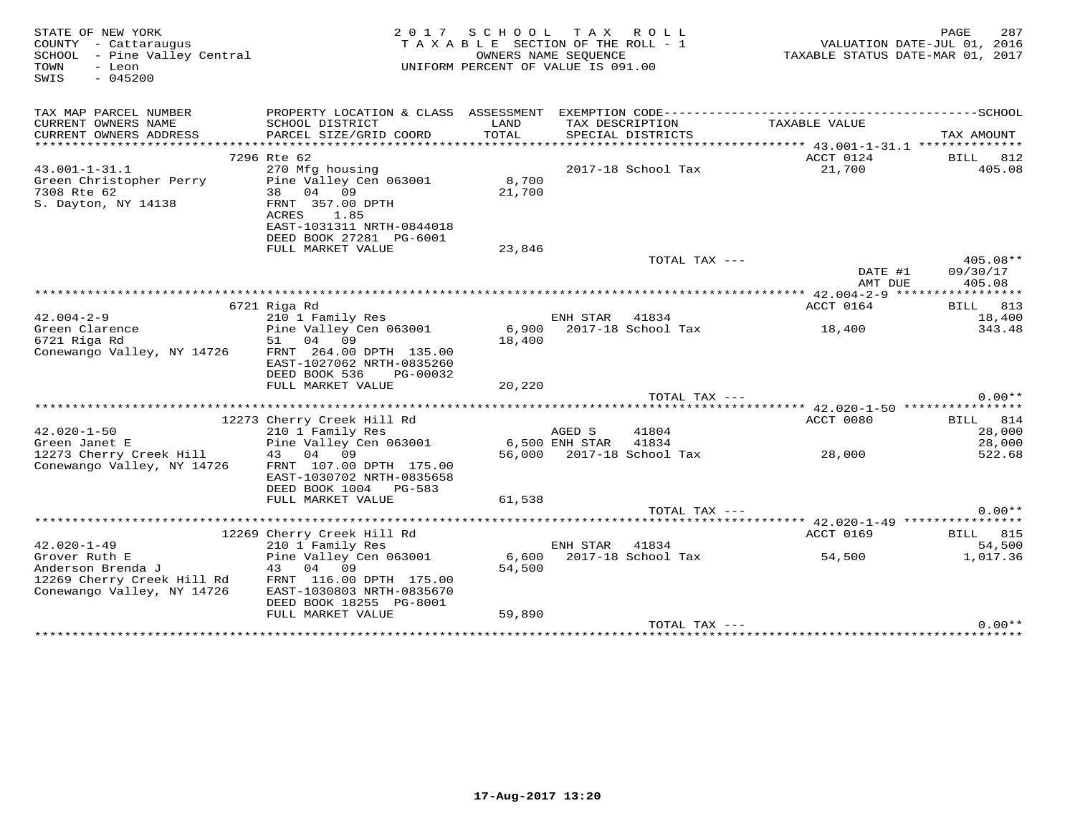| STATE OF NEW YORK<br>COUNTY - Cattaraugus<br>SCHOOL - Pine Valley Central<br>TOWN<br>- Leon<br>$-045200$<br>SWIS |                                                                                                      | 2017 SCHOOL TAX ROLL<br>TAXABLE SECTION OF THE ROLL - 1<br>UNIFORM PERCENT OF VALUE IS 091.00 | OWNERS NAME SEQUENCE |                                      | TAXABLE STATUS DATE-MAR 01, 2017 | 287<br>PAGE<br>VALUATION DATE-JUL 01, 2016 |
|------------------------------------------------------------------------------------------------------------------|------------------------------------------------------------------------------------------------------|-----------------------------------------------------------------------------------------------|----------------------|--------------------------------------|----------------------------------|--------------------------------------------|
| TAX MAP PARCEL NUMBER                                                                                            |                                                                                                      |                                                                                               |                      |                                      |                                  |                                            |
| CURRENT OWNERS NAME<br>CURRENT OWNERS ADDRESS                                                                    | SCHOOL DISTRICT<br>PARCEL SIZE/GRID COORD                                                            | LAND<br>TOTAL                                                                                 |                      | TAX DESCRIPTION<br>SPECIAL DISTRICTS | TAXABLE VALUE                    | TAX AMOUNT                                 |
|                                                                                                                  | 7296 Rte 62                                                                                          |                                                                                               |                      |                                      | ACCT 0124                        | 812<br>BILL                                |
| $43.001 - 1 - 31.1$                                                                                              | 270 Mfg housing                                                                                      |                                                                                               |                      | 2017-18 School Tax                   | 21,700                           | 405.08                                     |
| Green Christopher Perry<br>7308 Rte 62<br>S. Dayton, NY 14138                                                    | Pine Valley Cen 063001<br>38 04 09<br>FRNT 357.00 DPTH<br>ACRES<br>1.85<br>EAST-1031311 NRTH-0844018 | 8,700<br>21,700                                                                               |                      |                                      |                                  |                                            |
|                                                                                                                  | DEED BOOK 27281 PG-6001                                                                              |                                                                                               |                      |                                      |                                  |                                            |
|                                                                                                                  | FULL MARKET VALUE                                                                                    | 23,846                                                                                        |                      |                                      |                                  |                                            |
|                                                                                                                  |                                                                                                      |                                                                                               |                      | TOTAL TAX ---                        |                                  | 405.08**                                   |
|                                                                                                                  |                                                                                                      |                                                                                               |                      |                                      | DATE #1<br>AMT DUE               | 09/30/17<br>405.08                         |
|                                                                                                                  |                                                                                                      |                                                                                               |                      |                                      |                                  |                                            |
|                                                                                                                  | 6721 Riga Rd                                                                                         |                                                                                               |                      |                                      | ACCT 0164                        | BILL 813                                   |
| $42.004 - 2 - 9$                                                                                                 | 210 1 Family Res                                                                                     |                                                                                               | ENH STAR             | 41834                                |                                  | 18,400                                     |
| Green Clarence<br>6721 Riga Rd                                                                                   | Pine Valley Cen 063001<br>51 04 09                                                                   | 18,400                                                                                        |                      | 6,900 2017-18 School Tax             | 18,400                           | 343.48                                     |
| Conewango Valley, NY 14726                                                                                       | FRNT 264.00 DPTH 135.00<br>EAST-1027062 NRTH-0835260<br>DEED BOOK 536<br>PG-00032                    |                                                                                               |                      |                                      |                                  |                                            |
|                                                                                                                  | FULL MARKET VALUE                                                                                    | 20,220                                                                                        |                      |                                      |                                  |                                            |
|                                                                                                                  |                                                                                                      |                                                                                               |                      | TOTAL TAX ---                        |                                  | $0.00**$                                   |
|                                                                                                                  | 12273 Cherry Creek Hill Rd                                                                           |                                                                                               |                      |                                      | ACCT 0080                        | BILL 814                                   |
| $42.020 - 1 - 50$                                                                                                | 210 1 Family Res                                                                                     |                                                                                               | AGED S               | 41804                                |                                  | 28,000                                     |
| Green Janet E                                                                                                    | Pine Valley Cen 063001                                                                               |                                                                                               | 6,500 ENH STAR       | 41834                                |                                  | 28,000                                     |
| 12273 Cherry Creek Hill                                                                                          | 04 09<br>43                                                                                          |                                                                                               |                      | 56,000 2017-18 School Tax            | 28,000                           | 522.68                                     |
| Conewango Valley, NY 14726                                                                                       | FRNT 107.00 DPTH 175.00<br>EAST-1030702 NRTH-0835658                                                 |                                                                                               |                      |                                      |                                  |                                            |
|                                                                                                                  | DEED BOOK 1004 PG-583                                                                                |                                                                                               |                      |                                      |                                  |                                            |
|                                                                                                                  | FULL MARKET VALUE                                                                                    | 61,538                                                                                        |                      |                                      |                                  |                                            |
|                                                                                                                  |                                                                                                      |                                                                                               |                      | TOTAL TAX ---                        |                                  | $0.00**$                                   |
|                                                                                                                  | 12269 Cherry Creek Hill Rd                                                                           |                                                                                               |                      |                                      | ACCT 0169                        | BILL 815                                   |
| $42.020 - 1 - 49$                                                                                                | 210 1 Family Res                                                                                     |                                                                                               | ENH STAR             | 41834                                |                                  | 54,500                                     |
| Grover Ruth E                                                                                                    | Pine Valley Cen 063001                                                                               | 6,600                                                                                         |                      | 2017-18 School Tax                   | 54,500                           | 1,017.36                                   |
| Anderson Brenda J                                                                                                | 04 09<br>43                                                                                          | 54,500                                                                                        |                      |                                      |                                  |                                            |
| 12269 Cherry Creek Hill Rd<br>Conewango Valley, NY 14726                                                         | FRNT 116.00 DPTH 175.00<br>EAST-1030803 NRTH-0835670<br>DEED BOOK 18255 PG-8001                      |                                                                                               |                      |                                      |                                  |                                            |
|                                                                                                                  | FULL MARKET VALUE                                                                                    | 59,890                                                                                        |                      |                                      |                                  |                                            |
|                                                                                                                  |                                                                                                      |                                                                                               |                      | TOTAL TAX $---$                      |                                  | $0.00**$                                   |
|                                                                                                                  |                                                                                                      |                                                                                               |                      |                                      |                                  |                                            |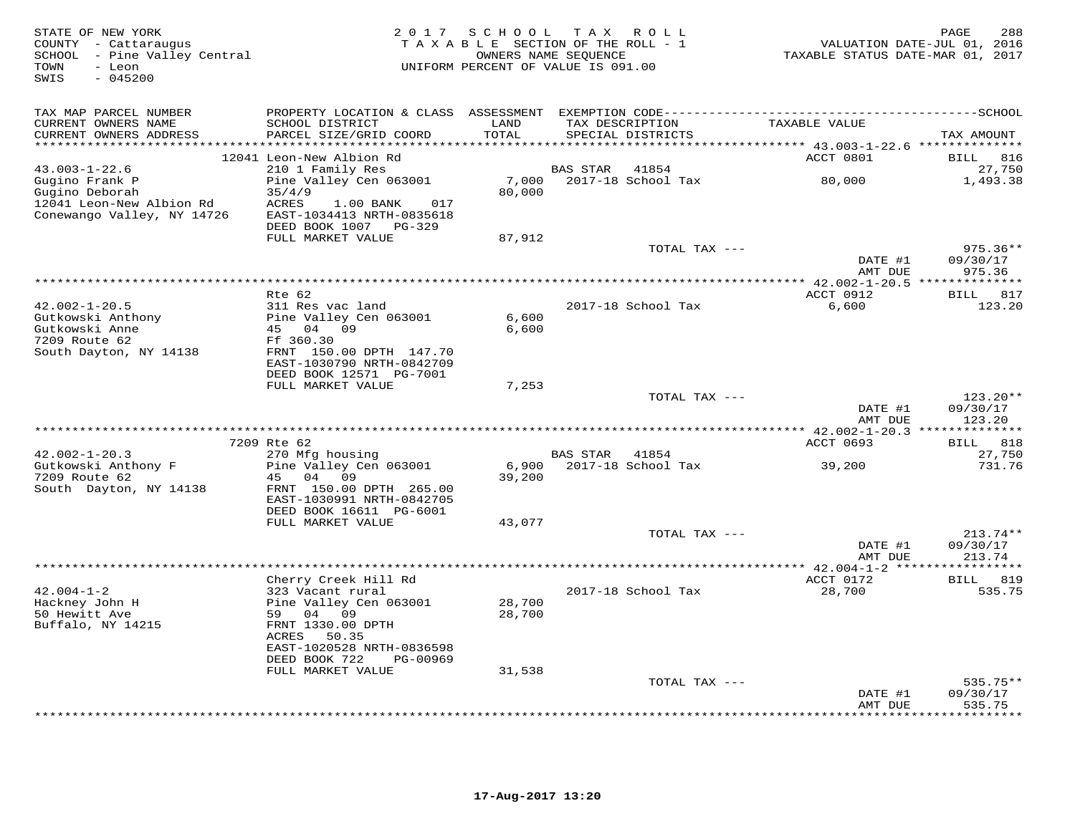| STATE OF NEW YORK<br>COUNTY - Cattaraugus<br>SCHOOL - Pine Valley Central<br>TOWN<br>- Leon<br>$-045200$<br>SWIS |                                                                                    |        | 2017 SCHOOL TAX ROLL<br>TAXABLE SECTION OF THE ROLL - 1<br>OWNERS NAME SEQUENCE<br>UNIFORM PERCENT OF VALUE IS 091.00 | TAXABLE STATUS DATE-MAR 01, 2017 | 288<br>PAGE<br>VALUATION DATE-JUL 01, 2016 |
|------------------------------------------------------------------------------------------------------------------|------------------------------------------------------------------------------------|--------|-----------------------------------------------------------------------------------------------------------------------|----------------------------------|--------------------------------------------|
| TAX MAP PARCEL NUMBER                                                                                            |                                                                                    |        |                                                                                                                       |                                  |                                            |
| CURRENT OWNERS NAME                                                                                              | SCHOOL DISTRICT                                                                    | LAND   | TAX DESCRIPTION                                                                                                       | TAXABLE VALUE                    |                                            |
| CURRENT OWNERS ADDRESS                                                                                           | PARCEL SIZE/GRID COORD                                                             | TOTAL  | SPECIAL DISTRICTS                                                                                                     |                                  | TAX AMOUNT                                 |
|                                                                                                                  | 12041 Leon-New Albion Rd                                                           |        |                                                                                                                       | ACCT 0801                        | 816<br><b>BILL</b>                         |
| $43.003 - 1 - 22.6$                                                                                              | 210 1 Family Res                                                                   |        | 41854<br><b>BAS STAR</b>                                                                                              |                                  | 27,750                                     |
| Gugino Frank P                                                                                                   | Pine Valley Cen 063001                                                             | 7,000  | 2017-18 School Tax                                                                                                    | 80,000                           | 1,493.38                                   |
| Gugino Deborah<br>12041 Leon-New Albion Rd<br>Conewango Valley, NY 14726                                         | 35/4/9<br>ACRES<br>1.00 BANK<br>017<br>EAST-1034413 NRTH-0835618<br>DEED BOOK 1007 | 80,000 |                                                                                                                       |                                  |                                            |
|                                                                                                                  | PG-329<br>FULL MARKET VALUE                                                        | 87,912 |                                                                                                                       |                                  |                                            |
|                                                                                                                  |                                                                                    |        | TOTAL TAX ---                                                                                                         |                                  | $975.36**$                                 |
|                                                                                                                  |                                                                                    |        |                                                                                                                       | DATE #1                          | 09/30/17                                   |
|                                                                                                                  |                                                                                    |        |                                                                                                                       | AMT DUE                          | 975.36                                     |
|                                                                                                                  | $Rte$ 62                                                                           |        |                                                                                                                       | ACCT 0912                        | BILL 817                                   |
| $42.002 - 1 - 20.5$                                                                                              | 311 Res vac land                                                                   |        | 2017-18 School Tax                                                                                                    | 6,600                            | 123.20                                     |
| Gutkowski Anthony                                                                                                | Pine Valley Cen 063001                                                             | 6,600  |                                                                                                                       |                                  |                                            |
| Gutkowski Anne<br>7209 Route 62                                                                                  | 45 04 09                                                                           | 6,600  |                                                                                                                       |                                  |                                            |
| South Dayton, NY 14138                                                                                           | Ff 360.30<br>FRNT 150.00 DPTH 147.70                                               |        |                                                                                                                       |                                  |                                            |
|                                                                                                                  | EAST-1030790 NRTH-0842709                                                          |        |                                                                                                                       |                                  |                                            |
|                                                                                                                  | DEED BOOK 12571 PG-7001                                                            |        |                                                                                                                       |                                  |                                            |
|                                                                                                                  | FULL MARKET VALUE                                                                  | 7,253  | TOTAL TAX ---                                                                                                         |                                  | $123.20**$                                 |
|                                                                                                                  |                                                                                    |        |                                                                                                                       | DATE #1<br>AMT DUE               | 09/30/17<br>123.20                         |
|                                                                                                                  |                                                                                    |        |                                                                                                                       |                                  |                                            |
|                                                                                                                  | 7209 Rte 62                                                                        |        |                                                                                                                       | ACCT 0693                        | BILL 818                                   |
| $42.002 - 1 - 20.3$<br>Gutkowski Anthony F                                                                       | 270 Mfg housing<br>Pine Valley Cen 063001                                          | 6,900  | BAS STAR<br>41854<br>2017-18 School Tax                                                                               | 39,200                           | 27,750<br>731.76                           |
| 7209 Route 62                                                                                                    | 45 04<br>09                                                                        | 39,200 |                                                                                                                       |                                  |                                            |
| South Dayton, NY 14138                                                                                           | FRNT 150.00 DPTH 265.00                                                            |        |                                                                                                                       |                                  |                                            |
|                                                                                                                  | EAST-1030991 NRTH-0842705                                                          |        |                                                                                                                       |                                  |                                            |
|                                                                                                                  | DEED BOOK 16611 PG-6001<br>FULL MARKET VALUE                                       | 43,077 |                                                                                                                       |                                  |                                            |
|                                                                                                                  |                                                                                    |        | TOTAL TAX ---                                                                                                         |                                  | $213.74**$                                 |
|                                                                                                                  |                                                                                    |        |                                                                                                                       | DATE #1                          | 09/30/17                                   |
|                                                                                                                  |                                                                                    |        |                                                                                                                       | AMT DUE                          | 213.74                                     |
|                                                                                                                  | * * * * * * * * * * * * * * * * *                                                  |        | ************************************                                                                                  | ********* $42.004 - 1 - 2$ ****  | * * * * * * * * *                          |
| $42.004 - 1 - 2$                                                                                                 | Cherry Creek Hill Rd<br>323 Vacant rural                                           |        | 2017-18 School Tax                                                                                                    | ACCT 0172<br>28,700              | BILL 819<br>535.75                         |
| Hackney John H                                                                                                   | Pine Valley Cen 063001                                                             | 28,700 |                                                                                                                       |                                  |                                            |
| 50 Hewitt Ave                                                                                                    | 59<br>04 09                                                                        | 28,700 |                                                                                                                       |                                  |                                            |
| Buffalo, NY 14215                                                                                                | FRNT 1330.00 DPTH                                                                  |        |                                                                                                                       |                                  |                                            |
|                                                                                                                  | 50.35<br>ACRES<br>EAST-1020528 NRTH-0836598                                        |        |                                                                                                                       |                                  |                                            |
|                                                                                                                  | DEED BOOK 722<br>PG-00969                                                          |        |                                                                                                                       |                                  |                                            |
|                                                                                                                  | FULL MARKET VALUE                                                                  | 31,538 |                                                                                                                       |                                  |                                            |
|                                                                                                                  |                                                                                    |        | TOTAL TAX ---                                                                                                         |                                  | $535.75**$                                 |
|                                                                                                                  |                                                                                    |        |                                                                                                                       | DATE #1                          | 09/30/17                                   |
|                                                                                                                  |                                                                                    |        |                                                                                                                       | AMT DUE<br>***********           | 535.75<br>* * * * * * *                    |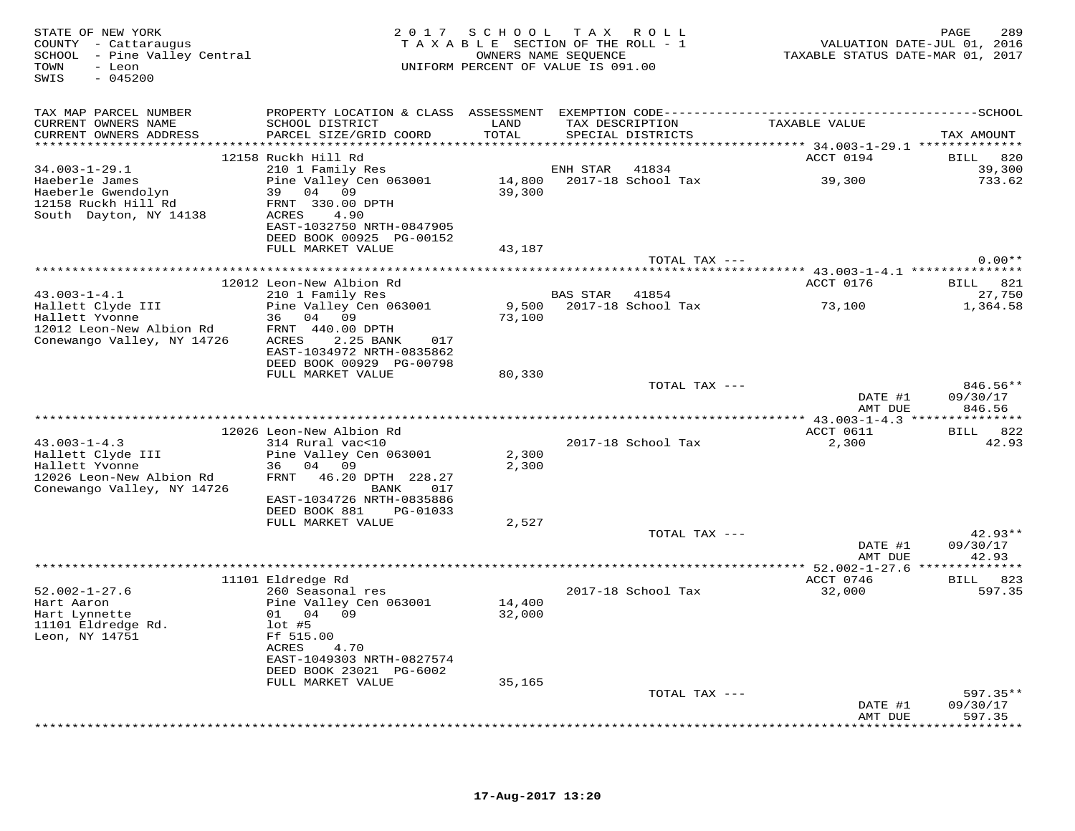| STATE OF NEW YORK<br>COUNTY - Cattaraugus<br>SCHOOL - Pine Valley Central<br>- Leon<br>TOWN<br>SWIS<br>$-045200$ |                                                                | 2017 SCHOOL TAX ROLL<br>TAXABLE SECTION OF THE ROLL - 1<br>UNIFORM PERCENT OF VALUE IS 091.00 | OWNERS NAME SEOUENCE |                                      | VALUATION DATE-JUL 01, 2016<br>TAXABLE STATUS DATE-MAR 01, 2017 | PAGE<br>289               |
|------------------------------------------------------------------------------------------------------------------|----------------------------------------------------------------|-----------------------------------------------------------------------------------------------|----------------------|--------------------------------------|-----------------------------------------------------------------|---------------------------|
| TAX MAP PARCEL NUMBER                                                                                            |                                                                |                                                                                               |                      |                                      |                                                                 |                           |
| CURRENT OWNERS NAME<br>CURRENT OWNERS ADDRESS                                                                    | SCHOOL DISTRICT<br>PARCEL SIZE/GRID COORD                      | LAND<br>TOTAL                                                                                 |                      | TAX DESCRIPTION<br>SPECIAL DISTRICTS | TAXABLE VALUE                                                   | TAX AMOUNT                |
|                                                                                                                  | 12158 Ruckh Hill Rd                                            |                                                                                               |                      |                                      | ACCT 0194                                                       | BILL 820                  |
| $34.003 - 1 - 29.1$                                                                                              | 210 1 Family Res                                               |                                                                                               | ENH STAR             | 41834                                |                                                                 | 39,300                    |
| Haeberle James<br>Haeberle Gwendolyn                                                                             | Pine Valley Cen 063001<br>39 04 09                             | 39,300                                                                                        |                      | 14,800 2017-18 School Tax            | 39,300                                                          | 733.62                    |
| 12158 Ruckh Hill Rd<br>South Dayton, NY 14138                                                                    | FRNT 330.00 DPTH<br>ACRES<br>4.90<br>EAST-1032750 NRTH-0847905 |                                                                                               |                      |                                      |                                                                 |                           |
|                                                                                                                  | DEED BOOK 00925 PG-00152<br>FULL MARKET VALUE                  | 43,187                                                                                        |                      |                                      |                                                                 |                           |
|                                                                                                                  |                                                                |                                                                                               |                      | TOTAL TAX ---                        |                                                                 | $0.00**$                  |
|                                                                                                                  |                                                                |                                                                                               |                      |                                      |                                                                 |                           |
|                                                                                                                  | 12012 Leon-New Albion Rd                                       |                                                                                               |                      |                                      | ACCT 0176                                                       | BILL 821                  |
| $43.003 - 1 - 4.1$                                                                                               | 210 1 Family Res                                               |                                                                                               | BAS STAR 41854       |                                      |                                                                 | 27,750                    |
| Hallett Clyde III<br>Hallett Yvonne                                                                              | Pine Valley Cen 063001<br>36 04 09                             | 73,100                                                                                        |                      | 9,500 2017-18 School Tax             | 73,100                                                          | 1,364.58                  |
| 12012 Leon-New Albion Rd                                                                                         | FRNT 440.00 DPTH                                               |                                                                                               |                      |                                      |                                                                 |                           |
| Conewango Valley, NY 14726                                                                                       | ACRES<br>2.25 BANK<br>017                                      |                                                                                               |                      |                                      |                                                                 |                           |
|                                                                                                                  | EAST-1034972 NRTH-0835862                                      |                                                                                               |                      |                                      |                                                                 |                           |
|                                                                                                                  | DEED BOOK 00929 PG-00798<br>FULL MARKET VALUE                  | 80,330                                                                                        |                      |                                      |                                                                 |                           |
|                                                                                                                  |                                                                |                                                                                               |                      | TOTAL TAX ---                        |                                                                 | $846.56**$                |
|                                                                                                                  |                                                                |                                                                                               |                      |                                      | DATE #1<br>AMT DUE                                              | 09/30/17<br>846.56        |
|                                                                                                                  |                                                                |                                                                                               |                      |                                      |                                                                 |                           |
|                                                                                                                  | 12026 Leon-New Albion Rd                                       |                                                                                               |                      |                                      | ACCT 0611                                                       | BILL 822                  |
| $43.003 - 1 - 4.3$                                                                                               | 314 Rural vac<10                                               |                                                                                               |                      | 2017-18 School Tax                   | 2,300                                                           | 42.93                     |
| Hallett Clyde III                                                                                                | Pine Valley Cen 063001<br>36 04 09                             | 2,300                                                                                         |                      |                                      |                                                                 |                           |
| Hallett Yvonne<br>12026 Leon-New Albion Rd                                                                       | FRNT 46.20 DPTH 228.27                                         | 2,300                                                                                         |                      |                                      |                                                                 |                           |
| Conewango Valley, NY 14726                                                                                       | 017<br>BANK                                                    |                                                                                               |                      |                                      |                                                                 |                           |
|                                                                                                                  | EAST-1034726 NRTH-0835886                                      |                                                                                               |                      |                                      |                                                                 |                           |
|                                                                                                                  | DEED BOOK 881 PG-01033                                         |                                                                                               |                      |                                      |                                                                 |                           |
|                                                                                                                  | FULL MARKET VALUE                                              | 2,527                                                                                         |                      | TOTAL TAX ---                        |                                                                 | $42.93**$                 |
|                                                                                                                  |                                                                |                                                                                               |                      |                                      | DATE #1                                                         | 09/30/17                  |
|                                                                                                                  |                                                                |                                                                                               |                      |                                      | AMT DUE                                                         | 42.93                     |
|                                                                                                                  |                                                                |                                                                                               |                      |                                      |                                                                 |                           |
|                                                                                                                  | 11101 Eldredge Rd                                              |                                                                                               |                      |                                      | ACCT 0746                                                       | BILL 823                  |
| $52.002 - 1 - 27.6$<br>Hart Aaron                                                                                | 260 Seasonal res<br>Pine Valley Cen 063001                     | 14,400                                                                                        |                      | 2017-18 School Tax                   | 32,000                                                          | 597.35                    |
| Hart Lynnette                                                                                                    | 01 04 09                                                       | 32,000                                                                                        |                      |                                      |                                                                 |                           |
| 11101 Eldredge Rd.                                                                                               | $lot$ #5                                                       |                                                                                               |                      |                                      |                                                                 |                           |
| Leon, NY 14751                                                                                                   | Ff 515.00                                                      |                                                                                               |                      |                                      |                                                                 |                           |
|                                                                                                                  | ACRES<br>4.70<br>EAST-1049303 NRTH-0827574                     |                                                                                               |                      |                                      |                                                                 |                           |
|                                                                                                                  | DEED BOOK 23021 PG-6002                                        |                                                                                               |                      |                                      |                                                                 |                           |
|                                                                                                                  | FULL MARKET VALUE                                              | 35,165                                                                                        |                      |                                      |                                                                 |                           |
|                                                                                                                  |                                                                |                                                                                               |                      | TOTAL TAX ---                        |                                                                 | $597.35**$                |
|                                                                                                                  |                                                                |                                                                                               |                      |                                      | DATE #1                                                         | 09/30/17                  |
|                                                                                                                  |                                                                |                                                                                               |                      |                                      | AMT DUE                                                         | 597.35<br>+ + + + + + + + |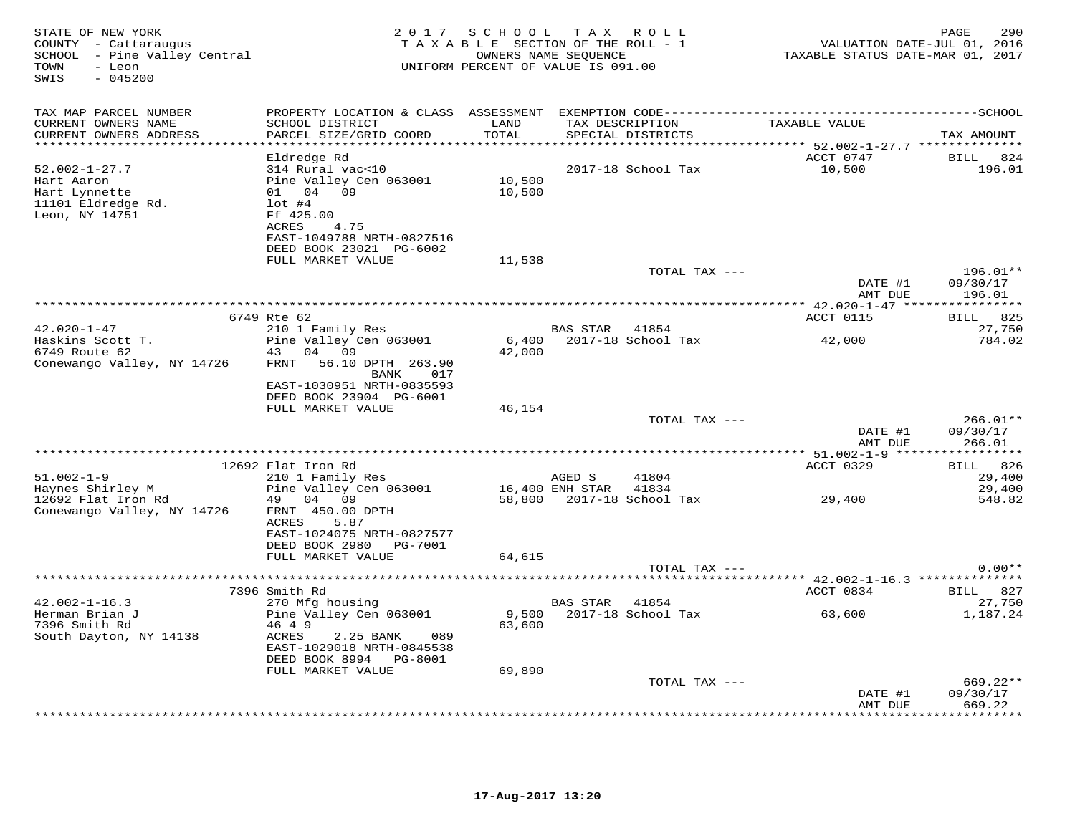| STATE OF NEW YORK<br>COUNTY - Cattaraugus<br>SCHOOL - Pine Valley Central<br>- Leon<br>TOWN<br>$-045200$<br>SWIS |                                                      | 2017 SCHOOL            | TAX ROLL<br>TAXABLE SECTION OF THE ROLL - 1<br>OWNERS NAME SEQUENCE<br>UNIFORM PERCENT OF VALUE IS 091.00 | VALUATION DATE-JUL 01, 2016<br>TAXABLE STATUS DATE-MAR 01, 2017 | 290<br>PAGE            |
|------------------------------------------------------------------------------------------------------------------|------------------------------------------------------|------------------------|-----------------------------------------------------------------------------------------------------------|-----------------------------------------------------------------|------------------------|
| TAX MAP PARCEL NUMBER                                                                                            |                                                      |                        |                                                                                                           |                                                                 |                        |
| CURRENT OWNERS NAME                                                                                              | SCHOOL DISTRICT                                      | LAND                   | TAX DESCRIPTION                                                                                           | TAXABLE VALUE                                                   |                        |
| CURRENT OWNERS ADDRESS<br>**********************                                                                 | PARCEL SIZE/GRID COORD                               | TOTAL<br>************* | SPECIAL DISTRICTS                                                                                         | ********************************** 52.002-1-27.7 ************** | TAX AMOUNT             |
|                                                                                                                  | Eldredge Rd                                          |                        |                                                                                                           | ACCT 0747                                                       | BILL 824               |
| $52.002 - 1 - 27.7$                                                                                              | 314 Rural vac<10                                     |                        | 2017-18 School Tax                                                                                        | 10,500                                                          | 196.01                 |
| Hart Aaron                                                                                                       | Pine Valley Cen 063001                               | 10,500                 |                                                                                                           |                                                                 |                        |
| Hart Lynnette                                                                                                    | 01 04 09                                             | 10,500                 |                                                                                                           |                                                                 |                        |
| 11101 Eldredge Rd.<br>Leon, NY 14751                                                                             | $1$ ot #4<br>Ff 425.00                               |                        |                                                                                                           |                                                                 |                        |
|                                                                                                                  | ACRES<br>4.75                                        |                        |                                                                                                           |                                                                 |                        |
|                                                                                                                  | EAST-1049788 NRTH-0827516                            |                        |                                                                                                           |                                                                 |                        |
|                                                                                                                  | DEED BOOK 23021 PG-6002                              |                        |                                                                                                           |                                                                 |                        |
|                                                                                                                  | FULL MARKET VALUE                                    | 11,538                 | TOTAL TAX ---                                                                                             |                                                                 | 196.01**               |
|                                                                                                                  |                                                      |                        |                                                                                                           | DATE #1<br>AMT DUE                                              | 09/30/17<br>196.01     |
|                                                                                                                  |                                                      |                        |                                                                                                           |                                                                 |                        |
|                                                                                                                  | 6749 Rte 62                                          |                        |                                                                                                           | ACCT 0115                                                       | 825<br><b>BILL</b>     |
| $42.020 - 1 - 47$<br>Haskins Scott T.                                                                            | 210 1 Family Res<br>Pine Valley Cen 063001           | 6,400                  | BAS STAR 41854<br>2017-18 School Tax                                                                      | 42,000                                                          | 27,750<br>784.02       |
| 6749 Route 62                                                                                                    | 04 09<br>43                                          | 42,000                 |                                                                                                           |                                                                 |                        |
| Conewango Valley, NY 14726                                                                                       | FRNT<br>56.10 DPTH 263.90                            |                        |                                                                                                           |                                                                 |                        |
|                                                                                                                  | BANK 017                                             |                        |                                                                                                           |                                                                 |                        |
|                                                                                                                  | EAST-1030951 NRTH-0835593<br>DEED BOOK 23904 PG-6001 |                        |                                                                                                           |                                                                 |                        |
|                                                                                                                  | FULL MARKET VALUE                                    | 46,154                 |                                                                                                           |                                                                 |                        |
|                                                                                                                  |                                                      |                        | TOTAL TAX ---                                                                                             |                                                                 | $266.01**$             |
|                                                                                                                  |                                                      |                        |                                                                                                           | DATE #1                                                         | 09/30/17               |
|                                                                                                                  |                                                      |                        |                                                                                                           | AMT DUE                                                         | 266.01                 |
|                                                                                                                  | 12692 Flat Iron Rd                                   |                        |                                                                                                           | ACCT 0329                                                       | BILL 826               |
| $51.002 - 1 - 9$                                                                                                 | 210 1 Family Res                                     |                        | AGED S<br>41804                                                                                           |                                                                 | 29,400                 |
| Haynes Shirley M                                                                                                 | Pine Valley Cen 063001                               |                        | 16,400 ENH STAR<br>41834                                                                                  |                                                                 | 29,400                 |
| 12692 Flat Iron Rd                                                                                               | 49 04 09<br>FRNT 450.00 DPTH                         |                        | 58,800 2017-18 School Tax                                                                                 | 29,400                                                          | 548.82                 |
| Conewango Valley, NY 14726                                                                                       | ACRES<br>5.87                                        |                        |                                                                                                           |                                                                 |                        |
|                                                                                                                  | EAST-1024075 NRTH-0827577                            |                        |                                                                                                           |                                                                 |                        |
|                                                                                                                  | DEED BOOK 2980 PG-7001                               |                        |                                                                                                           |                                                                 |                        |
|                                                                                                                  | FULL MARKET VALUE                                    | 64,615                 |                                                                                                           |                                                                 |                        |
|                                                                                                                  |                                                      |                        | TOTAL TAX ---                                                                                             |                                                                 | $0.00**$               |
|                                                                                                                  | 7396 Smith Rd                                        |                        |                                                                                                           | ACCT 0834                                                       | <b>BILL</b> 827        |
| $42.002 - 1 - 16.3$                                                                                              | 270 Mfg housing                                      |                        | BAS STAR<br>41854                                                                                         |                                                                 | 27,750                 |
| Herman Brian J                                                                                                   | Pine Valley Cen 063001                               | 9,500                  | 2017-18 School Tax                                                                                        | 63,600                                                          | 1,187.24               |
| 7396 Smith Rd                                                                                                    | 46 4 9<br>ACRES                                      | 63,600                 |                                                                                                           |                                                                 |                        |
| South Dayton, NY 14138                                                                                           | 2.25 BANK<br>089<br>EAST-1029018 NRTH-0845538        |                        |                                                                                                           |                                                                 |                        |
|                                                                                                                  | DEED BOOK 8994 PG-8001                               |                        |                                                                                                           |                                                                 |                        |
|                                                                                                                  | FULL MARKET VALUE                                    | 69,890                 |                                                                                                           |                                                                 |                        |
|                                                                                                                  |                                                      |                        | TOTAL TAX ---                                                                                             | DATE #1                                                         | $669.22**$<br>09/30/17 |
|                                                                                                                  |                                                      |                        |                                                                                                           | AMT DUE                                                         | 669.22                 |
|                                                                                                                  |                                                      |                        |                                                                                                           |                                                                 | * * * * * * * * ·      |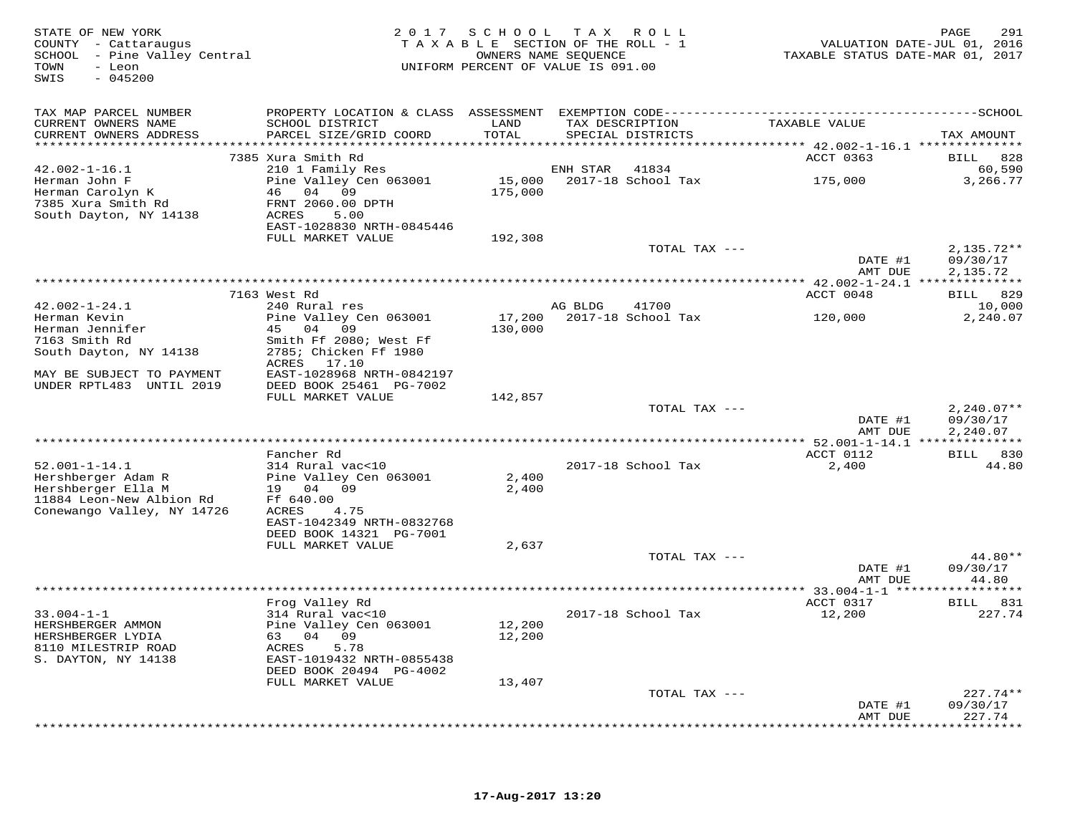STATE OF NEW YORK 2 0 1 7 S C H O O L T A X R O L L PAGE 291 COUNTY - Cattaraugus T A X A B L E SECTION OF THE ROLL - 1 VALUATION DATE-JUL 01, 2016 SCHOOL - Pine Valley Central OWNERS NAME SEQUENCE TAXABLE STATUS DATE-MAR 01, 2017 TOWN - Leon UNIFORM PERCENT OF VALUE IS 091.00 SWIS - 045200TAX MAP PARCEL NUMBER PROPERTY LOCATION & CLASS ASSESSMENT EXEMPTION CODE------------------------------------------SCHOOL CURRENT OWNERS NAME SCHOOL DISTRICT LAND TAX DESCRIPTION TAXABLE VALUE CURRENT OWNERS ADDRESS PARCEL SIZE/GRID COORD TOTAL SPECIAL DISTRICTS TAX AMOUNT \*\*\*\*\*\*\*\*\*\*\*\*\*\*\*\*\*\*\*\*\*\*\*\*\*\*\*\*\*\*\*\*\*\*\*\*\*\*\*\*\*\*\*\*\*\*\*\*\*\*\*\*\*\*\*\*\*\*\*\*\*\*\*\*\*\*\*\*\*\*\*\*\*\*\*\*\*\*\*\*\*\*\*\*\*\*\*\*\*\*\*\*\*\*\*\*\*\*\*\*\*\*\* 42.002-1-16.1 \*\*\*\*\*\*\*\*\*\*\*\*\*\* 7385 Xura Smith Rd ACCT 0363 BILL 828 42.002-1-16.1 210 1 Family Res ENH STAR 41834 60,590 Herman John F Pine Valley Cen 063001 15,000 2017-18 School Tax 175,000 3,266.77 Herman Carolyn K 46 04 09 175,000 7385 Xura Smith Rd FRNT 2060.00 DPTH South Dayton, NY 14138 ACRES 5.00 EAST-1028830 NRTH-0845446 FULL MARKET VALUE 192,308TOTAL TAX --- 2,135.72\*\*  $\frac{1}{2}$  09/30/17  $\frac{1}{2}$  11 09/30/17 AMT DUE 2,135.72 \*\*\*\*\*\*\*\*\*\*\*\*\*\*\*\*\*\*\*\*\*\*\*\*\*\*\*\*\*\*\*\*\*\*\*\*\*\*\*\*\*\*\*\*\*\*\*\*\*\*\*\*\*\*\*\*\*\*\*\*\*\*\*\*\*\*\*\*\*\*\*\*\*\*\*\*\*\*\*\*\*\*\*\*\*\*\*\*\*\*\*\*\*\*\*\*\*\*\*\*\*\*\* 42.002-1-24.1 \*\*\*\*\*\*\*\*\*\*\*\*\*\*ACCT 0048 BILL 829 7163 West Rd ACCT 0048 BILL 82910,000 42.002-1-24.1 240 Rural res AG BLDG 41700 10,0002,240.07 Herman Kevin Pine Valley Cen 063001 17,200 2017-18 School Tax 120,000 2,240.07Herman Jennifer (15 04 09 130,000 15 130,000 15 130,000 15 130,000 15 163 Smith Rd South Dayton, NY 14138 2785; Chicken Ff 1980 130,000 15 130,000 15 130,000 15 130,000 15 130,000 15 130,000 15 130,000 15 130,000 15 130,00 DATE #1 09/30/17 DATE #1 09/30/17AMT DUE 2,240.07 AMT DUE 2,240.07 \*\*\*\*\*\*\*\*\*\*\*\*\*\*\*\*\*\*\*\*\*\*\*\*\*\*\*\*\*\*\*\*\*\*\*\*\*\*\*\*\*\*\*\*\*\*\*\*\*\*\*\*\*\*\*\*\*\*\*\*\*\*\*\*\*\*\*\*\*\*\*\*\*\*\*\*\*\*\*\*\*\*\*\*\*\*\*\*\*\*\*\*\*\*\*\*\*\*\*\*\*\*\* 52.001-1-14.1 \*\*\*\*\*\*\*\*\*\*\*\*\*\*ACCT 0112 BILL 830 Fancher Rd ACCT 0112 BILL 83044.80 52.001-1-14.1 314 Rural vac<10 2017-18 School Tax 2,400 44.80Hershberger Adam R Pine Valley Cen 063001 2,400 Hershberger Ella M 19 04 09 2,400 11884 Leon-New Albion Rd Ff 640.00 Conewango Valley, NY 14726 ACRES 4.75 EAST-1042349 NRTH-0832768 DEED BOOK 14321 PG-7001FULL MARKET VALUE 2,637 TOTAL TAX  $---$  44.80\*\* DATE #1 09/30/17 DATE #1 09/30/17 AMT DUE 44.80 \*\*\*\*\*\*\*\*\*\*\*\*\*\*\*\*\*\*\*\*\*\*\*\*\*\*\*\*\*\*\*\*\*\*\*\*\*\*\*\*\*\*\*\*\*\*\*\*\*\*\*\*\*\*\*\*\*\*\*\*\*\*\*\*\*\*\*\*\*\*\*\*\*\*\*\*\*\*\*\*\*\*\*\*\*\*\*\*\*\*\*\*\*\*\*\*\*\*\*\*\*\*\* 33.004-1-1 \*\*\*\*\*\*\*\*\*\*\*\*\*\*\*\*\* Frog Valley Rd ACCT 0317 BILL 83133.004-1-1 314 Rural vac<10 2017-18 School Tax 12,200 227.74HERSHBERGER AMMON Pine Valley Cen 063001 12,200 HERSHBERGER LYDIA 63 04 09 12,200 8110 MILESTRIP ROAD ACRES 5.78 S. DAYTON, NY 14138 EAST-1019432 NRTH-0855438 DEED BOOK 20494 PG-4002 FULL MARKET VALUE 13,407 TOTAL TAX  $---$  227.74\*\* DATE #1 09/30/17 AMT DUE 227.74\*\*\*\*\*\*\*\*\*\*\*\*\*\*\*\*\*\*\*\*\*\*\*\*\*\*\*\*\*\*\*\*\*\*\*\*\*\*\*\*\*\*\*\*\*\*\*\*\*\*\*\*\*\*\*\*\*\*\*\*\*\*\*\*\*\*\*\*\*\*\*\*\*\*\*\*\*\*\*\*\*\*\*\*\*\*\*\*\*\*\*\*\*\*\*\*\*\*\*\*\*\*\*\*\*\*\*\*\*\*\*\*\*\*\*\*\*\*\*\*\*\*\*\*\*\*\*\*\*\*\*\*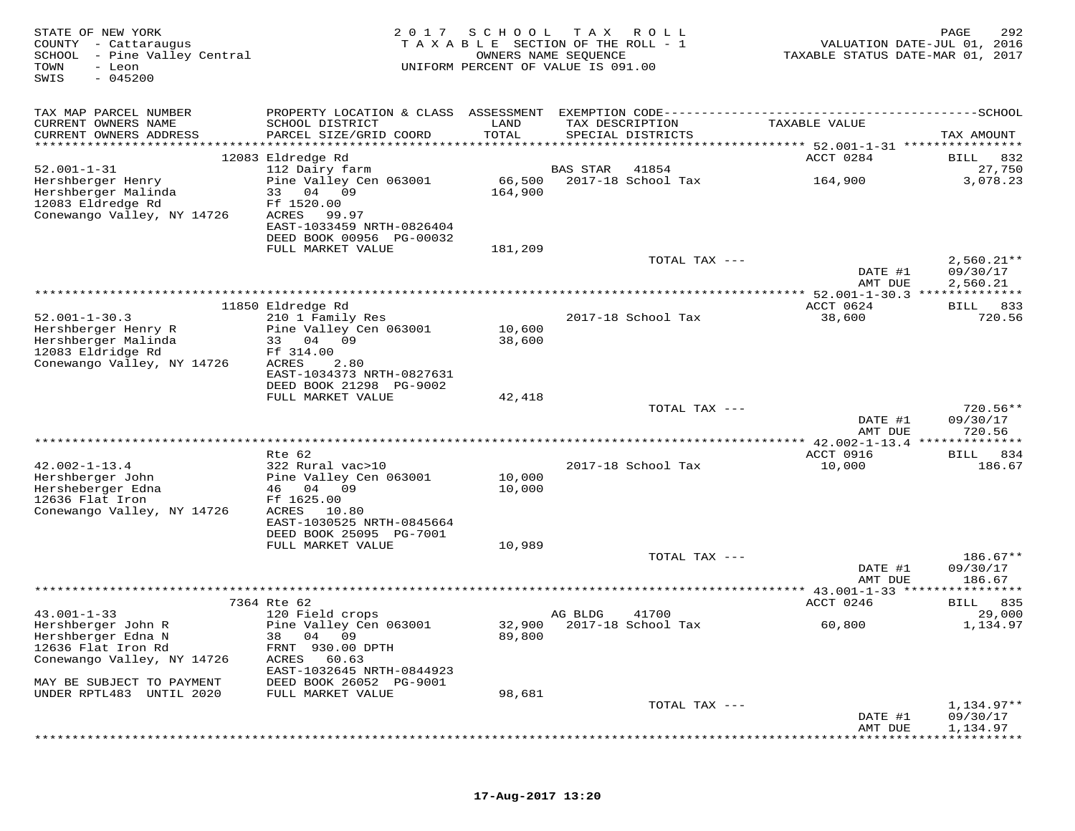| STATE OF NEW YORK<br>COUNTY - Cattaraugus<br>- Pine Valley Central<br>SCHOOL<br>TOWN<br>- Leon<br>$-045200$<br>SWIS | 2 0 1 7<br>TAXABLE                                                      | SCHOOL                                      | T A X<br>R O L L<br>SECTION OF THE ROLL - 1<br>OWNERS NAME SEQUENCE<br>UNIFORM PERCENT OF VALUE IS 091.00 | VALUATION DATE-JUL 01, 2016<br>TAXABLE STATUS DATE-MAR 01, 2017 | PAGE<br>292              |
|---------------------------------------------------------------------------------------------------------------------|-------------------------------------------------------------------------|---------------------------------------------|-----------------------------------------------------------------------------------------------------------|-----------------------------------------------------------------|--------------------------|
| TAX MAP PARCEL NUMBER                                                                                               |                                                                         |                                             |                                                                                                           |                                                                 |                          |
| CURRENT OWNERS NAME<br>CURRENT OWNERS ADDRESS                                                                       | SCHOOL DISTRICT<br>PARCEL SIZE/GRID COORD                               | LAND<br>TOTAL<br>************************** | TAX DESCRIPTION<br>SPECIAL DISTRICTS                                                                      | TAXABLE VALUE                                                   | TAX AMOUNT               |
|                                                                                                                     | 12083 Eldredge Rd                                                       |                                             |                                                                                                           | ************ 52.001-1-31 *****************<br>ACCT 0284         | BILL<br>832              |
| $52.001 - 1 - 31$                                                                                                   | 112 Dairy farm                                                          |                                             | 41854<br>BAS STAR                                                                                         |                                                                 | 27,750                   |
| Hershberger Henry<br>Hershberger Malinda<br>12083 Eldredge Rd                                                       | Pine Valley Cen 063001<br>33 04<br>09<br>Ff 1520.00                     | 66,500<br>164,900                           | 2017-18 School Tax                                                                                        | 164,900                                                         | 3,078.23                 |
| Conewango Valley, NY 14726                                                                                          | ACRES<br>99.97<br>EAST-1033459 NRTH-0826404<br>DEED BOOK 00956 PG-00032 |                                             |                                                                                                           |                                                                 |                          |
|                                                                                                                     | FULL MARKET VALUE                                                       | 181,209                                     |                                                                                                           |                                                                 |                          |
|                                                                                                                     |                                                                         |                                             | TOTAL TAX ---                                                                                             | DATE #1                                                         | $2,560.21**$<br>09/30/17 |
|                                                                                                                     |                                                                         |                                             |                                                                                                           | AMT DUE                                                         | 2,560.21                 |
|                                                                                                                     |                                                                         |                                             |                                                                                                           |                                                                 |                          |
|                                                                                                                     | 11850 Eldredge Rd                                                       |                                             |                                                                                                           | ACCT 0624                                                       | BILL 833                 |
| $52.001 - 1 - 30.3$                                                                                                 | 210 1 Family Res                                                        |                                             | 2017-18 School Tax                                                                                        | 38,600                                                          | 720.56                   |
| Hershberger Henry R<br>Hershberger Malinda                                                                          | Pine Valley Cen 063001<br>33 04<br>09                                   | 10,600<br>38,600                            |                                                                                                           |                                                                 |                          |
| 12083 Eldridge Rd                                                                                                   | Ff 314.00                                                               |                                             |                                                                                                           |                                                                 |                          |
| Conewango Valley, NY 14726                                                                                          | ACRES<br>2.80                                                           |                                             |                                                                                                           |                                                                 |                          |
|                                                                                                                     | EAST-1034373 NRTH-0827631                                               |                                             |                                                                                                           |                                                                 |                          |
|                                                                                                                     | DEED BOOK 21298 PG-9002<br>FULL MARKET VALUE                            | 42,418                                      |                                                                                                           |                                                                 |                          |
|                                                                                                                     |                                                                         |                                             | TOTAL TAX ---                                                                                             |                                                                 | $720.56**$               |
|                                                                                                                     |                                                                         |                                             |                                                                                                           | DATE #1<br>AMT DUE                                              | 09/30/17<br>720.56       |
|                                                                                                                     |                                                                         |                                             |                                                                                                           |                                                                 | * * * * * * * * *        |
|                                                                                                                     | Rte 62                                                                  |                                             |                                                                                                           | ACCT 0916                                                       | 834<br>BILL              |
| $42.002 - 1 - 13.4$                                                                                                 | 322 Rural vac>10                                                        |                                             | 2017-18 School Tax                                                                                        | 10,000                                                          | 186.67                   |
| Hershberger John                                                                                                    | Pine Valley Cen 063001                                                  | 10,000                                      |                                                                                                           |                                                                 |                          |
| Hersheberger Edna<br>12636 Flat Iron                                                                                | 46 04 09<br>Ff 1625.00                                                  | 10,000                                      |                                                                                                           |                                                                 |                          |
| Conewango Valley, NY 14726                                                                                          | ACRES<br>10.80                                                          |                                             |                                                                                                           |                                                                 |                          |
|                                                                                                                     | EAST-1030525 NRTH-0845664                                               |                                             |                                                                                                           |                                                                 |                          |
|                                                                                                                     | DEED BOOK 25095 PG-7001                                                 |                                             |                                                                                                           |                                                                 |                          |
|                                                                                                                     | FULL MARKET VALUE                                                       | 10,989                                      | TOTAL TAX ---                                                                                             |                                                                 | $186.67**$               |
|                                                                                                                     |                                                                         |                                             |                                                                                                           | DATE #1<br>AMT DUE                                              | 09/30/17<br>186.67       |
|                                                                                                                     |                                                                         |                                             |                                                                                                           |                                                                 | * * * * * * * * *        |
|                                                                                                                     | 7364 Rte 62                                                             |                                             |                                                                                                           | ACCT 0246                                                       | 835<br>BILL              |
| $43.001 - 1 - 33$                                                                                                   | 120 Field crops                                                         |                                             | AG BLDG<br>41700                                                                                          |                                                                 | 29,000                   |
| Hershberger John R<br>Hershberger Edna N                                                                            | Pine Valley Cen 063001<br>38 04 09                                      | 89,800                                      | 32,900 2017-18 School Tax                                                                                 | 60,800                                                          | 1,134.97                 |
| 12636 Flat Iron Rd                                                                                                  | FRNT 930.00 DPTH                                                        |                                             |                                                                                                           |                                                                 |                          |
| Conewango Valley, NY 14726                                                                                          | ACRES<br>60.63                                                          |                                             |                                                                                                           |                                                                 |                          |
|                                                                                                                     | EAST-1032645 NRTH-0844923                                               |                                             |                                                                                                           |                                                                 |                          |
| MAY BE SUBJECT TO PAYMENT<br>UNDER RPTL483 UNTIL 2020                                                               | DEED BOOK 26052 PG-9001<br>FULL MARKET VALUE                            | 98,681                                      |                                                                                                           |                                                                 |                          |
|                                                                                                                     |                                                                         |                                             | TOTAL TAX ---                                                                                             |                                                                 | 1,134.97**               |
|                                                                                                                     |                                                                         |                                             |                                                                                                           | DATE #1                                                         | 09/30/17                 |
|                                                                                                                     |                                                                         |                                             |                                                                                                           | AMT DUE                                                         | 1,134.97                 |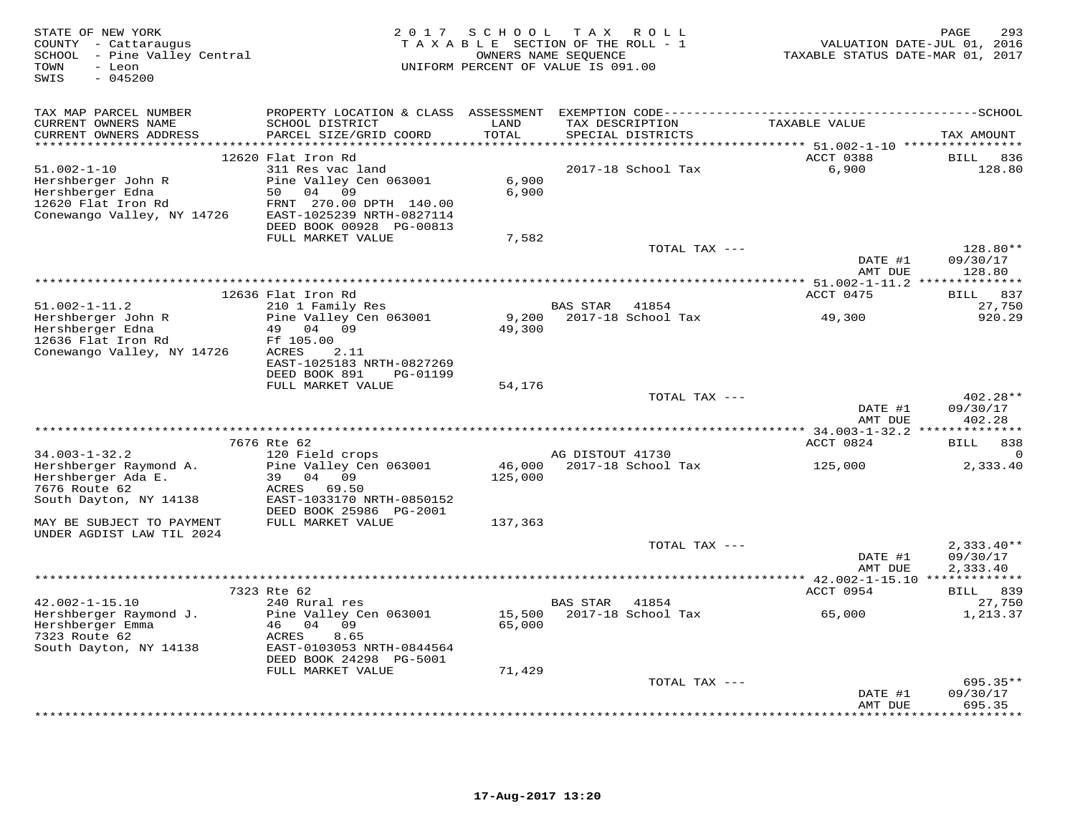| STATE OF NEW YORK<br>COUNTY - Cattaraugus<br>- Pine Valley Central<br>SCHOOL<br>- Leon<br>TOWN<br>SWIS<br>$-045200$ | SCHOOL<br>2 0 1 7<br>T A X<br>R O L L<br>TAXABLE SECTION OF THE ROLL - 1<br>OWNERS NAME SEQUENCE<br>UNIFORM PERCENT OF VALUE IS 091.00 |               |                                      |                                             | PAGE<br>293<br>VALUATION DATE-JUL 01, 2016<br>TAXABLE STATUS DATE-MAR 01, 2017 |  |  |
|---------------------------------------------------------------------------------------------------------------------|----------------------------------------------------------------------------------------------------------------------------------------|---------------|--------------------------------------|---------------------------------------------|--------------------------------------------------------------------------------|--|--|
| TAX MAP PARCEL NUMBER                                                                                               | PROPERTY LOCATION & CLASS                                                                                                              | ASSESSMENT    |                                      |                                             |                                                                                |  |  |
| CURRENT OWNERS NAME<br>CURRENT OWNERS ADDRESS                                                                       | SCHOOL DISTRICT<br>PARCEL SIZE/GRID COORD                                                                                              | LAND<br>TOTAL | TAX DESCRIPTION<br>SPECIAL DISTRICTS | TAXABLE VALUE                               | TAX AMOUNT                                                                     |  |  |
|                                                                                                                     | 12620 Flat Iron Rd                                                                                                                     |               |                                      | ******* 51.002-1-10 **********<br>ACCT 0388 | BILL<br>836                                                                    |  |  |
| $51.002 - 1 - 10$                                                                                                   | 311 Res vac land                                                                                                                       |               | 2017-18 School Tax                   | 6,900                                       | 128.80                                                                         |  |  |
| Hershberger John R                                                                                                  | Pine Valley Cen 063001                                                                                                                 | 6,900         |                                      |                                             |                                                                                |  |  |
| Hershberger Edna                                                                                                    | 50<br>04<br>09                                                                                                                         | 6,900         |                                      |                                             |                                                                                |  |  |
| 12620 Flat Iron Rd                                                                                                  | FRNT 270.00 DPTH 140.00                                                                                                                |               |                                      |                                             |                                                                                |  |  |
| Conewango Valley, NY 14726                                                                                          | EAST-1025239 NRTH-0827114                                                                                                              |               |                                      |                                             |                                                                                |  |  |
|                                                                                                                     | DEED BOOK 00928 PG-00813<br>FULL MARKET VALUE                                                                                          | 7,582         |                                      |                                             |                                                                                |  |  |
|                                                                                                                     |                                                                                                                                        |               | TOTAL TAX ---                        |                                             | 128.80**                                                                       |  |  |
|                                                                                                                     |                                                                                                                                        |               |                                      | DATE #1                                     | 09/30/17                                                                       |  |  |
|                                                                                                                     |                                                                                                                                        |               |                                      | AMT DUE                                     | 128.80                                                                         |  |  |
|                                                                                                                     |                                                                                                                                        |               |                                      |                                             |                                                                                |  |  |
| $51.002 - 1 - 11.2$                                                                                                 | 12636 Flat Iron Rd<br>210 1 Family Res                                                                                                 |               | <b>BAS STAR</b><br>41854             | ACCT 0475                                   | 837<br>BILL<br>27,750                                                          |  |  |
| Hershberger John R                                                                                                  | Pine Valley Cen 063001                                                                                                                 | 9,200         | 2017-18 School Tax                   | 49,300                                      | 920.29                                                                         |  |  |
| Hershberger Edna                                                                                                    | 04<br>09<br>49                                                                                                                         | 49,300        |                                      |                                             |                                                                                |  |  |
| 12636 Flat Iron Rd                                                                                                  | Ff 105.00                                                                                                                              |               |                                      |                                             |                                                                                |  |  |
| Conewango Valley, NY 14726                                                                                          | <b>ACRES</b><br>2.11                                                                                                                   |               |                                      |                                             |                                                                                |  |  |
|                                                                                                                     | EAST-1025183 NRTH-0827269                                                                                                              |               |                                      |                                             |                                                                                |  |  |
|                                                                                                                     | DEED BOOK 891<br>PG-01199<br>FULL MARKET VALUE                                                                                         | 54,176        |                                      |                                             |                                                                                |  |  |
|                                                                                                                     |                                                                                                                                        |               | TOTAL TAX ---                        |                                             | $402.28**$                                                                     |  |  |
|                                                                                                                     |                                                                                                                                        |               |                                      | DATE #1                                     | 09/30/17                                                                       |  |  |
|                                                                                                                     |                                                                                                                                        |               |                                      | AMT DUE                                     | 402.28                                                                         |  |  |
|                                                                                                                     |                                                                                                                                        |               |                                      | *********** 34.003-1-32.2 ****              | * * * * * * * * *                                                              |  |  |
| $34.003 - 1 - 32.2$                                                                                                 | 7676 Rte 62                                                                                                                            |               | AG DISTOUT 41730                     | ACCT 0824                                   | 838<br>BILL                                                                    |  |  |
| Hershberger Raymond A.                                                                                              | 120 Field crops<br>Pine Valley Cen 063001                                                                                              | 46,000        | 2017-18 School Tax                   | 125,000                                     | 2,333.40                                                                       |  |  |
| Hershberger Ada E.                                                                                                  | 04<br>09<br>39                                                                                                                         | 125,000       |                                      |                                             |                                                                                |  |  |
| 7676 Route 62                                                                                                       | 69.50<br>ACRES                                                                                                                         |               |                                      |                                             |                                                                                |  |  |
| South Dayton, NY 14138                                                                                              | EAST-1033170 NRTH-0850152                                                                                                              |               |                                      |                                             |                                                                                |  |  |
|                                                                                                                     | DEED BOOK 25986 PG-2001                                                                                                                |               |                                      |                                             |                                                                                |  |  |
| MAY BE SUBJECT TO PAYMENT<br>UNDER AGDIST LAW TIL 2024                                                              | FULL MARKET VALUE                                                                                                                      | 137,363       |                                      |                                             |                                                                                |  |  |
|                                                                                                                     |                                                                                                                                        |               | TOTAL TAX ---                        |                                             | $2,333.40**$                                                                   |  |  |
|                                                                                                                     |                                                                                                                                        |               |                                      | DATE #1                                     | 09/30/17                                                                       |  |  |
|                                                                                                                     |                                                                                                                                        |               |                                      | AMT DUE                                     | 2,333.40                                                                       |  |  |
|                                                                                                                     |                                                                                                                                        |               |                                      | *********** 42.002-1-15.10 *************    |                                                                                |  |  |
| $42.002 - 1 - 15.10$                                                                                                | 7323 Rte 62<br>240 Rural res                                                                                                           |               | <b>BAS STAR</b><br>41854             | ACCT 0954                                   | BILL 839<br>27,750                                                             |  |  |
| Hershberger Raymond J.                                                                                              | Pine Valley Cen 063001                                                                                                                 | 15,500        | 2017-18 School Tax                   | 65,000                                      | 1,213.37                                                                       |  |  |
| Hershberger Emma                                                                                                    | 04<br>09<br>46                                                                                                                         | 65,000        |                                      |                                             |                                                                                |  |  |
| 7323 Route 62                                                                                                       | ACRES<br>8.65                                                                                                                          |               |                                      |                                             |                                                                                |  |  |
| South Dayton, NY 14138                                                                                              | EAST-0103053 NRTH-0844564                                                                                                              |               |                                      |                                             |                                                                                |  |  |
|                                                                                                                     | DEED BOOK 24298 PG-5001                                                                                                                |               |                                      |                                             |                                                                                |  |  |
|                                                                                                                     | FULL MARKET VALUE                                                                                                                      | 71,429        | TOTAL TAX ---                        |                                             | $695.35**$                                                                     |  |  |
|                                                                                                                     |                                                                                                                                        |               |                                      | DATE #1                                     | 09/30/17                                                                       |  |  |
|                                                                                                                     |                                                                                                                                        |               |                                      | AMT DUE                                     | 695.35                                                                         |  |  |
|                                                                                                                     |                                                                                                                                        |               |                                      | * * * * * * * * *                           | *******                                                                        |  |  |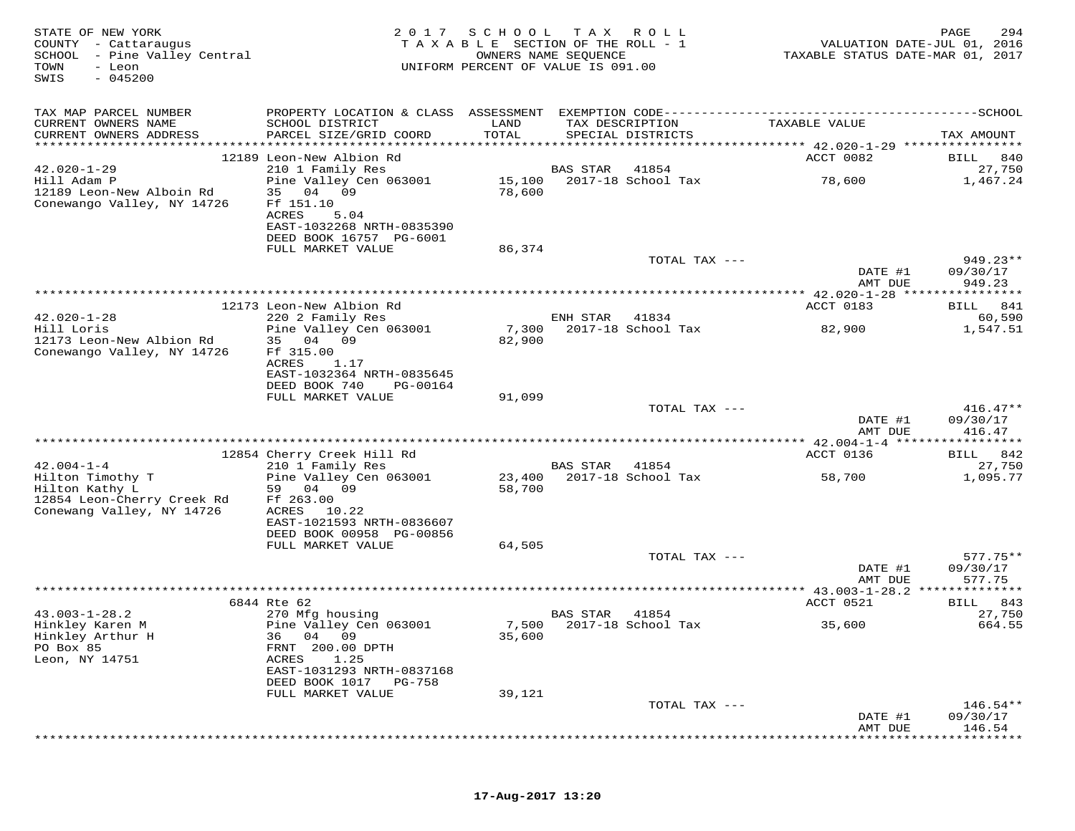| STATE OF NEW YORK<br>COUNTY - Cattaraugus<br>SCHOOL - Pine Valley Central<br>TOWN<br>- Leon<br>$-045200$<br>SWIS | 2 0 1 7                                                                                           | S C H O O L<br>TAXABLE SECTION OF THE ROLL - 1<br>OWNERS NAME SEQUENCE<br>UNIFORM PERCENT OF VALUE IS 091.00 | T A X    | R O L L                              | VALUATION DATE-JUL 01, 2016<br>TAXABLE STATUS DATE-MAR 01, 2017 | 294<br>PAGE          |
|------------------------------------------------------------------------------------------------------------------|---------------------------------------------------------------------------------------------------|--------------------------------------------------------------------------------------------------------------|----------|--------------------------------------|-----------------------------------------------------------------|----------------------|
| TAX MAP PARCEL NUMBER                                                                                            |                                                                                                   |                                                                                                              |          |                                      |                                                                 |                      |
| CURRENT OWNERS NAME<br>CURRENT OWNERS ADDRESS                                                                    | SCHOOL DISTRICT<br>PARCEL SIZE/GRID COORD                                                         | LAND<br>TOTAL                                                                                                |          | TAX DESCRIPTION<br>SPECIAL DISTRICTS | TAXABLE VALUE                                                   | TAX AMOUNT           |
|                                                                                                                  |                                                                                                   |                                                                                                              |          |                                      |                                                                 |                      |
| $42.020 - 1 - 29$                                                                                                | 12189 Leon-New Albion Rd<br>210 1 Family Res                                                      |                                                                                                              | BAS STAR | 41854                                | ACCT 0082                                                       | BILL 840<br>27,750   |
| Hill Adam P<br>12189 Leon-New Alboin Rd<br>Conewango Valley, NY 14726                                            | Pine Valley Cen 063001<br>35 04 09<br>Ff 151.10                                                   | 78,600                                                                                                       |          | 15,100 2017-18 School Tax            | 78,600                                                          | 1,467.24             |
|                                                                                                                  | <b>ACRES</b><br>5.04<br>EAST-1032268 NRTH-0835390<br>DEED BOOK 16757 PG-6001<br>FULL MARKET VALUE | 86,374                                                                                                       |          |                                      |                                                                 |                      |
|                                                                                                                  |                                                                                                   |                                                                                                              |          | TOTAL TAX ---                        | DATE #1                                                         | 949.23**<br>09/30/17 |
|                                                                                                                  |                                                                                                   |                                                                                                              |          |                                      | AMT DUE                                                         | 949.23               |
|                                                                                                                  |                                                                                                   |                                                                                                              |          |                                      |                                                                 |                      |
|                                                                                                                  | 12173 Leon-New Albion Rd                                                                          |                                                                                                              |          |                                      | ACCT 0183                                                       | BILL 841             |
| $42.020 - 1 - 28$<br>Hill Loris                                                                                  | 220 2 Family Res<br>Pine Valley Cen 063001                                                        | 7,300                                                                                                        | ENH STAR | 41834<br>2017-18 School Tax          | 82,900                                                          | 60,590<br>1,547.51   |
| 12173 Leon-New Albion Rd                                                                                         | 35 04 09                                                                                          | 82,900                                                                                                       |          |                                      |                                                                 |                      |
| Conewango Valley, NY 14726                                                                                       | Ff 315.00                                                                                         |                                                                                                              |          |                                      |                                                                 |                      |
|                                                                                                                  | <b>ACRES</b><br>1.17<br>EAST-1032364 NRTH-0835645                                                 |                                                                                                              |          |                                      |                                                                 |                      |
|                                                                                                                  | DEED BOOK 740<br>PG-00164                                                                         |                                                                                                              |          |                                      |                                                                 |                      |
|                                                                                                                  | FULL MARKET VALUE                                                                                 | 91,099                                                                                                       |          |                                      |                                                                 |                      |
|                                                                                                                  |                                                                                                   |                                                                                                              |          | TOTAL TAX ---                        |                                                                 | $416.47**$           |
|                                                                                                                  |                                                                                                   |                                                                                                              |          |                                      | DATE #1<br>AMT DUE                                              | 09/30/17<br>416.47   |
|                                                                                                                  |                                                                                                   |                                                                                                              |          |                                      | *********** 42.004-1-4 ******************                       |                      |
|                                                                                                                  | 12854 Cherry Creek Hill Rd                                                                        |                                                                                                              |          |                                      | ACCT 0136                                                       | BILL 842             |
| $42.004 - 1 - 4$                                                                                                 | 210 1 Family Res                                                                                  |                                                                                                              | BAS STAR | 41854                                |                                                                 | 27,750               |
| Hilton Timothy T<br>Hilton Kathy L                                                                               | Pine Valley Cen 063001<br>59 04 09                                                                | 23,400<br>58,700                                                                                             |          | 2017-18 School Tax                   | 58,700                                                          | 1,095.77             |
| 12854 Leon-Cherry Creek Rd                                                                                       | Ff 263.00                                                                                         |                                                                                                              |          |                                      |                                                                 |                      |
| Conewang Valley, NY 14726                                                                                        | ACRES<br>10.22                                                                                    |                                                                                                              |          |                                      |                                                                 |                      |
|                                                                                                                  | EAST-1021593 NRTH-0836607<br>DEED BOOK 00958 PG-00856                                             |                                                                                                              |          |                                      |                                                                 |                      |
|                                                                                                                  | FULL MARKET VALUE                                                                                 | 64,505                                                                                                       |          |                                      |                                                                 |                      |
|                                                                                                                  |                                                                                                   |                                                                                                              |          | TOTAL TAX ---                        |                                                                 | $577.75**$           |
|                                                                                                                  |                                                                                                   |                                                                                                              |          |                                      | DATE #1                                                         | 09/30/17             |
|                                                                                                                  |                                                                                                   |                                                                                                              |          |                                      | AMT DUE                                                         | 577.75               |
|                                                                                                                  | 6844 Rte 62                                                                                       |                                                                                                              |          |                                      | ACCT 0521                                                       | 843<br><b>BILL</b>   |
| $43.003 - 1 - 28.2$                                                                                              | 270 Mfg housing                                                                                   |                                                                                                              | BAS STAR | 41854                                |                                                                 | 27,750               |
| Hinkley Karen M                                                                                                  | Pine Valley Cen 063001                                                                            |                                                                                                              |          | 7,500 2017-18 School Tax             | 35,600                                                          | 664.55               |
| Hinkley Arthur H<br>PO Box 85                                                                                    | 36 04 09<br>FRNT 200.00 DPTH                                                                      | 35,600                                                                                                       |          |                                      |                                                                 |                      |
| Leon, NY 14751                                                                                                   | ACRES<br>1.25                                                                                     |                                                                                                              |          |                                      |                                                                 |                      |
|                                                                                                                  | EAST-1031293 NRTH-0837168                                                                         |                                                                                                              |          |                                      |                                                                 |                      |
|                                                                                                                  | DEED BOOK 1017<br>PG-758<br>FULL MARKET VALUE                                                     | 39,121                                                                                                       |          |                                      |                                                                 |                      |
|                                                                                                                  |                                                                                                   |                                                                                                              |          | TOTAL TAX ---                        |                                                                 | $146.54**$           |
|                                                                                                                  |                                                                                                   |                                                                                                              |          |                                      | DATE #1                                                         | 09/30/17             |
|                                                                                                                  |                                                                                                   |                                                                                                              |          |                                      | AMT DUE                                                         | 146.54               |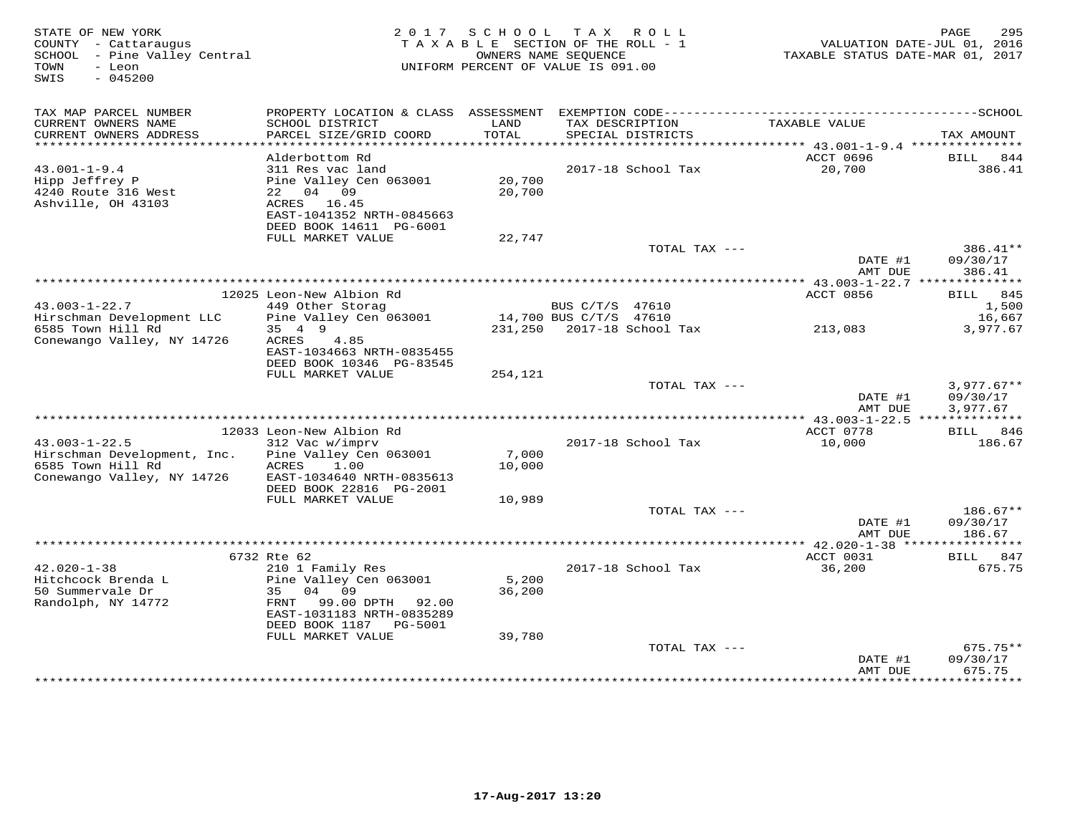| STATE OF NEW YORK<br>COUNTY - Cattaraugus<br>SCHOOL - Pine Valley Central<br>- Leon<br>TOWN<br>$-045200$<br>SWIS |                                                                                                                                                                         | 2017 SCHOOL               | TAX ROLL<br>TAXABLE SECTION OF THE ROLL - 1<br>OWNERS NAME SEOUENCE<br>UNIFORM PERCENT OF VALUE IS 091.00 | TAXABLE STATUS DATE-MAR 01, 2017 | 295<br>PAGE<br>VALUATION DATE-JUL 01, 2016 |
|------------------------------------------------------------------------------------------------------------------|-------------------------------------------------------------------------------------------------------------------------------------------------------------------------|---------------------------|-----------------------------------------------------------------------------------------------------------|----------------------------------|--------------------------------------------|
| TAX MAP PARCEL NUMBER<br>CURRENT OWNERS NAME<br>CURRENT OWNERS ADDRESS                                           | SCHOOL DISTRICT<br>PARCEL SIZE/GRID COORD                                                                                                                               | LAND<br><b>TOTAL</b>      | TAX DESCRIPTION<br>SPECIAL DISTRICTS                                                                      | TAXABLE VALUE                    | TAX AMOUNT                                 |
|                                                                                                                  |                                                                                                                                                                         |                           |                                                                                                           |                                  |                                            |
|                                                                                                                  | Alderbottom Rd                                                                                                                                                          |                           |                                                                                                           | ACCT 0696                        | BILL<br>844                                |
| $43.001 - 1 - 9.4$<br>Hipp Jeffrey P<br>4240 Route 316 West<br>Ashville, OH 43103                                | 311 Res vac land<br>Pine Valley Cen 063001<br>22 04 09<br>ACRES 16.45<br>EAST-1041352 NRTH-0845663                                                                      | 20,700<br>20,700          | 2017-18 School Tax                                                                                        | 20,700                           | 386.41                                     |
|                                                                                                                  | DEED BOOK 14611 PG-6001                                                                                                                                                 |                           |                                                                                                           |                                  |                                            |
|                                                                                                                  | FULL MARKET VALUE                                                                                                                                                       | 22,747                    | TOTAL TAX ---                                                                                             |                                  | 386.41**                                   |
|                                                                                                                  |                                                                                                                                                                         |                           |                                                                                                           | DATE #1<br>AMT DUE               | 09/30/17<br>386.41                         |
|                                                                                                                  |                                                                                                                                                                         |                           |                                                                                                           | *********** 43.003-1-22.7 **     | *********                                  |
| $43.003 - 1 - 22.7$                                                                                              | 12025 Leon-New Albion Rd                                                                                                                                                |                           |                                                                                                           | ACCT 0856                        | 845<br>BILL                                |
| Hirschman Development LLC                                                                                        | 449 Other Storag<br>Pine Valley Cen 063001                                                                                                                              |                           | BUS C/T/S 47610<br>14,700 BUS C/T/S 47610                                                                 |                                  | 1,500<br>16,667                            |
| 6585 Town Hill Rd                                                                                                | 35 4 9                                                                                                                                                                  | 231,250                   | 2017-18 School Tax                                                                                        | 213,083                          | 3,977.67                                   |
| Conewango Valley, NY 14726                                                                                       | ACRES<br>4.85<br>EAST-1034663 NRTH-0835455<br>DEED BOOK 10346 PG-83545                                                                                                  |                           |                                                                                                           |                                  |                                            |
|                                                                                                                  | FULL MARKET VALUE                                                                                                                                                       | 254,121                   |                                                                                                           |                                  |                                            |
|                                                                                                                  |                                                                                                                                                                         |                           | TOTAL TAX ---                                                                                             | DATE #1<br>AMT DUE               | $3,977.67**$<br>09/30/17<br>3,977.67       |
|                                                                                                                  |                                                                                                                                                                         |                           |                                                                                                           |                                  |                                            |
|                                                                                                                  | 12033 Leon-New Albion Rd                                                                                                                                                |                           |                                                                                                           | ACCT 0778                        | BILL 846                                   |
| $43.003 - 1 - 22.5$                                                                                              | 312 Vac w/imprv<br>Pine Valley Cen 063001                                                                                                                               | 7,000                     | 2017-18 School Tax                                                                                        | 10,000                           | 186.67                                     |
| Hirschman Development, Inc.<br>6585 Town Hill Rd<br>Conewango Valley, NY 14726                                   | 1.00<br>ACRES<br>EAST-1034640 NRTH-0835613<br>DEED BOOK 22816 PG-2001                                                                                                   | 10,000                    |                                                                                                           |                                  |                                            |
|                                                                                                                  | FULL MARKET VALUE                                                                                                                                                       | 10,989                    |                                                                                                           |                                  |                                            |
|                                                                                                                  |                                                                                                                                                                         |                           | TOTAL TAX ---                                                                                             | DATE #1<br>AMT DUE               | $186.67**$<br>09/30/17<br>186.67           |
|                                                                                                                  |                                                                                                                                                                         |                           |                                                                                                           |                                  |                                            |
|                                                                                                                  | 6732 Rte 62                                                                                                                                                             |                           |                                                                                                           | ACCT 0031                        | <b>BILL</b><br>847                         |
| $42.020 - 1 - 38$<br>Hitchcock Brenda L<br>50 Summervale Dr<br>Randolph, NY 14772                                | 210 1 Family Res<br>Pine Valley Cen 063001<br>04 09<br>35<br>99.00 DPTH<br>92.00<br>FRNT<br>EAST-1031183 NRTH-0835289<br>DEED BOOK 1187    PG-5001<br>FULL MARKET VALUE | 5,200<br>36,200<br>39,780 | 2017-18 School Tax                                                                                        | 36,200                           | 675.75                                     |
|                                                                                                                  |                                                                                                                                                                         |                           | TOTAL TAX ---                                                                                             |                                  | $675.75**$                                 |
|                                                                                                                  |                                                                                                                                                                         |                           |                                                                                                           | DATE #1<br>AMT DUE               | 09/30/17<br>675.75                         |
|                                                                                                                  |                                                                                                                                                                         |                           |                                                                                                           |                                  | * * * * * * * * *                          |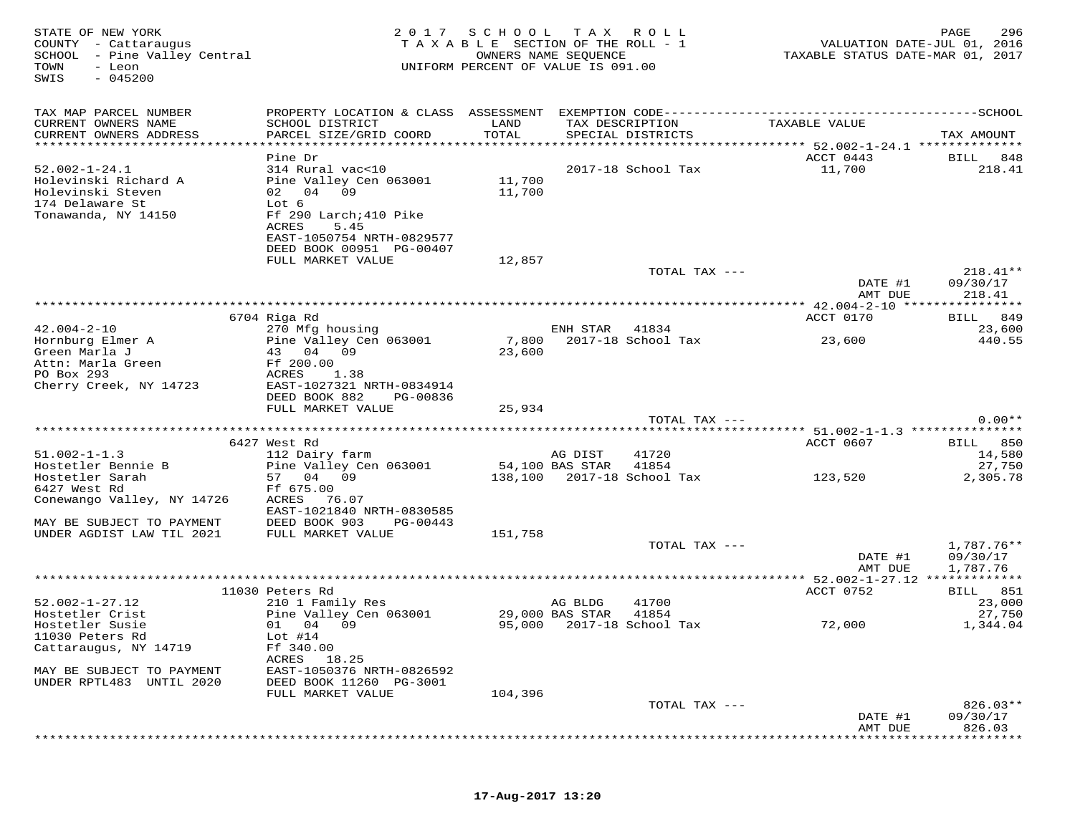| STATE OF NEW YORK<br>COUNTY - Cattaraugus<br>SCHOOL - Pine Valley Central<br>TOWN<br>- Leon<br>$-045200$<br>SWIS |                                                                                                                     |                  | 2017 SCHOOL TAX ROLL<br>TAXABLE SECTION OF THE ROLL - 1<br>OWNERS NAME SEOUENCE<br>UNIFORM PERCENT OF VALUE IS 091.00 | TAXABLE STATUS DATE-MAR 01, 2017                                          | 296<br>PAGE<br>VALUATION DATE-JUL 01, 2016 |
|------------------------------------------------------------------------------------------------------------------|---------------------------------------------------------------------------------------------------------------------|------------------|-----------------------------------------------------------------------------------------------------------------------|---------------------------------------------------------------------------|--------------------------------------------|
| TAX MAP PARCEL NUMBER<br>CURRENT OWNERS NAME<br>CURRENT OWNERS ADDRESS                                           | SCHOOL DISTRICT<br>PARCEL SIZE/GRID COORD<br>****************************                                           | LAND<br>TOTAL    | TAX DESCRIPTION<br>SPECIAL DISTRICTS                                                                                  | TAXABLE VALUE                                                             | TAX AMOUNT                                 |
|                                                                                                                  | Pine Dr                                                                                                             |                  |                                                                                                                       | **************** 52.002-1-24.1 ***************<br>ACCT 0443               | BILL 848                                   |
| $52.002 - 1 - 24.1$                                                                                              | 314 Rural vac<10                                                                                                    |                  | 2017-18 School Tax                                                                                                    | 11,700                                                                    | 218.41                                     |
| Holevinski Richard A<br>Holevinski Steven<br>174 Delaware St<br>Tonawanda, NY 14150                              | Pine Valley Cen 063001<br>02 04 09<br>Lot 6<br>Ff 290 Larch; 410 Pike<br>ACRES<br>5.45<br>EAST-1050754 NRTH-0829577 | 11,700<br>11,700 |                                                                                                                       |                                                                           |                                            |
|                                                                                                                  | DEED BOOK 00951 PG-00407                                                                                            |                  |                                                                                                                       |                                                                           |                                            |
|                                                                                                                  | FULL MARKET VALUE                                                                                                   | 12,857           |                                                                                                                       |                                                                           |                                            |
|                                                                                                                  |                                                                                                                     |                  | TOTAL TAX ---                                                                                                         | DATE #1<br>AMT DUE                                                        | $218.41**$<br>09/30/17<br>218.41           |
|                                                                                                                  |                                                                                                                     |                  |                                                                                                                       |                                                                           |                                            |
| $42.004 - 2 - 10$                                                                                                | 6704 Riga Rd                                                                                                        |                  |                                                                                                                       | ACCT 0170                                                                 | BILL 849                                   |
| Hornburg Elmer A<br>Green Marla J                                                                                | 270 Mfg housing<br>Pine Valley Cen 063001<br>43 04 09                                                               | 23,600           | ENH STAR 41834<br>7,800 2017-18 School Tax                                                                            | 23,600                                                                    | 23,600<br>440.55                           |
| Attn: Marla Green<br>PO Box 293<br>Cherry Creek, NY 14723                                                        | Ff 200.00<br>ACRES 1.38<br>EAST-1027321 NRTH-0834914<br>DEED BOOK 882<br>PG-00836                                   |                  |                                                                                                                       |                                                                           |                                            |
|                                                                                                                  | FULL MARKET VALUE                                                                                                   | 25,934           |                                                                                                                       |                                                                           |                                            |
|                                                                                                                  |                                                                                                                     |                  | TOTAL TAX ---                                                                                                         |                                                                           | $0.00**$                                   |
|                                                                                                                  | 6427 West Rd                                                                                                        |                  |                                                                                                                       | ******************************* 51.002-1-1.3 ***************<br>ACCT 0607 | BILL 850                                   |
| $51.002 - 1 - 1.3$                                                                                               | 112 Dairy farm                                                                                                      |                  | 41720<br>AG DIST                                                                                                      |                                                                           | 14,580                                     |
| Hostetler Bennie B                                                                                               | Pine Valley Cen 063001                                                                                              |                  | 54,100 BAS STAR<br>41854                                                                                              |                                                                           | 27,750                                     |
| Hostetler Sarah<br>6427 West Rd                                                                                  | 57 04 09<br>Ff 675.00                                                                                               |                  | 138,100 2017-18 School Tax                                                                                            | 123,520                                                                   | 2,305.78                                   |
| Conewango Valley, NY 14726                                                                                       | ACRES 76.07<br>EAST-1021840 NRTH-0830585                                                                            |                  |                                                                                                                       |                                                                           |                                            |
| MAY BE SUBJECT TO PAYMENT                                                                                        | DEED BOOK 903<br>PG-00443                                                                                           |                  |                                                                                                                       |                                                                           |                                            |
| UNDER AGDIST LAW TIL 2021                                                                                        | FULL MARKET VALUE                                                                                                   | 151,758          | TOTAL TAX ---                                                                                                         | DATE #1<br>AMT DUE                                                        | 1,787.76**<br>09/30/17<br>1,787.76         |
|                                                                                                                  |                                                                                                                     |                  |                                                                                                                       |                                                                           |                                            |
|                                                                                                                  | 11030 Peters Rd                                                                                                     |                  |                                                                                                                       | ACCT 0752                                                                 | BILL 851                                   |
| $52.002 - 1 - 27.12$<br>Hostetler Crist                                                                          | 210 1 Family Res<br>Pine Valley Cen 063001                                                                          |                  | 41700<br>AG BLDG<br>41854                                                                                             |                                                                           | 23,000<br>27,750                           |
| Hostetler Susie                                                                                                  | 01 04 09                                                                                                            |                  | 29,000 BAS STAR<br>95,000 2017-18 School Tax                                                                          | 72,000                                                                    | 1,344.04                                   |
| 11030 Peters Rd<br>Cattaraugus, NY 14719                                                                         | Lot $#14$<br>Ff 340.00                                                                                              |                  |                                                                                                                       |                                                                           |                                            |
| MAY BE SUBJECT TO PAYMENT                                                                                        | ACRES 18.25<br>EAST-1050376 NRTH-0826592                                                                            |                  |                                                                                                                       |                                                                           |                                            |
| UNDER RPTL483 UNTIL 2020                                                                                         | DEED BOOK 11260 PG-3001<br>FULL MARKET VALUE                                                                        | 104,396          |                                                                                                                       |                                                                           |                                            |
|                                                                                                                  |                                                                                                                     |                  | TOTAL TAX ---                                                                                                         | DATE #1<br>AMT DUE                                                        | $826.03**$<br>09/30/17<br>826.03           |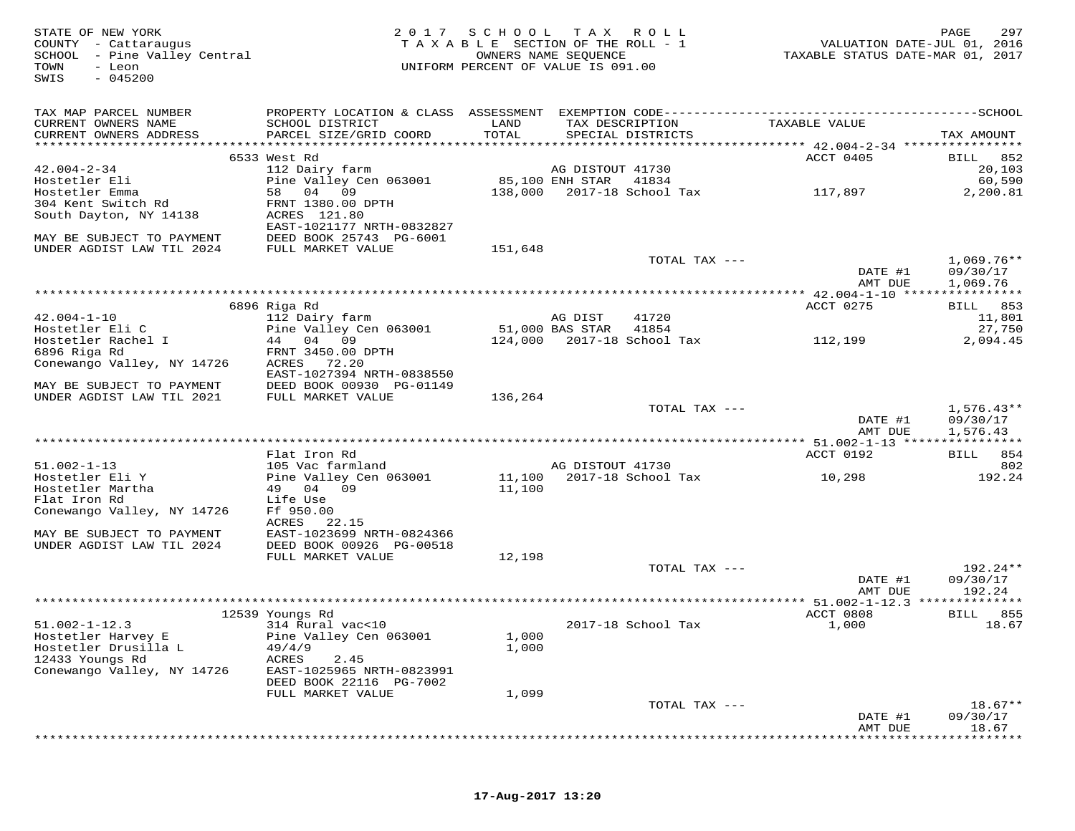STATE OF NEW YORK 2 0 1 7 S C H O O L T A X R O L L PAGE 297 COUNTY - Cattaraugus T A X A B L E SECTION OF THE ROLL - 1 VALUATION DATE-JUL 01, 2016 SCHOOL - Pine Valley Central OWNERS NAME SEQUENCE TAXABLE STATUS DATE-MAR 01, 2017 TOWN - Leon UNIFORM PERCENT OF VALUE IS 091.00 SWIS - 045200TAX MAP PARCEL NUMBER PROPERTY LOCATION & CLASS ASSESSMENT EXEMPTION CODE------------------------------------------SCHOOL CURRENT OWNERS NAME SCHOOL DISTRICT LAND TAX DESCRIPTION TAXABLE VALUE CURRENT OWNERS ADDRESS PARCEL SIZE/GRID COORD TOTAL SPECIAL DISTRICTS TAX AMOUNT \*\*\*\*\*\*\*\*\*\*\*\*\*\*\*\*\*\*\*\*\*\*\*\*\*\*\*\*\*\*\*\*\*\*\*\*\*\*\*\*\*\*\*\*\*\*\*\*\*\*\*\*\*\*\*\*\*\*\*\*\*\*\*\*\*\*\*\*\*\*\*\*\*\*\*\*\*\*\*\*\*\*\*\*\*\*\*\*\*\*\*\*\*\*\*\*\*\*\*\*\*\*\* 42.004-2-34 \*\*\*\*\*\*\*\*\*\*\*\*\*\*\*\* 6533 West Rd ACCT 0405 BILL 852 42.004-2-34 112 Dairy farm AG DISTOUT 41730 20,103 Hostetler Eli Pine Valley Cen 063001 85,100 ENH STAR 41834 60,590 Hostetler Emma 58 04 09 138,000 2017-18 School Tax 117,897 2,200.81 304 Kent Switch Rd FRNT 1380.00 DPTH South Dayton, NY 14138 ACRES 121.80 EAST-1021177 NRTH-0832827 MAY BE SUBJECT TO PAYMENT DEED BOOK 25743 PG-6001 UNDER AGDIST LAW TIL 2024 FULL MARKET VALUE 151,648TOTAL TAX  $---$  1,069.76\*\* DATE #1 09/30/17<br>NMT DIE 1.060.76 AMT DUE 1,069.76 \*\*\*\*\*\*\*\*\*\*\*\*\*\*\*\*\*\*\*\*\*\*\*\*\*\*\*\*\*\*\*\*\*\*\*\*\*\*\*\*\*\*\*\*\*\*\*\*\*\*\*\*\*\*\*\*\*\*\*\*\*\*\*\*\*\*\*\*\*\*\*\*\*\*\*\*\*\*\*\*\*\*\*\*\*\*\*\*\*\*\*\*\*\*\*\*\*\*\*\*\*\*\* 42.004-1-10 \*\*\*\*\*\*\*\*\*\*\*\*\*\*\*\*6896 Riga Rd<br>
112 Dairy farm and DIST 41720 ACCT 0275 BILL 853<br>
Hostetler Eli C pine Valley Cen 063001 51,000 BAS STAR 41854 27,750<br>
Hostetler Rachel I 44 04 09 124,000 2017-18 School Tax 112,199 2,094.45<br>
FRNT 3450.00 DPT Conewango Valley, NY 14726 ACRES 72.20<br>EAST-1027394 NRTH-0838550<br>UNDER AGDIST LAW TIL 2021 FULL MARKET VALUE 136,264 TOTAL TAX --- 1,576.43\*\* DATE #1 09/30/17AMT DUE 1,576.43 AMT DUE 1,576.43 \*\*\*\*\*\*\*\*\*\*\*\*\*\*\*\*\*\*\*\*\*\*\*\*\*\*\*\*\*\*\*\*\*\*\*\*\*\*\*\*\*\*\*\*\*\*\*\*\*\*\*\*\*\*\*\*\*\*\*\*\*\*\*\*\*\*\*\*\*\*\*\*\*\*\*\*\*\*\*\*\*\*\*\*\*\*\*\*\*\*\*\*\*\*\*\*\*\*\*\*\*\*\* 51.002-1-13 \*\*\*\*\*\*\*\*\*\*\*\*\*\*\*\* Flat Iron Rd ACCT 0192 BILL 854 51.002-1-13 105 Vac farmland AG DISTOUT 41730 802 Hostetler Eli Y Pine Valley Cen 063001 11,100 2017-18 School Tax 10,298 192.24 Hostetler Martha 49 04 09 11,100 Flat Iron Rd Life Use Conewango Valley, NY 14726 Ff 950.00 ACRES 22.15 MAY BE SUBJECT TO PAYMENT EAST-1023699 NRTH-0824366 UNDER AGDIST LAW TIL 2024 DEED BOOK 00926 PG-00518FULL MARKET VALUE 12,198 TOTAL TAX  $---$  192.24\*\* DATE #1 09/30/17amt due to the same of the same of the same of the same of the same of the same of the same of the same of the  $192.24$  \*\*\*\*\*\*\*\*\*\*\*\*\*\*\*\*\*\*\*\*\*\*\*\*\*\*\*\*\*\*\*\*\*\*\*\*\*\*\*\*\*\*\*\*\*\*\*\*\*\*\*\*\*\*\*\*\*\*\*\*\*\*\*\*\*\*\*\*\*\*\*\*\*\*\*\*\*\*\*\*\*\*\*\*\*\*\*\*\*\*\*\*\*\*\*\*\*\*\*\*\*\*\* 51.002-1-12.3 \*\*\*\*\*\*\*\*\*\*\*\*\*\* 12539 Youngs Rd ACCT 0808 BILL 85551.002-1-12.3 314 Rural vac<10 2017-18 School Tax 1,000 18.67Hostetler Harvey E Pine Valley Cen 063001 1,000<br>
Hostetler Drusilla L 49/4/9 1,000<br>
12433 Youngs Rd ACRES 2.45<br>
Conewango Valley, NY 14726 EAST-1025965 NRTH-0823991<br>
Conewango Valley, NY 14726 EAST-10267 33116 PC 7003 DEED BOOK 22116 PG-7002 FULL MARKET VALUE 1,099 TOTAL TAX --- 18.67\*\* DATE #1 09/30/17am Due to the 18.67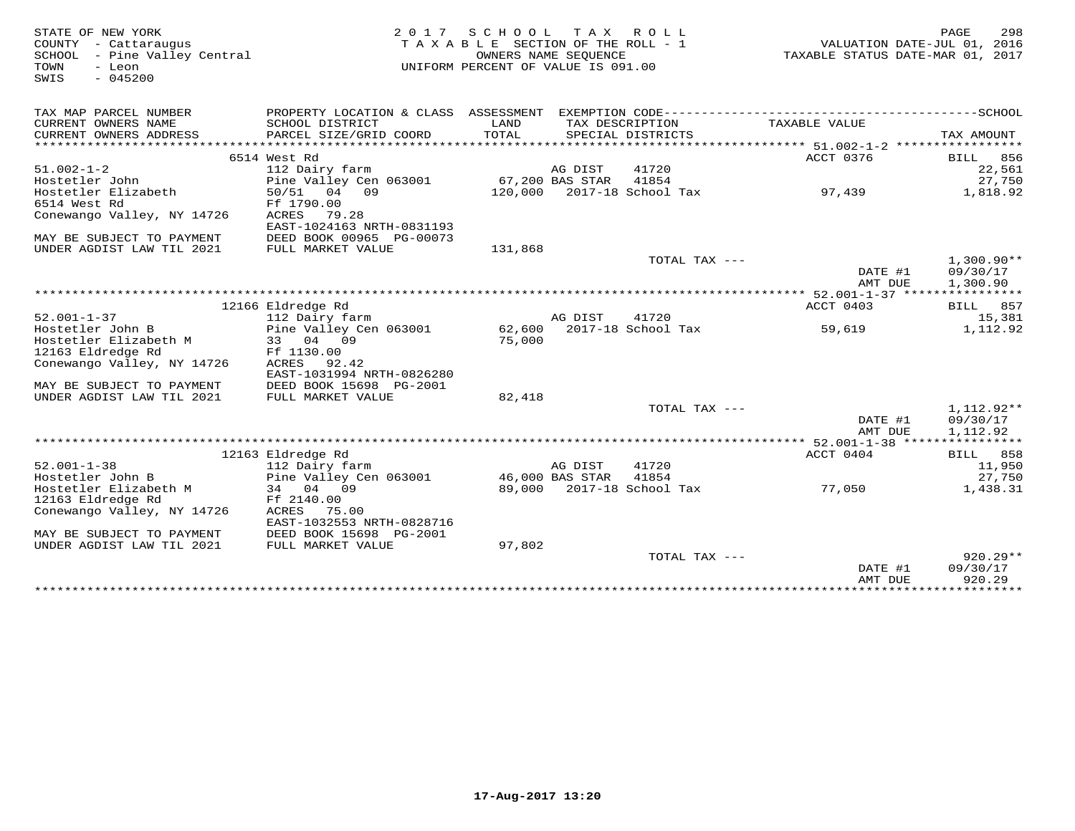| STATE OF NEW YORK            |                           | 2017 SCHOOL TAX ROLL               |         |                            |                                       | PAGE<br>298                 |
|------------------------------|---------------------------|------------------------------------|---------|----------------------------|---------------------------------------|-----------------------------|
| COUNTY - Cattaraugus         |                           | TAXABLE SECTION OF THE ROLL - 1    |         |                            |                                       | VALUATION DATE-JUL 01, 2016 |
| SCHOOL - Pine Valley Central |                           | TAXABLE STATUS DATE-MAR 01, 2017   |         |                            |                                       |                             |
| - Leon<br>TOWN               |                           | UNIFORM PERCENT OF VALUE IS 091.00 |         |                            |                                       |                             |
| $-045200$<br>SWIS            |                           |                                    |         |                            |                                       |                             |
|                              |                           |                                    |         |                            |                                       |                             |
|                              |                           |                                    |         |                            |                                       |                             |
| TAX MAP PARCEL NUMBER        |                           |                                    |         |                            |                                       |                             |
| CURRENT OWNERS NAME          | SCHOOL DISTRICT           | LAND                               |         | TAX DESCRIPTION            | TAXABLE VALUE                         |                             |
| CURRENT OWNERS ADDRESS       | PARCEL SIZE/GRID COORD    | TOTAL                              |         | SPECIAL DISTRICTS          |                                       | TAX AMOUNT                  |
|                              |                           |                                    |         |                            |                                       |                             |
|                              | 6514 West Rd              |                                    |         |                            | ACCT 0376                             | <b>BILL</b> 856             |
| $51.002 - 1 - 2$             | 112 Dairy farm            |                                    | AG DIST | 41720                      |                                       | 22,561                      |
| Hostetler John               | Pine Valley Cen 063001    | 67,200 BAS STAR                    |         | 41854                      |                                       | 27,750                      |
| Hostetler Elizabeth          | 50/51 04 09               |                                    |         | 120,000 2017-18 School Tax | 97,439                                | 1,818.92                    |
| 6514 West Rd                 | Ff 1790.00                |                                    |         |                            |                                       |                             |
| Conewango Valley, NY 14726   | ACRES<br>79.28            |                                    |         |                            |                                       |                             |
|                              | EAST-1024163 NRTH-0831193 |                                    |         |                            |                                       |                             |
| MAY BE SUBJECT TO PAYMENT    | DEED BOOK 00965 PG-00073  |                                    |         |                            |                                       |                             |
| UNDER AGDIST LAW TIL 2021    | FULL MARKET VALUE         | 131,868                            |         |                            |                                       |                             |
|                              |                           |                                    |         | TOTAL TAX ---              |                                       | $1,300.90**$                |
|                              |                           |                                    |         |                            | DATE #1                               | 09/30/17                    |
|                              |                           |                                    |         |                            | AMT DUE                               | 1,300.90                    |
|                              |                           |                                    |         |                            |                                       |                             |
|                              | 12166 Eldredge Rd         |                                    |         |                            | ACCT 0403                             | BILL 857                    |
| $52.001 - 1 - 37$            | 112 Dairy farm            |                                    | AG DIST | 41720                      |                                       | 15,381                      |
| Hostetler John B             | Pine Valley Cen 063001    |                                    |         | 62,600 2017-18 School Tax  | 59,619                                | 1,112.92                    |
| Hostetler Elizabeth M        | 33 04 09                  | 75,000                             |         |                            |                                       |                             |
| 12163 Eldredge Rd            | Ff 1130.00                |                                    |         |                            |                                       |                             |
| Conewango Valley, NY 14726   | ACRES<br>92.42            |                                    |         |                            |                                       |                             |
|                              | EAST-1031994 NRTH-0826280 |                                    |         |                            |                                       |                             |
| MAY BE SUBJECT TO PAYMENT    | DEED BOOK 15698 PG-2001   |                                    |         |                            |                                       |                             |
| UNDER AGDIST LAW TIL 2021    | FULL MARKET VALUE         | 82,418                             |         |                            |                                       |                             |
|                              |                           |                                    |         | TOTAL TAX $---$            |                                       | 1,112.92**                  |
|                              |                           |                                    |         |                            | DATE #1                               | 09/30/17                    |
|                              |                           |                                    |         |                            | AMT DUE                               | 1,112.92                    |
|                              |                           |                                    |         |                            |                                       |                             |
|                              | 12163 Eldredge Rd         |                                    |         |                            | ACCT 0404                             | BILL 858                    |
| $52.001 - 1 - 38$            | 112 Dairy farm            |                                    | AG DIST | 41720                      |                                       | 11,950                      |
| Hostetler John B             | Pine Valley Cen 063001    | 46,000 BAS STAR                    |         | 41854                      |                                       | 27,750                      |
| Hostetler Elizabeth M        | 34 04 09                  |                                    |         | 89,000 2017-18 School Tax  | 77,050                                | 1,438.31                    |
| 12163 Eldredge Rd            | Ff 2140.00                |                                    |         |                            |                                       |                             |
| Conewango Valley, NY 14726   | ACRES 75.00               |                                    |         |                            |                                       |                             |
|                              | EAST-1032553 NRTH-0828716 |                                    |         |                            |                                       |                             |
| MAY BE SUBJECT TO PAYMENT    | DEED BOOK 15698 PG-2001   |                                    |         |                            |                                       |                             |
| UNDER AGDIST LAW TIL 2021    | FULL MARKET VALUE         | 97,802                             |         |                            |                                       |                             |
|                              |                           |                                    |         | TOTAL TAX ---              |                                       | $920.29**$                  |
|                              |                           |                                    |         |                            | DATE #1                               | 09/30/17                    |
|                              |                           |                                    |         |                            | AMT DUE                               | 920.29                      |
|                              |                           |                                    |         |                            | ************************************* |                             |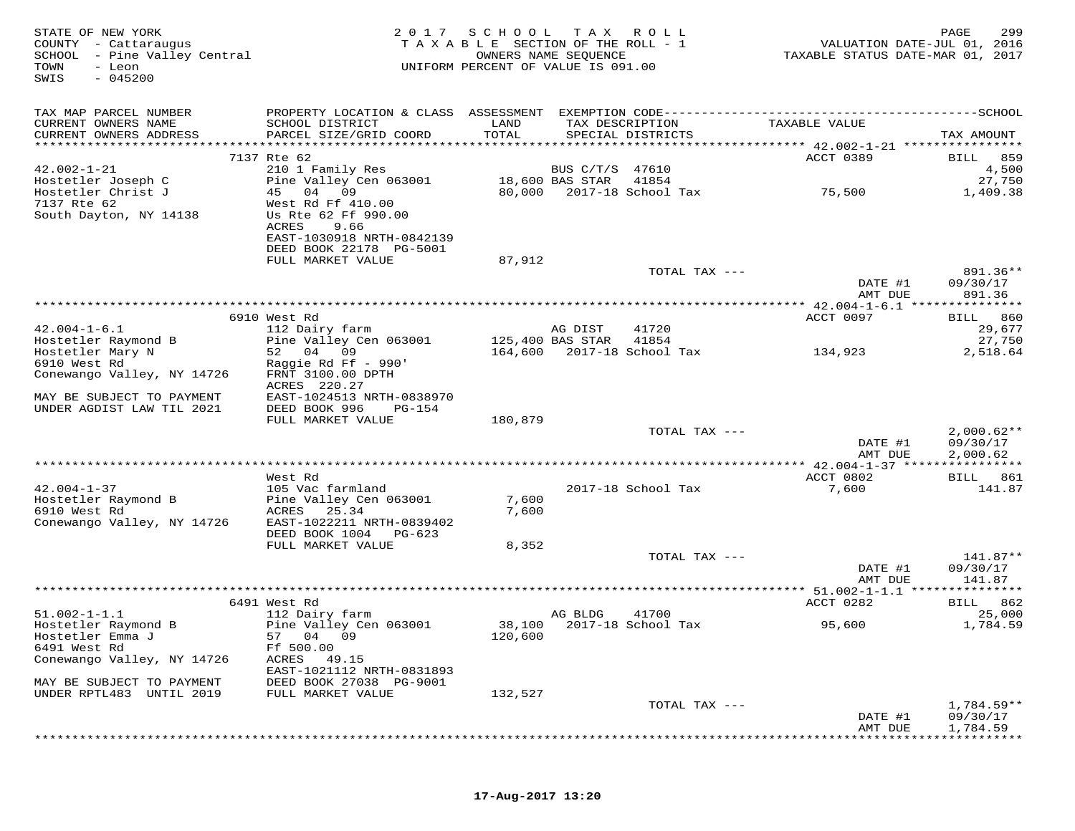| STATE OF NEW YORK<br>COUNTY - Cattaraugus<br>SCHOOL - Pine Valley Central<br>TOWN<br>- Leon<br>$-045200$<br>SWIS | 2 0 1 7                                    | SCHOOL<br>TAXABLE SECTION OF THE ROLL - 1<br>OWNERS NAME SEQUENCE<br>UNIFORM PERCENT OF VALUE IS 091.00 | T A X                        | R O L L                              | VALUATION DATE-JUL 01, 2016<br>TAXABLE STATUS DATE-MAR 01, 2017 | PAGE<br>299          |
|------------------------------------------------------------------------------------------------------------------|--------------------------------------------|---------------------------------------------------------------------------------------------------------|------------------------------|--------------------------------------|-----------------------------------------------------------------|----------------------|
| TAX MAP PARCEL NUMBER                                                                                            |                                            |                                                                                                         |                              |                                      |                                                                 |                      |
| CURRENT OWNERS NAME<br>CURRENT OWNERS ADDRESS                                                                    | SCHOOL DISTRICT<br>PARCEL SIZE/GRID COORD  | LAND<br>TOTAL                                                                                           |                              | TAX DESCRIPTION<br>SPECIAL DISTRICTS | TAXABLE VALUE                                                   | TAX AMOUNT           |
|                                                                                                                  |                                            |                                                                                                         |                              |                                      |                                                                 |                      |
|                                                                                                                  | 7137 Rte 62                                |                                                                                                         |                              |                                      | ACCT 0389                                                       | 859<br><b>BILL</b>   |
| $42.002 - 1 - 21$                                                                                                | 210 1 Family Res<br>Pine Valley Cen 063001 |                                                                                                         | BUS C/T/S<br>18,600 BAS STAR | 47610                                |                                                                 | 4,500                |
| Hostetler Joseph C<br>Hostetler Christ J                                                                         | 45 04 09                                   | 80,000                                                                                                  |                              | 41854<br>2017-18 School Tax          | 75,500                                                          | 27,750<br>1,409.38   |
| 7137 Rte 62                                                                                                      | West Rd Ff 410.00                          |                                                                                                         |                              |                                      |                                                                 |                      |
| South Dayton, NY 14138                                                                                           | Us Rte 62 Ff 990.00                        |                                                                                                         |                              |                                      |                                                                 |                      |
|                                                                                                                  | ACRES<br>9.66                              |                                                                                                         |                              |                                      |                                                                 |                      |
|                                                                                                                  | EAST-1030918 NRTH-0842139                  |                                                                                                         |                              |                                      |                                                                 |                      |
|                                                                                                                  | DEED BOOK 22178 PG-5001                    |                                                                                                         |                              |                                      |                                                                 |                      |
|                                                                                                                  | FULL MARKET VALUE                          | 87,912                                                                                                  |                              |                                      |                                                                 |                      |
|                                                                                                                  |                                            |                                                                                                         |                              | TOTAL TAX ---                        | DATE #1                                                         | 891.36**<br>09/30/17 |
|                                                                                                                  |                                            |                                                                                                         |                              |                                      | AMT DUE                                                         | 891.36               |
|                                                                                                                  |                                            |                                                                                                         |                              |                                      | ********* 42.004-1-6.1 ****************                         |                      |
|                                                                                                                  | 6910 West Rd                               |                                                                                                         |                              |                                      | ACCT 0097                                                       | BILL 860             |
| $42.004 - 1 - 6.1$                                                                                               | 112 Dairy farm                             |                                                                                                         | AG DIST                      | 41720                                |                                                                 | 29,677               |
| Hostetler Raymond B                                                                                              | Pine Valley Cen 063001                     |                                                                                                         | 125,400 BAS STAR             | 41854                                |                                                                 | 27,750               |
| Hostetler Mary N                                                                                                 | 52 04 09                                   | 164,600                                                                                                 |                              | 2017-18 School Tax                   | 134,923                                                         | 2,518.64             |
| 6910 West Rd<br>Conewango Valley, NY 14726                                                                       | Raggie Rd Ff - 990'<br>FRNT 3100.00 DPTH   |                                                                                                         |                              |                                      |                                                                 |                      |
|                                                                                                                  | ACRES 220.27                               |                                                                                                         |                              |                                      |                                                                 |                      |
| MAY BE SUBJECT TO PAYMENT                                                                                        | EAST-1024513 NRTH-0838970                  |                                                                                                         |                              |                                      |                                                                 |                      |
| UNDER AGDIST LAW TIL 2021                                                                                        | DEED BOOK 996<br>PG-154                    |                                                                                                         |                              |                                      |                                                                 |                      |
|                                                                                                                  | FULL MARKET VALUE                          | 180,879                                                                                                 |                              |                                      |                                                                 |                      |
|                                                                                                                  |                                            |                                                                                                         |                              | TOTAL TAX ---                        |                                                                 | $2,000.62**$         |
|                                                                                                                  |                                            |                                                                                                         |                              |                                      | DATE #1                                                         | 09/30/17             |
|                                                                                                                  |                                            |                                                                                                         |                              |                                      | AMT DUE<br>*********** 42.004-1-37 *****************            | 2,000.62             |
|                                                                                                                  | West Rd                                    |                                                                                                         |                              |                                      | ACCT 0802                                                       | BILL 861             |
| $42.004 - 1 - 37$                                                                                                | 105 Vac farmland                           |                                                                                                         |                              | 2017-18 School Tax                   | 7,600                                                           | 141.87               |
| Hostetler Raymond B                                                                                              | Pine Valley Cen 063001                     | 7,600                                                                                                   |                              |                                      |                                                                 |                      |
| 6910 West Rd                                                                                                     | ACRES<br>25.34                             | 7,600                                                                                                   |                              |                                      |                                                                 |                      |
| Conewango Valley, NY 14726                                                                                       | EAST-1022211 NRTH-0839402                  |                                                                                                         |                              |                                      |                                                                 |                      |
|                                                                                                                  | DEED BOOK 1004<br>PG-623                   |                                                                                                         |                              |                                      |                                                                 |                      |
|                                                                                                                  | FULL MARKET VALUE                          | 8,352                                                                                                   |                              | TOTAL TAX ---                        |                                                                 | 141.87**             |
|                                                                                                                  |                                            |                                                                                                         |                              |                                      | DATE #1                                                         | 09/30/17             |
|                                                                                                                  |                                            |                                                                                                         |                              |                                      | AMT DUE                                                         | 141.87               |
|                                                                                                                  |                                            |                                                                                                         |                              |                                      | ************ 51.002-1-1.1 ****************                      |                      |
|                                                                                                                  | 6491 West Rd                               |                                                                                                         |                              |                                      | ACCT 0282                                                       | BILL 862             |
| $51.002 - 1 - 1.1$                                                                                               | 112 Dairy farm                             |                                                                                                         | AG BLDG                      | 41700                                |                                                                 | 25,000               |
| Hostetler Raymond B                                                                                              | Pine Valley Cen 063001                     |                                                                                                         |                              | 38,100 2017-18 School Tax            | 95,600                                                          | 1,784.59             |
| Hostetler Emma J                                                                                                 | 57 04 09                                   | 120,600                                                                                                 |                              |                                      |                                                                 |                      |
| 6491 West Rd<br>Conewango Valley, NY 14726                                                                       | Ff 500.00<br>ACRES<br>49.15                |                                                                                                         |                              |                                      |                                                                 |                      |
|                                                                                                                  | EAST-1021112 NRTH-0831893                  |                                                                                                         |                              |                                      |                                                                 |                      |
| MAY BE SUBJECT TO PAYMENT                                                                                        | DEED BOOK 27038 PG-9001                    |                                                                                                         |                              |                                      |                                                                 |                      |
| UNDER RPTL483 UNTIL 2019                                                                                         | FULL MARKET VALUE                          | 132,527                                                                                                 |                              |                                      |                                                                 |                      |
|                                                                                                                  |                                            |                                                                                                         |                              | TOTAL TAX ---                        |                                                                 | 1,784.59**           |
|                                                                                                                  |                                            |                                                                                                         |                              |                                      | DATE #1                                                         | 09/30/17             |
|                                                                                                                  |                                            |                                                                                                         |                              |                                      | AMT DUE                                                         | 1,784.59             |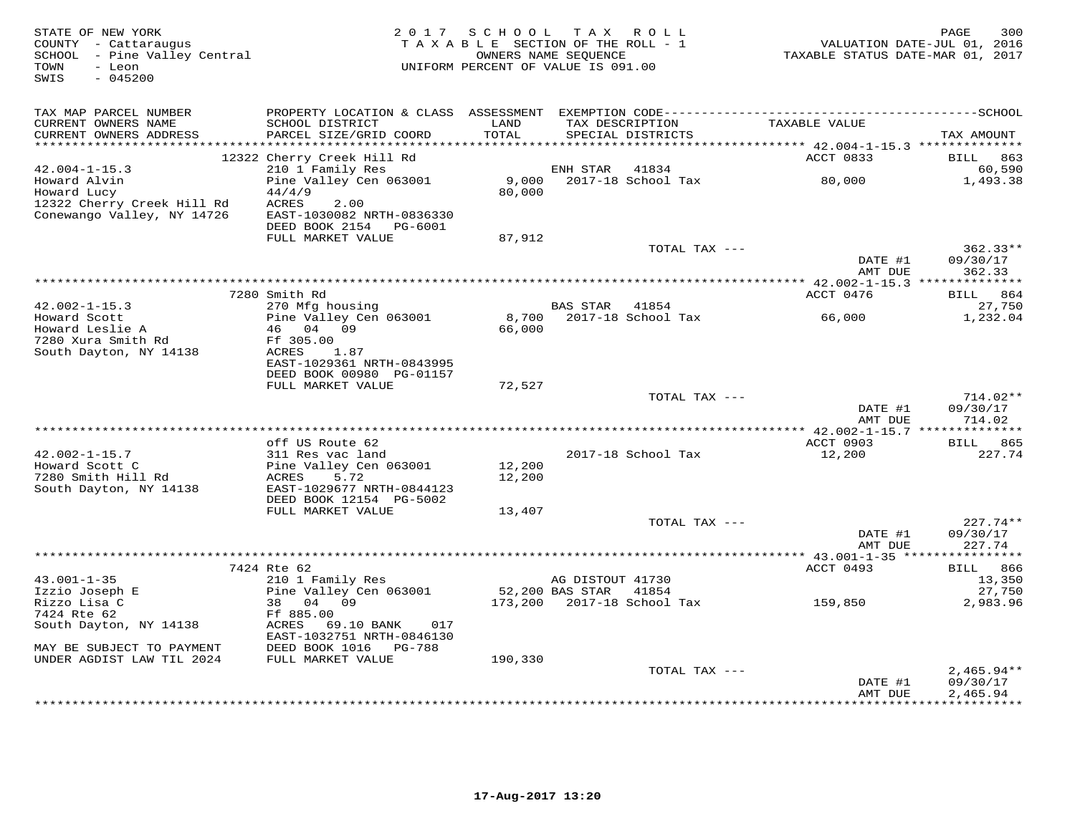| STATE OF NEW YORK<br>COUNTY - Cattaraugus<br>SCHOOL - Pine Valley Central<br>TOWN<br>- Leon<br>$-045200$<br>SWIS |                                                                                                                                           | 2017 SCHOOL TAX ROLL<br>TAXABLE SECTION OF THE ROLL - 1<br>UNIFORM PERCENT OF VALUE IS 091.00 | OWNERS NAME SEQUENCE |                            | VALUATION DATE-JUL 01, 2016<br>TAXABLE STATUS DATE-MAR 01, 2017 | 300<br>PAGE                         |
|------------------------------------------------------------------------------------------------------------------|-------------------------------------------------------------------------------------------------------------------------------------------|-----------------------------------------------------------------------------------------------|----------------------|----------------------------|-----------------------------------------------------------------|-------------------------------------|
| TAX MAP PARCEL NUMBER<br>CURRENT OWNERS NAME<br>CURRENT OWNERS ADDRESS                                           | PROPERTY LOCATION & CLASS ASSESSMENT EXEMPTION CODE-----------------------------------SCHOOL<br>SCHOOL DISTRICT<br>PARCEL SIZE/GRID COORD | LAND<br>TOTAL                                                                                 | TAX DESCRIPTION      | SPECIAL DISTRICTS          | TAXABLE VALUE                                                   | TAX AMOUNT                          |
|                                                                                                                  |                                                                                                                                           | *******                                                                                       |                      |                            | ******* 42.004-1-15.3 *********                                 |                                     |
| $42.004 - 1 - 15.3$                                                                                              | 12322 Cherry Creek Hill Rd<br>210 1 Family Res                                                                                            |                                                                                               |                      | 41834                      | ACCT 0833                                                       | BILL<br>863<br>60,590               |
| Howard Alvin<br>Howard Lucy                                                                                      | Pine Valley Cen 063001<br>44/4/9                                                                                                          | 9,000<br>80,000                                                                               | ENH STAR             | 2017-18 School Tax         | 80,000                                                          | 1,493.38                            |
| 12322 Cherry Creek Hill Rd<br>Conewango Valley, NY 14726                                                         | 2.00<br>ACRES<br>EAST-1030082 NRTH-0836330<br>DEED BOOK 2154 PG-6001                                                                      |                                                                                               |                      |                            |                                                                 |                                     |
|                                                                                                                  | FULL MARKET VALUE                                                                                                                         | 87,912                                                                                        |                      |                            |                                                                 |                                     |
|                                                                                                                  |                                                                                                                                           |                                                                                               |                      | TOTAL TAX ---              | DATE #1<br>AMT DUE                                              | $362.33**$<br>09/30/17<br>362.33    |
|                                                                                                                  |                                                                                                                                           |                                                                                               |                      |                            |                                                                 |                                     |
|                                                                                                                  | 7280 Smith Rd                                                                                                                             |                                                                                               |                      |                            | ACCT 0476                                                       | BILL 864                            |
| $42.002 - 1 - 15.3$<br>Howard Scott                                                                              | 270 Mfg housing<br>Pine Valley Cen 063001                                                                                                 | 8,700                                                                                         | BAS STAR 41854       | 2017-18 School Tax         | 66,000                                                          | 27,750<br>1,232.04                  |
| Howard Leslie A                                                                                                  | 46 04 09                                                                                                                                  | 66,000                                                                                        |                      |                            |                                                                 |                                     |
| 7280 Xura Smith Rd                                                                                               | Ff 305.00                                                                                                                                 |                                                                                               |                      |                            |                                                                 |                                     |
| South Dayton, NY 14138                                                                                           | ACRES<br>1.87                                                                                                                             |                                                                                               |                      |                            |                                                                 |                                     |
|                                                                                                                  | EAST-1029361 NRTH-0843995<br>DEED BOOK 00980 PG-01157                                                                                     |                                                                                               |                      |                            |                                                                 |                                     |
|                                                                                                                  | FULL MARKET VALUE                                                                                                                         | 72,527                                                                                        |                      |                            |                                                                 |                                     |
|                                                                                                                  |                                                                                                                                           |                                                                                               |                      | TOTAL TAX ---              |                                                                 | $714.02**$                          |
|                                                                                                                  |                                                                                                                                           |                                                                                               |                      |                            | DATE #1<br>AMT DUE                                              | 09/30/17<br>714.02                  |
|                                                                                                                  | off US Route 62                                                                                                                           |                                                                                               |                      |                            | ACCT 0903                                                       | BILL 865                            |
| $42.002 - 1 - 15.7$                                                                                              | 311 Res vac land                                                                                                                          |                                                                                               |                      | 2017-18 School Tax         | 12,200                                                          | 227.74                              |
| Howard Scott C                                                                                                   | Pine Valley Cen 063001                                                                                                                    | 12,200                                                                                        |                      |                            |                                                                 |                                     |
| 7280 Smith Hill Rd                                                                                               | ACRES<br>5.72                                                                                                                             | 12,200                                                                                        |                      |                            |                                                                 |                                     |
| South Dayton, NY 14138                                                                                           | EAST-1029677 NRTH-0844123<br>DEED BOOK 12154 PG-5002                                                                                      |                                                                                               |                      |                            |                                                                 |                                     |
|                                                                                                                  | FULL MARKET VALUE                                                                                                                         | 13,407                                                                                        |                      |                            |                                                                 |                                     |
|                                                                                                                  |                                                                                                                                           |                                                                                               |                      | TOTAL TAX ---              |                                                                 | $227.74**$                          |
|                                                                                                                  |                                                                                                                                           |                                                                                               |                      |                            | DATE #1<br>AMT DUE                                              | 09/30/17<br>227.74                  |
|                                                                                                                  | 7424 Rte 62                                                                                                                               |                                                                                               |                      |                            | ACCT 0493                                                       | BILL 866                            |
| $43.001 - 1 - 35$                                                                                                | 210 1 Family Res                                                                                                                          |                                                                                               | AG DISTOUT 41730     |                            |                                                                 | 13,350                              |
| Izzio Joseph E                                                                                                   | Pine Valley Cen 063001                                                                                                                    |                                                                                               | 52,200 BAS STAR      | 41854                      |                                                                 | 27,750                              |
| Rizzo Lisa C                                                                                                     | 38 04 09                                                                                                                                  |                                                                                               |                      | 173,200 2017-18 School Tax | 159,850                                                         | 2,983.96                            |
| 7424 Rte 62<br>South Dayton, NY 14138                                                                            | Ff 885.00<br>ACRES 69.10 BANK<br>017                                                                                                      |                                                                                               |                      |                            |                                                                 |                                     |
| MAY BE SUBJECT TO PAYMENT                                                                                        | EAST-1032751 NRTH-0846130<br>DEED BOOK 1016 PG-788                                                                                        |                                                                                               |                      |                            |                                                                 |                                     |
| UNDER AGDIST LAW TIL 2024                                                                                        | FULL MARKET VALUE                                                                                                                         | 190,330                                                                                       |                      |                            |                                                                 |                                     |
|                                                                                                                  |                                                                                                                                           |                                                                                               |                      | TOTAL TAX ---              |                                                                 | $2,465.94**$                        |
|                                                                                                                  |                                                                                                                                           |                                                                                               |                      |                            | DATE #1<br>AMT DUE                                              | 09/30/17<br>2,465.94<br>*********** |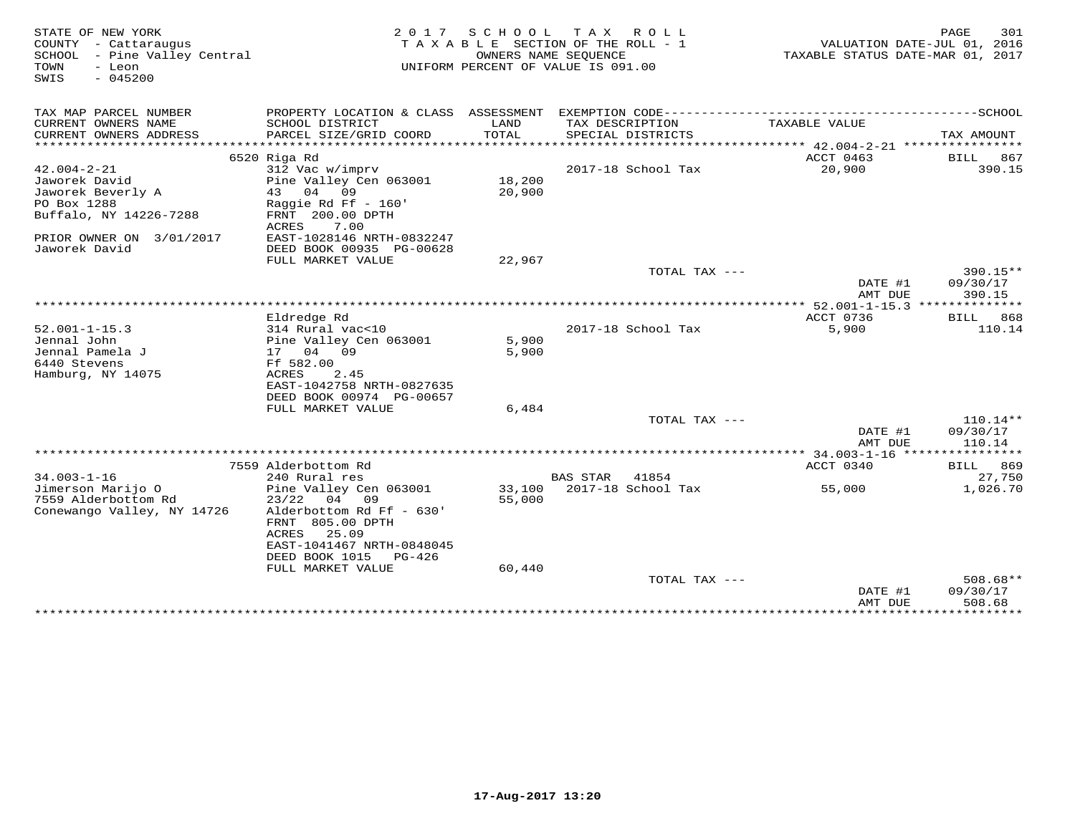| STATE OF NEW YORK<br>COUNTY - Cattaraugus<br>SCHOOL - Pine Valley Central<br>TOWN<br>- Leon<br>$-045200$<br>SWIS | 2017                                                    | SCHOOL<br>T A X A B L E SECTION OF THE ROLL - 1<br>OWNERS NAME SEQUENCE<br>UNIFORM PERCENT OF VALUE IS 091.00 | T A X                | R O L L            | TAXABLE STATUS DATE-MAR 01, 2017      | 301<br>PAGE<br>VALUATION DATE-JUL 01, 2016 |
|------------------------------------------------------------------------------------------------------------------|---------------------------------------------------------|---------------------------------------------------------------------------------------------------------------|----------------------|--------------------|---------------------------------------|--------------------------------------------|
| TAX MAP PARCEL NUMBER<br>CURRENT OWNERS NAME                                                                     | PROPERTY LOCATION & CLASS ASSESSMENT<br>SCHOOL DISTRICT | LAND                                                                                                          |                      | TAX DESCRIPTION    | TAXABLE VALUE                         |                                            |
| CURRENT OWNERS ADDRESS<br>*******************                                                                    | PARCEL SIZE/GRID COORD<br>***********************       | TOTAL                                                                                                         |                      | SPECIAL DISTRICTS  |                                       | TAX AMOUNT                                 |
|                                                                                                                  | 6520 Riga Rd                                            |                                                                                                               |                      |                    | ACCT 0463                             | BILL<br>867                                |
| $42.004 - 2 - 21$                                                                                                | 312 Vac w/imprv                                         |                                                                                                               |                      | 2017-18 School Tax | 20,900                                | 390.15                                     |
| Jaworek David                                                                                                    | Pine Valley Cen 063001                                  | 18,200                                                                                                        |                      |                    |                                       |                                            |
| Jaworek Beverly A                                                                                                | 04<br>43<br>09                                          | 20,900                                                                                                        |                      |                    |                                       |                                            |
| PO Box 1288<br>Buffalo, NY 14226-7288                                                                            | Raggie Rd Ff - 160'<br>FRNT 200.00 DPTH                 |                                                                                                               |                      |                    |                                       |                                            |
|                                                                                                                  | 7.00<br>ACRES                                           |                                                                                                               |                      |                    |                                       |                                            |
| PRIOR OWNER ON 3/01/2017                                                                                         | EAST-1028146 NRTH-0832247                               |                                                                                                               |                      |                    |                                       |                                            |
| Jaworek David                                                                                                    | DEED BOOK 00935 PG-00628                                |                                                                                                               |                      |                    |                                       |                                            |
|                                                                                                                  | FULL MARKET VALUE                                       | 22,967                                                                                                        |                      |                    |                                       |                                            |
|                                                                                                                  |                                                         |                                                                                                               |                      | TOTAL TAX ---      |                                       | $390.15**$                                 |
|                                                                                                                  |                                                         |                                                                                                               |                      |                    | DATE #1<br>AMT DUE                    | 09/30/17<br>390.15                         |
|                                                                                                                  |                                                         |                                                                                                               | ******************** |                    | ** $52.001 - 1 - 15.3$ **             |                                            |
|                                                                                                                  | Eldredge Rd                                             |                                                                                                               |                      |                    | ACCT 0736                             | 868<br>BILL                                |
| $52.001 - 1 - 15.3$                                                                                              | 314 Rural vac<10                                        |                                                                                                               |                      | 2017-18 School Tax | 5,900                                 | 110.14                                     |
| Jennal John                                                                                                      | Pine Valley Cen 063001                                  | 5,900                                                                                                         |                      |                    |                                       |                                            |
| Jennal Pamela J                                                                                                  | 17 04<br>09                                             | 5,900                                                                                                         |                      |                    |                                       |                                            |
| 6440 Stevens<br>Hamburg, NY 14075                                                                                | Ff 582.00<br>2.45<br>ACRES                              |                                                                                                               |                      |                    |                                       |                                            |
|                                                                                                                  | EAST-1042758 NRTH-0827635                               |                                                                                                               |                      |                    |                                       |                                            |
|                                                                                                                  | DEED BOOK 00974 PG-00657                                |                                                                                                               |                      |                    |                                       |                                            |
|                                                                                                                  | FULL MARKET VALUE                                       | 6,484                                                                                                         |                      |                    |                                       |                                            |
|                                                                                                                  |                                                         |                                                                                                               |                      | TOTAL TAX ---      |                                       | $110.14**$                                 |
|                                                                                                                  |                                                         |                                                                                                               |                      |                    | DATE #1                               | 09/30/17                                   |
|                                                                                                                  |                                                         |                                                                                                               |                      |                    | AMT DUE<br>******** 34.003-1-16 ***** | 110.14<br>***********                      |
|                                                                                                                  | 7559 Alderbottom Rd                                     |                                                                                                               |                      |                    | ACCT 0340                             | <b>BILL</b> 869                            |
| $34.003 - 1 - 16$                                                                                                | 240 Rural res                                           |                                                                                                               | <b>BAS STAR</b>      | 41854              |                                       | 27,750                                     |
| Jimerson Marijo O                                                                                                | Pine Valley Cen 063001                                  | 33,100                                                                                                        |                      | 2017-18 School Tax | 55,000                                | 1,026.70                                   |
| 7559 Alderbottom Rd                                                                                              | 23/22<br>04 09                                          | 55,000                                                                                                        |                      |                    |                                       |                                            |
| Conewango Valley, NY 14726                                                                                       | Alderbottom Rd Ff - 630'                                |                                                                                                               |                      |                    |                                       |                                            |
|                                                                                                                  | FRNT 805.00 DPTH                                        |                                                                                                               |                      |                    |                                       |                                            |
|                                                                                                                  | 25.09<br>ACRES<br>EAST-1041467 NRTH-0848045             |                                                                                                               |                      |                    |                                       |                                            |
|                                                                                                                  | DEED BOOK 1015<br>$PG-426$                              |                                                                                                               |                      |                    |                                       |                                            |
|                                                                                                                  | FULL MARKET VALUE                                       | 60,440                                                                                                        |                      |                    |                                       |                                            |
|                                                                                                                  |                                                         |                                                                                                               |                      | TOTAL TAX ---      |                                       | $508.68**$                                 |
|                                                                                                                  |                                                         |                                                                                                               |                      |                    | DATE #1                               | 09/30/17                                   |
|                                                                                                                  |                                                         |                                                                                                               |                      |                    | AMT DUE<br>************               | 508.68<br>* * * * * * * * * *              |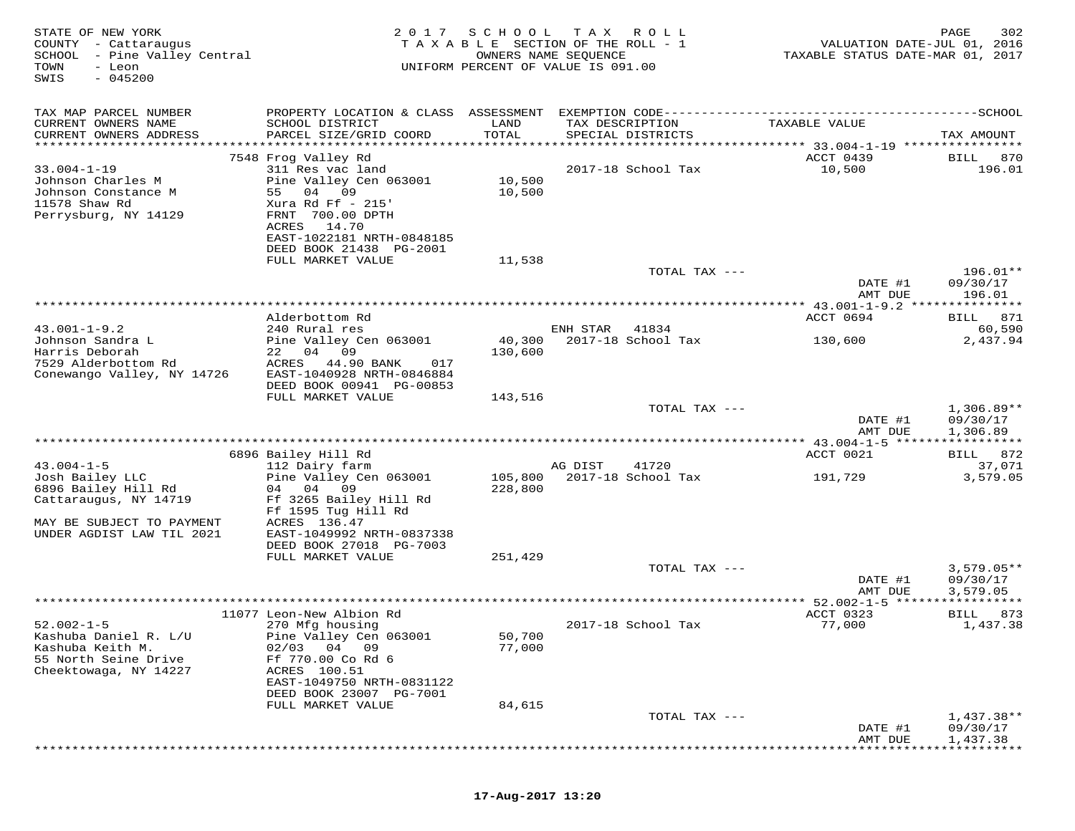| STATE OF NEW YORK<br>COUNTY - Cattaraugus<br>SCHOOL<br>- Pine Valley Central<br>TOWN<br>- Leon<br>$-045200$<br>SWIS                           | 2 0 1 7                                                                                                                                                                                                    | SCHOOL                                         | T A X<br>R O L L<br>TAXABLE SECTION OF THE ROLL - 1<br>OWNERS NAME SEQUENCE<br>UNIFORM PERCENT OF VALUE IS 091.00 | VALUATION DATE-JUL 01, 2016<br>TAXABLE STATUS DATE-MAR 01, 2017 | 302<br>PAGE                                 |
|-----------------------------------------------------------------------------------------------------------------------------------------------|------------------------------------------------------------------------------------------------------------------------------------------------------------------------------------------------------------|------------------------------------------------|-------------------------------------------------------------------------------------------------------------------|-----------------------------------------------------------------|---------------------------------------------|
| TAX MAP PARCEL NUMBER<br>CURRENT OWNERS NAME<br>CURRENT OWNERS ADDRESS<br>**********************                                              | SCHOOL DISTRICT<br>PARCEL SIZE/GRID COORD<br>***********************                                                                                                                                       | LAND<br>TOTAL<br>* * * * * * * * * * * * * * * | TAX DESCRIPTION<br>SPECIAL DISTRICTS                                                                              | TAXABLE VALUE                                                   | TAX AMOUNT                                  |
| $33.004 - 1 - 19$<br>Johnson Charles M<br>Johnson Constance M<br>11578 Shaw Rd<br>Perrysburg, NY 14129                                        | 7548 Frog Valley Rd<br>311 Res vac land<br>Pine Valley Cen 063001<br>55<br>04<br>09<br>Xura Rd Ff $-215$<br>FRNT 700.00 DPTH<br>ACRES<br>14.70<br>EAST-1022181 NRTH-0848185<br>DEED BOOK 21438 PG-2001     | 10,500<br>10,500                               | 2017-18 School Tax                                                                                                | ACCT 0439<br>10,500                                             | BILL<br>870<br>196.01                       |
|                                                                                                                                               | FULL MARKET VALUE                                                                                                                                                                                          | 11,538                                         | TOTAL TAX ---                                                                                                     | DATE #1                                                         | $196.01**$<br>09/30/17                      |
| $43.001 - 1 - 9.2$<br>Johnson Sandra L<br>Harris Deborah<br>7529 Alderbottom Rd<br>Conewango Valley, NY 14726                                 | Alderbottom Rd<br>240 Rural res<br>Pine Valley Cen 063001<br>22 04<br>09<br>44.90 BANK<br>ACRES<br>017<br>EAST-1040928 NRTH-0846884                                                                        | 40,300<br>130,600                              | ENH STAR<br>41834<br>2017-18 School Tax                                                                           | AMT DUE<br>ACCT 0694<br>130,600                                 | 196.01<br>871<br>BILL<br>60,590<br>2,437.94 |
|                                                                                                                                               | DEED BOOK 00941 PG-00853<br>FULL MARKET VALUE                                                                                                                                                              | 143,516                                        | TOTAL TAX ---                                                                                                     | DATE #1                                                         | $1,306.89**$<br>09/30/17                    |
|                                                                                                                                               |                                                                                                                                                                                                            |                                                |                                                                                                                   | AMT DUE                                                         | 1,306.89<br>***********                     |
| $43.004 - 1 - 5$<br>Josh Bailey LLC<br>6896 Bailey Hill Rd<br>Cattaraugus, NY 14719<br>MAY BE SUBJECT TO PAYMENT<br>UNDER AGDIST LAW TIL 2021 | 6896 Bailey Hill Rd<br>112 Dairy farm<br>Pine Valley Cen 063001<br>04<br>09<br>04<br>Ff 3265 Bailey Hill Rd<br>Ff 1595 Tug Hill Rd<br>ACRES 136.47<br>EAST-1049992 NRTH-0837338<br>DEED BOOK 27018 PG-7003 | 105,800<br>228,800                             | AG DIST<br>41720<br>2017-18 School Tax                                                                            | ACCT 0021<br>191,729                                            | 872<br>BILL<br>37,071<br>3,579.05           |
|                                                                                                                                               | FULL MARKET VALUE                                                                                                                                                                                          | 251,429                                        | TOTAL TAX ---                                                                                                     | DATE #1                                                         | $3,579.05**$<br>09/30/17                    |
|                                                                                                                                               |                                                                                                                                                                                                            |                                                |                                                                                                                   | AMT DUE<br>************ 52.002-1-5 *****                        | 3,579.05                                    |
| $52.002 - 1 - 5$<br>Kashuba Daniel R. L/U<br>Kashuba Keith M.<br>55 North Seine Drive<br>Cheektowaga, NY 14227                                | 11077 Leon-New Albion Rd<br>270 Mfg housing<br>Pine Valley Cen 063001<br>02/03<br>04 09<br>Ff 770.00 Co Rd 6<br>ACRES 100.51<br>EAST-1049750 NRTH-0831122<br>DEED BOOK 23007 PG-7001                       | 50,700<br>77,000                               | 2017-18 School Tax                                                                                                | ACCT 0323<br>77,000                                             | BILL<br>873<br>1,437.38                     |
|                                                                                                                                               | FULL MARKET VALUE                                                                                                                                                                                          | 84,615                                         | TOTAL TAX ---                                                                                                     | DATE #1<br>AMT DUE                                              | $1,437.38**$<br>09/30/17<br>1,437.38        |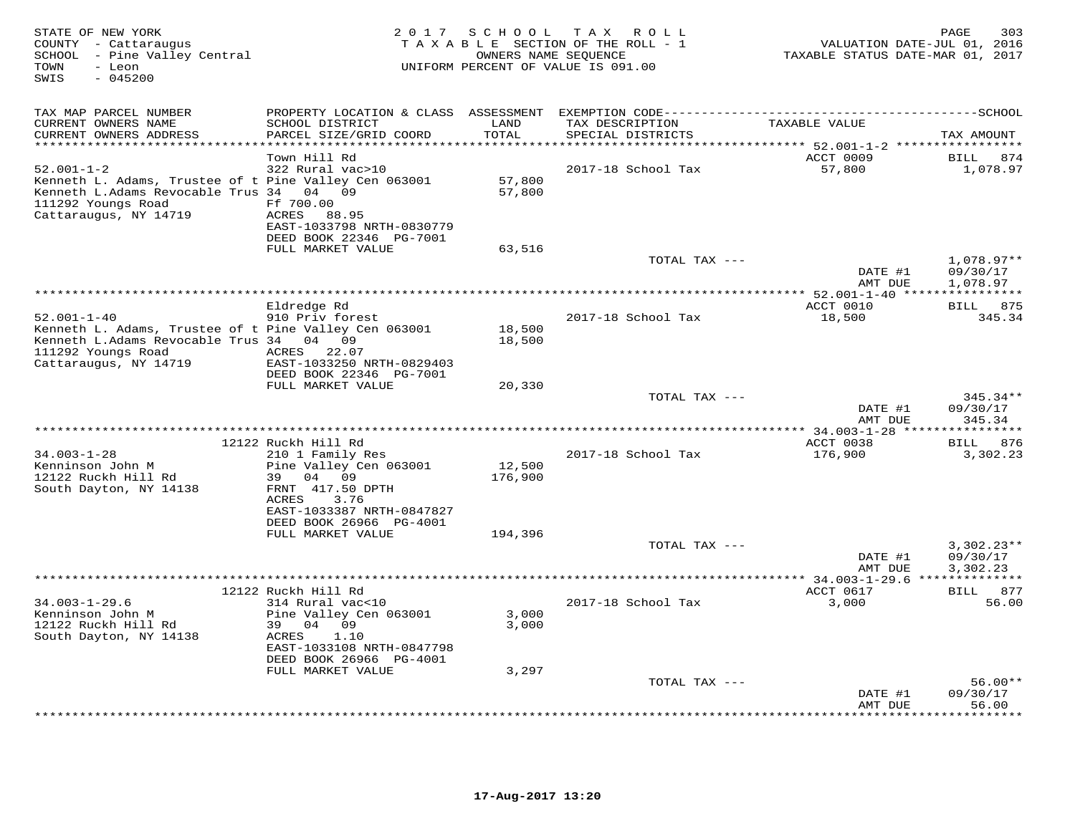| STATE OF NEW YORK<br>COUNTY - Cattaraugus<br>SCHOOL - Pine Valley Central<br>- Leon<br>TOWN<br>SWIS<br>$-045200$                                               | 2 0 1 7                                                                                                          | SCHOOL                   | T A X<br>R O L L<br>TAXABLE SECTION OF THE ROLL - 1<br>OWNERS NAME SEQUENCE<br>UNIFORM PERCENT OF VALUE IS 091.00 | VALUATION DATE-JUL 01, 2016<br>TAXABLE STATUS DATE-MAR 01, 2017 | 303<br>PAGE                       |
|----------------------------------------------------------------------------------------------------------------------------------------------------------------|------------------------------------------------------------------------------------------------------------------|--------------------------|-------------------------------------------------------------------------------------------------------------------|-----------------------------------------------------------------|-----------------------------------|
| TAX MAP PARCEL NUMBER                                                                                                                                          | PROPERTY LOCATION & CLASS ASSESSMENT                                                                             |                          |                                                                                                                   |                                                                 | $---SCHOOL$                       |
| CURRENT OWNERS NAME<br>CURRENT OWNERS ADDRESS<br>**********************                                                                                        | SCHOOL DISTRICT<br>PARCEL SIZE/GRID COORD                                                                        | LAND<br>TOTAL<br>******* | TAX DESCRIPTION<br>SPECIAL DISTRICTS                                                                              | TAXABLE VALUE                                                   | TAX AMOUNT                        |
|                                                                                                                                                                | **********************<br>Town Hill Rd                                                                           |                          |                                                                                                                   | ************* 52.001-1-2 ******************<br>ACCT 0009        | <b>BILL</b><br>874                |
| $52.001 - 1 - 2$<br>Kenneth L. Adams, Trustee of t Pine Valley Cen 063001<br>Kenneth L.Adams Revocable Trus 34<br>111292 Youngs Road<br>Cattaraugus, NY 14719  | 322 Rural vac>10<br>04 09<br>Ff 700.00<br>ACRES<br>88.95<br>EAST-1033798 NRTH-0830779<br>DEED BOOK 22346 PG-7001 | 57,800<br>57,800         | 2017-18 School Tax                                                                                                | 57,800                                                          | 1,078.97                          |
|                                                                                                                                                                | FULL MARKET VALUE                                                                                                | 63,516                   |                                                                                                                   |                                                                 |                                   |
|                                                                                                                                                                |                                                                                                                  |                          | TOTAL TAX ---                                                                                                     | DATE #1                                                         | 1,078.97**<br>09/30/17            |
|                                                                                                                                                                |                                                                                                                  |                          |                                                                                                                   | AMT DUE<br>**** 52.001-1-40 ***                                 | 1,078.97                          |
|                                                                                                                                                                | Eldredge Rd                                                                                                      |                          |                                                                                                                   | ACCT 0010                                                       | <b>BILL</b><br>875                |
| $52.001 - 1 - 40$<br>Kenneth L. Adams, Trustee of t Pine Valley Cen 063001<br>Kenneth L.Adams Revocable Trus 34<br>111292 Youngs Road<br>Cattaraugus, NY 14719 | 910 Priv forest<br>04<br>09<br>22.07<br>ACRES<br>EAST-1033250 NRTH-0829403                                       | 18,500<br>18,500         | 2017-18 School Tax                                                                                                | 18,500                                                          | 345.34                            |
|                                                                                                                                                                | DEED BOOK 22346 PG-7001<br>FULL MARKET VALUE                                                                     | 20,330                   |                                                                                                                   |                                                                 |                                   |
|                                                                                                                                                                |                                                                                                                  |                          | TOTAL TAX ---                                                                                                     | DATE #1<br>AMT DUE                                              | $345.34**$<br>09/30/17<br>345.34  |
|                                                                                                                                                                |                                                                                                                  |                          |                                                                                                                   | $* 34.003 - 1 - 28$ ****                                        | ********                          |
| $34.003 - 1 - 28$<br>Kenninson John M                                                                                                                          | 12122 Ruckh Hill Rd<br>210 1 Family Res<br>Pine Valley Cen 063001                                                | 12,500                   | 2017-18 School Tax                                                                                                | ACCT 0038<br>176,900                                            | 876<br>BILL<br>3,302.23           |
| 12122 Ruckh Hill Rd<br>South Dayton, NY 14138                                                                                                                  | 39<br>04<br>09<br>FRNT 417.50 DPTH<br>ACRES<br>3.76<br>EAST-1033387 NRTH-0847827<br>DEED BOOK 26966 PG-4001      | 176,900                  |                                                                                                                   |                                                                 |                                   |
|                                                                                                                                                                | FULL MARKET VALUE                                                                                                | 194,396                  | TOTAL TAX ---                                                                                                     | DATE #1                                                         | $3,302.23**$<br>09/30/17          |
|                                                                                                                                                                |                                                                                                                  |                          |                                                                                                                   | AMT DUE                                                         | 3,302.23                          |
|                                                                                                                                                                | 12122 Ruckh Hill Rd                                                                                              |                          |                                                                                                                   | ** 34.003-1-29.6 ***<br>ACCT 0617                               | ***********<br>877<br><b>BILL</b> |
| $34.003 - 1 - 29.6$<br>Kenninson John M<br>12122 Ruckh Hill Rd<br>South Dayton, NY 14138                                                                       | 314 Rural vac<10<br>Pine Valley Cen 063001<br>39<br>04 09<br>ACRES<br>1.10<br>EAST-1033108 NRTH-0847798          | 3,000<br>3,000           | 2017-18 School Tax                                                                                                | 3,000                                                           | 56.00                             |
|                                                                                                                                                                | DEED BOOK 26966 PG-4001<br>FULL MARKET VALUE                                                                     | 3,297                    |                                                                                                                   |                                                                 |                                   |
|                                                                                                                                                                |                                                                                                                  |                          | TOTAL TAX ---                                                                                                     | DATE #1                                                         | $56.00**$<br>09/30/17             |
|                                                                                                                                                                |                                                                                                                  |                          |                                                                                                                   | AMT DUE                                                         | 56.00<br>. * * * * * * ·          |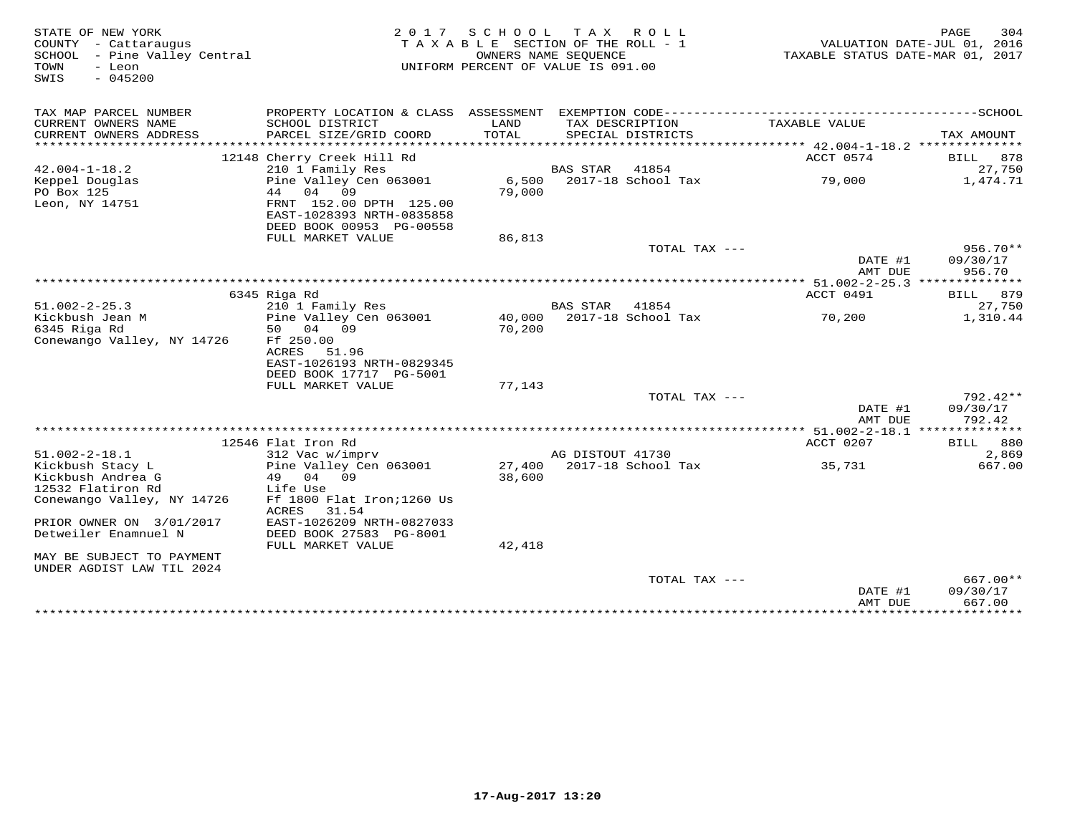| STATE OF NEW YORK<br>COUNTY - Cattaraugus<br>SCHOOL - Pine Valley Central<br>TOWN<br>- Leon<br>$-045200$<br>SWIS | 2 0 1 7                                                                                          | SCHOOL<br>TAXABLE SECTION OF THE ROLL - 1<br>UNIFORM PERCENT OF VALUE IS 091.00 | T A X<br>OWNERS NAME SEQUENCE | R O L L            | TAXABLE STATUS DATE-MAR 01, 2017      | 304<br>PAGE<br>VALUATION DATE-JUL 01, 2016 |
|------------------------------------------------------------------------------------------------------------------|--------------------------------------------------------------------------------------------------|---------------------------------------------------------------------------------|-------------------------------|--------------------|---------------------------------------|--------------------------------------------|
| TAX MAP PARCEL NUMBER<br>CURRENT OWNERS NAME                                                                     | PROPERTY LOCATION & CLASS ASSESSMENT<br>SCHOOL DISTRICT                                          | LAND                                                                            | TAX DESCRIPTION               |                    | TAXABLE VALUE                         |                                            |
| CURRENT OWNERS ADDRESS<br>******************                                                                     | PARCEL SIZE/GRID COORD                                                                           | TOTAL                                                                           |                               | SPECIAL DISTRICTS  |                                       | TAX AMOUNT                                 |
|                                                                                                                  | 12148 Cherry Creek Hill Rd                                                                       |                                                                                 |                               |                    | ACCT 0574                             | 878<br>BILL                                |
| $42.004 - 1 - 18.2$                                                                                              | 210 1 Family Res                                                                                 |                                                                                 | <b>BAS STAR</b>               | 41854              |                                       | 27,750                                     |
| Keppel Douglas<br>PO Box 125<br>Leon, NY 14751                                                                   | Pine Valley Cen 063001<br>04<br>44<br>09<br>FRNT 152.00 DPTH 125.00<br>EAST-1028393 NRTH-0835858 | 6,500<br>79,000                                                                 |                               | 2017-18 School Tax | 79,000                                | 1,474.71                                   |
|                                                                                                                  | DEED BOOK 00953 PG-00558                                                                         |                                                                                 |                               |                    |                                       |                                            |
|                                                                                                                  | FULL MARKET VALUE                                                                                | 86,813                                                                          |                               |                    |                                       |                                            |
|                                                                                                                  |                                                                                                  |                                                                                 |                               | TOTAL TAX ---      | DATE #1                               | 956.70**<br>09/30/17                       |
|                                                                                                                  |                                                                                                  |                                                                                 |                               |                    | AMT DUE                               | 956.70                                     |
|                                                                                                                  | * * * * * * * * * * * * * * * * *                                                                |                                                                                 |                               |                    | ** $51.002 - 2 - 25.3$ ************** |                                            |
|                                                                                                                  | 6345 Riga Rd                                                                                     |                                                                                 |                               |                    | ACCT 0491                             | BILL<br>879                                |
| $51.002 - 2 - 25.3$                                                                                              | 210 1 Family Res                                                                                 |                                                                                 | BAS STAR                      | 41854              |                                       | 27,750                                     |
| Kickbush Jean M<br>6345 Riga Rd                                                                                  | Pine Valley Cen 063001<br>50<br>04<br>09                                                         | 40,000                                                                          |                               | 2017-18 School Tax | 70,200                                | 1,310.44                                   |
| Conewango Valley, NY 14726                                                                                       | Ff 250.00<br>ACRES<br>51.96<br>EAST-1026193 NRTH-0829345<br>DEED BOOK 17717 PG-5001              | 70,200                                                                          |                               |                    |                                       |                                            |
|                                                                                                                  | FULL MARKET VALUE                                                                                | 77,143                                                                          |                               |                    |                                       |                                            |
|                                                                                                                  |                                                                                                  |                                                                                 |                               | TOTAL TAX ---      |                                       | $792.42**$                                 |
|                                                                                                                  |                                                                                                  |                                                                                 |                               |                    | DATE #1<br>AMT DUE                    | 09/30/17<br>792.42                         |
|                                                                                                                  |                                                                                                  |                                                                                 |                               |                    |                                       |                                            |
|                                                                                                                  | 12546 Flat Iron Rd                                                                               |                                                                                 |                               |                    | ACCT 0207                             | <b>BILL</b> 880                            |
| $51.002 - 2 - 18.1$                                                                                              | 312 Vac w/imprv                                                                                  |                                                                                 | AG DISTOUT 41730              |                    |                                       | 2,869                                      |
| Kickbush Stacy L                                                                                                 | Pine Valley Cen 063001                                                                           | 27,400                                                                          |                               | 2017-18 School Tax | 35,731                                | 667.00                                     |
| Kickbush Andrea G                                                                                                | 04 09<br>49                                                                                      | 38,600                                                                          |                               |                    |                                       |                                            |
| 12532 Flatiron Rd                                                                                                | Life Use                                                                                         |                                                                                 |                               |                    |                                       |                                            |
| Conewango Valley, NY 14726                                                                                       | Ff 1800 Flat Iron; 1260 Us<br>31.54<br>ACRES                                                     |                                                                                 |                               |                    |                                       |                                            |
| PRIOR OWNER ON 3/01/2017<br>Detweiler Enamnuel N                                                                 | EAST-1026209 NRTH-0827033<br>DEED BOOK 27583 PG-8001                                             |                                                                                 |                               |                    |                                       |                                            |
|                                                                                                                  | FULL MARKET VALUE                                                                                | 42,418                                                                          |                               |                    |                                       |                                            |
| MAY BE SUBJECT TO PAYMENT<br>UNDER AGDIST LAW TIL 2024                                                           |                                                                                                  |                                                                                 |                               |                    |                                       |                                            |
|                                                                                                                  |                                                                                                  |                                                                                 |                               | TOTAL TAX ---      | DATE #1<br>AMT DUE                    | 667.00**<br>09/30/17<br>667.00             |
|                                                                                                                  |                                                                                                  |                                                                                 |                               |                    | ************                          | ***********                                |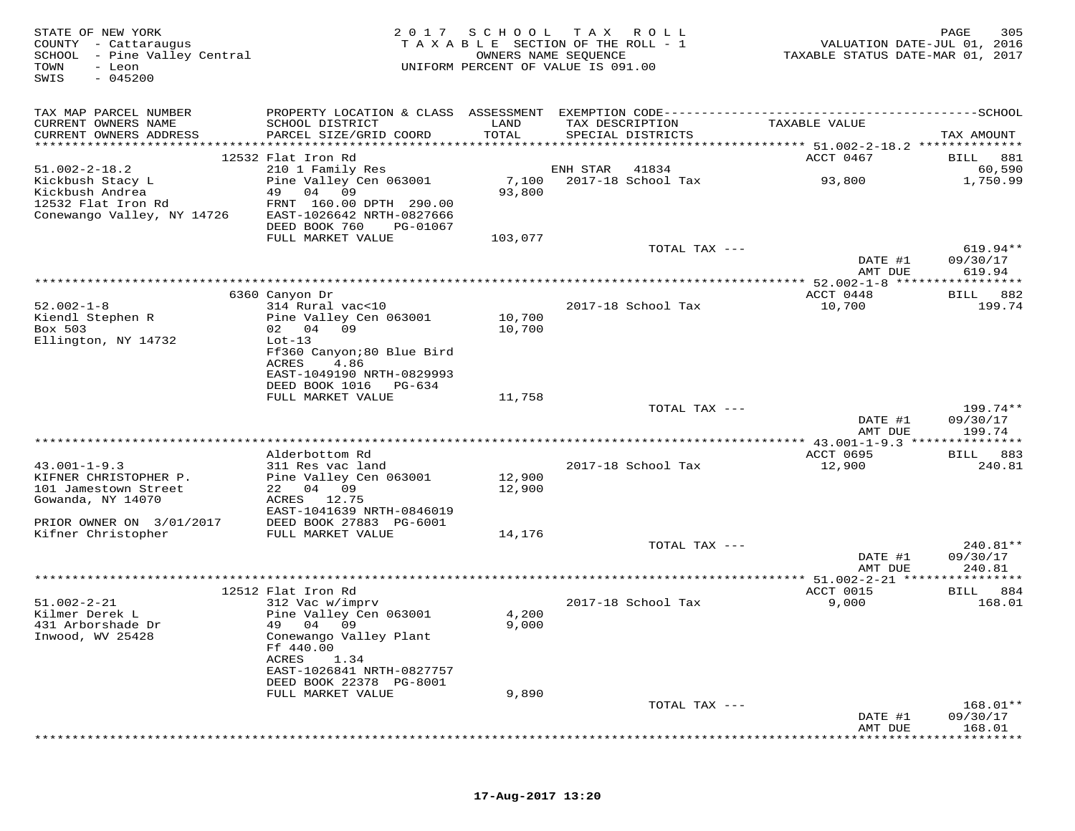| STATE OF NEW YORK<br>COUNTY - Cattaraugus<br>SCHOOL - Pine Valley Central<br>TOWN<br>- Leon<br>$-045200$<br>SWIS | 2017                                                                                                                       | SCHOOL          | T A X<br>R O L L<br>TAXABLE SECTION OF THE ROLL - 1<br>OWNERS NAME SEQUENCE<br>UNIFORM PERCENT OF VALUE IS 091.00 | VALUATION DATE-JUL 01, 2016<br>TAXABLE STATUS DATE-MAR 01, 2017 | 305<br>PAGE            |
|------------------------------------------------------------------------------------------------------------------|----------------------------------------------------------------------------------------------------------------------------|-----------------|-------------------------------------------------------------------------------------------------------------------|-----------------------------------------------------------------|------------------------|
| TAX MAP PARCEL NUMBER                                                                                            |                                                                                                                            |                 |                                                                                                                   |                                                                 |                        |
| CURRENT OWNERS NAME<br>CURRENT OWNERS ADDRESS                                                                    | SCHOOL DISTRICT<br>PARCEL SIZE/GRID COORD                                                                                  | LAND<br>TOTAL   | TAX DESCRIPTION<br>SPECIAL DISTRICTS                                                                              | TAXABLE VALUE                                                   | TAX AMOUNT             |
|                                                                                                                  | 12532 Flat Iron Rd                                                                                                         |                 |                                                                                                                   | ACCT 0467                                                       | BILL 881               |
| $51.002 - 2 - 18.2$                                                                                              | 210 1 Family Res                                                                                                           |                 | ENH STAR<br>41834                                                                                                 |                                                                 | 60,590                 |
| Kickbush Stacy L<br>Kickbush Andrea<br>12532 Flat Iron Rd<br>Conewango Valley, NY 14726                          | Pine Valley Cen 063001<br>49<br>04 09<br>FRNT 160.00 DPTH 290.00<br>EAST-1026642 NRTH-0827666<br>DEED BOOK 760<br>PG-01067 | 7,100<br>93,800 | 2017-18 School Tax                                                                                                | 93,800                                                          | 1,750.99               |
|                                                                                                                  | FULL MARKET VALUE                                                                                                          | 103,077         |                                                                                                                   |                                                                 |                        |
|                                                                                                                  |                                                                                                                            |                 | TOTAL TAX ---                                                                                                     | DATE #1                                                         | $619.94**$<br>09/30/17 |
|                                                                                                                  |                                                                                                                            |                 |                                                                                                                   | AMT DUE                                                         | 619.94                 |
|                                                                                                                  | 6360 Canyon Dr                                                                                                             |                 |                                                                                                                   | ** 52.002-1-8 *****<br>ACCT 0448                                | 882<br>BILL            |
| $52.002 - 1 - 8$<br>Kiendl Stephen R                                                                             | 314 Rural vac<10<br>Pine Valley Cen 063001                                                                                 | 10,700          | 2017-18 School Tax                                                                                                | 10,700                                                          | 199.74                 |
| Box 503                                                                                                          | 02 04 09                                                                                                                   | 10,700          |                                                                                                                   |                                                                 |                        |
| Ellington, NY 14732                                                                                              | $Lot-13$                                                                                                                   |                 |                                                                                                                   |                                                                 |                        |
|                                                                                                                  | Ff360 Canyon;80 Blue Bird<br>4.86                                                                                          |                 |                                                                                                                   |                                                                 |                        |
|                                                                                                                  | ACRES<br>EAST-1049190 NRTH-0829993                                                                                         |                 |                                                                                                                   |                                                                 |                        |
|                                                                                                                  | DEED BOOK 1016<br>PG-634                                                                                                   |                 |                                                                                                                   |                                                                 |                        |
|                                                                                                                  | FULL MARKET VALUE                                                                                                          | 11,758          |                                                                                                                   |                                                                 |                        |
|                                                                                                                  |                                                                                                                            |                 | TOTAL TAX ---                                                                                                     |                                                                 | 199.74**               |
|                                                                                                                  |                                                                                                                            |                 |                                                                                                                   | DATE #1                                                         | 09/30/17               |
|                                                                                                                  |                                                                                                                            |                 |                                                                                                                   | AMT DUE                                                         | 199.74                 |
|                                                                                                                  |                                                                                                                            |                 |                                                                                                                   |                                                                 |                        |
|                                                                                                                  | Alderbottom Rd                                                                                                             |                 |                                                                                                                   | ACCT 0695                                                       | 883<br>BILL            |
| $43.001 - 1 - 9.3$<br>KIFNER CHRISTOPHER P.                                                                      | 311 Res vac land<br>Pine Valley Cen 063001                                                                                 | 12,900          | 2017-18 School Tax                                                                                                | 12,900                                                          | 240.81                 |
| 101 Jamestown Street                                                                                             | 22 04 09                                                                                                                   | 12,900          |                                                                                                                   |                                                                 |                        |
| Gowanda, NY 14070                                                                                                | ACRES 12.75                                                                                                                |                 |                                                                                                                   |                                                                 |                        |
|                                                                                                                  | EAST-1041639 NRTH-0846019                                                                                                  |                 |                                                                                                                   |                                                                 |                        |
| PRIOR OWNER ON 3/01/2017                                                                                         | DEED BOOK 27883 PG-6001                                                                                                    |                 |                                                                                                                   |                                                                 |                        |
| Kifner Christopher                                                                                               | FULL MARKET VALUE                                                                                                          | 14,176          |                                                                                                                   |                                                                 |                        |
|                                                                                                                  |                                                                                                                            |                 | TOTAL TAX ---                                                                                                     |                                                                 | 240.81**               |
|                                                                                                                  |                                                                                                                            |                 |                                                                                                                   | DATE #1<br>AMT DUE                                              | 09/30/17<br>240.81     |
|                                                                                                                  |                                                                                                                            |                 | *******************                                                                                               | $* 51.002 - 2 - 21$                                             | *********              |
|                                                                                                                  | 12512 Flat Iron Rd                                                                                                         |                 |                                                                                                                   | ACCT 0015                                                       | 884<br>BILL            |
| $51.002 - 2 - 21$                                                                                                | 312 Vac w/imprv                                                                                                            |                 | 2017-18 School Tax                                                                                                | 9,000                                                           | 168.01                 |
| Kilmer Derek L                                                                                                   | Pine Valley Cen 063001                                                                                                     | 4,200           |                                                                                                                   |                                                                 |                        |
| 431 Arborshade Dr                                                                                                | 49 04 09                                                                                                                   | 9,000           |                                                                                                                   |                                                                 |                        |
| Inwood, WV 25428                                                                                                 | Conewango Valley Plant                                                                                                     |                 |                                                                                                                   |                                                                 |                        |
|                                                                                                                  | Ff 440.00<br>ACRES<br>1.34                                                                                                 |                 |                                                                                                                   |                                                                 |                        |
|                                                                                                                  | EAST-1026841 NRTH-0827757                                                                                                  |                 |                                                                                                                   |                                                                 |                        |
|                                                                                                                  | DEED BOOK 22378 PG-8001                                                                                                    |                 |                                                                                                                   |                                                                 |                        |
|                                                                                                                  | FULL MARKET VALUE                                                                                                          | 9,890           |                                                                                                                   |                                                                 |                        |
|                                                                                                                  |                                                                                                                            |                 | TOTAL TAX ---                                                                                                     |                                                                 | 168.01**               |
|                                                                                                                  |                                                                                                                            |                 |                                                                                                                   | DATE #1                                                         | 09/30/17               |
|                                                                                                                  |                                                                                                                            |                 |                                                                                                                   | AMT DUE                                                         | 168.01                 |
|                                                                                                                  |                                                                                                                            |                 |                                                                                                                   |                                                                 |                        |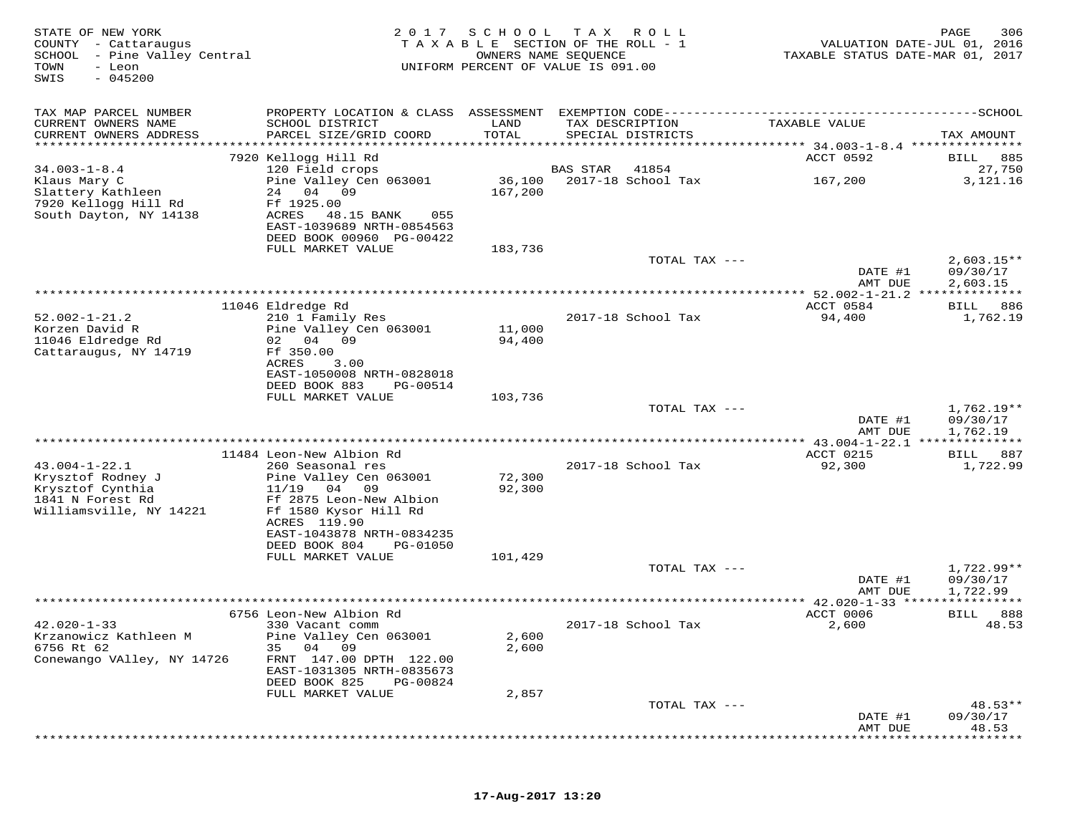| STATE OF NEW YORK<br>COUNTY - Cattaraugus<br>SCHOOL<br>- Pine Valley Central<br>TOWN<br>- Leon<br>$-045200$<br>SWIS | 2017                                                                                                                                                               | SCHOOL                               | T A X<br>ROLL<br>TAXABLE SECTION OF THE ROLL - 1<br>OWNERS NAME SEQUENCE<br>UNIFORM PERCENT OF VALUE IS 091.00 | VALUATION DATE-JUL 01, 2016<br>TAXABLE STATUS DATE-MAR 01, 2017 | 306<br>PAGE             |
|---------------------------------------------------------------------------------------------------------------------|--------------------------------------------------------------------------------------------------------------------------------------------------------------------|--------------------------------------|----------------------------------------------------------------------------------------------------------------|-----------------------------------------------------------------|-------------------------|
| TAX MAP PARCEL NUMBER<br>CURRENT OWNERS NAME                                                                        | PROPERTY LOCATION & CLASS ASSESSMENT<br>SCHOOL DISTRICT                                                                                                            | LAND                                 | TAX DESCRIPTION                                                                                                | TAXABLE VALUE                                                   |                         |
| CURRENT OWNERS ADDRESS<br>***********************                                                                   | PARCEL SIZE/GRID COORD<br>*****************************                                                                                                            | TOTAL                                | SPECIAL DISTRICTS                                                                                              |                                                                 | TAX AMOUNT              |
|                                                                                                                     | 7920 Kellogg Hill Rd                                                                                                                                               |                                      |                                                                                                                | ACCT 0592                                                       | 885<br>BILL             |
| $34.003 - 1 - 8.4$                                                                                                  | 120 Field crops                                                                                                                                                    |                                      | <b>BAS STAR</b><br>41854                                                                                       |                                                                 | 27,750                  |
| Klaus Mary C<br>Slattery Kathleen<br>7920 Kellogg Hill Rd<br>South Dayton, NY 14138                                 | Pine Valley Cen 063001<br>24<br>04<br>09<br>Ff 1925.00<br>ACRES<br>48.15 BANK<br>055<br>EAST-1039689 NRTH-0854563<br>DEED BOOK 00960 PG-00422<br>FULL MARKET VALUE | 36,100<br>167,200<br>183,736         | 2017-18 School Tax                                                                                             | 167,200                                                         | 3,121.16                |
|                                                                                                                     |                                                                                                                                                                    |                                      | TOTAL TAX ---                                                                                                  |                                                                 | $2,603.15**$            |
|                                                                                                                     |                                                                                                                                                                    |                                      |                                                                                                                | DATE #1<br>AMT DUE                                              | 09/30/17<br>2,603.15    |
|                                                                                                                     |                                                                                                                                                                    | *******************************      |                                                                                                                | *********** 52.002-1-21.2 **************                        |                         |
| $52.002 - 1 - 21.2$                                                                                                 | 11046 Eldredge Rd<br>210 1 Family Res                                                                                                                              |                                      | 2017-18 School Tax                                                                                             | ACCT 0584<br>94,400                                             | 886<br>BILL<br>1,762.19 |
| Korzen David R                                                                                                      | Pine Valley Cen 063001                                                                                                                                             | 11,000                               |                                                                                                                |                                                                 |                         |
| 11046 Eldredge Rd                                                                                                   | 02 04 09                                                                                                                                                           | 94,400                               |                                                                                                                |                                                                 |                         |
| Cattaraugus, NY 14719                                                                                               | Ff 350.00<br>ACRES<br>3.00                                                                                                                                         |                                      |                                                                                                                |                                                                 |                         |
|                                                                                                                     | EAST-1050008 NRTH-0828018                                                                                                                                          |                                      |                                                                                                                |                                                                 |                         |
|                                                                                                                     | DEED BOOK 883<br>PG-00514<br>FULL MARKET VALUE                                                                                                                     | 103,736                              |                                                                                                                |                                                                 |                         |
|                                                                                                                     |                                                                                                                                                                    |                                      | TOTAL TAX ---                                                                                                  |                                                                 | $1,762.19**$            |
|                                                                                                                     |                                                                                                                                                                    |                                      |                                                                                                                | DATE #1<br>AMT DUE                                              | 09/30/17<br>1,762.19    |
|                                                                                                                     |                                                                                                                                                                    |                                      |                                                                                                                |                                                                 | * * * * * * * * *       |
| $43.004 - 1 - 22.1$                                                                                                 | 11484 Leon-New Albion Rd<br>260 Seasonal res                                                                                                                       |                                      | 2017-18 School Tax                                                                                             | ACCT 0215<br>92,300                                             | 887<br>BILL<br>1,722.99 |
| Krysztof Rodney J                                                                                                   | Pine Valley Cen 063001                                                                                                                                             | 72,300                               |                                                                                                                |                                                                 |                         |
| Krysztof Cynthia<br>1841 N Forest Rd                                                                                | 11/19<br>04 09<br>Ff 2875 Leon-New Albion                                                                                                                          | 92,300                               |                                                                                                                |                                                                 |                         |
| Williamsville, NY 14221                                                                                             | Ff 1580 Kysor Hill Rd                                                                                                                                              |                                      |                                                                                                                |                                                                 |                         |
|                                                                                                                     | ACRES 119.90<br>EAST-1043878 NRTH-0834235                                                                                                                          |                                      |                                                                                                                |                                                                 |                         |
|                                                                                                                     | DEED BOOK 804<br>PG-01050                                                                                                                                          |                                      |                                                                                                                |                                                                 |                         |
|                                                                                                                     | FULL MARKET VALUE                                                                                                                                                  | 101,429                              |                                                                                                                |                                                                 |                         |
|                                                                                                                     |                                                                                                                                                                    |                                      | TOTAL TAX ---                                                                                                  | DATE #1                                                         | 1,722.99**<br>09/30/17  |
|                                                                                                                     |                                                                                                                                                                    |                                      |                                                                                                                | AMT DUE                                                         | 1,722.99                |
|                                                                                                                     |                                                                                                                                                                    | ************************************ |                                                                                                                | ********** 42.020-1-33 *****                                    |                         |
| $42.020 - 1 - 33$                                                                                                   | 6756 Leon-New Albion Rd<br>330 Vacant comm                                                                                                                         |                                      | 2017-18 School Tax                                                                                             | ACCT 0006<br>2,600                                              | BILL<br>888<br>48.53    |
| Krzanowicz Kathleen M                                                                                               | Pine Valley Cen 063001                                                                                                                                             | 2,600                                |                                                                                                                |                                                                 |                         |
| 6756 Rt 62                                                                                                          | 04 09<br>35                                                                                                                                                        | 2,600                                |                                                                                                                |                                                                 |                         |
| Conewango VAlley, NY 14726                                                                                          | FRNT 147.00 DPTH 122.00<br>EAST-1031305 NRTH-0835673                                                                                                               |                                      |                                                                                                                |                                                                 |                         |
|                                                                                                                     | DEED BOOK 825<br>PG-00824                                                                                                                                          |                                      |                                                                                                                |                                                                 |                         |
|                                                                                                                     | FULL MARKET VALUE                                                                                                                                                  | 2,857                                | TOTAL TAX ---                                                                                                  |                                                                 | $48.53**$               |
|                                                                                                                     |                                                                                                                                                                    |                                      |                                                                                                                | DATE #1                                                         | 09/30/17                |
|                                                                                                                     |                                                                                                                                                                    |                                      |                                                                                                                | AMT DUE                                                         | 48.53                   |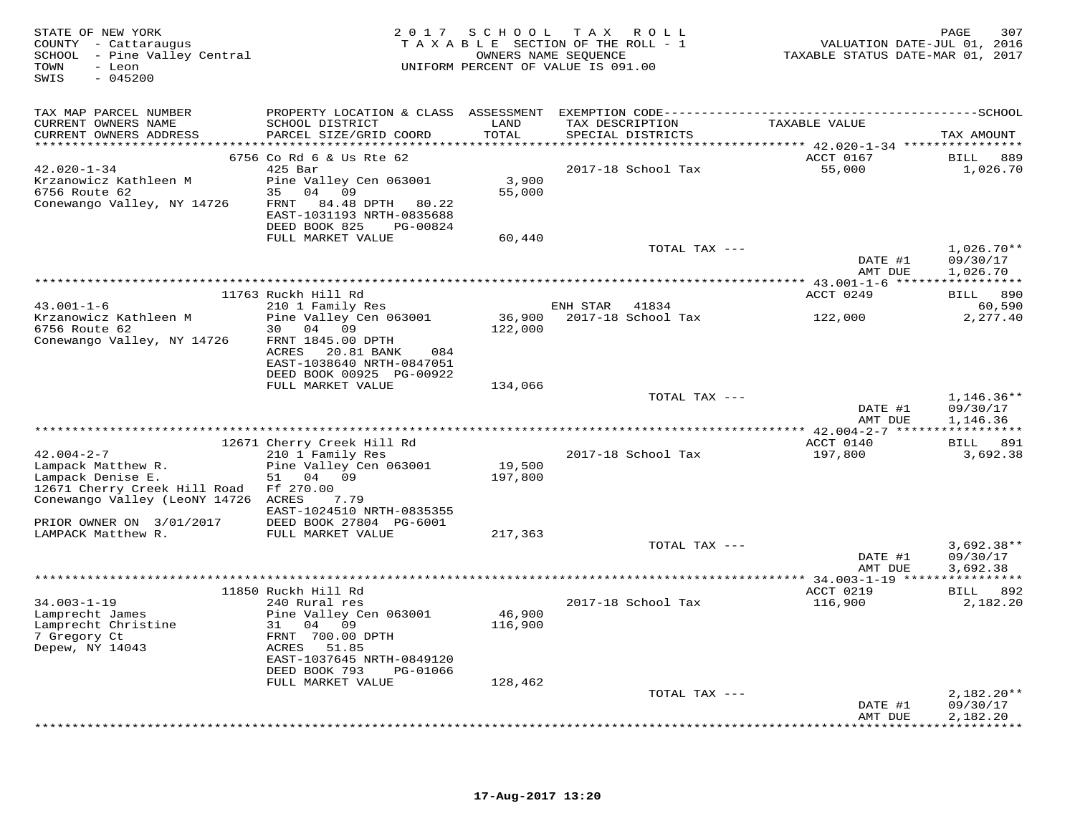| STATE OF NEW YORK<br>COUNTY - Cattaraugus<br>SCHOOL - Pine Valley Central<br>- Leon<br>TOWN<br>SWIS<br>$-045200$ |                                                         |               | 2017 SCHOOL TAX ROLL<br>TAXABLE SECTION OF THE ROLL - 1<br>OWNERS NAME SEQUENCE<br>UNIFORM PERCENT OF VALUE IS 091.00 | VALUATION DATE-JUL 01, 2016<br>TAXABLE STATUS DATE-MAR 01, 2017 | 307<br>PAGE          |
|------------------------------------------------------------------------------------------------------------------|---------------------------------------------------------|---------------|-----------------------------------------------------------------------------------------------------------------------|-----------------------------------------------------------------|----------------------|
| TAX MAP PARCEL NUMBER                                                                                            |                                                         |               |                                                                                                                       |                                                                 |                      |
| CURRENT OWNERS NAME<br>CURRENT OWNERS ADDRESS                                                                    | SCHOOL DISTRICT<br>PARCEL SIZE/GRID COORD               | LAND<br>TOTAL | TAX DESCRIPTION<br>SPECIAL DISTRICTS                                                                                  | TAXABLE VALUE                                                   | TAX AMOUNT           |
|                                                                                                                  | 6756 Co Rd 6 & Us Rte 62                                |               |                                                                                                                       | ACCT 0167                                                       | BILL<br>889          |
| $42.020 - 1 - 34$                                                                                                | $425$ Bar                                               |               | 2017-18 School Tax                                                                                                    | 55,000                                                          | 1,026.70             |
| Krzanowicz Kathleen M                                                                                            | Pine Valley Cen 063001                                  | 3,900         |                                                                                                                       |                                                                 |                      |
| 6756 Route 62                                                                                                    | 35 04 09                                                | 55,000        |                                                                                                                       |                                                                 |                      |
| Conewango Valley, NY 14726                                                                                       | FRNT<br>84.48 DPTH 80.22                                |               |                                                                                                                       |                                                                 |                      |
|                                                                                                                  | EAST-1031193 NRTH-0835688<br>DEED BOOK 825<br>PG-00824  |               |                                                                                                                       |                                                                 |                      |
|                                                                                                                  | FULL MARKET VALUE                                       | 60,440        |                                                                                                                       |                                                                 |                      |
|                                                                                                                  |                                                         |               | TOTAL TAX ---                                                                                                         |                                                                 | $1,026.70**$         |
|                                                                                                                  |                                                         |               |                                                                                                                       | DATE #1                                                         | 09/30/17             |
|                                                                                                                  |                                                         |               |                                                                                                                       | AMT DUE                                                         | 1,026.70             |
|                                                                                                                  | 11763 Ruckh Hill Rd                                     |               |                                                                                                                       | ACCT 0249                                                       | BILL 890             |
| $43.001 - 1 - 6$                                                                                                 | 210 1 Family Res                                        |               | ENH STAR<br>41834                                                                                                     |                                                                 | 60,590               |
| Krzanowicz Kathleen M                                                                                            | Pine Valley Cen 063001                                  | 36,900        | 2017-18 School Tax                                                                                                    | 122,000                                                         | 2,277.40             |
| 6756 Route 62                                                                                                    | 30 04 09                                                | 122,000       |                                                                                                                       |                                                                 |                      |
| Conewango Valley, NY 14726                                                                                       | FRNT 1845.00 DPTH                                       |               |                                                                                                                       |                                                                 |                      |
|                                                                                                                  | ACRES<br>20.81 BANK<br>084<br>EAST-1038640 NRTH-0847051 |               |                                                                                                                       |                                                                 |                      |
|                                                                                                                  | DEED BOOK 00925 PG-00922                                |               |                                                                                                                       |                                                                 |                      |
|                                                                                                                  | FULL MARKET VALUE                                       | 134,066       |                                                                                                                       |                                                                 |                      |
|                                                                                                                  |                                                         |               | TOTAL TAX ---                                                                                                         |                                                                 | 1,146.36**           |
|                                                                                                                  |                                                         |               |                                                                                                                       | DATE #1                                                         | 09/30/17             |
|                                                                                                                  |                                                         |               | *******************************                                                                                       | AMT DUE<br>************ 42.004-2-7 ******************           | 1,146.36             |
|                                                                                                                  | 12671 Cherry Creek Hill Rd                              |               |                                                                                                                       | ACCT 0140                                                       | BILL 891             |
| $42.004 - 2 - 7$                                                                                                 | 210 1 Family Res                                        |               | 2017-18 School Tax                                                                                                    | 197,800                                                         | 3,692.38             |
| Lampack Matthew R.                                                                                               | Pine Valley Cen 063001                                  | 19,500        |                                                                                                                       |                                                                 |                      |
| Lampack Denise E.                                                                                                | 04 09<br>51                                             | 197,800       |                                                                                                                       |                                                                 |                      |
| 12671 Cherry Creek Hill Road<br>Conewango Valley (LeoNY 14726 ACRES                                              | Ff 270.00<br>7.79                                       |               |                                                                                                                       |                                                                 |                      |
|                                                                                                                  | EAST-1024510 NRTH-0835355                               |               |                                                                                                                       |                                                                 |                      |
| PRIOR OWNER ON 3/01/2017                                                                                         | DEED BOOK 27804 PG-6001                                 |               |                                                                                                                       |                                                                 |                      |
| LAMPACK Matthew R.                                                                                               | FULL MARKET VALUE                                       | 217,363       |                                                                                                                       |                                                                 |                      |
|                                                                                                                  |                                                         |               | TOTAL TAX ---                                                                                                         |                                                                 | $3,692.38**$         |
|                                                                                                                  |                                                         |               |                                                                                                                       | DATE #1<br>AMT DUE                                              | 09/30/17<br>3,692.38 |
|                                                                                                                  |                                                         |               |                                                                                                                       |                                                                 |                      |
|                                                                                                                  | 11850 Ruckh Hill Rd                                     |               |                                                                                                                       | ACCT 0219                                                       | BILL 892             |
| $34.003 - 1 - 19$                                                                                                | 240 Rural res                                           |               | 2017-18 School Tax                                                                                                    | 116,900                                                         | 2,182.20             |
| Lamprecht James                                                                                                  | Pine Valley Cen 063001                                  | 46,900        |                                                                                                                       |                                                                 |                      |
| Lamprecht Christine<br>7 Gregory Ct                                                                              | 31 04 09<br>FRNT 700.00 DPTH                            | 116,900       |                                                                                                                       |                                                                 |                      |
| Depew, NY 14043                                                                                                  | ACRES 51.85                                             |               |                                                                                                                       |                                                                 |                      |
|                                                                                                                  | EAST-1037645 NRTH-0849120                               |               |                                                                                                                       |                                                                 |                      |
|                                                                                                                  | DEED BOOK 793<br>PG-01066                               |               |                                                                                                                       |                                                                 |                      |
|                                                                                                                  | FULL MARKET VALUE                                       | 128,462       | TOTAL TAX ---                                                                                                         |                                                                 | $2,182.20**$         |
|                                                                                                                  |                                                         |               |                                                                                                                       | DATE #1                                                         | 09/30/17             |
|                                                                                                                  |                                                         |               |                                                                                                                       | AMT DUE                                                         | 2,182.20             |
|                                                                                                                  |                                                         |               |                                                                                                                       |                                                                 | **********           |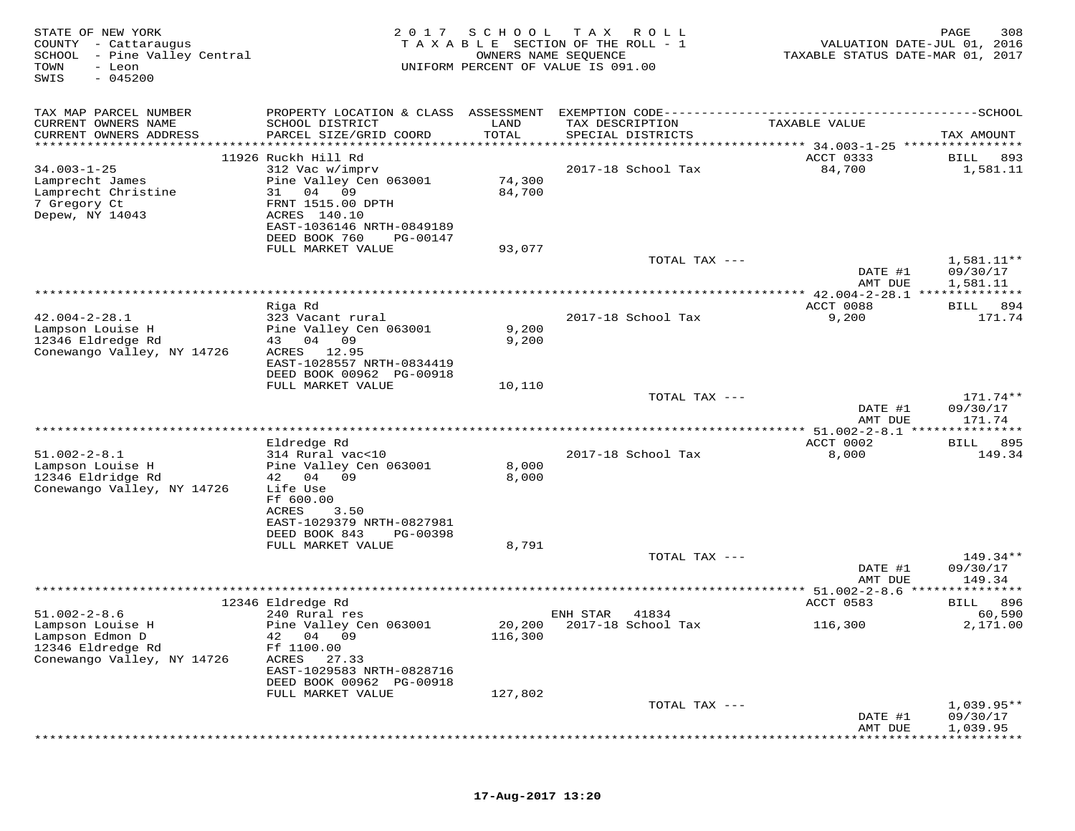| STATE OF NEW YORK<br>- Cattaraugus<br>COUNTY<br>SCHOOL<br>- Pine Valley Central<br>TOWN<br>- Leon<br>$-045200$<br>SWIS | 2017                                                                                                                                    | SCHOOL           | T A X<br>R O L L<br>TAXABLE SECTION OF THE ROLL - 1<br>OWNERS NAME SEQUENCE<br>UNIFORM PERCENT OF VALUE IS 091.00 |               | VALUATION DATE-JUL 01, 2016<br>TAXABLE STATUS DATE-MAR 01, 2017 | 308<br>PAGE                          |
|------------------------------------------------------------------------------------------------------------------------|-----------------------------------------------------------------------------------------------------------------------------------------|------------------|-------------------------------------------------------------------------------------------------------------------|---------------|-----------------------------------------------------------------|--------------------------------------|
| TAX MAP PARCEL NUMBER<br>CURRENT OWNERS NAME<br>CURRENT OWNERS ADDRESS                                                 | PROPERTY LOCATION & CLASS ASSESSMENT<br>SCHOOL DISTRICT<br>PARCEL SIZE/GRID COORD                                                       | LAND<br>TOTAL    | TAX DESCRIPTION<br>SPECIAL DISTRICTS                                                                              |               | TAXABLE VALUE                                                   | TAX AMOUNT                           |
| **********************                                                                                                 | ***********************                                                                                                                 | **************   |                                                                                                                   |               |                                                                 |                                      |
| $34.003 - 1 - 25$                                                                                                      | 11926 Ruckh Hill Rd<br>312 Vac w/imprv                                                                                                  |                  | 2017-18 School Tax                                                                                                |               | ACCT 0333<br>84,700                                             | BILL<br>893<br>1,581.11              |
| Lamprecht James<br>Lamprecht Christine<br>7 Gregory Ct<br>Depew, NY 14043                                              | Pine Valley Cen 063001<br>31<br>04<br>09<br>FRNT 1515.00 DPTH<br>ACRES 140.10<br>EAST-1036146 NRTH-0849189<br>DEED BOOK 760<br>PG-00147 | 74,300<br>84,700 |                                                                                                                   |               |                                                                 |                                      |
|                                                                                                                        | FULL MARKET VALUE                                                                                                                       | 93,077           |                                                                                                                   |               |                                                                 |                                      |
|                                                                                                                        |                                                                                                                                         |                  |                                                                                                                   | TOTAL TAX --- | DATE #1<br>AMT DUE                                              | $1,581.11**$<br>09/30/17<br>1,581.11 |
|                                                                                                                        | * * * * * * * * *                                                                                                                       |                  |                                                                                                                   |               | *********** 42.004-2-28.1 **************                        |                                      |
|                                                                                                                        | Riga Rd                                                                                                                                 |                  |                                                                                                                   |               | ACCT 0088                                                       | 894<br><b>BILL</b>                   |
| $42.004 - 2 - 28.1$                                                                                                    | 323 Vacant rural                                                                                                                        |                  | 2017-18 School Tax                                                                                                |               | 9,200                                                           | 171.74                               |
| Lampson Louise H<br>12346 Eldredge Rd                                                                                  | Pine Valley Cen 063001<br>43 04<br>09                                                                                                   | 9,200<br>9,200   |                                                                                                                   |               |                                                                 |                                      |
| Conewango Valley, NY 14726                                                                                             | ACRES 12.95<br>EAST-1028557 NRTH-0834419                                                                                                |                  |                                                                                                                   |               |                                                                 |                                      |
|                                                                                                                        | DEED BOOK 00962 PG-00918                                                                                                                |                  |                                                                                                                   |               |                                                                 |                                      |
|                                                                                                                        | FULL MARKET VALUE                                                                                                                       | 10,110           |                                                                                                                   |               |                                                                 |                                      |
|                                                                                                                        |                                                                                                                                         |                  |                                                                                                                   | TOTAL TAX --- | DATE #1<br>AMT DUE                                              | 171.74**<br>09/30/17<br>171.74       |
|                                                                                                                        |                                                                                                                                         |                  | ************************************                                                                              |               | **** $51.002 - 2 - 8.1$ *****                                   | *********                            |
|                                                                                                                        | Eldredge Rd                                                                                                                             |                  |                                                                                                                   |               | ACCT 0002                                                       | 895<br>BILL                          |
| $51.002 - 2 - 8.1$                                                                                                     | 314 Rural vac<10                                                                                                                        |                  | 2017-18 School Tax                                                                                                |               | 8,000                                                           | 149.34                               |
| Lampson Louise H<br>12346 Eldridge Rd                                                                                  | Pine Valley Cen 063001<br>42 04 09                                                                                                      | 8,000<br>8,000   |                                                                                                                   |               |                                                                 |                                      |
| Conewango Valley, NY 14726                                                                                             | Life Use                                                                                                                                |                  |                                                                                                                   |               |                                                                 |                                      |
|                                                                                                                        | Ff 600.00                                                                                                                               |                  |                                                                                                                   |               |                                                                 |                                      |
|                                                                                                                        | ACRES<br>3.50                                                                                                                           |                  |                                                                                                                   |               |                                                                 |                                      |
|                                                                                                                        | EAST-1029379 NRTH-0827981<br>DEED BOOK 843<br>PG-00398                                                                                  |                  |                                                                                                                   |               |                                                                 |                                      |
|                                                                                                                        | FULL MARKET VALUE                                                                                                                       | 8,791            |                                                                                                                   |               |                                                                 |                                      |
|                                                                                                                        |                                                                                                                                         |                  |                                                                                                                   | TOTAL TAX --- |                                                                 | $149.34**$                           |
|                                                                                                                        |                                                                                                                                         |                  |                                                                                                                   |               | DATE #1<br>AMT DUE                                              | 09/30/17<br>149.34                   |
|                                                                                                                        |                                                                                                                                         |                  |                                                                                                                   |               |                                                                 |                                      |
|                                                                                                                        | 12346 Eldredge Rd                                                                                                                       |                  |                                                                                                                   |               | ACCT 0583                                                       | 896<br><b>BILL</b>                   |
| $51.002 - 2 - 8.6$<br>Lampson Louise H                                                                                 | 240 Rural res<br>Pine Valley Cen 063001                                                                                                 | 20,200           | ENH STAR<br>41834<br>2017-18 School Tax                                                                           |               | 116,300                                                         | 60,590<br>2,171.00                   |
| Lampson Edmon D                                                                                                        | 42<br>04 09                                                                                                                             | 116,300          |                                                                                                                   |               |                                                                 |                                      |
| 12346 Eldredge Rd                                                                                                      | Ff 1100.00                                                                                                                              |                  |                                                                                                                   |               |                                                                 |                                      |
| Conewango Valley, NY 14726                                                                                             | ACRES<br>27.33<br>EAST-1029583 NRTH-0828716                                                                                             |                  |                                                                                                                   |               |                                                                 |                                      |
|                                                                                                                        | DEED BOOK 00962 PG-00918                                                                                                                |                  |                                                                                                                   |               |                                                                 |                                      |
|                                                                                                                        | FULL MARKET VALUE                                                                                                                       | 127,802          |                                                                                                                   |               |                                                                 |                                      |
|                                                                                                                        |                                                                                                                                         |                  |                                                                                                                   | TOTAL TAX --- |                                                                 | $1,039.95**$                         |
|                                                                                                                        |                                                                                                                                         |                  |                                                                                                                   |               | DATE #1                                                         | 09/30/17                             |
|                                                                                                                        |                                                                                                                                         |                  |                                                                                                                   |               | AMT DUE                                                         | 1,039.95                             |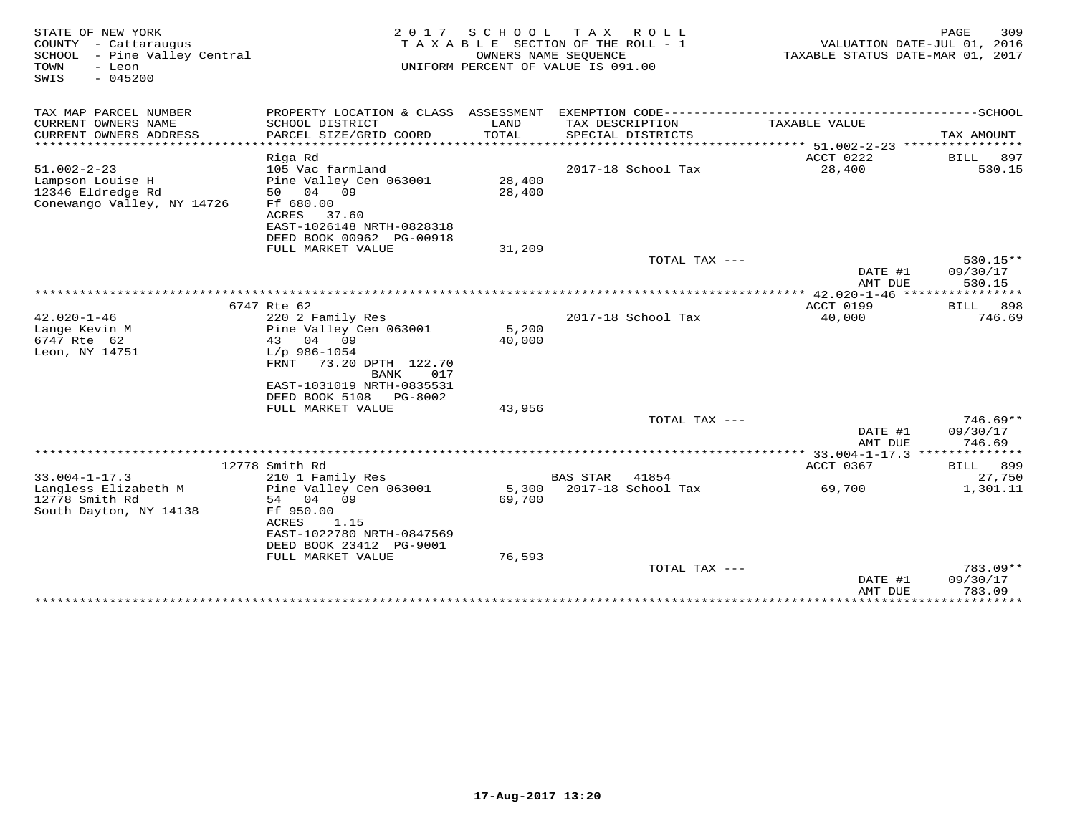| STATE OF NEW YORK<br>COUNTY - Cattaraugus<br>SCHOOL - Pine Valley Central<br>TOWN<br>- Leon<br>$-045200$<br>SWIS | 2017                                        | SCHOOL        | T A X<br>R O L L<br>TAXABLE SECTION OF THE ROLL - 1<br>OWNERS NAME SEQUENCE<br>UNIFORM PERCENT OF VALUE IS 091.00 | TAXABLE STATUS DATE-MAR 01, 2017                    | PAGE<br>309<br>VALUATION DATE-JUL 01, 2016 |
|------------------------------------------------------------------------------------------------------------------|---------------------------------------------|---------------|-------------------------------------------------------------------------------------------------------------------|-----------------------------------------------------|--------------------------------------------|
| TAX MAP PARCEL NUMBER                                                                                            |                                             |               |                                                                                                                   |                                                     |                                            |
| CURRENT OWNERS NAME<br>CURRENT OWNERS ADDRESS<br>************************                                        | SCHOOL DISTRICT<br>PARCEL SIZE/GRID COORD   | LAND<br>TOTAL | TAX DESCRIPTION<br>SPECIAL DISTRICTS                                                                              | TAXABLE VALUE                                       | TAX AMOUNT                                 |
|                                                                                                                  | Riga Rd                                     |               |                                                                                                                   | ACCT 0222                                           | <b>BILL</b><br>897                         |
| $51.002 - 2 - 23$                                                                                                | 105 Vac farmland                            |               | 2017-18 School Tax                                                                                                | 28,400                                              | 530.15                                     |
| Lampson Louise H                                                                                                 | Pine Valley Cen 063001                      | 28,400        |                                                                                                                   |                                                     |                                            |
| 12346 Eldredge Rd                                                                                                | 50 04 09                                    | 28,400        |                                                                                                                   |                                                     |                                            |
| Conewango Valley, NY 14726                                                                                       | Ff 680.00                                   |               |                                                                                                                   |                                                     |                                            |
|                                                                                                                  | ACRES<br>37.60<br>EAST-1026148 NRTH-0828318 |               |                                                                                                                   |                                                     |                                            |
|                                                                                                                  | DEED BOOK 00962 PG-00918                    |               |                                                                                                                   |                                                     |                                            |
|                                                                                                                  | FULL MARKET VALUE                           | 31,209        |                                                                                                                   |                                                     |                                            |
|                                                                                                                  |                                             |               | TOTAL TAX ---                                                                                                     |                                                     | 530.15**                                   |
|                                                                                                                  |                                             |               |                                                                                                                   | DATE #1                                             | 09/30/17                                   |
|                                                                                                                  |                                             |               |                                                                                                                   | AMT DUE                                             | 530.15                                     |
|                                                                                                                  | 6747 Rte 62                                 |               |                                                                                                                   | ACCT 0199                                           | <b>BILL</b><br>898                         |
| $42.020 - 1 - 46$                                                                                                | 220 2 Family Res                            |               | 2017-18 School Tax                                                                                                | 40,000                                              | 746.69                                     |
| Lange Kevin M                                                                                                    | Pine Valley Cen 063001                      | 5,200         |                                                                                                                   |                                                     |                                            |
| 6747 Rte 62                                                                                                      | 04 09<br>43                                 | 40,000        |                                                                                                                   |                                                     |                                            |
| Leon, NY 14751                                                                                                   | $L/p$ 986-1054                              |               |                                                                                                                   |                                                     |                                            |
|                                                                                                                  | FRNT<br>73.20 DPTH 122.70                   |               |                                                                                                                   |                                                     |                                            |
|                                                                                                                  | BANK<br>017<br>EAST-1031019 NRTH-0835531    |               |                                                                                                                   |                                                     |                                            |
|                                                                                                                  | DEED BOOK 5108<br>PG-8002                   |               |                                                                                                                   |                                                     |                                            |
|                                                                                                                  | FULL MARKET VALUE                           | 43,956        |                                                                                                                   |                                                     |                                            |
|                                                                                                                  |                                             |               | TOTAL TAX ---                                                                                                     |                                                     | 746.69**                                   |
|                                                                                                                  |                                             |               |                                                                                                                   | DATE #1                                             | 09/30/17                                   |
|                                                                                                                  |                                             |               |                                                                                                                   | AMT DUE<br>*********** 33.004-1-17.3 ************** | 746.69                                     |
|                                                                                                                  | 12778 Smith Rd                              |               |                                                                                                                   | ACCT 0367                                           | BILL 899                                   |
| $33.004 - 1 - 17.3$                                                                                              | 210 1 Family Res                            |               | <b>BAS STAR</b><br>41854                                                                                          |                                                     | 27,750                                     |
| Langless Elizabeth M                                                                                             | Pine Valley Cen 063001                      | 5,300         | 2017-18 School Tax                                                                                                | 69,700                                              | 1,301.11                                   |
| 12778 Smith Rd                                                                                                   | 54 04<br>09                                 | 69,700        |                                                                                                                   |                                                     |                                            |
| South Dayton, NY 14138                                                                                           | Ff 950.00                                   |               |                                                                                                                   |                                                     |                                            |
|                                                                                                                  | ACRES<br>1.15<br>EAST-1022780 NRTH-0847569  |               |                                                                                                                   |                                                     |                                            |
|                                                                                                                  | DEED BOOK 23412 PG-9001                     |               |                                                                                                                   |                                                     |                                            |
|                                                                                                                  | FULL MARKET VALUE                           | 76,593        |                                                                                                                   |                                                     |                                            |
|                                                                                                                  |                                             |               | TOTAL TAX ---                                                                                                     |                                                     | 783.09**                                   |
|                                                                                                                  |                                             |               |                                                                                                                   | DATE #1                                             | 09/30/17                                   |
|                                                                                                                  |                                             |               |                                                                                                                   | AMT DUE<br>******************                       | 783.09<br>***********                      |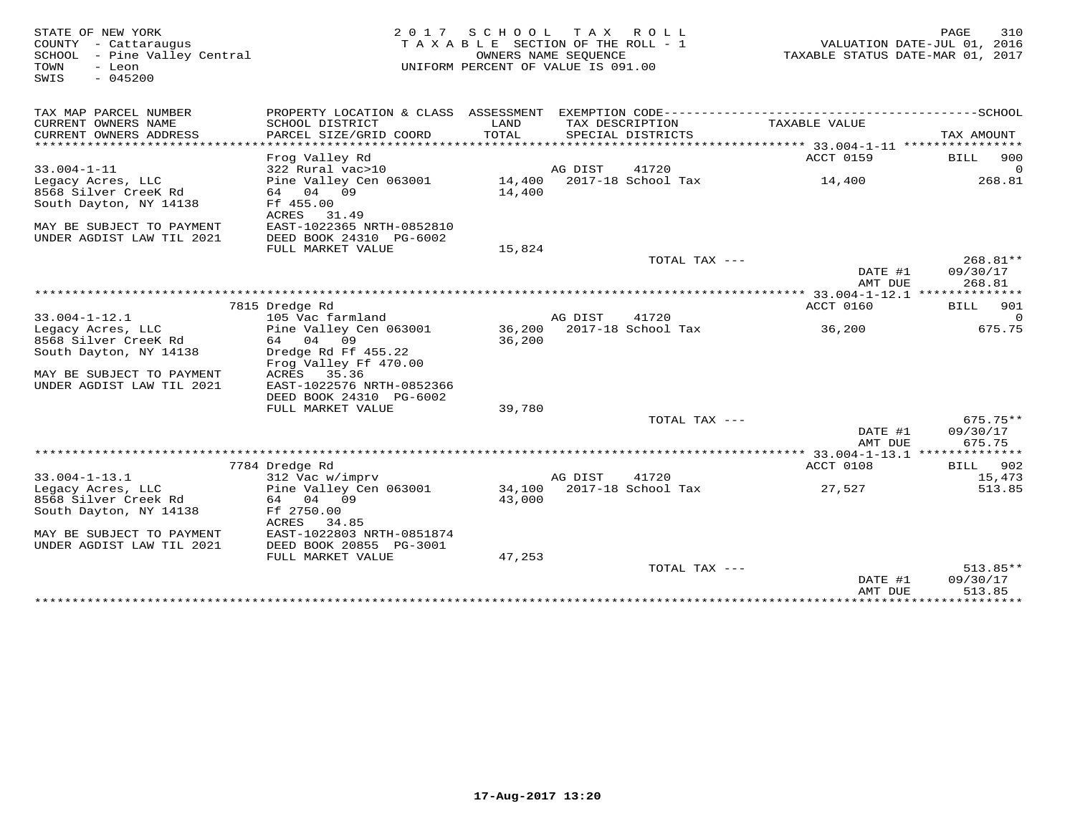| STATE OF NEW YORK<br>COUNTY - Cattaraugus<br>SCHOOL<br>- Pine Valley Central<br>- Leon<br>TOWN<br>$-045200$<br>SWIS | 2 0 1 7                                              | SCHOOL           | T A X<br>R O L L<br>TAXABLE SECTION OF THE ROLL - 1<br>OWNERS NAME SEQUENCE<br>UNIFORM PERCENT OF VALUE IS 091.00 | TAXABLE STATUS DATE-MAR 01, 2017                                    | 310<br>PAGE<br>VALUATION DATE-JUL 01, 2016 |
|---------------------------------------------------------------------------------------------------------------------|------------------------------------------------------|------------------|-------------------------------------------------------------------------------------------------------------------|---------------------------------------------------------------------|--------------------------------------------|
| TAX MAP PARCEL NUMBER                                                                                               |                                                      |                  |                                                                                                                   |                                                                     |                                            |
| CURRENT OWNERS NAME<br>CURRENT OWNERS ADDRESS                                                                       | SCHOOL DISTRICT<br>PARCEL SIZE/GRID COORD            | LAND<br>TOTAL    | TAX DESCRIPTION<br>SPECIAL DISTRICTS                                                                              | TAXABLE VALUE                                                       | TAX AMOUNT                                 |
| *******************                                                                                                 | Frog Valley Rd                                       |                  |                                                                                                                   | ********************************** 33.004-1-11 *******<br>ACCT 0159 | 900<br><b>BILL</b>                         |
| $33.004 - 1 - 11$                                                                                                   | 322 Rural vac>10                                     |                  | AG DIST<br>41720                                                                                                  |                                                                     | $\Omega$                                   |
| Legacy Acres, LLC<br>8568 Silver CreeK Rd                                                                           | Pine Valley Cen 063001<br>64 04 09                   | 14,400<br>14,400 | 2017-18 School Tax                                                                                                | 14,400                                                              | 268.81                                     |
| South Dayton, NY 14138                                                                                              | Ff 455.00<br>ACRES<br>31.49                          |                  |                                                                                                                   |                                                                     |                                            |
| MAY BE SUBJECT TO PAYMENT<br>UNDER AGDIST LAW TIL 2021                                                              | EAST-1022365 NRTH-0852810<br>DEED BOOK 24310 PG-6002 |                  |                                                                                                                   |                                                                     |                                            |
|                                                                                                                     | FULL MARKET VALUE                                    | 15,824           |                                                                                                                   |                                                                     |                                            |
|                                                                                                                     |                                                      |                  | TOTAL TAX $---$                                                                                                   |                                                                     | 268.81**                                   |
|                                                                                                                     |                                                      |                  |                                                                                                                   | DATE #1<br>AMT DUE                                                  | 09/30/17<br>268.81                         |
|                                                                                                                     |                                                      |                  |                                                                                                                   | ************ 33.004-1-12.1 **************                           |                                            |
| $33.004 - 1 - 12.1$                                                                                                 | 7815 Dredge Rd<br>105 Vac farmland                   |                  | 41720<br>AG DIST                                                                                                  | ACCT 0160                                                           | 901<br>BILL<br>$\circ$                     |
| Legacy Acres, LLC                                                                                                   | Pine Valley Cen 063001                               | 36,200           | 2017-18 School Tax                                                                                                | 36,200                                                              | 675.75                                     |
| 8568 Silver CreeK Rd                                                                                                | 04<br>09<br>64                                       | 36,200           |                                                                                                                   |                                                                     |                                            |
| South Dayton, NY 14138                                                                                              | Dredge Rd Ff 455.22<br>Frog Valley Ff 470.00         |                  |                                                                                                                   |                                                                     |                                            |
| MAY BE SUBJECT TO PAYMENT                                                                                           | 35.36<br>ACRES                                       |                  |                                                                                                                   |                                                                     |                                            |
| UNDER AGDIST LAW TIL 2021                                                                                           | EAST-1022576 NRTH-0852366                            |                  |                                                                                                                   |                                                                     |                                            |
|                                                                                                                     | DEED BOOK 24310 PG-6002<br>FULL MARKET VALUE         | 39,780           |                                                                                                                   |                                                                     |                                            |
|                                                                                                                     |                                                      |                  | TOTAL TAX ---                                                                                                     |                                                                     | $675.75**$                                 |
|                                                                                                                     |                                                      |                  |                                                                                                                   | DATE #1                                                             | 09/30/17                                   |
|                                                                                                                     |                                                      |                  |                                                                                                                   | AMT DUE<br>*********** 33.004-1-13.1 *****                          | 675.75<br>* * * * * * * *                  |
|                                                                                                                     | 7784 Dredge Rd                                       |                  |                                                                                                                   | ACCT 0108                                                           | 902<br>BILL                                |
| $33.004 - 1 - 13.1$                                                                                                 | 312 Vac w/imprv                                      |                  | AG DIST<br>41720                                                                                                  |                                                                     | 15,473                                     |
| Legacy Acres, LLC                                                                                                   | Pine Valley Cen 063001                               | 34,100           | 2017-18 School Tax                                                                                                | 27,527                                                              | 513.85                                     |
| 8568 Silver Creek Rd                                                                                                | 64 04<br>09                                          | 43,000           |                                                                                                                   |                                                                     |                                            |
| South Dayton, NY 14138                                                                                              | Ff 2750.00<br>ACRES<br>34.85                         |                  |                                                                                                                   |                                                                     |                                            |
| MAY BE SUBJECT TO PAYMENT                                                                                           | EAST-1022803 NRTH-0851874                            |                  |                                                                                                                   |                                                                     |                                            |
| UNDER AGDIST LAW TIL 2021                                                                                           | DEED BOOK 20855 PG-3001                              |                  |                                                                                                                   |                                                                     |                                            |
|                                                                                                                     | FULL MARKET VALUE                                    | 47,253           |                                                                                                                   |                                                                     |                                            |
|                                                                                                                     |                                                      |                  | TOTAL TAX ---                                                                                                     |                                                                     | $513.85**$                                 |
|                                                                                                                     |                                                      |                  |                                                                                                                   | DATE #1<br>AMT DUE                                                  | 09/30/17<br>513.85                         |
|                                                                                                                     |                                                      |                  |                                                                                                                   | ****************                                                    | ***********                                |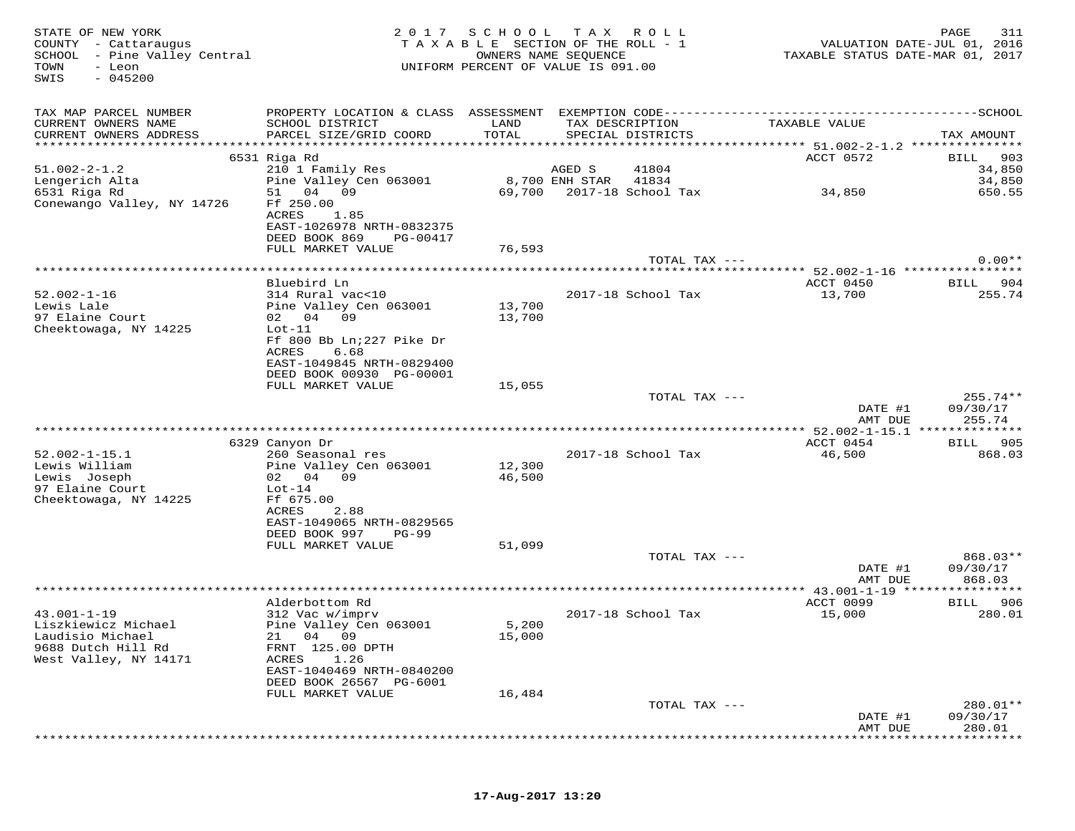| STATE OF NEW YORK<br>COUNTY - Cattaraugus<br>SCHOOL - Pine Valley Central<br>TOWN<br>- Leon<br>$-045200$<br>SWIS | 2 0 1 7                                              | SCHOOL TAX ROLL<br>TAXABLE SECTION OF THE ROLL - 1<br>OWNERS NAME SEQUENCE<br>UNIFORM PERCENT OF VALUE IS 091.00 |                |                                      | VALUATION DATE-JUL 01, 2016<br>TAXABLE STATUS DATE-MAR 01, 2017 | 311<br>PAGE        |
|------------------------------------------------------------------------------------------------------------------|------------------------------------------------------|------------------------------------------------------------------------------------------------------------------|----------------|--------------------------------------|-----------------------------------------------------------------|--------------------|
| TAX MAP PARCEL NUMBER                                                                                            |                                                      |                                                                                                                  |                |                                      |                                                                 |                    |
| CURRENT OWNERS NAME<br>CURRENT OWNERS ADDRESS                                                                    | SCHOOL DISTRICT<br>PARCEL SIZE/GRID COORD            | LAND<br>TOTAL                                                                                                    |                | TAX DESCRIPTION<br>SPECIAL DISTRICTS | TAXABLE VALUE                                                   | TAX AMOUNT         |
|                                                                                                                  | 6531 Riga Rd                                         |                                                                                                                  |                |                                      | ACCT 0572                                                       | 903<br>BILL        |
| $51.002 - 2 - 1.2$                                                                                               | 210 1 Family Res                                     |                                                                                                                  | AGED S         | 41804                                |                                                                 | 34,850             |
| Lengerich Alta                                                                                                   | Pine Valley Cen 063001                               |                                                                                                                  | 8,700 ENH STAR | 41834<br>2017-18 School Tax          |                                                                 | 34,850             |
| 6531 Riga Rd<br>Conewango Valley, NY 14726                                                                       | 04 09<br>51<br>Ff 250.00                             | 69,700                                                                                                           |                |                                      | 34,850                                                          | 650.55             |
|                                                                                                                  | ACRES<br>1.85                                        |                                                                                                                  |                |                                      |                                                                 |                    |
|                                                                                                                  | EAST-1026978 NRTH-0832375                            |                                                                                                                  |                |                                      |                                                                 |                    |
|                                                                                                                  | DEED BOOK 869<br>PG-00417                            |                                                                                                                  |                |                                      |                                                                 |                    |
|                                                                                                                  | FULL MARKET VALUE                                    | 76,593                                                                                                           |                | TOTAL TAX ---                        |                                                                 | $0.00**$           |
|                                                                                                                  |                                                      |                                                                                                                  |                |                                      |                                                                 |                    |
|                                                                                                                  | Bluebird Ln                                          |                                                                                                                  |                |                                      | ACCT 0450                                                       | 904<br>BILL        |
| $52.002 - 1 - 16$<br>Lewis Lale                                                                                  | 314 Rural vac<10                                     | 13,700                                                                                                           |                | 2017-18 School Tax                   | 13,700                                                          | 255.74             |
| 97 Elaine Court                                                                                                  | Pine Valley Cen 063001<br>02 04 09                   | 13,700                                                                                                           |                |                                      |                                                                 |                    |
| Cheektowaga, NY 14225                                                                                            | $Lot-11$                                             |                                                                                                                  |                |                                      |                                                                 |                    |
|                                                                                                                  | Ff 800 Bb Ln; 227 Pike Dr                            |                                                                                                                  |                |                                      |                                                                 |                    |
|                                                                                                                  | ACRES<br>6.68<br>EAST-1049845 NRTH-0829400           |                                                                                                                  |                |                                      |                                                                 |                    |
|                                                                                                                  | DEED BOOK 00930 PG-00001                             |                                                                                                                  |                |                                      |                                                                 |                    |
|                                                                                                                  | FULL MARKET VALUE                                    | 15,055                                                                                                           |                |                                      |                                                                 |                    |
|                                                                                                                  |                                                      |                                                                                                                  |                | TOTAL TAX ---                        |                                                                 | $255.74**$         |
|                                                                                                                  |                                                      |                                                                                                                  |                |                                      | DATE #1<br>AMT DUE                                              | 09/30/17<br>255.74 |
|                                                                                                                  |                                                      |                                                                                                                  |                |                                      |                                                                 |                    |
|                                                                                                                  | 6329 Canyon Dr                                       |                                                                                                                  |                |                                      | ACCT 0454                                                       | 905<br>BILL        |
| $52.002 - 1 - 15.1$                                                                                              | 260 Seasonal res                                     |                                                                                                                  |                | 2017-18 School Tax                   | 46,500                                                          | 868.03             |
| Lewis William<br>Lewis Joseph                                                                                    | Pine Valley Cen 063001<br>02 04 09                   | 12,300<br>46,500                                                                                                 |                |                                      |                                                                 |                    |
| 97 Elaine Court                                                                                                  | $Lot-14$                                             |                                                                                                                  |                |                                      |                                                                 |                    |
| Cheektowaga, NY 14225                                                                                            | Ff 675.00                                            |                                                                                                                  |                |                                      |                                                                 |                    |
|                                                                                                                  | ACRES<br>2.88                                        |                                                                                                                  |                |                                      |                                                                 |                    |
|                                                                                                                  | EAST-1049065 NRTH-0829565<br>DEED BOOK 997<br>PG-99  |                                                                                                                  |                |                                      |                                                                 |                    |
|                                                                                                                  | FULL MARKET VALUE                                    | 51,099                                                                                                           |                |                                      |                                                                 |                    |
|                                                                                                                  |                                                      |                                                                                                                  |                | TOTAL TAX ---                        |                                                                 | 868.03**           |
|                                                                                                                  |                                                      |                                                                                                                  |                |                                      | DATE #1<br>AMT DUE                                              | 09/30/17<br>868.03 |
|                                                                                                                  |                                                      |                                                                                                                  |                |                                      |                                                                 |                    |
|                                                                                                                  | Alderbottom Rd                                       |                                                                                                                  |                |                                      | ACCT 0099                                                       | 906<br>BILL        |
| $43.001 - 1 - 19$                                                                                                | 312 Vac w/imprv                                      |                                                                                                                  |                | 2017-18 School Tax                   | 15,000                                                          | 280.01             |
| Liszkiewicz Michael<br>Laudisio Michael                                                                          | Pine Valley Cen 063001<br>21 04 09                   | 5,200<br>15,000                                                                                                  |                |                                      |                                                                 |                    |
| 9688 Dutch Hill Rd                                                                                               | FRNT 125.00 DPTH                                     |                                                                                                                  |                |                                      |                                                                 |                    |
| West Valley, NY 14171                                                                                            | ACRES<br>1.26                                        |                                                                                                                  |                |                                      |                                                                 |                    |
|                                                                                                                  | EAST-1040469 NRTH-0840200<br>DEED BOOK 26567 PG-6001 |                                                                                                                  |                |                                      |                                                                 |                    |
|                                                                                                                  | FULL MARKET VALUE                                    | 16,484                                                                                                           |                |                                      |                                                                 |                    |
|                                                                                                                  |                                                      |                                                                                                                  |                | TOTAL TAX ---                        |                                                                 | 280.01**           |
|                                                                                                                  |                                                      |                                                                                                                  |                |                                      | DATE #1                                                         | 09/30/17           |
|                                                                                                                  |                                                      |                                                                                                                  |                |                                      | AMT DUE                                                         | 280.01             |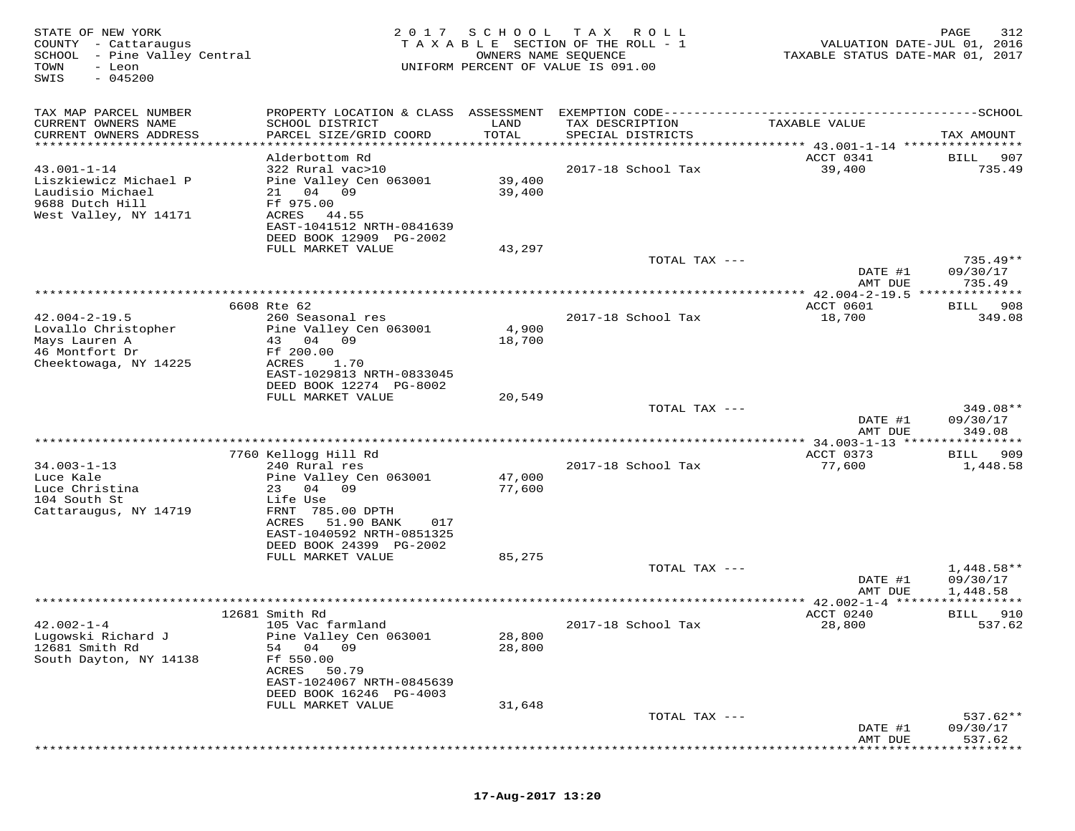| STATE OF NEW YORK<br>COUNTY - Cattaraugus<br>SCHOOL - Pine Valley Central<br>TOWN<br>- Leon<br>$-045200$<br>SWIS | 2 0 1 7                                                                                                                                                                      | SCHOOL<br>OWNERS NAME SEQUENCE | T A X<br>ROLL<br>TAXABLE SECTION OF THE ROLL - 1<br>UNIFORM PERCENT OF VALUE IS 091.00 | VALUATION DATE-JUL 01, 2016<br>TAXABLE STATUS DATE-MAR 01, 2017 | 312<br>PAGE               |
|------------------------------------------------------------------------------------------------------------------|------------------------------------------------------------------------------------------------------------------------------------------------------------------------------|--------------------------------|----------------------------------------------------------------------------------------|-----------------------------------------------------------------|---------------------------|
| TAX MAP PARCEL NUMBER<br>CURRENT OWNERS NAME<br>CURRENT OWNERS ADDRESS                                           | PROPERTY LOCATION & CLASS ASSESSMENT<br>SCHOOL DISTRICT<br>PARCEL SIZE/GRID COORD                                                                                            | LAND<br>TOTAL                  | TAX DESCRIPTION<br>SPECIAL DISTRICTS                                                   | TAXABLE VALUE                                                   | TAX AMOUNT                |
| **********************                                                                                           | **********************<br>Alderbottom Rd                                                                                                                                     | ************                   |                                                                                        | ************** 43.001-1-14 *****************<br>ACCT 0341       | 907<br>BILL               |
| $43.001 - 1 - 14$<br>Liszkiewicz Michael P<br>Laudisio Michael<br>9688 Dutch Hill<br>West Valley, NY 14171       | 322 Rural vac>10<br>Pine Valley Cen 063001<br>04 09<br>21<br>Ff 975.00<br>ACRES<br>44.55<br>EAST-1041512 NRTH-0841639<br>DEED BOOK 12909 PG-2002                             | 39,400<br>39,400               | 2017-18 School Tax                                                                     | 39,400                                                          | 735.49                    |
|                                                                                                                  | FULL MARKET VALUE                                                                                                                                                            | 43,297                         |                                                                                        |                                                                 |                           |
|                                                                                                                  |                                                                                                                                                                              |                                | TOTAL TAX ---                                                                          | DATE #1                                                         | $735.49**$<br>09/30/17    |
| *******************                                                                                              |                                                                                                                                                                              |                                |                                                                                        | AMT DUE<br>*********** 42.004-2-19.5 ***                        | 735.49<br>* * * * * * * * |
|                                                                                                                  | 6608 Rte 62                                                                                                                                                                  |                                |                                                                                        | ACCT 0601                                                       | 908<br>BILL               |
| $42.004 - 2 - 19.5$<br>Lovallo Christopher<br>Mays Lauren A<br>46 Montfort Dr                                    | 260 Seasonal res<br>Pine Valley Cen 063001<br>43 04 09<br>Ff 200.00                                                                                                          | 4,900<br>18,700                | 2017-18 School Tax                                                                     | 18,700                                                          | 349.08                    |
| Cheektowaga, NY 14225                                                                                            | ACRES<br>1.70<br>EAST-1029813 NRTH-0833045<br>DEED BOOK 12274 PG-8002<br>FULL MARKET VALUE                                                                                   | 20,549                         | TOTAL TAX ---                                                                          |                                                                 | 349.08**                  |
|                                                                                                                  |                                                                                                                                                                              |                                |                                                                                        | DATE #1<br>AMT DUE                                              | 09/30/17<br>349.08        |
|                                                                                                                  |                                                                                                                                                                              |                                |                                                                                        |                                                                 | ********                  |
|                                                                                                                  | 7760 Kellogg Hill Rd                                                                                                                                                         |                                |                                                                                        | ACCT 0373                                                       | 909<br>BILL               |
| $34.003 - 1 - 13$<br>Luce Kale<br>Luce Christina<br>104 South St<br>Cattaraugus, NY 14719                        | 240 Rural res<br>Pine Valley Cen 063001<br>23<br>04 09<br>Life Use<br>FRNT 785.00 DPTH<br>51.90 BANK<br>ACRES<br>017<br>EAST-1040592 NRTH-0851325<br>DEED BOOK 24399 PG-2002 | 47,000<br>77,600               | 2017-18 School Tax                                                                     | 77,600                                                          | 1,448.58                  |
|                                                                                                                  | FULL MARKET VALUE                                                                                                                                                            | 85,275                         |                                                                                        |                                                                 |                           |
|                                                                                                                  |                                                                                                                                                                              |                                | TOTAL TAX ---                                                                          | DATE #1                                                         | $1,448.58**$<br>09/30/17  |
|                                                                                                                  |                                                                                                                                                                              |                                |                                                                                        | AMT DUE<br>************ 42.002-1-4 ******                       | 1,448.58                  |
|                                                                                                                  | 12681 Smith Rd                                                                                                                                                               |                                |                                                                                        | ACCT 0240                                                       | BILL<br>910               |
| $42.002 - 1 - 4$<br>Lugowski Richard J<br>12681 Smith Rd<br>South Dayton, NY 14138                               | 105 Vac farmland<br>Pine Valley Cen 063001<br>54<br>04 09<br>Ff 550.00<br>50.79<br>ACRES<br>EAST-1024067 NRTH-0845639<br>DEED BOOK 16246 PG-4003<br>FULL MARKET VALUE        | 28,800<br>28,800<br>31,648     | 2017-18 School Tax                                                                     | 28,800                                                          | 537.62                    |
|                                                                                                                  |                                                                                                                                                                              |                                | TOTAL TAX ---                                                                          |                                                                 | $537.62**$                |
|                                                                                                                  |                                                                                                                                                                              |                                |                                                                                        | DATE #1<br>AMT DUE                                              | 09/30/17<br>537.62        |
|                                                                                                                  |                                                                                                                                                                              |                                |                                                                                        |                                                                 |                           |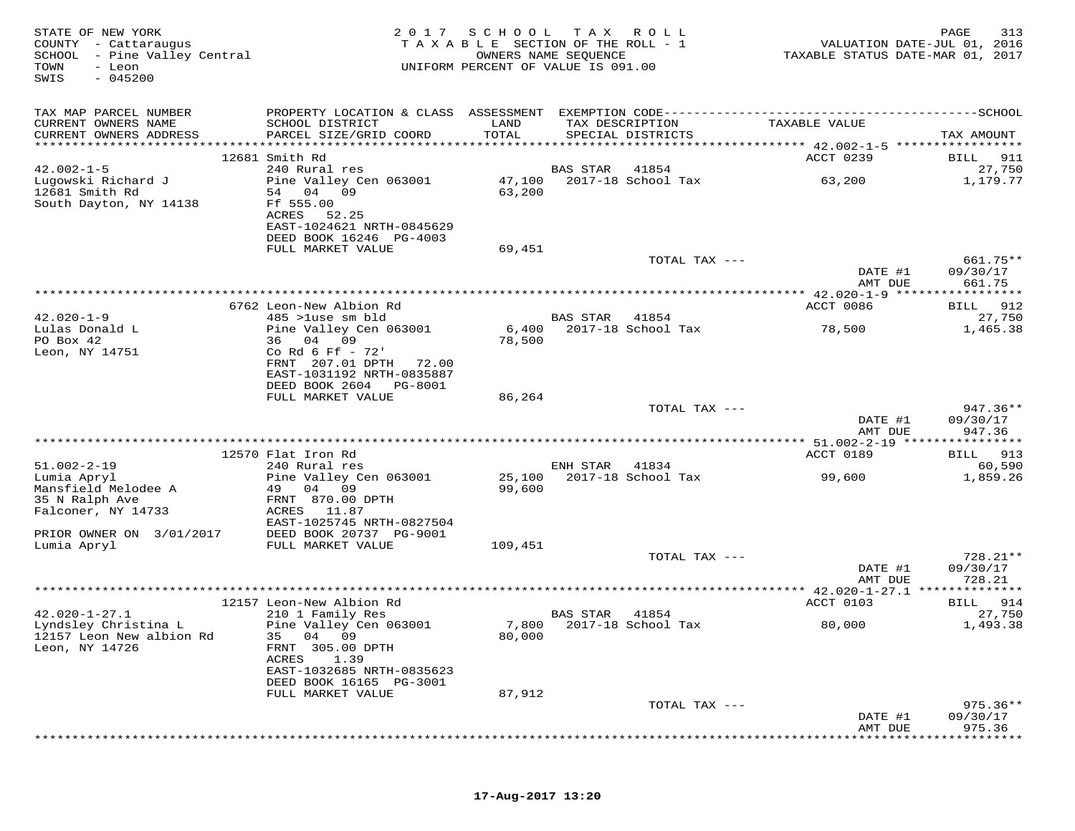| STATE OF NEW YORK<br>COUNTY - Cattaraugus<br>- Pine Valley Central<br>SCHOOL<br>TOWN<br>- Leon<br>$-045200$<br>SWIS | 2017                                                     | SCHOOL           | T A X<br>R O L L<br>TAXABLE SECTION OF THE ROLL - 1<br>OWNERS NAME SEQUENCE<br>UNIFORM PERCENT OF VALUE IS 091.00 | VALUATION DATE-JUL 01, 2016<br>TAXABLE STATUS DATE-MAR 01, 2017 | 313<br>PAGE           |
|---------------------------------------------------------------------------------------------------------------------|----------------------------------------------------------|------------------|-------------------------------------------------------------------------------------------------------------------|-----------------------------------------------------------------|-----------------------|
| TAX MAP PARCEL NUMBER                                                                                               |                                                          |                  |                                                                                                                   |                                                                 |                       |
| CURRENT OWNERS NAME<br>CURRENT OWNERS ADDRESS                                                                       | SCHOOL DISTRICT<br>PARCEL SIZE/GRID COORD                | LAND<br>TOTAL    | TAX DESCRIPTION<br>SPECIAL DISTRICTS                                                                              | TAXABLE VALUE                                                   | TAX AMOUNT            |
|                                                                                                                     |                                                          |                  |                                                                                                                   |                                                                 |                       |
| $42.002 - 1 - 5$                                                                                                    | 12681 Smith Rd<br>240 Rural res                          |                  | BAS STAR<br>41854                                                                                                 | ACCT 0239                                                       | BILL<br>911<br>27,750 |
| Luqowski Richard J<br>12681 Smith Rd                                                                                | Pine Valley Cen 063001<br>54 04<br>09                    | 47,100<br>63,200 | 2017-18 School Tax                                                                                                | 63,200                                                          | 1,179.77              |
| South Dayton, NY 14138                                                                                              | Ff 555.00<br>ACRES<br>52.25<br>EAST-1024621 NRTH-0845629 |                  |                                                                                                                   |                                                                 |                       |
|                                                                                                                     | DEED BOOK 16246 PG-4003                                  |                  |                                                                                                                   |                                                                 |                       |
|                                                                                                                     | FULL MARKET VALUE                                        | 69,451           | TOTAL TAX ---                                                                                                     |                                                                 | 661.75**              |
|                                                                                                                     |                                                          |                  |                                                                                                                   | DATE #1<br>AMT DUE                                              | 09/30/17<br>661.75    |
|                                                                                                                     |                                                          |                  |                                                                                                                   | ***************** 42.020-1-9 ********                           | * * * * * * * * *     |
|                                                                                                                     | 6762 Leon-New Albion Rd                                  |                  |                                                                                                                   | ACCT 0086                                                       | 912<br>BILL           |
| $42.020 - 1 - 9$                                                                                                    | 485 >luse sm bld                                         |                  | <b>BAS STAR</b><br>41854<br>2017-18 School Tax                                                                    |                                                                 | 27,750<br>1,465.38    |
| Lulas Donald L<br>PO Box 42                                                                                         | Pine Valley Cen 063001<br>36 04<br>09                    | 6,400<br>78,500  |                                                                                                                   | 78,500                                                          |                       |
| Leon, NY 14751                                                                                                      | Co Rd 6 Ff - 72'                                         |                  |                                                                                                                   |                                                                 |                       |
|                                                                                                                     | FRNT 207.01 DPTH<br>72.00                                |                  |                                                                                                                   |                                                                 |                       |
|                                                                                                                     | EAST-1031192 NRTH-0835887                                |                  |                                                                                                                   |                                                                 |                       |
|                                                                                                                     | DEED BOOK 2604<br>PG-8001                                |                  |                                                                                                                   |                                                                 |                       |
|                                                                                                                     | FULL MARKET VALUE                                        | 86,264           | TOTAL TAX ---                                                                                                     |                                                                 | $947.36**$            |
|                                                                                                                     |                                                          |                  |                                                                                                                   | DATE #1<br>AMT DUE                                              | 09/30/17<br>947.36    |
|                                                                                                                     |                                                          |                  |                                                                                                                   | ********** 51.002-2-19 *****                                    | ********              |
|                                                                                                                     | 12570 Flat Iron Rd                                       |                  |                                                                                                                   | ACCT 0189                                                       | 913<br>BILL           |
| $51.002 - 2 - 19$<br>Lumia Apryl                                                                                    | 240 Rural res<br>Pine Valley Cen 063001                  | 25,100           | ENH STAR<br>41834<br>2017-18 School Tax                                                                           | 99,600                                                          | 60,590<br>1,859.26    |
| Mansfield Melodee A                                                                                                 | 09<br>49 04                                              | 99,600           |                                                                                                                   |                                                                 |                       |
| 35 N Ralph Ave                                                                                                      | FRNT 870.00 DPTH                                         |                  |                                                                                                                   |                                                                 |                       |
| Falconer, NY 14733                                                                                                  | ACRES<br>11.87                                           |                  |                                                                                                                   |                                                                 |                       |
| PRIOR OWNER ON 3/01/2017                                                                                            | EAST-1025745 NRTH-0827504<br>DEED BOOK 20737 PG-9001     |                  |                                                                                                                   |                                                                 |                       |
| Lumia Apryl                                                                                                         | FULL MARKET VALUE                                        | 109,451          |                                                                                                                   |                                                                 |                       |
|                                                                                                                     |                                                          |                  | TOTAL TAX ---                                                                                                     |                                                                 | 728.21**              |
|                                                                                                                     |                                                          |                  |                                                                                                                   | DATE #1<br>AMT DUE                                              | 09/30/17<br>728.21    |
|                                                                                                                     |                                                          |                  |                                                                                                                   | *** $42.020 - 1 - 27.1$ **************                          |                       |
| $42.020 - 1 - 27.1$                                                                                                 | 12157 Leon-New Albion Rd<br>210 1 Family Res             |                  | BAS STAR<br>41854                                                                                                 | ACCT 0103                                                       | 914<br>BILL<br>27,750 |
| Lyndsley Christina L                                                                                                | Pine Valley Cen 063001                                   | 7,800            | 2017-18 School Tax                                                                                                | 80,000                                                          | 1,493.38              |
| 12157 Leon New albion Rd<br>Leon, NY 14726                                                                          | 04 09<br>35<br>FRNT 305.00 DPTH                          | 80,000           |                                                                                                                   |                                                                 |                       |
|                                                                                                                     | ACRES<br>1.39<br>EAST-1032685 NRTH-0835623               |                  |                                                                                                                   |                                                                 |                       |
|                                                                                                                     | DEED BOOK 16165 PG-3001<br>FULL MARKET VALUE             | 87,912           |                                                                                                                   |                                                                 |                       |
|                                                                                                                     |                                                          |                  | TOTAL TAX ---                                                                                                     |                                                                 | 975.36**              |
|                                                                                                                     |                                                          |                  |                                                                                                                   | DATE #1                                                         | 09/30/17              |
|                                                                                                                     |                                                          |                  |                                                                                                                   | AMT DUE                                                         | 975.36                |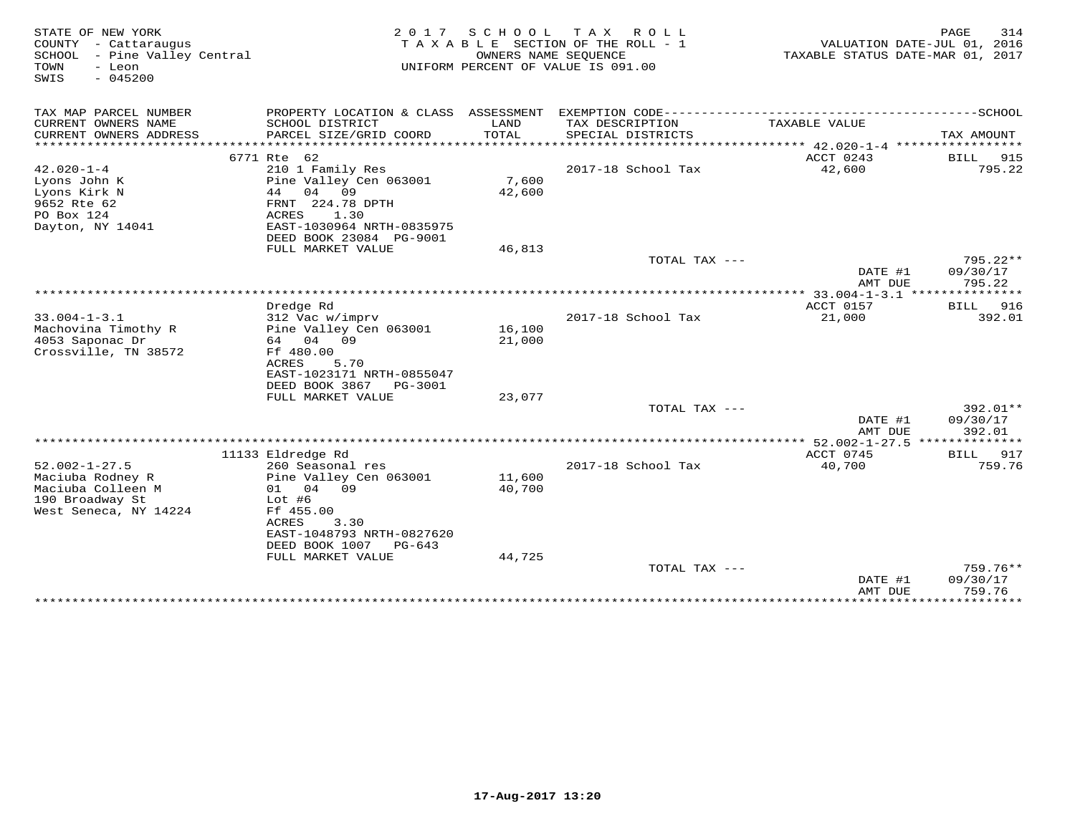| STATE OF NEW YORK<br>COUNTY - Cattaraugus<br>SCHOOL<br>- Pine Valley Central<br>TOWN<br>- Leon<br>SWIS<br>$-045200$ | 2 0 1 7                                     | SCHOOL        | T A X<br>R O L L<br>TAXABLE SECTION OF THE ROLL - 1<br>OWNERS NAME SEQUENCE<br>UNIFORM PERCENT OF VALUE IS 091.00 | VALUATION DATE-JUL 01, 2016<br>TAXABLE STATUS DATE-MAR 01, 2017 | PAGE<br>314                  |
|---------------------------------------------------------------------------------------------------------------------|---------------------------------------------|---------------|-------------------------------------------------------------------------------------------------------------------|-----------------------------------------------------------------|------------------------------|
| TAX MAP PARCEL NUMBER                                                                                               | PROPERTY LOCATION & CLASS ASSESSMENT        |               |                                                                                                                   |                                                                 |                              |
| CURRENT OWNERS NAME<br>CURRENT OWNERS ADDRESS                                                                       | SCHOOL DISTRICT<br>PARCEL SIZE/GRID COORD   | LAND<br>TOTAL | TAX DESCRIPTION<br>SPECIAL DISTRICTS                                                                              | TAXABLE VALUE                                                   | TAX AMOUNT                   |
| ***********************                                                                                             |                                             |               |                                                                                                                   |                                                                 |                              |
|                                                                                                                     | 6771 Rte 62                                 |               |                                                                                                                   | ACCT 0243                                                       | BILL<br>915                  |
| $42.020 - 1 - 4$                                                                                                    | 210 1 Family Res                            |               | 2017-18 School Tax                                                                                                | 42,600                                                          | 795.22                       |
| Lyons John K                                                                                                        | Pine Valley Cen 063001                      | 7,600         |                                                                                                                   |                                                                 |                              |
| Lyons Kirk N                                                                                                        | 44<br>04 09                                 | 42,600        |                                                                                                                   |                                                                 |                              |
| 9652 Rte 62<br>PO Box 124                                                                                           | FRNT 224.78 DPTH<br>ACRES<br>1.30           |               |                                                                                                                   |                                                                 |                              |
| Dayton, NY 14041                                                                                                    | EAST-1030964 NRTH-0835975                   |               |                                                                                                                   |                                                                 |                              |
|                                                                                                                     | DEED BOOK 23084 PG-9001                     |               |                                                                                                                   |                                                                 |                              |
|                                                                                                                     | FULL MARKET VALUE                           | 46,813        |                                                                                                                   |                                                                 |                              |
|                                                                                                                     |                                             |               | TOTAL TAX ---                                                                                                     |                                                                 | $795.22**$                   |
|                                                                                                                     |                                             |               |                                                                                                                   | DATE #1<br>AMT DUE                                              | 09/30/17<br>795.22           |
|                                                                                                                     |                                             |               |                                                                                                                   | ************ 33.004-1-3.1 ****************                      |                              |
|                                                                                                                     | Dredge Rd                                   |               |                                                                                                                   | ACCT 0157                                                       | <b>BILL</b><br>916           |
| $33.004 - 1 - 3.1$                                                                                                  | 312 Vac w/imprv                             |               | 2017-18 School Tax                                                                                                | 21,000                                                          | 392.01                       |
| Machovina Timothy R                                                                                                 | Pine Valley Cen 063001                      | 16,100        |                                                                                                                   |                                                                 |                              |
| 4053 Saponac Dr                                                                                                     | 64 04 09                                    | 21,000        |                                                                                                                   |                                                                 |                              |
| Crossville, TN 38572                                                                                                | Ff 480.00<br>ACRES<br>5.70                  |               |                                                                                                                   |                                                                 |                              |
|                                                                                                                     | EAST-1023171 NRTH-0855047                   |               |                                                                                                                   |                                                                 |                              |
|                                                                                                                     | DEED BOOK 3867<br>PG-3001                   |               |                                                                                                                   |                                                                 |                              |
|                                                                                                                     | FULL MARKET VALUE                           | 23,077        |                                                                                                                   |                                                                 |                              |
|                                                                                                                     |                                             |               | TOTAL TAX ---                                                                                                     |                                                                 | 392.01**                     |
|                                                                                                                     |                                             |               |                                                                                                                   | DATE #1<br>AMT DUE                                              | 09/30/17<br>392.01           |
|                                                                                                                     |                                             |               |                                                                                                                   | **** 52.002-1-27.5 **************                               |                              |
| $52.002 - 1 - 27.5$                                                                                                 | 11133 Eldredge Rd<br>260 Seasonal res       |               | 2017-18 School Tax                                                                                                | ACCT 0745<br>40,700                                             | 917<br><b>BILL</b><br>759.76 |
| Maciuba Rodney R                                                                                                    | Pine Valley Cen 063001                      | 11,600        |                                                                                                                   |                                                                 |                              |
| Maciuba Colleen M                                                                                                   | 04 09<br>01                                 | 40,700        |                                                                                                                   |                                                                 |                              |
| 190 Broadway St                                                                                                     | $Lot$ #6                                    |               |                                                                                                                   |                                                                 |                              |
| West Seneca, NY 14224                                                                                               | Ff 455.00                                   |               |                                                                                                                   |                                                                 |                              |
|                                                                                                                     | ACRES<br>3.30                               |               |                                                                                                                   |                                                                 |                              |
|                                                                                                                     | EAST-1048793 NRTH-0827620<br>DEED BOOK 1007 |               |                                                                                                                   |                                                                 |                              |
|                                                                                                                     | PG-643<br>FULL MARKET VALUE                 | 44,725        |                                                                                                                   |                                                                 |                              |
|                                                                                                                     |                                             |               | TOTAL TAX ---                                                                                                     |                                                                 | $759.76**$                   |
|                                                                                                                     |                                             |               |                                                                                                                   | DATE #1                                                         | 09/30/17                     |
|                                                                                                                     |                                             |               |                                                                                                                   | AMT DUE                                                         | 759.76                       |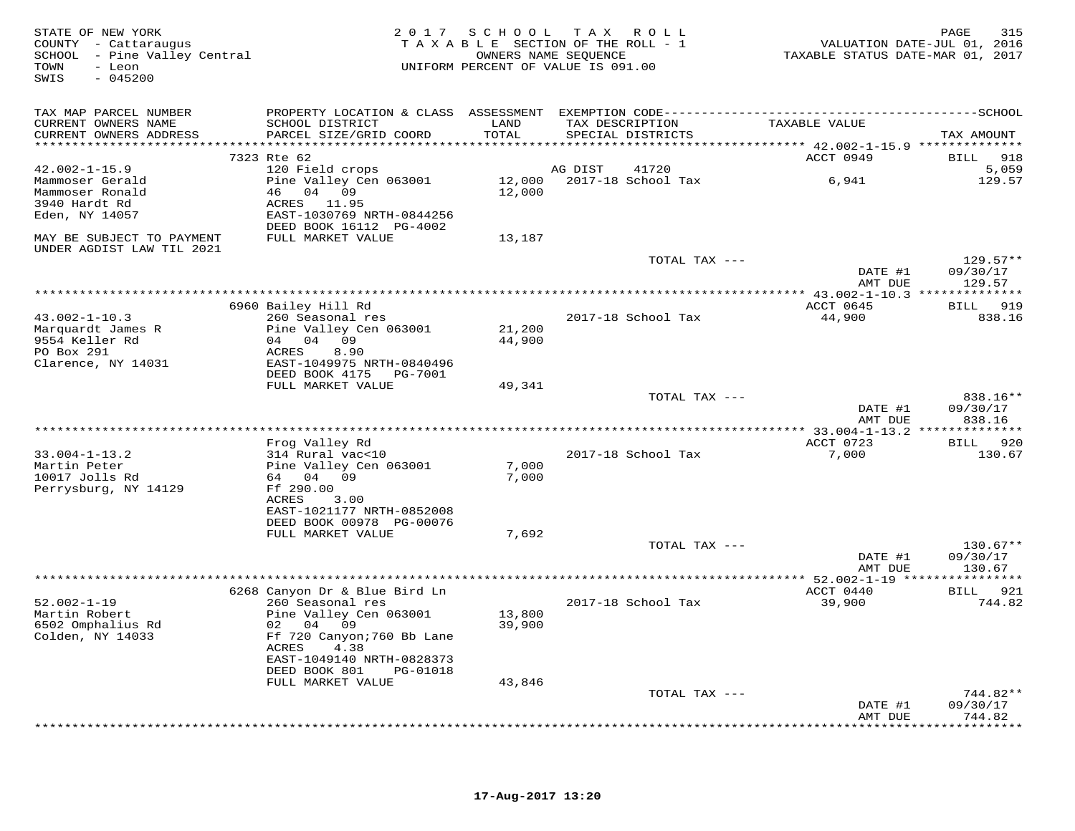| STATE OF NEW YORK<br>COUNTY - Cattaraugus<br>SCHOOL - Pine Valley Central<br>- Leon<br>TOWN<br>$-045200$<br>SWIS |                                                       | 2017 SCHOOL      | TAX ROLL<br>TAXABLE SECTION OF THE ROLL - 1<br>OWNERS NAME SEQUENCE<br>UNIFORM PERCENT OF VALUE IS 091.00 | TAXABLE STATUS DATE-MAR 01, 2017                          | 315<br>PAGE<br>VALUATION DATE-JUL 01, 2016 |
|------------------------------------------------------------------------------------------------------------------|-------------------------------------------------------|------------------|-----------------------------------------------------------------------------------------------------------|-----------------------------------------------------------|--------------------------------------------|
| TAX MAP PARCEL NUMBER                                                                                            |                                                       |                  |                                                                                                           |                                                           |                                            |
| CURRENT OWNERS NAME<br>CURRENT OWNERS ADDRESS                                                                    | SCHOOL DISTRICT<br>PARCEL SIZE/GRID COORD             | LAND<br>TOTAL    | TAX DESCRIPTION<br>SPECIAL DISTRICTS                                                                      | TAXABLE VALUE<br>*********** 42.002-1-15.9 ************** | TAX AMOUNT                                 |
|                                                                                                                  | 7323 Rte 62                                           |                  |                                                                                                           | ACCT 0949                                                 | 918<br>BILL                                |
| $42.002 - 1 - 15.9$                                                                                              | 120 Field crops                                       |                  | AG DIST<br>41720                                                                                          |                                                           | 5,059                                      |
| Mammoser Gerald                                                                                                  | Pine Valley Cen 063001                                | 12,000           | 2017-18 School Tax                                                                                        | 6,941                                                     | 129.57                                     |
| Mammoser Ronald                                                                                                  | 46<br>04 09                                           | 12,000           |                                                                                                           |                                                           |                                            |
| 3940 Hardt Rd                                                                                                    | ACRES 11.95                                           |                  |                                                                                                           |                                                           |                                            |
| Eden, NY 14057                                                                                                   | EAST-1030769 NRTH-0844256<br>DEED BOOK 16112 PG-4002  |                  |                                                                                                           |                                                           |                                            |
| MAY BE SUBJECT TO PAYMENT<br>UNDER AGDIST LAW TIL 2021                                                           | FULL MARKET VALUE                                     | 13,187           |                                                                                                           |                                                           |                                            |
|                                                                                                                  |                                                       |                  | TOTAL TAX ---                                                                                             |                                                           | $129.57**$                                 |
|                                                                                                                  |                                                       |                  |                                                                                                           | DATE #1<br>AMT DUE                                        | 09/30/17<br>129.57                         |
|                                                                                                                  |                                                       |                  |                                                                                                           |                                                           |                                            |
| $43.002 - 1 - 10.3$                                                                                              | 6960 Bailey Hill Rd<br>260 Seasonal res               |                  | 2017-18 School Tax                                                                                        | ACCT 0645<br>44,900                                       | BILL 919<br>838.16                         |
| Marquardt James R                                                                                                | Pine Valley Cen 063001                                | 21,200           |                                                                                                           |                                                           |                                            |
| 9554 Keller Rd                                                                                                   | 04 04 09                                              | 44,900           |                                                                                                           |                                                           |                                            |
| PO Box 291                                                                                                       | 8.90<br>ACRES                                         |                  |                                                                                                           |                                                           |                                            |
| Clarence, NY 14031                                                                                               | EAST-1049975 NRTH-0840496                             |                  |                                                                                                           |                                                           |                                            |
|                                                                                                                  | DEED BOOK 4175<br>PG-7001                             |                  |                                                                                                           |                                                           |                                            |
|                                                                                                                  | FULL MARKET VALUE                                     | 49,341           |                                                                                                           |                                                           |                                            |
|                                                                                                                  |                                                       |                  | TOTAL TAX ---                                                                                             |                                                           | 838.16**                                   |
|                                                                                                                  |                                                       |                  |                                                                                                           | DATE #1<br>AMT DUE                                        | 09/30/17<br>838.16                         |
|                                                                                                                  |                                                       |                  |                                                                                                           |                                                           |                                            |
|                                                                                                                  | Frog Valley Rd                                        |                  |                                                                                                           | ACCT 0723                                                 | BILL 920                                   |
| $33.004 - 1 - 13.2$                                                                                              | 314 Rural vac<10                                      |                  | 2017-18 School Tax                                                                                        | 7,000                                                     | 130.67                                     |
| Martin Peter                                                                                                     | Pine Valley Cen 063001                                | 7,000            |                                                                                                           |                                                           |                                            |
| 10017 Jolls Rd                                                                                                   | 64 04<br>09                                           | 7,000            |                                                                                                           |                                                           |                                            |
| Perrysburg, NY 14129                                                                                             | Ff 290.00                                             |                  |                                                                                                           |                                                           |                                            |
|                                                                                                                  | 3.00<br>ACRES                                         |                  |                                                                                                           |                                                           |                                            |
|                                                                                                                  | EAST-1021177 NRTH-0852008<br>DEED BOOK 00978 PG-00076 |                  |                                                                                                           |                                                           |                                            |
|                                                                                                                  | FULL MARKET VALUE                                     | 7,692            |                                                                                                           |                                                           |                                            |
|                                                                                                                  |                                                       |                  | TOTAL TAX ---                                                                                             |                                                           | $130.67**$                                 |
|                                                                                                                  |                                                       |                  |                                                                                                           | DATE #1                                                   | 09/30/17                                   |
|                                                                                                                  |                                                       |                  |                                                                                                           | AMT DUE                                                   | 130.67                                     |
|                                                                                                                  |                                                       |                  |                                                                                                           |                                                           |                                            |
|                                                                                                                  | 6268 Canyon Dr & Blue Bird Ln                         |                  |                                                                                                           | ACCT 0440                                                 | BILL 921                                   |
| $52.002 - 1 - 19$<br>Martin Robert                                                                               | 260 Seasonal res                                      |                  | 2017-18 School Tax                                                                                        | 39,900                                                    | 744.82                                     |
| 6502 Omphalius Rd                                                                                                | Pine Valley Cen 063001<br>02<br>04 09                 | 13,800<br>39,900 |                                                                                                           |                                                           |                                            |
| Colden, NY 14033                                                                                                 | Ff 720 Canyon; 760 Bb Lane                            |                  |                                                                                                           |                                                           |                                            |
|                                                                                                                  | ACRES<br>4.38                                         |                  |                                                                                                           |                                                           |                                            |
|                                                                                                                  | EAST-1049140 NRTH-0828373                             |                  |                                                                                                           |                                                           |                                            |
|                                                                                                                  | DEED BOOK 801<br>PG-01018                             |                  |                                                                                                           |                                                           |                                            |
|                                                                                                                  | FULL MARKET VALUE                                     | 43,846           |                                                                                                           |                                                           |                                            |
|                                                                                                                  |                                                       |                  | TOTAL TAX ---                                                                                             |                                                           | 744.82**                                   |
|                                                                                                                  |                                                       |                  |                                                                                                           | DATE #1                                                   | 09/30/17                                   |
|                                                                                                                  |                                                       |                  |                                                                                                           | AMT DUE                                                   | 744.82<br>**********                       |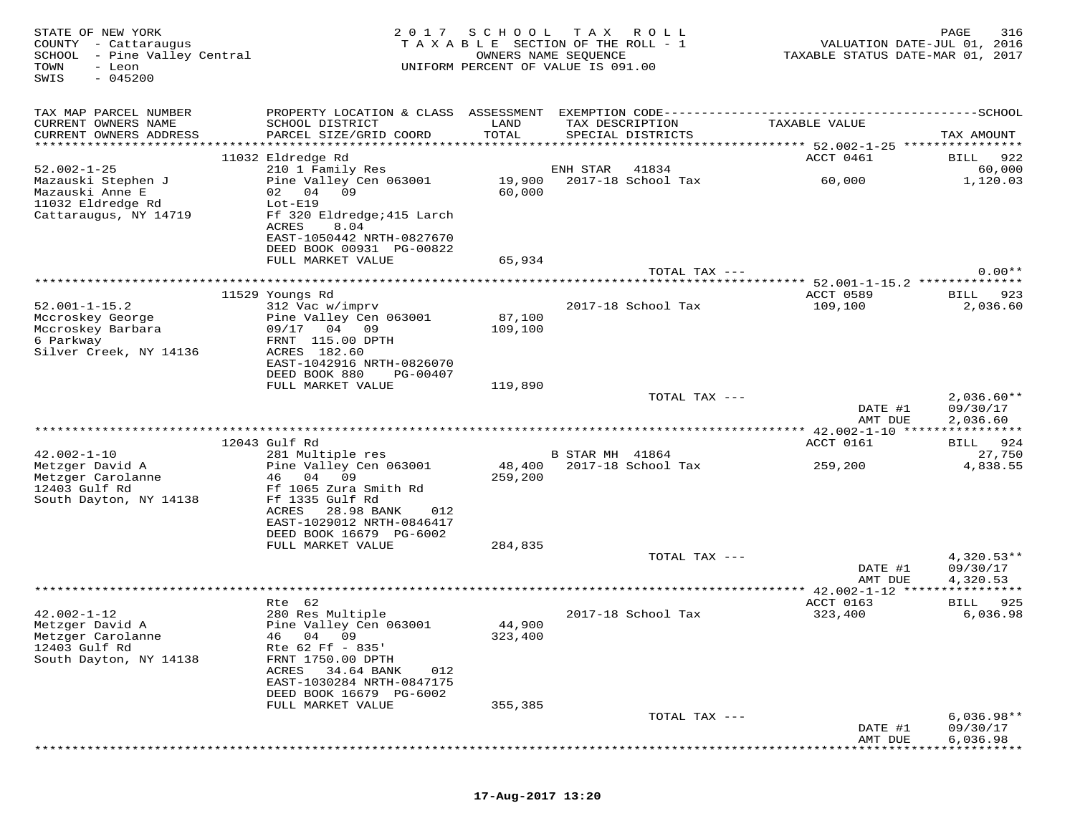| STATE OF NEW YORK<br>COUNTY - Cattaraugus<br>SCHOOL - Pine Valley Central<br>- Leon<br>TOWN<br>SWIS<br>$-045200$ | 2017                                                                                                                                                                                  | S C H O O L       | TAX ROLL<br>TAXABLE SECTION OF THE ROLL - 1<br>OWNERS NAME SEQUENCE<br>UNIFORM PERCENT OF VALUE IS 091.00 | VALUATION DATE-JUL 01, 2016<br>TAXABLE STATUS DATE-MAR 01, 2017 | PAGE<br>316                          |
|------------------------------------------------------------------------------------------------------------------|---------------------------------------------------------------------------------------------------------------------------------------------------------------------------------------|-------------------|-----------------------------------------------------------------------------------------------------------|-----------------------------------------------------------------|--------------------------------------|
| TAX MAP PARCEL NUMBER                                                                                            |                                                                                                                                                                                       |                   |                                                                                                           |                                                                 |                                      |
| CURRENT OWNERS NAME<br>CURRENT OWNERS ADDRESS                                                                    | SCHOOL DISTRICT<br>PARCEL SIZE/GRID COORD                                                                                                                                             | LAND<br>TOTAL     | TAX DESCRIPTION<br>SPECIAL DISTRICTS                                                                      | TAXABLE VALUE                                                   | TAX AMOUNT                           |
|                                                                                                                  | 11032 Eldredge Rd                                                                                                                                                                     |                   |                                                                                                           | ACCT 0461                                                       | 922<br>BILL                          |
| $52.002 - 1 - 25$                                                                                                | 210 1 Family Res                                                                                                                                                                      |                   | ENH STAR<br>41834                                                                                         |                                                                 | 60,000                               |
| Mazauski Stephen J<br>Mazauski Anne E<br>11032 Eldredge Rd<br>Cattaraugus, NY 14719                              | Pine Valley Cen 063001<br>02 04<br>09<br>Lot-E19<br>Ff 320 Eldredge; 415 Larch<br>ACRES<br>8.04                                                                                       | 19,900<br>60,000  | 2017-18 School Tax                                                                                        | 60,000                                                          | 1,120.03                             |
|                                                                                                                  | EAST-1050442 NRTH-0827670<br>DEED BOOK 00931 PG-00822                                                                                                                                 |                   |                                                                                                           |                                                                 |                                      |
|                                                                                                                  | FULL MARKET VALUE                                                                                                                                                                     | 65,934            |                                                                                                           |                                                                 |                                      |
|                                                                                                                  |                                                                                                                                                                                       |                   | TOTAL TAX ---                                                                                             |                                                                 | $0.00**$                             |
|                                                                                                                  |                                                                                                                                                                                       |                   |                                                                                                           |                                                                 |                                      |
| $52.001 - 1 - 15.2$                                                                                              | 11529 Youngs Rd<br>312 Vac w/imprv                                                                                                                                                    |                   | 2017-18 School Tax                                                                                        | ACCT 0589<br>109,100                                            | BILL 923<br>2,036.60                 |
| Mccroskey George                                                                                                 | Pine Valley Cen 063001                                                                                                                                                                | 87,100            |                                                                                                           |                                                                 |                                      |
| Mccroskey Barbara                                                                                                | 09/17 04 09                                                                                                                                                                           | 109,100           |                                                                                                           |                                                                 |                                      |
| 6 Parkway<br>Silver Creek, NY 14136                                                                              | FRNT 115.00 DPTH<br>ACRES 182.60                                                                                                                                                      |                   |                                                                                                           |                                                                 |                                      |
|                                                                                                                  | EAST-1042916 NRTH-0826070                                                                                                                                                             |                   |                                                                                                           |                                                                 |                                      |
|                                                                                                                  | DEED BOOK 880<br>PG-00407                                                                                                                                                             |                   |                                                                                                           |                                                                 |                                      |
|                                                                                                                  | FULL MARKET VALUE                                                                                                                                                                     | 119,890           |                                                                                                           |                                                                 |                                      |
|                                                                                                                  |                                                                                                                                                                                       |                   | TOTAL TAX ---                                                                                             | DATE #1<br>AMT DUE                                              | $2,036.60**$<br>09/30/17<br>2,036.60 |
|                                                                                                                  |                                                                                                                                                                                       |                   |                                                                                                           |                                                                 |                                      |
| $42.002 - 1 - 10$                                                                                                | 12043 Gulf Rd<br>281 Multiple res                                                                                                                                                     |                   | B STAR MH 41864                                                                                           | ACCT 0161                                                       | BILL 924<br>27,750                   |
| Metzger David A                                                                                                  | Pine Valley Cen 063001                                                                                                                                                                | 48,400            | 2017-18 School Tax                                                                                        | 259,200                                                         | 4,838.55                             |
| Metzger Carolanne<br>12403 Gulf Rd<br>South Dayton, NY 14138                                                     | 04<br>09<br>46<br>Ff 1065 Zura Smith Rd<br>Ff 1335 Gulf Rd<br>ACRES<br>28.98 BANK<br>012<br>EAST-1029012 NRTH-0846417                                                                 | 259,200           |                                                                                                           |                                                                 |                                      |
|                                                                                                                  | DEED BOOK 16679 PG-6002                                                                                                                                                               |                   |                                                                                                           |                                                                 |                                      |
|                                                                                                                  | FULL MARKET VALUE                                                                                                                                                                     | 284,835           |                                                                                                           |                                                                 |                                      |
|                                                                                                                  |                                                                                                                                                                                       |                   | TOTAL TAX ---                                                                                             | DATE #1                                                         | $4,320.53**$<br>09/30/17             |
|                                                                                                                  |                                                                                                                                                                                       |                   |                                                                                                           | AMT DUE                                                         | 4,320.53                             |
|                                                                                                                  |                                                                                                                                                                                       |                   |                                                                                                           | ************ 42.002-1-12 *****                                  |                                      |
|                                                                                                                  | Rte 62                                                                                                                                                                                |                   |                                                                                                           | ACCT 0163                                                       | 925<br>BILL                          |
| $42.002 - 1 - 12$<br>Metzger David A<br>Metzger Carolanne<br>12403 Gulf Rd<br>South Dayton, NY 14138             | 280 Res Multiple<br>Pine Valley Cen 063001<br>46 04 09<br>Rte 62 Ff - 835'<br>FRNT 1750.00 DPTH<br>ACRES<br>34.64 BANK<br>012<br>EAST-1030284 NRTH-0847175<br>DEED BOOK 16679 PG-6002 | 44,900<br>323,400 | 2017-18 School Tax                                                                                        | 323,400                                                         | 6,036.98                             |
|                                                                                                                  | FULL MARKET VALUE                                                                                                                                                                     | 355,385           |                                                                                                           |                                                                 |                                      |
|                                                                                                                  |                                                                                                                                                                                       |                   | TOTAL TAX ---                                                                                             | DATE #1<br>AMT DUE                                              | $6,036.98**$<br>09/30/17<br>6,036.98 |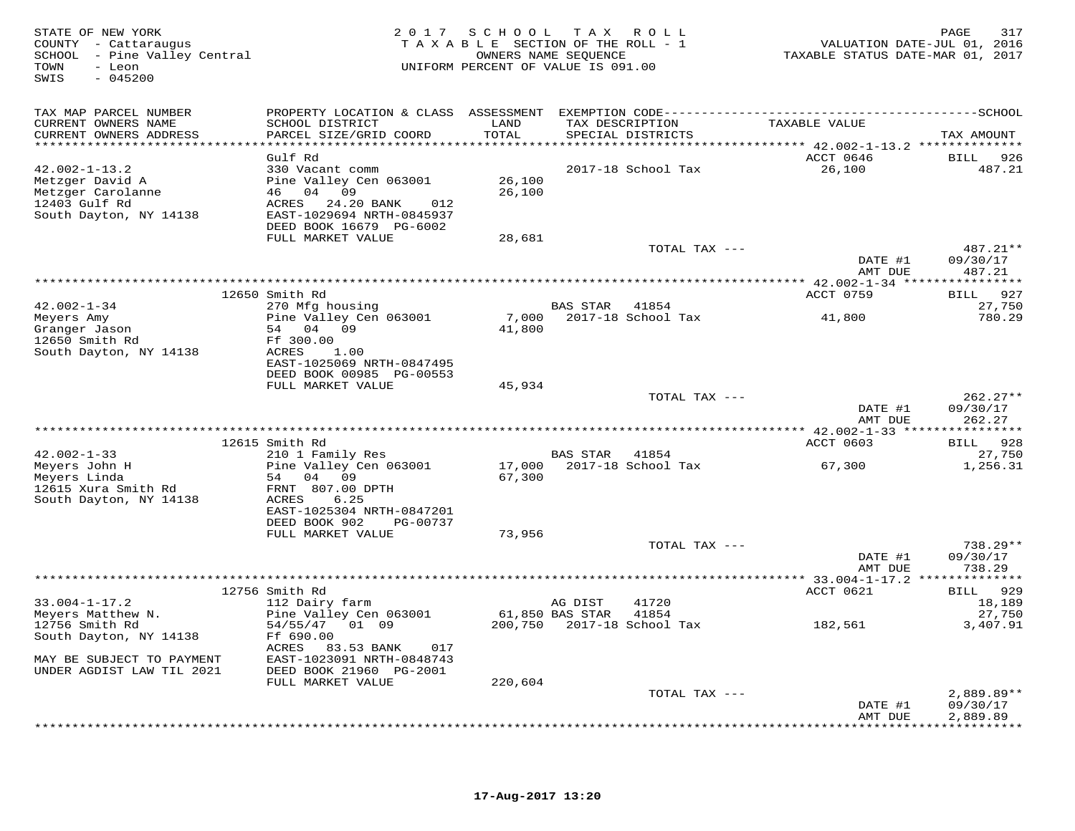| STATE OF NEW YORK<br>COUNTY - Cattaraugus<br>SCHOOL - Pine Valley Central<br>- Leon<br>TOWN<br>SWIS<br>$-045200$ |                                           | 2017 SCHOOL TAX ROLL<br>TAXABLE SECTION OF THE ROLL - 1<br>UNIFORM PERCENT OF VALUE IS 091.00 | OWNERS NAME SEQUENCE                 |                                  | VALUATION DATE-JUL 01, 2016<br>TAXABLE STATUS DATE-MAR 01, 2017 | PAGE<br>317                     |
|------------------------------------------------------------------------------------------------------------------|-------------------------------------------|-----------------------------------------------------------------------------------------------|--------------------------------------|----------------------------------|-----------------------------------------------------------------|---------------------------------|
| TAX MAP PARCEL NUMBER                                                                                            |                                           |                                                                                               |                                      |                                  |                                                                 |                                 |
| CURRENT OWNERS NAME<br>CURRENT OWNERS ADDRESS                                                                    | SCHOOL DISTRICT<br>PARCEL SIZE/GRID COORD | LAND<br>TOTAL                                                                                 | TAX DESCRIPTION<br>SPECIAL DISTRICTS |                                  | TAXABLE VALUE                                                   | TAX AMOUNT                      |
| ***********************                                                                                          | Gulf Rd                                   |                                                                                               |                                      |                                  | ACCT 0646                                                       |                                 |
| $42.002 - 1 - 13.2$                                                                                              | 330 Vacant comm                           |                                                                                               |                                      | 2017-18 School Tax               | 26,100                                                          | BILL<br>926<br>487.21           |
| Metzger David A                                                                                                  | Pine Valley Cen 063001                    | 26,100                                                                                        |                                      |                                  |                                                                 |                                 |
| Metzger Carolanne                                                                                                | 46 04 09                                  | 26,100                                                                                        |                                      |                                  |                                                                 |                                 |
| 12403 Gulf Rd                                                                                                    | ACRES<br>24.20 BANK<br>012                |                                                                                               |                                      |                                  |                                                                 |                                 |
| South Dayton, NY 14138                                                                                           | EAST-1029694 NRTH-0845937                 |                                                                                               |                                      |                                  |                                                                 |                                 |
|                                                                                                                  | DEED BOOK 16679 PG-6002                   |                                                                                               |                                      |                                  |                                                                 |                                 |
|                                                                                                                  | FULL MARKET VALUE                         | 28,681                                                                                        |                                      | TOTAL TAX ---                    |                                                                 | 487.21**                        |
|                                                                                                                  |                                           |                                                                                               |                                      |                                  | DATE #1                                                         | 09/30/17                        |
|                                                                                                                  |                                           |                                                                                               |                                      |                                  | AMT DUE                                                         | 487.21                          |
|                                                                                                                  |                                           |                                                                                               |                                      |                                  |                                                                 |                                 |
|                                                                                                                  | 12650 Smith Rd                            |                                                                                               |                                      |                                  | ACCT 0759                                                       | 927<br><b>BILL</b>              |
| $42.002 - 1 - 34$                                                                                                | 270 Mfg housing<br>Pine Valley Cen 063001 | 7,000                                                                                         | BAS STAR                             | 41854<br>2017-18 School Tax      | 41,800                                                          | 27,750<br>780.29                |
| Meyers Amy<br>Granger Jason                                                                                      | 54<br>04 09                               | 41,800                                                                                        |                                      |                                  |                                                                 |                                 |
| 12650 Smith Rd                                                                                                   | Ff 300.00                                 |                                                                                               |                                      |                                  |                                                                 |                                 |
| South Dayton, NY 14138                                                                                           | ACRES<br>1.00                             |                                                                                               |                                      |                                  |                                                                 |                                 |
|                                                                                                                  | EAST-1025069 NRTH-0847495                 |                                                                                               |                                      |                                  |                                                                 |                                 |
|                                                                                                                  | DEED BOOK 00985 PG-00553                  |                                                                                               |                                      |                                  |                                                                 |                                 |
|                                                                                                                  | FULL MARKET VALUE                         | 45,934                                                                                        |                                      | TOTAL TAX ---                    |                                                                 | $262.27**$                      |
|                                                                                                                  |                                           |                                                                                               |                                      |                                  | DATE #1                                                         | 09/30/17                        |
|                                                                                                                  |                                           |                                                                                               |                                      |                                  | AMT DUE                                                         | 262.27                          |
|                                                                                                                  |                                           |                                                                                               |                                      |                                  |                                                                 | * * * * * * * * * * *           |
|                                                                                                                  | 12615 Smith Rd                            |                                                                                               |                                      |                                  | ACCT 0603                                                       | 928<br>BILL                     |
| $42.002 - 1 - 33$                                                                                                | 210 1 Family Res                          |                                                                                               | BAS STAR                             | 41854                            |                                                                 | 27,750                          |
| Meyers John H                                                                                                    | Pine Valley Cen 063001                    | 17,000                                                                                        |                                      | 2017-18 School Tax               | 67,300                                                          | 1,256.31                        |
| Meyers Linda<br>12615 Xura Smith Rd                                                                              | 54<br>04 09<br>FRNT 807.00 DPTH           | 67,300                                                                                        |                                      |                                  |                                                                 |                                 |
| South Dayton, NY 14138                                                                                           | ACRES<br>6.25                             |                                                                                               |                                      |                                  |                                                                 |                                 |
|                                                                                                                  | EAST-1025304 NRTH-0847201                 |                                                                                               |                                      |                                  |                                                                 |                                 |
|                                                                                                                  | DEED BOOK 902<br>PG-00737                 |                                                                                               |                                      |                                  |                                                                 |                                 |
|                                                                                                                  | FULL MARKET VALUE                         | 73,956                                                                                        |                                      |                                  |                                                                 |                                 |
|                                                                                                                  |                                           |                                                                                               |                                      | TOTAL TAX ---                    |                                                                 | $738.29**$                      |
|                                                                                                                  |                                           |                                                                                               |                                      |                                  | DATE #1<br>AMT DUE                                              | 09/30/17<br>738.29              |
|                                                                                                                  |                                           |                                                                                               |                                      |                                  |                                                                 |                                 |
|                                                                                                                  | 12756 Smith Rd                            |                                                                                               |                                      |                                  | ACCT 0621                                                       | 929<br><b>BILL</b>              |
| $33.004 - 1 - 17.2$                                                                                              | 112 Dairy farm                            |                                                                                               | AG DIST                              | 41720                            |                                                                 | 18,189                          |
| Meyers Matthew N.                                                                                                | Pine Valley Cen 063001                    |                                                                                               | 61,850 BAS STAR                      | 41854                            |                                                                 | 27,750                          |
| 12756 Smith Rd                                                                                                   | 54/55/47 01 09                            |                                                                                               |                                      | 200,750    2017-18    School Tax | 182,561                                                         | 3,407.91                        |
| South Dayton, NY 14138                                                                                           | Ff 690.00<br>ACRES<br>83.53 BANK<br>017   |                                                                                               |                                      |                                  |                                                                 |                                 |
| MAY BE SUBJECT TO PAYMENT                                                                                        | EAST-1023091 NRTH-0848743                 |                                                                                               |                                      |                                  |                                                                 |                                 |
| UNDER AGDIST LAW TIL 2021                                                                                        | DEED BOOK 21960 PG-2001                   |                                                                                               |                                      |                                  |                                                                 |                                 |
|                                                                                                                  | FULL MARKET VALUE                         | 220,604                                                                                       |                                      |                                  |                                                                 |                                 |
|                                                                                                                  |                                           |                                                                                               |                                      | TOTAL TAX ---                    |                                                                 | $2,889.89**$                    |
|                                                                                                                  |                                           |                                                                                               |                                      |                                  | DATE #1                                                         | 09/30/17                        |
|                                                                                                                  |                                           |                                                                                               |                                      |                                  | AMT DUE                                                         | 2,889.89<br>* * * * * * * * * * |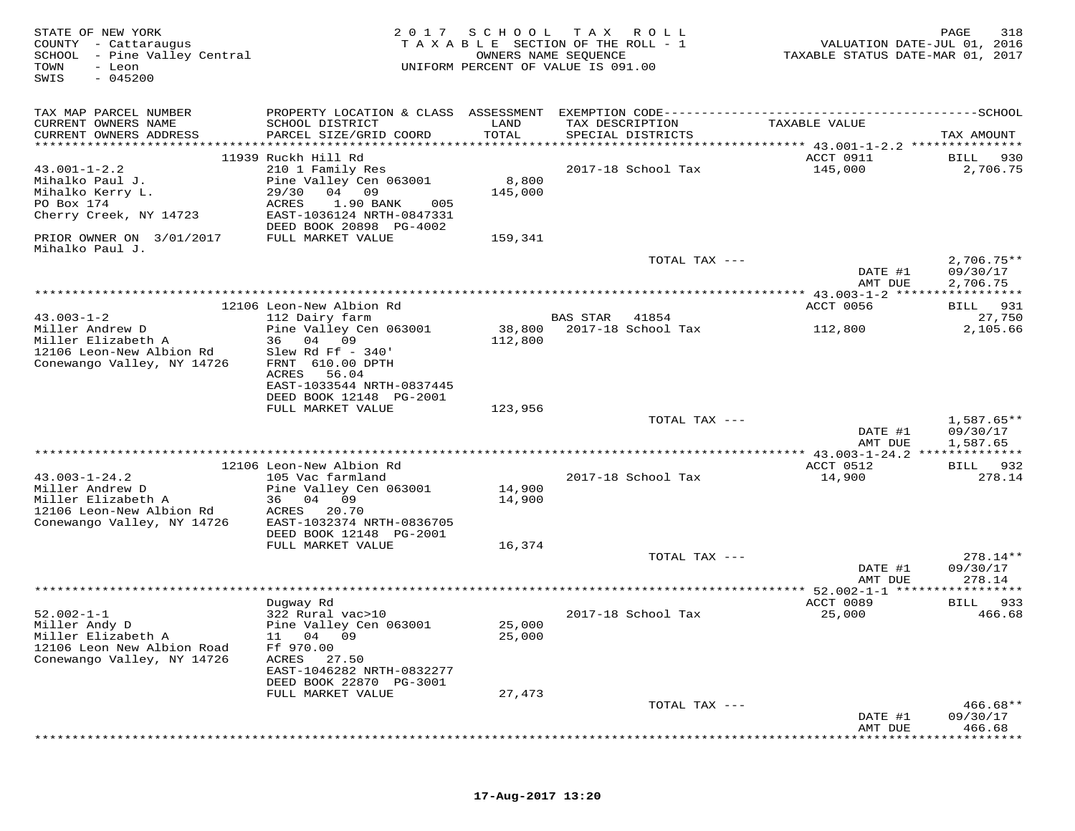| STATE OF NEW YORK<br>COUNTY - Cattaraugus<br>SCHOOL - Pine Valley Central<br>TOWN<br>- Leon<br>$-045200$<br>SWIS | 2017                                                                                  | SCHOOL        | T A X<br>R O L L<br>TAXABLE SECTION OF THE ROLL - 1<br>OWNERS NAME SEQUENCE<br>UNIFORM PERCENT OF VALUE IS 091.00 | VALUATION DATE-JUL 01, 2016<br>TAXABLE STATUS DATE-MAR 01, 2017 | 318<br>PAGE              |
|------------------------------------------------------------------------------------------------------------------|---------------------------------------------------------------------------------------|---------------|-------------------------------------------------------------------------------------------------------------------|-----------------------------------------------------------------|--------------------------|
| TAX MAP PARCEL NUMBER                                                                                            |                                                                                       |               |                                                                                                                   |                                                                 |                          |
| CURRENT OWNERS NAME<br>CURRENT OWNERS ADDRESS                                                                    | SCHOOL DISTRICT<br>PARCEL SIZE/GRID COORD                                             | LAND<br>TOTAL | TAX DESCRIPTION<br>SPECIAL DISTRICTS                                                                              | TAXABLE VALUE                                                   | TAX AMOUNT               |
|                                                                                                                  |                                                                                       |               |                                                                                                                   |                                                                 |                          |
| $43.001 - 1 - 2.2$                                                                                               | 11939 Ruckh Hill Rd                                                                   |               |                                                                                                                   | ACCT 0911                                                       | 930<br>BILL              |
| Mihalko Paul J.                                                                                                  | 210 1 Family Res<br>Pine Valley Cen 063001                                            | 8,800         | 2017-18 School Tax                                                                                                | 145,000                                                         | 2,706.75                 |
| Mihalko Kerry L.                                                                                                 | 29/30<br>04 09                                                                        | 145,000       |                                                                                                                   |                                                                 |                          |
| PO Box 174                                                                                                       | ACRES<br>1.90 BANK<br>005                                                             |               |                                                                                                                   |                                                                 |                          |
| Cherry Creek, NY 14723                                                                                           | EAST-1036124 NRTH-0847331<br>DEED BOOK 20898 PG-4002                                  |               |                                                                                                                   |                                                                 |                          |
| PRIOR OWNER ON 3/01/2017<br>Mihalko Paul J.                                                                      | FULL MARKET VALUE                                                                     | 159,341       |                                                                                                                   |                                                                 |                          |
|                                                                                                                  |                                                                                       |               | TOTAL TAX ---                                                                                                     | DATE #1                                                         | $2,706.75**$<br>09/30/17 |
|                                                                                                                  |                                                                                       |               |                                                                                                                   | AMT DUE                                                         | 2,706.75                 |
|                                                                                                                  |                                                                                       |               |                                                                                                                   | ****************** 43.003-1-2 ******************                |                          |
|                                                                                                                  | 12106 Leon-New Albion Rd                                                              |               |                                                                                                                   | ACCT 0056                                                       | 931<br>BILL              |
| $43.003 - 1 - 2$<br>Miller Andrew D                                                                              | 112 Dairy farm<br>Pine Valley Cen 063001                                              | 38,800        | <b>BAS STAR</b><br>41854<br>2017-18 School Tax                                                                    |                                                                 | 27,750                   |
| Miller Elizabeth A                                                                                               | 36 04 09                                                                              | 112,800       |                                                                                                                   | 112,800                                                         | 2,105.66                 |
| 12106 Leon-New Albion Rd<br>Conewango Valley, NY 14726                                                           | Slew Rd Ff $-340'$<br>FRNT 610.00 DPTH<br>ACRES<br>56.04<br>EAST-1033544 NRTH-0837445 |               |                                                                                                                   |                                                                 |                          |
|                                                                                                                  | DEED BOOK 12148 PG-2001                                                               |               |                                                                                                                   |                                                                 |                          |
|                                                                                                                  | FULL MARKET VALUE                                                                     | 123,956       | TOTAL TAX ---                                                                                                     |                                                                 | $1,587.65**$             |
|                                                                                                                  |                                                                                       |               |                                                                                                                   | DATE #1<br>AMT DUE                                              | 09/30/17<br>1,587.65     |
|                                                                                                                  |                                                                                       |               |                                                                                                                   |                                                                 |                          |
|                                                                                                                  | 12106 Leon-New Albion Rd                                                              |               |                                                                                                                   | ACCT 0512                                                       | 932<br>BILL              |
| $43.003 - 1 - 24.2$                                                                                              | 105 Vac farmland                                                                      |               | 2017-18 School Tax                                                                                                | 14,900                                                          | 278.14                   |
| Miller Andrew D                                                                                                  | Pine Valley Cen 063001                                                                | 14,900        |                                                                                                                   |                                                                 |                          |
| Miller Elizabeth A<br>12106 Leon-New Albion Rd                                                                   | 04 09<br>36<br>20.70<br>ACRES                                                         | 14,900        |                                                                                                                   |                                                                 |                          |
| Conewango Valley, NY 14726                                                                                       | EAST-1032374 NRTH-0836705                                                             |               |                                                                                                                   |                                                                 |                          |
|                                                                                                                  | DEED BOOK 12148 PG-2001                                                               |               |                                                                                                                   |                                                                 |                          |
|                                                                                                                  | FULL MARKET VALUE                                                                     | 16,374        |                                                                                                                   |                                                                 |                          |
|                                                                                                                  |                                                                                       |               | TOTAL TAX ---                                                                                                     |                                                                 | 278.14**                 |
|                                                                                                                  |                                                                                       |               |                                                                                                                   | DATE #1                                                         | 09/30/17<br>278.14       |
|                                                                                                                  |                                                                                       |               |                                                                                                                   | AMT DUE<br>$* 52.002 - 1 - 1 ***$                               |                          |
|                                                                                                                  | Dugway Rd                                                                             |               |                                                                                                                   | ACCT 0089                                                       | 933<br>BILL              |
| $52.002 - 1 - 1$                                                                                                 | 322 Rural vac>10                                                                      |               | 2017-18 School Tax                                                                                                | 25,000                                                          | 466.68                   |
| Miller Andy D                                                                                                    | Pine Valley Cen 063001                                                                | 25,000        |                                                                                                                   |                                                                 |                          |
| Miller Elizabeth A                                                                                               | 04<br>11<br>09                                                                        | 25,000        |                                                                                                                   |                                                                 |                          |
| 12106 Leon New Albion Road<br>Conewango Valley, NY 14726                                                         | Ff 970.00<br>ACRES<br>27.50                                                           |               |                                                                                                                   |                                                                 |                          |
|                                                                                                                  | EAST-1046282 NRTH-0832277                                                             |               |                                                                                                                   |                                                                 |                          |
|                                                                                                                  | DEED BOOK 22870 PG-3001                                                               |               |                                                                                                                   |                                                                 |                          |
|                                                                                                                  | FULL MARKET VALUE                                                                     | 27,473        |                                                                                                                   |                                                                 |                          |
|                                                                                                                  |                                                                                       |               | TOTAL TAX ---                                                                                                     |                                                                 | $466.68**$               |
|                                                                                                                  |                                                                                       |               |                                                                                                                   | DATE #1<br>AMT DUE                                              | 09/30/17<br>466.68       |
|                                                                                                                  |                                                                                       |               |                                                                                                                   |                                                                 |                          |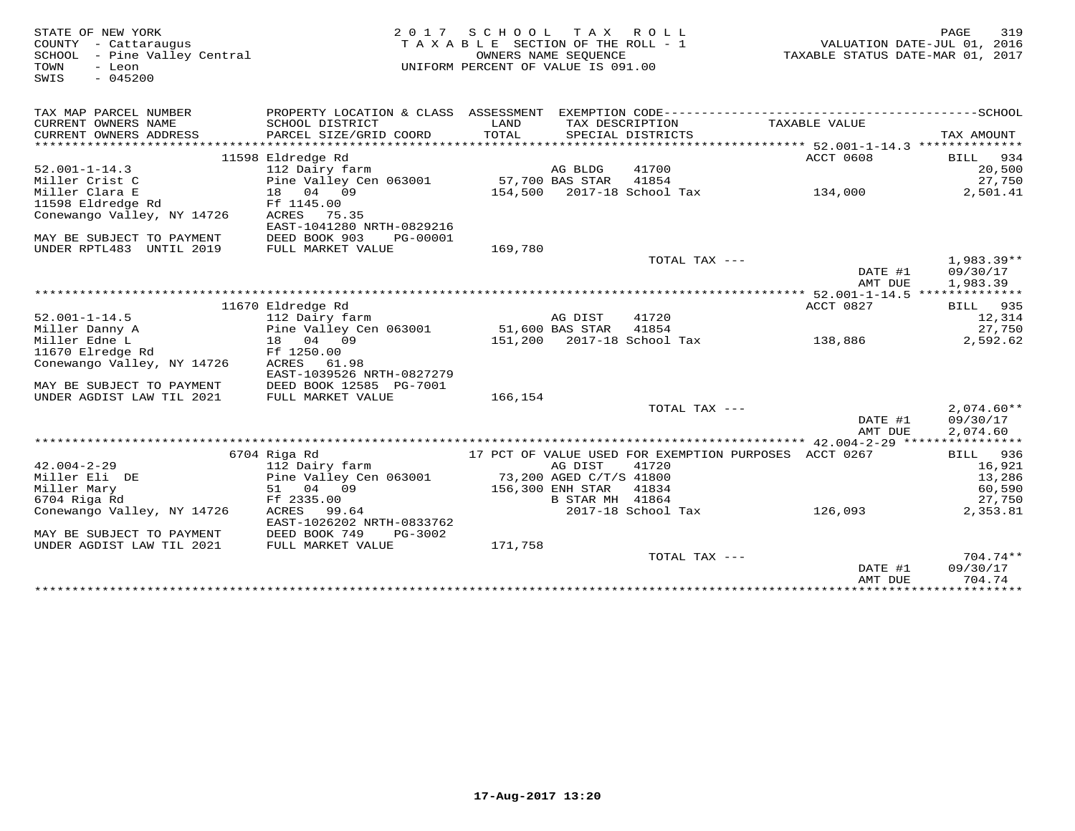| STATE OF NEW YORK            |                           | 2017 SCHOOL TAX ROLL               |                         |                                                       |         |                                                                 | PAGE        | 319          |
|------------------------------|---------------------------|------------------------------------|-------------------------|-------------------------------------------------------|---------|-----------------------------------------------------------------|-------------|--------------|
| COUNTY - Cattaraugus         |                           | TAXABLE SECTION OF THE ROLL - 1    |                         |                                                       |         | VALUATION DATE-JUL 01, 2016<br>TAXABLE STATUS DATE-MAR 01, 2017 |             |              |
| SCHOOL - Pine Valley Central |                           |                                    | OWNERS NAME SEQUENCE    |                                                       |         |                                                                 |             |              |
| TOWN<br>- Leon               |                           | UNIFORM PERCENT OF VALUE IS 091.00 |                         |                                                       |         |                                                                 |             |              |
| $-045200$<br>SWIS            |                           |                                    |                         |                                                       |         |                                                                 |             |              |
|                              |                           |                                    |                         |                                                       |         |                                                                 |             |              |
|                              |                           |                                    |                         |                                                       |         |                                                                 |             |              |
| TAX MAP PARCEL NUMBER        |                           |                                    |                         |                                                       |         |                                                                 |             |              |
| CURRENT OWNERS NAME          | SCHOOL DISTRICT           | LAND                               |                         | TAX DESCRIPTION                                       |         | TAXABLE VALUE                                                   |             |              |
| CURRENT OWNERS ADDRESS       | PARCEL SIZE/GRID COORD    | TOTAL                              |                         | SPECIAL DISTRICTS                                     |         |                                                                 | TAX AMOUNT  |              |
|                              |                           |                                    |                         |                                                       |         |                                                                 |             |              |
|                              | 11598 Eldredge Rd         |                                    |                         |                                                       |         | ACCT 0608                                                       |             | BILL 934     |
| $52.001 - 1 - 14.3$          | 112 Dairy farm            |                                    | AG BLDG                 | 41700                                                 |         |                                                                 |             | 20,500       |
| Miller Crist C               | Pine Valley Cen 063001    | 57,700 BAS STAR                    |                         | 41854                                                 |         |                                                                 |             | 27,750       |
| Miller Clara E               | 18 04 09                  |                                    |                         | 154,500 2017-18 School Tax 134,000                    |         |                                                                 |             | 2,501.41     |
| 11598 Eldredge Rd            | Ff 1145.00                |                                    |                         |                                                       |         |                                                                 |             |              |
| Conewango Valley, NY 14726   | ACRES 75.35               |                                    |                         |                                                       |         |                                                                 |             |              |
|                              | EAST-1041280 NRTH-0829216 |                                    |                         |                                                       |         |                                                                 |             |              |
| MAY BE SUBJECT TO PAYMENT    | DEED BOOK 903<br>PG-00001 |                                    |                         |                                                       |         |                                                                 |             |              |
| UNDER RPTL483 UNTIL 2019     | FULL MARKET VALUE         | 169,780                            |                         |                                                       |         |                                                                 |             |              |
|                              |                           |                                    |                         | TOTAL TAX ---                                         |         |                                                                 |             | 1,983.39**   |
|                              |                           |                                    |                         |                                                       |         | DATE #1                                                         |             | 09/30/17     |
|                              |                           |                                    |                         |                                                       |         | AMT DUE                                                         | 1,983.39    |              |
|                              |                           |                                    |                         |                                                       |         |                                                                 |             |              |
|                              | 11670 Eldredge Rd         |                                    |                         |                                                       |         | ACCT 0827                                                       |             | BILL 935     |
| $52.001 - 1 - 14.5$          | 112 Dairy farm            |                                    | AG DIST                 | 41720                                                 |         |                                                                 |             | 12,314       |
| Miller Danny A               | Pine Valley Cen 063001    | 51,600 BAS STAR                    |                         | 41854                                                 |         |                                                                 |             | 27,750       |
| Miller Edne L                | 18  04  09                |                                    |                         | 151,200 2017-18 School Tax                            | 138,886 |                                                                 |             | 2,592.62     |
| 11670 Elredge Rd             | Ff 1250.00                |                                    |                         |                                                       |         |                                                                 |             |              |
| Conewango Valley, NY 14726   | ACRES<br>61.98            |                                    |                         |                                                       |         |                                                                 |             |              |
|                              | EAST-1039526 NRTH-0827279 |                                    |                         |                                                       |         |                                                                 |             |              |
| MAY BE SUBJECT TO PAYMENT    | DEED BOOK 12585 PG-7001   |                                    |                         |                                                       |         |                                                                 |             |              |
| UNDER AGDIST LAW TIL 2021    | FULL MARKET VALUE         | 166,154                            |                         |                                                       |         |                                                                 |             |              |
|                              |                           |                                    |                         | TOTAL TAX ---                                         |         |                                                                 |             | $2.074.60**$ |
|                              |                           |                                    |                         |                                                       |         | DATE #1                                                         |             | 09/30/17     |
|                              |                           |                                    |                         |                                                       |         | AMT DUE                                                         | 2,074.60    |              |
|                              |                           |                                    |                         |                                                       |         |                                                                 |             |              |
|                              | 6704 Riga Rd              |                                    |                         | 17 PCT OF VALUE USED FOR EXEMPTION PURPOSES ACCT 0267 |         |                                                                 |             | BILL 936     |
| $42.004 - 2 - 29$            | 112 Dairy farm            |                                    | AG DIST                 | 41720                                                 |         |                                                                 |             | 16,921       |
| Miller Eli DE                | Pine Valley Cen 063001    |                                    | 73,200 AGED C/T/S 41800 |                                                       |         |                                                                 |             | 13,286       |
| Miller Mary                  | 51 04 09                  |                                    | 156,300 ENH STAR        | 41834                                                 |         |                                                                 |             | 60,590       |
| 6704 Riga Rd                 | Ff 2335.00                |                                    | B STAR MH 41864         |                                                       |         |                                                                 |             | 27,750       |
| Conewango Valley, NY 14726   | ACRES 99.64               |                                    |                         | 2017-18 School Tax                                    |         | 126,093                                                         |             | 2,353.81     |
|                              | EAST-1026202 NRTH-0833762 |                                    |                         |                                                       |         |                                                                 |             |              |
| MAY BE SUBJECT TO PAYMENT    | DEED BOOK 749<br>PG-3002  |                                    |                         |                                                       |         |                                                                 |             |              |
| UNDER AGDIST LAW TIL 2021    | FULL MARKET VALUE         | 171,758                            |                         |                                                       |         |                                                                 |             |              |
|                              |                           |                                    |                         | TOTAL TAX ---                                         |         |                                                                 |             | $704.74**$   |
|                              |                           |                                    |                         |                                                       |         | DATE #1                                                         | 09/30/17    |              |
|                              |                           |                                    |                         |                                                       |         | AMT DUE                                                         |             | 704.74       |
|                              |                           |                                    |                         |                                                       |         |                                                                 | *********** |              |
|                              |                           |                                    |                         |                                                       |         |                                                                 |             |              |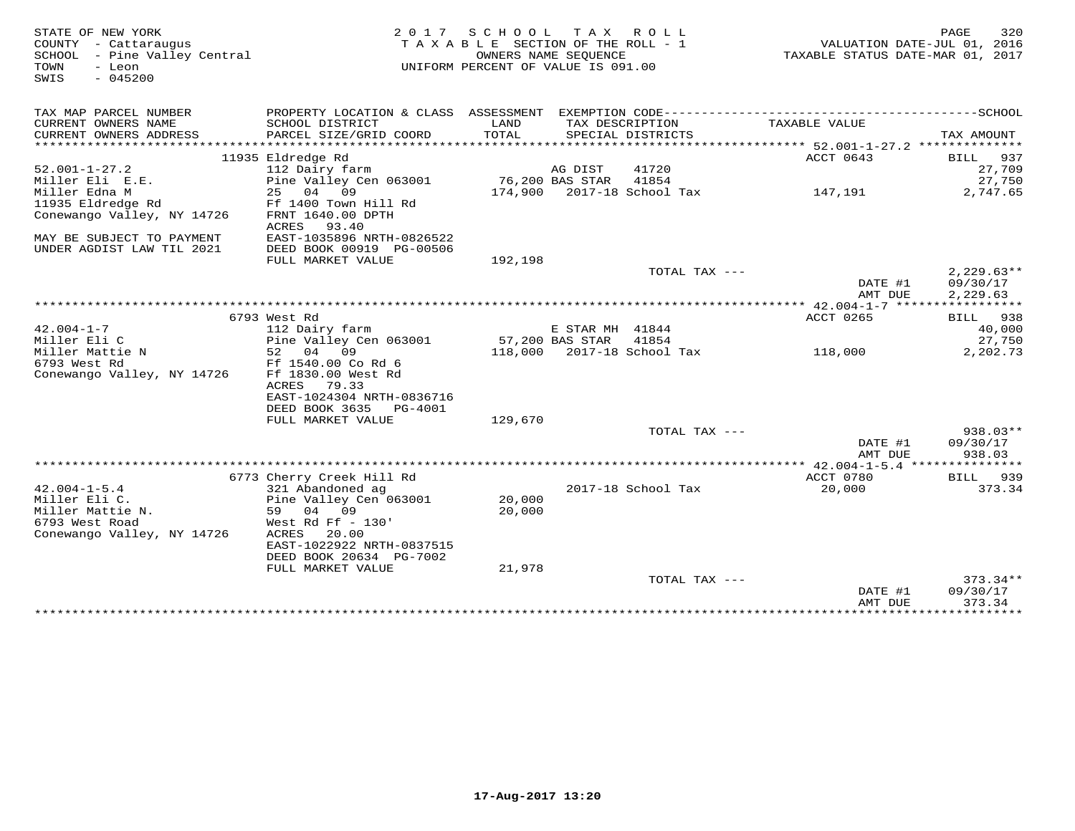| STATE OF NEW YORK<br>COUNTY - Cattaraugus<br>SCHOOL - Pine Valley Central<br>- Leon<br>TOWN<br>$-045200$<br>SWIS |                                                                                                                                           | 2017 SCHOOL<br>TAXABLE SECTION OF THE ROLL - 1<br>UNIFORM PERCENT OF VALUE IS 091.00 | OWNERS NAME SEQUENCE | TAX ROLL                            | VALUATION DATE-JUL 01, 2016<br>TAXABLE STATUS DATE-MAR 01, 2017  | 320<br>PAGE                          |
|------------------------------------------------------------------------------------------------------------------|-------------------------------------------------------------------------------------------------------------------------------------------|--------------------------------------------------------------------------------------|----------------------|-------------------------------------|------------------------------------------------------------------|--------------------------------------|
| TAX MAP PARCEL NUMBER<br>CURRENT OWNERS NAME                                                                     | SCHOOL DISTRICT                                                                                                                           | LAND                                                                                 |                      | TAX DESCRIPTION                     | TAXABLE VALUE                                                    |                                      |
| CURRENT OWNERS ADDRESS<br>********************                                                                   | PARCEL SIZE/GRID COORD<br>***********************                                                                                         | TOTAL<br>************                                                                |                      | SPECIAL DISTRICTS                   | *********************************** 52.001-1-27.2 ************** | TAX AMOUNT                           |
|                                                                                                                  | 11935 Eldredge Rd                                                                                                                         |                                                                                      |                      |                                     | ACCT 0643                                                        | 937<br>BILL                          |
| $52.001 - 1 - 27.2$                                                                                              | 112 Dairy farm                                                                                                                            |                                                                                      | AG DIST              | 41720                               |                                                                  | 27,709                               |
| Miller Eli E.E.                                                                                                  | Pine Valley Cen 063001                                                                                                                    |                                                                                      | 76,200 BAS STAR      | 41854                               |                                                                  | 27,750                               |
| Miller Edna M<br>11935 Eldredge Rd<br>Conewango Valley, NY 14726                                                 | 25 04<br>09<br>Ff 1400 Town Hill Rd<br>FRNT 1640.00 DPTH<br>ACRES<br>93.40                                                                |                                                                                      |                      | 174,900 2017-18 School Tax          | 147,191                                                          | 2,747.65                             |
| MAY BE SUBJECT TO PAYMENT<br>UNDER AGDIST LAW TIL 2021                                                           | EAST-1035896 NRTH-0826522                                                                                                                 |                                                                                      |                      |                                     |                                                                  |                                      |
|                                                                                                                  | DEED BOOK 00919 PG-00506<br>FULL MARKET VALUE                                                                                             | 192,198                                                                              |                      |                                     |                                                                  |                                      |
|                                                                                                                  |                                                                                                                                           |                                                                                      |                      | TOTAL TAX ---                       | DATE #1<br>AMT DUE                                               | $2.229.63**$<br>09/30/17<br>2,229.63 |
|                                                                                                                  |                                                                                                                                           |                                                                                      |                      |                                     |                                                                  |                                      |
|                                                                                                                  | 6793 West Rd                                                                                                                              |                                                                                      |                      |                                     | ACCT 0265                                                        | BILL 938                             |
| $42.004 - 1 - 7$                                                                                                 | 112 Dairy farm                                                                                                                            |                                                                                      | E STAR MH 41844      |                                     |                                                                  | 40,000                               |
| Miller Eli C                                                                                                     | Pine Valley Cen 063001                                                                                                                    |                                                                                      | 57,200 BAS STAR      | 41854                               |                                                                  | 27,750                               |
| Miller Mattie N                                                                                                  | 52 04<br>09                                                                                                                               |                                                                                      |                      | 118,000 2017-18 School Tax          | 118,000                                                          | 2,202.73                             |
| 6793 West Rd<br>Conewango Valley, NY 14726                                                                       | Ff 1540.00 Co Rd 6<br>Ff 1830.00 West Rd<br>ACRES<br>79.33<br>EAST-1024304 NRTH-0836716<br>DEED BOOK 3635<br>PG-4001<br>FULL MARKET VALUE | 129,670                                                                              |                      |                                     |                                                                  |                                      |
|                                                                                                                  |                                                                                                                                           |                                                                                      |                      | TOTAL TAX ---                       |                                                                  | 938.03**                             |
|                                                                                                                  |                                                                                                                                           |                                                                                      |                      |                                     | DATE #1<br>AMT DUE                                               | 09/30/17<br>938.03                   |
|                                                                                                                  |                                                                                                                                           |                                                                                      |                      |                                     |                                                                  |                                      |
| $42.004 - 1 - 5.4$<br>Miller Eli C.<br>Miller Mattie N.<br>6793 West Road                                        | 6773 Cherry Creek Hill Rd<br>321 Abandoned ag<br>Pine Valley Cen 063001<br>59 04 09<br>West Rd Ff $-130'$                                 | 20,000<br>20,000                                                                     |                      | 2017-18 School Tax                  | ACCT 0780<br>20,000                                              | 939<br><b>BILL</b><br>373.34         |
| Conewango Valley, NY 14726                                                                                       | ACRES<br>20.00<br>EAST-1022922 NRTH-0837515<br>DEED BOOK 20634 PG-7002<br>FULL MARKET VALUE                                               | 21,978                                                                               |                      |                                     |                                                                  |                                      |
|                                                                                                                  |                                                                                                                                           |                                                                                      |                      | TOTAL TAX ---                       | DATE #1<br>AMT DUE                                               | $373.34**$<br>09/30/17<br>373.34     |
|                                                                                                                  |                                                                                                                                           |                                                                                      |                      | ·********************************** | *****************************                                    |                                      |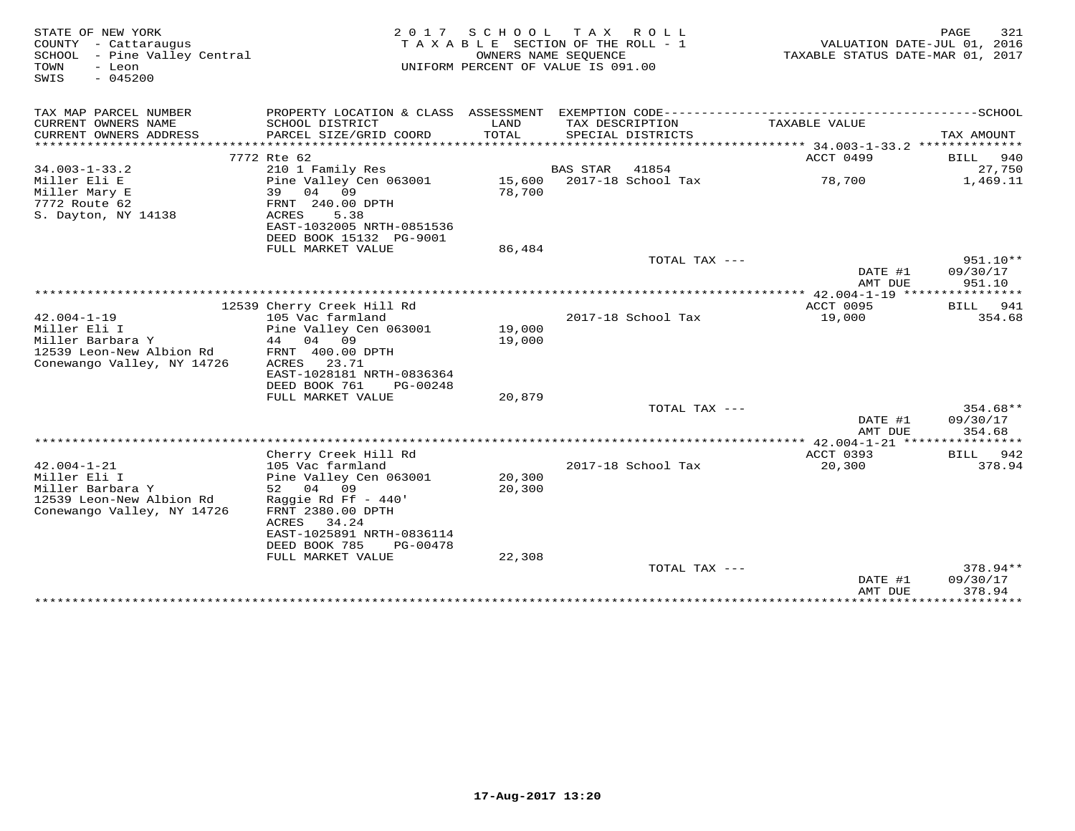| STATE OF NEW YORK<br>COUNTY - Cattaraugus<br>SCHOOL<br>- Pine Valley Central<br>TOWN<br>- Leon<br>$-045200$<br>SWIS | 2 0 1 7                                                                    | SCHOOL<br>OWNERS NAME SEQUENCE | T A X<br>R O L L<br>TAXABLE SECTION OF THE ROLL - 1<br>UNIFORM PERCENT OF VALUE IS 091.00 | TAXABLE STATUS DATE-MAR 01, 2017                          | 321<br>PAGE<br>VALUATION DATE-JUL 01, 2016 |
|---------------------------------------------------------------------------------------------------------------------|----------------------------------------------------------------------------|--------------------------------|-------------------------------------------------------------------------------------------|-----------------------------------------------------------|--------------------------------------------|
| TAX MAP PARCEL NUMBER                                                                                               |                                                                            |                                |                                                                                           |                                                           |                                            |
| CURRENT OWNERS NAME<br>CURRENT OWNERS ADDRESS                                                                       | SCHOOL DISTRICT<br>PARCEL SIZE/GRID COORD                                  | LAND<br>TOTAL                  | TAX DESCRIPTION<br>SPECIAL DISTRICTS<br>***************************                       | TAXABLE VALUE<br>*********** 34.003-1-33.2 ************** | TAX AMOUNT                                 |
|                                                                                                                     | 7772 Rte 62                                                                |                                |                                                                                           | ACCT 0499                                                 | 940<br>BILL                                |
| $34.003 - 1 - 33.2$                                                                                                 | 210 1 Family Res                                                           |                                | BAS STAR<br>41854                                                                         |                                                           | 27,750                                     |
| Miller Eli E<br>Miller Mary E<br>7772 Route 62<br>S. Dayton, NY 14138                                               | Pine Valley Cen 063001<br>39<br>04 09<br>FRNT 240.00 DPTH<br>ACRES<br>5.38 | 15,600<br>78,700               | 2017-18 School Tax                                                                        | 78,700                                                    | 1,469.11                                   |
|                                                                                                                     | EAST-1032005 NRTH-0851536                                                  |                                |                                                                                           |                                                           |                                            |
|                                                                                                                     | DEED BOOK 15132 PG-9001                                                    |                                |                                                                                           |                                                           |                                            |
|                                                                                                                     | FULL MARKET VALUE                                                          | 86,484                         |                                                                                           |                                                           |                                            |
|                                                                                                                     |                                                                            |                                | TOTAL TAX ---                                                                             | DATE #1                                                   | $951.10**$<br>09/30/17                     |
|                                                                                                                     |                                                                            |                                |                                                                                           | AMT DUE                                                   | 951.10                                     |
|                                                                                                                     | 12539 Cherry Creek Hill Rd                                                 |                                |                                                                                           | ACCT 0095                                                 | BILL<br>941                                |
| $42.004 - 1 - 19$                                                                                                   | 105 Vac farmland                                                           |                                | 2017-18 School Tax                                                                        | 19,000                                                    | 354.68                                     |
| Miller Eli I                                                                                                        | Pine Valley Cen 063001                                                     | 19,000                         |                                                                                           |                                                           |                                            |
| Miller Barbara Y                                                                                                    | 04 09<br>44                                                                | 19,000                         |                                                                                           |                                                           |                                            |
| 12539 Leon-New Albion Rd<br>Conewango Valley, NY 14726                                                              | FRNT 400.00 DPTH<br>ACRES<br>23.71                                         |                                |                                                                                           |                                                           |                                            |
|                                                                                                                     | EAST-1028181 NRTH-0836364                                                  |                                |                                                                                           |                                                           |                                            |
|                                                                                                                     | DEED BOOK 761<br>PG-00248                                                  |                                |                                                                                           |                                                           |                                            |
|                                                                                                                     | FULL MARKET VALUE                                                          | 20,879                         |                                                                                           |                                                           |                                            |
|                                                                                                                     |                                                                            |                                | TOTAL TAX ---                                                                             |                                                           | 354.68**                                   |
|                                                                                                                     |                                                                            |                                |                                                                                           | DATE #1<br>AMT DUE                                        | 09/30/17<br>354.68                         |
|                                                                                                                     |                                                                            |                                |                                                                                           |                                                           |                                            |
| $42.004 - 1 - 21$                                                                                                   | Cherry Creek Hill Rd<br>105 Vac farmland                                   |                                | 2017-18 School Tax                                                                        | ACCT 0393<br>20,300                                       | 942<br>BILL<br>378.94                      |
| Miller Eli I                                                                                                        | Pine Valley Cen 063001                                                     | 20,300                         |                                                                                           |                                                           |                                            |
| Miller Barbara Y                                                                                                    | 52 04 09                                                                   | 20,300                         |                                                                                           |                                                           |                                            |
| 12539 Leon-New Albion Rd<br>Conewango Valley, NY 14726                                                              | Raggie Rd Ff $-440'$<br>FRNT 2380.00 DPTH<br>34.24<br>ACRES                |                                |                                                                                           |                                                           |                                            |
|                                                                                                                     | EAST-1025891 NRTH-0836114<br>DEED BOOK 785<br>PG-00478                     |                                |                                                                                           |                                                           |                                            |
|                                                                                                                     | FULL MARKET VALUE                                                          | 22,308                         |                                                                                           |                                                           |                                            |
|                                                                                                                     |                                                                            |                                | TOTAL TAX ---                                                                             | DATE #1                                                   | 378.94**<br>09/30/17                       |
|                                                                                                                     |                                                                            |                                |                                                                                           | AMT DUE<br>**************                                 | 378.94<br>**********                       |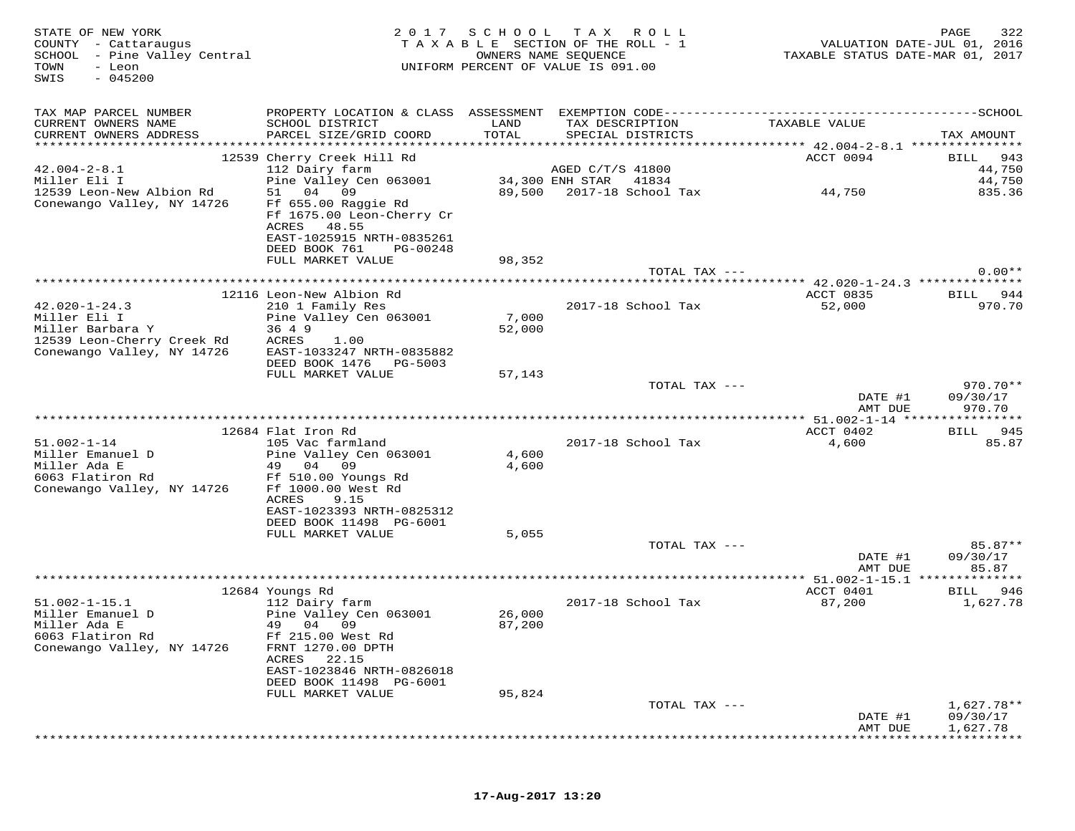STATE OF NEW YORK MESS PAGE 322<br>COUNTY - Cattaraugus (COUNTY - Cattaraugus ) TAXABLE SECTION OF THE ROLL - 1 (MALUATION DATE-JUL 01, 2016<br>SCHOOL - Pine Valley Central (Mattal ) TAXABLE STATE ROLL - 1 (MALUATION DATE-MAR 01 SWIS - 045200TAX MAP PARCEL NUMBER PROPERTY LOCATION & CLASS ASSESSMENT EXEMPTION CODE------------------------------------------SCHOOL CURRENT OWNERS NAME SCHOOL DISTRICT LAND TAX DESCRIPTION TAXABLE VALUE CURRENT OWNERS ADDRESS PARCEL SIZE/GRID COORD TOTAL SPECIAL DISTRICTS TAX AMOUNT \*\*\*\*\*\*\*\*\*\*\*\*\*\*\*\*\*\*\*\*\*\*\*\*\*\*\*\*\*\*\*\*\*\*\*\*\*\*\*\*\*\*\*\*\*\*\*\*\*\*\*\*\*\*\*\*\*\*\*\*\*\*\*\*\*\*\*\*\*\*\*\*\*\*\*\*\*\*\*\*\*\*\*\*\*\*\*\*\*\*\*\*\*\*\*\*\*\*\*\*\*\*\* 42.004-2-8.1 \*\*\*\*\*\*\*\*\*\*\*\*\*\*\*RECT 0094 BILL 943 12539 Cherry Creek Hill Rd ACCT 0094 BILL 94344,750 42.004-2-8.1 112 Dairy farm AGED C/T/S 41800 44,75044 750 Miller Eli I Pine Valley Cen 063001 34,300 ENH STAR 41834 44,750835.36 12539 Leon-New Albion Rd 51 04 09 89,500 2017-18 School Tax 44,750 835.36Conewango Valley, NY 14726 Ff 655.00 Raggie Rd<br>Ff 1675.00 Leon-Cherry Cr ACRES 48.55 EAST-1025915 NRTH-0835261 DEED BOOK 761 PG-00248 FULL MARKET VALUE 98,352 TOTAL TAX --- 0.00\*\* \*\*\*\*\*\*\*\*\*\*\*\*\*\*\*\*\*\*\*\*\*\*\*\*\*\*\*\*\*\*\*\*\*\*\*\*\*\*\*\*\*\*\*\*\*\*\*\*\*\*\*\*\*\*\*\*\*\*\*\*\*\*\*\*\*\*\*\*\*\*\*\*\*\*\*\*\*\*\*\*\*\*\*\*\*\*\*\*\*\*\*\*\*\*\*\*\*\*\*\*\*\*\* 42.020-1-24.3 \*\*\*\*\*\*\*\*\*\*\*\*\*\*ACCT 0835 BILL 944 12116 Leon-New Albion Rd ACCT 0835 BILL 944970.70 42.020-1-24.3 210 1 Family Res 2017-18 School Tax 52,000 970.70Miller Eli I Pine Valley Cen 063001 7,000 Miller Barbara Y 36 4 9 52,000 12539 Leon-Cherry Creek Rd ACRES 1.00 Conewango Valley, NY 14726 EAST-1033247 NRTH-0835882 DEED BOOK 1476 PG-5003 FULL MARKET VALUE 57,143 TOTAL TAX --- 970.70\*\*DATE #1 09/30/17<br>National parts of the contract of the contract of the contract of the contract of the contract of the contract o AMT DUE 970.70 \*\*\*\*\*\*\*\*\*\*\*\*\*\*\*\*\*\*\*\*\*\*\*\*\*\*\*\*\*\*\*\*\*\*\*\*\*\*\*\*\*\*\*\*\*\*\*\*\*\*\*\*\*\*\*\*\*\*\*\*\*\*\*\*\*\*\*\*\*\*\*\*\*\*\*\*\*\*\*\*\*\*\*\*\*\*\*\*\*\*\*\*\*\*\*\*\*\*\*\*\*\*\* 51.002-1-14 \*\*\*\*\*\*\*\*\*\*\*\*\*\*\*\* 12684 Flat Iron Rd ACCT 0402 BILL 94551.002-1-14 105 Vac farmland 2017-18 School Tax 4,600 85.87Miller Emanuel D Pine Valley Cen 063001 4,600 Miller Ada E 49 04 09 4,600 6063 Flatiron Rd Ff 510.00 Youngs Rd Conewango Valley, NY 14726 Ff 1000.00 West Rd ACRES 9.15 EAST-1023393 NRTH-0825312 DEED BOOK 11498 PG-6001 FULL MARKET VALUE 5,055 TOTAL TAX --- 85.87\*\* DATE #1 09/30/17AMT DUE 85.87 AMT DUE 85.87 \*\*\*\*\*\*\*\*\*\*\*\*\*\*\*\*\*\*\*\*\*\*\*\*\*\*\*\*\*\*\*\*\*\*\*\*\*\*\*\*\*\*\*\*\*\*\*\*\*\*\*\*\*\*\*\*\*\*\*\*\*\*\*\*\*\*\*\*\*\*\*\*\*\*\*\*\*\*\*\*\*\*\*\*\*\*\*\*\*\*\*\*\*\*\*\*\*\*\*\*\*\*\* 51.002-1-15.1 \*\*\*\*\*\*\*\*\*\*\*\*\*\* 12684 Youngs Rd ACCT 0401 BILL 94651.002-1-15.1 112 Dairy farm 2017-18 School Tax 87,200 1,627.78Miller Emanuel D Pine Valley Cen 063001 26,000 Miller Ada E 49 04 09 87,200 6063 Flatiron Rd Ff 215.00 West Rd Conewango Valley, NY 14726 FRNT 1270.00 DPTH ACRES 22.15 EAST-1023846 NRTH-0826018 DEED BOOK 11498 PG-6001 FULL MARKET VALUE 95,824 TOTAL TAX --- 1,627.78\*\* DATE #1 09/30/17AMT DUE 1,627.78 AMT DUE 1,627.78 \*\*\*\*\*\*\*\*\*\*\*\*\*\*\*\*\*\*\*\*\*\*\*\*\*\*\*\*\*\*\*\*\*\*\*\*\*\*\*\*\*\*\*\*\*\*\*\*\*\*\*\*\*\*\*\*\*\*\*\*\*\*\*\*\*\*\*\*\*\*\*\*\*\*\*\*\*\*\*\*\*\*\*\*\*\*\*\*\*\*\*\*\*\*\*\*\*\*\*\*\*\*\*\*\*\*\*\*\*\*\*\*\*\*\*\*\*\*\*\*\*\*\*\*\*\*\*\*\*\*\*\*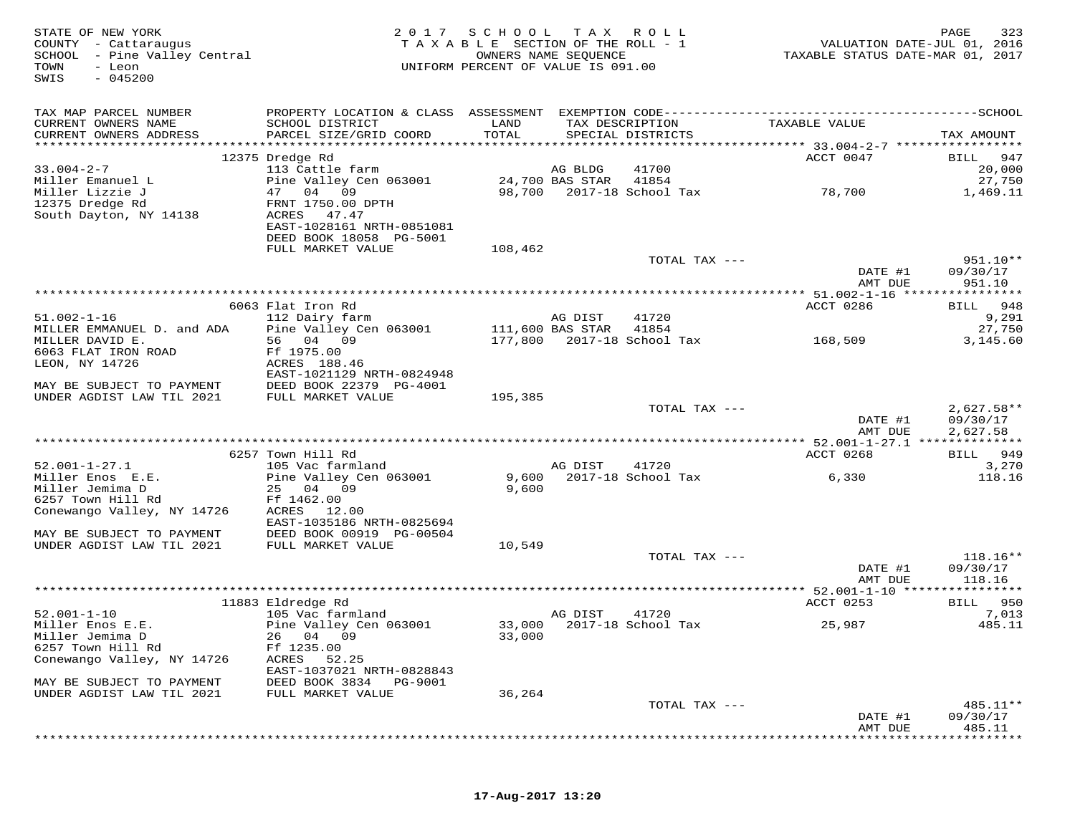| STATE OF NEW YORK<br>COUNTY - Cattaraugus<br>SCHOOL - Pine Valley Central<br>TOWN<br>- Leon<br>$-045200$<br>SWIS | 2 0 1 7                                   | SCHOOL TAX ROLL<br>TAXABLE SECTION OF THE ROLL - 1<br>OWNERS NAME SEQUENCE<br>UNIFORM PERCENT OF VALUE IS 091.00 |                            |                                      | VALUATION DATE-JUL 01, 2016<br>TAXABLE STATUS DATE-MAR 01, 2017 | 323<br>PAGE        |
|------------------------------------------------------------------------------------------------------------------|-------------------------------------------|------------------------------------------------------------------------------------------------------------------|----------------------------|--------------------------------------|-----------------------------------------------------------------|--------------------|
| TAX MAP PARCEL NUMBER                                                                                            |                                           |                                                                                                                  |                            |                                      |                                                                 |                    |
| CURRENT OWNERS NAME<br>CURRENT OWNERS ADDRESS                                                                    | SCHOOL DISTRICT<br>PARCEL SIZE/GRID COORD | LAND<br>TOTAL                                                                                                    |                            | TAX DESCRIPTION<br>SPECIAL DISTRICTS | TAXABLE VALUE                                                   | TAX AMOUNT         |
|                                                                                                                  |                                           |                                                                                                                  |                            |                                      |                                                                 |                    |
| $33.004 - 2 - 7$                                                                                                 | 12375 Dredge Rd                           |                                                                                                                  |                            |                                      | ACCT 0047                                                       | 947<br>BILL        |
| Miller Emanuel L                                                                                                 | 113 Cattle farm<br>Pine Valley Cen 063001 |                                                                                                                  | AG BLDG<br>24,700 BAS STAR | 41700<br>41854                       |                                                                 | 20,000<br>27,750   |
| Miller Lizzie J                                                                                                  | 47 04 09                                  |                                                                                                                  |                            | 98,700 2017-18 School Tax            | 78,700                                                          | 1,469.11           |
| 12375 Dredge Rd                                                                                                  | FRNT 1750.00 DPTH                         |                                                                                                                  |                            |                                      |                                                                 |                    |
| South Dayton, NY 14138                                                                                           | ACRES 47.47                               |                                                                                                                  |                            |                                      |                                                                 |                    |
|                                                                                                                  | EAST-1028161 NRTH-0851081                 |                                                                                                                  |                            |                                      |                                                                 |                    |
|                                                                                                                  | DEED BOOK 18058 PG-5001                   |                                                                                                                  |                            |                                      |                                                                 |                    |
|                                                                                                                  | FULL MARKET VALUE                         | 108,462                                                                                                          |                            |                                      |                                                                 |                    |
|                                                                                                                  |                                           |                                                                                                                  |                            | TOTAL TAX ---                        |                                                                 | $951.10**$         |
|                                                                                                                  |                                           |                                                                                                                  |                            |                                      | DATE #1                                                         | 09/30/17           |
|                                                                                                                  |                                           |                                                                                                                  |                            |                                      | AMT DUE                                                         | 951.10             |
|                                                                                                                  |                                           |                                                                                                                  |                            |                                      |                                                                 |                    |
| $51.002 - 1 - 16$                                                                                                | 6063 Flat Iron Rd                         |                                                                                                                  | AG DIST                    | 41720                                | ACCT 0286                                                       | BILL 948           |
| MILLER EMMANUEL D. and ADA                                                                                       | 112 Dairy farm<br>Pine Valley Cen 063001  | 111,600 BAS STAR                                                                                                 |                            | 41854                                |                                                                 | 9,291<br>27,750    |
| MILLER DAVID E.                                                                                                  | 56 04 09                                  |                                                                                                                  |                            | 177,800 2017-18 School Tax           | 168,509                                                         | 3,145.60           |
| 6063 FLAT IRON ROAD                                                                                              | Ff 1975.00                                |                                                                                                                  |                            |                                      |                                                                 |                    |
| LEON, NY 14726                                                                                                   | ACRES 188.46                              |                                                                                                                  |                            |                                      |                                                                 |                    |
|                                                                                                                  | EAST-1021129 NRTH-0824948                 |                                                                                                                  |                            |                                      |                                                                 |                    |
| MAY BE SUBJECT TO PAYMENT                                                                                        | DEED BOOK 22379 PG-4001                   |                                                                                                                  |                            |                                      |                                                                 |                    |
| UNDER AGDIST LAW TIL 2021                                                                                        | FULL MARKET VALUE                         | 195,385                                                                                                          |                            |                                      |                                                                 |                    |
|                                                                                                                  |                                           |                                                                                                                  |                            | TOTAL TAX ---                        |                                                                 | $2,627.58**$       |
|                                                                                                                  |                                           |                                                                                                                  |                            |                                      | DATE #1                                                         | 09/30/17           |
|                                                                                                                  |                                           |                                                                                                                  |                            |                                      | AMT DUE                                                         | 2,627.58           |
|                                                                                                                  | 6257 Town Hill Rd                         |                                                                                                                  |                            |                                      |                                                                 | 949                |
| $52.001 - 1 - 27.1$                                                                                              | 105 Vac farmland                          |                                                                                                                  | AG DIST                    | 41720                                | ACCT 0268                                                       | BILL<br>3,270      |
| Miller Enos E.E.                                                                                                 | Pine Valley Cen 063001                    | 9,600                                                                                                            |                            | 2017-18 School Tax                   | 6,330                                                           | 118.16             |
| Miller Jemima D                                                                                                  | 25 04 09                                  | 9,600                                                                                                            |                            |                                      |                                                                 |                    |
| 6257 Town Hill Rd                                                                                                | Ff 1462.00                                |                                                                                                                  |                            |                                      |                                                                 |                    |
| Conewango Valley, NY 14726                                                                                       | ACRES 12.00                               |                                                                                                                  |                            |                                      |                                                                 |                    |
|                                                                                                                  | EAST-1035186 NRTH-0825694                 |                                                                                                                  |                            |                                      |                                                                 |                    |
| MAY BE SUBJECT TO PAYMENT                                                                                        | DEED BOOK 00919 PG-00504                  |                                                                                                                  |                            |                                      |                                                                 |                    |
| UNDER AGDIST LAW TIL 2021                                                                                        | FULL MARKET VALUE                         | 10,549                                                                                                           |                            |                                      |                                                                 |                    |
|                                                                                                                  |                                           |                                                                                                                  |                            | TOTAL TAX ---                        |                                                                 | $118.16**$         |
|                                                                                                                  |                                           |                                                                                                                  |                            |                                      | DATE #1                                                         | 09/30/17           |
|                                                                                                                  |                                           |                                                                                                                  |                            |                                      | AMT DUE                                                         | 118.16             |
|                                                                                                                  | 11883 Eldredge Rd                         |                                                                                                                  |                            |                                      | ACCT 0253                                                       | BILL 950           |
| $52.001 - 1 - 10$                                                                                                | 105 Vac farmland                          |                                                                                                                  | AG DIST                    | 41720                                |                                                                 | 7,013              |
| Miller Enos E.E.                                                                                                 | Pine Valley Cen 063001                    |                                                                                                                  |                            | 33,000 2017-18 School Tax            | 25,987                                                          | 485.11             |
| Miller Jemima D                                                                                                  | 26 04 09                                  | 33,000                                                                                                           |                            |                                      |                                                                 |                    |
| 6257 Town Hill Rd                                                                                                | Ff 1235.00                                |                                                                                                                  |                            |                                      |                                                                 |                    |
| Conewango Valley, NY 14726                                                                                       | ACRES<br>52.25                            |                                                                                                                  |                            |                                      |                                                                 |                    |
|                                                                                                                  | EAST-1037021 NRTH-0828843                 |                                                                                                                  |                            |                                      |                                                                 |                    |
| MAY BE SUBJECT TO PAYMENT                                                                                        | DEED BOOK 3834<br>PG-9001                 |                                                                                                                  |                            |                                      |                                                                 |                    |
| UNDER AGDIST LAW TIL 2021                                                                                        | FULL MARKET VALUE                         | 36,264                                                                                                           |                            |                                      |                                                                 |                    |
|                                                                                                                  |                                           |                                                                                                                  |                            | TOTAL TAX ---                        |                                                                 | 485.11**           |
|                                                                                                                  |                                           |                                                                                                                  |                            |                                      | DATE #1<br>AMT DUE                                              | 09/30/17<br>485.11 |
|                                                                                                                  |                                           |                                                                                                                  |                            |                                      |                                                                 |                    |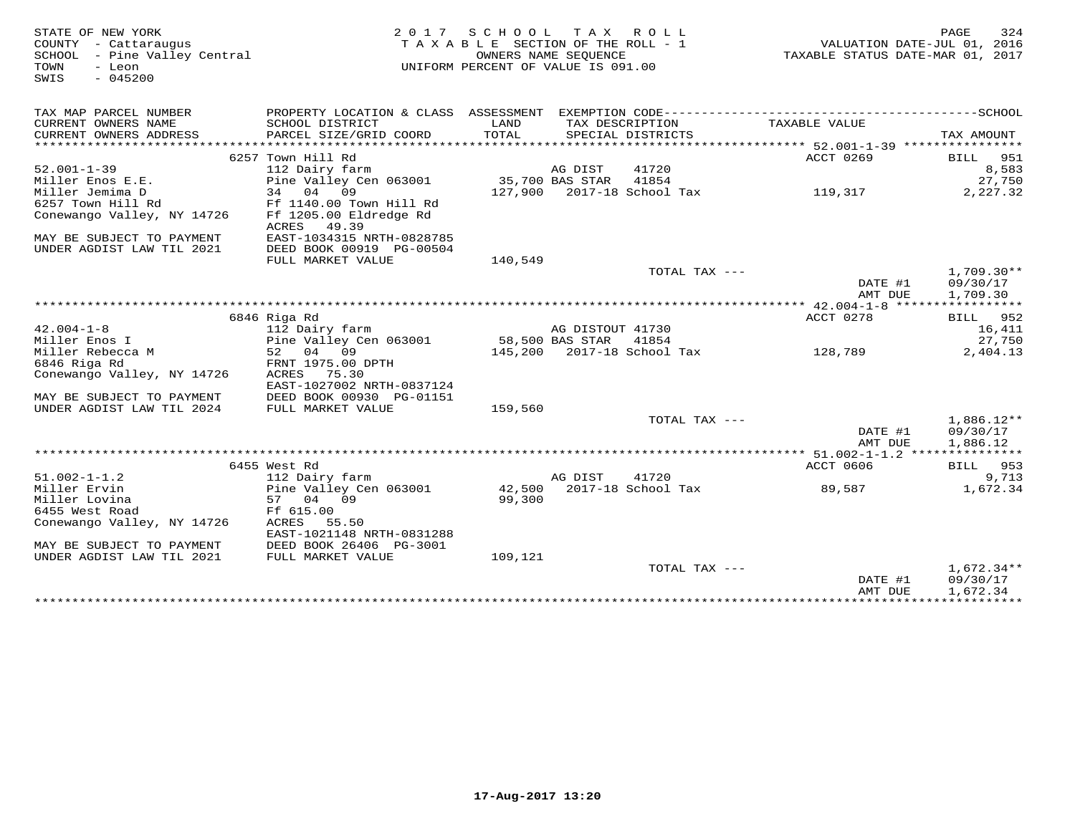STATE OF NEW YORK MESS PAGE 324<br>COUNTY - Cattaraugus (COUNTY - Cattaraugus ) TAXABLE SECTION OF THE ROLL - 1 (MALUATION DATE-JUL 01, 2016<br>SCHOOL - Pine Valley Central (Mattal ) TAXABLE STATE ROLL - 1 (MALUATION DATE-MAR 01 SWIS - 045200TAX MAP PARCEL NUMBER PROPERTY LOCATION & CLASS ASSESSMENT EXEMPTION CODE------------------------------------------SCHOOL CURRENT OWNERS NAME SCHOOL DISTRICT LAND TAX DESCRIPTION TAXABLE VALUE CURRENT OWNERS ADDRESS PARCEL SIZE/GRID COORD TOTAL SPECIAL DISTRICTS TAX AMOUNT \*\*\*\*\*\*\*\*\*\*\*\*\*\*\*\*\*\*\*\*\*\*\*\*\*\*\*\*\*\*\*\*\*\*\*\*\*\*\*\*\*\*\*\*\*\*\*\*\*\*\*\*\*\*\*\*\*\*\*\*\*\*\*\*\*\*\*\*\*\*\*\*\*\*\*\*\*\*\*\*\*\*\*\*\*\*\*\*\*\*\*\*\*\*\*\*\*\*\*\*\*\*\* 52.001-1-39 \*\*\*\*\*\*\*\*\*\*\*\*\*\*\*\*ACCT 0269 BILL 951 52.001-1-39 <br>
52.001-1-39 <br>
Miller Enos E.E. <br>
27,550<br>
Miller Jemima D 34 04 09 127,900 2017-18 School Tax 119,317 2,227.32<br>
MAY BE SUBJECT TO PAYMENT EAST-1034315 NRTH-0828785<br>
MAY BE SUBJECT TO PAYMENT EAST-1034315 NRTH-TOTAL TAX ---  $1,709.30**$ DATE #1 09/30/17<br>National Party 1, 700, 30 AMT DUE 1,709.30 \*\*\*\*\*\*\*\*\*\*\*\*\*\*\*\*\*\*\*\*\*\*\*\*\*\*\*\*\*\*\*\*\*\*\*\*\*\*\*\*\*\*\*\*\*\*\*\*\*\*\*\*\*\*\*\*\*\*\*\*\*\*\*\*\*\*\*\*\*\*\*\*\*\*\*\*\*\*\*\*\*\*\*\*\*\*\*\*\*\*\*\*\*\*\*\*\*\*\*\*\*\*\* 42.004-1-8 \*\*\*\*\*\*\*\*\*\*\*\*\*\*\*\*\***BILL** 952 6846 Riga Rd ACCT 0278 BILL 95216,411 42.004-1-8 112 Dairy farm AG DISTOUT 41730 16,41127,750 Miller Enos I Pine Valley Cen 063001 58,500 BAS STAR 41854 27,7502.404.13 Miller Rebecca M 52 04 09 145,200 2017-18 School Tax 128,789 2,404.136846 Riga Rd FRNT 1975.00 DPTH Conewango Valley, NY 14726 ACRES 75.30 EAST-1027002 NRTH-0837124 MAY BE SUBJECT TO PAYMENT DEED BOOK 00930 PG-01151 UNDER AGDIST LAW TIL 2024 FULL MARKET VALUE 159,560TOTAL TAX  $---$  1,886.12\*\* DATE #1 09/30/17AMT DUE 1,886.12 AMT DUE 1,886.12 \*\*\*\*\*\*\*\*\*\*\*\*\*\*\*\*\*\*\*\*\*\*\*\*\*\*\*\*\*\*\*\*\*\*\*\*\*\*\*\*\*\*\*\*\*\*\*\*\*\*\*\*\*\*\*\*\*\*\*\*\*\*\*\*\*\*\*\*\*\*\*\*\*\*\*\*\*\*\*\*\*\*\*\*\*\*\*\*\*\*\*\*\*\*\*\*\*\*\*\*\*\*\* 51.002-1-1.2 \*\*\*\*\*\*\*\*\*\*\*\*\*\*\* 6455 West Rd ACCT 0606 BILL 953 51.002-1-1.2 112 Dairy farm AG DIST 41720 9,713 Miller Ervin Pine Valley Cen 063001 42,500 2017-18 School Tax 89,587 1,672.34 Miller Lovina 57 04 09 99,300 6455 West Road Ff 615.00 Conewango Valley, NY 14726 ACRES 55.50 EAST-1021148 NRTH-0831288 MAY BE SUBJECT TO PAYMENT DEED BOOK 26406 PG-3001 UNDER AGDIST LAW TIL 2021 FULL MARKET VALUE 109,121 TOTAL TAX --- 1,672.34\*\* DATE #1 09/30/17 $\text{AMT}$  DUE  $1,672.34$ \*\*\*\*\*\*\*\*\*\*\*\*\*\*\*\*\*\*\*\*\*\*\*\*\*\*\*\*\*\*\*\*\*\*\*\*\*\*\*\*\*\*\*\*\*\*\*\*\*\*\*\*\*\*\*\*\*\*\*\*\*\*\*\*\*\*\*\*\*\*\*\*\*\*\*\*\*\*\*\*\*\*\*\*\*\*\*\*\*\*\*\*\*\*\*\*\*\*\*\*\*\*\*\*\*\*\*\*\*\*\*\*\*\*\*\*\*\*\*\*\*\*\*\*\*\*\*\*\*\*\*\*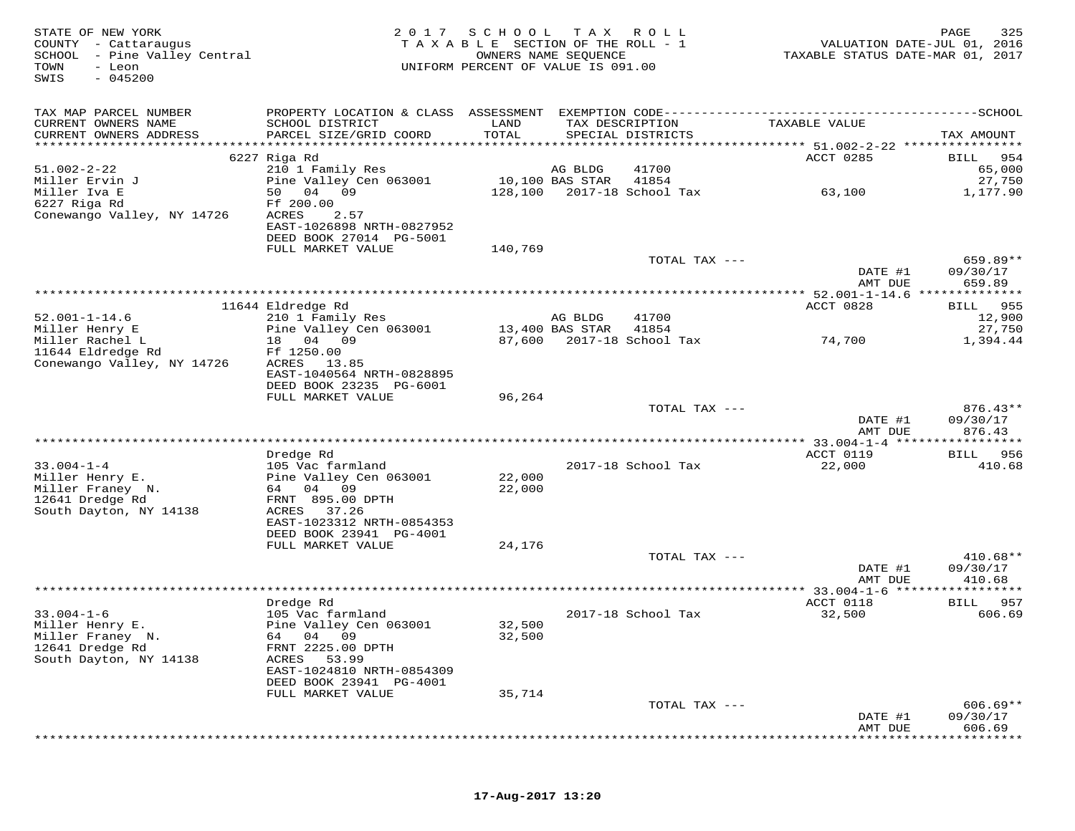| STATE OF NEW YORK<br>COUNTY - Cattaraugus<br>SCHOOL - Pine Valley Central<br>TOWN<br>- Leon<br>$-045200$<br>SWIS | 2017                                         | SCHOOL<br>TAXABLE SECTION OF THE ROLL - 1<br>UNIFORM PERCENT OF VALUE IS 091.00 | T A X<br>OWNERS NAME SEQUENCE | R O L L                              | VALUATION DATE-JUL 01, 2016<br>TAXABLE STATUS DATE-MAR 01, 2017 | PAGE<br>325            |
|------------------------------------------------------------------------------------------------------------------|----------------------------------------------|---------------------------------------------------------------------------------|-------------------------------|--------------------------------------|-----------------------------------------------------------------|------------------------|
| TAX MAP PARCEL NUMBER                                                                                            |                                              |                                                                                 |                               |                                      |                                                                 |                        |
| CURRENT OWNERS NAME<br>CURRENT OWNERS ADDRESS<br>*************************                                       | SCHOOL DISTRICT<br>PARCEL SIZE/GRID COORD    | LAND<br>TOTAL                                                                   |                               | TAX DESCRIPTION<br>SPECIAL DISTRICTS | TAXABLE VALUE                                                   | TAX AMOUNT             |
|                                                                                                                  | 6227 Riga Rd                                 |                                                                                 |                               |                                      | ACCT 0285                                                       | 954<br><b>BILL</b>     |
| $51.002 - 2 - 22$                                                                                                | 210 1 Family Res                             |                                                                                 | AG BLDG                       | 41700                                |                                                                 | 65,000                 |
| Miller Ervin J                                                                                                   | Pine Valley Cen 063001                       |                                                                                 | 10,100 BAS STAR               | 41854                                |                                                                 | 27,750                 |
| Miller Iva E                                                                                                     | 50 04 09                                     | 128,100                                                                         |                               | 2017-18 School Tax                   | 63,100                                                          | 1,177.90               |
| 6227 Riga Rd                                                                                                     | Ff 200.00                                    |                                                                                 |                               |                                      |                                                                 |                        |
| Conewango Valley, NY 14726                                                                                       | ACRES<br>2.57                                |                                                                                 |                               |                                      |                                                                 |                        |
|                                                                                                                  | EAST-1026898 NRTH-0827952                    |                                                                                 |                               |                                      |                                                                 |                        |
|                                                                                                                  | DEED BOOK 27014 PG-5001<br>FULL MARKET VALUE | 140,769                                                                         |                               |                                      |                                                                 |                        |
|                                                                                                                  |                                              |                                                                                 |                               | TOTAL TAX ---                        |                                                                 | 659.89**               |
|                                                                                                                  |                                              |                                                                                 |                               |                                      | DATE #1                                                         | 09/30/17               |
|                                                                                                                  |                                              |                                                                                 |                               |                                      | AMT DUE                                                         | 659.89                 |
|                                                                                                                  |                                              |                                                                                 |                               |                                      | ************** 52.001-1-14.6 ***                                | * * * * * * * * *      |
|                                                                                                                  | 11644 Eldredge Rd                            |                                                                                 |                               |                                      | ACCT 0828                                                       | 955<br>BILL            |
| $52.001 - 1 - 14.6$                                                                                              | 210 1 Family Res                             |                                                                                 | AG BLDG                       | 41700                                |                                                                 | 12,900                 |
| Miller Henry E<br>Miller Rachel L                                                                                | Pine Valley Cen 063001<br>18 04 09           | 87,600                                                                          | 13,400 BAS STAR               | 41854<br>2017-18 School Tax          | 74,700                                                          | 27,750<br>1,394.44     |
| 11644 Eldredge Rd                                                                                                | Ff 1250.00                                   |                                                                                 |                               |                                      |                                                                 |                        |
| Conewango Valley, NY 14726                                                                                       | ACRES<br>13.85                               |                                                                                 |                               |                                      |                                                                 |                        |
|                                                                                                                  | EAST-1040564 NRTH-0828895                    |                                                                                 |                               |                                      |                                                                 |                        |
|                                                                                                                  | DEED BOOK 23235 PG-6001                      |                                                                                 |                               |                                      |                                                                 |                        |
|                                                                                                                  | FULL MARKET VALUE                            | 96,264                                                                          |                               |                                      |                                                                 |                        |
|                                                                                                                  |                                              |                                                                                 |                               | TOTAL TAX ---                        | DATE #1                                                         | $876.43**$<br>09/30/17 |
|                                                                                                                  |                                              |                                                                                 |                               |                                      | AMT DUE                                                         | 876.43                 |
|                                                                                                                  |                                              |                                                                                 |                               |                                      |                                                                 |                        |
|                                                                                                                  | Dredge Rd                                    |                                                                                 |                               |                                      | ACCT 0119                                                       | 956<br>BILL            |
| $33.004 - 1 - 4$                                                                                                 | 105 Vac farmland                             |                                                                                 |                               | 2017-18 School Tax                   | 22,000                                                          | 410.68                 |
| Miller Henry E.                                                                                                  | Pine Valley Cen 063001                       | 22,000                                                                          |                               |                                      |                                                                 |                        |
| Miller Franey N.<br>12641 Dredge Rd                                                                              | 64 04 09<br>FRNT 895.00 DPTH                 | 22,000                                                                          |                               |                                      |                                                                 |                        |
| South Dayton, NY 14138                                                                                           | ACRES 37.26                                  |                                                                                 |                               |                                      |                                                                 |                        |
|                                                                                                                  | EAST-1023312 NRTH-0854353                    |                                                                                 |                               |                                      |                                                                 |                        |
|                                                                                                                  | DEED BOOK 23941 PG-4001                      |                                                                                 |                               |                                      |                                                                 |                        |
|                                                                                                                  | FULL MARKET VALUE                            | 24,176                                                                          |                               |                                      |                                                                 |                        |
|                                                                                                                  |                                              |                                                                                 |                               | TOTAL TAX ---                        |                                                                 | $410.68**$             |
|                                                                                                                  |                                              |                                                                                 |                               |                                      | DATE #1                                                         | 09/30/17               |
|                                                                                                                  |                                              |                                                                                 |                               |                                      | AMT DUE                                                         | 410.68                 |
|                                                                                                                  | Dredge Rd                                    |                                                                                 |                               |                                      | ACCT 0118                                                       | 957<br>BILL            |
| $33.004 - 1 - 6$                                                                                                 | 105 Vac farmland                             |                                                                                 |                               | 2017-18 School Tax                   | 32,500                                                          | 606.69                 |
| Miller Henry E.                                                                                                  | Pine Valley Cen 063001                       | 32,500                                                                          |                               |                                      |                                                                 |                        |
| Miller Franey N.                                                                                                 | 04 09<br>64                                  | 32,500                                                                          |                               |                                      |                                                                 |                        |
| 12641 Dredge Rd                                                                                                  | FRNT 2225.00 DPTH                            |                                                                                 |                               |                                      |                                                                 |                        |
| South Dayton, NY 14138                                                                                           | 53.99<br>ACRES<br>EAST-1024810 NRTH-0854309  |                                                                                 |                               |                                      |                                                                 |                        |
|                                                                                                                  | DEED BOOK 23941 PG-4001                      |                                                                                 |                               |                                      |                                                                 |                        |
|                                                                                                                  | FULL MARKET VALUE                            | 35,714                                                                          |                               |                                      |                                                                 |                        |
|                                                                                                                  |                                              |                                                                                 |                               | TOTAL TAX ---                        |                                                                 | $606.69**$             |
|                                                                                                                  |                                              |                                                                                 |                               |                                      | DATE #1                                                         | 09/30/17               |
|                                                                                                                  |                                              |                                                                                 |                               |                                      | AMT DUE                                                         | 606.69                 |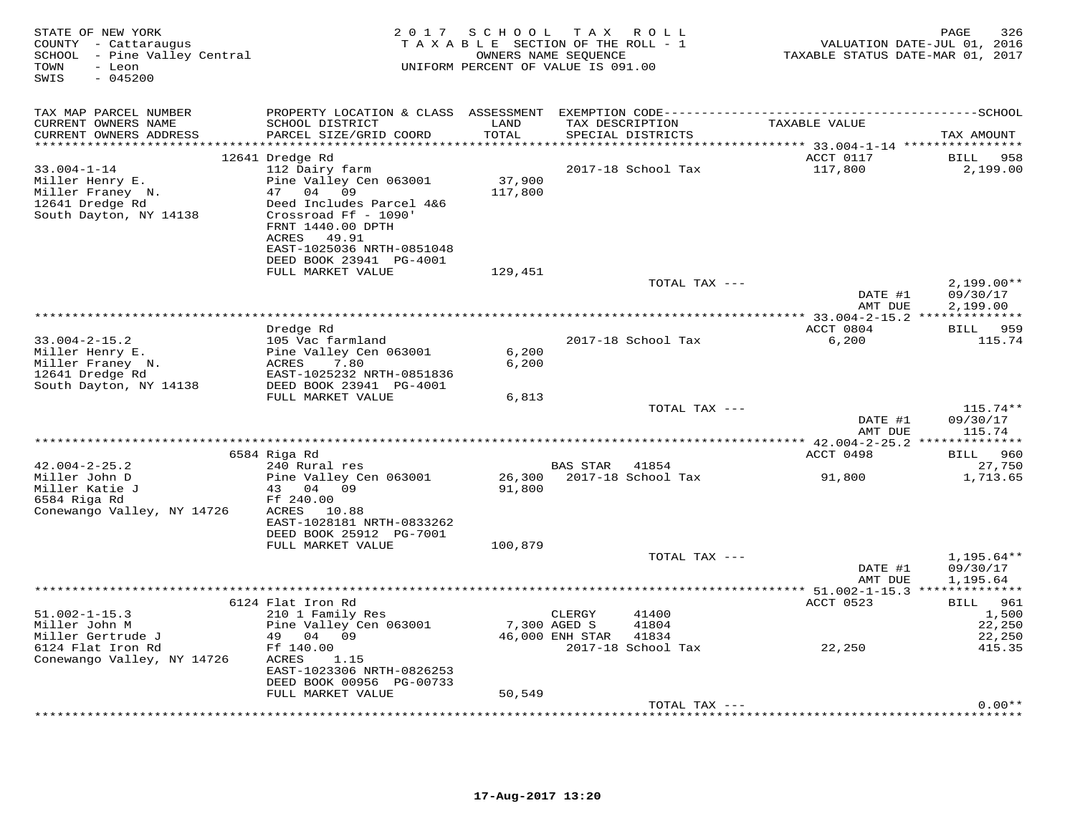| STATE OF NEW YORK<br>COUNTY - Cattaraugus<br>SCHOOL - Pine Valley Central<br>TOWN<br>- Leon<br>SWIS<br>$-045200$ | 2 0 1 7                                                                                                                                            | SCHOOL TAX ROLL<br>TAXABLE SECTION OF THE ROLL - 1<br>OWNERS NAME SEQUENCE<br>UNIFORM PERCENT OF VALUE IS 091.00 |                                           |                             | TAXABLE STATUS DATE-MAR 01, 2017         | 326<br>PAGE<br>VALUATION DATE-JUL 01, 2016 |
|------------------------------------------------------------------------------------------------------------------|----------------------------------------------------------------------------------------------------------------------------------------------------|------------------------------------------------------------------------------------------------------------------|-------------------------------------------|-----------------------------|------------------------------------------|--------------------------------------------|
| TAX MAP PARCEL NUMBER<br>CURRENT OWNERS NAME                                                                     | SCHOOL DISTRICT                                                                                                                                    | LAND                                                                                                             |                                           | TAX DESCRIPTION             | TAXABLE VALUE                            |                                            |
| CURRENT OWNERS ADDRESS<br>***********************                                                                | PARCEL SIZE/GRID COORD                                                                                                                             | TOTAL<br>****************                                                                                        |                                           | SPECIAL DISTRICTS           |                                          | TAX AMOUNT                                 |
|                                                                                                                  | 12641 Dredge Rd                                                                                                                                    |                                                                                                                  |                                           |                             | ACCT 0117                                | BILL 958                                   |
| $33.004 - 1 - 14$<br>Miller Henry E.<br>Miller Franey N.<br>12641 Dredge Rd<br>South Dayton, NY 14138            | 112 Dairy farm<br>Pine Valley Cen 063001<br>47 04<br>09<br>Deed Includes Parcel 4&6<br>Crossroad Ff - 1090'<br>FRNT 1440.00 DPTH<br>ACRES<br>49.91 | 37,900<br>117,800                                                                                                |                                           | 2017-18 School Tax          | 117,800                                  | 2,199.00                                   |
|                                                                                                                  | EAST-1025036 NRTH-0851048<br>DEED BOOK 23941 PG-4001                                                                                               |                                                                                                                  |                                           |                             |                                          |                                            |
|                                                                                                                  | FULL MARKET VALUE                                                                                                                                  | 129,451                                                                                                          |                                           |                             |                                          |                                            |
|                                                                                                                  |                                                                                                                                                    |                                                                                                                  |                                           | TOTAL TAX ---               | DATE #1<br>AMT DUE                       | $2,199.00**$<br>09/30/17<br>2,199.00       |
|                                                                                                                  | Dredge Rd                                                                                                                                          |                                                                                                                  |                                           |                             | ACCT 0804                                | BILL 959                                   |
| $33.004 - 2 - 15.2$<br>Miller Henry E.<br>Miller Franey N.<br>12641 Dredge Rd                                    | 105 Vac farmland<br>Pine Valley Cen 063001<br>7.80<br>ACRES<br>EAST-1025232 NRTH-0851836                                                           | 6,200<br>6,200                                                                                                   |                                           | 2017-18 School Tax          | 6,200                                    | 115.74                                     |
| South Dayton, NY 14138                                                                                           | DEED BOOK 23941 PG-4001                                                                                                                            |                                                                                                                  |                                           |                             |                                          |                                            |
|                                                                                                                  | FULL MARKET VALUE                                                                                                                                  | 6,813                                                                                                            |                                           |                             |                                          |                                            |
|                                                                                                                  |                                                                                                                                                    |                                                                                                                  |                                           | TOTAL TAX ---               | DATE #1<br>AMT DUE                       | $115.74**$<br>09/30/17<br>115.74           |
|                                                                                                                  |                                                                                                                                                    |                                                                                                                  |                                           |                             |                                          |                                            |
|                                                                                                                  | 6584 Riga Rd                                                                                                                                       |                                                                                                                  |                                           |                             | ACCT 0498                                | BILL 960                                   |
| $42.004 - 2 - 25.2$<br>Miller John D<br>Miller Katie J<br>6584 Riga Rd                                           | 240 Rural res<br>Pine Valley Cen 063001<br>43 04<br>09<br>Ff 240.00                                                                                | 26,300<br>91,800                                                                                                 | BAS STAR                                  | 41854<br>2017-18 School Tax | 91,800                                   | 27,750<br>1,713.65                         |
| Conewango Valley, NY 14726                                                                                       | ACRES 10.88<br>EAST-1028181 NRTH-0833262<br>DEED BOOK 25912 PG-7001<br>FULL MARKET VALUE                                                           | 100,879                                                                                                          |                                           |                             |                                          |                                            |
|                                                                                                                  |                                                                                                                                                    |                                                                                                                  |                                           | TOTAL TAX ---               | DATE #1<br>AMT DUE                       | $1,195.64**$<br>09/30/17<br>1,195.64       |
|                                                                                                                  |                                                                                                                                                    |                                                                                                                  |                                           |                             | *********** 51.002-1-15.3 ************** |                                            |
| $51.002 - 1 - 15.3$<br>Miller John M<br>Miller Gertrude J                                                        | 6124 Flat Iron Rd<br>210 1 Family Res<br>Pine Valley Cen 063001<br>49 04 09                                                                        |                                                                                                                  | CLERGY<br>7,300 AGED S<br>46,000 ENH STAR | 41400<br>41804<br>41834     | ACCT 0523                                | BILL 961<br>1,500<br>22,250<br>22,250      |
| 6124 Flat Iron Rd<br>Conewango Valley, NY 14726                                                                  | Ff 140.00<br>ACRES<br>1.15<br>EAST-1023306 NRTH-0826253<br>DEED BOOK 00956 PG-00733                                                                |                                                                                                                  |                                           | 2017-18 School Tax          | 22,250                                   | 415.35                                     |
|                                                                                                                  | FULL MARKET VALUE                                                                                                                                  | 50,549                                                                                                           |                                           |                             |                                          | $0.00**$                                   |
|                                                                                                                  |                                                                                                                                                    |                                                                                                                  |                                           | TOTAL TAX ---               |                                          |                                            |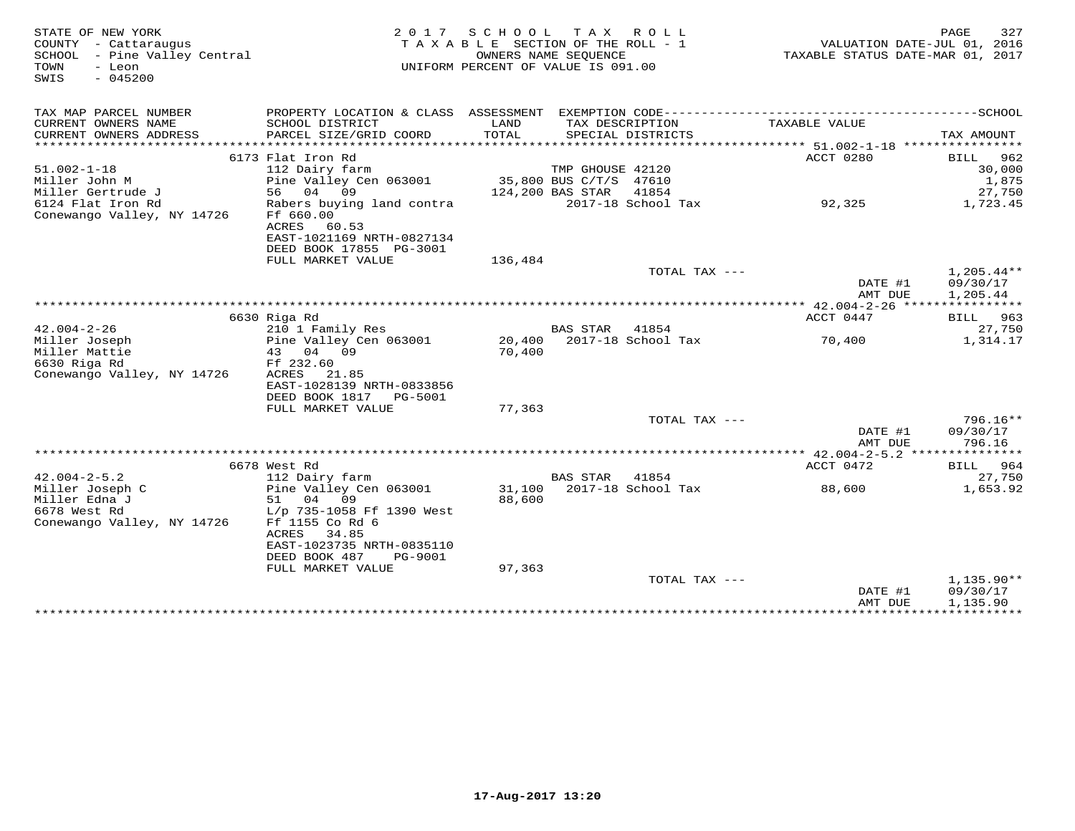| STATE OF NEW YORK<br>COUNTY - Cattaraugus<br>SCHOOL - Pine Valley Central<br>TOWN<br>- Leon<br>$-045200$<br>SWIS |                                                                                                                  | 2017 SCHOOL TAX ROLL<br>TAXABLE SECTION OF THE ROLL - 1<br>UNIFORM PERCENT OF VALUE IS 091.00 | OWNERS NAME SEQUENCE   |                           | VALUATION DATE-JUL 01, 2016<br>TAXABLE STATUS DATE-MAR 01, 2017 | 327<br>PAGE                          |
|------------------------------------------------------------------------------------------------------------------|------------------------------------------------------------------------------------------------------------------|-----------------------------------------------------------------------------------------------|------------------------|---------------------------|-----------------------------------------------------------------|--------------------------------------|
| TAX MAP PARCEL NUMBER<br>CURRENT OWNERS NAME                                                                     | SCHOOL DISTRICT                                                                                                  | LAND                                                                                          |                        | TAX DESCRIPTION           | TAXABLE VALUE                                                   |                                      |
| CURRENT OWNERS ADDRESS<br>*******************                                                                    | PARCEL SIZE/GRID COORD                                                                                           | TOTAL<br>***********                                                                          |                        | SPECIAL DISTRICTS         | ******** 51.002-1-18 ***********                                | TAX AMOUNT                           |
|                                                                                                                  | 6173 Flat Iron Rd                                                                                                |                                                                                               |                        |                           | ACCT 0280                                                       | BILL<br>962                          |
| $51.002 - 1 - 18$                                                                                                | 112 Dairy farm                                                                                                   |                                                                                               | TMP GHOUSE 42120       |                           |                                                                 | 30,000                               |
| Miller John M                                                                                                    | Pine Valley Cen 063001                                                                                           |                                                                                               | 35,800 BUS C/T/S 47610 |                           |                                                                 | 1,875                                |
| Miller Gertrude J                                                                                                | 04<br>56<br>09                                                                                                   | 124,200 BAS STAR                                                                              |                        | 41854                     |                                                                 | 27,750                               |
| 6124 Flat Iron Rd<br>Conewango Valley, NY 14726                                                                  | Rabers buying land contra<br>Ff 660.00<br>ACRES<br>60.53<br>EAST-1021169 NRTH-0827134<br>DEED BOOK 17855 PG-3001 |                                                                                               |                        | 2017-18 School Tax        | 92,325                                                          | 1,723.45                             |
|                                                                                                                  | FULL MARKET VALUE                                                                                                | 136,484                                                                                       |                        |                           |                                                                 |                                      |
|                                                                                                                  |                                                                                                                  |                                                                                               |                        | TOTAL TAX ---             | DATE #1<br>AMT DUE                                              | $1,205.44**$<br>09/30/17<br>1,205.44 |
|                                                                                                                  |                                                                                                                  |                                                                                               |                        |                           |                                                                 |                                      |
|                                                                                                                  | 6630 Riga Rd                                                                                                     |                                                                                               |                        |                           | ACCT 0447                                                       | BILL 963                             |
| $42.004 - 2 - 26$                                                                                                | 210 1 Family Res                                                                                                 |                                                                                               | BAS STAR               | 41854                     |                                                                 | 27,750                               |
| Miller Joseph                                                                                                    | Pine Valley Cen 063001                                                                                           |                                                                                               |                        | 20,400 2017-18 School Tax | 70,400                                                          | 1,314.17                             |
| Miller Mattie                                                                                                    | 04 09<br>43                                                                                                      | 70,400                                                                                        |                        |                           |                                                                 |                                      |
| 6630 Riga Rd<br>Conewango Valley, NY 14726                                                                       | Ff 232.60<br>ACRES<br>21.85<br>EAST-1028139 NRTH-0833856<br>DEED BOOK 1817<br>PG-5001                            |                                                                                               |                        |                           |                                                                 |                                      |
|                                                                                                                  | FULL MARKET VALUE                                                                                                | 77,363                                                                                        |                        |                           |                                                                 |                                      |
|                                                                                                                  |                                                                                                                  |                                                                                               |                        | TOTAL TAX ---             |                                                                 | $796.16**$                           |
|                                                                                                                  |                                                                                                                  |                                                                                               |                        |                           | DATE #1<br>AMT DUE                                              | 09/30/17<br>796.16                   |
|                                                                                                                  |                                                                                                                  |                                                                                               |                        |                           | *********** 42.004-2-5.2 ****************                       |                                      |
| $42.004 - 2 - 5.2$                                                                                               | 6678 West Rd                                                                                                     |                                                                                               |                        | 41854                     | ACCT 0472                                                       | BILL 964                             |
| Miller Joseph C                                                                                                  | 112 Dairy farm<br>Pine Valley Cen 063001                                                                         |                                                                                               | <b>BAS STAR</b>        | 31,100 2017-18 School Tax | 88,600                                                          | 27,750<br>1,653.92                   |
| Miller Edna J                                                                                                    | 51 04<br>09                                                                                                      | 88,600                                                                                        |                        |                           |                                                                 |                                      |
| 6678 West Rd                                                                                                     | L/p 735-1058 Ff 1390 West                                                                                        |                                                                                               |                        |                           |                                                                 |                                      |
| Conewango Valley, NY 14726                                                                                       | Ff 1155 Co Rd 6<br>ACRES<br>34.85<br>EAST-1023735 NRTH-0835110<br>DEED BOOK 487<br>PG-9001                       |                                                                                               |                        |                           |                                                                 |                                      |
|                                                                                                                  | FULL MARKET VALUE                                                                                                | 97,363                                                                                        |                        |                           |                                                                 |                                      |
|                                                                                                                  |                                                                                                                  |                                                                                               |                        | TOTAL TAX ---             | DATE #1                                                         | 1,135.90**<br>09/30/17               |
|                                                                                                                  |                                                                                                                  |                                                                                               |                        |                           | AMT DUE<br>*****************************                        | 1,135.90                             |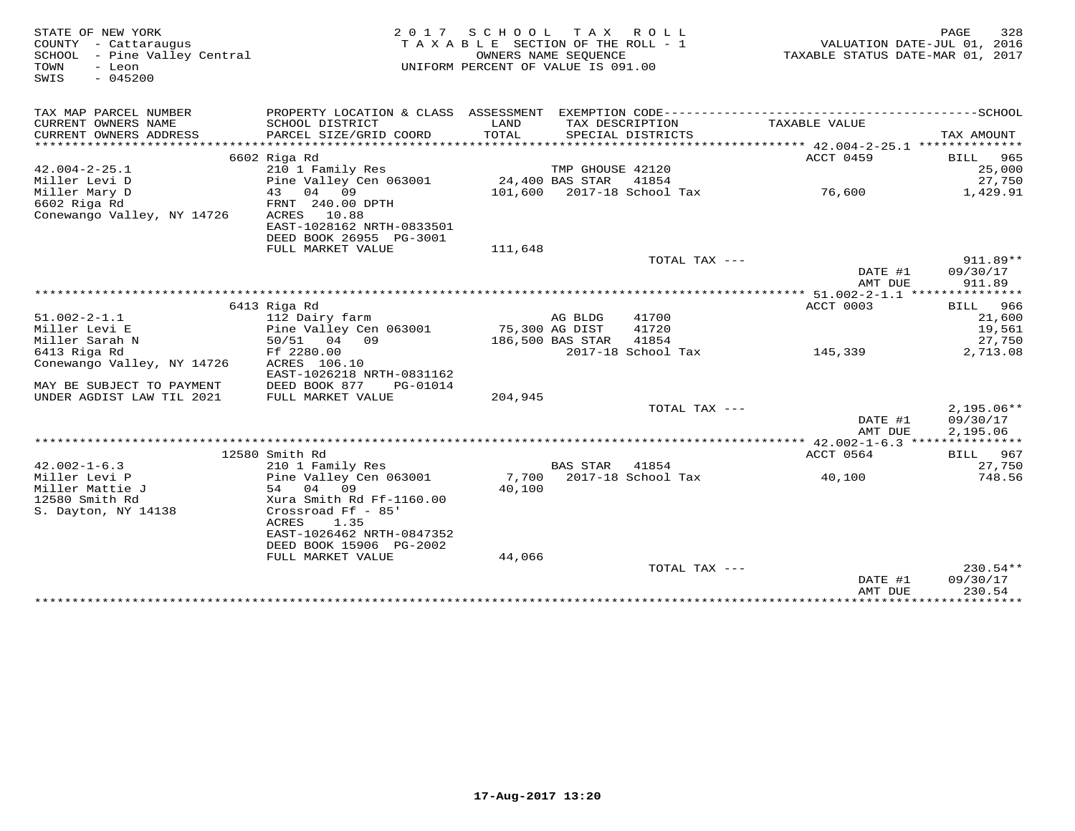| STATE OF NEW YORK                   |                                            | 2017 SCHOOL                        |                  | TAX ROLL                                 |                                   | 328<br>PAGE                 |
|-------------------------------------|--------------------------------------------|------------------------------------|------------------|------------------------------------------|-----------------------------------|-----------------------------|
| COUNTY - Cattaraugus                |                                            | TAXABLE SECTION OF THE ROLL - 1    |                  |                                          |                                   | VALUATION DATE-JUL 01, 2016 |
| SCHOOL - Pine Valley Central        |                                            | OWNERS NAME SEQUENCE               |                  |                                          | TAXABLE STATUS DATE-MAR 01, 2017  |                             |
| TOWN<br>- Leon                      |                                            | UNIFORM PERCENT OF VALUE IS 091.00 |                  |                                          |                                   |                             |
| $-045200$<br>SWIS                   |                                            |                                    |                  |                                          |                                   |                             |
|                                     |                                            |                                    |                  |                                          |                                   |                             |
| TAX MAP PARCEL NUMBER               | PROPERTY LOCATION & CLASS ASSESSMENT       |                                    |                  | EXEMPTION CODE-------------------------- |                                   | -------------SCHOOL         |
| CURRENT OWNERS NAME                 | SCHOOL DISTRICT                            | LAND                               |                  | TAX DESCRIPTION                          | TAXABLE VALUE                     |                             |
| CURRENT OWNERS ADDRESS              | PARCEL SIZE/GRID COORD                     | TOTAL                              |                  | SPECIAL DISTRICTS                        |                                   | TAX AMOUNT                  |
|                                     |                                            |                                    |                  |                                          |                                   |                             |
|                                     | 6602 Riga Rd                               |                                    |                  |                                          | ACCT 0459                         | 965<br>BILL                 |
| $42.004 - 2 - 25.1$                 | 210 1 Family Res                           |                                    | TMP GHOUSE 42120 |                                          |                                   | 25,000                      |
| Miller Levi D                       | Pine Valley Cen 063001                     |                                    | 24,400 BAS STAR  | 41854                                    |                                   | 27,750                      |
| Miller Mary D                       | 04 09<br>43                                |                                    |                  | 101,600 2017-18 School Tax               | 76,600                            | 1,429.91                    |
| 6602 Riga Rd                        | FRNT 240.00 DPTH                           |                                    |                  |                                          |                                   |                             |
| Conewango Valley, NY 14726          | ACRES<br>10.88                             |                                    |                  |                                          |                                   |                             |
|                                     | EAST-1028162 NRTH-0833501                  |                                    |                  |                                          |                                   |                             |
|                                     | DEED BOOK 26955 PG-3001                    |                                    |                  |                                          |                                   |                             |
|                                     | FULL MARKET VALUE                          | 111,648                            |                  |                                          |                                   |                             |
|                                     |                                            |                                    |                  | TOTAL TAX ---                            |                                   | 911.89**                    |
|                                     |                                            |                                    |                  |                                          | DATE #1                           | 09/30/17                    |
|                                     |                                            |                                    |                  |                                          | AMT DUE                           | 911.89                      |
|                                     |                                            |                                    |                  |                                          |                                   |                             |
|                                     | 6413 Riga Rd                               |                                    |                  |                                          | ACCT 0003                         | <b>BILL</b> 966             |
| $51.002 - 2 - 1.1$                  | 112 Dairy farm                             |                                    | AG BLDG          | 41700                                    |                                   | 21,600                      |
| Miller Levi E                       | Pine Valley Cen 063001                     |                                    | 75,300 AG DIST   | 41720                                    |                                   | 19,561                      |
| Miller Sarah N                      | 50/51 04 09                                |                                    | 186,500 BAS STAR | 41854                                    |                                   | 27,750                      |
| 6413 Riga Rd                        | Ff 2280.00                                 |                                    |                  | 2017-18 School Tax                       | 145,339                           | 2,713.08                    |
| Conewango Valley, NY 14726          | ACRES 106.10                               |                                    |                  |                                          |                                   |                             |
|                                     | EAST-1026218 NRTH-0831162                  |                                    |                  |                                          |                                   |                             |
| MAY BE SUBJECT TO PAYMENT           | DEED BOOK 877<br>PG-01014                  |                                    |                  |                                          |                                   |                             |
| UNDER AGDIST LAW TIL 2021           | FULL MARKET VALUE                          | 204,945                            |                  |                                          |                                   |                             |
|                                     |                                            |                                    |                  | TOTAL TAX ---                            |                                   | $2,195.06**$                |
|                                     |                                            |                                    |                  |                                          | DATE #1                           | 09/30/17                    |
|                                     |                                            |                                    |                  |                                          | AMT DUE                           | 2,195.06                    |
|                                     |                                            |                                    |                  |                                          | ACCT 0564                         |                             |
|                                     | 12580 Smith Rd                             |                                    |                  | 41854                                    |                                   | BILL 967                    |
| $42.002 - 1 - 6.3$<br>Miller Levi P | 210 1 Family Res<br>Pine Valley Cen 063001 | 7,700                              | <b>BAS STAR</b>  | 2017-18 School Tax                       |                                   | 27,750<br>748.56            |
| Miller Mattie J                     | 54 04 09                                   | 40,100                             |                  |                                          | 40,100                            |                             |
| 12580 Smith Rd                      | Xura Smith Rd Ff-1160.00                   |                                    |                  |                                          |                                   |                             |
| S. Dayton, NY 14138                 | Crossroad Ff - 85'                         |                                    |                  |                                          |                                   |                             |
|                                     | ACRES<br>1.35                              |                                    |                  |                                          |                                   |                             |
|                                     | EAST-1026462 NRTH-0847352                  |                                    |                  |                                          |                                   |                             |
|                                     | DEED BOOK 15906 PG-2002                    |                                    |                  |                                          |                                   |                             |
|                                     | FULL MARKET VALUE                          | 44,066                             |                  |                                          |                                   |                             |
|                                     |                                            |                                    |                  | TOTAL TAX ---                            |                                   | $230.54**$                  |
|                                     |                                            |                                    |                  |                                          | DATE #1                           | 09/30/17                    |
|                                     |                                            |                                    |                  |                                          | AMT DUE                           | 230.54                      |
|                                     |                                            |                                    |                  |                                          | * * * * * * * * * * * * * * * * * | ************                |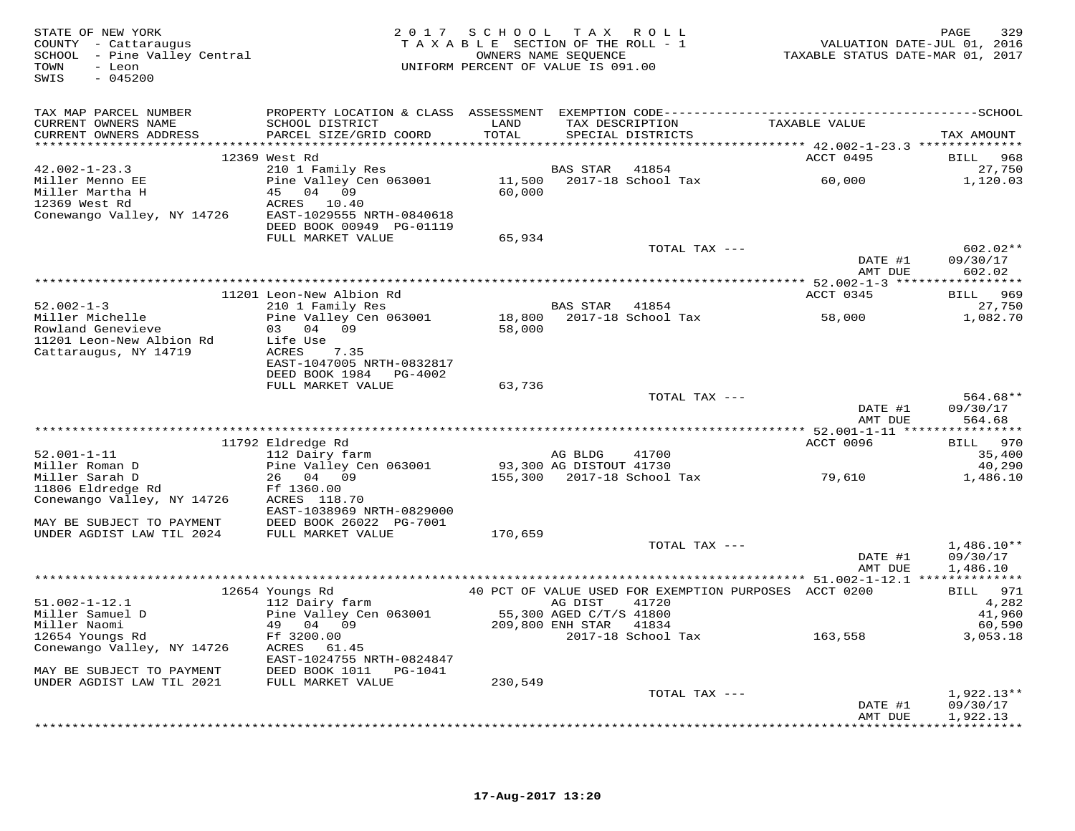| STATE OF NEW YORK<br>COUNTY - Cattaraugus<br>SCHOOL - Pine Valley Central<br>TOWN<br>- Leon<br>SWIS<br>$-045200$ |                                                                                                                                 |               | 2017 SCHOOL TAX ROLL<br>TAXABLE SECTION OF THE ROLL - 1<br>OWNERS NAME SEQUENCE<br>UNIFORM PERCENT OF VALUE IS 091.00 |               | TAXABLE STATUS DATE-MAR 01, 2017                      | 329<br>PAGE<br>VALUATION DATE-JUL 01, 2016 |
|------------------------------------------------------------------------------------------------------------------|---------------------------------------------------------------------------------------------------------------------------------|---------------|-----------------------------------------------------------------------------------------------------------------------|---------------|-------------------------------------------------------|--------------------------------------------|
| TAX MAP PARCEL NUMBER                                                                                            |                                                                                                                                 |               |                                                                                                                       |               |                                                       |                                            |
| CURRENT OWNERS NAME<br>CURRENT OWNERS ADDRESS                                                                    | SCHOOL DISTRICT<br>PARCEL SIZE/GRID COORD                                                                                       | LAND<br>TOTAL | SPECIAL DISTRICTS                                                                                                     |               | TAX DESCRIPTION TAXABLE VALUE                         | TAX AMOUNT                                 |
|                                                                                                                  | 12369 West Rd                                                                                                                   |               |                                                                                                                       |               | ACCT 0495                                             | 968<br>BILL                                |
| $42.002 - 1 - 23.3$                                                                                              | 210 1 Family Res                                                                                                                |               | BAS STAR                                                                                                              | 41854         |                                                       | 27,750                                     |
| Miller Menno EE                                                                                                  | Pine Valley Cen 063001                                                                                                          |               | $11,500$ 2017-18 School Tax                                                                                           |               | 60,000                                                | 1,120.03                                   |
| Miller Martha H                                                                                                  | 45 04 09                                                                                                                        | 60,000        |                                                                                                                       |               |                                                       |                                            |
| 12369 West Rd                                                                                                    | ACRES 10.40                                                                                                                     |               |                                                                                                                       |               |                                                       |                                            |
| Conewango Valley, NY 14726                                                                                       | EAST-1029555 NRTH-0840618<br>DEED BOOK 00949 PG-01119                                                                           |               |                                                                                                                       |               |                                                       |                                            |
|                                                                                                                  | FULL MARKET VALUE                                                                                                               | 65,934        |                                                                                                                       |               |                                                       |                                            |
|                                                                                                                  |                                                                                                                                 |               |                                                                                                                       | TOTAL TAX --- |                                                       | $602.02**$                                 |
|                                                                                                                  |                                                                                                                                 |               |                                                                                                                       |               | DATE #1                                               | 09/30/17                                   |
|                                                                                                                  |                                                                                                                                 |               |                                                                                                                       |               | AMT DUE                                               | 602.02                                     |
|                                                                                                                  |                                                                                                                                 |               |                                                                                                                       |               |                                                       |                                            |
|                                                                                                                  | 11201 Leon-New Albion Rd                                                                                                        |               |                                                                                                                       |               | ACCT 0345                                             | BILL 969                                   |
| $52.002 - 1 - 3$                                                                                                 |                                                                                                                                 |               |                                                                                                                       |               |                                                       | 27,750                                     |
| Miller Michelle<br>Rowland Genevieve                                                                             |                                                                                                                                 |               |                                                                                                                       |               |                                                       | 1,082.70                                   |
| 11201 Leon-New Albion Rd                                                                                         | Eeon-New Albion No.<br>210 1 Family Res<br>Pine Valley Cen 063001 18,800 2017-18 School Tax 58,000<br>58,000 58,000<br>Life Use |               |                                                                                                                       |               |                                                       |                                            |
| Cattaraugus, NY 14719                                                                                            | ACRES 7.35                                                                                                                      |               |                                                                                                                       |               |                                                       |                                            |
|                                                                                                                  | EAST-1047005 NRTH-0832817                                                                                                       |               |                                                                                                                       |               |                                                       |                                            |
|                                                                                                                  | DEED BOOK 1984 PG-4002                                                                                                          |               |                                                                                                                       |               |                                                       |                                            |
|                                                                                                                  | FULL MARKET VALUE                                                                                                               | 63,736        |                                                                                                                       |               |                                                       |                                            |
|                                                                                                                  |                                                                                                                                 |               |                                                                                                                       | TOTAL TAX --- |                                                       | 564.68**                                   |
|                                                                                                                  |                                                                                                                                 |               |                                                                                                                       |               | DATE #1                                               | 09/30/17                                   |
|                                                                                                                  |                                                                                                                                 |               |                                                                                                                       |               | AMT DUE                                               | 564.68                                     |
|                                                                                                                  | 11792 Eldredge Rd                                                                                                               |               |                                                                                                                       |               | ACCT 0096                                             | BILL 970                                   |
| $52.001 - 1 - 11$                                                                                                | 112 Dairy farm                                                                                                                  | AG BLDG       |                                                                                                                       | 41700         |                                                       | 35,400                                     |
| Miller Roman D                                                                                                   | Pine Valley Cen 063001                                                                                                          |               | 93,300 AG DISTOUT 41730                                                                                               |               |                                                       | 40,290                                     |
| Miller Sarah D                                                                                                   | 26 04 09                                                                                                                        |               | 155,300 2017-18 School Tax                                                                                            |               | 79,610                                                | 1,486.10                                   |
| 11806 Eldredge Rd                                                                                                | Ff 1360.00                                                                                                                      |               |                                                                                                                       |               |                                                       |                                            |
| Conewango Valley, NY 14726                                                                                       | ACRES 118.70                                                                                                                    |               |                                                                                                                       |               |                                                       |                                            |
|                                                                                                                  | EAST-1038969 NRTH-0829000                                                                                                       |               |                                                                                                                       |               |                                                       |                                            |
| MAY BE SUBJECT TO PAYMENT                                                                                        | DEED BOOK 26022 PG-7001                                                                                                         |               |                                                                                                                       |               |                                                       |                                            |
| UNDER AGDIST LAW TIL 2024                                                                                        | FULL MARKET VALUE                                                                                                               | 170,659       |                                                                                                                       | TOTAL TAX --- |                                                       | $1,486.10**$                               |
|                                                                                                                  |                                                                                                                                 |               |                                                                                                                       |               | DATE #1                                               | 09/30/17                                   |
|                                                                                                                  |                                                                                                                                 |               |                                                                                                                       |               | AMT DUE                                               | 1,486.10                                   |
|                                                                                                                  |                                                                                                                                 |               |                                                                                                                       |               |                                                       |                                            |
|                                                                                                                  | 12654 Youngs Rd                                                                                                                 |               |                                                                                                                       |               | 40 PCT OF VALUE USED FOR EXEMPTION PURPOSES ACCT 0200 | BILL 971                                   |
| $51.002 - 1 - 12.1$                                                                                              | 112 Dairy farm                                                                                                                  |               | AG DIST                                                                                                               | 41720         |                                                       | 4,282                                      |
| Miller Samuel D                                                                                                  | Pine Valley Cen 063001                                                                                                          |               | 55,300 AGED C/T/S 41800<br>209,800 ENH STAR 41834                                                                     |               |                                                       | 41,960                                     |
| Miller Naomi                                                                                                     | 49 04 09                                                                                                                        |               |                                                                                                                       |               | 2017-18 School Tax 163,558                            | 60,590                                     |
| 12654 Youngs Rd<br>Conewango Valley, NY 14726                                                                    | Ff 3200.00<br>ACRES 61.45                                                                                                       |               |                                                                                                                       |               |                                                       | 3,053.18                                   |
|                                                                                                                  | EAST-1024755 NRTH-0824847                                                                                                       |               |                                                                                                                       |               |                                                       |                                            |
| MAY BE SUBJECT TO PAYMENT                                                                                        | DEED BOOK 1011    PG-1041                                                                                                       |               |                                                                                                                       |               |                                                       |                                            |
| UNDER AGDIST LAW TIL 2021                                                                                        | FULL MARKET VALUE                                                                                                               | 230,549       |                                                                                                                       |               |                                                       |                                            |
|                                                                                                                  |                                                                                                                                 |               |                                                                                                                       | TOTAL TAX --- |                                                       | $1,922.13**$                               |
|                                                                                                                  |                                                                                                                                 |               |                                                                                                                       |               | DATE #1                                               | 09/30/17                                   |
|                                                                                                                  |                                                                                                                                 |               |                                                                                                                       |               | AMT DUE                                               | 1,922.13                                   |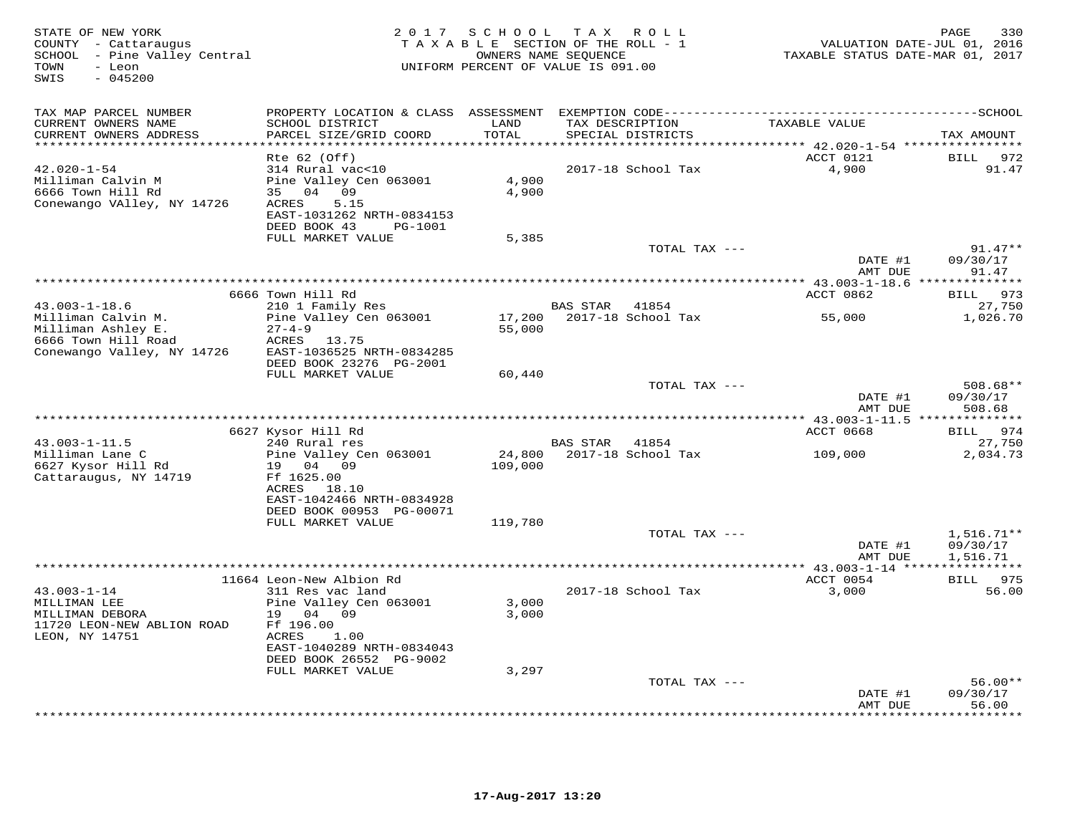| STATE OF NEW YORK<br>COUNTY - Cattaraugus<br>SCHOOL - Pine Valley Central<br>- Leon<br>TOWN<br>SWIS<br>$-045200$ | 2 0 1 7                                                                                                                         | SCHOOL<br>TAXABLE SECTION OF THE ROLL - 1<br>UNIFORM PERCENT OF VALUE IS 091.00 | TAX ROLL<br>OWNERS NAME SEQUENCE     |                             | VALUATION DATE-JUL 01, 2016<br>TAXABLE STATUS DATE-MAR 01, 2017 | 330<br>PAGE                       |
|------------------------------------------------------------------------------------------------------------------|---------------------------------------------------------------------------------------------------------------------------------|---------------------------------------------------------------------------------|--------------------------------------|-----------------------------|-----------------------------------------------------------------|-----------------------------------|
| TAX MAP PARCEL NUMBER                                                                                            |                                                                                                                                 |                                                                                 |                                      |                             |                                                                 |                                   |
| CURRENT OWNERS NAME<br>CURRENT OWNERS ADDRESS<br>**********************                                          | SCHOOL DISTRICT<br>PARCEL SIZE/GRID COORD                                                                                       | LAND<br>TOTAL<br>* * * * * * * * * * *                                          | TAX DESCRIPTION<br>SPECIAL DISTRICTS |                             | TAXABLE VALUE                                                   | TAX AMOUNT                        |
|                                                                                                                  | $Rte$ 62 (Off)                                                                                                                  |                                                                                 |                                      |                             | ACCT 0121                                                       | <b>BILL</b><br>972                |
| $42.020 - 1 - 54$<br>Milliman Calvin M<br>6666 Town Hill Rd<br>Conewango VAlley, NY 14726                        | 314 Rural vac<10<br>Pine Valley Cen 063001<br>35 04 09<br>5.15<br>ACRES<br>EAST-1031262 NRTH-0834153<br>DEED BOOK 43<br>PG-1001 | 4,900<br>4,900                                                                  |                                      | 2017-18 School Tax          | 4,900                                                           | 91.47                             |
|                                                                                                                  | FULL MARKET VALUE                                                                                                               | 5,385                                                                           |                                      | TOTAL TAX ---               |                                                                 | $91.47**$                         |
|                                                                                                                  |                                                                                                                                 |                                                                                 |                                      |                             | DATE #1<br>AMT DUE                                              | 09/30/17<br>91.47                 |
|                                                                                                                  |                                                                                                                                 |                                                                                 |                                      |                             | *********** 43.003-1-18.6 *****                                 | * * * * * * * *                   |
|                                                                                                                  | 6666 Town Hill Rd                                                                                                               |                                                                                 |                                      |                             | ACCT 0862                                                       | 973<br>BILL                       |
| $43.003 - 1 - 18.6$<br>Milliman Calvin M.<br>Milliman Ashley E.                                                  | 210 1 Family Res<br>Pine Valley Cen 063001<br>$27 - 4 - 9$                                                                      | 17,200<br>55,000                                                                | BAS STAR                             | 41854<br>2017-18 School Tax | 55,000                                                          | 27,750<br>1,026.70                |
| 6666 Town Hill Road<br>Conewango Valley, NY 14726                                                                | ACRES 13.75<br>EAST-1036525 NRTH-0834285<br>DEED BOOK 23276 PG-2001                                                             |                                                                                 |                                      |                             |                                                                 |                                   |
|                                                                                                                  | FULL MARKET VALUE                                                                                                               | 60,440                                                                          |                                      | TOTAL TAX ---               |                                                                 | 508.68**                          |
|                                                                                                                  |                                                                                                                                 |                                                                                 |                                      |                             | DATE #1<br>AMT DUE<br>**** 43.003-1-11.5 ***                    | 09/30/17<br>508.68<br>*********   |
|                                                                                                                  | 6627 Kysor Hill Rd                                                                                                              |                                                                                 |                                      |                             | <b>ACCT 0668</b>                                                | 974<br>BILL                       |
| $43.003 - 1 - 11.5$                                                                                              | 240 Rural res                                                                                                                   |                                                                                 | BAS STAR                             | 41854                       |                                                                 | 27,750                            |
| Milliman Lane C<br>6627 Kysor Hill Rd<br>Cattaraugus, NY 14719                                                   | Pine Valley Cen 063001<br>19 04 09<br>Ff 1625.00                                                                                | 24,800<br>109,000                                                               |                                      | 2017-18 School Tax          | 109,000                                                         | 2,034.73                          |
|                                                                                                                  | ACRES 18.10<br>EAST-1042466 NRTH-0834928<br>DEED BOOK 00953 PG-00071                                                            |                                                                                 |                                      |                             |                                                                 |                                   |
|                                                                                                                  | FULL MARKET VALUE                                                                                                               | 119,780                                                                         |                                      |                             |                                                                 |                                   |
|                                                                                                                  |                                                                                                                                 |                                                                                 |                                      | TOTAL TAX ---               | DATE #1                                                         | $1,516.71**$<br>09/30/17          |
|                                                                                                                  |                                                                                                                                 | **************************************                                          |                                      |                             | AMT DUE<br>**** 43.003-1-14 ****                                | 1,516.71<br>* * * * * * * * * * * |
|                                                                                                                  | 11664 Leon-New Albion Rd                                                                                                        |                                                                                 |                                      |                             | ACCT 0054                                                       | 975<br><b>BILL</b>                |
| $43.003 - 1 - 14$<br>MILLIMAN LEE<br>MILLIMAN DEBORA<br>11720 LEON-NEW ABLION ROAD<br>LEON, NY 14751             | 311 Res vac land<br>Pine Valley Cen 063001<br>19 04<br>09<br>Ff 196.00<br>ACRES<br>1.00<br>EAST-1040289 NRTH-0834043            | 3,000<br>3,000                                                                  |                                      | 2017-18 School Tax          | 3,000                                                           | 56.00                             |
|                                                                                                                  | DEED BOOK 26552 PG-9002<br>FULL MARKET VALUE                                                                                    | 3,297                                                                           |                                      |                             |                                                                 |                                   |
|                                                                                                                  |                                                                                                                                 |                                                                                 |                                      | TOTAL TAX ---               |                                                                 | $56.00**$                         |
|                                                                                                                  |                                                                                                                                 |                                                                                 |                                      |                             | DATE #1<br>AMT DUE                                              | 09/30/17<br>56.00                 |
|                                                                                                                  |                                                                                                                                 |                                                                                 |                                      |                             |                                                                 | * * * * * *                       |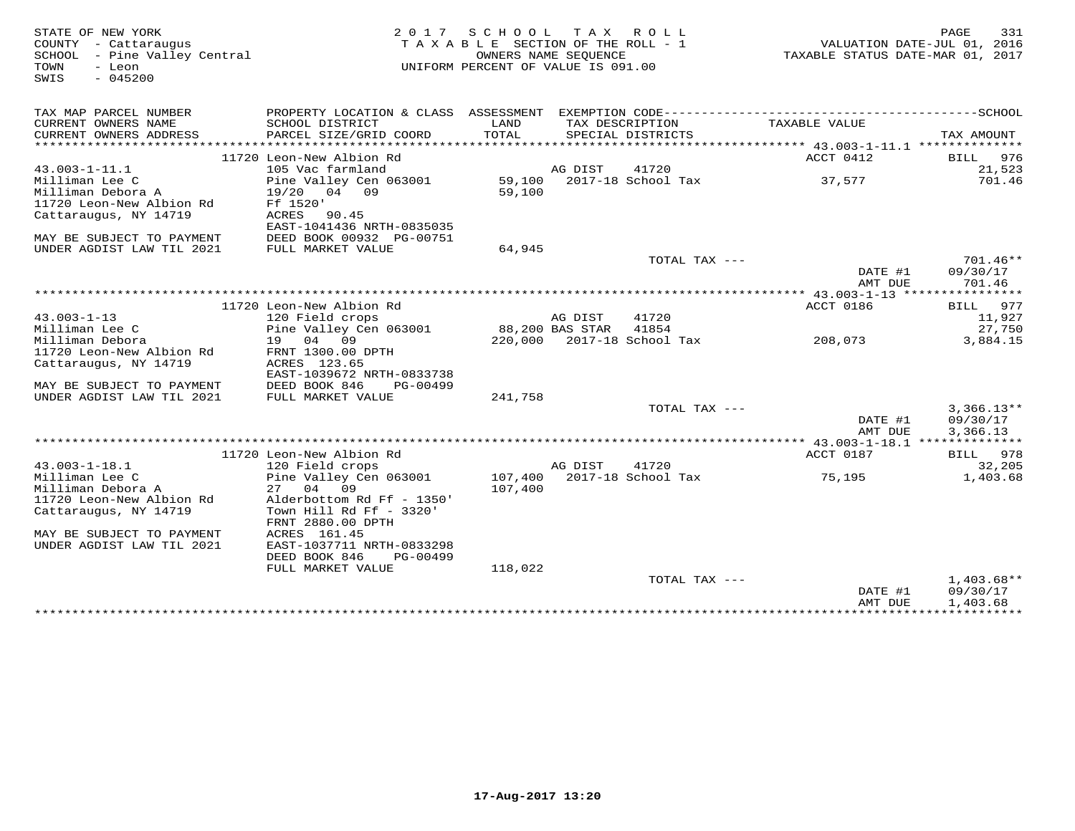| STATE OF NEW YORK<br>COUNTY - Cattaraugus<br>SCHOOL - Pine Valley Central<br>TOWN<br>- Leon<br>$-045200$<br>SWIS |                                                                                                  | 2017 SCHOOL TAX ROLL<br>TAXABLE SECTION OF THE ROLL - 1<br>OWNERS NAME SEQUENCE<br>UNIFORM PERCENT OF VALUE IS 091.00 |                 |                                     | VALUATION DATE-JUL 01, 2016<br>TAXABLE STATUS DATE-MAR 01, 2017 | 331<br>PAGE                          |
|------------------------------------------------------------------------------------------------------------------|--------------------------------------------------------------------------------------------------|-----------------------------------------------------------------------------------------------------------------------|-----------------|-------------------------------------|-----------------------------------------------------------------|--------------------------------------|
| TAX MAP PARCEL NUMBER<br>CURRENT OWNERS NAME                                                                     | SCHOOL DISTRICT                                                                                  | LAND                                                                                                                  |                 | TAX DESCRIPTION                     | TAXABLE VALUE                                                   |                                      |
| CURRENT OWNERS ADDRESS                                                                                           | PARCEL SIZE/GRID COORD                                                                           | TOTAL<br>*******************                                                                                          |                 | SPECIAL DISTRICTS                   | ****************************** 43.003-1-11.1 ***************    | TAX AMOUNT                           |
|                                                                                                                  | 11720 Leon-New Albion Rd                                                                         |                                                                                                                       |                 |                                     | ACCT 0412                                                       | BILL<br>976                          |
| $43.003 - 1 - 11.1$                                                                                              | 105 Vac farmland                                                                                 |                                                                                                                       | AG DIST         | 41720                               |                                                                 | 21,523                               |
| Milliman Lee C<br>Milliman Debora A<br>11720 Leon-New Albion Rd<br>Cattaraugus, NY 14719                         | Pine Valley Cen 063001<br>19/20 04 09<br>Ff 1520'<br>ACRES<br>90.45<br>EAST-1041436 NRTH-0835035 | 59,100<br>59,100                                                                                                      |                 | 2017-18 School Tax                  | 37,577                                                          | 701.46                               |
| MAY BE SUBJECT TO PAYMENT                                                                                        | DEED BOOK 00932 PG-00751                                                                         |                                                                                                                       |                 |                                     |                                                                 |                                      |
| UNDER AGDIST LAW TIL 2021                                                                                        | FULL MARKET VALUE                                                                                | 64,945                                                                                                                |                 |                                     |                                                                 |                                      |
|                                                                                                                  |                                                                                                  |                                                                                                                       |                 | TOTAL TAX ---                       | DATE #1<br>AMT DUE                                              | $701.46**$<br>09/30/17<br>701.46     |
|                                                                                                                  |                                                                                                  |                                                                                                                       |                 |                                     |                                                                 |                                      |
|                                                                                                                  | 11720 Leon-New Albion Rd                                                                         |                                                                                                                       |                 |                                     | ACCT 0186                                                       | BILL 977                             |
| $43.003 - 1 - 13$                                                                                                | 120 Field crops                                                                                  |                                                                                                                       | AG DIST         | 41720                               |                                                                 | 11,927                               |
| Milliman Lee C<br>Milliman Debora                                                                                | Pine Valley Cen 063001<br>19 04 09                                                               |                                                                                                                       | 88,200 BAS STAR | 41854<br>220,000 2017-18 School Tax | 208,073                                                         | 27,750<br>3,884.15                   |
| 11720 Leon-New Albion Rd                                                                                         | FRNT 1300.00 DPTH                                                                                |                                                                                                                       |                 |                                     |                                                                 |                                      |
| Cattaraugus, NY 14719                                                                                            | ACRES 123.65<br>EAST-1039672 NRTH-0833738                                                        |                                                                                                                       |                 |                                     |                                                                 |                                      |
| MAY BE SUBJECT TO PAYMENT                                                                                        | DEED BOOK 846<br>PG-00499                                                                        |                                                                                                                       |                 |                                     |                                                                 |                                      |
| UNDER AGDIST LAW TIL 2021                                                                                        | FULL MARKET VALUE                                                                                | 241,758                                                                                                               |                 |                                     |                                                                 |                                      |
|                                                                                                                  |                                                                                                  |                                                                                                                       |                 | TOTAL TAX ---                       | DATE #1<br>AMT DUE                                              | $3,366.13**$<br>09/30/17<br>3,366.13 |
|                                                                                                                  |                                                                                                  |                                                                                                                       |                 |                                     |                                                                 |                                      |
|                                                                                                                  | 11720 Leon-New Albion Rd                                                                         |                                                                                                                       |                 |                                     | ACCT 0187                                                       | BILL 978                             |
| $43.003 - 1 - 18.1$                                                                                              | 120 Field crops                                                                                  |                                                                                                                       | AG DIST         | 41720                               |                                                                 | 32,205                               |
| Milliman Lee C<br>Milliman Debora A                                                                              | Pine Valley Cen 063001<br>27 04 09                                                               | 107,400<br>107,400                                                                                                    |                 | 2017-18 School Tax                  | 75,195                                                          | 1,403.68                             |
| 11720 Leon-New Albion Rd                                                                                         | Alderbottom Rd Ff - 1350'                                                                        |                                                                                                                       |                 |                                     |                                                                 |                                      |
| Cattaraugus, NY 14719                                                                                            | Town Hill Rd Ff - 3320'<br>FRNT 2880.00 DPTH                                                     |                                                                                                                       |                 |                                     |                                                                 |                                      |
| MAY BE SUBJECT TO PAYMENT<br>UNDER AGDIST LAW TIL 2021                                                           | ACRES 161.45<br>EAST-1037711 NRTH-0833298<br>DEED BOOK 846<br>$PG-00499$                         |                                                                                                                       |                 |                                     |                                                                 |                                      |
|                                                                                                                  | FULL MARKET VALUE                                                                                | 118,022                                                                                                               |                 |                                     |                                                                 |                                      |
|                                                                                                                  |                                                                                                  |                                                                                                                       |                 | TOTAL TAX ---                       | DATE #1<br>AMT DUE                                              | $1,403.68**$<br>09/30/17<br>1,403.68 |
|                                                                                                                  |                                                                                                  |                                                                                                                       |                 | *******************************     | ****************************                                    |                                      |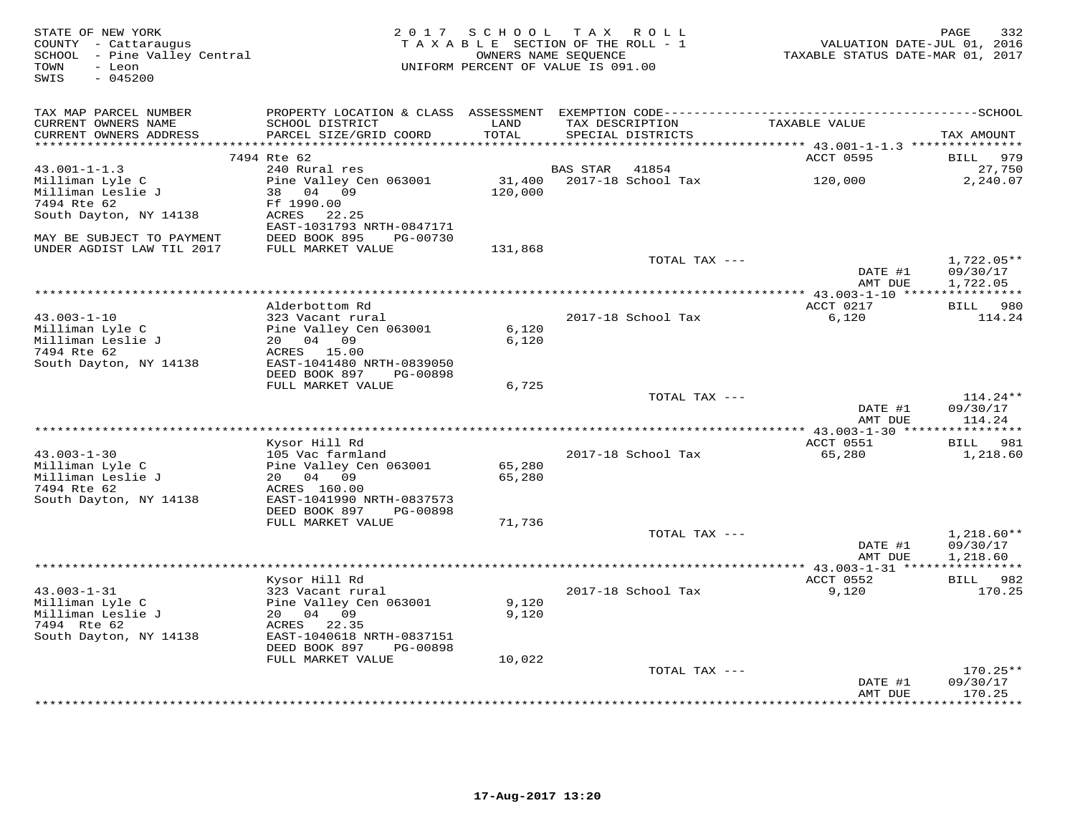| STATE OF NEW YORK<br>COUNTY - Cattaraugus<br>SCHOOL - Pine Valley Central<br>TOWN<br>- Leon<br>$-045200$<br>SWIS                               | 2 0 1 7<br>SCHOOL | TAX ROLL<br>TAXABLE SECTION OF THE ROLL - 1<br>OWNERS NAME SEQUENCE<br>UNIFORM PERCENT OF VALUE IS 091.00 | VALUATION DATE-JUL 01, 2016<br>TAXABLE STATUS DATE-MAR 01, 2017 | PAGE<br>332                          |
|------------------------------------------------------------------------------------------------------------------------------------------------|-------------------|-----------------------------------------------------------------------------------------------------------|-----------------------------------------------------------------|--------------------------------------|
| TAX MAP PARCEL NUMBER<br>PROPERTY LOCATION & CLASS ASSESSMENT EXEMPTION CODE-------------------------                                          |                   |                                                                                                           |                                                                 | -------------SCHOOL                  |
| CURRENT OWNERS NAME<br>SCHOOL DISTRICT<br>PARCEL SIZE/GRID COORD<br>CURRENT OWNERS ADDRESS                                                     | LAND<br>TOTAL     | TAX DESCRIPTION<br>SPECIAL DISTRICTS                                                                      | TAXABLE VALUE                                                   | TAX AMOUNT                           |
| ***********************                                                                                                                        |                   |                                                                                                           |                                                                 |                                      |
| 7494 Rte 62                                                                                                                                    |                   |                                                                                                           | ACCT 0595                                                       | 979<br>BILL                          |
| 240 Rural res<br>$43.001 - 1 - 1.3$<br>Milliman Lyle C<br>Pine Valley Cen 063001<br>Milliman Leslie J<br>38 04 09<br>Ff 1990.00<br>7494 Rte 62 | 31,400<br>120,000 | <b>BAS STAR</b><br>41854<br>2017-18 School Tax                                                            | 120,000                                                         | 27,750<br>2,240.07                   |
| South Dayton, NY 14138<br>ACRES<br>22.25<br>EAST-1031793 NRTH-0847171<br>DEED BOOK 895<br>MAY BE SUBJECT TO PAYMENT<br>PG-00730                |                   |                                                                                                           |                                                                 |                                      |
| UNDER AGDIST LAW TIL 2017<br>FULL MARKET VALUE                                                                                                 | 131,868           |                                                                                                           |                                                                 |                                      |
|                                                                                                                                                |                   | TOTAL TAX ---                                                                                             |                                                                 | $1,722.05**$                         |
|                                                                                                                                                |                   |                                                                                                           | DATE #1<br>AMT DUE                                              | 09/30/17<br>1,722.05                 |
| **********************                                                                                                                         |                   |                                                                                                           |                                                                 |                                      |
| Alderbottom Rd                                                                                                                                 |                   |                                                                                                           | ACCT 0217                                                       | 980<br>BILL                          |
| $43.003 - 1 - 10$<br>323 Vacant rural<br>Milliman Lyle C<br>Pine Valley Cen 063001<br>Milliman Leslie J<br>20  04  09                          | 6,120<br>6,120    | 2017-18 School Tax                                                                                        | 6,120                                                           | 114.24                               |
| 7494 Rte 62<br>ACRES<br>15.00<br>South Dayton, NY 14138<br>EAST-1041480 NRTH-0839050                                                           |                   |                                                                                                           |                                                                 |                                      |
| DEED BOOK 897<br>PG-00898<br>FULL MARKET VALUE                                                                                                 | 6,725             |                                                                                                           |                                                                 |                                      |
|                                                                                                                                                |                   | TOTAL TAX ---                                                                                             |                                                                 | $114.24**$                           |
|                                                                                                                                                |                   |                                                                                                           | DATE #1<br>AMT DUE                                              | 09/30/17<br>114.24                   |
|                                                                                                                                                |                   |                                                                                                           |                                                                 |                                      |
| Kysor Hill Rd<br>$43.003 - 1 - 30$<br>105 Vac farmland                                                                                         |                   | 2017-18 School Tax                                                                                        | ACCT 0551<br>65,280                                             | BILL 981<br>1,218.60                 |
| Milliman Lyle C<br>Pine Valley Cen 063001<br>Milliman Leslie J<br>20 04 09                                                                     | 65,280<br>65,280  |                                                                                                           |                                                                 |                                      |
| 7494 Rte 62<br>ACRES 160.00<br>South Dayton, NY 14138<br>EAST-1041990 NRTH-0837573                                                             |                   |                                                                                                           |                                                                 |                                      |
| DEED BOOK 897<br>PG-00898                                                                                                                      |                   |                                                                                                           |                                                                 |                                      |
| FULL MARKET VALUE                                                                                                                              | 71,736            |                                                                                                           |                                                                 |                                      |
|                                                                                                                                                |                   | TOTAL TAX ---                                                                                             | DATE #1<br>AMT DUE                                              | $1,218.60**$<br>09/30/17<br>1,218.60 |
|                                                                                                                                                |                   |                                                                                                           |                                                                 |                                      |
| Kysor Hill Rd                                                                                                                                  |                   |                                                                                                           | ACCT 0552                                                       | BILL 982                             |
| $43.003 - 1 - 31$<br>323 Vacant rural<br>Milliman Lyle C<br>Pine Valley Cen 063001                                                             | 9,120             | 2017-18 School Tax                                                                                        | 9,120                                                           | 170.25                               |
| Milliman Leslie J<br>20  04  09                                                                                                                | 9,120             |                                                                                                           |                                                                 |                                      |
| 7494 Rte 62<br>ACRES 22.35                                                                                                                     |                   |                                                                                                           |                                                                 |                                      |
| South Dayton, NY 14138<br>EAST-1040618 NRTH-0837151<br>DEED BOOK 897<br>PG-00898                                                               |                   |                                                                                                           |                                                                 |                                      |
| FULL MARKET VALUE                                                                                                                              | 10,022            |                                                                                                           |                                                                 |                                      |
|                                                                                                                                                |                   | TOTAL TAX ---                                                                                             |                                                                 | $170.25**$                           |
|                                                                                                                                                |                   |                                                                                                           | DATE #1<br>AMT DUE                                              | 09/30/17<br>170.25<br>*********      |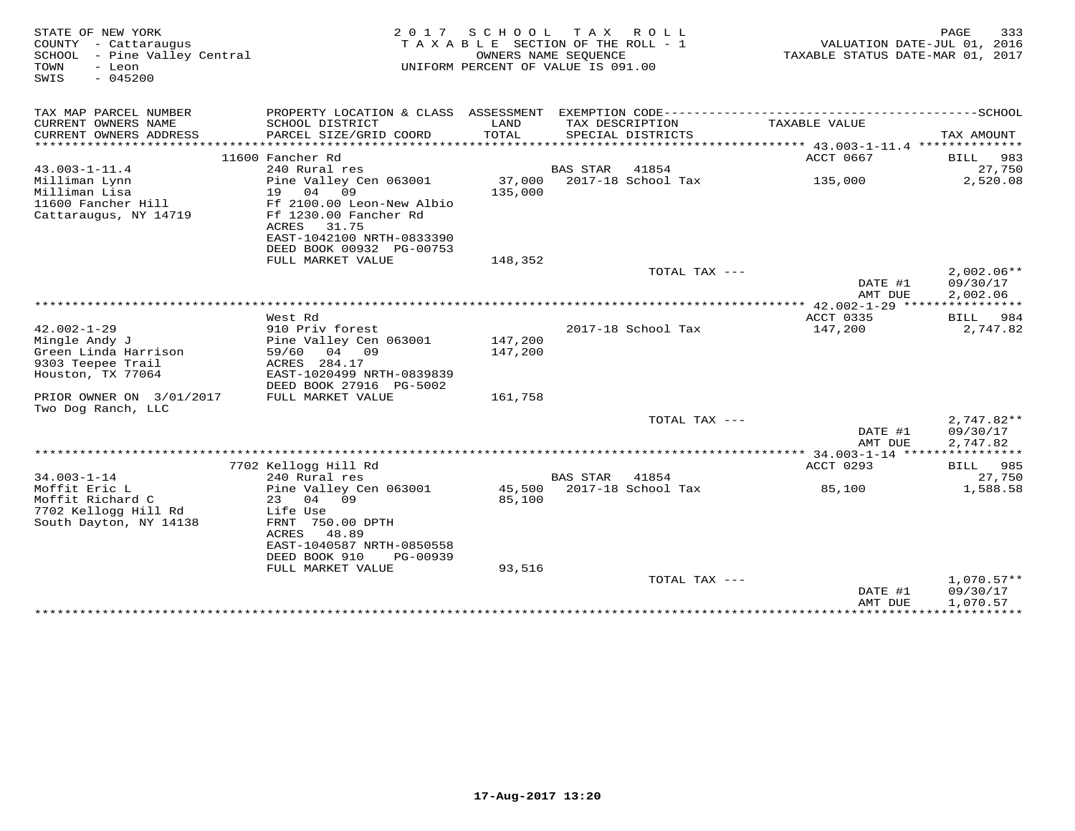| STATE OF NEW YORK<br>COUNTY - Cattaraugus<br>SCHOOL - Pine Valley Central<br>TOWN<br>- Leon<br>$-045200$<br>SWIS                 |                                                                                                                                                                       | 2017 SCHOOL                                            | TAX ROLL<br>TAXABLE SECTION OF THE ROLL - 1<br>OWNERS NAME SEOUENCE<br>UNIFORM PERCENT OF VALUE IS 091.00 | 333<br>PAGE<br>VALUATION DATE-JUL 01, 2016<br>TAXABLE STATUS DATE-MAR 01, 2017   |                                      |
|----------------------------------------------------------------------------------------------------------------------------------|-----------------------------------------------------------------------------------------------------------------------------------------------------------------------|--------------------------------------------------------|-----------------------------------------------------------------------------------------------------------|----------------------------------------------------------------------------------|--------------------------------------|
| TAX MAP PARCEL NUMBER                                                                                                            |                                                                                                                                                                       |                                                        |                                                                                                           |                                                                                  |                                      |
| CURRENT OWNERS NAME<br>CURRENT OWNERS ADDRESS<br>********************                                                            | SCHOOL DISTRICT<br>PARCEL SIZE/GRID COORD                                                                                                                             | LAND<br>TOTAL<br>* * * * * * * * * * * * * * * * * * * | TAX DESCRIPTION<br>SPECIAL DISTRICTS                                                                      | TAXABLE VALUE<br>********************************* 43.003-1-11.4 *************** | TAX AMOUNT                           |
|                                                                                                                                  | 11600 Fancher Rd                                                                                                                                                      |                                                        |                                                                                                           | ACCT 0667                                                                        | 983<br>BILL                          |
| $43.003 - 1 - 11.4$                                                                                                              | 240 Rural res                                                                                                                                                         |                                                        | <b>BAS STAR</b><br>41854                                                                                  |                                                                                  | 27,750                               |
| Milliman Lynn<br>Milliman Lisa<br>11600 Fancher Hill<br>Cattaraugus, NY 14719                                                    | Pine Valley Cen 063001<br>19<br>04<br>09<br>Ff 2100.00 Leon-New Albio<br>Ff 1230.00 Fancher Rd<br>ACRES<br>31.75<br>EAST-1042100 NRTH-0833390                         | 37,000<br>135,000                                      | 2017-18 School Tax                                                                                        | 135,000                                                                          | 2,520.08                             |
|                                                                                                                                  | DEED BOOK 00932 PG-00753                                                                                                                                              |                                                        |                                                                                                           |                                                                                  |                                      |
|                                                                                                                                  | FULL MARKET VALUE                                                                                                                                                     | 148,352                                                |                                                                                                           |                                                                                  |                                      |
|                                                                                                                                  |                                                                                                                                                                       |                                                        | TOTAL TAX ---                                                                                             | DATE #1<br>AMT DUE                                                               | $2,002.06**$<br>09/30/17<br>2,002.06 |
|                                                                                                                                  |                                                                                                                                                                       |                                                        |                                                                                                           |                                                                                  |                                      |
|                                                                                                                                  | West Rd                                                                                                                                                               |                                                        |                                                                                                           | ACCT 0335                                                                        | 984<br>BILL                          |
| $42.002 - 1 - 29$<br>Mingle Andy J<br>Green Linda Harrison<br>9303 Teepee Trail<br>Houston, TX 77064<br>PRIOR OWNER ON 3/01/2017 | 910 Priv forest<br>Pine Valley Cen 063001<br>04 09<br>59/60<br>ACRES 284.17<br>EAST-1020499 NRTH-0839839<br>DEED BOOK 27916 PG-5002<br>FULL MARKET VALUE              | 147,200<br>147,200<br>161,758                          | 2017-18 School Tax                                                                                        | 147,200                                                                          | 2,747.82                             |
| Two Dog Ranch, LLC                                                                                                               |                                                                                                                                                                       |                                                        |                                                                                                           |                                                                                  |                                      |
|                                                                                                                                  |                                                                                                                                                                       |                                                        | TOTAL TAX ---                                                                                             | DATE #1<br>AMT DUE                                                               | $2,747.82**$<br>09/30/17<br>2,747.82 |
|                                                                                                                                  |                                                                                                                                                                       |                                                        |                                                                                                           |                                                                                  |                                      |
|                                                                                                                                  | 7702 Kellogg Hill Rd                                                                                                                                                  |                                                        |                                                                                                           | ACCT 0293                                                                        | BILL 985                             |
| $34.003 - 1 - 14$<br>Moffit Eric L<br>Moffit Richard C<br>7702 Kellogg Hill Rd<br>South Dayton, NY 14138                         | 240 Rural res<br>Pine Valley Cen 063001<br>23<br>04<br>09<br>Life Use<br>FRNT 750.00 DPTH<br>48.89<br>ACRES<br>EAST-1040587 NRTH-0850558<br>DEED BOOK 910<br>PG-00939 | 85,100                                                 | <b>BAS STAR</b><br>41854<br>45,500 2017-18 School Tax                                                     | 85,100                                                                           | 27,750<br>1,588.58                   |
|                                                                                                                                  | FULL MARKET VALUE                                                                                                                                                     | 93,516                                                 | TOTAL TAX ---                                                                                             |                                                                                  | $1,070.57**$                         |
|                                                                                                                                  |                                                                                                                                                                       |                                                        | ***********************                                                                                   | DATE #1<br>AMT DUE<br>***************************                                | 09/30/17<br>1,070.57                 |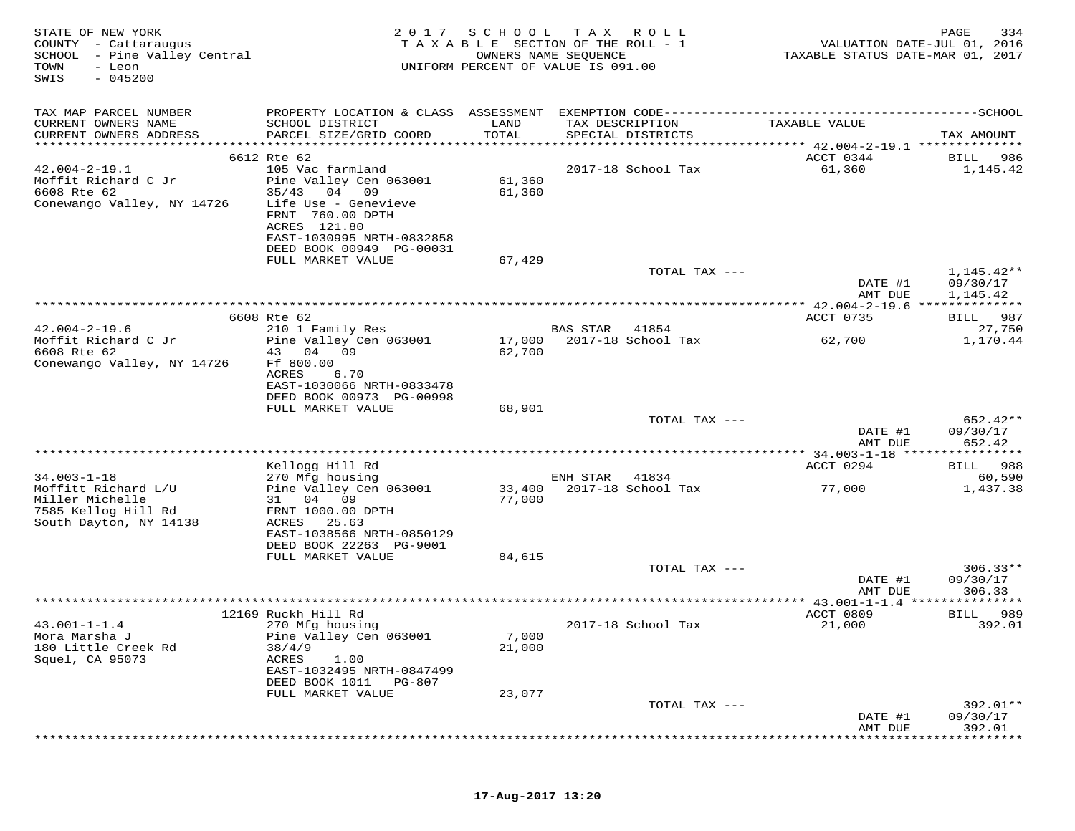| STATE OF NEW YORK<br>COUNTY - Cattaraugus<br>SCHOOL - Pine Valley Central<br>TOWN<br>- Leon<br>SWIS<br>$-045200$ | 2017                                                                                                              | SCHOOL<br>T A X A B L E SECTION OF THE ROLL - 1<br>UNIFORM PERCENT OF VALUE IS 091.00 | T A X<br>OWNERS NAME SEQUENCE | R O L L                              | VALUATION DATE-JUL 01, 2016<br>TAXABLE STATUS DATE-MAR 01, 2017 | PAGE<br>334        |
|------------------------------------------------------------------------------------------------------------------|-------------------------------------------------------------------------------------------------------------------|---------------------------------------------------------------------------------------|-------------------------------|--------------------------------------|-----------------------------------------------------------------|--------------------|
| TAX MAP PARCEL NUMBER                                                                                            |                                                                                                                   |                                                                                       |                               |                                      |                                                                 |                    |
| CURRENT OWNERS NAME<br>CURRENT OWNERS ADDRESS                                                                    | SCHOOL DISTRICT<br>PARCEL SIZE/GRID COORD                                                                         | LAND<br>TOTAL                                                                         |                               | TAX DESCRIPTION<br>SPECIAL DISTRICTS | TAXABLE VALUE                                                   | TAX AMOUNT         |
| **********************                                                                                           | ***************************                                                                                       | * * * * * * * * * * * * * * *                                                         |                               |                                      | ************* 42.004-2-19.1 ***************                     |                    |
|                                                                                                                  | 6612 Rte 62                                                                                                       |                                                                                       |                               |                                      | ACCT 0344                                                       | BILL<br>986        |
| $42.004 - 2 - 19.1$                                                                                              | 105 Vac farmland                                                                                                  |                                                                                       |                               | 2017-18 School Tax                   | 61,360                                                          | 1,145.42           |
| Moffit Richard C Jr<br>6608 Rte 62                                                                               | Pine Valley Cen 063001<br>35/43<br>04 09                                                                          | 61,360<br>61,360                                                                      |                               |                                      |                                                                 |                    |
| Conewango Valley, NY 14726                                                                                       | Life Use - Genevieve<br>FRNT 760.00 DPTH<br>ACRES 121.80<br>EAST-1030995 NRTH-0832858<br>DEED BOOK 00949 PG-00031 |                                                                                       |                               |                                      |                                                                 |                    |
|                                                                                                                  | FULL MARKET VALUE                                                                                                 | 67,429                                                                                |                               |                                      |                                                                 |                    |
|                                                                                                                  |                                                                                                                   |                                                                                       |                               | TOTAL TAX ---                        |                                                                 | $1,145.42**$       |
|                                                                                                                  |                                                                                                                   |                                                                                       |                               |                                      | DATE #1                                                         | 09/30/17           |
|                                                                                                                  |                                                                                                                   | *****************************                                                         |                               |                                      | AMT DUE                                                         | 1,145.42           |
|                                                                                                                  | 6608 Rte 62                                                                                                       |                                                                                       |                               |                                      | ******** 42.004-2-19.6 **************<br>ACCT 0735              | 987<br>BILL        |
| $42.004 - 2 - 19.6$                                                                                              | 210 1 Family Res                                                                                                  |                                                                                       | <b>BAS STAR</b>               | 41854                                |                                                                 | 27,750             |
| Moffit Richard C Jr                                                                                              | Pine Valley Cen 063001                                                                                            | 17,000                                                                                |                               | 2017-18 School Tax                   | 62,700                                                          | 1,170.44           |
| 6608 Rte 62<br>Conewango Valley, NY 14726                                                                        | 43 04<br>09<br>Ff 800.00<br>ACRES<br>6.70<br>EAST-1030066 NRTH-0833478<br>DEED BOOK 00973 PG-00998                | 62,700                                                                                |                               |                                      |                                                                 |                    |
|                                                                                                                  | FULL MARKET VALUE                                                                                                 | 68,901                                                                                |                               |                                      |                                                                 |                    |
|                                                                                                                  |                                                                                                                   |                                                                                       |                               | TOTAL TAX ---                        |                                                                 | 652.42**           |
|                                                                                                                  |                                                                                                                   |                                                                                       |                               |                                      | DATE #1<br>AMT DUE                                              | 09/30/17<br>652.42 |
|                                                                                                                  | ****************                                                                                                  |                                                                                       |                               |                                      | ******** 34.003-1-18 *****                                      | **********         |
|                                                                                                                  | Kellogg Hill Rd                                                                                                   |                                                                                       |                               |                                      | ACCT 0294                                                       | BILL<br>988        |
| $34.003 - 1 - 18$<br>Moffitt Richard L/U                                                                         | 270 Mfg housing<br>Pine Valley Cen 063001                                                                         | 33,400                                                                                | ENH STAR                      | 41834<br>2017-18 School Tax          | 77,000                                                          | 60,590<br>1,437.38 |
| Miller Michelle<br>7585 Kellog Hill Rd<br>South Dayton, NY 14138                                                 | 31<br>04<br>09<br>FRNT 1000.00 DPTH<br>ACRES<br>25.63<br>EAST-1038566 NRTH-0850129                                | 77,000                                                                                |                               |                                      |                                                                 |                    |
|                                                                                                                  | DEED BOOK 22263 PG-9001                                                                                           |                                                                                       |                               |                                      |                                                                 |                    |
|                                                                                                                  | FULL MARKET VALUE                                                                                                 | 84,615                                                                                |                               | TOTAL TAX ---                        |                                                                 | $306.33**$         |
|                                                                                                                  |                                                                                                                   |                                                                                       |                               |                                      | DATE #1<br>AMT DUE                                              | 09/30/17<br>306.33 |
|                                                                                                                  | ********************************                                                                                  |                                                                                       |                               |                                      | ************ 43.001-1-1.4 ****************                      |                    |
|                                                                                                                  | 12169 Ruckh Hill Rd                                                                                               |                                                                                       |                               |                                      | ACCT 0809                                                       | 989<br>BILL        |
| $43.001 - 1 - 1.4$<br>Mora Marsha J<br>180 Little Creek Rd<br>Squel, CA 95073                                    | 270 Mfg housing<br>Pine Valley Cen 063001<br>38/4/9<br>ACRES<br>1.00<br>EAST-1032495 NRTH-0847499                 | 7,000<br>21,000                                                                       |                               | 2017-18 School Tax                   | 21,000                                                          | 392.01             |
|                                                                                                                  | DEED BOOK 1011<br>PG-807<br>FULL MARKET VALUE                                                                     | 23,077                                                                                |                               |                                      |                                                                 |                    |
|                                                                                                                  |                                                                                                                   |                                                                                       |                               | TOTAL TAX ---                        |                                                                 | 392.01**           |
|                                                                                                                  |                                                                                                                   |                                                                                       |                               |                                      | DATE #1                                                         | 09/30/17           |
|                                                                                                                  |                                                                                                                   |                                                                                       |                               |                                      | AMT DUE                                                         | 392.01             |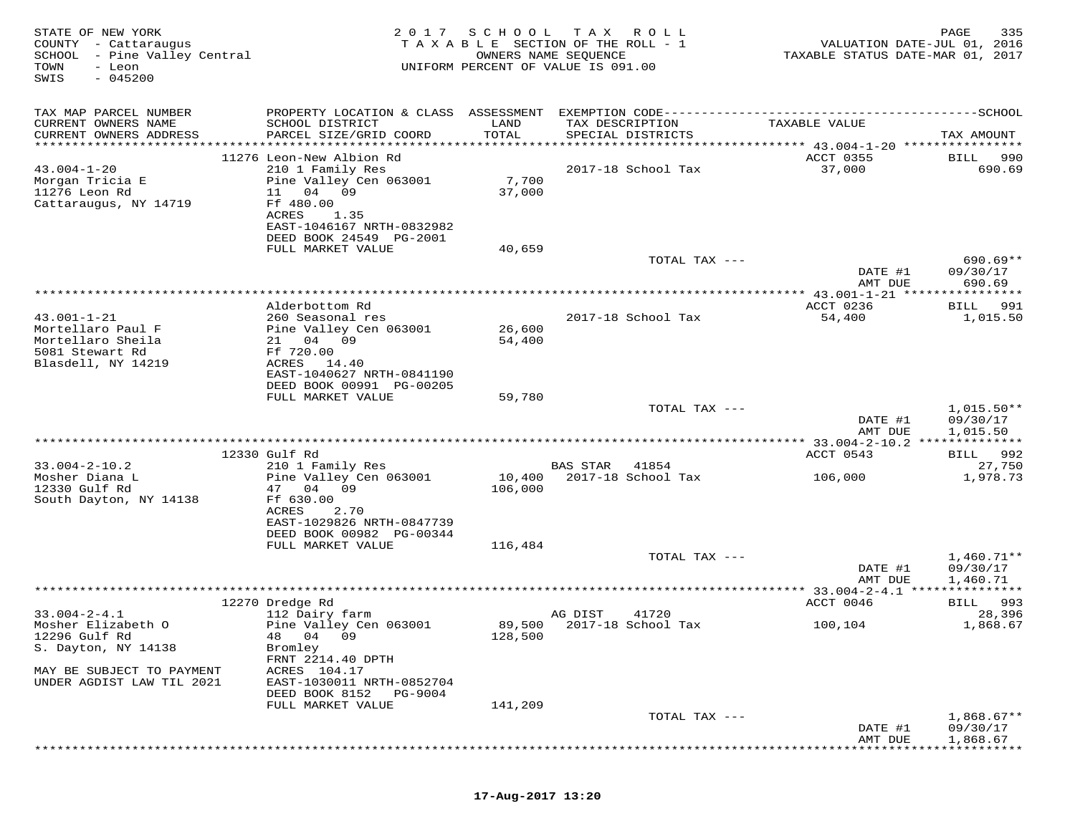| STATE OF NEW YORK<br>COUNTY - Cattaraugus<br>SCHOOL<br>- Pine Valley Central<br>TOWN<br>- Leon<br>$-045200$<br>SWIS | 2017                                                                                                                                                                                                | SCHOOL                          | T A X<br>R O L L<br>TAXABLE SECTION OF THE ROLL - 1<br>OWNERS NAME SEQUENCE<br>UNIFORM PERCENT OF VALUE IS 091.00 | VALUATION DATE-JUL 01, 2016<br>TAXABLE STATUS DATE-MAR 01, 2017           | 335<br>PAGE                          |
|---------------------------------------------------------------------------------------------------------------------|-----------------------------------------------------------------------------------------------------------------------------------------------------------------------------------------------------|---------------------------------|-------------------------------------------------------------------------------------------------------------------|---------------------------------------------------------------------------|--------------------------------------|
| TAX MAP PARCEL NUMBER<br>CURRENT OWNERS NAME<br>CURRENT OWNERS ADDRESS<br>**********************                    | PROPERTY LOCATION & CLASS ASSESSMENT<br>SCHOOL DISTRICT<br>PARCEL SIZE/GRID COORD<br>***********************                                                                                        | LAND<br>TOTAL<br>************** | TAX DESCRIPTION<br>SPECIAL DISTRICTS                                                                              | TAXABLE VALUE<br>*************************** 43.004-1-20 **************** | TAX AMOUNT                           |
| $43.004 - 1 - 20$<br>Morgan Tricia E<br>11276 Leon Rd<br>Cattaraugus, NY 14719                                      | 11276 Leon-New Albion Rd<br>210 1 Family Res<br>Pine Valley Cen 063001<br>11<br>04<br>09<br>Ff 480.00<br>1.35<br>ACRES<br>EAST-1046167 NRTH-0832982<br>DEED BOOK 24549 PG-2001<br>FULL MARKET VALUE | 7,700<br>37,000<br>40,659       | 2017-18 School Tax                                                                                                | ACCT 0355<br>37,000                                                       | BILL<br>990<br>690.69                |
|                                                                                                                     |                                                                                                                                                                                                     |                                 | TOTAL TAX ---                                                                                                     | DATE #1<br>AMT DUE                                                        | $690.69**$<br>09/30/17<br>690.69     |
| $43.001 - 1 - 21$<br>Mortellaro Paul F<br>Mortellaro Sheila<br>5081 Stewart Rd<br>Blasdell, NY 14219                | Alderbottom Rd<br>260 Seasonal res<br>Pine Valley Cen 063001<br>21 04 09<br>Ff 720.00<br>ACRES<br>14.40                                                                                             | 26,600<br>54,400                | 2017-18 School Tax                                                                                                | ************ 43.001-1-21 ******<br>ACCT 0236<br>54,400                    | *********<br>991<br>BILL<br>1,015.50 |
|                                                                                                                     | EAST-1040627 NRTH-0841190<br>DEED BOOK 00991 PG-00205<br>FULL MARKET VALUE                                                                                                                          | 59,780                          | TOTAL TAX ---                                                                                                     | DATE #1<br>AMT DUE                                                        | $1,015.50**$<br>09/30/17<br>1,015.50 |
|                                                                                                                     |                                                                                                                                                                                                     |                                 |                                                                                                                   |                                                                           |                                      |
| $33.004 - 2 - 10.2$<br>Mosher Diana L<br>12330 Gulf Rd<br>South Dayton, NY 14138                                    | 12330 Gulf Rd<br>210 1 Family Res<br>Pine Valley Cen 063001<br>47 04<br>09<br>Ff 630.00<br>ACRES<br>2.70<br>EAST-1029826 NRTH-0847739                                                               | 10,400<br>106,000               | <b>BAS STAR</b><br>41854<br>2017-18 School Tax                                                                    | ACCT 0543<br>106,000                                                      | 992<br>BILL<br>27,750<br>1,978.73    |
|                                                                                                                     | DEED BOOK 00982 PG-00344<br>FULL MARKET VALUE                                                                                                                                                       | 116,484                         | TOTAL TAX ---                                                                                                     | DATE #1                                                                   | $1,460.71**$<br>09/30/17             |
|                                                                                                                     |                                                                                                                                                                                                     |                                 |                                                                                                                   | AMT DUE                                                                   | 1,460.71                             |
|                                                                                                                     | 12270 Dredge Rd                                                                                                                                                                                     |                                 |                                                                                                                   | ACCT 0046                                                                 | BILL 993                             |
| $33.004 - 2 - 4.1$<br>Mosher Elizabeth O<br>12296 Gulf Rd<br>S. Dayton, NY 14138<br>MAY BE SUBJECT TO PAYMENT       | 112 Dairy farm<br>Pine Valley Cen 063001<br>48 04<br>09<br>Bromley<br>FRNT 2214.40 DPTH<br>ACRES 104.17                                                                                             | 89,500<br>128,500               | AG DIST<br>41720<br>2017-18 School Tax                                                                            | 100,104                                                                   | 28,396<br>1,868.67                   |
| UNDER AGDIST LAW TIL 2021                                                                                           | EAST-1030011 NRTH-0852704<br>DEED BOOK 8152<br>PG-9004<br>FULL MARKET VALUE                                                                                                                         | 141,209                         |                                                                                                                   |                                                                           |                                      |
|                                                                                                                     |                                                                                                                                                                                                     |                                 | TOTAL TAX ---                                                                                                     | DATE #1<br>AMT DUE                                                        | $1,868.67**$<br>09/30/17<br>1,868.67 |

## **17-Aug-2017 13:20**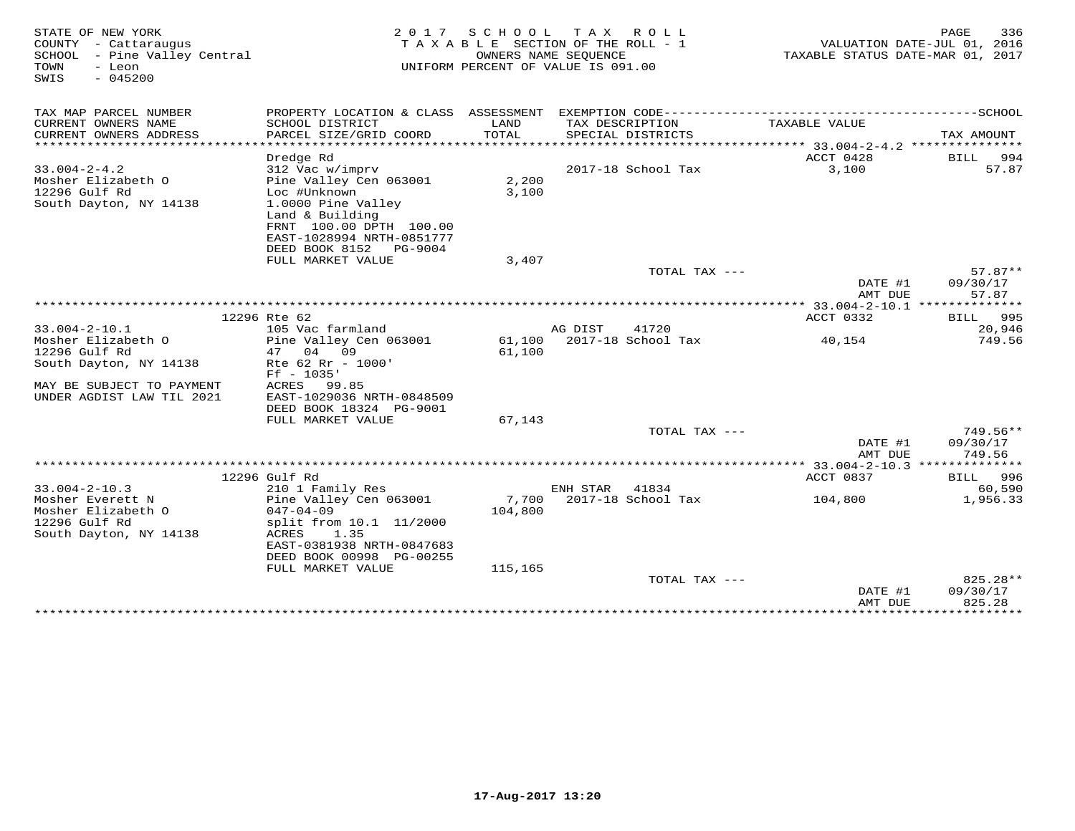| STATE OF NEW YORK<br>COUNTY - Cattaraugus<br>SCHOOL - Pine Valley Central<br>TOWN<br>- Leon<br>$-045200$<br>SWIS | 2017                                                    | SCHOOL<br>T A X A B L E SECTION OF THE ROLL - 1<br>OWNERS NAME SEOUENCE<br>UNIFORM PERCENT OF VALUE IS 091.00 | T A X    | R O L L                     | TAXABLE STATUS DATE-MAR 01, 2017                     | 336<br>PAGE<br>VALUATION DATE-JUL 01, 2016 |
|------------------------------------------------------------------------------------------------------------------|---------------------------------------------------------|---------------------------------------------------------------------------------------------------------------|----------|-----------------------------|------------------------------------------------------|--------------------------------------------|
| TAX MAP PARCEL NUMBER<br>CURRENT OWNERS NAME                                                                     | PROPERTY LOCATION & CLASS ASSESSMENT<br>SCHOOL DISTRICT | LAND                                                                                                          |          | TAX DESCRIPTION             | TAXABLE VALUE                                        |                                            |
| CURRENT OWNERS ADDRESS<br>*********************                                                                  | PARCEL SIZE/GRID COORD                                  | TOTAL                                                                                                         |          | SPECIAL DISTRICTS           |                                                      | TAX AMOUNT                                 |
|                                                                                                                  | Dredge Rd                                               |                                                                                                               |          |                             | ACCT 0428                                            | 994<br>BILL                                |
| $33.004 - 2 - 4.2$                                                                                               | 312 Vac w/imprv                                         |                                                                                                               |          | 2017-18 School Tax          | 3,100                                                | 57.87                                      |
| Mosher Elizabeth O<br>12296 Gulf Rd                                                                              | Pine Valley Cen 063001<br>Loc #Unknown                  | 2,200<br>3,100                                                                                                |          |                             |                                                      |                                            |
| South Dayton, NY 14138                                                                                           | 1.0000 Pine Valley                                      |                                                                                                               |          |                             |                                                      |                                            |
|                                                                                                                  | Land & Building                                         |                                                                                                               |          |                             |                                                      |                                            |
|                                                                                                                  | FRNT 100.00 DPTH 100.00<br>EAST-1028994 NRTH-0851777    |                                                                                                               |          |                             |                                                      |                                            |
|                                                                                                                  | DEED BOOK 8152 PG-9004                                  |                                                                                                               |          |                             |                                                      |                                            |
|                                                                                                                  | FULL MARKET VALUE                                       | 3,407                                                                                                         |          |                             |                                                      |                                            |
|                                                                                                                  |                                                         |                                                                                                               |          | TOTAL TAX ---               |                                                      | $57.87**$                                  |
|                                                                                                                  |                                                         |                                                                                                               |          |                             | DATE #1<br>AMT DUE                                   | 09/30/17<br>57.87                          |
|                                                                                                                  |                                                         |                                                                                                               |          |                             | *********** 33.004-2-10.1 **************             |                                            |
|                                                                                                                  | 12296 Rte 62                                            |                                                                                                               |          |                             | ACCT 0332                                            | 995<br>BILL                                |
| $33.004 - 2 - 10.1$                                                                                              | 105 Vac farmland                                        |                                                                                                               | AG DIST  | 41720<br>2017-18 School Tax |                                                      | 20,946<br>749.56                           |
| Mosher Elizabeth O<br>12296 Gulf Rd                                                                              | Pine Valley Cen 063001<br>04<br>09<br>47                | 61,100<br>61,100                                                                                              |          |                             | 40,154                                               |                                            |
| South Dayton, NY 14138                                                                                           | Rte 62 Rr - 1000'                                       |                                                                                                               |          |                             |                                                      |                                            |
|                                                                                                                  | $Ff - 1035'$                                            |                                                                                                               |          |                             |                                                      |                                            |
| MAY BE SUBJECT TO PAYMENT                                                                                        | ACRES<br>99.85                                          |                                                                                                               |          |                             |                                                      |                                            |
| UNDER AGDIST LAW TIL 2021                                                                                        | EAST-1029036 NRTH-0848509<br>DEED BOOK 18324 PG-9001    |                                                                                                               |          |                             |                                                      |                                            |
|                                                                                                                  | FULL MARKET VALUE                                       | 67,143                                                                                                        |          |                             |                                                      |                                            |
|                                                                                                                  |                                                         |                                                                                                               |          | TOTAL TAX ---               |                                                      | 749.56**                                   |
|                                                                                                                  |                                                         |                                                                                                               |          |                             | DATE #1                                              | 09/30/17                                   |
|                                                                                                                  |                                                         |                                                                                                               |          |                             | AMT DUE<br>************ 33.004-2-10.3 ************** | 749.56                                     |
|                                                                                                                  | 12296 Gulf Rd                                           |                                                                                                               |          |                             | ACCT 0837                                            | BILL 996                                   |
| $33.004 - 2 - 10.3$                                                                                              | 210 1 Family Res                                        |                                                                                                               | ENH STAR | 41834                       |                                                      | 60,590                                     |
| Mosher Everett N                                                                                                 | Pine Valley Cen 063001                                  | 7,700                                                                                                         |          | 2017-18 School Tax          | 104,800                                              | 1,956.33                                   |
| Mosher Elizabeth O<br>12296 Gulf Rd                                                                              | $047 - 04 - 09$<br>split from 10.1 11/2000              | 104,800                                                                                                       |          |                             |                                                      |                                            |
| South Dayton, NY 14138                                                                                           | ACRES<br>1.35                                           |                                                                                                               |          |                             |                                                      |                                            |
|                                                                                                                  | EAST-0381938 NRTH-0847683                               |                                                                                                               |          |                             |                                                      |                                            |
|                                                                                                                  | DEED BOOK 00998 PG-00255                                |                                                                                                               |          |                             |                                                      |                                            |
|                                                                                                                  | FULL MARKET VALUE                                       | 115,165                                                                                                       |          | TOTAL TAX ---               |                                                      | 825.28**                                   |
|                                                                                                                  |                                                         |                                                                                                               |          |                             | DATE #1                                              | 09/30/17                                   |
|                                                                                                                  |                                                         |                                                                                                               |          |                             | AMT DUE                                              | 825.28                                     |
|                                                                                                                  |                                                         |                                                                                                               |          |                             | **************                                       | * * * * * * * * * * *                      |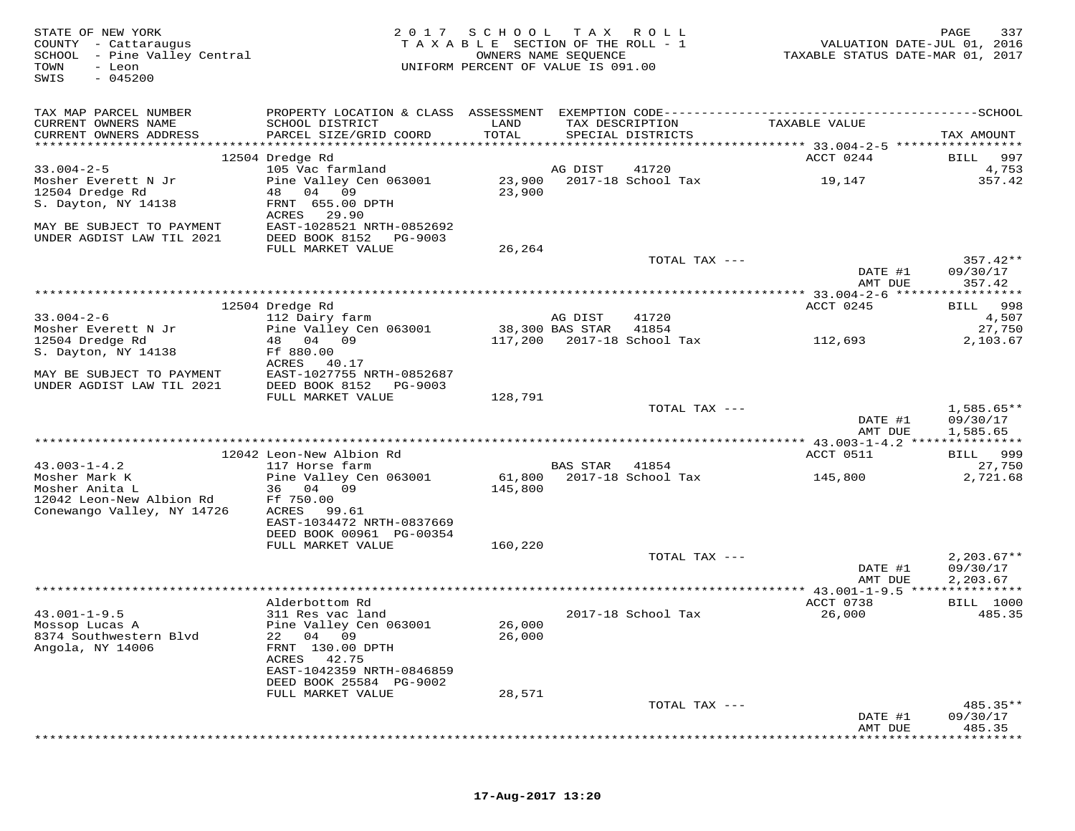| STATE OF NEW YORK<br>COUNTY - Cattaraugus<br>SCHOOL - Pine Valley Central<br>TOWN<br>- Leon<br>$-045200$<br>SWIS |                                             | 2017 SCHOOL TAX ROLL<br>TAXABLE SECTION OF THE ROLL - 1<br>UNIFORM PERCENT OF VALUE IS 091.00 | OWNERS NAME SEQUENCE |                                      | TAXABLE STATUS DATE-MAR 01, 2017 | PAGE<br>337<br>VALUATION DATE-JUL 01, 2016 |
|------------------------------------------------------------------------------------------------------------------|---------------------------------------------|-----------------------------------------------------------------------------------------------|----------------------|--------------------------------------|----------------------------------|--------------------------------------------|
| TAX MAP PARCEL NUMBER                                                                                            |                                             |                                                                                               |                      |                                      |                                  |                                            |
| CURRENT OWNERS NAME<br>CURRENT OWNERS ADDRESS                                                                    | SCHOOL DISTRICT<br>PARCEL SIZE/GRID COORD   | LAND<br>TOTAL                                                                                 |                      | TAX DESCRIPTION<br>SPECIAL DISTRICTS | TAXABLE VALUE                    | TAX AMOUNT                                 |
|                                                                                                                  | 12504 Dredge Rd                             |                                                                                               |                      |                                      | ACCT 0244                        | 997<br>BILL                                |
| $33.004 - 2 - 5$                                                                                                 | 105 Vac farmland                            |                                                                                               | AG DIST              | 41720                                |                                  | 4,753                                      |
| Mosher Everett N Jr                                                                                              | Pine Valley Cen 063001                      | 23,900                                                                                        |                      | 2017-18 School Tax                   | 19,147                           | 357.42                                     |
| 12504 Dredge Rd                                                                                                  | 48 04 09                                    | 23,900                                                                                        |                      |                                      |                                  |                                            |
| S. Dayton, NY 14138                                                                                              | FRNT 655.00 DPTH                            |                                                                                               |                      |                                      |                                  |                                            |
| MAY BE SUBJECT TO PAYMENT                                                                                        | ACRES<br>29.90<br>EAST-1028521 NRTH-0852692 |                                                                                               |                      |                                      |                                  |                                            |
| UNDER AGDIST LAW TIL 2021                                                                                        | DEED BOOK 8152<br>PG-9003                   |                                                                                               |                      |                                      |                                  |                                            |
|                                                                                                                  | FULL MARKET VALUE                           | 26,264                                                                                        |                      |                                      |                                  |                                            |
|                                                                                                                  |                                             |                                                                                               |                      | TOTAL TAX ---                        |                                  | $357.42**$                                 |
|                                                                                                                  |                                             |                                                                                               |                      |                                      | DATE #1                          | 09/30/17                                   |
|                                                                                                                  |                                             |                                                                                               |                      |                                      | AMT DUE                          | 357.42                                     |
|                                                                                                                  | 12504 Dredge Rd                             |                                                                                               |                      |                                      | ACCT 0245                        | BILL 998                                   |
| $33.004 - 2 - 6$                                                                                                 | 112 Dairy farm                              |                                                                                               | AG DIST              | 41720                                |                                  | 4,507                                      |
| Mosher Everett N Jr                                                                                              | Pine Valley Cen 063001                      |                                                                                               | 38,300 BAS STAR      | 41854                                |                                  | 27,750                                     |
| 12504 Dredge Rd                                                                                                  | 48 04 09                                    |                                                                                               |                      | 117,200 2017-18 School Tax           | 112,693                          | 2,103.67                                   |
| S. Dayton, NY 14138                                                                                              | Ff 880.00                                   |                                                                                               |                      |                                      |                                  |                                            |
| MAY BE SUBJECT TO PAYMENT                                                                                        | ACRES 40.17<br>EAST-1027755 NRTH-0852687    |                                                                                               |                      |                                      |                                  |                                            |
| UNDER AGDIST LAW TIL 2021                                                                                        | DEED BOOK 8152<br>PG-9003                   |                                                                                               |                      |                                      |                                  |                                            |
|                                                                                                                  | FULL MARKET VALUE                           | 128,791                                                                                       |                      |                                      |                                  |                                            |
|                                                                                                                  |                                             |                                                                                               |                      | TOTAL TAX ---                        |                                  | $1,585.65**$                               |
|                                                                                                                  |                                             |                                                                                               |                      |                                      | DATE #1                          | 09/30/17                                   |
|                                                                                                                  |                                             |                                                                                               |                      |                                      | AMT DUE                          | 1,585.65                                   |
|                                                                                                                  | 12042 Leon-New Albion Rd                    |                                                                                               |                      |                                      | ACCT 0511                        | 999<br><b>BILL</b>                         |
| $43.003 - 1 - 4.2$                                                                                               | 117 Horse farm                              |                                                                                               | BAS STAR             | 41854                                |                                  | 27,750                                     |
| Mosher Mark K                                                                                                    | Pine Valley Cen 063001                      | 61,800                                                                                        |                      | 2017-18 School Tax                   | 145,800                          | 2,721.68                                   |
| Mosher Anita L                                                                                                   | 36 04 09                                    | 145,800                                                                                       |                      |                                      |                                  |                                            |
| 12042 Leon-New Albion Rd                                                                                         | Ff 750.00                                   |                                                                                               |                      |                                      |                                  |                                            |
| Conewango Valley, NY 14726                                                                                       | ACRES 99.61<br>EAST-1034472 NRTH-0837669    |                                                                                               |                      |                                      |                                  |                                            |
|                                                                                                                  | DEED BOOK 00961 PG-00354                    |                                                                                               |                      |                                      |                                  |                                            |
|                                                                                                                  | FULL MARKET VALUE                           | 160,220                                                                                       |                      |                                      |                                  |                                            |
|                                                                                                                  |                                             |                                                                                               |                      | TOTAL TAX ---                        |                                  | $2,203.67**$                               |
|                                                                                                                  |                                             |                                                                                               |                      |                                      | DATE #1                          | 09/30/17                                   |
|                                                                                                                  |                                             |                                                                                               |                      |                                      | AMT DUE                          | 2,203.67                                   |
|                                                                                                                  | Alderbottom Rd                              |                                                                                               |                      |                                      | ACCT 0738                        | <b>BILL</b> 1000                           |
| $43.001 - 1 - 9.5$                                                                                               | 311 Res vac land                            |                                                                                               |                      | 2017-18 School Tax                   | 26,000                           | 485.35                                     |
| Mossop Lucas A                                                                                                   | Pine Valley Cen 063001                      | 26,000                                                                                        |                      |                                      |                                  |                                            |
| 8374 Southwestern Blvd                                                                                           | 22 04 09                                    | 26,000                                                                                        |                      |                                      |                                  |                                            |
| Angola, NY 14006                                                                                                 | FRNT 130.00 DPTH<br>ACRES 42.75             |                                                                                               |                      |                                      |                                  |                                            |
|                                                                                                                  | EAST-1042359 NRTH-0846859                   |                                                                                               |                      |                                      |                                  |                                            |
|                                                                                                                  | DEED BOOK 25584 PG-9002                     |                                                                                               |                      |                                      |                                  |                                            |
|                                                                                                                  | FULL MARKET VALUE                           | 28,571                                                                                        |                      |                                      |                                  |                                            |
|                                                                                                                  |                                             |                                                                                               |                      | TOTAL TAX ---                        |                                  | 485.35**                                   |
|                                                                                                                  |                                             |                                                                                               |                      |                                      | DATE #1<br>AMT DUE               | 09/30/17<br>485.35                         |
|                                                                                                                  |                                             |                                                                                               |                      |                                      |                                  |                                            |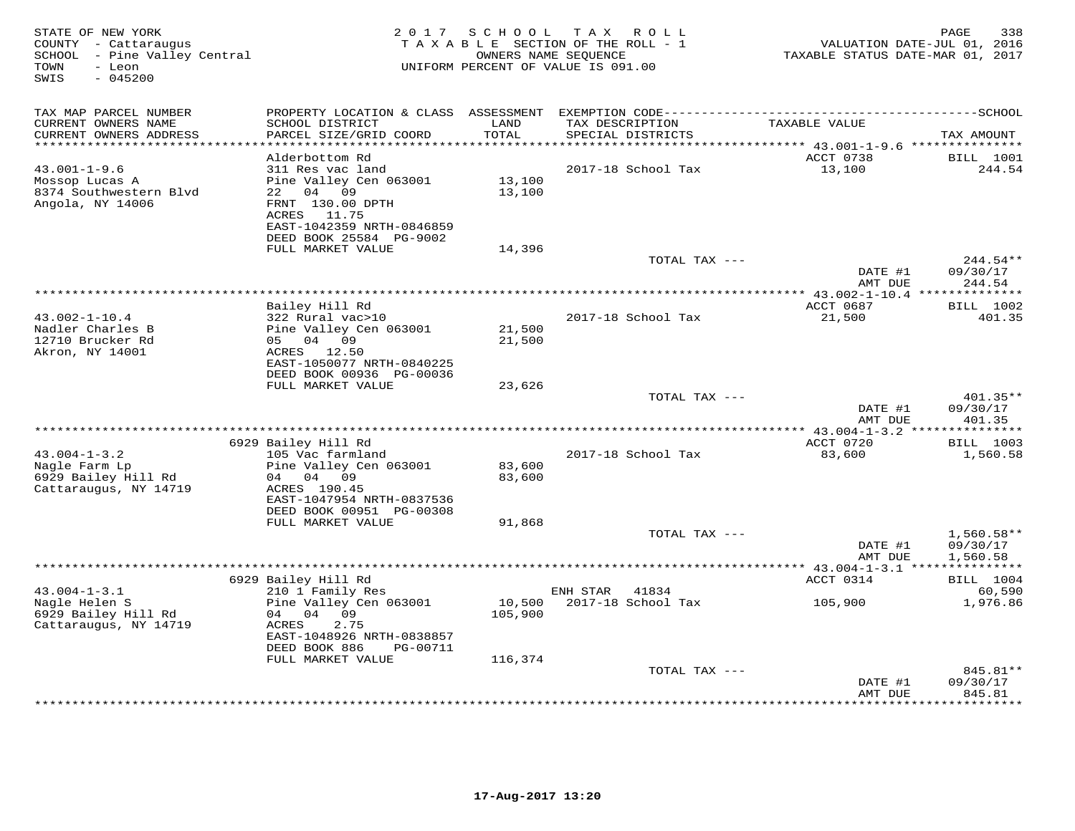| STATE OF NEW YORK<br>COUNTY - Cattaraugus<br>SCHOOL - Pine Valley Central<br>TOWN<br>- Leon<br>SWIS<br>$-045200$ | 2 0 1 7                                                                                                                                              | S C H O O L             | T A X<br>R O L L<br>TAXABLE SECTION OF THE ROLL - 1<br>OWNERS NAME SEQUENCE<br>UNIFORM PERCENT OF VALUE IS 091.00 | VALUATION DATE-JUL 01, 2016<br>TAXABLE STATUS DATE-MAR 01, 2017 | 338<br>PAGE                                |
|------------------------------------------------------------------------------------------------------------------|------------------------------------------------------------------------------------------------------------------------------------------------------|-------------------------|-------------------------------------------------------------------------------------------------------------------|-----------------------------------------------------------------|--------------------------------------------|
| TAX MAP PARCEL NUMBER                                                                                            |                                                                                                                                                      |                         |                                                                                                                   |                                                                 |                                            |
| CURRENT OWNERS NAME<br>CURRENT OWNERS ADDRESS<br>**********************                                          | SCHOOL DISTRICT<br>PARCEL SIZE/GRID COORD                                                                                                            | LAND<br>TOTAL<br>****** | TAX DESCRIPTION<br>SPECIAL DISTRICTS                                                                              | TAXABLE VALUE                                                   | TAX AMOUNT                                 |
|                                                                                                                  | Alderbottom Rd                                                                                                                                       |                         |                                                                                                                   | ********* 43.001-1-9.6 ***************<br>ACCT 0738             | <b>BILL</b> 1001                           |
| $43.001 - 1 - 9.6$<br>Mossop Lucas A<br>8374 Southwestern Blvd<br>Angola, NY 14006                               | 311 Res vac land<br>Pine Valley Cen 063001<br>04 09<br>22<br>FRNT 130.00 DPTH<br>ACRES 11.75<br>EAST-1042359 NRTH-0846859<br>DEED BOOK 25584 PG-9002 | 13,100<br>13,100        | 2017-18 School Tax                                                                                                | 13,100                                                          | 244.54                                     |
|                                                                                                                  | FULL MARKET VALUE                                                                                                                                    | 14,396                  |                                                                                                                   |                                                                 |                                            |
|                                                                                                                  |                                                                                                                                                      |                         | TOTAL TAX ---                                                                                                     | DATE #1                                                         | $244.54**$<br>09/30/17                     |
|                                                                                                                  |                                                                                                                                                      |                         |                                                                                                                   | AMT DUE<br>**** $43.002 - 1 - 10.4$                             | 244.54                                     |
|                                                                                                                  | Bailey Hill Rd                                                                                                                                       |                         |                                                                                                                   | ACCT 0687                                                       | <b>BILL</b> 1002                           |
| $43.002 - 1 - 10.4$                                                                                              | 322 Rural vac>10                                                                                                                                     |                         | 2017-18 School Tax                                                                                                | 21,500                                                          | 401.35                                     |
| Nadler Charles B<br>12710 Brucker Rd<br>Akron, NY 14001                                                          | Pine Valley Cen 063001<br>05 04 09<br>ACRES 12.50<br>EAST-1050077 NRTH-0840225                                                                       | 21,500<br>21,500        |                                                                                                                   |                                                                 |                                            |
|                                                                                                                  | DEED BOOK 00936 PG-00036<br>FULL MARKET VALUE                                                                                                        | 23,626                  |                                                                                                                   |                                                                 |                                            |
|                                                                                                                  |                                                                                                                                                      |                         | TOTAL TAX ---                                                                                                     | DATE #1                                                         | $401.35**$<br>09/30/17                     |
|                                                                                                                  |                                                                                                                                                      |                         |                                                                                                                   | AMT DUE                                                         | 401.35                                     |
|                                                                                                                  |                                                                                                                                                      |                         | *********************************                                                                                 | $*$ 43.004-1-3.2                                                | ********                                   |
| $43.004 - 1 - 3.2$                                                                                               | 6929 Bailey Hill Rd<br>105 Vac farmland                                                                                                              |                         | 2017-18 School Tax                                                                                                | ACCT 0720<br>83,600                                             | <b>BILL</b> 1003<br>1,560.58               |
| Nagle Farm Lp<br>6929 Bailey Hill Rd<br>Cattaraugus, NY 14719                                                    | Pine Valley Cen 063001<br>04 04 09<br>ACRES 190.45<br>EAST-1047954 NRTH-0837536<br>DEED BOOK 00951 PG-00308                                          | 83,600<br>83,600        |                                                                                                                   |                                                                 |                                            |
|                                                                                                                  | FULL MARKET VALUE                                                                                                                                    | 91,868                  |                                                                                                                   |                                                                 |                                            |
|                                                                                                                  |                                                                                                                                                      |                         | TOTAL TAX ---                                                                                                     | DATE #1<br>AMT DUE                                              | $1,560.58**$<br>09/30/17<br>1,560.58       |
|                                                                                                                  |                                                                                                                                                      |                         |                                                                                                                   | ** 43.004-1-3.1 **                                              |                                            |
|                                                                                                                  | 6929 Bailey Hill Rd                                                                                                                                  |                         |                                                                                                                   | ACCT 0314                                                       | <b>BILL</b> 1004                           |
| $43.004 - 1 - 3.1$<br>Nagle Helen S<br>6929 Bailey Hill Rd<br>Cattaraugus, NY 14719                              | 210 1 Family Res<br>Pine Valley Cen 063001<br>04 04<br>09<br>2.75<br>ACRES<br>EAST-1048926 NRTH-0838857<br>DEED BOOK 886<br>PG-00711                 | 10,500<br>105,900       | ENH STAR<br>41834<br>2017-18 School Tax                                                                           | 105,900                                                         | 60,590<br>1,976.86                         |
|                                                                                                                  | FULL MARKET VALUE                                                                                                                                    | 116,374                 |                                                                                                                   |                                                                 |                                            |
|                                                                                                                  |                                                                                                                                                      |                         | TOTAL TAX ---                                                                                                     | DATE #1<br>AMT DUE                                              | 845.81**<br>09/30/17<br>845.81<br>******** |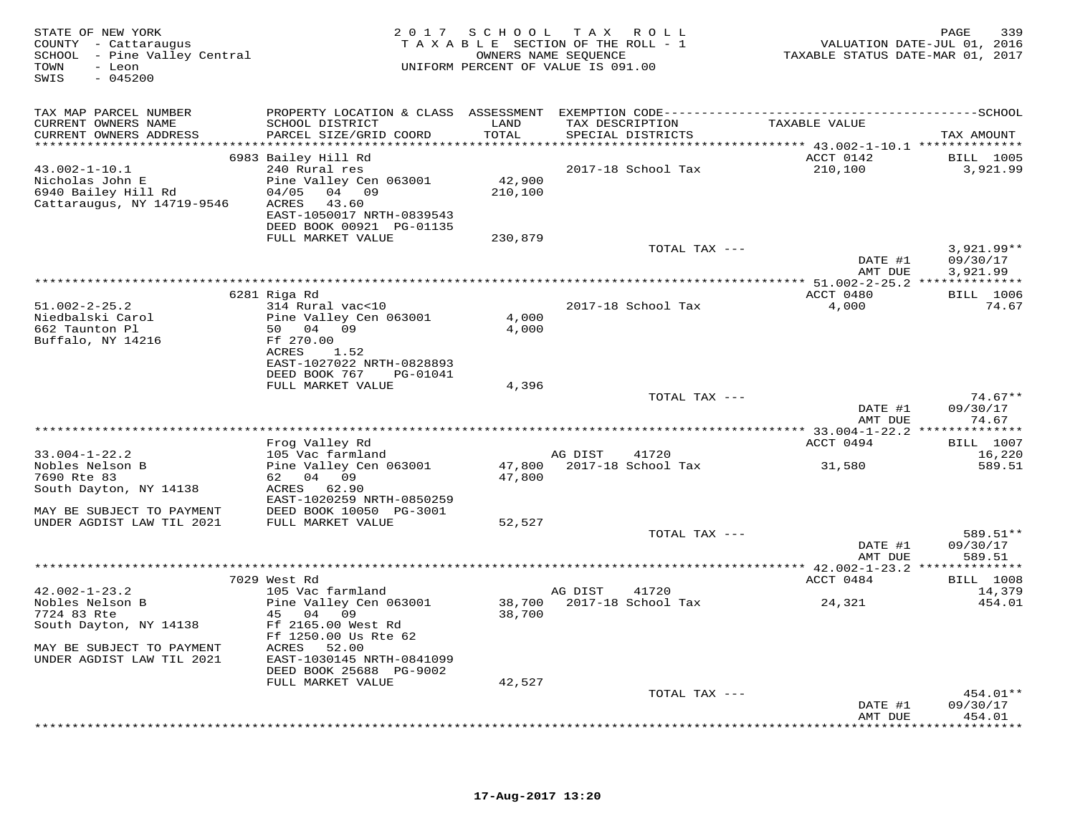| STATE OF NEW YORK<br>COUNTY - Cattaraugus<br>SCHOOL - Pine Valley Central<br>- Leon<br>TOWN<br>$-045200$<br>SWIS |                                                       |                          | 2017 SCHOOL TAX ROLL<br>TAXABLE SECTION OF THE ROLL - 1<br>OWNERS NAME SEQUENCE<br>UNIFORM PERCENT OF VALUE IS 091.00 | TAXABLE STATUS DATE-MAR 01, 2017                                     | 339<br>PAGE<br>VALUATION DATE-JUL 01, 2016 |
|------------------------------------------------------------------------------------------------------------------|-------------------------------------------------------|--------------------------|-----------------------------------------------------------------------------------------------------------------------|----------------------------------------------------------------------|--------------------------------------------|
| TAX MAP PARCEL NUMBER<br>CURRENT OWNERS NAME                                                                     | SCHOOL DISTRICT                                       | LAND                     | TAX DESCRIPTION                                                                                                       | TAXABLE VALUE                                                        |                                            |
| CURRENT OWNERS ADDRESS<br>***********************                                                                | PARCEL SIZE/GRID COORD                                | TOTAL                    | SPECIAL DISTRICTS                                                                                                     | ************************************** 43.002-1-10.1 *************** | TAX AMOUNT                                 |
|                                                                                                                  | 6983 Bailey Hill Rd                                   |                          |                                                                                                                       | ACCT 0142                                                            | <b>BILL</b> 1005                           |
| $43.002 - 1 - 10.1$<br>Nicholas John E                                                                           | 240 Rural res<br>Pine Valley Cen 063001               | 42,900                   | 2017-18 School Tax                                                                                                    | 210,100                                                              | 3,921.99                                   |
| 6940 Bailey Hill Rd                                                                                              | 04 09<br>04/05                                        | 210,100                  |                                                                                                                       |                                                                      |                                            |
| Cattaraugus, NY 14719-9546                                                                                       | ACRES<br>43.60                                        |                          |                                                                                                                       |                                                                      |                                            |
|                                                                                                                  | EAST-1050017 NRTH-0839543<br>DEED BOOK 00921 PG-01135 |                          |                                                                                                                       |                                                                      |                                            |
|                                                                                                                  | FULL MARKET VALUE                                     | 230,879                  |                                                                                                                       |                                                                      |                                            |
|                                                                                                                  |                                                       |                          |                                                                                                                       | TOTAL TAX ---<br>DATE #1                                             | $3,921.99**$<br>09/30/17                   |
|                                                                                                                  |                                                       |                          |                                                                                                                       | AMT DUE                                                              | 3,921.99                                   |
|                                                                                                                  |                                                       |                          |                                                                                                                       |                                                                      |                                            |
| $51.002 - 2 - 25.2$                                                                                              | 6281 Riga Rd<br>314 Rural vac<10                      |                          | 2017-18 School Tax                                                                                                    | ACCT 0480<br>4,000                                                   | <b>BILL</b> 1006<br>74.67                  |
| Niedbalski Carol                                                                                                 | Pine Valley Cen 063001                                | 4,000                    |                                                                                                                       |                                                                      |                                            |
| 662 Taunton Pl                                                                                                   | 50 04 09                                              | 4,000                    |                                                                                                                       |                                                                      |                                            |
| Buffalo, NY 14216                                                                                                | Ff 270.00<br>ACRES<br>1.52                            |                          |                                                                                                                       |                                                                      |                                            |
|                                                                                                                  | EAST-1027022 NRTH-0828893                             |                          |                                                                                                                       |                                                                      |                                            |
|                                                                                                                  | DEED BOOK 767<br>PG-01041<br>FULL MARKET VALUE        | 4,396                    |                                                                                                                       |                                                                      |                                            |
|                                                                                                                  |                                                       |                          |                                                                                                                       | TOTAL TAX ---                                                        | $74.67**$                                  |
|                                                                                                                  |                                                       |                          |                                                                                                                       | DATE #1                                                              | 09/30/17                                   |
|                                                                                                                  |                                                       | ************************ |                                                                                                                       | AMT DUE<br>*********** 33.004-1-22.2 **                              | 74.67<br>********                          |
|                                                                                                                  | Frog Valley Rd                                        |                          |                                                                                                                       | ACCT 0494                                                            | <b>BILL</b> 1007                           |
| $33.004 - 1 - 22.2$                                                                                              | 105 Vac farmland                                      |                          | AG DIST<br>41720                                                                                                      |                                                                      | 16,220                                     |
| Nobles Nelson B<br>7690 Rte 83                                                                                   | Pine Valley Cen 063001<br>62 04 09                    | 47,800<br>47,800         | 2017-18 School Tax                                                                                                    | 31,580                                                               | 589.51                                     |
| South Dayton, NY 14138                                                                                           | ACRES 62.90                                           |                          |                                                                                                                       |                                                                      |                                            |
| MAY BE SUBJECT TO PAYMENT                                                                                        | EAST-1020259 NRTH-0850259<br>DEED BOOK 10050 PG-3001  |                          |                                                                                                                       |                                                                      |                                            |
| UNDER AGDIST LAW TIL 2021                                                                                        | FULL MARKET VALUE                                     | 52,527                   |                                                                                                                       |                                                                      |                                            |
|                                                                                                                  |                                                       |                          |                                                                                                                       | TOTAL TAX ---                                                        | 589.51**                                   |
|                                                                                                                  |                                                       |                          |                                                                                                                       | DATE #1<br>AMT DUE                                                   | 09/30/17<br>589.51                         |
|                                                                                                                  |                                                       |                          |                                                                                                                       |                                                                      |                                            |
|                                                                                                                  | 7029 West Rd                                          |                          |                                                                                                                       | ACCT 0484                                                            | <b>BILL</b> 1008                           |
| $42.002 - 1 - 23.2$<br>Nobles Nelson B                                                                           | 105 Vac farmland<br>Pine Valley Cen 063001            | 38,700                   | AG DIST<br>41720<br>2017-18 School Tax                                                                                | 24,321                                                               | 14,379<br>454.01                           |
| 7724 83 Rte                                                                                                      | 45 04 09                                              | 38,700                   |                                                                                                                       |                                                                      |                                            |
| South Dayton, NY 14138                                                                                           | Ff 2165.00 West Rd<br>Ff 1250.00 Us Rte 62            |                          |                                                                                                                       |                                                                      |                                            |
| MAY BE SUBJECT TO PAYMENT                                                                                        | ACRES<br>52.00                                        |                          |                                                                                                                       |                                                                      |                                            |
| UNDER AGDIST LAW TIL 2021                                                                                        | EAST-1030145 NRTH-0841099                             |                          |                                                                                                                       |                                                                      |                                            |
|                                                                                                                  | DEED BOOK 25688 PG-9002<br>FULL MARKET VALUE          | 42,527                   |                                                                                                                       |                                                                      |                                            |
|                                                                                                                  |                                                       |                          |                                                                                                                       | TOTAL TAX ---                                                        | 454.01**                                   |
|                                                                                                                  |                                                       |                          |                                                                                                                       | DATE #1                                                              | 09/30/17                                   |
|                                                                                                                  |                                                       |                          |                                                                                                                       | AMT DUE                                                              | 454.01<br><b>.</b>                         |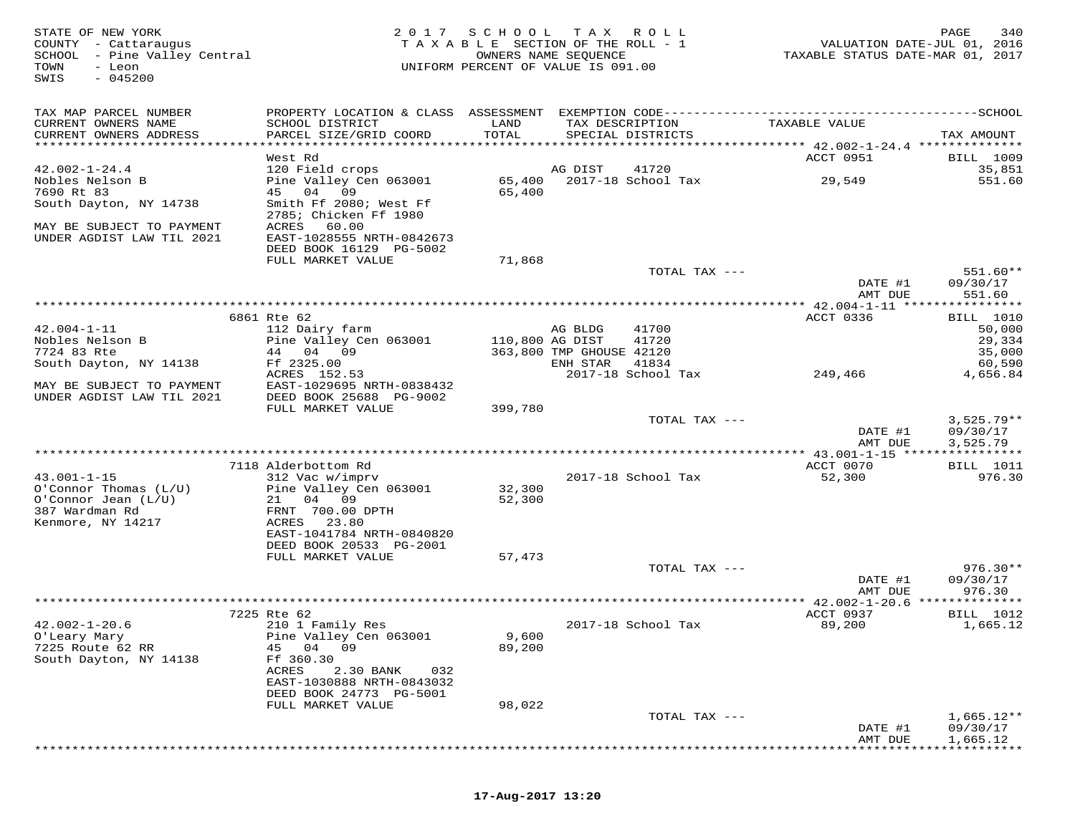STATE OF NEW YORK 2 0 1 7 S C H O O L T A X R O L L PAGE 340 COUNTY - Cattaraugus T A X A B L E SECTION OF THE ROLL - 1 VALUATION DATE-JUL 01, 2016 SCHOOL - Pine Valley Central OWNERS NAME SEQUENCE TAXABLE STATUS DATE-MAR 01, 2017 TOWN - Leon UNIFORM PERCENT OF VALUE IS 091.00 SWIS - 045200TAX MAP PARCEL NUMBER PROPERTY LOCATION & CLASS ASSESSMENT EXEMPTION CODE------------------------------------------SCHOOL CURRENT OWNERS NAME SCHOOL DISTRICT LAND TAX DESCRIPTION TAXABLE VALUE CURRENT OWNERS ADDRESS PARCEL SIZE/GRID COORD TOTAL SPECIAL DISTRICTS TAX AMOUNT \*\*\*\*\*\*\*\*\*\*\*\*\*\*\*\*\*\*\*\*\*\*\*\*\*\*\*\*\*\*\*\*\*\*\*\*\*\*\*\*\*\*\*\*\*\*\*\*\*\*\*\*\*\*\*\*\*\*\*\*\*\*\*\*\*\*\*\*\*\*\*\*\*\*\*\*\*\*\*\*\*\*\*\*\*\*\*\*\*\*\*\*\*\*\*\*\*\*\*\*\*\*\* 42.002-1-24.4 \*\*\*\*\*\*\*\*\*\*\*\*\*\*ACCT 0951 BILL 1009 West Rd ACCT 0951 BILL 100935,851 42.002-1-24.4 120 Field crops AG DIST 41720 35,851551 60 Nobles Nelson B Pine Valley Cen 063001 65,400 2017-18 School Tax 29,549 551.607690 Rt 83 45 04 09 65,400 South Dayton, NY 14738 Smith Ff 2080; West Ff 2785; Chicken Ff 1980 MAY BE SUBJECT TO PAYMENT ACRES 60.00 UNDER AGDIST LAW TIL 2021 EAST-1028555 NRTH-0842673 DEED BOOK 16129 PG-5002FULL MARKET VALUE 71,868 TOTAL TAX --- 551.60\*\*<br>DATE #1 09/30/17<br>RAME DIE 60.17 AMT DUE 551.60 \*\*\*\*\*\*\*\*\*\*\*\*\*\*\*\*\*\*\*\*\*\*\*\*\*\*\*\*\*\*\*\*\*\*\*\*\*\*\*\*\*\*\*\*\*\*\*\*\*\*\*\*\*\*\*\*\*\*\*\*\*\*\*\*\*\*\*\*\*\*\*\*\*\*\*\*\*\*\*\*\*\*\*\*\*\*\*\*\*\*\*\*\*\*\*\*\*\*\*\*\*\*\* 42.004-1-11 \*\*\*\*\*\*\*\*\*\*\*\*\*\*\*\***BILL** 1010 6861 Rte 62 ACCT 0336 BILL 101050,000 42.004-1-11 112 Dairy farm AG BLDG 41700 50,00029,334 Nobles Nelson B Pine Valley Cen 063001 110,800 AG DIST 41720 29,33435,000 7724 83 Rte 44 04 09 363,800 TMP GHOUSE 42120 35,000 60.590 South Dayton, NY 14138 Ff 2325.00 41834 60,590 4,656.84 ACRES 152.53 2017-18 School Tax 249,466 29,466 4,656.84<br>MAY BE SUBJECT TO PAYMENT EAST-1029695 NRTH-0838432<br>DINDER AGDIST LAW TIL 2021 PULL MARKET VALUE 399,780 TOTAL TAX --- 2006 299,525.79\*\* DATE #1 09/30/17 AMT DUE 3,525.79 \*\*\*\*\*\*\*\*\*\*\*\*\*\*\*\*\*\*\*\*\*\*\*\*\*\*\*\*\*\*\*\*\*\*\*\*\*\*\*\*\*\*\*\*\*\*\*\*\*\*\*\*\*\*\*\*\*\*\*\*\*\*\*\*\*\*\*\*\*\*\*\*\*\*\*\*\*\*\*\*\*\*\*\*\*\*\*\*\*\*\*\*\*\*\*\*\*\*\*\*\*\*\* 43.001-1-15 \*\*\*\*\*\*\*\*\*\*\*\*\*\*\*\*7118 Alderbottom Rd Andrew Rd Acct 0070 BILL 1011 ACCT 0070 BILL 1011<br>12.001.1.15 Alderbottom Rd Acct 210 Marshall 1011 1012 Acct 0070 BILL 1012 10 43.001-1-15 312 Vac w/imprv 2017-18 School Tax 52,300 976.30 O'Connor Thomas (L/U) Pine Valley Cen 063001 32,300 O'Connor Jean (L/U) 21 04 09 52,300 387 Wardman Rd FRNT 700.00 DPTH Kenmore, NY 14217 ACRES 23.80 EAST-1041784 NRTH-0840820 DEED BOOK 20533 PG-2001 FULL MARKET VALUE 57,473TOTAL TAX --- 976.30\*\* DATE #1 09/30/17AMT DUE 976.30 AMT DUE 976.30 \*\*\*\*\*\*\*\*\*\*\*\*\*\*\*\*\*\*\*\*\*\*\*\*\*\*\*\*\*\*\*\*\*\*\*\*\*\*\*\*\*\*\*\*\*\*\*\*\*\*\*\*\*\*\*\*\*\*\*\*\*\*\*\*\*\*\*\*\*\*\*\*\*\*\*\*\*\*\*\*\*\*\*\*\*\*\*\*\*\*\*\*\*\*\*\*\*\*\*\*\*\*\* 42.002-1-20.6 \*\*\*\*\*\*\*\*\*\*\*\*\*\* 7225 Rte 62 ACCT 0937 BILL 101242.002-1-20.6 210 1 Family Res 2017-18 School Tax 89,200 1,665.12O'Leary Mary Pine Valley Cen 063001 9,600 7225 Route 62 RR 45 04 09 89,200 South Dayton, NY 14138 Ff 360.30 ACRES 2.30 BANK 032 EAST-1030888 NRTH-0843032 DEED BOOK 24773 PG-5001 FULL MARKET VALUE 98,022 TOTAL TAX --- 1,665.12\*\* DATE #1 09/30/17AMT DUE 1,665.12 AMT DUE 1,665.12 \*\*\*\*\*\*\*\*\*\*\*\*\*\*\*\*\*\*\*\*\*\*\*\*\*\*\*\*\*\*\*\*\*\*\*\*\*\*\*\*\*\*\*\*\*\*\*\*\*\*\*\*\*\*\*\*\*\*\*\*\*\*\*\*\*\*\*\*\*\*\*\*\*\*\*\*\*\*\*\*\*\*\*\*\*\*\*\*\*\*\*\*\*\*\*\*\*\*\*\*\*\*\*\*\*\*\*\*\*\*\*\*\*\*\*\*\*\*\*\*\*\*\*\*\*\*\*\*\*\*\*\*

## **17-Aug-2017 13:20**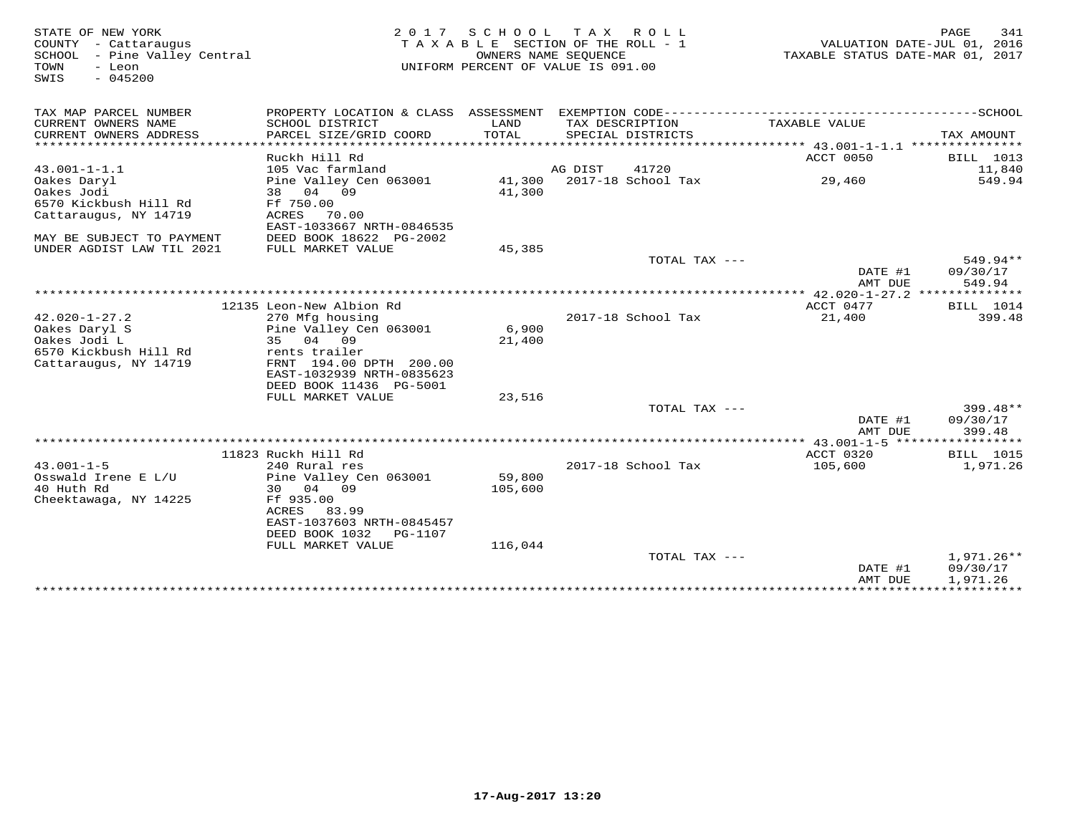| STATE OF NEW YORK            | 2 0 1 7                                                                                      | S C H O O L                      | T A X<br>R O L L                   |                                     | PAGE<br>341      |
|------------------------------|----------------------------------------------------------------------------------------------|----------------------------------|------------------------------------|-------------------------------------|------------------|
| - Cattaraugus<br>COUNTY      | TAXABLE SECTION OF THE ROLL - 1<br>OWNERS NAME SEOUENCE                                      |                                  |                                    | VALUATION DATE-JUL 01, 2016         |                  |
| SCHOOL - Pine Valley Central |                                                                                              | TAXABLE STATUS DATE-MAR 01, 2017 |                                    |                                     |                  |
| TOWN<br>- Leon<br>$-045200$  |                                                                                              |                                  | UNIFORM PERCENT OF VALUE IS 091.00 |                                     |                  |
| SWIS                         |                                                                                              |                                  |                                    |                                     |                  |
|                              |                                                                                              |                                  |                                    |                                     |                  |
| TAX MAP PARCEL NUMBER        | PROPERTY LOCATION & CLASS ASSESSMENT EXEMPTION CODE-----------------------------------SCHOOL |                                  |                                    |                                     |                  |
| CURRENT OWNERS NAME          | SCHOOL DISTRICT                                                                              | LAND                             | TAX DESCRIPTION                    | TAXABLE VALUE                       |                  |
| CURRENT OWNERS ADDRESS       | PARCEL SIZE/GRID COORD                                                                       | TOTAL                            | SPECIAL DISTRICTS                  |                                     | TAX AMOUNT       |
|                              |                                                                                              |                                  |                                    |                                     |                  |
|                              | Ruckh Hill Rd                                                                                |                                  |                                    | ACCT 0050                           | BILL 1013        |
| $43.001 - 1 - 1.1$           | 105 Vac farmland                                                                             |                                  | 41720<br>AG DIST                   |                                     | 11,840           |
| Oakes Daryl                  | Pine Valley Cen 063001                                                                       | 41,300                           | 2017-18 School Tax                 | 29,460                              | 549.94           |
| Oakes Jodi                   | 38 04 09                                                                                     | 41,300                           |                                    |                                     |                  |
| 6570 Kickbush Hill Rd        | Ff 750.00                                                                                    |                                  |                                    |                                     |                  |
| Cattaraugus, NY 14719        | ACRES<br>70.00                                                                               |                                  |                                    |                                     |                  |
|                              | EAST-1033667 NRTH-0846535                                                                    |                                  |                                    |                                     |                  |
| MAY BE SUBJECT TO PAYMENT    | DEED BOOK 18622 PG-2002                                                                      |                                  |                                    |                                     |                  |
| UNDER AGDIST LAW TIL 2021    | FULL MARKET VALUE                                                                            | 45,385                           |                                    |                                     | 549.94**         |
|                              |                                                                                              |                                  | TOTAL TAX ---                      |                                     | 09/30/17         |
|                              |                                                                                              |                                  |                                    | DATE #1<br>AMT DUE                  | 549.94           |
|                              |                                                                                              |                                  |                                    | *************** 42.020-1-27.2 ***** | ********         |
|                              | 12135 Leon-New Albion Rd                                                                     |                                  |                                    | ACCT 0477                           | <b>BILL</b> 1014 |
| $42.020 - 1 - 27.2$          | 270 Mfg housing                                                                              |                                  | 2017-18 School Tax                 | 21,400                              | 399.48           |
| Oakes Daryl S                | Pine Valley Cen 063001                                                                       | 6,900                            |                                    |                                     |                  |
| Oakes Jodi L                 | 35 04 09                                                                                     | 21,400                           |                                    |                                     |                  |
| 6570 Kickbush Hill Rd        | rents trailer                                                                                |                                  |                                    |                                     |                  |
| Cattaraugus, NY 14719        | FRNT 194.00 DPTH 200.00                                                                      |                                  |                                    |                                     |                  |
|                              | EAST-1032939 NRTH-0835623                                                                    |                                  |                                    |                                     |                  |
|                              | DEED BOOK 11436 PG-5001                                                                      |                                  |                                    |                                     |                  |
|                              | FULL MARKET VALUE                                                                            | 23,516                           |                                    |                                     |                  |
|                              |                                                                                              |                                  | TOTAL TAX ---                      |                                     | 399.48**         |
|                              |                                                                                              |                                  |                                    | DATE #1                             | 09/30/17         |
|                              |                                                                                              |                                  |                                    | AMT DUE                             | 399.48           |
|                              |                                                                                              |                                  |                                    |                                     |                  |
|                              | 11823 Ruckh Hill Rd                                                                          |                                  |                                    | ACCT 0320                           | <b>BILL</b> 1015 |
| $43.001 - 1 - 5$             | 240 Rural res                                                                                |                                  | 2017-18 School Tax                 | 105,600                             | 1,971.26         |
| Osswald Irene E L/U          | Pine Valley Cen 063001                                                                       | 59,800                           |                                    |                                     |                  |
| 40 Huth Rd                   | 30 04 09                                                                                     | 105,600                          |                                    |                                     |                  |
| Cheektawaga, NY 14225        | Ff 935.00                                                                                    |                                  |                                    |                                     |                  |
|                              | ACRES<br>83.99                                                                               |                                  |                                    |                                     |                  |
|                              | EAST-1037603 NRTH-0845457                                                                    |                                  |                                    |                                     |                  |
|                              | DEED BOOK 1032<br>PG-1107                                                                    |                                  |                                    |                                     |                  |
|                              | FULL MARKET VALUE                                                                            | 116,044                          |                                    |                                     |                  |
|                              |                                                                                              |                                  | TOTAL TAX $---$                    |                                     | $1,971.26**$     |
|                              |                                                                                              |                                  |                                    | DATE #1                             | 09/30/17         |
|                              |                                                                                              |                                  |                                    | AMT DUE                             | 1,971.26         |
|                              |                                                                                              |                                  |                                    |                                     |                  |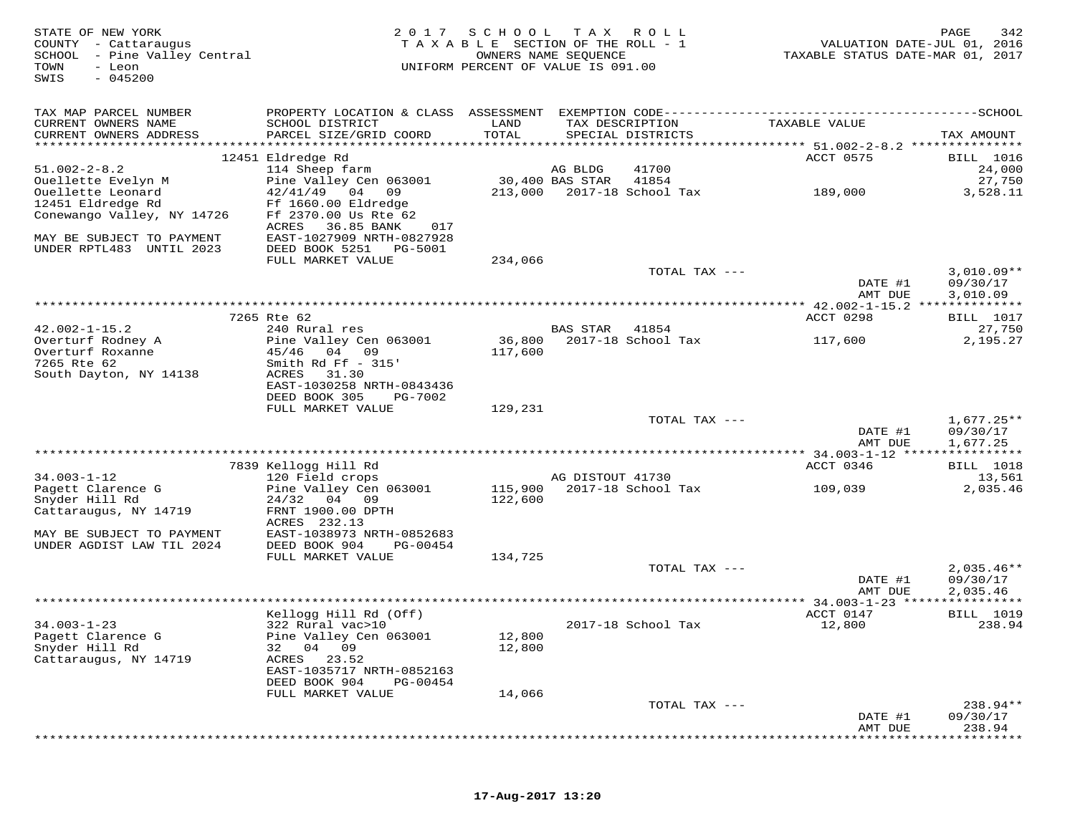| STATE OF NEW YORK<br>COUNTY - Cattaraugus<br>SCHOOL - Pine Valley Central<br>TOWN<br>- Leon<br>$-045200$<br>SWIS | 2 0 1 7                                                 | SCHOOL<br>TAXABLE SECTION OF THE ROLL - 1<br>UNIFORM PERCENT OF VALUE IS 091.00 | T A X<br>OWNERS NAME SEQUENCE | R O L L                              | VALUATION DATE-JUL 01, 2016<br>TAXABLE STATUS DATE-MAR 01, 2017                              | PAGE<br>342          |
|------------------------------------------------------------------------------------------------------------------|---------------------------------------------------------|---------------------------------------------------------------------------------|-------------------------------|--------------------------------------|----------------------------------------------------------------------------------------------|----------------------|
| TAX MAP PARCEL NUMBER                                                                                            |                                                         |                                                                                 |                               |                                      | PROPERTY LOCATION & CLASS ASSESSMENT EXEMPTION CODE-----------------------------------SCHOOL |                      |
| CURRENT OWNERS NAME<br>CURRENT OWNERS ADDRESS                                                                    | SCHOOL DISTRICT<br>PARCEL SIZE/GRID COORD               | LAND<br>TOTAL                                                                   |                               | TAX DESCRIPTION<br>SPECIAL DISTRICTS | TAXABLE VALUE                                                                                | TAX AMOUNT           |
| ************************                                                                                         |                                                         |                                                                                 |                               |                                      |                                                                                              |                      |
| $51.002 - 2 - 8.2$                                                                                               | 12451 Eldredge Rd<br>114 Sheep farm                     |                                                                                 | AG BLDG                       | 41700                                | ACCT 0575                                                                                    | BILL 1016<br>24,000  |
| Ouellette Evelyn M                                                                                               | Pine Valley Cen 063001                                  |                                                                                 | 30,400 BAS STAR               | 41854                                |                                                                                              | 27,750               |
| Ouellette Leonard                                                                                                | 42/41/49<br>04<br>09                                    | 213,000                                                                         |                               | 2017-18 School Tax                   | 189,000                                                                                      | 3,528.11             |
| 12451 Eldredge Rd                                                                                                | Ff 1660.00 Eldredge                                     |                                                                                 |                               |                                      |                                                                                              |                      |
| Conewango Valley, NY 14726                                                                                       | Ff 2370.00 Us Rte 62                                    |                                                                                 |                               |                                      |                                                                                              |                      |
| MAY BE SUBJECT TO PAYMENT                                                                                        | ACRES<br>36.85 BANK<br>017<br>EAST-1027909 NRTH-0827928 |                                                                                 |                               |                                      |                                                                                              |                      |
| UNDER RPTL483 UNTIL 2023                                                                                         | DEED BOOK 5251<br>PG-5001                               |                                                                                 |                               |                                      |                                                                                              |                      |
|                                                                                                                  | FULL MARKET VALUE                                       | 234,066                                                                         |                               |                                      |                                                                                              |                      |
|                                                                                                                  |                                                         |                                                                                 |                               | TOTAL TAX ---                        |                                                                                              | $3,010.09**$         |
|                                                                                                                  |                                                         |                                                                                 |                               |                                      | DATE #1                                                                                      | 09/30/17             |
|                                                                                                                  |                                                         |                                                                                 |                               |                                      | AMT DUE                                                                                      | 3,010.09             |
|                                                                                                                  | 7265 Rte 62                                             |                                                                                 |                               |                                      | ACCT 0298                                                                                    | BILL 1017            |
| $42.002 - 1 - 15.2$                                                                                              | 240 Rural res                                           |                                                                                 | <b>BAS STAR</b>               | 41854                                |                                                                                              | 27,750               |
| Overturf Rodney A                                                                                                | Pine Valley Cen 063001                                  | 36,800                                                                          |                               | 2017-18 School Tax                   | 117,600                                                                                      | 2,195.27             |
| Overturf Roxanne                                                                                                 | 45/46<br>04 09                                          | 117,600                                                                         |                               |                                      |                                                                                              |                      |
| 7265 Rte 62                                                                                                      | Smith Rd Ff $-315'$<br>ACRES<br>31.30                   |                                                                                 |                               |                                      |                                                                                              |                      |
| South Dayton, NY 14138                                                                                           | EAST-1030258 NRTH-0843436                               |                                                                                 |                               |                                      |                                                                                              |                      |
|                                                                                                                  | DEED BOOK 305<br>PG-7002                                |                                                                                 |                               |                                      |                                                                                              |                      |
|                                                                                                                  | FULL MARKET VALUE                                       | 129,231                                                                         |                               |                                      |                                                                                              |                      |
|                                                                                                                  |                                                         |                                                                                 |                               | TOTAL TAX ---                        |                                                                                              | $1,677.25**$         |
|                                                                                                                  |                                                         |                                                                                 |                               |                                      | DATE #1                                                                                      | 09/30/17             |
|                                                                                                                  |                                                         |                                                                                 |                               |                                      | AMT DUE                                                                                      | 1,677.25             |
|                                                                                                                  | 7839 Kellogg Hill Rd                                    |                                                                                 |                               |                                      | ACCT 0346                                                                                    | <b>BILL</b> 1018     |
| $34.003 - 1 - 12$                                                                                                | 120 Field crops                                         |                                                                                 | AG DISTOUT 41730              |                                      |                                                                                              | 13,561               |
| Pagett Clarence G                                                                                                | Pine Valley Cen 063001                                  | 115,900                                                                         |                               | 2017-18 School Tax                   | 109,039                                                                                      | 2,035.46             |
| Snyder Hill Rd                                                                                                   | 24/32<br>04 09                                          | 122,600                                                                         |                               |                                      |                                                                                              |                      |
| Cattaraugus, NY 14719                                                                                            | FRNT 1900.00 DPTH<br>ACRES 232.13                       |                                                                                 |                               |                                      |                                                                                              |                      |
| MAY BE SUBJECT TO PAYMENT                                                                                        | EAST-1038973 NRTH-0852683                               |                                                                                 |                               |                                      |                                                                                              |                      |
| UNDER AGDIST LAW TIL 2024                                                                                        | DEED BOOK 904<br>PG-00454                               |                                                                                 |                               |                                      |                                                                                              |                      |
|                                                                                                                  | FULL MARKET VALUE                                       | 134,725                                                                         |                               |                                      |                                                                                              |                      |
|                                                                                                                  |                                                         |                                                                                 |                               | TOTAL TAX ---                        |                                                                                              | $2,035.46**$         |
|                                                                                                                  |                                                         |                                                                                 |                               |                                      | DATE #1<br>AMT DUE                                                                           | 09/30/17<br>2,035.46 |
|                                                                                                                  |                                                         |                                                                                 |                               |                                      | *************** 34.003-1-23 *****************                                                |                      |
|                                                                                                                  | Kellogg Hill Rd (Off)                                   |                                                                                 |                               |                                      | ACCT 0147                                                                                    | BILL 1019            |
| $34.003 - 1 - 23$                                                                                                | 322 Rural vac>10                                        |                                                                                 |                               | 2017-18 School Tax                   | 12,800                                                                                       | 238.94               |
| Pagett Clarence G                                                                                                | Pine Valley Cen 063001                                  | 12,800                                                                          |                               |                                      |                                                                                              |                      |
| Snyder Hill Rd<br>Cattaraugus, NY 14719                                                                          | 32<br>04 09<br>ACRES<br>23.52                           | 12,800                                                                          |                               |                                      |                                                                                              |                      |
|                                                                                                                  | EAST-1035717 NRTH-0852163                               |                                                                                 |                               |                                      |                                                                                              |                      |
|                                                                                                                  | DEED BOOK 904<br>PG-00454                               |                                                                                 |                               |                                      |                                                                                              |                      |
|                                                                                                                  | FULL MARKET VALUE                                       | 14,066                                                                          |                               |                                      |                                                                                              |                      |
|                                                                                                                  |                                                         |                                                                                 |                               | TOTAL TAX ---                        |                                                                                              | 238.94**             |
|                                                                                                                  |                                                         |                                                                                 |                               |                                      | DATE #1<br>AMT DUE                                                                           | 09/30/17<br>238.94   |
|                                                                                                                  |                                                         |                                                                                 |                               |                                      |                                                                                              |                      |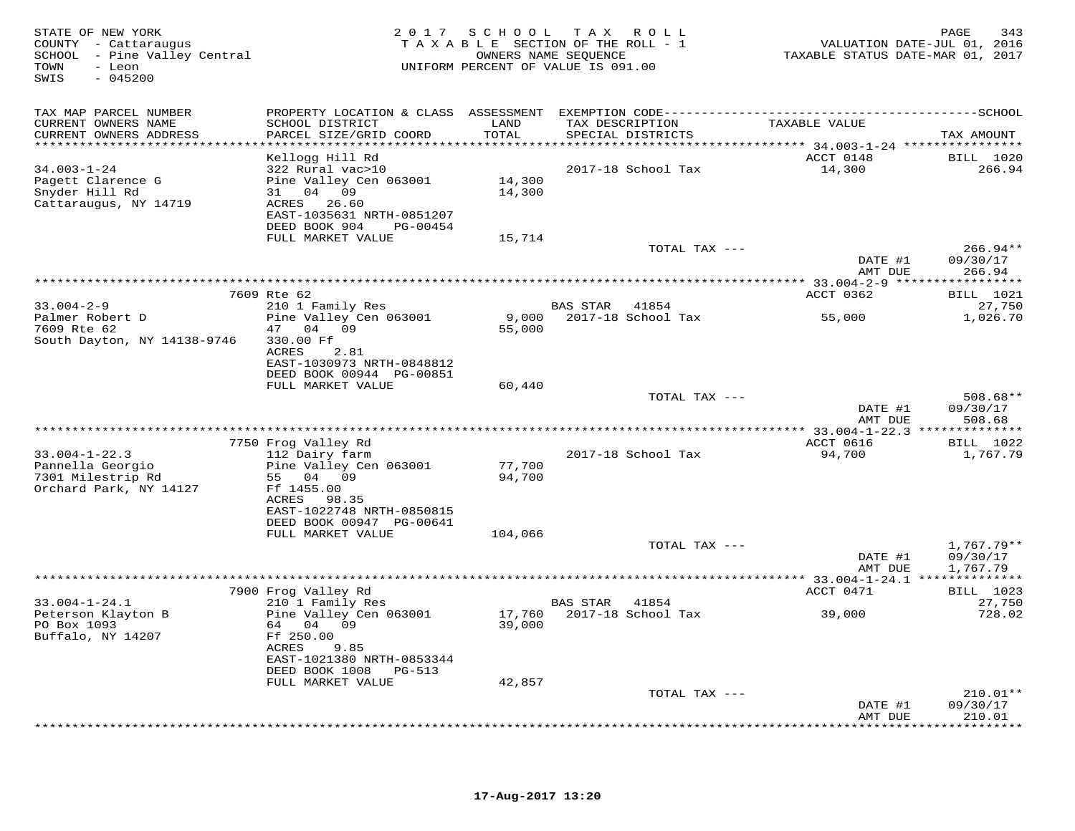| STATE OF NEW YORK<br>COUNTY - Cattaraugus<br>SCHOOL - Pine Valley Central<br>- Leon<br>TOWN<br>SWIS<br>$-045200$ |                                                                       |                                  | 2017 SCHOOL TAX ROLL<br>TAXABLE SECTION OF THE ROLL - 1<br>OWNERS NAME SEQUENCE<br>UNIFORM PERCENT OF VALUE IS 091.00 | TAXABLE STATUS DATE-MAR 01, 2017 | PAGE<br>343<br>VALUATION DATE-JUL 01, 2016 |
|------------------------------------------------------------------------------------------------------------------|-----------------------------------------------------------------------|----------------------------------|-----------------------------------------------------------------------------------------------------------------------|----------------------------------|--------------------------------------------|
| TAX MAP PARCEL NUMBER                                                                                            |                                                                       |                                  |                                                                                                                       |                                  |                                            |
| CURRENT OWNERS NAME<br>CURRENT OWNERS ADDRESS<br>***********************                                         | SCHOOL DISTRICT<br>PARCEL SIZE/GRID COORD<br>************************ | LAND<br>TOTAL<br>*************** | TAX DESCRIPTION<br>SPECIAL DISTRICTS                                                                                  | TAXABLE VALUE                    | TAX AMOUNT                                 |
|                                                                                                                  | Kellogg Hill Rd                                                       |                                  |                                                                                                                       | ACCT 0148                        | <b>BILL</b> 1020                           |
| $34.003 - 1 - 24$                                                                                                | 322 Rural vac>10                                                      |                                  | 2017-18 School Tax                                                                                                    | 14,300                           | 266.94                                     |
| Pagett Clarence G                                                                                                | Pine Valley Cen 063001                                                | 14,300                           |                                                                                                                       |                                  |                                            |
| Snyder Hill Rd                                                                                                   | 31 04 09                                                              | 14,300                           |                                                                                                                       |                                  |                                            |
| Cattaraugus, NY 14719                                                                                            | ACRES 26.60<br>EAST-1035631 NRTH-0851207                              |                                  |                                                                                                                       |                                  |                                            |
|                                                                                                                  | DEED BOOK 904<br>PG-00454                                             |                                  |                                                                                                                       |                                  |                                            |
|                                                                                                                  | FULL MARKET VALUE                                                     | 15,714                           |                                                                                                                       |                                  |                                            |
|                                                                                                                  |                                                                       |                                  | TOTAL TAX ---                                                                                                         |                                  | $266.94**$                                 |
|                                                                                                                  |                                                                       |                                  |                                                                                                                       | DATE #1                          | 09/30/17                                   |
|                                                                                                                  |                                                                       |                                  |                                                                                                                       | AMT DUE                          | 266.94<br>***********                      |
|                                                                                                                  | 7609 Rte 62                                                           |                                  |                                                                                                                       | ACCT 0362                        | <b>BILL</b> 1021                           |
| $33.004 - 2 - 9$                                                                                                 | 210 1 Family Res                                                      |                                  | BAS STAR<br>41854                                                                                                     |                                  | 27,750                                     |
| Palmer Robert D                                                                                                  | Pine Valley Cen 063001                                                | 9,000                            | 2017-18 School Tax                                                                                                    | 55,000                           | 1,026.70                                   |
| 7609 Rte 62                                                                                                      | 04 09<br>47                                                           | 55,000                           |                                                                                                                       |                                  |                                            |
| South Dayton, NY 14138-9746                                                                                      | 330.00 Ff                                                             |                                  |                                                                                                                       |                                  |                                            |
|                                                                                                                  | ACRES<br>2.81<br>EAST-1030973 NRTH-0848812                            |                                  |                                                                                                                       |                                  |                                            |
|                                                                                                                  | DEED BOOK 00944 PG-00851                                              |                                  |                                                                                                                       |                                  |                                            |
|                                                                                                                  | FULL MARKET VALUE                                                     | 60,440                           |                                                                                                                       |                                  |                                            |
|                                                                                                                  |                                                                       |                                  | TOTAL TAX ---                                                                                                         |                                  | $508.68**$                                 |
|                                                                                                                  |                                                                       |                                  |                                                                                                                       | DATE #1<br>AMT DUE               | 09/30/17<br>508.68                         |
|                                                                                                                  |                                                                       | ************************         |                                                                                                                       | ********** 33.004-1-22.3 ***     | * * * * * * * * *                          |
|                                                                                                                  | 7750 Frog Valley Rd                                                   |                                  |                                                                                                                       | ACCT 0616                        | <b>BILL</b> 1022                           |
| $33.004 - 1 - 22.3$                                                                                              | 112 Dairy farm                                                        |                                  | 2017-18 School Tax                                                                                                    | 94,700                           | 1,767.79                                   |
| Pannella Georgio                                                                                                 | Pine Valley Cen 063001                                                | 77,700                           |                                                                                                                       |                                  |                                            |
| 7301 Milestrip Rd<br>Orchard Park, NY 14127                                                                      | 55 04 09<br>Ff 1455.00                                                | 94,700                           |                                                                                                                       |                                  |                                            |
|                                                                                                                  | ACRES 98.35                                                           |                                  |                                                                                                                       |                                  |                                            |
|                                                                                                                  | EAST-1022748 NRTH-0850815                                             |                                  |                                                                                                                       |                                  |                                            |
|                                                                                                                  | DEED BOOK 00947 PG-00641                                              |                                  |                                                                                                                       |                                  |                                            |
|                                                                                                                  | FULL MARKET VALUE                                                     | 104,066                          |                                                                                                                       |                                  |                                            |
|                                                                                                                  |                                                                       |                                  | TOTAL TAX ---                                                                                                         |                                  | $1,767.79**$                               |
|                                                                                                                  |                                                                       |                                  |                                                                                                                       | DATE #1<br>AMT DUE               | 09/30/17<br>1,767.79                       |
|                                                                                                                  |                                                                       |                                  |                                                                                                                       |                                  |                                            |
|                                                                                                                  | 7900 Frog Valley Rd                                                   |                                  |                                                                                                                       | ACCT 0471                        | BILL 1023                                  |
| $33.004 - 1 - 24.1$                                                                                              | 210 1 Family Res                                                      |                                  | BAS STAR<br>41854                                                                                                     |                                  | 27,750                                     |
| Peterson Klayton B<br>PO Box 1093                                                                                | Pine Valley Cen 063001<br>64 04 09                                    | 17,760<br>39,000                 | 2017-18 School Tax                                                                                                    | 39,000                           | 728.02                                     |
| Buffalo, NY 14207                                                                                                | Ff 250.00                                                             |                                  |                                                                                                                       |                                  |                                            |
|                                                                                                                  | ACRES<br>9.85                                                         |                                  |                                                                                                                       |                                  |                                            |
|                                                                                                                  | EAST-1021380 NRTH-0853344                                             |                                  |                                                                                                                       |                                  |                                            |
|                                                                                                                  | DEED BOOK 1008<br>PG-513                                              |                                  |                                                                                                                       |                                  |                                            |
|                                                                                                                  | FULL MARKET VALUE                                                     | 42,857                           |                                                                                                                       |                                  |                                            |
|                                                                                                                  |                                                                       |                                  | TOTAL TAX ---                                                                                                         | DATE #1                          | $210.01**$<br>09/30/17                     |
|                                                                                                                  |                                                                       |                                  |                                                                                                                       | AMT DUE                          | 210.01                                     |
|                                                                                                                  |                                                                       |                                  |                                                                                                                       | ************                     | * * * * * * * * * *                        |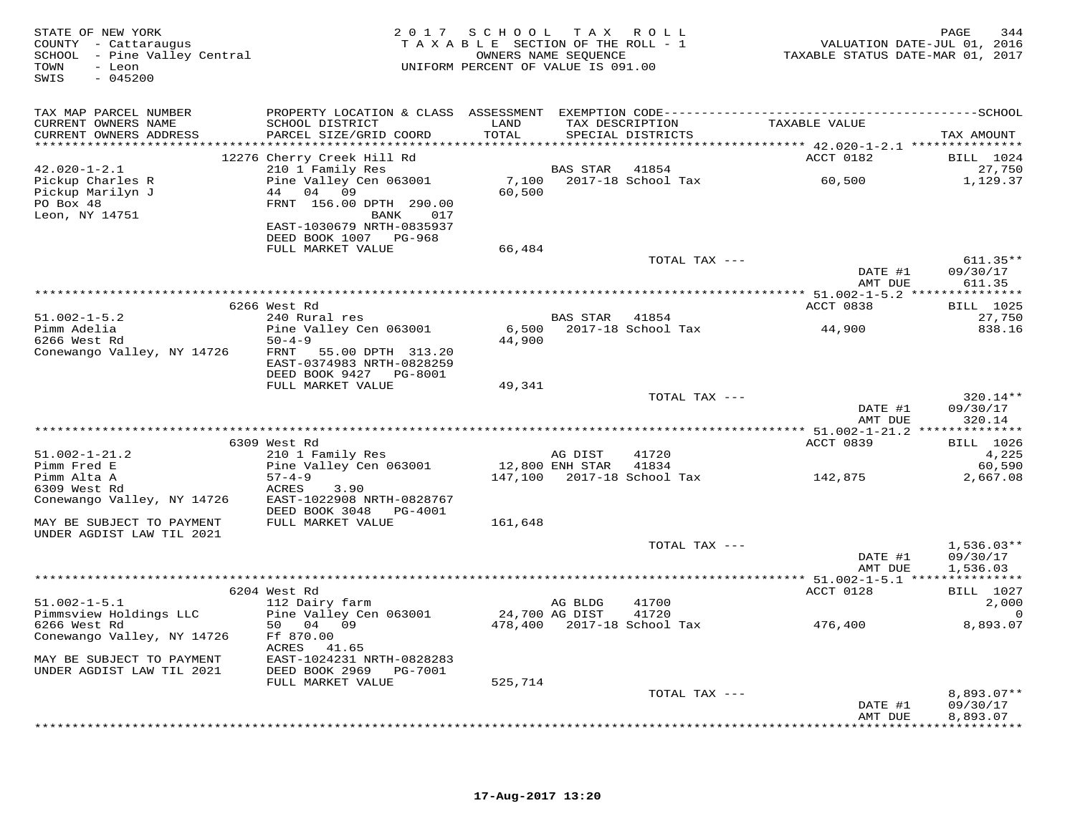| STATE OF NEW YORK<br>COUNTY - Cattaraugus<br>SCHOOL - Pine Valley Central<br>TOWN<br>- Leon<br>SWIS<br>$-045200$ |                                                    | 2017 SCHOOL TAX ROLL<br>TAXABLE SECTION OF THE ROLL - 1<br>UNIFORM PERCENT OF VALUE IS 091.00 | OWNERS NAME SEQUENCE |                                  | VALUATION DATE-JUL 01, 2016<br>TAXABLE STATUS DATE-MAR 01, 2017 | PAGE<br>344                |
|------------------------------------------------------------------------------------------------------------------|----------------------------------------------------|-----------------------------------------------------------------------------------------------|----------------------|----------------------------------|-----------------------------------------------------------------|----------------------------|
| TAX MAP PARCEL NUMBER                                                                                            |                                                    |                                                                                               |                      |                                  |                                                                 |                            |
| CURRENT OWNERS NAME                                                                                              | SCHOOL DISTRICT                                    | LAND                                                                                          |                      | TAX DESCRIPTION                  | TAXABLE VALUE                                                   |                            |
| CURRENT OWNERS ADDRESS                                                                                           | PARCEL SIZE/GRID COORD                             | TOTAL                                                                                         |                      | SPECIAL DISTRICTS                |                                                                 | TAX AMOUNT                 |
|                                                                                                                  | 12276 Cherry Creek Hill Rd                         |                                                                                               |                      |                                  | ACCT 0182                                                       | BILL 1024                  |
| $42.020 - 1 - 2.1$                                                                                               | 210 1 Family Res                                   |                                                                                               | <b>BAS STAR</b>      | 41854                            |                                                                 | 27,750                     |
| Pickup Charles R                                                                                                 | Pine Valley Cen 063001                             | 7,100                                                                                         |                      | 2017-18 School Tax               | 60,500                                                          | 1,129.37                   |
| Pickup Marilyn J                                                                                                 | 44 04 09                                           | 60,500                                                                                        |                      |                                  |                                                                 |                            |
| PO Box 48                                                                                                        | FRNT 156.00 DPTH 290.00                            |                                                                                               |                      |                                  |                                                                 |                            |
| Leon, NY 14751                                                                                                   | 017<br>BANK                                        |                                                                                               |                      |                                  |                                                                 |                            |
|                                                                                                                  | EAST-1030679 NRTH-0835937<br>DEED BOOK 1007 PG-968 |                                                                                               |                      |                                  |                                                                 |                            |
|                                                                                                                  | FULL MARKET VALUE                                  | 66,484                                                                                        |                      |                                  |                                                                 |                            |
|                                                                                                                  |                                                    |                                                                                               |                      | TOTAL TAX ---                    |                                                                 | $611.35**$                 |
|                                                                                                                  |                                                    |                                                                                               |                      |                                  | DATE #1                                                         | 09/30/17                   |
|                                                                                                                  |                                                    |                                                                                               |                      |                                  | AMT DUE                                                         | 611.35                     |
|                                                                                                                  |                                                    |                                                                                               |                      |                                  |                                                                 |                            |
| $51.002 - 1 - 5.2$                                                                                               | 6266 West Rd<br>240 Rural res                      |                                                                                               | BAS STAR             | 41854                            | ACCT 0838                                                       | <b>BILL</b> 1025<br>27,750 |
| Pimm Adelia                                                                                                      | Pine Valley Cen 063001                             | 6,500                                                                                         |                      | 2017-18 School Tax               | 44,900                                                          | 838.16                     |
| 6266 West Rd                                                                                                     | $50 - 4 - 9$                                       | 44,900                                                                                        |                      |                                  |                                                                 |                            |
| Conewango Valley, NY 14726                                                                                       | FRNT 55.00 DPTH 313.20                             |                                                                                               |                      |                                  |                                                                 |                            |
|                                                                                                                  | EAST-0374983 NRTH-0828259                          |                                                                                               |                      |                                  |                                                                 |                            |
|                                                                                                                  | DEED BOOK 9427 PG-8001                             |                                                                                               |                      |                                  |                                                                 |                            |
|                                                                                                                  | FULL MARKET VALUE                                  | 49,341                                                                                        |                      | TOTAL TAX ---                    |                                                                 | 320.14**                   |
|                                                                                                                  |                                                    |                                                                                               |                      |                                  | DATE #1                                                         | 09/30/17                   |
|                                                                                                                  |                                                    |                                                                                               |                      |                                  | AMT DUE                                                         | 320.14                     |
|                                                                                                                  |                                                    |                                                                                               |                      |                                  |                                                                 |                            |
|                                                                                                                  | 6309 West Rd                                       |                                                                                               |                      |                                  | ACCT 0839                                                       | BILL 1026                  |
| $51.002 - 1 - 21.2$                                                                                              | 210 1 Family Res                                   |                                                                                               | AG DIST              | 41720                            |                                                                 | 4,225                      |
| Pimm Fred E<br>Pimm Alta A                                                                                       | Pine Valley Cen 063001<br>$57 - 4 - 9$             |                                                                                               | 12,800 ENH STAR      | 41834                            | 142,875                                                         | 60,590                     |
| 6309 West Rd                                                                                                     | ACRES<br>3.90                                      |                                                                                               |                      |                                  |                                                                 | 2,667.08                   |
| Conewango Valley, NY 14726                                                                                       | EAST-1022908 NRTH-0828767                          |                                                                                               |                      |                                  |                                                                 |                            |
|                                                                                                                  | DEED BOOK 3048 PG-4001                             |                                                                                               |                      |                                  |                                                                 |                            |
| MAY BE SUBJECT TO PAYMENT                                                                                        | FULL MARKET VALUE                                  | 161,648                                                                                       |                      |                                  |                                                                 |                            |
| UNDER AGDIST LAW TIL 2021                                                                                        |                                                    |                                                                                               |                      |                                  |                                                                 |                            |
|                                                                                                                  |                                                    |                                                                                               |                      | TOTAL TAX ---                    | DATE #1                                                         | $1,536.03**$<br>09/30/17   |
|                                                                                                                  |                                                    |                                                                                               |                      |                                  | AMT DUE                                                         | 1,536.03                   |
|                                                                                                                  |                                                    |                                                                                               |                      |                                  |                                                                 |                            |
|                                                                                                                  | 6204 West Rd                                       |                                                                                               |                      |                                  | ACCT 0128                                                       | <b>BILL</b> 1027           |
| $51.002 - 1 - 5.1$                                                                                               | 112 Dairy farm                                     |                                                                                               | AG BLDG              | 41700                            |                                                                 | 2,000                      |
| Pimmsview Holdings LLC                                                                                           | Pine Valley Cen 063001                             | 24,700 AG DIST                                                                                |                      | 41720                            |                                                                 | 0                          |
| 6266 West Rd                                                                                                     | 50 04 09<br>Ff 870.00                              |                                                                                               |                      | 478,400    2017-18    School Tax | 476,400                                                         | 8,893.07                   |
| Conewango Valley, NY 14726                                                                                       | ACRES 41.65                                        |                                                                                               |                      |                                  |                                                                 |                            |
| MAY BE SUBJECT TO PAYMENT                                                                                        | EAST-1024231 NRTH-0828283                          |                                                                                               |                      |                                  |                                                                 |                            |
| UNDER AGDIST LAW TIL 2021                                                                                        | DEED BOOK 2969 PG-7001                             |                                                                                               |                      |                                  |                                                                 |                            |
|                                                                                                                  | FULL MARKET VALUE                                  | 525,714                                                                                       |                      |                                  |                                                                 |                            |
|                                                                                                                  |                                                    |                                                                                               |                      | TOTAL TAX ---                    |                                                                 | 8,893.07**                 |
|                                                                                                                  |                                                    |                                                                                               |                      |                                  | DATE #1                                                         | 09/30/17                   |
|                                                                                                                  |                                                    |                                                                                               |                      |                                  | AMT DUE                                                         | 8,893.07                   |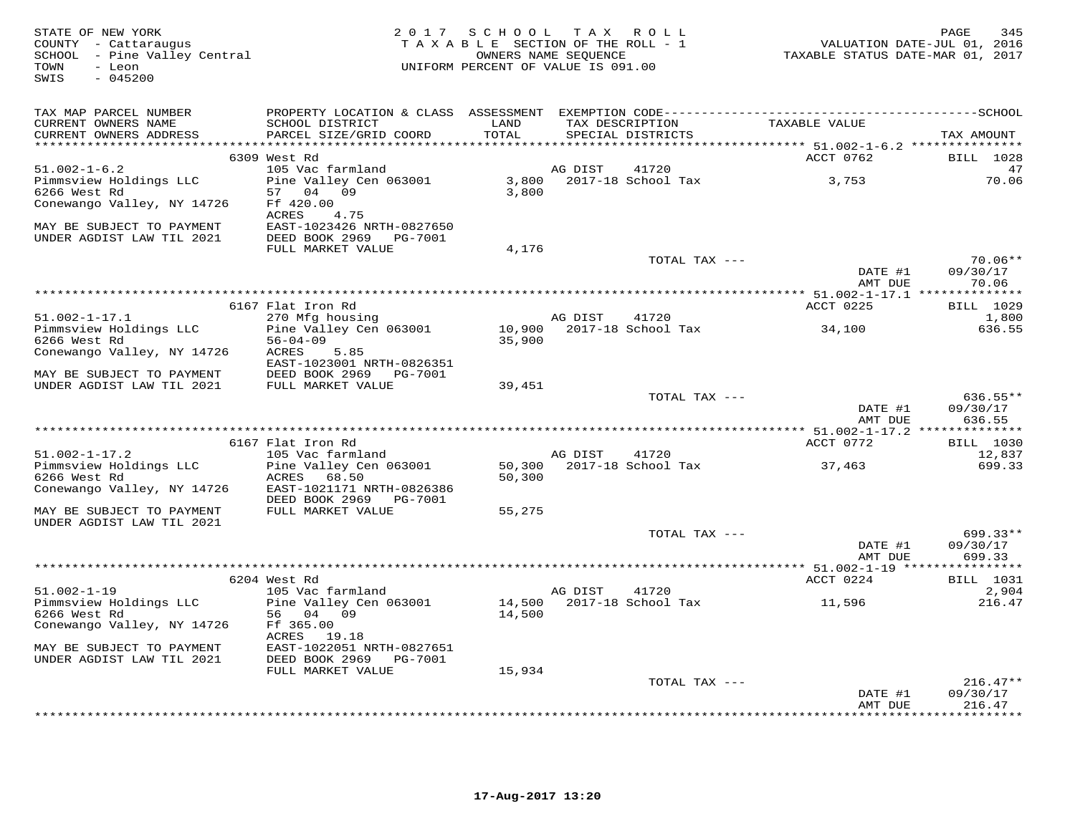| STATE OF NEW YORK<br>COUNTY - Cattaraugus<br>SCHOOL - Pine Valley Central<br>TOWN<br>- Leon<br>$-045200$<br>SWIS |                                                     |        | 2017 SCHOOL TAX ROLL<br>TAXABLE SECTION OF THE ROLL - 1<br>OWNERS NAME SEOUENCE<br>UNIFORM PERCENT OF VALUE IS 091.00 | TAXABLE STATUS DATE-MAR 01, 2017 | PAGE<br>345<br>VALUATION DATE-JUL 01, 2016 |
|------------------------------------------------------------------------------------------------------------------|-----------------------------------------------------|--------|-----------------------------------------------------------------------------------------------------------------------|----------------------------------|--------------------------------------------|
| TAX MAP PARCEL NUMBER                                                                                            |                                                     |        |                                                                                                                       |                                  |                                            |
| CURRENT OWNERS NAME                                                                                              | SCHOOL DISTRICT                                     | LAND   | TAX DESCRIPTION                                                                                                       | TAXABLE VALUE                    |                                            |
| CURRENT OWNERS ADDRESS                                                                                           | PARCEL SIZE/GRID COORD                              | TOTAL  | SPECIAL DISTRICTS                                                                                                     |                                  | TAX AMOUNT                                 |
|                                                                                                                  | 6309 West Rd                                        |        |                                                                                                                       | ACCT 0762                        | BILL 1028                                  |
| $51.002 - 1 - 6.2$                                                                                               | 105 Vac farmland                                    |        | AG DIST<br>41720                                                                                                      |                                  | 47                                         |
| Pimmsview Holdings LLC                                                                                           | Pine Valley Cen 063001                              |        | 3,800 2017-18 School Tax                                                                                              | 3,753                            | 70.06                                      |
| 6266 West Rd                                                                                                     | 57 04 09                                            | 3,800  |                                                                                                                       |                                  |                                            |
| Conewango Valley, NY 14726                                                                                       | Ff 420.00                                           |        |                                                                                                                       |                                  |                                            |
|                                                                                                                  | ACRES<br>4.75                                       |        |                                                                                                                       |                                  |                                            |
| MAY BE SUBJECT TO PAYMENT<br>UNDER AGDIST LAW TIL 2021                                                           | EAST-1023426 NRTH-0827650<br>DEED BOOK 2969 PG-7001 |        |                                                                                                                       |                                  |                                            |
|                                                                                                                  | FULL MARKET VALUE                                   | 4,176  |                                                                                                                       |                                  |                                            |
|                                                                                                                  |                                                     |        | TOTAL TAX ---                                                                                                         |                                  | $70.06**$                                  |
|                                                                                                                  |                                                     |        |                                                                                                                       | DATE #1<br>AMT DUE               | 09/30/17<br>70.06                          |
|                                                                                                                  |                                                     |        |                                                                                                                       |                                  |                                            |
| $51.002 - 1 - 17.1$                                                                                              | 6167 Flat Iron Rd                                   |        | AG DIST<br>41720                                                                                                      | ACCT 0225                        | <b>BILL</b> 1029                           |
| Pimmsview Holdings LLC                                                                                           | 270 Mfg housing<br>Pine Valley Cen 063001           |        | 10,900 2017-18 School Tax                                                                                             | 34,100                           | 1,800<br>636.55                            |
| 6266 West Rd                                                                                                     | $56 - 04 - 09$                                      | 35,900 |                                                                                                                       |                                  |                                            |
| Conewango Valley, NY 14726                                                                                       | ACRES<br>5.85<br>EAST-1023001 NRTH-0826351          |        |                                                                                                                       |                                  |                                            |
| MAY BE SUBJECT TO PAYMENT                                                                                        | DEED BOOK 2969    PG-7001                           |        |                                                                                                                       |                                  |                                            |
| UNDER AGDIST LAW TIL 2021                                                                                        | FULL MARKET VALUE                                   | 39,451 |                                                                                                                       |                                  |                                            |
|                                                                                                                  |                                                     |        | TOTAL TAX ---                                                                                                         | DATE #1<br>AMT DUE               | 636.55**<br>09/30/17<br>636.55             |
|                                                                                                                  |                                                     |        |                                                                                                                       |                                  |                                            |
|                                                                                                                  | 6167 Flat Iron Rd                                   |        |                                                                                                                       | ACCT 0772                        | BILL 1030                                  |
| $51.002 - 1 - 17.2$                                                                                              | 105 Vac farmland                                    |        | AG DIST<br>41720                                                                                                      |                                  | 12,837                                     |
| Pimmsview Holdings LLC                                                                                           | Pine Valley Cen 063001                              |        | 50,300 2017-18 School Tax                                                                                             | 37,463                           | 699.33                                     |
| 6266 West Rd<br>Conewango Valley, NY 14726                                                                       | ACRES 68.50<br>EAST-1021171 NRTH-0826386            | 50,300 |                                                                                                                       |                                  |                                            |
|                                                                                                                  | DEED BOOK 2969    PG-7001                           |        |                                                                                                                       |                                  |                                            |
| MAY BE SUBJECT TO PAYMENT                                                                                        | FULL MARKET VALUE                                   | 55,275 |                                                                                                                       |                                  |                                            |
| UNDER AGDIST LAW TIL 2021                                                                                        |                                                     |        |                                                                                                                       |                                  |                                            |
|                                                                                                                  |                                                     |        | TOTAL TAX ---                                                                                                         |                                  | 699.33**                                   |
|                                                                                                                  |                                                     |        |                                                                                                                       | DATE #1                          | 09/30/17                                   |
|                                                                                                                  |                                                     |        |                                                                                                                       | AMT DUE                          | 699.33<br>***********                      |
|                                                                                                                  | 6204 West Rd                                        |        |                                                                                                                       | ACCT 0224                        | BILL 1031                                  |
| $51.002 - 1 - 19$                                                                                                | 105 Vac farmland                                    |        | AG DIST<br>41720                                                                                                      |                                  | 2,904                                      |
| Pimmsview Holdings LLC                                                                                           | Pine Valley Cen 063001                              | 14,500 | 2017-18 School Tax                                                                                                    | 11,596                           | 216.47                                     |
| 6266 West Rd                                                                                                     | 56 04 09                                            | 14,500 |                                                                                                                       |                                  |                                            |
| Conewango Valley, NY 14726                                                                                       | Ff 365.00<br>ACRES 19.18                            |        |                                                                                                                       |                                  |                                            |
| MAY BE SUBJECT TO PAYMENT                                                                                        | EAST-1022051 NRTH-0827651                           |        |                                                                                                                       |                                  |                                            |
| UNDER AGDIST LAW TIL 2021                                                                                        | DEED BOOK 2969<br>PG-7001                           |        |                                                                                                                       |                                  |                                            |
|                                                                                                                  | FULL MARKET VALUE                                   | 15,934 |                                                                                                                       |                                  |                                            |
|                                                                                                                  |                                                     |        | TOTAL TAX ---                                                                                                         |                                  | $216.47**$                                 |
|                                                                                                                  |                                                     |        |                                                                                                                       | DATE #1                          | 09/30/17                                   |
|                                                                                                                  |                                                     |        |                                                                                                                       | AMT DUE                          | 216.47<br>· * * * * * * * * *              |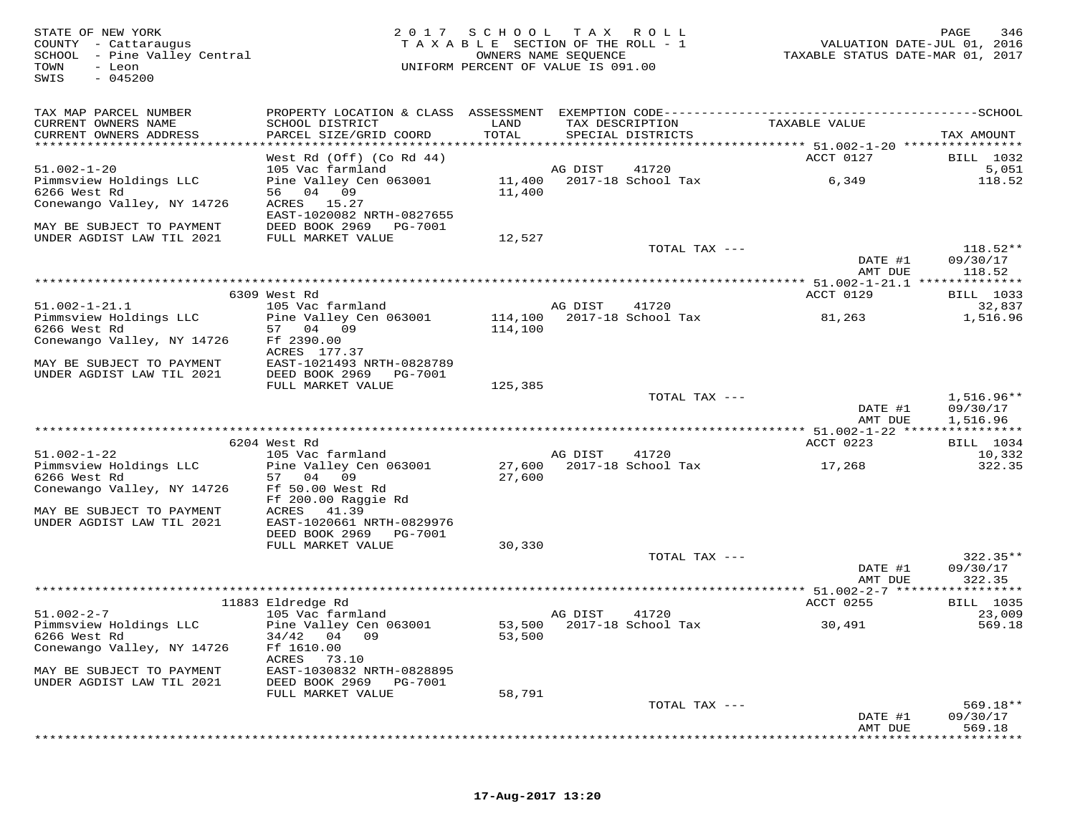TOWN - Leon<br>SWIS - 045200

## STATE OF NEW YORK CONTROLLED A LOCAL SOCIAL CONTRACT A VIOLATION OF NEW YORK SALL PAGE 346 COUNTY - Cattaraugus T A X A B L E SECTION OF THE ROLL - 1 VALUATION DATE-JUL 01, 2016SCHOOL – Pine Valley Central OWNERS NAME SEQUENCE TAXABLE STATUS DATE-MAR 01, 2017 UNIFORM PERCENT OF VALUE IS 091.00

| TAX MAP PARCEL NUMBER<br>CURRENT OWNERS NAME<br>CURRENT OWNERS ADDRESS | PROPERTY LOCATION & CLASS ASSESSMENT EXEMPTION CODE------------<br>SCHOOL DISTRICT<br>PARCEL SIZE/GRID COORD | LAND<br>TOTAL    |         | TAX DESCRIPTION<br>SPECIAL DISTRICTS | TAXABLE VALUE      | ------------SCHOOL<br>TAX AMOUNT |
|------------------------------------------------------------------------|--------------------------------------------------------------------------------------------------------------|------------------|---------|--------------------------------------|--------------------|----------------------------------|
| ******************************                                         |                                                                                                              |                  |         |                                      |                    |                                  |
|                                                                        | West Rd (Off) (Co Rd 44)                                                                                     |                  |         |                                      | ACCT 0127          | BILL 1032                        |
| $51.002 - 1 - 20$                                                      | 105 Vac farmland                                                                                             |                  | AG DIST | 41720                                |                    | 5,051                            |
| Pimmsview Holdings LLC                                                 | Pine Valley Cen 063001                                                                                       |                  |         | 11,400 2017-18 School Tax            | 6,349              | 118.52                           |
| 6266 West Rd                                                           | 56 04 09                                                                                                     | 11,400           |         |                                      |                    |                                  |
| Conewango Valley, NY 14726                                             | ACRES 15.27                                                                                                  |                  |         |                                      |                    |                                  |
|                                                                        | EAST-1020082 NRTH-0827655                                                                                    |                  |         |                                      |                    |                                  |
| MAY BE SUBJECT TO PAYMENT                                              | DEED BOOK 2969<br>PG-7001                                                                                    |                  |         |                                      |                    |                                  |
| UNDER AGDIST LAW TIL 2021                                              | FULL MARKET VALUE                                                                                            | 12,527           |         |                                      |                    |                                  |
|                                                                        |                                                                                                              |                  |         | TOTAL TAX ---                        |                    | $118.52**$                       |
|                                                                        |                                                                                                              |                  |         |                                      | DATE #1            | 09/30/17                         |
|                                                                        |                                                                                                              |                  |         |                                      | AMT DUE            | 118.52                           |
|                                                                        |                                                                                                              |                  |         |                                      |                    |                                  |
|                                                                        | 6309 West Rd                                                                                                 |                  |         |                                      | ACCT 0129          | BILL 1033                        |
| $51.002 - 1 - 21.1$                                                    | 105 Vac farmland                                                                                             |                  | AG DIST | 41720                                |                    | 32,837                           |
| Pimmsview Holdings LLC                                                 | Pine Valley Cen 063001                                                                                       |                  |         | 114,100 2017-18 School Tax           | 81,263             | 1,516.96                         |
| 6266 West Rd                                                           | 57 04 09                                                                                                     | 114,100          |         |                                      |                    |                                  |
| Conewango Valley, NY 14726                                             | Ff 2390.00                                                                                                   |                  |         |                                      |                    |                                  |
|                                                                        | ACRES 177.37                                                                                                 |                  |         |                                      |                    |                                  |
| MAY BE SUBJECT TO PAYMENT                                              | EAST-1021493 NRTH-0828789                                                                                    |                  |         |                                      |                    |                                  |
| UNDER AGDIST LAW TIL 2021                                              | DEED BOOK 2969<br>PG-7001                                                                                    |                  |         |                                      |                    |                                  |
|                                                                        | FULL MARKET VALUE                                                                                            | 125,385          |         |                                      |                    |                                  |
|                                                                        |                                                                                                              |                  |         | TOTAL TAX ---                        |                    | $1,516.96**$                     |
|                                                                        |                                                                                                              |                  |         |                                      | DATE #1            | 09/30/17                         |
|                                                                        |                                                                                                              |                  |         |                                      | AMT DUE            | 1,516.96                         |
|                                                                        |                                                                                                              |                  |         |                                      |                    |                                  |
|                                                                        | 6204 West Rd                                                                                                 |                  |         |                                      | ACCT 0223          | BILL 1034                        |
| $51.002 - 1 - 22$                                                      | 105 Vac farmland                                                                                             |                  | AG DIST | 41720                                |                    | 10,332                           |
| Pimmsview Holdings LLC                                                 | Pine Valley Cen 063001                                                                                       | 27,600<br>27,600 |         | 2017-18 School Tax                   | 17,268             | 322.35                           |
| 6266 West Rd                                                           | 57 04 09                                                                                                     |                  |         |                                      |                    |                                  |
|                                                                        |                                                                                                              |                  |         |                                      |                    |                                  |
| Conewango Valley, NY 14726                                             | Ff 50.00 West Rd                                                                                             |                  |         |                                      |                    |                                  |
|                                                                        | Ff 200.00 Raggie Rd                                                                                          |                  |         |                                      |                    |                                  |
| MAY BE SUBJECT TO PAYMENT                                              | ACRES 41.39                                                                                                  |                  |         |                                      |                    |                                  |
| UNDER AGDIST LAW TIL 2021                                              | EAST-1020661 NRTH-0829976                                                                                    |                  |         |                                      |                    |                                  |
|                                                                        | DEED BOOK 2969 PG-7001                                                                                       |                  |         |                                      |                    |                                  |
|                                                                        | FULL MARKET VALUE                                                                                            | 30,330           |         |                                      |                    |                                  |
|                                                                        |                                                                                                              |                  |         | TOTAL TAX ---                        |                    | $322.35**$                       |
|                                                                        |                                                                                                              |                  |         |                                      | DATE #1            | 09/30/17                         |
|                                                                        |                                                                                                              |                  |         |                                      | AMT DUE            | 322.35                           |
|                                                                        |                                                                                                              |                  |         |                                      |                    |                                  |
|                                                                        | 11883 Eldredge Rd                                                                                            |                  |         |                                      | ACCT 0255          | BILL 1035                        |
| $51.002 - 2 - 7$                                                       | 105 Vac farmland                                                                                             |                  | AG DIST | 41720                                |                    | 23,009                           |
| Pimmsview Holdings LLC                                                 | Pine Valley Cen 063001                                                                                       | 53,500           |         | 2017-18 School Tax                   | 30,491             | 569.18                           |
| 6266 West Rd                                                           | $34/42$ 04 09                                                                                                | 53,500           |         |                                      |                    |                                  |
| Conewango Valley, NY 14726                                             | Ff 1610.00                                                                                                   |                  |         |                                      |                    |                                  |
|                                                                        | 73.10<br>ACRES                                                                                               |                  |         |                                      |                    |                                  |
| MAY BE SUBJECT TO PAYMENT                                              | EAST-1030832 NRTH-0828895                                                                                    |                  |         |                                      |                    |                                  |
| UNDER AGDIST LAW TIL 2021                                              | DEED BOOK 2969 PG-7001                                                                                       |                  |         |                                      |                    |                                  |
|                                                                        | FULL MARKET VALUE                                                                                            | 58,791           |         |                                      |                    |                                  |
|                                                                        |                                                                                                              |                  |         | TOTAL TAX ---                        |                    | $569.18**$                       |
|                                                                        |                                                                                                              |                  |         |                                      | DATE #1<br>AMT DUE | 09/30/17<br>569.18               |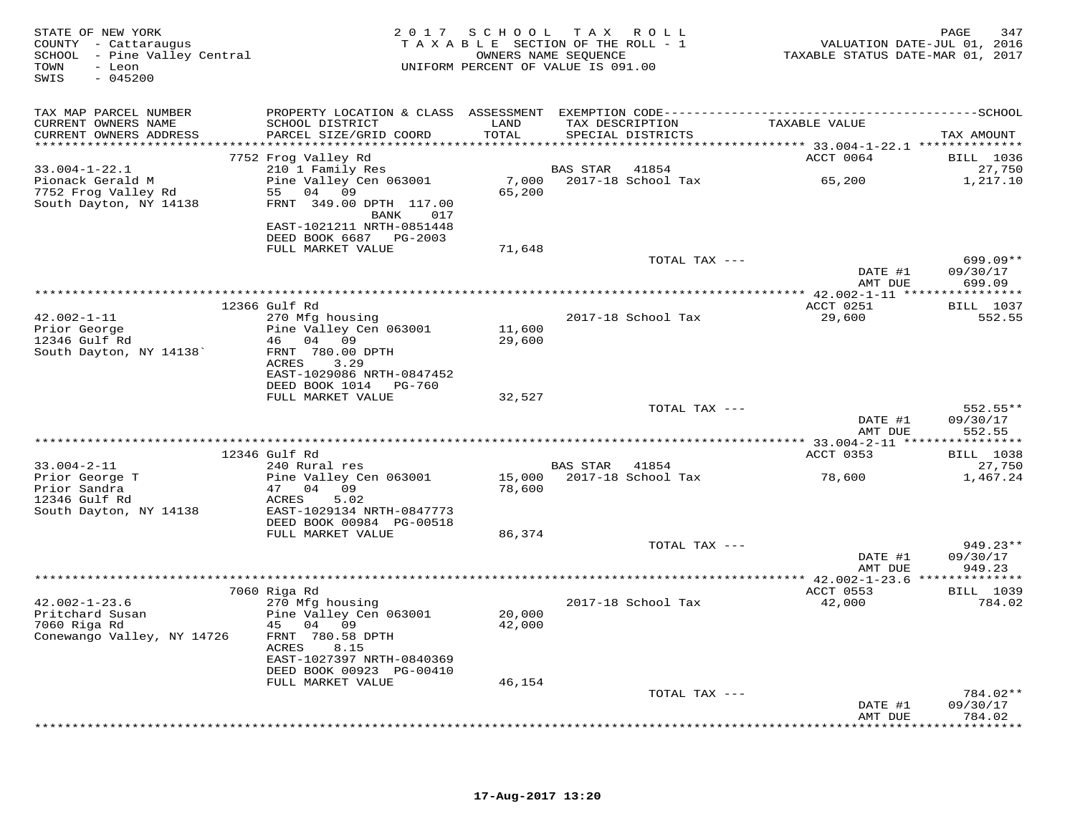| STATE OF NEW YORK<br>COUNTY - Cattaraugus<br>SCHOOL - Pine Valley Central<br>- Leon<br>TOWN<br>$-045200$<br>SWIS |                                                                           |                  | 2017 SCHOOL TAX ROLL<br>TAXABLE SECTION OF THE ROLL - 1<br>OWNERS NAME SEQUENCE<br>UNIFORM PERCENT OF VALUE IS 091.00 | TAXABLE STATUS DATE-MAR 01, 2017 | 347<br>PAGE<br>VALUATION DATE-JUL 01, 2016 |
|------------------------------------------------------------------------------------------------------------------|---------------------------------------------------------------------------|------------------|-----------------------------------------------------------------------------------------------------------------------|----------------------------------|--------------------------------------------|
| TAX MAP PARCEL NUMBER                                                                                            |                                                                           |                  |                                                                                                                       |                                  |                                            |
| CURRENT OWNERS NAME                                                                                              | SCHOOL DISTRICT                                                           | LAND             | TAX DESCRIPTION                                                                                                       | TAXABLE VALUE                    |                                            |
| CURRENT OWNERS ADDRESS                                                                                           | PARCEL SIZE/GRID COORD                                                    | TOTAL            | SPECIAL DISTRICTS                                                                                                     |                                  | TAX AMOUNT                                 |
|                                                                                                                  | 7752 Frog Valley Rd                                                       |                  |                                                                                                                       | ACCT 0064                        | <b>BILL</b> 1036                           |
| $33.004 - 1 - 22.1$                                                                                              | 210 1 Family Res                                                          |                  | BAS STAR<br>41854                                                                                                     |                                  | 27,750                                     |
| Pionack Gerald M<br>7752 Frog Valley Rd<br>South Dayton, NY 14138                                                | Pine Valley Cen 063001<br>55 04 09<br>FRNT 349.00 DPTH 117.00<br>BANK 017 | 7,000<br>65,200  | 2017-18 School Tax                                                                                                    | 65,200                           | 1,217.10                                   |
|                                                                                                                  | EAST-1021211 NRTH-0851448<br>DEED BOOK 6687 PG-2003                       |                  |                                                                                                                       |                                  |                                            |
|                                                                                                                  | FULL MARKET VALUE                                                         | 71,648           | TOTAL TAX ---                                                                                                         |                                  | $699.09**$                                 |
|                                                                                                                  |                                                                           |                  |                                                                                                                       | DATE #1<br>AMT DUE               | 09/30/17<br>699.09                         |
|                                                                                                                  |                                                                           |                  |                                                                                                                       |                                  |                                            |
|                                                                                                                  | 12366 Gulf Rd                                                             |                  |                                                                                                                       | ACCT 0251                        | <b>BILL</b> 1037                           |
| $42.002 - 1 - 11$                                                                                                | 270 Mfg housing                                                           |                  | 2017-18 School Tax                                                                                                    | 29,600                           | 552.55                                     |
| Prior George<br>12346 Gulf Rd                                                                                    | Pine Valley Cen 063001<br>46 04 09                                        | 11,600<br>29,600 |                                                                                                                       |                                  |                                            |
| South Dayton, NY 14138'                                                                                          | FRNT 780.00 DPTH                                                          |                  |                                                                                                                       |                                  |                                            |
|                                                                                                                  | ACRES<br>3.29                                                             |                  |                                                                                                                       |                                  |                                            |
|                                                                                                                  | EAST-1029086 NRTH-0847452                                                 |                  |                                                                                                                       |                                  |                                            |
|                                                                                                                  | DEED BOOK 1014 PG-760<br>FULL MARKET VALUE                                | 32,527           |                                                                                                                       |                                  |                                            |
|                                                                                                                  |                                                                           |                  | TOTAL TAX ---                                                                                                         |                                  | 552.55**                                   |
|                                                                                                                  |                                                                           |                  |                                                                                                                       | DATE #1<br>AMT DUE               | 09/30/17<br>552.55                         |
|                                                                                                                  | 12346 Gulf Rd                                                             |                  |                                                                                                                       |                                  |                                            |
| $33.004 - 2 - 11$                                                                                                | 240 Rural res                                                             |                  | BAS STAR 41854                                                                                                        | ACCT 0353                        | <b>BILL</b> 1038<br>27,750                 |
| Prior George T                                                                                                   | Pine Valley Cen 063001                                                    | 15,000           | 2017-18 School Tax                                                                                                    | 78,600                           | 1,467.24                                   |
| Prior Sandra                                                                                                     | 47 04 09                                                                  | 78,600           |                                                                                                                       |                                  |                                            |
| 12346 Gulf Rd<br>South Dayton, NY 14138                                                                          | 5.02<br>ACRES<br>EAST-1029134 NRTH-0847773                                |                  |                                                                                                                       |                                  |                                            |
|                                                                                                                  | DEED BOOK 00984 PG-00518                                                  |                  |                                                                                                                       |                                  |                                            |
|                                                                                                                  | FULL MARKET VALUE                                                         | 86,374           |                                                                                                                       |                                  |                                            |
|                                                                                                                  |                                                                           |                  | TOTAL TAX ---                                                                                                         |                                  | 949.23**                                   |
|                                                                                                                  |                                                                           |                  |                                                                                                                       | DATE #1<br>AMT DUE               | 09/30/17<br>949.23                         |
|                                                                                                                  |                                                                           |                  |                                                                                                                       |                                  |                                            |
|                                                                                                                  | 7060 Riga Rd                                                              |                  |                                                                                                                       | ACCT 0553                        | <b>BILL</b> 1039                           |
| $42.002 - 1 - 23.6$<br>Pritchard Susan                                                                           | 270 Mfg housing<br>Pine Valley Cen 063001                                 | 20,000           | 2017-18 School Tax                                                                                                    | 42,000                           | 784.02                                     |
| 7060 Riga Rd                                                                                                     | 45 04 09                                                                  | 42,000           |                                                                                                                       |                                  |                                            |
| Conewango Valley, NY 14726                                                                                       | FRNT 780.58 DPTH<br>ACRES<br>8.15                                         |                  |                                                                                                                       |                                  |                                            |
|                                                                                                                  | EAST-1027397 NRTH-0840369<br>DEED BOOK 00923 PG-00410                     |                  |                                                                                                                       |                                  |                                            |
|                                                                                                                  | FULL MARKET VALUE                                                         | 46,154           |                                                                                                                       |                                  |                                            |
|                                                                                                                  |                                                                           |                  | TOTAL TAX ---                                                                                                         |                                  | 784.02**                                   |
|                                                                                                                  |                                                                           |                  |                                                                                                                       | DATE #1<br>AMT DUE               | 09/30/17<br>784.02                         |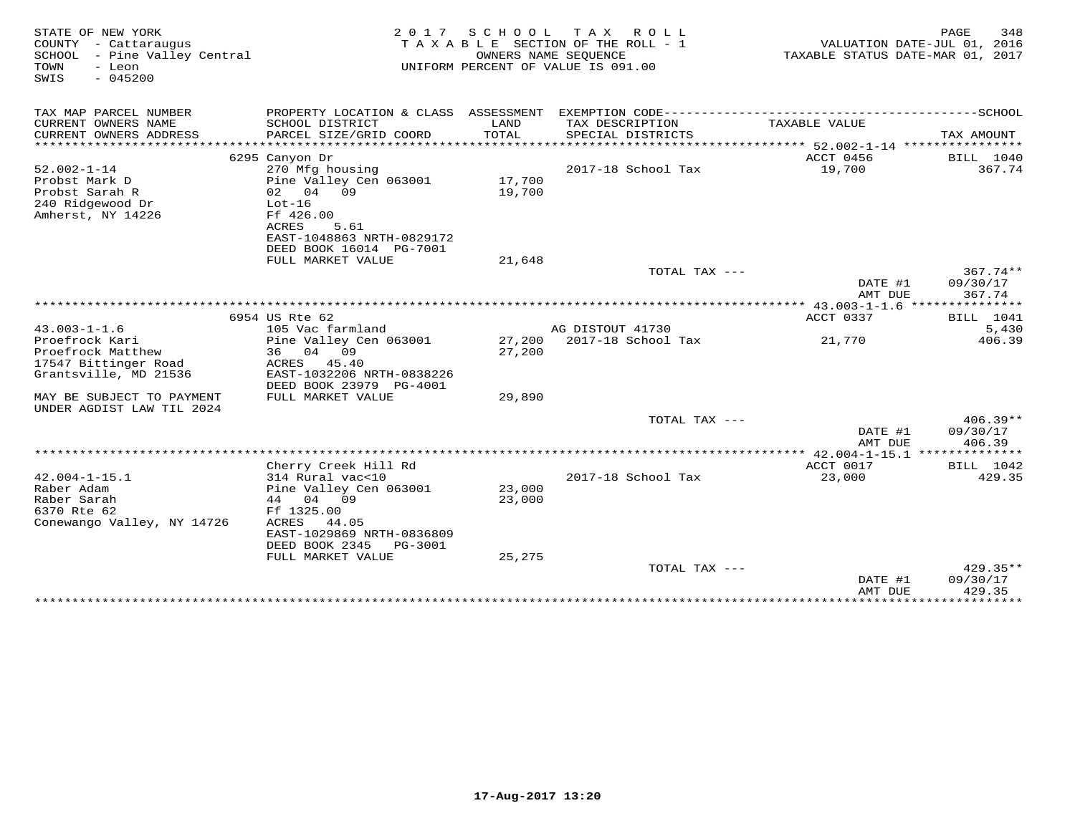| STATE OF NEW YORK<br>COUNTY - Cattaraugus<br>SCHOOL<br>- Pine Valley Central<br>TOWN<br>- Leon<br>$-045200$<br>SWIS | 2 0 1 7<br>TAXABLE SECTION OF THE ROLL - 1<br>UNIFORM PERCENT OF VALUE IS 091.00 | 348<br>PAGE<br>VALUATION DATE-JUL 01, 2016<br>TAXABLE STATUS DATE-MAR 01, 2017 |                                        |                           |                        |
|---------------------------------------------------------------------------------------------------------------------|----------------------------------------------------------------------------------|--------------------------------------------------------------------------------|----------------------------------------|---------------------------|------------------------|
| TAX MAP PARCEL NUMBER                                                                                               | PROPERTY LOCATION & CLASS ASSESSMENT                                             |                                                                                | EXEMPTION CODE------------             |                           | -------------SCHOOL    |
| CURRENT OWNERS NAME<br>CURRENT OWNERS ADDRESS                                                                       | SCHOOL DISTRICT<br>PARCEL SIZE/GRID COORD                                        | LAND<br>TOTAL                                                                  | TAX DESCRIPTION<br>SPECIAL DISTRICTS   | TAXABLE VALUE             | TAX AMOUNT             |
| ***************                                                                                                     |                                                                                  |                                                                                |                                        |                           |                        |
| $52.002 - 1 - 14$                                                                                                   | 6295 Canyon Dr<br>270 Mfg housing                                                |                                                                                | 2017-18 School Tax                     | ACCT 0456<br>19,700       | BILL 1040<br>367.74    |
| Probst Mark D                                                                                                       | Pine Valley Cen 063001                                                           | 17,700                                                                         |                                        |                           |                        |
| Probst Sarah R                                                                                                      | 02 04 09                                                                         | 19,700                                                                         |                                        |                           |                        |
| 240 Ridgewood Dr                                                                                                    | $Lot-16$                                                                         |                                                                                |                                        |                           |                        |
| Amherst, NY 14226                                                                                                   | Ff 426.00<br>ACRES<br>5.61                                                       |                                                                                |                                        |                           |                        |
|                                                                                                                     | EAST-1048863 NRTH-0829172                                                        |                                                                                |                                        |                           |                        |
|                                                                                                                     | DEED BOOK 16014 PG-7001                                                          |                                                                                |                                        |                           |                        |
|                                                                                                                     | FULL MARKET VALUE                                                                | 21,648                                                                         |                                        |                           |                        |
|                                                                                                                     |                                                                                  |                                                                                | TOTAL TAX ---                          | DATE #1                   | $367.74**$<br>09/30/17 |
|                                                                                                                     |                                                                                  |                                                                                |                                        | AMT DUE                   | 367.74                 |
|                                                                                                                     |                                                                                  |                                                                                |                                        |                           |                        |
|                                                                                                                     | 6954 US Rte 62                                                                   |                                                                                |                                        | ACCT 0337                 | BILL 1041              |
| $43.003 - 1 - 1.6$<br>Proefrock Kari                                                                                | 105 Vac farmland                                                                 |                                                                                | AG DISTOUT 41730<br>2017-18 School Tax | 21,770                    | 5,430<br>406.39        |
| Proefrock Matthew                                                                                                   | Pine Valley Cen 063001<br>04<br>09<br>36                                         | 27,200<br>27,200                                                               |                                        |                           |                        |
| 17547 Bittinger Road                                                                                                | ACRES<br>45.40                                                                   |                                                                                |                                        |                           |                        |
| Grantsville, MD 21536                                                                                               | EAST-1032206 NRTH-0838226                                                        |                                                                                |                                        |                           |                        |
|                                                                                                                     | DEED BOOK 23979 PG-4001                                                          |                                                                                |                                        |                           |                        |
| MAY BE SUBJECT TO PAYMENT<br>UNDER AGDIST LAW TIL 2024                                                              | FULL MARKET VALUE                                                                | 29,890                                                                         |                                        |                           |                        |
|                                                                                                                     |                                                                                  |                                                                                | TOTAL TAX ---                          | DATE #1                   | $406.39**$<br>09/30/17 |
|                                                                                                                     |                                                                                  |                                                                                |                                        | AMT DUE                   | 406.39                 |
|                                                                                                                     |                                                                                  |                                                                                |                                        |                           |                        |
|                                                                                                                     | Cherry Creek Hill Rd                                                             |                                                                                |                                        | ACCT 0017                 | BILL 1042              |
| $42.004 - 1 - 15.1$<br>Raber Adam                                                                                   | 314 Rural vac<10<br>Pine Valley Cen 063001                                       | 23,000                                                                         | 2017-18 School Tax                     | 23,000                    | 429.35                 |
| Raber Sarah                                                                                                         | 44 04 09                                                                         | 23,000                                                                         |                                        |                           |                        |
| 6370 Rte 62                                                                                                         | Ff 1325.00                                                                       |                                                                                |                                        |                           |                        |
| Conewango Valley, NY 14726                                                                                          | ACRES<br>44.05                                                                   |                                                                                |                                        |                           |                        |
|                                                                                                                     | EAST-1029869 NRTH-0836809<br>DEED BOOK 2345<br>PG-3001                           |                                                                                |                                        |                           |                        |
|                                                                                                                     | FULL MARKET VALUE                                                                | 25,275                                                                         |                                        |                           |                        |
|                                                                                                                     |                                                                                  |                                                                                | TOTAL TAX ---                          |                           | 429.35**               |
|                                                                                                                     |                                                                                  |                                                                                |                                        | DATE #1                   | 09/30/17               |
|                                                                                                                     |                                                                                  |                                                                                |                                        | AMT DUE<br>************** | 429.35<br>**********   |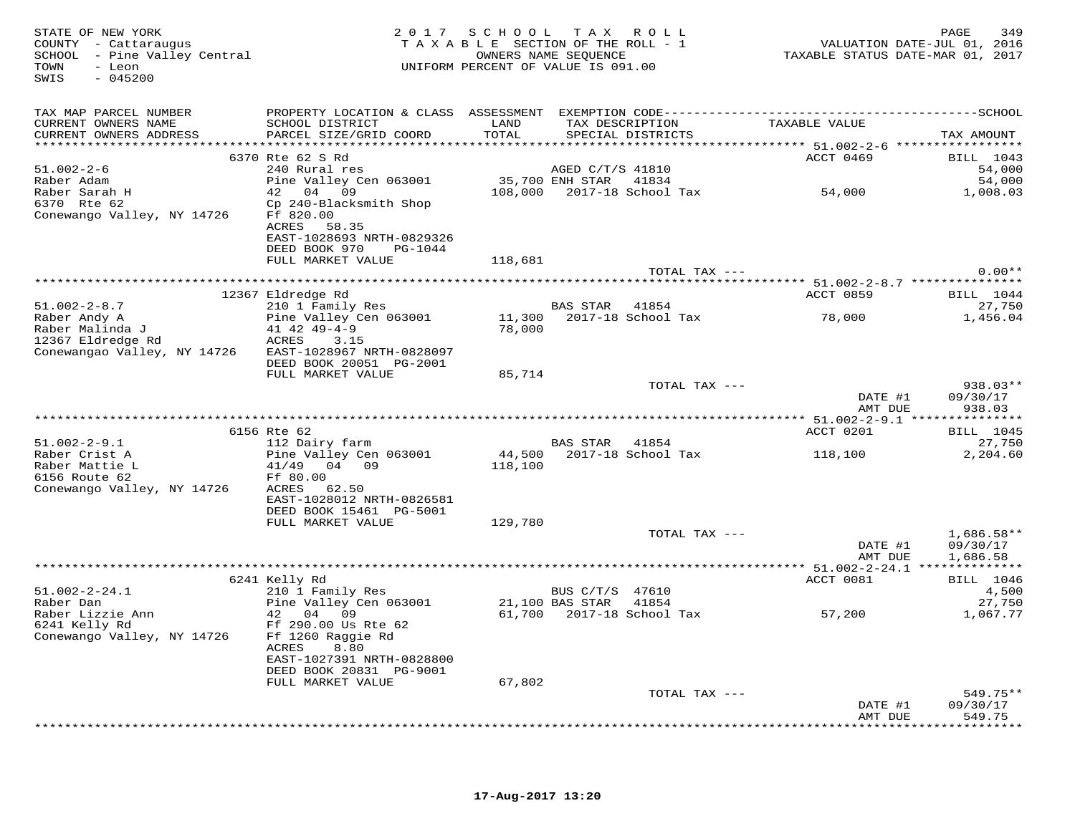STATE OF NEW YORK 2 0 1 7 S C H O O L T A X R O L L PAGE 349 COUNTY - Cattaraugus T A X A B L E SECTION OF THE ROLL - 1 VALUATION DATE-JUL 01, 2016 SCHOOL - Pine Valley Central OWNERS NAME SEQUENCE TAXABLE STATUS DATE-MAR 01, 2017 TOWN - Leon UNIFORM PERCENT OF VALUE IS 091.00 SWIS - 045200TAX MAP PARCEL NUMBER PROPERTY LOCATION & CLASS ASSESSMENT EXEMPTION CODE------------------------------------------SCHOOL CURRENT OWNERS NAME SCHOOL DISTRICT LAND TAX DESCRIPTION TAXABLE VALUE CURRENT OWNERS ADDRESS PARCEL SIZE/GRID COORD TOTAL SPECIAL DISTRICTS TAX AMOUNT \*\*\*\*\*\*\*\*\*\*\*\*\*\*\*\*\*\*\*\*\*\*\*\*\*\*\*\*\*\*\*\*\*\*\*\*\*\*\*\*\*\*\*\*\*\*\*\*\*\*\*\*\*\*\*\*\*\*\*\*\*\*\*\*\*\*\*\*\*\*\*\*\*\*\*\*\*\*\*\*\*\*\*\*\*\*\*\*\*\*\*\*\*\*\*\*\*\*\*\*\*\*\* 51.002-2-6 \*\*\*\*\*\*\*\*\*\*\*\*\*\*\*\*\*ACCT 0469 BILL 1043 51.002-2-6 6370 Rte 62 S Rd<br>
Raber Adam Pine Valley Cen 063001 55,700 ENH STAR 41834 54,000<br>
Raber Sarah H 42 04 09 108,000 2017-18 School Tax 54,000 54,000<br>
Conewango Valley, NY 14726 Ff 820.00 ACRES 58.35<br>
EASTT-1028693 DEED BOOK 970 PG-1044FULL MARKET VALUE 118,681 TOTAL TAX  $---$  0.00\*\* \*\*\*\*\*\*\*\*\*\*\*\*\*\*\*\*\*\*\*\*\*\*\*\*\*\*\*\*\*\*\*\*\*\*\*\*\*\*\*\*\*\*\*\*\*\*\*\*\*\*\*\*\*\*\*\*\*\*\*\*\*\*\*\*\*\*\*\*\*\*\*\*\*\*\*\*\*\*\*\*\*\*\*\*\*\*\*\*\*\*\*\*\*\*\*\*\*\*\*\*\*\*\* 51.002-2-8.7 \*\*\*\*\*\*\*\*\*\*\*\*\*\*\*ACCT 0859 BILL 1044 12367 Eldredge Rd ACCT 0859 BILL 104427,750 51.002-2-8.7 210 1 Family Res BAS STAR 41854 27,7501,456.04 Raber Andy A Pine Valley Cen 063001 11,300 2017-18 School Tax 78,000 1,456.04Raber Malinda J 41 42 49-4-9 78,000 12367 Eldredge Rd ACRES 3.15 Conewangao Valley, NY 14726 EAST-1028967 NRTH-0828097 DEED BOOK 20051 PG-2001 FULL MARKET VALUE 85,714 TOTAL TAX --- 938.03\*\*DATE #1 09/30/17<br>2009 - 2009 101 AMT DUE 938.03 \*\*\*\*\*\*\*\*\*\*\*\*\*\*\*\*\*\*\*\*\*\*\*\*\*\*\*\*\*\*\*\*\*\*\*\*\*\*\*\*\*\*\*\*\*\*\*\*\*\*\*\*\*\*\*\*\*\*\*\*\*\*\*\*\*\*\*\*\*\*\*\*\*\*\*\*\*\*\*\*\*\*\*\*\*\*\*\*\*\*\*\*\*\*\*\*\*\*\*\*\*\*\* 51.002-2-9.1 \*\*\*\*\*\*\*\*\*\*\*\*\*\*\* 6156 Rte 62 ACCT 0201 BILL 104551.002-2-9.1 112 Dairy farm BAS STAR 41854 27,7502,204.60 Raber Crist A Pine Valley Cen 063001 44,500 2017-18 School Tax 118,100 2,204.60Raber Mattie L 41/49 04 09 118,100 6156 Route 62 Ff 80.00 Conewango Valley, NY 14726 ACRES 62.50 EAST-1028012 NRTH-0826581DEED BOOK 15461 PG-5001 DEED BOOK 15461 PG-5001 FULL MARKET VALUE 129,780 TOTAL TAX --- 1,686.58\*\*DATE #1 09/30/17 TOTAL TAX ---AMT DUE 1,686.58 AMT DUE 1,686.58 \*\*\*\*\*\*\*\*\*\*\*\*\*\*\*\*\*\*\*\*\*\*\*\*\*\*\*\*\*\*\*\*\*\*\*\*\*\*\*\*\*\*\*\*\*\*\*\*\*\*\*\*\*\*\*\*\*\*\*\*\*\*\*\*\*\*\*\*\*\*\*\*\*\*\*\*\*\*\*\*\*\*\*\*\*\*\*\*\*\*\*\*\*\*\*\*\*\*\*\*\*\*\* 51.002-2-24.1 \*\*\*\*\*\*\*\*\*\*\*\*\*\* 6241 Kelly Rd ACCT 0081 BILL 1046 51.002-2-24.1 210 1 Family Res BUS C/T/S 47610 4,500 Raber Dan Pine Valley Cen 063001 21,100 BAS STAR 41854 27,750 Raber Lizzie Ann 42 04 09 61,700 2017-18 School Tax 57,200 1,067.77 6241 Kelly Rd Ff 290.00 Us Rte 62 Conewango Valley, NY 14726 Ff 1260 Raggie Rd ACRES 8.80 EAST-1027391 NRTH-0828800 DEED BOOK 20831 PG-9001 FULL MARKET VALUE 67,802 TOTAL TAX --- 549.75\*\* DATE #1 09/30/17 AMT DUE 549.75\*\*\*\*\*\*\*\*\*\*\*\*\*\*\*\*\*\*\*\*\*\*\*\*\*\*\*\*\*\*\*\*\*\*\*\*\*\*\*\*\*\*\*\*\*\*\*\*\*\*\*\*\*\*\*\*\*\*\*\*\*\*\*\*\*\*\*\*\*\*\*\*\*\*\*\*\*\*\*\*\*\*\*\*\*\*\*\*\*\*\*\*\*\*\*\*\*\*\*\*\*\*\*\*\*\*\*\*\*\*\*\*\*\*\*\*\*\*\*\*\*\*\*\*\*\*\*\*\*\*\*\*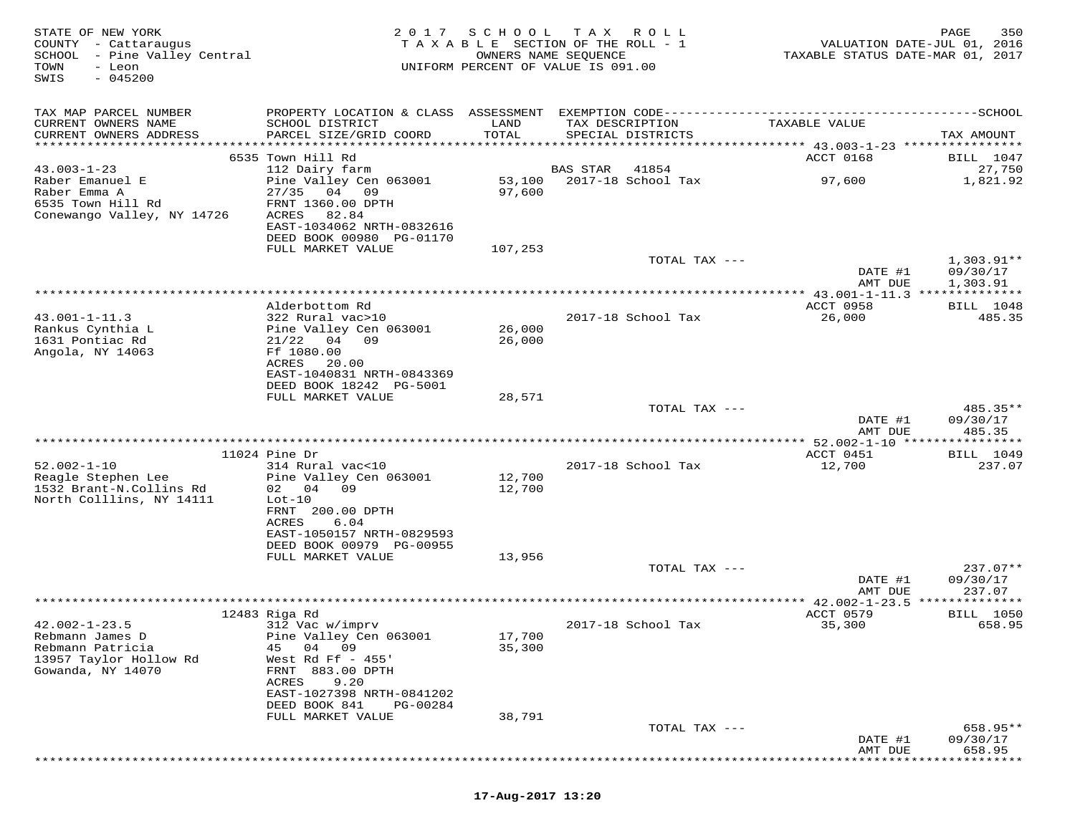| STATE OF NEW YORK<br>COUNTY - Cattaraugus<br>SCHOOL - Pine Valley Central<br>TOWN<br>- Leon<br>$-045200$<br>SWIS | 2 0 1 7                                                                                                                                                         | SCHOOL<br>OWNERS NAME SEQUENCE | T A X<br>R O L L<br>TAXABLE SECTION OF THE ROLL - 1<br>UNIFORM PERCENT OF VALUE IS 091.00                               | VALUATION DATE-JUL 01, 2016<br>TAXABLE STATUS DATE-MAR 01, 2017 | 350<br>PAGE                          |
|------------------------------------------------------------------------------------------------------------------|-----------------------------------------------------------------------------------------------------------------------------------------------------------------|--------------------------------|-------------------------------------------------------------------------------------------------------------------------|-----------------------------------------------------------------|--------------------------------------|
| TAX MAP PARCEL NUMBER<br>CURRENT OWNERS NAME<br>CURRENT OWNERS ADDRESS<br>**********************                 | SCHOOL DISTRICT<br>PARCEL SIZE/GRID COORD<br>************************                                                                                           | LAND<br>TOTAL                  | PROPERTY LOCATION & CLASS ASSESSMENT EXEMPTION CODE----------------------------<br>TAX DESCRIPTION<br>SPECIAL DISTRICTS | TAXABLE VALUE                                                   | -------------SCHOOL<br>TAX AMOUNT    |
|                                                                                                                  | 6535 Town Hill Rd                                                                                                                                               |                                |                                                                                                                         | ACCT 0168                                                       | BILL 1047                            |
| $43.003 - 1 - 23$<br>Raber Emanuel E<br>Raber Emma A<br>6535 Town Hill Rd<br>Conewango Valley, NY 14726          | 112 Dairy farm<br>Pine Valley Cen 063001<br>27/35<br>04<br>- 09<br>FRNT 1360.00 DPTH<br>ACRES<br>82.84<br>EAST-1034062 NRTH-0832616<br>DEED BOOK 00980 PG-01170 | 53,100<br>97,600               | <b>BAS STAR</b><br>41854<br>2017-18 School Tax                                                                          | 97,600                                                          | 27,750<br>1,821.92                   |
|                                                                                                                  | FULL MARKET VALUE                                                                                                                                               | 107,253                        | TOTAL TAX ---                                                                                                           | DATE #1<br>AMT DUE                                              | $1,303.91**$<br>09/30/17<br>1,303.91 |
|                                                                                                                  |                                                                                                                                                                 |                                |                                                                                                                         | ** 43.001-1-11.3 **************                                 |                                      |
| $43.001 - 1 - 11.3$<br>Rankus Cynthia L<br>1631 Pontiac Rd<br>Angola, NY 14063                                   | Alderbottom Rd<br>322 Rural vac>10<br>Pine Valley Cen 063001<br>04 09<br>21/22<br>Ff 1080.00<br>ACRES<br>20.00<br>EAST-1040831 NRTH-0843369                     | 26,000<br>26,000               | 2017-18 School Tax                                                                                                      | ACCT 0958<br>26,000                                             | BILL 1048<br>485.35                  |
|                                                                                                                  | DEED BOOK 18242 PG-5001                                                                                                                                         |                                |                                                                                                                         |                                                                 |                                      |
|                                                                                                                  | FULL MARKET VALUE                                                                                                                                               | 28,571                         | TOTAL TAX ---                                                                                                           | DATE #1                                                         | 485.35**<br>09/30/17                 |
|                                                                                                                  |                                                                                                                                                                 |                                |                                                                                                                         | AMT DUE<br>**** 52.002-1-10 ****                                | 485.35<br>* * * * * * * *            |
|                                                                                                                  | $11024$ Pine Dr                                                                                                                                                 |                                |                                                                                                                         | ACCT 0451                                                       | <b>BILL</b> 1049                     |
| $52.002 - 1 - 10$<br>Reagle Stephen Lee<br>1532 Brant-N.Collins Rd<br>North Colllins, NY 14111                   | 314 Rural vac<10<br>Pine Valley Cen 063001<br>02 04 09<br>$Lot-10$<br>FRNT 200.00 DPTH<br>ACRES<br>6.04<br>EAST-1050157 NRTH-0829593                            | 12,700<br>12,700               | 2017-18 School Tax                                                                                                      | 12,700                                                          | 237.07                               |
|                                                                                                                  | DEED BOOK 00979 PG-00955                                                                                                                                        |                                |                                                                                                                         |                                                                 |                                      |
|                                                                                                                  | FULL MARKET VALUE                                                                                                                                               | 13,956                         | TOTAL TAX ---                                                                                                           | DATE #1                                                         | $237.07**$<br>09/30/17               |
|                                                                                                                  |                                                                                                                                                                 |                                |                                                                                                                         | AMT DUE<br>********** 42.002-1-23.5 **************              | 237.07                               |
| $42.002 - 1 - 23.5$<br>Rebmann James D<br>Rebmann Patricia<br>13957 Taylor Hollow Rd<br>Gowanda, NY 14070        | 12483 Riga Rd<br>312 Vac w/imprv<br>Pine Valley Cen 063001<br>04 09<br>45<br>West Rd Ff $-455$ '<br>FRNT 883.00 DPTH<br>9.20<br>ACRES                           | 17,700<br>35,300               | 2017-18 School Tax                                                                                                      | ACCT 0579<br>35,300                                             | <b>BILL</b> 1050<br>658.95           |
|                                                                                                                  | EAST-1027398 NRTH-0841202<br>DEED BOOK 841<br>PG-00284<br>FULL MARKET VALUE                                                                                     | 38,791                         |                                                                                                                         |                                                                 |                                      |
|                                                                                                                  |                                                                                                                                                                 |                                | TOTAL TAX ---                                                                                                           | DATE #1<br>AMT DUE                                              | 658.95**<br>09/30/17<br>658.95       |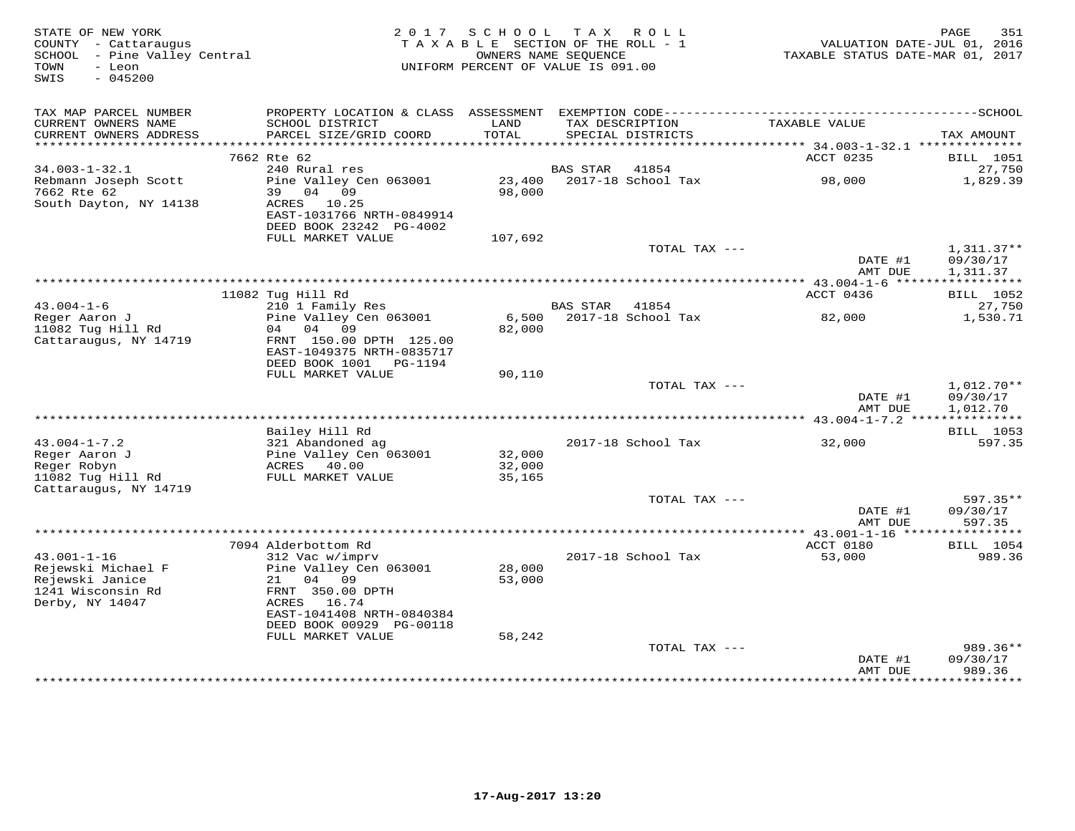| STATE OF NEW YORK<br>COUNTY - Cattaraugus<br>SCHOOL - Pine Valley Central<br>- Leon<br>TOWN<br>SWIS<br>$-045200$ | 2 0 1 7                                                                                                                     | SCHOOL<br>TAXABLE SECTION OF THE ROLL - 1<br>UNIFORM PERCENT OF VALUE IS 091.00 | T A X<br>OWNERS NAME SEOUENCE | R O L L                              | VALUATION DATE-JUL 01, 2016<br>TAXABLE STATUS DATE-MAR 01, 2017 | 351<br>PAGE                          |
|------------------------------------------------------------------------------------------------------------------|-----------------------------------------------------------------------------------------------------------------------------|---------------------------------------------------------------------------------|-------------------------------|--------------------------------------|-----------------------------------------------------------------|--------------------------------------|
| TAX MAP PARCEL NUMBER<br>CURRENT OWNERS NAME<br>CURRENT OWNERS ADDRESS                                           | SCHOOL DISTRICT<br>PARCEL SIZE/GRID COORD                                                                                   | LAND<br>TOTAL                                                                   |                               | TAX DESCRIPTION<br>SPECIAL DISTRICTS | TAXABLE VALUE                                                   | TAX AMOUNT                           |
| ***********************                                                                                          |                                                                                                                             |                                                                                 |                               |                                      |                                                                 |                                      |
|                                                                                                                  | 7662 Rte 62                                                                                                                 |                                                                                 |                               |                                      | ACCT 0235                                                       | <b>BILL</b> 1051                     |
| $34.003 - 1 - 32.1$                                                                                              | 240 Rural res                                                                                                               |                                                                                 | <b>BAS STAR</b>               | 41854                                |                                                                 | 27,750                               |
| Rebmann Joseph Scott<br>7662 Rte 62<br>South Dayton, NY 14138                                                    | Pine Valley Cen 063001<br>39 04 09<br>ACRES 10.25<br>EAST-1031766 NRTH-0849914                                              | 23,400<br>98,000                                                                |                               | 2017-18 School Tax                   | 98,000                                                          | 1,829.39                             |
|                                                                                                                  | DEED BOOK 23242 PG-4002                                                                                                     |                                                                                 |                               |                                      |                                                                 |                                      |
|                                                                                                                  | FULL MARKET VALUE                                                                                                           | 107,692                                                                         |                               |                                      |                                                                 |                                      |
|                                                                                                                  |                                                                                                                             |                                                                                 |                               | TOTAL TAX ---                        | DATE #1<br>AMT DUE                                              | $1,311.37**$<br>09/30/17<br>1,311.37 |
|                                                                                                                  |                                                                                                                             |                                                                                 |                               |                                      | ** $43.004 - 1 - 6$ *****                                       | * * * * * * * * * * *                |
|                                                                                                                  | 11082 Tug Hill Rd                                                                                                           |                                                                                 |                               |                                      | ACCT 0436                                                       | BILL 1052                            |
| $43.004 - 1 - 6$<br>Reger Aaron J                                                                                | 210 1 Family Res<br>Pine Valley Cen 063001                                                                                  | 6,500                                                                           | <b>BAS STAR</b>               | 41854<br>2017-18 School Tax          | 82,000                                                          | 27,750<br>1,530.71                   |
| 11082 Tug Hill Rd<br>Cattaraugus, NY 14719                                                                       | 04<br>09<br>04<br>FRNT 150.00 DPTH 125.00<br>EAST-1049375 NRTH-0835717<br>DEED BOOK 1001    PG-1194                         | 82,000                                                                          |                               |                                      |                                                                 |                                      |
|                                                                                                                  | FULL MARKET VALUE                                                                                                           | 90,110                                                                          |                               |                                      |                                                                 |                                      |
|                                                                                                                  |                                                                                                                             |                                                                                 |                               | TOTAL TAX ---                        | DATE #1<br>AMT DUE                                              | 1,012.70**<br>09/30/17<br>1,012.70   |
|                                                                                                                  |                                                                                                                             |                                                                                 |                               |                                      |                                                                 |                                      |
|                                                                                                                  | Bailey Hill Rd                                                                                                              |                                                                                 |                               |                                      |                                                                 | BILL 1053                            |
| $43.004 - 1 - 7.2$                                                                                               | 321 Abandoned ag                                                                                                            |                                                                                 |                               | 2017-18 School Tax                   | 32,000                                                          | 597.35                               |
| Reger Aaron J<br>Reger Robyn                                                                                     | Pine Valley Cen 063001<br>ACRES 40.00                                                                                       | 32,000<br>32,000                                                                |                               |                                      |                                                                 |                                      |
| 11082 Tug Hill Rd                                                                                                | FULL MARKET VALUE                                                                                                           | 35,165                                                                          |                               |                                      |                                                                 |                                      |
| Cattaraugus, NY 14719                                                                                            |                                                                                                                             |                                                                                 |                               | TOTAL TAX ---                        |                                                                 | 597.35**                             |
|                                                                                                                  |                                                                                                                             |                                                                                 |                               |                                      | DATE #1<br>AMT DUE                                              | 09/30/17<br>597.35                   |
|                                                                                                                  |                                                                                                                             |                                                                                 |                               |                                      | *** 43.001-1-16 *****************                               |                                      |
|                                                                                                                  | 7094 Alderbottom Rd                                                                                                         |                                                                                 |                               |                                      | ACCT 0180                                                       | BILL 1054                            |
| $43.001 - 1 - 16$<br>Rejewski Michael F<br>Rejewski Janice<br>1241 Wisconsin Rd<br>Derby, NY 14047               | 312 Vac w/imprv<br>Pine Valley Cen 063001<br>21<br>04<br>09<br>FRNT 350.00 DPTH<br>ACRES 16.74<br>EAST-1041408 NRTH-0840384 | 28,000<br>53,000                                                                |                               | 2017-18 School Tax                   | 53,000                                                          | 989.36                               |
|                                                                                                                  | DEED BOOK 00929 PG-00118                                                                                                    |                                                                                 |                               |                                      |                                                                 |                                      |
|                                                                                                                  | FULL MARKET VALUE                                                                                                           | 58,242                                                                          |                               | TOTAL TAX ---                        | DATE #1                                                         | 989.36**<br>09/30/17                 |
|                                                                                                                  |                                                                                                                             |                                                                                 |                               |                                      | AMT DUE                                                         | 989.36<br>* * * * * * * * * *        |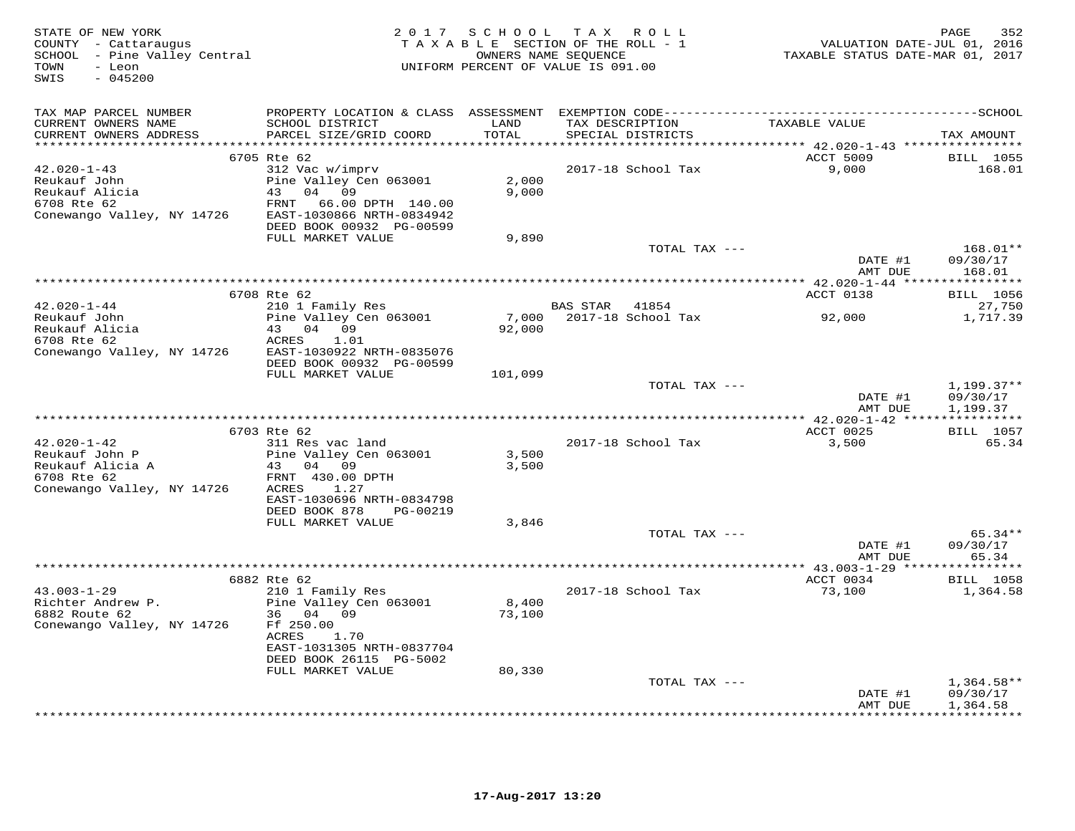| COUNTY - Cattaraugus<br>SCHOOL - Pine Valley Central<br>TOWN<br>- Leon<br>SWIS<br>$-045200$          |                                                                                                                                                                                 | OWNERS NAME SEQUENCE<br>UNIFORM PERCENT OF VALUE IS 091.00 | TAXABLE SECTION OF THE ROLL - 1 |                    | VALUATION DATE-JUL 01, 2016<br>TAXABLE STATUS DATE-MAR 01, 2017                       | 352<br>PAGE                                                 |
|------------------------------------------------------------------------------------------------------|---------------------------------------------------------------------------------------------------------------------------------------------------------------------------------|------------------------------------------------------------|---------------------------------|--------------------|---------------------------------------------------------------------------------------|-------------------------------------------------------------|
| TAX MAP PARCEL NUMBER<br>CURRENT OWNERS NAME<br>CURRENT OWNERS ADDRESS                               | SCHOOL DISTRICT<br>PARCEL SIZE/GRID COORD                                                                                                                                       | LAND<br>TOTAL                                              | TAX DESCRIPTION                 | SPECIAL DISTRICTS  | TAXABLE VALUE                                                                         | TAX AMOUNT                                                  |
| $42.020 - 1 - 43$<br>Reukauf John<br>Reukauf Alicia<br>6708 Rte 62<br>Conewango Valley, NY 14726     | 6705 Rte 62<br>312 Vac w/imprv<br>Pine Valley Cen 063001<br>43 04 09<br>FRNT<br>66.00 DPTH 140.00<br>EAST-1030866 NRTH-0834942<br>DEED BOOK 00932 PG-00599<br>FULL MARKET VALUE | 2,000<br>9,000<br>9,890                                    |                                 | 2017-18 School Tax | ********************************* 42.020-1-43 *****************<br>ACCT 5009<br>9,000 | <b>BILL</b> 1055<br>168.01                                  |
|                                                                                                      |                                                                                                                                                                                 |                                                            |                                 | TOTAL TAX ---      | DATE #1<br>AMT DUE                                                                    | 168.01**<br>09/30/17<br>168.01                              |
|                                                                                                      |                                                                                                                                                                                 |                                                            |                                 |                    |                                                                                       |                                                             |
|                                                                                                      | 6708 Rte 62                                                                                                                                                                     |                                                            |                                 |                    | ACCT 0138                                                                             | <b>BILL</b> 1056                                            |
| $42.020 - 1 - 44$<br>Reukauf John<br>Reukauf Alicia<br>6708 Rte 62<br>Conewango Valley, NY 14726     | 210 1 Family Res<br>Pine Valley Cen 063001<br>43 04 09<br>ACRES<br>1.01<br>EAST-1030922 NRTH-0835076                                                                            | 7,000<br>92,000                                            | BAS STAR 41854                  | 2017-18 School Tax | 92,000                                                                                | 27,750<br>1,717.39                                          |
|                                                                                                      | DEED BOOK 00932 PG-00599<br>FULL MARKET VALUE                                                                                                                                   | 101,099                                                    |                                 |                    |                                                                                       |                                                             |
|                                                                                                      |                                                                                                                                                                                 |                                                            |                                 | TOTAL TAX ---      | DATE #1<br>AMT DUE                                                                    | $1,199.37**$<br>09/30/17<br>1,199.37                        |
|                                                                                                      |                                                                                                                                                                                 | ************************************                       |                                 |                    | *** 42.020-1-42 *****************                                                     |                                                             |
|                                                                                                      | 6703 Rte 62                                                                                                                                                                     |                                                            |                                 |                    | ACCT 0025                                                                             | <b>BILL</b> 1057                                            |
| $42.020 - 1 - 42$<br>Reukauf John P<br>Reukauf Alicia A<br>6708 Rte 62<br>Conewango Valley, NY 14726 | 311 Res vac land<br>Pine Valley Cen 063001<br>43 04 09<br>FRNT 430.00 DPTH<br>ACRES<br>1.27<br>EAST-1030696 NRTH-0834798                                                        | 3,500<br>3,500                                             |                                 | 2017-18 School Tax | 3,500                                                                                 | 65.34                                                       |
|                                                                                                      | DEED BOOK 878<br>PG-00219                                                                                                                                                       |                                                            |                                 |                    |                                                                                       |                                                             |
|                                                                                                      | FULL MARKET VALUE                                                                                                                                                               | 3,846                                                      |                                 | TOTAL TAX ---      | DATE #1                                                                               | $65.34**$<br>09/30/17                                       |
|                                                                                                      | *********************                                                                                                                                                           |                                                            |                                 |                    | AMT DUE<br>********** 43.003-1-29 ****                                                | 65.34<br>* * * * * * * * *                                  |
|                                                                                                      | 6882 Rte 62                                                                                                                                                                     |                                                            |                                 |                    | ACCT 0034                                                                             | <b>BILL</b> 1058                                            |
| $43.003 - 1 - 29$<br>Richter Andrew P.<br>6882 Route 62<br>Conewango Valley, NY 14726                | 210 1 Family Res<br>Pine Valley Cen 063001<br>36 04 09<br>Ff 250.00<br>ACRES<br>1.70<br>EAST-1031305 NRTH-0837704<br>DEED BOOK 26115 PG-5002                                    | 8,400<br>73,100                                            |                                 | 2017-18 School Tax | 73,100                                                                                | 1,364.58                                                    |
|                                                                                                      | FULL MARKET VALUE                                                                                                                                                               | 80,330                                                     |                                 | TOTAL TAX ---      |                                                                                       |                                                             |
|                                                                                                      |                                                                                                                                                                                 |                                                            |                                 |                    | DATE #1<br>AMT DUE                                                                    | $1,364.58**$<br>09/30/17<br>1,364.58<br>* * * * * * * * * * |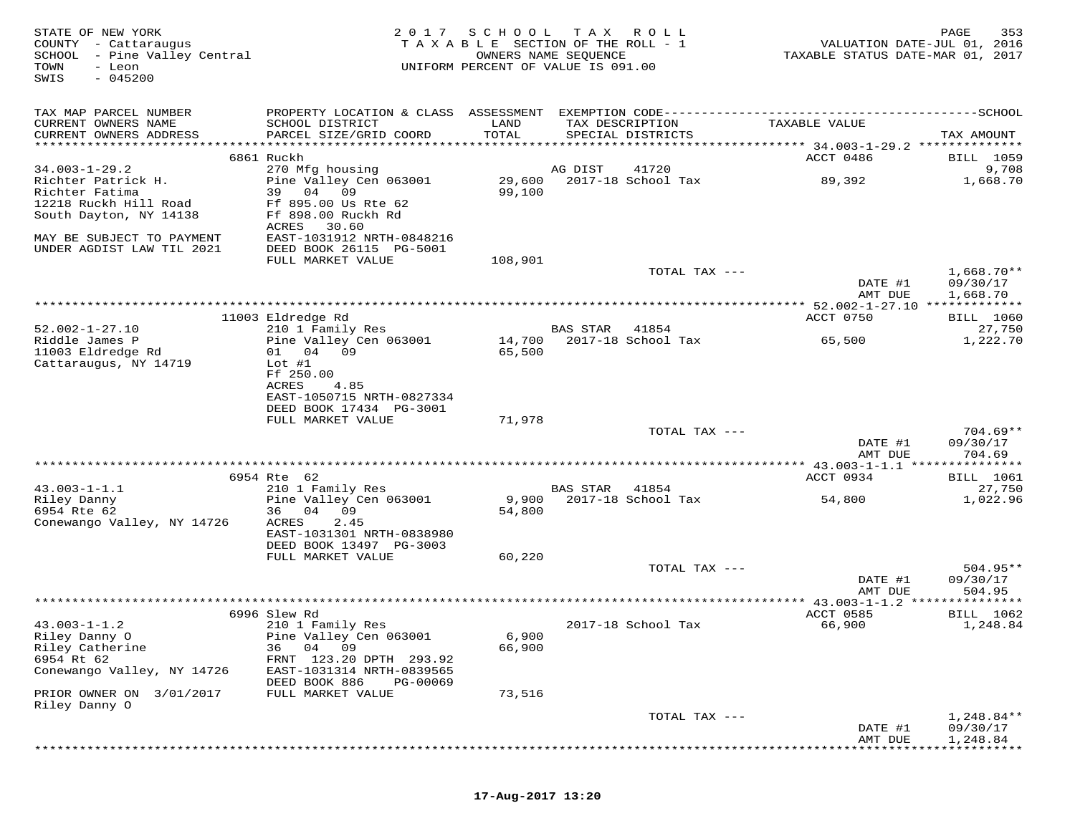| STATE OF NEW YORK<br>COUNTY - Cattaraugus<br>SCHOOL - Pine Valley Central<br>TOWN<br>- Leon<br>$-045200$<br>SWIS | 2 0 1 7                                                                                      | S C H O O L<br>TAXABLE SECTION OF THE ROLL - 1<br>OWNERS NAME SEQUENCE<br>UNIFORM PERCENT OF VALUE IS 091.00 | T A X           | R O L L                              | TAXABLE STATUS DATE-MAR 01, 2017                    | 353<br>PAGE<br>VALUATION DATE-JUL 01, 2016 |
|------------------------------------------------------------------------------------------------------------------|----------------------------------------------------------------------------------------------|--------------------------------------------------------------------------------------------------------------|-----------------|--------------------------------------|-----------------------------------------------------|--------------------------------------------|
| TAX MAP PARCEL NUMBER                                                                                            | PROPERTY LOCATION & CLASS ASSESSMENT EXEMPTION CODE-----------------------------------SCHOOL |                                                                                                              |                 |                                      |                                                     |                                            |
| CURRENT OWNERS NAME<br>CURRENT OWNERS ADDRESS                                                                    | SCHOOL DISTRICT<br>PARCEL SIZE/GRID COORD                                                    | LAND<br>TOTAL                                                                                                |                 | TAX DESCRIPTION<br>SPECIAL DISTRICTS | TAXABLE VALUE                                       | TAX AMOUNT                                 |
|                                                                                                                  | 6861 Ruckh                                                                                   |                                                                                                              |                 |                                      | ACCT 0486                                           | BILL 1059                                  |
| $34.003 - 1 - 29.2$                                                                                              | 270 Mfg housing                                                                              |                                                                                                              | AG DIST         | 41720                                |                                                     | 9,708                                      |
| Richter Patrick H.<br>Richter Fatima<br>12218 Ruckh Hill Road<br>South Dayton, NY 14138                          | Pine Valley Cen 063001<br>39<br>04<br>09<br>Ff 895.00 Us Rte 62<br>Ff 898.00 Ruckh Rd        | 29,600<br>99,100                                                                                             |                 | 2017-18 School Tax                   | 89,392                                              | 1,668.70                                   |
| MAY BE SUBJECT TO PAYMENT<br>UNDER AGDIST LAW TIL 2021                                                           | ACRES<br>30.60<br>EAST-1031912 NRTH-0848216<br>DEED BOOK 26115 PG-5001                       |                                                                                                              |                 |                                      |                                                     |                                            |
|                                                                                                                  | FULL MARKET VALUE                                                                            | 108,901                                                                                                      |                 |                                      |                                                     |                                            |
|                                                                                                                  |                                                                                              |                                                                                                              |                 | TOTAL TAX ---                        | DATE #1                                             | $1,668.70**$<br>09/30/17                   |
|                                                                                                                  |                                                                                              |                                                                                                              |                 |                                      | AMT DUE<br>*********** 52.002-1-27.10 ************* | 1,668.70                                   |
|                                                                                                                  | 11003 Eldredge Rd                                                                            |                                                                                                              |                 |                                      | ACCT 0750                                           | <b>BILL</b> 1060                           |
| $52.002 - 1 - 27.10$                                                                                             | 210 1 Family Res                                                                             |                                                                                                              | <b>BAS STAR</b> | 41854                                |                                                     | 27,750                                     |
| Riddle James P<br>11003 Eldredge Rd<br>Cattaraugus, NY 14719                                                     | Pine Valley Cen 063001<br>01 04 09<br>$Lot$ #1                                               | 14,700<br>65,500                                                                                             |                 | 2017-18 School Tax                   | 65,500                                              | 1,222.70                                   |
|                                                                                                                  | Ff 250.00<br>ACRES<br>4.85<br>EAST-1050715 NRTH-0827334                                      |                                                                                                              |                 |                                      |                                                     |                                            |
|                                                                                                                  | DEED BOOK 17434 PG-3001                                                                      |                                                                                                              |                 |                                      |                                                     |                                            |
|                                                                                                                  | FULL MARKET VALUE                                                                            | 71,978                                                                                                       |                 | TOTAL TAX ---                        |                                                     | $704.69**$                                 |
|                                                                                                                  |                                                                                              |                                                                                                              |                 |                                      | DATE #1<br>AMT DUE                                  | 09/30/17<br>704.69                         |
|                                                                                                                  |                                                                                              |                                                                                                              |                 |                                      |                                                     |                                            |
| $43.003 - 1 - 1.1$                                                                                               | 6954 Rte 62<br>210 1 Family Res                                                              |                                                                                                              | BAS STAR        | 41854                                | ACCT 0934                                           | <b>BILL</b> 1061<br>27,750                 |
| Riley Danny<br>6954 Rte 62                                                                                       | Pine Valley Cen 063001<br>36 04 09                                                           | 9,900<br>54,800                                                                                              |                 | 2017-18 School Tax                   | 54,800                                              | 1,022.96                                   |
| Conewango Valley, NY 14726                                                                                       | ACRES<br>2.45<br>EAST-1031301 NRTH-0838980<br>DEED BOOK 13497 PG-3003                        |                                                                                                              |                 |                                      |                                                     |                                            |
|                                                                                                                  | FULL MARKET VALUE                                                                            | 60,220                                                                                                       |                 |                                      |                                                     |                                            |
|                                                                                                                  |                                                                                              |                                                                                                              |                 | TOTAL TAX ---                        | DATE #1<br>AMT DUE                                  | $504.95**$<br>09/30/17<br>504.95           |
|                                                                                                                  |                                                                                              |                                                                                                              |                 |                                      |                                                     |                                            |
|                                                                                                                  | 6996 Slew Rd                                                                                 |                                                                                                              |                 |                                      | ACCT 0585                                           | BILL 1062                                  |
| $43.003 - 1 - 1.2$<br>Riley Danny O                                                                              | 210 1 Family Res<br>Pine Valley Cen 063001                                                   | 6,900                                                                                                        |                 | 2017-18 School Tax                   | 66,900                                              | 1,248.84                                   |
| Riley Catherine<br>6954 Rt 62                                                                                    | 04 09<br>36<br>FRNT 123.20 DPTH 293.92                                                       | 66,900                                                                                                       |                 |                                      |                                                     |                                            |
| Conewango Valley, NY 14726                                                                                       | EAST-1031314 NRTH-0839565<br>DEED BOOK 886<br>PG-00069                                       |                                                                                                              |                 |                                      |                                                     |                                            |
| PRIOR OWNER ON 3/01/2017                                                                                         | FULL MARKET VALUE                                                                            | 73,516                                                                                                       |                 |                                      |                                                     |                                            |
| Riley Danny O                                                                                                    |                                                                                              |                                                                                                              |                 | TOTAL TAX ---                        |                                                     | $1,248.84**$                               |
|                                                                                                                  |                                                                                              |                                                                                                              |                 |                                      | DATE #1<br>AMT DUE                                  | 09/30/17<br>1,248.84                       |
|                                                                                                                  |                                                                                              |                                                                                                              |                 |                                      |                                                     |                                            |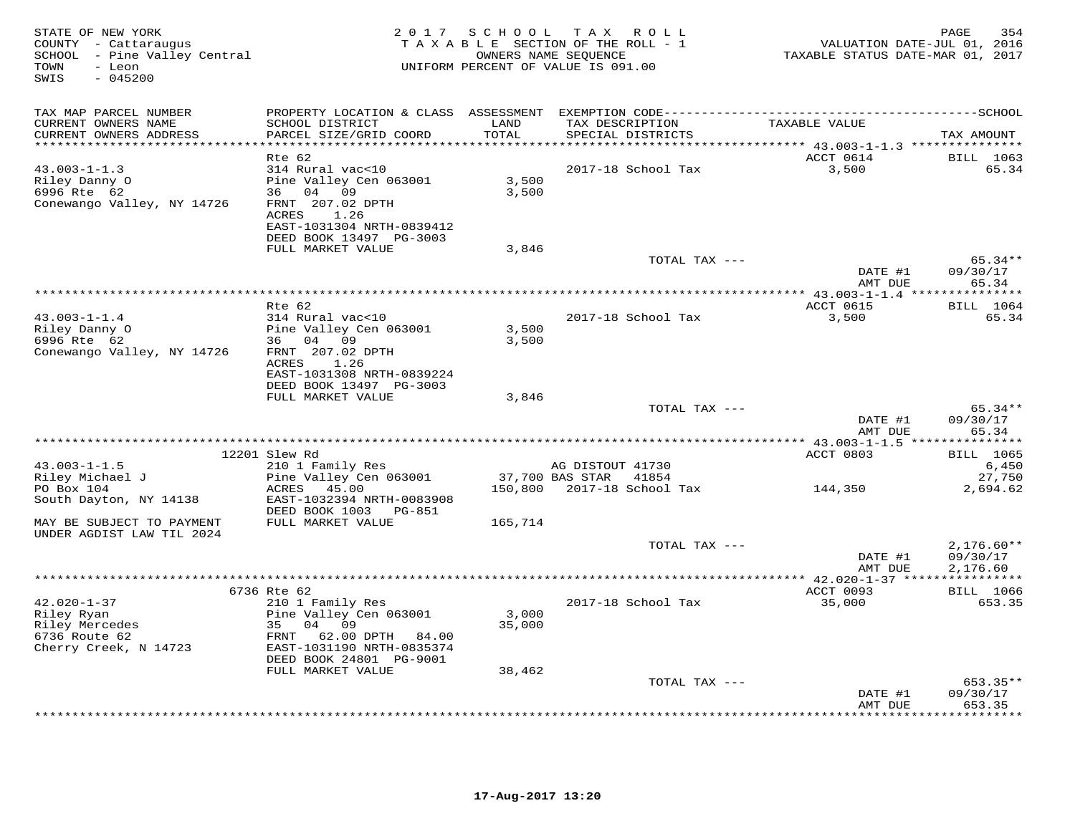| STATE OF NEW YORK<br>COUNTY - Cattaraugus<br>SCHOOL - Pine Valley Central<br>- Leon<br>TOWN<br>SWIS<br>$-045200$ | 2 0 1 7                                                                                                                           | S C H O O L     | T A X<br>R O L L<br>TAXABLE SECTION OF THE ROLL - 1<br>OWNERS NAME SEQUENCE<br>UNIFORM PERCENT OF VALUE IS 091.00 | VALUATION DATE-JUL 01, 2016<br>TAXABLE STATUS DATE-MAR 01, 2017 | PAGE<br>354                          |
|------------------------------------------------------------------------------------------------------------------|-----------------------------------------------------------------------------------------------------------------------------------|-----------------|-------------------------------------------------------------------------------------------------------------------|-----------------------------------------------------------------|--------------------------------------|
| TAX MAP PARCEL NUMBER                                                                                            |                                                                                                                                   |                 |                                                                                                                   |                                                                 |                                      |
| CURRENT OWNERS NAME<br>CURRENT OWNERS ADDRESS                                                                    | SCHOOL DISTRICT<br>PARCEL SIZE/GRID COORD                                                                                         | LAND<br>TOTAL   | TAX DESCRIPTION<br>SPECIAL DISTRICTS                                                                              | TAXABLE VALUE                                                   | TAX AMOUNT                           |
|                                                                                                                  | Rte 62                                                                                                                            | *********       |                                                                                                                   | ******** 43.003-1-1.3 ****************<br>ACCT 0614             | <b>BILL</b> 1063                     |
| $43.003 - 1 - 1.3$<br>Riley Danny O<br>6996 Rte 62<br>Conewango Valley, NY 14726                                 | 314 Rural vac<10<br>Pine Valley Cen 063001<br>36 04 09<br>FRNT 207.02 DPTH<br>ACRES<br>1.26<br>EAST-1031304 NRTH-0839412          | 3,500<br>3,500  | 2017-18 School Tax                                                                                                | 3,500                                                           | 65.34                                |
|                                                                                                                  | DEED BOOK 13497 PG-3003<br>FULL MARKET VALUE                                                                                      | 3,846           |                                                                                                                   |                                                                 |                                      |
|                                                                                                                  |                                                                                                                                   |                 | TOTAL TAX ---                                                                                                     | DATE #1                                                         | 65.34**<br>09/30/17                  |
|                                                                                                                  |                                                                                                                                   |                 |                                                                                                                   | AMT DUE                                                         | 65.34<br>***********                 |
|                                                                                                                  | Rte 62                                                                                                                            |                 |                                                                                                                   | ***************** 43.003-1-1.4 ****<br>ACCT 0615                | <b>BILL</b> 1064                     |
| $43.003 - 1 - 1.4$<br>Riley Danny O                                                                              | 314 Rural vac<10<br>Pine Valley Cen 063001                                                                                        | 3,500           | 2017-18 School Tax                                                                                                | 3,500                                                           | 65.34                                |
| 6996 Rte 62<br>Conewango Valley, NY 14726                                                                        | 36 04 09<br>FRNT 207.02 DPTH<br>ACRES<br>1.26<br>EAST-1031308 NRTH-0839224<br>DEED BOOK 13497 PG-3003                             | 3,500           |                                                                                                                   |                                                                 |                                      |
|                                                                                                                  | FULL MARKET VALUE                                                                                                                 | 3,846           |                                                                                                                   |                                                                 |                                      |
|                                                                                                                  |                                                                                                                                   |                 | TOTAL TAX ---                                                                                                     | DATE #1                                                         | $65.34**$<br>09/30/17                |
|                                                                                                                  | **********************************                                                                                                |                 |                                                                                                                   | AMT DUE<br>********** 43.003-1-1.5 ***                          | 65.34<br>* * * * * * * * * * *       |
|                                                                                                                  | 12201 Slew Rd                                                                                                                     |                 |                                                                                                                   | ACCT 0803                                                       | <b>BILL</b> 1065                     |
| $43.003 - 1 - 1.5$                                                                                               | 210 1 Family Res                                                                                                                  |                 | AG DISTOUT 41730                                                                                                  |                                                                 | 6,450                                |
| Riley Michael J<br>PO Box 104<br>South Dayton, NY 14138                                                          | Pine Valley Cen 063001<br>ACRES 45.00<br>EAST-1032394 NRTH-0083908                                                                | 150,800         | 37,700 BAS STAR<br>41854<br>2017-18 School Tax                                                                    | 144,350                                                         | 27,750<br>2,694.62                   |
|                                                                                                                  | DEED BOOK 1003 PG-851                                                                                                             |                 |                                                                                                                   |                                                                 |                                      |
| MAY BE SUBJECT TO PAYMENT<br>UNDER AGDIST LAW TIL 2024                                                           | FULL MARKET VALUE                                                                                                                 | 165,714         |                                                                                                                   |                                                                 |                                      |
|                                                                                                                  |                                                                                                                                   |                 | TOTAL TAX ---                                                                                                     | DATE #1<br>AMT DUE                                              | $2,176.60**$<br>09/30/17<br>2,176.60 |
|                                                                                                                  |                                                                                                                                   |                 |                                                                                                                   |                                                                 |                                      |
| $42.020 - 1 - 37$<br>Riley Ryan<br>Riley Mercedes<br>6736 Route 62<br>Cherry Creek, N 14723                      | 6736 Rte 62<br>210 1 Family Res<br>Pine Valley Cen 063001<br>35 04<br>09<br>FRNT<br>62.00 DPTH 84.00<br>EAST-1031190 NRTH-0835374 | 3,000<br>35,000 | 2017-18 School Tax                                                                                                | ACCT 0093<br>35,000                                             | <b>BILL</b> 1066<br>653.35           |
|                                                                                                                  | DEED BOOK 24801 PG-9001<br>FULL MARKET VALUE                                                                                      | 38,462          |                                                                                                                   |                                                                 |                                      |
|                                                                                                                  |                                                                                                                                   |                 | TOTAL TAX ---                                                                                                     | DATE #1                                                         | $653.35**$<br>09/30/17               |
|                                                                                                                  |                                                                                                                                   |                 |                                                                                                                   | AMT DUE<br>* * * * * * * * *                                    | 653.35<br>* * * * * * * *            |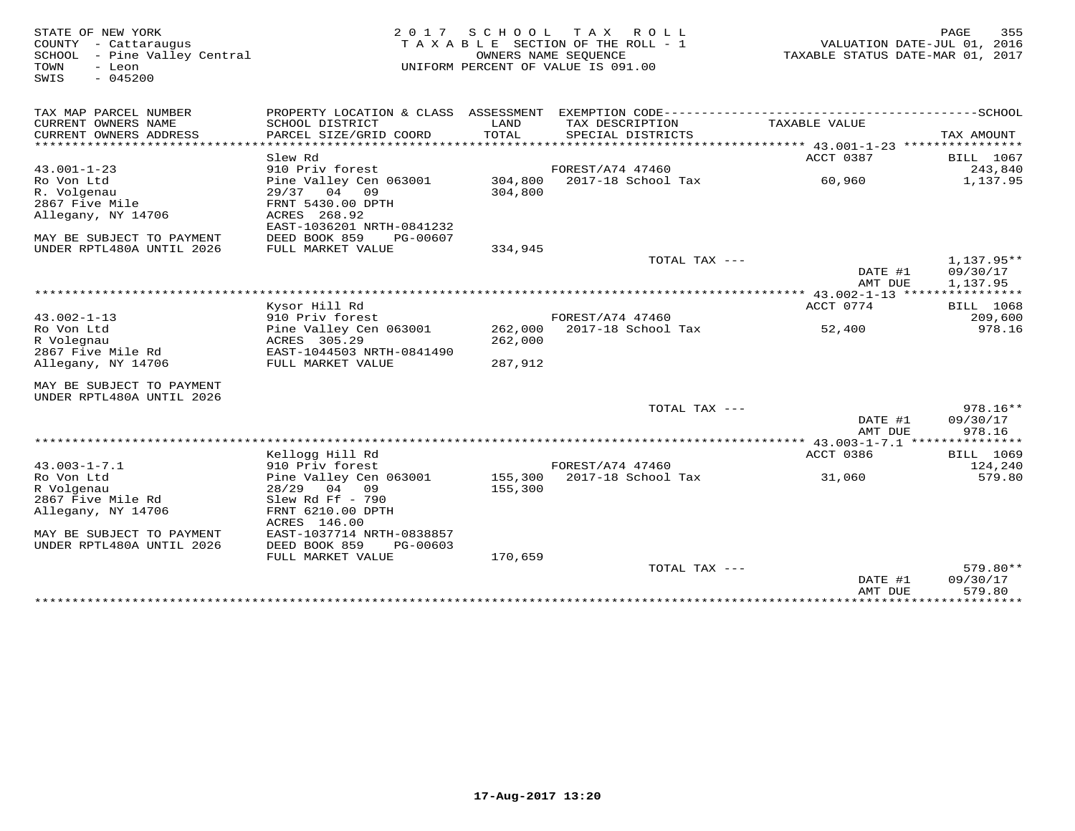| TAX MAP PARCEL NUMBER<br>CURRENT OWNERS NAME<br>SCHOOL DISTRICT<br>LAND<br>TAX DESCRIPTION<br>TAXABLE VALUE<br>TOTAL<br>CURRENT OWNERS ADDRESS<br>PARCEL SIZE/GRID COORD<br>SPECIAL DISTRICTS<br>*******************<br>ACCT 0387<br>Slew Rd<br>$43.001 - 1 - 23$<br>910 Priv forest<br>FOREST/A74 47460<br>243,840<br>Ro Von Ltd<br>Pine Valley Cen 063001<br>304,800<br>2017-18 School Tax<br>60,960<br>R. Volgenau<br>$29/37$ 04<br>09<br>304,800<br>2867 Five Mile<br>FRNT 5430.00 DPTH<br>Allegany, NY 14706<br>ACRES 268.92<br>EAST-1036201 NRTH-0841232<br>DEED BOOK 859<br>PG-00607<br>MAY BE SUBJECT TO PAYMENT<br>UNDER RPTL480A UNTIL 2026<br>FULL MARKET VALUE<br>334,945<br>TOTAL TAX ---<br>DATE #1<br>AMT DUE<br>************ 43.002-1-13 *****************<br>Kysor Hill Rd<br>ACCT 0774<br>$43.002 - 1 - 13$<br>910 Priv forest<br>FOREST/A74 47460<br>262,000<br>2017-18 School Tax<br>Ro Von Ltd<br>Pine Valley Cen 063001<br>52,400<br>R Volegnau<br>ACRES 305.29<br>262,000<br>2867 Five Mile Rd<br>EAST-1044503 NRTH-0841490<br>287,912<br>Allegany, NY 14706<br>FULL MARKET VALUE<br>MAY BE SUBJECT TO PAYMENT<br>UNDER RPTL480A UNTIL 2026<br>TOTAL TAX ---<br>DATE #1<br>AMT DUE<br>Kellogg Hill Rd<br>ACCT 0386<br>BILL 1069<br>$43.003 - 1 - 7.1$<br>910 Priv forest<br>FOREST/A74 47460<br>124,240<br>2017-18 School Tax<br>Ro Von Ltd<br>Pine Valley Cen 063001<br>155,300<br>31,060<br>R Volgenau<br>28/29 04 09<br>155,300<br>2867 Five Mile Rd<br>Slew Rd Ff $-790$<br>Allegany, NY 14706<br>FRNT 6210.00 DPTH<br>ACRES 146.00<br>EAST-1037714 NRTH-0838857<br>MAY BE SUBJECT TO PAYMENT<br>UNDER RPTL480A UNTIL 2026<br>DEED BOOK 859<br>PG-00603<br>FULL MARKET VALUE<br>170,659<br>TOTAL TAX --- | STATE OF NEW YORK<br>COUNTY - Cattaraugus<br>SCHOOL - Pine Valley Central<br>TOWN<br>- Leon<br>$-045200$<br>SWIS | 2 0 1 7 | SCHOOL | T A X<br>R O L L<br>TAXABLE SECTION OF THE ROLL - 1<br>OWNERS NAME SEOUENCE<br>UNIFORM PERCENT OF VALUE IS 091.00 | TAXABLE STATUS DATE-MAR 01, 2017 | PAGE<br>355<br>VALUATION DATE-JUL 01, 2016 |
|-------------------------------------------------------------------------------------------------------------------------------------------------------------------------------------------------------------------------------------------------------------------------------------------------------------------------------------------------------------------------------------------------------------------------------------------------------------------------------------------------------------------------------------------------------------------------------------------------------------------------------------------------------------------------------------------------------------------------------------------------------------------------------------------------------------------------------------------------------------------------------------------------------------------------------------------------------------------------------------------------------------------------------------------------------------------------------------------------------------------------------------------------------------------------------------------------------------------------------------------------------------------------------------------------------------------------------------------------------------------------------------------------------------------------------------------------------------------------------------------------------------------------------------------------------------------------------------------------------------------------------------------------------------------------------------------------------------------------------------|------------------------------------------------------------------------------------------------------------------|---------|--------|-------------------------------------------------------------------------------------------------------------------|----------------------------------|--------------------------------------------|
|                                                                                                                                                                                                                                                                                                                                                                                                                                                                                                                                                                                                                                                                                                                                                                                                                                                                                                                                                                                                                                                                                                                                                                                                                                                                                                                                                                                                                                                                                                                                                                                                                                                                                                                                     |                                                                                                                  |         |        |                                                                                                                   |                                  |                                            |
|                                                                                                                                                                                                                                                                                                                                                                                                                                                                                                                                                                                                                                                                                                                                                                                                                                                                                                                                                                                                                                                                                                                                                                                                                                                                                                                                                                                                                                                                                                                                                                                                                                                                                                                                     |                                                                                                                  |         |        |                                                                                                                   |                                  | TAX AMOUNT                                 |
|                                                                                                                                                                                                                                                                                                                                                                                                                                                                                                                                                                                                                                                                                                                                                                                                                                                                                                                                                                                                                                                                                                                                                                                                                                                                                                                                                                                                                                                                                                                                                                                                                                                                                                                                     |                                                                                                                  |         |        |                                                                                                                   |                                  | *****<br>BILL 1067                         |
|                                                                                                                                                                                                                                                                                                                                                                                                                                                                                                                                                                                                                                                                                                                                                                                                                                                                                                                                                                                                                                                                                                                                                                                                                                                                                                                                                                                                                                                                                                                                                                                                                                                                                                                                     |                                                                                                                  |         |        |                                                                                                                   |                                  | 1,137.95                                   |
|                                                                                                                                                                                                                                                                                                                                                                                                                                                                                                                                                                                                                                                                                                                                                                                                                                                                                                                                                                                                                                                                                                                                                                                                                                                                                                                                                                                                                                                                                                                                                                                                                                                                                                                                     |                                                                                                                  |         |        |                                                                                                                   |                                  |                                            |
|                                                                                                                                                                                                                                                                                                                                                                                                                                                                                                                                                                                                                                                                                                                                                                                                                                                                                                                                                                                                                                                                                                                                                                                                                                                                                                                                                                                                                                                                                                                                                                                                                                                                                                                                     |                                                                                                                  |         |        |                                                                                                                   |                                  | 1,137.95**                                 |
|                                                                                                                                                                                                                                                                                                                                                                                                                                                                                                                                                                                                                                                                                                                                                                                                                                                                                                                                                                                                                                                                                                                                                                                                                                                                                                                                                                                                                                                                                                                                                                                                                                                                                                                                     |                                                                                                                  |         |        |                                                                                                                   |                                  | 09/30/17<br>1,137.95                       |
|                                                                                                                                                                                                                                                                                                                                                                                                                                                                                                                                                                                                                                                                                                                                                                                                                                                                                                                                                                                                                                                                                                                                                                                                                                                                                                                                                                                                                                                                                                                                                                                                                                                                                                                                     |                                                                                                                  |         |        |                                                                                                                   |                                  | <b>BILL</b> 1068                           |
|                                                                                                                                                                                                                                                                                                                                                                                                                                                                                                                                                                                                                                                                                                                                                                                                                                                                                                                                                                                                                                                                                                                                                                                                                                                                                                                                                                                                                                                                                                                                                                                                                                                                                                                                     |                                                                                                                  |         |        |                                                                                                                   |                                  | 209,600                                    |
|                                                                                                                                                                                                                                                                                                                                                                                                                                                                                                                                                                                                                                                                                                                                                                                                                                                                                                                                                                                                                                                                                                                                                                                                                                                                                                                                                                                                                                                                                                                                                                                                                                                                                                                                     |                                                                                                                  |         |        |                                                                                                                   |                                  | 978.16                                     |
|                                                                                                                                                                                                                                                                                                                                                                                                                                                                                                                                                                                                                                                                                                                                                                                                                                                                                                                                                                                                                                                                                                                                                                                                                                                                                                                                                                                                                                                                                                                                                                                                                                                                                                                                     |                                                                                                                  |         |        |                                                                                                                   |                                  |                                            |
|                                                                                                                                                                                                                                                                                                                                                                                                                                                                                                                                                                                                                                                                                                                                                                                                                                                                                                                                                                                                                                                                                                                                                                                                                                                                                                                                                                                                                                                                                                                                                                                                                                                                                                                                     |                                                                                                                  |         |        |                                                                                                                   |                                  | 978.16**<br>09/30/17<br>978.16             |
|                                                                                                                                                                                                                                                                                                                                                                                                                                                                                                                                                                                                                                                                                                                                                                                                                                                                                                                                                                                                                                                                                                                                                                                                                                                                                                                                                                                                                                                                                                                                                                                                                                                                                                                                     |                                                                                                                  |         |        |                                                                                                                   |                                  |                                            |
|                                                                                                                                                                                                                                                                                                                                                                                                                                                                                                                                                                                                                                                                                                                                                                                                                                                                                                                                                                                                                                                                                                                                                                                                                                                                                                                                                                                                                                                                                                                                                                                                                                                                                                                                     |                                                                                                                  |         |        |                                                                                                                   |                                  |                                            |
|                                                                                                                                                                                                                                                                                                                                                                                                                                                                                                                                                                                                                                                                                                                                                                                                                                                                                                                                                                                                                                                                                                                                                                                                                                                                                                                                                                                                                                                                                                                                                                                                                                                                                                                                     |                                                                                                                  |         |        |                                                                                                                   |                                  | 579.80                                     |
| AMT DUE<br>579.80                                                                                                                                                                                                                                                                                                                                                                                                                                                                                                                                                                                                                                                                                                                                                                                                                                                                                                                                                                                                                                                                                                                                                                                                                                                                                                                                                                                                                                                                                                                                                                                                                                                                                                                   |                                                                                                                  |         |        |                                                                                                                   | DATE #1                          | 579.80**<br>09/30/17                       |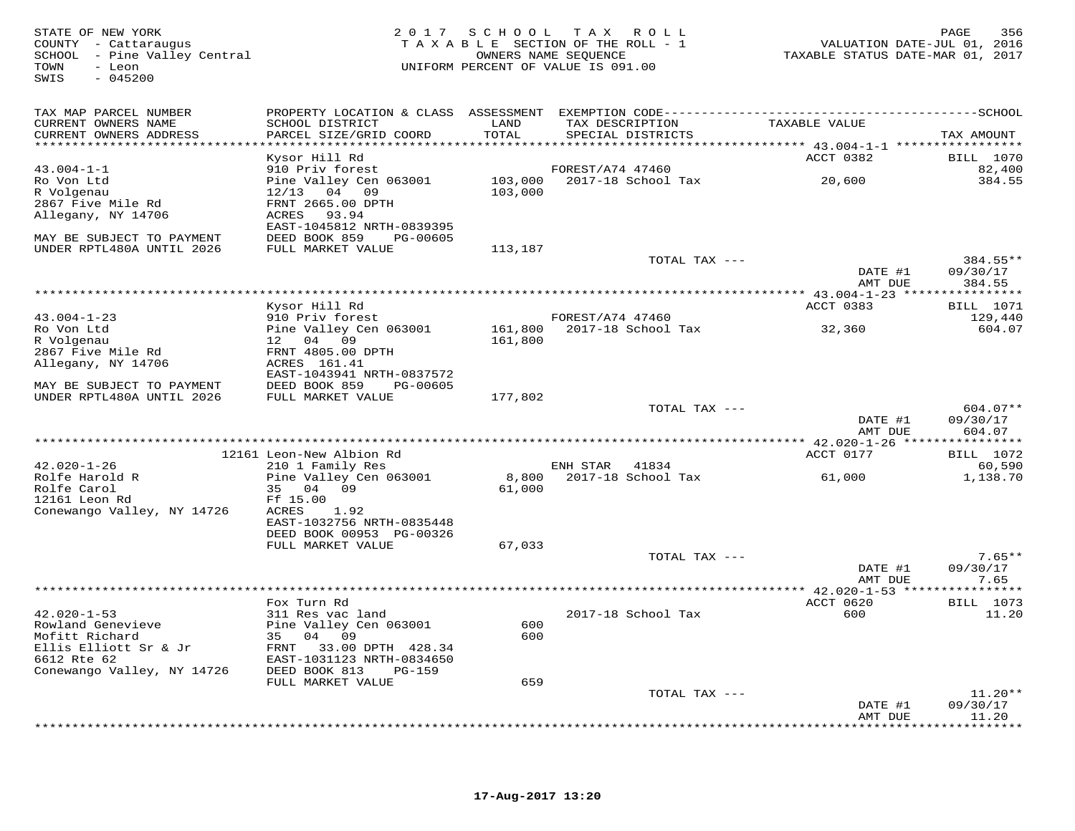| STATE OF NEW YORK<br>COUNTY - Cattaraugus<br>SCHOOL - Pine Valley Central<br>- Leon<br>TOWN<br>SWIS<br>$-045200$ |                                                |               | 2017 SCHOOL TAX ROLL<br>TAXABLE SECTION OF THE ROLL - 1<br>OWNERS NAME SEQUENCE<br>UNIFORM PERCENT OF VALUE IS 091.00 | VALUATION DATE-JUL 01, 2016<br>TAXABLE STATUS DATE-MAR 01, 2017 | 356<br>PAGE             |
|------------------------------------------------------------------------------------------------------------------|------------------------------------------------|---------------|-----------------------------------------------------------------------------------------------------------------------|-----------------------------------------------------------------|-------------------------|
| TAX MAP PARCEL NUMBER                                                                                            |                                                |               |                                                                                                                       |                                                                 |                         |
| CURRENT OWNERS NAME<br>CURRENT OWNERS ADDRESS<br>***********************                                         | SCHOOL DISTRICT<br>PARCEL SIZE/GRID COORD      | LAND<br>TOTAL | TAX DESCRIPTION<br>SPECIAL DISTRICTS                                                                                  | TAXABLE VALUE                                                   | TAX AMOUNT              |
|                                                                                                                  | Kysor Hill Rd                                  |               |                                                                                                                       | ACCT 0382                                                       | <b>BILL</b> 1070        |
| $43.004 - 1 - 1$                                                                                                 | 910 Priv forest                                |               | FOREST/A74 47460                                                                                                      |                                                                 | 82,400                  |
| Ro Von Ltd                                                                                                       | Pine Valley Cen 063001                         |               | 103,000 2017-18 School Tax                                                                                            | 20,600                                                          | 384.55                  |
| R Volgenau                                                                                                       | $12/13$ 04 09                                  | 103,000       |                                                                                                                       |                                                                 |                         |
| 2867 Five Mile Rd                                                                                                | FRNT 2665.00 DPTH                              |               |                                                                                                                       |                                                                 |                         |
| Allegany, NY 14706                                                                                               | ACRES<br>93.94<br>EAST-1045812 NRTH-0839395    |               |                                                                                                                       |                                                                 |                         |
| MAY BE SUBJECT TO PAYMENT                                                                                        | DEED BOOK 859 PG-00605                         |               |                                                                                                                       |                                                                 |                         |
| UNDER RPTL480A UNTIL 2026                                                                                        | FULL MARKET VALUE                              | 113,187       |                                                                                                                       |                                                                 |                         |
|                                                                                                                  |                                                |               | TOTAL TAX ---                                                                                                         |                                                                 | 384.55**                |
|                                                                                                                  |                                                |               |                                                                                                                       | DATE #1                                                         | 09/30/17                |
|                                                                                                                  |                                                |               |                                                                                                                       | AMT DUE                                                         | 384.55                  |
|                                                                                                                  | Kysor Hill Rd                                  |               |                                                                                                                       | ACCT 0383                                                       | <b>BILL</b> 1071        |
| $43.004 - 1 - 23$                                                                                                | 910 Priv forest                                |               | FOREST/A74 47460                                                                                                      |                                                                 | 129,440                 |
| Ro Von Ltd                                                                                                       | Pine Valley Cen 063001                         |               | 161,800  2017-18  School Tax                                                                                          | 32,360                                                          | 604.07                  |
| R Volgenau                                                                                                       | 12 04 09                                       | 161,800       |                                                                                                                       |                                                                 |                         |
| 2867 Five Mile Rd                                                                                                | FRNT 4805.00 DPTH                              |               |                                                                                                                       |                                                                 |                         |
| Allegany, NY 14706                                                                                               | ACRES 161.41                                   |               |                                                                                                                       |                                                                 |                         |
|                                                                                                                  | EAST-1043941 NRTH-0837572                      |               |                                                                                                                       |                                                                 |                         |
| MAY BE SUBJECT TO PAYMENT<br>UNDER RPTL480A UNTIL 2026                                                           | DEED BOOK 859<br>PG-00605<br>FULL MARKET VALUE | 177,802       |                                                                                                                       |                                                                 |                         |
|                                                                                                                  |                                                |               | TOTAL TAX ---                                                                                                         |                                                                 | $604.07**$              |
|                                                                                                                  |                                                |               |                                                                                                                       | DATE #1                                                         | 09/30/17                |
|                                                                                                                  |                                                |               |                                                                                                                       | AMT DUE                                                         | 604.07                  |
|                                                                                                                  |                                                |               |                                                                                                                       |                                                                 |                         |
| $42.020 - 1 - 26$                                                                                                | 12161 Leon-New Albion Rd                       |               |                                                                                                                       | ACCT 0177                                                       | BILL 1072<br>60,590     |
| Rolfe Harold R                                                                                                   | 210 1 Family Res<br>Pine Valley Cen 063001     | 8,800         | ENH STAR 41834<br>2017-18 School Tax                                                                                  | 61,000                                                          | 1,138.70                |
| Rolfe Carol                                                                                                      | 35 04 09                                       | 61,000        |                                                                                                                       |                                                                 |                         |
| 12161 Leon Rd                                                                                                    | Ff 15.00                                       |               |                                                                                                                       |                                                                 |                         |
| Conewango Valley, NY 14726                                                                                       | ACRES<br>1.92                                  |               |                                                                                                                       |                                                                 |                         |
|                                                                                                                  | EAST-1032756 NRTH-0835448                      |               |                                                                                                                       |                                                                 |                         |
|                                                                                                                  | DEED BOOK 00953 PG-00326                       |               |                                                                                                                       |                                                                 |                         |
|                                                                                                                  | FULL MARKET VALUE                              | 67,033        | TOTAL TAX ---                                                                                                         |                                                                 | $7.65**$                |
|                                                                                                                  |                                                |               |                                                                                                                       | DATE #1                                                         | 09/30/17                |
|                                                                                                                  |                                                |               |                                                                                                                       | AMT DUE                                                         | 7.65                    |
|                                                                                                                  |                                                |               |                                                                                                                       |                                                                 | ***********             |
|                                                                                                                  | Fox Turn Rd                                    |               |                                                                                                                       | ACCT 0620                                                       | <b>BILL</b> 1073        |
| $42.020 - 1 - 53$                                                                                                | 311 Res vac land                               |               | 2017-18 School Tax                                                                                                    | 600                                                             | 11.20                   |
| Rowland Genevieve                                                                                                | Pine Valley Cen 063001                         | 600           |                                                                                                                       |                                                                 |                         |
| Mofitt Richard<br>Ellis Elliott Sr & Jr                                                                          | 35 04 09<br>FRNT 33.00 DPTH 428.34             | 600           |                                                                                                                       |                                                                 |                         |
| 6612 Rte 62                                                                                                      | EAST-1031123 NRTH-0834650                      |               |                                                                                                                       |                                                                 |                         |
| Conewango Valley, NY 14726                                                                                       | DEED BOOK 813<br>$PG-159$                      |               |                                                                                                                       |                                                                 |                         |
|                                                                                                                  | FULL MARKET VALUE                              | 659           |                                                                                                                       |                                                                 |                         |
|                                                                                                                  |                                                |               | TOTAL TAX ---                                                                                                         |                                                                 | $11.20**$               |
|                                                                                                                  |                                                |               |                                                                                                                       | DATE #1                                                         | 09/30/17                |
|                                                                                                                  |                                                |               |                                                                                                                       | AMT DUE                                                         | 11.20<br><b>+++++++</b> |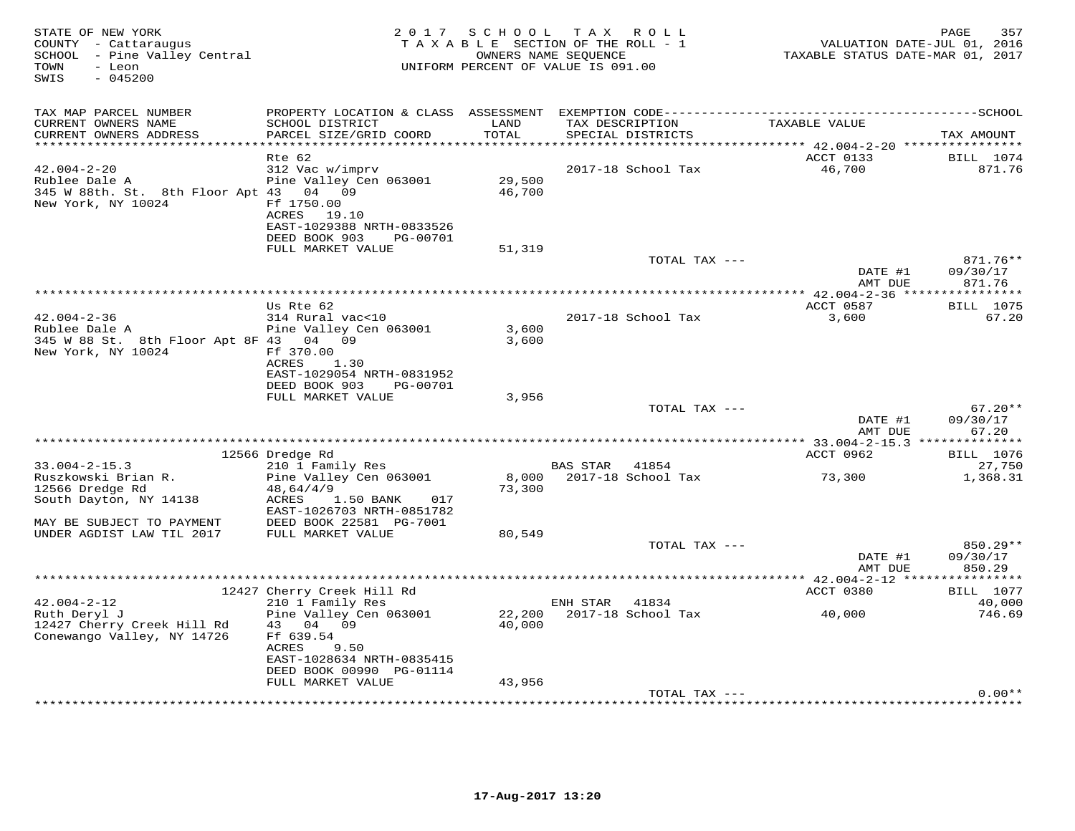| STATE OF NEW YORK<br>COUNTY - Cattaraugus<br>SCHOOL - Pine Valley Central<br>- Leon<br>TOWN<br>SWIS<br>$-045200$     |                                                                                                                                                                 | 2017 SCHOOL      | T A X<br>R O L L<br>TAXABLE SECTION OF THE ROLL - 1<br>OWNERS NAME SEQUENCE<br>UNIFORM PERCENT OF VALUE IS 091.00 | TAXABLE STATUS DATE-MAR 01, 2017         | PAGE<br>357<br>VALUATION DATE-JUL 01, 2016  |
|----------------------------------------------------------------------------------------------------------------------|-----------------------------------------------------------------------------------------------------------------------------------------------------------------|------------------|-------------------------------------------------------------------------------------------------------------------|------------------------------------------|---------------------------------------------|
| TAX MAP PARCEL NUMBER<br>CURRENT OWNERS NAME<br>CURRENT OWNERS ADDRESS<br>***********************                    | SCHOOL DISTRICT<br>PARCEL SIZE/GRID COORD<br>*************************                                                                                          | LAND<br>TOTAL    | TAX DESCRIPTION<br>SPECIAL DISTRICTS                                                                              | TAXABLE VALUE                            | TAX AMOUNT                                  |
| $42.004 - 2 - 20$<br>Rublee Dale A<br>345 W 88th. St. 8th Floor Apt 43 04 09<br>New York, NY 10024                   | Rte 62<br>312 Vac w/imprv<br>Pine Valley Cen 063001<br>Ff 1750.00<br>ACRES<br>19.10<br>EAST-1029388 NRTH-0833526<br>DEED BOOK 903<br>PG-00701                   | 29,500<br>46,700 | 2017-18 School Tax                                                                                                | ACCT 0133<br>46,700                      | BILL 1074<br>871.76                         |
|                                                                                                                      | FULL MARKET VALUE                                                                                                                                               | 51,319           | TOTAL TAX ---                                                                                                     | DATE #1<br>AMT DUE                       | 871.76**<br>09/30/17<br>871.76              |
| $42.004 - 2 - 36$<br>Rublee Dale A<br>345 W 88 St. 8th Floor Apt 8F 43 04<br>New York, NY 10024                      | Us Rte 62<br>314 Rural vac<10<br>Pine Valley Cen 063001<br>09<br>Ff 370.00<br>ACRES<br>1.30                                                                     | 3,600<br>3,600   | 2017-18 School Tax                                                                                                | ACCT 0587<br>3,600                       | * * * * * * * * * * *<br>BILL 1075<br>67.20 |
|                                                                                                                      | EAST-1029054 NRTH-0831952<br>DEED BOOK 903<br>PG-00701<br>FULL MARKET VALUE                                                                                     | 3,956            | TOTAL TAX ---                                                                                                     | DATE #1<br>AMT DUE                       | $67.20**$<br>09/30/17<br>67.20              |
|                                                                                                                      |                                                                                                                                                                 |                  |                                                                                                                   | *********** 33.004-2-15.3 ************** |                                             |
| $33.004 - 2 - 15.3$<br>Ruszkowski Brian R.<br>12566 Dredge Rd<br>South Dayton, NY 14138<br>MAY BE SUBJECT TO PAYMENT | 12566 Dredge Rd<br>210 1 Family Res<br>Pine Valley Cen 063001<br>48,64/4/9<br>ACRES<br>1.50 BANK<br>017<br>EAST-1026703 NRTH-0851782<br>DEED BOOK 22581 PG-7001 | 8,000<br>73,300  | BAS STAR<br>41854<br>2017-18 School Tax                                                                           | ACCT 0962<br>73,300                      | BILL 1076<br>27,750<br>1,368.31             |
| UNDER AGDIST LAW TIL 2017                                                                                            | FULL MARKET VALUE                                                                                                                                               | 80,549           | TOTAL TAX ---                                                                                                     |                                          | 850.29**                                    |
|                                                                                                                      |                                                                                                                                                                 |                  |                                                                                                                   | DATE #1<br>AMT DUE                       | 09/30/17<br>850.29                          |
|                                                                                                                      | 12427 Cherry Creek Hill Rd                                                                                                                                      |                  |                                                                                                                   | ACCT 0380                                | <b>BILL</b> 1077                            |
| $42.004 - 2 - 12$<br>Ruth Deryl J<br>12427 Cherry Creek Hill Rd<br>Conewango Valley, NY 14726                        | 210 1 Family Res<br>Pine Valley Cen 063001<br>43 04 09<br>Ff 639.54<br>ACRES<br>9.50<br>EAST-1028634 NRTH-0835415<br>DEED BOOK 00990 PG-01114                   | 22,200<br>40,000 | ENH STAR<br>41834<br>2017-18 School Tax                                                                           | 40,000                                   | 40,000<br>746.69                            |
|                                                                                                                      | FULL MARKET VALUE                                                                                                                                               | 43,956           | TOTAL TAX ---                                                                                                     |                                          | $0.00**$                                    |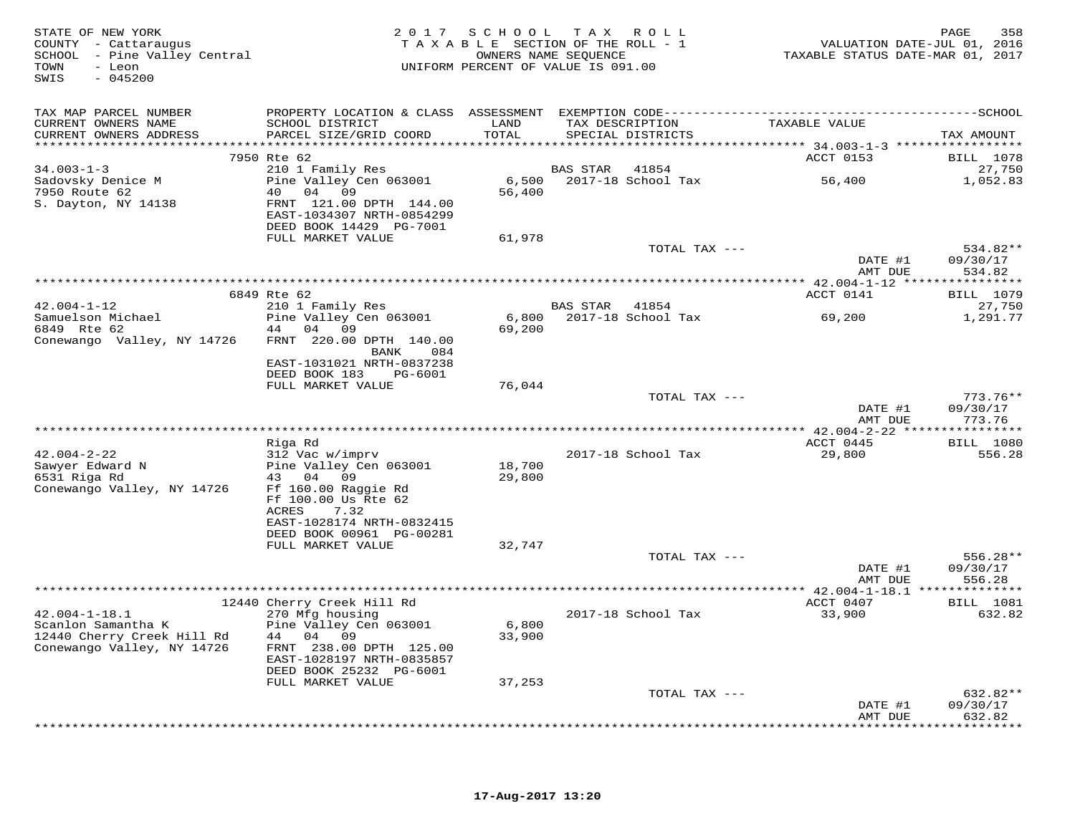| STATE OF NEW YORK<br>COUNTY - Cattaraugus<br>SCHOOL - Pine Valley Central<br>TOWN<br>- Leon<br>$-045200$<br>SWIS |                                               |               | 2017 SCHOOL TAX ROLL<br>TAXABLE SECTION OF THE ROLL - 1<br>OWNERS NAME SEQUENCE<br>UNIFORM PERCENT OF VALUE IS 091.00 | VALUATION DATE-JUL 01, 2016<br>TAXABLE STATUS DATE-MAR 01, 2017 | 358<br>PAGE                               |
|------------------------------------------------------------------------------------------------------------------|-----------------------------------------------|---------------|-----------------------------------------------------------------------------------------------------------------------|-----------------------------------------------------------------|-------------------------------------------|
| TAX MAP PARCEL NUMBER                                                                                            |                                               |               |                                                                                                                       |                                                                 |                                           |
| CURRENT OWNERS NAME<br>CURRENT OWNERS ADDRESS                                                                    | SCHOOL DISTRICT<br>PARCEL SIZE/GRID COORD     | LAND<br>TOTAL | TAX DESCRIPTION<br>SPECIAL DISTRICTS                                                                                  | TAXABLE VALUE                                                   | TAX AMOUNT                                |
|                                                                                                                  |                                               |               |                                                                                                                       |                                                                 |                                           |
|                                                                                                                  | 7950 Rte 62                                   |               |                                                                                                                       | ACCT 0153                                                       | <b>BILL</b> 1078                          |
| $34.003 - 1 - 3$<br>Sadovsky Denice M                                                                            | 210 1 Family Res<br>Pine Valley Cen 063001    |               | BAS STAR<br>41854<br>6,500 2017-18 School Tax                                                                         | 56,400                                                          | 27,750<br>1,052.83                        |
| 7950 Route 62                                                                                                    | 40 04 09                                      | 56,400        |                                                                                                                       |                                                                 |                                           |
| S. Dayton, NY 14138                                                                                              | FRNT 121.00 DPTH 144.00                       |               |                                                                                                                       |                                                                 |                                           |
|                                                                                                                  | EAST-1034307 NRTH-0854299                     |               |                                                                                                                       |                                                                 |                                           |
|                                                                                                                  | DEED BOOK 14429 PG-7001                       |               |                                                                                                                       |                                                                 |                                           |
|                                                                                                                  | FULL MARKET VALUE                             | 61,978        |                                                                                                                       |                                                                 |                                           |
|                                                                                                                  |                                               |               | TOTAL TAX ---                                                                                                         |                                                                 | 534.82**                                  |
|                                                                                                                  |                                               |               |                                                                                                                       | DATE #1                                                         | 09/30/17                                  |
|                                                                                                                  |                                               |               |                                                                                                                       | AMT DUE<br>****************** 42.004-1-12 *****************     | 534.82                                    |
|                                                                                                                  | 6849 Rte 62                                   |               |                                                                                                                       | ACCT 0141                                                       | <b>BILL</b> 1079                          |
| $42.004 - 1 - 12$                                                                                                | 210 1 Family Res                              |               | BAS STAR<br>41854                                                                                                     |                                                                 | 27,750                                    |
| Samuelson Michael                                                                                                | Pine Valley Cen 063001                        | 6,800         | 2017-18 School Tax                                                                                                    | 69,200                                                          | 1,291.77                                  |
| 6849 Rte 62                                                                                                      | 44 04 09                                      | 69,200        |                                                                                                                       |                                                                 |                                           |
| Conewango Valley, NY 14726                                                                                       | FRNT 220.00 DPTH 140.00                       |               |                                                                                                                       |                                                                 |                                           |
|                                                                                                                  | BANK<br>084<br>EAST-1031021 NRTH-0837238      |               |                                                                                                                       |                                                                 |                                           |
|                                                                                                                  | DEED BOOK 183<br>PG-6001                      |               |                                                                                                                       |                                                                 |                                           |
|                                                                                                                  | FULL MARKET VALUE                             | 76,044        |                                                                                                                       |                                                                 |                                           |
|                                                                                                                  |                                               |               | TOTAL TAX ---                                                                                                         |                                                                 | $773.76**$                                |
|                                                                                                                  |                                               |               |                                                                                                                       | DATE #1                                                         | 09/30/17                                  |
|                                                                                                                  |                                               |               |                                                                                                                       | AMT DUE                                                         | 773.76                                    |
|                                                                                                                  | Riga Rd                                       |               |                                                                                                                       | **** $42.004 - 2 - 22$ **<br>ACCT 0445                          | * * * * * * * * * * *<br><b>BILL</b> 1080 |
| $42.004 - 2 - 22$                                                                                                | 312 Vac w/imprv                               |               | 2017-18 School Tax                                                                                                    | 29,800                                                          | 556.28                                    |
| Sawyer Edward N                                                                                                  | Pine Valley Cen 063001                        | 18,700        |                                                                                                                       |                                                                 |                                           |
| 6531 Riga Rd                                                                                                     | 43 04 09                                      | 29,800        |                                                                                                                       |                                                                 |                                           |
| Conewango Valley, NY 14726                                                                                       | Ff 160.00 Raggie Rd                           |               |                                                                                                                       |                                                                 |                                           |
|                                                                                                                  | Ff 100.00 Us Rte 62                           |               |                                                                                                                       |                                                                 |                                           |
|                                                                                                                  | ACRES<br>7.32                                 |               |                                                                                                                       |                                                                 |                                           |
|                                                                                                                  | EAST-1028174 NRTH-0832415                     |               |                                                                                                                       |                                                                 |                                           |
|                                                                                                                  | DEED BOOK 00961 PG-00281<br>FULL MARKET VALUE | 32,747        |                                                                                                                       |                                                                 |                                           |
|                                                                                                                  |                                               |               | TOTAL TAX ---                                                                                                         |                                                                 | $556.28**$                                |
|                                                                                                                  |                                               |               |                                                                                                                       | DATE #1                                                         | 09/30/17                                  |
|                                                                                                                  |                                               |               |                                                                                                                       | AMT DUE                                                         | 556.28                                    |
|                                                                                                                  |                                               |               | *******************                                                                                                   | ** 42.004-1-18.1 ***************                                |                                           |
|                                                                                                                  | 12440 Cherry Creek Hill Rd                    |               |                                                                                                                       | ACCT 0407                                                       | <b>BILL</b> 1081                          |
| $42.004 - 1 - 18.1$<br>Scanlon Samantha K                                                                        | 270 Mfg housing<br>Pine Valley Cen 063001     | 6,800         | 2017-18 School Tax                                                                                                    | 33,900                                                          | 632.82                                    |
| 12440 Cherry Creek Hill Rd                                                                                       | 44 04 09                                      | 33,900        |                                                                                                                       |                                                                 |                                           |
| Conewango Valley, NY 14726                                                                                       | FRNT 238.00 DPTH 125.00                       |               |                                                                                                                       |                                                                 |                                           |
|                                                                                                                  | EAST-1028197 NRTH-0835857                     |               |                                                                                                                       |                                                                 |                                           |
|                                                                                                                  | DEED BOOK 25232 PG-6001                       |               |                                                                                                                       |                                                                 |                                           |
|                                                                                                                  | FULL MARKET VALUE                             | 37,253        |                                                                                                                       |                                                                 |                                           |
|                                                                                                                  |                                               |               | TOTAL TAX ---                                                                                                         |                                                                 | 632.82**                                  |
|                                                                                                                  |                                               |               |                                                                                                                       | DATE #1<br>AMT DUE                                              | 09/30/17<br>632.82                        |
|                                                                                                                  |                                               |               |                                                                                                                       |                                                                 | <b>++++++++</b>                           |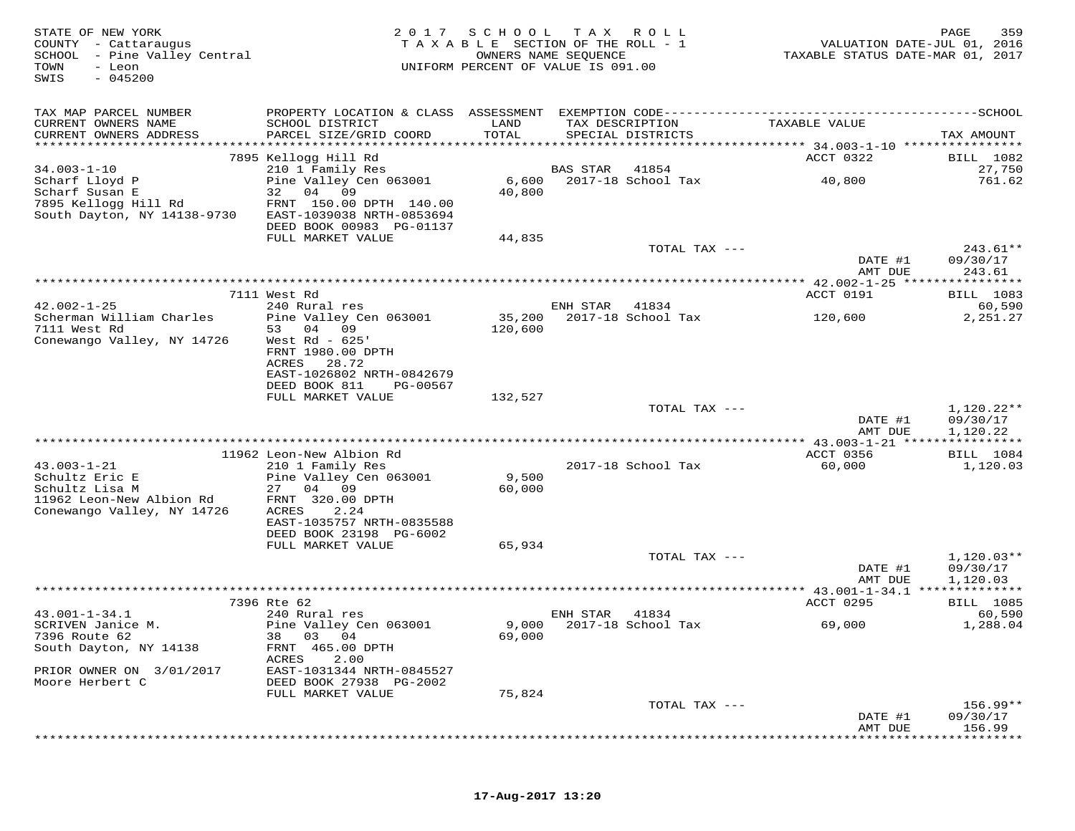| STATE OF NEW YORK<br>COUNTY - Cattaraugus<br>SCHOOL<br>- Pine Valley Central<br>TOWN<br>- Leon<br>$-045200$<br>SWIS | 2017                                                 | SCHOOL<br>OWNERS NAME SEQUENCE | T A X<br>R O L L<br>TAXABLE SECTION OF THE ROLL - 1<br>UNIFORM PERCENT OF VALUE IS 091.00 | VALUATION DATE-JUL 01, 2016<br>TAXABLE STATUS DATE-MAR 01, 2017                              | 359<br>PAGE                       |
|---------------------------------------------------------------------------------------------------------------------|------------------------------------------------------|--------------------------------|-------------------------------------------------------------------------------------------|----------------------------------------------------------------------------------------------|-----------------------------------|
| TAX MAP PARCEL NUMBER                                                                                               |                                                      |                                |                                                                                           | PROPERTY LOCATION & CLASS ASSESSMENT EXEMPTION CODE-----------------------------------SCHOOL |                                   |
| CURRENT OWNERS NAME<br>CURRENT OWNERS ADDRESS                                                                       | SCHOOL DISTRICT<br>PARCEL SIZE/GRID COORD            | LAND<br>TOTAL                  | TAX DESCRIPTION<br>SPECIAL DISTRICTS                                                      | TAXABLE VALUE                                                                                | TAX AMOUNT                        |
| ***********************                                                                                             |                                                      |                                |                                                                                           |                                                                                              |                                   |
|                                                                                                                     | 7895 Kellogg Hill Rd                                 |                                |                                                                                           | ACCT 0322                                                                                    | BILL 1082                         |
| $34.003 - 1 - 10$                                                                                                   | 210 1 Family Res                                     |                                | <b>BAS STAR</b><br>41854                                                                  |                                                                                              | 27,750                            |
| Scharf Lloyd P<br>Scharf Susan E                                                                                    | Pine Valley Cen 063001<br>32 04 09                   | 6,600<br>40,800                | 2017-18 School Tax                                                                        | 40,800                                                                                       | 761.62                            |
| 7895 Kellogg Hill Rd<br>South Dayton, NY 14138-9730                                                                 | FRNT 150.00 DPTH 140.00<br>EAST-1039038 NRTH-0853694 |                                |                                                                                           |                                                                                              |                                   |
|                                                                                                                     | DEED BOOK 00983 PG-01137                             |                                |                                                                                           |                                                                                              |                                   |
|                                                                                                                     | FULL MARKET VALUE                                    | 44,835                         | TOTAL TAX ---                                                                             |                                                                                              | $243.61**$                        |
|                                                                                                                     |                                                      |                                |                                                                                           | DATE #1                                                                                      | 09/30/17                          |
|                                                                                                                     |                                                      |                                |                                                                                           | AMT DUE                                                                                      | 243.61                            |
|                                                                                                                     |                                                      |                                |                                                                                           | ************ 42.002-1-25 *****************                                                   |                                   |
| $42.002 - 1 - 25$                                                                                                   | 7111 West Rd<br>240 Rural res                        |                                | ENH STAR<br>41834                                                                         | ACCT 0191                                                                                    | BILL 1083<br>60,590               |
| Scherman William Charles                                                                                            | Pine Valley Cen 063001                               | 35,200                         | $2017-18$ School Tax                                                                      | 120,600                                                                                      | 2,251.27                          |
| 7111 West Rd                                                                                                        | 53 04<br>09                                          | 120,600                        |                                                                                           |                                                                                              |                                   |
| Conewango Valley, NY 14726                                                                                          | West $Rd - 625'$<br>FRNT 1980.00 DPTH                |                                |                                                                                           |                                                                                              |                                   |
|                                                                                                                     | ACRES<br>28.72                                       |                                |                                                                                           |                                                                                              |                                   |
|                                                                                                                     | EAST-1026802 NRTH-0842679                            |                                |                                                                                           |                                                                                              |                                   |
|                                                                                                                     | DEED BOOK 811<br>PG-00567<br>FULL MARKET VALUE       | 132,527                        |                                                                                           |                                                                                              |                                   |
|                                                                                                                     |                                                      |                                | TOTAL TAX ---                                                                             |                                                                                              | 1,120.22**                        |
|                                                                                                                     |                                                      |                                |                                                                                           | DATE #1                                                                                      | 09/30/17                          |
|                                                                                                                     |                                                      |                                |                                                                                           | AMT DUE                                                                                      | 1,120.22<br>* * * * * * * * * * * |
|                                                                                                                     | 11962 Leon-New Albion Rd                             |                                |                                                                                           | ***** $43.003 - 1 - 21$ *****<br>ACCT 0356                                                   | BILL 1084                         |
| $43.003 - 1 - 21$                                                                                                   | 210 1 Family Res                                     |                                | 2017-18 School Tax                                                                        | 60,000                                                                                       | 1,120.03                          |
| Schultz Eric E                                                                                                      | Pine Valley Cen 063001                               | 9,500                          |                                                                                           |                                                                                              |                                   |
| Schultz Lisa M                                                                                                      | 27 04 09                                             | 60,000                         |                                                                                           |                                                                                              |                                   |
| 11962 Leon-New Albion Rd<br>Conewango Valley, NY 14726                                                              | FRNT 320.00 DPTH<br><b>ACRES</b><br>2.24             |                                |                                                                                           |                                                                                              |                                   |
|                                                                                                                     | EAST-1035757 NRTH-0835588                            |                                |                                                                                           |                                                                                              |                                   |
|                                                                                                                     | DEED BOOK 23198 PG-6002                              |                                |                                                                                           |                                                                                              |                                   |
|                                                                                                                     | FULL MARKET VALUE                                    | 65,934                         | TOTAL TAX ---                                                                             |                                                                                              | $1,120.03**$                      |
|                                                                                                                     |                                                      |                                |                                                                                           | DATE #1                                                                                      | 09/30/17                          |
|                                                                                                                     |                                                      |                                |                                                                                           | AMT DUE                                                                                      | 1,120.03                          |
|                                                                                                                     | 7396 Rte 62                                          |                                |                                                                                           | **** $43.001 - 1 - 34.1$ ***<br>ACCT 0295                                                    | ***********                       |
| $43.001 - 1 - 34.1$                                                                                                 | 240 Rural res                                        |                                | ENH STAR<br>41834                                                                         |                                                                                              | <b>BILL</b> 1085<br>60,590        |
| SCRIVEN Janice M.                                                                                                   | Pine Valley Cen 063001                               | 9,000                          | 2017-18 School Tax                                                                        | 69,000                                                                                       | 1,288.04                          |
| 7396 Route 62                                                                                                       | 03 04<br>38                                          | 69,000                         |                                                                                           |                                                                                              |                                   |
| South Dayton, NY 14138                                                                                              | FRNT 465.00 DPTH<br>ACRES<br>2.00                    |                                |                                                                                           |                                                                                              |                                   |
| PRIOR OWNER ON 3/01/2017                                                                                            | EAST-1031344 NRTH-0845527                            |                                |                                                                                           |                                                                                              |                                   |
| Moore Herbert C                                                                                                     | DEED BOOK 27938 PG-2002                              |                                |                                                                                           |                                                                                              |                                   |
|                                                                                                                     | FULL MARKET VALUE                                    | 75,824                         | TOTAL TAX ---                                                                             |                                                                                              | $156.99**$                        |
|                                                                                                                     |                                                      |                                |                                                                                           | DATE #1                                                                                      | 09/30/17                          |
|                                                                                                                     |                                                      |                                |                                                                                           | AMT DUE                                                                                      | 156.99                            |
|                                                                                                                     |                                                      |                                |                                                                                           |                                                                                              |                                   |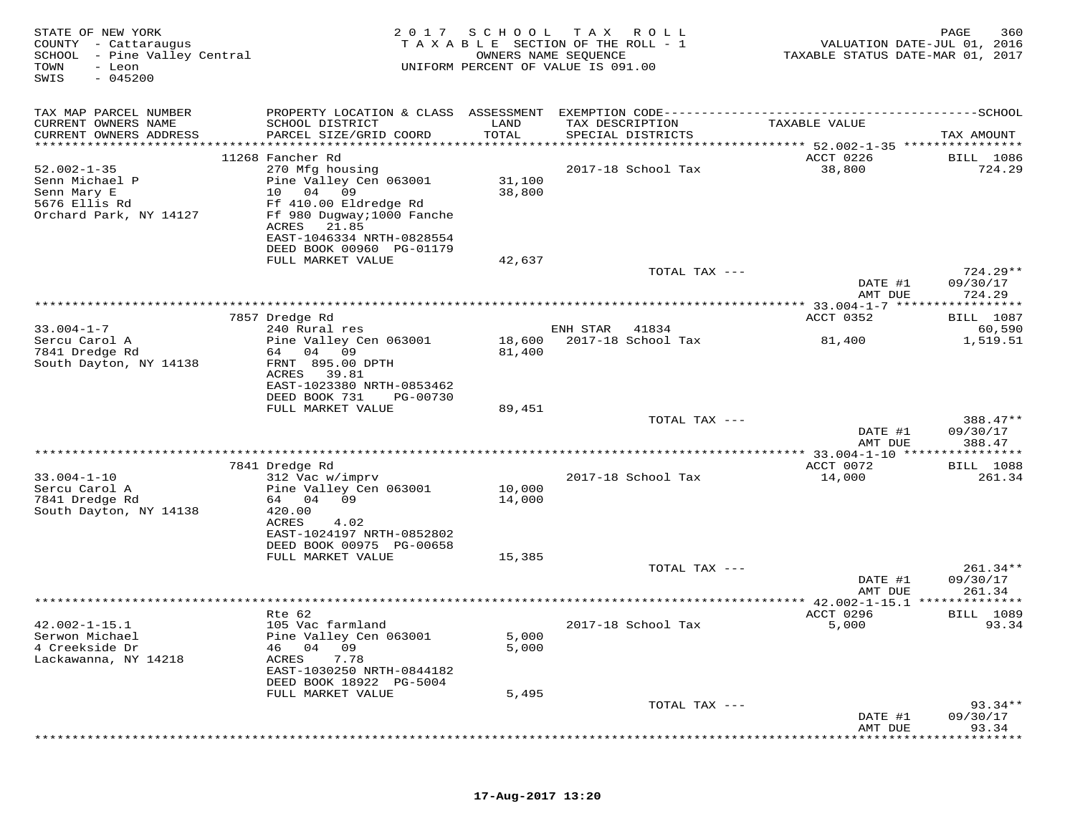| STATE OF NEW YORK<br>COUNTY - Cattaraugus<br>SCHOOL<br>- Pine Valley Central<br>TOWN<br>- Leon<br>$-045200$<br>SWIS | 2017                                                                                                                                                              | SCHOOL<br>TAXABLE SECTION OF THE ROLL - 1<br>OWNERS NAME SEQUENCE<br>UNIFORM PERCENT OF VALUE IS 091.00 | T A X    | R O L L                              | VALUATION DATE-JUL 01, 2016<br>TAXABLE STATUS DATE-MAR 01, 2017 | 360<br>PAGE               |
|---------------------------------------------------------------------------------------------------------------------|-------------------------------------------------------------------------------------------------------------------------------------------------------------------|---------------------------------------------------------------------------------------------------------|----------|--------------------------------------|-----------------------------------------------------------------|---------------------------|
| TAX MAP PARCEL NUMBER                                                                                               | PROPERTY LOCATION & CLASS ASSESSMENT EXEMPTION CODE-----------------------------------SCHOOL                                                                      |                                                                                                         |          |                                      |                                                                 |                           |
| CURRENT OWNERS NAME<br>CURRENT OWNERS ADDRESS<br>************************                                           | SCHOOL DISTRICT<br>PARCEL SIZE/GRID COORD                                                                                                                         | LAND<br>TOTAL                                                                                           |          | TAX DESCRIPTION<br>SPECIAL DISTRICTS | TAXABLE VALUE                                                   | TAX AMOUNT                |
|                                                                                                                     | 11268 Fancher Rd                                                                                                                                                  |                                                                                                         |          |                                      | ACCT 0226                                                       | <b>BILL</b> 1086          |
| $52.002 - 1 - 35$<br>Senn Michael P<br>Senn Mary E<br>5676 Ellis Rd<br>Orchard Park, NY 14127                       | 270 Mfg housing<br>Pine Valley Cen 063001<br>10<br>04<br>09<br>Ff 410.00 Eldredge Rd<br>Ff 980 Dugway; 1000 Fanche<br>ACRES<br>21.85<br>EAST-1046334 NRTH-0828554 | 31,100<br>38,800                                                                                        |          | 2017-18 School Tax                   | 38,800                                                          | 724.29                    |
|                                                                                                                     | DEED BOOK 00960 PG-01179                                                                                                                                          |                                                                                                         |          |                                      |                                                                 |                           |
|                                                                                                                     | FULL MARKET VALUE                                                                                                                                                 | 42,637                                                                                                  |          | TOTAL TAX ---                        |                                                                 | $724.29**$                |
|                                                                                                                     |                                                                                                                                                                   |                                                                                                         |          |                                      | DATE #1<br>AMT DUE                                              | 09/30/17<br>724.29        |
|                                                                                                                     |                                                                                                                                                                   | ***********************                                                                                 |          |                                      | ******* 33.004-1-7 *****                                        | * * * * * * * * *         |
| $33.004 - 1 - 7$                                                                                                    | 7857 Dredge Rd<br>240 Rural res                                                                                                                                   |                                                                                                         | ENH STAR | 41834                                | ACCT 0352                                                       | BILL 1087<br>60,590       |
| Sercu Carol A<br>7841 Dredge Rd<br>South Dayton, NY 14138                                                           | Pine Valley Cen 063001<br>64 04<br>09<br>FRNT 895.00 DPTH<br>ACRES<br>39.81                                                                                       | 18,600<br>81,400                                                                                        |          | 2017-18 School Tax                   | 81,400                                                          | 1,519.51                  |
|                                                                                                                     | EAST-1023380 NRTH-0853462<br>DEED BOOK 731<br>PG-00730<br>FULL MARKET VALUE                                                                                       | 89,451                                                                                                  |          |                                      |                                                                 |                           |
|                                                                                                                     |                                                                                                                                                                   |                                                                                                         |          | TOTAL TAX ---                        | DATE #1                                                         | 388.47**<br>09/30/17      |
|                                                                                                                     |                                                                                                                                                                   |                                                                                                         |          |                                      | AMT DUE                                                         | 388.47                    |
|                                                                                                                     | 7841 Dredge Rd                                                                                                                                                    |                                                                                                         |          |                                      | **************** 33.004-1-10 *****************<br>ACCT 0072     | <b>BILL</b> 1088          |
| $33.004 - 1 - 10$<br>Sercu Carol A<br>7841 Dredge Rd<br>South Dayton, NY 14138                                      | 312 Vac w/imprv<br>Pine Valley Cen 063001<br>64 04<br>09<br>420.00                                                                                                | 10,000<br>14,000                                                                                        |          | 2017-18 School Tax                   | 14,000                                                          | 261.34                    |
|                                                                                                                     | <b>ACRES</b><br>4.02<br>EAST-1024197 NRTH-0852802<br>DEED BOOK 00975 PG-00658<br>FULL MARKET VALUE                                                                | 15,385                                                                                                  |          |                                      |                                                                 |                           |
|                                                                                                                     |                                                                                                                                                                   |                                                                                                         |          | TOTAL TAX ---                        | DATE #1                                                         | $261.34**$<br>09/30/17    |
|                                                                                                                     |                                                                                                                                                                   |                                                                                                         |          |                                      | AMT DUE                                                         | 261.34                    |
|                                                                                                                     |                                                                                                                                                                   |                                                                                                         |          |                                      | ***************** 42.002-1-15.1 *****                           | * * * * * * * *           |
| $42.002 - 1 - 15.1$<br>Serwon Michael<br>4 Creekside Dr<br>Lackawanna, NY 14218                                     | Rte 62<br>105 Vac farmland<br>Pine Valley Cen 063001<br>04<br>09<br>46<br>ACRES<br>7.78<br>EAST-1030250 NRTH-0844182<br>DEED BOOK 18922 PG-5004                   | 5,000<br>5,000                                                                                          |          | 2017-18 School Tax                   | ACCT 0296<br>5,000                                              | <b>BILL</b> 1089<br>93.34 |
|                                                                                                                     | FULL MARKET VALUE                                                                                                                                                 | 5,495                                                                                                   |          |                                      |                                                                 |                           |
|                                                                                                                     |                                                                                                                                                                   |                                                                                                         |          | TOTAL TAX ---                        | DATE #1                                                         | $93.34**$<br>09/30/17     |
|                                                                                                                     |                                                                                                                                                                   |                                                                                                         |          |                                      | AMT DUE                                                         | 93.34                     |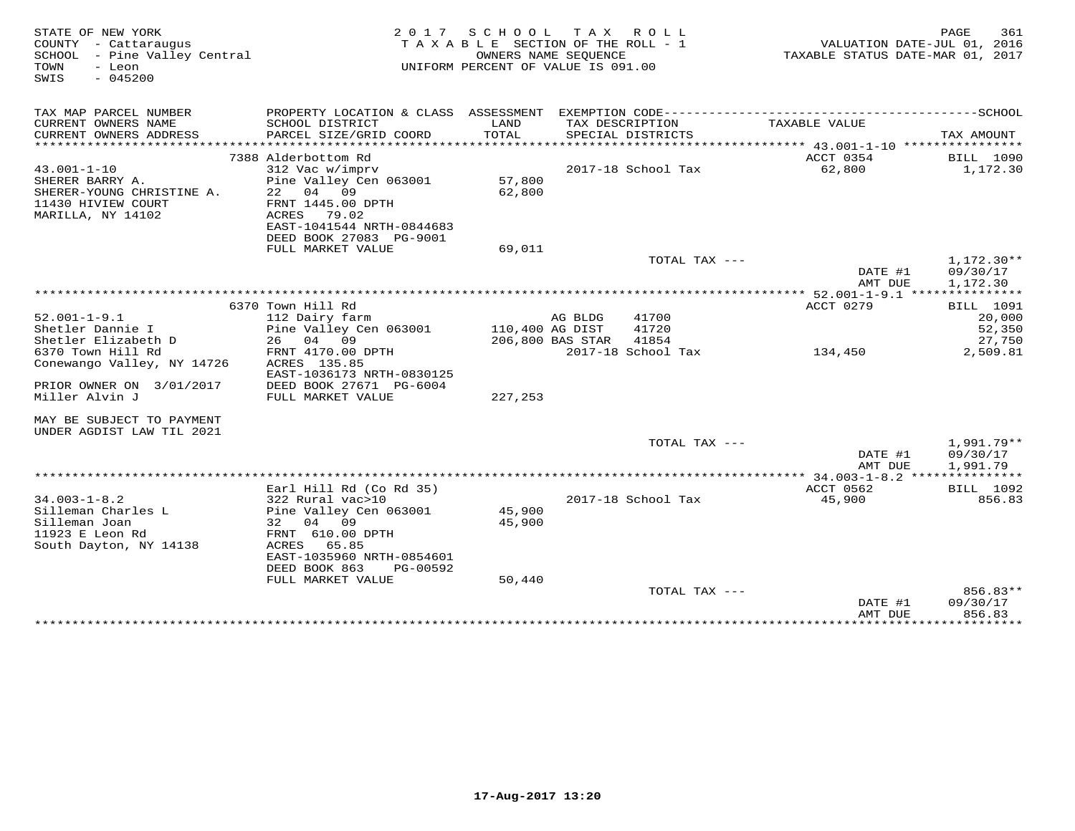| STATE OF NEW YORK<br>COUNTY - Cattaraugus<br>SCHOOL - Pine Valley Central<br>TOWN<br>- Leon<br>$-045200$<br>SWIS |                                                                                                                                                                                | 2017 SCHOOL<br>TAXABLE SECTION OF THE ROLL - 1<br>UNIFORM PERCENT OF VALUE IS 091.00 | TAX ROLL<br>OWNERS NAME SEOUENCE |                         | VALUATION DATE-JUL 01, 2016<br>TAXABLE STATUS DATE-MAR 01, 2017 | 361<br>PAGE                             |
|------------------------------------------------------------------------------------------------------------------|--------------------------------------------------------------------------------------------------------------------------------------------------------------------------------|--------------------------------------------------------------------------------------|----------------------------------|-------------------------|-----------------------------------------------------------------|-----------------------------------------|
| TAX MAP PARCEL NUMBER                                                                                            |                                                                                                                                                                                |                                                                                      |                                  |                         |                                                                 |                                         |
| CURRENT OWNERS NAME<br>CURRENT OWNERS ADDRESS<br>************************                                        | SCHOOL DISTRICT<br>PARCEL SIZE/GRID COORD                                                                                                                                      | LAND<br>TOTAL                                                                        | TAX DESCRIPTION                  | SPECIAL DISTRICTS       | TAXABLE VALUE                                                   | TAX AMOUNT                              |
|                                                                                                                  | 7388 Alderbottom Rd                                                                                                                                                            |                                                                                      |                                  |                         | ACCT 0354                                                       | <b>BILL</b> 1090                        |
| $43.001 - 1 - 10$                                                                                                | 312 Vac w/imprv                                                                                                                                                                |                                                                                      |                                  | 2017-18 School Tax      | 62,800                                                          | 1,172.30                                |
| SHERER BARRY A.<br>SHERER-YOUNG CHRISTINE A.<br>11430 HIVIEW COURT<br>MARILLA, NY 14102                          | Pine Valley Cen 063001<br>22 04 09<br>FRNT 1445.00 DPTH<br>ACRES 79.02<br>EAST-1041544 NRTH-0844683<br>DEED BOOK 27083 PG-9001                                                 | 57,800<br>62,800                                                                     |                                  |                         |                                                                 |                                         |
|                                                                                                                  | FULL MARKET VALUE                                                                                                                                                              | 69,011                                                                               |                                  |                         |                                                                 |                                         |
|                                                                                                                  |                                                                                                                                                                                |                                                                                      |                                  | TOTAL TAX ---           | DATE #1<br>AMT DUE                                              | 1,172.30**<br>09/30/17<br>1,172.30      |
|                                                                                                                  |                                                                                                                                                                                |                                                                                      |                                  |                         |                                                                 |                                         |
| $52.001 - 1 - 9.1$<br>Shetler Dannie I<br>Shetler Elizabeth D                                                    | 6370 Town Hill Rd<br>112 Dairy farm<br>Pine Valley Cen 063001<br>26 04<br>09                                                                                                   | 110,400 AG DIST                                                                      | AG BLDG<br>206,800 BAS STAR      | 41700<br>41720<br>41854 | ACCT 0279                                                       | BILL 1091<br>20,000<br>52,350<br>27,750 |
| 6370 Town Hill Rd<br>Conewango Valley, NY 14726                                                                  | FRNT 4170.00 DPTH<br>ACRES 135.85<br>EAST-1036173 NRTH-0830125                                                                                                                 |                                                                                      |                                  | 2017-18 School Tax      | 134,450                                                         | 2,509.81                                |
| PRIOR OWNER ON 3/01/2017<br>Miller Alvin J                                                                       | DEED BOOK 27671 PG-6004<br>FULL MARKET VALUE                                                                                                                                   | 227,253                                                                              |                                  |                         |                                                                 |                                         |
| MAY BE SUBJECT TO PAYMENT<br>UNDER AGDIST LAW TIL 2021                                                           |                                                                                                                                                                                |                                                                                      |                                  |                         |                                                                 |                                         |
|                                                                                                                  |                                                                                                                                                                                |                                                                                      |                                  | TOTAL TAX ---           | DATE #1<br>AMT DUE                                              | 1,991.79**<br>09/30/17<br>1,991.79      |
|                                                                                                                  |                                                                                                                                                                                | ******************************                                                       |                                  |                         | ******* 34.003-1-8.2 ***************                            |                                         |
| $34.003 - 1 - 8.2$<br>Silleman Charles L<br>Silleman Joan<br>11923 E Leon Rd<br>South Dayton, NY 14138           | Earl Hill Rd (Co Rd 35)<br>322 Rural vac>10<br>Pine Valley Cen 063001<br>32 04 09<br>FRNT 610.00 DPTH<br>ACRES 65.85<br>EAST-1035960 NRTH-0854601<br>DEED BOOK 863<br>PG-00592 | 45,900<br>45,900                                                                     |                                  | 2017-18 School Tax      | ACCT 0562<br>45,900                                             | <b>BILL</b> 1092<br>856.83              |
|                                                                                                                  | FULL MARKET VALUE                                                                                                                                                              | 50,440                                                                               |                                  |                         |                                                                 |                                         |
|                                                                                                                  |                                                                                                                                                                                |                                                                                      |                                  | TOTAL TAX ---           | DATE #1<br>AMT DUE                                              | 856.83**<br>09/30/17<br>856.83          |
|                                                                                                                  |                                                                                                                                                                                |                                                                                      |                                  |                         | ***************                                                 | * * * * * * * * * *                     |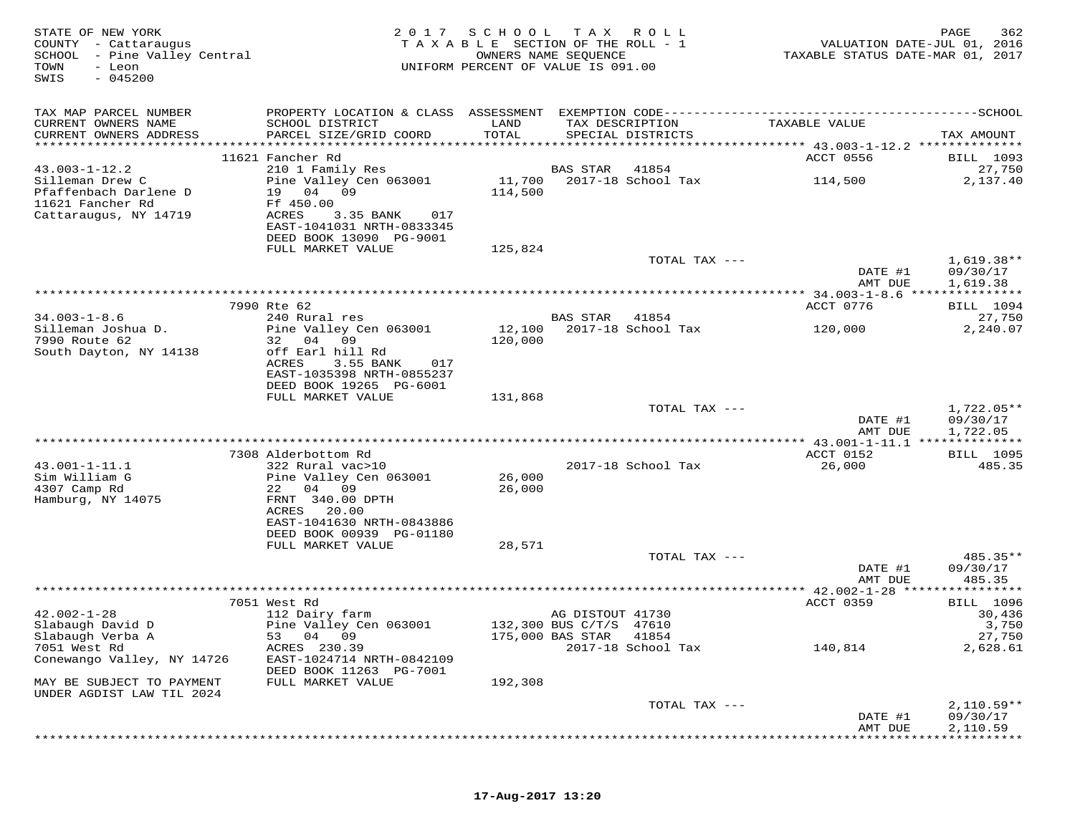| STATE OF NEW YORK<br>COUNTY - Cattaraugus<br>SCHOOL - Pine Valley Central<br>TOWN<br>- Leon<br>$-045200$<br>SWIS | 2 0 1 7                                                                                | SCHOOL TAX ROLL<br>TAXABLE SECTION OF THE ROLL - 1<br>OWNERS NAME SEQUENCE<br>UNIFORM PERCENT OF VALUE IS 091.00 |                                             |                                      | VALUATION DATE-JUL 01, 2016<br>TAXABLE STATUS DATE-MAR 01, 2017 | PAGE<br>362                         |
|------------------------------------------------------------------------------------------------------------------|----------------------------------------------------------------------------------------|------------------------------------------------------------------------------------------------------------------|---------------------------------------------|--------------------------------------|-----------------------------------------------------------------|-------------------------------------|
| TAX MAP PARCEL NUMBER<br>CURRENT OWNERS NAME<br>CURRENT OWNERS ADDRESS                                           | SCHOOL DISTRICT<br>PARCEL SIZE/GRID COORD                                              | LAND<br>TOTAL                                                                                                    |                                             | TAX DESCRIPTION<br>SPECIAL DISTRICTS | TAXABLE VALUE                                                   | TAX AMOUNT                          |
|                                                                                                                  |                                                                                        |                                                                                                                  |                                             |                                      |                                                                 |                                     |
| $43.003 - 1 - 12.2$                                                                                              | 11621 Fancher Rd<br>210 1 Family Res                                                   |                                                                                                                  | BAS STAR                                    | 41854                                | ACCT 0556                                                       | BILL 1093<br>27,750                 |
| Silleman Drew C<br>Pfaffenbach Darlene D<br>11621 Fancher Rd<br>Cattaraugus, NY 14719                            | Pine Valley Cen 063001<br>19 04<br>09<br>Ff 450.00<br>ACRES<br>3.35 BANK<br>017        | 114,500                                                                                                          |                                             | 11,700 2017-18 School Tax            | 114,500                                                         | 2,137.40                            |
|                                                                                                                  | EAST-1041031 NRTH-0833345<br>DEED BOOK 13090 PG-9001                                   |                                                                                                                  |                                             |                                      |                                                                 |                                     |
|                                                                                                                  | FULL MARKET VALUE                                                                      | 125,824                                                                                                          |                                             |                                      |                                                                 |                                     |
|                                                                                                                  |                                                                                        |                                                                                                                  |                                             | TOTAL TAX ---                        | DATE #1<br>AMT DUE                                              | $1,619.38**$<br>09/30/17            |
|                                                                                                                  |                                                                                        |                                                                                                                  |                                             |                                      |                                                                 | 1,619.38                            |
|                                                                                                                  | 7990 Rte 62                                                                            |                                                                                                                  |                                             |                                      | ACCT 0776                                                       | BILL 1094                           |
| $34.003 - 1 - 8.6$                                                                                               | 240 Rural res                                                                          |                                                                                                                  | <b>BAS STAR</b>                             | 41854                                |                                                                 | 27,750                              |
| Silleman Joshua D.<br>7990 Route 62<br>South Dayton, NY 14138                                                    | Pine Valley Cen 063001<br>32 04<br>09<br>off Earl hill Rd<br>ACRES<br>3.55 BANK<br>017 | 12,100<br>120,000                                                                                                |                                             | 2017-18 School Tax                   | 120,000                                                         | 2,240.07                            |
|                                                                                                                  | EAST-1035398 NRTH-0855237<br>DEED BOOK 19265 PG-6001                                   |                                                                                                                  |                                             |                                      |                                                                 |                                     |
|                                                                                                                  | FULL MARKET VALUE                                                                      | 131,868                                                                                                          |                                             |                                      |                                                                 |                                     |
|                                                                                                                  |                                                                                        |                                                                                                                  |                                             | TOTAL TAX ---                        | DATE #1<br>AMT DUE                                              | 1,722.05**<br>09/30/17<br>1,722.05  |
|                                                                                                                  |                                                                                        |                                                                                                                  |                                             |                                      | ************* 43.001-1-11.1 ***************                     |                                     |
| 43.001-1-11.1                                                                                                    | 7308 Alderbottom Rd<br>322 Rural vac>10                                                |                                                                                                                  |                                             | 2017-18 School Tax                   | ACCT 0152<br>26,000                                             | BILL 1095<br>485.35                 |
| Sim William G<br>4307 Camp Rd                                                                                    | Pine Valley Cen 063001<br>22 04 09                                                     | 26,000<br>26,000                                                                                                 |                                             |                                      |                                                                 |                                     |
| Hamburg, NY 14075                                                                                                | FRNT 340.00 DPTH<br>ACRES<br>20.00<br>EAST-1041630 NRTH-0843886                        |                                                                                                                  |                                             |                                      |                                                                 |                                     |
|                                                                                                                  | DEED BOOK 00939 PG-01180                                                               |                                                                                                                  |                                             |                                      |                                                                 |                                     |
|                                                                                                                  | FULL MARKET VALUE                                                                      | 28,571                                                                                                           |                                             | TOTAL TAX ---                        |                                                                 | 485.35**                            |
|                                                                                                                  |                                                                                        |                                                                                                                  |                                             |                                      | DATE #1<br>AMT DUE                                              | 09/30/17<br>485.35                  |
|                                                                                                                  |                                                                                        |                                                                                                                  |                                             |                                      | ************ 42.002-1-28 *****                                  | * * * * * * * * * * *               |
| $42.002 - 1 - 28$<br>Slabaugh David D                                                                            | 7051 West Rd<br>112 Dairy farm<br>Pine Valley Cen 063001                               |                                                                                                                  | AG DISTOUT 41730<br>132,300 BUS C/T/S 47610 |                                      | ACCT 0359                                                       | <b>BILL</b> 1096<br>30,436<br>3,750 |
| Slabaugh Verba A<br>7051 West Rd<br>Conewango Valley, NY 14726                                                   | 53 04 09<br>ACRES 230.39<br>EAST-1024714 NRTH-0842109                                  |                                                                                                                  | 175,000 BAS STAR 41854                      | 2017-18 School Tax                   | 140,814                                                         | 27,750<br>2,628.61                  |
| MAY BE SUBJECT TO PAYMENT<br>UNDER AGDIST LAW TIL 2024                                                           | DEED BOOK 11263 PG-7001<br>FULL MARKET VALUE                                           | 192,308                                                                                                          |                                             |                                      |                                                                 |                                     |
|                                                                                                                  |                                                                                        |                                                                                                                  |                                             | TOTAL TAX ---                        | DATE #1                                                         | $2,110.59**$<br>09/30/17            |
|                                                                                                                  |                                                                                        |                                                                                                                  |                                             |                                      | AMT DUE                                                         | 2,110.59                            |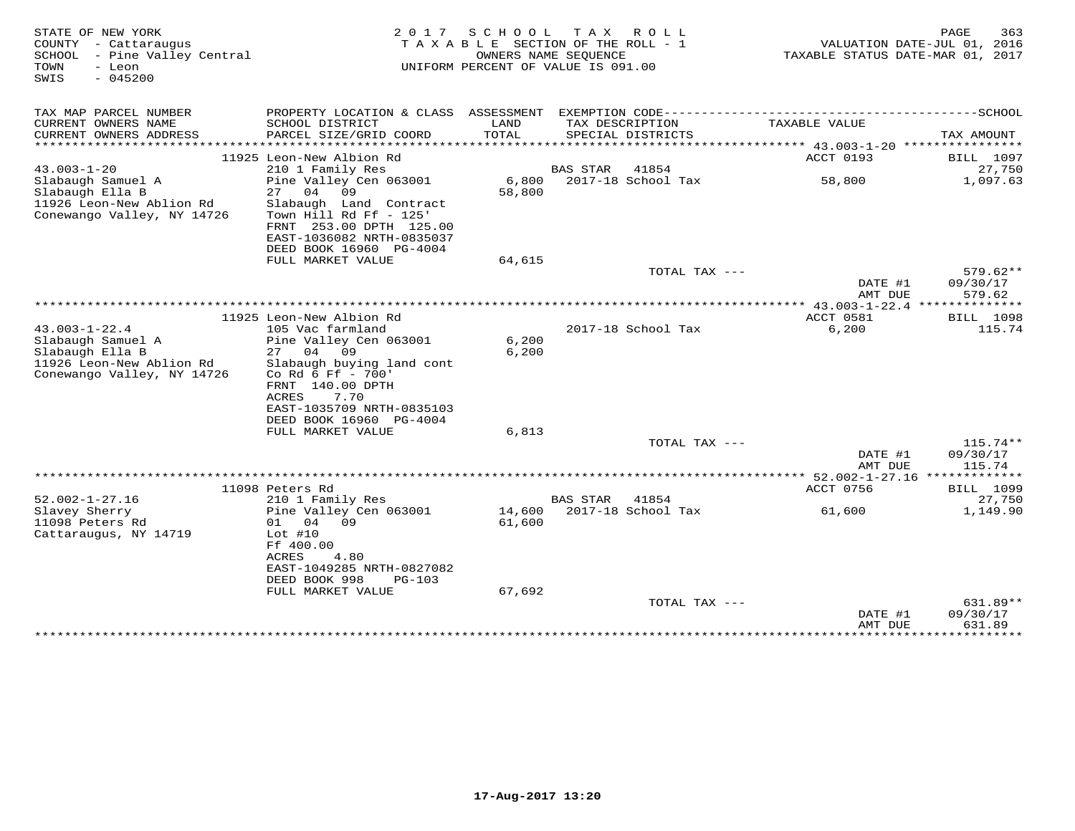| STATE OF NEW YORK<br>COUNTY - Cattaraugus<br>SCHOOL - Pine Valley Central<br>TOWN<br>- Leon<br>$-045200$<br>SWIS      | 2 0 1 7                                                                                                                                                                       | S C H O O L<br>TAXABLE SECTION OF THE ROLL - 1<br>OWNERS NAME SEQUENCE<br>UNIFORM PERCENT OF VALUE IS 091.00 |                      | TAX ROLL                             | VALUATION DATE-JUL 01, 2016<br>TAXABLE STATUS DATE-MAR 01, 2017   | PAGE<br>363                      |
|-----------------------------------------------------------------------------------------------------------------------|-------------------------------------------------------------------------------------------------------------------------------------------------------------------------------|--------------------------------------------------------------------------------------------------------------|----------------------|--------------------------------------|-------------------------------------------------------------------|----------------------------------|
| TAX MAP PARCEL NUMBER                                                                                                 |                                                                                                                                                                               |                                                                                                              |                      |                                      |                                                                   |                                  |
| CURRENT OWNERS NAME<br>CURRENT OWNERS ADDRESS                                                                         | SCHOOL DISTRICT<br>PARCEL SIZE/GRID COORD                                                                                                                                     | LAND<br>TOTAL<br>*******************                                                                         |                      | TAX DESCRIPTION<br>SPECIAL DISTRICTS | TAXABLE VALUE<br>****************** 43.003-1-20 ***************** | TAX AMOUNT                       |
|                                                                                                                       | 11925 Leon-New Albion Rd                                                                                                                                                      |                                                                                                              |                      |                                      | ACCT 0193                                                         | <b>BILL</b> 1097                 |
| $43.003 - 1 - 20$                                                                                                     | 210 1 Family Res                                                                                                                                                              |                                                                                                              | <b>BAS STAR</b>      | 41854                                |                                                                   | 27,750                           |
| Slabaugh Samuel A<br>Slabaugh Ella B<br>11926 Leon-New Ablion Rd<br>Conewango Valley, NY 14726                        | Pine Valley Cen 063001<br>04<br>09<br>27<br>Slabaugh Land Contract<br>Town Hill Rd Ff - 125'<br>FRNT 253.00 DPTH 125.00<br>EAST-1036082 NRTH-0835037                          | 6,800<br>58,800                                                                                              |                      | 2017-18 School Tax                   | 58,800                                                            | 1,097.63                         |
|                                                                                                                       | DEED BOOK 16960 PG-4004                                                                                                                                                       |                                                                                                              |                      |                                      |                                                                   |                                  |
|                                                                                                                       | FULL MARKET VALUE                                                                                                                                                             | 64,615                                                                                                       |                      |                                      |                                                                   |                                  |
|                                                                                                                       |                                                                                                                                                                               |                                                                                                              |                      | TOTAL TAX ---                        |                                                                   | $579.62**$                       |
|                                                                                                                       |                                                                                                                                                                               |                                                                                                              |                      |                                      | DATE #1<br>AMT DUE                                                | 09/30/17<br>579.62               |
|                                                                                                                       |                                                                                                                                                                               |                                                                                                              | ******************** |                                      | ** $43.003 - 1 - 22.4$ **                                         | * * * * * * * * *                |
|                                                                                                                       | 11925 Leon-New Albion Rd                                                                                                                                                      |                                                                                                              |                      |                                      | ACCT 0581                                                         | <b>BILL</b> 1098                 |
| $43.003 - 1 - 22.4$<br>Slabaugh Samuel A<br>Slabaugh Ella B<br>11926 Leon-New Ablion Rd<br>Conewango Valley, NY 14726 | 105 Vac farmland<br>Pine Valley Cen 063001<br>27 04<br>09<br>Slabaugh buying land cont<br>Co Rd 6 Ff - 700'<br>FRNT 140.00 DPTH<br>ACRES<br>7.70<br>EAST-1035709 NRTH-0835103 | 6,200<br>6,200                                                                                               |                      | 2017-18 School Tax                   | 6,200                                                             | 115.74                           |
|                                                                                                                       | DEED BOOK 16960 PG-4004<br>FULL MARKET VALUE                                                                                                                                  | 6,813                                                                                                        |                      |                                      |                                                                   |                                  |
|                                                                                                                       |                                                                                                                                                                               |                                                                                                              |                      | TOTAL TAX ---                        | DATE #1                                                           | $115.74**$<br>09/30/17           |
|                                                                                                                       |                                                                                                                                                                               |                                                                                                              |                      |                                      | AMT DUE                                                           | 115.74                           |
|                                                                                                                       |                                                                                                                                                                               |                                                                                                              |                      |                                      |                                                                   |                                  |
|                                                                                                                       | 11098 Peters Rd                                                                                                                                                               |                                                                                                              |                      |                                      | ACCT 0756                                                         | <b>BILL</b> 1099                 |
| $52.002 - 1 - 27.16$<br>Slavey Sherry<br>11098 Peters Rd<br>Cattaraugus, NY 14719                                     | 210 1 Family Res<br>Pine Valley Cen 063001<br>04 09<br>01<br>Lot $#10$<br>Ff 400.00<br>ACRES<br>4.80<br>EAST-1049285 NRTH-0827082<br>DEED BOOK 998<br>PG-103                  | 14,600<br>61,600                                                                                             | BAS STAR             | 41854<br>2017-18 School Tax          | 61,600                                                            | 27,750<br>1,149.90               |
|                                                                                                                       | FULL MARKET VALUE                                                                                                                                                             | 67,692                                                                                                       |                      |                                      |                                                                   |                                  |
|                                                                                                                       |                                                                                                                                                                               |                                                                                                              |                      | TOTAL TAX ---                        | DATE #1<br>AMT DUE                                                | $631.89**$<br>09/30/17<br>631.89 |
|                                                                                                                       |                                                                                                                                                                               |                                                                                                              |                      |                                      | *****************                                                 | ***********                      |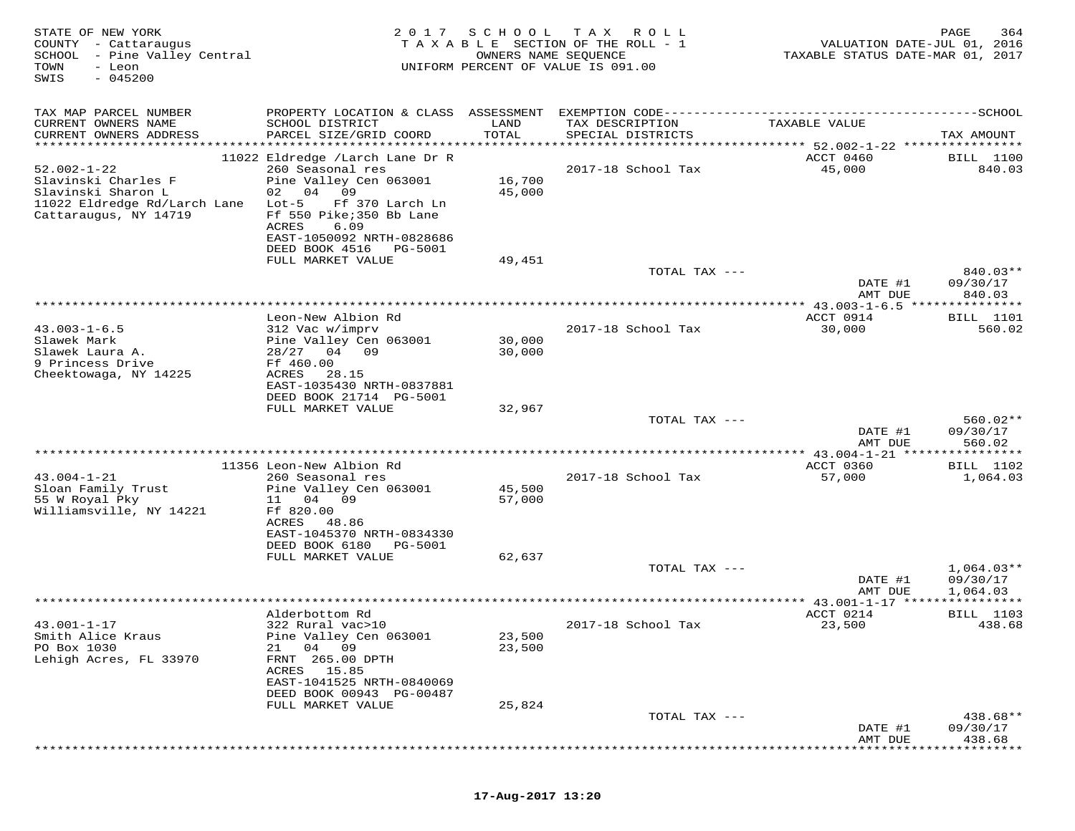| STATE OF NEW YORK<br>COUNTY - Cattaraugus<br>SCHOOL - Pine Valley Central<br>TOWN<br>- Leon<br>SWIS<br>$-045200$        | 2017                                                                                                                                                                                                                            | SCHOOL<br>OWNERS NAME SEQUENCE | T A X<br>R O L L<br>TAXABLE SECTION OF THE ROLL - 1<br>UNIFORM PERCENT OF VALUE IS 091.00                               | VALUATION DATE-JUL 01, 2016<br>TAXABLE STATUS DATE-MAR 01, 2017 | PAGE<br>364                          |
|-------------------------------------------------------------------------------------------------------------------------|---------------------------------------------------------------------------------------------------------------------------------------------------------------------------------------------------------------------------------|--------------------------------|-------------------------------------------------------------------------------------------------------------------------|-----------------------------------------------------------------|--------------------------------------|
| TAX MAP PARCEL NUMBER<br>CURRENT OWNERS NAME<br>CURRENT OWNERS ADDRESS                                                  | SCHOOL DISTRICT<br>PARCEL SIZE/GRID COORD                                                                                                                                                                                       | LAND<br>TOTAL                  | PROPERTY LOCATION & CLASS ASSESSMENT EXEMPTION CODE----------------------------<br>TAX DESCRIPTION<br>SPECIAL DISTRICTS | TAXABLE VALUE                                                   | $------SCHOOL$<br>TAX AMOUNT         |
| ***********************                                                                                                 |                                                                                                                                                                                                                                 |                                |                                                                                                                         |                                                                 |                                      |
| $52.002 - 1 - 22$<br>Slavinski Charles F<br>Slavinski Sharon L<br>11022 Eldredge Rd/Larch Lane<br>Cattaraugus, NY 14719 | 11022 Eldredge /Larch Lane Dr R<br>260 Seasonal res<br>Pine Valley Cen 063001<br>02 04<br>09<br>Lot-5<br>Ff 370 Larch Ln<br>Ff 550 Pike; 350 Bb Lane<br>ACRES<br>6.09<br>EAST-1050092 NRTH-0828686<br>DEED BOOK 4516<br>PG-5001 | 16,700<br>45,000               | 2017-18 School Tax                                                                                                      | ACCT 0460<br>45,000                                             | <b>BILL</b> 1100<br>840.03           |
|                                                                                                                         | FULL MARKET VALUE                                                                                                                                                                                                               | 49,451                         |                                                                                                                         |                                                                 |                                      |
|                                                                                                                         |                                                                                                                                                                                                                                 |                                | TOTAL TAX ---                                                                                                           | DATE #1<br>AMT DUE                                              | $840.03**$<br>09/30/17<br>840.03     |
|                                                                                                                         |                                                                                                                                                                                                                                 |                                |                                                                                                                         | ******** 43.003-1-6.5 ***************                           |                                      |
| $43.003 - 1 - 6.5$<br>Slawek Mark<br>Slawek Laura A.<br>9 Princess Drive                                                | Leon-New Albion Rd<br>312 Vac w/imprv<br>Pine Valley Cen 063001<br>28/27<br>04 09<br>Ff 460.00                                                                                                                                  | 30,000<br>30,000               | 2017-18 School Tax                                                                                                      | ACCT 0914<br>30,000                                             | BILL 1101<br>560.02                  |
| Cheektowaga, NY 14225                                                                                                   | ACRES<br>28.15<br>EAST-1035430 NRTH-0837881<br>DEED BOOK 21714 PG-5001<br>FULL MARKET VALUE                                                                                                                                     | 32,967                         | TOTAL TAX ---                                                                                                           |                                                                 | $560.02**$                           |
|                                                                                                                         |                                                                                                                                                                                                                                 |                                |                                                                                                                         | DATE #1<br>AMT DUE                                              | 09/30/17<br>560.02                   |
|                                                                                                                         | 11356 Leon-New Albion Rd                                                                                                                                                                                                        |                                |                                                                                                                         | ACCT 0360                                                       | * * * * * * * * *<br>BILL 1102       |
| $43.004 - 1 - 21$<br>Sloan Family Trust<br>55 W Royal Pky<br>Williamsville, NY 14221                                    | 260 Seasonal res<br>Pine Valley Cen 063001<br>04<br>09<br>11<br>Ff 820.00<br>ACRES<br>48.86<br>EAST-1045370 NRTH-0834330                                                                                                        | 45,500<br>57,000               | 2017-18 School Tax                                                                                                      | 57,000                                                          | 1,064.03                             |
|                                                                                                                         | DEED BOOK 6180<br>PG-5001<br>FULL MARKET VALUE                                                                                                                                                                                  | 62,637                         |                                                                                                                         |                                                                 |                                      |
|                                                                                                                         |                                                                                                                                                                                                                                 |                                | TOTAL TAX ---                                                                                                           | DATE #1<br>AMT DUE                                              | $1,064.03**$<br>09/30/17<br>1,064.03 |
|                                                                                                                         |                                                                                                                                                                                                                                 |                                |                                                                                                                         |                                                                 | ****************                     |
|                                                                                                                         | Alderbottom Rd                                                                                                                                                                                                                  |                                |                                                                                                                         | ACCT 0214                                                       | BILL 1103                            |
| $43.001 - 1 - 17$<br>Smith Alice Kraus<br>PO Box 1030<br>Lehigh Acres, FL 33970                                         | 322 Rural vac>10<br>Pine Valley Cen 063001<br>04 09<br>21<br>FRNT 265.00 DPTH<br>15.85<br>ACRES<br>EAST-1041525 NRTH-0840069<br>DEED BOOK 00943 PG-00487<br>FULL MARKET VALUE                                                   | 23,500<br>23,500<br>25,824     | 2017-18 School Tax                                                                                                      | 23,500                                                          | 438.68                               |
|                                                                                                                         |                                                                                                                                                                                                                                 |                                | TOTAL TAX ---                                                                                                           |                                                                 | 438.68**                             |
|                                                                                                                         |                                                                                                                                                                                                                                 |                                |                                                                                                                         | DATE #1<br>AMT DUE                                              | 09/30/17<br>438.68                   |

# **17-Aug-2017 13:20**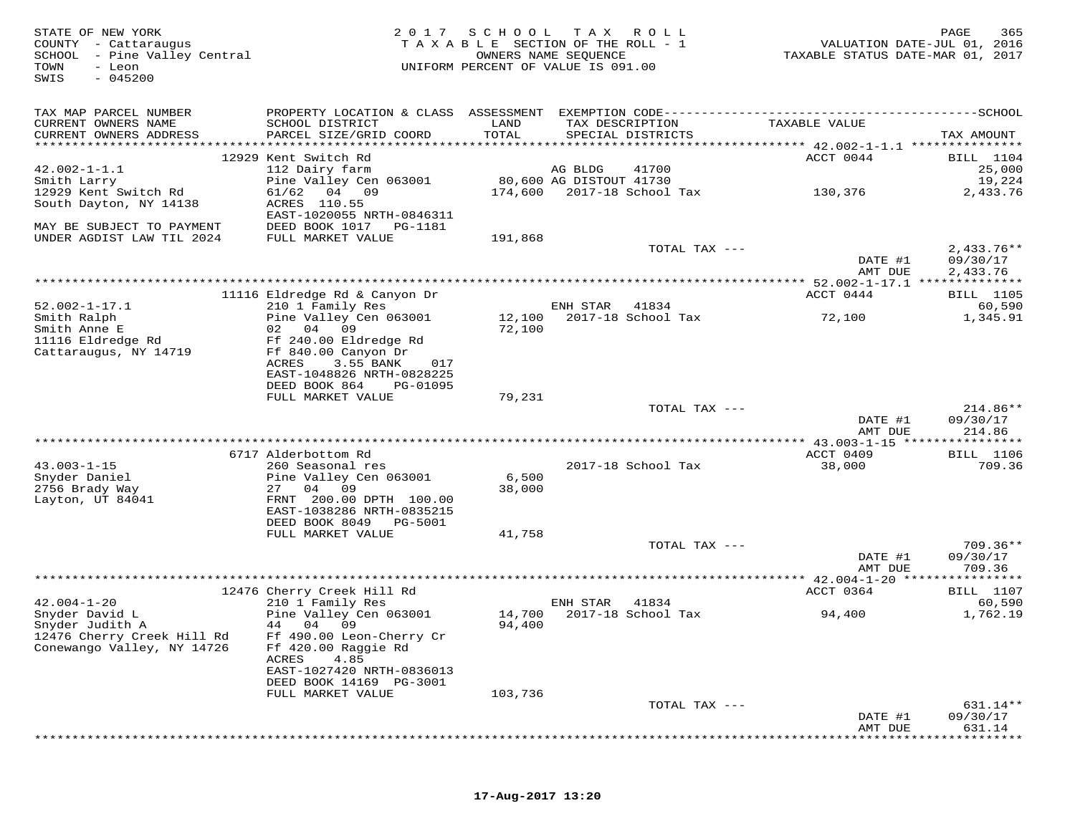| STATE OF NEW YORK<br>COUNTY - Cattaraugus<br>SCHOOL - Pine Valley Central<br>TOWN<br>- Leon<br>$-045200$<br>SWIS | 2017                                                   | SCHOOL           | T A X<br>R O L L<br>TAXABLE SECTION OF THE ROLL - 1<br>OWNERS NAME SEQUENCE<br>UNIFORM PERCENT OF VALUE IS 091.00 | VALUATION DATE-JUL 01, 2016<br>TAXABLE STATUS DATE-MAR 01, 2017 | PAGE<br>365                |
|------------------------------------------------------------------------------------------------------------------|--------------------------------------------------------|------------------|-------------------------------------------------------------------------------------------------------------------|-----------------------------------------------------------------|----------------------------|
| TAX MAP PARCEL NUMBER                                                                                            |                                                        |                  |                                                                                                                   |                                                                 |                            |
| CURRENT OWNERS NAME<br>CURRENT OWNERS ADDRESS                                                                    | SCHOOL DISTRICT<br>PARCEL SIZE/GRID COORD              | LAND<br>TOTAL    | TAX DESCRIPTION<br>SPECIAL DISTRICTS                                                                              | TAXABLE VALUE                                                   | TAX AMOUNT                 |
|                                                                                                                  | 12929 Kent Switch Rd                                   |                  |                                                                                                                   | ACCT 0044                                                       | <b>BILL</b> 1104           |
| $42.002 - 1 - 1.1$                                                                                               | 112 Dairy farm                                         |                  | AG BLDG<br>41700                                                                                                  |                                                                 | 25,000                     |
| Smith Larry                                                                                                      | Pine Valley Cen 063001                                 |                  | 80,600 AG DISTOUT 41730                                                                                           |                                                                 | 19,224                     |
| 12929 Kent Switch Rd                                                                                             | 61/62<br>04 09                                         |                  | 174,600 2017-18 School Tax                                                                                        | 130,376                                                         | 2,433.76                   |
| South Dayton, NY 14138                                                                                           | ACRES 110.55                                           |                  |                                                                                                                   |                                                                 |                            |
|                                                                                                                  | EAST-1020055 NRTH-0846311<br>DEED BOOK 1017<br>PG-1181 |                  |                                                                                                                   |                                                                 |                            |
| MAY BE SUBJECT TO PAYMENT<br>UNDER AGDIST LAW TIL 2024                                                           | FULL MARKET VALUE                                      | 191,868          |                                                                                                                   |                                                                 |                            |
|                                                                                                                  |                                                        |                  | TOTAL TAX ---                                                                                                     |                                                                 | $2,433.76**$               |
|                                                                                                                  |                                                        |                  |                                                                                                                   | DATE #1                                                         | 09/30/17                   |
|                                                                                                                  |                                                        |                  |                                                                                                                   | AMT DUE                                                         | 2,433.76                   |
|                                                                                                                  |                                                        |                  |                                                                                                                   |                                                                 |                            |
| $52.002 - 1 - 17.1$                                                                                              | 11116 Eldredge Rd & Canyon Dr<br>210 1 Family Res      |                  | ENH STAR<br>41834                                                                                                 | ACCT 0444                                                       | BILL 1105<br>60,590        |
| Smith Ralph                                                                                                      | Pine Valley Cen 063001                                 | 12,100           | 2017-18 School Tax                                                                                                | 72,100                                                          | 1,345.91                   |
| Smith Anne E                                                                                                     | 04<br>09<br>02                                         | 72,100           |                                                                                                                   |                                                                 |                            |
| 11116 Eldredge Rd                                                                                                | Ff 240.00 Eldredge Rd                                  |                  |                                                                                                                   |                                                                 |                            |
| Cattaraugus, NY 14719                                                                                            | Ff 840.00 Canyon Dr                                    |                  |                                                                                                                   |                                                                 |                            |
|                                                                                                                  | ACRES<br>3.55 BANK<br>017                              |                  |                                                                                                                   |                                                                 |                            |
|                                                                                                                  | EAST-1048826 NRTH-0828225<br>DEED BOOK 864<br>PG-01095 |                  |                                                                                                                   |                                                                 |                            |
|                                                                                                                  | FULL MARKET VALUE                                      | 79,231           |                                                                                                                   |                                                                 |                            |
|                                                                                                                  |                                                        |                  | TOTAL TAX ---                                                                                                     |                                                                 | $214.86**$                 |
|                                                                                                                  |                                                        |                  |                                                                                                                   | DATE #1                                                         | 09/30/17                   |
|                                                                                                                  |                                                        |                  |                                                                                                                   | AMT DUE                                                         | 214.86                     |
|                                                                                                                  |                                                        |                  |                                                                                                                   |                                                                 | ***********                |
| $43.003 - 1 - 15$                                                                                                | 6717 Alderbottom Rd<br>260 Seasonal res                |                  | 2017-18 School Tax                                                                                                | ACCT 0409<br>38,000                                             | <b>BILL</b> 1106<br>709.36 |
| Snyder Daniel                                                                                                    | Pine Valley Cen 063001                                 | 6,500            |                                                                                                                   |                                                                 |                            |
| 2756 Brady Way                                                                                                   | 27<br>04<br>09                                         | 38,000           |                                                                                                                   |                                                                 |                            |
| Layton, UT 84041                                                                                                 | FRNT 200.00 DPTH 100.00                                |                  |                                                                                                                   |                                                                 |                            |
|                                                                                                                  | EAST-1038286 NRTH-0835215                              |                  |                                                                                                                   |                                                                 |                            |
|                                                                                                                  | DEED BOOK 8049<br>PG-5001                              |                  |                                                                                                                   |                                                                 |                            |
|                                                                                                                  | FULL MARKET VALUE                                      | 41,758           | TOTAL TAX ---                                                                                                     |                                                                 | $709.36**$                 |
|                                                                                                                  |                                                        |                  |                                                                                                                   | DATE #1                                                         | 09/30/17                   |
|                                                                                                                  |                                                        |                  |                                                                                                                   | AMT DUE                                                         | 709.36                     |
|                                                                                                                  |                                                        |                  | **************************************                                                                            | ********** 42.004-1-20 ****************                         |                            |
|                                                                                                                  | 12476 Cherry Creek Hill Rd                             |                  |                                                                                                                   | ACCT 0364                                                       | <b>BILL</b> 1107           |
| $42.004 - 1 - 20$                                                                                                | 210 1 Family Res                                       |                  | ENH STAR<br>41834                                                                                                 |                                                                 | 60,590                     |
| Snyder David L<br>Snyder Judith A                                                                                | Pine Valley Cen 063001<br>44 04 09                     | 14,700<br>94,400 | 2017-18 School Tax                                                                                                | 94,400                                                          | 1,762.19                   |
| 12476 Cherry Creek Hill Rd                                                                                       | Ff 490.00 Leon-Cherry Cr                               |                  |                                                                                                                   |                                                                 |                            |
| Conewango Valley, NY 14726                                                                                       | Ff 420.00 Raggie Rd                                    |                  |                                                                                                                   |                                                                 |                            |
|                                                                                                                  | 4.85<br>ACRES                                          |                  |                                                                                                                   |                                                                 |                            |
|                                                                                                                  | EAST-1027420 NRTH-0836013                              |                  |                                                                                                                   |                                                                 |                            |
|                                                                                                                  | DEED BOOK 14169 PG-3001                                |                  |                                                                                                                   |                                                                 |                            |
|                                                                                                                  | FULL MARKET VALUE                                      | 103,736          | TOTAL TAX ---                                                                                                     |                                                                 | 631.14**                   |
|                                                                                                                  |                                                        |                  |                                                                                                                   | DATE #1                                                         | 09/30/17                   |
|                                                                                                                  |                                                        |                  |                                                                                                                   | AMT DUE                                                         | 631.14                     |
|                                                                                                                  |                                                        |                  |                                                                                                                   |                                                                 |                            |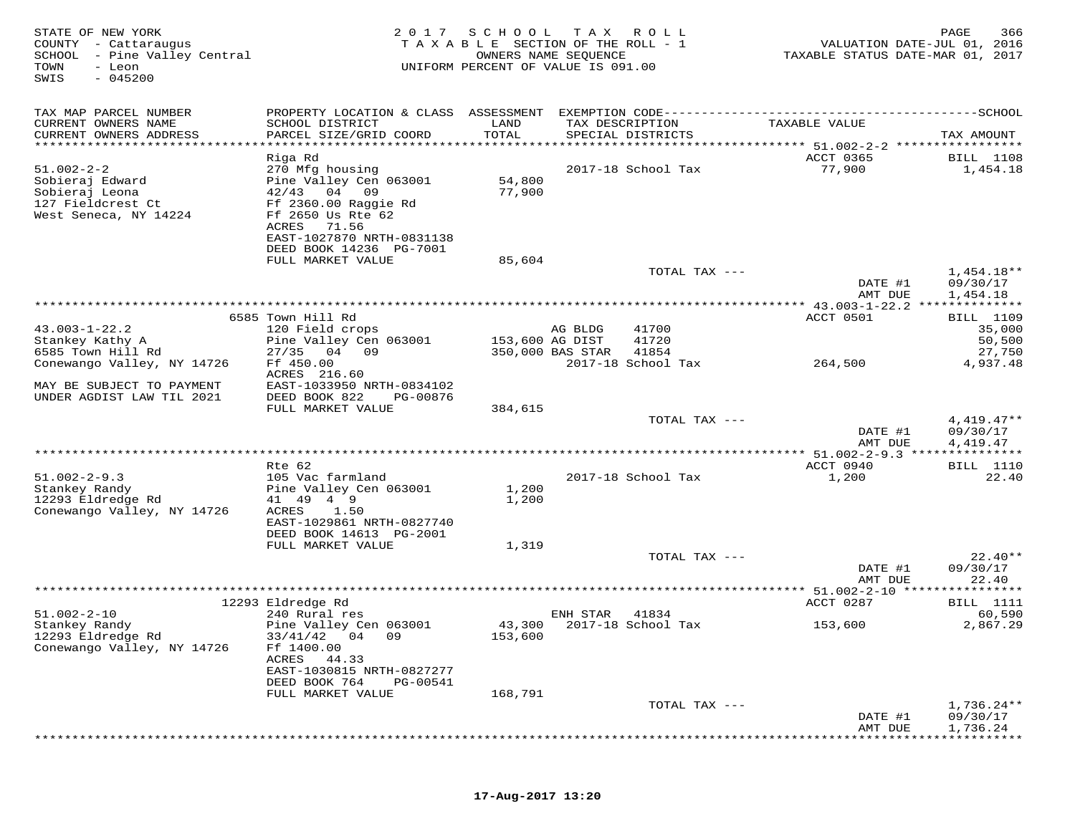| STATE OF NEW YORK<br>COUNTY - Cattaraugus<br>SCHOOL<br>- Pine Valley Central<br>TOWN<br>- Leon<br>$-045200$<br>SWIS | 2017                                                   | SCHOOL<br>TAXABLE SECTION OF THE ROLL - 1<br>UNIFORM PERCENT OF VALUE IS 091.00 | T A X<br>OWNERS NAME SEQUENCE | R O L L            | TAXABLE STATUS DATE-MAR 01, 2017   | PAGE<br>366<br>VALUATION DATE-JUL 01, 2016 |
|---------------------------------------------------------------------------------------------------------------------|--------------------------------------------------------|---------------------------------------------------------------------------------|-------------------------------|--------------------|------------------------------------|--------------------------------------------|
| TAX MAP PARCEL NUMBER                                                                                               |                                                        |                                                                                 |                               |                    |                                    |                                            |
| CURRENT OWNERS NAME                                                                                                 | SCHOOL DISTRICT                                        | LAND                                                                            | TAX DESCRIPTION               |                    | TAXABLE VALUE                      |                                            |
| CURRENT OWNERS ADDRESS<br>************************                                                                  | PARCEL SIZE/GRID COORD                                 | TOTAL                                                                           | SPECIAL DISTRICTS             |                    |                                    | TAX AMOUNT                                 |
|                                                                                                                     | Riga Rd                                                |                                                                                 |                               |                    | <b>ACCT 0365</b>                   | <b>BILL</b> 1108                           |
| $51.002 - 2 - 2$                                                                                                    | 270 Mfg housing                                        |                                                                                 |                               | 2017-18 School Tax | 77,900                             | 1,454.18                                   |
| Sobieraj Edward<br>Sobieraj Leona                                                                                   | Pine Valley Cen 063001<br>42/43<br>04 09               | 54,800<br>77,900                                                                |                               |                    |                                    |                                            |
| 127 Fieldcrest Ct                                                                                                   | Ff 2360.00 Raggie Rd                                   |                                                                                 |                               |                    |                                    |                                            |
| West Seneca, NY 14224                                                                                               | Ff 2650 Us Rte 62                                      |                                                                                 |                               |                    |                                    |                                            |
|                                                                                                                     | 71.56<br>ACRES                                         |                                                                                 |                               |                    |                                    |                                            |
|                                                                                                                     | EAST-1027870 NRTH-0831138<br>DEED BOOK 14236 PG-7001   |                                                                                 |                               |                    |                                    |                                            |
|                                                                                                                     | FULL MARKET VALUE                                      | 85,604                                                                          |                               |                    |                                    |                                            |
|                                                                                                                     |                                                        |                                                                                 |                               | TOTAL TAX ---      |                                    | $1,454.18**$                               |
|                                                                                                                     |                                                        |                                                                                 |                               |                    | DATE #1<br>AMT DUE                 | 09/30/17<br>1,454.18                       |
|                                                                                                                     |                                                        |                                                                                 |                               |                    | *** 43.003-1-22.2 **************   |                                            |
|                                                                                                                     | 6585 Town Hill Rd                                      |                                                                                 |                               |                    | ACCT 0501                          | BILL 1109                                  |
| $43.003 - 1 - 22.2$<br>Stankey Kathy A                                                                              | 120 Field crops<br>Pine Valley Cen 063001              |                                                                                 | AG BLDG<br>153,600 AG DIST    | 41700<br>41720     |                                    | 35,000<br>50,500                           |
| 6585 Town Hill Rd                                                                                                   | 04 09<br>27/35                                         |                                                                                 | 350,000 BAS STAR              | 41854              |                                    | 27,750                                     |
| Conewango Valley, NY 14726                                                                                          | Ff 450.00                                              |                                                                                 |                               | 2017-18 School Tax | 264,500                            | 4,937.48                                   |
| MAY BE SUBJECT TO PAYMENT                                                                                           | ACRES 216.60<br>EAST-1033950 NRTH-0834102              |                                                                                 |                               |                    |                                    |                                            |
| UNDER AGDIST LAW TIL 2021                                                                                           | DEED BOOK 822<br>PG-00876                              |                                                                                 |                               |                    |                                    |                                            |
|                                                                                                                     | FULL MARKET VALUE                                      | 384,615                                                                         |                               |                    |                                    |                                            |
|                                                                                                                     |                                                        |                                                                                 |                               | TOTAL TAX ---      |                                    | $4,419.47**$                               |
|                                                                                                                     |                                                        |                                                                                 |                               |                    | DATE #1<br>AMT DUE                 | 09/30/17<br>4,419.47                       |
|                                                                                                                     |                                                        |                                                                                 |                               |                    |                                    |                                            |
|                                                                                                                     | Rte 62                                                 |                                                                                 |                               |                    | ACCT 0940                          | <b>BILL</b> 1110                           |
| $51.002 - 2 - 9.3$<br>Stankey Randy                                                                                 | 105 Vac farmland<br>Pine Valley Cen 063001             | 1,200                                                                           |                               | 2017-18 School Tax | 1,200                              | 22.40                                      |
| 12293 Eldredge Rd                                                                                                   | 41 49 4 9                                              | 1,200                                                                           |                               |                    |                                    |                                            |
| Conewango Valley, NY 14726                                                                                          | ACRES<br>1.50                                          |                                                                                 |                               |                    |                                    |                                            |
|                                                                                                                     | EAST-1029861 NRTH-0827740<br>DEED BOOK 14613 PG-2001   |                                                                                 |                               |                    |                                    |                                            |
|                                                                                                                     | FULL MARKET VALUE                                      | 1,319                                                                           |                               |                    |                                    |                                            |
|                                                                                                                     |                                                        |                                                                                 |                               | TOTAL TAX ---      |                                    | $22.40**$                                  |
|                                                                                                                     |                                                        |                                                                                 |                               |                    | DATE #1                            | 09/30/17<br>22.40                          |
|                                                                                                                     |                                                        |                                                                                 |                               |                    | AMT DUE<br>$* 51.002 - 2 - 10 ***$ | * * * * * * * * * * *                      |
|                                                                                                                     | 12293 Eldredge Rd                                      |                                                                                 |                               |                    | ACCT 0287                          | <b>BILL</b> 1111                           |
| $51.002 - 2 - 10$                                                                                                   | 240 Rural res                                          |                                                                                 | ENH STAR                      | 41834              |                                    | 60,590                                     |
| Stankey Randy<br>12293 Eldredge Rd                                                                                  | Pine Valley Cen 063001<br>33/41/42<br>04<br>09         | 153,600                                                                         | 43,300 2017-18 School Tax     |                    | 153,600                            | 2,867.29                                   |
| Conewango Valley, NY 14726                                                                                          | Ff 1400.00                                             |                                                                                 |                               |                    |                                    |                                            |
|                                                                                                                     | ACRES<br>44.33                                         |                                                                                 |                               |                    |                                    |                                            |
|                                                                                                                     | EAST-1030815 NRTH-0827277<br>DEED BOOK 764<br>PG-00541 |                                                                                 |                               |                    |                                    |                                            |
|                                                                                                                     | FULL MARKET VALUE                                      | 168,791                                                                         |                               |                    |                                    |                                            |
|                                                                                                                     |                                                        |                                                                                 |                               | TOTAL TAX ---      |                                    | $1,736.24**$                               |
|                                                                                                                     |                                                        |                                                                                 |                               |                    | DATE #1                            | 09/30/17                                   |
|                                                                                                                     |                                                        |                                                                                 |                               |                    | AMT DUE                            | 1,736.24                                   |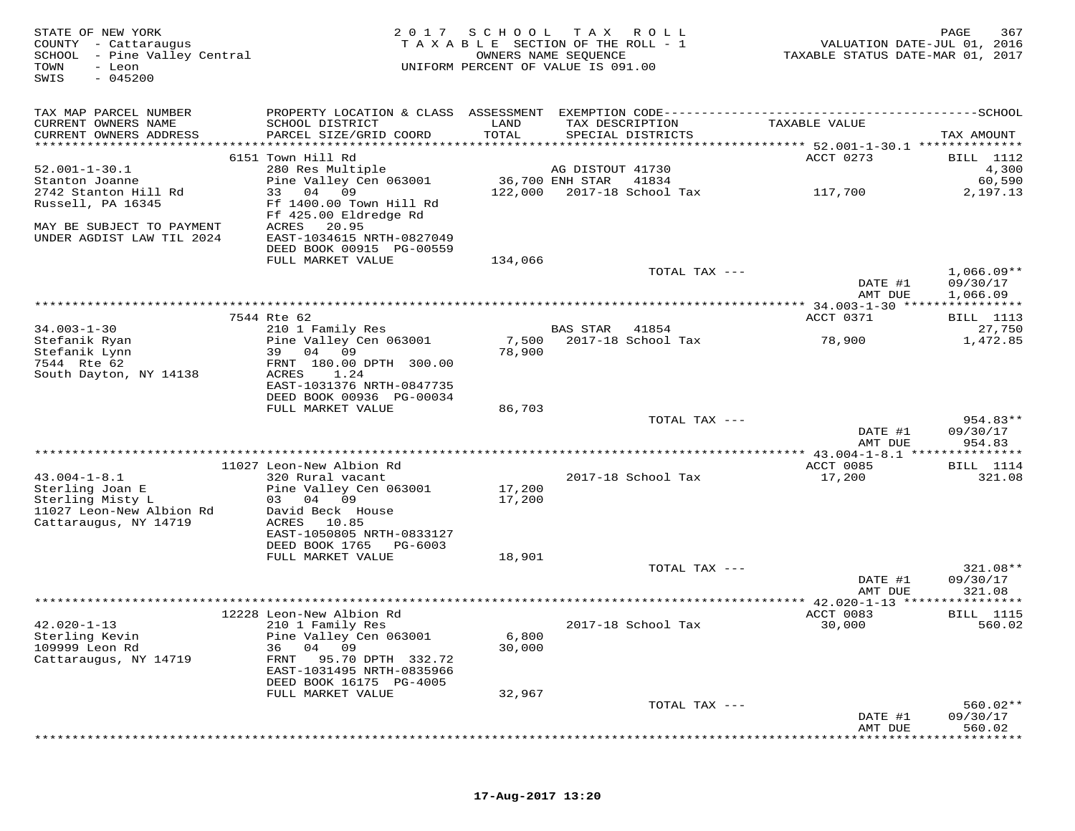STATE OF NEW YORK MESS ROLL AND RAGE 367<br>COUNTY - Cattaraugus had the section of the Roll - 1 when the NALUATION DATE-JUL 01, 2016<br>SCHOOL - Pine Valley Central Market Market SEQUENCE ANNE STATE ROLL - 1 (SOUNTY - Cattaraug SWIS - 045200TAX MAP PARCEL NUMBER PROPERTY LOCATION & CLASS ASSESSMENT EXEMPTION CODE------------------------------------------SCHOOL CURRENT OWNERS NAME SCHOOL DISTRICT LAND TAX DESCRIPTION TAXABLE VALUE CURRENT OWNERS ADDRESS PARCEL SIZE/GRID COORD TOTAL SPECIAL DISTRICTS TAX AMOUNT \*\*\*\*\*\*\*\*\*\*\*\*\*\*\*\*\*\*\*\*\*\*\*\*\*\*\*\*\*\*\*\*\*\*\*\*\*\*\*\*\*\*\*\*\*\*\*\*\*\*\*\*\*\*\*\*\*\*\*\*\*\*\*\*\*\*\*\*\*\*\*\*\*\*\*\*\*\*\*\*\*\*\*\*\*\*\*\*\*\*\*\*\*\*\*\*\*\*\*\*\*\*\* 52.001-1-30.1 \*\*\*\*\*\*\*\*\*\*\*\*\*\* 6151 Town Hill Rd ACCT 0273 BILL 1112 52.001-1-30.1 280 Res Multiple AG DISTOUT 41730 4,300 Stanton Joanne Pine Valley Cen 063001 36,700 ENH STAR 41834 60,590 2742 Stanton Hill Rd 33 04 09 122,000 2017-18 School Tax 117,700 2,197.13 Russell, PA 16345 Ff 1400.00 Town Hill Rd Ff 425.00 Eldredge Rd MAY BE SUBJECT TO PAYMENT ACRES 20.95 UNDER AGDIST LAW TIL 2024 EAST-1034615 NRTH-0827049 DEED BOOK 00915 PG-00559 FULL MARKET VALUE 134,066TOTAL TAX  $-- 1,066.09**$ DATE #1 09/30/17<br>NMT pure 1.066.00 AMT DUE 1,066.09 \*\*\*\*\*\*\*\*\*\*\*\*\*\*\*\*\*\*\*\*\*\*\*\*\*\*\*\*\*\*\*\*\*\*\*\*\*\*\*\*\*\*\*\*\*\*\*\*\*\*\*\*\*\*\*\*\*\*\*\*\*\*\*\*\*\*\*\*\*\*\*\*\*\*\*\*\*\*\*\*\*\*\*\*\*\*\*\*\*\*\*\*\*\*\*\*\*\*\*\*\*\*\* 34.003-1-30 \*\*\*\*\*\*\*\*\*\*\*\*\*\*\*\*ACCT 0371 BILL 1113 7544 Rte 62 ACCT 0371 BILL 111327,750 34.003-1-30 210 1 Family Res BAS STAR 41854 27,750 1,472.85 Stefanik Ryan Pine Valley Cen 063001 7,500 2017-18 School Tax 78,900 1,472.85Stefanik Lynn 39 04 09 78,900 7544 Rte 62 FRNT 180.00 DPTH 300.00 South Dayton, NY 14138 ACRES 1.24 EAST-1031376 NRTH-0847735 DEED BOOK 00936 PG-00034 FULL MARKET VALUE 86,703 TOTAL TAX --- 954.83\*\* $\frac{1}{2}$  09/30/17  $\frac{1}{2}$  09/30/17 AMT DUE 954.83 \*\*\*\*\*\*\*\*\*\*\*\*\*\*\*\*\*\*\*\*\*\*\*\*\*\*\*\*\*\*\*\*\*\*\*\*\*\*\*\*\*\*\*\*\*\*\*\*\*\*\*\*\*\*\*\*\*\*\*\*\*\*\*\*\*\*\*\*\*\*\*\*\*\*\*\*\*\*\*\*\*\*\*\*\*\*\*\*\*\*\*\*\*\*\*\*\*\*\*\*\*\*\* 43.004-1-8.1 \*\*\*\*\*\*\*\*\*\*\*\*\*\*\*ACCT 0085 BILL 1114 11027 Leon-New Albion Rd ACCT 0085 BILL 1114321.08 43.004-1-8.1 320 Rural vacant 2017-18 School Tax 17,200 321.08Sterling Joan E Pine Valley Cen 063001 17,200<br>Sterling Misty L 03 04 09 17,200<br>11027 Leon-New Albion Rd David Beck House<br>Cattaraugus, NY 14719 ACRES 10.85<br>EAST-1050805 NRTH-0833127 DEED BOOK 1765 PG-6003 FULL MARKET VALUE 18,901 TOTAL TAX --- 321.08\*\* DATE #1 09/30/17 AMT DUE 321.08 \*\*\*\*\*\*\*\*\*\*\*\*\*\*\*\*\*\*\*\*\*\*\*\*\*\*\*\*\*\*\*\*\*\*\*\*\*\*\*\*\*\*\*\*\*\*\*\*\*\*\*\*\*\*\*\*\*\*\*\*\*\*\*\*\*\*\*\*\*\*\*\*\*\*\*\*\*\*\*\*\*\*\*\*\*\*\*\*\*\*\*\*\*\*\*\*\*\*\*\*\*\*\* 42.020-1-13 \*\*\*\*\*\*\*\*\*\*\*\*\*\*\*\* 12228 Leon-New Albion Rd ACCT 0083 BILL 111542.020-1-13 210 1 Family Res 2017-18 School Tax 30,000 560.02Sterling Kevin Pine Valley Cen 063001 6,800 109999 Leon Rd 36 04 09 30,000 Cattaraugus, NY 14719 FRNT 95.70 DPTH 332.72 EAST-1031495 NRTH-0835966 DEED BOOK 16175 PG-4005 FULL MARKET VALUE 32,967 TOTAL TAX --- 560.02\*\* DATE #1 09/30/17AMT DUE 560.02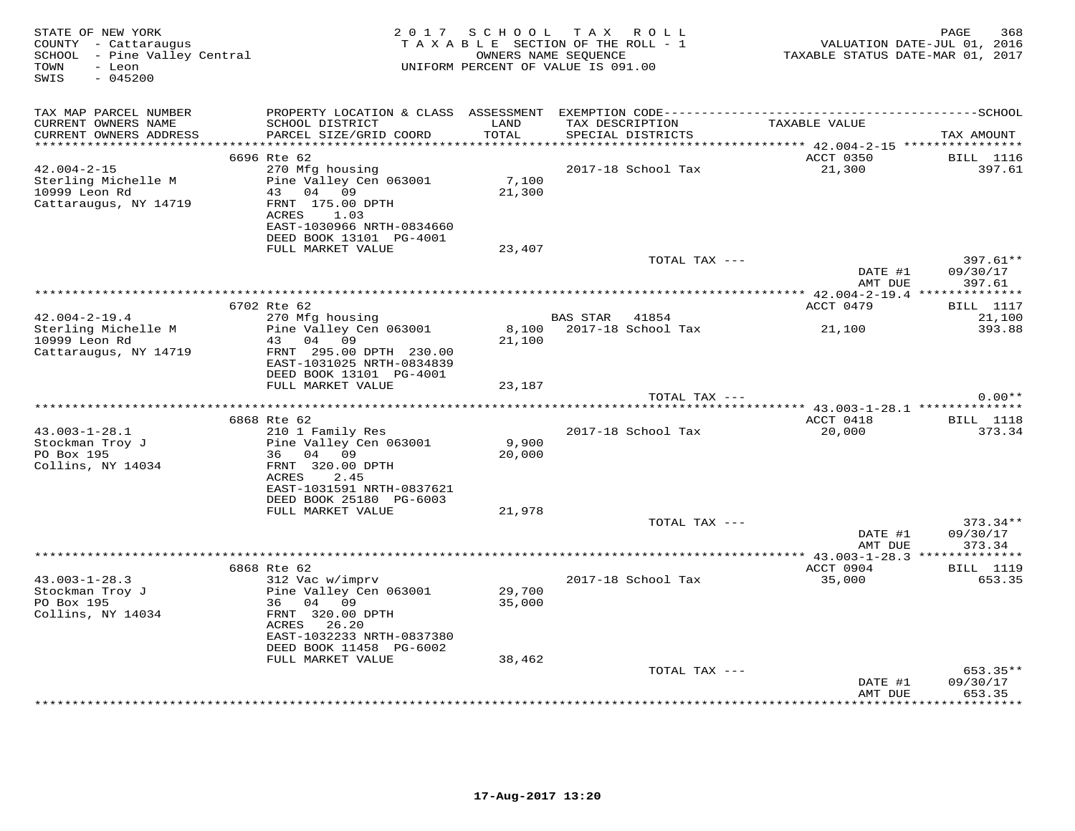| STATE OF NEW YORK<br>COUNTY - Cattaraugus<br>SCHOOL - Pine Valley Central<br>- Leon<br>TOWN<br>$-045200$<br>SWIS | 2 0 1 7                                                                                                                                                              | TAXABLE SECTION OF THE ROLL - 1<br>UNIFORM PERCENT OF VALUE IS 091.00 | SCHOOL TAX ROLL<br>OWNERS NAME SEQUENCE |               | TAXABLE STATUS DATE-MAR 01, 2017       | 368<br>PAGE<br>VALUATION DATE-JUL 01, 2016 |
|------------------------------------------------------------------------------------------------------------------|----------------------------------------------------------------------------------------------------------------------------------------------------------------------|-----------------------------------------------------------------------|-----------------------------------------|---------------|----------------------------------------|--------------------------------------------|
| TAX MAP PARCEL NUMBER<br>CURRENT OWNERS NAME<br>CURRENT OWNERS ADDRESS                                           | PROPERTY LOCATION & CLASS ASSESSMENT EXEMPTION CODE-----------------------------------SCHOOL<br>SCHOOL DISTRICT<br>PARCEL SIZE/GRID COORD                            | LAND<br>TOTAL                                                         | TAX DESCRIPTION<br>SPECIAL DISTRICTS    |               | TAXABLE VALUE                          | TAX AMOUNT                                 |
|                                                                                                                  |                                                                                                                                                                      |                                                                       |                                         |               | ******* 42.004-2-15 *****************  |                                            |
| $42.004 - 2 - 15$<br>Sterling Michelle M<br>10999 Leon Rd<br>Cattaraugus, NY 14719                               | 6696 Rte 62<br>270 Mfg housing<br>Pine Valley Cen 063001<br>43<br>04 09<br>FRNT 175.00 DPTH<br>1.03<br>ACRES<br>EAST-1030966 NRTH-0834660<br>DEED BOOK 13101 PG-4001 | 7,100<br>21,300                                                       | 2017-18 School Tax                      |               | ACCT 0350<br>21,300                    | <b>BILL</b> 1116<br>397.61                 |
|                                                                                                                  | FULL MARKET VALUE                                                                                                                                                    | 23,407                                                                |                                         |               |                                        |                                            |
|                                                                                                                  |                                                                                                                                                                      |                                                                       |                                         | TOTAL TAX --- | DATE #1<br>AMT DUE                     | 397.61**<br>09/30/17<br>397.61             |
|                                                                                                                  |                                                                                                                                                                      |                                                                       |                                         |               |                                        |                                            |
|                                                                                                                  | 6702 Rte 62                                                                                                                                                          |                                                                       |                                         |               | ACCT 0479                              | <b>BILL</b> 1117                           |
| $42.004 - 2 - 19.4$<br>Sterling Michelle M                                                                       | 270 Mfg housing<br>Pine Valley Cen 063001                                                                                                                            | 8,100                                                                 | BAS STAR 41854<br>2017-18 School Tax    |               | 21,100                                 | 21,100<br>393.88                           |
| 10999 Leon Rd                                                                                                    | 43<br>04 09                                                                                                                                                          | 21,100                                                                |                                         |               |                                        |                                            |
| Cattaraugus, NY 14719                                                                                            | FRNT 295.00 DPTH 230.00<br>EAST-1031025 NRTH-0834839<br>DEED BOOK 13101 PG-4001                                                                                      |                                                                       |                                         |               |                                        |                                            |
|                                                                                                                  | FULL MARKET VALUE                                                                                                                                                    | 23,187                                                                |                                         |               |                                        |                                            |
|                                                                                                                  |                                                                                                                                                                      |                                                                       |                                         | TOTAL TAX --- |                                        | $0.00**$                                   |
|                                                                                                                  | 6868 Rte 62                                                                                                                                                          |                                                                       |                                         |               | ACCT 0418                              | <b>BILL</b> 1118                           |
| $43.003 - 1 - 28.1$                                                                                              | 210 1 Family Res                                                                                                                                                     |                                                                       | 2017-18 School Tax                      |               | 20,000                                 | 373.34                                     |
| Stockman Troy J                                                                                                  | Pine Valley Cen 063001                                                                                                                                               | 9,900                                                                 |                                         |               |                                        |                                            |
| PO Box 195<br>Collins, NY 14034                                                                                  | 36 04 09<br>FRNT 320.00 DPTH                                                                                                                                         | 20,000                                                                |                                         |               |                                        |                                            |
|                                                                                                                  | ACRES<br>2.45<br>EAST-1031591 NRTH-0837621<br>DEED BOOK 25180 PG-6003                                                                                                |                                                                       |                                         |               |                                        |                                            |
|                                                                                                                  | FULL MARKET VALUE                                                                                                                                                    | 21,978                                                                |                                         | TOTAL TAX --- |                                        | 373.34**                                   |
|                                                                                                                  |                                                                                                                                                                      |                                                                       |                                         |               | DATE #1<br>AMT DUE                     | 09/30/17<br>373.34                         |
|                                                                                                                  |                                                                                                                                                                      |                                                                       |                                         |               | *** $43.003 - 1 - 28.3$ ************** |                                            |
|                                                                                                                  | 6868 Rte 62                                                                                                                                                          |                                                                       |                                         |               | ACCT 0904                              | <b>BILL</b> 1119                           |
| $43.003 - 1 - 28.3$<br>Stockman Troy J<br>PO Box 195<br>Collins, NY 14034                                        | 312 Vac w/imprv<br>Pine Valley Cen 063001<br>04 09<br>36<br>FRNT 320.00 DPTH<br>ACRES<br>26.20<br>EAST-1032233 NRTH-0837380<br>DEED BOOK 11458 PG-6002               | 29,700<br>35,000                                                      | 2017-18 School Tax                      |               | 35,000                                 | 653.35                                     |
|                                                                                                                  | FULL MARKET VALUE                                                                                                                                                    | 38,462                                                                |                                         |               |                                        |                                            |
|                                                                                                                  |                                                                                                                                                                      |                                                                       |                                         | TOTAL TAX --- |                                        | 653.35**                                   |
|                                                                                                                  |                                                                                                                                                                      |                                                                       |                                         |               | DATE #1<br>AMT DUE                     | 09/30/17<br>653.35                         |
|                                                                                                                  |                                                                                                                                                                      |                                                                       |                                         |               |                                        | * * * * * * * *                            |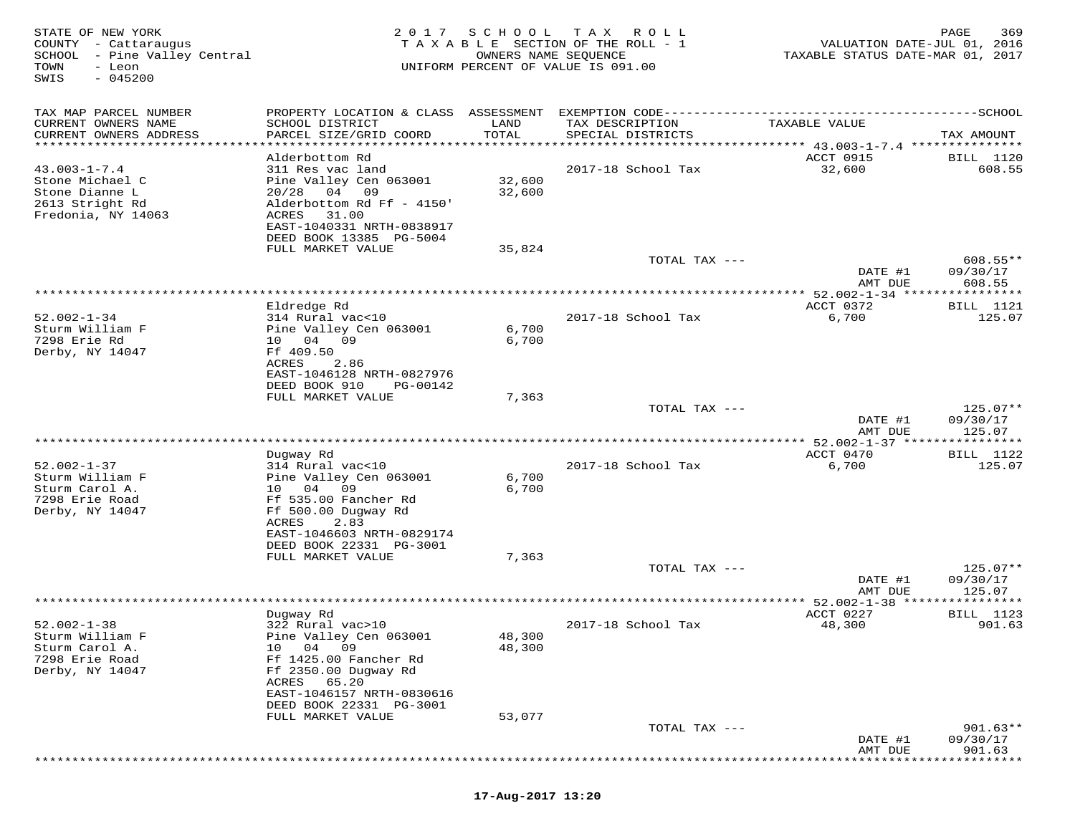| STATE OF NEW YORK<br>COUNTY - Cattaraugus<br>SCHOOL - Pine Valley Central<br>TOWN<br>- Leon<br>$-045200$<br>SWIS | 2017                                           | S C H O O L<br>OWNERS NAME SEQUENCE | T A X<br>R O L L<br>TAXABLE SECTION OF THE ROLL - 1<br>UNIFORM PERCENT OF VALUE IS 091.00 | VALUATION DATE-JUL 01, 2016<br>TAXABLE STATUS DATE-MAR 01,    | PAGE<br>369<br>2017      |
|------------------------------------------------------------------------------------------------------------------|------------------------------------------------|-------------------------------------|-------------------------------------------------------------------------------------------|---------------------------------------------------------------|--------------------------|
| TAX MAP PARCEL NUMBER                                                                                            | PROPERTY LOCATION & CLASS ASSESSMENT           |                                     |                                                                                           |                                                               |                          |
| CURRENT OWNERS NAME                                                                                              | SCHOOL DISTRICT                                | LAND                                | TAX DESCRIPTION                                                                           | TAXABLE VALUE                                                 |                          |
| CURRENT OWNERS ADDRESS                                                                                           | PARCEL SIZE/GRID COORD                         | TOTAL                               | SPECIAL DISTRICTS                                                                         |                                                               | TAX AMOUNT               |
| ********************                                                                                             | *********************                          | **********                          |                                                                                           | ******************************* 43.003-1-7.4 **************** |                          |
| $43.003 - 1 - 7.4$                                                                                               | Alderbottom Rd<br>311 Res vac land             |                                     | 2017-18 School Tax                                                                        | ACCT 0915<br>32,600                                           | BILL 1120<br>608.55      |
| Stone Michael C                                                                                                  | Pine Valley Cen 063001                         | 32,600                              |                                                                                           |                                                               |                          |
| Stone Dianne L                                                                                                   | 09<br>20/28<br>04                              | 32,600                              |                                                                                           |                                                               |                          |
| 2613 Stright Rd                                                                                                  | Alderbottom Rd Ff - 4150'                      |                                     |                                                                                           |                                                               |                          |
| Fredonia, NY 14063                                                                                               | ACRES<br>31.00<br>EAST-1040331 NRTH-0838917    |                                     |                                                                                           |                                                               |                          |
|                                                                                                                  | DEED BOOK 13385 PG-5004                        |                                     |                                                                                           |                                                               |                          |
|                                                                                                                  | FULL MARKET VALUE                              | 35,824                              |                                                                                           |                                                               |                          |
|                                                                                                                  |                                                |                                     | TOTAL TAX ---                                                                             |                                                               | $608.55**$               |
|                                                                                                                  |                                                |                                     |                                                                                           | DATE #1<br>AMT DUE                                            | 09/30/17<br>608.55       |
|                                                                                                                  |                                                |                                     |                                                                                           | $52.002 - 1 - 34$ **                                          | * * * * * * * * *        |
|                                                                                                                  | Eldredge Rd                                    |                                     |                                                                                           | ACCT 0372                                                     | <b>BILL</b> 1121         |
| $52.002 - 1 - 34$                                                                                                | 314 Rural vac<10                               |                                     | 2017-18 School Tax                                                                        | 6,700                                                         | 125.07                   |
| Sturm William F<br>7298 Erie Rd                                                                                  | Pine Valley Cen 063001<br>04<br>09<br>10       | 6,700<br>6,700                      |                                                                                           |                                                               |                          |
| Derby, NY 14047                                                                                                  | Ff 409.50                                      |                                     |                                                                                           |                                                               |                          |
|                                                                                                                  | 2.86<br>ACRES                                  |                                     |                                                                                           |                                                               |                          |
|                                                                                                                  | EAST-1046128 NRTH-0827976                      |                                     |                                                                                           |                                                               |                          |
|                                                                                                                  | DEED BOOK 910<br>PG-00142<br>FULL MARKET VALUE | 7,363                               |                                                                                           |                                                               |                          |
|                                                                                                                  |                                                |                                     | TOTAL TAX ---                                                                             |                                                               | $125.07**$               |
|                                                                                                                  |                                                |                                     |                                                                                           | DATE #1                                                       | 09/30/17                 |
|                                                                                                                  |                                                |                                     |                                                                                           | AMT DUE                                                       | 125.07                   |
|                                                                                                                  |                                                |                                     |                                                                                           | $52.002 - 1 - 37$ *****<br>ACCT 0470                          | ***********<br>BILL 1122 |
| $52.002 - 1 - 37$                                                                                                | Dugway Rd<br>314 Rural vac<10                  |                                     | 2017-18 School Tax                                                                        | 6,700                                                         | 125.07                   |
| Sturm William F                                                                                                  | Pine Valley Cen 063001                         | 6,700                               |                                                                                           |                                                               |                          |
| Sturm Carol A.                                                                                                   | 04<br>09<br>10                                 | 6,700                               |                                                                                           |                                                               |                          |
| 7298 Erie Road                                                                                                   | Ff 535.00 Fancher Rd                           |                                     |                                                                                           |                                                               |                          |
| Derby, NY 14047                                                                                                  | Ff 500.00 Dugway Rd<br>ACRES<br>2.83           |                                     |                                                                                           |                                                               |                          |
|                                                                                                                  | EAST-1046603 NRTH-0829174                      |                                     |                                                                                           |                                                               |                          |
|                                                                                                                  | DEED BOOK 22331 PG-3001                        |                                     |                                                                                           |                                                               |                          |
|                                                                                                                  | FULL MARKET VALUE                              | 7,363                               |                                                                                           |                                                               |                          |
|                                                                                                                  |                                                |                                     | TOTAL TAX ---                                                                             | DATE #1                                                       | $125.07**$<br>09/30/17   |
|                                                                                                                  |                                                |                                     |                                                                                           | AMT DUE                                                       | 125.07                   |
|                                                                                                                  |                                                |                                     |                                                                                           | ** $52.002 - 1 - 38$ ***                                      | * * * * * * * * *        |
|                                                                                                                  | Dugway Rd                                      |                                     |                                                                                           | ACCT 0227                                                     | BILL 1123                |
| $52.002 - 1 - 38$<br>Sturm William F                                                                             | 322 Rural vac>10<br>Pine Valley Cen 063001     | 48,300                              | 2017-18 School Tax                                                                        | 48,300                                                        | 901.63                   |
| Sturm Carol A.                                                                                                   | 04<br>09<br>10                                 | 48,300                              |                                                                                           |                                                               |                          |
| 7298 Erie Road                                                                                                   | Ff 1425.00 Fancher Rd                          |                                     |                                                                                           |                                                               |                          |
| Derby, NY 14047                                                                                                  | Ff 2350.00 Duqway Rd                           |                                     |                                                                                           |                                                               |                          |
|                                                                                                                  | ACRES<br>65.20<br>EAST-1046157 NRTH-0830616    |                                     |                                                                                           |                                                               |                          |
|                                                                                                                  | DEED BOOK 22331 PG-3001                        |                                     |                                                                                           |                                                               |                          |
|                                                                                                                  | FULL MARKET VALUE                              | 53,077                              |                                                                                           |                                                               |                          |
|                                                                                                                  |                                                |                                     | TOTAL TAX ---                                                                             |                                                               | $901.63**$               |
|                                                                                                                  |                                                |                                     |                                                                                           | DATE #1                                                       | 09/30/17                 |
|                                                                                                                  |                                                |                                     |                                                                                           | AMT DUE                                                       | 901.63                   |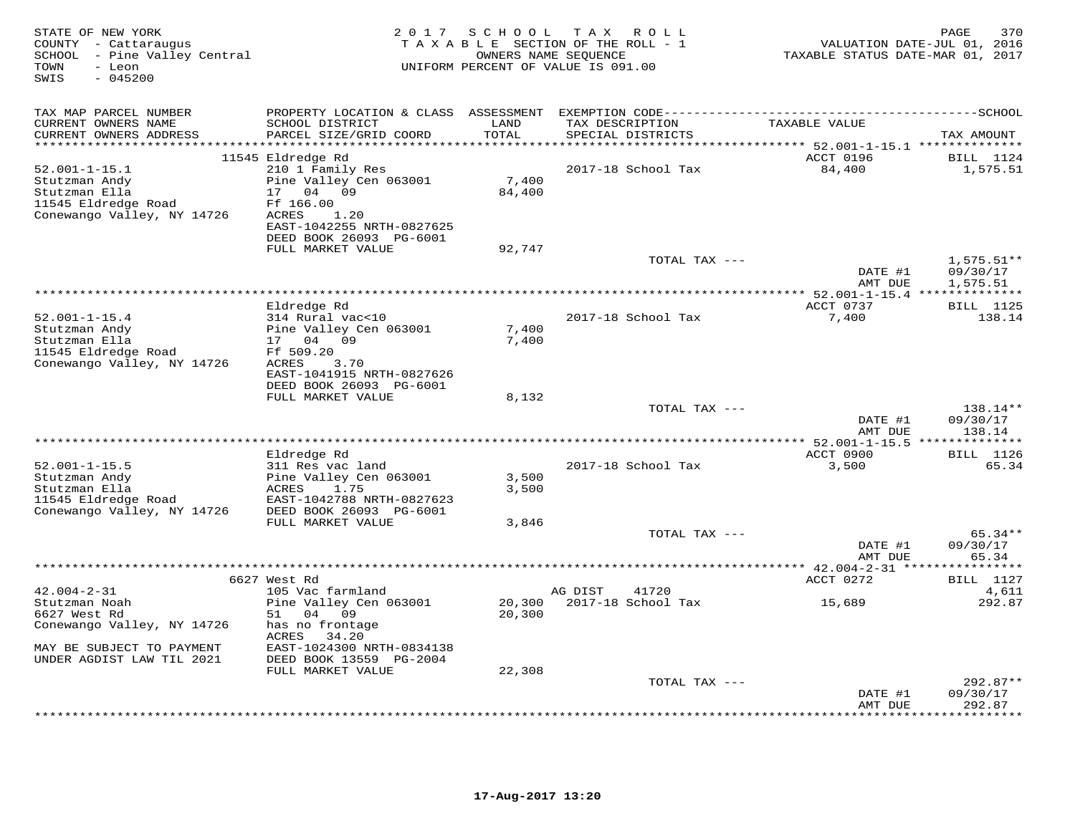| STATE OF NEW YORK<br>COUNTY - Cattaraugus<br>SCHOOL - Pine Valley Central<br>- Leon<br>TOWN<br>$-045200$<br>SWIS | 2 0 1 7                                    | SCHOOL                  | TAX ROLL<br>TAXABLE SECTION OF THE ROLL - 1<br>OWNERS NAME SEQUENCE<br>UNIFORM PERCENT OF VALUE IS 091.00 | VALUATION DATE-JUL 01, 2016<br>TAXABLE STATUS DATE-MAR 01, 2017 | 370<br>PAGE                   |
|------------------------------------------------------------------------------------------------------------------|--------------------------------------------|-------------------------|-----------------------------------------------------------------------------------------------------------|-----------------------------------------------------------------|-------------------------------|
| TAX MAP PARCEL NUMBER                                                                                            |                                            |                         |                                                                                                           |                                                                 |                               |
| CURRENT OWNERS NAME<br>CURRENT OWNERS ADDRESS                                                                    | SCHOOL DISTRICT<br>PARCEL SIZE/GRID COORD  | LAND<br>TOTAL           | TAX DESCRIPTION<br>SPECIAL DISTRICTS                                                                      | TAXABLE VALUE                                                   | TAX AMOUNT                    |
| ***********************                                                                                          |                                            | *****************       |                                                                                                           | **************************** 52.001-1-15.1 **************       |                               |
|                                                                                                                  | 11545 Eldredge Rd                          |                         |                                                                                                           | ACCT 0196                                                       | <b>BILL</b> 1124              |
| $52.001 - 1 - 15.1$                                                                                              | 210 1 Family Res                           |                         | 2017-18 School Tax                                                                                        | 84,400                                                          | 1,575.51                      |
| Stutzman Andy                                                                                                    | Pine Valley Cen 063001                     | 7,400                   |                                                                                                           |                                                                 |                               |
| Stutzman Ella<br>11545 Eldredge Road                                                                             | 04<br>17<br>09<br>Ff 166.00                | 84,400                  |                                                                                                           |                                                                 |                               |
| Conewango Valley, NY 14726                                                                                       | ACRES<br>1.20                              |                         |                                                                                                           |                                                                 |                               |
|                                                                                                                  | EAST-1042255 NRTH-0827625                  |                         |                                                                                                           |                                                                 |                               |
|                                                                                                                  | DEED BOOK 26093 PG-6001                    |                         |                                                                                                           |                                                                 |                               |
|                                                                                                                  | FULL MARKET VALUE                          | 92,747                  |                                                                                                           |                                                                 |                               |
|                                                                                                                  |                                            |                         | TOTAL TAX ---                                                                                             |                                                                 | $1,575.51**$                  |
|                                                                                                                  |                                            |                         |                                                                                                           | DATE #1                                                         | 09/30/17                      |
|                                                                                                                  |                                            |                         |                                                                                                           | AMT DUE<br>********** 52.001-1-15.4 ***************             | 1,575.51                      |
|                                                                                                                  | Eldredge Rd                                |                         |                                                                                                           | ACCT 0737                                                       | <b>BILL</b> 1125              |
| $52.001 - 1 - 15.4$                                                                                              | 314 Rural vac<10                           |                         | 2017-18 School Tax                                                                                        | 7,400                                                           | 138.14                        |
| Stutzman Andy                                                                                                    | Pine Valley Cen 063001                     | 7,400                   |                                                                                                           |                                                                 |                               |
| Stutzman Ella                                                                                                    | 17 04 09                                   | 7,400                   |                                                                                                           |                                                                 |                               |
| 11545 Eldredge Road                                                                                              | Ff 509.20                                  |                         |                                                                                                           |                                                                 |                               |
| Conewango Valley, NY 14726                                                                                       | ACRES<br>3.70<br>EAST-1041915 NRTH-0827626 |                         |                                                                                                           |                                                                 |                               |
|                                                                                                                  | DEED BOOK 26093 PG-6001                    |                         |                                                                                                           |                                                                 |                               |
|                                                                                                                  | FULL MARKET VALUE                          | 8,132                   |                                                                                                           |                                                                 |                               |
|                                                                                                                  |                                            |                         | TOTAL TAX ---                                                                                             |                                                                 | 138.14**                      |
|                                                                                                                  |                                            |                         |                                                                                                           | DATE #1                                                         | 09/30/17                      |
|                                                                                                                  |                                            | *********************** |                                                                                                           | AMT DUE                                                         | 138.14                        |
|                                                                                                                  | Eldredge Rd                                |                         |                                                                                                           | ********** 52.001-1-15.5 **<br>ACCT 0900                        | *********<br><b>BILL</b> 1126 |
| $52.001 - 1 - 15.5$                                                                                              | 311 Res vac land                           |                         | 2017-18 School Tax                                                                                        | 3,500                                                           | 65.34                         |
| Stutzman Andy                                                                                                    | Pine Valley Cen 063001                     | 3,500                   |                                                                                                           |                                                                 |                               |
| Stutzman Ella                                                                                                    | ACRES<br>1.75                              | 3,500                   |                                                                                                           |                                                                 |                               |
| 11545 Eldredge Road                                                                                              | EAST-1042788 NRTH-0827623                  |                         |                                                                                                           |                                                                 |                               |
| Conewango Valley, NY 14726                                                                                       | DEED BOOK 26093 PG-6001                    |                         |                                                                                                           |                                                                 |                               |
|                                                                                                                  | FULL MARKET VALUE                          | 3,846                   |                                                                                                           |                                                                 |                               |
|                                                                                                                  |                                            |                         | TOTAL TAX ---                                                                                             | DATE #1                                                         | $65.34**$<br>09/30/17         |
|                                                                                                                  |                                            |                         |                                                                                                           | AMT DUE                                                         | 65.34                         |
|                                                                                                                  | **************                             |                         |                                                                                                           | ********* 42.004-2-31 ****                                      | ********                      |
|                                                                                                                  | 6627 West Rd                               |                         |                                                                                                           | ACCT 0272                                                       | <b>BILL</b> 1127              |
| $42.004 - 2 - 31$                                                                                                | 105 Vac farmland                           |                         | 41720<br>AG DIST                                                                                          |                                                                 | 4,611                         |
| Stutzman Noah                                                                                                    | Pine Valley Cen 063001                     | 20,300                  | 2017-18 School Tax                                                                                        | 15,689                                                          | 292.87                        |
| 6627 West Rd<br>Conewango Valley, NY 14726                                                                       | 04 09<br>51<br>has no frontage             | 20,300                  |                                                                                                           |                                                                 |                               |
|                                                                                                                  | 34.20<br>ACRES                             |                         |                                                                                                           |                                                                 |                               |
| MAY BE SUBJECT TO PAYMENT                                                                                        | EAST-1024300 NRTH-0834138                  |                         |                                                                                                           |                                                                 |                               |
| UNDER AGDIST LAW TIL 2021                                                                                        | DEED BOOK 13559 PG-2004                    |                         |                                                                                                           |                                                                 |                               |
|                                                                                                                  | FULL MARKET VALUE                          | 22,308                  |                                                                                                           |                                                                 |                               |
|                                                                                                                  |                                            |                         | TOTAL TAX ---                                                                                             |                                                                 | $292.87**$                    |
|                                                                                                                  |                                            |                         |                                                                                                           | DATE #1                                                         | 09/30/17                      |
|                                                                                                                  |                                            |                         |                                                                                                           | AMT DUE                                                         | 292.87<br>* * * * * * * *     |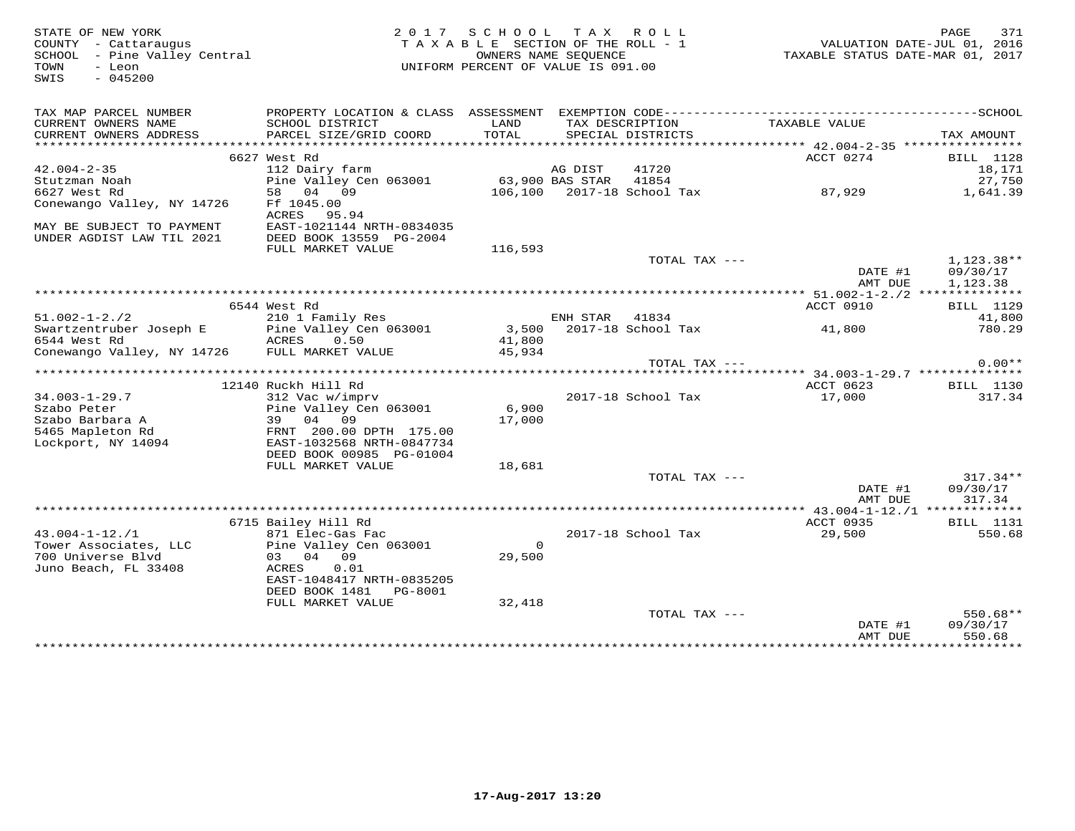| STATE OF NEW YORK<br>COUNTY - Cattaraugus<br>SCHOOL - Pine Valley Central<br>- Leon<br>TOWN<br>SWIS<br>$-045200$ |                                                                            | 2017 SCHOOL TAX ROLL<br>TAXABLE SECTION OF THE ROLL - 1<br>OWNERS NAME SEQUENCE<br>UNIFORM PERCENT OF VALUE IS 091.00 |                |                            | VALUATION DATE-JUL 01, 2016<br>TAXABLE STATUS DATE-MAR 01, 2017 | PAGE<br>371              |
|------------------------------------------------------------------------------------------------------------------|----------------------------------------------------------------------------|-----------------------------------------------------------------------------------------------------------------------|----------------|----------------------------|-----------------------------------------------------------------|--------------------------|
| TAX MAP PARCEL NUMBER                                                                                            | PROPERTY LOCATION & CLASS ASSESSMENT EXEMPTION CODE----------------------- |                                                                                                                       |                |                            |                                                                 | ----------------SCHOOL   |
| CURRENT OWNERS NAME                                                                                              | SCHOOL DISTRICT                                                            | LAND                                                                                                                  |                | TAX DESCRIPTION            | TAXABLE VALUE                                                   |                          |
| CURRENT OWNERS ADDRESS<br>***********************                                                                | PARCEL SIZE/GRID COORD                                                     | TOTAL                                                                                                                 |                | SPECIAL DISTRICTS          |                                                                 | TAX AMOUNT               |
|                                                                                                                  | 6627 West Rd                                                               |                                                                                                                       |                |                            | ACCT 0274                                                       | <b>BILL</b> 1128         |
| $42.004 - 2 - 35$                                                                                                | 112 Dairy farm                                                             |                                                                                                                       | AG DIST        | 41720                      |                                                                 | 18,171                   |
| Stutzman Noah                                                                                                    | Pine Valley Cen 063001                                                     | 63,900 BAS STAR 41854                                                                                                 |                |                            |                                                                 | 27,750                   |
| 6627 West Rd                                                                                                     | 58 04 09                                                                   |                                                                                                                       |                | 106,100 2017-18 School Tax | 87,929                                                          | 1,641.39                 |
| Conewango Valley, NY 14726                                                                                       | Ff 1045.00<br>ACRES 95.94                                                  |                                                                                                                       |                |                            |                                                                 |                          |
| MAY BE SUBJECT TO PAYMENT                                                                                        | EAST-1021144 NRTH-0834035                                                  |                                                                                                                       |                |                            |                                                                 |                          |
| UNDER AGDIST LAW TIL 2021                                                                                        | DEED BOOK 13559 PG-2004                                                    |                                                                                                                       |                |                            |                                                                 |                          |
|                                                                                                                  | FULL MARKET VALUE                                                          | 116,593                                                                                                               |                |                            |                                                                 |                          |
|                                                                                                                  |                                                                            |                                                                                                                       |                | TOTAL TAX ---              | DATE #1                                                         | $1,123.38**$<br>09/30/17 |
|                                                                                                                  |                                                                            |                                                                                                                       |                |                            | AMT DUE                                                         | 1,123.38                 |
|                                                                                                                  |                                                                            |                                                                                                                       |                |                            |                                                                 |                          |
|                                                                                                                  | 6544 West Rd                                                               |                                                                                                                       |                |                            | ACCT 0910                                                       | BILL 1129                |
| $51.002 - 1 - 2.72$                                                                                              | 210 1 Family Res                                                           |                                                                                                                       | ENH STAR 41834 |                            |                                                                 | 41,800                   |
| Swartzentruber Joseph E<br>6544 West Rd                                                                          | Pine Valley Cen 063001<br>ACRES<br>0.50                                    | 41,800                                                                                                                |                | 3,500 2017-18 School Tax   | 41,800                                                          | 780.29                   |
| Conewango Valley, NY 14726 FULL MARKET VALUE                                                                     |                                                                            | 45,934                                                                                                                |                |                            |                                                                 |                          |
|                                                                                                                  |                                                                            |                                                                                                                       |                | TOTAL TAX ---              |                                                                 | $0.00**$                 |
|                                                                                                                  |                                                                            |                                                                                                                       |                |                            |                                                                 |                          |
| $34.003 - 1 - 29.7$                                                                                              | 12140 Ruckh Hill Rd<br>312 Vac w/imprv                                     |                                                                                                                       |                | 2017-18 School Tax         | ACCT 0623<br>17,000                                             | BILL 1130<br>317.34      |
| Szabo Peter                                                                                                      | Pine Valley Cen 063001                                                     | 6,900                                                                                                                 |                |                            |                                                                 |                          |
| Szabo Barbara A                                                                                                  | 39 04 09                                                                   | 17,000                                                                                                                |                |                            |                                                                 |                          |
| 5465 Mapleton Rd                                                                                                 | FRNT 200.00 DPTH 175.00                                                    |                                                                                                                       |                |                            |                                                                 |                          |
| Lockport, NY 14094                                                                                               | EAST-1032568 NRTH-0847734<br>DEED BOOK 00985 PG-01004                      |                                                                                                                       |                |                            |                                                                 |                          |
|                                                                                                                  | FULL MARKET VALUE                                                          | 18,681                                                                                                                |                |                            |                                                                 |                          |
|                                                                                                                  |                                                                            |                                                                                                                       |                | TOTAL TAX ---              |                                                                 | $317.34**$               |
|                                                                                                                  |                                                                            |                                                                                                                       |                |                            | DATE #1                                                         | 09/30/17                 |
|                                                                                                                  |                                                                            |                                                                                                                       |                |                            | AMT DUE                                                         | 317.34                   |
|                                                                                                                  | 6715 Bailey Hill Rd                                                        |                                                                                                                       |                |                            | ******** 43.004-1-12./1 *************<br>ACCT 0935              | BILL 1131                |
| $43.004 - 1 - 12$ ./1                                                                                            | 871 Elec-Gas Fac                                                           |                                                                                                                       |                | 2017-18 School Tax         | 29,500                                                          | 550.68                   |
| Tower Associates, LLC                                                                                            | Pine Valley Cen 063001                                                     | $\mathsf{O}$                                                                                                          |                |                            |                                                                 |                          |
| 700 Universe Blyd                                                                                                | 03 04 09                                                                   | 29,500                                                                                                                |                |                            |                                                                 |                          |
| Juno Beach, FL 33408                                                                                             | 0.01<br>ACRES<br>EAST-1048417 NRTH-0835205                                 |                                                                                                                       |                |                            |                                                                 |                          |
|                                                                                                                  | DEED BOOK 1481    PG-8001                                                  |                                                                                                                       |                |                            |                                                                 |                          |
|                                                                                                                  | FULL MARKET VALUE                                                          | 32,418                                                                                                                |                |                            |                                                                 |                          |
|                                                                                                                  |                                                                            |                                                                                                                       |                | TOTAL TAX ---              |                                                                 | 550.68**                 |
|                                                                                                                  |                                                                            |                                                                                                                       |                |                            | DATE #1                                                         | 09/30/17                 |
|                                                                                                                  |                                                                            |                                                                                                                       |                |                            | AMT DUE                                                         | 550.68                   |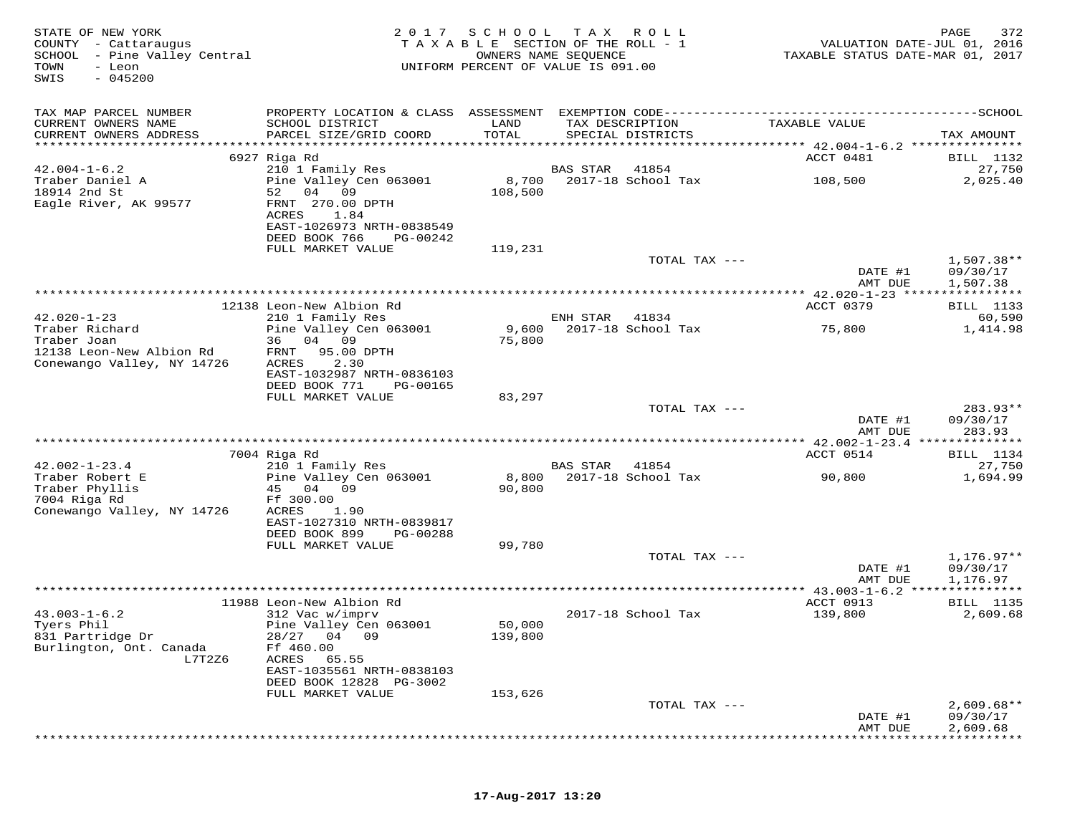| STATE OF NEW YORK<br>COUNTY - Cattaraugus<br>SCHOOL - Pine Valley Central<br>TOWN<br>- Leon<br>$-045200$<br>SWIS | 2017                                                                    | SCHOOL            | T A X<br>R O L L<br>T A X A B L E SECTION OF THE ROLL - 1<br>OWNERS NAME SEQUENCE<br>UNIFORM PERCENT OF VALUE IS 091.00 | VALUATION DATE-JUL 01, 2016<br>TAXABLE STATUS DATE-MAR 01, 2017       | 372<br>PAGE                               |
|------------------------------------------------------------------------------------------------------------------|-------------------------------------------------------------------------|-------------------|-------------------------------------------------------------------------------------------------------------------------|-----------------------------------------------------------------------|-------------------------------------------|
| TAX MAP PARCEL NUMBER                                                                                            |                                                                         |                   |                                                                                                                         |                                                                       |                                           |
| CURRENT OWNERS NAME                                                                                              | SCHOOL DISTRICT                                                         | LAND              | TAX DESCRIPTION                                                                                                         | TAXABLE VALUE                                                         |                                           |
| CURRENT OWNERS ADDRESS<br>***********************                                                                | PARCEL SIZE/GRID COORD                                                  | TOTAL             | SPECIAL DISTRICTS                                                                                                       |                                                                       | TAX AMOUNT                                |
|                                                                                                                  | 6927 Riga Rd                                                            |                   |                                                                                                                         | ACCT 0481                                                             | BILL 1132                                 |
| $42.004 - 1 - 6.2$                                                                                               | 210 1 Family Res                                                        |                   | <b>BAS STAR</b><br>41854                                                                                                |                                                                       | 27,750                                    |
| Traber Daniel A<br>18914 2nd St<br>Eagle River, AK 99577                                                         | Pine Valley Cen 063001<br>04<br>52<br>09<br>FRNT 270.00 DPTH            | 8,700<br>108,500  | 2017-18 School Tax                                                                                                      | 108,500                                                               | 2,025.40                                  |
|                                                                                                                  | ACRES<br>1.84<br>EAST-1026973 NRTH-0838549<br>DEED BOOK 766<br>PG-00242 |                   |                                                                                                                         |                                                                       |                                           |
|                                                                                                                  | FULL MARKET VALUE                                                       | 119,231           | TOTAL TAX ---                                                                                                           |                                                                       | $1,507.38**$                              |
|                                                                                                                  |                                                                         |                   |                                                                                                                         | DATE #1<br>AMT DUE                                                    | 09/30/17<br>1,507.38                      |
|                                                                                                                  | 12138 Leon-New Albion Rd                                                |                   |                                                                                                                         | ********* 42.020-1-23 ****<br>ACCT 0379                               | ***********<br>BILL 1133                  |
| $42.020 - 1 - 23$                                                                                                | 210 1 Family Res                                                        |                   | ENH STAR<br>41834                                                                                                       |                                                                       | 60,590                                    |
| Traber Richard                                                                                                   | Pine Valley Cen 063001                                                  | 9,600             | 2017-18 School Tax                                                                                                      | 75,800                                                                | 1,414.98                                  |
| Traber Joan<br>12138 Leon-New Albion Rd                                                                          | 36 04 09<br>95.00 DPTH<br>FRNT                                          | 75,800            |                                                                                                                         |                                                                       |                                           |
| Conewango Valley, NY 14726                                                                                       | 2.30<br>ACRES                                                           |                   |                                                                                                                         |                                                                       |                                           |
|                                                                                                                  | EAST-1032987 NRTH-0836103                                               |                   |                                                                                                                         |                                                                       |                                           |
|                                                                                                                  | DEED BOOK 771<br>PG-00165<br>FULL MARKET VALUE                          | 83,297            |                                                                                                                         |                                                                       |                                           |
|                                                                                                                  |                                                                         |                   | TOTAL TAX ---                                                                                                           |                                                                       | 283.93**                                  |
|                                                                                                                  |                                                                         |                   |                                                                                                                         | DATE #1<br>AMT DUE<br>***************** 42.002-1-23.4 *************** | 09/30/17<br>283.93                        |
|                                                                                                                  | 7004 Riga Rd                                                            |                   |                                                                                                                         | ACCT 0514                                                             | BILL 1134                                 |
| $42.002 - 1 - 23.4$                                                                                              | 210 1 Family Res                                                        |                   | <b>BAS STAR</b><br>41854                                                                                                |                                                                       | 27,750                                    |
| Traber Robert E<br>Traber Phyllis<br>7004 Riga Rd                                                                | Pine Valley Cen 063001<br>45 04 09<br>Ff 300.00                         | 8,800<br>90,800   | 2017-18 School Tax                                                                                                      | 90,800                                                                | 1,694.99                                  |
| Conewango Valley, NY 14726                                                                                       | ACRES<br>1.90<br>EAST-1027310 NRTH-0839817                              |                   |                                                                                                                         |                                                                       |                                           |
|                                                                                                                  | DEED BOOK 899<br>PG-00288<br>FULL MARKET VALUE                          | 99,780            |                                                                                                                         |                                                                       |                                           |
|                                                                                                                  |                                                                         |                   | TOTAL TAX ---                                                                                                           |                                                                       | $1,176.97**$                              |
|                                                                                                                  |                                                                         |                   |                                                                                                                         | DATE #1<br>AMT DUE                                                    | 09/30/17<br>1,176.97                      |
|                                                                                                                  | 11988 Leon-New Albion Rd                                                |                   |                                                                                                                         | ** $43.003 - 1 - 6.2$<br>ACCT 0913                                    | * * * * * * * * * * *<br><b>BILL</b> 1135 |
| $43.003 - 1 - 6.2$                                                                                               | 312 Vac w/imprv                                                         |                   | 2017-18 School Tax                                                                                                      | 139,800                                                               | 2,609.68                                  |
| Tyers Phil<br>831 Partridge Dr<br>Burlington, Ont. Canada<br>L7T2Z6                                              | Pine Valley Cen 063001<br>28/27 04 09<br>Ff 460.00<br>ACRES<br>65.55    | 50,000<br>139,800 |                                                                                                                         |                                                                       |                                           |
|                                                                                                                  | EAST-1035561 NRTH-0838103<br>DEED BOOK 12828 PG-3002                    |                   |                                                                                                                         |                                                                       |                                           |
|                                                                                                                  | FULL MARKET VALUE                                                       | 153,626           |                                                                                                                         |                                                                       |                                           |
|                                                                                                                  |                                                                         |                   | TOTAL TAX ---                                                                                                           | DATE #1<br>AMT DUE                                                    | $2,609.68**$<br>09/30/17<br>2,609.68      |
|                                                                                                                  |                                                                         |                   |                                                                                                                         |                                                                       |                                           |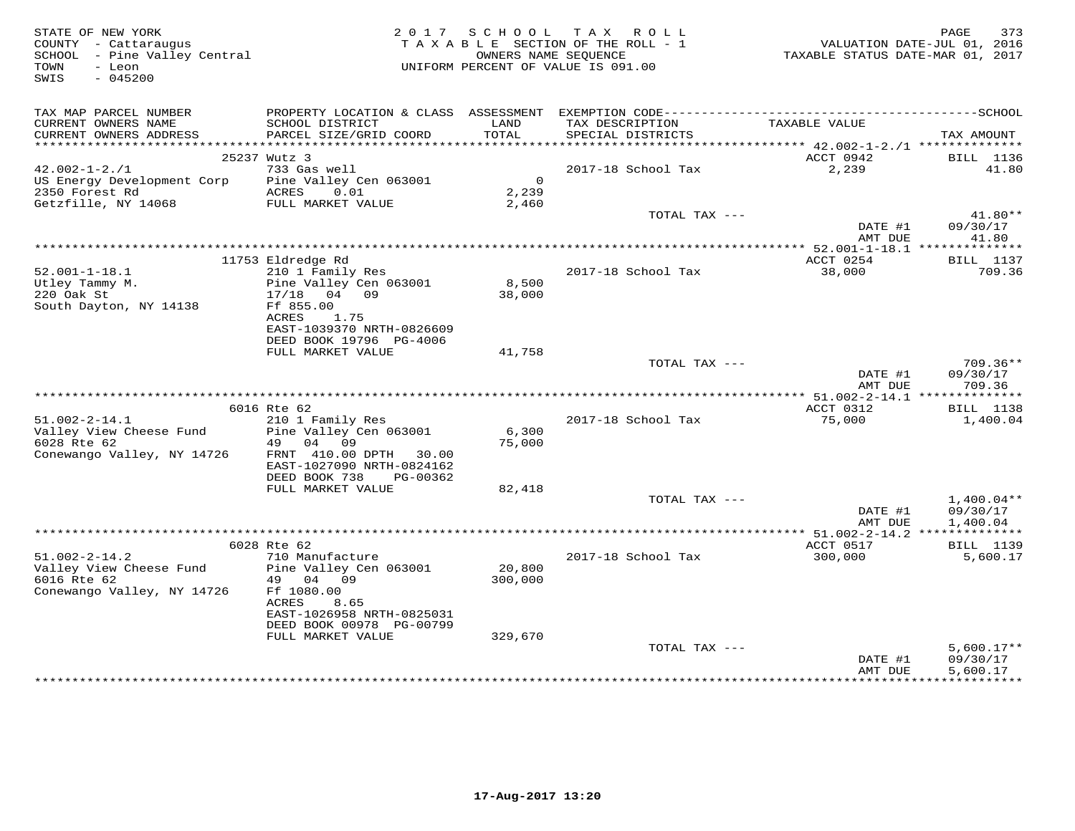| SCHOOL - Pine Valley Central<br>TOWN<br>- Leon<br>$-045200$<br>SWIS                         |                                                                                                                   |                                  | TAXABLE SECTION OF THE ROLL - 1<br>OWNERS NAME SEQUENCE<br>UNIFORM PERCENT OF VALUE IS 091.00 | VALUATION DATE-JUL 01, 2016<br>TAXABLE STATUS DATE-MAR 01, 2017 | PAGE<br>373                          |
|---------------------------------------------------------------------------------------------|-------------------------------------------------------------------------------------------------------------------|----------------------------------|-----------------------------------------------------------------------------------------------|-----------------------------------------------------------------|--------------------------------------|
| TAX MAP PARCEL NUMBER<br>CURRENT OWNERS NAME                                                | SCHOOL DISTRICT                                                                                                   | LAND                             | TAX DESCRIPTION                                                                               | TAXABLE VALUE                                                   |                                      |
| CURRENT OWNERS ADDRESS                                                                      | PARCEL SIZE/GRID COORD                                                                                            | TOTAL                            | SPECIAL DISTRICTS                                                                             |                                                                 | TAX AMOUNT                           |
|                                                                                             | 25237 Wutz 3                                                                                                      |                                  |                                                                                               | ACCT 0942                                                       | BILL 1136                            |
| $42.002 - 1 - 2.71$                                                                         | 733 Gas well                                                                                                      |                                  | 2017-18 School Tax                                                                            | 2,239                                                           | 41.80                                |
| US Energy Development Corp<br>2350 Forest Rd<br>Getzfille, NY 14068                         | Pine Valley Cen 063001<br>ACRES 0.01<br>FULL MARKET VALUE                                                         | $\overline{0}$<br>2,239<br>2,460 |                                                                                               |                                                                 |                                      |
|                                                                                             |                                                                                                                   |                                  | TOTAL TAX ---                                                                                 |                                                                 | 41.80**                              |
|                                                                                             |                                                                                                                   |                                  |                                                                                               | DATE #1<br>AMT DUE                                              | 09/30/17<br>41.80                    |
|                                                                                             | 11753 Eldredge Rd                                                                                                 |                                  |                                                                                               | ACCT 0254                                                       | <b>BILL</b> 1137                     |
| $52.001 - 1 - 18.1$<br>Utley Tammy M.<br>220 Oak St                                         | 210 1 Family Res<br>Pine Valley Cen 063001<br>17/18 04 09                                                         | 8,500<br>38,000                  | 2017-18 School Tax                                                                            | 38,000                                                          | 709.36                               |
| South Dayton, NY 14138                                                                      | Ff 855.00<br>ACRES<br>1.75<br>EAST-1039370 NRTH-0826609<br>DEED BOOK 19796 PG-4006                                |                                  |                                                                                               |                                                                 |                                      |
|                                                                                             | FULL MARKET VALUE                                                                                                 | 41,758                           |                                                                                               |                                                                 |                                      |
|                                                                                             |                                                                                                                   |                                  | TOTAL TAX ---                                                                                 | DATE #1<br>AMT DUE                                              | $709.36**$<br>09/30/17<br>709.36     |
|                                                                                             |                                                                                                                   |                                  |                                                                                               |                                                                 |                                      |
|                                                                                             | 6016 Rte 62                                                                                                       |                                  |                                                                                               | ACCT 0312                                                       | BILL 1138                            |
| $51.002 - 2 - 14.1$<br>Valley View Cheese Fund Pine Valley Cen 063001<br>6028 Rte 62        | 210 1 Family Res<br>49 04 09                                                                                      | 6,300<br>75,000                  | 2017-18 School Tax                                                                            | 75,000                                                          | 1,400.04                             |
| Conewango Valley, NY 14726                                                                  | FRNT 410.00 DPTH 30.00<br>EAST-1027090 NRTH-0824162<br>DEED BOOK 738<br>PG-00362                                  |                                  |                                                                                               |                                                                 |                                      |
|                                                                                             | FULL MARKET VALUE                                                                                                 | 82,418                           |                                                                                               |                                                                 |                                      |
|                                                                                             |                                                                                                                   |                                  | TOTAL TAX ---                                                                                 | DATE #1<br>AMT DUE                                              | $1,400.04**$<br>09/30/17<br>1,400.04 |
|                                                                                             | 6028 Rte 62                                                                                                       |                                  |                                                                                               | ACCT 0517                                                       | BILL 1139                            |
| $51.002 - 2 - 14.2$<br>Valley View Cheese Fund<br>6016 Rte 62<br>Conewango Valley, NY 14726 | 710 Manufacture<br>Pine Valley Cen 063001<br>49 04 09<br>Ff 1080.00<br>ACRES<br>8.65<br>EAST-1026958 NRTH-0825031 | 20,800<br>300,000                | 2017-18 School Tax                                                                            | 300,000                                                         | 5,600.17                             |
|                                                                                             | DEED BOOK 00978 PG-00799                                                                                          |                                  |                                                                                               |                                                                 |                                      |
|                                                                                             | FULL MARKET VALUE                                                                                                 | 329,670                          |                                                                                               |                                                                 |                                      |
|                                                                                             |                                                                                                                   |                                  | TOTAL TAX ---                                                                                 | DATE #1<br>AMT DUE                                              | $5,600.17**$<br>09/30/17<br>5,600.17 |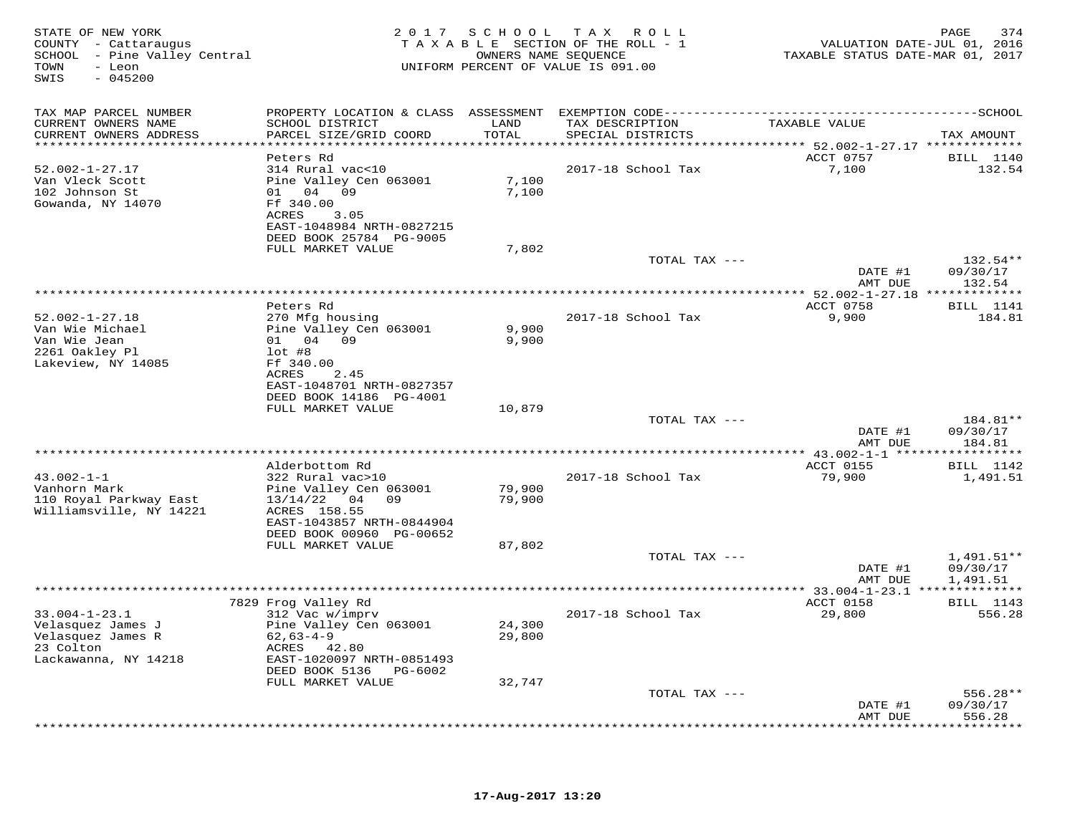| STATE OF NEW YORK<br>COUNTY - Cattaraugus<br>SCHOOL - Pine Valley Central<br>TOWN<br>- Leon<br>SWIS<br>$-045200$ |                                                                        | OWNERS NAME SEQUENCE          | 2017 SCHOOL TAX ROLL<br>TAXABLE SECTION OF THE ROLL - 1<br>UNIFORM PERCENT OF VALUE IS 091.00 | VALUATION DATE-JUL 01, 2016<br>TAXABLE STATUS DATE-MAR 01, 2017        | PAGE<br>374          |
|------------------------------------------------------------------------------------------------------------------|------------------------------------------------------------------------|-------------------------------|-----------------------------------------------------------------------------------------------|------------------------------------------------------------------------|----------------------|
| TAX MAP PARCEL NUMBER                                                                                            |                                                                        |                               |                                                                                               |                                                                        |                      |
| CURRENT OWNERS NAME<br>CURRENT OWNERS ADDRESS<br>***********************                                         | SCHOOL DISTRICT<br>PARCEL SIZE/GRID COORD<br>************************* | LAND<br>TOTAL<br>************ | TAX DESCRIPTION<br>SPECIAL DISTRICTS                                                          | TAXABLE VALUE                                                          | TAX AMOUNT           |
|                                                                                                                  | Peters Rd                                                              |                               |                                                                                               | **************************** 52.002-1-27.17 *************<br>ACCT 0757 | BILL 1140            |
| $52.002 - 1 - 27.17$                                                                                             | 314 Rural vac<10                                                       |                               | 2017-18 School Tax                                                                            | 7,100                                                                  | 132.54               |
| Van Vleck Scott                                                                                                  | Pine Valley Cen 063001                                                 | 7,100                         |                                                                                               |                                                                        |                      |
| 102 Johnson St                                                                                                   | 01 04 09                                                               | 7,100                         |                                                                                               |                                                                        |                      |
| Gowanda, NY 14070                                                                                                | Ff 340.00                                                              |                               |                                                                                               |                                                                        |                      |
|                                                                                                                  | ACRES<br>3.05<br>EAST-1048984 NRTH-0827215                             |                               |                                                                                               |                                                                        |                      |
|                                                                                                                  | DEED BOOK 25784 PG-9005                                                |                               |                                                                                               |                                                                        |                      |
|                                                                                                                  | FULL MARKET VALUE                                                      | 7,802                         |                                                                                               |                                                                        |                      |
|                                                                                                                  |                                                                        |                               | TOTAL TAX ---                                                                                 |                                                                        | $132.54**$           |
|                                                                                                                  |                                                                        |                               |                                                                                               | DATE #1                                                                | 09/30/17             |
|                                                                                                                  |                                                                        |                               | ********************                                                                          | AMT DUE                                                                | 132.54<br>********** |
|                                                                                                                  | Peters Rd                                                              |                               |                                                                                               | *** 52.002-1-27.18 **<br>ACCT 0758                                     | <b>BILL</b> 1141     |
| $52.002 - 1 - 27.18$                                                                                             | 270 Mfg housing                                                        |                               | 2017-18 School Tax                                                                            | 9,900                                                                  | 184.81               |
| Van Wie Michael                                                                                                  | Pine Valley Cen 063001                                                 | 9,900                         |                                                                                               |                                                                        |                      |
| Van Wie Jean                                                                                                     | 01 04 09                                                               | 9,900                         |                                                                                               |                                                                        |                      |
| 2261 Oakley Pl                                                                                                   | $lot$ #8                                                               |                               |                                                                                               |                                                                        |                      |
| Lakeview, NY 14085                                                                                               | Ff 340.00<br>ACRES<br>2.45                                             |                               |                                                                                               |                                                                        |                      |
|                                                                                                                  | EAST-1048701 NRTH-0827357                                              |                               |                                                                                               |                                                                        |                      |
|                                                                                                                  | DEED BOOK 14186 PG-4001                                                |                               |                                                                                               |                                                                        |                      |
|                                                                                                                  | FULL MARKET VALUE                                                      | 10,879                        |                                                                                               |                                                                        |                      |
|                                                                                                                  |                                                                        |                               | TOTAL TAX ---                                                                                 |                                                                        | 184.81**             |
|                                                                                                                  |                                                                        |                               |                                                                                               | DATE #1                                                                | 09/30/17             |
|                                                                                                                  |                                                                        |                               |                                                                                               | AMT DUE<br>****************** 43.002-1-1 ***                           | 184.81<br>*********  |
|                                                                                                                  | Alderbottom Rd                                                         |                               |                                                                                               | <b>ACCT 0155</b>                                                       | <b>BILL</b> 1142     |
| $43.002 - 1 - 1$                                                                                                 | 322 Rural vac>10                                                       |                               | 2017-18 School Tax                                                                            | 79,900                                                                 | 1,491.51             |
| Vanhorn Mark                                                                                                     | Pine Valley Cen 063001                                                 | 79,900                        |                                                                                               |                                                                        |                      |
| 110 Royal Parkway East                                                                                           | $13/14/22$ 04 09                                                       | 79,900                        |                                                                                               |                                                                        |                      |
| Williamsville, NY 14221                                                                                          | ACRES 158.55<br>EAST-1043857 NRTH-0844904                              |                               |                                                                                               |                                                                        |                      |
|                                                                                                                  | DEED BOOK 00960 PG-00652                                               |                               |                                                                                               |                                                                        |                      |
|                                                                                                                  | FULL MARKET VALUE                                                      | 87,802                        |                                                                                               |                                                                        |                      |
|                                                                                                                  |                                                                        |                               | TOTAL TAX ---                                                                                 |                                                                        | 1,491.51**           |
|                                                                                                                  |                                                                        |                               |                                                                                               | DATE #1                                                                | 09/30/17             |
|                                                                                                                  |                                                                        |                               | ***************                                                                               | AMT DUE                                                                | 1,491.51             |
|                                                                                                                  | 7829 Frog Valley Rd                                                    |                               |                                                                                               | * 33.004-1-23.1 ***************<br>ACCT 0158                           | <b>BILL</b> 1143     |
| $33.004 - 1 - 23.1$                                                                                              | 312 Vac w/imprv                                                        |                               | 2017-18 School Tax                                                                            | 29,800                                                                 | 556.28               |
| Velasquez James J                                                                                                | Pine Valley Cen 063001                                                 | 24,300                        |                                                                                               |                                                                        |                      |
| Velasquez James R                                                                                                | $62,63-4-9$                                                            | 29,800                        |                                                                                               |                                                                        |                      |
| 23 Colton                                                                                                        | ACRES 42.80                                                            |                               |                                                                                               |                                                                        |                      |
| Lackawanna, NY 14218                                                                                             | EAST-1020097 NRTH-0851493                                              |                               |                                                                                               |                                                                        |                      |
|                                                                                                                  | DEED BOOK 5136<br>PG-6002<br>FULL MARKET VALUE                         | 32,747                        |                                                                                               |                                                                        |                      |
|                                                                                                                  |                                                                        |                               | TOTAL TAX ---                                                                                 |                                                                        | $556.28**$           |
|                                                                                                                  |                                                                        |                               |                                                                                               | DATE #1                                                                | 09/30/17             |
|                                                                                                                  |                                                                        |                               |                                                                                               | AMT DUE                                                                | 556.28               |
|                                                                                                                  |                                                                        |                               |                                                                                               |                                                                        | * * * * * * * *      |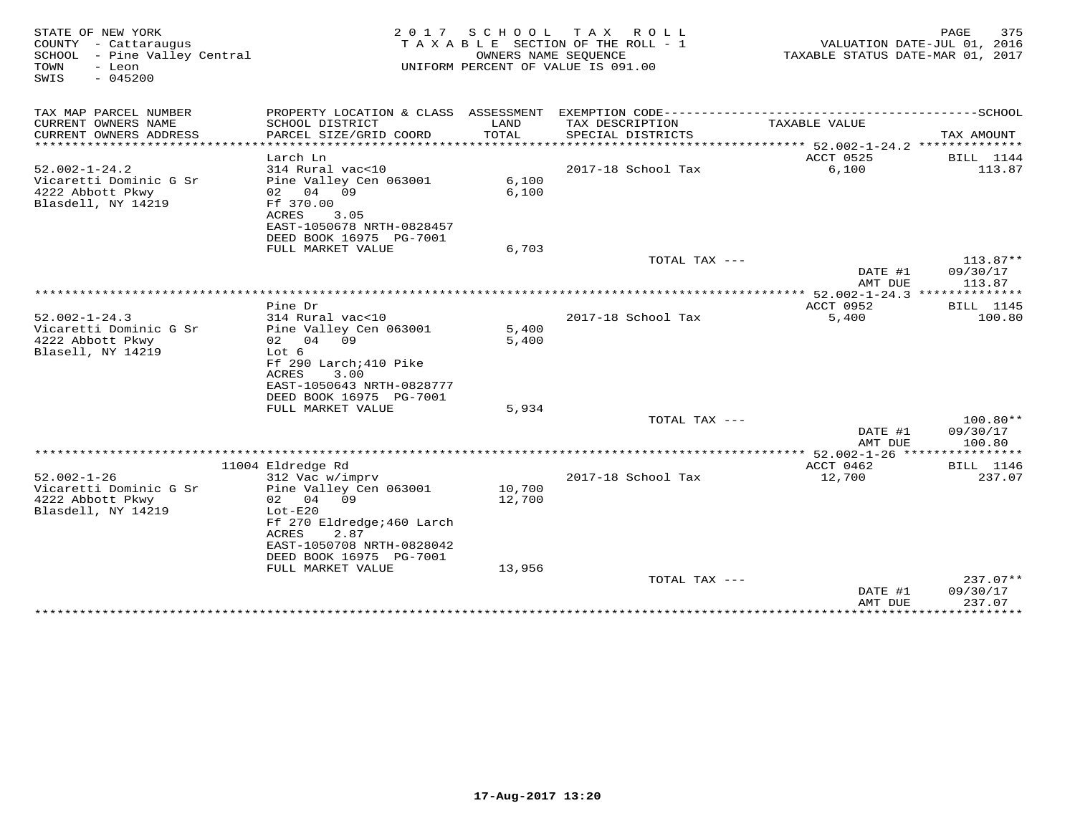| STATE OF NEW YORK<br>COUNTY - Cattaraugus<br>SCHOOL - Pine Valley Central<br>TOWN<br>- Leon<br>$-045200$<br>SWIS | 2 0 1 7                                                                                                           | SCHOOL           | T A X<br>R O L L<br>TAXABLE SECTION OF THE ROLL - 1<br>OWNERS NAME SEOUENCE<br>UNIFORM PERCENT OF VALUE IS 091.00 | TAXABLE STATUS DATE-MAR 01, 2017                | 375<br>PAGE<br>VALUATION DATE-JUL 01, 2016 |
|------------------------------------------------------------------------------------------------------------------|-------------------------------------------------------------------------------------------------------------------|------------------|-------------------------------------------------------------------------------------------------------------------|-------------------------------------------------|--------------------------------------------|
| TAX MAP PARCEL NUMBER<br>CURRENT OWNERS NAME<br>CURRENT OWNERS ADDRESS                                           | PROPERTY LOCATION & CLASS ASSESSMENT<br>SCHOOL DISTRICT<br>PARCEL SIZE/GRID COORD                                 | LAND<br>TOTAL    | TAX DESCRIPTION<br>SPECIAL DISTRICTS                                                                              | TAXABLE VALUE                                   | TAX AMOUNT                                 |
| ********************                                                                                             | ***********************<br>Larch Ln                                                                               |                  |                                                                                                                   | ACCT 0525                                       | BILL 1144                                  |
| $52.002 - 1 - 24.2$<br>Vicaretti Dominic G Sr<br>4222 Abbott Pkwy<br>Blasdell, NY 14219                          | 314 Rural vac<10<br>Pine Valley Cen 063001<br>02 04 09<br>Ff 370.00<br>ACRES<br>3.05<br>EAST-1050678 NRTH-0828457 | 6,100<br>6,100   | 2017-18 School Tax                                                                                                | 6,100                                           | 113.87                                     |
|                                                                                                                  | DEED BOOK 16975 PG-7001<br>FULL MARKET VALUE                                                                      | 6,703            |                                                                                                                   |                                                 |                                            |
|                                                                                                                  |                                                                                                                   |                  | TOTAL TAX ---                                                                                                     | DATE #1<br>AMT DUE                              | $113.87**$<br>09/30/17<br>113.87           |
|                                                                                                                  |                                                                                                                   |                  | *******************                                                                                               | $** 52.002 - 1 - 24.3$                          | * * * * * * * * *                          |
| $52.002 - 1 - 24.3$<br>Vicaretti Dominic G Sr<br>4222 Abbott Pkwy<br>Blasell, NY 14219                           | Pine Dr<br>314 Rural vac<10<br>Pine Valley Cen 063001<br>02 04 09<br>Lot 6<br>Ff 290 Larch; 410 Pike              | 5,400<br>5,400   | 2017-18 School Tax                                                                                                | ACCT 0952<br>5,400                              | <b>BILL</b> 1145<br>100.80                 |
|                                                                                                                  | 3.00<br>ACRES<br>EAST-1050643 NRTH-0828777<br>DEED BOOK 16975 PG-7001<br>FULL MARKET VALUE                        | 5,934            | TOTAL TAX ---                                                                                                     |                                                 | 100.80**                                   |
|                                                                                                                  |                                                                                                                   |                  |                                                                                                                   | DATE #1                                         | 09/30/17                                   |
|                                                                                                                  |                                                                                                                   |                  |                                                                                                                   | AMT DUE                                         | 100.80                                     |
|                                                                                                                  | 11004 Eldredge Rd                                                                                                 |                  |                                                                                                                   | **** 52.002-1-26 *****************<br>ACCT 0462 | <b>BILL</b> 1146                           |
| $52.002 - 1 - 26$<br>Vicaretti Dominic G Sr<br>4222 Abbott Pkwy<br>Blasdell, NY 14219                            | 312 Vac w/imprv<br>Pine Valley Cen 063001<br>02 04<br>09<br>$Lot-E20$<br>Ff 270 Eldredge; 460 Larch               | 10,700<br>12,700 | 2017-18 School Tax                                                                                                | 12,700                                          | 237.07                                     |
|                                                                                                                  | 2.87<br>ACRES<br>EAST-1050708 NRTH-0828042<br>DEED BOOK 16975 PG-7001<br>FULL MARKET VALUE                        | 13,956           |                                                                                                                   |                                                 |                                            |
|                                                                                                                  |                                                                                                                   |                  | TOTAL TAX ---                                                                                                     | DATE #1<br>AMT DUE                              | 237.07**<br>09/30/17<br>237.07             |
|                                                                                                                  |                                                                                                                   |                  |                                                                                                                   | * * * * * * * * * * * *                         | ***********                                |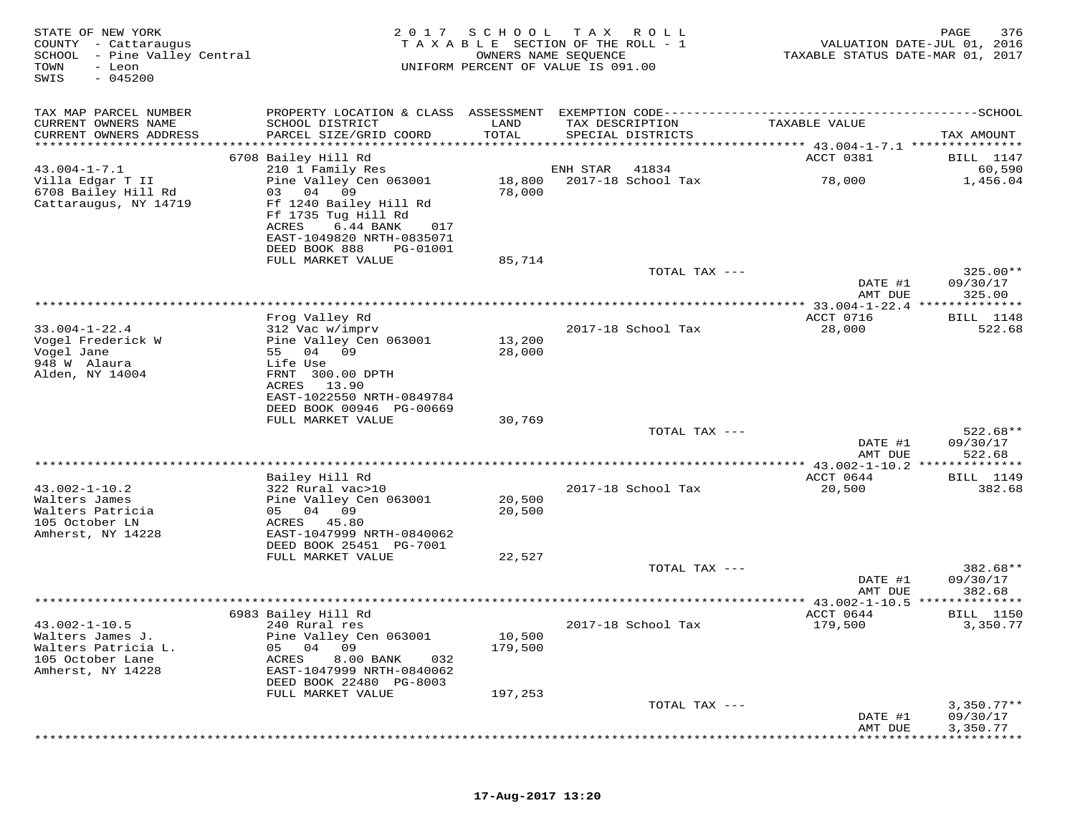| STATE OF NEW YORK<br>COUNTY - Cattaraugus<br>SCHOOL<br>- Pine Valley Central<br>TOWN<br>- Leon<br>$-045200$<br>SWIS | 2017                                                                                                                                                                          | SCHOOL<br>OWNERS NAME SEQUENCE | T A X<br>R O L L<br>TAXABLE SECTION OF THE ROLL - 1<br>UNIFORM PERCENT OF VALUE IS 091.00 | TAXABLE STATUS DATE-MAR 01, 2017         | 376<br>PAGE<br>VALUATION DATE-JUL 01, 2016 |
|---------------------------------------------------------------------------------------------------------------------|-------------------------------------------------------------------------------------------------------------------------------------------------------------------------------|--------------------------------|-------------------------------------------------------------------------------------------|------------------------------------------|--------------------------------------------|
| TAX MAP PARCEL NUMBER                                                                                               | PROPERTY LOCATION & CLASS ASSESSMENT EXEMPTION CODE----------------------------                                                                                               |                                |                                                                                           |                                          | ------------SCHOOL                         |
| CURRENT OWNERS NAME<br>CURRENT OWNERS ADDRESS                                                                       | SCHOOL DISTRICT<br>PARCEL SIZE/GRID COORD                                                                                                                                     | LAND<br>TOTAL                  | TAX DESCRIPTION<br>SPECIAL DISTRICTS                                                      | TAXABLE VALUE                            | TAX AMOUNT                                 |
| **********************                                                                                              |                                                                                                                                                                               |                                |                                                                                           |                                          |                                            |
| $43.004 - 1 - 7.1$                                                                                                  | 6708 Bailey Hill Rd<br>210 1 Family Res                                                                                                                                       |                                | ENH STAR<br>41834                                                                         | ACCT 0381                                | <b>BILL</b> 1147<br>60,590                 |
| Villa Edgar T II<br>6708 Bailey Hill Rd<br>Cattaraugus, NY 14719                                                    | Pine Valley Cen 063001<br>03 04<br>09<br>Ff 1240 Bailey Hill Rd<br>Ff 1735 Tug Hill Rd<br>ACRES<br>6.44 BANK<br>017<br>EAST-1049820 NRTH-0835071<br>DEED BOOK 888<br>PG-01001 | 18,800<br>78,000               | 2017-18 School Tax                                                                        | 78,000                                   | 1,456.04                                   |
|                                                                                                                     | FULL MARKET VALUE                                                                                                                                                             | 85,714                         |                                                                                           |                                          |                                            |
|                                                                                                                     |                                                                                                                                                                               |                                | TOTAL TAX ---                                                                             | DATE #1                                  | $325.00**$<br>09/30/17                     |
|                                                                                                                     |                                                                                                                                                                               |                                |                                                                                           | AMT DUE                                  | 325.00                                     |
|                                                                                                                     |                                                                                                                                                                               |                                |                                                                                           |                                          |                                            |
|                                                                                                                     | Frog Valley Rd                                                                                                                                                                |                                |                                                                                           | ACCT 0716                                | BILL 1148                                  |
| $33.004 - 1 - 22.4$<br>Vogel Frederick W<br>Vogel Jane<br>948 W Alaura<br>Alden, NY 14004                           | 312 Vac w/imprv<br>Pine Valley Cen 063001<br>55 04<br>09<br>Life Use<br>FRNT 300.00 DPTH                                                                                      | 13,200<br>28,000               | 2017-18 School Tax                                                                        | 28,000                                   | 522.68                                     |
|                                                                                                                     | ACRES<br>13.90<br>EAST-1022550 NRTH-0849784<br>DEED BOOK 00946 PG-00669<br>FULL MARKET VALUE                                                                                  | 30,769                         |                                                                                           |                                          |                                            |
|                                                                                                                     |                                                                                                                                                                               |                                | TOTAL TAX ---                                                                             | DATE #1                                  | $522.68**$<br>09/30/17                     |
|                                                                                                                     |                                                                                                                                                                               |                                |                                                                                           | AMT DUE                                  | 522.68                                     |
|                                                                                                                     |                                                                                                                                                                               |                                | **********************                                                                    | ** $43.002 - 1 - 10.2$ ***               | ***********                                |
|                                                                                                                     | Bailey Hill Rd                                                                                                                                                                |                                |                                                                                           | ACCT 0644                                | <b>BILL</b> 1149                           |
| $43.002 - 1 - 10.2$<br>Walters James<br>Walters Patricia<br>105 October LN<br>Amherst, NY 14228                     | 322 Rural vac>10<br>Pine Valley Cen 063001<br>05 04 09<br>ACRES 45.80<br>EAST-1047999 NRTH-0840062                                                                            | 20,500<br>20,500               | 2017-18 School Tax                                                                        | 20,500                                   | 382.68                                     |
|                                                                                                                     | DEED BOOK 25451 PG-7001                                                                                                                                                       |                                |                                                                                           |                                          |                                            |
|                                                                                                                     | FULL MARKET VALUE                                                                                                                                                             | 22,527                         | TOTAL TAX ---                                                                             |                                          | 382.68**                                   |
|                                                                                                                     |                                                                                                                                                                               |                                |                                                                                           | DATE #1<br>AMT DUE                       | 09/30/17<br>382.68                         |
|                                                                                                                     |                                                                                                                                                                               |                                |                                                                                           | ********** 43.002-1-10.5 *************** |                                            |
| $43.002 - 1 - 10.5$                                                                                                 | 6983 Bailey Hill Rd<br>240 Rural res                                                                                                                                          |                                | 2017-18 School Tax                                                                        | ACCT 0644<br>179,500                     | <b>BILL</b> 1150<br>3,350.77               |
| Walters James J.<br>Walters Patricia L.<br>105 October Lane<br>Amherst, NY 14228                                    | Pine Valley Cen 063001<br>05<br>04<br>09<br><b>ACRES</b><br>8.00 BANK<br>032<br>EAST-1047999 NRTH-0840062<br>DEED BOOK 22480 PG-8003                                          | 10,500<br>179,500              |                                                                                           |                                          |                                            |
|                                                                                                                     | FULL MARKET VALUE                                                                                                                                                             | 197,253                        |                                                                                           |                                          |                                            |
|                                                                                                                     |                                                                                                                                                                               |                                | TOTAL TAX ---                                                                             | DATE #1<br>AMT DUE                       | $3,350.77**$<br>09/30/17<br>3,350.77       |
|                                                                                                                     |                                                                                                                                                                               |                                |                                                                                           |                                          |                                            |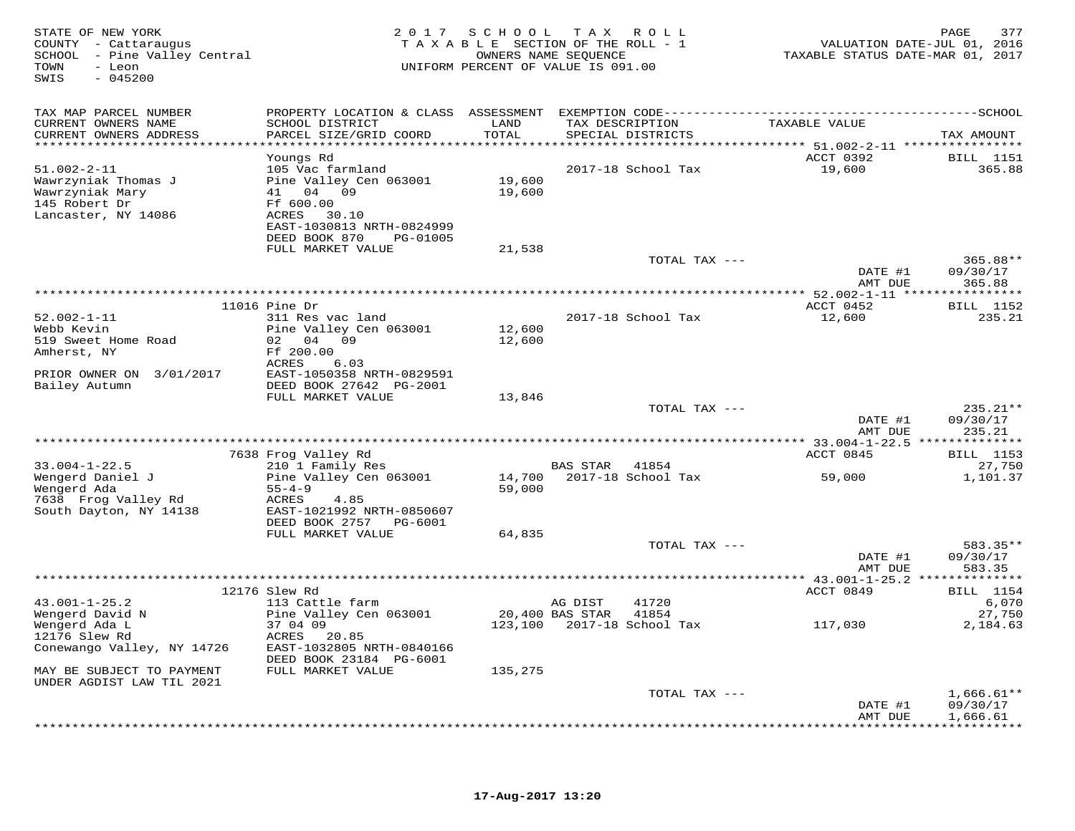| STATE OF NEW YORK<br>COUNTY - Cattaraugus<br>SCHOOL - Pine Valley Central<br>TOWN<br>- Leon<br>$-045200$<br>SWIS | 2 0 1 7                                           | SCHOOL                | T A X<br>R O L L<br>TAXABLE SECTION OF THE ROLL - 1<br>OWNERS NAME SEQUENCE<br>UNIFORM PERCENT OF VALUE IS 091.00 |               | VALUATION DATE-JUL 01, 2016<br>TAXABLE STATUS DATE-MAR 01, 2017        | 377<br>PAGE                |
|------------------------------------------------------------------------------------------------------------------|---------------------------------------------------|-----------------------|-------------------------------------------------------------------------------------------------------------------|---------------|------------------------------------------------------------------------|----------------------------|
| TAX MAP PARCEL NUMBER<br>CURRENT OWNERS NAME                                                                     | SCHOOL DISTRICT                                   | LAND                  | TAX DESCRIPTION                                                                                                   |               | TAXABLE VALUE                                                          |                            |
| CURRENT OWNERS ADDRESS<br>**********************                                                                 | PARCEL SIZE/GRID COORD<br>*********************** | TOTAL<br>************ | SPECIAL DISTRICTS                                                                                                 |               |                                                                        | TAX AMOUNT                 |
|                                                                                                                  | Youngs Rd                                         |                       |                                                                                                                   |               | **************************** 51.002-2-11 ****************<br>ACCT 0392 | <b>BILL</b> 1151           |
| $51.002 - 2 - 11$                                                                                                | 105 Vac farmland                                  |                       | 2017-18 School Tax                                                                                                |               | 19,600                                                                 | 365.88                     |
| Wawrzyniak Thomas J                                                                                              | Pine Valley Cen 063001                            | 19,600                |                                                                                                                   |               |                                                                        |                            |
| Wawrzyniak Mary                                                                                                  | 41 04 09                                          | 19,600                |                                                                                                                   |               |                                                                        |                            |
| 145 Robert Dr<br>Lancaster, NY 14086                                                                             | Ff 600.00<br>ACRES 30.10                          |                       |                                                                                                                   |               |                                                                        |                            |
|                                                                                                                  | EAST-1030813 NRTH-0824999                         |                       |                                                                                                                   |               |                                                                        |                            |
|                                                                                                                  | DEED BOOK 870<br>PG-01005                         |                       |                                                                                                                   |               |                                                                        |                            |
|                                                                                                                  | FULL MARKET VALUE                                 | 21,538                |                                                                                                                   |               |                                                                        |                            |
|                                                                                                                  |                                                   |                       |                                                                                                                   | TOTAL TAX --- | DATE #1                                                                | 365.88**<br>09/30/17       |
|                                                                                                                  |                                                   |                       |                                                                                                                   |               | AMT DUE                                                                | 365.88                     |
|                                                                                                                  |                                                   |                       | *********************************                                                                                 |               | ** 52.002-1-11 ***                                                     | * * * * * * * * * *        |
| $52.002 - 1 - 11$                                                                                                | $11016$ Pine Dr<br>311 Res vac land               |                       | 2017-18 School Tax                                                                                                |               | ACCT 0452<br>12,600                                                    | <b>BILL</b> 1152<br>235.21 |
| Webb Kevin                                                                                                       | Pine Valley Cen 063001                            | 12,600                |                                                                                                                   |               |                                                                        |                            |
| 519 Sweet Home Road                                                                                              | 02 04 09                                          | 12,600                |                                                                                                                   |               |                                                                        |                            |
| Amherst, NY                                                                                                      | Ff 200.00                                         |                       |                                                                                                                   |               |                                                                        |                            |
| PRIOR OWNER ON 3/01/2017                                                                                         | ACRES<br>6.03<br>EAST-1050358 NRTH-0829591        |                       |                                                                                                                   |               |                                                                        |                            |
| Bailey Autumn                                                                                                    | DEED BOOK 27642 PG-2001                           |                       |                                                                                                                   |               |                                                                        |                            |
|                                                                                                                  | FULL MARKET VALUE                                 | 13,846                |                                                                                                                   |               |                                                                        |                            |
|                                                                                                                  |                                                   |                       |                                                                                                                   | TOTAL TAX --- |                                                                        | 235.21**<br>09/30/17       |
|                                                                                                                  |                                                   |                       |                                                                                                                   |               | DATE #1<br>AMT DUE                                                     | 235.21                     |
|                                                                                                                  |                                                   |                       |                                                                                                                   |               |                                                                        |                            |
|                                                                                                                  | 7638 Frog Valley Rd                               |                       |                                                                                                                   |               | ACCT 0845                                                              | <b>BILL</b> 1153           |
| $33.004 - 1 - 22.5$<br>Wengerd Daniel J                                                                          | 210 1 Family Res<br>Pine Valley Cen 063001        | 14,700                | BAS STAR 41854<br>2017-18 School Tax                                                                              |               | 59,000                                                                 | 27,750<br>1,101.37         |
| Wengerd Ada                                                                                                      | $55 - 4 - 9$                                      | 59,000                |                                                                                                                   |               |                                                                        |                            |
| 7638 Frog Valley Rd                                                                                              | ACRES<br>4.85                                     |                       |                                                                                                                   |               |                                                                        |                            |
| South Dayton, NY 14138                                                                                           | EAST-1021992 NRTH-0850607                         |                       |                                                                                                                   |               |                                                                        |                            |
|                                                                                                                  | DEED BOOK 2757 PG-6001<br>FULL MARKET VALUE       | 64,835                |                                                                                                                   |               |                                                                        |                            |
|                                                                                                                  |                                                   |                       |                                                                                                                   | TOTAL TAX --- |                                                                        | 583.35**                   |
|                                                                                                                  |                                                   |                       |                                                                                                                   |               | DATE #1                                                                | 09/30/17                   |
|                                                                                                                  |                                                   |                       |                                                                                                                   |               | AMT DUE                                                                | 583.35                     |
|                                                                                                                  | 12176 Slew Rd                                     |                       |                                                                                                                   |               | ACCT 0849                                                              | <b>BILL</b> 1154           |
| $43.001 - 1 - 25.2$                                                                                              | 113 Cattle farm                                   |                       | AG DIST<br>41720                                                                                                  |               |                                                                        | 6,070                      |
| Wengerd David N                                                                                                  | Pine Valley Cen 063001                            |                       | 20,400 BAS STAR<br>41854                                                                                          |               |                                                                        | 27,750                     |
| Wengerd Ada L<br>12176 Slew Rd                                                                                   | 37 04 09<br>20.85<br>ACRES                        |                       | 123,100 2017-18 School Tax                                                                                        |               | 117,030                                                                | 2,184.63                   |
| Conewango Valley, NY 14726                                                                                       | EAST-1032805 NRTH-0840166                         |                       |                                                                                                                   |               |                                                                        |                            |
|                                                                                                                  | DEED BOOK 23184 PG-6001                           |                       |                                                                                                                   |               |                                                                        |                            |
| MAY BE SUBJECT TO PAYMENT                                                                                        | FULL MARKET VALUE                                 | 135,275               |                                                                                                                   |               |                                                                        |                            |
| UNDER AGDIST LAW TIL 2021                                                                                        |                                                   |                       |                                                                                                                   | TOTAL TAX --- |                                                                        | $1,666.61**$               |
|                                                                                                                  |                                                   |                       |                                                                                                                   |               | DATE #1                                                                | 09/30/17                   |
|                                                                                                                  |                                                   |                       |                                                                                                                   |               | AMT DUE                                                                | 1,666.61                   |
|                                                                                                                  |                                                   |                       |                                                                                                                   |               |                                                                        |                            |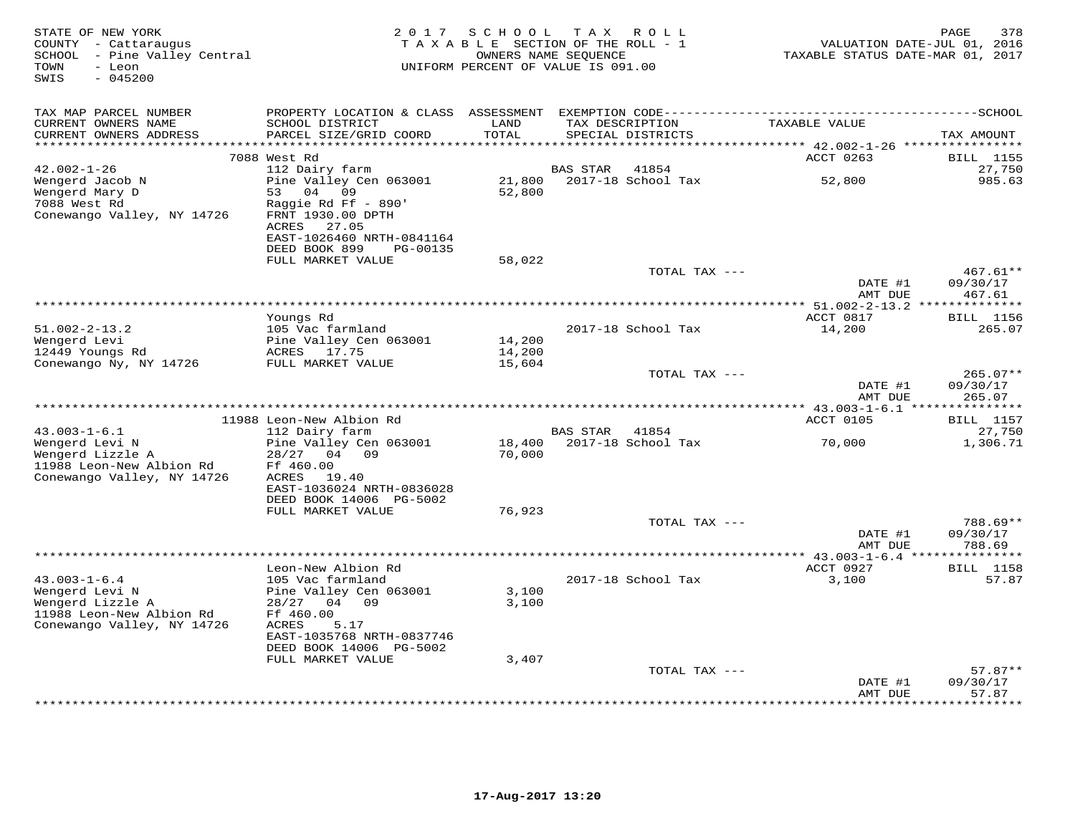| STATE OF NEW YORK<br>COUNTY - Cattaraugus<br>SCHOOL - Pine Valley Central<br>- Leon<br>TOWN<br>$-045200$<br>SWIS   | 2 0 1 7                                                                                                                                       | SCHOOL TAX ROLL<br>TAXABLE SECTION OF THE ROLL - 1<br>OWNERS NAME SEQUENCE<br>UNIFORM PERCENT OF VALUE IS 091.00 |                           |                                      | TAXABLE STATUS DATE-MAR 01, 2017                      | 378<br>PAGE<br>VALUATION DATE-JUL 01, 2016 |
|--------------------------------------------------------------------------------------------------------------------|-----------------------------------------------------------------------------------------------------------------------------------------------|------------------------------------------------------------------------------------------------------------------|---------------------------|--------------------------------------|-------------------------------------------------------|--------------------------------------------|
| TAX MAP PARCEL NUMBER                                                                                              | PROPERTY LOCATION & CLASS ASSESSMENT                                                                                                          |                                                                                                                  |                           |                                      |                                                       |                                            |
| CURRENT OWNERS NAME<br>CURRENT OWNERS ADDRESS                                                                      | SCHOOL DISTRICT<br>PARCEL SIZE/GRID COORD                                                                                                     | LAND<br>TOTAL<br>* * * * * *                                                                                     |                           | TAX DESCRIPTION<br>SPECIAL DISTRICTS | TAXABLE VALUE                                         | TAX AMOUNT                                 |
|                                                                                                                    | 7088 West Rd                                                                                                                                  |                                                                                                                  |                           |                                      | ********** 42.002-1-26 *****************<br>ACCT 0263 | <b>BILL</b> 1155                           |
| $42.002 - 1 - 26$                                                                                                  | 112 Dairy farm                                                                                                                                |                                                                                                                  | BAS STAR                  | 41854                                |                                                       | 27,750                                     |
| Wengerd Jacob N<br>Wengerd Mary D<br>7088 West Rd<br>Conewango Valley, NY 14726                                    | Pine Valley Cen 063001<br>04<br>53<br>09<br>Raggie Rd Ff - 890'<br>FRNT 1930.00 DPTH<br>ACRES<br>27.05<br>EAST-1026460 NRTH-0841164           | 21,800<br>52,800                                                                                                 |                           | 2017-18 School Tax                   | 52,800                                                | 985.63                                     |
|                                                                                                                    | DEED BOOK 899<br>PG-00135                                                                                                                     |                                                                                                                  |                           |                                      |                                                       |                                            |
|                                                                                                                    | FULL MARKET VALUE                                                                                                                             | 58,022                                                                                                           |                           |                                      |                                                       | $467.61**$                                 |
|                                                                                                                    |                                                                                                                                               |                                                                                                                  |                           | TOTAL TAX ---                        | DATE #1                                               | 09/30/17                                   |
|                                                                                                                    |                                                                                                                                               |                                                                                                                  |                           |                                      | AMT DUE                                               | 467.61                                     |
|                                                                                                                    |                                                                                                                                               |                                                                                                                  |                           |                                      |                                                       |                                            |
| $51.002 - 2 - 13.2$                                                                                                | Youngs Rd<br>105 Vac farmland                                                                                                                 |                                                                                                                  |                           | 2017-18 School Tax                   | ACCT 0817<br>14,200                                   | <b>BILL</b> 1156<br>265.07                 |
| Wengerd Levi                                                                                                       | Pine Valley Cen 063001                                                                                                                        | 14,200                                                                                                           |                           |                                      |                                                       |                                            |
| 12449 Youngs Rd                                                                                                    | ACRES 17.75                                                                                                                                   | 14,200                                                                                                           |                           |                                      |                                                       |                                            |
| Conewango Ny, NY 14726                                                                                             | FULL MARKET VALUE                                                                                                                             | 15,604                                                                                                           |                           |                                      |                                                       | $265.07**$                                 |
|                                                                                                                    |                                                                                                                                               |                                                                                                                  |                           | TOTAL TAX ---                        | DATE #1<br>AMT DUE                                    | 09/30/17<br>265.07                         |
|                                                                                                                    |                                                                                                                                               |                                                                                                                  | ************************* |                                      | * $43.003 - 1 - 6.1$ ***************                  |                                            |
| $43.003 - 1 - 6.1$                                                                                                 | 11988 Leon-New Albion Rd                                                                                                                      |                                                                                                                  | BAS STAR                  | 41854                                | ACCT 0105                                             | <b>BILL</b> 1157<br>27,750                 |
| Wengerd Levi N                                                                                                     | 112 Dairy farm<br>Pine Valley Cen 063001                                                                                                      | 18,400                                                                                                           |                           | 2017-18 School Tax                   | 70,000                                                | 1,306.71                                   |
| Wengerd Lizzle A<br>11988 Leon-New Albion Rd<br>Conewango Valley, NY 14726                                         | 28/27 04 09<br>Ff 460.00<br>ACRES<br>19.40<br>EAST-1036024 NRTH-0836028<br>DEED BOOK 14006 PG-5002<br>FULL MARKET VALUE                       | 70,000<br>76,923                                                                                                 |                           |                                      |                                                       |                                            |
|                                                                                                                    |                                                                                                                                               |                                                                                                                  |                           | TOTAL TAX ---                        |                                                       | 788.69**                                   |
|                                                                                                                    |                                                                                                                                               |                                                                                                                  |                           |                                      | DATE #1<br>AMT DUE                                    | 09/30/17<br>788.69                         |
|                                                                                                                    |                                                                                                                                               |                                                                                                                  | **********************    |                                      | *** 43.003-1-6.4 ****************                     |                                            |
| $43.003 - 1 - 6.4$<br>Wengerd Levi N<br>Wengerd Lizzle A<br>11988 Leon-New Albion Rd<br>Conewango Valley, NY 14726 | Leon-New Albion Rd<br>105 Vac farmland<br>Pine Valley Cen 063001<br>28/27<br>04 09<br>Ff 460.00<br>5.17<br>ACRES<br>EAST-1035768 NRTH-0837746 | 3,100<br>3,100                                                                                                   |                           | 2017-18 School Tax                   | ACCT 0927<br>3,100                                    | <b>BILL</b> 1158<br>57.87                  |
|                                                                                                                    | DEED BOOK 14006 PG-5002                                                                                                                       |                                                                                                                  |                           |                                      |                                                       |                                            |
|                                                                                                                    | FULL MARKET VALUE                                                                                                                             | 3,407                                                                                                            |                           |                                      |                                                       |                                            |
|                                                                                                                    |                                                                                                                                               |                                                                                                                  |                           | TOTAL TAX ---                        |                                                       | $57.87**$<br>09/30/17                      |
|                                                                                                                    |                                                                                                                                               |                                                                                                                  |                           |                                      | DATE #1<br>AMT DUE                                    | 57.87                                      |
|                                                                                                                    |                                                                                                                                               |                                                                                                                  |                           |                                      |                                                       | ******                                     |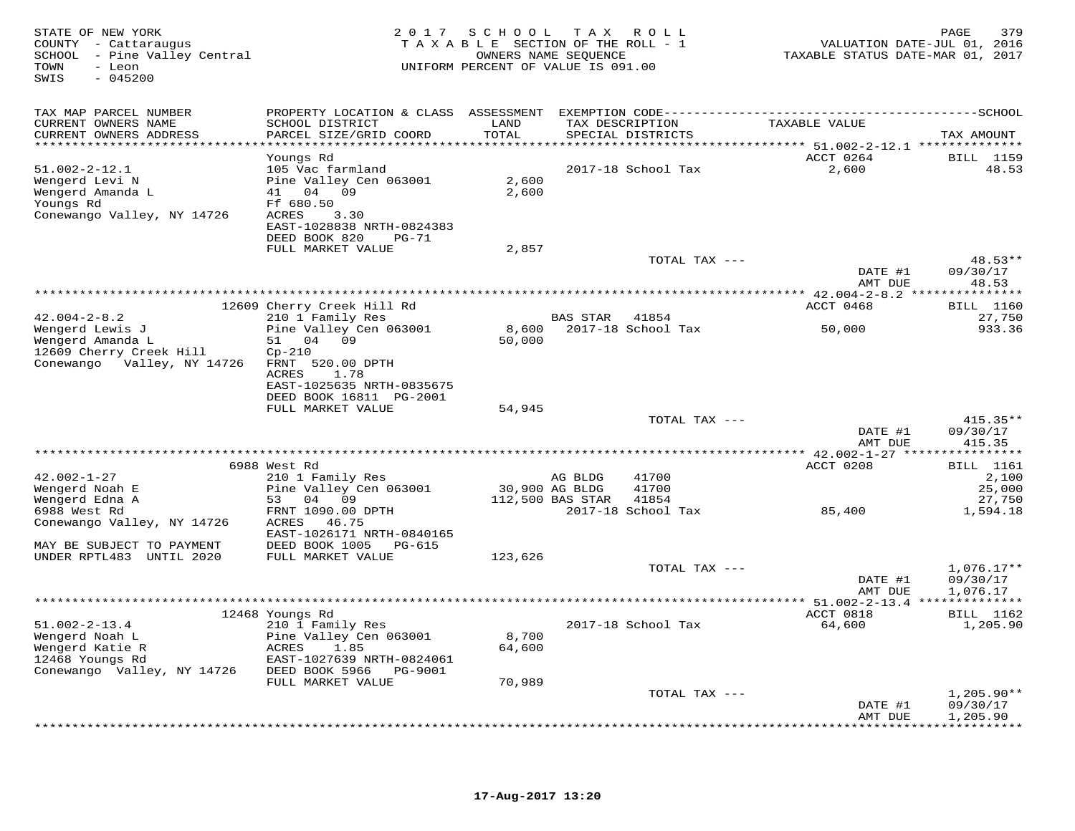| STATE OF NEW YORK<br>COUNTY - Cattaraugus<br>SCHOOL - Pine Valley Central<br>- Leon<br>TOWN<br>SWIS<br>$-045200$ | 2 0 1 7                                            | SCHOOL<br>TAXABLE SECTION OF THE ROLL - 1<br>UNIFORM PERCENT OF VALUE IS 091.00 | OWNERS NAME SEQUENCE | TAX ROLL           | VALUATION DATE-JUL 01, 2016<br>TAXABLE STATUS DATE-MAR 01, 2017 | PAGE<br>379                           |
|------------------------------------------------------------------------------------------------------------------|----------------------------------------------------|---------------------------------------------------------------------------------|----------------------|--------------------|-----------------------------------------------------------------|---------------------------------------|
| TAX MAP PARCEL NUMBER                                                                                            |                                                    |                                                                                 |                      |                    |                                                                 |                                       |
| CURRENT OWNERS NAME                                                                                              | SCHOOL DISTRICT                                    | LAND                                                                            |                      | TAX DESCRIPTION    | TAXABLE VALUE                                                   |                                       |
| CURRENT OWNERS ADDRESS<br>***********************                                                                | PARCEL SIZE/GRID COORD<br>************************ | TOTAL<br>*************                                                          |                      | SPECIAL DISTRICTS  | ********************************** 51.002-2-12.1 ************** | TAX AMOUNT                            |
|                                                                                                                  | Youngs Rd                                          |                                                                                 |                      |                    | ACCT 0264                                                       | <b>BILL</b> 1159                      |
| $51.002 - 2 - 12.1$                                                                                              | 105 Vac farmland                                   |                                                                                 |                      | 2017-18 School Tax | 2,600                                                           | 48.53                                 |
| Wengerd Levi N<br>Wengerd Amanda L                                                                               | Pine Valley Cen 063001<br>41 04 09                 | 2,600<br>2,600                                                                  |                      |                    |                                                                 |                                       |
| Youngs Rd                                                                                                        | Ff 680.50                                          |                                                                                 |                      |                    |                                                                 |                                       |
| Conewango Valley, NY 14726                                                                                       | ACRES<br>3.30                                      |                                                                                 |                      |                    |                                                                 |                                       |
|                                                                                                                  | EAST-1028838 NRTH-0824383                          |                                                                                 |                      |                    |                                                                 |                                       |
|                                                                                                                  | DEED BOOK 820<br>$PG-71$<br>FULL MARKET VALUE      |                                                                                 |                      |                    |                                                                 |                                       |
|                                                                                                                  |                                                    | 2,857                                                                           |                      | TOTAL TAX ---      |                                                                 | $48.53**$                             |
|                                                                                                                  |                                                    |                                                                                 |                      |                    | DATE #1                                                         | 09/30/17                              |
|                                                                                                                  |                                                    |                                                                                 |                      |                    | AMT DUE                                                         | 48.53                                 |
|                                                                                                                  | * * * * * * * * * * * * * * * * * * *              |                                                                                 |                      |                    | ** $42.004 - 2 - 8.2$ **<br>ACCT 0468                           | * * * * * * * * *<br><b>BILL</b> 1160 |
| $42.004 - 2 - 8.2$                                                                                               | 12609 Cherry Creek Hill Rd<br>210 1 Family Res     |                                                                                 | <b>BAS STAR</b>      | 41854              |                                                                 | 27,750                                |
| Wengerd Lewis J                                                                                                  | Pine Valley Cen 063001                             | 8,600                                                                           |                      | 2017-18 School Tax | 50,000                                                          | 933.36                                |
| Wengerd Amanda L                                                                                                 | 04 09<br>51                                        | 50,000                                                                          |                      |                    |                                                                 |                                       |
| 12609 Cherry Creek Hill<br>Conewango Valley, NY 14726                                                            | $Cp-210$<br>FRNT 520.00 DPTH                       |                                                                                 |                      |                    |                                                                 |                                       |
|                                                                                                                  | ACRES<br>1.78                                      |                                                                                 |                      |                    |                                                                 |                                       |
|                                                                                                                  | EAST-1025635 NRTH-0835675                          |                                                                                 |                      |                    |                                                                 |                                       |
|                                                                                                                  | DEED BOOK 16811 PG-2001                            |                                                                                 |                      |                    |                                                                 |                                       |
|                                                                                                                  | FULL MARKET VALUE                                  | 54,945                                                                          |                      | TOTAL TAX ---      |                                                                 | $415.35**$                            |
|                                                                                                                  |                                                    |                                                                                 |                      |                    | DATE #1                                                         | 09/30/17                              |
|                                                                                                                  |                                                    |                                                                                 |                      |                    | AMT DUE                                                         | 415.35                                |
|                                                                                                                  |                                                    |                                                                                 |                      |                    |                                                                 | ***********                           |
| $42.002 - 1 - 27$                                                                                                | 6988 West Rd<br>210 1 Family Res                   |                                                                                 | AG BLDG              | 41700              | ACCT 0208                                                       | BILL 1161<br>2,100                    |
| Wengerd Noah E                                                                                                   | Pine Valley Cen 063001                             |                                                                                 | 30,900 AG BLDG       | 41700              |                                                                 | 25,000                                |
| Wengerd Edna A                                                                                                   | 53<br>04 09                                        |                                                                                 | 112,500 BAS STAR     | 41854              |                                                                 | 27,750                                |
| 6988 West Rd                                                                                                     | FRNT 1090.00 DPTH                                  |                                                                                 |                      | 2017-18 School Tax | 85,400                                                          | 1,594.18                              |
| Conewango Valley, NY 14726                                                                                       | ACRES<br>46.75<br>EAST-1026171 NRTH-0840165        |                                                                                 |                      |                    |                                                                 |                                       |
| MAY BE SUBJECT TO PAYMENT                                                                                        | DEED BOOK 1005<br>PG-615                           |                                                                                 |                      |                    |                                                                 |                                       |
| UNDER RPTL483 UNTIL 2020                                                                                         | FULL MARKET VALUE                                  | 123,626                                                                         |                      |                    |                                                                 |                                       |
|                                                                                                                  |                                                    |                                                                                 |                      | TOTAL TAX ---      |                                                                 | $1,076.17**$                          |
|                                                                                                                  |                                                    |                                                                                 |                      |                    | DATE #1<br>AMT DUE                                              | 09/30/17<br>1,076.17                  |
|                                                                                                                  |                                                    |                                                                                 |                      |                    |                                                                 |                                       |
|                                                                                                                  | 12468 Youngs Rd                                    |                                                                                 |                      |                    | ACCT 0818                                                       | <b>BILL</b> 1162                      |
| $51.002 - 2 - 13.4$                                                                                              | 210 1 Family Res                                   |                                                                                 |                      | 2017-18 School Tax | 64,600                                                          | 1,205.90                              |
| Wengerd Noah L<br>Wengerd Katie R                                                                                | Pine Valley Cen 063001<br>ACRES<br>1.85            | 8,700<br>64,600                                                                 |                      |                    |                                                                 |                                       |
| 12468 Youngs Rd                                                                                                  | EAST-1027639 NRTH-0824061                          |                                                                                 |                      |                    |                                                                 |                                       |
| Conewango Valley, NY 14726                                                                                       | DEED BOOK 5966<br>PG-9001                          |                                                                                 |                      |                    |                                                                 |                                       |
|                                                                                                                  | FULL MARKET VALUE                                  | 70,989                                                                          |                      |                    |                                                                 |                                       |
|                                                                                                                  |                                                    |                                                                                 |                      | TOTAL TAX ---      | DATE #1                                                         | $1,205.90**$<br>09/30/17              |
|                                                                                                                  |                                                    |                                                                                 |                      |                    | AMT DUE                                                         | 1,205.90                              |
|                                                                                                                  |                                                    |                                                                                 |                      |                    | ************                                                    | **********                            |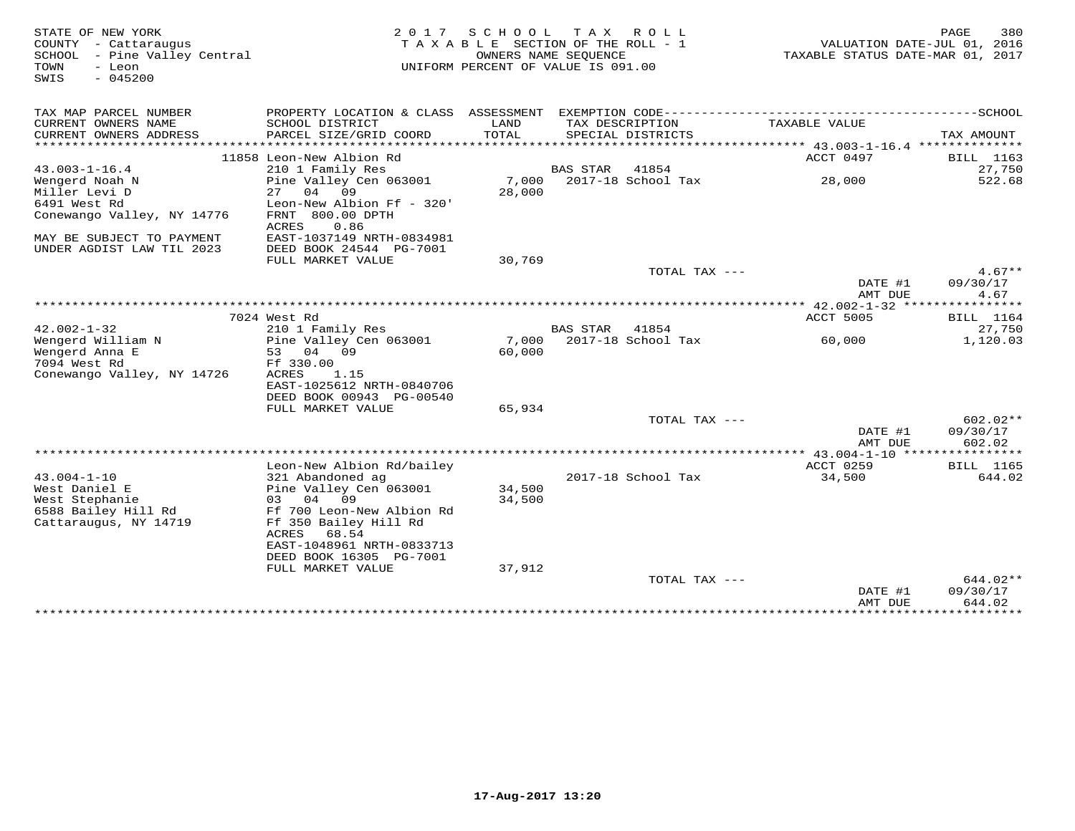| STATE OF NEW YORK            | 2 0 1 7                              | SCHOOL                             |                 | TAX ROLL           |                                                           | PAGE                  | 380        |
|------------------------------|--------------------------------------|------------------------------------|-----------------|--------------------|-----------------------------------------------------------|-----------------------|------------|
| COUNTY - Cattaraugus         |                                      | TAXABLE SECTION OF THE ROLL - 1    |                 |                    | VALUATION DATE-JUL 01, 2016                               |                       |            |
| SCHOOL - Pine Valley Central |                                      | OWNERS NAME SEQUENCE               |                 |                    | TAXABLE STATUS DATE-MAR 01, 2017                          |                       |            |
| TOWN<br>- Leon               |                                      | UNIFORM PERCENT OF VALUE IS 091.00 |                 |                    |                                                           |                       |            |
| $-045200$<br>SWIS            |                                      |                                    |                 |                    |                                                           |                       |            |
|                              |                                      |                                    |                 |                    |                                                           |                       |            |
|                              |                                      |                                    |                 |                    |                                                           |                       |            |
| TAX MAP PARCEL NUMBER        | PROPERTY LOCATION & CLASS ASSESSMENT |                                    |                 |                    | EXEMPTION CODE-----------------------------               | -----------SCHOOL     |            |
| CURRENT OWNERS NAME          | SCHOOL DISTRICT                      | LAND                               |                 | TAX DESCRIPTION    | TAXABLE VALUE                                             |                       |            |
| CURRENT OWNERS ADDRESS       | PARCEL SIZE/GRID COORD               | TOTAL                              |                 | SPECIAL DISTRICTS  |                                                           | TAX AMOUNT            |            |
|                              |                                      |                                    |                 |                    | *************************** 43.003-1-16.4 *************** |                       |            |
|                              | 11858 Leon-New Albion Rd             |                                    |                 |                    | ACCT 0497                                                 | BILL 1163             |            |
| $43.003 - 1 - 16.4$          | 210 1 Family Res                     |                                    | <b>BAS STAR</b> | 41854              |                                                           |                       | 27,750     |
| Wengerd Noah N               | Pine Valley Cen 063001               | 7,000                              |                 | 2017-18 School Tax | 28,000                                                    |                       | 522.68     |
| Miller Levi D                | 04<br>09<br>27                       | 28,000                             |                 |                    |                                                           |                       |            |
| 6491 West Rd                 | Leon-New Albion Ff - 320'            |                                    |                 |                    |                                                           |                       |            |
| Conewango Valley, NY 14776   | FRNT 800.00 DPTH                     |                                    |                 |                    |                                                           |                       |            |
|                              | ACRES<br>0.86                        |                                    |                 |                    |                                                           |                       |            |
| MAY BE SUBJECT TO PAYMENT    | EAST-1037149 NRTH-0834981            |                                    |                 |                    |                                                           |                       |            |
| UNDER AGDIST LAW TIL 2023    | DEED BOOK 24544 PG-7001              |                                    |                 |                    |                                                           |                       |            |
|                              | FULL MARKET VALUE                    | 30,769                             |                 |                    |                                                           |                       |            |
|                              |                                      |                                    |                 | TOTAL TAX ---      |                                                           |                       | $4.67**$   |
|                              |                                      |                                    |                 |                    | DATE #1                                                   | 09/30/17              |            |
|                              |                                      |                                    |                 |                    | AMT DUE                                                   |                       | 4.67       |
|                              |                                      |                                    |                 |                    | ** $42.002 - 1 - 32$ ****                                 | * * * * * * * * * * * |            |
|                              | 7024 West Rd                         |                                    |                 |                    | ACCT 5005                                                 | <b>BILL</b> 1164      |            |
| $42.002 - 1 - 32$            | 210 1 Family Res                     |                                    | <b>BAS STAR</b> | 41854              |                                                           |                       | 27,750     |
| Wengerd William N            | Pine Valley Cen 063001               | 7,000                              |                 | 2017-18 School Tax | 60,000                                                    |                       | 1,120.03   |
| Wengerd Anna E               | 04 09<br>53                          | 60,000                             |                 |                    |                                                           |                       |            |
| 7094 West Rd                 | Ff 330.00                            |                                    |                 |                    |                                                           |                       |            |
| Conewango Valley, NY 14726   | ACRES<br>1.15                        |                                    |                 |                    |                                                           |                       |            |
|                              | EAST-1025612 NRTH-0840706            |                                    |                 |                    |                                                           |                       |            |
|                              | DEED BOOK 00943 PG-00540             |                                    |                 |                    |                                                           |                       |            |
|                              | FULL MARKET VALUE                    | 65,934                             |                 |                    |                                                           |                       |            |
|                              |                                      |                                    |                 | TOTAL TAX ---      |                                                           |                       | $602.02**$ |
|                              |                                      |                                    |                 |                    | DATE #1                                                   | 09/30/17              |            |
|                              |                                      |                                    |                 |                    | AMT DUE                                                   |                       | 602.02     |
|                              |                                      |                                    |                 |                    |                                                           |                       |            |
|                              | Leon-New Albion Rd/bailey            |                                    |                 |                    | ACCT 0259                                                 | BILL 1165             |            |
| $43.004 - 1 - 10$            | 321 Abandoned ag                     |                                    |                 | 2017-18 School Tax | 34,500                                                    |                       | 644.02     |
| West Daniel E                | Pine Valley Cen 063001               | 34,500                             |                 |                    |                                                           |                       |            |
| West Stephanie               | 09<br>04<br>03                       | 34,500                             |                 |                    |                                                           |                       |            |
| 6588 Bailey Hill Rd          | Ff 700 Leon-New Albion Rd            |                                    |                 |                    |                                                           |                       |            |
| Cattaraugus, NY 14719        | Ff 350 Bailey Hill Rd                |                                    |                 |                    |                                                           |                       |            |
|                              | ACRES<br>68.54                       |                                    |                 |                    |                                                           |                       |            |
|                              | EAST-1048961 NRTH-0833713            |                                    |                 |                    |                                                           |                       |            |
|                              | DEED BOOK 16305 PG-7001              |                                    |                 |                    |                                                           |                       |            |
|                              | FULL MARKET VALUE                    | 37,912                             |                 |                    |                                                           |                       |            |
|                              |                                      |                                    |                 | TOTAL TAX ---      |                                                           |                       | 644.02**   |
|                              |                                      |                                    |                 |                    | DATE #1                                                   | 09/30/17              |            |
|                              |                                      |                                    |                 |                    | AMT DUE                                                   |                       | 644.02     |
|                              |                                      |                                    |                 |                    |                                                           |                       |            |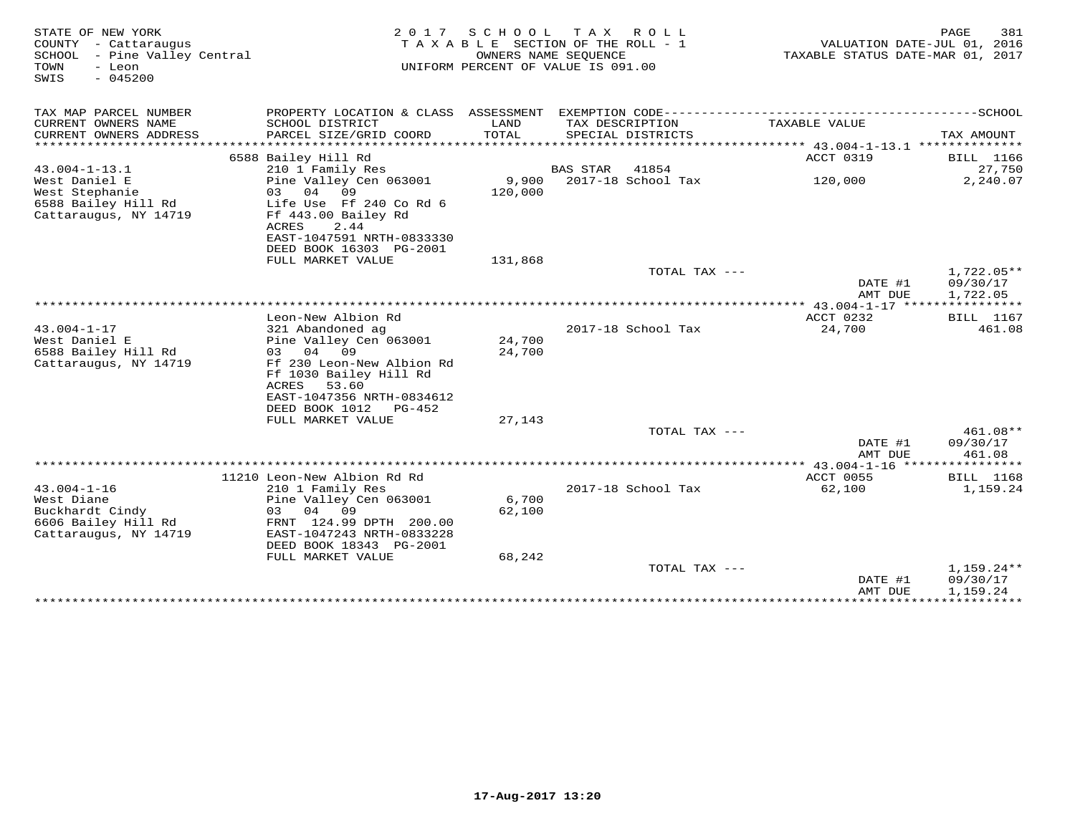| STATE OF NEW YORK<br>COUNTY - Cattaraugus<br>SCHOOL<br>- Pine Valley Central<br>TOWN<br>- Leon<br>$-045200$<br>SWIS | 2 0 1 7                                                                                                                                                                        | SCHOOL           | T A X<br>R O L L<br>TAXABLE SECTION OF THE ROLL - 1<br>OWNERS NAME SEQUENCE<br>UNIFORM PERCENT OF VALUE IS 091.00 | TAXABLE STATUS DATE-MAR 01, 2017                       | 381<br>PAGE<br>VALUATION DATE-JUL 01, 2016 |
|---------------------------------------------------------------------------------------------------------------------|--------------------------------------------------------------------------------------------------------------------------------------------------------------------------------|------------------|-------------------------------------------------------------------------------------------------------------------|--------------------------------------------------------|--------------------------------------------|
| TAX MAP PARCEL NUMBER                                                                                               | PROPERTY LOCATION & CLASS ASSESSMENT                                                                                                                                           |                  |                                                                                                                   |                                                        |                                            |
| CURRENT OWNERS NAME<br>CURRENT OWNERS ADDRESS<br>*************************                                          | SCHOOL DISTRICT<br>PARCEL SIZE/GRID COORD                                                                                                                                      | LAND<br>TOTAL    | TAX DESCRIPTION<br>SPECIAL DISTRICTS                                                                              | TAXABLE VALUE                                          | TAX AMOUNT                                 |
| $43.004 - 1 - 13.1$                                                                                                 | 6588 Bailey Hill Rd<br>210 1 Family Res                                                                                                                                        |                  | BAS STAR<br>41854                                                                                                 | ACCT 0319                                              | <b>BILL</b> 1166<br>27,750                 |
| West Daniel E<br>West Stephanie<br>6588 Bailey Hill Rd<br>Cattaraugus, NY 14719                                     | Pine Valley Cen 063001<br>04<br>09<br>03<br>Life Use Ff 240 Co Rd 6<br>Ff 443.00 Bailey Rd<br>ACRES<br>2.44<br>EAST-1047591 NRTH-0833330                                       | 9,900<br>120,000 | 2017-18 School Tax                                                                                                | 120,000                                                | 2,240.07                                   |
|                                                                                                                     | DEED BOOK 16303 PG-2001<br>FULL MARKET VALUE                                                                                                                                   | 131,868          |                                                                                                                   |                                                        |                                            |
|                                                                                                                     |                                                                                                                                                                                |                  | TOTAL TAX $---$                                                                                                   | DATE #1<br>AMT DUE                                     | $1,722.05**$<br>09/30/17<br>1,722.05       |
|                                                                                                                     | Leon-New Albion Rd                                                                                                                                                             |                  |                                                                                                                   | *********** 43.004-1-17 *****************<br>ACCT 0232 | <b>BILL</b> 1167                           |
| $43.004 - 1 - 17$<br>West Daniel E<br>6588 Bailey Hill Rd<br>Cattaraugus, NY 14719                                  | 321 Abandoned ag<br>Pine Valley Cen 063001<br>04<br>09<br>0.3<br>Ff 230 Leon-New Albion Rd<br>Ff 1030 Bailey Hill Rd<br>ACRES<br>53.60                                         | 24,700<br>24,700 | 2017-18 School Tax                                                                                                | 24,700                                                 | 461.08                                     |
|                                                                                                                     | EAST-1047356 NRTH-0834612<br>DEED BOOK 1012<br>PG-452                                                                                                                          |                  |                                                                                                                   |                                                        |                                            |
|                                                                                                                     | FULL MARKET VALUE                                                                                                                                                              | 27,143           | TOTAL TAX ---                                                                                                     | DATE #1<br>AMT DUE                                     | 461.08**<br>09/30/17<br>461.08             |
|                                                                                                                     |                                                                                                                                                                                |                  |                                                                                                                   |                                                        |                                            |
| $43.004 - 1 - 16$<br>West Diane<br>Buckhardt Cindy<br>6606 Bailey Hill Rd<br>Cattaraugus, NY 14719                  | 11210 Leon-New Albion Rd Rd<br>210 1 Family Res<br>Pine Valley Cen 063001<br>03<br>04<br>09<br>FRNT 124.99 DPTH 200.00<br>EAST-1047243 NRTH-0833228<br>DEED BOOK 18343 PG-2001 | 6,700<br>62,100  | 2017-18 School Tax                                                                                                | ACCT 0055<br>62,100                                    | <b>BILL</b> 1168<br>1,159.24               |
|                                                                                                                     | FULL MARKET VALUE                                                                                                                                                              | 68,242           | TOTAL TAX ---                                                                                                     | DATE #1<br>AMT DUE                                     | $1,159.24**$<br>09/30/17<br>1,159.24       |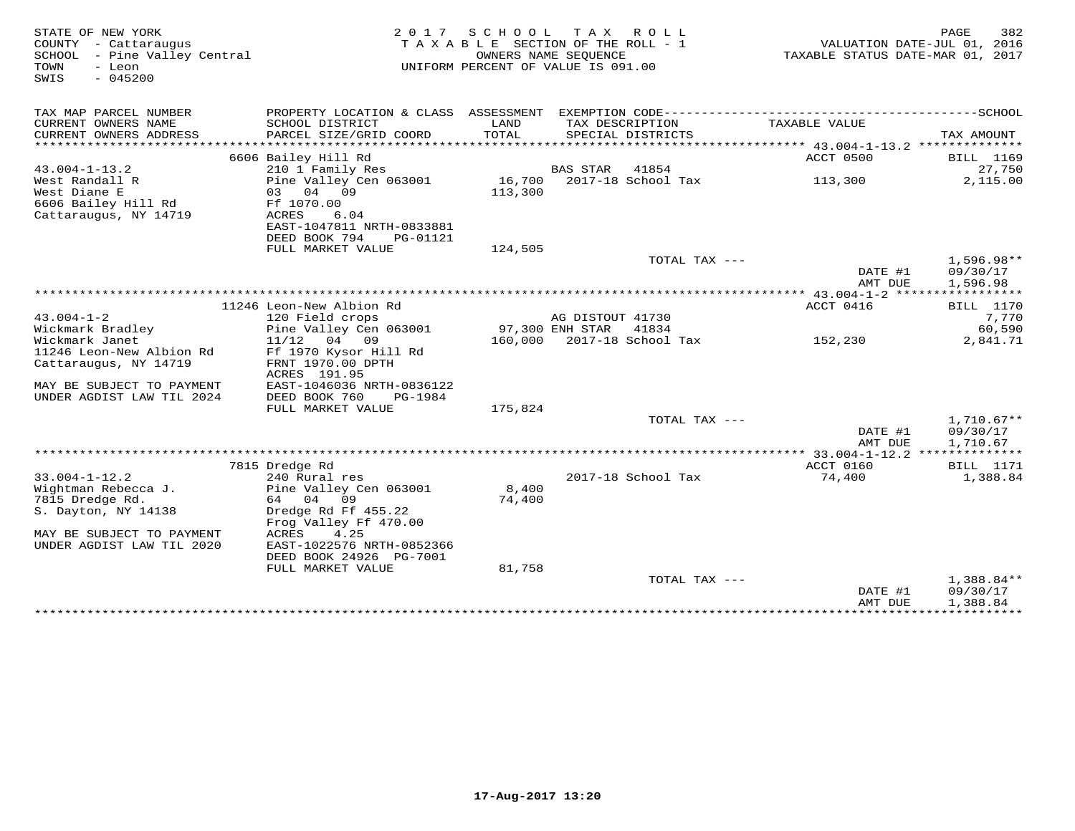| STATE OF NEW YORK<br>COUNTY - Cattaraugus<br>SCHOOL - Pine Valley Central<br>TOWN<br>- Leon<br>$-045200$<br>SWIS | 2 0 1 7                                                  | S C H O O L                | T A X<br>R O L L<br>TAXABLE SECTION OF THE ROLL - 1<br>OWNERS NAME SEOUENCE<br>UNIFORM PERCENT OF VALUE IS 091.00 | VALUATION DATE-JUL 01, 2016<br>TAXABLE STATUS DATE-MAR 01, 2017 | PAGE<br>382             |
|------------------------------------------------------------------------------------------------------------------|----------------------------------------------------------|----------------------------|-------------------------------------------------------------------------------------------------------------------|-----------------------------------------------------------------|-------------------------|
| TAX MAP PARCEL NUMBER                                                                                            |                                                          |                            |                                                                                                                   |                                                                 |                         |
| CURRENT OWNERS NAME<br>CURRENT OWNERS ADDRESS<br>********************                                            | SCHOOL DISTRICT<br>PARCEL SIZE/GRID COORD                | LAND<br>TOTAL<br>********* | TAX DESCRIPTION<br>SPECIAL DISTRICTS                                                                              | TAXABLE VALUE                                                   | TAX AMOUNT<br>* * * * * |
|                                                                                                                  | 6606 Bailey Hill Rd                                      |                            |                                                                                                                   | ACCT 0500                                                       | BILL 1169               |
| $43.004 - 1 - 13.2$                                                                                              | 210 1 Family Res                                         |                            | <b>BAS STAR</b><br>41854                                                                                          |                                                                 | 27,750                  |
| West Randall R<br>West Diane E                                                                                   | Pine Valley Cen 063001<br>03 04 09                       | 16,700<br>113,300          | 2017-18 School Tax                                                                                                | 113,300                                                         | 2,115.00                |
| 6606 Bailey Hill Rd<br>Cattaraugus, NY 14719                                                                     | Ff 1070.00<br>ACRES<br>6.04<br>EAST-1047811 NRTH-0833881 |                            |                                                                                                                   |                                                                 |                         |
|                                                                                                                  | DEED BOOK 794<br>PG-01121                                |                            |                                                                                                                   |                                                                 |                         |
|                                                                                                                  | FULL MARKET VALUE                                        | 124,505                    |                                                                                                                   |                                                                 |                         |
|                                                                                                                  |                                                          |                            | TOTAL TAX ---                                                                                                     |                                                                 | $1,596.98**$            |
|                                                                                                                  |                                                          |                            |                                                                                                                   | DATE #1                                                         | 09/30/17                |
|                                                                                                                  |                                                          |                            |                                                                                                                   | AMT DUE                                                         | 1,596.98<br>*********** |
|                                                                                                                  | 11246 Leon-New Albion Rd                                 |                            |                                                                                                                   | ** $43.004 - 1 - 2$ **<br>ACCT 0416                             | <b>BILL</b> 1170        |
| $43.004 - 1 - 2$                                                                                                 | 120 Field crops                                          |                            | AG DISTOUT 41730                                                                                                  |                                                                 | 7,770                   |
| Wickmark Bradley                                                                                                 | Pine Valley Cen 063001                                   |                            | 97,300 ENH STAR<br>41834                                                                                          |                                                                 | 60,590                  |
| Wickmark Janet                                                                                                   | $11/12$ 04 09                                            | 160,000                    | 2017-18 School Tax                                                                                                | 152,230                                                         | 2,841.71                |
| 11246 Leon-New Albion Rd                                                                                         | Ff 1970 Kysor Hill Rd                                    |                            |                                                                                                                   |                                                                 |                         |
| Cattaraugus, NY 14719                                                                                            | FRNT 1970.00 DPTH<br>ACRES 191.95                        |                            |                                                                                                                   |                                                                 |                         |
| MAY BE SUBJECT TO PAYMENT<br>UNDER AGDIST LAW TIL 2024                                                           | EAST-1046036 NRTH-0836122<br>DEED BOOK 760<br>PG-1984    |                            |                                                                                                                   |                                                                 |                         |
|                                                                                                                  | FULL MARKET VALUE                                        | 175,824                    |                                                                                                                   |                                                                 |                         |
|                                                                                                                  |                                                          |                            | TOTAL TAX ---                                                                                                     |                                                                 | $1,710.67**$            |
|                                                                                                                  |                                                          |                            |                                                                                                                   | DATE #1                                                         | 09/30/17                |
|                                                                                                                  |                                                          |                            |                                                                                                                   | AMT DUE<br>******** 33.004-1-12.2 **************                | 1,710.67                |
|                                                                                                                  | 7815 Dredge Rd                                           |                            |                                                                                                                   | ACCT 0160                                                       | <b>BILL</b> 1171        |
| $33.004 - 1 - 12.2$                                                                                              | 240 Rural res                                            |                            | 2017-18 School Tax                                                                                                | 74,400                                                          | 1,388.84                |
| Wightman Rebecca J.                                                                                              | Pine Valley Cen 063001                                   | 8,400                      |                                                                                                                   |                                                                 |                         |
| 7815 Dredge Rd.                                                                                                  | 04<br>09<br>64                                           | 74,400                     |                                                                                                                   |                                                                 |                         |
| S. Dayton, NY 14138                                                                                              | Dredge Rd Ff 455.22                                      |                            |                                                                                                                   |                                                                 |                         |
|                                                                                                                  | Frog Valley Ff 470.00                                    |                            |                                                                                                                   |                                                                 |                         |
| MAY BE SUBJECT TO PAYMENT                                                                                        | ACRES<br>4.25                                            |                            |                                                                                                                   |                                                                 |                         |
| UNDER AGDIST LAW TIL 2020                                                                                        | EAST-1022576 NRTH-0852366                                |                            |                                                                                                                   |                                                                 |                         |
|                                                                                                                  | DEED BOOK 24926 PG-7001                                  |                            |                                                                                                                   |                                                                 |                         |
|                                                                                                                  | FULL MARKET VALUE                                        | 81,758                     |                                                                                                                   |                                                                 |                         |
|                                                                                                                  |                                                          |                            | TOTAL TAX ---                                                                                                     | DATE #1                                                         | 1,388.84**<br>09/30/17  |
|                                                                                                                  |                                                          |                            |                                                                                                                   | AMT DUE                                                         | 1,388.84                |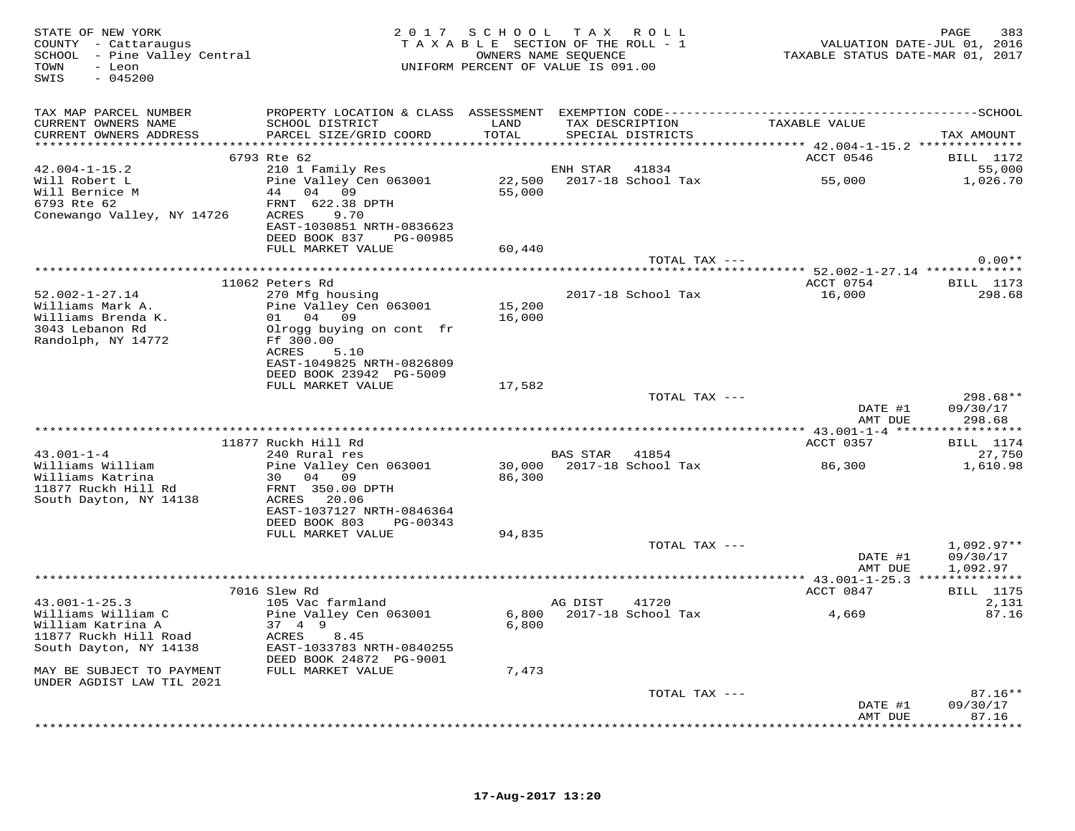| TAX MAP PARCEL NUMBER<br>CURRENT OWNERS NAME<br>SCHOOL DISTRICT<br>LAND<br>TAX DESCRIPTION<br>TAXABLE VALUE<br>PARCEL SIZE/GRID COORD<br>TOTAL<br>CURRENT OWNERS ADDRESS<br>SPECIAL DISTRICTS<br>TAX AMOUNT<br>ACCT 0546<br>6793 Rte 62<br>$42.004 - 1 - 15.2$<br>210 1 Family Res<br>ENH STAR<br>41834<br>22,500<br>2017-18 School Tax<br>Will Robert L<br>Pine Valley Cen 063001<br>55,000<br>Will Bernice M<br>44 04 09<br>55,000<br>6793 Rte 62<br>FRNT 622.38 DPTH<br>Conewango Valley, NY 14726<br>ACRES<br>9.70<br>EAST-1030851 NRTH-0836623<br>DEED BOOK 837<br>PG-00985<br>FULL MARKET VALUE<br>60,440<br>TOTAL TAX --- | 383<br>VALUATION DATE-JUL 01, 2016<br>TAXABLE STATUS DATE-MAR 01, 2017 |
|----------------------------------------------------------------------------------------------------------------------------------------------------------------------------------------------------------------------------------------------------------------------------------------------------------------------------------------------------------------------------------------------------------------------------------------------------------------------------------------------------------------------------------------------------------------------------------------------------------------------------------|------------------------------------------------------------------------|
|                                                                                                                                                                                                                                                                                                                                                                                                                                                                                                                                                                                                                                  |                                                                        |
|                                                                                                                                                                                                                                                                                                                                                                                                                                                                                                                                                                                                                                  |                                                                        |
|                                                                                                                                                                                                                                                                                                                                                                                                                                                                                                                                                                                                                                  | BILL 1172                                                              |
|                                                                                                                                                                                                                                                                                                                                                                                                                                                                                                                                                                                                                                  | 55,000                                                                 |
|                                                                                                                                                                                                                                                                                                                                                                                                                                                                                                                                                                                                                                  | 1,026.70                                                               |
|                                                                                                                                                                                                                                                                                                                                                                                                                                                                                                                                                                                                                                  |                                                                        |
|                                                                                                                                                                                                                                                                                                                                                                                                                                                                                                                                                                                                                                  | $0.00**$                                                               |
|                                                                                                                                                                                                                                                                                                                                                                                                                                                                                                                                                                                                                                  |                                                                        |
| 11062 Peters Rd<br>ACCT 0754                                                                                                                                                                                                                                                                                                                                                                                                                                                                                                                                                                                                     | <b>BILL</b> 1173                                                       |
| $52.002 - 1 - 27.14$<br>2017-18 School Tax<br>16,000<br>270 Mfg housing<br>15,200<br>Pine Valley Cen 063001<br>Williams Mark A.<br>Williams Brenda K.<br>01 04 09<br>16,000<br>3043 Lebanon Rd<br>Olrogg buying on cont fr                                                                                                                                                                                                                                                                                                                                                                                                       | 298.68                                                                 |
| Randolph, NY 14772<br>Ff 300.00<br>ACRES<br>5.10<br>EAST-1049825 NRTH-0826809<br>DEED BOOK 23942 PG-5009                                                                                                                                                                                                                                                                                                                                                                                                                                                                                                                         |                                                                        |
| FULL MARKET VALUE<br>17,582                                                                                                                                                                                                                                                                                                                                                                                                                                                                                                                                                                                                      |                                                                        |
| TOTAL TAX ---<br>DATE #1<br>09/30/17                                                                                                                                                                                                                                                                                                                                                                                                                                                                                                                                                                                             | 298.68**                                                               |
| AMT DUE                                                                                                                                                                                                                                                                                                                                                                                                                                                                                                                                                                                                                          | 298.68                                                                 |
| 11877 Ruckh Hill Rd<br>ACCT 0357                                                                                                                                                                                                                                                                                                                                                                                                                                                                                                                                                                                                 | <b>BILL</b> 1174                                                       |
| $43.001 - 1 - 4$<br>240 Rural res<br>BAS STAR<br>41854                                                                                                                                                                                                                                                                                                                                                                                                                                                                                                                                                                           | 27,750                                                                 |
| Williams William<br>Pine Valley Cen 063001<br>30,000 2017-18 School Tax<br>86,300<br>Williams Katrina<br>30 04 09<br>86,300<br>11877 Ruckh Hill Rd<br>FRNT 350.00 DPTH<br>ACRES 20.06<br>South Dayton, NY 14138                                                                                                                                                                                                                                                                                                                                                                                                                  | 1,610.98                                                               |
| EAST-1037127 NRTH-0846364                                                                                                                                                                                                                                                                                                                                                                                                                                                                                                                                                                                                        |                                                                        |
| DEED BOOK 803 PG-00343<br>FULL MARKET VALUE<br>94,835                                                                                                                                                                                                                                                                                                                                                                                                                                                                                                                                                                            |                                                                        |
| TOTAL TAX ---                                                                                                                                                                                                                                                                                                                                                                                                                                                                                                                                                                                                                    | $1,092.97**$                                                           |
| DATE #1<br>AMT DUE                                                                                                                                                                                                                                                                                                                                                                                                                                                                                                                                                                                                               | 09/30/17<br>1,092.97                                                   |
|                                                                                                                                                                                                                                                                                                                                                                                                                                                                                                                                                                                                                                  |                                                                        |
| ACCT 0847<br>7016 Slew Rd<br>$43.001 - 1 - 25.3$<br>105 Vac farmland<br>41720<br>AG DIST                                                                                                                                                                                                                                                                                                                                                                                                                                                                                                                                         | <b>BILL</b> 1175<br>2,131                                              |
| 6,800 2017-18 School Tax<br>4,669<br>Williams William C<br>Pine Valley Cen 063001<br>William Katrina A<br>37 4 9<br>6,800<br>11877 Ruckh Hill Road<br>ACRES<br>8.45                                                                                                                                                                                                                                                                                                                                                                                                                                                              | 87.16                                                                  |
| South Dayton, NY 14138<br>EAST-1033783 NRTH-0840255<br>DEED BOOK 24872 PG-9001                                                                                                                                                                                                                                                                                                                                                                                                                                                                                                                                                   |                                                                        |
| MAY BE SUBJECT TO PAYMENT<br>FULL MARKET VALUE<br>7,473<br>UNDER AGDIST LAW TIL 2021                                                                                                                                                                                                                                                                                                                                                                                                                                                                                                                                             |                                                                        |
| TOTAL TAX ---                                                                                                                                                                                                                                                                                                                                                                                                                                                                                                                                                                                                                    | $87.16**$                                                              |
| DATE #1<br>09/30/17<br>AMT DUE<br>87.16<br>********                                                                                                                                                                                                                                                                                                                                                                                                                                                                                                                                                                              |                                                                        |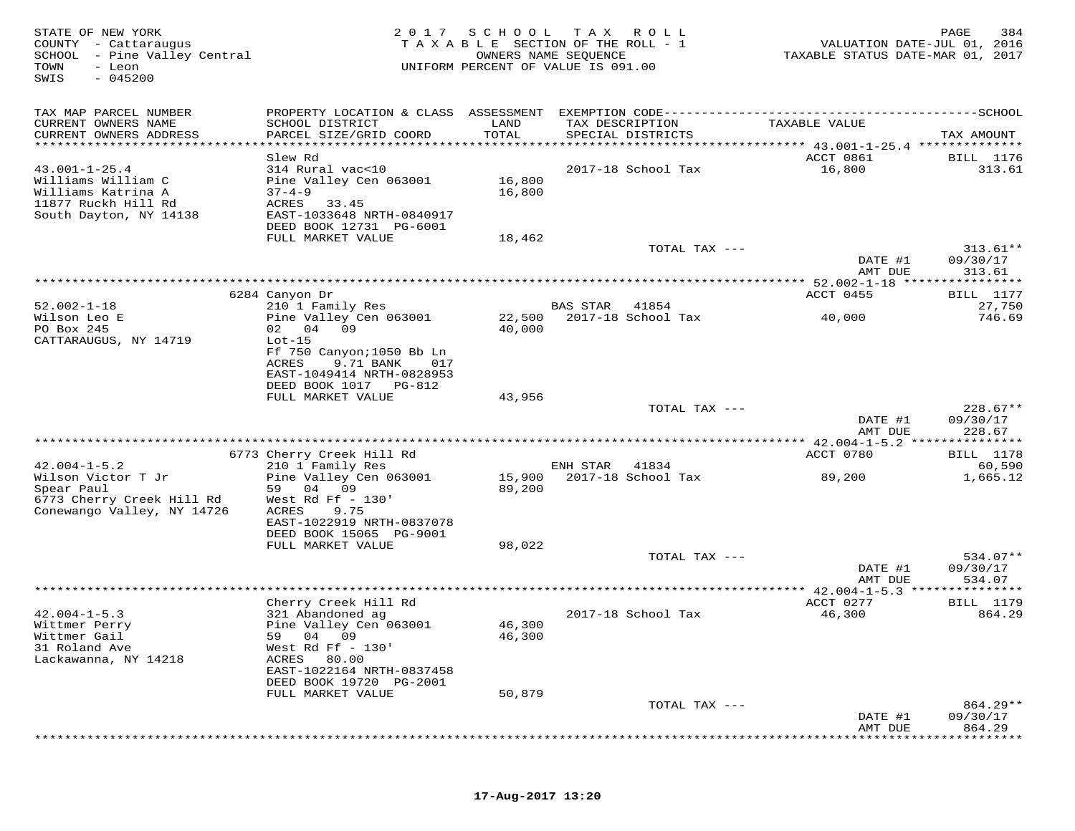| STATE OF NEW YORK<br>COUNTY - Cattaraugus<br>SCHOOL - Pine Valley Central<br>TOWN<br>- Leon<br>$-045200$<br>SWIS | 2 0 1 7                                                                                      | SCHOOL           | T A X<br>R O L L<br>TAXABLE SECTION OF THE ROLL - 1<br>OWNERS NAME SEQUENCE<br>UNIFORM PERCENT OF VALUE IS 091.00 | VALUATION DATE-JUL 01, 2016<br>TAXABLE STATUS DATE-MAR 01, 2017 | PAGE<br>384        |
|------------------------------------------------------------------------------------------------------------------|----------------------------------------------------------------------------------------------|------------------|-------------------------------------------------------------------------------------------------------------------|-----------------------------------------------------------------|--------------------|
| TAX MAP PARCEL NUMBER                                                                                            | PROPERTY LOCATION & CLASS ASSESSMENT EXEMPTION CODE-----------------------------------SCHOOL |                  |                                                                                                                   |                                                                 |                    |
| CURRENT OWNERS NAME                                                                                              | SCHOOL DISTRICT                                                                              | LAND             | TAX DESCRIPTION                                                                                                   | TAXABLE VALUE                                                   |                    |
| CURRENT OWNERS ADDRESS<br>***********************                                                                | PARCEL SIZE/GRID COORD                                                                       | TOTAL            | SPECIAL DISTRICTS                                                                                                 | ********************************* 43.001-1-25.4 *************** | TAX AMOUNT         |
|                                                                                                                  | Slew Rd                                                                                      |                  |                                                                                                                   | ACCT 0861                                                       | <b>BILL</b> 1176   |
| $43.001 - 1 - 25.4$                                                                                              | 314 Rural vac<10                                                                             |                  | 2017-18 School Tax                                                                                                | 16,800                                                          | 313.61             |
| Williams William C<br>Williams Katrina A                                                                         | Pine Valley Cen 063001<br>$37 - 4 - 9$                                                       | 16,800<br>16,800 |                                                                                                                   |                                                                 |                    |
| 11877 Ruckh Hill Rd                                                                                              | ACRES<br>33.45                                                                               |                  |                                                                                                                   |                                                                 |                    |
| South Dayton, NY 14138                                                                                           | EAST-1033648 NRTH-0840917                                                                    |                  |                                                                                                                   |                                                                 |                    |
|                                                                                                                  | DEED BOOK 12731 PG-6001                                                                      |                  |                                                                                                                   |                                                                 |                    |
|                                                                                                                  | FULL MARKET VALUE                                                                            | 18,462           | TOTAL TAX ---                                                                                                     |                                                                 | $313.61**$         |
|                                                                                                                  |                                                                                              |                  |                                                                                                                   | DATE #1                                                         | 09/30/17           |
|                                                                                                                  |                                                                                              |                  |                                                                                                                   | AMT DUE                                                         | 313.61             |
|                                                                                                                  | 6284 Canyon Dr                                                                               |                  |                                                                                                                   | ACCT 0455                                                       | BILL 1177          |
| $52.002 - 1 - 18$                                                                                                | 210 1 Family Res                                                                             |                  | <b>BAS STAR</b><br>41854                                                                                          |                                                                 | 27,750             |
| Wilson Leo E                                                                                                     | Pine Valley Cen 063001                                                                       | 22,500           | 2017-18 School Tax                                                                                                | 40,000                                                          | 746.69             |
| PO Box 245                                                                                                       | 09<br>02 04                                                                                  | 40,000           |                                                                                                                   |                                                                 |                    |
| CATTARAUGUS, NY 14719                                                                                            | $Lot-15$<br>Ff 750 Canyon; 1050 Bb Ln                                                        |                  |                                                                                                                   |                                                                 |                    |
|                                                                                                                  | ACRES<br>9.71 BANK<br>017                                                                    |                  |                                                                                                                   |                                                                 |                    |
|                                                                                                                  | EAST-1049414 NRTH-0828953                                                                    |                  |                                                                                                                   |                                                                 |                    |
|                                                                                                                  | DEED BOOK 1017 PG-812<br>FULL MARKET VALUE                                                   | 43,956           |                                                                                                                   |                                                                 |                    |
|                                                                                                                  |                                                                                              |                  | TOTAL TAX ---                                                                                                     |                                                                 | $228.67**$         |
|                                                                                                                  |                                                                                              |                  |                                                                                                                   | DATE #1                                                         | 09/30/17           |
|                                                                                                                  |                                                                                              |                  |                                                                                                                   | AMT DUE                                                         | 228.67<br>******** |
|                                                                                                                  | 6773 Cherry Creek Hill Rd                                                                    |                  |                                                                                                                   | ACCT 0780                                                       | BILL 1178          |
| $42.004 - 1 - 5.2$                                                                                               | 210 1 Family Res                                                                             |                  | ENH STAR<br>41834                                                                                                 |                                                                 | 60,590             |
| Wilson Victor T Jr                                                                                               | Pine Valley Cen 063001<br>59 04<br>09                                                        | 15,900           | 2017-18 School Tax                                                                                                | 89,200                                                          | 1,665.12           |
| Spear Paul<br>6773 Cherry Creek Hill Rd                                                                          | West Rd Ff $-130'$                                                                           | 89,200           |                                                                                                                   |                                                                 |                    |
| Conewango Valley, NY 14726                                                                                       | ACRES<br>9.75                                                                                |                  |                                                                                                                   |                                                                 |                    |
|                                                                                                                  | EAST-1022919 NRTH-0837078                                                                    |                  |                                                                                                                   |                                                                 |                    |
|                                                                                                                  | DEED BOOK 15065 PG-9001<br>FULL MARKET VALUE                                                 | 98,022           |                                                                                                                   |                                                                 |                    |
|                                                                                                                  |                                                                                              |                  | TOTAL TAX ---                                                                                                     |                                                                 | $534.07**$         |
|                                                                                                                  |                                                                                              |                  |                                                                                                                   | DATE #1                                                         | 09/30/17           |
|                                                                                                                  |                                                                                              |                  | **********************************                                                                                | AMT DUE<br>$**42.004 - 1 - 5.3$                                 | 534.07             |
|                                                                                                                  | Cherry Creek Hill Rd                                                                         |                  |                                                                                                                   | ACCT 0277                                                       | <b>BILL</b> 1179   |
| $42.004 - 1 - 5.3$                                                                                               | 321 Abandoned ag                                                                             |                  | 2017-18 School Tax                                                                                                | 46,300                                                          | 864.29             |
| Wittmer Perry                                                                                                    | Pine Valley Cen 063001                                                                       | 46,300           |                                                                                                                   |                                                                 |                    |
| Wittmer Gail<br>31 Roland Ave                                                                                    | 04 09<br>59<br>West Rd Ff $-130'$                                                            | 46,300           |                                                                                                                   |                                                                 |                    |
| Lackawanna, NY 14218                                                                                             | ACRES<br>80.00                                                                               |                  |                                                                                                                   |                                                                 |                    |
|                                                                                                                  | EAST-1022164 NRTH-0837458                                                                    |                  |                                                                                                                   |                                                                 |                    |
|                                                                                                                  | DEED BOOK 19720 PG-2001                                                                      |                  |                                                                                                                   |                                                                 |                    |
|                                                                                                                  | FULL MARKET VALUE                                                                            | 50,879           | TOTAL TAX ---                                                                                                     |                                                                 | 864.29**           |
|                                                                                                                  |                                                                                              |                  |                                                                                                                   | DATE #1                                                         | 09/30/17           |
|                                                                                                                  |                                                                                              |                  |                                                                                                                   | AMT DUE                                                         | 864.29             |
|                                                                                                                  |                                                                                              |                  |                                                                                                                   |                                                                 |                    |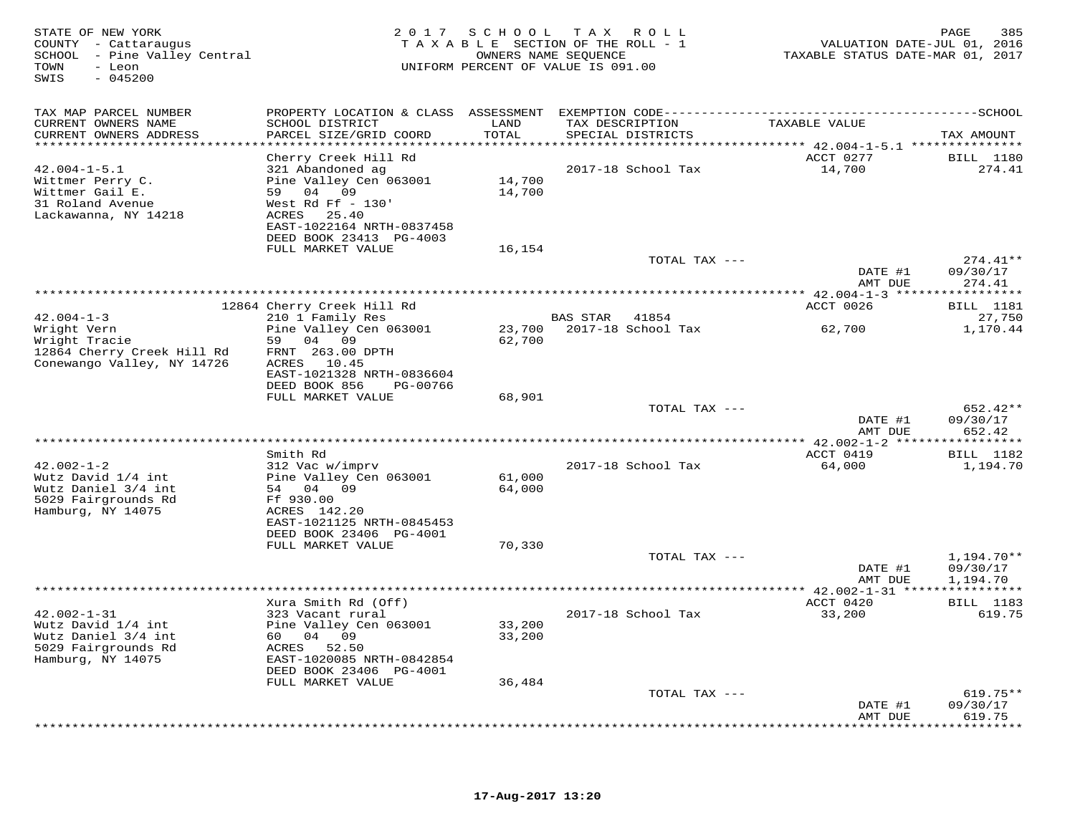| STATE OF NEW YORK<br>COUNTY - Cattaraugus<br>SCHOOL - Pine Valley Central<br>TOWN<br>- Leon<br>SWIS<br>$-045200$ |                                                                                                                                                     | 2017 SCHOOL                        | T A X<br>R O L L<br>TAXABLE SECTION OF THE ROLL - 1<br>OWNERS NAME SEQUENCE<br>UNIFORM PERCENT OF VALUE IS 091.00 | VALUATION DATE-JUL 01, 2016<br>TAXABLE STATUS DATE-MAR 01, 2017 | 385<br>PAGE                        |
|------------------------------------------------------------------------------------------------------------------|-----------------------------------------------------------------------------------------------------------------------------------------------------|------------------------------------|-------------------------------------------------------------------------------------------------------------------|-----------------------------------------------------------------|------------------------------------|
| TAX MAP PARCEL NUMBER                                                                                            |                                                                                                                                                     |                                    |                                                                                                                   |                                                                 |                                    |
| CURRENT OWNERS NAME<br>CURRENT OWNERS ADDRESS<br>**********************                                          | SCHOOL DISTRICT<br>PARCEL SIZE/GRID COORD<br>************************                                                                               | LAND<br>TOTAL<br>***************** | TAX DESCRIPTION<br>SPECIAL DISTRICTS                                                                              | TAXABLE VALUE                                                   | TAX AMOUNT                         |
|                                                                                                                  | Cherry Creek Hill Rd                                                                                                                                |                                    |                                                                                                                   | ACCT 0277                                                       | <b>BILL</b> 1180                   |
| $42.004 - 1 - 5.1$<br>Wittmer Perry C.<br>Wittmer Gail E.<br>31 Roland Avenue<br>Lackawanna, NY 14218            | 321 Abandoned ag<br>Pine Valley Cen 063001<br>59 04 09<br>West Rd Ff $-130'$<br>ACRES 25.40<br>EAST-1022164 NRTH-0837458<br>DEED BOOK 23413 PG-4003 | 14,700<br>14,700                   | 2017-18 School Tax                                                                                                | 14,700                                                          | 274.41                             |
|                                                                                                                  | FULL MARKET VALUE                                                                                                                                   | 16,154                             |                                                                                                                   |                                                                 |                                    |
|                                                                                                                  |                                                                                                                                                     |                                    | TOTAL TAX ---                                                                                                     | DATE #1                                                         | $274.41**$<br>09/30/17             |
|                                                                                                                  |                                                                                                                                                     |                                    |                                                                                                                   | AMT DUE                                                         | 274.41                             |
|                                                                                                                  | 12864 Cherry Creek Hill Rd                                                                                                                          |                                    |                                                                                                                   | ACCT 0026                                                       | BILL 1181                          |
| $42.004 - 1 - 3$<br>Wright Vern<br>Wright Tracie                                                                 | 210 1 Family Res<br>Pine Valley Cen 063001<br>59<br>04 09                                                                                           | 23,700<br>62,700                   | <b>BAS STAR</b><br>41854<br>2017-18 School Tax                                                                    | 62,700                                                          | 27,750<br>1,170.44                 |
| 12864 Cherry Creek Hill Rd<br>Conewango Valley, NY 14726                                                         | FRNT 263.00 DPTH<br>ACRES 10.45<br>EAST-1021328 NRTH-0836604<br>DEED BOOK 856<br>PG-00766                                                           |                                    |                                                                                                                   |                                                                 |                                    |
|                                                                                                                  | FULL MARKET VALUE                                                                                                                                   | 68,901                             |                                                                                                                   |                                                                 |                                    |
|                                                                                                                  |                                                                                                                                                     |                                    | TOTAL TAX ---                                                                                                     | DATE #1<br>AMT DUE                                              | $652.42**$<br>09/30/17<br>652.42   |
|                                                                                                                  |                                                                                                                                                     |                                    |                                                                                                                   |                                                                 |                                    |
| $42.002 - 1 - 2$<br>Wutz David 1/4 int                                                                           | Smith Rd<br>312 Vac w/imprv<br>Pine Valley Cen 063001                                                                                               | 61,000                             | 2017-18 School Tax                                                                                                | ACCT 0419<br>64,000                                             | <b>BILL</b> 1182<br>1,194.70       |
| Wutz Daniel 3/4 int<br>5029 Fairgrounds Rd<br>Hamburg, NY 14075                                                  | 54 04 09<br>Ff 930.00<br>ACRES 142.20                                                                                                               | 64,000                             |                                                                                                                   |                                                                 |                                    |
|                                                                                                                  | EAST-1021125 NRTH-0845453<br>DEED BOOK 23406 PG-4001<br>FULL MARKET VALUE                                                                           | 70,330                             |                                                                                                                   |                                                                 |                                    |
|                                                                                                                  |                                                                                                                                                     |                                    | TOTAL TAX ---                                                                                                     | DATE #1<br>AMT DUE                                              | 1,194.70**<br>09/30/17<br>1,194.70 |
|                                                                                                                  | Xura Smith Rd (Off)                                                                                                                                 |                                    |                                                                                                                   | ACCT 0420                                                       | <b>BILL</b> 1183                   |
| $42.002 - 1 - 31$<br>Wutz David 1/4 int<br>Wutz Daniel 3/4 int<br>5029 Fairgrounds Rd<br>Hamburg, NY 14075       | 323 Vacant rural<br>Pine Valley Cen 063001<br>60 —<br>04<br>09<br>ACRES 52.50<br>EAST-1020085 NRTH-0842854<br>DEED BOOK 23406 PG-4001               | 33,200<br>33,200                   | 2017-18 School Tax                                                                                                | 33,200                                                          | 619.75                             |
|                                                                                                                  | FULL MARKET VALUE                                                                                                                                   | 36,484                             |                                                                                                                   |                                                                 |                                    |
|                                                                                                                  |                                                                                                                                                     |                                    | TOTAL TAX ---                                                                                                     | DATE #1<br>AMT DUE                                              | $619.75**$<br>09/30/17<br>619.75   |
|                                                                                                                  |                                                                                                                                                     |                                    |                                                                                                                   |                                                                 | .                                  |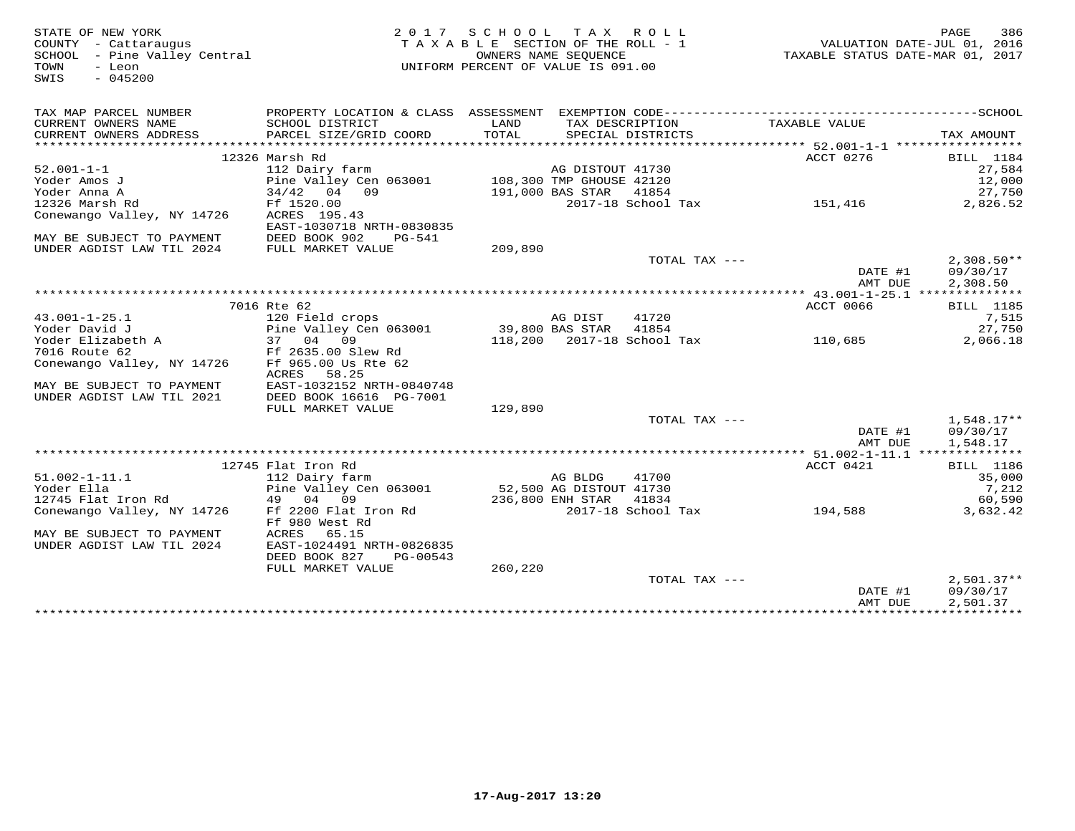STATE OF NEW YORK 2 0 1 7 S C H O O L T A X R O L L PAGE 386 COUNTY - Cattaraugus T A X A B L E SECTION OF THE ROLL - 1 VALUATION DATE-JUL 01, 2016 SCHOOL - Pine Valley Central OWNERS NAME SEQUENCE TAXABLE STATUS DATE-MAR 01, 2017 TOWN - Leon UNIFORM PERCENT OF VALUE IS 091.00 SWIS - 045200TAX MAP PARCEL NUMBER PROPERTY LOCATION & CLASS ASSESSMENT EXEMPTION CODE------------------------------------------SCHOOL CURRENT OWNERS NAME SCHOOL DISTRICT LAND TAX DESCRIPTION TAXABLE VALUE CURRENT OWNERS ADDRESS PARCEL SIZE/GRID COORD TOTAL SPECIAL DISTRICTS TAX AMOUNT \*\*\*\*\*\*\*\*\*\*\*\*\*\*\*\*\*\*\*\*\*\*\*\*\*\*\*\*\*\*\*\*\*\*\*\*\*\*\*\*\*\*\*\*\*\*\*\*\*\*\*\*\*\*\*\*\*\*\*\*\*\*\*\*\*\*\*\*\*\*\*\*\*\*\*\*\*\*\*\*\*\*\*\*\*\*\*\*\*\*\*\*\*\*\*\*\*\*\*\*\*\*\* 52.001-1-1 \*\*\*\*\*\*\*\*\*\*\*\*\*\*\*\*\*ACCT 0276 BILL 1184 12326 Marsh Rd ACCT 0276 BILL 118427,584 52.001-1-1 112 Dairy farm AG DISTOUT 41730 27,58412.000 Yoder Amos J Pine Valley Cen 063001 108,300 TMP GHOUSE 42120 12,00027,750 Yoder Anna A 34/42 04 09 191,000 BAS STAR 41854 27,750 $\frac{27}{191,000}$  and sink  $\frac{41654}{1600}$  and  $\frac{27}{151,416}$  2,826.52 12326 Marsh Rd Ff 1520.00 2017-18 School Tax 151,416 2,826.52Conewango Valley, NY 14726 ACRES 195.43 EAST-1030718 NRTH-0830835 MAY BE SUBJECT TO PAYMENT DEED BOOK 902 PG-541 UNDER AGDIST LAW TIL 2024 FULL MARKET VALUE 209,890 TOTAL TAX --- 2,308.50\*\* DATE #1 09/30/17 AMT DUE 2,308.50 \*\*\*\*\*\*\*\*\*\*\*\*\*\*\*\*\*\*\*\*\*\*\*\*\*\*\*\*\*\*\*\*\*\*\*\*\*\*\*\*\*\*\*\*\*\*\*\*\*\*\*\*\*\*\*\*\*\*\*\*\*\*\*\*\*\*\*\*\*\*\*\*\*\*\*\*\*\*\*\*\*\*\*\*\*\*\*\*\*\*\*\*\*\*\*\*\*\*\*\*\*\*\* 43.001-1-25.1 \*\*\*\*\*\*\*\*\*\*\*\*\*\* 7016 Rte 62 ACCT 0066 BILL 118543.001-1-25.1 120 Field crops AG DIST 41720 7,515 Yoder David J Pine Valley Cen 063001 39,800 BAS STAR 41854 27,750 $2.066.18$ Yoder Elizabeth A 37 04 09 118,200 2017-18 School Tax 110,685 2,066.187016 Route 62 Ff 2635.00 Slew Rd Conewango Valley, NY 14726 Ff 965.00 Us Rte 62<br>
ACRES 58.25<br>MAY BE SUBJECT TO PAYMENT EAST-1032152 NRTH-0840748<br>
UNDER AGDIST LAW TIL 2021 DEED BOOK 1616 PG-7001 129,890<br>
FULL MARKET VALUE 129,890 TOTAL TAX --- 1,548.17\*\* DATE #1 09/30/171,548.17 AMT DUE 1,548.17 \*\*\*\*\*\*\*\*\*\*\*\*\*\*\*\*\*\*\*\*\*\*\*\*\*\*\*\*\*\*\*\*\*\*\*\*\*\*\*\*\*\*\*\*\*\*\*\*\*\*\*\*\*\*\*\*\*\*\*\*\*\*\*\*\*\*\*\*\*\*\*\*\*\*\*\*\*\*\*\*\*\*\*\*\*\*\*\*\*\*\*\*\*\*\*\*\*\*\*\*\*\*\* 51.002-1-11.1 \*\*\*\*\*\*\*\*\*\*\*\*\*\*ACCT 0421 BILL 1186 12745 Flat Iron Rd ACCT 0421 BILL 1186 $35.000$ 51.002-1-11.1 112 Dairy farm AG BLDG 41700 35,0007,212 Yoder Ella Pine Valley Cen 063001 52,500 AG DISTOUT 41730 7,21260,590 12745 Flat Iron Rd 49 04 09 236,800 ENH STAR 41834 60,5903,632.42 Conewango Valley, NY 14726 Ff 2200 Flat Iron Rd 2017-18 School Tax 194,588 3,632.42Ff 980 West Rd<br>MAY BE SUBJECT TO PAYMENT ACRES 65.15<br>UNDER AGDIST LAW TIL 2024 EAST-1024491 NRTH-0826835 DEED BOOK 827 PG-00543 FULL MARKET VALUE 260,220 TOTAL TAX --- 2,501.37\*\* DATE #1 09/30/17 $\,$  AMT DUE  $\,$  2,501.37  $\,$ \*\*\*\*\*\*\*\*\*\*\*\*\*\*\*\*\*\*\*\*\*\*\*\*\*\*\*\*\*\*\*\*\*\*\*\*\*\*\*\*\*\*\*\*\*\*\*\*\*\*\*\*\*\*\*\*\*\*\*\*\*\*\*\*\*\*\*\*\*\*\*\*\*\*\*\*\*\*\*\*\*\*\*\*\*\*\*\*\*\*\*\*\*\*\*\*\*\*\*\*\*\*\*\*\*\*\*\*\*\*\*\*\*\*\*\*\*\*\*\*\*\*\*\*\*\*\*\*\*\*\*\*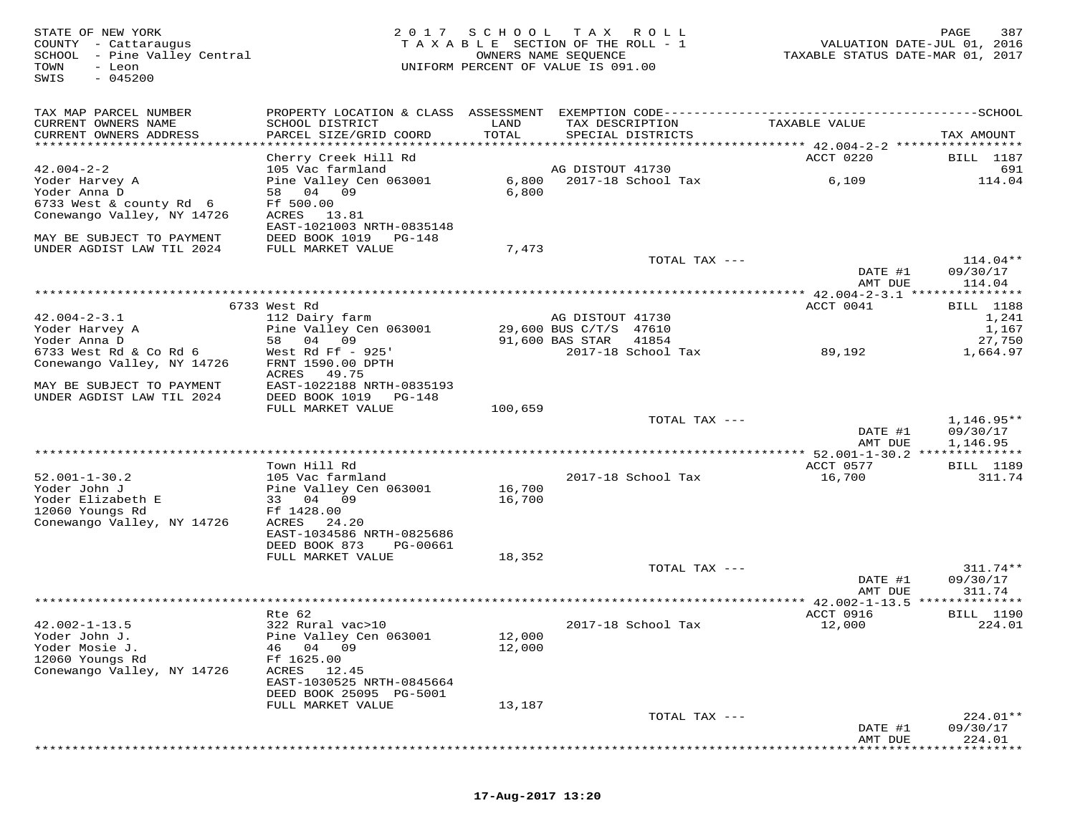| STATE OF NEW YORK<br>COUNTY - Cattaraugus<br>SCHOOL - Pine Valley Central<br>TOWN<br>- Leon<br>$-045200$<br>SWIS |                                                      |         | 2017 SCHOOL TAX ROLL<br>TAXABLE SECTION OF THE ROLL - 1<br>OWNERS NAME SEQUENCE<br>UNIFORM PERCENT OF VALUE IS 091.00 | TAXABLE STATUS DATE-MAR 01, 2017 | 387<br>PAGE<br>VALUATION DATE-JUL 01, 2016 |
|------------------------------------------------------------------------------------------------------------------|------------------------------------------------------|---------|-----------------------------------------------------------------------------------------------------------------------|----------------------------------|--------------------------------------------|
| TAX MAP PARCEL NUMBER                                                                                            |                                                      |         | PROPERTY LOCATION & CLASS ASSESSMENT EXEMPTION CODE-----------------------------------SCHOOL                          |                                  |                                            |
| CURRENT OWNERS NAME                                                                                              | SCHOOL DISTRICT                                      | LAND    | TAX DESCRIPTION                                                                                                       | TAXABLE VALUE                    |                                            |
| CURRENT OWNERS ADDRESS                                                                                           | PARCEL SIZE/GRID COORD                               | TOTAL   | SPECIAL DISTRICTS                                                                                                     |                                  | TAX AMOUNT                                 |
|                                                                                                                  | Cherry Creek Hill Rd                                 |         |                                                                                                                       | ACCT 0220                        | BILL 1187                                  |
| $42.004 - 2 - 2$                                                                                                 | 105 Vac farmland                                     |         | AG DISTOUT 41730                                                                                                      |                                  | 691                                        |
| Yoder Harvey A                                                                                                   | Pine Valley Cen 063001                               |         | 6,800 2017-18 School Tax                                                                                              | 6,109                            | 114.04                                     |
| Yoder Anna D<br>6733 West & county Rd 6                                                                          | 58 04 09<br>Ff 500.00                                | 6,800   |                                                                                                                       |                                  |                                            |
| Conewango Valley, NY 14726                                                                                       | ACRES 13.81                                          |         |                                                                                                                       |                                  |                                            |
|                                                                                                                  | EAST-1021003 NRTH-0835148                            |         |                                                                                                                       |                                  |                                            |
| MAY BE SUBJECT TO PAYMENT                                                                                        | DEED BOOK 1019 PG-148                                |         |                                                                                                                       |                                  |                                            |
| UNDER AGDIST LAW TIL 2024                                                                                        | FULL MARKET VALUE                                    | 7,473   | TOTAL TAX ---                                                                                                         |                                  | 114.04**                                   |
|                                                                                                                  |                                                      |         |                                                                                                                       | DATE #1<br>AMT DUE               | 09/30/17<br>114.04                         |
|                                                                                                                  |                                                      |         |                                                                                                                       |                                  |                                            |
| $42.004 - 2 - 3.1$                                                                                               | 6733 West Rd<br>112 Dairy farm                       |         | AG DISTOUT 41730                                                                                                      | ACCT 0041                        | <b>BILL</b> 1188<br>1,241                  |
| Yoder Harvey A                                                                                                   | Pine Valley Cen 063001                               |         | 29,600 BUS C/T/S 47610                                                                                                |                                  | 1,167                                      |
| Yoder Anna D                                                                                                     | 58 04 09                                             |         | 91,600 BAS STAR<br>41854                                                                                              |                                  | 27,750                                     |
| 6733 West Rd & Co Rd 6                                                                                           | West Rd Ff $-925'$                                   |         | 2017-18 School Tax                                                                                                    | 89,192                           | 1,664.97                                   |
| Conewango Valley, NY 14726                                                                                       | FRNT 1590.00 DPTH<br>ACRES 49.75                     |         |                                                                                                                       |                                  |                                            |
| MAY BE SUBJECT TO PAYMENT<br>UNDER AGDIST LAW TIL 2024                                                           | EAST-1022188 NRTH-0835193<br>DEED BOOK 1019 PG-148   |         |                                                                                                                       |                                  |                                            |
|                                                                                                                  | FULL MARKET VALUE                                    | 100,659 |                                                                                                                       |                                  |                                            |
|                                                                                                                  |                                                      |         | TOTAL TAX ---                                                                                                         | DATE #1<br>AMT DUE               | $1,146.95**$<br>09/30/17<br>1,146.95       |
|                                                                                                                  |                                                      |         |                                                                                                                       |                                  |                                            |
|                                                                                                                  | Town Hill Rd                                         |         |                                                                                                                       | ACCT 0577                        | BILL 1189                                  |
| $52.001 - 1 - 30.2$<br>Yoder John J                                                                              | 105 Vac farmland<br>Pine Valley Cen 063001           | 16,700  | 2017-18 School Tax                                                                                                    | 16,700                           | 311.74                                     |
| Yoder Elizabeth E                                                                                                | 33 04 09                                             | 16,700  |                                                                                                                       |                                  |                                            |
| 12060 Youngs Rd                                                                                                  | Ff 1428.00                                           |         |                                                                                                                       |                                  |                                            |
| Conewango Valley, NY 14726                                                                                       | ACRES 24.20<br>EAST-1034586 NRTH-0825686             |         |                                                                                                                       |                                  |                                            |
|                                                                                                                  | DEED BOOK 873<br>PG-00661                            |         |                                                                                                                       |                                  |                                            |
|                                                                                                                  | FULL MARKET VALUE                                    | 18,352  |                                                                                                                       |                                  |                                            |
|                                                                                                                  |                                                      |         | TOTAL TAX ---                                                                                                         |                                  | $311.74**$                                 |
|                                                                                                                  |                                                      |         |                                                                                                                       | DATE #1<br>AMT DUE               | 09/30/17<br>311.74                         |
|                                                                                                                  |                                                      |         |                                                                                                                       |                                  |                                            |
|                                                                                                                  | Rte 62                                               |         |                                                                                                                       | ACCT 0916                        | BILL 1190                                  |
| $42.002 - 1 - 13.5$<br>Yoder John J.                                                                             | 322 Rural vac>10<br>Pine Valley Cen 063001           | 12,000  | 2017-18 School Tax                                                                                                    | 12,000                           | 224.01                                     |
| Yoder Mosie J.                                                                                                   | 46 04 09                                             | 12,000  |                                                                                                                       |                                  |                                            |
| 12060 Youngs Rd                                                                                                  | Ff 1625.00                                           |         |                                                                                                                       |                                  |                                            |
| Conewango Valley, NY 14726                                                                                       | ACRES<br>12.45                                       |         |                                                                                                                       |                                  |                                            |
|                                                                                                                  | EAST-1030525 NRTH-0845664<br>DEED BOOK 25095 PG-5001 |         |                                                                                                                       |                                  |                                            |
|                                                                                                                  | FULL MARKET VALUE                                    | 13,187  |                                                                                                                       |                                  |                                            |
|                                                                                                                  |                                                      |         | TOTAL TAX ---                                                                                                         |                                  | 224.01**                                   |
|                                                                                                                  |                                                      |         |                                                                                                                       | DATE #1<br>AMT DUE               | 09/30/17<br>224.01                         |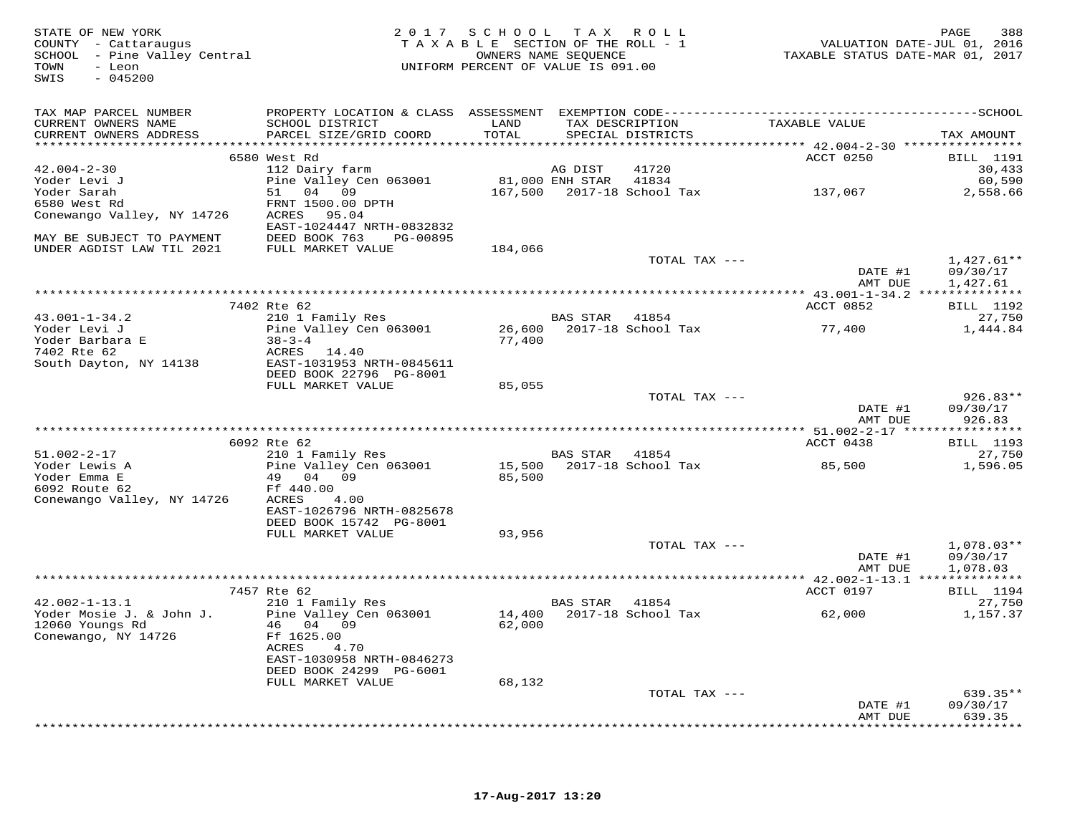| STATE OF NEW YORK<br>COUNTY - Cattaraugus<br>SCHOOL - Pine Valley Central<br>TOWN<br>- Leon<br>$-045200$<br>SWIS |                                            | 2017 SCHOOL TAX ROLL<br>TAXABLE SECTION OF THE ROLL - 1<br>UNIFORM PERCENT OF VALUE IS 091.00 | OWNERS NAME SEQUENCE |                                  | VALUATION DATE-JUL 01, 2016<br>TAXABLE STATUS DATE-MAR 01, 2017 | 388<br>PAGE                |
|------------------------------------------------------------------------------------------------------------------|--------------------------------------------|-----------------------------------------------------------------------------------------------|----------------------|----------------------------------|-----------------------------------------------------------------|----------------------------|
| TAX MAP PARCEL NUMBER                                                                                            |                                            |                                                                                               |                      |                                  |                                                                 |                            |
| CURRENT OWNERS NAME                                                                                              | SCHOOL DISTRICT                            | LAND                                                                                          |                      | TAX DESCRIPTION                  | TAXABLE VALUE                                                   |                            |
| CURRENT OWNERS ADDRESS                                                                                           | PARCEL SIZE/GRID COORD                     | TOTAL                                                                                         |                      | SPECIAL DISTRICTS                |                                                                 | TAX AMOUNT                 |
|                                                                                                                  | 6580 West Rd                               |                                                                                               |                      |                                  | ACCT 0250                                                       | <b>BILL</b> 1191           |
| $42.004 - 2 - 30$                                                                                                | 112 Dairy farm                             |                                                                                               | AG DIST              | 41720                            |                                                                 | 30,433                     |
| Yoder Levi J                                                                                                     | Pine Valley Cen 063001                     | 81,000 ENH STAR 41834                                                                         |                      |                                  |                                                                 | 60,590                     |
| Yoder Sarah                                                                                                      | 51 04 09                                   |                                                                                               |                      | 167,500    2017-18    School Tax | 137,067                                                         | 2,558.66                   |
| 6580 West Rd                                                                                                     | FRNT 1500.00 DPTH                          |                                                                                               |                      |                                  |                                                                 |                            |
| Conewango Valley, NY 14726                                                                                       | ACRES 95.04                                |                                                                                               |                      |                                  |                                                                 |                            |
|                                                                                                                  | EAST-1024447 NRTH-0832832                  |                                                                                               |                      |                                  |                                                                 |                            |
| MAY BE SUBJECT TO PAYMENT                                                                                        | DEED BOOK 763<br>PG-00895                  |                                                                                               |                      |                                  |                                                                 |                            |
| UNDER AGDIST LAW TIL 2021                                                                                        | FULL MARKET VALUE                          | 184,066                                                                                       |                      | TOTAL TAX ---                    |                                                                 | $1,427.61**$               |
|                                                                                                                  |                                            |                                                                                               |                      |                                  | DATE #1                                                         | 09/30/17                   |
|                                                                                                                  |                                            |                                                                                               |                      |                                  | AMT DUE                                                         | 1,427.61                   |
|                                                                                                                  |                                            |                                                                                               |                      |                                  |                                                                 |                            |
|                                                                                                                  | 7402 Rte 62                                |                                                                                               |                      |                                  | ACCT 0852                                                       | <b>BILL</b> 1192           |
| $43.001 - 1 - 34.2$                                                                                              | 210 1 Family Res                           |                                                                                               | BAS STAR             | 41854                            |                                                                 | 27,750                     |
| Yoder Levi J<br>Yoder Barbara E                                                                                  | Pine Valley Cen 063001<br>$38 - 3 - 4$     | 77,400                                                                                        |                      | 26,600 2017-18 School Tax        | 77,400                                                          | 1,444.84                   |
| 7402 Rte 62                                                                                                      | ACRES 14.40                                |                                                                                               |                      |                                  |                                                                 |                            |
| South Dayton, NY 14138                                                                                           | EAST-1031953 NRTH-0845611                  |                                                                                               |                      |                                  |                                                                 |                            |
|                                                                                                                  | DEED BOOK 22796 PG-8001                    |                                                                                               |                      |                                  |                                                                 |                            |
|                                                                                                                  | FULL MARKET VALUE                          | 85,055                                                                                        |                      |                                  |                                                                 |                            |
|                                                                                                                  |                                            |                                                                                               |                      | TOTAL TAX ---                    |                                                                 | $926.83**$                 |
|                                                                                                                  |                                            |                                                                                               |                      |                                  | DATE #1<br>AMT DUE                                              | 09/30/17                   |
|                                                                                                                  |                                            |                                                                                               |                      |                                  |                                                                 | 926.83                     |
|                                                                                                                  | 6092 Rte 62                                |                                                                                               |                      |                                  | ACCT 0438                                                       | <b>BILL</b> 1193           |
| $51.002 - 2 - 17$                                                                                                | 210 1 Family Res                           |                                                                                               | BAS STAR 41854       |                                  |                                                                 | 27,750                     |
| Yoder Lewis A                                                                                                    | Pine Valley Cen 063001                     |                                                                                               |                      | 15,500    2017-18    School Tax  | 85,500                                                          | 1,596.05                   |
| Yoder Emma E                                                                                                     | 49 04 09                                   | 85,500                                                                                        |                      |                                  |                                                                 |                            |
| 6092 Route 62                                                                                                    | Ff 440.00                                  |                                                                                               |                      |                                  |                                                                 |                            |
| Conewango Valley, NY 14726                                                                                       | ACRES<br>4.00<br>EAST-1026796 NRTH-0825678 |                                                                                               |                      |                                  |                                                                 |                            |
|                                                                                                                  | DEED BOOK 15742 PG-8001                    |                                                                                               |                      |                                  |                                                                 |                            |
|                                                                                                                  | FULL MARKET VALUE                          | 93,956                                                                                        |                      |                                  |                                                                 |                            |
|                                                                                                                  |                                            |                                                                                               |                      | TOTAL TAX ---                    |                                                                 | $1,078.03**$               |
|                                                                                                                  |                                            |                                                                                               |                      |                                  | DATE #1                                                         | 09/30/17                   |
|                                                                                                                  |                                            |                                                                                               |                      |                                  | AMT DUE                                                         | 1,078.03                   |
|                                                                                                                  |                                            |                                                                                               |                      |                                  |                                                                 |                            |
| $42.002 - 1 - 13.1$                                                                                              | 7457 Rte 62<br>210 1 Family Res            |                                                                                               | BAS STAR             | 41854                            | ACCT 0197                                                       | <b>BILL</b> 1194<br>27,750 |
| Yoder Mosie J. & John J.                                                                                         | Pine Valley Cen 063001                     |                                                                                               |                      | 14,400 2017-18 School Tax        | 62,000                                                          | 1,157.37                   |
| 12060 Youngs Rd                                                                                                  | 46 04 09                                   | 62,000                                                                                        |                      |                                  |                                                                 |                            |
| Conewango, NY 14726                                                                                              | Ff 1625.00                                 |                                                                                               |                      |                                  |                                                                 |                            |
|                                                                                                                  | 4.70<br>ACRES                              |                                                                                               |                      |                                  |                                                                 |                            |
|                                                                                                                  | EAST-1030958 NRTH-0846273                  |                                                                                               |                      |                                  |                                                                 |                            |
|                                                                                                                  | DEED BOOK 24299 PG-6001                    |                                                                                               |                      |                                  |                                                                 |                            |
|                                                                                                                  | FULL MARKET VALUE                          | 68,132                                                                                        |                      | TOTAL TAX ---                    |                                                                 | $639.35**$                 |
|                                                                                                                  |                                            |                                                                                               |                      |                                  | DATE #1                                                         | 09/30/17                   |
|                                                                                                                  |                                            |                                                                                               |                      |                                  | AMT DUE                                                         | 639.35                     |
|                                                                                                                  |                                            |                                                                                               |                      |                                  |                                                                 | **********                 |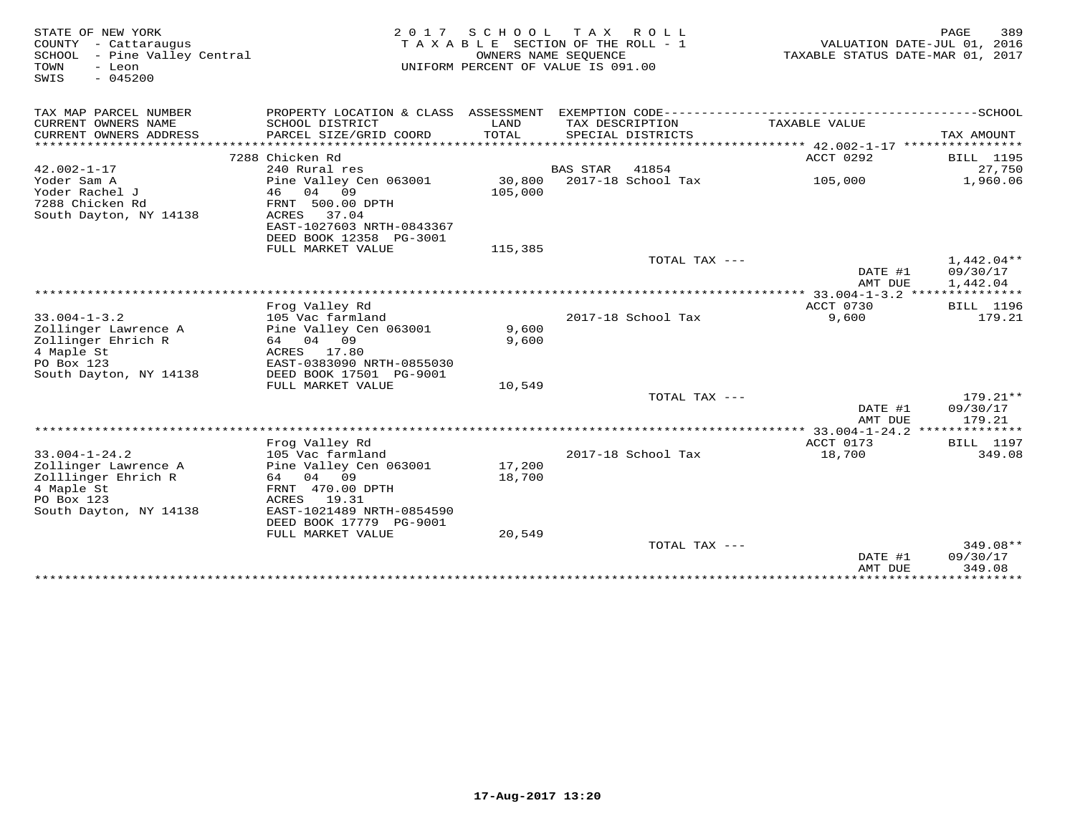| STATE OF NEW YORK               | 2 0 1 7                   | S C H O O L          | T A X<br>R O L L                                                                             |                                  | 389<br>PAGE      |
|---------------------------------|---------------------------|----------------------|----------------------------------------------------------------------------------------------|----------------------------------|------------------|
| COUNTY<br>- Cattaraugus         |                           |                      | TAXABLE SECTION OF THE ROLL - 1                                                              | VALUATION DATE-JUL 01, 2016      |                  |
| - Pine Valley Central<br>SCHOOL |                           | OWNERS NAME SEOUENCE |                                                                                              | TAXABLE STATUS DATE-MAR 01, 2017 |                  |
| TOWN<br>- Leon                  |                           |                      | UNIFORM PERCENT OF VALUE IS 091.00                                                           |                                  |                  |
| SWIS<br>$-045200$               |                           |                      |                                                                                              |                                  |                  |
|                                 |                           |                      |                                                                                              |                                  |                  |
|                                 |                           |                      |                                                                                              |                                  |                  |
| TAX MAP PARCEL NUMBER           |                           |                      | PROPERTY LOCATION & CLASS ASSESSMENT EXEMPTION CODE-----------------------------------SCHOOL |                                  |                  |
| CURRENT OWNERS NAME             | SCHOOL DISTRICT           | LAND                 | TAX DESCRIPTION                                                                              | TAXABLE VALUE                    |                  |
| CURRENT OWNERS ADDRESS          | PARCEL SIZE/GRID COORD    | <b>TOTAL</b>         | SPECIAL DISTRICTS                                                                            |                                  | TAX AMOUNT       |
| ***********************         | ************************  |                      |                                                                                              |                                  |                  |
|                                 | 7288 Chicken Rd           |                      |                                                                                              | ACCT 0292                        | <b>BILL</b> 1195 |
| $42.002 - 1 - 17$               | 240 Rural res             |                      | <b>BAS STAR</b><br>41854                                                                     |                                  | 27,750           |
| Yoder Sam A                     | Pine Valley Cen 063001    | 30,800               | $2017-18$ School Tax                                                                         | 105,000                          | 1,960.06         |
| Yoder Rachel J                  | 04<br>09<br>46            | 105,000              |                                                                                              |                                  |                  |
| 7288 Chicken Rd                 | FRNT 500.00 DPTH          |                      |                                                                                              |                                  |                  |
| South Dayton, NY 14138          | 37.04<br>ACRES            |                      |                                                                                              |                                  |                  |
|                                 | EAST-1027603 NRTH-0843367 |                      |                                                                                              |                                  |                  |
|                                 | DEED BOOK 12358 PG-3001   |                      |                                                                                              |                                  |                  |
|                                 | FULL MARKET VALUE         | 115,385              |                                                                                              |                                  |                  |
|                                 |                           |                      | TOTAL TAX ---                                                                                |                                  | $1,442.04**$     |
|                                 |                           |                      |                                                                                              | DATE #1                          | 09/30/17         |
|                                 |                           |                      |                                                                                              | AMT DUE                          | 1,442.04         |
|                                 |                           |                      |                                                                                              |                                  | ***************  |
|                                 | Frog Valley Rd            |                      |                                                                                              | ACCT 0730                        | <b>BILL</b> 1196 |
| $33.004 - 1 - 3.2$              | 105 Vac farmland          |                      | 2017-18 School Tax                                                                           | 9,600                            | 179.21           |
| Zollinger Lawrence A            | Pine Valley Cen 063001    | 9,600                |                                                                                              |                                  |                  |
| Zollinger Ehrich R              | 64 04 09                  | 9,600                |                                                                                              |                                  |                  |
| 4 Maple St                      | ACRES 17.80               |                      |                                                                                              |                                  |                  |
| PO Box 123                      | EAST-0383090 NRTH-0855030 |                      |                                                                                              |                                  |                  |
| South Dayton, NY 14138          | DEED BOOK 17501 PG-9001   |                      |                                                                                              |                                  |                  |
|                                 | FULL MARKET VALUE         | 10,549               |                                                                                              |                                  |                  |
|                                 |                           |                      | TOTAL TAX ---                                                                                |                                  | 179.21**         |
|                                 |                           |                      |                                                                                              | DATE #1                          | 09/30/17         |
|                                 |                           |                      |                                                                                              | AMT DUE                          | 179.21           |
|                                 |                           |                      |                                                                                              |                                  | ********         |
|                                 | Frog Valley Rd            |                      |                                                                                              | ACCT 0173                        | <b>BILL</b> 1197 |
| $33.004 - 1 - 24.2$             | 105 Vac farmland          |                      | 2017-18 School Tax                                                                           | 18,700                           | 349.08           |
| Zollinger Lawrence A            | Pine Valley Cen 063001    | 17,200               |                                                                                              |                                  |                  |
| Zolllinger Ehrich R             | 64<br>04<br>09            | 18,700               |                                                                                              |                                  |                  |
| 4 Maple St                      | FRNT 470.00 DPTH          |                      |                                                                                              |                                  |                  |
| PO Box 123                      | ACRES<br>19.31            |                      |                                                                                              |                                  |                  |
| South Dayton, NY 14138          | EAST-1021489 NRTH-0854590 |                      |                                                                                              |                                  |                  |
|                                 | DEED BOOK 17779 PG-9001   |                      |                                                                                              |                                  |                  |
|                                 | FULL MARKET VALUE         | 20,549               |                                                                                              |                                  |                  |
|                                 |                           |                      | TOTAL TAX ---                                                                                |                                  | 349.08**         |
|                                 |                           |                      |                                                                                              | DATE #1                          | 09/30/17         |
|                                 |                           |                      |                                                                                              | AMT DUE                          | 349.08           |
|                                 |                           |                      |                                                                                              |                                  |                  |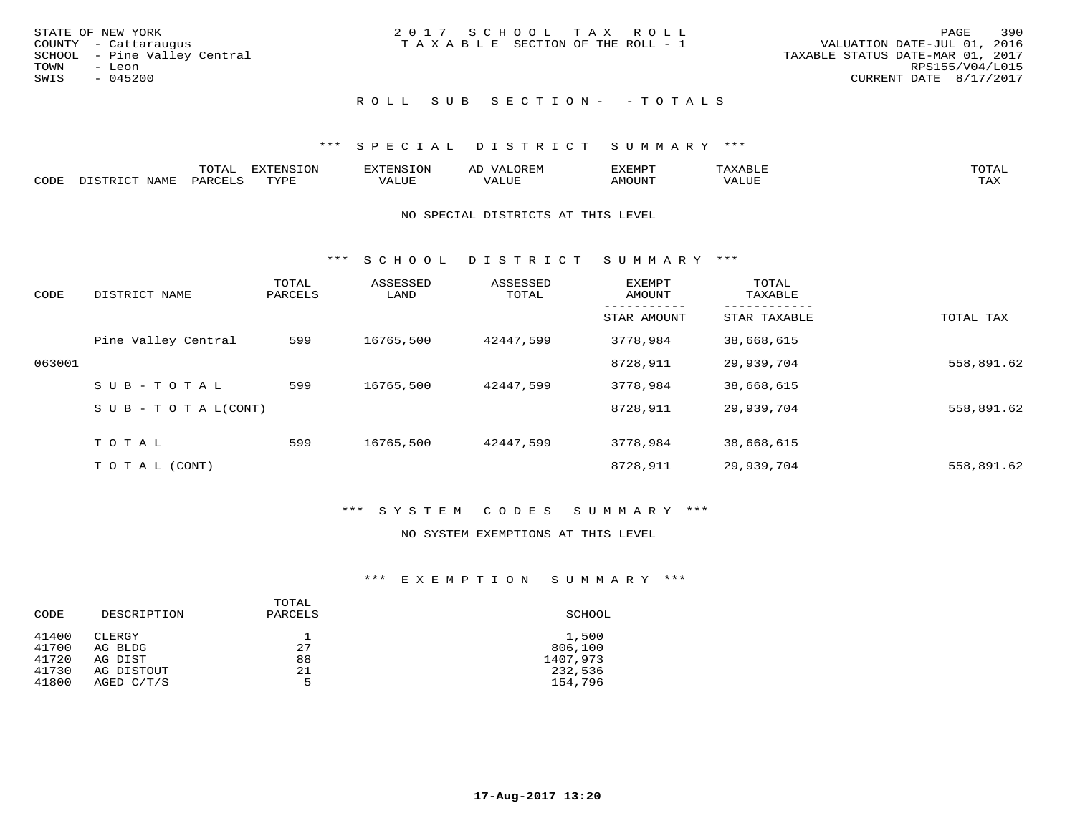|      | STATE OF NEW YORK            | 2017 SCHOOL TAX ROLL            |  |                                  | PAGE            | 390 |
|------|------------------------------|---------------------------------|--|----------------------------------|-----------------|-----|
|      | COUNTY - Cattaraugus         | TAXABLE SECTION OF THE ROLL - 1 |  | VALUATION DATE-JUL 01, 2016      |                 |     |
|      | SCHOOL - Pine Valley Central |                                 |  | TAXABLE STATUS DATE-MAR 01, 2017 |                 |     |
| TOWN | - Leon                       |                                 |  |                                  | RPS155/V04/L015 |     |
| SWIS | - 045200                     |                                 |  | CURRENT DATE 8/17/2017           |                 |     |
|      |                              |                                 |  |                                  |                 |     |

### ROLL SUB SECTION - - TOTALS

### \*\*\* S P E C I A L D I S T R I C T S U M M A R Y \*\*\*

|      |      | $m \wedge m \wedge n$<br>L∪⊥AL | <b>DIZPOILIC TOM</b><br>- Uly | . N S                  | AL.<br>JR LIV        | ,,, <del>,</del> ,,, <del>,</del><br>، ب<br>- ۱٬۱۳۰ نالاند |       | $m \wedge m \wedge n$<br>$\rightarrow$ |
|------|------|--------------------------------|-------------------------------|------------------------|----------------------|------------------------------------------------------------|-------|----------------------------------------|
| CODE | NAME | $PAR$ $($                      | TVDF<br><u>ـ د د</u>          | <b>T T T T</b><br>ALUL | <b>+ +++</b><br>ALUE | TUUOMA                                                     | VALUE | $m \times r$<br>∸∽∸                    |

#### NO SPECIAL DISTRICTS AT THIS LEVEL

\*\*\* S C H O O L D I S T R I C T S U M M A R Y \*\*\*

| CODE   | DISTRICT NAME                    | TOTAL<br>PARCELS | ASSESSED<br>LAND | ASSESSED<br>TOTAL | <b>EXEMPT</b><br>AMOUNT | TOTAL<br>TAXABLE |            |
|--------|----------------------------------|------------------|------------------|-------------------|-------------------------|------------------|------------|
|        |                                  |                  |                  |                   | STAR AMOUNT             | STAR TAXABLE     | TOTAL TAX  |
|        | Pine Valley Central              | 599              | 16765,500        | 42447.599         | 3778,984                | 38,668,615       |            |
| 063001 |                                  |                  |                  |                   | 8728,911                | 29,939,704       | 558,891.62 |
|        | SUB-TOTAL                        | 599              | 16765,500        | 42447.599         | 3778,984                | 38,668,615       |            |
|        | $S \cup B - T \cup T A L (CONT)$ |                  |                  |                   | 8728,911                | 29,939,704       | 558,891.62 |
|        | TOTAL                            | 599              | 16765,500        | 42447.599         | 3778,984                | 38,668,615       |            |
|        | T O T A L (CONT)                 |                  |                  |                   | 8728,911                | 29,939,704       | 558,891.62 |

### \*\*\* S Y S T E M C O D E S S U M M A R Y \*\*\*

#### NO SYSTEM EXEMPTIONS AT THIS LEVEL

#### \*\*\* E X E M P T I O N S U M M A R Y \*\*\*

| CODE           | DESCRIPTION       | TOTAL<br>PARCELS | SCHOOL           |
|----------------|-------------------|------------------|------------------|
| 41400<br>41700 | CLERGY<br>AG BLDG | 27               | 1,500<br>806,100 |
| 41720          | AG DIST           | 88               | 1407,973         |
| 41730          | AG DISTOUT        | 21               | 232,536          |
| 41800          | AGED $C/T/S$      | 5                | 154,796          |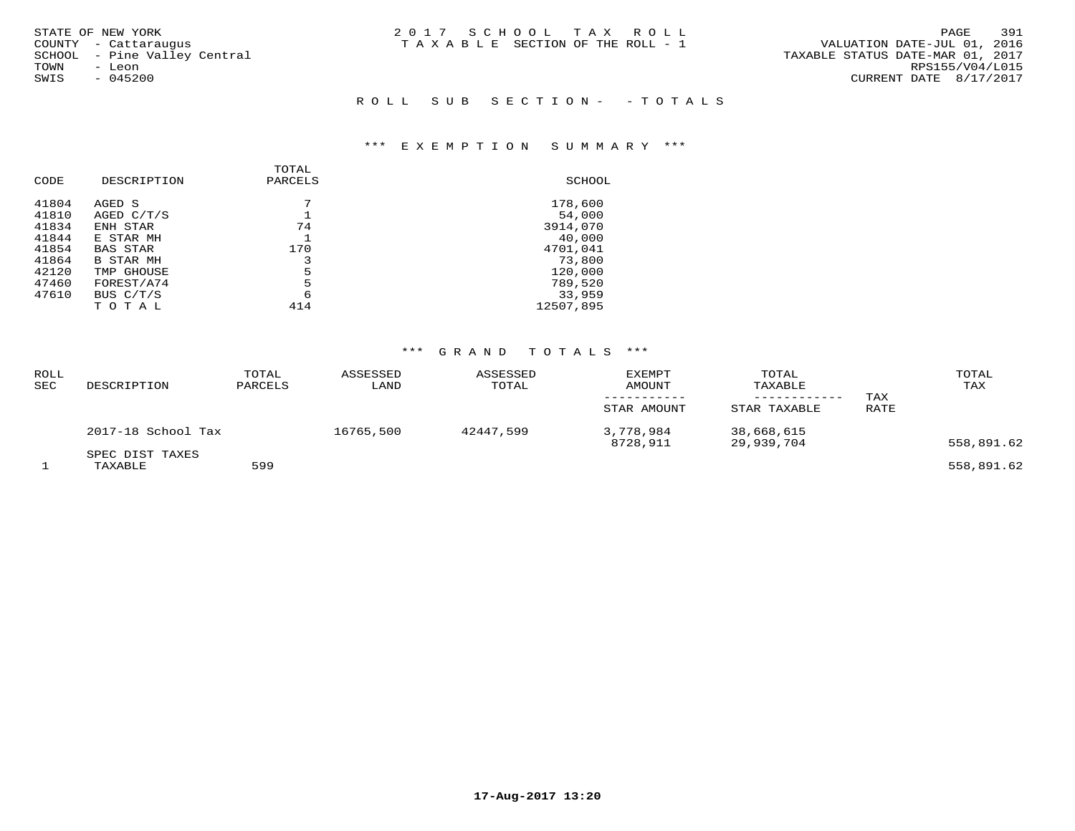| STATE OF NEW YORK            | 2017 SCHOOL TAX ROLL            | 391<br>PAGE                      |
|------------------------------|---------------------------------|----------------------------------|
| COUNTY - Cattaraugus         | TAXABLE SECTION OF THE ROLL - 1 | VALUATION DATE-JUL 01, 2016      |
| SCHOOL - Pine Valley Central |                                 | TAXABLE STATUS DATE-MAR 01, 2017 |
| TOWN<br>- Leon               |                                 | RPS155/V04/L015                  |
| $-045200$<br>SWIS            |                                 | CURRENT DATE 8/17/2017           |
|                              |                                 |                                  |
|                              | ROLL SUB SECTION- - TOTALS      |                                  |

### \*\*\* E X E M P T I O N S U M M A R Y \*\*\*

|       |                  | TOTAL   |           |
|-------|------------------|---------|-----------|
| CODE  | DESCRIPTION      | PARCELS | SCHOOL    |
| 41804 | AGED S           |         | 178,600   |
| 41810 | AGED C/T/S       |         | 54,000    |
| 41834 | ENH STAR         | 74      | 3914,070  |
| 41844 | E STAR MH        |         | 40,000    |
| 41854 | <b>BAS STAR</b>  | 170     | 4701,041  |
| 41864 | <b>B STAR MH</b> | 3       | 73,800    |
| 42120 | TMP GHOUSE       | 5       | 120,000   |
| 47460 | FOREST/A74       | 5       | 789,520   |
| 47610 | BUS C/T/S        | 6       | 33,959    |
|       | TOTAL            | 414     | 12507,895 |

## \*\*\* G R A N D T O T A L S \*\*\*

| ROLL<br><b>SEC</b> | DESCRIPTION                | TOTAL<br>PARCELS | ASSESSED<br>LAND | ASSESSED<br>TOTAL | <b>EXEMPT</b><br>AMOUNT<br>STAR AMOUNT | TOTAL<br>TAXABLE<br>STAR TAXABLE | TAX<br><b>RATE</b> | TOTAL<br>TAX |
|--------------------|----------------------------|------------------|------------------|-------------------|----------------------------------------|----------------------------------|--------------------|--------------|
|                    | 2017-18 School Tax         |                  | 16765,500        | 42447,599         | 3,778,984<br>8728,911                  | 38,668,615<br>29,939,704         |                    | 558,891.62   |
|                    | SPEC DIST TAXES<br>TAXABLE | 599              |                  |                   |                                        |                                  |                    | 558,891.62   |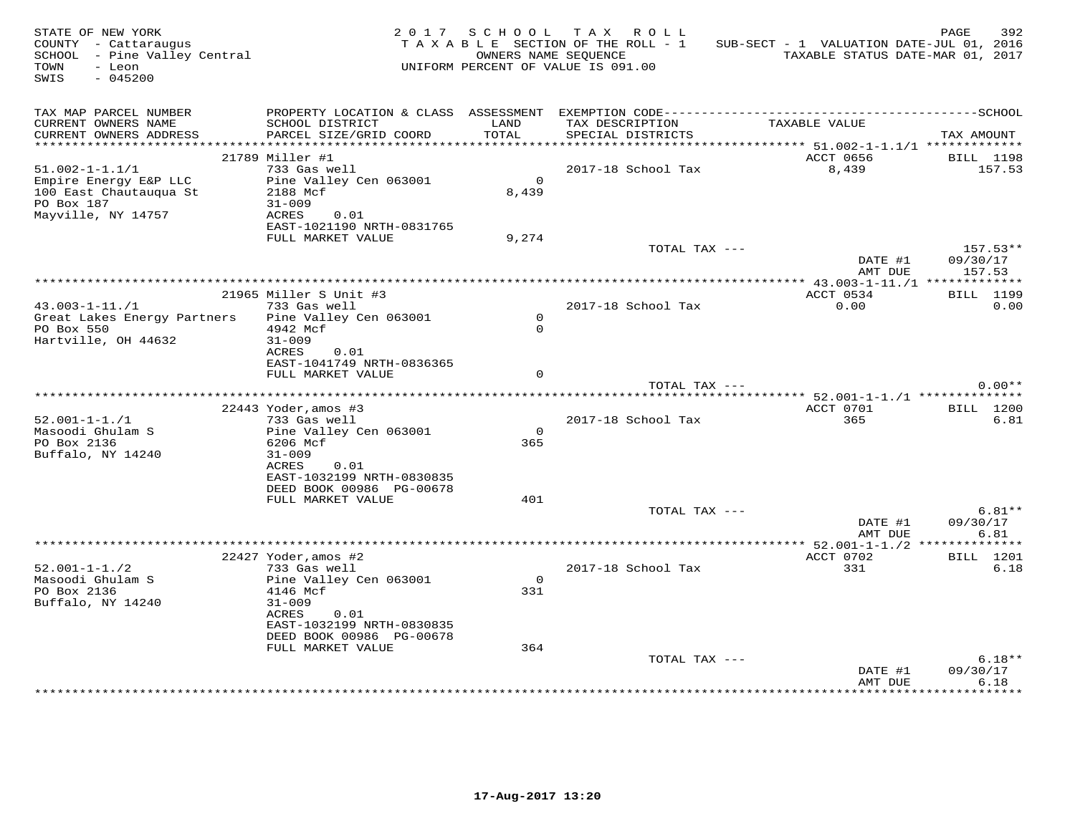| STATE OF NEW YORK<br>COUNTY - Cattaraugus<br>SCHOOL - Pine Valley Central<br>TOWN<br>- Leon<br>$-045200$<br>SWIS |                                                  | 2017 SCHOOL   | TAX ROLL<br>T A X A B L E SECTION OF THE ROLL - 1<br>OWNERS NAME SEQUENCE<br>UNIFORM PERCENT OF VALUE IS 091.00 | SUB-SECT - 1 VALUATION DATE-JUL 01, 2016<br>TAXABLE STATUS DATE-MAR 01, 2017 | PAGE<br>392                      |
|------------------------------------------------------------------------------------------------------------------|--------------------------------------------------|---------------|-----------------------------------------------------------------------------------------------------------------|------------------------------------------------------------------------------|----------------------------------|
| TAX MAP PARCEL NUMBER<br>CURRENT OWNERS NAME<br>CURRENT OWNERS ADDRESS                                           | SCHOOL DISTRICT<br>PARCEL SIZE/GRID COORD        | LAND<br>TOTAL | TAX DESCRIPTION<br>SPECIAL DISTRICTS                                                                            | TAXABLE VALUE                                                                | TAX AMOUNT                       |
|                                                                                                                  |                                                  |               |                                                                                                                 |                                                                              |                                  |
|                                                                                                                  | 21789 Miller #1                                  |               |                                                                                                                 | ACCT 0656                                                                    | <b>BILL</b> 1198                 |
| $51.002 - 1 - 1.1/1$                                                                                             | 733 Gas well                                     | $\Omega$      | 2017-18 School Tax                                                                                              | 8,439                                                                        | 157.53                           |
| Empire Energy E&P LLC<br>100 East Chautauqua St<br>PO Box 187                                                    | Pine Valley Cen 063001<br>2188 Mcf<br>$31 - 009$ | 8,439         |                                                                                                                 |                                                                              |                                  |
| Mayville, NY 14757                                                                                               | ACRES<br>0.01<br>EAST-1021190 NRTH-0831765       |               |                                                                                                                 |                                                                              |                                  |
|                                                                                                                  | FULL MARKET VALUE                                | 9,274         |                                                                                                                 |                                                                              |                                  |
|                                                                                                                  |                                                  |               | TOTAL TAX ---                                                                                                   | DATE #1<br>AMT DUE                                                           | $157.53**$<br>09/30/17<br>157.53 |
|                                                                                                                  |                                                  |               |                                                                                                                 |                                                                              |                                  |
|                                                                                                                  | 21965 Miller S Unit #3                           |               |                                                                                                                 | ACCT 0534                                                                    | <b>BILL</b> 1199                 |
| $43.003 - 1 - 11.71$<br>Great Lakes Energy Partners                                                              | 733 Gas well<br>Pine Valley Cen 063001           | $\mathsf{O}$  | 2017-18 School Tax                                                                                              | 0.00                                                                         | 0.00                             |
| PO Box 550                                                                                                       | 4942 Mcf                                         | $\Omega$      |                                                                                                                 |                                                                              |                                  |
| Hartville, OH 44632                                                                                              | $31 - 009$                                       |               |                                                                                                                 |                                                                              |                                  |
|                                                                                                                  | ACRES<br>0.01                                    |               |                                                                                                                 |                                                                              |                                  |
|                                                                                                                  | EAST-1041749 NRTH-0836365<br>FULL MARKET VALUE   | $\Omega$      |                                                                                                                 |                                                                              |                                  |
|                                                                                                                  |                                                  |               | TOTAL TAX ---                                                                                                   |                                                                              | $0.00**$                         |
|                                                                                                                  |                                                  |               |                                                                                                                 | ************************* 52.001-1-1./1 ***************                      |                                  |
|                                                                                                                  | 22443 Yoder, amos #3                             |               |                                                                                                                 | ACCT 0701                                                                    | <b>BILL</b> 1200                 |
| $52.001 - 1 - 1.71$<br>Masoodi Ghulam S                                                                          | 733 Gas well<br>Pine Valley Cen 063001           | $\circ$       | 2017-18 School Tax                                                                                              | 365                                                                          | 6.81                             |
| PO Box 2136                                                                                                      | 6206 Mcf                                         | 365           |                                                                                                                 |                                                                              |                                  |
| Buffalo, NY 14240                                                                                                | $31 - 009$                                       |               |                                                                                                                 |                                                                              |                                  |
|                                                                                                                  | ACRES<br>0.01                                    |               |                                                                                                                 |                                                                              |                                  |
|                                                                                                                  | EAST-1032199 NRTH-0830835                        |               |                                                                                                                 |                                                                              |                                  |
|                                                                                                                  | DEED BOOK 00986 PG-00678<br>FULL MARKET VALUE    | 401           |                                                                                                                 |                                                                              |                                  |
|                                                                                                                  |                                                  |               | TOTAL TAX ---                                                                                                   |                                                                              | $6.81**$                         |
|                                                                                                                  |                                                  |               |                                                                                                                 | DATE #1<br>AMT DUE                                                           | 09/30/17<br>6.81                 |
|                                                                                                                  | 22427 Yoder, amos #2                             |               |                                                                                                                 | ** 52.001-1-1./2 ***************<br>ACCT 0702                                | <b>BILL</b> 1201                 |
| $52.001 - 1 - 1.72$                                                                                              | 733 Gas well                                     |               | 2017-18 School Tax                                                                                              | 331                                                                          | 6.18                             |
| Masoodi Ghulam S                                                                                                 | Pine Valley Cen 063001                           | $\circ$       |                                                                                                                 |                                                                              |                                  |
| PO Box 2136                                                                                                      | 4146 Mcf                                         | 331           |                                                                                                                 |                                                                              |                                  |
| Buffalo, NY 14240                                                                                                | $31 - 009$                                       |               |                                                                                                                 |                                                                              |                                  |
|                                                                                                                  | ACRES<br>0.01<br>EAST-1032199 NRTH-0830835       |               |                                                                                                                 |                                                                              |                                  |
|                                                                                                                  | DEED BOOK 00986 PG-00678                         |               |                                                                                                                 |                                                                              |                                  |
|                                                                                                                  | FULL MARKET VALUE                                | 364           |                                                                                                                 |                                                                              |                                  |
|                                                                                                                  |                                                  |               | TOTAL TAX ---                                                                                                   |                                                                              | $6.18**$                         |
|                                                                                                                  |                                                  |               |                                                                                                                 | DATE #1<br>AMT DUE                                                           | 09/30/17<br>6.18                 |
|                                                                                                                  |                                                  |               |                                                                                                                 |                                                                              |                                  |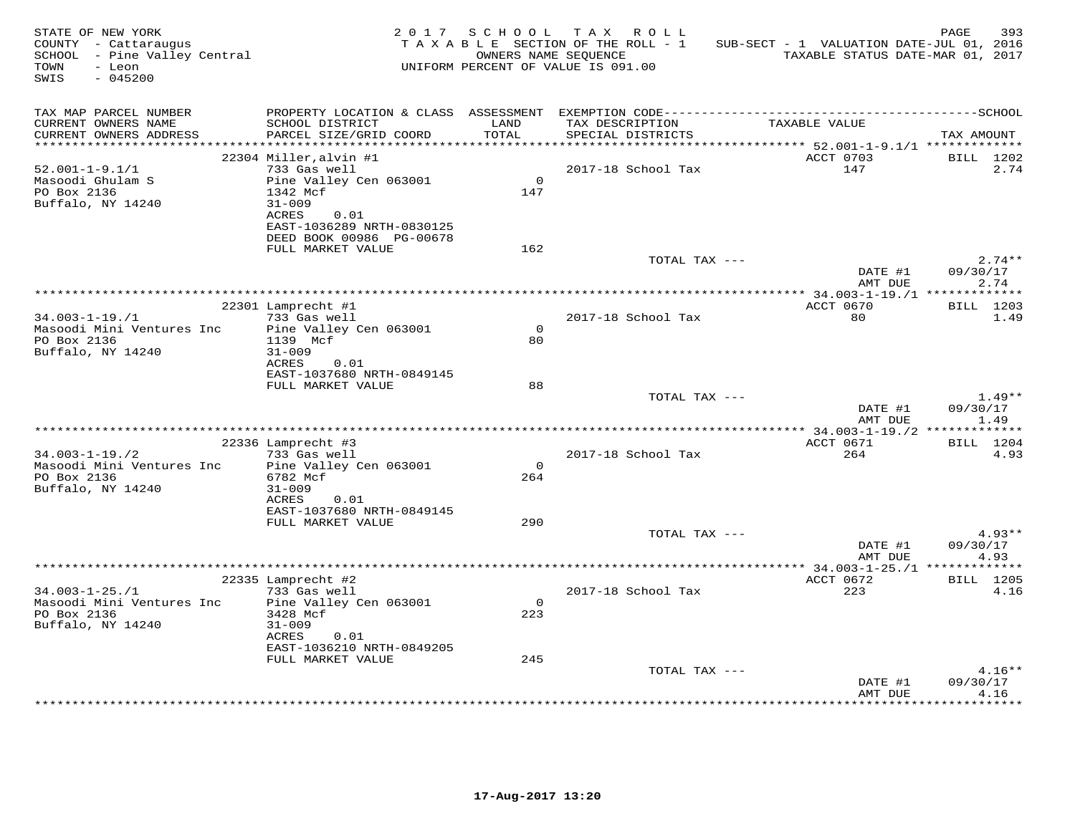| STATE OF NEW YORK<br>COUNTY - Cattaraugus<br>SCHOOL - Pine Valley Central<br>TOWN<br>- Leon<br>$-045200$<br>SWIS |                                           | 2017 SCHOOL        | TAX ROLL<br>T A X A B L E SECTION OF THE ROLL - 1<br>OWNERS NAME SEQUENCE<br>UNIFORM PERCENT OF VALUE IS 091.00 | SUB-SECT - 1 VALUATION DATE-JUL 01, 2016<br>TAXABLE STATUS DATE-MAR 01, 2017 | 393<br>PAGE          |
|------------------------------------------------------------------------------------------------------------------|-------------------------------------------|--------------------|-----------------------------------------------------------------------------------------------------------------|------------------------------------------------------------------------------|----------------------|
| TAX MAP PARCEL NUMBER<br>CURRENT OWNERS NAME<br>CURRENT OWNERS ADDRESS                                           | SCHOOL DISTRICT<br>PARCEL SIZE/GRID COORD | LAND<br>TOTAL      | TAX DESCRIPTION<br>SPECIAL DISTRICTS                                                                            | TAXABLE VALUE                                                                | TAX AMOUNT           |
|                                                                                                                  |                                           |                    |                                                                                                                 |                                                                              |                      |
|                                                                                                                  | 22304 Miller, alvin #1                    |                    |                                                                                                                 | ACCT 0703                                                                    | BILL 1202            |
| $52.001 - 1 - 9.1/1$                                                                                             | 733 Gas well                              |                    | 2017-18 School Tax                                                                                              | 147                                                                          | 2.74                 |
| Masoodi Ghulam S<br>PO Box 2136                                                                                  | Pine Valley Cen 063001<br>1342 Mcf        | $\Omega$<br>147    |                                                                                                                 |                                                                              |                      |
| Buffalo, NY 14240                                                                                                | $31 - 009$                                |                    |                                                                                                                 |                                                                              |                      |
|                                                                                                                  | ACRES<br>0.01                             |                    |                                                                                                                 |                                                                              |                      |
|                                                                                                                  | EAST-1036289 NRTH-0830125                 |                    |                                                                                                                 |                                                                              |                      |
|                                                                                                                  | DEED BOOK 00986 PG-00678                  |                    |                                                                                                                 |                                                                              |                      |
|                                                                                                                  | FULL MARKET VALUE                         | 162                | TOTAL TAX ---                                                                                                   |                                                                              | $2.74**$             |
|                                                                                                                  |                                           |                    |                                                                                                                 | DATE #1                                                                      | 09/30/17             |
|                                                                                                                  |                                           |                    |                                                                                                                 | AMT DUE                                                                      | 2.74                 |
|                                                                                                                  |                                           |                    |                                                                                                                 |                                                                              |                      |
|                                                                                                                  | 22301 Lamprecht #1                        |                    |                                                                                                                 | ACCT 0670                                                                    | BILL 1203            |
| $34.003 - 1 - 19. / 1$                                                                                           | 733 Gas well                              |                    | 2017-18 School Tax                                                                                              | 80                                                                           | 1.49                 |
| Masoodi Mini Ventures Inc<br>PO Box 2136                                                                         | Pine Valley Cen 063001<br>1139 Mcf        | $\mathbf{O}$<br>80 |                                                                                                                 |                                                                              |                      |
| Buffalo, NY 14240                                                                                                | $31 - 009$                                |                    |                                                                                                                 |                                                                              |                      |
|                                                                                                                  | ACRES<br>0.01                             |                    |                                                                                                                 |                                                                              |                      |
|                                                                                                                  | EAST-1037680 NRTH-0849145                 |                    |                                                                                                                 |                                                                              |                      |
|                                                                                                                  | FULL MARKET VALUE                         | 88                 |                                                                                                                 |                                                                              |                      |
|                                                                                                                  |                                           |                    | TOTAL TAX ---                                                                                                   |                                                                              | $1.49**$<br>09/30/17 |
|                                                                                                                  |                                           |                    |                                                                                                                 | DATE #1<br>AMT DUE                                                           | 1.49                 |
|                                                                                                                  |                                           |                    |                                                                                                                 |                                                                              |                      |
|                                                                                                                  | 22336 Lamprecht #3                        |                    |                                                                                                                 | ACCT 0671                                                                    | BILL 1204            |
| $34.003 - 1 - 19.72$                                                                                             | 733 Gas well                              |                    | 2017-18 School Tax                                                                                              | 264                                                                          | 4.93                 |
| Masoodi Mini Ventures Inc                                                                                        | Pine Valley Cen 063001                    | $\Omega$           |                                                                                                                 |                                                                              |                      |
| PO Box 2136<br>Buffalo, NY 14240                                                                                 | 6782 Mcf<br>$31 - 009$                    | 264                |                                                                                                                 |                                                                              |                      |
|                                                                                                                  | ACRES<br>0.01                             |                    |                                                                                                                 |                                                                              |                      |
|                                                                                                                  | EAST-1037680 NRTH-0849145                 |                    |                                                                                                                 |                                                                              |                      |
|                                                                                                                  | FULL MARKET VALUE                         | 290                |                                                                                                                 |                                                                              |                      |
|                                                                                                                  |                                           |                    | TOTAL TAX ---                                                                                                   |                                                                              | $4.93**$             |
|                                                                                                                  |                                           |                    |                                                                                                                 | DATE #1<br>AMT DUE                                                           | 09/30/17<br>4.93     |
|                                                                                                                  |                                           |                    |                                                                                                                 |                                                                              |                      |
|                                                                                                                  | 22335 Lamprecht #2                        |                    |                                                                                                                 | ACCT 0672                                                                    | BILL 1205            |
| $34.003 - 1 - 25. / 1$                                                                                           | 733 Gas well                              |                    | 2017-18 School Tax                                                                                              | 223                                                                          | 4.16                 |
| Masoodi Mini Ventures Inc                                                                                        | Pine Valley Cen 063001                    | $\mathbf{O}$       |                                                                                                                 |                                                                              |                      |
| PO Box 2136                                                                                                      | 3428 Mcf                                  | 223                |                                                                                                                 |                                                                              |                      |
| Buffalo, NY 14240                                                                                                | $31 - 009$<br>ACRES<br>0.01               |                    |                                                                                                                 |                                                                              |                      |
|                                                                                                                  | EAST-1036210 NRTH-0849205                 |                    |                                                                                                                 |                                                                              |                      |
|                                                                                                                  | FULL MARKET VALUE                         | 245                |                                                                                                                 |                                                                              |                      |
|                                                                                                                  |                                           |                    | TOTAL TAX ---                                                                                                   |                                                                              | $4.16**$             |
|                                                                                                                  |                                           |                    |                                                                                                                 | DATE #1                                                                      | 09/30/17             |
|                                                                                                                  |                                           |                    |                                                                                                                 | AMT DUE                                                                      | 4.16<br>******       |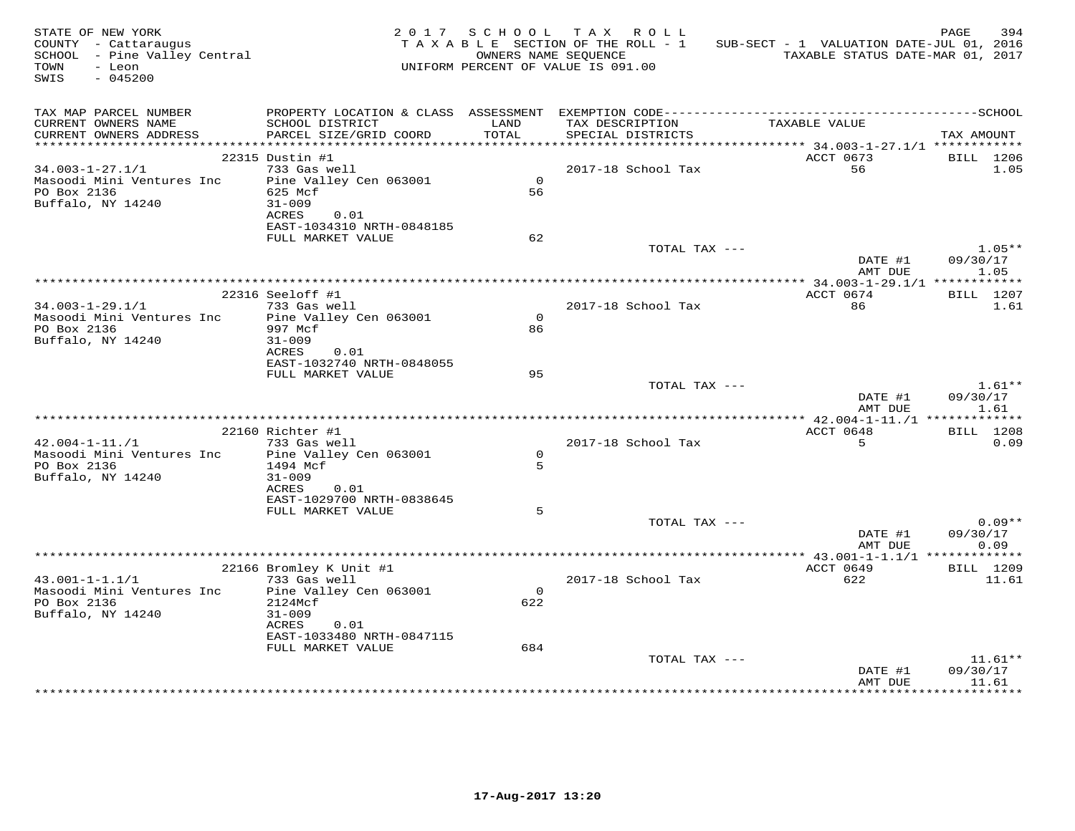| STATE OF NEW YORK<br>COUNTY - Cattaraugus<br>SCHOOL - Pine Valley Central<br>- Leon<br>TOWN<br>SWIS<br>$-045200$ |                                                |               | 2017 SCHOOL TAX ROLL<br>TAXABLE SECTION OF THE ROLL - 1<br>OWNERS NAME SEQUENCE<br>UNIFORM PERCENT OF VALUE IS 091.00 | SUB-SECT - 1 VALUATION DATE-JUL 01, 2016<br>TAXABLE STATUS DATE-MAR 01, 2017 | PAGE<br>394       |
|------------------------------------------------------------------------------------------------------------------|------------------------------------------------|---------------|-----------------------------------------------------------------------------------------------------------------------|------------------------------------------------------------------------------|-------------------|
| TAX MAP PARCEL NUMBER<br>CURRENT OWNERS NAME<br>CURRENT OWNERS ADDRESS                                           | SCHOOL DISTRICT<br>PARCEL SIZE/GRID COORD      | LAND<br>TOTAL | TAX DESCRIPTION<br>SPECIAL DISTRICTS                                                                                  | TAXABLE VALUE                                                                | TAX AMOUNT        |
|                                                                                                                  |                                                |               |                                                                                                                       |                                                                              |                   |
|                                                                                                                  | 22315 Dustin #1                                |               |                                                                                                                       | ACCT 0673                                                                    | BILL 1206         |
| $34.003 - 1 - 27.1/1$                                                                                            | 733 Gas well                                   |               | 2017-18 School Tax                                                                                                    | 56                                                                           | 1.05              |
| Masoodi Mini Ventures Inc                                                                                        | Pine Valley Cen 063001                         | $\Omega$      |                                                                                                                       |                                                                              |                   |
| PO Box 2136<br>Buffalo, NY 14240                                                                                 | 625 Mcf<br>$31 - 009$                          | 56            |                                                                                                                       |                                                                              |                   |
|                                                                                                                  | ACRES<br>0.01                                  |               |                                                                                                                       |                                                                              |                   |
|                                                                                                                  | EAST-1034310 NRTH-0848185                      |               |                                                                                                                       |                                                                              |                   |
|                                                                                                                  | FULL MARKET VALUE                              | 62            |                                                                                                                       |                                                                              |                   |
|                                                                                                                  |                                                |               | TOTAL TAX ---                                                                                                         |                                                                              | $1.05**$          |
|                                                                                                                  |                                                |               |                                                                                                                       | DATE #1                                                                      | 09/30/17          |
|                                                                                                                  |                                                |               |                                                                                                                       | AMT DUE                                                                      | 1.05              |
|                                                                                                                  |                                                |               |                                                                                                                       |                                                                              |                   |
| $34.003 - 1 - 29.1/1$                                                                                            | 22316 Seeloff #1<br>733 Gas well               |               | 2017-18 School Tax                                                                                                    | ACCT 0674<br>86                                                              | BILL 1207<br>1.61 |
| Masoodi Mini Ventures Inc                                                                                        | Pine Valley Cen 063001                         | $\Omega$      |                                                                                                                       |                                                                              |                   |
| PO Box 2136                                                                                                      | 997 Mcf                                        | 86            |                                                                                                                       |                                                                              |                   |
| Buffalo, NY 14240                                                                                                | $31 - 009$                                     |               |                                                                                                                       |                                                                              |                   |
|                                                                                                                  | ACRES<br>0.01                                  |               |                                                                                                                       |                                                                              |                   |
|                                                                                                                  | EAST-1032740 NRTH-0848055                      |               |                                                                                                                       |                                                                              |                   |
|                                                                                                                  | FULL MARKET VALUE                              | 95            |                                                                                                                       |                                                                              |                   |
|                                                                                                                  |                                                |               | TOTAL TAX ---                                                                                                         |                                                                              | $1.61**$          |
|                                                                                                                  |                                                |               |                                                                                                                       | DATE #1<br>AMT DUE                                                           | 09/30/17<br>1.61  |
|                                                                                                                  |                                                |               |                                                                                                                       |                                                                              |                   |
|                                                                                                                  | 22160 Richter #1                               |               |                                                                                                                       | ACCT 0648                                                                    | <b>BILL</b> 1208  |
| $42.004 - 1 - 11./1$                                                                                             | 733 Gas well                                   |               | 2017-18 School Tax                                                                                                    | 5                                                                            | 0.09              |
| Masoodi Mini Ventures Inc                                                                                        | Pine Valley Cen 063001                         | $\Omega$      |                                                                                                                       |                                                                              |                   |
| PO Box 2136                                                                                                      | 1494 Mcf                                       | 5             |                                                                                                                       |                                                                              |                   |
| Buffalo, NY 14240                                                                                                | $31 - 009$                                     |               |                                                                                                                       |                                                                              |                   |
|                                                                                                                  | ACRES<br>0.01                                  |               |                                                                                                                       |                                                                              |                   |
|                                                                                                                  | EAST-1029700 NRTH-0838645<br>FULL MARKET VALUE | 5             |                                                                                                                       |                                                                              |                   |
|                                                                                                                  |                                                |               | TOTAL TAX ---                                                                                                         |                                                                              | $0.09**$          |
|                                                                                                                  |                                                |               |                                                                                                                       | DATE #1                                                                      | 09/30/17          |
|                                                                                                                  |                                                |               |                                                                                                                       | AMT DUE                                                                      | 0.09              |
|                                                                                                                  |                                                |               | *************************************                                                                                 | ************* 43.001-1-1.1/1 **************                                  |                   |
|                                                                                                                  | 22166 Bromley K Unit #1                        |               |                                                                                                                       | ACCT 0649                                                                    | BILL 1209         |
| $43.001 - 1 - 1.1/1$                                                                                             | 733 Gas well                                   |               | 2017-18 School Tax                                                                                                    | 622                                                                          | 11.61             |
| Masoodi Mini Ventures Inc                                                                                        | Pine Valley Cen 063001                         | $\circ$       |                                                                                                                       |                                                                              |                   |
| PO Box 2136<br>Buffalo, NY 14240                                                                                 | 2124Mcf<br>$31 - 009$                          | 622           |                                                                                                                       |                                                                              |                   |
|                                                                                                                  | ACRES<br>0.01                                  |               |                                                                                                                       |                                                                              |                   |
|                                                                                                                  | EAST-1033480 NRTH-0847115                      |               |                                                                                                                       |                                                                              |                   |
|                                                                                                                  | FULL MARKET VALUE                              | 684           |                                                                                                                       |                                                                              |                   |
|                                                                                                                  |                                                |               | TOTAL TAX ---                                                                                                         |                                                                              | $11.61**$         |
|                                                                                                                  |                                                |               |                                                                                                                       | DATE #1                                                                      | 09/30/17          |
|                                                                                                                  |                                                |               |                                                                                                                       | AMT DUE                                                                      | 11.61             |
|                                                                                                                  |                                                |               |                                                                                                                       |                                                                              |                   |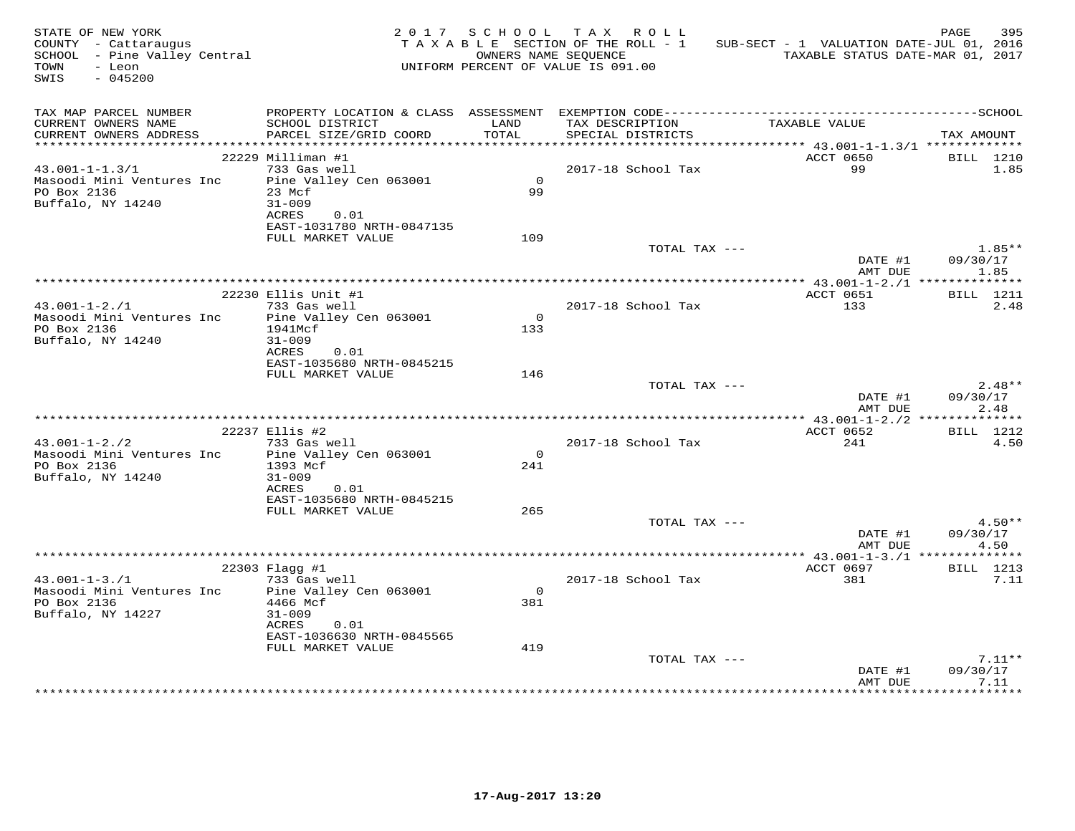| STATE OF NEW YORK<br>COUNTY - Cattaraugus<br>SCHOOL - Pine Valley Central<br>- Leon<br>TOWN<br>SWIS<br>$-045200$ |                                                                 | 2017 SCHOOL   | TAX ROLL<br>TAXABLE SECTION OF THE ROLL - 1<br>OWNERS NAME SEOUENCE<br>UNIFORM PERCENT OF VALUE IS 091.00 | SUB-SECT - 1 VALUATION DATE-JUL 01, 2016<br>TAXABLE STATUS DATE-MAR 01, 2017                                  | 395<br>PAGE              |
|------------------------------------------------------------------------------------------------------------------|-----------------------------------------------------------------|---------------|-----------------------------------------------------------------------------------------------------------|---------------------------------------------------------------------------------------------------------------|--------------------------|
| TAX MAP PARCEL NUMBER<br>CURRENT OWNERS NAME                                                                     | SCHOOL DISTRICT                                                 | LAND          | TAX DESCRIPTION                                                                                           | PROPERTY LOCATION & CLASS ASSESSMENT EXEMPTION CODE-----------------------------------SCHOOL<br>TAXABLE VALUE |                          |
| CURRENT OWNERS ADDRESS                                                                                           | PARCEL SIZE/GRID COORD                                          | TOTAL         | SPECIAL DISTRICTS                                                                                         |                                                                                                               | TAX AMOUNT               |
|                                                                                                                  | 22229 Milliman #1                                               |               |                                                                                                           | ACCT 0650                                                                                                     | <b>BILL</b> 1210         |
| $43.001 - 1 - 1.3/1$                                                                                             | 733 Gas well                                                    |               | 2017-18 School Tax                                                                                        | 99                                                                                                            | 1.85                     |
| Masoodi Mini Ventures Inc<br>PO Box 2136<br>Buffalo, NY 14240                                                    | Pine Valley Cen 063001<br>23 Mcf<br>$31 - 009$                  | $\circ$<br>99 |                                                                                                           |                                                                                                               |                          |
|                                                                                                                  | ACRES<br>0.01<br>EAST-1031780 NRTH-0847135<br>FULL MARKET VALUE | 109           |                                                                                                           |                                                                                                               |                          |
|                                                                                                                  |                                                                 |               | TOTAL TAX ---                                                                                             | DATE #1                                                                                                       | $1.85**$<br>09/30/17     |
|                                                                                                                  |                                                                 |               |                                                                                                           | AMT DUE                                                                                                       | 1.85                     |
|                                                                                                                  |                                                                 |               |                                                                                                           |                                                                                                               |                          |
| $43.001 - 1 - 2.71$                                                                                              | 22230 Ellis Unit #1<br>733 Gas well                             |               | 2017-18 School Tax                                                                                        | ACCT 0651<br>133                                                                                              | <b>BILL</b> 1211<br>2.48 |
| Masoodi Mini Ventures Inc                                                                                        | Pine Valley Cen 063001                                          | $\Omega$      |                                                                                                           |                                                                                                               |                          |
| PO Box 2136                                                                                                      | 1941Mcf                                                         | 133           |                                                                                                           |                                                                                                               |                          |
| Buffalo, NY 14240                                                                                                | $31 - 009$                                                      |               |                                                                                                           |                                                                                                               |                          |
|                                                                                                                  | ACRES<br>0.01                                                   |               |                                                                                                           |                                                                                                               |                          |
|                                                                                                                  | EAST-1035680 NRTH-0845215<br>FULL MARKET VALUE                  | 146           |                                                                                                           |                                                                                                               |                          |
|                                                                                                                  |                                                                 |               | TOTAL TAX ---                                                                                             |                                                                                                               | $2.48**$                 |
|                                                                                                                  |                                                                 |               |                                                                                                           | DATE #1<br>AMT DUE                                                                                            | 09/30/17<br>2.48         |
|                                                                                                                  |                                                                 |               |                                                                                                           |                                                                                                               |                          |
|                                                                                                                  | 22237 Ellis #2                                                  |               |                                                                                                           | ACCT 0652                                                                                                     | BILL 1212                |
| $43.001 - 1 - 2.72$<br>Masoodi Mini Ventures Inc                                                                 | 733 Gas well<br>Pine Valley Cen 063001                          | $\circ$       | 2017-18 School Tax                                                                                        | 241                                                                                                           | 4.50                     |
| PO Box 2136                                                                                                      | 1393 Mcf                                                        | 241           |                                                                                                           |                                                                                                               |                          |
| Buffalo, NY 14240                                                                                                | $31 - 009$                                                      |               |                                                                                                           |                                                                                                               |                          |
|                                                                                                                  | ACRES<br>0.01<br>EAST-1035680 NRTH-0845215                      |               |                                                                                                           |                                                                                                               |                          |
|                                                                                                                  | FULL MARKET VALUE                                               | 265           |                                                                                                           |                                                                                                               |                          |
|                                                                                                                  |                                                                 |               | TOTAL TAX ---                                                                                             |                                                                                                               | $4.50**$                 |
|                                                                                                                  |                                                                 |               |                                                                                                           | DATE #1                                                                                                       | 09/30/17                 |
|                                                                                                                  |                                                                 |               |                                                                                                           | AMT DUE                                                                                                       | 4.50                     |
|                                                                                                                  | 22303 Flagg #1                                                  |               |                                                                                                           | *************** 43.001-1-3./1 **************<br>ACCT 0697                                                     | BILL 1213                |
| $43.001 - 1 - 3.71$                                                                                              | 733 Gas well                                                    |               | 2017-18 School Tax                                                                                        | 381                                                                                                           | 7.11                     |
| Masoodi Mini Ventures Inc                                                                                        | Pine Valley Cen 063001                                          | $\Omega$      |                                                                                                           |                                                                                                               |                          |
| PO Box 2136                                                                                                      | 4466 Mcf                                                        | 381           |                                                                                                           |                                                                                                               |                          |
| Buffalo, NY 14227                                                                                                | $31 - 009$<br>ACRES<br>0.01                                     |               |                                                                                                           |                                                                                                               |                          |
|                                                                                                                  | EAST-1036630 NRTH-0845565                                       |               |                                                                                                           |                                                                                                               |                          |
|                                                                                                                  | FULL MARKET VALUE                                               | 419           |                                                                                                           |                                                                                                               |                          |
|                                                                                                                  |                                                                 |               | TOTAL TAX ---                                                                                             |                                                                                                               | $7.11**$                 |
|                                                                                                                  |                                                                 |               |                                                                                                           | DATE #1                                                                                                       | 09/30/17                 |
|                                                                                                                  |                                                                 |               |                                                                                                           | AMT DUE                                                                                                       | 7.11                     |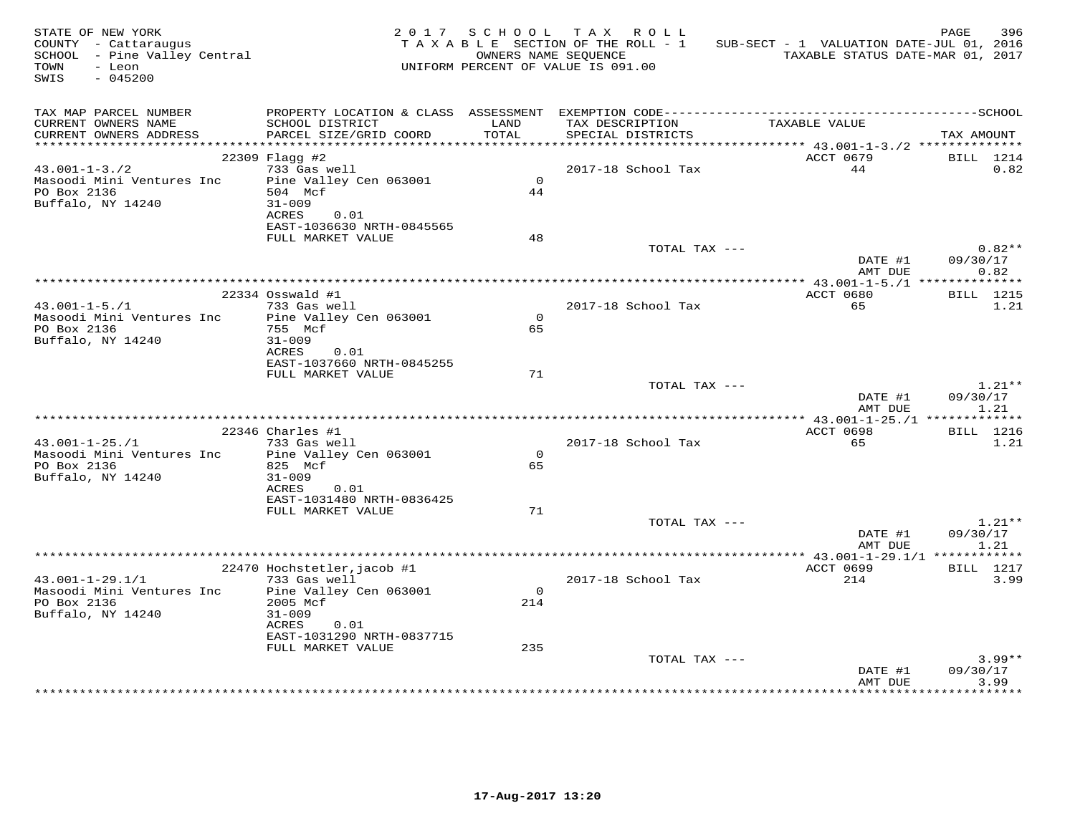| STATE OF NEW YORK<br>COUNTY - Cattaraugus<br>SCHOOL - Pine Valley Central<br>- Leon<br>TOWN<br>SWIS<br>$-045200$ |                                                                                  |                | 2017 SCHOOL TAX ROLL<br>TAXABLE SECTION OF THE ROLL - 1<br>OWNERS NAME SEQUENCE<br>UNIFORM PERCENT OF VALUE IS 091.00 | SUB-SECT - 1 VALUATION DATE-JUL 01, 2016<br>TAXABLE STATUS DATE-MAR 01, 2017 | PAGE<br>396                  |
|------------------------------------------------------------------------------------------------------------------|----------------------------------------------------------------------------------|----------------|-----------------------------------------------------------------------------------------------------------------------|------------------------------------------------------------------------------|------------------------------|
| TAX MAP PARCEL NUMBER<br>CURRENT OWNERS NAME<br>CURRENT OWNERS ADDRESS                                           | SCHOOL DISTRICT<br>PARCEL SIZE/GRID COORD                                        | LAND<br>TOTAL  | TAX DESCRIPTION<br>SPECIAL DISTRICTS                                                                                  | TAXABLE VALUE                                                                | TAX AMOUNT                   |
|                                                                                                                  |                                                                                  |                |                                                                                                                       |                                                                              |                              |
|                                                                                                                  | $22309$ Flagg #2                                                                 |                |                                                                                                                       | ACCT 0679                                                                    | BILL 1214                    |
| $43.001 - 1 - 3.72$<br>Masoodi Mini Ventures Inc<br>PO Box 2136<br>Buffalo, NY 14240                             | 733 Gas well<br>Pine Valley Cen 063001<br>504 Mcf<br>$31 - 009$<br>ACRES<br>0.01 | $\Omega$<br>44 | 2017-18 School Tax                                                                                                    | 44                                                                           | 0.82                         |
|                                                                                                                  | EAST-1036630 NRTH-0845565                                                        |                |                                                                                                                       |                                                                              |                              |
|                                                                                                                  | FULL MARKET VALUE                                                                | 48             |                                                                                                                       |                                                                              |                              |
|                                                                                                                  |                                                                                  |                | TOTAL TAX ---                                                                                                         | DATE #1<br>AMT DUE                                                           | $0.82**$<br>09/30/17<br>0.82 |
|                                                                                                                  |                                                                                  |                |                                                                                                                       |                                                                              |                              |
| $43.001 - 1 - 5.71$                                                                                              | 22334 Osswald #1<br>733 Gas well                                                 |                | 2017-18 School Tax                                                                                                    | ACCT 0680<br>65                                                              | <b>BILL</b> 1215<br>1.21     |
| Masoodi Mini Ventures Inc<br>PO Box 2136                                                                         | Pine Valley Cen 063001<br>755 Mcf                                                | $\Omega$<br>65 |                                                                                                                       |                                                                              |                              |
| Buffalo, NY 14240                                                                                                | $31 - 009$<br>ACRES<br>0.01<br>EAST-1037660 NRTH-0845255                         |                |                                                                                                                       |                                                                              |                              |
|                                                                                                                  | FULL MARKET VALUE                                                                | 71             |                                                                                                                       |                                                                              |                              |
|                                                                                                                  |                                                                                  |                | TOTAL TAX ---                                                                                                         | DATE #1<br>AMT DUE                                                           | $1.21**$<br>09/30/17<br>1.21 |
|                                                                                                                  |                                                                                  |                |                                                                                                                       |                                                                              |                              |
|                                                                                                                  | $22346$ Charles #1                                                               |                |                                                                                                                       | ACCT 0698                                                                    | <b>BILL</b> 1216             |
| $43.001 - 1 - 25.71$                                                                                             | 733 Gas well                                                                     |                | 2017-18 School Tax                                                                                                    | 65                                                                           | 1.21                         |
| Masoodi Mini Ventures Inc                                                                                        | Pine Valley Cen 063001                                                           | $\Omega$       |                                                                                                                       |                                                                              |                              |
| PO Box 2136<br>Buffalo, NY 14240                                                                                 | 825 Mcf<br>$31 - 009$<br>ACRES<br>0.01                                           | 65             |                                                                                                                       |                                                                              |                              |
|                                                                                                                  | EAST-1031480 NRTH-0836425                                                        |                |                                                                                                                       |                                                                              |                              |
|                                                                                                                  | FULL MARKET VALUE                                                                | 71             |                                                                                                                       |                                                                              |                              |
|                                                                                                                  |                                                                                  |                | TOTAL TAX ---                                                                                                         | DATE #1<br>AMT DUE                                                           | $1.21**$<br>09/30/17<br>1.21 |
|                                                                                                                  |                                                                                  |                |                                                                                                                       | ************** 43.001-1-29.1/1 ************                                  |                              |
|                                                                                                                  | 22470 Hochstetler, jacob #1                                                      |                |                                                                                                                       | ACCT 0699                                                                    | BILL 1217                    |
| $43.001 - 1 - 29.1/1$                                                                                            | 733 Gas well                                                                     |                | 2017-18 School Tax                                                                                                    | 214                                                                          | 3.99                         |
| Masoodi Mini Ventures Inc<br>PO Box 2136<br>Buffalo, NY 14240                                                    | Pine Valley Cen 063001<br>2005 Mcf<br>$31 - 009$                                 | $\circ$<br>214 |                                                                                                                       |                                                                              |                              |
|                                                                                                                  | ACRES<br>0.01<br>EAST-1031290 NRTH-0837715                                       |                |                                                                                                                       |                                                                              |                              |
|                                                                                                                  | FULL MARKET VALUE                                                                | 235            |                                                                                                                       |                                                                              |                              |
|                                                                                                                  |                                                                                  |                | TOTAL TAX ---                                                                                                         | DATE #1<br>AMT DUE                                                           | $3.99**$<br>09/30/17<br>3.99 |
|                                                                                                                  |                                                                                  |                |                                                                                                                       |                                                                              |                              |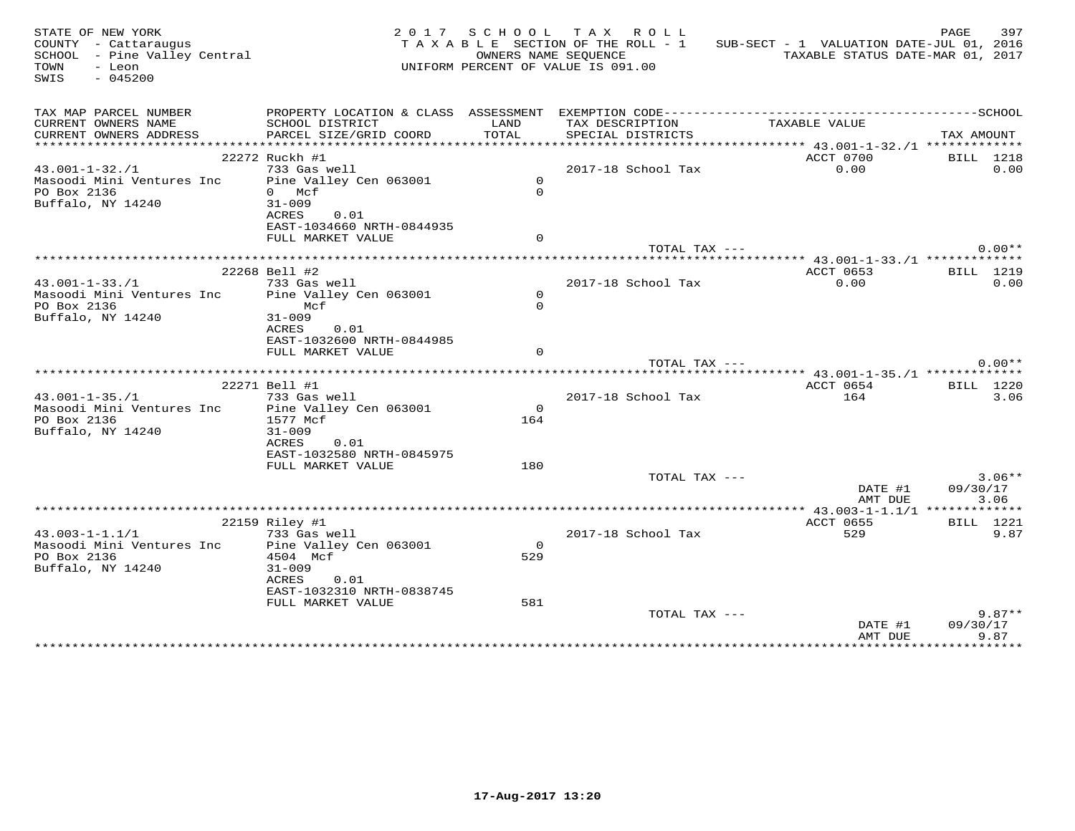| STATE OF NEW YORK<br>COUNTY - Cattaraugus<br>SCHOOL - Pine Valley Central<br>- Leon<br>TOWN<br>SWIS<br>$-045200$ |                                                |                 | 2017 SCHOOL TAX ROLL<br>TAXABLE SECTION OF THE ROLL - 1<br>OWNERS NAME SEOUENCE<br>UNIFORM PERCENT OF VALUE IS 091.00 | SUB-SECT - 1 VALUATION DATE-JUL 01, 2016 | PAGE<br>397<br>TAXABLE STATUS DATE-MAR 01, 2017 |
|------------------------------------------------------------------------------------------------------------------|------------------------------------------------|-----------------|-----------------------------------------------------------------------------------------------------------------------|------------------------------------------|-------------------------------------------------|
|                                                                                                                  |                                                |                 |                                                                                                                       |                                          |                                                 |
| TAX MAP PARCEL NUMBER                                                                                            |                                                |                 |                                                                                                                       |                                          |                                                 |
| CURRENT OWNERS NAME                                                                                              | SCHOOL DISTRICT                                | LAND            | TAX DESCRIPTION                                                                                                       | TAXABLE VALUE                            |                                                 |
| CURRENT OWNERS ADDRESS                                                                                           | PARCEL SIZE/GRID COORD                         | TOTAL           | SPECIAL DISTRICTS                                                                                                     |                                          | TAX AMOUNT                                      |
|                                                                                                                  | 22272 Ruckh #1                                 |                 |                                                                                                                       | ACCT 0700                                | BILL 1218                                       |
| $43.001 - 1 - 32.1$                                                                                              | 733 Gas well                                   |                 | 2017-18 School Tax                                                                                                    | 0.00                                     | 0.00                                            |
| Masoodi Mini Ventures Inc  Pine Valley Cen 063001                                                                |                                                | $\Omega$        |                                                                                                                       |                                          |                                                 |
| PO Box 2136                                                                                                      | 0 Mcf                                          | $\Omega$        |                                                                                                                       |                                          |                                                 |
| Buffalo, NY 14240                                                                                                | $31 - 009$                                     |                 |                                                                                                                       |                                          |                                                 |
|                                                                                                                  | ACRES<br>0.01                                  |                 |                                                                                                                       |                                          |                                                 |
|                                                                                                                  | EAST-1034660 NRTH-0844935                      |                 |                                                                                                                       |                                          |                                                 |
|                                                                                                                  | FULL MARKET VALUE                              | $\Omega$        | TOTAL TAX ---                                                                                                         |                                          | $0.00**$                                        |
|                                                                                                                  |                                                |                 |                                                                                                                       |                                          |                                                 |
|                                                                                                                  | 22268 Bell #2                                  |                 |                                                                                                                       | ACCT 0653                                | BILL 1219                                       |
| $43.001 - 1 - 33.71$                                                                                             | 733 Gas well                                   |                 | 2017-18 School Tax                                                                                                    | 0.00                                     | 0.00                                            |
| Masoodi Mini Ventures Inc                                                                                        | Pine Valley Cen 063001                         | $\circ$         |                                                                                                                       |                                          |                                                 |
| PO Box 2136                                                                                                      | Mcf                                            | $\Omega$        |                                                                                                                       |                                          |                                                 |
| Buffalo, NY 14240                                                                                                | $31 - 009$                                     |                 |                                                                                                                       |                                          |                                                 |
|                                                                                                                  | ACRES<br>0.01                                  |                 |                                                                                                                       |                                          |                                                 |
|                                                                                                                  | EAST-1032600 NRTH-0844985<br>FULL MARKET VALUE | $\Omega$        |                                                                                                                       |                                          |                                                 |
|                                                                                                                  |                                                |                 | TOTAL TAX ---                                                                                                         |                                          | $0.00**$                                        |
|                                                                                                                  |                                                |                 |                                                                                                                       |                                          |                                                 |
|                                                                                                                  | 22271 Bell #1                                  |                 |                                                                                                                       | ACCT 0654                                | BILL 1220                                       |
| $43.001 - 1 - 35.71$                                                                                             | 733 Gas well                                   |                 | 2017-18 School Tax                                                                                                    | 164                                      | 3.06                                            |
| Masoodi Mini Ventures Inc                                                                                        | Pine Valley Cen 063001                         | $\overline{0}$  |                                                                                                                       |                                          |                                                 |
| PO Box 2136                                                                                                      | 1577 Mcf                                       | 164             |                                                                                                                       |                                          |                                                 |
| Buffalo, NY 14240                                                                                                | $31 - 009$                                     |                 |                                                                                                                       |                                          |                                                 |
|                                                                                                                  | ACRES<br>0.01                                  |                 |                                                                                                                       |                                          |                                                 |
|                                                                                                                  | EAST-1032580 NRTH-0845975<br>FULL MARKET VALUE | 180             |                                                                                                                       |                                          |                                                 |
|                                                                                                                  |                                                |                 | TOTAL TAX ---                                                                                                         |                                          | $3.06**$                                        |
|                                                                                                                  |                                                |                 |                                                                                                                       | DATE #1                                  | 09/30/17                                        |
|                                                                                                                  |                                                |                 |                                                                                                                       | AMT DUE                                  | 3.06                                            |
|                                                                                                                  |                                                |                 |                                                                                                                       |                                          |                                                 |
|                                                                                                                  | 22159 Riley #1                                 |                 |                                                                                                                       | ACCT 0655                                | BILL 1221                                       |
| $43.003 - 1 - 1.1/1$                                                                                             | 733 Gas well                                   |                 | 2017-18 School Tax                                                                                                    | 529                                      | 9.87                                            |
| Masoodi Mini Ventures Inc                                                                                        | Pine Valley Cen 063001                         | $\Omega$<br>529 |                                                                                                                       |                                          |                                                 |
| PO Box 2136<br>Buffalo, NY 14240                                                                                 | 4504 Mcf<br>$31 - 009$                         |                 |                                                                                                                       |                                          |                                                 |
|                                                                                                                  | ACRES<br>0.01                                  |                 |                                                                                                                       |                                          |                                                 |
|                                                                                                                  | EAST-1032310 NRTH-0838745                      |                 |                                                                                                                       |                                          |                                                 |
|                                                                                                                  | FULL MARKET VALUE                              | 581             |                                                                                                                       |                                          |                                                 |
|                                                                                                                  |                                                |                 | TOTAL TAX ---                                                                                                         |                                          | $9.87**$                                        |
|                                                                                                                  |                                                |                 |                                                                                                                       | DATE #1                                  | 09/30/17                                        |
|                                                                                                                  |                                                |                 |                                                                                                                       | AMT DUE                                  | 9.87                                            |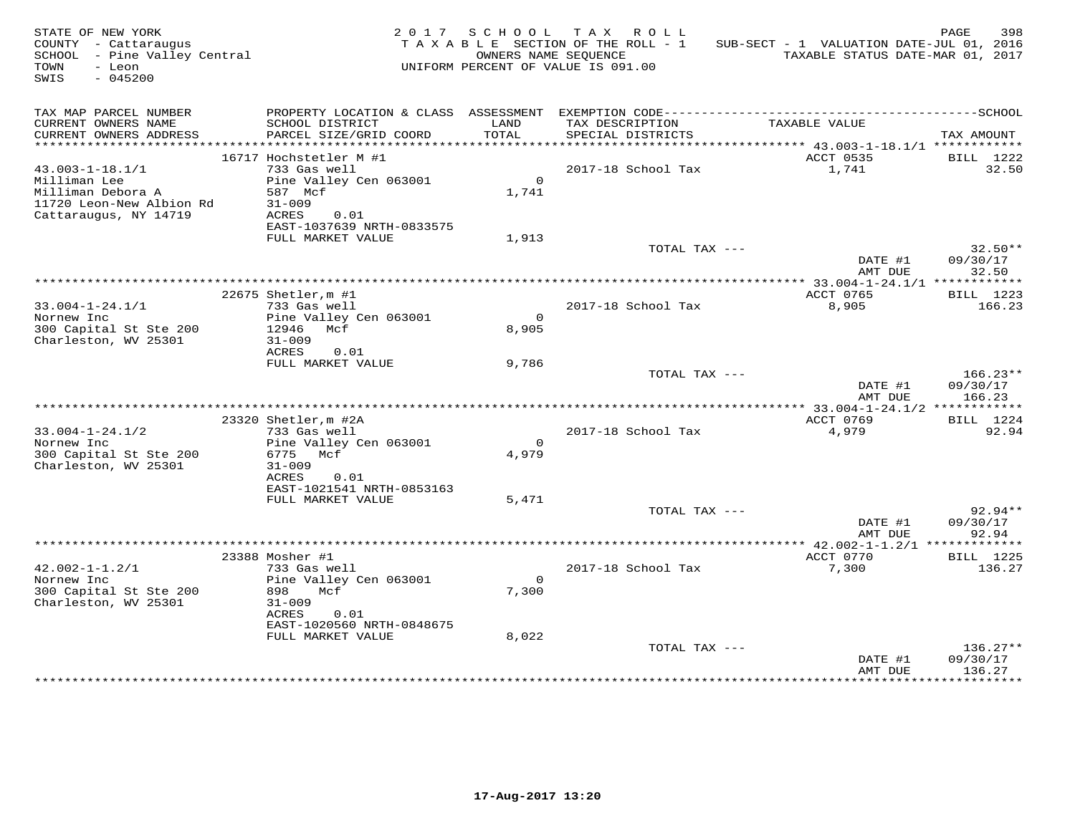| STATE OF NEW YORK<br>COUNTY - Cattaraugus<br>SCHOOL - Pine Valley Central<br>- Leon<br>TOWN<br>$-045200$<br>SWIS |                                                                                                               |                   | 2017 SCHOOL TAX ROLL<br>TAXABLE SECTION OF THE ROLL - 1<br>OWNERS NAME SEOUENCE<br>UNIFORM PERCENT OF VALUE IS 091.00 | SUB-SECT - 1 VALUATION DATE-JUL 01, 2016<br>TAXABLE STATUS DATE-MAR 01, 2017                                  | PAGE<br>398                      |
|------------------------------------------------------------------------------------------------------------------|---------------------------------------------------------------------------------------------------------------|-------------------|-----------------------------------------------------------------------------------------------------------------------|---------------------------------------------------------------------------------------------------------------|----------------------------------|
| TAX MAP PARCEL NUMBER<br>CURRENT OWNERS NAME<br>CURRENT OWNERS ADDRESS                                           | SCHOOL DISTRICT<br>PARCEL SIZE/GRID COORD                                                                     | LAND<br>TOTAL     | TAX DESCRIPTION<br>SPECIAL DISTRICTS                                                                                  | PROPERTY LOCATION & CLASS ASSESSMENT EXEMPTION CODE-----------------------------------SCHOOL<br>TAXABLE VALUE | TAX AMOUNT                       |
| *************************                                                                                        | 16717 Hochstetler M #1                                                                                        |                   |                                                                                                                       | ACCT 0535                                                                                                     | BILL 1222                        |
| $43.003 - 1 - 18.1/1$<br>Milliman Lee<br>Milliman Debora A<br>11720 Leon-New Albion Rd<br>Cattaraugus, NY 14719  | 733 Gas well<br>Pine Valley Cen 063001<br>587 Mcf<br>$31 - 009$<br>ACRES<br>0.01<br>EAST-1037639 NRTH-0833575 | $\Omega$<br>1,741 | 2017-18 School Tax                                                                                                    | 1,741                                                                                                         | 32.50                            |
|                                                                                                                  | FULL MARKET VALUE                                                                                             | 1,913             |                                                                                                                       |                                                                                                               |                                  |
|                                                                                                                  |                                                                                                               |                   | TOTAL TAX ---                                                                                                         | DATE #1<br>AMT DUE                                                                                            | $32.50**$<br>09/30/17<br>32.50   |
|                                                                                                                  |                                                                                                               |                   |                                                                                                                       |                                                                                                               |                                  |
| $33.004 - 1 - 24.1/1$                                                                                            | 22675 Shetler, m #1<br>733 Gas well                                                                           |                   | 2017-18 School Tax                                                                                                    | ACCT 0765<br>8,905                                                                                            | BILL 1223<br>166.23              |
| Nornew Inc<br>300 Capital St Ste 200<br>Charleston, WV 25301                                                     | Pine Valley Cen 063001<br>12946 Mcf<br>$31 - 009$<br>ACRES<br>0.01                                            | $\Omega$<br>8,905 |                                                                                                                       |                                                                                                               |                                  |
|                                                                                                                  | FULL MARKET VALUE                                                                                             | 9,786             | TOTAL TAX ---                                                                                                         | DATE #1                                                                                                       | $166.23**$<br>09/30/17           |
|                                                                                                                  |                                                                                                               |                   |                                                                                                                       | AMT DUE                                                                                                       | 166.23                           |
| $33.004 - 1 - 24.1/2$<br>Nornew Inc                                                                              | 23320 Shetler, m #2A<br>733 Gas well<br>Pine Valley Cen 063001                                                | $\Omega$          | 2017-18 School Tax                                                                                                    | ACCT 0769<br>4,979                                                                                            | BILL 1224<br>92.94               |
| 300 Capital St Ste 200<br>Charleston, WV 25301                                                                   | 6775 Mcf<br>$31 - 009$<br>ACRES<br>0.01<br>EAST-1021541 NRTH-0853163                                          | 4,979             |                                                                                                                       |                                                                                                               |                                  |
|                                                                                                                  | FULL MARKET VALUE                                                                                             | 5,471             | TOTAL TAX ---                                                                                                         |                                                                                                               | $92.94**$                        |
|                                                                                                                  |                                                                                                               |                   |                                                                                                                       | DATE #1<br>AMT DUE                                                                                            | 09/30/17<br>92.94                |
|                                                                                                                  |                                                                                                               |                   |                                                                                                                       |                                                                                                               |                                  |
| $42.002 - 1 - 1.2/1$<br>Nornew Inc<br>300 Capital St Ste 200<br>Charleston, WV 25301                             | 23388 Mosher #1<br>733 Gas well<br>Pine Valley Cen 063001<br>898<br>Mcf<br>$31 - 009$                         | $\Omega$<br>7,300 | 2017-18 School Tax                                                                                                    | ACCT 0770<br>7,300                                                                                            | <b>BILL</b> 1225<br>136.27       |
|                                                                                                                  | ACRES<br>0.01<br>EAST-1020560 NRTH-0848675                                                                    |                   |                                                                                                                       |                                                                                                               |                                  |
|                                                                                                                  | FULL MARKET VALUE                                                                                             | 8,022             | TOTAL TAX ---                                                                                                         | DATE #1<br>AMT DUE                                                                                            | $136.27**$<br>09/30/17<br>136.27 |
|                                                                                                                  |                                                                                                               |                   |                                                                                                                       |                                                                                                               |                                  |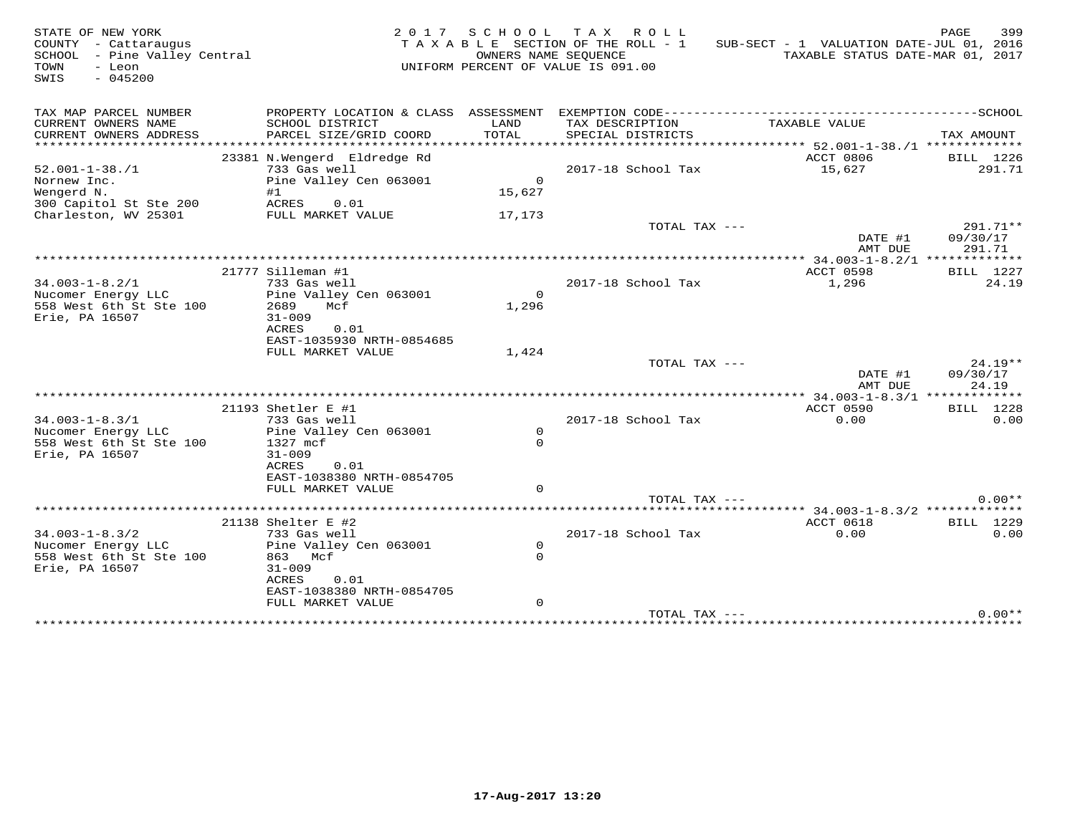| STATE OF NEW YORK<br>COUNTY - Cattaraugus<br>SCHOOL - Pine Valley Central<br>TOWN<br>- Leon<br>SWIS<br>$-045200$ |                                                                                                                                                           | OWNERS NAME SEQUENCE                | 2017 SCHOOL TAX ROLL<br>TAXABLE SECTION OF THE ROLL - 1<br>UNIFORM PERCENT OF VALUE IS 091.00 | SUB-SECT - 1 VALUATION DATE-JUL 01, 2016<br>TAXABLE STATUS DATE-MAR 01, 2017           | PAGE<br>399                    |
|------------------------------------------------------------------------------------------------------------------|-----------------------------------------------------------------------------------------------------------------------------------------------------------|-------------------------------------|-----------------------------------------------------------------------------------------------|----------------------------------------------------------------------------------------|--------------------------------|
| TAX MAP PARCEL NUMBER<br>CURRENT OWNERS NAME<br>CURRENT OWNERS ADDRESS<br>*********************                  | PROPERTY LOCATION & CLASS ASSESSMENT<br>SCHOOL DISTRICT<br>PARCEL SIZE/GRID COORD<br>**********************                                               | LAND<br>TOTAL<br>***********        | TAX DESCRIPTION<br>SPECIAL DISTRICTS                                                          | TAXABLE VALUE                                                                          | TAX AMOUNT                     |
| $52.001 - 1 - 38. / 1$<br>Nornew Inc.<br>Wengerd N.<br>300 Capitol St Ste 200                                    | 23381 N.Wengerd Eldredge Rd<br>733 Gas well<br>Pine Valley Cen 063001<br>#1<br>ACRES<br>0.01                                                              | $\Omega$<br>15,627                  | 2017-18 School Tax                                                                            | ********************************** 52.001-1-38./1 *************<br>ACCT 0806<br>15,627 | BILL 1226<br>291.71            |
| Charleston, WV 25301                                                                                             | FULL MARKET VALUE                                                                                                                                         | 17,173                              | TOTAL TAX ---                                                                                 | DATE #1<br>AMT DUE                                                                     | 291.71**<br>09/30/17<br>291.71 |
| $34.003 - 1 - 8.2/1$<br>Nucomer Energy LLC<br>558 West 6th St Ste 100<br>Erie, PA 16507                          | 21777 Silleman #1<br>733 Gas well<br>Pine Valley Cen 063001<br>2689<br>Mcf<br>$31 - 009$<br>ACRES<br>0.01<br>EAST-1035930 NRTH-0854685                    | $\Omega$<br>1,296                   | 2017-18 School Tax                                                                            | ACCT 0598<br>1,296                                                                     | BILL 1227<br>24.19             |
|                                                                                                                  | FULL MARKET VALUE                                                                                                                                         | 1,424                               | TOTAL TAX ---                                                                                 | DATE #1<br>AMT DUE                                                                     | $24.19**$<br>09/30/17<br>24.19 |
|                                                                                                                  |                                                                                                                                                           |                                     |                                                                                               |                                                                                        |                                |
| $34.003 - 1 - 8.3/1$<br>Nucomer Energy LLC<br>558 West 6th St Ste 100<br>Erie, PA 16507                          | 21193 Shetler E #1<br>733 Gas well<br>Pine Valley Cen 063001<br>1327 mcf<br>$31 - 009$<br>ACRES<br>0.01<br>EAST-1038380 NRTH-0854705<br>FULL MARKET VALUE | $\circ$<br>$\Omega$<br>$\Omega$     | 2017-18 School Tax                                                                            | ACCT 0590<br>0.00                                                                      | <b>BILL</b> 1228<br>0.00       |
|                                                                                                                  |                                                                                                                                                           |                                     | TOTAL TAX ---                                                                                 |                                                                                        | $0.00**$                       |
| $34.003 - 1 - 8.3/2$<br>Nucomer Energy LLC<br>558 West 6th St Ste 100<br>Erie, PA 16507                          | 21138 Shelter E #2<br>733 Gas well<br>Pine Valley Cen 063001<br>863 Mcf<br>$31 - 009$<br>ACRES<br>0.01<br>EAST-1038380 NRTH-0854705<br>FULL MARKET VALUE  | $\Omega$<br>$\Omega$<br>$\mathbf 0$ | 2017-18 School Tax                                                                            | ACCT 0618<br>0.00                                                                      | BILL 1229<br>0.00              |
|                                                                                                                  |                                                                                                                                                           |                                     | TOTAL TAX ---                                                                                 |                                                                                        | $0.00**$                       |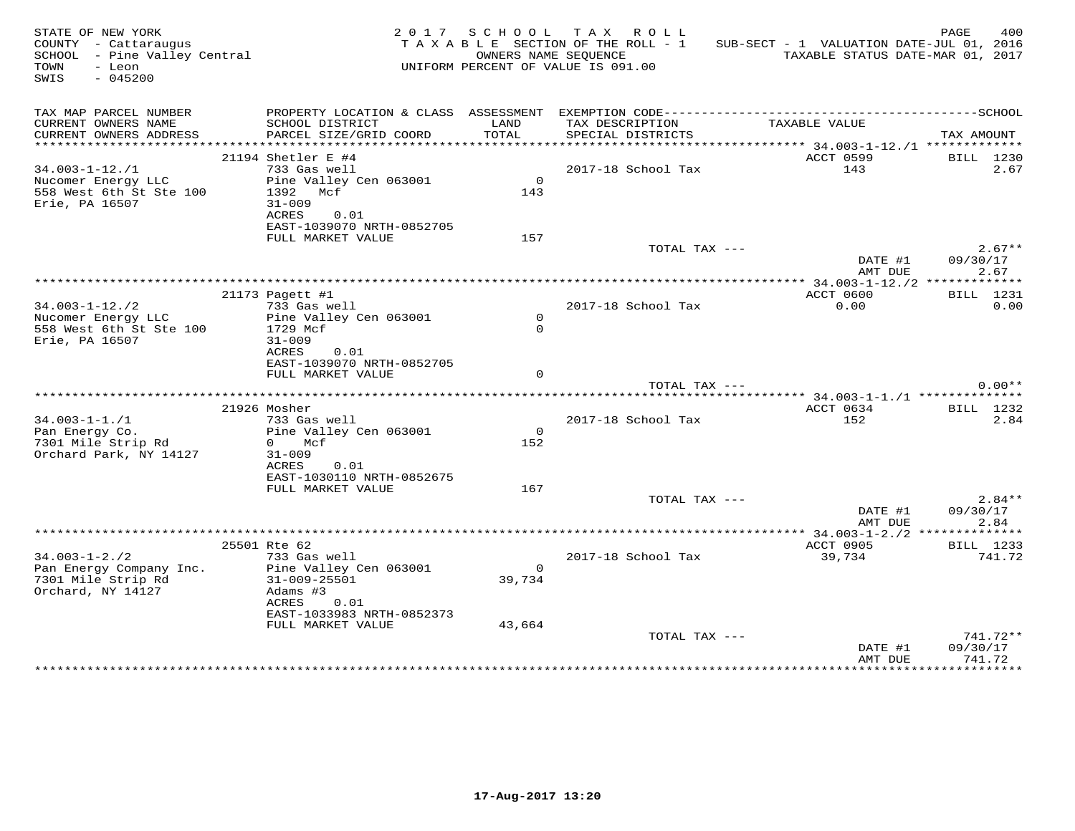| STATE OF NEW YORK<br>COUNTY - Cattaraugus<br>SCHOOL - Pine Valley Central<br>TOWN<br>- Leon<br>$-045200$<br>SWIS |                                                | 2017 SCHOOL<br>OWNERS NAME SEQUENCE | TAX ROLL<br>TAXABLE SECTION OF THE ROLL - 1<br>UNIFORM PERCENT OF VALUE IS 091.00 | SUB-SECT - 1 VALUATION DATE-JUL 01, 2016<br>TAXABLE STATUS DATE-MAR 01, 2017 | PAGE<br>400              |
|------------------------------------------------------------------------------------------------------------------|------------------------------------------------|-------------------------------------|-----------------------------------------------------------------------------------|------------------------------------------------------------------------------|--------------------------|
| TAX MAP PARCEL NUMBER<br>CURRENT OWNERS NAME                                                                     | SCHOOL DISTRICT                                | LAND                                | TAX DESCRIPTION                                                                   | TAXABLE VALUE                                                                |                          |
| CURRENT OWNERS ADDRESS                                                                                           | PARCEL SIZE/GRID COORD                         | TOTAL                               | SPECIAL DISTRICTS                                                                 |                                                                              | TAX AMOUNT               |
|                                                                                                                  |                                                |                                     |                                                                                   | ACCT 0599                                                                    |                          |
| $34.003 - 1 - 12./1$                                                                                             | 21194 Shetler E #4<br>733 Gas well             |                                     | 2017-18 School Tax                                                                | 143                                                                          | <b>BILL</b> 1230<br>2.67 |
| Nucomer Energy LLC                                                                                               | Pine Valley Cen 063001                         | $\overline{0}$                      |                                                                                   |                                                                              |                          |
| 558 West 6th St Ste 100                                                                                          | 1392 Mcf                                       | 143                                 |                                                                                   |                                                                              |                          |
| Erie, PA 16507                                                                                                   | $31 - 009$                                     |                                     |                                                                                   |                                                                              |                          |
|                                                                                                                  | ACRES<br>0.01                                  |                                     |                                                                                   |                                                                              |                          |
|                                                                                                                  | EAST-1039070 NRTH-0852705<br>FULL MARKET VALUE | 157                                 |                                                                                   |                                                                              |                          |
|                                                                                                                  |                                                |                                     | TOTAL TAX ---                                                                     |                                                                              | $2.67**$                 |
|                                                                                                                  |                                                |                                     |                                                                                   | DATE #1<br>AMT DUE                                                           | 09/30/17<br>2.67         |
|                                                                                                                  |                                                |                                     |                                                                                   |                                                                              |                          |
|                                                                                                                  | 21173 Pagett #1                                |                                     |                                                                                   | ACCT 0600                                                                    | BILL 1231                |
| $34.003 - 1 - 12.72$<br>Nucomer Energy LLC                                                                       | 733 Gas well<br>Pine Valley Cen 063001         | $\Omega$                            | 2017-18 School Tax                                                                | 0.00                                                                         | 0.00                     |
| 558 West 6th St Ste 100                                                                                          | 1729 Mcf                                       | $\Omega$                            |                                                                                   |                                                                              |                          |
| Erie, PA 16507                                                                                                   | $31 - 009$                                     |                                     |                                                                                   |                                                                              |                          |
|                                                                                                                  | ACRES<br>0.01                                  |                                     |                                                                                   |                                                                              |                          |
|                                                                                                                  | EAST-1039070 NRTH-0852705                      |                                     |                                                                                   |                                                                              |                          |
|                                                                                                                  | FULL MARKET VALUE                              |                                     |                                                                                   |                                                                              |                          |
|                                                                                                                  |                                                |                                     | TOTAL TAX ---                                                                     |                                                                              | $0.00**$                 |
|                                                                                                                  | 21926 Mosher                                   |                                     |                                                                                   | ACCT 0634                                                                    | BILL 1232                |
| $34.003 - 1 - 1.71$                                                                                              | 733 Gas well                                   |                                     | 2017-18 School Tax                                                                | 152                                                                          | 2.84                     |
| Pan Energy Co.                                                                                                   | Pine Valley Cen 063001                         | $\overline{0}$                      |                                                                                   |                                                                              |                          |
| 7301 Mile Strip Rd                                                                                               | $0$ Mcf                                        | 152                                 |                                                                                   |                                                                              |                          |
| Orchard Park, NY 14127                                                                                           | $31 - 009$                                     |                                     |                                                                                   |                                                                              |                          |
|                                                                                                                  | ACRES<br>0.01                                  |                                     |                                                                                   |                                                                              |                          |
|                                                                                                                  | EAST-1030110 NRTH-0852675<br>FULL MARKET VALUE | 167                                 |                                                                                   |                                                                              |                          |
|                                                                                                                  |                                                |                                     | TOTAL TAX ---                                                                     |                                                                              | $2.84**$                 |
|                                                                                                                  |                                                |                                     |                                                                                   | DATE #1                                                                      | 09/30/17                 |
|                                                                                                                  |                                                |                                     |                                                                                   | AMT DUE                                                                      | 2.84                     |
|                                                                                                                  |                                                |                                     |                                                                                   |                                                                              |                          |
|                                                                                                                  | 25501 Rte 62                                   |                                     |                                                                                   | ACCT 0905                                                                    | BILL 1233                |
| $34.003 - 1 - 2.72$<br>Pan Energy Company Inc.                                                                   | 733 Gas well<br>Pine Valley Cen 063001         | $\overline{0}$                      | 2017-18 School Tax                                                                | 39,734                                                                       | 741.72                   |
| 7301 Mile Strip Rd                                                                                               | $31 - 009 - 25501$                             | 39,734                              |                                                                                   |                                                                              |                          |
| Orchard, NY 14127                                                                                                | Adams #3                                       |                                     |                                                                                   |                                                                              |                          |
|                                                                                                                  | ACRES<br>0.01                                  |                                     |                                                                                   |                                                                              |                          |
|                                                                                                                  | EAST-1033983 NRTH-0852373                      |                                     |                                                                                   |                                                                              |                          |
|                                                                                                                  | FULL MARKET VALUE                              | 43,664                              |                                                                                   |                                                                              |                          |
|                                                                                                                  |                                                |                                     | TOTAL TAX ---                                                                     |                                                                              | 741.72**<br>09/30/17     |
|                                                                                                                  |                                                |                                     |                                                                                   | DATE #1<br>AMT DUE                                                           | 741.72                   |
|                                                                                                                  |                                                |                                     |                                                                                   |                                                                              |                          |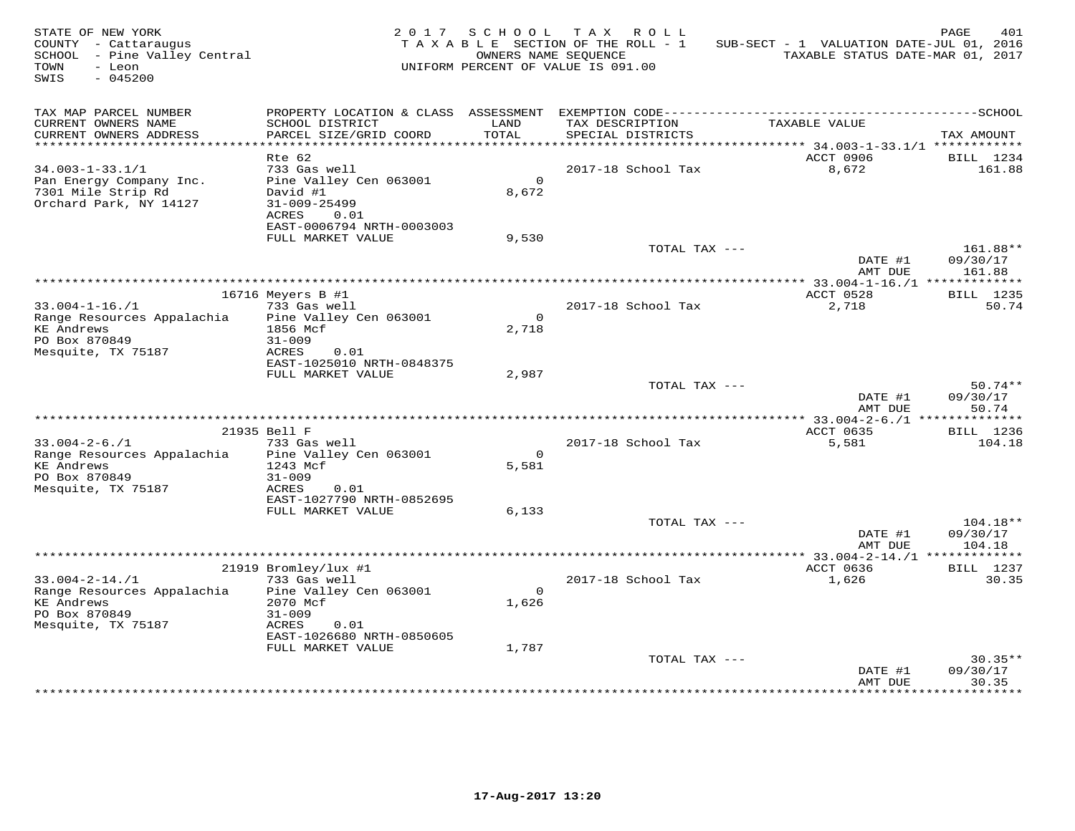| STATE OF NEW YORK<br>COUNTY - Cattaraugus<br>SCHOOL - Pine Valley Central<br>TOWN<br>- Leon<br>$-045200$<br>SWIS |                                                | 2017 SCHOOL           | TAX ROLL<br>TAXABLE SECTION OF THE ROLL - 1<br>OWNERS NAME SEQUENCE<br>UNIFORM PERCENT OF VALUE IS 091.00 | SUB-SECT - 1 VALUATION DATE-JUL 01, 2016<br>TAXABLE STATUS DATE-MAR 01, 2017 | 401<br>PAGE            |
|------------------------------------------------------------------------------------------------------------------|------------------------------------------------|-----------------------|-----------------------------------------------------------------------------------------------------------|------------------------------------------------------------------------------|------------------------|
| TAX MAP PARCEL NUMBER                                                                                            |                                                |                       |                                                                                                           |                                                                              |                        |
| CURRENT OWNERS NAME<br>CURRENT OWNERS ADDRESS                                                                    | SCHOOL DISTRICT<br>PARCEL SIZE/GRID COORD      | LAND<br>TOTAL         | TAX DESCRIPTION<br>SPECIAL DISTRICTS                                                                      | TAXABLE VALUE                                                                | TAX AMOUNT             |
| ************************                                                                                         |                                                |                       |                                                                                                           |                                                                              |                        |
| $34.003 - 1 - 33.1/1$                                                                                            | $Rte$ 62<br>733 Gas well                       |                       | 2017-18 School Tax                                                                                        | ACCT 0906<br>8,672                                                           | BILL 1234<br>161.88    |
| Pan Energy Company Inc.                                                                                          | Pine Valley Cen 063001                         | $\Omega$              |                                                                                                           |                                                                              |                        |
| 7301 Mile Strip Rd                                                                                               | David #1                                       | 8,672                 |                                                                                                           |                                                                              |                        |
| Orchard Park, NY 14127                                                                                           | $31 - 009 - 25499$                             |                       |                                                                                                           |                                                                              |                        |
|                                                                                                                  | ACRES<br>0.01                                  |                       |                                                                                                           |                                                                              |                        |
|                                                                                                                  | EAST-0006794 NRTH-0003003<br>FULL MARKET VALUE |                       |                                                                                                           |                                                                              |                        |
|                                                                                                                  |                                                | 9,530                 | TOTAL TAX ---                                                                                             |                                                                              | 161.88**               |
|                                                                                                                  |                                                |                       |                                                                                                           | DATE #1                                                                      | 09/30/17               |
|                                                                                                                  |                                                |                       |                                                                                                           | AMT DUE                                                                      | 161.88                 |
|                                                                                                                  |                                                |                       |                                                                                                           |                                                                              |                        |
|                                                                                                                  | 16716 Meyers B #1                              |                       |                                                                                                           | ACCT 0528                                                                    | <b>BILL</b> 1235       |
| $33.004 - 1 - 16. / 1$<br>Range Resources Appalachia                                                             | 733 Gas well<br>Pine Valley Cen 063001         | $\circ$               | 2017-18 School Tax                                                                                        | 2,718                                                                        | 50.74                  |
| <b>KE</b> Andrews                                                                                                | 1856 Mcf                                       | 2,718                 |                                                                                                           |                                                                              |                        |
| PO Box 870849                                                                                                    | $31 - 009$                                     |                       |                                                                                                           |                                                                              |                        |
| Mesquite, TX 75187                                                                                               | ACRES<br>0.01                                  |                       |                                                                                                           |                                                                              |                        |
|                                                                                                                  | EAST-1025010 NRTH-0848375                      |                       |                                                                                                           |                                                                              |                        |
|                                                                                                                  | FULL MARKET VALUE                              | 2,987                 | TOTAL TAX ---                                                                                             |                                                                              | $50.74**$              |
|                                                                                                                  |                                                |                       |                                                                                                           | DATE #1                                                                      | 09/30/17               |
|                                                                                                                  |                                                |                       |                                                                                                           | AMT DUE                                                                      | 50.74                  |
|                                                                                                                  | * * * * * * * * * * * * * * * *                |                       | **************************                                                                                | ** 33.004-2-6./1 ***************                                             |                        |
|                                                                                                                  | 21935 Bell F                                   |                       |                                                                                                           | ACCT 0635                                                                    | BILL 1236              |
| $33.004 - 2 - 6.71$<br>Range Resources Appalachia                                                                | 733 Gas well<br>Pine Valley Cen 063001         | $\Omega$              | 2017-18 School Tax                                                                                        | 5,581                                                                        | 104.18                 |
| <b>KE Andrews</b>                                                                                                | 1243 Mcf                                       | 5,581                 |                                                                                                           |                                                                              |                        |
| PO Box 870849                                                                                                    | $31 - 009$                                     |                       |                                                                                                           |                                                                              |                        |
| Mesquite, TX 75187                                                                                               | ACRES<br>0.01                                  |                       |                                                                                                           |                                                                              |                        |
|                                                                                                                  | EAST-1027790 NRTH-0852695                      |                       |                                                                                                           |                                                                              |                        |
|                                                                                                                  | FULL MARKET VALUE                              | 6,133                 |                                                                                                           |                                                                              |                        |
|                                                                                                                  |                                                |                       | TOTAL TAX $---$                                                                                           | DATE #1                                                                      | $104.18**$<br>09/30/17 |
|                                                                                                                  |                                                |                       |                                                                                                           | AMT DUE                                                                      | 104.18                 |
|                                                                                                                  |                                                |                       |                                                                                                           | ************ 33.004-2-14./1 *************                                    |                        |
|                                                                                                                  | 21919 Bromley/lux #1                           |                       |                                                                                                           | ACCT 0636                                                                    | <b>BILL</b> 1237       |
| $33.004 - 2 - 14.71$                                                                                             | 733 Gas well                                   |                       | 2017-18 School Tax                                                                                        | 1,626                                                                        | 30.35                  |
| Range Resources Appalachia<br><b>KE</b> Andrews                                                                  | Pine Valley Cen 063001<br>2070 Mcf             | $\mathsf{O}$<br>1,626 |                                                                                                           |                                                                              |                        |
| PO Box 870849                                                                                                    | $31 - 009$                                     |                       |                                                                                                           |                                                                              |                        |
| Mesquite, TX 75187                                                                                               | ACRES<br>0.01                                  |                       |                                                                                                           |                                                                              |                        |
|                                                                                                                  | EAST-1026680 NRTH-0850605                      |                       |                                                                                                           |                                                                              |                        |
|                                                                                                                  | FULL MARKET VALUE                              | 1,787                 |                                                                                                           |                                                                              |                        |
|                                                                                                                  |                                                |                       | TOTAL TAX ---                                                                                             |                                                                              | $30.35**$              |
|                                                                                                                  |                                                |                       |                                                                                                           | DATE #1<br>AMT DUE                                                           | 09/30/17<br>30.35      |
|                                                                                                                  |                                                |                       |                                                                                                           | * * * * * * * * * * *                                                        | ********               |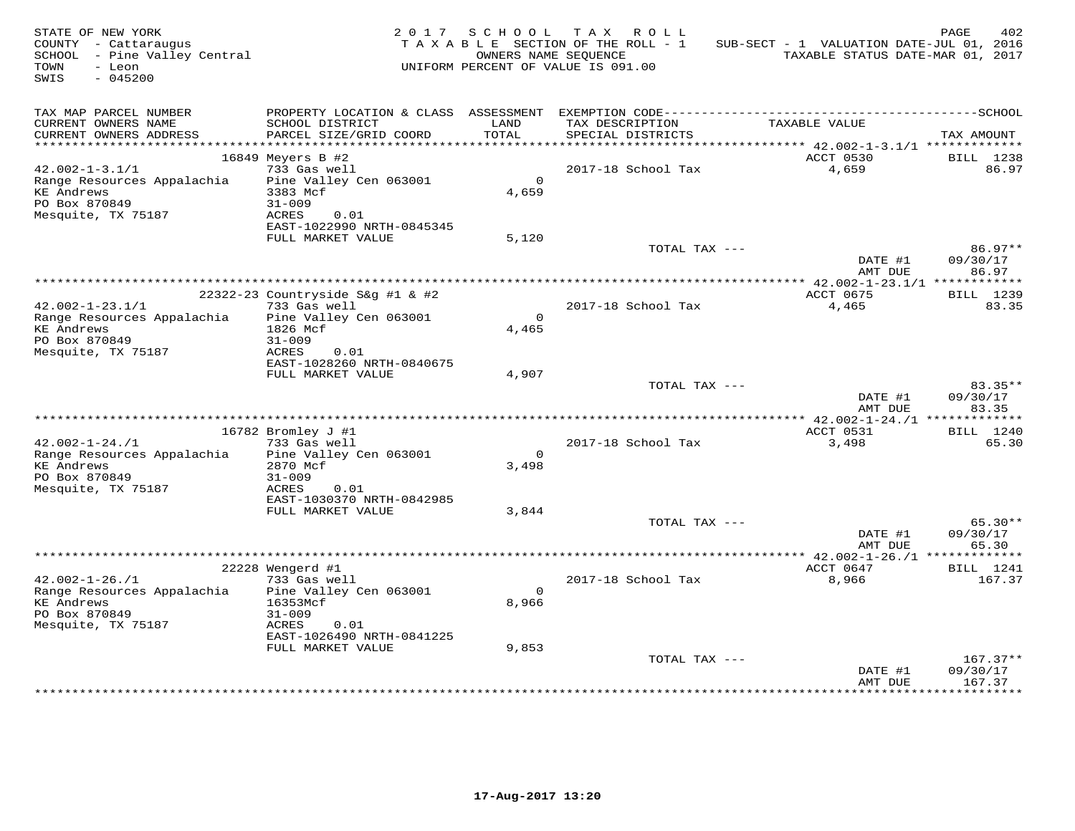| STATE OF NEW YORK<br>COUNTY - Cattaraugus<br>SCHOOL - Pine Valley Central<br>- Leon<br>TOWN<br>SWIS<br>$-045200$ |                                                          | 2017 SCHOOL          | T A X<br>R O L L<br>TAXABLE SECTION OF THE ROLL - 1<br>OWNERS NAME SEOUENCE<br>UNIFORM PERCENT OF VALUE IS 091.00 | SUB-SECT - 1 VALUATION DATE-JUL 01, 2016<br>TAXABLE STATUS DATE-MAR 01, 2017 | PAGE<br>402              |
|------------------------------------------------------------------------------------------------------------------|----------------------------------------------------------|----------------------|-------------------------------------------------------------------------------------------------------------------|------------------------------------------------------------------------------|--------------------------|
| TAX MAP PARCEL NUMBER<br>CURRENT OWNERS NAME                                                                     | SCHOOL DISTRICT                                          | LAND                 | TAX DESCRIPTION                                                                                                   | TAXABLE VALUE                                                                |                          |
| CURRENT OWNERS ADDRESS<br>***********************                                                                | PARCEL SIZE/GRID COORD                                   | TOTAL                | SPECIAL DISTRICTS                                                                                                 |                                                                              | TAX AMOUNT               |
|                                                                                                                  | 16849 Meyers B #2                                        |                      |                                                                                                                   | ACCT 0530                                                                    | <b>BILL</b> 1238         |
| $42.002 - 1 - 3.1/1$                                                                                             | 733 Gas well                                             |                      | 2017-18 School Tax                                                                                                | 4,659                                                                        | 86.97                    |
| Range Resources Appalachia<br><b>KE Andrews</b>                                                                  | Pine Valley Cen 063001<br>3383 Mcf                       | $\circ$<br>4,659     |                                                                                                                   |                                                                              |                          |
| PO Box 870849<br>Mesquite, TX 75187                                                                              | $31 - 009$<br>ACRES<br>0.01<br>EAST-1022990 NRTH-0845345 |                      |                                                                                                                   |                                                                              |                          |
|                                                                                                                  | FULL MARKET VALUE                                        | 5,120                |                                                                                                                   |                                                                              |                          |
|                                                                                                                  |                                                          |                      | TOTAL TAX ---                                                                                                     | DATE #1                                                                      | 86.97**<br>09/30/17      |
|                                                                                                                  |                                                          |                      |                                                                                                                   | AMT DUE                                                                      | 86.97                    |
|                                                                                                                  | 22322-23 Countryside S&q #1 & #2                         |                      |                                                                                                                   | ACCT 0675                                                                    | BILL 1239                |
| $42.002 - 1 - 23.1/1$                                                                                            | 733 Gas well                                             |                      | 2017-18 School Tax                                                                                                | 4,465                                                                        | 83.35                    |
| Range Resources Appalachia<br><b>KE Andrews</b>                                                                  | Pine Valley Cen 063001<br>1826 Mcf                       | $\Omega$<br>4,465    |                                                                                                                   |                                                                              |                          |
| PO Box 870849                                                                                                    | $31 - 009$                                               |                      |                                                                                                                   |                                                                              |                          |
| Mesquite, TX 75187                                                                                               | ACRES<br>0.01<br>EAST-1028260 NRTH-0840675               |                      |                                                                                                                   |                                                                              |                          |
|                                                                                                                  | FULL MARKET VALUE                                        | 4,907                |                                                                                                                   |                                                                              |                          |
|                                                                                                                  |                                                          |                      | TOTAL TAX ---                                                                                                     |                                                                              | $83.35**$                |
|                                                                                                                  |                                                          |                      |                                                                                                                   | DATE #1<br>AMT DUE                                                           | 09/30/17<br>83.35        |
|                                                                                                                  |                                                          |                      |                                                                                                                   |                                                                              |                          |
|                                                                                                                  | 16782 Bromley J #1                                       |                      |                                                                                                                   | ACCT 0531                                                                    | BILL 1240                |
| $42.002 - 1 - 24.71$                                                                                             | 733 Gas well                                             |                      | 2017-18 School Tax                                                                                                | 3,498                                                                        | 65.30                    |
| Range Resources Appalachia<br><b>KE Andrews</b>                                                                  | Pine Valley Cen 063001<br>2870 Mcf                       | $\mathbf 0$<br>3,498 |                                                                                                                   |                                                                              |                          |
| PO Box 870849                                                                                                    | $31 - 009$                                               |                      |                                                                                                                   |                                                                              |                          |
| Mesquite, TX 75187                                                                                               | ACRES<br>0.01                                            |                      |                                                                                                                   |                                                                              |                          |
|                                                                                                                  | EAST-1030370 NRTH-0842985                                |                      |                                                                                                                   |                                                                              |                          |
|                                                                                                                  | FULL MARKET VALUE                                        | 3,844                |                                                                                                                   |                                                                              |                          |
|                                                                                                                  |                                                          |                      | TOTAL TAX ---                                                                                                     | DATE #1                                                                      | 65.30**<br>09/30/17      |
|                                                                                                                  |                                                          |                      |                                                                                                                   | AMT DUE<br>*********** 42.002-1-26./1 *****                                  | 65.30<br>* * * * * * * * |
|                                                                                                                  | 22228 Wengerd #1                                         |                      |                                                                                                                   | ACCT 0647                                                                    | BILL 1241                |
| $42.002 - 1 - 26.71$                                                                                             | 733 Gas well                                             |                      | 2017-18 School Tax                                                                                                | 8,966                                                                        | 167.37                   |
| Range Resources Appalachia                                                                                       | Pine Valley Cen 063001                                   | $\Omega$             |                                                                                                                   |                                                                              |                          |
| <b>KE Andrews</b>                                                                                                | 16353Mcf                                                 | 8,966                |                                                                                                                   |                                                                              |                          |
| PO Box 870849                                                                                                    | $31 - 009$                                               |                      |                                                                                                                   |                                                                              |                          |
| Mesquite, TX 75187                                                                                               | 0.01<br>ACRES<br>EAST-1026490 NRTH-0841225               |                      |                                                                                                                   |                                                                              |                          |
|                                                                                                                  | FULL MARKET VALUE                                        | 9,853                |                                                                                                                   |                                                                              |                          |
|                                                                                                                  |                                                          |                      | TOTAL TAX ---                                                                                                     |                                                                              | $167.37**$               |
|                                                                                                                  |                                                          |                      |                                                                                                                   | DATE #1<br>AMT DUE                                                           | 09/30/17<br>167.37       |
|                                                                                                                  |                                                          |                      |                                                                                                                   |                                                                              |                          |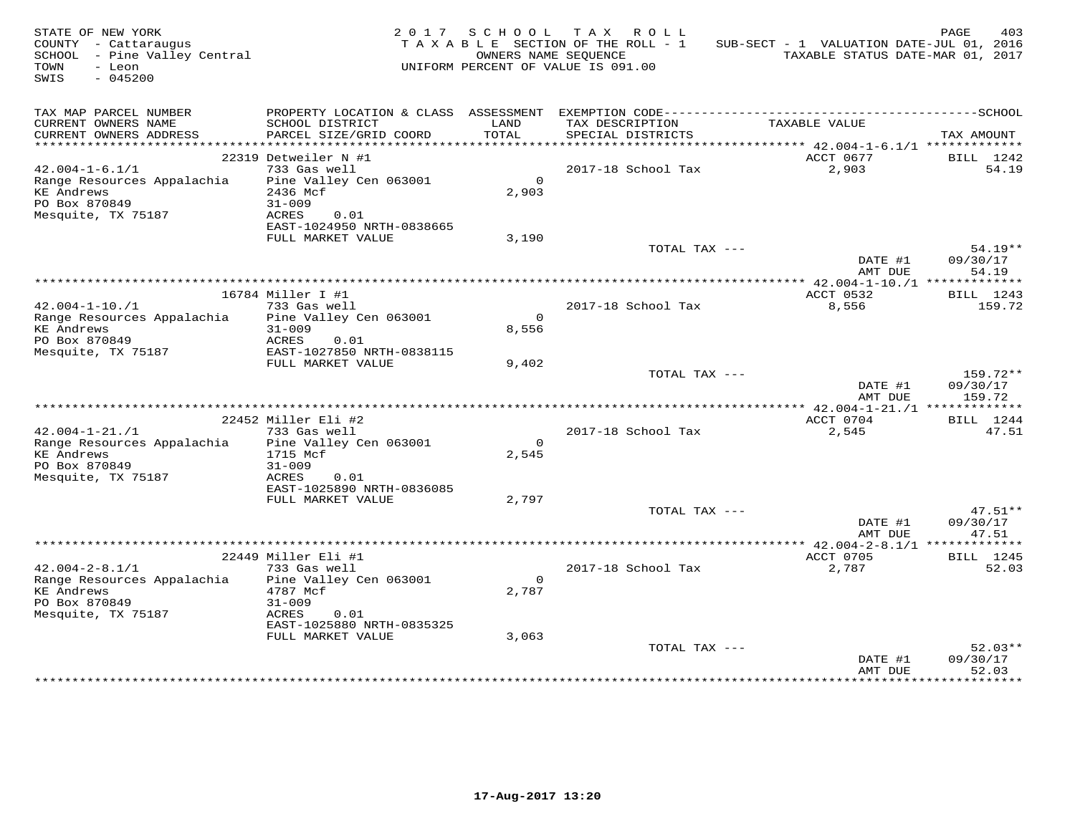| COUNTY - Cattaraugus<br>SCHOOL - Pine Valley Central<br>TOWN<br>- Leon<br>SWIS<br>$-045200$                    |                                                                                                | 2017 SCHOOL             | TAX ROLL<br>TAXABLE SECTION OF THE ROLL - 1<br>OWNERS NAME SEQUENCE<br>UNIFORM PERCENT OF VALUE IS 091.00 | SUB-SECT - 1 VALUATION DATE-JUL 01, 2016<br>TAXABLE STATUS DATE-MAR 01, 2017 | PAGE<br>403                    |
|----------------------------------------------------------------------------------------------------------------|------------------------------------------------------------------------------------------------|-------------------------|-----------------------------------------------------------------------------------------------------------|------------------------------------------------------------------------------|--------------------------------|
| TAX MAP PARCEL NUMBER<br>CURRENT OWNERS NAME<br>CURRENT OWNERS ADDRESS                                         | SCHOOL DISTRICT<br>PARCEL SIZE/GRID COORD                                                      | LAND<br>TOTAL           | TAX DESCRIPTION<br>SPECIAL DISTRICTS                                                                      | TAXABLE VALUE                                                                | TAX AMOUNT                     |
|                                                                                                                |                                                                                                |                         |                                                                                                           | ********** 42.004-1-6.1/1 **************                                     |                                |
|                                                                                                                | 22319 Detweiler N #1                                                                           |                         |                                                                                                           | ACCT 0677                                                                    | BILL 1242                      |
| $42.004 - 1 - 6.1/1$<br>Range Resources Appalachia<br><b>KE</b> Andrews<br>PO Box 870849<br>Mesquite, TX 75187 | 733 Gas well<br>Pine Valley Cen 063001<br>2436 Mcf<br>$31 - 009$<br>ACRES<br>0.01              | $\overline{0}$<br>2,903 | 2017-18 School Tax                                                                                        | 2,903                                                                        | 54.19                          |
|                                                                                                                | EAST-1024950 NRTH-0838665<br>FULL MARKET VALUE                                                 | 3,190                   |                                                                                                           |                                                                              |                                |
|                                                                                                                |                                                                                                |                         | TOTAL TAX ---                                                                                             | DATE #1<br>AMT DUE                                                           | $54.19**$<br>09/30/17<br>54.19 |
|                                                                                                                |                                                                                                |                         |                                                                                                           | ********** 42.004-1-10./1 *************                                      |                                |
| $42.004 - 1 - 10.71$                                                                                           | 16784 Miller I #1<br>733 Gas well                                                              |                         | 2017-18 School Tax                                                                                        | ACCT 0532                                                                    | BILL 1243                      |
| Range Resources Appalachia<br><b>KE Andrews</b><br>PO Box 870849                                               | Pine Valley Cen 063001<br>$31 - 009$<br>ACRES<br>0.01                                          | $\overline{0}$<br>8,556 |                                                                                                           | 8,556                                                                        | 159.72                         |
| Mesquite, TX 75187                                                                                             | EAST-1027850 NRTH-0838115                                                                      |                         |                                                                                                           |                                                                              |                                |
|                                                                                                                | FULL MARKET VALUE                                                                              | 9,402                   | TOTAL TAX ---                                                                                             | DATE #1<br>AMT DUE                                                           | 159.72**<br>09/30/17<br>159.72 |
|                                                                                                                |                                                                                                |                         |                                                                                                           |                                                                              |                                |
|                                                                                                                | 22452 Miller Eli #2                                                                            |                         |                                                                                                           | ACCT 0704                                                                    | BILL 1244                      |
| $42.004 - 1 - 21.71$<br>Range Resources Appalachia<br><b>KE Andrews</b><br>PO Box 870849<br>Mesquite, TX 75187 | 733 Gas well<br>Pine Valley Cen 063001<br>1715 Mcf<br>$31 - 009$<br>ACRES<br>0.01              | $\Omega$<br>2,545       | 2017-18 School Tax                                                                                        | 2,545                                                                        | 47.51                          |
|                                                                                                                | EAST-1025890 NRTH-0836085                                                                      |                         |                                                                                                           |                                                                              |                                |
|                                                                                                                | FULL MARKET VALUE                                                                              | 2,797                   |                                                                                                           |                                                                              |                                |
|                                                                                                                |                                                                                                |                         | TOTAL TAX ---                                                                                             | DATE #1<br>AMT DUE                                                           | $47.51**$<br>09/30/17<br>47.51 |
|                                                                                                                |                                                                                                |                         |                                                                                                           |                                                                              |                                |
| $42.004 - 2 - 8.1/1$                                                                                           | 22449 Miller Eli #1<br>733 Gas well                                                            |                         | 2017-18 School Tax                                                                                        | ACCT 0705<br>2,787                                                           | <b>BILL</b> 1245<br>52.03      |
| Range Resources Appalachia<br><b>KE Andrews</b><br>PO Box 870849<br>Mesquite, TX 75187                         | Pine Valley Cen 063001<br>4787 Mcf<br>$31 - 009$<br>ACRES<br>0.01<br>EAST-1025880 NRTH-0835325 | $\Omega$<br>2,787       |                                                                                                           |                                                                              |                                |
|                                                                                                                | FULL MARKET VALUE                                                                              | 3,063                   | TOTAL TAX ---                                                                                             | DATE #1                                                                      | $52.03**$<br>09/30/17          |
|                                                                                                                |                                                                                                |                         |                                                                                                           | AMT DUE                                                                      | 52.03                          |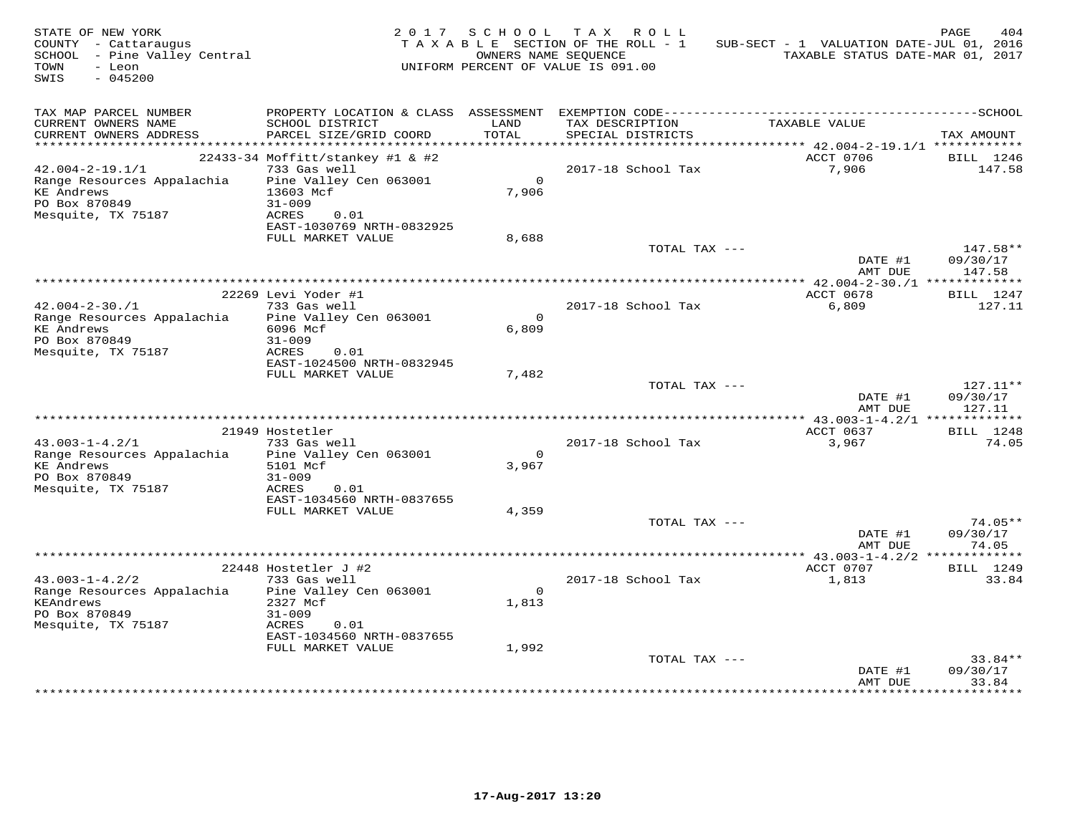| STATE OF NEW YORK<br>COUNTY - Cattaraugus<br>SCHOOL - Pine Valley Central<br>- Leon<br>TOWN<br>SWIS<br>$-045200$ |                                                                    | 2017 SCHOOL       | TAX ROLL<br>TAXABLE SECTION OF THE ROLL - 1<br>OWNERS NAME SEQUENCE<br>UNIFORM PERCENT OF VALUE IS 091.00 | SUB-SECT - 1 VALUATION DATE-JUL 01, 2016<br>TAXABLE STATUS DATE-MAR 01, 2017 | PAGE<br>404                  |
|------------------------------------------------------------------------------------------------------------------|--------------------------------------------------------------------|-------------------|-----------------------------------------------------------------------------------------------------------|------------------------------------------------------------------------------|------------------------------|
| TAX MAP PARCEL NUMBER<br>CURRENT OWNERS NAME<br>CURRENT OWNERS ADDRESS<br>***********************                | SCHOOL DISTRICT<br>PARCEL SIZE/GRID COORD                          | LAND<br>TOTAL     | TAX DESCRIPTION<br>SPECIAL DISTRICTS                                                                      | TAXABLE VALUE                                                                | TAX AMOUNT                   |
|                                                                                                                  | 22433-34 Moffitt/stankey #1 & #2                                   |                   |                                                                                                           | ACCT 0706                                                                    | BILL 1246                    |
| $42.004 - 2 - 19.1/1$                                                                                            | 733 Gas well                                                       |                   | 2017-18 School Tax                                                                                        | 7,906                                                                        | 147.58                       |
| Range Resources Appalachia<br><b>KE Andrews</b><br>PO Box 870849<br>Mesquite, TX 75187                           | Pine Valley Cen 063001<br>13603 Mcf<br>$31 - 009$<br>ACRES<br>0.01 | $\Omega$<br>7,906 |                                                                                                           |                                                                              |                              |
|                                                                                                                  | EAST-1030769 NRTH-0832925                                          |                   |                                                                                                           |                                                                              |                              |
|                                                                                                                  | FULL MARKET VALUE                                                  | 8,688             | TOTAL TAX ---                                                                                             | DATE #1                                                                      | 147.58**<br>09/30/17         |
|                                                                                                                  |                                                                    |                   |                                                                                                           | AMT DUE                                                                      | 147.58                       |
|                                                                                                                  | * * * * * * * * * * * * * * * * *                                  |                   |                                                                                                           | *************** 42.004-2-30./1 *************                                 |                              |
| $42.004 - 2 - 30.71$                                                                                             | 22269 Levi Yoder #1<br>733 Gas well                                |                   | 2017-18 School Tax                                                                                        | ACCT 0678<br>6,809                                                           | BILL 1247<br>127.11          |
| Range Resources Appalachia<br><b>KE</b> Andrews<br>PO Box 870849                                                 | Pine Valley Cen 063001<br>6096 Mcf<br>$31 - 009$                   | $\circ$<br>6,809  |                                                                                                           |                                                                              |                              |
| Mesquite, TX 75187                                                                                               | ACRES<br>0.01<br>EAST-1024500 NRTH-0832945                         |                   |                                                                                                           |                                                                              |                              |
|                                                                                                                  | FULL MARKET VALUE                                                  | 7,482             | TOTAL TAX ---                                                                                             |                                                                              | $127.11**$                   |
|                                                                                                                  |                                                                    |                   |                                                                                                           | DATE #1<br>AMT DUE                                                           | 09/30/17<br>127.11           |
|                                                                                                                  | 21949 Hostetler                                                    |                   |                                                                                                           | ACCT 0637                                                                    | BILL 1248                    |
| $43.003 - 1 - 4.2/1$                                                                                             | 733 Gas well                                                       |                   | 2017-18 School Tax                                                                                        | 3,967                                                                        | 74.05                        |
| Range Resources Appalachia                                                                                       | Pine Valley Cen 063001                                             | $\Omega$          |                                                                                                           |                                                                              |                              |
| <b>KE</b> Andrews<br>PO Box 870849<br>Mesquite, TX 75187                                                         | 5101 Mcf<br>$31 - 009$<br>ACRES<br>0.01                            | 3,967             |                                                                                                           |                                                                              |                              |
|                                                                                                                  | EAST-1034560 NRTH-0837655                                          |                   |                                                                                                           |                                                                              |                              |
|                                                                                                                  | FULL MARKET VALUE                                                  | 4,359             | TOTAL TAX ---                                                                                             |                                                                              | $74.05**$                    |
|                                                                                                                  |                                                                    |                   |                                                                                                           | DATE #1<br>AMT DUE                                                           | 09/30/17<br>74.05            |
|                                                                                                                  |                                                                    |                   |                                                                                                           |                                                                              |                              |
| $43.003 - 1 - 4.2/2$                                                                                             | 22448 Hostetler J #2<br>733 Gas well                               |                   | 2017-18 School Tax                                                                                        | ACCT 0707<br>1,813                                                           | <b>BILL</b> 1249<br>33.84    |
| Range Resources Appalachia<br>KEAndrews                                                                          | Pine Valley Cen 063001<br>2327 Mcf                                 | $\Omega$<br>1,813 |                                                                                                           |                                                                              |                              |
| PO Box 870849<br>Mesquite, TX 75187                                                                              | $31 - 009$<br>0.01<br>ACRES<br>EAST-1034560 NRTH-0837655           |                   |                                                                                                           |                                                                              |                              |
|                                                                                                                  | FULL MARKET VALUE                                                  | 1,992             |                                                                                                           |                                                                              |                              |
|                                                                                                                  |                                                                    |                   | TOTAL TAX ---                                                                                             | DATE #1<br>AMT DUE                                                           | 33.84**<br>09/30/17<br>33.84 |
|                                                                                                                  |                                                                    |                   |                                                                                                           | * * * * * * * * * * * * * * * *                                              | *********                    |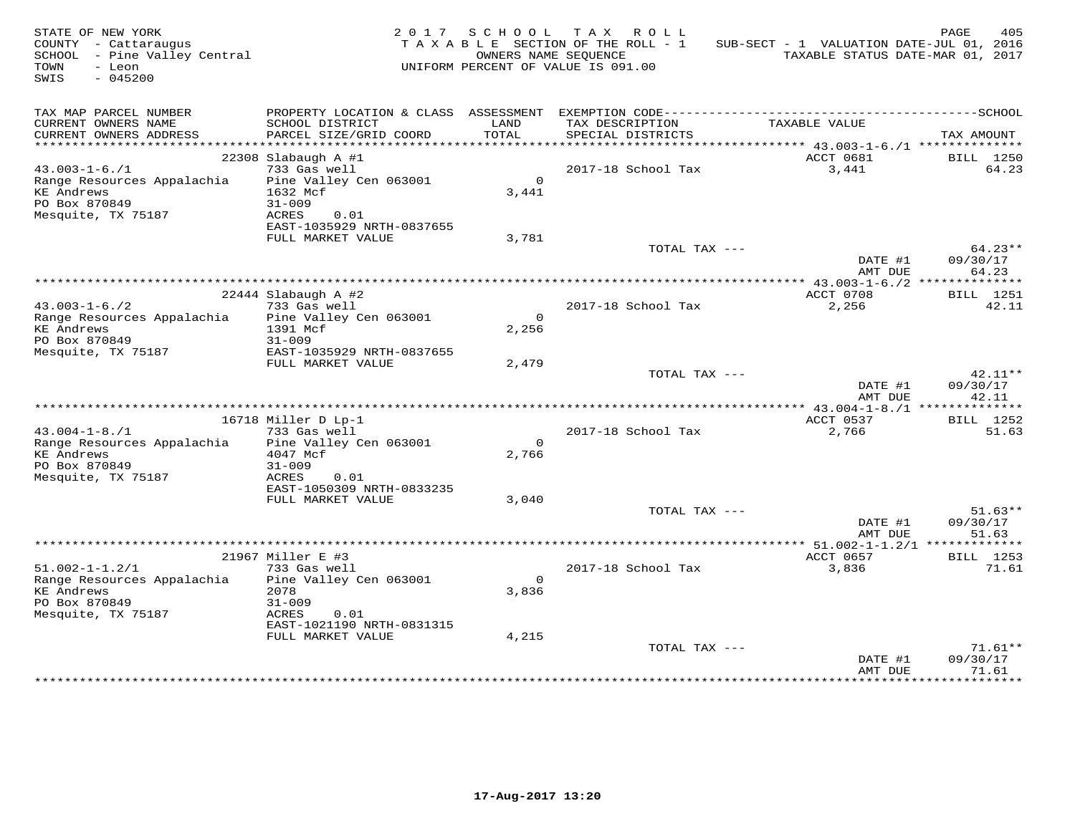| STATE OF NEW YORK<br>COUNTY - Cattaraugus<br>SCHOOL - Pine Valley Central<br>TOWN<br>- Leon<br>$-045200$<br>SWIS |                                                                                   | 2017 SCHOOL       | TAX ROLL<br>TAXABLE SECTION OF THE ROLL - 1<br>OWNERS NAME SEOUENCE<br>UNIFORM PERCENT OF VALUE IS 091.00 | SUB-SECT - 1 VALUATION DATE-JUL 01, 2016<br>TAXABLE STATUS DATE-MAR 01, 2017 | PAGE<br>405                    |
|------------------------------------------------------------------------------------------------------------------|-----------------------------------------------------------------------------------|-------------------|-----------------------------------------------------------------------------------------------------------|------------------------------------------------------------------------------|--------------------------------|
| TAX MAP PARCEL NUMBER<br>CURRENT OWNERS NAME<br>CURRENT OWNERS ADDRESS                                           | PROPERTY LOCATION & CLASS ASSESSMENT<br>SCHOOL DISTRICT<br>PARCEL SIZE/GRID COORD | LAND<br>TOTAL     | TAX DESCRIPTION<br>SPECIAL DISTRICTS                                                                      | TAXABLE VALUE                                                                | TAX AMOUNT                     |
|                                                                                                                  | $22308$ Slabaugh A #1                                                             |                   |                                                                                                           | ACCT 0681                                                                    | BILL 1250                      |
| $43.003 - 1 - 6.71$<br>Range Resources Appalachia<br><b>KE</b> Andrews<br>PO Box 870849                          | 733 Gas well<br>Pine Valley Cen 063001<br>1632 Mcf<br>$31 - 009$                  | $\circ$<br>3,441  | 2017-18 School Tax                                                                                        | 3,441                                                                        | 64.23                          |
| Mesquite, TX 75187                                                                                               | ACRES<br>0.01<br>EAST-1035929 NRTH-0837655                                        |                   |                                                                                                           |                                                                              |                                |
|                                                                                                                  | FULL MARKET VALUE                                                                 | 3,781             | TOTAL TAX ---                                                                                             | DATE #1                                                                      | $64.23**$<br>09/30/17          |
|                                                                                                                  |                                                                                   |                   |                                                                                                           | AMT DUE                                                                      | 64.23                          |
|                                                                                                                  | $22444$ Slabaugh A #2                                                             |                   |                                                                                                           | ACCT 0708                                                                    | BILL 1251                      |
| $43.003 - 1 - 6.72$<br>Range Resources Appalachia<br><b>KE</b> Andrews                                           | 733 Gas well<br>Pine Valley Cen 063001<br>1391 Mcf                                | $\Omega$<br>2,256 | 2017-18 School Tax                                                                                        | 2,256                                                                        | 42.11                          |
| PO Box 870849<br>Mesquite, TX 75187                                                                              | $31 - 009$<br>EAST-1035929 NRTH-0837655<br>FULL MARKET VALUE                      | 2,479             |                                                                                                           |                                                                              |                                |
|                                                                                                                  |                                                                                   |                   | TOTAL TAX ---                                                                                             | DATE #1<br>AMT DUE                                                           | 42.11**<br>09/30/17<br>42.11   |
|                                                                                                                  |                                                                                   |                   |                                                                                                           |                                                                              |                                |
|                                                                                                                  | 16718 Miller D Lp-1                                                               |                   |                                                                                                           | ACCT 0537                                                                    | BILL 1252                      |
| $43.004 - 1 - 8.71$<br>Range Resources Appalachia<br><b>KE</b> Andrews<br>PO Box 870849                          | 733 Gas well<br>Pine Valley Cen 063001<br>4047 Mcf<br>$31 - 009$                  | $\Omega$<br>2,766 | 2017-18 School Tax                                                                                        | 2,766                                                                        | 51.63                          |
| Mesquite, TX 75187                                                                                               | ACRES<br>0.01<br>EAST-1050309 NRTH-0833235<br>FULL MARKET VALUE                   | 3,040             |                                                                                                           |                                                                              | $51.63**$                      |
|                                                                                                                  |                                                                                   |                   | TOTAL TAX ---                                                                                             | DATE #1<br>AMT DUE                                                           | 09/30/17<br>51.63              |
|                                                                                                                  |                                                                                   |                   |                                                                                                           |                                                                              |                                |
| $51.002 - 1 - 1.2/1$                                                                                             | 21967 Miller E #3<br>733 Gas well                                                 |                   | 2017-18 School Tax                                                                                        | ACCT 0657<br>3,836                                                           | <b>BILL</b> 1253<br>71.61      |
| Range Resources Appalachia<br><b>KE</b> Andrews<br>PO Box 870849<br>Mesquite, TX 75187                           | Pine Valley Cen 063001<br>2078<br>$31 - 009$<br>ACRES<br>0.01                     | $\circ$<br>3,836  |                                                                                                           |                                                                              |                                |
|                                                                                                                  | EAST-1021190 NRTH-0831315<br>FULL MARKET VALUE                                    | 4,215             |                                                                                                           |                                                                              |                                |
|                                                                                                                  |                                                                                   |                   | TOTAL TAX ---                                                                                             | DATE #1<br>AMT DUE                                                           | $71.61**$<br>09/30/17<br>71.61 |
|                                                                                                                  |                                                                                   |                   |                                                                                                           |                                                                              |                                |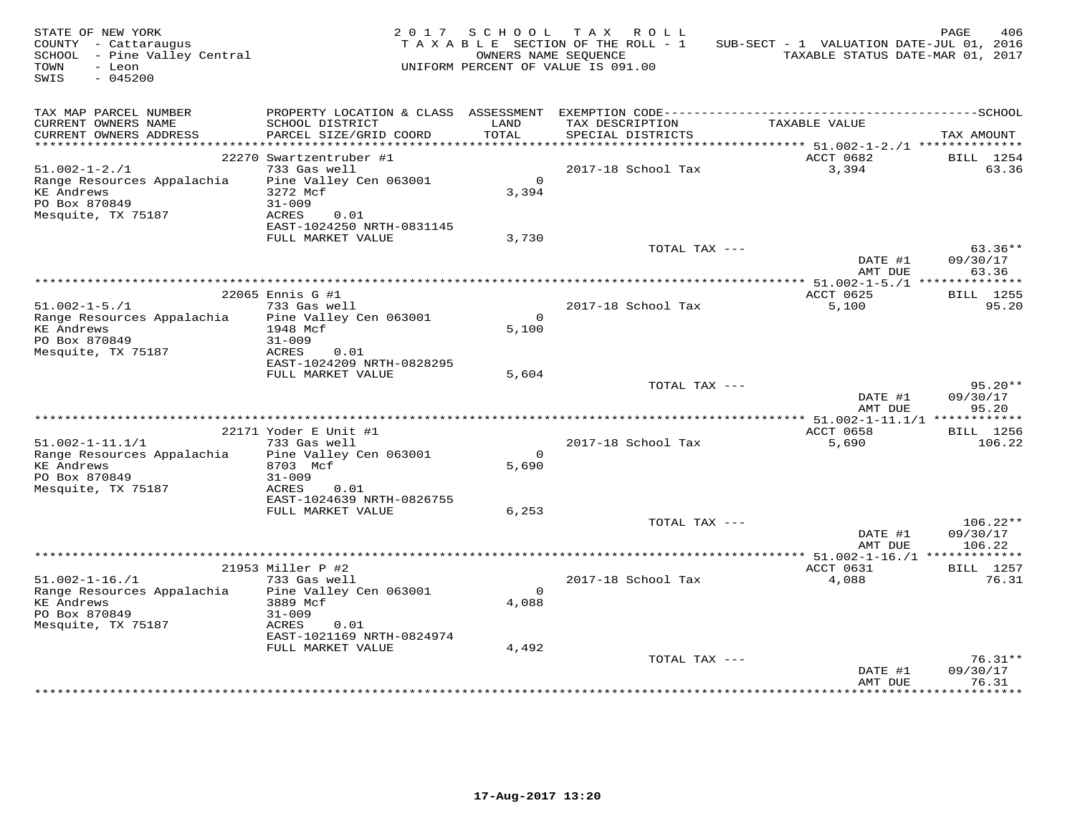| COUNTY - Cattaraugus<br>SCHOOL - Pine Valley Central<br>TOWN<br>- Leon<br>SWIS<br>$-045200$                      |                                                                                                                                     | 2017 SCHOOL           | TAX ROLL<br>TAXABLE SECTION OF THE ROLL - 1<br>OWNERS NAME SEQUENCE<br>UNIFORM PERCENT OF VALUE IS 091.00 | SUB-SECT - 1 VALUATION DATE-JUL 01, 2016<br>TAXABLE STATUS DATE-MAR 01, 2017 | PAGE<br>406                      |
|------------------------------------------------------------------------------------------------------------------|-------------------------------------------------------------------------------------------------------------------------------------|-----------------------|-----------------------------------------------------------------------------------------------------------|------------------------------------------------------------------------------|----------------------------------|
| TAX MAP PARCEL NUMBER<br>CURRENT OWNERS NAME<br>CURRENT OWNERS ADDRESS<br>***********************                | SCHOOL DISTRICT<br>PARCEL SIZE/GRID COORD                                                                                           | LAND<br>TOTAL         | TAX DESCRIPTION<br>SPECIAL DISTRICTS                                                                      | TAXABLE VALUE                                                                | TAX AMOUNT                       |
|                                                                                                                  | 22270 Swartzentruber #1                                                                                                             |                       |                                                                                                           | ACCT 0682                                                                    | BILL 1254                        |
| $51.002 - 1 - 2.71$<br>Range Resources Appalachia<br><b>KE Andrews</b><br>PO Box 870849<br>Mesquite, TX 75187    | 733 Gas well<br>Pine Valley Cen 063001<br>3272 Mcf<br>$31 - 009$<br>ACRES<br>0.01<br>EAST-1024250 NRTH-0831145                      | $\circ$<br>3,394      | 2017-18 School Tax                                                                                        | 3,394                                                                        | 63.36                            |
|                                                                                                                  | FULL MARKET VALUE                                                                                                                   | 3,730                 |                                                                                                           |                                                                              |                                  |
|                                                                                                                  |                                                                                                                                     |                       | TOTAL TAX ---                                                                                             | DATE #1<br>AMT DUE                                                           | $63.36**$<br>09/30/17<br>63.36   |
|                                                                                                                  |                                                                                                                                     |                       | **********************                                                                                    | *** 51.002-1-5./1 **************                                             |                                  |
| $51.002 - 1 - 5.71$<br>Range Resources Appalachia<br><b>KE Andrews</b><br>PO Box 870849<br>Mesquite, TX 75187    | 22065 Ennis G #1<br>733 Gas well<br>Pine Valley Cen 063001<br>1948 Mcf<br>$31 - 009$<br>ACRES<br>0.01                               | $\circ$<br>5,100      | 2017-18 School Tax                                                                                        | ACCT 0625<br>5,100                                                           | <b>BILL</b> 1255<br>95.20        |
|                                                                                                                  | EAST-1024209 NRTH-0828295<br>FULL MARKET VALUE                                                                                      | 5,604                 |                                                                                                           |                                                                              |                                  |
|                                                                                                                  |                                                                                                                                     |                       | TOTAL TAX ---                                                                                             | DATE #1<br>AMT DUE                                                           | $95.20**$<br>09/30/17<br>95.20   |
| ************************                                                                                         |                                                                                                                                     |                       |                                                                                                           |                                                                              |                                  |
| $51.002 - 1 - 11.1/1$<br>Range Resources Appalachia<br><b>KE Andrews</b><br>PO Box 870849<br>Mesquite, TX 75187  | 22171 Yoder E Unit #1<br>733 Gas well<br>Pine Valley Cen 063001<br>8703 Mcf<br>$31 - 009$<br>ACRES<br>0.01                          | $\mathsf{O}$<br>5,690 | 2017-18 School Tax                                                                                        | ACCT 0658<br>5,690                                                           | <b>BILL</b> 1256<br>106.22       |
|                                                                                                                  | EAST-1024639 NRTH-0826755<br>FULL MARKET VALUE                                                                                      | 6,253                 |                                                                                                           |                                                                              |                                  |
|                                                                                                                  |                                                                                                                                     |                       | TOTAL TAX ---                                                                                             | DATE #1<br>AMT DUE                                                           | $106.22**$<br>09/30/17<br>106.22 |
|                                                                                                                  |                                                                                                                                     |                       |                                                                                                           | ******* 51.002-1-16./1 *************                                         |                                  |
| $51.002 - 1 - 16. / 1$<br>Range Resources Appalachia<br><b>KE</b> Andrews<br>PO Box 870849<br>Mesquite, TX 75187 | 21953 Miller P #2<br>733 Gas well<br>Pine Valley Cen 063001<br>3889 Mcf<br>$31 - 009$<br>ACRES<br>0.01<br>EAST-1021169 NRTH-0824974 | $\mathsf{O}$<br>4,088 | 2017-18 School Tax                                                                                        | ACCT 0631<br>4,088                                                           | <b>BILL</b> 1257<br>76.31        |
|                                                                                                                  | FULL MARKET VALUE                                                                                                                   | 4,492                 | TOTAL TAX ---                                                                                             | DATE #1<br>AMT DUE                                                           | $76.31**$<br>09/30/17<br>76.31   |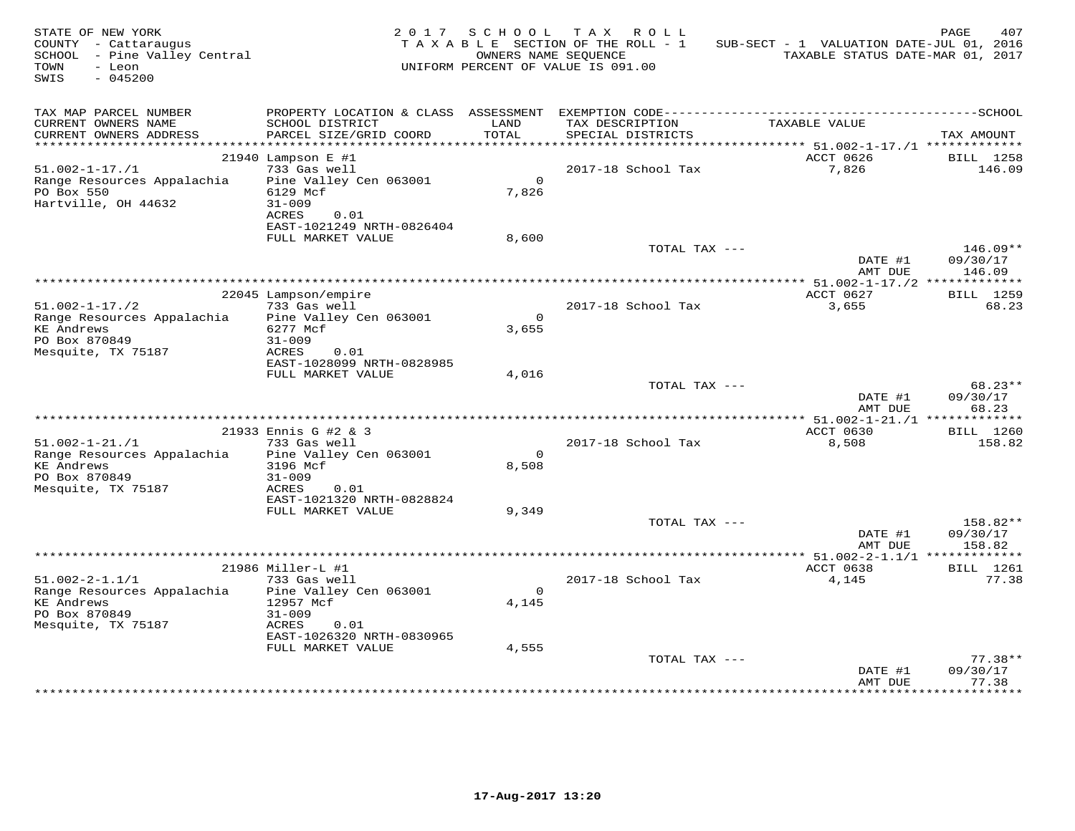| STATE OF NEW YORK<br>COUNTY - Cattaraugus<br>SCHOOL - Pine Valley Central<br>TOWN<br>- Leon<br>SWIS<br>$-045200$ |                                                  | 2017 SCHOOL           | TAX ROLL<br>TAXABLE SECTION OF THE ROLL - 1<br>OWNERS NAME SEQUENCE<br>UNIFORM PERCENT OF VALUE IS 091.00 | SUB-SECT - 1 VALUATION DATE-JUL 01, 2016<br>TAXABLE STATUS DATE-MAR 01, 2017 | PAGE<br>407                    |
|------------------------------------------------------------------------------------------------------------------|--------------------------------------------------|-----------------------|-----------------------------------------------------------------------------------------------------------|------------------------------------------------------------------------------|--------------------------------|
| TAX MAP PARCEL NUMBER                                                                                            |                                                  |                       |                                                                                                           |                                                                              |                                |
| CURRENT OWNERS NAME<br>CURRENT OWNERS ADDRESS                                                                    | SCHOOL DISTRICT<br>PARCEL SIZE/GRID COORD        | LAND<br>TOTAL         | TAX DESCRIPTION<br>SPECIAL DISTRICTS                                                                      | TAXABLE VALUE                                                                | TAX AMOUNT                     |
| ************************                                                                                         |                                                  |                       |                                                                                                           |                                                                              |                                |
| $51.002 - 1 - 17.71$                                                                                             | $21940$ Lampson E #1<br>733 Gas well             |                       | 2017-18 School Tax                                                                                        | ACCT 0626<br>7,826                                                           | BILL 1258<br>146.09            |
| Range Resources Appalachia<br>PO Box 550<br>Hartville, OH 44632                                                  | Pine Valley Cen 063001<br>6129 Mcf<br>$31 - 009$ | $\Omega$<br>7,826     |                                                                                                           |                                                                              |                                |
|                                                                                                                  | ACRES<br>0.01<br>EAST-1021249 NRTH-0826404       |                       |                                                                                                           |                                                                              |                                |
|                                                                                                                  | FULL MARKET VALUE                                | 8,600                 |                                                                                                           |                                                                              |                                |
|                                                                                                                  |                                                  |                       | TOTAL TAX ---                                                                                             | DATE #1<br>AMT DUE                                                           | 146.09**<br>09/30/17<br>146.09 |
|                                                                                                                  |                                                  |                       |                                                                                                           | ***************** 51.002-1-17./2 *************                               |                                |
|                                                                                                                  | 22045 Lampson/empire                             |                       |                                                                                                           | ACCT 0627                                                                    | BILL 1259                      |
| $51.002 - 1 - 17.72$                                                                                             | 733 Gas well                                     | $\Omega$              | 2017-18 School Tax                                                                                        | 3,655                                                                        | 68.23                          |
| Range Resources Appalachia<br><b>KE</b> Andrews                                                                  | Pine Valley Cen 063001<br>6277 Mcf               | 3,655                 |                                                                                                           |                                                                              |                                |
| PO Box 870849                                                                                                    | $31 - 009$                                       |                       |                                                                                                           |                                                                              |                                |
| Mesquite, TX 75187                                                                                               | ACRES<br>0.01                                    |                       |                                                                                                           |                                                                              |                                |
|                                                                                                                  | EAST-1028099 NRTH-0828985                        |                       |                                                                                                           |                                                                              |                                |
|                                                                                                                  | FULL MARKET VALUE                                | 4,016                 |                                                                                                           |                                                                              |                                |
|                                                                                                                  |                                                  |                       | TOTAL TAX ---                                                                                             | DATE #1<br>AMT DUE                                                           | 68.23**<br>09/30/17<br>68.23   |
|                                                                                                                  |                                                  |                       |                                                                                                           |                                                                              |                                |
|                                                                                                                  | 21933 Ennis G #2 & 3                             |                       |                                                                                                           | ACCT 0630                                                                    | BILL 1260                      |
| $51.002 - 1 - 21. / 1$                                                                                           | 733 Gas well                                     |                       | 2017-18 School Tax                                                                                        | 8,508                                                                        | 158.82                         |
| Range Resources Appalachia<br><b>KE Andrews</b>                                                                  | Pine Valley Cen 063001<br>3196 Mcf               | $\Omega$<br>8,508     |                                                                                                           |                                                                              |                                |
| PO Box 870849                                                                                                    | $31 - 009$                                       |                       |                                                                                                           |                                                                              |                                |
| Mesquite, TX 75187                                                                                               | ACRES<br>0.01                                    |                       |                                                                                                           |                                                                              |                                |
|                                                                                                                  | EAST-1021320 NRTH-0828824                        |                       |                                                                                                           |                                                                              |                                |
|                                                                                                                  | FULL MARKET VALUE                                | 9,349                 |                                                                                                           |                                                                              |                                |
|                                                                                                                  |                                                  |                       | TOTAL TAX ---                                                                                             | DATE #1                                                                      | 158.82**<br>09/30/17           |
|                                                                                                                  |                                                  |                       |                                                                                                           | AMT DUE                                                                      | 158.82                         |
|                                                                                                                  |                                                  |                       |                                                                                                           | *********** 51.002-2-1.1/1 *************                                     |                                |
|                                                                                                                  | 21986 Miller-L #1                                |                       |                                                                                                           | ACCT 0638                                                                    | <b>BILL</b> 1261               |
| $51.002 - 2 - 1.1/1$                                                                                             | 733 Gas well                                     |                       | 2017-18 School Tax                                                                                        | 4,145                                                                        | 77.38                          |
| Range Resources Appalachia<br><b>KE Andrews</b>                                                                  | Pine Valley Cen 063001<br>12957 Mcf              | $\mathbf{0}$<br>4,145 |                                                                                                           |                                                                              |                                |
| PO Box 870849                                                                                                    | $31 - 009$                                       |                       |                                                                                                           |                                                                              |                                |
| Mesquite, TX 75187                                                                                               | ACRES<br>0.01                                    |                       |                                                                                                           |                                                                              |                                |
|                                                                                                                  | EAST-1026320 NRTH-0830965                        |                       |                                                                                                           |                                                                              |                                |
|                                                                                                                  | FULL MARKET VALUE                                | 4,555                 |                                                                                                           |                                                                              |                                |
|                                                                                                                  |                                                  |                       | TOTAL TAX ---                                                                                             | DATE #1<br>AMT DUE                                                           | $77.38**$<br>09/30/17<br>77.38 |
|                                                                                                                  |                                                  |                       |                                                                                                           |                                                                              |                                |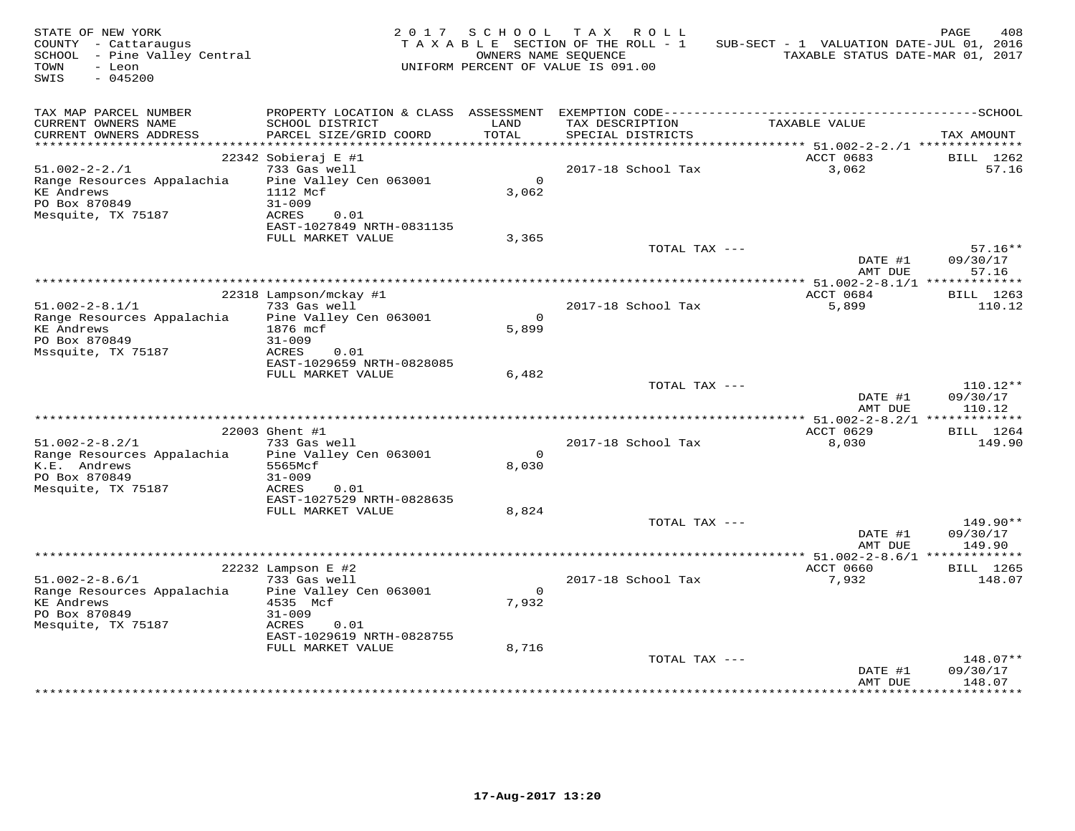| STATE OF NEW YORK<br>COUNTY - Cattaraugus<br>SCHOOL - Pine Valley Central<br>TOWN<br>- Leon<br>$-045200$<br>SWIS |                                                                                                                                                           | 2017 SCHOOL                    | TAX ROLL<br>TAXABLE SECTION OF THE ROLL - 1<br>OWNERS NAME SEQUENCE<br>UNIFORM PERCENT OF VALUE IS 091.00 | SUB-SECT - 1 VALUATION DATE-JUL 01, 2016<br>TAXABLE STATUS DATE-MAR 01, 2017 | PAGE<br>408                      |
|------------------------------------------------------------------------------------------------------------------|-----------------------------------------------------------------------------------------------------------------------------------------------------------|--------------------------------|-----------------------------------------------------------------------------------------------------------|------------------------------------------------------------------------------|----------------------------------|
| TAX MAP PARCEL NUMBER<br>CURRENT OWNERS NAME<br>CURRENT OWNERS ADDRESS                                           | SCHOOL DISTRICT<br>PARCEL SIZE/GRID COORD                                                                                                                 | LAND<br>TOTAL                  | TAX DESCRIPTION<br>SPECIAL DISTRICTS                                                                      | TAXABLE VALUE                                                                | TAX AMOUNT                       |
|                                                                                                                  |                                                                                                                                                           |                                |                                                                                                           |                                                                              |                                  |
| $51.002 - 2 - 2.71$<br>Range Resources Appalachia<br><b>KE</b> Andrews<br>PO Box 870849<br>Mesquite, TX 75187    | $22342$ Sobieraj E #1<br>733 Gas well<br>Pine Valley Cen 063001<br>1112 Mcf<br>$31 - 009$<br>ACRES<br>0.01                                                | $\Omega$<br>3,062              | 2017-18 School Tax                                                                                        | ACCT 0683<br>3,062                                                           | BILL 1262<br>57.16               |
|                                                                                                                  | EAST-1027849 NRTH-0831135<br>FULL MARKET VALUE                                                                                                            | 3,365                          |                                                                                                           |                                                                              |                                  |
|                                                                                                                  |                                                                                                                                                           |                                | TOTAL TAX ---                                                                                             | DATE #1<br>AMT DUE                                                           | $57.16**$<br>09/30/17<br>57.16   |
|                                                                                                                  |                                                                                                                                                           |                                |                                                                                                           | *************** 51.002-2-8.1/1 *************                                 |                                  |
| $51.002 - 2 - 8.1/1$<br>Range Resources Appalachia<br><b>KE Andrews</b><br>PO Box 870849<br>Mssquite, TX 75187   | 22318 Lampson/mckay #1<br>733 Gas well<br>Pine Valley Cen 063001<br>1876 mcf<br>$31 - 009$<br>ACRES<br>0.01                                               | $\circ$<br>5,899               | 2017-18 School Tax                                                                                        | ACCT 0684<br>5,899                                                           | BILL 1263<br>110.12              |
|                                                                                                                  | EAST-1029659 NRTH-0828085<br>FULL MARKET VALUE                                                                                                            | 6,482                          |                                                                                                           |                                                                              |                                  |
|                                                                                                                  |                                                                                                                                                           |                                | TOTAL TAX ---                                                                                             | DATE #1<br>AMT DUE                                                           | $110.12**$<br>09/30/17<br>110.12 |
|                                                                                                                  | 22003 Ghent #1                                                                                                                                            |                                |                                                                                                           | ACCT 0629                                                                    | BILL 1264                        |
| $51.002 - 2 - 8.2/1$<br>Range Resources Appalachia<br>K.E. Andrews<br>PO Box 870849<br>Mesquite, TX 75187        | 733 Gas well<br>Pine Valley Cen 063001<br>5565Mcf<br>$31 - 009$<br>ACRES<br>0.01<br>EAST-1027529 NRTH-0828635                                             | $\Omega$<br>8,030              | 2017-18 School Tax                                                                                        | 8,030                                                                        | 149.90                           |
|                                                                                                                  | FULL MARKET VALUE                                                                                                                                         | 8,824                          |                                                                                                           |                                                                              |                                  |
|                                                                                                                  |                                                                                                                                                           |                                | TOTAL TAX ---                                                                                             | DATE #1<br>AMT DUE                                                           | 149.90**<br>09/30/17<br>149.90   |
|                                                                                                                  | **************************************                                                                                                                    |                                |                                                                                                           | ******* 51.002-2-8.6/1 *************                                         |                                  |
| $51.002 - 2 - 8.6/1$<br>Range Resources Appalachia<br><b>KE</b> Andrews<br>PO Box 870849<br>Mesquite, TX 75187   | 22232 Lampson E #2<br>733 Gas well<br>Pine Valley Cen 063001<br>4535 Mcf<br>$31 - 009$<br>ACRES<br>0.01<br>EAST-1029619 NRTH-0828755<br>FULL MARKET VALUE | $\mathsf{O}$<br>7,932<br>8,716 | 2017-18 School Tax                                                                                        | ACCT 0660<br>7,932                                                           | BILL 1265<br>148.07              |
|                                                                                                                  |                                                                                                                                                           |                                | TOTAL TAX ---                                                                                             | DATE #1<br>AMT DUE                                                           | 148.07**<br>09/30/17<br>148.07   |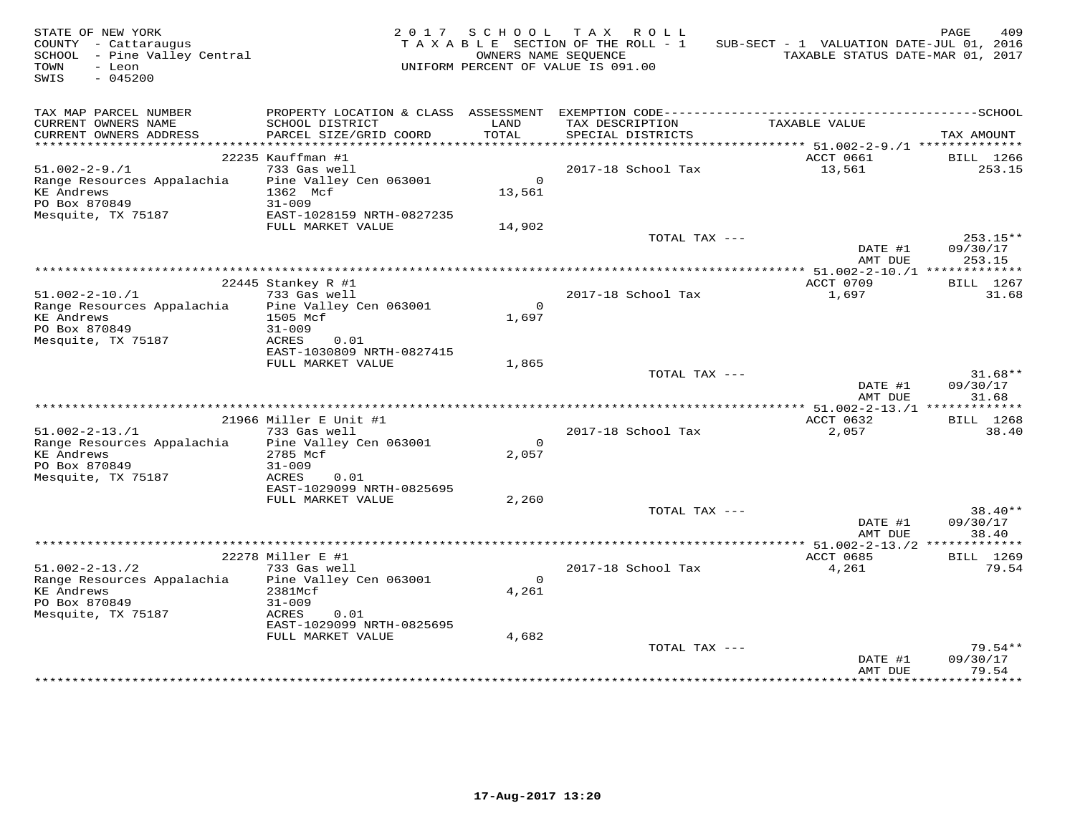| TAX MAP PARCEL NUMBER<br>CURRENT OWNERS NAME<br>SCHOOL DISTRICT<br>LAND<br>TAXABLE VALUE<br>TAX DESCRIPTION<br>TOTAL<br>CURRENT OWNERS ADDRESS<br>PARCEL SIZE/GRID COORD<br>SPECIAL DISTRICTS<br>TAX AMOUNT<br>************************<br>22235 Kauffman #1<br>ACCT 0661<br>BILL 1266<br>733 Gas well<br>$51.002 - 2 - 9.71$<br>2017-18 School Tax<br>13,561<br>253.15<br>Pine Valley Cen 063001<br>$\circ$<br>Range Resources Appalachia<br><b>KE Andrews</b><br>1362 Mcf<br>13,561<br>PO Box 870849<br>$31 - 009$<br>Mesquite, TX 75187<br>EAST-1028159 NRTH-0827235<br>FULL MARKET VALUE<br>14,902<br>TOTAL TAX ---<br>253.15**<br>DATE #1<br>09/30/17<br>253.15<br>AMT DUE<br>22445 Stankey R #1<br>ACCT 0709<br><b>BILL</b> 1267<br>$51.002 - 2 - 10.71$<br>733 Gas well<br>2017-18 School Tax<br>1,697<br>31.68<br>Range Resources Appalachia<br>Pine Valley Cen 063001<br>$\Omega$<br><b>KE</b> Andrews<br>1505 Mcf<br>1,697<br>PO Box 870849<br>$31 - 009$<br>Mesquite, TX 75187<br>ACRES<br>0.01<br>EAST-1030809 NRTH-0827415<br>FULL MARKET VALUE<br>1,865<br>TOTAL TAX ---<br>$31.68**$<br>DATE #1<br>09/30/17<br>AMT DUE<br>31.68<br>ACCT 0632<br>21966 Miller E Unit #1<br><b>BILL</b> 1268<br>$51.002 - 2 - 13.71$<br>733 Gas well<br>2017-18 School Tax<br>2,057<br>38.40<br>Range Resources Appalachia<br>Pine Valley Cen 063001<br>$\Omega$<br><b>KE Andrews</b><br>2,057<br>2785 Mcf<br>PO Box 870849<br>$31 - 009$<br>Mesquite, TX 75187<br>ACRES<br>0.01<br>EAST-1029099 NRTH-0825695<br>FULL MARKET VALUE<br>2,260<br>TOTAL TAX ---<br>$38.40**$<br>09/30/17<br>DATE #1<br>AMT DUE<br>38.40<br>ACCT 0685<br>22278 Miller E #1<br>BILL 1269<br>733 Gas well<br>2017-18 School Tax<br>79.54<br>$51.002 - 2 - 13.72$<br>4,261<br>$\Omega$<br>Range Resources Appalachia<br>Pine Valley Cen 063001<br><b>KE Andrews</b><br>2381Mcf<br>4,261<br>PO Box 870849<br>$31 - 009$<br>Mesquite, TX 75187<br>ACRES<br>0.01<br>EAST-1029099 NRTH-0825695<br>FULL MARKET VALUE<br>4,682<br>TOTAL TAX ---<br>$79.54**$<br>DATE #1<br>09/30/17<br>79.54<br>AMT DUE | STATE OF NEW YORK<br>COUNTY - Cattaraugus<br>SCHOOL - Pine Valley Central<br>TOWN<br>- Leon<br>SWIS<br>$-045200$ | 2017 SCHOOL<br>OWNERS NAME SEOUENCE | TAX ROLL<br>TAXABLE SECTION OF THE ROLL - 1<br>UNIFORM PERCENT OF VALUE IS 091.00 | SUB-SECT - 1 VALUATION DATE-JUL 01, 2016<br>TAXABLE STATUS DATE-MAR 01, 2017 | PAGE<br>409 |
|-------------------------------------------------------------------------------------------------------------------------------------------------------------------------------------------------------------------------------------------------------------------------------------------------------------------------------------------------------------------------------------------------------------------------------------------------------------------------------------------------------------------------------------------------------------------------------------------------------------------------------------------------------------------------------------------------------------------------------------------------------------------------------------------------------------------------------------------------------------------------------------------------------------------------------------------------------------------------------------------------------------------------------------------------------------------------------------------------------------------------------------------------------------------------------------------------------------------------------------------------------------------------------------------------------------------------------------------------------------------------------------------------------------------------------------------------------------------------------------------------------------------------------------------------------------------------------------------------------------------------------------------------------------------------------------------------------------------------------------------------------------------------------------------------------------------------------------------------------------------------------------------------------------------------------------------------------------------------------------------------------------------------------------------------------------------------|------------------------------------------------------------------------------------------------------------------|-------------------------------------|-----------------------------------------------------------------------------------|------------------------------------------------------------------------------|-------------|
|                                                                                                                                                                                                                                                                                                                                                                                                                                                                                                                                                                                                                                                                                                                                                                                                                                                                                                                                                                                                                                                                                                                                                                                                                                                                                                                                                                                                                                                                                                                                                                                                                                                                                                                                                                                                                                                                                                                                                                                                                                                                         |                                                                                                                  |                                     |                                                                                   |                                                                              |             |
|                                                                                                                                                                                                                                                                                                                                                                                                                                                                                                                                                                                                                                                                                                                                                                                                                                                                                                                                                                                                                                                                                                                                                                                                                                                                                                                                                                                                                                                                                                                                                                                                                                                                                                                                                                                                                                                                                                                                                                                                                                                                         |                                                                                                                  |                                     |                                                                                   |                                                                              |             |
|                                                                                                                                                                                                                                                                                                                                                                                                                                                                                                                                                                                                                                                                                                                                                                                                                                                                                                                                                                                                                                                                                                                                                                                                                                                                                                                                                                                                                                                                                                                                                                                                                                                                                                                                                                                                                                                                                                                                                                                                                                                                         |                                                                                                                  |                                     |                                                                                   |                                                                              |             |
|                                                                                                                                                                                                                                                                                                                                                                                                                                                                                                                                                                                                                                                                                                                                                                                                                                                                                                                                                                                                                                                                                                                                                                                                                                                                                                                                                                                                                                                                                                                                                                                                                                                                                                                                                                                                                                                                                                                                                                                                                                                                         |                                                                                                                  |                                     |                                                                                   |                                                                              |             |
|                                                                                                                                                                                                                                                                                                                                                                                                                                                                                                                                                                                                                                                                                                                                                                                                                                                                                                                                                                                                                                                                                                                                                                                                                                                                                                                                                                                                                                                                                                                                                                                                                                                                                                                                                                                                                                                                                                                                                                                                                                                                         |                                                                                                                  |                                     |                                                                                   |                                                                              |             |
|                                                                                                                                                                                                                                                                                                                                                                                                                                                                                                                                                                                                                                                                                                                                                                                                                                                                                                                                                                                                                                                                                                                                                                                                                                                                                                                                                                                                                                                                                                                                                                                                                                                                                                                                                                                                                                                                                                                                                                                                                                                                         |                                                                                                                  |                                     |                                                                                   |                                                                              |             |
|                                                                                                                                                                                                                                                                                                                                                                                                                                                                                                                                                                                                                                                                                                                                                                                                                                                                                                                                                                                                                                                                                                                                                                                                                                                                                                                                                                                                                                                                                                                                                                                                                                                                                                                                                                                                                                                                                                                                                                                                                                                                         |                                                                                                                  |                                     |                                                                                   |                                                                              |             |
|                                                                                                                                                                                                                                                                                                                                                                                                                                                                                                                                                                                                                                                                                                                                                                                                                                                                                                                                                                                                                                                                                                                                                                                                                                                                                                                                                                                                                                                                                                                                                                                                                                                                                                                                                                                                                                                                                                                                                                                                                                                                         |                                                                                                                  |                                     |                                                                                   |                                                                              |             |
|                                                                                                                                                                                                                                                                                                                                                                                                                                                                                                                                                                                                                                                                                                                                                                                                                                                                                                                                                                                                                                                                                                                                                                                                                                                                                                                                                                                                                                                                                                                                                                                                                                                                                                                                                                                                                                                                                                                                                                                                                                                                         |                                                                                                                  |                                     |                                                                                   |                                                                              |             |
|                                                                                                                                                                                                                                                                                                                                                                                                                                                                                                                                                                                                                                                                                                                                                                                                                                                                                                                                                                                                                                                                                                                                                                                                                                                                                                                                                                                                                                                                                                                                                                                                                                                                                                                                                                                                                                                                                                                                                                                                                                                                         |                                                                                                                  |                                     |                                                                                   |                                                                              |             |
|                                                                                                                                                                                                                                                                                                                                                                                                                                                                                                                                                                                                                                                                                                                                                                                                                                                                                                                                                                                                                                                                                                                                                                                                                                                                                                                                                                                                                                                                                                                                                                                                                                                                                                                                                                                                                                                                                                                                                                                                                                                                         |                                                                                                                  |                                     |                                                                                   |                                                                              |             |
|                                                                                                                                                                                                                                                                                                                                                                                                                                                                                                                                                                                                                                                                                                                                                                                                                                                                                                                                                                                                                                                                                                                                                                                                                                                                                                                                                                                                                                                                                                                                                                                                                                                                                                                                                                                                                                                                                                                                                                                                                                                                         |                                                                                                                  |                                     |                                                                                   |                                                                              |             |
|                                                                                                                                                                                                                                                                                                                                                                                                                                                                                                                                                                                                                                                                                                                                                                                                                                                                                                                                                                                                                                                                                                                                                                                                                                                                                                                                                                                                                                                                                                                                                                                                                                                                                                                                                                                                                                                                                                                                                                                                                                                                         |                                                                                                                  |                                     |                                                                                   |                                                                              |             |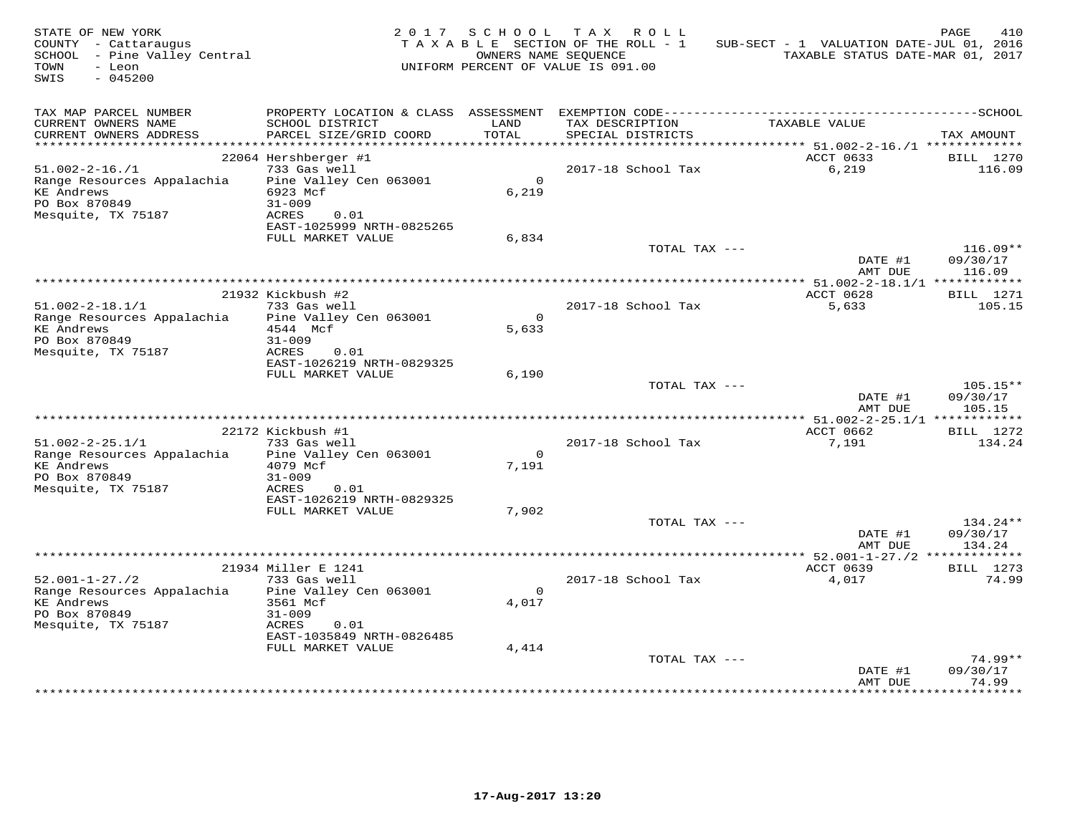| STATE OF NEW YORK<br>COUNTY - Cattaraugus<br>SCHOOL - Pine Valley Central<br>TOWN<br>- Leon<br>$-045200$<br>SWIS |                                                                                   | 2017 SCHOOL           | TAX ROLL<br>TAXABLE SECTION OF THE ROLL - 1<br>OWNERS NAME SEQUENCE<br>UNIFORM PERCENT OF VALUE IS 091.00 | SUB-SECT - 1 VALUATION DATE-JUL 01, 2016<br>TAXABLE STATUS DATE-MAR 01, 2017 | PAGE<br>410                    |
|------------------------------------------------------------------------------------------------------------------|-----------------------------------------------------------------------------------|-----------------------|-----------------------------------------------------------------------------------------------------------|------------------------------------------------------------------------------|--------------------------------|
| TAX MAP PARCEL NUMBER<br>CURRENT OWNERS NAME<br>CURRENT OWNERS ADDRESS                                           | SCHOOL DISTRICT<br>PARCEL SIZE/GRID COORD                                         | LAND<br>TOTAL         | TAX DESCRIPTION<br>SPECIAL DISTRICTS                                                                      | TAXABLE VALUE                                                                | TAX AMOUNT                     |
| *************************                                                                                        |                                                                                   |                       |                                                                                                           |                                                                              |                                |
|                                                                                                                  | 22064 Hershberger #1                                                              |                       |                                                                                                           | ACCT 0633                                                                    | BILL 1270                      |
| $51.002 - 2 - 16. / 1$<br>Range Resources Appalachia<br><b>KE</b> Andrews<br>PO Box 870849<br>Mesquite, TX 75187 | 733 Gas well<br>Pine Valley Cen 063001<br>6923 Mcf<br>$31 - 009$<br>ACRES<br>0.01 | $\Omega$<br>6,219     | 2017-18 School Tax                                                                                        | 6,219                                                                        | 116.09                         |
|                                                                                                                  | EAST-1025999 NRTH-0825265                                                         |                       |                                                                                                           |                                                                              |                                |
|                                                                                                                  | FULL MARKET VALUE                                                                 | 6,834                 | TOTAL TAX ---                                                                                             |                                                                              | $116.09**$                     |
|                                                                                                                  |                                                                                   |                       |                                                                                                           | DATE #1<br>AMT DUE                                                           | 09/30/17<br>116.09             |
|                                                                                                                  | 21932 Kickbush #2                                                                 |                       |                                                                                                           | ************** 51.002-2-18.1/1 *************<br>ACCT 0628                    | BILL 1271                      |
| $51.002 - 2 - 18.1/1$<br>Range Resources Appalachia                                                              | 733 Gas well<br>Pine Valley Cen 063001                                            | $\mathbf{O}$          | 2017-18 School Tax                                                                                        | 5,633                                                                        | 105.15                         |
| <b>KE Andrews</b><br>PO Box 870849                                                                               | 4544 Mcf<br>$31 - 009$                                                            | 5,633                 |                                                                                                           |                                                                              |                                |
| Mesquite, TX 75187                                                                                               | ACRES<br>0.01<br>EAST-1026219 NRTH-0829325                                        |                       |                                                                                                           |                                                                              |                                |
|                                                                                                                  | FULL MARKET VALUE                                                                 | 6,190                 | TOTAL TAX ---                                                                                             |                                                                              | 105.15**                       |
|                                                                                                                  |                                                                                   |                       |                                                                                                           | DATE #1<br>AMT DUE                                                           | 09/30/17<br>105.15             |
|                                                                                                                  |                                                                                   |                       |                                                                                                           |                                                                              |                                |
| $51.002 - 2 - 25.1/1$                                                                                            | 22172 Kickbush #1<br>733 Gas well                                                 |                       | 2017-18 School Tax                                                                                        | ACCT 0662<br>7,191                                                           | BILL 1272<br>134.24            |
| Range Resources Appalachia                                                                                       | Pine Valley Cen 063001                                                            | $\Omega$              |                                                                                                           |                                                                              |                                |
| <b>KE Andrews</b><br>PO Box 870849                                                                               | 4079 Mcf<br>$31 - 009$                                                            | 7,191                 |                                                                                                           |                                                                              |                                |
| Mesquite, TX 75187                                                                                               | ACRES<br>0.01<br>EAST-1026219 NRTH-0829325                                        |                       |                                                                                                           |                                                                              |                                |
|                                                                                                                  | FULL MARKET VALUE                                                                 | 7,902                 |                                                                                                           |                                                                              |                                |
|                                                                                                                  |                                                                                   |                       | TOTAL TAX ---                                                                                             | DATE #1<br>AMT DUE                                                           | 134.24**<br>09/30/17<br>134.24 |
|                                                                                                                  |                                                                                   |                       |                                                                                                           | *** 52.001-1-27./2 *************                                             |                                |
|                                                                                                                  | 21934 Miller E 1241                                                               |                       |                                                                                                           | ACCT 0639                                                                    | <b>BILL</b> 1273               |
| $52.001 - 1 - 27.72$<br>Range Resources Appalachia<br><b>KE</b> Andrews                                          | 733 Gas well<br>Pine Valley Cen 063001<br>3561 Mcf                                | $\mathsf{O}$<br>4,017 | 2017-18 School Tax                                                                                        | 4,017                                                                        | 74.99                          |
| PO Box 870849<br>Mesquite, TX 75187                                                                              | $31 - 009$<br>ACRES<br>0.01<br>EAST-1035849 NRTH-0826485                          |                       |                                                                                                           |                                                                              |                                |
|                                                                                                                  | FULL MARKET VALUE                                                                 | 4,414                 |                                                                                                           |                                                                              |                                |
|                                                                                                                  |                                                                                   |                       | TOTAL TAX ---                                                                                             | DATE #1<br>AMT DUE                                                           | $74.99**$<br>09/30/17<br>74.99 |
|                                                                                                                  |                                                                                   |                       |                                                                                                           |                                                                              |                                |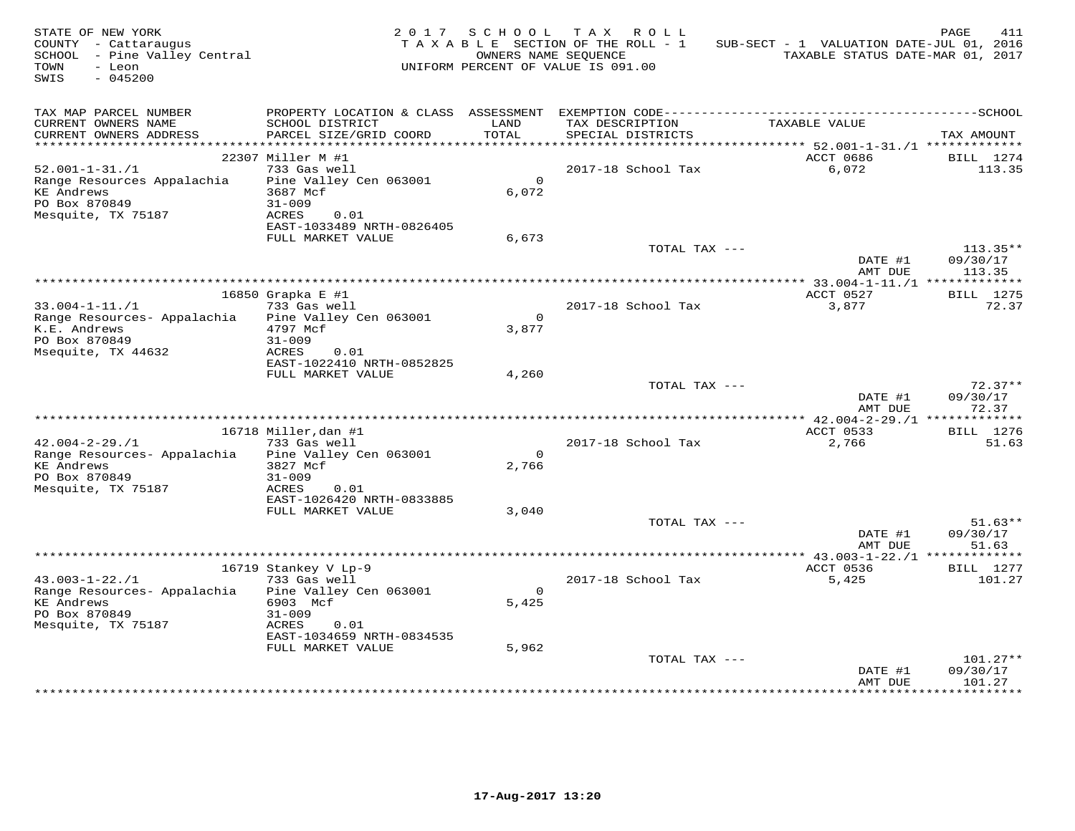| STATE OF NEW YORK<br>COUNTY - Cattaraugus<br>SCHOOL - Pine Valley Central<br>- Leon<br>TOWN<br>SWIS<br>$-045200$ |                                                | 2017 SCHOOL    | T A X<br>R O L L<br>TAXABLE SECTION OF THE ROLL - 1<br>OWNERS NAME SEOUENCE<br>UNIFORM PERCENT OF VALUE IS 091.00 | SUB-SECT - 1 VALUATION DATE-JUL 01, 2016<br>TAXABLE STATUS DATE-MAR 01, 2017 | PAGE<br>411            |
|------------------------------------------------------------------------------------------------------------------|------------------------------------------------|----------------|-------------------------------------------------------------------------------------------------------------------|------------------------------------------------------------------------------|------------------------|
| TAX MAP PARCEL NUMBER<br>CURRENT OWNERS NAME                                                                     | SCHOOL DISTRICT                                | LAND           | TAX DESCRIPTION                                                                                                   | TAXABLE VALUE                                                                |                        |
| CURRENT OWNERS ADDRESS<br>*************************                                                              | PARCEL SIZE/GRID COORD                         | TOTAL          | SPECIAL DISTRICTS                                                                                                 |                                                                              | TAX AMOUNT             |
|                                                                                                                  | 22307 Miller M #1                              |                |                                                                                                                   | ACCT 0686                                                                    | BILL 1274              |
| $52.001 - 1 - 31. / 1$                                                                                           | 733 Gas well                                   |                | 2017-18 School Tax                                                                                                | 6,072                                                                        | 113.35                 |
| Range Resources Appalachia                                                                                       | Pine Valley Cen 063001                         | $\mathsf{O}$   |                                                                                                                   |                                                                              |                        |
| <b>KE Andrews</b>                                                                                                | 3687 Mcf                                       | 6,072          |                                                                                                                   |                                                                              |                        |
| PO Box 870849                                                                                                    | $31 - 009$                                     |                |                                                                                                                   |                                                                              |                        |
| Mesquite, TX 75187                                                                                               | ACRES<br>0.01                                  |                |                                                                                                                   |                                                                              |                        |
|                                                                                                                  | EAST-1033489 NRTH-0826405<br>FULL MARKET VALUE |                |                                                                                                                   |                                                                              |                        |
|                                                                                                                  |                                                | 6,673          | TOTAL TAX ---                                                                                                     |                                                                              | $113.35**$             |
|                                                                                                                  |                                                |                |                                                                                                                   | DATE #1                                                                      | 09/30/17               |
|                                                                                                                  |                                                |                |                                                                                                                   | AMT DUE                                                                      | 113.35                 |
|                                                                                                                  |                                                |                |                                                                                                                   |                                                                              |                        |
|                                                                                                                  | 16850 Grapka E #1                              |                |                                                                                                                   | ACCT 0527                                                                    | <b>BILL</b> 1275       |
| $33.004 - 1 - 11. / 1$<br>Range Resources- Appalachia                                                            | 733 Gas well<br>Pine Valley Cen 063001         | $\Omega$       | 2017-18 School Tax                                                                                                | 3,877                                                                        | 72.37                  |
| K.E. Andrews                                                                                                     | 4797 Mcf                                       | 3,877          |                                                                                                                   |                                                                              |                        |
| PO Box 870849                                                                                                    | $31 - 009$                                     |                |                                                                                                                   |                                                                              |                        |
| Msequite, TX 44632                                                                                               | ACRES<br>0.01                                  |                |                                                                                                                   |                                                                              |                        |
|                                                                                                                  | EAST-1022410 NRTH-0852825                      |                |                                                                                                                   |                                                                              |                        |
|                                                                                                                  | FULL MARKET VALUE                              | 4,260          | TOTAL TAX ---                                                                                                     |                                                                              | $72.37**$              |
|                                                                                                                  |                                                |                |                                                                                                                   | DATE #1                                                                      | 09/30/17               |
|                                                                                                                  |                                                |                |                                                                                                                   | AMT DUE                                                                      | 72.37                  |
|                                                                                                                  |                                                |                |                                                                                                                   |                                                                              |                        |
|                                                                                                                  | 16718 Miller, dan #1                           |                |                                                                                                                   | ACCT 0533                                                                    | BILL 1276              |
| $42.004 - 2 - 29.71$<br>Range Resources- Appalachia                                                              | 733 Gas well<br>Pine Valley Cen 063001         | $\overline{0}$ | 2017-18 School Tax                                                                                                | 2,766                                                                        | 51.63                  |
| <b>KE Andrews</b>                                                                                                | 3827 Mcf                                       | 2,766          |                                                                                                                   |                                                                              |                        |
| PO Box 870849                                                                                                    | $31 - 009$                                     |                |                                                                                                                   |                                                                              |                        |
| Mesquite, TX 75187                                                                                               | ACRES<br>0.01                                  |                |                                                                                                                   |                                                                              |                        |
|                                                                                                                  | EAST-1026420 NRTH-0833885                      |                |                                                                                                                   |                                                                              |                        |
|                                                                                                                  | FULL MARKET VALUE                              | 3,040          | TOTAL TAX ---                                                                                                     |                                                                              | $51.63**$              |
|                                                                                                                  |                                                |                |                                                                                                                   | DATE #1                                                                      | 09/30/17               |
|                                                                                                                  |                                                |                |                                                                                                                   | AMT DUE                                                                      | 51.63                  |
|                                                                                                                  |                                                |                | **************************************                                                                            | *************** 43.003-1-22./1 *****                                         | * * * * * * * *        |
|                                                                                                                  | 16719 Stankey V Lp-9                           |                |                                                                                                                   | ACCT 0536                                                                    | <b>BILL</b> 1277       |
| $43.003 - 1 - 22.71$                                                                                             | 733 Gas well<br>Pine Valley Cen 063001         | $\Omega$       | 2017-18 School Tax                                                                                                | 5,425                                                                        | 101.27                 |
| Range Resources- Appalachia<br><b>KE Andrews</b>                                                                 | 6903 Mcf                                       | 5.425          |                                                                                                                   |                                                                              |                        |
| PO Box 870849                                                                                                    | $31 - 009$                                     |                |                                                                                                                   |                                                                              |                        |
| Mesquite, TX 75187                                                                                               | 0.01<br>ACRES                                  |                |                                                                                                                   |                                                                              |                        |
|                                                                                                                  | EAST-1034659 NRTH-0834535                      |                |                                                                                                                   |                                                                              |                        |
|                                                                                                                  | FULL MARKET VALUE                              | 5,962          |                                                                                                                   |                                                                              |                        |
|                                                                                                                  |                                                |                | TOTAL TAX ---                                                                                                     | DATE #1                                                                      | $101.27**$<br>09/30/17 |
|                                                                                                                  |                                                |                |                                                                                                                   | AMT DUE                                                                      | 101.27                 |
|                                                                                                                  |                                                |                |                                                                                                                   |                                                                              |                        |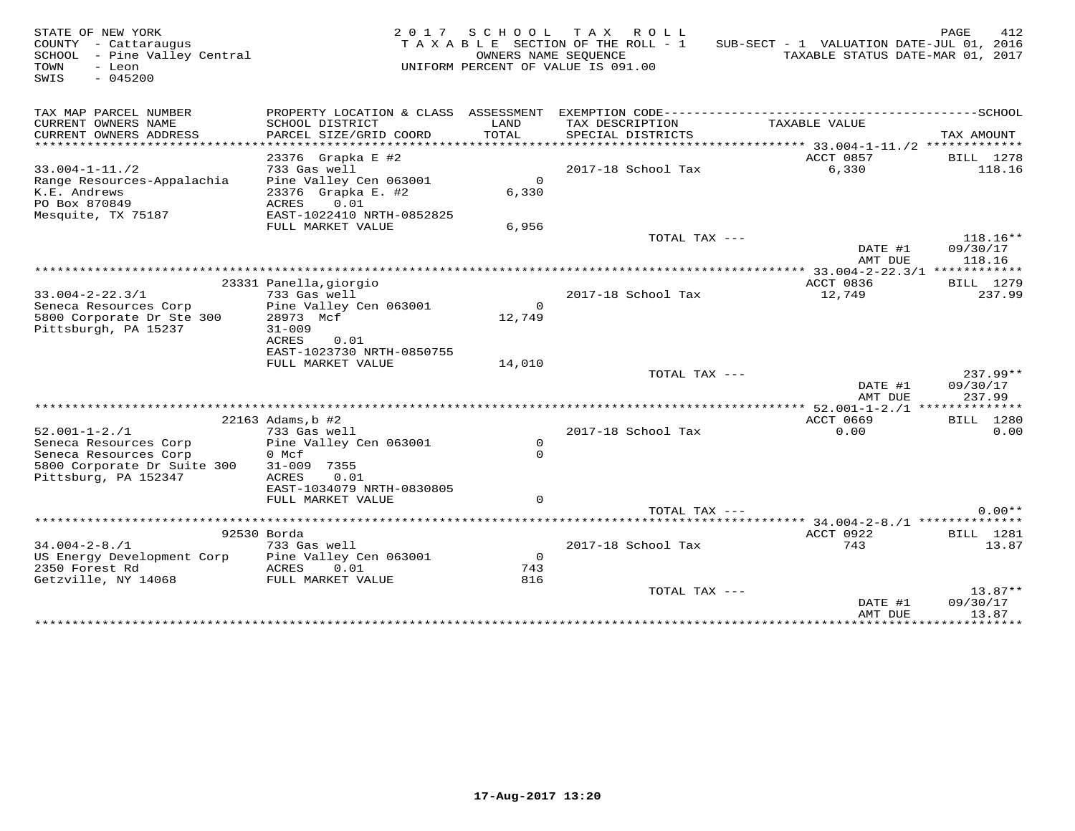| STATE OF NEW YORK<br>COUNTY - Cattaraugus<br>SCHOOL - Pine Valley Central<br>TOWN<br>- Leon<br>SWIS<br>$-045200$             | 2 0 1 7                                                                                                                         | S C H O O L                  | T A X<br>R O L L<br>TAXABLE SECTION OF THE ROLL - 1<br>OWNERS NAME SEQUENCE<br>UNIFORM PERCENT OF VALUE IS 091.00 | SUB-SECT - 1 VALUATION DATE-JUL 01, 2016<br>TAXABLE STATUS DATE-MAR 01, 2017 | PAGE<br>412                      |
|------------------------------------------------------------------------------------------------------------------------------|---------------------------------------------------------------------------------------------------------------------------------|------------------------------|-------------------------------------------------------------------------------------------------------------------|------------------------------------------------------------------------------|----------------------------------|
| TAX MAP PARCEL NUMBER<br>CURRENT OWNERS NAME<br>CURRENT OWNERS ADDRESS<br>********************                               | PROPERTY LOCATION & CLASS ASSESSMENT<br>SCHOOL DISTRICT<br>PARCEL SIZE/GRID COORD                                               | LAND<br>TOTAL<br>* * * * * * | TAX DESCRIPTION<br>SPECIAL DISTRICTS                                                                              | TAXABLE VALUE<br>****** 33.004-1-11./2 *************                         | TAX AMOUNT                       |
| $33.004 - 1 - 11.72$<br>Range Resources-Appalachia<br>K.E. Andrews<br>PO Box 870849<br>Mesquite, TX 75187                    | 23376 Grapka E #2<br>733 Gas well<br>Pine Valley Cen 063001<br>23376 Grapka E. #2<br>0.01<br>ACRES<br>EAST-1022410 NRTH-0852825 | $\circ$<br>6,330             | 2017-18 School Tax                                                                                                | ACCT 0857<br>6,330                                                           | BILL 1278<br>118.16              |
|                                                                                                                              | FULL MARKET VALUE                                                                                                               | 6,956                        | TOTAL TAX ---                                                                                                     | DATE #1<br>AMT DUE                                                           | $118.16**$<br>09/30/17<br>118.16 |
|                                                                                                                              |                                                                                                                                 |                              |                                                                                                                   |                                                                              |                                  |
| $33.004 - 2 - 22.3/1$<br>Seneca Resources Corp<br>5800 Corporate Dr Ste 300<br>Pittsburgh, PA 15237                          | 23331 Panella, giorgio<br>733 Gas well<br>Pine Valley Cen 063001<br>28973 Mcf<br>$31 - 009$<br><b>ACRES</b><br>0.01             | $\Omega$<br>12,749           | 2017-18 School Tax                                                                                                | ACCT 0836<br>12,749                                                          | BILL 1279<br>237.99              |
|                                                                                                                              | EAST-1023730 NRTH-0850755<br>FULL MARKET VALUE                                                                                  | 14,010                       | TOTAL TAX ---                                                                                                     |                                                                              | $237.99**$                       |
|                                                                                                                              |                                                                                                                                 |                              |                                                                                                                   | DATE #1<br>AMT DUE                                                           | 09/30/17<br>237.99               |
|                                                                                                                              | 22163 Adams, b #2                                                                                                               |                              |                                                                                                                   | ** 52.001-1-2./1 ***************<br>ACCT 0669                                | BILL 1280                        |
| $52.001 - 1 - 2.71$<br>Seneca Resources Corp<br>Seneca Resources Corp<br>5800 Corporate Dr Suite 300<br>Pittsburg, PA 152347 | 733 Gas well<br>Pine Valley Cen 063001<br>0 Mcf<br>$31 - 009$<br>7355<br>ACRES<br>0.01<br>EAST-1034079 NRTH-0830805             | $\circ$<br>$\Omega$          | 2017-18 School Tax                                                                                                | 0.00                                                                         | 0.00                             |
|                                                                                                                              | FULL MARKET VALUE                                                                                                               | $\Omega$                     |                                                                                                                   |                                                                              |                                  |
|                                                                                                                              |                                                                                                                                 |                              | TOTAL TAX $---$                                                                                                   |                                                                              | $0.00**$                         |
|                                                                                                                              | 92530 Borda                                                                                                                     |                              |                                                                                                                   | ACCT 0922                                                                    | BILL 1281                        |
| $34.004 - 2 - 8.71$<br>US Energy Development Corp<br>2350 Forest Rd<br>Getzville, NY 14068                                   | 733 Gas well<br>Pine Valley Cen 063001<br>ACRES<br>0.01<br>FULL MARKET VALUE                                                    | $\Omega$<br>743<br>816       | 2017-18 School Tax                                                                                                | 743                                                                          | 13.87                            |
|                                                                                                                              |                                                                                                                                 |                              | TOTAL TAX ---                                                                                                     | DATE #1<br>AMT DUE                                                           | $13.87**$<br>09/30/17<br>13.87   |
|                                                                                                                              |                                                                                                                                 |                              |                                                                                                                   | ***************                                                              | ***********                      |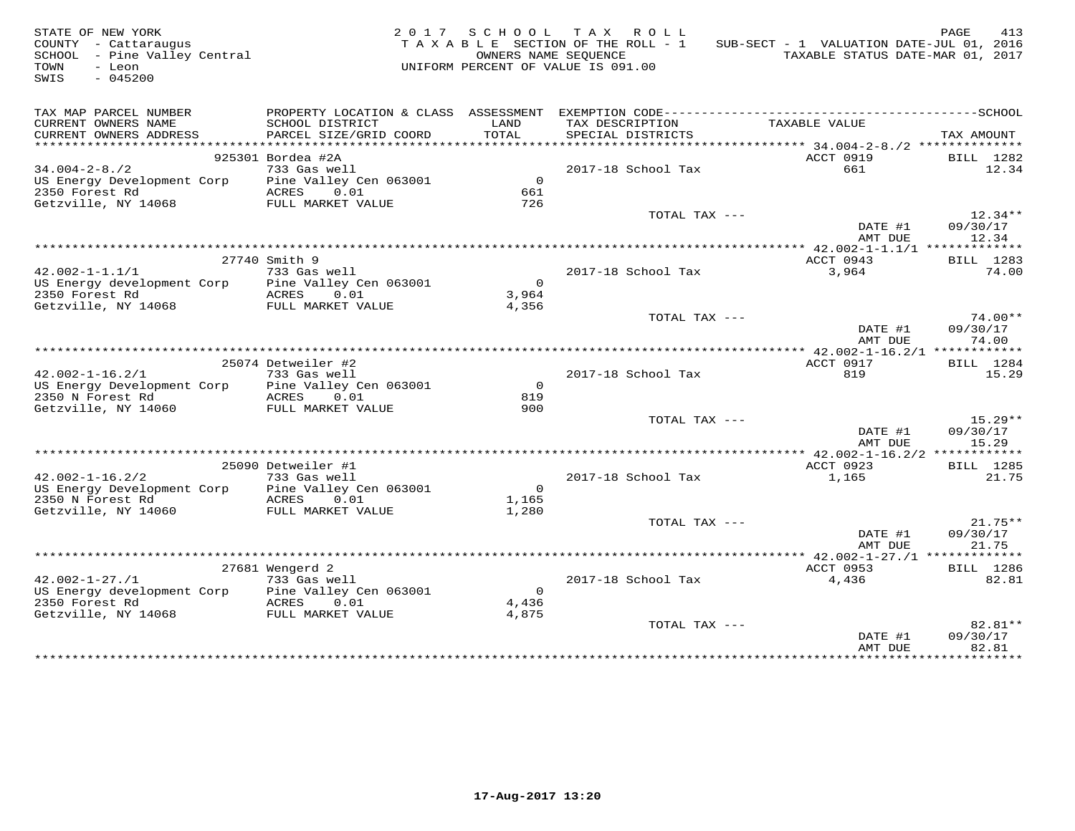| STATE OF NEW YORK<br>COUNTY - Cattaraugus<br>SCHOOL - Pine Valley Central<br>$-$ Leon<br>TOWN<br>SWIS<br>$-045200$ |                                        | OWNERS NAME SEQUENCE<br>UNIFORM PERCENT OF VALUE IS 091.00 | 2017 SCHOOL TAX ROLL<br>TAXABLE SECTION OF THE ROLL - 1 | SUB-SECT - 1 VALUATION DATE-JUL 01, 2016   | PAGE<br>413<br>TAXABLE STATUS DATE-MAR 01, 2017 |
|--------------------------------------------------------------------------------------------------------------------|----------------------------------------|------------------------------------------------------------|---------------------------------------------------------|--------------------------------------------|-------------------------------------------------|
| TAX MAP PARCEL NUMBER<br>CURRENT OWNERS NAME                                                                       | SCHOOL DISTRICT                        | LAND                                                       | TAX DESCRIPTION                                         | TAXABLE VALUE                              |                                                 |
| CURRENT OWNERS ADDRESS                                                                                             | PARCEL SIZE/GRID COORD                 | TOTAL                                                      | SPECIAL DISTRICTS                                       |                                            | TAX AMOUNT                                      |
|                                                                                                                    |                                        |                                                            |                                                         | ************ 34.004-2-8./2 *************** |                                                 |
|                                                                                                                    | 925301 Bordea #2A                      |                                                            |                                                         | ACCT 0919                                  | BILL 1282                                       |
| $34.004 - 2 - 8.72$                                                                                                | 733 Gas well                           | $\overline{0}$                                             | 2017-18 School Tax                                      | 661                                        | 12.34                                           |
| US Energy Development Corp<br>2350 Forest Rd                                                                       | Pine Valley Cen 063001<br>ACRES 0.01   | 661                                                        |                                                         |                                            |                                                 |
| Getzville, NY 14068                                                                                                | FULL MARKET VALUE                      | 726                                                        |                                                         |                                            |                                                 |
|                                                                                                                    |                                        |                                                            | TOTAL TAX ---                                           |                                            | $12.34**$                                       |
|                                                                                                                    |                                        |                                                            |                                                         | DATE #1                                    | 09/30/17                                        |
|                                                                                                                    |                                        |                                                            |                                                         | AMT DUE                                    | 12.34                                           |
|                                                                                                                    |                                        |                                                            |                                                         |                                            |                                                 |
|                                                                                                                    | 27740 Smith 9                          |                                                            |                                                         | ACCT 0943                                  | BILL 1283                                       |
| $42.002 - 1 - 1.1/1$                                                                                               | 733 Gas well                           |                                                            | 2017-18 School Tax                                      | 3,964                                      | 74.00                                           |
| US Energy development Corp Pine Valley Cen 063001                                                                  |                                        | $\overline{0}$                                             |                                                         |                                            |                                                 |
| 2350 Forest Rd                                                                                                     | ACRES<br>0.01                          | 3,964                                                      |                                                         |                                            |                                                 |
| Getzville, NY 14068                                                                                                | FULL MARKET VALUE                      | 4,356                                                      |                                                         |                                            |                                                 |
|                                                                                                                    |                                        |                                                            | TOTAL TAX ---                                           | DATE #1<br>AMT DUE                         | $74.00**$<br>09/30/17<br>74.00                  |
|                                                                                                                    |                                        |                                                            |                                                         |                                            |                                                 |
|                                                                                                                    | 25074 Detweiler #2                     |                                                            |                                                         | ACCT 0917                                  | BILL 1284                                       |
| $42.002 - 1 - 16.2/1$                                                                                              | 733 Gas well                           |                                                            | 2017-18 School Tax                                      | 819                                        | 15.29                                           |
| US Energy Development Corp                                                                                         | Pine Valley Cen 063001                 | $\Omega$                                                   |                                                         |                                            |                                                 |
| 2350 N Forest Rd                                                                                                   | ACRES 0.01                             | 819                                                        |                                                         |                                            |                                                 |
| Getzville, NY 14060                                                                                                | FULL MARKET VALUE                      | 900                                                        |                                                         |                                            |                                                 |
|                                                                                                                    |                                        |                                                            | TOTAL TAX ---                                           | DATE #1                                    | $15.29**$<br>09/30/17                           |
|                                                                                                                    |                                        |                                                            |                                                         | AMT DUE                                    | 15.29                                           |
|                                                                                                                    |                                        |                                                            |                                                         |                                            |                                                 |
|                                                                                                                    | 25090 Detweiler #1                     |                                                            |                                                         | ACCT 0923                                  | <b>BILL</b> 1285                                |
| $42.002 - 1 - 16.2/2$<br>US Energy Development Corp                                                                | 733 Gas well<br>Pine Valley Cen 063001 | $\overline{0}$                                             | 2017-18 School Tax                                      | 1,165                                      | 21.75                                           |
| 2350 N Forest Rd                                                                                                   | ACRES 0.01                             | 1,165                                                      |                                                         |                                            |                                                 |
| Getzville, NY 14060                                                                                                | FULL MARKET VALUE                      | 1,280                                                      |                                                         |                                            |                                                 |
|                                                                                                                    |                                        |                                                            | TOTAL TAX ---                                           |                                            | $21.75**$                                       |
|                                                                                                                    |                                        |                                                            |                                                         | DATE #1                                    | 09/30/17                                        |
|                                                                                                                    |                                        |                                                            |                                                         | AMT DUE                                    | 21.75                                           |
|                                                                                                                    |                                        |                                                            |                                                         |                                            | **** 42.002-1-27./1 *************               |
|                                                                                                                    | 27681 Wengerd 2                        |                                                            |                                                         | ACCT 0953                                  | BILL 1286                                       |
| $42.002 - 1 - 27.71$                                                                                               | 733 Gas well                           |                                                            | 2017-18 School Tax                                      | 4,436                                      | 82.81                                           |
| US Energy development Corp                                                                                         | Pine Valley Cen 063001                 | $\overline{0}$                                             |                                                         |                                            |                                                 |
| 2350 Forest Rd                                                                                                     | ACRES 0.01                             | 4,436                                                      |                                                         |                                            |                                                 |
| Getzville, NY 14068                                                                                                | FULL MARKET VALUE                      | 4,875                                                      |                                                         |                                            |                                                 |
|                                                                                                                    |                                        |                                                            | TOTAL TAX ---                                           |                                            | 82.81**                                         |
|                                                                                                                    |                                        |                                                            |                                                         | DATE #1<br>AMT DUE                         | 09/30/17<br>82.81                               |
|                                                                                                                    |                                        |                                                            |                                                         |                                            | * * * * * * * * * *                             |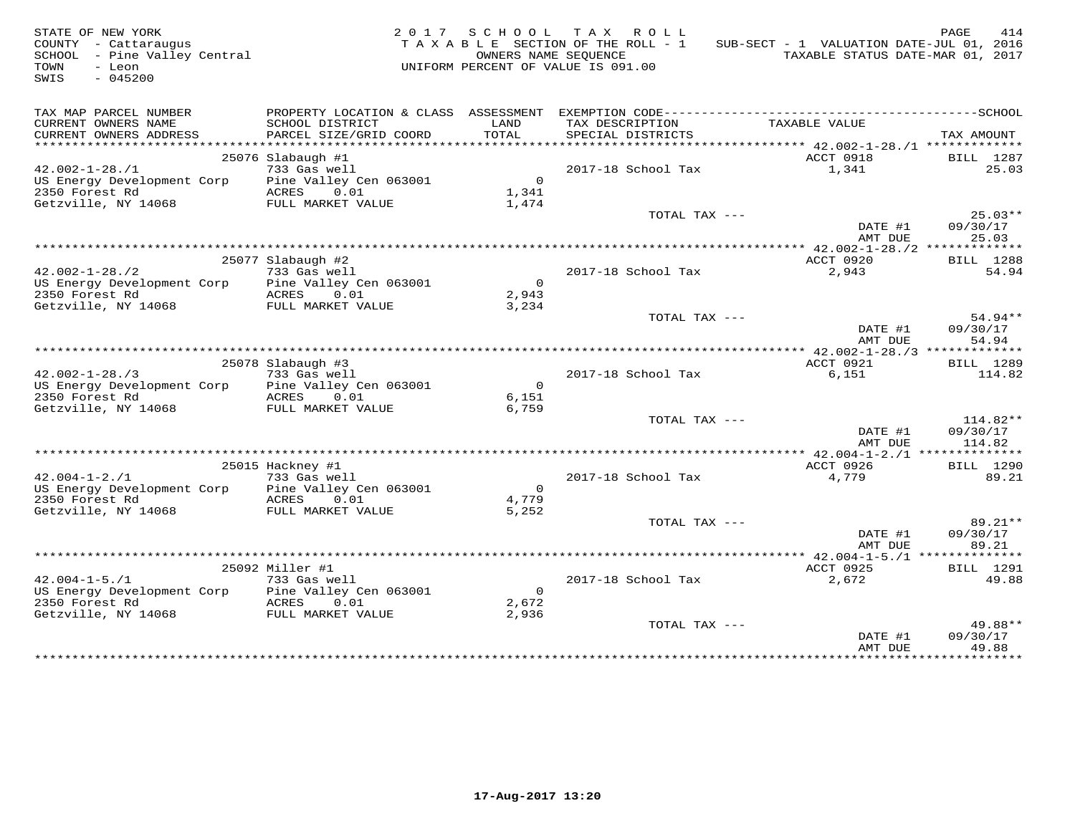| STATE OF NEW YORK<br>COUNTY - Cattaraugus<br>SCHOOL - Pine Valley Central<br>- Leon<br>TOWN<br>$-045200$<br>SWIS |                                           | OWNERS NAME SEQUENCE | 2017 SCHOOL TAX ROLL<br>TAXABLE SECTION OF THE ROLL - 1<br>UNIFORM PERCENT OF VALUE IS 091.00 | SUB-SECT - 1 VALUATION DATE-JUL 01, 2016<br>TAXABLE STATUS DATE-MAR 01, 2017 | PAGE<br>414           |
|------------------------------------------------------------------------------------------------------------------|-------------------------------------------|----------------------|-----------------------------------------------------------------------------------------------|------------------------------------------------------------------------------|-----------------------|
| TAX MAP PARCEL NUMBER                                                                                            |                                           |                      |                                                                                               |                                                                              |                       |
| CURRENT OWNERS NAME<br>CURRENT OWNERS ADDRESS                                                                    | SCHOOL DISTRICT<br>PARCEL SIZE/GRID COORD | LAND<br>TOTAL        | TAX DESCRIPTION<br>SPECIAL DISTRICTS                                                          | TAXABLE VALUE                                                                | TAX AMOUNT            |
| ***********************                                                                                          |                                           |                      |                                                                                               | ****************** 42.002-1-28./1 **************                             |                       |
|                                                                                                                  | 25076 Slabaugh #1                         |                      |                                                                                               | ACCT 0918                                                                    | BILL 1287             |
| $42.002 - 1 - 28.71$                                                                                             | 733 Gas well                              |                      | 2017-18 School Tax                                                                            | 1,341                                                                        | 25.03                 |
| US Energy Development Corp                                                                                       | Pine Valley Cen 063001                    | $\overline{0}$       |                                                                                               |                                                                              |                       |
| 2350 Forest Rd                                                                                                   | ACRES 0.01                                | 1,341                |                                                                                               |                                                                              |                       |
| Getzville, NY 14068                                                                                              | FULL MARKET VALUE                         | 1,474                | TOTAL TAX ---                                                                                 |                                                                              | $25.03**$             |
|                                                                                                                  |                                           |                      |                                                                                               | DATE #1<br>AMT DUE                                                           | 09/30/17<br>25.03     |
|                                                                                                                  |                                           |                      |                                                                                               |                                                                              |                       |
|                                                                                                                  | 25077 Slabaugh #2                         |                      |                                                                                               | ACCT 0920                                                                    | <b>BILL</b> 1288      |
| $42.002 - 1 - 28.72$                                                                                             | 733 Gas well                              |                      | 2017-18 School Tax                                                                            | 2,943                                                                        | 54.94                 |
| US Energy Development Corp                                                                                       | Pine Valley Cen 063001                    | $\overline{0}$       |                                                                                               |                                                                              |                       |
| 2350 Forest Rd                                                                                                   | ACRES 0.01                                | 2,943                |                                                                                               |                                                                              |                       |
| Getzville, NY 14068                                                                                              | FULL MARKET VALUE                         | 3,234                |                                                                                               |                                                                              |                       |
|                                                                                                                  |                                           |                      | TOTAL TAX ---                                                                                 | DATE #1                                                                      | $54.94**$<br>09/30/17 |
|                                                                                                                  |                                           |                      |                                                                                               | AMT DUE                                                                      | 54.94                 |
|                                                                                                                  |                                           |                      |                                                                                               | ************* 42.002-1-28./3 **************                                  |                       |
|                                                                                                                  | 25078 Slabaugh #3                         |                      |                                                                                               | ACCT 0921                                                                    | <b>BILL</b> 1289      |
| $42.002 - 1 - 28.73$                                                                                             | 733 Gas well                              |                      | 2017-18 School Tax                                                                            | 6,151                                                                        | 114.82                |
| US Energy Development Corp                                                                                       | Pine Valley Cen 063001                    | $\overline{0}$       |                                                                                               |                                                                              |                       |
| 2350 Forest Rd<br>Getzville, NY 14068                                                                            | ACRES 0.01<br>FULL MARKET VALUE           | 6,151                |                                                                                               |                                                                              |                       |
|                                                                                                                  |                                           | 6,759                | TOTAL TAX ---                                                                                 |                                                                              | 114.82**              |
|                                                                                                                  |                                           |                      |                                                                                               | DATE #1                                                                      | 09/30/17              |
|                                                                                                                  |                                           |                      |                                                                                               | AMT DUE                                                                      | 114.82                |
|                                                                                                                  |                                           |                      |                                                                                               |                                                                              |                       |
|                                                                                                                  | 25015 Hackney #1                          |                      |                                                                                               | ACCT 0926                                                                    | BILL 1290             |
| $42.004 - 1 - 2.71$<br>US Energy Development Corp                                                                | 733 Gas well<br>Pine Valley Cen 063001    | $\overline{0}$       | 2017-18 School Tax                                                                            | 4,779                                                                        | 89.21                 |
| 2350 Forest Rd                                                                                                   | ACRES 0.01                                | 4,779                |                                                                                               |                                                                              |                       |
| Getzville, NY 14068                                                                                              | FULL MARKET VALUE                         | 5,252                |                                                                                               |                                                                              |                       |
|                                                                                                                  |                                           |                      | TOTAL TAX ---                                                                                 |                                                                              | $89.21**$             |
|                                                                                                                  |                                           |                      |                                                                                               | DATE #1                                                                      | 09/30/17              |
|                                                                                                                  |                                           |                      |                                                                                               | AMT DUE                                                                      | 89.21                 |
|                                                                                                                  |                                           |                      |                                                                                               | ***** 42.004-1-5./1 ***************                                          |                       |
|                                                                                                                  | 25092 Miller #1                           |                      |                                                                                               | ACCT 0925                                                                    | <b>BILL</b> 1291      |
| $42.004 - 1 - 5.71$<br>US Energy Development Corp                                                                | 733 Gas well<br>Pine Valley Cen 063001    | $\overline{0}$       | 2017-18 School Tax                                                                            | 2,672                                                                        | 49.88                 |
| 2350 Forest Rd                                                                                                   | ACRES 0.01                                | 2,672                |                                                                                               |                                                                              |                       |
| Getzville, NY 14068                                                                                              | FULL MARKET VALUE                         | 2,936                |                                                                                               |                                                                              |                       |
|                                                                                                                  |                                           |                      | TOTAL TAX ---                                                                                 |                                                                              | 49.88**               |
|                                                                                                                  |                                           |                      |                                                                                               | DATE #1                                                                      | 09/30/17              |
|                                                                                                                  |                                           |                      |                                                                                               | AMT DUE<br>*************                                                     | 49.88<br>*********    |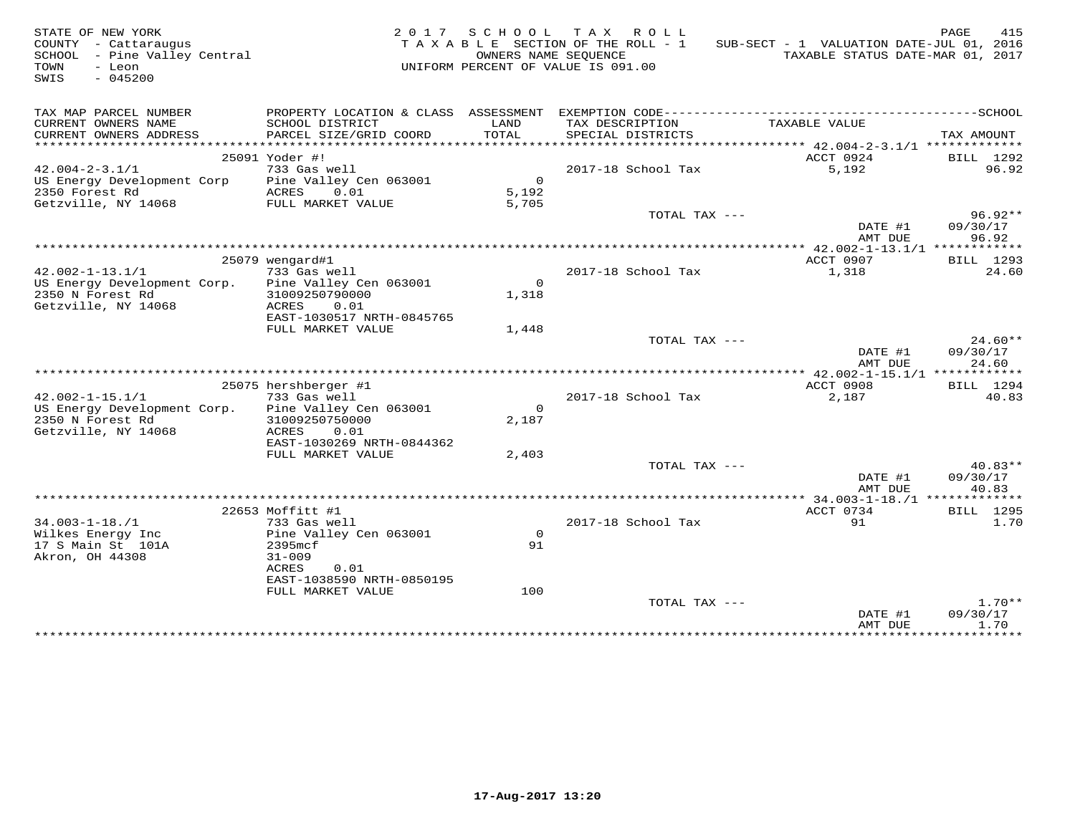| STATE OF NEW YORK<br>COUNTY - Cattaraugus<br>SCHOOL - Pine Valley Central<br>TOWN<br>- Leon<br>$-045200$<br>SWIS |                                                              |                                | 2017 SCHOOL TAX ROLL<br>TAXABLE SECTION OF THE ROLL - 1<br>OWNERS NAME SEQUENCE<br>UNIFORM PERCENT OF VALUE IS 091.00 | SUB-SECT - 1 VALUATION DATE-JUL 01, 2016<br>TAXABLE STATUS DATE-MAR 01, 2017 | PAGE<br>415                    |
|------------------------------------------------------------------------------------------------------------------|--------------------------------------------------------------|--------------------------------|-----------------------------------------------------------------------------------------------------------------------|------------------------------------------------------------------------------|--------------------------------|
| TAX MAP PARCEL NUMBER                                                                                            |                                                              |                                |                                                                                                                       |                                                                              |                                |
| CURRENT OWNERS NAME<br>CURRENT OWNERS ADDRESS                                                                    | SCHOOL DISTRICT<br>PARCEL SIZE/GRID COORD                    | LAND<br>TOTAL                  | TAX DESCRIPTION<br>SPECIAL DISTRICTS                                                                                  | TAXABLE VALUE                                                                | TAX AMOUNT                     |
|                                                                                                                  | 25091 Yoder #!                                               |                                |                                                                                                                       | ACCT 0924                                                                    | BILL 1292                      |
| $42.004 - 2 - 3.1/1$                                                                                             | 733 Gas well                                                 |                                | 2017-18 School Tax                                                                                                    | 5,192                                                                        | 96.92                          |
| US Energy Development Corp<br>2350 Forest Rd<br>Getzville, NY 14068                                              | Pine Valley Cen 063001<br>0.01<br>ACRES<br>FULL MARKET VALUE | $\mathbf{0}$<br>5,192<br>5,705 |                                                                                                                       |                                                                              |                                |
|                                                                                                                  |                                                              |                                | TOTAL TAX ---                                                                                                         | DATE #1<br>AMT DUE                                                           | $96.92**$<br>09/30/17<br>96.92 |
|                                                                                                                  |                                                              |                                |                                                                                                                       |                                                                              |                                |
|                                                                                                                  | 25079 wengard#1                                              |                                |                                                                                                                       | ACCT 0907                                                                    | BILL 1293                      |
| $42.002 - 1 - 13.1/1$                                                                                            | 733 Gas well                                                 |                                | 2017-18 School Tax                                                                                                    | 1,318                                                                        | 24.60                          |
| US Energy Development Corp.                                                                                      | Pine Valley Cen 063001                                       | $\circ$                        |                                                                                                                       |                                                                              |                                |
| 2350 N Forest Rd                                                                                                 | 31009250790000                                               | 1,318                          |                                                                                                                       |                                                                              |                                |
| Getzville, NY 14068                                                                                              | 0.01<br>ACRES<br>EAST-1030517 NRTH-0845765                   |                                |                                                                                                                       |                                                                              |                                |
|                                                                                                                  | FULL MARKET VALUE                                            | 1,448                          |                                                                                                                       |                                                                              |                                |
|                                                                                                                  |                                                              |                                | TOTAL TAX ---                                                                                                         | DATE #1                                                                      | $24.60**$<br>09/30/17          |
|                                                                                                                  |                                                              |                                |                                                                                                                       | AMT DUE                                                                      | 24.60                          |
|                                                                                                                  |                                                              |                                |                                                                                                                       | ************* 42.002-1-15.1/1 ************                                   |                                |
| $42.002 - 1 - 15.1/1$                                                                                            | 25075 hershberger #1<br>733 Gas well                         |                                | 2017-18 School Tax                                                                                                    | ACCT 0908<br>2,187                                                           | BILL 1294<br>40.83             |
| US Energy Development Corp.                                                                                      | Pine Valley Cen 063001                                       | $\Omega$                       |                                                                                                                       |                                                                              |                                |
| 2350 N Forest Rd<br>Getzville, NY 14068                                                                          | 31009250750000<br>0.01<br>ACRES                              | 2,187                          |                                                                                                                       |                                                                              |                                |
|                                                                                                                  | EAST-1030269 NRTH-0844362                                    |                                |                                                                                                                       |                                                                              |                                |
|                                                                                                                  | FULL MARKET VALUE                                            | 2,403                          |                                                                                                                       |                                                                              |                                |
|                                                                                                                  |                                                              |                                | TOTAL TAX ---                                                                                                         | DATE #1<br>AMT DUE                                                           | $40.83**$<br>09/30/17<br>40.83 |
|                                                                                                                  |                                                              |                                |                                                                                                                       |                                                                              |                                |
|                                                                                                                  | 22653 Moffitt #1                                             |                                |                                                                                                                       | ACCT 0734                                                                    | <b>BILL</b> 1295               |
| $34.003 - 1 - 18.71$                                                                                             | 733 Gas well                                                 |                                | 2017-18 School Tax                                                                                                    | 91                                                                           | 1.70                           |
| Wilkes Energy Inc                                                                                                | Pine Valley Cen 063001                                       | $\mathsf{O}$                   |                                                                                                                       |                                                                              |                                |
| 17 S Main St 101A                                                                                                | 2395mcf                                                      | 91                             |                                                                                                                       |                                                                              |                                |
| Akron, OH 44308                                                                                                  | $31 - 009$                                                   |                                |                                                                                                                       |                                                                              |                                |
|                                                                                                                  | ACRES<br>0.01<br>EAST-1038590 NRTH-0850195                   |                                |                                                                                                                       |                                                                              |                                |
|                                                                                                                  | FULL MARKET VALUE                                            | 100                            |                                                                                                                       |                                                                              |                                |
|                                                                                                                  |                                                              |                                | TOTAL TAX ---                                                                                                         |                                                                              | $1.70**$                       |
|                                                                                                                  |                                                              |                                |                                                                                                                       | DATE #1<br>AMT DUE                                                           | 09/30/17<br>1.70               |
|                                                                                                                  |                                                              |                                |                                                                                                                       | * * * * * * * * * * * * * * *                                                | ***********                    |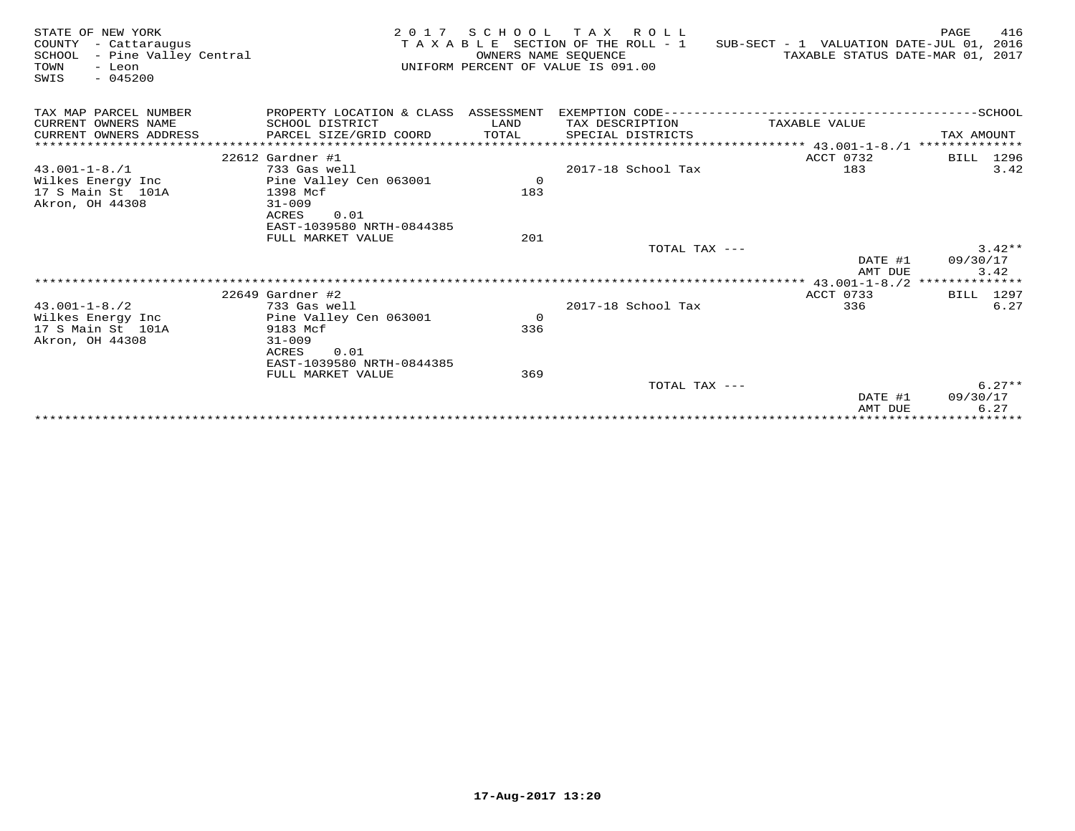| STATE OF NEW YORK<br>COUNTY<br>- Cattaraugus<br>- Pine Valley Central<br>SCHOOL<br>TOWN<br>- Leon<br>$-045200$<br>SWIS | 2 0 1 7                                    | OWNERS NAME SEQUENCE | SCHOOL TAX ROLL<br>TAXABLE SECTION OF THE ROLL - 1<br>UNIFORM PERCENT OF VALUE IS 091.00 | SUB-SECT - 1 VALUATION DATE-JUL 01, 2016<br>TAXABLE STATUS DATE-MAR 01, 2017 | PAGE<br>416             |
|------------------------------------------------------------------------------------------------------------------------|--------------------------------------------|----------------------|------------------------------------------------------------------------------------------|------------------------------------------------------------------------------|-------------------------|
| TAX MAP PARCEL NUMBER                                                                                                  | PROPERTY LOCATION & CLASS ASSESSMENT       |                      |                                                                                          |                                                                              |                         |
| CURRENT OWNERS NAME                                                                                                    | SCHOOL DISTRICT                            | LAND                 | TAX DESCRIPTION                                                                          | TAXABLE VALUE                                                                |                         |
| CURRENT OWNERS ADDRESS                                                                                                 | PARCEL SIZE/GRID COORD                     | TOTAL                | SPECIAL DISTRICTS                                                                        |                                                                              | TAX AMOUNT              |
| ************************                                                                                               |                                            |                      |                                                                                          |                                                                              |                         |
|                                                                                                                        | $22612$ Gardner #1                         |                      |                                                                                          | ACCT 0732                                                                    | BILL 1296               |
| $43.001 - 1 - 8.71$                                                                                                    | 733 Gas well                               |                      | 2017-18 School Tax                                                                       | 183                                                                          | 3.42                    |
| Wilkes Energy Inc                                                                                                      | Pine Valley Cen 063001                     | $\overline{0}$       |                                                                                          |                                                                              |                         |
| 17 S Main St 101A                                                                                                      | 1398 Mcf                                   | 183                  |                                                                                          |                                                                              |                         |
| Akron, OH 44308                                                                                                        | $31 - 009$                                 |                      |                                                                                          |                                                                              |                         |
|                                                                                                                        | ACRES<br>0.01<br>EAST-1039580 NRTH-0844385 |                      |                                                                                          |                                                                              |                         |
|                                                                                                                        | FULL MARKET VALUE                          | 201                  |                                                                                          |                                                                              |                         |
|                                                                                                                        |                                            |                      | TOTAL TAX ---                                                                            |                                                                              | $3.42**$                |
|                                                                                                                        |                                            |                      |                                                                                          | DATE #1                                                                      | 09/30/17                |
|                                                                                                                        |                                            |                      |                                                                                          | AMT DUE                                                                      | 3.42                    |
|                                                                                                                        |                                            |                      |                                                                                          |                                                                              |                         |
|                                                                                                                        | $22649$ Gardner #2                         |                      |                                                                                          | ACCT 0733                                                                    | BILL 1297               |
| $43.001 - 1 - 8.72$                                                                                                    | 733 Gas well                               |                      | 2017-18 School Tax                                                                       | 336                                                                          | 6.27                    |
| Wilkes Energy Inc                                                                                                      | Pine Valley Cen 063001                     | $\overline{0}$       |                                                                                          |                                                                              |                         |
| 17 S Main St 101A                                                                                                      | 9183 Mcf                                   | 336                  |                                                                                          |                                                                              |                         |
| Akron, OH 44308                                                                                                        | $31 - 009$<br>ACRES<br>0.01                |                      |                                                                                          |                                                                              |                         |
|                                                                                                                        | EAST-1039580 NRTH-0844385                  |                      |                                                                                          |                                                                              |                         |
|                                                                                                                        | FULL MARKET VALUE                          | 369                  |                                                                                          |                                                                              |                         |
|                                                                                                                        |                                            |                      | TOTAL TAX ---                                                                            |                                                                              | $6.27**$                |
|                                                                                                                        |                                            |                      |                                                                                          | DATE #1                                                                      | 09/30/17                |
|                                                                                                                        |                                            |                      |                                                                                          | AMT DUE                                                                      | 6.27                    |
|                                                                                                                        |                                            |                      |                                                                                          |                                                                              | * * * * * * * * * * * * |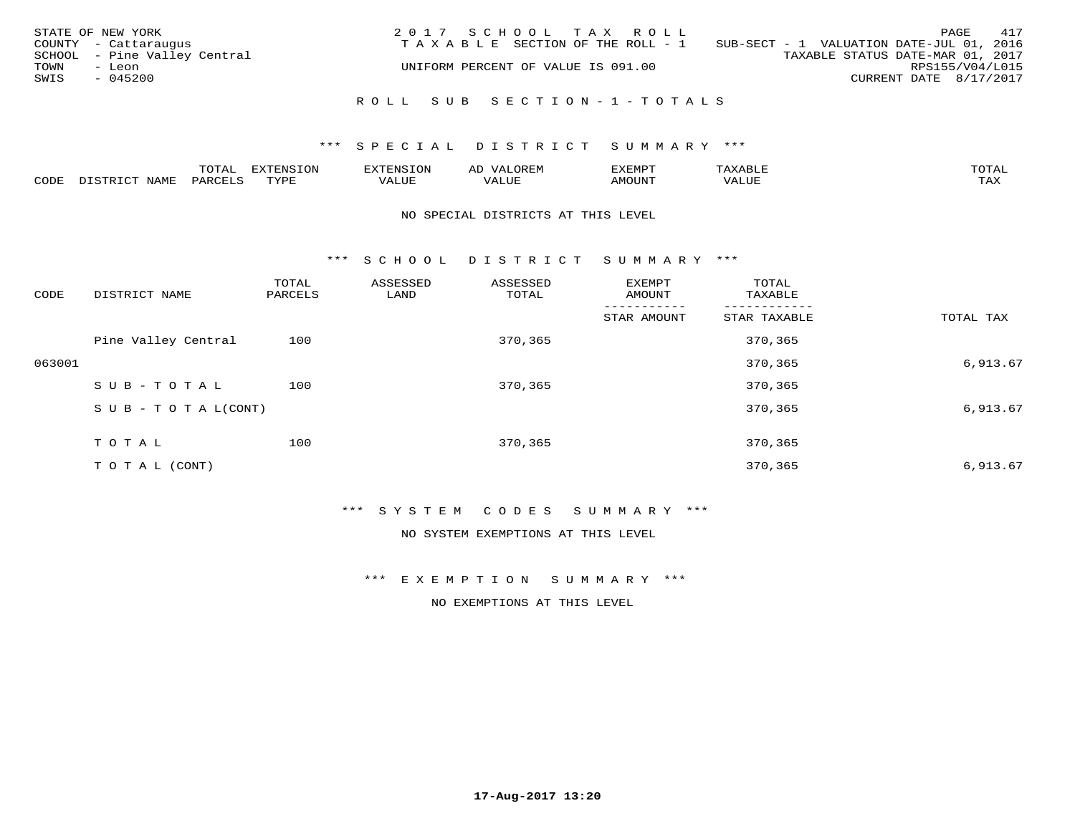| STATE OF NEW YORK<br>COUNTY - Cattaraugus      | 2017 SCHOOL TAX ROLL<br>TAXABLE SECTION OF THE ROLL - 1 | 417<br>PAGE<br>SUB-SECT - 1 VALUATION DATE-JUL 01, 2016 |
|------------------------------------------------|---------------------------------------------------------|---------------------------------------------------------|
| SCHOOL - Pine Valley Central<br>TOWN<br>- Leon | UNIFORM PERCENT OF VALUE IS 091.00                      | TAXABLE STATUS DATE-MAR 01, 2017<br>RPS155/V04/L015     |
| SWIS<br>$-045200$                              |                                                         | CURRENT DATE 8/17/2017                                  |
|                                                | ROLL SUB SECTION-1-TOTALS                               |                                                         |

#### \*\*\* S P E C I A L D I S T R I C T S U M M A R Y \*\*\*

|      |              | $m \wedge m \wedge n$ | . U  | $\sim$ $\sim$ $\sim$ | ΑL   | 'XEMP' |       | $m \wedge m \wedge n$<br>$\overline{\phantom{a}}$ |
|------|--------------|-----------------------|------|----------------------|------|--------|-------|---------------------------------------------------|
| CODE | <b>NTAMT</b> | PARO                  | TVDF | ALUF                 | ALUE | MOUNT  | VALUE | .<br>∸∽∸                                          |

## NO SPECIAL DISTRICTS AT THIS LEVEL

\*\*\* S C H O O L D I S T R I C T S U M M A R Y \*\*\*

| CODE   | DISTRICT NAME                    | TOTAL<br>PARCELS | ASSESSED<br>LAND | ASSESSED<br>TOTAL | EXEMPT<br>AMOUNT | TOTAL<br>TAXABLE |           |
|--------|----------------------------------|------------------|------------------|-------------------|------------------|------------------|-----------|
|        |                                  |                  |                  |                   | STAR AMOUNT      | STAR TAXABLE     | TOTAL TAX |
|        | Pine Valley Central              | 100              |                  | 370,365           |                  | 370,365          |           |
| 063001 |                                  |                  |                  |                   |                  | 370,365          | 6,913.67  |
|        | SUB-TOTAL                        | 100              |                  | 370,365           |                  | 370,365          |           |
|        | $S \cup B - T \cup T A L (CONT)$ |                  |                  |                   |                  | 370,365          | 6,913.67  |
|        | TOTAL                            | 100              |                  | 370,365           |                  | 370,365          |           |
|        |                                  |                  |                  |                   |                  |                  |           |
|        | T O T A L (CONT)                 |                  |                  |                   |                  | 370,365          | 6,913.67  |

\*\*\* S Y S T E M C O D E S S U M M A R Y \*\*\*

NO SYSTEM EXEMPTIONS AT THIS LEVEL

\*\*\* E X E M P T I O N S U M M A R Y \*\*\*

NO EXEMPTIONS AT THIS LEVEL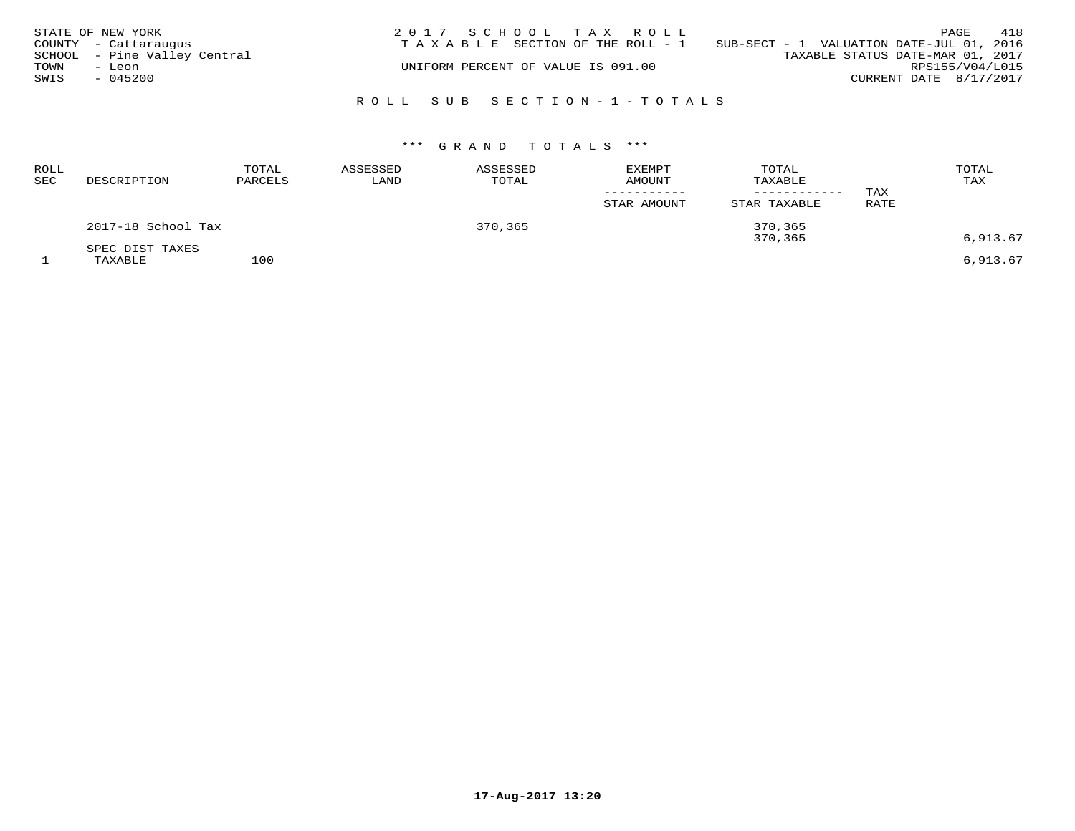|      | STATE OF NEW YORK            | 2017 SCHOOL TAX ROLL                                                              | PAGE            | 418 |
|------|------------------------------|-----------------------------------------------------------------------------------|-----------------|-----|
|      | COUNTY - Cattaraugus         | SUB-SECT - 1 VALUATION DATE-JUL 01, 2016<br>T A X A B L E SECTION OF THE ROLL - 1 |                 |     |
|      | SCHOOL - Pine Valley Central | TAXABLE STATUS DATE-MAR 01, 2017                                                  |                 |     |
| TOWN | - Leon                       | UNIFORM PERCENT OF VALUE IS 091.00                                                | RPS155/V04/L015 |     |
| SWIS | $-045200$                    | CURRENT DATE 8/17/2017                                                            |                 |     |
|      |                              |                                                                                   |                 |     |
|      |                              | ROLL SUB SECTION-1-TOTALS                                                         |                 |     |

| <b>ROLL</b><br><b>SEC</b> | DESCRIPTION                | TOTAL<br>PARCELS | ASSESSED<br>LAND | ASSESSED<br>TOTAL | <b>EXEMPT</b><br><b>AMOUNT</b><br>STAR AMOUNT | TOTAL<br>TAXABLE<br>----------<br>STAR TAXABLE | TAX<br>RATE | TOTAL<br>TAX |
|---------------------------|----------------------------|------------------|------------------|-------------------|-----------------------------------------------|------------------------------------------------|-------------|--------------|
|                           | 2017-18 School Tax         |                  |                  | 370,365           |                                               | 370,365<br>370,365                             |             | 6,913.67     |
|                           | SPEC DIST TAXES<br>TAXABLE | 100              |                  |                   |                                               |                                                |             | 6,913.67     |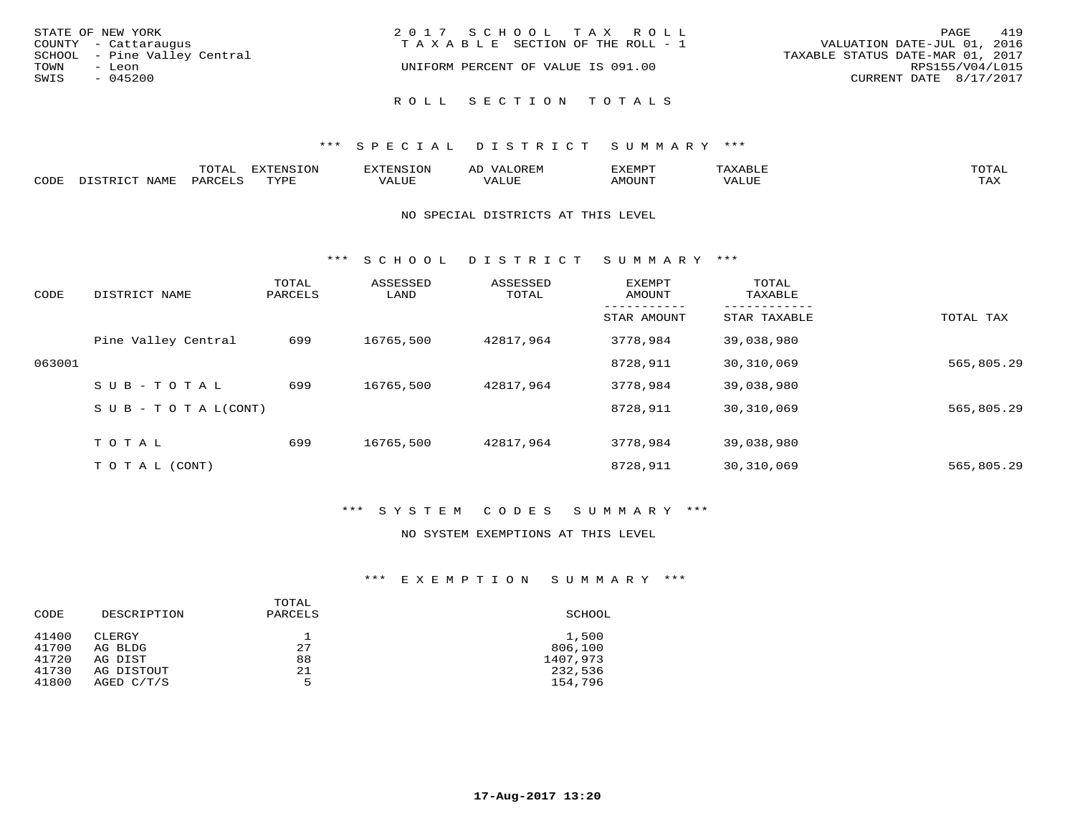| STATE OF NEW YORK            | 2017 SCHOOL TAX ROLL                  | 419<br>PAGE                      |
|------------------------------|---------------------------------------|----------------------------------|
| COUNTY - Cattaraugus         | T A X A B L E SECTION OF THE ROLL - 1 | VALUATION DATE-JUL 01, 2016      |
| SCHOOL - Pine Valley Central |                                       | TAXABLE STATUS DATE-MAR 01, 2017 |
| TOWN<br>- Leon               | UNIFORM PERCENT OF VALUE IS 091.00    | RPS155/V04/L015                  |
| SWIS<br>$-045200$            |                                       | CURRENT DATE 8/17/2017           |
|                              | ROLL SECTION TOTALS                   |                                  |

## \*\*\* S P E C I A L D I S T R I C T S U M M A R Y \*\*\*

|      | $\pi$ $\sim$ $\pi$ $\pi$<br>---- | ---<br>TON<br>FNC " |            | ے ۔ | <b>DATO</b> | TOTR<br>◡∸ғ        |
|------|----------------------------------|---------------------|------------|-----|-------------|--------------------|
| CODE |                                  | <b>TUVOL</b>        | $\sqrt{ }$ |     | יזחדר       | $- - - -$<br>5.732 |

## NO SPECIAL DISTRICTS AT THIS LEVEL

\*\*\* S C H O O L D I S T R I C T S U M M A R Y \*\*\*

| CODE   | DISTRICT NAME                    | TOTAL<br>PARCELS | ASSESSED<br>LAND | ASSESSED<br>TOTAL | EXEMPT<br>AMOUNT | TOTAL<br>TAXABLE |            |
|--------|----------------------------------|------------------|------------------|-------------------|------------------|------------------|------------|
|        |                                  |                  |                  |                   | STAR AMOUNT      | STAR TAXABLE     | TOTAL TAX  |
|        | Pine Valley Central              | 699              | 16765,500        | 42817,964         | 3778,984         | 39,038,980       |            |
| 063001 |                                  |                  |                  |                   | 8728,911         | 30,310,069       | 565,805.29 |
|        | SUB-TOTAL                        | 699              | 16765,500        | 42817,964         | 3778,984         | 39,038,980       |            |
|        | $S \cup B - T \cup T A L (CONT)$ |                  |                  |                   | 8728,911         | 30,310,069       | 565,805.29 |
|        | TOTAL                            | 699              | 16765,500        | 42817,964         | 3778,984         | 39,038,980       |            |
|        | T O T A L (CONT)                 |                  |                  |                   | 8728,911         | 30,310,069       | 565,805.29 |

## \*\*\* S Y S T E M C O D E S S U M M A R Y \*\*\*

#### NO SYSTEM EXEMPTIONS AT THIS LEVEL

## \*\*\* E X E M P T I O N S U M M A R Y \*\*\*

| CODE  | DESCRIPTION | TOTAL<br>PARCELS | SCHOOL   |
|-------|-------------|------------------|----------|
| 41400 | CLERGY      |                  | 1,500    |
| 41700 | AG BLDG     | 27               | 806,100  |
| 41720 | AG DIST     | 88               | 1407,973 |
| 41730 | AG DISTOUT  | 21               | 232,536  |
| 41800 | AGED C/T/S  | 5                | 154,796  |
|       |             |                  |          |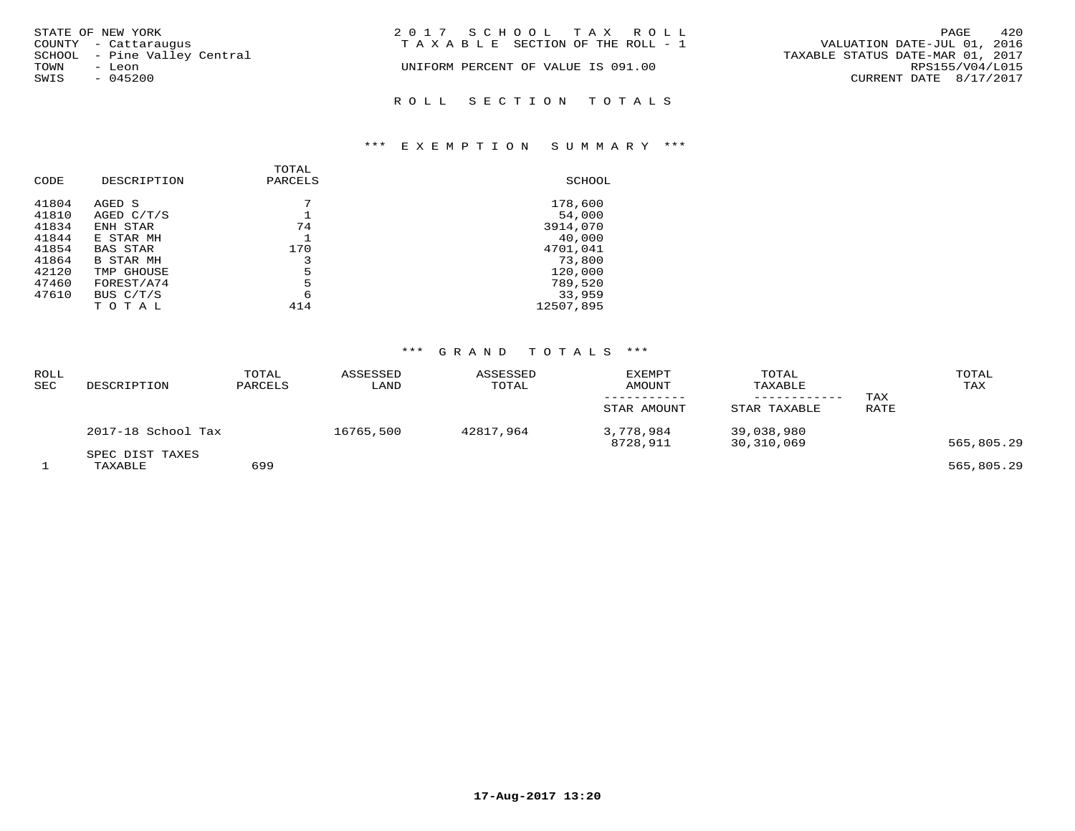| STATE OF NEW YORK            | 2017 SCHOOL TAX ROLL                  | 420<br>PAGE                      |
|------------------------------|---------------------------------------|----------------------------------|
| COUNTY - Cattaraugus         | T A X A B L E SECTION OF THE ROLL - 1 | VALUATION DATE-JUL 01, 2016      |
| SCHOOL - Pine Valley Central |                                       | TAXABLE STATUS DATE-MAR 01, 2017 |
| TOWN<br>- Leon               | UNIFORM PERCENT OF VALUE IS 091.00    | RPS155/V04/L015                  |
| SWIS<br>$-045200$            |                                       | CURRENT DATE 8/17/2017           |
|                              | ROLL SECTION TOTALS                   |                                  |

# \*\*\* E X E M P T I O N S U M M A R Y \*\*\*

| CODE  | DESCRIPTION      | TOTAL<br>PARCELS | SCHOOL    |
|-------|------------------|------------------|-----------|
| 41804 | AGED S           | 7                | 178,600   |
| 41810 | AGED $C/T/S$     |                  | 54,000    |
| 41834 | ENH STAR         | 74               | 3914,070  |
| 41844 | E STAR MH        |                  | 40,000    |
| 41854 | <b>BAS STAR</b>  | 170              | 4701,041  |
| 41864 | <b>B STAR MH</b> | 3                | 73,800    |
| 42120 | TMP GHOUSE       | 5                | 120,000   |
| 47460 | FOREST/A74       | 5                | 789,520   |
| 47610 | BUS C/T/S        | 6                | 33,959    |
|       | TOTAL            | 414              | 12507,895 |

| ROLL<br><b>SEC</b> | DESCRIPTION                | TOTAL<br>PARCELS | ASSESSED<br>LAND | ASSESSED<br>TOTAL | EXEMPT<br>AMOUNT<br>STAR AMOUNT | TOTAL<br>TAXABLE<br>STAR TAXABLE | TAX<br>RATE | TOTAL<br>TAX |
|--------------------|----------------------------|------------------|------------------|-------------------|---------------------------------|----------------------------------|-------------|--------------|
|                    | 2017-18 School Tax         |                  | 16765,500        | 42817,964         | 3,778,984<br>8728,911           | 39,038,980<br>30,310,069         |             | 565,805.29   |
|                    | SPEC DIST TAXES<br>TAXABLE | 699              |                  |                   |                                 |                                  |             | 565,805.29   |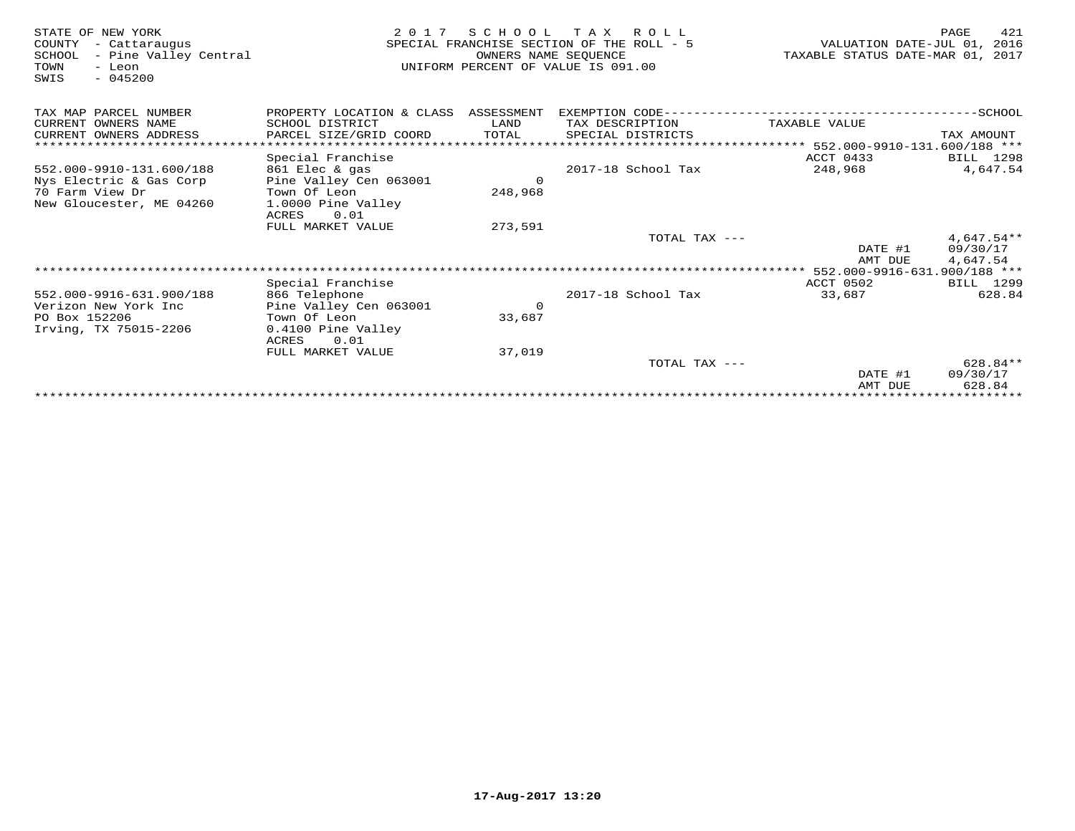| STATE OF NEW YORK<br>COUNTY<br>- Cattaraugus<br>- Pine Valley Central<br>SCHOOL<br>TOWN<br>- Leon<br>$-045200$<br>SWIS | 2 0 1 7                              | SCHOOL<br>OWNERS NAME SEQUENCE | TAX ROLL<br>SPECIAL FRANCHISE SECTION OF THE ROLL - 5<br>UNIFORM PERCENT OF VALUE IS 091.00 | VALUATION DATE-JUL 01,<br>TAXABLE STATUS DATE-MAR 01, 2017 | 421<br>PAGE<br>2016      |
|------------------------------------------------------------------------------------------------------------------------|--------------------------------------|--------------------------------|---------------------------------------------------------------------------------------------|------------------------------------------------------------|--------------------------|
| TAX MAP PARCEL NUMBER                                                                                                  | PROPERTY LOCATION & CLASS ASSESSMENT |                                | EXEMPTION CODE------------------------                                                      |                                                            | $----SCHOOL$             |
| CURRENT OWNERS NAME                                                                                                    | SCHOOL DISTRICT                      | LAND                           | TAX DESCRIPTION                                                                             | TAXABLE VALUE                                              |                          |
| CURRENT OWNERS ADDRESS                                                                                                 | PARCEL SIZE/GRID COORD               | TOTAL                          | SPECIAL DISTRICTS                                                                           | ****************** 552.000-9910-131.600/188 ***            | TAX AMOUNT               |
|                                                                                                                        | Special Franchise                    |                                |                                                                                             | ACCT 0433                                                  | BILL 1298                |
| 552.000-9910-131.600/188                                                                                               | 861 Elec & gas                       |                                | 2017-18 School Tax                                                                          | 248,968                                                    | 4,647.54                 |
| Nys Electric & Gas Corp                                                                                                | Pine Valley Cen 063001               | $\Omega$                       |                                                                                             |                                                            |                          |
| 70 Farm View Dr                                                                                                        | Town Of Leon                         | 248,968                        |                                                                                             |                                                            |                          |
| New Gloucester, ME 04260                                                                                               | 1.0000 Pine Valley                   |                                |                                                                                             |                                                            |                          |
|                                                                                                                        | 0.01<br><b>ACRES</b>                 |                                |                                                                                             |                                                            |                          |
|                                                                                                                        | FULL MARKET VALUE                    | 273,591                        |                                                                                             |                                                            |                          |
|                                                                                                                        |                                      |                                | TOTAL TAX ---                                                                               | DATE #1                                                    | $4,647.54**$<br>09/30/17 |
|                                                                                                                        |                                      |                                |                                                                                             | AMT DUE                                                    | 4,647.54                 |
|                                                                                                                        |                                      |                                |                                                                                             | ****************** 552.000-9916-631.900/188 ***            |                          |
|                                                                                                                        | Special Franchise                    |                                |                                                                                             | <b>ACCT 0502</b>                                           | BILL 1299                |
| 552.000-9916-631.900/188                                                                                               | 866 Telephone                        |                                | 2017-18 School Tax                                                                          | 33,687                                                     | 628.84                   |
| Verizon New York Inc                                                                                                   | Pine Valley Cen 063001               | $\Omega$                       |                                                                                             |                                                            |                          |
| PO Box 152206                                                                                                          | Town Of Leon                         | 33,687                         |                                                                                             |                                                            |                          |
| Irving, TX 75015-2206                                                                                                  | 0.4100 Pine Valley<br>ACRES<br>0.01  |                                |                                                                                             |                                                            |                          |
|                                                                                                                        | FULL MARKET VALUE                    | 37,019                         |                                                                                             |                                                            |                          |
|                                                                                                                        |                                      |                                | TOTAL TAX ---                                                                               |                                                            | $628.84**$               |
|                                                                                                                        |                                      |                                |                                                                                             | DATE #1                                                    | 09/30/17                 |
|                                                                                                                        |                                      |                                |                                                                                             | AMT DUE                                                    | 628.84                   |
|                                                                                                                        |                                      |                                |                                                                                             |                                                            |                          |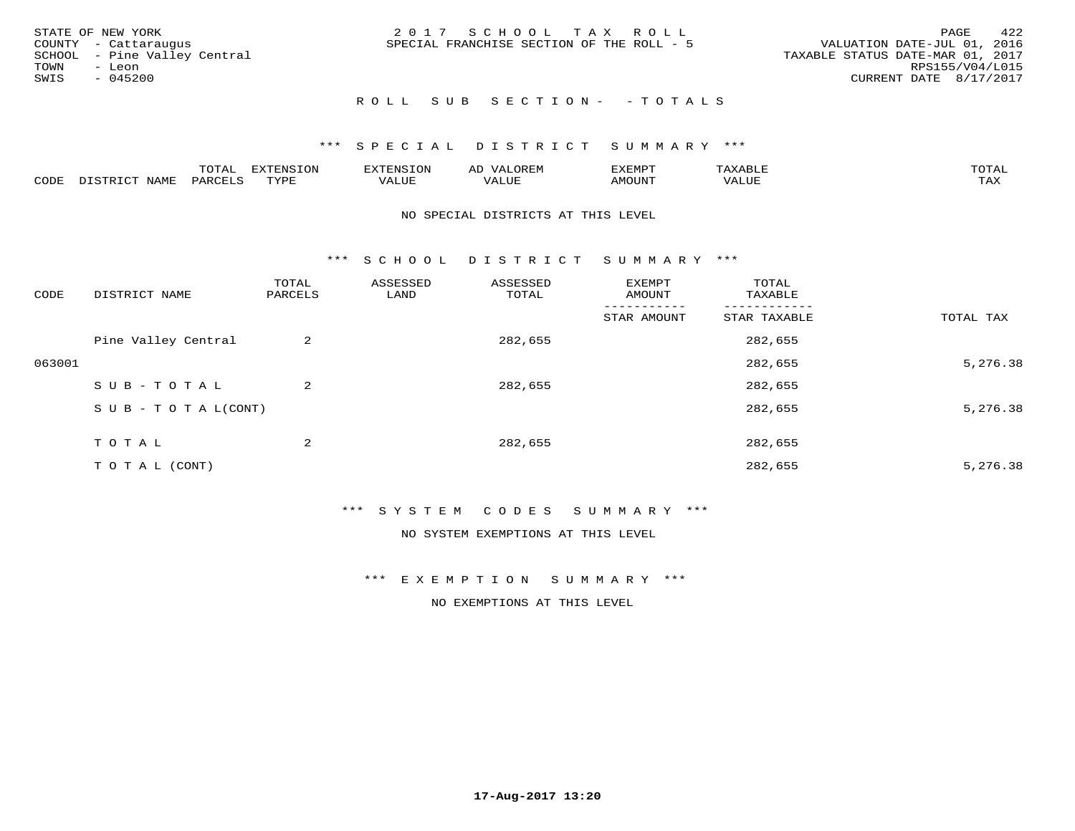|      | STATE OF NEW YORK            | 2017 SCHOOL TAX ROLL                                                     | 422<br>PAGE     |
|------|------------------------------|--------------------------------------------------------------------------|-----------------|
|      | COUNTY - Cattaraugus         | VALUATION DATE-JUL 01, 2016<br>SPECIAL FRANCHISE SECTION OF THE ROLL - 5 |                 |
|      | SCHOOL - Pine Valley Central | TAXABLE STATUS DATE-MAR 01, 2017                                         |                 |
| TOWN | - Leon                       |                                                                          | RPS155/V04/L015 |
| SWIS | - 045200                     | CURRENT DATE 8/17/2017                                                   |                 |
|      |                              |                                                                          |                 |

## ROLL SUB SECTION - - TOTALS

## \*\*\* S P E C I A L D I S T R I C T S U M M A R Y \*\*\*

|      |         | ----                | $\cdots$ | . FNS | ₩    | דסMדצי       |                   | $m \wedge m \wedge n$ |
|------|---------|---------------------|----------|-------|------|--------------|-------------------|-----------------------|
| CODE | ៶៲៳៲៴៲៷ | <b>ACTIVE</b><br>ΆR | TVDF     | ALUE  | ALUE | <b>NOUNT</b> | <b>TTT</b><br>⊐∪∟ | ГAX                   |

## NO SPECIAL DISTRICTS AT THIS LEVEL

\*\*\* S C H O O L D I S T R I C T S U M M A R Y \*\*\*

| CODE   | DISTRICT NAME                    | TOTAL<br>PARCELS | ASSESSED<br>LAND | ASSESSED<br>TOTAL | EXEMPT<br>AMOUNT | TOTAL<br>TAXABLE |           |
|--------|----------------------------------|------------------|------------------|-------------------|------------------|------------------|-----------|
|        |                                  |                  |                  |                   | STAR AMOUNT      | STAR TAXABLE     | TOTAL TAX |
|        | Pine Valley Central              | 2                |                  | 282,655           |                  | 282,655          |           |
| 063001 |                                  |                  |                  |                   |                  | 282,655          | 5,276.38  |
|        | SUB-TOTAL                        | 2                |                  | 282,655           |                  | 282,655          |           |
|        | $S \cup B - T \cup T A L (CONT)$ |                  |                  |                   |                  | 282,655          | 5,276.38  |
|        | TOTAL                            | 2                |                  | 282,655           |                  | 282,655          |           |
|        | T O T A L (CONT)                 |                  |                  |                   |                  | 282,655          | 5,276.38  |

## \*\*\* S Y S T E M C O D E S S U M M A R Y \*\*\*

NO SYSTEM EXEMPTIONS AT THIS LEVEL

\*\*\* E X E M P T I O N S U M M A R Y \*\*\*

NO EXEMPTIONS AT THIS LEVEL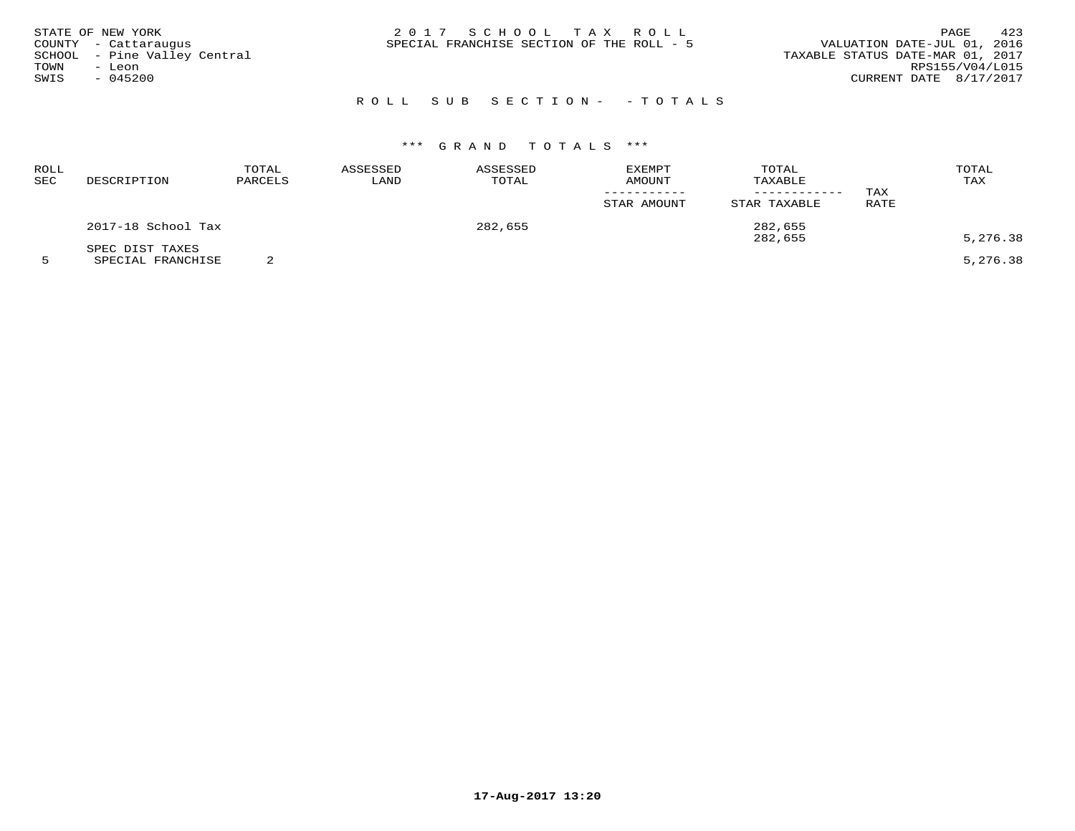|      | STATE OF NEW YORK            | 2017 SCHOOL TAX ROLL                      |  |  |                                  |                        | PAGE | 423 |
|------|------------------------------|-------------------------------------------|--|--|----------------------------------|------------------------|------|-----|
|      | COUNTY - Cattaraugus         | SPECIAL FRANCHISE SECTION OF THE ROLL - 5 |  |  | VALUATION DATE-JUL 01, 2016      |                        |      |     |
|      | SCHOOL - Pine Valley Central |                                           |  |  | TAXABLE STATUS DATE-MAR 01, 2017 |                        |      |     |
| TOWN | - Leon                       |                                           |  |  |                                  | RPS155/V04/L015        |      |     |
| SWIS | $-045200$                    |                                           |  |  |                                  | CURRENT DATE 8/17/2017 |      |     |
|      |                              |                                           |  |  |                                  |                        |      |     |

# R O L L S U B S E C T I O N - - T O T A L S

# \*\*\* G R A N D T O T A L S \*\*\*

| ROLL<br>SEC | DESCRIPTION                          | TOTAL<br>PARCELS | ASSESSED<br>LAND | ASSESSED<br>TOTAL | EXEMPT<br><b>AMOUNT</b><br>STAR AMOUNT | TOTAL<br>TAXABLE<br>---------<br>STAR TAXABLE | TAX<br>RATE | TOTAL<br>TAX |
|-------------|--------------------------------------|------------------|------------------|-------------------|----------------------------------------|-----------------------------------------------|-------------|--------------|
|             | 2017-18 School Tax                   |                  |                  | 282,655           |                                        | 282,655<br>282,655                            |             | 5,276.38     |
|             | SPEC DIST TAXES<br>SPECIAL FRANCHISE |                  |                  |                   |                                        |                                               |             | 5,276.38     |

**17-Aug-2017 13:20**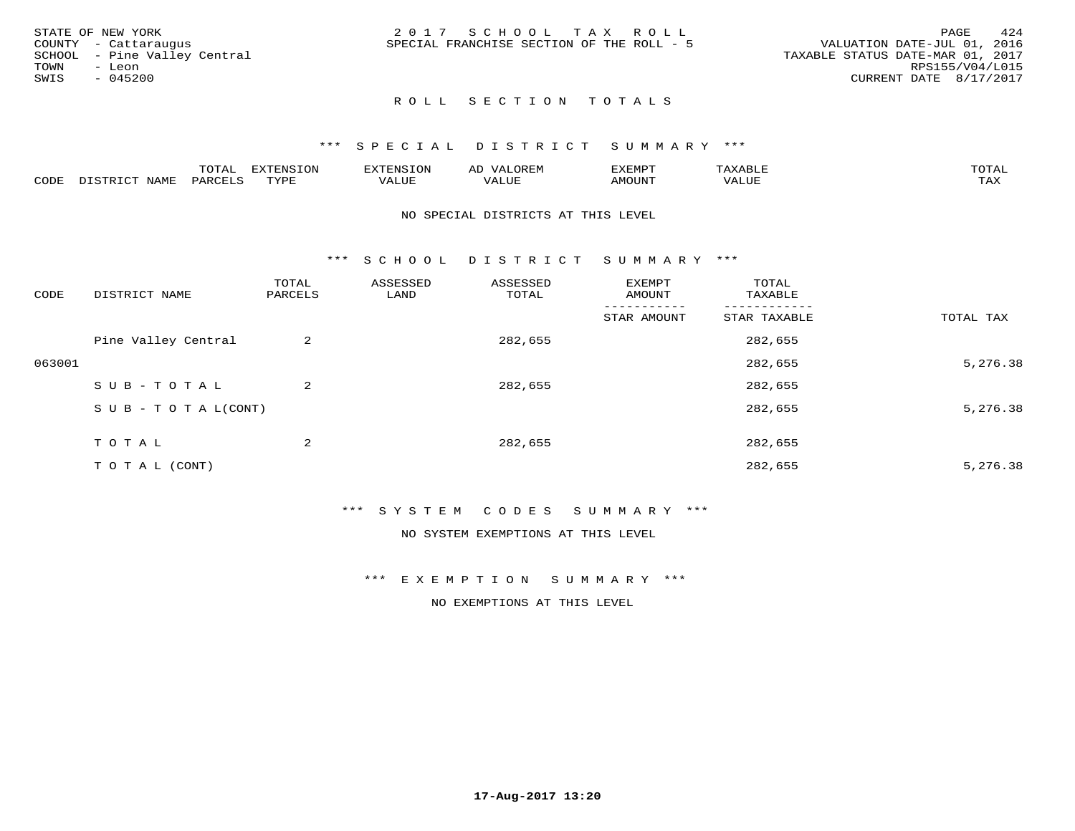| STATE OF NEW YORK            | 2017 SCHOOL TAX ROLL                      | 424<br>PAGE                      |
|------------------------------|-------------------------------------------|----------------------------------|
| COUNTY - Cattaraugus         | SPECIAL FRANCHISE SECTION OF THE ROLL - 5 | VALUATION DATE-JUL 01, 2016      |
| SCHOOL - Pine Valley Central |                                           | TAXABLE STATUS DATE-MAR 01, 2017 |
| TOWN<br>- Leon               |                                           | RPS155/V04/L015                  |
| SWIS<br>- 045200             |                                           | CURRENT DATE 8/17/2017           |
|                              |                                           |                                  |

## \*\*\* S P E C I A L D I S T R I C T S U M M A R Y \*\*\*

|      |                  | $m \wedge m \wedge n$<br>TOTAL | <b>DIZPOILIC TOM</b><br>- UIV | SN S             | OREN               | המארד 17<br>ֿישו⊿<br>∸∆≞™⊢ |                          | $m \wedge m \wedge n$ |
|------|------------------|--------------------------------|-------------------------------|------------------|--------------------|----------------------------|--------------------------|-----------------------|
| CODE | NAME<br>. ו פרדי | <b>PARCFT</b>                  | TUTT                          | 77\TTTT.<br>ALUE | $- - - -$<br>مى سە | AMOUNT                     | <b>TTTT</b><br>$\Delta'$ | $m \times r$<br>1.734 |

#### NO SPECIAL DISTRICTS AT THIS LEVEL

\*\*\* S C H O O L D I S T R I C T S U M M A R Y \*\*\*

| CODE   | DISTRICT NAME                    | TOTAL<br>PARCELS | ASSESSED<br>LAND | ASSESSED<br>TOTAL | EXEMPT<br>AMOUNT | TOTAL<br>TAXABLE |           |
|--------|----------------------------------|------------------|------------------|-------------------|------------------|------------------|-----------|
|        |                                  |                  |                  |                   | STAR AMOUNT      | STAR TAXABLE     | TOTAL TAX |
|        | Pine Valley Central              | 2                |                  | 282,655           |                  | 282,655          |           |
| 063001 |                                  |                  |                  |                   |                  | 282,655          | 5,276.38  |
|        | SUB-TOTAL                        | 2                |                  | 282,655           |                  | 282,655          |           |
|        | $S \cup B - T \cup T A L (CONT)$ |                  |                  |                   |                  | 282,655          | 5,276.38  |
|        | TOTAL                            | 2                |                  | 282,655           |                  | 282,655          |           |
|        | T O T A L (CONT)                 |                  |                  |                   |                  | 282,655          | 5,276.38  |

## \*\*\* S Y S T E M C O D E S S U M M A R Y \*\*\*

NO SYSTEM EXEMPTIONS AT THIS LEVEL

#### \*\*\* E X E M P T I O N S U M M A R Y \*\*\*

NO EXEMPTIONS AT THIS LEVEL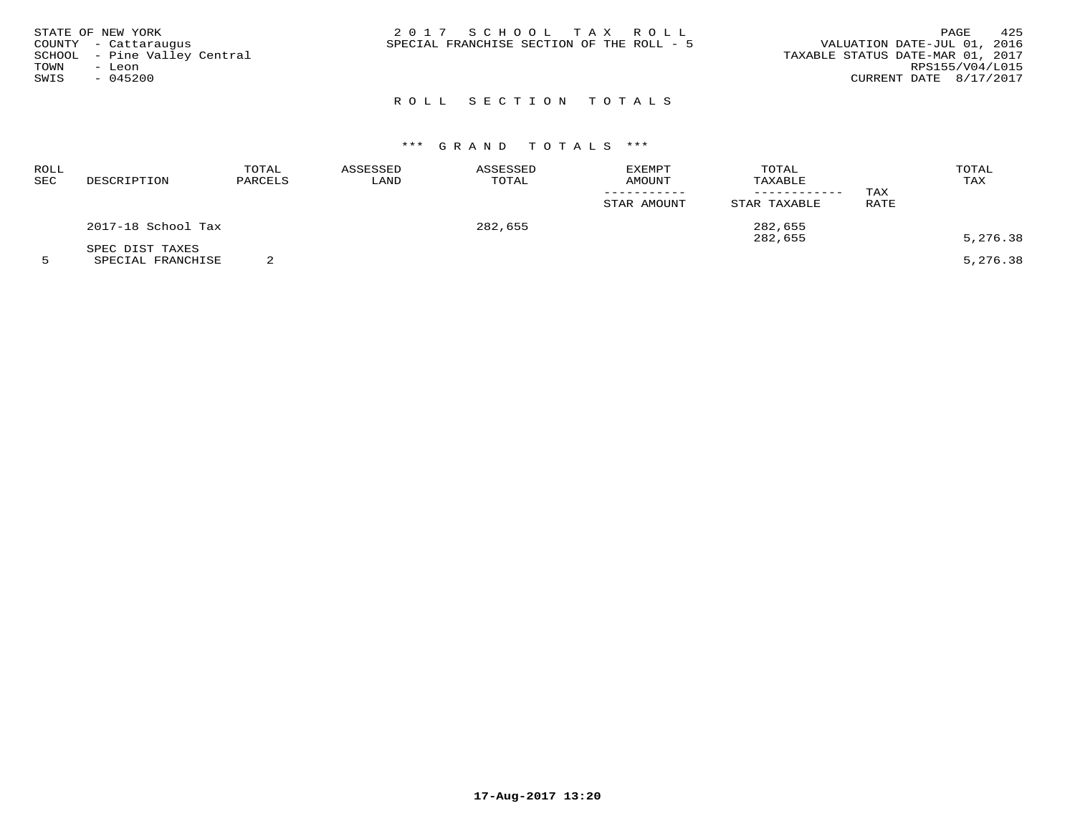|      | STATE OF NEW YORK            | 2017 SCHOOL TAX ROLL                      |  | 425<br>PAGE                      |
|------|------------------------------|-------------------------------------------|--|----------------------------------|
|      | COUNTY - Cattaraugus         | SPECIAL FRANCHISE SECTION OF THE ROLL - 5 |  | VALUATION DATE-JUL 01, 2016      |
|      | SCHOOL - Pine Valley Central |                                           |  | TAXABLE STATUS DATE-MAR 01, 2017 |
| TOWN | - Leon                       |                                           |  | RPS155/V04/L015                  |
| SWIS | $-045200$                    |                                           |  | CURRENT DATE 8/17/2017           |
|      |                              |                                           |  |                                  |

# \*\*\* G R A N D T O T A L S \*\*\*

| ROLL<br>SEC | DESCRIPTION                          | TOTAL<br>PARCELS | ASSESSED<br>LAND | ASSESSED<br>TOTAL | EXEMPT<br><b>AMOUNT</b><br>STAR AMOUNT | TOTAL<br>TAXABLE<br>--------<br>STAR TAXABLE | TAX<br>RATE | TOTAL<br>TAX |
|-------------|--------------------------------------|------------------|------------------|-------------------|----------------------------------------|----------------------------------------------|-------------|--------------|
|             | 2017-18 School Tax                   |                  |                  | 282,655           |                                        | 282,655<br>282,655                           |             | 5,276.38     |
|             | SPEC DIST TAXES<br>SPECIAL FRANCHISE |                  |                  |                   |                                        |                                              |             | 5,276.38     |

**17-Aug-2017 13:20**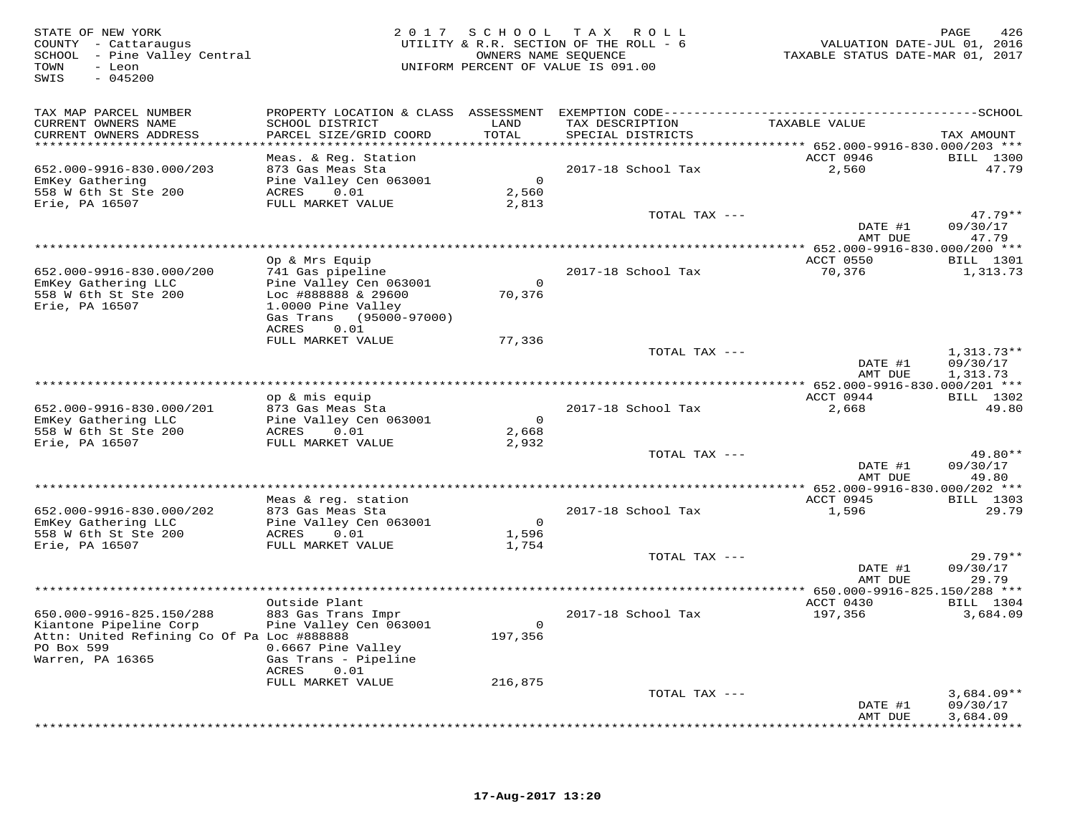| STATE OF NEW YORK<br>COUNTY - Cattaraugus<br>SCHOOL - Pine Valley Central<br>TOWN<br>- Leon<br>$-045200$<br>SWIS | 2 0 1 7                                    | S C H O O L<br>OWNERS NAME SEOUENCE | TAX ROLL<br>UTILITY & R.R. SECTION OF THE ROLL - 6<br>UNIFORM PERCENT OF VALUE IS 091.00 | VALUATION DATE-JUL 01, 2016<br>TAXABLE STATUS DATE-MAR 01, 2017 | PAGE<br>426                  |
|------------------------------------------------------------------------------------------------------------------|--------------------------------------------|-------------------------------------|------------------------------------------------------------------------------------------|-----------------------------------------------------------------|------------------------------|
| TAX MAP PARCEL NUMBER<br>CURRENT OWNERS NAME                                                                     | SCHOOL DISTRICT                            | LAND                                | TAX DESCRIPTION                                                                          | TAXABLE VALUE                                                   |                              |
| CURRENT OWNERS ADDRESS<br>************************                                                               | PARCEL SIZE/GRID COORD                     | TOTAL                               | SPECIAL DISTRICTS                                                                        |                                                                 | TAX AMOUNT                   |
|                                                                                                                  | Meas. & Reg. Station                       |                                     |                                                                                          | ACCT 0946                                                       | <b>BILL</b> 1300             |
| 652.000-9916-830.000/203                                                                                         | 873 Gas Meas Sta                           |                                     | 2017-18 School Tax                                                                       | 2,560                                                           | 47.79                        |
| EmKey Gathering<br>558 W 6th St Ste 200                                                                          | Pine Valley Cen 063001<br>0.01<br>ACRES    | $\overline{0}$<br>2,560             |                                                                                          |                                                                 |                              |
| Erie, PA 16507                                                                                                   | FULL MARKET VALUE                          | 2,813                               |                                                                                          |                                                                 |                              |
|                                                                                                                  |                                            |                                     | TOTAL TAX ---                                                                            | DATE #1                                                         | $47.79**$<br>09/30/17        |
|                                                                                                                  |                                            |                                     |                                                                                          | AMT DUE                                                         | 47.79                        |
|                                                                                                                  | Op & Mrs Equip                             |                                     |                                                                                          | ACCT 0550                                                       | BILL 1301                    |
| 652.000-9916-830.000/200                                                                                         | 741 Gas pipeline                           |                                     | 2017-18 School Tax                                                                       | 70,376                                                          | 1,313.73                     |
| EmKey Gathering LLC<br>558 W 6th St Ste 200                                                                      | Pine Valley Cen 063001                     | $\bigcirc$                          |                                                                                          |                                                                 |                              |
| Erie, PA 16507                                                                                                   | Loc #888888 & 29600<br>1.0000 Pine Valley  | 70,376                              |                                                                                          |                                                                 |                              |
|                                                                                                                  | Gas Trans (95000-97000)                    |                                     |                                                                                          |                                                                 |                              |
|                                                                                                                  | ACRES<br>0.01<br>FULL MARKET VALUE         | 77,336                              |                                                                                          |                                                                 |                              |
|                                                                                                                  |                                            |                                     | TOTAL TAX ---                                                                            |                                                                 | $1,313.73**$                 |
|                                                                                                                  |                                            |                                     |                                                                                          | DATE #1<br>AMT DUE                                              | 09/30/17<br>1,313.73         |
|                                                                                                                  |                                            |                                     |                                                                                          | **** 652.000-9916-830.000/201 ***                               |                              |
|                                                                                                                  | op & mis equip                             |                                     |                                                                                          | ACCT 0944                                                       | <b>BILL</b> 1302             |
| 652.000-9916-830.000/201<br>EmKey Gathering LLC                                                                  | 873 Gas Meas Sta<br>Pine Valley Cen 063001 | $\overline{0}$                      | 2017-18 School Tax                                                                       | 2,668                                                           | 49.80                        |
| 558 W 6th St Ste 200                                                                                             | 0.01<br>ACRES                              | 2,668                               |                                                                                          |                                                                 |                              |
| Erie, PA 16507                                                                                                   | FULL MARKET VALUE                          | 2,932                               | TOTAL TAX ---                                                                            |                                                                 | 49.80**                      |
|                                                                                                                  |                                            |                                     |                                                                                          | DATE #1                                                         | 09/30/17                     |
|                                                                                                                  |                                            |                                     |                                                                                          | AMT DUE                                                         | 49.80                        |
|                                                                                                                  | Meas & req. station                        |                                     |                                                                                          | ACCT 0945                                                       | <b>BILL</b> 1303             |
| 652.000-9916-830.000/202                                                                                         | 873 Gas Meas Sta                           |                                     | 2017-18 School Tax                                                                       | 1,596                                                           | 29.79                        |
| EmKey Gathering LLC<br>558 W 6th St Ste 200                                                                      | Pine Valley Cen 063001<br>ACRES<br>0.01    | $\overline{0}$<br>1,596             |                                                                                          |                                                                 |                              |
| Erie, PA 16507                                                                                                   | FULL MARKET VALUE                          | 1,754                               |                                                                                          |                                                                 |                              |
|                                                                                                                  |                                            |                                     | TOTAL TAX ---                                                                            |                                                                 | $29.79**$                    |
|                                                                                                                  |                                            |                                     |                                                                                          | DATE #1<br>AMT DUE                                              | 09/30/17<br>29.79            |
|                                                                                                                  |                                            |                                     |                                                                                          | ** 650.000-9916-825.150/288 ***                                 |                              |
| 650.000-9916-825.150/288                                                                                         | Outside Plant<br>883 Gas Trans Impr        |                                     | 2017-18 School Tax                                                                       | ACCT 0430<br>197,356                                            | <b>BILL</b> 1304<br>3,684.09 |
| Kiantone Pipeline Corp                                                                                           | Pine Valley Cen 063001                     | $\bigcirc$                          |                                                                                          |                                                                 |                              |
| Attn: United Refining Co Of Pa Loc #888888<br>PO Box 599                                                         |                                            | 197,356                             |                                                                                          |                                                                 |                              |
| Warren, PA 16365                                                                                                 | 0.6667 Pine Valley<br>Gas Trans - Pipeline |                                     |                                                                                          |                                                                 |                              |
|                                                                                                                  | ACRES<br>0.01                              |                                     |                                                                                          |                                                                 |                              |
|                                                                                                                  | FULL MARKET VALUE                          | 216,875                             | TOTAL TAX ---                                                                            |                                                                 | $3,684.09**$                 |
|                                                                                                                  |                                            |                                     |                                                                                          | DATE #1                                                         | 09/30/17                     |
|                                                                                                                  |                                            |                                     |                                                                                          | AMT DUE                                                         | 3,684.09<br>.                |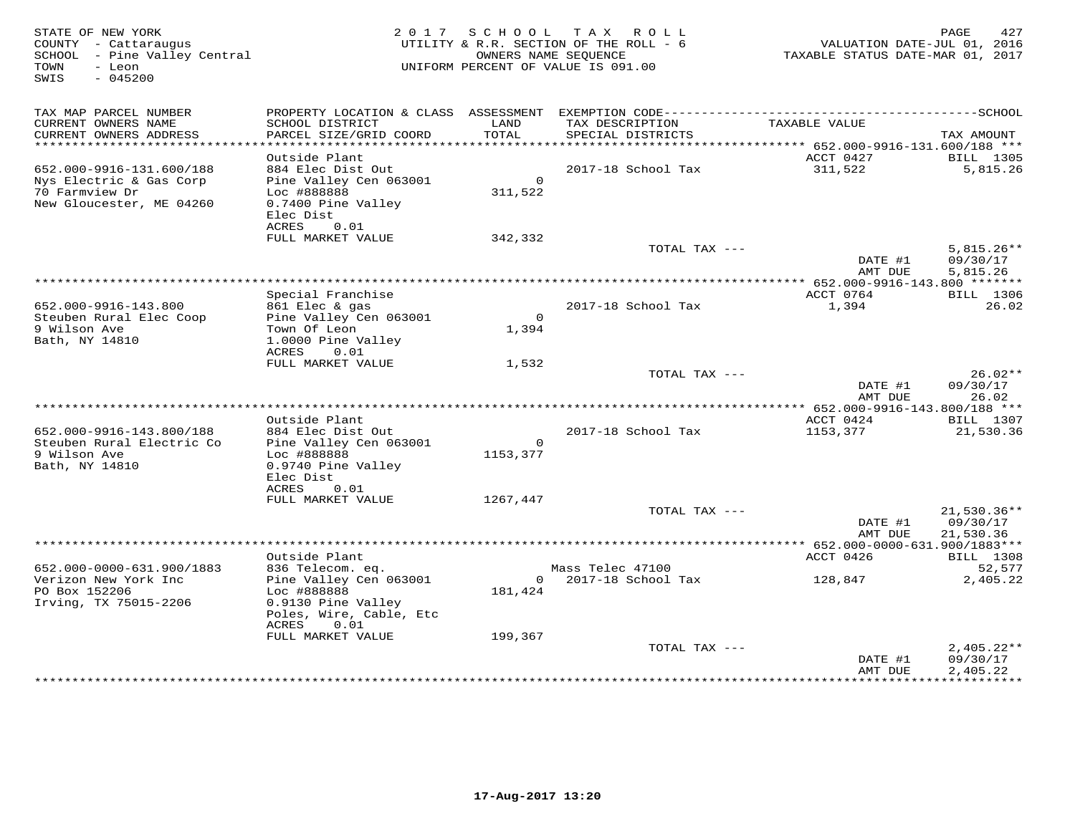| STATE OF NEW YORK<br>COUNTY - Cattaraugus<br>SCHOOL - Pine Valley Central<br>TOWN<br>- Leon<br>$-045200$<br>SWIS |                                                                                                            |                           | 2017 SCHOOL TAX ROLL<br>UTILITY & R.R. SECTION OF THE ROLL - 6<br>OWNERS NAME SEQUENCE<br>UNIFORM PERCENT OF VALUE IS 091.00 | VALUATION DATE-JUL 01, 2016<br>TAXABLE STATUS DATE-MAR 01, 2017 | 427<br>PAGE                          |
|------------------------------------------------------------------------------------------------------------------|------------------------------------------------------------------------------------------------------------|---------------------------|------------------------------------------------------------------------------------------------------------------------------|-----------------------------------------------------------------|--------------------------------------|
| TAX MAP PARCEL NUMBER<br>CURRENT OWNERS NAME                                                                     | SCHOOL DISTRICT                                                                                            | LAND                      | TAX DESCRIPTION                                                                                                              | TAXABLE VALUE                                                   |                                      |
| CURRENT OWNERS ADDRESS                                                                                           | PARCEL SIZE/GRID COORD                                                                                     | TOTAL                     | SPECIAL DISTRICTS                                                                                                            |                                                                 | TAX AMOUNT                           |
| ***********************                                                                                          |                                                                                                            |                           |                                                                                                                              |                                                                 |                                      |
| 652.000-9916-131.600/188                                                                                         | Outside Plant<br>884 Elec Dist Out                                                                         |                           |                                                                                                                              | ACCT 0427                                                       | <b>BILL</b> 1305                     |
| Nys Electric & Gas Corp<br>70 Farmview Dr<br>New Gloucester, ME 04260                                            | Pine Valley Cen 063001<br>Loc #888888<br>0.7400 Pine Valley<br>Elec Dist<br>ACRES<br>0.01                  | $\overline{0}$<br>311,522 | 2017-18 School Tax                                                                                                           | 311,522                                                         | 5,815.26                             |
|                                                                                                                  | FULL MARKET VALUE                                                                                          | 342,332                   |                                                                                                                              |                                                                 |                                      |
|                                                                                                                  |                                                                                                            |                           | TOTAL TAX ---                                                                                                                |                                                                 | $5,815.26**$                         |
|                                                                                                                  |                                                                                                            |                           |                                                                                                                              | DATE #1<br>AMT DUE                                              | 09/30/17<br>5,815.26                 |
|                                                                                                                  |                                                                                                            |                           |                                                                                                                              |                                                                 |                                      |
|                                                                                                                  | Special Franchise                                                                                          |                           |                                                                                                                              | ACCT 0764                                                       | <b>BILL</b> 1306                     |
| 652.000-9916-143.800<br>Steuben Rural Elec Coop<br>9 Wilson Ave<br>Bath, NY 14810                                | 861 Elec & gas<br>Pine Valley Cen 063001<br>Town Of Leon<br>1.0000 Pine Valley<br>ACRES<br>0.01            | $\Omega$<br>1,394         | 2017-18 School Tax                                                                                                           | 1,394                                                           | 26.02                                |
|                                                                                                                  | FULL MARKET VALUE                                                                                          | 1,532                     |                                                                                                                              |                                                                 |                                      |
|                                                                                                                  |                                                                                                            |                           | TOTAL TAX ---                                                                                                                | DATE #1<br>AMT DUE                                              | $26.02**$<br>09/30/17<br>26.02       |
|                                                                                                                  |                                                                                                            |                           |                                                                                                                              |                                                                 |                                      |
|                                                                                                                  | Outside Plant                                                                                              |                           |                                                                                                                              | ACCT 0424                                                       | <b>BILL</b> 1307                     |
| 652.000-9916-143.800/188<br>Steuben Rural Electric Co<br>9 Wilson Ave<br>Bath, NY 14810                          | 884 Elec Dist Out<br>Pine Valley Cen 063001<br>Loc #888888<br>0.9740 Pine Valley<br>Elec Dist              | $\circ$<br>1153,377       | 2017-18 School Tax                                                                                                           | 1153,377                                                        | 21,530.36                            |
|                                                                                                                  | ACRES<br>0.01                                                                                              |                           |                                                                                                                              |                                                                 |                                      |
|                                                                                                                  | FULL MARKET VALUE                                                                                          | 1267,447                  |                                                                                                                              |                                                                 | 21,530.36**                          |
|                                                                                                                  |                                                                                                            |                           | TOTAL TAX ---                                                                                                                | DATE #1                                                         | 09/30/17                             |
|                                                                                                                  |                                                                                                            |                           |                                                                                                                              | AMT DUE                                                         | 21,530.36                            |
|                                                                                                                  |                                                                                                            |                           |                                                                                                                              |                                                                 |                                      |
|                                                                                                                  | Outside Plant                                                                                              |                           |                                                                                                                              | ACCT 0426                                                       | <b>BILL</b> 1308                     |
| 652.000-0000-631.900/1883<br>Verizon New York Inc<br>PO Box 152206<br>Irving, TX 75015-2206                      | 836 Telecom. eq.<br>Pine Valley Cen 063001<br>Loc #888888<br>0.9130 Pine Valley<br>Poles, Wire, Cable, Etc | 181,424                   | Mass Telec 47100<br>$0$ 2017-18 School Tax                                                                                   | 128,847                                                         | 52,577<br>2,405.22                   |
|                                                                                                                  | 0.01<br>ACRES<br>FULL MARKET VALUE                                                                         | 199,367                   |                                                                                                                              |                                                                 |                                      |
|                                                                                                                  |                                                                                                            |                           | TOTAL TAX ---                                                                                                                | DATE #1<br>AMT DUE                                              | $2,405.22**$<br>09/30/17<br>2,405.22 |
|                                                                                                                  |                                                                                                            |                           |                                                                                                                              |                                                                 |                                      |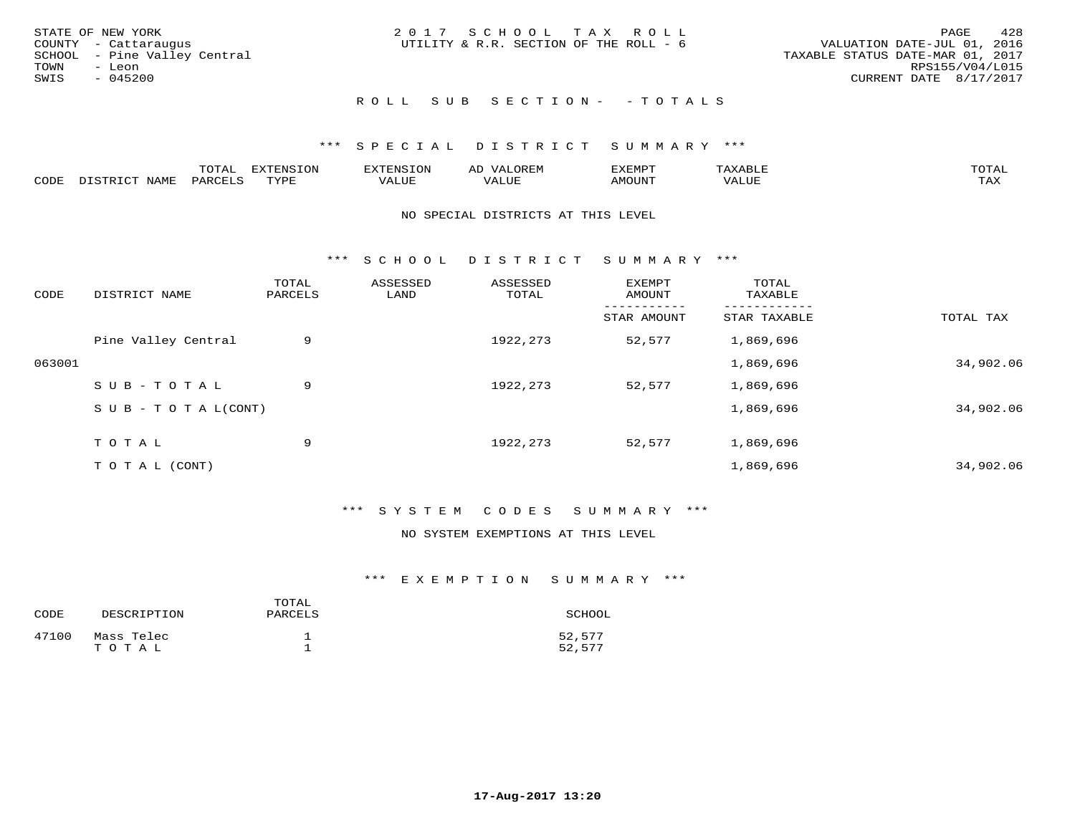| STATE OF NEW YORK            | 2017 SCHOOL TAX ROLL                   | 428<br>PAGE                      |
|------------------------------|----------------------------------------|----------------------------------|
|                              |                                        |                                  |
| COUNTY - Cattaraugus         | UTILITY & R.R. SECTION OF THE ROLL - 6 | VALUATION DATE-JUL 01, 2016      |
| SCHOOL - Pine Valley Central |                                        | TAXABLE STATUS DATE-MAR 01, 2017 |
| TOWN<br>- Leon               |                                        | RPS155/V04/L015                  |
| SWIS<br>$-045200$            |                                        | CURRENT DATE 8/17/2017           |
|                              | ROLL SUB SECTION- - TOTALS             |                                  |

## \*\*\* S P E C I A L D I S T R I C T S U M M A R Y \*\*\*

|      |                      | ----           | <b>FYTFNSTON</b><br>- 75 | <b>FNC</b>     | ᅺᅜᄓ                      | SXEMPT | $\Delta$<br>.                  | $m \wedge m \wedge n$ |
|------|----------------------|----------------|--------------------------|----------------|--------------------------|--------|--------------------------------|-----------------------|
| CODE | <b>NTAMT</b><br>⊥∙⊥⊥ | D.ODT.<br>PARL | $m \tau \tau m$<br>.     | T T T<br>ALUF: | , <del>,</del> , , , , , | MOUN.  | , 77 T TT <del>D</del><br>ALUE | TAX                   |

#### NO SPECIAL DISTRICTS AT THIS LEVEL

\*\*\* S C H O O L D I S T R I C T S U M M A R Y \*\*\*

| CODE   | DISTRICT NAME                    | TOTAL<br>PARCELS | ASSESSED<br>LAND | ASSESSED<br>TOTAL | <b>EXEMPT</b><br>AMOUNT | TOTAL<br>TAXABLE |           |
|--------|----------------------------------|------------------|------------------|-------------------|-------------------------|------------------|-----------|
|        |                                  |                  |                  |                   | STAR AMOUNT             | STAR TAXABLE     | TOTAL TAX |
|        | Pine Valley Central              | 9                |                  | 1922, 273         | 52,577                  | 1,869,696        |           |
| 063001 |                                  |                  |                  |                   |                         | 1,869,696        | 34,902.06 |
|        | SUB-TOTAL                        | 9                |                  | 1922, 273         | 52,577                  | 1,869,696        |           |
|        | $S \cup B - T \cup T A L (CONT)$ |                  |                  |                   |                         | 1,869,696        | 34,902.06 |
|        | TOTAL                            | 9                |                  | 1922, 273         | 52,577                  | 1,869,696        |           |
|        | TO TAL (CONT)                    |                  |                  |                   |                         | 1,869,696        | 34,902.06 |

## \*\*\* S Y S T E M C O D E S S U M M A R Y \*\*\*

#### NO SYSTEM EXEMPTIONS AT THIS LEVEL

## \*\*\* E X E M P T I O N S U M M A R Y \*\*\*

| CODE  | DESCRIPTION         | TOTAL<br>PARCELS | SCHOOL           |
|-------|---------------------|------------------|------------------|
| 47100 | Mass Telec<br>TOTAL |                  | 52,577<br>52,577 |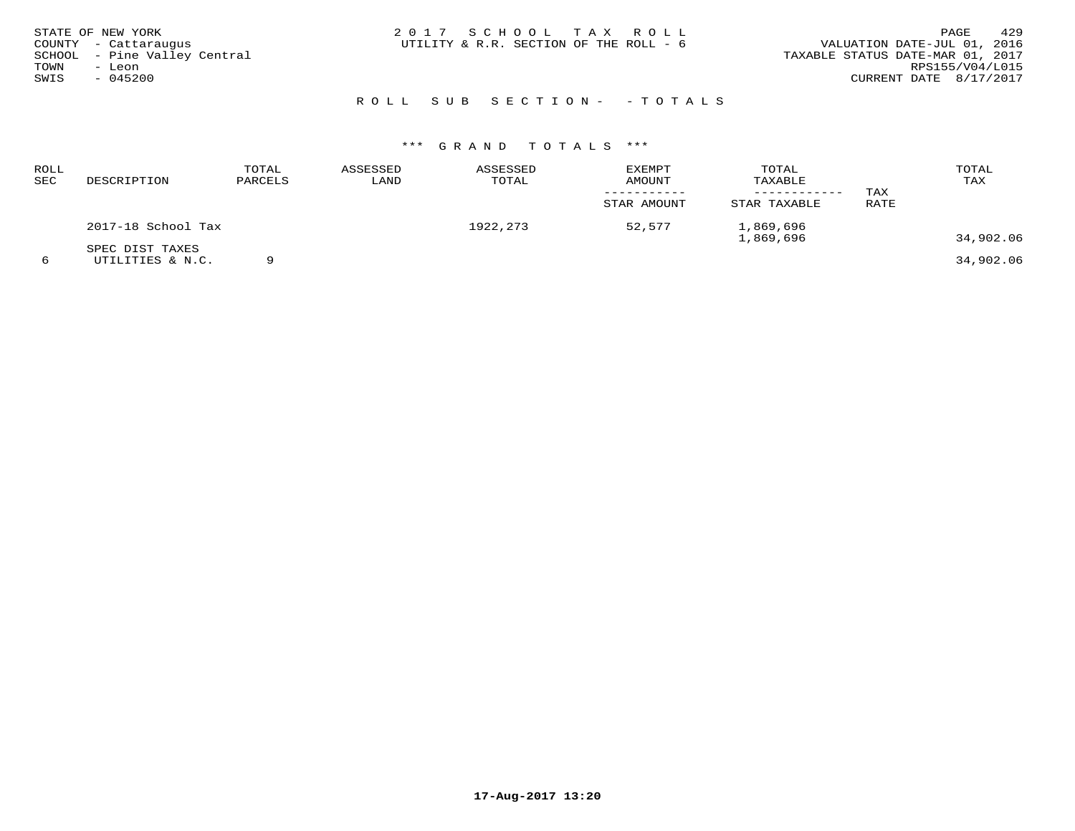|      | STATE OF NEW YORK            | 2017 SCHOOL TAX ROLL                   |  |  | 429<br>PAGE                      |
|------|------------------------------|----------------------------------------|--|--|----------------------------------|
|      | COUNTY - Cattaraugus         | UTILITY & R.R. SECTION OF THE ROLL - 6 |  |  | VALUATION DATE-JUL 01, 2016      |
|      | SCHOOL - Pine Valley Central |                                        |  |  | TAXABLE STATUS DATE-MAR 01, 2017 |
| TOWN | - Leon                       |                                        |  |  | RPS155/V04/L015                  |
| SWIS | - 045200                     |                                        |  |  | CURRENT DATE 8/17/2017           |
|      |                              |                                        |  |  |                                  |

# R O L L S U B S E C T I O N - - T O T A L S

| <b>ROLL</b><br>SEC | DESCRIPTION                         | TOTAL<br>PARCELS | ASSESSED<br>LAND | ASSESSED<br>TOTAL | <b>EXEMPT</b><br>AMOUNT<br>STAR AMOUNT | TOTAL<br>TAXABLE<br>STAR TAXABLE | TAX<br>RATE | TOTAL<br>TAX |
|--------------------|-------------------------------------|------------------|------------------|-------------------|----------------------------------------|----------------------------------|-------------|--------------|
|                    | 2017-18 School Tax                  |                  |                  | 1922, 273         | 52,577                                 | 1,869,696<br>1,869,696           |             | 34,902.06    |
| 6                  | SPEC DIST TAXES<br>UTILITIES & N.C. |                  |                  |                   |                                        |                                  |             | 34,902.06    |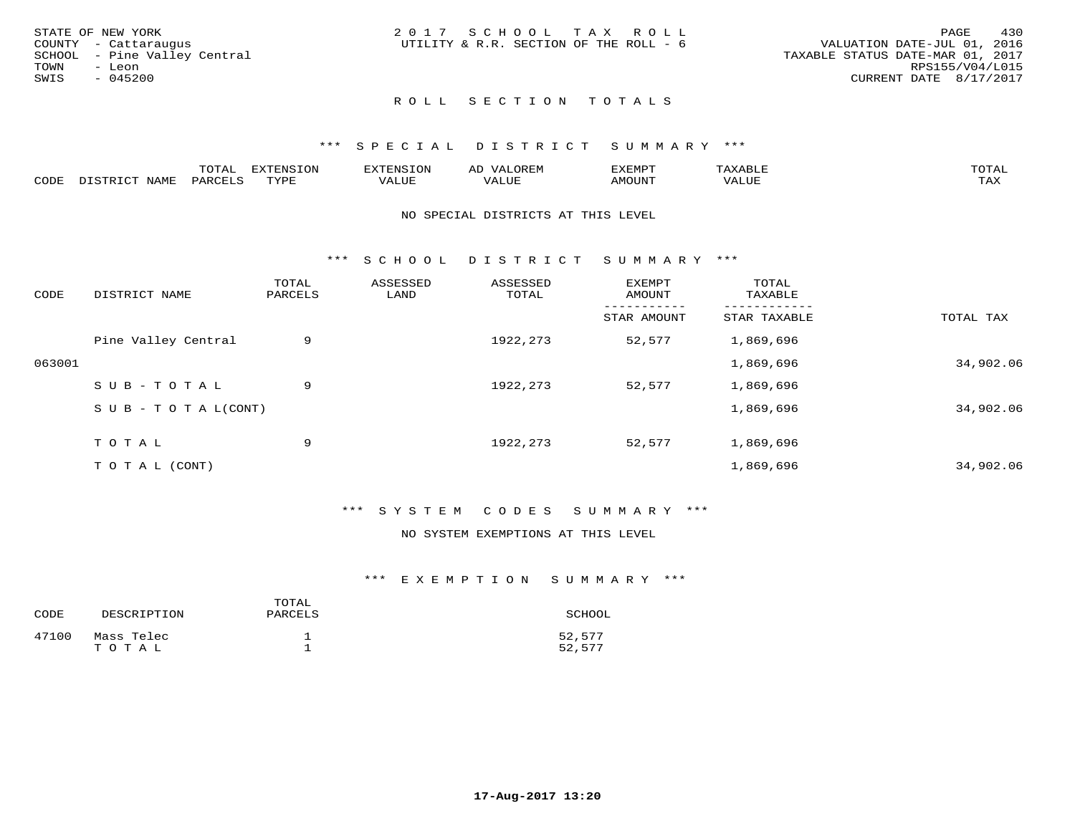| STATE OF NEW YORK            | 2017 SCHOOL TAX ROLL                   |  |                                  | PAGE                   | 430 |
|------------------------------|----------------------------------------|--|----------------------------------|------------------------|-----|
| COUNTY - Cattarauqus         | UTILITY & R.R. SECTION OF THE ROLL - 6 |  | VALUATION DATE-JUL 01, 2016      |                        |     |
| SCHOOL - Pine Valley Central |                                        |  | TAXABLE STATUS DATE-MAR 01, 2017 |                        |     |
| TOWN<br>- Leon               |                                        |  |                                  | RPS155/V04/L015        |     |
| $-045200$<br>SWIS            |                                        |  |                                  | CURRENT DATE 8/17/2017 |     |
|                              |                                        |  |                                  |                        |     |

## \*\*\* S P E C I A L D I S T R I C T S U M M A R Y \*\*\*

|      |                  | momm <sup>.</sup><br>TOTAT | <b>ELIMENT OF ONT</b><br>⊥∪lv | 'ENS   | OREM                     | CXEMPT        | $max$ is $max$ $n$       | $m \wedge m \wedge n$ |
|------|------------------|----------------------------|-------------------------------|--------|--------------------------|---------------|--------------------------|-----------------------|
| CODE | NAME<br>DISTRICT | PARCELS                    | TVDF<br>.                     | 7ALUE. | . <del>.</del><br>. ALUF | <b>AMOUNT</b> | * * * * * * * *<br>'ALUL | <b>TAY</b><br>⊥⇔∆     |

## NO SPECIAL DISTRICTS AT THIS LEVEL

\*\*\* S C H O O L D I S T R I C T S U M M A R Y \*\*\*

| CODE   | DISTRICT NAME                    | TOTAL<br>PARCELS | ASSESSED<br>LAND | ASSESSED<br>TOTAL | EXEMPT<br>AMOUNT | TOTAL<br>TAXABLE |           |
|--------|----------------------------------|------------------|------------------|-------------------|------------------|------------------|-----------|
|        |                                  |                  |                  |                   | STAR AMOUNT      | STAR TAXABLE     | TOTAL TAX |
|        | Pine Valley Central              | 9                |                  | 1922, 273         | 52,577           | 1,869,696        |           |
| 063001 |                                  |                  |                  |                   |                  | 1,869,696        | 34,902.06 |
|        | SUB-TOTAL                        | 9                |                  | 1922, 273         | 52,577           | 1,869,696        |           |
|        | $S \cup B - T \cup T A L (CONT)$ |                  |                  |                   |                  | 1,869,696        | 34,902.06 |
|        | TOTAL                            | 9                |                  | 1922, 273         | 52,577           | 1,869,696        |           |
|        | T O T A L (CONT)                 |                  |                  |                   |                  | 1,869,696        | 34,902.06 |
|        |                                  |                  |                  |                   |                  |                  |           |

## \*\*\* S Y S T E M C O D E S S U M M A R Y \*\*\*

#### NO SYSTEM EXEMPTIONS AT THIS LEVEL

#### \*\*\* E X E M P T I O N S U M M A R Y \*\*\*

| CODE  | DESCRIPTION         | TOTAL<br>PARCELS | SCHOOL           |
|-------|---------------------|------------------|------------------|
| 47100 | Mass Telec<br>TOTAL |                  | 52,577<br>52,577 |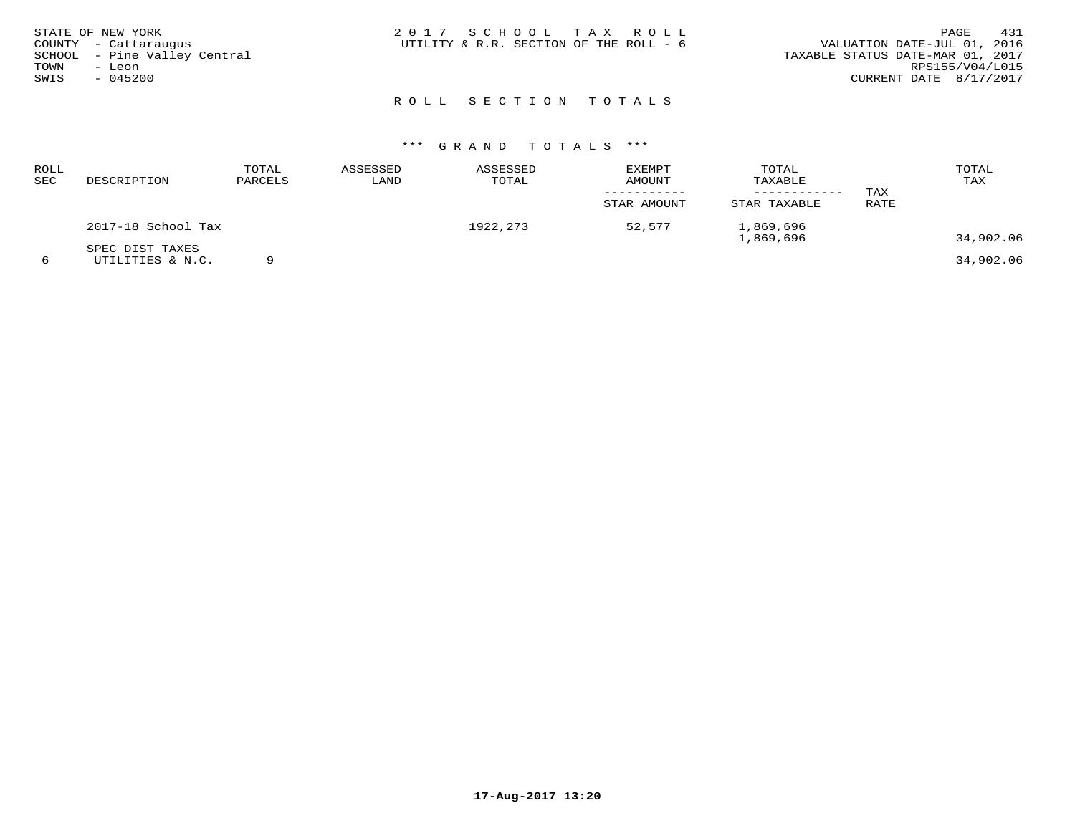|      | STATE OF NEW YORK            | 2017 SCHOOL TAX ROLL                   |                                  | PAGE | 431 |
|------|------------------------------|----------------------------------------|----------------------------------|------|-----|
|      | COUNTY - Cattaraugus         | UTILITY & R.R. SECTION OF THE ROLL - 6 | VALUATION DATE-JUL 01, 2016      |      |     |
|      | SCHOOL - Pine Valley Central |                                        | TAXABLE STATUS DATE-MAR 01, 2017 |      |     |
| TOWN | - Leon                       |                                        | RPS155/V04/L015                  |      |     |
| SWIS | $-045200$                    |                                        | CURRENT DATE 8/17/2017           |      |     |
|      |                              |                                        |                                  |      |     |

| ROLL<br>SEC | DESCRIPTION                         | TOTAL<br>PARCELS | ASSESSED<br>LAND | ASSESSED<br>TOTAL | EXEMPT<br><b>AMOUNT</b> | TOTAL<br>TAXABLE<br>--------- | TAX  | TOTAL<br>TAX |
|-------------|-------------------------------------|------------------|------------------|-------------------|-------------------------|-------------------------------|------|--------------|
|             |                                     |                  |                  |                   | STAR AMOUNT             | STAR TAXABLE                  | RATE |              |
|             | 2017-18 School Tax                  |                  |                  | 1922,273          | 52,577                  | 1,869,696<br>1,869,696        |      | 34,902.06    |
| 6           | SPEC DIST TAXES<br>UTILITIES & N.C. |                  |                  |                   |                         |                               |      | 34,902.06    |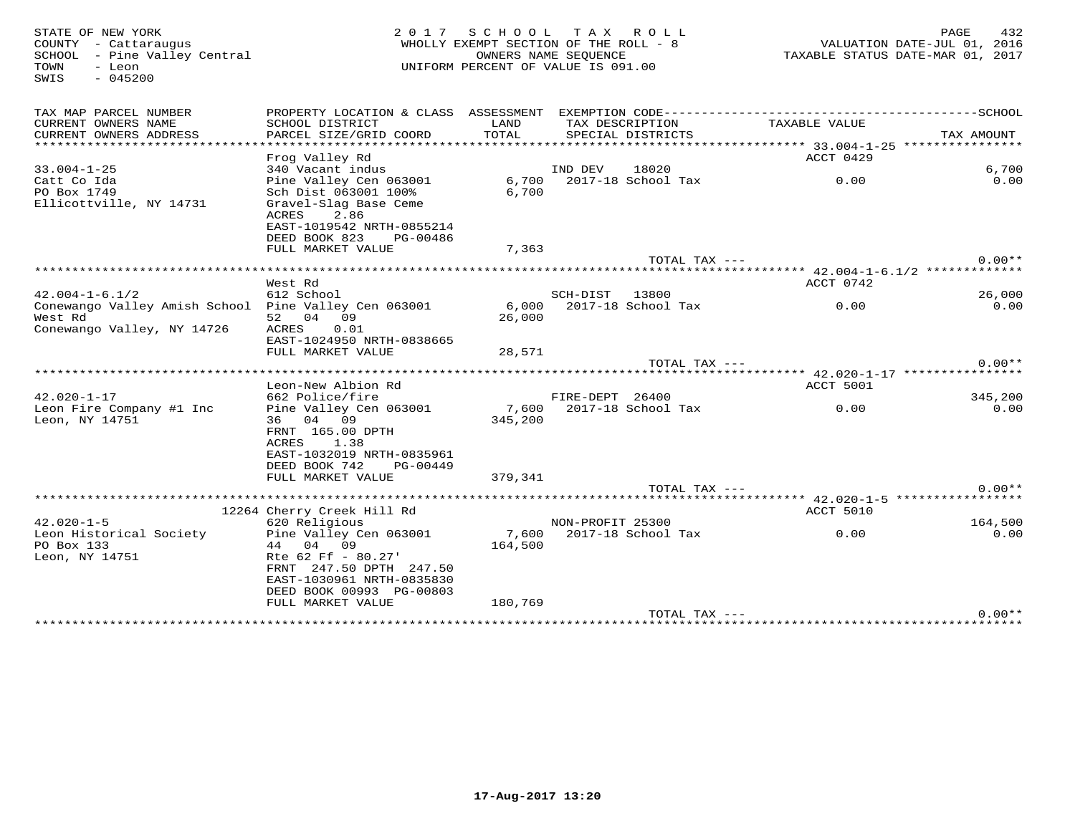TOWN - Leon<br>SWIS - 045200

# 932 STATE OF NEW YORK PAGE 432 (2017 SCHOOL TAX ROLL) PAGE 432 (STATE OF NEW YORK PAGE 432<br>2016, COUNTY - Cattaraugus<br>2017 SCHOOL - Pine Valley Central (State of the Unit of the Sequence of the Section of the Section UNIFORM PERCENT OF VALUE IS 091.00

| TAX MAP PARCEL NUMBER<br>CURRENT OWNERS NAME                    | PROPERTY LOCATION & CLASS ASSESSMENT<br>SCHOOL DISTRICT         | LAND<br>TOTAL   | TAX DESCRIPTION  |                     | TAXABLE VALUE                                    |            |
|-----------------------------------------------------------------|-----------------------------------------------------------------|-----------------|------------------|---------------------|--------------------------------------------------|------------|
| CURRENT OWNERS ADDRESS                                          | PARCEL SIZE/GRID COORD<br>************************************* |                 |                  | SPECIAL DISTRICTS   | ****************** 33.004-1-25 ***************** | TAX AMOUNT |
|                                                                 | Frog Valley Rd                                                  |                 |                  |                     | ACCT 0429                                        |            |
| $33.004 - 1 - 25$                                               | 340 Vacant indus                                                |                 | IND DEV          | 18020               |                                                  | 6,700      |
| Catt Co Ida                                                     | Pine Valley Cen 063001                                          | 6,700           |                  | 2017-18 School Tax  | 0.00                                             | 0.00       |
| PO Box 1749                                                     | Sch Dist 063001 100%                                            | 6,700           |                  |                     |                                                  |            |
| Ellicottville, NY 14731                                         | Gravel-Slag Base Ceme                                           |                 |                  |                     |                                                  |            |
|                                                                 | ACRES<br>2.86<br>EAST-1019542 NRTH-0855214                      |                 |                  |                     |                                                  |            |
|                                                                 | DEED BOOK 823<br>PG-00486                                       |                 |                  |                     |                                                  |            |
|                                                                 | FULL MARKET VALUE                                               | 7,363           |                  |                     |                                                  |            |
|                                                                 |                                                                 |                 |                  | $TOTAL$ $TAX$ $---$ |                                                  | $0.00**$   |
|                                                                 |                                                                 |                 |                  |                     | *********** 42.004-1-6.1/2 **************        |            |
|                                                                 | West Rd                                                         |                 |                  |                     | ACCT 0742                                        |            |
| $42.004 - 1 - 6.1/2$                                            | 612 School                                                      |                 | SCH-DIST         | 13800               |                                                  | 26,000     |
| Conewango Valley Amish School Pine Valley Cen 063001<br>West Rd | 52 04 09                                                        | 6,000<br>26,000 |                  | 2017-18 School Tax  | 0.00                                             | 0.00       |
| Conewango Valley, NY 14726                                      | 0.01<br>ACRES                                                   |                 |                  |                     |                                                  |            |
|                                                                 | EAST-1024950 NRTH-0838665                                       |                 |                  |                     |                                                  |            |
|                                                                 | FULL MARKET VALUE                                               | 28,571          |                  |                     |                                                  |            |
|                                                                 |                                                                 |                 |                  | TOTAL TAX ---       |                                                  | $0.00**$   |
|                                                                 | ********************                                            |                 |                  |                     | ****** 42.020-1-17 ****************              |            |
| $42.020 - 1 - 17$                                               | Leon-New Albion Rd<br>662 Police/fire                           |                 | FIRE-DEPT 26400  |                     | ACCT 5001                                        | 345,200    |
| Leon Fire Company #1 Inc                                        | Pine Valley Cen 063001                                          | 7,600           |                  | 2017-18 School Tax  | 0.00                                             | 0.00       |
| Leon, NY 14751                                                  | 36 04 09                                                        | 345,200         |                  |                     |                                                  |            |
|                                                                 | FRNT 165.00 DPTH                                                |                 |                  |                     |                                                  |            |
|                                                                 | ACRES<br>1.38                                                   |                 |                  |                     |                                                  |            |
|                                                                 | EAST-1032019 NRTH-0835961                                       |                 |                  |                     |                                                  |            |
|                                                                 | DEED BOOK 742<br>PG-00449                                       |                 |                  |                     |                                                  |            |
|                                                                 | FULL MARKET VALUE                                               | 379,341         |                  | TOTAL TAX $---$     |                                                  | $0.00**$   |
|                                                                 |                                                                 |                 |                  |                     | ********** 42.020-1-5 ******************         |            |
|                                                                 | 12264 Cherry Creek Hill Rd                                      |                 |                  |                     | ACCT 5010                                        |            |
| $42.020 - 1 - 5$                                                | 620 Religious                                                   |                 | NON-PROFIT 25300 |                     |                                                  | 164,500    |
| Leon Historical Society                                         | Pine Valley Cen 063001                                          | 7,600           |                  | 2017-18 School Tax  | 0.00                                             | 0.00       |
| PO Box 133                                                      | 44 04 09                                                        | 164,500         |                  |                     |                                                  |            |
| Leon, NY 14751                                                  | Rte 62 Ff - 80.27'<br>FRNT 247.50 DPTH 247.50                   |                 |                  |                     |                                                  |            |
|                                                                 | EAST-1030961 NRTH-0835830                                       |                 |                  |                     |                                                  |            |
|                                                                 | DEED BOOK 00993 PG-00803                                        |                 |                  |                     |                                                  |            |
|                                                                 | FULL MARKET VALUE                                               | 180,769         |                  |                     |                                                  |            |
|                                                                 |                                                                 |                 |                  | TOTAL TAX ---       |                                                  | $0.00**$   |
|                                                                 |                                                                 |                 |                  |                     |                                                  |            |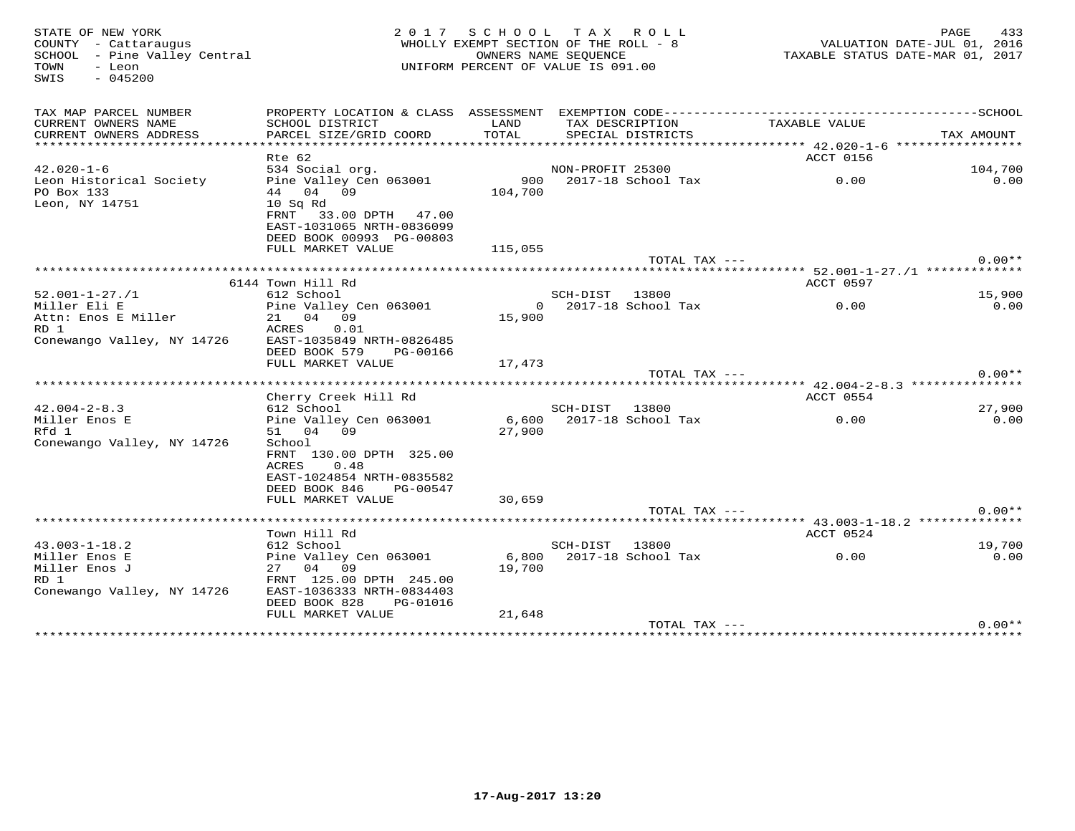| STATE OF NEW YORK<br>COUNTY - Cattaraugus<br>SCHOOL - Pine Valley Central<br>TOWN<br>- Leon<br>$-045200$<br>SWIS |                                                                                                                                                    |         | 2017 SCHOOL TAX ROLL<br>WHOLLY EXEMPT SECTION OF THE ROLL - 8<br>OWNERS NAME SEQUENCE<br>UNIFORM PERCENT OF VALUE IS 091.00 | VALUATION DATE-JUL 01, 2016<br>TAXABLE STATUS DATE-MAR 01, 2017 | PAGE<br>433 |
|------------------------------------------------------------------------------------------------------------------|----------------------------------------------------------------------------------------------------------------------------------------------------|---------|-----------------------------------------------------------------------------------------------------------------------------|-----------------------------------------------------------------|-------------|
| TAX MAP PARCEL NUMBER                                                                                            |                                                                                                                                                    |         |                                                                                                                             |                                                                 |             |
| CURRENT OWNERS NAME                                                                                              | SCHOOL DISTRICT                                                                                                                                    | LAND    | TAX DESCRIPTION                                                                                                             | TAXABLE VALUE                                                   |             |
| CURRENT OWNERS ADDRESS<br>******************                                                                     | PARCEL SIZE/GRID COORD                                                                                                                             | TOTAL   | SPECIAL DISTRICTS                                                                                                           |                                                                 | TAX AMOUNT  |
|                                                                                                                  | Rte 62                                                                                                                                             |         |                                                                                                                             | ACCT 0156                                                       |             |
| $42.020 - 1 - 6$                                                                                                 | 534 Social org.                                                                                                                                    |         | NON-PROFIT 25300                                                                                                            |                                                                 | 104,700     |
| Leon Historical Society<br>PO Box 133<br>Leon, NY 14751                                                          | Pine Valley Cen 063001<br>44 04 09<br>$10$ Sq Rd<br>FRNT 33.00 DPTH 47.00<br>EAST-1031065 NRTH-0836099                                             | 104,700 | 900 2017-18 School Tax                                                                                                      | 0.00                                                            | 0.00        |
|                                                                                                                  | DEED BOOK 00993 PG-00803<br>FULL MARKET VALUE                                                                                                      | 115,055 |                                                                                                                             |                                                                 |             |
|                                                                                                                  |                                                                                                                                                    |         | TOTAL TAX ---                                                                                                               |                                                                 | $0.00**$    |
|                                                                                                                  |                                                                                                                                                    |         |                                                                                                                             |                                                                 |             |
|                                                                                                                  | 6144 Town Hill Rd                                                                                                                                  |         |                                                                                                                             | ACCT 0597                                                       |             |
| $52.001 - 1 - 27.71$                                                                                             | 612 School                                                                                                                                         |         | SCH-DIST 13800                                                                                                              |                                                                 | 15,900      |
| Miller Eli E<br>Attn: Enos E Miller<br>RD 1<br>Conewango Valley, NY 14726                                        | Pine Valley Cen 063001<br>21 04 09<br>ACRES 0.01<br>EAST-1035849 NRTH-0826485<br>DEED BOOK 579<br>PG-00166                                         | 15,900  | $0$ 2017-18 School Tax                                                                                                      | 0.00                                                            | 0.00        |
|                                                                                                                  | FULL MARKET VALUE                                                                                                                                  | 17,473  |                                                                                                                             |                                                                 | $0.00**$    |
|                                                                                                                  |                                                                                                                                                    |         | TOTAL TAX ---                                                                                                               |                                                                 |             |
|                                                                                                                  | Cherry Creek Hill Rd                                                                                                                               |         |                                                                                                                             | ACCT 0554                                                       |             |
| $42.004 - 2 - 8.3$                                                                                               | 612 School                                                                                                                                         |         | SCH-DIST 13800                                                                                                              |                                                                 | 27,900      |
| Miller Enos E<br>Rfd 1<br>Conewango Valley, NY 14726                                                             | Pine Valley Cen 063001<br>51 04 09<br>School<br>FRNT 130.00 DPTH 325.00<br>ACRES<br>0.48<br>EAST-1024854 NRTH-0835582<br>DEED BOOK 846<br>PG-00547 | 27,900  | 6,600 2017-18 School Tax                                                                                                    | 0.00                                                            | 0.00        |
|                                                                                                                  | FULL MARKET VALUE                                                                                                                                  | 30,659  | TOTAL TAX ---                                                                                                               |                                                                 | $0.00**$    |
|                                                                                                                  |                                                                                                                                                    |         |                                                                                                                             |                                                                 |             |
|                                                                                                                  | Town Hill Rd                                                                                                                                       |         |                                                                                                                             | ACCT 0524                                                       |             |
| $43.003 - 1 - 18.2$                                                                                              | 612 School                                                                                                                                         |         | SCH-DIST 13800                                                                                                              |                                                                 | 19,700      |
| Miller Enos E<br>Miller Enos J<br>RD 1<br>Conewango Valley, NY 14726                                             | Pine Valley Cen 063001<br>27 04 09<br>FRNT 125.00 DPTH 245.00<br>EAST-1036333 NRTH-0834403<br>DEED BOOK 828<br>PG-01016                            | 19,700  | 6,800 2017-18 School Tax                                                                                                    | 0.00                                                            | 0.00        |
|                                                                                                                  | FULL MARKET VALUE                                                                                                                                  | 21,648  |                                                                                                                             |                                                                 |             |
|                                                                                                                  |                                                                                                                                                    |         | TOTAL TAX ---                                                                                                               |                                                                 | $0.00**$    |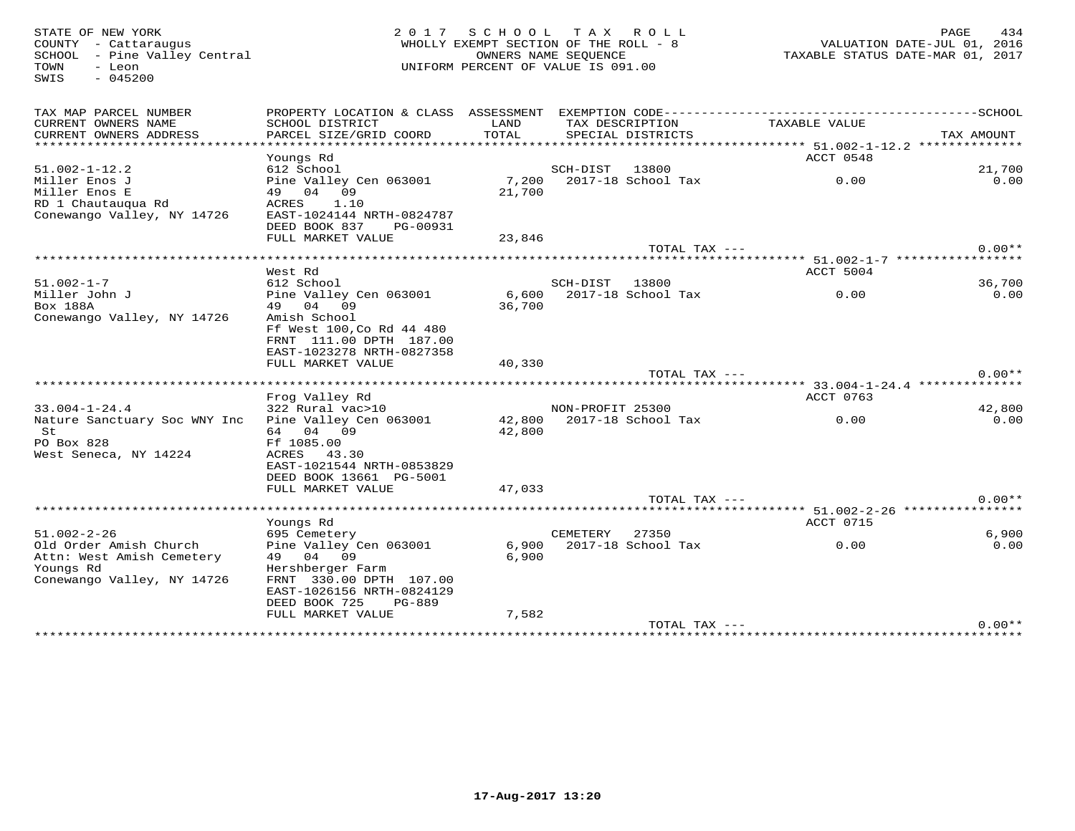TOWN - Leon<br>SWIS - 045200

# STATE OF NEW YORK 2 0 1 7 S C H O O L T A X R O L L PAGE 434 COUNTY - Cattaraugus WHOLLY EXEMPT SECTION OF THE ROLL - 8 VALUATION DATE-JUL 01, 2016 SCHOOL - Pine Valley Central OWNERS NAME SEQUENCE TAXABLE STATUS DATE-MAR 01, 2017UNIFORM PERCENT OF VALUE IS 091.00

| TAX MAP PARCEL NUMBER<br>CURRENT OWNERS NAME<br>CURRENT OWNERS ADDRESS | PROPERTY LOCATION & CLASS ASSESSMENT<br>SCHOOL DISTRICT<br>PARCEL SIZE/GRID COORD | LAND<br>TOTAL | TAX DESCRIPTION<br>SPECIAL DISTRICTS |                    | EXEMPTION CODE----------------------------<br>TAXABLE VALUE | --------------SCHOOL<br>TAX AMOUNT |
|------------------------------------------------------------------------|-----------------------------------------------------------------------------------|---------------|--------------------------------------|--------------------|-------------------------------------------------------------|------------------------------------|
| ******************************                                         |                                                                                   |               |                                      |                    |                                                             |                                    |
|                                                                        | Youngs Rd                                                                         |               |                                      |                    | ACCT 0548                                                   |                                    |
| $51.002 - 1 - 12.2$                                                    | 612 School                                                                        |               | SCH-DIST                             | 13800              |                                                             | 21,700                             |
| Miller Enos J                                                          | Pine Valley Cen 063001                                                            | 7,200         | 2017-18 School Tax                   |                    | 0.00                                                        | 0.00                               |
| Miller Enos E                                                          | 49 04 09                                                                          | 21,700        |                                      |                    |                                                             |                                    |
| RD 1 Chautauqua Rd                                                     | ACRES<br>1.10                                                                     |               |                                      |                    |                                                             |                                    |
| Conewango Valley, NY 14726                                             | EAST-1024144 NRTH-0824787                                                         |               |                                      |                    |                                                             |                                    |
|                                                                        | DEED BOOK 837<br>PG-00931                                                         |               |                                      |                    |                                                             |                                    |
|                                                                        | FULL MARKET VALUE                                                                 | 23,846        |                                      |                    |                                                             |                                    |
|                                                                        | ********************                                                              |               |                                      | TOTAL TAX ---      |                                                             | $0.00**$                           |
|                                                                        |                                                                                   |               |                                      |                    | *************************** 51.002-1-7 ******************   |                                    |
| $51.002 - 1 - 7$                                                       | West Rd<br>612 School                                                             |               | SCH-DIST 13800                       |                    | ACCT 5004                                                   | 36,700                             |
| Miller John J                                                          | Pine Valley Cen 063001                                                            | 6,600         | 2017-18 School Tax                   |                    | 0.00                                                        | 0.00                               |
| Box 188A                                                               | 49 04 09                                                                          | 36,700        |                                      |                    |                                                             |                                    |
| Conewango Valley, NY 14726                                             | Amish School                                                                      |               |                                      |                    |                                                             |                                    |
|                                                                        | Ff West 100, Co Rd 44 480                                                         |               |                                      |                    |                                                             |                                    |
|                                                                        | FRNT 111.00 DPTH 187.00                                                           |               |                                      |                    |                                                             |                                    |
|                                                                        | EAST-1023278 NRTH-0827358                                                         |               |                                      |                    |                                                             |                                    |
|                                                                        | FULL MARKET VALUE                                                                 | 40,330        |                                      |                    |                                                             |                                    |
|                                                                        |                                                                                   |               |                                      | TOTAL TAX ---      |                                                             | $0.00**$                           |
|                                                                        | *******************************                                                   |               |                                      |                    |                                                             |                                    |
|                                                                        |                                                                                   |               |                                      |                    |                                                             |                                    |
|                                                                        | Frog Valley Rd                                                                    |               |                                      |                    | ACCT 0763                                                   |                                    |
| $33.004 - 1 - 24.4$                                                    | 322 Rural vac>10                                                                  |               | NON-PROFIT 25300                     |                    |                                                             | 42,800                             |
| Nature Sanctuary Soc WNY Inc                                           | Pine Valley Cen 063001                                                            | 42,800        |                                      | 2017-18 School Tax | 0.00                                                        | 0.00                               |
| St                                                                     | 64 04 09                                                                          | 42,800        |                                      |                    |                                                             |                                    |
| PO Box 828                                                             | Ff 1085.00                                                                        |               |                                      |                    |                                                             |                                    |
| West Seneca, NY 14224                                                  | ACRES<br>43.30                                                                    |               |                                      |                    |                                                             |                                    |
|                                                                        | EAST-1021544 NRTH-0853829                                                         |               |                                      |                    |                                                             |                                    |
|                                                                        | DEED BOOK 13661 PG-5001                                                           |               |                                      |                    |                                                             |                                    |
|                                                                        | FULL MARKET VALUE                                                                 | 47,033        |                                      |                    |                                                             | $0.00**$                           |
|                                                                        | *************************************                                             |               |                                      | TOTAL TAX ---      |                                                             |                                    |
|                                                                        | Youngs Rd                                                                         |               |                                      |                    | ACCT 0715                                                   |                                    |
| $51.002 - 2 - 26$                                                      | 695 Cemetery                                                                      |               | CEMETERY                             | 27350              |                                                             | 6,900                              |
| Old Order Amish Church                                                 | Pine Valley Cen 063001                                                            | 6,900         | 2017-18 School Tax                   |                    | 0.00                                                        | 0.00                               |
| Attn: West Amish Cemetery                                              | 49 04 09                                                                          | 6,900         |                                      |                    |                                                             |                                    |
| Youngs Rd                                                              | Hershberger Farm                                                                  |               |                                      |                    |                                                             |                                    |
| Conewango Valley, NY 14726                                             | FRNT 330.00 DPTH 107.00                                                           |               |                                      |                    |                                                             |                                    |
|                                                                        | EAST-1026156 NRTH-0824129                                                         |               |                                      |                    |                                                             |                                    |
|                                                                        | DEED BOOK 725<br>PG-889                                                           |               |                                      |                    |                                                             |                                    |
|                                                                        | FULL MARKET VALUE                                                                 | 7,582         |                                      | TOTAL TAX ---      |                                                             | $0.00**$                           |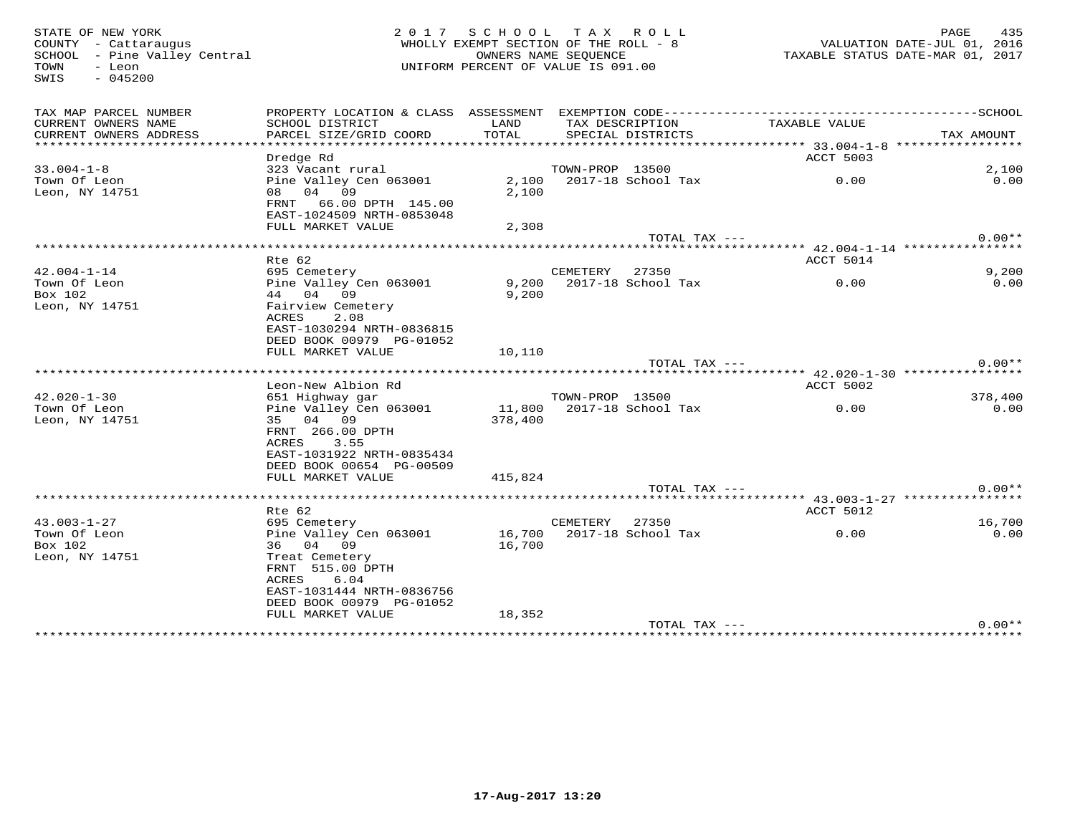TOWN - Leon<br>SWIS - 045200

# STATE OF NEW YORK 2 0 1 7 S C H O O L T A X R O L L PAGE 435 COUNTY - Cattaraugus WHOLLY EXEMPT SECTION OF THE ROLL - 8 VALUATION DATE-JUL 01, 2016 SCHOOL - Pine Valley Central OWNERS NAME SEQUENCE TAXABLE STATUS DATE-MAR 01, 2017UNIFORM PERCENT OF VALUE IS 091.00

| TAX MAP PARCEL NUMBER<br>CURRENT OWNERS NAME<br>CURRENT OWNERS ADDRESS | PROPERTY LOCATION & CLASS ASSESSMENT<br>SCHOOL DISTRICT<br>PARCEL SIZE/GRID COORD | LAND<br><b>TOTAL</b> | TAX DESCRIPTION | EXEMPTION CODE-------------<br>SPECIAL DISTRICTS | TAXABLE VALUE                     | --------------SCHOOL<br>TAX AMOUNT |
|------------------------------------------------------------------------|-----------------------------------------------------------------------------------|----------------------|-----------------|--------------------------------------------------|-----------------------------------|------------------------------------|
|                                                                        |                                                                                   |                      |                 |                                                  |                                   |                                    |
|                                                                        | Dredge Rd                                                                         |                      |                 |                                                  | ACCT 5003                         |                                    |
| $33.004 - 1 - 8$                                                       | 323 Vacant rural                                                                  |                      | TOWN-PROP 13500 |                                                  |                                   | 2,100                              |
| Town Of Leon                                                           | Pine Valley Cen 063001                                                            | 2,100                |                 | 2017-18 School Tax                               | 0.00                              | 0.00                               |
| Leon, NY 14751                                                         | 08 04 09                                                                          | 2,100                |                 |                                                  |                                   |                                    |
|                                                                        | FRNT<br>66.00 DPTH 145.00                                                         |                      |                 |                                                  |                                   |                                    |
|                                                                        | EAST-1024509 NRTH-0853048                                                         |                      |                 |                                                  |                                   |                                    |
|                                                                        | FULL MARKET VALUE                                                                 | 2,308                |                 |                                                  |                                   |                                    |
|                                                                        |                                                                                   |                      |                 | TOTAL TAX ---                                    |                                   | $0.00**$                           |
|                                                                        | *****************************                                                     |                      |                 |                                                  | ********* 42.004-1-14 *********** |                                    |
|                                                                        | Rte 62                                                                            |                      |                 |                                                  | ACCT 5014                         |                                    |
| $42.004 - 1 - 14$                                                      | 695 Cemetery                                                                      |                      | CEMETERY        | 27350                                            |                                   | 9,200                              |
| Town Of Leon                                                           | Pine Valley Cen 063001                                                            | 9,200                |                 | 2017-18 School Tax                               | 0.00                              | 0.00                               |
| Box 102                                                                | 44 04 09                                                                          | 9,200                |                 |                                                  |                                   |                                    |
| Leon, NY 14751                                                         | Fairview Cemetery                                                                 |                      |                 |                                                  |                                   |                                    |
|                                                                        | ACRES<br>2.08                                                                     |                      |                 |                                                  |                                   |                                    |
|                                                                        | EAST-1030294 NRTH-0836815                                                         |                      |                 |                                                  |                                   |                                    |
|                                                                        | DEED BOOK 00979 PG-01052                                                          |                      |                 |                                                  |                                   |                                    |
|                                                                        | FULL MARKET VALUE                                                                 | 10,110               |                 | TOTAL TAX ---                                    |                                   | $0.00**$                           |
|                                                                        |                                                                                   |                      |                 |                                                  |                                   |                                    |
|                                                                        | Leon-New Albion Rd                                                                |                      |                 |                                                  | ACCT 5002                         |                                    |
| $42.020 - 1 - 30$                                                      | 651 Highway gar                                                                   |                      | TOWN-PROP 13500 |                                                  |                                   | 378,400                            |
| Town Of Leon                                                           | Pine Valley Cen 063001                                                            | 11,800               |                 | 2017-18 School Tax                               | 0.00                              | 0.00                               |
| Leon, NY 14751                                                         | 35 04 09                                                                          | 378,400              |                 |                                                  |                                   |                                    |
|                                                                        | FRNT 266.00 DPTH                                                                  |                      |                 |                                                  |                                   |                                    |
|                                                                        | 3.55<br>ACRES                                                                     |                      |                 |                                                  |                                   |                                    |
|                                                                        | EAST-1031922 NRTH-0835434                                                         |                      |                 |                                                  |                                   |                                    |
|                                                                        | DEED BOOK 00654 PG-00509                                                          |                      |                 |                                                  |                                   |                                    |
|                                                                        | FULL MARKET VALUE                                                                 | 415,824              |                 |                                                  |                                   |                                    |
|                                                                        |                                                                                   |                      |                 | TOTAL TAX ---                                    |                                   | $0.00**$                           |
|                                                                        |                                                                                   |                      |                 |                                                  |                                   |                                    |
|                                                                        | Rte 62                                                                            |                      |                 |                                                  | ACCT 5012                         |                                    |
| $43.003 - 1 - 27$                                                      | 695 Cemetery                                                                      |                      | CEMETERY        | 27350                                            |                                   | 16,700                             |
| Town Of Leon                                                           | Pine Valley Cen 063001                                                            | 16,700               |                 | 2017-18 School Tax                               | 0.00                              | 0.00                               |
| Box 102                                                                | 36 04 09                                                                          | 16,700               |                 |                                                  |                                   |                                    |
| Leon, NY 14751                                                         | Treat Cemetery                                                                    |                      |                 |                                                  |                                   |                                    |
|                                                                        | FRNT 515.00 DPTH                                                                  |                      |                 |                                                  |                                   |                                    |
|                                                                        | ACRES<br>6.04                                                                     |                      |                 |                                                  |                                   |                                    |
|                                                                        | EAST-1031444 NRTH-0836756                                                         |                      |                 |                                                  |                                   |                                    |
|                                                                        | DEED BOOK 00979 PG-01052                                                          |                      |                 |                                                  |                                   |                                    |
|                                                                        | FULL MARKET VALUE                                                                 | 18,352               |                 | TOTAL TAX ---                                    |                                   | $0.00**$                           |
|                                                                        |                                                                                   |                      |                 |                                                  |                                   |                                    |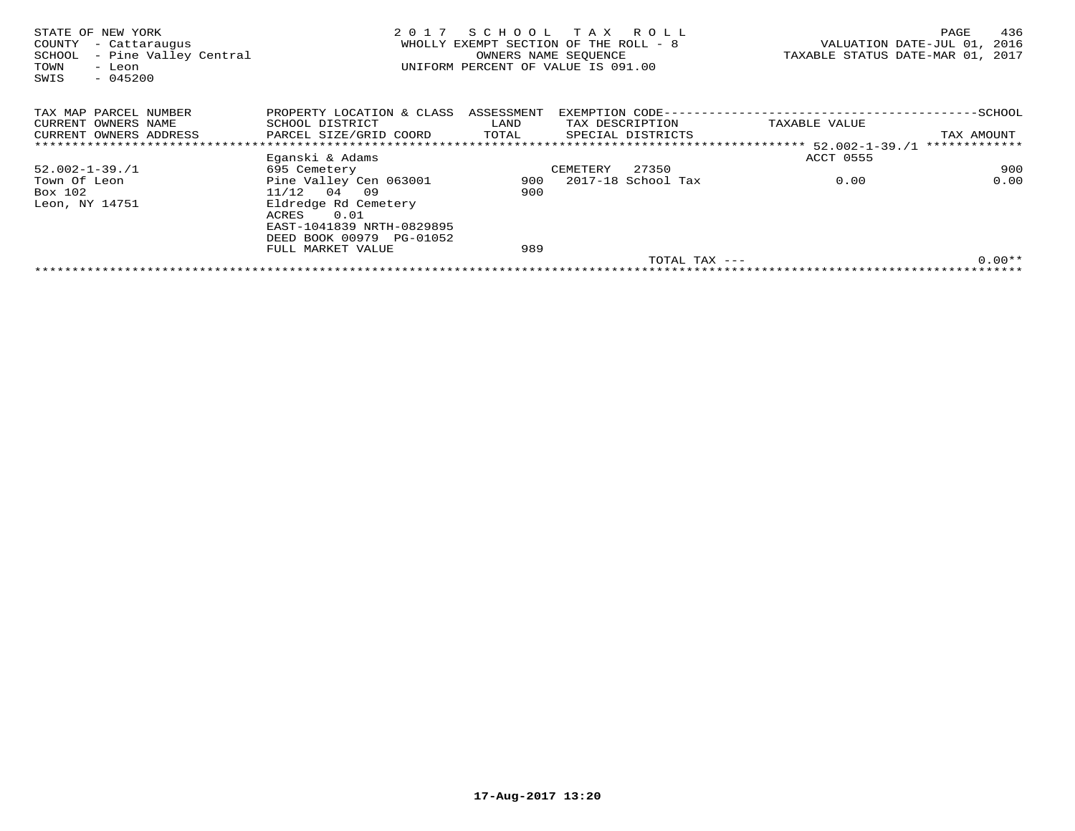| STATE OF NEW YORK<br>- Cattaraugus<br>COUNTY<br>- Pine Valley Central<br>SCHOOL<br>TOWN<br>- Leon<br>SWIS<br>$-045200$ | 2017                                 |       | SCHOOL TAX ROLL<br>WHOLLY EXEMPT SECTION OF THE ROLL - 8<br>OWNERS NAME SEOUENCE<br>UNIFORM PERCENT OF VALUE IS 091.00 |               | 436<br>PAGE<br>VALUATION DATE-JUL 01,<br>2016<br>TAXABLE STATUS DATE-MAR 01, 2017 |
|------------------------------------------------------------------------------------------------------------------------|--------------------------------------|-------|------------------------------------------------------------------------------------------------------------------------|---------------|-----------------------------------------------------------------------------------|
| TAX MAP PARCEL NUMBER                                                                                                  | PROPERTY LOCATION & CLASS ASSESSMENT |       |                                                                                                                        |               |                                                                                   |
| CURRENT OWNERS NAME                                                                                                    | SCHOOL DISTRICT                      | LAND  | TAX DESCRIPTION                                                                                                        | TAXABLE VALUE |                                                                                   |
| CURRENT OWNERS ADDRESS                                                                                                 | PARCEL SIZE/GRID COORD               | TOTAL | SPECIAL DISTRICTS                                                                                                      |               | TAX AMOUNT                                                                        |
|                                                                                                                        |                                      |       |                                                                                                                        |               | *************                                                                     |
|                                                                                                                        | Eganski & Adams                      |       |                                                                                                                        | ACCT 0555     |                                                                                   |
| $52.002 - 1 - 39.1$                                                                                                    | 695 Cemetery                         |       | 27350<br>CEMETERY                                                                                                      |               | 900                                                                               |
| Town Of Leon                                                                                                           | Pine Valley Cen 063001               |       | 900 2017-18 School Tax                                                                                                 | 0.00          | 0.00                                                                              |
| Box 102                                                                                                                | $11/12$ 04 09                        | 900   |                                                                                                                        |               |                                                                                   |
| Leon, NY 14751                                                                                                         | Eldredge Rd Cemetery                 |       |                                                                                                                        |               |                                                                                   |
|                                                                                                                        | 0.01<br>ACRES                        |       |                                                                                                                        |               |                                                                                   |
|                                                                                                                        | EAST-1041839 NRTH-0829895            |       |                                                                                                                        |               |                                                                                   |
|                                                                                                                        | DEED BOOK 00979 PG-01052             |       |                                                                                                                        |               |                                                                                   |
|                                                                                                                        | FULL MARKET VALUE                    | 989   |                                                                                                                        |               |                                                                                   |
|                                                                                                                        |                                      |       | $TOTAL$ $TAX$ $---$                                                                                                    |               | $0.00**$                                                                          |
|                                                                                                                        |                                      |       |                                                                                                                        |               |                                                                                   |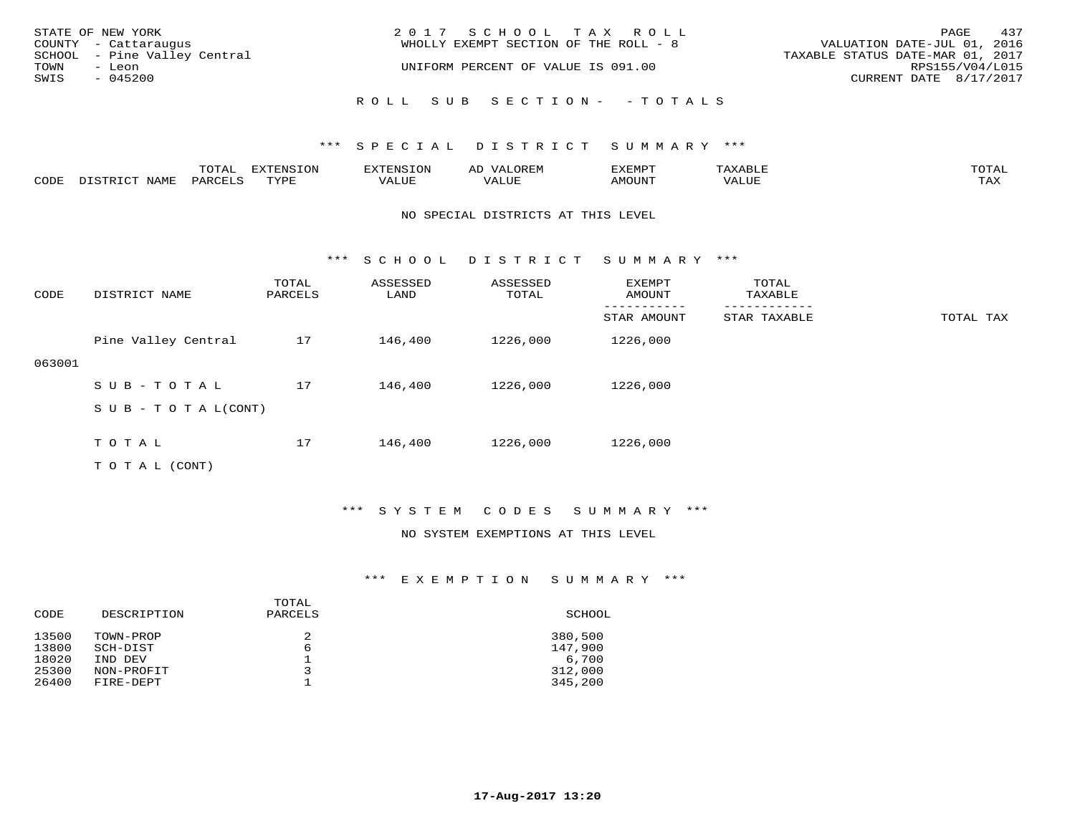| STATE OF NEW YORK            | 2017 SCHOOL TAX ROLL                  | 437<br>PAGE                      |
|------------------------------|---------------------------------------|----------------------------------|
| COUNTY - Cattaraugus         | WHOLLY EXEMPT SECTION OF THE ROLL - 8 | VALUATION DATE-JUL 01, 2016      |
| SCHOOL - Pine Valley Central |                                       | TAXABLE STATUS DATE-MAR 01, 2017 |
| TOWN<br>- Leon               | UNIFORM PERCENT OF VALUE IS 091.00    | RPS155/V04/L015                  |
| SWIS<br>$-045200$            |                                       | CURRENT DATE 8/17/2017           |
|                              |                                       |                                  |
|                              | ROLL SUB SECTION- - TOTALS            |                                  |

|      |      | $m \wedge m \wedge n$<br>TOTAT | <b>FYTFNCTOM</b><br>TOT | H: N.S                              | ΑD   | דסאיזצי<br>ـالمىتىدە | . .⊥  | $m \wedge m \wedge n$<br>- I ` 1∆ ' |
|------|------|--------------------------------|-------------------------|-------------------------------------|------|----------------------|-------|-------------------------------------|
| CODE | NAMF | PARCELS                        | $m \tau \tau \tau$      | * * * * * * *<br>$\sqrt{ }$<br>ALUL | ALUP | MOUNT                | VALUE | may<br>- ∠∡∡                        |

#### NO SPECIAL DISTRICTS AT THIS LEVEL

\*\*\* S C H O O L D I S T R I C T S U M M A R Y \*\*\*

| CODE   | DISTRICT NAME                    | TOTAL<br>PARCELS | ASSESSED<br>LAND | ASSESSED<br>TOTAL | EXEMPT<br>AMOUNT | TOTAL<br>TAXABLE |           |
|--------|----------------------------------|------------------|------------------|-------------------|------------------|------------------|-----------|
|        |                                  |                  |                  |                   | STAR AMOUNT      | STAR TAXABLE     | TOTAL TAX |
|        | Pine Valley Central              | 17               | 146,400          | 1226,000          | 1226,000         |                  |           |
| 063001 |                                  |                  |                  |                   |                  |                  |           |
|        | SUB-TOTAL                        | 17               | 146,400          | 1226,000          | 1226,000         |                  |           |
|        | $S \cup B - T \cup T A L (CONT)$ |                  |                  |                   |                  |                  |           |
|        |                                  |                  |                  |                   |                  |                  |           |
|        | TOTAL                            | 17               | 146,400          | 1226,000          | 1226,000         |                  |           |
|        | T O T A L (CONT)                 |                  |                  |                   |                  |                  |           |

#### \*\*\* S Y S T E M C O D E S S U M M A R Y \*\*\*

#### NO SYSTEM EXEMPTIONS AT THIS LEVEL

| CODE  | DESCRIPTION | TOTAL<br>PARCELS | SCHOOL  |
|-------|-------------|------------------|---------|
| 13500 | TOWN-PROP   |                  | 380,500 |
| 13800 | SCH-DIST    | 6                | 147,900 |
| 18020 | IND DEV     |                  | 6,700   |
| 25300 | NON-PROFIT  |                  | 312,000 |
| 26400 | FIRE-DEPT   |                  | 345,200 |
|       |             |                  |         |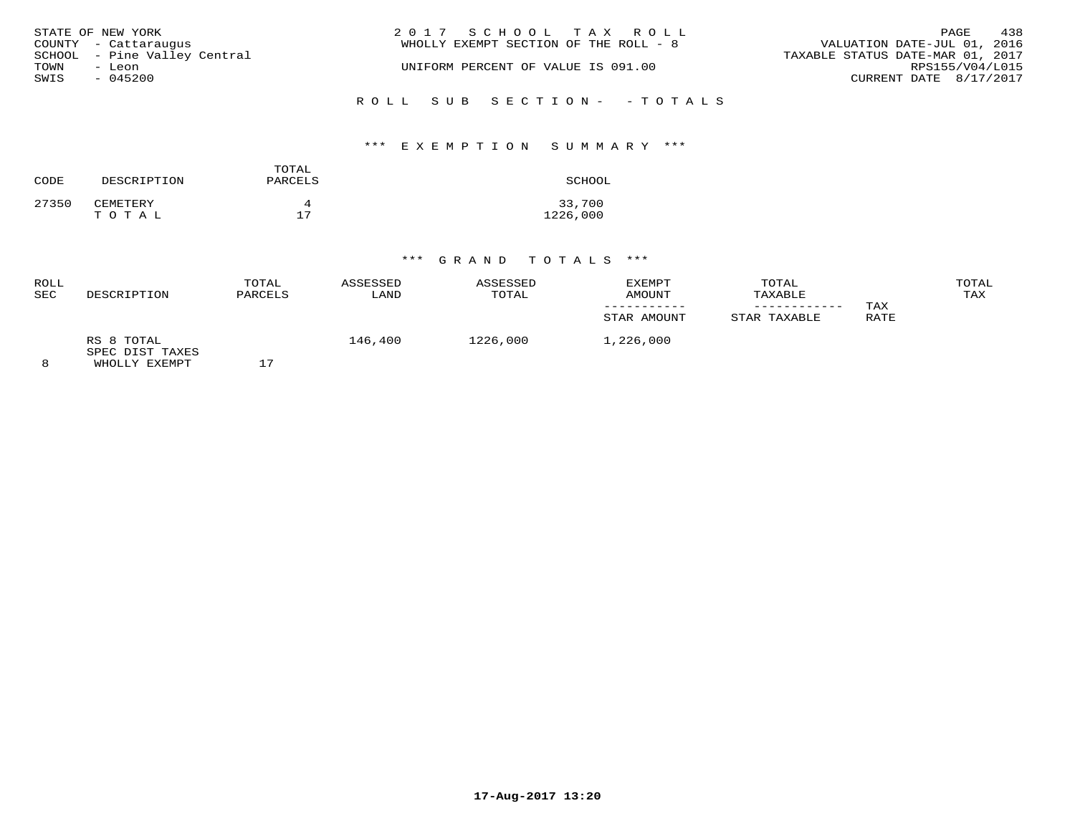|      | STATE OF NEW YORK            | 2017 SCHOOL TAX ROLL                                                 | PAGE            | 438 |
|------|------------------------------|----------------------------------------------------------------------|-----------------|-----|
|      | COUNTY - Cattaraugus         | VALUATION DATE-JUL 01, 2016<br>WHOLLY EXEMPT SECTION OF THE ROLL - 8 |                 |     |
|      | SCHOOL - Pine Valley Central | TAXABLE STATUS DATE-MAR 01, 2017                                     |                 |     |
| TOWN | - Leon                       | UNIFORM PERCENT OF VALUE IS 091.00                                   | RPS155/V04/L015 |     |
| SWIS | $-045200$                    | CURRENT DATE 8/17/2017                                               |                 |     |
|      |                              | ROLL SUB SECTION- - TOTALS                                           |                 |     |

#### \*\*\* E X E M P T I O N S U M M A R Y \*\*\*

| CODE  | DESCRIPTION       | TOTAL<br>PARCELS | SCHOOL             |
|-------|-------------------|------------------|--------------------|
| 27350 | CEMETERY<br>TOTAL | 17               | 33,700<br>1226,000 |

| ROLL<br>SEC | DESCRIPTION                                    | TOTAL<br>PARCELS | ASSESSED<br>LAND | ASSESSED<br>TOTAL | EXEMPT<br>AMOUNT<br>STAR AMOUNT | TOTAL<br>TAXABLE<br>STAR TAXABLE | TAX<br>RATE | TOTAL<br>TAX |
|-------------|------------------------------------------------|------------------|------------------|-------------------|---------------------------------|----------------------------------|-------------|--------------|
| 8           | RS 8 TOTAL<br>SPEC DIST TAXES<br>WHOLLY EXEMPT | 17               | 146,400          | 1226,000          | 1,226,000                       |                                  |             |              |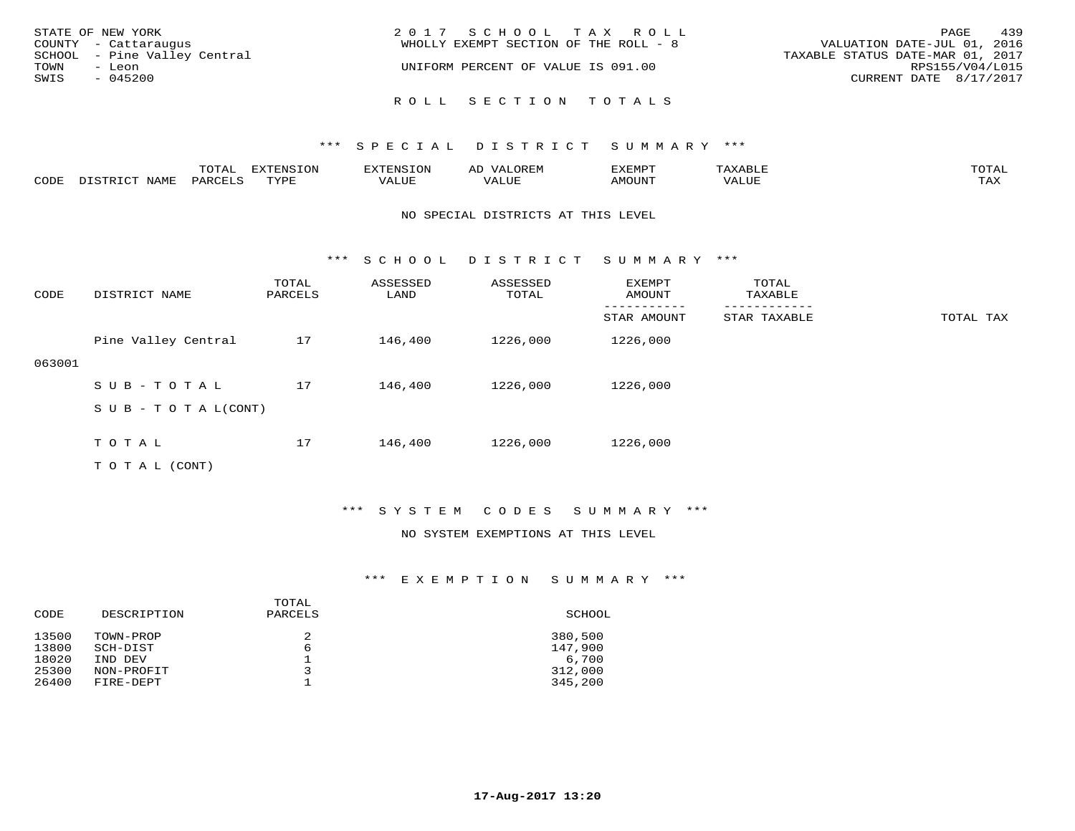| STATE OF NEW YORK            | 2017 SCHOOL TAX ROLL                  | 439<br>PAGE                      |
|------------------------------|---------------------------------------|----------------------------------|
| COUNTY - Cattaraugus         | WHOLLY EXEMPT SECTION OF THE ROLL - 8 | VALUATION DATE-JUL 01, 2016      |
| SCHOOL - Pine Valley Central |                                       | TAXABLE STATUS DATE-MAR 01, 2017 |
| TOWN<br>- Leon               | UNIFORM PERCENT OF VALUE IS 091.00    | RPS155/V04/L015                  |
| SWIS<br>$-045200$            |                                       | CURRENT DATE 8/17/2017           |
|                              | ROLL SECTION TOTALS                   |                                  |

|      |                  | TOTAL   | <b>EXTENSION</b> | <b>XTENSION</b> | OREM<br>∽ | EXEMPT | 'AXABLŀ | TOTAI        |
|------|------------------|---------|------------------|-----------------|-----------|--------|---------|--------------|
| CODE | NAME<br>חימים דת | PARCELS | TYPE             | ''ALUE          | VALUE     | AMOUNT | VALUE   | max x<br>IAA |

#### NO SPECIAL DISTRICTS AT THIS LEVEL

\*\*\* S C H O O L D I S T R I C T S U M M A R Y \*\*\*

| CODE   | DISTRICT NAME              | TOTAL<br>PARCELS | ASSESSED<br>LAND | ASSESSED<br>TOTAL | EXEMPT<br>AMOUNT | TOTAL<br>TAXABLE |           |
|--------|----------------------------|------------------|------------------|-------------------|------------------|------------------|-----------|
|        |                            |                  |                  |                   | STAR AMOUNT      | STAR TAXABLE     | TOTAL TAX |
|        | Pine Valley Central        | 17               | 146,400          | 1226,000          | 1226,000         |                  |           |
| 063001 |                            |                  |                  |                   |                  |                  |           |
|        | SUB-TOTAL                  | 17               | 146,400          | 1226,000          | 1226,000         |                  |           |
|        | S U B - T O T A $L$ (CONT) |                  |                  |                   |                  |                  |           |
|        |                            |                  |                  |                   |                  |                  |           |
|        | TOTAL                      | 17               | 146,400          | 1226,000          | 1226,000         |                  |           |
|        | T O T A L (CONT)           |                  |                  |                   |                  |                  |           |

#### \*\*\* S Y S T E M C O D E S S U M M A R Y \*\*\*

#### NO SYSTEM EXEMPTIONS AT THIS LEVEL

| CODE                                      | DESCRIPTION                                                 | TOTAL<br>PARCELS | SCHOOL                                            |
|-------------------------------------------|-------------------------------------------------------------|------------------|---------------------------------------------------|
| 13500<br>13800<br>18020<br>25300<br>26400 | TOWN-PROP<br>SCH-DIST<br>IND DEV<br>NON-PROFIT<br>FIRE-DEPT | 2<br>6           | 380,500<br>147,900<br>6,700<br>312,000<br>345,200 |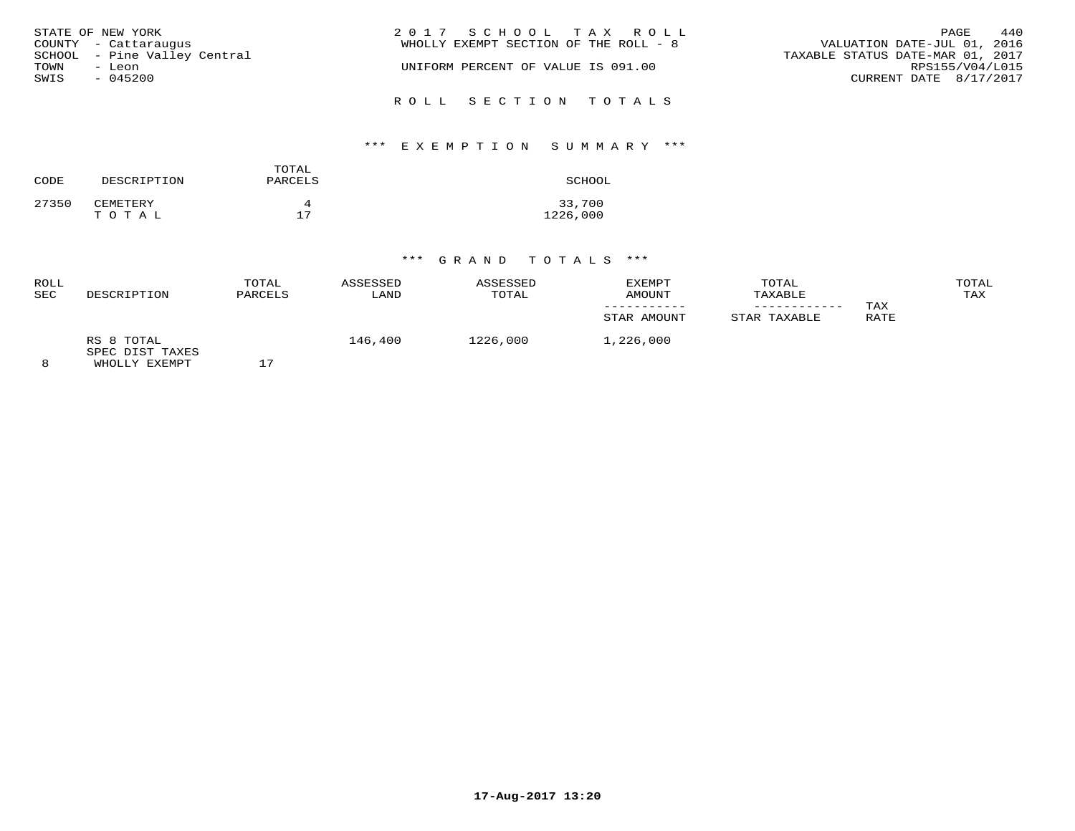|                   | STATE OF NEW YORK            | 2017 SCHOOL TAX ROLL                                                 | PAGE            | 440 |
|-------------------|------------------------------|----------------------------------------------------------------------|-----------------|-----|
|                   | COUNTY - Cattaraugus         | VALUATION DATE-JUL 01, 2016<br>WHOLLY EXEMPT SECTION OF THE ROLL - 8 |                 |     |
|                   | SCHOOL - Pine Valley Central | TAXABLE STATUS DATE-MAR 01, 2017                                     |                 |     |
| TOWN              | - Leon                       | UNIFORM PERCENT OF VALUE IS 091.00                                   | RPS155/V04/L015 |     |
| SWIS<br>$-045200$ |                              | CURRENT DATE 8/17/2017                                               |                 |     |
|                   |                              | ROLL SECTION TOTALS                                                  |                 |     |

#### \*\*\* E X E M P T I O N S U M M A R Y \*\*\*

| CODE  | DESCRIPTION       | TOTAL<br>PARCELS | SCHOOL             |
|-------|-------------------|------------------|--------------------|
| 27350 | CEMETERY<br>TOTAL | 17               | 33,700<br>1226,000 |

| ROLL<br>SEC | DESCRIPTION                                    | TOTAL<br>PARCELS | ASSESSED<br>LAND | ASSESSED<br>TOTAL | EXEMPT<br>AMOUNT | TOTAL<br>TAXABLE |             | TOTAL<br>TAX |
|-------------|------------------------------------------------|------------------|------------------|-------------------|------------------|------------------|-------------|--------------|
|             |                                                |                  |                  |                   | STAR AMOUNT      | STAR TAXABLE     | TAX<br>RATE |              |
|             | RS 8 TOTAL<br>SPEC DIST TAXES<br>WHOLLY EXEMPT |                  | 146,400          | 1226,000          | 1,226,000        |                  |             |              |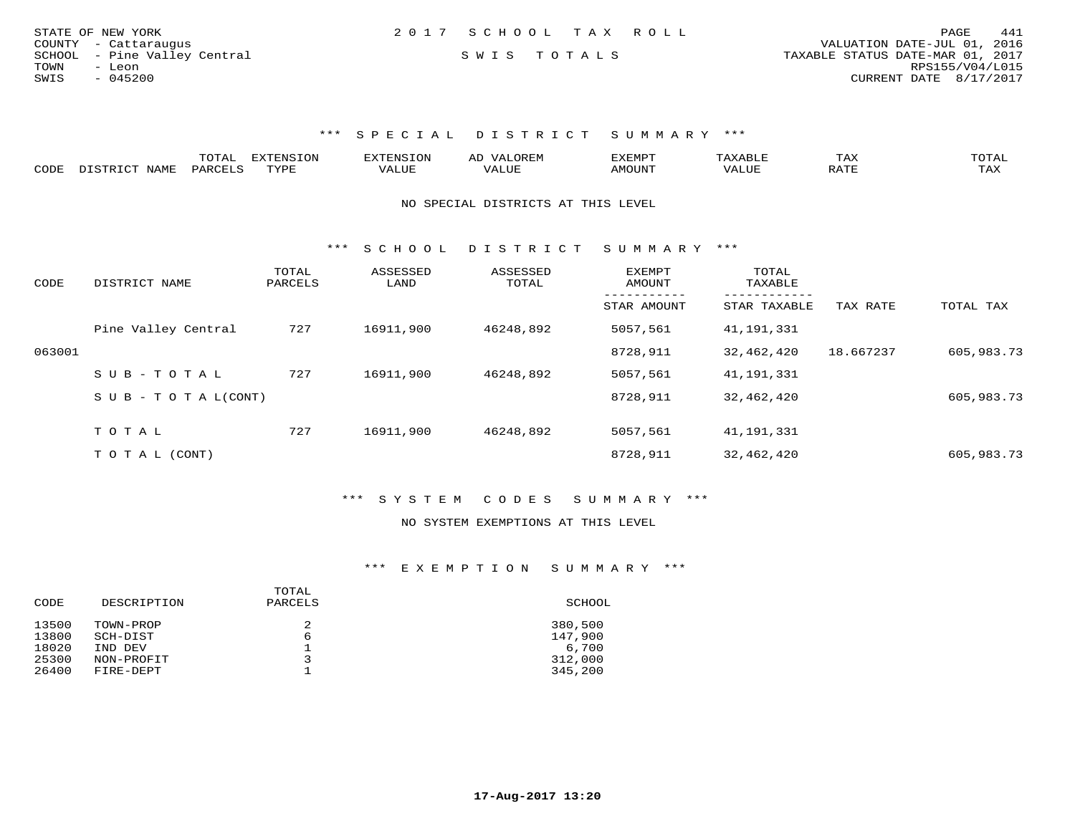| STATE OF NEW YORK            | 2017 SCHOOL TAX ROLL | 441<br>PAGE                      |
|------------------------------|----------------------|----------------------------------|
| COUNTY - Cattaraugus         |                      | VALUATION DATE-JUL 01, 2016      |
| SCHOOL - Pine Valley Central | SWIS TOTALS          | TAXABLE STATUS DATE-MAR 01, 2017 |
| TOWN<br>- Leon               |                      | RPS155/V04/L015                  |
| SWIS<br>$-045200$            |                      | CURRENT DATE 8/17/2017           |

|      |      | ----     | <b>EXTENSION</b><br>└╰┘ | AN S  | ▵ | .XEMP" |       | ГAХ                    | $\sim$ m $\sim$ $\sim$<br>◡⊥▱ |
|------|------|----------|-------------------------|-------|---|--------|-------|------------------------|-------------------------------|
| CODE | NAMF | UARCFT ⊂ | TVDF                    | 1 U P |   | MOUN'  | 'ALUL | $5.7$ $MT$<br>$\cdots$ | TAX                           |

#### NO SPECIAL DISTRICTS AT THIS LEVEL

\*\*\* S C H O O L D I S T R I C T S U M M A R Y \*\*\*

| CODE   | DISTRICT NAME              | TOTAL<br>PARCELS | ASSESSED<br>LAND | ASSESSED<br>TOTAL | <b>EXEMPT</b><br>AMOUNT | TOTAL<br>TAXABLE<br>-------- |           |            |
|--------|----------------------------|------------------|------------------|-------------------|-------------------------|------------------------------|-----------|------------|
|        |                            |                  |                  |                   | STAR AMOUNT             | STAR TAXABLE                 | TAX RATE  | TOTAL TAX  |
|        | Pine Valley Central        | 727              | 16911,900        | 46248,892         | 5057,561                | 41,191,331                   |           |            |
| 063001 |                            |                  |                  |                   | 8728,911                | 32,462,420                   | 18.667237 | 605,983.73 |
|        | SUB-TOTAL                  | 727              | 16911,900        | 46248,892         | 5057,561                | 41,191,331                   |           |            |
|        | S U B - T O T A $L$ (CONT) |                  |                  |                   | 8728,911                | 32,462,420                   |           | 605,983.73 |
|        | TOTAL                      | 727              | 16911,900        | 46248,892         | 5057,561                | 41,191,331                   |           |            |
|        |                            |                  |                  |                   |                         |                              |           |            |
|        | T O T A L (CONT)           |                  |                  |                   | 8728,911                | 32,462,420                   |           | 605,983.73 |

#### \*\*\* S Y S T E M C O D E S S U M M A R Y \*\*\*

#### NO SYSTEM EXEMPTIONS AT THIS LEVEL

| DESCRIPTION | PARCELS | SCHOOL  |
|-------------|---------|---------|
| TOWN-PROP   | 2       | 380,500 |
| SCH-DIST    | 6       | 147,900 |
| IND DEV     |         | 6,700   |
| NON-PROFIT  |         | 312,000 |
| FIRE-DEPT   |         | 345,200 |
|             |         | TOTAL   |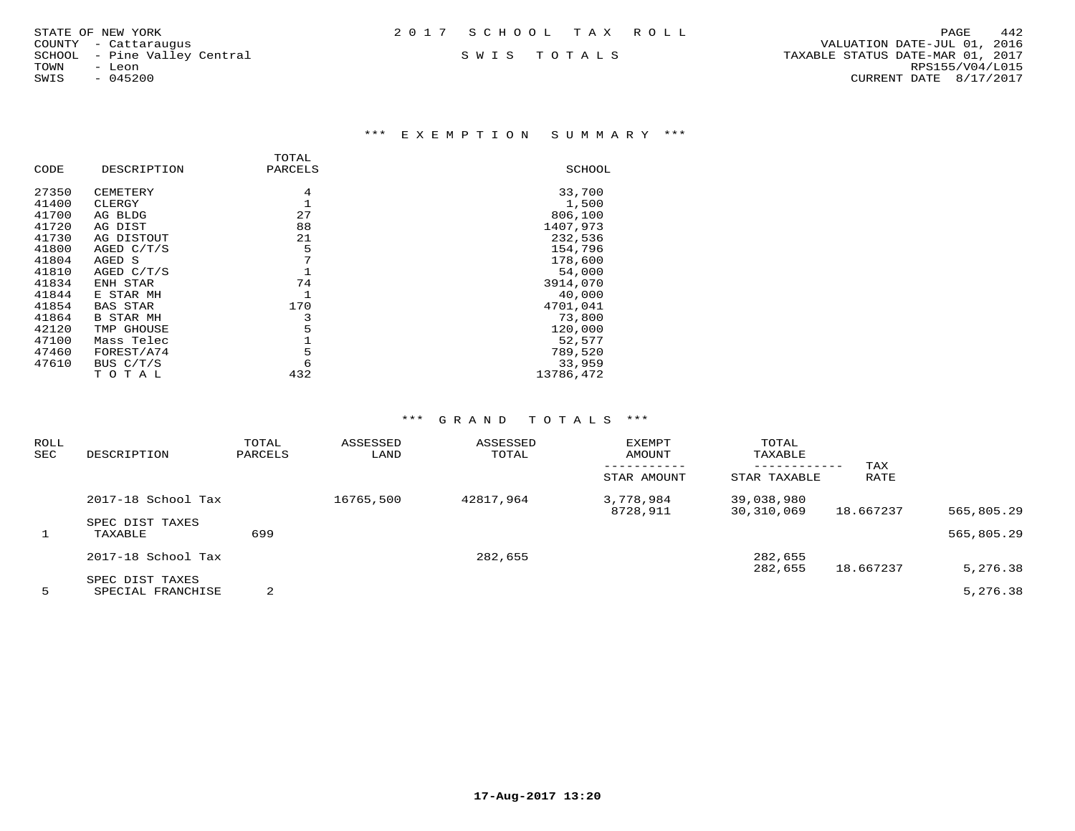#### \*\*\* E X E M P T I O N S U M M A R Y \*\*\*

|       |                  | TOTAL   |           |
|-------|------------------|---------|-----------|
| CODE  | DESCRIPTION      | PARCELS | SCHOOL    |
| 27350 | CEMETERY         | 4       | 33,700    |
| 41400 | CLERGY           |         | 1,500     |
| 41700 | AG BLDG          | 27      | 806,100   |
| 41720 | AG DIST          | 88      | 1407,973  |
| 41730 | AG DISTOUT       | 21      | 232,536   |
| 41800 | AGED $C/T/S$     | 5       | 154,796   |
| 41804 | AGED S           | 7       | 178,600   |
| 41810 | AGED C/T/S       |         | 54,000    |
| 41834 | ENH STAR         | 74      | 3914,070  |
| 41844 | E STAR MH        |         | 40,000    |
| 41854 | BAS STAR         | 170     | 4701,041  |
| 41864 | <b>B STAR MH</b> | 3       | 73,800    |
| 42120 | TMP GHOUSE       | 5       | 120,000   |
| 47100 | Mass Telec       |         | 52,577    |
| 47460 | FOREST/A74       | 5       | 789,520   |
| 47610 | BUS $C/T/S$      | 6       | 33,959    |
|       | тотаь            | 432     | 13786,472 |

| ROLL<br>SEC  | DESCRIPTION                          | TOTAL<br>PARCELS | ASSESSED<br>LAND | ASSESSED<br>TOTAL | EXEMPT<br>AMOUNT<br>STAR AMOUNT | TOTAL<br>TAXABLE<br>------------<br>STAR TAXABLE | TAX<br>RATE |            |
|--------------|--------------------------------------|------------------|------------------|-------------------|---------------------------------|--------------------------------------------------|-------------|------------|
|              | 2017-18 School Tax                   |                  | 16765,500        | 42817,964         | 3,778,984                       | 39,038,980                                       |             | 565,805.29 |
| $\mathbf{1}$ | SPEC DIST TAXES<br>TAXABLE           | 699              |                  |                   | 8728,911                        | 30,310,069                                       | 18.667237   | 565,805.29 |
|              | 2017-18 School Tax                   |                  |                  | 282,655           |                                 | 282,655<br>282,655                               | 18.667237   | 5,276.38   |
| 5            | SPEC DIST TAXES<br>SPECIAL FRANCHISE | 2                |                  |                   |                                 |                                                  |             | 5,276.38   |
|              |                                      |                  |                  |                   |                                 |                                                  |             |            |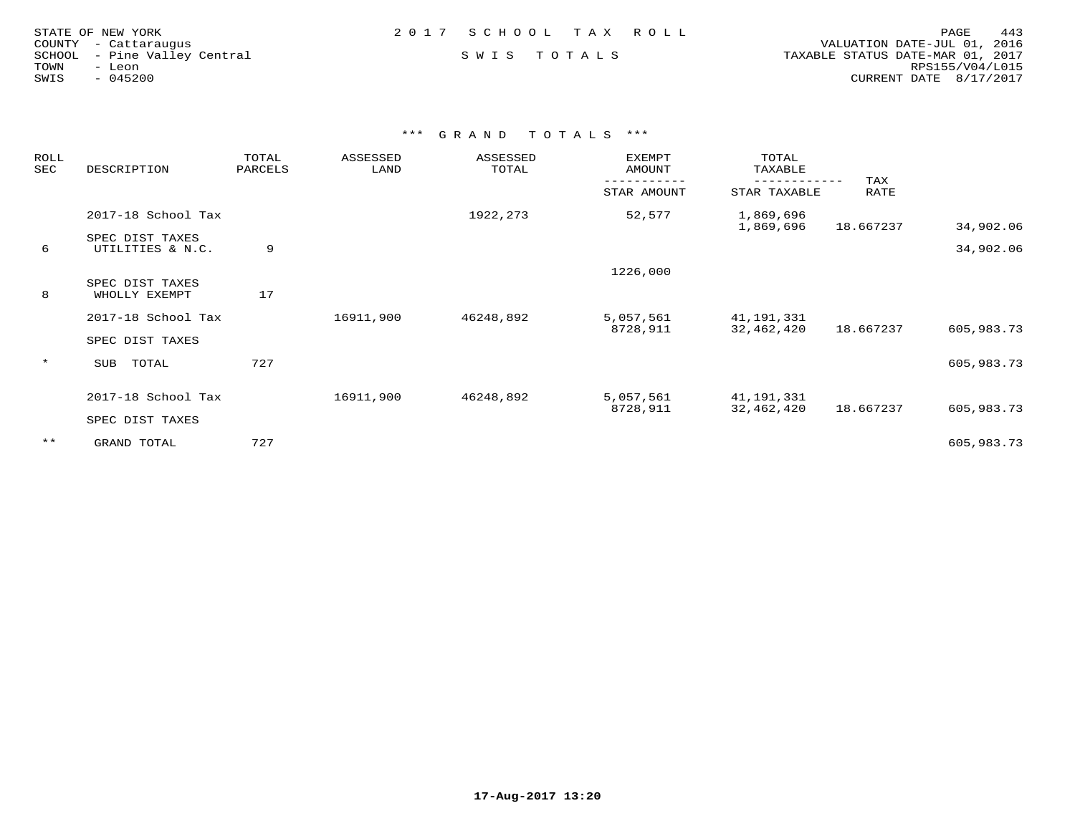| STATE OF NEW YORK    |           |                       |  |
|----------------------|-----------|-----------------------|--|
| COUNTY - Cattaraugus |           |                       |  |
| SCHOOL               |           | - Pine Valley Central |  |
| TOWN                 | - Leon    |                       |  |
| SWIS                 | $-045200$ |                       |  |

 COUNTY - Cattaraugus VALUATION DATE-JUL 01, 2016 SCHOOL - Pine Valley Central S W I S T O T A L S TAXABLE STATUS DATE-MAR 01, 2017 TOWN - Leon RPS155/V04/L015SWIS - 045200 CURRENT DATE 8/17/2017

| ROLL<br>SEC | DESCRIPTION                         | TOTAL<br>PARCELS | ASSESSED<br>LAND | ASSESSED<br>TOTAL | EXEMPT<br>AMOUNT | TOTAL<br>TAXABLE       |             |            |
|-------------|-------------------------------------|------------------|------------------|-------------------|------------------|------------------------|-------------|------------|
|             |                                     |                  |                  |                   | STAR AMOUNT      | STAR TAXABLE           | TAX<br>RATE |            |
|             | 2017-18 School Tax                  |                  |                  | 1922, 273         | 52,577           | 1,869,696<br>1,869,696 | 18.667237   | 34,902.06  |
| 6           | SPEC DIST TAXES<br>UTILITIES & N.C. | 9                |                  |                   |                  |                        |             | 34,902.06  |
|             |                                     |                  |                  |                   | 1226,000         |                        |             |            |
| 8           | SPEC DIST TAXES<br>WHOLLY EXEMPT    | 17               |                  |                   |                  |                        |             |            |
|             | 2017-18 School Tax                  |                  | 16911,900        | 46248,892         | 5,057,561        | 41,191,331             |             |            |
|             | SPEC DIST TAXES                     |                  |                  |                   | 8728,911         | 32,462,420             | 18.667237   | 605,983.73 |
| $\star$     | TOTAL<br>SUB                        | 727              |                  |                   |                  |                        |             | 605,983.73 |
|             | 2017-18 School Tax                  |                  | 16911,900        | 46248,892         | 5,057,561        | 41,191,331             |             |            |
|             | SPEC DIST TAXES                     |                  |                  |                   | 8728,911         | 32,462,420             | 18.667237   | 605,983.73 |
| $***$       | GRAND TOTAL                         | 727              |                  |                   |                  |                        |             | 605,983.73 |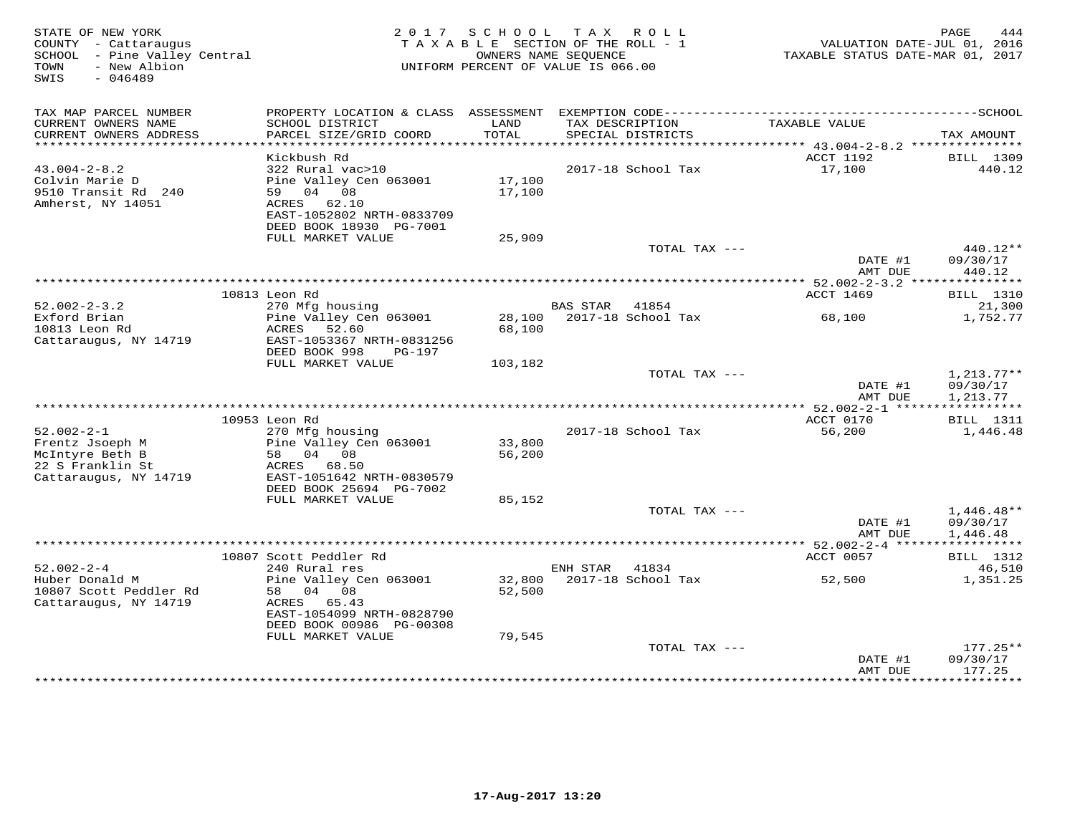| STATE OF NEW YORK<br>COUNTY - Cattaraugus<br>SCHOOL - Pine Valley Central<br>- New Albion<br>TOWN<br>$-046489$<br>SWIS |                                                                                                    | 2017 SCHOOL      | TAX ROLL<br>TAXABLE SECTION OF THE ROLL - 1<br>OWNERS NAME SEOUENCE<br>UNIFORM PERCENT OF VALUE IS 066.00 |               | TAXABLE STATUS DATE-MAR 01, 2017 | 444<br>PAGE<br>VALUATION DATE-JUL 01, 2016 |
|------------------------------------------------------------------------------------------------------------------------|----------------------------------------------------------------------------------------------------|------------------|-----------------------------------------------------------------------------------------------------------|---------------|----------------------------------|--------------------------------------------|
| TAX MAP PARCEL NUMBER                                                                                                  |                                                                                                    |                  |                                                                                                           |               |                                  |                                            |
| CURRENT OWNERS NAME<br>CURRENT OWNERS ADDRESS                                                                          | SCHOOL DISTRICT<br>PARCEL SIZE/GRID COORD                                                          | LAND<br>TOTAL    | TAX DESCRIPTION<br>SPECIAL DISTRICTS                                                                      |               | TAXABLE VALUE                    | TAX AMOUNT                                 |
|                                                                                                                        |                                                                                                    |                  |                                                                                                           |               |                                  |                                            |
|                                                                                                                        | Kickbush Rd                                                                                        |                  |                                                                                                           |               | ACCT 1192                        | BILL 1309                                  |
| $43.004 - 2 - 8.2$<br>Colvin Marie D<br>9510 Transit Rd 240<br>Amherst, NY 14051                                       | 322 Rural vac>10<br>Pine Valley Cen 063001<br>59 04 08<br>ACRES 62.10<br>EAST-1052802 NRTH-0833709 | 17,100<br>17,100 | 2017-18 School Tax                                                                                        |               | 17,100                           | 440.12                                     |
|                                                                                                                        | DEED BOOK 18930 PG-7001                                                                            |                  |                                                                                                           |               |                                  |                                            |
|                                                                                                                        | FULL MARKET VALUE                                                                                  | 25,909           |                                                                                                           |               |                                  |                                            |
|                                                                                                                        |                                                                                                    |                  |                                                                                                           | TOTAL TAX --- |                                  | 440.12**                                   |
|                                                                                                                        |                                                                                                    |                  |                                                                                                           |               | DATE #1<br>AMT DUE               | 09/30/17<br>440.12                         |
|                                                                                                                        | 10813 Leon Rd                                                                                      |                  |                                                                                                           |               | ACCT 1469                        |                                            |
| $52.002 - 2 - 3.2$                                                                                                     | 270 Mfg housing                                                                                    |                  | BAS STAR<br>41854                                                                                         |               |                                  | <b>BILL</b> 1310<br>21,300                 |
| Exford Brian<br>10813 Leon Rd<br>Cattaraugus, NY 14719                                                                 | Pine Valley Cen 063001<br>ACRES<br>52.60<br>EAST-1053367 NRTH-0831256                              | 68,100           | 28,100 2017-18 School Tax                                                                                 |               | 68,100                           | 1,752.77                                   |
|                                                                                                                        | DEED BOOK 998<br>PG-197                                                                            |                  |                                                                                                           |               |                                  |                                            |
|                                                                                                                        | FULL MARKET VALUE                                                                                  | 103,182          |                                                                                                           |               |                                  |                                            |
|                                                                                                                        |                                                                                                    |                  |                                                                                                           | TOTAL TAX --- |                                  | $1,213.77**$                               |
|                                                                                                                        |                                                                                                    |                  |                                                                                                           |               | DATE #1<br>AMT DUE               | 09/30/17<br>1,213.77                       |
|                                                                                                                        |                                                                                                    |                  |                                                                                                           |               |                                  |                                            |
|                                                                                                                        | 10953 Leon Rd                                                                                      |                  |                                                                                                           |               | ACCT 0170                        | <b>BILL</b> 1311                           |
| $52.002 - 2 - 1$                                                                                                       | 270 Mfg housing                                                                                    |                  | 2017-18 School Tax                                                                                        |               | 56,200                           | 1,446.48                                   |
| Frentz Jsoeph M                                                                                                        | Pine Valley Cen 063001                                                                             | 33,800           |                                                                                                           |               |                                  |                                            |
| McIntyre Beth B                                                                                                        | 58 04 08                                                                                           | 56,200           |                                                                                                           |               |                                  |                                            |
| 22 S Franklin St                                                                                                       | ACRES 68.50                                                                                        |                  |                                                                                                           |               |                                  |                                            |
| Cattaraugus, NY 14719                                                                                                  | EAST-1051642 NRTH-0830579<br>DEED BOOK 25694 PG-7002                                               |                  |                                                                                                           |               |                                  |                                            |
|                                                                                                                        | FULL MARKET VALUE                                                                                  | 85,152           |                                                                                                           |               |                                  |                                            |
|                                                                                                                        |                                                                                                    |                  |                                                                                                           | TOTAL TAX --- |                                  | $1,446.48**$                               |
|                                                                                                                        |                                                                                                    |                  |                                                                                                           |               | DATE #1                          | 09/30/17                                   |
|                                                                                                                        |                                                                                                    |                  |                                                                                                           |               | AMT DUE                          | 1,446.48                                   |
|                                                                                                                        |                                                                                                    |                  |                                                                                                           |               |                                  |                                            |
| $52.002 - 2 - 4$                                                                                                       | 10807 Scott Peddler Rd                                                                             |                  | 41834                                                                                                     |               | ACCT 0057                        | <b>BILL</b> 1312                           |
| Huber Donald M                                                                                                         | 240 Rural res<br>Pine Valley Cen 063001                                                            |                  | ENH STAR<br>32,800 2017-18 School Tax                                                                     |               | 52,500                           | 46,510<br>1,351.25                         |
| 10807 Scott Peddler Rd<br>Cattaraugus, NY 14719                                                                        | 58 04 08<br>ACRES 65.43<br>EAST-1054099 NRTH-0828790                                               | 52,500           |                                                                                                           |               |                                  |                                            |
|                                                                                                                        | DEED BOOK 00986 PG-00308                                                                           |                  |                                                                                                           |               |                                  |                                            |
|                                                                                                                        | FULL MARKET VALUE                                                                                  | 79,545           |                                                                                                           |               |                                  |                                            |
|                                                                                                                        |                                                                                                    |                  |                                                                                                           | TOTAL TAX --- | DATE #1<br>AMT DUE               | $177.25**$<br>09/30/17<br>177.25           |
|                                                                                                                        |                                                                                                    |                  |                                                                                                           |               |                                  |                                            |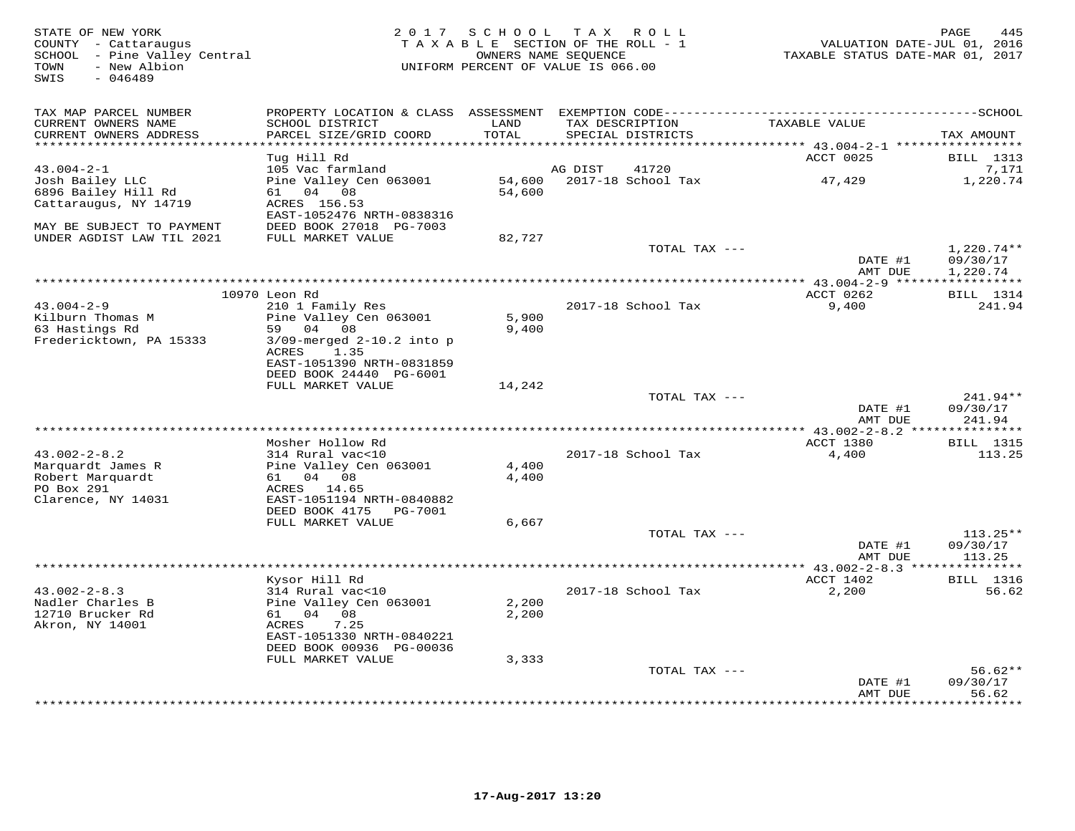| STATE OF NEW YORK<br>COUNTY - Cattaraugus<br>SCHOOL - Pine Valley Central<br>TOWN<br>- New Albion<br>SWIS<br>$-046489$ | 2 0 1 7                                     | SCHOOL TAX ROLL<br>TAXABLE SECTION OF THE ROLL - 1<br>OWNERS NAME SEQUENCE<br>UNIFORM PERCENT OF VALUE IS 066.00 |                 |                    | VALUATION DATE-JUL 01, 2016<br>TAXABLE STATUS DATE-MAR 01, 2017 | PAGE<br>445                |
|------------------------------------------------------------------------------------------------------------------------|---------------------------------------------|------------------------------------------------------------------------------------------------------------------|-----------------|--------------------|-----------------------------------------------------------------|----------------------------|
| TAX MAP PARCEL NUMBER                                                                                                  |                                             |                                                                                                                  |                 |                    |                                                                 |                            |
| CURRENT OWNERS NAME<br>CURRENT OWNERS ADDRESS                                                                          | SCHOOL DISTRICT<br>PARCEL SIZE/GRID COORD   | LAND<br>TOTAL                                                                                                    | TAX DESCRIPTION | SPECIAL DISTRICTS  | TAXABLE VALUE                                                   | TAX AMOUNT                 |
| ********************                                                                                                   |                                             | *******                                                                                                          |                 |                    | *************************** 43.004-2-1 ******************       |                            |
|                                                                                                                        | Tug Hill Rd                                 |                                                                                                                  |                 |                    | ACCT 0025                                                       | <b>BILL</b> 1313           |
| $43.004 - 2 - 1$                                                                                                       | 105 Vac farmland                            |                                                                                                                  | AG DIST         | 41720              |                                                                 | 7,171                      |
| Josh Bailey LLC                                                                                                        | Pine Valley Cen 063001                      | 54,600                                                                                                           |                 | 2017-18 School Tax | 47,429                                                          | 1,220.74                   |
| 6896 Bailey Hill Rd                                                                                                    | 61 04 08                                    | 54,600                                                                                                           |                 |                    |                                                                 |                            |
| Cattaraugus, NY 14719                                                                                                  | ACRES 156.53                                |                                                                                                                  |                 |                    |                                                                 |                            |
|                                                                                                                        | EAST-1052476 NRTH-0838316                   |                                                                                                                  |                 |                    |                                                                 |                            |
| MAY BE SUBJECT TO PAYMENT                                                                                              | DEED BOOK 27018 PG-7003                     |                                                                                                                  |                 |                    |                                                                 |                            |
| UNDER AGDIST LAW TIL 2021                                                                                              | FULL MARKET VALUE                           | 82,727                                                                                                           |                 |                    |                                                                 |                            |
|                                                                                                                        |                                             |                                                                                                                  |                 | TOTAL TAX ---      |                                                                 | $1,220.74**$               |
|                                                                                                                        |                                             |                                                                                                                  |                 |                    | DATE #1                                                         | 09/30/17                   |
|                                                                                                                        |                                             |                                                                                                                  |                 |                    | AMT DUE                                                         | 1,220.74                   |
|                                                                                                                        |                                             |                                                                                                                  |                 |                    | ** $43.004-2-9$ *****                                           | ***********                |
| $43.004 - 2 - 9$                                                                                                       | 10970 Leon Rd                               |                                                                                                                  |                 | 2017-18 School Tax | ACCT 0262                                                       | <b>BILL</b> 1314<br>241.94 |
| Kilburn Thomas M                                                                                                       | 210 1 Family Res<br>Pine Valley Cen 063001  | 5,900                                                                                                            |                 |                    | 9,400                                                           |                            |
| 63 Hastings Rd                                                                                                         | 59 04 08                                    | 9,400                                                                                                            |                 |                    |                                                                 |                            |
| Fredericktown, PA 15333                                                                                                | $3/09$ -merged $2-10.2$ into p              |                                                                                                                  |                 |                    |                                                                 |                            |
|                                                                                                                        | 1.35<br>ACRES                               |                                                                                                                  |                 |                    |                                                                 |                            |
|                                                                                                                        | EAST-1051390 NRTH-0831859                   |                                                                                                                  |                 |                    |                                                                 |                            |
|                                                                                                                        | DEED BOOK 24440 PG-6001                     |                                                                                                                  |                 |                    |                                                                 |                            |
|                                                                                                                        | FULL MARKET VALUE                           | 14,242                                                                                                           |                 |                    |                                                                 |                            |
|                                                                                                                        |                                             |                                                                                                                  |                 | TOTAL TAX ---      |                                                                 | $241.94**$                 |
|                                                                                                                        |                                             |                                                                                                                  |                 |                    | DATE #1                                                         | 09/30/17                   |
|                                                                                                                        |                                             |                                                                                                                  |                 |                    | AMT DUE                                                         | 241.94                     |
|                                                                                                                        |                                             |                                                                                                                  |                 |                    |                                                                 |                            |
|                                                                                                                        | Mosher Hollow Rd                            |                                                                                                                  |                 |                    | ACCT 1380                                                       | <b>BILL</b> 1315           |
| $43.002 - 2 - 8.2$                                                                                                     | 314 Rural vac<10                            |                                                                                                                  |                 | 2017-18 School Tax | 4,400                                                           | 113.25                     |
| Marquardt James R                                                                                                      | Pine Valley Cen 063001                      | 4,400                                                                                                            |                 |                    |                                                                 |                            |
| Robert Marquardt                                                                                                       | 61 04 08                                    | 4,400                                                                                                            |                 |                    |                                                                 |                            |
| PO Box 291                                                                                                             | ACRES 14.65                                 |                                                                                                                  |                 |                    |                                                                 |                            |
| Clarence, NY 14031                                                                                                     | EAST-1051194 NRTH-0840882<br>DEED BOOK 4175 |                                                                                                                  |                 |                    |                                                                 |                            |
|                                                                                                                        | PG-7001<br>FULL MARKET VALUE                | 6,667                                                                                                            |                 |                    |                                                                 |                            |
|                                                                                                                        |                                             |                                                                                                                  |                 | TOTAL TAX ---      |                                                                 | $113.25**$                 |
|                                                                                                                        |                                             |                                                                                                                  |                 |                    | DATE #1                                                         | 09/30/17                   |
|                                                                                                                        |                                             |                                                                                                                  |                 |                    | AMT DUE                                                         | 113.25                     |
|                                                                                                                        |                                             |                                                                                                                  |                 |                    | **** $43.002 - 2 - 8.3$ **                                      | **********                 |
|                                                                                                                        | Kysor Hill Rd                               |                                                                                                                  |                 |                    | ACCT 1402                                                       | <b>BILL</b> 1316           |
| $43.002 - 2 - 8.3$                                                                                                     | 314 Rural vac<10                            |                                                                                                                  |                 | 2017-18 School Tax | 2,200                                                           | 56.62                      |
| Nadler Charles B                                                                                                       | Pine Valley Cen 063001                      | 2,200                                                                                                            |                 |                    |                                                                 |                            |
| 12710 Brucker Rd                                                                                                       | 61 04 08                                    | 2,200                                                                                                            |                 |                    |                                                                 |                            |
| Akron, NY 14001                                                                                                        | 7.25<br>ACRES                               |                                                                                                                  |                 |                    |                                                                 |                            |
|                                                                                                                        | EAST-1051330 NRTH-0840221                   |                                                                                                                  |                 |                    |                                                                 |                            |
|                                                                                                                        | DEED BOOK 00936 PG-00036                    |                                                                                                                  |                 |                    |                                                                 |                            |
|                                                                                                                        | FULL MARKET VALUE                           | 3,333                                                                                                            |                 |                    |                                                                 |                            |
|                                                                                                                        |                                             |                                                                                                                  |                 | TOTAL TAX ---      |                                                                 | $56.62**$                  |
|                                                                                                                        |                                             |                                                                                                                  |                 |                    | DATE #1                                                         | 09/30/17                   |
|                                                                                                                        |                                             |                                                                                                                  |                 |                    | AMT DUE<br>************                                         | 56.62<br>* * * * * * * ·   |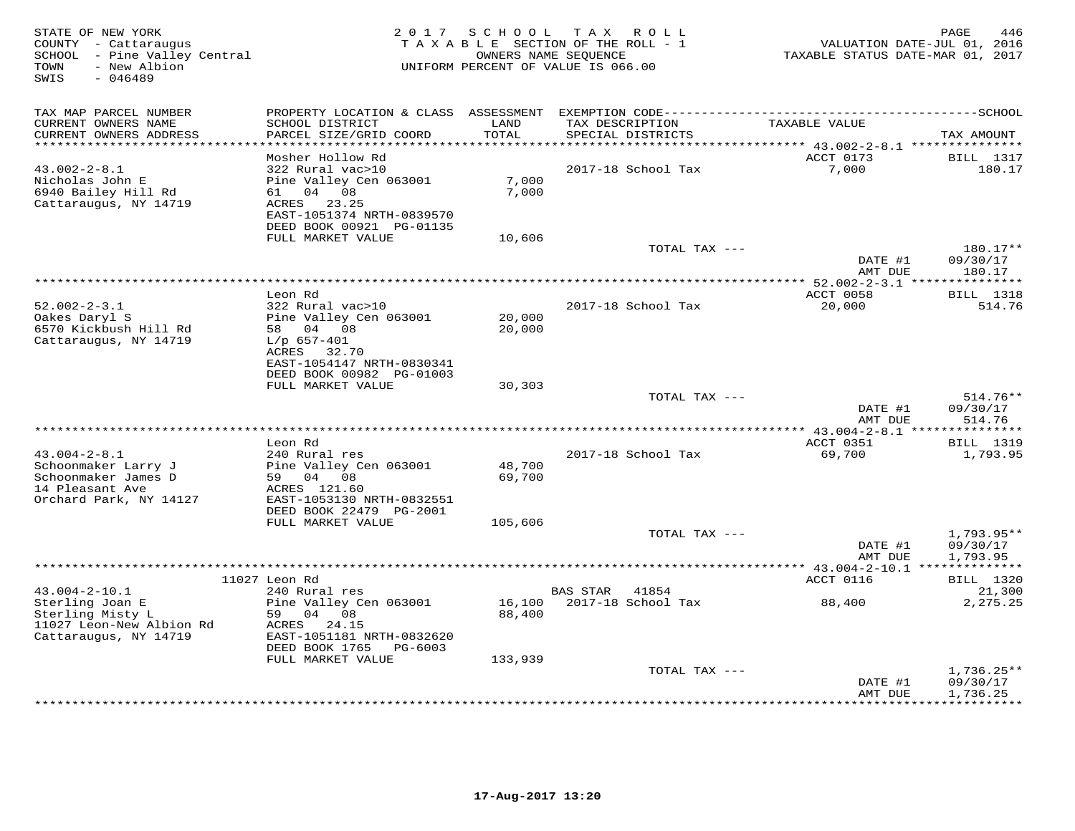| STATE OF NEW YORK<br>COUNTY - Cattaraugus<br>SCHOOL - Pine Valley Central<br>- New Albion<br>TOWN<br>$-046489$<br>SWIS | 2 0 1 7                                                                                                                                |                  | SCHOOL TAX ROLL<br>TAXABLE SECTION OF THE ROLL - 1<br>OWNERS NAME SEQUENCE<br>UNIFORM PERCENT OF VALUE IS 066.00 | VALUATION DATE-JUL 01, 2016<br>TAXABLE STATUS DATE-MAR 01, 2017 | PAGE<br>446                          |
|------------------------------------------------------------------------------------------------------------------------|----------------------------------------------------------------------------------------------------------------------------------------|------------------|------------------------------------------------------------------------------------------------------------------|-----------------------------------------------------------------|--------------------------------------|
| TAX MAP PARCEL NUMBER<br>CURRENT OWNERS NAME<br>CURRENT OWNERS ADDRESS                                                 | SCHOOL DISTRICT<br>PARCEL SIZE/GRID COORD                                                                                              | LAND<br>TOTAL    | TAX DESCRIPTION<br>SPECIAL DISTRICTS                                                                             | TAXABLE VALUE                                                   | TAX AMOUNT                           |
|                                                                                                                        |                                                                                                                                        |                  |                                                                                                                  | $****43.002-2-8.1**********$                                    |                                      |
|                                                                                                                        | Mosher Hollow Rd                                                                                                                       |                  |                                                                                                                  | ACCT 0173                                                       | BILL 1317                            |
| $43.002 - 2 - 8.1$<br>Nicholas John E<br>6940 Bailey Hill Rd<br>Cattaraugus, NY 14719                                  | 322 Rural vac>10<br>Pine Valley Cen 063001<br>04 08<br>61 —<br>23.25<br>ACRES<br>EAST-1051374 NRTH-0839570<br>DEED BOOK 00921 PG-01135 | 7,000<br>7,000   | 2017-18 School Tax                                                                                               | 7,000                                                           | 180.17                               |
|                                                                                                                        | FULL MARKET VALUE                                                                                                                      | 10,606           |                                                                                                                  |                                                                 |                                      |
|                                                                                                                        |                                                                                                                                        |                  | TOTAL TAX ---                                                                                                    | DATE #1<br>AMT DUE                                              | 180.17**<br>09/30/17<br>180.17       |
|                                                                                                                        |                                                                                                                                        |                  |                                                                                                                  |                                                                 |                                      |
|                                                                                                                        | Leon Rd                                                                                                                                |                  |                                                                                                                  | ACCT 0058                                                       | <b>BILL</b> 1318                     |
| $52.002 - 2 - 3.1$<br>Oakes Daryl S<br>6570 Kickbush Hill Rd<br>Cattaraugus, NY 14719                                  | 322 Rural vac>10<br>Pine Valley Cen 063001<br>58 04 08<br>$L/p$ 657-401                                                                | 20,000<br>20,000 | 2017-18 School Tax                                                                                               | 20,000                                                          | 514.76                               |
|                                                                                                                        | ACRES<br>32.70<br>EAST-1054147 NRTH-0830341<br>DEED BOOK 00982 PG-01003<br>FULL MARKET VALUE                                           | 30,303           |                                                                                                                  |                                                                 |                                      |
|                                                                                                                        |                                                                                                                                        |                  | TOTAL TAX ---                                                                                                    |                                                                 | $514.76**$                           |
|                                                                                                                        |                                                                                                                                        |                  |                                                                                                                  | DATE #1<br>AMT DUE                                              | 09/30/17<br>514.76                   |
|                                                                                                                        |                                                                                                                                        |                  |                                                                                                                  |                                                                 |                                      |
| $43.004 - 2 - 8.1$                                                                                                     | Leon Rd                                                                                                                                |                  |                                                                                                                  | ACCT 0351<br>69,700                                             | <b>BILL</b> 1319                     |
| Schoonmaker Larry J<br>Schoonmaker James D<br>14 Pleasant Ave<br>Orchard Park, NY 14127                                | 240 Rural res<br>Pine Valley Cen 063001<br>59 04 08<br>ACRES 121.60<br>EAST-1053130 NRTH-0832551                                       | 48,700<br>69,700 | 2017-18 School Tax                                                                                               |                                                                 | 1,793.95                             |
|                                                                                                                        | DEED BOOK 22479 PG-2001                                                                                                                |                  |                                                                                                                  |                                                                 |                                      |
|                                                                                                                        | FULL MARKET VALUE                                                                                                                      | 105,606          | TOTAL TAX ---                                                                                                    |                                                                 | $1,793.95**$                         |
|                                                                                                                        |                                                                                                                                        |                  |                                                                                                                  | DATE #1<br>AMT DUE<br>*********** 43.004-2-10.1 **************  | 09/30/17<br>1,793.95                 |
|                                                                                                                        | 11027 Leon Rd                                                                                                                          |                  |                                                                                                                  | ACCT 0116                                                       | <b>BILL</b> 1320                     |
| $43.004 - 2 - 10.1$                                                                                                    | 240 Rural res                                                                                                                          |                  | <b>BAS STAR</b><br>41854                                                                                         |                                                                 | 21,300                               |
| Sterling Joan E<br>Sterling Misty L<br>11027 Leon-New Albion Rd<br>Cattaraugus, NY 14719                               | Pine Valley Cen 063001<br>59 04 08<br>ACRES<br>24.15<br>EAST-1051181 NRTH-0832620                                                      | 16,100<br>88,400 | 2017-18 School Tax                                                                                               | 88,400                                                          | 2,275.25                             |
|                                                                                                                        | DEED BOOK 1765<br>PG-6003                                                                                                              |                  |                                                                                                                  |                                                                 |                                      |
|                                                                                                                        | FULL MARKET VALUE                                                                                                                      | 133,939          |                                                                                                                  |                                                                 |                                      |
|                                                                                                                        |                                                                                                                                        |                  | TOTAL TAX ---                                                                                                    | DATE #1<br>AMT DUE                                              | $1,736.25**$<br>09/30/17<br>1,736.25 |
|                                                                                                                        |                                                                                                                                        |                  |                                                                                                                  | * * * * * * * *                                                 | * * * * * * * * * *                  |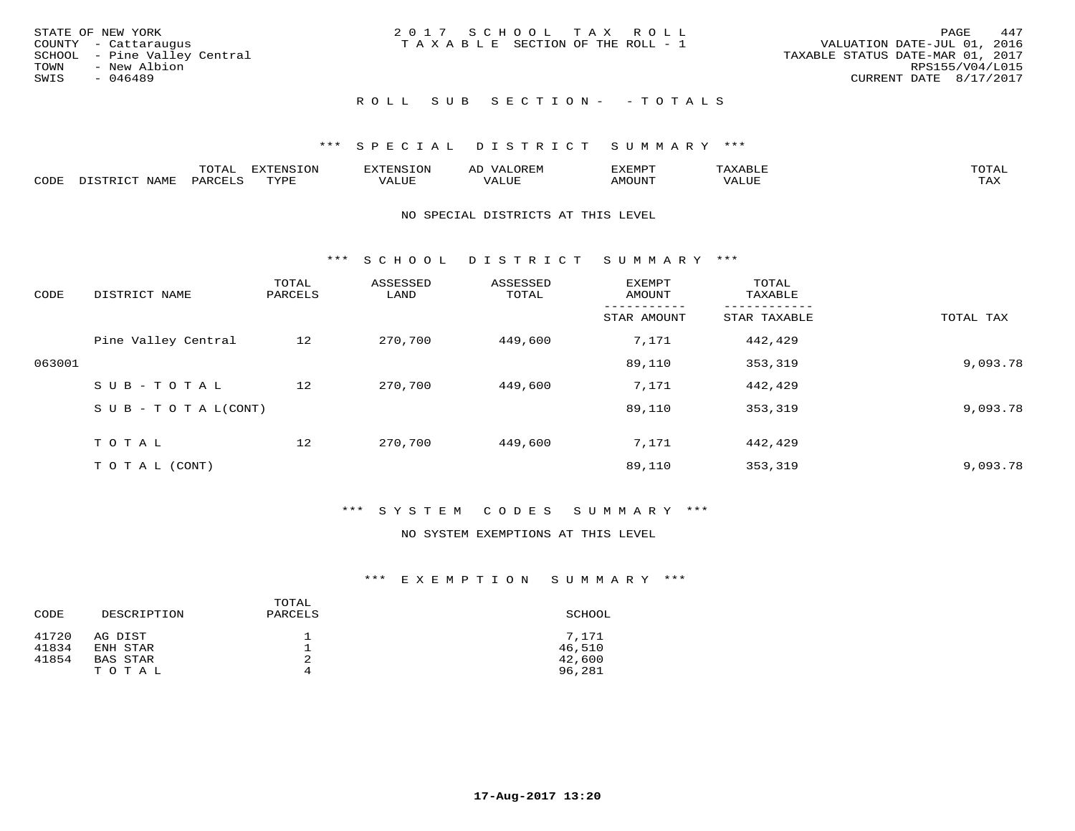| STATE OF NEW YORK            | 2017 SCHOOL TAX ROLL                  | 447<br>PAGE                      |
|------------------------------|---------------------------------------|----------------------------------|
| COUNTY - Cattaraugus         | T A X A B L E SECTION OF THE ROLL - 1 | VALUATION DATE-JUL 01, 2016      |
| SCHOOL - Pine Valley Central |                                       | TAXABLE STATUS DATE-MAR 01, 2017 |
| TOWN - New Albion            |                                       | RPS155/V04/L015                  |
| SWIS<br>- 046489             |                                       | CURRENT DATE 8/17/2017           |
|                              | ROLL SUB SECTION- - TOTALS            |                                  |

|      |      | $m \wedge m \wedge n$<br>◡∸▱ | propose<br>. . <i>.</i> . |           | AL    | ,,, <del>,</del> ,,,,,<br>` ب |       | $m \wedge m \wedge n$ |
|------|------|------------------------------|---------------------------|-----------|-------|-------------------------------|-------|-----------------------|
| CODE | ламн | PAR                          | mvnt                      | الالماستد | ALUF. | MOUN'I                        | VALUE | max 1<br>∸⊷∽          |

#### NO SPECIAL DISTRICTS AT THIS LEVEL

\*\*\* S C H O O L D I S T R I C T S U M M A R Y \*\*\*

| CODE   | DISTRICT NAME                    | TOTAL<br>PARCELS | ASSESSED<br>LAND | ASSESSED<br>TOTAL | <b>EXEMPT</b><br>AMOUNT | TOTAL<br>TAXABLE |           |
|--------|----------------------------------|------------------|------------------|-------------------|-------------------------|------------------|-----------|
|        |                                  |                  |                  |                   | STAR AMOUNT             | STAR TAXABLE     | TOTAL TAX |
|        | Pine Valley Central              | 12               | 270,700          | 449,600           | 7,171                   | 442,429          |           |
| 063001 |                                  |                  |                  |                   | 89,110                  | 353,319          | 9,093.78  |
|        | SUB-TOTAL                        | 12               | 270,700          | 449,600           | 7,171                   | 442,429          |           |
|        | $S \cup B - T \cup T A L (CONT)$ |                  |                  |                   | 89,110                  | 353,319          | 9,093.78  |
|        | TOTAL                            | 12               | 270,700          | 449,600           | 7,171                   | 442,429          |           |
|        | T O T A L (CONT)                 |                  |                  |                   | 89,110                  | 353,319          | 9,093.78  |

#### \*\*\* S Y S T E M C O D E S S U M M A R Y \*\*\*

#### NO SYSTEM EXEMPTIONS AT THIS LEVEL

|       |             | TOTAL   |        |
|-------|-------------|---------|--------|
| CODE  | DESCRIPTION | PARCELS | SCHOOL |
| 41720 | AG DIST     |         | 7.171  |
| 41834 | ENH STAR    |         | 46,510 |
| 41854 | BAS STAR    | 2       | 42,600 |
|       | TOTAL       | 4       | 96,281 |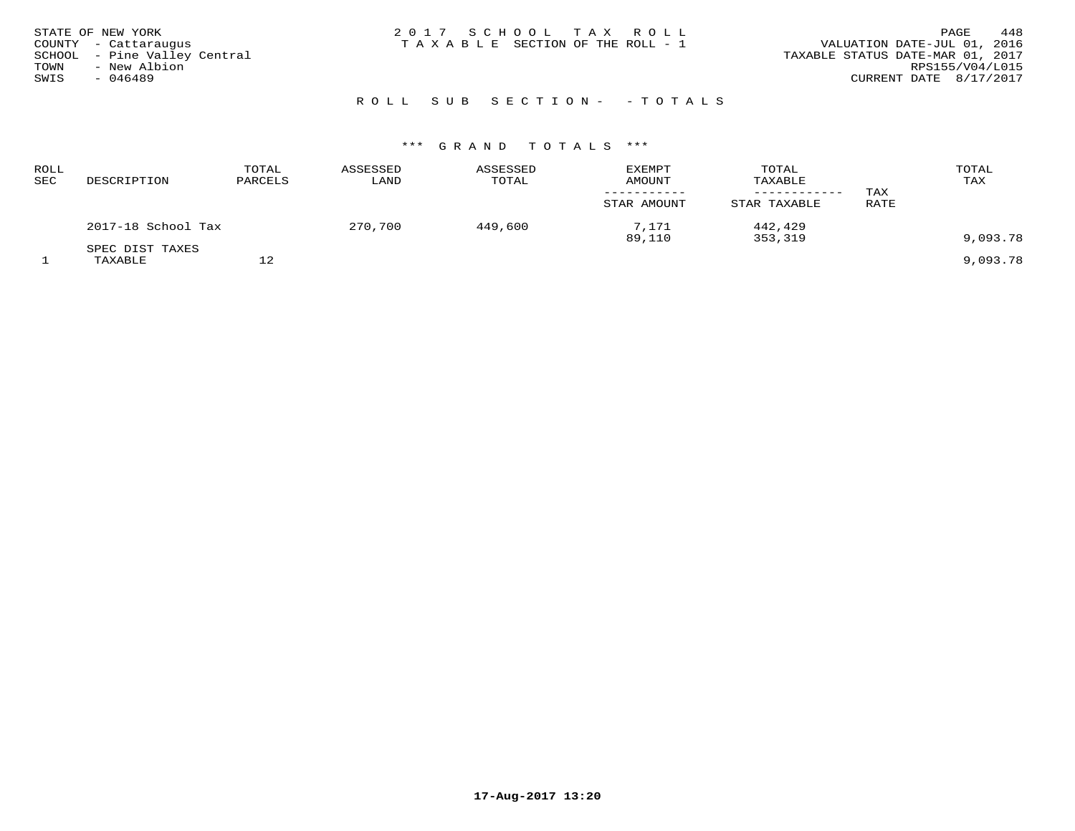| STATE OF NEW YORK            | 2017 SCHOOL TAX ROLL                  | 448<br>PAGE                      |
|------------------------------|---------------------------------------|----------------------------------|
| COUNTY - Cattaraugus         | T A X A B L E SECTION OF THE ROLL - 1 | VALUATION DATE-JUL 01, 2016      |
| SCHOOL - Pine Valley Central |                                       | TAXABLE STATUS DATE-MAR 01, 2017 |
| - New Albion<br>TOWN         |                                       | RPS155/V04/L015                  |
| SWIS<br>- 046489             |                                       | CURRENT DATE 8/17/2017           |
|                              |                                       |                                  |
|                              |                                       |                                  |

# R O L L S U B S E C T I O N - - T O T A L S

| ROLL<br>SEC | DESCRIPTION        | TOTAL<br>PARCELS | ASSESSED<br>LAND | ASSESSED<br>TOTAL | <b>EXEMPT</b><br><b>AMOUNT</b> | TOTAL<br>TAXABLE | TAX         | TOTAL<br>TAX |
|-------------|--------------------|------------------|------------------|-------------------|--------------------------------|------------------|-------------|--------------|
|             |                    |                  |                  |                   | STAR AMOUNT                    | STAR TAXABLE     | <b>RATE</b> |              |
|             | 2017-18 School Tax |                  | 270,700          | 449,600           | 7.171                          | 442,429          |             |              |
|             |                    |                  |                  |                   | 89,110                         | 353,319          |             | 9,093.78     |
|             | SPEC DIST TAXES    |                  |                  |                   |                                |                  |             |              |
|             | TAXABLE            | 12               |                  |                   |                                |                  |             | 9,093.78     |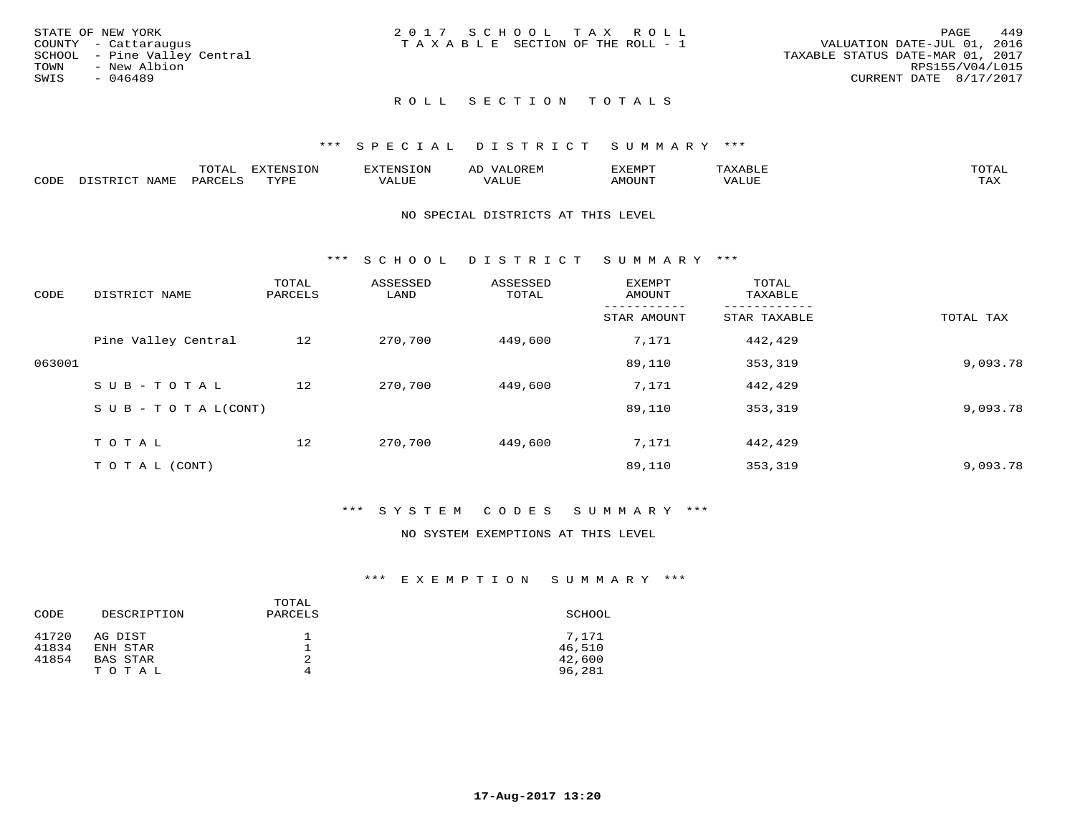| STATE OF NEW YORK            | 2017 SCHOOL TAX ROLL            | 449<br>PAGE                      |
|------------------------------|---------------------------------|----------------------------------|
| COUNTY - Cattaraugus         | TAXABLE SECTION OF THE ROLL - 1 | VALUATION DATE-JUL 01, 2016      |
| SCHOOL - Pine Valley Central |                                 | TAXABLE STATUS DATE-MAR 01, 2017 |
| TOWN<br>- New Albion         |                                 | RPS155/V04/L015                  |
| SWIS<br>- 046489             |                                 | CURRENT DATE 8/17/2017           |
|                              | ROLL SECTION TOTALS             |                                  |

|      |       | -----<br><u>UIAI</u> | ⊤⌒ኊ<br>.UI | Al        | ם כדי ארד לצו              | $m \wedge m \wedge n$<br>$\overline{\phantom{a}}$ |
|------|-------|----------------------|------------|-----------|----------------------------|---------------------------------------------------|
| CODE | ∧T∆M. | <b>UAR</b>           | TVDF       | $- - - -$ | $\triangle M\bigcirc$ tint | $m \times r$<br>- ∠∡∡                             |

#### NO SPECIAL DISTRICTS AT THIS LEVEL

\*\*\* S C H O O L D I S T R I C T S U M M A R Y \*\*\*

| CODE   | DISTRICT NAME                    | TOTAL<br>PARCELS | ASSESSED<br>LAND | ASSESSED<br>TOTAL | EXEMPT<br>AMOUNT | TOTAL<br>TAXABLE |           |
|--------|----------------------------------|------------------|------------------|-------------------|------------------|------------------|-----------|
|        |                                  |                  |                  |                   | STAR AMOUNT      | STAR TAXABLE     | TOTAL TAX |
|        | Pine Valley Central              | 12               | 270,700          | 449,600           | 7,171            | 442,429          |           |
| 063001 |                                  |                  |                  |                   | 89,110           | 353,319          | 9,093.78  |
|        | SUB-TOTAL                        | 12               | 270,700          | 449,600           | 7,171            | 442,429          |           |
|        | $S \cup B - T \cup T A L (CONT)$ |                  |                  |                   | 89,110           | 353,319          | 9,093.78  |
|        | T O T A L                        | 12               | 270,700          | 449,600           | 7,171            | 442,429          |           |
|        | T O T A L (CONT)                 |                  |                  |                   | 89,110           | 353,319          | 9,093.78  |

#### \*\*\* S Y S T E M C O D E S S U M M A R Y \*\*\*

#### NO SYSTEM EXEMPTIONS AT THIS LEVEL

|       |             | TOTAL   |        |
|-------|-------------|---------|--------|
| CODE  | DESCRIPTION | PARCELS | SCHOOL |
| 41720 | AG DIST     |         | 7.171  |
| 41834 | ENH STAR    |         | 46,510 |
| 41854 | BAS STAR    | 2       | 42,600 |
|       | TOTAL       | 4       | 96,281 |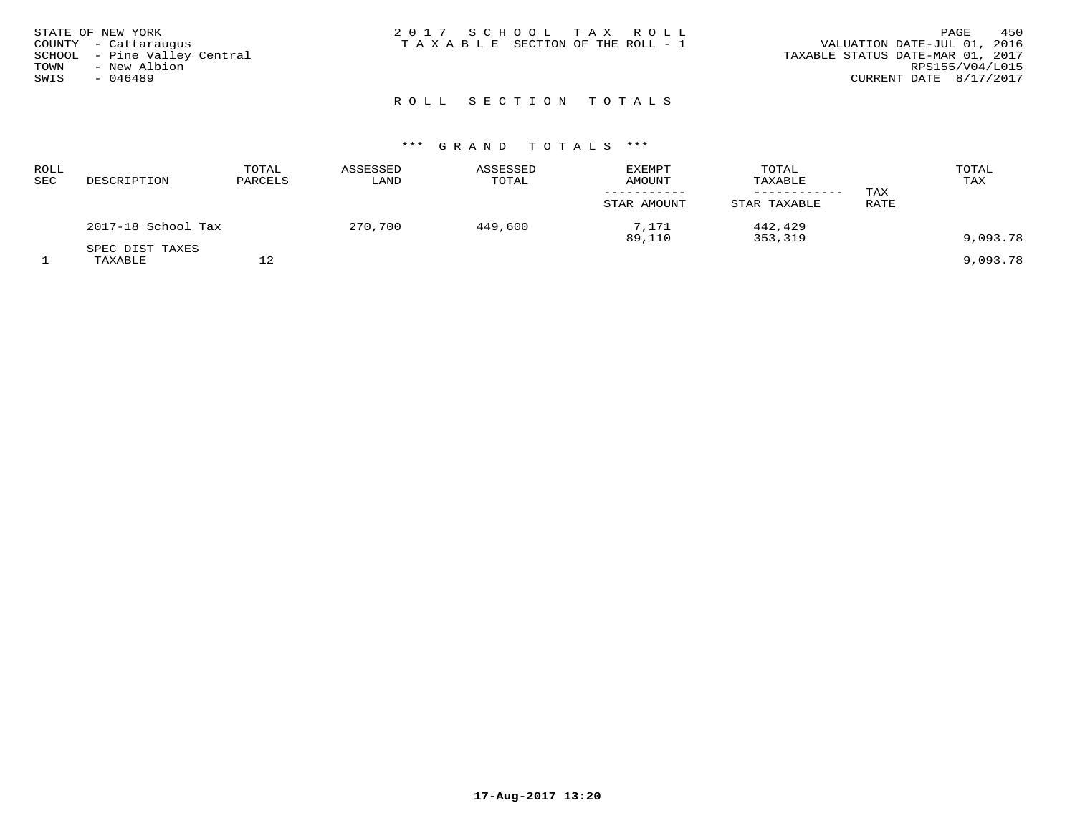| STATE OF NEW YORK            | 2017 SCHOOL TAX ROLL            | 450<br>PAGE                      |
|------------------------------|---------------------------------|----------------------------------|
| COUNTY - Cattaraugus         | TAXABLE SECTION OF THE ROLL - 1 | VALUATION DATE-JUL 01, 2016      |
| SCHOOL - Pine Valley Central |                                 | TAXABLE STATUS DATE-MAR 01, 2017 |
| - New Albion<br>TOWN         |                                 | RPS155/V04/L015                  |
| $-046489$<br>SWIS            |                                 | CURRENT DATE 8/17/2017           |
|                              |                                 |                                  |

# R O L L S E C T I O N T O T A L S

| <b>ROLL</b><br>SEC | DESCRIPTION                | TOTAL<br>PARCELS | ASSESSED<br>LAND | ASSESSED<br>TOTAL | <b>EXEMPT</b><br><b>AMOUNT</b><br>STAR AMOUNT | TOTAL<br>TAXABLE<br>STAR TAXABLE | TAX<br>RATE | TOTAL<br>TAX |
|--------------------|----------------------------|------------------|------------------|-------------------|-----------------------------------------------|----------------------------------|-------------|--------------|
|                    | 2017-18 School Tax         |                  | 270,700          | 449,600           | 7.171<br>89,110                               | 442,429<br>353,319               |             | 9,093.78     |
|                    | SPEC DIST TAXES<br>TAXABLE |                  |                  |                   |                                               |                                  |             | 9,093.78     |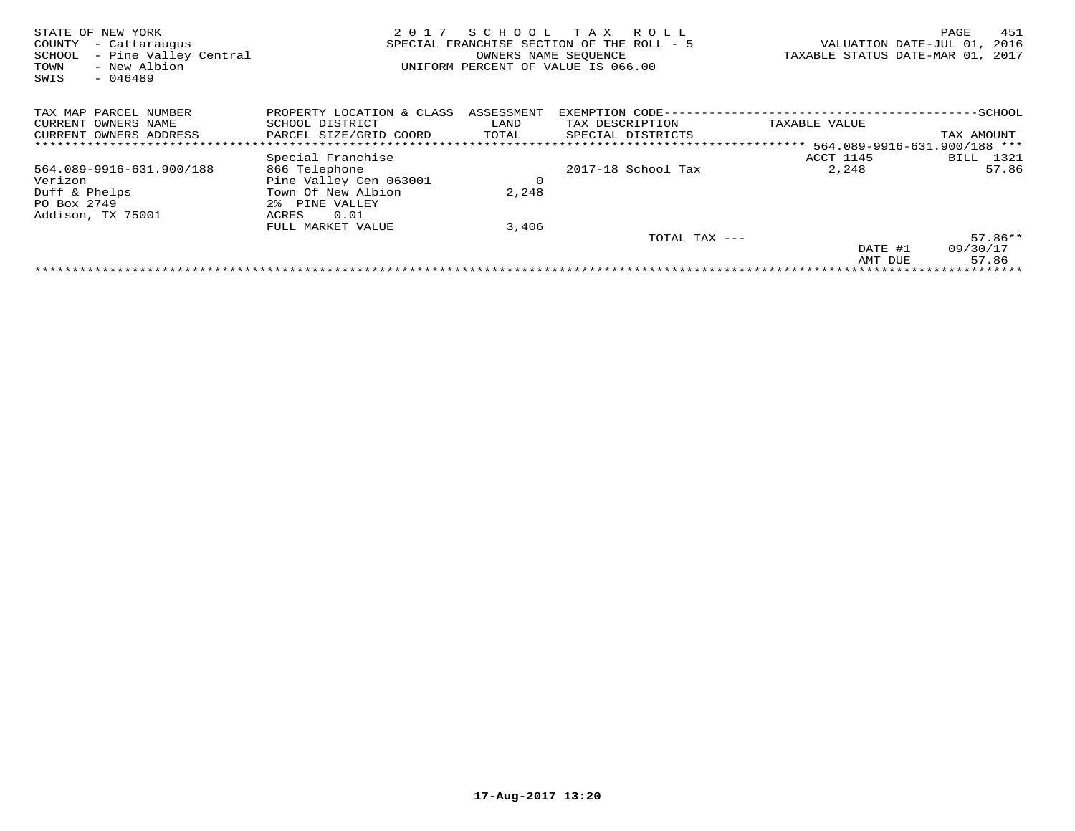| STATE OF NEW YORK<br>COUNTY<br>- Cattaraugus<br>- Pine Valley Central<br>SCHOOL<br>- New Albion<br>TOWN<br>$-046489$<br>SWIS | 2 0 1 7                   |             | SCHOOL TAX ROLL<br>SPECIAL FRANCHISE SECTION OF THE ROLL - 5<br>OWNERS NAME SEOUENCE<br>UNIFORM PERCENT OF VALUE IS 066.00 | VALUATION DATE-JUL 01,<br>TAXABLE STATUS DATE-MAR 01, 2017 | 451<br>PAGE<br>2016 |
|------------------------------------------------------------------------------------------------------------------------------|---------------------------|-------------|----------------------------------------------------------------------------------------------------------------------------|------------------------------------------------------------|---------------------|
| TAX MAP PARCEL NUMBER                                                                                                        | PROPERTY LOCATION & CLASS | ASSESSMENT  | EXEMPTION CODE-                                                                                                            |                                                            | -SCHOOL             |
| CURRENT OWNERS NAME                                                                                                          | SCHOOL DISTRICT           | LAND        | TAX DESCRIPTION                                                                                                            | TAXABLE VALUE                                              |                     |
| CURRENT OWNERS ADDRESS                                                                                                       | PARCEL SIZE/GRID COORD    | TOTAL       | SPECIAL DISTRICTS                                                                                                          |                                                            | TAX AMOUNT          |
|                                                                                                                              |                           |             |                                                                                                                            |                                                            |                     |
|                                                                                                                              | Special Franchise         |             |                                                                                                                            | ACCT 1145                                                  | 1321<br>BILL        |
| 564.089-9916-631.900/188                                                                                                     | 866 Telephone             |             | 2017-18 School Tax                                                                                                         | 2,248                                                      | 57.86               |
| Verizon                                                                                                                      | Pine Valley Cen 063001    | $\mathbf 0$ |                                                                                                                            |                                                            |                     |
| Duff & Phelps                                                                                                                | Town Of New Albion        | 2,248       |                                                                                                                            |                                                            |                     |
| PO Box 2749                                                                                                                  | 2% PINE VALLEY            |             |                                                                                                                            |                                                            |                     |
| Addison, TX 75001                                                                                                            | 0.01<br>ACRES             |             |                                                                                                                            |                                                            |                     |
|                                                                                                                              | FULL MARKET VALUE         | 3,406       |                                                                                                                            |                                                            |                     |
|                                                                                                                              |                           |             | TOTAL TAX ---                                                                                                              |                                                            | $57.86**$           |
|                                                                                                                              |                           |             |                                                                                                                            | DATE #1                                                    | 09/30/17            |
|                                                                                                                              |                           |             |                                                                                                                            | AMT DUE                                                    | 57.86               |
|                                                                                                                              |                           |             |                                                                                                                            |                                                            |                     |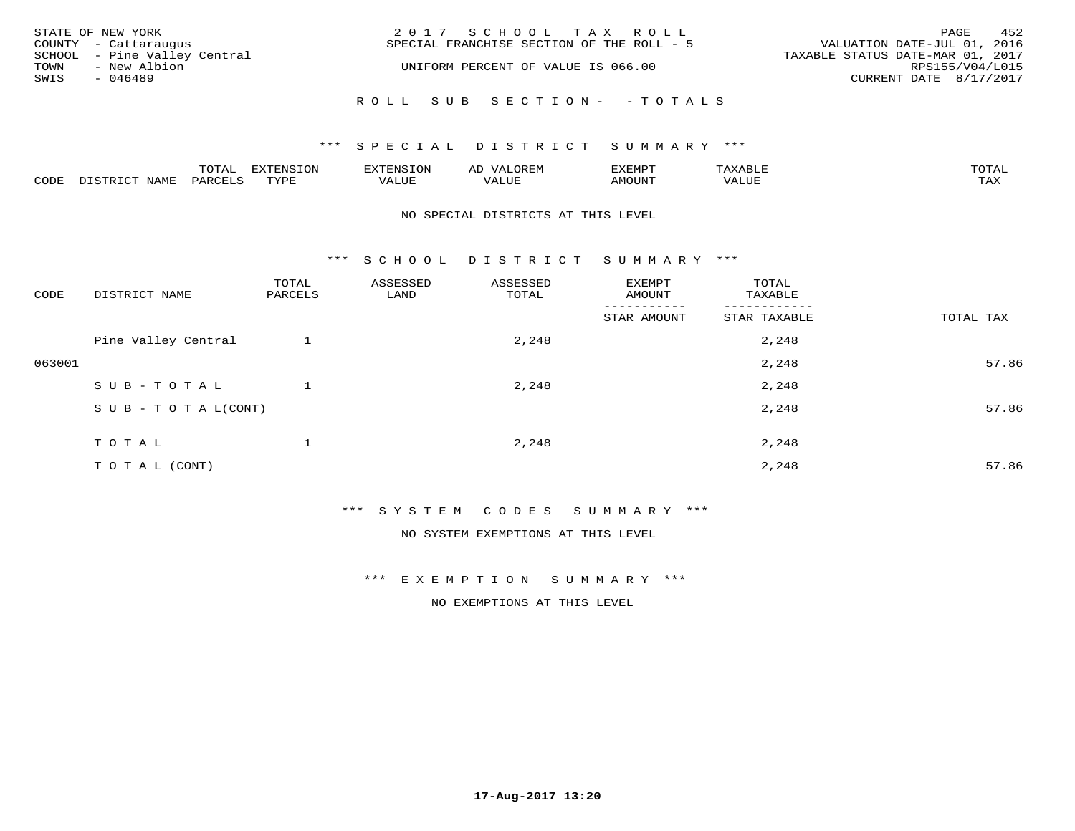| STATE OF NEW YORK            | 2017 SCHOOL TAX ROLL                      | 452<br>PAGE                      |
|------------------------------|-------------------------------------------|----------------------------------|
| COUNTY - Cattaraugus         | SPECIAL FRANCHISE SECTION OF THE ROLL - 5 | VALUATION DATE-JUL 01, 2016      |
| SCHOOL - Pine Valley Central |                                           | TAXABLE STATUS DATE-MAR 01, 2017 |
| TOWN<br>- New Albion         | UNIFORM PERCENT OF VALUE IS 066.00        | RPS155/V04/L015                  |
| SWIS<br>- 046489             |                                           | CURRENT DATE 8/17/2017           |
|                              |                                           |                                  |
|                              | ROLL SUB SECTION- - TOTALS                |                                  |

|      | $n \wedge m \wedge n$ |                 | <b>MARINE</b>  | ΑL                   |                          |                    |                           |
|------|-----------------------|-----------------|----------------|----------------------|--------------------------|--------------------|---------------------------|
| CODE | ΆR                    | $m \tau \tau n$ | اللالما للديات | $\cdots$<br>التلافين | <b>MOTTNTO</b><br>'UUN'. | <b>- ---</b><br>∕∆ | $m \times r$<br>- - - - - |

#### NO SPECIAL DISTRICTS AT THIS LEVEL

\*\*\* S C H O O L D I S T R I C T S U M M A R Y \*\*\*

| CODE   | DISTRICT NAME                    | TOTAL<br>PARCELS | ASSESSED<br>LAND | ASSESSED<br>TOTAL | EXEMPT<br>AMOUNT | TOTAL<br>TAXABLE         |           |
|--------|----------------------------------|------------------|------------------|-------------------|------------------|--------------------------|-----------|
|        |                                  |                  |                  |                   | STAR AMOUNT      | --------<br>STAR TAXABLE | TOTAL TAX |
|        | Pine Valley Central              |                  |                  | 2,248             |                  | 2,248                    |           |
| 063001 |                                  |                  |                  |                   |                  | 2,248                    | 57.86     |
|        | SUB-TOTAL                        |                  |                  | 2,248             |                  | 2,248                    |           |
|        | $S \cup B - T \cup T A L (CONT)$ |                  |                  |                   |                  | 2,248                    | 57.86     |
|        | TOTAL                            |                  |                  | 2,248             |                  | 2,248                    |           |
|        | T O T A L (CONT)                 |                  |                  |                   |                  | 2,248                    | 57.86     |

\*\*\* S Y S T E M C O D E S S U M M A R Y \*\*\*

NO SYSTEM EXEMPTIONS AT THIS LEVEL

\*\*\* E X E M P T I O N S U M M A R Y \*\*\*

NO EXEMPTIONS AT THIS LEVEL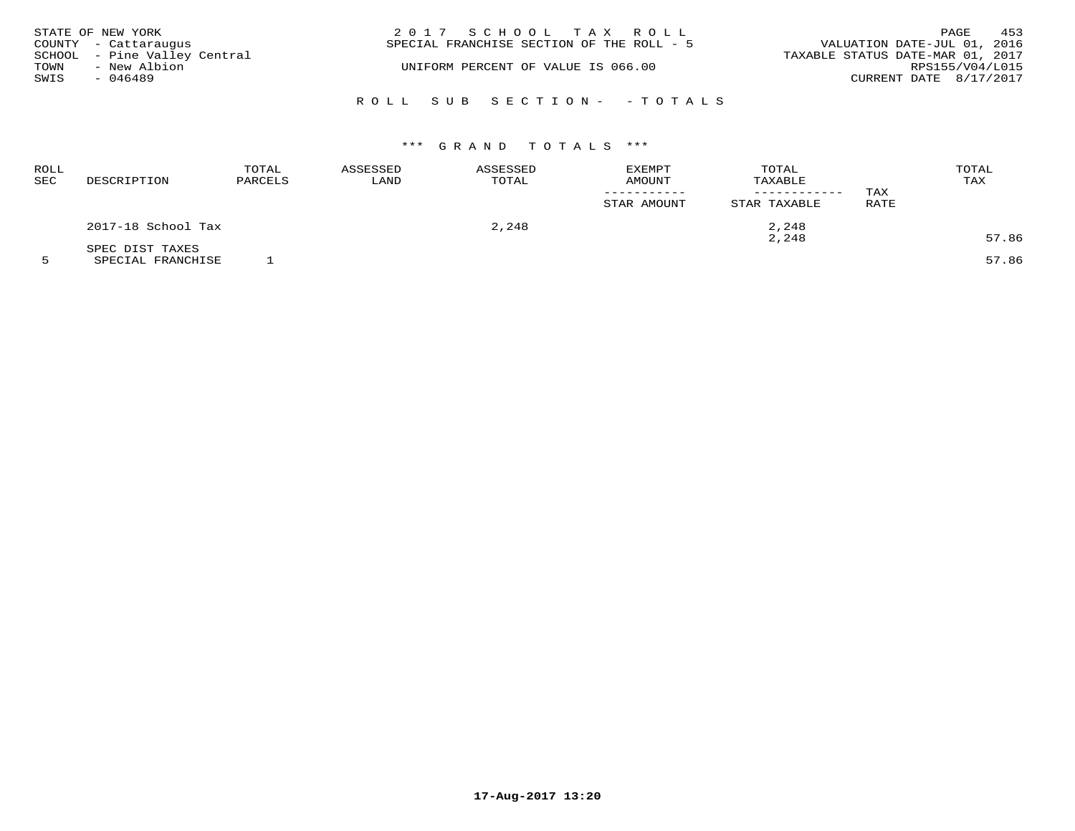|      | STATE OF NEW YORK            | 2017 SCHOOL TAX ROLL                                                     | PAGE            | 453 |
|------|------------------------------|--------------------------------------------------------------------------|-----------------|-----|
|      | COUNTY - Cattaraugus         | VALUATION DATE-JUL 01, 2016<br>SPECIAL FRANCHISE SECTION OF THE ROLL - 5 |                 |     |
|      | SCHOOL - Pine Valley Central | TAXABLE STATUS DATE-MAR 01, 2017                                         |                 |     |
| TOWN | - New Albion                 | UNIFORM PERCENT OF VALUE IS 066.00                                       | RPS155/V04/L015 |     |
| SWIS | - 046489                     | CURRENT DATE 8/17/2017                                                   |                 |     |
|      |                              |                                                                          |                 |     |
|      |                              | ROLL SUB SECTION- - TOTALS                                               |                 |     |

# \*\*\* G R A N D T O T A L S \*\*\*

| ROLL<br><b>SEC</b> | DESCRIPTION        | TOTAL<br>PARCELS | ASSESSED<br>LAND | ASSESSED<br>TOTAL | EXEMPT<br><b>AMOUNT</b><br>STAR AMOUNT | TOTAL<br>TAXABLE<br>------------<br>STAR TAXABLE | TAX<br>RATE | TOTAL<br>TAX |
|--------------------|--------------------|------------------|------------------|-------------------|----------------------------------------|--------------------------------------------------|-------------|--------------|
|                    | 2017-18 School Tax |                  | 2,248            |                   | 2,248                                  |                                                  |             |              |
|                    | SPEC DIST TAXES    |                  |                  |                   |                                        | 2,248                                            |             | 57.86        |

5 SPECIAL FRANCHISE 1 57.86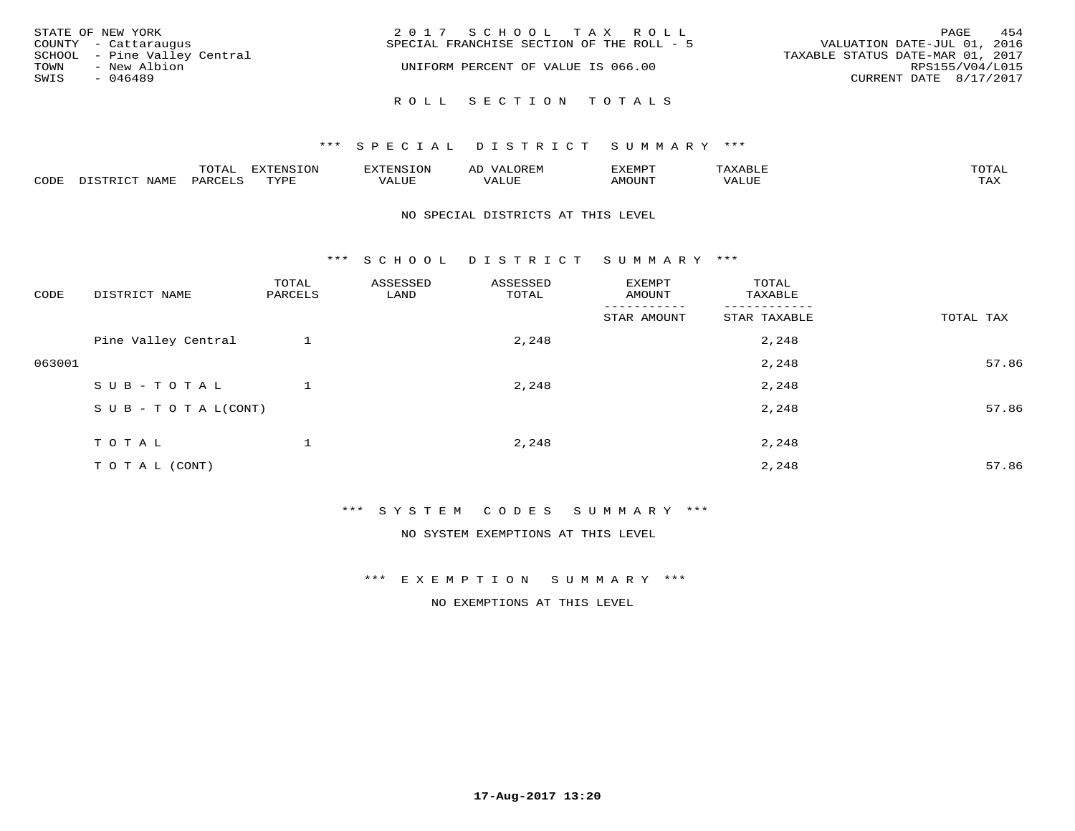| STATE OF NEW YORK            | 2017 SCHOOL TAX ROLL                      | 454<br>PAGE                      |
|------------------------------|-------------------------------------------|----------------------------------|
| COUNTY - Cattaraugus         | SPECIAL FRANCHISE SECTION OF THE ROLL - 5 | VALUATION DATE-JUL 01, 2016      |
| SCHOOL - Pine Valley Central |                                           | TAXABLE STATUS DATE-MAR 01, 2017 |
| - New Albion<br>TOWN         | UNIFORM PERCENT OF VALUE IS 066.00        | RPS155/V04/L015                  |
| SWIS<br>- 046489             |                                           | CURRENT DATE 8/17/2017           |
|                              |                                           |                                  |
|                              | ROLL SECTION TOTALS                       |                                  |

|                         |      | m^m |      | 'NT C     |           | ∟ו∨ו          |              |                             |
|-------------------------|------|-----|------|-----------|-----------|---------------|--------------|-----------------------------|
| $\bigcap_{\Pi}$<br>◡◡◡ュ | мдмь |     | TVDF | ۳۰ تاللاد | $- - - -$ | 550T<br>IUUN. | ALUE<br>77 T | $m \times r$<br>- - - - - - |

#### NO SPECIAL DISTRICTS AT THIS LEVEL

\*\*\* S C H O O L D I S T R I C T S U M M A R Y \*\*\*

| CODE   | DISTRICT NAME                    | TOTAL<br>PARCELS | ASSESSED<br>LAND | ASSESSED<br>TOTAL | EXEMPT<br>AMOUNT | TOTAL<br>TAXABLE |           |
|--------|----------------------------------|------------------|------------------|-------------------|------------------|------------------|-----------|
|        |                                  |                  |                  |                   | STAR AMOUNT      | STAR TAXABLE     | TOTAL TAX |
|        | Pine Valley Central              |                  |                  | 2,248             |                  | 2,248            |           |
| 063001 |                                  |                  |                  |                   |                  | 2,248            | 57.86     |
|        | SUB-TOTAL                        |                  |                  | 2,248             |                  | 2,248            |           |
|        | $S \cup B - T \cup T A L (CONT)$ |                  |                  |                   |                  | 2,248            | 57.86     |
|        | TOTAL                            |                  |                  | 2,248             |                  | 2,248            |           |
|        |                                  |                  |                  |                   |                  |                  |           |
|        | T O T A L (CONT)                 |                  |                  |                   |                  | 2,248            | 57.86     |

\*\*\* S Y S T E M C O D E S S U M M A R Y \*\*\*

NO SYSTEM EXEMPTIONS AT THIS LEVEL

\*\*\* E X E M P T I O N S U M M A R Y \*\*\*

NO EXEMPTIONS AT THIS LEVEL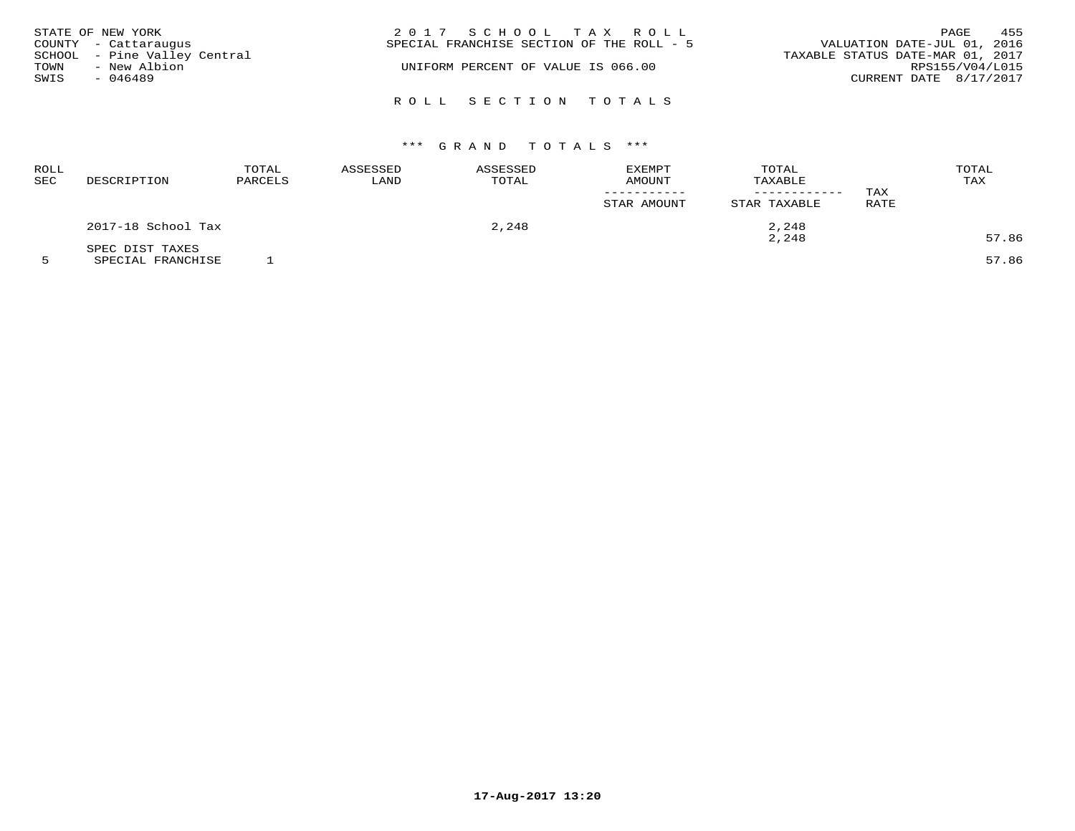|      | STATE OF NEW YORK            | 2017 SCHOOL TAX ROLL                      | 455<br>PAGE                      |
|------|------------------------------|-------------------------------------------|----------------------------------|
|      | COUNTY - Cattaraugus         | SPECIAL FRANCHISE SECTION OF THE ROLL - 5 | VALUATION DATE-JUL 01, 2016      |
|      | SCHOOL - Pine Valley Central |                                           | TAXABLE STATUS DATE-MAR 01, 2017 |
| TOWN | - New Albion                 | UNIFORM PERCENT OF VALUE IS 066.00        | RPS155/V04/L015                  |
| SWIS | $-046489$                    |                                           | CURRENT DATE 8/17/2017           |
|      |                              |                                           |                                  |
|      |                              | ROLL SECTION TOTALS                       |                                  |

# \*\*\* G R A N D T O T A L S \*\*\*

| ROLL<br><b>SEC</b> | DESCRIPTION        | TOTAL<br>PARCELS | ASSESSED<br>LAND |  | <b>EXEMPT</b><br><b>AMOUNT</b><br>STAR AMOUNT | TOTAL<br>TAXABLE<br>------------<br>STAR TAXABLE | TAX<br>RATE | TOTAL<br>TAX |  |
|--------------------|--------------------|------------------|------------------|--|-----------------------------------------------|--------------------------------------------------|-------------|--------------|--|
|                    | 2017-18 School Tax |                  | 2,248            |  | 2,248                                         |                                                  |             |              |  |
|                    | SPEC DIST TAXES    |                  |                  |  |                                               | 2,248                                            |             | 57.86        |  |

5 SPECIAL FRANCHISE 1 57.86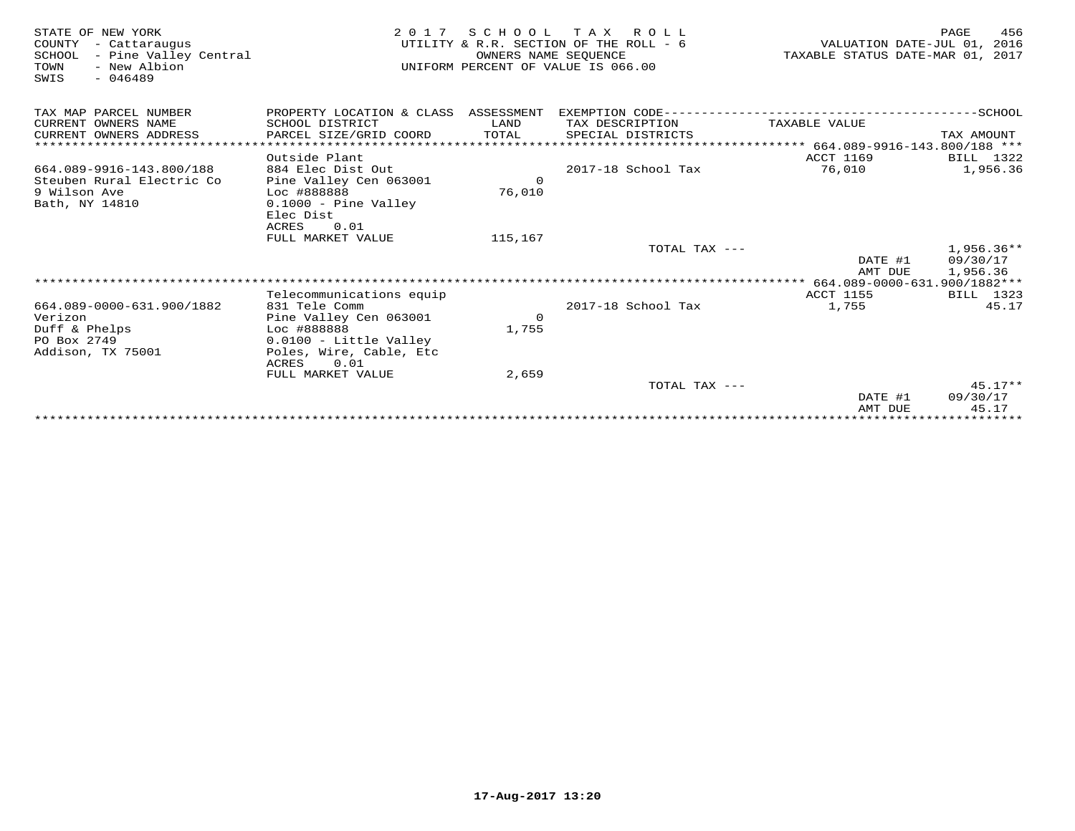| STATE OF NEW YORK<br>COUNTY<br>- Cattaraugus<br>SCHOOL<br>- Pine Valley Central<br>TOWN<br>- New Albion<br>$-046489$<br>SWIS | 2 0 1 7                              | OWNERS NAME SEQUENCE | SCHOOL TAX ROLL<br>UTILITY & R.R. SECTION OF THE ROLL - 6<br>UNIFORM PERCENT OF VALUE IS 066.00 | VALUATION DATE-JUL 01, 2016<br>TAXABLE STATUS DATE-MAR 01, 2017 | 456<br>PAGE           |
|------------------------------------------------------------------------------------------------------------------------------|--------------------------------------|----------------------|-------------------------------------------------------------------------------------------------|-----------------------------------------------------------------|-----------------------|
| TAX MAP PARCEL NUMBER                                                                                                        | PROPERTY LOCATION & CLASS ASSESSMENT |                      |                                                                                                 |                                                                 |                       |
| CURRENT OWNERS NAME                                                                                                          | SCHOOL DISTRICT                      | LAND                 | TAX DESCRIPTION                                                                                 | TAXABLE VALUE                                                   |                       |
| CURRENT OWNERS ADDRESS<br>***********************                                                                            | PARCEL SIZE/GRID COORD               | TOTAL                | SPECIAL DISTRICTS                                                                               |                                                                 | TAX AMOUNT            |
|                                                                                                                              |                                      |                      |                                                                                                 |                                                                 |                       |
| 664.089-9916-143.800/188                                                                                                     | Outside Plant<br>884 Elec Dist Out   |                      | 2017-18 School Tax                                                                              | <b>ACCT 1169</b><br>76,010                                      | BILL 1322<br>1,956.36 |
| Steuben Rural Electric Co                                                                                                    | Pine Valley Cen 063001               | $\Omega$             |                                                                                                 |                                                                 |                       |
| 9 Wilson Ave                                                                                                                 | Loc #888888                          | 76,010               |                                                                                                 |                                                                 |                       |
| Bath, NY 14810                                                                                                               | $0.1000$ - Pine Valley               |                      |                                                                                                 |                                                                 |                       |
|                                                                                                                              | Elec Dist                            |                      |                                                                                                 |                                                                 |                       |
|                                                                                                                              | 0.01<br>ACRES                        |                      |                                                                                                 |                                                                 |                       |
|                                                                                                                              | FULL MARKET VALUE                    | 115,167              |                                                                                                 |                                                                 |                       |
|                                                                                                                              |                                      |                      | TOTAL TAX $---$                                                                                 |                                                                 | $1,956.36**$          |
|                                                                                                                              |                                      |                      |                                                                                                 | DATE #1<br>AMT DUE                                              | 09/30/17<br>1,956.36  |
|                                                                                                                              |                                      |                      |                                                                                                 | ***** 664.089-0000-631.900/1882***                              |                       |
|                                                                                                                              | Telecommunications equip             |                      |                                                                                                 | <b>ACCT 1155</b>                                                | BILL 1323             |
| 664.089-0000-631.900/1882                                                                                                    | 831 Tele Comm                        |                      | 2017-18 School Tax                                                                              | 1,755                                                           | 45.17                 |
| Verizon                                                                                                                      | Pine Valley Cen 063001               | $\mathbf 0$          |                                                                                                 |                                                                 |                       |
| Duff & Phelps                                                                                                                | Loc #888888                          | 1,755                |                                                                                                 |                                                                 |                       |
| PO Box 2749                                                                                                                  | 0.0100 - Little Valley               |                      |                                                                                                 |                                                                 |                       |
| Addison, TX 75001                                                                                                            | Poles, Wire, Cable, Etc              |                      |                                                                                                 |                                                                 |                       |
|                                                                                                                              | 0.01<br>ACRES                        | 2,659                |                                                                                                 |                                                                 |                       |
|                                                                                                                              | FULL MARKET VALUE                    |                      | TOTAL TAX ---                                                                                   |                                                                 | $45.17**$             |
|                                                                                                                              |                                      |                      |                                                                                                 | DATE #1                                                         | 09/30/17              |
|                                                                                                                              |                                      |                      |                                                                                                 | AMT DUE                                                         | 45.17                 |
|                                                                                                                              |                                      |                      |                                                                                                 |                                                                 |                       |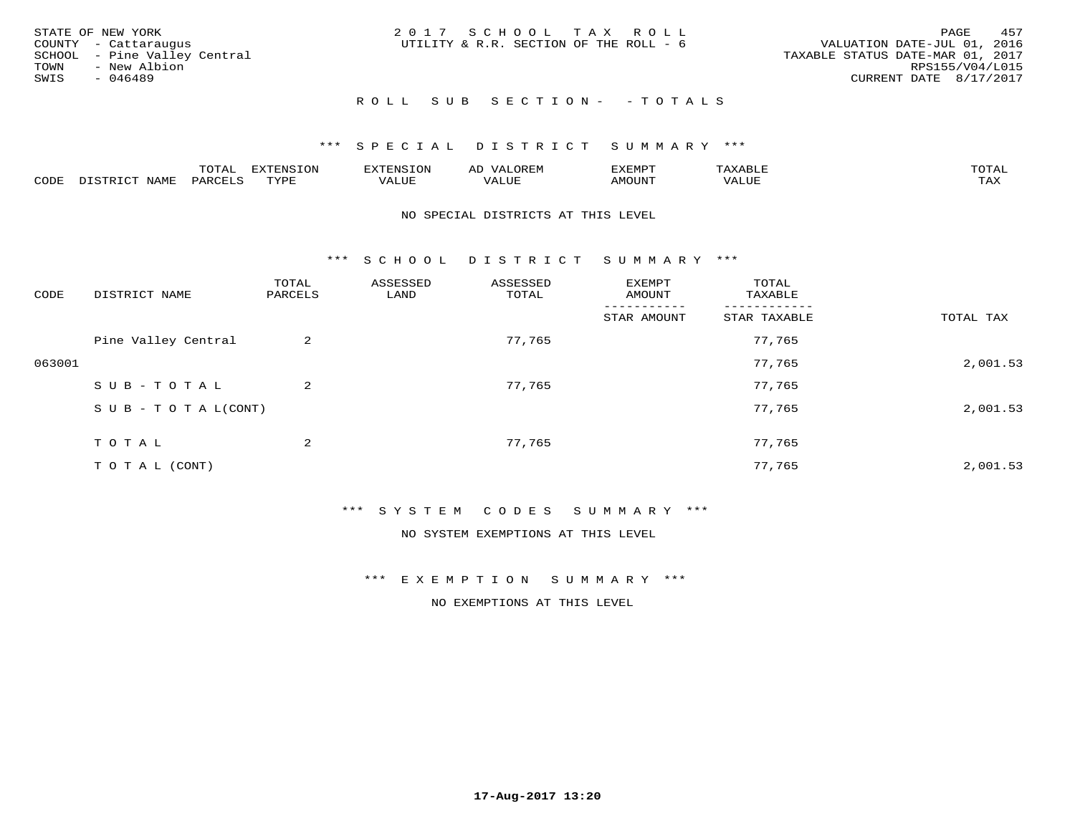|      | STATE OF NEW YORK            | 2017 SCHOOL TAX ROLL                   |  |                                  |                        | PAGE | 457 |
|------|------------------------------|----------------------------------------|--|----------------------------------|------------------------|------|-----|
|      | COUNTY - Cattaraugus         | UTILITY & R.R. SECTION OF THE ROLL - 6 |  | VALUATION DATE-JUL 01, 2016      |                        |      |     |
|      | SCHOOL - Pine Valley Central |                                        |  | TAXABLE STATUS DATE-MAR 01, 2017 |                        |      |     |
| TOWN | - New Albion                 |                                        |  |                                  | RPS155/V04/L015        |      |     |
| SWIS | - 046489                     |                                        |  |                                  | CURRENT DATE 8/17/2017 |      |     |
|      |                              |                                        |  |                                  |                        |      |     |

# R O L L S U B S E C T I O N - - T O T A L S

#### \*\*\* S P E C I A L D I S T R I C T S U M M A R Y \*\*\*

|      |                 | m∧m*<br>UIAL | EXTENSION        | 'ENST∩N         | ΑIJ<br>JR LI <sup>V</sup> | ፈXEMP" | $\Delta$<br>. .               | TOTAL |
|------|-----------------|--------------|------------------|-----------------|---------------------------|--------|-------------------------------|-------|
| CODE | $- - -$<br>NAMI | PARCEL       | mynne<br>- - - - | T T T<br>تلاللت | , , , , , , ,<br>ALUE     | MOUN.  | , 77 T TT <del>D</del><br>⊐UP | TAX   |

#### NO SPECIAL DISTRICTS AT THIS LEVEL

\*\*\* S C H O O L D I S T R I C T S U M M A R Y \*\*\*

| CODE   | DISTRICT NAME                    | TOTAL<br>PARCELS | ASSESSED<br>LAND | ASSESSED<br>TOTAL | EXEMPT<br>AMOUNT | TOTAL<br>TAXABLE |           |
|--------|----------------------------------|------------------|------------------|-------------------|------------------|------------------|-----------|
|        |                                  |                  |                  |                   | STAR AMOUNT      | STAR TAXABLE     | TOTAL TAX |
|        | Pine Valley Central              | 2                |                  | 77,765            |                  | 77,765           |           |
| 063001 |                                  |                  |                  |                   |                  | 77,765           | 2,001.53  |
|        | SUB-TOTAL                        | 2                |                  | 77,765            |                  | 77,765           |           |
|        | $S \cup B - T \cup T A L (CONT)$ |                  |                  |                   |                  | 77,765           | 2,001.53  |
|        | TOTAL                            | 2                |                  | 77,765            |                  | 77,765           |           |
|        | T O T A L (CONT)                 |                  |                  |                   |                  | 77,765           | 2,001.53  |

#### \*\*\* S Y S T E M C O D E S S U M M A R Y \*\*\*

NO SYSTEM EXEMPTIONS AT THIS LEVEL

#### \*\*\* E X E M P T I O N S U M M A R Y \*\*\*

NO EXEMPTIONS AT THIS LEVEL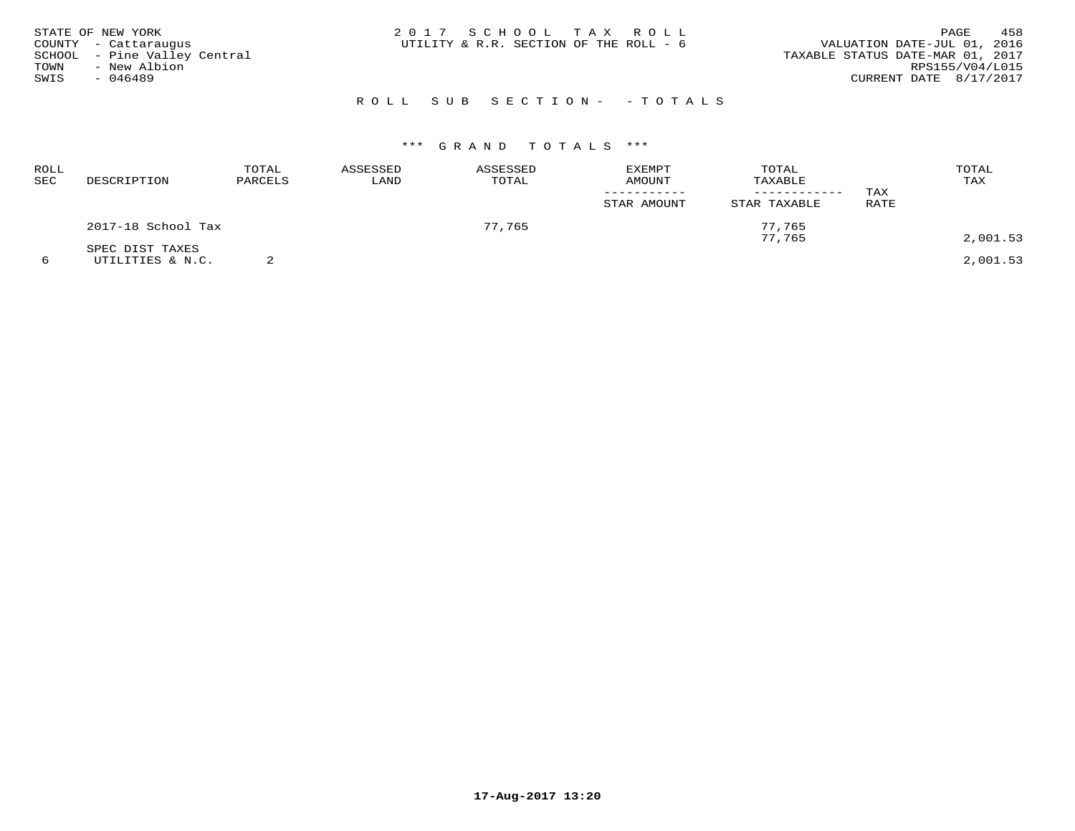|      | STATE OF NEW YORK            | 2017 SCHOOL TAX ROLL                   |  | PAGE                             | 458 |
|------|------------------------------|----------------------------------------|--|----------------------------------|-----|
|      | COUNTY - Cattaraugus         | UTILITY & R.R. SECTION OF THE ROLL - 6 |  | VALUATION DATE-JUL 01, 2016      |     |
|      | SCHOOL - Pine Valley Central |                                        |  | TAXABLE STATUS DATE-MAR 01, 2017 |     |
| TOWN | - New Albion                 |                                        |  | RPS155/V04/L015                  |     |
| SWIS | $-046489$                    |                                        |  | CURRENT DATE 8/17/2017           |     |
|      |                              |                                        |  |                                  |     |

# R O L L S U B S E C T I O N - - T O T A L S

| ROLL<br>SEC | DESCRIPTION                         | TOTAL<br>PARCELS | ASSESSED<br>LAND | ASSESSED<br>TOTAL | EXEMPT<br><b>AMOUNT</b><br>STAR AMOUNT | TOTAL<br>TAXABLE<br>---------<br>STAR TAXABLE | TAX<br>RATE | TOTAL<br>TAX |
|-------------|-------------------------------------|------------------|------------------|-------------------|----------------------------------------|-----------------------------------------------|-------------|--------------|
|             | 2017-18 School Tax                  |                  |                  | 77,765            |                                        | 77,765<br>77,765                              |             | 2,001.53     |
| 6           | SPEC DIST TAXES<br>UTILITIES & N.C. |                  |                  |                   |                                        |                                               |             | 2,001.53     |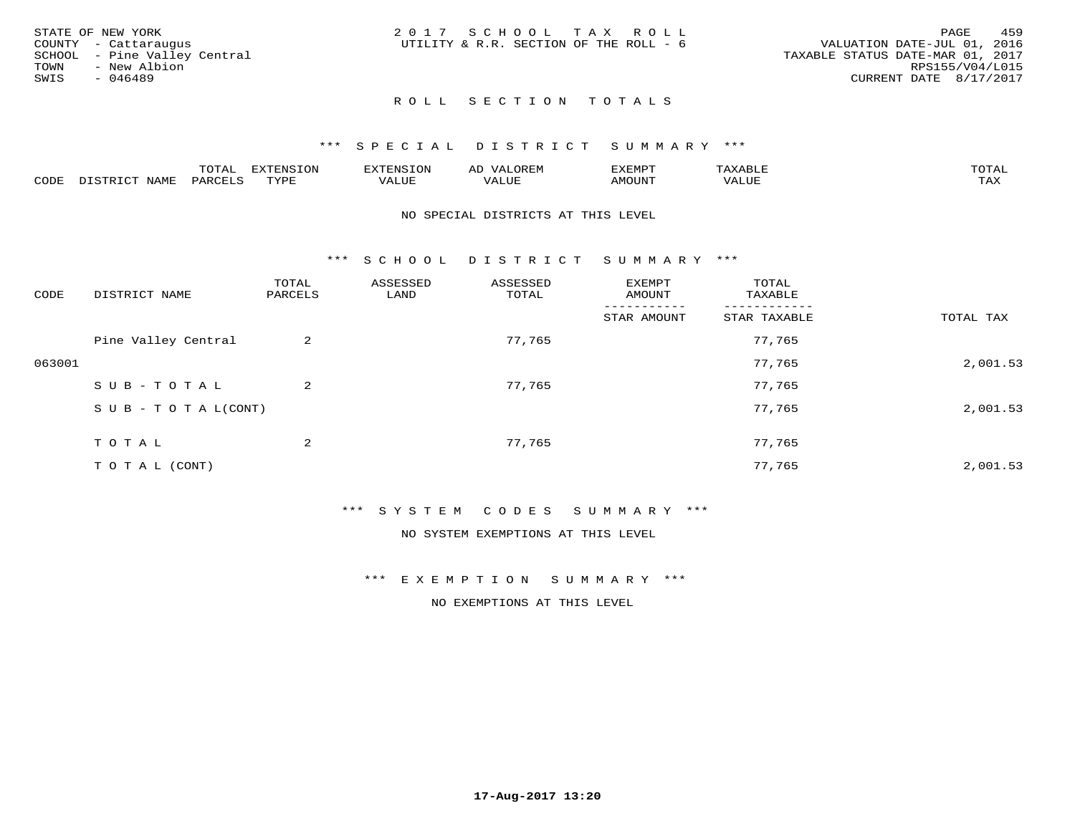|      | STATE OF NEW YORK            | 2017 SCHOOL TAX ROLL |                                        |  |  |                                  |                        | PAGE | 459 |
|------|------------------------------|----------------------|----------------------------------------|--|--|----------------------------------|------------------------|------|-----|
|      | COUNTY - Cattaraugus         |                      | UTILITY & R.R. SECTION OF THE ROLL - 6 |  |  | VALUATION DATE-JUL 01, 2016      |                        |      |     |
|      | SCHOOL - Pine Valley Central |                      |                                        |  |  | TAXABLE STATUS DATE-MAR 01, 2017 |                        |      |     |
| TOWN | - New Albion                 |                      |                                        |  |  |                                  | RPS155/V04/L015        |      |     |
| SWIS | $-046489$                    |                      |                                        |  |  |                                  | CURRENT DATE 8/17/2017 |      |     |
|      |                              |                      |                                        |  |  |                                  |                        |      |     |

## ROLL SECTION TOTALS

#### \*\*\* S P E C I A L D I S T R I C T S U M M A R Y \*\*\*

|      |                           | m∧m⊼ | <b>DVERMOTOM</b><br>LUI | TENSION       | ΑL<br>$\cdots$      | EXEMPT | $\Delta \times \Delta$<br>9 D.L | $m \wedge m \wedge n$<br>$\overline{a}$ |
|------|---------------------------|------|-------------------------|---------------|---------------------|--------|---------------------------------|-----------------------------------------|
| CODE | NTAM <sup>T</sup><br>⊥∙⊥⊥ | PARC | <b>TVDL</b>             | T T T<br>ALUF | <b>TTT</b><br>'ALUE | MOUNT  | VALUE                           | $m \times r$<br>$+$ $  +$ $-$           |

#### NO SPECIAL DISTRICTS AT THIS LEVEL

\*\*\* S C H O O L D I S T R I C T S U M M A R Y \*\*\*

| CODE   | DISTRICT NAME                    | TOTAL<br>PARCELS | ASSESSED<br>LAND | ASSESSED<br>TOTAL | EXEMPT<br>AMOUNT | TOTAL<br>TAXABLE |           |
|--------|----------------------------------|------------------|------------------|-------------------|------------------|------------------|-----------|
|        |                                  |                  |                  |                   | STAR AMOUNT      | STAR TAXABLE     | TOTAL TAX |
|        | Pine Valley Central              | 2                |                  | 77,765            |                  | 77,765           |           |
| 063001 |                                  |                  |                  |                   |                  | 77,765           | 2,001.53  |
|        | SUB-TOTAL                        | 2                |                  | 77,765            |                  | 77,765           |           |
|        | $S \cup B - T \cup T A L (CONT)$ |                  |                  |                   |                  | 77,765           | 2,001.53  |
|        | TOTAL                            | 2                |                  | 77,765            |                  | 77,765           |           |
|        | T O T A L (CONT)                 |                  |                  |                   |                  | 77,765           | 2,001.53  |

#### \*\*\* S Y S T E M C O D E S S U M M A R Y \*\*\*

NO SYSTEM EXEMPTIONS AT THIS LEVEL

#### \*\*\* E X E M P T I O N S U M M A R Y \*\*\*

NO EXEMPTIONS AT THIS LEVEL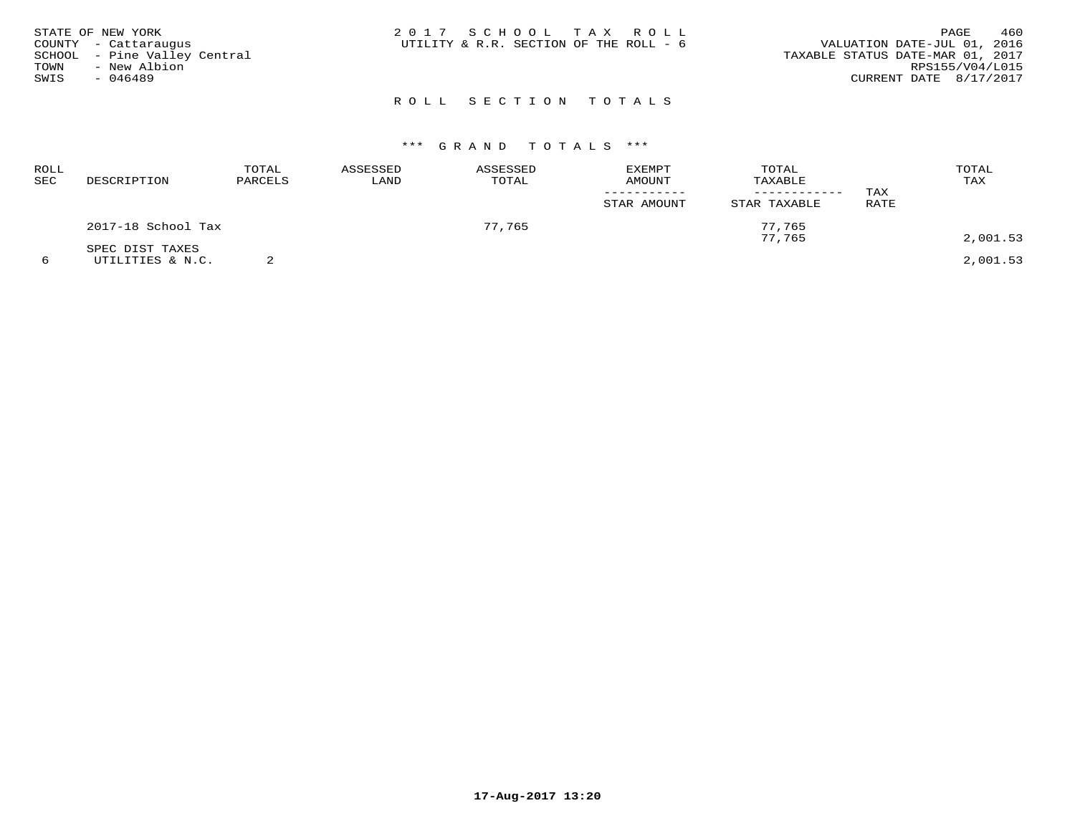| STATE OF NEW YORK<br>COUNTY - Cattaraugus<br>SCHOOL - Pine Valley Central<br>TOWN<br>- New Albion<br>SWIS<br>$-046489$ | 2017 SCHOOL TAX ROLL<br>UTILITY & R.R. SECTION OF THE ROLL - 6 | 460<br>PAGE<br>VALUATION DATE-JUL 01, 2016<br>TAXABLE STATUS DATE-MAR 01, 2017<br>RPS155/V04/L015<br>CURRENT DATE 8/17/2017 |
|------------------------------------------------------------------------------------------------------------------------|----------------------------------------------------------------|-----------------------------------------------------------------------------------------------------------------------------|
|                                                                                                                        | ROLL SECTION TOTALS                                            |                                                                                                                             |

| ROLL<br><b>SEC</b> | DESCRIPTION                         | TOTAL<br>PARCELS | ASSESSED<br>LAND | ASSESSED<br>TOTAL | EXEMPT<br>AMOUNT<br>STAR AMOUNT | TOTAL<br>TAXABLE<br>STAR TAXABLE | TAX<br>RATE | TOTAL<br>TAX |
|--------------------|-------------------------------------|------------------|------------------|-------------------|---------------------------------|----------------------------------|-------------|--------------|
|                    | 2017-18 School Tax                  |                  |                  | 77,765            |                                 | 77,765<br>77.765                 |             | 2,001.53     |
|                    | SPEC DIST TAXES<br>UTILITIES & N.C. |                  |                  |                   |                                 |                                  |             | 2,001.53     |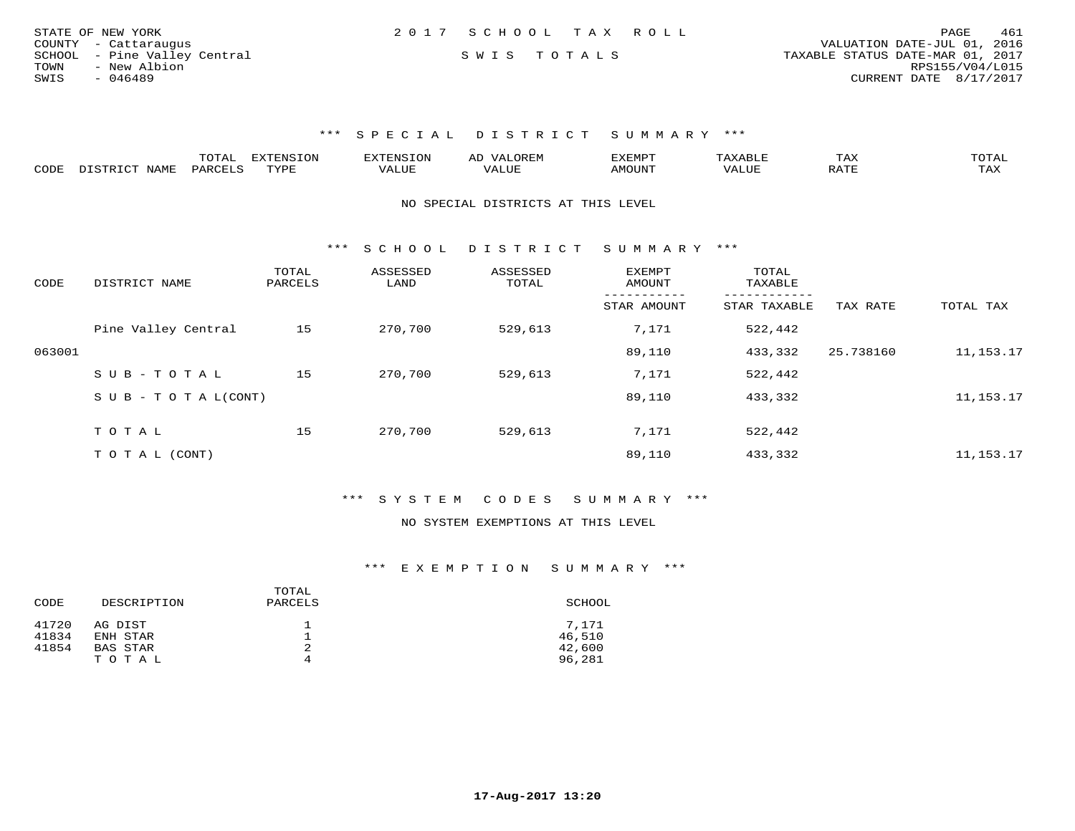| STATE OF NEW YORK            | 2017 SCHOOL TAX ROLL | 461<br>PAGE                      |
|------------------------------|----------------------|----------------------------------|
| COUNTY - Cattaraugus         |                      | VALUATION DATE-JUL 01, 2016      |
| SCHOOL - Pine Valley Central | SWIS TOTALS          | TAXABLE STATUS DATE-MAR 01, 2017 |
| TOWN<br>- New Albion         |                      | RPS155/V04/L015                  |
| SWIS<br>$-046489$            |                      | CURRENT DATE 8/17/2017           |

|      |      | ----     | <b>EXTENSION</b><br>└╰┘ | AN S  | ▵ | .XEMP" |       | ГAХ                    | $\sim$ m $\sim$ $\sim$<br>◡⊥▱ |
|------|------|----------|-------------------------|-------|---|--------|-------|------------------------|-------------------------------|
| CODE | NAMF | UARCFT ⊂ | TVDF                    | 1 U P |   | MOUN'  | 'ALUL | $5.7$ $MT$<br>$\cdots$ | TAX                           |

NO SPECIAL DISTRICTS AT THIS LEVEL

\*\*\* S C H O O L D I S T R I C T S U M M A R Y \*\*\*

| CODE   | DISTRICT NAME                    | TOTAL<br>PARCELS | ASSESSED<br>LAND | ASSESSED<br>TOTAL | <b>EXEMPT</b><br>AMOUNT | TOTAL<br>TAXABLE |           |           |
|--------|----------------------------------|------------------|------------------|-------------------|-------------------------|------------------|-----------|-----------|
|        |                                  |                  |                  |                   | STAR AMOUNT             | STAR TAXABLE     | TAX RATE  | TOTAL TAX |
|        | Pine Valley Central              | 15               | 270,700          | 529,613           | 7,171                   | 522,442          |           |           |
| 063001 |                                  |                  |                  |                   | 89,110                  | 433,332          | 25.738160 | 11,153.17 |
|        | SUB-TOTAL                        | 15               | 270,700          | 529,613           | 7,171                   | 522,442          |           |           |
|        | $S \cup B - T \cup T A L (CONT)$ |                  |                  |                   | 89,110                  | 433,332          |           | 11,153.17 |
|        | TOTAL                            | 15               | 270,700          | 529,613           | 7,171                   | 522,442          |           |           |
|        |                                  |                  |                  |                   |                         |                  |           |           |
|        | T O T A L (CONT)                 |                  |                  |                   | 89,110                  | 433,332          |           | 11,153.17 |

\*\*\* S Y S T E M C O D E S S U M M A R Y \*\*\*

#### NO SYSTEM EXEMPTIONS AT THIS LEVEL

| CODE  | DESCRIPTION | TOTAL<br>PARCELS | SCHOOL |
|-------|-------------|------------------|--------|
| 41720 | AG DIST     |                  | 7.171  |
| 41834 | ENH STAR    |                  | 46,510 |
| 41854 | BAS STAR    | 2                | 42,600 |
|       | TOTAL       | 4                | 96,281 |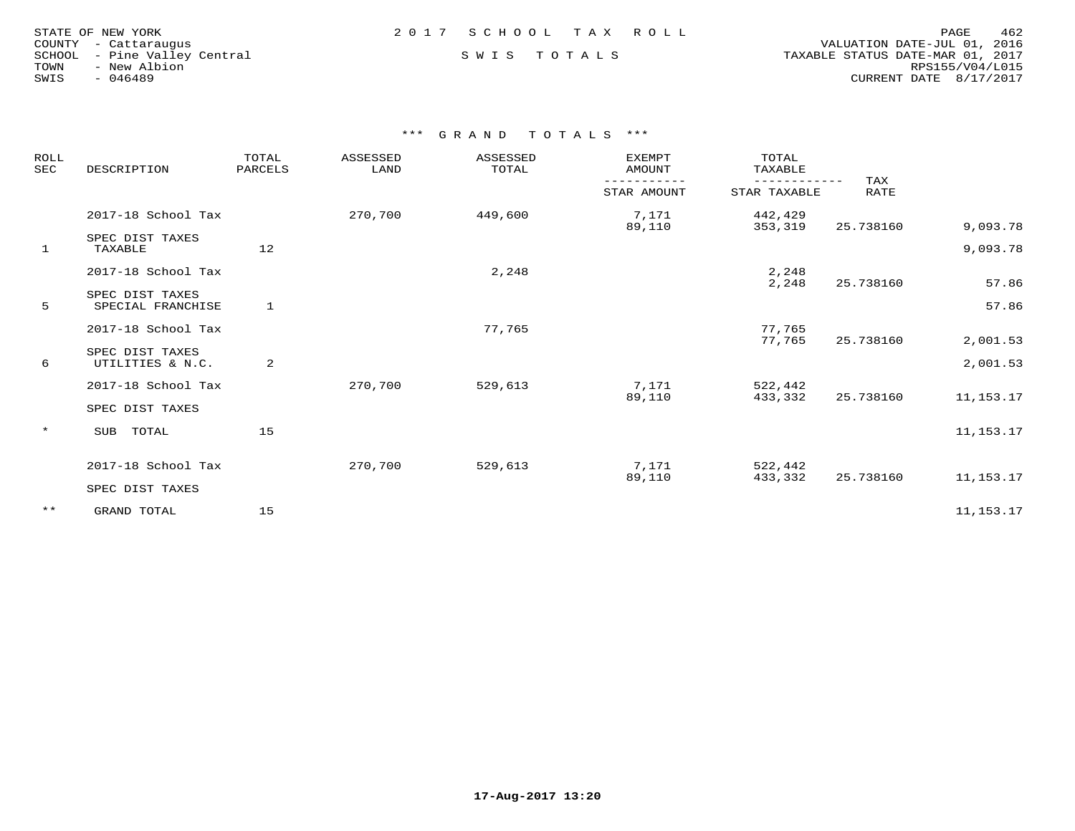| STATE OF NEW YORK    |           |                       |  |
|----------------------|-----------|-----------------------|--|
| COUNTY - Cattaraugus |           |                       |  |
| SCHOOL               |           | - Pine Valley Central |  |
| TOWN                 |           | - New Albion          |  |
| SWIS                 | $-046489$ |                       |  |

 COUNTY - Cattaraugus VALUATION DATE-JUL 01, 2016 SCHOOL - Pine Valley Central S W I S T O T A L S TAXABLE STATUS DATE-MAR 01, 2017 TOWN - New Albion RPS155/V04/L015SWIS - 046489 CURRENT DATE 8/17/2017

| ROLL<br><b>SEC</b> | DESCRIPTION                          | TOTAL<br>PARCELS | ASSESSED<br>LAND | ASSESSED<br>TOTAL | <b>EXEMPT</b><br>AMOUNT | TOTAL<br>TAXABLE   | TAX         |             |
|--------------------|--------------------------------------|------------------|------------------|-------------------|-------------------------|--------------------|-------------|-------------|
|                    |                                      |                  |                  |                   | STAR AMOUNT             | STAR TAXABLE       | <b>RATE</b> |             |
|                    | 2017-18 School Tax                   |                  | 270,700          | 449,600           | 7,171<br>89,110         | 442,429<br>353,319 | 25.738160   | 9,093.78    |
| $\mathbf{1}$       | SPEC DIST TAXES<br>TAXABLE           | 12               |                  |                   |                         |                    |             | 9,093.78    |
|                    | 2017-18 School Tax                   |                  |                  | 2,248             |                         | 2,248<br>2,248     | 25.738160   | 57.86       |
| 5                  | SPEC DIST TAXES<br>SPECIAL FRANCHISE | 1                |                  |                   |                         |                    |             | 57.86       |
|                    | 2017-18 School Tax                   |                  |                  | 77,765            |                         | 77,765<br>77,765   | 25.738160   | 2,001.53    |
| 6                  | SPEC DIST TAXES<br>UTILITIES & N.C.  | 2                |                  |                   |                         |                    |             | 2,001.53    |
|                    | 2017-18 School Tax                   |                  | 270,700          | 529,613           | 7,171<br>89,110         | 522,442<br>433,332 | 25.738160   | 11,153.17   |
|                    | SPEC DIST TAXES                      |                  |                  |                   |                         |                    |             |             |
| $\star$            | SUB<br>TOTAL                         | 15               |                  |                   |                         |                    |             | 11, 153. 17 |
|                    | 2017-18 School Tax                   |                  | 270,700          | 529,613           | 7,171<br>89,110         | 522,442<br>433,332 | 25.738160   | 11,153.17   |
|                    | SPEC DIST TAXES                      |                  |                  |                   |                         |                    |             |             |
| $***$              | GRAND TOTAL                          | 15               |                  |                   |                         |                    |             | 11, 153. 17 |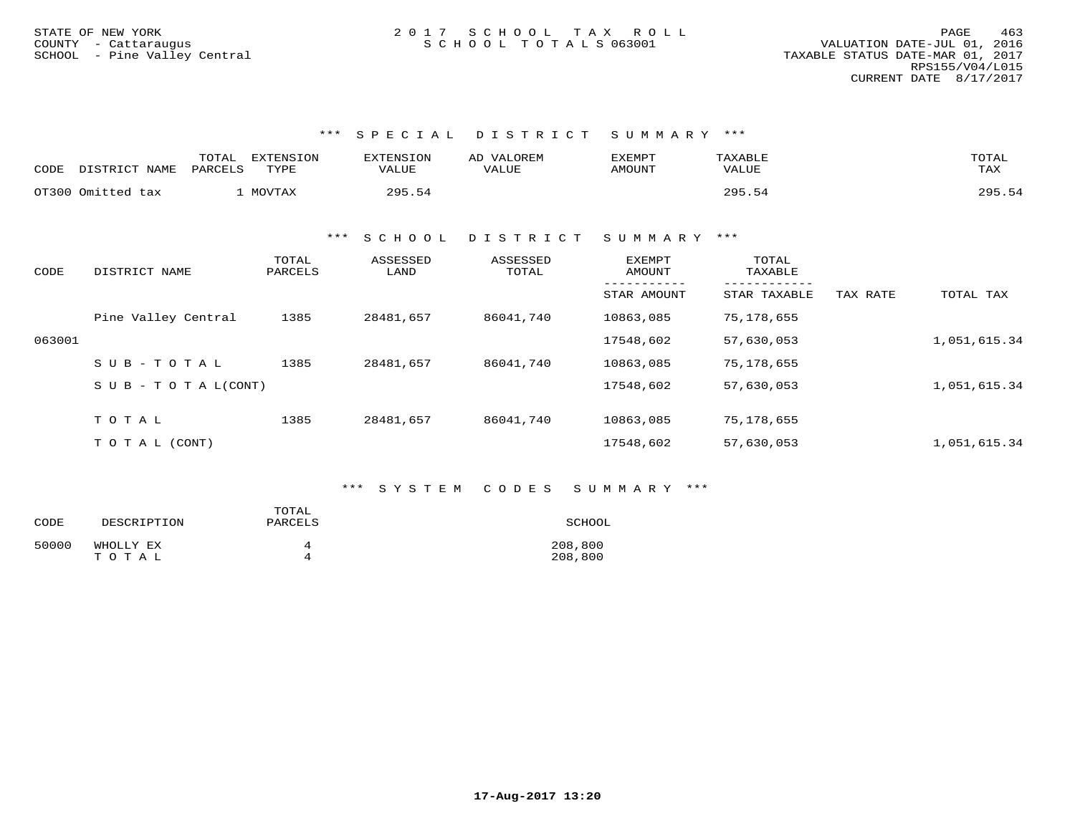| CODE | DISTRICT NAME     | TOTAL<br>EXTENSION<br>PARCELS<br>TYPE | <b>EXTENSION</b><br>VALUE | VALOREM<br>AD<br>VALUE | EXEMPT<br>AMOUNT | TAXABLE<br>VALUE | TOTAL<br>TAX |
|------|-------------------|---------------------------------------|---------------------------|------------------------|------------------|------------------|--------------|
|      | OT300 Omitted tax | MOVTAX                                | 295.54                    |                        |                  | 295.54           | 295.54       |

\*\*\* S C H O O L D I S T R I C T S U M M A R Y \*\*\*

| CODE   | DISTRICT NAME                    | TOTAL<br>PARCELS | ASSESSED<br>LAND | ASSESSED<br>TOTAL | <b>EXEMPT</b><br>AMOUNT | TOTAL<br>TAXABLE |          |              |
|--------|----------------------------------|------------------|------------------|-------------------|-------------------------|------------------|----------|--------------|
|        |                                  |                  |                  |                   | STAR AMOUNT             | STAR TAXABLE     | TAX RATE | TOTAL TAX    |
|        | Pine Valley Central              | 1385             | 28481,657        | 86041,740         | 10863,085               | 75,178,655       |          |              |
| 063001 |                                  |                  |                  |                   | 17548,602               | 57,630,053       |          | 1,051,615.34 |
|        | $SUB - TO T AL$                  | 1385             | 28481,657        | 86041,740         | 10863,085               | 75,178,655       |          |              |
|        | $S \cup B - T \cup T A L (CONT)$ |                  |                  |                   | 17548,602               | 57,630,053       |          | 1,051,615.34 |
|        |                                  |                  |                  |                   |                         |                  |          |              |
|        | TOTAL                            | 1385             | 28481,657        | 86041,740         | 10863,085               | 75,178,655       |          |              |
|        | T O T A L (CONT)                 |                  |                  |                   | 17548,602               | 57,630,053       |          | 1,051,615.34 |

### \*\*\* S Y S T E M C O D E S S U M M A R Y \*\*\*

| CODE  | DESCRIPTION | TOTAL<br>PARCELS | SCHOOL  |
|-------|-------------|------------------|---------|
| 50000 | WHOLLY EX   | Δ                | 208,800 |
|       | TOTAL       | Δ                | 208,800 |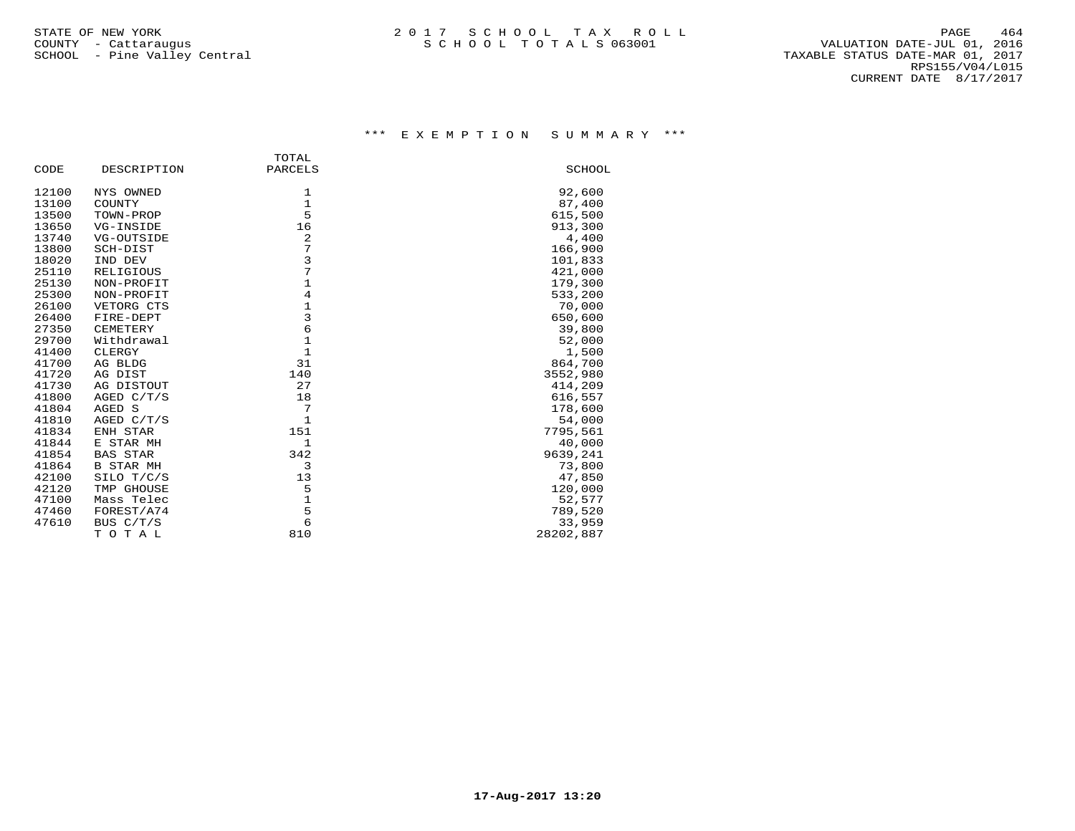|       |                  | TOTAL          |               |
|-------|------------------|----------------|---------------|
| CODE  | DESCRIPTION      | PARCELS        | <b>SCHOOL</b> |
| 12100 | NYS OWNED        | 1              | 92,600        |
| 13100 | COUNTY           | $\mathbf{1}$   | 87,400        |
| 13500 | TOWN-PROP        | 5              | 615,500       |
| 13650 | VG-INSIDE        | 16             | 913,300       |
| 13740 | VG-OUTSIDE       | 2              | 4,400         |
| 13800 | SCH-DIST         | 7              | 166,900       |
| 18020 | IND DEV          | $\overline{3}$ | 101,833       |
| 25110 | RELIGIOUS        | 7              | 421,000       |
| 25130 | NON-PROFIT       | $\mathbf{1}$   | 179,300       |
| 25300 | NON-PROFIT       | $\overline{4}$ | 533,200       |
| 26100 | VETORG CTS       | $1\,$          | 70,000        |
| 26400 | FIRE-DEPT        | $\overline{3}$ | 650,600       |
| 27350 | CEMETERY         | 6              | 39,800        |
| 29700 | Withdrawal       | $\mathbf{1}$   | 52,000        |
| 41400 | CLERGY           | $\mathbf{1}$   | 1,500         |
| 41700 | AG BLDG          | 31             | 864,700       |
| 41720 | AG DIST          | 140            | 3552,980      |
| 41730 | AG DISTOUT       | 27             | 414,209       |
| 41800 | AGED C/T/S       | 18             | 616,557       |
| 41804 | AGED S           | 7              | 178,600       |
| 41810 | AGED C/T/S       | $\mathbf{1}$   | 54,000        |
| 41834 | ENH STAR         | 151            | 7795,561      |
| 41844 | E STAR MH        | $\mathbf{1}$   | 40,000        |
| 41854 | <b>BAS STAR</b>  | 342            | 9639,241      |
| 41864 | <b>B STAR MH</b> | 3              | 73,800        |
| 42100 | SILO T/C/S       | 13             | 47,850        |
| 42120 | TMP GHOUSE       | 5              | 120,000       |
| 47100 | Mass Telec       | $\mathbf{1}$   | 52,577        |
| 47460 | FOREST/A74       | 5              | 789,520       |
| 47610 | BUS C/T/S        | 6              | 33,959        |
|       | TOTAL            | 810            | 28202,887     |